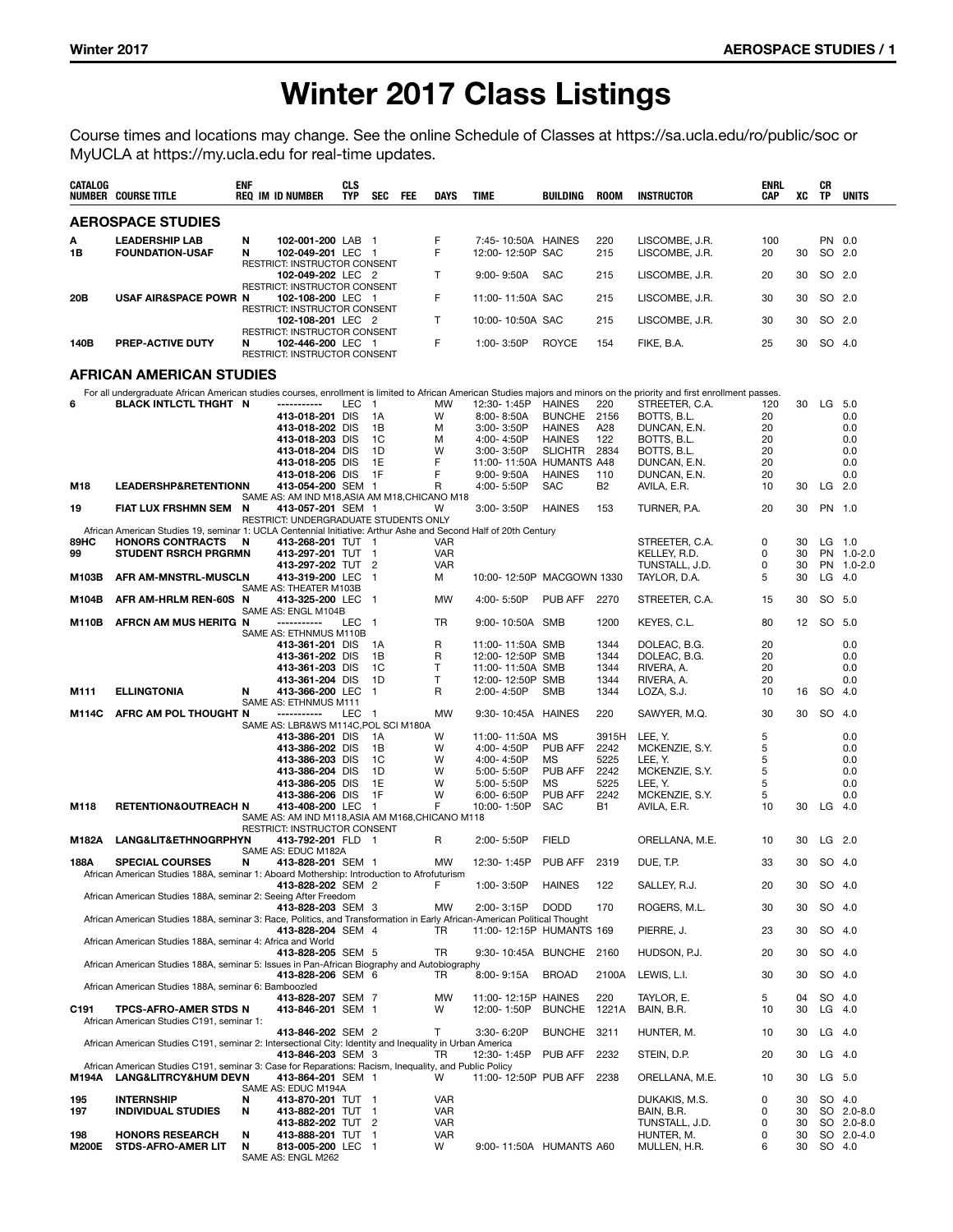# Winter 2017 Class Listings

Course times and locations may change. See the online Schedule of Classes at https://sa.ucla.edu/ro/public/soc or MyUCLA at https://my.ucla.edu for real-time updates.

| CATALOG             | <b>NUMBER COURSE TITLE</b>                                                                                               | <b>ENF</b> | <b>REQ IM ID NUMBER</b>                                                           | <b>CLS</b><br><b>TYP</b> | SEC<br>FEE                 | DAYS                     | <b>TIME</b>                            | BUILDING                       | <b>ROOM</b>      | <b>INSTRUCTOR</b>                                                                                                                                                        | ENRL<br>CAP | xс       | CR<br>TP         | <b>UNITS</b>             |
|---------------------|--------------------------------------------------------------------------------------------------------------------------|------------|-----------------------------------------------------------------------------------|--------------------------|----------------------------|--------------------------|----------------------------------------|--------------------------------|------------------|--------------------------------------------------------------------------------------------------------------------------------------------------------------------------|-------------|----------|------------------|--------------------------|
|                     | <b>AEROSPACE STUDIES</b>                                                                                                 |            |                                                                                   |                          |                            |                          |                                        |                                |                  |                                                                                                                                                                          |             |          |                  |                          |
| А<br>1B             | <b>LEADERSHIP LAB</b><br><b>FOUNDATION-USAF</b>                                                                          | N<br>N     | 102-001-200 LAB<br>102-049-201 LEC 1                                              |                          | - 1                        | F<br>F                   | 7:45-10:50A HAINES<br>12:00-12:50P SAC |                                | 220<br>215       | LISCOMBE, J.R.<br>LISCOMBE, J.R.                                                                                                                                         | 100<br>20   | 30       | PN 0.0<br>SO 2.0 |                          |
|                     |                                                                                                                          |            | RESTRICT: INSTRUCTOR CONSENT<br>102-049-202 LEC 2                                 |                          |                            | т                        | $9:00 - 9:50A$                         | <b>SAC</b>                     | 215              | LISCOMBE, J.R.                                                                                                                                                           | 20          | 30       | SO 2.0           |                          |
| 20B                 | <b>USAF AIR&amp;SPACE POWR N</b>                                                                                         |            | RESTRICT: INSTRUCTOR CONSENT<br>102-108-200 LEC 1                                 |                          |                            | F                        | 11:00-11:50A SAC                       |                                | 215              | LISCOMBE, J.R.                                                                                                                                                           | 30          | 30       | SO 2.0           |                          |
|                     |                                                                                                                          |            | RESTRICT: INSTRUCTOR CONSENT<br>102-108-201 LEC 2<br>RESTRICT: INSTRUCTOR CONSENT |                          |                            | $\mathsf{T}$             | 10:00-10:50A SAC                       |                                | 215              | LISCOMBE, J.R.                                                                                                                                                           | 30          | 30       | SO 2.0           |                          |
| 140B                | PREP-ACTIVE DUTY                                                                                                         | N          | 102-446-200 LEC 1<br>RESTRICT: INSTRUCTOR CONSENT                                 |                          |                            | F                        | 1:00-3:50P                             | <b>ROYCE</b>                   | 154              | FIKE, B.A.                                                                                                                                                               | 25          | 30       | SO 4.0           |                          |
|                     | AFRICAN AMERICAN STUDIES                                                                                                 |            |                                                                                   |                          |                            |                          |                                        |                                |                  |                                                                                                                                                                          |             |          |                  |                          |
|                     |                                                                                                                          |            |                                                                                   |                          |                            |                          |                                        |                                |                  | For all undergraduate African American studies courses, enrollment is limited to African American Studies majors and minors on the priority and first enrollment passes. |             |          |                  |                          |
| 6                   | BLACK INTLCTL THGHT N                                                                                                    |            | -----------                                                                       | LEC                      | $\overline{1}$             | <b>MW</b><br>W           | 12:30-1:45P                            | <b>HAINES</b>                  | 220              | STREETER, C.A.                                                                                                                                                           | 120         | 30       | LG 5.0           |                          |
|                     |                                                                                                                          |            | 413-018-201 DIS<br>413-018-202 DIS                                                |                          | 1A<br>1В                   | М                        | $8:00 - 8:50A$<br>3:00-3:50P           | <b>BUNCHE</b><br><b>HAINES</b> | 2156<br>A28      | BOTTS, B.L.<br>DUNCAN, E.N.                                                                                                                                              | 20<br>20    |          |                  | 0.0<br>0.0               |
|                     |                                                                                                                          |            | 413-018-203 DIS                                                                   |                          | 1C                         | M                        | 4:00-4:50P                             | <b>HAINES</b>                  | 122              | BOTTS, B.L.                                                                                                                                                              | 20          |          |                  | 0.0                      |
|                     |                                                                                                                          |            | 413-018-204 DIS                                                                   |                          | 1D                         | W                        | 3:00-3:50P                             | <b>SLICHTR</b>                 | 2834             | BOTTS, B.L.                                                                                                                                                              | 20          |          |                  | 0.0                      |
|                     |                                                                                                                          |            | 413-018-205 DIS                                                                   |                          | 1E                         | F                        | 11:00-11:50A HUMANTS A48               |                                |                  | DUNCAN, E.N.                                                                                                                                                             | 20          |          |                  | 0.0                      |
|                     | <b>LEADERSHP&amp;RETENTIONN</b>                                                                                          |            | 413-018-206 DIS<br>413-054-200 SEM 1                                              |                          | 1F                         | F<br>R                   | $9:00 - 9:50A$<br>4:00-5:50P           | <b>HAINES</b><br><b>SAC</b>    | 110<br><b>B2</b> | DUNCAN, E.N.<br>AVILA, E.R.                                                                                                                                              | 20<br>10    |          | $LG$ 2.0         | 0.0                      |
| M18                 |                                                                                                                          |            | SAME AS: AM IND M18, ASIA AM M18, CHICANO M18                                     |                          |                            |                          |                                        |                                |                  |                                                                                                                                                                          |             | 30       |                  |                          |
| 19                  | FIAT LUX FRSHMN SEM                                                                                                      | N          | 413-057-201 SEM 1                                                                 |                          |                            | W                        | 3:00-3:50P                             | <b>HAINES</b>                  | 153              | TURNER, P.A.                                                                                                                                                             | 20          | 30       | PN 1.0           |                          |
|                     |                                                                                                                          |            | RESTRICT: UNDERGRADUATE STUDENTS ONLY                                             |                          |                            |                          |                                        |                                |                  |                                                                                                                                                                          |             |          |                  |                          |
|                     | African American Studies 19, seminar 1: UCLA Centennial Initiative: Arthur Ashe and Second Half of 20th Century          |            |                                                                                   |                          |                            |                          |                                        |                                |                  |                                                                                                                                                                          |             |          |                  |                          |
| 89HC                | <b>HONORS CONTRACTS</b>                                                                                                  | N          | 413-268-201 TUT 1                                                                 |                          |                            | <b>VAR</b>               |                                        |                                |                  | STREETER, C.A.                                                                                                                                                           | 0<br>0      | 30<br>30 | $LG$ 1.0         |                          |
| 99                  | <b>STUDENT RSRCH PRGRMN</b>                                                                                              |            | 413-297-201 TUT 1<br>413-297-202 TUT                                              |                          | $\overline{\phantom{0}}^2$ | <b>VAR</b><br><b>VAR</b> |                                        |                                |                  | KELLEY, R.D.<br>TUNSTALL, J.D.                                                                                                                                           | 0           | 30       |                  | PN 1.0-2.0<br>PN 1.0-2.0 |
| M103B               | AFR AM-MNSTRL-MUSCLN                                                                                                     |            | 413-319-200 LEC                                                                   |                          | $\overline{1}$             | м                        | 10:00-12:50P MACGOWN 1330              |                                |                  | TAYLOR, D.A.                                                                                                                                                             | 5           | 30       | $LG$ 4.0         |                          |
| M104B               | AFR AM-HRLM REN-60S N                                                                                                    |            | SAME AS: THEATER M103B<br>413-325-200 LEC                                         |                          | $\overline{1}$             | MW                       | 4:00-5:50P                             | PUB AFF                        | 2270             | STREETER, C.A.                                                                                                                                                           | 15          | 30       | SO 5.0           |                          |
|                     |                                                                                                                          |            | SAME AS: ENGL M104B                                                               |                          |                            |                          |                                        |                                |                  |                                                                                                                                                                          |             |          |                  |                          |
| M110B               | AFRCN AM MUS HERITG N                                                                                                    |            | -----------<br>SAME AS: ETHNMUS M110B                                             | LEC                      | - 1                        | TR                       | 9:00-10:50A SMB                        |                                | 1200             | KEYES, C.L.                                                                                                                                                              | 80          | 12       | SO 5.0           |                          |
|                     |                                                                                                                          |            | 413-361-201 DIS                                                                   |                          | 1A                         | R                        | 11:00-11:50A SMB                       |                                | 1344             | DOLEAC, B.G.                                                                                                                                                             | 20          |          |                  | 0.0                      |
|                     |                                                                                                                          |            | 413-361-202 DIS                                                                   |                          | 1В                         | R                        | 12:00-12:50P SMB                       |                                | 1344             | DOLEAC, B.G.                                                                                                                                                             | 20          |          |                  | 0.0                      |
|                     |                                                                                                                          |            | 413-361-203 DIS<br>413-361-204 DIS                                                |                          | 1C<br>1D                   | т<br>T                   | 11:00-11:50A SMB<br>12:00-12:50P SMB   |                                | 1344<br>1344     | RIVERA, A.<br>RIVERA, A.                                                                                                                                                 | 20<br>20    |          |                  | 0.0<br>0.0               |
| M111                | <b>ELLINGTONIA</b>                                                                                                       | N          | 413-366-200 LEC                                                                   |                          | -1                         | R                        | 2:00-4:50P                             | <b>SMB</b>                     | 1344             | LOZA, S.J.                                                                                                                                                               | 10          | 16       | SO 4.0           |                          |
| M114C               | AFRC AM POL THOUGHT N                                                                                                    |            | SAME AS: ETHNMUS M111<br>-----------                                              | LEC                      | -1                         | <b>MW</b>                | 9:30-10:45A HAINES                     |                                | 220              | SAWYER, M.Q.                                                                                                                                                             | 30          | 30       | SO 4.0           |                          |
|                     |                                                                                                                          |            | SAME AS: LBR&WS M114C, POL SCI M180A                                              |                          | 1A                         | W                        | 11:00-11:50A MS                        |                                |                  |                                                                                                                                                                          | 5           |          |                  | 0.0                      |
|                     |                                                                                                                          |            | 413-386-201 DIS<br>413-386-202 DIS                                                |                          | 1B                         | W                        | 4:00-4:50P                             | <b>PUB AFF</b>                 | 3915H<br>2242    | LEE, Y.<br>MCKENZIE, S.Y.                                                                                                                                                | 5           |          |                  | 0.0                      |
|                     |                                                                                                                          |            | 413-386-203 DIS                                                                   |                          | 1C                         | W                        | 4:00-4:50P                             | МS                             | 5225             | LEE, Y.                                                                                                                                                                  | 5           |          |                  | 0.0                      |
|                     |                                                                                                                          |            | 413-386-204 DIS                                                                   |                          | 1D                         | W                        | 5:00-5:50P                             | PUB AFF                        | 2242             | MCKENZIE, S.Y.                                                                                                                                                           | 5           |          |                  | 0.0                      |
|                     |                                                                                                                          |            | 413-386-205 DIS                                                                   |                          | 1E                         | W                        | 5:00-5:50P                             | MS                             | 5225             | LEE, Y.                                                                                                                                                                  | 5           |          |                  | 0.0                      |
|                     |                                                                                                                          |            | 413-386-206 DIS                                                                   |                          | 1F                         | W                        | $6:00 - 6:50P$                         | PUB AFF                        | 2242             | MCKENZIE, S.Y.                                                                                                                                                           | 5           |          |                  | 0.0                      |
| M118                | <b>RETENTION&amp;OUTREACH N</b>                                                                                          |            | 413-408-200 LEC                                                                   |                          | $\overline{1}$             | F                        | 10:00-1:50P                            | <b>SAC</b>                     | <b>B1</b>        | AVILA, E.R.                                                                                                                                                              | 10          | 30       | $LG$ 4.0         |                          |
|                     |                                                                                                                          |            | SAME AS: AM IND M118, ASIA AM M168, CHICANO M118<br>RESTRICT: INSTRUCTOR CONSENT  |                          |                            |                          |                                        |                                |                  |                                                                                                                                                                          |             |          |                  |                          |
| M182A               | <b>LANG&amp;LIT&amp;ETHNOGRPHYN</b>                                                                                      |            | 413-792-201 FLD 1                                                                 |                          |                            | R                        | 2:00-5:50P                             | <b>FIELD</b>                   |                  | ORELLANA, M.E.                                                                                                                                                           | 10          | 30       | $LG$ 2.0         |                          |
|                     |                                                                                                                          |            | SAME AS: EDUC M182A                                                               |                          |                            |                          |                                        |                                |                  |                                                                                                                                                                          |             |          |                  |                          |
| 188A                | <b>SPECIAL COURSES</b>                                                                                                   | N          | 413-828-201 SEM 1                                                                 |                          |                            | <b>MW</b>                | 12:30-1:45P                            | PUB AFF                        | 2319             | DUE, T.P.                                                                                                                                                                | 33          | 30       | SO 4.0           |                          |
|                     | African American Studies 188A, seminar 1: Aboard Mothership: Introduction to Afrofuturism                                |            | 413-828-202 SEM 2                                                                 |                          |                            | F                        | 1:00-3:50P                             | <b>HAINES</b>                  | 122              | SALLEY, R.J.                                                                                                                                                             | 20          | 30       | SO 4.0           |                          |
|                     | African American Studies 188A, seminar 2: Seeing After Freedom                                                           |            |                                                                                   |                          |                            |                          |                                        |                                |                  |                                                                                                                                                                          |             |          |                  |                          |
|                     |                                                                                                                          |            | 413-828-203 SEM 3                                                                 |                          |                            | MW                       | 2:00-3:15P                             | <b>DODD</b>                    | 170              | ROGERS, M.L.                                                                                                                                                             | 30          | 30       | SO 4.0           |                          |
|                     | African American Studies 188A, seminar 3: Race, Politics, and Transformation in Early African-American Political Thought |            |                                                                                   |                          |                            |                          |                                        |                                |                  |                                                                                                                                                                          |             |          |                  |                          |
|                     | African American Studies 188A, seminar 4: Africa and World                                                               |            | 413-828-204 SEM 4                                                                 |                          |                            | TR                       | 11:00-12:15P HUMANTS 169               |                                |                  | PIERRE, J.                                                                                                                                                               | 23          | 30       | SO 4.0           |                          |
|                     | African American Studies 188A, seminar 5: Issues in Pan-African Biography and Autobiography                              |            | 413-828-205 SEM 5                                                                 |                          |                            | TR                       | 9:30-10:45A BUNCHE                     |                                | 2160             | HUDSON, P.J.                                                                                                                                                             | 20          | 30       | SO 4.0           |                          |
|                     | African American Studies 188A, seminar 6: Bamboozled                                                                     |            | 413-828-206 SEM 6                                                                 |                          |                            | TR                       | 8:00-9:15A                             | <b>BROAD</b>                   | 2100A            | LEWIS, L.I.                                                                                                                                                              | 30          | 30       | SO 4.0           |                          |
|                     |                                                                                                                          |            | 413-828-207 SEM 7                                                                 |                          |                            | MW                       | 11:00-12:15P HAINES                    |                                | 220              | TAYLOR, E.                                                                                                                                                               | 5           | 04       | SO 4.0           |                          |
| C <sub>191</sub>    | <b>TPCS-AFRO-AMER STDS N</b><br>African American Studies C191, seminar 1:                                                |            | 413-846-201 SEM 1                                                                 |                          |                            | W                        | 12:00-1:50P                            | <b>BUNCHE</b>                  | 1221A            | BAIN, B.R.                                                                                                                                                               | 10          | 30       | $LG$ 4.0         |                          |
|                     | African American Studies C191, seminar 2: Intersectional City: Identity and Inequality in Urban America                  |            | 413-846-202 SEM 2                                                                 |                          |                            | T                        | 3:30-6:20P                             | <b>BUNCHE</b>                  | 3211             | HUNTER, M.                                                                                                                                                               | 10          | 30       | $LG$ 4.0         |                          |
|                     | African American Studies C191, seminar 3: Case for Reparations: Racism, Inequality, and Public Policy                    |            | 413-846-203 SEM 3                                                                 |                          |                            | TR                       | 12:30-1:45P                            | PUB AFF                        | 2232             | STEIN, D.P.                                                                                                                                                              | 20          | 30       | $LG$ 4.0         |                          |
| M194A               | <b>LANG&amp;LITRCY&amp;HUM DEVN</b>                                                                                      |            | 413-864-201 SEM 1<br>SAME AS: EDUC M194A                                          |                          |                            | W                        | 11:00-12:50P PUB AFF                   |                                | 2238             | ORELLANA, M.E.                                                                                                                                                           | 10          | 30       | LG 5.0           |                          |
| 195                 | <b>INTERNSHIP</b>                                                                                                        | N          | 413-870-201 TUT 1                                                                 |                          |                            | <b>VAR</b>               |                                        |                                |                  | DUKAKIS, M.S.                                                                                                                                                            | 0           | 30       | SO 4.0           |                          |
| 197                 | <b>INDIVIDUAL STUDIES</b>                                                                                                | N          | 413-882-201 TUT 1                                                                 |                          |                            | <b>VAR</b>               |                                        |                                |                  | BAIN, B.R.                                                                                                                                                               | 0           | 30       |                  | SO 2.0-8.0               |
|                     |                                                                                                                          |            | 413-882-202 TUT 2                                                                 |                          |                            | <b>VAR</b>               |                                        |                                |                  | TUNSTALL, J.D.                                                                                                                                                           | 0           | 30       |                  | SO 2.0-8.0               |
| 198<br><b>M200E</b> | <b>HONORS RESEARCH</b><br><b>STDS-AFRO-AMER LIT</b>                                                                      | N<br>N     | 413-888-201 TUT 1<br>813-005-200 LEC 1                                            |                          |                            | <b>VAR</b><br>W          |                                        |                                |                  | HUNTER, M.<br>MULLEN, H.R.                                                                                                                                               | 0<br>6      | 30<br>30 | SO 4.0           | SO 2.0-4.0               |
|                     |                                                                                                                          |            | SAME AS: ENGL M262                                                                |                          |                            |                          | 9:00-11:50A HUMANTS A60                |                                |                  |                                                                                                                                                                          |             |          |                  |                          |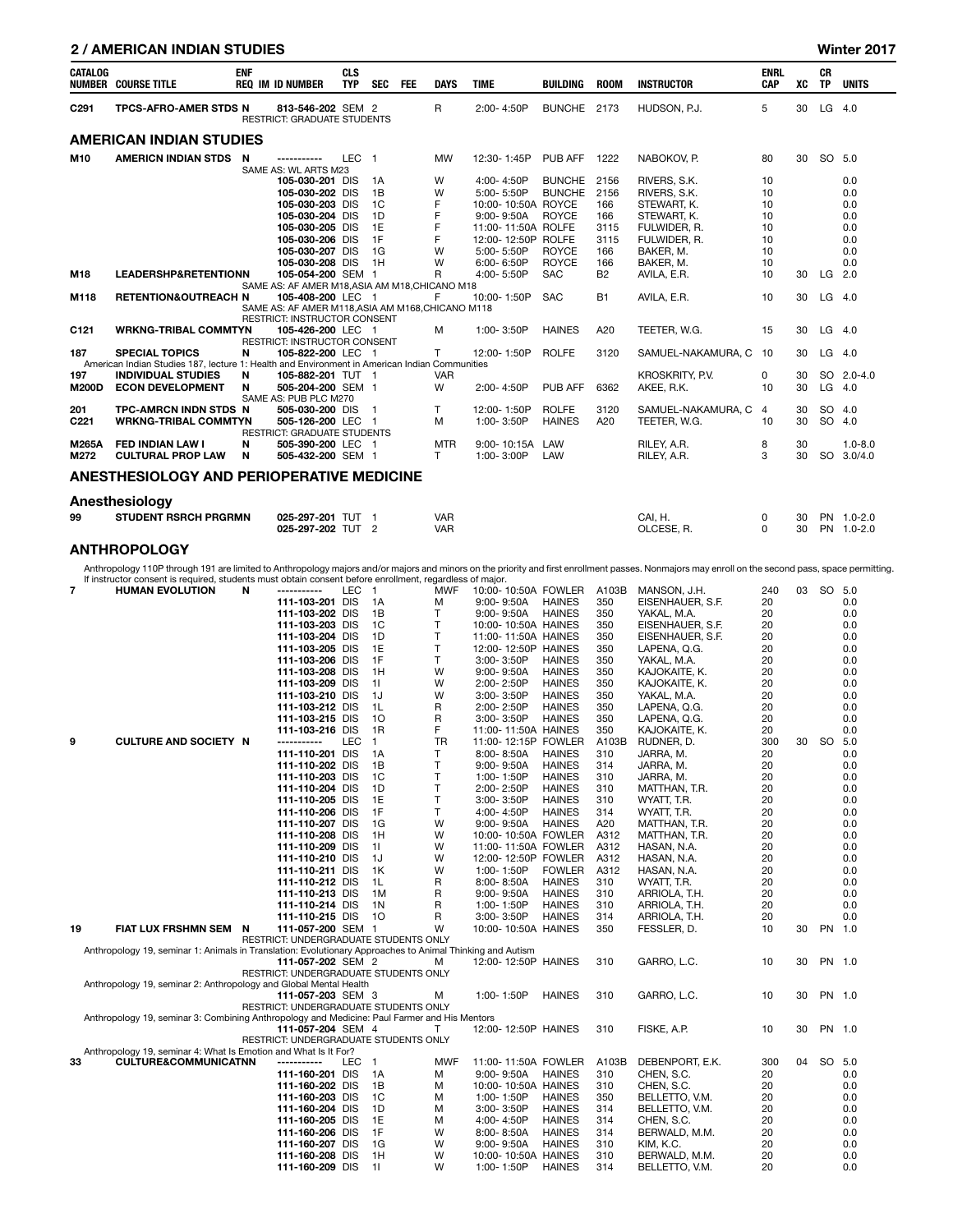### 2 / AMERICAN INDIAN STUDIES Winter 2017

| CATALOG                 | <b>NUMBER COURSE TITLE</b>                                                                                             | <b>ENF</b> | <b>REQ IM ID NUMBER</b>                                                                  | <b>CLS</b><br><b>TYP</b> | <b>SEC</b>     | <b>FEE</b> | <b>DAYS</b>              | <b>TIME</b>                                            | <b>BUILDING</b>                | <b>ROOM</b>        | <b>INSTRUCTOR</b>                          | <b>ENRL</b><br>CAP   | XC       | <b>CR</b><br><b>TP</b> | <b>UNITS</b>             |
|-------------------------|------------------------------------------------------------------------------------------------------------------------|------------|------------------------------------------------------------------------------------------|--------------------------|----------------|------------|--------------------------|--------------------------------------------------------|--------------------------------|--------------------|--------------------------------------------|----------------------|----------|------------------------|--------------------------|
| C <sub>291</sub>        | <b>TPCS-AFRO-AMER STDS N</b>                                                                                           |            | 813-546-202 SEM 2<br><b>RESTRICT: GRADUATE STUDENTS</b>                                  |                          |                |            | R                        | 2:00-4:50P                                             | BUNCHE 2173                    |                    | HUDSON, P.J.                               | 5                    | 30       | $LG$ 4.0               |                          |
|                         | AMERICAN INDIAN STUDIES                                                                                                |            |                                                                                          |                          |                |            |                          |                                                        |                                |                    |                                            |                      |          |                        |                          |
| M10                     | AMERICN INDIAN STDS N                                                                                                  |            | -----------<br>SAME AS: WL ARTS M23                                                      | LEC <sub>1</sub>         |                |            | <b>MW</b>                | 12:30-1:45P                                            | PUB AFF                        | 1222               | NABOKOV, P.                                | 80                   | 30       | SO 5.0                 |                          |
|                         |                                                                                                                        |            | 105-030-201 DIS<br>105-030-202 DIS                                                       |                          | 1 A<br>1B      |            | W<br>W                   | 4:00-4:50P<br>5:00-5:50P                               | <b>BUNCHE</b><br><b>BUNCHE</b> | 2156<br>2156       | RIVERS, S.K.<br>RIVERS, S.K.               | 10<br>10             |          |                        | 0.0<br>0.0               |
|                         |                                                                                                                        |            | 105-030-203 DIS<br>105-030-204 DIS<br>105-030-205 DIS                                    |                          | 1C<br>1D<br>1E |            | F<br>F<br>F              | 10:00-10:50A ROYCE<br>9:00-9:50A<br>11:00-11:50A ROLFE | <b>ROYCE</b>                   | 166<br>166<br>3115 | STEWART, K.<br>STEWART, K.<br>FULWIDER, R. | 10<br>10<br>10       |          |                        | 0.0<br>0.0<br>0.0        |
|                         |                                                                                                                        |            | 105-030-206 DIS<br>105-030-207 DIS                                                       |                          | 1F<br>1G       |            | F<br>W                   | 12:00-12:50P ROLFE<br>5:00-5:50P                       | <b>ROYCE</b>                   | 3115<br>166        | FULWIDER, R.<br>BAKER. M.                  | 10<br>10             |          |                        | 0.0<br>0.0               |
| M18                     | <b>LEADERSHP&amp;RETENTIONN</b>                                                                                        |            | 105-030-208 DIS<br>105-054-200 SEM 1<br>SAME AS: AF AMER M18.ASIA AM M18.CHICANO M18     |                          | 1H             |            | W<br>R                   | 6:00-6:50P<br>4:00-5:50P                               | <b>ROYCE</b><br><b>SAC</b>     | 166<br><b>B2</b>   | BAKER, M.<br>AVILA. E.R.                   | 10<br>10             | 30       | $LG$ 2.0               | 0.0                      |
| M118                    | <b>RETENTION&amp;OUTREACH N</b>                                                                                        |            | 105-408-200 LEC 1<br>SAME AS: AF AMER M118, ASIA AM M168, CHICANO M118                   |                          |                |            | F                        | 10:00-1:50P                                            | <b>SAC</b>                     | <b>B1</b>          | AVILA, E.R.                                | 10                   | 30       | $LG$ 4.0               |                          |
| C121                    | <b>WRKNG-TRIBAL COMMTYN</b>                                                                                            |            | <b>RESTRICT: INSTRUCTOR CONSENT</b><br>105-426-200 LEC 1<br>RESTRICT: INSTRUCTOR CONSENT |                          |                |            | M                        | 1:00-3:50P                                             | <b>HAINES</b>                  | A20                | TEETER, W.G.                               | 15                   | 30       | $LG$ 4.0               |                          |
| 187                     | <b>SPECIAL TOPICS</b><br>American Indian Studies 187, lecture 1: Health and Environment in American Indian Communities | N          | 105-822-200 LEC 1                                                                        |                          |                |            | T                        | 12:00-1:50P                                            | <b>ROLFE</b>                   | 3120               | SAMUEL-NAKAMURA, C                         | 10                   | 30       | LG                     | 4.0                      |
| 197<br><b>M200D</b>     | <b>INDIVIDUAL STUDIES</b><br><b>ECON DEVELOPMENT</b>                                                                   | N<br>N     | 105-882-201 TUT 1<br>505-204-200 SEM 1<br>SAME AS: PUB PLC M270                          |                          |                |            | <b>VAR</b><br>W          | 2:00-4:50P                                             | <b>PUB AFF</b>                 | 6362               | <b>KROSKRITY, P.V.</b><br>AKEE, R.K.       | 0<br>10              | 30<br>30 | $LG$ 4.0               | SO 2.0-4.0               |
| 201<br>C <sub>221</sub> | TPC-AMRCN INDN STDS N<br><b>WRKNG-TRIBAL COMMTYN</b>                                                                   |            | 505-030-200 DIS<br>505-126-200 LEC 1<br><b>RESTRICT: GRADUATE STUDENTS</b>               |                          | - 1            |            | T<br>M                   | 12:00-1:50P<br>1:00-3:50P                              | <b>ROLFE</b><br><b>HAINES</b>  | 3120<br>A20        | SAMUEL-NAKAMURA, C<br>TEETER, W.G.         | $\overline{4}$<br>10 | 30<br>30 | SO.<br>SO 4.0          | 4.0                      |
| <b>M265A</b><br>M272    | <b>FED INDIAN LAW I</b><br><b>CULTURAL PROP LAW</b>                                                                    | N<br>N     | 505-390-200 LEC 1<br>505-432-200 SEM 1                                                   |                          |                |            | <b>MTR</b><br>T          | 9:00-10:15A<br>1:00-3:00P                              | LAW<br>LAW                     |                    | RILEY, A.R.<br>RILEY, A.R.                 | 8<br>3               | 30<br>30 | SO.                    | $1.0 - 8.0$<br>3.0/4.0   |
|                         | <b>ANESTHESIOLOGY AND PERIOPERATIVE MEDICINE</b>                                                                       |            |                                                                                          |                          |                |            |                          |                                                        |                                |                    |                                            |                      |          |                        |                          |
|                         | Anesthesiology                                                                                                         |            |                                                                                          |                          |                |            |                          |                                                        |                                |                    |                                            |                      |          |                        |                          |
| 99                      | <b>STUDENT RSRCH PRGRMN</b>                                                                                            |            | 025-297-201 TUT 1<br>025-297-202 TUT 2                                                   |                          |                |            | <b>VAR</b><br><b>VAR</b> |                                                        |                                |                    | CAI, H.<br>OLCESE, R.                      | 0<br>$\Omega$        | 30<br>30 |                        | PN 1.0-2.0<br>PN 1.0-2.0 |

# **ANTHROPOLOGY**

Anthropology 110P through 191 are limited to Anthropology majors and/or majors and minors on the priority and first enrollment passes. Nonmajors may enroll on the second pass, space permitting.<br>If instructor consent is req

|    | n instructor consent is required, students must obtain consent before enrollment, regardiess of major.    |                                                            |       |                |              |                     |                                |       |                  |     |    |           |            |
|----|-----------------------------------------------------------------------------------------------------------|------------------------------------------------------------|-------|----------------|--------------|---------------------|--------------------------------|-------|------------------|-----|----|-----------|------------|
| 7  | <b>HUMAN EVOLUTION</b>                                                                                    | N<br>------------                                          | LEC 1 |                | <b>MWF</b>   | 10:00-10:50A FOWLER |                                | A103B | MANSON, J.H.     | 240 | 03 | SO 5.0    |            |
|    |                                                                                                           | 111-103-201 DIS                                            |       | 1A             | м            | $9:00 - 9:50A$      | <b>HAINES</b>                  | 350   | EISENHAUER, S.F. | 20  |    |           | 0.0        |
|    |                                                                                                           | 111-103-202 DIS                                            |       | 1B             | T            | 9:00-9:50A          | <b>HAINES</b>                  | 350   | YAKAL, M.A.      | 20  |    |           | 0.0        |
|    |                                                                                                           | 111-103-203 DIS                                            |       | 1C             | T            | 10:00-10:50A HAINES |                                | 350   | EISENHAUER, S.F. | 20  |    |           | 0.0        |
|    |                                                                                                           | 111-103-204 DIS                                            |       | 1D             | Τ            | 11:00-11:50A HAINES |                                | 350   | EISENHAUER, S.F. | 20  |    |           | 0.0        |
|    |                                                                                                           | 111-103-205 DIS                                            |       | 1E             | T            | 12:00-12:50P HAINES |                                | 350   | LAPENA, Q.G.     | 20  |    |           | 0.0        |
|    |                                                                                                           | 111-103-206 DIS                                            |       | 1F             | T            | 3:00-3:50P          | <b>HAINES</b>                  | 350   | YAKAL, M.A.      | 20  |    |           | 0.0        |
|    |                                                                                                           | 111-103-208 DIS                                            |       | 1H             | W            | $9:00 - 9:50A$      | <b>HAINES</b>                  | 350   | KAJOKAITE, K.    | 20  |    |           | 0.0        |
|    |                                                                                                           | 111-103-209 DIS                                            |       | 11             | W            | 2:00-2:50P          | <b>HAINES</b>                  | 350   | KAJOKAITE, K.    | 20  |    |           | 0.0        |
|    |                                                                                                           | 111-103-210 DIS                                            |       | 1J             | W            | 3:00-3:50P          | <b>HAINES</b>                  | 350   | YAKAL, M.A.      | 20  |    |           | 0.0        |
|    |                                                                                                           | 111-103-212 DIS                                            |       | 1L             | R            | 2:00-2:50P          | <b>HAINES</b>                  | 350   | LAPENA, Q.G.     | 20  |    |           | 0.0        |
|    |                                                                                                           | 111-103-215 DIS                                            |       | 10             | R            | $3:00 - 3:50P$      | <b>HAINES</b>                  | 350   | LAPENA, Q.G.     | 20  |    |           | 0.0        |
|    |                                                                                                           | 111-103-216 DIS                                            |       | 1R             | F            | 11:00-11:50A HAINES |                                | 350   | KAJOKAITE, K.    | 20  |    |           | 0.0        |
| 9  | <b>CULTURE AND SOCIETY N</b>                                                                              | -----------                                                | LEC   | $\overline{1}$ | TR           | 11:00-12:15P FOWLER |                                | A103B | RUDNER, D.       | 300 | 30 | <b>SO</b> | 5.0        |
|    |                                                                                                           | 111-110-201 DIS                                            |       | 1A             | T            | 8:00-8:50A          | <b>HAINES</b>                  | 310   | JARRA, M.        | 20  |    |           | 0.0        |
|    |                                                                                                           | 111-110-202 DIS                                            |       | 1B             | $\mathsf{T}$ | $9:00 - 9:50A$      | <b>HAINES</b>                  | 314   | JARRA, M.        | 20  |    |           | 0.0        |
|    |                                                                                                           | 111-110-203 DIS                                            |       | 1 <sup>C</sup> | T            | 1:00-1:50P          | <b>HAINES</b>                  | 310   | JARRA, M.        | 20  |    |           | 0.0        |
|    |                                                                                                           | 111-110-204 DIS                                            |       | 1D             | T            | 2:00-2:50P          | <b>HAINES</b>                  | 310   | MATTHAN, T.R.    | 20  |    |           | 0.0        |
|    |                                                                                                           | 111-110-205 DIS                                            |       | 1E             | $\top$       | 3:00-3:50P          | <b>HAINES</b>                  | 310   | WYATT, T.R.      | 20  |    |           | 0.0        |
|    |                                                                                                           | 111-110-206 DIS                                            |       | 1F             | Τ            | 4:00-4:50P          | <b>HAINES</b>                  | 314   | WYATT, T.R.      | 20  |    |           | 0.0        |
|    |                                                                                                           | 111-110-207 DIS                                            |       | 1G             | W            | $9:00 - 9:50A$      | <b>HAINES</b>                  | A20   | MATTHAN, T.R.    | 20  |    |           | 0.0        |
|    |                                                                                                           | 111-110-208 DIS                                            |       | 1H             | W            | 10:00-10:50A FOWLER |                                | A312  | MATTHAN, T.R.    | 20  |    |           | 0.0        |
|    |                                                                                                           | 111-110-209 DIS                                            |       | 11             | W            | 11:00-11:50A FOWLER |                                | A312  | HASAN, N.A.      | 20  |    |           | 0.0        |
|    |                                                                                                           | 111-110-210 DIS                                            |       | 1J             | W            | 12:00-12:50P FOWLER |                                | A312  | HASAN, N.A.      | 20  |    |           | 0.0        |
|    |                                                                                                           | 111-110-211 DIS                                            |       | 1K             | W            | 1:00-1:50P          | <b>FOWLER</b>                  | A312  | HASAN, N.A.      | 20  |    |           | 0.0        |
|    |                                                                                                           |                                                            |       | 1L             |              |                     | <b>HAINES</b>                  | 310   |                  |     |    |           |            |
|    |                                                                                                           | 111-110-212 DIS                                            |       |                | R            | 8:00-8:50A          |                                |       | WYATT, T.R.      | 20  |    |           | 0.0<br>0.0 |
|    |                                                                                                           | 111-110-213 DIS                                            |       | 1M             | R            | 9:00-9:50A          | <b>HAINES</b>                  | 310   | ARRIOLA, T.H.    | 20  |    |           |            |
|    |                                                                                                           | 111-110-214 DIS                                            |       | 1N             | R            | 1:00-1:50P          | <b>HAINES</b>                  | 310   | ARRIOLA, T.H.    | 20  |    |           | 0.0        |
|    |                                                                                                           | 111-110-215 DIS                                            |       | - 10           | R            | 3:00-3:50P          | <b>HAINES</b>                  | 314   | ARRIOLA, T.H.    | 20  |    |           | 0.0        |
| 19 | FIAT LUX FRSHMN SEM N                                                                                     | 111-057-200 SEM 1                                          |       |                | W            | 10:00-10:50A HAINES |                                | 350   | FESSLER, D.      | 10  | 30 | PN 1.0    |            |
|    |                                                                                                           | RESTRICT: UNDERGRADUATE STUDENTS ONLY                      |       |                |              |                     |                                |       |                  |     |    |           |            |
|    | Anthropology 19, seminar 1: Animals in Translation: Evolutionary Approaches to Animal Thinking and Autism |                                                            |       |                |              |                     |                                |       |                  |     |    |           |            |
|    |                                                                                                           | 111-057-202 SEM 2                                          |       |                | м            | 12:00-12:50P HAINES |                                | 310   | GARRO, L.C.      | 10  | 30 | PN 1.0    |            |
|    |                                                                                                           | RESTRICT: UNDERGRADUATE STUDENTS ONLY                      |       |                |              |                     |                                |       |                  |     |    |           |            |
|    | Anthropology 19, seminar 2: Anthropology and Global Mental Health                                         |                                                            |       |                |              | 1:00-1:50P          | <b>HAINES</b>                  | 310   | GARRO, L.C.      | 10  | 30 | PN 1.0    |            |
|    |                                                                                                           | 111-057-203 SEM 3<br>RESTRICT: UNDERGRADUATE STUDENTS ONLY |       |                | м            |                     |                                |       |                  |     |    |           |            |
|    | Anthropology 19, seminar 3: Combining Anthropology and Medicine: Paul Farmer and His Mentors              |                                                            |       |                |              |                     |                                |       |                  |     |    |           |            |
|    |                                                                                                           | 111-057-204 SEM 4                                          |       |                | T            | 12:00-12:50P HAINES |                                | 310   | FISKE, A.P.      | 10  | 30 | PN 1.0    |            |
|    |                                                                                                           | RESTRICT: UNDERGRADUATE STUDENTS ONLY                      |       |                |              |                     |                                |       |                  |     |    |           |            |
|    | Anthropology 19, seminar 4: What Is Emotion and What Is It For?                                           |                                                            |       |                |              |                     |                                |       |                  |     |    |           |            |
| 33 | <b>CULTURE&amp;COMMUNICATNN</b>                                                                           | -----------                                                | LEC 1 |                | <b>MWF</b>   | 11:00-11:50A FOWLER |                                | A103B | DEBENPORT, E.K.  | 300 | 04 | SO 5.0    |            |
|    |                                                                                                           | 111-160-201 DIS                                            |       | 1A             | м            | $9:00 - 9:50A$      | <b>HAINES</b>                  | 310   | CHEN, S.C.       | 20  |    |           | 0.0        |
|    |                                                                                                           | 111-160-202 DIS                                            |       | 1B             | M            | 10:00-10:50A HAINES |                                | 310   | CHEN, S.C.       | 20  |    |           | 0.0        |
|    |                                                                                                           | 111-160-203 DIS                                            |       | 1C             | м            | 1:00-1:50P          | <b>HAINES</b>                  | 350   | BELLETTO, V.M.   | 20  |    |           | 0.0        |
|    |                                                                                                           | 111-160-204 DIS                                            |       | 1D             | М            | 3:00-3:50P          | <b>HAINES</b>                  | 314   | BELLETTO, V.M.   | 20  |    |           | 0.0        |
|    |                                                                                                           | 111-160-205 DIS                                            |       | 1E             | М            | 4:00-4:50P          | <b>HAINES</b>                  | 314   | CHEN, S.C.       | 20  |    |           | 0.0        |
|    |                                                                                                           |                                                            |       | 1F             | W            |                     |                                |       |                  |     |    |           |            |
|    |                                                                                                           | 111-160-206 DIS                                            |       | 1G             | W            | 8:00-8:50A          | <b>HAINES</b><br><b>HAINES</b> | 314   | BERWALD, M.M.    | 20  |    |           | 0.0        |
|    |                                                                                                           | 111-160-207 DIS                                            |       | 1H             | W            | 9:00-9:50A          |                                | 310   | KIM, K.C.        | 20  |    |           | 0.0        |
|    |                                                                                                           | 111-160-208 DIS                                            |       |                |              | 10:00-10:50A HAINES |                                | 310   | BERWALD, M.M.    | 20  |    |           | 0.0        |
|    |                                                                                                           | 111-160-209 DIS                                            |       | 11             | W            | 1:00-1:50P          | <b>HAINES</b>                  | 314   | BELLETTO, V.M.   | 20  |    |           | 0.0        |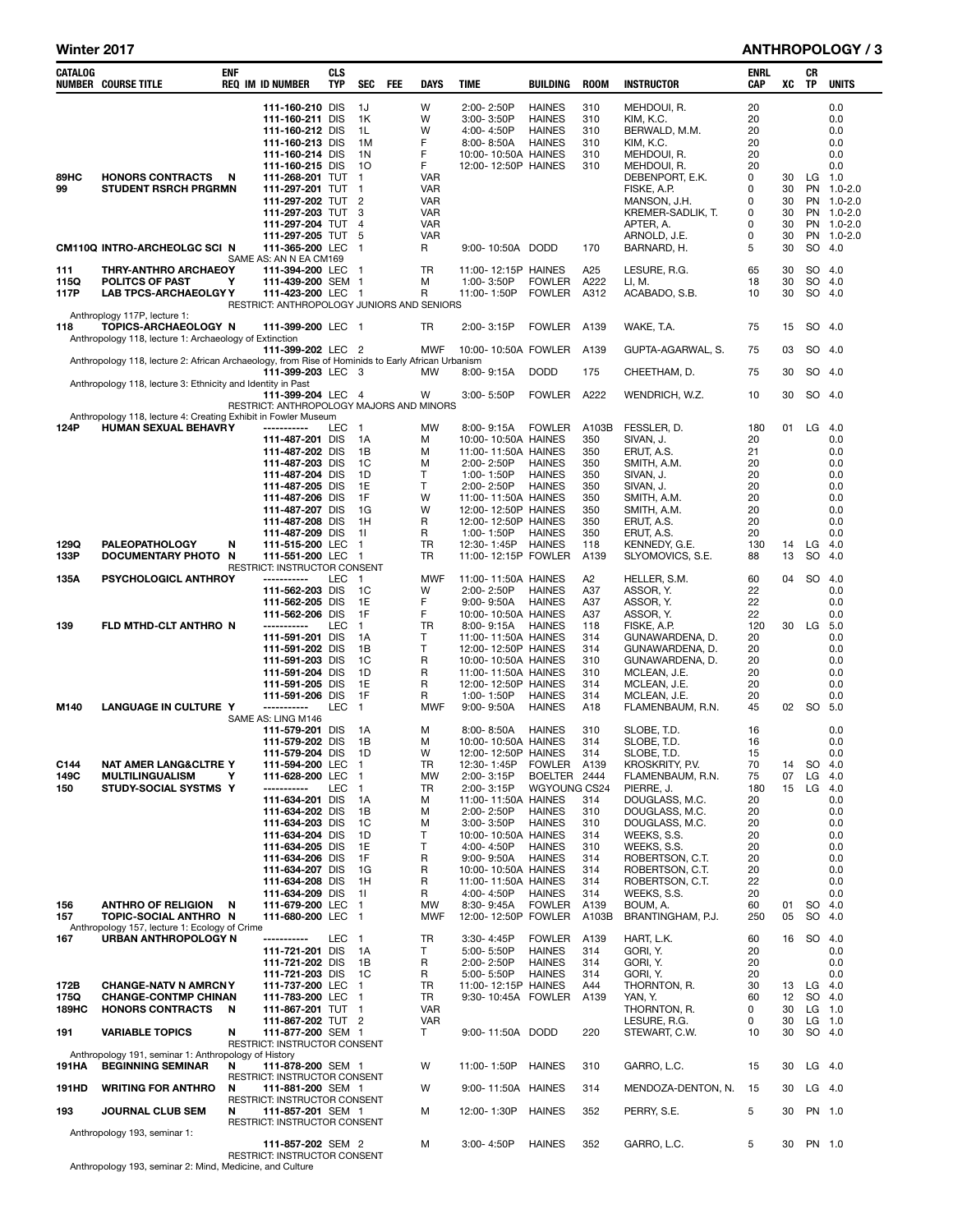#### Winter 2017 **ANTHROPOLOGY** / 3

| CATALOG       | <b>NUMBER COURSE TITLE</b>                                                                        | enf | <b>REQ IM ID NUMBER</b>                                         | CLS<br><b>TYP</b> | <b>SEC</b>                     | <b>FEE</b> | DAYS                     | TIME                                       | BUILDING                                        | <b>ROOM</b>           | <b>INSTRUCTOR</b>                         | ENRL<br>CAP    | XC       | CR<br>TP  | <b>UNITS</b>             |
|---------------|---------------------------------------------------------------------------------------------------|-----|-----------------------------------------------------------------|-------------------|--------------------------------|------------|--------------------------|--------------------------------------------|-------------------------------------------------|-----------------------|-------------------------------------------|----------------|----------|-----------|--------------------------|
|               |                                                                                                   |     | 111-160-210 DIS<br>111-160-211 DIS<br>111-160-212 DIS           |                   | 1J<br>1K<br>1L                 |            | W<br>W<br>W              | 2:00-2:50P<br>3:00-3:50P<br>4:00-4:50P     | <b>HAINES</b><br><b>HAINES</b><br><b>HAINES</b> | 310<br>310<br>310     | MEHDOUI, R.<br>KIM, K.C.<br>BERWALD, M.M. | 20<br>20<br>20 |          |           | 0.0<br>0.0<br>0.0        |
|               |                                                                                                   |     | 111-160-213 DIS                                                 |                   | 1M<br>1 <sup>N</sup>           |            | F<br>F                   | 8:00-8:50A                                 | <b>HAINES</b>                                   | 310                   | KIM, K.C.                                 | 20             |          |           | 0.0<br>0.0               |
|               |                                                                                                   |     | 111-160-214 DIS<br>111-160-215 DIS                              |                   | 10                             |            | F                        | 10:00-10:50A HAINES<br>12:00-12:50P HAINES |                                                 | 310<br>310            | MEHDOUI, R.<br>MEHDOUI, R.                | 20<br>20       |          |           | 0.0                      |
| 89HC<br>99    | <b>HONORS CONTRACTS</b><br><b>STUDENT RSRCH PRGRMN</b>                                            | N   | 111-268-201 TUT                                                 |                   | $\mathbf{1}$<br>$\blacksquare$ |            | VAR                      |                                            |                                                 |                       | DEBENPORT, E.K.                           | 0<br>0         | 30<br>30 |           | $LG$ 1.0<br>PN 1.0-2.0   |
|               |                                                                                                   |     | 111-297-201 TUT<br>111-297-202 TUT 2                            |                   |                                |            | VAR<br>VAR               |                                            |                                                 |                       | FISKE, A.P.<br>MANSON, J.H.               | 0              | 30       |           | PN 1.0-2.0               |
|               |                                                                                                   |     | 111-297-203 TUT                                                 |                   | 3                              |            | <b>VAR</b>               |                                            |                                                 |                       | KREMER-SADLIK, T.                         | 0              | 30       |           | PN 1.0-2.0               |
|               |                                                                                                   |     | 111-297-204 TUT<br>111-297-205 TUT                              |                   | 4<br>5                         |            | <b>VAR</b><br><b>VAR</b> |                                            |                                                 |                       | APTER, A.<br>ARNOLD, J.E.                 | $\Omega$<br>0  | 30<br>30 |           | PN 1.0-2.0<br>PN 1.0-2.0 |
|               | CM110Q INTRO-ARCHEOLGC SCI N                                                                      |     | 111-365-200 LEC                                                 |                   | $\mathbf{1}$                   |            | R                        | 9:00-10:50A DODD                           |                                                 | 170                   | BARNARD, H.                               | 5              | 30       |           | SO 4.0                   |
| 111           | <b>THRY-ANTHRO ARCHAEOY</b>                                                                       |     | SAME AS: AN N EA CM169<br>111-394-200 LEC                       |                   | -1                             |            | <b>TR</b>                | 11:00-12:15P HAINES                        |                                                 | A25                   | LESURE, R.G.                              | 65             | 30       |           | $SO$ 4.0                 |
| 115Q<br>117P  | <b>POLITCS OF PAST</b>                                                                            | Y   | 111-439-200 SEM 1                                               |                   |                                |            | M<br>R                   | 1:00-3:50P                                 | <b>FOWLER</b>                                   | A222                  | LI, M.                                    | 18             | 30<br>30 |           | SO 4.0<br>SO 4.0         |
|               | <b>LAB TPCS-ARCHAEOLGY Y</b>                                                                      |     | 111-423-200 LEC 1<br>RESTRICT: ANTHROPOLOGY JUNIORS AND SENIORS |                   |                                |            |                          | 11:00-1:50P                                | <b>FOWLER</b>                                   | A312                  | ACABADO, S.B.                             | 10             |          |           |                          |
| 118           | Anthroplogy 117P, lecture 1:<br>TOPICS-ARCHAEOLOGY N                                              |     | 111-399-200 LEC 1                                               |                   |                                |            | TR                       | 2:00-3:15P                                 | <b>FOWLER</b>                                   | A139                  | WAKE, T.A.                                | 75             | 15       |           | SO 4.0                   |
|               | Anthropology 118, lecture 1: Archaeology of Extinction                                            |     |                                                                 |                   |                                |            |                          |                                            |                                                 |                       |                                           |                |          |           |                          |
|               | Anthropology 118, lecture 2: African Archaeology, from Rise of Hominids to Early African Urbanism |     | 111-399-202 LEC 2                                               |                   |                                |            | <b>MWF</b>               | 10:00-10:50A FOWLER                        |                                                 | A139                  | GUPTA-AGARWAL, S.                         | 75             | 03       |           | SO 4.0                   |
|               |                                                                                                   |     | 111-399-203 LEC 3                                               |                   |                                |            | МW                       | $8:00 - 9:15A$                             | <b>DODD</b>                                     | 175                   | CHEETHAM, D.                              | 75             | 30       |           | SO 4.0                   |
|               | Anthropology 118, lecture 3: Ethnicity and Identity in Past                                       |     | 111-399-204 LEC 4                                               |                   |                                |            | w                        | 3:00-5:50P                                 | <b>FOWLER</b>                                   | A222                  | WENDRICH, W.Z.                            | 10             | 30       |           | SO 4.0                   |
|               |                                                                                                   |     | RESTRICT: ANTHROPOLOGY MAJORS AND MINORS                        |                   |                                |            |                          |                                            |                                                 |                       |                                           |                |          |           |                          |
| 124P          | Anthropology 118, lecture 4: Creating Exhibit in Fowler Museum<br>HUMAN SEXUAL BEHAVRY            |     | ------------                                                    | LEC               | $\mathbf{1}$                   |            | <b>MW</b>                | 8:00-9:15A                                 | <b>FOWLER</b>                                   | A103B                 | FESSLER, D.                               | 180            | 01       | LG        | 4.0                      |
|               |                                                                                                   |     | 111-487-201 DIS<br>111-487-202 DIS                              |                   | 1A<br>1B                       |            | М<br>M                   | 10:00-10:50A HAINES<br>11:00-11:50A HAINES |                                                 | 350<br>350            | SIVAN, J.<br>ERUT, A.S.                   | 20<br>21       |          |           | 0.0<br>0.0               |
|               |                                                                                                   |     | 111-487-203 DIS                                                 |                   | 1C                             |            | M                        | 2:00-2:50P                                 | <b>HAINES</b>                                   | 350                   | SMITH, A.M.                               | 20             |          |           | 0.0                      |
|               |                                                                                                   |     | 111-487-204 DIS<br>111-487-205 DIS                              |                   | 1D<br>1E                       |            | т<br>Т                   | 1:00-1:50P<br>2:00-2:50P                   | <b>HAINES</b><br><b>HAINES</b>                  | 350<br>350            | SIVAN, J.<br>SIVAN, J.                    | 20<br>20       |          |           | 0.0<br>0.0               |
|               |                                                                                                   |     | 111-487-206 DIS                                                 |                   | 1F                             |            | W                        | 11:00-11:50A HAINES                        |                                                 | 350                   | SMITH, A.M.                               | 20             |          |           | 0.0                      |
|               |                                                                                                   |     | 111-487-207 DIS<br>111-487-208 DIS                              |                   | 1G<br>1H                       |            | W<br>R                   | 12:00-12:50P HAINES<br>12:00-12:50P HAINES |                                                 | 350<br>350            | SMITH, A.M.                               | 20<br>20       |          |           | 0.0<br>0.0               |
|               |                                                                                                   |     | 111-487-209 DIS                                                 |                   | 11                             |            | R                        | 1:00-1:50P                                 | <b>HAINES</b>                                   | 350                   | ERUT, A.S.<br>ERUT, A.S.                  | 20             |          |           | 0.0                      |
| 129Q          | <b>PALEOPATHOLOGY</b>                                                                             | N   | 111-515-200 LEC                                                 |                   | $\mathbf{1}$                   |            | TR<br>TR                 | 12:30-1:45P                                | <b>HAINES</b>                                   | 118                   | KENNEDY, G.E.                             | 130            | 14<br>13 | LG<br>SO  | 4.0                      |
| 133P          | DOCUMENTARY PHOTO N                                                                               |     | 111-551-200 LEC<br>RESTRICT: INSTRUCTOR CONSENT                 |                   | - 1                            |            |                          | 11:00-12:15P FOWLER                        |                                                 | A139                  | SLYOMOVICS, S.E.                          | 88             |          |           | 4.0                      |
| 135A          | <b>PSYCHOLOGICL ANTHROY</b>                                                                       |     | -----------<br>111-562-203 DIS                                  | <b>LEC</b>        | $\blacksquare$<br>1C           |            | <b>MWF</b><br>W          | 11:00-11:50A HAINES<br>2:00-2:50P          | <b>HAINES</b>                                   | A <sub>2</sub><br>A37 | HELLER, S.M.<br>ASSOR, Y.                 | 60<br>22       | 04       | SO        | 4.0<br>0.0               |
|               |                                                                                                   |     | 111-562-205 DIS                                                 |                   | 1E                             |            | F                        | $9:00 - 9:50A$                             | <b>HAINES</b>                                   | A37                   | ASSOR, Y.                                 | 22             |          |           | 0.0                      |
| 139           | FLD MTHD-CLT ANTHRO N                                                                             |     | 111-562-206 DIS<br>-----------                                  | LEC               | 1F<br>$\mathbf{1}$             |            | F<br>TR                  | 10:00-10:50A HAINES<br>8:00-9:15A          | HAINES                                          | A37<br>118            | ASSOR, Y.                                 | 22<br>120      | 30       | LG        | 0.0<br>5.0               |
|               |                                                                                                   |     | 111-591-201 DIS                                                 |                   | 1A                             |            | т                        | 11:00-11:50A HAINES                        |                                                 | 314                   | FISKE, A.P.<br>GUNAWARDENA, D.            | 20             |          |           | 0.0                      |
|               |                                                                                                   |     | 111-591-202 DIS                                                 |                   | 1B<br>1C                       |            | T                        | 12:00-12:50P HAINES                        |                                                 | 314                   | GUNAWARDENA, D.                           | 20             |          |           | 0.0                      |
|               |                                                                                                   |     | 111-591-203 DIS<br>111-591-204 DIS                              |                   | 1D                             |            | R<br>R                   | 10:00-10:50A HAINES<br>11:00-11:50A HAINES |                                                 | 310<br>310            | GUNAWARDENA, D.<br>MCLEAN, J.E.           | 20<br>20       |          |           | 0.0<br>0.0               |
|               |                                                                                                   |     | 111-591-205 DIS                                                 |                   | 1E<br>1F                       |            | R<br>R                   | 12:00-12:50P HAINES                        |                                                 | 314                   | MCLEAN, J.E.                              | 20<br>20       |          |           | 0.0<br>0.0               |
| M140          | <b>LANGUAGE IN CULTURE Y</b>                                                                      |     | 111-591-206 DIS<br>-----------                                  | <b>LEC</b>        | $\mathbf{1}$                   |            | <b>MWF</b>               | 1:00-1:50P<br>9:00-9:50A                   | <b>HAINES</b><br><b>HAINES</b>                  | 314<br>A18            | MCLEAN, J.E.<br>FLAMENBAUM, R.N.          | 45             | 02       | SO 5.0    |                          |
|               |                                                                                                   |     | SAME AS: LING M146<br>111-579-201 DIS                           |                   | 1A                             |            | м                        | $8:00 - 8:50A$                             | <b>HAINES</b>                                   | 310                   | SLOBE, T.D.                               | 16             |          |           | 0.0                      |
|               |                                                                                                   |     | 111-579-202 DIS                                                 |                   | 1B                             |            | м                        | 10:00-10:50A HAINES                        |                                                 | 314                   | SLOBE, T.D.                               | 16             |          |           | 0.0                      |
| C144          | NAT AMER LANG&CLTRE Y                                                                             |     | 111-579-204 DIS<br>111-594-200 LEC                              |                   | 1D                             |            | W<br>TR                  | 12:00-12:50P HAINES<br>12:30-1:45P         | FOWLER                                          | 314<br>A139           | SLOBE, T.D.<br>KROSKRITY, P.V.            | 15<br>70       |          | 14 SO 4.0 | 0.0                      |
| 149C          | <b>MULTILINGUALISM</b>                                                                            | Y   | 111-628-200 LEC                                                 |                   | $\blacksquare$                 |            | MW                       | 2:00-3:15P                                 | BOELTER 2444                                    |                       | FLAMENBAUM, R.N.                          | 75             | 07       | $LG$ 4.0  |                          |
| 150           | STUDY-SOCIAL SYSTMS Y                                                                             |     | -----------<br>111-634-201 DIS                                  | LEC               | $\mathbf{1}$<br>1A             |            | TR<br>м                  | 2:00-3:15P<br>11:00-11:50A HAINES          | WGYOUNG CS24                                    | 314                   | PIERRE, J.<br>DOUGLASS, M.C.              | 180<br>20      | 15       | $LG$ 4.0  | 0.0                      |
|               |                                                                                                   |     | 111-634-202 DIS                                                 |                   | 1В                             |            | M                        | 2:00-2:50P                                 | <b>HAINES</b>                                   | 310                   | DOUGLASS, M.C.                            | 20             |          |           | 0.0                      |
|               |                                                                                                   |     | 111-634-203 DIS<br>111-634-204 DIS                              |                   | 1C<br>1D                       |            | M<br>т                   | $3:00 - 3:50P$<br>10:00-10:50A HAINES      | <b>HAINES</b>                                   | 310<br>314            | DOUGLASS, M.C.<br>WEEKS, S.S.             | 20<br>20       |          |           | 0.0<br>0.0               |
|               |                                                                                                   |     | 111-634-205 DIS                                                 |                   | 1E                             |            | т                        | 4:00-4:50P                                 | <b>HAINES</b>                                   | 310                   | WEEKS, S.S.                               | 20             |          |           | 0.0                      |
|               |                                                                                                   |     | 111-634-206 DIS<br>111-634-207 DIS                              |                   | 1F<br>1G                       |            | R<br>R                   | 9:00-9:50A<br>10:00-10:50A HAINES          | <b>HAINES</b>                                   | 314<br>314            | ROBERTSON, C.T.<br>ROBERTSON, C.T.        | 20<br>20       |          |           | 0.0<br>0.0               |
|               |                                                                                                   |     | 111-634-208 DIS                                                 |                   | 1H                             |            | R                        | 11:00-11:50A HAINES                        |                                                 | 314                   | ROBERTSON, C.T.                           | 22             |          |           | 0.0                      |
| 156           | <b>ANTHRO OF RELIGION</b>                                                                         | N   | 111-634-209 DIS<br>111-679-200 LEC                              |                   | 11<br>$\mathbf{1}$             |            | R<br>МW                  | 4:00-4:50P<br>8:30-9:45A                   | <b>HAINES</b><br><b>FOWLER</b>                  | 314<br>A139           | WEEKS, S.S.<br>BOUM, A.                   | 20<br>60       | 01       |           | 0.0<br>SO 4.0            |
| 157           | TOPIC-SOCIAL ANTHRO N                                                                             |     | 111-680-200 LEC                                                 |                   | $\overline{1}$                 |            | <b>MWF</b>               | 12:00-12:50P FOWLER                        |                                                 | A103B                 | BRANTINGHAM, P.J.                         | 250            | 05       |           | SO 4.0                   |
| 167           | Anthropology 157, lecture 1: Ecology of Crime<br>URBAN ANTHROPOLOGY N                             |     | ------------                                                    | LEC               | $\mathbf{1}$                   |            | TR                       | 3:30-4:45P                                 | <b>FOWLER</b>                                   | A139                  | HART, L.K.                                | 60             | 16       | SO 4.0    |                          |
|               |                                                                                                   |     | 111-721-201 DIS                                                 |                   | 1A                             |            | Τ                        | 5:00-5:50P                                 | <b>HAINES</b>                                   | 314                   | GORI, Y.                                  | 20             |          |           | 0.0                      |
|               |                                                                                                   |     | 111-721-202 DIS<br>111-721-203 DIS                              |                   | 1B<br>1C                       |            | R<br>R                   | 2:00-2:50P<br>5:00-5:50P                   | <b>HAINES</b><br><b>HAINES</b>                  | 314<br>314            | GORI, Y.<br>GORI, Y.                      | 20<br>20       |          |           | 0.0<br>0.0               |
| 172B          | <b>CHANGE-NATV N AMRCNY</b>                                                                       |     | 111-737-200 LEC                                                 |                   | $\mathbf{1}$                   |            | TR                       | 11:00-12:15P HAINES                        |                                                 | A44                   | THORNTON, R.                              | 30             | 13       | $LG$ 4.0  |                          |
| 175Q<br>189HC | <b>CHANGE-CONTMP CHINAN</b><br><b>HONORS CONTRACTS</b>                                            | N   | 111-783-200 LEC<br>111-867-201 TUT                              |                   | $\mathbf{1}$<br>$\mathbf{1}$   |            | TR<br><b>VAR</b>         | 9:30-10:45A FOWLER                         |                                                 | A <sub>139</sub>      | YAN, Y.<br>THORNTON, R.                   | 60<br>0        | 12<br>30 |           | SO 4.0<br>$LG$ 1.0       |
|               |                                                                                                   |     | 111-867-202 TUT 2                                               |                   |                                |            | <b>VAR</b>               |                                            |                                                 |                       | LESURE, R.G.                              | 0              | 30       | $LG$ 1.0  |                          |
| 191           | <b>VARIABLE TOPICS</b>                                                                            | N   | 111-877-200 SEM 1<br>RESTRICT: INSTRUCTOR CONSENT               |                   |                                |            | Τ                        | 9:00-11:50A DODD                           |                                                 | 220                   | STEWART, C.W.                             | 10             | 30       |           | SO 4.0                   |
|               | Anthropology 191, seminar 1: Anthropology of History                                              |     |                                                                 |                   |                                |            |                          |                                            |                                                 |                       | GARRO, L.C.                               |                |          |           |                          |
| 191HA         | <b>BEGINNING SEMINAR</b>                                                                          | N   | 111-878-200 SEM 1<br>RESTRICT: INSTRUCTOR CONSENT               |                   |                                |            | W                        | 11:00-1:50P                                | <b>HAINES</b>                                   | 310                   |                                           | 15             | 30       |           | $LG$ 4.0                 |
| 191HD         | <b>WRITING FOR ANTHRO</b>                                                                         | N   | 111-881-200 SEM 1<br>RESTRICT: INSTRUCTOR CONSENT               |                   |                                |            | w                        | 9:00-11:50A HAINES                         |                                                 | 314                   | MENDOZA-DENTON, N.                        | 15             | 30       |           | $LG$ 4.0                 |
| 193           | JOURNAL CLUB SEM                                                                                  | N   | 111-857-201 SEM 1                                               |                   |                                |            | м                        | 12:00-1:30P                                | <b>HAINES</b>                                   | 352                   | PERRY, S.E.                               | 5              | 30       |           | PN 1.0                   |
|               | Anthropology 193, seminar 1:                                                                      |     | RESTRICT: INSTRUCTOR CONSENT                                    |                   |                                |            |                          |                                            |                                                 |                       |                                           |                |          |           |                          |
|               |                                                                                                   |     | 111-857-202 SEM 2                                               |                   |                                |            | м                        | 3:00-4:50P                                 | <b>HAINES</b>                                   | 352                   | GARRO, L.C.                               | 5              | 30       | PN 1.0    |                          |
|               | Anthropology 193, seminar 2: Mind, Medicine, and Culture                                          |     | RESTRICT: INSTRUCTOR CONSENT                                    |                   |                                |            |                          |                                            |                                                 |                       |                                           |                |          |           |                          |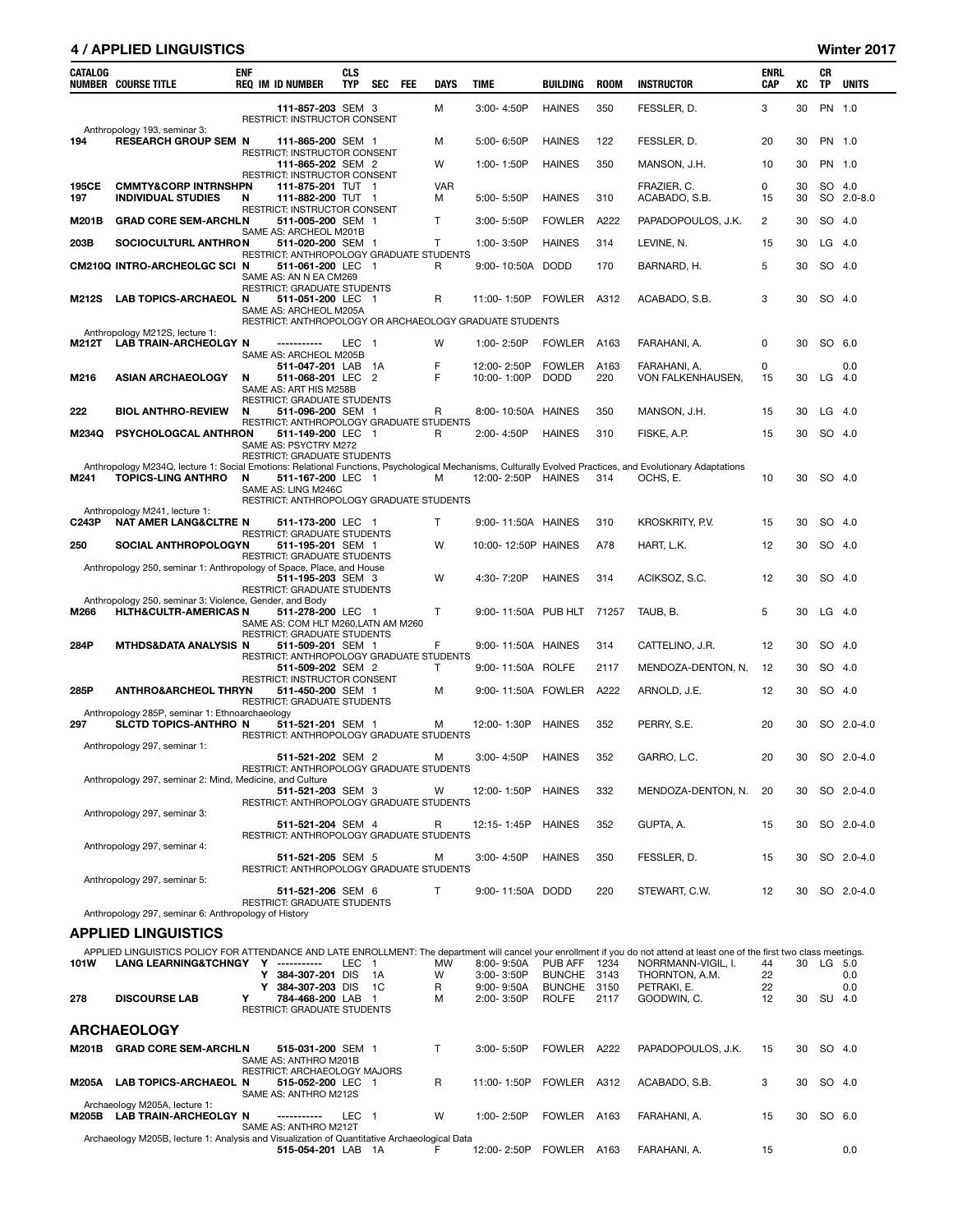### 4 / APPLIED LINGUISTICS Winter 2017

| PN 1.0<br>111-857-203 SEM 3<br>м<br>3:00-4:50P<br><b>HAINES</b><br>350<br>FESSLER, D.<br>3<br>30<br>RESTRICT: INSTRUCTOR CONSENT<br>Anthropology 193, seminar 3:<br><b>RESEARCH GROUP SEM N</b><br><b>HAINES</b><br>122<br>FESSLER, D.<br>20<br>30<br>PN 1.0<br>194<br>111-865-200 SEM 1<br>м<br>5:00-6:50P<br>RESTRICT: INSTRUCTOR CONSENT<br>W<br><b>HAINES</b><br>350<br>PN 1.0<br>111-865-202 SEM 2<br>1:00-1:50P<br>MANSON, J.H.<br>10<br>30<br>RESTRICT: INSTRUCTOR CONSENT<br>195CE<br><b>CMMTY&amp;CORP INTRNSHPN</b><br><b>VAR</b><br>FRAZIER, C.<br>0<br>30<br>SO 4.0<br>111-875-201 TUT 1<br>SO 2.0-8.0<br>197<br><b>INDIVIDUAL STUDIES</b><br>111-882-200 TUT 1<br>м<br>5:00-5:50P<br><b>HAINES</b><br>310<br>ACABADO, S.B.<br>15<br>30<br>N<br>RESTRICT: INSTRUCTOR CONSENT<br>M201B<br><b>GRAD CORE SEM-ARCHLN</b><br>511-005-200 SEM 1<br>T<br><b>FOWLER</b><br>A222<br>PAPADOPOULOS, J.K.<br>2<br>30<br>SO 4.0<br>$3:00 - 5:50P$<br>SAME AS: ARCHEOL M201B<br>$LG$ 4.0<br>203B<br>SOCIOCULTURL ANTHRON<br><b>HAINES</b><br>314<br>30<br>511-020-200 SEM 1<br>T<br>1:00-3:50P<br>LEVINE, N.<br>15<br>RESTRICT: ANTHROPOLOGY GRADUATE STUDENTS<br>SO 4.0<br>CM210Q INTRO-ARCHEOLGC SCI N<br>511-061-200 LEC 1<br>9:00-10:50A DODD<br>170<br>BARNARD, H.<br>5<br>30<br>R<br>SAME AS: AN N EA CM269<br>RESTRICT: GRADUATE STUDENTS<br>3<br><b>LAB TOPICS-ARCHAEOL N</b><br>R<br>FOWLER<br>A312<br>30<br>SO 4.0<br>M212S<br>511-051-200 LEC 1<br>11:00-1:50P<br>ACABADO, S.B.<br>SAME AS: ARCHEOL M205A<br>RESTRICT: ANTHROPOLOGY OR ARCHAEOLOGY GRADUATE STUDENTS<br>Anthropology M212S, lecture 1:<br>SO 6.0<br><b>LAB TRAIN-ARCHEOLGY N</b><br>W<br>1:00-2:50P<br><b>FOWLER</b><br>A163<br>0<br>30<br>M212T<br>LEC<br>FARAHANI, A.<br>-----------<br>- 1<br>SAME AS: ARCHEOL M205B<br>F<br>12:00-2:50P<br><b>FOWLER</b><br>A163<br>FARAHANI, A.<br>0<br>0.0<br>511-047-201 LAB 1A<br>M216<br><b>ASIAN ARCHAEOLOGY</b><br>511-068-201 LEC 2<br>F<br>10:00-1:00P<br><b>DODD</b><br>220<br>VON FALKENHAUSEN,<br>30<br>$LG$ 4.0<br>N<br>15<br>SAME AS: ART HIS M258B<br>RESTRICT: GRADUATE STUDENTS<br><b>BIOL ANTHRO-REVIEW</b><br>350<br>$LG$ 4.0<br>222<br>N<br>511-096-200 SEM 1<br>R<br>8:00-10:50A HAINES<br>MANSON, J.H.<br>15<br>30<br>RESTRICT: ANTHROPOLOGY GRADUATE STUDENTS<br>SO 4.0<br>M234Q<br>PSYCHOLOGCAL ANTHRON<br>511-149-200 LEC 1<br>2:00-4:50P<br><b>HAINES</b><br>310<br>FISKE, A.P.<br>15<br>30<br>R<br>SAME AS: PSYCTRY M272<br><b>RESTRICT: GRADUATE STUDENTS</b><br>Anthropology M234Q, lecture 1: Social Emotions: Relational Functions, Psychological Mechanisms, Culturally Evolved Practices, and Evolutionary Adaptations<br><b>TOPICS-LING ANTHRO</b><br>12:00-2:50P HAINES<br>10<br>30<br>SO 4.0<br>M241<br>N<br>511-167-200 LEC 1<br>м<br>314<br>OCHS, E.<br>SAME AS: LING M246C<br>RESTRICT: ANTHROPOLOGY GRADUATE STUDENTS<br>Anthropology M241, lecture 1:<br><b>NAT AMER LANG&amp;CLTRE N</b><br>511-173-200 LEC 1<br>T<br>9:00-11:50A HAINES<br>310<br>KROSKRITY, P.V.<br>30<br>SO 4.0<br>C243P<br>15<br>RESTRICT: GRADUATE STUDENTS<br>SO 4.0<br>250<br>SOCIAL ANTHROPOLOGYN<br>511-195-201 SEM 1<br>W<br>10:00-12:50P HAINES<br>A78<br>HART, L.K.<br>12<br>30<br>RESTRICT: GRADUATE STUDENTS<br>Anthropology 250, seminar 1: Anthropology of Space, Place, and House<br>W<br>4:30-7:20P<br><b>HAINES</b><br>314<br>ACIKSOZ, S.C.<br>12<br>30<br>SO 4.0<br>511-195-203 SEM 3<br>RESTRICT: GRADUATE STUDENTS<br>Anthropology 250, seminar 3: Violence, Gender, and Body<br>5<br>LG 4.0<br><b>HLTH&amp;CULTR-AMERICAS N</b><br>т<br>9:00-11:50A PUB HLT 71257<br>TAUB, B.<br>30<br>M266<br>511-278-200 LEC 1<br>SAME AS: COM HLT M260, LATN AM M260<br>RESTRICT: GRADUATE STUDENTS<br>284P<br><b>MTHDS&amp;DATA ANALYSIS N</b><br>F<br>CATTELINO, J.R.<br>SO 4.0<br>511-509-201 SEM 1<br>9:00-11:50A HAINES<br>314<br>12<br>30<br>RESTRICT: ANTHROPOLOGY GRADUATE STUDENTS<br>30<br>SO 4.0<br>511-509-202 SEM 2<br>Т<br>9:00-11:50A ROLFE<br>2117<br>MENDOZA-DENTON, N.<br>12<br>RESTRICT: INSTRUCTOR CONSENT<br>SO 4.0<br>285P<br><b>ANTHRO&amp;ARCHEOL THRYN</b><br>511-450-200 SEM 1<br>9:00-11:50A FOWLER<br>A222<br>ARNOLD, J.E.<br>12<br>30<br>м<br>RESTRICT: GRADUATE STUDENTS<br>Anthropology 285P, seminar 1: Ethnoarchaeology<br>12:00-1:30P HAINES<br>352<br>PERRY, S.E.<br>20<br>30<br>SO 2.0-4.0<br>297<br>SLCTD TOPICS-ANTHRO N<br>511-521-201 SEM 1<br>м<br>RESTRICT: ANTHROPOLOGY GRADUATE STUDENTS<br>Anthropology 297, seminar 1:<br>511-521-202 SEM 2<br>3:00-4:50P HAINES<br>GARRO, L.C.<br>30 SO 2.0-4.0<br>352<br>20<br>м<br>RESTRICT: ANTHROPOLOGY GRADUATE STUDENTS<br>Anthropology 297, seminar 2: Mind, Medicine, and Culture<br>511-521-203 SEM 3<br>12:00-1:50P<br><b>HAINES</b><br>332<br>MENDOZA-DENTON, N.<br>20<br>SO 2.0-4.0<br>w<br>30<br>RESTRICT: ANTHROPOLOGY GRADUATE STUDENTS<br>Anthropology 297, seminar 3:<br>GUPTA, A.<br>SO 2.0-4.0<br>511-521-204 SEM 4<br>R<br>12:15-1:45P<br>HAINES<br>352<br>15<br>30<br>RESTRICT: ANTHROPOLOGY GRADUATE STUDENTS<br>Anthropology 297, seminar 4:<br>3:00-4:50P<br><b>HAINES</b><br>350<br>FESSLER, D.<br>15<br>SO 2.0-4.0<br>511-521-205 SEM 5<br>30<br>м<br>RESTRICT: ANTHROPOLOGY GRADUATE STUDENTS<br>Anthropology 297, seminar 5:<br>511-521-206 SEM 6<br>T<br>9:00-11:50A DODD<br>220<br>STEWART, C.W.<br>12<br>30<br>SO 2.0-4.0<br>RESTRICT: GRADUATE STUDENTS<br>Anthropology 297, seminar 6: Anthropology of History<br><b>APPLIED LINGUISTICS</b><br>APPLIED LINGUISTICS POLICY FOR ATTENDANCE AND LATE ENROLLMENT: The department will cancel your enrollment if you do not attend at least one of the first two class meetings.<br>LANG LEARNING&TCHNGY Y -----------<br>LEC 1<br>MW<br>8:00-9:50A PUB AFF 1234<br>NORRMANN-VIGIL, I.<br>30 LG 5.0<br>101W<br>44<br>Y 384-307-201 DIS<br>W<br>3:00-3:50P<br>BUNCHE 3143<br>THORNTON, A.M.<br>22<br>0.0<br>1A<br>Y<br>384-307-203 DIS<br>1C<br>R<br>9:00-9:50A<br>BUNCHE 3150<br>PETRAKI, E.<br>22<br>0.0<br><b>DISCOURSE LAB</b><br>Υ<br>784-468-200 LAB 1<br>2:00-3:50P<br><b>ROLFE</b><br>2117<br>GOODWIN, C.<br>12<br>30<br>SU 4.0<br>278<br>м<br>RESTRICT: GRADUATE STUDENTS<br><b>ARCHAEOLOGY</b><br>M201B GRAD CORE SEM-ARCHLN<br>515-031-200 SEM 1<br>T<br>FOWLER A222<br>PAPADOPOULOS, J.K.<br>SO 4.0<br>$3:00 - 5:50P$<br>15<br>30<br>SAME AS: ANTHRO M201B<br>RESTRICT: ARCHAEOLOGY MAJORS<br><b>LAB TOPICS-ARCHAEOL N</b><br>R<br>FOWLER A312<br>ACABADO, S.B.<br>3<br>30<br>SO 4.0<br>M205A<br>515-052-200 LEC 1<br>11:00-1:50P<br>SAME AS: ANTHRO M212S<br>Archaeology M205A, lecture 1:<br>SO 6.0 | CATALOG | <b>NUMBER COURSE TITLE</b>   | <b>ENF</b> | <b>REQ IM ID NUMBER</b> | <b>CLS</b><br><b>TYP</b> | <b>SEC</b> | FEE | <b>DAYS</b> | <b>TIME</b> | <b>BUILDING</b> | <b>ROOM</b> | <b>INSTRUCTOR</b> | <b>ENRL</b><br>CAP | XC | CR<br>TP | <b>UNITS</b> |
|---------------------------------------------------------------------------------------------------------------------------------------------------------------------------------------------------------------------------------------------------------------------------------------------------------------------------------------------------------------------------------------------------------------------------------------------------------------------------------------------------------------------------------------------------------------------------------------------------------------------------------------------------------------------------------------------------------------------------------------------------------------------------------------------------------------------------------------------------------------------------------------------------------------------------------------------------------------------------------------------------------------------------------------------------------------------------------------------------------------------------------------------------------------------------------------------------------------------------------------------------------------------------------------------------------------------------------------------------------------------------------------------------------------------------------------------------------------------------------------------------------------------------------------------------------------------------------------------------------------------------------------------------------------------------------------------------------------------------------------------------------------------------------------------------------------------------------------------------------------------------------------------------------------------------------------------------------------------------------------------------------------------------------------------------------------------------------------------------------------------------------------------------------------------------------------------------------------------------------------------------------------------------------------------------------------------------------------------------------------------------------------------------------------------------------------------------------------------------------------------------------------------------------------------------------------------------------------------------------------------------------------------------------------------------------------------------------------------------------------------------------------------------------------------------------------------------------------------------------------------------------------------------------------------------------------------------------------------------------------------------------------------------------------------------------------------------------------------------------------------------------------------------------------------------------------------------------------------------------------------------------------------------------------------------------------------------------------------------------------------------------------------------------------------------------------------------------------------------------------------------------------------------------------------------------------------------------------------------------------------------------------------------------------------------------------------------------------------------------------------------------------------------------------------------------------------------------------------------------------------------------------------------------------------------------------------------------------------------------------------------------------------------------------------------------------------------------------------------------------------------------------------------------------------------------------------------------------------------------------------------------------------------------------------------------------------------------------------------------------------------------------------------------------------------------------------------------------------------------------------------------------------------------------------------------------------------------------------------------------------------------------------------------------------------------------------------------------------------------------------------------------------------------------------------------------------------------------------------------------------------------------------------------------------------------------------------------------------------------------------------------------------------------------------------------------------------------------------------------------------------------------------------------------------------------------------------------------------------------------------------------------------------------------------------------------------------------------------------------------------------------------------------------------------------------------------------------------------------------------------------------------------------------------------------------------------------------------------------------------------------------------------------------------------------------------------------------------------------------------------------------------------------------------------------------------------------------------------------------------------------------------------------------------------------------------------------------------------------------------------------------------------------------------------------------------------------------------------------------------------------------------------------------------------------------------------------------------------------------------------------------------------------------------------------------------------------------------------------------------------------------------------------------------------------------------------------------------------------------------------------------------------------------------------------------------------------------------------------------------|---------|------------------------------|------------|-------------------------|--------------------------|------------|-----|-------------|-------------|-----------------|-------------|-------------------|--------------------|----|----------|--------------|
|                                                                                                                                                                                                                                                                                                                                                                                                                                                                                                                                                                                                                                                                                                                                                                                                                                                                                                                                                                                                                                                                                                                                                                                                                                                                                                                                                                                                                                                                                                                                                                                                                                                                                                                                                                                                                                                                                                                                                                                                                                                                                                                                                                                                                                                                                                                                                                                                                                                                                                                                                                                                                                                                                                                                                                                                                                                                                                                                                                                                                                                                                                                                                                                                                                                                                                                                                                                                                                                                                                                                                                                                                                                                                                                                                                                                                                                                                                                                                                                                                                                                                                                                                                                                                                                                                                                                                                                                                                                                                                                                                                                                                                                                                                                                                                                                                                                                                                                                                                                                                                                                                                                                                                                                                                                                                                                                                                                                                                                                                                                                                                                                                                                                                                                                                                                                                                                                                                                                                                                                                                                                                                                                                                                                                                                                                                                                                                                                                                                                                                                                                                                                               |         |                              |            |                         |                          |            |     |             |             |                 |             |                   |                    |    |          |              |
|                                                                                                                                                                                                                                                                                                                                                                                                                                                                                                                                                                                                                                                                                                                                                                                                                                                                                                                                                                                                                                                                                                                                                                                                                                                                                                                                                                                                                                                                                                                                                                                                                                                                                                                                                                                                                                                                                                                                                                                                                                                                                                                                                                                                                                                                                                                                                                                                                                                                                                                                                                                                                                                                                                                                                                                                                                                                                                                                                                                                                                                                                                                                                                                                                                                                                                                                                                                                                                                                                                                                                                                                                                                                                                                                                                                                                                                                                                                                                                                                                                                                                                                                                                                                                                                                                                                                                                                                                                                                                                                                                                                                                                                                                                                                                                                                                                                                                                                                                                                                                                                                                                                                                                                                                                                                                                                                                                                                                                                                                                                                                                                                                                                                                                                                                                                                                                                                                                                                                                                                                                                                                                                                                                                                                                                                                                                                                                                                                                                                                                                                                                                                               |         |                              |            |                         |                          |            |     |             |             |                 |             |                   |                    |    |          |              |
|                                                                                                                                                                                                                                                                                                                                                                                                                                                                                                                                                                                                                                                                                                                                                                                                                                                                                                                                                                                                                                                                                                                                                                                                                                                                                                                                                                                                                                                                                                                                                                                                                                                                                                                                                                                                                                                                                                                                                                                                                                                                                                                                                                                                                                                                                                                                                                                                                                                                                                                                                                                                                                                                                                                                                                                                                                                                                                                                                                                                                                                                                                                                                                                                                                                                                                                                                                                                                                                                                                                                                                                                                                                                                                                                                                                                                                                                                                                                                                                                                                                                                                                                                                                                                                                                                                                                                                                                                                                                                                                                                                                                                                                                                                                                                                                                                                                                                                                                                                                                                                                                                                                                                                                                                                                                                                                                                                                                                                                                                                                                                                                                                                                                                                                                                                                                                                                                                                                                                                                                                                                                                                                                                                                                                                                                                                                                                                                                                                                                                                                                                                                                               |         |                              |            |                         |                          |            |     |             |             |                 |             |                   |                    |    |          |              |
|                                                                                                                                                                                                                                                                                                                                                                                                                                                                                                                                                                                                                                                                                                                                                                                                                                                                                                                                                                                                                                                                                                                                                                                                                                                                                                                                                                                                                                                                                                                                                                                                                                                                                                                                                                                                                                                                                                                                                                                                                                                                                                                                                                                                                                                                                                                                                                                                                                                                                                                                                                                                                                                                                                                                                                                                                                                                                                                                                                                                                                                                                                                                                                                                                                                                                                                                                                                                                                                                                                                                                                                                                                                                                                                                                                                                                                                                                                                                                                                                                                                                                                                                                                                                                                                                                                                                                                                                                                                                                                                                                                                                                                                                                                                                                                                                                                                                                                                                                                                                                                                                                                                                                                                                                                                                                                                                                                                                                                                                                                                                                                                                                                                                                                                                                                                                                                                                                                                                                                                                                                                                                                                                                                                                                                                                                                                                                                                                                                                                                                                                                                                                               |         |                              |            |                         |                          |            |     |             |             |                 |             |                   |                    |    |          |              |
|                                                                                                                                                                                                                                                                                                                                                                                                                                                                                                                                                                                                                                                                                                                                                                                                                                                                                                                                                                                                                                                                                                                                                                                                                                                                                                                                                                                                                                                                                                                                                                                                                                                                                                                                                                                                                                                                                                                                                                                                                                                                                                                                                                                                                                                                                                                                                                                                                                                                                                                                                                                                                                                                                                                                                                                                                                                                                                                                                                                                                                                                                                                                                                                                                                                                                                                                                                                                                                                                                                                                                                                                                                                                                                                                                                                                                                                                                                                                                                                                                                                                                                                                                                                                                                                                                                                                                                                                                                                                                                                                                                                                                                                                                                                                                                                                                                                                                                                                                                                                                                                                                                                                                                                                                                                                                                                                                                                                                                                                                                                                                                                                                                                                                                                                                                                                                                                                                                                                                                                                                                                                                                                                                                                                                                                                                                                                                                                                                                                                                                                                                                                                               |         |                              |            |                         |                          |            |     |             |             |                 |             |                   |                    |    |          |              |
|                                                                                                                                                                                                                                                                                                                                                                                                                                                                                                                                                                                                                                                                                                                                                                                                                                                                                                                                                                                                                                                                                                                                                                                                                                                                                                                                                                                                                                                                                                                                                                                                                                                                                                                                                                                                                                                                                                                                                                                                                                                                                                                                                                                                                                                                                                                                                                                                                                                                                                                                                                                                                                                                                                                                                                                                                                                                                                                                                                                                                                                                                                                                                                                                                                                                                                                                                                                                                                                                                                                                                                                                                                                                                                                                                                                                                                                                                                                                                                                                                                                                                                                                                                                                                                                                                                                                                                                                                                                                                                                                                                                                                                                                                                                                                                                                                                                                                                                                                                                                                                                                                                                                                                                                                                                                                                                                                                                                                                                                                                                                                                                                                                                                                                                                                                                                                                                                                                                                                                                                                                                                                                                                                                                                                                                                                                                                                                                                                                                                                                                                                                                                               |         |                              |            |                         |                          |            |     |             |             |                 |             |                   |                    |    |          |              |
|                                                                                                                                                                                                                                                                                                                                                                                                                                                                                                                                                                                                                                                                                                                                                                                                                                                                                                                                                                                                                                                                                                                                                                                                                                                                                                                                                                                                                                                                                                                                                                                                                                                                                                                                                                                                                                                                                                                                                                                                                                                                                                                                                                                                                                                                                                                                                                                                                                                                                                                                                                                                                                                                                                                                                                                                                                                                                                                                                                                                                                                                                                                                                                                                                                                                                                                                                                                                                                                                                                                                                                                                                                                                                                                                                                                                                                                                                                                                                                                                                                                                                                                                                                                                                                                                                                                                                                                                                                                                                                                                                                                                                                                                                                                                                                                                                                                                                                                                                                                                                                                                                                                                                                                                                                                                                                                                                                                                                                                                                                                                                                                                                                                                                                                                                                                                                                                                                                                                                                                                                                                                                                                                                                                                                                                                                                                                                                                                                                                                                                                                                                                                               |         |                              |            |                         |                          |            |     |             |             |                 |             |                   |                    |    |          |              |
|                                                                                                                                                                                                                                                                                                                                                                                                                                                                                                                                                                                                                                                                                                                                                                                                                                                                                                                                                                                                                                                                                                                                                                                                                                                                                                                                                                                                                                                                                                                                                                                                                                                                                                                                                                                                                                                                                                                                                                                                                                                                                                                                                                                                                                                                                                                                                                                                                                                                                                                                                                                                                                                                                                                                                                                                                                                                                                                                                                                                                                                                                                                                                                                                                                                                                                                                                                                                                                                                                                                                                                                                                                                                                                                                                                                                                                                                                                                                                                                                                                                                                                                                                                                                                                                                                                                                                                                                                                                                                                                                                                                                                                                                                                                                                                                                                                                                                                                                                                                                                                                                                                                                                                                                                                                                                                                                                                                                                                                                                                                                                                                                                                                                                                                                                                                                                                                                                                                                                                                                                                                                                                                                                                                                                                                                                                                                                                                                                                                                                                                                                                                                               |         |                              |            |                         |                          |            |     |             |             |                 |             |                   |                    |    |          |              |
|                                                                                                                                                                                                                                                                                                                                                                                                                                                                                                                                                                                                                                                                                                                                                                                                                                                                                                                                                                                                                                                                                                                                                                                                                                                                                                                                                                                                                                                                                                                                                                                                                                                                                                                                                                                                                                                                                                                                                                                                                                                                                                                                                                                                                                                                                                                                                                                                                                                                                                                                                                                                                                                                                                                                                                                                                                                                                                                                                                                                                                                                                                                                                                                                                                                                                                                                                                                                                                                                                                                                                                                                                                                                                                                                                                                                                                                                                                                                                                                                                                                                                                                                                                                                                                                                                                                                                                                                                                                                                                                                                                                                                                                                                                                                                                                                                                                                                                                                                                                                                                                                                                                                                                                                                                                                                                                                                                                                                                                                                                                                                                                                                                                                                                                                                                                                                                                                                                                                                                                                                                                                                                                                                                                                                                                                                                                                                                                                                                                                                                                                                                                                               |         |                              |            |                         |                          |            |     |             |             |                 |             |                   |                    |    |          |              |
|                                                                                                                                                                                                                                                                                                                                                                                                                                                                                                                                                                                                                                                                                                                                                                                                                                                                                                                                                                                                                                                                                                                                                                                                                                                                                                                                                                                                                                                                                                                                                                                                                                                                                                                                                                                                                                                                                                                                                                                                                                                                                                                                                                                                                                                                                                                                                                                                                                                                                                                                                                                                                                                                                                                                                                                                                                                                                                                                                                                                                                                                                                                                                                                                                                                                                                                                                                                                                                                                                                                                                                                                                                                                                                                                                                                                                                                                                                                                                                                                                                                                                                                                                                                                                                                                                                                                                                                                                                                                                                                                                                                                                                                                                                                                                                                                                                                                                                                                                                                                                                                                                                                                                                                                                                                                                                                                                                                                                                                                                                                                                                                                                                                                                                                                                                                                                                                                                                                                                                                                                                                                                                                                                                                                                                                                                                                                                                                                                                                                                                                                                                                                               |         |                              |            |                         |                          |            |     |             |             |                 |             |                   |                    |    |          |              |
|                                                                                                                                                                                                                                                                                                                                                                                                                                                                                                                                                                                                                                                                                                                                                                                                                                                                                                                                                                                                                                                                                                                                                                                                                                                                                                                                                                                                                                                                                                                                                                                                                                                                                                                                                                                                                                                                                                                                                                                                                                                                                                                                                                                                                                                                                                                                                                                                                                                                                                                                                                                                                                                                                                                                                                                                                                                                                                                                                                                                                                                                                                                                                                                                                                                                                                                                                                                                                                                                                                                                                                                                                                                                                                                                                                                                                                                                                                                                                                                                                                                                                                                                                                                                                                                                                                                                                                                                                                                                                                                                                                                                                                                                                                                                                                                                                                                                                                                                                                                                                                                                                                                                                                                                                                                                                                                                                                                                                                                                                                                                                                                                                                                                                                                                                                                                                                                                                                                                                                                                                                                                                                                                                                                                                                                                                                                                                                                                                                                                                                                                                                                                               |         |                              |            |                         |                          |            |     |             |             |                 |             |                   |                    |    |          |              |
|                                                                                                                                                                                                                                                                                                                                                                                                                                                                                                                                                                                                                                                                                                                                                                                                                                                                                                                                                                                                                                                                                                                                                                                                                                                                                                                                                                                                                                                                                                                                                                                                                                                                                                                                                                                                                                                                                                                                                                                                                                                                                                                                                                                                                                                                                                                                                                                                                                                                                                                                                                                                                                                                                                                                                                                                                                                                                                                                                                                                                                                                                                                                                                                                                                                                                                                                                                                                                                                                                                                                                                                                                                                                                                                                                                                                                                                                                                                                                                                                                                                                                                                                                                                                                                                                                                                                                                                                                                                                                                                                                                                                                                                                                                                                                                                                                                                                                                                                                                                                                                                                                                                                                                                                                                                                                                                                                                                                                                                                                                                                                                                                                                                                                                                                                                                                                                                                                                                                                                                                                                                                                                                                                                                                                                                                                                                                                                                                                                                                                                                                                                                                               |         |                              |            |                         |                          |            |     |             |             |                 |             |                   |                    |    |          |              |
|                                                                                                                                                                                                                                                                                                                                                                                                                                                                                                                                                                                                                                                                                                                                                                                                                                                                                                                                                                                                                                                                                                                                                                                                                                                                                                                                                                                                                                                                                                                                                                                                                                                                                                                                                                                                                                                                                                                                                                                                                                                                                                                                                                                                                                                                                                                                                                                                                                                                                                                                                                                                                                                                                                                                                                                                                                                                                                                                                                                                                                                                                                                                                                                                                                                                                                                                                                                                                                                                                                                                                                                                                                                                                                                                                                                                                                                                                                                                                                                                                                                                                                                                                                                                                                                                                                                                                                                                                                                                                                                                                                                                                                                                                                                                                                                                                                                                                                                                                                                                                                                                                                                                                                                                                                                                                                                                                                                                                                                                                                                                                                                                                                                                                                                                                                                                                                                                                                                                                                                                                                                                                                                                                                                                                                                                                                                                                                                                                                                                                                                                                                                                               |         |                              |            |                         |                          |            |     |             |             |                 |             |                   |                    |    |          |              |
|                                                                                                                                                                                                                                                                                                                                                                                                                                                                                                                                                                                                                                                                                                                                                                                                                                                                                                                                                                                                                                                                                                                                                                                                                                                                                                                                                                                                                                                                                                                                                                                                                                                                                                                                                                                                                                                                                                                                                                                                                                                                                                                                                                                                                                                                                                                                                                                                                                                                                                                                                                                                                                                                                                                                                                                                                                                                                                                                                                                                                                                                                                                                                                                                                                                                                                                                                                                                                                                                                                                                                                                                                                                                                                                                                                                                                                                                                                                                                                                                                                                                                                                                                                                                                                                                                                                                                                                                                                                                                                                                                                                                                                                                                                                                                                                                                                                                                                                                                                                                                                                                                                                                                                                                                                                                                                                                                                                                                                                                                                                                                                                                                                                                                                                                                                                                                                                                                                                                                                                                                                                                                                                                                                                                                                                                                                                                                                                                                                                                                                                                                                                                               |         |                              |            |                         |                          |            |     |             |             |                 |             |                   |                    |    |          |              |
|                                                                                                                                                                                                                                                                                                                                                                                                                                                                                                                                                                                                                                                                                                                                                                                                                                                                                                                                                                                                                                                                                                                                                                                                                                                                                                                                                                                                                                                                                                                                                                                                                                                                                                                                                                                                                                                                                                                                                                                                                                                                                                                                                                                                                                                                                                                                                                                                                                                                                                                                                                                                                                                                                                                                                                                                                                                                                                                                                                                                                                                                                                                                                                                                                                                                                                                                                                                                                                                                                                                                                                                                                                                                                                                                                                                                                                                                                                                                                                                                                                                                                                                                                                                                                                                                                                                                                                                                                                                                                                                                                                                                                                                                                                                                                                                                                                                                                                                                                                                                                                                                                                                                                                                                                                                                                                                                                                                                                                                                                                                                                                                                                                                                                                                                                                                                                                                                                                                                                                                                                                                                                                                                                                                                                                                                                                                                                                                                                                                                                                                                                                                                               |         |                              |            |                         |                          |            |     |             |             |                 |             |                   |                    |    |          |              |
|                                                                                                                                                                                                                                                                                                                                                                                                                                                                                                                                                                                                                                                                                                                                                                                                                                                                                                                                                                                                                                                                                                                                                                                                                                                                                                                                                                                                                                                                                                                                                                                                                                                                                                                                                                                                                                                                                                                                                                                                                                                                                                                                                                                                                                                                                                                                                                                                                                                                                                                                                                                                                                                                                                                                                                                                                                                                                                                                                                                                                                                                                                                                                                                                                                                                                                                                                                                                                                                                                                                                                                                                                                                                                                                                                                                                                                                                                                                                                                                                                                                                                                                                                                                                                                                                                                                                                                                                                                                                                                                                                                                                                                                                                                                                                                                                                                                                                                                                                                                                                                                                                                                                                                                                                                                                                                                                                                                                                                                                                                                                                                                                                                                                                                                                                                                                                                                                                                                                                                                                                                                                                                                                                                                                                                                                                                                                                                                                                                                                                                                                                                                                               |         |                              |            |                         |                          |            |     |             |             |                 |             |                   |                    |    |          |              |
|                                                                                                                                                                                                                                                                                                                                                                                                                                                                                                                                                                                                                                                                                                                                                                                                                                                                                                                                                                                                                                                                                                                                                                                                                                                                                                                                                                                                                                                                                                                                                                                                                                                                                                                                                                                                                                                                                                                                                                                                                                                                                                                                                                                                                                                                                                                                                                                                                                                                                                                                                                                                                                                                                                                                                                                                                                                                                                                                                                                                                                                                                                                                                                                                                                                                                                                                                                                                                                                                                                                                                                                                                                                                                                                                                                                                                                                                                                                                                                                                                                                                                                                                                                                                                                                                                                                                                                                                                                                                                                                                                                                                                                                                                                                                                                                                                                                                                                                                                                                                                                                                                                                                                                                                                                                                                                                                                                                                                                                                                                                                                                                                                                                                                                                                                                                                                                                                                                                                                                                                                                                                                                                                                                                                                                                                                                                                                                                                                                                                                                                                                                                                               |         |                              |            |                         |                          |            |     |             |             |                 |             |                   |                    |    |          |              |
|                                                                                                                                                                                                                                                                                                                                                                                                                                                                                                                                                                                                                                                                                                                                                                                                                                                                                                                                                                                                                                                                                                                                                                                                                                                                                                                                                                                                                                                                                                                                                                                                                                                                                                                                                                                                                                                                                                                                                                                                                                                                                                                                                                                                                                                                                                                                                                                                                                                                                                                                                                                                                                                                                                                                                                                                                                                                                                                                                                                                                                                                                                                                                                                                                                                                                                                                                                                                                                                                                                                                                                                                                                                                                                                                                                                                                                                                                                                                                                                                                                                                                                                                                                                                                                                                                                                                                                                                                                                                                                                                                                                                                                                                                                                                                                                                                                                                                                                                                                                                                                                                                                                                                                                                                                                                                                                                                                                                                                                                                                                                                                                                                                                                                                                                                                                                                                                                                                                                                                                                                                                                                                                                                                                                                                                                                                                                                                                                                                                                                                                                                                                                               |         |                              |            |                         |                          |            |     |             |             |                 |             |                   |                    |    |          |              |
|                                                                                                                                                                                                                                                                                                                                                                                                                                                                                                                                                                                                                                                                                                                                                                                                                                                                                                                                                                                                                                                                                                                                                                                                                                                                                                                                                                                                                                                                                                                                                                                                                                                                                                                                                                                                                                                                                                                                                                                                                                                                                                                                                                                                                                                                                                                                                                                                                                                                                                                                                                                                                                                                                                                                                                                                                                                                                                                                                                                                                                                                                                                                                                                                                                                                                                                                                                                                                                                                                                                                                                                                                                                                                                                                                                                                                                                                                                                                                                                                                                                                                                                                                                                                                                                                                                                                                                                                                                                                                                                                                                                                                                                                                                                                                                                                                                                                                                                                                                                                                                                                                                                                                                                                                                                                                                                                                                                                                                                                                                                                                                                                                                                                                                                                                                                                                                                                                                                                                                                                                                                                                                                                                                                                                                                                                                                                                                                                                                                                                                                                                                                                               |         |                              |            |                         |                          |            |     |             |             |                 |             |                   |                    |    |          |              |
|                                                                                                                                                                                                                                                                                                                                                                                                                                                                                                                                                                                                                                                                                                                                                                                                                                                                                                                                                                                                                                                                                                                                                                                                                                                                                                                                                                                                                                                                                                                                                                                                                                                                                                                                                                                                                                                                                                                                                                                                                                                                                                                                                                                                                                                                                                                                                                                                                                                                                                                                                                                                                                                                                                                                                                                                                                                                                                                                                                                                                                                                                                                                                                                                                                                                                                                                                                                                                                                                                                                                                                                                                                                                                                                                                                                                                                                                                                                                                                                                                                                                                                                                                                                                                                                                                                                                                                                                                                                                                                                                                                                                                                                                                                                                                                                                                                                                                                                                                                                                                                                                                                                                                                                                                                                                                                                                                                                                                                                                                                                                                                                                                                                                                                                                                                                                                                                                                                                                                                                                                                                                                                                                                                                                                                                                                                                                                                                                                                                                                                                                                                                                               |         |                              |            |                         |                          |            |     |             |             |                 |             |                   |                    |    |          |              |
|                                                                                                                                                                                                                                                                                                                                                                                                                                                                                                                                                                                                                                                                                                                                                                                                                                                                                                                                                                                                                                                                                                                                                                                                                                                                                                                                                                                                                                                                                                                                                                                                                                                                                                                                                                                                                                                                                                                                                                                                                                                                                                                                                                                                                                                                                                                                                                                                                                                                                                                                                                                                                                                                                                                                                                                                                                                                                                                                                                                                                                                                                                                                                                                                                                                                                                                                                                                                                                                                                                                                                                                                                                                                                                                                                                                                                                                                                                                                                                                                                                                                                                                                                                                                                                                                                                                                                                                                                                                                                                                                                                                                                                                                                                                                                                                                                                                                                                                                                                                                                                                                                                                                                                                                                                                                                                                                                                                                                                                                                                                                                                                                                                                                                                                                                                                                                                                                                                                                                                                                                                                                                                                                                                                                                                                                                                                                                                                                                                                                                                                                                                                                               |         |                              |            |                         |                          |            |     |             |             |                 |             |                   |                    |    |          |              |
|                                                                                                                                                                                                                                                                                                                                                                                                                                                                                                                                                                                                                                                                                                                                                                                                                                                                                                                                                                                                                                                                                                                                                                                                                                                                                                                                                                                                                                                                                                                                                                                                                                                                                                                                                                                                                                                                                                                                                                                                                                                                                                                                                                                                                                                                                                                                                                                                                                                                                                                                                                                                                                                                                                                                                                                                                                                                                                                                                                                                                                                                                                                                                                                                                                                                                                                                                                                                                                                                                                                                                                                                                                                                                                                                                                                                                                                                                                                                                                                                                                                                                                                                                                                                                                                                                                                                                                                                                                                                                                                                                                                                                                                                                                                                                                                                                                                                                                                                                                                                                                                                                                                                                                                                                                                                                                                                                                                                                                                                                                                                                                                                                                                                                                                                                                                                                                                                                                                                                                                                                                                                                                                                                                                                                                                                                                                                                                                                                                                                                                                                                                                                               |         |                              |            |                         |                          |            |     |             |             |                 |             |                   |                    |    |          |              |
|                                                                                                                                                                                                                                                                                                                                                                                                                                                                                                                                                                                                                                                                                                                                                                                                                                                                                                                                                                                                                                                                                                                                                                                                                                                                                                                                                                                                                                                                                                                                                                                                                                                                                                                                                                                                                                                                                                                                                                                                                                                                                                                                                                                                                                                                                                                                                                                                                                                                                                                                                                                                                                                                                                                                                                                                                                                                                                                                                                                                                                                                                                                                                                                                                                                                                                                                                                                                                                                                                                                                                                                                                                                                                                                                                                                                                                                                                                                                                                                                                                                                                                                                                                                                                                                                                                                                                                                                                                                                                                                                                                                                                                                                                                                                                                                                                                                                                                                                                                                                                                                                                                                                                                                                                                                                                                                                                                                                                                                                                                                                                                                                                                                                                                                                                                                                                                                                                                                                                                                                                                                                                                                                                                                                                                                                                                                                                                                                                                                                                                                                                                                                               |         |                              |            |                         |                          |            |     |             |             |                 |             |                   |                    |    |          |              |
|                                                                                                                                                                                                                                                                                                                                                                                                                                                                                                                                                                                                                                                                                                                                                                                                                                                                                                                                                                                                                                                                                                                                                                                                                                                                                                                                                                                                                                                                                                                                                                                                                                                                                                                                                                                                                                                                                                                                                                                                                                                                                                                                                                                                                                                                                                                                                                                                                                                                                                                                                                                                                                                                                                                                                                                                                                                                                                                                                                                                                                                                                                                                                                                                                                                                                                                                                                                                                                                                                                                                                                                                                                                                                                                                                                                                                                                                                                                                                                                                                                                                                                                                                                                                                                                                                                                                                                                                                                                                                                                                                                                                                                                                                                                                                                                                                                                                                                                                                                                                                                                                                                                                                                                                                                                                                                                                                                                                                                                                                                                                                                                                                                                                                                                                                                                                                                                                                                                                                                                                                                                                                                                                                                                                                                                                                                                                                                                                                                                                                                                                                                                                               |         |                              |            |                         |                          |            |     |             |             |                 |             |                   |                    |    |          |              |
|                                                                                                                                                                                                                                                                                                                                                                                                                                                                                                                                                                                                                                                                                                                                                                                                                                                                                                                                                                                                                                                                                                                                                                                                                                                                                                                                                                                                                                                                                                                                                                                                                                                                                                                                                                                                                                                                                                                                                                                                                                                                                                                                                                                                                                                                                                                                                                                                                                                                                                                                                                                                                                                                                                                                                                                                                                                                                                                                                                                                                                                                                                                                                                                                                                                                                                                                                                                                                                                                                                                                                                                                                                                                                                                                                                                                                                                                                                                                                                                                                                                                                                                                                                                                                                                                                                                                                                                                                                                                                                                                                                                                                                                                                                                                                                                                                                                                                                                                                                                                                                                                                                                                                                                                                                                                                                                                                                                                                                                                                                                                                                                                                                                                                                                                                                                                                                                                                                                                                                                                                                                                                                                                                                                                                                                                                                                                                                                                                                                                                                                                                                                                               |         |                              |            |                         |                          |            |     |             |             |                 |             |                   |                    |    |          |              |
|                                                                                                                                                                                                                                                                                                                                                                                                                                                                                                                                                                                                                                                                                                                                                                                                                                                                                                                                                                                                                                                                                                                                                                                                                                                                                                                                                                                                                                                                                                                                                                                                                                                                                                                                                                                                                                                                                                                                                                                                                                                                                                                                                                                                                                                                                                                                                                                                                                                                                                                                                                                                                                                                                                                                                                                                                                                                                                                                                                                                                                                                                                                                                                                                                                                                                                                                                                                                                                                                                                                                                                                                                                                                                                                                                                                                                                                                                                                                                                                                                                                                                                                                                                                                                                                                                                                                                                                                                                                                                                                                                                                                                                                                                                                                                                                                                                                                                                                                                                                                                                                                                                                                                                                                                                                                                                                                                                                                                                                                                                                                                                                                                                                                                                                                                                                                                                                                                                                                                                                                                                                                                                                                                                                                                                                                                                                                                                                                                                                                                                                                                                                                               |         |                              |            |                         |                          |            |     |             |             |                 |             |                   |                    |    |          |              |
|                                                                                                                                                                                                                                                                                                                                                                                                                                                                                                                                                                                                                                                                                                                                                                                                                                                                                                                                                                                                                                                                                                                                                                                                                                                                                                                                                                                                                                                                                                                                                                                                                                                                                                                                                                                                                                                                                                                                                                                                                                                                                                                                                                                                                                                                                                                                                                                                                                                                                                                                                                                                                                                                                                                                                                                                                                                                                                                                                                                                                                                                                                                                                                                                                                                                                                                                                                                                                                                                                                                                                                                                                                                                                                                                                                                                                                                                                                                                                                                                                                                                                                                                                                                                                                                                                                                                                                                                                                                                                                                                                                                                                                                                                                                                                                                                                                                                                                                                                                                                                                                                                                                                                                                                                                                                                                                                                                                                                                                                                                                                                                                                                                                                                                                                                                                                                                                                                                                                                                                                                                                                                                                                                                                                                                                                                                                                                                                                                                                                                                                                                                                                               |         |                              |            |                         |                          |            |     |             |             |                 |             |                   |                    |    |          |              |
|                                                                                                                                                                                                                                                                                                                                                                                                                                                                                                                                                                                                                                                                                                                                                                                                                                                                                                                                                                                                                                                                                                                                                                                                                                                                                                                                                                                                                                                                                                                                                                                                                                                                                                                                                                                                                                                                                                                                                                                                                                                                                                                                                                                                                                                                                                                                                                                                                                                                                                                                                                                                                                                                                                                                                                                                                                                                                                                                                                                                                                                                                                                                                                                                                                                                                                                                                                                                                                                                                                                                                                                                                                                                                                                                                                                                                                                                                                                                                                                                                                                                                                                                                                                                                                                                                                                                                                                                                                                                                                                                                                                                                                                                                                                                                                                                                                                                                                                                                                                                                                                                                                                                                                                                                                                                                                                                                                                                                                                                                                                                                                                                                                                                                                                                                                                                                                                                                                                                                                                                                                                                                                                                                                                                                                                                                                                                                                                                                                                                                                                                                                                                               |         |                              |            |                         |                          |            |     |             |             |                 |             |                   |                    |    |          |              |
|                                                                                                                                                                                                                                                                                                                                                                                                                                                                                                                                                                                                                                                                                                                                                                                                                                                                                                                                                                                                                                                                                                                                                                                                                                                                                                                                                                                                                                                                                                                                                                                                                                                                                                                                                                                                                                                                                                                                                                                                                                                                                                                                                                                                                                                                                                                                                                                                                                                                                                                                                                                                                                                                                                                                                                                                                                                                                                                                                                                                                                                                                                                                                                                                                                                                                                                                                                                                                                                                                                                                                                                                                                                                                                                                                                                                                                                                                                                                                                                                                                                                                                                                                                                                                                                                                                                                                                                                                                                                                                                                                                                                                                                                                                                                                                                                                                                                                                                                                                                                                                                                                                                                                                                                                                                                                                                                                                                                                                                                                                                                                                                                                                                                                                                                                                                                                                                                                                                                                                                                                                                                                                                                                                                                                                                                                                                                                                                                                                                                                                                                                                                                               |         |                              |            |                         |                          |            |     |             |             |                 |             |                   |                    |    |          |              |
|                                                                                                                                                                                                                                                                                                                                                                                                                                                                                                                                                                                                                                                                                                                                                                                                                                                                                                                                                                                                                                                                                                                                                                                                                                                                                                                                                                                                                                                                                                                                                                                                                                                                                                                                                                                                                                                                                                                                                                                                                                                                                                                                                                                                                                                                                                                                                                                                                                                                                                                                                                                                                                                                                                                                                                                                                                                                                                                                                                                                                                                                                                                                                                                                                                                                                                                                                                                                                                                                                                                                                                                                                                                                                                                                                                                                                                                                                                                                                                                                                                                                                                                                                                                                                                                                                                                                                                                                                                                                                                                                                                                                                                                                                                                                                                                                                                                                                                                                                                                                                                                                                                                                                                                                                                                                                                                                                                                                                                                                                                                                                                                                                                                                                                                                                                                                                                                                                                                                                                                                                                                                                                                                                                                                                                                                                                                                                                                                                                                                                                                                                                                                               |         |                              |            |                         |                          |            |     |             |             |                 |             |                   |                    |    |          |              |
|                                                                                                                                                                                                                                                                                                                                                                                                                                                                                                                                                                                                                                                                                                                                                                                                                                                                                                                                                                                                                                                                                                                                                                                                                                                                                                                                                                                                                                                                                                                                                                                                                                                                                                                                                                                                                                                                                                                                                                                                                                                                                                                                                                                                                                                                                                                                                                                                                                                                                                                                                                                                                                                                                                                                                                                                                                                                                                                                                                                                                                                                                                                                                                                                                                                                                                                                                                                                                                                                                                                                                                                                                                                                                                                                                                                                                                                                                                                                                                                                                                                                                                                                                                                                                                                                                                                                                                                                                                                                                                                                                                                                                                                                                                                                                                                                                                                                                                                                                                                                                                                                                                                                                                                                                                                                                                                                                                                                                                                                                                                                                                                                                                                                                                                                                                                                                                                                                                                                                                                                                                                                                                                                                                                                                                                                                                                                                                                                                                                                                                                                                                                                               |         |                              |            |                         |                          |            |     |             |             |                 |             |                   |                    |    |          |              |
|                                                                                                                                                                                                                                                                                                                                                                                                                                                                                                                                                                                                                                                                                                                                                                                                                                                                                                                                                                                                                                                                                                                                                                                                                                                                                                                                                                                                                                                                                                                                                                                                                                                                                                                                                                                                                                                                                                                                                                                                                                                                                                                                                                                                                                                                                                                                                                                                                                                                                                                                                                                                                                                                                                                                                                                                                                                                                                                                                                                                                                                                                                                                                                                                                                                                                                                                                                                                                                                                                                                                                                                                                                                                                                                                                                                                                                                                                                                                                                                                                                                                                                                                                                                                                                                                                                                                                                                                                                                                                                                                                                                                                                                                                                                                                                                                                                                                                                                                                                                                                                                                                                                                                                                                                                                                                                                                                                                                                                                                                                                                                                                                                                                                                                                                                                                                                                                                                                                                                                                                                                                                                                                                                                                                                                                                                                                                                                                                                                                                                                                                                                                                               |         |                              |            |                         |                          |            |     |             |             |                 |             |                   |                    |    |          |              |
|                                                                                                                                                                                                                                                                                                                                                                                                                                                                                                                                                                                                                                                                                                                                                                                                                                                                                                                                                                                                                                                                                                                                                                                                                                                                                                                                                                                                                                                                                                                                                                                                                                                                                                                                                                                                                                                                                                                                                                                                                                                                                                                                                                                                                                                                                                                                                                                                                                                                                                                                                                                                                                                                                                                                                                                                                                                                                                                                                                                                                                                                                                                                                                                                                                                                                                                                                                                                                                                                                                                                                                                                                                                                                                                                                                                                                                                                                                                                                                                                                                                                                                                                                                                                                                                                                                                                                                                                                                                                                                                                                                                                                                                                                                                                                                                                                                                                                                                                                                                                                                                                                                                                                                                                                                                                                                                                                                                                                                                                                                                                                                                                                                                                                                                                                                                                                                                                                                                                                                                                                                                                                                                                                                                                                                                                                                                                                                                                                                                                                                                                                                                                               |         |                              |            |                         |                          |            |     |             |             |                 |             |                   |                    |    |          |              |
|                                                                                                                                                                                                                                                                                                                                                                                                                                                                                                                                                                                                                                                                                                                                                                                                                                                                                                                                                                                                                                                                                                                                                                                                                                                                                                                                                                                                                                                                                                                                                                                                                                                                                                                                                                                                                                                                                                                                                                                                                                                                                                                                                                                                                                                                                                                                                                                                                                                                                                                                                                                                                                                                                                                                                                                                                                                                                                                                                                                                                                                                                                                                                                                                                                                                                                                                                                                                                                                                                                                                                                                                                                                                                                                                                                                                                                                                                                                                                                                                                                                                                                                                                                                                                                                                                                                                                                                                                                                                                                                                                                                                                                                                                                                                                                                                                                                                                                                                                                                                                                                                                                                                                                                                                                                                                                                                                                                                                                                                                                                                                                                                                                                                                                                                                                                                                                                                                                                                                                                                                                                                                                                                                                                                                                                                                                                                                                                                                                                                                                                                                                                                               |         |                              |            |                         |                          |            |     |             |             |                 |             |                   |                    |    |          |              |
|                                                                                                                                                                                                                                                                                                                                                                                                                                                                                                                                                                                                                                                                                                                                                                                                                                                                                                                                                                                                                                                                                                                                                                                                                                                                                                                                                                                                                                                                                                                                                                                                                                                                                                                                                                                                                                                                                                                                                                                                                                                                                                                                                                                                                                                                                                                                                                                                                                                                                                                                                                                                                                                                                                                                                                                                                                                                                                                                                                                                                                                                                                                                                                                                                                                                                                                                                                                                                                                                                                                                                                                                                                                                                                                                                                                                                                                                                                                                                                                                                                                                                                                                                                                                                                                                                                                                                                                                                                                                                                                                                                                                                                                                                                                                                                                                                                                                                                                                                                                                                                                                                                                                                                                                                                                                                                                                                                                                                                                                                                                                                                                                                                                                                                                                                                                                                                                                                                                                                                                                                                                                                                                                                                                                                                                                                                                                                                                                                                                                                                                                                                                                               |         |                              |            |                         |                          |            |     |             |             |                 |             |                   |                    |    |          |              |
|                                                                                                                                                                                                                                                                                                                                                                                                                                                                                                                                                                                                                                                                                                                                                                                                                                                                                                                                                                                                                                                                                                                                                                                                                                                                                                                                                                                                                                                                                                                                                                                                                                                                                                                                                                                                                                                                                                                                                                                                                                                                                                                                                                                                                                                                                                                                                                                                                                                                                                                                                                                                                                                                                                                                                                                                                                                                                                                                                                                                                                                                                                                                                                                                                                                                                                                                                                                                                                                                                                                                                                                                                                                                                                                                                                                                                                                                                                                                                                                                                                                                                                                                                                                                                                                                                                                                                                                                                                                                                                                                                                                                                                                                                                                                                                                                                                                                                                                                                                                                                                                                                                                                                                                                                                                                                                                                                                                                                                                                                                                                                                                                                                                                                                                                                                                                                                                                                                                                                                                                                                                                                                                                                                                                                                                                                                                                                                                                                                                                                                                                                                                                               |         |                              |            |                         |                          |            |     |             |             |                 |             |                   |                    |    |          |              |
|                                                                                                                                                                                                                                                                                                                                                                                                                                                                                                                                                                                                                                                                                                                                                                                                                                                                                                                                                                                                                                                                                                                                                                                                                                                                                                                                                                                                                                                                                                                                                                                                                                                                                                                                                                                                                                                                                                                                                                                                                                                                                                                                                                                                                                                                                                                                                                                                                                                                                                                                                                                                                                                                                                                                                                                                                                                                                                                                                                                                                                                                                                                                                                                                                                                                                                                                                                                                                                                                                                                                                                                                                                                                                                                                                                                                                                                                                                                                                                                                                                                                                                                                                                                                                                                                                                                                                                                                                                                                                                                                                                                                                                                                                                                                                                                                                                                                                                                                                                                                                                                                                                                                                                                                                                                                                                                                                                                                                                                                                                                                                                                                                                                                                                                                                                                                                                                                                                                                                                                                                                                                                                                                                                                                                                                                                                                                                                                                                                                                                                                                                                                                               |         |                              |            |                         |                          |            |     |             |             |                 |             |                   |                    |    |          |              |
|                                                                                                                                                                                                                                                                                                                                                                                                                                                                                                                                                                                                                                                                                                                                                                                                                                                                                                                                                                                                                                                                                                                                                                                                                                                                                                                                                                                                                                                                                                                                                                                                                                                                                                                                                                                                                                                                                                                                                                                                                                                                                                                                                                                                                                                                                                                                                                                                                                                                                                                                                                                                                                                                                                                                                                                                                                                                                                                                                                                                                                                                                                                                                                                                                                                                                                                                                                                                                                                                                                                                                                                                                                                                                                                                                                                                                                                                                                                                                                                                                                                                                                                                                                                                                                                                                                                                                                                                                                                                                                                                                                                                                                                                                                                                                                                                                                                                                                                                                                                                                                                                                                                                                                                                                                                                                                                                                                                                                                                                                                                                                                                                                                                                                                                                                                                                                                                                                                                                                                                                                                                                                                                                                                                                                                                                                                                                                                                                                                                                                                                                                                                                               |         |                              |            |                         |                          |            |     |             |             |                 |             |                   |                    |    |          |              |
|                                                                                                                                                                                                                                                                                                                                                                                                                                                                                                                                                                                                                                                                                                                                                                                                                                                                                                                                                                                                                                                                                                                                                                                                                                                                                                                                                                                                                                                                                                                                                                                                                                                                                                                                                                                                                                                                                                                                                                                                                                                                                                                                                                                                                                                                                                                                                                                                                                                                                                                                                                                                                                                                                                                                                                                                                                                                                                                                                                                                                                                                                                                                                                                                                                                                                                                                                                                                                                                                                                                                                                                                                                                                                                                                                                                                                                                                                                                                                                                                                                                                                                                                                                                                                                                                                                                                                                                                                                                                                                                                                                                                                                                                                                                                                                                                                                                                                                                                                                                                                                                                                                                                                                                                                                                                                                                                                                                                                                                                                                                                                                                                                                                                                                                                                                                                                                                                                                                                                                                                                                                                                                                                                                                                                                                                                                                                                                                                                                                                                                                                                                                                               |         |                              |            |                         |                          |            |     |             |             |                 |             |                   |                    |    |          |              |
|                                                                                                                                                                                                                                                                                                                                                                                                                                                                                                                                                                                                                                                                                                                                                                                                                                                                                                                                                                                                                                                                                                                                                                                                                                                                                                                                                                                                                                                                                                                                                                                                                                                                                                                                                                                                                                                                                                                                                                                                                                                                                                                                                                                                                                                                                                                                                                                                                                                                                                                                                                                                                                                                                                                                                                                                                                                                                                                                                                                                                                                                                                                                                                                                                                                                                                                                                                                                                                                                                                                                                                                                                                                                                                                                                                                                                                                                                                                                                                                                                                                                                                                                                                                                                                                                                                                                                                                                                                                                                                                                                                                                                                                                                                                                                                                                                                                                                                                                                                                                                                                                                                                                                                                                                                                                                                                                                                                                                                                                                                                                                                                                                                                                                                                                                                                                                                                                                                                                                                                                                                                                                                                                                                                                                                                                                                                                                                                                                                                                                                                                                                                                               |         |                              |            |                         |                          |            |     |             |             |                 |             |                   |                    |    |          |              |
|                                                                                                                                                                                                                                                                                                                                                                                                                                                                                                                                                                                                                                                                                                                                                                                                                                                                                                                                                                                                                                                                                                                                                                                                                                                                                                                                                                                                                                                                                                                                                                                                                                                                                                                                                                                                                                                                                                                                                                                                                                                                                                                                                                                                                                                                                                                                                                                                                                                                                                                                                                                                                                                                                                                                                                                                                                                                                                                                                                                                                                                                                                                                                                                                                                                                                                                                                                                                                                                                                                                                                                                                                                                                                                                                                                                                                                                                                                                                                                                                                                                                                                                                                                                                                                                                                                                                                                                                                                                                                                                                                                                                                                                                                                                                                                                                                                                                                                                                                                                                                                                                                                                                                                                                                                                                                                                                                                                                                                                                                                                                                                                                                                                                                                                                                                                                                                                                                                                                                                                                                                                                                                                                                                                                                                                                                                                                                                                                                                                                                                                                                                                                               |         |                              |            |                         |                          |            |     |             |             |                 |             |                   |                    |    |          |              |
|                                                                                                                                                                                                                                                                                                                                                                                                                                                                                                                                                                                                                                                                                                                                                                                                                                                                                                                                                                                                                                                                                                                                                                                                                                                                                                                                                                                                                                                                                                                                                                                                                                                                                                                                                                                                                                                                                                                                                                                                                                                                                                                                                                                                                                                                                                                                                                                                                                                                                                                                                                                                                                                                                                                                                                                                                                                                                                                                                                                                                                                                                                                                                                                                                                                                                                                                                                                                                                                                                                                                                                                                                                                                                                                                                                                                                                                                                                                                                                                                                                                                                                                                                                                                                                                                                                                                                                                                                                                                                                                                                                                                                                                                                                                                                                                                                                                                                                                                                                                                                                                                                                                                                                                                                                                                                                                                                                                                                                                                                                                                                                                                                                                                                                                                                                                                                                                                                                                                                                                                                                                                                                                                                                                                                                                                                                                                                                                                                                                                                                                                                                                                               |         |                              |            |                         |                          |            |     |             |             |                 |             |                   |                    |    |          |              |
| SAME AS: ANTHRO M212T<br>Archaeology M205B, lecture 1: Analysis and Visualization of Quantitative Archaeological Data<br>515-054-201 LAB 1A<br>12:00-2:50P FOWLER A163<br>FARAHANI, A.<br>15<br>0.0<br>F                                                                                                                                                                                                                                                                                                                                                                                                                                                                                                                                                                                                                                                                                                                                                                                                                                                                                                                                                                                                                                                                                                                                                                                                                                                                                                                                                                                                                                                                                                                                                                                                                                                                                                                                                                                                                                                                                                                                                                                                                                                                                                                                                                                                                                                                                                                                                                                                                                                                                                                                                                                                                                                                                                                                                                                                                                                                                                                                                                                                                                                                                                                                                                                                                                                                                                                                                                                                                                                                                                                                                                                                                                                                                                                                                                                                                                                                                                                                                                                                                                                                                                                                                                                                                                                                                                                                                                                                                                                                                                                                                                                                                                                                                                                                                                                                                                                                                                                                                                                                                                                                                                                                                                                                                                                                                                                                                                                                                                                                                                                                                                                                                                                                                                                                                                                                                                                                                                                                                                                                                                                                                                                                                                                                                                                                                                                                                                                                      | M205B   | <b>LAB TRAIN-ARCHEOLGY N</b> |            | -----------             | LEC 1                    |            |     | W           | 1:00-2:50P  | FOWLER A163     |             | FARAHANI, A.      | 15                 | 30 |          |              |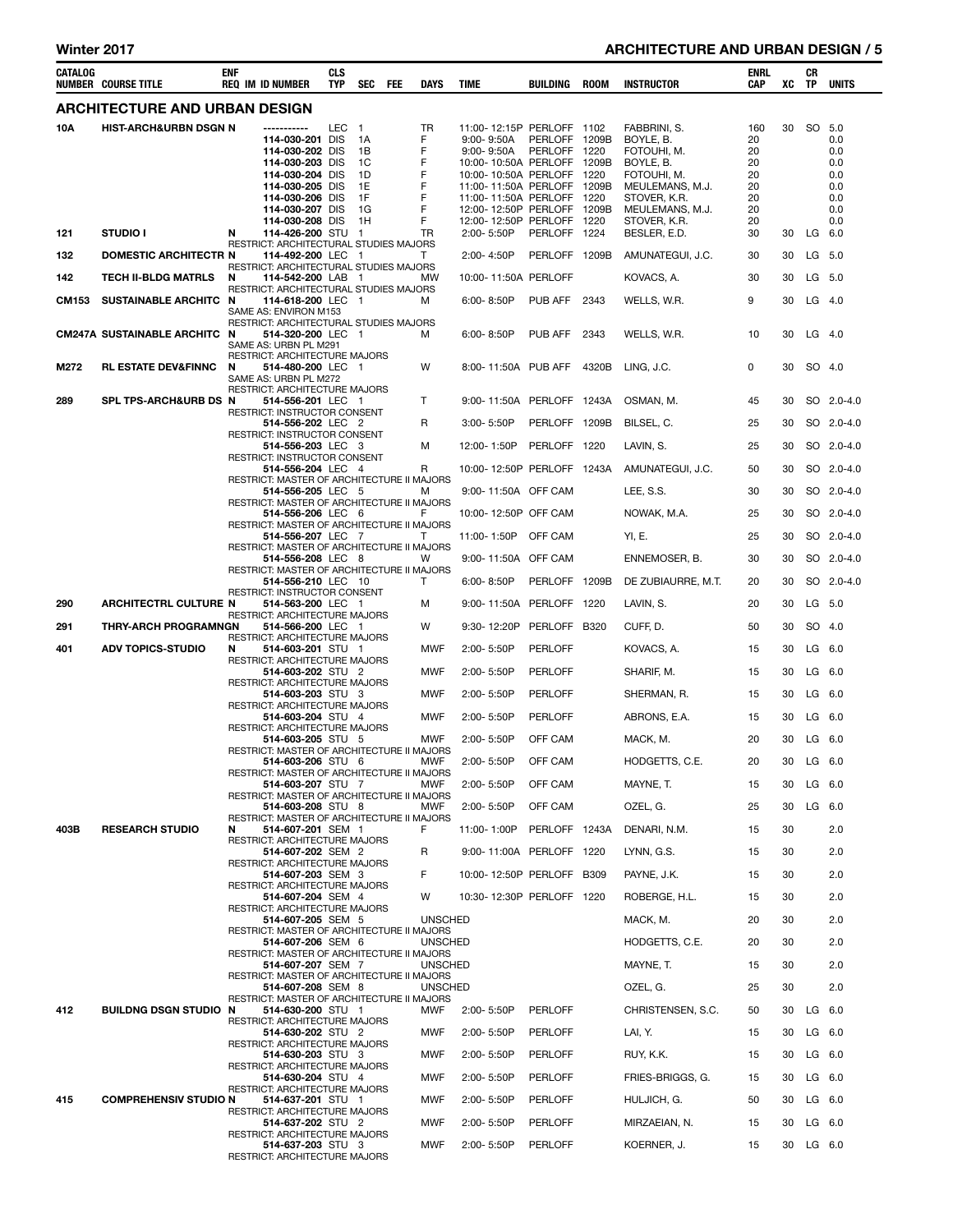| CATALOG      | NUMBER COURSE TITLE                  | enf | <b>REQ IM ID NUMBER</b>                                                                                        | CLS<br><b>TYP</b> | SEC                                              | <b>FEE</b> | DAYS                                  | <b>TIME</b>                                                                                                                                                                    | BUILDING                      | <b>ROOM</b> | <b>INSTRUCTOR</b>                                                                                       | ENRL<br>CAP                             | xс | CR<br>TP  | UNITS                                         |
|--------------|--------------------------------------|-----|----------------------------------------------------------------------------------------------------------------|-------------------|--------------------------------------------------|------------|---------------------------------------|--------------------------------------------------------------------------------------------------------------------------------------------------------------------------------|-------------------------------|-------------|---------------------------------------------------------------------------------------------------------|-----------------------------------------|----|-----------|-----------------------------------------------|
|              | <b>ARCHITECTURE AND URBAN DESIGN</b> |     |                                                                                                                |                   |                                                  |            |                                       |                                                                                                                                                                                |                               |             |                                                                                                         |                                         |    |           |                                               |
| 10A          | <b>HIST-ARCH&amp;URBN DSGN N</b>     |     | 114-030-201 DIS<br>114-030-202 DIS<br>114-030-203 DIS<br>114-030-204 DIS<br>114-030-205 DIS<br>114-030-206 DIS | <b>LEC</b>        | $\mathbf{1}$<br>1A<br>1B<br>1C<br>1D<br>1E<br>1F |            | TR<br>F<br>F<br>F<br>F<br>F<br>F<br>F | 11:00-12:15P PERLOFF 1102<br>$9:00 - 9:50A$<br>$9:00 - 9:50A$<br>10:00-10:50A PERLOFF 1209B<br>10:00-10:50A PERLOFF<br>11:00-11:50A PERLOFF 1209B<br>11:00-11:50A PERLOFF 1220 | PERLOFF 1209B<br>PERLOFF 1220 | 1220        | FABBRINI, S.<br>BOYLE, B.<br>FOTOUHI, M.<br>BOYLE, B.<br>FOTOUHI, M.<br>MEULEMANS, M.J.<br>STOVER, K.R. | 160<br>20<br>20<br>20<br>20<br>20<br>20 | 30 | SO        | 5.0<br>0.0<br>0.0<br>0.0<br>0.0<br>0.0<br>0.0 |
|              |                                      |     | 114-030-207 DIS<br>114-030-208 DIS                                                                             |                   | 1G<br>1H                                         |            | F                                     | 12:00-12:50P PERLOFF 1209B<br>12:00-12:50P PERLOFF 1220                                                                                                                        |                               |             | MEULEMANS, M.J.<br>STOVER, K.R.                                                                         | 20<br>20                                |    |           | 0.0<br>0.0                                    |
| 121          | <b>STUDIO I</b>                      | N   | 114-426-200 STU 1<br>RESTRICT: ARCHITECTURAL STUDIES MAJORS                                                    |                   |                                                  |            | TR                                    | 2:00-5:50P                                                                                                                                                                     | PERLOFF 1224                  |             | BESLER, E.D.                                                                                            | 30                                      | 30 |           | LG 6.0                                        |
| 132          | <b>DOMESTIC ARCHITECTR N</b>         |     | 114-492-200 LEC 1<br>RESTRICT: ARCHITECTURAL STUDIES MAJORS                                                    |                   |                                                  |            | Τ                                     | 2:00-4:50P                                                                                                                                                                     | PERLOFF 1209B                 |             | AMUNATEGUI, J.C.                                                                                        | 30                                      | 30 |           | LG 5.0                                        |
| 142          | <b>TECH II-BLDG MATRLS</b>           | N   | 114-542-200 LAB 1<br>RESTRICT: ARCHITECTURAL STUDIES MAJORS                                                    |                   |                                                  |            | MW                                    | 10:00-11:50A PERLOFF                                                                                                                                                           |                               |             | KOVACS, A.                                                                                              | 30                                      | 30 |           | LG 5.0                                        |
| <b>CM153</b> | SUSTAINABLE ARCHITC N                |     | 114-618-200 LEC 1<br>SAME AS: ENVIRON M153<br>RESTRICT: ARCHITECTURAL STUDIES MAJORS                           |                   |                                                  |            | м                                     | $6:00 - 8:50P$                                                                                                                                                                 | PUB AFF                       | 2343        | WELLS, W.R.                                                                                             | 9                                       | 30 |           | $LG$ 4.0                                      |
|              | <b>CM247A SUSTAINABLE ARCHITC N</b>  |     | 514-320-200 LEC 1<br>SAME AS: URBN PL M291                                                                     |                   |                                                  |            | м                                     | 6:00-8:50P                                                                                                                                                                     | PUB AFF                       | 2343        | WELLS, W.R.                                                                                             | 10                                      | 30 |           | $LG$ 4.0                                      |
| M272         | <b>RL ESTATE DEV&amp;FINNC</b>       | N   | RESTRICT: ARCHITECTURE MAJORS<br>514-480-200 LEC 1<br>SAME AS: URBN PL M272<br>RESTRICT: ARCHITECTURE MAJORS   |                   |                                                  |            | W                                     | 8:00-11:50A PUB AFF                                                                                                                                                            |                               | 4320B       | LING, J.C.                                                                                              | 0                                       | 30 |           | SO 4.0                                        |
| 289          | SPL TPS-ARCH&URB DS N                |     | 514-556-201 LEC 1                                                                                              |                   |                                                  |            | т                                     | 9:00-11:50A PERLOFF 1243A                                                                                                                                                      |                               |             | OSMAN, M.                                                                                               | 45                                      | 30 |           | SO 2.0-4.0                                    |
|              |                                      |     | RESTRICT: INSTRUCTOR CONSENT<br>514-556-202 LEC 2                                                              |                   |                                                  |            | R                                     | 3:00-5:50P                                                                                                                                                                     | PERLOFF 1209B                 |             | BILSEL, C.                                                                                              | 25                                      | 30 |           | SO 2.0-4.0                                    |
|              |                                      |     | RESTRICT: INSTRUCTOR CONSENT<br>514-556-203 LEC 3                                                              |                   |                                                  |            | м                                     | 12:00-1:50P                                                                                                                                                                    | PERLOFF 1220                  |             | LAVIN, S.                                                                                               | 25                                      | 30 |           | SO 2.0-4.0                                    |
|              |                                      |     | RESTRICT: INSTRUCTOR CONSENT<br>514-556-204 LEC 4                                                              |                   |                                                  |            | R                                     | 10:00-12:50P PERLOFF 1243A                                                                                                                                                     |                               |             | AMUNATEGUI, J.C.                                                                                        | 50                                      | 30 |           | SO 2.0-4.0                                    |
|              |                                      |     | RESTRICT: MASTER OF ARCHITECTURE II MAJORS<br>514-556-205 LEC 5                                                |                   |                                                  |            | м                                     | 9:00-11:50A OFF CAM                                                                                                                                                            |                               |             | LEE, S.S.                                                                                               | 30                                      | 30 |           | SO 2.0-4.0                                    |
|              |                                      |     | RESTRICT: MASTER OF ARCHITECTURE II MAJORS<br>514-556-206 LEC 6                                                |                   |                                                  |            | F                                     | 10:00-12:50P OFF CAM                                                                                                                                                           |                               |             | NOWAK, M.A.                                                                                             | 25                                      | 30 |           | SO 2.0-4.0                                    |
|              |                                      |     | RESTRICT: MASTER OF ARCHITECTURE II MAJORS<br>514-556-207 LEC 7                                                |                   |                                                  |            | Τ                                     | 11:00-1:50P OFF CAM                                                                                                                                                            |                               |             | YI, E.                                                                                                  | 25                                      | 30 |           | SO 2.0-4.0                                    |
|              |                                      |     | RESTRICT: MASTER OF ARCHITECTURE II MAJORS<br>514-556-208 LEC 8                                                |                   |                                                  |            | w                                     | 9:00-11:50A OFF CAM                                                                                                                                                            |                               |             | ENNEMOSER, B.                                                                                           | 30                                      | 30 |           | SO 2.0-4.0                                    |
|              |                                      |     | RESTRICT: MASTER OF ARCHITECTURE II MAJORS<br>514-556-210 LEC 10                                               |                   |                                                  |            | т                                     | $6:00 - 8:50P$                                                                                                                                                                 | PERLOFF 1209B                 |             | DE ZUBIAURRE, M.T.                                                                                      | 20                                      | 30 |           | SO 2.0-4.0                                    |
|              | <b>ARCHITECTRL CULTURE N</b>         |     | RESTRICT: INSTRUCTOR CONSENT                                                                                   |                   |                                                  |            |                                       | 9:00-11:50A PERLOFF                                                                                                                                                            |                               | 1220        | LAVIN, S.                                                                                               | 20                                      |    |           | LG 5.0                                        |
| 290          |                                      |     | 514-563-200 LEC 1<br><b>RESTRICT: ARCHITECTURE MAJORS</b>                                                      |                   |                                                  |            | м                                     |                                                                                                                                                                                |                               |             |                                                                                                         |                                         | 30 |           |                                               |
| 291          | <b>THRY-ARCH PROGRAMNGN</b>          |     | 514-566-200 LEC 1<br>RESTRICT: ARCHITECTURE MAJORS                                                             |                   |                                                  |            | w                                     | 9:30-12:20P                                                                                                                                                                    | PERLOFF B320                  |             | CUFF, D.                                                                                                | 50                                      | 30 |           | SO 4.0                                        |
| 401          | <b>ADV TOPICS-STUDIO</b>             | N   | 514-603-201 STU 1<br>RESTRICT: ARCHITECTURE MAJORS                                                             |                   |                                                  |            | MWF                                   | 2:00-5:50P                                                                                                                                                                     | PERLOFF                       |             | KOVACS, A.                                                                                              | 15                                      | 30 |           | $LG$ 6.0                                      |
|              |                                      |     | 514-603-202 STU 2<br><b>RESTRICT: ARCHITECTURE MAJORS</b>                                                      |                   |                                                  |            | MWF                                   | 2:00-5:50P                                                                                                                                                                     | <b>PERLOFF</b>                |             | SHARIF, M.                                                                                              | 15                                      | 30 |           | LG 6.0                                        |
|              |                                      |     | 514-603-203 STU 3<br>RESTRICT: ARCHITECTURE MAJORS                                                             |                   |                                                  |            | MWF                                   | 2:00-5:50P                                                                                                                                                                     | <b>PERLOFF</b>                |             | SHERMAN, R.                                                                                             | 15                                      | 30 |           | $LG$ 6.0                                      |
|              |                                      |     | 514-603-204 STU 4<br>RESTRICT: ARCHITECTURE MAJORS                                                             |                   |                                                  |            | MWF                                   | 2:00-5:50P                                                                                                                                                                     | <b>PERLOFF</b>                |             | ABRONS, E.A.                                                                                            | 15                                      | 30 |           | $LG$ 6.0                                      |
|              |                                      |     | 514-603-205 STU 5<br>RESTRICT: MASTER OF ARCHITECTURE II MAJORS                                                |                   |                                                  |            | MWF                                   | 2:00-5:50P                                                                                                                                                                     | OFF CAM                       |             | MACK, M.                                                                                                | 20                                      | 30 |           | $LG$ 6.0                                      |
|              |                                      |     | 514-603-206 STU 6<br>RESTRICT: MASTER OF ARCHITECTURE II MAJORS                                                |                   |                                                  |            | MWF                                   | 2:00-5:50P                                                                                                                                                                     | OFF CAM                       |             | HODGETTS, C.E.                                                                                          | 20                                      | 30 |           | $LG$ 6.0                                      |
|              |                                      |     | 514-603-207 STU 7<br>RESTRICT: MASTER OF ARCHITECTURE II MAJORS                                                |                   |                                                  |            | MWF                                   | 2:00- 5:50P                                                                                                                                                                    | OFF CAM                       |             | MAYNE, T.                                                                                               | 15                                      | 30 |           | $LG$ 6.0                                      |
|              |                                      |     | 514-603-208 STU 8                                                                                              |                   |                                                  |            | MWF                                   | $2:00 - 5:50P$                                                                                                                                                                 | OFF CAM                       |             | OZEL, G.                                                                                                | 25                                      | 30 |           | LG 6.0                                        |
| 403B         | <b>RESEARCH STUDIO</b>               | N   | RESTRICT: MASTER OF ARCHITECTURE II MAJORS<br>514-607-201 SEM 1                                                |                   |                                                  |            | F                                     | 11:00-1:00P                                                                                                                                                                    | PERLOFF 1243A                 |             | DENARI, N.M.                                                                                            | 15                                      | 30 |           | 2.0                                           |
|              |                                      |     | RESTRICT: ARCHITECTURE MAJORS<br>514-607-202 SEM 2                                                             |                   |                                                  |            | R                                     | 9:00-11:00A PERLOFF 1220                                                                                                                                                       |                               |             | LYNN, G.S.                                                                                              | 15                                      | 30 |           | 2.0                                           |
|              |                                      |     | RESTRICT: ARCHITECTURE MAJORS<br>514-607-203 SEM 3                                                             |                   |                                                  |            | F                                     | 10:00-12:50P PERLOFF B309                                                                                                                                                      |                               |             | PAYNE, J.K.                                                                                             | 15                                      | 30 |           | 2.0                                           |
|              |                                      |     | RESTRICT: ARCHITECTURE MAJORS<br>514-607-204 SEM 4                                                             |                   |                                                  |            | W                                     | 10:30-12:30P PERLOFF 1220                                                                                                                                                      |                               |             | ROBERGE, H.L.                                                                                           | 15                                      | 30 |           | 2.0                                           |
|              |                                      |     | RESTRICT: ARCHITECTURE MAJORS<br>514-607-205 SEM 5                                                             |                   |                                                  |            | <b>UNSCHED</b>                        |                                                                                                                                                                                |                               |             | MACK, M.                                                                                                | 20                                      | 30 |           | 2.0                                           |
|              |                                      |     | RESTRICT: MASTER OF ARCHITECTURE II MAJORS<br>514-607-206 SEM 6                                                |                   |                                                  |            | <b>UNSCHED</b>                        |                                                                                                                                                                                |                               |             | HODGETTS, C.E.                                                                                          | 20                                      | 30 |           | 2.0                                           |
|              |                                      |     | RESTRICT: MASTER OF ARCHITECTURE II MAJORS<br>514-607-207 SEM 7                                                |                   |                                                  |            | <b>UNSCHED</b>                        |                                                                                                                                                                                |                               |             | MAYNE, T.                                                                                               | 15                                      | 30 |           | 2.0                                           |
|              |                                      |     | RESTRICT: MASTER OF ARCHITECTURE II MAJORS<br>514-607-208 SEM 8                                                |                   |                                                  |            | <b>UNSCHED</b>                        |                                                                                                                                                                                |                               |             | OZEL, G.                                                                                                | 25                                      | 30 |           | 2.0                                           |
| 412          | BUILDNG DSGN STUDIO N                |     | RESTRICT: MASTER OF ARCHITECTURE II MAJORS<br>514-630-200 STU 1                                                |                   |                                                  |            | MWF                                   | 2:00-5:50P                                                                                                                                                                     | PERLOFF                       |             | CHRISTENSEN, S.C.                                                                                       | 50                                      | 30 |           | LG 6.0                                        |
|              |                                      |     | RESTRICT: ARCHITECTURE MAJORS                                                                                  |                   |                                                  |            |                                       |                                                                                                                                                                                |                               |             |                                                                                                         |                                         | 30 |           | $LG$ 6.0                                      |
|              |                                      |     | 514-630-202 STU 2<br>RESTRICT: ARCHITECTURE MAJORS                                                             |                   |                                                  |            | <b>MWF</b>                            | 2:00-5:50P                                                                                                                                                                     | PERLOFF                       |             | LAI, Y.                                                                                                 | 15                                      |    |           |                                               |
|              |                                      |     | 514-630-203 STU 3<br>RESTRICT: ARCHITECTURE MAJORS                                                             |                   |                                                  |            | <b>MWF</b>                            | 2:00-5:50P                                                                                                                                                                     | PERLOFF                       |             | RUY, K.K.                                                                                               | 15                                      | 30 |           | $LG$ 6.0                                      |
|              |                                      |     | 514-630-204 STU 4<br>RESTRICT: ARCHITECTURE MAJORS                                                             |                   |                                                  |            | <b>MWF</b>                            | 2:00-5:50P                                                                                                                                                                     | PERLOFF                       |             | FRIES-BRIGGS, G.                                                                                        | 15                                      | 30 |           | $LG$ 6.0                                      |
| 415          | <b>COMPREHENSIV STUDIO N</b>         |     | 514-637-201 STU 1<br>RESTRICT: ARCHITECTURE MAJORS                                                             |                   |                                                  |            | <b>MWF</b>                            | 2:00-5:50P                                                                                                                                                                     | PERLOFF                       |             | HULJICH, G.                                                                                             | 50                                      | 30 |           | LG 6.0                                        |
|              |                                      |     | 514-637-202 STU 2<br>RESTRICT: ARCHITECTURE MAJORS                                                             |                   |                                                  |            | <b>MWF</b>                            | 2:00-5:50P                                                                                                                                                                     | PERLOFF                       |             | MIRZAEIAN, N.                                                                                           | 15                                      | 30 |           | $LG$ 6.0                                      |
|              |                                      |     | 514-637-203 STU 3<br>RESTRICT: ARCHITECTURE MAJORS                                                             |                   |                                                  |            | <b>MWF</b>                            | 2:00-5:50P                                                                                                                                                                     | PERLOFF                       |             | KOERNER, J.                                                                                             | 15                                      |    | 30 LG 6.0 |                                               |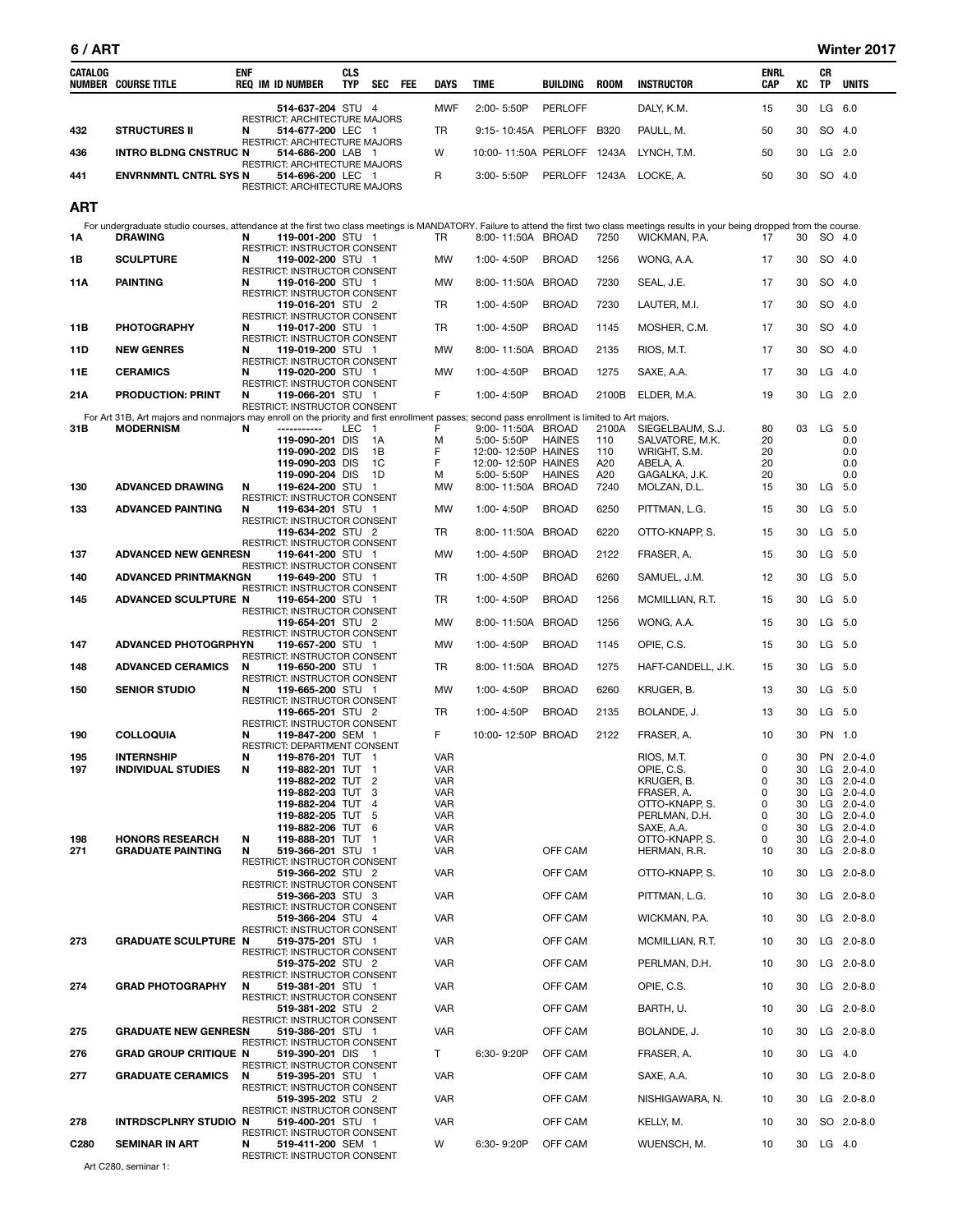e e

| CATALOG          | <b>NUMBER COURSE TITLE</b>                                                                                                                                                                                 | <b>ENF</b> | <b>REQ IM ID NUMBER</b>                                                           | <b>CLS</b><br>TYP | <b>SEC</b>           | FEE | <b>DAYS</b> | <b>TIME</b>                       | BUILDING       | <b>ROOM</b>  | <b>INSTRUCTOR</b>                   | <b>ENRL</b><br>CAP | XC       | CR<br>ΤP  | <b>UNITS</b>                   |
|------------------|------------------------------------------------------------------------------------------------------------------------------------------------------------------------------------------------------------|------------|-----------------------------------------------------------------------------------|-------------------|----------------------|-----|-------------|-----------------------------------|----------------|--------------|-------------------------------------|--------------------|----------|-----------|--------------------------------|
|                  |                                                                                                                                                                                                            |            | 514-637-204 STU 4                                                                 |                   |                      |     | <b>MWF</b>  | 2:00-5:50P                        | <b>PERLOFF</b> |              | DALY, K.M.                          | 15                 | 30       | LG 6.0    |                                |
| 432              | <b>STRUCTURES II</b>                                                                                                                                                                                       | N          | RESTRICT: ARCHITECTURE MAJORS<br>514-677-200 LEC 1                                |                   |                      |     | TR          | 9:15-10:45A PERLOFF               |                | <b>B320</b>  | PAULL, M.                           | 50                 | 30       |           | SO 4.0                         |
| 436              | <b>INTRO BLDNG CNSTRUC N</b>                                                                                                                                                                               |            | RESTRICT: ARCHITECTURE MAJORS<br>514-686-200 LAB 1                                |                   |                      |     | W           | 10:00-11:50A PERLOFF 1243A        |                |              | LYNCH, T.M.                         | 50                 | 30       | LG 2.0    |                                |
| 441              | <b>ENVRNMNTL CNTRL SYS N</b>                                                                                                                                                                               |            | RESTRICT: ARCHITECTURE MAJORS<br>514-696-200 LEC 1                                |                   |                      |     | R           | 3:00-5:50P                        | PERLOFF 1243A  |              | LOCKE, A.                           | 50                 | 30       |           | SO 4.0                         |
|                  |                                                                                                                                                                                                            |            | RESTRICT: ARCHITECTURE MAJORS                                                     |                   |                      |     |             |                                   |                |              |                                     |                    |          |           |                                |
| <b>ART</b>       |                                                                                                                                                                                                            |            |                                                                                   |                   |                      |     |             |                                   |                |              |                                     |                    |          |           |                                |
| 1Α               | For undergraduate studio courses, attendance at the first two class meetings is MANDATORY. Failure to attend the first two class meetings results in your being dropped from the course.<br><b>DRAWING</b> | N          | 119-001-200 STU 1                                                                 |                   |                      |     | TR          | 8:00-11:50A BROAD                 |                | 7250         | WICKMAN, P.A.                       | 17                 | 30       |           | SO 4.0                         |
| 1В               | <b>SCULPTURE</b>                                                                                                                                                                                           | N          | RESTRICT: INSTRUCTOR CONSENT<br>119-002-200 STU 1                                 |                   |                      |     | MW          | 1:00-4:50P                        | <b>BROAD</b>   | 1256         | WONG, A.A.                          | 17                 | 30       |           | SO 4.0                         |
| 11A              | <b>PAINTING</b>                                                                                                                                                                                            | N          | <b>RESTRICT: INSTRUCTOR CONSENT</b><br>119-016-200 STU 1                          |                   |                      |     | MW          | 8:00-11:50A BROAD                 |                | 7230         | SEAL, J.E.                          | 17                 | 30       |           | SO 4.0                         |
|                  |                                                                                                                                                                                                            |            | RESTRICT: INSTRUCTOR CONSENT<br>119-016-201 STU 2                                 |                   |                      |     | TR          | 1:00-4:50P                        | <b>BROAD</b>   | 7230         | LAUTER, M.I.                        | 17                 | 30       |           | SO 4.0                         |
| 11B              | <b>PHOTOGRAPHY</b>                                                                                                                                                                                         | N          | RESTRICT: INSTRUCTOR CONSENT<br>119-017-200 STU 1                                 |                   |                      |     | TR          | 1:00-4:50P                        | <b>BROAD</b>   | 1145         | MOSHER, C.M.                        | 17                 | 30       |           | SO 4.0                         |
| 11D              | <b>NEW GENRES</b>                                                                                                                                                                                          | N          | RESTRICT: INSTRUCTOR CONSENT<br>119-019-200 STU 1                                 |                   |                      |     | <b>MW</b>   | 8:00-11:50A BROAD                 |                | 2135         | RIOS, M.T.                          | 17                 | 30       |           | SO 4.0                         |
| 11E              | <b>CERAMICS</b>                                                                                                                                                                                            | N          | RESTRICT: INSTRUCTOR CONSENT<br>119-020-200 STU 1                                 |                   |                      |     | <b>MW</b>   | 1:00-4:50P                        | <b>BROAD</b>   | 1275         | SAXE, A.A.                          | 17                 | 30       |           | LG 4.0                         |
| 21A              | <b>PRODUCTION: PRINT</b>                                                                                                                                                                                   | N          | RESTRICT: INSTRUCTOR CONSENT<br>119-066-201 STU 1                                 |                   |                      |     | F           | 1:00-4:50P                        | <b>BROAD</b>   | 2100B        | ELDER, M.A.                         | 19                 | 30       |           | LG 2.0                         |
|                  | For Art 31B, Art majors and nonmajors may enroll on the priority and first enrollment passes; second pass enrollment is limited to Art majors.                                                             |            | RESTRICT: INSTRUCTOR CONSENT                                                      |                   |                      |     |             |                                   |                |              |                                     |                    |          |           |                                |
| 31B              | <b>MODERNISM</b>                                                                                                                                                                                           | N          | -----------<br>119-090-201 DIS                                                    | <b>LEC</b>        | $\overline{1}$<br>1A |     | F<br>м      | 9:00-11:50A BROAD<br>5:00-5:50P   | <b>HAINES</b>  | 2100A<br>110 | SIEGELBAUM, S.J.<br>SALVATORE, M.K. | 80<br>20           | 03       | LG 5.0    | 0.0                            |
|                  |                                                                                                                                                                                                            |            | 119-090-202 DIS                                                                   |                   | 1B                   |     | F           | 12:00-12:50P HAINES               |                | 110          | WRIGHT, S.M.                        | 20                 |          |           | 0.0                            |
|                  |                                                                                                                                                                                                            |            | 119-090-203 DIS<br>119-090-204 DIS                                                |                   | 1C<br>1D             |     | F<br>м      | 12:00-12:50P HAINES<br>5:00-5:50P | <b>HAINES</b>  | A20<br>A20   | ABELA, A.<br>GAGALKA, J.K.          | 20<br>20           |          |           | 0.0<br>0.0                     |
| 130              | <b>ADVANCED DRAWING</b>                                                                                                                                                                                    | N          | 119-624-200 STU 1                                                                 |                   |                      |     | <b>MW</b>   | 8:00-11:50A BROAD                 |                | 7240         | MOLZAN, D.L.                        | 15                 | 30       | LG 5.0    |                                |
| 133              | <b>ADVANCED PAINTING</b>                                                                                                                                                                                   | N          | RESTRICT: INSTRUCTOR CONSENT<br>119-634-201 STU 1                                 |                   |                      |     | <b>MW</b>   | 1:00-4:50P                        | <b>BROAD</b>   | 6250         | PITTMAN, L.G.                       | 15                 | 30       | LG 5.0    |                                |
|                  |                                                                                                                                                                                                            |            | RESTRICT: INSTRUCTOR CONSENT<br>119-634-202 STU 2                                 |                   |                      |     | TR          | 8:00-11:50A BROAD                 |                | 6220         | OTTO-KNAPP, S.                      | 15                 | 30       | LG 5.0    |                                |
| 137              | <b>ADVANCED NEW GENRESN</b>                                                                                                                                                                                |            | RESTRICT: INSTRUCTOR CONSENT<br>119-641-200 STU 1                                 |                   |                      |     | <b>MW</b>   | 1:00-4:50P                        | <b>BROAD</b>   | 2122         | FRASER, A.                          | 15                 | 30       | $LG$ 5.0  |                                |
| 140              | <b>ADVANCED PRINTMAKNGN</b>                                                                                                                                                                                |            | RESTRICT: INSTRUCTOR CONSENT<br>119-649-200 STU 1                                 |                   |                      |     | TR          | 1:00-4:50P                        | <b>BROAD</b>   | 6260         | SAMUEL, J.M.                        | 12                 | 30       |           | LG 5.0                         |
| 145              | ADVANCED SCULPTURE N                                                                                                                                                                                       |            | RESTRICT: INSTRUCTOR CONSENT<br>119-654-200 STU 1                                 |                   |                      |     | TR          | 1:00-4:50P                        | <b>BROAD</b>   | 1256         | MCMILLIAN, R.T.                     | 15                 | 30       |           | LG 5.0                         |
|                  |                                                                                                                                                                                                            |            | RESTRICT: INSTRUCTOR CONSENT<br>119-654-201 STU 2                                 |                   |                      |     | <b>MW</b>   | 8:00-11:50A BROAD                 |                | 1256         | WONG, A.A.                          | 15                 | 30       | LG 5.0    |                                |
| 147              | <b>ADVANCED PHOTOGRPHYN</b>                                                                                                                                                                                |            | RESTRICT: INSTRUCTOR CONSENT<br>119-657-200 STU 1                                 |                   |                      |     | <b>MW</b>   | 1:00-4:50P                        | <b>BROAD</b>   | 1145         | OPIE, C.S.                          | 15                 | 30       | LG 5.0    |                                |
| 148              | <b>ADVANCED CERAMICS</b>                                                                                                                                                                                   | N          | RESTRICT: INSTRUCTOR CONSENT<br>119-650-200 STU 1                                 |                   |                      |     | TR          | 8:00-11:50A BROAD                 |                | 1275         | HAFT-CANDELL, J.K.                  | 15                 | 30       | LG 5.0    |                                |
| 150              | <b>SENIOR STUDIO</b>                                                                                                                                                                                       | N          | RESTRICT: INSTRUCTOR CONSENT<br>119-665-200 STU 1                                 |                   |                      |     | <b>MW</b>   | 1:00-4:50P                        | <b>BROAD</b>   | 6260         | KRUGER, B.                          | 13                 | 30       | LG 5.0    |                                |
|                  |                                                                                                                                                                                                            |            | RESTRICT: INSTRUCTOR CONSENT<br>119-665-201 STU 2                                 |                   |                      |     | TR          | 1:00-4:50P                        | <b>BROAD</b>   | 2135         | BOLANDE, J.                         | 13                 | 30       |           | LG 5.0                         |
| 190              | <b>COLLOQUIA</b>                                                                                                                                                                                           | N          | RESTRICT: INSTRUCTOR CONSENT<br>119-847-200 SEM 1                                 |                   |                      |     | F           | 10:00-12:50P BROAD                |                | 2122         | FRASER, A.                          | 10                 | 30       | PN 1.0    |                                |
| 195              | <b>INTERNSHIP</b>                                                                                                                                                                                          | N          | RESTRICT: DEPARTMENT CONSENT<br>119-876-201 TUT 1                                 |                   |                      |     | <b>VAR</b>  |                                   |                |              | RIOS, M.T.                          | $\mathbf{0}$       |          |           | 30 PN 2.0-4.0                  |
| 197              | <b>INDIVIDUAL STUDIES</b>                                                                                                                                                                                  | N          | 119-882-201 TUT 1                                                                 |                   |                      |     | VAR         |                                   |                |              | OPIE, C.S.                          | 0                  | 30       |           | LG $2.0 - 4.0$                 |
|                  |                                                                                                                                                                                                            |            | 119-882-202 TUT 2<br>119-882-203 TUT                                              |                   | 3                    |     | VAR<br>VAR  |                                   |                |              | KRUGER, B.<br>FRASER, A.            | 0<br>0             | 30<br>30 |           | $LG$ 2.0-4.0<br>$LG$ 2.0-4.0   |
|                  |                                                                                                                                                                                                            |            | 119-882-204 TUT                                                                   |                   | $\overline{4}$       |     | VAR         |                                   |                |              | OTTO-KNAPP, S.                      | 0                  | 30       |           | LG $2.0 - 4.0$                 |
|                  |                                                                                                                                                                                                            |            | 119-882-205 TUT<br>119-882-206 TUT                                                |                   | 5<br>6               |     | VAR<br>VAR  |                                   |                |              | PERLMAN, D.H.<br>SAXE, A.A.         | 0<br>0             | 30<br>30 |           | $LG$ 2.0-4.0<br>LG $2.0 - 4.0$ |
| 198              | <b>HONORS RESEARCH</b>                                                                                                                                                                                     | N          | 119-888-201 TUT                                                                   |                   | $\mathbf 1$          |     | VAR         |                                   |                |              | OTTO-KNAPP, S.                      | 0                  | 30       |           | LG $2.0 - 4.0$                 |
| 271              | <b>GRADUATE PAINTING</b>                                                                                                                                                                                   | N          | 519-366-201 STU 1<br>RESTRICT: INSTRUCTOR CONSENT                                 |                   |                      |     | VAR         |                                   | OFF CAM        |              | HERMAN, R.R.                        | 10                 | 30       |           | LG $2.0 - 8.0$                 |
|                  |                                                                                                                                                                                                            |            | 519-366-202 STU 2                                                                 |                   |                      |     | <b>VAR</b>  |                                   | OFF CAM        |              | OTTO-KNAPP, S.                      | 10                 | 30       |           | $LG$ 2.0-8.0                   |
|                  |                                                                                                                                                                                                            |            | RESTRICT: INSTRUCTOR CONSENT<br>519-366-203 STU 3<br>RESTRICT: INSTRUCTOR CONSENT |                   |                      |     | <b>VAR</b>  |                                   | OFF CAM        |              | PITTMAN, L.G.                       | 10                 | 30       |           | $LG$ 2.0-8.0                   |
|                  |                                                                                                                                                                                                            |            | 519-366-204 STU 4                                                                 |                   |                      |     | <b>VAR</b>  |                                   | OFF CAM        |              | WICKMAN, P.A.                       | 10                 | 30       |           | $LG$ 2.0-8.0                   |
| 273              | <b>GRADUATE SCULPTURE N</b>                                                                                                                                                                                |            | RESTRICT: INSTRUCTOR CONSENT<br>519-375-201 STU 1                                 |                   |                      |     | <b>VAR</b>  |                                   | OFF CAM        |              | MCMILLIAN, R.T.                     | 10                 | 30       |           | LG $2.0 - 8.0$                 |
|                  |                                                                                                                                                                                                            |            | RESTRICT: INSTRUCTOR CONSENT<br>519-375-202 STU 2                                 |                   |                      |     | <b>VAR</b>  |                                   | OFF CAM        |              | PERLMAN, D.H.                       | 10                 | 30       |           | LG $2.0 - 8.0$                 |
| 274              | <b>GRAD PHOTOGRAPHY</b>                                                                                                                                                                                    | N          | RESTRICT: INSTRUCTOR CONSENT<br>519-381-201 STU 1                                 |                   |                      |     | VAR         |                                   | OFF CAM        |              | OPIE, C.S.                          | 10                 | 30       |           | $LG$ 2.0-8.0                   |
|                  |                                                                                                                                                                                                            |            | RESTRICT: INSTRUCTOR CONSENT<br>519-381-202 STU 2                                 |                   |                      |     | <b>VAR</b>  |                                   | OFF CAM        |              | BARTH, U.                           | 10                 | 30       |           | $LG$ 2.0-8.0                   |
| 275              | <b>GRADUATE NEW GENRESN</b>                                                                                                                                                                                |            | RESTRICT: INSTRUCTOR CONSENT<br>519-386-201 STU 1                                 |                   |                      |     | <b>VAR</b>  |                                   | OFF CAM        |              | BOLANDE, J.                         | 10                 | 30       |           | LG $2.0 - 8.0$                 |
| 276              | <b>GRAD GROUP CRITIQUE N</b>                                                                                                                                                                               |            | RESTRICT: INSTRUCTOR CONSENT<br>519-390-201 DIS 1                                 |                   |                      |     | T.          | 6:30-9:20P                        | OFF CAM        |              | FRASER, A.                          | 10                 | 30       |           | $LG$ 4.0                       |
| 277              | <b>GRADUATE CERAMICS</b>                                                                                                                                                                                   | N          | RESTRICT: INSTRUCTOR CONSENT<br>519-395-201 STU 1                                 |                   |                      |     | <b>VAR</b>  |                                   | OFF CAM        |              | SAXE, A.A.                          | 10                 | 30       |           | LG $2.0 - 8.0$                 |
|                  |                                                                                                                                                                                                            |            | RESTRICT: INSTRUCTOR CONSENT<br>519-395-202 STU 2                                 |                   |                      |     | <b>VAR</b>  |                                   | OFF CAM        |              | NISHIGAWARA, N.                     | 10                 | 30       |           | LG $2.0 - 8.0$                 |
| 278              | Intrdscplnry Studio N                                                                                                                                                                                      |            | RESTRICT: INSTRUCTOR CONSENT<br>519-400-201 STU 1                                 |                   |                      |     | <b>VAR</b>  |                                   | OFF CAM        |              | KELLY, M.                           | 10                 | 30       |           | SO 2.0-8.0                     |
| C <sub>280</sub> | SEMINAR IN ART                                                                                                                                                                                             | N          | RESTRICT: INSTRUCTOR CONSENT<br>519-411-200 SEM 1                                 |                   |                      |     | W           | 6:30-9:20P                        | OFF CAM        |              | WUENSCH, M.                         | 10                 |          | 30 LG 4.0 |                                |
|                  |                                                                                                                                                                                                            |            | RESTRICT: INSTRUCTOR CONSENT                                                      |                   |                      |     |             |                                   |                |              |                                     |                    |          |           |                                |

Art C280, seminar 1: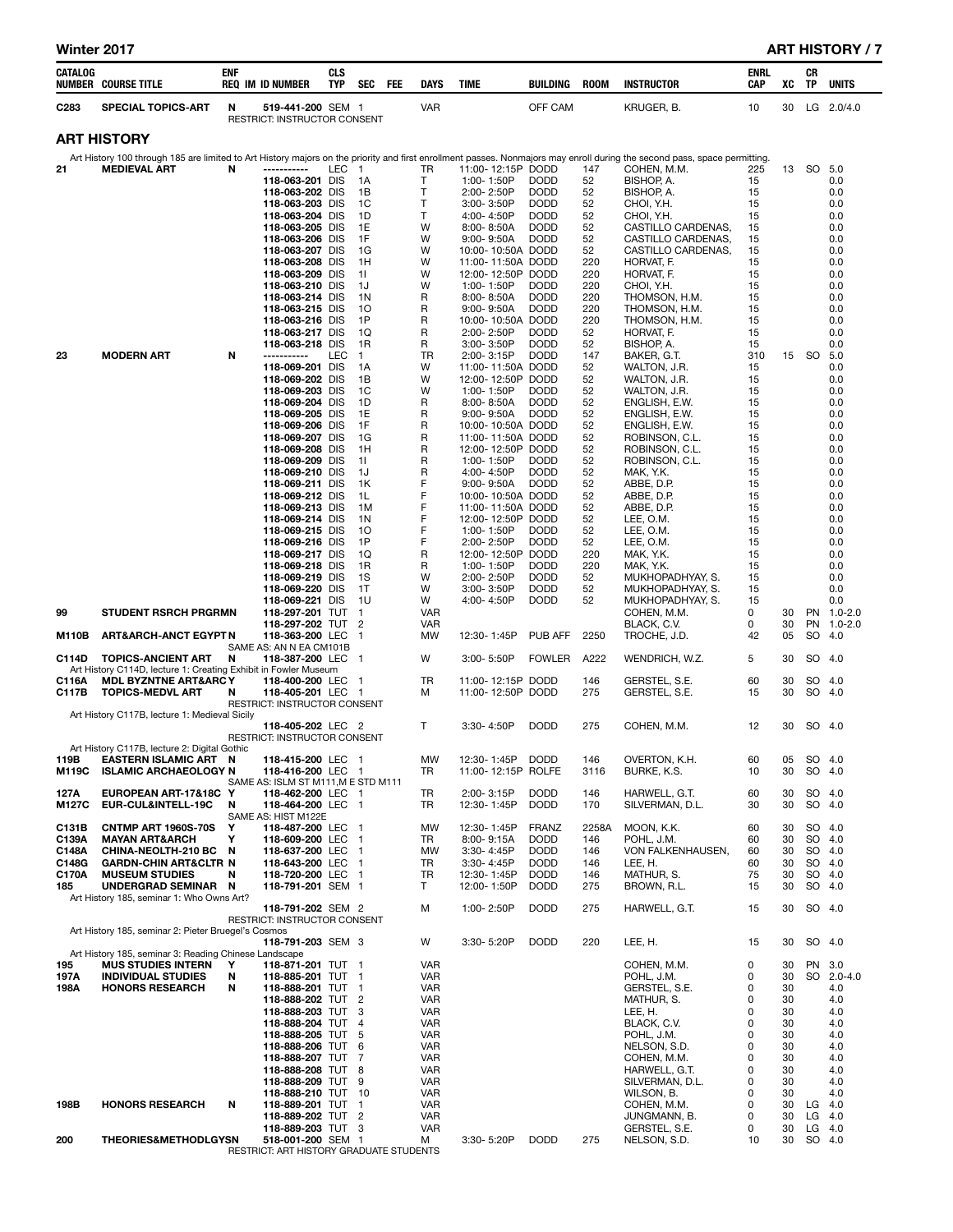| Winter 2017 |  |  |
|-------------|--|--|
|-------------|--|--|

# ART HISTORY / 7

| CATALOG          | <b>NUMBER COURSE TITLE</b>                                                                         | <b>ENF</b> | <b>REQ IM ID NUMBER</b>                                   | <b>CLS</b><br><b>TYP</b> | SEC                  | FEE | <b>DAYS</b>              | <b>TIME</b>                            | BUILDING                   | <b>ROOM</b> | <b>INSTRUCTOR</b>                                                                                                                                                         | <b>ENRL</b><br>CAP | XC             | CR<br>TP           | <b>UNITS</b>                     |
|------------------|----------------------------------------------------------------------------------------------------|------------|-----------------------------------------------------------|--------------------------|----------------------|-----|--------------------------|----------------------------------------|----------------------------|-------------|---------------------------------------------------------------------------------------------------------------------------------------------------------------------------|--------------------|----------------|--------------------|----------------------------------|
| C <sub>283</sub> | <b>SPECIAL TOPICS-ART</b>                                                                          | N          | 519-441-200 SEM 1<br>RESTRICT: INSTRUCTOR CONSENT         |                          |                      |     | <b>VAR</b>               |                                        | OFF CAM                    |             | KRUGER, B.                                                                                                                                                                | 10                 | 30             |                    | LG 2.0/4.0                       |
|                  | <b>ART HISTORY</b>                                                                                 |            |                                                           |                          |                      |     |                          |                                        |                            |             |                                                                                                                                                                           |                    |                |                    |                                  |
|                  |                                                                                                    |            |                                                           |                          |                      |     |                          |                                        |                            |             | Art History 100 through 185 are limited to Art History majors on the priority and first enrollment passes. Nonmajors may enroll during the second pass, space permitting. |                    |                |                    |                                  |
| 21               | <b>MEDIEVAL ART</b>                                                                                | N          | -----------<br>118-063-201 DIS                            | LEC 1                    | - 1 A                |     | TR<br>T.                 | 11:00-12:15P DODD<br>1:00-1:50P        | <b>DODD</b>                | 147<br>52   | COHEN, M.M.<br>BISHOP, A.                                                                                                                                                 | 225<br>15          | 13             |                    | SO 5.0<br>0.0                    |
|                  |                                                                                                    |            | 118-063-202 DIS                                           |                          | 1B                   |     | $\mathsf{T}$             | 2:00-2:50P                             | <b>DODD</b>                | 52          | BISHOP, A.                                                                                                                                                                | 15                 |                |                    | 0.0                              |
|                  |                                                                                                    |            | 118-063-203 DIS<br>118-063-204 DIS                        |                          | 1C<br>1D             |     | Т<br>т                   | $3:00 - 3:50P$<br>4:00-4:50P           | <b>DODD</b><br><b>DODD</b> | 52<br>52    | CHOI, Y.H.<br>CHOI. Y.H.                                                                                                                                                  | 15<br>15           |                |                    | 0.0<br>0.0                       |
|                  |                                                                                                    |            | 118-063-205 DIS                                           |                          | 1E                   |     | W                        | $8:00 - 8:50A$                         | <b>DODD</b>                | 52          | CASTILLO CARDENAS,                                                                                                                                                        | 15                 |                |                    | 0.0                              |
|                  |                                                                                                    |            | 118-063-206 DIS<br>118-063-207 DIS                        |                          | 1F<br>1G             |     | W<br>W                   | $9:00 - 9:50A$<br>10:00-10:50A DODD    | <b>DODD</b>                | 52<br>52    | CASTILLO CARDENAS.<br>CASTILLO CARDENAS,                                                                                                                                  | 15<br>15           |                |                    | 0.0<br>0.0                       |
|                  |                                                                                                    |            | 118-063-208 DIS                                           |                          | 1H                   |     | W                        | 11:00-11:50A DODD                      |                            | 220         | HORVAT, F.                                                                                                                                                                | 15                 |                |                    | 0.0                              |
|                  |                                                                                                    |            | 118-063-209 DIS                                           |                          | 11<br>1J             |     | W<br>W                   | 12:00-12:50P DODD                      | <b>DODD</b>                | 220<br>220  | HORVAT, F.                                                                                                                                                                | 15<br>15           |                |                    | 0.0                              |
|                  |                                                                                                    |            | 118-063-210 DIS<br>118-063-214 DIS                        |                          | 1 N                  |     | R                        | 1:00-1:50P<br>$8:00 - 8:50A$           | <b>DODD</b>                | 220         | CHOI, Y.H.<br>THOMSON, H.M.                                                                                                                                               | 15                 |                |                    | 0.0<br>0.0                       |
|                  |                                                                                                    |            | 118-063-215 DIS                                           |                          | 10                   |     | R                        | $9:00 - 9:50A$                         | <b>DODD</b>                | 220         | THOMSON, H.M.                                                                                                                                                             | 15                 |                |                    | 0.0                              |
|                  |                                                                                                    |            | 118-063-216 DIS<br>118-063-217 DIS                        |                          | 1P<br>1Q             |     | R<br>R                   | 10:00-10:50A DODD<br>2:00-2:50P        | <b>DODD</b>                | 220<br>52   | THOMSON, H.M.<br>HORVAT, F.                                                                                                                                               | 15<br>15           |                |                    | 0.0<br>0.0                       |
|                  |                                                                                                    |            | 118-063-218 DIS                                           |                          | 1R                   |     | R                        | $3:00 - 3:50P$                         | <b>DODD</b>                | 52          | BISHOP, A.                                                                                                                                                                | 15                 |                |                    | 0.0                              |
| 23               | <b>MODERN ART</b>                                                                                  | N          | -----------<br>118-069-201 DIS                            | <b>LEC</b>               | $\overline{1}$<br>1A |     | <b>TR</b><br>W           | 2:00-3:15P<br>11:00-11:50A DODD        | <b>DODD</b>                | 147<br>52   | BAKER, G.T.<br>WALTON, J.R.                                                                                                                                               | 310<br>15          | 15             | SO.                | 5.0<br>0.0                       |
|                  |                                                                                                    |            | 118-069-202 DIS                                           |                          | 1B                   |     | W                        | 12:00-12:50P DODD                      |                            | 52          | WALTON, J.R.                                                                                                                                                              | 15                 |                |                    | 0.0                              |
|                  |                                                                                                    |            | 118-069-203 DIS<br>118-069-204 DIS                        |                          | 1C<br>1D             |     | W<br>R                   | 1:00-1:50P<br>$8:00 - 8:50A$           | <b>DODD</b><br><b>DODD</b> | 52<br>52    | WALTON, J.R.<br>ENGLISH, E.W.                                                                                                                                             | 15<br>15           |                |                    | 0.0<br>0.0                       |
|                  |                                                                                                    |            | 118-069-205 DIS                                           |                          | 1E                   |     | R                        | $9:00 - 9:50A$                         | <b>DODD</b>                | 52          | ENGLISH, E.W.                                                                                                                                                             | 15                 |                |                    | 0.0                              |
|                  |                                                                                                    |            | 118-069-206 DIS<br>118-069-207 DIS                        |                          | 1F<br>1G             |     | R<br>R                   | 10:00-10:50A DODD<br>11:00-11:50A DODD |                            | 52<br>52    | ENGLISH, E.W.<br>ROBINSON, C.L.                                                                                                                                           | 15<br>15           |                |                    | 0.0<br>0.0                       |
|                  |                                                                                                    |            | 118-069-208 DIS                                           |                          | 1H                   |     | R                        | 12:00-12:50P DODD                      |                            | 52          | ROBINSON, C.L.                                                                                                                                                            | 15                 |                |                    | 0.0                              |
|                  |                                                                                                    |            | 118-069-209 DIS                                           |                          | 11                   |     | R<br>R                   | 1:00-1:50P                             | <b>DODD</b><br><b>DODD</b> | 52<br>52    | ROBINSON, C.L.                                                                                                                                                            | 15<br>15           |                |                    | 0.0                              |
|                  |                                                                                                    |            | 118-069-210 DIS<br>118-069-211 DIS                        |                          | 1J<br>1K             |     | F                        | 4:00-4:50P<br>$9:00 - 9:50A$           | <b>DODD</b>                | 52          | MAK, Y.K.<br>ABBE, D.P.                                                                                                                                                   | 15                 |                |                    | 0.0<br>0.0                       |
|                  |                                                                                                    |            | 118-069-212 DIS                                           |                          | 1L                   |     | F<br>F                   | 10:00-10:50A DODD                      |                            | 52          | ABBE, D.P.                                                                                                                                                                | 15                 |                |                    | 0.0                              |
|                  |                                                                                                    |            | 118-069-213 DIS<br>118-069-214 DIS                        |                          | 1M<br>1N             |     | F                        | 11:00-11:50A DODD<br>12:00-12:50P DODD |                            | 52<br>52    | ABBE, D.P.<br>LEE, O.M.                                                                                                                                                   | 15<br>15           |                |                    | 0.0<br>0.0                       |
|                  |                                                                                                    |            | 118-069-215 DIS                                           |                          | 10                   |     | F                        | 1:00-1:50P                             | <b>DODD</b>                | 52          | LEE, O.M.                                                                                                                                                                 | 15                 |                |                    | 0.0                              |
|                  |                                                                                                    |            | 118-069-216 DIS<br>118-069-217 DIS                        |                          | 1P<br>1Q             |     | F<br>R                   | $2:00 - 2:50P$<br>12:00-12:50P DODD    | <b>DODD</b>                | 52<br>220   | LEE, O.M.<br>MAK, Y.K.                                                                                                                                                    | 15<br>15           |                |                    | 0.0<br>0.0                       |
|                  |                                                                                                    |            | 118-069-218 DIS                                           |                          | 1R                   |     | R                        | 1:00-1:50P                             | <b>DODD</b>                | 220         | MAK, Y.K.                                                                                                                                                                 | 15                 |                |                    | 0.0                              |
|                  |                                                                                                    |            | 118-069-219 DIS<br>118-069-220 DIS                        |                          | 1S<br>1T             |     | W<br>W                   | 2:00-2:50P<br>$3:00 - 3:50P$           | <b>DODD</b><br><b>DODD</b> | 52<br>52    | MUKHOPADHYAY, S.<br>MUKHOPADHYAY, S.                                                                                                                                      | 15<br>15           |                |                    | 0.0<br>0.0                       |
|                  |                                                                                                    |            | 118-069-221 DIS                                           |                          | 1U                   |     | W                        | 4:00-4:50P                             | <b>DODD</b>                | 52          | MUKHOPADHYAY, S.                                                                                                                                                          | 15                 |                |                    | 0.0                              |
| 99<br>M110B      | <b>STUDENT RSRCH PRGRMN</b><br><b>ART&amp;ARCH-ANCT EGYPT N</b>                                    |            | 118-297-201 TUT 1<br>118-297-202 TUT 2<br>118-363-200 LEC |                          | -1                   |     | <b>VAR</b><br>VAR<br>MW  | 12:30-1:45P                            | <b>PUB AFF</b>             | 2250        | COHEN, M.M.<br>BLACK, C.V.<br>TROCHE, J.D.                                                                                                                                | 0<br>0<br>42       | 30<br>30<br>05 | SO                 | PN 1.0-2.0<br>PN 1.0-2.0<br>-4.0 |
| C114D            | <b>TOPICS-ANCIENT ART</b>                                                                          | N          | SAME AS: AN N EA CM101B<br>118-387-200 LEC 1              |                          |                      |     | W                        | $3:00 - 5:50P$                         | <b>FOWLER</b>              | A222        | WENDRICH, W.Z.                                                                                                                                                            | 5                  | 30             |                    | SO 4.0                           |
| C116A            | Art History C114D, lecture 1: Creating Exhibit in Fowler Museum<br><b>MDL BYZNTNE ART&amp;ARCY</b> |            | 118-400-200 LEC 1                                         |                          |                      |     | TR                       | 11:00-12:15P DODD                      |                            | 146         | GERSTEL, S.E.                                                                                                                                                             | 60                 | 30             |                    | SO 4.0                           |
| C117B            | <b>TOPICS-MEDVL ART</b>                                                                            | N          | 118-405-201 LEC 1<br>RESTRICT: INSTRUCTOR CONSENT         |                          |                      |     | м                        | 11:00-12:50P DODD                      |                            | 275         | GERSTEL, S.E.                                                                                                                                                             | 15                 | 30             | SO                 | 4.0                              |
|                  | Art History C117B, lecture 1: Medieval Sicily                                                      |            | 118-405-202 LEC 2                                         |                          |                      |     | $\mathsf{T}$             | 3:30-4:50P                             | <b>DODD</b>                | 275         | COHEN, M.M.                                                                                                                                                               | 12                 | 30             |                    | SO 4.0                           |
|                  |                                                                                                    |            | RESTRICT: INSTRUCTOR CONSENT                              |                          |                      |     |                          |                                        |                            |             |                                                                                                                                                                           |                    |                |                    |                                  |
| 119B             | Art History C117B, lecture 2: Digital Gothic<br>EASTERN ISLAMIC ART N                              |            | 118-415-200 LEC 1                                         |                          |                      |     | MW                       | 12:30-1:45P DODD                       |                            | 146         | OVERTON, K.H.                                                                                                                                                             | 60                 |                | 05 SO 4.0          |                                  |
| M119C            | <b>ISLAMIC ARCHAEOLOGY N</b>                                                                       |            | 118-416-200 LEC 1                                         |                          |                      |     | TR                       | 11:00-12:15P ROLFE                     |                            | 3116        | BURKE, K.S.                                                                                                                                                               | 10                 | 30             |                    | SO 4.0                           |
| 127A             | EUROPEAN ART-17&18C Y                                                                              |            | SAME AS: ISLM ST M111, M E STD M111<br>118-462-200 LEC 1  |                          |                      |     | TR                       | 2:00-3:15P                             | <b>DODD</b>                | 146         | HARWELL, G.T.                                                                                                                                                             | 60                 | 30             |                    | SO 4.0                           |
| M127C            | EUR-CUL&INTELL-19C                                                                                 | N          | 118-464-200 LEC 1<br>SAME AS: HIST M122E                  |                          |                      |     | TR                       | 12:30-1:45P                            | <b>DODD</b>                | 170         | SILVERMAN, D.L.                                                                                                                                                           | 30                 | 30             |                    | SO 4.0                           |
| C131B            | <b>CNTMP ART 1960S-70S</b>                                                                         | Y          | 118-487-200 LEC 1                                         |                          |                      |     | MW                       | 12:30-1:45P                            | <b>FRANZ</b>               | 2258A       | MOON, K.K.                                                                                                                                                                | 60                 | 30             |                    | SO 4.0                           |
| C139A<br>C148A   | <b>MAYAN ART&amp;ARCH</b><br>CHINA-NEOLTH-210 BC N                                                 | Υ          | 118-609-200 LEC 1<br>118-637-200 LEC 1                    |                          |                      |     | TR<br><b>MW</b>          | 8:00-9:15A<br>3:30-4:45P               | <b>DODD</b><br><b>DODD</b> | 146<br>146  | POHL, J.M.<br>VON FALKENHAUSEN,                                                                                                                                           | 60<br>60           | 30<br>30       |                    | SO 4.0<br>SO 4.0                 |
| C148G            | <b>GARDN-CHIN ART&amp;CLTR N</b>                                                                   |            | 118-643-200 LEC 1                                         |                          |                      |     | TR                       | 3:30-4:45P                             | <b>DODD</b>                | 146         | LEE, H.                                                                                                                                                                   | 60                 | 30             |                    | SO 4.0                           |
| C170A<br>185     | <b>MUSEUM STUDIES</b><br>UNDERGRAD SEMINAR N                                                       | N          | 118-720-200 LEC 1<br>118-791-201 SEM 1                    |                          |                      |     | TR<br>T.                 | 12:30-1:45P<br>12:00-1:50P             | <b>DODD</b><br><b>DODD</b> | 146<br>275  | MATHUR, S.<br>BROWN, R.L.                                                                                                                                                 | 75<br>15           | 30<br>30       |                    | SO 4.0<br>SO 4.0                 |
|                  | Art History 185, seminar 1: Who Owns Art?                                                          |            |                                                           |                          |                      |     |                          |                                        |                            |             |                                                                                                                                                                           |                    |                |                    |                                  |
|                  |                                                                                                    |            | 118-791-202 SEM 2<br>RESTRICT: INSTRUCTOR CONSENT         |                          |                      |     | м                        | 1:00-2:50P                             | <b>DODD</b>                | 275         | HARWELL, G.T.                                                                                                                                                             | 15                 | 30             |                    | SO 4.0                           |
|                  | Art History 185, seminar 2: Pieter Bruegel's Cosmos                                                |            | 118-791-203 SEM 3                                         |                          |                      |     | W                        | 3:30-5:20P                             | <b>DODD</b>                | 220         | LEE, H.                                                                                                                                                                   | 15                 | 30             |                    | SO 4.0                           |
|                  | Art History 185, seminar 3: Reading Chinese Landscape                                              |            |                                                           |                          |                      |     |                          |                                        |                            |             |                                                                                                                                                                           |                    |                |                    |                                  |
| 195<br>197A      | <b>MUS STUDIES INTERN</b><br><b>INDIVIDUAL STUDIES</b>                                             | Y<br>N     | 118-871-201 TUT 1<br>118-885-201 TUT 1                    |                          |                      |     | <b>VAR</b><br><b>VAR</b> |                                        |                            |             | COHEN, M.M.<br>POHL, J.M.                                                                                                                                                 | 0<br>0             | 30<br>30       |                    | PN 3.0<br>SO 2.0-4.0             |
| 198A             | <b>HONORS RESEARCH</b>                                                                             | N          | 118-888-201 TUT 1                                         |                          |                      |     | <b>VAR</b>               |                                        |                            |             | GERSTEL, S.E.                                                                                                                                                             | 0                  | 30             |                    | 4.0                              |
|                  |                                                                                                    |            | 118-888-202 TUT 2<br>118-888-203 TUT 3                    |                          |                      |     | <b>VAR</b><br><b>VAR</b> |                                        |                            |             | MATHUR, S.<br>LEE, H.                                                                                                                                                     | 0<br>0             | 30<br>30       |                    | 4.0<br>4.0                       |
|                  |                                                                                                    |            | 118-888-204 TUT 4                                         |                          |                      |     | <b>VAR</b>               |                                        |                            |             | BLACK, C.V.                                                                                                                                                               | 0                  | 30             |                    | 4.0                              |
|                  |                                                                                                    |            | 118-888-205 TUT 5<br>118-888-206 TUT 6                    |                          |                      |     | <b>VAR</b><br><b>VAR</b> |                                        |                            |             | POHL, J.M.<br>NELSON, S.D.                                                                                                                                                | 0<br>0             | 30<br>30       |                    | 4.0<br>4.0                       |
|                  |                                                                                                    |            | 118-888-207 TUT 7                                         |                          |                      |     | <b>VAR</b>               |                                        |                            |             | COHEN, M.M.                                                                                                                                                               | 0                  | 30             |                    | 4.0                              |
|                  |                                                                                                    |            | 118-888-208 TUT 8<br>118-888-209 TUT 9                    |                          |                      |     | <b>VAR</b><br><b>VAR</b> |                                        |                            |             | HARWELL, G.T.<br>SILVERMAN, D.L.                                                                                                                                          | 0<br>0             | 30<br>30       |                    | 4.0<br>4.0                       |
|                  |                                                                                                    |            | 118-888-210 TUT 10                                        |                          |                      |     | VAR                      |                                        |                            |             | WILSON, B.                                                                                                                                                                | 0                  | 30             |                    | 4.0                              |
| 198B             | <b>HONORS RESEARCH</b>                                                                             | N          | 118-889-201 TUT 1<br>118-889-202 TUT 2                    |                          |                      |     | <b>VAR</b><br><b>VAR</b> |                                        |                            |             | COHEN, M.M.<br>JUNGMANN, B.                                                                                                                                               | 0<br>0             | 30<br>30       | $LG$ 4.0<br>LG 4.0 |                                  |
|                  |                                                                                                    |            | 118-889-203 TUT 3                                         |                          |                      |     | <b>VAR</b>               |                                        |                            |             | GERSTEL, S.E.                                                                                                                                                             | 0                  | 30             | LG $4.0$           |                                  |
| 200              | <b>THEORIES&amp;METHODLGYSN</b>                                                                    |            | 518-001-200 SEM 1                                         |                          |                      |     | M                        | $3:30 - 5:20P$                         | <b>DODD</b>                | 275         | NELSON, S.D.                                                                                                                                                              | 10                 | 30             | SO 4.0             |                                  |

RESTRICT: ART HISTORY GRADUATE STUDENTS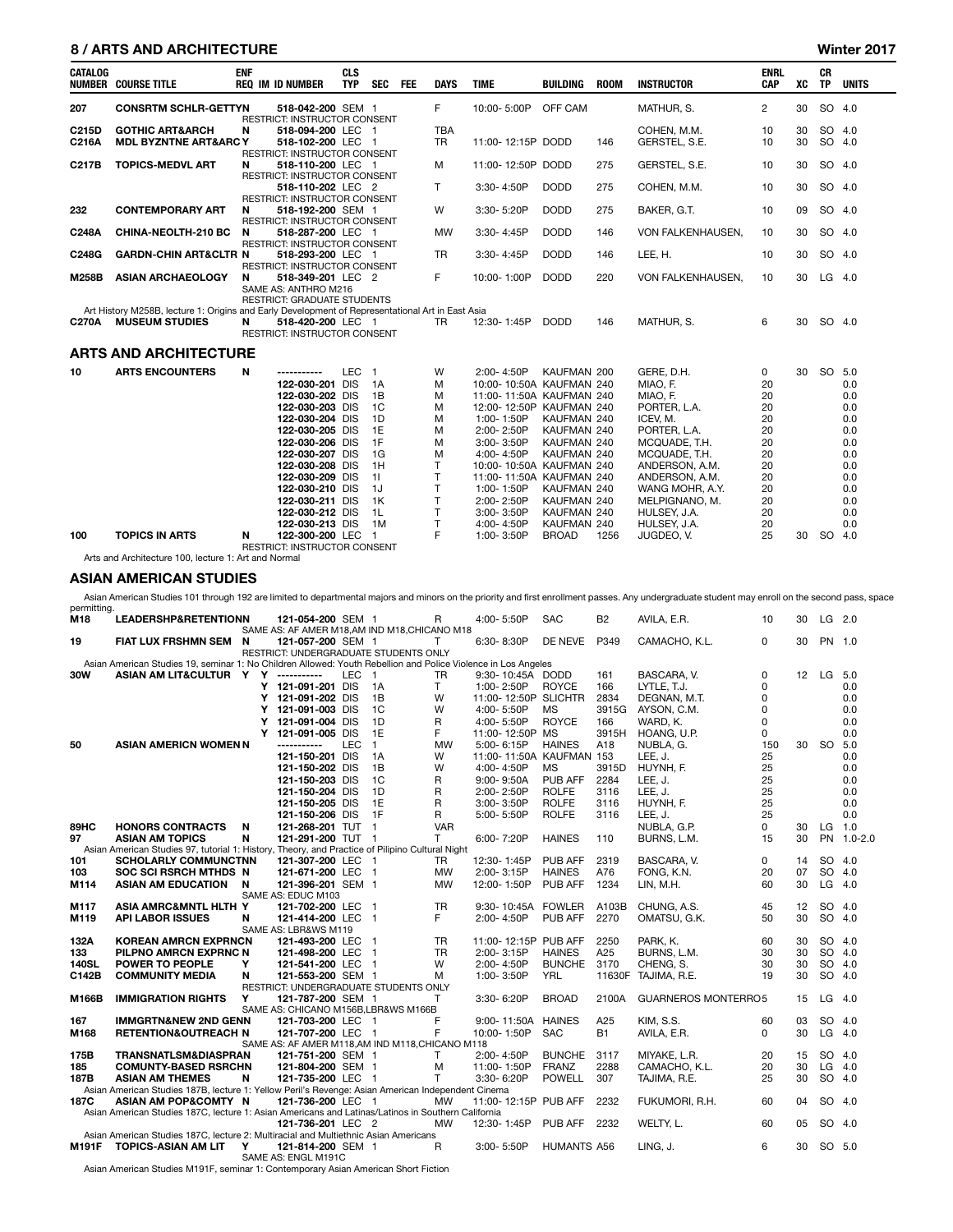### 8 / ARTS AND ARCHITECTURE WINDOWS AND ARCHITECTURE WINDOWS AND ARTS AND ARCHITECTURE WINDOWS AND ARCHITECTURE

| <b>CATALOG</b> | <b>NUMBER COURSE TITLE</b>                                                                       | <b>ENF</b> | <b>REQ IM ID NUMBER</b>                                    | <b>CLS</b><br><b>TYP</b> | SEC FEE        | <b>DAYS</b> | <b>TIME</b>              | <b>BUILDING</b> | <b>ROOM</b> | <b>INSTRUCTOR</b> | <b>ENRL</b><br>CAP | XC | <b>CR</b><br><b>TP</b> | <b>UNITS</b> |
|----------------|--------------------------------------------------------------------------------------------------|------------|------------------------------------------------------------|--------------------------|----------------|-------------|--------------------------|-----------------|-------------|-------------------|--------------------|----|------------------------|--------------|
| 207            | <b>CONSRTM SCHLR-GETTYN</b>                                                                      |            | 518-042-200 SEM 1<br>RESTRICT: INSTRUCTOR CONSENT          |                          |                | F.          | 10:00-5:00P              | OFF CAM         |             | MATHUR, S.        | $\overline{2}$     | 30 | SO 4.0                 |              |
| C215D          | <b>GOTHIC ART&amp;ARCH</b>                                                                       | N          | 518-094-200 LEC 1                                          |                          |                | <b>TBA</b>  |                          |                 |             | COHEN, M.M.       | 10                 | 30 | SO 4.0                 |              |
| C216A          | <b>MDL BYZNTNE ART&amp;ARCY</b>                                                                  |            | 518-102-200 LEC 1<br>RESTRICT: INSTRUCTOR CONSENT          |                          |                | <b>TR</b>   | 11:00-12:15P DODD        |                 | 146         | GERSTEL, S.E.     | 10                 | 30 | SO 4.0                 |              |
| C217B          | <b>TOPICS-MEDVL ART</b>                                                                          | N          | 518-110-200 LEC 1                                          |                          |                | M           | 11:00-12:50P DODD        |                 | 275         | GERSTEL, S.E.     | 10                 | 30 | SO 4.0                 |              |
|                |                                                                                                  |            | RESTRICT: INSTRUCTOR CONSENT                               |                          |                |             |                          |                 |             |                   |                    |    |                        |              |
|                |                                                                                                  |            | 518-110-202 LEC 2                                          |                          |                | T.          | 3:30-4:50P               | <b>DODD</b>     | 275         | COHEN, M.M.       | 10                 | 30 | SO 4.0                 |              |
|                |                                                                                                  |            | <b>RESTRICT: INSTRUCTOR CONSENT</b>                        |                          |                |             |                          |                 |             |                   |                    |    |                        |              |
| 232            | <b>CONTEMPORARY ART</b>                                                                          | N          | 518-192-200 SEM 1                                          |                          |                | W           | 3:30-5:20P               | <b>DODD</b>     | 275         | BAKER, G.T.       | 10                 | 09 | SO 4.0                 |              |
|                |                                                                                                  |            | RESTRICT: INSTRUCTOR CONSENT                               |                          |                |             |                          |                 |             |                   |                    |    |                        |              |
| C248A          | <b>CHINA-NEOLTH-210 BC</b>                                                                       | N          | 518-287-200 LEC 1                                          |                          |                | <b>MW</b>   | 3:30-4:45P               | <b>DODD</b>     | 146         | VON FALKENHAUSEN. | 10                 | 30 | SO 4.0                 |              |
|                |                                                                                                  |            | <b>RESTRICT: INSTRUCTOR CONSENT</b>                        |                          |                |             |                          |                 |             |                   |                    |    |                        |              |
| C248G          | <b>GARDN-CHIN ART&amp;CLTR N</b>                                                                 |            | 518-293-200 LEC 1                                          |                          |                | <b>TR</b>   | 3:30-4:45P               | <b>DODD</b>     | 146         | LEE, H.           | 10                 | 30 | SO 4.0                 |              |
|                |                                                                                                  |            | RESTRICT: INSTRUCTOR CONSENT                               |                          |                |             |                          |                 |             |                   |                    |    |                        |              |
| <b>M258B</b>   | <b>ASIAN ARCHAEOLOGY</b>                                                                         | N          | 518-349-201 LEC 2                                          |                          |                | F.          | 10:00-1:00P              | <b>DODD</b>     | 220         | VON FALKENHAUSEN, | 10                 | 30 | $LG$ 4.0               |              |
|                |                                                                                                  |            | SAME AS: ANTHRO M216<br><b>RESTRICT: GRADUATE STUDENTS</b> |                          |                |             |                          |                 |             |                   |                    |    |                        |              |
|                | Art History M258B, lecture 1: Origins and Early Development of Representational Art in East Asia |            |                                                            |                          |                |             |                          |                 |             |                   |                    |    |                        |              |
| <b>C270A</b>   | <b>MUSEUM STUDIES</b>                                                                            | N          | 518-420-200 LEC 1                                          |                          |                | <b>TR</b>   | 12:30-1:45P              | <b>DODD</b>     | 146         | MATHUR, S.        | 6                  | 30 | SO 4.0                 |              |
|                |                                                                                                  |            | <b>RESTRICT: INSTRUCTOR CONSENT</b>                        |                          |                |             |                          |                 |             |                   |                    |    |                        |              |
|                |                                                                                                  |            |                                                            |                          |                |             |                          |                 |             |                   |                    |    |                        |              |
|                | <b>ARTS AND ARCHITECTURE</b>                                                                     |            |                                                            |                          |                |             |                          |                 |             |                   |                    |    |                        |              |
|                |                                                                                                  |            |                                                            |                          |                |             |                          |                 |             |                   |                    |    |                        |              |
| 10             | <b>ARTS ENCOUNTERS</b>                                                                           | N          | -----------                                                | LEC <sub>1</sub>         |                | W           | 2:00-4:50P               | KAUFMAN 200     |             | GERE, D.H.        | 0                  | 30 | SO 5.0                 |              |
|                |                                                                                                  |            | 122-030-201 DIS                                            |                          | 1A             | M           | 10:00-10:50A KAUFMAN 240 |                 |             | MIAO. F.          | 20                 |    |                        | 0.0          |
|                |                                                                                                  |            | 122-030-202 DIS                                            |                          | 1B             | M           | 11:00-11:50A KAUFMAN 240 |                 |             | MIAO, F.          | 20                 |    |                        | 0.0          |
|                |                                                                                                  |            | 122-030-203 DIS                                            |                          | 1 <sup>C</sup> | M           | 12:00-12:50P KAUFMAN 240 |                 |             | PORTER. L.A.      | 20                 |    |                        | 0.0          |
|                |                                                                                                  |            | 122-030-204 DIS                                            |                          | 1D             | M           | 1:00-1:50P               | KAUFMAN 240     |             | ICEV. M.          | 20                 |    |                        | 0.0          |
|                |                                                                                                  |            | 122-030-205 DIS                                            |                          | 1E             | M           | 2:00-2:50P               | KAUFMAN 240     |             | PORTER, L.A.      | 20                 |    |                        | 0.0          |
|                |                                                                                                  |            | 122-030-206 DIS                                            |                          | 1F             | M           | 3:00-3:50P               | KAUFMAN 240     |             | MCQUADE, T.H.     | 20                 |    |                        | 0.0          |
|                |                                                                                                  |            | 122-030-207 DIS                                            |                          | 1G             | M           | 4:00-4:50P               | KAUFMAN 240     |             | MCQUADE, T.H.     | 20                 |    |                        | 0.0          |
|                |                                                                                                  |            | 122-030-208 DIS                                            |                          | 1H             | T.          | 10:00-10:50A KAUFMAN 240 |                 |             | ANDERSON, A.M.    | 20                 |    |                        | 0.0          |
|                |                                                                                                  |            | 122-030-209 DIS                                            |                          | 11             | T           | 11:00-11:50A KAUFMAN 240 |                 |             | ANDERSON, A.M.    | 20                 |    |                        | 0.0          |
|                |                                                                                                  |            | 122-030-210 DIS                                            |                          | 1J             | T           | 1:00-1:50P               | KAUFMAN 240     |             | WANG MOHR, A.Y.   | 20                 |    |                        | 0.0          |
|                |                                                                                                  |            | 122-030-211 DIS                                            |                          | 1K             | T.          | 2:00-2:50P               | KAUFMAN 240     |             | MELPIGNANO, M.    | 20                 |    |                        | 0.0          |
|                |                                                                                                  |            | 122-030-212 DIS                                            |                          | 1L             | T           | 3:00-3:50P               | KAUFMAN 240     |             | HULSEY, J.A.      | 20                 |    |                        | 0.0          |
|                |                                                                                                  |            | 122-030-213 DIS                                            |                          | 1M             | T           | 4:00-4:50P               | KAUFMAN 240     |             | HULSEY, J.A.      | 20                 |    |                        | 0.0          |
| 100            | <b>TOPICS IN ARTS</b>                                                                            | N          | 122-300-200 LEC 1                                          |                          |                | E           | 1:00-3:50P               | <b>BROAD</b>    | 1256        | JUGDEO, V.        | 25                 | 30 | SO 4.0                 |              |
|                |                                                                                                  |            | <b>RESTRICT: INSTRUCTOR CONSENT</b>                        |                          |                |             |                          |                 |             |                   |                    |    |                        |              |
|                | Arts and Architecture 100, lecture 1: Art and Normal                                             |            |                                                            |                          |                |             |                          |                 |             |                   |                    |    |                        |              |

#### ASIAN AMERICAN STUDIES

Asian American Studies 101 through 192 are limited to departmental majors and minors on the priority and first enrollment passes. Any undergraduate student may enroll on the second pass, space<br>permitting.

| M18          | <b>LEADERSHP&amp;RETENTIONN</b>                                                                               |   | 121-054-200 SEM 1                               |                  |                | R          | 4:00-5:50P                | SAC                | B2        | AVILA, E.R.                | 10       | 30              | LG 2.0   |            |
|--------------|---------------------------------------------------------------------------------------------------------------|---|-------------------------------------------------|------------------|----------------|------------|---------------------------|--------------------|-----------|----------------------------|----------|-----------------|----------|------------|
|              |                                                                                                               |   | SAME AS: AF AMER M18,AM IND M18, CHICANO M18    |                  |                |            |                           |                    |           |                            |          |                 |          |            |
| 19           | FIAT LUX FRSHMN SEM N                                                                                         |   | 121-057-200 SEM 1                               |                  |                | Τ          | 6:30-8:30P                | DE NEVE            | P349      | CAMACHO, K.L.              | $\Omega$ | 30              | PN 1.0   |            |
|              |                                                                                                               |   | RESTRICT: UNDERGRADUATE STUDENTS ONLY           |                  |                |            |                           |                    |           |                            |          |                 |          |            |
|              | Asian American Studies 19, seminar 1: No Children Allowed: Youth Rebellion and Police Violence in Los Angeles |   |                                                 |                  |                |            |                           |                    |           |                            |          |                 |          |            |
| 30W          | ASIAN AM LIT&CULTUR Y Y -----------                                                                           |   |                                                 | LEC <sub>1</sub> |                | TR         | 9:30-10:45A DODD          |                    | 161       | BASCARA. V.                | 0        | 12 <sup>2</sup> | LG 5.0   |            |
|              |                                                                                                               |   | Y 121-091-201 DIS                               |                  | 1A             | T.         | 1:00-2:50P                | <b>ROYCE</b>       | 166       | LYTLE. T.J.                | $\Omega$ |                 |          | 0.0        |
|              |                                                                                                               |   | Y 121-091-202 DIS                               |                  | 1B             | W          | 11:00-12:50P SLICHTR      |                    | 2834      | DEGNAN, M.T.               | 0        |                 |          | 0.0        |
|              |                                                                                                               |   | Y 121-091-003 DIS                               |                  | 1C             | W          | 4:00-5:50P                | <b>MS</b>          | 3915G     | AYSON, C.M.                | 0        |                 |          | 0.0        |
|              |                                                                                                               |   | Y 121-091-004 DIS                               |                  | 1D             | R          | 4:00-5:50P                | <b>ROYCE</b>       | 166       | WARD, K.                   | $\Omega$ |                 |          | 0.0        |
|              |                                                                                                               |   | Y 121-091-005 DIS                               |                  | 1E             | F          | 11:00-12:50P MS           |                    | 3915H     | HOANG, U.P.                | 0        |                 |          | 0.0        |
| 50           | <b>ASIAN AMERICN WOMEN N</b>                                                                                  |   | -----------                                     | <b>LEC</b>       | $\overline{1}$ | <b>MW</b>  | 5:00-6:15P                | <b>HAINES</b>      | A18       | NUBLA, G.                  | 150      | 30              | SO.      | 5.0        |
|              |                                                                                                               |   | 121-150-201 DIS                                 |                  | 1A             | W          | 11:00- 11:50A KAUFMAN 153 |                    |           | LEE, J.                    | 25       |                 |          | 0.0        |
|              |                                                                                                               |   | 121-150-202 DIS                                 |                  | 1B             | W          | 4:00-4:50P                | <b>MS</b>          | 3915D     | HUYNH, F.                  | 25       |                 |          | 0.0        |
|              |                                                                                                               |   | 121-150-203 DIS                                 |                  | 1C             | R          | $9:00 - 9:50A$            | PUB AFF            | 2284      | LEE, J.                    | 25       |                 |          | 0.0        |
|              |                                                                                                               |   | 121-150-204 DIS                                 |                  | 1D             | R          | 2:00-2:50P                | <b>ROLFE</b>       | 3116      | LEE, J.                    | 25       |                 |          | 0.0        |
|              |                                                                                                               |   | 121-150-205 DIS                                 |                  | 1E             | R          | 3:00-3:50P                | <b>ROLFE</b>       | 3116      | HUYNH, F.                  | 25       |                 |          | 0.0        |
|              |                                                                                                               |   | 121-150-206 DIS                                 |                  | 1F             | R          | 5:00-5:50P                | <b>ROLFE</b>       | 3116      | LEE, J.                    | 25       |                 |          | 0.0        |
| 89HC         | <b>HONORS CONTRACTS</b>                                                                                       | N | 121-268-201 TUT 1                               |                  |                | <b>VAR</b> |                           |                    |           | NUBLA, G.P.                | 0        | 30              | LG 1.0   |            |
|              |                                                                                                               |   |                                                 |                  |                |            |                           |                    |           |                            |          |                 |          |            |
| 97           | <b>ASIAN AM TOPICS</b>                                                                                        | N | 121-291-200 TUT 1                               |                  |                | T.         | 6:00-7:20P                | <b>HAINES</b>      | 110       | BURNS, L.M.                | 15       | 30              |          | PN 1.0-2.0 |
|              | Asian American Studies 97, tutorial 1: History, Theory, and Practice of Pilipino Cultural Night               |   |                                                 |                  |                |            |                           |                    |           |                            |          |                 |          |            |
| 101          | <b>SCHOLARLY COMMUNCTNN</b>                                                                                   |   | 121-307-200 LEC 1                               |                  |                | TR.        | 12:30-1:45P               | PUB AFF            | 2319      | BASCARA, V.                | 0        | 14              | SO 4.0   | SO 4.0     |
| 103          | <b>SOC SCI RSRCH MTHDS N</b>                                                                                  |   | 121-671-200 LEC 1                               |                  |                | <b>MW</b>  | 2:00-3:15P                | <b>HAINES</b>      | A76       | FONG, K.N.                 | 20       | 07              |          |            |
| M114         | <b>ASIAN AM EDUCATION</b>                                                                                     | N | 121-396-201 SEM 1                               |                  |                | <b>MW</b>  | 12:00-1:50P               | <b>PUB AFF</b>     | 1234      | LIN. M.H.                  | 60       | 30              | LG       | -4.0       |
|              |                                                                                                               |   | SAME AS: EDUC M103                              |                  |                |            |                           |                    |           |                            |          |                 |          |            |
| M117         | <b>ASIA AMRC&amp;MNTL HLTH Y</b>                                                                              |   | 121-702-200 LEC 1                               |                  |                | <b>TR</b>  | 9:30-10:45A               | <b>FOWLER</b>      | A103B     | CHUNG, A.S.                | 45       | 12              | SO 4.0   |            |
| M119         | <b>API LABOR ISSUES</b>                                                                                       | N | 121-414-200 LEC 1                               |                  |                | F.         | 2:00-4:50P                | PUB AFF            | 2270      | OMATSU, G.K.               | 50       | 30              | SO 4.0   |            |
|              |                                                                                                               |   | SAME AS: LBR&WS M119                            |                  |                |            |                           |                    |           |                            |          |                 |          |            |
| 132A         | <b>KOREAN AMRCN EXPRNCN</b>                                                                                   |   | 121-493-200 LEC                                 |                  | $\overline{1}$ | <b>TR</b>  | 11:00-12:15P              | PUB AFF            | 2250      | PARK. K.                   | 60       | 30              | SO 4.0   |            |
| 133          | PILPNO AMRCN EXPRNC N                                                                                         |   | 121-498-200 LEC                                 |                  | $\overline{1}$ | <b>TR</b>  | 2:00-3:15P                | <b>HAINES</b>      | A25       | BURNS, L.M.                | 30       | 30              | SO 4.0   |            |
| <b>140SL</b> | <b>POWER TO PEOPLE</b>                                                                                        | Y | 121-541-200 LEC 1                               |                  |                | W          | 2:00-4:50P                | <b>BUNCHE</b>      | 3170      | CHENG, S.                  | 30       | 30              | SO 4.0   |            |
| C142B        | <b>COMMUNITY MEDIA</b>                                                                                        | N | 121-553-200 SEM 1                               |                  |                | м          | 1:00-3:50P                | <b>YRL</b>         |           | 11630F TAJIMA, R.E.        | 19       | 30              | SO 4.0   |            |
|              |                                                                                                               |   | RESTRICT: UNDERGRADUATE STUDENTS ONLY           |                  |                |            |                           |                    |           |                            |          |                 |          |            |
| M166B        | <b>IMMIGRATION RIGHTS</b>                                                                                     | Y | 121-787-200 SEM 1                               |                  |                | Τ          | 3:30-6:20P                | <b>BROAD</b>       | 2100A     | <b>GUARNEROS MONTERRO5</b> |          | 15              | $LG$ 4.0 |            |
|              |                                                                                                               |   | SAME AS: CHICANO M156B, LBR&WS M166B            |                  |                |            |                           |                    |           |                            |          |                 |          |            |
| 167          | <b>IMMGRTN&amp;NEW 2ND GENN</b>                                                                               |   | 121-703-200 LEC 1                               |                  |                | F          | 9:00-11:50A               | <b>HAINES</b>      | A25       | KIM, S.S.                  | 60       | 03              | SO 4.0   |            |
| M168         | <b>RETENTION&amp;OUTREACH N</b>                                                                               |   | 121-707-200 LEC 1                               |                  |                | F          | 10:00-1:50P               | <b>SAC</b>         | <b>B1</b> | AVILA, E.R.                | 0        | 30              | $LG$ 4.0 |            |
|              |                                                                                                               |   | SAME AS: AF AMER M118,AM IND M118, CHICANO M118 |                  |                |            |                           |                    |           |                            |          |                 |          |            |
| 175B         | <b>TRANSNATLSM&amp;DIASPRAN</b>                                                                               |   | 121-751-200 SEM 1                               |                  |                | T          | $2:00 - 4:50P$            | <b>BUNCHE</b>      | 3117      | MIYAKE, L.R.               | 20       | 15              | SO 4.0   |            |
| 185          | <b>COMUNTY-BASED RSRCHN</b>                                                                                   |   | 121-804-200 SEM 1                               |                  |                | M          | 11:00-1:50P               | <b>FRANZ</b>       | 2288      | CAMACHO, K.L.              | 20       | 30              | LG       | -4.0       |
| 187B         | <b>ASIAN AM THEMES</b>                                                                                        | N | 121-735-200 LEC 1                               |                  |                | T.         | 3:30-6:20P                | <b>POWELL</b>      | 307       | TAJIMA, R.E.               | 25       | 30              | SO 4.0   |            |
|              | Asian American Studies 187B, lecture 1: Yellow Peril's Revenge: Asian American Independent Cinema             |   |                                                 |                  |                |            |                           |                    |           |                            |          |                 |          |            |
| 187C         | ASIAN AM POP&COMTY N                                                                                          |   | 121-736-200 LEC 1                               |                  |                | <b>MW</b>  | 11:00-12:15P PUB AFF      |                    | 2232      | FUKUMORI, R.H.             | 60       | 04              | SO 4.0   |            |
|              | Asian American Studies 187C, lecture 1: Asian Americans and Latinas/Latinos in Southern California            |   |                                                 |                  |                |            |                           |                    |           |                            |          |                 |          |            |
|              |                                                                                                               |   | 121-736-201 LEC 2                               |                  |                | <b>MW</b>  | 12:30-1:45P               | PUB AFF            | 2232      | WELTY, L.                  | 60       | 05              | SO 4.0   |            |
|              | Asian American Studies 187C, lecture 2: Multiracial and Multiethnic Asian Americans                           |   |                                                 |                  |                |            |                           |                    |           |                            |          |                 |          |            |
| M191F        | <b>TOPICS-ASIAN AM LIT</b>                                                                                    | Y | 121-814-200 SEM 1                               |                  |                | R          | 3:00-5:50P                | <b>HUMANTS A56</b> |           | LING. J.                   | 6        | 30              | SO 5.0   |            |
|              |                                                                                                               |   | SAME AS: ENGL M191C                             |                  |                |            |                           |                    |           |                            |          |                 |          |            |
|              | Asian American Studies M191F, seminar 1: Contemporary Asian American Short Fiction                            |   |                                                 |                  |                |            |                           |                    |           |                            |          |                 |          |            |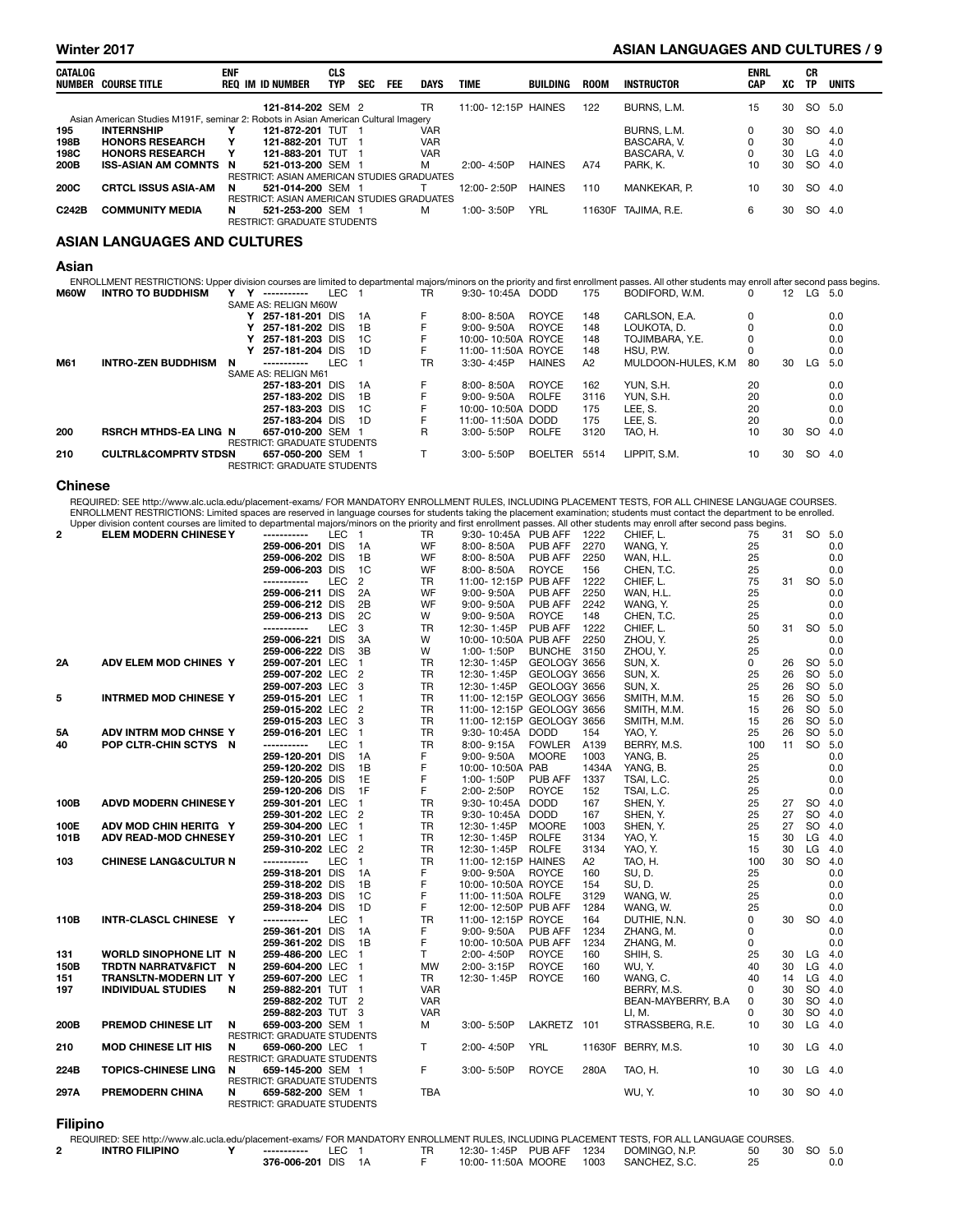#### Winter 2017 **ASIAN LANGUAGES AND CULTURES** / 9

| CATALOG<br>NUMBER | Course title                                                                       | <b>ENF</b> | REQ IM ID NUMBER                           | <b>CLS</b><br><b>TYP</b> | <b>SEC</b> | <b>FEE</b> | <b>DAYS</b> | <b>TIME</b>         | BUILDING      | <b>ROOM</b> | INSTRUCTOR          | <b>ENRL</b><br><b>CAP</b> | xс | СR<br><b>TP</b> | UNITS |
|-------------------|------------------------------------------------------------------------------------|------------|--------------------------------------------|--------------------------|------------|------------|-------------|---------------------|---------------|-------------|---------------------|---------------------------|----|-----------------|-------|
|                   |                                                                                    |            | 121-814-202 SEM 2                          |                          |            |            | TR          | 11:00-12:15P HAINES |               | 122         | BURNS, L.M.         | 15                        | 30 | SO 5.0          |       |
|                   | Asian American Studies M191F, seminar 2: Robots in Asian American Cultural Imagery |            |                                            |                          |            |            |             |                     |               |             |                     |                           |    |                 |       |
| 195               | <b>INTERNSHIP</b>                                                                  |            | 121-872-201 TUT                            |                          |            |            | <b>VAR</b>  |                     |               |             | BURNS, L.M.         |                           | 30 | <b>SO</b>       | 4.0   |
| 198B              | <b>HONORS RESEARCH</b>                                                             | Y          | 121-882-201 TUT 1                          |                          |            |            | <b>VAR</b>  |                     |               |             | BASCARA, V.         | 0                         | 30 |                 | 4.0   |
| 198C              | <b>HONORS RESEARCH</b>                                                             | Y          | 121-883-201 TUT 1                          |                          |            |            | <b>VAR</b>  |                     |               |             | BASCARA, V.         |                           | 30 | LG              | 4.0   |
| 200B              | <b>ISS-ASIAN AM COMNTS N</b>                                                       |            | 521-013-200 SEM 1                          |                          |            |            | M           | $2:00 - 4:50P$      | <b>HAINES</b> | A74         | PARK, K.            | 10                        | 30 | SO.             | 4.0   |
|                   |                                                                                    |            | RESTRICT: ASIAN AMERICAN STUDIES GRADUATES |                          |            |            |             |                     |               |             |                     |                           |    |                 |       |
| 200C              | <b>CRTCL ISSUS ASIA-AM</b>                                                         | N.         | 521-014-200 SEM 1                          |                          |            |            |             | 12:00-2:50P         | <b>HAINES</b> | 110         | MANKEKAR. P.        | 10                        | 30 | SO 4.0          |       |
|                   |                                                                                    |            | RESTRICT: ASIAN AMERICAN STUDIES GRADUATES |                          |            |            |             |                     |               |             |                     |                           |    |                 |       |
| C242B             | <b>COMMUNITY MEDIA</b>                                                             | N          | 521-253-200 SEM 1                          |                          |            |            | м           | $1:00 - 3:50P$      | YRL           |             | 11630F TAJIMA, R.E. | 6                         | 30 | SO.             | 4.0   |
|                   |                                                                                    |            | <b>RESTRICT: GRADUATE STUDENTS</b>         |                          |            |            |             |                     |               |             |                     |                           |    |                 |       |
|                   |                                                                                    |            |                                            |                          |            |            |             |                     |               |             |                     |                           |    |                 |       |

#### ASIAN LANGUAGES AND CULTURES

#### Asian

| <b>INTRO TO BUDDHISM</b>  |   | -----------                                                     |   |                                                                                                                                                                                  | TR                                                                                                                                                                                           |               | 175                                                                                                                                                                                                                          | BODIFORD, W.M.      | 0  |    |     |                                                                                                                                                                                                             |
|---------------------------|---|-----------------------------------------------------------------|---|----------------------------------------------------------------------------------------------------------------------------------------------------------------------------------|----------------------------------------------------------------------------------------------------------------------------------------------------------------------------------------------|---------------|------------------------------------------------------------------------------------------------------------------------------------------------------------------------------------------------------------------------------|---------------------|----|----|-----|-------------------------------------------------------------------------------------------------------------------------------------------------------------------------------------------------------------|
|                           |   |                                                                 |   |                                                                                                                                                                                  |                                                                                                                                                                                              |               |                                                                                                                                                                                                                              |                     |    |    |     |                                                                                                                                                                                                             |
|                           |   |                                                                 |   |                                                                                                                                                                                  | F                                                                                                                                                                                            | <b>ROYCE</b>  | 148                                                                                                                                                                                                                          | CARLSON, E.A.       | 0  |    |     | 0.0                                                                                                                                                                                                         |
|                           |   |                                                                 |   | 1B                                                                                                                                                                               |                                                                                                                                                                                              | <b>ROYCE</b>  | 148                                                                                                                                                                                                                          | LOUKOTA, D.         |    |    |     | 0.0                                                                                                                                                                                                         |
|                           |   |                                                                 |   |                                                                                                                                                                                  |                                                                                                                                                                                              |               | 148                                                                                                                                                                                                                          | TOJIMBARA, Y.E.     |    |    |     | 0.0                                                                                                                                                                                                         |
|                           |   |                                                                 |   |                                                                                                                                                                                  | F                                                                                                                                                                                            |               | 148                                                                                                                                                                                                                          | HSU, P.W.           |    |    |     | 0.0                                                                                                                                                                                                         |
| <b>INTRO-ZEN BUDDHISM</b> | N | -----------                                                     |   |                                                                                                                                                                                  | <b>TR</b>                                                                                                                                                                                    | <b>HAINES</b> | A2                                                                                                                                                                                                                           | MULDOON-HULES, K.M. | 80 | 30 | LG  | 5.0                                                                                                                                                                                                         |
|                           |   |                                                                 |   |                                                                                                                                                                                  |                                                                                                                                                                                              |               |                                                                                                                                                                                                                              |                     |    |    |     |                                                                                                                                                                                                             |
|                           |   |                                                                 |   |                                                                                                                                                                                  | F.                                                                                                                                                                                           | <b>ROYCE</b>  | 162                                                                                                                                                                                                                          | YUN, S.H.           | 20 |    |     | 0.0                                                                                                                                                                                                         |
|                           |   |                                                                 |   |                                                                                                                                                                                  |                                                                                                                                                                                              | <b>ROLFE</b>  | 3116                                                                                                                                                                                                                         | YUN, S.H.           | 20 |    |     | 0.0                                                                                                                                                                                                         |
|                           |   |                                                                 |   | 1C                                                                                                                                                                               | F                                                                                                                                                                                            |               | 175                                                                                                                                                                                                                          | LEE. S.             | 20 |    |     | 0.0                                                                                                                                                                                                         |
|                           |   |                                                                 |   |                                                                                                                                                                                  | F                                                                                                                                                                                            |               | 175                                                                                                                                                                                                                          | LEE. S.             | 20 |    |     | 0.0                                                                                                                                                                                                         |
|                           |   |                                                                 |   |                                                                                                                                                                                  | R                                                                                                                                                                                            | <b>ROLFE</b>  | 3120                                                                                                                                                                                                                         | TAO. H.             | 10 | 30 | SO. | 4.0                                                                                                                                                                                                         |
|                           |   |                                                                 |   |                                                                                                                                                                                  |                                                                                                                                                                                              |               |                                                                                                                                                                                                                              |                     |    |    |     |                                                                                                                                                                                                             |
|                           |   |                                                                 |   |                                                                                                                                                                                  |                                                                                                                                                                                              |               | 5514                                                                                                                                                                                                                         | LIPPIT. S.M.        | 10 | 30 | SO. | 4.0                                                                                                                                                                                                         |
|                           |   |                                                                 |   |                                                                                                                                                                                  |                                                                                                                                                                                              |               |                                                                                                                                                                                                                              |                     |    |    |     |                                                                                                                                                                                                             |
|                           |   | <b>RSRCH MTHDS-EA LING N</b><br><b>CULTRL&amp;COMPRTV STDSN</b> | Y | SAME AS: RELIGN M60W<br>257-181-201 DIS<br>257-181-202 DIS<br>257-181-203 DIS<br>SAME AS: RELIGN M61<br>257-183-201 DIS<br>257-183-202 DIS<br>257-183-203 DIS<br>257-183-204 DIS | LEC<br>- 1A<br>- 1C<br>257-181-204 DIS 1D<br>LEC<br>1A<br>- 1B<br>- 1D<br>657-010-200 SEM 1<br><b>RESTRICT: GRADUATE STUDENTS</b><br>657-050-200 SEM 1<br><b>RESTRICT: GRADUATE STUDENTS</b> |               | 9:30-10:45A DODD<br>8:00-8:50A<br>$9:00 - 9:50A$<br>10:00-10:50A ROYCE<br>11:00-11:50A ROYCE<br>$3:30 - 4:45P$<br>$8:00 - 8:50A$<br>$9:00 - 9:50A$<br>10:00-10:50A DODD<br>11:00-11:50A DODD<br>$3:00 - 5:50P$<br>3:00-5:50P | <b>BOELTER</b>      |    |    |     | ENROLLMENT RESTRICTIONS: Upper division courses are limited to departmental majors/minors on the priority and first enrollment passes. All other students may enroll after second pass begins.<br>12 LG 5.0 |

#### Chinese

REQUIRED: SEE http://www.alc.ucla.edu/placement-exams/ FOR MANDATORY ENROLLMENT RULES, INCLUDING PLACEMENT TESTS, FOR ALL CHINESE LANGUAGE COURSES.<br>ENROLLMENT RESTRICTIONS: Limited spaces are reserved in language courses f

|              | Upper division content courses are limited to departmental majors/minors on the priority and first enrollment passes. All other students may enroll after second pass begins. |                             |            |                |            |                           |               |       |                     |          |    |           |        |
|--------------|-------------------------------------------------------------------------------------------------------------------------------------------------------------------------------|-----------------------------|------------|----------------|------------|---------------------------|---------------|-------|---------------------|----------|----|-----------|--------|
| $\mathbf{2}$ | <b>ELEM MODERN CHINESE Y</b>                                                                                                                                                  | -----------                 | LEC 1      |                | TR.        | 9:30-10:45A PUB AFF       |               | 1222  | CHIEF. L.           | 75       | 31 | SO 5.0    |        |
|              |                                                                                                                                                                               | 259-006-201 DIS             |            | 1A             | WF         | 8:00-8:50A                | PUB AFF       | 2270  | WANG, Y.            | 25       |    |           | 0.0    |
|              |                                                                                                                                                                               | 259-006-202 DIS             |            | 1B             | WF         | 8:00-8:50A                | PUB AFF       | 2250  | WAN, H.L.           | 25       |    |           | 0.0    |
|              |                                                                                                                                                                               | 259-006-203 DIS             |            | 1 <sub>C</sub> | WF         | 8:00-8:50A                | <b>ROYCE</b>  | 156   | CHEN, T.C.          | 25       |    |           | 0.0    |
|              |                                                                                                                                                                               | -----------                 | <b>LEC</b> | $\overline{2}$ | <b>TR</b>  | 11:00-12:15P PUB AFF      |               | 1222  | CHIEF, L.           | 75       | 31 | SO 5.0    |        |
|              |                                                                                                                                                                               | 259-006-211 DIS             |            | 2A             | WF         | $9:00 - 9:50A$            | PUB AFF       | 2250  | WAN, H.L.           | 25       |    |           | 0.0    |
|              |                                                                                                                                                                               | 259-006-212 DIS             |            | 2B             | WF         | $9:00 - 9:50A$            | PUB AFF       | 2242  | WANG, Y.            | 25       |    |           | 0.0    |
|              |                                                                                                                                                                               | 259-006-213 DIS             |            | 2C             | W          | $9:00 - 9:50A$            | <b>ROYCE</b>  | 148   | CHEN, T.C.          | 25       |    |           | 0.0    |
|              |                                                                                                                                                                               | -----------                 | <b>LEC</b> | 3              | TR         | 12:30-1:45P               | PUB AFF       | 1222  | CHIEF, L.           | 50       | 31 | SO 5.0    |        |
|              |                                                                                                                                                                               | 259-006-221 DIS             |            | 3A             | W          | 10:00-10:50A PUB AFF      |               | 2250  | ZHOU. Y.            | 25       |    |           | 0.0    |
|              |                                                                                                                                                                               |                             |            |                |            |                           |               |       |                     |          |    |           |        |
|              |                                                                                                                                                                               | 259-006-222 DIS             |            | 3B             | W          | 1:00-1:50P                | <b>BUNCHE</b> | 3150  | ZHOU. Y.            | 25       |    |           | 0.0    |
| <b>2A</b>    | ADV ELEM MOD CHINES Y                                                                                                                                                         | 259-007-201 LEC             |            | $\mathbf{1}$   | <b>TR</b>  | 12:30-1:45P               | GEOLOGY 3656  |       | SUN. X.             | $\Omega$ | 26 | SO 5.0    |        |
|              |                                                                                                                                                                               | 259-007-202 LEC             |            | $\overline{2}$ | <b>TR</b>  | 12:30-1:45P               | GEOLOGY 3656  |       | SUN, X.             | 25       | 26 | SO 5.0    |        |
|              |                                                                                                                                                                               | 259-007-203 LEC             |            | 3              | <b>TR</b>  | 12:30-1:45P               | GEOLOGY 3656  |       | SUN, X.             | 25       | 26 | SO 5.0    |        |
| 5            | <b>INTRMED MOD CHINESE Y</b>                                                                                                                                                  | 259-015-201 LEC             |            | $\mathbf{1}$   | <b>TR</b>  | 11:00-12:15P GEOLOGY 3656 |               |       | SMITH, M.M.         | 15       | 26 | SO 5.0    |        |
|              |                                                                                                                                                                               | 259-015-202 LEC             |            | $\overline{2}$ | <b>TR</b>  | 11:00-12:15P GEOLOGY 3656 |               |       | SMITH, M.M.         | 15       | 26 |           | SO 5.0 |
|              |                                                                                                                                                                               | 259-015-203 LEC             |            | 3              | <b>TR</b>  | 11:00-12:15P GEOLOGY 3656 |               |       | SMITH, M.M.         | 15       | 26 | SO 5.0    |        |
| 5А           | ADV INTRM MOD CHNSE Y                                                                                                                                                         | 259-016-201 LEC             |            | $\mathbf{1}$   | <b>TR</b>  | 9:30-10:45A DODD          |               | 154   | YAO, Y.             | 25       | 26 | SO 5.0    |        |
| 40           | POP CLTR-CHIN SCTYS N                                                                                                                                                         | -----------                 | LEC        | $\mathbf{1}$   | TR         | 8:00-9:15A                | <b>FOWLER</b> | A139  | BERRY, M.S.         | 100      | 11 | SO 5.0    |        |
|              |                                                                                                                                                                               | 259-120-201 DIS             |            | 1A             | F          | $9:00 - 9:50A$            | <b>MOORE</b>  | 1003  | YANG, B.            | 25       |    |           | 0.0    |
|              |                                                                                                                                                                               | 259-120-202 DIS             |            | 1B             | F          | 10:00-10:50A PAB          |               | 1434A | YANG. B.            | 25       |    |           | 0.0    |
|              |                                                                                                                                                                               | 259-120-205 DIS             |            | 1E             | F          | 1:00-1:50P                | PUB AFF       | 1337  | TSAI. L.C.          | 25       |    |           | 0.0    |
|              |                                                                                                                                                                               | 259-120-206 DIS             |            | 1F             | F.         | 2:00-2:50P                | <b>ROYCE</b>  | 152   | TSAI, L.C.          | 25       |    |           | 0.0    |
| 100B         | <b>ADVD MODERN CHINESE Y</b>                                                                                                                                                  | 259-301-201 LEC             |            | $\mathbf{1}$   | <b>TR</b>  | 9:30-10:45A DODD          |               | 167   | SHEN, Y.            | 25       | 27 | SO 4.0    |        |
|              |                                                                                                                                                                               | 259-301-202 LEC             |            | $\overline{2}$ | <b>TR</b>  | 9:30-10:45A DODD          |               | 167   | SHEN, Y.            | 25       | 27 | SO 4.0    |        |
| 100E         | ADV MOD CHIN HERITG Y                                                                                                                                                         | 259-304-200 LEC             |            | $\mathbf{1}$   | <b>TR</b>  | 12:30-1:45P               | <b>MOORE</b>  | 1003  | SHEN, Y.            | 25       | 27 | SO 4.0    |        |
|              |                                                                                                                                                                               |                             |            | $\mathbf{1}$   |            |                           | <b>ROLFE</b>  |       |                     |          |    | LG        |        |
| 101B         | <b>ADV READ-MOD CHNESEY</b>                                                                                                                                                   | 259-310-201 LEC             |            |                | TR         | 12:30-1:45P               |               | 3134  | YAO, Y.             | 15       | 30 |           | 4.0    |
|              |                                                                                                                                                                               | 259-310-202 LEC             |            | $\overline{c}$ | TR         | 12:30-1:45P               | <b>ROLFE</b>  | 3134  | YAO, Y.             | 15       | 30 | LG        | 4.0    |
| 103          | <b>CHINESE LANG&amp;CULTUR N</b>                                                                                                                                              | -----------                 | <b>LEC</b> | $\mathbf{1}$   | <b>TR</b>  | 11:00-12:15P HAINES       |               | A2    | TAO, H.             | 100      | 30 | <b>SO</b> | 4.0    |
|              |                                                                                                                                                                               | 259-318-201 DIS             |            | 1A             | F          | $9:00 - 9:50A$            | <b>ROYCE</b>  | 160   | SU, D.              | 25       |    |           | 0.0    |
|              |                                                                                                                                                                               | 259-318-202 DIS             |            | 1B             | F          | 10:00-10:50A ROYCE        |               | 154   | SU, D.              | 25       |    |           | 0.0    |
|              |                                                                                                                                                                               | 259-318-203 DIS             |            | 1C             | F          | 11:00-11:50A ROLFE        |               | 3129  | WANG, W.            | 25       |    |           | 0.0    |
|              |                                                                                                                                                                               | 259-318-204 DIS             |            | 1D             | F          | 12:00-12:50P PUB AFF      |               | 1284  | WANG, W.            | 25       |    |           | 0.0    |
| 110B         | INTR-CLASCL CHINESE Y                                                                                                                                                         | -----------                 | <b>LEC</b> | $\mathbf{1}$   | <b>TR</b>  | 11:00-12:15P ROYCE        |               | 164   | DUTHIE, N.N.        | $\Omega$ | 30 | SO 4.0    |        |
|              |                                                                                                                                                                               | 259-361-201 DIS             |            | 1A             | F          | $9:00 - 9:50A$            | PUB AFF       | 1234  | ZHANG, M.           | $\Omega$ |    |           | 0.0    |
|              |                                                                                                                                                                               | 259-361-202 DIS             |            | 1B             | F          | 10:00-10:50A PUB AFF      |               | 1234  | ZHANG, M.           | 0        |    |           | 0.0    |
| 131          | WORLD SINOPHONE LIT N                                                                                                                                                         | 259-486-200 LEC             |            | $\mathbf{1}$   | Τ          | 2:00-4:50P                | ROYCE         | 160   | SHIH, S.            | 25       | 30 | $LG$ 4.0  |        |
| 150B         | TRDTN NARRATV&FICT N                                                                                                                                                          | 259-604-200 LEC             |            | $\mathbf{1}$   | <b>MW</b>  | 2:00-3:15P                | <b>ROYCE</b>  | 160   | WU, Y.              | 40       | 30 | LG        | 4.0    |
| 151          | TRANSLTN-MODERN LIT Y                                                                                                                                                         | 259-607-200 LEC             |            | $\blacksquare$ | TR         | 12:30-1:45P               | <b>ROYCE</b>  | 160   | WANG, C.            | 40       | 14 | LG 4.0    |        |
| 197          | <b>INDIVIDUAL STUDIES</b>                                                                                                                                                     | 259-882-201 TUT 1<br>N      |            |                | <b>VAR</b> |                           |               |       | BERRY, M.S.         | 0        | 30 |           | SO 4.0 |
|              |                                                                                                                                                                               | 259-882-202 TUT 2           |            |                | <b>VAR</b> |                           |               |       | BEAN-MAYBERRY, B.A. | 0        | 30 |           | SO 4.0 |
|              |                                                                                                                                                                               | 259-882-203 TUT 3           |            |                | <b>VAR</b> |                           |               |       | LI, M.              | $\Omega$ | 30 | SO 4.0    |        |
| 200B         | PREMOD CHINESE LIT                                                                                                                                                            | 659-003-200 SEM 1<br>N      |            |                | м          | 3:00-5:50P                | LAKRETZ 101   |       | STRASSBERG, R.E.    | 10       | 30 | LG 4.0    |        |
|              |                                                                                                                                                                               | RESTRICT: GRADUATE STUDENTS |            |                |            |                           |               |       |                     |          |    |           |        |
| 210          | <b>MOD CHINESE LIT HIS</b>                                                                                                                                                    | 659-060-200 LEC 1<br>N      |            |                | T.         | 2:00-4:50P                | <b>YRL</b>    |       | 11630F BERRY, M.S.  | 10       | 30 | LG 4.0    |        |
|              |                                                                                                                                                                               | RESTRICT: GRADUATE STUDENTS |            |                |            |                           |               |       |                     |          |    |           |        |
| 224B         | <b>TOPICS-CHINESE LING</b>                                                                                                                                                    | 659-145-200 SEM 1<br>N      |            |                | F.         | 3:00-5:50P                | <b>ROYCE</b>  | 280A  | TAO, H.             | 10       | 30 | LG        | 4.0    |
|              |                                                                                                                                                                               | RESTRICT: GRADUATE STUDENTS |            |                |            |                           |               |       |                     |          |    |           |        |
| 297A         | PREMODERN CHINA                                                                                                                                                               | 659-582-200 SEM 1<br>N      |            |                | <b>TBA</b> |                           |               |       | WU, Y.              | 10       | 30 | SO 4.0    |        |
|              |                                                                                                                                                                               | RESTRICT: GRADUATE STUDENTS |            |                |            |                           |               |       |                     |          |    |           |        |
|              |                                                                                                                                                                               |                             |            |                |            |                           |               |       |                     |          |    |           |        |
| Filinino     |                                                                                                                                                                               |                             |            |                |            |                           |               |       |                     |          |    |           |        |

Filipino

| REQUIRED: SEE http://www.alc.ucla.edu/placement-exams/FOR MANDATORY ENROLLMENT RULES. INCLUDING PLACEMENT TESTS. FOR ALL LANGUAGE COURSES. |                    |     |  |                          |      |               |    |           |  |
|--------------------------------------------------------------------------------------------------------------------------------------------|--------------------|-----|--|--------------------------|------|---------------|----|-----------|--|
| <b>INTRO FILIPINO</b>                                                                                                                      | ------------       | LEC |  | 12:30-1:45P PUB AFF 1234 |      | DOMINGO, N.P. | 50 | 30 SO 5.0 |  |
|                                                                                                                                            | 376-006-201 DIS 1A |     |  | 10:00-11:50A MOORE       | 1003 | SANCHEZ, S.C. |    |           |  |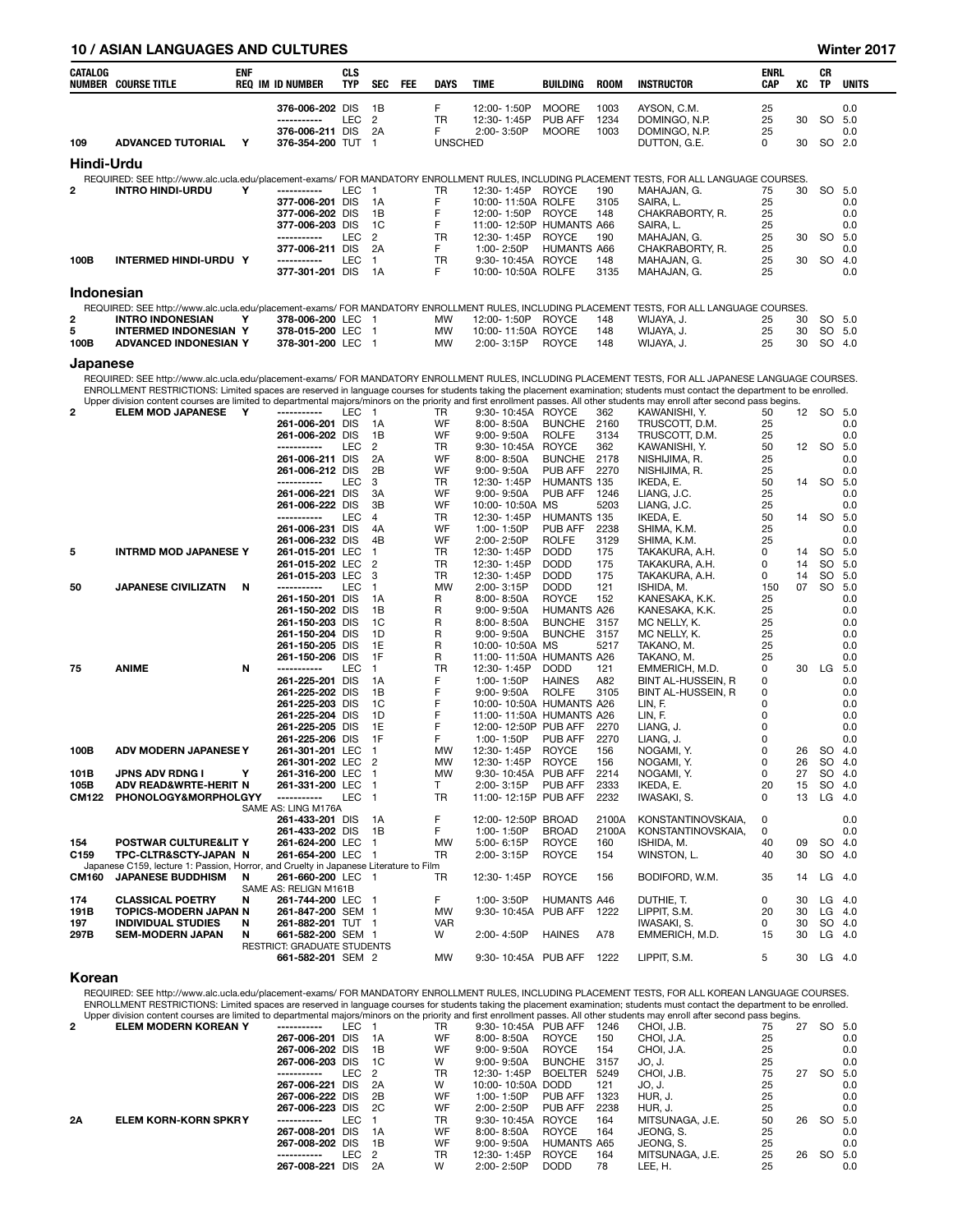#### 10 / ASIAN LANGUAGES AND CULTURES Winter 2017

| CATALOG              | <b>NUMBER COURSE TITLE</b>                                                                                        | ENF | <b>REQ IM ID NUMBER</b>                          | CLS<br><b>TYP</b> | SEC                              | FEE | <b>DAYS</b>            | TIME                                                 | BUILDING                       | <b>ROOM</b>    | <b>INSTRUCTOR</b>                                                                                                                                                             | ENRL<br>CAP | XC       | CR<br>TP               | <b>UNITS</b>       |
|----------------------|-------------------------------------------------------------------------------------------------------------------|-----|--------------------------------------------------|-------------------|----------------------------------|-----|------------------------|------------------------------------------------------|--------------------------------|----------------|-------------------------------------------------------------------------------------------------------------------------------------------------------------------------------|-------------|----------|------------------------|--------------------|
|                      |                                                                                                                   |     | 376-006-202 DIS                                  |                   | 1B                               |     | F                      | 12:00-1:50P                                          | <b>MOORE</b>                   | 1003           | AYSON, C.M.                                                                                                                                                                   | 25          |          |                        | 0.0                |
|                      |                                                                                                                   |     | -----------                                      | LEC               | $\overline{2}$                   |     | <b>TR</b>              | 12:30-1:45P                                          | <b>PUB AFF</b>                 | 1234           | DOMINGO, N.P.                                                                                                                                                                 | 25          | 30       | <b>SO</b>              | 5.0                |
| 109                  | <b>ADVANCED TUTORIAL</b>                                                                                          | Υ   | 376-006-211 DIS<br>376-354-200 TUT               |                   | 2A<br>$\overline{1}$             |     | F<br><b>UNSCHED</b>    | 2:00-3:50P                                           | <b>MOORE</b>                   | 1003           | DOMINGO, N.P.<br>DUTTON, G.E.                                                                                                                                                 | 25<br>0     | 30       |                        | 0.0<br>SO 2.0      |
|                      |                                                                                                                   |     |                                                  |                   |                                  |     |                        |                                                      |                                |                |                                                                                                                                                                               |             |          |                        |                    |
| Hindi-Urdu           |                                                                                                                   |     |                                                  |                   |                                  |     |                        |                                                      |                                |                | REQUIRED: SEE http://www.alc.ucla.edu/placement-exams/ FOR MANDATORY ENROLLMENT RULES, INCLUDING PLACEMENT TESTS, FOR ALL LANGUAGE COURSES.                                   |             |          |                        |                    |
| 2                    | <b>INTRO HINDI-URDU</b>                                                                                           | Υ   | -----------                                      | <b>LEC</b>        | $\overline{1}$                   |     | TR                     | 12:30-1:45P ROYCE                                    |                                | 190            | MAHAJAN, G.                                                                                                                                                                   | 75          | 30       | <b>SO</b>              | 5.0                |
|                      |                                                                                                                   |     | 377-006-201 DIS                                  |                   | 1A                               |     | F                      | 10:00-11:50A ROLFE                                   |                                | 3105           | SAIRA, L.                                                                                                                                                                     | 25          |          |                        | 0.0                |
|                      |                                                                                                                   |     | 377-006-202 DIS<br>377-006-203 DIS               |                   | 1B<br>1C                         |     | F<br>F                 | 12:00-1:50P ROYCE<br>11:00-12:50P HUMANTS A66        |                                | 148            | CHAKRABORTY, R.<br>SAIRA, L.                                                                                                                                                  | 25<br>25    |          |                        | 0.0<br>0.0         |
|                      |                                                                                                                   |     | -----------                                      | <b>LEC</b>        | $\overline{2}$                   |     | <b>TR</b>              | 12:30-1:45P                                          | <b>ROYCE</b>                   | 190            | MAHAJAN, G.                                                                                                                                                                   | 25          | 30       | <sub>SO</sub>          | 5.0                |
| 100B                 | INTERMED HINDI-URDU Y                                                                                             |     | 377-006-211 DIS<br>-----------                   | LEC               | 2A<br>$\overline{1}$             |     | F.<br><b>TR</b>        | 1:00-2:50P<br>9:30-10:45A ROYCE                      | <b>HUMANTS A66</b>             | 148            | CHAKRABORTY, R.<br>MAHAJAN, G.                                                                                                                                                | 25<br>25    | 30       | <b>SO</b>              | 0.0<br>4.0         |
|                      |                                                                                                                   |     | 377-301-201 DIS                                  |                   | 1A                               |     | F                      | 10:00-10:50A ROLFE                                   |                                | 3135           | MAHAJAN, G.                                                                                                                                                                   | 25          |          |                        | 0.0                |
| Indonesian           |                                                                                                                   |     |                                                  |                   |                                  |     |                        |                                                      |                                |                |                                                                                                                                                                               |             |          |                        |                    |
|                      |                                                                                                                   |     |                                                  |                   |                                  |     |                        |                                                      |                                |                | REQUIRED: SEE http://www.alc.ucla.edu/placement-exams/ FOR MANDATORY ENROLLMENT RULES, INCLUDING PLACEMENT TESTS, FOR ALL LANGUAGE COURSES.                                   |             |          |                        |                    |
| 2<br>5               | <b>INTRO INDONESIAN</b>                                                                                           | Υ   | 378-006-200 LEC                                  |                   | $\overline{1}$                   |     | MW                     | 12:00-1:50P                                          | ROYCE                          | 148            | WIJAYA, J.                                                                                                                                                                    | 25          | 30<br>30 |                        | SO 5.0             |
| 100B                 | <b>INTERMED INDONESIAN Y</b><br>ADVANCED INDONESIAN Y                                                             |     | 378-015-200 LEC<br>378-301-200 LEC 1             |                   | $\overline{1}$                   |     | MW<br><b>MW</b>        | 10:00-11:50A ROYCE<br>2:00-3:15P                     | <b>ROYCE</b>                   | 148<br>148     | WIJAYA, J.<br>WIJAYA, J.                                                                                                                                                      | 25<br>25    | 30       |                        | SO 5.0<br>SO 4.0   |
|                      |                                                                                                                   |     |                                                  |                   |                                  |     |                        |                                                      |                                |                |                                                                                                                                                                               |             |          |                        |                    |
| Japanese             |                                                                                                                   |     |                                                  |                   |                                  |     |                        |                                                      |                                |                | REQUIRED: SEE http://www.alc.ucla.edu/placement-exams/ FOR MANDATORY ENROLLMENT RULES, INCLUDING PLACEMENT TESTS, FOR ALL JAPANESE LANGUAGE COURSES.                          |             |          |                        |                    |
|                      |                                                                                                                   |     |                                                  |                   |                                  |     |                        |                                                      |                                |                | ENROLLMENT RESTRICTIONS: Limited spaces are reserved in language courses for students taking the placement examination; students must contact the department to be enrolled.  |             |          |                        |                    |
| 2                    |                                                                                                                   |     | -----------                                      | <b>LEC</b>        |                                  |     |                        |                                                      |                                |                | Upper division content courses are limited to departmental majors/minors on the priority and first enrollment passes. All other students may enroll after second pass begins. |             |          |                        |                    |
|                      | <b>ELEM MOD JAPANESE</b>                                                                                          | Y   | 261-006-201 DIS                                  |                   | $\overline{1}$<br>1A             |     | TR<br>WF               | 9:30-10:45A ROYCE<br>$8:00 - 8:50A$                  | <b>BUNCHE</b>                  | 362<br>2160    | KAWANISHI, Y.<br>TRUSCOTT, D.M.                                                                                                                                               | 50<br>25    |          | 12 SO 5.0              | 0.0                |
|                      |                                                                                                                   |     | 261-006-202 DIS                                  |                   | 1B                               |     | WF                     | $9:00 - 9:50A$                                       | <b>ROLFE</b>                   | 3134           | TRUSCOTT, D.M.                                                                                                                                                                | 25          |          |                        | 0.0                |
|                      |                                                                                                                   |     | -----------<br>261-006-211 DIS                   | <b>LEC</b>        | $\overline{2}$<br>2A             |     | <b>TR</b><br>WF        | 9:30-10:45A ROYCE<br>8:00-8:50A                      | BUNCHE 2178                    | 362            | KAWANISHI, Y.<br>NISHIJIMA, R.                                                                                                                                                | 50<br>25    | 12       | SO                     | 5.0<br>0.0         |
|                      |                                                                                                                   |     | 261-006-212 DIS                                  |                   | 2B                               |     | WF                     | $9:00 - 9:50A$                                       | PUB AFF                        | 2270           | NISHIJIMA, R.                                                                                                                                                                 | 25          |          |                        | 0.0                |
|                      |                                                                                                                   |     | -----------                                      | <b>LEC</b>        | 3                                |     | <b>TR</b>              | 12:30-1:45P                                          | HUMANTS 135                    |                | IKEDA, E.                                                                                                                                                                     | 50          | 14       | <sub>SO</sub>          | 5.0                |
|                      |                                                                                                                   |     | 261-006-221 DIS<br>261-006-222 DIS               |                   | 3A<br>3B                         |     | WF<br>WF               | $9:00 - 9:50A$<br>10:00-10:50A MS                    | PUB AFF                        | 1246<br>5203   | LIANG, J.C.<br>LIANG, J.C.                                                                                                                                                    | 25<br>25    |          |                        | 0.0<br>0.0         |
|                      |                                                                                                                   |     | -----------                                      | LEC               | 4                                |     | TR                     | 12:30-1:45P                                          | <b>HUMANTS 135</b>             |                | IKEDA, E.                                                                                                                                                                     | 50          | 14       | <sub>SO</sub>          | 5.0                |
|                      |                                                                                                                   |     | 261-006-231 DIS                                  |                   | 4A                               |     | WF                     | 1:00-1:50P                                           | PUB AFF                        | 2238           | SHIMA, K.M.                                                                                                                                                                   | 25          |          |                        | 0.0                |
| 5                    | <b>INTRMD MOD JAPANESE Y</b>                                                                                      |     | 261-006-232 DIS<br>261-015-201 LEC               |                   | 4B<br>1                          |     | WF<br><b>TR</b>        | 2:00-2:50P<br>12:30-1:45P                            | <b>ROLFE</b><br><b>DODD</b>    | 3129<br>175    | SHIMA, K.M.<br>TAKAKURA, A.H.                                                                                                                                                 | 25<br>0     | 14       | SO                     | 0.0<br>5.0         |
|                      |                                                                                                                   |     | 261-015-202 LEC                                  |                   | $\overline{2}$                   |     | <b>TR</b>              | 12:30-1:45P                                          | <b>DODD</b>                    | 175            | TAKAKURA, A.H.                                                                                                                                                                | 0           | 14       | <b>SO</b>              | 5.0                |
| 50                   | <b>JAPANESE CIVILIZATN</b>                                                                                        | N   | 261-015-203 LEC<br>-----------                   | LEC               | 3<br>$\mathbf{1}$                |     | <b>TR</b><br><b>MW</b> | 12:30-1:45P<br>2:00-3:15P                            | <b>DODD</b><br><b>DODD</b>     | 175<br>121     | TAKAKURA, A.H.<br>ISHIDA, M.                                                                                                                                                  | 0<br>150    | 14<br>07 | <b>SO</b><br><b>SO</b> | 5.0<br>5.0         |
|                      |                                                                                                                   |     | 261-150-201 DIS                                  |                   | 1A                               |     | R                      | $8:00 - 8:50A$                                       | <b>ROYCE</b>                   | 152            | KANESAKA, K.K.                                                                                                                                                                | 25          |          |                        | 0.0                |
|                      |                                                                                                                   |     | 261-150-202 DIS                                  |                   | 1B                               |     | R                      | $9:00 - 9:50A$                                       | <b>HUMANTS A26</b>             |                | KANESAKA, K.K.                                                                                                                                                                | 25          |          |                        | 0.0                |
|                      |                                                                                                                   |     | 261-150-203 DIS<br>261-150-204 DIS               |                   | 1C<br>1D                         |     | R<br>R                 | $8:00 - 8:50A$<br>$9:00 - 9:50A$                     | <b>BUNCHE</b><br><b>BUNCHE</b> | 3157<br>- 3157 | MC NELLY, K.<br>MC NELLY, K.                                                                                                                                                  | 25<br>25    |          |                        | 0.0<br>0.0         |
|                      |                                                                                                                   |     | 261-150-205 DIS                                  |                   | 1E                               |     | R                      | 10:00-10:50A MS                                      |                                | 5217           | TAKANO, M.                                                                                                                                                                    | 25          |          |                        | 0.0                |
|                      | <b>ANIME</b>                                                                                                      |     | 261-150-206 DIS<br>-----------                   | <b>LEC</b>        | 1F                               |     | R<br>TR                | 11:00-11:50A HUMANTS A26                             | <b>DODD</b>                    |                | TAKANO, M.                                                                                                                                                                    | 25<br>0     |          |                        | 0.0                |
| 75                   |                                                                                                                   | N   | 261-225-201 DIS                                  |                   | 1<br>1A                          |     | F                      | 12:30-1:45P<br>1:00-1:50P                            | <b>HAINES</b>                  | 121<br>A82     | EMMERICH, M.D.<br>BINT AL-HUSSEIN, R                                                                                                                                          | 0           | 30       | LG                     | 5.0<br>0.0         |
|                      |                                                                                                                   |     | 261-225-202 DIS                                  |                   | 1B                               |     | F                      | $9:00 - 9:50A$                                       | <b>ROLFE</b>                   | 3105           | BINT AL-HUSSEIN, R                                                                                                                                                            | 0           |          |                        | 0.0                |
|                      |                                                                                                                   |     | 261-225-203 DIS<br>261-225-204 DIS               |                   | 1C<br>1D                         |     | F<br>F                 | 10:00-10:50A HUMANTS A26<br>11:00-11:50A HUMANTS A26 |                                |                | LIN, F.<br>LIN, F.                                                                                                                                                            | 0<br>0      |          |                        | 0.0<br>0.0         |
|                      |                                                                                                                   |     | 261-225-205 DIS                                  |                   | 1E                               |     | F                      | 12:00-12:50P PUB AFF                                 |                                | 2270           | LIANG, J.                                                                                                                                                                     | 0           |          |                        | 0.0                |
|                      | <b>ADV MODERN JAPANESE Y</b>                                                                                      |     | 261-225-206 DIS<br>261-301-201 LEC               |                   | 1F                               |     | F                      | 1:00-1:50P                                           | PUB AFF                        | 2270           | LIANG, J.                                                                                                                                                                     | 0           |          |                        | 0.0                |
| 100B                 |                                                                                                                   |     | 261-301-202 LEC                                  |                   | $\overline{1}$<br>$\overline{2}$ |     | MW<br>МW               | 12:30-1:45P ROYCE<br>12:30-1:45P ROYCE               |                                | 156<br>156     | NOGAMI, Y.<br>NOGAMI, Y.                                                                                                                                                      | 0<br>0      | 26       | 26 SO 4.0              | SO 4.0             |
| 101B                 | <b>JPNS ADV RDNG I</b>                                                                                            | Υ   | 261-316-200 LEC                                  |                   | $\overline{1}$                   |     | <b>MW</b>              | 9:30-10:45A PUB AFF                                  |                                | 2214           | NOGAMI, Y.                                                                                                                                                                    | 0           | 27       |                        | SO 4.0             |
| 105B<br><b>CM122</b> | ADV READ&WRTE-HERIT N<br>PHONOLOGY&MORPHOLGYY                                                                     |     | 261-331-200 LEC<br>-----------                   | LEC 1             | $\overline{1}$                   |     | T.<br>TR.              | 2:00-3:15P<br>11:00-12:15P PUB AFF                   | PUB AFF                        | 2333<br>2232   | IKEDA, E.<br>IWASAKI, S.                                                                                                                                                      | 20<br>0     | 15<br>13 |                        | SO 4.0<br>$LG$ 4.0 |
|                      |                                                                                                                   |     | SAME AS: LING M176A                              |                   |                                  |     |                        |                                                      |                                |                |                                                                                                                                                                               |             |          |                        |                    |
|                      |                                                                                                                   |     | 261-433-201 DIS                                  |                   | 1A                               |     | F                      | 12:00-12:50P BROAD                                   |                                | 2100A          | KONSTANTINOVSKAIA,                                                                                                                                                            | 0           |          |                        | 0.0                |
| 154                  | POSTWAR CULTURE&LIT Y                                                                                             |     | 261-433-202 DIS<br>261-624-200 LEC 1             |                   | 1B                               |     | F.<br><b>MW</b>        | 1:00-1:50P<br>5:00-6:15P                             | <b>BROAD</b><br>ROYCE          | 2100A<br>160   | KONSTANTINOVSKAIA,<br>ISHIDA, M.                                                                                                                                              | 0<br>40     | 09       |                        | 0.0<br>SO 4.0      |
| C <sub>159</sub>     | TPC-CLTR&SCTY-JAPAN N                                                                                             |     | 261-654-200 LEC 1                                |                   |                                  |     | TR                     | 2:00-3:15P                                           | ROYCE                          | 154            | WINSTON, L.                                                                                                                                                                   | 40          | 30       |                        | SO 4.0             |
| <b>CM160</b>         | Japanese C159, lecture 1: Passion, Horror, and Cruelty in Japanese Literature to Film<br><b>JAPANESE BUDDHISM</b> | N   | 261-660-200 LEC 1                                |                   |                                  |     | TR                     | 12:30-1:45P                                          | <b>ROYCE</b>                   | 156            | BODIFORD, W.M.                                                                                                                                                                | 35          | 14       |                        | $LG$ 4.0           |
|                      |                                                                                                                   |     | SAME AS: RELIGN M161B                            |                   |                                  |     |                        |                                                      |                                |                |                                                                                                                                                                               |             |          |                        |                    |
| 174                  | <b>CLASSICAL POETRY</b>                                                                                           | N   | 261-744-200 LEC 1                                |                   |                                  |     | F.                     | 1:00-3:50P                                           | <b>HUMANTS A46</b>             |                | DUTHIE, T.                                                                                                                                                                    | 0           | 30       |                        | $LG$ 4.0           |
| 191B<br>197          | <b>TOPICS-MODERN JAPAN N</b><br><b>INDIVIDUAL STUDIES</b>                                                         | N   | 261-847-200 SEM 1<br>261-882-201 TUT 1           |                   |                                  |     | МW<br><b>VAR</b>       | 9:30-10:45A                                          | PUB AFF                        | 1222           | LIPPIT, S.M.<br><b>IWASAKI, S.</b>                                                                                                                                            | 20<br>0     | 30<br>30 |                        | LG 4.0<br>SO 4.0   |
| 297B                 | <b>SEM-MODERN JAPAN</b>                                                                                           | N   | 661-582-200 SEM 1                                |                   |                                  |     | W                      | 2:00-4:50P                                           | <b>HAINES</b>                  | A78            | EMMERICH, M.D.                                                                                                                                                                | 15          | 30       |                        | $LG$ 4.0           |
|                      |                                                                                                                   |     | RESTRICT: GRADUATE STUDENTS<br>661-582-201 SEM 2 |                   |                                  |     | MW                     | 9:30-10:45A PUB AFF 1222                             |                                |                | LIPPIT, S.M.                                                                                                                                                                  | 5           |          |                        | 30 LG 4.0          |

#### Korean

REQUIRED: SEE http://www.alc.ucla.edu/placement-exams/ FOR MANDATORY ENROLLMENT RULES, INCLUDING PLACEMENT TESTS, FOR ALL KOREAN LANGUAGE COURSES.<br>ENROLLMENT RESTRICTIONS: Limited spaces are reserved in language courses fo

| <b>ELEM MODERN KOREAN Y</b> | ----------- | LEC.       |                                                                                                                   | TR                                   | $9:30 - 10:45A$ | PUB AFF        | 1246                        | CHOI. J.B.                                 | 75 | 27 | SO 5.0 |     |
|-----------------------------|-------------|------------|-------------------------------------------------------------------------------------------------------------------|--------------------------------------|-----------------|----------------|-----------------------------|--------------------------------------------|----|----|--------|-----|
|                             | 267-006-201 | DIS        | 1A                                                                                                                | WF                                   | $8:00 - 8:50A$  | <b>ROYCE</b>   | 150                         | CHOI. J.A.                                 | 25 |    |        | 0.0 |
|                             |             |            | 1B                                                                                                                | <b>WF</b>                            | $9:00 - 9:50A$  | <b>ROYCE</b>   | 154                         | CHOI. J.A.                                 | 25 |    |        | 0.0 |
|                             |             |            | 1C                                                                                                                | W                                    | 9:00-9:50A      | <b>BUNCHE</b>  |                             | JO. J.                                     | 25 |    |        | 0.0 |
|                             | ----------- |            |                                                                                                                   | TR                                   | 12:30-1:45P     | <b>BOELTER</b> |                             | CHOI. J.B.                                 | 75 | 27 | SO 5.0 |     |
|                             |             |            | 2A                                                                                                                | W                                    |                 |                | 121                         | JO. J.                                     | 25 |    |        | 0.0 |
|                             |             |            | 2B                                                                                                                | WF                                   | 1:00-1:50P      | PUB AFF        | 1323                        | HUR. J.                                    | 25 |    |        | 0.0 |
|                             |             |            | 2C                                                                                                                | WF                                   | $2:00 - 2:50P$  | PUB AFF        |                             | HUR. J.                                    | 25 |    |        | 0.0 |
| <b>ELEM KORN-KORN SPKRY</b> | ----------- | LEC        |                                                                                                                   | TR                                   | $9:30 - 10:45A$ | <b>ROYCE</b>   | 164                         | MITSUNAGA, J.E.                            | 50 | 26 | SO 5.0 |     |
|                             | 267-008-201 | DIS.       | 1A                                                                                                                | WF                                   | $8:00 - 8:50A$  | ROYCE          | 164                         | JEONG, S.                                  | 25 |    |        | 0.0 |
|                             |             |            | 1B                                                                                                                | WF                                   | $9:00 - 9:50A$  |                |                             | JEONG, S.                                  | 25 |    |        | 0.0 |
|                             | ----------- |            |                                                                                                                   | TR                                   | 12:30-1:45P     | <b>ROYCE</b>   | 164                         | MITSUNAGA. J.E.                            | 25 | 26 | SO 5.0 |     |
|                             | 267-008-221 | <b>DIS</b> | 2A                                                                                                                | w                                    | $2:00 - 2:50P$  | <b>DODD</b>    | 78                          | LEE. H.                                    | 25 |    |        | 0.0 |
|                             |             |            | 267-006-202 DIS<br>267-006-203 DIS<br>267-006-221<br>DIS<br>267-006-222 DIS<br>267-006-223 DIS<br>267-008-202 DIS | LEC <sub>2</sub><br>LEC <sub>2</sub> |                 |                | 10:00-10:50A<br><b>DODD</b> | 3157<br>5249<br>2238<br><b>HUMANTS A65</b> |    |    |        |     |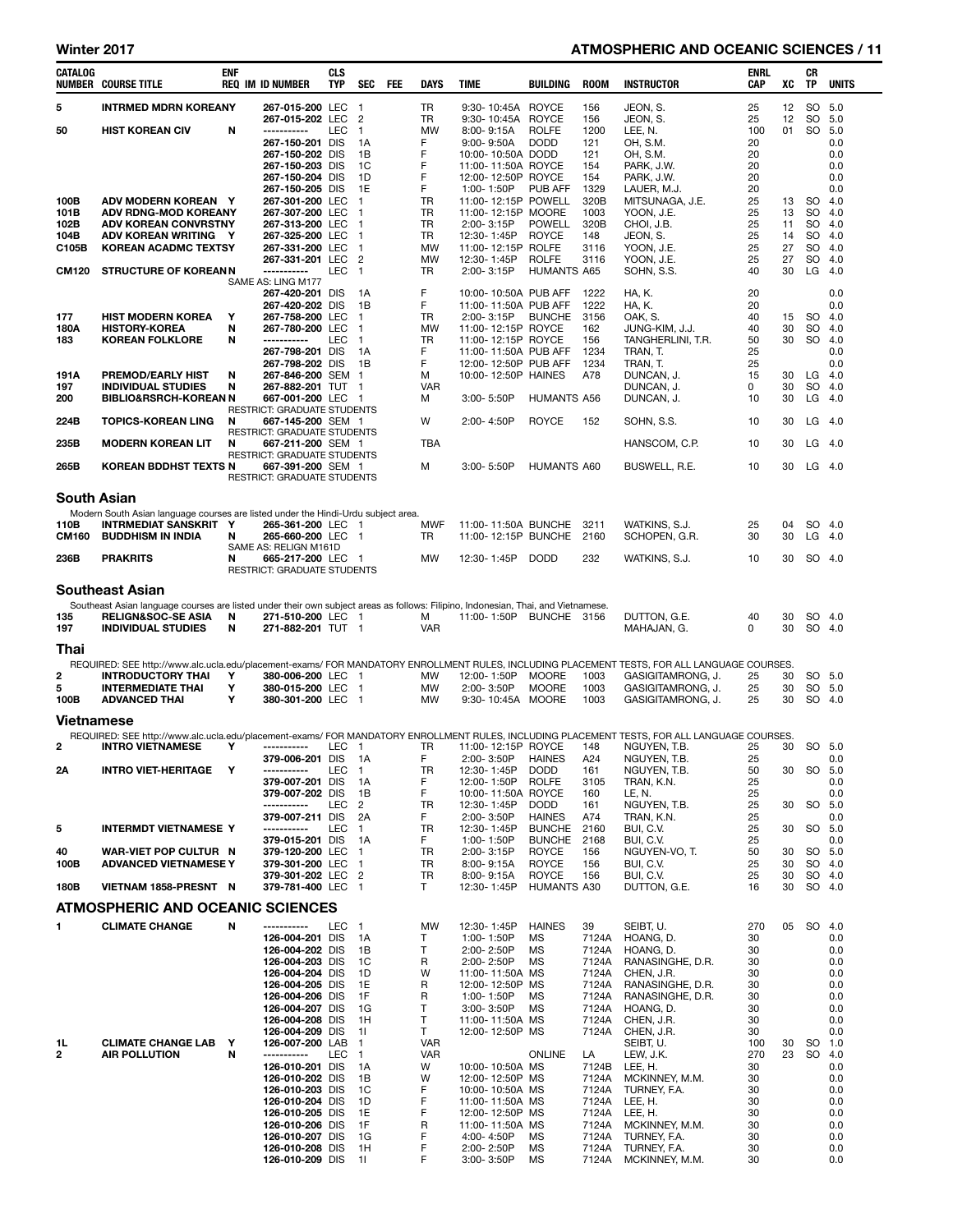### Winter 2017 **ATMOSPHERIC AND OCEANIC SCIENCES / 11**

| CATALOG            | <b>NUMBER COURSE TITLE</b>                                                                                                        | <b>ENF</b> | <b>REQ IM ID NUMBER</b>                                 | <b>CLS</b><br><b>TYP</b> | <b>SEC</b>                               | FEE | DAYS            | TIME                                         | <b>BUILDING</b>                    | <b>ROOM</b>    | <b>INSTRUCTOR</b>                                                                                                                           | ENRL<br>CAP | xс       | CR<br>TP        | <b>UNITS</b>       |
|--------------------|-----------------------------------------------------------------------------------------------------------------------------------|------------|---------------------------------------------------------|--------------------------|------------------------------------------|-----|-----------------|----------------------------------------------|------------------------------------|----------------|---------------------------------------------------------------------------------------------------------------------------------------------|-------------|----------|-----------------|--------------------|
| 5                  | <b>INTRMED MDRN KOREANY</b>                                                                                                       |            | 267-015-200 LEC                                         |                          | $\blacksquare$                           |     | TR              | 9:30-10:45A                                  | <b>ROYCE</b>                       | 156            | JEON, S.                                                                                                                                    | 25          | 12       | SO              | 5.0                |
| 50                 | <b>HIST KOREAN CIV</b>                                                                                                            | N          | 267-015-202 LEC<br>-----------                          | <b>LEC</b>               | $\overline{2}$<br>$\mathbf{1}$           |     | TR<br><b>MW</b> | 9:30-10:45A<br>8:00-9:15A                    | ROYCE<br><b>ROLFE</b>              | 156<br>1200    | JEON, S.<br>LEE, N.                                                                                                                         | 25<br>100   | 12<br>01 | SO              | 5.0<br>SO 5.0      |
|                    |                                                                                                                                   |            | 267-150-201 DIS                                         |                          | 1A                                       |     | F               | $9:00 - 9:50A$                               | <b>DODD</b>                        | 121            | OH, S.M.                                                                                                                                    | 20          |          |                 | 0.0                |
|                    |                                                                                                                                   |            | 267-150-202 DIS                                         |                          | 1B                                       |     | F               | 10:00-10:50A DODD                            |                                    | 121            | OH, S.M.                                                                                                                                    | 20          |          |                 | 0.0                |
|                    |                                                                                                                                   |            | 267-150-203 DIS<br>267-150-204 DIS                      |                          | 1C<br>1D                                 |     | F<br>F          | 11:00-11:50A ROYCE<br>12:00-12:50P ROYCE     |                                    | 154<br>154     | PARK, J.W.<br>PARK, J.W.                                                                                                                    | 20<br>20    |          |                 | 0.0<br>0.0         |
|                    |                                                                                                                                   |            | 267-150-205 DIS                                         |                          | 1E                                       |     | F               | 1:00-1:50P                                   | PUB AFF                            | 1329           | LAUER, M.J.                                                                                                                                 | 20          |          |                 | 0.0                |
| 100B               | ADV MODERN KOREAN Y                                                                                                               |            | 267-301-200 LEC                                         |                          | $\mathbf{1}$                             |     | <b>TR</b>       | 11:00-12:15P POWELL                          |                                    | 320B           | MITSUNAGA, J.E.                                                                                                                             | 25          | 13       | <b>SO</b>       | 4.0                |
| 101B<br>102B       | ADV RDNG-MOD KOREANY<br><b>ADV KOREAN CONVRSTNY</b>                                                                               |            | 267-307-200 LEC<br>267-313-200 LEC                      |                          | $\mathbf{1}$<br>$\overline{1}$           |     | TR<br>TR        | 11:00-12:15P MOORE<br>2:00-3:15P             | <b>POWELL</b>                      | 1003<br>320B   | YOON, J.E.<br>CHOI, J.B.                                                                                                                    | 25<br>25    | 13<br>11 | <b>SO</b><br>SO | 4.0<br>4.0         |
| 104B               | ADV KOREAN WRITING Y                                                                                                              |            | 267-325-200 LEC                                         |                          | $\mathbf{1}$                             |     | TR              | 12:30-1:45P                                  | <b>ROYCE</b>                       | 148            | JEON, S.                                                                                                                                    | 25          | 14       |                 | SO 4.0             |
| C105B              | <b>KOREAN ACADMC TEXTSY</b>                                                                                                       |            | 267-331-200 LEC                                         |                          | $\overline{1}$                           |     | <b>MW</b>       | 11:00-12:15P ROLFE                           |                                    | 3116           | YOON, J.E.                                                                                                                                  | 25          | 27       |                 | SO 4.0             |
| <b>CM120</b>       | <b>STRUCTURE OF KOREANN</b>                                                                                                       |            | 267-331-201 LEC<br>-----------                          | LEC                      | $\overline{c}$<br>$\overline{1}$         |     | <b>MW</b><br>TR | 12:30-1:45P<br>2:00-3:15P                    | <b>ROLFE</b><br><b>HUMANTS A65</b> | 3116           | YOON, J.E.<br>SOHN, S.S.                                                                                                                    | 25<br>40    | 27<br>30 |                 | SO 4.0<br>$LG$ 4.0 |
|                    |                                                                                                                                   |            | SAME AS: LING M177                                      |                          |                                          |     |                 |                                              |                                    |                |                                                                                                                                             |             |          |                 |                    |
|                    |                                                                                                                                   |            | 267-420-201 DIS<br>267-420-202 DIS                      |                          | 1A<br>1B                                 |     | F<br>F          | 10:00-10:50A PUB AFF<br>11:00-11:50A PUB AFF |                                    | 1222<br>1222   | HA, K.<br>HA, K.                                                                                                                            | 20<br>20    |          |                 | 0.0<br>0.0         |
| 177                | <b>HIST MODERN KOREA</b>                                                                                                          | Y          | 267-758-200 LEC                                         |                          | $\mathbf{1}$                             |     | TR              | 2:00-3:15P                                   | <b>BUNCHE</b>                      | 3156           | OAK, S.                                                                                                                                     | 40          | 15       | <b>SO</b>       | 4.0                |
| 180A               | <b>HISTORY-KOREA</b>                                                                                                              | N          | 267-780-200 LEC                                         |                          | $\mathbf{1}$                             |     | <b>MW</b>       | 11:00-12:15P ROYCE                           |                                    | 162            | JUNG-KIM, J.J.                                                                                                                              | 40          | 30       | SO.             | 4.0                |
| 183                | <b>KOREAN FOLKLORE</b>                                                                                                            | N          | -----------<br>267-798-201 DIS                          | LEC                      | $\mathbf{1}$<br>1A                       |     | TR<br>F.        | 11:00-12:15P ROYCE<br>11:00-11:50A PUB AFF   |                                    | 156<br>1234    | TANGHERLINI, T.R.<br>TRAN, T.                                                                                                               | 50<br>25    | 30       | SO.             | 4.0<br>0.0         |
|                    |                                                                                                                                   |            | 267-798-202 DIS                                         |                          | 1B                                       |     | F               | 12:00-12:50P PUB AFF                         |                                    | 1234           | TRAN, T.                                                                                                                                    | 25          |          |                 | 0.0                |
| 191A               | <b>PREMOD/EARLY HIST</b>                                                                                                          | N          | 267-846-200 SEM 1                                       |                          |                                          |     | м               | 10:00-12:50P HAINES                          |                                    | A78            | DUNCAN, J.                                                                                                                                  | 15          | 30       | LG              | - 4.0              |
| 197<br>200         | <b>INDIVIDUAL STUDIES</b><br><b>BIBLIO&amp;RSRCH-KOREAN N</b>                                                                     | N          | 267-882-201 TUT<br>667-001-200 LEC                      |                          | $\mathbf{1}$<br>$\overline{\phantom{0}}$ |     | <b>VAR</b><br>м | 3:00-5:50P                                   | <b>HUMANTS A56</b>                 |                | DUNCAN, J.<br>DUNCAN, J.                                                                                                                    | 0<br>10     | 30<br>30 | SO.             | 4.0<br>$LG$ 4.0    |
|                    |                                                                                                                                   |            | <b>RESTRICT: GRADUATE STUDENTS</b>                      |                          |                                          |     |                 |                                              |                                    |                |                                                                                                                                             |             |          |                 |                    |
| 224B               | <b>TOPICS-KOREAN LING</b>                                                                                                         | N          | 667-145-200 SEM 1                                       |                          |                                          |     | W               | 2:00-4:50P                                   | <b>ROYCE</b>                       | 152            | SOHN, S.S.                                                                                                                                  | 10          | 30       |                 | $LG$ 4.0           |
| 235B               | <b>MODERN KOREAN LIT</b>                                                                                                          | N          | RESTRICT: GRADUATE STUDENTS<br>667-211-200 SEM 1        |                          |                                          |     | TBA             |                                              |                                    |                | HANSCOM, C.P.                                                                                                                               | 10          | 30       |                 | $LG$ 4.0           |
|                    |                                                                                                                                   |            | RESTRICT: GRADUATE STUDENTS                             |                          |                                          |     |                 |                                              |                                    |                |                                                                                                                                             |             |          |                 |                    |
| 265B               | <b>KOREAN BDDHST TEXTS N</b>                                                                                                      |            | 667-391-200 SEM 1<br><b>RESTRICT: GRADUATE STUDENTS</b> |                          |                                          |     | м               | 3:00-5:50P                                   | <b>HUMANTS A60</b>                 |                | BUSWELL, R.E.                                                                                                                               | 10          | 30       |                 | $LG$ 4.0           |
|                    |                                                                                                                                   |            |                                                         |                          |                                          |     |                 |                                              |                                    |                |                                                                                                                                             |             |          |                 |                    |
| <b>South Asian</b> |                                                                                                                                   |            |                                                         |                          |                                          |     |                 |                                              |                                    |                |                                                                                                                                             |             |          |                 |                    |
| 110B               | Modern South Asian language courses are listed under the Hindi-Urdu subject area.<br><b>INTRMEDIAT SANSKRIT Y</b>                 |            | 265-361-200 LEC 1                                       |                          |                                          |     | <b>MWF</b>      | 11:00-11:50A BUNCHE                          |                                    | 3211           | WATKINS, S.J.                                                                                                                               | 25          | 04       |                 | SO 4.0             |
| <b>CM160</b>       | <b>BUDDHISM IN INDIA</b>                                                                                                          | N          | 265-660-200 LEC 1                                       |                          |                                          |     | TR              | 11:00-12:15P BUNCHE                          |                                    | 2160           | SCHOPEN, G.R.                                                                                                                               | 30          | 30       | LG              | - 4.0              |
| 236B               | <b>PRAKRITS</b>                                                                                                                   | N          | SAME AS: RELIGN M161D<br>665-217-200 LEC                |                          | - 1                                      |     | <b>MW</b>       | 12:30-1:45P                                  | <b>DODD</b>                        | 232            | WATKINS, S.J.                                                                                                                               | 10          | 30       |                 | SO 4.0             |
|                    |                                                                                                                                   |            | RESTRICT: GRADUATE STUDENTS                             |                          |                                          |     |                 |                                              |                                    |                |                                                                                                                                             |             |          |                 |                    |
|                    | <b>Southeast Asian</b>                                                                                                            |            |                                                         |                          |                                          |     |                 |                                              |                                    |                |                                                                                                                                             |             |          |                 |                    |
|                    | Southeast Asian language courses are listed under their own subject areas as follows: Filipino, Indonesian, Thai, and Vietnamese. |            |                                                         |                          |                                          |     |                 |                                              |                                    |                |                                                                                                                                             |             |          |                 |                    |
| 135                | <b>RELIGN&amp;SOC-SE ASIA</b>                                                                                                     | N          | 271-510-200 LEC 1                                       |                          |                                          |     | м               | 11:00-1:50P                                  | <b>BUNCHE</b>                      | 3156           | DUTTON, G.E.                                                                                                                                | 40          | 30       |                 | SO 4.0             |
| 197                | <b>INDIVIDUAL STUDIES</b>                                                                                                         | N          | 271-882-201 TUT 1                                       |                          |                                          |     | <b>VAR</b>      |                                              |                                    |                | MAHAJAN, G.                                                                                                                                 | 0           | 30       |                 | SO 4.0             |
| Thai               |                                                                                                                                   |            |                                                         |                          |                                          |     |                 |                                              |                                    |                |                                                                                                                                             |             |          |                 |                    |
|                    | <b>INTRODUCTORY THAI</b>                                                                                                          |            |                                                         |                          |                                          |     |                 |                                              |                                    |                | REQUIRED: SEE http://www.alc.ucla.edu/placement-exams/ FOR MANDATORY ENROLLMENT RULES, INCLUDING PLACEMENT TESTS, FOR ALL LANGUAGE COURSES. |             |          |                 |                    |
| 2<br>5             | <b>INTERMEDIATE THAI</b>                                                                                                          | Υ<br>Υ     | 380-006-200 LEC 1<br>380-015-200 LEC                    |                          | $\mathbf{1}$                             |     | MW<br>MW        | 12:00-1:50P<br>2:00-3:50P                    | <b>MOORE</b><br><b>MOORE</b>       | 1003<br>1003   | GASIGITAMRONG, J.<br>GASIGITAMRONG, J.                                                                                                      | 25<br>25    | 30<br>30 |                 | SO 5.0<br>SO 5.0   |
| 100B               | <b>ADVANCED THAI</b>                                                                                                              | Υ          | 380-301-200 LEC 1                                       |                          |                                          |     | <b>MW</b>       | 9:30-10:45A MOORE                            |                                    | 1003           | GASIGITAMRONG, J.                                                                                                                           | 25          | 30       |                 | SO 4.0             |
| Vietnamese         |                                                                                                                                   |            |                                                         |                          |                                          |     |                 |                                              |                                    |                |                                                                                                                                             |             |          |                 |                    |
|                    |                                                                                                                                   |            |                                                         |                          |                                          |     |                 |                                              |                                    |                | REQUIRED: SEE http://www.alc.ucla.edu/placement-exams/ FOR MANDATORY ENROLLMENT RULES, INCLUDING PLACEMENT TESTS, FOR ALL LANGUAGE COURSES. |             |          |                 |                    |
| $\overline{2}$     | <b>INTRO VIETNAMESE</b>                                                                                                           | Y          | -----------                                             | LEC 1                    |                                          |     | TR              | 11:00-12:15P ROYCE                           |                                    | 148            | NGUYEN, T.B.                                                                                                                                | 25          | 30       |                 | SO 5.0             |
| 2Α                 | <b>INTRO VIET-HERITAGE</b>                                                                                                        | Y          | 379-006-201 DIS 1A<br>-----------                       | LEC                      | $\overline{1}$                           |     | F<br>TR         | 2:00-3:50P<br>12:30-1:45P                    | <b>HAINES</b><br><b>DODD</b>       | A24<br>161     | NGUYEN, T.B.<br>NGUYEN, T.B.                                                                                                                | 25<br>50    | 30       |                 | 0.0<br>SO 5.0      |
|                    |                                                                                                                                   |            | 379-007-201 DIS                                         |                          | 1A                                       |     | F               | 12:00-1:50P                                  | <b>ROLFE</b>                       | 3105           | TRAN, K.N.                                                                                                                                  | 25          |          |                 | 0.0                |
|                    |                                                                                                                                   |            | 379-007-202 DIS<br>-----------                          |                          | 1B                                       |     | F               | 10:00-11:50A ROYCE                           |                                    | 160            | LE, N.                                                                                                                                      | 25          |          | <b>SO</b>       | 0.0                |
|                    |                                                                                                                                   |            | 379-007-211 DIS                                         | LEC                      | 2<br>2A                                  |     | TR<br>F.        | 12:30-1:45P<br>2:00-3:50P                    | <b>DODD</b><br><b>HAINES</b>       | 161<br>A74     | NGUYEN, T.B.<br>TRAN, K.N.                                                                                                                  | 25<br>25    | 30       |                 | 5.0<br>0.0         |
| 5                  | <b>INTERMDT VIETNAMESE Y</b>                                                                                                      |            | -----------                                             | LEC                      | $\mathbf{1}$                             |     | TR              | 12:30-1:45P                                  | <b>BUNCHE</b>                      | 2160           | BUI, C.V.                                                                                                                                   | 25          | 30       | SO              | 5.0                |
| 40                 | <b>WAR-VIET POP CULTUR N</b>                                                                                                      |            | 379-015-201 DIS<br>379-120-200 LEC                      |                          | 1A<br>$\mathbf{1}$                       |     | F<br>TR         | 1:00-1:50P<br>2:00-3:15P                     | <b>BUNCHE</b><br><b>ROYCE</b>      | 2168<br>156    | BUI, C.V.<br>NGUYEN-VO, T.                                                                                                                  | 25<br>50    | 30       |                 | 0.0<br>SO 5.0      |
| 100B               | <b>ADVANCED VIETNAMESE Y</b>                                                                                                      |            | 379-301-200 LEC                                         |                          | $\mathbf{1}$                             |     | TR              | 8:00-9:15A                                   | <b>ROYCE</b>                       | 156            | BUI, C.V.                                                                                                                                   | 25          | 30       |                 | SO 4.0             |
|                    |                                                                                                                                   |            | 379-301-202 LEC                                         |                          | $\overline{2}$                           |     | TR              | 8:00-9:15A                                   | <b>ROYCE</b>                       | 156            | BUI, C.V.                                                                                                                                   | 25          | 30       |                 | SO 4.0             |
| 180B               | VIETNAM 1858-PRESNT N                                                                                                             |            | 379-781-400 LEC 1                                       |                          |                                          |     | Τ               | 12:30-1:45P                                  | <b>HUMANTS A30</b>                 |                | DUTTON, G.E.                                                                                                                                | 16          | 30       |                 | SO 4.0             |
|                    | <b>ATMOSPHERIC AND OCEANIC SCIENCES</b>                                                                                           |            |                                                         |                          |                                          |     |                 |                                              |                                    |                |                                                                                                                                             |             |          |                 |                    |
| 1                  | <b>CLIMATE CHANGE</b>                                                                                                             | N          | -----------                                             | LEC                      | $\overline{1}$                           |     | <b>MW</b>       | 12:30-1:45P                                  | <b>HAINES</b>                      | 39             | SEIBT, U.                                                                                                                                   | 270         | 05       |                 | SO 4.0             |
|                    |                                                                                                                                   |            | 126-004-201 DIS<br>126-004-202 DIS                      |                          | 1A<br>1B                                 |     | т<br>Т          | 1:00-1:50P<br>2:00-2:50P                     | MS<br>MS                           | 7124A<br>7124A | HOANG, D.<br>HOANG, D.                                                                                                                      | 30<br>30    |          |                 | 0.0<br>0.0         |
|                    |                                                                                                                                   |            | 126-004-203 DIS                                         |                          | 1C                                       |     | R               | 2:00-2:50P                                   | MS                                 | 7124A          | RANASINGHE, D.R.                                                                                                                            | 30          |          |                 | 0.0                |
|                    |                                                                                                                                   |            | 126-004-204 DIS                                         |                          | 1D                                       |     | W               | 11:00-11:50A MS                              |                                    | 7124A          | CHEN, J.R.                                                                                                                                  | 30          |          |                 | 0.0                |
|                    |                                                                                                                                   |            | 126-004-205 DIS<br>126-004-206 DIS                      |                          | 1E<br>1F                                 |     | R<br>R          | 12:00-12:50P MS<br>1:00-1:50P                | MS                                 | 7124A<br>7124A | RANASINGHE, D.R.<br>RANASINGHE, D.R.                                                                                                        | 30<br>30    |          |                 | 0.0<br>0.0         |
|                    |                                                                                                                                   |            | 126-004-207 DIS                                         |                          | 1G                                       |     | Т               | 3:00-3:50P                                   | MS                                 | 7124A          | HOANG, D.                                                                                                                                   | 30          |          |                 | 0.0                |
|                    |                                                                                                                                   |            | 126-004-208 DIS                                         |                          | 1H                                       |     | T<br>T          | 11:00-11:50A MS                              |                                    | 7124A          | CHEN, J.R.                                                                                                                                  | 30          |          |                 | 0.0                |
| 1L                 | <b>CLIMATE CHANGE LAB</b>                                                                                                         | Y          | 126-004-209 DIS<br>126-007-200 LAB                      |                          | 11<br>$\mathbf{1}$                       |     | <b>VAR</b>      | 12:00-12:50P MS                              |                                    | 7124A          | CHEN, J.R.<br>SEIBT, U.                                                                                                                     | 30<br>100   | 30       | SO              | 0.0<br>1.0         |
| 2                  | <b>AIR POLLUTION</b>                                                                                                              | N          | -----------                                             | LEC                      | $\mathbf{1}$                             |     | <b>VAR</b>      |                                              | <b>ONLINE</b>                      | LA             | LEW, J.K.                                                                                                                                   | 270         | 23       | SO 4.0          |                    |
|                    |                                                                                                                                   |            | 126-010-201 DIS<br>126-010-202 DIS                      |                          | 1A<br>1B                                 |     | W<br>W          | 10:00-10:50A MS<br>12:00-12:50P MS           |                                    | 7124B<br>7124A | LEE, H.<br>MCKINNEY, M.M.                                                                                                                   | 30<br>30    |          |                 | 0.0<br>0.0         |
|                    |                                                                                                                                   |            | 126-010-203 DIS                                         |                          | 1C                                       |     | F               | 10:00-10:50A MS                              |                                    | 7124A          | TURNEY, F.A.                                                                                                                                | 30          |          |                 | 0.0                |
|                    |                                                                                                                                   |            | 126-010-204 DIS                                         |                          | 1D                                       |     | F               | 11:00-11:50A MS                              |                                    | 7124A          | LEE, H.                                                                                                                                     | 30          |          |                 | 0.0                |
|                    |                                                                                                                                   |            | 126-010-205 DIS<br>126-010-206 DIS                      |                          | 1E<br>1F                                 |     | F<br>R          | 12:00-12:50P MS<br>11:00-11:50A MS           |                                    | 7124A<br>7124A | LEE, H.<br>MCKINNEY, M.M.                                                                                                                   | 30<br>30    |          |                 | 0.0<br>0.0         |
|                    |                                                                                                                                   |            | 126-010-207 DIS                                         |                          | 1G                                       |     | F               | 4:00-4:50P                                   | MS                                 | 7124A          | TURNEY, F.A.                                                                                                                                | 30          |          |                 | 0.0                |
|                    |                                                                                                                                   |            | 126-010-208 DIS                                         |                          | 1H                                       |     | F               | 2:00-2:50P                                   | MS                                 | 7124A          | TURNEY, F.A.                                                                                                                                | 30          |          |                 | 0.0                |
|                    |                                                                                                                                   |            | 126-010-209 DIS                                         |                          | 11                                       |     | F               | 3:00-3:50P                                   | MS                                 | 7124A          | MCKINNEY, M.M.                                                                                                                              | 30          |          |                 | 0.0                |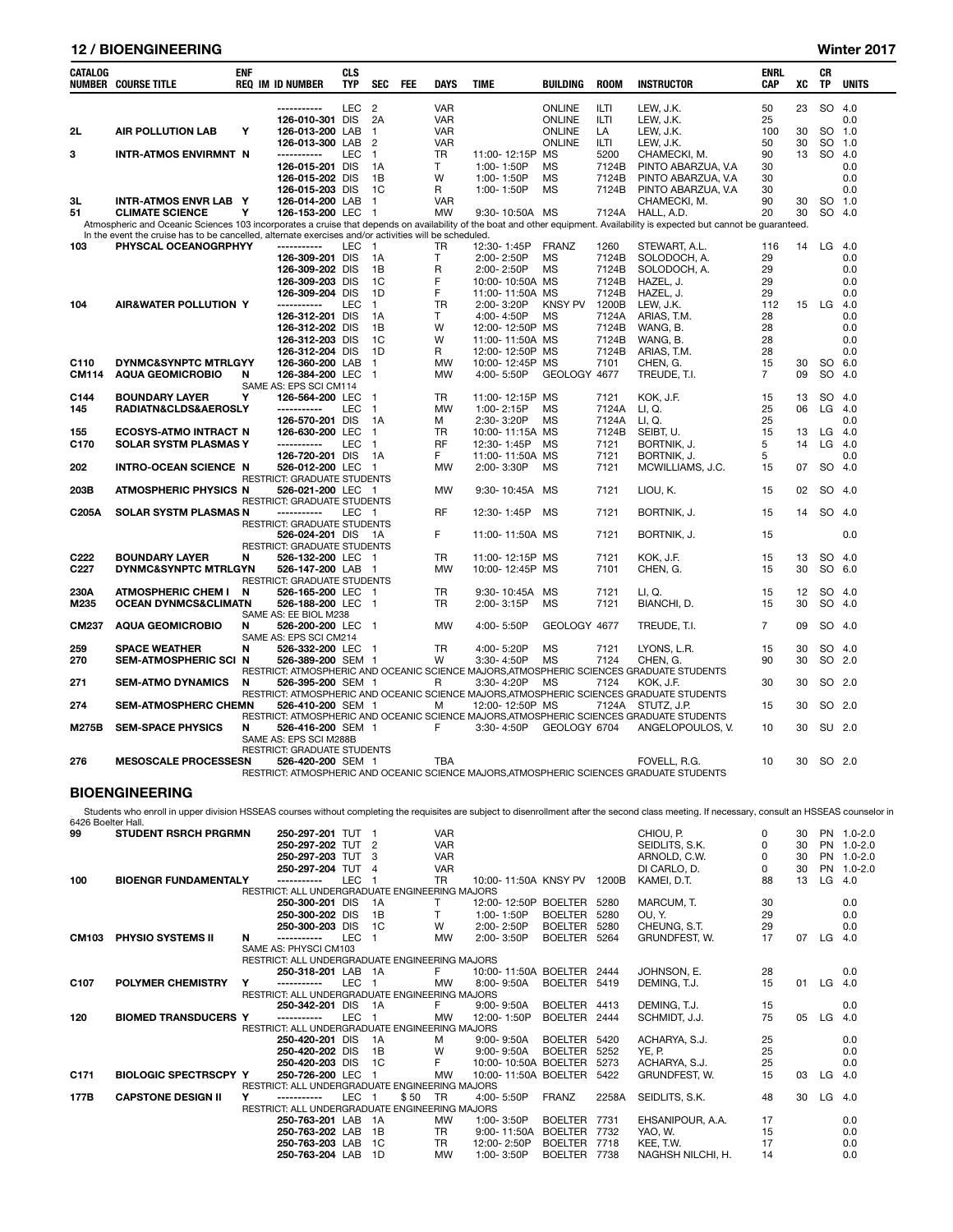## 12 / BIOENGINEERING Winter 2017

| CATALOG                               | <b>NUMBER COURSE TITLE</b>                                                                            | <b>ENF</b> | <b>REQ IM ID NUMBER</b>                   | <b>CLS</b><br><b>TYP</b> | <b>SEC</b>     | <b>FEE</b> | <b>DAYS</b> | <b>TIME</b>                        | <b>BUILDING</b> | <b>ROOM</b>  | <b>INSTRUCTOR</b>                                                                                                                                                           | <b>ENRL</b><br>CAP | хc | <b>CR</b><br>TP | <b>UNITS</b> |
|---------------------------------------|-------------------------------------------------------------------------------------------------------|------------|-------------------------------------------|--------------------------|----------------|------------|-------------|------------------------------------|-----------------|--------------|-----------------------------------------------------------------------------------------------------------------------------------------------------------------------------|--------------------|----|-----------------|--------------|
|                                       |                                                                                                       |            | -----------                               | <b>LEC</b>               | $\overline{2}$ |            | <b>VAR</b>  |                                    | <b>ONLINE</b>   | <b>ILTI</b>  | LEW. J.K.                                                                                                                                                                   | 50                 | 23 |                 | SO 4.0       |
|                                       |                                                                                                       |            | 126-010-301 DIS                           |                          | 2A             |            | <b>VAR</b>  |                                    | <b>ONLINE</b>   | ILTI         | LEW, J.K.                                                                                                                                                                   | 25                 |    |                 | 0.0          |
| 2L                                    | <b>AIR POLLUTION LAB</b>                                                                              | Y          | 126-013-200 LAB                           |                          | $\mathbf{1}$   |            | <b>VAR</b>  |                                    | <b>ONLINE</b>   | LA           | LEW, J.K.                                                                                                                                                                   | 100                | 30 | <b>SO</b>       | 1.0          |
|                                       |                                                                                                       |            | 126-013-300 LAB                           |                          | $\overline{2}$ |            | <b>VAR</b>  |                                    | <b>ONLINE</b>   | ILTI         | LEW, J.K.                                                                                                                                                                   | 50                 | 30 | SO              | 1.0          |
| 3                                     | <b>INTR-ATMOS ENVIRMNT N</b>                                                                          |            | -----------                               | <b>LEC</b>               | $\mathbf{1}$   |            | <b>TR</b>   | 11:00-12:15P MS                    |                 | 5200         | CHAMECKI, M.                                                                                                                                                                | 90                 | 13 | SO.             | 4.0          |
|                                       |                                                                                                       |            | 126-015-201 DIS                           |                          | 1A             |            | T.          | 1:00-1:50P                         | <b>MS</b>       | 7124B        | PINTO ABARZUA, V.A                                                                                                                                                          | 30                 |    |                 | 0.0          |
|                                       |                                                                                                       |            | 126-015-202 DIS                           |                          | 1B             |            | W           | 1:00-1:50P                         | <b>MS</b>       | 7124B        | PINTO ABARZUA, V.A                                                                                                                                                          | 30                 |    |                 | 0.0          |
|                                       |                                                                                                       |            | 126-015-203 DIS                           |                          | 1C             |            | R           | 1:00-1:50P                         | МS              | 7124B        | PINTO ABARZUA, V.A                                                                                                                                                          | 30                 |    |                 | 0.0          |
| 3L                                    | <b>INTR-ATMOS ENVR LAB Y</b>                                                                          |            | 126-014-200 LAB                           |                          | 1              |            | <b>VAR</b>  |                                    |                 |              | CHAMECKI, M.                                                                                                                                                                | 90                 | 30 |                 | SO 1.0       |
| 51                                    | <b>CLIMATE SCIENCE</b>                                                                                | Υ          | 126-153-200 LEC                           |                          | $\mathbf{1}$   |            | <b>MW</b>   | 9:30-10:50A MS                     |                 | 7124A        | HALL, A.D.                                                                                                                                                                  | 20                 | 30 |                 | SO 4.0       |
|                                       |                                                                                                       |            |                                           |                          |                |            |             |                                    |                 |              | Atmospheric and Oceanic Sciences 103 incorporates a cruise that depends on availability of the boat and other equipment. Availability is expected but cannot be guaranteed. |                    |    |                 |              |
|                                       | In the event the cruise has to be cancelled, alternate exercises and/or activities will be scheduled. |            |                                           |                          |                |            |             |                                    |                 |              |                                                                                                                                                                             |                    |    |                 |              |
| 103                                   | PHYSCAL OCEANOGRPHYY                                                                                  |            | -----------                               | LEC 1                    |                |            | <b>TR</b>   | 12:30-1:45P                        | <b>FRANZ</b>    | 1260         | STEWART, A.L.                                                                                                                                                               | 116                | 14 | LG 4.0          |              |
|                                       |                                                                                                       |            | 126-309-201 DIS                           |                          | 1A             |            | T           | 2:00-2:50P                         | <b>MS</b>       | 7124B        | SOLODOCH, A.                                                                                                                                                                | 29                 |    |                 | 0.0          |
|                                       |                                                                                                       |            | 126-309-202 DIS                           |                          | 1B             |            | R           | 2:00-2:50P                         | <b>MS</b>       | 7124B        | SOLODOCH, A.                                                                                                                                                                | 29                 |    |                 | 0.0          |
|                                       |                                                                                                       |            | 126-309-203 DIS                           |                          | 1C             |            | F           | 10:00-10:50A MS                    |                 | 7124B        | HAZEL, J.                                                                                                                                                                   | 29                 |    |                 | 0.0          |
|                                       |                                                                                                       |            | 126-309-204 DIS                           |                          | 1D             |            | F           | 11:00-11:50A MS                    |                 | 7124B        | HAZEL, J.                                                                                                                                                                   | 29                 |    |                 | 0.0          |
| 104                                   | <b>AIR&amp;WATER POLLUTION Y</b>                                                                      |            | -----------                               | LEC                      | 1              |            | <b>TR</b>   | 2:00-3:20P                         | <b>KNSY PV</b>  | 1200B        | LEW. J.K.                                                                                                                                                                   | 112                | 15 | LG              | 4.0          |
|                                       |                                                                                                       |            | 126-312-201 DIS                           |                          | 1A             |            | T.          | 4:00-4:50P                         | <b>MS</b>       | 7124A        | ARIAS, T.M.                                                                                                                                                                 | 28                 |    |                 | 0.0          |
|                                       |                                                                                                       |            | 126-312-202 DIS                           |                          | 1B             |            | W           | 12:00-12:50P MS                    |                 | 7124B        | WANG. B.                                                                                                                                                                    | 28                 |    |                 | 0.0          |
|                                       |                                                                                                       |            | 126-312-203 DIS                           |                          | 1C             |            | W           | 11:00-11:50A MS                    |                 | 7124B        | WANG, B.                                                                                                                                                                    | 28                 |    |                 | 0.0          |
|                                       |                                                                                                       |            | 126-312-204 DIS                           |                          | 1 <sub>D</sub> |            | R           | 12:00-12:50P MS                    |                 | 7124B        | ARIAS, T.M.                                                                                                                                                                 | 28                 |    |                 | 0.0          |
| C110                                  | <b>DYNMC&amp;SYNPTC MTRLGYY</b>                                                                       |            | 126-360-200 LAB                           |                          | $\mathbf{1}$   |            | <b>MW</b>   | 10:00-12:45P MS                    |                 | 7101         | CHEN, G.                                                                                                                                                                    | 15                 | 30 | SO.             | 6.0          |
| <b>CM114</b>                          | <b>AQUA GEOMICROBIO</b>                                                                               | N          | 126-384-200 LEC                           |                          | $\mathbf{1}$   |            | <b>MW</b>   | 4:00-5:50P                         | GEOLOGY 4677    |              | TREUDE, T.I.                                                                                                                                                                | $\overline{7}$     | 09 | <b>SO</b>       | 4.0          |
| C144                                  | <b>BOUNDARY LAYER</b>                                                                                 | Y          | SAME AS: EPS SCI CM114<br>126-564-200 LEC |                          | $\mathbf{1}$   |            | <b>TR</b>   | 11:00-12:15P MS                    |                 | 7121         | KOK, J.F.                                                                                                                                                                   | 15                 | 13 |                 | SO 4.0       |
| 145                                   | RADIATN&CLDS&AEROSLY                                                                                  |            | -----------                               | LEC                      | $\overline{1}$ |            | <b>MW</b>   | 1:00-2:15P                         | <b>MS</b>       | 7124A        | LI, Q.                                                                                                                                                                      | 25                 | 06 | LG.             | 4.0          |
|                                       |                                                                                                       |            | 126-570-201 DIS                           |                          | 1A             |            | м           | 2:30-3:20P                         | <b>MS</b>       | 7124A        | LI, Q.                                                                                                                                                                      | 25                 |    |                 | 0.0          |
| 155                                   | <b>ECOSYS-ATMO INTRACT N</b>                                                                          |            | 126-630-200 LEC                           |                          | $\mathbf{1}$   |            | <b>TR</b>   | 10:00-11:15A MS                    |                 | 7124B        | SEIBT, U.                                                                                                                                                                   | 15                 | 13 | LG.             | 4.0          |
| C <sub>170</sub>                      | <b>SOLAR SYSTM PLASMAS Y</b>                                                                          |            | -----------                               | <b>LEC</b>               | $\overline{1}$ |            | <b>RF</b>   | 12:30-1:45P                        | МS              | 7121         | BORTNIK, J.                                                                                                                                                                 | 5                  | 14 | LG.             | -4.0         |
|                                       |                                                                                                       |            | 126-720-201 DIS                           |                          | 1A             |            | F.          | 11:00-11:50A MS                    |                 | 7121         | BORTNIK, J.                                                                                                                                                                 | 5                  |    |                 | 0.0          |
| 202                                   | <b>INTRO-OCEAN SCIENCE N</b>                                                                          |            | 526-012-200 LEC                           |                          | $\overline{1}$ |            | <b>MW</b>   | 2:00-3:30P                         | <b>MS</b>       | 7121         | MCWILLIAMS, J.C.                                                                                                                                                            | 15                 | 07 | SO 4.0          |              |
|                                       |                                                                                                       |            | RESTRICT: GRADUATE STUDENTS               |                          |                |            |             |                                    |                 |              |                                                                                                                                                                             |                    |    |                 |              |
| 203B                                  | <b>ATMOSPHERIC PHYSICS N</b>                                                                          |            | 526-021-200 LEC 1                         |                          |                |            | <b>MW</b>   | 9:30-10:45A                        | MS              | 7121         | LIOU, K.                                                                                                                                                                    | 15                 | 02 | SO.             | -4.0         |
|                                       |                                                                                                       |            | RESTRICT: GRADUATE STUDENTS               |                          |                |            |             |                                    |                 |              |                                                                                                                                                                             |                    |    |                 |              |
| C205A                                 | <b>SOLAR SYSTM PLASMAS N</b>                                                                          |            | ------------                              | LEC <sub>1</sub>         |                |            | RF          | 12:30-1:45P                        | MS              | 7121         | BORTNIK, J.                                                                                                                                                                 | 15                 | 14 | SO 4.0          |              |
|                                       |                                                                                                       |            | RESTRICT: GRADUATE STUDENTS               |                          |                |            |             |                                    |                 |              |                                                                                                                                                                             |                    |    |                 |              |
|                                       |                                                                                                       |            | 526-024-201 DIS 1A                        |                          |                |            | F           | 11:00-11:50A MS                    |                 | 7121         | BORTNIK, J.                                                                                                                                                                 | 15                 |    |                 | 0.0          |
|                                       |                                                                                                       | N          | RESTRICT: GRADUATE STUDENTS               |                          |                |            | <b>TR</b>   |                                    |                 |              |                                                                                                                                                                             | 15                 | 13 |                 | SO 4.0       |
| C <sub>222</sub><br>C <sub>22</sub> 7 | <b>BOUNDARY LAYER</b><br><b>DYNMC&amp;SYNPTC MTRLGYN</b>                                              |            | 526-132-200 LEC 1<br>526-147-200 LAB 1    |                          |                |            | <b>MW</b>   | 11:00-12:15P MS<br>10:00-12:45P MS |                 | 7121<br>7101 | KOK, J.F.<br>CHEN, G.                                                                                                                                                       | 15                 | 30 | <b>SO</b>       | 6.0          |
|                                       |                                                                                                       |            | RESTRICT: GRADUATE STUDENTS               |                          |                |            |             |                                    |                 |              |                                                                                                                                                                             |                    |    |                 |              |
| 230A                                  | <b>ATMOSPHERIC CHEM I</b>                                                                             | N          | 526-165-200 LEC 1                         |                          |                |            | TR          | 9:30-10:45A MS                     |                 | 7121         | LI, Q.                                                                                                                                                                      | 15                 | 12 |                 | SO 4.0       |
| M235                                  | <b>OCEAN DYNMCS&amp;CLIMATN</b>                                                                       |            | 526-188-200 LEC 1                         |                          |                |            | <b>TR</b>   | 2:00-3:15P                         | MS              | 7121         | BIANCHI, D.                                                                                                                                                                 | 15                 | 30 |                 | SO 4.0       |
|                                       |                                                                                                       |            | SAME AS: EE BIOL M238                     |                          |                |            |             |                                    |                 |              |                                                                                                                                                                             |                    |    |                 |              |
| CM237                                 | <b>AQUA GEOMICROBIO</b>                                                                               | N          | 526-200-200 LEC                           |                          | - 1            |            | <b>MW</b>   | 4:00-5:50P                         | GEOLOGY 4677    |              | TREUDE, T.I.                                                                                                                                                                | $\overline{7}$     | 09 |                 | SO 4.0       |
|                                       |                                                                                                       |            | SAME AS: EPS SCI CM214                    |                          |                |            |             |                                    |                 |              |                                                                                                                                                                             |                    |    |                 |              |
| 259                                   | <b>SPACE WEATHER</b>                                                                                  | N          | 526-332-200 LEC 1                         |                          |                |            | <b>TR</b>   | 4:00-5:20P                         | <b>MS</b>       | 7121         | LYONS, L.R.                                                                                                                                                                 | 15                 | 30 |                 | SO 4.0       |
| 270                                   | SEM-ATMOSPHERIC SCI_N                                                                                 |            | 526-389-200 SEM 1                         |                          |                |            | W           | 3:30-4:50P                         | <b>MS</b>       | 7124         | CHEN, G.                                                                                                                                                                    | 90                 | 30 |                 | SO 2.0       |
|                                       |                                                                                                       |            |                                           |                          |                |            |             |                                    |                 |              | RESTRICT: ATMOSPHERIC AND OCEANIC SCIENCE MAJORS, ATMOSPHERIC SCIENCES GRADUATE STUDENTS                                                                                    |                    |    |                 |              |
| 271                                   | <b>SEM-ATMO DYNAMICS</b>                                                                              | N          | 526-395-200 SEM 1                         |                          |                |            | R           | 3:30-4:20P                         | <b>MS</b>       | 7124         | KOK, J.F.                                                                                                                                                                   | 30                 | 30 |                 | SO 2.0       |
|                                       |                                                                                                       |            |                                           |                          |                |            |             |                                    |                 |              | RESTRICT: ATMOSPHERIC AND OCEANIC SCIENCE MAJORS, ATMOSPHERIC SCIENCES GRADUATE STUDENTS                                                                                    |                    |    |                 |              |
| 274                                   | SEM-ATMOSPHERC CHEMN                                                                                  |            | 526-410-200 SEM 1                         |                          |                |            | м           | 12:00-12:50P MS                    |                 | 7124A        | STUTZ, J.P.                                                                                                                                                                 | 15                 | 30 |                 | SO 2.0       |
| <b>M275B</b>                          | <b>SEM-SPACE PHYSICS</b>                                                                              | N          | 526-416-200 SEM 1                         |                          |                |            | F           | 3:30-4:50P                         | GEOLOGY 6704    |              | RESTRICT: ATMOSPHERIC AND OCEANIC SCIENCE MAJORS, ATMOSPHERIC SCIENCES GRADUATE STUDENTS<br>ANGELOPOULOS, V.                                                                | 10                 | 30 |                 | SU 2.0       |
|                                       |                                                                                                       |            | SAME AS: EPS SCI M288B                    |                          |                |            |             |                                    |                 |              |                                                                                                                                                                             |                    |    |                 |              |
|                                       |                                                                                                       |            | RESTRICT: GRADUATE STUDENTS               |                          |                |            |             |                                    |                 |              |                                                                                                                                                                             |                    |    |                 |              |
| 276                                   | <b>MESOSCALE PROCESSESN</b>                                                                           |            | 526-420-200 SEM 1                         |                          |                |            | TBA         |                                    |                 |              | FOVELL, R.G.                                                                                                                                                                | 10                 | 30 | SO 2.0          |              |
|                                       |                                                                                                       |            |                                           |                          |                |            |             |                                    |                 |              | RESTRICT: ATMOSPHERIC AND OCEANIC SCIENCE MAJORS, ATMOSPHERIC SCIENCES GRADUATE STUDENTS                                                                                    |                    |    |                 |              |

#### BIOENGINEERING

Students who enroll in upper division HSSEAS courses without completing the requisites are subject to disenrollment after the second class meeting. If necessary, consult an HSSEAS counselor in 6426 Boelter Hall.

|                          |                           |                                                                                                                           |                                                                                                                                                                                                                                                                                  | <b>VAR</b>                                                                                                                                                     |                       |                                                                                                                                                                                                                                                                                                                                                                           |                                                                                                                            | CHIOU, P.                                                                                                                               | 0                                                                                                                 | 30                                                             | <b>PN</b> | $1.0 - 2.0$ |
|--------------------------|---------------------------|---------------------------------------------------------------------------------------------------------------------------|----------------------------------------------------------------------------------------------------------------------------------------------------------------------------------------------------------------------------------------------------------------------------------|----------------------------------------------------------------------------------------------------------------------------------------------------------------|-----------------------|---------------------------------------------------------------------------------------------------------------------------------------------------------------------------------------------------------------------------------------------------------------------------------------------------------------------------------------------------------------------------|----------------------------------------------------------------------------------------------------------------------------|-----------------------------------------------------------------------------------------------------------------------------------------|-------------------------------------------------------------------------------------------------------------------|----------------------------------------------------------------|-----------|-------------|
|                          |                           |                                                                                                                           |                                                                                                                                                                                                                                                                                  | <b>VAR</b>                                                                                                                                                     |                       |                                                                                                                                                                                                                                                                                                                                                                           |                                                                                                                            | SEIDLITS, S.K.                                                                                                                          | 0                                                                                                                 | 30                                                             | <b>PN</b> | $1.0 - 2.0$ |
|                          |                           |                                                                                                                           |                                                                                                                                                                                                                                                                                  | <b>VAR</b>                                                                                                                                                     |                       |                                                                                                                                                                                                                                                                                                                                                                           |                                                                                                                            | ARNOLD, C.W.                                                                                                                            | 0                                                                                                                 | 30                                                             | PN        | $1.0 - 2.0$ |
|                          |                           |                                                                                                                           |                                                                                                                                                                                                                                                                                  | <b>VAR</b>                                                                                                                                                     |                       |                                                                                                                                                                                                                                                                                                                                                                           |                                                                                                                            | DI CARLO, D.                                                                                                                            | 0                                                                                                                 | 30                                                             |           | PN 1.0-2.0  |
|                          | -----------               | <b>LEC</b>                                                                                                                |                                                                                                                                                                                                                                                                                  | <b>TR</b>                                                                                                                                                      |                       |                                                                                                                                                                                                                                                                                                                                                                           |                                                                                                                            | KAMEI, D.T.                                                                                                                             | 88                                                                                                                | 13                                                             | LG.       | 4.0         |
|                          |                           |                                                                                                                           |                                                                                                                                                                                                                                                                                  |                                                                                                                                                                |                       |                                                                                                                                                                                                                                                                                                                                                                           |                                                                                                                            |                                                                                                                                         |                                                                                                                   |                                                                |           |             |
|                          |                           |                                                                                                                           |                                                                                                                                                                                                                                                                                  |                                                                                                                                                                |                       |                                                                                                                                                                                                                                                                                                                                                                           |                                                                                                                            |                                                                                                                                         |                                                                                                                   |                                                                |           | 0.0         |
|                          |                           |                                                                                                                           | 1B                                                                                                                                                                                                                                                                               |                                                                                                                                                                | 1:00-1:50P            | <b>BOELTER</b>                                                                                                                                                                                                                                                                                                                                                            | 5280                                                                                                                       | OU, Y.                                                                                                                                  |                                                                                                                   |                                                                |           | 0.0         |
|                          |                           |                                                                                                                           | 1C                                                                                                                                                                                                                                                                               | W                                                                                                                                                              | 2:00-2:50P            | <b>BOELTER</b>                                                                                                                                                                                                                                                                                                                                                            | 5280                                                                                                                       | CHEUNG, S.T.                                                                                                                            | 29                                                                                                                |                                                                |           | 0.0         |
| PHYSIO SYSTEMS II        | N<br>-----------          | <b>LEC</b>                                                                                                                |                                                                                                                                                                                                                                                                                  | <b>MW</b>                                                                                                                                                      | 2:00-3:50P            | <b>BOELTER</b>                                                                                                                                                                                                                                                                                                                                                            | 5264                                                                                                                       | GRUNDFEST, W.                                                                                                                           |                                                                                                                   | 07                                                             | LG        | 4.0         |
|                          |                           |                                                                                                                           |                                                                                                                                                                                                                                                                                  |                                                                                                                                                                |                       |                                                                                                                                                                                                                                                                                                                                                                           |                                                                                                                            |                                                                                                                                         |                                                                                                                   |                                                                |           |             |
|                          |                           |                                                                                                                           |                                                                                                                                                                                                                                                                                  |                                                                                                                                                                |                       |                                                                                                                                                                                                                                                                                                                                                                           |                                                                                                                            |                                                                                                                                         |                                                                                                                   |                                                                |           |             |
|                          |                           |                                                                                                                           |                                                                                                                                                                                                                                                                                  | F.                                                                                                                                                             |                       |                                                                                                                                                                                                                                                                                                                                                                           |                                                                                                                            |                                                                                                                                         | 28                                                                                                                |                                                                |           | 0.0         |
| <b>POLYMER CHEMISTRY</b> | Υ<br>-----------          |                                                                                                                           | -1                                                                                                                                                                                                                                                                               | <b>MW</b>                                                                                                                                                      | 8:00-9:50A            |                                                                                                                                                                                                                                                                                                                                                                           |                                                                                                                            | DEMING, T.J.                                                                                                                            |                                                                                                                   | 01                                                             | LG        | 4.0         |
|                          |                           |                                                                                                                           |                                                                                                                                                                                                                                                                                  |                                                                                                                                                                |                       |                                                                                                                                                                                                                                                                                                                                                                           |                                                                                                                            |                                                                                                                                         |                                                                                                                   |                                                                |           |             |
|                          |                           |                                                                                                                           |                                                                                                                                                                                                                                                                                  | F.                                                                                                                                                             |                       |                                                                                                                                                                                                                                                                                                                                                                           |                                                                                                                            |                                                                                                                                         |                                                                                                                   |                                                                |           | 0.0         |
|                          |                           |                                                                                                                           |                                                                                                                                                                                                                                                                                  |                                                                                                                                                                |                       |                                                                                                                                                                                                                                                                                                                                                                           |                                                                                                                            |                                                                                                                                         |                                                                                                                   |                                                                |           | 4.0         |
|                          |                           |                                                                                                                           |                                                                                                                                                                                                                                                                                  |                                                                                                                                                                |                       |                                                                                                                                                                                                                                                                                                                                                                           |                                                                                                                            |                                                                                                                                         |                                                                                                                   |                                                                |           |             |
|                          |                           |                                                                                                                           |                                                                                                                                                                                                                                                                                  | м                                                                                                                                                              |                       |                                                                                                                                                                                                                                                                                                                                                                           |                                                                                                                            |                                                                                                                                         |                                                                                                                   |                                                                |           | 0.0         |
|                          |                           |                                                                                                                           | 1B                                                                                                                                                                                                                                                                               | W                                                                                                                                                              | $9:00 - 9:50A$        | <b>BOELTER</b>                                                                                                                                                                                                                                                                                                                                                            | 5252                                                                                                                       | YE, P.                                                                                                                                  |                                                                                                                   |                                                                |           | 0.0         |
|                          |                           |                                                                                                                           | 1C                                                                                                                                                                                                                                                                               | F.                                                                                                                                                             |                       |                                                                                                                                                                                                                                                                                                                                                                           | 5273                                                                                                                       | ACHARYA, S.J.                                                                                                                           |                                                                                                                   |                                                                |           | 0.0         |
|                          |                           |                                                                                                                           |                                                                                                                                                                                                                                                                                  | <b>MW</b>                                                                                                                                                      |                       |                                                                                                                                                                                                                                                                                                                                                                           |                                                                                                                            | GRUNDFEST, W.                                                                                                                           | 15                                                                                                                | 03                                                             | LG        | 4.0         |
|                          |                           |                                                                                                                           |                                                                                                                                                                                                                                                                                  |                                                                                                                                                                |                       |                                                                                                                                                                                                                                                                                                                                                                           |                                                                                                                            |                                                                                                                                         |                                                                                                                   |                                                                |           |             |
|                          |                           |                                                                                                                           |                                                                                                                                                                                                                                                                                  |                                                                                                                                                                | 4:00-5:50P            | <b>FRANZ</b>                                                                                                                                                                                                                                                                                                                                                              | 2258A                                                                                                                      |                                                                                                                                         |                                                                                                                   |                                                                | $LG$ 4.0  |             |
|                          |                           |                                                                                                                           |                                                                                                                                                                                                                                                                                  |                                                                                                                                                                |                       |                                                                                                                                                                                                                                                                                                                                                                           |                                                                                                                            |                                                                                                                                         |                                                                                                                   |                                                                |           |             |
|                          |                           |                                                                                                                           |                                                                                                                                                                                                                                                                                  |                                                                                                                                                                |                       |                                                                                                                                                                                                                                                                                                                                                                           |                                                                                                                            |                                                                                                                                         |                                                                                                                   |                                                                |           | 0.0         |
|                          |                           |                                                                                                                           | 1B                                                                                                                                                                                                                                                                               | <b>TR</b>                                                                                                                                                      | 9:00-11:50A           | <b>BOELTER</b>                                                                                                                                                                                                                                                                                                                                                            | 7732                                                                                                                       | YAO, W.                                                                                                                                 | 15                                                                                                                |                                                                |           | 0.0         |
|                          |                           |                                                                                                                           | 1C                                                                                                                                                                                                                                                                               | TR.                                                                                                                                                            | 12:00-2:50P           | <b>BOELTER</b>                                                                                                                                                                                                                                                                                                                                                            | 7718                                                                                                                       | KEE, T.W.                                                                                                                               | 17                                                                                                                |                                                                |           | 0.0         |
|                          |                           |                                                                                                                           |                                                                                                                                                                                                                                                                                  | <b>MW</b>                                                                                                                                                      | 1:00-3:50P            | <b>BOELTER</b>                                                                                                                                                                                                                                                                                                                                                            |                                                                                                                            | NAGHSH NILCHI. H.                                                                                                                       | 14                                                                                                                |                                                                |           | 0.0         |
|                          | <b>CAPSTONE DESIGN II</b> | <b>STUDENT RSRCH PRGRMN</b><br><b>BIOENGR FUNDAMENTALY</b><br><b>BIOMED TRANSDUCERS Y</b><br><b>BIOLOGIC SPECTRSCPY Y</b> | 250-297-201 TUT<br>250-300-201 DIS<br>250-300-202 DIS<br>250-300-203 DIS<br>SAME AS: PHYSCI CM103<br><b>LEC</b><br>250-342-201 DIS<br><b>LEC</b><br>250-420-201 DIS<br>250-420-202 DIS<br>250-420-203 DIS<br><b>LEC</b><br>250-763-202 LAB<br>250-763-203 LAB<br>250-763-204 LAB | 250-297-202 TUT 2<br>250-297-203 TUT 3<br>250-297-204 TUT 4<br>1A<br>250-318-201 LAB 1A<br>1A<br>1A<br>250-726-200 LEC 1<br>\$50<br>250-763-201 LAB 1A<br>- 1D | MW<br><b>TR</b><br>MW | RESTRICT: ALL UNDERGRADUATE ENGINEERING MAJORS<br>RESTRICT: ALL UNDERGRADUATE ENGINEERING MAJORS<br>RESTRICT: ALL UNDERGRADUATE ENGINEERING MAJORS<br>$9:00 - 9:50A$<br>12:00-1:50P<br>RESTRICT: ALL UNDERGRADUATE ENGINEERING MAJORS<br>$9:00 - 9:50A$<br>RESTRICT: ALL UNDERGRADUATE ENGINEERING MAJORS<br>RESTRICT: ALL UNDERGRADUATE ENGINEERING MAJORS<br>1:00-3:50P | 10:00-11:50A KNSY PV<br>12:00-12:50P BOELTER<br><b>BOELTER</b><br><b>BOELTER</b><br>10:00-10:50A BOELTER<br><b>BOELTER</b> | 1200B<br>5280<br>10:00-11:50A BOELTER 2444<br>BOELTER 5419<br>4413<br>BOELTER 2444<br>5420<br>10:00-11:50A BOELTER 5422<br>7731<br>7738 | MARCUM, T.<br>JOHNSON, E.<br>DEMING, T.J.<br>SCHMIDT, J.J.<br>ACHARYA, S.J.<br>SEIDLITS, S.K.<br>EHSANIPOUR, A.A. | 30<br>29<br>17<br>15<br>15<br>75<br>25<br>25<br>25<br>48<br>17 | 05<br>30  | LG          |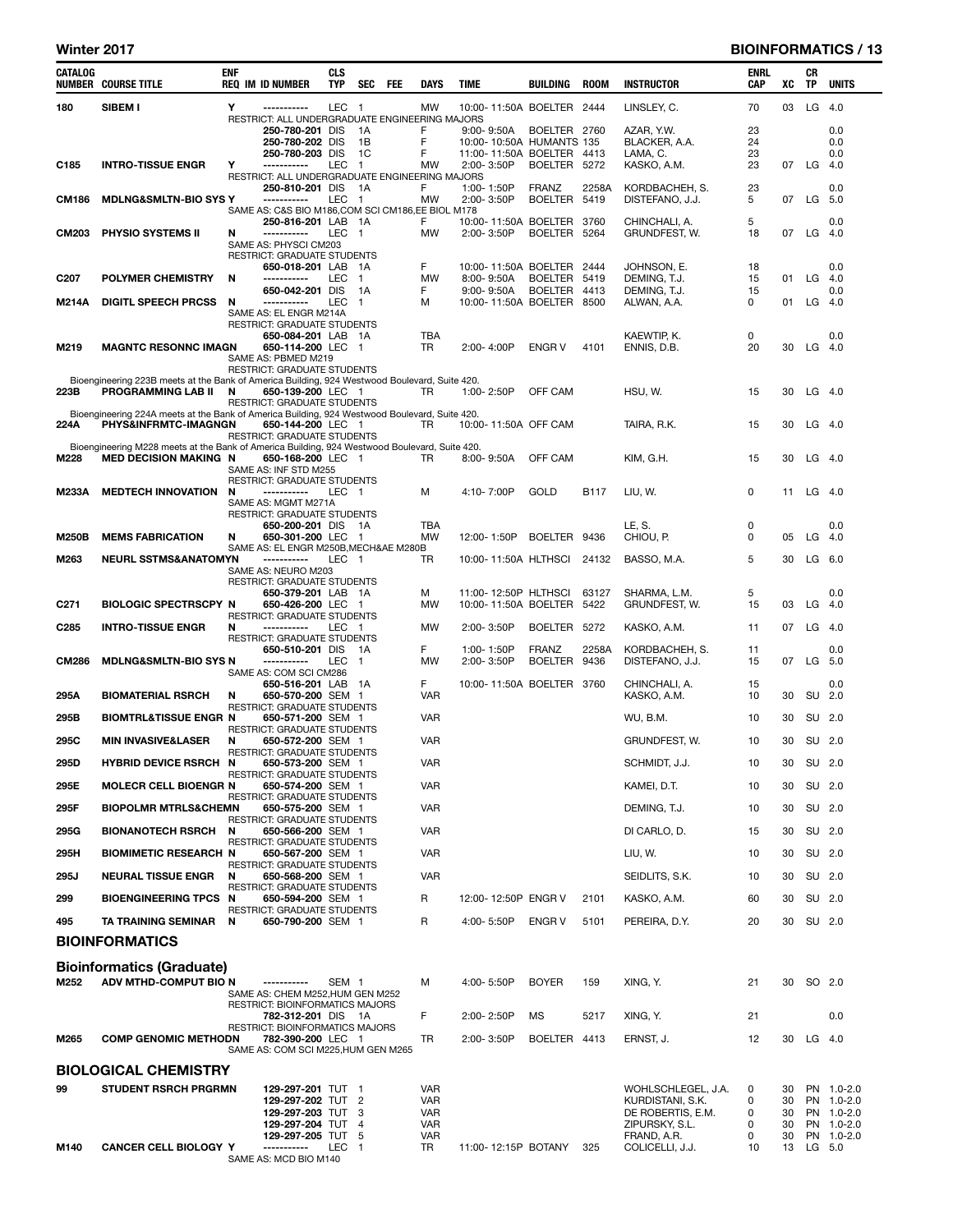#### Winter 2017 **BIOINFORMATICS / 13**

| CATALOG           | <b>NUMBER COURSE TITLE</b>                                                                                          | <b>ENF</b> | <b>REQ IM ID NUMBER</b>                                             | <b>CLS</b><br><b>TYP</b> | <b>SEC</b>           | FEE | DAYS              | TIME                                        | BUILDING      | <b>ROOM</b> | <b>INSTRUCTOR</b>                   | ENRL<br>CAP | xс       | CR<br>ΤP  | UNITS                    |
|-------------------|---------------------------------------------------------------------------------------------------------------------|------------|---------------------------------------------------------------------|--------------------------|----------------------|-----|-------------------|---------------------------------------------|---------------|-------------|-------------------------------------|-------------|----------|-----------|--------------------------|
| 180               | SIBEM I                                                                                                             | Y          | -----------<br>RESTRICT: ALL UNDERGRADUATE ENGINEERING MAJORS       | LEC <sub>1</sub>         |                      |     | MW                | 10:00-11:50A BOELTER 2444                   |               |             | LINSLEY, C.                         | 70          | 03       | LG $4.0$  |                          |
|                   |                                                                                                                     |            | 250-780-201 DIS                                                     |                          | 1A                   |     | F                 | $9:00 - 9:50A$                              | BOELTER 2760  |             | AZAR, Y.W.                          | 23          |          |           | 0.0                      |
|                   |                                                                                                                     |            | 250-780-202 DIS                                                     |                          | 1B                   |     | F                 | 10:00-10:50A HUMANTS 135                    |               |             | BLACKER, A.A.                       | 24          |          |           | 0.0                      |
| C <sub>185</sub>  | <b>INTRO-TISSUE ENGR</b>                                                                                            | Y          | 250-780-203 DIS<br>-----------                                      | LEC                      | 1C<br>$\blacksquare$ |     | F<br><b>MW</b>    | 11:00-11:50A BOELTER 4413<br>2:00-3:50P     | BOELTER 5272  |             | LAMA, C.<br>KASKO, A.M.             | 23<br>23    |          | 07 LG 4.0 | 0.0                      |
|                   |                                                                                                                     |            | RESTRICT: ALL UNDERGRADUATE ENGINEERING MAJORS                      |                          |                      |     |                   |                                             |               |             |                                     |             |          |           |                          |
|                   |                                                                                                                     |            | 250-810-201 DIS                                                     |                          | - 1A                 |     | F                 | 1:00-1:50P                                  | <b>FRANZ</b>  | 2258A       | KORDBACHEH, S.                      | 23          |          |           | 0.0                      |
| CM186             | <b>MDLNG&amp;SMLTN-BIO SYS Y</b>                                                                                    |            | -----------<br>SAME AS: C&S BIO M186,COM SCI CM186,EE BIOL M178     | LEC 1                    |                      |     | MW                | 2:00-3:50P                                  | BOELTER 5419  |             | DISTEFANO, J.J.                     | 5           | 07       | $LG$ 5.0  |                          |
|                   |                                                                                                                     |            | 250-816-201 LAB 1A                                                  |                          |                      |     | F.                | 10:00-11:50A BOELTER 3760                   |               |             | CHINCHALI, A.                       | 5           |          |           | 0.0                      |
| <b>CM203</b>      | PHYSIO SYSTEMS II                                                                                                   | N          | -----------<br>SAME AS: PHYSCI CM203                                | LEC 1                    |                      |     | <b>MW</b>         | 2:00-3:50P                                  | BOELTER 5264  |             | GRUNDFEST, W.                       | 18          | 07       | LG 4.0    |                          |
|                   |                                                                                                                     |            | <b>RESTRICT: GRADUATE STUDENTS</b>                                  |                          |                      |     |                   |                                             |               |             |                                     |             |          |           |                          |
| C <sub>20</sub> 7 | <b>POLYMER CHEMISTRY</b>                                                                                            | N          | 650-018-201 LAB<br>-----------                                      | LEC                      | - 1A<br>$\mathbf{1}$ |     | F<br><b>MW</b>    | 10:00-11:50A BOELTER 2444<br>$8:00 - 9:50A$ | BOELTER 5419  |             | JOHNSON, E.<br>DEMING, T.J.         | 18<br>15    | 01       | LG $4.0$  | 0.0                      |
|                   |                                                                                                                     |            | 650-042-201 DIS                                                     |                          | 1A                   |     | F                 | 9:00-9:50A                                  | BOELTER 4413  |             | DEMING, T.J.                        | 15          |          |           | 0.0                      |
| <b>M214A</b>      | <b>DIGITL SPEECH PRCSS</b>                                                                                          | N          | -----------                                                         | <b>LEC</b>               | -1                   |     | м                 | 10:00-11:50A BOELTER 8500                   |               |             | ALWAN, A.A.                         | 0           | 01       | $LG$ 4.0  |                          |
|                   |                                                                                                                     |            | SAME AS: EL ENGR M214A<br>RESTRICT: GRADUATE STUDENTS               |                          |                      |     |                   |                                             |               |             |                                     |             |          |           |                          |
|                   |                                                                                                                     |            | 650-084-201 LAB 1A                                                  |                          |                      |     | TBA               |                                             |               |             | KAEWTIP, K.                         | 0           |          |           | 0.0                      |
| M219              | <b>MAGNTC RESONNC IMAGN</b>                                                                                         |            | 650-114-200 LEC 1<br>SAME AS: PBMED M219                            |                          |                      |     | <b>TR</b>         | 2:00-4:00P                                  | <b>ENGR V</b> | 4101        | ENNIS, D.B.                         | 20          | 30       | $LG$ 4.0  |                          |
|                   |                                                                                                                     |            | RESTRICT: GRADUATE STUDENTS                                         |                          |                      |     |                   |                                             |               |             |                                     |             |          |           |                          |
| 223B              | Bioengineering 223B meets at the Bank of America Building, 924 Westwood Boulevard, Suite 420.<br>PROGRAMMING LAB II | N          | 650-139-200 LEC 1                                                   |                          |                      |     | TR                | 1:00-2:50P                                  | OFF CAM       |             | HSU, W.                             | 15          | 30       | $LG$ 4.0  |                          |
|                   |                                                                                                                     |            | <b>RESTRICT: GRADUATE STUDENTS</b>                                  |                          |                      |     |                   |                                             |               |             |                                     |             |          |           |                          |
|                   | Bioengineering 224A meets at the Bank of America Building, 924 Westwood Boulevard, Suite 420.                       |            |                                                                     |                          |                      |     |                   |                                             |               |             |                                     |             |          |           |                          |
| 224A              | PHYS&INFRMTC-IMAGNGN                                                                                                |            | 650-144-200 LEC 1<br><b>RESTRICT: GRADUATE STUDENTS</b>             |                          |                      |     | TR                | 10:00-11:50A OFF CAM                        |               |             | TAIRA, R.K.                         | 15          | 30       | $LG$ 4.0  |                          |
|                   | Bioengineering M228 meets at the Bank of America Building, 924 Westwood Boulevard, Suite 420.                       |            |                                                                     |                          |                      |     |                   |                                             |               |             |                                     |             |          |           |                          |
| M228              | <b>MED DECISION MAKING N</b>                                                                                        |            | 650-168-200 LEC 1<br>SAME AS: INF STD M255                          |                          |                      |     | TR                | $8:00 - 9:50A$                              | OFF CAM       |             | KIM, G.H.                           | 15          | 30       | $LG$ 4.0  |                          |
|                   |                                                                                                                     |            | RESTRICT: GRADUATE STUDENTS                                         |                          |                      |     |                   |                                             |               |             |                                     |             |          |           |                          |
| M233A             | <b>MEDTECH INNOVATION</b>                                                                                           | N          | ------------<br>SAME AS: MGMT M271A                                 | LEC 1                    |                      |     | М                 | 4:10-7:00P                                  | GOLD          | B117        | LIU, W.                             | 0           | 11       | $LG$ 4.0  |                          |
|                   |                                                                                                                     |            | <b>RESTRICT: GRADUATE STUDENTS</b>                                  |                          |                      |     |                   |                                             |               |             |                                     |             |          |           |                          |
| <b>M250B</b>      | <b>MEMS FABRICATION</b>                                                                                             | N          | 650-200-201 DIS 1A<br>650-301-200 LEC 1                             |                          |                      |     | TBA<br>MW         | 12:00-1:50P                                 | BOELTER 9436  |             | LE, S.<br>CHIOU, P.                 | 0<br>0      | 05       | $LG$ 4.0  | 0.0                      |
|                   |                                                                                                                     |            | SAME AS: EL ENGR M250B, MECH&AE M280B                               |                          |                      |     |                   |                                             |               |             |                                     |             |          |           |                          |
| M263              | <b>NEURL SSTMS&amp;ANATOMYN</b>                                                                                     |            | -----------<br>SAME AS: NEURO M203                                  | LEC 1                    |                      |     | TR                | 10:00-11:50A HLTHSCI 24132                  |               |             | BASSO, M.A.                         | 5           | 30       | $LG$ 6.0  |                          |
|                   |                                                                                                                     |            | <b>RESTRICT: GRADUATE STUDENTS</b>                                  |                          |                      |     |                   |                                             |               |             |                                     |             |          |           |                          |
|                   | <b>BIOLOGIC SPECTRSCPY N</b>                                                                                        |            | 650-379-201 LAB 1A<br>650-426-200 LEC 1                             |                          |                      |     | м<br>MW           | 11:00-12:50P HLTHSCI                        |               | 63127       | SHARMA, L.M.                        | 5<br>15     | 03       |           | 0.0                      |
| C <sub>271</sub>  |                                                                                                                     |            | RESTRICT: GRADUATE STUDENTS                                         |                          |                      |     |                   | 10:00-11:50A BOELTER 5422                   |               |             | GRUNDFEST, W.                       |             |          | LG $4.0$  |                          |
| C285              | <b>INTRO-TISSUE ENGR</b>                                                                                            | N          | -----------                                                         | LEC 1                    |                      |     | MW                | 2:00-3:50P                                  | BOELTER 5272  |             | KASKO, A.M.                         | 11          |          | 07 LG 4.0 |                          |
|                   |                                                                                                                     |            | RESTRICT: GRADUATE STUDENTS<br>650-510-201 DIS                      |                          | 1A                   |     | F                 | 1:00-1:50P                                  | <b>FRANZ</b>  | 2258A       | KORDBACHEH, S.                      | 11          |          |           | 0.0                      |
| <b>CM286</b>      | <b>MDLNG&amp;SMLTN-BIO SYS N</b>                                                                                    |            | -----------<br>SAME AS: COM SCI CM286                               | LEC                      | $\mathbf{1}$         |     | MW                | 2:00-3:50P                                  | BOELTER 9436  |             | DISTEFANO, J.J.                     | 15          | 07       | LG 5.0    |                          |
|                   |                                                                                                                     |            | 650-516-201 LAB 1A                                                  |                          |                      |     | F.                | 10:00-11:50A BOELTER 3760                   |               |             | CHINCHALI, A.                       | 15          |          |           | 0.0                      |
| 295A              | <b>BIOMATERIAL RSRCH</b>                                                                                            | N          | 650-570-200 SEM 1                                                   |                          |                      |     | <b>VAR</b>        |                                             |               |             | KASKO, A.M.                         | 10          | 30       | SU 2.0    |                          |
| 295B              | <b>BIOMTRL&amp;TISSUE ENGR N</b>                                                                                    |            | RESTRICT: GRADUATE STUDENTS<br>650-571-200 SEM 1                    |                          |                      |     | <b>VAR</b>        |                                             |               |             | WU, B.M.                            | 10          | 30       | SU 2.0    |                          |
| 295C              | <b>MIN INVASIVE&amp;LASER</b>                                                                                       | N          | RESTRICT: GRADUATE STUDENTS<br>650-572-200 SEM 1                    |                          |                      |     | <b>VAR</b>        |                                             |               |             | GRUNDFEST, W.                       | 10          | 30       | SU 2.0    |                          |
|                   |                                                                                                                     |            | RESTRICT: GRADUATE STUDENTS                                         |                          |                      |     |                   |                                             |               |             |                                     |             |          |           |                          |
| 295D              | <b>HYBRID DEVICE RSRCH N</b>                                                                                        |            | 650-573-200 SEM 1<br>RESTRICT: GRADUATE STUDENTS                    |                          |                      |     | <b>VAR</b>        |                                             |               |             | SCHMIDT, J.J.                       | 10          | 30       | SU 2.0    |                          |
| 295E              | <b>MOLECR CELL BIOENGR N</b>                                                                                        |            | 650-574-200 SEM 1                                                   |                          |                      |     | <b>VAR</b>        |                                             |               |             | KAMEI, D.T.                         | 10          | 30       |           | SU 2.0                   |
| 295F              | <b>BIOPOLMR MTRLS&amp;CHEMN</b>                                                                                     |            | <b>RESTRICT: GRADUATE STUDENTS</b><br>650-575-200 SEM 1             |                          |                      |     | <b>VAR</b>        |                                             |               |             | DEMING, T.J.                        | 10          | 30       |           | SU 2.0                   |
| 295G              | <b>BIONANOTECH RSRCH N</b>                                                                                          |            | RESTRICT: GRADUATE STUDENTS<br>650-566-200 SEM 1                    |                          |                      |     | <b>VAR</b>        |                                             |               |             | DI CARLO, D.                        | 15          | 30       | SU 2.0    |                          |
|                   |                                                                                                                     |            | RESTRICT: GRADUATE STUDENTS                                         |                          |                      |     |                   |                                             |               |             |                                     |             |          |           |                          |
| 295H              | <b>BIOMIMETIC RESEARCH N</b>                                                                                        |            | 650-567-200 SEM 1<br><b>RESTRICT: GRADUATE STUDENTS</b>             |                          |                      |     | <b>VAR</b>        |                                             |               |             | LIU, W.                             | 10          | 30       |           | SU 2.0                   |
| 295J              | <b>NEURAL TISSUE ENGR</b>                                                                                           | N          | 650-568-200 SEM 1<br>RESTRICT: GRADUATE STUDENTS                    |                          |                      |     | <b>VAR</b>        |                                             |               |             | SEIDLITS, S.K.                      | 10          | 30       |           | SU 2.0                   |
| 299               | <b>BIOENGINEERING TPCS N</b>                                                                                        |            | 650-594-200 SEM 1                                                   |                          |                      |     | R                 | 12:00-12:50P ENGR V                         |               | 2101        | KASKO, A.M.                         | 60          | 30       | SU 2.0    |                          |
| 495               | TA TRAINING SEMINAR N                                                                                               |            | RESTRICT: GRADUATE STUDENTS<br>650-790-200 SEM 1                    |                          |                      |     | R                 | 4:00-5:50P                                  | <b>ENGR V</b> | 5101        | PEREIRA, D.Y.                       | 20          | 30       |           | SU 2.0                   |
|                   |                                                                                                                     |            |                                                                     |                          |                      |     |                   |                                             |               |             |                                     |             |          |           |                          |
|                   | <b>BIOINFORMATICS</b>                                                                                               |            |                                                                     |                          |                      |     |                   |                                             |               |             |                                     |             |          |           |                          |
|                   | <b>Bioinformatics (Graduate)</b>                                                                                    |            |                                                                     |                          |                      |     |                   |                                             |               |             |                                     |             |          |           |                          |
| M252              | ADV MTHD-COMPUT BIO N                                                                                               |            | -----------                                                         | SEM 1                    |                      |     | М                 | 4:00-5:50P                                  | <b>BOYER</b>  | 159         | XING, Y.                            | 21          |          | 30 SO 2.0 |                          |
|                   |                                                                                                                     |            | SAME AS: CHEM M252, HUM GEN M252<br>RESTRICT: BIOINFORMATICS MAJORS |                          |                      |     |                   |                                             |               |             |                                     |             |          |           |                          |
|                   |                                                                                                                     |            | 782-312-201 DIS 1A                                                  |                          |                      |     | F                 | 2:00-2:50P                                  | MS            | 5217        | XING, Y.                            | 21          |          |           | 0.0                      |
| M265              | <b>COMP GENOMIC METHODN</b>                                                                                         |            | RESTRICT: BIOINFORMATICS MAJORS<br>782-390-200 LEC 1                |                          |                      |     | TR                | 2:00-3:50P                                  | BOELTER 4413  |             | ERNST, J.                           | 12          |          | 30 LG 4.0 |                          |
|                   |                                                                                                                     |            | SAME AS: COM SCI M225, HUM GEN M265                                 |                          |                      |     |                   |                                             |               |             |                                     |             |          |           |                          |
|                   | <b>BIOLOGICAL CHEMISTRY</b>                                                                                         |            |                                                                     |                          |                      |     |                   |                                             |               |             |                                     |             |          |           |                          |
| 99                | <b>STUDENT RSRCH PRGRMN</b>                                                                                         |            | 129-297-201 TUT 1                                                   |                          |                      |     | <b>VAR</b>        |                                             |               |             | WOHLSCHLEGEL, J.A.                  | 0           | 30       |           | PN 1.0-2.0               |
|                   |                                                                                                                     |            | 129-297-202 TUT 2                                                   |                          |                      |     | <b>VAR</b>        |                                             |               |             | KURDISTANI, S.K.                    | 0           | 30       |           | PN 1.0-2.0               |
|                   |                                                                                                                     |            | 129-297-203 TUT<br>129-297-204 TUT                                  |                          | -3<br>$\overline{4}$ |     | VAR<br><b>VAR</b> |                                             |               |             | DE ROBERTIS, E.M.<br>ZIPURSKY, S.L. | 0<br>0      | 30<br>30 |           | PN 1.0-2.0<br>PN 1.0-2.0 |
|                   |                                                                                                                     |            | 129-297-205 TUT                                                     |                          | 5                    |     | <b>VAR</b>        |                                             |               |             | FRAND, A.R.                         | 0           | 30       |           | PN 1.0-2.0               |
| M140              | <b>CANCER CELL BIOLOGY Y</b>                                                                                        |            | -----------<br>SAME AS: MCD BIO M140                                | LEC                      | $\overline{1}$       |     | TR                | 11:00-12:15P BOTANY                         |               | 325         | COLICELLI, J.J.                     | 10          | 13       | LG 5.0    |                          |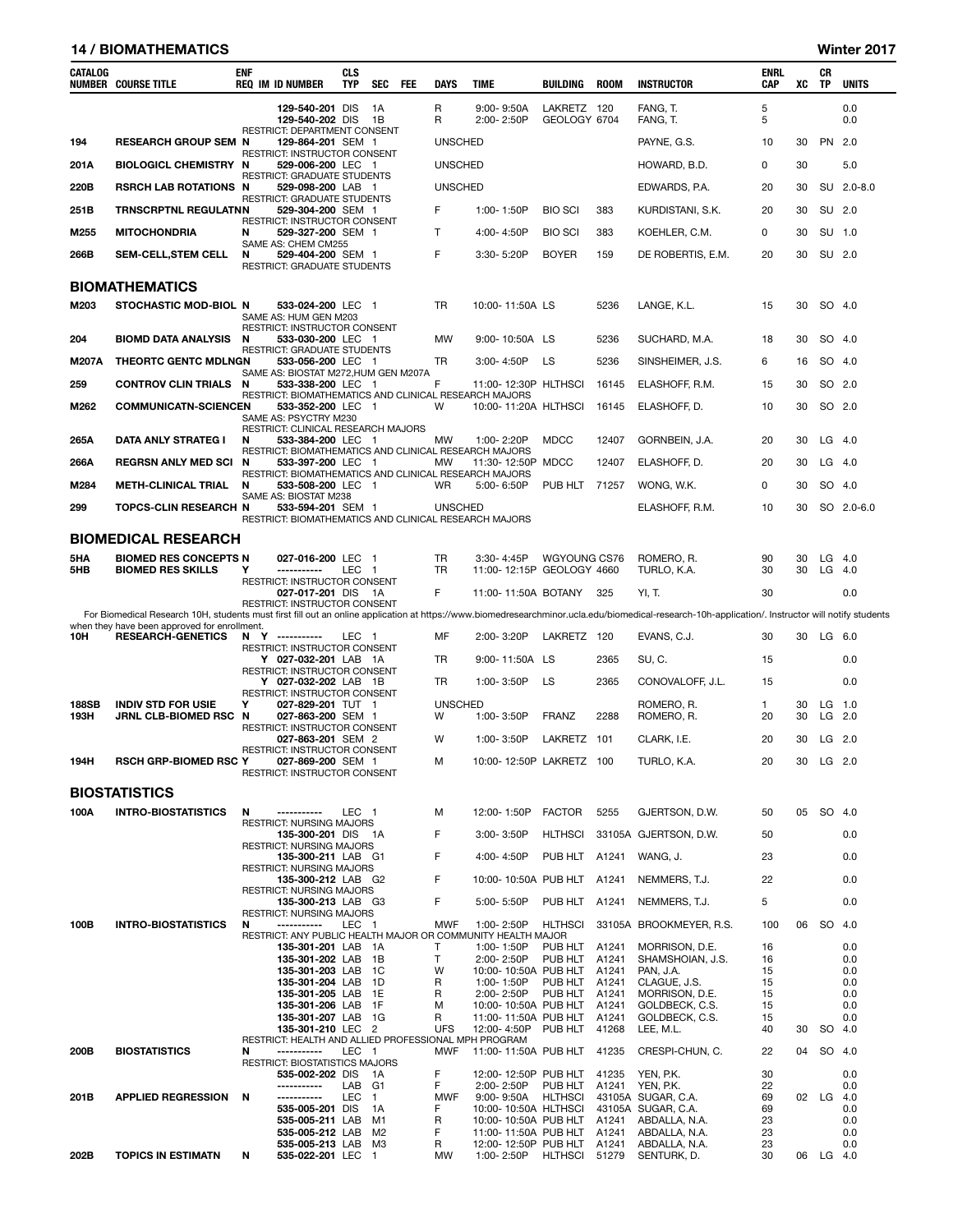#### 14 / BIOMATHEMATICS Winter 2017

| CATALOG      | <b>NUMBER COURSE TITLE</b>                                               | <b>ENF</b> | <b>REQ IM ID NUMBER</b>                                                                             | <b>CLS</b><br><b>TYP</b> | <b>SEC</b>   | FEE | <b>DAYS</b>            | <b>TIME</b>                  | BUILDING                                            | ROOM  | <b>INSTRUCTOR</b>                                                                                                                                                                                 | <b>ENRL</b><br><b>CAP</b> | XC       | CR<br><b>TP</b>    | <b>UNITS</b> |
|--------------|--------------------------------------------------------------------------|------------|-----------------------------------------------------------------------------------------------------|--------------------------|--------------|-----|------------------------|------------------------------|-----------------------------------------------------|-------|---------------------------------------------------------------------------------------------------------------------------------------------------------------------------------------------------|---------------------------|----------|--------------------|--------------|
|              |                                                                          |            | 129-540-201 DIS<br>129-540-202 DIS                                                                  |                          | - 1A<br>- 1B |     | R<br>R                 | $9:00 - 9:50A$<br>2:00-2:50P | LAKRETZ 120<br>GEOLOGY 6704                         |       | FANG. T.<br>FANG, T.                                                                                                                                                                              | 5<br>5                    |          |                    | 0.0<br>0.0   |
| 194          | <b>RESEARCH GROUP SEM N</b>                                              |            | RESTRICT: DEPARTMENT CONSENT<br>129-864-201 SEM 1                                                   |                          |              |     | <b>UNSCHED</b>         |                              |                                                     |       | PAYNE, G.S.                                                                                                                                                                                       | 10                        | 30       | PN 2.0             |              |
| 201A         | <b>BIOLOGICL CHEMISTRY N</b>                                             |            | RESTRICT: INSTRUCTOR CONSENT<br>529-006-200 LEC 1                                                   |                          |              |     | <b>UNSCHED</b>         |                              |                                                     |       | HOWARD, B.D.                                                                                                                                                                                      | 0                         | 30       |                    | 5.0          |
| 220B         | <b>RSRCH LAB ROTATIONS N</b>                                             |            | RESTRICT: GRADUATE STUDENTS<br>529-098-200 LAB 1                                                    |                          |              |     | <b>UNSCHED</b>         |                              |                                                     |       | EDWARDS, P.A.                                                                                                                                                                                     | 20                        | 30       |                    | SU 2.0-8.0   |
| 251B         | <b>TRNSCRPTNL REGULATNN</b>                                              |            | <b>RESTRICT: GRADUATE STUDENTS</b><br>529-304-200 SEM 1                                             |                          |              |     | F                      | 1:00-1:50P                   | <b>BIO SCI</b>                                      | 383   | KURDISTANI, S.K.                                                                                                                                                                                  | 20                        | 30       | SU 2.0             |              |
| M255         | <b>MITOCHONDRIA</b>                                                      | N          | RESTRICT: INSTRUCTOR CONSENT<br>529-327-200 SEM 1                                                   |                          |              |     | T.                     | 4:00-4:50P                   | <b>BIO SCI</b>                                      | 383   | KOEHLER, C.M.                                                                                                                                                                                     | 0                         | 30       | SU 1.0             |              |
| 266B         | <b>SEM-CELL, STEM CELL</b>                                               | N          | SAME AS: CHEM CM255<br>529-404-200 SEM 1<br><b>RESTRICT: GRADUATE STUDENTS</b>                      |                          |              |     | F                      | 3:30-5:20P                   | <b>BOYER</b>                                        | 159   | DE ROBERTIS, E.M.                                                                                                                                                                                 | 20                        | 30       | SU 2.0             |              |
|              | <b>BIOMATHEMATICS</b>                                                    |            |                                                                                                     |                          |              |     |                        |                              |                                                     |       |                                                                                                                                                                                                   |                           |          |                    |              |
| M203         | STOCHASTIC MOD-BIOL N                                                    |            | 533-024-200 LEC 1<br>SAME AS: HUM GEN M203                                                          |                          |              |     | <b>TR</b>              | 10:00-11:50A LS              |                                                     | 5236  | LANGE, K.L.                                                                                                                                                                                       | 15                        | 30       | SO 4.0             |              |
| 204          | <b>BIOMD DATA ANALYSIS</b>                                               | N          | RESTRICT: INSTRUCTOR CONSENT<br>533-030-200 LEC 1                                                   |                          |              |     | <b>MW</b>              | 9:00-10:50A LS               |                                                     | 5236  | SUCHARD, M.A.                                                                                                                                                                                     | 18                        | 30       | SO 4.0             |              |
| <b>M207A</b> | THEORTC GENTC MDLNGN                                                     |            | <b>RESTRICT: GRADUATE STUDENTS</b><br>533-056-200 LEC 1                                             |                          |              |     | TR                     | 3:00-4:50P                   | LS                                                  | 5236  | SINSHEIMER, J.S.                                                                                                                                                                                  | 6                         | 16       | SO 4.0             |              |
| 259          | <b>CONTROV CLIN TRIALS N</b>                                             |            | SAME AS: BIOSTAT M272, HUM GEN M207A<br>533-338-200 LEC 1                                           |                          |              |     | F                      |                              | 11:00-12:30P HLTHSCI                                | 16145 | ELASHOFF, R.M.                                                                                                                                                                                    | 15                        | 30       | SO 2.0             |              |
| M262         | <b>COMMUNICATN-SCIENCEN</b>                                              |            | RESTRICT: BIOMATHEMATICS AND CLINICAL RESEARCH MAJORS<br>533-352-200 LEC 1<br>SAME AS: PSYCTRY M230 |                          |              |     | W                      |                              | 10:00-11:20A HLTHSCI                                | 16145 | ELASHOFF, D.                                                                                                                                                                                      | 10                        | 30       | SO 2.0             |              |
| 265A         | DATA ANLY STRATEG I                                                      | N          | RESTRICT: CLINICAL RESEARCH MAJORS<br>533-384-200 LEC 1                                             |                          |              |     | <b>MW</b>              | 1:00-2:20P                   | <b>MDCC</b>                                         | 12407 | GORNBEIN, J.A.                                                                                                                                                                                    | 20                        | 30       | $LG$ 4.0           |              |
| 266A         | <b>REGRSN ANLY MED SCI</b>                                               | N          | RESTRICT: BIOMATHEMATICS AND CLINICAL RESEARCH MAJORS<br>533-397-200 LEC 1                          |                          |              |     | МW                     | 11:30-12:50P MDCC            |                                                     | 12407 | ELASHOFF, D.                                                                                                                                                                                      | 20                        | 30       | $LG$ 4.0           |              |
| M284         | <b>METH-CLINICAL TRIAL</b>                                               | N          | RESTRICT: BIOMATHEMATICS AND CLINICAL RESEARCH MAJORS<br>533-508-200 LEC 1                          |                          |              |     | WR                     | 5:00-6:50P                   | PUB HLT 71257                                       |       | WONG, W.K.                                                                                                                                                                                        | 0                         | 30       | SO 4.0             |              |
| 299          | <b>TOPCS-CLIN RESEARCH N</b>                                             |            | SAME AS: BIOSTAT M238<br>533-594-201 SEM 1<br>RESTRICT: BIOMATHEMATICS AND CLINICAL RESEARCH MAJORS |                          |              |     | <b>UNSCHED</b>         |                              |                                                     |       | ELASHOFF, R.M.                                                                                                                                                                                    | 10                        | 30       |                    | SO 2.0-6.0   |
|              | <b>BIOMEDICAL RESEARCH</b>                                               |            |                                                                                                     |                          |              |     |                        |                              |                                                     |       |                                                                                                                                                                                                   |                           |          |                    |              |
| 5HA<br>5HB   | <b>BIOMED RES CONCEPTS N</b><br><b>BIOMED RES SKILLS</b>                 | Υ          | 027-016-200 LEC 1<br>-----------                                                                    | LEC 1                    |              |     | <b>TR</b><br><b>TR</b> | 3:30-4:45P                   | WGYOUNG CS76<br>11:00-12:15P GEOLOGY 4660           |       | ROMERO, R.<br>TURLO, K.A.                                                                                                                                                                         | 90<br>30                  | 30<br>30 | $LG$ 4.0<br>LG 4.0 |              |
|              |                                                                          |            | RESTRICT: INSTRUCTOR CONSENT<br>027-017-201 DIS 1A                                                  |                          |              |     | F                      |                              | 11:00-11:50A BOTANY                                 | 325   | YI, T.                                                                                                                                                                                            | 30                        |          |                    | 0.0          |
|              |                                                                          |            | RESTRICT: INSTRUCTOR CONSENT                                                                        |                          |              |     |                        |                              |                                                     |       | For Biomedical Research 10H, students must first fill out an online application at https://www.biomedresearchminor.ucla.edu/biomedical-research-10h-application/. Instructor will notify students |                           |          |                    |              |
| 10H          | when they have been approved for enrollment.<br><b>RESEARCH-GENETICS</b> |            | N Y ----------                                                                                      | LEC 1                    |              |     | MF                     | 2:00-3:20P                   | LAKRETZ 120                                         |       | EVANS, C.J.                                                                                                                                                                                       | 30                        |          | 30 LG 6.0          |              |
|              |                                                                          |            | RESTRICT: INSTRUCTOR CONSENT<br>Y 027-032-201 LAB 1A                                                |                          |              |     | TR                     | 9:00-11:50A LS               |                                                     | 2365  | SU, C.                                                                                                                                                                                            | 15                        |          |                    | 0.0          |
|              |                                                                          |            | RESTRICT: INSTRUCTOR CONSENT<br>Y 027-032-202 LAB 1B                                                |                          |              |     | TR                     | 1:00-3:50P                   | LS                                                  | 2365  | CONOVALOFF, J.L.                                                                                                                                                                                  | 15                        |          |                    | 0.0          |
| <b>188SB</b> | <b>INDIV STD FOR USIE</b>                                                | Υ          | RESTRICT: INSTRUCTOR CONSENT<br>027-829-201 TUT 1                                                   |                          |              |     | <b>UNSCHED</b>         |                              |                                                     |       | ROMERO, R.                                                                                                                                                                                        | $\mathbf{1}$              | 30       | $LG$ 1.0           |              |
| 193H         | JRNL CLB-BIOMED RSC N                                                    |            | 027-863-200 SEM 1<br>RESTRICT: INSTRUCTOR CONSENT                                                   |                          |              |     | W                      | 1:00-3:50P                   | <b>FRANZ</b>                                        | 2288  | ROMERO, R.                                                                                                                                                                                        | 20                        | 30       | $LG$ 2.0           |              |
|              |                                                                          |            | 027-863-201 SEM 2<br>RESTRICT: INSTRUCTOR CONSENT                                                   |                          |              |     | w                      | 1:00-3:50P                   | LAKRETZ 101                                         |       | CLARK, I.E.                                                                                                                                                                                       | 20                        | 30       | $LG$ 2.0           |              |
| 194H         | <b>RSCH GRP-BIOMED RSC Y</b>                                             |            | 027-869-200 SEM 1<br>RESTRICT: INSTRUCTOR CONSENT                                                   |                          |              |     | м                      |                              | 10:00-12:50P LAKRETZ 100                            |       | TURLO, K.A.                                                                                                                                                                                       | 20                        |          | 30 LG 2.0          |              |
|              | <b>BIOSTATISTICS</b>                                                     |            |                                                                                                     |                          |              |     |                        |                              |                                                     |       |                                                                                                                                                                                                   |                           |          |                    |              |
| 100A         | <b>INTRO-BIOSTATISTICS</b>                                               | N          | -----------<br>RESTRICT: NURSING MAJORS                                                             | LEC 1                    |              |     | м                      | 12:00-1:50P                  | <b>FACTOR</b>                                       | 5255  | GJERTSON, D.W.                                                                                                                                                                                    | 50                        |          | 05 SO 4.0          |              |
|              |                                                                          |            | 135-300-201 DIS 1A<br><b>RESTRICT: NURSING MAJORS</b>                                               |                          |              |     | F                      | 3:00-3:50P                   | <b>HLTHSCI</b>                                      |       | 33105A GJERTSON, D.W.                                                                                                                                                                             | 50                        |          |                    | 0.0          |
|              |                                                                          |            | 135-300-211 LAB G1<br><b>RESTRICT: NURSING MAJORS</b>                                               |                          |              |     | F                      | 4:00-4:50P                   | PUB HLT A1241                                       |       | WANG, J.                                                                                                                                                                                          | 23                        |          |                    | 0.0          |
|              |                                                                          |            | 135-300-212 LAB G2<br>RESTRICT: NURSING MAJORS                                                      |                          |              |     | F                      |                              | 10:00-10:50A PUB HLT A1241                          |       | NEMMERS, T.J.                                                                                                                                                                                     | 22                        |          |                    | 0.0          |
|              |                                                                          |            | 135-300-213 LAB G3<br><b>RESTRICT: NURSING MAJORS</b>                                               |                          |              |     | F                      | 5:00-5:50P                   | PUB HLT A1241                                       |       | NEMMERS, T.J.                                                                                                                                                                                     | 5                         |          |                    | 0.0          |
| 100B         | <b>INTRO-BIOSTATISTICS</b>                                               | N          | -----------<br>RESTRICT: ANY PUBLIC HEALTH MAJOR OR COMMUNITY HEALTH MAJOR                          | LEC 1                    |              |     | <b>MWF</b>             | 1:00- 2:50P                  |                                                     |       | HLTHSCI 33105A BROOKMEYER, R.S.                                                                                                                                                                   | 100                       |          | 06 SO 4.0          |              |
|              |                                                                          |            | 135-301-201 LAB 1A<br>135-301-202 LAB 1B                                                            |                          |              |     | Τ<br>т                 | 1:00-1:50P<br>2:00-2:50P     | PUB HLT A1241<br>PUB HLT                            | A1241 | MORRISON, D.E.<br>SHAMSHOIAN, J.S.                                                                                                                                                                | 16<br>16                  |          |                    | 0.0<br>0.0   |
|              |                                                                          |            | 135-301-203 LAB 1C<br>135-301-204 LAB 1D                                                            |                          |              |     | W<br>R                 | 1:00-1:50P                   | 10:00-10:50A PUB HLT A1241<br>PUB HLT A1241         |       | PAN, J.A.<br>CLAGUE, J.S.                                                                                                                                                                         | 15<br>15                  |          |                    | 0.0<br>0.0   |
|              |                                                                          |            | 135-301-205 LAB 1E                                                                                  |                          |              |     | R                      | 2:00-2:50P                   | PUB HLT A1241                                       |       | MORRISON, D.E.                                                                                                                                                                                    | 15                        |          |                    | 0.0          |
|              |                                                                          |            | 135-301-206 LAB 1F<br>135-301-207 LAB 1G                                                            |                          |              |     | м<br>R                 |                              | 10:00- 10:50A PUB HLT<br>11:00-11:50A PUB HLT A1241 | A1241 | GOLDBECK, C.S.<br>GOLDBECK, C.S.                                                                                                                                                                  | 15<br>15                  |          |                    | 0.0<br>0.0   |
|              |                                                                          |            | 135-301-210 LEC 2                                                                                   |                          |              |     | <b>UFS</b>             |                              | 12:00-4:50P PUB HLT                                 | 41268 | LEE, M.L.                                                                                                                                                                                         | 40                        | 30       | SO 4.0             |              |
| 200B         | <b>BIOSTATISTICS</b>                                                     | N          | RESTRICT: HEALTH AND ALLIED PROFESSIONAL MPH PROGRAM<br>-----------                                 | LEC 1                    |              |     | <b>MWF</b>             |                              | 11:00-11:50A PUB HLT 41235                          |       | CRESPI-CHUN, C.                                                                                                                                                                                   | 22                        |          | 04 SO 4.0          |              |
|              |                                                                          |            | RESTRICT: BIOSTATISTICS MAJORS<br>535-002-202 DIS                                                   |                          | - 1A         |     | F                      |                              | 12:00-12:50P PUB HLT 41235                          |       | YEN, P.K.                                                                                                                                                                                         | 30                        |          |                    | 0.0          |
|              |                                                                          |            | -----------                                                                                         | LAB G1                   |              |     | F                      | 2:00-2:50P                   | PUB HLT                                             |       | A1241 YEN, P.K.                                                                                                                                                                                   | 22                        |          |                    | 0.0          |
| 201B         | <b>APPLIED REGRESSION</b>                                                | N          | -----------<br>535-005-201 DIS                                                                      | LEC 1                    | - 1A         |     | <b>MWF</b><br>F        |                              | 9:00-9:50A HLTHSCI<br>10:00-10:50A HLTHSCI          |       | 43105A SUGAR, C.A.<br>43105A SUGAR, C.A.                                                                                                                                                          | 69<br>69                  |          | 02 LG 4.0          | 0.0          |
|              |                                                                          |            | 535-005-211 LAB M1                                                                                  |                          |              |     | R                      |                              | 10:00-10:50A PUB HLT                                |       | A1241 ABDALLA, N.A.                                                                                                                                                                               | 23                        |          |                    | 0.0          |
|              |                                                                          |            | 535-005-212 LAB M2<br>535-005-213 LAB M3                                                            |                          |              |     | F<br>R.                |                              | 11:00-11:50A PUB HLT<br>12:00-12:50P PUB HLT        |       | A1241 ABDALLA, N.A.<br>A1241 ABDALLA, N.A.                                                                                                                                                        | 23<br>23                  |          |                    | 0.0<br>0.0   |
| 202B         | TOPICS IN ESTIMATN                                                       | <b>N</b>   | 535-022-201 LEC 1                                                                                   |                          |              |     | MW                     |                              |                                                     |       | 1:00-2:50P HLTHSCI 51279 SENTURK, D.                                                                                                                                                              | 30                        |          | 06 LG 4.0          |              |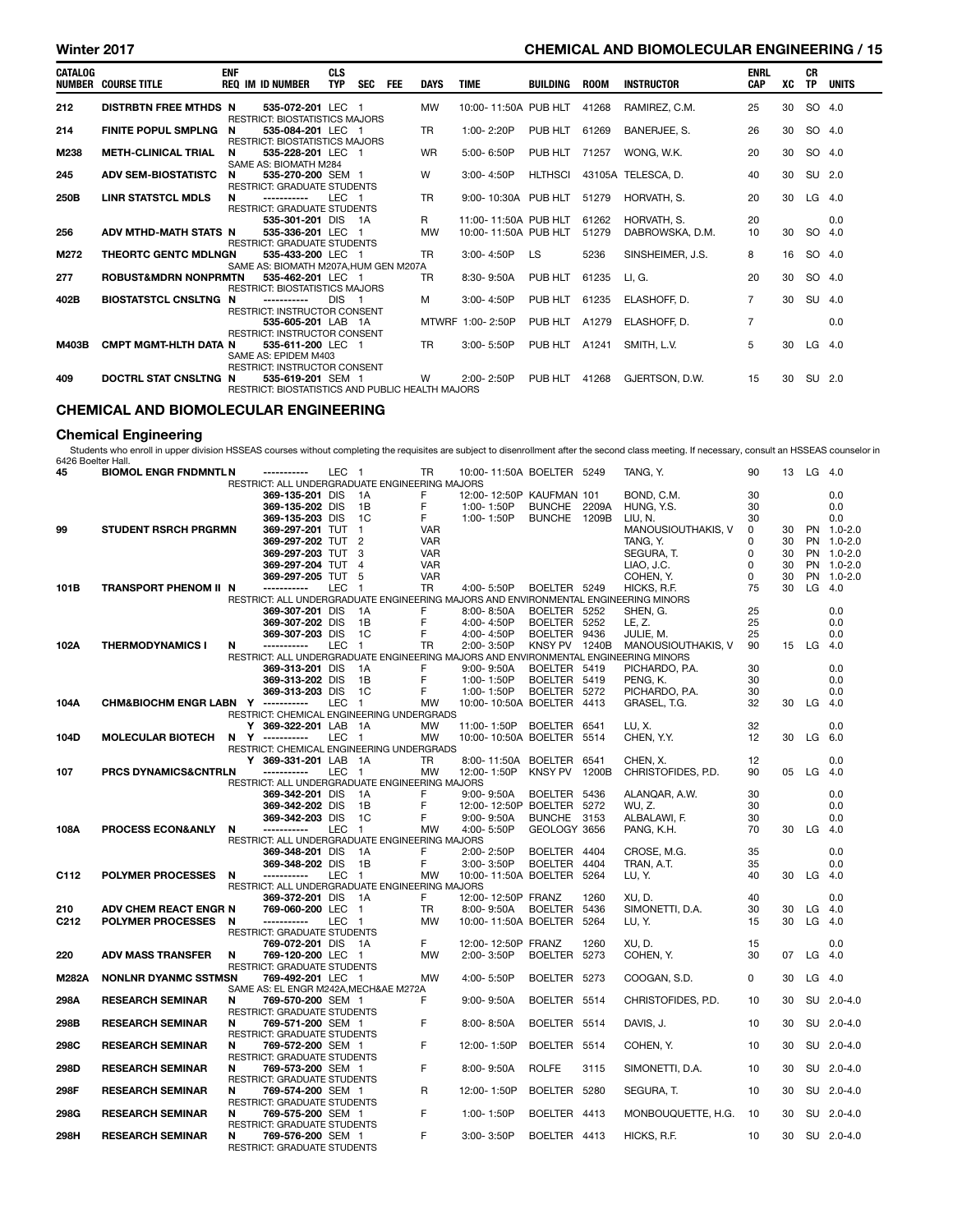#### Winter 2017 **CHEMICAL AND BIOMOLECULAR ENGINEERING / 15**

| <b>CATALOG</b> | NUMBER COURSE TITLE             | <b>ENF</b> | <b>REQ IM ID NUMBER</b>                                                          | <b>CLS</b><br><b>TYP</b> | SEC FEE | <b>DAYS</b> | <b>TIME</b>          | BUILDING  | <b>ROOM</b> | INSTRUCTOR         | <b>ENRL</b><br><b>CAP</b> | XC | CR<br>TP . | UNITS |
|----------------|---------------------------------|------------|----------------------------------------------------------------------------------|--------------------------|---------|-------------|----------------------|-----------|-------------|--------------------|---------------------------|----|------------|-------|
| 212            | <b>DISTRBTN FREE MTHDS N</b>    |            | 535-072-201 LEC 1<br><b>RESTRICT: BIOSTATISTICS MAJORS</b>                       |                          |         | <b>MW</b>   | 10:00-11:50A PUB HLT |           | 41268       | RAMIREZ, C.M.      | 25                        | 30 | SO 4.0     |       |
| 214            | <b>FINITE POPUL SMPLNG</b>      | N          | 535-084-201 LEC 1<br>RESTRICT: BIOSTATISTICS MAJORS                              |                          |         | <b>TR</b>   | $1:00 - 2:20P$       | PUB HLT   | 61269       | BANERJEE, S.       | 26                        | 30 | SO 4.0     |       |
| M238           | <b>METH-CLINICAL TRIAL</b>      | N          | 535-228-201 LEC 1<br>SAME AS: BIOMATH M284                                       |                          |         | <b>WR</b>   | 5:00-6:50P           | PUB HLT   | 71257       | WONG. W.K.         | 20                        | 30 | SO 4.0     |       |
| 245            | <b>ADV SEM-BIOSTATISTC</b>      | N          | 535-270-200 SEM 1<br><b>RESTRICT: GRADUATE STUDENTS</b>                          |                          |         | W           | 3:00-4:50P           | HLTHSCI   |             | 43105A TELESCA, D. | 40                        | 30 | SU 2.0     |       |
| 250B           | <b>LINR STATSTCL MDLS</b>       | N          | ------------<br><b>RESTRICT: GRADUATE STUDENTS</b>                               | LEC <sub>1</sub>         |         | <b>TR</b>   | 9:00-10:30A PUB HLT  |           | 51279       | HORVATH, S.        | 20                        | 30 | $LG$ 4.0   |       |
|                |                                 |            | 535-301-201 DIS 1A                                                               |                          |         | R.          | 11:00-11:50A PUB HLT |           | 61262       | HORVATH, S.        | 20                        |    |            | 0.0   |
| 256            | ADV MTHD-MATH STATS N           |            | 535-336-201 LEC 1<br><b>RESTRICT: GRADUATE STUDENTS</b>                          |                          |         | MW          | 10:00-11:50A PUB HLT |           | 51279       | DABROWSKA, D.M.    | 10                        | 30 | SO 4.0     |       |
| M272           | <b>THEORTC GENTC MDLNGN</b>     |            | 535-433-200 LEC 1<br>SAME AS: BIOMATH M207A.HUM GEN M207A                        |                          |         | <b>TR</b>   | 3:00-4:50P           | <b>LS</b> | 5236        | SINSHEIMER, J.S.   | 8                         | 16 | SO 4.0     |       |
| 277            | <b>ROBUST&amp;MDRN NONPRMTN</b> |            | 535-462-201 LEC 1<br><b>RESTRICT: BIOSTATISTICS MAJORS</b>                       |                          |         | TR.         | $8:30 - 9:50A$       | PUB HLT   | 61235       | LI. G.             | 20                        | 30 | SO 4.0     |       |
| 402B           | <b>BIOSTATSTCL CNSLTNG N</b>    |            | -----------<br><b>RESTRICT: INSTRUCTOR CONSENT</b>                               | DIS <sub>1</sub>         |         | M           | 3:00-4:50P           | PUB HLT   | 61235       | ELASHOFF, D.       | $\overline{7}$            | 30 | SU 4.0     |       |
|                |                                 |            | 535-605-201 LAB 1A<br><b>RESTRICT: INSTRUCTOR CONSENT</b>                        |                          |         |             | MTWRF 1:00-2:50P     | PUB HLT   | A1279       | ELASHOFF. D.       |                           |    |            | 0.0   |
| M403B          | <b>CMPT MGMT-HLTH DATA N</b>    |            | 535-611-200 LEC 1<br>SAME AS: EPIDEM M403<br><b>RESTRICT: INSTRUCTOR CONSENT</b> |                          |         | TR.         | $3:00 - 5:50P$       | PUB HLT   | A1241       | SMITH. L.V.        | 5                         | 30 | LG $4.0$   |       |
| 409            | DOCTRL STAT CNSLTNG N           |            | 535-619-201 SEM 1<br>RESTRICT: BIOSTATISTICS AND PUBLIC HEALTH MAJORS            |                          |         | W.          | 2:00-2:50P           | PUB HLT   | 41268       | GJERTSON, D.W.     | 15                        | 30 | SU 2.0     |       |

### CHEMICAL AND BIOMOLECULAR ENGINEERING

#### Chemical Engineering

Students who enroll in upper division HSSEAS courses without completing the requisites are subject to disenrollment after the second class meeting. If necessary, consult an HSSEAS counselor in 6426 Boelter Hall.

| 6426 Boelter Hall. |                                    |                                                                                     |                  |                |            |                           |                |       |                    |          |    |           |             |
|--------------------|------------------------------------|-------------------------------------------------------------------------------------|------------------|----------------|------------|---------------------------|----------------|-------|--------------------|----------|----|-----------|-------------|
| 45                 | <b>BIOMOL ENGR FNDMNTLN</b>        | ------------                                                                        | LEC <sub>1</sub> |                | TR         | 10:00-11:50A BOELTER 5249 |                |       | TANG, Y.           | 90       | 13 | $LG$ 4.0  |             |
|                    |                                    | RESTRICT: ALL UNDERGRADUATE ENGINEERING MAJORS                                      |                  |                |            |                           |                |       |                    |          |    |           |             |
|                    |                                    | 369-135-201 DIS                                                                     |                  | 1A             | F          | 12:00-12:50P KAUFMAN 101  |                |       | BOND, C.M.         | 30       |    |           | 0.0         |
|                    |                                    | 369-135-202 DIS                                                                     |                  | 1B             | F          | 1:00-1:50P                | BUNCHE 2209A   |       | HUNG, Y.S.         | 30       |    |           | 0.0         |
|                    |                                    | 369-135-203 DIS                                                                     |                  | 1C             | F          | 1:00-1:50P                | BUNCHE 1209B   |       | LIU, N.            | 30       |    |           | 0.0         |
| 99                 | <b>STUDENT RSRCH PRGRMN</b>        | 369-297-201 TUT                                                                     |                  | $\mathbf{1}$   | <b>VAR</b> |                           |                |       | MANOUSIOUTHAKIS, V | $\Omega$ | 30 |           | PN 1.0-2.0  |
|                    |                                    | 369-297-202 TUT                                                                     |                  | $\overline{2}$ | <b>VAR</b> |                           |                |       | TANG. Y.           | 0        | 30 |           | PN 1.0-2.0  |
|                    |                                    | 369-297-203 TUT                                                                     |                  | 3              | <b>VAR</b> |                           |                |       | SEGURA, T.         | 0        | 30 |           | PN 1.0-2.0  |
|                    |                                    | 369-297-204 TUT                                                                     |                  | 4              | <b>VAR</b> |                           |                |       | LIAO, J.C.         | 0        | 30 |           | PN 1.0-2.0  |
|                    |                                    | 369-297-205 TUT                                                                     |                  | -5             | <b>VAR</b> |                           |                |       | COHEN, Y.          | $\Omega$ | 30 |           | PN 1.0-2.0  |
| 101B               | <b>TRANSPORT PHENOM II N</b>       | -----------                                                                         | LEC              | -1             | TR         | 4:00-5:50P                | BOELTER 5249   |       | HICKS, R.F.        | 75       | 30 | LG        | 4.0         |
|                    |                                    | RESTRICT: ALL UNDERGRADUATE ENGINEERING MAJORS AND ENVIRONMENTAL ENGINEERING MINORS |                  |                |            |                           |                |       |                    |          |    |           |             |
|                    |                                    | 369-307-201 DIS                                                                     |                  | 1A             | F          | 8:00-8:50A                | BOELTER 5252   |       | SHEN. G.           | 25       |    |           | 0.0         |
|                    |                                    | 369-307-202 DIS                                                                     |                  | 1B             | F          | 4:00-4:50P                | BOELTER 5252   |       | LE. Z.             | 25       |    |           | 0.0         |
|                    |                                    | 369-307-203 DIS                                                                     |                  | 1C             | F          | 4:00-4:50P                | <b>BOELTER</b> | 9436  | JULIE, M.          | 25       |    |           | 0.0         |
| 102A               | <b>THERMODYNAMICS I</b>            | N<br>-----------                                                                    | LEC              | $\mathbf{1}$   | <b>TR</b>  | 2:00-3:50P                | KNSY PV 1240B  |       | MANOUSIOUTHAKIS, V | 90       |    | 15 LG 4.0 |             |
|                    |                                    | RESTRICT: ALL UNDERGRADUATE ENGINEERING MAJORS AND ENVIRONMENTAL ENGINEERING MINORS |                  |                |            |                           |                |       |                    |          |    |           |             |
|                    |                                    | 369-313-201 DIS                                                                     |                  | 1A             | F          | $9:00 - 9:50A$            | BOELTER 5419   |       | PICHARDO, P.A.     | 30       |    |           | 0.0         |
|                    |                                    | 369-313-202 DIS                                                                     |                  | 1B             | F          | 1:00-1:50P                | BOELTER 5419   |       | PENG. K.           | 30       |    |           | 0.0         |
|                    |                                    | 369-313-203 DIS                                                                     |                  | 1C             | F          | 1:00-1:50P                |                |       |                    | 30       |    |           | 0.0         |
|                    |                                    |                                                                                     |                  |                |            |                           | BOELTER 5272   |       | PICHARDO, P.A.     |          |    |           |             |
| 104A               | CHM&BIOCHM ENGR LABN Y ----------- |                                                                                     | <b>LEC</b>       | $\mathbf{1}$   | MW         | 10:00-10:50A BOELTER 4413 |                |       | GRASEL, T.G.       | 32       | 30 | LG 4.0    |             |
|                    |                                    | RESTRICT: CHEMICAL ENGINEERING UNDERGRADS                                           |                  |                |            |                           |                |       |                    |          |    |           |             |
|                    |                                    | Y 369-322-201 LAB                                                                   |                  | 1A             | MW         | 11:00-1:50P               | BOELTER        | 6541  | LU, X.             | 32       |    |           | 0.0         |
| 104D               | <b>MOLECULAR BIOTECH</b>           | N Y -----------                                                                     | <b>LEC</b>       | $\mathbf 1$    | <b>MW</b>  | 10:00-10:50A BOELTER      |                | 5514  | CHEN, Y.Y.         | 12       | 30 | LG.       | 6.0         |
|                    |                                    | RESTRICT: CHEMICAL ENGINEERING UNDERGRADS                                           |                  |                |            |                           |                |       |                    |          |    |           |             |
|                    |                                    | Y 369-331-201 LAB                                                                   |                  | 1A             | <b>TR</b>  | 8:00-11:50A               | BOELTER 6541   |       | CHEN, X.           | 12       |    |           | 0.0         |
| 107                | PRCS DYNAMICS&CNTRLN               | -----------                                                                         | <b>LEC</b>       | $\mathbf{1}$   | <b>MW</b>  | 12:00-1:50P               | <b>KNSY PV</b> | 1200B | CHRISTOFIDES, P.D. | 90       | 05 | LG        | 4.0         |
|                    |                                    | RESTRICT: ALL UNDERGRADUATE ENGINEERING MAJORS                                      |                  |                |            |                           |                |       |                    |          |    |           |             |
|                    |                                    | 369-342-201 DIS                                                                     |                  | 1A             | F          | 9:00-9:50A                | BOELTER        | 5436  | ALANQAR, A.W.      | 30       |    |           | 0.0         |
|                    |                                    | 369-342-202 DIS                                                                     |                  | 1B             | F          | 12:00-12:50P BOELTER      |                | 5272  | WU, Z.             | 30       |    |           | 0.0         |
|                    |                                    | 369-342-203 DIS                                                                     |                  | 1 <sup>C</sup> | F          | 9:00-9:50A                | <b>BUNCHE</b>  | 3153  | ALBALAWI, F.       | 30       |    |           | 0.0         |
| 108A               | PROCESS ECON&ANLY                  | N<br>-----------                                                                    | <b>LEC</b>       | $\overline{1}$ | <b>MW</b>  | 4:00-5:50P                | GEOLOGY 3656   |       | PANG, K.H.         | 70       | 30 | LG        | 4.0         |
|                    |                                    | RESTRICT: ALL UNDERGRADUATE ENGINEERING MAJORS                                      |                  |                |            |                           |                |       |                    |          |    |           |             |
|                    |                                    | 369-348-201 DIS                                                                     |                  | 1A             | F          | 2:00-2:50P                | BOELTER 4404   |       | CROSE, M.G.        | 35       |    |           | 0.0         |
|                    |                                    | 369-348-202 DIS                                                                     |                  | 1B             | F          | 3:00-3:50P                | <b>BOELTER</b> | 4404  | TRAN, A.T.         | 35       |    |           | 0.0         |
| C112               | <b>POLYMER PROCESSES</b>           | -----------<br>N                                                                    | <b>LEC</b>       | $\blacksquare$ | <b>MW</b>  | 10:00-11:50A BOELTER      |                | 5264  | LU, Y.             | 40       | 30 | LG.       | -4.0        |
|                    |                                    | RESTRICT: ALL UNDERGRADUATE ENGINEERING MAJORS                                      |                  |                |            |                           |                |       |                    |          |    |           |             |
|                    |                                    | 369-372-201 DIS                                                                     |                  | - 1A           | F.         | 12:00-12:50P FRANZ        |                | 1260  | XU.D.              | 40       |    |           | 0.0         |
| 210                | ADV CHEM REACT ENGR N              | 769-060-200 LEC                                                                     |                  | $\overline{1}$ | <b>TR</b>  | 8:00-9:50A                | <b>BOELTER</b> | 5436  | SIMONETTI, D.A.    | 30       | 30 | LG.       | 4.0         |
| C <sub>2</sub> 12  | <b>POLYMER PROCESSES</b>           | -----------<br>N                                                                    | LEC <sub>1</sub> |                | <b>MW</b>  | 10:00-11:50A BOELTER      |                | 5264  | LU, Y.             | 15       | 30 | LG        | 4.0         |
|                    |                                    | <b>RESTRICT: GRADUATE STUDENTS</b>                                                  |                  |                |            |                           |                |       |                    |          |    |           |             |
|                    |                                    | 769-072-201 DIS                                                                     |                  | - 1A           | F.         | 12:00-12:50P FRANZ        |                | 1260  | XU.D.              | 15       |    |           | 0.0         |
| 220                | <b>ADV MASS TRANSFER</b>           | N<br>769-120-200 LEC 1                                                              |                  |                | <b>MW</b>  | 2:00-3:50P                | <b>BOELTER</b> | 5273  | COHEN, Y.          | 30       | 07 | LG        | 4.0         |
|                    |                                    | <b>RESTRICT: GRADUATE STUDENTS</b>                                                  |                  |                |            |                           |                |       |                    |          |    |           |             |
| <b>M282A</b>       | <b>NONLNR DYANMC SSTMSN</b>        | 769-492-201 LEC 1                                                                   |                  |                | <b>MW</b>  | 4:00-5:50P                | <b>BOELTER</b> | 5273  | COOGAN, S.D.       | 0        | 30 | $LG$ 4.0  |             |
|                    |                                    | SAME AS: EL ENGR M242A, MECH&AE M272A                                               |                  |                |            |                           |                |       |                    |          |    |           |             |
| 298A               | <b>RESEARCH SEMINAR</b>            | N<br>769-570-200 SEM 1                                                              |                  |                | F          | 9:00-9:50A                | BOELTER 5514   |       | CHRISTOFIDES, P.D. | 10       | 30 |           | SU 2.0-4.0  |
|                    |                                    | <b>RESTRICT: GRADUATE STUDENTS</b>                                                  |                  |                |            |                           |                |       |                    |          |    |           |             |
| 298B               | <b>RESEARCH SEMINAR</b>            | 769-571-200 SEM 1<br>N                                                              |                  |                | F          | 8:00-8:50A                | <b>BOELTER</b> | 5514  | DAVIS, J.          | 10       | 30 |           | SU 2.0-4.0  |
|                    |                                    | <b>RESTRICT: GRADUATE STUDENTS</b>                                                  |                  |                |            |                           |                |       |                    |          |    |           |             |
| 298C               | <b>RESEARCH SEMINAR</b>            | 769-572-200 SEM 1<br>N                                                              |                  |                | F          | 12:00-1:50P               | BOELTER 5514   |       | COHEN, Y.          | 10       | 30 |           | SU 2.0-4.0  |
|                    |                                    | RESTRICT: GRADUATE STUDENTS                                                         |                  |                |            |                           |                |       |                    |          |    |           |             |
| 298D               | <b>RESEARCH SEMINAR</b>            | N<br>769-573-200 SEM 1                                                              |                  |                | F          | 8:00-9:50A                | <b>ROLFE</b>   | 3115  | SIMONETTI, D.A.    | 10       | 30 | SU        | $2.0 - 4.0$ |
|                    |                                    | <b>RESTRICT: GRADUATE STUDENTS</b>                                                  |                  |                |            |                           |                |       |                    |          |    |           |             |
| 298F               | <b>RESEARCH SEMINAR</b>            | N<br>769-574-200 SEM 1                                                              |                  |                | R          | 12:00-1:50P               | BOELTER 5280   |       | SEGURA, T.         | 10       | 30 |           | SU 2.0-4.0  |
|                    |                                    | RESTRICT: GRADUATE STUDENTS                                                         |                  |                |            |                           |                |       |                    |          |    |           |             |
|                    |                                    | N                                                                                   |                  |                | F          | 1:00-1:50P                |                |       |                    | 10       | 30 | SU        |             |
| 298G               | <b>RESEARCH SEMINAR</b>            | 769-575-200 SEM 1                                                                   |                  |                |            |                           | BOELTER 4413   |       | MONBOUQUETTE, H.G. |          |    |           | $2.0 - 4.0$ |
|                    |                                    | RESTRICT: GRADUATE STUDENTS                                                         |                  |                |            |                           |                |       |                    |          |    |           |             |
| 298H               | <b>RESEARCH SEMINAR</b>            | N<br>769-576-200 SEM 1<br>RESTRICT: GRADUATE STUDENTS                               |                  |                | F          | 3:00-3:50P                | BOELTER 4413   |       | HICKS, R.F.        | 10       | 30 |           | SU 2.0-4.0  |
|                    |                                    |                                                                                     |                  |                |            |                           |                |       |                    |          |    |           |             |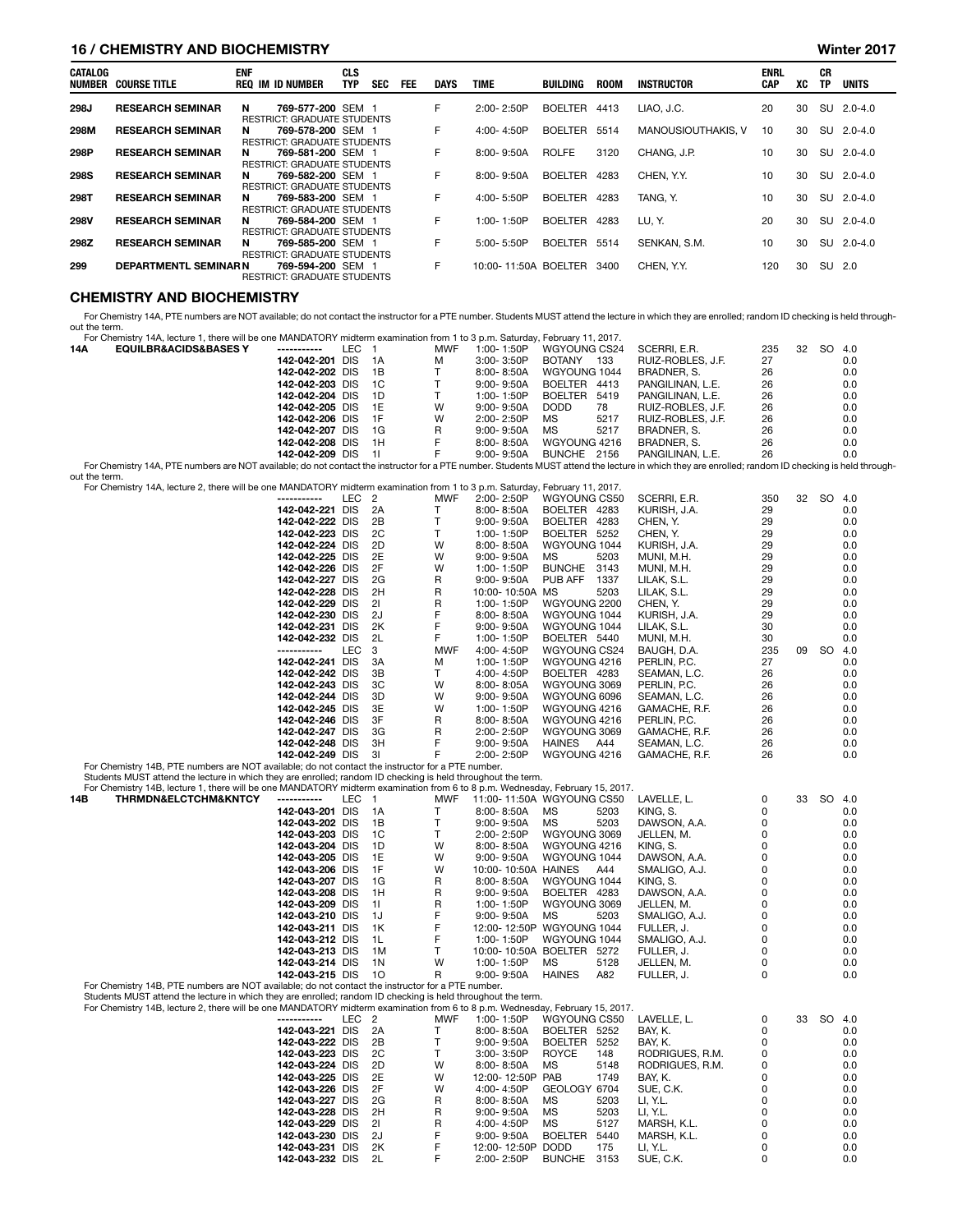#### 16 / CHEMISTRY AND BIOCHEMISTRY Winter 2017

| CATALOG<br>NUMBER | COURSE TITLE                 | <b>ENF</b> | <b>REQ IM ID NUMBER</b>                                 | <b>CLS</b><br><b>TYP</b> | <b>SEC</b> | FEE | <b>DAYS</b> | TIME                 | <b>BUILDING</b> | <b>ROOM</b> | <b>INSTRUCTOR</b>  | <b>ENRL</b><br><b>CAP</b> | XC | СR<br>TP | <b>UNITS</b> |
|-------------------|------------------------------|------------|---------------------------------------------------------|--------------------------|------------|-----|-------------|----------------------|-----------------|-------------|--------------------|---------------------------|----|----------|--------------|
| 298J              | <b>RESEARCH SEMINAR</b>      | N          | 769-577-200 SEM 1<br><b>RESTRICT: GRADUATE STUDENTS</b> |                          |            |     | F           | 2:00-2:50P           | <b>BOELTER</b>  | 4413        | LIAO, J.C.         | 20                        | 30 |          | SU 2.0-4.0   |
| 298M              | <b>RESEARCH SEMINAR</b>      | N          | 769-578-200 SEM 1<br><b>RESTRICT: GRADUATE STUDENTS</b> |                          |            |     | F           | $4:00 - 4:50P$       | <b>BOELTER</b>  | 5514        | MANOUSIOUTHAKIS. V | 10                        | 30 | SU       | $2.0 - 4.0$  |
| 298P              | <b>RESEARCH SEMINAR</b>      | N          | 769-581-200 SEM 1<br><b>RESTRICT: GRADUATE STUDENTS</b> |                          |            |     | F           | $8:00 - 9:50A$       | <b>ROLFE</b>    | 3120        | CHANG, J.P.        | 10                        | 30 | SU       | $2.0 - 4.0$  |
| <b>298S</b>       | <b>RESEARCH SEMINAR</b>      | N          | 769-582-200 SEM 1<br><b>RESTRICT: GRADUATE STUDENTS</b> |                          |            |     | F           | $8:00 - 9:50A$       | <b>BOELTER</b>  | 4283        | CHEN. Y.Y.         | 10                        | 30 | SU       | $2.0 - 4.0$  |
| 298T              | <b>RESEARCH SEMINAR</b>      | N.         | 769-583-200 SEM 1<br><b>RESTRICT: GRADUATE STUDENTS</b> |                          |            |     | F           | 4:00-5:50P           | <b>BOELTER</b>  | 4283        | TANG. Y.           | 10                        | 30 | SU       | $2.0 - 4.0$  |
| 298V              | <b>RESEARCH SEMINAR</b>      | N          | 769-584-200 SEM 1<br><b>RESTRICT: GRADUATE STUDENTS</b> |                          |            |     | F           | 1:00-1:50P           | <b>BOELTER</b>  | 4283        | LU, Y.             | 20                        | 30 |          | SU 2.0-4.0   |
| 298Z              | <b>RESEARCH SEMINAR</b>      | N          | 769-585-200 SEM 1<br><b>RESTRICT: GRADUATE STUDENTS</b> |                          |            |     | F           | $5:00 - 5:50P$       | <b>BOELTER</b>  | 5514        | SENKAN, S.M.       | 10                        | 30 |          | SU 2.0-4.0   |
| 299               | <b>DEPARTMENTL SEMINAR N</b> |            | 769-594-200 SEM 1<br><b>RESTRICT: GRADUATE STUDENTS</b> |                          |            |     | F           | 10:00-11:50A BOELTER |                 | 3400        | CHEN, Y.Y.         | 120                       | 30 | SU       | - 2.0        |

#### CHEMISTRY AND BIOCHEMISTRY

For Chemistry 14A, PTE numbers are NOT available; do not contact the instructor for a PTE number. Students MUST attend the lecture in which they are enrolled; random ID checking is held throughout the term.

|     | For Chemistry 14A, lecture 1, there will be one MANDATORY midterm examination from 1 to 3 p.m. Saturday, February 11, 2017.                                                                                                    |                    |       |      |            |                |              |      |                   |     |    |        |     |
|-----|--------------------------------------------------------------------------------------------------------------------------------------------------------------------------------------------------------------------------------|--------------------|-------|------|------------|----------------|--------------|------|-------------------|-----|----|--------|-----|
| 14A | <b>EQUILBR&amp;ACIDS&amp;BASES Y</b>                                                                                                                                                                                           | -----------        | LEC 1 |      | <b>MWF</b> | 1:00-1:50P     | WGYOUNG CS24 |      | SCERRI, E.R.      | 235 | 32 | SO 4.0 |     |
|     |                                                                                                                                                                                                                                | 142-042-201 DIS    |       | 1A   | M          | $3:00 - 3:50P$ | BOTANY       | 133  | RUIZ-ROBLES, J.F. | 27  |    |        | 0.0 |
|     |                                                                                                                                                                                                                                | 142-042-202 DIS 1B |       |      |            | 8:00- 8:50A    | WGYOUNG 1044 |      | BRADNER, S.       | 26  |    |        | 0.0 |
|     |                                                                                                                                                                                                                                | 142-042-203 DIS    |       | 1C   |            | 9:00- 9:50A    | BOELTER 4413 |      | PANGILINAN, L.E.  | 26  |    |        | 0.0 |
|     |                                                                                                                                                                                                                                | 142-042-204 DIS    |       | - 1D |            | 1:00-1:50P     | BOELTER 5419 |      | PANGILINAN. L.E.  | 26  |    |        | 0.0 |
|     |                                                                                                                                                                                                                                | 142-042-205 DIS 1E |       |      | W          | $9:00 - 9:50A$ | <b>DODD</b>  | 78   | RUIZ-ROBLES, J.F. | 26  |    |        | 0.0 |
|     |                                                                                                                                                                                                                                | 142-042-206 DIS 1F |       |      | W          | 2:00-2:50P     | MS.          | 5217 | RUIZ-ROBLES, J.F. | 26  |    |        | 0.0 |
|     |                                                                                                                                                                                                                                | 142-042-207 DIS    |       | - 1G | R          | $9:00 - 9:50A$ | <b>MS</b>    | 5217 | BRADNER, S.       | 26  |    |        | 0.0 |
|     |                                                                                                                                                                                                                                | 142-042-208 DIS    |       | - 1H | F.         | 8:00- 8:50A    | WGYOUNG 4216 |      | BRADNER. S.       | 26  |    |        | 0.0 |
|     |                                                                                                                                                                                                                                | 142-042-209 DIS 11 |       |      | F.         | 9:00- 9:50A    | BUNCHE 2156  |      | PANGILINAN, L.E.  | 26  |    |        | 0.0 |
|     | Fee Okeanished 11A DTF accepted and NOT accepted the security in including DTF accepted ALIOT stressed the legitime in colorade theore accepted associated the stress in the legitime in the legitime in the legitime in the l |                    |       |      |            |                |              |      |                   |     |    |        |     |

For Chemistry 14A, PTE numbers are NOT available; do not contact the instructor for a PTE number. Students MUST attend the lecture in which they are enrolled; random ID checking is held through out the term. For Chemistry 14A, lecture 2, there will be one MANDATORY midterm examination from 1 to 3 p.m. Saturday, February 11, 2017.

| TUI OHEIHISUV TAA, IECLUIE Z, LIEIE WIII DE OHE MANDATOATI HIIULEHII EAAHIIHAUOH HOHITTLO O D.HII. OALUIDAY, I EDIDAIV TT, ZUTT. |                  |    |            |                 |                        |               |     |    |    |     |
|----------------------------------------------------------------------------------------------------------------------------------|------------------|----|------------|-----------------|------------------------|---------------|-----|----|----|-----|
| ------------                                                                                                                     | LEC <sub>2</sub> |    | <b>MWF</b> | 2:00-2:50P      | WGYOUNG CS50           | SCERRI, E.R.  | 350 | 32 | SO | 4.0 |
| 142-042-221 DIS                                                                                                                  |                  | 2A |            | 8:00-8:50A      | BOELTER 4283           | KURISH, J.A.  | 29  |    |    | 0.0 |
| 142-042-222 DIS                                                                                                                  |                  | 2B |            | $9:00 - 9:50A$  | BOELTER<br>4283        | CHEN, Y.      | 29  |    |    | 0.0 |
| 142-042-223 DIS                                                                                                                  |                  | 2C |            | 1:00-1:50P      | <b>BOELTER</b><br>5252 | CHEN, Y.      | 29  |    |    | 0.0 |
| 142-042-224 DIS                                                                                                                  |                  | 2D | W          | $8:00 - 8:50A$  | WGYOUNG 1044           | KURISH, J.A.  | 29  |    |    | 0.0 |
| 142-042-225 DIS                                                                                                                  |                  | 2E | W          | $9:00 - 9:50A$  | MS.<br>5203            | MUNI, M.H.    | 29  |    |    | 0.0 |
| 142-042-226 DIS                                                                                                                  |                  | 2F | W          | 1:00-1:50P      | <b>BUNCHE</b><br>3143  | MUNI, M.H.    | 29  |    |    | 0.0 |
| 142-042-227 DIS                                                                                                                  |                  | 2G | R          | 9:00-9:50A      | PUB AFF<br>1337        | LILAK, S.L.   | 29  |    |    | 0.0 |
| 142-042-228 DIS                                                                                                                  |                  | 2H | R          | 10:00-10:50A MS | 5203                   | LILAK, S.L.   | 29  |    |    | 0.0 |
| 142-042-229 DIS                                                                                                                  |                  | 21 | R          | 1:00-1:50P      | WGYOUNG 2200           | CHEN, Y.      | 29  |    |    | 0.0 |
| 142-042-230 DIS                                                                                                                  |                  | 2J |            | $8:00 - 8:50A$  | WGYOUNG 1044           | KURISH, J.A.  | 29  |    |    | 0.0 |
| 142-042-231 DIS                                                                                                                  |                  | 2K |            | $9:00 - 9:50A$  | WGYOUNG 1044           | LILAK, S.L.   | 30  |    |    | 0.0 |
| 142-042-232 DIS                                                                                                                  |                  | 2L |            | 1:00-1:50P      | BOELTER 5440           | MUNI, M.H.    | 30  |    |    | 0.0 |
| -----------                                                                                                                      | <b>LEC</b>       | 3  | <b>MWF</b> | 4:00-4:50P      | WGYOUNG CS24           | BAUGH, D.A.   | 235 | 09 | SO | 4.0 |
| 142-042-241 DIS                                                                                                                  |                  | 3A | М          | 1:00-1:50P      | WGYOUNG 4216           | PERLIN, P.C.  | 27  |    |    | 0.0 |
| 142-042-242 DIS                                                                                                                  |                  | 3B |            | 4:00-4:50P      | BOELTER 4283           | SEAMAN, L.C.  | 26  |    |    | 0.0 |
| 142-042-243 DIS                                                                                                                  |                  | 3C | W          | 8:00-8:05A      | WGYOUNG 3069           | PERLIN, P.C.  | 26  |    |    | 0.0 |
| 142-042-244 DIS                                                                                                                  |                  | 3D | W          | $9:00 - 9:50A$  | WGYOUNG 6096           | SEAMAN, L.C.  | 26  |    |    | 0.0 |
| 142-042-245 DIS                                                                                                                  |                  | 3E | W          | 1:00-1:50P      | WGYOUNG 4216           | GAMACHE, R.F. | 26  |    |    | 0.0 |
| 142-042-246 DIS                                                                                                                  |                  | 3F | R          | 8:00-8:50A      | WGYOUNG 4216           | PERLIN, P.C.  | 26  |    |    | 0.0 |
| 142-042-247 DIS                                                                                                                  |                  | 3G | R          | 2:00-2:50P      | WGYOUNG 3069           | GAMACHE, R.F. | 26  |    |    | 0.0 |
| 142-042-248 DIS                                                                                                                  |                  | 3H |            | $9:00 - 9:50A$  | <b>HAINES</b><br>A44   | SEAMAN, L.C.  | 26  |    |    | 0.0 |
| 142-042-249 DIS                                                                                                                  |                  | 31 | F          | 2:00-2:50P      | WGYOUNG 4216           | GAMACHE, R.F. | 26  |    |    | 0.0 |

For Chemistry 14B, PTE numbers are NOT available; do not contact the instructor for a PTE number. Students MUST attend the lecture in which they are enrolled; random ID checking is held throughout the term.

|     | For Chemistry 14B, lecture 1, there will be one MANDATORY midterm examination from 6 to 8 p.m. Wednesday, February 15, 2017. |                 |                  |     |            |                           |                |      |                 |              |    |        |     |
|-----|------------------------------------------------------------------------------------------------------------------------------|-----------------|------------------|-----|------------|---------------------------|----------------|------|-----------------|--------------|----|--------|-----|
| 14B | <b>THRMDN&amp;ELCTCHM&amp;KNTCY</b>                                                                                          | -----------     | <b>LEC</b>       |     | MWF        | 11:00-11:50A WGYOUNG CS50 |                |      | LAVELLE, L.     | 0            | 33 | SO 4.0 |     |
|     |                                                                                                                              | 142-043-201 DIS |                  | 1A  |            | $8:00 - 8:50A$            | МS             | 5203 | KING, S.        | <sup>0</sup> |    |        | 0.0 |
|     |                                                                                                                              | 142-043-202 DIS |                  | 1B  |            | $9:00 - 9:50A$            | МS             | 5203 | DAWSON, A.A.    | <sup>0</sup> |    |        | 0.0 |
|     |                                                                                                                              | 142-043-203 DIS |                  | 1C  |            | 2:00-2:50P                | WGYOUNG 3069   |      | JELLEN, M.      | <sup>0</sup> |    |        | 0.0 |
|     |                                                                                                                              | 142-043-204 DIS |                  | 1D  | W          | $8:00 - 8:50A$            | WGYOUNG 4216   |      | KING, S.        |              |    |        | 0.0 |
|     |                                                                                                                              | 142-043-205 DIS |                  | 1E  | W          | $9:00 - 9:50A$            | WGYOUNG 1044   |      | DAWSON, A.A.    |              |    |        | 0.0 |
|     |                                                                                                                              | 142-043-206 DIS |                  | 1F  | W          | 10:00-10:50A              | <b>HAINES</b>  | A44  | SMALIGO, A.J.   |              |    |        | 0.0 |
|     |                                                                                                                              | 142-043-207 DIS |                  | 1G  | R          | $8.00 - 8.50A$            | WGYOUNG 1044   |      | KING, S.        |              |    |        | 0.0 |
|     |                                                                                                                              | 142-043-208 DIS |                  | 1H  | R          | $9:00 - 9:50A$            | BOELTER 4283   |      | DAWSON, A.A.    | 0            |    |        | 0.0 |
|     |                                                                                                                              | 142-043-209 DIS |                  | -11 | R          | 1:00-1:50P                | WGYOUNG 3069   |      | JELLEN, M.      | 0            |    |        | 0.0 |
|     |                                                                                                                              | 142-043-210 DIS |                  | 1J  |            | $9:00 - 9:50A$            | МS             | 5203 | SMALIGO, A.J.   |              |    |        | 0.0 |
|     |                                                                                                                              | 142-043-211 DIS |                  | 1K  |            | 12:00-12:50P              | WGYOUNG 1044   |      | FULLER, J.      |              |    |        | 0.0 |
|     |                                                                                                                              | 142-043-212 DIS |                  | 1 L |            | 1:00-1:50P                | WGYOUNG 1044   |      | SMALIGO, A.J.   | U            |    |        | 0.0 |
|     |                                                                                                                              | 142-043-213 DIS |                  | 1 M |            | 10:00-10:50A BOELTER      |                | 5272 | FULLER, J.      | <sup>0</sup> |    |        | 0.0 |
|     |                                                                                                                              | 142-043-214 DIS |                  | 1 N | W          | 1:00-1:50P                | МS             | 5128 | JELLEN, M.      | 0            |    |        | 0.0 |
|     |                                                                                                                              | 142-043-215 DIS |                  | 10  | R          | $9:00 - 9:50A$            | <b>HAINES</b>  | A82  | FULLER, J.      | 0            |    |        | 0.0 |
|     | For Chemistry 14B, PTE numbers are NOT available; do not contact the instructor for a PTE number.                            |                 |                  |     |            |                           |                |      |                 |              |    |        |     |
|     | Students MUST attend the lecture in which they are enrolled; random ID checking is held throughout the term.                 |                 |                  |     |            |                           |                |      |                 |              |    |        |     |
|     | For Chemistry 14B, lecture 2, there will be one MANDATORY midterm examination from 6 to 8 p.m. Wednesday, February 15, 2017. |                 |                  |     |            |                           |                |      |                 |              |    |        |     |
|     |                                                                                                                              |                 | LEC <sub>2</sub> |     | <b>MWF</b> | 1:00-1:50P                | WGYOUNG CS50   |      | LAVELLE, L.     | 0            | 33 | SO 4.0 |     |
|     |                                                                                                                              | 142-043-221 DIS |                  | 2A  |            | $8:00 - 8:50A$            | BOELTER        | 5252 | BAY, K.         | U            |    |        | 0.0 |
|     |                                                                                                                              | 142-043-222 DIS |                  | 2B  |            | $9:00 - 9:50A$            | <b>BOELTER</b> | 5252 | BAY, K.         |              |    |        | 0.0 |
|     |                                                                                                                              | 142-043-223 DIS |                  | 2C  |            | $3:00 - 3:50P$            | <b>ROYCE</b>   | 148  | RODRIGUES, R.M. | 0            |    |        | 0.0 |
|     |                                                                                                                              | 142-043-224 DIS |                  | 2D  | W          | $8.00 - 8.50A$            | MS             | 5148 | RODRIGUES, R.M. |              |    |        | 0.0 |
|     |                                                                                                                              | 142-043-225 DIS |                  | 2E  | W          | 12:00-12:50P              | PAB            | 1749 | BAY, K.         |              |    |        | 0.0 |
|     |                                                                                                                              | 142-043-226 DIS |                  | 2F  | W          | 4:00-4:50P                | GEOLOGY 6704   |      | SUE, C.K.       |              |    |        | 0.0 |

 142-043-229 DIS 2I R 4:00- 4:50P MS 5127 MARSH, K.L. 0 0.0 142-043-230 DIS 2J F 9:00- 9:50A BOELTER 5440 MARSH, K.L. 0 0.0

142-043-232 DIS 2L F 2:00- 2:50P BUNCHE 3153 SUE, C.K. 0 0.0

 142-043-227 DIS 2G R 8:00- 8:50A MS 5203 LI, Y.L. 0 0.0 142-043-228 DIS 2H R 9:00-9:50A MS 5203 LI, Y.L. 0 0.0 0.0<br>142-043-229 DIS 2I R 4:00-4:50P MS 5127 MARSH, K.L. 0 0.0 0.0

142-043-231 DIS 2K F 12:00-12:50P DODD 175 LI, Y.L. 0 0.0<br>142-043-231 DIS 2K F 12:00-12:50P DODD 175 LI, Y.L. 0 0.0<br>142-043-232 DIS 2L F 2:00-2:50P BUNCHE 3153 SUE, C.K. 0 0.0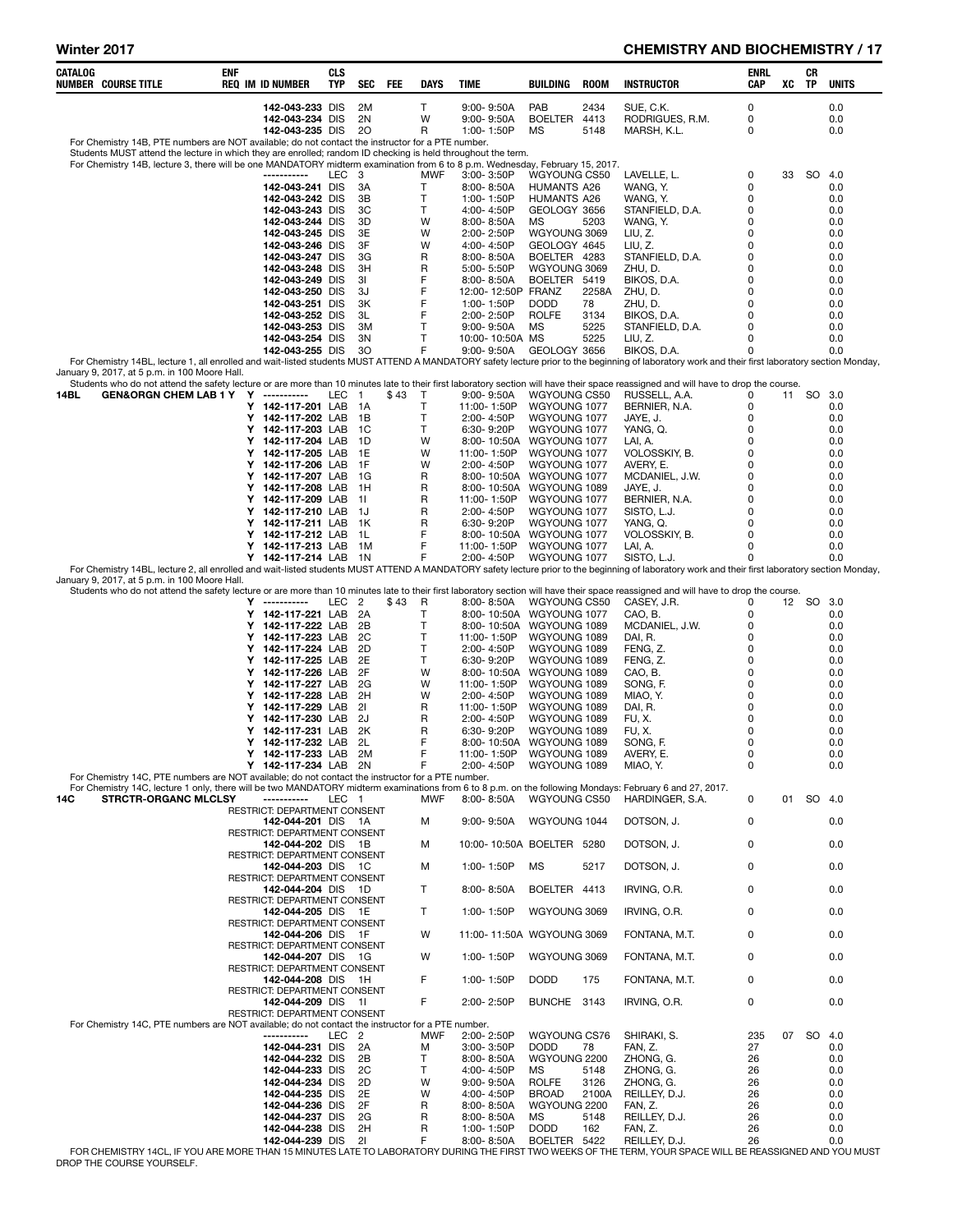# Winter 2017 **CHEMISTRY AND BIOCHEMISTRY / 17**

| CATALOG<br>NUMBER COURSE TITLE                                                                                                                                                                                                                    | ENF<br><b>REQ IM ID NUMBER</b>                     | CLS<br>TYP       | SEC                  | FEE  | <b>DAYS</b>       | <b>TIME</b>                                | BUILDING                     | <b>ROOM</b>   | <b>INSTRUCTOR</b>              | ENRL<br>CAP | XC | CR<br>TP  | <b>UNITS</b>   |
|---------------------------------------------------------------------------------------------------------------------------------------------------------------------------------------------------------------------------------------------------|----------------------------------------------------|------------------|----------------------|------|-------------------|--------------------------------------------|------------------------------|---------------|--------------------------------|-------------|----|-----------|----------------|
|                                                                                                                                                                                                                                                   | 142-043-233 DIS                                    |                  | 2M                   |      | Τ                 | $9:00 - 9:50A$                             | PAB                          | 2434          | SUE, C.K.                      | 0           |    |           | 0.0            |
|                                                                                                                                                                                                                                                   | 142-043-234 DIS<br>142-043-235 DIS                 |                  | 2N<br>20             |      | W<br>$\mathsf{R}$ | $9:00 - 9:50A$<br>1:00-1:50P               | BOELTER<br>МS                | 4413<br>5148  | RODRIGUES, R.M.<br>MARSH, K.L. | 0<br>0      |    |           | 0.0<br>0.0     |
| For Chemistry 14B, PTE numbers are NOT available; do not contact the instructor for a PTE number.                                                                                                                                                 |                                                    |                  |                      |      |                   |                                            |                              |               |                                |             |    |           |                |
| Students MUST attend the lecture in which they are enrolled; random ID checking is held throughout the term.<br>For Chemistry 14B, lecture 3, there will be one MANDATORY midterm examination from 6 to 8 p.m. Wednesday, February 15, 2017.      |                                                    |                  |                      |      |                   |                                            |                              |               |                                |             |    |           |                |
|                                                                                                                                                                                                                                                   | -----------                                        | LEC 3            | 3A                   |      | MWF<br>т          | 3:00-3:50P                                 | WGYOUNG CS50                 |               | LAVELLE, L.                    | 0<br>0      | 33 | SO.       | -4.0<br>0.0    |
|                                                                                                                                                                                                                                                   | 142-043-241 DIS<br>142-043-242 DIS                 |                  | 3B                   |      | Τ                 | $8:00 - 8:50A$<br>1:00-1:50P               | HUMANTS A26<br>HUMANTS A26   |               | WANG, Y.<br>WANG, Y.           | 0           |    |           | 0.0            |
|                                                                                                                                                                                                                                                   | 142-043-243 DIS<br>142-043-244 DIS                 |                  | 3C<br>3D             |      | T<br>W            | 4:00-4:50P<br>$8:00 - 8:50A$               | GEOLOGY 3656<br>МS           | 5203          | STANFIELD, D.A.<br>WANG, Y.    | 0<br>0      |    |           | 0.0<br>0.0     |
|                                                                                                                                                                                                                                                   | 142-043-245 DIS                                    |                  | 3E                   |      | W                 | 2:00-2:50P                                 | WGYOUNG 3069                 |               | LIU, Z.                        | 0           |    |           | 0.0            |
|                                                                                                                                                                                                                                                   | 142-043-246 DIS<br>142-043-247 DIS                 |                  | 3F<br>3G             |      | W<br>R            | 4:00-4:50P<br>$8:00 - 8:50A$               | GEOLOGY 4645<br>BOELTER 4283 |               | LIU, Z.<br>STANFIELD, D.A.     | 0<br>0      |    |           | 0.0<br>0.0     |
|                                                                                                                                                                                                                                                   | 142-043-248 DIS                                    |                  | 3H                   |      | R                 | 5:00-5:50P                                 | WGYOUNG 3069                 |               | ZHU. D.                        | 0           |    |           | 0.0            |
|                                                                                                                                                                                                                                                   | 142-043-249 DIS<br>142-043-250 DIS                 |                  | 31<br>3J             |      | F<br>F            | $8:00 - 8:50A$<br>12:00-12:50P FRANZ       | BOELTER 5419                 | 2258A         | BIKOS, D.A.<br>ZHU, D.         | 0<br>0      |    |           | 0.0<br>0.0     |
|                                                                                                                                                                                                                                                   | 142-043-251 DIS                                    |                  | 3K                   |      | F                 | 1:00-1:50P                                 | <b>DODD</b>                  | 78            | ZHU, D.                        | 0           |    |           | 0.0            |
|                                                                                                                                                                                                                                                   | 142-043-252 DIS<br>142-043-253 DIS                 |                  | 3L<br>3M             |      | F<br>Т            | 2:00-2:50P<br>9:00-9:50A                   | <b>ROLFE</b><br>MS           | 3134<br>5225  | BIKOS, D.A.<br>STANFIELD, D.A. | 0<br>0      |    |           | 0.0<br>0.0     |
|                                                                                                                                                                                                                                                   | 142-043-254 DIS                                    |                  | 3N                   |      | Т                 | 10:00-10:50A MS                            |                              | 5225          | LIU, Z.                        | 0           |    |           | 0.0            |
| For Chemistry 14BL, lecture 1, all enrolled and wait-listed students MUST ATTEND A MANDATORY safety lecture prior to the beginning of laboratory work and their first laboratory section Monday,                                                  | 142-043-255 DIS                                    |                  | 30                   |      | F                 | 9:00-9:50A                                 | GEOLOGY 3656                 |               | BIKOS, D.A.                    | 0           |    |           | 0.0            |
| January 9, 2017, at 5 p.m. in 100 Moore Hall.<br>Students who do not attend the safety lecture or are more than 10 minutes late to their first laboratory section will have their space reassigned and will have to drop the course.              |                                                    |                  |                      |      |                   |                                            |                              |               |                                |             |    |           |                |
| <b>GEN&amp;ORGN CHEM LAB 1 Y Y</b><br>14BL                                                                                                                                                                                                        | -----------                                        | LEC 1            |                      | \$43 | $\top$            | $9:00 - 9:50A$                             | WGYOUNG CS50                 |               | RUSSELL, A.A.                  | 0           | 11 | SO        | 3.0            |
|                                                                                                                                                                                                                                                   | Y 142-117-201 LAB<br>Y 142-117-202 LAB             |                  | - 1A<br>- 1B         |      | т<br>T            | 11:00-1:50P<br>2:00-4:50P                  | WGYOUNG 1077<br>WGYOUNG 1077 |               | BERNIER, N.A.<br>JAYE, J.      | 0<br>0      |    |           | 0.0<br>0.0     |
|                                                                                                                                                                                                                                                   | Y 142-117-203 LAB                                  |                  | - 1C                 |      | T                 | 6:30-9:20P                                 | WGYOUNG 1077                 |               | YANG, Q.                       | 0           |    |           | 0.0            |
|                                                                                                                                                                                                                                                   | Y<br>142-117-204 LAB<br>Y 142-117-205 LAB          |                  | - 1D<br>1E           |      | W<br>W            | 8:00-10:50A<br>11:00-1:50P                 | WGYOUNG 1077<br>WGYOUNG 1077 |               | LAI, A.<br>VOLOSSKIY, B.       | 0<br>0      |    |           | 0.0<br>0.0     |
|                                                                                                                                                                                                                                                   | Y 142-117-206 LAB 1F                               |                  |                      |      | W                 | 2:00-4:50P                                 | WGYOUNG 1077                 |               | AVERY, E.                      | 0           |    |           | 0.0            |
|                                                                                                                                                                                                                                                   | Y 142-117-207 LAB<br>Y<br>142-117-208 LAB          |                  | - 1G<br>- 1H         |      | R<br>R            | 8:00-10:50A WGYOUNG 1077<br>8:00-10:50A    | WGYOUNG 1089                 |               | MCDANIEL, J.W.<br>JAYE, J.     | 0<br>0      |    |           | 0.0<br>0.0     |
|                                                                                                                                                                                                                                                   | Y 142-117-209 LAB                                  |                  | - 11                 |      | R                 | 11:00-1:50P                                | WGYOUNG 1077                 |               | BERNIER, N.A.                  | 0           |    |           | 0.0            |
|                                                                                                                                                                                                                                                   | Y 142-117-210 LAB 1J<br>Y 142-117-211 LAB          |                  | - 1K                 |      | R<br>R            | 2:00-4:50P<br>6:30-9:20P                   | WGYOUNG 1077<br>WGYOUNG 1077 |               | SISTO, L.J.<br>YANG, Q.        | 0<br>0      |    |           | 0.0<br>0.0     |
|                                                                                                                                                                                                                                                   | Y<br>142-117-212 LAB                               |                  | - 1L                 |      | F                 | 8:00-10:50A                                | WGYOUNG 1077                 |               | VOLOSSKIY, B.                  | 0           |    |           | 0.0            |
|                                                                                                                                                                                                                                                   | Y 142-117-213 LAB<br>Y 142-117-214 LAB 1N          |                  | 1M                   |      | F<br>F            | 11:00-1:50P<br>2:00-4:50P                  | WGYOUNG 1077<br>WGYOUNG 1077 |               | LAI, A.<br>SISTO, L.J.         | 0<br>0      |    |           | 0.0<br>0.0     |
| For Chemistry 14BL, lecture 2, all enrolled and wait-listed students MUST ATTEND A MANDATORY safety lecture prior to the beginning of laboratory work and their first laboratory section Monday,<br>January 9, 2017, at 5 p.m. in 100 Moore Hall. |                                                    |                  |                      |      |                   |                                            |                              |               |                                |             |    |           |                |
| Students who do not attend the safety lecture or are more than 10 minutes late to their first laboratory section will have their space reassigned and will have to drop the course.                                                               |                                                    |                  |                      |      |                   |                                            |                              |               |                                |             |    |           |                |
|                                                                                                                                                                                                                                                   | Y<br>-----------<br>Y 142-117-221 LAB              | LEC              | $\overline{c}$<br>2A | \$43 | R<br>Τ            | $8:00 - 8:50A$<br>8:00-10:50A WGYOUNG 1077 | WGYOUNG CS50                 |               | CASEY, J.R.<br>CAO, B.         | 0<br>0      |    | 12 SO 3.0 | 0.0            |
|                                                                                                                                                                                                                                                   | Y 142-117-222 LAB                                  |                  | 2B                   |      | Т                 | 8:00-10:50A WGYOUNG 1089                   |                              |               | MCDANIEL, J.W.                 | 0           |    |           | 0.0            |
|                                                                                                                                                                                                                                                   | Y<br>142-117-223 LAB<br>Y 142-117-224 LAB          |                  | 2C<br>2D             |      | т<br>Т            | 11:00-1:50P<br>2:00-4:50P                  | WGYOUNG 1089<br>WGYOUNG 1089 |               | DAI, R.<br>FENG, Z.            | 0<br>0      |    |           | 0.0<br>0.0     |
|                                                                                                                                                                                                                                                   | Y 142-117-225 LAB                                  |                  | 2E<br>2F             |      | T<br>W            | 6:30-9:20P                                 | WGYOUNG 1089                 |               | FENG, Z.                       | 0<br>0      |    |           | 0.0            |
|                                                                                                                                                                                                                                                   | Y 142-117-226 LAB<br>Y<br>142-117-227 LAB          |                  | 2G                   |      | W                 | 8:00-10:50A WGYOUNG 1089<br>11:00-1:50P    | WGYOUNG 1089                 |               | CAO, B.<br>SONG, F.            | 0           |    |           | 0.0<br>0.0     |
|                                                                                                                                                                                                                                                   | Y 142-117-228 LAB<br>Y 142-117-229 LAB             |                  | - 2H<br>21           |      | W<br>R            | 2:00-4:50P<br>11:00-1:50P                  | WGYOUNG 1089<br>WGYOUNG 1089 |               | MIAO, Y.<br>DAI, R.            | 0<br>0      |    |           | 0.0<br>0.0     |
|                                                                                                                                                                                                                                                   | Y 142-117-230 LAB                                  |                  | 2J                   |      | R                 | 2:00-4:50P                                 | WGYOUNG 1089                 |               | FU, X.                         | 0           |    |           | 0.0            |
|                                                                                                                                                                                                                                                   | Y<br>142-117-231 LAB<br>Y 142-117-232 LAB          |                  | 2K<br>2L             |      | R<br>F            | 6:30-9:20P<br>8:00-10:50A                  | WGYOUNG 1089<br>WGYOUNG 1089 |               | FU, X.<br>SONG, F.             | 0<br>0      |    |           | 0.0<br>0.0     |
|                                                                                                                                                                                                                                                   | Y 142-117-233 LAB                                  |                  | 2M                   |      | F                 | 11:00-1:50P                                | WGYOUNG 1089                 |               | avery, e                       | 0           |    |           | 0.0            |
| For Chemistry 14C, PTE numbers are NOT available; do not contact the instructor for a PTE number.                                                                                                                                                 | Y 142-117-234 LAB 2N                               |                  |                      |      | F                 | 2:00-4:50P                                 | WGYOUNG 1089                 |               | MIAO, Y.                       | 0           |    |           | 0.0            |
| For Chemistry 14C, lecture 1 only, there will be two MANDATORY midterm examinations from 6 to 8 p.m. on the following Mondays: February 6 and 27, 2017.<br><b>STRCTR-ORGANC MLCLSY</b><br>14C                                                     | -----------                                        | LEC 1            |                      |      | <b>MWF</b>        | 8:00-8:50A                                 | WGYOUNG CS50                 |               | HARDINGER, S.A.                | 0           | 01 | SO 4.0    |                |
|                                                                                                                                                                                                                                                   | RESTRICT: DEPARTMENT CONSENT                       |                  |                      |      |                   |                                            |                              |               |                                |             |    |           |                |
|                                                                                                                                                                                                                                                   | 142-044-201 DIS 1A<br>RESTRICT: DEPARTMENT CONSENT |                  |                      |      | м                 | $9:00 - 9:50A$                             | WGYOUNG 1044                 |               | DOTSON, J.                     | 0           |    |           | 0.0            |
|                                                                                                                                                                                                                                                   | 142-044-202 DIS 1B<br>RESTRICT: DEPARTMENT CONSENT |                  |                      |      | М                 | 10:00-10:50A BOELTER 5280                  |                              |               | DOTSON, J.                     | $\mathbf 0$ |    |           | 0.0            |
|                                                                                                                                                                                                                                                   | 142-044-203 DIS 1C                                 |                  |                      |      | м                 | 1:00-1:50P                                 | MS                           | 5217          | DOTSON, J.                     | 0           |    |           | 0.0            |
|                                                                                                                                                                                                                                                   | RESTRICT: DEPARTMENT CONSENT<br>142-044-204 DIS 1D |                  |                      |      | T.                | $8:00 - 8:50A$                             | BOELTER 4413                 |               | IRVING, O.R.                   | 0           |    |           | 0.0            |
|                                                                                                                                                                                                                                                   | RESTRICT: DEPARTMENT CONSENT<br>142-044-205 DIS 1E |                  |                      |      | T.                | 1:00-1:50P                                 | WGYOUNG 3069                 |               | IRVING, O.R.                   | 0           |    |           | 0.0            |
|                                                                                                                                                                                                                                                   | RESTRICT: DEPARTMENT CONSENT                       |                  |                      |      |                   |                                            |                              |               |                                |             |    |           |                |
|                                                                                                                                                                                                                                                   | 142-044-206 DIS 1F<br>RESTRICT: DEPARTMENT CONSENT |                  |                      |      | W                 | 11:00-11:50A WGYOUNG 3069                  |                              |               | FONTANA, M.T.                  | 0           |    |           | 0.0            |
|                                                                                                                                                                                                                                                   | 142-044-207 DIS 1G<br>RESTRICT: DEPARTMENT CONSENT |                  |                      |      | W                 | 1:00-1:50P                                 | WGYOUNG 3069                 |               | FONTANA, M.T.                  | 0           |    |           | 0.0            |
|                                                                                                                                                                                                                                                   | 142-044-208 DIS 1H                                 |                  |                      |      | F                 | 1:00-1:50P                                 | <b>DODD</b>                  | 175           | FONTANA, M.T.                  | 0           |    |           | 0.0            |
|                                                                                                                                                                                                                                                   | RESTRICT: DEPARTMENT CONSENT<br>142-044-209 DIS 1I |                  |                      |      | F                 | 2:00-2:50P                                 | BUNCHE 3143                  |               | IRVING, O.R.                   | 0           |    |           | 0.0            |
| For Chemistry 14C, PTE numbers are NOT available; do not contact the instructor for a PTE number.                                                                                                                                                 | RESTRICT: DEPARTMENT CONSENT                       |                  |                      |      |                   |                                            |                              |               |                                |             |    |           |                |
|                                                                                                                                                                                                                                                   | -----------                                        | LEC <sub>2</sub> |                      |      | <b>MWF</b>        | 2:00-2:50P                                 | WGYOUNG CS76                 |               | SHIRAKI, S.                    | 235         |    | 07 SO     | 4.0            |
|                                                                                                                                                                                                                                                   | 142-044-231 DIS<br>142-044-232 DIS                 |                  | 2A<br>2B             |      | м<br>т            | 3:00-3:50P<br>$8:00 - 8:50A$               | <b>DODD</b><br>WGYOUNG 2200  | 78            | FAN, Z.<br>ZHONG, G.           | 27<br>26    |    |           | 0.0<br>0.0     |
|                                                                                                                                                                                                                                                   | 142-044-233 DIS                                    |                  | 2C                   |      | т                 | 4:00-4:50P                                 | МS                           | 5148          | ZHONG, G.                      | 26          |    |           | 0.0            |
|                                                                                                                                                                                                                                                   | 142-044-234 DIS<br>142-044-235 DIS                 |                  | 2D<br>2E             |      | W<br>W            | 9:00-9:50A<br>4:00-4:50P                   | <b>ROLFE</b><br><b>BROAD</b> | 3126<br>2100A | ZHONG, G.<br>REILLEY, D.J.     | 26<br>26    |    |           | 0.0<br>0.0     |
|                                                                                                                                                                                                                                                   | 142-044-236 DIS                                    |                  | 2F                   |      | R                 | $8:00 - 8:50A$                             | WGYOUNG 2200                 |               | FAN, Z.                        | 26          |    |           | 0.0            |
|                                                                                                                                                                                                                                                   | 142-044-237 DIS<br>142-044-238 DIS                 |                  | 2G<br>2H             |      | R<br>R            | $8:00 - 8:50A$<br>1:00-1:50P               | MS<br><b>DODD</b>            | 5148<br>162   | REILLEY, D.J.<br>FAN, Z.       | 26<br>26    |    |           | 0.0<br>0.0     |
|                                                                                                                                                                                                                                                   | 142-044-239 DIS                                    |                  | 21                   |      | E                 | $8.00 - 8.50A$                             | ROFLTER 5422                 |               | REILLEY D.I.                   | 26          |    |           | 0 <sub>0</sub> |

142-044-239 DIS 2I F 8:00-8:50A BOELTER 5422 REILLEY, D.J. 26<br>FOR CHEMISTRY 14CL, IF YOU ARE MORE THAN 15 MINUTES LATE TO LABORATORY DURING THE FIRST TWO WEEKS OF THE TERM, YOUR SPACE WILL BE REASSIGNED AND YOU MUST<br>DROP T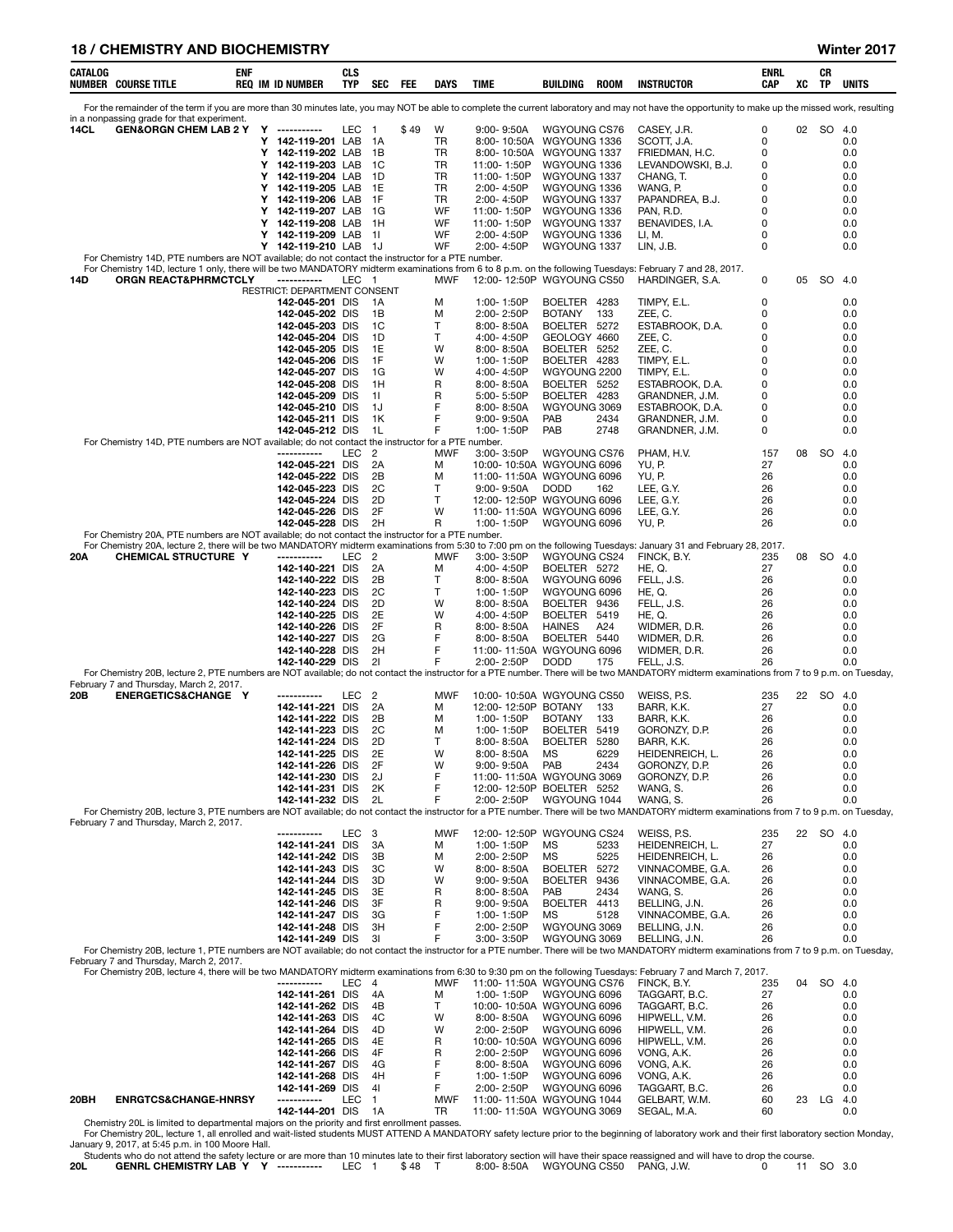#### 18 / CHEMISTRY AND BIOCHEMISTRY Winter 2017

| CATALOG     | <b>NUMBER COURSE TITLE</b>                                                                                                                                                       | ENF | <b>REQ IM ID NUMBER</b>                            | <b>CLS</b><br>TYP | SEC            | FEE  | DAYS     | TIME                                        | BUILDING                        | <b>ROOM</b>  | <b>INSTRUCTOR</b>                                                                                                                                                                                           | ENRL<br>CAP | xс | СR<br>ΤP  | UNITS      |
|-------------|----------------------------------------------------------------------------------------------------------------------------------------------------------------------------------|-----|----------------------------------------------------|-------------------|----------------|------|----------|---------------------------------------------|---------------------------------|--------------|-------------------------------------------------------------------------------------------------------------------------------------------------------------------------------------------------------------|-------------|----|-----------|------------|
|             |                                                                                                                                                                                  |     |                                                    |                   |                |      |          |                                             |                                 |              | For the remainder of the term if you are more than 30 minutes late, you may NOT be able to complete the current laboratory and may not have the opportunity to make up the missed work, resulting           |             |    |           |            |
| <b>14CL</b> | in a nonpassing grade for that experiment.<br><b>GEN&amp;ORGN CHEM LAB 2 Y</b>                                                                                                   |     | Y -----------                                      | LEC 1             |                | \$49 | W        | 9:00-9:50A                                  | WGYOUNG CS76                    |              | CASEY, J.R.                                                                                                                                                                                                 | 0           |    | 02 SO 4.0 |            |
|             |                                                                                                                                                                                  |     | Y 142-119-201 LAB                                  |                   | 1A             |      | TR       | 8:00-10:50A WGYOUNG 1336                    |                                 |              | SCOTT, J.A.                                                                                                                                                                                                 | 0           |    |           | 0.0        |
|             |                                                                                                                                                                                  |     | Y<br>142-119-202 LAB<br>Y<br>142-119-203 LAB       |                   | - 1B<br>- 1C   |      | TR<br>TR | 8:00-10:50A<br>11:00-1:50P                  | WGYOUNG 1337<br>WGYOUNG 1336    |              | FRIEDMAN, H.C.<br>LEVANDOWSKI, B.J.                                                                                                                                                                         | 0<br>0      |    |           | 0.0<br>0.0 |
|             |                                                                                                                                                                                  |     | Y<br>142-119-204 LAB 1D                            |                   |                |      | TR       | 11:00-1:50P                                 | WGYOUNG 1337                    |              | CHANG, T.                                                                                                                                                                                                   | 0           |    |           | 0.0        |
|             |                                                                                                                                                                                  |     | Y<br>142-119-205 LAB 1E<br>Y<br>142-119-206 LAB 1F |                   |                |      | TR<br>TR | 2:00-4:50P<br>2:00-4:50P                    | WGYOUNG 1336<br>WGYOUNG 1337    |              | WANG, P.<br>PAPANDREA, B.J.                                                                                                                                                                                 | 0<br>0      |    |           | 0.0<br>0.0 |
|             |                                                                                                                                                                                  |     | Y<br>142-119-207 LAB 1G                            |                   |                |      | WF       | 11:00-1:50P                                 | WGYOUNG 1336                    |              | PAN, R.D.                                                                                                                                                                                                   | 0           |    |           | 0.0        |
|             |                                                                                                                                                                                  |     | Y<br>142-119-208 LAB 1H                            |                   |                |      | WF       | 11:00-1:50P                                 | WGYOUNG 1337                    |              | BENAVIDES, I.A.                                                                                                                                                                                             | 0           |    |           | 0.0        |
|             |                                                                                                                                                                                  |     | Y<br>142-119-209 LAB<br>Y<br>142-119-210 LAB 1J    |                   | 11             |      | WF<br>WF | 2:00-4:50P<br>2:00-4:50P                    | WGYOUNG 1336<br>WGYOUNG 1337    |              | LI, M.<br>LIN, J.B.                                                                                                                                                                                         | 0<br>0      |    |           | 0.0<br>0.0 |
|             | For Chemistry 14D, PTE numbers are NOT available; do not contact the instructor for a PTE number.                                                                                |     |                                                    |                   |                |      |          |                                             |                                 |              |                                                                                                                                                                                                             |             |    |           |            |
| 14D         | For Chemistry 14D, lecture 1 only, there will be two MANDATORY midterm examinations from 6 to 8 p.m. on the following Tuesdays: February 7 and 28, 2017.<br>ORGN REACT&PHRMCTCLY |     | ------------                                       | LEC 1             |                |      | MWF      | 12:00-12:50P WGYOUNG CS50                   |                                 |              | HARDINGER, S.A.                                                                                                                                                                                             | 0           | 05 | SO 4.0    |            |
|             |                                                                                                                                                                                  |     | RESTRICT: DEPARTMENT CONSENT<br>142-045-201 DIS    |                   | 1A             |      | M        | 1:00-1:50P                                  | BOELTER 4283                    |              | TIMPY, E.L.                                                                                                                                                                                                 | 0           |    |           | 0.0        |
|             |                                                                                                                                                                                  |     | 142-045-202 DIS                                    |                   | 1B             |      | M        | 2:00-2:50P                                  | <b>BOTANY</b>                   | 133          | ZEE, C.                                                                                                                                                                                                     | 0           |    |           | 0.0        |
|             |                                                                                                                                                                                  |     | 142-045-203 DIS                                    |                   | 1C             |      | T<br>T   | 8:00-8:50A                                  | BOELTER 5272                    |              | ESTABROOK, D.A.                                                                                                                                                                                             | 0<br>0      |    |           | 0.0        |
|             |                                                                                                                                                                                  |     | 142-045-204 DIS<br>142-045-205 DIS                 |                   | 1D<br>1E       |      | w        | 4:00-4:50P<br>$8:00 - 8:50A$                | GEOLOGY 4660<br>BOELTER 5252    |              | ZEE, C.<br>ZEE, C.                                                                                                                                                                                          | 0           |    |           | 0.0<br>0.0 |
|             |                                                                                                                                                                                  |     | 142-045-206 DIS                                    |                   | 1F             |      | W        | 1:00-1:50P                                  | BOELTER 4283                    |              | TIMPY, E.L.                                                                                                                                                                                                 | 0           |    |           | 0.0        |
|             |                                                                                                                                                                                  |     | 142-045-207 DIS<br>142-045-208 DIS                 |                   | 1G<br>1H       |      | W<br>R   | 4:00-4:50P<br>8:00-8:50A                    | WGYOUNG 2200<br>BOELTER 5252    |              | TIMPY, E.L.<br>ESTABROOK, D.A.                                                                                                                                                                              | 0<br>0      |    |           | 0.0<br>0.0 |
|             |                                                                                                                                                                                  |     | 142-045-209 DIS                                    |                   | 11             |      | R        | 5:00-5:50P                                  | BOELTER 4283                    |              | GRANDNER, J.M.                                                                                                                                                                                              | 0           |    |           | 0.0        |
|             |                                                                                                                                                                                  |     | 142-045-210 DIS<br>142-045-211 DIS                 |                   | 1J<br>1K       |      | F<br>F   | $8:00 - 8:50A$<br>$9:00 - 9:50A$            | WGYOUNG 3069<br>PAB             | 2434         | ESTABROOK, D.A.<br>GRANDNER, J.M.                                                                                                                                                                           | 0<br>0      |    |           | 0.0<br>0.0 |
|             |                                                                                                                                                                                  |     | 142-045-212 DIS                                    |                   | 1L             |      | F        | 1:00-1:50P                                  | PAB                             | 2748         | GRANDNER, J.M.                                                                                                                                                                                              | 0           |    |           | 0.0        |
|             | For Chemistry 14D, PTE numbers are NOT available; do not contact the instructor for a PTE number.                                                                                |     | -----------                                        | LEC               | $\overline{c}$ |      | MWF      | $3.00 - 3.50P$                              | WGYOUNG CS76                    |              | PHAM. H.V.                                                                                                                                                                                                  | 157         | 08 | <b>SO</b> | 4.0        |
|             |                                                                                                                                                                                  |     | 142-045-221 DIS                                    |                   | 2A             |      | м        | 10:00-10:50A WGYOUNG 6096                   |                                 |              | YU, P.                                                                                                                                                                                                      | 27          |    |           | 0.0        |
|             |                                                                                                                                                                                  |     | 142-045-222 DIS<br>142-045-223 DIS                 |                   | 2B<br>2C       |      | м<br>Т   | 11:00-11:50A WGYOUNG 6096<br>$9:00 - 9:50A$ | <b>DODD</b>                     | 162          | YU, P.<br>LEE, G.Y.                                                                                                                                                                                         | 26<br>26    |    |           | 0.0<br>0.0 |
|             |                                                                                                                                                                                  |     | 142-045-224 DIS                                    |                   | 2D             |      | Т        | 12:00-12:50P WGYOUNG 6096                   |                                 |              | LEE, G.Y.                                                                                                                                                                                                   | 26          |    |           | 0.0        |
|             |                                                                                                                                                                                  |     | 142-045-226 DIS<br>142-045-228 DIS                 |                   | 2F<br>2H       |      | W<br>R   | 11:00-11:50A WGYOUNG 6096<br>1:00-1:50P     | WGYOUNG 6096                    |              | LEE, G.Y.<br>YU, P.                                                                                                                                                                                         | 26<br>26    |    |           | 0.0<br>0.0 |
|             | For Chemistry 20A, PTE numbers are NOT available; do not contact the instructor for a PTE number.                                                                                |     |                                                    |                   |                |      |          |                                             |                                 |              |                                                                                                                                                                                                             |             |    |           |            |
| 20A         | CHEMICAL STRUCTURE Y                                                                                                                                                             |     | -----------                                        | LEC               | $\overline{2}$ |      | MWF      | $3:00 - 3:50P$                              | WGYOUNG CS24                    |              | For Chemistry 20A, lecture 2, there will be two MANDATORY midterm examinations from 5:30 to 7:00 pm on the following Tuesdays: January 31 and February 28, 2017.<br>FINCK, B.Y.                             | 235         | 08 | SO        | -4.0       |
|             |                                                                                                                                                                                  |     | 142-140-221 DIS                                    |                   | 2A             |      | M        | 4:00-4:50P                                  | BOELTER 5272                    |              | HE, Q.                                                                                                                                                                                                      | 27          |    |           | 0.0        |
|             |                                                                                                                                                                                  |     | 142-140-222 DIS<br>142-140-223 DIS                 |                   | 2B<br>2C       |      | T<br>T   | 8:00-8:50A<br>1:00-1:50P                    | WGYOUNG 6096<br>WGYOUNG 6096    |              | FELL, J.S.<br>HE, Q.                                                                                                                                                                                        | 26<br>26    |    |           | 0.0<br>0.0 |
|             |                                                                                                                                                                                  |     | 142-140-224 DIS                                    |                   | 2D             |      | W        | $8:00 - 8:50A$                              | BOELTER 9436                    |              | FELL, J.S.                                                                                                                                                                                                  | 26          |    |           | 0.0        |
|             |                                                                                                                                                                                  |     | 142-140-225 DIS                                    |                   | 2E<br>2F       |      | W<br>R   | 4:00-4:50P                                  | BOELTER 5419                    | A24          | HE, Q.                                                                                                                                                                                                      | 26          |    |           | 0.0        |
|             |                                                                                                                                                                                  |     | 142-140-226 DIS<br>142-140-227 DIS                 |                   | 2G             |      | F        | $8:00 - 8:50A$<br>$8:00 - 8:50A$            | <b>HAINES</b><br>BOELTER 5440   |              | WIDMER, D.R.<br>WIDMER, D.R.                                                                                                                                                                                | 26<br>26    |    |           | 0.0<br>0.0 |
|             |                                                                                                                                                                                  |     | 142-140-228 DIS                                    |                   | 2H             |      | F<br>F   | 11:00-11:50A WGYOUNG 6096                   |                                 |              | WIDMER, D.R.                                                                                                                                                                                                | 26          |    |           | 0.0        |
|             |                                                                                                                                                                                  |     | 142-140-229 DIS                                    |                   | 21             |      |          | 2:00-2:50P                                  | <b>DODD</b>                     | 175          | FELL, J.S.<br>For Chemistry 20B, lecture 2, PTE numbers are NOT available; do not contact the instructor for a PTE number. There will be two MANDATORY midterm examinations from 7 to 9 p.m. on Tuesday,    | 26          |    |           | 0.0        |
| 20B         | February 7 and Thursday, March 2, 2017.<br><b>ENERGETICS&amp;CHANGE Y</b>                                                                                                        |     | -----------                                        | LEC               | $\overline{2}$ |      | MWF      | 10:00-10:50A WGYOUNG CS50                   |                                 |              | WEISS, P.S.                                                                                                                                                                                                 | 235         | 22 | SO 4.0    |            |
|             |                                                                                                                                                                                  |     | 142-141-221 DIS                                    |                   | 2A             |      | M        | 12:00-12:50P BOTANY                         |                                 | 133          | BARR, K.K.                                                                                                                                                                                                  | 27          |    |           | 0.0        |
|             |                                                                                                                                                                                  |     | 142-141-222 DIS<br>142-141-223 DIS                 |                   | 2B<br>2C       |      | M<br>M   | 1:00-1:50P<br>1:00-1:50P                    | <b>BOTANY</b><br><b>BOELTER</b> | 133<br>5419  | BARR, K.K.<br>GORONZY, D.P.                                                                                                                                                                                 | 26<br>26    |    |           | 0.0<br>0.0 |
|             |                                                                                                                                                                                  |     | 142-141-224 DIS                                    |                   | 2D             |      | Т        | 8:00-8:50A                                  | <b>BOELTER</b>                  | 5280         | BARR, K.K.                                                                                                                                                                                                  | 26          |    |           | 0.0        |
|             |                                                                                                                                                                                  |     | 142-141-225 DIS                                    |                   | 2E             |      | W        | 8:00-8:50A                                  | МS                              | 6229         | HEIDENREICH, L.                                                                                                                                                                                             | 26          |    |           | 0.0        |
|             |                                                                                                                                                                                  |     | 142-141-226 DIS<br>142-141-230 DIS                 |                   | 2F<br>2J       |      | W<br>F   | $9:00 - 9:50A$<br>11:00-11:50A WGYOUNG 3069 | PAB                             | 2434         | GORONZY, D.P.<br>GORONZY, D.P.                                                                                                                                                                              | 26<br>26    |    |           | 0.0<br>0.0 |
|             |                                                                                                                                                                                  |     | 142-141-231 DIS                                    |                   | 2K             |      | F<br>F   | 12:00-12:50P BOELTER 5252                   |                                 |              | WANG, S.                                                                                                                                                                                                    | 26          |    |           | 0.0        |
|             |                                                                                                                                                                                  |     | 142-141-232 DIS                                    |                   | 2L             |      |          | 2:00-2:50P                                  | WGYOUNG 1044                    |              | WANG, S.<br>For Chemistry 20B, lecture 3, PTE numbers are NOT available; do not contact the instructor for a PTE number. There will be two MANDATORY midterm examinations from 7 to 9 p.m. on Tuesday,      | 26          |    |           | 0.0        |
|             | February 7 and Thursday, March 2, 2017.                                                                                                                                          |     | -----------                                        | LEC               | -3             |      | MWF      | 12:00-12:50P WGYOUNG CS24                   |                                 |              | WEISS, P.S.                                                                                                                                                                                                 | 235         | 22 | SO.       | - 4.0      |
|             |                                                                                                                                                                                  |     | 142-141-241 DIS                                    |                   | 3A             |      | м        | 1:00-1:50P                                  | MS                              | 5233         | HEIDENREICH, L.                                                                                                                                                                                             | 27          |    |           | 0.0        |
|             |                                                                                                                                                                                  |     | 142-141-242 DIS<br>142-141-243 DIS                 |                   | 3B<br>3C       |      | M<br>W   | 2:00-2:50P<br>$8:00 - 8:50A$                | MS<br><b>BOELTER</b>            | 5225<br>5272 | HEIDENREICH, L.<br>VINNACOMBE, G.A.                                                                                                                                                                         | 26<br>26    |    |           | 0.0<br>0.0 |
|             |                                                                                                                                                                                  |     | 142-141-244 DIS                                    |                   | 3D             |      | W        | 9:00-9:50A                                  | <b>BOELTER</b>                  | 9436         | VINNACOMBE, G.A.                                                                                                                                                                                            | 26          |    |           | 0.0        |
|             |                                                                                                                                                                                  |     | 142-141-245 DIS                                    |                   | 3E             |      | R        | $8:00 - 8:50A$                              | PAB                             | 2434         | WANG, S.                                                                                                                                                                                                    | 26          |    |           | 0.0        |
|             |                                                                                                                                                                                  |     | 142-141-246 DIS<br>142-141-247 DIS                 |                   | 3F<br>3G       |      | R<br>F   | 9:00-9:50A<br>1:00-1:50P                    | BOELTER 4413<br>МS              | 5128         | BELLING, J.N.<br>VINNACOMBE, G.A.                                                                                                                                                                           | 26<br>26    |    |           | 0.0<br>0.0 |
|             |                                                                                                                                                                                  |     | 142-141-248 DIS                                    |                   | 3H             |      | F        | 2:00-2:50P                                  | WGYOUNG 3069                    |              | BELLING, J.N.                                                                                                                                                                                               | 26          |    |           | 0.0        |
|             |                                                                                                                                                                                  |     | 142-141-249 DIS                                    |                   | 31             |      | F        | 3:00-3:50P                                  | WGYOUNG 3069                    |              | BELLING, J.N.<br>For Chemistry 20B, lecture 1, PTE numbers are NOT available; do not contact the instructor for a PTE number. There will be two MANDATORY midterm examinations from 7 to 9 p.m. on Tuesday, | 26          |    |           | 0.0        |
|             | February 7 and Thursday, March 2, 2017.                                                                                                                                          |     |                                                    |                   |                |      |          |                                             |                                 |              |                                                                                                                                                                                                             |             |    |           |            |
|             |                                                                                                                                                                                  |     | -----------                                        | LEC               | $\overline{4}$ |      | MWF      | 11:00-11:50A WGYOUNG CS76                   |                                 |              | For Chemistry 20B, lecture 4, there will be two MANDATORY midterm examinations from 6:30 to 9:30 pm on the following Tuesdays: February 7 and March 7, 2017.<br>FINCK, B.Y.                                 | 235         | 04 | SO        | -4.0       |
|             |                                                                                                                                                                                  |     | 142-141-261 DIS                                    |                   | 4A             |      | M        | 1:00-1:50P                                  | WGYOUNG 6096                    |              | TAGGART, B.C.                                                                                                                                                                                               | 27          |    |           | 0.0        |
|             |                                                                                                                                                                                  |     | 142-141-262 DIS<br>142-141-263 DIS                 |                   | 4B<br>4C       |      | т<br>W   | 10:00-10:50A WGYOUNG 6096<br>$8:00 - 8:50A$ | WGYOUNG 6096                    |              | TAGGART, B.C.<br>HIPWELL, V.M.                                                                                                                                                                              | 26<br>26    |    |           | 0.0<br>0.0 |
|             |                                                                                                                                                                                  |     | 142-141-264 DIS                                    |                   | 4D             |      | W        | 2:00-2:50P                                  | WGYOUNG 6096                    |              | HIPWELL, V.M.                                                                                                                                                                                               | 26          |    |           | 0.0        |
|             |                                                                                                                                                                                  |     | 142-141-265 DIS<br>142-141-266 DIS                 |                   | 4E<br>4F       |      | R<br>R   | 10:00-10:50A WGYOUNG 6096<br>2:00-2:50P     | WGYOUNG 6096                    |              | HIPWELL, V.M.<br>VONG, A.K.                                                                                                                                                                                 | 26<br>26    |    |           | 0.0<br>0.0 |
|             |                                                                                                                                                                                  |     | 142-141-267 DIS                                    |                   | 4G             |      | F        | $8:00 - 8:50A$                              | WGYOUNG 6096                    |              | VONG, A.K.                                                                                                                                                                                                  | 26          |    |           | 0.0        |
|             |                                                                                                                                                                                  |     | 142-141-268 DIS<br>142-141-269 DIS                 |                   | 4H<br>41       |      | F<br>F   | 1:00-1:50P<br>2:00-2:50P                    | WGYOUNG 6096<br>WGYOUNG 6096    |              | VONG, A.K.                                                                                                                                                                                                  | 26<br>26    |    |           | 0.0<br>0.0 |
| 20BH        | <b>ENRGTCS&amp;CHANGE-HNRSY</b>                                                                                                                                                  |     | -----------                                        | LEC               | 1              |      | MWF      | 11:00-11:50A WGYOUNG 1044                   |                                 |              | TAGGART, B.C.<br>GELBART, W.M.                                                                                                                                                                              | 60          | 23 | LG        | -4.0       |
|             |                                                                                                                                                                                  |     | 142-144-201 DIS                                    |                   | 1A             |      | TR       | 11:00-11:50A WGYOUNG 3069                   |                                 |              | SEGAL, M.A.                                                                                                                                                                                                 | 60          |    |           | 0.0        |

142-144-201 DIS 1A<br>
For Chemistry 20L is limited to departmental majors on the priority and first enrollment passes.<br>
For Chemistry 20L, lecture 1, all enrolled and wait-listed students MUST ATTEND A MANDATORY safety lectu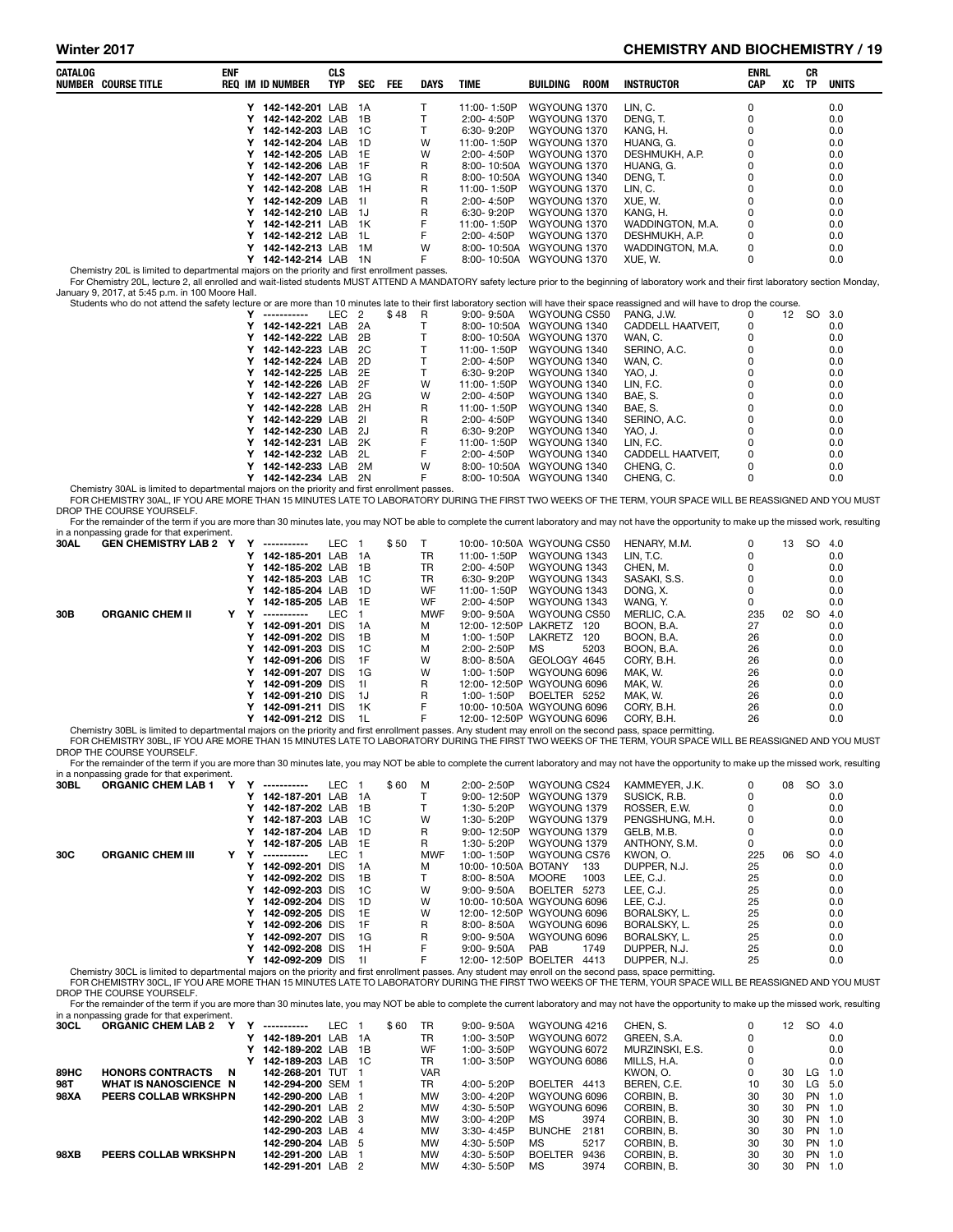#### Winter 2017 **CHEMISTRY AND BIOCHEMISTRY / 19**

| CATALOG | <b>NUMBER COURSE TITLE</b>                                                                                                                                 | ENF |        | <b>REQ IM ID NUMBER</b>                      | <b>CLS</b><br>TYP | <b>SEC</b>     | FEE   | DAYS       | TIME                                                 | BUILDING                     | <b>ROOM</b> | <b>INSTRUCTOR</b>                                                                                                                                                                                                                                                                                                                                              | <b>ENRL</b><br><b>CAP</b> | XC | CR<br>TP  | <b>UNITS</b> |
|---------|------------------------------------------------------------------------------------------------------------------------------------------------------------|-----|--------|----------------------------------------------|-------------------|----------------|-------|------------|------------------------------------------------------|------------------------------|-------------|----------------------------------------------------------------------------------------------------------------------------------------------------------------------------------------------------------------------------------------------------------------------------------------------------------------------------------------------------------------|---------------------------|----|-----------|--------------|
|         |                                                                                                                                                            |     |        | Y 142-142-201 LAB                            |                   | - 1A           |       | Т          | 11:00-1:50P                                          | WGYOUNG 1370                 |             | LIN, C.                                                                                                                                                                                                                                                                                                                                                        | 0                         |    |           | 0.0          |
|         |                                                                                                                                                            |     |        | Y 142-142-202 LAB                            |                   | 1B             |       | T          | 2:00-4:50P                                           | WGYOUNG 1370                 |             | DENG. T.                                                                                                                                                                                                                                                                                                                                                       | 0                         |    |           | 0.0          |
|         |                                                                                                                                                            |     | Y      | 142-142-203 LAB                              |                   | - 1C           |       | T          | 6:30-9:20P                                           | WGYOUNG 1370                 |             | KANG, H.                                                                                                                                                                                                                                                                                                                                                       | $\mathbf 0$               |    |           | 0.0          |
|         |                                                                                                                                                            |     | Y      | 142-142-204 LAB                              |                   | 1D             |       | W          | 11:00-1:50P                                          | WGYOUNG 1370                 |             | HUANG, G.                                                                                                                                                                                                                                                                                                                                                      | 0                         |    |           | 0.0          |
|         |                                                                                                                                                            |     | Y      | 142-142-205 LAB                              |                   | 1E             |       | W          | 2:00-4:50P                                           | WGYOUNG 1370                 |             | DESHMUKH, A.P.                                                                                                                                                                                                                                                                                                                                                 | 0                         |    |           | 0.0          |
|         |                                                                                                                                                            |     |        | Y 142-142-206 LAB 1F                         |                   |                |       | R          | 8:00-10:50A WGYOUNG 1370                             |                              |             | HUANG, G.                                                                                                                                                                                                                                                                                                                                                      | 0                         |    |           | 0.0          |
|         |                                                                                                                                                            |     | Y      | 142-142-207 LAB 1G                           |                   |                |       | R          | 8:00-10:50A WGYOUNG 1340                             |                              |             | DENG, T.                                                                                                                                                                                                                                                                                                                                                       | 0                         |    |           | 0.0          |
|         |                                                                                                                                                            |     | Y      | 142-142-208 LAB 1H                           |                   |                |       | R          | 11:00-1:50P                                          | WGYOUNG 1370                 |             | LIN, C.                                                                                                                                                                                                                                                                                                                                                        | 0                         |    |           | 0.0          |
|         |                                                                                                                                                            |     | Y      | 142-142-209 LAB 1I                           |                   |                |       | R          | 2:00-4:50P                                           | WGYOUNG 1370                 |             | XUE, W.                                                                                                                                                                                                                                                                                                                                                        | 0                         |    |           | 0.0          |
|         |                                                                                                                                                            |     |        | Y 142-142-210 LAB 1J                         |                   |                |       | R          | 6:30-9:20P                                           | WGYOUNG 1370                 |             | KANG, H.                                                                                                                                                                                                                                                                                                                                                       | 0                         |    |           | 0.0          |
|         |                                                                                                                                                            |     | Y      | 142-142-211 LAB 1K                           |                   |                |       | F          | 11:00-1:50P                                          | WGYOUNG 1370                 |             | WADDINGTON, M.A.                                                                                                                                                                                                                                                                                                                                               | 0                         |    |           | 0.0          |
|         |                                                                                                                                                            |     | Y      | 142-142-212 LAB                              |                   | - 1L           |       | F          | 2:00-4:50P                                           | WGYOUNG 1370                 |             | DESHMUKH, A.P.                                                                                                                                                                                                                                                                                                                                                 | 0                         |    |           | 0.0          |
|         |                                                                                                                                                            |     | Y      | 142-142-213 LAB 1M                           |                   |                |       | W          | 8:00-10:50A WGYOUNG 1370                             |                              |             | WADDINGTON, M.A.                                                                                                                                                                                                                                                                                                                                               | 0                         |    |           | 0.0          |
|         |                                                                                                                                                            |     |        | Y 142-142-214 LAB 1N                         |                   |                |       | F          | 8:00-10:50A WGYOUNG 1370                             |                              |             | XUE, W.                                                                                                                                                                                                                                                                                                                                                        | 0                         |    |           | 0.0          |
|         | Chemistry 20L is limited to departmental majors on the priority and first enrollment passes.<br>January 9, 2017, at 5:45 p.m. in 100 Moore Hall.           |     |        |                                              |                   |                |       |            |                                                      |                              |             | For Chemistry 20L, lecture 2, all enrolled and wait-listed students MUST ATTEND A MANDATORY safety lecture prior to the beginning of laboratory work and their first laboratory section Monday,                                                                                                                                                                |                           |    |           |              |
|         |                                                                                                                                                            |     |        |                                              |                   |                |       |            |                                                      |                              |             | Students who do not attend the safety lecture or are more than 10 minutes late to their first laboratory section will have their space reassigned and will have to drop the course.                                                                                                                                                                            |                           |    |           |              |
|         |                                                                                                                                                            |     |        | Y -----------                                | LEC <sub>2</sub>  |                | \$48  | R          | $9:00 - 9:50A$                                       | WGYOUNG CS50                 |             | PANG, J.W.                                                                                                                                                                                                                                                                                                                                                     | 0                         |    | 12 SO 3.0 |              |
|         |                                                                                                                                                            |     | Y      | 142-142-221 LAB                              |                   | - 2A           |       | Τ          | 8:00-10:50A WGYOUNG 1340                             |                              |             | CADDELL HAATVEIT,                                                                                                                                                                                                                                                                                                                                              | 0                         |    |           | 0.0          |
|         |                                                                                                                                                            |     | Υ      | 142-142-222 LAB                              |                   | 2B             |       | Т          | 8:00-10:50A WGYOUNG 1370                             |                              |             | WAN, C.                                                                                                                                                                                                                                                                                                                                                        | 0                         |    |           | 0.0          |
|         |                                                                                                                                                            |     | Y      | 142-142-223 LAB                              |                   | 2C             |       | Τ          | 11:00-1:50P                                          | WGYOUNG 1340                 |             | SERINO, A.C.                                                                                                                                                                                                                                                                                                                                                   | 0                         |    |           | 0.0          |
|         |                                                                                                                                                            |     | Y      | 142-142-224 LAB                              |                   | 2D             |       | T          | 2:00-4:50P                                           | WGYOUNG 1340                 |             | WAN, C.                                                                                                                                                                                                                                                                                                                                                        | 0                         |    |           | 0.0          |
|         |                                                                                                                                                            |     | Y      | 142-142-225 LAB 2E                           |                   |                |       | Τ          | 6:30-9:20P                                           | WGYOUNG 1340                 |             | YAO, J.                                                                                                                                                                                                                                                                                                                                                        | 0                         |    |           | 0.0          |
|         |                                                                                                                                                            |     | Υ      | 142-142-226 LAB 2F                           |                   |                |       | W          | 11:00-1:50P                                          | WGYOUNG 1340                 |             | LIN, F.C.                                                                                                                                                                                                                                                                                                                                                      | 0                         |    |           | 0.0          |
|         |                                                                                                                                                            |     | Y      | 142-142-227 LAB                              |                   | 2G             |       | W          | 2:00-4:50P                                           | WGYOUNG 1340                 |             | BAE, S.                                                                                                                                                                                                                                                                                                                                                        | 0                         |    |           | 0.0          |
|         |                                                                                                                                                            |     | Y      | 142-142-228 LAB                              |                   | 2H             |       | R          | 11:00-1:50P                                          | WGYOUNG 1340                 |             | BAE, S.                                                                                                                                                                                                                                                                                                                                                        | 0                         |    |           | 0.0          |
|         |                                                                                                                                                            |     | Y      | 142-142-229 LAB                              |                   | 21             |       | R          | 2:00-4:50P                                           | WGYOUNG 1340                 |             | SERINO, A.C.                                                                                                                                                                                                                                                                                                                                                   | 0                         |    |           | 0.0          |
|         |                                                                                                                                                            |     | Y      | 142-142-230 LAB 2J                           |                   |                |       | R          | 6:30-9:20P                                           | WGYOUNG 1340                 |             | YAO. J.                                                                                                                                                                                                                                                                                                                                                        | 0                         |    |           | 0.0          |
|         |                                                                                                                                                            |     | Y      | 142-142-231 LAB                              |                   | 2K             |       | F          | 11:00-1:50P                                          | WGYOUNG 1340                 |             | LIN, F.C.                                                                                                                                                                                                                                                                                                                                                      | 0                         |    |           | 0.0          |
|         |                                                                                                                                                            |     | Y      | 142-142-232 LAB                              |                   | 2L             |       | F          | 2:00-4:50P                                           | WGYOUNG 1340                 |             | CADDELL HAATVEIT,                                                                                                                                                                                                                                                                                                                                              | 0                         |    |           | 0.0          |
|         |                                                                                                                                                            |     | Y      | 142-142-233 LAB<br>Y 142-142-234 LAB 2N      |                   | 2M             |       | W<br>F     | 8:00-10:50A WGYOUNG 1340<br>8:00-10:50A WGYOUNG 1340 |                              |             | CHENG, C.<br>CHENG, C.                                                                                                                                                                                                                                                                                                                                         | 0<br>0                    |    |           | 0.0<br>0.0   |
|         | Chemistry 30AL is limited to departmental majors on the priority and first enrollment passes.<br>DROP THE COURSE YOURSELF.                                 |     |        |                                              |                   |                |       |            |                                                      |                              |             | FOR CHEMISTRY 30AL, IF YOU ARE MORE THAN 15 MINUTES LATE TO LABORATORY DURING THE FIRST TWO WEEKS OF THE TERM, YOUR SPACE WILL BE REASSIGNED AND YOU MUST<br>For the remainder of the term if you are more than 30 minutes late, you may NOT be able to complete the current laboratory and may not have the opportunity to make up the missed work, resulting |                           |    |           |              |
|         | in a nonpassing grade for that experiment.                                                                                                                 |     |        |                                              |                   |                |       |            |                                                      |                              |             |                                                                                                                                                                                                                                                                                                                                                                |                           |    |           |              |
| 30AL    | GEN CHEMISTRY LAB 2 Y Y -----------                                                                                                                        |     |        |                                              | LEC 1             |                | \$ 50 | $\top$     | 10:00-10:50A WGYOUNG CS50                            |                              |             | HENARY, M.M.                                                                                                                                                                                                                                                                                                                                                   | 0                         |    | 13 SO 4.0 |              |
|         |                                                                                                                                                            |     |        | Y 142-185-201 LAB 1A                         |                   |                |       | TR         | 11:00-1:50P                                          | WGYOUNG 1343                 |             | LIN, T.C.                                                                                                                                                                                                                                                                                                                                                      | 0                         |    |           | 0.0          |
|         |                                                                                                                                                            |     |        | Y 142-185-202 LAB                            |                   | - 1B           |       | TR         | 2:00-4:50P                                           | WGYOUNG 1343                 |             | CHEN, M.                                                                                                                                                                                                                                                                                                                                                       | 0                         |    |           | 0.0          |
|         |                                                                                                                                                            |     | Y      | 142-185-203 LAB                              |                   | - 1C           |       | TR         | 6:30-9:20P                                           | WGYOUNG 1343                 |             | SASAKI, S.S.                                                                                                                                                                                                                                                                                                                                                   | 0                         |    |           | 0.0          |
|         |                                                                                                                                                            |     | Y      | 142-185-204 LAB                              |                   | 1D             |       | WF         | 11:00-1:50P                                          | WGYOUNG 1343                 |             | DONG, X.                                                                                                                                                                                                                                                                                                                                                       | 0                         |    |           | 0.0          |
|         |                                                                                                                                                            |     | Y      | 142-185-205 LAB 1E                           |                   |                |       | WF         | 2:00-4:50P                                           | WGYOUNG 1343                 |             | WANG, Y.                                                                                                                                                                                                                                                                                                                                                       | 0                         |    |           | 0.0          |
| 30B     | <b>ORGANIC CHEM II</b>                                                                                                                                     |     | Y Y    | -----------                                  | LEC               | $\overline{1}$ |       | <b>MWF</b> | $9:00 - 9:50A$                                       | WGYOUNG CS50                 |             | MERLIC, C.A.                                                                                                                                                                                                                                                                                                                                                   | 235                       |    | 02 SO     | 4.0          |
|         |                                                                                                                                                            |     | Y      | 142-091-201 DIS                              |                   | 1A             |       | М          | 12:00-12:50P LAKRETZ 120                             |                              |             | BOON, B.A.                                                                                                                                                                                                                                                                                                                                                     | 27                        |    |           | 0.0          |
|         |                                                                                                                                                            |     |        | Y 142-091-202 DIS                            |                   | 1B             |       | М          | 1:00-1:50P                                           | LAKRETZ 120                  |             | BOON, B.A.                                                                                                                                                                                                                                                                                                                                                     | 26                        |    |           | 0.0          |
|         |                                                                                                                                                            |     |        | Y 142-091-203 DIS                            |                   | 1C             |       | М          | 2:00-2:50P                                           | МS                           | 5203        | BOON, B.A.                                                                                                                                                                                                                                                                                                                                                     | 26                        |    |           | 0.0          |
|         |                                                                                                                                                            |     |        | Y 142-091-206 DIS                            |                   | 1F             |       | W          | 8:00-8:50A                                           | GEOLOGY 4645                 |             | CORY, B.H.                                                                                                                                                                                                                                                                                                                                                     | 26                        |    |           | 0.0          |
|         |                                                                                                                                                            |     | Y      | 142-091-207 DIS                              |                   | 1G             |       | W          | 1:00-1:50P                                           | WGYOUNG 6096                 |             | MAK, W.                                                                                                                                                                                                                                                                                                                                                        | 26                        |    |           | 0.0          |
|         |                                                                                                                                                            |     | Y<br>Y | 142-091-209 DIS                              |                   | 11<br>1J       |       | R<br>R     | 12:00-12:50P WGYOUNG 6096                            |                              |             | MAK, W.                                                                                                                                                                                                                                                                                                                                                        | 26<br>26                  |    |           | 0.0<br>0.0   |
|         |                                                                                                                                                            |     |        | 142-091-210 DIS<br>Y 142-091-211 DIS         |                   | 1K             |       | F          | 1:00-1:50P<br>10:00-10:50A WGYOUNG 6096              | BOELTER 5252                 |             | MAK, W.                                                                                                                                                                                                                                                                                                                                                        | 26                        |    |           | 0.0          |
|         |                                                                                                                                                            |     |        | Y 142-091-212 DIS                            |                   | 1L             |       | F          | 12:00-12:50P WGYOUNG 6096                            |                              |             | CORY, B.H.<br>CORY, B.H.                                                                                                                                                                                                                                                                                                                                       | 26                        |    |           | 0.0          |
|         | Chemistry 30BL is limited to departmental majors on the priority and first enrollment passes. Any student may enroll on the second pass, space permitting. |     |        |                                              |                   |                |       |            |                                                      |                              |             |                                                                                                                                                                                                                                                                                                                                                                |                           |    |           |              |
|         | DROP THE COURSE YOURSELF.                                                                                                                                  |     |        |                                              |                   |                |       |            |                                                      |                              |             | FOR CHEMISTRY 30BL, IF YOU ARE MORE THAN 15 MINUTES LATE TO LABORATORY DURING THE FIRST TWO WEEKS OF THE TERM, YOUR SPACE WILL BE REASSIGNED AND YOU MUST                                                                                                                                                                                                      |                           |    |           |              |
|         |                                                                                                                                                            |     |        |                                              |                   |                |       |            |                                                      |                              |             | For the remainder of the term if you are more than 30 minutes late, you may NOT be able to complete the current laboratory and may not have the opportunity to make up the missed work, resulting                                                                                                                                                              |                           |    |           |              |
|         | in a nonpassing grade for that experiment.                                                                                                                 |     |        |                                              |                   |                |       |            |                                                      |                              |             |                                                                                                                                                                                                                                                                                                                                                                |                           |    |           |              |
| 30BL    | <b>ORGANIC CHEM LAB 1</b>                                                                                                                                  | Y   |        | Y -----------                                | LEC 1             |                | \$60  | M          | 2:00-2:50P                                           | WGYOUNG CS24                 |             | KAMMEYER, J.K.                                                                                                                                                                                                                                                                                                                                                 | 0                         | 08 | SO 3.0    |              |
|         |                                                                                                                                                            |     |        | Y 142-187-201 LAB 1A                         |                   |                |       | т          | 9:00-12:50P                                          | WGYOUNG 1379                 |             | SUSICK, R.B.                                                                                                                                                                                                                                                                                                                                                   | 0<br>0                    |    |           | 0.0          |
|         |                                                                                                                                                            |     |        | Y 142-187-202 LAB 1B                         |                   |                |       | т<br>W     | 1:30- 5:20P                                          | WGYOUNG 1379                 |             | ROSSER, E.W.<br>PENGSHUNG, M.H.                                                                                                                                                                                                                                                                                                                                | 0                         |    |           | 0.0          |
|         |                                                                                                                                                            |     |        | Y 142-187-203 LAB 1C<br>Y 142-187-204 LAB 1D |                   |                |       |            | 1:30-5:20P<br>9:00-12:50P                            | WGYOUNG 1379                 |             | GELB, M.B.                                                                                                                                                                                                                                                                                                                                                     | 0                         |    |           | 0.0          |
|         |                                                                                                                                                            |     |        | Y 142-187-205 LAB 1E                         |                   |                |       | R<br>R     | 1:30-5:20P                                           | WGYOUNG 1379<br>WGYOUNG 1379 |             | ANTHONY, S.M.                                                                                                                                                                                                                                                                                                                                                  | 0                         |    |           | 0.0<br>0.0   |
| 30C     | <b>ORGANIC CHEM III</b>                                                                                                                                    | Y Y |        | -----------                                  | LEC 1             |                |       | <b>MWF</b> | 1:00-1:50P                                           | WGYOUNG CS76                 |             | KWON, O.                                                                                                                                                                                                                                                                                                                                                       | 225                       |    | 06 SO 4.0 |              |
|         |                                                                                                                                                            |     |        | Y 142-092-201 DIS                            |                   | 1A             |       | м          | 10:00-10:50A BOTANY 133                              |                              |             | DUPPER, N.J.                                                                                                                                                                                                                                                                                                                                                   | 25                        |    |           | 0.0          |
|         |                                                                                                                                                            |     |        | Y 142-092-202 DIS 1B                         |                   |                |       | Τ          | 8:00-8:50A                                           | MOORE 1003                   |             | LEE, C.J.                                                                                                                                                                                                                                                                                                                                                      | 25                        |    |           | 0.0          |

|      | in a nonpassing grade for that experiment. |  |                 |      |     |       |            |                     |                           |                 |     |    |           |     |
|------|--------------------------------------------|--|-----------------|------|-----|-------|------------|---------------------|---------------------------|-----------------|-----|----|-----------|-----|
| 30BL | <b>ORGANIC CHEM LAB 1</b>                  |  | ------------    | LEC. |     | \$ 60 | - M        | $2:00 - 2:50P$      | WGYOUNG CS24              | KAMMEYER, J.K.  | 0   | 08 | SO 3.0    |     |
|      |                                            |  | 142-187-201 LAB |      | 1A  |       |            | $9:00 - 12:50P$     | WGYOUNG 1379              | SUSICK, R.B.    |     |    |           | 0.0 |
|      |                                            |  | 142-187-202 LAB |      | 1B  |       |            | $1:30 - 5:20P$      | WGYOUNG 1379              | ROSSER, E.W.    |     |    |           | 0.0 |
|      |                                            |  | 142-187-203 LAB |      | -1C |       | w          | 1:30-5:20P          | WGYOUNG 1379              | PENGSHUNG, M.H. |     |    |           | 0.0 |
|      |                                            |  | 142-187-204 LAB |      | -1D |       | R          | 9:00-12:50P         | WGYOUNG 1379              | GELB. M.B.      |     |    |           | 0.0 |
|      |                                            |  | 142-187-205 LAB |      | -1F |       | R.         | 1:30-5:20P          | WGYOUNG 1379              | ANTHONY, S.M.   |     |    |           | 0.0 |
| 30C  | <b>ORGANIC CHEM III</b>                    |  | ------------    | LEC. |     |       | <b>MWF</b> | 1:00-1:50P          | WGYOUNG CS76              | KWON, O.        | 225 | 06 | <b>SO</b> | 4.0 |
|      |                                            |  | 142-092-201 DIS |      | 1A  |       | м          | 10:00-10:50A BOTANY | 133                       | DUPPER, N.J.    | 25  |    |           | 0.0 |
|      |                                            |  | 142-092-202 DIS |      | 1B  |       |            | $8:00 - 8:50A$      | 1003<br><b>MOORE</b>      | LEE. C.J.       | 25  |    |           | 0.0 |
|      |                                            |  | 142-092-203 DIS |      | 1C  |       | W          | $9:00 - 9:50A$      | BOELTER<br>5273           | LEE. C.J.       | 25  |    |           | 0.0 |
|      |                                            |  | 142-092-204 DIS |      | 1D  |       | w          |                     | 10:00-10:50A WGYOUNG 6096 | LEE. C.J.       | 25  |    |           | 0.0 |
|      |                                            |  | 142-092-205 DIS |      | 1E  |       | w          |                     | 12:00-12:50P WGYOUNG 6096 | BORALSKY, L.    | 25  |    |           | 0.0 |
|      |                                            |  | 142-092-206 DIS |      | 1F  |       | R.         | $8:00 - 8:50A$      | WGYOUNG 6096              | BORALSKY, L.    | 25  |    |           | 0.0 |
|      |                                            |  | 142-092-207 DIS |      | 1G  |       | R.         | $9:00 - 9:50A$      | WGYOUNG 6096              | BORALSKY, L.    | 25  |    |           | 0.0 |
|      |                                            |  | 142-092-208 DIS |      | 1H  |       |            | $9:00 - 9:50A$      | <b>PAB</b><br>1749        | DUPPER, N.J.    | 25  |    |           | 0.0 |

V 142-092-209 DIS 1I F F 12:00-12:50P BOELTER 4413 DUPPER, N.J. 25 25 0.0<br>Chemistry 30CL is limited to departmental majors on the priority and first enrollment passes. Any student may enroll on the second pass, space permi DROP THE COURSE YOURSELF.

For the remainder of the term if you are more than 30 minutes late, you may NOT be able to complete the current laboratory and may not have the opportunity to make up the missed work, resulting<br>in a nonpassing grade for th

| 30CL        | <b>ORGANIC CHEM LAB 2</b>    | -----------       | EC. |    | \$60 | TR         | $9:00 - 9:50A$ | WGYOUNG 4216           | CHEN, S.        | 0  | 12 |     | SO 4.0 |
|-------------|------------------------------|-------------------|-----|----|------|------------|----------------|------------------------|-----------------|----|----|-----|--------|
|             |                              | 142-189-201 LAB   |     | 1A |      | TR         | 1:00-3:50P     | WGYOUNG 6072           | GREEN, S.A.     | 0  |    |     | 0.0    |
|             |                              | Y 142-189-202 LAB |     | 1B |      | WF         | 1:00-3:50P     | WGYOUNG 6072           | MURZINSKI, E.S. | 0  |    |     | 0.0    |
|             |                              | 142-189-203 LAB   |     | 1C |      | TR         | 1:00-3:50P     | WGYOUNG 6086           | MILLS, H.A.     | 0  |    |     | 0.0    |
| 89HC        | <b>HONORS CONTRACTS</b><br>N | 142-268-201 TUT   |     |    |      | <b>VAR</b> |                |                        | KWON. O.        | 0  | 30 | LG. | 1.0    |
| 98T         | <b>WHAT IS NANOSCIENCE N</b> | 142-294-200 SEM 1 |     |    |      | TR         | 4:00-5:20P     | <b>BOELTER</b><br>4413 | BEREN, C.E.     | 10 | 30 |     | LG 5.0 |
| 98XA        | <b>PEERS COLLAB WRKSHPN</b>  | 142-290-200 LAB   |     |    |      | <b>MW</b>  | $3:00 - 4:20P$ | WGYOUNG 6096           | CORBIN, B.      | 30 | 30 |     | PN 1.0 |
|             |                              | 142-290-201 LAB 2 |     |    |      | <b>MW</b>  | 4:30-5:50P     | WGYOUNG 6096           | CORBIN, B.      | 30 | 30 |     | PN 1.0 |
|             |                              | 142-290-202 LAB 3 |     |    |      | <b>MW</b>  | $3:00 - 4:20P$ | 3974<br>MS.            | CORBIN. B.      | 30 | 30 |     | PN 1.0 |
|             |                              | 142-290-203 LAB   |     | 4  |      | <b>MW</b>  | 3:30-4:45P     | <b>BUNCHE</b><br>2181  | CORBIN, B.      | 30 | 30 |     | PN 1.0 |
|             |                              | 142-290-204 LAB 5 |     |    |      | <b>MW</b>  | 4:30- 5:50P    | МS<br>5217             | CORBIN. B.      | 30 | 30 |     | PN 1.0 |
| <b>98XB</b> | <b>PEERS COLLAB WRKSHPN</b>  | 142-291-200 LAB   |     |    |      | <b>MW</b>  | 4:30-5:50P     | <b>BOELTER</b><br>9436 | CORBIN. B.      | 30 | 30 |     | PN 1.0 |
|             |                              | 142-291-201 LAB 2 |     |    |      | <b>MW</b>  | 4:30- 5:50P    | ΜS<br>3974             | CORBIN. B.      | 30 | 30 |     | PN 1.0 |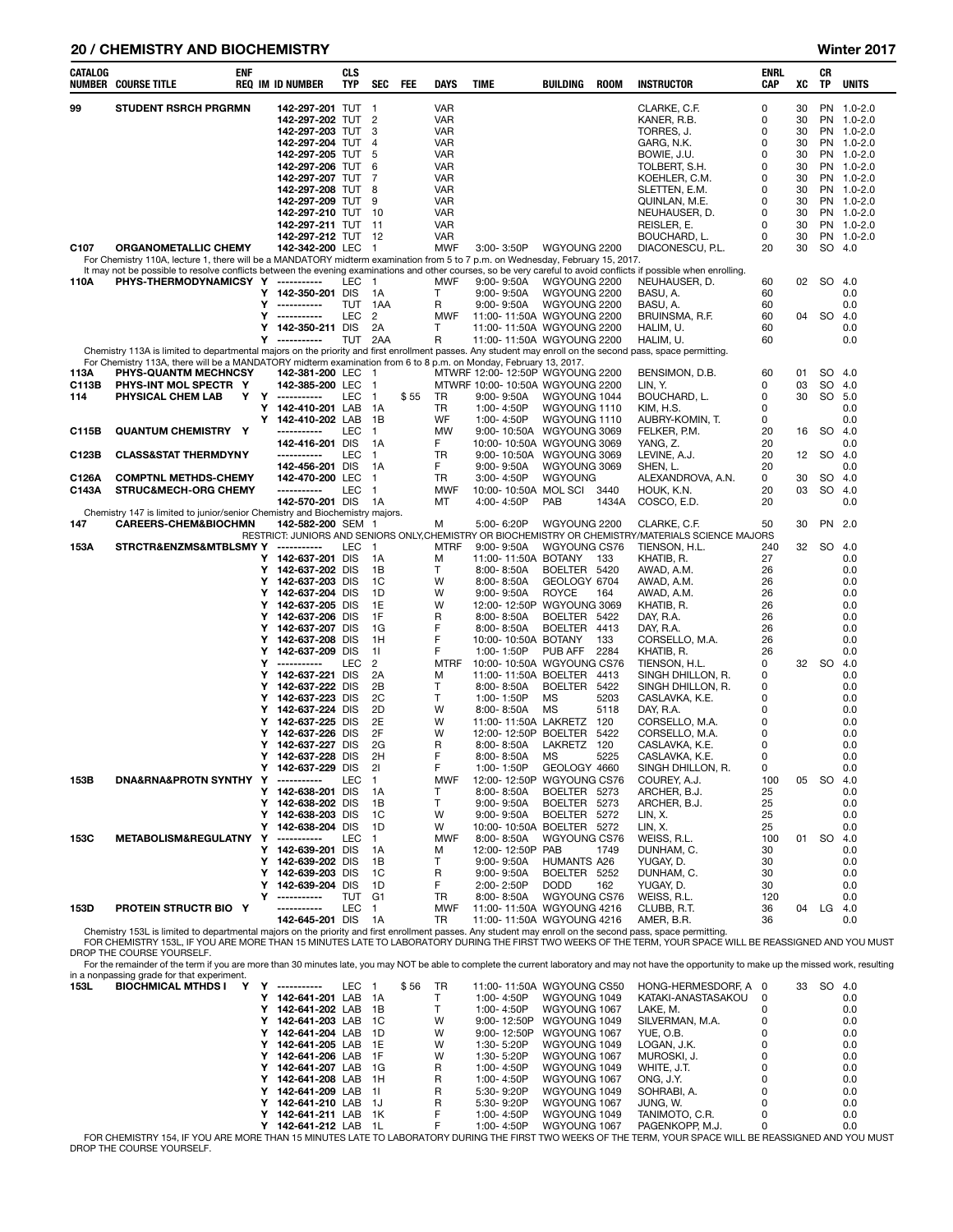#### 20 / CHEMISTRY AND BIOCHEMISTRY Winter 2017

| CATALOG          | enf<br><b>NUMBER COURSE TITLE</b>                                                                                                                                 |        | <b>REQ IM ID NUMBER</b>            | <b>CLS</b><br>TYP | SEC                | FEE  | <b>DAYS</b>              | TIME                                        | <b>BUILDING</b>               | <b>ROOM</b> | <b>INSTRUCTOR</b>                                                                                   | ENRL<br>CAP | XC       | CR<br>TP               | UNITS                    |
|------------------|-------------------------------------------------------------------------------------------------------------------------------------------------------------------|--------|------------------------------------|-------------------|--------------------|------|--------------------------|---------------------------------------------|-------------------------------|-------------|-----------------------------------------------------------------------------------------------------|-------------|----------|------------------------|--------------------------|
| 99               | <b>STUDENT RSRCH PRGRMN</b>                                                                                                                                       |        | 142-297-201 TUT                    |                   | $\overline{1}$     |      | <b>VAR</b>               |                                             |                               |             | CLARKE, C.F.                                                                                        | 0           | 30       |                        | PN 1.0-2.0               |
|                  |                                                                                                                                                                   |        | 142-297-202 TUT                    |                   | $\overline{2}$     |      | <b>VAR</b>               |                                             |                               |             | KANER, R.B.                                                                                         | 0           | 30       |                        | PN 1.0-2.0               |
|                  |                                                                                                                                                                   |        | 142-297-203 TUT                    |                   | 3                  |      | <b>VAR</b>               |                                             |                               |             | TORRES, J.                                                                                          | 0           | 30       |                        | PN 1.0-2.0               |
|                  |                                                                                                                                                                   |        | 142-297-204 TUT                    |                   | $\overline{4}$     |      | <b>VAR</b>               |                                             |                               |             | GARG, N.K.                                                                                          | 0           | 30       |                        | PN 1.0-2.0               |
|                  |                                                                                                                                                                   |        | 142-297-205                        | TUT               | 5                  |      | <b>VAR</b>               |                                             |                               |             | BOWIE, J.U.                                                                                         | 0           | 30       |                        | PN 1.0-2.0               |
|                  |                                                                                                                                                                   |        | 142-297-206                        | TUT               | 6                  |      | <b>VAR</b>               |                                             |                               |             | TOLBERT, S.H.                                                                                       | 0           | 30       | PN                     | $1.0 - 2.0$              |
|                  |                                                                                                                                                                   |        | 142-297-207 TUT                    |                   | 7                  |      | <b>VAR</b>               |                                             |                               |             | KOEHLER, C.M.                                                                                       | 0           | 30       |                        | PN 1.0-2.0               |
|                  |                                                                                                                                                                   |        | 142-297-208                        | TUT               | 8                  |      | <b>VAR</b>               |                                             |                               |             | SLETTEN, E.M.                                                                                       | 0           | 30       |                        | PN 1.0-2.0               |
|                  |                                                                                                                                                                   |        | 142-297-209<br>142-297-210 TUT     | TUT               | 9<br>10            |      | <b>VAR</b><br><b>VAR</b> |                                             |                               |             | QUINLAN, M.E.                                                                                       | 0<br>0      | 30<br>30 |                        | PN 1.0-2.0<br>PN 1.0-2.0 |
|                  |                                                                                                                                                                   |        | 142-297-211 TUT                    |                   | -11                |      | <b>VAR</b>               |                                             |                               |             | NEUHAUSER, D.<br>REISLER, E.                                                                        | 0           | 30       |                        | PN 1.0-2.0               |
|                  |                                                                                                                                                                   |        | 142-297-212 TUT                    |                   | -12                |      | <b>VAR</b>               |                                             |                               |             | BOUCHARD, L.                                                                                        | 0           | 30       |                        | PN 1.0-2.0               |
| C <sub>107</sub> | ORGANOMETALLIC CHEMY                                                                                                                                              |        | 142-342-200 LEC                    |                   | $\overline{1}$     |      | <b>MWF</b>               | 3:00-3:50P                                  | WGYOUNG 2200                  |             | DIACONESCU, P.L.                                                                                    | 20          | 30       | SO                     | 4.0                      |
|                  | For Chemistry 110A, lecture 1, there will be a MANDATORY midterm examination from 5 to 7 p.m. on Wednesday, February 15, 2017.                                    |        |                                    |                   |                    |      |                          |                                             |                               |             |                                                                                                     |             |          |                        |                          |
|                  | It may not be possible to resolve conflicts between the evening examinations and other courses, so be very careful to avoid conflicts if possible when enrolling. |        |                                    |                   |                    |      |                          |                                             |                               |             |                                                                                                     |             |          |                        |                          |
| 110A             | PHYS-THERMODYNAMICSY Y                                                                                                                                            |        | ------------                       | LEC               | -1                 |      | <b>MWF</b>               | $9:00 - 9:50A$                              | WGYOUNG 2200                  |             | NEUHAUSER, D.                                                                                       | 60          | 02       | <b>SO</b>              | -4.0                     |
|                  |                                                                                                                                                                   | Y      | 142-350-201 DIS                    |                   | 1A                 |      | $\mathsf{T}$             | $9:00 - 9:50A$                              | WGYOUNG 2200                  |             | BASU, A.                                                                                            | 60          |          |                        | 0.0                      |
|                  |                                                                                                                                                                   | Y      | -----------                        | TUT               | 1AA                |      | R                        | $9:00 - 9:50A$                              | WGYOUNG 2200                  |             | BASU, A.                                                                                            | 60          |          |                        | 0.0                      |
|                  |                                                                                                                                                                   | Υ      | -----------                        | LEC               | $\overline{c}$     |      | <b>MWF</b>               | 11:00-11:50A WGYOUNG 2200                   |                               |             | BRUINSMA, R.F.                                                                                      | 60          | 04       | <b>SO</b>              | 4.0                      |
|                  |                                                                                                                                                                   | Y<br>Y | 142-350-211 DIS<br>-----------     | TUT               | 2A                 |      | $\mathsf{T}$<br>R        | 11:00-11:50A WGYOUNG 2200                   |                               |             | HALIM, U.                                                                                           | 60<br>60    |          |                        | 0.0                      |
|                  | Chemistry 113A is limited to departmental majors on the priority and first enrollment passes. Any student may enroll on the second pass, space permitting.        |        |                                    |                   | 2AA                |      |                          | 11:00-11:50A WGYOUNG 2200                   |                               |             | HALIM, U.                                                                                           |             |          |                        | 0.0                      |
|                  | For Chemistry 113A, there will be a MANDATORY midterm examination from 6 to 8 p.m. on Monday, February 13, 2017.                                                  |        |                                    |                   |                    |      |                          |                                             |                               |             |                                                                                                     |             |          |                        |                          |
| 113A             | <b>PHYS-QUANTM MECHNCSY</b>                                                                                                                                       |        | 142-381-200 LEC                    |                   | -1                 |      |                          | MTWRF 12:00-12:50P WGYOUNG 2200             |                               |             | BENSIMON, D.B.                                                                                      | 60          | 01       | <b>SO</b>              | 4.0                      |
| C113B            | PHYS-INT MOL SPECTR Y                                                                                                                                             |        | 142-385-200 LEC                    |                   | $\overline{1}$     |      |                          | MTWRF 10:00-10:50A WGYOUNG 2200             |                               |             | LIN, Y.                                                                                             | 0           | 03       | <b>SO</b>              | 4.0                      |
| 114              | <b>PHYSICAL CHEM LAB</b><br>Υ                                                                                                                                     | Y      | -----------                        | <b>LEC</b>        | $\overline{1}$     | \$55 | TR                       | $9:00 - 9:50A$                              | WGYOUNG 1044                  |             | BOUCHARD, L.                                                                                        | 0           | 30       | <b>SO</b>              | 5.0                      |
|                  |                                                                                                                                                                   | Y      | 142-410-201 LAB                    |                   | - 1 A              |      | TR                       | 1:00-4:50P                                  | WGYOUNG 1110                  |             | KIM, H.S.                                                                                           | 0           |          |                        | 0.0                      |
|                  |                                                                                                                                                                   | Υ      | 142-410-202 LAB                    |                   | 1B                 |      | WF                       | 1:00-4:50P                                  | WGYOUNG 1110                  |             | AUBRY-KOMIN, T.                                                                                     | 0           |          |                        | 0.0                      |
| C115B            | <b>QUANTUM CHEMISTRY Y</b>                                                                                                                                        |        | -----------                        | <b>LEC</b>        | $\mathbf{1}$       |      | <b>MW</b>                | 9:00-10:50A                                 | WGYOUNG 3069                  |             | FELKER, P.M.                                                                                        | 20          | 16       | SO.                    | 4.0                      |
|                  |                                                                                                                                                                   |        | 142-416-201 DIS                    |                   | 1А                 |      | F                        | 10:00-10:50A WGYOUNG 3069                   |                               |             | YANG, Z.                                                                                            | 20          |          |                        | 0.0                      |
| C123B            | <b>CLASS&amp;STAT THERMDYNY</b>                                                                                                                                   |        | ------------                       | LEC               | $\mathbf{1}$       |      | TR                       | 9:00-10:50A                                 | WGYOUNG 3069                  |             | LEVINE, A.J.                                                                                        | 20          | 12       | SO.                    | 4.0                      |
|                  |                                                                                                                                                                   |        | 142-456-201 DIS<br>142-470-200 LEC |                   | 1A                 |      | F                        | $9:00 - 9:50A$                              | WGYOUNG 3069                  |             | SHEN, L.                                                                                            | 20          |          |                        | 0.0                      |
| C126A<br>C143A   | <b>COMPTNL METHDS-CHEMY</b><br><b>STRUC&amp;MECH-ORG CHEMY</b>                                                                                                    |        |                                    | LEC               | -1<br>$\mathbf{1}$ |      | <b>TR</b><br><b>MWF</b>  | $3:00 - 4:50P$<br>10:00-10:50A MOL SCI      | WGYOUNG                       | 3440        | ALEXANDROVA, A.N.                                                                                   | 0<br>20     | 30<br>03 | <b>SO</b><br><b>SO</b> | 4.0<br>4.0               |
|                  |                                                                                                                                                                   |        | 142-570-201 DIS                    |                   | 1А                 |      | МT                       | 4:00-4:50P                                  | PAB                           | 1434A       | HOUK, K.N.<br>COSCO, E.D.                                                                           | 20          |          |                        | 0.0                      |
|                  | Chemistry 147 is limited to junior/senior Chemistry and Biochemistry majors.                                                                                      |        |                                    |                   |                    |      |                          |                                             |                               |             |                                                                                                     |             |          |                        |                          |
| 147              | <b>CAREERS-CHEM&amp;BIOCHMN</b>                                                                                                                                   |        | 142-582-200 SEM 1                  |                   |                    |      | М                        | 5:00-6:20P                                  | WGYOUNG 2200                  |             | CLARKE, C.F.                                                                                        | 50          | 30       | PN 2.0                 |                          |
|                  |                                                                                                                                                                   |        |                                    |                   |                    |      |                          |                                             |                               |             | RESTRICT: JUNIORS AND SENIORS ONLY, CHEMISTRY OR BIOCHEMISTRY OR CHEMISTRY/MATERIALS SCIENCE MAJORS |             |          |                        |                          |
| 153A             | STRCTR&ENZMS&MTBLSMY Y                                                                                                                                            |        | ------------                       | LEC               | $\mathbf{1}$       |      | <b>MTRF</b>              | $9:00 - 9:50A$                              | WGYOUNG CS76                  |             | TIENSON, H.L.                                                                                       | 240         | 32       | <b>SO</b>              | 4.0                      |
|                  |                                                                                                                                                                   | Y      | 142-637-201 DIS                    |                   | 1A                 |      | М                        | 11:00-11:50A BOTANY                         |                               | 133         | KHATIB, R.                                                                                          | 27          |          |                        | 0.0                      |
|                  |                                                                                                                                                                   | Y      | 142-637-202 DIS                    |                   | 1B                 |      | т                        | 8:00-8:50A                                  | BOELTER 5420                  |             | AWAD, A.M.                                                                                          | 26          |          |                        | 0.0                      |
|                  |                                                                                                                                                                   | Y      | 142-637-203 DIS                    |                   | 1C                 |      | W                        | $8:00 - 8:50A$                              | GEOLOGY 6704                  |             | AWAD, A.M.                                                                                          | 26          |          |                        | 0.0                      |
|                  |                                                                                                                                                                   | Y<br>Υ | 142-637-204 DIS<br>142-637-205 DIS |                   | 1D<br>1E           |      | W<br>W                   | $9:00 - 9:50A$                              | <b>ROYCE</b><br>WGYOUNG 3069  | 164         | AWAD, A.M.                                                                                          | 26<br>26    |          |                        | 0.0<br>0.0               |
|                  |                                                                                                                                                                   | Y      | 142-637-206 DIS                    |                   | 1F                 |      | R                        | 12:00-12:50P<br>8:00-8:50A                  | BOELTER 5422                  |             | KHATIB, R.<br>DAY, R.A.                                                                             | 26          |          |                        | 0.0                      |
|                  |                                                                                                                                                                   | Y      | 142-637-207 DIS                    |                   | 1G                 |      | F                        | $8:00 - 8:50A$                              | <b>BOELTER</b>                | 4413        | DAY, R.A.                                                                                           | 26          |          |                        | 0.0                      |
|                  |                                                                                                                                                                   | Y      | 142-637-208                        | <b>DIS</b>        | 1H                 |      | F                        | 10:00-10:50A BOTANY                         |                               | 133         | CORSELLO, M.A.                                                                                      | 26          |          |                        | 0.0                      |
|                  |                                                                                                                                                                   | Υ      | 142-637-209 DIS                    |                   | 11                 |      | F                        | 1:00-1:50P                                  | PUB AFF                       | 2284        | KHATIB, R.                                                                                          | 26          |          |                        | 0.0                      |
|                  |                                                                                                                                                                   | Y      | ------------                       | LEC               | 2                  |      | MTRF                     | 10:00-10:50A WGYOUNG CS76                   |                               |             | TIENSON, H.L.                                                                                       | 0           | 32       | <b>SO</b>              | 4.0                      |
|                  |                                                                                                                                                                   | Y      | 142-637-221 DIS                    |                   | 2A                 |      | М                        | 11:00-11:50A BOELTER                        |                               | 4413        | SINGH DHILLON, R.                                                                                   | 0           |          |                        | 0.0                      |
|                  |                                                                                                                                                                   | Y      | 142-637-222 DIS                    |                   | 2B                 |      | Т                        | 8:00-8:50A                                  | <b>BOELTER</b>                | 5422        | SINGH DHILLON, R.                                                                                   | 0           |          |                        | 0.0                      |
|                  |                                                                                                                                                                   | Υ      | 142-637-223                        | <b>DIS</b>        | 2C                 |      | Т                        | 1:00-1:50P                                  | MS                            | 5203        | CASLAVKA, K.E.                                                                                      | 0           |          |                        | 0.0                      |
|                  |                                                                                                                                                                   | Y      | 142-637-224 DIS                    |                   | 2D                 |      | W                        | $8:00 - 8:50A$                              | MS                            | 5118        | DAY, R.A.                                                                                           | 0           |          |                        | 0.0                      |
|                  |                                                                                                                                                                   | Y      | 142-637-225                        | <b>DIS</b>        | 2E                 |      | W<br>W                   | 11:00-11:50A LAKRETZ 120                    |                               |             | CORSELLO, M.A.                                                                                      | 0<br>0      |          |                        | 0.0                      |
|                  |                                                                                                                                                                   | Y<br>Y | 142-637-226<br>142-637-227 DIS     | <b>DIS</b>        | 2F<br>2G           |      | R                        | 12:00-12:50P<br>8:00-8:50A                  | <b>BOELTER</b><br>LAKRETZ 120 | 5422        | CORSELLO, M.A.<br>CASLAVKA, K.E.                                                                    | 0           |          |                        | 0.0<br>0.0               |
|                  |                                                                                                                                                                   | Y      | 142-637-228 DIS                    |                   | 2H                 |      | F                        | 8:00-8:50A                                  | мs                            | 5225        | CASLAVKA, K.E.                                                                                      | 0           |          |                        | 0.0                      |
|                  |                                                                                                                                                                   |        | Y 142-637-229 DIS                  |                   | 21                 |      | F                        | 1:00-1:50P                                  | GEOLOGY 4660                  |             | SINGH DHILLON, R.                                                                                   | 0           |          |                        | 0.0                      |
| 153B             | DNA&RNA&PROTN SYNTHY Y                                                                                                                                            |        |                                    | LEC               | 1                  |      | MWF                      | 12:00-12:50P                                | WGYOUNG CS76                  |             | COUREY, A.J.                                                                                        | 100         | 05       | SO                     | 4.0                      |
|                  |                                                                                                                                                                   | Y      | 142-638-201 DIS                    |                   | 1А                 |      | Т                        | $8:00 - 8:50A$                              | BOELTER 5273                  |             | ARCHER, B.J.                                                                                        | 25          |          |                        | 0.0                      |
|                  |                                                                                                                                                                   | Y      | 142-638-202                        | <b>DIS</b>        | 1В                 |      | т                        | 9:00-9:50A                                  | BOELTER 5273                  |             | ARCHER, B.J.                                                                                        | 25          |          |                        | 0.0                      |
|                  |                                                                                                                                                                   | Y      | 142-638-203 DIS                    |                   | 1C                 |      | W                        | 9:00-9:50A                                  | BOELTER 5272                  |             | LIN, X.                                                                                             | 25          |          |                        | 0.0                      |
|                  |                                                                                                                                                                   | Y      | 142-638-204 DIS                    |                   | 1D                 |      | W                        | 10:00-10:50A BOELTER 5272                   |                               |             | LIN, X.                                                                                             | 25          |          |                        | 0.0                      |
| 153C             | METABOLISM&REGULATNY Y                                                                                                                                            |        | -----------                        | LEC               | $\mathbf{1}$       |      | MWF                      | $8:00 - 8:50A$                              | WGYOUNG CS76                  |             | WEISS, R.L.                                                                                         | 100         | 01       | so                     | 4.0                      |
|                  |                                                                                                                                                                   | Υ      | 142-639-201                        | <b>DIS</b>        | 1A                 |      | М                        | 12:00-12:50P                                | PAB                           | 1749        | DUNHAM, C.                                                                                          | 30          |          |                        | 0.0                      |
|                  |                                                                                                                                                                   | Y      | 142-639-202 DIS                    |                   | 1В                 |      | Т                        | $9:00 - 9:50A$                              | HUMANTS A26                   |             | YUGAY, D.                                                                                           | 30          |          |                        | 0.0                      |
|                  |                                                                                                                                                                   | Y      | 142-639-203                        | <b>DIS</b>        | 1C                 |      | R                        | $9:00 - 9:50A$                              | BOELTER 5252                  |             | DUNHAM, C.                                                                                          | 30          |          |                        | 0.0                      |
|                  |                                                                                                                                                                   | Υ<br>ν | 142-639-204 DIS                    |                   | 1D                 |      | F                        | 2:00-2:50P                                  | <b>DODD</b>                   | 162         | YUGAY, D.<br>WEISS, R.L.                                                                            | 30          |          |                        | 0.0                      |
| 153D             | PROTEIN STRUCTR BIO Y                                                                                                                                             |        | -----------<br>-----------         | TUT<br>LEC        | G1<br>$\mathbf{1}$ |      | TR<br>MWF                | $8:00 - 8:50A$<br>11:00-11:50A WGYOUNG 4216 | WGYOUNG CS76                  |             | CLUBB, R.T.                                                                                         | 120<br>36   | 04       | LG                     | 0.0<br>4.0               |
|                  |                                                                                                                                                                   |        | 142-645-201 DIS                    |                   | 1A                 |      | TR                       | 11:00-11:50A WGYOUNG 4216                   |                               |             | AMER, B.R.                                                                                          | 36          |          |                        | 0.0                      |
|                  | Chemistry 153L is limited to departmental majors on the priority and first enrollment passes. Any student may enroll on the second pass, space permitting.        |        |                                    |                   |                    |      |                          |                                             |                               |             |                                                                                                     |             |          |                        |                          |

Chemistry 153L is limited to departmental majors on the priority and first enrollment passes. Any student may enroll on the second pass, space permitting.<br>FOR CHEMISTRY 153L IF YOU ARE MORE THAN 15 MINUTES LATE TO LABORATO

in a nonpassing grade for that experiment.<br>**153L BIOCHMICAL MTHDS I Y Y** ----------- LEC 1 \$56 TR 11:00- 11:50A WGYOUNG CS50 HONG-HERMESDORF, A 0 33 SO 4.0

| 153L | <b>BIOCHMICAL MTHDS I</b> | -----------                 | LEC. | \$56 | TR |                | 11:00-11:50A WGYOUNG CS50 | HONG-HERMESDORF, A 0 | 33 | SO 4.0 |
|------|---------------------------|-----------------------------|------|------|----|----------------|---------------------------|----------------------|----|--------|
|      |                           | 142-641-201 LAB 1A          |      |      |    | 1:00-4:50P     | WGYOUNG 1049              | KATAKI-ANASTASAKOU 0 |    | 0.0    |
|      |                           | 142-641-202 LAB 1B          |      |      |    | 1:00- 4:50P    | WGYOUNG 1067              | LAKE. M.             |    | 0.0    |
|      |                           | <b>Y 142-641-203 LAB 1C</b> |      |      | W  |                | 9:00-12:50P WGYOUNG 1049  | SILVERMAN, M.A.      |    | 0.0    |
|      |                           | 142-641-204 LAB 1D          |      |      | W  |                | 9:00-12:50P WGYOUNG 1067  | YUE, O.B.            |    | 0.0    |
|      |                           | 142-641-205 LAB 1E          |      |      | W  | 1:30- 5:20P    | WGYOUNG 1049              | LOGAN, J.K.          |    | 0.0    |
|      |                           | 142-641-206 LAB 1F          |      |      | W  | 1:30- 5:20P    | WGYOUNG 1067              | MUROSKI. J.          |    | 0.0    |
|      |                           | <b>Y 142-641-207 LAB 1G</b> |      |      | R  | 1:00-4:50P     | WGYOUNG 1049              | WHITE, J.T.          |    | 0.0    |
|      |                           | 142-641-208 LAB 1H          |      |      | R. | $1:00 - 4:50P$ | WGYOUNG 1067              | ONG. J.Y.            |    | 0.0    |
|      |                           | 142-641-209 LAB 1L          |      |      | R. | 5:30-9:20P     | WGYOUNG 1049              | SOHRABI, A.          |    | 0.0    |
|      |                           | 142-641-210 LAB 1J          |      |      | R  | 5:30-9:20P     | WGYOUNG 1067              | JUNG. W.             |    | 0.0    |
|      |                           | 142-641-211 LAB 1K          |      |      |    | 1:00-4:50P     | WGYOUNG 1049              | TANIMOTO, C.R.       |    | 0.0    |
|      |                           | 142-641-212 LAB             |      |      |    | 1:00-4:50P     | WGYOUNG 1067              | PAGENKOPP M.J.       |    | 0.0    |

1.00 V 142-641-212 LAB 1L F 1:00-4:50P WGYOUNG 1067 PAGENKOPP, M.J. 0<br>FOR CHEMISTRY 154, IF YOU ARE MORE THAN 15 MINUTES LATE TO LABORATORY DURING THE FIRST TWO WEEKS OF THE TERM, YOUR SPACE WILL BE REASSIGNED AND YOU MUST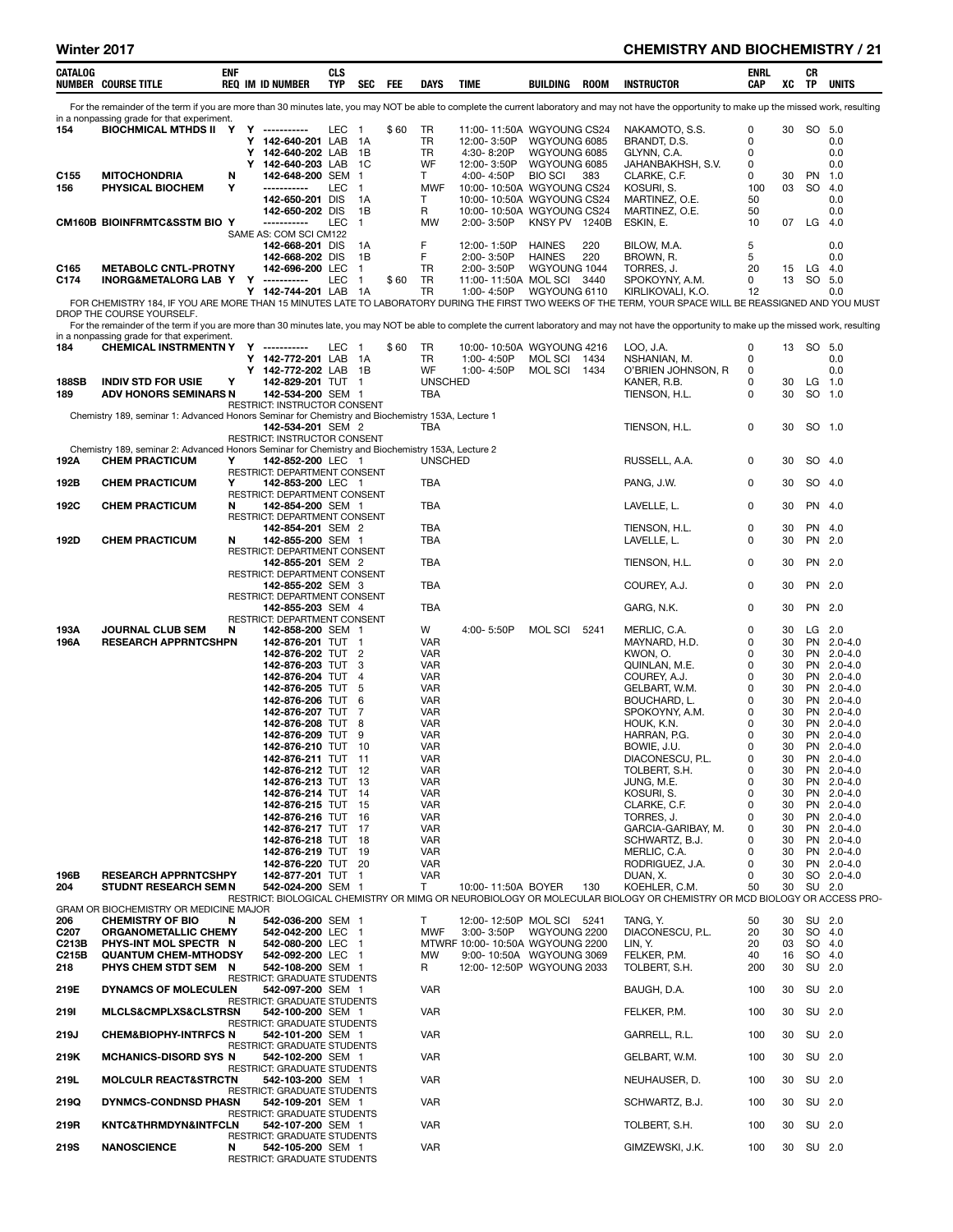### Winter 2017 **CHEMISTRY AND BIOCHEMISTRY / 21**

| CATALOG                 | <b>NUMBER COURSE TITLE</b>                                                                       | <b>ENF</b> |        | <b>REQ IM ID NUMBER</b>                                 | CLS<br>TYP | SEC FEE                        |      | DAYS                     | TIME                                                        | BUILDING                      | <b>ROOM</b> | <b>INSTRUCTOR</b>                                                                                                                                                                                 | ENRL<br><b>CAP</b> | XC       | CR<br>TP        | UNITS                    |
|-------------------------|--------------------------------------------------------------------------------------------------|------------|--------|---------------------------------------------------------|------------|--------------------------------|------|--------------------------|-------------------------------------------------------------|-------------------------------|-------------|---------------------------------------------------------------------------------------------------------------------------------------------------------------------------------------------------|--------------------|----------|-----------------|--------------------------|
|                         |                                                                                                  |            |        |                                                         |            |                                |      |                          |                                                             |                               |             | For the remainder of the term if you are more than 30 minutes late, you may NOT be able to complete the current laboratory and may not have the opportunity to make up the missed work, resulting |                    |          |                 |                          |
| 154                     | in a nonpassing grade for that experiment.<br>BIOCHMICAL MTHDS II                                | Y          | Y      | ------------                                            | LEC        | $\overline{1}$                 | \$60 | TR                       | 11:00-11:50A WGYOUNG CS24                                   |                               |             | NAKAMOTO, S.S.                                                                                                                                                                                    | 0                  | 30       | SO 5.0          |                          |
|                         |                                                                                                  |            | Y<br>Υ | 142-640-201 LAB 1A<br>142-640-202 LAB                   |            | 1B                             |      | TR<br>TR                 | 12:00-3:50P<br>4:30-8:20P                                   | WGYOUNG 6085<br>WGYOUNG 6085  |             | BRANDT, D.S.<br>GLYNN, C.A.                                                                                                                                                                       | 0<br>0             |          |                 | 0.0<br>0.0               |
|                         |                                                                                                  |            | Y      | 142-640-203 LAB                                         |            | 1C                             |      | WF                       | 12:00-3:50P                                                 | WGYOUNG 6085                  |             | JAHANBAKHSH, S.V.                                                                                                                                                                                 | 0                  |          |                 | 0.0                      |
| C <sub>155</sub><br>156 | <b>MITOCHONDRIA</b><br>PHYSICAL BIOCHEM                                                          | N<br>Υ     |        | 142-648-200 SEM<br>-----------                          | LEC        | $\overline{1}$<br>$\mathbf{1}$ |      | T<br><b>MWF</b>          | 4:00-4:50P<br>10:00-10:50A WGYOUNG CS24                     | <b>BIO SCI</b>                | 383         | CLARKE, C.F.<br>KOSURI, S.                                                                                                                                                                        | 0<br>100           | 30<br>03 | <b>PN</b><br>SO | 1.0<br>4.0               |
|                         |                                                                                                  |            |        | 142-650-201 DIS<br>142-650-202 DIS                      |            | 1A<br>1B                       |      | Т<br>R                   | 10:00-10:50A WGYOUNG CS24<br>10:00-10:50A WGYOUNG CS24      |                               |             | MARTINEZ, O.E.<br>MARTINEZ, O.E.                                                                                                                                                                  | 50<br>50           |          |                 | 0.0<br>0.0               |
|                         | <b>CM160B BIOINFRMTC&amp;SSTM BIO Y</b>                                                          |            |        | -----------                                             | <b>LEC</b> | $\mathbf{1}$                   |      | MW                       | 2:00-3:50P                                                  | KNSY PV 1240B                 |             | ESKIN, E.                                                                                                                                                                                         | 10                 | 07       | LG              | 4.0                      |
|                         |                                                                                                  |            |        | SAME AS: COM SCI CM122<br>142-668-201 DIS               |            | 1A                             |      | F                        | 12:00-1:50P                                                 | <b>HAINES</b>                 | 220         | BILOW, M.A.                                                                                                                                                                                       | 5                  |          |                 | 0.0                      |
| C165                    | <b>METABOLC CNTL-PROTNY</b>                                                                      |            |        | 142-668-202 DIS<br>142-696-200 LEC                      |            | 1B<br>$\mathbf{1}$             |      | F<br>TR                  | 2:00-3:50P<br>2:00-3:50P                                    | <b>HAINES</b><br>WGYOUNG 1044 | 220         | BROWN, R.<br>TORRES, J.                                                                                                                                                                           | 5<br>20            | 15       | LG              | 0.0<br>4.0               |
| C174                    | <b>INORG&amp;METALORG LAB Y Y</b>                                                                |            |        | ------------                                            | LEC        | $\overline{1}$                 | \$60 | TR                       | 11:00-11:50A MOL SCI 3440                                   |                               |             | SPOKOYNY, A.M.                                                                                                                                                                                    | 0                  | 13       | SO 5.0          |                          |
|                         |                                                                                                  |            |        | Y 142-744-201 LAB 1A                                    |            |                                |      | TR                       | 1:00-4:50P                                                  | WGYOUNG 6110                  |             | KIRLIKOVALI, K.O.<br>FOR CHEMISTRY 184, IF YOU ARE MORE THAN 15 MINUTES LATE TO LABORATORY DURING THE FIRST TWO WEEKS OF THE TERM, YOUR SPACE WILL BE REASSIGNED AND YOU MUST                     | 12                 |          |                 | 0.0                      |
|                         | DROP THE COURSE YOURSELF.                                                                        |            |        |                                                         |            |                                |      |                          |                                                             |                               |             | For the remainder of the term if you are more than 30 minutes late, you may NOT be able to complete the current laboratory and may not have the opportunity to make up the missed work, resulting |                    |          |                 |                          |
|                         | in a nonpassing grade for that experiment.                                                       |            |        |                                                         |            |                                |      |                          |                                                             |                               |             |                                                                                                                                                                                                   |                    |          |                 |                          |
| 184                     | <b>CHEMICAL INSTRMENTN Y</b>                                                                     |            | Y<br>Y | -----------<br>142-772-201 LAB 1A                       | LEC 1      |                                | \$60 | TR<br>TR                 | 10:00-10:50A WGYOUNG 4216<br>1:00-4:50P                     | MOL SCI 1434                  |             | LOO, J.A.<br>NSHANIAN, M.                                                                                                                                                                         | 0<br>0             |          | 13 SO 5.0       | 0.0                      |
| <b>188SB</b>            | <b>INDIV STD FOR USIE</b>                                                                        | Y          |        | Y 142-772-202 LAB 1B<br>142-829-201 TUT 1               |            |                                |      | WF<br><b>UNSCHED</b>     | 1:00-4:50P                                                  | MOL SCI 1434                  |             | O'BRIEN JOHNSON, R<br>KANER, R.B.                                                                                                                                                                 | 0<br>0             | 30       |                 | 0.0<br>$LG$ 1.0          |
| 189                     | ADV HONORS SEMINARS N                                                                            |            |        | 142-534-200 SEM 1                                       |            |                                |      | TBA                      |                                                             |                               |             | TIENSON, H.L.                                                                                                                                                                                     | 0                  | 30       |                 | SO 1.0                   |
|                         | Chemistry 189, seminar 1: Advanced Honors Seminar for Chemistry and Biochemistry 153A, Lecture 1 |            |        | RESTRICT: INSTRUCTOR CONSENT                            |            |                                |      |                          |                                                             |                               |             |                                                                                                                                                                                                   |                    |          |                 |                          |
|                         |                                                                                                  |            |        | 142-534-201 SEM 2<br>RESTRICT: INSTRUCTOR CONSENT       |            |                                |      | TBA                      |                                                             |                               |             | TIENSON, H.L.                                                                                                                                                                                     | 0                  | 30       |                 | SO 1.0                   |
|                         | Chemistry 189, seminar 2: Advanced Honors Seminar for Chemistry and Biochemistry 153A, Lecture 2 |            |        |                                                         |            |                                |      |                          |                                                             |                               |             |                                                                                                                                                                                                   |                    |          |                 |                          |
| 192A                    | <b>CHEM PRACTICUM</b>                                                                            | Υ          |        | 142-852-200 LEC 1<br>RESTRICT: DEPARTMENT CONSENT       |            |                                |      | <b>UNSCHED</b>           |                                                             |                               |             | RUSSELL, A.A.                                                                                                                                                                                     | 0                  | 30       |                 | SO 4.0                   |
| 192B                    | <b>CHEM PRACTICUM</b>                                                                            | Υ          |        | 142-853-200 LEC 1<br>RESTRICT: DEPARTMENT CONSENT       |            |                                |      | TBA                      |                                                             |                               |             | PANG, J.W.                                                                                                                                                                                        | 0                  | 30       |                 | SO 4.0                   |
| 192C                    | <b>CHEM PRACTICUM</b>                                                                            | N          |        | 142-854-200 SEM 1                                       |            |                                |      | TBA                      |                                                             |                               |             | LAVELLE, L.                                                                                                                                                                                       | 0                  | 30       |                 | PN 4.0                   |
|                         |                                                                                                  |            |        | RESTRICT: DEPARTMENT CONSENT<br>142-854-201 SEM 2       |            |                                |      | TBA                      |                                                             |                               |             | TIENSON, H.L.                                                                                                                                                                                     | 0                  | 30       | PN              | 4.0                      |
| 192D                    | <b>CHEM PRACTICUM</b>                                                                            | N          |        | 142-855-200 SEM 1<br>RESTRICT: DEPARTMENT CONSENT       |            |                                |      | TBA                      |                                                             |                               |             | LAVELLE, L.                                                                                                                                                                                       | 0                  | 30       |                 | PN 2.0                   |
|                         |                                                                                                  |            |        | 142-855-201 SEM 2<br>RESTRICT: DEPARTMENT CONSENT       |            |                                |      | <b>TBA</b>               |                                                             |                               |             | TIENSON, H.L.                                                                                                                                                                                     | 0                  | 30       |                 | PN 2.0                   |
|                         |                                                                                                  |            |        | 142-855-202 SEM 3                                       |            |                                |      | <b>TBA</b>               |                                                             |                               |             | COUREY, A.J.                                                                                                                                                                                      | 0                  | 30       |                 | PN 2.0                   |
|                         |                                                                                                  |            |        | RESTRICT: DEPARTMENT CONSENT<br>142-855-203 SEM 4       |            |                                |      | TBA                      |                                                             |                               |             | GARG, N.K.                                                                                                                                                                                        | 0                  | 30       |                 | PN 2.0                   |
| 193A                    | <b>JOURNAL CLUB SEM</b>                                                                          | N          |        | RESTRICT: DEPARTMENT CONSENT<br>142-858-200 SEM 1       |            |                                |      | W                        | 4:00-5:50P                                                  | MOL SCI                       | 5241        | MERLIC, C.A.                                                                                                                                                                                      | 0                  | 30       |                 | LG 2.0                   |
| 196A                    | <b>RESEARCH APPRNTCSHPN</b>                                                                      |            |        | 142-876-201 TUT 1                                       |            |                                |      | <b>VAR</b>               |                                                             |                               |             | MAYNARD, H.D.                                                                                                                                                                                     | 0                  | 30       |                 | PN 2.0-4.0               |
|                         |                                                                                                  |            |        | 142-876-202 TUT 2<br>142-876-203 TUT 3                  |            |                                |      | VAR<br>VAR               |                                                             |                               |             | KWON, O.<br>QUINLAN, M.E.                                                                                                                                                                         | 0<br>0             | 30<br>30 |                 | PN 2.0-4.0<br>PN 2.0-4.0 |
|                         |                                                                                                  |            |        | 142-876-204 TUT 4<br>142-876-205 TUT 5                  |            |                                |      | <b>VAR</b><br><b>VAR</b> |                                                             |                               |             | COUREY, A.J.<br>GELBART, W.M.                                                                                                                                                                     | 0<br>0             | 30<br>30 |                 | PN 2.0-4.0<br>PN 2.0-4.0 |
|                         |                                                                                                  |            |        | 142-876-206 TUT 6                                       |            |                                |      | <b>VAR</b>               |                                                             |                               |             | BOUCHARD, L.                                                                                                                                                                                      | 0                  | 30       |                 | PN 2.0-4.0               |
|                         |                                                                                                  |            |        | 142-876-207 TUT 7<br>142-876-208 TUT 8                  |            |                                |      | VAR<br><b>VAR</b>        |                                                             |                               |             | SPOKOYNY, A.M.<br>HOUK, K.N.                                                                                                                                                                      | 0<br>0             | 30<br>30 |                 | PN 2.0-4.0<br>PN 2.0-4.0 |
|                         |                                                                                                  |            |        | 142-876-209 TUT 9<br>142-876-210 TUT 10                 |            |                                |      | <b>VAR</b>               |                                                             |                               |             | HARRAN, P.G.                                                                                                                                                                                      | 0<br>0             | 30       |                 | PN 2.0-4.0               |
|                         |                                                                                                  |            |        | 142-876-211 TUT 11                                      |            |                                |      | <b>VAR</b><br><b>VAR</b> |                                                             |                               |             | BOWIE, J.U.<br>DIACONESCU, P.L.                                                                                                                                                                   | 0                  | 30<br>30 |                 | PN 2.0-4.0<br>PN 2.0-4.0 |
|                         |                                                                                                  |            |        | 142-876-212 TUT 12<br>142-876-213 TUT 13                |            |                                |      | <b>VAR</b><br><b>VAR</b> |                                                             |                               |             | TOLBERT, S.H.<br>JUNG, M.E.                                                                                                                                                                       | 0<br>0             | 30<br>30 |                 | PN 2.0-4.0<br>PN 2.0-4.0 |
|                         |                                                                                                  |            |        | 142-876-214 TUT 14                                      |            |                                |      | VAR                      |                                                             |                               |             | KOSURI, S.                                                                                                                                                                                        | 0                  | 30       | PN              | $2.0 - 4.0$              |
|                         |                                                                                                  |            |        | 142-876-215 TUT 15<br>142-876-216 TUT 16                |            |                                |      | <b>VAR</b><br><b>VAR</b> |                                                             |                               |             | CLARKE, C.F.<br>TORRES, J.                                                                                                                                                                        | 0<br>0             | 30<br>30 |                 | PN 2.0-4.0<br>PN 2.0-4.0 |
|                         |                                                                                                  |            |        | 142-876-217 TUT 17<br>142-876-218 TUT 18                |            |                                |      | <b>VAR</b><br>VAR        |                                                             |                               |             | GARCIA-GARIBAY, M.<br>SCHWARTZ, B.J.                                                                                                                                                              | 0<br>0             | 30<br>30 |                 | PN 2.0-4.0<br>PN 2.0-4.0 |
|                         |                                                                                                  |            |        | 142-876-219 TUT 19                                      |            |                                |      | <b>VAR</b>               |                                                             |                               |             | MERLIC, C.A.                                                                                                                                                                                      | 0                  | 30       |                 | PN 2.0-4.0               |
| 196B                    | <b>RESEARCH APPRNTCSHPY</b>                                                                      |            |        | 142-876-220 TUT 20<br>142-877-201 TUT 1                 |            |                                |      | VAR<br><b>VAR</b>        |                                                             |                               |             | RODRIGUEZ, J.A.<br>DUAN, X.                                                                                                                                                                       | 0<br>0             | 30<br>30 |                 | PN 2.0-4.0<br>SO 2.0-4.0 |
| 204                     | <b>STUDNT RESEARCH SEM N</b>                                                                     |            |        | 542-024-200 SEM 1                                       |            |                                |      | T                        | 10:00-11:50A BOYER                                          |                               | 130         | KOEHLER, C.M.<br>RESTRICT: BIOLOGICAL CHEMISTRY OR MIMG OR NEUROBIOLOGY OR MOLECULAR BIOLOGY OR CHEMISTRY OR MCD BIOLOGY OR ACCESS PRO-                                                           | 50                 | 30       |                 | SU 2.0                   |
|                         | GRAM OR BIOCHEMISTRY OR MEDICINE MAJOR                                                           |            |        |                                                         |            |                                |      |                          |                                                             |                               |             |                                                                                                                                                                                                   |                    |          |                 |                          |
| 206<br>C <sub>207</sub> | <b>CHEMISTRY OF BIO</b><br><b>ORGANOMETALLIC CHEMY</b>                                           | N          |        | 542-036-200 SEM 1<br>542-042-200 LEC 1                  |            |                                |      | T<br><b>MWF</b>          | 12:00-12:50P MOL SCI 5241<br>3:00-3:50P WGYOUNG 2200        |                               |             | TANG, Y.<br>DIACONESCU, P.L.                                                                                                                                                                      | 50<br>20           | 30<br>30 |                 | SU 2.0<br>SO 4.0         |
| C213B<br>C215B          | PHYS-INT MOL SPECTR N<br><b>QUANTUM CHEM-MTHODSY</b>                                             |            |        | 542-080-200 LEC 1<br>542-092-200 LEC 1                  |            |                                |      | <b>MW</b>                | MTWRF 10:00-10:50A WGYOUNG 2200<br>9:00-10:50A WGYOUNG 3069 |                               |             | LIN, Y.<br>FELKER, P.M.                                                                                                                                                                           | 20<br>40           | 03<br>16 |                 | SO 4.0<br>SO 4.0         |
| 218                     | PHYS CHEM STDT SEM N                                                                             |            |        | 542-108-200 SEM 1                                       |            |                                |      | R                        | 12:00-12:50P WGYOUNG 2033                                   |                               |             | TOLBERT, S.H.                                                                                                                                                                                     | 200                | 30       |                 | SU 2.0                   |
| 219E                    | <b>DYNAMCS OF MOLECULEN</b>                                                                      |            |        | RESTRICT: GRADUATE STUDENTS<br>542-097-200 SEM 1        |            |                                |      | <b>VAR</b>               |                                                             |                               |             | BAUGH, D.A.                                                                                                                                                                                       | 100                | 30       |                 | SU 2.0                   |
| 2191                    | <b>MLCLS&amp;CMPLXS&amp;CLSTRSN</b>                                                              |            |        | RESTRICT: GRADUATE STUDENTS<br>542-100-200 SEM 1        |            |                                |      | <b>VAR</b>               |                                                             |                               |             | FELKER, P.M.                                                                                                                                                                                      | 100                | 30       |                 | SU 2.0                   |
| 219J                    | <b>CHEM&amp;BIOPHY-INTRFCS N</b>                                                                 |            |        | <b>RESTRICT: GRADUATE STUDENTS</b><br>542-101-200 SEM 1 |            |                                |      | <b>VAR</b>               |                                                             |                               |             | GARRELL, R.L.                                                                                                                                                                                     | 100                | 30       |                 | SU 2.0                   |
| 219K                    | <b>MCHANICS-DISORD SYS N</b>                                                                     |            |        | RESTRICT: GRADUATE STUDENTS<br>542-102-200 SEM 1        |            |                                |      | <b>VAR</b>               |                                                             |                               |             | GELBART, W.M.                                                                                                                                                                                     | 100                | 30       |                 | SU 2.0                   |
| 219L                    | <b>MOLCULR REACT&amp;STRCTN</b>                                                                  |            |        | RESTRICT: GRADUATE STUDENTS<br>542-103-200 SEM 1        |            |                                |      | <b>VAR</b>               |                                                             |                               |             | NEUHAUSER, D.                                                                                                                                                                                     | 100                | 30       |                 | SU 2.0                   |
| 219Q                    | DYNMCS-CONDNSD PHASN                                                                             |            |        | <b>RESTRICT: GRADUATE STUDENTS</b><br>542-109-201 SEM 1 |            |                                |      | <b>VAR</b>               |                                                             |                               |             | SCHWARTZ, B.J.                                                                                                                                                                                    | 100                | 30       | SU 2.0          |                          |
|                         |                                                                                                  |            |        | RESTRICT: GRADUATE STUDENTS                             |            |                                |      |                          |                                                             |                               |             |                                                                                                                                                                                                   |                    |          |                 |                          |
| 219R                    | <b>KNTC&amp;THRMDYN&amp;INTFCLN</b>                                                              |            |        | 542-107-200 SEM 1<br>RESTRICT: GRADUATE STUDENTS        |            |                                |      | <b>VAR</b>               |                                                             |                               |             | TOLBERT, S.H.                                                                                                                                                                                     | 100                | 30       |                 | SU 2.0                   |
| <b>219S</b>             | <b>NANOSCIENCE</b>                                                                               | N          |        | 542-105-200 SEM 1<br><b>RESTRICT: GRADUATE STUDENTS</b> |            |                                |      | VAR                      |                                                             |                               |             | GIMZEWSKI, J.K.                                                                                                                                                                                   | 100                | 30       | SU 2.0          |                          |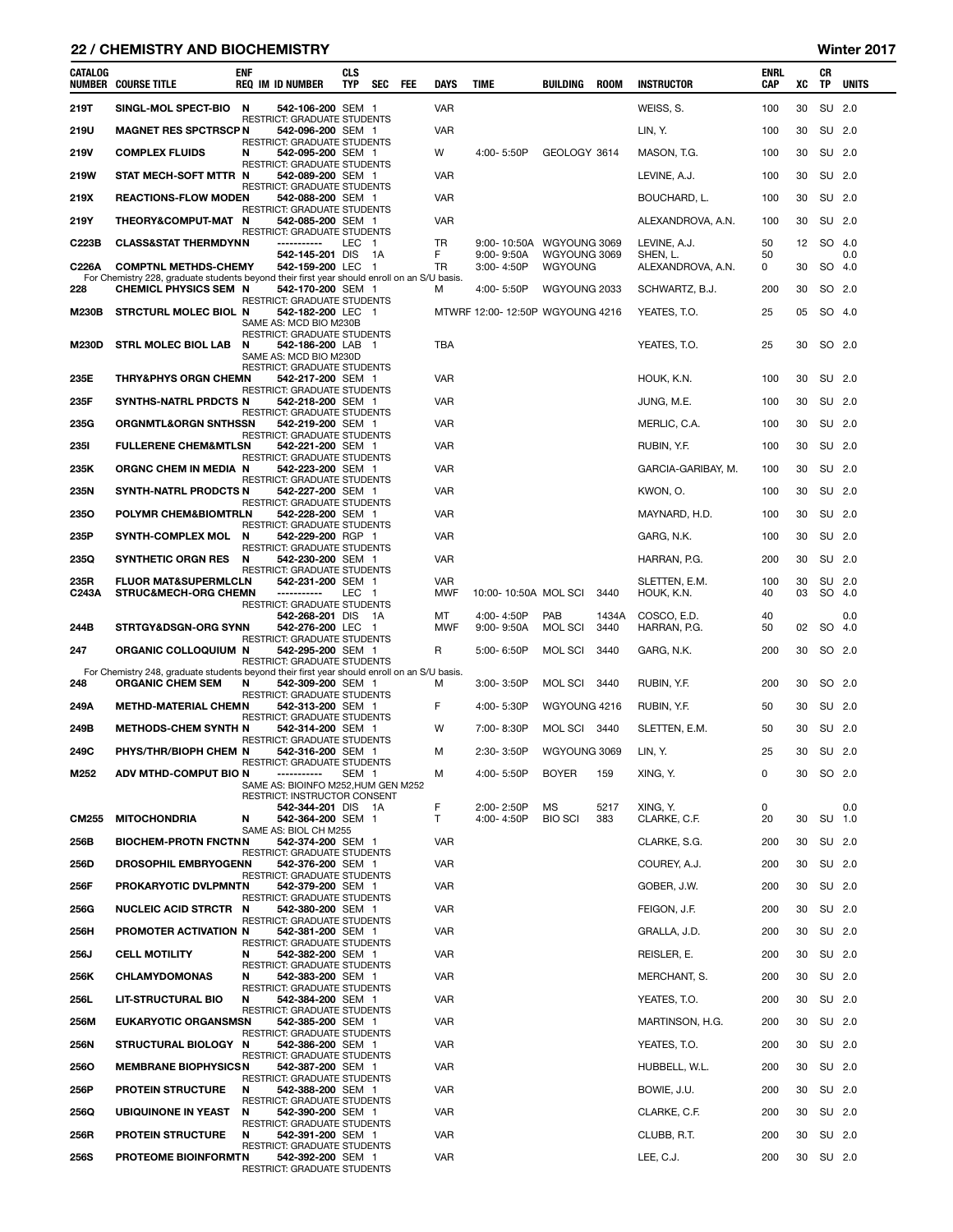### 22 / CHEMISTRY AND BIOCHEMISTRY Winter 2017

| CATALOG       | <b>NUMBER COURSE TITLE</b>                                                                                                  | ENF | <b>REQ IM ID NUMBER</b>                                 | CLS<br>TYP       | SEC  | FEE | DAYS                     | TIME                            | BUILDING                       | <b>ROOM</b> | <b>INSTRUCTOR</b>             | ENRL<br>CAP | XC       | СR<br>TP | <b>UNITS</b>     |
|---------------|-----------------------------------------------------------------------------------------------------------------------------|-----|---------------------------------------------------------|------------------|------|-----|--------------------------|---------------------------------|--------------------------------|-------------|-------------------------------|-------------|----------|----------|------------------|
| 219T          | SINGL-MOL SPECT-BIO                                                                                                         | N   | 542-106-200 SEM 1                                       |                  |      |     | <b>VAR</b>               |                                 |                                |             | WEISS, S.                     | 100         | 30       |          | SU 2.0           |
| 219U          | <b>MAGNET RES SPCTRSCP N</b>                                                                                                |     | <b>RESTRICT: GRADUATE STUDENTS</b><br>542-096-200 SEM 1 |                  |      |     | VAR                      |                                 |                                |             | LIN, Y.                       | 100         | 30       |          | SU 2.0           |
| 219V          | <b>COMPLEX FLUIDS</b>                                                                                                       | N   | <b>RESTRICT: GRADUATE STUDENTS</b><br>542-095-200 SEM 1 |                  |      |     | W                        | 4:00-5:50P                      | GEOLOGY 3614                   |             | MASON, T.G.                   | 100         | 30       |          | SU 2.0           |
| 219W          | STAT MECH-SOFT MTTR N                                                                                                       |     | RESTRICT: GRADUATE STUDENTS<br>542-089-200 SEM 1        |                  |      |     | <b>VAR</b>               |                                 |                                |             | LEVINE, A.J.                  | 100         | 30       |          | SU 2.0           |
| 219X          | <b>REACTIONS-FLOW MODEN</b>                                                                                                 |     | RESTRICT: GRADUATE STUDENTS<br>542-088-200 SEM 1        |                  |      |     | <b>VAR</b>               |                                 |                                |             | BOUCHARD, L.                  | 100         | 30       |          | SU 2.0           |
| 219Y          | <b>THEORY&amp;COMPUT-MAT</b>                                                                                                | N   | RESTRICT: GRADUATE STUDENTS<br>542-085-200 SEM 1        |                  |      |     | <b>VAR</b>               |                                 |                                |             | ALEXANDROVA, A.N.             | 100         | 30       |          | SU 2.0           |
| C223B         | <b>CLASS&amp;STAT THERMDYNN</b>                                                                                             |     | RESTRICT: GRADUATE STUDENTS<br>------------             | LEC 1            |      |     | TR                       | 9:00-10:50A WGYOUNG 3069        |                                |             | LEVINE, A.J.                  | 50          | 12       |          | SO 4.0           |
| C226A         | <b>COMPTNL METHDS-CHEMY</b>                                                                                                 |     | 542-145-201 DIS<br>542-159-200 LEC 1                    |                  | - 1A |     | F.<br>TR                 | $9:00 - 9:50A$<br>3:00-4:50P    | WGYOUNG 3069<br><b>WGYOUNG</b> |             | SHEN, L.<br>ALEXANDROVA, A.N. | 50<br>0     | 30       |          | 0.0<br>SO 4.0    |
| 228           | For Chemistry 228, graduate students beyond their first year should enroll on an S/U basis.<br><b>CHEMICL PHYSICS SEM N</b> |     | 542-170-200 SEM 1                                       |                  |      |     | м                        | 4:00-5:50P                      | WGYOUNG 2033                   |             | SCHWARTZ, B.J.                | 200         | 30       |          | SO 2.0           |
| <b>M230B</b>  | <b>STRCTURL MOLEC BIOL N</b>                                                                                                |     | RESTRICT: GRADUATE STUDENTS<br>542-182-200 LEC 1        |                  |      |     |                          | MTWRF 12:00-12:50P WGYOUNG 4216 |                                |             | YEATES, T.O.                  | 25          | 05       |          | SO 4.0           |
|               |                                                                                                                             |     | SAME AS: MCD BIO M230B<br>RESTRICT: GRADUATE STUDENTS   |                  |      |     |                          |                                 |                                |             |                               |             |          |          |                  |
| <b>M230D</b>  | <b>STRL MOLEC BIOL LAB</b>                                                                                                  | N   | 542-186-200 LAB 1<br>SAME AS: MCD BIO M230D             |                  |      |     | TBA                      |                                 |                                |             | YEATES, T.O.                  | 25          | 30       |          | SO 2.0           |
| 235E          | <b>THRY&amp;PHYS ORGN CHEMN</b>                                                                                             |     | RESTRICT: GRADUATE STUDENTS<br>542-217-200 SEM 1        |                  |      |     | <b>VAR</b>               |                                 |                                |             | HOUK, K.N.                    | 100         | 30       |          | SU 2.0           |
|               |                                                                                                                             |     | RESTRICT: GRADUATE STUDENTS                             |                  |      |     |                          |                                 |                                |             |                               |             |          |          | SU 2.0           |
| 235F          | SYNTHS-NATRL PRDCTS N                                                                                                       |     | 542-218-200 SEM 1<br>RESTRICT: GRADUATE STUDENTS        |                  |      |     | VAR                      |                                 |                                |             | JUNG, M.E.                    | 100         | 30       |          |                  |
| 235G          | <b>ORGNMTL&amp;ORGN SNTHSSN</b>                                                                                             |     | 542-219-200 SEM 1<br>RESTRICT: GRADUATE STUDENTS        |                  |      |     | <b>VAR</b>               |                                 |                                |             | MERLIC, C.A.                  | 100         | 30       |          | SU 2.0           |
| <b>2351</b>   | <b>FULLERENE CHEM&amp;MTLSN</b>                                                                                             |     | 542-221-200 SEM 1<br>RESTRICT: GRADUATE STUDENTS        |                  |      |     | <b>VAR</b>               |                                 |                                |             | RUBIN, Y.F.                   | 100         | 30       |          | SU 2.0           |
| 235K          | <b>ORGNC CHEM IN MEDIA N</b>                                                                                                |     | 542-223-200 SEM 1<br>RESTRICT: GRADUATE STUDENTS        |                  |      |     | <b>VAR</b>               |                                 |                                |             | GARCIA-GARIBAY, M.            | 100         | 30       |          | SU 2.0           |
| 235N          | <b>SYNTH-NATRL PRODCTS N</b>                                                                                                |     | 542-227-200 SEM 1<br>RESTRICT: GRADUATE STUDENTS        |                  |      |     | <b>VAR</b>               |                                 |                                |             | KWON, O.                      | 100         | 30       |          | SU 2.0           |
| <b>2350</b>   | POLYMR CHEM&BIOMTRLN                                                                                                        |     | 542-228-200 SEM 1<br>RESTRICT: GRADUATE STUDENTS        |                  |      |     | <b>VAR</b>               |                                 |                                |             | MAYNARD, H.D.                 | 100         | 30       |          | SU 2.0           |
| 235P          | <b>SYNTH-COMPLEX MOL</b>                                                                                                    | N   | 542-229-200 RGP 1<br>RESTRICT: GRADUATE STUDENTS        |                  |      |     | <b>VAR</b>               |                                 |                                |             | GARG, N.K.                    | 100         | 30       |          | SU 2.0           |
| 235Q          | <b>SYNTHETIC ORGN RES</b>                                                                                                   | N   | 542-230-200 SEM 1<br>RESTRICT: GRADUATE STUDENTS        |                  |      |     | <b>VAR</b>               |                                 |                                |             | HARRAN, P.G.                  | 200         | 30       |          | SU 2.0           |
| 235R<br>C243A | <b>FLUOR MAT&amp;SUPERMLCLN</b><br><b>STRUC&amp;MECH-ORG CHEMN</b>                                                          |     | 542-231-200 SEM 1<br>-----------                        | LEC 1            |      |     | <b>VAR</b><br><b>MWF</b> | 10:00-10:50A MOL SCI            |                                | 3440        | SLETTEN, E.M.<br>HOUK, K.N.   | 100<br>40   | 30<br>03 |          | SU 2.0<br>SO 4.0 |
|               |                                                                                                                             |     | RESTRICT: GRADUATE STUDENTS<br>542-268-201 DIS 1A       |                  |      |     | МT                       | 4:00-4:50P                      | PAB                            | 1434A       | COSCO, E.D.                   | 40          |          |          | 0.0              |
| 244B          | <b>STRTGY&amp;DSGN-ORG SYNN</b>                                                                                             |     | 542-276-200 LEC 1<br>RESTRICT: GRADUATE STUDENTS        |                  |      |     | MWF                      | $9:00 - 9:50A$                  | MOL SCI                        | 3440        | HARRAN, P.G.                  | 50          | 02       |          | SO 4.0           |
| 247           | ORGANIC COLLOQUIUM N                                                                                                        |     | 542-295-200 SEM 1<br>RESTRICT: GRADUATE STUDENTS        |                  |      |     | R                        | 5:00-6:50P                      | <b>MOL SCI</b>                 | 3440        | GARG, N.K.                    | 200         | 30       |          | SO 2.0           |
| 248           | For Chemistry 248, graduate students beyond their first year should enroll on an S/U basis.<br><b>ORGANIC CHEM SEM</b>      | N   | 542-309-200 SEM 1                                       |                  |      |     | м                        | $3:00 - 3:50P$                  | MOL SCI                        | 3440        | RUBIN, Y.F.                   | 200         | 30       |          | SO 2.0           |
|               | <b>METHD-MATERIAL CHEMN</b>                                                                                                 |     | RESTRICT: GRADUATE STUDENTS                             |                  |      |     | F                        |                                 |                                |             |                               |             |          |          |                  |
| 249A          |                                                                                                                             |     | 542-313-200 SEM 1<br><b>RESTRICT: GRADUATE STUDENTS</b> |                  |      |     |                          | 4:00-5:30P                      | WGYOUNG 4216                   |             | RUBIN, Y.F.                   | 50          | 30       |          | SU 2.0           |
| 249B          | <b>METHODS-CHEM SYNTH N</b>                                                                                                 |     | 542-314-200 SEM 1<br>RESTRICT: GRADUATE STUDENTS        |                  |      |     | W                        | 7:00-8:30P                      | MOL SCI 3440                   |             | SLETTEN, E.M.                 | 50          | 30       |          | SU 2.0           |
| 249C          | PHYS/THR/BIOPH CHEM N                                                                                                       |     | 542-316-200 SEM 1<br><b>RESTRICT: GRADUATE STUDENTS</b> |                  |      |     | м                        | 2:30-3:50P                      | WGYOUNG 3069                   |             | LIN. Y.                       | 25          | 30       |          | SU 2.0           |
| M252          | ADV MTHD-COMPUT BIO N                                                                                                       |     | -----------<br>SAME AS: BIOINFO M252, HUM GEN M252      | SEM <sub>1</sub> |      |     | М                        | 4:00-5:50P                      | <b>BOYER</b>                   | 159         | XING, Y.                      | 0           | 30       |          | SO 2.0           |
|               |                                                                                                                             |     | RESTRICT: INSTRUCTOR CONSENT<br>542-344-201 DIS 1A      |                  |      |     | F                        | 2:00-2:50P                      | MS                             | 5217        | XING, Y.                      | 0           |          |          | 0.0              |
| <b>CM255</b>  | <b>MITOCHONDRIA</b>                                                                                                         | N   | 542-364-200 SEM 1<br>SAME AS: BIOL CH M255              |                  |      |     | T.                       | 4:00-4:50P                      | <b>BIO SCI</b>                 | 383         | CLARKE, C.F.                  | 20          | 30       |          | SU 1.0           |
| 256B          | <b>BIOCHEM-PROTN FNCTNN</b>                                                                                                 |     | 542-374-200 SEM 1<br><b>RESTRICT: GRADUATE STUDENTS</b> |                  |      |     | <b>VAR</b>               |                                 |                                |             | CLARKE, S.G.                  | 200         | 30       | SU 2.0   |                  |
| 256D          | <b>DROSOPHIL EMBRYOGENN</b>                                                                                                 |     | 542-376-200 SEM 1<br>RESTRICT: GRADUATE STUDENTS        |                  |      |     | <b>VAR</b>               |                                 |                                |             | COUREY, A.J.                  | 200         | 30       |          | SU 2.0           |
| 256F          | PROKARYOTIC DVLPMNTN                                                                                                        |     | 542-379-200 SEM 1<br>RESTRICT: GRADUATE STUDENTS        |                  |      |     | <b>VAR</b>               |                                 |                                |             | GOBER, J.W.                   | 200         | 30       |          | SU 2.0           |
| 256G          | NUCLEIC ACID STRCTR N                                                                                                       |     | 542-380-200 SEM 1<br><b>RESTRICT: GRADUATE STUDENTS</b> |                  |      |     | <b>VAR</b>               |                                 |                                |             | FEIGON, J.F.                  | 200         | 30       |          | SU 2.0           |
| 256H          | PROMOTER ACTIVATION N                                                                                                       |     | 542-381-200 SEM 1<br>RESTRICT: GRADUATE STUDENTS        |                  |      |     | <b>VAR</b>               |                                 |                                |             | GRALLA, J.D.                  | 200         | 30       |          | SU 2.0           |
| 256J          | <b>CELL MOTILITY</b>                                                                                                        | N   | 542-382-200 SEM 1<br>RESTRICT: GRADUATE STUDENTS        |                  |      |     | <b>VAR</b>               |                                 |                                |             | REISLER, E.                   | 200         | 30       | SU 2.0   |                  |
| 256K          | <b>CHLAMYDOMONAS</b>                                                                                                        | N   | 542-383-200 SEM 1                                       |                  |      |     | <b>VAR</b>               |                                 |                                |             | MERCHANT, S.                  | 200         | 30       |          | SU 2.0           |
| 256L          | <b>LIT-STRUCTURAL BIO</b>                                                                                                   | N   | RESTRICT: GRADUATE STUDENTS<br>542-384-200 SEM 1        |                  |      |     | <b>VAR</b>               |                                 |                                |             | YEATES, T.O.                  | 200         | 30       |          | SU 2.0           |
| 256M          | <b>EUKARYOTIC ORGANSMSN</b>                                                                                                 |     | RESTRICT: GRADUATE STUDENTS<br>542-385-200 SEM 1        |                  |      |     | <b>VAR</b>               |                                 |                                |             | MARTINSON, H.G.               | 200         | 30       |          | SU 2.0           |
| 256N          | STRUCTURAL BIOLOGY N                                                                                                        |     | RESTRICT: GRADUATE STUDENTS<br>542-386-200 SEM 1        |                  |      |     | <b>VAR</b>               |                                 |                                |             | YEATES, T.O.                  | 200         | 30       |          | SU 2.0           |
| 256O          | <b>MEMBRANE BIOPHYSICSN</b>                                                                                                 |     | RESTRICT: GRADUATE STUDENTS<br>542-387-200 SEM 1        |                  |      |     | <b>VAR</b>               |                                 |                                |             | HUBBELL, W.L.                 | 200         | 30       | SU 2.0   |                  |
| 256P          | <b>PROTEIN STRUCTURE</b>                                                                                                    | N   | RESTRICT: GRADUATE STUDENTS<br>542-388-200 SEM 1        |                  |      |     | <b>VAR</b>               |                                 |                                |             | BOWIE, J.U.                   | 200         | 30       |          | SU 2.0           |
| 256Q          | <b>UBIQUINONE IN YEAST</b>                                                                                                  | N   | RESTRICT: GRADUATE STUDENTS<br>542-390-200 SEM 1        |                  |      |     | <b>VAR</b>               |                                 |                                |             | CLARKE, C.F.                  | 200         | 30       | SU 2.0   |                  |
| 256R          | <b>PROTEIN STRUCTURE</b>                                                                                                    | N   | RESTRICT: GRADUATE STUDENTS<br>542-391-200 SEM 1        |                  |      |     | <b>VAR</b>               |                                 |                                |             | CLUBB, R.T.                   | 200         | 30       |          | SU 2.0           |
| 256S          | PROTEOME BIOINFORMTN                                                                                                        |     | RESTRICT: GRADUATE STUDENTS<br>542-392-200 SEM 1        |                  |      |     | VAR                      |                                 |                                |             | LEE, C.J.                     | 200         | 30       | SU 2.0   |                  |
|               |                                                                                                                             |     | RESTRICT: GRADUATE STUDENTS                             |                  |      |     |                          |                                 |                                |             |                               |             |          |          |                  |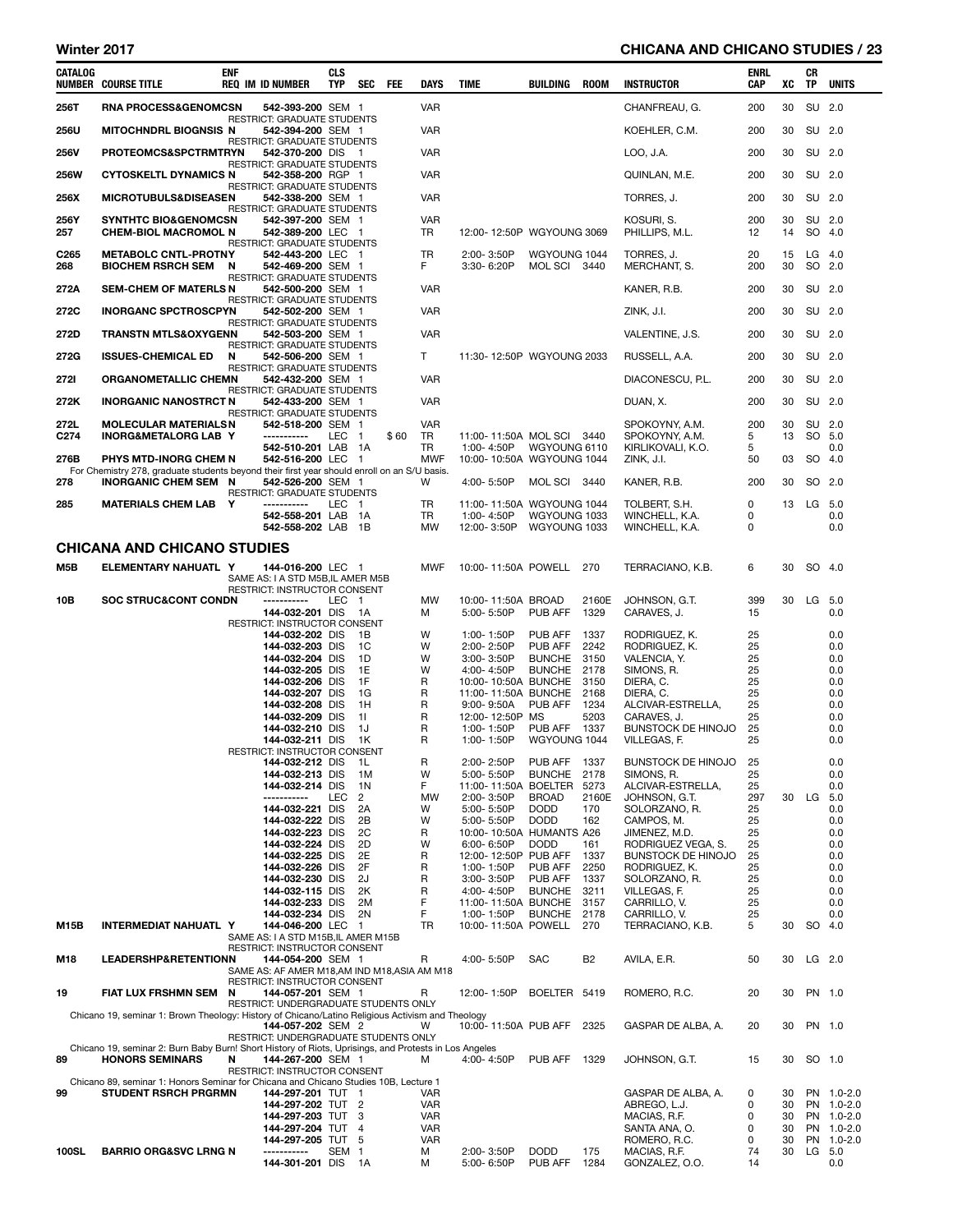### Winter 2017 **CHICANA AND CHICANO STUDIES / 23**

| CATALOG                  | <b>NUMBER COURSE TITLE</b>                                                                                          | <b>ENF</b> | <b>REQ IM ID NUMBER</b>                                                                          | <b>CLS</b><br>TYP | SEC                  | FEE  | <b>DAYS</b>              | <b>TIME</b>                                | BUILDING                            | ROOM         | <b>INSTRUCTOR</b>                         | ENRL<br>CAP | xс       | CR<br><b>TP</b> | <b>UNITS</b>             |
|--------------------------|---------------------------------------------------------------------------------------------------------------------|------------|--------------------------------------------------------------------------------------------------|-------------------|----------------------|------|--------------------------|--------------------------------------------|-------------------------------------|--------------|-------------------------------------------|-------------|----------|-----------------|--------------------------|
| 256T                     | <b>RNA PROCESS&amp;GENOMCSN</b>                                                                                     |            | 542-393-200 SEM 1                                                                                |                   |                      |      | <b>VAR</b>               |                                            |                                     |              | CHANFREAU, G.                             | 200         | 30       | SU              | 2.0                      |
| <b>256U</b>              | <b>MITOCHNDRL BIOGNSIS N</b>                                                                                        |            | <b>RESTRICT: GRADUATE STUDENTS</b><br>542-394-200 SEM 1                                          |                   |                      |      | VAR                      |                                            |                                     |              | KOEHLER, C.M.                             | 200         | 30       | SU 2.0          |                          |
| <b>256V</b>              | PROTEOMCS&SPCTRMTRYN                                                                                                |            | <b>RESTRICT: GRADUATE STUDENTS</b><br>542-370-200 DIS 1                                          |                   |                      |      | <b>VAR</b>               |                                            |                                     |              | LOO, J.A.                                 | 200         | 30       | SU 2.0          |                          |
| <b>256W</b>              | <b>CYTOSKELTL DYNAMICS N</b>                                                                                        |            | RESTRICT: GRADUATE STUDENTS<br>542-358-200 RGP 1                                                 |                   |                      |      | <b>VAR</b>               |                                            |                                     |              | QUINLAN, M.E.                             | 200         | 30       | SU 2.0          |                          |
| 256X                     | <b>MICROTUBULS&amp;DISEASEN</b>                                                                                     |            | RESTRICT: GRADUATE STUDENTS<br>542-338-200 SEM 1                                                 |                   |                      |      | VAR                      |                                            |                                     |              | TORRES, J.                                | 200         | 30       | SU 2.0          |                          |
| 256Y                     | <b>SYNTHTC BIO&amp;GENOMCSN</b>                                                                                     |            | <b>RESTRICT: GRADUATE STUDENTS</b><br>542-397-200 SEM 1                                          |                   |                      |      | <b>VAR</b>               |                                            |                                     |              |                                           | 200         | 30       | SU 2.0          |                          |
| 257                      | <b>CHEM-BIOL MACROMOL N</b>                                                                                         |            | 542-389-200 LEC 1<br><b>RESTRICT: GRADUATE STUDENTS</b>                                          |                   |                      |      | TR                       | 12:00-12:50P WGYOUNG 3069                  |                                     |              | KOSURI, S.<br>PHILLIPS, M.L.              | 12          | 14       | SO 4.0          |                          |
| C <sub>265</sub><br>268  | <b>METABOLC CNTL-PROTNY</b><br><b>BIOCHEM RSRCH SEM</b>                                                             | N          | 542-443-200 LEC 1<br>542-469-200 SEM 1                                                           |                   |                      |      | TR<br>F.                 | 2:00-3:50P<br>3:30-6:20P                   | WGYOUNG 1044<br>MOL SCI 3440        |              | TORRES, J.<br>MERCHANT, S.                | 20<br>200   | 15<br>30 | LG<br>SO 2.0    | - 4.0                    |
| 272A                     | <b>SEM-CHEM OF MATERLS N</b>                                                                                        |            | <b>RESTRICT: GRADUATE STUDENTS</b><br>542-500-200 SEM 1                                          |                   |                      |      | VAR                      |                                            |                                     |              | KANER, R.B.                               | 200         | 30       | SU 2.0          |                          |
| 272C                     | <b>INORGANC SPCTROSCPYN</b>                                                                                         |            | <b>RESTRICT: GRADUATE STUDENTS</b><br>542-502-200 SEM 1                                          |                   |                      |      | <b>VAR</b>               |                                            |                                     |              | ZINK, J.I.                                | 200         | 30       | SU 2.0          |                          |
| 272D                     | <b>TRANSTN MTLS&amp;OXYGENN</b>                                                                                     |            | RESTRICT: GRADUATE STUDENTS<br>542-503-200 SEM 1                                                 |                   |                      |      | <b>VAR</b>               |                                            |                                     |              | VALENTINE, J.S.                           | 200         | 30       | SU 2.0          |                          |
| 272G                     | <b>ISSUES-CHEMICAL ED</b>                                                                                           | N          | RESTRICT: GRADUATE STUDENTS<br>542-506-200 SEM 1                                                 |                   |                      |      | T                        | 11:30-12:50P WGYOUNG 2033                  |                                     |              | RUSSELL, A.A.                             | 200         | 30       | SU 2.0          |                          |
| <b>2721</b>              | ORGANOMETALLIC CHEMN                                                                                                |            | <b>RESTRICT: GRADUATE STUDENTS</b><br>542-432-200 SEM 1                                          |                   |                      |      | <b>VAR</b>               |                                            |                                     |              | DIACONESCU, P.L.                          | 200         | 30       | SU 2.0          |                          |
| 272K                     | <b>INORGANIC NANOSTRCT N</b>                                                                                        |            | RESTRICT: GRADUATE STUDENTS<br>542-433-200 SEM 1                                                 |                   |                      |      | <b>VAR</b>               |                                            |                                     |              | DUAN, X.                                  | 200         | 30       | SU 2.0          |                          |
|                          |                                                                                                                     |            | <b>RESTRICT: GRADUATE STUDENTS</b>                                                               |                   |                      |      |                          |                                            |                                     |              |                                           |             |          |                 |                          |
| 272L<br>C <sub>274</sub> | <b>MOLECULAR MATERIALSN</b><br><b>INORG&amp;METALORG LAB Y</b>                                                      |            | 542-518-200 SEM 1<br>-----------                                                                 | LEC <sub>1</sub>  |                      | \$60 | <b>VAR</b><br>TR         | 11:00-11:50A MOL SCI 3440                  |                                     |              | SPOKOYNY, A.M.<br>SPOKOYNY, A.M.          | 200<br>5    | 30<br>13 | SU<br>SO 5.0    | -2.0                     |
| 276B                     | PHYS MTD-INORG CHEM N                                                                                               |            | 542-510-201 LAB 1A<br>542-516-200 LEC 1                                                          |                   |                      |      | TR<br><b>MWF</b>         | 1:00-4:50P<br>10:00-10:50A WGYOUNG 1044    | WGYOUNG 6110                        |              | KIRLIKOVALI, K.O.<br>ZINK, J.I.           | 5<br>50     | 03       | SO 4.0          | 0.0                      |
|                          | For Chemistry 278, graduate students beyond their first year should enroll on an S/U basis.                         |            |                                                                                                  |                   |                      |      |                          |                                            |                                     |              | KANER, R.B.                               |             |          |                 |                          |
| 278                      | <b>INORGANIC CHEM SEM N</b>                                                                                         |            | 542-526-200 SEM 1<br><b>RESTRICT: GRADUATE STUDENTS</b>                                          |                   |                      |      | w                        | 4:00-5:50P                                 | MOL SCI 3440                        |              |                                           | 200         | 30       | SO 2.0          |                          |
| 285                      | <b>MATERIALS CHEM LAB Y</b>                                                                                         |            | -----------<br>542-558-201 LAB 1A                                                                | LEC 1             |                      |      | TR<br>TR                 | 11:00-11:50A WGYOUNG 1044<br>1:00-4:50P    | WGYOUNG 1033                        |              | TOLBERT, S.H.<br>WINCHELL, K.A.           | 0<br>0      | 13       | LG              | 5.0<br>0.0               |
|                          |                                                                                                                     |            | 542-558-202 LAB 1B                                                                               |                   |                      |      | <b>MW</b>                | 12:00-3:50P                                | WGYOUNG 1033                        |              | WINCHELL, K.A.                            | 0           |          |                 | 0.0                      |
|                          | CHICANA AND CHICANO STUDIES                                                                                         |            |                                                                                                  |                   |                      |      |                          |                                            |                                     |              |                                           |             |          |                 |                          |
| M5B                      | ELEMENTARY NAHUATL Y                                                                                                |            | 144-016-200 LEC 1<br>SAME AS: I A STD M5B, IL AMER M5B                                           |                   |                      |      | <b>MWF</b>               | 10:00-11:50A POWELL 270                    |                                     |              | TERRACIANO, K.B.                          | 6           | 30       | SO 4.0          |                          |
| 10B                      | <b>SOC STRUC&amp;CONT CONDN</b>                                                                                     |            | RESTRICT: INSTRUCTOR CONSENT<br>-----------                                                      | LEC 1             |                      |      | MW                       | 10:00-11:50A BROAD                         |                                     | 2160E        | JOHNSON, G.T.                             | 399         | 30       | LG 5.0          |                          |
|                          |                                                                                                                     |            | 144-032-201 DIS<br>RESTRICT: INSTRUCTOR CONSENT                                                  |                   | - 1 A                |      | М                        | 5:00-5:50P                                 | PUB AFF                             | 1329         | CARAVES, J.                               | 15          |          |                 | 0.0                      |
|                          |                                                                                                                     |            | 144-032-202 DIS<br>144-032-203 DIS                                                               |                   | - 1B<br>1C           |      | W<br>W                   | 1:00-1:50P<br>2:00-2:50P                   | PUB AFF<br>PUB AFF                  | 1337<br>2242 | RODRIGUEZ, K.<br>RODRIGUEZ, K.            | 25<br>25    |          |                 | 0.0<br>0.0               |
|                          |                                                                                                                     |            | 144-032-204 DIS                                                                                  |                   | 1D                   |      | W                        | 3:00-3:50P                                 | <b>BUNCHE</b>                       | 3150         | VALENCIA, Y.                              | 25          |          |                 | 0.0                      |
|                          |                                                                                                                     |            | 144-032-205 DIS<br>144-032-206 DIS                                                               |                   | 1E<br>1F             |      | W<br>R                   | 4:00-4:50P<br>10:00-10:50A BUNCHE          | <b>BUNCHE</b>                       | 2178<br>3150 | SIMONS, R.<br>DIERA, C.                   | 25<br>25    |          |                 | 0.0<br>0.0               |
|                          |                                                                                                                     |            | 144-032-207 DIS                                                                                  |                   | 1G                   |      | R                        | 11:00-11:50A BUNCHE                        |                                     | 2168         | DIERA, C.                                 | 25          |          |                 | 0.0                      |
|                          |                                                                                                                     |            | 144-032-208 DIS<br>144-032-209 DIS                                                               |                   | 1H<br>11             |      | $\mathsf{R}$<br>R        | $9:00 - 9:50A$<br>12:00-12:50P MS          | PUB AFF                             | 1234<br>5203 | ALCIVAR-ESTRELLA,<br>CARAVES, J.          | 25<br>25    |          |                 | 0.0<br>0.0               |
|                          |                                                                                                                     |            | 144-032-210 DIS<br>144-032-211 DIS 1K                                                            |                   | 1J                   |      | R<br>R                   | 1:00-1:50P<br>1:00-1:50P                   | <b>PUB AFF 1337</b><br>WGYOUNG 1044 |              | <b>BUNSTOCK DE HINOJO</b><br>VILLEGAS, F. | 25<br>25    |          |                 | 0.0<br>0.0               |
|                          |                                                                                                                     |            | RESTRICT: INSTRUCTOR CONSENT                                                                     |                   |                      |      |                          |                                            |                                     |              |                                           |             |          |                 |                          |
|                          |                                                                                                                     |            | 144-032-212 DIS 1L<br>144-032-213 DIS                                                            |                   | 1M                   |      | R<br>w                   | 2:00-2:50P PUB AFF 1337<br>5:00- 5:50P     | BUNCHE 2178                         |              | BUNSTOCK DE HINOJO 25<br>SIMONS, R.       | 25          |          |                 | 0.0<br>0.0               |
|                          |                                                                                                                     |            | 144-032-214 DIS                                                                                  |                   | 1N                   |      | F.                       | 11:00-11:50A BOELTER 5273                  |                                     |              | ALCIVAR-ESTRELLA,                         | 25          |          |                 | 0.0                      |
|                          |                                                                                                                     |            | -----------<br>144-032-221 DIS                                                                   | LEC               | $\overline{2}$<br>2A |      | <b>MW</b><br>W           | 2:00-3:50P<br>5:00-5:50P                   | <b>BROAD</b><br><b>DODD</b>         | 2160E<br>170 | JOHNSON, G.T.<br>SOLORZANO, R.            | 297<br>25   | 30       | LG              | 5.0<br>0.0               |
|                          |                                                                                                                     |            | 144-032-222 DIS                                                                                  |                   | 2B                   |      | W                        | 5:00- 5:50P                                | <b>DODD</b>                         | 162          | CAMPOS, M.                                | 25          |          |                 | 0.0                      |
|                          |                                                                                                                     |            | 144-032-223 DIS<br>144-032-224 DIS                                                               |                   | 2C<br>2D             |      | R<br>W                   | 10:00-10:50A HUMANTS A26<br>$6:00 - 6:50P$ | <b>DODD</b>                         | 161          | JIMENEZ, M.D.<br>RODRIGUEZ VEGA, S.       | 25<br>25    |          |                 | 0.0<br>0.0               |
|                          |                                                                                                                     |            | 144-032-225 DIS                                                                                  |                   | 2E                   |      | R                        | 12:00-12:50P PUB AFF                       |                                     | 1337         | <b>BUNSTOCK DE HINOJO</b>                 | 25          |          |                 | 0.0                      |
|                          |                                                                                                                     |            | 144-032-226 DIS<br>144-032-230 DIS                                                               |                   | 2F<br>2J             |      | R<br>R                   | 1:00-1:50P<br>3:00-3:50P                   | PUB AFF<br>PUB AFF                  | 2250<br>1337 | RODRIGUEZ, K.<br>SOLORZANO, R.            | 25<br>25    |          |                 | 0.0<br>0.0               |
|                          |                                                                                                                     |            | 144-032-115 DIS                                                                                  |                   | 2K                   |      | R                        | 4:00-4:50P                                 | <b>BUNCHE</b>                       | 3211         | VILLEGAS, F.                              | 25          |          |                 | 0.0                      |
|                          |                                                                                                                     |            | 144-032-233 DIS<br>144-032-234 DIS                                                               |                   | 2M<br>2N             |      | F<br>F                   | 11:00-11:50A BUNCHE<br>1:00-1:50P          | BUNCHE 2178                         | 3157         | CARRILLO, V.<br>CARRILLO, V.              | 25<br>25    |          |                 | 0.0<br>0.0               |
| <b>M15B</b>              | INTERMEDIAT NAHUATL Y                                                                                               |            | 144-046-200 LEC 1                                                                                |                   |                      |      | <b>TR</b>                | 10:00-11:50A POWELL 270                    |                                     |              | TERRACIANO, K.B.                          | 5           | 30       | SO 4.0          |                          |
|                          |                                                                                                                     |            | SAME AS: I A STD M15B.IL AMER M15B<br>RESTRICT: INSTRUCTOR CONSENT                               |                   |                      |      |                          |                                            |                                     |              |                                           |             |          |                 |                          |
| M18                      | <b>LEADERSHP&amp;RETENTIONN</b>                                                                                     |            | 144-054-200 SEM 1<br>SAME AS: AF AMER M18,AM IND M18,ASIA AM M18<br>RESTRICT: INSTRUCTOR CONSENT |                   |                      |      | R                        | 4:00-5:50P                                 | <b>SAC</b>                          | <b>B2</b>    | AVILA, E.R.                               | 50          | 30       | $LG$ 2.0        |                          |
| 19                       | <b>FIAT LUX FRSHMN SEM</b>                                                                                          | N          | 144-057-201 SEM 1<br>RESTRICT: UNDERGRADUATE STUDENTS ONLY                                       |                   |                      |      | R                        | 12:00-1:50P                                | BOELTER 5419                        |              | ROMERO, R.C.                              | 20          | 30       | PN 1.0          |                          |
|                          | Chicano 19, seminar 1: Brown Theology: History of Chicano/Latino Religious Activism and Theology                    |            | 144-057-202 SEM 2                                                                                |                   |                      |      | W                        | 10:00-11:50A PUB AFF 2325                  |                                     |              | GASPAR DE ALBA, A.                        | 20          | 30       | PN 1.0          |                          |
|                          | Chicano 19, seminar 2: Burn Baby Burn! Short History of Riots, Uprisings, and Protests in Los Angeles               |            | RESTRICT: UNDERGRADUATE STUDENTS ONLY                                                            |                   |                      |      |                          |                                            |                                     |              |                                           |             |          |                 |                          |
| 89                       | <b>HONORS SEMINARS</b>                                                                                              | N          | 144-267-200 SEM 1<br>RESTRICT: INSTRUCTOR CONSENT                                                |                   |                      |      | м                        | 4:00-4:50P                                 | <b>PUB AFF 1329</b>                 |              | JOHNSON, G.T.                             | 15          | 30       | SO 1.0          |                          |
| 99                       | Chicano 89, seminar 1: Honors Seminar for Chicana and Chicano Studies 10B, Lecture 1<br><b>STUDENT RSRCH PRGRMN</b> |            | 144-297-201 TUT 1                                                                                |                   |                      |      | VAR                      |                                            |                                     |              | GASPAR DE ALBA, A.                        | 0           | 30       |                 | PN 1.0-2.0               |
|                          |                                                                                                                     |            | 144-297-202 TUT 2                                                                                |                   |                      |      | <b>VAR</b>               |                                            |                                     |              | ABREGO, L.J.                              | 0           | 30       |                 | PN 1.0-2.0               |
|                          |                                                                                                                     |            | 144-297-203 TUT 3<br>144-297-204 TUT 4                                                           |                   |                      |      | <b>VAR</b><br><b>VAR</b> |                                            |                                     |              | MACIAS, R.F.<br>SANTA ANA, O.             | 0<br>0      | 30<br>30 |                 | PN 1.0-2.0<br>PN 1.0-2.0 |
|                          |                                                                                                                     |            | 144-297-205 TUT 5                                                                                |                   |                      |      | <b>VAR</b>               |                                            |                                     |              | ROMERO, R.C.                              | 0           | 30       |                 | PN 1.0-2.0               |
| <b>100SL</b>             | <b>BARRIO ORG&amp;SVC LRNG N</b>                                                                                    |            | -----------<br>144-301-201 DIS 1A                                                                | SEM <sub>1</sub>  |                      |      | М<br>м                   | 2:00-3:50P<br>5:00-6:50P                   | <b>DODD</b><br>PUB AFF              | 175<br>1284  | MACIAS, R.F.<br>GONZALEZ, O.O.            | 74<br>14    | 30       | LG 5.0          | 0.0                      |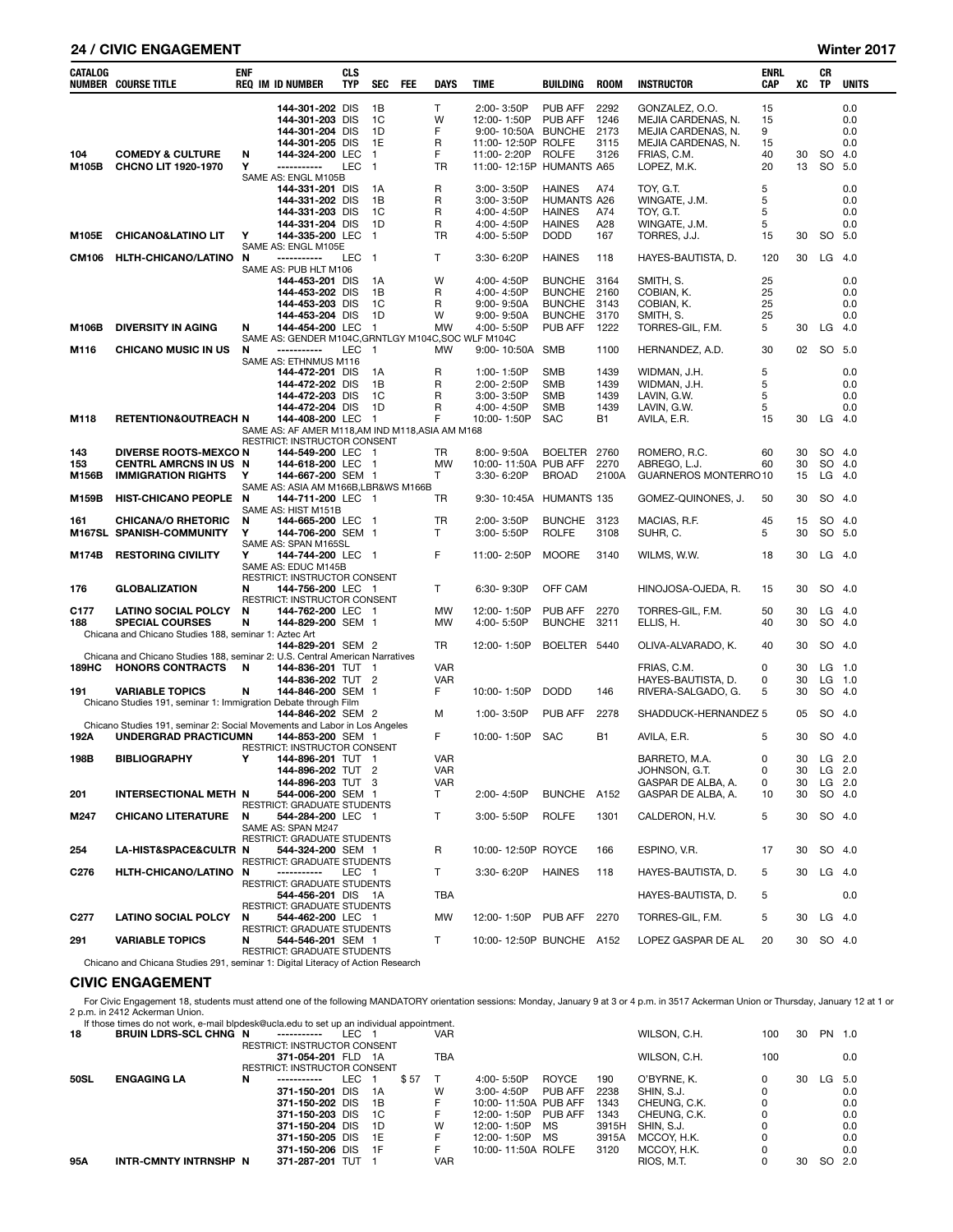#### 24 / CIVIC ENGAGEMENT Winter 2017

| <b>CATALOG</b>   | <b>NUMBER COURSE TITLE</b>                                                                        | <b>ENF</b> | <b>REQ IM ID NUMBER</b>                                 | <b>CLS</b><br><b>TYP</b> | <b>SEC</b>     | <b>FEE</b> | <b>DAYS</b>              | <b>TIME</b>                              | <b>BUILDING</b>                     | <b>ROOM</b>       | <b>INSTRUCTOR</b>                        | ENRL<br>CAP | XC       | CR<br>TP             | <b>UNITS</b> |
|------------------|---------------------------------------------------------------------------------------------------|------------|---------------------------------------------------------|--------------------------|----------------|------------|--------------------------|------------------------------------------|-------------------------------------|-------------------|------------------------------------------|-------------|----------|----------------------|--------------|
|                  |                                                                                                   |            | 144-301-202 DIS                                         |                          | 1B             |            | T                        | 2:00-3:50P                               | <b>PUB AFF</b>                      | 2292              | GONZALEZ, O.O.                           | 15          |          |                      | 0.0          |
|                  |                                                                                                   |            | 144-301-203 DIS                                         |                          | 1C             |            | W                        | 12:00-1:50P                              | PUB AFF                             | 1246              | MEJIA CARDENAS, N.                       | 15          |          |                      | 0.0          |
|                  |                                                                                                   |            | 144-301-204 DIS<br>144-301-205 DIS                      |                          | 1D<br>1E       |            | F<br>R                   | 9:00-10:50A BUNCHE<br>11:00-12:50P ROLFE |                                     | 2173<br>3115      | MEJIA CARDENAS, N.<br>MEJIA CARDENAS, N. | 9<br>15     |          |                      | 0.0<br>0.0   |
| 104              | <b>COMEDY &amp; CULTURE</b>                                                                       | N          | 144-324-200 LEC                                         |                          | $\overline{1}$ |            | F                        | 11:00-2:20P                              | <b>ROLFE</b>                        | 3126              | FRIAS, C.M.                              | 40          | 30       | SO.                  | 4.0          |
| M105B            | CHCNO LIT 1920-1970                                                                               | Υ          | -----------                                             | LEC <sub>1</sub>         |                |            | TR                       | 11:00-12:15P HUMANTS A65                 |                                     |                   | LOPEZ, M.K.                              | 20          | 13       | SO 5.0               |              |
|                  |                                                                                                   |            | SAME AS: ENGL M105B                                     |                          |                |            |                          |                                          |                                     |                   |                                          |             |          |                      |              |
|                  |                                                                                                   |            | 144-331-201 DIS<br>144-331-202 DIS                      |                          | 1A<br>1В       |            | R<br>R                   | 3:00-3:50P<br>$3:00 - 3:50P$             | <b>HAINES</b><br><b>HUMANTS A26</b> | A74               | TOY, G.T.<br>WINGATE, J.M.               | 5<br>5      |          |                      | 0.0<br>0.0   |
|                  |                                                                                                   |            | 144-331-203 DIS                                         |                          | 1C             |            | R                        | 4:00-4:50P                               | <b>HAINES</b>                       | A74               | TOY, G.T.                                | 5           |          |                      | 0.0          |
|                  |                                                                                                   |            | 144-331-204 DIS                                         |                          | 1D             |            | R                        | 4:00-4:50P                               | <b>HAINES</b>                       | A28               | WINGATE, J.M.                            | 5           |          |                      | 0.0          |
| M105E            | <b>CHICANO&amp;LATINO LIT</b>                                                                     | Υ          | 144-335-200 LEC                                         |                          | - 1            |            | TR                       | 4:00-5:50P                               | <b>DODD</b>                         | 167               | TORRES, J.J.                             | 15          | 30       | SO 5.0               |              |
| CM106            | HLTH-CHICANO/LATINO N                                                                             |            | SAME AS: ENGL M105E<br>-----------                      | LEC 1                    |                |            | Τ                        | 3:30-6:20P                               | <b>HAINES</b>                       | 118               | HAYES-BAUTISTA, D.                       | 120         | 30       | $LG$ 4.0             |              |
|                  |                                                                                                   |            | SAME AS: PUB HLT M106                                   |                          |                |            |                          |                                          |                                     |                   |                                          |             |          |                      |              |
|                  |                                                                                                   |            | 144-453-201 DIS                                         |                          | 1A             |            | W                        | 4:00-4:50P                               | <b>BUNCHE</b>                       | 3164              | SMITH, S.                                | 25          |          |                      | 0.0          |
|                  |                                                                                                   |            | 144-453-202 DIS<br>144-453-203 DIS                      |                          | 1B<br>1C       |            | R<br>R                   | 4:00-4:50P                               | <b>BUNCHE</b><br><b>BUNCHE</b>      | 2160<br>3143      | COBIAN, K.<br>COBIAN, K.                 | 25<br>25    |          |                      | 0.0<br>0.0   |
|                  |                                                                                                   |            | 144-453-204 DIS                                         |                          | 1D             |            | W                        | $9:00 - 9:50A$<br>$9:00 - 9:50A$         | <b>BUNCHE</b>                       | 3170              | SMITH, S.                                | 25          |          |                      | 0.0          |
| M106B            | <b>DIVERSITY IN AGING</b>                                                                         | N          | 144-454-200 LEC                                         |                          | $\overline{1}$ |            | <b>MW</b>                | 4:00-5:50P                               | PUB AFF                             | 1222              | TORRES-GIL, F.M.                         | 5           | 30       | $LG$ 4.0             |              |
|                  |                                                                                                   |            | SAME AS: GENDER M104C, GRNTLGY M104C, SOC WLF M104C     |                          |                |            |                          |                                          |                                     |                   |                                          |             |          |                      |              |
| M116             | <b>CHICANO MUSIC IN US</b>                                                                        | N          | -----------<br>SAME AS: ETHNMUS M116                    | LEC                      | $\overline{1}$ |            | MW                       | 9:00-10:50A                              | SMB                                 | 1100              | HERNANDEZ, A.D.                          | 30          |          | 02 SO 5.0            |              |
|                  |                                                                                                   |            | 144-472-201 DIS                                         |                          | 1A             |            | R                        | 1:00-1:50P                               | <b>SMB</b>                          | 1439              | WIDMAN, J.H.                             | 5           |          |                      | 0.0          |
|                  |                                                                                                   |            | 144-472-202 DIS                                         |                          | 1B             |            | R                        | 2:00-2:50P                               | <b>SMB</b>                          | 1439              | WIDMAN, J.H.                             | 5           |          |                      | 0.0          |
|                  |                                                                                                   |            | 144-472-203 DIS                                         |                          | 1C             |            | R                        | 3:00-3:50P                               | <b>SMB</b>                          | 1439              | LAVIN, G.W.                              | 5           |          |                      | 0.0          |
|                  | <b>RETENTION&amp;OUTREACH N</b>                                                                   |            | 144-472-204 DIS<br>144-408-200 LEC 1                    |                          | 1D             |            | R<br>F                   | 4:00-4:50P<br>10:00-1:50P                | <b>SMB</b><br><b>SAC</b>            | 1439<br><b>B1</b> | LAVIN, G.W.<br>AVILA, E.R.               | 5<br>15     | 30       | LG                   | 0.0<br>- 4.0 |
| M118             |                                                                                                   |            | SAME AS: AF AMER M118,AM IND M118,ASIA AM M168          |                          |                |            |                          |                                          |                                     |                   |                                          |             |          |                      |              |
|                  |                                                                                                   |            | RESTRICT: INSTRUCTOR CONSENT                            |                          |                |            |                          |                                          |                                     |                   |                                          |             |          |                      |              |
| 143              | <b>DIVERSE ROOTS-MEXCO N</b>                                                                      |            | 144-549-200 LEC 1                                       |                          |                |            | TR                       | 8:00-9:50A                               | <b>BOELTER</b>                      | 2760              | ROMERO, R.C.                             | 60          | 30       | SO 4.0               |              |
| 153<br>M156B     | <b>CENTRL AMRCNS IN US N</b><br><b>IMMIGRATION RIGHTS</b>                                         | Υ          | 144-618-200 LEC 1<br>144-667-200 SEM 1                  |                          |                |            | <b>MW</b><br>T           | 10:00-11:50A PUB AFF<br>3:30-6:20P       | <b>BROAD</b>                        | 2270<br>2100A     | ABREGO, L.J.<br>GUARNEROS MONTERRO10     | 60          | 30<br>15 | SO 4.0<br>LG         | 4.0          |
|                  |                                                                                                   |            | SAME AS: ASIA AM M166B, LBR&WS M166B                    |                          |                |            |                          |                                          |                                     |                   |                                          |             |          |                      |              |
| M159B            | HIST-CHICANO PEOPLE N                                                                             |            | 144-711-200 LEC 1                                       |                          |                |            | TR                       | 9:30-10:45A                              | <b>HUMANTS 135</b>                  |                   | GOMEZ-QUINONES, J.                       | 50          | 30       | SO 4.0               |              |
|                  |                                                                                                   |            | SAME AS: HIST M151B                                     |                          |                |            |                          |                                          |                                     |                   |                                          |             |          |                      |              |
| 161              | <b>CHICANA/O RHETORIC</b><br>M167SL SPANISH-COMMUNITY                                             | N<br>Υ     | 144-665-200 LEC 1<br>144-706-200 SEM 1                  |                          |                |            | TR<br>T                  | 2:00-3:50P<br>3:00-5:50P                 | BUNCHE 3123<br><b>ROLFE</b>         | 3108              | MACIAS, R.F.<br>SUHR, C.                 | 45<br>5     | 15<br>30 | SO 4.0<br>SO 5.0     |              |
|                  |                                                                                                   |            | SAME AS: SPAN M165SL                                    |                          |                |            |                          |                                          |                                     |                   |                                          |             |          |                      |              |
| M174B            | <b>RESTORING CIVILITY</b>                                                                         | Υ          | 144-744-200 LEC 1                                       |                          |                |            | F                        | 11:00-2:50P                              | <b>MOORE</b>                        | 3140              | WILMS, W.W.                              | 18          | 30       | LG 4.0               |              |
|                  |                                                                                                   |            | SAME AS: EDUC M145B<br>RESTRICT: INSTRUCTOR CONSENT     |                          |                |            |                          |                                          |                                     |                   |                                          |             |          |                      |              |
| 176              | <b>GLOBALIZATION</b>                                                                              | N          | 144-756-200 LEC 1                                       |                          |                |            | Τ                        | 6:30-9:30P                               | OFF CAM                             |                   | HINOJOSA-OJEDA, R.                       | 15          | 30       | SO 4.0               |              |
|                  |                                                                                                   |            | RESTRICT: INSTRUCTOR CONSENT                            |                          |                |            |                          |                                          |                                     |                   |                                          |             |          |                      |              |
| C177             | <b>LATINO SOCIAL POLCY</b>                                                                        | N          | 144-762-200 LEC 1                                       |                          |                |            | <b>MW</b>                | 12:00-1:50P                              | PUB AFF                             | 2270              | TORRES-GIL, F.M.                         | 50          | 30       | $LG$ 4.0             |              |
| 188              | <b>SPECIAL COURSES</b><br>Chicana and Chicano Studies 188, seminar 1: Aztec Art                   | N          | 144-829-200 SEM 1                                       |                          |                |            | MW                       | 4:00-5:50P                               | <b>BUNCHE</b>                       | 3211              | ELLIS, H.                                | 40          | 30       | SO 4.0               |              |
|                  |                                                                                                   |            | 144-829-201 SEM 2                                       |                          |                |            | TR                       | 12:00-1:50P                              | BOELTER 5440                        |                   | OLIVA-ALVARADO, K.                       | 40          | 30       | SO 4.0               |              |
|                  | Chicana and Chicano Studies 188, seminar 2: U.S. Central American Narratives                      |            |                                                         |                          |                |            |                          |                                          |                                     |                   |                                          |             |          |                      |              |
| 189HC            | <b>HONORS CONTRACTS</b>                                                                           | N          | 144-836-201 TUT 1<br>144-836-202 TUT 2                  |                          |                |            | <b>VAR</b><br><b>VAR</b> |                                          |                                     |                   | FRIAS, C.M.<br>HAYES-BAUTISTA, D.        | 0<br>0      | 30<br>30 | $LG$ 1.0<br>$LG$ 1.0 |              |
| 191              | <b>VARIABLE TOPICS</b>                                                                            | N          | 144-846-200 SEM 1                                       |                          |                |            | F                        | 10:00-1:50P                              | <b>DODD</b>                         | 146               | RIVERA-SALGADO, G.                       | 5           | 30       | SO 4.0               |              |
|                  | Chicano Studies 191, seminar 1: Immigration Debate through Film                                   |            |                                                         |                          |                |            |                          |                                          |                                     |                   |                                          |             |          |                      |              |
|                  |                                                                                                   |            | 144-846-202 SEM 2                                       |                          |                |            | М                        | 1:00-3:50P                               | PUB AFF                             | 2278              | SHADDUCK-HERNANDEZ 5                     |             | 05       | SO 4.0               |              |
| 192A             | Chicano Studies 191, seminar 2: Social Movements and Labor in Los Angeles<br>UNDERGRAD PRACTICUMN |            | 144-853-200 SEM 1                                       |                          |                |            | F                        | 10:00-1:50P                              | <b>SAC</b>                          | <b>B1</b>         | AVILA, E.R.                              | 5           | 30       | SO 4.0               |              |
|                  |                                                                                                   |            | RESTRICT: INSTRUCTOR CONSENT                            |                          |                |            |                          |                                          |                                     |                   |                                          |             |          |                      |              |
| 198B             | <b>BIBLIOGRAPHY</b>                                                                               |            | 144-896-201 TUT 1                                       |                          |                |            | <b>VAR</b>               |                                          |                                     |                   | BARRETO, M.A.                            | $\mathbf 0$ |          | 30 LG 2.0            |              |
|                  |                                                                                                   |            | 144-896-202 TUT 2                                       |                          |                |            | VAR                      |                                          |                                     |                   | JOHNSON, G.T.                            | 0           | 30       | LG 2.0               |              |
| 201              | <b>INTERSECTIONAL METH N</b>                                                                      |            | 144-896-203 TUT 3<br>544-006-200 SEM 1                  |                          |                |            | <b>VAR</b><br>Τ          | 2:00-4:50P                               | BUNCHE A152                         |                   | GASPAR DE ALBA, A.<br>GASPAR DE ALBA, A. | 0<br>10     | 30<br>30 | $LG$ 2.0<br>SO 4.0   |              |
|                  |                                                                                                   |            | RESTRICT: GRADUATE STUDENTS                             |                          |                |            |                          |                                          |                                     |                   |                                          |             |          |                      |              |
| M247             | <b>CHICANO LITERATURE</b>                                                                         | N          | 544-284-200 LEC 1                                       |                          |                |            | T                        | 3:00-5:50P                               | <b>ROLFE</b>                        | 1301              | CALDERON, H.V.                           | 5           | 30       | SO 4.0               |              |
|                  |                                                                                                   |            | SAME AS: SPAN M247<br>RESTRICT: GRADUATE STUDENTS       |                          |                |            |                          |                                          |                                     |                   |                                          |             |          |                      |              |
| 254              | LA-HIST&SPACE&CULTR N                                                                             |            | 544-324-200 SEM 1                                       |                          |                |            | R                        | 10:00-12:50P ROYCE                       |                                     | 166               | ESPINO, V.R.                             | 17          | 30       | SO 4.0               |              |
|                  |                                                                                                   |            | <b>RESTRICT: GRADUATE STUDENTS</b>                      |                          |                |            |                          |                                          |                                     |                   |                                          |             |          |                      |              |
| C <sub>276</sub> | HLTH-CHICANO/LATINO N                                                                             |            | -----------                                             | LEC 1                    |                |            | T                        | 3:30-6:20P                               | <b>HAINES</b>                       | 118               | HAYES-BAUTISTA, D.                       | 5           | 30       | $LG$ 4.0             |              |
|                  |                                                                                                   |            | RESTRICT: GRADUATE STUDENTS<br>544-456-201 DIS 1A       |                          |                |            | TBA                      |                                          |                                     |                   | HAYES-BAUTISTA, D.                       | 5           |          |                      | 0.0          |
|                  |                                                                                                   |            | RESTRICT: GRADUATE STUDENTS                             |                          |                |            |                          |                                          |                                     |                   |                                          |             |          |                      |              |
| C277             | <b>LATINO SOCIAL POLCY</b>                                                                        | N          | 544-462-200 LEC 1                                       |                          |                |            | MW                       | 12:00-1:50P                              | <b>PUB AFF 2270</b>                 |                   | TORRES-GIL, F.M.                         | 5           | 30       | $LG$ 4.0             |              |
| 291              | <b>VARIABLE TOPICS</b>                                                                            | N          | <b>RESTRICT: GRADUATE STUDENTS</b><br>544-546-201 SEM 1 |                          |                |            | T                        | 10:00-12:50P BUNCHE A152                 |                                     |                   | LOPEZ GASPAR DE AL                       | 20          |          | 30 SO 4.0            |              |
|                  |                                                                                                   |            | RESTRICT: GRADUATE STUDENTS                             |                          |                |            |                          |                                          |                                     |                   |                                          |             |          |                      |              |
|                  | Chicano and Chicana Studies 291, seminar 1: Digital Literacy of Action Research                   |            |                                                         |                          |                |            |                          |                                          |                                     |                   |                                          |             |          |                      |              |

#### CIVIC ENGAGEMENT

For Civic Engagement 18, students must attend one of the following MANDATORY orientation sessions: Monday, January 9 at 3 or 4 p.m. in 3517 Ackerman Union or Thursday, January 12 at 1 or<br>2 p.m. in 2412 Ackerman Union.<br>Pri

|      | $\mu$ and $\sigma$ and $\sigma$ are $\sigma$ and $\sigma$ are $\sigma$ and $\sigma$ are $\sigma$ and $\sigma$ are $\sigma$ and $\sigma$ are $\sigma$ and $\sigma$ and $\sigma$ are $\sigma$ and $\sigma$ are $\sigma$ and $\sigma$ are $\sigma$ and $\sigma$ are $\sigma$ and $\sigma$ are $\sigma$ and $\sigma$ are $\sigma$ |                                     |      |           |      |            |                      |              |       |              |     |    |        |      |
|------|-------------------------------------------------------------------------------------------------------------------------------------------------------------------------------------------------------------------------------------------------------------------------------------------------------------------------------|-------------------------------------|------|-----------|------|------------|----------------------|--------------|-------|--------------|-----|----|--------|------|
| 18   | <b>BRUIN LDRS-SCL CHNG N</b>                                                                                                                                                                                                                                                                                                  | -----------                         | LEC. |           |      | <b>VAR</b> |                      |              |       | WILSON, C.H. | 100 | 30 | PN 1.0 |      |
|      |                                                                                                                                                                                                                                                                                                                               | <b>RESTRICT: INSTRUCTOR CONSENT</b> |      |           |      |            |                      |              |       |              |     |    |        |      |
|      |                                                                                                                                                                                                                                                                                                                               | 371-054-201 FLD 1A                  |      |           |      | ТВА        |                      |              |       | WILSON, C.H. | 100 |    |        | 0.0  |
|      |                                                                                                                                                                                                                                                                                                                               | <b>RESTRICT: INSTRUCTOR CONSENT</b> |      |           |      |            |                      |              |       |              |     |    |        |      |
| 50SL | <b>ENGAGING LA</b>                                                                                                                                                                                                                                                                                                            | N<br>-----------                    | LEC. |           | \$57 |            | $4:00 - 5:50P$       | <b>ROYCE</b> | 190   | O'BYRNE. K.  | 0   | 30 | LG     | 5.0  |
|      |                                                                                                                                                                                                                                                                                                                               | 371-150-201 DIS                     |      | <b>1A</b> |      |            | $3:00 - 4:50P$       | PUB AFF      | 2238  | SHIN, S.J.   |     |    |        | 0.0  |
|      |                                                                                                                                                                                                                                                                                                                               | 371-150-202 DIS                     |      | - 1B      |      |            | 10:00-11:50A PUB AFF |              | 1343  | CHEUNG, C.K. |     |    |        | 0.0  |
|      |                                                                                                                                                                                                                                                                                                                               | 371-150-203 DIS                     |      | - 1 C     |      |            | 12:00-1:50P          | PUB AFF      | 1343  | CHEUNG, C.K. |     |    |        | 0.0  |
|      |                                                                                                                                                                                                                                                                                                                               | 371-150-204 DIS                     |      | - 1D      |      | w          | 12:00-1:50P          | MS.          | 3915H | SHIN, S.J.   |     |    |        | 0.0  |
|      |                                                                                                                                                                                                                                                                                                                               | 371-150-205 DIS                     |      | - 1E      |      |            | 12:00-1:50P          | MS.          | 3915A | MCCOY, H.K.  |     |    |        | 0.0  |
|      |                                                                                                                                                                                                                                                                                                                               | 371-150-206 DIS                     |      | - 1F      |      |            | 10:00-11:50A ROLFE   |              | 3120  | MCCOY, H.K.  |     |    |        | 0.0  |
| 95A  | INTR-CMNTY INTRNSHP N                                                                                                                                                                                                                                                                                                         | 371-287-201 TUT                     |      |           |      | VAR.       |                      |              |       | RIOS, M.T.   |     | 30 | SO.    | -2.0 |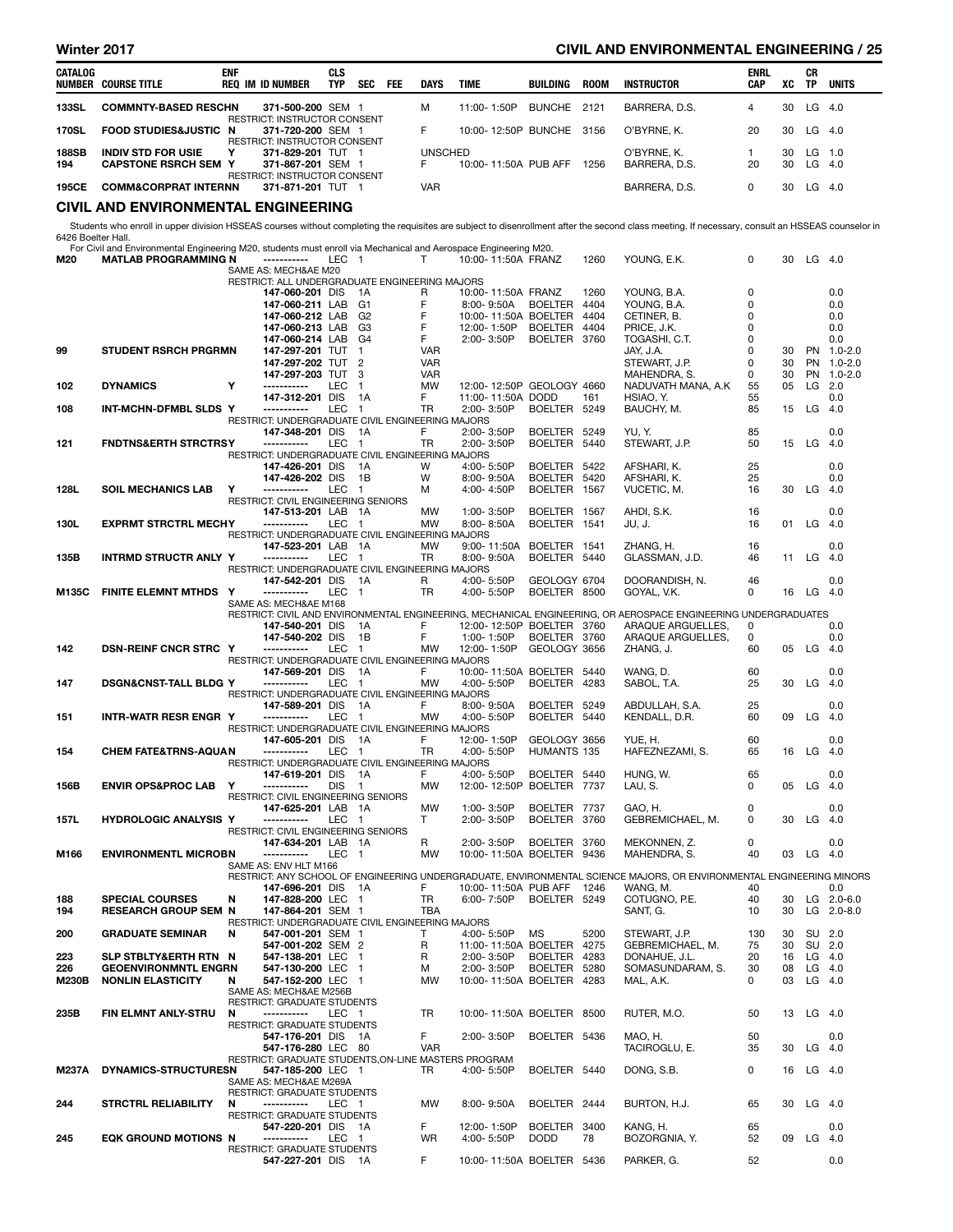| Winter 2017 |     |               | <b>CIVIL AND ENVIRONMENTAL ENGINEERING</b><br>/25 |
|-------------|-----|---------------|---------------------------------------------------|
| CATALOG     | eni | սւշ<br>$\sim$ | ENRL<br>СR                                        |

| CATALOG      | NUMBER COURSE TITLE              | <b>ENF</b> | REQ IM ID NUMBER                                                                                | CLS<br><b>TYP</b> | <b>SEC</b> | <b>FEE</b> | <b>DAYS</b>    | TIME                     | BUILDING    | <b>ROOM</b> | INSTRUCTOR    | <b>ENRL</b><br><b>CAP</b> | XC | СR<br>TP | <b>UNITS</b> |
|--------------|----------------------------------|------------|-------------------------------------------------------------------------------------------------|-------------------|------------|------------|----------------|--------------------------|-------------|-------------|---------------|---------------------------|----|----------|--------------|
| 133SL        | <b>COMMNTY-BASED RESCHN</b>      |            | 371-500-200 SEM 1                                                                               |                   |            |            | м              | 11:00-1:50P              | BUNCHE 2121 |             | BARRERA, D.S. |                           | 30 | LG       | -4.0         |
| 170SL        | <b>FOOD STUDIES&amp;JUSTIC N</b> |            | <b>RESTRICT: INSTRUCTOR CONSENT</b><br>371-720-200 SEM 1<br><b>RESTRICT: INSTRUCTOR CONSENT</b> |                   |            |            |                | 10:00-12:50P BUNCHE 3156 |             |             | O'BYRNE. K.   | 20                        | 30 | LG       | -4.0         |
| <b>188SB</b> | <b>INDIV STD FOR USIE</b>        |            | 371-829-201 TUT 1                                                                               |                   |            |            | <b>UNSCHED</b> |                          |             |             | O'BYRNE. K.   |                           | 30 | LG.      | $-1.0$       |
| 194          | <b>CAPSTONE RSRCH SEM Y</b>      |            | 371-867-201 SEM 1<br><b>RESTRICT: INSTRUCTOR CONSENT</b>                                        |                   |            |            |                | 10:00-11:50A PUB AFF     |             | 1256        | BARRERA, D.S. | 20                        | 30 | LG       | -4.0         |
| 195CE        | <b>COMM&amp;CORPRAT INTERNN</b>  |            | 371-871-201 TUT                                                                                 |                   |            |            | VAR            |                          |             |             | BARRERA, D.S. | 0                         | 30 | LG       | -4.0         |

#### CIVIL AND ENVIRONMENTAL ENGINEERING

Students who enroll in upper division HSSEAS courses without completing the requisites are subject to disenrollment after the second class meeting. If necessary, consult an HSSEAS counselor in<br>6426 Boelter Hall.<br>**M20 MATLA** 

| M20          | <b>MATLAB PROGRAMMING N</b>      |                                                                     | LEC        | - 1            |                  | 10:00-11:50A FRANZ        |                | 1260 | YOUNG, E.K.                                                                                                                         | 0           | 30 | $LG$ 4.0  |              |
|--------------|----------------------------------|---------------------------------------------------------------------|------------|----------------|------------------|---------------------------|----------------|------|-------------------------------------------------------------------------------------------------------------------------------------|-------------|----|-----------|--------------|
|              |                                  | SAME AS: MECH&AE M20                                                |            |                |                  |                           |                |      |                                                                                                                                     |             |    |           |              |
|              |                                  | RESTRICT: ALL UNDERGRADUATE ENGINEERING MAJORS<br>147-060-201 DIS   |            | - 1A           | R                | 10:00-11:50A FRANZ        |                | 1260 | YOUNG, B.A.                                                                                                                         | $\mathbf 0$ |    |           | 0.0          |
|              |                                  | 147-060-211 LAB                                                     |            | G <sub>1</sub> | F                | 8:00-9:50A                | BOELTER 4404   |      | YOUNG, B.A.                                                                                                                         | 0           |    |           | 0.0          |
|              |                                  | 147-060-212 LAB                                                     |            | G <sub>2</sub> | F                | 10:00-11:50A BOELTER      |                | 4404 | CETINER, B.                                                                                                                         | 0           |    |           | 0.0          |
|              |                                  | 147-060-213 LAB                                                     |            | G3             | F                | 12:00-1:50P               | <b>BOELTER</b> | 4404 | PRICE, J.K.                                                                                                                         | 0           |    |           | 0.0          |
|              |                                  | 147-060-214 LAB                                                     |            | G <sub>4</sub> | F                | 2:00-3:50P                | BOELTER 3760   |      | TOGASHI, C.T.                                                                                                                       | 0           |    |           | 0.0          |
| 99           | <b>STUDENT RSRCH PRGRMN</b>      | 147-297-201 TUT                                                     |            | $\mathbf{1}$   | <b>VAR</b>       |                           |                |      | JAY, J.A.                                                                                                                           | $\mathbf 0$ | 30 |           | PN 1.0-2.0   |
|              |                                  | 147-297-202 TUT                                                     |            | $\overline{2}$ | <b>VAR</b>       |                           |                |      | STEWART, J.P.                                                                                                                       | 0           | 30 |           | PN 1.0-2.0   |
|              |                                  | 147-297-203 TUT                                                     |            | 3              | <b>VAR</b>       |                           |                |      | MAHENDRA, S.                                                                                                                        | 0           | 30 | <b>PN</b> | $1.0 - 2.0$  |
| 102          | <b>DYNAMICS</b>                  | Y<br>-----------                                                    | <b>LEC</b> | $\mathbf{1}$   | <b>MW</b>        | 12:00-12:50P GEOLOGY 4660 |                |      | NADUVATH MANA, A.K                                                                                                                  | 55          | 05 | LG.       | 2.0          |
|              |                                  | 147-312-201 DIS                                                     |            | 1A             | F.               | 11:00-11:50A DODD         |                | 161  | HSIAO, Y.                                                                                                                           | 55          |    |           | 0.0          |
| 108          | INT-MCHN-DFMBL SLDS Y            | -----------                                                         | LEC        | $\overline{1}$ | TR               | 2:00-3:50P                | BOELTER 5249   |      | BAUCHY, M.                                                                                                                          | 85          | 15 | $LG$ 4.0  |              |
|              |                                  | RESTRICT: UNDERGRADUATE CIVIL ENGINEERING MAJORS                    |            |                |                  |                           |                |      |                                                                                                                                     |             |    |           |              |
|              |                                  | 147-348-201 DIS                                                     |            | - 1A           | F                | 2:00-3:50P                | <b>BOELTER</b> | 5249 | YU, Y.                                                                                                                              | 85          |    |           | 0.0          |
| 121          | <b>FNDTNS&amp;ERTH STRCTRSY</b>  | -----------                                                         | LEC        | $\overline{1}$ | <b>TR</b>        | 2:00-3:50P                | <b>BOELTER</b> | 5440 | STEWART, J.P.                                                                                                                       | 50          | 15 | LG        | 4.0          |
|              |                                  | RESTRICT: UNDERGRADUATE CIVIL ENGINEERING MAJORS                    |            |                |                  |                           |                |      |                                                                                                                                     |             |    |           |              |
|              |                                  | 147-426-201 DIS                                                     |            | 1A             | W                | 4:00-5:50P                | BOELTER 5422   |      | AFSHARI, K.                                                                                                                         | 25          |    |           | 0.0          |
|              |                                  | 147-426-202 DIS<br>-----------                                      |            | 1B             | W                | 8:00-9:50A                | <b>BOELTER</b> | 5420 | AFSHARI, K.                                                                                                                         | 25          |    |           | 0.0          |
| 128L         | <b>SOIL MECHANICS LAB</b>        | Υ<br>RESTRICT: CIVIL ENGINEERING SENIORS                            | LEC        | $\overline{1}$ | м                | 4:00-4:50P                | BOELTER 1567   |      | VUCETIC, M.                                                                                                                         | 16          | 30 | $LG$ 4.0  |              |
|              |                                  | 147-513-201 LAB 1A                                                  |            |                | <b>MW</b>        | 1:00-3:50P                | BOELTER 1567   |      | AHDI, S.K.                                                                                                                          | 16          |    |           | 0.0          |
| 130L         | <b>EXPRMT STRCTRL MECHY</b>      | -----------                                                         | LEC 1      |                | <b>MW</b>        | 8:00-8:50A                | BOELTER 1541   |      | JU, J.                                                                                                                              | 16          | 01 | $LG$ 4.0  |              |
|              |                                  | RESTRICT: UNDERGRADUATE CIVIL ENGINEERING MAJORS                    |            |                |                  |                           |                |      |                                                                                                                                     |             |    |           |              |
|              |                                  | 147-523-201 LAB 1A                                                  |            |                | <b>MW</b>        | 9:00-11:50A BOELTER 1541  |                |      | ZHANG, H.                                                                                                                           | 16          |    |           | 0.0          |
| 135B         | <b>INTRMD STRUCTR ANLY Y</b>     | -----------                                                         | LEC 1      |                | <b>TR</b>        | 8:00-9:50A                | BOELTER 5440   |      | GLASSMAN, J.D.                                                                                                                      | 46          |    | 11 LG     | - 4.0        |
|              |                                  | RESTRICT: UNDERGRADUATE CIVIL ENGINEERING MAJORS                    |            |                |                  |                           |                |      |                                                                                                                                     |             |    |           |              |
|              |                                  | 147-542-201 DIS 1A                                                  |            |                | R                | 4:00-5:50P                | GEOLOGY 6704   |      | DOORANDISH, N.                                                                                                                      | 46          |    |           | 0.0          |
| M135C        | <b>FINITE ELEMNT MTHDS</b>       | Y<br>-----------                                                    | <b>LEC</b> | $\blacksquare$ | <b>TR</b>        | 4:00-5:50P                | BOELTER 8500   |      | GOYAL, V.K.                                                                                                                         | $\Omega$    | 16 | LG        | 4.0          |
|              |                                  | SAME AS: MECH&AE M168                                               |            |                |                  |                           |                |      |                                                                                                                                     |             |    |           |              |
|              |                                  | 147-540-201 DIS                                                     |            | - 1A           | F                | 12:00-12:50P BOELTER 3760 |                |      | RESTRICT: CIVIL AND ENVIRONMENTAL ENGINEERING, MECHANICAL ENGINEERING, OR AEROSPACE ENGINEERING UNDERGRADUATES<br>ARAQUE ARGUELLES, | 0           |    |           | 0.0          |
|              |                                  | 147-540-202 DIS                                                     |            | 1B             | F                | 1:00-1:50P                | BOELTER 3760   |      | ARAQUE ARGUELLES,                                                                                                                   | 0           |    |           | 0.0          |
| 142          | <b>DSN-REINF CNCR STRC Y</b>     | -----------                                                         | LEC        | $\overline{1}$ | <b>MW</b>        | 12:00-1:50P               | GEOLOGY 3656   |      | ZHANG, J.                                                                                                                           | 60          | 05 | LG        | 4.0          |
|              |                                  | RESTRICT: UNDERGRADUATE CIVIL ENGINEERING MAJORS                    |            |                |                  |                           |                |      |                                                                                                                                     |             |    |           |              |
|              |                                  | 147-569-201 DIS                                                     |            | - 1A           | F.               | 10:00-11:50A BOELTER 5440 |                |      | WANG, D.                                                                                                                            | 60          |    |           | 0.0          |
| 147          | <b>DSGN&amp;CNST-TALL BLDG Y</b> | -----------                                                         | LEC 1      |                | MW               | 4:00-5:50P                | BOELTER 4283   |      | SABOL, T.A.                                                                                                                         | 25          | 30 | LG        | 4.0          |
|              |                                  | RESTRICT: UNDERGRADUATE CIVIL ENGINEERING MAJORS                    |            |                |                  |                           |                |      |                                                                                                                                     |             |    |           |              |
|              |                                  | 147-589-201 DIS 1A                                                  |            |                | F.               | $8.00 - 9.50A$            | BOELTER 5249   |      | ABDULLAH, S.A.                                                                                                                      | 25          |    |           | 0.0          |
| 151          | INTR-WATR RESR ENGR Y            | -----------                                                         | LEC 1      |                | <b>MW</b>        | 4:00-5:50P                | BOELTER 5440   |      | KENDALL, D.R.                                                                                                                       | 60          | 09 | LG        | - 4.0        |
|              |                                  | RESTRICT: UNDERGRADUATE CIVIL ENGINEERING MAJORS                    |            |                |                  |                           |                |      |                                                                                                                                     |             |    |           |              |
|              |                                  | 147-605-201 DIS                                                     |            | - 1A           | F                | 12:00-1:50P               | GEOLOGY 3656   |      | YUE, H.                                                                                                                             | 60          |    |           | 0.0          |
| 154          | <b>CHEM FATE&amp;TRNS-AQUAN</b>  | -----------                                                         | LEC        | $\blacksquare$ | <b>TR</b>        | 4:00-5:50P                | HUMANTS 135    |      | HAFEZNEZAMI, S.                                                                                                                     | 65          | 16 | LG        | 4.0          |
|              |                                  | RESTRICT: UNDERGRADUATE CIVIL ENGINEERING MAJORS<br>147-619-201 DIS |            | $\overline{A}$ | F.               | 4:00-5:50P                | BOELTER 5440   |      | HUNG, W.                                                                                                                            | 65          |    |           | 0.0          |
| 156B         | <b>ENVIR OPS&amp;PROC LAB</b>    | Y<br>-----------                                                    | <b>DIS</b> | $\blacksquare$ | MW               | 12:00-12:50P BOELTER 7737 |                |      | LAU, S.                                                                                                                             | 0           | 05 | LG        | 4.0          |
|              |                                  | RESTRICT: CIVIL ENGINEERING SENIORS                                 |            |                |                  |                           |                |      |                                                                                                                                     |             |    |           |              |
|              |                                  | 147-625-201 LAB 1A                                                  |            |                | <b>MW</b>        | 1:00-3:50P                | BOELTER 7737   |      | GAO, H.                                                                                                                             | 0           |    |           | 0.0          |
| 157L         | <b>HYDROLOGIC ANALYSIS Y</b>     | -----------                                                         | LEC 1      |                | T                | 2:00-3:50P                | BOELTER 3760   |      | GEBREMICHAEL, M.                                                                                                                    | 0           | 30 | LG 4.0    |              |
|              |                                  | <b>RESTRICT: CIVIL ENGINEERING SENIORS</b>                          |            |                |                  |                           |                |      |                                                                                                                                     |             |    |           |              |
|              |                                  | 147-634-201 LAB 1A                                                  |            |                | R                | 2:00-3:50P                | <b>BOELTER</b> | 3760 | MEKONNEN, Z.                                                                                                                        | $\mathbf 0$ |    |           | 0.0          |
| M166         | <b>ENVIRONMENTL MICROBN</b>      | -----------                                                         | LEC        | $\overline{1}$ | <b>MW</b>        | 10:00-11:50A BOELTER 9436 |                |      | MAHENDRA, S.                                                                                                                        | 40          | 03 | LG        | -4.0         |
|              |                                  | SAME AS: ENV HLT M166                                               |            |                |                  |                           |                |      |                                                                                                                                     |             |    |           |              |
|              |                                  | 147-696-201 DIS 1A                                                  |            |                | F                | 10:00-11:50A PUB AFF      |                | 1246 | RESTRICT: ANY SCHOOL OF ENGINEERING UNDERGRADUATE, ENVIRONMENTAL SCIENCE MAJORS, OR ENVIRONMENTAL ENGINEERING MINORS<br>WANG, M.    | 40          |    |           | 0.0          |
| 188          | <b>SPECIAL COURSES</b>           | 147-828-200 LEC 1<br>N                                              |            |                | TR.              | 6:00-7:50P                | BOELTER 5249   |      | COTUGNO, P.E.                                                                                                                       | 40          | 30 |           | $LG$ 2.0-6.0 |
| 194          | <b>RESEARCH GROUP SEM N</b>      | 147-864-201 SEM 1                                                   |            |                | <b>TBA</b>       |                           |                |      | SANT, G.                                                                                                                            | 10          | 30 |           | LG 2.0-8.0   |
|              |                                  | RESTRICT: UNDERGRADUATE CIVIL ENGINEERING MAJORS                    |            |                |                  |                           |                |      |                                                                                                                                     |             |    |           |              |
| 200          | <b>GRADUATE SEMINAR</b>          | N<br>547-001-201 SEM 1                                              |            |                | Т                | 4:00-5:50P                | MS             | 5200 | STEWART, J.P.                                                                                                                       | 130         | 30 | SU 2.0    |              |
|              |                                  | 547-001-202 SEM 2                                                   |            |                | R                | 11:00-11:50A BOELTER 4275 |                |      | GEBREMICHAEL, M.                                                                                                                    | 75          | 30 | SU 2.0    |              |
| 223          | SLP STBLTY&ERTH RTN N            | 547-138-201 LEC 1                                                   |            |                | R                | 2:00-3:50P                | BOELTER 4283   |      | DONAHUE, J.L.                                                                                                                       | 20          |    | 16 LG 4.0 |              |
| 226          | <b>GEOENVIRONMNTL ENGRN</b>      | 547-130-200 LEC 1                                                   |            |                | м                | 2:00-3:50P                | BOELTER 5280   |      | SOMASUNDARAM, S.                                                                                                                    | 30          |    | 08 LG 4.0 |              |
| <b>M230B</b> | <b>NONLIN ELASTICITY</b>         | 547-152-200 LEC 1<br>N                                              |            |                | MW               | 10:00-11:50A BOELTER 4283 |                |      | MAL. A.K.                                                                                                                           | 0           |    | 03 LG 4.0 |              |
|              |                                  | SAME AS: MECH&AE M256B                                              |            |                |                  |                           |                |      |                                                                                                                                     |             |    |           |              |
|              |                                  | RESTRICT: GRADUATE STUDENTS                                         |            |                |                  |                           |                |      |                                                                                                                                     |             |    |           |              |
| 235B         | FIN ELMNT ANLY-STRU              | -----------<br>N                                                    | LEC 1      |                | <b>TR</b>        | 10:00-11:50A BOELTER 8500 |                |      | RUTER, M.O.                                                                                                                         | 50          | 13 | $LG$ 4.0  |              |
|              |                                  | RESTRICT: GRADUATE STUDENTS                                         |            |                |                  |                           |                |      |                                                                                                                                     |             |    |           |              |
|              |                                  | 547-176-201 DIS 1A<br>547-176-280 LEC 80                            |            |                | F.<br><b>VAR</b> | 2:00-3:50P                | BOELTER 5436   |      | MAO, H.<br>TACIROGLU, E.                                                                                                            | 50<br>35    | 30 | $LG$ 4.0  | 0.0          |
|              |                                  | RESTRICT: GRADUATE STUDENTS, ON-LINE MASTERS PROGRAM                |            |                |                  |                           |                |      |                                                                                                                                     |             |    |           |              |
| M237A        | DYNAMICS-STRUCTURESN             | 547-185-200 LEC 1                                                   |            |                | TR               | 4:00-5:50P                | BOELTER 5440   |      | DONG, S.B.                                                                                                                          | 0           |    | 16 LG 4.0 |              |
|              |                                  | SAME AS: MECH&AE M269A                                              |            |                |                  |                           |                |      |                                                                                                                                     |             |    |           |              |
|              |                                  | <b>RESTRICT: GRADUATE STUDENTS</b>                                  |            |                |                  |                           |                |      |                                                                                                                                     |             |    |           |              |
| 244          | <b>STRCTRL RELIABILITY</b>       | N                                                                   |            |                | <b>MW</b>        | 8:00-9:50A                | BOELTER 2444   |      | BURTON, H.J.                                                                                                                        | 65          | 30 | $LG$ 4.0  |              |
|              |                                  | RESTRICT: GRADUATE STUDENTS                                         |            |                |                  |                           |                |      |                                                                                                                                     |             |    |           |              |
|              |                                  | 547-220-201 DIS 1A                                                  |            |                | F.               | 12:00-1:50P               | BOELTER 3400   |      | KANG, H.                                                                                                                            | 65          |    |           | 0.0          |
| 245          | EQK GROUND MOTIONS N             | -----------                                                         | LEC 1      |                | <b>WR</b>        | 4:00-5:50P                | <b>DODD</b>    | 78   | BOZORGNIA, Y.                                                                                                                       | 52          |    | 09 LG 4.0 |              |
|              |                                  | RESTRICT: GRADUATE STUDENTS                                         |            |                |                  |                           |                |      |                                                                                                                                     |             |    |           |              |
|              |                                  | 547-227-201 DIS 1A                                                  |            |                | F.               | 10:00-11:50A BOELTER 5436 |                |      | PARKER, G.                                                                                                                          | 52          |    |           | 0.0          |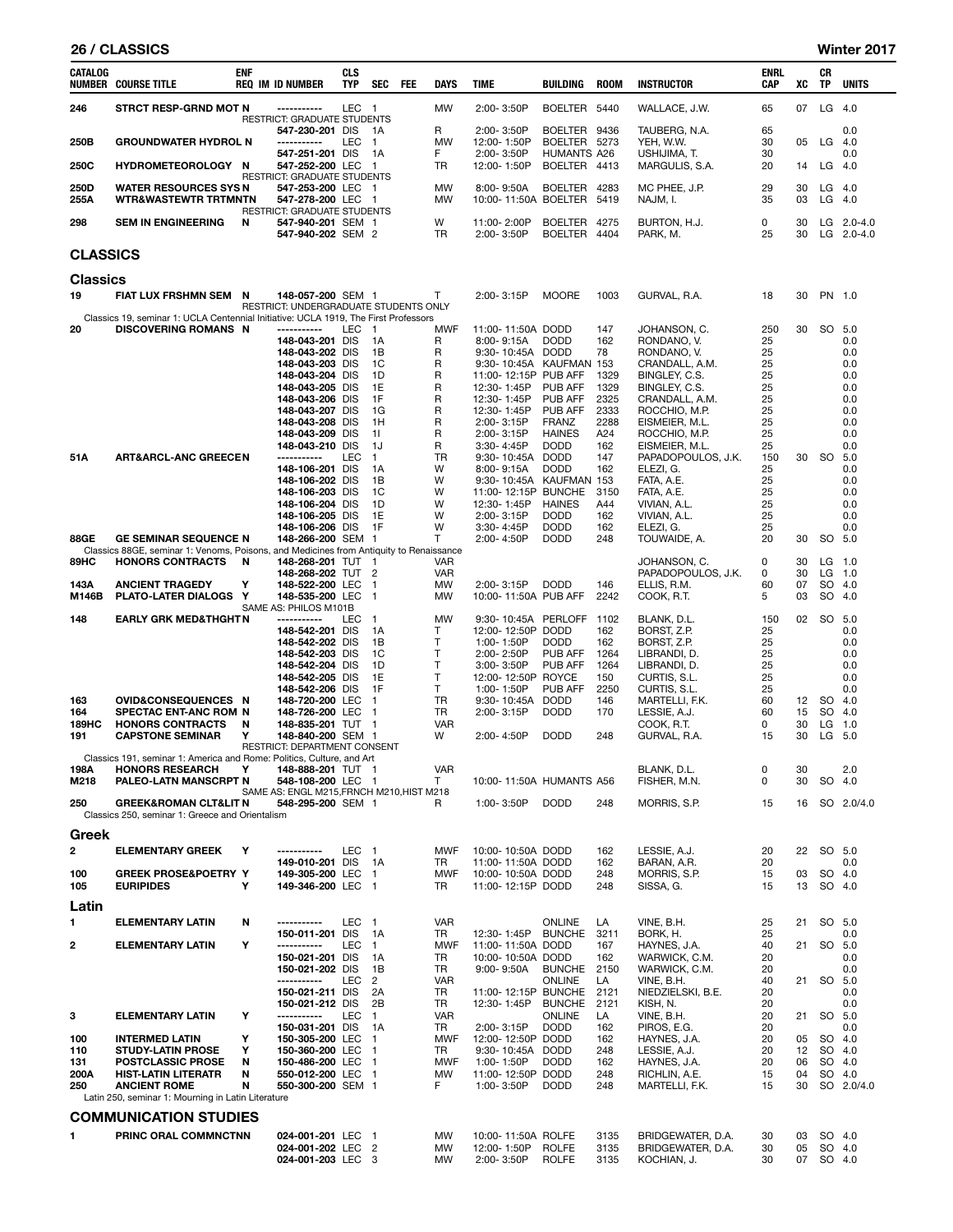#### 26 / CLASSICS Winter 2017

| <b>CATALOG</b>      | <b>NUMBER COURSE TITLE</b>                                                                                         | <b>ENF</b> | <b>REQ IM ID NUMBER</b>                                               | <b>CLS</b><br><b>TYP</b> | <b>SEC</b>                     | <b>FEE</b> | DAYS                    | <b>TIME</b>                                     | BUILDING                                    | <b>ROOM</b>          | <b>INSTRUCTOR</b>                                     | <b>ENRL</b><br>CAP | xс               | CR<br><b>TP</b>            | <b>UNITS</b>                     |
|---------------------|--------------------------------------------------------------------------------------------------------------------|------------|-----------------------------------------------------------------------|--------------------------|--------------------------------|------------|-------------------------|-------------------------------------------------|---------------------------------------------|----------------------|-------------------------------------------------------|--------------------|------------------|----------------------------|----------------------------------|
| 246                 | STRCT RESP-GRND MOT N                                                                                              |            | -----------<br>RESTRICT: GRADUATE STUDENTS                            | LEC 1                    |                                |            | <b>MW</b>               | 2:00-3:50P                                      | BOELTER 5440                                |                      | WALLACE, J.W.                                         | 65                 | 07               | LG                         | 4.0                              |
| 250B                | <b>GROUNDWATER HYDROL N</b>                                                                                        |            | 547-230-201 DIS<br>-----------<br>547-251-201 DIS                     | <b>LEC</b>               | 1A<br>$\mathbf{1}$<br>1A       |            | R<br><b>MW</b><br>F.    | 2:00-3:50P<br>12:00-1:50P<br>2:00-3:50P         | BOELTER 9436<br>BOELTER 5273<br>HUMANTS A26 |                      | TAUBERG, N.A.<br>YEH, W.W.<br>USHIJIMA, T.            | 65<br>30<br>30     | 05               | LG                         | 0.0<br>4.0<br>0.0                |
| 250C                | <b>HYDROMETEOROLOGY N</b>                                                                                          |            | 547-252-200 LEC<br><b>RESTRICT: GRADUATE STUDENTS</b>                 |                          | $\mathbf{1}$                   |            | <b>TR</b>               | 12:00-1:50P                                     | BOELTER 4413                                |                      | MARGULIS, S.A.                                        | 20                 | 14               | LG                         | 4.0                              |
| 250D<br>255A        | <b>WATER RESOURCES SYS N</b><br><b>WTR&amp;WASTEWTR TRTMNTN</b>                                                    |            | 547-253-200 LEC 1<br>547-278-200 LEC 1<br>RESTRICT: GRADUATE STUDENTS |                          |                                |            | MW<br><b>MW</b>         | 8:00-9:50A<br>10:00-11:50A BOELTER              | <b>BOELTER</b>                              | 4283<br>5419         | MC PHEE, J.P.<br>NAJM, I.                             | 29<br>35           | 30<br>03         | LG<br>LG                   | 4.0<br>4.0                       |
| 298                 | <b>SEM IN ENGINEERING</b>                                                                                          | N          | 547-940-201 SEM 1<br>547-940-202 SEM 2                                |                          |                                |            | W<br>TR                 | 11:00-2:00P<br>2:00-3:50P                       | BOELTER 4275<br>BOELTER 4404                |                      | BURTON, H.J.<br>PARK, M.                              | 0<br>25            | 30<br>30         |                            | LG $2.0 - 4.0$<br>LG $2.0 - 4.0$ |
| <b>CLASSICS</b>     |                                                                                                                    |            |                                                                       |                          |                                |            |                         |                                                 |                                             |                      |                                                       |                    |                  |                            |                                  |
| <b>Classics</b>     |                                                                                                                    |            |                                                                       |                          |                                |            |                         |                                                 |                                             |                      |                                                       |                    |                  |                            |                                  |
| 19                  | FIAT LUX FRSHMN SEM                                                                                                | N          | 148-057-200 SEM 1<br>RESTRICT: UNDERGRADUATE STUDENTS ONLY            |                          |                                |            | T                       | 2:00-3:15P                                      | <b>MOORE</b>                                | 1003                 | GURVAL, R.A.                                          | 18                 | 30               | PN 1.0                     |                                  |
| 20                  | Classics 19, seminar 1: UCLA Centennial Initiative: UCLA 1919, The First Professors<br><b>DISCOVERING ROMANS N</b> |            | -----------                                                           | <b>LEC</b>               | $\overline{1}$                 |            | <b>MWF</b>              | 11:00-11:50A DODD                               |                                             | 147                  | JOHANSON, C.                                          | 250                | 30               | <b>SO</b>                  | 5.0                              |
|                     |                                                                                                                    |            | 148-043-201 DIS<br>148-043-202 DIS                                    |                          | 1A<br>1B                       |            | R<br>R                  | $8:00 - 9:15A$<br>9:30-10:45A DODD              | <b>DODD</b>                                 | 162<br>78            | RONDANO, V.<br>RONDANO, V.                            | 25<br>25           |                  |                            | 0.0<br>0.0                       |
|                     |                                                                                                                    |            | 148-043-203 DIS                                                       |                          | 1C                             |            | R                       | 9:30-10:45A KAUFMAN 153                         |                                             |                      | CRANDALL, A.M.                                        | 25                 |                  |                            | 0.0                              |
|                     |                                                                                                                    |            | 148-043-204 DIS<br>148-043-205 DIS                                    |                          | 1D<br>1E                       |            | R<br>R                  | 11:00-12:15P PUB AFF<br>12:30-1:45P             | <b>PUB AFF</b>                              | 1329<br>1329         | BINGLEY, C.S.<br>BINGLEY, C.S.                        | 25<br>25           |                  |                            | 0.0<br>0.0                       |
|                     |                                                                                                                    |            | 148-043-206 DIS                                                       |                          | 1F                             |            | R                       | 12:30-1:45P                                     | <b>PUB AFF</b>                              | 2325                 | CRANDALL, A.M.                                        | 25                 |                  |                            | 0.0                              |
|                     |                                                                                                                    |            | 148-043-207 DIS<br>148-043-208 DIS                                    |                          | 1G<br>1H                       |            | R<br>R                  | 12:30-1:45P<br>2:00-3:15P                       | PUB AFF<br><b>FRANZ</b>                     | 2333<br>2288         | ROCCHIO, M.P.<br>EISMEIER, M.L.                       | 25<br>25           |                  |                            | 0.0<br>0.0                       |
|                     |                                                                                                                    |            | 148-043-209 DIS                                                       |                          | 11                             |            | R                       | 2:00-3:15P                                      | <b>HAINES</b>                               | A24                  | ROCCHIO, M.P.                                         | 25                 |                  |                            | 0.0                              |
| 51A                 | <b>ART&amp;ARCL-ANC GREECEN</b>                                                                                    |            | 148-043-210 DIS<br>-----------                                        | LEC                      | 1J<br>$\mathbf{1}$             |            | R<br>TR                 | 3:30-4:45P<br>9:30-10:45A DODD                  | <b>DODD</b>                                 | 162<br>147           | EISMEIER, M.L.<br>PAPADOPOULOS, J.K.                  | 25<br>150          | 30               | <b>SO</b>                  | 0.0<br>5.0                       |
|                     |                                                                                                                    |            | 148-106-201 DIS                                                       |                          | 1A                             |            | W                       | 8:00-9:15A                                      | <b>DODD</b>                                 | 162                  | ELEZI, G.                                             | 25                 |                  |                            | 0.0                              |
|                     |                                                                                                                    |            | 148-106-202 DIS<br>148-106-203 DIS                                    |                          | 1B<br>1C                       |            | W<br>W                  | 9:30-10:45A KAUFMAN 153<br>11:00-12:15P         | <b>BUNCHE</b>                               | 3150                 | FATA, A.E.<br>FATA, A.E.                              | 25<br>25           |                  |                            | 0.0<br>0.0                       |
|                     |                                                                                                                    |            | 148-106-204 DIS                                                       |                          | 1D                             |            | W                       | 12:30-1:45P                                     | <b>HAINES</b>                               | A44                  | VIVIAN, A.L.                                          | 25                 |                  |                            | 0.0                              |
|                     |                                                                                                                    |            | 148-106-205 DIS<br>148-106-206 DIS                                    |                          | 1E<br>1F                       |            | W<br>W                  | 2:00-3:15P<br>3:30-4:45P                        | <b>DODD</b><br><b>DODD</b>                  | 162<br>162           | VIVIAN, A.L.<br>ELEZI, G.                             | 25<br>25           |                  |                            | 0.0<br>0.0                       |
| 88GE                | <b>GE SEMINAR SEQUENCE N</b>                                                                                       |            | 148-266-200 SEM 1                                                     |                          |                                |            | T                       | 2:00-4:50P                                      | <b>DODD</b>                                 | 248                  | TOUWAIDE, A.                                          | 20                 | 30               | <b>SO</b>                  | 5.0                              |
| 89HC                | Classics 88GE, seminar 1: Venoms, Poisons, and Medicines from Antiquity to Renaissance<br><b>HONORS CONTRACTS</b>  | N          | 148-268-201 TUT 1                                                     |                          |                                |            | VAR                     |                                                 |                                             |                      | JOHANSON, C.                                          | 0                  | 30               | LG                         | 1.0                              |
|                     |                                                                                                                    |            | 148-268-202 TUT                                                       |                          | $\overline{c}$                 |            | <b>VAR</b>              |                                                 |                                             |                      | PAPADOPOULOS, J.K.                                    | 0                  | 30               | LG                         | 1.0                              |
| 143A<br>M146B       | <b>ANCIENT TRAGEDY</b><br>PLATO-LATER DIALOGS Y                                                                    | Y          | 148-522-200 LEC<br>148-535-200 LEC                                    |                          | -1<br>$\mathbf{1}$             |            | MW<br>MW                | 2:00-3:15P<br>10:00-11:50A PUB AFF              | <b>DODD</b>                                 | 146<br>2242          | ELLIS, R.M.<br>COOK, R.T.                             | 60<br>5            | 07<br>03         | <b>SO</b><br>SO            | -4.0<br>4.0                      |
|                     |                                                                                                                    |            | SAME AS: PHILOS M101B                                                 |                          |                                |            |                         |                                                 |                                             |                      |                                                       |                    |                  |                            |                                  |
| 148                 | <b>EARLY GRK MED&amp;THGHT N</b>                                                                                   |            | -----------<br>148-542-201 DIS                                        | <b>LEC</b>               | $\mathbf{1}$<br>1A             |            | MW<br>т                 | 9:30-10:45A PERLOFF 1102<br>12:00-12:50P        | <b>DODD</b>                                 | 162                  | BLANK, D.L.<br>BORST, Z.P.                            | 150<br>25          | 02               | <b>SO</b>                  | 5.0<br>0.0                       |
|                     |                                                                                                                    |            | 148-542-202 DIS                                                       |                          | 1B                             |            | т                       | 1:00-1:50P                                      | <b>DODD</b>                                 | 162                  | BORST, Z.P.                                           | 25                 |                  |                            | 0.0                              |
|                     |                                                                                                                    |            | 148-542-203 DIS<br>148-542-204 DIS                                    |                          | 1C<br>1D                       |            | т<br>T                  | 2:00-2:50P<br>3:00-3:50P                        | PUB AFF<br><b>PUB AFF</b>                   | 1264<br>1264         | LIBRANDI, D.<br>LIBRANDI, D.                          | 25<br>25           |                  |                            | 0.0<br>0.0                       |
|                     |                                                                                                                    |            | 148-542-205 DIS                                                       |                          | 1E                             |            | T                       | 12:00-12:50P ROYCE                              |                                             | 150                  | CURTIS, S.L.                                          | 25                 |                  |                            | 0.0                              |
| 163                 | OVID&CONSEQUENCES N                                                                                                |            | 148-542-206 DIS<br>148-720-200 LEC                                    |                          | 1F<br>$\mathbf{1}$             |            | т<br>TR                 | 1:00-1:50P<br>9:30-10:45A                       | PUB AFF<br><b>DODD</b>                      | 2250<br>146          | CURTIS, S.L.<br>MARTELLI, F.K.                        | 25<br>60           | 12 <sup>12</sup> | SO.                        | 0.0<br>4.0                       |
| 164                 | <b>SPECTAC ENT-ANC ROM N</b>                                                                                       |            | 148-726-200 LEC                                                       |                          | $\mathbf{1}$                   |            | TR                      | 2:00-3:15P                                      | <b>DODD</b>                                 | 170                  | LESSIE, A.J.                                          | 60                 | 15               | <b>SO</b>                  | 4.0                              |
| <b>189HC</b><br>191 | <b>HONORS CONTRACTS</b><br><b>CAPSTONE SEMINAR</b>                                                                 | N<br>Y     | 148-835-201 TUT 1<br>148-840-200 SEM 1                                |                          |                                |            | <b>VAR</b><br>W         | 2:00-4:50P                                      | <b>DODD</b>                                 | 248                  | COOK, R.T.<br>GURVAL, R.A.                            | 0<br>15            | 30<br>30         | LG<br>LG                   | 1.0<br>5.0                       |
|                     |                                                                                                                    |            | RESTRICT: DEPARTMENT CONSENT                                          |                          |                                |            |                         |                                                 |                                             |                      |                                                       |                    |                  |                            |                                  |
| 198A                | Classics 191, seminar 1: America and Rome: Politics, Culture, and Art<br><b>HONORS RESEARCH</b>                    | Υ          | 148-888-201 TUT 1                                                     |                          |                                |            | <b>VAR</b>              |                                                 |                                             |                      | BLANK, D.L.                                           | 0                  | 30               |                            | 2.0                              |
| M218                | PALEO-LATN MANSCRPT N                                                                                              |            | 548-108-200 LEC 1<br>SAME AS: ENGL M215, FRNCH M210, HIST M218        |                          |                                |            | Τ                       | 10:00-11:50A HUMANTS A56                        |                                             |                      | FISHER, M.N.                                          | 0                  | 30               | SO 4.0                     |                                  |
| 250                 | <b>GREEK&amp;ROMAN CLT&amp;LIT N</b>                                                                               |            | 548-295-200 SEM 1                                                     |                          |                                |            | R                       | 1:00-3:50P                                      | <b>DODD</b>                                 | 248                  | MORRIS, S.P.                                          | 15                 | 16               |                            | SO 2.0/4.0                       |
|                     | Classics 250, seminar 1: Greece and Orientalism                                                                    |            |                                                                       |                          |                                |            |                         |                                                 |                                             |                      |                                                       |                    |                  |                            |                                  |
| Greek               |                                                                                                                    |            |                                                                       |                          |                                |            |                         |                                                 |                                             |                      |                                                       |                    |                  |                            |                                  |
| 2                   | <b>ELEMENTARY GREEK</b>                                                                                            | Υ          | -----------<br>149-010-201 DIS                                        | <b>LEC</b>               | $\overline{1}$<br>1A           |            | <b>MWF</b><br>TR        | 10:00-10:50A DODD<br>11:00-11:50A DODD          |                                             | 162<br>162           | LESSIE, A.J.<br>BARAN, A.R.                           | 20<br>20           | 22               | SO 5.0                     | 0.0                              |
| 100<br>105          | <b>GREEK PROSE&amp;POETRY Y</b><br><b>EURIPIDES</b>                                                                | Υ          | 149-305-200 LEC<br>149-346-200 LEC                                    |                          | $\mathbf{1}$<br>$\overline{1}$ |            | <b>MWF</b><br><b>TR</b> | 10:00-10:50A DODD<br>11:00-12:15P DODD          |                                             | 248<br>248           | MORRIS, S.P.<br>SISSA, G.                             | 15<br>15           | 03<br>13         | <b>SO</b><br>SO 4.0        | 4.0                              |
| Latin<br>1          | <b>ELEMENTARY LATIN</b>                                                                                            | N          | -----------                                                           | <b>LEC</b>               | $\overline{1}$                 |            | <b>VAR</b>              |                                                 | <b>ONLINE</b>                               | LA                   | VINE, B.H.                                            | 25                 | 21               | SO                         | 5.0                              |
|                     |                                                                                                                    |            | 150-011-201 DIS                                                       |                          | 1A                             |            | TR                      | 12:30-1:45P                                     | <b>BUNCHE</b>                               | 3211                 | BORK, H.                                              | 25                 |                  |                            | 0.0                              |
| 2                   | <b>ELEMENTARY LATIN</b>                                                                                            | Υ          | -----------<br>150-021-201 DIS                                        | <b>LEC</b>               | $\mathbf{1}$<br>1A             |            | <b>MWF</b><br>TR        | 11:00-11:50A DODD<br>10:00-10:50A DODD          |                                             | 167<br>162           | HAYNES, J.A.<br>WARWICK, C.M.                         | 40<br>20           | 21               | <b>SO</b>                  | 5.0<br>0.0                       |
|                     |                                                                                                                    |            | 150-021-202 DIS                                                       |                          | 1B                             |            | TR                      | $9:00 - 9:50A$                                  | <b>BUNCHE</b>                               | 2150                 | WARWICK, C.M.                                         | 20                 |                  |                            | 0.0                              |
|                     |                                                                                                                    |            | -----------<br>150-021-211 DIS                                        | LEC                      | 2<br>2A                        |            | <b>VAR</b><br>TR        |                                                 | ONLINE                                      | LA<br>2121           | VINE, B.H.                                            | 40<br>20           | 21               | SO.                        | 5.0<br>0.0                       |
|                     |                                                                                                                    |            | 150-021-212 DIS                                                       |                          | 2B                             |            | TR                      | 11:00-12:15P BUNCHE<br>12:30-1:45P              | <b>BUNCHE</b>                               | 2121                 | NIEDZIELSKI, B.E.<br>KISH, N.                         | 20                 |                  |                            | 0.0                              |
| з                   | <b>ELEMENTARY LATIN</b>                                                                                            | Υ          | ------------                                                          | LEC                      | 1                              |            | <b>VAR</b>              |                                                 | ONLINE                                      | LA                   | VINE, B.H.                                            | 20                 | 21               | SO                         | 5.0                              |
| 100                 | <b>INTERMED LATIN</b>                                                                                              | Υ          | 150-031-201 DIS<br>150-305-200 LEC                                    |                          | 1A<br>-1                       |            | TR<br><b>MWF</b>        | 2:00-3:15P<br>12:00-12:50P DODD                 | <b>DODD</b>                                 | 162<br>162           | PIROS, E.G.<br>HAYNES, J.A.                           | 20<br>20           | 05               | <b>SO</b>                  | 0.0<br>4.0                       |
| 110                 | <b>STUDY-LATIN PROSE</b>                                                                                           | Υ          | 150-360-200 LEC                                                       |                          | $\mathbf{1}$                   |            | TR                      | 9:30-10:45A DODD                                |                                             | 248                  | LESSIE, A.J.                                          | 20                 | 12               | SO 4.0                     |                                  |
| 131<br>200A         | <b>POSTCLASSIC PROSE</b><br><b>HIST-LATIN LITERATR</b>                                                             | N<br>N     | 150-486-200 LEC<br>550-012-200 LEC                                    |                          | $\mathbf{1}$<br>$\overline{1}$ |            | <b>MWF</b><br>MW        | 1:00-1:50P<br>11:00-12:50P DODD                 | <b>DODD</b>                                 | 162<br>248           | HAYNES, J.A.<br>RICHLIN, A.E.                         | 20<br>15           | 06<br>04         | SO 4.0<br>SO 4.0           |                                  |
| 250                 | <b>ANCIENT ROME</b>                                                                                                | N          | 550-300-200 SEM 1                                                     |                          |                                |            | F                       | 1:00-3:50P                                      | <b>DODD</b>                                 | 248                  | MARTELLI, F.K.                                        | 15                 | 30               |                            | SO 2.0/4.0                       |
|                     | Latin 250, seminar 1: Mourning in Latin Literature                                                                 |            |                                                                       |                          |                                |            |                         |                                                 |                                             |                      |                                                       |                    |                  |                            |                                  |
|                     | <b>COMMUNICATION STUDIES</b>                                                                                       |            |                                                                       |                          |                                |            |                         |                                                 |                                             |                      |                                                       |                    |                  |                            |                                  |
| 1                   | PRINC ORAL COMMNCTNN                                                                                               |            | 024-001-201 LEC<br>024-001-202 LEC 2<br>024-001-203 LEC 3             |                          | - 1                            |            | MW<br>MW<br>MW          | 10:00-11:50A ROLFE<br>12:00-1:50P<br>2:00-3:50P | <b>ROLFE</b><br><b>ROLFE</b>                | 3135<br>3135<br>3135 | BRIDGEWATER, D.A.<br>BRIDGEWATER, D.A.<br>KOCHIAN, J. | 30<br>30<br>30     | 03<br>05<br>07   | SO 4.0<br>SO 4.0<br>SO 4.0 |                                  |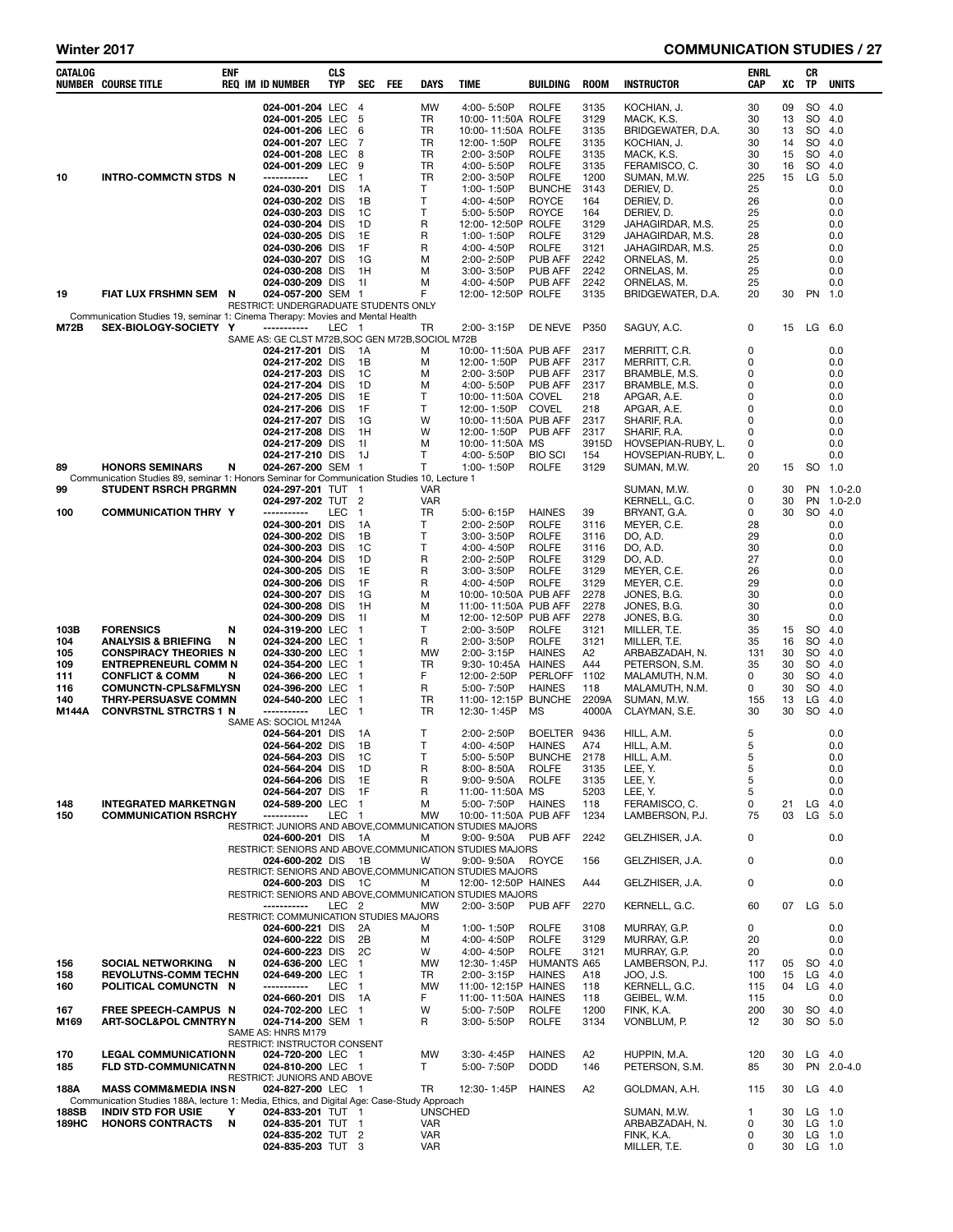#### Winter 2017 **COMMUNICATION STUDIES** / 27

| CATALOG      | <b>NUMBER COURSE TITLE</b>                                                                                          | ENF | <b>REQ IM ID NUMBER</b>                               | CLS<br>TYP       | <b>SEC</b>           | FEE | DAYS                         | TIME                                                                            | <b>BUILDING</b>                    | <b>ROOM</b>    | <b>INSTRUCTOR</b>                        | ENRL<br>CAP  | xс       | CR<br>TP             | <b>UNITS</b> |
|--------------|---------------------------------------------------------------------------------------------------------------------|-----|-------------------------------------------------------|------------------|----------------------|-----|------------------------------|---------------------------------------------------------------------------------|------------------------------------|----------------|------------------------------------------|--------------|----------|----------------------|--------------|
|              |                                                                                                                     |     | 024-001-204 LEC                                       |                  | $\overline{4}$       |     | <b>MW</b>                    | 4:00-5:50P                                                                      | <b>ROLFE</b>                       | 3135           | KOCHIAN, J.                              | 30           | 09       | SO                   | 4.0          |
|              |                                                                                                                     |     | 024-001-205 LEC                                       |                  | 5                    |     | TR                           | 10:00-11:50A ROLFE                                                              |                                    | 3129           | MACK, K.S.                               | 30           | 13       | SO                   | 4.0          |
|              |                                                                                                                     |     | 024-001-206 LEC<br>024-001-207 LEC                    |                  | 6<br>7               |     | TR<br>TR                     | 10:00-11:50A ROLFE<br>12:00-1:50P                                               | <b>ROLFE</b>                       | 3135<br>3135   | BRIDGEWATER, D.A.<br>KOCHIAN, J.         | 30<br>30     | 13<br>14 | SO<br><b>SO</b>      | 4.0<br>4.0   |
|              |                                                                                                                     |     | 024-001-208 LEC                                       |                  | 8                    |     | TR                           | 2:00-3:50P                                                                      | <b>ROLFE</b>                       | 3135           | MACK, K.S.                               | 30           | 15       | <b>SO</b>            | 4.0          |
|              |                                                                                                                     |     | 024-001-209 LEC                                       |                  | 9                    |     | TR                           | 4:00-5:50P                                                                      | <b>ROLFE</b>                       | 3135           | FERAMISCO, C.                            | 30           | 16       | <b>SO</b>            | 4.0          |
| 10           | <b>INTRO-COMMCTN STDS N</b>                                                                                         |     | -----------<br>024-030-201 DIS                        | LEC              | $\mathbf{1}$<br>1A   |     | TR<br>т                      | 2:00-3:50P<br>1:00-1:50P                                                        | <b>ROLFE</b><br><b>BUNCHE</b>      | 1200<br>3143   | SUMAN, M.W.<br>DERIEV, D.                | 225<br>25    | 15       | LG                   | 5.0<br>0.0   |
|              |                                                                                                                     |     | 024-030-202 DIS                                       |                  | 1B                   |     | Τ                            | 4:00-4:50P                                                                      | <b>ROYCE</b>                       | 164            | DERIEV, D.                               | 26           |          |                      | 0.0          |
|              |                                                                                                                     |     | 024-030-203 DIS                                       |                  | 1C                   |     | т                            | 5:00-5:50P                                                                      | <b>ROYCE</b><br><b>ROLFE</b>       | 164            | DERIEV, D.                               | 25           |          |                      | 0.0          |
|              |                                                                                                                     |     | 024-030-204 DIS<br>024-030-205 DIS                    |                  | 1D<br>1E             |     | R<br>R                       | 12:00-12:50P<br>1:00-1:50P                                                      | <b>ROLFE</b>                       | 3129<br>3129   | JAHAGIRDAR, M.S.<br>JAHAGIRDAR, M.S.     | 25<br>28     |          |                      | 0.0<br>0.0   |
|              |                                                                                                                     |     | 024-030-206 DIS                                       |                  | 1F                   |     | R                            | 4:00-4:50P                                                                      | <b>ROLFE</b>                       | 3121           | JAHAGIRDAR, M.S.                         | 25           |          |                      | 0.0          |
|              |                                                                                                                     |     | 024-030-207 DIS                                       |                  | 1G<br>1H             |     | М                            | 2:00-2:50P                                                                      | <b>PUB AFF</b>                     | 2242<br>2242   | ORNELAS, M.                              | 25           |          |                      | 0.0<br>0.0   |
|              |                                                                                                                     |     | 024-030-208 DIS<br>024-030-209 DIS                    |                  | 11                   |     | M<br>М                       | 3:00-3:50P<br>4:00-4:50P                                                        | PUB AFF<br>PUB AFF                 | 2242           | ORNELAS, M.<br>ORNELAS, M.               | 25<br>25     |          |                      | 0.0          |
| 19           | FIAT LUX FRSHMN SEM N                                                                                               |     | 024-057-200 SEM 1                                     |                  |                      |     | F                            | 12:00-12:50P ROLFE                                                              |                                    | 3135           | BRIDGEWATER, D.A.                        | 20           | 30       | PN                   | 1.0          |
|              | Communication Studies 19, seminar 1: Cinema Therapy: Movies and Mental Health                                       |     | RESTRICT: UNDERGRADUATE STUDENTS ONLY                 |                  |                      |     |                              |                                                                                 |                                    |                |                                          |              |          |                      |              |
| <b>M72B</b>  | SEX-BIOLOGY-SOCIETY Y                                                                                               |     | -----------                                           | LEC              | - 1                  |     | TR                           | 2:00-3:15P                                                                      | DE NEVE                            | P350           | SAGUY, A.C.                              | 0            | 15       | LG                   | 6.0          |
|              |                                                                                                                     |     | SAME AS: GE CLST M72B, SOC GEN M72B, SOCIOL M72B      |                  |                      |     |                              |                                                                                 |                                    |                |                                          |              |          |                      |              |
|              |                                                                                                                     |     | 024-217-201 DIS<br>024-217-202 DIS                    |                  | 1A<br>1B             |     | M<br>M                       | 10:00-11:50A PUB AFF<br>12:00-1:50P                                             | PUB AFF                            | 2317<br>2317   | MERRITT, C.R.<br>MERRITT, C.R.           | 0<br>0       |          |                      | 0.0<br>0.0   |
|              |                                                                                                                     |     | 024-217-203 DIS                                       |                  | 1C                   |     | M                            | 2:00-3:50P                                                                      | PUB AFF                            | 2317           | BRAMBLE, M.S.                            | 0            |          |                      | 0.0          |
|              |                                                                                                                     |     | 024-217-204 DIS                                       |                  | 1D                   |     | M                            | 4:00-5:50P                                                                      | <b>PUB AFF</b>                     | 2317           | BRAMBLE, M.S.                            | 0            |          |                      | 0.0          |
|              |                                                                                                                     |     | 024-217-205 DIS<br>024-217-206 DIS                    |                  | 1E<br>1F             |     | Т<br>т                       | 10:00-11:50A COVEL<br>12:00-1:50P                                               | <b>COVEL</b>                       | 218<br>218     | APGAR, A.E.<br>APGAR, A.E.               | 0<br>0       |          |                      | 0.0<br>0.0   |
|              |                                                                                                                     |     | 024-217-207 DIS                                       |                  | 1G                   |     | W                            | 10:00-11:50A PUB AFF                                                            |                                    | 2317           | SHARIF, R.A.                             | 0            |          |                      | 0.0          |
|              |                                                                                                                     |     | 024-217-208 DIS                                       |                  | 1H                   |     | W                            | 12:00-1:50P                                                                     | <b>PUB AFF</b>                     | 2317           | SHARIF, R.A.                             | 0            |          |                      | 0.0          |
|              |                                                                                                                     |     | 024-217-209 DIS<br>024-217-210 DIS                    |                  | 11<br>1J             |     | M<br>т                       | 10:00-11:50A MS<br>4:00-5:50P                                                   | <b>BIO SCI</b>                     | 3915D<br>154   | HOVSEPIAN-RUBY, L.<br>HOVSEPIAN-RUBY, L. | 0<br>0       |          |                      | 0.0<br>0.0   |
| 89           | <b>HONORS SEMINARS</b>                                                                                              | N   | 024-267-200 SEM 1                                     |                  |                      |     | т                            | 1:00-1:50P                                                                      | <b>ROLFE</b>                       | 3129           | SUMAN, M.W.                              | 20           | 15       | SO                   | 1.0          |
| 99           | Communication Studies 89, seminar 1: Honors Seminar for Communication Studies 10, Lecture 1<br>STUDENT RSRCH PRGRMN |     | 024-297-201 TUT                                       |                  | $\mathbf{1}$         |     | <b>VAR</b>                   |                                                                                 |                                    |                | SUMAN, M.W.                              | 0            | 30       | <b>PN</b>            | $1.0 - 2.0$  |
|              |                                                                                                                     |     | 024-297-202 TUT 2                                     |                  |                      |     | VAR                          |                                                                                 |                                    |                | KERNELL, G.C.                            | 0            | 30       | PN                   | 1.0-2.0      |
| 100          | <b>COMMUNICATION THRY Y</b>                                                                                         |     | -----------                                           | LEC              | $\mathbf{1}$         |     | TR                           | 5:00-6:15P                                                                      | <b>HAINES</b>                      | 39             | BRYANT, G.A.                             | 0            | 30       | <b>SO</b>            | 4.0          |
|              |                                                                                                                     |     | 024-300-201 DIS<br>024-300-202 DIS                    |                  | 1A<br>1B             |     | T<br>т                       | 2:00-2:50P<br>$3:00 - 3:50P$                                                    | <b>ROLFE</b><br><b>ROLFE</b>       | 3116<br>3116   | MEYER, C.E.<br>DO, A.D.                  | 28<br>29     |          |                      | 0.0<br>0.0   |
|              |                                                                                                                     |     | 024-300-203 DIS                                       |                  | 1C                   |     | T                            | 4:00-4:50P                                                                      | <b>ROLFE</b>                       | 3116           | DO, A.D.                                 | 30           |          |                      | 0.0          |
|              |                                                                                                                     |     | 024-300-204 DIS                                       |                  | 1D                   |     | R                            | 2:00-2:50P                                                                      | <b>ROLFE</b>                       | 3129           | DO, A.D.                                 | 27           |          |                      | 0.0          |
|              |                                                                                                                     |     | 024-300-205 DIS<br>024-300-206 DIS                    |                  | 1E<br>1F             |     | R<br>R                       | 3:00-3:50P<br>4:00-4:50P                                                        | <b>ROLFE</b><br><b>ROLFE</b>       | 3129<br>3129   | MEYER, C.E.<br>MEYER, C.E.               | 26<br>29     |          |                      | 0.0<br>0.0   |
|              |                                                                                                                     |     | 024-300-207 DIS                                       |                  | 1G                   |     | м                            | 10:00-10:50A PUB AFF                                                            |                                    | 2278           | JONES, B.G.                              | 30           |          |                      | 0.0          |
|              |                                                                                                                     |     | 024-300-208 DIS                                       |                  | 1H                   |     | м                            | 11:00-11:50A PUB AFF                                                            |                                    | 2278           | JONES, B.G.                              | 30           |          |                      | 0.0          |
| 103B         | <b>FORENSICS</b>                                                                                                    | N   | 024-300-209 DIS<br>024-319-200 LEC                    |                  | 11<br>$\mathbf{1}$   |     | м<br>т                       | 12:00-12:50P PUB AFF<br>2:00-3:50P                                              | <b>ROLFE</b>                       | 2278<br>3121   | JONES, B.G.<br>MILLER, T.E.              | 30<br>35     | 15       | <b>SO</b>            | 0.0<br>-4.0  |
| 104          | ANALYSIS & BRIEFING                                                                                                 | N   | 024-324-200 LEC                                       |                  | $\mathbf 1$          |     | R                            | 2:00-3:50P                                                                      | <b>ROLFE</b>                       | 3121           | MILLER, T.E.                             | 35           | 16       | <b>SO</b>            | 4.0          |
| 105          | <b>CONSPIRACY THEORIES N</b>                                                                                        |     | 024-330-200 LEC                                       |                  | -1                   |     | <b>MW</b>                    | 2:00-3:15P                                                                      | <b>HAINES</b>                      | A <sub>2</sub> | ARBABZADAH, N.                           | 131          | 30       | SO                   | 4.0          |
| 109<br>111   | <b>ENTREPRENEURL COMM N</b><br><b>CONFLICT &amp; COMM</b>                                                           | N   | 024-354-200 LEC<br>024-366-200 LEC                    |                  | $\mathbf{1}$<br>-1   |     | TR<br>F                      | 9:30-10:45A<br>12:00-2:50P                                                      | <b>HAINES</b><br><b>PERLOFF</b>    | A44<br>1102    | PETERSON, S.M.<br>MALAMUTH, N.M.         | 35<br>0      | 30<br>30 | SO.<br>SO            | 4.0<br>4.0   |
| 116          | <b>COMUNCTN-CPLS&amp;FMLYSN</b>                                                                                     |     | 024-396-200 LEC                                       |                  | -1                   |     | R                            | 5:00-7:50P                                                                      | <b>HAINES</b>                      | 118            | MALAMUTH, N.M.                           | 0            | 30       | <b>SO</b>            | 4.0          |
| 140          | <b>THRY-PERSUASVE COMMN</b>                                                                                         |     | 024-540-200 LEC<br>-----------                        | LEC              | -1                   |     | TR<br>TR                     | 11:00-12:15P                                                                    | <b>BUNCHE</b><br><b>MS</b>         | 2209A          | SUMAN, M.W.                              | 155          | 13<br>30 | LG<br><b>SO</b>      | 4.0          |
| M144A        | <b>CONVRSTNL STRCTRS 1 N</b>                                                                                        |     | SAME AS: SOCIOL M124A                                 |                  | $\mathbf{1}$         |     |                              | 12:30-1:45P                                                                     |                                    | 4000A          | CLAYMAN, S.E.                            | 30           |          |                      | 4.0          |
|              |                                                                                                                     |     | 024-564-201 DIS                                       |                  | 1A                   |     | т                            | 2:00-2:50P                                                                      | <b>BOELTER</b>                     | 9436           | HILL, A.M.                               | 5            |          |                      | 0.0          |
|              |                                                                                                                     |     | 024-564-202 DIS<br>024-564-203 DIS                    |                  | 1B<br>1C             |     | $\mathsf{T}$<br>$\mathsf{T}$ | 4:00-4:50P<br>5:00-5:50P                                                        | <b>HAINES</b><br><b>BUNCHE</b>     | A74<br>2178    | HILL, A.M.<br>HILL, A.M.                 | 5<br>5       |          |                      | 0.0<br>0.0   |
|              |                                                                                                                     |     | 024-564-204 DIS                                       |                  | 1D                   |     | R                            | 8:00-8:50A                                                                      | <b>ROLFE</b>                       | 3135           | LEE, Y.                                  | 5            |          |                      | 0.0          |
|              |                                                                                                                     |     | 024-564-206 DIS                                       |                  | 1E                   |     | R                            | $9:00 - 9:50A$                                                                  | <b>ROLFE</b>                       | 3135           | LEE, Y.                                  | 5            |          |                      | 0.0          |
| 148          | <b>INTEGRATED MARKETNGN</b>                                                                                         |     | 024-564-207 DIS<br>024-589-200 LEC                    |                  | 1F<br>$\blacksquare$ |     | R<br>М                       | 11:00-11:50A MS<br>5:00-7:50P                                                   | <b>HAINES</b>                      | 5203<br>118    | LEE, Y.<br>FERAMISCO, C.                 | 5<br>0       | 21       | LG                   | 0.0<br>4.0   |
| 150          | <b>COMMUNICATION RSRCHY</b>                                                                                         |     | -----------                                           | LEC              | $\overline{1}$       |     | <b>MW</b>                    | 10:00-11:50A PUB AFF                                                            |                                    | 1234           | LAMBERSON, P.J.                          | 75           | 03       | LG                   | 5.0          |
|              |                                                                                                                     |     | 024-600-201 DIS                                       |                  | $\overline{A}$       |     | M                            | RESTRICT: JUNIORS AND ABOVE, COMMUNICATION STUDIES MAJORS<br>9:00-9:50A PUB AFF |                                    | 2242           | GELZHISER, J.A.                          | 0            |          |                      | 0.0          |
|              |                                                                                                                     |     |                                                       |                  |                      |     |                              | RESTRICT: SENIORS AND ABOVE, COMMUNICATION STUDIES MAJORS                       |                                    |                |                                          |              |          |                      |              |
|              |                                                                                                                     |     | 024-600-202 DIS 1B                                    |                  |                      |     | W                            | 9:00-9:50A<br>RESTRICT: SENIORS AND ABOVE.COMMUNICATION STUDIES MAJORS          | ROYCE                              | 156            | GELZHISER, J.A.                          | 0            |          |                      | 0.0          |
|              |                                                                                                                     |     | 024-600-203 DIS 1C                                    |                  |                      |     | M                            | 12:00-12:50P HAINES                                                             |                                    | A44            | GELZHISER, J.A.                          | 0            |          |                      | 0.0          |
|              |                                                                                                                     |     |                                                       |                  |                      |     |                              | RESTRICT: SENIORS AND ABOVE, COMMUNICATION STUDIES MAJORS                       |                                    |                |                                          |              |          |                      |              |
|              |                                                                                                                     |     | -----------<br>RESTRICT: COMMUNICATION STUDIES MAJORS | LEC <sub>2</sub> |                      |     | <b>MW</b>                    | 2:00-3:50P                                                                      | PUB AFF                            | 2270           | KERNELL, G.C.                            | 60           |          | 07 LG                | 5.0          |
|              |                                                                                                                     |     | 024-600-221 DIS                                       |                  | - 2A                 |     | м                            | 1:00-1:50P                                                                      | <b>ROLFE</b>                       | 3108           | MURRAY, G.P.                             | 0            |          |                      | 0.0          |
|              |                                                                                                                     |     | 024-600-222 DIS                                       |                  | 2B                   |     | м                            | 4:00-4:50P                                                                      | <b>ROLFE</b>                       | 3129           | MURRAY, G.P.                             | 20           |          |                      | 0.0          |
| 156          | <b>SOCIAL NETWORKING</b>                                                                                            | N   | 024-600-223 DIS<br>024-636-200 LEC                    |                  | 2C<br>$\mathbf{1}$   |     | W<br><b>MW</b>               | 4:00-4:50P<br>12:30-1:45P                                                       | <b>ROLFE</b><br><b>HUMANTS A65</b> | 3121           | MURRAY, G.P.<br>LAMBERSON, P.J.          | 20<br>117    | 05       | <b>SO</b>            | 0.0<br>4.0   |
| 158          | <b>REVOLUTNS-COMM TECHN</b>                                                                                         |     | 024-649-200 LEC                                       |                  | $\overline{1}$       |     | TR                           | 2:00-3:15P                                                                      | <b>HAINES</b>                      | A18            | JOO, J.S.                                | 100          | 15       | LG                   | -4.0         |
| 160          | POLITICAL COMUNCTN N                                                                                                |     | -----------                                           | <b>LEC</b>       | $\overline{1}$       |     | <b>MW</b><br>F               | 11:00-12:15P HAINES                                                             |                                    | 118            | KERNELL, G.C.                            | 115          | 04       | LG                   | 4.0          |
| 167          | FREE SPEECH-CAMPUS N                                                                                                |     | 024-660-201 DIS<br>024-702-200 LEC                    |                  | 1A<br>$\overline{1}$ |     | W                            | 11:00-11:50A HAINES<br>5:00-7:50P                                               | <b>ROLFE</b>                       | 118<br>1200    | GEIBEL, W.M.<br>FINK, K.A.               | 115<br>200   | 30       | <b>SO</b>            | 0.0<br>4.0   |
| M169         | <b>ART-SOCL&amp;POL CMNTRY N</b>                                                                                    |     | 024-714-200 SEM 1                                     |                  |                      |     | R                            | 3:00-5:50P                                                                      | <b>ROLFE</b>                       | 3134           | VONBLUM, P.                              | 12           | 30       | SO 5.0               |              |
|              |                                                                                                                     |     | SAME AS: HNRS M179<br>RESTRICT: INSTRUCTOR CONSENT    |                  |                      |     |                              |                                                                                 |                                    |                |                                          |              |          |                      |              |
| 170          | <b>LEGAL COMMUNICATIONN</b>                                                                                         |     | 024-720-200 LEC 1                                     |                  |                      |     | <b>MW</b>                    | 3:30-4:45P                                                                      | <b>HAINES</b>                      | A2             | HUPPIN, M.A.                             | 120          | 30       |                      | $LG$ 4.0     |
| 185          | <b>FLD STD-COMMUNICATNN</b>                                                                                         |     | 024-810-200 LEC 1                                     |                  |                      |     | T.                           | 5:00-7:50P                                                                      | <b>DODD</b>                        | 146            | PETERSON, S.M.                           | 85           | 30       |                      | PN 2.0-4.0   |
| 188A         | <b>MASS COMM&amp;MEDIA INSN</b>                                                                                     |     | RESTRICT: JUNIORS AND ABOVE<br>024-827-200 LEC 1      |                  |                      |     | TR                           | 12:30-1:45P                                                                     | <b>HAINES</b>                      | A2             | GOLDMAN, A.H.                            | 115          | 30       | LG 4.0               |              |
|              | Communication Studies 188A, lecture 1: Media, Ethics, and Digital Age: Case-Study Approach                          |     |                                                       |                  |                      |     |                              |                                                                                 |                                    |                |                                          |              |          |                      |              |
| 188SB        | <b>INDIV STD FOR USIE</b>                                                                                           | Υ   | 024-833-201 TUT 1                                     |                  |                      |     | <b>UNSCHED</b>               |                                                                                 |                                    |                | SUMAN, M.W.                              | $\mathbf{1}$ | 30       |                      | $LG$ 1.0     |
| <b>189HC</b> | <b>HONORS CONTRACTS</b>                                                                                             | N   | 024-835-201 TUT 1<br>024-835-202 TUT 2                |                  |                      |     | <b>VAR</b><br>VAR            |                                                                                 |                                    |                | ARBABZADAH, N.<br>FINK, K.A.             | 0<br>0       | 30<br>30 | $LG$ 1.0<br>$LG$ 1.0 |              |
|              |                                                                                                                     |     | 024-835-203 TUT 3                                     |                  |                      |     | <b>VAR</b>                   |                                                                                 |                                    |                | MILLER, T.E.                             | 0            | 30       | LG 1.0               |              |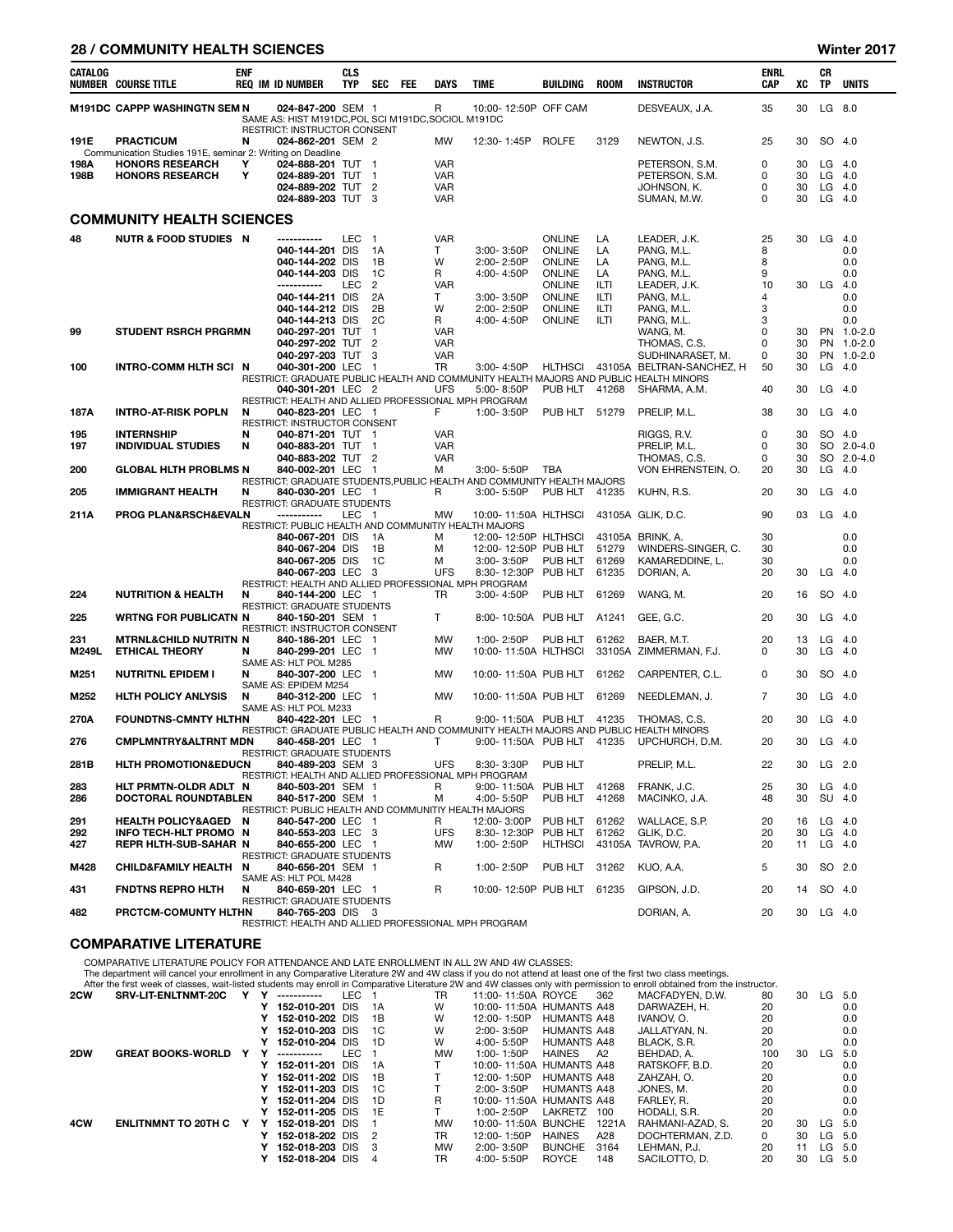#### 28 / COMMUNITY HEALTH SCIENCES Winter 2017

| CATALOG           | NUMBER COURSE TITLE                                                                      | <b>ENF</b> | <b>REQ IM ID NUMBER</b>                                                                                                                                                                    | <b>CLS</b><br><b>TYP</b> | SEC                                               | <b>FEE</b> | <b>DAYS</b>                                          | <b>TIME</b>                                                               | <b>BUILDING</b>                                                                                       | <b>ROOM</b>                                  | <b>INSTRUCTOR</b>                                                                                  | <b>ENRL</b><br>CAP                | XC                   | CR<br>TP                       | <b>UNITS</b>                                    |
|-------------------|------------------------------------------------------------------------------------------|------------|--------------------------------------------------------------------------------------------------------------------------------------------------------------------------------------------|--------------------------|---------------------------------------------------|------------|------------------------------------------------------|---------------------------------------------------------------------------|-------------------------------------------------------------------------------------------------------|----------------------------------------------|----------------------------------------------------------------------------------------------------|-----------------------------------|----------------------|--------------------------------|-------------------------------------------------|
|                   | M191DC CAPPP WASHINGTN SEM N                                                             |            | 024-847-200 SEM 1<br>SAME AS: HIST M191DC, POL SCI M191DC, SOCIOL M191DC                                                                                                                   |                          |                                                   |            | R                                                    | 10:00-12:50P OFF CAM                                                      |                                                                                                       |                                              | DESVEAUX, J.A.                                                                                     | 35                                | 30                   | LG 8.0                         |                                                 |
| 191E              | <b>PRACTICUM</b><br>Communication Studies 191E, seminar 2: Writing on Deadline           | N          | RESTRICT: INSTRUCTOR CONSENT<br>024-862-201 SEM 2                                                                                                                                          |                          |                                                   |            | MW                                                   | 12:30-1:45P                                                               | <b>ROLFE</b>                                                                                          | 3129                                         | NEWTON, J.S.                                                                                       | 25                                | 30                   | SO 4.0                         |                                                 |
| 198A<br>198B      | <b>HONORS RESEARCH</b><br><b>HONORS RESEARCH</b>                                         | Υ<br>Υ     | 024-888-201 TUT 1<br>024-889-201 TUT 1<br>024-889-202 TUT 2<br>024-889-203 TUT 3                                                                                                           |                          |                                                   |            | <b>VAR</b><br><b>VAR</b><br><b>VAR</b><br><b>VAR</b> |                                                                           |                                                                                                       |                                              | PETERSON, S.M.<br>PETERSON, S.M.<br>JOHNSON, K.<br>SUMAN, M.W.                                     | 0<br>0<br>0<br>0                  | 30<br>30<br>30<br>30 | LG<br>LG<br>LG<br>$LG$ 4.0     | 4.0<br>4.0<br>4.0                               |
|                   | <b>COMMUNITY HEALTH SCIENCES</b>                                                         |            |                                                                                                                                                                                            |                          |                                                   |            |                                                      |                                                                           |                                                                                                       |                                              |                                                                                                    |                                   |                      |                                |                                                 |
| 48                | <b>NUTR &amp; FOOD STUDIES N</b>                                                         |            | ------------<br>040-144-201 DIS<br>040-144-202 DIS<br>040-144-203 DIS<br>-----------<br>040-144-211 DIS<br>040-144-212 DIS                                                                 | <b>LEC</b><br><b>LEC</b> | $\overline{1}$<br>1A<br>1B<br>1C<br>2<br>2A<br>2B |            | <b>VAR</b><br>т<br>W<br>R<br><b>VAR</b><br>т<br>W    | 3:00-3:50P<br>2:00-2:50P<br>4:00-4:50P<br>3:00-3:50P<br>2:00-2:50P        | <b>ONLINE</b><br><b>ONLINE</b><br><b>ONLINE</b><br>ONLINE<br><b>ONLINE</b><br>ONLINE<br><b>ONLINE</b> | LA<br>LA<br>LA<br>LA<br>ILTI<br>ILTI<br>ILTI | LEADER, J.K.<br>PANG, M.L.<br>PANG, M.L.<br>PANG, M.L.<br>LEADER, J.K.<br>PANG, M.L.<br>PANG, M.L. | 25<br>8<br>8<br>9<br>10<br>4<br>3 | 30<br>30             | LG<br>LG                       | - 4.0<br>0.0<br>0.0<br>0.0<br>4.0<br>0.0<br>0.0 |
| 99                | <b>STUDENT RSRCH PRGRMN</b>                                                              |            | 040-144-213 DIS<br>040-297-201 TUT<br>040-297-202 TUT 2<br>040-297-203 TUT                                                                                                                 |                          | 2C<br>$\mathbf{1}$<br>3                           |            | R<br>VAR<br>VAR<br><b>VAR</b>                        | 4:00-4:50P                                                                | <b>ONLINE</b>                                                                                         | ILTI                                         | PANG, M.L.<br>WANG, M.<br>THOMAS, C.S.<br>SUDHINARASET, M.                                         | 3<br>0<br>0<br>0                  | 30<br>30<br>30       |                                | 0.0<br>PN 1.0-2.0<br>PN 1.0-2.0<br>PN 1.0-2.0   |
| 100               | INTRO-COMM HLTH SCI N                                                                    |            | 040-301-200 LEC 1<br>RESTRICT: GRADUATE PUBLIC HEALTH AND COMMUNITY HEALTH MAJORS AND PUBLIC HEALTH MINORS<br>040-301-201 LEC 2<br>RESTRICT: HEALTH AND ALLIED PROFESSIONAL MPH PROGRAM    |                          |                                                   |            | TR<br><b>UFS</b>                                     | 3:00-4:50P<br>5:00-8:50P                                                  | HLTHSCI<br>PUB HLT                                                                                    | 41268                                        | 43105A BELTRAN-SANCHEZ, H<br>SHARMA, A.M.                                                          | 50<br>40                          | 30<br>30             | LG<br>LG                       | 4.0<br>4.0                                      |
| 187A              | <b>INTRO-AT-RISK POPLN</b>                                                               | N          | 040-823-201 LEC 1                                                                                                                                                                          |                          |                                                   |            | F                                                    | 1:00-3:50P                                                                | PUB HLT 51279                                                                                         |                                              | PRELIP, M.L.                                                                                       | 38                                | 30                   | $LG$ 4.0                       |                                                 |
| 195<br>197        | <b>INTERNSHIP</b><br><b>INDIVIDUAL STUDIES</b>                                           | N<br>N     | RESTRICT: INSTRUCTOR CONSENT<br>040-871-201 TUT 1<br>040-883-201 TUT 1<br>040-883-202 TUT 2                                                                                                |                          |                                                   |            | <b>VAR</b><br><b>VAR</b><br><b>VAR</b>               |                                                                           |                                                                                                       |                                              | RIGGS, R.V.<br>PRELIP, M.L.<br>THOMAS, C.S.                                                        | 0<br>0<br>0                       | 30<br>30<br>30       | SO 4.0                         | SO 2.0-4.0<br>SO 2.0-4.0                        |
| 200               | <b>GLOBAL HLTH PROBLMS N</b>                                                             |            | 840-002-201 LEC 1<br>RESTRICT: GRADUATE STUDENTS, PUBLIC HEALTH AND COMMUNITY HEALTH MAJORS                                                                                                |                          |                                                   |            | м                                                    | 3:00-5:50P                                                                | <b>TBA</b>                                                                                            |                                              | VON EHRENSTEIN, O.                                                                                 | 20                                | 30                   | LG                             | 4.0                                             |
| 205               | <b>IMMIGRANT HEALTH</b>                                                                  | N          | 840-030-201 LEC 1                                                                                                                                                                          |                          |                                                   |            | R                                                    | $3:00 - 5:50P$                                                            | PUB HLT                                                                                               | 41235                                        | KUHN, R.S.                                                                                         | 20                                | 30                   | LG                             | 4.0                                             |
| 211A              | PROG PLAN&RSCH&EVALN                                                                     |            | RESTRICT: GRADUATE STUDENTS<br>-----------                                                                                                                                                 | LEC 1                    |                                                   |            | <b>MW</b>                                            | 10:00-11:50A HLTHSCI                                                      |                                                                                                       |                                              | 43105A GLIK, D.C.                                                                                  | 90                                | 03                   | $LG$ 4.0                       |                                                 |
|                   |                                                                                          |            | RESTRICT: PUBLIC HEALTH AND COMMUNITIY HEALTH MAJORS<br>840-067-201 DIS<br>840-067-204 DIS<br>840-067-205 DIS<br>840-067-203 LEC 3<br>RESTRICT: HEALTH AND ALLIED PROFESSIONAL MPH PROGRAM |                          | 1A<br>1B<br>- 1C                                  |            | м<br>М<br>м<br><b>UFS</b>                            | 12:00-12:50P HLTHSCI<br>12:00-12:50P PUB HLT<br>3:00-3:50P<br>8:30-12:30P | PUB HLT<br>PUB HLT                                                                                    | 51279<br>61269<br>61235                      | 43105A BRINK, A.<br>WINDERS-SINGER, C.<br>KAMAREDDINE, L.<br>DORIAN, A.                            | 30<br>30<br>30<br>20              | 30                   | LG                             | 0.0<br>0.0<br>0.0<br>4.0                        |
| 224               | <b>NUTRITION &amp; HEALTH</b>                                                            | N          | 840-144-200 LEC 1<br>RESTRICT: GRADUATE STUDENTS                                                                                                                                           |                          |                                                   |            | TR                                                   | $3:00 - 4:50P$                                                            | PUB HLT                                                                                               | 61269                                        | WANG, M.                                                                                           | 20                                | 16                   | SO 4.0                         |                                                 |
| 225               | WRTNG FOR PUBLICATN N                                                                    |            | 840-150-201 SEM 1<br>RESTRICT: INSTRUCTOR CONSENT                                                                                                                                          |                          |                                                   |            | T                                                    | 8:00-10:50A PUB HLT                                                       |                                                                                                       | A1241                                        | GEE, G.C.                                                                                          | 20                                | 30                   | $LG$ 4.0                       |                                                 |
| 231<br>M249L      | <b>MTRNL&amp;CHILD NUTRITN N</b><br><b>ETHICAL THEORY</b>                                | N          | 840-186-201 LEC 1<br>840-299-201 LEC 1<br>SAME AS: HLT POL M285                                                                                                                            |                          |                                                   |            | <b>MW</b><br>MW                                      | 1:00-2:50P<br>10:00-11:50A HLTHSCI                                        | PUB HLT                                                                                               | 61262                                        | BAER, M.T.<br>33105A ZIMMERMAN, F.J.                                                               | 20<br>0                           | 13<br>30             | $LG$ 4.0<br>$LG$ 4.0           |                                                 |
| M251              | <b>NUTRITNL EPIDEM I</b>                                                                 | N          | 840-307-200 LEC 1<br>SAME AS: EPIDEM M254                                                                                                                                                  |                          |                                                   |            | <b>MW</b>                                            | 10:00-11:50A PUB HLT                                                      |                                                                                                       | 61262                                        | CARPENTER, C.L.                                                                                    | 0                                 | 30                   | SO 4.0                         |                                                 |
| M252              | <b>HLTH POLICY ANLYSIS</b>                                                               | N          | 840-312-200 LEC<br>SAME AS: HLT POL M233                                                                                                                                                   |                          | - 1                                               |            | <b>MW</b>                                            | 10:00-11:50A PUB HLT                                                      |                                                                                                       | 61269                                        | NEEDLEMAN, J.                                                                                      | 7                                 | 30                   | $LG$ 4.0                       |                                                 |
| 270A              | <b>FOUNDTNS-CMNTY HLTHN</b>                                                              |            | 840-422-201 LEC 1<br>RESTRICT: GRADUATE PUBLIC HEALTH AND COMMUNITY HEALTH MAJORS AND PUBLIC HEALTH MINORS                                                                                 |                          |                                                   |            | R                                                    | 9:00-11:50A PUB HLT 41235                                                 |                                                                                                       |                                              | THOMAS, C.S.                                                                                       | 20                                | 30                   | $LG$ 4.0                       |                                                 |
| 276               | <b>CMPLMNTRY&amp;ALTRNT MDN</b>                                                          |            | 840-458-201 LEC 1<br>RESTRICT: GRADUATE STUDENTS                                                                                                                                           |                          |                                                   |            | т                                                    | 9:00-11:50A PUB HLT 41235                                                 |                                                                                                       |                                              | UPCHURCH, D.M.                                                                                     | 20                                | 30                   | $LG$ 4.0                       |                                                 |
| 281B              | <b>HLTH PROMOTION&amp;EDUCN</b>                                                          |            | 840-489-203 SEM 3<br>RESTRICT: HEALTH AND ALLIED PROFESSIONAL MPH PROGRAM                                                                                                                  |                          |                                                   |            | <b>UFS</b>                                           | 8:30-3:30P                                                                | PUB HLT                                                                                               |                                              | PRELIP, M.L.                                                                                       | 22                                | 30                   | LG                             | 2.0                                             |
| 283<br>286        | HLT PRMTN-OLDR ADLT N<br><b>DOCTORAL ROUNDTABLEN</b>                                     |            | 840-503-201 SEM 1<br>840-517-200 SEM 1<br>RESTRICT: PUBLIC HEALTH AND COMMUNITIY HEALTH MAJORS                                                                                             |                          |                                                   |            | R<br>м                                               | 9:00-11:50A PUB HLT<br>4:00-5:50P                                         | PUB HLT                                                                                               | 41268<br>41268                               | FRANK, J.C.<br>MACINKO, J.A.                                                                       | 25<br>48                          | 30<br>30             | $LG$ 4.0<br>SU 4.0             |                                                 |
| 291<br>292<br>427 | <b>HEALTH POLICY&amp;AGED N</b><br>INFO TECH-HLT PROMO N<br><b>REPR HLTH-SUB-SAHAR N</b> |            | 840-547-200 LEC 1<br>840-553-203 LEC 3<br>840-655-200 LEC 1                                                                                                                                |                          |                                                   |            | R<br><b>UFS</b><br>MW                                | 12:00-3:00P<br>8:30-12:30P<br>1:00-2:50P                                  | PUB HLT<br>PUB HLT<br><b>HLTHSCI</b>                                                                  | 61262<br>61262                               | WALLACE, S.P.<br>GLIK. D.C.<br>43105A TAVROW, P.A.                                                 | 20<br>20<br>20                    | 16<br>30<br>11       | LG 4.0<br>$LG$ 4.0<br>$LG$ 4.0 |                                                 |
| M428              | CHILD&FAMILY HEALTH N                                                                    |            | RESTRICT: GRADUATE STUDENTS<br>840-656-201 SEM 1                                                                                                                                           |                          |                                                   |            | R                                                    | 1:00-2:50P                                                                | PUB HLT 31262                                                                                         |                                              | KUO, A.A.                                                                                          | 5                                 | 30                   | SO 2.0                         |                                                 |
| 431               | <b>FNDTNS REPRO HLTH</b>                                                                 | N          | SAME AS: HLT POL M428<br>840-659-201 LEC 1<br><b>RESTRICT: GRADUATE STUDENTS</b>                                                                                                           |                          |                                                   |            | R                                                    | 10:00-12:50P PUB HLT 61235                                                |                                                                                                       |                                              | GIPSON, J.D.                                                                                       | 20                                | 14                   | SO 4.0                         |                                                 |
| 482               | PRCTCM-COMUNTY HLTHN                                                                     |            | 840-765-203 DIS 3<br>RESTRICT: HEALTH AND ALLIED PROFESSIONAL MPH PROGRAM                                                                                                                  |                          |                                                   |            |                                                      |                                                                           |                                                                                                       |                                              | DORIAN, A.                                                                                         | 20                                | 30                   | $LG$ 4.0                       |                                                 |

#### COMPARATIVE LITERATURE

COMPARATIVE LITERATURE POLICY FOR ATTENDANCE AND LATE ENROLLMENT IN ALL 2W AND 4W CLASSES:<br>The department will cancel your enrollment in any Comparative Literature 2W and 4W class if you do not attend at least one of the f

|     | After the first week of classes, wait-listed students may enroll in Comparative Literature 2W and 4W classes only with permission to enroll obtained from the instructor. |   |                   |     |    |           |                          |                    |       |                  |     |    |     |     |
|-----|---------------------------------------------------------------------------------------------------------------------------------------------------------------------------|---|-------------------|-----|----|-----------|--------------------------|--------------------|-------|------------------|-----|----|-----|-----|
| 2CW | <b>SRV-LIT-ENLTNMT-20C</b>                                                                                                                                                | v | ------------      | LEC |    | TR        | 11:00-11:50A ROYCE       |                    | 362   | MACFADYEN, D.W.  | 80  | 30 | LG. | 5.0 |
|     |                                                                                                                                                                           |   | 152-010-201 DIS   |     | 1A | w         | 10:00-11:50A HUMANTS A48 |                    |       | DARWAZEH. H.     | 20  |    |     | 0.0 |
|     |                                                                                                                                                                           |   | 152-010-202 DIS   |     | 1B | W         | 12:00-1:50P              | HUMANTS A48        |       | IVANOV. O.       | 20  |    |     | 0.0 |
|     |                                                                                                                                                                           |   | 152-010-203 DIS   |     | 1C | w         | $2:00 - 3:50P$           | <b>HUMANTS A48</b> |       | JALLATYAN, N.    | 20  |    |     | 0.0 |
|     |                                                                                                                                                                           |   | 152-010-204 DIS   |     | 1D | w         | $4:00 - 5:50P$           | <b>HUMANTS A48</b> |       | BLACK, S.R.      | 20  |    |     | 0.0 |
| 2DW | <b>GREAT BOOKS-WORLD</b>                                                                                                                                                  |   | -----------       | LEC |    | <b>MW</b> | $1:00 - 1:50P$           | <b>HAINES</b>      | A2    | BEHDAD, A.       | 100 | 30 | LG  | 5.0 |
|     |                                                                                                                                                                           |   | 152-011-201 DIS   |     | 1A |           | 10:00-11:50A             | HUMANTS A48        |       | RATSKOFF, B.D.   | 20  |    |     | 0.0 |
|     |                                                                                                                                                                           |   | 152-011-202 DIS   |     | 1B |           | 12:00-1:50P              | <b>HUMANTS A48</b> |       | ZAHZAH. O.       | 20  |    |     | 0.0 |
|     |                                                                                                                                                                           |   | 152-011-203 DIS   |     | 1C |           | $2:00 - 3:50P$           | HUMANTS A48        |       | JONES, M.        | 20  |    |     | 0.0 |
|     |                                                                                                                                                                           |   | 152-011-204 DIS   |     | 1D | R         | 10:00-11:50A HUMANTS A48 |                    |       | FARLEY, R.       | 20  |    |     | 0.0 |
|     |                                                                                                                                                                           |   | 152-011-205 DIS   |     | 1F |           | 1:00-2:50P               | LAKRETZ            | 100   | HODALI, S.R.     | 20  |    |     | 0.0 |
| 4CW | <b>ENLITNMNT TO 20TH C</b>                                                                                                                                                | Y | 152-018-201 DIS   |     |    | <b>MW</b> | 10:00-11:50A             | <b>BUNCHE</b>      | 1221A | RAHMANI-AZAD, S. | 20  | 30 | LG. | 5.0 |
|     |                                                                                                                                                                           |   | 152-018-202 DIS 2 |     |    | TR        | 12:00-1:50P              | <b>HAINES</b>      | A28   | DOCHTERMAN, Z.D. | 0   | 30 | LG. | 5.0 |
|     |                                                                                                                                                                           |   | 152-018-203 DIS 3 |     |    | <b>MW</b> | 2:00-3:50P               | <b>BUNCHE</b>      | 3164  | LEHMAN, P.J.     | 20  | 11 | LG  | 5.0 |
|     |                                                                                                                                                                           |   | 152-018-204 DIS   |     | 4  | TR        | 4:00-5:50P               | <b>ROYCE</b>       | 148   | SACILOTTO, D.    | 20  | 30 | LG  | 5.0 |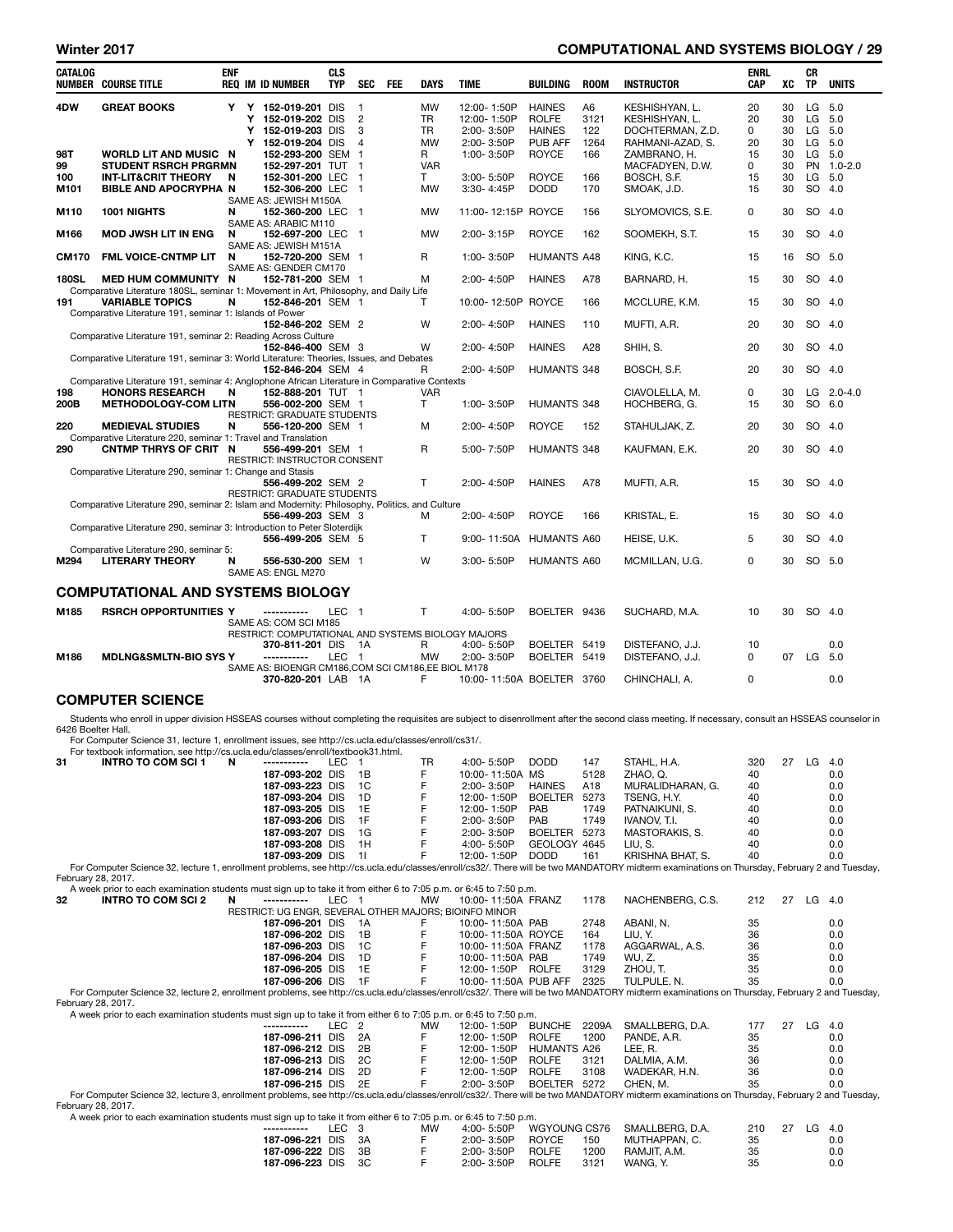# Winter 2017 **COMPUTATIONAL AND SYSTEMS BIOLOGY** / 29

| <b>CATALOG</b>     | <b>NUMBER COURSE TITLE</b>                                                                                                                                                              | <b>ENF</b> |   | <b>REQ IM ID NUMBER</b>                                                     | <b>CLS</b><br><b>TYP</b> | SEC                     | <b>FEE</b> | <b>DAYS</b>            | <b>TIME</b>                   | <b>BUILDING</b>              | <b>ROOM</b>  | <b>INSTRUCTOR</b>                                                                                                                                                                                | ENRL<br><b>CAP</b> | хc       | CR<br>TP         | <b>UNITS</b> |
|--------------------|-----------------------------------------------------------------------------------------------------------------------------------------------------------------------------------------|------------|---|-----------------------------------------------------------------------------|--------------------------|-------------------------|------------|------------------------|-------------------------------|------------------------------|--------------|--------------------------------------------------------------------------------------------------------------------------------------------------------------------------------------------------|--------------------|----------|------------------|--------------|
| 4DW                | <b>GREAT BOOKS</b>                                                                                                                                                                      |            |   | Y Y 152-019-201 DIS                                                         |                          | $\overline{\mathbf{1}}$ |            | <b>MW</b>              | 12:00-1:50P                   | <b>HAINES</b>                | A6           | KESHISHYAN, L.                                                                                                                                                                                   | 20                 | 30       | LG 5.0           |              |
|                    |                                                                                                                                                                                         |            | Y | 152-019-202 DIS                                                             |                          | $\overline{2}$          |            | TR                     | 12:00-1:50P                   | <b>ROLFE</b>                 | 3121         | KESHISHYAN, L.                                                                                                                                                                                   | 20                 | 30       | LG 5.0           |              |
|                    |                                                                                                                                                                                         |            | Y | Y 152-019-203 DIS<br>152-019-204 DIS                                        |                          | 3<br>4                  |            | <b>TR</b><br><b>MW</b> | 2:00-3:50P<br>2:00-3:50P      | <b>HAINES</b><br>PUB AFF     | 122<br>1264  | DOCHTERMAN, Z.D.<br>RAHMANI-AZAD, S.                                                                                                                                                             | 0<br>20            | 30<br>30 | LG 5.0<br>LG 5.0 |              |
| 98T                | <b>WORLD LIT AND MUSIC N</b>                                                                                                                                                            |            |   | 152-293-200 SEM 1                                                           |                          |                         |            | R                      | 1:00-3:50P                    | <b>ROYCE</b>                 | 166          | ZAMBRANO, H.                                                                                                                                                                                     | 15                 | 30       | LG 5.0           |              |
| 99                 | <b>STUDENT RSRCH PRGRMN</b>                                                                                                                                                             |            |   | 152-297-201 TUT 1                                                           |                          |                         |            | <b>VAR</b><br>T        |                               | <b>ROYCE</b>                 | 166          | MACFADYEN, D.W.                                                                                                                                                                                  | $\mathbf 0$        | 30       | PN<br>LG 5.0     | $1.0 - 2.0$  |
| 100<br>M101        | <b>INT-LIT&amp;CRIT THEORY</b><br><b>BIBLE AND APOCRYPHA N</b>                                                                                                                          | N          |   | 152-301-200 LEC 1<br>152-306-200 LEC 1                                      |                          |                         |            | MW                     | 3:00-5:50P<br>3:30-4:45P      | <b>DODD</b>                  | 170          | BOSCH, S.F.<br>SMOAK, J.D.                                                                                                                                                                       | 15<br>15           | 30<br>30 | SO               | 4.0          |
| M110               | 1001 NIGHTS                                                                                                                                                                             | N          |   | SAME AS: JEWISH M150A<br>152-360-200 LEC 1                                  |                          |                         |            | MW                     | 11:00-12:15P ROYCE            |                              | 156          | SLYOMOVICS, S.E.                                                                                                                                                                                 | 0                  | 30       | SO 4.0           |              |
| M166               | <b>MOD JWSH LIT IN ENG</b>                                                                                                                                                              | N          |   | SAME AS: ARABIC M110<br>152-697-200 LEC 1                                   |                          |                         |            | <b>MW</b>              | 2:00-3:15P                    | <b>ROYCE</b>                 | 162          | SOOMEKH, S.T.                                                                                                                                                                                    | 15                 | 30       | SO 4.0           |              |
| <b>CM170</b>       | FML VOICE-CNTMP LIT                                                                                                                                                                     | N          |   | SAME AS: JEWISH M151A<br>152-720-200 SEM 1                                  |                          |                         |            | R                      | 1:00-3:50P                    | <b>HUMANTS A48</b>           |              | KING, K.C.                                                                                                                                                                                       | 15                 | 16       | SO 5.0           |              |
| <b>180SL</b>       | <b>MED HUM COMMUNITY N</b>                                                                                                                                                              |            |   | SAME AS: GENDER CM170<br>152-781-200 SEM 1                                  |                          |                         |            | M                      | 2:00-4:50P                    | <b>HAINES</b>                | A78          | BARNARD, H.                                                                                                                                                                                      | 15                 | 30       | SO 4.0           |              |
| 191                | Comparative Literature 180SL, seminar 1: Movement in Art, Philosophy, and Daily Life<br><b>VARIABLE TOPICS</b>                                                                          | N          |   | 152-846-201 SEM 1                                                           |                          |                         |            | т                      | 10:00-12:50P ROYCE            |                              | 166          | MCCLURE, K.M.                                                                                                                                                                                    | 15                 | 30       | SO 4.0           |              |
|                    | Comparative Literature 191, seminar 1: Islands of Power                                                                                                                                 |            |   | 152-846-202 SEM 2                                                           |                          |                         |            | W                      | 2:00-4:50P                    | <b>HAINES</b>                | 110          | MUFTI, A.R.                                                                                                                                                                                      | 20                 | 30       | SO 4.0           |              |
|                    | Comparative Literature 191, seminar 2: Reading Across Culture                                                                                                                           |            |   | 152-846-400 SEM 3                                                           |                          |                         |            | W                      | 2:00-4:50P                    | <b>HAINES</b>                | A28          | SHIH, S.                                                                                                                                                                                         | 20                 | 30       | SO               | 4.0          |
|                    | Comparative Literature 191, seminar 3: World Literature: Theories, Issues, and Debates                                                                                                  |            |   | 152-846-204 SEM 4                                                           |                          |                         |            | R                      | 2:00-4:50P                    | HUMANTS 348                  |              | BOSCH, S.F.                                                                                                                                                                                      | 20                 | 30       | SO 4.0           |              |
|                    | Comparative Literature 191, seminar 4: Anglophone African Literature in Comparative Contexts                                                                                            |            |   |                                                                             |                          |                         |            |                        |                               |                              |              |                                                                                                                                                                                                  |                    |          |                  |              |
| 198<br>200B        | <b>HONORS RESEARCH</b><br><b>METHODOLOGY-COM LITN</b>                                                                                                                                   | N          |   | 152-888-201 TUT 1<br>556-002-200 SEM 1                                      |                          |                         |            | <b>VAR</b><br>T        | 1:00-3:50P                    | HUMANTS 348                  |              | CIAVOLELLA, M.<br>HOCHBERG, G.                                                                                                                                                                   | 0<br>15            | 30<br>30 | SO 6.0           | $LG$ 2.0-4.0 |
| 220                | <b>MEDIEVAL STUDIES</b>                                                                                                                                                                 | N          |   | RESTRICT: GRADUATE STUDENTS<br>556-120-200 SEM 1                            |                          |                         |            | M                      | 2:00-4:50P                    | <b>ROYCE</b>                 | 152          | STAHULJAK, Z.                                                                                                                                                                                    | 20                 | 30       | SO 4.0           |              |
| 290                | Comparative Literature 220, seminar 1: Travel and Translation<br>CNTMP THRYS OF CRIT N                                                                                                  |            |   | 556-499-201 SEM 1                                                           |                          |                         |            | R                      | 5:00-7:50P                    | HUMANTS 348                  |              | KAUFMAN, E.K.                                                                                                                                                                                    | 20                 | 30       | SO 4.0           |              |
|                    | Comparative Literature 290, seminar 1: Change and Stasis                                                                                                                                |            |   | RESTRICT: INSTRUCTOR CONSENT                                                |                          |                         |            |                        |                               |                              |              |                                                                                                                                                                                                  |                    |          |                  |              |
|                    |                                                                                                                                                                                         |            |   | 556-499-202 SEM 2<br>RESTRICT: GRADUATE STUDENTS                            |                          |                         |            | T                      | 2:00-4:50P                    | <b>HAINES</b>                | A78          | MUFTI, A.R.                                                                                                                                                                                      | 15                 | 30       | SO 4.0           |              |
|                    | Comparative Literature 290, seminar 2: Islam and Modernity: Philosophy, Politics, and Culture                                                                                           |            |   | 556-499-203 SEM 3                                                           |                          |                         |            | м                      | 2:00-4:50P                    | <b>ROYCE</b>                 | 166          | KRISTAL, E.                                                                                                                                                                                      | 15                 | 30       | SO 4.0           |              |
|                    | Comparative Literature 290, seminar 3: Introduction to Peter Sloterdijk                                                                                                                 |            |   | 556-499-205 SEM 5                                                           |                          |                         |            | T                      | 9:00-11:50A                   | <b>HUMANTS A60</b>           |              | HEISE, U.K.                                                                                                                                                                                      | 5                  | 30       | SO 4.0           |              |
| M294               | Comparative Literature 290, seminar 5:<br><b>LITERARY THEORY</b>                                                                                                                        | N          |   | 556-530-200 SEM 1<br>SAME AS: ENGL M270                                     |                          |                         |            | W                      | 3:00-5:50P                    | HUMANTS A60                  |              | MCMILLAN, U.G.                                                                                                                                                                                   | 0                  | 30       | SO 5.0           |              |
|                    | <b>COMPUTATIONAL AND SYSTEMS BIOLOGY</b>                                                                                                                                                |            |   |                                                                             |                          |                         |            |                        |                               |                              |              |                                                                                                                                                                                                  |                    |          |                  |              |
| M185               | <b>RSRCH OPPORTUNITIES Y</b>                                                                                                                                                            |            |   | -----------                                                                 | LEC 1                    |                         |            | T                      | 4:00- 5:50P                   | BOELTER 9436                 |              | SUCHARD, M.A.                                                                                                                                                                                    | 10                 | 30       | SO 4.0           |              |
|                    |                                                                                                                                                                                         |            |   | SAME AS: COM SCI M185<br>RESTRICT: COMPUTATIONAL AND SYSTEMS BIOLOGY MAJORS |                          |                         |            |                        |                               |                              |              |                                                                                                                                                                                                  |                    |          |                  |              |
| M186               | <b>MDLNG&amp;SMLTN-BIO SYS Y</b>                                                                                                                                                        |            |   | 370-811-201 DIS<br>------------                                             | LEC 1                    | - 1A                    |            | R<br>MW                | 4:00-5:50P<br>2:00-3:50P      | BOELTER 5419<br>BOELTER 5419 |              | DISTEFANO, J.J.<br>DISTEFANO, J.J.                                                                                                                                                               | 10<br>0            | 07       | LG 5.0           | 0.0          |
|                    |                                                                                                                                                                                         |            |   | SAME AS: BIOENGR CM186, COM SCI CM186, EE BIOL M178<br>370-820-201 LAB 1A   |                          |                         |            | F                      |                               | 10:00-11:50A BOELTER 3760    |              | CHINCHALI, A.                                                                                                                                                                                    | $\mathbf 0$        |          |                  | 0.0          |
|                    | <b>COMPUTER SCIENCE</b>                                                                                                                                                                 |            |   |                                                                             |                          |                         |            |                        |                               |                              |              |                                                                                                                                                                                                  |                    |          |                  |              |
|                    |                                                                                                                                                                                         |            |   |                                                                             |                          |                         |            |                        |                               |                              |              | Students who enroll in upper division HSSEAS courses without completing the requisites are subject to disenrollment after the second class meeting. If necessary, consult an HSSEAS counselor in |                    |          |                  |              |
| 6426 Boelter Hall. |                                                                                                                                                                                         |            |   |                                                                             |                          |                         |            |                        |                               |                              |              |                                                                                                                                                                                                  |                    |          |                  |              |
|                    | For Computer Science 31, lecture 1, enrollment issues, see http://cs.ucla.edu/classes/enroll/cs31/.<br>For textbook information, see http://cs.ucla.edu/classes/enroll/textbook31.html. |            |   |                                                                             |                          |                         |            |                        |                               |                              |              |                                                                                                                                                                                                  |                    |          |                  |              |
| 31                 | <b>INTRO TO COM SCI 1</b>                                                                                                                                                               | N          |   |                                                                             | LEC                      | $\mathbf{1}$            |            | TR                     | 4:00-5:50P                    | <b>DODD</b>                  | 147          | STAHL, H.A.                                                                                                                                                                                      | 320                | 27       | $LG$ 4.0         |              |
|                    |                                                                                                                                                                                         |            |   | 187-093-202 DIS<br>187-093-223 DIS                                          |                          | 1B<br>1C                |            | F<br>F                 | 10:00-11:50A MS<br>2:00-3:50P | <b>HAINES</b>                | 5128<br>A18  | ZHAO, Q.<br>MURALIDHARAN, G.                                                                                                                                                                     | 40<br>40           |          |                  | 0.0<br>0.0   |
|                    |                                                                                                                                                                                         |            |   | 187-093-204 DIS                                                             |                          | 1D                      |            | F                      | 12:00-1:50P                   | <b>BOELTER</b>               | 5273         | TSENG, H.Y.                                                                                                                                                                                      | 40                 |          |                  | 0.0          |
|                    |                                                                                                                                                                                         |            |   | 187-093-205 DIS                                                             |                          | 1E                      |            | F                      | 12:00-1:50P                   | PAB                          | 1749         | PATNAIKUNI, S.                                                                                                                                                                                   | 40                 |          |                  | 0.0          |
|                    |                                                                                                                                                                                         |            |   | 187-093-206 DIS<br>187-093-207 DIS                                          |                          | 1F<br>1G                |            | F<br>F                 | 2:00-3:50P<br>2:00-3:50P      | PAB<br><b>BOELTER</b>        | 1749<br>5273 | IVANOV, T.I.<br>MASTORAKIS, S.                                                                                                                                                                   | 40<br>40           |          |                  | 0.0<br>0.0   |
|                    |                                                                                                                                                                                         |            |   | 187-093-208 DIS                                                             |                          | 1H                      |            | F                      | 4:00-5:50P                    | GEOLOGY 4645                 |              | LIU, S.                                                                                                                                                                                          | 40                 |          |                  | 0.0          |
|                    |                                                                                                                                                                                         |            |   | 187-093-209 DIS                                                             |                          | -11                     |            | F                      | 12:00-1:50P                   | <b>DODD</b>                  | 161          | KRISHNA BHAT, S.                                                                                                                                                                                 | 40                 |          |                  | 0.0          |
| February 28, 2017. |                                                                                                                                                                                         |            |   |                                                                             |                          |                         |            |                        |                               |                              |              | For Computer Science 32, lecture 1, enrollment problems, see http://cs.ucla.edu/classes/enroll/cs32/. There will be two MANDATORY midterm examinations on Thursday, February 2 and Tuesday,      |                    |          |                  |              |
|                    | A week prior to each examination students must sign up to take it from either 6 to 7:05 p.m. or 6:45 to 7:50 p.m.                                                                       |            |   |                                                                             |                          |                         |            |                        |                               |                              |              |                                                                                                                                                                                                  |                    |          |                  |              |
| 32                 | INTRO TO COM SCI 2                                                                                                                                                                      | N          |   | ------------<br>RESTRICT: UG ENGR, SEVERAL OTHER MAJORS; BIOINFO MINOR      | LEC 1                    |                         |            | <b>MW</b>              | 10:00-11:50A FRANZ            |                              | 1178         | NACHENBERG, C.S.                                                                                                                                                                                 | 212                | 27       | $LG$ 4.0         |              |
|                    |                                                                                                                                                                                         |            |   | 187-096-201 DIS                                                             |                          | 1A                      |            | F                      | 10:00-11:50A PAB              |                              | 2748         | ABANI, N.                                                                                                                                                                                        | 35                 |          |                  | 0.0          |
|                    |                                                                                                                                                                                         |            |   | 187-096-202 DIS                                                             |                          | 1B                      |            | F                      | 10:00-11:50A ROYCE            |                              | 164          | LIU, Y.                                                                                                                                                                                          | 36                 |          |                  | 0.0          |
|                    |                                                                                                                                                                                         |            |   | 187-096-203 DIS                                                             |                          | 1C                      |            | F                      | 10:00-11:50A FRANZ            |                              | 1178         | AGGARWAL, A.S.                                                                                                                                                                                   | 36                 |          |                  | 0.0          |
|                    |                                                                                                                                                                                         |            |   | 187-096-204 DIS                                                             |                          | 1D                      |            | F                      | 10:00-11:50A PAB              |                              | 1749         | WU, Z.                                                                                                                                                                                           | 35                 |          |                  | 0.0          |
|                    |                                                                                                                                                                                         |            |   | 187-096-205 DIS<br>187-096-206 DIS                                          |                          | 1E<br>1F                |            | F<br>F                 | 12:00-1:50P ROLFE             | 10:00-11:50A PUB AFF         | 3129<br>2325 | ZHOU, T.<br>TULPULE, N.                                                                                                                                                                          | 35<br>35           |          |                  | 0.0<br>0.0   |
|                    |                                                                                                                                                                                         |            |   |                                                                             |                          |                         |            |                        |                               |                              |              | For Computer Science 32, lecture 2, enrollment problems, see http://cs.ucla.edu/classes/enroll/cs32/. There will be two MANDATORY midterm examinations on Thursday, February 2 and Tuesday,      |                    |          |                  |              |
| February 28, 2017. | A week prior to each examination students must sign up to take it from either 6 to 7:05 p.m. or 6:45 to 7:50 p.m.                                                                       |            |   |                                                                             |                          |                         |            |                        |                               |                              |              |                                                                                                                                                                                                  |                    |          |                  |              |
|                    |                                                                                                                                                                                         |            |   | -----------                                                                 | LEC <sub>2</sub>         |                         |            | MW                     | 12:00-1:50P                   | <b>BUNCHE</b>                | 2209A        | SMALLBERG, D.A.                                                                                                                                                                                  | 177                |          | 27 LG 4.0        |              |
|                    |                                                                                                                                                                                         |            |   | 187-096-211 DIS                                                             |                          | 2A                      |            | F                      | 12:00-1:50P                   | <b>ROLFE</b>                 | 1200         | PANDE, A.R.                                                                                                                                                                                      | 35                 |          |                  | 0.0          |
|                    |                                                                                                                                                                                         |            |   | 187-096-212 DIS                                                             |                          | 2B                      |            | F                      | 12:00-1:50P                   | <b>HUMANTS A26</b>           |              | LEE, R.                                                                                                                                                                                          | 35                 |          |                  | 0.0          |
|                    |                                                                                                                                                                                         |            |   | 187-096-213 DIS                                                             |                          | 2C<br>2D                |            | F<br>F                 | 12:00-1:50P                   | <b>ROLFE</b>                 | 3121         | DALMIA, A.M.                                                                                                                                                                                     | 36<br>36           |          |                  | 0.0          |
|                    |                                                                                                                                                                                         |            |   | 187-096-214 DIS<br>187-096-215 DIS                                          |                          | 2E                      |            | F                      | 12:00-1:50P<br>2:00-3:50P     | <b>ROLFE</b><br>BOELTER 5272 | 3108         | WADEKAR, H.N.<br>CHEN, M.                                                                                                                                                                        | 35                 |          |                  | 0.0<br>0.0   |
|                    |                                                                                                                                                                                         |            |   |                                                                             |                          |                         |            |                        |                               |                              |              | For Computer Science 32, lecture 3, enrollment problems, see http://cs.ucla.edu/classes/enroll/cs32/. There will be two MANDATORY midterm examinations on Thursday, February 2 and Tuesday,      |                    |          |                  |              |
| February 28, 2017. | A week prior to each examination students must sign up to take it from either 6 to 7:05 p.m. or 6:45 to 7:50 p.m.                                                                       |            |   |                                                                             |                          |                         |            |                        |                               |                              |              |                                                                                                                                                                                                  |                    |          |                  |              |

| A week prior to each examination students must sign up to take it from either 6 to 7:05 p.m. or 6:45 to 7:50 p.m. |       |  |    |                |                      |                 |     |    |        |     |  |  |  |
|-------------------------------------------------------------------------------------------------------------------|-------|--|----|----------------|----------------------|-----------------|-----|----|--------|-----|--|--|--|
| ------------                                                                                                      | IFC 3 |  | МW | $4:00 - 5:50P$ | WGYOUNG CS76         | SMALLBERG, D.A. | 210 | 27 | LG 4.0 |     |  |  |  |
| 187-096-221 DIS 3A                                                                                                |       |  |    | $2:00 - 3:50P$ | <b>ROYCE</b><br>150  | MUTHAPPAN, C.   | 35  |    |        | 0.0 |  |  |  |
| 187-096-222 DIS 3B                                                                                                |       |  |    | $2:00 - 3:50P$ | ROLFE<br>1200        | RAMJIT, A.M.    | 35  |    |        | 0.0 |  |  |  |
| 187-096-223 DIS 3C                                                                                                |       |  |    | 2:00-3:50P     | <b>ROLFE</b><br>3121 | WANG, Y.        | 35  |    |        | 0.0 |  |  |  |
|                                                                                                                   |       |  |    |                |                      |                 |     |    |        |     |  |  |  |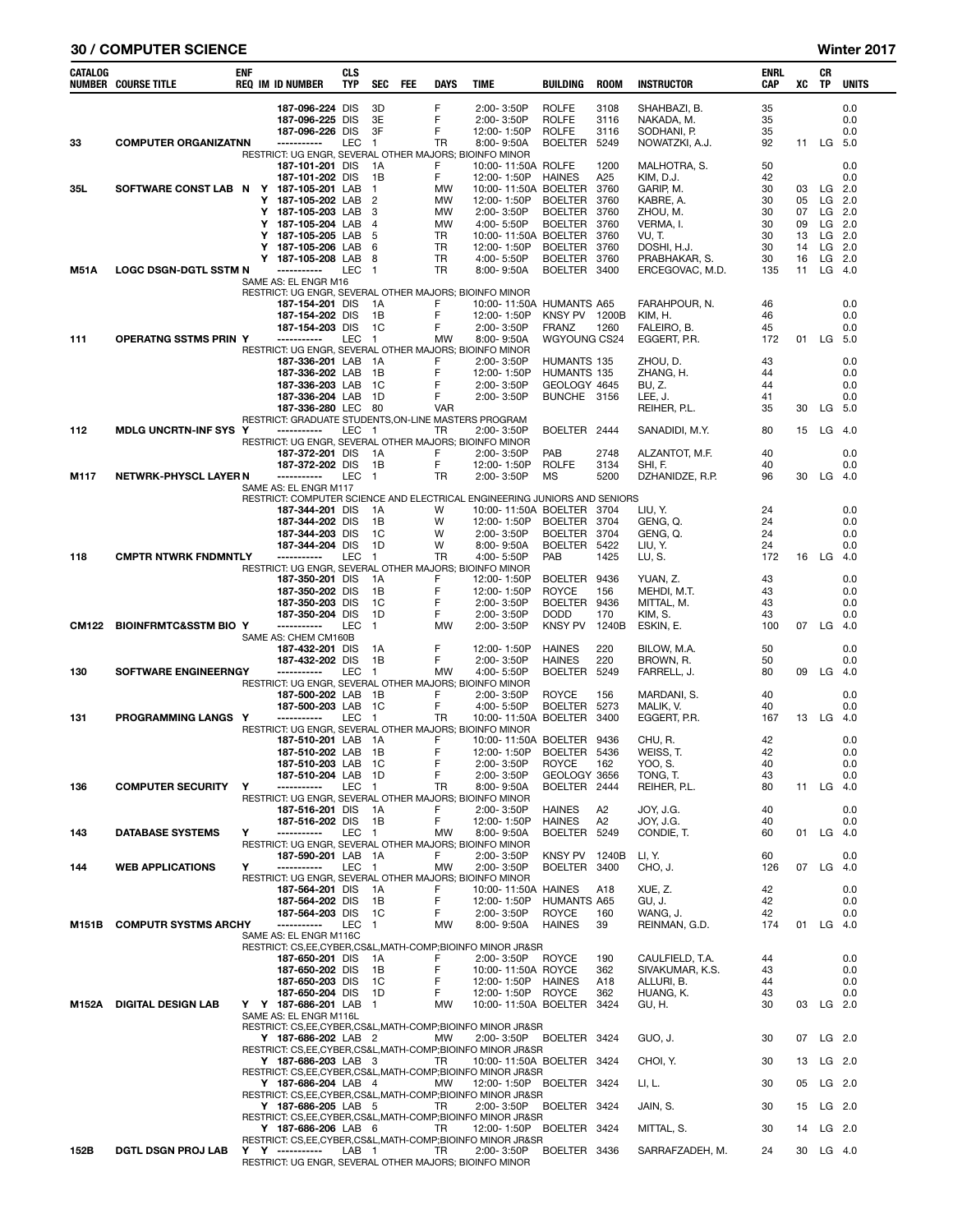#### 30 / COMPUTER SCIENCE Winter 2017

| CATALOG      | <b>NUMBER COURSE TITLE</b>             | ENF |        | <b>REQ IM ID NUMBER</b>                                                    | CLS<br><b>TYP</b> | SEC                              | FEE | DAYS            | <b>TIME</b>                                                                           | BUILDING                                     | <b>ROOM</b>          | <b>INSTRUCTOR</b>                         | ENRL<br>CAP    | XC       | CR<br>TP             | <b>UNITS</b>         |
|--------------|----------------------------------------|-----|--------|----------------------------------------------------------------------------|-------------------|----------------------------------|-----|-----------------|---------------------------------------------------------------------------------------|----------------------------------------------|----------------------|-------------------------------------------|----------------|----------|----------------------|----------------------|
|              |                                        |     |        | 187-096-224 DIS<br>187-096-225 DIS<br>187-096-226 DIS                      |                   | 3D<br>3E<br>3F                   |     | F<br>F<br>F     | 2:00-3:50P<br>2:00-3:50P<br>12:00-1:50P                                               | <b>ROLFE</b><br><b>ROLFE</b><br><b>ROLFE</b> | 3108<br>3116<br>3116 | SHAHBAZI, B.<br>NAKADA. M.<br>SODHANI, P. | 35<br>35<br>35 |          |                      | 0.0<br>0.0<br>0.0    |
| 33           | <b>COMPUTER ORGANIZATNN</b>            |     |        | -----------                                                                | LEC               | $\overline{1}$                   |     | <b>TR</b>       | 8:00-9:50A                                                                            | <b>BOELTER</b>                               | 5249                 | NOWATZKI, A.J.                            | 92             | 11       | LG                   | 5.0                  |
|              |                                        |     |        | RESTRICT: UG ENGR, SEVERAL OTHER MAJORS; BIOINFO MINOR<br>187-101-201 DIS  |                   | 1A                               |     | F               | 10:00-11:50A ROLFE                                                                    |                                              | 1200                 | MALHOTRA, S.                              | 50             |          |                      | 0.0                  |
|              |                                        |     |        | 187-101-202 DIS                                                            |                   | 1B                               |     | F               | 12:00-1:50P                                                                           | <b>HAINES</b>                                | A25                  | KIM, D.J.                                 | 42             |          |                      | 0.0                  |
| 35L          | SOFTWARE CONST LAB N Y 187-105-201 LAB |     |        | Y 187-105-202 LAB                                                          |                   | $\overline{1}$<br>$\overline{2}$ |     | MW<br>MW        | 10:00-11:50A BOELTER<br>12:00-1:50P                                                   | BOELTER                                      | 3760<br>3760         | GARIP, M.                                 | 30<br>30       | 03<br>05 | $LG$ 2.0<br>$LG$ 2.0 |                      |
|              |                                        |     |        | Y 187-105-203 LAB                                                          |                   | -3                               |     | MW              | 2:00-3:50P                                                                            | <b>BOELTER</b>                               | 3760                 | KABRE, A.<br>ZHOU, M.                     | 30             | 07       |                      | $LG$ 2.0             |
|              |                                        |     | Y      | 187-105-204 LAB                                                            |                   | 4                                |     | MW              | 4:00-5:50P                                                                            | BOELTER 3760                                 |                      | VERMA, I.                                 | 30             | 09       |                      | $LG$ 2.0             |
|              |                                        |     | Y<br>Y | 187-105-205 LAB<br>187-105-206 LAB                                         |                   | -5<br>6                          |     | TR<br>TR        | 10:00-11:50A BOELTER<br>12:00-1:50P                                                   | BOELTER 3760                                 | 3760                 | VU, T.<br>DOSHI, H.J.                     | 30<br>30       | 13<br>14 |                      | $LG$ 2.0<br>$LG$ 2.0 |
|              |                                        |     | Y      | 187-105-208 LAB                                                            |                   | - 8                              |     | TR              | 4:00-5:50P                                                                            | BOELTER 3760                                 |                      | PRABHAKAR, S.                             | 30             | 16       |                      | $LG$ 2.0             |
| M51A         | <b>LOGC DSGN-DGTL SSTM N</b>           |     |        | -----------<br>SAME AS: EL ENGR M16                                        | LEC               | $\overline{1}$                   |     | <b>TR</b>       | 8:00-9:50A                                                                            | BOELTER 3400                                 |                      | ERCEGOVAC, M.D.                           | 135            | 11       |                      | $LG$ 4.0             |
|              |                                        |     |        | RESTRICT: UG ENGR, SEVERAL OTHER MAJORS; BIOINFO MINOR                     |                   |                                  |     |                 |                                                                                       |                                              |                      |                                           |                |          |                      |                      |
|              |                                        |     |        | 187-154-201 DIS<br>187-154-202 DIS                                         |                   | 1A<br>1B                         |     | F<br>F          | 10:00-11:50A HUMANTS A65<br>12:00-1:50P                                               | KNSY PV 1200B                                |                      | FARAHPOUR, N.<br>KIM, H.                  | 46<br>46       |          |                      | 0.0<br>0.0           |
|              |                                        |     |        | 187-154-203 DIS                                                            |                   | 1C                               |     | F               | 2:00-3:50P                                                                            | <b>FRANZ</b>                                 | 1260                 | FALEIRO, B.                               | 45             |          |                      | 0.0                  |
| 111          | <b>OPERATNG SSTMS PRIN Y</b>           |     |        | -----------<br>RESTRICT: UG ENGR, SEVERAL OTHER MAJORS; BIOINFO MINOR      | LEC               | $\overline{1}$                   |     | MW              | 8:00-9:50A                                                                            | WGYOUNG CS24                                 |                      | EGGERT, P.R.                              | 172            | 01       | LG                   | - 5.0                |
|              |                                        |     |        | 187-336-201 LAB 1A                                                         |                   |                                  |     | F               | 2:00-3:50P                                                                            | HUMANTS 135                                  |                      | ZHOU, D.                                  | 43             |          |                      | 0.0                  |
|              |                                        |     |        | 187-336-202 LAB<br>187-336-203 LAB                                         |                   | - 1B<br>- 1C                     |     | F<br>F          | 12:00-1:50P<br>2:00-3:50P                                                             | HUMANTS 135<br>GEOLOGY 4645                  |                      | ZHANG, H.<br>BU, Z.                       | 44<br>44       |          |                      | 0.0<br>0.0           |
|              |                                        |     |        | 187-336-204 LAB                                                            |                   | 1D                               |     | F               | 2:00-3:50P                                                                            | BUNCHE 3156                                  |                      | LEE, J.                                   | 41             |          |                      | 0.0                  |
|              |                                        |     |        | 187-336-280 LEC 80<br>RESTRICT: GRADUATE STUDENTS, ON-LINE MASTERS PROGRAM |                   |                                  |     | <b>VAR</b>      |                                                                                       |                                              |                      | REIHER, P.L.                              | 35             | 30       | LG 5.0               |                      |
| 112          | <b>MDLG UNCRTN-INF SYS Y</b>           |     |        | -----------                                                                | LEC               | $\overline{1}$                   |     | TR              | 2:00-3:50P                                                                            | BOELTER 2444                                 |                      | SANADIDI, M.Y.                            | 80             | 15       | LG 4.0               |                      |
|              |                                        |     |        | RESTRICT: UG ENGR. SEVERAL OTHER MAJORS: BIOINFO MINOR<br>187-372-201 DIS  |                   | 1A                               |     | F               | 2:00-3:50P                                                                            | PAB                                          | 2748                 | ALZANTOT, M.F.                            | 40             |          |                      | 0.0                  |
|              |                                        |     |        | 187-372-202 DIS                                                            |                   | 1B                               |     | F               | 12:00-1:50P                                                                           | <b>ROLFE</b>                                 | 3134                 | SHI, F.                                   | 40             |          |                      | 0.0                  |
| M117         | <b>NETWRK-PHYSCL LAYER N</b>           |     |        | -----------<br>SAME AS: EL ENGR M117                                       | LEC               | - 1                              |     | TR              | 2:00-3:50P                                                                            | <b>MS</b>                                    | 5200                 | DZHANIDZE, R.P.                           | 96             | 30       | LG                   | - 4.0                |
|              |                                        |     |        |                                                                            |                   |                                  |     |                 | RESTRICT: COMPUTER SCIENCE AND ELECTRICAL ENGINEERING JUNIORS AND SENIORS             |                                              |                      |                                           |                |          |                      |                      |
|              |                                        |     |        | 187-344-201 DIS<br>187-344-202 DIS                                         |                   | 1A<br>1B                         |     | W<br>W          | 10:00-11:50A BOELTER 3704<br>12:00-1:50P                                              | BOELTER 3704                                 |                      | LIU, Y.<br>GENG, Q.                       | 24<br>24       |          |                      | 0.0<br>0.0           |
|              |                                        |     |        | 187-344-203 DIS                                                            |                   | 1C                               |     | W               | 2:00-3:50P                                                                            | <b>BOELTER</b>                               | 3704                 | GENG, Q.                                  | 24             |          |                      | 0.0                  |
| 118          | <b>CMPTR NTWRK FNDMNTLY</b>            |     |        | 187-344-204 DIS<br>-----------                                             | <b>LEC</b>        | 1D<br>$\overline{1}$             |     | W<br>TR         | $8:00 - 9:50A$<br>4:00-5:50P                                                          | BOELTER<br>PAB                               | 5422<br>1425         | LIU, Y.<br>LU, S.                         | 24<br>172      |          | 16 LG                | 0.0<br>- 4.0         |
|              |                                        |     |        | RESTRICT: UG ENGR, SEVERAL OTHER MAJORS; BIOINFO MINOR                     |                   |                                  |     |                 |                                                                                       |                                              |                      |                                           |                |          |                      |                      |
|              |                                        |     |        | 187-350-201 DIS<br>187-350-202 DIS                                         |                   | 1A<br>1B                         |     | F<br>F          | 12:00-1:50P<br>12:00-1:50P                                                            | BOELTER 9436<br><b>ROYCE</b>                 | 156                  | YUAN, Z.<br>MEHDI, M.T.                   | 43<br>43       |          |                      | 0.0<br>0.0           |
|              |                                        |     |        | 187-350-203 DIS                                                            |                   | 1C                               |     | F               | 2:00-3:50P                                                                            | BOELTER 9436                                 |                      | MITTAL, M.                                | 43             |          |                      | 0.0                  |
| <b>CM122</b> | <b>BIOINFRMTC&amp;SSTM BIO Y</b>       |     |        | 187-350-204 DIS<br>-----------                                             | <b>LEC</b>        | 1D<br>$\overline{1}$             |     | F<br>МW         | 2:00-3:50P<br>2:00-3:50P                                                              | <b>DODD</b><br><b>KNSY PV</b>                | 170<br>1240B         | KIM, S.<br>ESKIN, E.                      | 43<br>100      | 07       | LG                   | 0.0<br>-4.0          |
|              |                                        |     |        | SAME AS: CHEM CM160B                                                       |                   |                                  |     |                 |                                                                                       |                                              |                      |                                           |                |          |                      |                      |
|              |                                        |     |        | 187-432-201 DIS<br>187-432-202 DIS                                         |                   | 1A<br>1B                         |     | F<br>F.         | 12:00-1:50P<br>2:00-3:50P                                                             | <b>HAINES</b><br><b>HAINES</b>               | 220<br>220           | BILOW, M.A.<br>BROWN, R.                  | 50<br>50       |          |                      | 0.0<br>0.0           |
| 130          | <b>SOFTWARE ENGINEERNGY</b>            |     |        | -----------                                                                | LEC               | $\overline{1}$                   |     | <b>MW</b>       | 4:00-5:50P                                                                            | BOELTER                                      | 5249                 | FARRELL, J.                               | 80             | 09       | LG 4.0               |                      |
|              |                                        |     |        | RESTRICT: UG ENGR, SEVERAL OTHER MAJORS; BIOINFO MINOR<br>187-500-202 LAB  |                   | - 1B                             |     | F               | 2:00-3:50P                                                                            | <b>ROYCE</b>                                 | 156                  | MARDANI, S.                               | 40             |          |                      | 0.0                  |
|              |                                        |     |        | 187-500-203 LAB 1C                                                         |                   |                                  |     | F               | 4:00-5:50P                                                                            | BOELTER 5273                                 |                      | MALIK. V.                                 | 40             |          |                      | 0.0                  |
| 131          | PROGRAMMING LANGS Y                    |     |        | -----------<br>RESTRICT: UG ENGR, SEVERAL OTHER MAJORS; BIOINFO MINOR      | <b>LEC</b>        | $\overline{1}$                   |     | TR              | 10:00-11:50A BOELTER                                                                  |                                              | 3400                 | EGGERT, P.R.                              | 167            |          | 13 LG                | -4.0                 |
|              |                                        |     |        | 187-510-201 LAB                                                            |                   | - 1A                             |     | F               | 10:00-11:50A BOELTER 9436                                                             |                                              |                      | CHU, R.                                   | 42             |          |                      | 0.0                  |
|              |                                        |     |        | 187-510-202 LAB 1B<br>187-510-203 LAB 1C                                   |                   |                                  |     | F<br>F          | 12:00-1:50P<br>2:00-3:50P                                                             | BOELTER 5436<br><b>ROYCE</b>                 | 162                  | WEISS, T.<br>YOO, S.                      | 42<br>40       |          |                      | 0.0<br>0.0           |
|              |                                        |     |        | 187-510-204 LAB 1D                                                         |                   |                                  |     | F               | 2:00-3:50P                                                                            | GEOLOGY 3656                                 |                      | TONG, T.                                  | 43             |          |                      | 0.0                  |
| 136          | <b>COMPUTER SECURITY</b>               | Υ   |        | -----------<br>RESTRICT: UG ENGR, SEVERAL OTHER MAJORS; BIOINFO MINOR      | LEC               | $\overline{1}$                   |     | <b>TR</b>       | 8:00-9:50A                                                                            | BOELTER 2444                                 |                      | REIHER, P.L.                              | 80             | 11       | $LG$ 4.0             |                      |
|              |                                        |     |        | 187-516-201 DIS                                                            |                   | 1A                               |     | F               | 2:00-3:50P                                                                            | HAINES                                       | A2                   | JOY, J.G.                                 | 40             |          |                      | 0.0                  |
| 143          | <b>DATABASE SYSTEMS</b>                | Υ   |        | 187-516-202 DIS<br>-----------                                             | LEC 1             | - 1B                             |     | F<br>MW         | 12:00-1:50P<br>8:00-9:50A                                                             | <b>HAINES</b><br>BOELTER 5249                | A2                   | JOY, J.G.<br>CONDIE, T.                   | 40<br>60       |          | 01 LG 4.0            | 0.0                  |
|              |                                        |     |        | RESTRICT: UG ENGR, SEVERAL OTHER MAJORS; BIOINFO MINOR                     |                   |                                  |     |                 |                                                                                       |                                              |                      |                                           |                |          |                      |                      |
| 144          | <b>WEB APPLICATIONS</b>                | Υ   |        | 187-590-201 LAB 1A<br>-----------                                          | LEC 1             |                                  |     | F.<br><b>MW</b> | $2:00 - 3:50P$<br>2:00-3:50P                                                          | KNSY PV 1240B<br>BOELTER 3400                |                      | LI, Y.<br>CHO, J.                         | 60<br>126      |          | 07 LG 4.0            | 0.0                  |
|              |                                        |     |        | RESTRICT: UG ENGR, SEVERAL OTHER MAJORS; BIOINFO MINOR                     |                   |                                  |     | F               | 10:00-11:50A HAINES                                                                   |                                              |                      | XUE, Z.                                   | 42             |          |                      | 0.0                  |
|              |                                        |     |        | 187-564-201 DIS<br>187-564-202 DIS                                         |                   | 1A<br>- 1B                       |     | F               | 12:00-1:50P                                                                           | <b>HUMANTS A65</b>                           | A18                  | GU, J.                                    | 42             |          |                      | 0.0                  |
|              | <b>COMPUTR SYSTMS ARCHY</b>            |     |        | 187-564-203 DIS                                                            |                   | 1 <sup>C</sup>                   |     | F               | 2:00-3:50P                                                                            | <b>ROYCE</b>                                 | 160                  | WANG, J.<br>REINMAN, G.D.                 | 42             |          |                      | 0.0                  |
| M151B        |                                        |     |        | -----------<br>SAME AS: EL ENGR M116C                                      | LEC               | $\overline{1}$                   |     | МW              | 8:00-9:50A                                                                            | <b>HAINES</b>                                | 39                   |                                           | 174            |          | 01 LG 4.0            |                      |
|              |                                        |     |        | 187-650-201 DIS                                                            |                   | - 1A                             |     | F               | RESTRICT: CS,EE,CYBER,CS&L,MATH-COMP;BIOINFO MINOR JR&SR<br>$2:00 - 3:50P$            | <b>ROYCE</b>                                 | 190                  | CAULFIELD, T.A.                           | 44             |          |                      | 0.0                  |
|              |                                        |     |        | 187-650-202 DIS                                                            |                   | - 1B                             |     | F               | 10:00-11:50A ROYCE                                                                    |                                              | 362                  | SIVAKUMAR, K.S.                           | 43             |          |                      | 0.0                  |
|              |                                        |     |        | 187-650-203 DIS<br>187-650-204 DIS                                         |                   | - 1 C<br>- 1D                    |     | F<br>F          | 12:00-1:50P HAINES<br>12:00-1:50P ROYCE                                               |                                              | A18<br>362           | ALLURI, B.<br>HUANG, K.                   | 44<br>43       |          |                      | 0.0<br>0.0           |
| M152A        | <b>DIGITAL DESIGN LAB</b>              |     |        | Y Y 187-686-201 LAB 1                                                      |                   |                                  |     | <b>MW</b>       | 10:00-11:50A BOELTER 3424                                                             |                                              |                      | GU, H.                                    | 30             |          | 03 LG 2.0            |                      |
|              |                                        |     |        | SAME AS: EL ENGR M116L                                                     |                   |                                  |     |                 | RESTRICT: CS,EE,CYBER,CS&L,MATH-COMP;BIOINFO MINOR JR&SR                              |                                              |                      |                                           |                |          |                      |                      |
|              |                                        |     |        | Y 187-686-202 LAB 2                                                        |                   |                                  |     | MW              | 2:00-3:50P BOELTER 3424                                                               |                                              |                      | GUO, J.                                   | 30             |          | 07 LG 2.0            |                      |
|              |                                        |     |        | Y 187-686-203 LAB 3                                                        |                   |                                  |     | TR              | RESTRICT: CS,EE,CYBER,CS&L,MATH-COMP;BIOINFO MINOR JR&SR<br>10:00-11:50A BOELTER 3424 |                                              |                      | CHOI, Y.                                  | 30             |          | 13 LG 2.0            |                      |
|              |                                        |     |        |                                                                            |                   |                                  |     |                 | RESTRICT: CS,EE,CYBER,CS&L,MATH-COMP;BIOINFO MINOR JR&SR                              |                                              |                      |                                           |                |          |                      |                      |
|              |                                        |     |        | Y 187-686-204 LAB 4                                                        |                   |                                  |     | MW              | 12:00-1:50P BOELTER 3424<br>RESTRICT: CS,EE,CYBER,CS&L,MATH-COMP;BIOINFO MINOR JR&SR  |                                              |                      | LI, L.                                    | 30             | 05       |                      | $LG$ 2.0             |
|              |                                        |     |        | Y 187-686-205 LAB 5                                                        |                   |                                  |     | TR              | 2:00-3:50P BOELTER 3424                                                               |                                              |                      | JAIN, S.                                  | 30             |          | 15 LG 2.0            |                      |
|              |                                        |     |        | Y 187-686-206 LAB 6                                                        |                   |                                  |     | TR              | RESTRICT: CS,EE,CYBER,CS&L,MATH-COMP;BIOINFO MINOR JR&SR<br>12:00-1:50P BOELTER 3424  |                                              |                      | MITTAL, S.                                | 30             | 14       |                      | LG 2.0               |
|              |                                        |     |        |                                                                            |                   |                                  |     |                 | RESTRICT: CS,EE,CYBER,CS&L,MATH-COMP;BIOINFO MINOR JR&SR                              |                                              |                      |                                           |                |          |                      |                      |
| 152B         | <b>DGTL DSGN PROJ LAB</b>              |     |        | Y Y -----------<br>RESTRICT: UG ENGR, SEVERAL OTHER MAJORS; BIOINFO MINOR  | LAB <sub>1</sub>  |                                  |     | TR              | 2:00-3:50P                                                                            | BOELTER 3436                                 |                      | SARRAFZADEH, M.                           | 24             |          | 30 LG 4.0            |                      |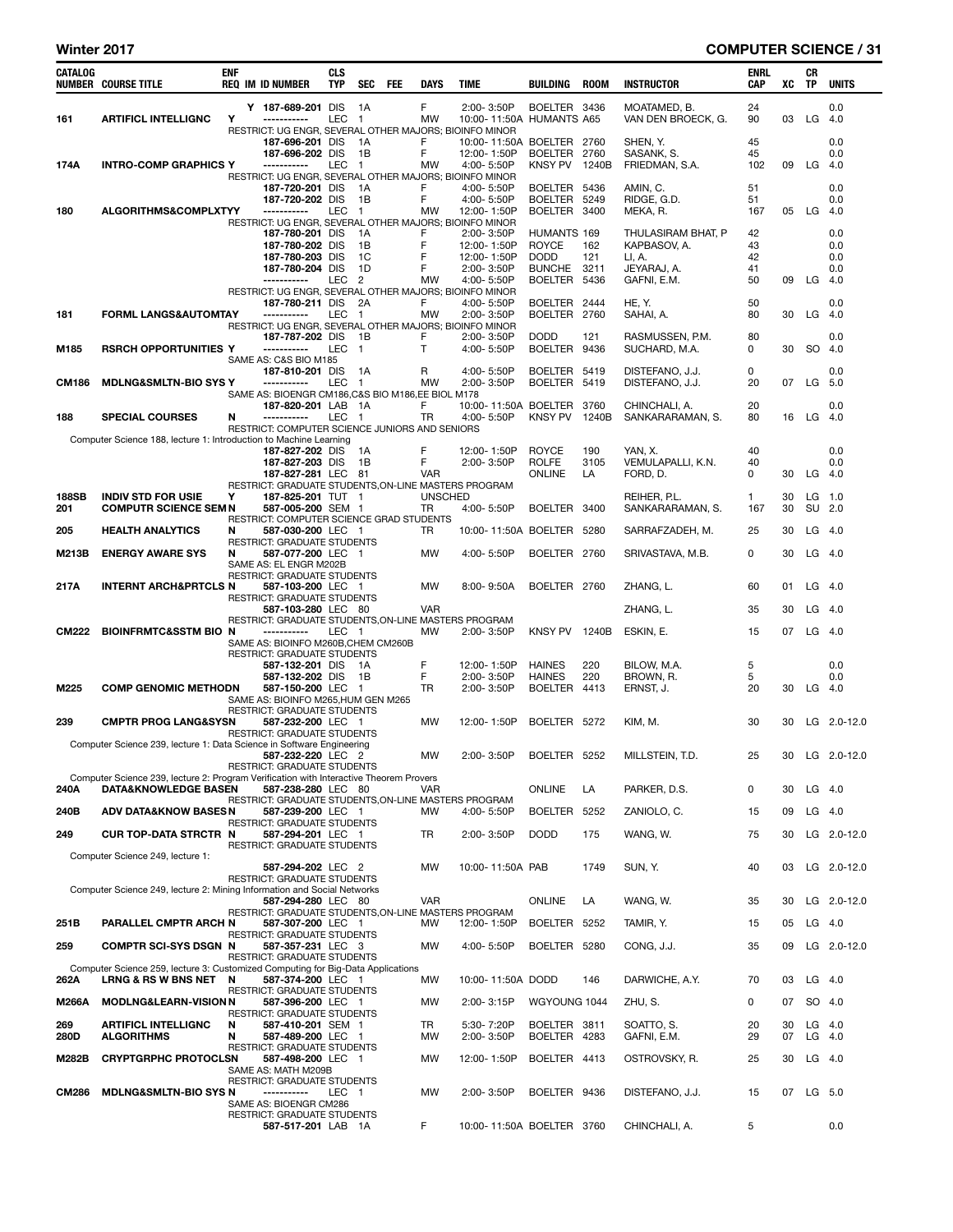# Winter 2017 **COMPUTER SCIENCE** / 31

| CATALOG      | <b>NUMBER COURSE TITLE</b>                                                                                     | <b>ENF</b> | <b>REQ IM ID NUMBER</b>                                                   | <b>CLS</b><br><b>TYP</b> | SEC FEE                | DAYS           | TIME                                   | BUILDING                        | <b>ROOM</b>  | <b>INSTRUCTOR</b>                  | <b>ENRL</b><br>CAP | xс       | CR<br>TP  | <b>UNITS</b>       |
|--------------|----------------------------------------------------------------------------------------------------------------|------------|---------------------------------------------------------------------------|--------------------------|------------------------|----------------|----------------------------------------|---------------------------------|--------------|------------------------------------|--------------------|----------|-----------|--------------------|
| 161          | <b>ARTIFICL INTELLIGNC</b>                                                                                     | Υ          | Y 187-689-201 DIS<br>-----------                                          | LEC                      | - 1A<br>$\overline{1}$ | F<br><b>MW</b> | 2:00-3:50P<br>10:00-11:50A HUMANTS A65 | BOELTER 3436                    |              | MOATAMED, B.<br>VAN DEN BROECK, G. | 24<br>90           | 03       |           | 0.0<br>$LG$ 4.0    |
|              |                                                                                                                |            | RESTRICT: UG ENGR, SEVERAL OTHER MAJORS; BIOINFO MINOR<br>187-696-201 DIS |                          | 1A                     | F              | 10:00-11:50A BOELTER 2760              |                                 |              | SHEN, Y.                           | 45                 |          |           | 0.0                |
|              |                                                                                                                |            | 187-696-202 DIS                                                           |                          | 1B                     | F              | 12:00-1:50P                            | BOELTER 2760                    |              | SASANK, S.                         | 45                 |          |           | 0.0                |
| 174A         | <b>INTRO-COMP GRAPHICS Y</b>                                                                                   |            | -----------<br>RESTRICT: UG ENGR, SEVERAL OTHER MAJORS; BIOINFO MINOR     | <b>LEC</b>               | $\overline{1}$         | MW             | 4:00-5:50P                             | KNSY PV 1240B                   |              | FRIEDMAN, S.A.                     | 102                | 09       | LG        | - 4.0              |
|              |                                                                                                                |            | 187-720-201 DIS                                                           |                          | 1A                     | F              | 4:00-5:50P                             | <b>BOELTER</b>                  | 5436         | AMIN, C.                           | 51                 |          |           | 0.0                |
| 180          | ALGORITHMS&COMPLXTYY                                                                                           |            | 187-720-202 DIS<br>------------                                           | LEC                      | 1B<br>$\overline{1}$   | F<br>MW        | 4:00-5:50P<br>12:00-1:50P              | <b>BOELTER</b><br>BOELTER 3400  | 5249         | RIDGE, G.D.<br>MEKA, R.            | 51<br>167          | 05       | LG        | 0.0<br>4.0         |
|              |                                                                                                                |            | RESTRICT: UG ENGR, SEVERAL OTHER MAJORS; BIOINFO MINOR                    |                          |                        |                |                                        |                                 |              |                                    |                    |          |           |                    |
|              |                                                                                                                |            | 187-780-201 DIS<br>187-780-202 DIS                                        |                          | 1A<br>1B               | F<br>F         | 2:00-3:50P<br>12:00-1:50P              | HUMANTS 169<br><b>ROYCE</b>     | 162          | THULASIRAM BHAT, P<br>KAPBASOV, A. | 42<br>43           |          |           | 0.0<br>0.0         |
|              |                                                                                                                |            | 187-780-203 DIS                                                           |                          | 1C                     | F              | 12:00-1:50P<br>2:00-3:50P              | <b>DODD</b>                     | 121          | LI, A.                             | 42                 |          |           | 0.0                |
|              |                                                                                                                |            | 187-780-204 DIS<br>-----------                                            | LEC                      | 1D<br>$\overline{2}$   | F<br>MW        | 4:00-5:50P                             | <b>BUNCHE</b><br><b>BOELTER</b> | 3211<br>5436 | JEYARAJ, A.<br>GAFNI, E.M.         | 41<br>50           | 09       | LG        | 0.0<br>4.0         |
|              |                                                                                                                |            | RESTRICT: UG ENGR, SEVERAL OTHER MAJORS; BIOINFO MINOR<br>187-780-211 DIS |                          | - 2A                   | F              | 4:00-5:50P                             | BOELTER 2444                    |              | HE, Y.                             | 50                 |          |           | 0.0                |
| 181          | <b>FORML LANGS&amp;AUTOMTAY</b>                                                                                |            | -----------                                                               | <b>LEC</b>               | $\blacksquare$         | <b>MW</b>      | 2:00-3:50P                             | BOELTER 2760                    |              | SAHAI, A.                          | 80                 | 30       |           | $LG$ 4.0           |
|              |                                                                                                                |            | RESTRICT: UG ENGR, SEVERAL OTHER MAJORS; BIOINFO MINOR<br>187-787-202 DIS |                          | - 1B                   | F              | 2:00-3:50P                             | <b>DODD</b>                     | 121          | RASMUSSEN, P.M.                    | 80                 |          |           | 0.0                |
| M185         | RSRCH OPPORTUNITIES Y                                                                                          |            | -----------                                                               | LEC                      | $\overline{1}$         | Т              | 4:00-5:50P                             | BOELTER                         | 9436         | SUCHARD, M.A.                      | 0                  | 30       |           | SO 4.0             |
|              |                                                                                                                |            | SAME AS: C&S BIO M185<br>187-810-201 DIS                                  |                          | - 1 A                  | R              | 4:00-5:50P                             | BOELTER 5419                    |              | DISTEFANO, J.J.                    | 0                  |          |           | 0.0                |
| <b>CM186</b> | <b>MDLNG&amp;SMLTN-BIO SYS Y</b>                                                                               |            | -----------                                                               | LEC                      | $\overline{1}$         | <b>MW</b>      | 2:00-3:50P                             | BOELTER 5419                    |              | DISTEFANO, J.J.                    | 20                 | 07       |           | LG 5.0             |
|              |                                                                                                                |            | SAME AS: BIOENGR CM186, C&S BIO M186, EE BIOL M178<br>187-820-201 LAB 1A  |                          |                        | F              | 10:00-11:50A BOELTER                   |                                 | 3760         | CHINCHALI, A.                      | 20                 |          |           | 0.0                |
| 188          | <b>SPECIAL COURSES</b>                                                                                         | N          | ------------                                                              | LEC                      | $\overline{1}$         | TR             | 4:00-5:50P                             | KNSY PV 1240B                   |              | SANKARARAMAN, S.                   | 80                 | 16       |           | $LG$ 4.0           |
|              | Computer Science 188, lecture 1: Introduction to Machine Learning                                              |            | RESTRICT: COMPUTER SCIENCE JUNIORS AND SENIORS                            |                          |                        |                |                                        |                                 |              |                                    |                    |          |           |                    |
|              |                                                                                                                |            | 187-827-202 DIS<br>187-827-203 DIS                                        |                          | 1A<br>- 1B             | F<br>F         | 12:00-1:50P<br>2:00-3:50P              | <b>ROYCE</b><br><b>ROLFE</b>    | 190<br>3105  | YAN, X.<br>VEMULAPALLI, K.N.       | 40<br>40           |          |           | 0.0<br>0.0         |
|              |                                                                                                                |            | 187-827-281 LEC 81                                                        |                          |                        | <b>VAR</b>     |                                        | ONLINE                          | LA           | FORD, D.                           | 0                  | 30       |           | $LG$ 4.0           |
| <b>188SB</b> | <b>INDIV STD FOR USIE</b>                                                                                      | Υ          | RESTRICT: GRADUATE STUDENTS, ON-LINE MASTERS PROGRAM<br>187-825-201 TUT 1 |                          |                        | <b>UNSCHED</b> |                                        |                                 |              | REIHER, P.L.                       | 1                  | 30       |           | $LG$ 1.0           |
| 201          | <b>COMPUTR SCIENCE SEM N</b>                                                                                   |            | 587-005-200 SEM 1                                                         |                          |                        | <b>TR</b>      | 4:00-5:50P                             | BOELTER 3400                    |              | SANKARARAMAN, S.                   | 167                | 30       |           | SU 2.0             |
| 205          | <b>HEALTH ANALYTICS</b>                                                                                        | N          | RESTRICT: COMPUTER SCIENCE GRAD STUDENTS<br>587-030-200 LEC 1             |                          |                        | TR             | 10:00-11:50A BOELTER 5280              |                                 |              | SARRAFZADEH, M.                    | 25                 | 30       |           | $LG$ 4.0           |
| M213B        | <b>ENERGY AWARE SYS</b>                                                                                        | N          | RESTRICT: GRADUATE STUDENTS<br>587-077-200 LEC 1                          |                          |                        | <b>MW</b>      | 4:00-5:50P                             | BOELTER 2760                    |              | SRIVASTAVA, M.B.                   | 0                  | 30       |           | $LG$ 4.0           |
|              |                                                                                                                |            | SAME AS: EL ENGR M202B                                                    |                          |                        |                |                                        |                                 |              |                                    |                    |          |           |                    |
| 217A         | <b>INTERNT ARCH&amp;PRTCLS N</b>                                                                               |            | RESTRICT: GRADUATE STUDENTS<br>587-103-200 LEC 1                          |                          |                        | MW             | $8:00 - 9:50A$                         | BOELTER 2760                    |              | ZHANG, L.                          | 60                 | 01       |           | $LG$ 4.0           |
|              |                                                                                                                |            | RESTRICT: GRADUATE STUDENTS<br>587-103-280 LEC 80                         |                          |                        | <b>VAR</b>     |                                        |                                 |              | ZHANG, L.                          | 35                 | 30       |           | $LG$ 4.0           |
|              |                                                                                                                |            | RESTRICT: GRADUATE STUDENTS, ON-LINE MASTERS PROGRAM                      |                          |                        |                |                                        |                                 |              |                                    |                    |          |           |                    |
| <b>CM222</b> | <b>BIOINFRMTC&amp;SSTM BIO N</b>                                                                               |            | -----------<br>SAME AS: BIOINFO M260B, CHEM CM260B                        | LEC 1                    |                        | МW             | 2:00-3:50P                             | KNSY PV 1240B                   |              | ESKIN, E.                          | 15                 | 07       |           | $LG$ 4.0           |
|              |                                                                                                                |            | <b>RESTRICT: GRADUATE STUDENTS</b><br>587-132-201 DIS                     |                          | - 1A                   | F              | 12:00-1:50P                            | <b>HAINES</b>                   | 220          | BILOW, M.A.                        | 5                  |          |           | 0.0                |
|              |                                                                                                                |            | 587-132-202 DIS                                                           |                          | 1B                     | F              | 2:00-3:50P                             | <b>HAINES</b>                   | 220          | BROWN, R.                          | 5                  |          |           | 0.0                |
| M225         | <b>COMP GENOMIC METHODN</b>                                                                                    |            | 587-150-200 LEC 1<br>SAME AS: BIOINFO M265, HUM GEN M265                  |                          |                        | TR             | 2:00-3:50P                             | BOELTER 4413                    |              | ERNST, J.                          | 20                 | 30       |           | $LG$ 4.0           |
| 239          | <b>CMPTR PROG LANG&amp;SYSN</b>                                                                                |            | RESTRICT: GRADUATE STUDENTS<br>587-232-200 LEC 1                          |                          |                        | <b>MW</b>      |                                        |                                 |              |                                    | 30                 | 30       |           |                    |
|              |                                                                                                                |            | RESTRICT: GRADUATE STUDENTS                                               |                          |                        |                | 12:00-1:50P                            | BOELTER 5272                    |              | KIM, M.                            |                    |          |           | LG 2.0-12.0        |
|              | Computer Science 239, lecture 1: Data Science in Software Engineering                                          |            | 587-232-220 LEC 2                                                         |                          |                        | MW             | 2:00-3:50P                             | BOELTER 5252                    |              | MILLSTEIN, T.D.                    | 25                 | 30       |           | LG $2.0 - 12.0$    |
|              |                                                                                                                |            | RESTRICT: GRADUATE STUDENTS                                               |                          |                        |                |                                        |                                 |              |                                    |                    |          |           |                    |
| 240A         | Computer Science 239, lecture 2: Program Verification with Interactive Theorem Provers<br>DATA&KNOWLEDGE BASEN |            | 587-238-280 LEC 80                                                        |                          |                        | <b>VAR</b>     |                                        | <b>ONLINE</b>                   | LA           | PARKER, D.S.                       | 0                  | 30       |           | $LG$ 4.0           |
| 240B         | <b>ADV DATA&amp;KNOW BASES N</b>                                                                               |            | RESTRICT: GRADUATE STUDENTS, ON-LINE MASTERS PROGRAM<br>587-239-200 LEC 1 |                          |                        | <b>MW</b>      | 4:00-5:50P                             | BOELTER 5252                    |              | ZANIOLO, C.                        | 15                 | 09       |           | $LG$ 4.0           |
|              |                                                                                                                |            | <b>RESTRICT: GRADUATE STUDENTS</b>                                        |                          |                        |                |                                        |                                 |              |                                    |                    |          |           |                    |
| 249          | <b>CUR TOP-DATA STRCTR N</b>                                                                                   |            | 587-294-201 LEC 1<br><b>RESTRICT: GRADUATE STUDENTS</b>                   |                          |                        | TR             | 2:00-3:50P                             | <b>DODD</b>                     | 175          | WANG, W.                           | 75                 | 30       |           | LG 2.0-12.0        |
|              | Computer Science 249, lecture 1:                                                                               |            | 587-294-202 LEC 2                                                         |                          |                        | <b>MW</b>      | 10:00-11:50A PAB                       |                                 | 1749         | SUN, Y.                            | 40                 | 03       |           | LG 2.0-12.0        |
|              |                                                                                                                |            | <b>RESTRICT: GRADUATE STUDENTS</b>                                        |                          |                        |                |                                        |                                 |              |                                    |                    |          |           |                    |
|              | Computer Science 249, lecture 2: Mining Information and Social Networks                                        |            | 587-294-280 LEC 80                                                        |                          |                        | <b>VAR</b>     |                                        | ONLINE                          | LA           | WANG, W.                           | 35                 | 30       |           | LG 2.0-12.0        |
| 251B         | PARALLEL CMPTR ARCH N                                                                                          |            | RESTRICT: GRADUATE STUDENTS, ON-LINE MASTERS PROGRAM<br>587-307-200 LEC 1 |                          |                        | MW             | 12:00-1:50P                            | BOELTER 5252                    |              | TAMIR, Y.                          | 15                 | 05       |           | $LG$ 4.0           |
|              |                                                                                                                |            | <b>RESTRICT: GRADUATE STUDENTS</b><br>587-357-231 LEC 3                   |                          |                        |                |                                        |                                 |              |                                    |                    |          |           |                    |
| 259          | <b>COMPTR SCI-SYS DSGN N</b>                                                                                   |            | RESTRICT: GRADUATE STUDENTS                                               |                          |                        | MW             | 4:00-5:50P                             | BOELTER 5280                    |              | CONG, J.J.                         | 35                 | 09       |           | LG 2.0-12.0        |
| 262A         | Computer Science 259, lecture 3: Customized Computing for Big-Data Applications<br>LRNG & RSW BNS NET N        |            | 587-374-200 LEC 1                                                         |                          |                        | MW             | 10:00-11:50A DODD                      |                                 | 146          | DARWICHE, A.Y.                     | 70                 | 03       |           | $LG$ 4.0           |
|              | <b>MODLNG&amp;LEARN-VISION N</b>                                                                               |            | <b>RESTRICT: GRADUATE STUDENTS</b>                                        |                          |                        | MW             |                                        |                                 |              | ZHU, S.                            | 0                  | 07       |           | SO 4.0             |
| M266A        |                                                                                                                |            | 587-396-200 LEC 1<br>RESTRICT: GRADUATE STUDENTS                          |                          |                        |                | 2:00-3:15P                             | WGYOUNG 1044                    |              |                                    |                    |          |           |                    |
| 269<br>280D  | <b>ARTIFICL INTELLIGNC</b><br><b>ALGORITHMS</b>                                                                | N<br>N     | 587-410-201 SEM 1<br>587-489-200 LEC 1                                    |                          |                        | TR<br>MW       | 5:30-7:20P<br>2:00-3:50P               | BOELTER 3811<br>BOELTER 4283    |              | SOATTO, S.<br>GAFNI, E.M.          | 20<br>29           | 30<br>07 |           | LG 4.0<br>$LG$ 4.0 |
|              |                                                                                                                |            | RESTRICT: GRADUATE STUDENTS                                               |                          |                        |                |                                        |                                 |              |                                    |                    |          |           |                    |
| M282B        | <b>CRYPTGRPHC PROTOCLSN</b>                                                                                    |            | 587-498-200 LEC 1<br>SAME AS: MATH M209B                                  |                          |                        | MW             | 12:00-1:50P                            | BOELTER 4413                    |              | OSTROVSKY, R.                      | 25                 | 30       |           | $LG$ 4.0           |
| <b>CM286</b> | <b>MDLNG&amp;SMLTN-BIO SYS N</b>                                                                               |            | RESTRICT: GRADUATE STUDENTS<br>-----------                                | LEC 1                    |                        | MW             | 2:00-3:50P                             | BOELTER 9436                    |              | DISTEFANO, J.J.                    | 15                 |          | 07 LG 5.0 |                    |
|              |                                                                                                                |            | SAME AS: BIOENGR CM286                                                    |                          |                        |                |                                        |                                 |              |                                    |                    |          |           |                    |
|              |                                                                                                                |            | <b>RESTRICT: GRADUATE STUDENTS</b><br>587-517-201 LAB 1A                  |                          |                        | F              | 10:00-11:50A BOELTER 3760              |                                 |              | CHINCHALI, A.                      | 5                  |          |           | 0.0                |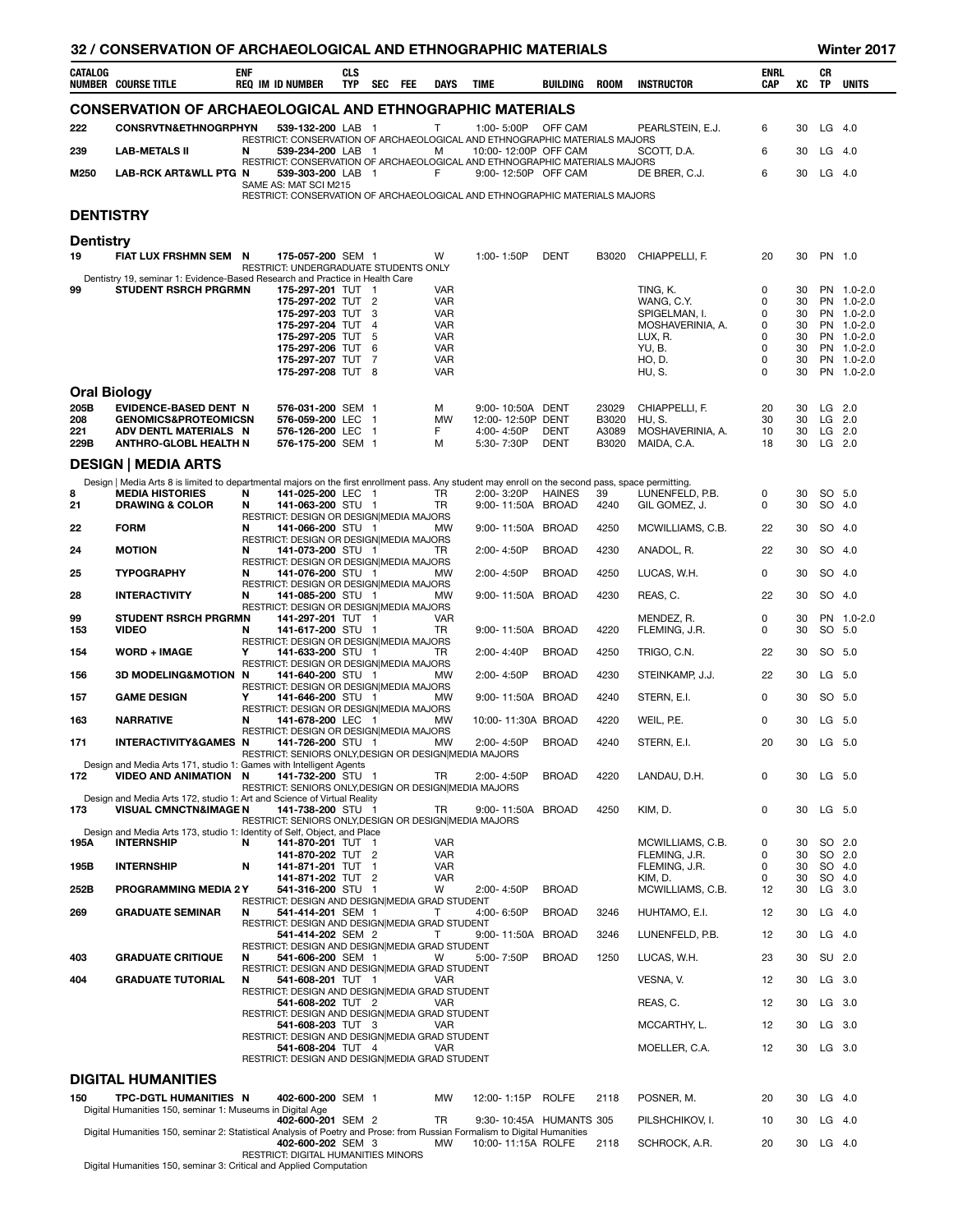|                                                                                                                                                                                                                                                | 32 / CONSERVATION OF ARCHAEOLOGICAL AND ETHNOGRAPHIC MATERIALS<br>Winter 2017                                                                      |            |  |                                                                                                         |                          |                |           |                          |                                                                                                   |               |                |                                  |                           |          |                  |                          |
|------------------------------------------------------------------------------------------------------------------------------------------------------------------------------------------------------------------------------------------------|----------------------------------------------------------------------------------------------------------------------------------------------------|------------|--|---------------------------------------------------------------------------------------------------------|--------------------------|----------------|-----------|--------------------------|---------------------------------------------------------------------------------------------------|---------------|----------------|----------------------------------|---------------------------|----------|------------------|--------------------------|
| CATALOG                                                                                                                                                                                                                                        | <b>NUMBER COURSE TITLE</b>                                                                                                                         | <b>ENF</b> |  | <b>REQ IM ID NUMBER</b>                                                                                 | <b>CLS</b><br><b>TYP</b> | SEC FEE        |           | <b>DAYS</b>              | <b>TIME</b>                                                                                       | BUILDING      | <b>ROOM</b>    | <b>INSTRUCTOR</b>                | <b>ENRL</b><br><b>CAP</b> | XC       | CR<br><b>TP</b>  | <b>UNITS</b>             |
|                                                                                                                                                                                                                                                | <b>CONSERVATION OF ARCHAEOLOGICAL AND ETHNOGRAPHIC MATERIALS</b>                                                                                   |            |  |                                                                                                         |                          |                |           |                          |                                                                                                   |               |                |                                  |                           |          |                  |                          |
| 222                                                                                                                                                                                                                                            | CONSRVTN&ETHNOGRPHYN                                                                                                                               |            |  | 539-132-200 LAB 1                                                                                       |                          |                |           | $\mathsf{T}$             | 1:00-5:00P OFF CAM<br>RESTRICT: CONSERVATION OF ARCHAEOLOGICAL AND ETHNOGRAPHIC MATERIALS MAJORS  |               |                | PEARLSTEIN, E.J.                 | 6                         | 30       | $LG$ 4.0         |                          |
| 239                                                                                                                                                                                                                                            | <b>LAB-METALS II</b>                                                                                                                               | N          |  | 539-234-200 LAB 1                                                                                       |                          |                |           | м                        | 10:00-12:00P OFF CAM                                                                              |               |                | SCOTT, D.A.                      | 6                         | 30       | LG 4.0           |                          |
| M250                                                                                                                                                                                                                                           | LAB-RCK ART&WLL PTG N                                                                                                                              |            |  | 539-303-200 LAB 1<br>SAME AS: MAT SCI M215                                                              |                          |                |           | F                        | RESTRICT: CONSERVATION OF ARCHAEOLOGICAL AND ETHNOGRAPHIC MATERIALS MAJORS<br>9:00-12:50P OFF CAM |               |                | DE BRER, C.J.                    | 6                         | 30       | LG 4.0           |                          |
|                                                                                                                                                                                                                                                |                                                                                                                                                    |            |  |                                                                                                         |                          |                |           |                          | RESTRICT: CONSERVATION OF ARCHAEOLOGICAL AND ETHNOGRAPHIC MATERIALS MAJORS                        |               |                |                                  |                           |          |                  |                          |
| <b>DENTISTRY</b>                                                                                                                                                                                                                               |                                                                                                                                                    |            |  |                                                                                                         |                          |                |           |                          |                                                                                                   |               |                |                                  |                           |          |                  |                          |
| <b>Dentistry</b>                                                                                                                                                                                                                               |                                                                                                                                                    |            |  |                                                                                                         |                          |                |           |                          |                                                                                                   |               |                |                                  |                           |          |                  |                          |
| 19                                                                                                                                                                                                                                             | FIAT LUX FRSHMN SEM N                                                                                                                              |            |  | 175-057-200 SEM 1<br>RESTRICT: UNDERGRADUATE STUDENTS ONLY                                              |                          |                |           | W                        | 1:00-1:50P                                                                                        | <b>DENT</b>   | B3020          | CHIAPPELLI, F.                   | 20                        | 30       | PN 1.0           |                          |
| 99                                                                                                                                                                                                                                             | Dentistry 19, seminar 1: Evidence-Based Research and Practice in Health Care<br><b>STUDENT RSRCH PRGRMN</b>                                        |            |  | 175-297-201 TUT 1                                                                                       |                          |                |           | <b>VAR</b>               |                                                                                                   |               |                | TING, K.                         | 0                         | 30       |                  | PN 1.0-2.0               |
|                                                                                                                                                                                                                                                |                                                                                                                                                    |            |  | 175-297-202 TUT 2<br>175-297-203 TUT                                                                    |                          | - 3            |           | <b>VAR</b><br><b>VAR</b> |                                                                                                   |               |                | WANG, C.Y.<br>SPIGELMAN, I.      | 0<br>0                    | 30<br>30 |                  | PN 1.0-2.0<br>PN 1.0-2.0 |
|                                                                                                                                                                                                                                                |                                                                                                                                                    |            |  | 175-297-204 TUT                                                                                         |                          | $\overline{4}$ |           | <b>VAR</b>               |                                                                                                   |               |                | MOSHAVERINIA, A.                 | 0                         | 30       |                  | PN 1.0-2.0               |
|                                                                                                                                                                                                                                                |                                                                                                                                                    |            |  | 175-297-205 TUT 5<br>175-297-206 TUT                                                                    |                          | - 6            |           | <b>VAR</b><br><b>VAR</b> |                                                                                                   |               |                | LUX, R.<br>YU, B.                | 0<br>0                    | 30<br>30 |                  | PN 1.0-2.0<br>PN 1.0-2.0 |
|                                                                                                                                                                                                                                                |                                                                                                                                                    |            |  | 175-297-207 TUT 7<br>175-297-208 TUT 8                                                                  |                          |                |           | <b>VAR</b><br><b>VAR</b> |                                                                                                   |               |                | HO, D.<br>HU, S.                 | 0<br>0                    | 30<br>30 |                  | PN 1.0-2.0<br>PN 1.0-2.0 |
|                                                                                                                                                                                                                                                |                                                                                                                                                    |            |  |                                                                                                         |                          |                |           |                          |                                                                                                   |               |                |                                  |                           |          |                  |                          |
| <b>Oral Biology</b><br>205B<br>EVIDENCE-BASED DENT N<br>576-031-200 SEM 1<br>м<br>9:00-10:50A DENT<br>23029<br>CHIAPPELLI, F.<br>20<br>30<br>$LG$ 2.0<br><b>GENOMICS&amp;PROTEOMICSN</b><br>576-059-200 LEC 1<br>12:00-12:50P DENT<br>$LG$ 2.0 |                                                                                                                                                    |            |  |                                                                                                         |                          |                |           |                          |                                                                                                   |               |                |                                  |                           |          |                  |                          |
| 208<br>221                                                                                                                                                                                                                                     | ADV DENTL MATERIALS N                                                                                                                              |            |  | 576-126-200 LEC 1                                                                                       |                          |                |           | MW<br>F                  | 4:00-4:50P                                                                                        | <b>DENT</b>   | B3020<br>A3089 | HU, S.<br>MOSHAVERINIA, A.       | 30<br>10                  | 30<br>30 | $LG$ 2.0         |                          |
| 229B                                                                                                                                                                                                                                           | <b>ANTHRO-GLOBL HEALTH N</b>                                                                                                                       |            |  | 576-175-200 SEM 1                                                                                       |                          |                |           | м                        | 5:30-7:30P                                                                                        | <b>DENT</b>   | B3020          | MAIDA, C.A.                      | 18                        | 30       | $LG$ 2.0         |                          |
|                                                                                                                                                                                                                                                | <b>DESIGN   MEDIA ARTS</b>                                                                                                                         |            |  |                                                                                                         |                          |                |           |                          |                                                                                                   |               |                |                                  |                           |          |                  |                          |
|                                                                                                                                                                                                                                                | Design   Media Arts 8 is limited to departmental majors on the first enrollment pass. Any student may enroll on the second pass, space permitting. |            |  |                                                                                                         |                          |                |           |                          |                                                                                                   |               |                |                                  |                           |          |                  |                          |
| 8<br>21                                                                                                                                                                                                                                        | <b>MEDIA HISTORIES</b><br><b>DRAWING &amp; COLOR</b>                                                                                               | N<br>N     |  | 141-025-200 LEC 1<br>141-063-200 STU 1                                                                  |                          |                |           | <b>TR</b><br><b>TR</b>   | 2:00-3:20P<br>9:00-11:50A BROAD                                                                   | <b>HAINES</b> | 39<br>4240     | LUNENFELD, P.B.<br>GIL GOMEZ, J. | 0<br>0                    | 30<br>30 | SO 5.0<br>SO 4.0 |                          |
| 22                                                                                                                                                                                                                                             | <b>FORM</b>                                                                                                                                        | N          |  | RESTRICT: DESIGN OR DESIGN MEDIA MAJORS<br>141-066-200 STU 1                                            |                          |                |           | MW                       | 9:00-11:50A BROAD                                                                                 |               | 4250           | MCWILLIAMS, C.B.                 | 22                        | 30       | SO 4.0           |                          |
| 24                                                                                                                                                                                                                                             | <b>MOTION</b>                                                                                                                                      | N          |  | RESTRICT: DESIGN OR DESIGN MEDIA MAJORS<br>141-073-200 STU 1                                            |                          |                |           | TR                       | 2:00-4:50P                                                                                        | <b>BROAD</b>  | 4230           | ANADOL, R.                       | 22                        | 30       | SO 4.0           |                          |
| 25                                                                                                                                                                                                                                             | <b>TYPOGRAPHY</b>                                                                                                                                  | N          |  | RESTRICT: DESIGN OR DESIGN MEDIA MAJORS<br>141-076-200 STU 1                                            |                          |                |           | <b>MW</b>                | 2:00-4:50P                                                                                        | <b>BROAD</b>  | 4250           | LUCAS, W.H.                      | 0                         | 30       | SO 4.0           |                          |
| 28                                                                                                                                                                                                                                             | <b>INTERACTIVITY</b>                                                                                                                               | N          |  | RESTRICT: DESIGN OR DESIGN MEDIA MAJORS<br>141-085-200 STU 1                                            |                          |                |           | MW                       | 9:00-11:50A BROAD                                                                                 |               | 4230           | REAS, C.                         | 22                        | 30       | SO 4.0           |                          |
| 99                                                                                                                                                                                                                                             | <b>STUDENT RSRCH PRGRMN</b>                                                                                                                        |            |  | RESTRICT: DESIGN OR DESIGN MEDIA MAJORS<br>141-297-201 TUT 1                                            |                          |                |           | <b>VAR</b>               |                                                                                                   |               |                | MENDEZ, R.                       | 0                         | 30       |                  | PN 1.0-2.0               |
| 153                                                                                                                                                                                                                                            | <b>VIDEO</b>                                                                                                                                       | N          |  | 141-617-200 STU 1                                                                                       |                          |                |           | TR                       | 9:00-11:50A BROAD                                                                                 |               | 4220           | FLEMING, J.R.                    | $\Omega$                  | 30       | SO 5.0           |                          |
| 154                                                                                                                                                                                                                                            | <b>WORD + IMAGE</b>                                                                                                                                | Y          |  | RESTRICT: DESIGN OR DESIGN MEDIA MAJORS<br>141-633-200 STU 1<br>RESTRICT: DESIGN OR DESIGN MEDIA MAJORS |                          |                |           | TR.                      | 2:00-4:40P                                                                                        | <b>BROAD</b>  | 4250           | TRIGO, C.N.                      | 22                        | 30       | SO 5.0           |                          |
| 156                                                                                                                                                                                                                                            | <b>3D MODELING&amp;MOTION N</b>                                                                                                                    |            |  | 141-640-200 STU 1                                                                                       |                          |                |           | MW                       | 2:00-4:50P                                                                                        | <b>BROAD</b>  | 4230           | STEINKAMP, J.J.                  | 22                        | 30       | LG 5.0           |                          |
| 157                                                                                                                                                                                                                                            | <b>GAME DESIGN</b>                                                                                                                                 | Y          |  | RESTRICT: DESIGN OR DESIGN MEDIA MAJORS<br>141-646-200 STU 1                                            |                          |                |           | МW                       | 9:00-11:50A BROAD                                                                                 |               | 4240           | STERN, E.I.                      | 0                         | 30       | SO 5.0           |                          |
| 163                                                                                                                                                                                                                                            | <b>NARRATIVE</b>                                                                                                                                   | N          |  | RESTRICT: DESIGN OR DESIGN MEDIA MAJORS<br>141-678-200 LEC 1                                            |                          |                |           | МW                       | 10:00-11:30A BROAD                                                                                |               | 4220           | WEIL, P.E.                       | 0                         | 30       | LG 5.0           |                          |
| 171                                                                                                                                                                                                                                            | INTERACTIVITY&GAMES N                                                                                                                              |            |  | RESTRICT: DESIGN OR DESIGN MEDIA MAJORS<br>141-726-200 STU 1                                            |                          |                | <b>MW</b> |                          | 2:00-4:50P BROAD                                                                                  |               | 4240           | STERN, E.I.                      | 20                        |          | 30 LG 5.0        |                          |
|                                                                                                                                                                                                                                                | Design and Media Arts 171, studio 1: Games with Intelligent Agents                                                                                 |            |  | RESTRICT: SENIORS ONLY, DESIGN OR DESIGN MEDIA MAJORS                                                   |                          |                |           |                          |                                                                                                   |               |                |                                  |                           |          |                  |                          |
| 172                                                                                                                                                                                                                                            | VIDEO AND ANIMATION N                                                                                                                              |            |  | 141-732-200 STU 1<br>RESTRICT: SENIORS ONLY, DESIGN OR DESIGN MEDIA MAJORS                              |                          |                |           | <b>TR</b>                | 2:00-4:50P                                                                                        | <b>BROAD</b>  | 4220           | LANDAU, D.H.                     | 0                         |          | 30 LG 5.0        |                          |
| 173                                                                                                                                                                                                                                            | Design and Media Arts 172, studio 1: Art and Science of Virtual Reality<br><b>VISUAL CMNCTN&amp;IMAGE N</b>                                        |            |  | 141-738-200 STU 1                                                                                       |                          |                |           | <b>TR</b>                | 9:00-11:50A BROAD                                                                                 |               | 4250           | KIM, D.                          | 0                         | 30       | $LG$ 5.0         |                          |
|                                                                                                                                                                                                                                                |                                                                                                                                                    |            |  | RESTRICT: SENIORS ONLY, DESIGN OR DESIGN MEDIA MAJORS                                                   |                          |                |           |                          |                                                                                                   |               |                |                                  |                           |          |                  |                          |
| 195A                                                                                                                                                                                                                                           | Design and Media Arts 173, studio 1: Identity of Self, Object, and Place<br><b>INTERNSHIP</b>                                                      | N          |  | 141-870-201 TUT 1                                                                                       |                          |                |           | <b>VAR</b>               |                                                                                                   |               |                | MCWILLIAMS, C.B.                 | 0                         | 30       | SO 2.0           |                          |
| 195B                                                                                                                                                                                                                                           | <b>INTERNSHIP</b>                                                                                                                                  | N          |  | 141-870-202 TUT 2<br>141-871-201 TUT 1                                                                  |                          |                |           | <b>VAR</b><br><b>VAR</b> |                                                                                                   |               |                | FLEMING, J.R.<br>FLEMING, J.R.   | 0<br>0                    | 30<br>30 | SO 2.0<br>SO 4.0 |                          |
|                                                                                                                                                                                                                                                |                                                                                                                                                    |            |  | 141-871-202 TUT 2                                                                                       |                          |                |           | VAR                      |                                                                                                   |               |                | KIM, D.                          | 0                         | 30       | SO 4.0           |                          |
| 252B                                                                                                                                                                                                                                           | PROGRAMMING MEDIA 2 Y                                                                                                                              |            |  | 541-316-200 STU 1<br>RESTRICT: DESIGN AND DESIGN MEDIA GRAD STUDENT                                     |                          |                |           | W                        | 2:00-4:50P                                                                                        | <b>BROAD</b>  |                | MCWILLIAMS, C.B.                 | 12                        | 30       | LG 3.0           |                          |
| 269                                                                                                                                                                                                                                            | <b>GRADUATE SEMINAR</b>                                                                                                                            | N          |  | 541-414-201 SEM 1<br>RESTRICT: DESIGN AND DESIGN MEDIA GRAD STUDENT                                     |                          |                |           | T                        | 4:00-6:50P                                                                                        | <b>BROAD</b>  | 3246           | HUHTAMO, E.I.                    | 12                        | 30       | $LG$ 4.0         |                          |
|                                                                                                                                                                                                                                                |                                                                                                                                                    |            |  | 541-414-202 SEM 2<br>RESTRICT: DESIGN AND DESIGN MEDIA GRAD STUDENT                                     |                          |                |           | Т                        | 9:00-11:50A                                                                                       | <b>BROAD</b>  | 3246           | LUNENFELD, P.B.                  | 12                        | 30       | $LG$ 4.0         |                          |
| 403                                                                                                                                                                                                                                            | <b>GRADUATE CRITIQUE</b>                                                                                                                           | N          |  | 541-606-200 SEM 1<br>RESTRICT: DESIGN AND DESIGN MEDIA GRAD STUDENT                                     |                          |                |           | W                        | 5:00-7:50P                                                                                        | <b>BROAD</b>  | 1250           | LUCAS, W.H.                      | 23                        | 30       | SU 2.0           |                          |
| 404                                                                                                                                                                                                                                            | <b>GRADUATE TUTORIAL</b>                                                                                                                           | N          |  | 541-608-201 TUT 1<br>RESTRICT: DESIGN AND DESIGN MEDIA GRAD STUDENT                                     |                          |                |           | <b>VAR</b>               |                                                                                                   |               |                | VESNA, V.                        | 12                        | 30       | LG 3.0           |                          |
|                                                                                                                                                                                                                                                |                                                                                                                                                    |            |  | 541-608-202 TUT 2                                                                                       |                          |                |           | <b>VAR</b>               |                                                                                                   |               |                | REAS, C.                         | 12                        | 30       | LG 3.0           |                          |
|                                                                                                                                                                                                                                                |                                                                                                                                                    |            |  | RESTRICT: DESIGN AND DESIGN MEDIA GRAD STUDENT<br>541-608-203 TUT 3                                     |                          |                |           | VAR                      |                                                                                                   |               |                | MCCARTHY, L.                     | 12                        | 30       | LG 3.0           |                          |
|                                                                                                                                                                                                                                                |                                                                                                                                                    |            |  | RESTRICT: DESIGN AND DESIGN MEDIA GRAD STUDENT<br>541-608-204 TUT 4                                     |                          |                |           | <b>VAR</b>               |                                                                                                   |               |                | MOELLER, C.A.                    | 12                        | 30       | $LG$ 3.0         |                          |
|                                                                                                                                                                                                                                                |                                                                                                                                                    |            |  | RESTRICT: DESIGN AND DESIGN MEDIA GRAD STUDENT                                                          |                          |                |           |                          |                                                                                                   |               |                |                                  |                           |          |                  |                          |
|                                                                                                                                                                                                                                                | <b>DIGITAL HUMANITIES</b>                                                                                                                          |            |  |                                                                                                         |                          |                |           |                          |                                                                                                   |               |                |                                  |                           |          |                  |                          |
| 150                                                                                                                                                                                                                                            | TPC-DGTL HUMANITIES N<br>Digital Humanities 150, seminar 1: Museums in Digital Age                                                                 |            |  | 402-600-200 SEM 1                                                                                       |                          |                |           | МW                       | 12:00-1:15P                                                                                       | <b>ROLFE</b>  | 2118           | POSNER, M.                       | 20                        | 30       | $LG$ 4.0         |                          |
|                                                                                                                                                                                                                                                | Digital Humanities 150, seminar 2: Statistical Analysis of Poetry and Prose: from Russian Formalism to Digital Humanities                          |            |  | 402-600-201 SEM 2                                                                                       |                          |                |           | TR                       | 9:30-10:45A HUMANTS 305                                                                           |               |                | PILSHCHIKOV, I.                  | 10                        | 30       | $LG$ 4.0         |                          |
|                                                                                                                                                                                                                                                |                                                                                                                                                    |            |  | 402-600-202 SEM 3<br>RESTRICT: DIGITAL HUMANITIES MINORS                                                |                          |                |           | МW                       | 10:00-11:15A ROLFE                                                                                |               | 2118           | SCHROCK, A.R.                    | 20                        | 30       | $LG$ 4.0         |                          |

# RESTRICT: DIGITAL HUMANITIES MINORS<br>Digital Humanities 150, seminar 3: Critical and Applied Computation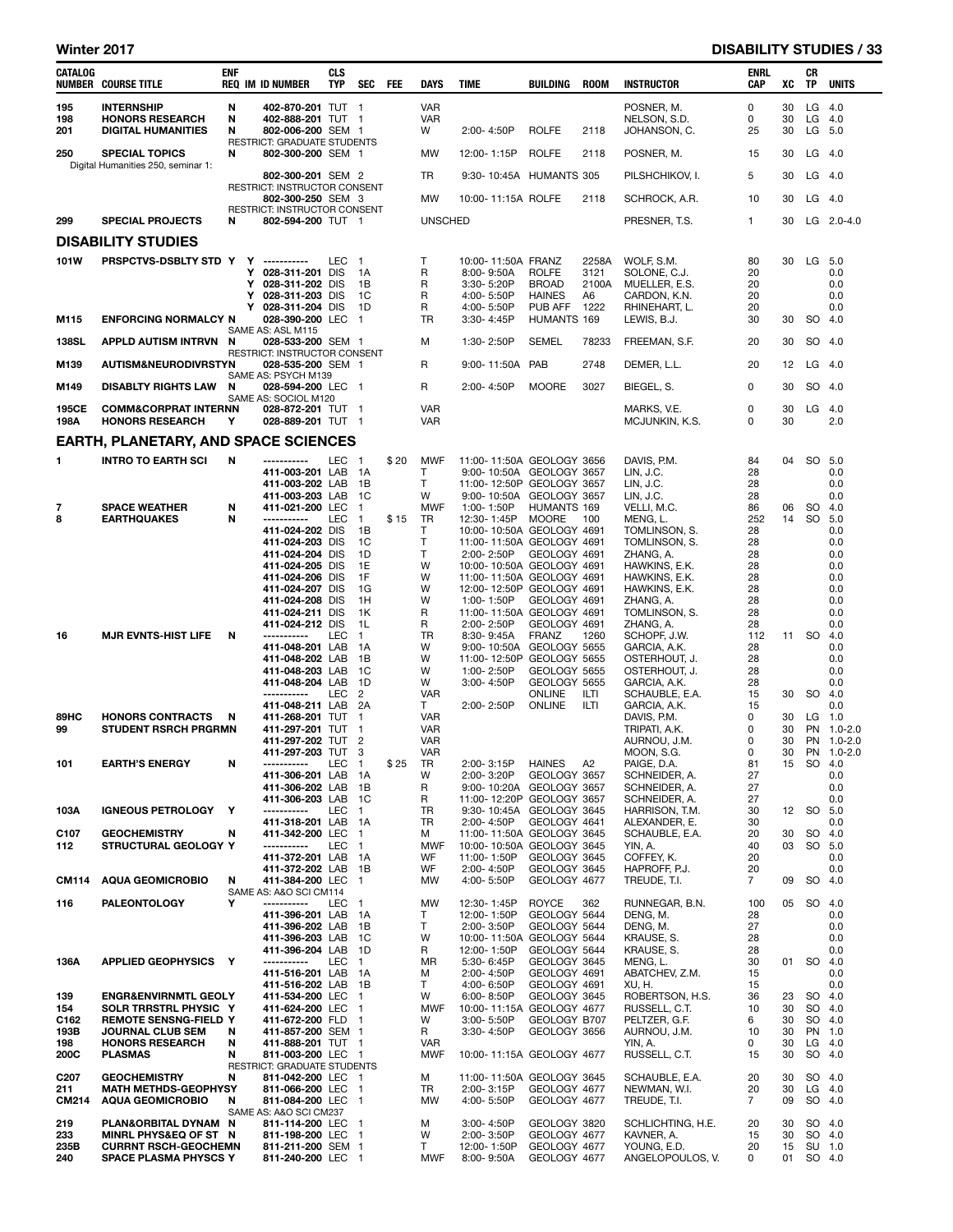### Winter 2017 **DISABILITY STUDIES / 33**

| CATALOG                                   | <b>NUMBER COURSE TITLE</b>                                                                                                                               | <b>ENF</b>  |             | <b>REQ IM ID NUMBER</b>                                                                                                                                                                                   | <b>CLS</b><br><b>TYP</b> | SEC FEE                                                                                   |      | <b>DAYS</b>                                                | TIME                                                                                                                                                                                                                                                                  | BUILDING                                                         | <b>ROOM</b>                          | <b>INSTRUCTOR</b>                                                                                                                                                    | ENRL<br>CAP                                               | xс                               | CR<br>TP        | <b>UNITS</b>                                                       |
|-------------------------------------------|----------------------------------------------------------------------------------------------------------------------------------------------------------|-------------|-------------|-----------------------------------------------------------------------------------------------------------------------------------------------------------------------------------------------------------|--------------------------|-------------------------------------------------------------------------------------------|------|------------------------------------------------------------|-----------------------------------------------------------------------------------------------------------------------------------------------------------------------------------------------------------------------------------------------------------------------|------------------------------------------------------------------|--------------------------------------|----------------------------------------------------------------------------------------------------------------------------------------------------------------------|-----------------------------------------------------------|----------------------------------|-----------------|--------------------------------------------------------------------|
| 195<br>198<br>201                         | <b>INTERNSHIP</b><br><b>HONORS RESEARCH</b><br><b>DIGITAL HUMANITIES</b>                                                                                 | N<br>N<br>N |             | 402-870-201 TUT 1<br>402-888-201 TUT 1<br>802-006-200 SEM 1                                                                                                                                               |                          |                                                                                           |      | <b>VAR</b><br><b>VAR</b><br>W                              | 2:00-4:50P                                                                                                                                                                                                                                                            | <b>ROLFE</b>                                                     | 2118                                 | POSNER, M.<br>NELSON, S.D.<br>JOHANSON, C.                                                                                                                           | 0<br>0<br>25                                              | 30<br>30<br>30                   |                 | $LG$ 4.0<br>$LG$ 4.0<br>LG 5.0                                     |
| 250                                       | <b>SPECIAL TOPICS</b><br>Digital Humanities 250, seminar 1:                                                                                              | N           |             | RESTRICT: GRADUATE STUDENTS<br>802-300-200 SEM 1                                                                                                                                                          |                          |                                                                                           |      | <b>MW</b>                                                  | 12:00-1:15P                                                                                                                                                                                                                                                           | <b>ROLFE</b>                                                     | 2118                                 | POSNER, M.                                                                                                                                                           | 15                                                        | 30                               |                 | $LG$ 4.0                                                           |
|                                           |                                                                                                                                                          |             |             | 802-300-201 SEM 2<br>RESTRICT: INSTRUCTOR CONSENT                                                                                                                                                         |                          |                                                                                           |      | TR                                                         | 9:30-10:45A HUMANTS 305                                                                                                                                                                                                                                               |                                                                  |                                      | PILSHCHIKOV, I.                                                                                                                                                      | 5                                                         | 30                               |                 | $LG$ 4.0                                                           |
|                                           |                                                                                                                                                          |             |             | 802-300-250 SEM 3<br>RESTRICT: INSTRUCTOR CONSENT                                                                                                                                                         |                          |                                                                                           |      | <b>MW</b>                                                  | 10:00-11:15A ROLFE                                                                                                                                                                                                                                                    |                                                                  | 2118                                 | SCHROCK, A.R.                                                                                                                                                        | 10                                                        | 30                               |                 | $LG$ 4.0                                                           |
| 299                                       | <b>SPECIAL PROJECTS</b>                                                                                                                                  | N           |             | 802-594-200 TUT 1                                                                                                                                                                                         |                          |                                                                                           |      | <b>UNSCHED</b>                                             |                                                                                                                                                                                                                                                                       |                                                                  |                                      | PRESNER, T.S.                                                                                                                                                        | $\mathbf{1}$                                              | 30                               |                 | $LG$ 2.0-4.0                                                       |
|                                           | <b>DISABILITY STUDIES</b>                                                                                                                                |             |             |                                                                                                                                                                                                           |                          |                                                                                           |      |                                                            |                                                                                                                                                                                                                                                                       |                                                                  |                                      |                                                                                                                                                                      |                                                           |                                  |                 |                                                                    |
| 101W<br>M115                              | PRSPCTVS-DSBLTY STD Y Y -----------<br><b>ENFORCING NORMALCY N</b>                                                                                       |             | Y<br>Y<br>Y | 028-311-201 DIS<br>028-311-202 DIS<br>028-311-203 DIS<br>Y 028-311-204 DIS<br>028-390-200 LEC 1                                                                                                           | LEC 1                    | - 1A<br>1B<br>- 1C<br>1D                                                                  |      | T<br>R<br>R<br>R<br>R<br><b>TR</b>                         | 10:00-11:50A FRANZ<br>8:00-9:50A<br>3:30-5:20P<br>4:00-5:50P<br>4:00-5:50P<br>3:30-4:45P                                                                                                                                                                              | ROLFE<br><b>BROAD</b><br><b>HAINES</b><br>PUB AFF<br>HUMANTS 169 | 2258A<br>3121<br>2100A<br>A6<br>1222 | WOLF, S.M.<br>SOLONE, C.J.<br>MUELLER, E.S.<br>CARDON, K.N.<br>RHINEHART, L.<br>LEWIS, B.J.                                                                          | 80<br>20<br>20<br>20<br>20<br>30                          | 30<br>30                         |                 | LG 5.0<br>0.0<br>0.0<br>0.0<br>0.0<br>SO 4.0                       |
| <b>138SL</b>                              | <b>APPLD AUTISM INTRVN</b>                                                                                                                               | N           |             | SAME AS: ASL M115<br>028-533-200 SEM 1                                                                                                                                                                    |                          |                                                                                           |      | м                                                          | 1:30-2:50P                                                                                                                                                                                                                                                            | SEMEL                                                            | 78233                                | FREEMAN, S.F.                                                                                                                                                        | 20                                                        | 30                               |                 | SO 4.0                                                             |
| M139                                      | <b>AUTISM&amp;NEURODIVRSTYN</b>                                                                                                                          |             |             | RESTRICT: INSTRUCTOR CONSENT<br>028-535-200 SEM 1                                                                                                                                                         |                          |                                                                                           |      | R                                                          | 9:00-11:50A PAB                                                                                                                                                                                                                                                       |                                                                  | 2748                                 | DEMER, L.L.                                                                                                                                                          | 20                                                        | 12                               |                 | $LG$ 4.0                                                           |
|                                           |                                                                                                                                                          |             |             | SAME AS: PSYCH M139                                                                                                                                                                                       |                          |                                                                                           |      |                                                            |                                                                                                                                                                                                                                                                       |                                                                  |                                      |                                                                                                                                                                      |                                                           |                                  |                 |                                                                    |
| M149<br>195CE                             | <b>DISABLTY RIGHTS LAW</b><br><b>COMM&amp;CORPRAT INTERNN</b>                                                                                            | N           |             | 028-594-200 LEC 1<br>SAME AS: SOCIOL M120<br>028-872-201 TUT 1                                                                                                                                            |                          |                                                                                           |      | R<br><b>VAR</b>                                            | 2:00-4:50P                                                                                                                                                                                                                                                            | <b>MOORE</b>                                                     | 3027                                 | BIEGEL, S.<br>MARKS, V.E.                                                                                                                                            | 0<br>0                                                    | 30<br>30                         |                 | SO 4.0<br>$LG$ 4.0                                                 |
| 198A                                      | <b>HONORS RESEARCH</b>                                                                                                                                   | Y           |             | 028-889-201 TUT 1                                                                                                                                                                                         |                          |                                                                                           |      | <b>VAR</b>                                                 |                                                                                                                                                                                                                                                                       |                                                                  |                                      | MCJUNKIN, K.S.                                                                                                                                                       | 0                                                         | 30                               |                 | 2.0                                                                |
|                                           | <b>EARTH, PLANETARY, AND SPACE SCIENCES</b>                                                                                                              |             |             |                                                                                                                                                                                                           |                          |                                                                                           |      |                                                            |                                                                                                                                                                                                                                                                       |                                                                  |                                      |                                                                                                                                                                      |                                                           |                                  |                 |                                                                    |
| 1                                         | <b>INTRO TO EARTH SCI</b>                                                                                                                                | N           |             | -----------<br>411-003-201 LAB 1A<br>411-003-202 LAB 1B                                                                                                                                                   | LEC <sub>1</sub>         | 1C                                                                                        | \$20 | <b>MWF</b><br>T<br>T<br>W                                  | 11:00-11:50A GEOLOGY 3656<br>9:00-10:50A GEOLOGY 3657<br>11:00-12:50P GEOLOGY 3657                                                                                                                                                                                    |                                                                  |                                      | DAVIS, P.M.<br>LIN, J.C.<br>LIN, J.C.                                                                                                                                | 84<br>28<br>28<br>28                                      | 04                               |                 | SO 5.0<br>0.0<br>0.0<br>0.0                                        |
| 7<br>8                                    | <b>SPACE WEATHER</b><br><b>EARTHQUAKES</b>                                                                                                               | N<br>N      |             | 411-003-203 LAB<br>411-021-200 LEC<br>-----------<br>411-024-202 DIS<br>411-024-203 DIS<br>411-024-204 DIS<br>411-024-205 DIS<br>411-024-206 DIS<br>411-024-207 DIS<br>411-024-208 DIS<br>411-024-211 DIS | LEC                      | $\overline{\mathbf{1}}$<br>$\overline{1}$<br>1B<br>1C<br>1D<br>1E<br>1F<br>1G<br>1H<br>1K | \$15 | <b>MWF</b><br>TR<br>Т<br>T<br>T<br>W<br>W<br>W<br>W<br>R   | 9:00-10:50A GEOLOGY 3657<br>1:00-1:50P<br>12:30-1:45P MOORE<br>10:00-10:50A GEOLOGY 4691<br>11:00-11:50A GEOLOGY 4691<br>2:00-2:50P<br>10:00-10:50A GEOLOGY 4691<br>11:00-11:50A GEOLOGY 4691<br>12:00-12:50P GEOLOGY 4691<br>1:00-1:50P<br>11:00-11:50A GEOLOGY 4691 | HUMANTS 169<br>GEOLOGY 4691<br>GEOLOGY 4691                      | 100                                  | LIN, J.C.<br>VELLI, M.C.<br>MENG, L.<br>TOMLINSON, S.<br>TOMLINSON, S.<br>ZHANG, A.<br>HAWKINS, E.K.<br>HAWKINS, E.K.<br>HAWKINS, E.K.<br>ZHANG, A.<br>TOMLINSON, S. | 86<br>252<br>28<br>28<br>28<br>28<br>28<br>28<br>28<br>28 | 06<br>14                         | SO<br>SO        | 4.0<br>5.0<br>0.0<br>0.0<br>0.0<br>0.0<br>0.0<br>0.0<br>0.0<br>0.0 |
| 16                                        | <b>MJR EVNTS-HIST LIFE</b>                                                                                                                               | N           |             | 411-024-212 DIS<br>-----------<br>411-048-201 LAB<br>411-048-202 LAB<br>411-048-203 LAB<br>411-048-204 LAB<br>-----------                                                                                 | LEC<br>LEC <sub>2</sub>  | 1L<br>$\overline{1}$<br>1A<br>1B<br>1C<br>1D                                              |      | R<br>TR<br>W<br>W<br>W<br>W<br><b>VAR</b>                  | 2:00-2:50P<br>8:30-9:45A<br>9:00-10:50A GEOLOGY 5655<br>11:00-12:50P GEOLOGY 5655<br>1:00-2:50P<br>3:00-4:50P                                                                                                                                                         | GEOLOGY 4691<br>FRANZ<br>GEOLOGY 5655<br>GEOLOGY 5655<br>ONLINE  | 1260<br>ILTI                         | ZHANG, A.<br>SCHOPF, J.W.<br>GARCIA, A.K.<br>OSTERHOUT, J.<br>OSTERHOUT, J.<br>GARCIA, A.K.<br>SCHAUBLE, E.A.                                                        | 28<br>112<br>28<br>28<br>28<br>28<br>15                   | 30                               | 11 SO 4.0       | 0.0<br>0.0<br>0.0<br>0.0<br>0.0<br>SO 4.0                          |
| 89HC<br>99                                | <b>HONORS CONTRACTS</b><br><b>STUDENT RSRCH PRGRMN</b>                                                                                                   | N           |             | 411-048-211 LAB 2A<br>411-268-201 TUT<br>411-297-201 TUT 1<br>411-297-202 TUT 2<br>411-297-203 TUT 3                                                                                                      |                          | $\overline{1}$                                                                            |      | T.<br><b>VAR</b><br><b>VAR</b><br><b>VAR</b><br><b>VAR</b> | 2:00-2:50P                                                                                                                                                                                                                                                            | ONLINE                                                           | ILTI                                 | GARCIA, A.K.<br>DAVIS, P.M.<br>TRIPATI, A.K.<br>AURNOU, J.M.<br>MOON, S.G.                                                                                           | 15<br>0<br>0<br>$\mathbf 0$<br>0                          | 30<br>30<br>30<br>30             |                 | 0.0<br>$LG$ 1.0<br>PN 1.0-2.0<br>PN 1.0-2.0<br>PN 1.0-2.0          |
| 101                                       | <b>EARTH'S ENERGY</b>                                                                                                                                    | N           |             | -----------<br>411-306-201 LAB<br>411-306-202 LAB<br>411-306-203 LAB                                                                                                                                      | LEC                      | - 1<br>- 1A<br>1B<br>1C                                                                   | \$25 | TR<br>w<br>R<br>R                                          | 2:00-3:15P HAINES A2<br>2:00-3:20P<br>9:00-10:20A GEOLOGY 3657<br>11:00-12:20P GEOLOGY 3657                                                                                                                                                                           | GEOLOGY 3657                                                     |                                      | PAIGE, D.A.<br>SCHNEIDER, A.<br>SCHNEIDER, A.<br>SCHNEIDER, A.                                                                                                       | 81<br>27<br>27<br>27                                      | 15                               | SO              | 4.U<br>0.0<br>0.0<br>0.0                                           |
| 103A                                      | <b>IGNEOUS PETROLOGY</b>                                                                                                                                 | Y           |             | -----------<br>411-318-201 LAB 1A                                                                                                                                                                         | LEC                      | $\overline{1}$                                                                            |      | TR<br>TR                                                   | 9:30-10:45A GEOLOGY 3645<br>2:00-4:50P                                                                                                                                                                                                                                | GEOLOGY 4641                                                     |                                      | HARRISON, T.M.<br>ALEXANDER, E.                                                                                                                                      | 30<br>30                                                  | 12                               |                 | SO 5.0<br>0.0                                                      |
| C <sub>107</sub><br>112                   | <b>GEOCHEMISTRY</b><br>STRUCTURAL GEOLOGY Y                                                                                                              | N           |             | 411-342-200 LEC<br>-----------<br>411-372-201 LAB 1A                                                                                                                                                      | LEC                      | $\overline{\phantom{1}}$<br>$\overline{1}$                                                |      | М<br><b>MWF</b><br>WF                                      | 11:00-11:50A GEOLOGY 3645<br>10:00-10:50A GEOLOGY 3645<br>11:00-1:50P                                                                                                                                                                                                 | GEOLOGY 3645                                                     |                                      | SCHAUBLE, E.A.<br>YIN, A.<br>COFFEY, K.                                                                                                                              | 20<br>40<br>20                                            | 30<br>03                         | <b>SO</b><br>SO | 4.0<br>5.0<br>0.0                                                  |
| <b>CM114</b>                              | <b>AQUA GEOMICROBIO</b>                                                                                                                                  | N           |             | 411-372-202 LAB 1B<br>411-384-200 LEC 1                                                                                                                                                                   |                          |                                                                                           |      | WF<br>MW                                                   | 2:00-4:50P<br>4:00-5:50P                                                                                                                                                                                                                                              | GEOLOGY 3645<br>GEOLOGY 4677                                     |                                      | HAPROFF, P.J.<br>TREUDE, T.I.                                                                                                                                        | 20<br>$\overline{7}$                                      | 09                               | SO              | 0.0<br>4.0                                                         |
| 116                                       | <b>PALEONTOLOGY</b>                                                                                                                                      | Y           |             | SAME AS: A&O SCI CM114<br>-----------                                                                                                                                                                     | LEC 1                    |                                                                                           |      | MW                                                         | 12:30-1:45P                                                                                                                                                                                                                                                           | ROYCE                                                            | 362                                  | RUNNEGAR, B.N.                                                                                                                                                       | 100                                                       | 05                               | SO 4.0          |                                                                    |
|                                           |                                                                                                                                                          |             |             | 411-396-201 LAB 1A<br>411-396-202 LAB<br>411-396-203 LAB<br>411-396-204 LAB                                                                                                                               |                          | 1B<br>1C<br>1D                                                                            |      | T<br>Τ<br>W<br>R                                           | 12:00-1:50P<br>2:00-3:50P<br>10:00-11:50A GEOLOGY 5644<br>12:00-1:50P                                                                                                                                                                                                 | GEOLOGY 5644<br>GEOLOGY 5644<br>GEOLOGY 5644                     |                                      | DENG, M.<br>DENG, M.<br>KRAUSE, S.<br>KRAUSE, S.                                                                                                                     | 28<br>27<br>28<br>28                                      |                                  |                 | 0.0<br>0.0<br>0.0<br>0.0                                           |
| 136A                                      | APPLIED GEOPHYSICS Y                                                                                                                                     |             |             | -----------<br>411-516-201 LAB 1A<br>411-516-202 LAB 1B                                                                                                                                                   | LEC                      | $\blacksquare$                                                                            |      | ΜR<br>м<br>T                                               | 5:30-6:45P<br>2:00-4:50P<br>4:00-6:50P                                                                                                                                                                                                                                | GEOLOGY 3645<br>GEOLOGY 4691<br>GEOLOGY 4691                     |                                      | MENG, L.<br>ABATCHEV, Z.M.<br>XU, H.                                                                                                                                 | 30<br>15<br>15                                            | 01                               | SO              | 4.0<br>0.0<br>0.0                                                  |
| 139<br>154<br>C162<br>193B<br>198<br>200C | <b>ENGR&amp;ENVIRNMTL GEOLY</b><br>SOLR TRRSTRL PHYSIC Y<br><b>REMOTE SENSNG-FIELD Y</b><br>JOURNAL CLUB SEM<br><b>HONORS RESEARCH</b><br><b>PLASMAS</b> | N<br>N<br>N |             | 411-534-200 LEC 1<br>411-624-200 LEC 1<br>411-672-200 FLD 1<br>411-857-200 SEM 1<br>411-888-201 TUT 1<br>811-003-200 LEC 1<br>RESTRICT: GRADUATE STUDENTS                                                 |                          |                                                                                           |      | W<br><b>MWF</b><br>W<br>R<br>VAR<br>MWF                    | 6:00-8:50P<br>10:00-11:15A GEOLOGY 4677<br>3:00-5:50P<br>3:30-4:50P<br>10:00-11:15A GEOLOGY 4677                                                                                                                                                                      | GEOLOGY 3645<br>GEOLOGY B707<br>GEOLOGY 3656                     |                                      | ROBERTSON, H.S.<br>RUSSELL, C.T.<br>PELTZER, G.F.<br>AURNOU, J.M.<br>YIN, A.<br>RUSSELL, C.T.                                                                        | 36<br>10<br>6<br>10<br>0<br>15                            | 23<br>30<br>30<br>30<br>30<br>30 |                 | SO 4.0<br>SO 4.0<br>SO 4.0<br>PN 1.0<br>$LG$ 4.0<br>SO 4.0         |
| C <sub>20</sub> 7<br>211<br>CM214         | <b>GEOCHEMISTRY</b><br><b>MATH METHDS-GEOPHYSY</b><br><b>AQUA GEOMICROBIO</b>                                                                            | N<br>N      |             | 811-042-200 LEC 1<br>811-066-200 LEC 1<br>811-084-200 LEC 1<br>SAME AS: A&O SCI CM237                                                                                                                     |                          |                                                                                           |      | М<br>TR<br>МW                                              | 11:00-11:50A GEOLOGY 3645<br>2:00-3:15P<br>4:00-5:50P                                                                                                                                                                                                                 | GEOLOGY 4677<br>GEOLOGY 4677                                     |                                      | SCHAUBLE, E.A.<br>NEWMAN, W.I.<br>TREUDE, T.I.                                                                                                                       | 20<br>20<br>7                                             | 30<br>30<br>09                   |                 | SO 4.0<br>$LG$ 4.0<br>SO 4.0                                       |
| 219<br>233<br>235B<br>240                 | PLAN&ORBITAL DYNAM N<br>MINRL PHYS&EQ OF ST N<br><b>CURRNT RSCH-GEOCHEMN</b><br><b>SPACE PLASMA PHYSCS Y</b>                                             |             |             | 811-114-200 LEC 1<br>811-198-200 LEC 1<br>811-211-200 SEM 1<br>811-240-200 LEC 1                                                                                                                          |                          |                                                                                           |      | М<br>W<br>Τ<br>MWF                                         | 3:00-4:50P<br>2:00-3:50P<br>12:00-1:50P<br>8:00-9:50A                                                                                                                                                                                                                 | GEOLOGY 3820<br>GEOLOGY 4677<br>GEOLOGY 4677<br>GEOLOGY 4677     |                                      | SCHLICHTING, H.E.<br>KAVNER, A.<br>YOUNG, E.D.<br>ANGELOPOULOS, V.                                                                                                   | 20<br>15<br>20<br>0                                       | 30<br>30<br>15<br>01             |                 | SO 4.0<br>SO 4.0<br>SU 1.0<br>SO 4.0                               |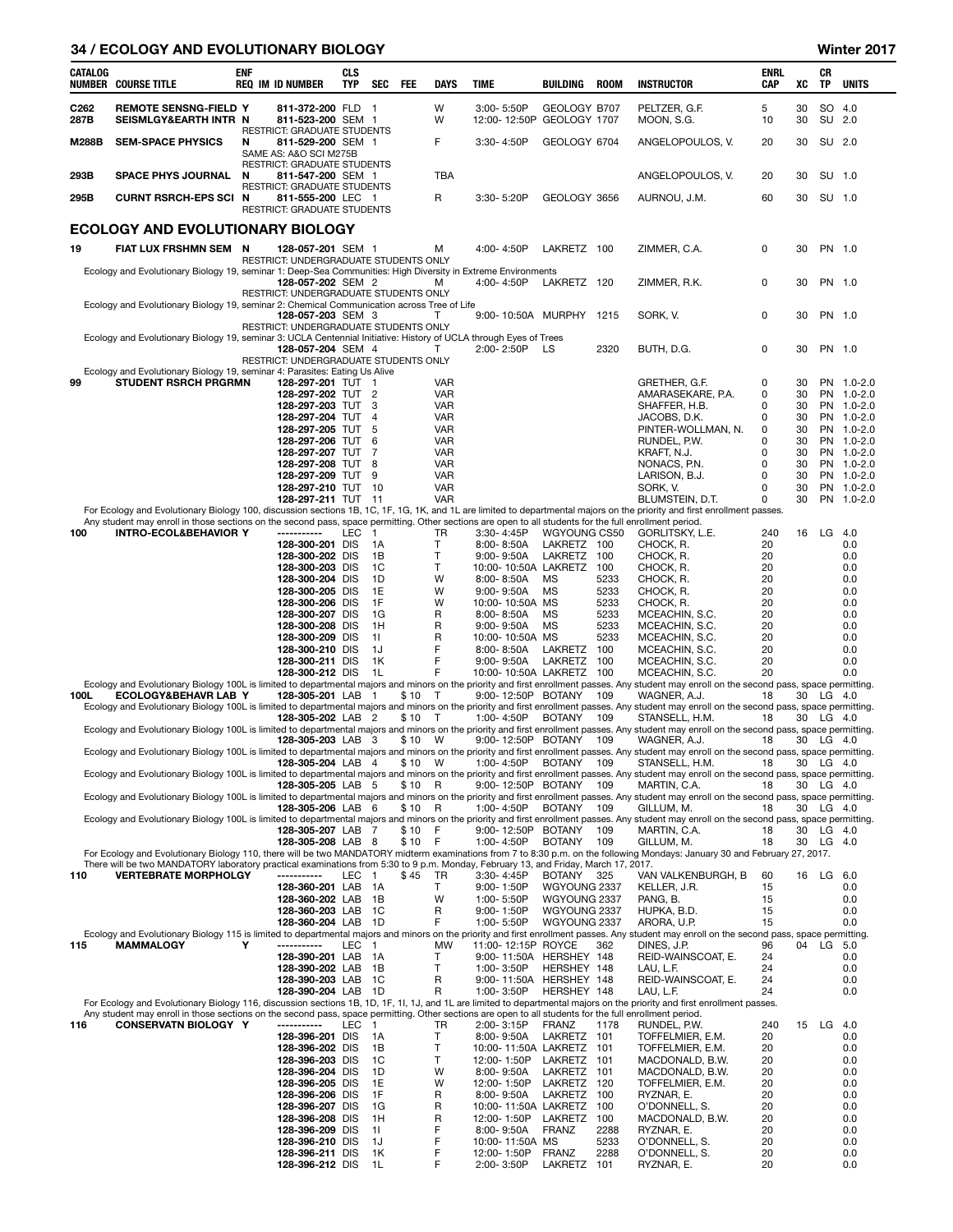#### 34 / ECOLOGY AND EVOLUTIONARY BIOLOGY Winter 2017

| <b>CATALOG</b><br>NUMBER | <b>COURSE TITLE</b>                                                                                                                                                                        | <b>ENF</b> | <b>REQ IM ID NUMBER</b>                                                         | <b>CLS</b><br>TYP | SEC                     | FEE    | DAYS                     | TIME                                          | BUILDING                     | <b>ROOM</b>  | <b>INSTRUCTOR</b>                                                                                                                                                                                              | ENRL<br>CAP | xс       | СR<br>TP               | <b>UNITS</b>               |
|--------------------------|--------------------------------------------------------------------------------------------------------------------------------------------------------------------------------------------|------------|---------------------------------------------------------------------------------|-------------------|-------------------------|--------|--------------------------|-----------------------------------------------|------------------------------|--------------|----------------------------------------------------------------------------------------------------------------------------------------------------------------------------------------------------------------|-------------|----------|------------------------|----------------------------|
| C <sub>262</sub><br>287B | <b>REMOTE SENSNG-FIELD Y</b><br>SEISMLGY&EARTH INTR N                                                                                                                                      |            | 811-372-200 FLD 1<br>811-523-200 SEM 1                                          |                   |                         |        | W<br>W                   | 3:00-5:50P<br>12:00-12:50P GEOLOGY 1707       | GEOLOGY B707                 |              | PELTZER. G.F.<br>MOON, S.G.                                                                                                                                                                                    | 5<br>10     | 30<br>30 | SO 4.0<br>SU           | 2.0                        |
| <b>M288B</b>             | <b>SEM-SPACE PHYSICS</b>                                                                                                                                                                   | N          | RESTRICT: GRADUATE STUDENTS<br>811-529-200 SEM 1<br>SAME AS: A&O SCI M275B      |                   |                         |        | F                        | 3:30-4:50P                                    | GEOLOGY 6704                 |              | ANGELOPOULOS, V.                                                                                                                                                                                               | 20          | 30       | SU 2.0                 |                            |
| 293B                     | <b>SPACE PHYS JOURNAL</b>                                                                                                                                                                  | N          | RESTRICT: GRADUATE STUDENTS<br>811-547-200 SEM 1                                |                   |                         |        | <b>TBA</b>               |                                               |                              |              | ANGELOPOULOS, V.                                                                                                                                                                                               | 20          | 30       | SU 1.0                 |                            |
| 295B                     | <b>CURNT RSRCH-EPS SCI N</b>                                                                                                                                                               |            | RESTRICT: GRADUATE STUDENTS<br>811-555-200 LEC 1<br>RESTRICT: GRADUATE STUDENTS |                   |                         |        | R                        | 3:30-5:20P                                    | GEOLOGY 3656                 |              | AURNOU, J.M.                                                                                                                                                                                                   | 60          | 30       | SU 1.0                 |                            |
|                          | <b>ECOLOGY AND EVOLUTIONARY BIOLOGY</b>                                                                                                                                                    |            |                                                                                 |                   |                         |        |                          |                                               |                              |              |                                                                                                                                                                                                                |             |          |                        |                            |
| 19                       | FIAT LUX FRSHMN SEM N                                                                                                                                                                      |            | 128-057-201 SEM 1<br>RESTRICT: UNDERGRADUATE STUDENTS ONLY                      |                   |                         |        | м                        | 4:00-4:50P                                    | LAKRETZ 100                  |              | ZIMMER, C.A.                                                                                                                                                                                                   | 0           | 30       | PN 1.0                 |                            |
|                          | Ecology and Evolutionary Biology 19, seminar 1: Deep-Sea Communities: High Diversity in Extreme Environments                                                                               |            | 128-057-202 SEM 2<br>RESTRICT: UNDERGRADUATE STUDENTS ONLY                      |                   |                         |        | м                        | 4:00-4:50P                                    | LAKRETZ 120                  |              | ZIMMER, R.K.                                                                                                                                                                                                   | 0           | 30       | PN 1.0                 |                            |
|                          | Ecology and Evolutionary Biology 19, seminar 2: Chemical Communication across Tree of Life                                                                                                 |            | 128-057-203 SEM 3                                                               |                   |                         |        | т                        | 9:00-10:50A MURPHY                            |                              | 1215         | SORK, V.                                                                                                                                                                                                       | 0           | 30       | PN 1.0                 |                            |
|                          | Ecology and Evolutionary Biology 19, seminar 3: UCLA Centennial Initiative: History of UCLA through Eyes of Trees                                                                          |            | RESTRICT: UNDERGRADUATE STUDENTS ONLY<br>128-057-204 SEM 4                      |                   |                         |        | т                        | 2:00-2:50P                                    | LS                           | 2320         | BUTH, D.G.                                                                                                                                                                                                     | 0           | 30       | PN 1.0                 |                            |
|                          | Ecology and Evolutionary Biology 19, seminar 4: Parasites: Eating Us Alive                                                                                                                 |            | RESTRICT: UNDERGRADUATE STUDENTS ONLY                                           |                   |                         |        |                          |                                               |                              |              |                                                                                                                                                                                                                |             |          |                        |                            |
| 99                       | <b>STUDENT RSRCH PRGRMN</b>                                                                                                                                                                |            | 128-297-201 TUT 1                                                               |                   |                         |        | VAR                      |                                               |                              |              | GRETHER, G.F.                                                                                                                                                                                                  | 0           | 30       | <b>PN</b>              | $1.0 - 2.0$                |
|                          |                                                                                                                                                                                            |            | 128-297-202 TUT 2<br>128-297-203 TUT                                            |                   | 3                       |        | VAR<br><b>VAR</b>        |                                               |                              |              | AMARASEKARE, P.A.<br>SHAFFER, H.B.                                                                                                                                                                             | 0<br>0      | 30<br>30 | <b>PN</b><br><b>PN</b> | $1.0 - 2.0$<br>$1.0 - 2.0$ |
|                          |                                                                                                                                                                                            |            | 128-297-204 TUT                                                                 |                   | $\overline{4}$          |        | <b>VAR</b>               |                                               |                              |              | JACOBS, D.K.                                                                                                                                                                                                   | 0           | 30       | <b>PN</b>              | $1.0 - 2.0$                |
|                          |                                                                                                                                                                                            |            | 128-297-205 TUT<br>128-297-206 TUT                                              |                   | 5<br>6                  |        | <b>VAR</b><br>VAR        |                                               |                              |              | PINTER-WOLLMAN, N.<br>RUNDEL, P.W.                                                                                                                                                                             | 0<br>0      | 30<br>30 | <b>PN</b><br><b>PN</b> | $1.0 - 2.0$<br>$1.0 - 2.0$ |
|                          |                                                                                                                                                                                            |            | 128-297-207 TUT                                                                 |                   | 7                       |        | <b>VAR</b>               |                                               |                              |              | KRAFT, N.J.                                                                                                                                                                                                    | 0           | 30       | <b>PN</b>              | $1.0 - 2.0$                |
|                          |                                                                                                                                                                                            |            | 128-297-208 TUT<br>128-297-209 TUT                                              |                   | 8<br>9                  |        | <b>VAR</b><br><b>VAR</b> |                                               |                              |              | NONACS, P.N.<br>LARISON, B.J.                                                                                                                                                                                  | 0<br>0      | 30<br>30 | <b>PN</b><br><b>PN</b> | $1.0 - 2.0$<br>$1.0 - 2.0$ |
|                          |                                                                                                                                                                                            |            | 128-297-210 TUT 10                                                              |                   |                         |        | <b>VAR</b>               |                                               |                              |              | SORK, V.                                                                                                                                                                                                       | $\Omega$    | 30       | <b>PN</b>              | $1.0 - 2.0$                |
|                          |                                                                                                                                                                                            |            | 128-297-211 TUT 11                                                              |                   |                         |        | <b>VAR</b>               |                                               |                              |              | BLUMSTEIN, D.T.<br>For Ecology and Evolutionary Biology 100, discussion sections 1B, 1C, 1F, 1G, 1K, and 1L are limited to departmental majors on the priority and first enrollment passes.                    | 0           | 30       | <b>PN</b>              | $1.0 - 2.0$                |
|                          | Any student may enroll in those sections on the second pass, space permitting. Other sections are open to all students for the full enrollment period.<br><b>INTRO-ECOL&amp;BEHAVIOR Y</b> |            | -----------                                                                     | LEC               | $\mathbf{1}$            |        | TR                       | 3:30-4:45P                                    | WGYOUNG CS50                 |              | GORLITSKY, L.E.                                                                                                                                                                                                | 240         | 16       | LG                     | 4.0                        |
| 100                      |                                                                                                                                                                                            |            | 128-300-201 DIS                                                                 |                   | 1A                      |        | T                        | $8:00 - 8:50A$                                | LAKRETZ 100                  |              | CHOCK, R.                                                                                                                                                                                                      | 20          |          |                        | 0.0                        |
|                          |                                                                                                                                                                                            |            | 128-300-202 DIS                                                                 |                   | 1B                      |        | T                        | $9:00 - 9:50A$                                | LAKRETZ                      | 100          | CHOCK, R.                                                                                                                                                                                                      | 20          |          |                        | 0.0                        |
|                          |                                                                                                                                                                                            |            | 128-300-203 DIS<br>128-300-204 DIS                                              |                   | 1C<br>1D                |        | т<br>W                   | 10:00-10:50A LAKRETZ<br>8:00-8:50A            | MS                           | 100<br>5233  | CHOCK, R.<br>CHOCK, R.                                                                                                                                                                                         | 20<br>20    |          |                        | 0.0<br>0.0                 |
|                          |                                                                                                                                                                                            |            | 128-300-205 DIS                                                                 |                   | 1E                      |        | W                        | $9:00 - 9:50A$                                | <b>MS</b>                    | 5233         | CHOCK, R.                                                                                                                                                                                                      | 20          |          |                        | 0.0                        |
|                          |                                                                                                                                                                                            |            | 128-300-206 DIS<br>128-300-207 DIS                                              |                   | 1F<br>1G                |        | W<br>R                   | 10:00-10:50A MS<br>$8:00 - 8:50A$             | <b>MS</b>                    | 5233<br>5233 | CHOCK, R.<br>MCEACHIN, S.C.                                                                                                                                                                                    | 20<br>20    |          |                        | 0.0<br>0.0                 |
|                          |                                                                                                                                                                                            |            | 128-300-208 DIS                                                                 |                   | 1H                      |        | R                        | $9:00 - 9:50A$                                | <b>MS</b>                    | 5233         | MCEACHIN, S.C.                                                                                                                                                                                                 | 20          |          |                        | 0.0                        |
|                          |                                                                                                                                                                                            |            | 128-300-209 DIS<br>128-300-210 DIS                                              |                   | 11<br>1J                |        | R<br>F                   | 10:00-10:50A MS<br>8:00-8:50A                 | LAKRETZ                      | 5233<br>100  | MCEACHIN, S.C.<br>MCEACHIN, S.C.                                                                                                                                                                               | 20<br>20    |          |                        | 0.0<br>0.0                 |
|                          |                                                                                                                                                                                            |            | 128-300-211 DIS                                                                 |                   | 1K                      |        | F                        | $9:00 - 9:50A$                                | LAKRETZ                      | 100          | MCEACHIN, S.C.                                                                                                                                                                                                 | 20          |          |                        | 0.0                        |
|                          |                                                                                                                                                                                            |            | 128-300-212 DIS                                                                 |                   | 1L                      |        | F                        | 10:00-10:50A LAKRETZ 100                      |                              |              | MCEACHIN, S.C.<br>Ecology and Evolutionary Biology 100L is limited to departmental majors and minors on the priority and first enrollment passes. Any student may enroll on the second pass, space permitting. | 20          |          |                        | 0.0                        |
| 100L                     | ECOLOGY&BEHAVR LAB Y                                                                                                                                                                       |            | 128-305-201 LAB                                                                 |                   | -1                      | \$ 10  | $\top$                   | 9:00-12:50P BOTANY                            |                              | 109          | WAGNER, A.J.                                                                                                                                                                                                   | 18          |          | 30 LG 4.0              |                            |
|                          |                                                                                                                                                                                            |            | 128-305-202 LAB 2                                                               |                   |                         | \$ 10  | ா                        | 1:00-4:50P                                    | <b>BOTANY</b>                | 109          | Ecology and Evolutionary Biology 100L is limited to departmental majors and minors on the priority and first enrollment passes. Any student may enroll on the second pass, space permitting.<br>STANSELL, H.M. | 18          |          | 30 LG 4.0              |                            |
|                          |                                                                                                                                                                                            |            |                                                                                 |                   |                         |        |                          |                                               |                              |              | Ecology and Evolutionary Biology 100L is limited to departmental majors and minors on the priority and first enrollment passes. Any student may enroll on the second pass, space permitting.                   |             |          |                        |                            |
|                          |                                                                                                                                                                                            |            | 128-305-203 LAB 3                                                               |                   |                         | \$10 W |                          | 9:00-12:50P BOTANY 109                        |                              |              | WAGNER, A.J.<br>Ecology and Evolutionary Biology 100L is limited to departmental majors and minors on the priority and first enrollment passes. Any student may enroll on the second pass, space permitting.   | 18          |          | 30 LG 4.0              |                            |
|                          |                                                                                                                                                                                            |            | 128-305-204 LAB 4                                                               |                   |                         | \$10 W |                          | 1:00-4:50P BOTANY                             |                              | 109          | STANSELL, H.M.                                                                                                                                                                                                 | 18          |          | 30 LG 4.0              |                            |
|                          |                                                                                                                                                                                            |            | 128-305-205 LAB 5                                                               |                   |                         | \$10 R |                          | 9:00-12:50P BOTANY 109                        |                              |              | Ecology and Evolutionary Biology 100L is limited to departmental majors and minors on the priority and first enrollment passes. Any student may enroll on the second pass, space permitting.<br>MARTIN, C.A.   | 18          |          | 30 LG 4.0              |                            |
|                          |                                                                                                                                                                                            |            |                                                                                 |                   |                         |        |                          |                                               |                              |              | Ecology and Evolutionary Biology 100L is limited to departmental majors and minors on the priority and first enrollment passes. Any student may enroll on the second pass, space permitting.                   |             |          |                        |                            |
|                          |                                                                                                                                                                                            |            | 128-305-206 LAB 6                                                               |                   |                         | \$10 R |                          | 1:00-4:50P                                    | <b>BOTANY</b>                | 109          | GILLUM, M.<br>Ecology and Evolutionary Biology 100L is limited to departmental majors and minors on the priority and first enrollment passes. Any student may enroll on the second pass, space permitting.     | 18          |          | 30 LG 4.0              |                            |
|                          |                                                                                                                                                                                            |            | 128-305-207 LAB                                                                 |                   | -7                      | \$ 10  | - F                      | 9:00-12:50P BOTANY                            | <b>BOTANY</b>                | 109          | MARTIN, C.A.                                                                                                                                                                                                   | 18          | 30       | LG 4.0<br>30 LG 4.0    |                            |
|                          |                                                                                                                                                                                            |            | 128-305-208 LAB 8                                                               |                   |                         | \$10 F |                          | 1:00-4:50P                                    |                              | 109          | GILLUM, M.<br>For Ecology and Evolutionary Biology 110, there will be two MANDATORY midterm examinations from 7 to 8:30 p.m. on the following Mondays: January 30 and February 27, 2017.                       | 18          |          |                        |                            |
| 110                      | There will be two MANDATORY laboratory practical examinations from 5:30 to 9 p.m. Monday, February 13, and Friday, March 17, 2017.<br><b>VERTEBRATE MORPHOLGY</b>                          |            | -----------                                                                     | LEC 1             |                         | \$45   | TR                       | 3:30-4:45P                                    | BOTANY 325                   |              | VAN VALKENBURGH, B                                                                                                                                                                                             | 60          | 16       | LG                     | 6.0                        |
|                          |                                                                                                                                                                                            |            | 128-360-201 LAB                                                                 |                   | 1A                      |        | Τ                        | 9:00-1:50P                                    | WGYOUNG 2337                 |              | KELLER, J.R.                                                                                                                                                                                                   | 15          |          |                        | 0.0                        |
|                          |                                                                                                                                                                                            |            | 128-360-202 LAB                                                                 |                   | 1B                      |        | W<br>R                   | 1:00-5:50P                                    | WGYOUNG 2337                 |              | PANG, B.                                                                                                                                                                                                       | 15          |          |                        | 0.0                        |
|                          |                                                                                                                                                                                            |            | 128-360-203 LAB<br>128-360-204 LAB                                              |                   | 1C<br>1D                |        | F                        | 9:00-1:50P<br>1:00-5:50P                      | WGYOUNG 2337<br>WGYOUNG 2337 |              | HUPKA, B.D.<br>ARORA, U.P.                                                                                                                                                                                     | 15<br>15    |          |                        | 0.0<br>0.0                 |
|                          |                                                                                                                                                                                            | Y          | -----------                                                                     | LEC               |                         |        | MW                       |                                               |                              |              | Ecology and Evolutionary Biology 115 is limited to departmental majors and minors on the priority and first enrollment passes. Any student may enroll on the second pass, space permitting.                    |             |          | 04 LG 5.0              |                            |
| 115                      | MAMMALOGY                                                                                                                                                                                  |            | 128-390-201 LAB                                                                 |                   | $\overline{1}$<br>- 1 A |        | T                        | 11:00-12:15P ROYCE<br>9:00-11:50A HERSHEY 148 |                              | 362          | DINES, J.P.<br>REID-WAINSCOAT, E.                                                                                                                                                                              | 96<br>24    |          |                        | 0.0                        |
|                          |                                                                                                                                                                                            |            | 128-390-202 LAB                                                                 |                   | 1B                      |        | т                        | 1:00-3:50P                                    | HERSHEY 148                  |              | LAU, L.F.                                                                                                                                                                                                      | 24          |          |                        | 0.0                        |
|                          |                                                                                                                                                                                            |            | 128-390-203 LAB<br>128-390-204 LAB                                              |                   | 1C<br>- 1D              |        | R<br>R                   | 9:00-11:50A HERSHEY 148<br>1:00-3:50P         | HERSHEY 148                  |              | REID-WAINSCOAT, E.<br>LAU, L.F.                                                                                                                                                                                | 24<br>24    |          |                        | 0.0<br>0.0                 |
|                          |                                                                                                                                                                                            |            |                                                                                 |                   |                         |        |                          |                                               |                              |              | For Ecology and Evolutionary Biology 116, discussion sections 1B, 1D, 1F, 1I, 1J, and 1L are limited to departmental majors on the priority and first enrollment passes.                                       |             |          |                        |                            |
| 116                      | Any student may enroll in those sections on the second pass, space permitting. Other sections are open to all students for the full enrollment period.<br><b>CONSERVATN BIOLOGY Y</b>      |            | -----------                                                                     | LEC               | $\overline{1}$          |        | TR                       | 2:00-3:15P                                    | <b>FRANZ</b>                 | 1178         | RUNDEL, P.W.                                                                                                                                                                                                   | 240         | 15       | LG                     | 4.0                        |
|                          |                                                                                                                                                                                            |            | 128-396-201 DIS                                                                 |                   | 1A                      |        | т                        | 8:00-9:50A                                    | LAKRETZ 101                  |              | TOFFELMIER, E.M.                                                                                                                                                                                               | 20          |          |                        | 0.0                        |
|                          |                                                                                                                                                                                            |            | 128-396-202 DIS<br>128-396-203 DIS                                              |                   | 1B<br>1C                |        | T<br>T                   | 10:00-11:50A LAKRETZ<br>12:00-1:50P           | LAKRETZ                      | - 101<br>101 | TOFFELMIER, E.M.<br>MACDONALD, B.W.                                                                                                                                                                            | 20<br>20    |          |                        | 0.0<br>0.0                 |
|                          |                                                                                                                                                                                            |            | 128-396-204 DIS                                                                 |                   | 1D                      |        | W                        | $8:00 - 9:50A$                                | LAKRETZ                      | 101          | MACDONALD, B.W.                                                                                                                                                                                                | 20          |          |                        | 0.0                        |
|                          |                                                                                                                                                                                            |            | 128-396-205 DIS<br>128-396-206 DIS                                              |                   | 1E<br>1F                |        | W<br>R                   | 12:00-1:50P<br>8:00-9:50A                     | LAKRETZ<br>LAKRETZ           | 120<br>100   | TOFFELMIER, E.M.<br>RYZNAR, E.                                                                                                                                                                                 | 20<br>20    |          |                        | 0.0<br>0.0                 |
|                          |                                                                                                                                                                                            |            | 128-396-207 DIS                                                                 |                   | 1G                      |        | R                        | 10:00-11:50A LAKRETZ                          |                              | 100          | O'DONNELL, S.                                                                                                                                                                                                  | 20          |          |                        | 0.0                        |
|                          |                                                                                                                                                                                            |            | 128-396-208 DIS<br>128-396-209 DIS                                              |                   | 1H<br>11                |        | R<br>F                   | 12:00-1:50P<br>8:00-9:50A                     | LAKRETZ<br>FRANZ             | 100<br>2288  | MACDONALD, B.W.<br>RYZNAR, E.                                                                                                                                                                                  | 20<br>20    |          |                        | 0.0<br>0.0                 |
|                          |                                                                                                                                                                                            |            | 128-396-210 DIS                                                                 |                   | 1J                      |        | F                        | 10:00-11:50A MS                               |                              | 5233         | O'DONNELL, S.                                                                                                                                                                                                  | 20          |          |                        | 0.0                        |
|                          |                                                                                                                                                                                            |            | 128-396-211 DIS                                                                 |                   | 1K                      |        | F                        | 12:00-1:50P                                   | <b>FRANZ</b>                 | 2288         | O'DONNELL, S.                                                                                                                                                                                                  | 20          |          |                        | 0.0                        |
|                          |                                                                                                                                                                                            |            | 128-396-212 DIS                                                                 |                   | 1L                      |        | F                        | 2:00-3:50P                                    | LAKRETZ 101                  |              | RYZNAR, E.                                                                                                                                                                                                     | 20          |          |                        | 0.0                        |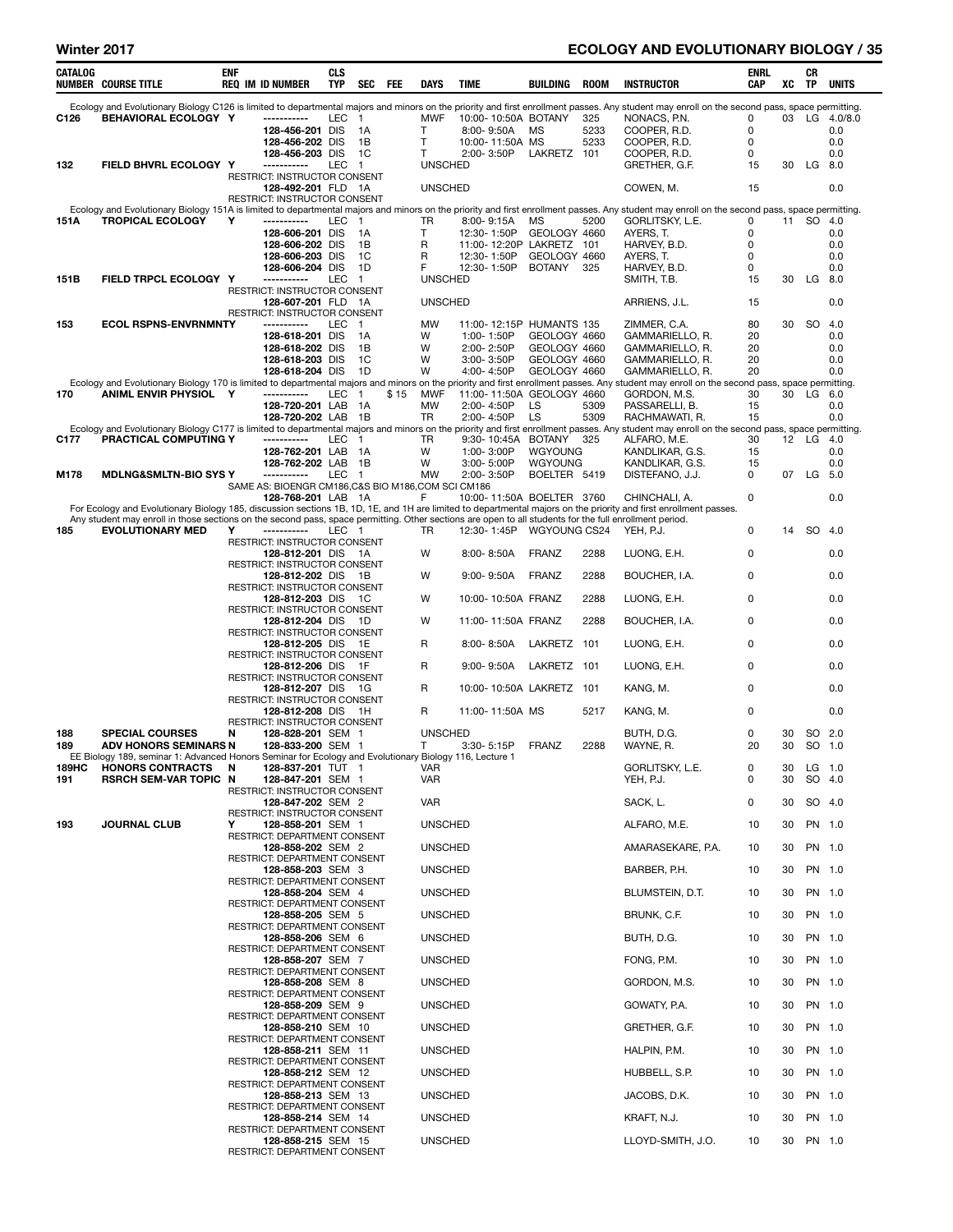### Winter 2017 **ECOLOGY AND EVOLUTIONARY BIOLOGY** / 35

| CATALOG | <b>NUMBER COURSE TITLE</b>                                                                                                                                                                                            | ENF | <b>REQ IM ID NUMBER</b>                                                                   | CLS<br><b>TYP</b> | SEC                  | FEE  | DAYS                    | <b>TIME</b>                |                 | BUILDING                                 | ROOM        | <b>INSTRUCTOR</b>                  | ENRL<br>CAP | xс | CR<br>TP  | <b>UNITS</b>         |
|---------|-----------------------------------------------------------------------------------------------------------------------------------------------------------------------------------------------------------------------|-----|-------------------------------------------------------------------------------------------|-------------------|----------------------|------|-------------------------|----------------------------|-----------------|------------------------------------------|-------------|------------------------------------|-------------|----|-----------|----------------------|
|         | Ecology and Evolutionary Biology C126 is limited to departmental majors and minors on the priority and first enrollment passes. Any student may enroll on the second pass, space permitting.                          |     |                                                                                           |                   |                      |      |                         |                            |                 |                                          |             |                                    |             |    |           |                      |
| C126    | BEHAVIORAL ECOLOGY Y                                                                                                                                                                                                  |     | -----------<br>128-456-201 DIS                                                            | LEC 1             | 1A                   |      | <b>MWF</b><br>т         | $8:00 - 9:50A$             |                 | 10:00-10:50A BOTANY<br>МS                | 325<br>5233 | NONACS, P.N.<br>COOPER, R.D.       | 0<br>0      |    |           | 03 LG 4.0/8.0<br>0.0 |
|         |                                                                                                                                                                                                                       |     | 128-456-202 DIS                                                                           |                   | 1B                   |      | T                       |                            | 10:00-11:50A MS |                                          | 5233        | COOPER, R.D.                       | 0           |    |           | 0.0                  |
|         | FIELD BHVRL ECOLOGY Y                                                                                                                                                                                                 |     | 128-456-203 DIS<br>-----------                                                            | LEC               | 1C<br>$\overline{1}$ |      | т<br><b>UNSCHED</b>     | 2:00-3:50P                 |                 | LAKRETZ 101                              |             | COOPER, R.D.                       | 0<br>15     | 30 |           | 0.0                  |
| 132     |                                                                                                                                                                                                                       |     | RESTRICT: INSTRUCTOR CONSENT                                                              |                   |                      |      |                         |                            |                 |                                          |             | GRETHER, G.F.                      |             |    | LG 8.0    |                      |
|         |                                                                                                                                                                                                                       |     | 128-492-201 FLD 1A<br>RESTRICT: INSTRUCTOR CONSENT                                        |                   |                      |      | <b>UNSCHED</b>          |                            |                 |                                          |             | COWEN, M.                          | 15          |    |           | 0.0                  |
|         | Ecology and Evolutionary Biology 151A is limited to departmental majors and minors on the priority and first enrollment passes. Any student may enroll on the second pass, space permitting.                          |     |                                                                                           |                   |                      |      |                         |                            |                 |                                          |             |                                    |             |    |           |                      |
| 151A    | <b>TROPICAL ECOLOGY</b>                                                                                                                                                                                               | Y   | -----------<br>128-606-201 DIS                                                            | <b>LEC</b>        | $\overline{1}$<br>1A |      | TR<br>т                 | $8:00 - 9:15A$             |                 | МS<br>12:30-1:50P GEOLOGY 4660           | 5200        | GORLITSKY, L.E.<br>AYERS, T.       | 0<br>0      |    | 11 SO 4.0 | 0.0                  |
|         |                                                                                                                                                                                                                       |     | 128-606-202 DIS                                                                           |                   | 1B                   |      | R                       |                            |                 | 11:00-12:20P LAKRETZ 101                 |             | HARVEY, B.D.                       | 0           |    |           | 0.0                  |
|         |                                                                                                                                                                                                                       |     | 128-606-203 DIS<br>128-606-204 DIS                                                        |                   | 1C<br>1D             |      | R<br>F                  | 12:30-1:50P<br>12:30-1:50P |                 | GEOLOGY 4660<br><b>BOTANY</b>            |             | AYERS, T.<br>HARVEY, B.D.          | 0<br>0      |    |           | 0.0<br>0.0           |
| 151B    | FIELD TRPCL ECOLOGY Y                                                                                                                                                                                                 |     | -----------                                                                               | <b>LEC</b>        | $\overline{1}$       |      | <b>UNSCHED</b>          |                            |                 |                                          | 325         | SMITH, T.B.                        | 15          | 30 | $LG$ 8.0  |                      |
|         |                                                                                                                                                                                                                       |     | RESTRICT: INSTRUCTOR CONSENT<br>128-607-201 FLD 1A                                        |                   |                      |      | <b>UNSCHED</b>          |                            |                 |                                          |             | ARRIENS, J.L.                      | 15          |    |           | 0.0                  |
|         |                                                                                                                                                                                                                       |     | RESTRICT: INSTRUCTOR CONSENT                                                              |                   |                      |      |                         |                            |                 |                                          |             |                                    |             |    |           |                      |
| 153     | <b>ECOL RSPNS-ENVRNMNTY</b>                                                                                                                                                                                           |     | -----------<br>128-618-201 DIS                                                            | LEC               | - 1<br>1A            |      | <b>MW</b><br>W          | 1:00-1:50P                 |                 | 11:00-12:15P HUMANTS 135<br>GEOLOGY 4660 |             | ZIMMER, C.A.<br>GAMMARIELLO, R.    | 80<br>20    | 30 |           | SO 4.0<br>0.0        |
|         |                                                                                                                                                                                                                       |     | 128-618-202 DIS                                                                           |                   | 1B                   |      | W                       | 2:00-2:50P                 |                 | GEOLOGY 4660                             |             | GAMMARIELLO, R.                    | 20          |    |           | 0.0                  |
|         |                                                                                                                                                                                                                       |     | 128-618-203 DIS<br>128-618-204 DIS                                                        |                   | 1C<br>1D             |      | W<br>W                  | 3:00-3:50P<br>4:00-4:50P   |                 | GEOLOGY 4660<br>GEOLOGY 4660             |             | GAMMARIELLO, R.<br>GAMMARIELLO, R. | 20<br>20    |    |           | 0.0<br>0.0           |
|         | Ecology and Evolutionary Biology 170 is limited to departmental majors and minors on the priority and first enrollment passes. Any student may enroll on the second pass, space permitting.                           |     |                                                                                           |                   |                      |      |                         |                            |                 |                                          |             |                                    |             |    |           |                      |
| 170     | ANIML ENVIR PHYSIOL Y                                                                                                                                                                                                 |     | -----------<br>128-720-201 LAB                                                            | LEC 1             | 1A                   | \$15 | <b>MWF</b><br><b>MW</b> | 2:00-4:50P                 |                 | 11:00-11:50A GEOLOGY 4660<br>LS          | 5309        | GORDON, M.S.                       | 30<br>15    |    | 30 LG 6.0 | 0.0                  |
|         |                                                                                                                                                                                                                       |     | 128-720-202 LAB                                                                           |                   | 1B                   |      | TR                      | 2:00-4:50P                 |                 | LS                                       | 5309        | PASSARELLI, B.<br>RACHMAWATI, R.   | 15          |    |           | 0.0                  |
| C177    | Ecology and Evolutionary Biology C177 is limited to departmental majors and minors on the priority and first enrollment passes. Any student may enroll on the second pass, space permitting.<br>PRACTICAL COMPUTING Y |     | -----------                                                                               | LEC               | 1                    |      | TR                      |                            |                 | 9:30-10:45A BOTANY                       | 325         | ALFARO, M.E.                       | 30          |    | 12 LG 4.0 |                      |
|         |                                                                                                                                                                                                                       |     | 128-762-201 LAB                                                                           |                   | - 1 A                |      | W                       | 1:00-3:00P                 |                 | WGYOUNG                                  |             | KANDLIKAR, G.S.                    | 15          |    |           | 0.0                  |
|         |                                                                                                                                                                                                                       |     | 128-762-202 LAB<br>-----------                                                            | LEC               | 1B                   |      | W<br><b>MW</b>          | 3:00-5:00P<br>2:00-3:50P   |                 | WGYOUNG<br>BOELTER 5419                  |             | KANDLIKAR, G.S.<br>DISTEFANO, J.J. | 15<br>0     | 07 | LG 5.0    | 0.0                  |
| M178    | <b>MDLNG&amp;SMLTN-BIO SYS Y</b>                                                                                                                                                                                      |     | SAME AS: BIOENGR CM186, C&S BIO M186, COM SCI CM186                                       |                   | $\mathbf{1}$         |      |                         |                            |                 |                                          |             |                                    |             |    |           |                      |
|         | For Ecology and Evolutionary Biology 185, discussion sections 1B, 1D, 1E, and 1H are limited to departmental majors on the priority and first enrollment passes.                                                      |     | 128-768-201 LAB 1A                                                                        |                   |                      |      | F                       |                            |                 | 10:00-11:50A BOELTER 3760                |             | CHINCHALI, A.                      | 0           |    |           | 0.0                  |
|         | Any student may enroll in those sections on the second pass, space permitting. Other sections are open to all students for the full enrollment period.                                                                |     |                                                                                           |                   |                      |      |                         |                            |                 |                                          |             |                                    |             |    |           |                      |
| 185     | <b>EVOLUTIONARY MED</b>                                                                                                                                                                                               | Y   | -----------<br>RESTRICT: INSTRUCTOR CONSENT                                               | LEC 1             |                      |      | TR                      | 12:30-1:45P                |                 | WGYOUNG CS24                             |             | YEH, P.J.                          | 0           | 14 | SO 4.0    |                      |
|         |                                                                                                                                                                                                                       |     | 128-812-201 DIS 1A                                                                        |                   |                      |      | W                       | 8:00-8:50A                 |                 | <b>FRANZ</b>                             | 2288        | LUONG, E.H.                        | 0           |    |           | 0.0                  |
|         |                                                                                                                                                                                                                       |     | RESTRICT: INSTRUCTOR CONSENT<br>128-812-202 DIS 1B<br><b>RESTRICT: INSTRUCTOR CONSENT</b> |                   |                      |      | w                       | $9:00 - 9:50A$             |                 | <b>FRANZ</b>                             | 2288        | BOUCHER, I.A.                      | 0           |    |           | 0.0                  |
|         |                                                                                                                                                                                                                       |     | 128-812-203 DIS 1C                                                                        |                   |                      |      | W                       |                            |                 | 10:00-10:50A FRANZ                       | 2288        | LUONG, E.H.                        | 0           |    |           | 0.0                  |
|         |                                                                                                                                                                                                                       |     | RESTRICT: INSTRUCTOR CONSENT<br>128-812-204 DIS 1D                                        |                   |                      |      | W                       |                            |                 | 11:00-11:50A FRANZ                       | 2288        | BOUCHER, I.A.                      | 0           |    |           | 0.0                  |
|         |                                                                                                                                                                                                                       |     | RESTRICT: INSTRUCTOR CONSENT<br>128-812-205 DIS 1E                                        |                   |                      |      | R                       | $8:00 - 8:50A$             |                 | LAKRETZ                                  | 101         | LUONG, E.H.                        | 0           |    |           | 0.0                  |
|         |                                                                                                                                                                                                                       |     | <b>RESTRICT: INSTRUCTOR CONSENT</b><br>128-812-206 DIS 1F                                 |                   |                      |      | R                       | $9:00 - 9:50A$             |                 | LAKRETZ 101                              |             | LUONG, E.H.                        | 0           |    |           | 0.0                  |
|         |                                                                                                                                                                                                                       |     | RESTRICT: INSTRUCTOR CONSENT<br>128-812-207 DIS 1G                                        |                   |                      |      | R                       |                            |                 | 10:00-10:50A LAKRETZ 101                 |             | KANG, M.                           | 0           |    |           | 0.0                  |
|         |                                                                                                                                                                                                                       |     | RESTRICT: INSTRUCTOR CONSENT<br>128-812-208 DIS 1H                                        |                   |                      |      | R                       | 11:00-11:50A MS            |                 |                                          | 5217        | KANG, M.                           | 0           |    |           | 0.0                  |
| 188     | <b>SPECIAL COURSES</b>                                                                                                                                                                                                | N   | <b>RESTRICT: INSTRUCTOR CONSENT</b><br>128-828-201 SEM 1                                  |                   |                      |      | <b>UNSCHED</b>          |                            |                 |                                          |             | BUTH, D.G.                         | 0           | 30 |           | SO 2.0               |
| 189     | <b>ADV HONORS SEMINARS N</b>                                                                                                                                                                                          |     | 128-833-200 SEM 1                                                                         |                   |                      |      | Τ                       | 3:30-5:15P                 |                 | <b>FRANZ</b>                             | 2288        | WAYNE, R.                          | 20          | 30 |           | SO 1.0               |
| 189HC   | EE Biology 189, seminar 1: Advanced Honors Seminar for Ecology and Evolutionary Biology 116, Lecture 1<br><b>HONORS CONTRACTS</b>                                                                                     | N   | 128-837-201 TUT 1                                                                         |                   |                      |      | VAR                     |                            |                 |                                          |             | GORLITSKY, L.E.                    | 0           | 30 | LG 1.0    |                      |
| 191     | <b>RSRCH SEM-VAR TOPIC N</b>                                                                                                                                                                                          |     | 128-847-201 SEM 1                                                                         |                   |                      |      | <b>VAR</b>              |                            |                 |                                          |             | YEH, P.J.                          | 0           | 30 |           | SO 4.0               |
|         |                                                                                                                                                                                                                       |     | RESTRICT: INSTRUCTOR CONSENT<br>128-847-202 SEM 2                                         |                   |                      |      | VAR                     |                            |                 |                                          |             | SACK, L.                           | 0           | 30 |           | SO 4.0               |
| 193     | <b>JOURNAL CLUB</b>                                                                                                                                                                                                   | Y   | RESTRICT: INSTRUCTOR CONSENT<br>128-858-201 SEM 1                                         |                   |                      |      | <b>UNSCHED</b>          |                            |                 |                                          |             | ALFARO, M.E.                       | 10          | 30 |           | PN 1.0               |
|         |                                                                                                                                                                                                                       |     | RESTRICT: DEPARTMENT CONSENT                                                              |                   |                      |      |                         |                            |                 |                                          |             |                                    |             |    |           |                      |
|         |                                                                                                                                                                                                                       |     | 128-858-202 SEM 2<br>RESTRICT: DEPARTMENT CONSENT                                         |                   |                      |      | <b>UNSCHED</b>          |                            |                 |                                          |             | AMARASEKARE, P.A.                  | 10          | 30 |           | PN 1.0               |
|         |                                                                                                                                                                                                                       |     | 128-858-203 SEM 3<br>RESTRICT: DEPARTMENT CONSENT                                         |                   |                      |      | <b>UNSCHED</b>          |                            |                 |                                          |             | BARBER, P.H.                       | 10          | 30 |           | PN 1.0               |
|         |                                                                                                                                                                                                                       |     | 128-858-204 SEM 4                                                                         |                   |                      |      | <b>UNSCHED</b>          |                            |                 |                                          |             | BLUMSTEIN, D.T.                    | 10          | 30 |           | PN 1.0               |
|         |                                                                                                                                                                                                                       |     | RESTRICT: DEPARTMENT CONSENT<br>128-858-205 SEM 5                                         |                   |                      |      | <b>UNSCHED</b>          |                            |                 |                                          |             | BRUNK, C.F.                        | 10          | 30 |           | PN 1.0               |
|         |                                                                                                                                                                                                                       |     | RESTRICT: DEPARTMENT CONSENT<br>128-858-206 SEM 6                                         |                   |                      |      | <b>UNSCHED</b>          |                            |                 |                                          |             | BUTH, D.G.                         | 10          | 30 |           | PN 1.0               |
|         |                                                                                                                                                                                                                       |     | RESTRICT: DEPARTMENT CONSENT<br>128-858-207 SEM 7                                         |                   |                      |      | <b>UNSCHED</b>          |                            |                 |                                          |             | FONG, P.M.                         | 10          | 30 |           | PN 1.0               |
|         |                                                                                                                                                                                                                       |     | RESTRICT: DEPARTMENT CONSENT<br>128-858-208 SEM 8                                         |                   |                      |      | <b>UNSCHED</b>          |                            |                 |                                          |             | GORDON, M.S.                       | 10          | 30 |           | PN 1.0               |
|         |                                                                                                                                                                                                                       |     | RESTRICT: DEPARTMENT CONSENT<br>128-858-209 SEM 9                                         |                   |                      |      | <b>UNSCHED</b>          |                            |                 |                                          |             | GOWATY, P.A.                       | 10          | 30 |           | PN 1.0               |
|         |                                                                                                                                                                                                                       |     | RESTRICT: DEPARTMENT CONSENT<br>128-858-210 SEM 10                                        |                   |                      |      | <b>UNSCHED</b>          |                            |                 |                                          |             | GRETHER, G.F.                      | 10          | 30 |           | PN 1.0               |
|         |                                                                                                                                                                                                                       |     | RESTRICT: DEPARTMENT CONSENT<br>128-858-211 SEM 11                                        |                   |                      |      | <b>UNSCHED</b>          |                            |                 |                                          |             | HALPIN, P.M.                       | 10          | 30 |           | PN 1.0               |
|         |                                                                                                                                                                                                                       |     | RESTRICT: DEPARTMENT CONSENT<br>128-858-212 SEM 12                                        |                   |                      |      | <b>UNSCHED</b>          |                            |                 |                                          |             | HUBBELL, S.P.                      | 10          | 30 |           | PN 1.0               |
|         |                                                                                                                                                                                                                       |     | RESTRICT: DEPARTMENT CONSENT<br>128-858-213 SEM 13                                        |                   |                      |      | <b>UNSCHED</b>          |                            |                 |                                          |             | JACOBS, D.K.                       | 10          | 30 |           | PN 1.0               |
|         |                                                                                                                                                                                                                       |     | RESTRICT: DEPARTMENT CONSENT<br>128-858-214 SEM 14                                        |                   |                      |      | <b>UNSCHED</b>          |                            |                 |                                          |             | KRAFT, N.J.                        | 10          | 30 |           | PN 1.0               |
|         |                                                                                                                                                                                                                       |     | RESTRICT: DEPARTMENT CONSENT                                                              |                   |                      |      |                         |                            |                 |                                          |             |                                    |             |    |           |                      |
|         |                                                                                                                                                                                                                       |     | 128-858-215 SEM 15<br>RESTRICT: DEPARTMENT CONSENT                                        |                   |                      |      | <b>UNSCHED</b>          |                            |                 |                                          |             | LLOYD-SMITH, J.O.                  | 10          | 30 | PN 1.0    |                      |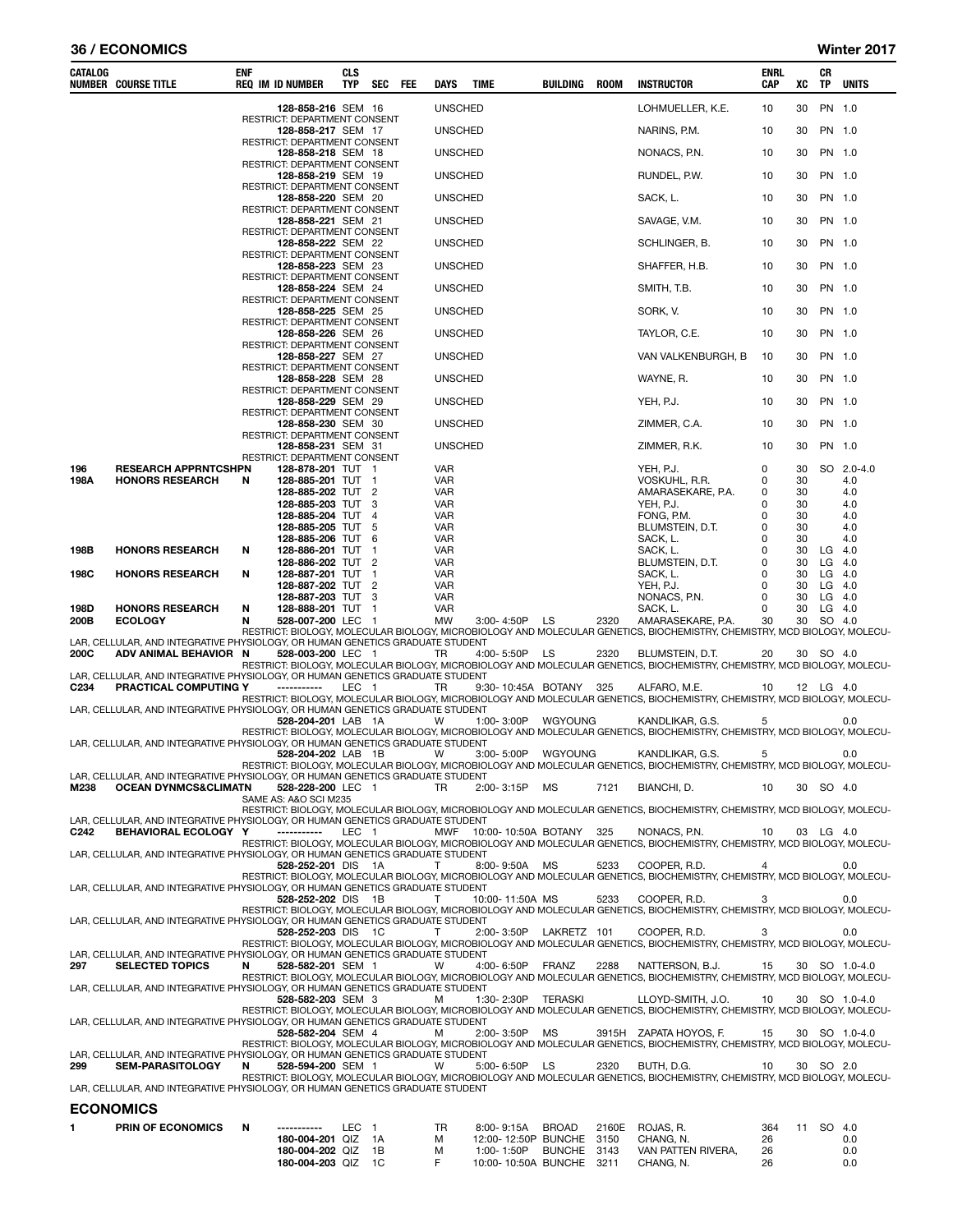#### 36 / ECONOMICS Winter 2017

| <b>CATALOG</b>   | <b>NUMBER COURSE TITLE</b>                                                                              | enf | <b>REQ IM ID NUMBER</b>                            | CLS<br>TYP | <b>SEC</b>     | FEE | DAYS                     | TIME |                  | BUILDING                                         | ROOM | <b>INSTRUCTOR</b>                                                                                                                             | ENRL<br><b>CAP</b> | XC       | CR<br>TP             | <b>UNITS</b>  |
|------------------|---------------------------------------------------------------------------------------------------------|-----|----------------------------------------------------|------------|----------------|-----|--------------------------|------|------------------|--------------------------------------------------|------|-----------------------------------------------------------------------------------------------------------------------------------------------|--------------------|----------|----------------------|---------------|
|                  |                                                                                                         |     | 128-858-216 SEM 16                                 |            |                |     | <b>UNSCHED</b>           |      |                  |                                                  |      | LOHMUELLER, K.E.                                                                                                                              | 10                 | 30       | PN 1.0               |               |
|                  |                                                                                                         |     | RESTRICT: DEPARTMENT CONSENT<br>128-858-217 SEM 17 |            |                |     | <b>UNSCHED</b>           |      |                  |                                                  |      | NARINS, P.M.                                                                                                                                  | 10                 | 30       | PN 1.0               |               |
|                  |                                                                                                         |     | RESTRICT: DEPARTMENT CONSENT<br>128-858-218 SEM 18 |            |                |     | <b>UNSCHED</b>           |      |                  |                                                  |      | NONACS, P.N.                                                                                                                                  | 10                 | 30       | PN 1.0               |               |
|                  |                                                                                                         |     | RESTRICT: DEPARTMENT CONSENT<br>128-858-219 SEM 19 |            |                |     | <b>UNSCHED</b>           |      |                  |                                                  |      | RUNDEL, P.W.                                                                                                                                  | 10                 | 30       | PN 1.0               |               |
|                  |                                                                                                         |     | RESTRICT: DEPARTMENT CONSENT<br>128-858-220 SEM 20 |            |                |     | <b>UNSCHED</b>           |      |                  |                                                  |      | SACK, L.                                                                                                                                      | 10                 | 30       | PN 1.0               |               |
|                  |                                                                                                         |     | RESTRICT: DEPARTMENT CONSENT<br>128-858-221 SEM 21 |            |                |     | <b>UNSCHED</b>           |      |                  |                                                  |      | SAVAGE, V.M.                                                                                                                                  | 10                 | 30       | PN 1.0               |               |
|                  |                                                                                                         |     | RESTRICT: DEPARTMENT CONSENT                       |            |                |     |                          |      |                  |                                                  |      |                                                                                                                                               |                    |          |                      |               |
|                  |                                                                                                         |     | 128-858-222 SEM 22<br>RESTRICT: DEPARTMENT CONSENT |            |                |     | <b>UNSCHED</b>           |      |                  |                                                  |      | SCHLINGER, B.                                                                                                                                 | 10                 | 30       | PN 1.0               |               |
|                  |                                                                                                         |     | 128-858-223 SEM 23<br>RESTRICT: DEPARTMENT CONSENT |            |                |     | <b>UNSCHED</b>           |      |                  |                                                  |      | SHAFFER, H.B.                                                                                                                                 | 10                 | 30       | PN 1.0               |               |
|                  |                                                                                                         |     | 128-858-224 SEM 24<br>RESTRICT: DEPARTMENT CONSENT |            |                |     | <b>UNSCHED</b>           |      |                  |                                                  |      | SMITH, T.B.                                                                                                                                   | 10                 | 30       | PN 1.0               |               |
|                  |                                                                                                         |     | 128-858-225 SEM 25<br>RESTRICT: DEPARTMENT CONSENT |            |                |     | <b>UNSCHED</b>           |      |                  |                                                  |      | SORK, V.                                                                                                                                      | 10                 | 30       | PN 1.0               |               |
|                  |                                                                                                         |     | 128-858-226 SEM 26<br>RESTRICT: DEPARTMENT CONSENT |            |                |     | <b>UNSCHED</b>           |      |                  |                                                  |      | TAYLOR, C.E.                                                                                                                                  | 10                 | 30       | PN 1.0               |               |
|                  |                                                                                                         |     | 128-858-227 SEM 27                                 |            |                |     | <b>UNSCHED</b>           |      |                  |                                                  |      | VAN VALKENBURGH, B                                                                                                                            | 10                 | 30       | PN 1.0               |               |
|                  |                                                                                                         |     | RESTRICT: DEPARTMENT CONSENT<br>128-858-228 SEM 28 |            |                |     | <b>UNSCHED</b>           |      |                  |                                                  |      | WAYNE, R.                                                                                                                                     | 10                 | 30       | PN 1.0               |               |
|                  |                                                                                                         |     | RESTRICT: DEPARTMENT CONSENT<br>128-858-229 SEM 29 |            |                |     | <b>UNSCHED</b>           |      |                  |                                                  |      | YEH, P.J.                                                                                                                                     | 10                 | 30       | PN 1.0               |               |
|                  |                                                                                                         |     | RESTRICT: DEPARTMENT CONSENT<br>128-858-230 SEM 30 |            |                |     | <b>UNSCHED</b>           |      |                  |                                                  |      | ZIMMER, C.A.                                                                                                                                  | 10                 | 30       | PN 1.0               |               |
|                  |                                                                                                         |     | RESTRICT: DEPARTMENT CONSENT<br>128-858-231 SEM 31 |            |                |     | <b>UNSCHED</b>           |      |                  |                                                  |      | ZIMMER, R.K.                                                                                                                                  | 10                 | 30       | PN 1.0               |               |
| 196              | <b>RESEARCH APPRNTCSHPN</b>                                                                             |     | RESTRICT: DEPARTMENT CONSENT<br>128-878-201 TUT 1  |            |                |     | VAR                      |      |                  |                                                  |      | YEH, P.J.                                                                                                                                     | 0                  | 30       |                      | SO 2.0-4.0    |
| 198A             | <b>HONORS RESEARCH</b>                                                                                  | N   | 128-885-201 TUT 1<br>128-885-202 TUT 2             |            |                |     | <b>VAR</b>               |      |                  |                                                  |      | VOSKUHL, R.R.<br>AMARASEKARE, P.A.                                                                                                            | 0                  | 30<br>30 |                      | 4.0           |
|                  |                                                                                                         |     | 128-885-203 TUT                                    |            | -3             |     | VAR<br><b>VAR</b>        |      |                  |                                                  |      | YEH, P.J.                                                                                                                                     | 0<br>0             | 30       |                      | 4.0<br>4.0    |
|                  |                                                                                                         |     | 128-885-204 TUT 4<br>128-885-205 TUT               |            | - 5            |     | <b>VAR</b><br><b>VAR</b> |      |                  |                                                  |      | FONG, P.M.<br>BLUMSTEIN, D.T.                                                                                                                 | 0<br>0             | 30<br>30 |                      | 4.0<br>4.0    |
| 198B             | <b>HONORS RESEARCH</b>                                                                                  | N   | 128-885-206 TUT 6<br>128-886-201 TUT               |            | $\overline{1}$ |     | VAR<br>VAR               |      |                  |                                                  |      | SACK, L.<br>SACK, L.                                                                                                                          | 0<br>0             | 30<br>30 | $LG$ 4.0             | 4.0           |
| 198C             | <b>HONORS RESEARCH</b>                                                                                  | N   | 128-886-202 TUT 2<br>128-887-201 TUT               |            | $\overline{1}$ |     | VAR<br><b>VAR</b>        |      |                  |                                                  |      | BLUMSTEIN, D.T.<br>SACK, L.                                                                                                                   | 0<br>0             | 30<br>30 | $LG$ 4.0<br>$LG$ 4.0 |               |
|                  |                                                                                                         |     | 128-887-202 TUT 2                                  |            |                |     | VAR                      |      |                  |                                                  |      | YEH, P.J.                                                                                                                                     | 0                  | 30       | $LG$ 4.0             |               |
| 198D             | <b>HONORS RESEARCH</b>                                                                                  | N   | 128-887-203 TUT<br>128-888-201 TUT 1               |            | 3              |     | VAR<br>VAR               |      |                  |                                                  |      | NONACS, P.N.<br>SACK, L.                                                                                                                      | 0<br>0             | 30<br>30 | $LG$ 4.0<br>$LG$ 4.0 |               |
| 200B             | <b>ECOLOGY</b>                                                                                          | N   | 528-007-200 LEC 1                                  |            |                |     | MW                       |      | 3:00-4:50P LS    |                                                  | 2320 | AMARASEKARE, P.A.<br>RESTRICT: BIOLOGY, MOLECULAR BIOLOGY, MICROBIOLOGY AND MOLECULAR GENETICS, BIOCHEMISTRY, CHEMISTRY, MCD BIOLOGY, MOLECU- | 30                 | 30       | SO 4.0               |               |
| 200C             | LAR, CELLULAR, AND INTEGRATIVE PHYSIOLOGY, OR HUMAN GENETICS GRADUATE STUDENT<br>ADV ANIMAL BEHAVIOR N  |     | 528-003-200 LEC 1                                  |            |                |     | TR                       |      | 4:00-5:50P LS    |                                                  | 2320 | BLUMSTEIN, D.T.                                                                                                                               | 20                 |          | 30 SO 4.0            |               |
|                  | LAR, CELLULAR, AND INTEGRATIVE PHYSIOLOGY, OR HUMAN GENETICS GRADUATE STUDENT                           |     |                                                    |            |                |     |                          |      |                  |                                                  |      | RESTRICT: BIOLOGY, MOLECULAR BIOLOGY, MICROBIOLOGY AND MOLECULAR GENETICS, BIOCHEMISTRY, CHEMISTRY, MCD BIOLOGY, MOLECU-                      |                    |          |                      |               |
| C <sub>234</sub> | PRACTICAL COMPUTING Y                                                                                   |     | -----------                                        | LEC 1      |                |     | TR                       |      |                  | 9:30-10:45A BOTANY 325                           |      | ALFARO, M.E.<br>RESTRICT: BIOLOGY, MOLECULAR BIOLOGY, MICROBIOLOGY AND MOLECULAR GENETICS, BIOCHEMISTRY, CHEMISTRY, MCD BIOLOGY, MOLECU-      | 10                 |          | 12 LG 4.0            |               |
|                  | LAR, CELLULAR, AND INTEGRATIVE PHYSIOLOGY, OR HUMAN GENETICS GRADUATE STUDENT                           |     | 528-204-201 LAB 1A                                 |            |                |     | W                        |      |                  | 1:00-3:00P WGYOUNG                               |      | KANDLIKAR, G.S.                                                                                                                               | 5                  |          |                      | 0.0           |
|                  | LAR, CELLULAR, AND INTEGRATIVE PHYSIOLOGY, OR HUMAN GENETICS GRADUATE STUDENT                           |     |                                                    |            |                |     |                          |      |                  |                                                  |      | RESTRICT: BIOLOGY, MOLECULAR BIOLOGY, MICROBIOLOGY AND MOLECULAR GENETICS, BIOCHEMISTRY, CHEMISTRY, MCD BIOLOGY, MOLECU-                      |                    |          |                      |               |
|                  |                                                                                                         |     | 528-204-202 LAB 1B                                 |            |                |     | W                        |      |                  | 3:00-5:00P WGYOUNG                               |      | KANDLIKAR, G.S.                                                                                                                               | 5                  |          |                      | 0.0           |
|                  | LAR, CELLULAR, AND INTEGRATIVE PHYSIOLOGY, OR HUMAN GENETICS GRADUATE STUDENT                           |     |                                                    |            |                |     |                          |      |                  |                                                  |      | RESTRICT: BIOLOGY, MOLECULAR BIOLOGY, MICROBIOLOGY AND MOLECULAR GENETICS, BIOCHEMISTRY, CHEMISTRY, MCD BIOLOGY, MOLECU-                      |                    |          |                      |               |
| M238             | <b>OCEAN DYNMCS&amp;CLIMATN</b>                                                                         |     | 528-228-200 LEC 1<br>SAME AS: A&O SCI M235         |            |                |     | TR.                      |      | 2:00-3:15P MS    |                                                  | 7121 | BIANCHI, D.                                                                                                                                   | 10                 |          | 30 SO 4.0            |               |
|                  | LAR, CELLULAR, AND INTEGRATIVE PHYSIOLOGY, OR HUMAN GENETICS GRADUATE STUDENT                           |     |                                                    |            |                |     |                          |      |                  |                                                  |      | RESTRICT: BIOLOGY, MOLECULAR BIOLOGY, MICROBIOLOGY AND MOLECULAR GENETICS, BIOCHEMISTRY, CHEMISTRY, MCD BIOLOGY, MOLECU-                      |                    |          |                      |               |
| C242             | BEHAVIORAL ECOLOGY Y                                                                                    |     | -----------                                        | LEC 1      |                |     |                          |      |                  | MWF 10:00-10:50A BOTANY 325                      |      | NONACS, P.N.<br>RESTRICT: BIOLOGY, MOLECULAR BIOLOGY, MICROBIOLOGY AND MOLECULAR GENETICS, BIOCHEMISTRY, CHEMISTRY, MCD BIOLOGY, MOLECU-      | 10                 |          | 03 LG 4.0            |               |
|                  | LAR, CELLULAR, AND INTEGRATIVE PHYSIOLOGY, OR HUMAN GENETICS GRADUATE STUDENT                           |     | 528-252-201 DIS 1A                                 |            |                |     | $\mathsf{T}$             |      | 8:00-9:50A MS    |                                                  | 5233 | COOPER, R.D.                                                                                                                                  | 4                  |          |                      | 0.0           |
|                  | LAR, CELLULAR, AND INTEGRATIVE PHYSIOLOGY, OR HUMAN GENETICS GRADUATE STUDENT                           |     |                                                    |            |                |     |                          |      |                  |                                                  |      | RESTRICT: BIOLOGY, MOLECULAR BIOLOGY, MICROBIOLOGY AND MOLECULAR GENETICS, BIOCHEMISTRY, CHEMISTRY, MCD BIOLOGY, MOLECU-                      |                    |          |                      |               |
|                  |                                                                                                         |     | 528-252-202 DIS 1B                                 |            |                |     | Т                        |      | 10:00-11:50A MS  |                                                  | 5233 | COOPER, R.D.<br>RESTRICT: BIOLOGY, MOLECULAR BIOLOGY, MICROBIOLOGY AND MOLECULAR GENETICS, BIOCHEMISTRY, CHEMISTRY, MCD BIOLOGY, MOLECU-      | 3                  |          |                      | 0.0           |
|                  | LAR, CELLULAR, AND INTEGRATIVE PHYSIOLOGY, OR HUMAN GENETICS GRADUATE STUDENT                           |     |                                                    |            |                |     |                          |      |                  |                                                  |      |                                                                                                                                               |                    |          |                      |               |
|                  |                                                                                                         |     | 528-252-203 DIS 1C                                 |            |                |     | T                        |      |                  | 2:00-3:50P LAKRETZ 101                           |      | COOPER. R.D.<br>RESTRICT: BIOLOGY, MOLECULAR BIOLOGY, MICROBIOLOGY AND MOLECULAR GENETICS, BIOCHEMISTRY, CHEMISTRY, MCD BIOLOGY, MOLECU-      | 3                  |          |                      | 0.0           |
| 297              | LAR, CELLULAR, AND INTEGRATIVE PHYSIOLOGY, OR HUMAN GENETICS GRADUATE STUDENT<br><b>SELECTED TOPICS</b> | N   | 528-582-201 SEM 1                                  |            |                |     | W                        |      | 4:00-6:50P FRANZ |                                                  | 2288 | NATTERSON, B.J.                                                                                                                               | 15                 |          |                      | 30 SO 1.0-4.0 |
|                  | LAR, CELLULAR, AND INTEGRATIVE PHYSIOLOGY, OR HUMAN GENETICS GRADUATE STUDENT                           |     |                                                    |            |                |     |                          |      |                  |                                                  |      | RESTRICT: BIOLOGY, MOLECULAR BIOLOGY, MICROBIOLOGY AND MOLECULAR GENETICS, BIOCHEMISTRY, CHEMISTRY, MCD BIOLOGY, MOLECU-                      |                    |          |                      |               |
|                  |                                                                                                         |     | 528-582-203 SEM 3                                  |            |                |     | м                        |      |                  | 1:30-2:30P TERASKI                               |      | LLOYD-SMITH, J.O.<br>RESTRICT: BIOLOGY, MOLECULAR BIOLOGY, MICROBIOLOGY AND MOLECULAR GENETICS, BIOCHEMISTRY, CHEMISTRY, MCD BIOLOGY, MOLECU- | 10                 |          |                      | 30 SO 1.0-4.0 |
|                  | LAR, CELLULAR, AND INTEGRATIVE PHYSIOLOGY, OR HUMAN GENETICS GRADUATE STUDENT                           |     | 528-582-204 SEM 4                                  |            |                |     | м                        |      | 2:00-3:50P MS    |                                                  |      | 3915H ZAPATA HOYOS, F.                                                                                                                        | 15                 |          |                      | 30 SO 1.0-4.0 |
|                  | LAR, CELLULAR, AND INTEGRATIVE PHYSIOLOGY, OR HUMAN GENETICS GRADUATE STUDENT                           |     |                                                    |            |                |     |                          |      |                  |                                                  |      | RESTRICT: BIOLOGY, MOLECULAR BIOLOGY, MICROBIOLOGY AND MOLECULAR GENETICS, BIOCHEMISTRY, CHEMISTRY, MCD BIOLOGY, MOLECU-                      |                    |          |                      |               |
| 299              | <b>SEM-PARASITOLOGY</b>                                                                                 | N   | 528-594-200 SEM 1                                  |            |                |     | W                        |      | 5:00-6:50P LS    |                                                  | 2320 | BUTH, D.G.<br>RESTRICT: BIOLOGY, MOLECULAR BIOLOGY, MICROBIOLOGY AND MOLECULAR GENETICS, BIOCHEMISTRY, CHEMISTRY, MCD BIOLOGY, MOLECU-        | 10                 |          | 30 SO 2.0            |               |
|                  | LAR, CELLULAR, AND INTEGRATIVE PHYSIOLOGY, OR HUMAN GENETICS GRADUATE STUDENT                           |     |                                                    |            |                |     |                          |      |                  |                                                  |      |                                                                                                                                               |                    |          |                      |               |
|                  | <b>ECONOMICS</b>                                                                                        |     |                                                    |            |                |     |                          |      |                  |                                                  |      |                                                                                                                                               |                    |          |                      |               |
| 1                | <b>PRIN OF ECONOMICS</b>                                                                                | N   | 180-004-201 017 14                                 | LEC 1      |                |     | TR                       |      | 8:00-9:15A       | <b>BROAD</b><br>12:00 12:50P BUNCHE 3150 CHANG N |      | 2160E ROJAS, R.                                                                                                                               | 364<br>26          |          | 11 SO 4.0            | n n           |

|  | . | ---             |      | . | ----<br>.<br>-----          | ----- | .                  | --- | --- | .   |
|--|---|-----------------|------|---|-----------------------------|-------|--------------------|-----|-----|-----|
|  |   | 180-004-201 QIZ | 1A   |   | 12:00-12:50P BUNCHE 3150    |       | CHANG, N.          | 26  |     | 0.0 |
|  |   | 180-004-202 QIZ | - 1B |   | <b>BUNCHE</b><br>1:00-1:50P | 3143  | VAN PATTEN RIVERA. | 26  |     | 0.0 |
|  |   | 180-004-203 QIZ | - 1C |   | 10:00-10:50A BUNCHE         | 321'  | CHANG, N.          | 26  |     | 0.0 |
|  |   |                 |      |   |                             |       |                    |     |     |     |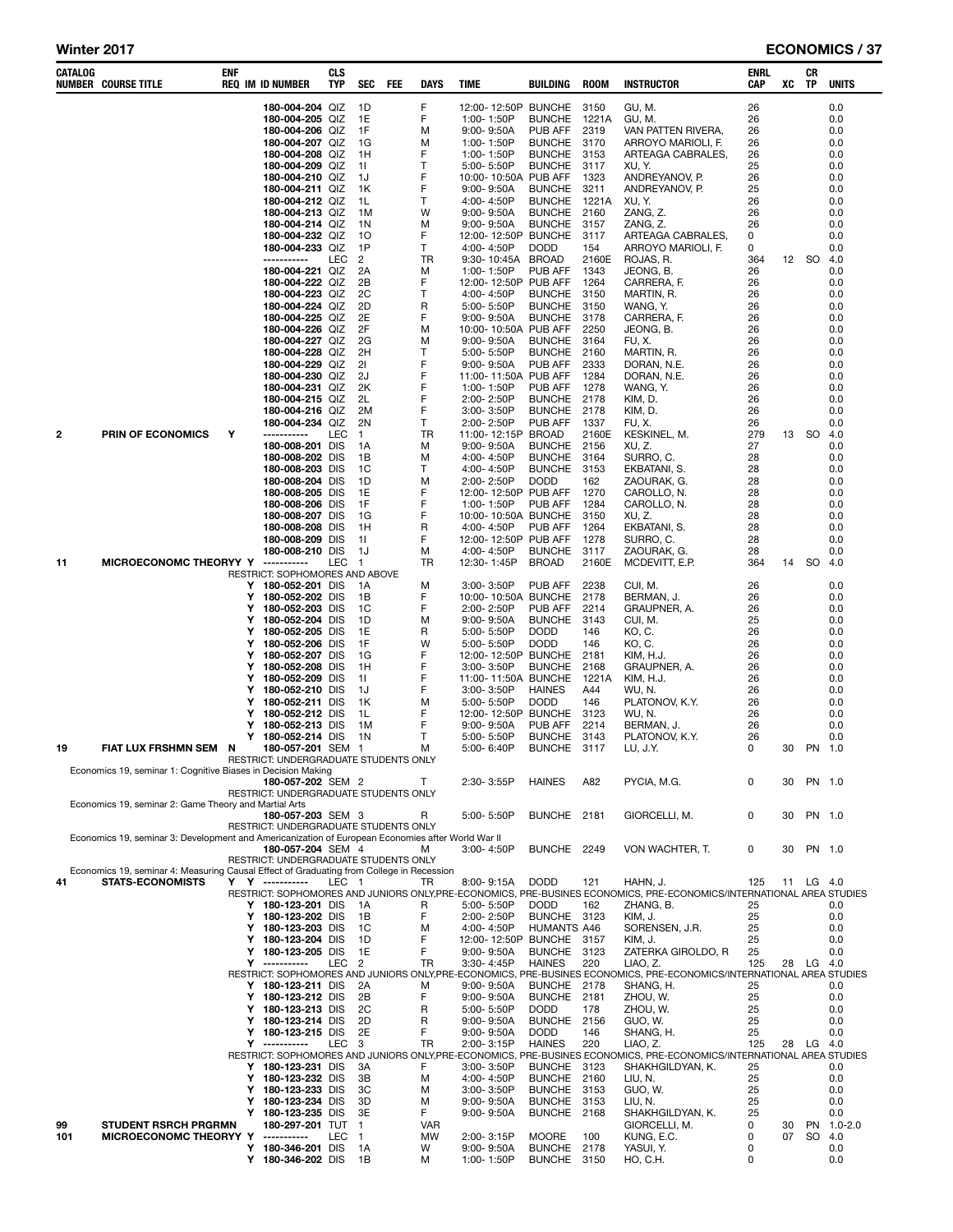| CATALOG | <b>NUMBER COURSE TITLE</b>                                                                        | ENF |        | <b>REQ IM ID NUMBER</b>                                    | CLS<br>TYP       | <b>SEC</b>           | FEE | <b>DAYS</b> | <b>TIME</b>                        | <b>BUILDING</b>                 | <b>ROOM</b>   | <b>INSTRUCTOR</b>                                                                                                                  | ENRL<br>CAP | XC       | CR<br>TP  | <b>UNITS</b>          |
|---------|---------------------------------------------------------------------------------------------------|-----|--------|------------------------------------------------------------|------------------|----------------------|-----|-------------|------------------------------------|---------------------------------|---------------|------------------------------------------------------------------------------------------------------------------------------------|-------------|----------|-----------|-----------------------|
|         |                                                                                                   |     |        | 180-004-204 QIZ                                            |                  | 1D                   |     | F           | 12:00-12:50P BUNCHE                |                                 | 3150          | GU, M.                                                                                                                             | 26          |          |           | 0.0                   |
|         |                                                                                                   |     |        | 180-004-205 QIZ<br>180-004-206 QIZ                         |                  | 1E<br>1F             |     | F<br>M      | 1:00-1:50P<br>9:00-9:50A           | <b>BUNCHE</b><br>PUB AFF        | 1221A<br>2319 | GU.M.<br>VAN PATTEN RIVERA,                                                                                                        | 26<br>26    |          |           | 0.0<br>0.0            |
|         |                                                                                                   |     |        | 180-004-207 QIZ                                            |                  | 1G                   |     | M           | 1:00-1:50P                         | <b>BUNCHE</b>                   | 3170          | ARROYO MARIOLI, F.                                                                                                                 | 26          |          |           | 0.0                   |
|         |                                                                                                   |     |        | 180-004-208 QIZ                                            |                  | 1H                   |     | F           | 1:00-1:50P                         | <b>BUNCHE</b>                   | 3153          | ARTEAGA CABRALES,                                                                                                                  | 26          |          |           | 0.0                   |
|         |                                                                                                   |     |        | 180-004-209 QIZ<br>180-004-210 QIZ                         |                  | -11<br>1J            |     | Т<br>F      | 5:00-5:50P<br>10:00-10:50A PUB AFF | <b>BUNCHE</b>                   | 3117<br>1323  | XU, Y.<br>ANDREYANOV, P.                                                                                                           | 25<br>26    |          |           | 0.0<br>0.0            |
|         |                                                                                                   |     |        | 180-004-211 QIZ                                            |                  | 1K                   |     | F           | 9:00-9:50A                         | <b>BUNCHE</b>                   | 3211          | ANDREYANOV, P.                                                                                                                     | 25          |          |           | 0.0                   |
|         |                                                                                                   |     |        | 180-004-212 QIZ                                            |                  | 1L                   |     | т           | 4:00-4:50P                         | <b>BUNCHE</b>                   | 1221A         | XU, Y.                                                                                                                             | 26          |          |           | 0.0                   |
|         |                                                                                                   |     |        | 180-004-213 QIZ<br>180-004-214 QIZ                         |                  | 1M<br>1N             |     | W<br>M      | 9:00-9:50A                         | <b>BUNCHE</b><br><b>BUNCHE</b>  | 2160<br>3157  | ZANG, Z.<br>ZANG, Z.                                                                                                               | 26<br>26    |          |           | 0.0<br>0.0            |
|         |                                                                                                   |     |        | 180-004-232 QIZ                                            |                  | 10                   |     | F           | 9:00-9:50A<br>12:00-12:50P BUNCHE  |                                 | 3117          | ARTEAGA CABRALES,                                                                                                                  | 0           |          |           | 0.0                   |
|         |                                                                                                   |     |        | 180-004-233 QIZ                                            |                  | 1P                   |     | T.          | 4:00-4:50P                         | <b>DODD</b>                     | 154           | ARROYO MARIOLI, F.                                                                                                                 | 0           |          |           | 0.0                   |
|         |                                                                                                   |     |        | -----------<br>180-004-221 QIZ                             | LEC              | $\overline{c}$<br>2A |     | TR<br>м     | 9:30-10:45A<br>1:00-1:50P          | <b>BROAD</b><br><b>PUB AFF</b>  | 2160E<br>1343 | ROJAS, R.<br>JEONG, B.                                                                                                             | 364<br>26   |          | 12 SO     | 4.0<br>0.0            |
|         |                                                                                                   |     |        | 180-004-222 QIZ                                            |                  | 2Β                   |     | F           | 12:00-12:50P PUB AFF               |                                 | 1264          | CARRERA, F.                                                                                                                        | 26          |          |           | 0.0                   |
|         |                                                                                                   |     |        | 180-004-223 QIZ                                            |                  | 2C                   |     | Т           | 4:00-4:50P                         | <b>BUNCHE</b>                   | 3150          | MARTIN, R.                                                                                                                         | 26          |          |           | 0.0                   |
|         |                                                                                                   |     |        | 180-004-224 QIZ<br>180-004-225 QIZ                         |                  | 2D<br>2E             |     | R<br>F      | 5:00-5:50P<br>9:00-9:50A           | <b>BUNCHE</b><br><b>BUNCHE</b>  | 3150<br>3178  | WANG, Y.<br>CARRERA, F.                                                                                                            | 26<br>26    |          |           | 0.0<br>0.0            |
|         |                                                                                                   |     |        | 180-004-226 QIZ                                            |                  | 2F                   |     | M           | 10:00-10:50A PUB AFF               |                                 | 2250          | JEONG, B.                                                                                                                          | 26          |          |           | 0.0                   |
|         |                                                                                                   |     |        | 180-004-227 QIZ                                            |                  | 2G                   |     | M           | $9:00 - 9:50A$                     | <b>BUNCHE</b>                   | 3164          | FU, X.                                                                                                                             | 26          |          |           | 0.0                   |
|         |                                                                                                   |     |        | 180-004-228 QIZ<br>180-004-229 QIZ                         |                  | 2H<br>21             |     | т<br>F      | 5:00-5:50P<br>9:00-9:50A           | <b>BUNCHE</b><br>PUB AFF        | 2160<br>2333  | MARTIN, R.<br>DORAN, N.E.                                                                                                          | 26<br>26    |          |           | 0.0<br>0.0            |
|         |                                                                                                   |     |        | 180-004-230 QIZ                                            |                  | 2J                   |     | F           | 11:00-11:50A PUB AFF               |                                 | 1284          | DORAN, N.E.                                                                                                                        | 26          |          |           | 0.0                   |
|         |                                                                                                   |     |        | 180-004-231 QIZ<br>180-004-215 QIZ                         |                  | 2K<br>2L             |     | F<br>F      | 1:00-1:50P<br>2:00-2:50P           | PUB AFF<br><b>BUNCHE</b>        | 1278<br>2178  | WANG, Y.<br>KIM, D.                                                                                                                | 26<br>26    |          |           | 0.0<br>0.0            |
|         |                                                                                                   |     |        | 180-004-216 QIZ                                            |                  | 2M                   |     | F           | 3:00-3:50P                         | <b>BUNCHE</b>                   | 2178          | KIM, D.                                                                                                                            | 26          |          |           | 0.0                   |
|         |                                                                                                   |     |        | 180-004-234 QIZ                                            |                  | 2N                   |     | т           | 2:00-2:50P                         | <b>PUB AFF</b>                  | 1337          | FU, X.                                                                                                                             | 26          |          |           | 0.0                   |
| 2       | <b>PRIN OF ECONOMICS</b>                                                                          | Υ   |        | 180-008-201 DIS                                            | LEC              | $\mathbf{1}$<br>1A   |     | TR<br>м     | 11:00-12:15P BROAD<br>9:00-9:50A   | <b>BUNCHE</b>                   | 2160E<br>2156 | KESKINEL, M.<br>XU, Z.                                                                                                             | 279<br>27   |          | 13 SO     | 4.0<br>0.0            |
|         |                                                                                                   |     |        | 180-008-202 DIS                                            |                  | 1B                   |     | M           | 4:00-4:50P                         | <b>BUNCHE</b>                   | 3164          | SURRO, C.                                                                                                                          | 28          |          |           | 0.0                   |
|         |                                                                                                   |     |        | 180-008-203 DIS                                            |                  | 1C                   |     | т           | 4:00-4:50P                         | <b>BUNCHE</b>                   | 3153          | EKBATANI, S.                                                                                                                       | 28          |          |           | 0.0                   |
|         |                                                                                                   |     |        | 180-008-204 DIS<br>180-008-205 DIS                         |                  | 1D<br>1E             |     | M<br>F      | 2:00-2:50P<br>12:00-12:50P PUB AFF | <b>DODD</b>                     | 162<br>1270   | ZAOURAK, G.<br>CAROLLO, N.                                                                                                         | 28<br>28    |          |           | 0.0<br>0.0            |
|         |                                                                                                   |     |        | 180-008-206 DIS                                            |                  | 1F                   |     | F           | 1:00-1:50P                         | <b>PUB AFF</b>                  | 1284          | CAROLLO, N.                                                                                                                        | 28          |          |           | 0.0                   |
|         |                                                                                                   |     |        | 180-008-207 DIS<br>180-008-208 DIS                         |                  | 1G                   |     | F           | 10:00-10:50A BUNCHE                |                                 | 3150          | XU, Z.                                                                                                                             | 28          |          |           | 0.0                   |
|         |                                                                                                   |     |        | 180-008-209 DIS                                            |                  | 1H<br>11             |     | R<br>F      | 4:00-4:50P<br>12:00-12:50P PUB AFF | PUB AFF                         | 1264<br>1278  | EKBATANI, S.<br>SURRO, C.                                                                                                          | 28<br>28    |          |           | 0.0<br>0.0            |
|         |                                                                                                   |     |        | 180-008-210 DIS                                            |                  | 1J                   |     | м           | 4:00-4:50P                         | <b>BUNCHE</b>                   | 3117          | ZAOURAK, G.                                                                                                                        | 28          |          |           | 0.0                   |
| 11      | MICROECONOMC THEORYY Y                                                                            |     |        | -----------<br>RESTRICT: SOPHOMORES AND ABOVE              | LEC              | $\mathbf{1}$         |     | TR          | 12:30-1:45P                        | <b>BROAD</b>                    | 2160E         | MCDEVITT, E.P.                                                                                                                     | 364         | 14       | <b>SO</b> | 4.0                   |
|         |                                                                                                   |     |        | Y 180-052-201 DIS                                          |                  | 1A                   |     | м           | 3:00-3:50P                         | PUB AFF                         | 2238          | CUI, M.                                                                                                                            | 26          |          |           | 0.0                   |
|         |                                                                                                   |     | Y<br>Υ | 180-052-202 DIS<br>180-052-203 DIS                         |                  | 1B<br>1C             |     | F<br>F      | 10:00-10:50A BUNCHE<br>2:00-2:50P  | PUB AFF                         | 2178<br>2214  | BERMAN, J.<br>GRAUPNER, A.                                                                                                         | 26<br>26    |          |           | 0.0<br>0.0            |
|         |                                                                                                   |     | Y      | 180-052-204 DIS                                            |                  | 1D                   |     | M           | 9:00-9:50A                         | <b>BUNCHE</b>                   | 3143          | CUI, M.                                                                                                                            | 25          |          |           | 0.0                   |
|         |                                                                                                   |     | Y<br>Υ | 180-052-205 DIS<br>180-052-206 DIS                         |                  | 1E<br>1F             |     | R<br>W      | 5:00-5:50P                         | <b>DODD</b><br><b>DODD</b>      | 146<br>146    | KO, C.<br>KO, C.                                                                                                                   | 26<br>26    |          |           | 0.0<br>0.0            |
|         |                                                                                                   |     | Υ      | 180-052-207 DIS                                            |                  | 1G                   |     | F           | 5:00- 5:50P<br>12:00-12:50P BUNCHE |                                 | 2181          | KIM, H.J.                                                                                                                          | 26          |          |           | 0.0                   |
|         |                                                                                                   |     | Υ      | 180-052-208 DIS                                            |                  | 1H                   |     | F           | $3:00 - 3:50P$                     | <b>BUNCHE</b>                   | 2168          | GRAUPNER, A.                                                                                                                       | 26          |          |           | 0.0                   |
|         |                                                                                                   |     | Y<br>Υ | 180-052-209 DIS<br>180-052-210 DIS                         |                  | 11<br>1J             |     | F<br>F      | 11:00-11:50A BUNCHE<br>3:00-3:50P  | <b>HAINES</b>                   | 1221A<br>A44  | KIM, H.J.<br>WU, N.                                                                                                                | 26<br>26    |          |           | 0.0<br>0.0            |
|         |                                                                                                   |     | Υ      | 180-052-211 DIS                                            |                  | 1K                   |     | м           | 5:00-5:50P                         | <b>DODD</b>                     | 146           | PLATONOV, K.Y.                                                                                                                     | 26          |          |           | 0.0                   |
|         |                                                                                                   |     | Y      | 180-052-212 DIS                                            |                  | 1L                   |     | F<br>F      | 12:00-12:50P BUNCHE                |                                 | 3123<br>2214  | WU, N.                                                                                                                             | 26          |          |           | 0.0                   |
|         |                                                                                                   |     | Y<br>Y | 180-052-213 DIS<br>180-052-214 DIS                         |                  | 1M<br>1N             |     | т           | 9:00-9:50A<br>5:00-5:50P           | <b>PUB AFF</b><br><b>BUNCHE</b> | 3143          | BERMAN, J.<br>PLATONOV, K.Y.                                                                                                       | 26<br>26    |          |           | 0.0<br>0.0            |
| 19      | <b>FIAT LUX FRSHMN SEM</b>                                                                        | N   |        | 180-057-201 SEM 1                                          |                  |                      |     | м           | 5:00-6:40P                         | <b>BUNCHE</b>                   | 3117          | LU, J.Y.                                                                                                                           | 0           | 30       |           | PN 1.0                |
|         | Economics 19, seminar 1: Cognitive Biases in Decision Making                                      |     |        | RESTRICT: UNDERGRADUATE STUDENTS ONLY                      |                  |                      |     |             |                                    |                                 |               |                                                                                                                                    |             |          |           |                       |
|         |                                                                                                   |     |        | 180-057-202 SEM 2                                          |                  |                      |     | т           | 2:30-3:55P                         | <b>HAINES</b>                   | A82           | PYCIA, M.G.                                                                                                                        | 0           | 30       |           | PN 1.0                |
|         | Economics 19, seminar 2: Game Theory and Martial Arts                                             |     |        | RESTRICT: UNDERGRADUATE STUDENTS ONLY                      |                  |                      |     |             |                                    |                                 |               |                                                                                                                                    |             |          |           |                       |
|         |                                                                                                   |     |        | 180-057-203 SEM 3                                          |                  |                      |     | R           | 5:00-5:50P                         | BUNCHE 2181                     |               | GIORCELLI, M.                                                                                                                      | 0           | 30       |           | PN 1.0                |
|         | Economics 19, seminar 3: Development and Americanization of European Economies after World War II |     |        | RESTRICT: UNDERGRADUATE STUDENTS ONLY                      |                  |                      |     |             |                                    |                                 |               |                                                                                                                                    |             |          |           |                       |
|         |                                                                                                   |     |        | 180-057-204 SEM 4<br>RESTRICT: UNDERGRADUATE STUDENTS ONLY |                  |                      |     | м           | 3:00-4:50P                         | BUNCHE 2249                     |               | VON WACHTER, T.                                                                                                                    | 0           | 30       |           | PN 1.0                |
|         | Economics 19, seminar 4: Measuring Causal Effect of Graduating from College in Recession          |     |        |                                                            |                  |                      |     |             |                                    |                                 |               |                                                                                                                                    |             |          |           |                       |
| 41      | <b>STATS-ECONOMISTS</b>                                                                           |     |        | Y Y -----------                                            | LEC <sub>1</sub> |                      |     | TR          | 8:00-9:15A                         | <b>DODD</b>                     | 121           | HAHN, J.                                                                                                                           | 125         |          | 11 LG 4.0 |                       |
|         |                                                                                                   |     |        | Y 180-123-201 DIS                                          |                  | - 1 A                |     | R           | 5:00-5:50P                         | <b>DODD</b>                     | 162           | RESTRICT: SOPHOMORES AND JUNIORS ONLY, PRE-ECONOMICS, PRE-BUSINES ECONOMICS, PRE-ECONOMICS/INTERNATIONAL AREA STUDIES<br>ZHANG. B. | 25          |          |           | 0.0                   |
|         |                                                                                                   |     |        | Y 180-123-202 DIS                                          |                  | 1B                   |     | F           | 2:00-2:50P                         | <b>BUNCHE</b>                   | 3123          | KIM, J.                                                                                                                            | 25          |          |           | 0.0                   |
|         |                                                                                                   |     | Y      | 180-123-203 DIS<br>Y 180-123-204 DIS                       |                  | 1C<br>1D             |     | M<br>F      | 4:00-4:50P<br>12:00-12:50P BUNCHE  | <b>HUMANTS A46</b>              | 3157          | SORENSEN, J.R.<br>KIM, J.                                                                                                          | 25<br>25    |          |           | 0.0<br>0.0            |
|         |                                                                                                   |     | Y      | 180-123-205 DIS                                            |                  | 1E                   |     | F           | 9:00-9:50A                         | <b>BUNCHE</b>                   | 3123          | ZATERKA GIROLDO, R                                                                                                                 | 25          |          |           | 0.0                   |
|         |                                                                                                   |     | Y      | $- - - - - - - - - -$                                      | LEC <sub>2</sub> |                      |     | TR          | 3:30-4:45P                         | <b>HAINES</b>                   | 220           | LIAO, Z.<br>RESTRICT: SOPHOMORES AND JUNIORS ONLY, PRE-ECONOMICS, PRE-BUSINES ECONOMICS, PRE-ECONOMICS/INTERNATIONAL AREA STUDIES  | 125         |          | 28 LG     | -4.0                  |
|         |                                                                                                   |     |        | Y 180-123-211 DIS                                          |                  | 2A                   |     | м           | 9:00-9:50A                         | BUNCHE 2178                     |               | SHANG, H.                                                                                                                          | 25          |          |           | 0.0                   |
|         |                                                                                                   |     |        | Y 180-123-212 DIS                                          |                  | 2B                   |     | F           | 9:00-9:50A                         | BUNCHE 2181                     |               | ZHOU, W.                                                                                                                           | 25          |          |           | 0.0                   |
|         |                                                                                                   |     |        | Y 180-123-213 DIS<br>Y 180-123-214 DIS                     |                  | 2C<br>2D             |     | R<br>R      | 5:00-5:50P<br>9:00-9:50A           | <b>DODD</b><br><b>BUNCHE</b>    | 178<br>2156   | ZHOU, W.<br>GUO, W.                                                                                                                | 25<br>25    |          |           | 0.0<br>0.0            |
|         |                                                                                                   |     |        | Y 180-123-215 DIS                                          |                  | 2E                   |     | F           | 9:00-9:50A                         | <b>DODD</b>                     | 146           | SHANG, H.                                                                                                                          | 25          |          |           | 0.0                   |
|         |                                                                                                   |     |        | Y -----------                                              | LEC <sub>3</sub> |                      |     | <b>TR</b>   | 2:00-3:15P                         | <b>HAINES</b>                   | 220           | LIAO, Z.<br>RESTRICT: SOPHOMORES AND JUNIORS ONLY, PRE-ECONOMICS, PRE-BUSINES ECONOMICS, PRE-ECONOMICS/INTERNATIONAL AREA STUDIES  | 125         |          | 28 LG     | 4.0                   |
|         |                                                                                                   |     |        | Y 180-123-231 DIS                                          |                  | 3A                   |     | F           | 3:00-3:50P                         | <b>BUNCHE</b>                   | 3123          | SHAKHGILDYAN, K.                                                                                                                   | 25          |          |           | 0.0                   |
|         |                                                                                                   |     |        | Y 180-123-232 DIS                                          |                  | 3B                   |     | м           | 4:00-4:50P                         | <b>BUNCHE</b>                   | 2160          | LIU, N.                                                                                                                            | 25          |          |           | 0.0                   |
|         |                                                                                                   |     | Y<br>Y | 180-123-233 DIS<br>180-123-234 DIS                         |                  | 3C<br>3D             |     | м<br>м      | 3:00-3:50P<br>$9:00 - 9:50A$       | <b>BUNCHE</b><br><b>BUNCHE</b>  | 3153<br>3153  | GUO, W.<br>LIU, N.                                                                                                                 | 25<br>25    |          |           | 0.0<br>0.0            |
|         |                                                                                                   |     | Y      | 180-123-235 DIS                                            |                  | 3E                   |     | F.          | 9:00-9:50A                         | <b>BUNCHE</b>                   | 2168          | SHAKHGILDYAN, K.                                                                                                                   | 25          |          |           | 0.0                   |
| 99      | <b>STUDENT RSRCH PRGRMN</b>                                                                       |     |        | 180-297-201 TUT 1<br>-----------                           | <b>LEC</b>       | $\overline{1}$       |     | <b>VAR</b>  |                                    |                                 |               | GIORCELLI, M.                                                                                                                      | 0<br>0      | 30<br>07 | <b>PN</b> | $1.0 - 2.0$<br>SO 4.0 |
| 101     | MICROECONOMC THEORYY Y                                                                            |     |        | Y 180-346-201 DIS                                          |                  | 1A                   |     | MW<br>W     | 2:00-3:15P<br>9:00-9:50A           | <b>MOORE</b><br>BUNCHE 2178     | 100           | KUNG, E.C.<br>YASUI, Y.                                                                                                            | 0           |          |           | 0.0                   |
|         |                                                                                                   |     |        | Y 180-346-202 DIS                                          |                  | - 1B                 |     | М           | 1:00-1:50P                         | BUNCHE 3150                     |               | HO, C.H.                                                                                                                           | 0           |          |           | 0.0                   |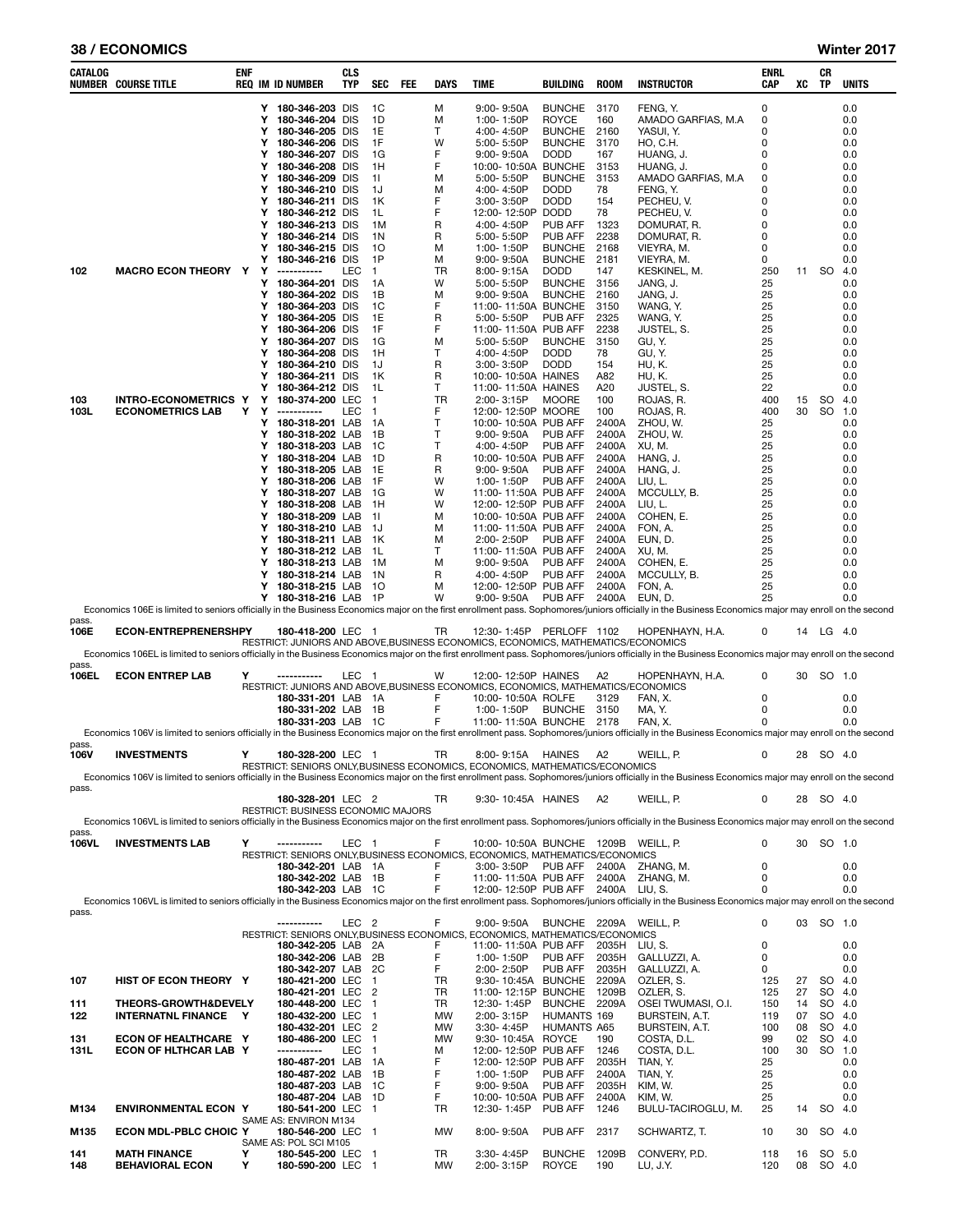## 38 / ECONOMICS Winter 2017

| CATALOG        | <b>NUMBER COURSE TITLE</b>                                                                                                                                                                            | ENF |        | <b>REQ IM ID NUMBER</b>                                                                            | <b>CLS</b><br>TYP | <b>SEC</b>                       | FEE | <b>DAYS</b>       | TIME                                         | BUILDING                      | <b>ROOM</b>    | <b>INSTRUCTOR</b>                    | ENRL<br>CAP   | xс       | CR<br>TP            | <b>UNITS</b>     |
|----------------|-------------------------------------------------------------------------------------------------------------------------------------------------------------------------------------------------------|-----|--------|----------------------------------------------------------------------------------------------------|-------------------|----------------------------------|-----|-------------------|----------------------------------------------|-------------------------------|----------------|--------------------------------------|---------------|----------|---------------------|------------------|
|                |                                                                                                                                                                                                       |     |        | Y 180-346-203 DIS<br>180-346-204 DIS                                                               |                   | 1C<br>1D                         |     | М                 | 9:00-9:50A                                   | <b>BUNCHE</b><br><b>ROYCE</b> | -3170          | FENG, Y.<br>AMADO GARFIAS, M.A.      | 0<br>0        |          |                     | 0.0              |
|                |                                                                                                                                                                                                       |     | Y<br>Y | 180-346-205 DIS                                                                                    |                   | 1E                               |     | М<br>т            | 1:00-1:50P<br>4:00-4:50P                     | <b>BUNCHE</b>                 | 160<br>2160    | YASUI, Y.                            | 0             |          |                     | 0.0<br>0.0       |
|                |                                                                                                                                                                                                       |     | Υ      | 180-346-206                                                                                        | <b>DIS</b>        | 1F                               |     | W                 | 5:00-5:50P                                   | <b>BUNCHE</b>                 | 3170           | HO, C.H.                             | 0             |          |                     | 0.0              |
|                |                                                                                                                                                                                                       |     | Y<br>Y | 180-346-207 DIS<br>180-346-208 DIS                                                                 |                   | 1G<br>1H                         |     | F<br>F            | $9:00 - 9:50A$<br>10:00-10:50A BUNCHE        | <b>DODD</b>                   | 167<br>3153    | HUANG, J.<br>HUANG, J.               | 0<br>0        |          |                     | 0.0<br>0.0       |
|                |                                                                                                                                                                                                       |     | Y      | 180-346-209                                                                                        | <b>DIS</b>        | -11                              |     | М                 | 5:00-5:50P                                   | <b>BUNCHE</b>                 | 3153           | AMADO GARFIAS, M.A.                  | 0             |          |                     | 0.0              |
|                |                                                                                                                                                                                                       |     | Υ<br>Y | 180-346-210 DIS<br>180-346-211 DIS                                                                 |                   | 1J<br>1K                         |     | М<br>F            | 4:00-4:50P<br>3:00-3:50P                     | <b>DODD</b><br><b>DODD</b>    | 78<br>154      | FENG, Y.<br>PECHEU, V.               | 0<br>0        |          |                     | 0.0<br>0.0       |
|                |                                                                                                                                                                                                       |     | Y      | 180-346-212 DIS                                                                                    |                   | 1L                               |     | F                 | 12:00-12:50P                                 | <b>DODD</b>                   | 78             | PECHEU, V.                           | 0             |          |                     | 0.0              |
|                |                                                                                                                                                                                                       |     | Y      | 180-346-213 DIS                                                                                    |                   | 1M                               |     | R                 | 4:00-4:50P                                   | PUB AFF                       | 1323           | DOMURAT, R.                          | 0             |          |                     | 0.0              |
|                |                                                                                                                                                                                                       |     | Υ<br>Y | 180-346-214 DIS<br>180-346-215 DIS                                                                 |                   | 1N<br>10                         |     | R<br>М            | 5:00-5:50P<br>1:00-1:50P                     | PUB AFF<br><b>BUNCHE</b>      | 2238<br>2168   | DOMURAT, R.<br>VIEYRA, M.            | 0<br>0        |          |                     | 0.0<br>0.0       |
|                |                                                                                                                                                                                                       |     | Υ      | 180-346-216 DIS                                                                                    |                   | 1P                               |     | М                 | 9:00-9:50A                                   | <b>BUNCHE</b>                 | 2181           | VIEYRA, M.                           | 0             |          |                     | 0.0              |
| 102            | <b>MACRO ECON THEORY Y</b>                                                                                                                                                                            |     | Y<br>Υ | -----------<br>180-364-201 DIS                                                                     | LEC               | $\overline{1}$<br>1A             |     | TR<br>W           | $8:00 - 9:15A$<br>5:00-5:50P                 | <b>DODD</b><br><b>BUNCHE</b>  | 147<br>3156    | KESKINEL, M.<br>JANG, J.             | 250<br>25     | 11       | SO.                 | 4.0<br>0.0       |
|                |                                                                                                                                                                                                       |     | Y      | 180-364-202 DIS                                                                                    |                   | 1B                               |     | М                 | $9:00 - 9:50A$                               | <b>BUNCHE</b>                 | 2160           | JANG, J.                             | 25            |          |                     | 0.0              |
|                |                                                                                                                                                                                                       |     | Y<br>Y | 180-364-203 DIS<br>180-364-205 DIS                                                                 |                   | 1C<br>1E                         |     | F<br>R            | 11:00-11:50A BUNCHE<br>5:00-5:50P            | PUB AFF                       | 3150<br>2325   | WANG, Y.<br>WANG, Y.                 | 25<br>25      |          |                     | 0.0<br>0.0       |
|                |                                                                                                                                                                                                       |     | Υ      | 180-364-206 DIS                                                                                    |                   | 1F                               |     | F                 | 11:00-11:50A PUB AFF                         |                               | 2238           | JUSTEL, S.                           | 25            |          |                     | 0.0              |
|                |                                                                                                                                                                                                       |     | Y<br>Y | 180-364-207 DIS<br>180-364-208 DIS                                                                 |                   | 1G<br>1H                         |     | М<br>$\mathsf{T}$ | 5:00-5:50P<br>4:00-4:50P                     | <b>BUNCHE</b><br><b>DODD</b>  | 3150<br>78     | GU, Y.<br>GU, Y.                     | 25<br>25      |          |                     | 0.0<br>0.0       |
|                |                                                                                                                                                                                                       |     | Y      | 180-364-210 DIS                                                                                    |                   | 1J                               |     | R                 | 3:00-3:50P                                   | <b>DODD</b>                   | 154            | HU, K.                               | 25            |          |                     | 0.0              |
|                |                                                                                                                                                                                                       |     | Y<br>Y | 180-364-211 DIS                                                                                    |                   | 1K                               |     | R<br>т            | 10:00-10:50A HAINES                          |                               | A82            | HU, K.                               | 25            |          |                     | 0.0<br>0.0       |
| 103            | <b>INTRO-ECONOMETRICS Y</b>                                                                                                                                                                           |     | Y      | 180-364-212 DIS<br>180-374-200 LEC                                                                 |                   | 1L<br>$\overline{1}$             |     | TR                | 11:00-11:50A HAINES<br>2:00-3:15P            | <b>MOORE</b>                  | A20<br>100     | JUSTEL, S.<br>ROJAS, R.              | 22<br>400     | 15       | SO                  | 4.0              |
| 103L           | <b>ECONOMETRICS LAB</b>                                                                                                                                                                               | Y   | Y      | ------------                                                                                       | LEC               | $\overline{1}$                   |     | F                 | 12:00-12:50P MOORE                           |                               | 100            | ROJAS, R.                            | 400           | 30       | <b>SO</b>           | 1.0              |
|                |                                                                                                                                                                                                       |     | Y<br>Y | 180-318-201 LAB<br>180-318-202 LAB                                                                 |                   | 1A<br>1B                         |     | Т<br>Т            | 10:00-10:50A PUB AFF<br>$9:00 - 9:50A$       | <b>PUB AFF</b>                | 2400A<br>2400A | ZHOU, W.<br>ZHOU, W.                 | 25<br>25      |          |                     | 0.0<br>0.0       |
|                |                                                                                                                                                                                                       |     | Y      | 180-318-203 LAB                                                                                    |                   | 1C                               |     | т                 | 4:00-4:50P                                   | PUB AFF                       | 2400A          | XU, M.                               | 25            |          |                     | 0.0              |
|                |                                                                                                                                                                                                       |     | Y<br>Y | 180-318-204 LAB<br>180-318-205 LAB                                                                 |                   | - 1 D<br>1E                      |     | R<br>R            | 10:00-10:50A PUB AFF<br>$9:00 - 9:50A$       | PUB AFF                       | 2400A<br>2400A | HANG, J.<br>HANG, J.                 | 25<br>25      |          |                     | 0.0<br>0.0       |
|                |                                                                                                                                                                                                       |     | Y      | 180-318-206 LAB                                                                                    |                   | 1F                               |     | W                 | 1:00-1:50P                                   | <b>PUB AFF</b>                | 2400A          | LIU, L.                              | 25            |          |                     | 0.0              |
|                |                                                                                                                                                                                                       |     | Y<br>Y | 180-318-207 LAB<br>180-318-208 LAB                                                                 |                   | 1G<br>- 1H                       |     | W<br>W            | 11:00-11:50A PUB AFF<br>12:00-12:50P PUB AFF |                               | 2400A<br>2400A | MCCULLY, B.<br>LIU, L.               | 25<br>25      |          |                     | 0.0<br>0.0       |
|                |                                                                                                                                                                                                       |     | Y      | 180-318-209 LAB                                                                                    |                   | -11                              |     | м                 | 10:00-10:50A PUB AFF                         |                               | 2400A          | COHEN, E.                            | 25            |          |                     | 0.0              |
|                |                                                                                                                                                                                                       |     | Y<br>Y | 180-318-210 LAB<br>180-318-211 LAB                                                                 |                   | - 1J<br>- 1K                     |     | м<br>м            | 11:00-11:50A PUB AFF<br>2:00-2:50P           | PUB AFF                       | 2400A<br>2400A | FON, A.<br>EUN, D.                   | 25<br>25      |          |                     | 0.0<br>0.0       |
|                |                                                                                                                                                                                                       |     | Y      | 180-318-212 LAB                                                                                    |                   | - 1 L                            |     | т                 | 11:00-11:50A PUB AFF                         |                               | 2400A          | XU, M.                               | 25            |          |                     | 0.0              |
|                |                                                                                                                                                                                                       |     | Y<br>Y | 180-318-213 LAB<br>180-318-214 LAB                                                                 |                   | 1M<br>1 N                        |     | м<br>R            | $9:00 - 9:50A$<br>4:00-4:50P                 | PUB AFF<br>PUB AFF            | 2400A<br>2400A | COHEN, E.<br>MCCULLY, B.             | 25<br>25      |          |                     | 0.0<br>0.0       |
|                |                                                                                                                                                                                                       |     | Y      | 180-318-215 LAB                                                                                    |                   | - 10                             |     | м                 | 12:00-12:50P PUB AFF                         |                               | 2400A          | FON, A.                              | 25            |          |                     | 0.0              |
|                | Economics 106E is limited to seniors officially in the Business Economics major on the first enrollment pass. Sophomores/juniors officially in the Business Economics major may enroll on the second  |     |        | Y 180-318-216 LAB 1P                                                                               |                   |                                  |     | W                 | $9:00 - 9:50A$                               | PUB AFF 2400A                 |                | EUN, D.                              | 25            |          |                     | 0.0              |
| pass.<br>106E  | <b>ECON-ENTREPRENERSHPY</b>                                                                                                                                                                           |     |        | 180-418-200 LEC 1                                                                                  |                   |                                  |     | TR                | 12:30-1:45P PERLOFF 1102                     |                               |                | HOPENHAYN, H.A.                      | 0             |          | 14 LG 4.0           |                  |
|                | Economics 106EL is limited to seniors officially in the Business Economics major on the first enrollment pass. Sophomores/juniors officially in the Business Economics major may enroll on the second |     |        | RESTRICT: JUNIORS AND ABOVE, BUSINESS ECONOMICS, ECONOMICS, MATHEMATICS/ECONOMICS                  |                   |                                  |     |                   |                                              |                               |                |                                      |               |          |                     |                  |
| pass.<br>106EL | <b>ECON ENTREP LAB</b>                                                                                                                                                                                | Y   |        | -----------                                                                                        | LEC 1             |                                  |     | W                 | 12:00-12:50P HAINES                          |                               | A2             | HOPENHAYN, H.A.                      | 0             | 30       | SO 1.0              |                  |
|                |                                                                                                                                                                                                       |     |        | RESTRICT: JUNIORS AND ABOVE, BUSINESS ECONOMICS, ECONOMICS, MATHEMATICS/ECONOMICS                  |                   |                                  |     |                   |                                              |                               |                |                                      |               |          |                     |                  |
|                |                                                                                                                                                                                                       |     |        | 180-331-201 LAB 1A<br>180-331-202 LAB 1B                                                           |                   |                                  |     | F<br>F            | 10:00-10:50A ROLFE<br>1:00-1:50P             | BUNCHE 3150                   | 3129           | FAN, X.<br>MA, Y.                    | 0<br>0        |          |                     | 0.0<br>0.0       |
|                |                                                                                                                                                                                                       |     |        | 180-331-203 LAB 1C                                                                                 |                   |                                  |     | F                 | 11:00-11:50A BUNCHE 2178                     |                               |                | FAN, X.                              | 0             |          |                     | 0.0              |
| pass.          | Economics 106V is limited to seniors officially in the Business Economics major on the first enrollment pass. Sophomores/juniors officially in the Business Economics major may enroll on the second  |     |        |                                                                                                    |                   |                                  |     |                   |                                              |                               |                |                                      |               |          |                     |                  |
| 106V           | <b>INVESTMENTS</b>                                                                                                                                                                                    | Y   |        | 180-328-200 LEC 1<br>RESTRICT: SENIORS ONLY, BUSINESS ECONOMICS, ECONOMICS, MATHEMATICS/ECONOMICS  |                   |                                  |     | TR                | 8:00-9:15A HAINES                            |                               | A <sub>2</sub> | WEILL, P.                            | 0             |          | 28 SO 4.0           |                  |
| pass.          | Economics 106V is limited to seniors officially in the Business Economics major on the first enrollment pass. Sophomores/juniors officially in the Business Economics major may enroll on the second  |     |        |                                                                                                    |                   |                                  |     |                   |                                              |                               |                |                                      |               |          |                     |                  |
|                |                                                                                                                                                                                                       |     |        | 180-328-201 LEC 2<br>RESTRICT: BUSINESS ECONOMIC MAJORS                                            |                   |                                  |     | TR                | 9:30-10:45A HAINES A2                        |                               |                | WEILL, P.                            | 0             |          | 28 SO 4.0           |                  |
|                | Economics 106VL is limited to seniors officially in the Business Economics major on the first enrollment pass. Sophomores/juniors officially in the Business Economics major may enroll on the second |     |        |                                                                                                    |                   |                                  |     |                   |                                              |                               |                |                                      |               |          |                     |                  |
| pass.<br>106VL | <b>INVESTMENTS LAB</b>                                                                                                                                                                                | Y   |        | -----------                                                                                        | LEC 1             |                                  |     | F.                | 10:00-10:50A BUNCHE 1209B WEILL, P.          |                               |                |                                      | 0             |          | 30 SO 1.0           |                  |
|                |                                                                                                                                                                                                       |     |        | RESTRICT: SENIORS ONLY, BUSINESS ECONOMICS, ECONOMICS, MATHEMATICS/ECONOMICS                       |                   |                                  |     |                   |                                              |                               |                |                                      |               |          |                     |                  |
|                |                                                                                                                                                                                                       |     |        | 180-342-201 LAB 1A<br>180-342-202 LAB 1B                                                           |                   |                                  |     | F<br>F            | 3:00-3:50P<br>11:00-11:50A PUB AFF 2400A     |                               |                | PUB AFF 2400A ZHANG, M.<br>ZHANG, M. | $\Omega$<br>0 |          |                     | 0.0<br>0.0       |
|                |                                                                                                                                                                                                       |     |        | 180-342-203 LAB 1C                                                                                 |                   |                                  |     | F                 | 12:00-12:50P PUB AFF 2400A LIU, S.           |                               |                |                                      | 0             |          |                     | 0.0              |
| pass.          | Economics 106VL is limited to seniors officially in the Business Economics major on the first enrollment pass. Sophomores/juniors officially in the Business Economics major may enroll on the second |     |        |                                                                                                    |                   |                                  |     |                   |                                              |                               |                |                                      |               |          |                     |                  |
|                |                                                                                                                                                                                                       |     |        | -----------                                                                                        | LEC <sub>2</sub>  |                                  |     | F.                | 9:00-9:50A BUNCHE 2209A WEILL, P.            |                               |                |                                      | 0             |          | 03 SO 1.0           |                  |
|                |                                                                                                                                                                                                       |     |        | RESTRICT: SENIORS ONLY, BUSINESS ECONOMICS, ECONOMICS, MATHEMATICS/ECONOMICS<br>180-342-205 LAB 2A |                   |                                  |     | F                 | 11:00-11:50A PUB AFF                         |                               | 2035H          | LIU. S.                              | 0             |          |                     | 0.0              |
|                |                                                                                                                                                                                                       |     |        | 180-342-206 LAB 2B                                                                                 |                   |                                  |     | F                 | 1:00-1:50P                                   | PUB AFF                       | 2035H          | GALLUZZI, A.                         | 0             |          |                     | 0.0              |
| 107            | HIST OF ECON THEORY Y                                                                                                                                                                                 |     |        | 180-342-207 LAB 2C<br>180-421-200 LEC                                                              |                   | $\overline{1}$                   |     | F<br>TR           | 2:00-2:50P<br>9:30-10:45A BUNCHE 2209A       | PUB AFF                       | 2035H          | GALLUZZI, A.<br>OZLER, S.            | 0<br>125      | 27       |                     | 0.0<br>SO 4.0    |
|                |                                                                                                                                                                                                       |     |        | 180-421-201 LEC 2                                                                                  |                   |                                  |     | TR                | 11:00-12:15P BUNCHE 1209B                    |                               |                | OZLER, S.                            | 125           | 27       |                     | SO 4.0           |
| 111<br>122     | <b>THEORS-GROWTH&amp;DEVELY</b><br>INTERNATNL FINANCE Y                                                                                                                                               |     |        | 180-448-200 LEC<br>180-432-200 LEC                                                                 |                   | $\overline{1}$<br>$\overline{1}$ |     | TR<br>МW          | 12:30-1:45P<br>2:00-3:15P                    | BUNCHE 2209A<br>HUMANTS 169   |                | OSEI TWUMASI, O.I.<br>BURSTEIN, A.T. | 150<br>119    | 14<br>07 |                     | SO 4.0<br>SO 4.0 |
|                |                                                                                                                                                                                                       |     |        | 180-432-201 LEC                                                                                    |                   | - 2                              |     | МW                | 3:30-4:45P                                   | <b>HUMANTS A65</b>            |                | BURSTEIN, A.T.                       | 100           | 08       |                     | SO 4.0           |
| 131<br>131 L   | ECON OF HEALTHCARE Y<br>ECON OF HLTHCAR LAB Y                                                                                                                                                         |     |        | 180-486-200 LEC<br>-----------                                                                     | LEC               | $\overline{1}$<br>$\overline{1}$ |     | MW<br>м           | 9:30-10:45A ROYCE<br>12:00-12:50P PUB AFF    |                               | 190<br>1246    | COSTA, D.L.<br>COSTA, D.L.           | 99<br>100     | 02<br>30 | SO 1.0              | SO 4.0           |
|                |                                                                                                                                                                                                       |     |        | 180-487-201 LAB                                                                                    |                   | 1A                               |     | F                 | 12:00-12:50P PUB AFF                         |                               | 2035H          | TIAN, Y.                             | 25            |          |                     | 0.0              |
|                |                                                                                                                                                                                                       |     |        | 180-487-202 LAB                                                                                    |                   | 1B                               |     | F<br>F            | 1:00-1:50P                                   | PUB AFF                       | 2400A          | TIAN, Y.                             | 25            |          |                     | 0.0<br>0.0       |
|                |                                                                                                                                                                                                       |     |        | 180-487-203 LAB 1C<br>180-487-204 LAB 1D                                                           |                   |                                  |     | F                 | $9:00 - 9:50A$<br>10:00-10:50A PUB AFF       | PUB AFF                       | 2035H<br>2400A | KIM, W.<br>KIM, W.                   | 25<br>25      |          |                     | 0.0              |
| M134           | <b>ENVIRONMENTAL ECON Y</b>                                                                                                                                                                           |     |        | 180-541-200 LEC 1                                                                                  |                   |                                  |     | TR                | 12:30-1:45P                                  | PUB AFF                       | 1246           | BULU-TACIROGLU, M.                   | 25            |          | 14 SO 4.0           |                  |
| M135           | <b>ECON MDL-PBLC CHOIC Y</b>                                                                                                                                                                          |     |        | SAME AS: ENVIRON M134<br>180-546-200 LEC 1                                                         |                   |                                  |     | MW                | 8:00-9:50A                                   | PUB AFF                       | 2317           | SCHWARTZ, T.                         | 10            | 30       | SO 4.0              |                  |
|                |                                                                                                                                                                                                       | Y   |        | SAME AS: POL SCI M105                                                                              |                   |                                  |     |                   |                                              |                               |                |                                      |               |          |                     |                  |
| 141<br>148     | <b>MATH FINANCE</b><br><b>BEHAVIORAL ECON</b>                                                                                                                                                         | Υ   |        | 180-545-200 LEC 1<br>180-590-200 LEC 1                                                             |                   |                                  |     | TR<br>MW          | 3:30-4:45P<br>2:00-3:15P                     | BUNCHE 1209B<br>ROYCE         | 190            | CONVERY, P.D.<br>LU, J.Y.            | 118<br>120    | 16       | SO 5.0<br>08 SO 4.0 |                  |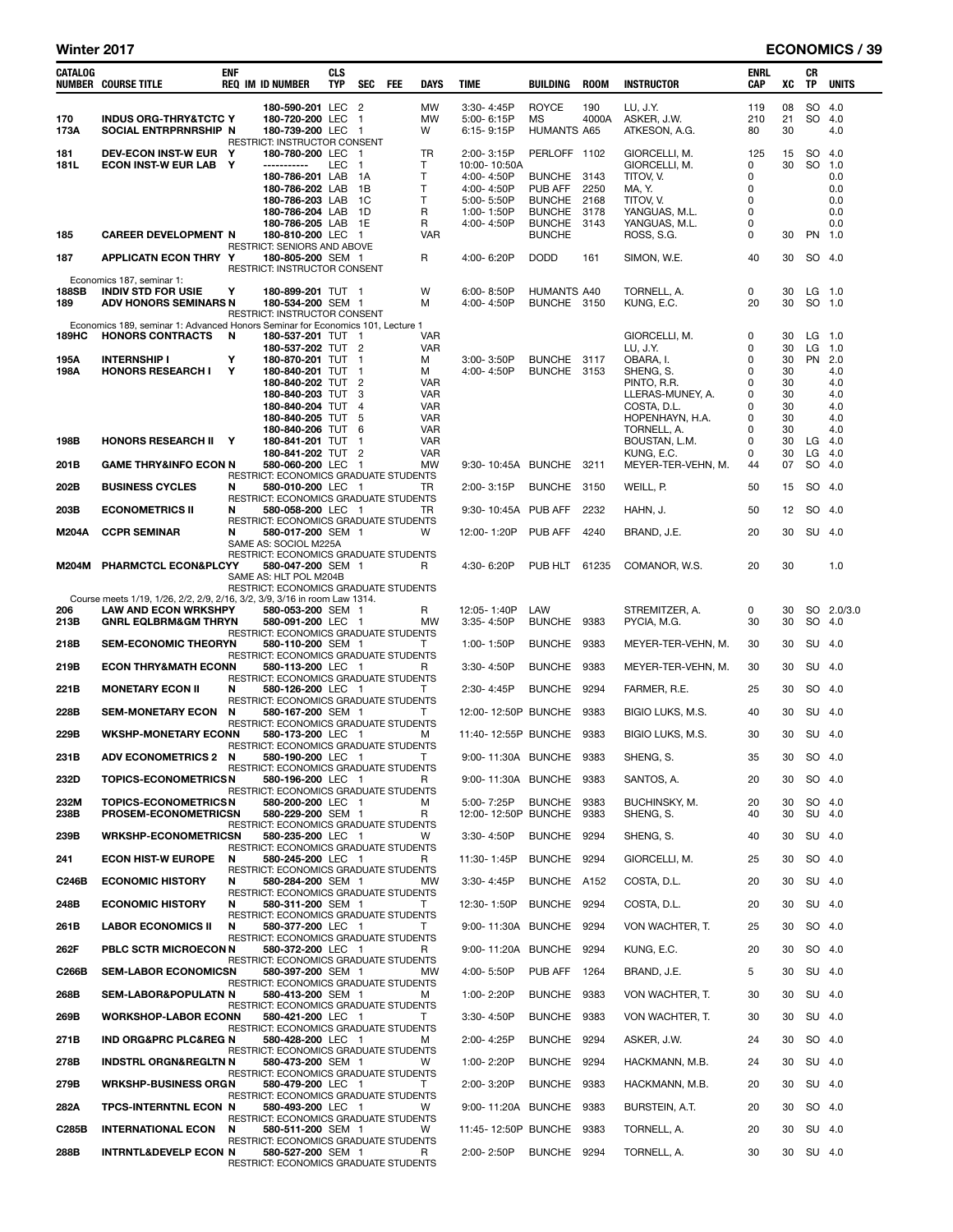## Winter 2017 **ECONOMICS** / 39

| CATALOG               | NUMBER COURSE TITLE                                                                                                                                          | <b>ENF</b>  | <b>REQ IM ID NUMBER</b>                                                                                                                                                                   | <b>CLS</b><br><b>TYP</b> | <b>SEC</b>                         | FEE | <b>DAYS</b>                                                                                       | TIME                                                                                             | BUILDING                                                                                    | <b>ROOM</b>                          | <b>INSTRUCTOR</b>                                                                                                        | ENRL<br>CAP                               | XC                                                 | CR<br><b>TP</b>  | <b>UNITS</b>                                                     |
|-----------------------|--------------------------------------------------------------------------------------------------------------------------------------------------------------|-------------|-------------------------------------------------------------------------------------------------------------------------------------------------------------------------------------------|--------------------------|------------------------------------|-----|---------------------------------------------------------------------------------------------------|--------------------------------------------------------------------------------------------------|---------------------------------------------------------------------------------------------|--------------------------------------|--------------------------------------------------------------------------------------------------------------------------|-------------------------------------------|----------------------------------------------------|------------------|------------------------------------------------------------------|
| 170<br>173A           | <b>INDUS ORG-THRY&amp;TCTC Y</b><br>SOCIAL ENTRPRNRSHIP N                                                                                                    |             | 180-590-201 LEC 2<br>180-720-200 LEC<br>180-739-200 LEC 1                                                                                                                                 |                          | $\overline{1}$                     |     | MW<br>MW<br>W                                                                                     | 3:30-4:45P<br>5:00-6:15P<br>6:15-9:15P                                                           | <b>ROYCE</b><br>MS<br><b>HUMANTS A65</b>                                                    | 190<br>4000A                         | LU, J.Y.<br>ASKER, J.W.<br>ATKESON, A.G.                                                                                 | 119<br>210<br>80                          | 08<br>21<br>30                                     | <b>SO</b><br>SO. | 4.0<br>4.0<br>4.0                                                |
| 181<br>181L           | DEV-ECON INST-W EUR Y<br>ECON INST-W EUR LAB Y                                                                                                               |             | RESTRICT: INSTRUCTOR CONSENT<br>180-780-200 LEC 1<br>-----------<br>180-786-201 LAB<br>180-786-202 LAB<br>180-786-203 LAB<br>180-786-204 LAB 1D<br>180-786-205 LAB 1E                     | LEC                      | $\overline{1}$<br>- 1A<br>1B<br>1C |     | TR<br>T<br>т<br>Т<br>Т<br>R<br>R                                                                  | 2:00-3:15P<br>10:00-10:50A<br>4:00-4:50P<br>4:00-4:50P<br>5:00-5:50P<br>1:00-1:50P<br>4:00-4:50P | PERLOFF 1102<br><b>BUNCHE</b><br>PUB AFF<br><b>BUNCHE</b><br><b>BUNCHE</b><br><b>BUNCHE</b> | 3143<br>2250<br>2168<br>3178<br>3143 | GIORCELLI, M.<br>GIORCELLI, M.<br>TITOV, V.<br>MA, Y.<br>TITOV, V.<br>YANGUAS, M.L.<br>YANGUAS, M.L.                     | 125<br>0<br>0<br>0<br>0<br>0<br>0         | 15<br>30                                           | SO<br><b>SO</b>  | 4.0<br>1.0<br>0.0<br>0.0<br>0.0<br>0.0<br>0.0                    |
| 185                   | <b>CAREER DEVELOPMENT N</b>                                                                                                                                  |             | 180-810-200 LEC 1<br><b>RESTRICT: SENIORS AND ABOVE</b>                                                                                                                                   |                          |                                    |     | <b>VAR</b>                                                                                        |                                                                                                  | <b>BUNCHE</b>                                                                               |                                      | ROSS, S.G.                                                                                                               | 0                                         | 30                                                 |                  | PN 1.0                                                           |
| 187                   | <b>APPLICATN ECON THRY Y</b>                                                                                                                                 |             | 180-805-200 SEM 1<br>RESTRICT: INSTRUCTOR CONSENT                                                                                                                                         |                          |                                    |     | R                                                                                                 | 4:00-6:20P                                                                                       | <b>DODD</b>                                                                                 | 161                                  | SIMON, W.E.                                                                                                              | 40                                        | 30                                                 |                  | SO 4.0                                                           |
| 188SB<br>189          | Economics 187, seminar 1:<br><b>INDIV STD FOR USIE</b><br><b>ADV HONORS SEMINARS N</b>                                                                       | Υ           | 180-899-201 TUT 1<br>180-534-200 SEM 1<br>RESTRICT: INSTRUCTOR CONSENT                                                                                                                    |                          |                                    |     | W<br>M                                                                                            | 6:00-8:50P<br>4:00-4:50P                                                                         | <b>HUMANTS A40</b><br>BUNCHE 3150                                                           |                                      | TORNELL, A.<br>KUNG, E.C.                                                                                                | 0<br>20                                   | 30<br>30                                           |                  | $LG$ 1.0<br>SO 1.0                                               |
| 189HC<br>195A<br>198A | Economics 189, seminar 1: Advanced Honors Seminar for Economics 101, Lecture 1<br><b>HONORS CONTRACTS</b><br><b>INTERNSHIP I</b><br><b>HONORS RESEARCH I</b> | N<br>Υ<br>Y | 180-537-201 TUT 1<br>180-537-202 TUT 2<br>180-870-201 TUT 1<br>180-840-201 TUT 1<br>180-840-202 TUT 2<br>180-840-203 TUT 3<br>180-840-204 TUT 4<br>180-840-205 TUT 5<br>180-840-206 TUT 6 |                          |                                    |     | VAR<br><b>VAR</b><br>м<br>м<br><b>VAR</b><br><b>VAR</b><br><b>VAR</b><br><b>VAR</b><br><b>VAR</b> | 3:00-3:50P<br>4:00-4:50P                                                                         | BUNCHE 3117<br>BUNCHE 3153                                                                  |                                      | GIORCELLI, M.<br>LU, J.Y.<br>OBARA, I.<br>SHENG, S.<br>PINTO, R.R.<br>LLERAS-MUNEY, A.<br>COSTA, D.L.<br>HOPENHAYN, H.A. | 0<br>0<br>0<br>0<br>0<br>0<br>0<br>0<br>0 | 30<br>30<br>30<br>30<br>30<br>30<br>30<br>30<br>30 | LG<br><b>PN</b>  | $LG$ 1.0<br>1.0<br>2.0<br>4.0<br>4.0<br>4.0<br>4.0<br>4.0<br>4.0 |
| 198B                  | <b>HONORS RESEARCH II Y</b>                                                                                                                                  |             | 180-841-201 TUT 1                                                                                                                                                                         |                          |                                    |     | <b>VAR</b>                                                                                        |                                                                                                  |                                                                                             |                                      | TORNELL, A.<br>BOUSTAN, L.M.                                                                                             | 0                                         | 30                                                 | LG               | 4.0                                                              |
| 201B                  | <b>GAME THRY&amp;INFO ECON N</b>                                                                                                                             |             | 180-841-202 TUT 2<br>580-060-200 LEC 1                                                                                                                                                    |                          |                                    |     | <b>VAR</b><br>MW                                                                                  | 9:30-10:45A BUNCHE 3211                                                                          |                                                                                             |                                      | KUNG, E.C.<br>MEYER-TER-VEHN, M.                                                                                         | 0<br>44                                   | 30<br>07                                           | LG<br>SO         | 4.0<br>4.0                                                       |
| 202B                  | <b>BUSINESS CYCLES</b>                                                                                                                                       | N           | RESTRICT: ECONOMICS GRADUATE STUDENTS<br>580-010-200 LEC 1                                                                                                                                |                          |                                    |     | TR                                                                                                | 2:00-3:15P                                                                                       | BUNCHE 3150                                                                                 |                                      | WEILL, P.                                                                                                                | 50                                        | 15                                                 |                  | SO 4.0                                                           |
|                       |                                                                                                                                                              |             | RESTRICT: ECONOMICS GRADUATE STUDENTS                                                                                                                                                     |                          |                                    |     |                                                                                                   |                                                                                                  |                                                                                             |                                      |                                                                                                                          |                                           |                                                    |                  |                                                                  |
| 203B                  | <b>ECONOMETRICS II</b>                                                                                                                                       | N           | 580-058-200 LEC 1<br>RESTRICT: ECONOMICS GRADUATE STUDENTS                                                                                                                                |                          |                                    |     | TR                                                                                                | 9:30-10:45A PUB AFF                                                                              |                                                                                             | 2232                                 | HAHN, J.                                                                                                                 | 50                                        | 12                                                 | SO               | 4.0                                                              |
| <b>M204A</b>          | <b>CCPR SEMINAR</b>                                                                                                                                          | N           | 580-017-200 SEM 1<br>SAME AS: SOCIOL M225A<br>RESTRICT: ECONOMICS GRADUATE STUDENTS                                                                                                       |                          |                                    |     | W                                                                                                 | 12:00-1:20P                                                                                      | <b>PUB AFF</b>                                                                              | 4240                                 | BRAND, J.E.                                                                                                              | 20                                        | 30                                                 |                  | SU 4.0                                                           |
| M204M                 | PHARMCTCL ECON&PLCYY                                                                                                                                         |             | 580-047-200 SEM 1<br>SAME AS: HLT POL M204B<br>RESTRICT: ECONOMICS GRADUATE STUDENTS                                                                                                      |                          |                                    |     | R                                                                                                 | 4:30-6:20P                                                                                       | PUB HLT                                                                                     | 61235                                | COMANOR, W.S.                                                                                                            | 20                                        | 30                                                 |                  | 1.0                                                              |
| 206                   | Course meets 1/19, 1/26, 2/2, 2/9, 2/16, 3/2, 3/9, 3/16 in room Law 1314.<br><b>LAW AND ECON WRKSHPY</b>                                                     |             | 580-053-200 SEM 1                                                                                                                                                                         |                          |                                    |     | R                                                                                                 | 12:05-1:40P                                                                                      | LAW                                                                                         |                                      | STREMITZER, A.                                                                                                           | 0                                         | 30                                                 |                  | SO 2.0/3.0                                                       |
| 213B                  | <b>GNRL EQLBRM&amp;GM THRYN</b>                                                                                                                              |             | 580-091-200 LEC 1                                                                                                                                                                         |                          |                                    |     | MW                                                                                                | $3:35 - 4:50P$                                                                                   | <b>BUNCHE</b>                                                                               | 9383                                 | PYCIA, M.G.                                                                                                              | 30                                        | 30                                                 | SO               | 4.0                                                              |
| 218B                  | <b>SEM-ECONOMIC THEORYN</b>                                                                                                                                  |             | RESTRICT: ECONOMICS GRADUATE STUDENTS<br>580-110-200 SEM 1<br>RESTRICT: ECONOMICS GRADUATE STUDENTS                                                                                       |                          |                                    |     | т                                                                                                 | 1:00-1:50P                                                                                       | <b>BUNCHE</b>                                                                               | 9383                                 | MEYER-TER-VEHN, M.                                                                                                       | 30                                        | 30                                                 |                  | SU 4.0                                                           |
| 219B                  | <b>ECON THRY&amp;MATH ECONN</b>                                                                                                                              |             | 580-113-200 LEC 1<br>RESTRICT: ECONOMICS GRADUATE STUDENTS                                                                                                                                |                          |                                    |     | R                                                                                                 | 3:30-4:50P                                                                                       | <b>BUNCHE</b>                                                                               | 9383                                 | MEYER-TER-VEHN, M.                                                                                                       | 30                                        | 30                                                 |                  | SU 4.0                                                           |
| 221B                  | <b>MONETARY ECON II</b>                                                                                                                                      | N           | 580-126-200 LEC 1                                                                                                                                                                         |                          |                                    |     | T                                                                                                 | 2:30-4:45P                                                                                       | <b>BUNCHE</b>                                                                               | 9294                                 | FARMER, R.E.                                                                                                             | 25                                        | 30                                                 |                  | SO 4.0                                                           |
| 228B                  | <b>SEM-MONETARY ECON</b>                                                                                                                                     | N           | RESTRICT: ECONOMICS GRADUATE STUDENTS<br>580-167-200 SEM 1                                                                                                                                |                          |                                    |     | т                                                                                                 | 12:00-12:50P BUNCHE                                                                              |                                                                                             | 9383                                 | BIGIO LUKS, M.S.                                                                                                         | 40                                        | 30                                                 |                  | SU 4.0                                                           |
| 229B                  | <b>WKSHP-MONETARY ECONN</b>                                                                                                                                  |             | RESTRICT: ECONOMICS GRADUATE STUDENTS<br>580-173-200 LEC 1                                                                                                                                |                          |                                    |     | м                                                                                                 | 11:40-12:55P BUNCHE                                                                              |                                                                                             | 9383                                 | BIGIO LUKS, M.S.                                                                                                         | 30                                        | 30                                                 |                  | SU 4.0                                                           |
| 231B                  | ADV ECONOMETRICS 2 N                                                                                                                                         |             | <b>RESTRICT: ECONOMICS GRADUATE STUDENTS</b><br>580-190-200 LEC 1                                                                                                                         |                          |                                    |     | Т                                                                                                 | 9:00-11:30A BUNCHE 9383                                                                          |                                                                                             |                                      | SHENG, S.                                                                                                                | 35                                        | 30                                                 |                  | SO 4.0                                                           |
| 232D                  | <b>TOPICS-ECONOMETRICSN</b>                                                                                                                                  |             | RESTRICT: ECONOMICS GRADUATE STUDENTS<br>580-196-200 LEC 1                                                                                                                                |                          |                                    |     | R                                                                                                 | 9:00-11:30A BUNCHE 9383                                                                          |                                                                                             |                                      | SANTOS, A.                                                                                                               | 20                                        | 30                                                 |                  | SO 4.0                                                           |
| 232M<br>238B          | <b>TOPICS-ECONOMETRICSN</b><br>PROSEM-ECONOMETRICSN                                                                                                          |             | RESTRICT: ECONOMICS GRADUATE STUDENTS<br>580-200-200 LEC 1<br>580-229-200 SEM 1                                                                                                           |                          |                                    |     | м<br>R                                                                                            | 5:00-7:25P<br>12:00-12:50P BUNCHE                                                                | BUNCHE 9383                                                                                 | 9383                                 | BUCHINSKY, M.<br>SHENG, S.                                                                                               | 20<br>40                                  | 30<br>30                                           |                  | SO 4.0<br>SU 4.0                                                 |
| 239B                  | <b>WRKSHP-ECONOMETRICSN</b>                                                                                                                                  |             | RESTRICT: ECONOMICS GRADUATE STUDENTS<br>580-235-200 LEC 1                                                                                                                                |                          |                                    |     | W                                                                                                 | 3:30-4:50P                                                                                       | BUNCHE 9294                                                                                 |                                      | SHENG, S.                                                                                                                | 40                                        | 30                                                 |                  | SU 4.0                                                           |
| 241                   | <b>ECON HIST-W EUROPE</b>                                                                                                                                    | N           | RESTRICT: ECONOMICS GRADUATE STUDENTS<br>580-245-200 LEC 1                                                                                                                                |                          |                                    |     | R                                                                                                 | 11:30-1:45P                                                                                      | BUNCHE 9294                                                                                 |                                      | GIORCELLI, M.                                                                                                            | 25                                        | 30                                                 |                  | SO 4.0                                                           |
| C246B                 | <b>ECONOMIC HISTORY</b>                                                                                                                                      | N           | RESTRICT: ECONOMICS GRADUATE STUDENTS<br>580-284-200 SEM 1                                                                                                                                |                          |                                    |     | <b>MW</b>                                                                                         | 3:30-4:45P                                                                                       | BUNCHE A152                                                                                 |                                      | COSTA, D.L.                                                                                                              | 20                                        | 30                                                 |                  | SU 4.0                                                           |
| 248B                  | <b>ECONOMIC HISTORY</b>                                                                                                                                      | N           | RESTRICT: ECONOMICS GRADUATE STUDENTS<br>580-311-200 SEM 1                                                                                                                                |                          |                                    |     | T.                                                                                                | 12:30-1:50P                                                                                      | BUNCHE 9294                                                                                 |                                      | COSTA, D.L.                                                                                                              | 20                                        | 30                                                 |                  | SU 4.0                                                           |
| 261B                  | <b>LABOR ECONOMICS II</b>                                                                                                                                    | N           | RESTRICT: ECONOMICS GRADUATE STUDENTS<br>580-377-200 LEC 1                                                                                                                                |                          |                                    |     | T.                                                                                                | 9:00-11:30A BUNCHE 9294                                                                          |                                                                                             |                                      | VON WACHTER, T.                                                                                                          | 25                                        | 30                                                 | SO 4.0           |                                                                  |
| 262F                  | PBLC SCTR MICROECON N                                                                                                                                        |             | RESTRICT: ECONOMICS GRADUATE STUDENTS<br>580-372-200 LEC 1                                                                                                                                |                          |                                    |     | R                                                                                                 | 9:00-11:20A BUNCHE 9294                                                                          |                                                                                             |                                      | KUNG, E.C.                                                                                                               | 20                                        | 30                                                 |                  | SO 4.0                                                           |
| C266B                 | <b>SEM-LABOR ECONOMICSN</b>                                                                                                                                  |             | <b>RESTRICT: ECONOMICS GRADUATE STUDENTS</b><br>580-397-200 SEM 1                                                                                                                         |                          |                                    |     | <b>MW</b>                                                                                         | 4:00-5:50P                                                                                       | PUB AFF                                                                                     | 1264                                 | BRAND, J.E.                                                                                                              | 5                                         | 30                                                 |                  | SU 4.0                                                           |
| 268B                  | SEM-LABOR&POPULATN N                                                                                                                                         |             | RESTRICT: ECONOMICS GRADUATE STUDENTS<br>580-413-200 SEM 1                                                                                                                                |                          |                                    |     | м                                                                                                 | 1:00-2:20P                                                                                       | BUNCHE 9383                                                                                 |                                      | VON WACHTER, T.                                                                                                          | 30                                        | 30                                                 |                  | SU 4.0                                                           |
| 269B                  | <b>WORKSHOP-LABOR ECONN</b>                                                                                                                                  |             | RESTRICT: ECONOMICS GRADUATE STUDENTS<br>580-421-200 LEC 1                                                                                                                                |                          |                                    |     | T                                                                                                 | 3:30-4:50P                                                                                       | BUNCHE 9383                                                                                 |                                      | VON WACHTER, T.                                                                                                          | 30                                        | 30                                                 |                  | SU 4.0                                                           |
| 271B                  | <b>IND ORG&amp;PRC PLC® N</b>                                                                                                                                |             | RESTRICT: ECONOMICS GRADUATE STUDENTS<br>580-428-200 LEC 1                                                                                                                                |                          |                                    |     | м                                                                                                 | 2:00-4:25P                                                                                       | BUNCHE 9294                                                                                 |                                      | ASKER, J.W.                                                                                                              | 24                                        | 30                                                 | SO 4.0           |                                                                  |
| 278B                  | <b>INDSTRL ORGN&amp;REGLTN N</b>                                                                                                                             |             | RESTRICT: ECONOMICS GRADUATE STUDENTS<br>580-473-200 SEM 1                                                                                                                                |                          |                                    |     | W                                                                                                 | 1:00-2:20P                                                                                       | BUNCHE 9294                                                                                 |                                      | HACKMANN, M.B.                                                                                                           | 24                                        | 30                                                 |                  | SU 4.0                                                           |
| 279B                  | <b>WRKSHP-BUSINESS ORGN</b>                                                                                                                                  |             | RESTRICT: ECONOMICS GRADUATE STUDENTS<br>580-479-200 LEC 1                                                                                                                                |                          |                                    |     | т                                                                                                 | 2:00-3:20P                                                                                       | BUNCHE 9383                                                                                 |                                      | HACKMANN, M.B.                                                                                                           | 20                                        | 30                                                 |                  | SU 4.0                                                           |
| 282A                  | TPCS-INTERNTNL ECON N                                                                                                                                        |             | RESTRICT: ECONOMICS GRADUATE STUDENTS<br>580-493-200 LEC 1                                                                                                                                |                          |                                    |     | W                                                                                                 | 9:00-11:20A BUNCHE 9383                                                                          |                                                                                             |                                      | BURSTEIN, A.T.                                                                                                           | 20                                        | 30                                                 |                  | SO 4.0                                                           |
|                       |                                                                                                                                                              |             | RESTRICT: ECONOMICS GRADUATE STUDENTS                                                                                                                                                     |                          |                                    |     |                                                                                                   |                                                                                                  |                                                                                             |                                      |                                                                                                                          |                                           |                                                    |                  |                                                                  |
| C285B                 | <b>INTERNATIONAL ECON</b>                                                                                                                                    | N           | 580-511-200 SEM 1<br>RESTRICT: ECONOMICS GRADUATE STUDENTS                                                                                                                                |                          |                                    |     | w                                                                                                 | 11:45-12:50P BUNCHE 9383                                                                         |                                                                                             |                                      | TORNELL, A.                                                                                                              | 20<br>30                                  | 30                                                 |                  | SU 4.0                                                           |
| 288B                  | <b>INTRNTL&amp;DEVELP ECON N</b>                                                                                                                             |             | 580-527-200 SEM 1<br>RESTRICT: ECONOMICS GRADUATE STUDENTS                                                                                                                                |                          |                                    |     | R                                                                                                 | 2:00-2:50P                                                                                       | BUNCHE 9294                                                                                 |                                      | TORNELL, A.                                                                                                              |                                           |                                                    | 30 SU 4.0        |                                                                  |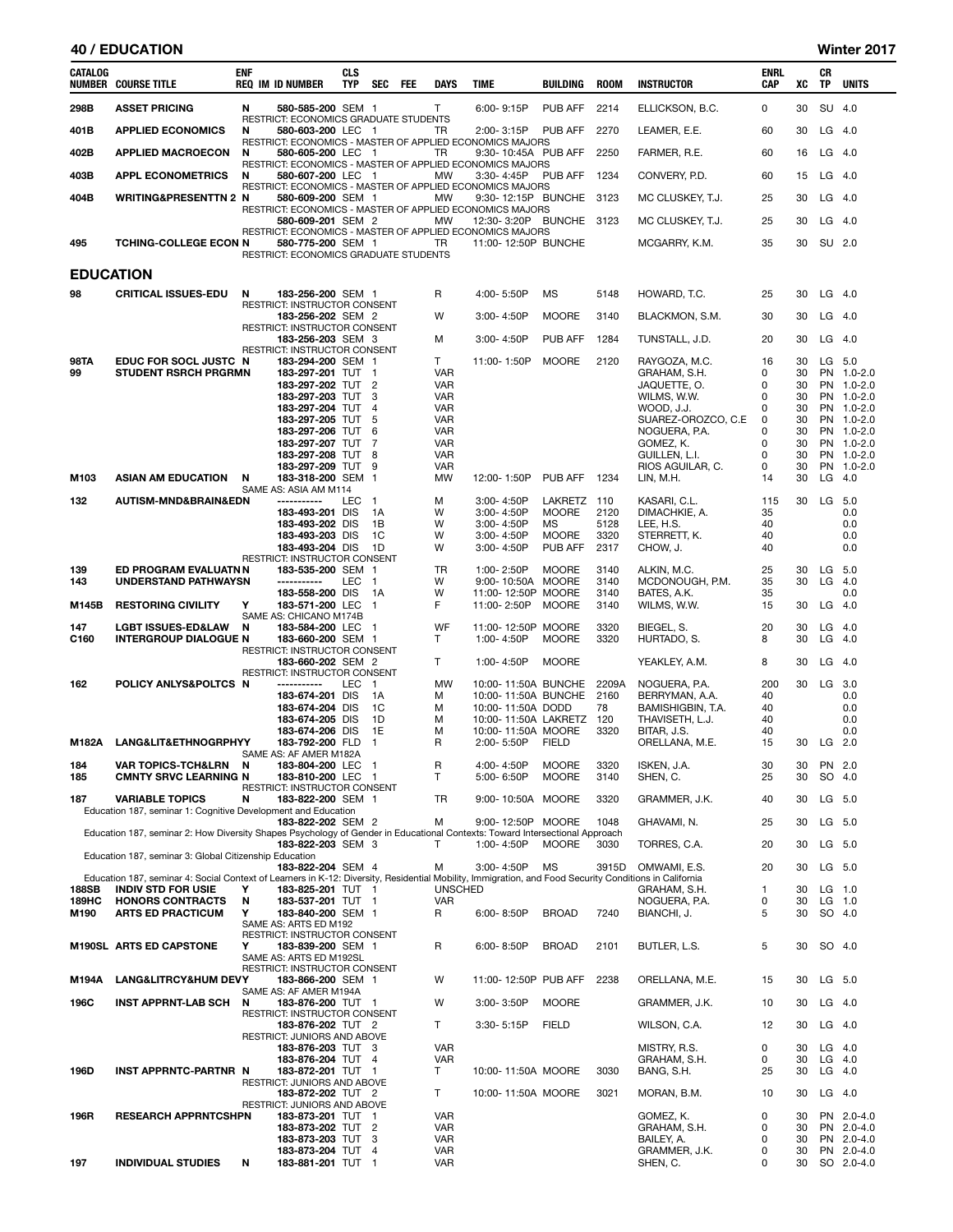| CATALOG          | <b>NUMBER COURSE TITLE</b>                                                                                                                                                          | <b>ENF</b> | <b>REQ IM ID NUMBER</b>                                    | <b>CLS</b><br>TYP | SEC                            | FEE | DAYS                     | <b>TIME</b>                                                                         | BUILDING             | <b>ROOM</b>  | <b>INSTRUCTOR</b>                   | ENRL<br>CAP | XC       | СR<br>TP        | <b>UNITS</b>             |
|------------------|-------------------------------------------------------------------------------------------------------------------------------------------------------------------------------------|------------|------------------------------------------------------------|-------------------|--------------------------------|-----|--------------------------|-------------------------------------------------------------------------------------|----------------------|--------------|-------------------------------------|-------------|----------|-----------------|--------------------------|
| 298B             | <b>ASSET PRICING</b>                                                                                                                                                                | N          | 580-585-200 SEM 1                                          |                   |                                |     | Τ                        | 6:00-9:15P                                                                          | PUB AFF              | 2214         | ELLICKSON, B.C.                     | 0           | 30       | SU 4.0          |                          |
| 401B             | <b>APPLIED ECONOMICS</b>                                                                                                                                                            | N          | RESTRICT: ECONOMICS GRADUATE STUDENTS<br>580-603-200 LEC 1 |                   |                                |     | TR                       | 2:00-3:15P                                                                          | PUB AFF              | 2270         | LEAMER, E.E.                        | 60          | 30       | LG              | - 4.0                    |
| 402B             | <b>APPLIED MACROECON</b>                                                                                                                                                            | N          | 580-605-200 LEC 1                                          |                   |                                |     | TR                       | RESTRICT: ECONOMICS - MASTER OF APPLIED ECONOMICS MAJORS<br>9:30-10:45A PUB AFF     |                      | 2250         | FARMER, R.E.                        | 60          | 16       | LG 4.0          |                          |
|                  |                                                                                                                                                                                     |            |                                                            |                   |                                |     |                          | RESTRICT: ECONOMICS - MASTER OF APPLIED ECONOMICS MAJORS                            |                      |              |                                     |             |          |                 |                          |
| 403B             | <b>APPL ECONOMETRICS</b>                                                                                                                                                            | N          | 580-607-200 LEC 1                                          |                   |                                |     | <b>MW</b>                | 3:30-4:45P<br>RESTRICT: ECONOMICS - MASTER OF APPLIED ECONOMICS MAJORS              | PUB AFF 1234         |              | CONVERY, P.D.                       | 60          | 15       | $LG$ 4.0        |                          |
| 404B             | WRITING&PRESENTTN 2 N                                                                                                                                                               |            | 580-609-200 SEM 1                                          |                   |                                |     | МW                       | 9:30-12:15P BUNCHE<br>RESTRICT: ECONOMICS - MASTER OF APPLIED ECONOMICS MAJORS      |                      | 3123         | MC CLUSKEY, T.J.                    | 25          | 30       | $LG$ 4.0        |                          |
|                  |                                                                                                                                                                                     |            | 580-609-201 SEM 2                                          |                   |                                |     | МW                       | 12:30-3:20P BUNCHE 3123<br>RESTRICT: ECONOMICS - MASTER OF APPLIED ECONOMICS MAJORS |                      |              | MC CLUSKEY, T.J.                    | 25          | 30       | $LG$ 4.0        |                          |
| 495              | <b>TCHING-COLLEGE ECON N</b>                                                                                                                                                        |            | 580-775-200 SEM 1<br>RESTRICT: ECONOMICS GRADUATE STUDENTS |                   |                                |     | TR                       | 11:00-12:50P BUNCHE                                                                 |                      |              | MCGARRY, K.M.                       | 35          | 30       | SU 2.0          |                          |
| <b>EDUCATION</b> |                                                                                                                                                                                     |            |                                                            |                   |                                |     |                          |                                                                                     |                      |              |                                     |             |          |                 |                          |
| 98               | <b>CRITICAL ISSUES-EDU</b>                                                                                                                                                          | N          | 183-256-200 SEM 1                                          |                   |                                |     | R                        | 4:00-5:50P                                                                          | MS                   | 5148         | HOWARD, T.C.                        | 25          | 30       |                 | $LG$ 4.0                 |
|                  |                                                                                                                                                                                     |            | RESTRICT: INSTRUCTOR CONSENT<br>183-256-202 SEM 2          |                   |                                |     | W                        | $3:00 - 4:50P$                                                                      | <b>MOORE</b>         | 3140         | BLACKMON, S.M.                      | 30          | 30       | LG              | 4.0                      |
|                  |                                                                                                                                                                                     |            | RESTRICT: INSTRUCTOR CONSENT<br>183-256-203 SEM 3          |                   |                                |     | М                        | 3:00-4:50P                                                                          | <b>PUB AFF</b>       | 1284         | TUNSTALL, J.D.                      | 20          | 30       |                 | $LG$ 4.0                 |
| <b>98TA</b>      | EDUC FOR SOCL JUSTC N                                                                                                                                                               |            | RESTRICT: INSTRUCTOR CONSENT<br>183-294-200 SEM 1          |                   |                                |     | T.                       | 11:00-1:50P                                                                         | <b>MOORE</b>         | 2120         | RAYGOZA, M.C.                       | 16          | 30       |                 | $LG$ 5.0                 |
| 99               | <b>STUDENT RSRCH PRGRMN</b>                                                                                                                                                         |            | 183-297-201 TUT 1                                          |                   |                                |     | VAR                      |                                                                                     |                      |              | GRAHAM, S.H.                        | 0           | 30       |                 | PN 1.0-2.0               |
|                  |                                                                                                                                                                                     |            | 183-297-202 TUT<br>183-297-203 TUT                         |                   | $\overline{2}$<br>3            |     | <b>VAR</b><br>VAR        |                                                                                     |                      |              | JAQUETTE, O.<br>WILMS, W.W.         | 0<br>0      | 30<br>30 |                 | PN 1.0-2.0<br>PN 1.0-2.0 |
|                  |                                                                                                                                                                                     |            | 183-297-204 TUT 4<br>183-297-205 TUT                       |                   | 5                              |     | VAR<br>VAR               |                                                                                     |                      |              | WOOD, J.J.<br>SUAREZ-OROZCO, C.E    | 0<br>0      | 30<br>30 |                 | PN 1.0-2.0<br>PN 1.0-2.0 |
|                  |                                                                                                                                                                                     |            | 183-297-206 TUT                                            |                   | 6                              |     | VAR                      |                                                                                     |                      |              | NOGUERA, P.A.                       | 0           | 30       |                 | PN 1.0-2.0               |
|                  |                                                                                                                                                                                     |            | 183-297-207 TUT<br>183-297-208 TUT                         |                   | 7<br>-8                        |     | VAR<br>VAR               |                                                                                     |                      |              | GOMEZ, K.<br>GUILLEN, L.I.          | 0<br>0      | 30<br>30 |                 | PN 1.0-2.0<br>PN 1.0-2.0 |
| M103             | <b>ASIAN AM EDUCATION</b>                                                                                                                                                           | N          | 183-297-209 TUT<br>183-318-200 SEM 1                       |                   | 9                              |     | VAR<br>МW                | 12:00-1:50P                                                                         | PUB AFF              | 1234         | RIOS AGUILAR, C.<br>LIN, M.H.       | 0<br>14     | 30<br>30 | <b>PN</b><br>LG | $1.0 - 2.0$<br>4.0       |
|                  |                                                                                                                                                                                     |            | SAME AS: ASIA AM M114                                      |                   |                                |     |                          |                                                                                     |                      |              |                                     |             |          |                 |                          |
| 132              | AUTISM-MND&BRAIN&EDN                                                                                                                                                                |            | -----------<br>183-493-201 DIS                             | LEC               | $\mathbf{1}$<br>1A             |     | м<br>W                   | 3:00-4:50P<br>$3:00 - 4:50P$                                                        | LAKRETZ 110<br>MOORE | 2120         | KASARI. C.L.<br>DIMACHKIE, A.       | 115<br>35   | 30       | LG              | 5.0<br>0.0               |
|                  |                                                                                                                                                                                     |            | 183-493-202 DIS<br>183-493-203 DIS                         |                   | 1В<br>1C                       |     | W<br>W                   | $3:00 - 4:50P$<br>$3:00 - 4:50P$                                                    | МS<br><b>MOORE</b>   | 5128<br>3320 | LEE, H.S.<br>STERRETT, K.           | 40<br>40    |          |                 | 0.0<br>0.0               |
|                  |                                                                                                                                                                                     |            | 183-493-204 DIS                                            |                   | 1D                             |     | W                        | 3:00-4:50P                                                                          | PUB AFF              | 2317         | CHOW, J.                            | 40          |          |                 | 0.0                      |
| 139              | ED PROGRAM EVALUATN N                                                                                                                                                               |            | RESTRICT: INSTRUCTOR CONSENT<br>183-535-200 SEM 1          |                   |                                |     | TR                       | 1:00-2:50P                                                                          | <b>MOORE</b>         | 3140         | ALKIN, M.C.                         | 25          | 30       | LG              | 5.0                      |
| 143              | UNDERSTAND PATHWAYSN                                                                                                                                                                |            | -----------<br>183-558-200 DIS                             | LEC               | $\overline{\phantom{a}}$<br>1A |     | W<br>W                   | 9:00-10:50A MOORE<br>11:00-12:50P MOORE                                             |                      | 3140<br>3140 | MCDONOUGH, P.M.<br>BATES, A.K.      | 35<br>35    | 30       | $LG$ 4.0        | 0.0                      |
| M145B            | <b>RESTORING CIVILITY</b>                                                                                                                                                           | Y          | 183-571-200 LEC                                            |                   | $\overline{1}$                 |     | F                        | 11:00-2:50P                                                                         | <b>MOORE</b>         | 3140         | WILMS, W.W.                         | 15          | 30       | $LG$ 4.0        |                          |
| 147              | <b>LGBT ISSUES-ED&amp;LAW</b>                                                                                                                                                       | N          | SAME AS: CHICANO M174B<br>183-584-200 LEC                  |                   | - 1                            |     | WF                       | 11:00-12:50P MOORE                                                                  |                      | 3320         | BIEGEL, S.                          | 20          | 30       | LG              | 4.0                      |
| C <sub>160</sub> | <b>INTERGROUP DIALOGUE N</b>                                                                                                                                                        |            | 183-660-200 SEM 1<br>RESTRICT: INSTRUCTOR CONSENT          |                   |                                |     | T                        | 1:00-4:50P                                                                          | <b>MOORE</b>         | 3320         | HURTADO, S.                         | 8           | 30       | LG              | 4.0                      |
|                  |                                                                                                                                                                                     |            | 183-660-202 SEM 2<br>RESTRICT: INSTRUCTOR CONSENT          |                   |                                |     | $\mathsf{T}$             | 1:00-4:50P                                                                          | <b>MOORE</b>         |              | YEAKLEY, A.M.                       | 8           | 30       | LG              | 4.0                      |
| 162              | POLICY ANLYS&POLTCS N                                                                                                                                                               |            | -----------                                                | LEC 1             |                                |     | MW                       | 10:00-11:50A BUNCHE                                                                 |                      | 2209A        | NOGUERA, P.A.                       | 200         | 30       | LG 3.0          |                          |
|                  |                                                                                                                                                                                     |            | 183-674-201 DIS<br>183-674-204 DIS                         |                   | 1A<br>1C                       |     | м<br>М                   | 10:00-11:50A BUNCHE<br>10:00-11:50A DODD                                            |                      | 2160<br>78   | BERRYMAN, A.A.<br>BAMISHIGBIN, T.A. | 40<br>40    |          |                 | 0.0<br>0.0               |
|                  |                                                                                                                                                                                     |            | 183-674-205 DIS<br>183-674-206 DIS                         |                   | 1D<br>1E                       |     | М<br>М                   | 10:00-11:50A LAKRETZ<br>10:00-11:50A MOORE                                          |                      | 120<br>3320  | THAVISETH, L.J.<br>BITAR, J.S.      | 40<br>40    |          |                 | 0.0<br>0.0               |
| M182A            | LANG&LIT&ETHNOGRPHYY                                                                                                                                                                |            | 183-792-200 FLD                                            |                   | $\overline{1}$                 |     | R                        | 2:00-5:50P                                                                          | <b>FIELD</b>         |              | ORELLANA, M.E.                      | 15          | 30       | $LG$ 2.0        |                          |
| 184              | <b>VAR TOPICS-TCH&amp;LRN</b>                                                                                                                                                       | N          | SAME AS: AF AMER M182A<br>183-804-200 LEC 1                |                   |                                |     | R                        | 4:00-4:50P                                                                          | <b>MOORE</b>         | 3320         | ISKEN, J.A.                         | 30          | 30       |                 | PN 2.0                   |
| 185              | <b>CMNTY SRVC LEARNING N</b>                                                                                                                                                        |            | 183-810-200 LEC 1<br>RESTRICT: INSTRUCTOR CONSENT          |                   |                                |     | T                        | 5:00-6:50P                                                                          | <b>MOORE</b>         | 3140         | SHEN, C.                            | 25          | 30       |                 | SO 4.0                   |
| 187              | <b>VARIABLE TOPICS</b><br>Education 187, seminar 1: Cognitive Development and Education                                                                                             | N          | 183-822-200 SEM 1                                          |                   |                                |     | TR                       | 9:00-10:50A MOORE                                                                   |                      | 3320         | GRAMMER, J.K.                       | 40          | 30       |                 | LG 5.0                   |
|                  |                                                                                                                                                                                     |            | 183-822-202 SEM 2                                          |                   |                                |     | М                        | 9:00-12:50P MOORE                                                                   |                      | 1048         | GHAVAMI, N.                         | 25          | 30       |                 | LG 5.0                   |
|                  | Education 187, seminar 2: How Diversity Shapes Psychology of Gender in Educational Contexts: Toward Intersectional Approach                                                         |            | 183-822-203 SEM 3                                          |                   |                                |     | т                        | 1:00-4:50P                                                                          | <b>MOORE</b>         | 3030         | TORRES, C.A.                        | 20          | 30       |                 | LG 5.0                   |
|                  | Education 187, seminar 3: Global Citizenship Education                                                                                                                              |            | 183-822-204 SEM 4                                          |                   |                                |     | м                        | 3:00-4:50P                                                                          | MS                   | 3915D        | OMWAMI, E.S.                        | 20          | 30       |                 | LG 5.0                   |
| 188SB            | Education 187, seminar 4: Social Context of Learners in K-12: Diversity, Residential Mobility, Immigration, and Food Security Conditions in California<br><b>INDIV STD FOR USIE</b> | Υ          | 183-825-201 TUT 1                                          |                   |                                |     | <b>UNSCHED</b>           |                                                                                     |                      |              | GRAHAM, S.H.                        | 1           | 30       |                 | LG 1.0                   |
| 189HC            | <b>HONORS CONTRACTS</b>                                                                                                                                                             | Ν          | 183-537-201 TUT 1                                          |                   |                                |     | <b>VAR</b>               |                                                                                     |                      |              | NOGUERA, P.A.                       | 0           | 30       | LG 1.0          |                          |
| M190             | <b>ARTS ED PRACTICUM</b>                                                                                                                                                            | Υ          | 183-840-200 SEM 1<br>SAME AS: ARTS ED M192                 |                   |                                |     | R                        | 6:00-8:50P                                                                          | <b>BROAD</b>         | 7240         | BIANCHI, J.                         | 5           | 30       | SO 4.0          |                          |
|                  | M190SL ARTS ED CAPSTONE                                                                                                                                                             | Υ          | RESTRICT: INSTRUCTOR CONSENT<br>183-839-200 SEM 1          |                   |                                |     | R                        | 6:00-8:50P                                                                          | <b>BROAD</b>         | 2101         | BUTLER, L.S.                        | 5           | 30       |                 | SO 4.0                   |
|                  |                                                                                                                                                                                     |            | SAME AS: ARTS ED M192SL                                    |                   |                                |     |                          |                                                                                     |                      |              |                                     |             |          |                 |                          |
| M194A            | <b>LANG&amp;LITRCY&amp;HUM DEVY</b>                                                                                                                                                 |            | RESTRICT: INSTRUCTOR CONSENT<br>183-866-200 SEM 1          |                   |                                |     | w                        | 11:00-12:50P PUB AFF                                                                |                      | 2238         | ORELLANA, M.E.                      | 15          | 30       | LG 5.0          |                          |
| 196C             | INST APPRNT-LAB SCH                                                                                                                                                                 | N          | SAME AS: AF AMER M194A<br>183-876-200 TUT 1                |                   |                                |     | W                        | 3:00-3:50P                                                                          | <b>MOORE</b>         |              | GRAMMER, J.K.                       | 10          | 30       | LG              | - 4.0                    |
|                  |                                                                                                                                                                                     |            | RESTRICT: INSTRUCTOR CONSENT<br>183-876-202 TUT 2          |                   |                                |     | T                        | 3:30-5:15P                                                                          | <b>FIELD</b>         |              | WILSON, C.A.                        | 12          | 30       |                 | $LG$ 4.0                 |
|                  |                                                                                                                                                                                     |            | RESTRICT: JUNIORS AND ABOVE                                |                   |                                |     |                          |                                                                                     |                      |              |                                     |             |          |                 |                          |
|                  |                                                                                                                                                                                     |            | 183-876-203 TUT 3<br>183-876-204 TUT 4                     |                   |                                |     | <b>VAR</b><br><b>VAR</b> |                                                                                     |                      |              | MISTRY, R.S.<br>GRAHAM, S.H.        | 0<br>0      | 30<br>30 | $LG$ 4.0        | $LG$ 4.0                 |
| 196D             | INST APPRNTC-PARTNR N                                                                                                                                                               |            | 183-872-201 TUT 1<br>RESTRICT: JUNIORS AND ABOVE           |                   |                                |     | T                        | 10:00-11:50A MOORE                                                                  |                      | 3030         | BANG, S.H.                          | 25          | 30       | $LG$ 4.0        |                          |
|                  |                                                                                                                                                                                     |            | 183-872-202 TUT 2                                          |                   |                                |     | $\mathsf{T}$             | 10:00-11:50A MOORE                                                                  |                      | 3021         | MORAN, B.M.                         | 10          | 30       | LG              | -4.0                     |
| 196R             | <b>RESEARCH APPRNTCSHPN</b>                                                                                                                                                         |            | RESTRICT: JUNIORS AND ABOVE<br>183-873-201 TUT 1           |                   |                                |     | <b>VAR</b>               |                                                                                     |                      |              | GOMEZ, K.                           | 0           | 30       |                 | PN 2.0-4.0               |
|                  |                                                                                                                                                                                     |            | 183-873-202 TUT 2<br>183-873-203 TUT                       |                   | -3                             |     | <b>VAR</b><br>VAR        |                                                                                     |                      |              | GRAHAM, S.H.<br>BAILEY, A.          | 0<br>0      | 30<br>30 |                 | PN 2.0-4.0<br>PN 2.0-4.0 |
|                  |                                                                                                                                                                                     |            | 183-873-204 TUT 4                                          |                   |                                |     | VAR                      |                                                                                     |                      |              | GRAMMER, J.K.                       | 0           | 30       |                 | PN 2.0-4.0               |
| 197              | <b>INDIVIDUAL STUDIES</b>                                                                                                                                                           | Ν          | 183-881-201 TUT 1                                          |                   |                                |     | VAR                      |                                                                                     |                      |              | SHEN, C.                            | 0           | 30       |                 | SO 2.0-4.0               |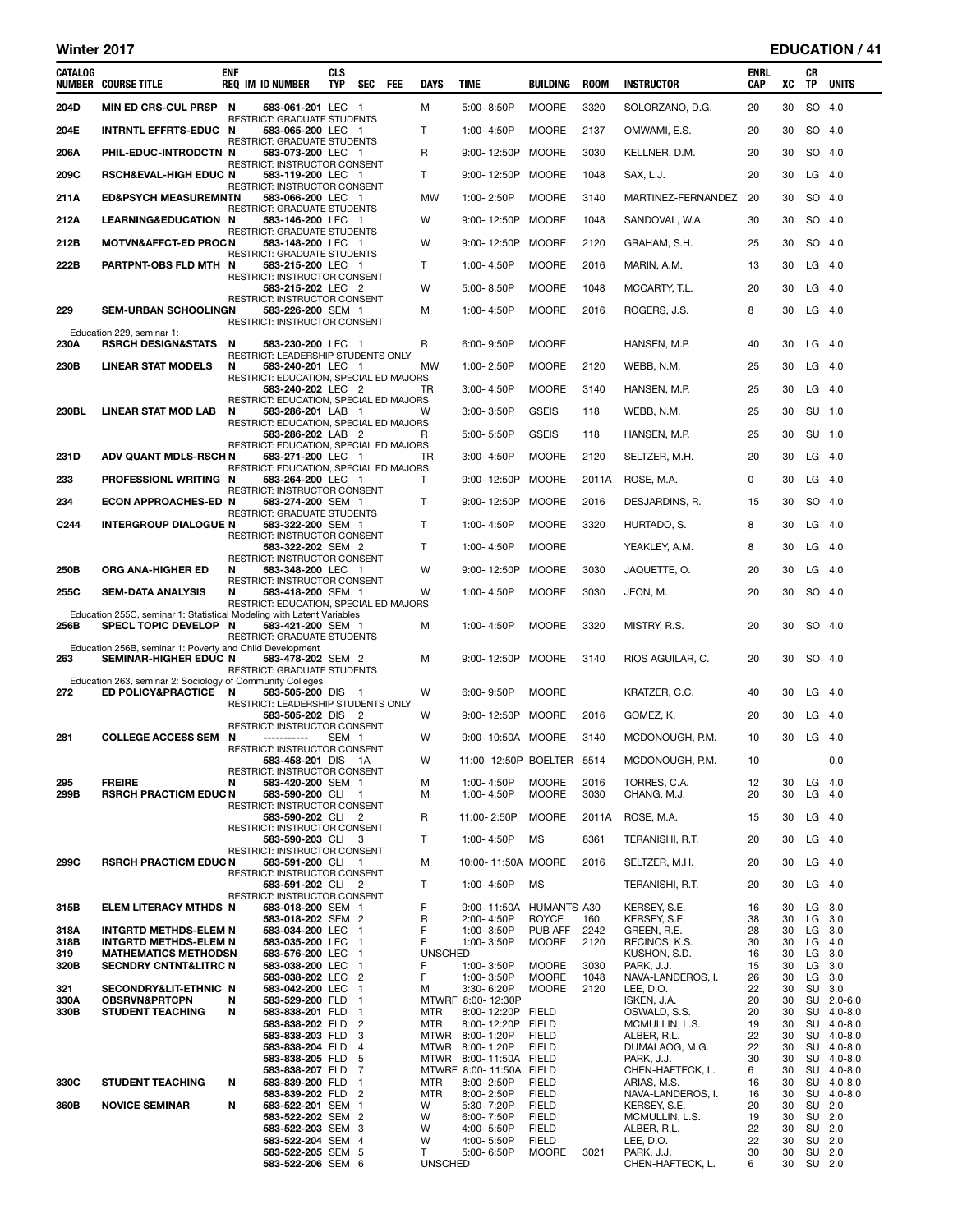# Winter 2017 **EDUCATION** / 41

| CATALOG<br>NUMBER | <b>COURSE TITLE</b>                                                                            | <b>ENF</b> | <b>REQ IM ID NUMBER</b>                                     | <b>CLS</b><br><b>TYP</b> | <b>SEC</b>                       | FEE | <b>DAYS</b>                    | TIME |                                              | BUILDING                           | <b>ROOM</b>  | <b>INSTRUCTOR</b>                | ENRL<br>CAP | xс       | CR<br>TP       | <b>UNITS</b>              |
|-------------------|------------------------------------------------------------------------------------------------|------------|-------------------------------------------------------------|--------------------------|----------------------------------|-----|--------------------------------|------|----------------------------------------------|------------------------------------|--------------|----------------------------------|-------------|----------|----------------|---------------------------|
| 204D              | <b>MIN ED CRS-CUL PRSP</b>                                                                     | N          | 583-061-201 LEC 1                                           |                          |                                  |     | м                              |      | $5:00 - 8:50P$                               | <b>MOORE</b>                       | 3320         | SOLORZANO, D.G.                  | 20          | 30       | SO 4.0         |                           |
| 204E              | INTRNTL EFFRTS-EDUC N                                                                          |            | RESTRICT: GRADUATE STUDENTS<br>583-065-200 LEC 1            |                          |                                  |     | т                              |      | 1:00-4:50P                                   | <b>MOORE</b>                       | 2137         | OMWAMI, E.S.                     | 20          | 30       | SO 4.0         |                           |
| 206A              | PHIL-EDUC-INTRODCTN N                                                                          |            | RESTRICT: GRADUATE STUDENTS<br>583-073-200 LEC 1            |                          |                                  |     | R                              |      | 9:00-12:50P                                  | <b>MOORE</b>                       | 3030         | KELLNER, D.M.                    | 20          | 30       | SO 4.0         |                           |
| 209C              | <b>RSCH&amp;EVAL-HIGH EDUC N</b>                                                               |            | <b>RESTRICT: INSTRUCTOR CONSENT</b><br>583-119-200 LEC 1    |                          |                                  |     | т                              |      | 9:00-12:50P                                  | <b>MOORE</b>                       | 1048         | SAX, L.J.                        | 20          | 30       | LG             | -4.0                      |
| 211A              | <b>ED&amp;PSYCH MEASUREMNTN</b>                                                                |            | RESTRICT: INSTRUCTOR CONSENT<br>583-066-200 LEC 1           |                          |                                  |     | MW                             |      | 1:00-2:50P                                   | <b>MOORE</b>                       | 3140         | MARTINEZ-FERNANDEZ               | 20          | 30       | SO 4.0         |                           |
| 212A              | LEARNING&EDUCATION N                                                                           |            | RESTRICT: GRADUATE STUDENTS<br>583-146-200 LEC 1            |                          |                                  |     | W                              |      | 9:00-12:50P                                  | <b>MOORE</b>                       | 1048         | SANDOVAL, W.A.                   | 30          | 30       | SO 4.0         |                           |
| 212B              | <b>MOTVN&amp;AFFCT-ED PROCN</b>                                                                |            | <b>RESTRICT: GRADUATE STUDENTS</b><br>583-148-200 LEC 1     |                          |                                  |     | W                              |      | 9:00-12:50P                                  | <b>MOORE</b>                       | 2120         | GRAHAM, S.H.                     | 25          | 30       | SO 4.0         |                           |
|                   | PARTPNT-OBS FLD MTH N                                                                          |            | RESTRICT: GRADUATE STUDENTS                                 |                          |                                  |     |                                |      |                                              |                                    |              |                                  |             |          |                |                           |
| 222B              |                                                                                                |            | 583-215-200 LEC 1<br>RESTRICT: INSTRUCTOR CONSENT           |                          |                                  |     | T                              |      | 1:00-4:50P                                   | <b>MOORE</b>                       | 2016         | MARIN, A.M.                      | 13          | 30       | $LG$ 4.0       |                           |
|                   |                                                                                                |            | 583-215-202 LEC 2<br>RESTRICT: INSTRUCTOR CONSENT           |                          |                                  |     | W                              |      | $5:00 - 8:50P$                               | <b>MOORE</b>                       | 1048         | MCCARTY, T.L.                    | 20          | 30       | LG             | - 4.0                     |
| 229               | <b>SEM-URBAN SCHOOLINGN</b>                                                                    |            | <b>583-226-200</b> SEM 1<br>RESTRICT: INSTRUCTOR CONSENT    |                          |                                  |     | м                              |      | 1:00-4:50P                                   | <b>MOORE</b>                       | 2016         | ROGERS, J.S.                     | 8           | 30       | $LG$ 4.0       |                           |
| 230A              | Education 229, seminar 1:<br><b>RSRCH DESIGN&amp;STATS</b>                                     | N          | 583-230-200 LEC 1                                           |                          |                                  |     | R                              |      | $6:00 - 9:50P$                               | <b>MOORE</b>                       |              | HANSEN, M.P.                     | 40          | 30       | LG             | - 4.0                     |
| 230B              | <b>LINEAR STAT MODELS</b>                                                                      | N          | RESTRICT: LEADERSHIP STUDENTS ONLY<br>583-240-201 LEC 1     |                          |                                  |     | MW                             |      | 1:00-2:50P                                   | <b>MOORE</b>                       | 2120         | WEBB, N.M.                       | 25          | 30       | $LG$ 4.0       |                           |
|                   |                                                                                                |            | RESTRICT: EDUCATION, SPECIAL ED MAJORS<br>583-240-202 LEC 2 |                          |                                  |     | TR                             |      | 3:00-4:50P                                   | <b>MOORE</b>                       | 3140         | HANSEN, M.P.                     | 25          | 30       | LG             | - 4.0                     |
| 230BL             | LINEAR STAT MOD LAB                                                                            | N          | RESTRICT: EDUCATION, SPECIAL ED MAJORS<br>583-286-201 LAB 1 |                          |                                  |     | W                              |      | 3:00-3:50P                                   | <b>GSEIS</b>                       | 118          | WEBB, N.M.                       | 25          | 30       | SU 1.0         |                           |
|                   |                                                                                                |            | RESTRICT: EDUCATION, SPECIAL ED MAJORS<br>583-286-202 LAB 2 |                          |                                  |     | R                              |      | 5:00-5:50P                                   | <b>GSEIS</b>                       | 118          | HANSEN, M.P.                     | 25          | 30       | SU             | 1.0                       |
| 231D              | <b>ADV QUANT MDLS-RSCH N</b>                                                                   |            | RESTRICT: EDUCATION, SPECIAL ED MAJORS                      |                          |                                  |     | TR                             |      |                                              | <b>MOORE</b>                       | 2120         |                                  |             | 30       | LG             | - 4.0                     |
|                   |                                                                                                |            | 583-271-200 LEC 1<br>RESTRICT: EDUCATION, SPECIAL ED MAJORS |                          |                                  |     |                                |      | 3:00-4:50P                                   |                                    |              | SELTZER, M.H.                    | 20          |          |                |                           |
| 233               | PROFESSIONL WRITING N                                                                          |            | 583-264-200 LEC 1<br><b>RESTRICT: INSTRUCTOR CONSENT</b>    |                          |                                  |     | т                              |      | 9:00-12:50P                                  | <b>MOORE</b>                       | 2011A        | ROSE, M.A.                       | 0           | 30       | $LG$ 4.0       |                           |
| 234               | <b>ECON APPROACHES-ED N</b>                                                                    |            | 583-274-200 SEM 1<br>RESTRICT: GRADUATE STUDENTS            |                          |                                  |     | т                              |      | 9:00-12:50P                                  | <b>MOORE</b>                       | 2016         | DESJARDINS, R.                   | 15          | 30       | SO 4.0         |                           |
| C <sub>244</sub>  | <b>INTERGROUP DIALOGUE N</b>                                                                   |            | 583-322-200 SEM 1<br>RESTRICT: INSTRUCTOR CONSENT           |                          |                                  |     | T                              |      | 1:00-4:50P                                   | <b>MOORE</b>                       | 3320         | HURTADO, S.                      | 8           | 30       | $LG$ 4.0       |                           |
|                   |                                                                                                |            | 583-322-202 SEM 2<br>RESTRICT: INSTRUCTOR CONSENT           |                          |                                  |     | т                              |      | 1:00-4:50P                                   | <b>MOORE</b>                       |              | YEAKLEY, A.M.                    | 8           | 30       | LG             | - 4.0                     |
| 250B              | ORG ANA-HIGHER ED                                                                              | N          | 583-348-200 LEC 1<br>RESTRICT: INSTRUCTOR CONSENT           |                          |                                  |     | W                              |      | 9:00-12:50P                                  | <b>MOORE</b>                       | 3030         | JAQUETTE, O.                     | 20          | 30       | LG             | -4.0                      |
| 255C              | <b>SEM-DATA ANALYSIS</b>                                                                       | N          | 583-418-200 SEM 1<br>RESTRICT: EDUCATION, SPECIAL ED MAJORS |                          |                                  |     | W                              |      | 1:00-4:50P                                   | <b>MOORE</b>                       | 3030         | JEON, M.                         | 20          | 30       | SO 4.0         |                           |
| 256B              | Education 255C, seminar 1: Statistical Modeling with Latent Variables<br>SPECL TOPIC DEVELOP N |            | 583-421-200 SEM 1                                           |                          |                                  |     | м                              |      | 1:00-4:50P                                   | <b>MOORE</b>                       | 3320         | MISTRY, R.S.                     | 20          | 30       |                | SO 4.0                    |
|                   | Education 256B, seminar 1: Poverty and Child Development                                       |            | RESTRICT: GRADUATE STUDENTS                                 |                          |                                  |     |                                |      |                                              |                                    |              |                                  |             |          |                |                           |
| 263               | SEMINAR-HIGHER EDUC N                                                                          |            | 583-478-202 SEM 2                                           |                          |                                  |     | м                              |      | 9:00-12:50P                                  | <b>MOORE</b>                       | 3140         | RIOS AGUILAR, C.                 | 20          | 30       | SO 4.0         |                           |
|                   | Education 263, seminar 2: Sociology of Community Colleges                                      |            | <b>RESTRICT: GRADUATE STUDENTS</b>                          |                          |                                  |     |                                |      |                                              |                                    |              |                                  |             |          |                |                           |
| 272               | ED POLICY&PRACTICE N                                                                           |            | 583-505-200 DIS 1<br>RESTRICT: LEADERSHIP STUDENTS ONLY     |                          |                                  |     | W                              |      | 6:00-9:50P                                   | <b>MOORE</b>                       |              | KRATZER, C.C.                    | 40          | 30       | $LG$ 4.0       |                           |
|                   |                                                                                                |            | 583-505-202 DIS 2<br>RESTRICT: INSTRUCTOR CONSENT           |                          |                                  |     | W                              |      | 9:00-12:50P                                  | MOORE                              | 2016         | GOMEZ, K.                        | 20          | 30       | LG             | - 4.0                     |
| 281               | <b>COLLEGE ACCESS SEM</b>                                                                      | N          | -----------<br>RESTRICT: INSTRUCTOR CONSENT                 | SEM <sub>1</sub>         |                                  |     | W                              |      |                                              | 9:00-10:50A MOORE                  | 3140         | MCDONOUGH, P.M.                  | 10          | 30       | LG             | - 4.0                     |
|                   |                                                                                                |            | 583-458-201 DIS 1A<br>RESTRICT: INSTRUCTOR CONSENT          |                          |                                  |     | W                              |      |                                              | 11:00-12:50P BOELTER 5514          |              | MCDONOUGH, P.M.                  | 10          |          |                | 0.0                       |
| 295<br>299B       | <b>FREIRE</b><br><b>RSRCH PRACTICM EDUC N</b>                                                  | N          | 583-420-200 SEM 1<br>583-590-200 CLI 1                      |                          |                                  |     | м<br>м                         |      | 1:00-4:50P<br>1:00-4:50P                     | <b>MOORE</b><br><b>MOORE</b>       | 2016<br>3030 | TORRES, C.A.<br>CHANG, M.J.      | 12<br>20    | 30<br>30 | $LG$ 4.0<br>LG | -4.0                      |
|                   |                                                                                                |            | RESTRICT: INSTRUCTOR CONSENT<br>583-590-202 CLI 2           |                          |                                  |     | R                              |      | 11:00-2:50P                                  | <b>MOORE</b>                       | 2011A        | ROSE, M.A.                       | 15          | 30       | LG 4.0         |                           |
|                   |                                                                                                |            | RESTRICT: INSTRUCTOR CONSENT<br>583-590-203 CLI 3           |                          |                                  |     | T.                             |      | 1:00-4:50P                                   | MS                                 | 8361         | TERANISHI, R.T.                  | 20          | 30       | $LG$ 4.0       |                           |
| 299C              | <b>RSRCH PRACTICM EDUC N</b>                                                                   |            | RESTRICT: INSTRUCTOR CONSENT<br>583-591-200 CLI 1           |                          |                                  |     | м                              |      |                                              | 10:00-11:50A MOORE                 | 2016         | SELTZER, M.H.                    | 20          | 30       | $LG$ 4.0       |                           |
|                   |                                                                                                |            | RESTRICT: INSTRUCTOR CONSENT<br>583-591-202 CLI 2           |                          |                                  |     | T                              |      | 1:00-4:50P                                   | MS                                 |              | TERANISHI, R.T.                  | 20          | 30       |                | $LG$ 4.0                  |
|                   |                                                                                                |            | RESTRICT: INSTRUCTOR CONSENT                                |                          |                                  |     | F                              |      |                                              |                                    |              |                                  |             |          | LG             | 3.0                       |
| 315B              | ELEM LITERACY MTHDS N                                                                          |            | 583-018-200 SEM 1<br>583-018-202 SEM 2                      |                          |                                  |     | R                              |      | 9:00-11:50A<br>2:00-4:50P                    | <b>HUMANTS A30</b><br><b>ROYCE</b> | 160          | KERSEY, S.E.<br>KERSEY, S.E.     | 16<br>38    | 30<br>30 | LG             | 3.0                       |
| 318A<br>318B      | <b>INTGRTD METHDS-ELEM N</b><br><b>INTGRTD METHDS-ELEM N</b>                                   |            | 583-034-200 LEC 1<br>583-035-200 LEC 1                      |                          |                                  |     | F<br>F                         |      | 1:00-3:50P<br>1:00-3:50P                     | PUB AFF<br><b>MOORE</b>            | 2242<br>2120 | GREEN, R.E.<br>RECINOS, K.S.     | 28<br>30    | 30<br>30 | LG 3.0<br>LG   | 4.0                       |
| 319<br>320B       | <b>MATHEMATICS METHODSN</b><br><b>SECNDRY CNTNT&amp;LITRC N</b>                                |            | 583-576-200 LEC<br>583-038-200 LEC 1                        |                          | $\overline{1}$                   |     | <b>UNSCHED</b><br>F            |      | 1:00-3:50P                                   | <b>MOORE</b>                       | 3030         | KUSHON, S.D.<br>PARK, J.J.       | 16<br>15    | 30<br>30 | LG<br>LG       | 3.0<br>3.0                |
| 321               | SECONDRY&LIT-ETHNIC N                                                                          |            | 583-038-202 LEC<br>583-042-200 LEC                          |                          | $\overline{2}$<br>$\overline{1}$ |     | F<br>м                         |      | 1:00-3:50P<br>3:30-6:20P                     | <b>MOORE</b><br><b>MOORE</b>       | 1048<br>2120 | NAVA-LANDEROS, I.<br>LEE, D.O.   | 26<br>22    | 30<br>30 | LG<br>SU       | 3.0<br>3.0                |
| 330A<br>330B      | <b>OBSRVN&amp;PRTCPN</b><br><b>STUDENT TEACHING</b>                                            | N<br>Ν     | 583-529-200 FLD 1<br>583-838-201 FLD 1                      |                          |                                  |     | <b>MTR</b>                     |      | MTWRF 8:00-12:30P<br>8:00-12:20P FIELD       |                                    |              | ISKEN, J.A.<br>OSWALD, S.S.      | 20<br>20    | 30<br>30 | SU             | SU 2.0-6.0<br>$4.0 - 8.0$ |
|                   |                                                                                                |            | 583-838-202 FLD                                             |                          | $\overline{2}$                   |     | <b>MTR</b>                     |      | 8:00-12:20P                                  | <b>FIELD</b><br><b>FIELD</b>       |              | MCMULLIN, L.S.                   | 19<br>22    | 30<br>30 |                | SU 4.0-8.0<br>SU 4.0-8.0  |
|                   |                                                                                                |            | 583-838-203 FLD 3<br>583-838-204 FLD                        |                          | $\overline{4}$                   |     | MTWR 8:00-1:20P<br><b>MTWR</b> |      | 8:00-1:20P                                   | <b>FIELD</b>                       |              | ALBER, R.L.<br>DUMALAOG, M.G.    | 22          | 30       |                | SU 4.0-8.0                |
|                   |                                                                                                |            | 583-838-205 FLD 5<br>583-838-207 FLD 7                      |                          |                                  |     | <b>MTWR</b>                    |      | 8:00-11:50A FIELD<br>MTWRF 8:00-11:50A FIELD |                                    |              | PARK, J.J.<br>CHEN-HAFTECK, L.   | 30<br>6     | 30<br>30 |                | SU 4.0-8.0<br>SU 4.0-8.0  |
| 330C              | <b>STUDENT TEACHING</b>                                                                        | Ν          | 583-839-200 FLD<br>583-839-202 FLD 2                        |                          | $\overline{1}$                   |     | MTR<br><b>MTR</b>              |      | 8:00-2:50P<br>8:00-2:50P                     | <b>FIELD</b><br><b>FIELD</b>       |              | ARIAS, M.S.<br>NAVA-LANDEROS, I. | 16<br>16    | 30<br>30 |                | SU 4.0-8.0<br>SU 4.0-8.0  |
| 360B              | <b>NOVICE SEMINAR</b>                                                                          | N          | 583-522-201 SEM 1<br>583-522-202 SEM 2                      |                          |                                  |     | W<br>W                         |      | 5:30-7:20P<br>6:00-7:50P                     | <b>FIELD</b><br><b>FIELD</b>       |              | KERSEY, S.E.<br>MCMULLIN, L.S.   | 20<br>19    | 30<br>30 | SU 2.0         | SU 2.0                    |
|                   |                                                                                                |            | 583-522-203 SEM 3<br>583-522-204 SEM 4                      |                          |                                  |     | W<br>W                         |      | 4:00-5:50P<br>4:00-5:50P                     | <b>FIELD</b><br><b>FIELD</b>       |              | ALBER, R.L.<br>LEE, D.O.         | 22<br>22    | 30<br>30 | SU<br>SU 2.0   | 2.0                       |
|                   |                                                                                                |            | 583-522-205 SEM 5<br>583-522-206 SEM 6                      |                          |                                  |     | т<br><b>UNSCHED</b>            |      | 5:00-6:50P                                   | <b>MOORE</b>                       | 3021         | PARK, J.J.<br>CHEN-HAFTECK, L.   | 30<br>6     | 30<br>30 | SU 2.0         | SU 2.0                    |
|                   |                                                                                                |            |                                                             |                          |                                  |     |                                |      |                                              |                                    |              |                                  |             |          |                |                           |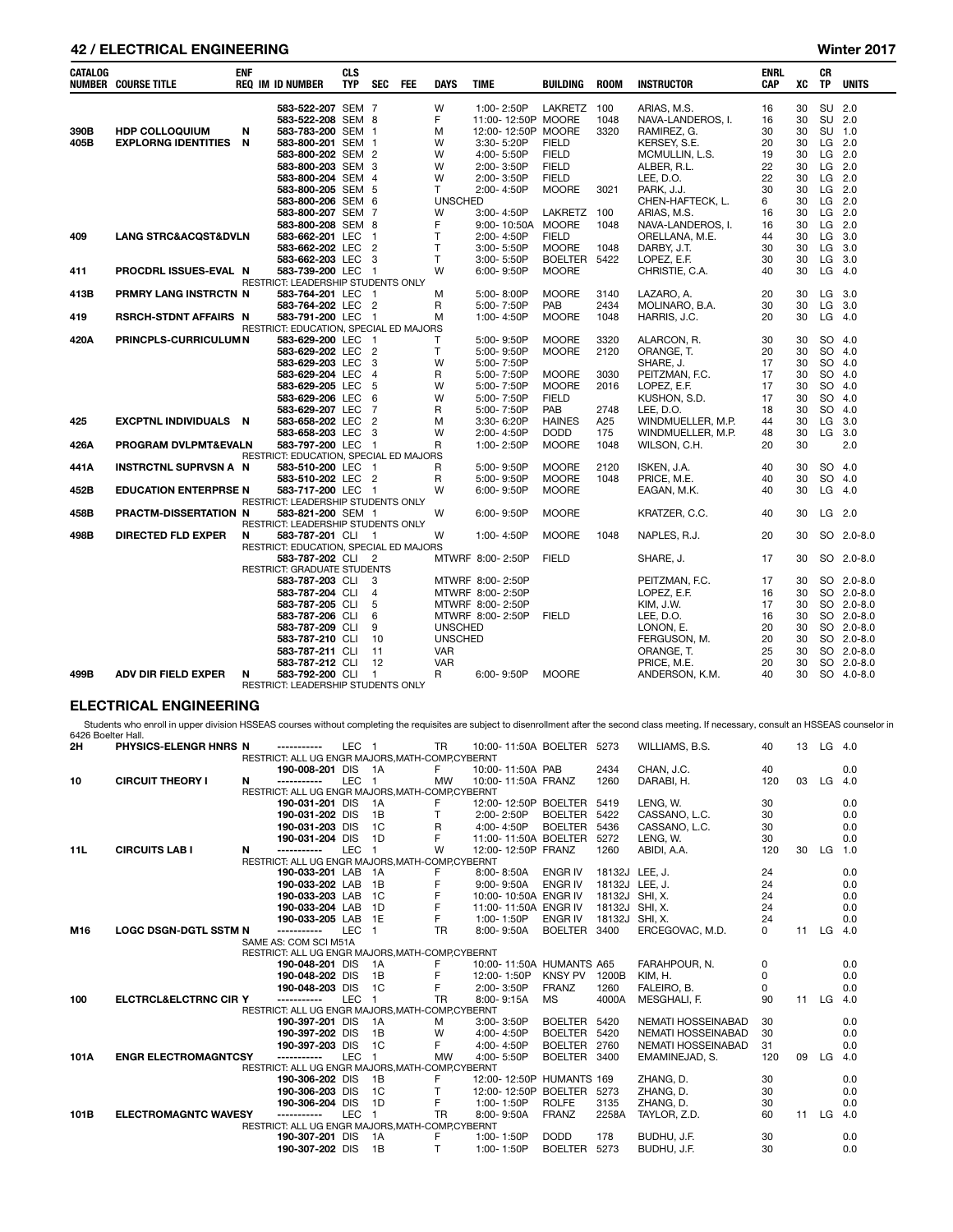# 42 / ELECTRICAL ENGINEERING Winter 2017

| <b>CATALOG</b> | <b>NUMBER COURSE TITLE</b>          | <b>ENF</b> | <b>REQ IM ID NUMBER</b>                               | <b>CLS</b><br><b>TYP</b> | <b>SEC</b>               | <b>FEE</b> | <b>DAYS</b>    | <b>TIME</b>        | <b>BUILDING</b> | <b>ROOM</b> | <b>INSTRUCTOR</b> | <b>ENRL</b><br>CAP | XC | СR<br><b>TP</b> | <b>UNITS</b> |
|----------------|-------------------------------------|------------|-------------------------------------------------------|--------------------------|--------------------------|------------|----------------|--------------------|-----------------|-------------|-------------------|--------------------|----|-----------------|--------------|
|                |                                     |            | 583-522-207 SEM 7                                     |                          |                          |            | W              | 1:00-2:50P         | LAKRETZ         | 100         | ARIAS, M.S.       | 16                 | 30 | SU 2.0          |              |
|                |                                     |            | 583-522-208 SEM 8                                     |                          |                          |            | F              | 11:00-12:50P MOORE |                 | 1048        | NAVA-LANDEROS, I. | 16                 | 30 | SU 2.0          |              |
| 390B           | <b>HDP COLLOQUIUM</b>               | N          | 583-783-200 SEM 1                                     |                          |                          |            | M              | 12:00-12:50P MOORE |                 | 3320        | RAMIREZ, G.       | 30                 | 30 | <b>SU</b>       | 1.0          |
| 405B           | <b>EXPLORNG IDENTITIES</b>          | N          | 583-800-201 SEM 1                                     |                          |                          |            | W              | 3:30-5:20P         | <b>FIELD</b>    |             | KERSEY, S.E.      | 20                 | 30 | LG.             | 2.0          |
|                |                                     |            | 583-800-202 SEM 2                                     |                          |                          |            | W              | 4:00-5:50P         | <b>FIELD</b>    |             | MCMULLIN, L.S.    | 19                 | 30 | $LG$ 2.0        |              |
|                |                                     |            | 583-800-203 SEM 3                                     |                          |                          |            | W              | 2:00-3:50P         | <b>FIELD</b>    |             | ALBER, R.L.       | 22                 | 30 | LG              | 2.0          |
|                |                                     |            | 583-800-204 SEM 4                                     |                          |                          |            | W              | 2:00-3:50P         | <b>FIELD</b>    |             | LEE, D.O.         | 22                 | 30 | $LG$ 2.0        |              |
|                |                                     |            | 583-800-205 SEM 5                                     |                          |                          |            | T.             | 2:00-4:50P         | <b>MOORE</b>    | 3021        | PARK, J.J.        | 30                 | 30 | LG 2.0          |              |
|                |                                     |            | 583-800-206 SEM 6                                     |                          |                          |            | <b>UNSCHED</b> |                    |                 |             | CHEN-HAFTECK, L.  | 6                  | 30 | LG              | 2.0          |
|                |                                     |            | 583-800-207 SEM 7                                     |                          |                          |            | W              | 3:00-4:50P         | <b>LAKRETZ</b>  | 100         | ARIAS, M.S.       | 16                 | 30 | LG              | 2.0          |
|                |                                     |            | 583-800-208 SEM 8                                     |                          |                          |            | F              | 9:00-10:50A        | <b>MOORE</b>    | 1048        | NAVA-LANDEROS. I. | 16                 | 30 | LG              | 2.0          |
| 409            | <b>LANG STRC&amp;ACQST&amp;DVLN</b> |            | 583-662-201 LEC                                       |                          | $\overline{1}$           |            | T              | 2:00-4:50P         | <b>FIELD</b>    |             | ORELLANA, M.E.    | 44                 | 30 | LG              | 3.0          |
|                |                                     |            | 583-662-202 LEC                                       |                          | $\overline{2}$           |            | T              | 3:00-5:50P         | <b>MOORE</b>    | 1048        | DARBY, J.T.       | 30                 | 30 | LG              | 3.0          |
|                |                                     |            | 583-662-203 LEC                                       |                          | - 3                      |            | T.             | 3:00-5:50P         | <b>BOELTER</b>  | 5422        | LOPEZ, E.F.       | 30                 | 30 | LG              | 3.0          |
| 411            | PROCDRL ISSUES-EVAL N               |            | 583-739-200 LEC                                       |                          | $\overline{\phantom{0}}$ |            | W              | 6:00-9:50P         | <b>MOORE</b>    |             | CHRISTIE, C.A.    | 40                 | 30 | LG              | 4.0          |
|                |                                     |            | RESTRICT: LEADERSHIP STUDENTS ONLY                    |                          |                          |            |                |                    |                 |             |                   |                    |    |                 |              |
| 413B           | PRMRY LANG INSTRCTN N               |            | 583-764-201 LEC                                       |                          | $\overline{1}$           |            | M              | 5:00-8:00P         | <b>MOORE</b>    | 3140        | LAZARO, A.        | 20                 | 30 | LG              | 3.0          |
|                |                                     |            | 583-764-202 LEC                                       |                          | $\overline{2}$           |            | R              | 5:00-7:50P         | PAB             | 2434        | MOLINARO, B.A.    | 30                 | 30 | LG              | 3.0          |
| 419            | <b>RSRCH-STDNT AFFAIRS N</b>        |            | 583-791-200 LEC                                       |                          | - 1                      |            | M              | 1:00-4:50P         | <b>MOORE</b>    | 1048        | HARRIS, J.C.      | 20                 | 30 | $LG$ 4.0        |              |
|                |                                     |            | RESTRICT: EDUCATION, SPECIAL ED MAJORS                |                          |                          |            |                |                    |                 |             |                   |                    |    |                 |              |
| 420A           | <b>PRINCPLS-CURRICULUMN</b>         |            | 583-629-200 LEC                                       |                          | - 1                      |            | т              | 5:00-9:50P         | <b>MOORE</b>    | 3320        | ALARCON, R.       | 30                 | 30 | SO              | 4.0          |
|                |                                     |            | 583-629-202 LEC                                       |                          | $\overline{2}$           |            | $\mathsf{T}$   | 5:00-9:50P         | <b>MOORE</b>    | 2120        | ORANGE. T.        | 20                 | 30 | <b>SO</b>       | 4.0          |
|                |                                     |            | 583-629-203 LEC                                       |                          | - 3                      |            | W              | 5:00-7:50P         |                 |             | SHARE, J.         | 17                 | 30 | <b>SO</b>       | 4.0          |
|                |                                     |            | 583-629-204 LEC                                       |                          | $\overline{4}$           |            | R              | 5:00-7:50P         | <b>MOORE</b>    | 3030        | PEITZMAN, F.C.    | 17                 | 30 | <b>SO</b>       | 4.0          |
|                |                                     |            | 583-629-205 LEC                                       |                          | 5                        |            | W              | 5:00-7:50P         | <b>MOORE</b>    | 2016        | LOPEZ, E.F.       | 17                 | 30 | <b>SO</b>       | 4.0          |
|                |                                     |            | 583-629-206 LEC                                       |                          | 6                        |            | W              | 5:00-7:50P         | <b>FIELD</b>    |             | KUSHON, S.D.      | 17                 | 30 | <b>SO</b>       | 4.0          |
|                |                                     |            | 583-629-207 LEC                                       |                          | $\overline{7}$           |            | R              | 5:00-7:50P         | PAB             | 2748        | LEE. D.O.         | 18                 | 30 | <b>SO</b>       | 4.0          |
| 425            | <b>EXCPTNL INDIVIDUALS</b>          | - N        | 583-658-202 LEC                                       |                          | $\overline{2}$           |            | M              | 3:30-6:20P         | <b>HAINES</b>   | A25         | WINDMUELLER, M.P. | 44                 | 30 | <b>LG</b>       | 3.0          |
|                |                                     |            | 583-658-203 LEC                                       |                          | - 3                      |            | W              | 2:00-4:50P         | <b>DODD</b>     | 175         | WINDMUELLER, M.P. | 48                 | 30 | LG              | 3.0          |
| 426A           | <b>PROGRAM DVLPMT&amp;EVALN</b>     |            | 583-797-200 LEC                                       |                          | $\overline{\phantom{0}}$ |            | R              | 1:00-2:50P         | <b>MOORE</b>    | 1048        | WILSON, C.H.      | 20                 | 30 |                 | 2.0          |
|                |                                     |            | RESTRICT: EDUCATION, SPECIAL ED MAJORS                |                          |                          |            |                |                    |                 |             |                   |                    |    |                 |              |
| 441A           | <b>INSTRCTNL SUPRVSN A N</b>        |            | 583-510-200 LEC                                       |                          | - 1                      |            | R              | 5:00-9:50P         | <b>MOORE</b>    | 2120        | ISKEN, J.A.       | 40                 | 30 | SO 4.0          |              |
|                |                                     |            | 583-510-202 LEC 2                                     |                          |                          |            | R              | 5:00-9:50P         | <b>MOORE</b>    | 1048        | PRICE, M.E.       | 40                 | 30 | SO              | 4.0          |
| 452B           | <b>EDUCATION ENTERPRSE N</b>        |            | 583-717-200 LEC                                       |                          | - 1                      |            | W              | 6:00-9:50P         | <b>MOORE</b>    |             | EAGAN, M.K.       | 40                 | 30 | LG              | 4.0          |
|                |                                     |            | RESTRICT: LEADERSHIP STUDENTS ONLY                    |                          |                          |            |                |                    |                 |             |                   |                    |    |                 |              |
| 458B           | <b>PRACTM-DISSERTATION N</b>        |            | 583-821-200 SEM 1                                     |                          |                          |            | W              | 6:00-9:50P         | <b>MOORE</b>    |             | KRATZER, C.C.     | 40                 | 30 | LG              | - 2.0        |
|                |                                     |            | <b>RESTRICT: LEADERSHIP STUDENTS ONLY</b>             |                          |                          |            |                |                    |                 |             |                   |                    |    |                 |              |
| 498B           | <b>DIRECTED FLD EXPER</b>           | N          | 583-787-201 CLI                                       |                          | - 1                      |            | W              | 1:00-4:50P         | <b>MOORE</b>    | 1048        | NAPLES, R.J.      | 20                 | 30 |                 | SO 2.0-8.0   |
|                |                                     |            | RESTRICT: EDUCATION, SPECIAL ED MAJORS                |                          |                          |            |                |                    |                 |             |                   |                    |    |                 |              |
|                |                                     |            | 583-787-202 CLI                                       |                          | $\overline{2}$           |            |                | MTWRF 8:00-2:50P   | <b>FIELD</b>    |             | SHARE, J.         | 17                 | 30 |                 | SO 2.0-8.0   |
|                |                                     |            | <b>RESTRICT: GRADUATE STUDENTS</b>                    |                          |                          |            |                |                    |                 |             |                   |                    |    |                 |              |
|                |                                     |            | 583-787-203 CLI                                       |                          | 3                        |            |                | MTWRF 8:00-2:50P   |                 |             | PEITZMAN, F.C.    | 17                 | 30 |                 | SO 2.0-8.0   |
|                |                                     |            | 583-787-204 CLI                                       |                          | $\overline{4}$           |            |                | MTWRF 8:00-2:50P   |                 |             | LOPEZ, E.F.       | 16                 | 30 |                 | SO 2.0-8.0   |
|                |                                     |            | 583-787-205 CLI                                       |                          | 5                        |            |                | MTWRF 8:00-2:50P   |                 |             | KIM, J.W.         | 17                 | 30 |                 | SO 2.0-8.0   |
|                |                                     |            | 583-787-206 CLI                                       |                          | 6                        |            |                | MTWRF 8:00-2:50P   | <b>FIELD</b>    |             | LEE, D.O.         | 16                 | 30 |                 | SO 2.0-8.0   |
|                |                                     |            | 583-787-209 CLI                                       |                          | 9                        |            | <b>UNSCHED</b> |                    |                 |             | LONON, E.         | 20                 | 30 |                 | SO 2.0-8.0   |
|                |                                     |            | 583-787-210 CLI                                       |                          | 10                       |            | <b>UNSCHED</b> |                    |                 |             | FERGUSON, M.      | 20                 | 30 |                 | SO 2.0-8.0   |
|                |                                     |            | 583-787-211 CLI                                       |                          | 11                       |            | <b>VAR</b>     |                    |                 |             | ORANGE, T.        | 25                 | 30 |                 | SO 2.0-8.0   |
|                |                                     |            | 583-787-212 CLI                                       |                          | 12                       |            | <b>VAR</b>     |                    |                 |             | PRICE, M.E.       | 20                 | 30 |                 | SO 2.0-8.0   |
| 499B           | <b>ADV DIR FIELD EXPER</b>          | N          | 583-792-200 CLI<br>RESTRICT: LEADERSHIP STUDENTS ONLY |                          | $\overline{1}$           |            | R              | 6:00-9:50P         | <b>MOORE</b>    |             | ANDERSON, K.M.    | 40                 | 30 |                 | SO 4.0-8.0   |

## ELECTRICAL ENGINEERING

Students who enroll in upper division HSSEAS courses without completing the requisites are subject to disenrollment after the second class meeting. If necessary, consult an HSSEAS counselor in 6426 Boelter Hall.

| וואו וסאיט שלבע |                                  |                                                  |                  |                |           |                           |                |                |                    |     |    |           |     |
|-----------------|----------------------------------|--------------------------------------------------|------------------|----------------|-----------|---------------------------|----------------|----------------|--------------------|-----|----|-----------|-----|
| 2H              | PHYSICS-ELENGR HNRS N            | -----------                                      | LEC <sub>1</sub> |                | <b>TR</b> | 10:00-11:50A BOELTER 5273 |                |                | WILLIAMS, B.S.     | 40  | 13 | LG $4.0$  |     |
|                 |                                  | RESTRICT: ALL UG ENGR MAJORS, MATH-COMP, CYBERNT |                  |                |           |                           |                |                |                    |     |    |           |     |
|                 |                                  | 190-008-201 DIS 1A                               |                  |                | F         | 10:00-11:50A PAB          |                | 2434           | CHAN, J.C.         | 40  |    |           | 0.0 |
| 10              | <b>CIRCUIT THEORY I</b>          | N<br>-----------                                 | <b>LEC</b>       | $\overline{1}$ | <b>MW</b> | 10:00-11:50A FRANZ        |                | 1260           | DARABI, H.         | 120 | 03 | LG        | 4.0 |
|                 |                                  | RESTRICT: ALL UG ENGR MAJORS, MATH-COMP, CYBERNT |                  |                |           |                           |                |                |                    |     |    |           |     |
|                 |                                  | 190-031-201 DIS                                  |                  | 1A             | F         | 12:00-12:50P BOELTER 5419 |                |                | LENG, W.           | 30  |    |           | 0.0 |
|                 |                                  | 190-031-202 DIS                                  |                  | 1B             | T         | 2:00-2:50P                | <b>BOELTER</b> | 5422           | CASSANO, L.C.      | 30  |    |           | 0.0 |
|                 |                                  | 190-031-203 DIS                                  |                  | 1C             | R         | 4:00-4:50P                | <b>BOELTER</b> | 5436           | CASSANO, L.C.      | 30  |    |           | 0.0 |
|                 |                                  | 190-031-204 DIS                                  |                  | 1D             | F         | 11:00-11:50A BOELTER      |                | 5272           | LENG. W.           | 30  |    |           | 0.0 |
| <b>11L</b>      | <b>CIRCUITS LAB I</b>            | N<br>-----------                                 | LEC <sub>1</sub> |                | W         | 12:00-12:50P FRANZ        |                | 1260           | ABIDI, A.A.        | 120 | 30 | LG        | 1.0 |
|                 |                                  | RESTRICT: ALL UG ENGR MAJORS, MATH-COMP, CYBERNT |                  |                |           |                           |                |                |                    |     |    |           |     |
|                 |                                  | 190-033-201 LAB 1A                               |                  |                | F         | 8:00-8:50A                | ENGR IV        | 18132J LEE, J. |                    | 24  |    |           | 0.0 |
|                 |                                  | 190-033-202 LAB 1B                               |                  |                | F         | $9:00 - 9:50A$            | ENGR IV        | 18132J LEE. J. |                    | 24  |    |           | 0.0 |
|                 |                                  | 190-033-203 LAB 1C                               |                  |                | F         | 10:00-10:50A ENGR IV      |                | 18132J SHI.X.  |                    | 24  |    |           | 0.0 |
|                 |                                  | 190-033-204 LAB 1D                               |                  |                | F         | 11:00-11:50A ENGR IV      |                | 18132J SHI, X. |                    | 24  |    |           | 0.0 |
|                 |                                  | 190-033-205 LAB 1E                               |                  |                | F         | 1:00-1:50P                | <b>ENGR IV</b> | 18132J SHI.X.  |                    | 24  |    |           | 0.0 |
| M16             | <b>LOGC DSGN-DGTL SSTM N</b>     | -----------                                      | LEC <sub>1</sub> |                | <b>TR</b> | 8:00-9:50A                | BOELTER 3400   |                | ERCEGOVAC, M.D.    | 0   | 11 | LG.       | 4.0 |
|                 |                                  | SAME AS: COM SCI M51A                            |                  |                |           |                           |                |                |                    |     |    |           |     |
|                 |                                  | RESTRICT: ALL UG ENGR MAJORS, MATH-COMP, CYBERNT |                  |                |           |                           |                |                |                    |     |    |           |     |
|                 |                                  | 190-048-201 DIS                                  |                  | 1A             | F         | 10:00-11:50A HUMANTS A65  |                |                | FARAHPOUR. N.      | 0   |    |           | 0.0 |
|                 |                                  | 190-048-202 DIS                                  |                  | 1B             | F         | 12:00-1:50P               | KNSY PV        | 1200B          | KIM, H.            | 0   |    |           | 0.0 |
|                 |                                  | 190-048-203 DIS                                  |                  | 1 <sup>C</sup> | F         | 2:00-3:50P                | <b>FRANZ</b>   | 1260           | FALEIRO, B.        | 0   |    |           | 0.0 |
| 100             | <b>ELCTRCL&amp;ELCTRNC CIR Y</b> | -----------                                      | LEC <sub>1</sub> |                | <b>TR</b> | 8:00-9:15A                | <b>MS</b>      | 4000A          | MESGHALI, F.       | 90  |    | 11 LG 4.0 |     |
|                 |                                  | RESTRICT: ALL UG ENGR MAJORS, MATH-COMP, CYBERNT |                  |                |           |                           |                |                |                    |     |    |           |     |
|                 |                                  | 190-397-201 DIS                                  |                  | 1A             | м         | $3:00 - 3:50P$            | BOELTER 5420   |                | NEMATI HOSSEINABAD | 30  |    |           | 0.0 |
|                 |                                  | 190-397-202 DIS                                  |                  | 1B             | W         | 4:00-4:50P                | BOELTER 5420   |                | NEMATI HOSSEINABAD | 30  |    |           | 0.0 |
|                 |                                  | 190-397-203 DIS                                  |                  | 1 <sup>C</sup> | F.        | 4:00-4:50P                | <b>BOELTER</b> | 2760           | NEMATI HOSSEINABAD | 31  |    |           | 0.0 |
| 101A            | <b>ENGR ELECTROMAGNTCSY</b>      | -----------                                      | LEC <sub>1</sub> |                | <b>MW</b> | 4:00-5:50P                | BOELTER 3400   |                | EMAMINEJAD, S.     | 120 | 09 | LG        | 4.0 |
|                 |                                  | RESTRICT: ALL UG ENGR MAJORS, MATH-COMP, CYBERNT |                  |                |           |                           |                |                |                    |     |    |           |     |
|                 |                                  | 190-306-202 DIS                                  |                  | 1B             | F         | 12:00-12:50P HUMANTS 169  |                |                | ZHANG, D.          | 30  |    |           | 0.0 |
|                 |                                  | 190-306-203 DIS                                  |                  | 1C             | T.        | 12:00-12:50P BOELTER 5273 |                |                | ZHANG, D.          | 30  |    |           | 0.0 |
|                 |                                  | 190-306-204 DIS                                  |                  | 1D             | F         | 1:00-1:50P                | <b>ROLFE</b>   | 3135           | ZHANG, D.          | 30  |    |           | 0.0 |
| 101B            | <b>ELECTROMAGNTC WAVESY</b>      | -----------                                      | <b>LEC</b>       | $\overline{1}$ | <b>TR</b> | 8:00-9:50A                | <b>FRANZ</b>   | 2258A          | TAYLOR, Z.D.       | 60  | 11 | LG        | 4.0 |
|                 |                                  | RESTRICT: ALL UG ENGR MAJORS, MATH-COMP, CYBERNT |                  |                |           |                           |                |                |                    |     |    |           |     |
|                 |                                  | 190-307-201 DIS                                  |                  | 1A             | F         | 1:00-1:50P                | <b>DODD</b>    | 178            | BUDHU, J.F.        | 30  |    |           | 0.0 |
|                 |                                  | 190-307-202 DIS                                  |                  | 1B             | T.        | 1:00-1:50P                | <b>BOELTER</b> | 5273           | BUDHU, J.F.        | 30  |    |           | 0.0 |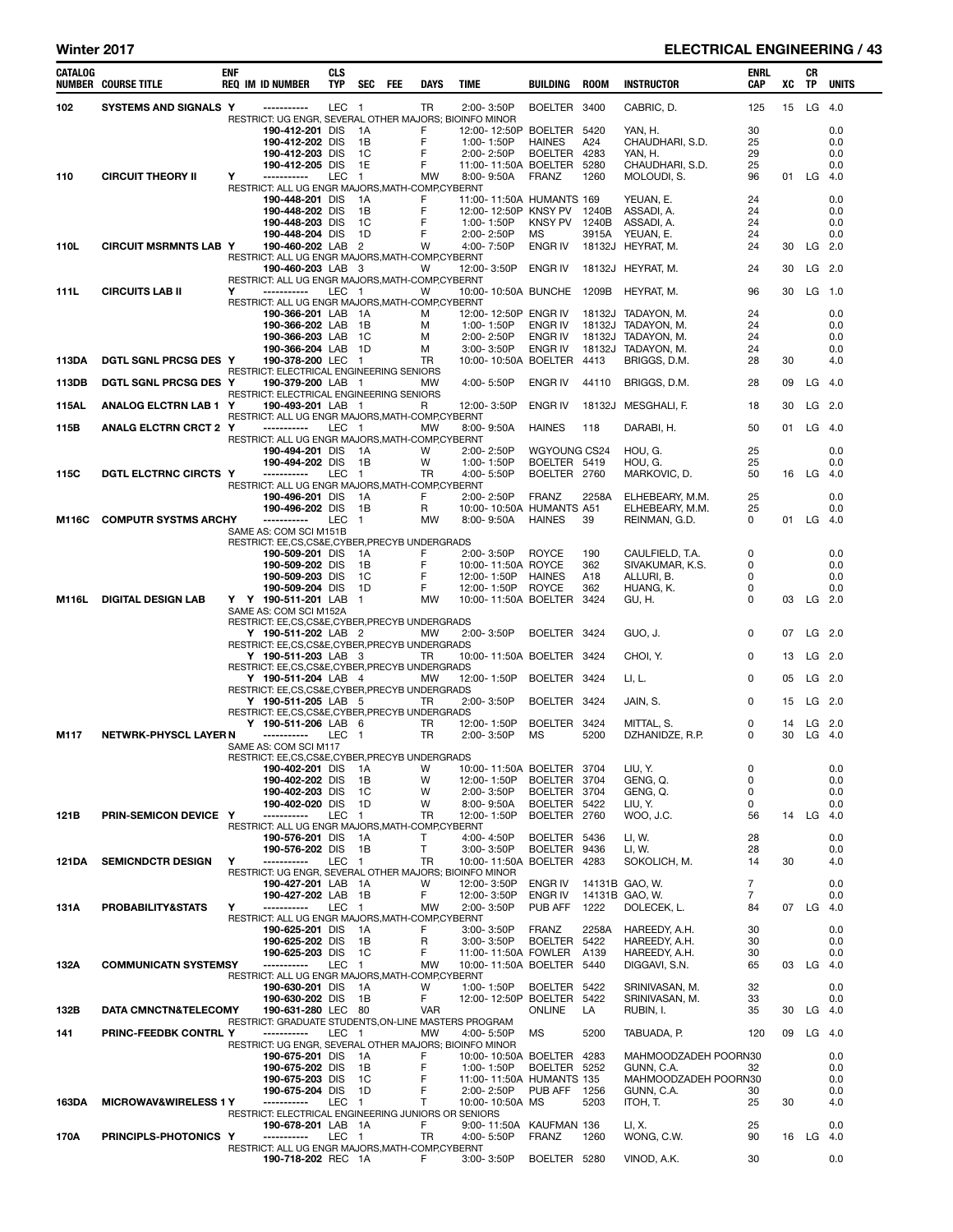# Winter 2017 **ELECTRICAL ENGINEERING / 43**

| <b>CATALOG</b> | <b>NUMBER COURSE TITLE</b>       | <b>ENF</b> | <b>REQ IM ID NUMBER</b>                                               | <b>CLS</b><br><b>TYP</b> | SEC                    | FEE | DAYS           | TIME                                             | BUILDING           | <b>ROOM</b>  | INSTRUCTOR                               | ENRL<br>CAP    | xс       | CR<br>TP  | UNITS      |
|----------------|----------------------------------|------------|-----------------------------------------------------------------------|--------------------------|------------------------|-----|----------------|--------------------------------------------------|--------------------|--------------|------------------------------------------|----------------|----------|-----------|------------|
| 102            | SYSTEMS AND SIGNALS Y            |            | -----------<br>RESTRICT: UG ENGR, SEVERAL OTHER MAJORS; BIOINFO MINOR | LEC 1                    |                        |     | <b>TR</b>      | 2:00-3:50P                                       | <b>BOELTER</b>     | 3400         | CABRIC, D.                               | 125            | 15       | LG $4.0$  |            |
|                |                                  |            | 190-412-201 DIS                                                       |                          | 1A                     |     | F              | 12:00-12:50P BOELTER                             |                    | 5420         | YAN, H.                                  | 30             |          |           | 0.0        |
|                |                                  |            | 190-412-202 DIS                                                       |                          | 1B                     |     | F              | 1:00-1:50P                                       | <b>HAINES</b>      | A24          | CHAUDHARI, S.D.                          | 25             |          |           | 0.0        |
|                |                                  |            | 190-412-203 DIS<br>190-412-205 DIS                                    |                          | 1C<br>1E               |     | F<br>F         | 2:00-2:50P<br>11:00-11:50A BOELTER               | <b>BOELTER</b>     | 4283<br>5280 | YAN. H.<br>CHAUDHARI, S.D.               | 29<br>25       |          |           | 0.0<br>0.0 |
| 110            | <b>CIRCUIT THEORY II</b>         | Y          | -----------                                                           | <b>LEC</b>               | $\mathbf{1}$           |     | <b>MW</b>      | 8:00-9:50A                                       | <b>FRANZ</b>       | 1260         | MOLOUDI, S.                              | 96             |          | 01 LG 4.0 |            |
|                |                                  |            | RESTRICT: ALL UG ENGR MAJORS, MATH-COMP, CYBERNT                      |                          |                        |     |                |                                                  |                    |              |                                          |                |          |           |            |
|                |                                  |            | 190-448-201 DIS<br>190-448-202 DIS                                    |                          | 1А<br>1B               |     | F<br>F         | 11:00-11:50A HUMANTS 169<br>12:00-12:50P KNSY PV |                    | 1240B        | YEUAN, E.<br>ASSADI, A.                  | 24<br>24       |          |           | 0.0<br>0.0 |
|                |                                  |            | 190-448-203 DIS                                                       |                          | 1C                     |     | F              | 1:00-1:50P                                       | <b>KNSY PV</b>     | 1240B        | ASSADI, A.                               | 24             |          |           | 0.0        |
|                |                                  |            | 190-448-204 DIS                                                       |                          | 1D                     |     | F              | 2:00-2:50P                                       | МS                 | 3915A        | YEUAN, E.                                | 24             |          |           | 0.0        |
| 110L           | <b>CIRCUIT MSRMNTS LAB Y</b>     |            | 190-460-202 LAB 2<br>RESTRICT: ALL UG ENGR MAJORS, MATH-COMP, CYBERNT |                          |                        |     | W              | 4:00-7:50P                                       | ENGR IV            |              | 18132J HEYRAT, M.                        | 24             | 30       | $LG$ 2.0  |            |
|                |                                  |            | 190-460-203 LAB 3                                                     |                          |                        |     | w              | 12:00-3:50P                                      | ENGR IV            |              | 18132J HEYRAT, M.                        | 24             | 30       | $LG$ 2.0  |            |
|                |                                  |            | RESTRICT: ALL UG ENGR MAJORS, MATH-COMP, CYBERNT                      |                          |                        |     |                |                                                  |                    |              |                                          |                |          |           |            |
| 111L           | <b>CIRCUITS LAB II</b>           | Y          | -----------<br>RESTRICT: ALL UG ENGR MAJORS, MATH-COMP, CYBERNT       | LEC 1                    |                        |     | w              | 10:00-10:50A BUNCHE                              |                    | 1209B        | HEYRAT, M.                               | 96             |          | 30 LG 1.0 |            |
|                |                                  |            | 190-366-201 LAB                                                       |                          | - 1 A                  |     | м              | 12:00-12:50P ENGR IV                             |                    |              | 18132J TADAYON, M.                       | 24             |          |           | 0.0        |
|                |                                  |            | 190-366-202 LAB                                                       |                          | 1B                     |     | м              | 1:00-1:50P                                       | ENGR IV            |              | 18132J TADAYON, M.                       | 24             |          |           | 0.0        |
|                |                                  |            | 190-366-203 LAB<br>190-366-204 LAB                                    |                          | 1C<br>1D               |     | м<br>м         | 2:00-2:50P<br>$3.00 - 3.50P$                     | ENGR IV<br>ENGR IV |              | 18132J TADAYON, M.<br>18132J TADAYON, M. | 24<br>24       |          |           | 0.0<br>0.0 |
| 113DA          | DGTL SGNL PRCSG DES Y            |            | 190-378-200 LEC                                                       |                          | $\blacksquare$         |     | TR             | 10:00-10:50A BOELTER                             |                    | 4413         | BRIGGS, D.M.                             | 28             | 30       |           | 4.0        |
|                |                                  |            | RESTRICT: ELECTRICAL ENGINEERING SENIORS                              |                          |                        |     |                |                                                  |                    |              |                                          |                |          |           |            |
| 113DB          | DGTL SGNL PRCSG DES Y            |            | 190-379-200 LAB 1<br>RESTRICT: ELECTRICAL ENGINEERING SENIORS         |                          |                        |     | MW             | 4:00-5:50P                                       | ENGR IV            | 44110        | BRIGGS, D.M.                             | 28             | 09       | $LG$ 4.0  |            |
| <b>115AL</b>   | ANALOG ELCTRN LAB 1 Y            |            | 190-493-201 LAB 1                                                     |                          |                        |     | R              | 12:00-3:50P                                      | ENGR IV            |              | 18132J MESGHALI, F.                      | 18             | 30       | $LG$ 2.0  |            |
| 115B           | <b>ANALG ELCTRN CRCT 2 Y</b>     |            | RESTRICT: ALL UG ENGR MAJORS, MATH-COMP, CYBERNT<br>-----------       | LEC 1                    |                        |     | MW             | $8:00 - 9:50A$                                   | <b>HAINES</b>      | 118          | DARABI, H.                               | 50             | 01       | $LG$ 4.0  |            |
|                |                                  |            | RESTRICT: ALL UG ENGR MAJORS, MATH-COMP, CYBERNT                      |                          |                        |     |                |                                                  |                    |              |                                          |                |          |           |            |
|                |                                  |            | 190-494-201 DIS                                                       |                          | 1A                     |     | W              | 2:00-2:50P                                       | WGYOUNG CS24       |              | HOU, G.                                  | 25             |          |           | 0.0        |
|                | <b>DGTL ELCTRNC CIRCTS Y</b>     |            | 190-494-202 DIS<br>------------                                       |                          | 1B                     |     | W<br><b>TR</b> | 1:00-1:50P                                       | BOELTER 5419       |              | HOU. G.                                  | 25             |          |           | 0.0        |
| <b>115C</b>    |                                  |            | RESTRICT: ALL UG ENGR MAJORS, MATH-COMP, CYBERNT                      | LEC                      | $\mathbf{1}$           |     |                | 4:00-5:50P                                       | BOELTER 2760       |              | MARKOVIC, D.                             | 50             | 16       | LG 4.0    |            |
|                |                                  |            | 190-496-201 DIS                                                       |                          | 1A                     |     | F              | 2:00-2:50P                                       | <b>FRANZ</b>       | 2258A        | ELHEBEARY, M.M.                          | 25             |          |           | 0.0        |
|                |                                  |            | 190-496-202 DIS<br>-----------                                        | <b>LEC</b>               | 1B<br>$\mathbf{1}$     |     | R              | 10:00-10:50A HUMANTS A51                         |                    |              | ELHEBEARY, M.M.                          | 25<br>0        |          |           | 0.0        |
| M116C          | <b>COMPUTR SYSTMS ARCHY</b>      |            | SAME AS: COM SCI M151B                                                |                          |                        |     | <b>MW</b>      | 8:00-9:50A                                       | HAINES             | 39           | REINMAN, G.D.                            |                |          | 01 LG 4.0 |            |
|                |                                  |            | RESTRICT: EE,CS,CS&E,CYBER,PRECYB UNDERGRADS                          |                          |                        |     |                |                                                  |                    |              |                                          |                |          |           |            |
|                |                                  |            | 190-509-201 DIS<br>190-509-202 DIS                                    |                          | 1A<br>1B               |     | F<br>F         | 2:00-3:50P<br>10:00-11:50A ROYCE                 | <b>ROYCE</b>       | 190<br>362   | CAULFIELD, T.A.<br>SIVAKUMAR, K.S.       | 0<br>0         |          |           | 0.0<br>0.0 |
|                |                                  |            | 190-509-203 DIS                                                       |                          | 1C                     |     | F              | 12:00-1:50P                                      | <b>HAINES</b>      | A18          | ALLURI, B.                               | 0              |          |           | 0.0        |
|                |                                  |            | 190-509-204 DIS                                                       |                          | 1D                     |     | F              | 12:00-1:50P                                      | <b>ROYCE</b>       | 362          | HUANG, K.                                | 0              |          |           | 0.0        |
| M116L          | <b>DIGITAL DESIGN LAB</b>        |            | Y Y 190-511-201 LAB<br>SAME AS: COM SCI M152A                         |                          | $\mathbf{1}$           |     | MW             | 10:00-11:50A BOELTER                             |                    | 3424         | GU, H.                                   | 0              | 03       | $LG$ 2.0  |            |
|                |                                  |            | RESTRICT: EE,CS,CS&E,CYBER,PRECYB UNDERGRADS                          |                          |                        |     |                |                                                  |                    |              |                                          |                |          |           |            |
|                |                                  |            | Y 190-511-202 LAB 2                                                   |                          |                        |     | MW             | $2:00 - 3:50P$                                   | <b>BOELTER</b>     | 3424         | GUO, J.                                  | 0              | 07       | $LG$ 2.0  |            |
|                |                                  |            | RESTRICT: EE,CS,CS&E,CYBER,PRECYB UNDERGRADS<br>Y 190-511-203 LAB 3   |                          |                        |     | TR             | 10:00-11:50A BOELTER 3424                        |                    |              | CHOI, Y.                                 | 0              | 13       | LG 2.0    |            |
|                |                                  |            | RESTRICT: EE,CS,CS&E,CYBER,PRECYB UNDERGRADS                          |                          |                        |     |                |                                                  |                    |              |                                          |                |          |           |            |
|                |                                  |            | Y 190-511-204 LAB 4                                                   |                          |                        |     | <b>MW</b>      | 12:00-1:50P                                      | <b>BOELTER</b>     | 3424         | LI, L.                                   | 0              | 05       | $LG$ 2.0  |            |
|                |                                  |            | RESTRICT: EE,CS,CS&E,CYBER,PRECYB UNDERGRADS<br>Y 190-511-205 LAB 5   |                          |                        |     | TR             | 2:00-3:50P                                       | BOELTER 3424       |              | JAIN, S.                                 | 0              | 15       | $LG$ 2.0  |            |
|                |                                  |            | RESTRICT: EE,CS,CS&E,CYBER,PRECYB UNDERGRADS                          |                          |                        |     |                |                                                  |                    |              |                                          |                |          |           |            |
|                | <b>NETWRK-PHYSCL LAYER N</b>     |            | Y 190-511-206 LAB 6<br>-----------                                    | LEC                      | $\overline{1}$         |     | TR<br>TR       | 12:00-1:50P<br>2:00-3:50P                        | BOELTER            | 3424<br>5200 | MITTAL, S.                               | 0<br>0         | 14<br>30 | LG 2.0    | $LG$ 4.0   |
| M117           |                                  |            | SAME AS: COM SCI M117                                                 |                          |                        |     |                |                                                  | МS                 |              | DZHANIDZE, R.P.                          |                |          |           |            |
|                |                                  |            | RESTRICT: EE,CS,CS&E,CYBER,PRECYB UNDERGRADS                          |                          |                        |     |                |                                                  |                    |              |                                          |                |          |           |            |
|                |                                  |            | 190-402-201 DIS<br>190-402-202 DIS                                    |                          | 1А<br>1В               |     | W<br>W         | 10:00-11:50A BOELTER<br>12:00-1:50P              | BOELTER            | 3704<br>3704 | LIU, Y.<br>GENG, Q.                      | 0<br>0         |          |           | 0.0<br>0.0 |
|                |                                  |            | 190-402-203 DIS                                                       |                          | 1C                     |     | W              | 2:00-3:50P                                       | BOELTER            | 3704         | GENG, Q.                                 | 0              |          |           | 0.0        |
|                |                                  |            | 190-402-020 DIS                                                       |                          | 1D                     |     | W              | 8:00-9:50A                                       | BOELTER 5422       |              | LIU, Y.                                  | 0              |          |           | 0.0        |
| 121B           | PRIN-SEMICON DEVICE Y            |            | -----------<br>RESTRICT: ALL UG ENGR MAJORS, MATH-COMP, CYBERNT       | LEC                      | $\overline{1}$         |     | TR             | 12:00-1:50P                                      | BOELTER 2760       |              | WOO, J.C.                                | 56             | 14       | LG $4.0$  |            |
|                |                                  |            | 190-576-201 DIS                                                       |                          | 1A                     |     | т              | 4:00-4:50P                                       | BOELTER 5436       |              | LI, W.                                   | 28             |          |           | 0.0        |
|                |                                  |            | 190-576-202 DIS                                                       |                          | 1B                     |     | Т              | 3:00-3:50P                                       | <b>BOELTER</b>     | 9436         | LI, W.                                   | 28             |          |           | 0.0        |
| 121DA          | <b>SEMICNDCTR DESIGN</b>         | Y          | -----------<br>RESTRICT: UG ENGR, SEVERAL OTHER MAJORS; BIOINFO MINOR | LEC                      | $\blacksquare$         |     | <b>TR</b>      | 10:00-11:50A BOELTER                             |                    | 4283         | SOKOLICH, M.                             | 14             | 30       |           | 4.0        |
|                |                                  |            | 190-427-201 LAB                                                       |                          | - 1A                   |     | W              | 12:00-3:50P                                      | ENGR IV            |              | 14131B GAO, W.                           | $\overline{7}$ |          |           | 0.0        |
|                |                                  |            | 190-427-202 LAB<br>-----------                                        |                          | - 1B                   |     | F              | 12:00-3:50P                                      | ENGR IV            |              | 14131B GAO, W.                           | 7              |          |           | 0.0        |
| 131A           | PROBABILITY&STATS                | Y          | RESTRICT: ALL UG ENGR MAJORS, MATH-COMP, CYBERNT                      | LEC                      | $\overline{1}$         |     | MW             | 2:00-3:50P                                       | PUB AFF            | 1222         | DOLECEK, L.                              | 84             |          | 07 LG 4.0 |            |
|                |                                  |            | 190-625-201 DIS                                                       |                          | 1A                     |     | F              | $3:00 - 3:50P$                                   | FRANZ              | 2258A        | HAREEDY, A.H.                            | 30             |          |           | 0.0        |
|                |                                  |            | 190-625-202 DIS<br>190-625-203 DIS                                    |                          | 1В<br>1C               |     | R<br>F         | $3:00 - 3:50P$<br>11:00-11:50A FOWLER            | BOELTER            | 5422<br>A139 | HAREEDY, A.H.<br>HAREEDY, A.H.           | 30<br>30       |          |           | 0.0<br>0.0 |
| 132A           | <b>COMMUNICATN SYSTEMSY</b>      |            | -----------                                                           | LEC                      | $\mathbf{1}$           |     | MW             | 10:00-11:50A BOELTER                             |                    | 5440         | DIGGAVI, S.N.                            | 65             | 03       | LG $4.0$  |            |
|                |                                  |            | RESTRICT: ALL UG ENGR MAJORS, MATH-COMP, CYBERNT                      |                          |                        |     |                |                                                  |                    |              |                                          |                |          |           |            |
|                |                                  |            | 190-630-201 DIS<br>190-630-202 DIS                                    |                          | 1A<br>1B               |     | W<br>F         | 1:00-1:50P<br>12:00-12:50P BOELTER               | BOELTER 5422       | 5422         | SRINIVASAN, M.<br>SRINIVASAN, M.         | 32<br>33       |          |           | 0.0<br>0.0 |
| 132B           | <b>DATA CMNCTN&amp;TELECOMY</b>  |            | 190-631-280 LEC 80                                                    |                          |                        |     | <b>VAR</b>     |                                                  | <b>ONLINE</b>      | LA           | RUBIN, I.                                | 35             | 30       | $LG$ 4.0  |            |
|                |                                  |            | RESTRICT: GRADUATE STUDENTS, ON-LINE MASTERS PROGRAM                  |                          |                        |     |                |                                                  |                    |              |                                          |                |          |           |            |
| 141            | PRINC-FEEDBK CONTRL Y            |            | -----------<br>RESTRICT: UG ENGR, SEVERAL OTHER MAJORS; BIOINFO MINOR | LEC 1                    |                        |     | MW             | 4:00-5:50P                                       | <b>MS</b>          | 5200         | TABUADA, P.                              | 120            | 09       | $LG$ 4.0  |            |
|                |                                  |            | 190-675-201 DIS                                                       |                          | 1A                     |     | F              | 10:00-10:50A BOELTER                             |                    | 4283         | MAHMOODZADEH POORN30                     |                |          |           | 0.0        |
|                |                                  |            | 190-675-202 DIS                                                       |                          | 1В                     |     | F              | 1:00-1:50P                                       | BOELTER            | 5252         | GUNN, C.A.                               | 32             |          |           | 0.0        |
|                |                                  |            | 190-675-203 DIS<br>190-675-204 DIS                                    |                          | 1C<br>1D               |     | F<br>F         | 11:00-11:50A HUMANTS 135<br>2:00-2:50P           | PUB AFF            | 1256         | MAHMOODZADEH POORN30<br>GUNN, C.A.       | 30             |          |           | 0.0<br>0.0 |
| 163DA          | <b>MICROWAV&amp;WIRELESS 1 Y</b> |            | -----------                                                           | LEC                      | $\mathbf{1}$           |     | T              | 10:00-10:50A MS                                  |                    | 5203         | ITOH, T.                                 | 25             | 30       |           | 4.0        |
|                |                                  |            | RESTRICT: ELECTRICAL ENGINEERING JUNIORS OR SENIORS                   |                          |                        |     |                |                                                  |                    |              |                                          |                |          |           |            |
| 170A           | PRINCIPLS-PHOTONICS Y            |            | 190-678-201 LAB<br>------------                                       | LEC                      | - 1A<br>$\overline{1}$ |     | F<br>TR        | 9:00-11:50A KAUFMAN 136<br>4:00-5:50P            | <b>FRANZ</b>       | 1260         | LI, X.<br>WONG, C.W.                     | 25<br>90       | 16       | LG 4.0    | 0.0        |
|                |                                  |            | RESTRICT: ALL UG ENGR MAJORS, MATH-COMP, CYBERNT                      |                          |                        |     |                |                                                  |                    |              |                                          |                |          |           |            |
|                |                                  |            | 190-718-202 REC 1A                                                    |                          |                        |     | F.             | 3:00-3:50P                                       | BOELTER 5280       |              | VINOD, A.K.                              | 30             |          |           | 0.0        |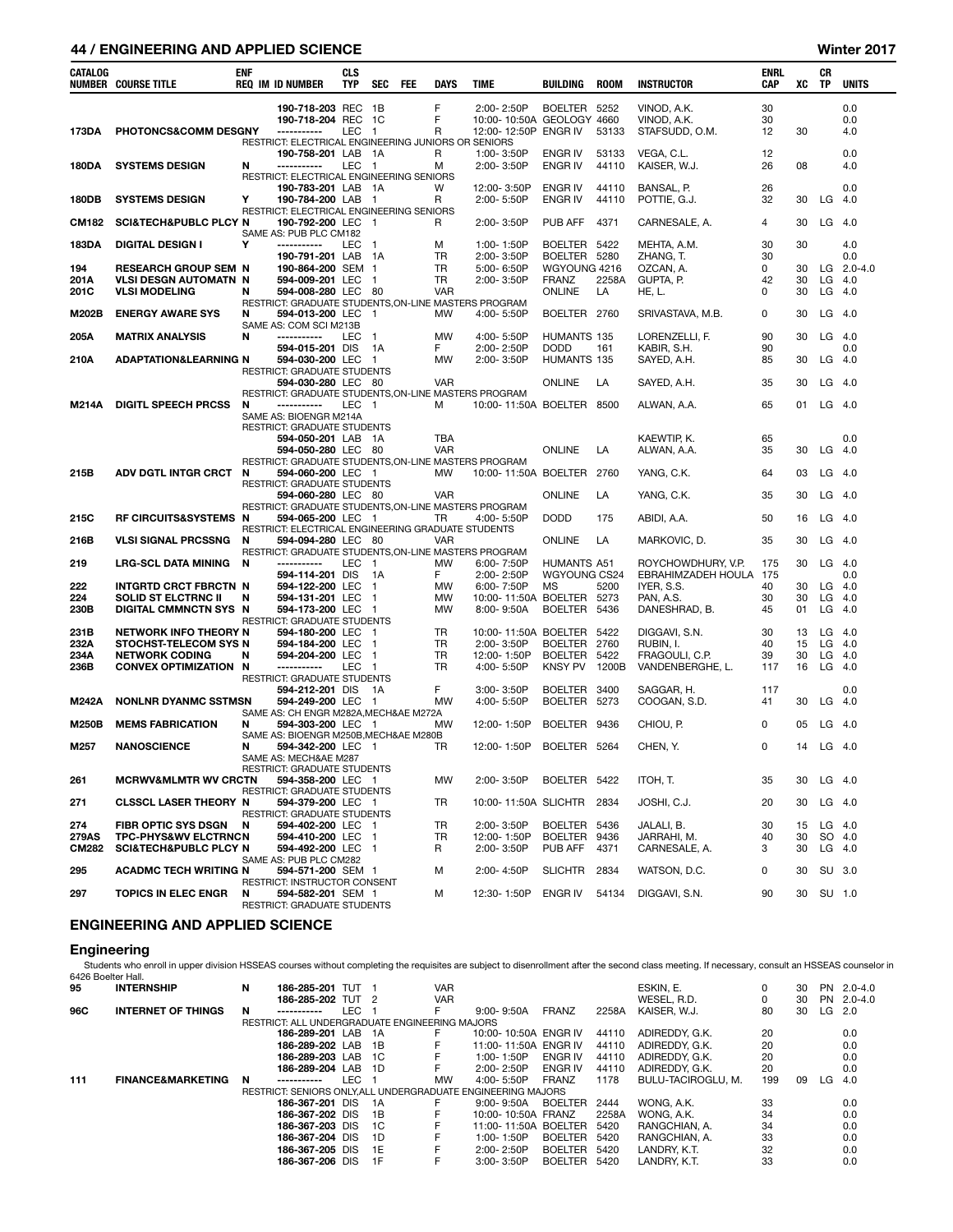## 44 / ENGINEERING AND APPLIED SCIENCE Winter 2017

| CATALOG      | <b>NUMBER COURSE TITLE</b>                          | <b>ENF</b> | <b>REQ IM ID NUMBER</b>                                                    | <b>CLS</b><br><b>TYP</b> | SEC                              | <b>FEE</b> | DAYS              | <b>TIME</b>                  | <b>BUILDING</b>              | <b>ROOM</b> | <b>INSTRUCTOR</b>          | <b>ENRL</b><br>CAP | xс       | CR<br>TP       | <b>UNITS</b>   |
|--------------|-----------------------------------------------------|------------|----------------------------------------------------------------------------|--------------------------|----------------------------------|------------|-------------------|------------------------------|------------------------------|-------------|----------------------------|--------------------|----------|----------------|----------------|
|              |                                                     |            | 190-718-203 REC 1B                                                         |                          |                                  |            | F                 | 2:00-2:50P                   | BOELTER 5252                 |             | VINOD, A.K.                | 30                 |          |                | 0.0            |
|              |                                                     |            | 190-718-204 REC                                                            |                          | - 1C                             |            | F                 | 10:00-10:50A GEOLOGY 4660    |                              |             | VINOD, A.K.                | 30                 |          |                | 0.0            |
| 173DA        | PHOTONCS&COMM DESGNY                                |            | -----------<br>RESTRICT: ELECTRICAL ENGINEERING JUNIORS OR SENIORS         | LEC                      | $\overline{1}$                   |            | R                 | 12:00-12:50P ENGR IV         |                              | 53133       | STAFSUDD, O.M.             | 12                 | 30       |                | 4.0            |
|              |                                                     |            | 190-758-201 LAB                                                            |                          | - 1A                             |            | R                 | 1:00-3:50P                   | <b>ENGR IV</b>               | 53133       | VEGA, C.L.                 | 12                 |          |                | 0.0            |
| 180DA        | <b>SYSTEMS DESIGN</b>                               | N          | -----------<br>RESTRICT: ELECTRICAL ENGINEERING SENIORS                    | <b>LEC</b>               | $\overline{1}$                   |            | м                 | 2:00-3:50P                   | <b>ENGR IV</b>               | 44110       | KAISER, W.J.               | 26                 | 08       |                | 4.0            |
|              |                                                     |            | 190-783-201 LAB                                                            |                          | - 1A                             |            | W                 | 12:00-3:50P                  | <b>ENGR IV</b>               | 44110       | BANSAL, P.                 | 26                 |          |                | 0.0            |
| 180DB        | <b>SYSTEMS DESIGN</b>                               | Y          | 190-784-200 LAB                                                            |                          | - 1                              |            | R                 | 2:00-5:50P                   | <b>ENGR IV</b>               | 44110       | POTTIE, G.J.               | 32                 | 30       | LG             | -4.0           |
| CM182        | <b>SCI&amp;TECH&amp;PUBLC PLCY N</b>                |            | RESTRICT: ELECTRICAL ENGINEERING SENIORS<br>190-792-200 LEC 1              |                          |                                  |            | R                 | 2:00-3:50P                   | PUB AFF                      | 4371        | CARNESALE, A.              | 4                  | 30       | $LG$ 4.0       |                |
|              |                                                     |            | SAME AS: PUB PLC CM182                                                     |                          |                                  |            |                   |                              |                              |             |                            |                    |          |                |                |
| 183DA        | <b>DIGITAL DESIGN I</b>                             | Υ          | -----------<br>190-791-201 LAB 1A                                          | LEC                      | - 1                              |            | м<br><b>TR</b>    | 1:00-1:50P<br>$2:00 - 3:50P$ | BOELTER 5422<br>BOELTER 5280 |             | MEHTA, A.M.<br>ZHANG, T.   | 30<br>30           | 30       |                | 4.0<br>0.0     |
| 194          | <b>RESEARCH GROUP SEM N</b>                         |            | 190-864-200 SEM 1                                                          |                          |                                  |            | <b>TR</b>         | 5:00-6:50P                   | WGYOUNG 4216                 |             | OZCAN, A.                  | 0                  | 30       |                | LG $2.0 - 4.0$ |
| 201A         | <b>VLSI DESGN AUTOMATN N</b>                        |            | 594-009-201 LEC                                                            |                          | $\overline{1}$                   |            | <b>TR</b>         | 2:00-3:50P                   | <b>FRANZ</b>                 | 2258A       | GUPTA, P.                  | 42                 | 30       | LG             | - 4.0          |
| 201C         | <b>VLSI MODELING</b>                                | N          | 594-008-280 LEC 80<br>RESTRICT: GRADUATE STUDENTS, ON-LINE MASTERS PROGRAM |                          |                                  |            | <b>VAR</b>        |                              | <b>ONLINE</b>                | LA          | HE, L.                     | 0                  | 30       | LG             | - 4.0          |
| M202B        | <b>ENERGY AWARE SYS</b>                             | N          | 594-013-200 LEC 1                                                          |                          |                                  |            | MW                | 4:00-5:50P                   | BOELTER 2760                 |             | SRIVASTAVA, M.B.           | 0                  | 30       | LG 4.0         |                |
| 205A         | <b>MATRIX ANALYSIS</b>                              | N          | SAME AS: COM SCI M213B<br>-----------                                      | <b>LEC</b>               | $\overline{1}$                   |            | MW                | 4:00-5:50P                   | HUMANTS 135                  |             | LORENZELLI, F.             | 90                 | 30       | LG             | 4.0            |
|              |                                                     |            | 594-015-201 DIS                                                            |                          | 1A                               |            | F.                | 2:00-2:50P                   | <b>DODD</b>                  | 161         | KABIR, S.H.                | 90                 |          |                | 0.0            |
| 210A         | <b>ADAPTATION&amp;LEARNING N</b>                    |            | 594-030-200 LEC                                                            |                          | - 1                              |            | MW                | 2:00-3:50P                   | HUMANTS 135                  |             | SAYED, A.H.                | 85                 | 30       | $LG$ 4.0       |                |
|              |                                                     |            | RESTRICT: GRADUATE STUDENTS<br>594-030-280 LEC 80                          |                          |                                  |            | <b>VAR</b>        |                              | <b>ONLINE</b>                | LA          | SAYED, A.H.                | 35                 | 30       | LG             | -4.0           |
|              |                                                     |            | RESTRICT: GRADUATE STUDENTS, ON-LINE MASTERS PROGRAM                       |                          |                                  |            |                   |                              |                              |             |                            |                    |          |                |                |
| M214A        | <b>DIGITL SPEECH PRCSS</b>                          | N          | -----------<br>SAME AS: BIOENGR M214A                                      | LEC 1                    |                                  |            | м                 | 10:00-11:50A BOELTER 8500    |                              |             | ALWAN, A.A.                | 65                 | 01       | $LG$ 4.0       |                |
|              |                                                     |            | RESTRICT: GRADUATE STUDENTS                                                |                          |                                  |            |                   |                              |                              |             |                            |                    |          |                |                |
|              |                                                     |            | 594-050-201 LAB 1A<br>594-050-280 LEC 80                                   |                          |                                  |            | TBA<br><b>VAR</b> |                              | <b>ONLINE</b>                | LA          | KAEWTIP, K.<br>ALWAN, A.A. | 65<br>35           | 30       | LG             | 0.0<br>- 4.0   |
|              |                                                     |            | RESTRICT: GRADUATE STUDENTS, ON-LINE MASTERS PROGRAM                       |                          |                                  |            |                   |                              |                              |             |                            |                    |          |                |                |
| 215B         | <b>ADV DGTL INTGR CRCT</b>                          | N          | 594-060-200 LEC 1<br>RESTRICT: GRADUATE STUDENTS                           |                          |                                  |            | <b>MW</b>         | 10:00-11:50A BOELTER 2760    |                              |             | YANG, C.K.                 | 64                 | 03       | LG             | - 4.0          |
|              |                                                     |            | 594-060-280 LEC 80                                                         |                          |                                  |            | <b>VAR</b>        |                              | ONLINE                       | LA          | YANG, C.K.                 | 35                 | 30       | LG             | - 4.0          |
| 215C         | RF CIRCUITS&SYSTEMS N                               |            | RESTRICT: GRADUATE STUDENTS, ON-LINE MASTERS PROGRAM<br>594-065-200 LEC 1  |                          |                                  |            | TR                | 4:00-5:50P                   | <b>DODD</b>                  | 175         | ABIDI, A.A.                | 50                 | 16       | LG 4.0         |                |
|              |                                                     |            | RESTRICT: ELECTRICAL ENGINEERING GRADUATE STUDENTS                         |                          |                                  |            |                   |                              |                              |             |                            |                    |          |                |                |
| 216B         | <b>VLSI SIGNAL PRCSSNG</b>                          | N          | 594-094-280 LEC 80                                                         |                          |                                  |            | <b>VAR</b>        |                              | <b>ONLINE</b>                | LA          | MARKOVIC, D.               | 35                 | 30       | $LG$ 4.0       |                |
| 219          | <b>LRG-SCL DATA MINING</b>                          | N          | RESTRICT: GRADUATE STUDENTS, ON-LINE MASTERS PROGRAM<br>-----------        | LEC                      | $\overline{1}$                   |            | MW                | 6:00-7:50P                   | HUMANTS A51                  |             | ROYCHOWDHURY, V.P.         | 175                | 30       | $LG$ 4.0       |                |
|              |                                                     |            | 594-114-201 DIS                                                            |                          | 1A                               |            | F                 | 2:00-2:50P                   | WGYOUNG CS24                 |             | EBRAHIMZADEH HOULA 175     |                    |          |                | 0.0            |
| 222<br>224   | INTGRTD CRCT FBRCTN N<br><b>SOLID ST ELCTRNC II</b> | N          | 594-122-200 LEC<br>594-131-201 LEC                                         |                          | $\overline{1}$<br>$\overline{1}$ |            | MW<br>MW          | 6:00-7:50P<br>10:00-11:50A   | <b>MS</b><br>BOELTER 5273    | 5200        | IYER, S.S.<br>PAN, A.S.    | 40<br>30           | 30<br>30 | $LG$ 4.0<br>LG | 4.0            |
| 230B         | <b>DIGITAL CMMNCTN SYS N</b>                        |            | 594-173-200 LEC                                                            |                          | $\overline{1}$                   |            | MW                | 8:00-9:50A                   | <b>BOELTER</b>               | 5436        | DANESHRAD, B.              | 45                 | 01       | LG             | 4.0            |
| 231 B        | NETWORK INFO THEORY N                               |            | RESTRICT: GRADUATE STUDENTS<br>594-180-200 LEC 1                           |                          |                                  |            | <b>TR</b>         | 10:00-11:50A BOELTER 5422    |                              |             | DIGGAVI, S.N.              | 30                 | 13       | $LG$ 4.0       |                |
| 232A         | <b>STOCHST-TELECOM SYS N</b>                        |            | 594-184-200 LEC                                                            |                          | -1                               |            | <b>TR</b>         | 2:00-3:50P                   | BOELTER 2760                 |             | RUBIN, I.                  | 40                 | 15       | LG             | - 4.0          |
| 234A         | <b>NETWORK CODING</b>                               | N          | 594-204-200 LEC                                                            |                          | $\overline{1}$                   |            | <b>TR</b>         | 12:00-1:50P                  | <b>BOELTER</b>               | 5422        | FRAGOULI, C.P.             | 39                 | 30       | LG.            | - 4.0          |
| 236B         | <b>CONVEX OPTIMIZATION N</b>                        |            | -----------<br>RESTRICT: GRADUATE STUDENTS                                 | <b>LEC</b>               | $\overline{1}$                   |            | <b>TR</b>         | 4:00-5:50P                   | KNSY PV                      | 1200B       | VANDENBERGHE, L.           | 117                | 16       | LG.            | 4.0            |
|              |                                                     |            | 594-212-201 DIS                                                            |                          | - 1A                             |            | F.                | 3:00-3:50P                   | BOELTER 3400                 |             | SAGGAR, H.                 | 117                |          |                | 0.0            |
| M242A        | <b>NONLNR DYANMC SSTMSN</b>                         |            | 594-249-200 LEC<br>SAME AS: CH ENGR M282A, MECH&AE M272A                   |                          | $\overline{1}$                   |            | MW                | 4:00-5:50P                   | <b>BOELTER</b>               | 5273        | COOGAN, S.D.               | 41                 | 30       | LG             | - 4.0          |
| <b>M250B</b> | <b>MEMS FABRICATION</b>                             | N          | 594-303-200 LEC 1                                                          |                          |                                  |            | MW                | 12:00-1:50P                  | BOELTER 9436                 |             | CHIOU, P.                  | 0                  | 05       | $LG$ 4.0       |                |
| M257         | <b>NANOSCIENCE</b>                                  | N          | SAME AS: BIOENGR M250B, MECH&AE M280B<br>594-342-200 LEC                   |                          | $\overline{1}$                   |            | TR                | 12:00-1:50P                  | BOELTER 5264                 |             | CHEN. Y.                   | 0                  | 14       | $LG$ 4.0       |                |
|              |                                                     |            | SAME AS: MECH&AE M287                                                      |                          |                                  |            |                   |                              |                              |             |                            |                    |          |                |                |
| 261          | <b>MCRWV&amp;MLMTR WV CRCTN</b>                     |            | <b>RESTRICT: GRADUATE STUDENTS</b><br>594-358-200 LEC 1                    |                          |                                  |            | MW                | 2:00-3:50P                   | BOELTER 5422                 |             | ITOH, T.                   | 35                 | 30       | LG $4.0$       |                |
|              |                                                     |            | RESTRICT: GRADUATE STUDENTS                                                |                          |                                  |            |                   |                              |                              |             |                            |                    |          |                |                |
| 271          | <b>CLSSCL LASER THEORY N</b>                        |            | 594-379-200 LEC 1                                                          |                          |                                  |            | TR                | 10:00-11:50A SLICHTR 2834    |                              |             | JOSHI, C.J.                | 20                 | 30       | LG 4.0         |                |
| 274          | <b>FIBR OPTIC SYS DSGN</b>                          | N          | RESTRICT: GRADUATE STUDENTS<br>594-402-200 LEC 1                           |                          |                                  |            | TR                | 2:00-3:50P                   | BOELTER 5436                 |             | JALALI, B.                 | 30                 | 15       | $LG$ 4.0       |                |
| 279AS        | <b>TPC-PHYS&amp;WV ELCTRNCN</b>                     |            | 594-410-200 LEC 1                                                          |                          |                                  |            | TR                | 12:00-1:50P                  | BOELTER 9436                 |             | JARRAHI, M.                | 40                 | 30       | SO 4.0         |                |
| CM282        | <b>SCI&amp;TECH&amp;PUBLC PLCY N</b>                |            | 594-492-200 LEC 1<br>SAME AS: PUB PLC CM282                                |                          |                                  |            | R                 | 2:00-3:50P                   | PUB AFF                      | 4371        | CARNESALE, A.              | 3                  | 30       | $LG$ 4.0       |                |
| 295          | <b>ACADMC TECH WRITING N</b>                        |            | 594-571-200 SEM 1                                                          |                          |                                  |            | м                 | 2:00-4:50P                   | SLICHTR                      | 2834        | WATSON, D.C.               | 0                  | 30       | SU 3.0         |                |
| 297          | <b>TOPICS IN ELEC ENGR</b>                          | N          | RESTRICT: INSTRUCTOR CONSENT<br>594-582-201 SEM 1                          |                          |                                  |            | м                 | 12:30-1:50P                  | ENGR IV                      | 54134       | DIGGAVI, S.N.              | 90                 |          | 30 SU 1.0      |                |
|              |                                                     |            | RESTRICT: GRADUATE STUDENTS                                                |                          |                                  |            |                   |                              |                              |             |                            |                    |          |                |                |

# ENGINEERING AND APPLIED SCIENCE

## Engineering

Students who enroll in upper division HSSEAS courses without completing the requisites are subject to disenrollment after the second class meeting. If necessary, consult an HSSEAS counselor in<br>6426 Boelter Hall. (1999)<br>195 186-285-201 TUT 1 VAR ESKIN, E. 0 30 PN 2.0-4.0<br>196-295-202 TUT 2 VAR WESEL BD 0 30 PN 2.0-4.0

|     |                              | 186-285-202 IUI 2                                           |                  |       | <b>VAR</b> |                      |                |       | WESEL. K.D.        | U   | 3U. |          | PN 2.0-4.0 |
|-----|------------------------------|-------------------------------------------------------------|------------------|-------|------------|----------------------|----------------|-------|--------------------|-----|-----|----------|------------|
| 96C | <b>INTERNET OF THINGS</b>    | N<br>-----------                                            | LEC <sub>1</sub> |       | F.         | $9:00 - 9:50A$       | <b>FRANZ</b>   | 2258A | KAISER. W.J.       | 80  | 30  | LG $2.0$ |            |
|     |                              | RESTRICT: ALL UNDERGRADUATE ENGINEERING MAJORS              |                  |       |            |                      |                |       |                    |     |     |          |            |
|     |                              | 186-289-201 LAB 1A                                          |                  |       |            | 10:00-10:50A ENGR IV |                | 44110 | ADIREDDY, G.K.     | 20  |     |          | 0.0        |
|     |                              | 186-289-202 LAB 1B                                          |                  |       |            | 11:00-11:50A ENGR IV |                | 44110 | ADIREDDY, G.K.     | 20  |     |          | 0.0        |
|     |                              | 186-289-203 LAB 1C                                          |                  |       |            | $1:00 - 1:50P$       | ENGR IV        | 44110 | ADIREDDY, G.K.     | 20  |     |          | 0.0        |
|     |                              | 186-289-204 LAB 1D                                          |                  |       |            | $2:00 - 2:50P$       | <b>ENGR IV</b> | 44110 | ADIREDDY, G.K.     | 20  |     |          | 0.0        |
| 111 | <b>FINANCE&amp;MARKETING</b> | N<br>-----------                                            | LEC 1            |       | <b>MW</b>  | $4:00 - 5:50P$       | <b>FRANZ</b>   | 1178  | BULU-TACIROGLU, M. | 199 | 09  | $LG$ 4.0 |            |
|     |                              | RESTRICT: SENIORS ONLY ALL UNDERGRADUATE ENGINEERING MAJORS |                  |       |            |                      |                |       |                    |     |     |          |            |
|     |                              | 186-367-201 DIS                                             |                  | 1A    |            | 9:00- 9:50A          | <b>BOELTER</b> | 2444  | WONG, A.K.         | 33  |     |          | 0.0        |
|     |                              | 186-367-202 DIS                                             |                  | - 1B  |            | 10:00-10:50A FRANZ   |                | 2258A | WONG. A.K.         | 34  |     |          | 0.0        |
|     |                              | 186-367-203 DIS                                             |                  | - 1 C |            | 11:00-11:50A BOELTER |                | 5420  | RANGCHIAN, A.      | 34  |     |          | 0.0        |
|     |                              | 186-367-204 DIS                                             |                  | 1D    | F.         | $1:00 - 1:50P$       | <b>BOELTER</b> | 5420  | RANGCHIAN, A.      | 33  |     |          | 0.0        |
|     |                              | 186-367-205 DIS                                             |                  | 1E    |            | $2:00 - 2:50P$       | <b>BOELTER</b> | 5420  | LANDRY, K.T.       | 32  |     |          | 0.0        |
|     |                              | 186-367-206 DIS                                             |                  | -1F   |            | $3:00 - 3:50P$       | <b>BOELTER</b> | 5420  | LANDRY, K.T.       | 33  |     |          | 0.0        |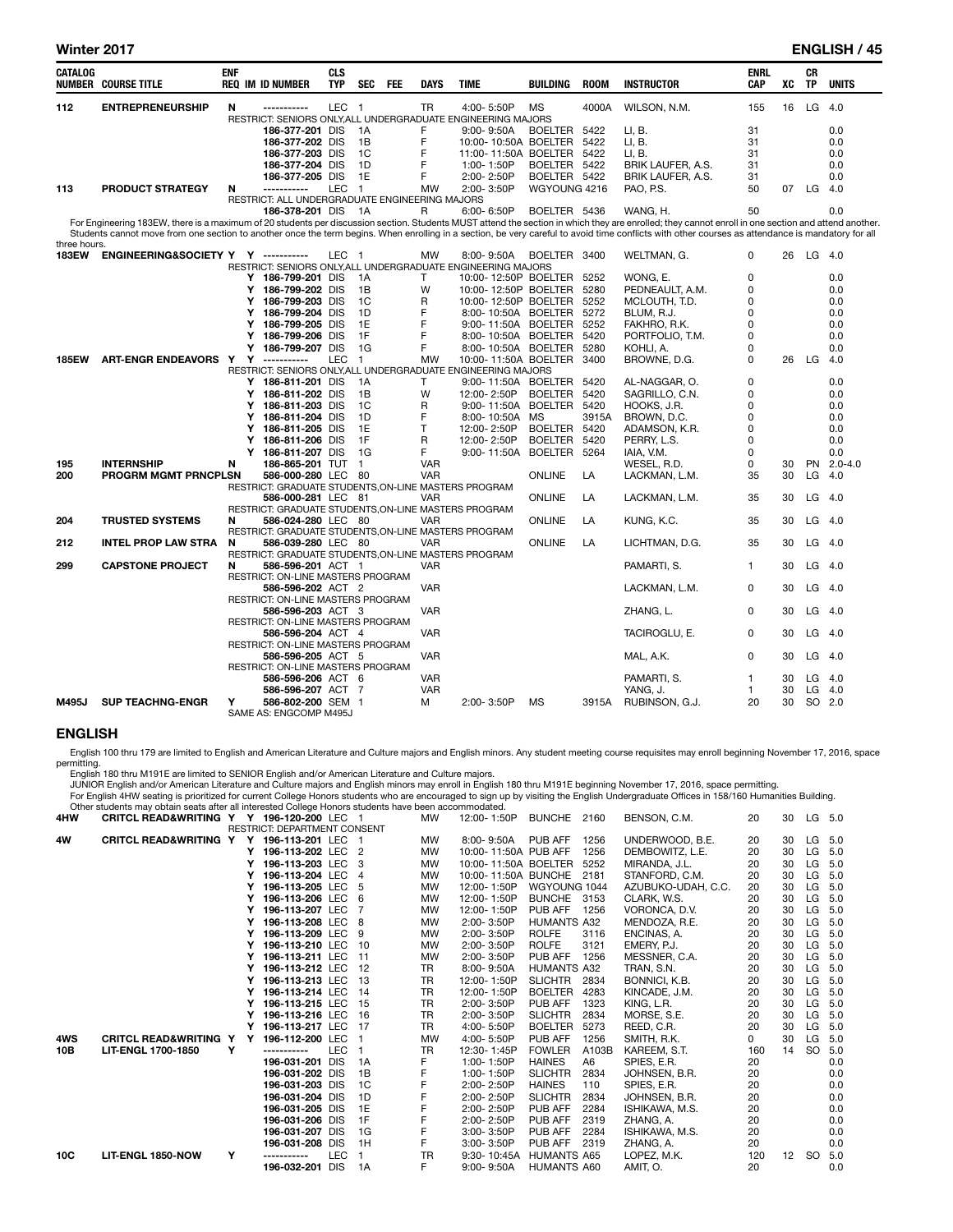| <b>CATALOG</b> | <b>NUMBER COURSE TITLE</b>          | <b>ENF</b> | <b>REQ IM ID NUMBER</b>                                      | <b>CLS</b><br><b>TYP</b> | <b>SEC</b>     | <b>FEE</b> | <b>DAYS</b>  | <b>TIME</b>               | <b>BUILDING</b> | <b>ROOM</b> | <b>INSTRUCTOR</b>                                                                                                                                                                                               | <b>ENRL</b><br>CAP | XC | <b>CR</b><br><b>TP</b> | <b>UNITS</b> |
|----------------|-------------------------------------|------------|--------------------------------------------------------------|--------------------------|----------------|------------|--------------|---------------------------|-----------------|-------------|-----------------------------------------------------------------------------------------------------------------------------------------------------------------------------------------------------------------|--------------------|----|------------------------|--------------|
| 112            | <b>ENTREPRENEURSHIP</b>             | N          |                                                              | <b>LEC</b>               | $\blacksquare$ |            | <b>TR</b>    | 4:00-5:50P                | <b>MS</b>       | 4000A       | WILSON, N.M.                                                                                                                                                                                                    | 155                | 16 | LG                     | 4.0          |
|                |                                     |            | RESTRICT: SENIORS ONLY, ALL UNDERGRADUATE ENGINEERING MAJORS |                          |                |            |              |                           |                 |             |                                                                                                                                                                                                                 |                    |    |                        |              |
|                |                                     |            | 186-377-201 DIS                                              |                          | 1A             |            | F            | $9:00 - 9:50A$            | <b>BOELTER</b>  | 5422        | LI, B.                                                                                                                                                                                                          | 31                 |    |                        | 0.0          |
|                |                                     |            | 186-377-202 DIS                                              |                          | 1B             |            | F            | 10:00-10:50A BOELTER      |                 | 5422        | LI, B.                                                                                                                                                                                                          | 31                 |    |                        | 0.0          |
|                |                                     |            | 186-377-203 DIS                                              |                          | 1C             |            | F            | 11:00-11:50A BOELTER      |                 | 5422        | LI. B.                                                                                                                                                                                                          | 31                 |    |                        | 0.0          |
|                |                                     |            | 186-377-204 DIS                                              |                          | 1D             |            | F            | 1:00-1:50P                | BOELTER 5422    |             | BRIK LAUFER, A.S.                                                                                                                                                                                               | 31                 |    |                        | 0.0          |
|                |                                     |            | 186-377-205 DIS                                              |                          | 1E             |            | F            | 2:00-2:50P                | BOELTER 5422    |             | BRIK LAUFER, A.S.                                                                                                                                                                                               | 31                 |    |                        | 0.0          |
| 113            | PRODUCT STRATEGY                    | N          | -----------                                                  | <b>LEC</b>               | $\overline{1}$ |            | <b>MW</b>    | 2:00-3:50P                | WGYOUNG 4216    |             | PAO, P.S.                                                                                                                                                                                                       | 50                 |    | 07 LG                  | - 4.0        |
|                |                                     |            | RESTRICT: ALL UNDERGRADUATE ENGINEERING MAJORS               |                          |                |            |              |                           |                 |             |                                                                                                                                                                                                                 |                    |    |                        |              |
|                |                                     |            | 186-378-201 DIS                                              |                          | 1A             |            | R            | 6:00-6:50P                | BOELTER 5436    |             | WANG, H.<br>For Engineering 183EW, there is a maximum of 20 students per discussion section. Students MUST attend the section in which they are enrolled; they cannot enroll in one section and attend another. | 50                 |    |                        | 0.0          |
|                |                                     |            |                                                              |                          |                |            |              |                           |                 |             | Students cannot move from one section to another once the term begins. When enrolling in a section, be very careful to avoid time conflicts with other courses as attendance is mandatory for all               |                    |    |                        |              |
| three hours.   |                                     |            |                                                              |                          |                |            |              |                           |                 |             |                                                                                                                                                                                                                 |                    |    |                        |              |
| <b>183EW</b>   | ENGINEERING&SOCIETY Y Y ----------- |            |                                                              | LEC <sub>1</sub>         |                |            | <b>MW</b>    | 8:00-9:50A                | BOELTER 3400    |             | WELTMAN, G.                                                                                                                                                                                                     | 0                  |    | 26 LG 4.0              |              |
|                |                                     |            | RESTRICT: SENIORS ONLY, ALL UNDERGRADUATE ENGINEERING MAJORS |                          |                |            |              |                           |                 |             |                                                                                                                                                                                                                 |                    |    |                        |              |
|                |                                     |            | Y 186-799-201 DIS                                            |                          | 1A             |            | т            | 10:00-12:50P BOELTER      |                 | 5252        | WONG, E.                                                                                                                                                                                                        | 0                  |    |                        | 0.0          |
|                |                                     |            | Y 186-799-202 DIS                                            |                          | 1B             |            | W            | 10:00-12:50P BOELTER      |                 | 5280        | PEDNEAULT, A.M.                                                                                                                                                                                                 | 0                  |    |                        | 0.0          |
|                |                                     |            | Y 186-799-203 DIS                                            |                          | 1C             |            | R            | 10:00-12:50P BOELTER      |                 | 5252        | MCLOUTH, T.D.                                                                                                                                                                                                   | 0                  |    |                        | 0.0          |
|                |                                     |            | 186-799-204 DIS<br>Υ                                         |                          | 1D             |            | F            | 8:00-10:50A BOELTER       |                 | 5272        | BLUM, R.J.                                                                                                                                                                                                      | $\Omega$           |    |                        | 0.0          |
|                |                                     |            | 186-799-205 DIS<br>Υ                                         |                          | 1E             |            | F            | 9:00-11:50A BOELTER       |                 | 5252        | FAKHRO, R.K.                                                                                                                                                                                                    | 0                  |    |                        | 0.0          |
|                |                                     |            | Y<br>186-799-206 DIS                                         |                          | 1F             |            | F            | 8:00-10:50A BOELTER       |                 | 5420        | PORTFOLIO, T.M.                                                                                                                                                                                                 | 0                  |    |                        | 0.0          |
|                |                                     |            | Υ<br>186-799-207 DIS                                         |                          | 1G             |            | F            | 8:00-10:50A BOELTER       |                 | 5280        | KOHLI, A.                                                                                                                                                                                                       | 0                  |    |                        | 0.0          |
| <b>185EW</b>   | ART-ENGR ENDEAVORS Y Y -----------  |            |                                                              | <b>LEC</b>               | $\overline{1}$ |            | <b>MW</b>    | 10:00-11:50A BOELTER 3400 |                 |             | BROWNE, D.G.                                                                                                                                                                                                    | 0                  | 26 | LG                     | 4.0          |
|                |                                     |            | RESTRICT: SENIORS ONLY, ALL UNDERGRADUATE ENGINEERING MAJORS |                          |                |            |              |                           |                 |             |                                                                                                                                                                                                                 |                    |    |                        |              |
|                |                                     |            | Y 186-811-201 DIS                                            |                          | 1A             |            | Т            | 9:00-11:50A BOELTER       |                 | 5420        | AL-NAGGAR, O.                                                                                                                                                                                                   | 0                  |    |                        | 0.0          |
|                |                                     |            | Y 186-811-202 DIS                                            |                          | 1B             |            | W            | 12:00-2:50P               | BOELTER         | 5420        | SAGRILLO, C.N.                                                                                                                                                                                                  | 0                  |    |                        | 0.0          |
|                |                                     |            | Y 186-811-203 DIS                                            |                          | 1C             |            | R            | 9:00-11:50A               | BOELTER 5420    |             | HOOKS, J.R.                                                                                                                                                                                                     | $\Omega$           |    |                        | 0.0          |
|                |                                     |            | Y<br>186-811-204 DIS                                         |                          | 1D             |            | F            | 8:00-10:50A               | МS              | 3915A       | BROWN, D.C.                                                                                                                                                                                                     | 0                  |    |                        | 0.0          |
|                |                                     |            | 186-811-205 DIS<br>Υ                                         |                          | 1E             |            | $\mathsf{T}$ | 12:00-2:50P               | <b>BOELTER</b>  | 5420        | ADAMSON, K.R.                                                                                                                                                                                                   | 0                  |    |                        | 0.0          |
|                |                                     |            | 186-811-206 DIS<br>Y                                         |                          | 1F             |            | R            | 12:00-2:50P               | <b>BOELTER</b>  | 5420        | PERRY, L.S.                                                                                                                                                                                                     | $\Omega$           |    |                        | 0.0          |
|                |                                     |            | Y 186-811-207 DIS                                            |                          | 1G             |            | F            | 9:00-11:50A               | <b>BOELTER</b>  | 5264        | IAIA, V.M.                                                                                                                                                                                                      | 0                  |    |                        | 0.0          |
| 195            | <b>INTERNSHIP</b>                   | N          | 186-865-201 TUT                                              |                          | $\overline{1}$ |            | <b>VAR</b>   |                           |                 |             | WESEL, R.D.                                                                                                                                                                                                     | 0                  | 30 |                        | PN 2.0-4.0   |
| 200            | <b>PROGRM MGMT PRNCPLSN</b>         |            | 586-000-280 LEC 80                                           |                          |                |            | <b>VAR</b>   |                           | <b>ONLINE</b>   | LA          | LACKMAN, L.M.                                                                                                                                                                                                   | 35                 | 30 | LG                     | - 4.0        |
|                |                                     |            | RESTRICT: GRADUATE STUDENTS, ON-LINE MASTERS PROGRAM         |                          |                |            |              |                           |                 |             |                                                                                                                                                                                                                 |                    |    |                        |              |
|                |                                     |            | 586-000-281 LEC 81                                           |                          |                |            | <b>VAR</b>   |                           | ONLINE          | LA          | LACKMAN, L.M.                                                                                                                                                                                                   | 35                 | 30 | $LG$ 4.0               |              |
|                |                                     |            | RESTRICT: GRADUATE STUDENTS, ON-LINE MASTERS PROGRAM         |                          |                |            |              |                           |                 |             |                                                                                                                                                                                                                 |                    |    |                        |              |
| 204            | <b>TRUSTED SYSTEMS</b>              | N          | 586-024-280 LEC 80                                           |                          |                |            | <b>VAR</b>   |                           | <b>ONLINE</b>   | LA          | KUNG, K.C.                                                                                                                                                                                                      | 35                 | 30 | $LG$ 4.0               |              |
|                |                                     |            | RESTRICT: GRADUATE STUDENTS, ON-LINE MASTERS PROGRAM         |                          |                |            |              |                           |                 |             |                                                                                                                                                                                                                 |                    |    |                        |              |
| 212            | <b>INTEL PROP LAW STRA</b>          | N          | 586-039-280 LEC 80                                           |                          |                |            | <b>VAR</b>   |                           | <b>ONLINE</b>   | LA          | LICHTMAN, D.G.                                                                                                                                                                                                  | 35                 | 30 | $LG$ 4.0               |              |
|                |                                     |            | RESTRICT: GRADUATE STUDENTS, ON-LINE MASTERS PROGRAM         |                          |                |            |              |                           |                 |             |                                                                                                                                                                                                                 |                    |    |                        |              |
| 299            | <b>CAPSTONE PROJECT</b>             | N          | 586-596-201 ACT 1                                            |                          |                |            | <b>VAR</b>   |                           |                 |             | PAMARTI, S.                                                                                                                                                                                                     | 1                  | 30 | $LG$ 4.0               |              |
|                |                                     |            | RESTRICT: ON-LINE MASTERS PROGRAM                            |                          |                |            |              |                           |                 |             |                                                                                                                                                                                                                 |                    |    |                        |              |
|                |                                     |            | 586-596-202 ACT 2                                            |                          |                |            | <b>VAR</b>   |                           |                 |             | LACKMAN, L.M.                                                                                                                                                                                                   | 0                  | 30 | $LG$ 4.0               |              |
|                |                                     |            | RESTRICT: ON-LINE MASTERS PROGRAM                            |                          |                |            |              |                           |                 |             |                                                                                                                                                                                                                 |                    |    |                        |              |
|                |                                     |            | 586-596-203 ACT 3                                            |                          |                |            | <b>VAR</b>   |                           |                 |             | ZHANG, L.                                                                                                                                                                                                       | 0                  | 30 | $LG$ 4.0               |              |
|                |                                     |            | RESTRICT: ON-LINE MASTERS PROGRAM                            |                          |                |            |              |                           |                 |             |                                                                                                                                                                                                                 |                    |    |                        |              |
|                |                                     |            | 586-596-204 ACT 4                                            |                          |                |            | <b>VAR</b>   |                           |                 |             | TACIROGLU, E.                                                                                                                                                                                                   | 0                  | 30 | $LG$ 4.0               |              |
|                |                                     |            | RESTRICT: ON-LINE MASTERS PROGRAM                            |                          |                |            |              |                           |                 |             |                                                                                                                                                                                                                 |                    |    |                        |              |
|                |                                     |            | 586-596-205 ACT 5                                            |                          |                |            | <b>VAR</b>   |                           |                 |             | MAL, A.K.                                                                                                                                                                                                       | 0                  | 30 | LG                     | - 4.0        |
|                |                                     |            | RESTRICT: ON-LINE MASTERS PROGRAM                            |                          |                |            |              |                           |                 |             |                                                                                                                                                                                                                 |                    |    |                        |              |
|                |                                     |            | 586-596-206 ACT 6                                            |                          |                |            | <b>VAR</b>   |                           |                 |             | PAMARTI, S.                                                                                                                                                                                                     | 1                  | 30 |                        | $LG$ 4.0     |
|                |                                     |            | 586-596-207 ACT 7                                            |                          |                |            | <b>VAR</b>   |                           |                 |             | YANG, J.                                                                                                                                                                                                        | 1                  | 30 | LG                     | 4.0          |
| M495J          | <b>SUP TEACHNG-ENGR</b>             | Υ          | 586-802-200 SEM 1<br>SAME AS: ENGCOMP M495J                  |                          |                |            | М            | 2:00-3:50P                | MS              | 3915A       | RUBINSON, G.J.                                                                                                                                                                                                  | 20                 | 30 | SO 2.0                 |              |

## ENGLISH

English 100 thru 179 are limited to English and American Literature and Culture majors and English minors. Any student meeting course requisites may enroll beginning November 17, 2016, space

| permitting. |                                                                                                                                                                                        |                         |  |            |  |                      |  |
|-------------|----------------------------------------------------------------------------------------------------------------------------------------------------------------------------------------|-------------------------|--|------------|--|----------------------|--|
|             | English 180 thru M191E are limited to SENIOR English and/or American Literature and Culture majors.                                                                                    |                         |  |            |  |                      |  |
|             | JUNIOR English and/or American Literature and Culture majors and English minors may enroll in English 180 thru M191E beginning November 17, 2016, space permitting.                    |                         |  |            |  |                      |  |
|             | For English 4HW seating is prioritized for current College Honors students who are encouraged to sign up by visiting the English Undergraduate Offices in 158/160 Humanities Building. |                         |  |            |  |                      |  |
|             | Other students may obtain seats after all interested College Honors students have been accommodated.                                                                                   |                         |  |            |  |                      |  |
| 4HW         | CRITCL READ&WRITING Y Y 196-120-200 LEC 1<br><b>MW</b>                                                                                                                                 | 12:00-1:50P BUNCHE 2160 |  | BENSON C.M |  | $30 \quad 1 \quad 5$ |  |

| 4HW | <b>CRITCL READ&amp;WRITING Y Y</b> |   | 196-120-200 LEC                     |            |     | <b>MW</b> | 12:00- 1:50P             | <b>BUNCHE</b>      | 2160  | BENSON, C.M.       | 20       | 30 | LG.    | 5.0    |
|-----|------------------------------------|---|-------------------------------------|------------|-----|-----------|--------------------------|--------------------|-------|--------------------|----------|----|--------|--------|
|     |                                    |   | <b>RESTRICT: DEPARTMENT CONSENT</b> |            |     |           |                          |                    |       |                    |          |    |        |        |
| 4W  | <b>CRITCL READ&amp;WRITING Y</b>   |   | Y 196-113-201 LEC 1                 |            |     | <b>MW</b> | 8:00-9:50A               | PUB AFF            | 1256  | UNDERWOOD, B.E.    | 20       | 30 | LG 5.0 |        |
|     |                                    |   | Υ<br>196-113-202 LEC 2              |            |     | <b>MW</b> | 10:00-11:50A PUB AFF     |                    | 1256  | DEMBOWITZ, L.E.    | 20       | 30 | LG     | 5.0    |
|     |                                    |   | Υ<br>196-113-203 LEC                |            |     | <b>MW</b> | 10:00-11:50A BOELTER     |                    | 5252  | MIRANDA, J.L.      | 20       | 30 | LG     | 5.0    |
|     |                                    |   | 196-113-204 LEC 4<br>Y              |            |     | <b>MW</b> | 10:00-11:50A BUNCHE 2181 |                    |       | STANFORD, C.M.     | 20       | 30 | LG     | 5.0    |
|     |                                    |   | 196-113-205 LEC<br>Y                |            | 5   | <b>MW</b> | 12:00-1:50P              | WGYOUNG 1044       |       | AZUBUKO-UDAH, C.C. | 20       | 30 | LG     | - 5.0  |
|     |                                    |   | 196-113-206 LEC 6<br>Υ              |            |     | <b>MW</b> | 12:00-1:50P              | <b>BUNCHE</b>      | 3153  | CLARK, W.S.        | 20       | 30 | LG     | 5.0    |
|     |                                    |   | 196-113-207 LEC<br>Υ                |            |     | <b>MW</b> | 12:00-1:50P              | PUB AFF            | 1256  | VORONCA, D.V.      | 20       | 30 | LG     | 5.0    |
|     |                                    |   | 196-113-208 LEC<br>Y                |            | - 8 | <b>MW</b> | 2:00-3:50P               | <b>HUMANTS A32</b> |       | MENDOZA, R.E.      | 20       | 30 | LG     | 5.0    |
|     |                                    |   | 196-113-209 LEC 9<br>Υ              |            |     | <b>MW</b> | 2:00-3:50P               | <b>ROLFE</b>       | 3116  | ENCINAS, A.        | 20       | 30 | LG     | 5.0    |
|     |                                    |   | 196-113-210 LEC<br>Υ                |            | 10  | <b>MW</b> | 2:00-3:50P               | <b>ROLFE</b>       | 3121  | EMERY, P.J.        | 20       | 30 | LG     | 5.0    |
|     |                                    |   | Υ<br>196-113-211 LEC                |            | 11  | MW        | 2:00-3:50P               | PUB AFF            | 1256  | MESSNER, C.A.      | 20       | 30 | LG     | 5.0    |
|     |                                    |   | Υ<br>196-113-212 LEC                |            | 12  | TR        | 8:00-9:50A               | <b>HUMANTS A32</b> |       | TRAN, S.N.         | 20       | 30 | LG     | 5.0    |
|     |                                    |   | 196-113-213 LEC<br>Y                |            | 13  | <b>TR</b> | 12:00-1:50P              | <b>SLICHTR</b>     | 2834  | BONNICI, K.B.      | 20       | 30 | LG     | 5.0    |
|     |                                    |   | 196-113-214 LEC                     |            | 14  | <b>TR</b> | 12:00-1:50P              | <b>BOELTER</b>     | 4283  | KINCADE, J.M.      | 20       | 30 | LG     | 5.0    |
|     |                                    |   | 196-113-215 LEC<br>Υ                |            | 15  | <b>TR</b> | 2:00-3:50P               | PUB AFF            | 1323  | KING, L.R.         | 20       | 30 | LG     | 5.0    |
|     |                                    |   | 196-113-216 LEC                     |            | 16  | <b>TR</b> | 2:00-3:50P               | <b>SLICHTR</b>     | 2834  | MORSE, S.E.        | 20       | 30 | LG     | 5.0    |
|     |                                    |   | 196-113-217 LEC                     |            | 17  | <b>TR</b> | 4:00-5:50P               | <b>BOELTER</b>     | 5273  | REED, C.R.         | 20       | 30 | LG     | 5.0    |
| 4WS | <b>CRITCL READ&amp;WRITING Y</b>   |   | Y<br>196-112-200 LEC                |            |     | <b>MW</b> | 4:00-5:50P               | PUB AFF            | 1256  | SMITH, R.K.        | $\Omega$ | 30 | LG     | 5.0    |
| 10B | <b>LIT-ENGL 1700-1850</b>          | Y | -----------                         | <b>LEC</b> |     | TR        | 12:30-1:45P              | <b>FOWLER</b>      | A103B | KAREEM, S.T.       | 160      | 14 |        | SO 5.0 |
|     |                                    |   | 196-031-201                         | DIS        | 1A  |           | 1:00-1:50P               | <b>HAINES</b>      | A6    | SPIES, E.R.        | 20       |    |        | 0.0    |
|     |                                    |   | 196-031-202 DIS                     |            | 1B  |           | 1:00-1:50P               | <b>SLICHTR</b>     | 2834  | JOHNSEN, B.R.      | 20       |    |        | 0.0    |
|     |                                    |   | 196-031-203 DIS                     |            | 1C  | F         | 2:00-2:50P               | <b>HAINES</b>      | 110   | SPIES, E.R.        | 20       |    |        | 0.0    |
|     |                                    |   | 196-031-204 DIS                     |            | 1D  |           | 2:00-2:50P               | <b>SLICHTR</b>     | 2834  | JOHNSEN, B.R.      | 20       |    |        | 0.0    |
|     |                                    |   | 196-031-205 DIS                     |            | 1E  |           | 2:00-2:50P               | PUB AFF            | 2284  | ISHIKAWA, M.S.     | 20       |    |        | 0.0    |
|     |                                    |   | 196-031-206 DIS                     |            | 1F  |           | 2:00-2:50P               | PUB AFF            | 2319  | ZHANG, A.          | 20       |    |        | 0.0    |
|     |                                    |   | 196-031-207 DIS                     |            | 1G  |           | 3:00-3:50P               | PUB AFF            | 2284  | ISHIKAWA, M.S.     | 20       |    |        | 0.0    |
|     |                                    |   | 196-031-208 DIS                     |            | 1H  | F         | 3:00-3:50P               | PUB AFF            | 2319  | ZHANG, A.          | 20       |    |        | 0.0    |
| 10C | <b>LIT-ENGL 1850-NOW</b>           | Υ | -----------                         | <b>LEC</b> |     | TR        | 9:30-10:45A              | <b>HUMANTS A65</b> |       | LOPEZ, M.K.        | 120      | 12 | SO 5.0 |        |
|     |                                    |   | 196-032-201                         | <b>DIS</b> | 1A  | F         | $9:00 - 9:50A$           | <b>HUMANTS A60</b> |       | AMIT. O.           | 20       |    |        | 0.0    |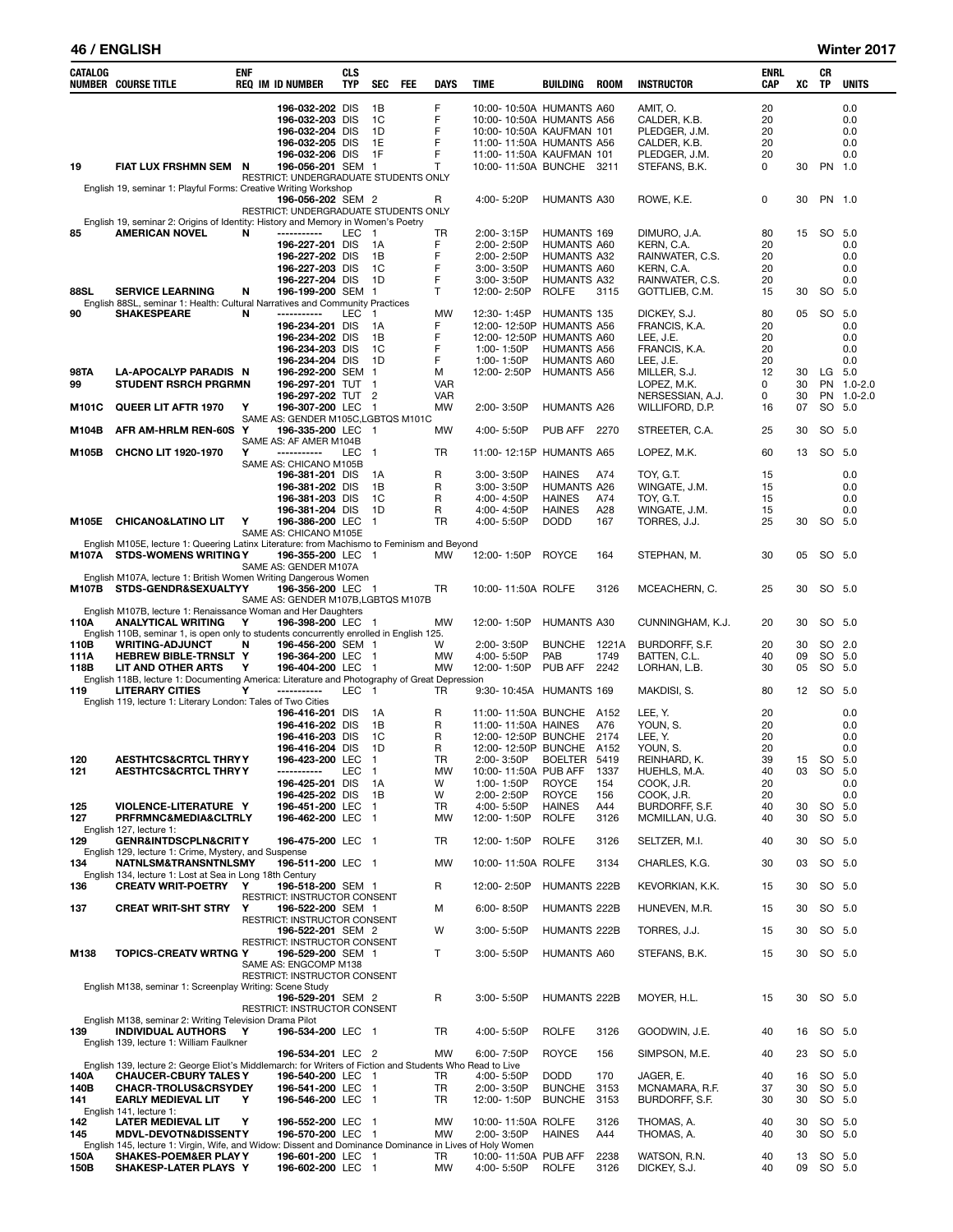### 46 / ENGLISH Winter 2017

| CATALOG     | <b>NUMBER COURSE TITLE</b>                                                                                         | ENF | <b>REQ IM ID NUMBER</b>                                  | CLS<br><b>TYP</b> | SEC            | FEE | <b>DAYS</b>     | <b>TIME</b> |                                      | <b>BUILDING</b>                                      | ROOM         | <b>INSTRUCTOR</b>                 | ENRL<br>CAP | XC       | CR<br>TP  | <b>UNITS</b> |
|-------------|--------------------------------------------------------------------------------------------------------------------|-----|----------------------------------------------------------|-------------------|----------------|-----|-----------------|-------------|--------------------------------------|------------------------------------------------------|--------------|-----------------------------------|-------------|----------|-----------|--------------|
|             |                                                                                                                    |     | 196-032-202 DIS                                          |                   | 1B             |     | F               |             |                                      | 10:00-10:50A HUMANTS A60                             |              | AMIT, O.                          | 20          |          |           | 0.0          |
|             |                                                                                                                    |     | 196-032-203 DIS                                          |                   | 1C             |     | F               |             |                                      | 10:00-10:50A HUMANTS A56                             |              | CALDER, K.B.                      | 20          |          |           | 0.0          |
|             |                                                                                                                    |     | 196-032-204 DIS                                          |                   | 1D             |     | F               |             |                                      | 10:00-10:50A KAUFMAN 101                             |              | PLEDGER, J.M.                     | 20          |          |           | 0.0          |
|             |                                                                                                                    |     | 196-032-205 DIS                                          |                   | 1E             |     | F               |             |                                      | 11:00-11:50A HUMANTS A56                             |              | CALDER, K.B.                      | 20          |          |           | 0.0          |
| 19          | FIAT LUX FRSHMN SEM N                                                                                              |     | 196-032-206 DIS<br>196-056-201 SEM 1                     |                   | 1F             |     | F<br>T          |             |                                      | 11:00-11:50A KAUFMAN 101<br>10:00-11:50A BUNCHE 3211 |              | PLEDGER, J.M.<br>STEFANS, B.K.    | 20<br>0     | 30       | PN 1.0    | 0.0          |
|             |                                                                                                                    |     | RESTRICT: UNDERGRADUATE STUDENTS ONLY                    |                   |                |     |                 |             |                                      |                                                      |              |                                   |             |          |           |              |
|             | English 19, seminar 1: Playful Forms: Creative Writing Workshop                                                    |     |                                                          |                   |                |     |                 |             |                                      |                                                      |              |                                   |             |          |           |              |
|             |                                                                                                                    |     | 196-056-202 SEM 2                                        |                   |                |     | R               |             | 4:00-5:20P                           | <b>HUMANTS A30</b>                                   |              | ROWE, K.E.                        | 0           | 30       |           | PN 1.0       |
|             | English 19, seminar 2: Origins of Identity: History and Memory in Women's Poetry                                   |     | RESTRICT: UNDERGRADUATE STUDENTS ONLY                    |                   |                |     |                 |             |                                      |                                                      |              |                                   |             |          |           |              |
| 85          | <b>AMERICAN NOVEL</b>                                                                                              | N   | -----------                                              | LEC               | $\overline{1}$ |     | TR              |             | 2:00-3:15P                           | HUMANTS 169                                          |              | DIMURO, J.A.                      | 80          | 15       | SO 5.0    |              |
|             |                                                                                                                    |     | 196-227-201 DIS                                          |                   | 1A             |     | F               |             | 2:00-2:50P                           | <b>HUMANTS A60</b>                                   |              | KERN, C.A.                        | 20          |          |           | 0.0          |
|             |                                                                                                                    |     | 196-227-202 DIS                                          |                   | 1B             |     | F               |             | $2:00 - 2:50P$                       | <b>HUMANTS A32</b>                                   |              | RAINWATER, C.S.                   | 20          |          |           | 0.0          |
|             |                                                                                                                    |     | 196-227-203 DIS                                          |                   | 1C<br>1D       |     | F<br>F          |             | 3:00-3:50P                           | HUMANTS A60                                          |              | KERN, C.A.                        | 20          |          |           | 0.0          |
| 88SL        | <b>SERVICE LEARNING</b>                                                                                            | N   | 196-227-204 DIS<br>196-199-200 SEM 1                     |                   |                |     | T.              |             | $3:00 - 3:50P$<br>12:00-2:50P        | <b>HUMANTS A32</b><br><b>ROLFE</b>                   | 3115         | RAINWATER, C.S.<br>GOTTLIEB, C.M. | 20<br>15    | 30       | SO 5.0    | 0.0          |
|             | English 88SL, seminar 1: Health: Cultural Narratives and Community Practices                                       |     |                                                          |                   |                |     |                 |             |                                      |                                                      |              |                                   |             |          |           |              |
| 90          | <b>SHAKESPEARE</b>                                                                                                 | N   | ------------                                             | LEC               | $\overline{1}$ |     | <b>MW</b>       |             | 12:30-1:45P                          | HUMANTS 135                                          |              | DICKEY, S.J.                      | 80          | 05       | SO 5.0    |              |
|             |                                                                                                                    |     | 196-234-201 DIS                                          |                   | 1A             |     | F               |             |                                      | 12:00-12:50P HUMANTS A56                             |              | FRANCIS, K.A.                     | 20          |          |           | 0.0          |
|             |                                                                                                                    |     | 196-234-202 DIS                                          |                   | 1B             |     | F               |             |                                      | 12:00-12:50P HUMANTS A60                             |              | LEE, J.E.                         | 20          |          |           | 0.0          |
|             |                                                                                                                    |     | 196-234-203 DIS                                          |                   | 1C             |     | F               |             | 1:00-1:50P                           | <b>HUMANTS A56</b>                                   |              | FRANCIS, K.A.                     | 20          |          |           | 0.0          |
| <b>98TA</b> | LA-APOCALYP PARADIS N                                                                                              |     | 196-234-204 DIS<br>196-292-200 SEM 1                     |                   | 1D             |     | F<br>М          |             | 1:00-1:50P<br>12:00-2:50P            | <b>HUMANTS A60</b><br><b>HUMANTS A56</b>             |              | LEE, J.E.<br>MILLER, S.J.         | 20<br>12    | 30       | LG 5.0    | 0.0          |
| 99          | <b>STUDENT RSRCH PRGRMN</b>                                                                                        |     | 196-297-201 TUT                                          |                   | $\mathbf{1}$   |     | <b>VAR</b>      |             |                                      |                                                      |              | LOPEZ, M.K.                       | 0           | 30       |           | PN 1.0-2.0   |
|             |                                                                                                                    |     | 196-297-202 TUT                                          |                   | $\overline{2}$ |     | <b>VAR</b>      |             |                                      |                                                      |              | NERSESSIAN, A.J.                  | 0           | 30       |           | PN 1.0-2.0   |
| M101C       | QUEER LIT AFTR 1970                                                                                                | Υ   | 196-307-200 LEC                                          |                   | - 1            |     | MW              |             | 2:00-3:50P                           | HUMANTS A26                                          |              | WILLIFORD, D.P.                   | 16          | 07       |           | SO 5.0       |
|             |                                                                                                                    |     | SAME AS: GENDER M105C,LGBTQS M101C                       |                   |                |     |                 |             |                                      |                                                      |              |                                   |             |          |           |              |
| M104B       | AFR AM-HRLM REN-60S                                                                                                | Y   | 196-335-200 LEC                                          |                   | - 1            |     | МW              |             | 4:00-5:50P                           | <b>PUB AFF 2270</b>                                  |              | STREETER, C.A.                    | 25          | 30       |           | SO 5.0       |
| M105B       | CHCNO LIT 1920-1970                                                                                                | Υ   | SAME AS: AF AMER M104B<br>-----------                    | LEC               | -1             |     | TR              |             |                                      | 11:00-12:15P HUMANTS A65                             |              | LOPEZ, M.K.                       | 60          | 13       | SO 5.0    |              |
|             |                                                                                                                    |     | SAME AS: CHICANO M105B                                   |                   |                |     |                 |             |                                      |                                                      |              |                                   |             |          |           |              |
|             |                                                                                                                    |     | 196-381-201 DIS                                          |                   | 1A             |     | R               |             | 3:00-3:50P                           | <b>HAINES</b>                                        | A74          | TOY, G.T.                         | 15          |          |           | 0.0          |
|             |                                                                                                                    |     | 196-381-202 DIS                                          |                   | 1B             |     | R               |             | 3:00-3:50P                           | <b>HUMANTS A26</b>                                   |              | WINGATE, J.M.                     | 15          |          |           | 0.0          |
|             |                                                                                                                    |     | 196-381-203 DIS                                          |                   | 1C             |     | R               |             | 4:00-4:50P                           | <b>HAINES</b>                                        | A74          | TOY, G.T.                         | 15          |          |           | 0.0          |
|             |                                                                                                                    |     | 196-381-204 DIS                                          |                   | 1D             |     | R               |             | 4:00-4:50P                           | <b>HAINES</b>                                        | A28          | WINGATE, J.M.                     | 15          |          |           | 0.0          |
| M105E       | <b>CHICANO&amp;LATINO LIT</b>                                                                                      | Υ   | 196-386-200 LEC<br>SAME AS: CHICANO M105E                |                   | $\overline{1}$ |     | TR              |             | 4:00-5:50P                           | <b>DODD</b>                                          | 167          | TORRES, J.J.                      | 25          | 30       | SO 5.0    |              |
|             | English M105E, lecture 1: Queering Latinx Literature: from Machismo to Feminism and Beyond                         |     |                                                          |                   |                |     |                 |             |                                      |                                                      |              |                                   |             |          |           |              |
| M107A       | <b>STDS-WOMENS WRITING Y</b>                                                                                       |     | 196-355-200 LEC 1                                        |                   |                |     | МW              |             | 12:00-1:50P                          | <b>ROYCE</b>                                         | 164          | STEPHAN, M.                       | 30          | 05       |           | SO 5.0       |
|             |                                                                                                                    |     | SAME AS: GENDER M107A                                    |                   |                |     |                 |             |                                      |                                                      |              |                                   |             |          |           |              |
|             | English M107A, lecture 1: British Women Writing Dangerous Women                                                    |     |                                                          |                   |                |     |                 |             |                                      |                                                      |              |                                   |             |          |           |              |
| M107B       | STDS-GENDR&SEXUALTYY                                                                                               |     | 196-356-200 LEC 1<br>SAME AS: GENDER M107B, LGBTQS M107B |                   |                |     | TR              |             | 10:00-11:50A ROLFE                   |                                                      | 3126         | MCEACHERN, C.                     | 25          | 30       |           | SO 5.0       |
|             | English M107B, lecture 1: Renaissance Woman and Her Daughters                                                      |     |                                                          |                   |                |     |                 |             |                                      |                                                      |              |                                   |             |          |           |              |
| 110A        | <b>ANALYTICAL WRITING</b>                                                                                          | Y   | 196-398-200 LEC 1                                        |                   |                |     | <b>MW</b>       |             | 12:00-1:50P                          | HUMANTS A30                                          |              | CUNNINGHAM, K.J.                  | 20          | 30       | SO 5.0    |              |
|             | English 110B, seminar 1, is open only to students concurrently enrolled in English 125.                            |     |                                                          |                   |                |     |                 |             |                                      |                                                      |              |                                   |             |          |           |              |
| 110B        | <b>WRITING-ADJUNCT</b>                                                                                             | N   | 196-456-200 SEM 1                                        |                   |                |     | W               |             | 2:00-3:50P                           | <b>BUNCHE</b>                                        | 1221A        | BURDORFF, S.F.                    | 20          | 30       |           | SO 2.0       |
| 111A        | <b>HEBREW BIBLE-TRNSLT Y</b>                                                                                       |     | 196-364-200 LEC                                          |                   | - 1            |     | МW<br><b>MW</b> |             | 4:00-5:50P                           | PAB                                                  | 1749         | BATTEN, C.L.                      | 40          | 09<br>05 |           | SO 5.0       |
| 118B        | LIT AND OTHER ARTS<br>English 118B, lecture 1: Documenting America: Literature and Photography of Great Depression | Υ   | 196-404-200 LEC 1                                        |                   |                |     |                 |             | 12:00-1:50P                          | PUB AFF                                              | 2242         | LORHAN, L.B.                      | 30          |          | SO 5.0    |              |
| 119         | <b>LITERARY CITIES</b>                                                                                             | Υ   | -----------                                              | LEC               | $\mathbf{1}$   |     | TR              |             |                                      | 9:30-10:45A HUMANTS 169                              |              | MAKDISI, S.                       | 80          | 12       | SO 5.0    |              |
|             | English 119, lecture 1: Literary London: Tales of Two Cities                                                       |     |                                                          |                   |                |     |                 |             |                                      |                                                      |              |                                   |             |          |           |              |
|             |                                                                                                                    |     | 196-416-201 DIS                                          |                   | 1A             |     | R               |             |                                      | 11:00-11:50A BUNCHE A152                             |              | LEE, Y.                           | 20          |          |           | 0.0          |
|             |                                                                                                                    |     | 196-416-202 DIS<br>196-416-203 DIS                       |                   | 1B             |     | R               |             |                                      | 11:00-11:50A HAINES<br>12:00-12:50P BUNCHE           | A76          | YOUN, S.                          | 20          |          |           | 0.0          |
|             |                                                                                                                    |     | 196-416-204 DIS                                          |                   | 1C<br>1D       |     | R<br>R          |             |                                      | 12:00-12:50P BUNCHE                                  | 2174<br>A152 | LEE, Y.<br>YOUN, S.               | 20<br>20    |          |           | 0.0<br>0.0   |
| 120         | <b>AESTHTCS&amp;CRTCL THRY Y</b>                                                                                   |     | 196-423-200 LEC                                          |                   | $\overline{1}$ |     | TR              |             | 2:00-3:50P                           | <b>BOELTER</b>                                       | 5419         | REINHARD, K.                      | 39          |          | 15 SO 5.0 |              |
| 121         | <b>AESTHTCS&amp;CRTCL THRYY</b>                                                                                    |     | -----------                                              | LEC               | $\overline{1}$ |     | MW              |             |                                      | 10:00-11:50A PUB AFF                                 | 1337         | HUEHLS, M.A.                      | 40          | 03       | SO 5.0    |              |
|             |                                                                                                                    |     | 196-425-201 DIS                                          |                   | - 1 A          |     | W               |             | 1:00-1:50P                           | <b>ROYCE</b>                                         | 154          | COOK, J.R.                        | 20          |          |           | 0.0          |
|             |                                                                                                                    |     | 196-425-202 DIS                                          |                   | 1B             |     | W               |             | 2:00-2:50P                           | <b>ROYCE</b>                                         | 156          | COOK, J.R.                        | 20          |          |           | 0.0          |
| 125         | VIOLENCE-LITERATURE Y                                                                                              |     | 196-451-200 LEC                                          |                   | $\overline{1}$ |     | TR              |             | 4:00-5:50P                           | <b>HAINES</b>                                        | A44          | BURDORFF, S.F.                    | 40          | 30       | SO 5.0    |              |
| 127         | PRFRMNC&MEDIA&CLTRLY                                                                                               |     | 196-462-200 LEC 1                                        |                   |                |     | MW              |             | 12:00-1:50P                          | <b>ROLFE</b>                                         | 3126         | MCMILLAN, U.G.                    | 40          | 30       | SO 5.0    |              |
| 129         | English 127, lecture 1:<br><b>GENR&amp;INTDSCPLN&amp;CRITY</b>                                                     |     | 196-475-200 LEC 1                                        |                   |                |     | TR              |             | 12:00-1:50P                          | <b>ROLFE</b>                                         | 3126         | SELTZER, M.I.                     | 40          | 30       | SO 5.0    |              |
|             | English 129, lecture 1: Crime, Mystery, and Suspense                                                               |     |                                                          |                   |                |     |                 |             |                                      |                                                      |              |                                   |             |          |           |              |
| 134         | NATNLSM&TRANSNTNLSMY                                                                                               |     | 196-511-200 LEC 1                                        |                   |                |     | <b>MW</b>       |             | 10:00-11:50A ROLFE                   |                                                      | 3134         | CHARLES, K.G.                     | 30          | 03       |           | SO 5.0       |
|             | English 134, lecture 1: Lost at Sea in Long 18th Century                                                           |     |                                                          |                   |                |     |                 |             |                                      |                                                      |              |                                   |             |          |           |              |
| 136         | <b>CREATV WRIT-POETRY Y</b>                                                                                        |     | 196-518-200 SEM 1                                        |                   |                |     | R               |             | 12:00-2:50P                          | <b>HUMANTS 222B</b>                                  |              | KEVORKIAN, K.K.                   | 15          | 30       | SO 5.0    |              |
| 137         | <b>CREAT WRIT-SHT STRY</b>                                                                                         | Y   | RESTRICT: INSTRUCTOR CONSENT<br>196-522-200 SEM 1        |                   |                |     | м               |             | 6:00-8:50P                           | <b>HUMANTS 222B</b>                                  |              | HUNEVEN, M.R.                     | 15          | 30       |           | SO 5.0       |
|             |                                                                                                                    |     | RESTRICT: INSTRUCTOR CONSENT                             |                   |                |     |                 |             |                                      |                                                      |              |                                   |             |          |           |              |
|             |                                                                                                                    |     | 196-522-201 SEM 2                                        |                   |                |     | W               |             | $3:00 - 5:50P$                       | HUMANTS 222B                                         |              | TORRES, J.J.                      | 15          | 30       | SO 5.0    |              |
|             |                                                                                                                    |     | RESTRICT: INSTRUCTOR CONSENT                             |                   |                |     |                 |             |                                      |                                                      |              |                                   |             |          |           |              |
| M138        | <b>TOPICS-CREATV WRTNG Y</b>                                                                                       |     | 196-529-200 SEM 1                                        |                   |                |     | T               |             | 3:00-5:50P                           | HUMANTS A60                                          |              | STEFANS, B.K.                     | 15          | 30       |           | SO 5.0       |
|             |                                                                                                                    |     | SAME AS: ENGCOMP M138<br>RESTRICT: INSTRUCTOR CONSENT    |                   |                |     |                 |             |                                      |                                                      |              |                                   |             |          |           |              |
|             | English M138, seminar 1: Screenplay Writing: Scene Study                                                           |     |                                                          |                   |                |     |                 |             |                                      |                                                      |              |                                   |             |          |           |              |
|             |                                                                                                                    |     | 196-529-201 SEM 2                                        |                   |                |     | R               |             | 3:00-5:50P                           | <b>HUMANTS 222B</b>                                  |              | MOYER, H.L.                       | 15          | 30       | SO 5.0    |              |
|             |                                                                                                                    |     | RESTRICT: INSTRUCTOR CONSENT                             |                   |                |     |                 |             |                                      |                                                      |              |                                   |             |          |           |              |
|             | English M138, seminar 2: Writing Television Drama Pilot                                                            |     |                                                          |                   |                |     |                 |             |                                      |                                                      |              |                                   |             |          |           |              |
| 139         | <b>INDIVIDUAL AUTHORS</b><br>English 139, lecture 1: William Faulkner                                              | Y   | 196-534-200 LEC 1                                        |                   |                |     | TR              |             | 4:00-5:50P                           | <b>ROLFE</b>                                         | 3126         | GOODWIN, J.E.                     | 40          | 16       |           | SO 5.0       |
|             |                                                                                                                    |     | 196-534-201 LEC 2                                        |                   |                |     | <b>MW</b>       |             | 6:00-7:50P                           | <b>ROYCE</b>                                         | 156          | SIMPSON, M.E.                     | 40          | 23       |           | SO 5.0       |
|             | English 139, lecture 2: George Eliot's Middlemarch: for Writers of Fiction and Students Who Read to Live           |     |                                                          |                   |                |     |                 |             |                                      |                                                      |              |                                   |             |          |           |              |
| 140A        | <b>CHAUCER-CBURY TALES Y</b>                                                                                       |     | 196-540-200 LEC 1                                        |                   |                |     | TR              |             | 4:00-5:50P                           | <b>DODD</b>                                          | 170          | JAGER, E.                         | 40          | 16       | SO 5.0    |              |
| 140B        | <b>CHACR-TROLUS&amp;CRSYDEY</b>                                                                                    |     | 196-541-200 LEC 1                                        |                   |                |     | TR              |             | 2:00-3:50P                           | <b>BUNCHE</b>                                        | 3153         | MCNAMARA, R.F.                    | 37          | 30       |           | SO 5.0       |
| 141         | <b>EARLY MEDIEVAL LIT</b>                                                                                          | Y   | 196-546-200 LEC 1                                        |                   |                |     | TR              |             | 12:00-1:50P                          | <b>BUNCHE</b>                                        | 3153         | BURDORFF, S.F.                    | 30          | 30       | SO 5.0    |              |
| 142         | English 141, lecture 1:                                                                                            | Υ   | 196-552-200 LEC 1                                        |                   |                |     | MW              |             |                                      |                                                      | 3126         | THOMAS, A.                        | 40          |          | SO 5.0    |              |
| 145         | <b>LATER MEDIEVAL LIT</b><br><b>MDVL-DEVOTN&amp;DISSENTY</b>                                                       |     | 196-570-200 LEC 1                                        |                   |                |     | MW              |             | 10:00-11:50A ROLFE<br>$2:00 - 3:50P$ | <b>HAINES</b>                                        | A44          | THOMAS, A.                        | 40          | 30<br>30 | SO 5.0    |              |
|             | English 145, lecture 1: Virgin, Wife, and Widow: Dissent and Dominance Dominance in Lives of Holy Women            |     |                                                          |                   |                |     |                 |             |                                      |                                                      |              |                                   |             |          |           |              |
| 150A        | <b>SHAKES-POEM&amp;ER PLAYY</b>                                                                                    |     | 196-601-200 LEC 1                                        |                   |                |     | TR              |             |                                      | 10:00-11:50A PUB AFF                                 | 2238         | WATSON, R.N.                      | 40          | 13       | SO 5.0    |              |
| 150B        | SHAKESP-LATER PLAYS Y                                                                                              |     | 196-602-200 LEC 1                                        |                   |                |     | MW              |             | 4:00-5:50P                           | ROLFE                                                | 3126         | DICKEY, S.J.                      | 40          | 09       | SO 5.0    |              |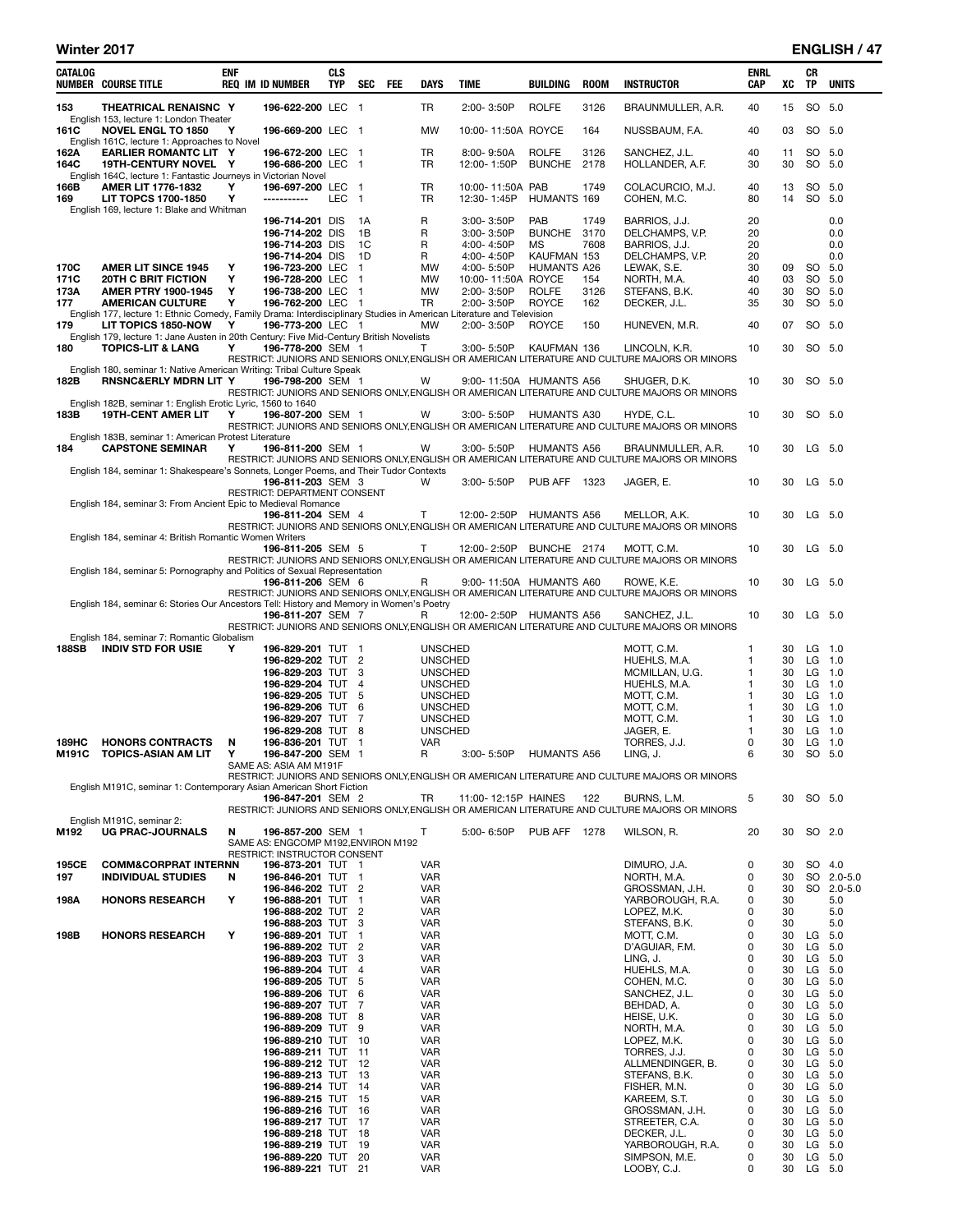L

| CATALOG      | <b>NUMBER COURSE TITLE</b>                                                                                                                      | <b>ENF</b> | <b>REQ IM ID NUMBER</b>                                             | <b>CLS</b><br><b>TYP</b> | <b>SEC</b>                     | FEE | DAYS                             | TIME                             | BUILDING                 | <b>ROOM</b> | <b>INSTRUCTOR</b>                                                                                                | ENRL<br>CAP | XC       | CR<br><b>TP</b>      | <b>UNITS</b>             |
|--------------|-------------------------------------------------------------------------------------------------------------------------------------------------|------------|---------------------------------------------------------------------|--------------------------|--------------------------------|-----|----------------------------------|----------------------------------|--------------------------|-------------|------------------------------------------------------------------------------------------------------------------|-------------|----------|----------------------|--------------------------|
| 153          | THEATRICAL RENAISNC Y                                                                                                                           |            | 196-622-200 LEC 1                                                   |                          |                                |     | TR                               | 2:00-3:50P                       | <b>ROLFE</b>             | 3126        | BRAUNMULLER, A.R.                                                                                                | 40          | 15       | SO 5.0               |                          |
| 161C         | English 153, lecture 1: London Theater<br><b>NOVEL ENGL TO 1850</b>                                                                             | Y          | 196-669-200 LEC 1                                                   |                          |                                |     | <b>MW</b>                        | 10:00-11:50A ROYCE               |                          | 164         | NUSSBAUM, F.A.                                                                                                   | 40          | 03       |                      | SO 5.0                   |
| 162A         | English 161C, lecture 1: Approaches to Novel<br><b>EARLIER ROMANTC LIT Y</b>                                                                    |            | 196-672-200 LEC                                                     |                          | - 1                            |     | TR                               | $8:00 - 9:50A$                   | <b>ROLFE</b>             | 3126        | SANCHEZ, J.L.                                                                                                    | 40          | 11       |                      | SO 5.0                   |
| 164C         | 19TH-CENTURY NOVEL Y<br>English 164C, lecture 1: Fantastic Journeys in Victorian Novel                                                          |            | 196-686-200 LEC                                                     |                          | $\mathbf{1}$                   |     | TR                               | 12:00-1:50P                      | <b>BUNCHE</b>            | 2178        | HOLLANDER, A.F.                                                                                                  | 30          | 30       |                      | SO 5.0                   |
| 166B         | <b>AMER LIT 1776-1832</b>                                                                                                                       | Υ          | 196-697-200 LEC<br>-----------                                      |                          | $\blacksquare$                 |     | TR                               | 10:00-11:50A PAB                 |                          | 1749        | COLACURCIO, M.J.                                                                                                 | 40          | 13<br>14 |                      | SO 5.0                   |
| 169          | LIT TOPCS 1700-1850<br>English 169, lecture 1: Blake and Whitman                                                                                | Y          |                                                                     | LEC                      | $\overline{1}$                 |     | TR                               | 12:30-1:45P                      | HUMANTS 169              |             | COHEN, M.C.                                                                                                      | 80          |          | SO 5.0               |                          |
|              |                                                                                                                                                 |            | 196-714-201 DIS<br>196-714-202 DIS                                  |                          | 1A<br>1B                       |     | R<br>R                           | 3:00-3:50P<br>3:00-3:50P         | PAB<br>BUNCHE 3170       | 1749        | BARRIOS, J.J.<br>DELCHAMPS, V.P.                                                                                 | 20<br>20    |          |                      | 0.0<br>0.0               |
|              |                                                                                                                                                 |            | 196-714-203 DIS<br>196-714-204 DIS                                  |                          | 1C<br>1D                       |     | R<br>R                           | 4:00-4:50P<br>4:00-4:50P         | <b>MS</b><br>KAUFMAN 153 | 7608        | BARRIOS, J.J.<br>DELCHAMPS, V.P.                                                                                 | 20<br>20    |          |                      | 0.0<br>0.0               |
| 170C         | <b>AMER LIT SINCE 1945</b>                                                                                                                      | Υ          | 196-723-200 LEC                                                     |                          | $\mathbf{1}$                   |     | MW                               | 4:00-5:50P                       | <b>HUMANTS A26</b>       |             | LEWAK, S.E.                                                                                                      | 30          | 09       | SO 5.0               |                          |
| 171C<br>173A | <b>20TH C BRIT FICTION</b><br><b>AMER PTRY 1900-1945</b>                                                                                        | Υ<br>Υ     | 196-728-200 LEC<br>196-738-200 LEC                                  |                          | $\mathbf{1}$<br>$\overline{1}$ |     | MW<br><b>MW</b>                  | 10:00-11:50A ROYCE<br>2:00-3:50P | <b>ROLFE</b>             | 154<br>3126 | NORTH, M.A.<br>STEFANS, B.K.                                                                                     | 40<br>40    | 03<br>30 | SO 5.0               | SO 5.0                   |
| 177          | <b>AMERICAN CULTURE</b><br>English 177, lecture 1: Ethnic Comedy, Family Drama: Interdisciplinary Studies in American Literature and Television | Υ          | 196-762-200 LEC 1                                                   |                          |                                |     | TR                               | 2:00-3:50P                       | ROYCE                    | 162         | DECKER, J.L.                                                                                                     | 35          | 30       |                      | SO 5.0                   |
| 179          | LIT TOPICS 1850-NOW                                                                                                                             | Υ          | 196-773-200 LEC 1                                                   |                          |                                |     | МW                               | 2:00-3:50P                       | <b>ROYCE</b>             | 150         | HUNEVEN, M.R.                                                                                                    | 40          | 07       |                      | SO 5.0                   |
| 180          | English 179, lecture 1: Jane Austen in 20th Century: Five Mid-Century British Novelists<br><b>TOPICS-LIT &amp; LANG</b>                         | Υ          | 196-778-200 SEM 1                                                   |                          |                                |     | Т                                | 3:00-5:50P                       | KAUFMAN 136              |             | LINCOLN, K.R.                                                                                                    | 10          | 30       | SO 5.0               |                          |
|              | English 180, seminar 1: Native American Writing: Tribal Culture Speak                                                                           |            |                                                                     |                          |                                |     |                                  |                                  |                          |             | RESTRICT: JUNIORS AND SENIORS ONLY, ENGLISH OR AMERICAN LITERATURE AND CULTURE MAJORS OR MINORS                  |             |          |                      |                          |
| 182B         | <b>RNSNC&amp;ERLY MDRN LIT Y</b>                                                                                                                |            | 196-798-200 SEM 1                                                   |                          |                                |     | W                                | 9:00-11:50A HUMANTS A56          |                          |             | SHUGER, D.K.<br>RESTRICT: JUNIORS AND SENIORS ONLY, ENGLISH OR AMERICAN LITERATURE AND CULTURE MAJORS OR MINORS  | 10          | 30       |                      | SO 5.0                   |
|              | English 182B, seminar 1: English Erotic Lyric, 1560 to 1640<br><b>19TH-CENT AMER LIT</b>                                                        | Y          | 196-807-200 SEM 1                                                   |                          |                                |     | W                                | 3:00-5:50P                       | <b>HUMANTS A30</b>       |             |                                                                                                                  |             | 30       |                      | SO 5.0                   |
| 183B         |                                                                                                                                                 |            |                                                                     |                          |                                |     |                                  |                                  |                          |             | HYDE, C.L.<br>RESTRICT: JUNIORS AND SENIORS ONLY, ENGLISH OR AMERICAN LITERATURE AND CULTURE MAJORS OR MINORS    | 10          |          |                      |                          |
| 184          | English 183B, seminar 1: American Protest Literature<br><b>CAPSTONE SEMINAR</b>                                                                 | Y          | 196-811-200 SEM 1                                                   |                          |                                |     | w                                | 3:00-5:50P                       | <b>HUMANTS A56</b>       |             | BRAUNMULLER, A.R.                                                                                                | 10          | 30       | $LG$ 5.0             |                          |
|              | English 184, seminar 1: Shakespeare's Sonnets, Longer Poems, and Their Tudor Contexts                                                           |            |                                                                     |                          |                                |     |                                  |                                  |                          |             | RESTRICT: JUNIORS AND SENIORS ONLY, ENGLISH OR AMERICAN LITERATURE AND CULTURE MAJORS OR MINORS                  |             |          |                      |                          |
|              |                                                                                                                                                 |            | 196-811-203 SEM 3<br>RESTRICT: DEPARTMENT CONSENT                   |                          |                                |     | w                                | $3:00 - 5:50P$                   | PUB AFF                  | 1323        | JAGER, E.                                                                                                        | 10          | 30       | LG 5.0               |                          |
|              | English 184, seminar 3: From Ancient Epic to Medieval Romance                                                                                   |            |                                                                     |                          |                                |     |                                  |                                  |                          |             |                                                                                                                  |             |          |                      |                          |
|              |                                                                                                                                                 |            | 196-811-204 SEM 4                                                   |                          |                                |     | т                                | 12:00-2:50P                      | HUMANTS A56              |             | MELLOR, A.K.<br>RESTRICT: JUNIORS AND SENIORS ONLY, ENGLISH OR AMERICAN LITERATURE AND CULTURE MAJORS OR MINORS  | 10          | 30       | LG 5.0               |                          |
|              | English 184, seminar 4: British Romantic Women Writers                                                                                          |            | 196-811-205 SEM 5                                                   |                          |                                |     | Т                                | 12:00-2:50P BUNCHE 2174          |                          |             | MOTT, C.M.                                                                                                       | 10          | 30       | LG 5.0               |                          |
|              | English 184, seminar 5: Pornography and Politics of Sexual Representation                                                                       |            |                                                                     |                          |                                |     |                                  |                                  |                          |             | RESTRICT: JUNIORS AND SENIORS ONLY, ENGLISH OR AMERICAN LITERATURE AND CULTURE MAJORS OR MINORS                  |             |          |                      |                          |
|              |                                                                                                                                                 |            | 196-811-206 SEM 6                                                   |                          |                                |     | R                                | 9:00-11:50A HUMANTS A60          |                          |             | ROWE, K.E.<br>RESTRICT: JUNIORS AND SENIORS ONLY, ENGLISH OR AMERICAN LITERATURE AND CULTURE MAJORS OR MINORS    | 10          | 30       | LG 5.0               |                          |
|              | English 184, seminar 6: Stories Our Ancestors Tell: History and Memory in Women's Poetry                                                        |            |                                                                     |                          |                                |     |                                  |                                  |                          |             |                                                                                                                  |             |          |                      |                          |
|              |                                                                                                                                                 |            | 196-811-207 SEM 7                                                   |                          |                                |     | R                                | 12:00-2:50P HUMANTS A56          |                          |             | SANCHEZ, J.L.<br>RESTRICT: JUNIORS AND SENIORS ONLY, ENGLISH OR AMERICAN LITERATURE AND CULTURE MAJORS OR MINORS | 10          | 30       | $LG$ 5.0             |                          |
| 188SB        | English 184, seminar 7: Romantic Globalism<br><b>INDIV STD FOR USIE</b>                                                                         | Y          | 196-829-201 TUT 1                                                   |                          |                                |     | <b>UNSCHED</b>                   |                                  |                          |             | MOTT, C.M.                                                                                                       | 1           | 30       | $LG$ 1.0             |                          |
|              |                                                                                                                                                 |            | 196-829-202 TUT 2<br>196-829-203 TUT 3                              |                          |                                |     | <b>UNSCHED</b><br><b>UNSCHED</b> |                                  |                          |             | HUEHLS, M.A.<br>MCMILLAN, U.G.                                                                                   | 1<br>1      | 30<br>30 | $LG$ 1.0<br>$LG$ 1.0 |                          |
|              |                                                                                                                                                 |            | 196-829-204 TUT                                                     |                          | $\overline{4}$                 |     | <b>UNSCHED</b>                   |                                  |                          |             | HUEHLS, M.A.                                                                                                     | 1           | 30       | LG 1.0               |                          |
|              |                                                                                                                                                 |            | 196-829-205 TUT<br>196-829-206 TUT                                  |                          | -5<br>6                        |     | <b>UNSCHED</b><br><b>UNSCHED</b> |                                  |                          |             | MOTT, C.M.<br>MOTT, C.M.                                                                                         | 1<br>1      | 30<br>30 | $LG$ 1.0<br>LG 1.0   |                          |
|              |                                                                                                                                                 |            | 196-829-207 TUT                                                     |                          | 7                              |     | <b>UNSCHED</b>                   |                                  |                          |             | MOTT, C.M.                                                                                                       | 1           | 30       | $LG$ 1.0             |                          |
| 189HC        | <b>HONORS CONTRACTS</b>                                                                                                                         | N          | 196-829-208 TUT<br>196-836-201 TUT 1                                |                          | 8                              |     | <b>UNSCHED</b><br><b>VAR</b>     |                                  |                          |             | JAGER, E.<br>TORRES, J.J.                                                                                        | 1<br>0      | 30<br>30 | LG 1.0<br>$LG$ 1.0   |                          |
| M191C        | TOPICS-ASIAN AM LIT                                                                                                                             | Υ          | 196-847-200 SEM 1                                                   |                          |                                |     | R                                | 3:00-5:50P                       | <b>HUMANTS A56</b>       |             | LING, J.                                                                                                         | 6           | 30       | SO 5.0               |                          |
|              |                                                                                                                                                 |            | SAME AS: ASIA AM M191F                                              |                          |                                |     |                                  |                                  |                          |             | RESTRICT: JUNIORS AND SENIORS ONLY, ENGLISH OR AMERICAN LITERATURE AND CULTURE MAJORS OR MINORS                  |             |          |                      |                          |
|              | English M191C, seminar 1: Contemporary Asian American Short Fiction                                                                             |            |                                                                     |                          |                                |     |                                  |                                  |                          |             |                                                                                                                  |             |          |                      |                          |
|              |                                                                                                                                                 |            | 196-847-201 SEM 2                                                   |                          |                                |     | TR                               | 11:00-12:15P HAINES              |                          | 122         | BURNS, L.M.<br>RESTRICT: JUNIORS AND SENIORS ONLY, ENGLISH OR AMERICAN LITERATURE AND CULTURE MAJORS OR MINORS   | 5           | 30       |                      | SO 5.0                   |
| M192         | English M191C, seminar 2:<br><b>UG PRAC-JOURNALS</b>                                                                                            | N          | 196-857-200 SEM 1                                                   |                          |                                |     | Τ                                | 5:00-6:50P                       | <b>PUB AFF 1278</b>      |             | WILSON, R.                                                                                                       | 20          | 30       | SO 2.0               |                          |
|              |                                                                                                                                                 |            | SAME AS: ENGCOMP M192, ENVIRON M192<br>RESTRICT: INSTRUCTOR CONSENT |                          |                                |     |                                  |                                  |                          |             |                                                                                                                  |             |          |                      |                          |
| 195CE        | <b>COMM&amp;CORPRAT INTERNN</b>                                                                                                                 |            | 196-873-201 TUT 1                                                   |                          |                                |     | VAR                              |                                  |                          |             | DIMURO, J.A.                                                                                                     | 0           | 30       |                      | SO 4.0                   |
| 197          | <b>INDIVIDUAL STUDIES</b>                                                                                                                       | N          | 196-846-201 TUT 1<br>196-846-202 TUT 2                              |                          |                                |     | VAR<br><b>VAR</b>                |                                  |                          |             | NORTH, M.A.<br>GROSSMAN, J.H.                                                                                    | 0<br>0      | 30<br>30 |                      | SO 2.0-5.0<br>SO 2.0-5.0 |
| 198A         | <b>HONORS RESEARCH</b>                                                                                                                          | Υ          | 196-888-201 TUT 1                                                   |                          |                                |     | <b>VAR</b>                       |                                  |                          |             | YARBOROUGH, R.A.                                                                                                 | 0           | 30       |                      | 5.0                      |
|              |                                                                                                                                                 |            | 196-888-202 TUT<br>196-888-203 TUT 3                                |                          | $\overline{2}$                 |     | <b>VAR</b><br><b>VAR</b>         |                                  |                          |             | LOPEZ, M.K.<br>STEFANS, B.K.                                                                                     | 0<br>0      | 30<br>30 |                      | 5.0<br>5.0               |
| 198B         | <b>HONORS RESEARCH</b>                                                                                                                          | Υ          | 196-889-201 TUT                                                     |                          | $\mathbf{1}$                   |     | VAR                              |                                  |                          |             | MOTT, C.M.                                                                                                       | 0<br>0      | 30       | LG 5.0               |                          |
|              |                                                                                                                                                 |            | 196-889-202 TUT<br>196-889-203 TUT                                  |                          | $\overline{c}$<br>3            |     | <b>VAR</b><br>VAR                |                                  |                          |             | D'AGUIAR, F.M.<br>LING, J.                                                                                       | 0           | 30<br>30 | LG 5.0<br>LG 5.0     |                          |
|              |                                                                                                                                                 |            | 196-889-204 TUT                                                     |                          | $\overline{4}$                 |     | <b>VAR</b>                       |                                  |                          |             | HUEHLS, M.A.                                                                                                     | 0           | 30       | LG 5.0               |                          |
|              |                                                                                                                                                 |            | 196-889-205 TUT 5<br>196-889-206 TUT                                |                          | 6                              |     | <b>VAR</b><br><b>VAR</b>         |                                  |                          |             | COHEN, M.C.<br>SANCHEZ, J.L.                                                                                     | 0<br>0      | 30<br>30 | LG 5.0<br>LG 5.0     |                          |
|              |                                                                                                                                                 |            | 196-889-207 TUT                                                     |                          | 7                              |     | <b>VAR</b>                       |                                  |                          |             | BEHDAD, A.                                                                                                       | 0           | 30       | LG 5.0               |                          |
|              |                                                                                                                                                 |            | 196-889-208 TUT 8<br>196-889-209 TUT 9                              |                          |                                |     | VAR<br>VAR                       |                                  |                          |             | HEISE, U.K.<br>NORTH, M.A.                                                                                       | 0<br>0      | 30<br>30 | LG 5.0<br>LG 5.0     |                          |
|              |                                                                                                                                                 |            | 196-889-210 TUT 10                                                  |                          |                                |     | <b>VAR</b>                       |                                  |                          |             | LOPEZ, M.K.                                                                                                      | 0           | 30       | LG 5.0               |                          |
|              |                                                                                                                                                 |            | 196-889-211 TUT<br>196-889-212 TUT 12                               |                          | -11                            |     | <b>VAR</b><br><b>VAR</b>         |                                  |                          |             | TORRES, J.J.<br>ALLMENDINGER, B.                                                                                 | 0<br>0      | 30<br>30 | LG 5.0<br>LG 5.0     |                          |
|              |                                                                                                                                                 |            | 196-889-213 TUT 13                                                  |                          |                                |     | <b>VAR</b>                       |                                  |                          |             | STEFANS, B.K.                                                                                                    | 0           | 30       | LG 5.0               |                          |
|              |                                                                                                                                                 |            | 196-889-214 TUT 14                                                  |                          |                                |     | <b>VAR</b><br><b>VAR</b>         |                                  |                          |             | FISHER, M.N.                                                                                                     | 0<br>0      | 30<br>30 | LG 5.0               |                          |
|              |                                                                                                                                                 |            | 196-889-215 TUT<br>196-889-216 TUT 16                               |                          | - 15                           |     | VAR                              |                                  |                          |             | KAREEM, S.T.<br>GROSSMAN, J.H.                                                                                   | 0           | 30       | LG 5.0<br>LG 5.0     |                          |
|              |                                                                                                                                                 |            | 196-889-217 TUT 17                                                  |                          |                                |     | VAR                              |                                  |                          |             | STREETER, C.A.                                                                                                   | 0           | 30       | LG 5.0               |                          |
|              |                                                                                                                                                 |            | 196-889-218 TUT 18<br>196-889-219 TUT                               |                          | 19                             |     | VAR<br><b>VAR</b>                |                                  |                          |             | DECKER, J.L.<br>YARBOROUGH, R.A.                                                                                 | 0<br>0      | 30<br>30 | LG 5.0<br>LG 5.0     |                          |
|              |                                                                                                                                                 |            | 196-889-220 TUT 20<br>196-889-221 TUT 21                            |                          |                                |     | VAR<br><b>VAR</b>                |                                  |                          |             | SIMPSON, M.E.<br>LOOBY, C.J.                                                                                     | 0<br>0      | 30<br>30 | LG 5.0<br>LG 5.0     |                          |
|              |                                                                                                                                                 |            |                                                                     |                          |                                |     |                                  |                                  |                          |             |                                                                                                                  |             |          |                      |                          |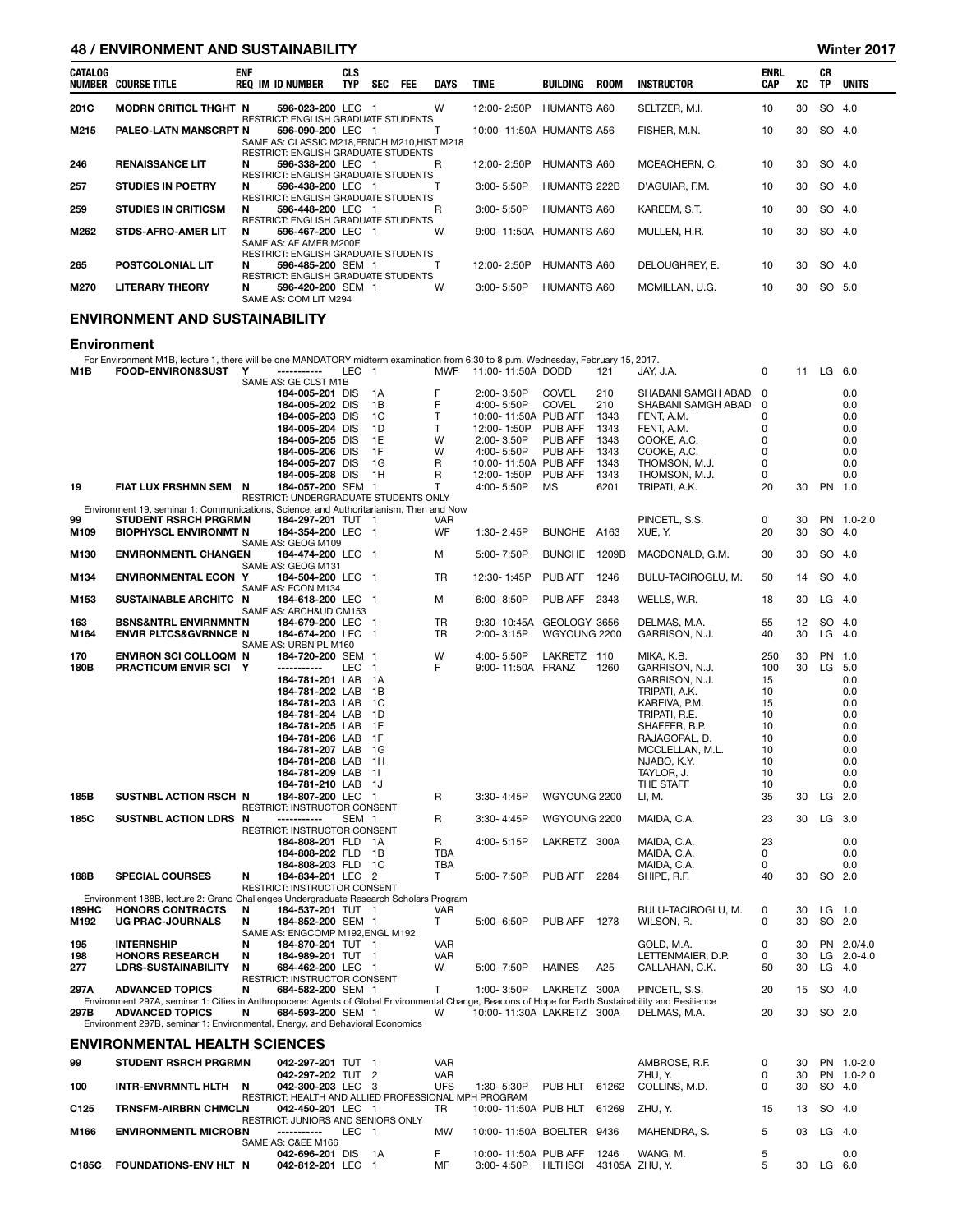## 48 / ENVIRONMENT AND SUSTAINABILITY Winter 2017

|         | 197 ERTH CHULERI ARE VOOLARDELI I |            |                                                                                                                 |                          |            |            |             |                          |                     |             |                |                           |    |                        |              |
|---------|-----------------------------------|------------|-----------------------------------------------------------------------------------------------------------------|--------------------------|------------|------------|-------------|--------------------------|---------------------|-------------|----------------|---------------------------|----|------------------------|--------------|
| CATALOG | NUMBER COURSE TITLE               | <b>ENF</b> | <b>REQ IM ID NUMBER</b>                                                                                         | <b>CLS</b><br><b>TYP</b> | <b>SEC</b> | <b>FEE</b> | <b>DAYS</b> | <b>TIME</b>              | BUILDING            | <b>ROOM</b> | INSTRUCTOR     | <b>ENRL</b><br><b>CAP</b> | XC | <b>CR</b><br><b>TP</b> | <b>UNITS</b> |
| 201C    | <b>MODRN CRITICL THGHT N</b>      |            | 596-023-200 LEC 1                                                                                               |                          |            |            | W           | 12:00-2:50P              | HUMANTS A60         |             | SELTZER, M.I.  | 10                        | 30 | SO 4.0                 |              |
| M215    | <b>PALEO-LATN MANSCRPT N</b>      |            | <b>RESTRICT: ENGLISH GRADUATE STUDENTS</b><br>596-090-200 LEC 1<br>SAME AS: CLASSIC M218, FRNCH M210, HIST M218 |                          |            |            |             | 10:00-11:50A HUMANTS A56 |                     |             | FISHER, M.N.   | 10 <sup>1</sup>           | 30 | SO 4.0                 |              |
| 246     | <b>RENAISSANCE LIT</b>            | N          | <b>RESTRICT: ENGLISH GRADUATE STUDENTS</b><br>596-338-200 LEC 1<br><b>RESTRICT: ENGLISH GRADUATE STUDENTS</b>   |                          |            |            | R.          | 12:00-2:50P              | HUMANTS A60         |             | MCEACHERN, C.  | 10                        | 30 | SO 4.0                 |              |
| 257     | <b>STUDIES IN POETRY</b>          | N          | 596-438-200 LEC 1<br><b>RESTRICT: ENGLISH GRADUATE STUDENTS</b>                                                 |                          |            |            |             | 3:00-5:50P               | <b>HUMANTS 222B</b> |             | D'AGUIAR, F.M. | 10 <sup>1</sup>           | 30 | SO 4.0                 |              |
| 259     | <b>STUDIES IN CRITICSM</b>        | N.         | 596-448-200 LEC 1<br><b>RESTRICT: ENGLISH GRADUATE STUDENTS</b>                                                 |                          |            |            | R.          | 3:00-5:50P               | HUMANTS A60         |             | KAREEM, S.T.   | 10 <sup>1</sup>           | 30 | SO 4.0                 |              |
| M262    | <b>STDS-AFRO-AMER LIT</b>         | N          | 596-467-200 LEC 1<br>SAME AS: AF AMER M200E<br><b>RESTRICT: ENGLISH GRADUATE STUDENTS</b>                       |                          |            |            | W           | 9:00-11:50A HUMANTS A60  |                     |             | MULLEN, H.R.   | 10                        | 30 | SO 4.0                 |              |
| 265     | <b>POSTCOLONIAL LIT</b>           | N          | 596-485-200 SEM 1<br>RESTRICT: ENGLISH GRADUATE STUDENTS                                                        |                          |            |            |             | 12:00-2:50P              | HUMANTS A60         |             | DELOUGHREY, E. | 10 <sup>°</sup>           | 30 | SO 4.0                 |              |
| M270    | <b>LITERARY THEORY</b>            | N          | 596-420-200 SEM 1<br>SAME AS: COM LIT M294                                                                      |                          |            |            | W           | $3:00 - 5:50P$           | HUMANTS A60         |             | MCMILLAN, U.G. | 10 <sup>1</sup>           | 30 | SO 5.0                 |              |
|         | ENVIRONMENT AND SUSTAINABILITY    |            |                                                                                                                 |                          |            |            |             |                          |                     |             |                |                           |    |                        |              |

Environment

For Environment M1B, lecture 1, there will be one MANDATORY midterm examination from 6:30 to 8 p.m. Wednesday, February 15, 2017.<br>M1B FOOD-ENVIRON&SUST Y ----------- LEC 1 MWF 11:00-11:50A DODD 121 JAY, J.A. 0 0 11 LG 6.0

|                  |                                                                                                                                                     |   | SAME AS: GE CLST M1B                                 |                  |                         |                 |                           |                |       |                                     |             |          |           |                          |
|------------------|-----------------------------------------------------------------------------------------------------------------------------------------------------|---|------------------------------------------------------|------------------|-------------------------|-----------------|---------------------------|----------------|-------|-------------------------------------|-------------|----------|-----------|--------------------------|
|                  |                                                                                                                                                     |   | 184-005-201 DIS                                      |                  | 1A                      | F               | 2:00-3:50P                | <b>COVEL</b>   | 210   | SHABANI SAMGH ABAD                  | $\Omega$    |          |           | 0.0                      |
|                  |                                                                                                                                                     |   | 184-005-202 DIS                                      |                  | 1B                      | F               | 4:00-5:50P                | <b>COVEL</b>   | 210   | SHABANI SAMGH ABAD                  | $\mathbf 0$ |          |           | 0.0                      |
|                  |                                                                                                                                                     |   | 184-005-203 DIS                                      |                  | 1 <sup>C</sup>          | $\mathsf{T}$    | 10:00-11:50A PUB AFF      |                | 1343  | FENT, A.M.                          | 0           |          |           | 0.0                      |
|                  |                                                                                                                                                     |   | 184-005-204 DIS                                      |                  | 1D                      | Т               | 12:00-1:50P               | <b>PUB AFF</b> | 1343  | FENT, A.M.                          | $\mathbf 0$ |          |           | 0.0                      |
|                  |                                                                                                                                                     |   | 184-005-205 DIS                                      |                  | 1E                      | W               | 2:00-3:50P                | PUB AFF        | 1343  | COOKE, A.C.                         | 0           |          |           | 0.0                      |
|                  |                                                                                                                                                     |   | 184-005-206 DIS                                      |                  | 1F                      | W               | 4:00-5:50P                | PUB AFF        | 1343  | COOKE, A.C.                         | $\mathbf 0$ |          |           | 0.0                      |
|                  |                                                                                                                                                     |   | 184-005-207 DIS                                      |                  | 1G                      | R               | 10:00-11:50A PUB AFF      |                | 1343  | THOMSON, M.J.                       | $\Omega$    |          |           | 0.0                      |
|                  |                                                                                                                                                     |   | 184-005-208 DIS                                      |                  | 1H                      | $\mathsf{R}$    | 12:00-1:50P               | PUB AFF        | 1343  | THOMSON, M.J.                       | $\Omega$    |          |           | 0.0                      |
| 19               | FIAT LUX FRSHMN SEM N                                                                                                                               |   | 184-057-200 SEM 1                                    |                  |                         | т               | 4:00-5:50P                | MS             | 6201  | TRIPATI, A.K.                       | 20          | 30       | PN 1.0    |                          |
|                  | Environment 19, seminar 1: Communications, Science, and Authoritarianism, Then and Now                                                              |   | RESTRICT: UNDERGRADUATE STUDENTS ONLY                |                  |                         |                 |                           |                |       |                                     |             |          |           |                          |
| 99               | <b>STUDENT RSRCH PRGRMN</b>                                                                                                                         |   | 184-297-201 TUT 1                                    |                  |                         | <b>VAR</b>      |                           |                |       | PINCETL, S.S.                       | 0           | 30       |           | PN 1.0-2.0               |
| M109             | <b>BIOPHYSCL ENVIRONMT N</b>                                                                                                                        |   | 184-354-200 LEC                                      |                  | - 1                     | WF              | 1:30-2:45P                | <b>BUNCHE</b>  | A163  | XUE, Y.                             | 20          | 30       | SO        | 4.0                      |
|                  |                                                                                                                                                     |   | SAME AS: GEOG M109                                   |                  |                         |                 |                           |                |       |                                     |             |          |           |                          |
| M130             | <b>ENVIRONMENTL CHANGEN</b>                                                                                                                         |   | 184-474-200 LEC                                      |                  | $\overline{1}$          | м               | 5:00-7:50P                | <b>BUNCHE</b>  | 1209B | MACDONALD, G.M.                     | 30          | 30       | SO 4.0    |                          |
|                  |                                                                                                                                                     |   | SAME AS: GEOG M131                                   |                  |                         |                 |                           |                |       |                                     |             |          |           |                          |
| M134             | ENVIRONMENTAL ECON Y                                                                                                                                |   | 184-504-200 LEC                                      |                  | - 1                     | <b>TR</b>       | 12:30-1:45P               | PUB AFF        | 1246  | BULU-TACIROGLU, M.                  | 50          | 14       | SO 4.0    |                          |
|                  |                                                                                                                                                     |   | SAME AS: ECON M134                                   |                  |                         |                 |                           |                |       |                                     |             |          |           |                          |
| M153             | SUSTAINABLE ARCHITC N                                                                                                                               |   | 184-618-200 LEC                                      |                  | - 1                     | М               | 6:00-8:50P                | PUB AFF        | 2343  | WELLS, W.R.                         | 18          | 30       | LG 4.0    |                          |
|                  |                                                                                                                                                     |   | SAME AS: ARCH&UD CM153                               |                  |                         |                 |                           |                |       |                                     |             |          |           | SO 4.0                   |
| 163              | <b>BSNS&amp;NTRL ENVIRNMNTN</b>                                                                                                                     |   | 184-679-200 LEC                                      |                  | - 1<br>$\mathbf{1}$     | TR              | 9:30-10:45A GEOLOGY 3656  |                |       | DELMAS, M.A.                        | 55<br>40    | 12<br>30 | LG        |                          |
| M164             | <b>ENVIR PLTCS&amp;GVRNNCE N</b>                                                                                                                    |   | 184-674-200 LEC<br>SAME AS: URBN PL M160             |                  |                         | TR              | 2:00-3:15P                | WGYOUNG 2200   |       | GARRISON, N.J.                      |             |          |           | 4.0                      |
| 170              | <b>ENVIRON SCI COLLOQM N</b>                                                                                                                        |   | 184-720-200 SEM 1                                    |                  |                         | W               | 4:00-5:50P                | LAKRETZ 110    |       | MIKA, K.B.                          | 250         | 30       | PN 1.0    |                          |
| 180B             | PRACTICUM ENVIR SCI Y                                                                                                                               |   | -----------                                          | <b>LEC</b>       | $\mathbf{1}$            | F               | 9:00-11:50A FRANZ         |                | 1260  | GARRISON, N.J.                      | 100         | 30       | LG        | 5.0                      |
|                  |                                                                                                                                                     |   | 184-781-201 LAB                                      |                  | 1A                      |                 |                           |                |       | GARRISON, N.J.                      | 15          |          |           | 0.0                      |
|                  |                                                                                                                                                     |   | 184-781-202 LAB                                      |                  | 1В                      |                 |                           |                |       | TRIPATI, A.K.                       | 10          |          |           | 0.0                      |
|                  |                                                                                                                                                     |   | 184-781-203 LAB                                      |                  | 1C                      |                 |                           |                |       | KAREIVA, P.M.                       | 15          |          |           | 0.0                      |
|                  |                                                                                                                                                     |   | 184-781-204 LAB                                      |                  | 1D                      |                 |                           |                |       | TRIPATI, R.E.                       | 10          |          |           | 0.0                      |
|                  |                                                                                                                                                     |   | 184-781-205 LAB                                      |                  | 1E                      |                 |                           |                |       | SHAFFER, B.P.                       | 10          |          |           | 0.0                      |
|                  |                                                                                                                                                     |   | 184-781-206 LAB                                      |                  | 1F                      |                 |                           |                |       | RAJAGOPAL, D.                       | 10          |          |           | 0.0                      |
|                  |                                                                                                                                                     |   | 184-781-207 LAB                                      |                  | 1G                      |                 |                           |                |       | MCCLELLAN, M.L.                     | 10          |          |           | 0.0                      |
|                  |                                                                                                                                                     |   | 184-781-208 LAB                                      |                  | 1H                      |                 |                           |                |       | NJABO, K.Y.                         | 10          |          |           | 0.0                      |
|                  |                                                                                                                                                     |   | 184-781-209 LAB                                      |                  | 11                      |                 |                           |                |       | TAYLOR, J.                          | 10          |          |           | 0.0                      |
|                  |                                                                                                                                                     |   | 184-781-210 LAB                                      |                  | 1J                      |                 |                           |                |       | THE STAFF                           | 10          |          |           | 0.0                      |
| 185B             | <b>SUSTNBL ACTION RSCH N</b>                                                                                                                        |   | 184-807-200 LEC                                      |                  | $\overline{\mathbf{1}}$ | R               | 3:30-4:45P                | WGYOUNG 2200   |       | LI, M.                              | 35          | 30       | $LG$ 2.0  |                          |
| 185C             | SUSTNBL ACTION LDRS N                                                                                                                               |   | RESTRICT: INSTRUCTOR CONSENT<br>-----------          | SEM <sub>1</sub> |                         | R               | 3:30-4:45P                | WGYOUNG 2200   |       |                                     | 23          | 30       | LG 3.0    |                          |
|                  |                                                                                                                                                     |   | RESTRICT: INSTRUCTOR CONSENT                         |                  |                         |                 |                           |                |       | MAIDA, C.A.                         |             |          |           |                          |
|                  |                                                                                                                                                     |   | 184-808-201 FLD                                      |                  | 1A                      | R               | 4:00-5:15P                | LAKRETZ 300A   |       | MAIDA, C.A.                         | 23          |          |           | 0.0                      |
|                  |                                                                                                                                                     |   | 184-808-202 FLD                                      |                  | 1B                      | <b>TBA</b>      |                           |                |       | MAIDA, C.A.                         | 0           |          |           | 0.0                      |
|                  |                                                                                                                                                     |   | 184-808-203 FLD                                      |                  | 1C                      | TBA             |                           |                |       | MAIDA, C.A.                         | 0           |          |           | 0.0                      |
| 188B             | <b>SPECIAL COURSES</b>                                                                                                                              | N | 184-834-201 LEC 2                                    |                  |                         | T.              | 5:00-7:50P                | PUB AFF        | 2284  | SHIPE, R.F.                         | 40          | 30       | SO 2.0    |                          |
|                  |                                                                                                                                                     |   | RESTRICT: INSTRUCTOR CONSENT                         |                  |                         |                 |                           |                |       |                                     |             |          |           |                          |
|                  | Environment 188B, lecture 2: Grand Challenges Undergraduate Research Scholars Program                                                               |   |                                                      |                  |                         |                 |                           |                |       |                                     |             |          |           |                          |
| 189HC            | <b>HONORS CONTRACTS</b>                                                                                                                             | N | 184-537-201 TUT 1                                    |                  |                         | VAR             |                           |                |       | BULU-TACIROGLU, M.                  | 0           | 30       | $LG$ 1.0  |                          |
| M192             | <b>UG PRAC-JOURNALS</b>                                                                                                                             | N | 184-852-200 SEM 1                                    |                  |                         | T.              | 5:00-6:50P                | PUB AFF        | 1278  | WILSON, R.                          | 0           | 30       | SO        | 2.0                      |
|                  |                                                                                                                                                     | N | SAME AS: ENGCOMP M192, ENGL M192                     |                  |                         |                 |                           |                |       |                                     |             |          |           |                          |
| 195              | <b>INTERNSHIP</b>                                                                                                                                   | N | 184-870-201 TUT 1                                    |                  |                         | <b>VAR</b>      |                           |                |       | GOLD, M.A.                          | 0<br>0      | 30<br>30 |           | PN 2.0/4.0<br>LG 2.0-4.0 |
| 198<br>277       | <b>HONORS RESEARCH</b><br><b>LDRS-SUSTAINABILITY</b>                                                                                                | N | 184-989-201 TUT 1<br>684-462-200 LEC 1               |                  |                         | <b>VAR</b><br>W | 5:00-7:50P                | <b>HAINES</b>  | A25   | LETTENMAIER, D.P.<br>CALLAHAN, C.K. | 50          | 30       | LG        | 4.0                      |
|                  |                                                                                                                                                     |   | RESTRICT: INSTRUCTOR CONSENT                         |                  |                         |                 |                           |                |       |                                     |             |          |           |                          |
| 297A             | <b>ADVANCED TOPICS</b>                                                                                                                              | N | 684-582-200 SEM 1                                    |                  |                         | T               | 1:00-3:50P                | LAKRETZ 300A   |       | PINCETL, S.S.                       | 20          | 15       | SO 4.0    |                          |
|                  | Environment 297A, seminar 1: Cities in Anthropocene: Agents of Global Environmental Change, Beacons of Hope for Earth Sustainability and Resilience |   |                                                      |                  |                         |                 |                           |                |       |                                     |             |          |           |                          |
| 297B             | <b>ADVANCED TOPICS</b>                                                                                                                              | N | 684-593-200 SEM 1                                    |                  |                         | W               | 10:00-11:30A LAKRETZ 300A |                |       | DELMAS, M.A.                        | 20          | 30       |           | SO 2.0                   |
|                  | Environment 297B, seminar 1: Environmental, Energy, and Behavioral Economics                                                                        |   |                                                      |                  |                         |                 |                           |                |       |                                     |             |          |           |                          |
|                  |                                                                                                                                                     |   |                                                      |                  |                         |                 |                           |                |       |                                     |             |          |           |                          |
|                  | <b>ENVIRONMENTAL HEALTH SCIENCES</b>                                                                                                                |   |                                                      |                  |                         |                 |                           |                |       |                                     |             |          |           |                          |
| 99               | <b>STUDENT RSRCH PRGRMN</b>                                                                                                                         |   | 042-297-201 TUT 1                                    |                  |                         | <b>VAR</b>      |                           |                |       | AMBROSE, R.F.                       | 0           | 30       |           | PN 1.0-2.0               |
|                  |                                                                                                                                                     |   | 042-297-202 TUT                                      |                  | $\overline{2}$          | <b>VAR</b>      |                           |                |       | ZHU, Y.                             | 0           | 30       | <b>PN</b> | $1.0 - 2.0$              |
| 100              | INTR-ENVRMNTL HLTH                                                                                                                                  | N | 042-300-203 LEC                                      |                  | 3                       | <b>UFS</b>      | 1:30-5:30P                | PUB HLT        | 61262 | COLLINS, M.D.                       | 0           | 30       | SO        | 4.0                      |
|                  |                                                                                                                                                     |   | RESTRICT: HEALTH AND ALLIED PROFESSIONAL MPH PROGRAM |                  |                         |                 |                           |                |       |                                     |             |          |           |                          |
| C <sub>125</sub> | <b>TRNSFM-AIRBRN CHMCLN</b>                                                                                                                         |   | 042-450-201 LEC                                      |                  | - 1                     | TR              | 10:00-11:50A PUB HLT      |                | 61269 | ZHU, Y.                             | 15          | 13       | SO 4.0    |                          |
|                  |                                                                                                                                                     |   | RESTRICT: JUNIORS AND SENIORS ONLY                   |                  |                         |                 |                           |                |       |                                     |             |          |           |                          |
| M166             | <b>ENVIRONMENTL MICROBN</b>                                                                                                                         |   | -----------                                          | LEC 1            |                         | <b>MW</b>       | 10:00-11:50A BOELTER 9436 |                |       | MAHENDRA, S.                        | 5           | 03       | $LG$ 4.0  |                          |
|                  |                                                                                                                                                     |   | SAME AS: C&EE M166<br>042-696-201 DIS                |                  | 1A                      | F               | 10:00-11:50A PUB AFF      |                | 1246  | WANG, M.                            | 5           |          |           | 0.0                      |
| C185C            | FOUNDATIONS-ENV HLT N                                                                                                                               |   | 042-812-201 LEC                                      |                  | $\overline{1}$          | MF              | 3:00-4:50P HLTHSCI        |                |       | 43105A ZHU, Y.                      | 5           | 30       | LG 6.0    |                          |
|                  |                                                                                                                                                     |   |                                                      |                  |                         |                 |                           |                |       |                                     |             |          |           |                          |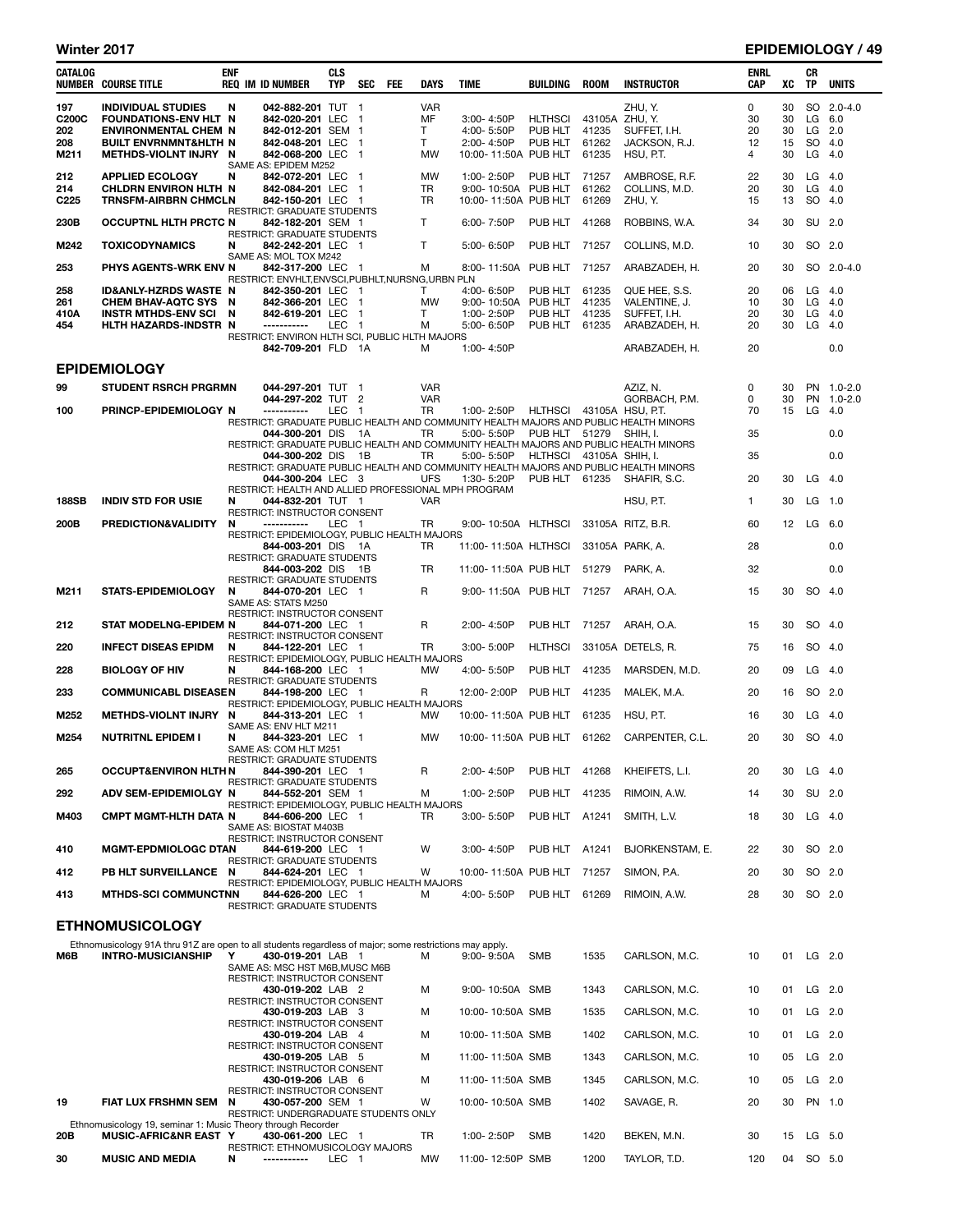## Winter 2017 EPIDEMIOLOGY / 49

| CATALOG          | <b>NUMBER COURSE TITLE</b>                                                                              | ENF | <b>REQ IM ID NUMBER</b>                                                   | <b>CLS</b><br><b>TYP</b> | <b>SEC</b>     | FEE | DAYS            | TIME                       | BUILDING                  | <b>ROOM</b>    | <b>INSTRUCTOR</b>                                                                     | <b>ENRL</b><br>CAP | xс       | CR<br>TP  | <b>UNITS</b>         |
|------------------|---------------------------------------------------------------------------------------------------------|-----|---------------------------------------------------------------------------|--------------------------|----------------|-----|-----------------|----------------------------|---------------------------|----------------|---------------------------------------------------------------------------------------|--------------------|----------|-----------|----------------------|
| 197              | <b>INDIVIDUAL STUDIES</b>                                                                               | N   | 042-882-201 TUT 1                                                         |                          |                |     | <b>VAR</b>      |                            |                           |                | ZHU, Y.                                                                               | 0                  | 30       |           | SO 2.0-4.0           |
| C200C<br>202     | FOUNDATIONS-ENV HLT N<br><b>ENVIRONMENTAL CHEM N</b>                                                    |     | 842-020-201 LEC 1<br>842-012-201 SEM 1                                    |                          |                |     | MF<br>T         | 3:00-4:50P<br>4:00-5:50P   | <b>HLTHSCI</b><br>PUB HLT | 41235          | 43105A ZHU, Y.<br>SUFFET, I.H.                                                        | 30<br>20           | 30<br>30 |           | $LG$ 6.0<br>$LG$ 2.0 |
| 208              | <b>BUILT ENVRNMNT&amp;HLTH N</b>                                                                        |     | 842-048-201 LEC 1                                                         |                          |                |     | T               | 2:00-4:50P                 | PUB HLT                   | 61262          | JACKSON, R.J.                                                                         | 12                 | 15       |           | SO 4.0               |
| M211             | METHDS-VIOLNT INJRY N                                                                                   |     | 842-068-200 LEC 1                                                         |                          |                |     | MW              | 10:00-11:50A PUB HLT       |                           | 61235          | HSU, P.T.                                                                             | 4                  | 30       |           | $LG$ 4.0             |
| 212              | <b>APPLIED ECOLOGY</b>                                                                                  | N   | SAME AS: EPIDEM M252<br>842-072-201 LEC 1                                 |                          |                |     | <b>MW</b>       | 1:00-2:50P                 | PUB HLT                   | 71257          | AMBROSE, R.F.                                                                         | 22                 | 30       |           | $LG$ 4.0             |
| 214              | CHLDRN ENVIRON HLTH N<br><b>TRNSFM-AIRBRN CHMCLN</b>                                                    |     | 842-084-201 LEC 1<br>842-150-201 LEC 1                                    |                          |                |     | TR<br><b>TR</b> | 9:00-10:50A PUB HLT        |                           | 61262<br>61269 | COLLINS, M.D.<br>ZHU, Y.                                                              | 20                 | 30<br>13 |           | $LG$ 4.0<br>SO 4.0   |
| C <sub>225</sub> |                                                                                                         |     | <b>RESTRICT: GRADUATE STUDENTS</b>                                        |                          |                |     |                 | 10:00-11:50A PUB HLT       |                           |                |                                                                                       | 15                 |          |           |                      |
| 230B             | <b>OCCUPTNL HLTH PRCTC N</b>                                                                            |     | 842-182-201 SEM 1<br>RESTRICT: GRADUATE STUDENTS                          |                          |                |     | T.              | 6:00-7:50P                 | PUB HLT                   | 41268          | ROBBINS, W.A.                                                                         | 34                 | 30       |           | SU 2.0               |
| M242             | <b>TOXICODYNAMICS</b>                                                                                   | N   | 842-242-201 LEC 1                                                         |                          |                |     | Τ               | 5:00-6:50P                 | PUB HLT                   | 71257          | COLLINS, M.D.                                                                         | 10                 | 30       |           | SO 2.0               |
| 253              | PHYS AGENTS-WRK ENV N                                                                                   |     | SAME AS: MOL TOX M242<br>842-317-200 LEC 1                                |                          |                |     | м               | 8:00-11:50A PUB HLT        |                           | 71257          | ARABZADEH, H.                                                                         | 20                 | 30       |           | SO 2.0-4.0           |
|                  |                                                                                                         |     | RESTRICT: ENVHLT, ENVSCI, PUBHLT, NURSNG, URBN PLN                        |                          |                |     |                 |                            |                           |                |                                                                                       |                    |          |           |                      |
| 258<br>261       | <b>ID&amp;ANLY-HZRDS WASTE N</b><br>CHEM BHAV-AQTC SYS N                                                |     | 842-350-201 LEC<br>842-366-201 LEC                                        |                          | - 1<br>- 1     |     | T.<br>MW        | 4:00-6:50P<br>9:00-10:50A  | PUB HLT<br>PUB HLT        | 61235<br>41235 | QUE HEE, S.S.<br>VALENTINE, J.                                                        | 20<br>10           | 06<br>30 | LG        | $LG$ 4.0<br>4.0      |
| 410A             | <b>INSTR MTHDS-ENV SCI</b>                                                                              | N   | 842-619-201 LEC                                                           |                          | - 1            |     | T               | 1:00-2:50P                 | PUB HLT                   | 41235          | SUFFET, I.H.                                                                          | 20                 | 30       |           | $LG$ 4.0             |
| 454              | HLTH HAZARDS-INDSTR N                                                                                   |     | -----------<br>RESTRICT: ENVIRON HLTH SCI, PUBLIC HLTH MAJORS             | <b>LEC</b>               | $\blacksquare$ |     | М               | 5:00-6:50P                 | PUB HLT                   | 61235          | ARABZADEH, H.                                                                         | 20                 | 30       | LG        | 4.0                  |
|                  |                                                                                                         |     | 842-709-201 FLD 1A                                                        |                          |                |     | м               | 1:00-4:50P                 |                           |                | ARABZADEH, H.                                                                         | 20                 |          |           | 0.0                  |
|                  | <b>EPIDEMIOLOGY</b>                                                                                     |     |                                                                           |                          |                |     |                 |                            |                           |                |                                                                                       |                    |          |           |                      |
| 99               | <b>STUDENT RSRCH PRGRMN</b>                                                                             |     | 044-297-201 TUT 1                                                         |                          |                |     | <b>VAR</b>      |                            |                           |                | AZIZ, N.                                                                              | 0                  | 30       |           | PN 1.0-2.0           |
|                  |                                                                                                         |     | 044-297-202 TUT 2                                                         |                          |                |     | <b>VAR</b>      |                            |                           |                | GORBACH, P.M.                                                                         | 0                  | 30       |           | PN 1.0-2.0           |
| 100              | PRINCP-EPIDEMIOLOGY N                                                                                   |     | ------------                                                              | LEC                      | $\overline{1}$ |     | TR              | 1:00-2:50P                 | HLTHSCI 43105A HSU, P.T.  |                | RESTRICT: GRADUATE PUBLIC HEALTH AND COMMUNITY HEALTH MAJORS AND PUBLIC HEALTH MINORS | 70                 | 15       | LG $4.0$  |                      |
|                  |                                                                                                         |     | 044-300-201 DIS 1A                                                        |                          |                |     | TR              | 5:00-5:50P                 | PUB HLT 51279             |                | SHIH, I.                                                                              | 35                 |          |           | 0.0                  |
|                  |                                                                                                         |     | 044-300-202 DIS 1B                                                        |                          |                |     | TR              | 5:00-5:50P                 | HLTHSCI 43105A SHIH, I.   |                | RESTRICT: GRADUATE PUBLIC HEALTH AND COMMUNITY HEALTH MAJORS AND PUBLIC HEALTH MINORS | 35                 |          |           | 0.0                  |
|                  |                                                                                                         |     |                                                                           |                          |                |     |                 |                            |                           |                | RESTRICT: GRADUATE PUBLIC HEALTH AND COMMUNITY HEALTH MAJORS AND PUBLIC HEALTH MINORS |                    |          |           |                      |
|                  |                                                                                                         |     | 044-300-204 LEC 3<br>RESTRICT: HEALTH AND ALLIED PROFESSIONAL MPH PROGRAM |                          |                |     | <b>UFS</b>      | 1:30-5:20P                 | PUB HLT 61235             |                | SHAFIR, S.C.                                                                          | 20                 | 30       |           | $LG$ 4.0             |
| <b>188SB</b>     | <b>INDIV STD FOR USIE</b>                                                                               | N   | 044-832-201 TUT 1                                                         |                          |                |     | <b>VAR</b>      |                            |                           |                | HSU, P.T.                                                                             | 1                  | 30       |           | $LG$ 1.0             |
| 200B             | PREDICTION&VALIDITY                                                                                     | N   | <b>RESTRICT: INSTRUCTOR CONSENT</b><br>-----------                        | LEC 1                    |                |     | TR              | 9:00-10:50A HLTHSCI        |                           |                | 33105A RITZ, B.R.                                                                     | 60                 | 12       | LG 6.0    |                      |
|                  |                                                                                                         |     | RESTRICT: EPIDEMIOLOGY, PUBLIC HEALTH MAJORS<br>844-003-201 DIS 1A        |                          |                |     | TR              |                            |                           |                | 33105A PARK, A.                                                                       | 28                 |          |           | 0.0                  |
|                  |                                                                                                         |     | RESTRICT: GRADUATE STUDENTS                                               |                          |                |     |                 | 11:00-11:50A HLTHSCI       |                           |                |                                                                                       |                    |          |           |                      |
|                  |                                                                                                         |     | 844-003-202 DIS 1B<br><b>RESTRICT: GRADUATE STUDENTS</b>                  |                          |                |     | <b>TR</b>       | 11:00-11:50A PUB HLT       |                           | 51279          | PARK, A.                                                                              | 32                 |          |           | 0.0                  |
| M211             | <b>STATS-EPIDEMIOLOGY</b>                                                                               | N   | 844-070-201 LEC 1                                                         |                          |                |     | R               | 9:00-11:50A PUB HLT        |                           | 71257          | ARAH, O.A.                                                                            | 15                 | 30       |           | SO 4.0               |
|                  |                                                                                                         |     | SAME AS: STATS M250<br>RESTRICT: INSTRUCTOR CONSENT                       |                          |                |     |                 |                            |                           |                |                                                                                       |                    |          |           |                      |
| 212              | STAT MODELNG-EPIDEM N                                                                                   |     | 844-071-200 LEC 1                                                         |                          |                |     | R               | 2:00-4:50P                 | PUB HLT                   | 71257          | ARAH, O.A.                                                                            | 15                 | 30       |           | SO 4.0               |
| 220              | <b>INFECT DISEAS EPIDM</b>                                                                              | N   | RESTRICT: INSTRUCTOR CONSENT<br>844-122-201 LEC 1                         |                          |                |     | TR              | 3:00-5:00P                 | <b>HLTHSCI</b>            |                | 33105A DETELS, R.                                                                     | 75                 | 16       |           | SO 4.0               |
| 228              | <b>BIOLOGY OF HIV</b>                                                                                   | N   | RESTRICT: EPIDEMIOLOGY, PUBLIC HEALTH MAJORS<br>844-168-200 LEC 1         |                          |                |     | <b>MW</b>       | 4:00-5:50P                 | PUB HLT                   | 41235          |                                                                                       | 20                 | 09       |           | $LG$ 4.0             |
|                  |                                                                                                         |     | <b>RESTRICT: GRADUATE STUDENTS</b>                                        |                          |                |     |                 |                            |                           |                | MARSDEN, M.D.                                                                         |                    |          |           |                      |
| 233              | <b>COMMUNICABL DISEASEN</b>                                                                             |     | 844-198-200 LEC 1<br>RESTRICT: EPIDEMIOLOGY, PUBLIC HEALTH MAJORS         |                          |                |     | R               | 12:00-2:00P                | PUB HLT                   | 41235          | MALEK, M.A.                                                                           | 20                 | 16       |           | SO 2.0               |
| M252             | METHDS-VIOLNT INJRY N                                                                                   |     | 844-313-201 LEC 1                                                         |                          |                |     | МW              | 10:00-11:50A PUB HLT       |                           | 61235          | HSU, P.T.                                                                             | 16                 | 30       |           | $LG$ 4.0             |
| M254             | <b>NUTRITNL EPIDEM I</b>                                                                                | N   | SAME AS: ENV HLT M211<br>844-323-201 LEC 1                                |                          |                |     | <b>MW</b>       | 10:00-11:50A PUB HLT 61262 |                           |                | CARPENTER, C.L.                                                                       | 20                 | 30       |           | SO 4.0               |
|                  |                                                                                                         |     | SAME AS: COM HLT M251                                                     |                          |                |     |                 |                            |                           |                |                                                                                       |                    |          |           |                      |
| 265              | <b>OCCUPT&amp;ENVIRON HLTH N</b>                                                                        |     | RESTRICT: GRADUATE STUDENTS<br>844-390-201 LEC 1                          |                          |                |     | R               | 2:00-4:50P                 | PUB HLT                   | 41268          | KHEIFETS, L.I.                                                                        | 20                 | 30       |           | $LG$ 4.0             |
| 292              | ADV SEM-EPIDEMIOLGY N                                                                                   |     | RESTRICT: GRADUATE STUDENTS<br>844-552-201 SEM 1                          |                          |                |     | м               | 1:00-2:50P                 | PUB HLT                   | 41235          | RIMOIN, A.W.                                                                          | 14                 | 30       |           | SU 2.0               |
|                  |                                                                                                         |     | RESTRICT: EPIDEMIOLOGY, PUBLIC HEALTH MAJORS                              |                          |                |     |                 |                            |                           |                |                                                                                       |                    |          |           |                      |
| M403             | <b>CMPT MGMT-HLTH DATA N</b>                                                                            |     | 844-606-200 LEC 1<br>SAME AS: BIOSTAT M403B                               |                          |                |     | TR              | 3:00-5:50P                 | PUB HLT A1241             |                | SMITH, L.V.                                                                           | 18                 | 30       |           | $LG$ 4.0             |
|                  |                                                                                                         |     | RESTRICT: INSTRUCTOR CONSENT                                              |                          |                |     |                 |                            |                           |                |                                                                                       |                    |          |           |                      |
| 410              | <b>MGMT-EPDMIOLOGC DTAN</b>                                                                             |     | 844-619-200 LEC 1<br>RESTRICT: GRADUATE STUDENTS                          |                          |                |     | w               | 3:00-4:50P                 | PUB HLT A1241             |                | BJORKENSTAM, E.                                                                       | 22                 | 30       |           | SO 2.0               |
| 412              | PB HLT SURVEILLANCE N                                                                                   |     | 844-624-201 LEC 1                                                         |                          |                |     | w               | 10:00-11:50A PUB HLT       |                           | 71257          | SIMON, P.A.                                                                           | 20                 | 30       |           | SO 2.0               |
| 413              | <b>MTHDS-SCI COMMUNCTNN</b>                                                                             |     | RESTRICT: EPIDEMIOLOGY, PUBLIC HEALTH MAJORS<br>844-626-200 LEC 1         |                          |                |     | м               | 4:00-5:50P                 | PUB HLT                   | 61269          | RIMOIN, A.W.                                                                          | 28                 | 30       |           | SO 2.0               |
|                  |                                                                                                         |     | RESTRICT: GRADUATE STUDENTS                                               |                          |                |     |                 |                            |                           |                |                                                                                       |                    |          |           |                      |
|                  | <b>ETHNOMUSICOLOGY</b>                                                                                  |     |                                                                           |                          |                |     |                 |                            |                           |                |                                                                                       |                    |          |           |                      |
|                  | Ethnomusicology 91A thru 91Z are open to all students regardless of major; some restrictions may apply. |     |                                                                           |                          |                |     |                 |                            |                           |                |                                                                                       |                    |          |           |                      |
| M6B              | <b>INTRO-MUSICIANSHIP</b>                                                                               | Y   | 430-019-201 LAB 1<br>SAME AS: MSC HST M6B, MUSC M6B                       |                          |                |     | М               | $9:00 - 9:50A$             | SMB                       | 1535           | CARLSON, M.C.                                                                         | 10                 | 01       |           | $LG$ 2.0             |
|                  |                                                                                                         |     | RESTRICT: INSTRUCTOR CONSENT                                              |                          |                |     |                 |                            |                           |                |                                                                                       |                    |          |           |                      |
|                  |                                                                                                         |     | 430-019-202 LAB 2<br>RESTRICT: INSTRUCTOR CONSENT                         |                          |                |     | м               | 9:00-10:50A SMB            |                           | 1343           | CARLSON, M.C.                                                                         | 10                 | 01       |           | $LG$ 2.0             |
|                  |                                                                                                         |     | 430-019-203 LAB 3                                                         |                          |                |     | м               | 10:00-10:50A SMB           |                           | 1535           | CARLSON, M.C.                                                                         | 10                 | 01       |           | $LG$ 2.0             |
|                  |                                                                                                         |     | RESTRICT: INSTRUCTOR CONSENT<br>430-019-204 LAB 4                         |                          |                |     | М               | 10:00-11:50A SMB           |                           | 1402           | CARLSON, M.C.                                                                         | 10                 | 01       |           | $LG$ 2.0             |
|                  |                                                                                                         |     | RESTRICT: INSTRUCTOR CONSENT<br>430-019-205 LAB 5                         |                          |                |     | м               | 11:00-11:50A SMB           |                           | 1343           | CARLSON, M.C.                                                                         | 10                 | 05       |           | $LG$ 2.0             |
|                  |                                                                                                         |     | RESTRICT: INSTRUCTOR CONSENT                                              |                          |                |     |                 |                            |                           |                |                                                                                       |                    |          |           |                      |
|                  |                                                                                                         |     | 430-019-206 LAB 6<br>RESTRICT: INSTRUCTOR CONSENT                         |                          |                |     | М               | 11:00-11:50A SMB           |                           | 1345           | CARLSON, M.C.                                                                         | 10                 | 05       |           | $LG$ 2.0             |
| 19               | FIAT LUX FRSHMN SEM N                                                                                   |     | 430-057-200 SEM 1                                                         |                          |                |     | W               | 10:00-10:50A SMB           |                           | 1402           | SAVAGE, R.                                                                            | 20                 | 30       |           | PN 1.0               |
|                  | Ethnomusicology 19, seminar 1: Music Theory through Recorder                                            |     | RESTRICT: UNDERGRADUATE STUDENTS ONLY                                     |                          |                |     |                 |                            |                           |                |                                                                                       |                    |          |           |                      |
| 20B              | MUSIC-AFRIC&NR EAST Y                                                                                   |     | 430-061-200 LEC 1                                                         |                          |                |     | TR              | 1:00-2:50P                 | <b>SMB</b>                | 1420           | BEKEN, M.N.                                                                           | 30                 | 15       |           | $LG$ 5.0             |
| 30               | <b>MUSIC AND MEDIA</b>                                                                                  | N   | RESTRICT: ETHNOMUSICOLOGY MAJORS<br>-----------                           | LEC 1                    |                |     | MW              | 11:00-12:50P SMB           |                           | 1200           | TAYLOR, T.D.                                                                          | 120                |          | 04 SO 5.0 |                      |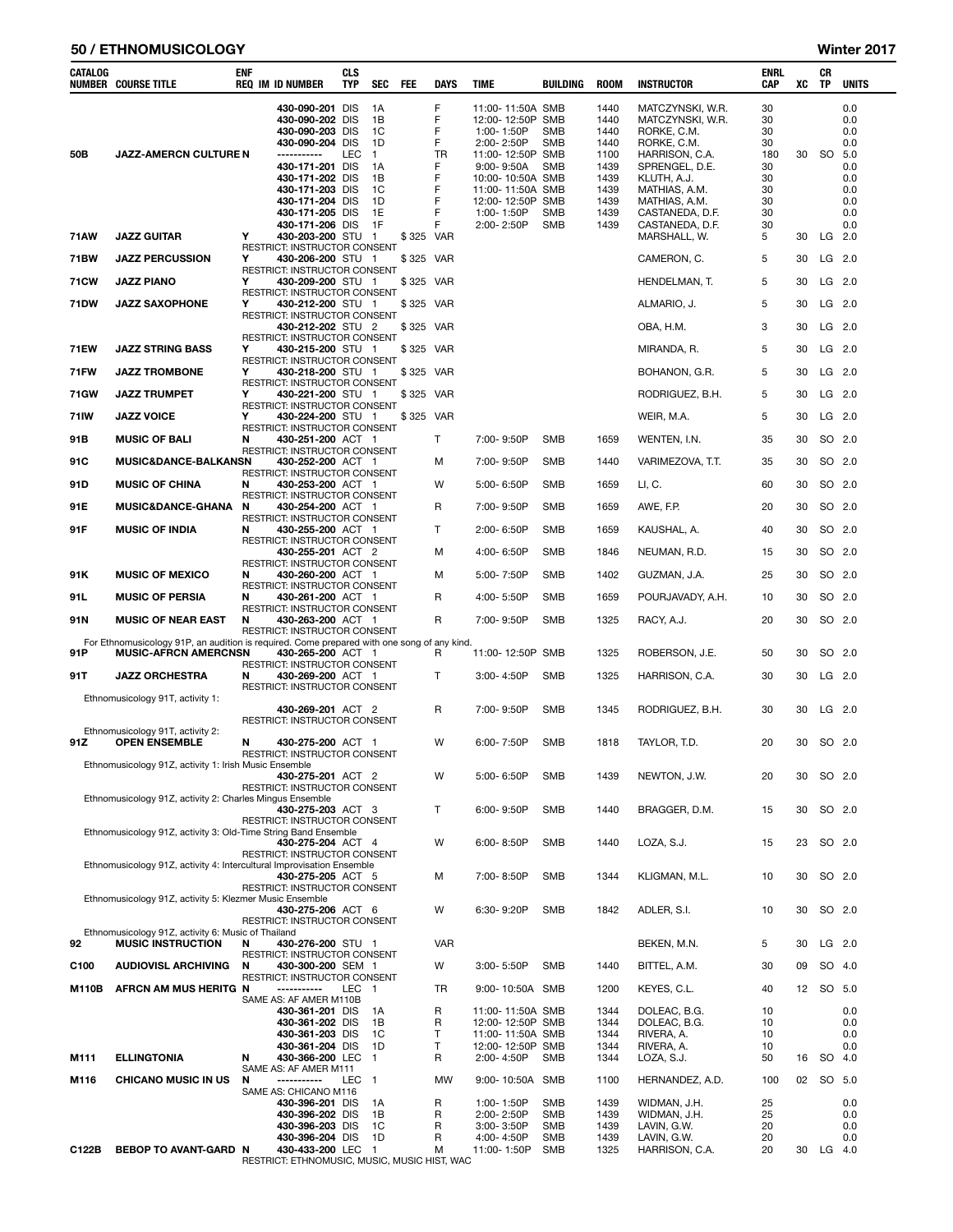## 50 / ETHNOMUSICOLOGY Winter 2017

| CATALOG           | <b>NUMBER COURSE TITLE</b>                                                                 | ENF | <b>REQ IM ID NUMBER</b>                                                                                                                                                                | CLS<br><b>TYP</b> | <b>SEC</b>                                                         | FEE       | <b>DAYS</b>                                            | <b>TIME</b>                                                                                                                                                          | BUILDING                                                                  | <b>ROOM</b>                                                                  | <b>INSTRUCTOR</b>                                                                                                                                                          | ENRL<br>CAP                                               | XC | CR<br>TP  | <b>UNITS</b>                                                       |
|-------------------|--------------------------------------------------------------------------------------------|-----|----------------------------------------------------------------------------------------------------------------------------------------------------------------------------------------|-------------------|--------------------------------------------------------------------|-----------|--------------------------------------------------------|----------------------------------------------------------------------------------------------------------------------------------------------------------------------|---------------------------------------------------------------------------|------------------------------------------------------------------------------|----------------------------------------------------------------------------------------------------------------------------------------------------------------------------|-----------------------------------------------------------|----|-----------|--------------------------------------------------------------------|
| 50B               | <b>JAZZ-AMERCN CULTURE N</b>                                                               |     | 430-090-201 DIS<br>430-090-202 DIS<br>430-090-203 DIS<br>430-090-204 DIS<br>-----------<br>430-171-201 DIS<br>430-171-202 DIS<br>430-171-203 DIS<br>430-171-204 DIS<br>430-171-205 DIS | <b>LEC</b>        | 1A<br>1B<br>1C<br>1D<br>$\mathbf{1}$<br>1A<br>1B<br>1C<br>1D<br>1E |           | F<br>F<br>F<br>F<br><b>TR</b><br>F<br>F<br>F<br>F<br>F | 11:00-11:50A SMB<br>12:00-12:50P<br>1:00-1:50P<br>2:00-2:50P<br>11:00-12:50P SMB<br>$9:00 - 9:50A$<br>10:00-10:50A SMB<br>11:00-11:50A<br>12:00-12:50P<br>1:00-1:50P | SMB<br><b>SMB</b><br><b>SMB</b><br><b>SMB</b><br>SMB<br>SMB<br><b>SMB</b> | 1440<br>1440<br>1440<br>1440<br>1100<br>1439<br>1439<br>1439<br>1439<br>1439 | MATCZYNSKI, W.R.<br>MATCZYNSKI, W.R.<br>RORKE, C.M.<br>RORKE, C.M.<br>HARRISON, C.A.<br>SPRENGEL, D.E.<br>KLUTH, A.J.<br>MATHIAS, A.M.<br>MATHIAS, A.M.<br>CASTANEDA, D.F. | 30<br>30<br>30<br>30<br>180<br>30<br>30<br>30<br>30<br>30 | 30 | <b>SO</b> | 0.0<br>0.0<br>0.0<br>0.0<br>5.0<br>0.0<br>0.0<br>0.0<br>0.0<br>0.0 |
| 71AW              | <b>JAZZ GUITAR</b>                                                                         | Υ   | 430-171-206 DIS<br>430-203-200 STU 1                                                                                                                                                   |                   | 1F                                                                 | \$325 VAR | F                                                      | 2:00-2:50P                                                                                                                                                           | <b>SMB</b>                                                                | 1439                                                                         | CASTANEDA, D.F.<br>MARSHALL, W.                                                                                                                                            | 30<br>5                                                   | 30 | LG        | 0.0<br>2.0                                                         |
| 71BW              | <b>JAZZ PERCUSSION</b>                                                                     | Υ   | RESTRICT: INSTRUCTOR CONSENT<br>430-206-200 STU 1                                                                                                                                      |                   |                                                                    | \$325 VAR |                                                        |                                                                                                                                                                      |                                                                           |                                                                              | CAMERON, C.                                                                                                                                                                | 5                                                         | 30 | LG 2.0    |                                                                    |
| 71 <sub>C</sub> W | <b>JAZZ PIANO</b>                                                                          | Υ   | RESTRICT: INSTRUCTOR CONSENT<br>430-209-200 STU 1                                                                                                                                      |                   |                                                                    | \$325 VAR |                                                        |                                                                                                                                                                      |                                                                           |                                                                              | HENDELMAN, T.                                                                                                                                                              | 5                                                         | 30 | $LG$ 2.0  |                                                                    |
| <b>71DW</b>       | <b>JAZZ SAXOPHONE</b>                                                                      | Υ   | RESTRICT: INSTRUCTOR CONSENT<br>430-212-200 STU 1                                                                                                                                      |                   |                                                                    | \$325 VAR |                                                        |                                                                                                                                                                      |                                                                           |                                                                              | ALMARIO, J.                                                                                                                                                                | 5                                                         | 30 | $LG$ 2.0  |                                                                    |
|                   |                                                                                            |     | RESTRICT: INSTRUCTOR CONSENT<br>430-212-202 STU 2                                                                                                                                      |                   |                                                                    | \$325 VAR |                                                        |                                                                                                                                                                      |                                                                           |                                                                              | OBA, H.M.                                                                                                                                                                  | 3                                                         | 30 | LG 2.0    |                                                                    |
|                   |                                                                                            | Y   | RESTRICT: INSTRUCTOR CONSENT                                                                                                                                                           |                   |                                                                    |           |                                                        |                                                                                                                                                                      |                                                                           |                                                                              |                                                                                                                                                                            |                                                           |    |           |                                                                    |
| 71EW              | <b>JAZZ STRING BASS</b>                                                                    |     | 430-215-200 STU 1<br>RESTRICT: INSTRUCTOR CONSENT                                                                                                                                      |                   |                                                                    | \$325 VAR |                                                        |                                                                                                                                                                      |                                                                           |                                                                              | MIRANDA, R.                                                                                                                                                                | 5                                                         | 30 | $LG$ 2.0  |                                                                    |
| <b>71FW</b>       | <b>JAZZ TROMBONE</b>                                                                       | Υ   | 430-218-200 STU 1<br>RESTRICT: INSTRUCTOR CONSENT                                                                                                                                      |                   |                                                                    | \$325 VAR |                                                        |                                                                                                                                                                      |                                                                           |                                                                              | BOHANON, G.R.                                                                                                                                                              | 5                                                         | 30 | $LG$ 2.0  |                                                                    |
| 71GW              | <b>JAZZ TRUMPET</b>                                                                        | Υ   | 430-221-200 STU 1<br>RESTRICT: INSTRUCTOR CONSENT                                                                                                                                      |                   |                                                                    | \$325 VAR |                                                        |                                                                                                                                                                      |                                                                           |                                                                              | RODRIGUEZ, B.H.                                                                                                                                                            | 5                                                         | 30 | LG        | 2.0                                                                |
| 71 IW             | <b>JAZZ VOICE</b>                                                                          | Υ   | 430-224-200 STU 1<br>RESTRICT: INSTRUCTOR CONSENT                                                                                                                                      |                   |                                                                    | \$325 VAR |                                                        |                                                                                                                                                                      |                                                                           |                                                                              | WEIR, M.A.                                                                                                                                                                 | 5                                                         | 30 | $LG$ 2.0  |                                                                    |
| 91B               | <b>MUSIC OF BALI</b>                                                                       | N   | 430-251-200 ACT 1<br>RESTRICT: INSTRUCTOR CONSENT                                                                                                                                      |                   |                                                                    |           | T                                                      | 7:00-9:50P                                                                                                                                                           | <b>SMB</b>                                                                | 1659                                                                         | WENTEN, I.N.                                                                                                                                                               | 35                                                        | 30 | SO 2.0    |                                                                    |
| 91C               | <b>MUSIC&amp;DANCE-BALKANSN</b>                                                            |     | 430-252-200 ACT 1<br>RESTRICT: INSTRUCTOR CONSENT                                                                                                                                      |                   |                                                                    |           | м                                                      | 7:00-9:50P                                                                                                                                                           | SMB                                                                       | 1440                                                                         | VARIMEZOVA, T.T.                                                                                                                                                           | 35                                                        | 30 | SO 2.0    |                                                                    |
| 91D               | <b>MUSIC OF CHINA</b>                                                                      | N   | 430-253-200 ACT 1<br>RESTRICT: INSTRUCTOR CONSENT                                                                                                                                      |                   |                                                                    |           | W                                                      | 5:00-6:50P                                                                                                                                                           | <b>SMB</b>                                                                | 1659                                                                         | LI, C.                                                                                                                                                                     | 60                                                        | 30 | SO 2.0    |                                                                    |
| 91E               | <b>MUSIC&amp;DANCE-GHANA</b>                                                               | N   | 430-254-200 ACT 1<br>RESTRICT: INSTRUCTOR CONSENT                                                                                                                                      |                   |                                                                    |           | R                                                      | 7:00-9:50P                                                                                                                                                           | <b>SMB</b>                                                                | 1659                                                                         | AWE, F.P.                                                                                                                                                                  | 20                                                        | 30 | SO 2.0    |                                                                    |
| 91F               | <b>MUSIC OF INDIA</b>                                                                      | N   | 430-255-200 ACT 1<br>RESTRICT: INSTRUCTOR CONSENT                                                                                                                                      |                   |                                                                    |           | T.                                                     | $2:00 - 6:50P$                                                                                                                                                       | <b>SMB</b>                                                                | 1659                                                                         | KAUSHAL, A.                                                                                                                                                                | 40                                                        | 30 | SO 2.0    |                                                                    |
|                   |                                                                                            |     | 430-255-201 ACT 2                                                                                                                                                                      |                   |                                                                    |           | м                                                      | 4:00-6:50P                                                                                                                                                           | <b>SMB</b>                                                                | 1846                                                                         | NEUMAN, R.D.                                                                                                                                                               | 15                                                        | 30 | SO 2.0    |                                                                    |
| 91 K              | <b>MUSIC OF MEXICO</b>                                                                     | N   | RESTRICT: INSTRUCTOR CONSENT<br>430-260-200 ACT 1                                                                                                                                      |                   |                                                                    |           | м                                                      | 5:00-7:50P                                                                                                                                                           | <b>SMB</b>                                                                | 1402                                                                         | GUZMAN, J.A.                                                                                                                                                               | 25                                                        | 30 | SO 2.0    |                                                                    |
| 91 L              | <b>MUSIC OF PERSIA</b>                                                                     | N   | RESTRICT: INSTRUCTOR CONSENT<br>430-261-200 ACT 1                                                                                                                                      |                   |                                                                    |           | R                                                      | 4:00-5:50P                                                                                                                                                           | <b>SMB</b>                                                                | 1659                                                                         | POURJAVADY, A.H.                                                                                                                                                           | 10                                                        | 30 | SO 2.0    |                                                                    |
| 91N               | <b>MUSIC OF NEAR EAST</b>                                                                  | N   | RESTRICT: INSTRUCTOR CONSENT<br>430-263-200 ACT 1                                                                                                                                      |                   |                                                                    |           | $\mathsf{R}$                                           | 7:00-9:50P                                                                                                                                                           | <b>SMB</b>                                                                | 1325                                                                         | RACY, A.J.                                                                                                                                                                 | 20                                                        | 30 | SO 2.0    |                                                                    |
|                   | For Ethnomusicology 91P, an audition is required. Come prepared with one song of any kind. |     | RESTRICT: INSTRUCTOR CONSENT                                                                                                                                                           |                   |                                                                    |           |                                                        |                                                                                                                                                                      |                                                                           |                                                                              |                                                                                                                                                                            |                                                           |    |           |                                                                    |
| 91 P              | <b>MUSIC-AFRCN AMERCNSN</b>                                                                |     | 430-265-200 ACT 1<br>RESTRICT: INSTRUCTOR CONSENT                                                                                                                                      |                   |                                                                    |           | R                                                      | 11:00-12:50P SMB                                                                                                                                                     |                                                                           | 1325                                                                         | ROBERSON, J.E.                                                                                                                                                             | 50                                                        | 30 | SO 2.0    |                                                                    |
| 91T               | <b>JAZZ ORCHESTRA</b>                                                                      | N   | 430-269-200 ACT 1<br>RESTRICT: INSTRUCTOR CONSENT                                                                                                                                      |                   |                                                                    |           | T                                                      | 3:00-4:50P                                                                                                                                                           | SMB                                                                       | 1325                                                                         | HARRISON, C.A.                                                                                                                                                             | 30                                                        | 30 | $LG$ 2.0  |                                                                    |
|                   | Ethnomusicology 91T, activity 1:                                                           |     | 430-269-201 ACT 2<br>RESTRICT: INSTRUCTOR CONSENT                                                                                                                                      |                   |                                                                    |           | R                                                      | 7:00-9:50P                                                                                                                                                           | <b>SMB</b>                                                                | 1345                                                                         | RODRIGUEZ, B.H.                                                                                                                                                            | 30                                                        | 30 | $LG$ 2.0  |                                                                    |
| 91Z               | Ethnomusicology 91T, activity 2:<br><b>OPEN ENSEMBLE</b>                                   | N   | 430-275-200 ACT 1<br>RESTRICT: INSTRUCTOR CONSENT                                                                                                                                      |                   |                                                                    |           | W                                                      | 6:00-7:50P                                                                                                                                                           | <b>SMB</b>                                                                | 1818                                                                         | TAYLOR, T.D.                                                                                                                                                               | 20                                                        | 30 | SO 2.0    |                                                                    |
|                   | Ethnomusicology 91Z, activity 1: Irish Music Ensemble                                      |     | 430-275-201 ACT 2<br>RESTRICT: INSTRUCTOR CONSENT                                                                                                                                      |                   |                                                                    |           | W                                                      | 5:00-6:50P                                                                                                                                                           | <b>SMB</b>                                                                | 1439                                                                         | NEWTON, J.W.                                                                                                                                                               | 20                                                        | 30 | SO 2.0    |                                                                    |
|                   | Ethnomusicology 91Z, activity 2: Charles Mingus Ensemble                                   |     | 430-275-203 ACT 3                                                                                                                                                                      |                   |                                                                    |           | T                                                      | $6:00 - 9:50P$                                                                                                                                                       | SMB                                                                       | 1440                                                                         | BRAGGER, D.M.                                                                                                                                                              | 15                                                        | 30 | SO 2.0    |                                                                    |
|                   | Ethnomusicology 91Z, activity 3: Old-Time String Band Ensemble                             |     | RESTRICT: INSTRUCTOR CONSENT                                                                                                                                                           |                   |                                                                    |           |                                                        |                                                                                                                                                                      |                                                                           |                                                                              |                                                                                                                                                                            |                                                           |    |           |                                                                    |
|                   |                                                                                            |     | 430-275-204 ACT 4<br>RESTRICT: INSTRUCTOR CONSENT                                                                                                                                      |                   |                                                                    |           | W                                                      | 6:00-8:50P                                                                                                                                                           | SMB                                                                       | 1440                                                                         | LOZA, S.J.                                                                                                                                                                 | 15                                                        | 23 | SO 2.0    |                                                                    |
|                   | Ethnomusicology 91Z, activity 4: Intercultural Improvisation Ensemble                      |     | 430-275-205 ACT 5<br>RESTRICT: INSTRUCTOR CONSENT                                                                                                                                      |                   |                                                                    |           | м                                                      | 7:00-8:50P                                                                                                                                                           | <b>SMB</b>                                                                | 1344                                                                         | KLIGMAN, M.L.                                                                                                                                                              | 10                                                        | 30 | SO 2.0    |                                                                    |
|                   | Ethnomusicology 91Z, activity 5: Klezmer Music Ensemble                                    |     | 430-275-206 ACT 6                                                                                                                                                                      |                   |                                                                    |           | W                                                      | 6:30-9:20P                                                                                                                                                           | SMB                                                                       | 1842                                                                         | ADLER, S.I.                                                                                                                                                                | 10                                                        | 30 | SO 2.0    |                                                                    |
|                   | Ethnomusicology 91Z, activity 6: Music of Thailand                                         |     | RESTRICT: INSTRUCTOR CONSENT                                                                                                                                                           |                   |                                                                    |           |                                                        |                                                                                                                                                                      |                                                                           |                                                                              |                                                                                                                                                                            |                                                           |    |           |                                                                    |
| 92                | <b>MUSIC INSTRUCTION</b>                                                                   | N   | 430-276-200 STU 1<br>RESTRICT: INSTRUCTOR CONSENT                                                                                                                                      |                   |                                                                    |           | <b>VAR</b>                                             |                                                                                                                                                                      |                                                                           |                                                                              | BEKEN, M.N.                                                                                                                                                                | 5                                                         | 30 | $LG$ 2.0  |                                                                    |
| C100              | <b>AUDIOVISL ARCHIVING</b>                                                                 | N   | 430-300-200 SEM 1<br>RESTRICT: INSTRUCTOR CONSENT                                                                                                                                      |                   |                                                                    |           | W                                                      | 3:00-5:50P                                                                                                                                                           | <b>SMB</b>                                                                | 1440                                                                         | BITTEL, A.M.                                                                                                                                                               | 30                                                        | 09 | SO 4.0    |                                                                    |
| M110B             | AFRCN AM MUS HERITG N                                                                      |     | -----------<br>SAME AS: AF AMER M110B                                                                                                                                                  | LEC 1             |                                                                    |           | TR                                                     | 9:00-10:50A SMB                                                                                                                                                      |                                                                           | 1200                                                                         | KEYES, C.L.                                                                                                                                                                | 40                                                        | 12 | SO 5.0    |                                                                    |
|                   |                                                                                            |     | 430-361-201 DIS<br>430-361-202 DIS                                                                                                                                                     |                   | 1A<br>1B                                                           |           | R<br>R                                                 | 11:00-11:50A SMB<br>12:00-12:50P SMB                                                                                                                                 |                                                                           | 1344<br>1344                                                                 | DOLEAC, B.G.<br>DOLEAC, B.G.                                                                                                                                               | 10<br>10                                                  |    |           | 0.0<br>0.0                                                         |
|                   |                                                                                            |     | 430-361-203 DIS                                                                                                                                                                        |                   | 1C                                                                 |           | T                                                      | 11:00-11:50A SMB                                                                                                                                                     |                                                                           | 1344                                                                         | RIVERA, A.                                                                                                                                                                 | 10                                                        |    |           | 0.0                                                                |
| M111              | <b>ELLINGTONIA</b>                                                                         | N   | 430-361-204 DIS<br>430-366-200 LEC                                                                                                                                                     |                   | 1D<br>$\overline{1}$                                               |           | T<br>R                                                 | 12:00-12:50P SMB<br>2:00-4:50P                                                                                                                                       | SMB                                                                       | 1344<br>1344                                                                 | RIVERA, A.<br>LOZA, S.J.                                                                                                                                                   | 10<br>50                                                  | 16 | SO 4.0    | 0.0                                                                |
| M116              | <b>CHICANO MUSIC IN US</b>                                                                 | N   | SAME AS: AF AMER M111<br>-----------                                                                                                                                                   | LEC               | $\overline{1}$                                                     |           | MW                                                     | 9:00-10:50A SMB                                                                                                                                                      |                                                                           | 1100                                                                         | HERNANDEZ, A.D.                                                                                                                                                            | 100                                                       | 02 | SO 5.0    |                                                                    |
|                   |                                                                                            |     | SAME AS: CHICANO M116<br>430-396-201 DIS                                                                                                                                               |                   | 1A                                                                 |           | R                                                      | 1:00-1:50P                                                                                                                                                           | <b>SMB</b>                                                                | 1439                                                                         | WIDMAN, J.H.                                                                                                                                                               | 25                                                        |    |           | 0.0                                                                |
|                   |                                                                                            |     | 430-396-202 DIS                                                                                                                                                                        |                   | 1B                                                                 |           | R                                                      | 2:00-2:50P                                                                                                                                                           | SMB                                                                       | 1439                                                                         | WIDMAN, J.H.                                                                                                                                                               | 25                                                        |    |           | 0.0                                                                |
|                   |                                                                                            |     | 430-396-203 DIS<br>430-396-204 DIS                                                                                                                                                     |                   | 1C<br>1D                                                           |           | R<br>R                                                 | 3:00-3:50P<br>4:00-4:50P                                                                                                                                             | SMB<br>SMB                                                                | 1439<br>1439                                                                 | LAVIN, G.W.<br>LAVIN, G.W.                                                                                                                                                 | 20<br>20                                                  |    |           | 0.0<br>0.0                                                         |
| C122B             | BEBOP TO AVANT-GARD N                                                                      |     | 430-433-200 LEC<br>RESTRICT: ETHNOMUSIC, MUSIC, MUSIC HIST, WAC                                                                                                                        |                   | $\overline{1}$                                                     |           | м                                                      | 11:00-1:50P                                                                                                                                                          | <b>SMB</b>                                                                | 1325                                                                         | HARRISON, C.A.                                                                                                                                                             | 20                                                        |    | 30 LG 4.0 |                                                                    |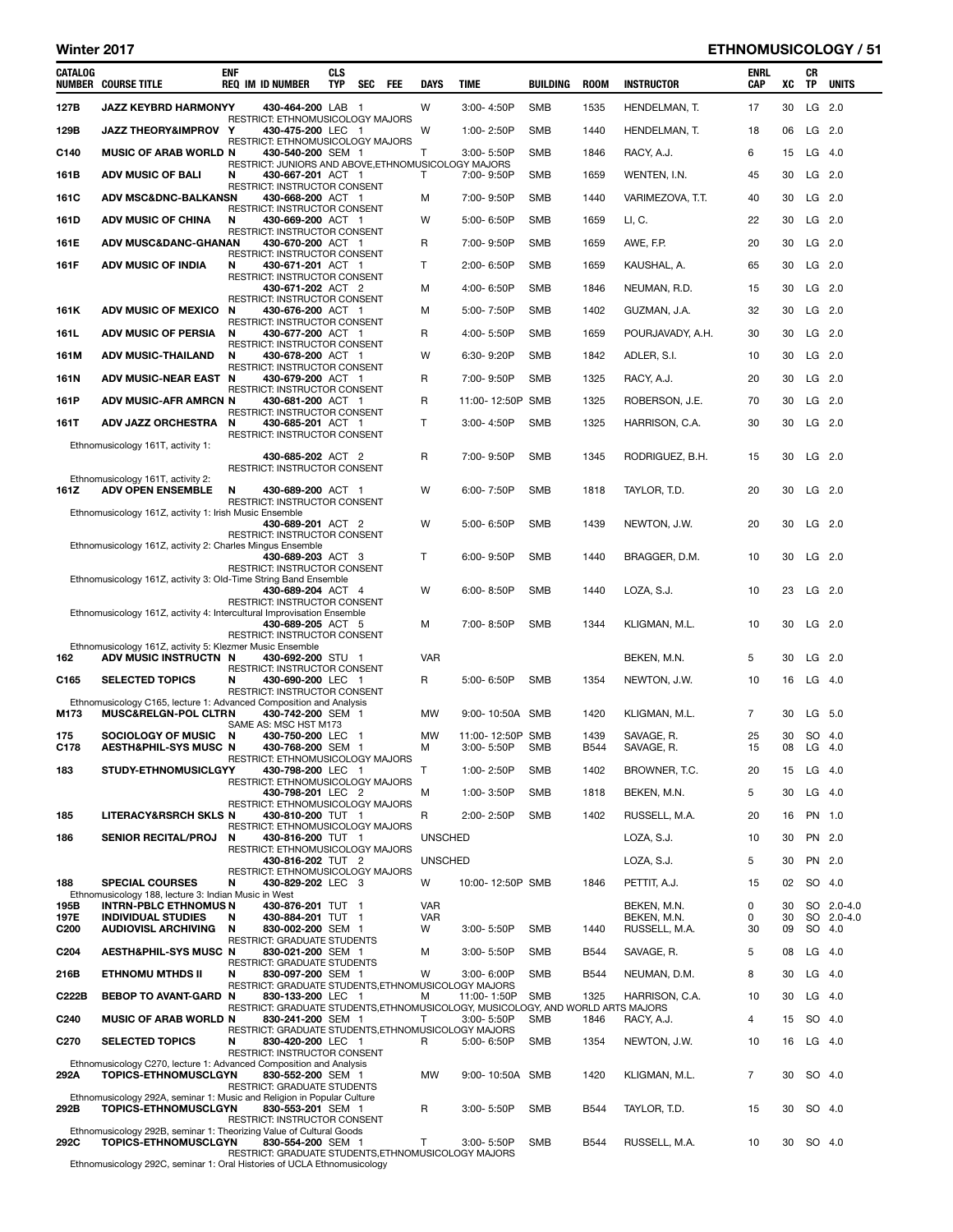## Winter 2017 ETHNOMUSICOLOGY / 51

| CATALOG                  | <b>NUMBER COURSE TITLE</b>                                                                         | enf    | <b>REQ IM ID NUMBER</b>                                                                              | <b>CLS</b><br><b>TYP</b> | <b>SEC</b> | - FEE | <b>DAYS</b>     | TIME           |                                | BUILDING   | <b>ROOM</b> | <b>INSTRUCTOR</b>            | <b>ENRL</b><br>CAP | XC       | CR<br>ΤP | <b>UNITS</b> |
|--------------------------|----------------------------------------------------------------------------------------------------|--------|------------------------------------------------------------------------------------------------------|--------------------------|------------|-------|-----------------|----------------|--------------------------------|------------|-------------|------------------------------|--------------------|----------|----------|--------------|
| 127B                     | <b>JAZZ KEYBRD HARMONYY</b>                                                                        |        | 430-464-200 LAB 1                                                                                    |                          |            |       | W               | 3:00-4:50P     |                                | <b>SMB</b> | 1535        | HENDELMAN, T.                | 17                 | 30       | LG 2.0   |              |
| 129B                     | JAZZ THEORY&IMPROV Y                                                                               |        | RESTRICT: ETHNOMUSICOLOGY MAJORS<br>430-475-200 LEC 1                                                |                          |            |       | W               | 1:00-2:50P     |                                | <b>SMB</b> | 1440        | HENDELMAN, T.                | 18                 | 06       | $LG$ 2.0 |              |
| C140                     | <b>MUSIC OF ARAB WORLD N</b>                                                                       |        | RESTRICT: ETHNOMUSICOLOGY MAJORS<br>430-540-200 SEM 1                                                |                          |            |       | т               | 3:00-5:50P     |                                | <b>SMB</b> | 1846        | RACY, A.J.                   | 6                  | 15       | $LG$ 4.0 |              |
| 161B                     | <b>ADV MUSIC OF BALI</b>                                                                           | N      | RESTRICT: JUNIORS AND ABOVE, ETHNOMUSICOLOGY MAJORS<br>430-667-201 ACT 1                             |                          |            |       | т               | 7:00-9:50P     |                                | <b>SMB</b> | 1659        | WENTEN, I.N.                 | 45                 | 30       | LG 2.0   |              |
| <b>161C</b>              | <b>ADV MSC&amp;DNC-BALKANSN</b>                                                                    |        | RESTRICT: INSTRUCTOR CONSENT<br>430-668-200 ACT 1                                                    |                          |            |       | м               | 7:00-9:50P     |                                | <b>SMB</b> | 1440        | VARIMEZOVA, T.T.             | 40                 | 30       | $LG$ 2.0 |              |
| 161D                     | <b>ADV MUSIC OF CHINA</b>                                                                          | N      | RESTRICT: INSTRUCTOR CONSENT<br>430-669-200 ACT 1                                                    |                          |            |       | W               | 5:00-6:50P     |                                | <b>SMB</b> | 1659        | LI, C.                       | 22                 | 30       | $LG$ 2.0 |              |
| 161E                     | <b>ADV MUSC&amp;DANC-GHANAN</b>                                                                    |        | RESTRICT: INSTRUCTOR CONSENT<br>430-670-200 ACT 1                                                    |                          |            |       | R               | 7:00-9:50P     |                                | <b>SMB</b> | 1659        | AWE, F.P.                    | 20                 | 30       | $LG$ 2.0 |              |
|                          |                                                                                                    |        | RESTRICT: INSTRUCTOR CONSENT                                                                         |                          |            |       |                 |                |                                |            |             |                              |                    |          |          |              |
| 161F                     | <b>ADV MUSIC OF INDIA</b>                                                                          | N      | 430-671-201 ACT 1<br>RESTRICT: INSTRUCTOR CONSENT                                                    |                          |            |       | т               | 2:00-6:50P     |                                | <b>SMB</b> | 1659        | KAUSHAL, A.                  | 65                 | 30       | LG 2.0   |              |
|                          |                                                                                                    |        | 430-671-202 ACT 2<br>RESTRICT: INSTRUCTOR CONSENT                                                    |                          |            |       | м               | 4:00-6:50P     |                                | <b>SMB</b> | 1846        | NEUMAN, R.D.                 | 15                 | 30       | LG 2.0   |              |
| 161K                     | <b>ADV MUSIC OF MEXICO</b>                                                                         | N      | 430-676-200 ACT 1<br>RESTRICT: INSTRUCTOR CONSENT                                                    |                          |            |       | M               | 5:00-7:50P     |                                | <b>SMB</b> | 1402        | GUZMAN, J.A.                 | 32                 | 30       | $LG$ 2.0 |              |
| 161L                     | <b>ADV MUSIC OF PERSIA</b>                                                                         | N      | 430-677-200 ACT 1<br>RESTRICT: INSTRUCTOR CONSENT                                                    |                          |            |       | R               | 4:00-5:50P     |                                | <b>SMB</b> | 1659        | POURJAVADY, A.H.             | 30                 | 30       | $LG$ 2.0 |              |
| 161M                     | <b>ADV MUSIC-THAILAND</b>                                                                          | N      | 430-678-200 ACT 1<br>RESTRICT: INSTRUCTOR CONSENT                                                    |                          |            |       | W               | 6:30-9:20P     |                                | <b>SMB</b> | 1842        | ADLER, S.I.                  | 10                 | 30       | LG 2.0   |              |
| 161N                     | ADV MUSIC-NEAR EAST N                                                                              |        | 430-679-200 ACT 1                                                                                    |                          |            |       | R               | 7:00-9:50P     |                                | <b>SMB</b> | 1325        | RACY, A.J.                   | 20                 | 30       | LG 2.0   |              |
| 161P                     | ADV MUSIC-AFR AMRCN N                                                                              |        | RESTRICT: INSTRUCTOR CONSENT<br>430-681-200 ACT 1                                                    |                          |            |       | R               |                | 11:00-12:50P SMB               |            | 1325        | ROBERSON, J.E.               | 70                 | 30       | LG 2.0   |              |
| 161T                     | <b>ADV JAZZ ORCHESTRA</b>                                                                          | N      | RESTRICT: INSTRUCTOR CONSENT<br>430-685-201 ACT 1                                                    |                          |            |       | т               |                | 3:00-4:50P                     | <b>SMB</b> | 1325        | HARRISON, C.A.               | 30                 | 30       | $LG$ 2.0 |              |
|                          | Ethnomusicology 161T, activity 1:                                                                  |        | RESTRICT: INSTRUCTOR CONSENT                                                                         |                          |            |       |                 |                |                                |            |             |                              |                    |          |          |              |
|                          |                                                                                                    |        | 430-685-202 ACT 2<br>RESTRICT: INSTRUCTOR CONSENT                                                    |                          |            |       | R               | 7:00-9:50P     |                                | <b>SMB</b> | 1345        | RODRIGUEZ, B.H.              | 15                 | 30       | $LG$ 2.0 |              |
| 161Z                     | Ethnomusicology 161T, activity 2:<br><b>ADV OPEN ENSEMBLE</b>                                      | N      | 430-689-200 ACT 1                                                                                    |                          |            |       | W               | 6:00-7:50P     |                                | <b>SMB</b> | 1818        | TAYLOR, T.D.                 | 20                 | 30       | $LG$ 2.0 |              |
|                          | Ethnomusicology 161Z, activity 1: Irish Music Ensemble                                             |        | RESTRICT: INSTRUCTOR CONSENT                                                                         |                          |            |       |                 |                |                                |            |             |                              |                    |          |          |              |
|                          |                                                                                                    |        | 430-689-201 ACT 2<br>RESTRICT: INSTRUCTOR CONSENT                                                    |                          |            |       | W               | 5:00-6:50P     |                                | <b>SMB</b> | 1439        | NEWTON, J.W.                 | 20                 | 30       | $LG$ 2.0 |              |
|                          | Ethnomusicology 161Z, activity 2: Charles Mingus Ensemble                                          |        | 430-689-203 ACT 3                                                                                    |                          |            |       | Τ               | $6:00 - 9:50P$ |                                | <b>SMB</b> | 1440        |                              | 10                 | 30       | $LG$ 2.0 |              |
|                          |                                                                                                    |        | RESTRICT: INSTRUCTOR CONSENT                                                                         |                          |            |       |                 |                |                                |            |             | BRAGGER, D.M.                |                    |          |          |              |
|                          | Ethnomusicology 161Z, activity 3: Old-Time String Band Ensemble                                    |        | 430-689-204 ACT 4                                                                                    |                          |            |       | W               | 6:00-8:50P     |                                | <b>SMB</b> | 1440        | LOZA, S.J.                   | 10                 | 23       | $LG$ 2.0 |              |
|                          | Ethnomusicology 161Z, activity 4: Intercultural Improvisation Ensemble                             |        | RESTRICT: INSTRUCTOR CONSENT                                                                         |                          |            |       |                 |                |                                |            |             |                              |                    |          |          |              |
|                          |                                                                                                    |        | 430-689-205 ACT 5<br>RESTRICT: INSTRUCTOR CONSENT                                                    |                          |            |       | М               | 7:00-8:50P     |                                | <b>SMB</b> | 1344        | KLIGMAN, M.L.                | 10                 | 30       | $LG$ 2.0 |              |
| 162                      | Ethnomusicology 161Z, activity 5: Klezmer Music Ensemble<br>ADV MUSIC INSTRUCTN N                  |        | 430-692-200 STU 1                                                                                    |                          |            |       | <b>VAR</b>      |                |                                |            |             | BEKEN, M.N.                  | 5                  | 30       | $LG$ 2.0 |              |
| C165                     | <b>SELECTED TOPICS</b>                                                                             | N      | <b>RESTRICT: INSTRUCTOR CONSENT</b><br>430-690-200 LEC 1                                             |                          |            |       | R               | 5:00-6:50P     |                                | <b>SMB</b> | 1354        | NEWTON, J.W.                 | 10                 | 16       | $LG$ 4.0 |              |
|                          | Ethnomusicology C165, lecture 1: Advanced Composition and Analysis                                 |        | RESTRICT: INSTRUCTOR CONSENT                                                                         |                          |            |       |                 |                |                                |            |             |                              |                    |          |          |              |
| M173                     | <b>MUSC&amp;RELGN-POL CLTRN</b>                                                                    |        | 430-742-200 SEM 1<br>SAME AS: MSC HST M173                                                           |                          |            |       | MW              |                | 9:00-10:50A SMB                |            | 1420        | KLIGMAN, M.L.                | 7                  | 30       | LG 5.0   |              |
| 175                      | <b>SOCIOLOGY OF MUSIC</b>                                                                          | N      | 430-750-200 LEC 1<br>430-768-200 SEM 1                                                               |                          |            |       | <b>MW</b>       |                | 11:00-12:50P SMB<br>3:00-5:50P |            | 1439        | SAVAGE, R.                   | 25                 | 30       | SO 4.0   |              |
| C178                     | <b>AESTH&amp;PHIL-SYS MUSC N</b>                                                                   |        | RESTRICT: ETHNOMUSICOLOGY MAJORS                                                                     |                          |            |       | м               |                |                                | <b>SMB</b> | <b>B544</b> | SAVAGE, R.                   | 15                 | 08       | LG 4.0   |              |
| 183                      | STUDY-ETHNOMUSICLGYY                                                                               |        | 430-798-200 LEC 1<br>RESTRICT: ETHNOMUSICOLOGY MAJORS                                                |                          |            |       | T               |                | 1:00-2:50P                     | <b>SMB</b> | 1402        | BROWNER, T.C.                | 20                 | 15       | $LG$ 4.0 |              |
|                          |                                                                                                    |        | 430-798-201 LEC 2<br>RESTRICT: ETHNOMUSICOLOGY MAJORS                                                |                          |            |       | м               | 1:00-3:50P     |                                | <b>SMB</b> | 1818        | BEKEN, M.N.                  | 5                  | 30       | $LG$ 4.0 |              |
| 185                      | <b>LITERACY&amp;RSRCH SKLS N</b>                                                                   |        | 430-810-200 TUT 1<br>RESTRICT: ETHNOMUSICOLOGY MAJORS                                                |                          |            |       | R               |                | 2:00-2:50P                     | <b>SMB</b> | 1402        | RUSSELL, M.A.                | 20                 | 16       | PN 1.0   |              |
| 186                      | <b>SENIOR RECITAL/PROJ</b>                                                                         | N      | 430-816-200 TUT 1<br>RESTRICT: ETHNOMUSICOLOGY MAJORS                                                |                          |            |       | <b>UNSCHED</b>  |                |                                |            |             | LOZA, S.J.                   | 10                 | 30       | PN 2.0   |              |
|                          |                                                                                                    |        | 430-816-202 TUT 2<br>RESTRICT: ETHNOMUSICOLOGY MAJORS                                                |                          |            |       | <b>UNSCHED</b>  |                |                                |            |             | LOZA, S.J.                   | 5                  | 30       | PN 2.0   |              |
| 188                      | <b>SPECIAL COURSES</b><br>Ethnomusicology 188, lecture 3: Indian Music in West                     | N      | 430-829-202 LEC 3                                                                                    |                          |            |       | W               |                | 10:00-12:50P SMB               |            | 1846        | PETTIT, A.J.                 | 15                 | 02       | SO 4.0   |              |
| 195B                     | <b>INTRN-PBLC ETHNOMUS N</b>                                                                       |        | 430-876-201 TUT 1                                                                                    |                          |            |       | <b>VAR</b>      |                |                                |            |             | BEKEN, M.N.                  | 0                  | 30       |          | SO 2.0-4.0   |
| 197E<br>C <sub>200</sub> | <b>INDIVIDUAL STUDIES</b><br><b>AUDIOVISL ARCHIVING</b>                                            | N<br>N | 430-884-201 TUT 1<br>830-002-200 SEM 1                                                               |                          |            |       | <b>VAR</b><br>W |                | 3:00-5:50P                     | <b>SMB</b> | 1440        | BEKEN, M.N.<br>RUSSELL, M.A. | 0<br>30            | 30<br>09 | SO 4.0   | SO 2.0-4.0   |
| C <sub>204</sub>         | AESTH&PHIL-SYS MUSC N                                                                              |        | RESTRICT: GRADUATE STUDENTS<br>830-021-200 SEM 1                                                     |                          |            |       | м               | 3:00-5:50P     |                                | SMB        | <b>B544</b> | SAVAGE, R.                   | 5                  | 08       | $LG$ 4.0 |              |
| 216B                     | <b>ETHNOMU MTHDS II</b>                                                                            | N      | RESTRICT: GRADUATE STUDENTS<br>830-097-200 SEM 1                                                     |                          |            |       | W               |                | 3:00-6:00P                     | <b>SMB</b> | <b>B544</b> | NEUMAN, D.M.                 | 8                  | 30       | $LG$ 4.0 |              |
| C222B                    | BEBOP TO AVANT-GARD N                                                                              |        | RESTRICT: GRADUATE STUDENTS, ETHNOMUSICOLOGY MAJORS<br>830-133-200 LEC 1                             |                          |            |       | М               |                | 11:00-1:50P                    | SMB        | 1325        | HARRISON, C.A.               | 10                 | 30       | $LG$ 4.0 |              |
| C <sub>240</sub>         | <b>MUSIC OF ARAB WORLD N</b>                                                                       |        | RESTRICT: GRADUATE STUDENTS, ETHNOMUSICOLOGY, MUSICOLOGY, AND WORLD ARTS MAJORS<br>830-241-200 SEM 1 |                          |            |       | т               |                | $3:00 - 5:50P$                 | <b>SMB</b> | 1846        | RACY, A.J.                   | 4                  | 15       | SO 4.0   |              |
|                          |                                                                                                    |        | RESTRICT: GRADUATE STUDENTS, ETHNOMUSICOLOGY MAJORS                                                  |                          |            |       |                 |                |                                |            |             |                              |                    |          |          |              |
| C <sub>270</sub>         | <b>SELECTED TOPICS</b>                                                                             | N      | 830-420-200 LEC 1<br>RESTRICT: INSTRUCTOR CONSENT                                                    |                          |            |       | R               |                | 5:00-6:50P                     | <b>SMB</b> | 1354        | NEWTON, J.W.                 | 10                 | 16       | $LG$ 4.0 |              |
| 292A                     | Ethnomusicology C270, lecture 1: Advanced Composition and Analysis<br><b>TOPICS-ETHNOMUSCLGYN</b>  |        | 830-552-200 SEM 1                                                                                    |                          |            |       | <b>MW</b>       |                | 9:00-10:50A SMB                |            | 1420        | KLIGMAN, M.L.                | 7                  | 30       | SO 4.0   |              |
|                          | Ethnomusicology 292A, seminar 1: Music and Religion in Popular Culture                             |        | <b>RESTRICT: GRADUATE STUDENTS</b>                                                                   |                          |            |       |                 |                |                                |            |             |                              |                    |          |          |              |
| 292B                     | <b>TOPICS-ETHNOMUSCLGYN</b>                                                                        |        | 830-553-201 SEM 1<br>RESTRICT: INSTRUCTOR CONSENT                                                    |                          |            |       | R               |                | 3:00-5:50P                     | <b>SMB</b> | <b>B544</b> | TAYLOR, T.D.                 | 15                 | 30       | SO 4.0   |              |
| 292C                     | Ethnomusicology 292B, seminar 1: Theorizing Value of Cultural Goods<br><b>TOPICS-ETHNOMUSCLGYN</b> |        | 830-554-200 SEM 1                                                                                    |                          |            |       | т               |                | 3:00-5:50P                     | <b>SMB</b> | <b>B544</b> | RUSSELL, M.A.                | 10                 | 30       | SO 4.0   |              |
| False.                   | 000 <sup>2</sup>                                                                                   |        | RESTRICT: GRADUATE STUDENTS, ETHNOMUSICOLOGY MAJORS<br>$\mathcal{L}$ LIOLA Filosome                  |                          |            |       |                 |                |                                |            |             |                              |                    |          |          |              |

Ethnomusicology 292C, seminar 1: Oral Histories of UCLA Ethnomusicology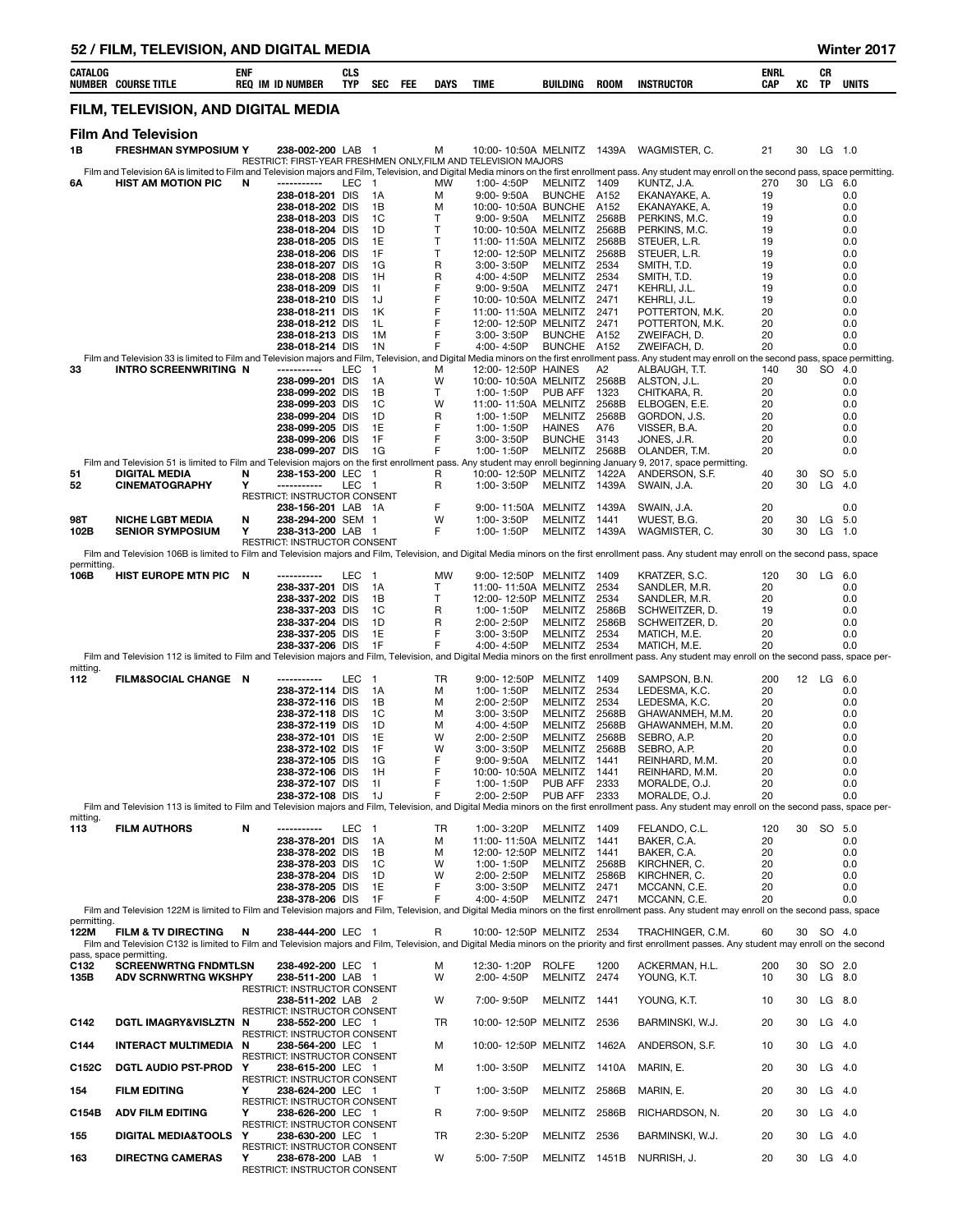|                     | 52 / FILM, TELEVISION, AND DIGITAL MEDIA                                                                                                                          |            |                                                   |                   |                                |     |             |                                                                |                                 |                |                                                                                                                                                                                                                          |                           |          |                      | Winter 2017  |
|---------------------|-------------------------------------------------------------------------------------------------------------------------------------------------------------------|------------|---------------------------------------------------|-------------------|--------------------------------|-----|-------------|----------------------------------------------------------------|---------------------------------|----------------|--------------------------------------------------------------------------------------------------------------------------------------------------------------------------------------------------------------------------|---------------------------|----------|----------------------|--------------|
| <b>CATALOG</b>      | <b>NUMBER COURSE TITLE</b>                                                                                                                                        | <b>ENF</b> | <b>REQ IM ID NUMBER</b>                           | CLS<br><b>TYP</b> | <b>SEC</b>                     | FEE | <b>DAYS</b> | <b>TIME</b>                                                    | BUILDING                        | <b>ROOM</b>    | <b>INSTRUCTOR</b>                                                                                                                                                                                                        | <b>ENRL</b><br><b>CAP</b> | XC       | CR<br>ΤP             | <b>UNITS</b> |
|                     | FILM, TELEVISION, AND DIGITAL MEDIA                                                                                                                               |            |                                                   |                   |                                |     |             |                                                                |                                 |                |                                                                                                                                                                                                                          |                           |          |                      |              |
| 1В                  | <b>Film And Television</b><br><b>FRESHMAN SYMPOSIUM Y</b>                                                                                                         |            | 238-002-200 LAB                                   |                   | $\overline{1}$                 |     | м           | 10:00-10:50A MELNITZ 1439A                                     |                                 |                | WAGMISTER, C.                                                                                                                                                                                                            | 21                        | 30       | $LG$ 1.0             |              |
|                     |                                                                                                                                                                   |            |                                                   |                   |                                |     |             | RESTRICT: FIRST-YEAR FRESHMEN ONLY, FILM AND TELEVISION MAJORS |                                 |                | Film and Television 6A is limited to Film and Television majors and Film, Television, and Digital Media minors on the first enrollment pass. Any student may enroll on the second pass, space permitting.                |                           |          |                      |              |
| 6Α                  | <b>HIST AM MOTION PIC</b>                                                                                                                                         | N          | -----------                                       | LEC               | $\overline{1}$                 |     | МW          | 1:00-4:50P                                                     | MELNITZ                         | 1409           | KUNTZ, J.A.                                                                                                                                                                                                              | 270                       | 30       | LG 6.0               |              |
|                     |                                                                                                                                                                   |            | 238-018-201 DIS<br>238-018-202 DIS                |                   | 1A<br>1B                       |     | м<br>м      | 9:00-9:50A<br>10:00-10:50A BUNCHE                              | <b>BUNCHE</b>                   | A152<br>A152   | EKANAYAKE, A.<br>EKANAYAKE, A.                                                                                                                                                                                           | 19<br>19                  |          |                      | 0.0<br>0.0   |
|                     |                                                                                                                                                                   |            | 238-018-203 DIS                                   |                   | 1C                             |     | т           | 9:00-9:50A                                                     | MELNITZ                         | 2568B          | PERKINS, M.C.                                                                                                                                                                                                            | 19                        |          |                      | 0.0          |
|                     |                                                                                                                                                                   |            | 238-018-204 DIS                                   |                   | 1D                             |     | T           | 10:00-10:50A MELNITZ                                           |                                 | 2568B          | PERKINS, M.C.                                                                                                                                                                                                            | 19                        |          |                      | 0.0          |
|                     |                                                                                                                                                                   |            | 238-018-205 DIS<br>238-018-206 DIS                |                   | 1E<br>1F                       |     | T<br>T      | 11:00-11:50A MELNITZ<br>12:00-12:50P MELNITZ                   |                                 | 2568B<br>2568B | STEUER, L.R.<br>STEUER, L.R.                                                                                                                                                                                             | 19<br>19                  |          |                      | 0.0<br>0.0   |
|                     |                                                                                                                                                                   |            | 238-018-207 DIS                                   |                   | 1G                             |     | R           | 3:00-3:50P                                                     | MELNITZ                         | 2534           | SMITH, T.D.                                                                                                                                                                                                              | 19                        |          |                      | 0.0          |
|                     |                                                                                                                                                                   |            | 238-018-208 DIS<br>238-018-209 DIS                |                   | 1H<br>11                       |     | R<br>F      | 4:00-4:50P<br>$9:00 - 9:50A$                                   | <b>MELNITZ</b><br>MELNITZ       | 2534<br>2471   | SMITH, T.D.<br>KEHRLI, J.L.                                                                                                                                                                                              | 19<br>19                  |          |                      | 0.0<br>0.0   |
|                     |                                                                                                                                                                   |            | 238-018-210 DIS                                   |                   | 1J                             |     | F           | 10:00-10:50A MELNITZ                                           |                                 | 2471           | KEHRLI, J.L.                                                                                                                                                                                                             | 19                        |          |                      | 0.0          |
|                     |                                                                                                                                                                   |            | 238-018-211 DIS<br>238-018-212 DIS                |                   | 1K<br>1L                       |     | F<br>F      | 11:00-11:50A MELNITZ<br>12:00-12:50P MELNITZ                   |                                 | 2471<br>2471   | POTTERTON, M.K.<br>POTTERTON, M.K.                                                                                                                                                                                       | 20<br>20                  |          |                      | 0.0<br>0.0   |
|                     |                                                                                                                                                                   |            | 238-018-213 DIS                                   |                   | 1M                             |     | F           | 3:00-3:50P                                                     | <b>BUNCHE</b>                   | A152           | ZWEIFACH, D.                                                                                                                                                                                                             | 20                        |          |                      | 0.0          |
|                     |                                                                                                                                                                   |            | 238-018-214 DIS                                   |                   | 1N                             |     | F           | 4:00-4:50P                                                     | <b>BUNCHE</b>                   | A152           | ZWEIFACH, D.<br>Film and Television 33 is limited to Film and Television majors and Film, Television, and Digital Media minors on the first enrollment pass. Any student may enroll on the second pass, space permitting | 20                        |          |                      | 0.0          |
| 33                  | <b>INTRO SCREENWRITING N</b>                                                                                                                                      |            |                                                   | LEC               | $\mathbf{1}$                   |     | м           | 12:00-12:50P HAINES                                            |                                 | A2             | ALBAUGH, T.T.                                                                                                                                                                                                            | 140                       | 30       | SO 4.0               |              |
|                     |                                                                                                                                                                   |            | 238-099-201 DIS<br>238-099-202 DIS                |                   | 1A<br>1B                       |     | W<br>T      | 10:00-10:50A MELNITZ<br>1:00-1:50P                             | PUB AFF                         | 2568B<br>1323  | ALSTON, J.L.<br>CHITKARA, R.                                                                                                                                                                                             | 20<br>20                  |          |                      | 0.0<br>0.0   |
|                     |                                                                                                                                                                   |            | 238-099-203 DIS                                   |                   | 1C                             |     | W           | 11:00-11:50A MELNITZ                                           |                                 | 2568B          | ELBOGEN, E.E.                                                                                                                                                                                                            | 20                        |          |                      | 0.0          |
|                     |                                                                                                                                                                   |            | 238-099-204 DIS<br>238-099-205 DIS                |                   | 1D<br>1E                       |     | R<br>F      | 1:00-1:50P<br>1:00-1:50P                                       | <b>MELNITZ</b><br><b>HAINES</b> | 2568B<br>A76   | GORDON, J.S.<br>VISSER, B.A.                                                                                                                                                                                             | 20<br>20                  |          |                      | 0.0<br>0.0   |
|                     |                                                                                                                                                                   |            | 238-099-206 DIS                                   |                   | 1F                             |     | F           | 3:00-3:50P                                                     | <b>BUNCHE</b>                   | 3143           | JONES, J.R.                                                                                                                                                                                                              | 20                        |          |                      | 0.0          |
|                     | Film and Television 51 is limited to Film and Television majors on the first enrollment pass. Any student may enroll beginning January 9, 2017, space permitting. |            | 238-099-207 DIS                                   |                   | 1G                             |     | F           | 1:00-1:50P                                                     | <b>MELNITZ</b>                  | 2568B          | OLANDER, T.M.                                                                                                                                                                                                            | 20                        |          |                      | 0.0          |
| 51                  | DIGITAL MEDIA                                                                                                                                                     | N          | 238-153-200 LEC 1                                 |                   |                                |     | R           | 10:00-12:50P MELNITZ                                           |                                 | 1422A          | ANDERSON, S.F.                                                                                                                                                                                                           | 40                        | 30       | SO 5.0               |              |
| 52                  | <b>CINEMATOGRAPHY</b>                                                                                                                                             | Y          | -----------<br>RESTRICT: INSTRUCTOR CONSENT       | LEC 1             |                                |     | R           | 1:00-3:50P                                                     | MELNITZ 1439A                   |                | SWAIN, J.A.                                                                                                                                                                                                              | 20                        | 30       | $LG$ 4.0             |              |
|                     |                                                                                                                                                                   |            | 238-156-201 LAB 1A                                |                   |                                |     | F           | 9:00-11:50A                                                    | MELNITZ 1439A                   |                | SWAIN, J.A.                                                                                                                                                                                                              | 20                        |          |                      | 0.0          |
| 98T<br>102B         | <b>NICHE LGBT MEDIA</b><br><b>SENIOR SYMPOSIUM</b>                                                                                                                | N<br>Υ     | 238-294-200 SEM 1<br>238-313-200 LAB 1            |                   |                                |     | W<br>F      | 1:00-3:50P<br>1:00-1:50P                                       | MELNITZ 1441<br>MELNITZ 1439A   |                | WUEST, B.G.<br>WAGMISTER, C.                                                                                                                                                                                             | 20<br>30                  | 30<br>30 | $LG$ 5.0<br>$LG$ 1.0 |              |
|                     |                                                                                                                                                                   |            | RESTRICT: INSTRUCTOR CONSENT                      |                   |                                |     |             |                                                                |                                 |                |                                                                                                                                                                                                                          |                           |          |                      |              |
| permitting.         |                                                                                                                                                                   |            |                                                   |                   |                                |     |             |                                                                |                                 |                | Film and Television 106B is limited to Film and Television majors and Film, Television, and Digital Media minors on the first enrollment pass. Any student may enroll on the second pass, space                          |                           |          |                      |              |
| 106B                | HIST EUROPE MTN PIC N                                                                                                                                             |            | -----------                                       | LEC               | $\overline{1}$                 |     | MW          | 9:00-12:50P MELNITZ                                            |                                 | 1409           | KRATZER, S.C.                                                                                                                                                                                                            | 120                       | 30       | LG 6.0               |              |
|                     |                                                                                                                                                                   |            | 238-337-201 DIS<br>238-337-202 DIS                |                   | 1A<br>1B                       |     | т<br>т      | 11:00-11:50A MELNITZ<br>12:00-12:50P MELNITZ                   |                                 | 2534<br>2534   | SANDLER, M.R.<br>SANDLER, M.R.                                                                                                                                                                                           | 20<br>20                  |          |                      | 0.0<br>0.0   |
|                     |                                                                                                                                                                   |            | 238-337-203 DIS                                   |                   | 1C                             |     | R           | 1:00-1:50P                                                     | <b>MELNITZ</b>                  | 2586B          | SCHWEITZER, D.                                                                                                                                                                                                           | 19                        |          |                      | 0.0          |
|                     |                                                                                                                                                                   |            | 238-337-204 DIS<br>238-337-205 DIS                |                   | 1D<br>1E                       |     | R<br>F      | 2:00-2:50P<br>3:00-3:50P                                       | MELNITZ<br><b>MELNITZ</b>       | 2586B<br>2534  | SCHWEITZER, D.<br>MATICH, M.E.                                                                                                                                                                                           | 20<br>20                  |          |                      | 0.0<br>0.0   |
|                     |                                                                                                                                                                   |            | 238-337-206 DIS                                   |                   | 1F                             |     | F           | 4:00-4:50P                                                     | MELNITZ                         | 2534           | MATICH, M.E.                                                                                                                                                                                                             | 20                        |          |                      | 0.0          |
| mitting.            |                                                                                                                                                                   |            |                                                   |                   |                                |     |             |                                                                |                                 |                | Film and Television 112 is limited to Film and Television majors and Film, Television, and Digital Media minors on the first enrollment pass. Any student may enroll on the second pass, space per-                      |                           |          |                      |              |
| 112                 | FILM&SOCIAL CHANGE N                                                                                                                                              |            | -----------<br>238-372-114 DIS                    | LEC               | $\overline{\phantom{a}}$<br>1A |     | TR<br>М     | 9:00-12:50P<br>1:00-1:50P                                      | MELNITZ<br><b>MELNITZ</b>       | 1409<br>2534   | SAMPSON, B.N.<br>LEDESMA, K.C.                                                                                                                                                                                           | 200<br>20                 |          | 12 LG 6.0            | 0.0          |
|                     |                                                                                                                                                                   |            | 238-372-116 DIS                                   |                   | 1B                             |     | М           | 2:00-2:50P                                                     | <b>MELNITZ</b>                  | 2534           | LEDESMA, K.C.                                                                                                                                                                                                            | 20                        |          |                      | 0.0          |
|                     |                                                                                                                                                                   |            | 238-372-118 DIS                                   |                   | 1C                             |     | M           | 3:00-3:50P                                                     | <b>MELNITZ</b>                  | 2568B          | GHAWANMEH, M.M.                                                                                                                                                                                                          | 20                        |          |                      | 0.0          |
|                     |                                                                                                                                                                   |            | 238-372-119 DIS<br>238-372-101 DIS                |                   | 1D<br>1E                       |     | м<br>W      | 4:00-4:50P<br>2:00-2:50P                                       | <b>MELNITZ</b><br>MELNITZ       | 2568B<br>2568B | GHAWANMEH, M.M.<br>SEBRO, A.P.                                                                                                                                                                                           | 20<br>20                  |          |                      | 0.0<br>0.0   |
|                     |                                                                                                                                                                   |            | 238-372-102 DIS                                   |                   | 1F                             |     | W           | 3:00-3:50P                                                     | MELNITZ                         | 2568B          | SEBRO, A.P.                                                                                                                                                                                                              | 20                        |          |                      | 0.0          |
|                     |                                                                                                                                                                   |            | 238-372-105 DIS<br>238-372-106 DIS                |                   | 1G<br>1H                       |     | F<br>F      | 9:00-9:50A<br>10:00- 10:50A MELNITZ                            | <b>MELNITZ</b>                  | 1441<br>1441   | REINHARD, M.M.<br>REINHARD, M.M.                                                                                                                                                                                         | 20<br>20                  |          |                      | 0.0<br>0.0   |
|                     |                                                                                                                                                                   |            | 238-372-107 DIS                                   |                   | 11                             |     | F           | 1:00-1:50P                                                     | PUB AFF                         | 2333           | MORALDE, O.J.                                                                                                                                                                                                            | 20                        |          |                      | 0.0          |
|                     |                                                                                                                                                                   |            | 238-372-108 DIS                                   |                   | 1J                             |     | F           | 2:00-2:50P                                                     | PUB AFF                         | 2333           | MORALDE, O.J.<br>Film and Television 113 is limited to Film and Television majors and Film, Television, and Digital Media minors on the first enrollment pass. Any student may enroll on the second pass, space per-     | 20                        |          |                      | 0.0          |
| mitting.            |                                                                                                                                                                   |            | -----------                                       |                   |                                |     |             |                                                                |                                 |                |                                                                                                                                                                                                                          |                           |          |                      |              |
| 113                 | <b>FILM AUTHORS</b>                                                                                                                                               | N          | 238-378-201 DIS                                   | LEC               | $\overline{1}$<br>1A           |     | TR<br>м     | 1:00-3:20P<br>11:00-11:50A MELNITZ                             | MELNITZ 1409                    | 1441           | FELANDO, C.L.<br>BAKER, C.A.                                                                                                                                                                                             | 120<br>20                 |          | 30 SO 5.0            | 0.0          |
|                     |                                                                                                                                                                   |            | 238-378-202 DIS                                   |                   | 1B                             |     | м           | 12:00-12:50P MELNITZ                                           |                                 | 1441           | BAKER, C.A.                                                                                                                                                                                                              | 20                        |          |                      | 0.0          |
|                     |                                                                                                                                                                   |            | 238-378-203 DIS<br>238-378-204 DIS                |                   | 1C<br>1D                       |     | W<br>W      | 1:00-1:50P<br>2:00-2:50P                                       | MELNITZ<br>MELNITZ              | 2568B<br>2586B | KIRCHNER, C.<br>KIRCHNER, C.                                                                                                                                                                                             | 20<br>20                  |          |                      | 0.0<br>0.0   |
|                     |                                                                                                                                                                   |            | 238-378-205 DIS                                   |                   | 1E                             |     | F           | 3:00-3:50P                                                     | MELNITZ 2471                    |                | MCCANN, C.E.                                                                                                                                                                                                             | 20                        |          |                      | 0.0          |
|                     |                                                                                                                                                                   |            | 238-378-206 DIS                                   |                   | 1F                             |     | F           | 4:00-4:50P                                                     | MELNITZ 2471                    |                | MCCANN, C.E.<br>Film and Television 122M is limited to Film and Television majors and Film, Television, and Digital Media minors on the first enrollment pass. Any student may enroll on the second pass, space          | 20                        |          |                      | 0.0          |
| permitting.<br>122M | <b>FILM &amp; TV DIRECTING</b>                                                                                                                                    | N          | 238-444-200 LEC 1                                 |                   |                                |     | R           | 10:00-12:50P MELNITZ 2534                                      |                                 |                | TRACHINGER, C.M.<br>Film and Television C132 is limited to Film and Television majors and Film, Television, and Digital Media minors on the priority and first enrollment passes. Any student may enroll on the second   | 60                        |          | 30 SO 4.0            |              |
| C132                | pass, space permitting.<br><b>SCREENWRTNG FNDMTLSN</b>                                                                                                            |            | 238-492-200 LEC 1                                 |                   |                                |     | м           | 12:30-1:20P                                                    | <b>ROLFE</b>                    | 1200           | ACKERMAN, H.L.                                                                                                                                                                                                           | 200                       | 30       | SO 2.0               |              |
| 135B                | <b>ADV SCRNWRTNG WKSHPY</b>                                                                                                                                       |            | 238-511-200 LAB 1<br>RESTRICT: INSTRUCTOR CONSENT |                   |                                |     | W           | 2:00-4:50P                                                     | MELNITZ 2474                    |                | YOUNG, K.T.                                                                                                                                                                                                              | 10                        | 30       | LG 8.0               |              |
|                     |                                                                                                                                                                   |            | 238-511-202 LAB 2                                 |                   |                                |     | W           | 7:00-9:50P                                                     | MELNITZ 1441                    |                | YOUNG, K.T.                                                                                                                                                                                                              | 10                        | 30       | LG 8.0               |              |
| C142                | DGTL IMAGRY&VISLZTN N                                                                                                                                             |            | RESTRICT: INSTRUCTOR CONSENT<br>238-552-200 LEC 1 |                   |                                |     | TR          | 10:00-12:50P MELNITZ 2536                                      |                                 |                | BARMINSKI, W.J.                                                                                                                                                                                                          | 20                        | 30       | $LG$ 4.0             |              |
| C144                | INTERACT MULTIMEDIA N                                                                                                                                             |            | RESTRICT: INSTRUCTOR CONSENT<br>238-564-200 LEC 1 |                   |                                |     | м           | 10:00-12:50P MELNITZ 1462A                                     |                                 |                | ANDERSON, S.F.                                                                                                                                                                                                           | 10                        | 30       | $LG$ 4.0             |              |
| C152C               | <b>DGTL AUDIO PST-PROD</b>                                                                                                                                        | Y          | RESTRICT: INSTRUCTOR CONSENT<br>238-615-200 LEC 1 |                   |                                |     | м           | 1:00-3:50P                                                     | MELNITZ 1410A                   |                | MARIN, E.                                                                                                                                                                                                                | 20                        | 30       | $LG$ 4.0             |              |
| 154                 | <b>FILM EDITING</b>                                                                                                                                               | Υ          | RESTRICT: INSTRUCTOR CONSENT<br>238-624-200 LEC 1 |                   |                                |     | T.          | 1:00-3:50P                                                     | MELNITZ 2586B                   |                | MARIN, E.                                                                                                                                                                                                                | 20                        | 30       | $LG$ 4.0             |              |
| C154B               | <b>ADV FILM EDITING</b>                                                                                                                                           | Υ          | RESTRICT: INSTRUCTOR CONSENT<br>238-626-200 LEC 1 |                   |                                |     | R           | 7:00-9:50P                                                     | MELNITZ                         | 2586B          | RICHARDSON, N.                                                                                                                                                                                                           | 20                        | 30       | $LG$ 4.0             |              |
| 155                 | <b>DIGITAL MEDIA&amp;TOOLS</b>                                                                                                                                    | Y          | RESTRICT: INSTRUCTOR CONSENT<br>238-630-200 LEC 1 |                   |                                |     | TR          | 2:30-5:20P                                                     | MELNITZ 2536                    |                | BARMINSKI, W.J.                                                                                                                                                                                                          | 20                        | 30       | $LG$ 4.0             |              |
|                     |                                                                                                                                                                   |            | RESTRICT: INSTRUCTOR CONSENT                      |                   |                                |     |             |                                                                |                                 |                |                                                                                                                                                                                                                          |                           |          |                      |              |
| 163                 | <b>DIRECTNG CAMERAS</b>                                                                                                                                           | Υ          | 238-678-200 LAB 1<br>RESTRICT: INSTRUCTOR CONSENT |                   |                                |     | W           | 5:00-7:50P                                                     | MELNITZ 1451B                   |                | NURRISH, J.                                                                                                                                                                                                              | 20                        | 30       | $LG$ 4.0             |              |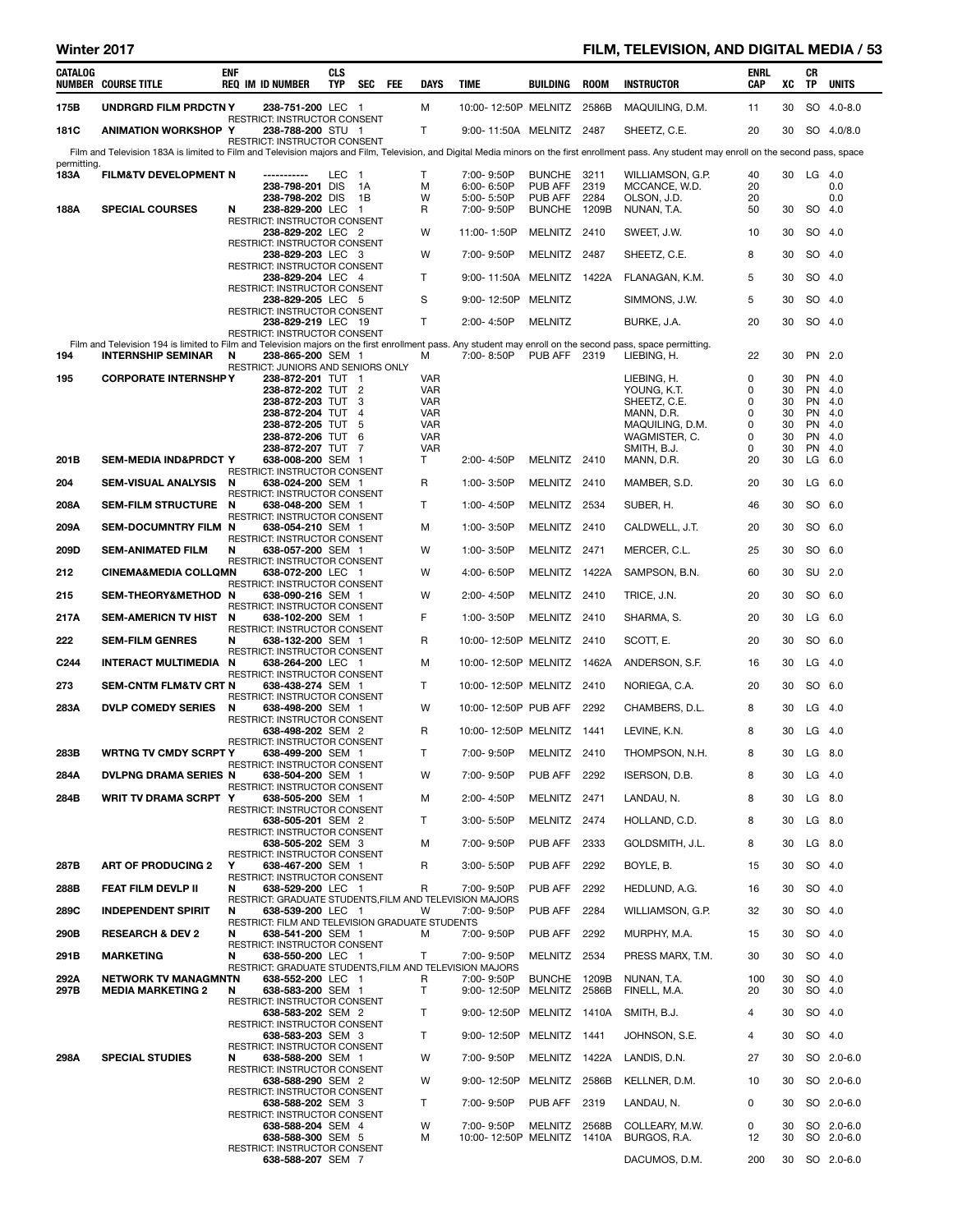# Winter 2017 **FILM, TELEVISION, AND DIGITAL MEDIA / 53**

| CATALOG          | <b>NUMBER COURSE TITLE</b>                                                                                                                                  | ENF | <b>REQ IM ID NUMBER</b>                                                      | CLS<br>TYP | SEC FEE        | <b>DAYS</b>              | <b>TIME</b>                              | BUILDING                | <b>ROOM</b> | <b>INSTRUCTOR</b>                                                                                                                                                                               | ENRL<br>CAP | XC       | CR<br>TP | <b>UNITS</b>             |
|------------------|-------------------------------------------------------------------------------------------------------------------------------------------------------------|-----|------------------------------------------------------------------------------|------------|----------------|--------------------------|------------------------------------------|-------------------------|-------------|-------------------------------------------------------------------------------------------------------------------------------------------------------------------------------------------------|-------------|----------|----------|--------------------------|
| 175B             | UNDRGRD FILM PRDCTN Y                                                                                                                                       |     | 238-751-200 LEC 1                                                            |            |                | м                        | 10:00-12:50P MELNITZ 2586B               |                         |             | MAQUILING, D.M.                                                                                                                                                                                 | 11          | 30       |          | SO 4.0-8.0               |
| 181C             | <b>ANIMATION WORKSHOP Y</b>                                                                                                                                 |     | RESTRICT: INSTRUCTOR CONSENT<br>238-788-200 STU 1                            |            |                | T                        | 9:00-11:50A MELNITZ 2487                 |                         |             | SHEETZ, C.E.                                                                                                                                                                                    | 20          | 30       |          | SO 4.0/8.0               |
|                  |                                                                                                                                                             |     | <b>RESTRICT: INSTRUCTOR CONSENT</b>                                          |            |                |                          |                                          |                         |             | Film and Television 183A is limited to Film and Television majors and Film, Television, and Digital Media minors on the first enrollment pass. Any student may enroll on the second pass, space |             |          |          |                          |
| permitting.      |                                                                                                                                                             |     | -----------                                                                  | LEC        | $\blacksquare$ | T.                       | 7:00-9:50P                               | BUNCHE 3211             |             |                                                                                                                                                                                                 | 40          | 30       |          | $LG$ 4.0                 |
| 183A             | <b>FILM&amp;TV DEVELOPMENT N</b>                                                                                                                            |     | 238-798-201 DIS                                                              |            | 1A             | м                        | 6:00-6:50P                               | PUB AFF                 | 2319        | WILLIAMSON, G.P.<br>MCCANCE, W.D.                                                                                                                                                               | 20          |          |          | 0.0                      |
| 188A             | <b>SPECIAL COURSES</b>                                                                                                                                      | N   | 238-798-202 DIS<br>238-829-200 LEC 1                                         |            | 1B             | W<br>R                   | 5:00-5:50P<br>7:00-9:50P                 | PUB AFF<br>BUNCHE 1209B | 2284        | OLSON, J.D.<br>NUNAN, T.A.                                                                                                                                                                      | 20<br>50    | 30       |          | 0.0<br>SO 4.0            |
|                  |                                                                                                                                                             |     | <b>RESTRICT: INSTRUCTOR CONSENT</b><br>238-829-202 LEC 2                     |            |                | W                        | 11:00-1:50P                              | MELNITZ 2410            |             | SWEET, J.W.                                                                                                                                                                                     | 10          | 30       |          | SO 4.0                   |
|                  |                                                                                                                                                             |     | RESTRICT: INSTRUCTOR CONSENT<br>238-829-203 LEC 3                            |            |                | W                        | 7:00-9:50P                               | MELNITZ 2487            |             | SHEETZ, C.E.                                                                                                                                                                                    | 8           | 30       |          | SO 4.0                   |
|                  |                                                                                                                                                             |     | RESTRICT: INSTRUCTOR CONSENT                                                 |            |                |                          |                                          |                         |             |                                                                                                                                                                                                 |             |          |          |                          |
|                  |                                                                                                                                                             |     | 238-829-204 LEC 4<br>RESTRICT: INSTRUCTOR CONSENT                            |            |                | T                        | 9:00-11:50A MELNITZ 1422A                |                         |             | FLANAGAN, K.M.                                                                                                                                                                                  | 5           | 30       |          | SO 4.0                   |
|                  |                                                                                                                                                             |     | 238-829-205 LEC 5<br>RESTRICT: INSTRUCTOR CONSENT                            |            |                | S                        | 9:00-12:50P MELNITZ                      |                         |             | SIMMONS, J.W.                                                                                                                                                                                   | 5           | 30       |          | SO 4.0                   |
|                  |                                                                                                                                                             |     | 238-829-219 LEC 19<br><b>RESTRICT: INSTRUCTOR CONSENT</b>                    |            |                | Τ                        | 2:00-4:50P                               | <b>MELNITZ</b>          |             | BURKE, J.A.                                                                                                                                                                                     | 20          | 30       |          | SO 4.0                   |
|                  | Film and Television 194 is limited to Film and Television majors on the first enrollment pass. Any student may enroll on the second pass, space permitting. |     |                                                                              |            |                |                          |                                          |                         |             |                                                                                                                                                                                                 |             |          |          |                          |
| 194              | <b>INTERNSHIP SEMINAR</b>                                                                                                                                   | N   | 238-865-200 SEM 1<br>RESTRICT: JUNIORS AND SENIORS ONLY                      |            |                | м                        | 7:00-8:50P                               | PUB AFF 2319            |             | LIEBING, H.                                                                                                                                                                                     | 22          | 30       |          | PN 2.0                   |
| 195              | <b>CORPORATE INTERNSHPY</b>                                                                                                                                 |     | 238-872-201 TUT 1<br>238-872-202 TUT 2                                       |            |                | <b>VAR</b><br><b>VAR</b> |                                          |                         |             | LIEBING, H.<br>YOUNG, K.T.                                                                                                                                                                      | 0<br>0      | 30<br>30 |          | PN 4.0<br>PN 4.0         |
|                  |                                                                                                                                                             |     | 238-872-203 TUT                                                              |            | -3             | <b>VAR</b>               |                                          |                         |             | SHEETZ, C.E.                                                                                                                                                                                    | 0           | 30       |          | PN 4.0                   |
|                  |                                                                                                                                                             |     | 238-872-204 TUT 4<br>238-872-205 TUT 5                                       |            |                | <b>VAR</b><br><b>VAR</b> |                                          |                         |             | MANN, D.R.<br>MAQUILING, D.M.                                                                                                                                                                   | 0<br>0      | 30<br>30 |          | PN 4.0<br>PN 4.0         |
|                  |                                                                                                                                                             |     | 238-872-206 TUT 6<br>238-872-207 TUT 7                                       |            |                | <b>VAR</b><br><b>VAR</b> |                                          |                         |             | WAGMISTER, C.<br>SMITH, B.J.                                                                                                                                                                    | 0<br>0      | 30<br>30 |          | PN 4.0<br>PN 4.0         |
| 201B             | <b>SEM-MEDIA IND&amp;PRDCT Y</b>                                                                                                                            |     | 638-008-200 SEM 1                                                            |            |                | Τ                        | 2:00-4:50P                               | MELNITZ 2410            |             | MANN, D.R.                                                                                                                                                                                      | 20          | 30       |          | $LG$ 6.0                 |
| 204              | SEM-VISUAL ANALYSIS N                                                                                                                                       |     | RESTRICT: INSTRUCTOR CONSENT<br>638-024-200 SEM 1                            |            |                | R                        | 1:00-3:50P                               | MELNITZ 2410            |             | MAMBER, S.D.                                                                                                                                                                                    | 20          | 30       |          | $LG$ 6.0                 |
| 208A             | SEM-FILM STRUCTURE N                                                                                                                                        |     | RESTRICT: INSTRUCTOR CONSENT<br>638-048-200 SEM 1                            |            |                | Τ                        | 1:00-4:50P                               | MELNITZ 2534            |             | SUBER, H.                                                                                                                                                                                       | 46          | 30       |          | SO 6.0                   |
| 209A             | SEM-DOCUMNTRY FILM N                                                                                                                                        |     | RESTRICT: INSTRUCTOR CONSENT<br>638-054-210 SEM 1                            |            |                | м                        | 1:00-3:50P                               | MELNITZ 2410            |             | CALDWELL, J.T.                                                                                                                                                                                  | 20          | 30       |          | SO 6.0                   |
| 209D             | <b>SEM-ANIMATED FILM</b>                                                                                                                                    | N   | RESTRICT: INSTRUCTOR CONSENT<br>638-057-200 SEM 1                            |            |                | W                        | 1:00-3:50P                               | MELNITZ 2471            |             | MERCER, C.L.                                                                                                                                                                                    | 25          | 30       |          | SO 6.0                   |
| 212              | <b>CINEMA&amp;MEDIA COLLQMN</b>                                                                                                                             |     | <b>RESTRICT: INSTRUCTOR CONSENT</b><br>638-072-200 LEC 1                     |            |                | W                        | 4:00-6:50P                               | MELNITZ 1422A           |             | SAMPSON, B.N.                                                                                                                                                                                   | 60          | 30       |          | SU 2.0                   |
|                  |                                                                                                                                                             |     | RESTRICT: INSTRUCTOR CONSENT                                                 |            |                |                          |                                          |                         |             |                                                                                                                                                                                                 |             |          |          |                          |
| 215              | SEM-THEORY&METHOD N                                                                                                                                         |     | 638-090-216 SEM 1<br>RESTRICT: INSTRUCTOR CONSENT                            |            |                | W                        | 2:00-4:50P                               | MELNITZ 2410            |             | TRICE, J.N.                                                                                                                                                                                     | 20          | 30       |          | SO 6.0                   |
| 217A             | SEM-AMERICN TV HIST N                                                                                                                                       |     | 638-102-200 SEM 1<br>RESTRICT: INSTRUCTOR CONSENT                            |            |                | F                        | 1:00-3:50P                               | MELNITZ 2410            |             | SHARMA, S.                                                                                                                                                                                      | 20          | 30       |          | $LG$ 6.0                 |
| 222              | <b>SEM-FILM GENRES</b>                                                                                                                                      | N   | 638-132-200 SEM 1<br>RESTRICT: INSTRUCTOR CONSENT                            |            |                | R                        | 10:00-12:50P MELNITZ 2410                |                         |             | SCOTT, E.                                                                                                                                                                                       | 20          | 30       |          | SO 6.0                   |
| C <sub>244</sub> | <b>INTERACT MULTIMEDIA N</b>                                                                                                                                |     | 638-264-200 LEC 1<br>RESTRICT: INSTRUCTOR CONSENT                            |            |                | М                        | 10:00-12:50P MELNITZ 1462A               |                         |             | ANDERSON, S.F.                                                                                                                                                                                  | 16          | 30       |          | $LG$ 4.0                 |
| 273              | <b>SEM-CNTM FLM&amp;TV CRT N</b>                                                                                                                            |     | 638-438-274 SEM 1<br><b>RESTRICT: INSTRUCTOR CONSENT</b>                     |            |                | Τ                        | 10:00-12:50P MELNITZ 2410                |                         |             | NORIEGA, C.A.                                                                                                                                                                                   | 20          | 30       |          | SO 6.0                   |
| 283A             | <b>DVLP COMEDY SERIES</b>                                                                                                                                   | N   | 638-498-200 SEM 1<br>RESTRICT: INSTRUCTOR CONSENT                            |            |                | W                        | 10:00-12:50P PUB AFF                     |                         | 2292        | CHAMBERS, D.L.                                                                                                                                                                                  | 8           | 30       |          | $LG$ 4.0                 |
|                  |                                                                                                                                                             |     | 638-498-202 SEM 2                                                            |            |                | R                        | 10:00-12:50P MELNITZ 1441                |                         |             | LEVINE, K.N.                                                                                                                                                                                    | 8           | 30       |          | $LG$ 4.0                 |
| 283B             | WRTNG TV CMDY SCRPT Y                                                                                                                                       |     | RESTRICT: INSTRUCTOR CONSENT<br>638-499-200 SEM 1                            |            |                | Τ                        | 7:00-9:50P MELNITZ 2410                  |                         |             | THOMPSON, N.H.                                                                                                                                                                                  | 8           |          |          | 30 LG 8.0                |
| 284A             | <b>DVLPNG DRAMA SERIES N</b>                                                                                                                                |     | RESTRICT: INSTRUCTOR CONSENT<br>638-504-200 SEM 1                            |            |                | W                        | 7:00-9:50P                               | <b>PUB AFF 2292</b>     |             | ISERSON, D.B.                                                                                                                                                                                   | 8           | 30       |          | $LG$ 4.0                 |
| 284B             | WRIT TV DRAMA SCRPT Y                                                                                                                                       |     | RESTRICT: INSTRUCTOR CONSENT<br>638-505-200 SEM 1                            |            |                | м                        | 2:00-4:50P                               | MELNITZ 2471            |             | LANDAU, N.                                                                                                                                                                                      | 8           | 30       |          | LG 8.0                   |
|                  |                                                                                                                                                             |     | RESTRICT: INSTRUCTOR CONSENT                                                 |            |                |                          |                                          |                         |             |                                                                                                                                                                                                 |             |          |          |                          |
|                  |                                                                                                                                                             |     | 638-505-201 SEM 2<br>RESTRICT: INSTRUCTOR CONSENT                            |            |                | T.                       | 3:00-5:50P                               | MELNITZ 2474            |             | HOLLAND, C.D.                                                                                                                                                                                   | 8           | 30       |          | $LG$ 8.0                 |
|                  |                                                                                                                                                             |     | 638-505-202 SEM 3<br>RESTRICT: INSTRUCTOR CONSENT                            |            |                | м                        | 7:00-9:50P                               | PUB AFF 2333            |             | GOLDSMITH, J.L.                                                                                                                                                                                 | 8           | 30       |          | LG 8.0                   |
| 287B             | <b>ART OF PRODUCING 2</b>                                                                                                                                   | Y   | 638-467-200 SEM 1<br>RESTRICT: INSTRUCTOR CONSENT                            |            |                | R                        | 3:00-5:50P                               | PUB AFF                 | 2292        | BOYLE, B.                                                                                                                                                                                       | 15          | 30       |          | SO 4.0                   |
| 288B             | <b>FEAT FILM DEVLP II</b>                                                                                                                                   | N   | 638-529-200 LEC 1                                                            |            |                | R                        | 7:00-9:50P                               | PUB AFF                 | 2292        | HEDLUND, A.G.                                                                                                                                                                                   | 16          | 30       |          | SO 4.0                   |
| 289C             | <b>INDEPENDENT SPIRIT</b>                                                                                                                                   | N   | RESTRICT: GRADUATE STUDENTS, FILM AND TELEVISION MAJORS<br>638-539-200 LEC 1 |            |                | w                        | 7:00-9:50P                               | PUB AFF                 | 2284        | WILLIAMSON, G.P.                                                                                                                                                                                | 32          | 30       |          | SO 4.0                   |
| 290B             | <b>RESEARCH &amp; DEV 2</b>                                                                                                                                 | N   | RESTRICT: FILM AND TELEVISION GRADUATE STUDENTS<br>638-541-200 SEM 1         |            |                | м                        | 7:00-9:50P                               | <b>PUB AFF 2292</b>     |             | MURPHY, M.A.                                                                                                                                                                                    | 15          | 30       |          | SO 4.0                   |
| 291B             | <b>MARKETING</b>                                                                                                                                            | N   | RESTRICT: INSTRUCTOR CONSENT<br>638-550-200 LEC 1                            |            |                | Τ                        | 7:00-9:50P                               | MELNITZ 2534            |             | PRESS MARX, T.M.                                                                                                                                                                                | 30          | 30       |          | SO 4.0                   |
| 292A             | <b>NETWORK TV MANAGMNTN</b>                                                                                                                                 |     | RESTRICT: GRADUATE STUDENTS, FILM AND TELEVISION MAJORS<br>638-552-200 LEC 1 |            |                | R                        | 7:00-9:50P                               | BUNCHE 1209B            |             | NUNAN, T.A.                                                                                                                                                                                     | 100         | 30       |          | SO 4.0                   |
| 297B             | <b>MEDIA MARKETING 2</b>                                                                                                                                    | N   | 638-583-200 SEM 1<br>RESTRICT: INSTRUCTOR CONSENT                            |            |                | T                        | 9:00-12:50P                              | MELNITZ 2586B           |             | FINELL, M.A.                                                                                                                                                                                    | 20          | 30       |          | SO 4.0                   |
|                  |                                                                                                                                                             |     | 638-583-202 SEM 2                                                            |            |                | Τ                        | 9:00-12:50P MELNITZ 1410A                |                         |             | SMITH, B.J.                                                                                                                                                                                     | 4           | 30       |          | SO 4.0                   |
|                  |                                                                                                                                                             |     | RESTRICT: INSTRUCTOR CONSENT<br>638-583-203 SEM 3                            |            |                | T.                       | 9:00-12:50P MELNITZ 1441                 |                         |             | JOHNSON, S.E.                                                                                                                                                                                   | 4           | 30       |          | SO 4.0                   |
| 298A             | <b>SPECIAL STUDIES</b>                                                                                                                                      | N   | RESTRICT: INSTRUCTOR CONSENT<br>638-588-200 SEM 1                            |            |                | W                        | 7:00-9:50P                               | MELNITZ 1422A           |             | LANDIS, D.N.                                                                                                                                                                                    | 27          | 30       |          | SO 2.0-6.0               |
|                  |                                                                                                                                                             |     | RESTRICT: INSTRUCTOR CONSENT<br>638-588-290 SEM 2                            |            |                | W                        | 9:00-12:50P                              | MELNITZ 2586B           |             | KELLNER, D.M.                                                                                                                                                                                   | 10          | 30       |          | SO 2.0-6.0               |
|                  |                                                                                                                                                             |     | RESTRICT: INSTRUCTOR CONSENT                                                 |            |                |                          |                                          |                         |             |                                                                                                                                                                                                 |             |          |          |                          |
|                  |                                                                                                                                                             |     | 638-588-202 SEM 3<br>RESTRICT: INSTRUCTOR CONSENT                            |            |                | T.                       | 7:00-9:50P                               | PUB AFF 2319            |             | LANDAU, N.                                                                                                                                                                                      | 0           | 30       |          | SO 2.0-6.0               |
|                  |                                                                                                                                                             |     | 638-588-204 SEM 4<br>638-588-300 SEM 5                                       |            |                | W<br>м                   | 7:00-9:50P<br>10:00-12:50P MELNITZ 1410A | MELNITZ 2568B           |             | COLLEARY, M.W.<br>BURGOS, R.A.                                                                                                                                                                  | 0<br>12     | 30<br>30 |          | SO 2.0-6.0<br>SO 2.0-6.0 |
|                  |                                                                                                                                                             |     | RESTRICT: INSTRUCTOR CONSENT<br>638-588-207 SEM 7                            |            |                |                          |                                          |                         |             | DACUMOS, D.M.                                                                                                                                                                                   | 200         |          |          | 30 SO 2.0-6.0            |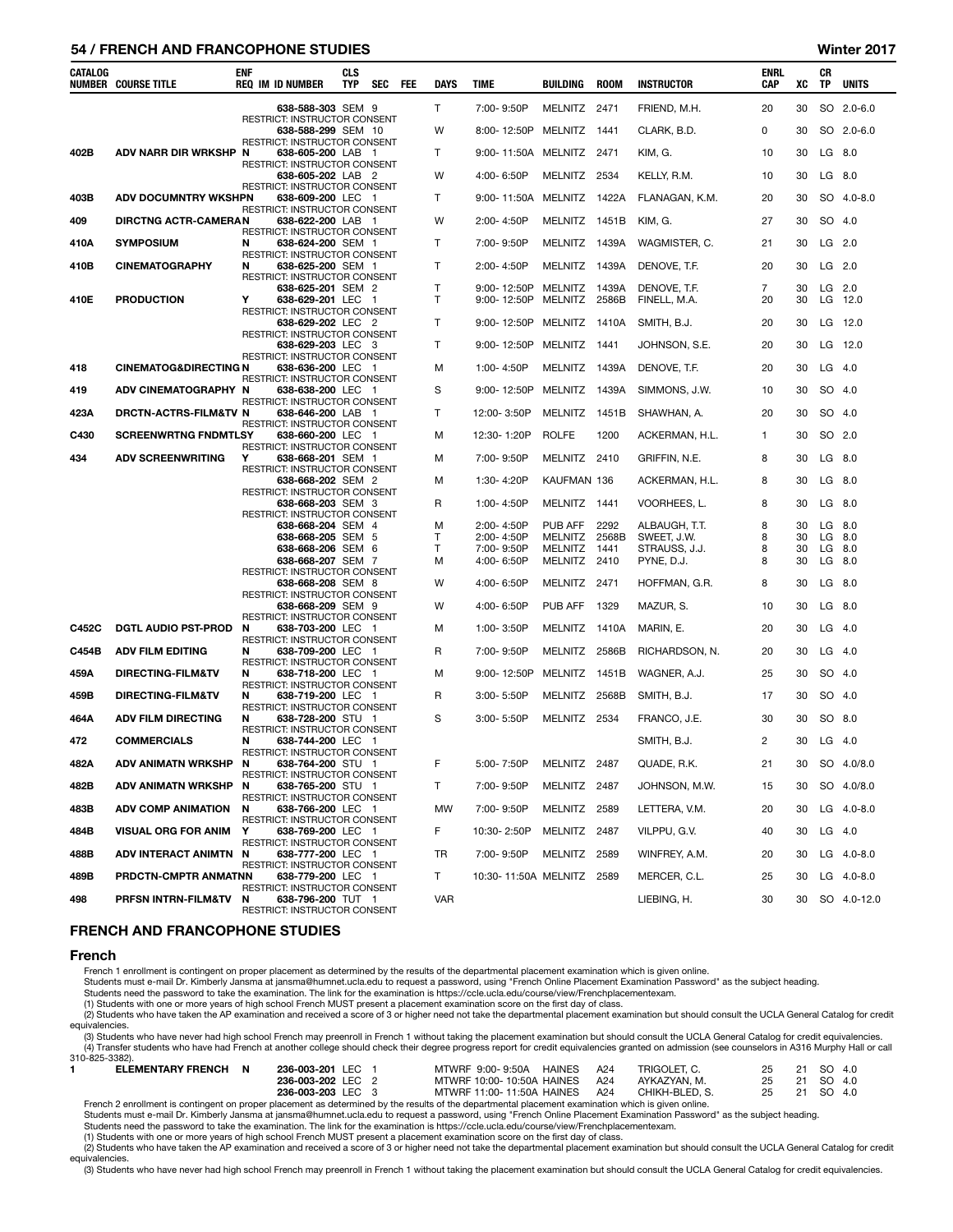## 54 / FRENCH AND FRANCOPHONE STUDIES Winter 2017

| CATALOG | <b>NUMBER COURSE TITLE</b>       | <b>ENF</b> | <b>REQ IM ID NUMBER</b>                                                           | <b>CLS</b><br><b>TYP</b> | <b>SEC</b> | FEE | <b>DAYS</b>                  | TIME                       | BUILDING           | <b>ROOM</b>    | <b>INSTRUCTOR</b>            | <b>ENRL</b><br>CAP   | XC       | СR<br>TP       | <b>UNITS</b>   |
|---------|----------------------------------|------------|-----------------------------------------------------------------------------------|--------------------------|------------|-----|------------------------------|----------------------------|--------------------|----------------|------------------------------|----------------------|----------|----------------|----------------|
|         |                                  |            | 638-588-303 SEM 9                                                                 |                          |            |     | T                            | 7:00-9:50P                 | MELNITZ            | 2471           | FRIEND, M.H.                 | 20                   | 30       |                | SO 2.0-6.0     |
|         |                                  |            | RESTRICT: INSTRUCTOR CONSENT<br>638-588-299 SEM 10                                |                          |            |     | W                            | 8:00-12:50P                | MELNITZ            | 1441           | CLARK, B.D.                  | 0                    | 30       |                | SO 2.0-6.0     |
| 402B    | ADV NARR DIR WRKSHP N            |            | RESTRICT: INSTRUCTOR CONSENT<br>638-605-200 LAB 1                                 |                          |            |     | Т                            | 9:00-11:50A MELNITZ        |                    | 2471           | KIM, G.                      | 10                   | 30       | LG 8.0         |                |
|         |                                  |            | RESTRICT: INSTRUCTOR CONSENT<br>638-605-202 LAB 2                                 |                          |            |     | W                            | 4:00-6:50P                 | MELNITZ            | 2534           | KELLY, R.M.                  | 10                   | 30       | LG             | 8.0            |
| 403B    | <b>ADV DOCUMNTRY WKSHPN</b>      |            | RESTRICT: INSTRUCTOR CONSENT<br>638-609-200 LEC 1                                 |                          |            |     | Т                            | 9:00-11:50A MELNITZ 1422A  |                    |                | FLANAGAN, K.M.               | 20                   | 30       |                | SO 4.0-8.0     |
| 409     | <b>DIRCTNG ACTR-CAMERAN</b>      |            | RESTRICT: INSTRUCTOR CONSENT<br>638-622-200 LAB 1                                 |                          |            |     | W                            | 2:00-4:50P                 | MELNITZ 1451B      |                | KIM, G.                      | 27                   | 30       | SO 4.0         |                |
| 410A    | <b>SYMPOSIUM</b>                 | N          | RESTRICT: INSTRUCTOR CONSENT<br>638-624-200 SEM 1                                 |                          |            |     | Т                            | 7:00-9:50P                 | MELNITZ            | 1439A          | WAGMISTER, C.                | 21                   | 30       | LG             | 2.0            |
| 410B    | <b>CINEMATOGRAPHY</b>            | N          | RESTRICT: INSTRUCTOR CONSENT<br>638-625-200 SEM 1                                 |                          |            |     | T                            | 2:00-4:50P                 | MELNITZ 1439A      |                | DENOVE, T.F.                 | 20                   | 30       | $LG$ 2.0       |                |
| 410E    | <b>PRODUCTION</b>                | Υ          | RESTRICT: INSTRUCTOR CONSENT<br>638-625-201 SEM 2<br>638-629-201 LEC 1            |                          |            |     | $\mathsf{T}$<br>$\mathsf{T}$ | 9:00-12:50P<br>9:00-12:50P | MELNITZ<br>MELNITZ | 1439A<br>2586B | DENOVE, T.F.<br>FINELL, M.A. | $\overline{7}$<br>20 | 30<br>30 | $LG$ 2.0<br>LG | 12.0           |
|         |                                  |            | RESTRICT: INSTRUCTOR CONSENT<br>638-629-202 LEC 2                                 |                          |            |     | Т                            | 9:00-12:50P MELNITZ 1410A  |                    |                | SMITH, B.J.                  | 20                   | 30       |                | LG 12.0        |
|         |                                  |            | RESTRICT: INSTRUCTOR CONSENT<br>638-629-203 LEC 3                                 |                          |            |     | T                            | 9:00-12:50P                | MELNITZ            | 1441           | JOHNSON, S.E.                | 20                   | 30       | LG             | 12.0           |
| 418     | <b>CINEMATOG&amp;DIRECTING N</b> |            | RESTRICT: INSTRUCTOR CONSENT<br>638-636-200 LEC 1<br>RESTRICT: INSTRUCTOR CONSENT |                          |            |     | м                            | 1:00-4:50P                 | MELNITZ 1439A      |                | DENOVE, T.F.                 | 20                   | 30       | LG             | 4.0            |
| 419     | ADV CINEMATOGRAPHY N             |            | 638-638-200 LEC 1<br>RESTRICT: INSTRUCTOR CONSENT                                 |                          |            |     | S                            | 9:00-12:50P                | MELNITZ            | 1439A          | SIMMONS, J.W.                | 10                   | 30       | SO 4.0         |                |
| 423A    | DRCTN-ACTRS-FILM&TV N            |            | 638-646-200 LAB 1<br>RESTRICT: INSTRUCTOR CONSENT                                 |                          |            |     | T                            | 12:00-3:50P                | MELNITZ 1451B      |                | SHAWHAN, A.                  | 20                   | 30       | SO 4.0         |                |
| C430    | <b>SCREENWRTNG FNDMTLSY</b>      |            | 638-660-200 LEC 1<br>RESTRICT: INSTRUCTOR CONSENT                                 |                          |            |     | М                            | 12:30-1:20P                | <b>ROLFE</b>       | 1200           | ACKERMAN, H.L.               | $\mathbf 1$          | 30       | SO 2.0         |                |
| 434     | <b>ADV SCREENWRITING</b>         | Y          | 638-668-201 SEM 1<br><b>RESTRICT: INSTRUCTOR CONSENT</b>                          |                          |            |     | м                            | 7:00-9:50P                 | MELNITZ            | 2410           | GRIFFIN, N.E.                | 8                    | 30       | LG             | 8.0            |
|         |                                  |            | 638-668-202 SEM 2<br>RESTRICT: INSTRUCTOR CONSENT                                 |                          |            |     | М                            | 1:30-4:20P                 | KAUFMAN 136        |                | ACKERMAN, H.L.               | 8                    | 30       | LG             | 8.0            |
|         |                                  |            | 638-668-203 SEM 3<br>RESTRICT: INSTRUCTOR CONSENT                                 |                          |            |     | R                            | 1:00-4:50P                 | <b>MELNITZ</b>     | 1441           | VOORHEES, L.                 | 8                    | 30       | LG             | 8.0            |
|         |                                  |            | 638-668-204 SEM 4<br>638-668-205 SEM 5                                            |                          |            |     | м<br>Т                       | 2:00-4:50P<br>2:00-4:50P   | PUB AFF<br>MELNITZ | 2292<br>2568B  | ALBAUGH, T.T.<br>SWEET, J.W. | 8<br>8               | 30<br>30 | LG<br>LG       | 8.0<br>8.0     |
|         |                                  |            | 638-668-206 SEM 6<br>638-668-207 SEM 7                                            |                          |            |     | т<br>м                       | 7:00-9:50P<br>4:00-6:50P   | MELNITZ<br>MELNITZ | 1441<br>2410   | STRAUSS, J.J.<br>PYNE, D.J.  | 8<br>8               | 30<br>30 | LG<br>LG       | - 8.0<br>8.0   |
|         |                                  |            | RESTRICT: INSTRUCTOR CONSENT<br>638-668-208 SEM 8                                 |                          |            |     | W                            | 4:00-6:50P                 | MELNITZ            | 2471           | HOFFMAN, G.R.                | 8                    | 30       | LG             | 8.0            |
|         |                                  |            | RESTRICT: INSTRUCTOR CONSENT<br>638-668-209 SEM 9                                 |                          |            |     | W                            | 4:00-6:50P                 | PUB AFF            | 1329           | MAZUR, S.                    | 10                   | 30       | LG             | 8.0            |
| C452C   | <b>DGTL AUDIO PST-PROD</b>       | N          | RESTRICT: INSTRUCTOR CONSENT<br>638-703-200 LEC 1                                 |                          |            |     | м                            | 1:00-3:50P                 | MELNITZ            | 1410A          |                              | 20                   | 30       | LG             | -4.0           |
| C454B   | <b>ADV FILM EDITING</b>          | N          | RESTRICT: INSTRUCTOR CONSENT<br>638-709-200 LEC 1                                 |                          |            |     | R                            | 7:00-9:50P                 | MELNITZ 2586B      |                | MARIN, E.<br>RICHARDSON, N.  | 20                   | 30       | LG             | 4.0            |
|         |                                  |            | RESTRICT: INSTRUCTOR CONSENT                                                      |                          |            |     |                              |                            |                    |                |                              |                      |          |                |                |
| 459A    | DIRECTING-FILM&TV                | N          | 638-718-200 LEC 1<br>RESTRICT: INSTRUCTOR CONSENT                                 |                          |            |     | м                            | 9:00-12:50P                | MELNITZ 1451B      |                | WAGNER, A.J.                 | 25                   | 30       | SO 4.0         |                |
| 459B    | DIRECTING-FILM&TV                | N          | 638-719-200 LEC 1<br>RESTRICT: INSTRUCTOR CONSENT                                 |                          |            |     | R                            | $3:00 - 5:50P$             | MELNITZ 2568B      |                | SMITH, B.J.                  | 17                   | 30       | SO 4.0         |                |
| 464A    | <b>ADV FILM DIRECTING</b>        | N          | 638-728-200 STU 1<br>RESTRICT: INSTRUCTOR CONSENT                                 |                          |            |     | S                            | 3:00-5:50P                 | MELNITZ            | 2534           | FRANCO, J.E.                 | 30                   | 30       | SO 8.0         |                |
| 472     | <b>COMMERCIALS</b>               | N          | 638-744-200 LEC 1<br>RESTRICT: INSTRUCTOR CONSENT                                 |                          |            |     |                              |                            |                    |                | SMITH, B.J.                  | 2                    | 30       | $LG$ 4.0       |                |
| 482A    | ADV ANIMATN WRKSHP N             |            | 638-764-200 STU 1<br>RESTRICT: INSTRUCTOR CONSENT                                 |                          |            |     | F                            | 5:00-7:50P                 | MELNITZ 2487       |                | QUADE, R.K.                  | 21                   | 30       |                | SO 4.0/8.0     |
| 482B    | <b>ADV ANIMATN WRKSHP</b>        | N          | 638-765-200 STU 1<br>RESTRICT: INSTRUCTOR CONSENT                                 |                          |            |     | т                            | 7:00-9:50P                 | MELNITZ 2487       |                | JOHNSON, M.W.                | 15                   | 30       |                | SO 4.0/8.0     |
| 483B    | <b>ADV COMP ANIMATION</b>        | N          | 638-766-200 LEC 1<br>RESTRICT: INSTRUCTOR CONSENT                                 |                          |            |     | MW                           | 7:00-9:50P                 | MELNITZ 2589       |                | LETTERA, V.M.                | 20                   | 30       |                | LG $4.0 - 8.0$ |
| 484B    | <b>VISUAL ORG FOR ANIM</b>       | Y          | 638-769-200 LEC 1<br>RESTRICT: INSTRUCTOR CONSENT                                 |                          |            |     | F                            | 10:30-2:50P                | MELNITZ 2487       |                | VILPPU, G.V.                 | 40                   | 30       | $LG$ 4.0       |                |
| 488B    | ADV INTERACT ANIMTN N            |            | 638-777-200 LEC 1<br>RESTRICT: INSTRUCTOR CONSENT                                 |                          |            |     | TR                           | 7:00-9:50P                 | MELNITZ 2589       |                | WINFREY, A.M.                | 20                   | 30       |                | LG $4.0 - 8.0$ |
| 489B    | PRDCTN-CMPTR ANMATNN             |            | 638-779-200 LEC 1<br>RESTRICT: INSTRUCTOR CONSENT                                 |                          |            |     | Τ                            | 10:30-11:50A MELNITZ 2589  |                    |                | MERCER, C.L.                 | 25                   | 30       |                | LG $4.0 - 8.0$ |
| 498     | PRFSN INTRN-FILM&TV N            |            | 638-796-200 TUT 1<br>RESTRICT: INSTRUCTOR CONSENT                                 |                          |            |     | <b>VAR</b>                   |                            |                    |                | LIEBING, H.                  | 30                   | 30       |                | SO 4.0-12.0    |

## FRENCH AND FRANCOPHONE STUDIES

### French

French 1 enrollment is contingent on proper placement as determined by the results of the departmental placement examination which is given online.

Students must e-mail Dr. Kimberly Jansma at jansma@humnet.ucla.edu to request a password, using "French Online Placement Examination Password" as the subject heading.

Students need the password to take the examination. The link for the examination is https://ccle.ucla.edu/course/view/Frenchplacementexam.<br>(1) Students with one or more years of high school French MUST present a placement

(2) Students who have taken the AP examination and received a score of 3 or higher need not take the departmental placement examination but should consult the UCLA General Catalog for credit equivalencies.

(3) Students who have never had high school French may preenroll in French 1 without taking the placement examination but should consult the UCLA General Catalog for credit equivalencies. (4) Transfer students who have had French at another college should check their degree progress report for credit equivalencies granted on admission (see counselors in A316 Murphy Hall or call 310-825-3382).

| <b>ELEMENTARY FRENCH</b>                                                                                                                           | 236-003-201 LEC 1 |  | MTWRF 9:00-9:50A          | <b>HAINES</b> | A24 | TRIGOLET. C.   | 21 | SO 4.0 |  |
|----------------------------------------------------------------------------------------------------------------------------------------------------|-------------------|--|---------------------------|---------------|-----|----------------|----|--------|--|
|                                                                                                                                                    | 236-003-202 LEC 2 |  | MTWRF 10:00-10:50A HAINES |               | A24 | AYKAZYAN. M.   | 21 | SO 4.0 |  |
|                                                                                                                                                    | 236-003-203 LEC 3 |  | MTWRF 11:00-11:50A HAINES |               | A24 | CHIKH-BLED. S. | 21 | SO 4.0 |  |
| French 2 enrollment is contingent on proper placement as determined by the results of the departmental placement examination which is given online |                   |  |                           |               |     |                |    |        |  |

French 2 enrollment is contingent on proper placement as determined by the results of the departmental placement examination which is given online.<br>Students must e-mail Dr. Kimberly Jansma @hammeramet.ucla.edu to request a

(1) Students with one or more years of high school French MUST present a placement examination score on the first day of class.

(2) Students who have taken the AP examination and received a score of 3 or higher need not take the departmental placement examination but should consult the UCLA General Catalog for credit equivalencies.

(3) Students who have never had high school French may preenroll in French 1 without taking the placement examination but should consult the UCLA General Catalog for credit equivalencies.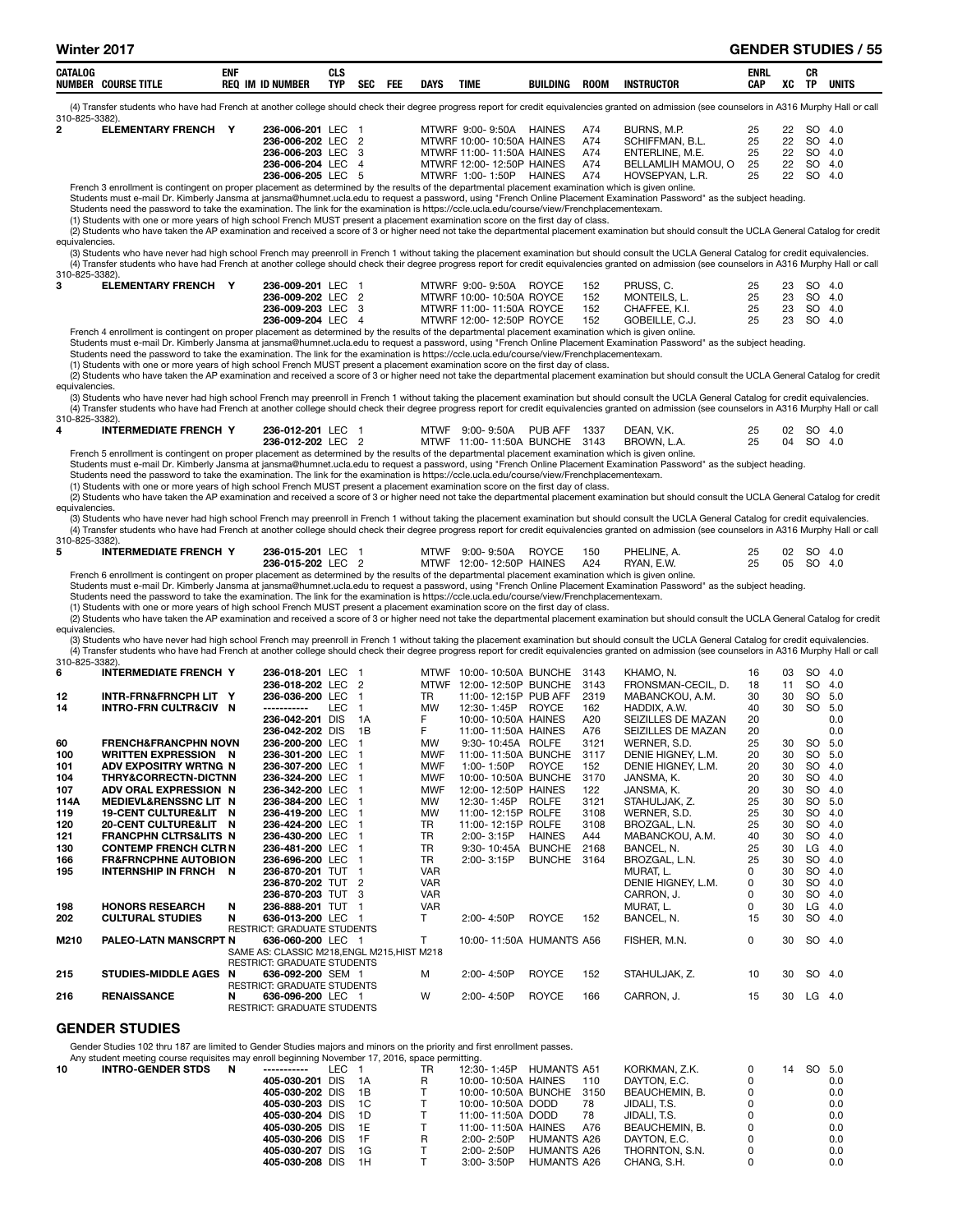|  | <b>CATALOG</b><br><b>CAU</b><br>см<br>ula<br>TYP.<br><b>NUMBE</b><br>IN<br><b>COURSE TITLE</b><br><b>REC</b><br><b>ID NUMBER</b> | <b>DAYS</b><br><b>SEC</b><br>FEI | TIME<br>BUILDING<br>ROON | <b>ENRL</b><br>CAP<br>INSTRUCTOR | <b>VC</b><br>w | cв<br>vn<br>UNITS<br><b>TP</b> |  |
|--|----------------------------------------------------------------------------------------------------------------------------------|----------------------------------|--------------------------|----------------------------------|----------------|--------------------------------|--|
|--|----------------------------------------------------------------------------------------------------------------------------------|----------------------------------|--------------------------|----------------------------------|----------------|--------------------------------|--|

(4) Transfer students who have had French at another college should check their degree progress report for credit equivalencies granted on admission (see counselors in A316 Murphy Hall or call 310-825-3382).<br>2 ELEMENTARY FRENCH Y

| 310-825-3382). |                          |                   |                             |               |     |                 |    |           |      |
|----------------|--------------------------|-------------------|-----------------------------|---------------|-----|-----------------|----|-----------|------|
|                | <b>ELEMENTARY FRENCH</b> | 236-006-201 LEC   | MTWRF 9:00-9:50A            | <b>HAINES</b> | A74 | BURNS, M.P.     | 22 | -SO       | -4.0 |
|                |                          | 236-006-202 LEC 2 | MTWRF 10:00-10:50A HAINES   |               | A74 | SCHIFFMAN, B.L. | 22 | SO 4.0    |      |
|                |                          | 236-006-203 LEC 3 | MTWRF $11:00-11:50A$ HAINES |               | A74 | FNTFRI INF MF   | 22 | <b>SO</b> | 40   |

| 236-006-202 LEC 2                                                                                                                                   | MTWRF 10:00-10:50A HAINES |               | - A74 | SCHIFFMAN, B.L.    |     | 22 | - SO 4.0  |  |
|-----------------------------------------------------------------------------------------------------------------------------------------------------|---------------------------|---------------|-------|--------------------|-----|----|-----------|--|
| 236-006-203 LEC 3                                                                                                                                   | MTWRF 11:00-11:50A HAINES |               | A74   | ENTERLINE, M.E.    |     |    | 22 SO 4.0 |  |
| 236-006-204 LEC 4                                                                                                                                   | MTWRF 12:00-12:50P HAINES |               | A74   | BELLAMLIH MAMOU. O | -25 |    | 22 SO 4.0 |  |
| 236-006-205 LEC 5                                                                                                                                   | MTWRF 1:00-1:50P          | <b>HAINES</b> | A74   | HOVSEPYAN, L.R.    |     |    | 22 SO 4.0 |  |
| French 3 enrollment is contingent on proper placement as determined by the results of the departmental placement examination which is given online. |                           |               |       |                    |     |    |           |  |

French 3 enrollment is contingent on proper placement as determined by the results of th Students must e-mail Dr. Kimberly Jansma at jansma@humnet.ucla.edu to request a password, using "French Online Placement Examination Password" as the subject heading.

Students need the password to take the examination. The link for the examination is https://ccle.ucla.edu/course/view/Frenchplacementexam.

(1) Students with one or more years of high school French MUST present a placement examination score on the first day of class.

(2) Students who have taken the AP examination and received a score of 3 or higher need not take the departmental placement examination but should consult the UCLA General Catalog for credit equivalencies.

(3) Students who have never had high school French may preenroll in French 1 without taking the placement examination but should consult the UCLA General Catalog for credit equivalencies.<br>(4) Transfer students who have had 310-825-3382).<br>3 ELEM

| U I UTULUTUUULI. |                          |                   |  |                           |       |     |                |              |           |  |
|------------------|--------------------------|-------------------|--|---------------------------|-------|-----|----------------|--------------|-----------|--|
|                  | <b>ELEMENTARY FRENCH</b> | 236-009-201 LEC 1 |  | MTWRF 9:00-9:50A          | ROYCE | 152 | PRUSS, C.      | 25           | 23 SO 4.0 |  |
|                  |                          | 236-009-202 LEC 2 |  | MTWRF 10:00- 10:50A ROYCE |       | 152 | MONTEILS. L.   | 25 23 SO 4.0 |           |  |
|                  |                          | 236-009-203 LEC 3 |  | MTWRF 11:00-11:50A ROYCE  |       | 152 | CHAFFEE, K.I.  | 25           | 23 SO 4.0 |  |
|                  |                          | 236-009-204 LEC 4 |  | MTWRF 12:00-12:50P ROYCE  |       | 152 | GOBEILLE. C.J. | 25           | 23 SO 4.0 |  |
|                  |                          |                   |  |                           |       |     |                |              |           |  |

French 4 enrollment is contingent on proper placement as determined by the results of the departmental placement examination which is given online. Students must e-mail Dr. Kimberly Jansma at jansma@humnet.ucla.edu to request a password, using "French Online Placement Examination Password" as the subject heading.

Students need the password to take the examination. The link for the examination is https://ccle.ucla.edu/course/view/Frenchplacementexam.

(1) Students with one or more years of high school French MUST present a placement examination score on the first day of class.

(2) Students who have taken the AP examination and received a score of 3 or higher need not take the departmental placement examination but should consult the UCLA General Catalog for credit equivalencies.

(3) Students who have never had high school French may preenroll in French 1 without taking the placement examination but should consult the UCLA General Catalog for credit equivalencies (4) Transfer students who have had French at another college should check their degree progress report for credit equivalencies granted on admission (see counselors in A316 Murphy Hall or call  $310.85.3382$ 

| <b>INTERMEDIATE FRENCH Y</b>                                                                                                                       | 236-012-201 LEC 1 |  | MTWF 9:00-9:50A PUB AFF 1337  |  | DEAN, V.K.  | 02 SO 4.0 |  |
|----------------------------------------------------------------------------------------------------------------------------------------------------|-------------------|--|-------------------------------|--|-------------|-----------|--|
|                                                                                                                                                    | 236-012-202 LEC 2 |  | MTWF 11:00-11:50A BUNCHE 3143 |  | BROWN, L.A. | 04 SO 4.0 |  |
| Erench 5 enrollment is contingent on proper placement as determined by the results of the departmental placement examination which is given online |                   |  |                               |  |             |           |  |

French 5 enrollment is contingent on proper placement as determined by the results of the departmental placement examination which is given online.<br>Students must e-mail Dr. Kimberly Jansma at jansma@humnet.ucla.edu to requ

Students need the password to take the examination. The link for the examination is https://ccle.ucla.edu/course/view/Frenchplacementexam.

(1) Students with one or more years of high school French MUST present a placement examination score on the first day of class.

(2) Students who have taken the AP examination and received a score of 3 or higher need not take the departmental placement examination but should consult the UCLA General Catalog for credit equivalencies.

(3) Students who have never had high school French may preenroll in French 1 without taking the placement examination but should consult the UCLA General Catalog for credit equivalencies. (4) Transfer students who have had French at another college should check their degree progress report for credit equivalencies granted on admission (see counselors in A316 Murphy Hall or call (4) Transfer students who hav

|   | 310-825-3382).               |                   |  |                              |     |             |    |           |  |
|---|------------------------------|-------------------|--|------------------------------|-----|-------------|----|-----------|--|
|   |                              |                   |  |                              |     |             |    |           |  |
| 5 | <b>INTERMEDIATE FRENCH Y</b> | 236-015-201 LEC 1 |  | MTWF 9:00-9:50A ROYCE        | 150 | PHELINE, A. |    | 02 SO 4.0 |  |
|   |                              | 236-015-202 LEC 2 |  | MTWF 12:00-12:50P HAINES A24 |     | RYAN, E.W.  | 25 | 05 SO 4.0 |  |
|   |                              |                   |  |                              |     |             |    |           |  |

French 6 enrollment is contingent on proper placement as determined by the results of the departmental placement examination which is given online.

Students must e-mail Dr. Kimberly Jansma at jansma@humnet.ucla.edu to request a password, using "French Online Placement Examination Password" as the subject heading.<br>Students need the password to take the examination. The

(1) Students with one or more years of high school French MUST present a placement examination score on the first day of class.

(2) Students who have taken the AP examination and received a score of 3 or higher need not take the departmental placement examination but should consult the UCLA General Catalog for credit equivalencies.

(3) Students who have never had high school French may preenroll in French 1 without taking the placement examination but should consult the UCLA General Catalog for credit equivalencies. (4) Transfer students who have had French at another college should check their degree progress report for credit equivalencies granted on admission (see counselors in A316 Murphy Hall or call 310-825-3382).

| 6    | <b>INTERMEDIATE FRENCH Y</b>     | 236-018-201 LEC                             |     | <b>MTWF</b> | 10:00-10:50A BUNCHE      |               | 3143 | KHAMO, N.          | 16           | 03 | SO 4.0    |     |
|------|----------------------------------|---------------------------------------------|-----|-------------|--------------------------|---------------|------|--------------------|--------------|----|-----------|-----|
|      |                                  | 236-018-202 LEC 2                           |     | <b>MTWF</b> | 12:00-12:50P BUNCHE      |               | 3143 | FRONSMAN-CECIL, D. | 18           | 11 | SO.       | 4.0 |
| 12   | INTR-FRN&FRNCPH LIT Y            | 236-036-200 LEC                             |     | <b>TR</b>   | 11:00-12:15P PUB AFF     |               | 2319 | MABANCKOU, A.M.    | 30           | 30 | SO        | 5.0 |
| 14   | <b>INTRO-FRN CULTR&amp;CIV N</b> | <b>LEC</b><br>-----------                   | -1  | <b>MW</b>   | 12:30-1:45P              | <b>ROYCE</b>  | 162  | HADDIX, A.W.       | 40           | 30 | SO.       | 5.0 |
|      |                                  | 236-042-201 DIS                             | 1A  | F.          | 10:00-10:50A HAINES      |               | A20  | SEIZILLES DE MAZAN | 20           |    |           | 0.0 |
|      |                                  | 236-042-202 DIS                             | 1B  | F           | 11:00-11:50A HAINES      |               | A76  | SEIZILLES DE MAZAN | 20           |    |           | 0.0 |
| 60   | <b>FRENCH&amp;FRANCPHN NOVN</b>  | 236-200-200 LEC                             |     | <b>MW</b>   | 9:30-10:45A ROLFE        |               | 3121 | WERNER, S.D.       | 25           | 30 | SO 5.0    |     |
| 100  | <b>WRITTEN EXPRESSION N</b>      | 236-301-200 LEC                             |     | <b>MWF</b>  | 11:00-11:50A BUNCHE      |               | 3117 | DENIE HIGNEY, L.M. | 20           | 30 | SO 5.0    |     |
| 101  | ADV EXPOSITRY WRTNG N            | 236-307-200 LEC                             |     | <b>MWF</b>  | 1:00-1:50P               | <b>ROYCE</b>  | 152  | DENIE HIGNEY, L.M. | 20           | 30 | SO        | 4.0 |
| 104  | <b>THRY&amp;CORRECTN-DICTNN</b>  | 236-324-200 LEC                             | - 1 | <b>MWF</b>  | 10:00-10:50A BUNCHE      |               | 3170 | JANSMA, K.         | 20           | 30 | SO        | 4.0 |
| 107  | ADV ORAL EXPRESSION N            | 236-342-200 LEC                             |     | <b>MWF</b>  | 12:00-12:50P HAINES      |               | 122  | JANSMA, K.         | 20           | 30 | SO.       | 4.0 |
| 114A | <b>MEDIEVL&amp;RENSSNC LIT N</b> | 236-384-200 LEC                             | - 1 | <b>MW</b>   | 12:30-1:45P              | <b>ROLFE</b>  | 3121 | STAHULJAK, Z.      | 25           | 30 | SO 5.0    |     |
| 119  | <b>19-CENT CULTURE&amp;LIT N</b> | 236-419-200 LEC                             | - 1 | <b>MW</b>   | 11:00-12:15P ROLFE       |               | 3108 | WERNER, S.D.       | 25           | 30 | SO        | 4.0 |
| 120  | <b>20-CENT CULTURE&amp;LIT</b>   | 236-424-200 LEC<br>- N                      | - 1 | TR.         | 11:00-12:15P ROLFE       |               | 3108 | BROZGAL, L.N.      | 25           | 30 | SO.       | 4.0 |
| 121  | <b>FRANCPHN CLTRS&amp;LITS N</b> | 236-430-200 LEC                             | - 1 | <b>TR</b>   | 2:00-3:15P               | <b>HAINES</b> | A44  | MABANCKOU, A.M.    | 40           | 30 | SO.       | 4.0 |
| 130  | <b>CONTEMP FRENCH CLTR N</b>     | 236-481-200 LEC 1                           |     | <b>TR</b>   | 9:30-10:45A BUNCHE       |               | 2168 | BANCEL. N.         | 25           | 30 | LG        | 4.0 |
| 166  | <b>FR&amp;FRNCPHNE AUTOBION</b>  | 236-696-200 LEC                             | - 1 | TR.         | 2:00-3:15P               | <b>BUNCHE</b> | 3164 | BROZGAL, L.N.      | 25           | 30 | <b>SO</b> | 4.0 |
| 195  | <b>INTERNSHIP IN FRNCH N</b>     | 236-870-201 TUT                             | - 1 | <b>VAR</b>  |                          |               |      | MURAT, L.          | <sup>0</sup> | 30 | SO.       | 4.0 |
|      |                                  | 236-870-202 TUT 2                           |     | <b>VAR</b>  |                          |               |      | DENIE HIGNEY, L.M. | 0            | 30 | <b>SO</b> | 4.0 |
|      |                                  | 236-870-203 TUT 3                           |     | <b>VAR</b>  |                          |               |      | CARRON, J.         | U            | 30 | <b>SO</b> | 4.0 |
| 198  | <b>HONORS RESEARCH</b>           | N<br>236-888-201 TUT                        | - 1 | <b>VAR</b>  |                          |               |      | MURAT. L.          | <sup>0</sup> | 30 | LG        | 4.0 |
| 202  | <b>CULTURAL STUDIES</b>          | 636-013-200 LEC<br>N                        |     | т           | 2:00-4:50P               | <b>ROYCE</b>  | 152  | BANCEL, N.         | 15           | 30 | SO.       | 4.0 |
|      |                                  | <b>RESTRICT: GRADUATE STUDENTS</b>          |     |             |                          |               |      |                    |              |    |           |     |
| M210 | <b>PALEO-LATN MANSCRPT N</b>     | 636-060-200 LEC 1                           |     | т           | 10:00-11:50A HUMANTS A56 |               |      | FISHER, M.N.       | $\Omega$     | 30 | SO 4.0    |     |
|      |                                  | SAME AS: CLASSIC M218, ENGL M215, HIST M218 |     |             |                          |               |      |                    |              |    |           |     |
|      |                                  | <b>RESTRICT: GRADUATE STUDENTS</b>          |     |             |                          |               |      |                    |              |    |           |     |
| 215  | STUDIES-MIDDLE AGES N            | 636-092-200 SEM 1                           |     | м           | 2:00-4:50P               | <b>ROYCE</b>  | 152  | STAHULJAK, Z.      | 10           | 30 | SO 4.0    |     |
|      |                                  | <b>RESTRICT: GRADUATE STUDENTS</b>          |     |             |                          |               |      |                    |              |    |           |     |
| 216  | <b>RENAISSANCE</b>               | 636-096-200 LEC 1<br>N                      |     | W           | 2:00-4:50P               | <b>ROYCE</b>  | 166  | CARRON, J.         | 15           | 30 | LG.       | 4.0 |
|      |                                  | <b>RESTRICT: GRADUATE STUDENTS</b>          |     |             |                          |               |      |                    |              |    |           |     |

## GENDER STUDIES

Gender Studies 102 thru 187 are limited to Gender Studies majors and minors on the priority and first enrollment passes.

|    | Any student meeting course requisites may enroll beginning November 17, 2016, space permitting. |   |                    |       |      |    |                          |                    |     |                |    |        |     |
|----|-------------------------------------------------------------------------------------------------|---|--------------------|-------|------|----|--------------------------|--------------------|-----|----------------|----|--------|-----|
| 10 | <b>INTRO-GENDER STDS</b>                                                                        | N | -----------        | LEC 1 |      | TR | 12:30-1:45P              | <b>HUMANTS A51</b> |     | KORKMAN, Z.K.  | 14 | SO 5.0 |     |
|    |                                                                                                 |   | 405-030-201 DIS    |       | - 1A | R  | 10:00-10:50A HAINES      |                    | 110 | DAYTON, E.C.   |    |        | 0.0 |
|    |                                                                                                 |   | 405-030-202 DIS 1B |       |      |    | 10:00-10:50A BUNCHE 3150 |                    |     | BEAUCHEMIN, B. |    |        | 0.0 |
|    |                                                                                                 |   | 405-030-203 DIS 1C |       |      |    | 10:00-10:50A DODD        |                    | 78  | JIDALI. T.S.   |    |        | 0.0 |
|    |                                                                                                 |   | 405-030-204 DIS 1D |       |      |    | 11:00-11:50A DODD        |                    | 78  | JIDALI. T.S.   |    |        | 0.0 |
|    |                                                                                                 |   | 405-030-205 DIS 1E |       |      |    | 11:00-11:50A HAINES      |                    | A76 | BEAUCHEMIN, B. |    |        | 0.0 |
|    |                                                                                                 |   | 405-030-206 DIS 1F |       |      | R  | $2:00 - 2:50P$           | HUMANTS A26        |     | DAYTON, E.C.   |    |        | 0.0 |
|    |                                                                                                 |   | 405-030-207 DIS    |       | - 1G |    | $2:00 - 2:50P$           | HUMANTS A26        |     | THORNTON, S.N. |    |        | 0.0 |
|    |                                                                                                 |   | 405-030-208 DIS    |       | 1H   |    | $3:00 - 3:50P$           | HUMANTS A26        |     | CHANG, S.H.    |    |        | 0.0 |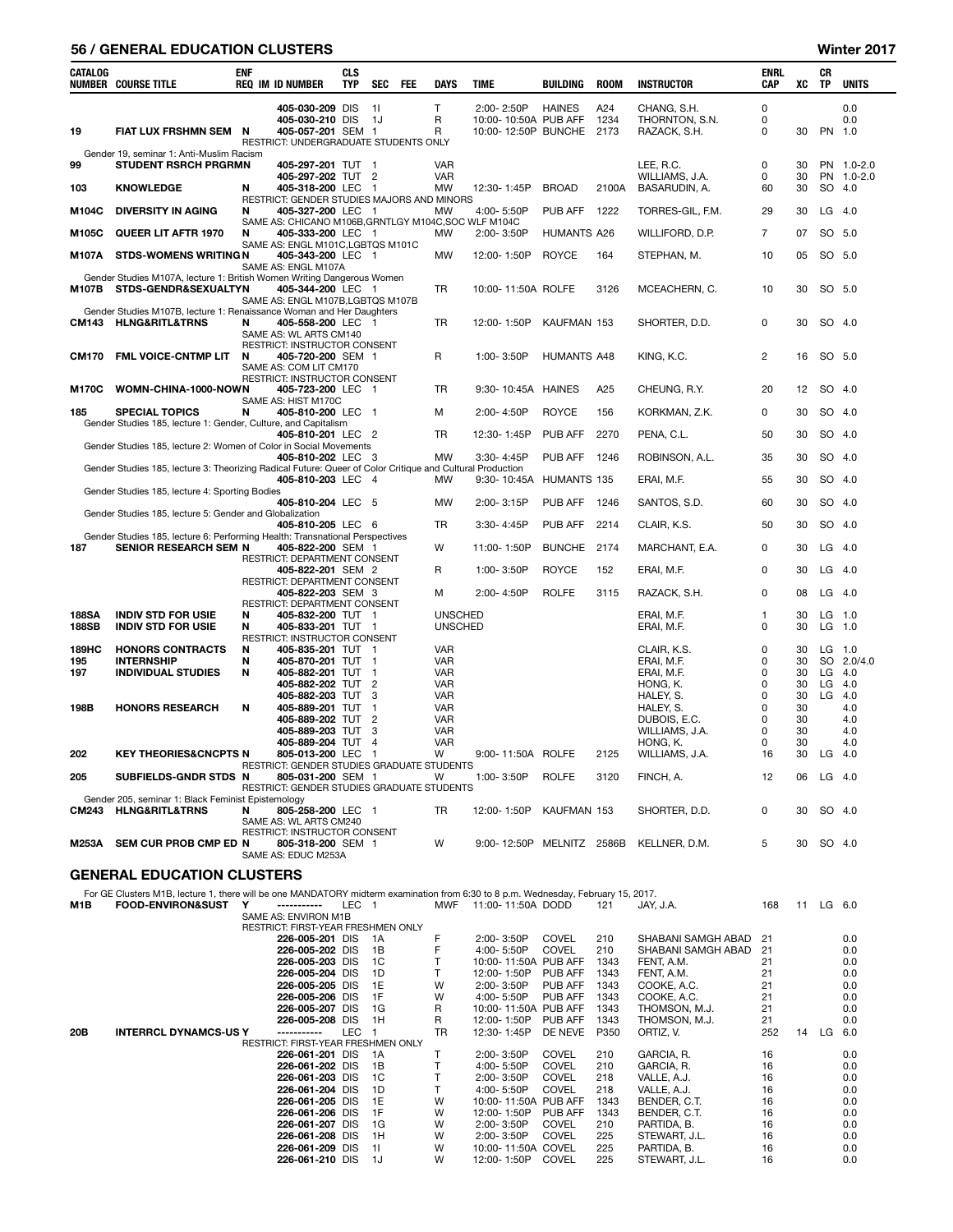# 56 / GENERAL EDUCATION CLUSTERS Winter 2017

| $\mathsf{T}$<br>405-030-209 DIS<br>11<br>2:00-2:50P<br><b>HAINES</b><br>A24<br>CHANG, S.H.<br>0<br>0.0<br>405-030-210 DIS<br>R<br>10:00-10:50A PUB AFF<br>1234<br>THORNTON, S.N.<br>0<br>0.0<br>- 1J<br>19<br>FIAT LUX FRSHMN SEM N<br>405-057-201 SEM 1<br>R<br>10:00-12:50P BUNCHE 2173<br>0<br>30<br>PN 1.0<br>RAZACK, S.H.<br>RESTRICT: UNDERGRADUATE STUDENTS ONLY<br>Gender 19, seminar 1: Anti-Muslim Racism<br>99<br><b>STUDENT RSRCH PRGRMN</b><br>405-297-201 TUT 1<br>VAR<br>LEE, R.C.<br>0<br>30<br>PN 1.0-2.0<br>405-297-202 TUT 2<br><b>VAR</b><br>WILLIAMS, J.A.<br>PN 1.0-2.0<br>0<br>30<br><b>KNOWLEDGE</b><br>405-318-200 LEC<br><b>MW</b><br>12:30-1:45P<br><b>BROAD</b><br>2100A<br>BASARUDIN, A.<br>60<br>30<br>SO 4.0<br>103<br>N<br>- 1<br>RESTRICT: GENDER STUDIES MAJORS AND MINORS<br><b>DIVERSITY IN AGING</b><br>PUB AFF<br>$LG$ 4.0<br>M104C<br>N<br>405-327-200 LEC 1<br>MW<br>4:00-5:50P<br>1222<br>TORRES-GIL, F.M.<br>29<br>30<br>SAME AS: CHICANO M106B, GRNTLGY M104C, SOC WLF M104C<br>QUEER LIT AFTR 1970<br>$\overline{7}$<br>07<br>SO 5.0<br>405-333-200 LEC 1<br>MW<br>2:00-3:50P<br><b>HUMANTS A26</b><br>WILLIFORD, D.P.<br>M105C<br>N<br>SAME AS: ENGL M101C, LGBTQS M101C<br><b>STDS-WOMENS WRITING N</b><br>405-343-200 LEC 1<br><b>MW</b><br><b>ROYCE</b><br>164<br>10<br>SO 5.0<br>M107A<br>12:00-1:50P<br>STEPHAN, M.<br>05<br>SAME AS: ENGL M107A<br>Gender Studies M107A, lecture 1: British Women Writing Dangerous Women<br>STDS-GENDR&SEXUALTYN<br>TR<br>3126<br>30<br>SO 5.0<br>M107B<br>405-344-200 LEC 1<br>10:00-11:50A ROLFE<br>MCEACHERN, C.<br>10<br>SAME AS: ENGL M107B, LGBTQS M107B<br>Gender Studies M107B, lecture 1: Renaissance Woman and Her Daughters<br><b>HLNG&amp;RITL&amp;TRNS</b><br>405-558-200 LEC 1<br>TR<br><b>CM143</b><br>N<br>12:00-1:50P<br>KAUFMAN 153<br>SHORTER, D.D.<br>0<br>30<br>SO 4.0<br>SAME AS: WL ARTS CM140<br>RESTRICT: INSTRUCTOR CONSENT<br>FML VOICE-CNTMP LIT<br>R<br>1:00-3:50P<br><b>HUMANTS A48</b><br>2<br>SO 5.0<br><b>CM170</b><br>N<br>405-720-200 SEM 1<br>KING, K.C.<br>16<br>SAME AS: COM LIT CM170<br>RESTRICT: INSTRUCTOR CONSENT<br>A25<br>12<br>SO 4.0<br>M170C<br>WOMN-CHINA-1000-NOWN<br>405-723-200 LEC 1<br>TR<br>9:30-10:45A<br>HAINES<br>CHEUNG, R.Y.<br>20<br>SAME AS: HIST M170C<br>2:00-4:50P<br><b>ROYCE</b><br>156<br>0<br>30<br>SO 4.0<br>185<br><b>SPECIAL TOPICS</b><br>N<br>405-810-200 LEC 1<br>М<br>KORKMAN, Z.K.<br>Gender Studies 185, lecture 1: Gender, Culture, and Capitalism<br><b>PUB AFF</b><br>2270<br>30<br>SO 4.0<br>405-810-201 LEC<br>TR<br>12:30-1:45P<br>PENA, C.L.<br>50<br>- 2<br>Gender Studies 185, lecture 2: Women of Color in Social Movements<br>3:30-4:45P<br>PUB AFF<br>30<br>SO 4.0<br>405-810-202 LEC 3<br>MW<br>1246<br>ROBINSON, A.L.<br>35<br>Gender Studies 185, lecture 3: Theorizing Radical Future: Queer of Color Critique and Cultural Production<br>405-810-203 LEC<br>30<br>SO 4.0<br>MW<br>9:30-10:45A<br>HUMANTS 135<br>ERAI, M.F.<br>55<br>- 4<br>Gender Studies 185, lecture 4: Sporting Bodies<br>405-810-204 LEC 5<br>PUB AFF<br>30<br>SO 4.0<br>MW<br>2:00-3:15P<br>1246<br>SANTOS, S.D.<br>60<br>Gender Studies 185, lecture 5: Gender and Globalization<br>PUB AFF<br>2214<br>SO 4.0<br>405-810-205 LEC 6<br>TR<br>$3:30 - 4:45P$<br>CLAIR, K.S.<br>50<br>30<br>Gender Studies 185, lecture 6: Performing Health: Transnational Perspectives<br><b>SENIOR RESEARCH SEM N</b><br>W<br><b>BUNCHE</b><br>2174<br>30<br>$LG$ 4.0<br>187<br>405-822-200 SEM 1<br>11:00-1:50P<br>MARCHANT, E.A.<br>0<br>RESTRICT: DEPARTMENT CONSENT<br>405-822-201 SEM 2<br><b>ROYCE</b><br>152<br>0<br>$LG$ 4.0<br>R<br>1:00-3:50P<br>ERAI, M.F.<br>30<br>RESTRICT: DEPARTMENT CONSENT<br><b>ROLFE</b><br>0<br>LG<br>405-822-203 SEM 3<br>2:00-4:50P<br>3115<br>RAZACK, S.H.<br>08<br>- 4.0<br>м<br>RESTRICT: DEPARTMENT CONSENT<br>188SA<br><b>INDIV STD FOR USIE</b><br>405-832-200 TUT 1<br><b>UNSCHED</b><br>LG<br>N<br>ERAI, M.F.<br>30<br>1.0<br>1<br><b>188SB</b><br><b>INDIV STD FOR USIE</b><br>N<br>405-833-201 TUT 1<br><b>UNSCHED</b><br>0<br>30<br>$LG$ 1.0<br>ERAI, M.F.<br>RESTRICT: INSTRUCTOR CONSENT<br>189HC<br><b>HONORS CONTRACTS</b><br>VAR<br>0<br>$LG$ 1.0<br>N<br>405-835-201 TUT 1<br>CLAIR, K.S.<br>30<br><b>INTERNSHIP</b><br>0<br>SO 2.0/4.0<br>195<br>N<br>405-870-201 TUT 1<br>VAR<br>ERAI, M.F.<br>30<br>0<br>30<br>$LG$ 4.0<br>197<br><b>INDIVIDUAL STUDIES</b><br>N<br>405-882-201 TUT<br>$\overline{1}$<br>VAR<br>ERAI, M.F.<br>405-882-202 TUT<br>VAR<br>0<br>LG<br>4.0<br>$\overline{c}$<br>HONG, K.<br>30<br>405-882-203 TUT<br>3<br>VAR<br>0<br>30<br>LG<br>4.0<br>HALEY, S.<br>405-889-201 TUT<br>VAR<br>0<br>30<br>4.0<br>198B<br><b>HONORS RESEARCH</b><br>N<br>$\mathbf{1}$<br>HALEY, S.<br>405-889-202 TUT<br>$\overline{2}$<br>VAR<br>0<br>30<br>4.0<br>DUBOIS, E.C.<br><b>VAR</b><br>0<br>30<br>405-889-203 TUT<br>3<br>WILLIAMS, J.A.<br>4.0<br>405-889-204 TUT<br>VAR<br>0<br>30<br>4.0<br>$\overline{4}$<br>HONG, K.<br><b>KEY THEORIES&amp;CNCPTS N</b><br>805-013-200 LEC<br>W<br>2125<br>16<br>30<br>LG<br>202<br>$\overline{\mathbf{1}}$<br>9:00-11:50A ROLFE<br>WILLIAMS, J.A.<br>- 4.0<br>RESTRICT: GENDER STUDIES GRADUATE STUDENTS<br>205<br><b>ROLFE</b><br>SUBFIELDS-GNDR STDS N<br>805-031-200 SEM 1<br>W<br>1:00-3:50P<br>3120<br>FINCH, A.<br>12<br>$LG$ 4.0<br>06<br>RESTRICT: GENDER STUDIES GRADUATE STUDENTS<br>Gender 205, seminar 1: Black Feminist Epistemology<br>CM243 HLNG&RITL&TRNS<br>KAUFMAN 153<br>SO 4.0<br>805-258-200 LEC 1<br>TR<br>12:00-1:50P<br>SHORTER, D.D.<br>0<br>30<br>N<br>SAME AS: WL ARTS CM240<br><b>RESTRICT: INSTRUCTOR CONSENT</b><br>W<br>5<br>SO 4.0<br>M253A<br>SEM CUR PROB CMP ED N<br>805-318-200 SEM 1<br>$9:00 - 12:50P$<br>MELNITZ 2586B<br>KELLNER, D.M.<br>30<br>SAME AS: EDUC M253A<br><b>GENERAL EDUCATION CLUSTERS</b><br>For GE Clusters M1B, lecture 1, there will be one MANDATORY midterm examination from 6:30 to 8 p.m. Wednesday, February 15, 2017.<br><b>FOOD-ENVIRON&amp;SUST</b><br>MWF<br>11:00-11:50A DODD<br>M1B<br>Y<br>-----------<br>LEC 1<br>168<br>11 LG 6.0<br>121<br>JAY, J.A.<br>SAME AS: ENVIRON M1B<br>RESTRICT: FIRST-YEAR FRESHMEN ONLY<br>F<br><b>COVEL</b><br>210<br>0.0<br>226-005-201 DIS<br>1A<br>2:00-3:50P<br>SHABANI SAMGH ABAD<br>21<br>F<br><b>COVEL</b><br>SHABANI SAMGH ABAD<br>226-005-202 DIS<br>1B<br>4:00-5:50P<br>210<br>21<br>0.0<br>226-005-203 DIS<br>$\mathsf{T}$<br>10:00-11:50A PUB AFF<br>FENT, A.M.<br>1C<br>1343<br>21<br>0.0<br>226-005-204 DIS<br>$\mathsf{T}$<br>PUB AFF<br>FENT, A.M.<br>1D<br>12:00-1:50P<br>1343<br>21<br>0.0<br>226-005-205 DIS<br>1E<br>W<br>PUB AFF<br>1343<br>COOKE, A.C.<br>21<br>2:00-3:50P<br>0.0<br>226-005-206 DIS<br>1F<br>W<br>PUB AFF<br>1343<br>COOKE, A.C.<br>21<br>4:00-5:50P<br>0.0<br>226-005-207 DIS<br>R<br>10:00-11:50A PUB AFF<br>1343<br>THOMSON, M.J.<br>21<br>1G<br>0.0<br>226-005-208 DIS<br>R<br>12:00-1:50P<br>PUB AFF<br>1343<br>THOMSON, M.J.<br>1H<br>21<br>0.0<br><b>INTERRCL DYNAMCS-US Y</b><br>LEC<br>12:30-1:45P<br>DE NEVE<br>P350<br>ORTIZ, V.<br>252<br>14 LG 6.0<br>20B<br>-----------<br>$\overline{1}$<br>TR<br>RESTRICT: FIRST-YEAR FRESHMEN ONLY<br>т<br>2:00-3:50P<br><b>COVEL</b><br>0.0<br>226-061-201 DIS<br>210<br>GARCIA, R.<br>16<br>1A<br>$\mathsf{T}$<br><b>COVEL</b><br>210<br>GARCIA, R.<br>226-061-202 DIS<br>1B<br>4:00-5:50P<br>16<br>0.0<br>226-061-203 DIS<br>$\mathsf{T}$<br><b>COVEL</b><br>218<br>VALLE, A.J.<br>1C<br>2:00-3:50P<br>16<br>0.0<br>$\mathsf{T}$<br><b>COVEL</b><br>218<br>VALLE, A.J.<br>226-061-204 DIS<br>1D<br>4:00-5:50P<br>16<br>0.0<br>226-061-205 DIS<br>1E<br>W<br>10:00-11:50A PUB AFF<br>1343<br>BENDER, C.T.<br>16<br>0.0<br>1F<br>W<br><b>PUB AFF</b><br>1343<br>BENDER, C.T.<br>226-061-206 DIS<br>12:00-1:50P<br>16<br>0.0<br><b>COVEL</b><br>226-061-207 DIS<br>1G<br>W<br>2:00-3:50P<br>210<br>PARTIDA, B.<br>16<br>0.0<br>1H<br>W<br><b>COVEL</b><br>225<br>226-061-208 DIS<br>2:00-3:50P<br>STEWART, J.L.<br>16<br>0.0<br>225<br>10:00-11:50A COVEL<br>PARTIDA, B.<br>226-061-209 DIS<br>11<br>W<br>0.0<br>16<br>226-061-210 DIS<br>12:00-1:50P | CATALOG | <b>NUMBER COURSE TITLE</b> | ENF | <b>REQ IM ID NUMBER</b> | <b>CLS</b><br><b>TYP</b> | SEC | <b>FEE</b> | <b>DAYS</b> | <b>TIME</b> | BUILDING | <b>ROOM</b> | <b>INSTRUCTOR</b> | <b>ENRL</b><br>CAP | XC | CR<br>ΤP | <b>UNITS</b> |
|-----------------------------------------------------------------------------------------------------------------------------------------------------------------------------------------------------------------------------------------------------------------------------------------------------------------------------------------------------------------------------------------------------------------------------------------------------------------------------------------------------------------------------------------------------------------------------------------------------------------------------------------------------------------------------------------------------------------------------------------------------------------------------------------------------------------------------------------------------------------------------------------------------------------------------------------------------------------------------------------------------------------------------------------------------------------------------------------------------------------------------------------------------------------------------------------------------------------------------------------------------------------------------------------------------------------------------------------------------------------------------------------------------------------------------------------------------------------------------------------------------------------------------------------------------------------------------------------------------------------------------------------------------------------------------------------------------------------------------------------------------------------------------------------------------------------------------------------------------------------------------------------------------------------------------------------------------------------------------------------------------------------------------------------------------------------------------------------------------------------------------------------------------------------------------------------------------------------------------------------------------------------------------------------------------------------------------------------------------------------------------------------------------------------------------------------------------------------------------------------------------------------------------------------------------------------------------------------------------------------------------------------------------------------------------------------------------------------------------------------------------------------------------------------------------------------------------------------------------------------------------------------------------------------------------------------------------------------------------------------------------------------------------------------------------------------------------------------------------------------------------------------------------------------------------------------------------------------------------------------------------------------------------------------------------------------------------------------------------------------------------------------------------------------------------------------------------------------------------------------------------------------------------------------------------------------------------------------------------------------------------------------------------------------------------------------------------------------------------------------------------------------------------------------------------------------------------------------------------------------------------------------------------------------------------------------------------------------------------------------------------------------------------------------------------------------------------------------------------------------------------------------------------------------------------------------------------------------------------------------------------------------------------------------------------------------------------------------------------------------------------------------------------------------------------------------------------------------------------------------------------------------------------------------------------------------------------------------------------------------------------------------------------------------------------------------------------------------------------------------------------------------------------------------------------------------------------------------------------------------------------------------------------------------------------------------------------------------------------------------------------------------------------------------------------------------------------------------------------------------------------------------------------------------------------------------------------------------------------------------------------------------------------------------------------------------------------------------------------------------------------------------------------------------------------------------------------------------------------------------------------------------------------------------------------------------------------------------------------------------------------------------------------------------------------------------------------------------------------------------------------------------------------------------------------------------------------------------------------------------------------------------------------------------------------------------------------------------------------------------------------------------------------------------------------------------------------------------------------------------------------------------------------------------------------------------------------------------------------------------------------------------------------------------------------------------------------------------------------------------------------------------------------------------------------------------------------------------------------------------------------------------------------------------------------------------------------------------------------------------------------------------------------------------------------------------------------------------------------------------------------------------------------------------------------------------------------------------------------------------------------------------------------------------------------------------------------------------------------------------------------------------------------------------------------------------------------------------------------------------------------------------------------------------------------------------------------------------------------------------------------------------------------------------------------------------------------------------------------------------------------------------------------------------------------------------------------------------------------------------------------------------------------------------------------------------------------------------------------------------------------------------------------------------------------------------------------------------------------------------------------------------------------------------------------------------------------------------------------------------------------------------------------------------------------------------------------------------------------------------------------------------------------------------------------------------------------------------------------------------------------------------------------------------------------------------------------|---------|----------------------------|-----|-------------------------|--------------------------|-----|------------|-------------|-------------|----------|-------------|-------------------|--------------------|----|----------|--------------|
|                                                                                                                                                                                                                                                                                                                                                                                                                                                                                                                                                                                                                                                                                                                                                                                                                                                                                                                                                                                                                                                                                                                                                                                                                                                                                                                                                                                                                                                                                                                                                                                                                                                                                                                                                                                                                                                                                                                                                                                                                                                                                                                                                                                                                                                                                                                                                                                                                                                                                                                                                                                                                                                                                                                                                                                                                                                                                                                                                                                                                                                                                                                                                                                                                                                                                                                                                                                                                                                                                                                                                                                                                                                                                                                                                                                                                                                                                                                                                                                                                                                                                                                                                                                                                                                                                                                                                                                                                                                                                                                                                                                                                                                                                                                                                                                                                                                                                                                                                                                                                                                                                                                                                                                                                                                                                                                                                                                                                                                                                                                                                                                                                                                                                                                                                                                                                                                                                                                                                                                                                                                                                                                                                                                                                                                                                                                                                                                                                                                                                                                                                                                                                                                                                                                                                                                                                                                                                                                                                                                                                                                                                                                                                                                                                                                                                                                                                                                                                                                                                                                                                                                                                                                                                                                                                                                                                                                                                                                                                                                                                                                                                                                                                                                                     |         |                            |     |                         |                          |     |            |             |             |          |             |                   |                    |    |          |              |
|                                                                                                                                                                                                                                                                                                                                                                                                                                                                                                                                                                                                                                                                                                                                                                                                                                                                                                                                                                                                                                                                                                                                                                                                                                                                                                                                                                                                                                                                                                                                                                                                                                                                                                                                                                                                                                                                                                                                                                                                                                                                                                                                                                                                                                                                                                                                                                                                                                                                                                                                                                                                                                                                                                                                                                                                                                                                                                                                                                                                                                                                                                                                                                                                                                                                                                                                                                                                                                                                                                                                                                                                                                                                                                                                                                                                                                                                                                                                                                                                                                                                                                                                                                                                                                                                                                                                                                                                                                                                                                                                                                                                                                                                                                                                                                                                                                                                                                                                                                                                                                                                                                                                                                                                                                                                                                                                                                                                                                                                                                                                                                                                                                                                                                                                                                                                                                                                                                                                                                                                                                                                                                                                                                                                                                                                                                                                                                                                                                                                                                                                                                                                                                                                                                                                                                                                                                                                                                                                                                                                                                                                                                                                                                                                                                                                                                                                                                                                                                                                                                                                                                                                                                                                                                                                                                                                                                                                                                                                                                                                                                                                                                                                                                                                     |         |                            |     |                         |                          |     |            |             |             |          |             |                   |                    |    |          |              |
|                                                                                                                                                                                                                                                                                                                                                                                                                                                                                                                                                                                                                                                                                                                                                                                                                                                                                                                                                                                                                                                                                                                                                                                                                                                                                                                                                                                                                                                                                                                                                                                                                                                                                                                                                                                                                                                                                                                                                                                                                                                                                                                                                                                                                                                                                                                                                                                                                                                                                                                                                                                                                                                                                                                                                                                                                                                                                                                                                                                                                                                                                                                                                                                                                                                                                                                                                                                                                                                                                                                                                                                                                                                                                                                                                                                                                                                                                                                                                                                                                                                                                                                                                                                                                                                                                                                                                                                                                                                                                                                                                                                                                                                                                                                                                                                                                                                                                                                                                                                                                                                                                                                                                                                                                                                                                                                                                                                                                                                                                                                                                                                                                                                                                                                                                                                                                                                                                                                                                                                                                                                                                                                                                                                                                                                                                                                                                                                                                                                                                                                                                                                                                                                                                                                                                                                                                                                                                                                                                                                                                                                                                                                                                                                                                                                                                                                                                                                                                                                                                                                                                                                                                                                                                                                                                                                                                                                                                                                                                                                                                                                                                                                                                                                                     |         |                            |     |                         |                          |     |            |             |             |          |             |                   |                    |    |          |              |
|                                                                                                                                                                                                                                                                                                                                                                                                                                                                                                                                                                                                                                                                                                                                                                                                                                                                                                                                                                                                                                                                                                                                                                                                                                                                                                                                                                                                                                                                                                                                                                                                                                                                                                                                                                                                                                                                                                                                                                                                                                                                                                                                                                                                                                                                                                                                                                                                                                                                                                                                                                                                                                                                                                                                                                                                                                                                                                                                                                                                                                                                                                                                                                                                                                                                                                                                                                                                                                                                                                                                                                                                                                                                                                                                                                                                                                                                                                                                                                                                                                                                                                                                                                                                                                                                                                                                                                                                                                                                                                                                                                                                                                                                                                                                                                                                                                                                                                                                                                                                                                                                                                                                                                                                                                                                                                                                                                                                                                                                                                                                                                                                                                                                                                                                                                                                                                                                                                                                                                                                                                                                                                                                                                                                                                                                                                                                                                                                                                                                                                                                                                                                                                                                                                                                                                                                                                                                                                                                                                                                                                                                                                                                                                                                                                                                                                                                                                                                                                                                                                                                                                                                                                                                                                                                                                                                                                                                                                                                                                                                                                                                                                                                                                                                     |         |                            |     |                         |                          |     |            |             |             |          |             |                   |                    |    |          |              |
|                                                                                                                                                                                                                                                                                                                                                                                                                                                                                                                                                                                                                                                                                                                                                                                                                                                                                                                                                                                                                                                                                                                                                                                                                                                                                                                                                                                                                                                                                                                                                                                                                                                                                                                                                                                                                                                                                                                                                                                                                                                                                                                                                                                                                                                                                                                                                                                                                                                                                                                                                                                                                                                                                                                                                                                                                                                                                                                                                                                                                                                                                                                                                                                                                                                                                                                                                                                                                                                                                                                                                                                                                                                                                                                                                                                                                                                                                                                                                                                                                                                                                                                                                                                                                                                                                                                                                                                                                                                                                                                                                                                                                                                                                                                                                                                                                                                                                                                                                                                                                                                                                                                                                                                                                                                                                                                                                                                                                                                                                                                                                                                                                                                                                                                                                                                                                                                                                                                                                                                                                                                                                                                                                                                                                                                                                                                                                                                                                                                                                                                                                                                                                                                                                                                                                                                                                                                                                                                                                                                                                                                                                                                                                                                                                                                                                                                                                                                                                                                                                                                                                                                                                                                                                                                                                                                                                                                                                                                                                                                                                                                                                                                                                                                                     |         |                            |     |                         |                          |     |            |             |             |          |             |                   |                    |    |          |              |
|                                                                                                                                                                                                                                                                                                                                                                                                                                                                                                                                                                                                                                                                                                                                                                                                                                                                                                                                                                                                                                                                                                                                                                                                                                                                                                                                                                                                                                                                                                                                                                                                                                                                                                                                                                                                                                                                                                                                                                                                                                                                                                                                                                                                                                                                                                                                                                                                                                                                                                                                                                                                                                                                                                                                                                                                                                                                                                                                                                                                                                                                                                                                                                                                                                                                                                                                                                                                                                                                                                                                                                                                                                                                                                                                                                                                                                                                                                                                                                                                                                                                                                                                                                                                                                                                                                                                                                                                                                                                                                                                                                                                                                                                                                                                                                                                                                                                                                                                                                                                                                                                                                                                                                                                                                                                                                                                                                                                                                                                                                                                                                                                                                                                                                                                                                                                                                                                                                                                                                                                                                                                                                                                                                                                                                                                                                                                                                                                                                                                                                                                                                                                                                                                                                                                                                                                                                                                                                                                                                                                                                                                                                                                                                                                                                                                                                                                                                                                                                                                                                                                                                                                                                                                                                                                                                                                                                                                                                                                                                                                                                                                                                                                                                                                     |         |                            |     |                         |                          |     |            |             |             |          |             |                   |                    |    |          |              |
|                                                                                                                                                                                                                                                                                                                                                                                                                                                                                                                                                                                                                                                                                                                                                                                                                                                                                                                                                                                                                                                                                                                                                                                                                                                                                                                                                                                                                                                                                                                                                                                                                                                                                                                                                                                                                                                                                                                                                                                                                                                                                                                                                                                                                                                                                                                                                                                                                                                                                                                                                                                                                                                                                                                                                                                                                                                                                                                                                                                                                                                                                                                                                                                                                                                                                                                                                                                                                                                                                                                                                                                                                                                                                                                                                                                                                                                                                                                                                                                                                                                                                                                                                                                                                                                                                                                                                                                                                                                                                                                                                                                                                                                                                                                                                                                                                                                                                                                                                                                                                                                                                                                                                                                                                                                                                                                                                                                                                                                                                                                                                                                                                                                                                                                                                                                                                                                                                                                                                                                                                                                                                                                                                                                                                                                                                                                                                                                                                                                                                                                                                                                                                                                                                                                                                                                                                                                                                                                                                                                                                                                                                                                                                                                                                                                                                                                                                                                                                                                                                                                                                                                                                                                                                                                                                                                                                                                                                                                                                                                                                                                                                                                                                                                                     |         |                            |     |                         |                          |     |            |             |             |          |             |                   |                    |    |          |              |
|                                                                                                                                                                                                                                                                                                                                                                                                                                                                                                                                                                                                                                                                                                                                                                                                                                                                                                                                                                                                                                                                                                                                                                                                                                                                                                                                                                                                                                                                                                                                                                                                                                                                                                                                                                                                                                                                                                                                                                                                                                                                                                                                                                                                                                                                                                                                                                                                                                                                                                                                                                                                                                                                                                                                                                                                                                                                                                                                                                                                                                                                                                                                                                                                                                                                                                                                                                                                                                                                                                                                                                                                                                                                                                                                                                                                                                                                                                                                                                                                                                                                                                                                                                                                                                                                                                                                                                                                                                                                                                                                                                                                                                                                                                                                                                                                                                                                                                                                                                                                                                                                                                                                                                                                                                                                                                                                                                                                                                                                                                                                                                                                                                                                                                                                                                                                                                                                                                                                                                                                                                                                                                                                                                                                                                                                                                                                                                                                                                                                                                                                                                                                                                                                                                                                                                                                                                                                                                                                                                                                                                                                                                                                                                                                                                                                                                                                                                                                                                                                                                                                                                                                                                                                                                                                                                                                                                                                                                                                                                                                                                                                                                                                                                                                     |         |                            |     |                         |                          |     |            |             |             |          |             |                   |                    |    |          |              |
|                                                                                                                                                                                                                                                                                                                                                                                                                                                                                                                                                                                                                                                                                                                                                                                                                                                                                                                                                                                                                                                                                                                                                                                                                                                                                                                                                                                                                                                                                                                                                                                                                                                                                                                                                                                                                                                                                                                                                                                                                                                                                                                                                                                                                                                                                                                                                                                                                                                                                                                                                                                                                                                                                                                                                                                                                                                                                                                                                                                                                                                                                                                                                                                                                                                                                                                                                                                                                                                                                                                                                                                                                                                                                                                                                                                                                                                                                                                                                                                                                                                                                                                                                                                                                                                                                                                                                                                                                                                                                                                                                                                                                                                                                                                                                                                                                                                                                                                                                                                                                                                                                                                                                                                                                                                                                                                                                                                                                                                                                                                                                                                                                                                                                                                                                                                                                                                                                                                                                                                                                                                                                                                                                                                                                                                                                                                                                                                                                                                                                                                                                                                                                                                                                                                                                                                                                                                                                                                                                                                                                                                                                                                                                                                                                                                                                                                                                                                                                                                                                                                                                                                                                                                                                                                                                                                                                                                                                                                                                                                                                                                                                                                                                                                                     |         |                            |     |                         |                          |     |            |             |             |          |             |                   |                    |    |          |              |
|                                                                                                                                                                                                                                                                                                                                                                                                                                                                                                                                                                                                                                                                                                                                                                                                                                                                                                                                                                                                                                                                                                                                                                                                                                                                                                                                                                                                                                                                                                                                                                                                                                                                                                                                                                                                                                                                                                                                                                                                                                                                                                                                                                                                                                                                                                                                                                                                                                                                                                                                                                                                                                                                                                                                                                                                                                                                                                                                                                                                                                                                                                                                                                                                                                                                                                                                                                                                                                                                                                                                                                                                                                                                                                                                                                                                                                                                                                                                                                                                                                                                                                                                                                                                                                                                                                                                                                                                                                                                                                                                                                                                                                                                                                                                                                                                                                                                                                                                                                                                                                                                                                                                                                                                                                                                                                                                                                                                                                                                                                                                                                                                                                                                                                                                                                                                                                                                                                                                                                                                                                                                                                                                                                                                                                                                                                                                                                                                                                                                                                                                                                                                                                                                                                                                                                                                                                                                                                                                                                                                                                                                                                                                                                                                                                                                                                                                                                                                                                                                                                                                                                                                                                                                                                                                                                                                                                                                                                                                                                                                                                                                                                                                                                                                     |         |                            |     |                         |                          |     |            |             |             |          |             |                   |                    |    |          |              |
|                                                                                                                                                                                                                                                                                                                                                                                                                                                                                                                                                                                                                                                                                                                                                                                                                                                                                                                                                                                                                                                                                                                                                                                                                                                                                                                                                                                                                                                                                                                                                                                                                                                                                                                                                                                                                                                                                                                                                                                                                                                                                                                                                                                                                                                                                                                                                                                                                                                                                                                                                                                                                                                                                                                                                                                                                                                                                                                                                                                                                                                                                                                                                                                                                                                                                                                                                                                                                                                                                                                                                                                                                                                                                                                                                                                                                                                                                                                                                                                                                                                                                                                                                                                                                                                                                                                                                                                                                                                                                                                                                                                                                                                                                                                                                                                                                                                                                                                                                                                                                                                                                                                                                                                                                                                                                                                                                                                                                                                                                                                                                                                                                                                                                                                                                                                                                                                                                                                                                                                                                                                                                                                                                                                                                                                                                                                                                                                                                                                                                                                                                                                                                                                                                                                                                                                                                                                                                                                                                                                                                                                                                                                                                                                                                                                                                                                                                                                                                                                                                                                                                                                                                                                                                                                                                                                                                                                                                                                                                                                                                                                                                                                                                                                                     |         |                            |     |                         |                          |     |            |             |             |          |             |                   |                    |    |          |              |
|                                                                                                                                                                                                                                                                                                                                                                                                                                                                                                                                                                                                                                                                                                                                                                                                                                                                                                                                                                                                                                                                                                                                                                                                                                                                                                                                                                                                                                                                                                                                                                                                                                                                                                                                                                                                                                                                                                                                                                                                                                                                                                                                                                                                                                                                                                                                                                                                                                                                                                                                                                                                                                                                                                                                                                                                                                                                                                                                                                                                                                                                                                                                                                                                                                                                                                                                                                                                                                                                                                                                                                                                                                                                                                                                                                                                                                                                                                                                                                                                                                                                                                                                                                                                                                                                                                                                                                                                                                                                                                                                                                                                                                                                                                                                                                                                                                                                                                                                                                                                                                                                                                                                                                                                                                                                                                                                                                                                                                                                                                                                                                                                                                                                                                                                                                                                                                                                                                                                                                                                                                                                                                                                                                                                                                                                                                                                                                                                                                                                                                                                                                                                                                                                                                                                                                                                                                                                                                                                                                                                                                                                                                                                                                                                                                                                                                                                                                                                                                                                                                                                                                                                                                                                                                                                                                                                                                                                                                                                                                                                                                                                                                                                                                                                     |         |                            |     |                         |                          |     |            |             |             |          |             |                   |                    |    |          |              |
|                                                                                                                                                                                                                                                                                                                                                                                                                                                                                                                                                                                                                                                                                                                                                                                                                                                                                                                                                                                                                                                                                                                                                                                                                                                                                                                                                                                                                                                                                                                                                                                                                                                                                                                                                                                                                                                                                                                                                                                                                                                                                                                                                                                                                                                                                                                                                                                                                                                                                                                                                                                                                                                                                                                                                                                                                                                                                                                                                                                                                                                                                                                                                                                                                                                                                                                                                                                                                                                                                                                                                                                                                                                                                                                                                                                                                                                                                                                                                                                                                                                                                                                                                                                                                                                                                                                                                                                                                                                                                                                                                                                                                                                                                                                                                                                                                                                                                                                                                                                                                                                                                                                                                                                                                                                                                                                                                                                                                                                                                                                                                                                                                                                                                                                                                                                                                                                                                                                                                                                                                                                                                                                                                                                                                                                                                                                                                                                                                                                                                                                                                                                                                                                                                                                                                                                                                                                                                                                                                                                                                                                                                                                                                                                                                                                                                                                                                                                                                                                                                                                                                                                                                                                                                                                                                                                                                                                                                                                                                                                                                                                                                                                                                                                                     |         |                            |     |                         |                          |     |            |             |             |          |             |                   |                    |    |          |              |
|                                                                                                                                                                                                                                                                                                                                                                                                                                                                                                                                                                                                                                                                                                                                                                                                                                                                                                                                                                                                                                                                                                                                                                                                                                                                                                                                                                                                                                                                                                                                                                                                                                                                                                                                                                                                                                                                                                                                                                                                                                                                                                                                                                                                                                                                                                                                                                                                                                                                                                                                                                                                                                                                                                                                                                                                                                                                                                                                                                                                                                                                                                                                                                                                                                                                                                                                                                                                                                                                                                                                                                                                                                                                                                                                                                                                                                                                                                                                                                                                                                                                                                                                                                                                                                                                                                                                                                                                                                                                                                                                                                                                                                                                                                                                                                                                                                                                                                                                                                                                                                                                                                                                                                                                                                                                                                                                                                                                                                                                                                                                                                                                                                                                                                                                                                                                                                                                                                                                                                                                                                                                                                                                                                                                                                                                                                                                                                                                                                                                                                                                                                                                                                                                                                                                                                                                                                                                                                                                                                                                                                                                                                                                                                                                                                                                                                                                                                                                                                                                                                                                                                                                                                                                                                                                                                                                                                                                                                                                                                                                                                                                                                                                                                                                     |         |                            |     |                         |                          |     |            |             |             |          |             |                   |                    |    |          |              |
|                                                                                                                                                                                                                                                                                                                                                                                                                                                                                                                                                                                                                                                                                                                                                                                                                                                                                                                                                                                                                                                                                                                                                                                                                                                                                                                                                                                                                                                                                                                                                                                                                                                                                                                                                                                                                                                                                                                                                                                                                                                                                                                                                                                                                                                                                                                                                                                                                                                                                                                                                                                                                                                                                                                                                                                                                                                                                                                                                                                                                                                                                                                                                                                                                                                                                                                                                                                                                                                                                                                                                                                                                                                                                                                                                                                                                                                                                                                                                                                                                                                                                                                                                                                                                                                                                                                                                                                                                                                                                                                                                                                                                                                                                                                                                                                                                                                                                                                                                                                                                                                                                                                                                                                                                                                                                                                                                                                                                                                                                                                                                                                                                                                                                                                                                                                                                                                                                                                                                                                                                                                                                                                                                                                                                                                                                                                                                                                                                                                                                                                                                                                                                                                                                                                                                                                                                                                                                                                                                                                                                                                                                                                                                                                                                                                                                                                                                                                                                                                                                                                                                                                                                                                                                                                                                                                                                                                                                                                                                                                                                                                                                                                                                                                                     |         |                            |     |                         |                          |     |            |             |             |          |             |                   |                    |    |          |              |
|                                                                                                                                                                                                                                                                                                                                                                                                                                                                                                                                                                                                                                                                                                                                                                                                                                                                                                                                                                                                                                                                                                                                                                                                                                                                                                                                                                                                                                                                                                                                                                                                                                                                                                                                                                                                                                                                                                                                                                                                                                                                                                                                                                                                                                                                                                                                                                                                                                                                                                                                                                                                                                                                                                                                                                                                                                                                                                                                                                                                                                                                                                                                                                                                                                                                                                                                                                                                                                                                                                                                                                                                                                                                                                                                                                                                                                                                                                                                                                                                                                                                                                                                                                                                                                                                                                                                                                                                                                                                                                                                                                                                                                                                                                                                                                                                                                                                                                                                                                                                                                                                                                                                                                                                                                                                                                                                                                                                                                                                                                                                                                                                                                                                                                                                                                                                                                                                                                                                                                                                                                                                                                                                                                                                                                                                                                                                                                                                                                                                                                                                                                                                                                                                                                                                                                                                                                                                                                                                                                                                                                                                                                                                                                                                                                                                                                                                                                                                                                                                                                                                                                                                                                                                                                                                                                                                                                                                                                                                                                                                                                                                                                                                                                                                     |         |                            |     |                         |                          |     |            |             |             |          |             |                   |                    |    |          |              |
|                                                                                                                                                                                                                                                                                                                                                                                                                                                                                                                                                                                                                                                                                                                                                                                                                                                                                                                                                                                                                                                                                                                                                                                                                                                                                                                                                                                                                                                                                                                                                                                                                                                                                                                                                                                                                                                                                                                                                                                                                                                                                                                                                                                                                                                                                                                                                                                                                                                                                                                                                                                                                                                                                                                                                                                                                                                                                                                                                                                                                                                                                                                                                                                                                                                                                                                                                                                                                                                                                                                                                                                                                                                                                                                                                                                                                                                                                                                                                                                                                                                                                                                                                                                                                                                                                                                                                                                                                                                                                                                                                                                                                                                                                                                                                                                                                                                                                                                                                                                                                                                                                                                                                                                                                                                                                                                                                                                                                                                                                                                                                                                                                                                                                                                                                                                                                                                                                                                                                                                                                                                                                                                                                                                                                                                                                                                                                                                                                                                                                                                                                                                                                                                                                                                                                                                                                                                                                                                                                                                                                                                                                                                                                                                                                                                                                                                                                                                                                                                                                                                                                                                                                                                                                                                                                                                                                                                                                                                                                                                                                                                                                                                                                                                                     |         |                            |     |                         |                          |     |            |             |             |          |             |                   |                    |    |          |              |
|                                                                                                                                                                                                                                                                                                                                                                                                                                                                                                                                                                                                                                                                                                                                                                                                                                                                                                                                                                                                                                                                                                                                                                                                                                                                                                                                                                                                                                                                                                                                                                                                                                                                                                                                                                                                                                                                                                                                                                                                                                                                                                                                                                                                                                                                                                                                                                                                                                                                                                                                                                                                                                                                                                                                                                                                                                                                                                                                                                                                                                                                                                                                                                                                                                                                                                                                                                                                                                                                                                                                                                                                                                                                                                                                                                                                                                                                                                                                                                                                                                                                                                                                                                                                                                                                                                                                                                                                                                                                                                                                                                                                                                                                                                                                                                                                                                                                                                                                                                                                                                                                                                                                                                                                                                                                                                                                                                                                                                                                                                                                                                                                                                                                                                                                                                                                                                                                                                                                                                                                                                                                                                                                                                                                                                                                                                                                                                                                                                                                                                                                                                                                                                                                                                                                                                                                                                                                                                                                                                                                                                                                                                                                                                                                                                                                                                                                                                                                                                                                                                                                                                                                                                                                                                                                                                                                                                                                                                                                                                                                                                                                                                                                                                                                     |         |                            |     |                         |                          |     |            |             |             |          |             |                   |                    |    |          |              |
|                                                                                                                                                                                                                                                                                                                                                                                                                                                                                                                                                                                                                                                                                                                                                                                                                                                                                                                                                                                                                                                                                                                                                                                                                                                                                                                                                                                                                                                                                                                                                                                                                                                                                                                                                                                                                                                                                                                                                                                                                                                                                                                                                                                                                                                                                                                                                                                                                                                                                                                                                                                                                                                                                                                                                                                                                                                                                                                                                                                                                                                                                                                                                                                                                                                                                                                                                                                                                                                                                                                                                                                                                                                                                                                                                                                                                                                                                                                                                                                                                                                                                                                                                                                                                                                                                                                                                                                                                                                                                                                                                                                                                                                                                                                                                                                                                                                                                                                                                                                                                                                                                                                                                                                                                                                                                                                                                                                                                                                                                                                                                                                                                                                                                                                                                                                                                                                                                                                                                                                                                                                                                                                                                                                                                                                                                                                                                                                                                                                                                                                                                                                                                                                                                                                                                                                                                                                                                                                                                                                                                                                                                                                                                                                                                                                                                                                                                                                                                                                                                                                                                                                                                                                                                                                                                                                                                                                                                                                                                                                                                                                                                                                                                                                                     |         |                            |     |                         |                          |     |            |             |             |          |             |                   |                    |    |          |              |
|                                                                                                                                                                                                                                                                                                                                                                                                                                                                                                                                                                                                                                                                                                                                                                                                                                                                                                                                                                                                                                                                                                                                                                                                                                                                                                                                                                                                                                                                                                                                                                                                                                                                                                                                                                                                                                                                                                                                                                                                                                                                                                                                                                                                                                                                                                                                                                                                                                                                                                                                                                                                                                                                                                                                                                                                                                                                                                                                                                                                                                                                                                                                                                                                                                                                                                                                                                                                                                                                                                                                                                                                                                                                                                                                                                                                                                                                                                                                                                                                                                                                                                                                                                                                                                                                                                                                                                                                                                                                                                                                                                                                                                                                                                                                                                                                                                                                                                                                                                                                                                                                                                                                                                                                                                                                                                                                                                                                                                                                                                                                                                                                                                                                                                                                                                                                                                                                                                                                                                                                                                                                                                                                                                                                                                                                                                                                                                                                                                                                                                                                                                                                                                                                                                                                                                                                                                                                                                                                                                                                                                                                                                                                                                                                                                                                                                                                                                                                                                                                                                                                                                                                                                                                                                                                                                                                                                                                                                                                                                                                                                                                                                                                                                                                     |         |                            |     |                         |                          |     |            |             |             |          |             |                   |                    |    |          |              |
|                                                                                                                                                                                                                                                                                                                                                                                                                                                                                                                                                                                                                                                                                                                                                                                                                                                                                                                                                                                                                                                                                                                                                                                                                                                                                                                                                                                                                                                                                                                                                                                                                                                                                                                                                                                                                                                                                                                                                                                                                                                                                                                                                                                                                                                                                                                                                                                                                                                                                                                                                                                                                                                                                                                                                                                                                                                                                                                                                                                                                                                                                                                                                                                                                                                                                                                                                                                                                                                                                                                                                                                                                                                                                                                                                                                                                                                                                                                                                                                                                                                                                                                                                                                                                                                                                                                                                                                                                                                                                                                                                                                                                                                                                                                                                                                                                                                                                                                                                                                                                                                                                                                                                                                                                                                                                                                                                                                                                                                                                                                                                                                                                                                                                                                                                                                                                                                                                                                                                                                                                                                                                                                                                                                                                                                                                                                                                                                                                                                                                                                                                                                                                                                                                                                                                                                                                                                                                                                                                                                                                                                                                                                                                                                                                                                                                                                                                                                                                                                                                                                                                                                                                                                                                                                                                                                                                                                                                                                                                                                                                                                                                                                                                                                                     |         |                            |     |                         |                          |     |            |             |             |          |             |                   |                    |    |          |              |
|                                                                                                                                                                                                                                                                                                                                                                                                                                                                                                                                                                                                                                                                                                                                                                                                                                                                                                                                                                                                                                                                                                                                                                                                                                                                                                                                                                                                                                                                                                                                                                                                                                                                                                                                                                                                                                                                                                                                                                                                                                                                                                                                                                                                                                                                                                                                                                                                                                                                                                                                                                                                                                                                                                                                                                                                                                                                                                                                                                                                                                                                                                                                                                                                                                                                                                                                                                                                                                                                                                                                                                                                                                                                                                                                                                                                                                                                                                                                                                                                                                                                                                                                                                                                                                                                                                                                                                                                                                                                                                                                                                                                                                                                                                                                                                                                                                                                                                                                                                                                                                                                                                                                                                                                                                                                                                                                                                                                                                                                                                                                                                                                                                                                                                                                                                                                                                                                                                                                                                                                                                                                                                                                                                                                                                                                                                                                                                                                                                                                                                                                                                                                                                                                                                                                                                                                                                                                                                                                                                                                                                                                                                                                                                                                                                                                                                                                                                                                                                                                                                                                                                                                                                                                                                                                                                                                                                                                                                                                                                                                                                                                                                                                                                                                     |         |                            |     |                         |                          |     |            |             |             |          |             |                   |                    |    |          |              |
|                                                                                                                                                                                                                                                                                                                                                                                                                                                                                                                                                                                                                                                                                                                                                                                                                                                                                                                                                                                                                                                                                                                                                                                                                                                                                                                                                                                                                                                                                                                                                                                                                                                                                                                                                                                                                                                                                                                                                                                                                                                                                                                                                                                                                                                                                                                                                                                                                                                                                                                                                                                                                                                                                                                                                                                                                                                                                                                                                                                                                                                                                                                                                                                                                                                                                                                                                                                                                                                                                                                                                                                                                                                                                                                                                                                                                                                                                                                                                                                                                                                                                                                                                                                                                                                                                                                                                                                                                                                                                                                                                                                                                                                                                                                                                                                                                                                                                                                                                                                                                                                                                                                                                                                                                                                                                                                                                                                                                                                                                                                                                                                                                                                                                                                                                                                                                                                                                                                                                                                                                                                                                                                                                                                                                                                                                                                                                                                                                                                                                                                                                                                                                                                                                                                                                                                                                                                                                                                                                                                                                                                                                                                                                                                                                                                                                                                                                                                                                                                                                                                                                                                                                                                                                                                                                                                                                                                                                                                                                                                                                                                                                                                                                                                                     |         |                            |     |                         |                          |     |            |             |             |          |             |                   |                    |    |          |              |
|                                                                                                                                                                                                                                                                                                                                                                                                                                                                                                                                                                                                                                                                                                                                                                                                                                                                                                                                                                                                                                                                                                                                                                                                                                                                                                                                                                                                                                                                                                                                                                                                                                                                                                                                                                                                                                                                                                                                                                                                                                                                                                                                                                                                                                                                                                                                                                                                                                                                                                                                                                                                                                                                                                                                                                                                                                                                                                                                                                                                                                                                                                                                                                                                                                                                                                                                                                                                                                                                                                                                                                                                                                                                                                                                                                                                                                                                                                                                                                                                                                                                                                                                                                                                                                                                                                                                                                                                                                                                                                                                                                                                                                                                                                                                                                                                                                                                                                                                                                                                                                                                                                                                                                                                                                                                                                                                                                                                                                                                                                                                                                                                                                                                                                                                                                                                                                                                                                                                                                                                                                                                                                                                                                                                                                                                                                                                                                                                                                                                                                                                                                                                                                                                                                                                                                                                                                                                                                                                                                                                                                                                                                                                                                                                                                                                                                                                                                                                                                                                                                                                                                                                                                                                                                                                                                                                                                                                                                                                                                                                                                                                                                                                                                                                     |         |                            |     |                         |                          |     |            |             |             |          |             |                   |                    |    |          |              |
|                                                                                                                                                                                                                                                                                                                                                                                                                                                                                                                                                                                                                                                                                                                                                                                                                                                                                                                                                                                                                                                                                                                                                                                                                                                                                                                                                                                                                                                                                                                                                                                                                                                                                                                                                                                                                                                                                                                                                                                                                                                                                                                                                                                                                                                                                                                                                                                                                                                                                                                                                                                                                                                                                                                                                                                                                                                                                                                                                                                                                                                                                                                                                                                                                                                                                                                                                                                                                                                                                                                                                                                                                                                                                                                                                                                                                                                                                                                                                                                                                                                                                                                                                                                                                                                                                                                                                                                                                                                                                                                                                                                                                                                                                                                                                                                                                                                                                                                                                                                                                                                                                                                                                                                                                                                                                                                                                                                                                                                                                                                                                                                                                                                                                                                                                                                                                                                                                                                                                                                                                                                                                                                                                                                                                                                                                                                                                                                                                                                                                                                                                                                                                                                                                                                                                                                                                                                                                                                                                                                                                                                                                                                                                                                                                                                                                                                                                                                                                                                                                                                                                                                                                                                                                                                                                                                                                                                                                                                                                                                                                                                                                                                                                                                                     |         |                            |     |                         |                          |     |            |             |             |          |             |                   |                    |    |          |              |
|                                                                                                                                                                                                                                                                                                                                                                                                                                                                                                                                                                                                                                                                                                                                                                                                                                                                                                                                                                                                                                                                                                                                                                                                                                                                                                                                                                                                                                                                                                                                                                                                                                                                                                                                                                                                                                                                                                                                                                                                                                                                                                                                                                                                                                                                                                                                                                                                                                                                                                                                                                                                                                                                                                                                                                                                                                                                                                                                                                                                                                                                                                                                                                                                                                                                                                                                                                                                                                                                                                                                                                                                                                                                                                                                                                                                                                                                                                                                                                                                                                                                                                                                                                                                                                                                                                                                                                                                                                                                                                                                                                                                                                                                                                                                                                                                                                                                                                                                                                                                                                                                                                                                                                                                                                                                                                                                                                                                                                                                                                                                                                                                                                                                                                                                                                                                                                                                                                                                                                                                                                                                                                                                                                                                                                                                                                                                                                                                                                                                                                                                                                                                                                                                                                                                                                                                                                                                                                                                                                                                                                                                                                                                                                                                                                                                                                                                                                                                                                                                                                                                                                                                                                                                                                                                                                                                                                                                                                                                                                                                                                                                                                                                                                                                     |         |                            |     |                         |                          |     |            |             |             |          |             |                   |                    |    |          |              |
|                                                                                                                                                                                                                                                                                                                                                                                                                                                                                                                                                                                                                                                                                                                                                                                                                                                                                                                                                                                                                                                                                                                                                                                                                                                                                                                                                                                                                                                                                                                                                                                                                                                                                                                                                                                                                                                                                                                                                                                                                                                                                                                                                                                                                                                                                                                                                                                                                                                                                                                                                                                                                                                                                                                                                                                                                                                                                                                                                                                                                                                                                                                                                                                                                                                                                                                                                                                                                                                                                                                                                                                                                                                                                                                                                                                                                                                                                                                                                                                                                                                                                                                                                                                                                                                                                                                                                                                                                                                                                                                                                                                                                                                                                                                                                                                                                                                                                                                                                                                                                                                                                                                                                                                                                                                                                                                                                                                                                                                                                                                                                                                                                                                                                                                                                                                                                                                                                                                                                                                                                                                                                                                                                                                                                                                                                                                                                                                                                                                                                                                                                                                                                                                                                                                                                                                                                                                                                                                                                                                                                                                                                                                                                                                                                                                                                                                                                                                                                                                                                                                                                                                                                                                                                                                                                                                                                                                                                                                                                                                                                                                                                                                                                                                                     |         |                            |     |                         |                          |     |            |             |             |          |             |                   |                    |    |          |              |
|                                                                                                                                                                                                                                                                                                                                                                                                                                                                                                                                                                                                                                                                                                                                                                                                                                                                                                                                                                                                                                                                                                                                                                                                                                                                                                                                                                                                                                                                                                                                                                                                                                                                                                                                                                                                                                                                                                                                                                                                                                                                                                                                                                                                                                                                                                                                                                                                                                                                                                                                                                                                                                                                                                                                                                                                                                                                                                                                                                                                                                                                                                                                                                                                                                                                                                                                                                                                                                                                                                                                                                                                                                                                                                                                                                                                                                                                                                                                                                                                                                                                                                                                                                                                                                                                                                                                                                                                                                                                                                                                                                                                                                                                                                                                                                                                                                                                                                                                                                                                                                                                                                                                                                                                                                                                                                                                                                                                                                                                                                                                                                                                                                                                                                                                                                                                                                                                                                                                                                                                                                                                                                                                                                                                                                                                                                                                                                                                                                                                                                                                                                                                                                                                                                                                                                                                                                                                                                                                                                                                                                                                                                                                                                                                                                                                                                                                                                                                                                                                                                                                                                                                                                                                                                                                                                                                                                                                                                                                                                                                                                                                                                                                                                                                     |         |                            |     |                         |                          |     |            |             |             |          |             |                   |                    |    |          |              |
|                                                                                                                                                                                                                                                                                                                                                                                                                                                                                                                                                                                                                                                                                                                                                                                                                                                                                                                                                                                                                                                                                                                                                                                                                                                                                                                                                                                                                                                                                                                                                                                                                                                                                                                                                                                                                                                                                                                                                                                                                                                                                                                                                                                                                                                                                                                                                                                                                                                                                                                                                                                                                                                                                                                                                                                                                                                                                                                                                                                                                                                                                                                                                                                                                                                                                                                                                                                                                                                                                                                                                                                                                                                                                                                                                                                                                                                                                                                                                                                                                                                                                                                                                                                                                                                                                                                                                                                                                                                                                                                                                                                                                                                                                                                                                                                                                                                                                                                                                                                                                                                                                                                                                                                                                                                                                                                                                                                                                                                                                                                                                                                                                                                                                                                                                                                                                                                                                                                                                                                                                                                                                                                                                                                                                                                                                                                                                                                                                                                                                                                                                                                                                                                                                                                                                                                                                                                                                                                                                                                                                                                                                                                                                                                                                                                                                                                                                                                                                                                                                                                                                                                                                                                                                                                                                                                                                                                                                                                                                                                                                                                                                                                                                                                                     |         |                            |     |                         |                          |     |            |             |             |          |             |                   |                    |    |          |              |
|                                                                                                                                                                                                                                                                                                                                                                                                                                                                                                                                                                                                                                                                                                                                                                                                                                                                                                                                                                                                                                                                                                                                                                                                                                                                                                                                                                                                                                                                                                                                                                                                                                                                                                                                                                                                                                                                                                                                                                                                                                                                                                                                                                                                                                                                                                                                                                                                                                                                                                                                                                                                                                                                                                                                                                                                                                                                                                                                                                                                                                                                                                                                                                                                                                                                                                                                                                                                                                                                                                                                                                                                                                                                                                                                                                                                                                                                                                                                                                                                                                                                                                                                                                                                                                                                                                                                                                                                                                                                                                                                                                                                                                                                                                                                                                                                                                                                                                                                                                                                                                                                                                                                                                                                                                                                                                                                                                                                                                                                                                                                                                                                                                                                                                                                                                                                                                                                                                                                                                                                                                                                                                                                                                                                                                                                                                                                                                                                                                                                                                                                                                                                                                                                                                                                                                                                                                                                                                                                                                                                                                                                                                                                                                                                                                                                                                                                                                                                                                                                                                                                                                                                                                                                                                                                                                                                                                                                                                                                                                                                                                                                                                                                                                                                     |         |                            |     |                         |                          |     |            |             |             |          |             |                   |                    |    |          |              |
|                                                                                                                                                                                                                                                                                                                                                                                                                                                                                                                                                                                                                                                                                                                                                                                                                                                                                                                                                                                                                                                                                                                                                                                                                                                                                                                                                                                                                                                                                                                                                                                                                                                                                                                                                                                                                                                                                                                                                                                                                                                                                                                                                                                                                                                                                                                                                                                                                                                                                                                                                                                                                                                                                                                                                                                                                                                                                                                                                                                                                                                                                                                                                                                                                                                                                                                                                                                                                                                                                                                                                                                                                                                                                                                                                                                                                                                                                                                                                                                                                                                                                                                                                                                                                                                                                                                                                                                                                                                                                                                                                                                                                                                                                                                                                                                                                                                                                                                                                                                                                                                                                                                                                                                                                                                                                                                                                                                                                                                                                                                                                                                                                                                                                                                                                                                                                                                                                                                                                                                                                                                                                                                                                                                                                                                                                                                                                                                                                                                                                                                                                                                                                                                                                                                                                                                                                                                                                                                                                                                                                                                                                                                                                                                                                                                                                                                                                                                                                                                                                                                                                                                                                                                                                                                                                                                                                                                                                                                                                                                                                                                                                                                                                                                                     |         |                            |     |                         |                          |     |            |             |             |          |             |                   |                    |    |          |              |
|                                                                                                                                                                                                                                                                                                                                                                                                                                                                                                                                                                                                                                                                                                                                                                                                                                                                                                                                                                                                                                                                                                                                                                                                                                                                                                                                                                                                                                                                                                                                                                                                                                                                                                                                                                                                                                                                                                                                                                                                                                                                                                                                                                                                                                                                                                                                                                                                                                                                                                                                                                                                                                                                                                                                                                                                                                                                                                                                                                                                                                                                                                                                                                                                                                                                                                                                                                                                                                                                                                                                                                                                                                                                                                                                                                                                                                                                                                                                                                                                                                                                                                                                                                                                                                                                                                                                                                                                                                                                                                                                                                                                                                                                                                                                                                                                                                                                                                                                                                                                                                                                                                                                                                                                                                                                                                                                                                                                                                                                                                                                                                                                                                                                                                                                                                                                                                                                                                                                                                                                                                                                                                                                                                                                                                                                                                                                                                                                                                                                                                                                                                                                                                                                                                                                                                                                                                                                                                                                                                                                                                                                                                                                                                                                                                                                                                                                                                                                                                                                                                                                                                                                                                                                                                                                                                                                                                                                                                                                                                                                                                                                                                                                                                                                     |         |                            |     |                         |                          |     |            |             |             |          |             |                   |                    |    |          |              |
|                                                                                                                                                                                                                                                                                                                                                                                                                                                                                                                                                                                                                                                                                                                                                                                                                                                                                                                                                                                                                                                                                                                                                                                                                                                                                                                                                                                                                                                                                                                                                                                                                                                                                                                                                                                                                                                                                                                                                                                                                                                                                                                                                                                                                                                                                                                                                                                                                                                                                                                                                                                                                                                                                                                                                                                                                                                                                                                                                                                                                                                                                                                                                                                                                                                                                                                                                                                                                                                                                                                                                                                                                                                                                                                                                                                                                                                                                                                                                                                                                                                                                                                                                                                                                                                                                                                                                                                                                                                                                                                                                                                                                                                                                                                                                                                                                                                                                                                                                                                                                                                                                                                                                                                                                                                                                                                                                                                                                                                                                                                                                                                                                                                                                                                                                                                                                                                                                                                                                                                                                                                                                                                                                                                                                                                                                                                                                                                                                                                                                                                                                                                                                                                                                                                                                                                                                                                                                                                                                                                                                                                                                                                                                                                                                                                                                                                                                                                                                                                                                                                                                                                                                                                                                                                                                                                                                                                                                                                                                                                                                                                                                                                                                                                                     |         |                            |     |                         |                          |     |            |             |             |          |             |                   |                    |    |          |              |
|                                                                                                                                                                                                                                                                                                                                                                                                                                                                                                                                                                                                                                                                                                                                                                                                                                                                                                                                                                                                                                                                                                                                                                                                                                                                                                                                                                                                                                                                                                                                                                                                                                                                                                                                                                                                                                                                                                                                                                                                                                                                                                                                                                                                                                                                                                                                                                                                                                                                                                                                                                                                                                                                                                                                                                                                                                                                                                                                                                                                                                                                                                                                                                                                                                                                                                                                                                                                                                                                                                                                                                                                                                                                                                                                                                                                                                                                                                                                                                                                                                                                                                                                                                                                                                                                                                                                                                                                                                                                                                                                                                                                                                                                                                                                                                                                                                                                                                                                                                                                                                                                                                                                                                                                                                                                                                                                                                                                                                                                                                                                                                                                                                                                                                                                                                                                                                                                                                                                                                                                                                                                                                                                                                                                                                                                                                                                                                                                                                                                                                                                                                                                                                                                                                                                                                                                                                                                                                                                                                                                                                                                                                                                                                                                                                                                                                                                                                                                                                                                                                                                                                                                                                                                                                                                                                                                                                                                                                                                                                                                                                                                                                                                                                                                     |         |                            |     |                         |                          |     |            |             |             |          |             |                   |                    |    |          |              |
|                                                                                                                                                                                                                                                                                                                                                                                                                                                                                                                                                                                                                                                                                                                                                                                                                                                                                                                                                                                                                                                                                                                                                                                                                                                                                                                                                                                                                                                                                                                                                                                                                                                                                                                                                                                                                                                                                                                                                                                                                                                                                                                                                                                                                                                                                                                                                                                                                                                                                                                                                                                                                                                                                                                                                                                                                                                                                                                                                                                                                                                                                                                                                                                                                                                                                                                                                                                                                                                                                                                                                                                                                                                                                                                                                                                                                                                                                                                                                                                                                                                                                                                                                                                                                                                                                                                                                                                                                                                                                                                                                                                                                                                                                                                                                                                                                                                                                                                                                                                                                                                                                                                                                                                                                                                                                                                                                                                                                                                                                                                                                                                                                                                                                                                                                                                                                                                                                                                                                                                                                                                                                                                                                                                                                                                                                                                                                                                                                                                                                                                                                                                                                                                                                                                                                                                                                                                                                                                                                                                                                                                                                                                                                                                                                                                                                                                                                                                                                                                                                                                                                                                                                                                                                                                                                                                                                                                                                                                                                                                                                                                                                                                                                                                                     |         |                            |     |                         |                          |     |            |             |             |          |             |                   |                    |    |          |              |
|                                                                                                                                                                                                                                                                                                                                                                                                                                                                                                                                                                                                                                                                                                                                                                                                                                                                                                                                                                                                                                                                                                                                                                                                                                                                                                                                                                                                                                                                                                                                                                                                                                                                                                                                                                                                                                                                                                                                                                                                                                                                                                                                                                                                                                                                                                                                                                                                                                                                                                                                                                                                                                                                                                                                                                                                                                                                                                                                                                                                                                                                                                                                                                                                                                                                                                                                                                                                                                                                                                                                                                                                                                                                                                                                                                                                                                                                                                                                                                                                                                                                                                                                                                                                                                                                                                                                                                                                                                                                                                                                                                                                                                                                                                                                                                                                                                                                                                                                                                                                                                                                                                                                                                                                                                                                                                                                                                                                                                                                                                                                                                                                                                                                                                                                                                                                                                                                                                                                                                                                                                                                                                                                                                                                                                                                                                                                                                                                                                                                                                                                                                                                                                                                                                                                                                                                                                                                                                                                                                                                                                                                                                                                                                                                                                                                                                                                                                                                                                                                                                                                                                                                                                                                                                                                                                                                                                                                                                                                                                                                                                                                                                                                                                                                     |         |                            |     |                         |                          |     |            |             |             |          |             |                   |                    |    |          |              |
|                                                                                                                                                                                                                                                                                                                                                                                                                                                                                                                                                                                                                                                                                                                                                                                                                                                                                                                                                                                                                                                                                                                                                                                                                                                                                                                                                                                                                                                                                                                                                                                                                                                                                                                                                                                                                                                                                                                                                                                                                                                                                                                                                                                                                                                                                                                                                                                                                                                                                                                                                                                                                                                                                                                                                                                                                                                                                                                                                                                                                                                                                                                                                                                                                                                                                                                                                                                                                                                                                                                                                                                                                                                                                                                                                                                                                                                                                                                                                                                                                                                                                                                                                                                                                                                                                                                                                                                                                                                                                                                                                                                                                                                                                                                                                                                                                                                                                                                                                                                                                                                                                                                                                                                                                                                                                                                                                                                                                                                                                                                                                                                                                                                                                                                                                                                                                                                                                                                                                                                                                                                                                                                                                                                                                                                                                                                                                                                                                                                                                                                                                                                                                                                                                                                                                                                                                                                                                                                                                                                                                                                                                                                                                                                                                                                                                                                                                                                                                                                                                                                                                                                                                                                                                                                                                                                                                                                                                                                                                                                                                                                                                                                                                                                                     |         |                            |     |                         |                          |     |            |             |             |          |             |                   |                    |    |          |              |
|                                                                                                                                                                                                                                                                                                                                                                                                                                                                                                                                                                                                                                                                                                                                                                                                                                                                                                                                                                                                                                                                                                                                                                                                                                                                                                                                                                                                                                                                                                                                                                                                                                                                                                                                                                                                                                                                                                                                                                                                                                                                                                                                                                                                                                                                                                                                                                                                                                                                                                                                                                                                                                                                                                                                                                                                                                                                                                                                                                                                                                                                                                                                                                                                                                                                                                                                                                                                                                                                                                                                                                                                                                                                                                                                                                                                                                                                                                                                                                                                                                                                                                                                                                                                                                                                                                                                                                                                                                                                                                                                                                                                                                                                                                                                                                                                                                                                                                                                                                                                                                                                                                                                                                                                                                                                                                                                                                                                                                                                                                                                                                                                                                                                                                                                                                                                                                                                                                                                                                                                                                                                                                                                                                                                                                                                                                                                                                                                                                                                                                                                                                                                                                                                                                                                                                                                                                                                                                                                                                                                                                                                                                                                                                                                                                                                                                                                                                                                                                                                                                                                                                                                                                                                                                                                                                                                                                                                                                                                                                                                                                                                                                                                                                                                     |         |                            |     |                         |                          |     |            |             |             |          |             |                   |                    |    |          |              |
|                                                                                                                                                                                                                                                                                                                                                                                                                                                                                                                                                                                                                                                                                                                                                                                                                                                                                                                                                                                                                                                                                                                                                                                                                                                                                                                                                                                                                                                                                                                                                                                                                                                                                                                                                                                                                                                                                                                                                                                                                                                                                                                                                                                                                                                                                                                                                                                                                                                                                                                                                                                                                                                                                                                                                                                                                                                                                                                                                                                                                                                                                                                                                                                                                                                                                                                                                                                                                                                                                                                                                                                                                                                                                                                                                                                                                                                                                                                                                                                                                                                                                                                                                                                                                                                                                                                                                                                                                                                                                                                                                                                                                                                                                                                                                                                                                                                                                                                                                                                                                                                                                                                                                                                                                                                                                                                                                                                                                                                                                                                                                                                                                                                                                                                                                                                                                                                                                                                                                                                                                                                                                                                                                                                                                                                                                                                                                                                                                                                                                                                                                                                                                                                                                                                                                                                                                                                                                                                                                                                                                                                                                                                                                                                                                                                                                                                                                                                                                                                                                                                                                                                                                                                                                                                                                                                                                                                                                                                                                                                                                                                                                                                                                                                                     |         |                            |     |                         |                          |     |            |             |             |          |             |                   |                    |    |          |              |
|                                                                                                                                                                                                                                                                                                                                                                                                                                                                                                                                                                                                                                                                                                                                                                                                                                                                                                                                                                                                                                                                                                                                                                                                                                                                                                                                                                                                                                                                                                                                                                                                                                                                                                                                                                                                                                                                                                                                                                                                                                                                                                                                                                                                                                                                                                                                                                                                                                                                                                                                                                                                                                                                                                                                                                                                                                                                                                                                                                                                                                                                                                                                                                                                                                                                                                                                                                                                                                                                                                                                                                                                                                                                                                                                                                                                                                                                                                                                                                                                                                                                                                                                                                                                                                                                                                                                                                                                                                                                                                                                                                                                                                                                                                                                                                                                                                                                                                                                                                                                                                                                                                                                                                                                                                                                                                                                                                                                                                                                                                                                                                                                                                                                                                                                                                                                                                                                                                                                                                                                                                                                                                                                                                                                                                                                                                                                                                                                                                                                                                                                                                                                                                                                                                                                                                                                                                                                                                                                                                                                                                                                                                                                                                                                                                                                                                                                                                                                                                                                                                                                                                                                                                                                                                                                                                                                                                                                                                                                                                                                                                                                                                                                                                                                     |         |                            |     |                         |                          |     |            |             |             |          |             |                   |                    |    |          |              |
|                                                                                                                                                                                                                                                                                                                                                                                                                                                                                                                                                                                                                                                                                                                                                                                                                                                                                                                                                                                                                                                                                                                                                                                                                                                                                                                                                                                                                                                                                                                                                                                                                                                                                                                                                                                                                                                                                                                                                                                                                                                                                                                                                                                                                                                                                                                                                                                                                                                                                                                                                                                                                                                                                                                                                                                                                                                                                                                                                                                                                                                                                                                                                                                                                                                                                                                                                                                                                                                                                                                                                                                                                                                                                                                                                                                                                                                                                                                                                                                                                                                                                                                                                                                                                                                                                                                                                                                                                                                                                                                                                                                                                                                                                                                                                                                                                                                                                                                                                                                                                                                                                                                                                                                                                                                                                                                                                                                                                                                                                                                                                                                                                                                                                                                                                                                                                                                                                                                                                                                                                                                                                                                                                                                                                                                                                                                                                                                                                                                                                                                                                                                                                                                                                                                                                                                                                                                                                                                                                                                                                                                                                                                                                                                                                                                                                                                                                                                                                                                                                                                                                                                                                                                                                                                                                                                                                                                                                                                                                                                                                                                                                                                                                                                                     |         |                            |     |                         |                          |     |            |             |             |          |             |                   |                    |    |          |              |
|                                                                                                                                                                                                                                                                                                                                                                                                                                                                                                                                                                                                                                                                                                                                                                                                                                                                                                                                                                                                                                                                                                                                                                                                                                                                                                                                                                                                                                                                                                                                                                                                                                                                                                                                                                                                                                                                                                                                                                                                                                                                                                                                                                                                                                                                                                                                                                                                                                                                                                                                                                                                                                                                                                                                                                                                                                                                                                                                                                                                                                                                                                                                                                                                                                                                                                                                                                                                                                                                                                                                                                                                                                                                                                                                                                                                                                                                                                                                                                                                                                                                                                                                                                                                                                                                                                                                                                                                                                                                                                                                                                                                                                                                                                                                                                                                                                                                                                                                                                                                                                                                                                                                                                                                                                                                                                                                                                                                                                                                                                                                                                                                                                                                                                                                                                                                                                                                                                                                                                                                                                                                                                                                                                                                                                                                                                                                                                                                                                                                                                                                                                                                                                                                                                                                                                                                                                                                                                                                                                                                                                                                                                                                                                                                                                                                                                                                                                                                                                                                                                                                                                                                                                                                                                                                                                                                                                                                                                                                                                                                                                                                                                                                                                                                     |         |                            |     |                         |                          |     |            |             |             |          |             |                   |                    |    |          |              |
|                                                                                                                                                                                                                                                                                                                                                                                                                                                                                                                                                                                                                                                                                                                                                                                                                                                                                                                                                                                                                                                                                                                                                                                                                                                                                                                                                                                                                                                                                                                                                                                                                                                                                                                                                                                                                                                                                                                                                                                                                                                                                                                                                                                                                                                                                                                                                                                                                                                                                                                                                                                                                                                                                                                                                                                                                                                                                                                                                                                                                                                                                                                                                                                                                                                                                                                                                                                                                                                                                                                                                                                                                                                                                                                                                                                                                                                                                                                                                                                                                                                                                                                                                                                                                                                                                                                                                                                                                                                                                                                                                                                                                                                                                                                                                                                                                                                                                                                                                                                                                                                                                                                                                                                                                                                                                                                                                                                                                                                                                                                                                                                                                                                                                                                                                                                                                                                                                                                                                                                                                                                                                                                                                                                                                                                                                                                                                                                                                                                                                                                                                                                                                                                                                                                                                                                                                                                                                                                                                                                                                                                                                                                                                                                                                                                                                                                                                                                                                                                                                                                                                                                                                                                                                                                                                                                                                                                                                                                                                                                                                                                                                                                                                                                                     |         |                            |     |                         |                          |     |            |             |             |          |             |                   |                    |    |          |              |
|                                                                                                                                                                                                                                                                                                                                                                                                                                                                                                                                                                                                                                                                                                                                                                                                                                                                                                                                                                                                                                                                                                                                                                                                                                                                                                                                                                                                                                                                                                                                                                                                                                                                                                                                                                                                                                                                                                                                                                                                                                                                                                                                                                                                                                                                                                                                                                                                                                                                                                                                                                                                                                                                                                                                                                                                                                                                                                                                                                                                                                                                                                                                                                                                                                                                                                                                                                                                                                                                                                                                                                                                                                                                                                                                                                                                                                                                                                                                                                                                                                                                                                                                                                                                                                                                                                                                                                                                                                                                                                                                                                                                                                                                                                                                                                                                                                                                                                                                                                                                                                                                                                                                                                                                                                                                                                                                                                                                                                                                                                                                                                                                                                                                                                                                                                                                                                                                                                                                                                                                                                                                                                                                                                                                                                                                                                                                                                                                                                                                                                                                                                                                                                                                                                                                                                                                                                                                                                                                                                                                                                                                                                                                                                                                                                                                                                                                                                                                                                                                                                                                                                                                                                                                                                                                                                                                                                                                                                                                                                                                                                                                                                                                                                                                     |         |                            |     |                         |                          |     |            |             |             |          |             |                   |                    |    |          |              |
|                                                                                                                                                                                                                                                                                                                                                                                                                                                                                                                                                                                                                                                                                                                                                                                                                                                                                                                                                                                                                                                                                                                                                                                                                                                                                                                                                                                                                                                                                                                                                                                                                                                                                                                                                                                                                                                                                                                                                                                                                                                                                                                                                                                                                                                                                                                                                                                                                                                                                                                                                                                                                                                                                                                                                                                                                                                                                                                                                                                                                                                                                                                                                                                                                                                                                                                                                                                                                                                                                                                                                                                                                                                                                                                                                                                                                                                                                                                                                                                                                                                                                                                                                                                                                                                                                                                                                                                                                                                                                                                                                                                                                                                                                                                                                                                                                                                                                                                                                                                                                                                                                                                                                                                                                                                                                                                                                                                                                                                                                                                                                                                                                                                                                                                                                                                                                                                                                                                                                                                                                                                                                                                                                                                                                                                                                                                                                                                                                                                                                                                                                                                                                                                                                                                                                                                                                                                                                                                                                                                                                                                                                                                                                                                                                                                                                                                                                                                                                                                                                                                                                                                                                                                                                                                                                                                                                                                                                                                                                                                                                                                                                                                                                                                                     |         |                            |     |                         |                          |     |            |             |             |          |             |                   |                    |    |          |              |
|                                                                                                                                                                                                                                                                                                                                                                                                                                                                                                                                                                                                                                                                                                                                                                                                                                                                                                                                                                                                                                                                                                                                                                                                                                                                                                                                                                                                                                                                                                                                                                                                                                                                                                                                                                                                                                                                                                                                                                                                                                                                                                                                                                                                                                                                                                                                                                                                                                                                                                                                                                                                                                                                                                                                                                                                                                                                                                                                                                                                                                                                                                                                                                                                                                                                                                                                                                                                                                                                                                                                                                                                                                                                                                                                                                                                                                                                                                                                                                                                                                                                                                                                                                                                                                                                                                                                                                                                                                                                                                                                                                                                                                                                                                                                                                                                                                                                                                                                                                                                                                                                                                                                                                                                                                                                                                                                                                                                                                                                                                                                                                                                                                                                                                                                                                                                                                                                                                                                                                                                                                                                                                                                                                                                                                                                                                                                                                                                                                                                                                                                                                                                                                                                                                                                                                                                                                                                                                                                                                                                                                                                                                                                                                                                                                                                                                                                                                                                                                                                                                                                                                                                                                                                                                                                                                                                                                                                                                                                                                                                                                                                                                                                                                                                     |         |                            |     |                         |                          |     |            |             |             |          |             |                   |                    |    |          |              |
|                                                                                                                                                                                                                                                                                                                                                                                                                                                                                                                                                                                                                                                                                                                                                                                                                                                                                                                                                                                                                                                                                                                                                                                                                                                                                                                                                                                                                                                                                                                                                                                                                                                                                                                                                                                                                                                                                                                                                                                                                                                                                                                                                                                                                                                                                                                                                                                                                                                                                                                                                                                                                                                                                                                                                                                                                                                                                                                                                                                                                                                                                                                                                                                                                                                                                                                                                                                                                                                                                                                                                                                                                                                                                                                                                                                                                                                                                                                                                                                                                                                                                                                                                                                                                                                                                                                                                                                                                                                                                                                                                                                                                                                                                                                                                                                                                                                                                                                                                                                                                                                                                                                                                                                                                                                                                                                                                                                                                                                                                                                                                                                                                                                                                                                                                                                                                                                                                                                                                                                                                                                                                                                                                                                                                                                                                                                                                                                                                                                                                                                                                                                                                                                                                                                                                                                                                                                                                                                                                                                                                                                                                                                                                                                                                                                                                                                                                                                                                                                                                                                                                                                                                                                                                                                                                                                                                                                                                                                                                                                                                                                                                                                                                                                                     |         |                            |     |                         |                          |     |            |             |             |          |             |                   |                    |    |          |              |
|                                                                                                                                                                                                                                                                                                                                                                                                                                                                                                                                                                                                                                                                                                                                                                                                                                                                                                                                                                                                                                                                                                                                                                                                                                                                                                                                                                                                                                                                                                                                                                                                                                                                                                                                                                                                                                                                                                                                                                                                                                                                                                                                                                                                                                                                                                                                                                                                                                                                                                                                                                                                                                                                                                                                                                                                                                                                                                                                                                                                                                                                                                                                                                                                                                                                                                                                                                                                                                                                                                                                                                                                                                                                                                                                                                                                                                                                                                                                                                                                                                                                                                                                                                                                                                                                                                                                                                                                                                                                                                                                                                                                                                                                                                                                                                                                                                                                                                                                                                                                                                                                                                                                                                                                                                                                                                                                                                                                                                                                                                                                                                                                                                                                                                                                                                                                                                                                                                                                                                                                                                                                                                                                                                                                                                                                                                                                                                                                                                                                                                                                                                                                                                                                                                                                                                                                                                                                                                                                                                                                                                                                                                                                                                                                                                                                                                                                                                                                                                                                                                                                                                                                                                                                                                                                                                                                                                                                                                                                                                                                                                                                                                                                                                                                     |         |                            |     |                         |                          |     |            |             |             |          |             |                   |                    |    |          |              |
|                                                                                                                                                                                                                                                                                                                                                                                                                                                                                                                                                                                                                                                                                                                                                                                                                                                                                                                                                                                                                                                                                                                                                                                                                                                                                                                                                                                                                                                                                                                                                                                                                                                                                                                                                                                                                                                                                                                                                                                                                                                                                                                                                                                                                                                                                                                                                                                                                                                                                                                                                                                                                                                                                                                                                                                                                                                                                                                                                                                                                                                                                                                                                                                                                                                                                                                                                                                                                                                                                                                                                                                                                                                                                                                                                                                                                                                                                                                                                                                                                                                                                                                                                                                                                                                                                                                                                                                                                                                                                                                                                                                                                                                                                                                                                                                                                                                                                                                                                                                                                                                                                                                                                                                                                                                                                                                                                                                                                                                                                                                                                                                                                                                                                                                                                                                                                                                                                                                                                                                                                                                                                                                                                                                                                                                                                                                                                                                                                                                                                                                                                                                                                                                                                                                                                                                                                                                                                                                                                                                                                                                                                                                                                                                                                                                                                                                                                                                                                                                                                                                                                                                                                                                                                                                                                                                                                                                                                                                                                                                                                                                                                                                                                                                                     |         |                            |     |                         |                          |     |            |             |             |          |             |                   |                    |    |          |              |
|                                                                                                                                                                                                                                                                                                                                                                                                                                                                                                                                                                                                                                                                                                                                                                                                                                                                                                                                                                                                                                                                                                                                                                                                                                                                                                                                                                                                                                                                                                                                                                                                                                                                                                                                                                                                                                                                                                                                                                                                                                                                                                                                                                                                                                                                                                                                                                                                                                                                                                                                                                                                                                                                                                                                                                                                                                                                                                                                                                                                                                                                                                                                                                                                                                                                                                                                                                                                                                                                                                                                                                                                                                                                                                                                                                                                                                                                                                                                                                                                                                                                                                                                                                                                                                                                                                                                                                                                                                                                                                                                                                                                                                                                                                                                                                                                                                                                                                                                                                                                                                                                                                                                                                                                                                                                                                                                                                                                                                                                                                                                                                                                                                                                                                                                                                                                                                                                                                                                                                                                                                                                                                                                                                                                                                                                                                                                                                                                                                                                                                                                                                                                                                                                                                                                                                                                                                                                                                                                                                                                                                                                                                                                                                                                                                                                                                                                                                                                                                                                                                                                                                                                                                                                                                                                                                                                                                                                                                                                                                                                                                                                                                                                                                                                     |         |                            |     |                         |                          |     |            |             |             |          |             |                   |                    |    |          |              |
|                                                                                                                                                                                                                                                                                                                                                                                                                                                                                                                                                                                                                                                                                                                                                                                                                                                                                                                                                                                                                                                                                                                                                                                                                                                                                                                                                                                                                                                                                                                                                                                                                                                                                                                                                                                                                                                                                                                                                                                                                                                                                                                                                                                                                                                                                                                                                                                                                                                                                                                                                                                                                                                                                                                                                                                                                                                                                                                                                                                                                                                                                                                                                                                                                                                                                                                                                                                                                                                                                                                                                                                                                                                                                                                                                                                                                                                                                                                                                                                                                                                                                                                                                                                                                                                                                                                                                                                                                                                                                                                                                                                                                                                                                                                                                                                                                                                                                                                                                                                                                                                                                                                                                                                                                                                                                                                                                                                                                                                                                                                                                                                                                                                                                                                                                                                                                                                                                                                                                                                                                                                                                                                                                                                                                                                                                                                                                                                                                                                                                                                                                                                                                                                                                                                                                                                                                                                                                                                                                                                                                                                                                                                                                                                                                                                                                                                                                                                                                                                                                                                                                                                                                                                                                                                                                                                                                                                                                                                                                                                                                                                                                                                                                                                                     |         |                            |     |                         |                          |     |            |             |             |          |             |                   |                    |    |          |              |
|                                                                                                                                                                                                                                                                                                                                                                                                                                                                                                                                                                                                                                                                                                                                                                                                                                                                                                                                                                                                                                                                                                                                                                                                                                                                                                                                                                                                                                                                                                                                                                                                                                                                                                                                                                                                                                                                                                                                                                                                                                                                                                                                                                                                                                                                                                                                                                                                                                                                                                                                                                                                                                                                                                                                                                                                                                                                                                                                                                                                                                                                                                                                                                                                                                                                                                                                                                                                                                                                                                                                                                                                                                                                                                                                                                                                                                                                                                                                                                                                                                                                                                                                                                                                                                                                                                                                                                                                                                                                                                                                                                                                                                                                                                                                                                                                                                                                                                                                                                                                                                                                                                                                                                                                                                                                                                                                                                                                                                                                                                                                                                                                                                                                                                                                                                                                                                                                                                                                                                                                                                                                                                                                                                                                                                                                                                                                                                                                                                                                                                                                                                                                                                                                                                                                                                                                                                                                                                                                                                                                                                                                                                                                                                                                                                                                                                                                                                                                                                                                                                                                                                                                                                                                                                                                                                                                                                                                                                                                                                                                                                                                                                                                                                                                     |         |                            |     |                         |                          |     |            |             |             |          |             |                   |                    |    |          |              |
|                                                                                                                                                                                                                                                                                                                                                                                                                                                                                                                                                                                                                                                                                                                                                                                                                                                                                                                                                                                                                                                                                                                                                                                                                                                                                                                                                                                                                                                                                                                                                                                                                                                                                                                                                                                                                                                                                                                                                                                                                                                                                                                                                                                                                                                                                                                                                                                                                                                                                                                                                                                                                                                                                                                                                                                                                                                                                                                                                                                                                                                                                                                                                                                                                                                                                                                                                                                                                                                                                                                                                                                                                                                                                                                                                                                                                                                                                                                                                                                                                                                                                                                                                                                                                                                                                                                                                                                                                                                                                                                                                                                                                                                                                                                                                                                                                                                                                                                                                                                                                                                                                                                                                                                                                                                                                                                                                                                                                                                                                                                                                                                                                                                                                                                                                                                                                                                                                                                                                                                                                                                                                                                                                                                                                                                                                                                                                                                                                                                                                                                                                                                                                                                                                                                                                                                                                                                                                                                                                                                                                                                                                                                                                                                                                                                                                                                                                                                                                                                                                                                                                                                                                                                                                                                                                                                                                                                                                                                                                                                                                                                                                                                                                                                                     |         |                            |     |                         |                          |     |            |             |             |          |             |                   |                    |    |          |              |
|                                                                                                                                                                                                                                                                                                                                                                                                                                                                                                                                                                                                                                                                                                                                                                                                                                                                                                                                                                                                                                                                                                                                                                                                                                                                                                                                                                                                                                                                                                                                                                                                                                                                                                                                                                                                                                                                                                                                                                                                                                                                                                                                                                                                                                                                                                                                                                                                                                                                                                                                                                                                                                                                                                                                                                                                                                                                                                                                                                                                                                                                                                                                                                                                                                                                                                                                                                                                                                                                                                                                                                                                                                                                                                                                                                                                                                                                                                                                                                                                                                                                                                                                                                                                                                                                                                                                                                                                                                                                                                                                                                                                                                                                                                                                                                                                                                                                                                                                                                                                                                                                                                                                                                                                                                                                                                                                                                                                                                                                                                                                                                                                                                                                                                                                                                                                                                                                                                                                                                                                                                                                                                                                                                                                                                                                                                                                                                                                                                                                                                                                                                                                                                                                                                                                                                                                                                                                                                                                                                                                                                                                                                                                                                                                                                                                                                                                                                                                                                                                                                                                                                                                                                                                                                                                                                                                                                                                                                                                                                                                                                                                                                                                                                                                     |         |                            |     |                         |                          |     |            |             |             |          |             |                   |                    |    |          |              |
|                                                                                                                                                                                                                                                                                                                                                                                                                                                                                                                                                                                                                                                                                                                                                                                                                                                                                                                                                                                                                                                                                                                                                                                                                                                                                                                                                                                                                                                                                                                                                                                                                                                                                                                                                                                                                                                                                                                                                                                                                                                                                                                                                                                                                                                                                                                                                                                                                                                                                                                                                                                                                                                                                                                                                                                                                                                                                                                                                                                                                                                                                                                                                                                                                                                                                                                                                                                                                                                                                                                                                                                                                                                                                                                                                                                                                                                                                                                                                                                                                                                                                                                                                                                                                                                                                                                                                                                                                                                                                                                                                                                                                                                                                                                                                                                                                                                                                                                                                                                                                                                                                                                                                                                                                                                                                                                                                                                                                                                                                                                                                                                                                                                                                                                                                                                                                                                                                                                                                                                                                                                                                                                                                                                                                                                                                                                                                                                                                                                                                                                                                                                                                                                                                                                                                                                                                                                                                                                                                                                                                                                                                                                                                                                                                                                                                                                                                                                                                                                                                                                                                                                                                                                                                                                                                                                                                                                                                                                                                                                                                                                                                                                                                                                                     |         |                            |     |                         |                          |     |            |             |             |          |             |                   |                    |    |          |              |
|                                                                                                                                                                                                                                                                                                                                                                                                                                                                                                                                                                                                                                                                                                                                                                                                                                                                                                                                                                                                                                                                                                                                                                                                                                                                                                                                                                                                                                                                                                                                                                                                                                                                                                                                                                                                                                                                                                                                                                                                                                                                                                                                                                                                                                                                                                                                                                                                                                                                                                                                                                                                                                                                                                                                                                                                                                                                                                                                                                                                                                                                                                                                                                                                                                                                                                                                                                                                                                                                                                                                                                                                                                                                                                                                                                                                                                                                                                                                                                                                                                                                                                                                                                                                                                                                                                                                                                                                                                                                                                                                                                                                                                                                                                                                                                                                                                                                                                                                                                                                                                                                                                                                                                                                                                                                                                                                                                                                                                                                                                                                                                                                                                                                                                                                                                                                                                                                                                                                                                                                                                                                                                                                                                                                                                                                                                                                                                                                                                                                                                                                                                                                                                                                                                                                                                                                                                                                                                                                                                                                                                                                                                                                                                                                                                                                                                                                                                                                                                                                                                                                                                                                                                                                                                                                                                                                                                                                                                                                                                                                                                                                                                                                                                                                     |         |                            |     |                         |                          |     |            |             |             |          |             |                   |                    |    |          |              |
|                                                                                                                                                                                                                                                                                                                                                                                                                                                                                                                                                                                                                                                                                                                                                                                                                                                                                                                                                                                                                                                                                                                                                                                                                                                                                                                                                                                                                                                                                                                                                                                                                                                                                                                                                                                                                                                                                                                                                                                                                                                                                                                                                                                                                                                                                                                                                                                                                                                                                                                                                                                                                                                                                                                                                                                                                                                                                                                                                                                                                                                                                                                                                                                                                                                                                                                                                                                                                                                                                                                                                                                                                                                                                                                                                                                                                                                                                                                                                                                                                                                                                                                                                                                                                                                                                                                                                                                                                                                                                                                                                                                                                                                                                                                                                                                                                                                                                                                                                                                                                                                                                                                                                                                                                                                                                                                                                                                                                                                                                                                                                                                                                                                                                                                                                                                                                                                                                                                                                                                                                                                                                                                                                                                                                                                                                                                                                                                                                                                                                                                                                                                                                                                                                                                                                                                                                                                                                                                                                                                                                                                                                                                                                                                                                                                                                                                                                                                                                                                                                                                                                                                                                                                                                                                                                                                                                                                                                                                                                                                                                                                                                                                                                                                                     |         |                            |     |                         |                          |     |            |             |             |          |             |                   |                    |    |          |              |
|                                                                                                                                                                                                                                                                                                                                                                                                                                                                                                                                                                                                                                                                                                                                                                                                                                                                                                                                                                                                                                                                                                                                                                                                                                                                                                                                                                                                                                                                                                                                                                                                                                                                                                                                                                                                                                                                                                                                                                                                                                                                                                                                                                                                                                                                                                                                                                                                                                                                                                                                                                                                                                                                                                                                                                                                                                                                                                                                                                                                                                                                                                                                                                                                                                                                                                                                                                                                                                                                                                                                                                                                                                                                                                                                                                                                                                                                                                                                                                                                                                                                                                                                                                                                                                                                                                                                                                                                                                                                                                                                                                                                                                                                                                                                                                                                                                                                                                                                                                                                                                                                                                                                                                                                                                                                                                                                                                                                                                                                                                                                                                                                                                                                                                                                                                                                                                                                                                                                                                                                                                                                                                                                                                                                                                                                                                                                                                                                                                                                                                                                                                                                                                                                                                                                                                                                                                                                                                                                                                                                                                                                                                                                                                                                                                                                                                                                                                                                                                                                                                                                                                                                                                                                                                                                                                                                                                                                                                                                                                                                                                                                                                                                                                                                     |         |                            |     |                         |                          |     |            |             |             |          |             |                   |                    |    |          |              |
|                                                                                                                                                                                                                                                                                                                                                                                                                                                                                                                                                                                                                                                                                                                                                                                                                                                                                                                                                                                                                                                                                                                                                                                                                                                                                                                                                                                                                                                                                                                                                                                                                                                                                                                                                                                                                                                                                                                                                                                                                                                                                                                                                                                                                                                                                                                                                                                                                                                                                                                                                                                                                                                                                                                                                                                                                                                                                                                                                                                                                                                                                                                                                                                                                                                                                                                                                                                                                                                                                                                                                                                                                                                                                                                                                                                                                                                                                                                                                                                                                                                                                                                                                                                                                                                                                                                                                                                                                                                                                                                                                                                                                                                                                                                                                                                                                                                                                                                                                                                                                                                                                                                                                                                                                                                                                                                                                                                                                                                                                                                                                                                                                                                                                                                                                                                                                                                                                                                                                                                                                                                                                                                                                                                                                                                                                                                                                                                                                                                                                                                                                                                                                                                                                                                                                                                                                                                                                                                                                                                                                                                                                                                                                                                                                                                                                                                                                                                                                                                                                                                                                                                                                                                                                                                                                                                                                                                                                                                                                                                                                                                                                                                                                                                                     |         |                            |     |                         |                          | 1J  |            | W           |             | COVEL    | 225         | STEWART, J.L.     | 16                 |    |          | 0.0          |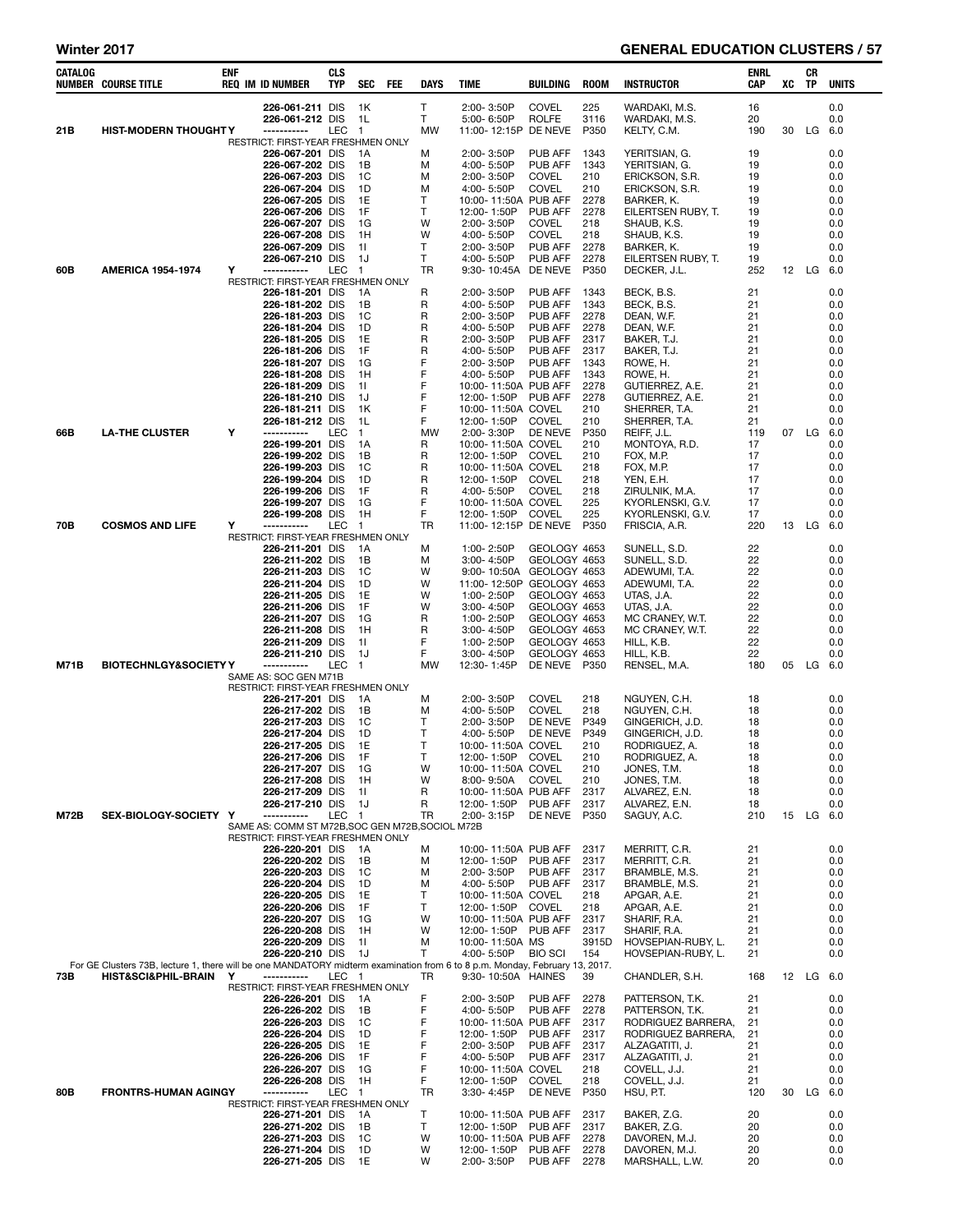| Winter 2017 |                                                                                                                             |            |                                                       |                   |                      |            |           |                                             |                              |              | <b>GENERAL EDUCATION CLUSTERS / 57</b>   |             |    |           |              |
|-------------|-----------------------------------------------------------------------------------------------------------------------------|------------|-------------------------------------------------------|-------------------|----------------------|------------|-----------|---------------------------------------------|------------------------------|--------------|------------------------------------------|-------------|----|-----------|--------------|
| CATALOG     | <b>NUMBER COURSE TITLE</b>                                                                                                  | <b>ENF</b> | <b>REQ IM ID NUMBER</b>                               | <b>CLS</b><br>TYP | <b>SEC</b>           | <b>FEE</b> | DAYS      | <b>TIME</b>                                 | BUILDING                     | <b>ROOM</b>  | <b>INSTRUCTOR</b>                        | ENRL<br>CAP | XC | CR<br>TP  | <b>UNITS</b> |
|             |                                                                                                                             |            | 226-061-211 DIS                                       |                   | 1K                   |            | Τ         | 2:00-3:50P                                  | <b>COVEL</b>                 | 225          | WARDAKI, M.S.                            | 16          |    |           | 0.0          |
| 21B         | <b>HIST-MODERN THOUGHT Y</b>                                                                                                |            | 226-061-212 DIS<br>-----------                        | LEC               | 1L<br>$\overline{1}$ |            | T<br>MW   | 5:00-6:50P<br>11:00-12:15P DE NEVE          | <b>ROLFE</b>                 | 3116<br>P350 | WARDAKI, M.S.<br>KELTY, C.M.             | 20<br>190   | 30 | LG        | 0.0<br>6.0   |
|             |                                                                                                                             |            | RESTRICT: FIRST-YEAR FRESHMEN ONLY                    |                   |                      |            |           | 2:00-3:50P                                  | <b>PUB AFF</b>               | 1343         |                                          |             |    |           | 0.0          |
|             |                                                                                                                             |            | 226-067-201 DIS<br>226-067-202 DIS                    |                   | 1A<br>1B             |            | M<br>M    | 4:00- 5:50P                                 | <b>PUB AFF</b>               | 1343         | YERITSIAN, G.<br>YERITSIAN, G.           | 19<br>19    |    |           | 0.0          |
|             |                                                                                                                             |            | 226-067-203 DIS                                       |                   | 1C                   |            | M         | 2:00-3:50P                                  | <b>COVEL</b>                 | 210          | ERICKSON, S.R.                           | 19          |    |           | 0.0          |
|             |                                                                                                                             |            | 226-067-204 DIS<br>226-067-205 DIS                    |                   | 1D<br>1E             |            | М<br>Τ    | 4:00-5:50P<br>10:00-11:50A PUB AFF          | <b>COVEL</b>                 | 210<br>2278  | ERICKSON, S.R.<br>BARKER, K.             | 19<br>19    |    |           | 0.0<br>0.0   |
|             |                                                                                                                             |            | 226-067-206 DIS                                       |                   | 1F                   |            | Τ         | 12:00-1:50P                                 | PUB AFF                      | 2278         | EILERTSEN RUBY, T.                       | 19          |    |           | 0.0          |
|             |                                                                                                                             |            | 226-067-207 DIS<br>226-067-208 DIS                    |                   | 1G<br>1H             |            | W<br>w    | 2:00-3:50P<br>4:00-5:50P                    | <b>COVEL</b><br><b>COVEL</b> | 218<br>218   | SHAUB, K.S.<br>SHAUB, K.S.               | 19<br>19    |    |           | 0.0<br>0.0   |
|             |                                                                                                                             |            | 226-067-209 DIS                                       |                   | 11                   |            | Τ         | 2:00-3:50P                                  | PUB AFF                      | 2278         | BARKER, K.                               | 19          |    |           | 0.0          |
| 60B         | <b>AMERICA 1954-1974</b>                                                                                                    | Y          | 226-067-210 DIS<br>-----------                        | LEC               | 1J<br>$\blacksquare$ |            | T<br>TR   | 4:00-5:50P<br>9:30-10:45A                   | PUB AFF<br>DE NEVE           | 2278<br>P350 | EILERTSEN RUBY, T.<br>DECKER, J.L.       | 19<br>252   |    | 12 LG     | 0.0<br>6.0   |
|             |                                                                                                                             |            | RESTRICT: FIRST-YEAR FRESHMEN ONLY                    |                   |                      |            |           |                                             |                              |              |                                          |             |    |           |              |
|             |                                                                                                                             |            | 226-181-201 DIS<br>226-181-202 DIS                    |                   | 1A<br>1B             |            | R<br>R    | 2:00-3:50P<br>4:00-5:50P                    | PUB AFF<br>PUB AFF           | 1343<br>1343 | BECK, B.S.<br>BECK, B.S.                 | 21<br>21    |    |           | 0.0<br>0.0   |
|             |                                                                                                                             |            | 226-181-203 DIS                                       |                   | 1C                   |            | R         | 2:00-3:50P                                  | PUB AFF                      | 2278         | DEAN, W.F.                               | 21          |    |           | 0.0          |
|             |                                                                                                                             |            | 226-181-204 DIS<br>226-181-205 DIS                    |                   | 1D<br>1E             |            | R<br>R    | 4:00-5:50P<br>2:00-3:50P                    | PUB AFF<br>PUB AFF           | 2278<br>2317 | DEAN, W.F.<br>BAKER, T.J.                | 21<br>21    |    |           | 0.0<br>0.0   |
|             |                                                                                                                             |            | 226-181-206 DIS                                       |                   | 1F                   |            | R         | 4:00-5:50P                                  | PUB AFF                      | 2317         | BAKER, T.J.                              | 21          |    |           | 0.0          |
|             |                                                                                                                             |            | 226-181-207 DIS<br>226-181-208 DIS                    |                   | 1G<br>1H             |            | F<br>F    | 2:00-3:50P<br>4:00-5:50P                    | PUB AFF<br>PUB AFF           | 1343<br>1343 | ROWE, H.<br>ROWE, H.                     | 21<br>21    |    |           | 0.0<br>0.0   |
|             |                                                                                                                             |            | 226-181-209 DIS                                       |                   | 11                   |            | F         | 10:00-11:50A PUB AFF                        |                              | 2278         | GUTIERREZ, A.E.                          | 21          |    |           | 0.0          |
|             |                                                                                                                             |            | 226-181-210 DIS                                       |                   | 1J                   |            | F<br>F    | 12:00-1:50P                                 | PUB AFF                      | 2278         | GUTIERREZ, A.E.                          | 21          |    |           | 0.0          |
|             |                                                                                                                             |            | 226-181-211 DIS<br>226-181-212 DIS                    |                   | 1K<br>1L             |            | F         | 10:00-11:50A COVEL<br>12:00-1:50P           | <b>COVEL</b>                 | 210<br>210   | SHERRER, T.A.<br>SHERRER, T.A.           | 21<br>21    |    |           | 0.0<br>0.0   |
| 66B         | <b>LA-THE CLUSTER</b>                                                                                                       | Y          | -----------                                           | LEC               | $\overline{1}$       |            | <b>MW</b> | 2:00-3:30P                                  | DE NEVE                      | P350         | REIFF, J.L.                              | 119         |    | 07 LG     | 6.0          |
|             |                                                                                                                             |            | 226-199-201 DIS<br>226-199-202 DIS                    |                   | 1A<br>1B             |            | R<br>R    | 10:00-11:50A COVEL<br>12:00-1:50P           | COVEL                        | 210<br>210   | MONTOYA, R.D.<br>FOX, M.P.               | 17<br>17    |    |           | 0.0<br>0.0   |
|             |                                                                                                                             |            | 226-199-203 DIS                                       |                   | 1C                   |            | R         | 10:00-11:50A COVEL                          |                              | 218          | FOX, M.P.                                | 17          |    |           | 0.0          |
|             |                                                                                                                             |            | 226-199-204 DIS<br>226-199-206 DIS                    |                   | 1D<br>1F             |            | R<br>R    | 12:00-1:50P<br>4:00-5:50P                   | COVEL<br><b>COVEL</b>        | 218<br>218   | YEN, E.H.<br>ZIRULNIK, M.A.              | 17<br>17    |    |           | 0.0<br>0.0   |
|             |                                                                                                                             |            | 226-199-207 DIS                                       |                   | 1G                   |            | F         | 10:00-11:50A COVEL                          |                              | 225          | KYORLENSKI, G.V.                         | 17          |    |           | 0.0          |
| 70B         | <b>COSMOS AND LIFE</b>                                                                                                      | Υ          | 226-199-208 DIS<br>------------                       | LEC               | 1H<br>$\blacksquare$ |            | F<br>TR   | 12:00-1:50P<br>11:00-12:15P DE NEVE         | <b>COVEL</b>                 | 225<br>P350  | KYORLENSKI, G.V.<br>FRISCIA, A.R.        | 17<br>220   | 13 | LG        | 0.0<br>6.0   |
|             |                                                                                                                             |            | RESTRICT: FIRST-YEAR FRESHMEN ONLY                    |                   |                      |            |           |                                             |                              |              |                                          |             |    |           |              |
|             |                                                                                                                             |            | 226-211-201 DIS<br>226-211-202 DIS                    |                   | 1A<br>1B             |            | M<br>M    | 1:00-2:50P<br>3:00-4:50P                    | GEOLOGY 4653<br>GEOLOGY 4653 |              | SUNELL, S.D.<br>SUNELL, S.D.             | 22<br>22    |    |           | 0.0<br>0.0   |
|             |                                                                                                                             |            | 226-211-203 DIS                                       |                   | <sub>1</sub> C       |            | W         | 9:00-10:50A                                 | GEOLOGY 4653                 |              | ADEWUMI, T.A.                            | 22          |    |           | 0.0          |
|             |                                                                                                                             |            | 226-211-204 DIS                                       |                   | 1D<br>1E             |            | W<br>W    | 11:00-12:50P                                | GEOLOGY 4653                 |              | ADEWUMI, T.A.                            | 22<br>22    |    |           | 0.0          |
|             |                                                                                                                             |            | 226-211-205 DIS<br>226-211-206 DIS                    |                   | 1F                   |            | W         | 1:00-2:50P<br>3:00-4:50P                    | GEOLOGY 4653<br>GEOLOGY 4653 |              | UTAS, J.A.<br>UTAS, J.A.                 | 22          |    |           | 0.0<br>0.0   |
|             |                                                                                                                             |            | 226-211-207 DIS                                       |                   | 1G                   |            | R         | 1:00-2:50P                                  | GEOLOGY 4653                 |              | MC CRANEY, W.T.                          | 22          |    |           | 0.0          |
|             |                                                                                                                             |            | 226-211-208 DIS<br>226-211-209 DIS                    |                   | 1H<br>11             |            | R<br>F    | 3:00-4:50P<br>1:00-2:50P                    | GEOLOGY 4653<br>GEOLOGY 4653 |              | MC CRANEY, W.T.<br>HILL, K.B.            | 22<br>22    |    |           | 0.0<br>0.0   |
|             |                                                                                                                             |            | 226-211-210 DIS                                       |                   | 1J                   |            | F         | 3:00-4:50P                                  | GEOLOGY 4653                 |              | HILL, K.B.                               | 22          |    |           | 0.0          |
| M71B        | <b>BIOTECHNLGY&amp;SOCIETY Y</b>                                                                                            |            | -----------<br>SAME AS: SOC GEN M71B                  | LEC               | $\mathbf{1}$         |            | MW        | 12:30-1:45P                                 | DE NEVE P350                 |              | RENSEL, M.A.                             | 180         |    | 05 LG     | 6.0          |
|             |                                                                                                                             |            | RESTRICT: FIRST-YEAR FRESHMEN ONLY                    |                   |                      |            |           |                                             |                              |              |                                          |             |    |           |              |
|             |                                                                                                                             |            | 226-217-201 DIS<br>226-217-202 DIS                    |                   | 1A<br>1B             |            | M<br>M    | 2:00-3:50P<br>4:00-5:50P                    | <b>COVEL</b><br><b>COVEL</b> | 218<br>218   | NGUYEN, C.H.<br>NGUYEN, C.H.             | 18<br>18    |    |           | 0.0<br>0.0   |
|             |                                                                                                                             |            | 226-217-203 DIS                                       |                   | 1C                   |            | T         | 2:00-3:50P                                  | DE NEVE                      | P349         | GINGERICH, J.D.                          | 18          |    |           | 0.0          |
|             |                                                                                                                             |            | 226-217-204 DIS<br>226-217-205 DIS                    |                   | 1D<br>1E             |            | т<br>т    | 4:00-5:50P<br>10:00-11:50A COVEL            | DE NEVE                      | P349<br>210  | GINGERICH, J.D.<br>RODRIGUEZ, A.         | 18<br>18    |    |           | 0.0<br>0.0   |
|             |                                                                                                                             |            | 226-217-206 DIS                                       |                   | 1F                   |            | т         | 12:00-1:50P COVEL                           |                              | 210          | RODRIGUEZ, A.                            | 18          |    |           | 0.0          |
|             |                                                                                                                             |            | 226-217-207 DIS<br>226-217-208 DIS                    |                   | 1G<br>1H             |            | W<br>W    | 10:00-11:50A COVEL<br>8:00-9:50A            | <b>COVEL</b>                 | 210<br>210   | JONES, T.M.<br>JONES, T.M.               | 18<br>18    |    |           | 0.0<br>0.0   |
|             |                                                                                                                             |            | 226-217-209 DIS                                       |                   | 11                   |            | R         | 10:00-11:50A PUB AFF                        |                              | 2317         | ALVAREZ, E.N.                            | 18          |    |           | 0.0          |
| <b>M72B</b> | SEX-BIOLOGY-SOCIETY Y                                                                                                       |            | 226-217-210 DIS<br>-----------                        | LEC               | 1J<br>$\blacksquare$ |            | R<br>TR   | 12:00-1:50P<br>2:00-3:15P                   | PUB AFF<br>DE NEVE           | 2317<br>P350 | ALVAREZ, E.N.<br>SAGUY, A.C.             | 18<br>210   |    | 15 LG     | 0.0<br>-6.0  |
|             |                                                                                                                             |            | SAME AS: COMM ST M72B, SOC GEN M72B, SOCIOL M72B      |                   |                      |            |           |                                             |                              |              |                                          |             |    |           |              |
|             |                                                                                                                             |            | RESTRICT: FIRST-YEAR FRESHMEN ONLY<br>226-220-201 DIS |                   | -1A                  |            | M         | 10:00-11:50A PUB AFF                        |                              | 2317         | MERRITT, C.R.                            | 21          |    |           | 0.0          |
|             |                                                                                                                             |            | 226-220-202 DIS                                       |                   | 1B                   |            | М         | 12:00-1:50P                                 | PUB AFF                      | 2317         | MERRITT, C.R.                            | 21          |    |           | 0.0          |
|             |                                                                                                                             |            | 226-220-203 DIS<br>226-220-204 DIS                    |                   | 1C<br>1D             |            | M<br>М    | 2:00-3:50P<br>4:00- 5:50P                   | PUB AFF<br>PUB AFF           | 2317<br>2317 | BRAMBLE, M.S.<br>BRAMBLE, M.S.           | 21<br>21    |    |           | 0.0<br>0.0   |
|             |                                                                                                                             |            | 226-220-205 DIS                                       |                   | 1E                   |            | т         | 10:00-11:50A COVEL                          |                              | 218          | APGAR, A.E.                              | 21          |    |           | 0.0          |
|             |                                                                                                                             |            | 226-220-206 DIS<br>226-220-207 DIS                    |                   | 1F<br>1G             |            | Τ<br>W    | 12:00-1:50P<br>10:00-11:50A PUB AFF         | COVEL                        | 218<br>2317  | APGAR, A.E.<br>SHARIF, R.A.              | 21<br>21    |    |           | 0.0<br>0.0   |
|             |                                                                                                                             |            | 226-220-208 DIS                                       |                   | 1H                   |            | W         | 12:00-1:50P PUB AFF                         |                              | 2317         | SHARIF, R.A.                             | 21          |    |           | 0.0          |
|             |                                                                                                                             |            | 226-220-209 DIS                                       |                   | 11                   |            | М         | 10:00-11:50A MS                             |                              | 3915D        | HOVSEPIAN-RUBY, L.                       | 21          |    |           | 0.0          |
|             | For GE Clusters 73B, lecture 1, there will be one MANDATORY midterm examination from 6 to 8 p.m. Monday, February 13, 2017. |            | 226-220-210 DIS                                       |                   | 1J                   |            | Τ         | 4:00-5:50P                                  | <b>BIO SCI</b>               | 154          | HOVSEPIAN-RUBY, L.                       | 21          |    |           | 0.0          |
| 73B         | <b>HIST&amp;SCI&amp;PHIL-BRAIN</b>                                                                                          | Y          | -----------                                           | LEC 1             |                      |            | TR        | 9:30-10:50A HAINES                          |                              | 39           | CHANDLER, S.H.                           | 168         |    | 12 LG 6.0 |              |
|             |                                                                                                                             |            | RESTRICT: FIRST-YEAR FRESHMEN ONLY<br>226-226-201 DIS |                   | 1A                   |            | F         | 2:00-3:50P                                  | PUB AFF                      | 2278         | PATTERSON, T.K.                          | 21          |    |           | 0.0          |
|             |                                                                                                                             |            | 226-226-202 DIS                                       |                   | 1B                   |            | F<br>F    | 4:00-5:50P                                  | PUB AFF                      | 2278         | PATTERSON, T.K.                          | 21          |    |           | 0.0          |
|             |                                                                                                                             |            | 226-226-203 DIS<br>226-226-204 DIS                    |                   | 1C<br>1D             |            | F         | 10:00-11:50A PUB AFF<br>12:00-1:50P         | PUB AFF                      | 2317<br>2317 | RODRIGUEZ BARRERA,<br>RODRIGUEZ BARRERA, | 21<br>21    |    |           | 0.0<br>0.0   |
|             |                                                                                                                             |            | 226-226-205 DIS                                       |                   | 1E                   |            | F         | 2:00-3:50P                                  | PUB AFF                      | 2317         | ALZAGATITI, J.                           | 21          |    |           | 0.0          |
|             |                                                                                                                             |            | 226-226-206 DIS<br>226-226-207 DIS                    |                   | 1F<br>1G             |            | F<br>F    | 4:00- 5:50P<br>10:00-11:50A COVEL           | PUB AFF                      | 2317<br>218  | ALZAGATITI, J.<br>COVELL, J.J.           | 21<br>21    |    |           | 0.0<br>0.0   |
|             |                                                                                                                             |            | 226-226-208 DIS                                       |                   | 1H                   |            | F         | 12:00-1:50P                                 | COVEL                        | 218          | COVELL, J.J.                             | 21          |    |           | 0.0          |
| 80B         | <b>FRONTRS-HUMAN AGINGY</b>                                                                                                 |            | -----------<br>RESTRICT: FIRST-YEAR FRESHMEN ONLY     | LEC               | $\overline{1}$       |            | TR        | 3:30-4:45P                                  | DE NEVE                      | P350         | HSU, P.T.                                | 120         | 30 | LG        | 6.0          |
|             |                                                                                                                             |            | 226-271-201 DIS                                       |                   | 1A                   |            | Τ         | 10:00-11:50A PUB AFF                        |                              | 2317         | BAKER, Z.G.                              | 20          |    |           | 0.0          |
|             |                                                                                                                             |            | 226-271-202 DIS<br>226-271-203 DIS                    |                   | 1B<br>1C             |            | T<br>W    | 12:00-1:50P PUB AFF<br>10:00-11:50A PUB AFF |                              | 2317<br>2278 | BAKER, Z.G.<br>DAVOREN, M.J.             | 20<br>20    |    |           | 0.0<br>0.0   |
|             |                                                                                                                             |            | 226-271-204 DIS                                       |                   | 1D                   |            | w         | 12:00-1:50P                                 | PUB AFF                      | 2278         | DAVOREN, M.J.                            | 20          |    |           | 0.0          |
|             |                                                                                                                             |            | 226-271-205 DIS                                       |                   | 1E                   |            | W         | 2:00-3:50P                                  | <b>PUB AFF 2278</b>          |              | MARSHALL, L.W.                           | 20          |    |           | 0.0          |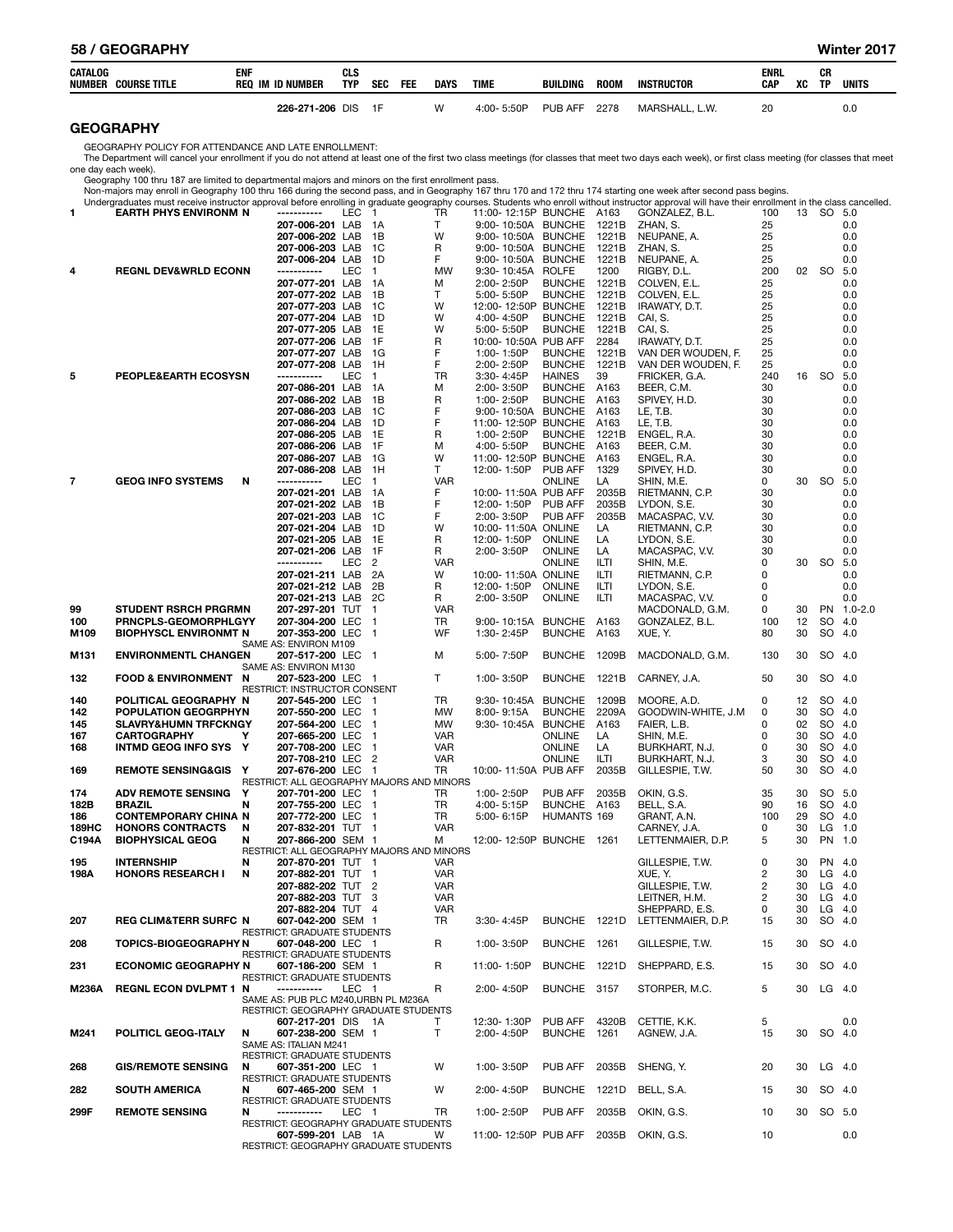| CATALOG     | <b>NUMBER COURSE TITLE</b>                                                                         | ENF | <b>REQ IM ID NUMBER</b>                                                       | CLS<br>TYP | <b>SEC</b>                                           | FEE | <b>DAYS</b>              | <b>TIME</b>                        | <b>BUILDING</b>                  | <b>ROOM</b>    | <b>INSTRUCTOR</b>                                                                                                                                                                                                    | ENRL<br>CAP | xс       | CR<br>TP   | <b>UNITS</b>         |
|-------------|----------------------------------------------------------------------------------------------------|-----|-------------------------------------------------------------------------------|------------|------------------------------------------------------|-----|--------------------------|------------------------------------|----------------------------------|----------------|----------------------------------------------------------------------------------------------------------------------------------------------------------------------------------------------------------------------|-------------|----------|------------|----------------------|
|             |                                                                                                    |     | 226-271-206 DIS                                                               |            | 1F                                                   |     | W                        | 4:00-5:50P                         | PUB AFF                          | 2278           | MARSHALL, L.W.                                                                                                                                                                                                       | 20          |          |            | 0.0                  |
|             | <b>GEOGRAPHY</b>                                                                                   |     |                                                                               |            |                                                      |     |                          |                                    |                                  |                |                                                                                                                                                                                                                      |             |          |            |                      |
|             | GEOGRAPHY POLICY FOR ATTENDANCE AND LATE ENROLLMENT:                                               |     |                                                                               |            |                                                      |     |                          |                                    |                                  |                | The Department will cancel your enrollment if you do not attend at least one of the first two class meetings (for classes that meet two days each week), or first class meeting (for classes that meet               |             |          |            |                      |
|             | one day each week).                                                                                |     |                                                                               |            |                                                      |     |                          |                                    |                                  |                |                                                                                                                                                                                                                      |             |          |            |                      |
|             | Geography 100 thru 187 are limited to departmental majors and minors on the first enrollment pass. |     |                                                                               |            |                                                      |     |                          |                                    |                                  |                | Non-majors may enroll in Geography 100 thru 166 during the second pass, and in Geography 167 thru 170 and 172 thru 174 starting one week after second pass begins.                                                   |             |          |            |                      |
| 1           | <b>EARTH PHYS ENVIRONM N</b>                                                                       |     | -----------                                                                   | LEC 1      |                                                      |     | TR                       | 11:00-12:15P BUNCHE A163           |                                  |                | Undergraduates must receive instructor approval before enrolling in graduate geography courses. Students who enroll without instructor approval will have their enrollment in the class cancelled.<br>GONZALEZ, B.L. | 100         |          | 13 SO 5.0  |                      |
|             |                                                                                                    |     | 207-006-201 LAB                                                               |            | 1A                                                   |     | T                        | 9:00-10:50A BUNCHE                 |                                  | 1221B          | ZHAN, S.                                                                                                                                                                                                             | 25          |          |            | 0.0                  |
|             |                                                                                                    |     | 207-006-202 LAB<br>207-006-203 LAB                                            |            | 1B<br>1C                                             |     | W<br>R                   | 9:00-10:50A BUNCHE                 | <b>BUNCHE</b>                    | 1221B<br>1221B | NEUPANE, A.<br>ZHAN, S.                                                                                                                                                                                              | 25<br>25    |          |            | 0.0<br>0.0           |
|             |                                                                                                    |     | 207-006-204 LAB                                                               |            | 1D                                                   |     | F                        | 9:00-10:50A<br>9:00-10:50A         | <b>BUNCHE</b>                    | 1221B          | NEUPANE, A.                                                                                                                                                                                                          | 25          |          |            | 0.0                  |
| 4           | <b>REGNL DEV&amp;WRLD ECONN</b>                                                                    |     | -----------                                                                   | LEC        | $\mathbf{1}$                                         |     | <b>MW</b>                | 9:30-10:45A                        | <b>ROLFE</b>                     | 1200           | RIGBY, D.L.                                                                                                                                                                                                          | 200         | 02       | <b>SO</b>  | 5.0                  |
|             |                                                                                                    |     | 207-077-201 LAB<br>207-077-202 LAB                                            |            | - 1 A<br>1B                                          |     | м<br>T.                  | 2:00-2:50P<br>5:00-5:50P           | <b>BUNCHE</b><br><b>BUNCHE</b>   | 1221B<br>1221B | COLVEN, E.L.<br>COLVEN, E.L.                                                                                                                                                                                         | 25<br>25    |          |            | 0.0<br>0.0           |
|             |                                                                                                    |     | 207-077-203 LAB                                                               |            | 1C                                                   |     | W                        | 12:00-12:50P BUNCHE                |                                  | 1221B          | IRAWATY, D.T.                                                                                                                                                                                                        | 25          |          |            | 0.0                  |
|             |                                                                                                    |     | 207-077-204 LAB<br>207-077-205 LAB                                            |            | 1D<br>1E                                             |     | W<br>W                   | 4:00-4:50P<br>5:00-5:50P           | <b>BUNCHE</b><br><b>BUNCHE</b>   | 1221B<br>1221B | CAI, S.<br>CAI, S.                                                                                                                                                                                                   | 25<br>25    |          |            | 0.0<br>0.0           |
|             |                                                                                                    |     | 207-077-206 LAB                                                               |            | 1F                                                   |     | R                        | 10:00-10:50A PUB AFF               |                                  | 2284           | IRAWATY, D.T.                                                                                                                                                                                                        | 25          |          |            | 0.0                  |
|             |                                                                                                    |     | 207-077-207 LAB<br>207-077-208 LAB                                            |            | -1G<br>1H                                            |     | F<br>F                   | 1:00-1:50P<br>2:00-2:50P           | <b>BUNCHE</b><br><b>BUNCHE</b>   | 1221B<br>1221B | VAN DER WOUDEN, F.<br>VAN DER WOUDEN, F.                                                                                                                                                                             | 25<br>25    |          |            | 0.0<br>0.0           |
| 5           | <b>PEOPLE&amp;EARTH ECOSYSN</b>                                                                    |     | -----------                                                                   | <b>LEC</b> | $\mathbf{1}$                                         |     | TR                       | 3:30-4:45P                         | <b>HAINES</b>                    | 39             | FRICKER, G.A.                                                                                                                                                                                                        | 240         | 16       | SO.        | 5.0                  |
|             |                                                                                                    |     | 207-086-201 LAB<br>207-086-202 LAB                                            |            | - 1 A<br>1B                                          |     | М<br>R                   | 2:00-3:50P<br>1:00-2:50P           | <b>BUNCHE</b><br><b>BUNCHE</b>   | A163<br>A163   | BEER, C.M.<br>SPIVEY, H.D.                                                                                                                                                                                           | 30<br>30    |          |            | 0.0<br>0.0           |
|             |                                                                                                    |     | 207-086-203 LAB                                                               |            | 1C                                                   |     | F                        | 9:00-10:50A                        | <b>BUNCHE</b>                    | A163           | LE, T.B.                                                                                                                                                                                                             | 30          |          |            | 0.0                  |
|             |                                                                                                    |     | 207-086-204 LAB                                                               |            | 1D<br>1E                                             |     | F                        | 11:00-12:50P                       | <b>BUNCHE</b>                    | A163           | LE, T.B.                                                                                                                                                                                                             | 30<br>30    |          |            | 0.0                  |
|             |                                                                                                    |     | 207-086-205 LAB<br>207-086-206 LAB                                            |            | 1F                                                   |     | R<br>M                   | 1:00-2:50P<br>4:00-5:50P           | <b>BUNCHE</b><br><b>BUNCHE</b>   | 1221B<br>A163  | ENGEL, R.A.<br>BEER, C.M.                                                                                                                                                                                            | 30          |          |            | 0.0<br>0.0           |
|             |                                                                                                    |     | 207-086-207 LAB                                                               |            | 1G                                                   |     | W                        | 11:00-12:50P                       | <b>BUNCHE</b>                    | A163           | ENGEL, R.A.                                                                                                                                                                                                          | 30          |          |            | 0.0                  |
| 7           | <b>GEOG INFO SYSTEMS</b>                                                                           | N   | 207-086-208 LAB<br>-----------                                                | <b>LEC</b> | 1H<br>$\mathbf{1}$                                   |     | T<br><b>VAR</b>          | 12:00-1:50P                        | <b>PUB AFF</b><br><b>ONLINE</b>  | 1329<br>LA     | SPIVEY, H.D.<br>SHIN, M.E.                                                                                                                                                                                           | 30<br>0     | 30       | <b>SO</b>  | 0.0<br>5.0           |
|             |                                                                                                    |     | 207-021-201 LAB                                                               |            | 1A                                                   |     | F                        | 10:00-11:50A PUB AFF               |                                  | 2035B          | RIETMANN, C.P.                                                                                                                                                                                                       | 30          |          |            | 0.0                  |
|             |                                                                                                    |     | 207-021-202 LAB<br>207-021-203 LAB                                            |            | 1B<br>1C                                             |     | F<br>F                   | 12:00-1:50P<br>2:00-3:50P          | <b>PUB AFF</b><br><b>PUB AFF</b> | 2035B<br>2035B | LYDON, S.E.<br>MACASPAC, V.V.                                                                                                                                                                                        | 30<br>30    |          |            | 0.0<br>0.0           |
|             |                                                                                                    |     | 207-021-204 LAB                                                               |            | 1D                                                   |     | W                        | 10:00-11:50A ONLINE                |                                  | LA             | RIETMANN, C.P.                                                                                                                                                                                                       | 30          |          |            | 0.0                  |
|             |                                                                                                    |     | 207-021-205 LAB<br>207-021-206 LAB                                            |            | 1E<br>1F                                             |     | R<br>R                   | 12:00-1:50P<br>2:00-3:50P          | <b>ONLINE</b><br><b>ONLINE</b>   | LA<br>LA       | LYDON, S.E.<br>MACASPAC, V.V.                                                                                                                                                                                        | 30<br>30    |          |            | 0.0<br>0.0           |
|             |                                                                                                    |     | -----------                                                                   | <b>LEC</b> | 2                                                    |     | <b>VAR</b>               |                                    | <b>ONLINE</b>                    | ILTI           | SHIN, M.E.                                                                                                                                                                                                           | 0           | 30       | SO.        | 5.0                  |
|             |                                                                                                    |     | 207-021-211 LAB<br>207-021-212 LAB                                            |            | 2A<br>2B                                             |     | W<br>R                   | 10:00-11:50A ONLINE<br>12:00-1:50P | <b>ONLINE</b>                    | ILTI<br>ILTI   | RIETMANN, C.P.<br>LYDON, S.E.                                                                                                                                                                                        | 0<br>0      |          |            | 0.0<br>0.0           |
|             |                                                                                                    |     | 207-021-213 LAB                                                               |            | 2C                                                   |     | R                        | 2:00-3:50P                         | ONLINE                           | ILTI           | MACASPAC, V.V.                                                                                                                                                                                                       | 0           |          |            | 0.0                  |
| 99          | <b>STUDENT RSRCH PRGRMN</b>                                                                        |     | 207-297-201 TUT                                                               |            | -1                                                   |     | <b>VAR</b>               |                                    |                                  |                | MACDONALD, G.M.                                                                                                                                                                                                      | 0           | 30       | <b>PN</b>  | $1.0 - 2.0$          |
| 100<br>M109 | PRNCPLS-GEOMORPHLGYY<br><b>BIOPHYSCL ENVIRONMT N</b>                                               |     | 207-304-200 LEC<br>207-353-200 LEC 1                                          |            | $\overline{\phantom{0}}$                             |     | TR<br>WF                 | 9:00-10:15A<br>1:30-2:45P          | <b>BUNCHE</b><br><b>BUNCHE</b>   | A163<br>A163   | GONZALEZ, B.L.<br>XUE, Y.                                                                                                                                                                                            | 100<br>80   | 12<br>30 | SO.<br>SO. | 4.0<br>4.0           |
| M131        | <b>ENVIRONMENTL CHANGEN</b>                                                                        |     | SAME AS: ENVIRON M109<br>207-517-200 LEC                                      |            | - 1                                                  |     | м                        | 5:00-7:50P                         | <b>BUNCHE</b>                    | 1209B          | MACDONALD, G.M.                                                                                                                                                                                                      | 130         | 30       | SO.        | 4.0                  |
| 132         | <b>FOOD &amp; ENVIRONMENT N</b>                                                                    |     | SAME AS: ENVIRON M130<br>207-523-200 LEC 1                                    |            |                                                      |     | Τ                        | 1:00-3:50P                         | <b>BUNCHE</b>                    | 1221B          | CARNEY, J.A.                                                                                                                                                                                                         | 50          | 30       |            | SO 4.0               |
|             |                                                                                                    |     | RESTRICT: INSTRUCTOR CONSENT                                                  |            |                                                      |     |                          |                                    |                                  |                |                                                                                                                                                                                                                      |             |          |            |                      |
| 140<br>142  | POLITICAL GEOGRAPHY N<br>POPULATION GEOGRPHYN                                                      |     | 207-545-200 LEC<br>207-550-200 LEC                                            |            | $\overline{\phantom{0}}$<br>$\overline{\phantom{0}}$ |     | TR<br><b>MW</b>          | 9:30-10:45A<br>8:00-9:15A          | <b>BUNCHE</b><br><b>BUNCHE</b>   | 1209B<br>2209A | MOORE, A.D.<br>GOODWIN-WHITE, J.M                                                                                                                                                                                    | 0<br>0      | 12<br>30 | SO.<br>SO. | 4.0<br>4.0           |
| 145         | <b>SLAVRY&amp;HUMN TRFCKNGY</b>                                                                    |     | 207-564-200 LEC                                                               |            | - 1                                                  |     | MW                       | 9:30-10:45A                        | <b>BUNCHE</b>                    | A163           | FAIER, L.B.                                                                                                                                                                                                          | 0           | 02       | SO.        | 4.0                  |
| 167<br>168  | <b>CARTOGRAPHY</b><br><b>INTMD GEOG INFO SYS Y</b>                                                 | Y   | 207-665-200 LEC<br>207-708-200 LEC                                            |            | - 1<br>-1                                            |     | <b>VAR</b><br><b>VAR</b> |                                    | <b>ONLINE</b><br><b>ONLINE</b>   | LA<br>LA       | SHIN, M.E.<br>BURKHART, N.J.                                                                                                                                                                                         | 0<br>0      | 30<br>30 | SO<br>SO.  | 4.0<br>4.0           |
|             |                                                                                                    |     | 207-708-210 LEC 2                                                             |            |                                                      |     | <b>VAR</b>               |                                    | <b>ONLINE</b>                    | ILTI           | BURKHART, N.J.                                                                                                                                                                                                       | 3           | 30       | SO.        | 4.0                  |
| 169         | <b>REMOTE SENSING&amp;GIS</b>                                                                      | Y   | 207-676-200 LEC 1<br>RESTRICT: ALL GEOGRAPHY MAJORS AND MINORS                |            |                                                      |     | TR                       | 10:00-11:50A PUB AFF 2035B         |                                  |                | GILLESPIE, T.W.                                                                                                                                                                                                      | 50          | 30       |            | SO 4.0               |
| 174         | ADV REMOTE SENSING Y                                                                               |     | 207-701-200 LEC 1                                                             |            |                                                      |     | TR.                      | 1:00-2:50P                         | PUB AFF 2035B                    |                | OKIN, G.S.                                                                                                                                                                                                           | 35          | 30       |            | SO 5.0               |
| 182B<br>186 | <b>BRAZIL</b><br><b>CONTEMPORARY CHINA N</b>                                                       | N   | 207-755-200 LEC 1<br>207-772-200 LEC 1                                        |            |                                                      |     | TR<br>TR                 | 4:00-5:15P<br>5:00-6:15P           | BUNCHE A163<br>HUMANTS 169       |                | BELL, S.A.<br>GRANT, A.N.                                                                                                                                                                                            | 90<br>100   | 16<br>29 |            | SO 4.0<br>SO 4.0     |
| 189HC       | <b>HONORS CONTRACTS</b>                                                                            | N   | 207-832-201 TUT 1                                                             |            |                                                      |     | <b>VAR</b>               |                                    |                                  |                | CARNEY, J.A.                                                                                                                                                                                                         | 0           | 30       |            | $LG$ 1.0             |
| C194A       | <b>BIOPHYSICAL GEOG</b>                                                                            | N   | 207-866-200 SEM 1<br>RESTRICT: ALL GEOGRAPHY MAJORS AND MINORS                |            |                                                      |     | м                        | 12:00-12:50P BUNCHE 1261           |                                  |                | LETTENMAIER, D.P.                                                                                                                                                                                                    | 5           | 30       |            | PN 1.0               |
| 195         | <b>INTERNSHIP</b>                                                                                  | N   | 207-870-201 TUT 1                                                             |            |                                                      |     | VAR                      |                                    |                                  |                | GILLESPIE, T.W.                                                                                                                                                                                                      | 0           | 30       |            | PN 4.0               |
| 198A        | <b>HONORS RESEARCH I</b>                                                                           | N   | 207-882-201 TUT 1<br>207-882-202 TUT 2                                        |            |                                                      |     | <b>VAR</b><br><b>VAR</b> |                                    |                                  |                | XUE, Y.<br>GILLESPIE, T.W.                                                                                                                                                                                           | 2<br>2      | 30<br>30 |            | $LG$ 4.0<br>$LG$ 4.0 |
|             |                                                                                                    |     | 207-882-203 TUT 3                                                             |            |                                                      |     | VAR                      |                                    |                                  |                | LEITNER, H.M.                                                                                                                                                                                                        | 2           | 30       |            | $LG$ 4.0             |
| 207         | <b>REG CLIM&amp;TERR SURFC N</b>                                                                   |     | 207-882-204 TUT 4<br>607-042-200 SEM 1                                        |            |                                                      |     | <b>VAR</b><br>TR         | 3:30-4:45P                         | BUNCHE 1221D                     |                | SHEPPARD, E.S.<br>LETTENMAIER, D.P.                                                                                                                                                                                  | 0<br>15     | 30<br>30 |            | LG 4.0<br>SO 4.0     |
| 208         | TOPICS-BIOGEOGRAPHY N                                                                              |     | RESTRICT: GRADUATE STUDENTS<br>607-048-200 LEC 1                              |            |                                                      |     | R                        | 1:00-3:50P                         | BUNCHE 1261                      |                | GILLESPIE, T.W.                                                                                                                                                                                                      | 15          | 30       |            | SO 4.0               |
| 231         | <b>ECONOMIC GEOGRAPHY N</b>                                                                        |     | RESTRICT: GRADUATE STUDENTS<br>607-186-200 SEM 1                              |            |                                                      |     | R                        | 11:00-1:50P                        | BUNCHE 1221D                     |                | SHEPPARD, E.S.                                                                                                                                                                                                       | 15          | 30       |            | SO 4.0               |
| M236A       | <b>REGNL ECON DVLPMT 1 N</b>                                                                       |     | RESTRICT: GRADUATE STUDENTS<br>-----------                                    | LEC 1      |                                                      |     | R                        | 2:00-4:50P                         | BUNCHE 3157                      |                | STORPER, M.C.                                                                                                                                                                                                        | 5           | 30       |            | $LG$ 4.0             |
|             |                                                                                                    |     | SAME AS: PUB PLC M240, URBN PL M236A<br>RESTRICT: GEOGRAPHY GRADUATE STUDENTS |            |                                                      |     |                          |                                    |                                  |                |                                                                                                                                                                                                                      |             |          |            |                      |
|             |                                                                                                    |     | 607-217-201 DIS 1A                                                            |            |                                                      |     | Τ                        | 12:30-1:30P                        | PUB AFF                          | 4320B          | CETTIE, K.K.                                                                                                                                                                                                         | 5           |          |            | 0.0                  |
| M241        | POLITICL GEOG-ITALY                                                                                | N.  | 607-238-200 SEM 1<br>SAME AS: ITALIAN M241                                    |            |                                                      |     | T                        | 2:00-4:50P                         | BUNCHE 1261                      |                | AGNEW, J.A.                                                                                                                                                                                                          | 15          | 30       |            | SO 4.0               |
|             |                                                                                                    |     | RESTRICT: GRADUATE STUDENTS                                                   |            |                                                      |     |                          |                                    |                                  |                |                                                                                                                                                                                                                      |             |          |            |                      |
| 268         | <b>GIS/REMOTE SENSING</b>                                                                          | N   | 607-351-200 LEC 1<br><b>RESTRICT: GRADUATE STUDENTS</b>                       |            |                                                      |     | W                        | 1:00-3:50P                         | PUB AFF                          | 2035B          | SHENG, Y.                                                                                                                                                                                                            | 20          | 30       |            | $LG$ 4.0             |
| 282         | <b>SOUTH AMERICA</b>                                                                               | N   | 607-465-200 SEM 1                                                             |            |                                                      |     | W                        | 2:00-4:50P                         | BUNCHE 1221D                     |                | BELL, S.A.                                                                                                                                                                                                           | 15          | 30       |            | SO 4.0               |
| 299F        | <b>REMOTE SENSING</b>                                                                              | N   | <b>RESTRICT: GRADUATE STUDENTS</b><br>-----------                             | LEC 1      |                                                      |     | TR                       | 1:00-2:50P                         | PUB AFF                          |                | 2035B OKIN, G.S.                                                                                                                                                                                                     | 10          |          | 30 SO 5.0  |                      |
|             |                                                                                                    |     | RESTRICT: GEOGRAPHY GRADUATE STUDENTS                                         |            |                                                      |     |                          |                                    |                                  |                |                                                                                                                                                                                                                      |             |          |            |                      |

RESTRICT: GEOGRAPHY GRADUATE STUDENTS

11:00-12:50P PUB AFF 2035B OKIN, G.S. 10 10 0.0

58 / GEOGRAPHY Winter 2017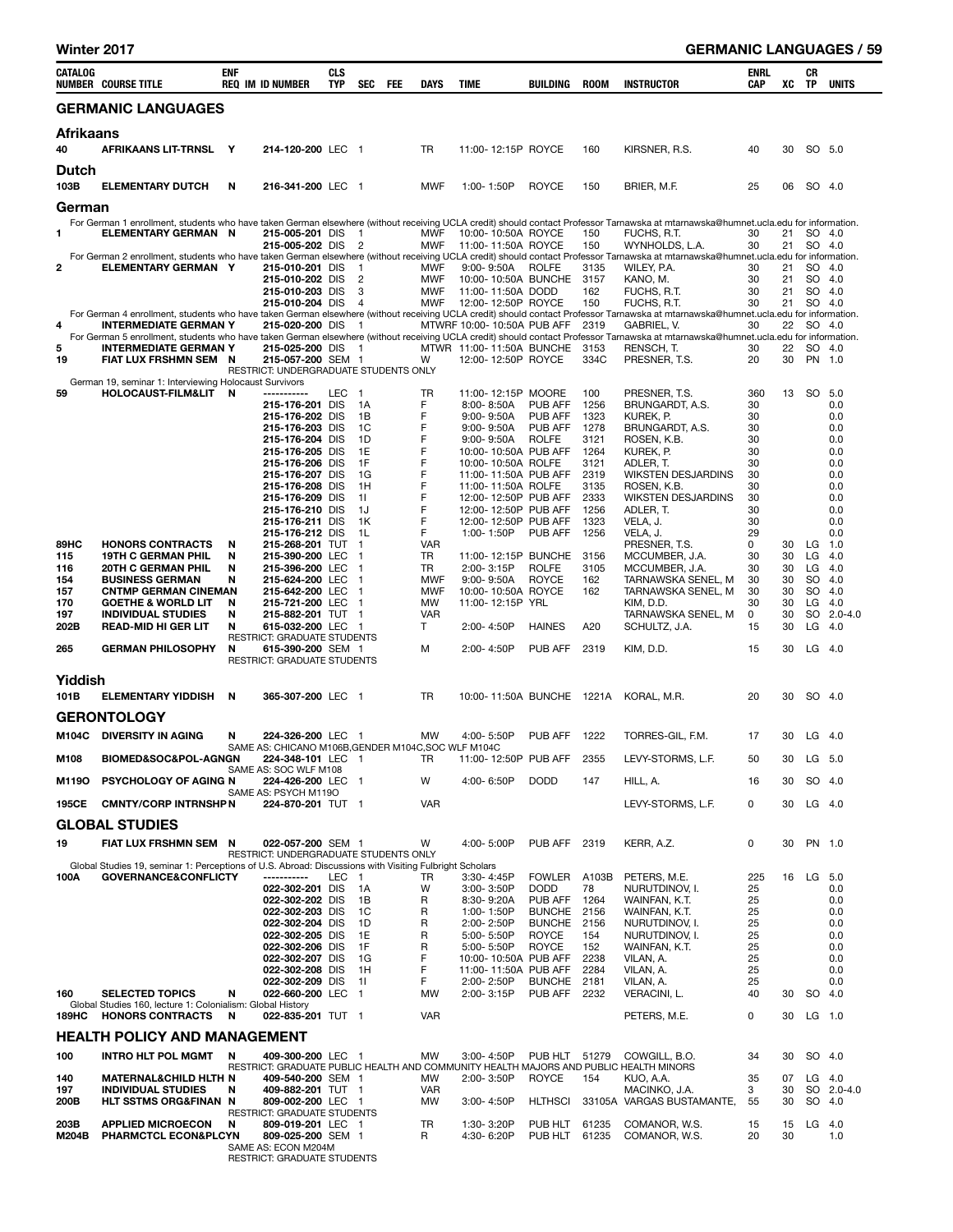| <b>Winter 2017</b> |  |  |
|--------------------|--|--|
|--------------------|--|--|

L,

| CATALOG         | <b>NUMBER COURSE TITLE</b>                                                                             | <b>ENF</b> | <b>REQ IM ID NUMBER</b>                                       | <b>CLS</b><br><b>TYP</b> | SEC FEE                  | DAYS             | TIME                                           | BUILDING                 | <b>ROOM</b>    | <b>INSTRUCTOR</b>                                                                                                                                                                                                    | ENRL<br>CAP | XC       | CR<br>TP         | <b>UNITS</b> |
|-----------------|--------------------------------------------------------------------------------------------------------|------------|---------------------------------------------------------------|--------------------------|--------------------------|------------------|------------------------------------------------|--------------------------|----------------|----------------------------------------------------------------------------------------------------------------------------------------------------------------------------------------------------------------------|-------------|----------|------------------|--------------|
|                 | <b>GERMANIC LANGUAGES</b>                                                                              |            |                                                               |                          |                          |                  |                                                |                          |                |                                                                                                                                                                                                                      |             |          |                  |              |
| Afrikaans<br>40 | AFRIKAANS LIT-TRNSL Y                                                                                  |            | 214-120-200 LEC 1                                             |                          |                          | <b>TR</b>        | 11:00-12:15P ROYCE                             |                          | 160            | KIRSNER, R.S.                                                                                                                                                                                                        | 40          | 30       | SO 5.0           |              |
| Dutch<br>103B   | <b>ELEMENTARY DUTCH</b>                                                                                | N          | 216-341-200 LEC 1                                             |                          |                          | <b>MWF</b>       | 1:00-1:50P                                     | <b>ROYCE</b>             | 150            | BRIER, M.F.                                                                                                                                                                                                          | 25          | 06       | SO 4.0           |              |
| German          |                                                                                                        |            |                                                               |                          |                          |                  |                                                |                          |                |                                                                                                                                                                                                                      |             |          |                  |              |
| 1.              | <b>ELEMENTARY GERMAN N</b>                                                                             |            | 215-005-201 DIS<br>215-005-202 DIS 2                          |                          | $\overline{\phantom{0}}$ | MWF<br>MWF       | 10:00-10:50A ROYCE<br>11:00-11:50A ROYCE       |                          | 150<br>150     | For German 1 enrollment, students who have taken German elsewhere (without receiving UCLA credit) should contact Professor Tarnawska at mtarnawska@humnet.ucla.edu for information.<br>FUCHS, R.T.<br>WYNHOLDS, L.A. | 30<br>30    | 21<br>21 | SO 4.0<br>SO 4.0 |              |
| 2               | ELEMENTARY GERMAN Y                                                                                    |            | 215-010-201 DIS                                               |                          | $\blacksquare$           | <b>MWF</b>       | 9:00-9:50A ROLFE                               |                          | 3135           | For German 2 enrollment, students who have taken German elsewhere (without receiving UCLA credit) should contact Professor Tarnawska at mtarnawska@humnet.ucla.edu for information.<br>WILEY, P.A.                   | 30          | 21       | SO 4.0           |              |
|                 |                                                                                                        |            | 215-010-202 DIS 2                                             |                          |                          | MWF              | 10:00-10:50A BUNCHE 3157                       |                          |                | KANO, M.                                                                                                                                                                                                             | 30          | 21       | SO 4.0           |              |
|                 |                                                                                                        |            | 215-010-203 DIS                                               |                          | 3                        | MWF              | 11:00-11:50A DODD                              |                          | 162            | FUCHS, R.T.                                                                                                                                                                                                          | 30          | 21       | SO 4.0           |              |
|                 |                                                                                                        |            | 215-010-204 DIS                                               |                          | $\overline{4}$           | MWF              | 12:00-12:50P ROYCE                             |                          | 150            | FUCHS, R.T.<br>For German 4 enrollment, students who have taken German elsewhere (without receiving UCLA credit) should contact Professor Tarnawska at mtarnawska@humnet.ucla.edu for information.                   | 30          | 21       | SO 4.0           |              |
| 4               | INTERMEDIATE GERMAN Y                                                                                  |            | 215-020-200 DIS                                               |                          | $\overline{\phantom{1}}$ |                  | MTWRF 10:00- 10:50A PUB AFF                    |                          | 2319           | GABRIEL, V.                                                                                                                                                                                                          | 30          | 22       | SO 4.0           |              |
| 5               | <b>INTERMEDIATE GERMAN Y</b>                                                                           |            | 215-025-200 DIS 1                                             |                          |                          |                  |                                                |                          | 3153           | For German 5 enrollment, students who have taken German elsewhere (without receiving UCLA credit) should contact Professor Tarnawska at mtarnawska@humnet.ucla.edu for information.<br>RENSCH, T.                    | 30          | 22       | SO 4.0           |              |
| 19              | FIAT LUX FRSHMN SEM N                                                                                  |            | 215-057-200 SEM 1<br>RESTRICT: UNDERGRADUATE STUDENTS ONLY    |                          |                          | W                | MTWR 11:00-11:50A BUNCHE<br>12:00-12:50P ROYCE |                          | 334C           | PRESNER, T.S.                                                                                                                                                                                                        | 20          | 30       | PN 1.0           |              |
| 59              | German 19, seminar 1: Interviewing Holocaust Survivors<br>HOLOCAUST-FILM&LIT N                         |            | -----------                                                   | LEC 1                    |                          | <b>TR</b>        | 11:00-12:15P MOORE                             |                          | 100            | PRESNER. T.S.                                                                                                                                                                                                        | 360         | 13       | SO 5.0           |              |
|                 |                                                                                                        |            | 215-176-201 DIS                                               |                          | 1A                       | F                | 8:00-8:50A                                     | <b>PUB AFF</b>           | 1256           | BRUNGARDT, A.S.                                                                                                                                                                                                      | 30          |          |                  | 0.0          |
|                 |                                                                                                        |            | 215-176-202 DIS                                               |                          | 1B                       | F                | $9:00 - 9:50A$                                 | PUB AFF                  | 1323           | KUREK. P.                                                                                                                                                                                                            | 30          |          |                  | 0.0          |
|                 |                                                                                                        |            | 215-176-203 DIS<br>215-176-204 DIS                            |                          | 1C<br>1D                 | F<br>F           | $9:00 - 9:50A$<br>9:00- 9:50A                  | PUB AFF<br><b>ROLFE</b>  | 1278<br>3121   | BRUNGARDT, A.S.<br>ROSEN, K.B.                                                                                                                                                                                       | 30<br>30    |          |                  | 0.0<br>0.0   |
|                 |                                                                                                        |            | 215-176-205 DIS                                               |                          | 1E                       | F                | 10:00-10:50A PUB AFF                           |                          | 1264           | KUREK, P.                                                                                                                                                                                                            | 30          |          |                  | 0.0          |
|                 |                                                                                                        |            | 215-176-206 DIS                                               |                          | 1F                       | F                | 10:00-10:50A ROLFE                             |                          | 3121           | ADLER, T.                                                                                                                                                                                                            | 30          |          |                  | 0.0          |
|                 |                                                                                                        |            | 215-176-207 DIS<br>215-176-208 DIS                            |                          | 1G<br>1H                 | F<br>F           | 11:00-11:50A PUB AFF<br>11:00-11:50A ROLFE     |                          | 2319<br>3135   | <b>WIKSTEN DESJARDINS</b><br>ROSEN, K.B.                                                                                                                                                                             | 30<br>30    |          |                  | 0.0<br>0.0   |
|                 |                                                                                                        |            | 215-176-209 DIS                                               |                          | 11                       | F                | 12:00-12:50P PUB AFF                           |                          | 2333           | <b>WIKSTEN DESJARDINS</b>                                                                                                                                                                                            | 30          |          |                  | 0.0          |
|                 |                                                                                                        |            | 215-176-210 DIS                                               |                          | 1J                       | F                | 12:00-12:50P PUB AFF                           |                          | 1256           | ADLER, T.                                                                                                                                                                                                            | 30          |          |                  | 0.0          |
|                 |                                                                                                        |            | 215-176-211 DIS<br>215-176-212 DIS                            |                          | 1K<br>1L                 | F<br>F.          | 12:00-12:50P PUB AFF<br>1:00-1:50P             | PUB AFF                  | 1323<br>1256   | VELA, J.<br>VELA, J.                                                                                                                                                                                                 | 30<br>29    |          |                  | 0.0<br>0.0   |
| 89HC            | <b>HONORS CONTRACTS</b>                                                                                | N          | 215-268-201 TUT                                               |                          | $\mathbf{1}$             | <b>VAR</b>       |                                                |                          |                | PRESNER, T.S.                                                                                                                                                                                                        | 0           |          | 30 LG            | $1.0$        |
| 115             | <b>19TH C GERMAN PHIL</b>                                                                              | N          | 215-390-200 LEC                                               |                          | $\overline{1}$           | TR               | 11:00-12:15P BUNCHE                            |                          | 3156           | MCCUMBER, J.A.                                                                                                                                                                                                       | 30          | 30       | LG               | - 4.0        |
| 116             | <b>20TH C GERMAN PHIL</b>                                                                              | N<br>N     | 215-396-200 LEC<br>215-624-200 LEC                            |                          | $\mathbf 1$<br>-1        | TR<br><b>MWF</b> | 2:00-3:15P<br>9:00-9:50A                       | <b>ROLFE</b>             | 3105           | MCCUMBER, J.A.                                                                                                                                                                                                       | 30<br>30    | 30<br>30 | LG 4.0<br>SO 4.0 |              |
| 154<br>157      | <b>BUSINESS GERMAN</b><br><b>CNTMP GERMAN CINEMAN</b>                                                  |            | 215-642-200 LEC                                               |                          | $\mathbf 1$              | <b>MWF</b>       | 10:00-10:50A ROYCE                             | ROYCE                    | 162<br>162     | TARNAWSKA SENEL, M<br>TARNAWSKA SENEL, M                                                                                                                                                                             | 30          | 30       | SO 4.0           |              |
| 170             | <b>GOETHE &amp; WORLD LIT</b>                                                                          | N          | 215-721-200 LEC                                               |                          | $\blacksquare$           | MW               | 11:00-12:15P YRL                               |                          |                | KIM, D.D.                                                                                                                                                                                                            | 30          | 30       | LG               | - 4.0        |
| 197             | <b>INDIVIDUAL STUDIES</b>                                                                              | N          | 215-882-201 TUT 1                                             |                          |                          | <b>VAR</b>       |                                                |                          |                | TARNAWSKA SENEL, M                                                                                                                                                                                                   | 0           | 30       |                  | SO 2.0-4.0   |
| 202B            | <b>READ-MID HI GER LIT</b>                                                                             | N          | 615-032-200 LEC 1<br>RESTRICT: GRADUATE STUDENTS              |                          |                          | T                | 2:00-4:50P                                     | <b>HAINES</b>            | A20            | SCHULTZ, J.A.                                                                                                                                                                                                        | 15          | 30       | LG               | - 4.0        |
| 265             | <b>GERMAN PHILOSOPHY</b>                                                                               | N          | 615-390-200 SEM 1<br>RESTRICT: GRADUATE STUDENTS              |                          |                          | м                | 2:00-4:50P                                     | PUB AFF                  | 2319           | KIM, D.D.                                                                                                                                                                                                            | 15          | 30       | $LG$ 4.0         |              |
| Yiddish         |                                                                                                        |            |                                                               |                          |                          |                  |                                                |                          |                |                                                                                                                                                                                                                      |             |          |                  |              |
| 101B            | <b>ELEMENTARY YIDDISH</b>                                                                              | N          | 365-307-200 LEC 1                                             |                          |                          | TR               |                                                |                          |                | 10:00-11:50A BUNCHE 1221A KORAL, M.R.                                                                                                                                                                                | 20          | 30       | SO 4.0           |              |
|                 |                                                                                                        |            |                                                               |                          |                          |                  |                                                |                          |                |                                                                                                                                                                                                                      |             |          |                  |              |
|                 | <b>GERONTOLOGY</b>                                                                                     |            |                                                               |                          |                          |                  |                                                |                          |                |                                                                                                                                                                                                                      |             |          |                  |              |
|                 | M104C DIVERSITY IN AGING                                                                               | N          | 224-326-200 LEC 1                                             |                          |                          | <b>MW</b>        | 4:00-5:50P                                     | PUB AFF 1222             |                | TORRES-GIL, F.M.                                                                                                                                                                                                     | 17          | 30       | $LG$ 4.0         |              |
| M108            | BIOMED&SOC&POL-AGNGN 224-348-101 LEC 1 TR                                                              |            | SAME AS: CHICANO M106B, GENDER M104C, SOC WLF M104C           |                          |                          |                  | 11:00-12:50P PUB AFF 2355                      |                          |                | LEVY-STORMS, L.F.                                                                                                                                                                                                    | 50          |          | 30 LG 5.0        |              |
| M119O           | <b>PSYCHOLOGY OF AGING N</b>                                                                           |            | SAME AS: SOC WLF M108<br>224-426-200 LEC 1                    |                          |                          | W                | 4:00-6:50P                                     | <b>DODD</b>              | 147            | HILL, A.                                                                                                                                                                                                             | 16          | 30       | SO 4.0           |              |
| 195CE           | <b>CMNTY/CORP INTRNSHP N</b>                                                                           |            | SAME AS: PSYCH M119O<br>224-870-201 TUT 1                     |                          |                          | <b>VAR</b>       |                                                |                          |                | LEVY-STORMS, L.F.                                                                                                                                                                                                    | 0           | 30       | $LG$ 4.0         |              |
|                 | <b>GLOBAL STUDIES</b>                                                                                  |            |                                                               |                          |                          |                  |                                                |                          |                |                                                                                                                                                                                                                      |             |          |                  |              |
| 19              | <b>FIAT LUX FRSHMN SEM</b>                                                                             | N          | 022-057-200 SEM 1                                             |                          |                          | W                | 4:00-5:00P                                     | PUB AFF                  | 2319           | KERR, A.Z.                                                                                                                                                                                                           | 0           | 30       | PN 1.0           |              |
|                 | Global Studies 19, seminar 1: Perceptions of U.S. Abroad: Discussions with Visiting Fulbright Scholars |            | RESTRICT: UNDERGRADUATE STUDENTS ONLY                         |                          |                          |                  |                                                |                          |                |                                                                                                                                                                                                                      |             |          |                  |              |
| 100A            | <b>GOVERNANCE&amp;CONFLICTY</b>                                                                        |            | -----------                                                   | LEC 1                    |                          | TR               | 3:30-4:45P                                     | <b>FOWLER</b>            | A103B          | PETERS, M.E.                                                                                                                                                                                                         | 225         | 16       | LG 5.0           |              |
|                 |                                                                                                        |            | 022-302-201 DIS                                               |                          | 1A                       | W                | 3:00-3:50P                                     | <b>DODD</b>              | 78             | NURUTDINOV, I.                                                                                                                                                                                                       | 25          |          |                  | 0.0          |
|                 |                                                                                                        |            | 022-302-202 DIS<br>022-302-203 DIS                            |                          | 1B<br>1C                 | R<br>R           | 8:30-9:20A<br>1:00-1:50P                       | PUB AFF<br><b>BUNCHE</b> | 1264<br>2156   | WAINFAN, K.T.<br>WAINFAN, K.T.                                                                                                                                                                                       | 25<br>25    |          |                  | 0.0<br>0.0   |
|                 |                                                                                                        |            | 022-302-204 DIS                                               |                          | 1D                       | R                | 2:00-2:50P                                     | <b>BUNCHE</b>            | 2156           | NURUTDINOV, I.                                                                                                                                                                                                       | 25          |          |                  | 0.0          |
|                 |                                                                                                        |            | 022-302-205 DIS                                               |                          | 1E                       | R                | 5:00-5:50P                                     | ROYCE                    | 154            | NURUTDINOV, I.                                                                                                                                                                                                       | 25          |          |                  | 0.0          |
|                 |                                                                                                        |            | 022-302-206 DIS<br>022-302-207 DIS                            |                          | 1F<br>1G                 | R<br>F           | 5:00-5:50P<br>10:00-10:50A PUB AFF             | <b>ROYCE</b>             | 152<br>2238    | WAINFAN, K.T.<br>VILAN, A.                                                                                                                                                                                           | 25<br>25    |          |                  | 0.0<br>0.0   |
|                 |                                                                                                        |            | 022-302-208 DIS                                               |                          | 1H                       | F                | 11:00-11:50A PUB AFF                           |                          | 2284           | VILAN, A.                                                                                                                                                                                                            | 25          |          |                  | 0.0          |
|                 |                                                                                                        |            | 022-302-209 DIS                                               |                          | 11                       | F                | 2:00-2:50P                                     | <b>BUNCHE</b>            | 2181           | VILAN, A.                                                                                                                                                                                                            | 25          |          |                  | 0.0          |
| 160             | <b>SELECTED TOPICS</b><br>Global Studies 160, lecture 1: Colonialism: Global History                   | N<br>N     | 022-660-200 LEC 1<br>022-835-201 TUT 1                        |                          |                          | MW<br><b>VAR</b> | 2:00-3:15P                                     | PUB AFF                  | 2232           | VERACINI, L.                                                                                                                                                                                                         | 40<br>0     | 30       | SO 4.0<br>LG 1.0 |              |
| 189HC           | <b>HONORS CONTRACTS</b><br><b>HEALTH POLICY AND MANAGEMENT</b>                                         |            |                                                               |                          |                          |                  |                                                |                          |                | PETERS, M.E.                                                                                                                                                                                                         |             | 30       |                  |              |
| 100             | <b>INTRO HLT POL MGMT</b>                                                                              | N          | 409-300-200 LEC 1                                             |                          |                          | MW               | 3:00-4:50P                                     | PUB HLT 51279            |                | COWGILL, B.O.                                                                                                                                                                                                        | 34          | 30       | SO 4.0           |              |
|                 |                                                                                                        |            |                                                               |                          |                          |                  |                                                |                          |                | RESTRICT: GRADUATE PUBLIC HEALTH AND COMMUNITY HEALTH MAJORS AND PUBLIC HEALTH MINORS                                                                                                                                |             |          |                  |              |
| 140<br>197      | <b>MATERNAL&amp;CHILD HLTH N</b><br><b>INDIVIDUAL STUDIES</b>                                          | N          | 409-540-200 SEM 1<br>409-882-201 TUT 1                        |                          |                          | MW<br><b>VAR</b> | 2:00-3:50P                                     | <b>ROYCE</b>             | 154            | KUO, A.A.<br>MACINKO, J.A.                                                                                                                                                                                           | 35<br>3     | 07<br>30 | $LG$ 4.0         | SO 2.0-4.0   |
| 200B            | HLT SSTMS ORG&FINAN N                                                                                  |            | 809-002-200 LEC 1                                             |                          |                          | MW               | 3:00-4:50P                                     | <b>HLTHSCI</b>           |                | 33105A VARGAS BUSTAMANTE,                                                                                                                                                                                            | 55          | 30       | SO 4.0           |              |
|                 |                                                                                                        |            | RESTRICT: GRADUATE STUDENTS                                   |                          |                          |                  |                                                |                          |                |                                                                                                                                                                                                                      |             |          |                  |              |
| 203B<br>M204B   | <b>APPLIED MICROECON</b><br>PHARMCTCL ECON&PLCYN                                                       | N          | 809-019-201 LEC 1<br>809-025-200 SEM 1<br>SAME AS. FOON MODAM |                          |                          | TR<br>R          | 1:30-3:20P<br>4:30-6:20P                       | PUB HLT<br>PUB HLT       | 61235<br>61235 | COMANOR, W.S.<br>COMANOR, W.S.                                                                                                                                                                                       | 15<br>20    | 15<br>30 | LG $4.0$         | 1.0          |

SAME AS: ECON M204M RESTRICT: GRADUATE STUDENTS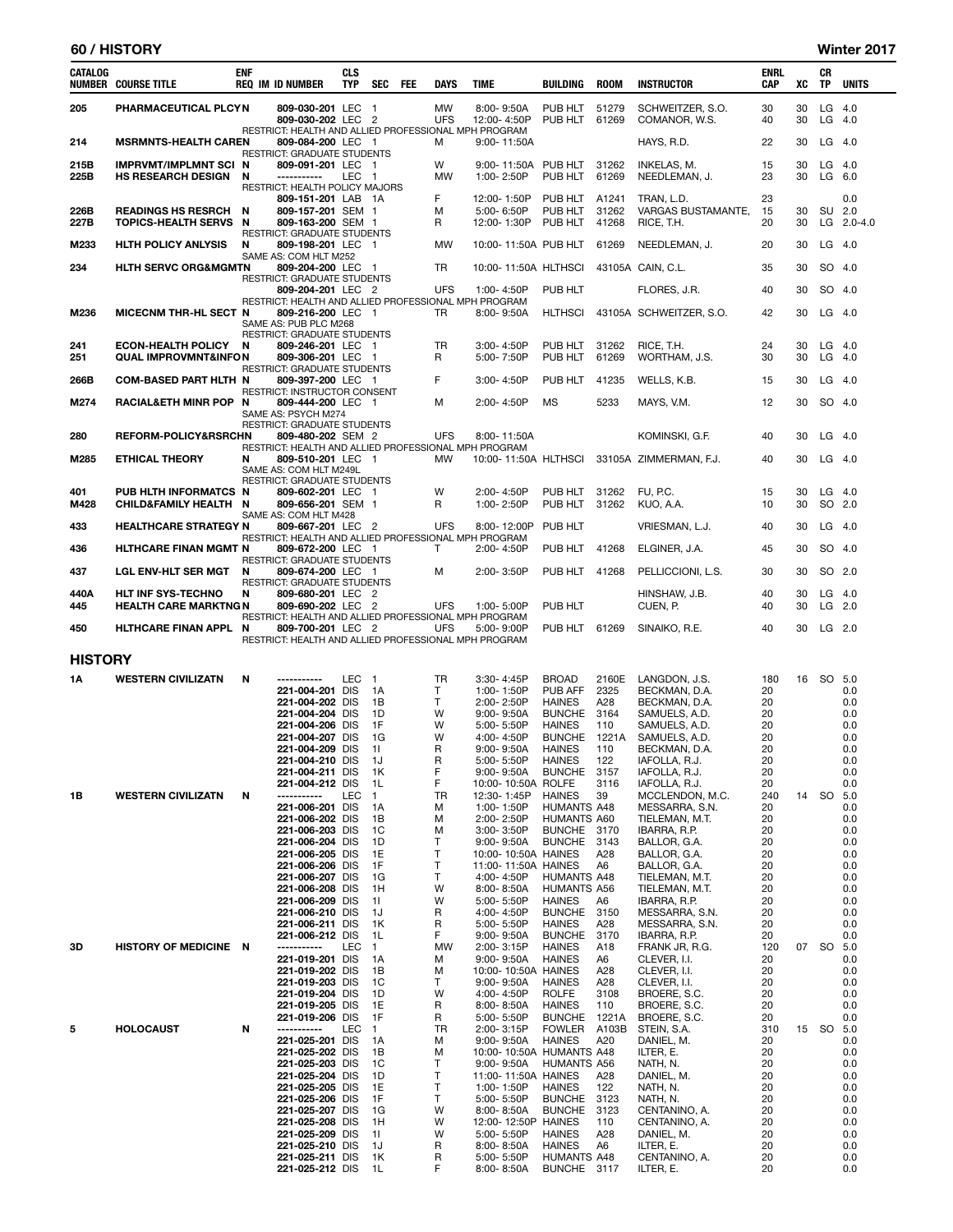# 60 / HISTORY Winter 2017

| CATALOG        | <b>NUMBER COURSE TITLE</b>                                   | <b>ENF</b> | <b>REQ IM ID NUMBER</b>                                                                                  | <b>CLS</b><br><b>TYP</b> | SEC                | FEE | <b>DAYS</b>             | <b>TIME</b>                              | <b>BUILDING</b>                     | <b>ROOM</b>    | <b>INSTRUCTOR</b>                              | <b>ENRL</b><br>CAP | XC       | CR<br>TP             | <b>UNITS</b>                    |
|----------------|--------------------------------------------------------------|------------|----------------------------------------------------------------------------------------------------------|--------------------------|--------------------|-----|-------------------------|------------------------------------------|-------------------------------------|----------------|------------------------------------------------|--------------------|----------|----------------------|---------------------------------|
| 205            | PHARMACEUTICAL PLCYN                                         |            | 809-030-201 LEC 1<br>809-030-202 LEC 2                                                                   |                          |                    |     | <b>MW</b><br><b>UFS</b> | 8:00-9:50A<br>12:00-4:50P                | PUB HLT 51279<br>PUB HLT            | 61269          | SCHWEITZER, S.O.<br>COMANOR, W.S.              | 30<br>40           | 30<br>30 | LG 4.0<br>$LG$ 4.0   |                                 |
| 214            | <b>MSRMNTS-HEALTH CAREN</b>                                  |            | RESTRICT: HEALTH AND ALLIED PROFESSIONAL MPH PROGRAM<br>809-084-200 LEC 1                                |                          |                    |     | м                       | 9:00-11:50A                              |                                     |                | HAYS, R.D.                                     | 22                 | 30       | $LG$ 4.0             |                                 |
| 215B<br>225B   | <b>IMPRVMT/IMPLMNT SCI N</b><br>HS RESEARCH DESIGN N         |            | <b>RESTRICT: GRADUATE STUDENTS</b><br>809-091-201 LEC 1<br>-----------<br>RESTRICT: HEALTH POLICY MAJORS | LEC 1                    |                    |     | W<br>MW                 | 9:00-11:50A<br>1:00-2:50P                | PUB HLT<br>PUB HLT                  | 31262<br>61269 | INKELAS, M.<br>NEEDLEMAN, J.                   | 15<br>23           | 30<br>30 | $LG$ 4.0<br>$LG$ 6.0 |                                 |
| 226B<br>227B   | <b>READINGS HS RESRCH</b><br>TOPICS-HEALTH SERVS N           | <b>N</b>   | 809-151-201 LAB 1A<br>809-157-201 SEM 1<br>809-163-200 SEM 1<br><b>RESTRICT: GRADUATE STUDENTS</b>       |                          |                    |     | F<br>м<br>R             | 12:00-1:50P<br>5:00-6:50P<br>12:00-1:30P | PUB HLT A1241<br>PUB HLT<br>PUB HLT | 31262<br>41268 | TRAN, L.D.<br>VARGAS BUSTAMANTE,<br>RICE, T.H. | 23<br>15<br>20     | 30<br>30 |                      | 0.0<br>SU 2.0<br>LG $2.0 - 4.0$ |
| M233           | <b>HLTH POLICY ANLYSIS</b>                                   | N          | 809-198-201 LEC 1                                                                                        |                          |                    |     | MW                      | 10:00-11:50A PUB HLT                     |                                     | 61269          | NEEDLEMAN, J.                                  | 20                 | 30       | LG 4.0               |                                 |
| 234            | <b>HLTH SERVC ORG&amp;MGMTN</b>                              |            | SAME AS: COM HLT M252<br>809-204-200 LEC 1<br>RESTRICT: GRADUATE STUDENTS                                |                          |                    |     | TR                      | 10:00-11:50A HLTHSCI                     |                                     |                | 43105A CAIN, C.L.                              | 35                 | 30       |                      | SO 4.0                          |
|                |                                                              |            | 809-204-201 LEC 2<br>RESTRICT: HEALTH AND ALLIED PROFESSIONAL MPH PROGRAM                                |                          |                    |     | <b>UFS</b>              | 1:00-4:50P                               | PUB HLT                             |                | FLORES, J.R.                                   | 40                 | 30       | SO 4.0               |                                 |
| M236           | <b>MICECNM THR-HL SECT N</b>                                 |            | 809-216-200 LEC 1<br>SAME AS: PUB PLC M268<br>RESTRICT: GRADUATE STUDENTS                                |                          |                    |     | TR                      | $8:00 - 9:50A$                           | <b>HLTHSCI</b>                      |                | 43105A SCHWEITZER, S.O.                        | 42                 | 30       | $LG$ 4.0             |                                 |
| 241<br>251     | <b>ECON-HEALTH POLICY</b><br><b>QUAL IMPROVMNT&amp;INFON</b> | N          | 809-246-201 LEC 1<br>809-306-201 LEC 1<br><b>RESTRICT: GRADUATE STUDENTS</b>                             |                          |                    |     | TR<br>R                 | 3:00-4:50P<br>5:00-7:50P                 | PUB HLT<br>PUB HLT                  | 31262<br>61269 | RICE, T.H.<br>WORTHAM, J.S.                    | 24<br>30           | 30<br>30 | $LG$ 4.0<br>$LG$ 4.0 |                                 |
| 266B           | <b>COM-BASED PART HLTH N</b>                                 |            | 809-397-200 LEC 1                                                                                        |                          |                    |     | F                       | 3:00-4:50P                               | PUB HLT                             | 41235          | WELLS, K.B.                                    | 15                 | 30       | $LG$ 4.0             |                                 |
| M274           | RACIALÐ MINR POP N                                           |            | RESTRICT: INSTRUCTOR CONSENT<br>809-444-200 LEC 1<br>SAME AS: PSYCH M274                                 |                          |                    |     | Μ                       | 2:00-4:50P                               | MS                                  | 5233           | MAYS, V.M.                                     | 12                 | 30       | SO 4.0               |                                 |
| 280            | REFORM-POLICY&RSRCHN                                         |            | RESTRICT: GRADUATE STUDENTS<br>809-480-202 SEM 2                                                         |                          |                    |     | <b>UFS</b>              | 8:00-11:50A                              |                                     |                | KOMINSKI, G.F.                                 | 40                 | 30       | $LG$ 4.0             |                                 |
| M285           | <b>ETHICAL THEORY</b>                                        | N          | RESTRICT: HEALTH AND ALLIED PROFESSIONAL MPH PROGRAM<br>809-510-201 LEC 1<br>SAME AS: COM HLT M249L      |                          |                    |     | MW                      | 10:00-11:50A HLTHSCI                     |                                     |                | 33105A ZIMMERMAN, F.J.                         | 40                 | 30       | $LG$ 4.0             |                                 |
| 401<br>M428    | PUB HLTH INFORMATCS N<br>CHILD&FAMILY HEALTH N               |            | <b>RESTRICT: GRADUATE STUDENTS</b><br>809-602-201 LEC 1<br>809-656-201 SEM 1                             |                          |                    |     | W<br>R                  | 2:00-4:50P<br>1:00-2:50P                 | PUB HLT<br>PUB HLT                  | 31262<br>31262 | FU, P.C.<br>KUO, A.A.                          | 15<br>10           | 30<br>30 | $LG$ 4.0<br>SO 2.0   |                                 |
| 433            | <b>HEALTHCARE STRATEGY N</b>                                 |            | SAME AS: COM HLT M428<br>809-667-201 LEC 2                                                               |                          |                    |     | <b>UFS</b>              | 8:00-12:00P                              | PUB HLT                             |                | VRIESMAN, L.J.                                 | 40                 | 30       | $LG$ 4.0             |                                 |
| 436            | <b>HLTHCARE FINAN MGMT N</b>                                 |            | RESTRICT: HEALTH AND ALLIED PROFESSIONAL MPH PROGRAM<br>809-672-200 LEC 1                                |                          |                    |     | T.                      | 2:00-4:50P                               | PUB HLT                             | 41268          | ELGINER, J.A.                                  | 45                 | 30       |                      | SO 4.0                          |
|                |                                                              |            | RESTRICT: GRADUATE STUDENTS                                                                              |                          |                    |     |                         |                                          |                                     |                |                                                |                    |          |                      |                                 |
| 437            | <b>LGL ENV-HLT SER MGT</b>                                   | N          | 809-674-200 LEC 1<br>RESTRICT: GRADUATE STUDENTS                                                         |                          |                    |     | Μ                       | 2:00-3:50P                               | PUB HLT                             | 41268          | PELLICCIONI, L.S.                              | 30                 | 30       |                      | SO 2.0                          |
| 440A<br>445    | <b>HLT INF SYS-TECHNO</b><br><b>HEALTH CARE MARKTNG N</b>    | N          | 809-680-201 LEC 2<br>809-690-202 LEC 2<br>RESTRICT: HEALTH AND ALLIED PROFESSIONAL MPH PROGRAM           |                          |                    |     | <b>UFS</b>              | 1:00-5:00P                               | PUB HLT                             |                | HINSHAW, J.B.<br>CUEN, P.                      | 40<br>40           | 30<br>30 | $LG$ 4.0             | $LG$ 2.0                        |
| 450            | HLTHCARE FINAN APPL N                                        |            | 809-700-201 LEC 2<br>RESTRICT: HEALTH AND ALLIED PROFESSIONAL MPH PROGRAM                                |                          |                    |     | <b>UFS</b>              | 5:00-9:00P                               | PUB HLT 61269                       |                | SINAIKO, R.E.                                  | 40                 | 30       | $LG$ 2.0             |                                 |
| <b>HISTORY</b> |                                                              |            |                                                                                                          |                          |                    |     |                         |                                          |                                     |                |                                                |                    |          |                      |                                 |
| 1А             | <b>WESTERN CIVILIZATN</b>                                    | N          | -----------                                                                                              | LEC                      | $\overline{1}$     |     | TR                      | $3:30 - 4:45P$                           | <b>BROAD</b>                        | 2160E          | LANGDON, J.S.                                  | 180                | 16       |                      | SO 5.0                          |
|                |                                                              |            | 221-004-201 DIS                                                                                          |                          | 1A                 |     | T                       | 1:00-1:50P                               | PUB AFF                             | 2325           | BECKMAN, D.A.                                  | 20                 |          |                      | 0.0                             |
|                |                                                              |            | 221-004-202 DIS<br>221-004-204 DIS                                                                       |                          | 1B<br>1D           |     | т<br>W                  | 2:00-2:50P<br>$9:00 - 9:50A$             | <b>HAINES</b><br><b>BUNCHE</b>      | A28<br>3164    | BECKMAN, D.A.<br>SAMUELS, A.D.                 | 20<br>20           |          |                      | 0.0<br>0.0                      |
|                |                                                              |            | 221-004-206 DIS                                                                                          |                          | 1F                 |     | W                       | 5:00-5:50P                               | <b>HAINES</b>                       | 110            | SAMUELS, A.D.                                  | 20                 |          |                      | 0.0                             |
|                |                                                              |            | 221-004-207 DIS<br>221-004-209 DIS                                                                       |                          | 1G<br>11           |     | W<br>R                  | 4:00-4:50P<br>$9:00 - 9:50A$             | <b>BUNCHE</b><br><b>HAINES</b>      | 1221A<br>110   | SAMUELS, A.D.<br>BECKMAN, D.A.                 | 20<br>20           |          |                      | 0.0<br>0.0                      |
|                |                                                              |            | 221-004-210 DIS<br>221-004-211 DIS                                                                       |                          | 1J<br>1K           |     | R<br>F                  | 5:00-5:50P<br>9:00-9:50A                 | <b>HAINES</b><br>BUNCHE 3157        | 122            | IAFOLLA, R.J.<br>IAFOLLA, R.J.                 | 20<br>20           |          |                      | 0.0<br>0.0                      |
|                |                                                              |            | 221-004-212 DIS                                                                                          |                          | 1L                 |     | F                       | 10:00-10:50A ROLFE                       |                                     | 3116           | IAFOLLA, R.J.                                  | 20                 |          |                      | 0.0                             |
| 1B             | <b>WESTERN CIVILIZATN</b>                                    | N          | -----------<br>221-006-201 DIS                                                                           | LEC                      | $\mathbf{1}$<br>1A |     | TR<br>м                 | 12:30-1:45P<br>1:00-1:50P                | <b>HAINES</b><br><b>HUMANTS A48</b> | 39             | MCCLENDON, M.C.<br>MESSARRA, S.N.              | 240<br>20          |          | 14 SO                | 5.0<br>0.0                      |
|                |                                                              |            | 221-006-202 DIS                                                                                          |                          | 1В                 |     | м                       | 2:00-2:50P                               | HUMANTS A60                         |                | TIELEMAN, M.T.                                 | 20                 |          |                      | 0.0                             |
|                |                                                              |            | 221-006-203 DIS<br>221-006-204 DIS                                                                       |                          | 1C<br>1D           |     | М<br>т                  | 3:00-3:50P<br>9:00-9:50A                 | BUNCHE 3170<br><b>BUNCHE</b>        | 3143           | IBARRA, R.P.<br>BALLOR, G.A.                   | 20<br>20           |          |                      | 0.0<br>0.0                      |
|                |                                                              |            | 221-006-205 DIS                                                                                          |                          | 1E                 |     | т                       | 10:00-10:50A HAINES                      |                                     | A28            | BALLOR, G.A.                                   | 20                 |          |                      | 0.0                             |
|                |                                                              |            | 221-006-206 DIS<br>221-006-207 DIS                                                                       |                          | 1F<br>1G           |     | т<br>т                  | 11:00-11:50A HAINES<br>4:00-4:50P        | <b>HUMANTS A48</b>                  | A6             | BALLOR, G.A.<br>TIELEMAN, M.T.                 | 20<br>20           |          |                      | 0.0<br>0.0                      |
|                |                                                              |            | 221-006-208 DIS                                                                                          |                          | 1H                 |     | W                       | 8:00-8:50A                               | <b>HUMANTS A56</b>                  |                | TIELEMAN, M.T.<br>IBARRA, R.P.                 | 20                 |          |                      | 0.0                             |
|                |                                                              |            | 221-006-209 DIS<br>221-006-210 DIS                                                                       |                          | 11<br>1J           |     | W<br>R                  | 5:00-5:50P<br>4:00-4:50P                 | <b>HAINES</b><br><b>BUNCHE</b>      | A6<br>3150     | MESSARRA, S.N.                                 | 20<br>20           |          |                      | 0.0<br>0.0                      |
|                |                                                              |            | 221-006-211 DIS                                                                                          |                          | 1K                 |     | R                       | 5:00-5:50P                               | <b>HAINES</b>                       | A28            | MESSARRA, S.N.                                 | 20                 |          |                      | 0.0                             |
| 3D             | <b>HISTORY OF MEDICINE N</b>                                 |            | 221-006-212 DIS<br>-----------                                                                           | LEC                      | 1L<br>$\mathbf{1}$ |     | F<br>МW                 | 9:00-9:50A<br>2:00-3:15P                 | <b>BUNCHE</b><br><b>HAINES</b>      | 3170<br>A18    | IBARRA, R.P.<br>FRANK JR, R.G.                 | 20<br>120          |          | 07 SO 5.0            | 0.0                             |
|                |                                                              |            | 221-019-201 DIS                                                                                          |                          | 1A                 |     | м                       | 9:00-9:50A                               | <b>HAINES</b>                       | A6             | CLEVER, I.I.                                   | 20                 |          |                      | 0.0                             |
|                |                                                              |            | 221-019-202 DIS<br>221-019-203 DIS                                                                       |                          | 1B<br>1C           |     | М<br>т                  | 10:00-10:50A HAINES<br>9:00-9:50A        | <b>HAINES</b>                       | A28<br>A28     | CLEVER, I.I.<br>CLEVER, I.I.                   | 20<br>20           |          |                      | 0.0<br>0.0                      |
|                |                                                              |            | 221-019-204 DIS                                                                                          |                          | 1D                 |     | W                       | 4:00-4:50P                               | ROLFE                               | 3108           | BROERE, S.C.                                   | 20                 |          |                      | 0.0                             |
|                |                                                              |            | 221-019-205 DIS<br>221-019-206 DIS                                                                       |                          | 1E<br>1F           |     | R<br>R                  | 8:00-8:50A<br>5:00-5:50P                 | <b>HAINES</b><br><b>BUNCHE</b>      | 110<br>1221A   | BROERE, S.C.<br>BROERE, S.C.                   | 20<br>20           |          |                      | 0.0<br>0.0                      |
| 5              | <b>HOLOCAUST</b>                                             | N          | -----------                                                                                              | LEC                      | $\mathbf{1}$       |     | TR                      | 2:00-3:15P                               | <b>FOWLER</b>                       | A103B          | STEIN, S.A.                                    | 310                |          | 15 SO                | 5.0                             |
|                |                                                              |            | 221-025-201 DIS<br>221-025-202 DIS                                                                       |                          | 1A<br>1В           |     | м<br>М                  | 9:00-9:50A<br>10:00-10:50A HUMANTS A48   | <b>HAINES</b>                       | A20            | DANIEL, M.<br>ILTER, E.                        | 20<br>20           |          |                      | 0.0<br>0.0                      |
|                |                                                              |            | 221-025-203 DIS                                                                                          |                          | 1C                 |     | т                       | $9:00 - 9:50A$                           | <b>HUMANTS A56</b>                  |                | NATH, N.                                       | 20                 |          |                      | 0.0                             |
|                |                                                              |            | 221-025-204 DIS<br>221-025-205 DIS                                                                       |                          | 1D<br>1E           |     | т<br>т                  | 11:00-11:50A HAINES<br>1:00-1:50P        | <b>HAINES</b>                       | A28<br>122     | DANIEL, M.<br>NATH, N.                         | 20<br>20           |          |                      | 0.0<br>0.0                      |
|                |                                                              |            | 221-025-206 DIS                                                                                          |                          | 1F                 |     | т                       | 5:00-5:50P                               | <b>BUNCHE</b>                       | 3123           | NATH, N.                                       | 20                 |          |                      | 0.0                             |
|                |                                                              |            | 221-025-207 DIS<br>221-025-208 DIS                                                                       |                          | 1G<br>1H           |     | W<br>W                  | 8:00-8:50A<br>12:00-12:50P               | <b>BUNCHE</b><br><b>HAINES</b>      | 3123<br>110    | CENTANINO, A.<br>CENTANINO, A.                 | 20<br>20           |          |                      | 0.0<br>0.0                      |
|                |                                                              |            | 221-025-209 DIS                                                                                          |                          | 11                 |     | W                       | 5:00-5:50P                               | <b>HAINES</b>                       | A28            | DANIEL, M.                                     | 20                 |          |                      | 0.0                             |
|                |                                                              |            | 221-025-210 DIS<br>221-025-211 DIS                                                                       |                          | 1J<br>1K           |     | R<br>R                  | 8:00-8:50A<br>5:00-5:50P                 | <b>HAINES</b><br><b>HUMANTS A48</b> | A6             | ILTER, E.<br>CENTANINO, A.                     | 20<br>20           |          |                      | 0.0<br>0.0                      |
|                |                                                              |            | 221-025-212 DIS                                                                                          |                          | 1L                 |     | F                       | 8:00-8:50A                               | BUNCHE 3117                         |                | ILTER, E.                                      | 20                 |          |                      | 0.0                             |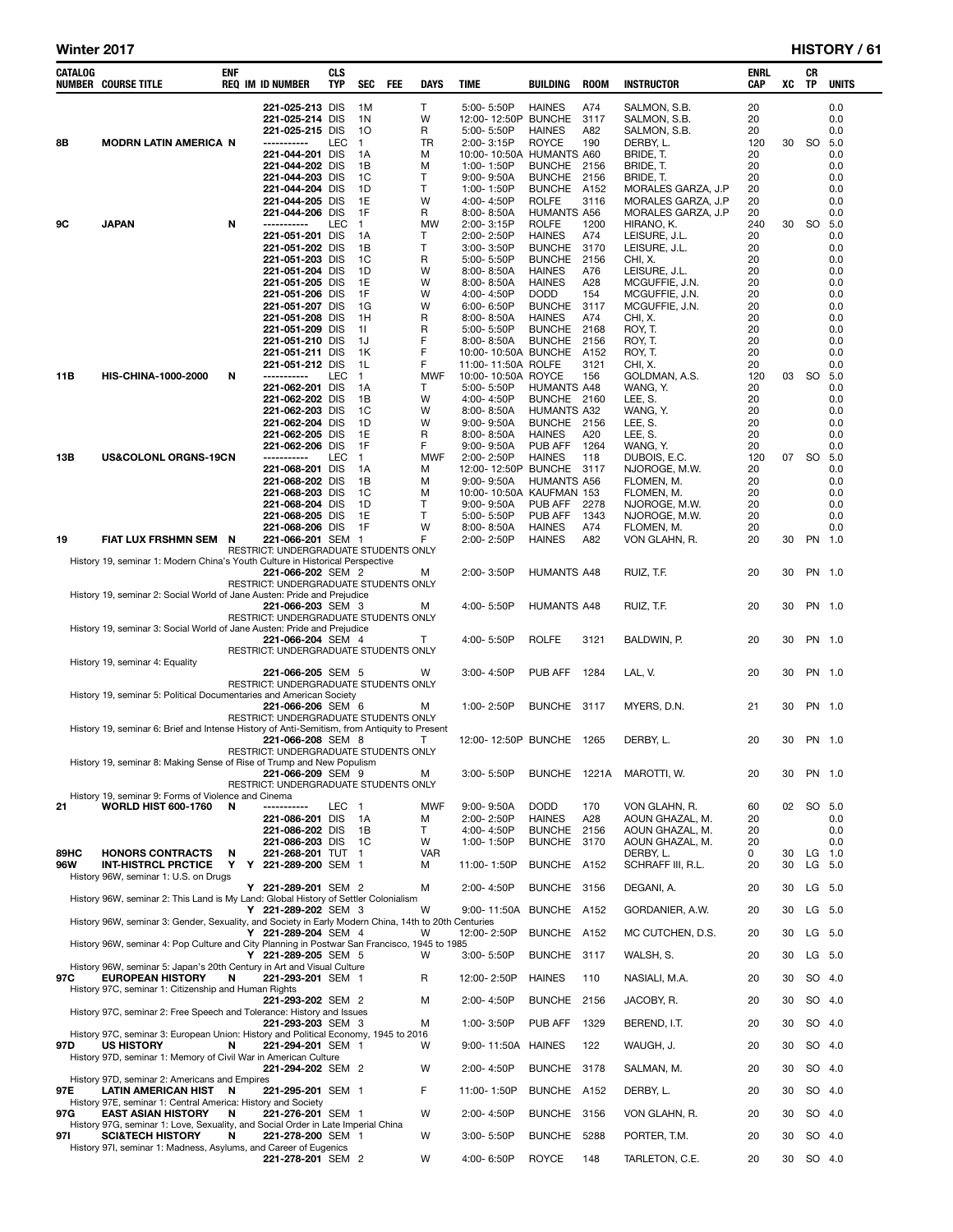e e

| CATALOG | <b>NUMBER COURSE TITLE</b>                                                                                    | ENF | <b>REQ IM ID NUMBER</b>                                    | CLS<br><b>TYP</b> | <b>SEC</b>         | <b>FEE</b> | <b>DAYS</b>        | <b>TIME</b>                              | <b>BUILDING</b>                     | <b>ROOM</b>  | <b>INSTRUCTOR</b>                  | ENRL<br>CAP | хc | CR<br><b>TP</b> | <b>UNITS</b>  |
|---------|---------------------------------------------------------------------------------------------------------------|-----|------------------------------------------------------------|-------------------|--------------------|------------|--------------------|------------------------------------------|-------------------------------------|--------------|------------------------------------|-------------|----|-----------------|---------------|
|         |                                                                                                               |     | 221-025-213 DIS                                            |                   | 1M                 |            | T                  | 5:00-5:50P                               | <b>HAINES</b>                       | A74          | SALMON, S.B.                       | 20          |    |                 | 0.0           |
|         |                                                                                                               |     | 221-025-214 DIS                                            |                   | 1 <sub>N</sub>     |            | W                  | 12:00-12:50P BUNCHE                      |                                     | 3117         | SALMON, S.B.                       | 20          |    |                 | 0.0           |
| 8Β      | <b>MODRN LATIN AMERICA N</b>                                                                                  |     | 221-025-215 DIS<br>-----------                             | LEC               | 10<br>$\mathbf{1}$ |            | R<br>TR            | 5:00-5:50P<br>2:00-3:15P                 | <b>HAINES</b><br><b>ROYCE</b>       | A82<br>190   | SALMON, S.B.<br>DERBY, L.          | 20<br>120   | 30 |                 | 0.0<br>SO 5.0 |
|         |                                                                                                               |     | 221-044-201 DIS                                            |                   | 1A                 |            | м                  | 10:00-10:50A HUMANTS A60                 |                                     |              | BRIDE, T.                          | 20          |    |                 | 0.0           |
|         |                                                                                                               |     | 221-044-202 DIS                                            |                   | 1B                 |            | M                  | 1:00-1:50P                               | <b>BUNCHE</b>                       | 2156         | BRIDE, T.                          | 20          |    |                 | 0.0           |
|         |                                                                                                               |     | 221-044-203 DIS<br>221-044-204 DIS                         |                   | 1C<br>1D           |            | T.<br>$\mathsf{T}$ | $9:00 - 9:50A$<br>1:00-1:50P             | <b>BUNCHE</b><br><b>BUNCHE</b>      | 2156<br>A152 | BRIDE. T.<br>MORALES GARZA, J.P    | 20<br>20    |    |                 | 0.0<br>0.0    |
|         |                                                                                                               |     | 221-044-205 DIS                                            |                   | 1E                 |            | W                  | 4:00-4:50P                               | <b>ROLFE</b>                        | 3116         | MORALES GARZA, J.P                 | 20          |    |                 | 0.0           |
|         |                                                                                                               |     | 221-044-206 DIS                                            |                   | 1F                 |            | R                  | 8:00-8:50A                               | <b>HUMANTS A56</b>                  |              | MORALES GARZA, J.P                 | 20          |    |                 | 0.0           |
| 9C      | JAPAN                                                                                                         | N   | -----------<br>221-051-201 DIS                             | <b>LEC</b>        | $\mathbf{1}$<br>1A |            | <b>MW</b><br>т     | 2:00-3:15P<br>2:00-2:50P                 | <b>ROLFE</b><br><b>HAINES</b>       | 1200<br>A74  | HIRANO, K.<br>LEISURE, J.L.        | 240<br>20   | 30 | <b>SO</b>       | 5.0<br>0.0    |
|         |                                                                                                               |     | 221-051-202 DIS                                            |                   | 1B                 |            | $\mathsf{T}$       | $3:00 - 3:50P$                           | <b>BUNCHE</b>                       | 3170         | LEISURE, J.L.                      | 20          |    |                 | 0.0           |
|         |                                                                                                               |     | 221-051-203 DIS                                            |                   | 1C                 |            | R                  | 5:00-5:50P                               | <b>BUNCHE</b>                       | 2156         | CHI, X.                            | 20          |    |                 | 0.0           |
|         |                                                                                                               |     | 221-051-204 DIS<br>221-051-205 DIS                         |                   | 1D<br>1E           |            | W<br>W             | $8:00 - 8:50A$<br>8:00-8:50A             | <b>HAINES</b><br><b>HAINES</b>      | A76<br>A28   | LEISURE, J.L.<br>MCGUFFIE, J.N.    | 20<br>20    |    |                 | 0.0<br>0.0    |
|         |                                                                                                               |     | 221-051-206 DIS                                            |                   | 1F                 |            | W                  | 4:00-4:50P                               | <b>DODD</b>                         | 154          | MCGUFFIE, J.N.                     | 20          |    |                 | 0.0           |
|         |                                                                                                               |     | 221-051-207 DIS                                            |                   | 1G                 |            | W                  | 6:00-6:50P                               | <b>BUNCHE</b>                       | 3117         | MCGUFFIE, J.N.                     | 20          |    |                 | 0.0           |
|         |                                                                                                               |     | 221-051-208 DIS<br>221-051-209 DIS                         |                   | 1H<br>11           |            | R<br>R             | $8:00 - 8:50A$<br>5:00-5:50P             | <b>HAINES</b><br><b>BUNCHE</b>      | A74<br>2168  | CHI, X.<br>ROY, T.                 | 20<br>20    |    |                 | 0.0<br>0.0    |
|         |                                                                                                               |     | 221-051-210 DIS                                            |                   | 1J                 |            | F                  | $8:00 - 8:50A$                           | <b>BUNCHE</b>                       | 2156         | ROY, T.                            | 20          |    |                 | 0.0           |
|         |                                                                                                               |     | 221-051-211 DIS                                            |                   | 1K                 |            | F                  | 10:00-10:50A BUNCHE                      |                                     | A152         | ROY, T.                            | 20          |    |                 | 0.0           |
| 11B     | <b>HIS-CHINA-1000-2000</b>                                                                                    | N   | 221-051-212 DIS<br>-----------                             | <b>LEC</b>        | 1L<br>$\mathbf{1}$ |            | F<br><b>MWF</b>    | 11:00-11:50A ROLFE<br>10:00-10:50A ROYCE |                                     | 3121<br>156  | CHI, X.<br>GOLDMAN, A.S.           | 20<br>120   | 03 |                 | 0.0<br>SO 5.0 |
|         |                                                                                                               |     | 221-062-201 DIS                                            |                   | 1A                 |            | T                  | 5:00-5:50P                               | <b>HUMANTS A48</b>                  |              | WANG, Y.                           | 20          |    |                 | 0.0           |
|         |                                                                                                               |     | 221-062-202 DIS                                            |                   | 1B                 |            | W                  | 4:00-4:50P                               | BUNCHE 2160                         |              | LEE, S.                            | 20          |    |                 | 0.0           |
|         |                                                                                                               |     | 221-062-203 DIS<br>221-062-204 DIS                         |                   | 1C<br>1D           |            | W<br>W             | $8:00 - 8:50A$<br>$9:00 - 9:50A$         | <b>HUMANTS A32</b><br><b>BUNCHE</b> | 2156         | WANG, Y.<br>LEE, S.                | 20<br>20    |    |                 | 0.0<br>0.0    |
|         |                                                                                                               |     | 221-062-205 DIS                                            |                   | 1E                 |            | R                  | $8:00 - 8:50A$                           | <b>HAINES</b>                       | A20          | LEE, S.                            | 20          |    |                 | 0.0           |
|         |                                                                                                               |     | 221-062-206 DIS                                            |                   | 1F                 |            | F                  | $9:00 - 9:50A$                           | PUB AFF                             | 1264         | WANG, Y.                           | 20          |    |                 | 0.0           |
| 13B     | <b>US&amp;COLONL ORGNS-19CN</b>                                                                               |     | -----------<br>221-068-201 DIS                             | <b>LEC</b>        | $\mathbf{1}$<br>1A |            | <b>MWF</b><br>м    | 2:00-2:50P<br>12:00-12:50P BUNCHE        | <b>HAINES</b>                       | 118<br>3117  | DUBOIS, E.C.<br>NJOROGE, M.W.      | 120<br>20   | 07 | <b>SO</b>       | 5.0<br>0.0    |
|         |                                                                                                               |     | 221-068-202 DIS                                            |                   | 1B                 |            | M                  | $9:00 - 9:50A$                           | <b>HUMANTS A56</b>                  |              | FLOMEN, M.                         | 20          |    |                 | 0.0           |
|         |                                                                                                               |     | 221-068-203 DIS                                            |                   | 1C                 |            | М                  | 10:00-10:50A KAUFMAN 153                 |                                     |              | FLOMEN, M.                         | 20          |    |                 | 0.0           |
|         |                                                                                                               |     | 221-068-204 DIS<br>221-068-205 DIS                         |                   | 1D<br>1E           |            | $\mathsf{T}$<br>T. | $9:00 - 9:50A$<br>5:00-5:50P             | PUB AFF<br>PUB AFF                  | 2278<br>1343 | NJOROGE, M.W.<br>NJOROGE, M.W.     | 20<br>20    |    |                 | 0.0<br>0.0    |
|         |                                                                                                               |     | 221-068-206 DIS                                            |                   | 1F                 |            | W                  | $8:00 - 8:50A$                           | <b>HAINES</b>                       | A74          | FLOMEN, M.                         | 20          |    |                 | 0.0           |
| 19      | FIAT LUX FRSHMN SEM N                                                                                         |     | 221-066-201 SEM 1                                          |                   |                    |            | F                  | 2:00-2:50P                               | <b>HAINES</b>                       | A82          | VON GLAHN, R.                      | 20          | 30 |                 | PN 1.0        |
|         | History 19, seminar 1: Modern China's Youth Culture in Historical Perspective                                 |     | RESTRICT: UNDERGRADUATE STUDENTS ONLY                      |                   |                    |            |                    |                                          |                                     |              |                                    |             |    |                 |               |
|         |                                                                                                               |     | 221-066-202 SEM 2                                          |                   |                    |            | м                  | 2:00-3:50P                               | <b>HUMANTS A48</b>                  |              | RUIZ, T.F.                         | 20          | 30 |                 | PN 1.0        |
|         | History 19, seminar 2: Social World of Jane Austen: Pride and Prejudice                                       |     | RESTRICT: UNDERGRADUATE STUDENTS ONLY                      |                   |                    |            |                    |                                          |                                     |              |                                    |             |    |                 |               |
|         |                                                                                                               |     | 221-066-203 SEM 3                                          |                   |                    |            | м                  | 4:00-5:50P                               | <b>HUMANTS A48</b>                  |              | RUIZ, T.F.                         | 20          | 30 |                 | PN 1.0        |
|         |                                                                                                               |     | RESTRICT: UNDERGRADUATE STUDENTS ONLY                      |                   |                    |            |                    |                                          |                                     |              |                                    |             |    |                 |               |
|         | History 19, seminar 3: Social World of Jane Austen: Pride and Prejudice                                       |     | <b>221-066-204 SEM 4</b>                                   |                   |                    |            | т                  | 4:00-5:50P                               | <b>ROLFE</b>                        | 3121         | BALDWIN, P.                        | 20          | 30 |                 | PN 1.0        |
|         |                                                                                                               |     | RESTRICT: UNDERGRADUATE STUDENTS ONLY                      |                   |                    |            |                    |                                          |                                     |              |                                    |             |    |                 |               |
|         | History 19, seminar 4: Equality                                                                               |     | 221-066-205 SEM 5                                          |                   |                    |            | W                  | 3:00-4:50P                               | PUB AFF                             | 1284         | LAL, V.                            | 20          | 30 |                 | PN 1.0        |
|         |                                                                                                               |     | RESTRICT: UNDERGRADUATE STUDENTS ONLY                      |                   |                    |            |                    |                                          |                                     |              |                                    |             |    |                 |               |
|         | History 19, seminar 5: Political Documentaries and American Society                                           |     | 221-066-206 SEM 6                                          |                   |                    |            | м                  | 1:00-2:50P                               | <b>BUNCHE</b>                       | 3117         | MYERS, D.N.                        | 21          | 30 |                 | PN 1.0        |
|         |                                                                                                               |     | RESTRICT: UNDERGRADUATE STUDENTS ONLY                      |                   |                    |            |                    |                                          |                                     |              |                                    |             |    |                 |               |
|         | History 19, seminar 6: Brief and Intense History of Anti-Semitism, from Antiquity to Present                  |     |                                                            |                   |                    |            |                    |                                          |                                     |              |                                    |             |    |                 |               |
|         |                                                                                                               |     | 221-066-208 SEM 8<br>RESTRICT: UNDERGRADUATE STUDENTS ONLY |                   |                    |            | т                  | 12:00-12:50P BUNCHE                      |                                     | 1265         | DERBY, L.                          | 20          | 30 |                 | PN 1.0        |
|         | History 19, seminar 8: Making Sense of Rise of Trump and New Populism                                         |     |                                                            |                   |                    |            |                    |                                          |                                     |              |                                    |             |    |                 |               |
|         |                                                                                                               |     | 221-066-209 SEM 9<br>RESTRICT: UNDERGRADUATE STUDENTS ONLY |                   |                    |            | м                  | 3:00-5:50P                               | BUNCHE 1221A                        |              | MAROTTI, W.                        | 20          | 30 |                 | PN 1.0        |
|         | History 19, seminar 9: Forms of Violence and Cinema                                                           |     |                                                            |                   |                    |            |                    |                                          |                                     |              |                                    |             |    |                 |               |
| 21      | <b>WORLD HIST 600-1760</b>                                                                                    | N   | -----------                                                | LEC               | $\mathbf{1}$       |            | <b>MWF</b>         | $9:00 - 9:50A$                           | <b>DODD</b>                         | 170          | VON GLAHN, R.                      | 60          | 02 |                 | SO 5.0        |
|         |                                                                                                               |     | 221-086-201 DIS<br>221-086-202 DIS                         |                   | 1A<br>1В           |            | м<br>T             | 2:00-2:50P<br>4:00-4:50P                 | HAINES<br><b>BUNCHE</b>             | A28<br>2156  | AOUN GHAZAL, M.<br>AOUN GHAZAL, M. | 20<br>20    |    |                 | 0.0<br>0.0    |
|         |                                                                                                               |     | 221-086-203 DIS                                            |                   | 1C                 |            | W                  | 1:00-1:50P                               | <b>BUNCHE</b>                       | 3170         | AOUN GHAZAL, M.                    | 20          |    |                 | 0.0           |
| 89HC    | <b>HONORS CONTRACTS</b>                                                                                       | N   | 221-268-201 TUT                                            |                   | 1                  |            | <b>VAR</b>         |                                          |                                     |              | DERBY, L.                          | 0           | 30 | LG              | 1.0           |
| 96W     | <b>INT-HISTRCL PRCTICE</b><br>History 96W, seminar 1: U.S. on Drugs                                           | Υ   | Y 221-289-200 SEM 1                                        |                   |                    |            | м                  | 11:00-1:50P                              | <b>BUNCHE</b>                       | A152         | SCHRAFF III, R.L.                  | 20          | 30 |                 | $LG$ 5.0      |
|         |                                                                                                               |     | Y 221-289-201 SEM 2                                        |                   |                    |            | М                  | 2:00-4:50P                               | <b>BUNCHE</b>                       | 3156         | DEGANI, A.                         | 20          | 30 |                 | LG 5.0        |
|         | History 96W, seminar 2: This Land is My Land: Global History of Settler Colonialism                           |     | Y 221-289-202 SEM 3                                        |                   |                    |            | w                  | 9:00-11:50A BUNCHE                       |                                     | A152         | GORDANIER, A.W.                    | 20          | 30 |                 | LG 5.0        |
|         | History 96W, seminar 3: Gender, Sexuality, and Society in Early Modern China, 14th to 20th Centuries          |     |                                                            |                   |                    |            |                    |                                          |                                     |              |                                    |             |    |                 |               |
|         |                                                                                                               |     | Y 221-289-204 SEM 4                                        |                   |                    |            | w                  | 12:00-2:50P                              | <b>BUNCHE</b>                       | A152         | MC CUTCHEN, D.S.                   | 20          | 30 | LG              | 5.0           |
|         | History 96W, seminar 4: Pop Culture and City Planning in Postwar San Francisco, 1945 to 1985                  |     | Y 221-289-205 SEM 5                                        |                   |                    |            | w                  | 3:00-5:50P                               | <b>BUNCHE</b>                       | 3117         | WALSH, S.                          | 20          | 30 |                 | LG 5.0        |
|         | History 96W, seminar 5: Japan's 20th Century in Art and Visual Culture                                        |     |                                                            |                   |                    |            |                    |                                          |                                     |              |                                    |             |    |                 |               |
| 97C     | <b>EUROPEAN HISTORY</b>                                                                                       | N   | 221-293-201 SEM 1                                          |                   |                    |            | R                  | 12:00-2:50P                              | HAINES                              | 110          | NASIALI, M.A.                      | 20          | 30 |                 | SO 4.0        |
|         | History 97C, seminar 1: Citizenship and Human Rights                                                          |     | 221-293-202 SEM 2                                          |                   |                    |            | М                  | 2:00-4:50P                               | <b>BUNCHE</b>                       | 2156         | JACOBY, R.                         | 20          | 30 |                 | SO 4.0        |
|         | History 97C, seminar 2: Free Speech and Tolerance: History and Issues                                         |     |                                                            |                   |                    |            |                    |                                          |                                     |              |                                    |             |    |                 |               |
|         | History 97C, seminar 3: European Union: History and Political Economy, 1945 to 2016                           |     | 221-293-203 SEM 3                                          |                   |                    |            | М                  | 1:00-3:50P                               | PUB AFF                             | 1329         | BEREND, I.T.                       | 20          | 30 |                 | SO 4.0        |
| 97D     | <b>US HISTORY</b>                                                                                             | N   | 221-294-201 SEM 1                                          |                   |                    |            | w                  | 9:00-11:50A HAINES                       |                                     | 122          | WAUGH, J.                          | 20          | 30 |                 | SO 4.0        |
|         | History 97D, seminar 1: Memory of Civil War in American Culture                                               |     |                                                            |                   |                    |            |                    |                                          |                                     |              |                                    |             |    |                 |               |
|         | History 97D, seminar 2: Americans and Empires                                                                 |     | 221-294-202 SEM 2                                          |                   |                    |            | W                  | 2:00-4:50P                               | <b>BUNCHE</b>                       | 3178         | SALMAN, M.                         | 20          | 30 |                 | SO 4.0        |
| 97E     | LATIN AMERICAN HIST                                                                                           | -N  | 221-295-201 SEM 1                                          |                   |                    |            | F                  | 11:00-1:50P                              | <b>BUNCHE</b>                       | A152         | DERBY, L.                          | 20          | 30 |                 | SO 4.0        |
|         | History 97E, seminar 1: Central America: History and Society                                                  |     |                                                            |                   |                    |            | W                  |                                          |                                     |              |                                    |             |    |                 |               |
| 97G     | <b>EAST ASIAN HISTORY</b><br>History 97G, seminar 1: Love, Sexuality, and Social Order in Late Imperial China | N   | 221-276-201 SEM 1                                          |                   |                    |            |                    | 2:00-4:50P                               | <b>BUNCHE</b>                       | 3156         | VON GLAHN, R.                      | 20          | 30 |                 | SO 4.0        |
| 971     | <b>SCI&amp;TECH HISTORY</b>                                                                                   | N   | 221-278-200 SEM 1                                          |                   |                    |            | W                  | $3:00 - 5:50P$                           | <b>BUNCHE</b>                       | 5288         | PORTER, T.M.                       | 20          | 30 |                 | SO 4.0        |
|         | History 97I, seminar 1: Madness, Asylums, and Career of Eugenics                                              |     | 221-278-201 SEM 2                                          |                   |                    |            | w                  | 4:00-6:50P                               | ROYCE                               | 148          | TARLETON, C.E.                     | 20          | 30 |                 | SO 4.0        |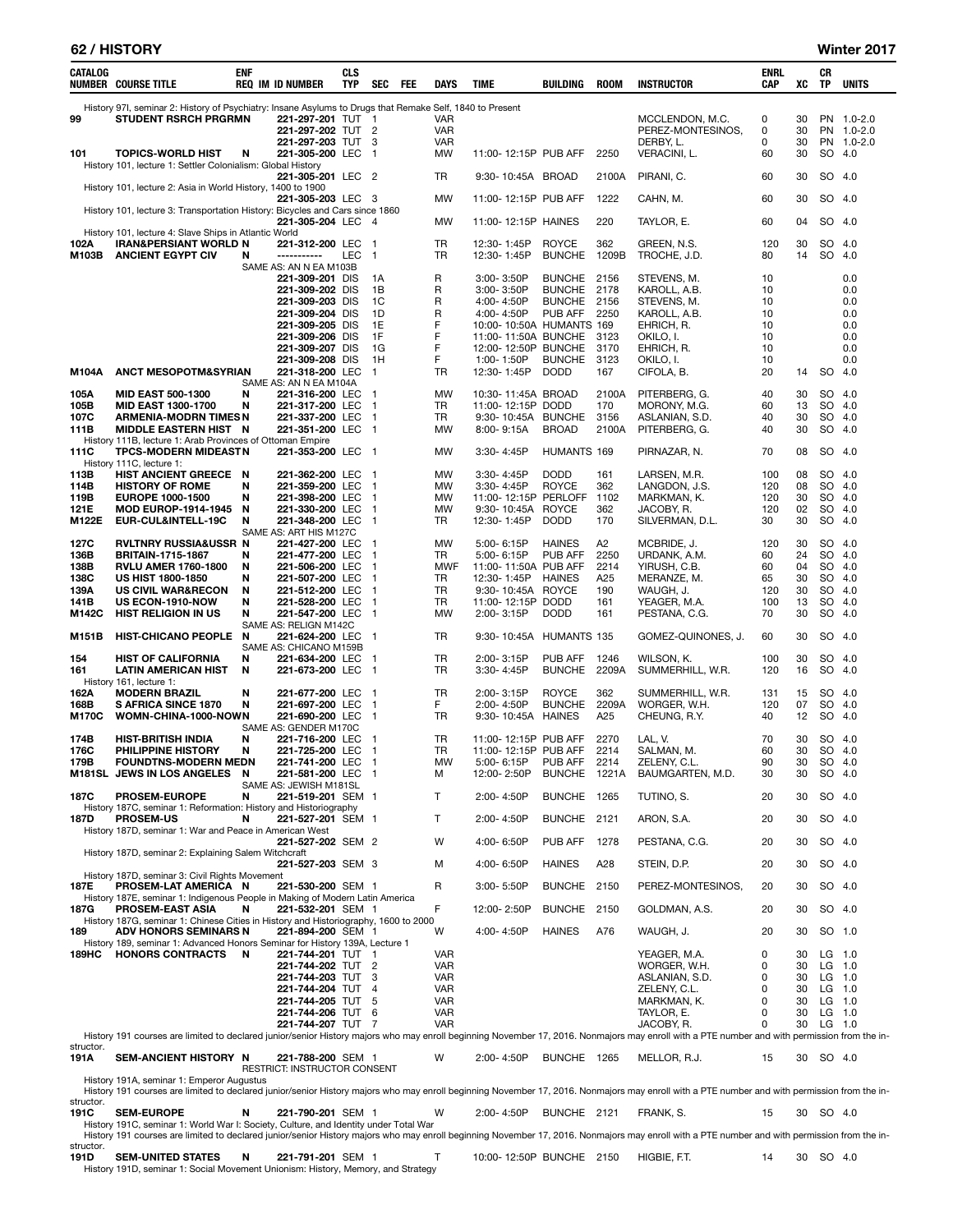### 62 / HISTORY Winter 2017

| CATALOG           | NUMBER COURSE TITLE                                                                                                                     | enf      | <b>REQ IM ID NUMBER</b>      |                                        | <b>CLS</b><br>TYP | <b>SEC</b>                                | FEE | <b>DAYS</b>       | <b>TIME</b>                             | BUILDING                      | <b>ROOM</b>    | <b>INSTRUCTOR</b>                                                                                                                                                                            | ENRL<br>CAP | xс       | CR<br>TP           | <b>UNITS</b> |
|-------------------|-----------------------------------------------------------------------------------------------------------------------------------------|----------|------------------------------|----------------------------------------|-------------------|-------------------------------------------|-----|-------------------|-----------------------------------------|-------------------------------|----------------|----------------------------------------------------------------------------------------------------------------------------------------------------------------------------------------------|-------------|----------|--------------------|--------------|
| 99                | History 97I, seminar 2: History of Psychiatry: Insane Asylums to Drugs that Remake Self, 1840 to Present<br><b>STUDENT RSRCH PRGRMN</b> |          |                              | 221-297-201 TUT 1                      |                   |                                           |     | VAR               |                                         |                               |                | MCCLENDON, M.C.                                                                                                                                                                              | 0           | 30       |                    | PN 1.0-2.0   |
|                   |                                                                                                                                         |          |                              | 221-297-202 TUT                        |                   | -2                                        |     | VAR               |                                         |                               |                | PEREZ-MONTESINOS,                                                                                                                                                                            | 0           | 30       |                    | PN 1.0-2.0   |
|                   |                                                                                                                                         |          |                              | 221-297-203 TUT                        |                   | 3                                         |     | <b>VAR</b>        |                                         |                               |                | DERBY, L.                                                                                                                                                                                    | 0           | 30       |                    | PN 1.0-2.0   |
| 101               | <b>TOPICS-WORLD HIST</b>                                                                                                                | N        |                              | 221-305-200 LEC                        |                   | $\overline{1}$                            |     | <b>MW</b>         | 11:00-12:15P PUB AFF                    |                               | 2250           | VERACINI, L.                                                                                                                                                                                 | 60          | 30       | SO 4.0             |              |
|                   | History 101, lecture 1: Settler Colonialism: Global History                                                                             |          |                              | 221-305-201 LEC 2                      |                   |                                           |     | TR                | 9:30-10:45A BROAD                       |                               | 2100A          | PIRANI, C.                                                                                                                                                                                   | 60          | 30       | SO 4.0             |              |
|                   | History 101, lecture 2: Asia in World History, 1400 to 1900                                                                             |          |                              | 221-305-203 LEC 3                      |                   |                                           |     | MW                | 11:00-12:15P PUB AFF                    |                               | 1222           | CAHN, M.                                                                                                                                                                                     | 60          | 30       | SO 4.0             |              |
|                   | History 101, lecture 3: Transportation History: Bicycles and Cars since 1860                                                            |          |                              | 221-305-204 LEC                        |                   | -4                                        |     | <b>MW</b>         | 11:00-12:15P HAINES                     |                               | 220            | TAYLOR, E.                                                                                                                                                                                   | 60          | 04       | SO 4.0             |              |
|                   | History 101, lecture 4: Slave Ships in Atlantic World                                                                                   |          |                              |                                        |                   |                                           |     |                   |                                         |                               |                |                                                                                                                                                                                              |             |          |                    |              |
| 102A<br>M103B     | <b>IRAN&amp;PERSIANT WORLD N</b><br><b>ANCIENT EGYPT CIV</b>                                                                            | N        |                              | 221-312-200 LEC<br>-----------         | LEC               | - 1<br>$\overline{1}$                     |     | TR<br>TR          | 12:30-1:45P<br>12:30-1:45P              | <b>ROYCE</b><br><b>BUNCHE</b> | 362<br>1209B   | GREEN, N.S.<br>TROCHE, J.D.                                                                                                                                                                  | 120<br>80   | 30<br>14 | SO.<br>SO.         | -4.0<br>4.0  |
|                   |                                                                                                                                         |          | SAME AS: AN N EA M103B       | 221-309-201 DIS                        |                   | 1A                                        |     | R                 | $3:00 - 3:50P$                          | BUNCHE 2156                   |                | STEVENS, M.                                                                                                                                                                                  | 10          |          |                    | 0.0          |
|                   |                                                                                                                                         |          |                              | 221-309-202 DIS                        |                   | 1В                                        |     | R                 | 3:00-3:50P                              | <b>BUNCHE</b>                 | 2178           | KAROLL, A.B.                                                                                                                                                                                 | 10          |          |                    | 0.0          |
|                   |                                                                                                                                         |          |                              | 221-309-203 DIS                        |                   | 1C                                        |     | R                 | 4:00-4:50P                              | <b>BUNCHE</b>                 | 2156           | STEVENS, M.                                                                                                                                                                                  | 10          |          |                    | 0.0          |
|                   |                                                                                                                                         |          |                              | 221-309-204 DIS<br>221-309-205 DIS     |                   | 1D<br>1E                                  |     | R<br>F            | 4:00-4:50P<br>10:00-10:50A HUMANTS 169  | PUB AFF                       | 2250           | KAROLL, A.B.<br>EHRICH, R.                                                                                                                                                                   | 10<br>10    |          |                    | 0.0<br>0.0   |
|                   |                                                                                                                                         |          |                              | 221-309-206 DIS                        |                   | 1F                                        |     | F                 | 11:00-11:50A BUNCHE                     |                               | -3123          | OKILO, I.                                                                                                                                                                                    | 10          |          |                    | 0.0          |
|                   |                                                                                                                                         |          |                              | 221-309-207 DIS                        |                   | 1G                                        |     | F                 | 12:00-12:50P BUNCHE                     |                               | 3170           | EHRICH, R.                                                                                                                                                                                   | 10          |          |                    | 0.0          |
| M104A             | <b>ANCT MESOPOTM&amp;SYRIAN</b>                                                                                                         |          |                              | 221-309-208 DIS<br>221-318-200 LEC     |                   | 1H<br>$\overline{1}$                      |     | F<br>TR           | 1:00-1:50P<br>12:30-1:45P               | <b>BUNCHE</b><br><b>DODD</b>  | 3123<br>167    | OKILO, I.<br>CIFOLA, B.                                                                                                                                                                      | 10<br>20    | 14       | SO.                | 0.0<br>-4.0  |
|                   |                                                                                                                                         |          | SAME AS: AN N EA M104A       |                                        |                   |                                           |     |                   |                                         |                               |                |                                                                                                                                                                                              |             |          |                    |              |
| 105A              | <b>MID EAST 500-1300</b>                                                                                                                | N        |                              | 221-316-200 LEC                        |                   | -1                                        |     | MW                | 10:30-11:45A BROAD                      |                               | 2100A          | PITERBERG, G.                                                                                                                                                                                | 40          | 30       | SO.                | 4.0          |
| 105B<br>107C      | <b>MID EAST 1300-1700</b><br><b>ARMENIA-MODRN TIMES N</b>                                                                               | N        |                              | 221-317-200 LEC<br>221-337-200 LEC     |                   | $\mathbf{1}$<br>$\mathbf{1}$              |     | TR<br>TR          | 11:00-12:15P DODD<br>9:30-10:45A BUNCHE |                               | 170<br>3156    | MORONY, M.G.<br>ASLANIAN, S.D.                                                                                                                                                               | 60<br>40    | 13<br>30 | SO<br>SO           | 4.0<br>4.0   |
| 111B              | <b>MIDDLE EASTERN HIST N</b>                                                                                                            |          |                              | 221-351-200 LEC                        |                   | $\overline{1}$                            |     | MW                | $8:00 - 9:15A$                          | <b>BROAD</b>                  | 2100A          | PITERBERG, G.                                                                                                                                                                                | 40          | 30       | SO                 | 4.0          |
| 111C              | History 111B, lecture 1: Arab Provinces of Ottoman Empire<br><b>TPCS-MODERN MIDEASTN</b>                                                |          |                              | 221-353-200 LEC 1                      |                   |                                           |     | MW                | 3:30-4:45P                              | <b>HUMANTS 169</b>            |                | PIRNAZAR, N.                                                                                                                                                                                 | 70          | 08       | SO 4.0             |              |
| 113B              | History 111C, lecture 1:<br>HIST ANCIENT GREECE N                                                                                       |          |                              | 221-362-200 LEC                        |                   | $\overline{1}$                            |     | МW                | $3:30 - 4:45P$                          | <b>DODD</b>                   | 161            | LARSEN, M.R.                                                                                                                                                                                 | 100         | 08       | SO 4.0             |              |
| 114B              | <b>HISTORY OF ROME</b>                                                                                                                  | N        |                              | 221-359-200 LEC                        |                   | $\overline{1}$                            |     | MW                | 3:30-4:45P                              | <b>ROYCE</b>                  | 362            | LANGDON, J.S.                                                                                                                                                                                | 120         | 08       | SO                 | 4.0          |
| 119B              | <b>EUROPE 1000-1500</b>                                                                                                                 | N        |                              | 221-398-200 LEC                        |                   | $\overline{1}$                            |     | <b>MW</b>         | 11:00-12:15P PERLOFF                    |                               | 1102           | MARKMAN, K.                                                                                                                                                                                  | 120         | 30       | SO 4.0             |              |
| 121E<br>M122E     | <b>MOD EUROP-1914-1945</b><br>EUR-CUL&INTELL-19C                                                                                        | N<br>N   |                              | 221-330-200 LEC<br>221-348-200 LEC     |                   | $\overline{1}$<br>$\overline{\mathbf{1}}$ |     | <b>MW</b><br>TR   | 9:30-10:45A ROYCE<br>12:30-1:45P        | <b>DODD</b>                   | 362<br>170     | JACOBY, R.<br>SILVERMAN, D.L.                                                                                                                                                                | 120<br>30   | 02<br>30 | SO<br>SO           | 4.0<br>4.0   |
|                   |                                                                                                                                         |          | SAME AS: ART HIS M127C       |                                        |                   |                                           |     |                   |                                         |                               |                |                                                                                                                                                                                              |             |          |                    |              |
| 127C              | RVLTNRY RUSSIA&USSR N                                                                                                                   |          |                              | 221-427-200 LEC                        |                   | -1                                        |     | <b>MW</b>         | 5:00-6:15P                              | <b>HAINES</b>                 | A <sub>2</sub> | MCBRIDE, J.                                                                                                                                                                                  | 120         | 30       | SO                 | 4.0          |
| 136B<br>138B      | <b>BRITAIN-1715-1867</b><br><b>RVLU AMER 1760-1800</b>                                                                                  | N<br>N   |                              | 221-477-200 LEC<br>221-506-200 LEC     |                   | $\overline{1}$<br>$\mathbf{1}$            |     | TR<br><b>MWF</b>  | 5:00-6:15P<br>11:00-11:50A PUB AFF      | <b>PUB AFF</b>                | 2250<br>2214   | URDANK, A.M.<br>YIRUSH, C.B.                                                                                                                                                                 | 60<br>60    | 24<br>04 | SO<br>SO           | 4.0<br>-4.0  |
| 138C              | <b>US HIST 1800-1850</b>                                                                                                                | N        |                              | 221-507-200 LEC                        |                   | -1                                        |     | TR                | 12:30-1:45P                             | <b>HAINES</b>                 | A25            | MERANZE, M.                                                                                                                                                                                  | 65          | 30       | SO                 | 4.0          |
| 139A              | <b>US CIVIL WAR&amp;RECON</b>                                                                                                           | N        |                              | 221-512-200 LEC                        |                   | -1                                        |     | TR                | 9:30-10:45A                             | ROYCE                         | 190            | WAUGH, J.                                                                                                                                                                                    | 120         | 30       | SO                 | 4.0          |
| 141B<br>M142C     | US ECON-1910-NOW<br><b>HIST RELIGION IN US</b>                                                                                          | N<br>N   |                              | 221-528-200 LEC<br>221-547-200 LEC     |                   | $\mathbf{1}$<br>$\overline{1}$            |     | TR<br><b>MW</b>   | 11:00-12:15P<br>2:00-3:15P              | <b>DODD</b><br><b>DODD</b>    | 161<br>161     | YEAGER, M.A.<br>PESTANA, C.G.                                                                                                                                                                | 100<br>70   | 13<br>30 | SO<br>SO           | 4.0<br>4.0   |
|                   |                                                                                                                                         |          | SAME AS: RELIGN M142C        |                                        |                   |                                           |     |                   |                                         |                               |                |                                                                                                                                                                                              |             |          |                    |              |
| M151B             | <b>HIST-CHICANO PEOPLE</b>                                                                                                              | N        | SAME AS: CHICANO M159B       | 221-624-200 LEC                        |                   | -1                                        |     | TR                | 9:30-10:45A HUMANTS 135                 |                               |                | GOMEZ-QUINONES, J.                                                                                                                                                                           | 60          | 30       | SO 4.0             |              |
| 154               | <b>HIST OF CALIFORNIA</b>                                                                                                               | N        |                              | 221-634-200 LEC                        |                   | $\overline{1}$                            |     | TR                | 2:00-3:15P                              | PUB AFF                       | 1246           | WILSON, K.                                                                                                                                                                                   | 100         | 30       | SO 4.0             |              |
| 161               | <b>LATIN AMERICAN HIST</b><br>History 161, lecture 1:                                                                                   | N        |                              | 221-673-200 LEC                        |                   | $\overline{1}$                            |     | TR                | $3:30 - 4:45P$                          | BUNCHE 2209A                  |                | SUMMERHILL, W.R.                                                                                                                                                                             | 120         | 16       | SO 4.0             |              |
| 162A              | <b>MODERN BRAZIL</b>                                                                                                                    | N        |                              | 221-677-200 LEC                        |                   | -1                                        |     | <b>TR</b>         | $2:00 - 3:15P$                          | <b>ROYCE</b>                  | 362            | SUMMERHILL, W.R.                                                                                                                                                                             | 131         | 15       | SO                 | 4.0          |
| 168B              | <b>S AFRICA SINCE 1870</b>                                                                                                              | N        |                              | 221-697-200 LEC<br>221-690-200 LEC     |                   | $\overline{1}$                            |     | F                 | 2:00-4:50P                              | <b>BUNCHE</b>                 | 2209A          | WORGER, W.H.                                                                                                                                                                                 | 120         | 07       | SO                 | 4.0          |
| M170C             | WOMN-CHINA-1000-NOWN                                                                                                                    |          | SAME AS: GENDER M170C        |                                        |                   | $\overline{1}$                            |     | TR                | 9:30-10:45A HAINES                      |                               | A25            | CHEUNG, R.Y.                                                                                                                                                                                 | 40          | 12       | SO 4.0             |              |
| 174B              | <b>HIST-BRITISH INDIA</b>                                                                                                               | N        |                              | 221-716-200 LEC                        |                   | -1                                        |     | TR                | 11:00-12:15P PUB AFF                    |                               | 2270           | LAL, V.                                                                                                                                                                                      | 70          | 30       | SO                 | 4.0          |
| 176C              | <b>PHILIPPINE HISTORY</b>                                                                                                               | N        |                              | 221-725-200 LEC                        |                   | $\overline{1}$                            |     | TR                | 11:00-12:15P PUB AFF                    |                               | 2214           | SALMAN, M.                                                                                                                                                                                   | 60          | 30       | SO                 | -4.0         |
| 179B              | <b>FOUNDTNS-MODERN MEDN</b><br>M181SL  JEWS IN LOS ANGELES                                                                              | N        |                              | 221-741-200 LEC<br>221-581-200 LEC 1   |                   | - 1                                       |     | <b>MW</b><br>M    | 5:00-6:15P<br>12:00-2:50P               | PUB AFF<br>BUNCHE 1221A       | 2214           | ZELENY, C.L.<br>BAUMGARTEN, M.D.                                                                                                                                                             | 90<br>30    | 30<br>30 | SO 4.0<br>SO 4.0   |              |
|                   |                                                                                                                                         |          | SAME AS: JEWISH M181SL       |                                        |                   |                                           |     |                   |                                         |                               |                |                                                                                                                                                                                              |             |          |                    |              |
| 187C              | <b>PROSEM-EUROPE</b><br>History 187C, seminar 1: Reformation: History and Historiography                                                | N        |                              | 221-519-201 SEM 1                      |                   |                                           |     | T                 | 2:00-4:50P                              | BUNCHE 1265                   |                | TUTINO, S.                                                                                                                                                                                   | 20          | 30       | SO 4.0             |              |
| 187D              | <b>PROSEM-US</b>                                                                                                                        | N        |                              | 221-527-201 SEM 1                      |                   |                                           |     | т                 | 2:00-4:50P                              | BUNCHE 2121                   |                | ARON, S.A.                                                                                                                                                                                   | 20          | 30       | SO 4.0             |              |
|                   | History 187D, seminar 1: War and Peace in American West                                                                                 |          |                              | 221-527-202 SEM 2                      |                   |                                           |     | W                 | 4:00-6:50P                              | PUB AFF                       | 1278           | PESTANA, C.G.                                                                                                                                                                                | 20          | 30       | SO 4.0             |              |
|                   | History 187D, seminar 2: Explaining Salem Witchcraft                                                                                    |          |                              |                                        |                   |                                           |     |                   |                                         |                               |                |                                                                                                                                                                                              |             |          |                    |              |
|                   | History 187D, seminar 3: Civil Rights Movement                                                                                          |          |                              | 221-527-203 SEM 3                      |                   |                                           |     | М                 | 4:00-6:50P                              | <b>HAINES</b>                 | A28            | STEIN, D.P.                                                                                                                                                                                  | 20          | 30       | SO 4.0             |              |
| 187E              | PROSEM-LAT AMERICA N<br>History 187E, seminar 1: Indigenous People in Making of Modern Latin America                                    |          |                              | 221-530-200 SEM 1                      |                   |                                           |     | R                 | $3:00 - 5:50P$                          | <b>BUNCHE</b>                 | 2150           | PEREZ-MONTESINOS,                                                                                                                                                                            | 20          | 30       | SO 4.0             |              |
| 187G              | <b>PROSEM-EAST ASIA</b>                                                                                                                 | N        |                              | 221-532-201 SEM 1                      |                   |                                           |     | F                 | 12:00-2:50P                             | <b>BUNCHE</b>                 | 2150           | GOLDMAN, A.S.                                                                                                                                                                                | 20          | 30       | SO 4.0             |              |
| 189               | History 187G, seminar 1: Chinese Cities in History and Historiography, 1600 to 2000<br><b>ADV HONORS SEMINARS N</b>                     |          |                              | 221-894-200 SEM 1                      |                   |                                           |     | W                 | 4:00-4:50P                              | <b>HAINES</b>                 | A76            | WAUGH, J.                                                                                                                                                                                    | 20          | 30       | SO 1.0             |              |
|                   | History 189, seminar 1: Advanced Honors Seminar for History 139A, Lecture 1                                                             |          |                              |                                        |                   |                                           |     |                   |                                         |                               |                |                                                                                                                                                                                              |             |          |                    |              |
| 189HC             | <b>HONORS CONTRACTS</b>                                                                                                                 | <b>N</b> |                              | 221-744-201 TUT 1<br>221-744-202 TUT 2 |                   |                                           |     | VAR<br>VAR        |                                         |                               |                | YEAGER, M.A.<br>WORGER, W.H.                                                                                                                                                                 | 0<br>0      | 30<br>30 | $LG$ 1.0<br>LG 1.0 |              |
|                   |                                                                                                                                         |          |                              | 221-744-203 TUT 3                      |                   |                                           |     | VAR               |                                         |                               |                | ASLANIAN, S.D.                                                                                                                                                                               | 0           | 30       | LG                 | 1.0          |
|                   |                                                                                                                                         |          |                              | 221-744-204 TUT                        |                   | $\overline{4}$                            |     | VAR               |                                         |                               |                | ZELENY, C.L.                                                                                                                                                                                 | 0           | 30       | LG                 | 1.0          |
|                   |                                                                                                                                         |          |                              | 221-744-205 TUT                        |                   | 5<br>- 6                                  |     | VAR<br><b>VAR</b> |                                         |                               |                | MARKMAN, K.                                                                                                                                                                                  | 0<br>0      | 30<br>30 | LG                 | 1.0<br>1.0   |
|                   |                                                                                                                                         |          |                              | 221-744-206 TUT<br>221-744-207 TUT 7   |                   |                                           |     | VAR               |                                         |                               |                | TAYLOR, E.<br>JACOBY, R.                                                                                                                                                                     | 0           | 30       | LG<br>LG 1.0       |              |
|                   |                                                                                                                                         |          |                              |                                        |                   |                                           |     |                   |                                         |                               |                | History 191 courses are limited to declared junior/senior History majors who may enroll beginning November 17, 2016. Nonmajors may enroll with a PTE number and with permission from the in- |             |          |                    |              |
| structor.<br>191A | SEM-ANCIENT HISTORY N                                                                                                                   |          |                              | 221-788-200 SEM 1                      |                   |                                           |     | W                 | 2:00-4:50P                              | BUNCHE 1265                   |                | MELLOR, R.J.                                                                                                                                                                                 | 15          | 30       | SO 4.0             |              |
|                   | History 191A, seminar 1: Emperor Augustus                                                                                               |          | RESTRICT: INSTRUCTOR CONSENT |                                        |                   |                                           |     |                   |                                         |                               |                |                                                                                                                                                                                              |             |          |                    |              |
| structor.         |                                                                                                                                         |          |                              |                                        |                   |                                           |     |                   |                                         |                               |                | History 191 courses are limited to declared junior/senior History majors who may enroll beginning November 17, 2016. Nonmajors may enroll with a PTE number and with permission from the in- |             |          |                    |              |
| 191C              | <b>SEM-EUROPE</b>                                                                                                                       | N        |                              | 221-790-201 SEM 1                      |                   |                                           |     | W                 | 2:00-4:50P                              | BUNCHE 2121                   |                | FRANK, S.                                                                                                                                                                                    | 15          | 30       | SO 4.0             |              |
|                   | History 191C, seminar 1: World War I: Society, Culture, and Identity under Total War                                                    |          |                              |                                        |                   |                                           |     |                   |                                         |                               |                | History 191 courses are limited to declared junior/senior History majors who may enroll beginning November 17, 2016. Nonmajors may enroll with a PTE number and with permission from the in- |             |          |                    |              |
| structor.<br>191D | <b>SEM-UNITED STATES</b>                                                                                                                | N        |                              | 221-791-201 SEM 1                      |                   |                                           |     | Т                 | 10:00-12:50P BUNCHE 2150                |                               |                | HIGBIE, F.T.                                                                                                                                                                                 | 14          | 30       | SO 4.0             |              |
|                   | History 191D, seminar 1: Social Movement Unionism: History, Memory, and Strategy                                                        |          |                              |                                        |                   |                                           |     |                   |                                         |                               |                |                                                                                                                                                                                              |             |          |                    |              |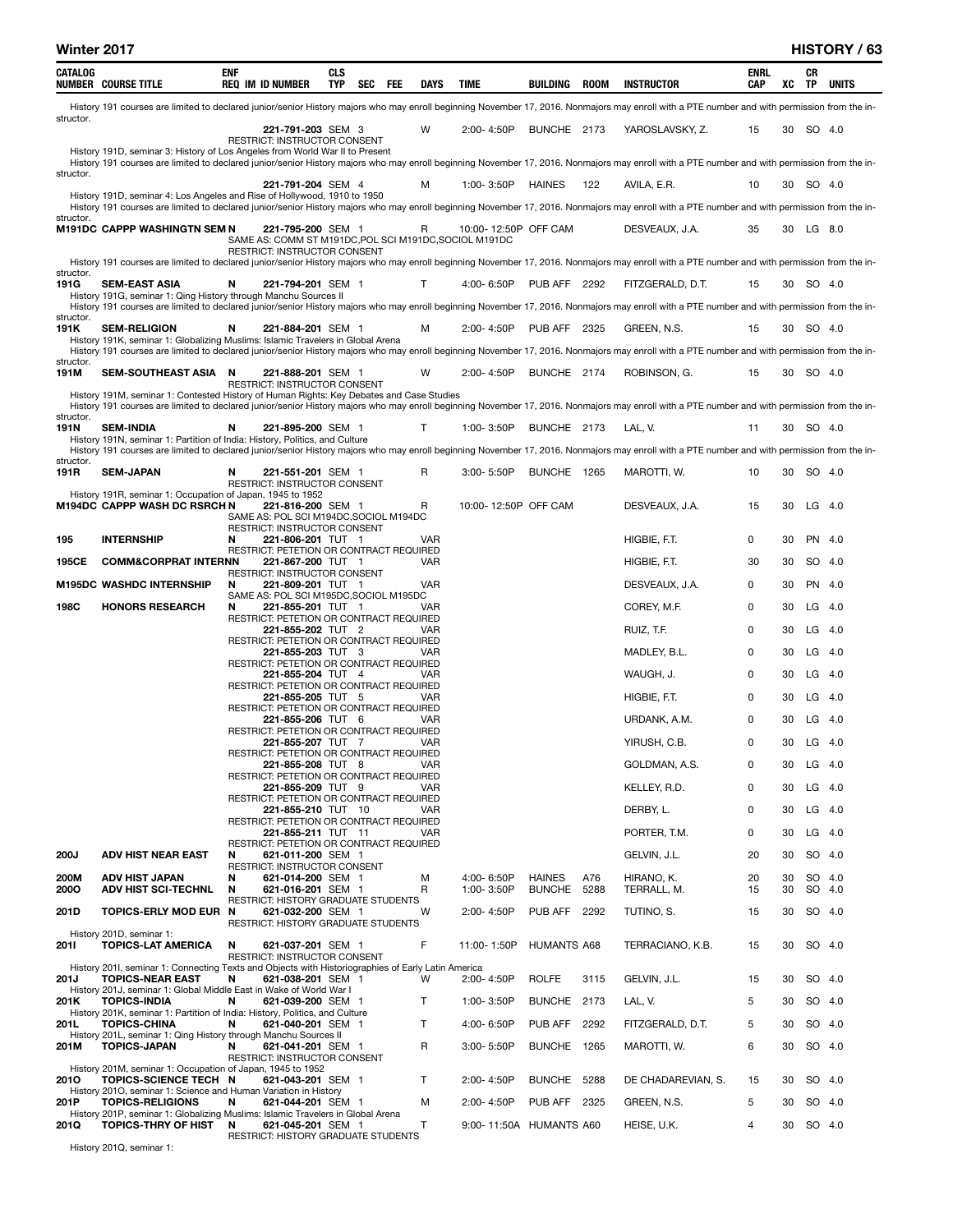| CATALOG           | <b>NUMBER COURSE TITLE</b>                                                                                                                                                                          | <b>ENF</b> | <b>REQ IM ID NUMBER</b>                                                                            | <b>CLS</b><br><b>TYP</b> | SEC | <b>FEE</b> | DAYS         | TIME                    | BUILDING            | ROOM | <b>INSTRUCTOR</b>                                                                                                                                                                                                | ENRL<br>CAP | xс | CR<br>TP  | UNITS    |
|-------------------|-----------------------------------------------------------------------------------------------------------------------------------------------------------------------------------------------------|------------|----------------------------------------------------------------------------------------------------|--------------------------|-----|------------|--------------|-------------------------|---------------------|------|------------------------------------------------------------------------------------------------------------------------------------------------------------------------------------------------------------------|-------------|----|-----------|----------|
| structor.         |                                                                                                                                                                                                     |            |                                                                                                    |                          |     |            |              |                         |                     |      | History 191 courses are limited to declared junior/senior History majors who may enroll beginning November 17, 2016. Nonmajors may enroll with a PTE number and with permission from the in-                     |             |    |           |          |
|                   | History 191D, seminar 3: History of Los Angeles from World War II to Present                                                                                                                        |            | 221-791-203 SEM 3<br>RESTRICT: INSTRUCTOR CONSENT                                                  |                          |     |            | w            | 2:00-4:50P              | BUNCHE 2173         |      | YAROSLAVSKY, Z.                                                                                                                                                                                                  | 15          | 30 | SO 4.0    |          |
| structor.         |                                                                                                                                                                                                     |            |                                                                                                    |                          |     |            |              |                         |                     |      | History 191 courses are limited to declared junior/senior History majors who may enroll beginning November 17, 2016. Nonmajors may enroll with a PTE number and with permission from the in-                     |             |    |           |          |
|                   | History 191D, seminar 4: Los Angeles and Rise of Hollywood, 1910 to 1950                                                                                                                            |            | 221-791-204 SEM 4                                                                                  |                          |     |            | м            | 1:00-3:50P              | <b>HAINES</b>       | 122  | AVILA, E.R.<br>History 191 courses are limited to declared junior/senior History majors who may enroll beginning November 17, 2016. Nonmajors may enroll with a PTE number and with permission from the in-      | 10          | 30 | SO 4.0    |          |
| structor.         | M191DC CAPPP WASHINGTN SEM N                                                                                                                                                                        |            | 221-795-200 SEM 1                                                                                  |                          |     |            | R            | 10:00-12:50P OFF CAM    |                     |      | DESVEAUX, J.A.                                                                                                                                                                                                   | 35          |    | 30 LG 8.0 |          |
|                   |                                                                                                                                                                                                     |            | SAME AS: COMM ST M191DC, POL SCI M191DC, SOCIOL M191DC<br>RESTRICT: INSTRUCTOR CONSENT             |                          |     |            |              |                         |                     |      |                                                                                                                                                                                                                  |             |    |           |          |
| structor.         |                                                                                                                                                                                                     |            |                                                                                                    |                          |     |            |              |                         |                     |      | History 191 courses are limited to declared junior/senior History majors who may enroll beginning November 17, 2016. Nonmajors may enroll with a PTE number and with permission from the in-                     |             |    |           |          |
| 191G              | <b>SEM-EAST ASIA</b><br>History 191G, seminar 1: Qing History through Manchu Sources II                                                                                                             | N          | 221-794-201 SEM 1                                                                                  |                          |     |            | T            | 4:00-6:50P              | <b>PUB AFF 2292</b> |      | FITZGERALD, D.T.<br>History 191 courses are limited to declared junior/senior History majors who may enroll beginning November 17, 2016. Nonmajors may enroll with a PTE number and with permission from the in- | 15          |    | 30 SO 4.0 |          |
| structor.<br>191K | <b>SEM-RELIGION</b>                                                                                                                                                                                 | N          | 221-884-201 SEM 1                                                                                  |                          |     |            | м            | 2:00-4:50P              | <b>PUB AFF 2325</b> |      | GREEN, N.S.                                                                                                                                                                                                      | 15          | 30 | SO 4.0    |          |
|                   | History 191K, seminar 1: Globalizing Muslims: Islamic Travelers in Global Arena                                                                                                                     |            |                                                                                                    |                          |     |            |              |                         |                     |      | History 191 courses are limited to declared junior/senior History majors who may enroll beginning November 17, 2016. Nonmajors may enroll with a PTE number and with permission from the in-                     |             |    |           |          |
| structor.<br>191M | SEM-SOUTHEAST ASIA N                                                                                                                                                                                |            | 221-888-201 SEM 1                                                                                  |                          |     |            | w            | 2:00-4:50P              | BUNCHE 2174         |      | ROBINSON, G.                                                                                                                                                                                                     | 15          | 30 | SO 4.0    |          |
|                   | History 191M, seminar 1: Contested History of Human Rights: Key Debates and Case Studies                                                                                                            |            | RESTRICT: INSTRUCTOR CONSENT                                                                       |                          |     |            |              |                         |                     |      | History 191 courses are limited to declared junior/senior History majors who may enroll beginning November 17, 2016. Nonmajors may enroll with a PTE number and with permission from the in-                     |             |    |           |          |
| structor.<br>191N | <b>SEM-INDIA</b>                                                                                                                                                                                    | N          | 221-895-200 SEM 1                                                                                  |                          |     |            | T            | 1:00-3:50P              | BUNCHE 2173         |      | LAL, V.                                                                                                                                                                                                          | 11          | 30 | SO 4.0    |          |
|                   | History 191N, seminar 1: Partition of India: History, Politics, and Culture                                                                                                                         |            |                                                                                                    |                          |     |            |              |                         |                     |      | History 191 courses are limited to declared junior/senior History majors who may enroll beginning November 17, 2016. Nonmajors may enroll with a PTE number and with permission from the in-                     |             |    |           |          |
| structor.<br>191R | <b>SEM-JAPAN</b>                                                                                                                                                                                    | N          | 221-551-201 SEM 1                                                                                  |                          |     |            | R            | $3:00 - 5:50P$          | BUNCHE 1265         |      | MAROTTI, W.                                                                                                                                                                                                      | 10          | 30 | SO 4.0    |          |
|                   | History 191R, seminar 1: Occupation of Japan, 1945 to 1952                                                                                                                                          |            | <b>RESTRICT: INSTRUCTOR CONSENT</b>                                                                |                          |     |            |              |                         |                     |      |                                                                                                                                                                                                                  |             |    |           |          |
|                   | <b>M194DC CAPPP WASH DC RSRCH N</b>                                                                                                                                                                 |            | 221-816-200 SEM 1<br>SAME AS: POL SCI M194DC, SOCIOL M194DC<br><b>RESTRICT: INSTRUCTOR CONSENT</b> |                          |     |            | R            | 10:00-12:50P OFF CAM    |                     |      | DESVEAUX, J.A.                                                                                                                                                                                                   | 15          | 30 | $LG$ 4.0  |          |
| 195               | <b>INTERNSHIP</b>                                                                                                                                                                                   | N          | 221-806-201 TUT 1<br>RESTRICT: PETETION OR CONTRACT REQUIRED                                       |                          |     |            | <b>VAR</b>   |                         |                     |      | HIGBIE, F.T.                                                                                                                                                                                                     | 0           | 30 | PN        | 4.0      |
| 195CE             | <b>COMM&amp;CORPRAT INTERNN</b>                                                                                                                                                                     |            | 221-867-200 TUT 1<br>RESTRICT: INSTRUCTOR CONSENT                                                  |                          |     |            | VAR          |                         |                     |      | HIGBIE, F.T.                                                                                                                                                                                                     | 30          | 30 | SO 4.0    |          |
|                   | <b>M195DC WASHDC INTERNSHIP</b>                                                                                                                                                                     | N          | 221-809-201 TUT 1<br>SAME AS: POL SCI M195DC, SOCIOL M195DC                                        |                          |     |            | <b>VAR</b>   |                         |                     |      | DESVEAUX, J.A.                                                                                                                                                                                                   | 0           | 30 | <b>PN</b> | 4.0      |
| 198C              | <b>HONORS RESEARCH</b>                                                                                                                                                                              | N          | 221-855-201 TUT 1<br>RESTRICT: PETETION OR CONTRACT REQUIRED                                       |                          |     |            | VAR          |                         |                     |      | COREY, M.F.                                                                                                                                                                                                      | 0           | 30 | LG        | 4.0      |
|                   |                                                                                                                                                                                                     |            | 221-855-202 TUT 2<br>RESTRICT: PETETION OR CONTRACT REQUIRED                                       |                          |     |            | <b>VAR</b>   |                         |                     |      | RUIZ, T.F.                                                                                                                                                                                                       | 0           | 30 | LG        | 4.0      |
|                   |                                                                                                                                                                                                     |            | 221-855-203 TUT 3<br>RESTRICT: PETETION OR CONTRACT REQUIRED                                       |                          |     |            | <b>VAR</b>   |                         |                     |      | MADLEY, B.L.                                                                                                                                                                                                     | 0           | 30 | LG.       | 4.0      |
|                   |                                                                                                                                                                                                     |            | 221-855-204 TUT 4<br>RESTRICT: PETETION OR CONTRACT REQUIRED                                       |                          |     |            | VAR          |                         |                     |      | WAUGH, J.                                                                                                                                                                                                        | 0           | 30 | LG        | -4.0     |
|                   |                                                                                                                                                                                                     |            | 221-855-205 TUT 5<br>RESTRICT: PETETION OR CONTRACT REQUIRED                                       |                          |     |            | VAR          |                         |                     |      | HIGBIE, F.T.                                                                                                                                                                                                     | 0           | 30 | LG        | 4.0      |
|                   |                                                                                                                                                                                                     |            | 221-855-206 TUT 6                                                                                  |                          |     |            | <b>VAR</b>   |                         |                     |      | URDANK, A.M.                                                                                                                                                                                                     | 0           | 30 | LG        | -4.0     |
|                   |                                                                                                                                                                                                     |            | RESTRICT: PETETION OR CONTRACT REQUIRED<br>221-855-207 TUT 7                                       |                          |     |            | VAR          |                         |                     |      | YIRUSH, C.B.                                                                                                                                                                                                     | 0           | 30 | $LG$ 4.0  |          |
|                   |                                                                                                                                                                                                     |            | RESTRICT: PETETION OR CONTRACT REQUIRED<br>221-855-208 TUT 8                                       |                          |     |            | VAR          |                         |                     |      | GOLDMAN, A.S.                                                                                                                                                                                                    | 0           | 30 | LG        | 4.0      |
|                   |                                                                                                                                                                                                     |            | RESTRICT: PETETION OR CONTRACT REQUIRED<br>221-855-209 TUT 9                                       |                          |     |            | <b>VAR</b>   |                         |                     |      | KELLEY, R.D.                                                                                                                                                                                                     | 0           | 30 |           | $LG$ 4.0 |
|                   |                                                                                                                                                                                                     |            | RESTRICT: PETETION OR CONTRACT REQUIRED<br>221-855-210 TUT 10                                      |                          |     |            | <b>VAR</b>   |                         |                     |      | DERBY, L.                                                                                                                                                                                                        | 0           | 30 | LG        | 4.0      |
|                   |                                                                                                                                                                                                     |            | RESTRICT: PETETION OR CONTRACT REQUIRED<br>221-855-211 TUT 11                                      |                          |     |            | VAR          |                         |                     |      | PORTER, T.M.                                                                                                                                                                                                     | 0           | 30 |           | $LG$ 4.0 |
| 200J              | <b>ADV HIST NEAR EAST</b>                                                                                                                                                                           | N          | RESTRICT: PETETION OR CONTRACT REQUIRED<br>621-011-200 SEM 1                                       |                          |     |            |              |                         |                     |      | GELVIN, J.L.                                                                                                                                                                                                     | 20          | 30 |           | SO 4.0   |
| 200M              | <b>ADV HIST JAPAN</b>                                                                                                                                                                               | N          | RESTRICT: INSTRUCTOR CONSENT<br>621-014-200 SEM 1                                                  |                          |     |            | м            | 4:00-6:50P              | <b>HAINES</b>       | A76  | HIRANO, K.                                                                                                                                                                                                       | 20          | 30 |           | SO 4.0   |
| 2000              | <b>ADV HIST SCI-TECHNL</b>                                                                                                                                                                          | N          | 621-016-201 SEM 1<br>RESTRICT: HISTORY GRADUATE STUDENTS                                           |                          |     |            | R            | 1:00-3:50P              | <b>BUNCHE</b>       | 5288 | TERRALL, M.                                                                                                                                                                                                      | 15          | 30 |           | SO 4.0   |
| 201D              | TOPICS-ERLY MOD EUR N                                                                                                                                                                               |            | 621-032-200 SEM 1<br>RESTRICT: HISTORY GRADUATE STUDENTS                                           |                          |     |            | W            | 2:00-4:50P              | PUB AFF             | 2292 | TUTINO, S.                                                                                                                                                                                                       | 15          | 30 |           | SO 4.0   |
| 2011              | History 201D, seminar 1:<br><b>TOPICS-LAT AMERICA</b>                                                                                                                                               | N          | 621-037-201 SEM 1<br>RESTRICT: INSTRUCTOR CONSENT                                                  |                          |     |            | F            | 11:00-1:50P             | <b>HUMANTS A68</b>  |      | TERRACIANO, K.B.                                                                                                                                                                                                 | 15          | 30 | SO 4.0    |          |
| 201J              | History 2011, seminar 1: Connecting Texts and Objects with Historiographies of Early Latin America<br><b>TOPICS-NEAR EAST</b><br>History 201J, seminar 1: Global Middle East in Wake of World War I | N          | 621-038-201 SEM 1                                                                                  |                          |     |            | W            | 2:00-4:50P              | <b>ROLFE</b>        | 3115 | GELVIN, J.L.                                                                                                                                                                                                     | 15          | 30 |           | SO 4.0   |
| 201K              | <b>TOPICS-INDIA</b>                                                                                                                                                                                 | N          | 621-039-200 SEM 1                                                                                  |                          |     |            | $\mathsf{T}$ | 1:00-3:50P              | BUNCHE 2173         |      | LAL, V.                                                                                                                                                                                                          | 5           | 30 | SO 4.0    |          |
| 201L              | History 201K, seminar 1: Partition of India: History, Politics, and Culture<br><b>TOPICS-CHINA</b>                                                                                                  | N          | 621-040-201 SEM 1                                                                                  |                          |     |            | T            | 4:00-6:50P              | PUB AFF             | 2292 | FITZGERALD, D.T.                                                                                                                                                                                                 | 5           | 30 |           | SO 4.0   |
| 201M              | History 201L, seminar 1: Qing History through Manchu Sources II<br><b>TOPICS-JAPAN</b>                                                                                                              | N          | 621-041-201 SEM 1<br>RESTRICT: INSTRUCTOR CONSENT                                                  |                          |     |            | R            | $3:00 - 5:50P$          | BUNCHE 1265         |      | MAROTTI, W.                                                                                                                                                                                                      | 6           | 30 | SO 4.0    |          |
| 2010              | History 201M, seminar 1: Occupation of Japan, 1945 to 1952<br>TOPICS-SCIENCE TECH N                                                                                                                 |            | 621-043-201 SEM 1                                                                                  |                          |     |            | $\mathsf{T}$ | 2:00-4:50P              | <b>BUNCHE</b>       | 5288 | DE CHADAREVIAN, S.                                                                                                                                                                                               | 15          | 30 |           | SO 4.0   |
| 201P              | History 2010, seminar 1: Science and Human Variation in History<br><b>TOPICS-RELIGIONS</b>                                                                                                          | N          | 621-044-201 SEM 1                                                                                  |                          |     |            | м            | 2:00-4:50P              | <b>PUB AFF 2325</b> |      | GREEN, N.S.                                                                                                                                                                                                      | 5           | 30 |           | SO 4.0   |
| 201Q              | History 201P, seminar 1: Globalizing Muslims: Islamic Travelers in Global Arena<br><b>TOPICS-THRY OF HIST</b>                                                                                       | N          | 621-045-201 SEM 1                                                                                  |                          |     |            | Т            | 9:00-11:50A HUMANTS A60 |                     |      | HEISE, U.K.                                                                                                                                                                                                      | 4           | 30 |           | SO 4.0   |
|                   |                                                                                                                                                                                                     |            | RESTRICT: HISTORY GRADUATE STUDENTS                                                                |                          |     |            |              |                         |                     |      |                                                                                                                                                                                                                  |             |    |           |          |

History 201Q, seminar 1: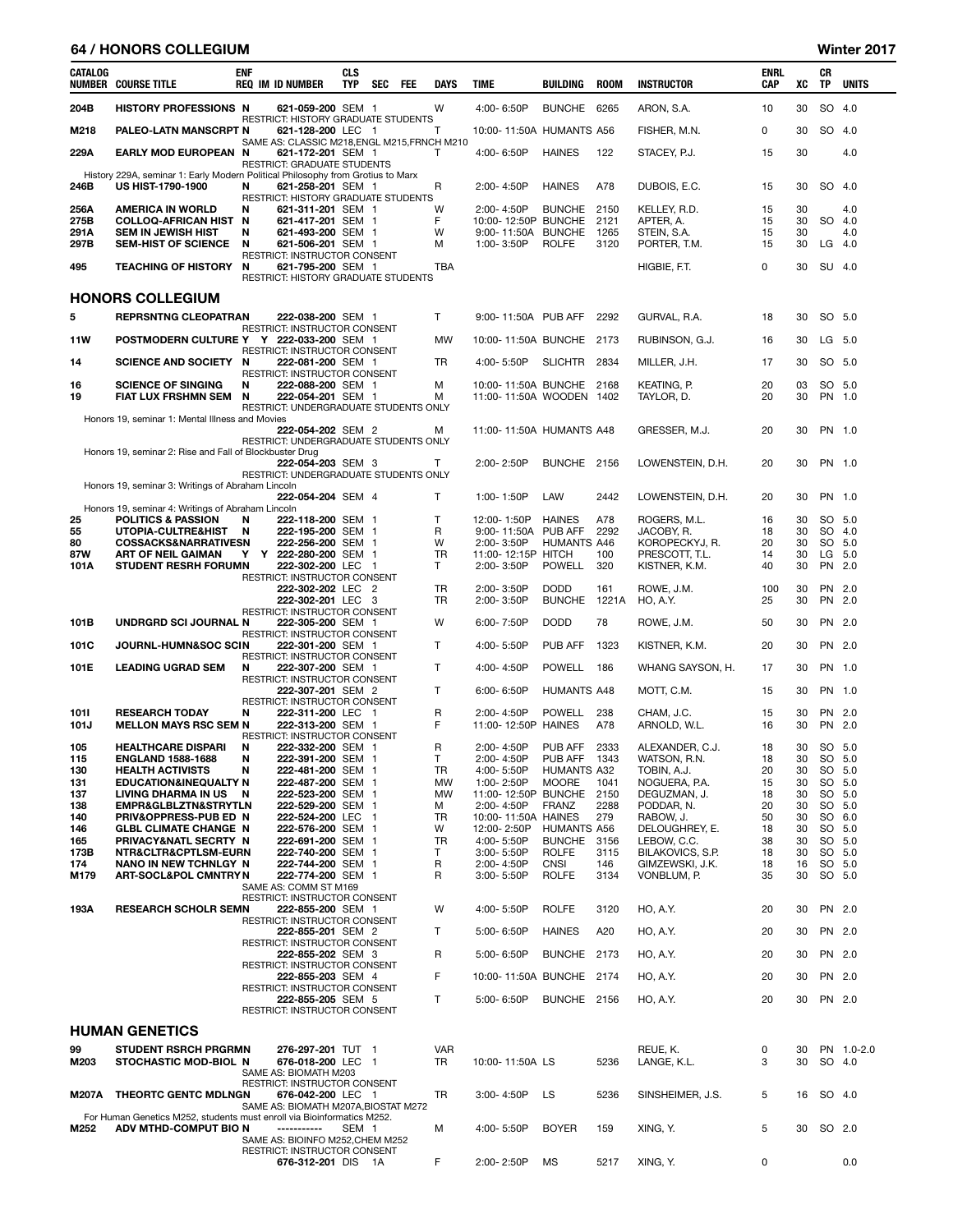## 64 / HONORS COLLEGIUM Winter 2017

| CATALOG      | <b>NUMBER COURSE TITLE</b>                                                                           | <b>ENF</b> | <b>REQ IM ID NUMBER</b>                                                                          | CLS<br><b>TYP</b> | <b>SEC</b> | <b>FEE</b> | DAYS         | <b>TIME</b>                                     | <b>BUILDING</b>               | <b>ROOM</b>  | <b>INSTRUCTOR</b>             | ENRL<br>CAP | XC       | CR<br>TP  | <b>UNITS</b>     |
|--------------|------------------------------------------------------------------------------------------------------|------------|--------------------------------------------------------------------------------------------------|-------------------|------------|------------|--------------|-------------------------------------------------|-------------------------------|--------------|-------------------------------|-------------|----------|-----------|------------------|
| 204B         | <b>HISTORY PROFESSIONS N</b>                                                                         |            | 621-059-200 SEM 1                                                                                |                   |            |            | W            | 4:00-6:50P                                      | <b>BUNCHE</b>                 | 6265         | ARON, S.A.                    | 10          | 30       |           | SO 4.0           |
| M218         | PALEO-LATN MANSCRPT N                                                                                |            | <b>RESTRICT: HISTORY GRADUATE STUDENTS</b><br>621-128-200 LEC 1                                  |                   |            |            | т            | 10:00-11:50A HUMANTS A56                        |                               |              | FISHER, M.N.                  | 0           | 30       |           | SO 4.0           |
| 229A         | EARLY MOD EUROPEAN N                                                                                 |            | SAME AS: CLASSIC M218, ENGL M215, FRNCH M210<br>621-172-201 SEM 1<br>RESTRICT: GRADUATE STUDENTS |                   |            |            | Т            | 4:00-6:50P                                      | <b>HAINES</b>                 | 122          | STACEY, P.J.                  | 15          | 30       |           | 4.0              |
| 246B         | History 229A, seminar 1: Early Modern Political Philosophy from Grotius to Marx<br>US HIST-1790-1900 | N          | 621-258-201 SEM 1<br>RESTRICT: HISTORY GRADUATE STUDENTS                                         |                   |            |            | R            | 2:00-4:50P                                      | <b>HAINES</b>                 | A78          | DUBOIS, E.C.                  | 15          | 30       |           | SO 4.0           |
| 256A         | <b>AMERICA IN WORLD</b>                                                                              | N          | 621-311-201 SEM 1                                                                                |                   |            |            | W            | 2:00-4:50P                                      | <b>BUNCHE</b>                 | 2150         | KELLEY, R.D.                  | 15          | 30       |           | 4.0              |
| 275B<br>291A | <b>COLLOQ-AFRICAN HIST N</b><br><b>SEM IN JEWISH HIST</b>                                            | N          | 621-417-201 SEM 1<br>621-493-200 SEM 1                                                           |                   |            |            | F<br>W       | 10:00-12:50P BUNCHE<br>9:00-11:50A              | <b>BUNCHE</b>                 | 2121<br>1265 | APTER, A.<br>STEIN, S.A.      | 15<br>15    | 30<br>30 |           | SO 4.0<br>4.0    |
| 297B         | <b>SEM-HIST OF SCIENCE</b>                                                                           | N          | 621-506-201 SEM 1                                                                                |                   |            |            | м            | 1:00-3:50P                                      | <b>ROLFE</b>                  | 3120         | PORTER, T.M.                  | 15          | 30       |           | $LG$ 4.0         |
| 495          | <b>TEACHING OF HISTORY</b>                                                                           | N          | RESTRICT: INSTRUCTOR CONSENT<br>621-795-200 SEM 1<br>RESTRICT: HISTORY GRADUATE STUDENTS         |                   |            |            | TBA          |                                                 |                               |              | HIGBIE, F.T.                  | 0           | 30       |           | SU 4.0           |
|              | <b>HONORS COLLEGIUM</b>                                                                              |            |                                                                                                  |                   |            |            |              |                                                 |                               |              |                               |             |          |           |                  |
| 5            | <b>REPRSNTNG CLEOPATRAN</b>                                                                          |            | 222-038-200 SEM 1                                                                                |                   |            |            | T.           | 9:00-11:50A PUB AFF                             |                               | 2292         | GURVAL, R.A.                  | 18          | 30       |           | SO 5.0           |
| 11W          | POSTMODERN CULTURE Y Y 222-033-200 SEM 1                                                             |            | RESTRICT: INSTRUCTOR CONSENT                                                                     |                   |            |            | MW           | 10:00-11:50A BUNCHE                             |                               | 2173         | RUBINSON, G.J.                | 16          | 30       |           | LG 5.0           |
|              | <b>SCIENCE AND SOCIETY</b>                                                                           | N          | RESTRICT: INSTRUCTOR CONSENT                                                                     |                   |            |            | TR           | 4:00-5:50P                                      | <b>SLICHTR</b>                | 2834         |                               |             | 30       |           | SO 5.0           |
| 14           |                                                                                                      |            | 222-081-200 SEM 1<br>RESTRICT: INSTRUCTOR CONSENT                                                |                   |            |            |              |                                                 |                               |              | MILLER, J.H.                  | 17          |          |           |                  |
| 16<br>19     | <b>SCIENCE OF SINGING</b><br>FIAT LUX FRSHMN SEM                                                     | N<br>N     | 222-088-200 SEM 1<br>222-054-201 SEM 1<br>RESTRICT: UNDERGRADUATE STUDENTS ONLY                  |                   |            |            | м<br>м       | 10:00-11:50A BUNCHE<br>11:00-11:50A WOODEN 1402 |                               | 2168         | KEATING, P.<br>TAYLOR, D.     | 20<br>20    | 03<br>30 |           | SO 5.0<br>PN 1.0 |
|              | Honors 19, seminar 1: Mental Illness and Movies                                                      |            | 222-054-202 SEM 2                                                                                |                   |            |            | м            | 11:00-11:50A HUMANTS A48                        |                               |              | GRESSER, M.J.                 | 20          | 30       |           | PN 1.0           |
|              | Honors 19, seminar 2: Rise and Fall of Blockbuster Drug                                              |            | RESTRICT: UNDERGRADUATE STUDENTS ONLY                                                            |                   |            |            |              |                                                 |                               |              |                               |             |          |           |                  |
|              | Honors 19, seminar 3: Writings of Abraham Lincoln                                                    |            | 222-054-203 SEM 3<br>RESTRICT: UNDERGRADUATE STUDENTS ONLY                                       |                   |            |            | т            | 2:00-2:50P                                      | BUNCHE 2156                   |              | LOWENSTEIN, D.H.              | 20          | 30       |           | PN 1.0           |
|              | Honors 19, seminar 4: Writings of Abraham Lincoln                                                    |            | 222-054-204 SEM 4                                                                                |                   |            |            | $\mathsf{T}$ | 1:00-1:50P                                      | LAW                           | 2442         | LOWENSTEIN, D.H.              | 20          | 30       |           | PN 1.0           |
| 25           | <b>POLITICS &amp; PASSION</b>                                                                        | N          | 222-118-200 SEM 1                                                                                |                   |            |            | $\mathsf{T}$ | 12:00-1:50P                                     | <b>HAINES</b>                 | A78          | ROGERS, M.L.                  | 16          | 30       |           | SO 5.0           |
| 55<br>80     | <b>UTOPIA-CULTRE&amp;HIST</b><br><b>COSSACKS&amp;NARRATIVESN</b>                                     | N          | 222-195-200 SEM 1<br>222-256-200 SEM 1                                                           |                   |            |            | R<br>W       | 9:00-11:50A<br>2:00-3:50P                       | PUB AFF<br><b>HUMANTS A46</b> | 2292         | JACOBY, R.<br>KOROPECKYJ, R.  | 18<br>20    | 30<br>30 |           | SO 4.0<br>SO 5.0 |
| 87W          | ART OF NEIL GAIMAN                                                                                   | Υ          | Y 222-280-200 SEM 1                                                                              |                   |            |            | TR           | 11:00-12:15P HITCH                              |                               | 100          | PRESCOTT, T.L.                | 14          | 30       |           | LG 5.0           |
| 101A         | <b>STUDENT RESRH FORUMN</b>                                                                          |            | 222-302-200 LEC 1<br>RESTRICT: INSTRUCTOR CONSENT                                                |                   |            |            | T            | 2:00-3:50P                                      | POWELL                        | 320          | KISTNER, K.M.                 | 40          | 30       | <b>PN</b> | 2.0              |
|              |                                                                                                      |            | 222-302-202 LEC 2<br>222-302-201 LEC 3                                                           |                   |            |            | TR<br>TR     | 2:00-3:50P<br>2:00-3:50P                        | <b>DODD</b><br>BUNCHE 1221A   | 161          | ROWE, J.M.<br>HO, A.Y.        | 100<br>25   | 30<br>30 | <b>PN</b> | 2.0<br>PN 2.0    |
| 101B         | UNDRGRD SCI JOURNAL N                                                                                |            | RESTRICT: INSTRUCTOR CONSENT<br>222-305-200 SEM 1                                                |                   |            |            | W            | 6:00-7:50P                                      | <b>DODD</b>                   | 78           | ROWE, J.M.                    | 50          | 30       |           | PN 2.0           |
| 101C         | JOURNL-HUMN&SOC SCIN                                                                                 |            | RESTRICT: INSTRUCTOR CONSENT<br>222-301-200 SEM 1                                                |                   |            |            | $\mathsf{T}$ | 4:00-5:50P                                      | <b>PUB AFF</b>                | 1323         | KISTNER, K.M.                 | 20          | 30       |           | PN 2.0           |
| 101E         | <b>LEADING UGRAD SEM</b>                                                                             | N          | RESTRICT: INSTRUCTOR CONSENT<br>222-307-200 SEM 1                                                |                   |            |            | $\mathsf{T}$ | 4:00-4:50P                                      | <b>POWELL</b>                 | 186          | WHANG SAYSON, H.              | 17          | 30       |           | PN 1.0           |
|              |                                                                                                      |            | RESTRICT: INSTRUCTOR CONSENT<br>222-307-201 SEM 2                                                |                   |            |            | $\mathsf{T}$ | 6:00-6:50P                                      | <b>HUMANTS A48</b>            |              | MOTT, C.M.                    | 15          | 30       |           | PN 1.0           |
| 1011         | <b>RESEARCH TODAY</b>                                                                                | N          | RESTRICT: INSTRUCTOR CONSENT<br>222-311-200 LEC 1                                                |                   |            |            | R            | 2:00-4:50P                                      | <b>POWELL</b>                 | 238          | CHAM. J.C.                    | 15          | 30       |           | PN 2.0           |
| 101J         | <b>MELLON MAYS RSC SEM N</b>                                                                         |            | 222-313-200 SEM 1                                                                                |                   |            |            | F            | 11:00-12:50P HAINES                             |                               | A78          | ARNOLD, W.L.                  | 16          | 30       |           | PN 2.0           |
| 105          | <b>HEALTHCARE DISPARI</b>                                                                            | N          | RESTRICT: INSTRUCTOR CONSENT<br>222-332-200 SEM 1                                                |                   |            |            | R            | 2:00-4:50P                                      | <b>PUB AFF</b>                | 2333         | ALEXANDER, C.J.               | 18          | 30       |           | SO 5.0           |
| 115          | <b>ENGLAND 1588-1688</b>                                                                             | N          | 222-391-200 SEM 1                                                                                |                   |            |            | т            | 2:00-4:50P                                      | PUB AFF                       | 1343         | WATSON, R.N.                  | 18          | 30       |           | SO 5.0           |
| 130<br>131   | <b>HEALTH ACTIVISTS</b><br><b>EDUCATION&amp;INEQUALTY N</b>                                          | N          | 222-481-200 SEM 1<br>222-487-200 SEM 1                                                           |                   |            |            | TR<br>MW     | 4:00-5:50P<br>1:00-2:50P                        | HUMANTS A32<br>MOORE          | 1041         | TOBIN, A.J.<br>NOGUERA, P.A.  | 20<br>15    | 30<br>30 |           | SO 5.0<br>SO 5.0 |
| 137          | <b>LIVING DHARMA IN US</b>                                                                           | N          | 222-523-200 SEM 1                                                                                |                   |            |            | <b>MW</b>    | 11:00-12:50P BUNCHE                             |                               | 2150         | DEGUZMAN, J.                  | 18          | 30       |           | SO 5.0           |
| 138          | EMPR&GLBLZTN&STRYTLN                                                                                 |            | 222-529-200 SEM 1                                                                                |                   |            |            | М            | 2:00-4:50P                                      | <b>FRANZ</b>                  | 2288         | PODDAR, N.                    | 20          | 30       |           | SO 5.0           |
| 140          | PRIV&OPPRESS-PUB ED N                                                                                |            | 222-524-200 LEC 1<br>222-576-200 SEM 1                                                           |                   |            |            | TR           | 10:00-11:50A HAINES                             | <b>HUMANTS A56</b>            | 279          | RABOW, J.                     | 50          | 30       |           | SO 6.0           |
| 146<br>165   | <b>GLBL CLIMATE CHANGE N</b><br>PRIVACY&NATL SECRTY N                                                |            | 222-691-200 SEM 1                                                                                |                   |            |            | W<br>TR      | 12:00-2:50P<br>4:00-5:50P                       | <b>BUNCHE</b>                 | 3156         | DELOUGHREY, E.<br>LEBOW, C.C. | 18<br>38    | 30<br>30 |           | SO 5.0<br>SO 5.0 |
| 173B         | NTR&CLTR&CPTLSM-EURN                                                                                 |            | 222-740-200 SEM 1                                                                                |                   |            |            | T            | 3:00-5:50P                                      | <b>ROLFE</b>                  | 3115         | BILAKOVICS, S.P.              | 18          | 30       |           | SO 5.0           |
| 174          | <b>NANO IN NEW TCHNLGY N</b>                                                                         |            | 222-744-200 SEM 1                                                                                |                   |            |            | R            | 2:00-4:50P                                      | CNSI                          | 146          | GIMZEWSKI, J.K.               | 18          | 16       |           | SO 5.0           |
| M179         | <b>ART-SOCL&amp;POL CMNTRY N</b>                                                                     |            | 222-774-200 SEM 1<br>SAME AS: COMM ST M169                                                       |                   |            |            | R            | 3:00-5:50P                                      | <b>ROLFE</b>                  | 3134         | VONBLUM, P.                   | 35          | 30       |           | SO 5.0           |
| 193A         | <b>RESEARCH SCHOLR SEMN</b>                                                                          |            | RESTRICT: INSTRUCTOR CONSENT<br>222-855-200 SEM 1                                                |                   |            |            | W            | 4:00-5:50P                                      | <b>ROLFE</b>                  | 3120         | <b>HO, A.Y.</b>               | 20          | 30       |           | PN 2.0           |
|              |                                                                                                      |            | RESTRICT: INSTRUCTOR CONSENT<br>222-855-201 SEM 2                                                |                   |            |            | T            | 5:00-6:50P                                      | <b>HAINES</b>                 | A20          | <b>HO, A.Y.</b>               | 20          | 30       |           | PN 2.0           |
|              |                                                                                                      |            | <b>RESTRICT: INSTRUCTOR CONSENT</b><br>222-855-202 SEM 3                                         |                   |            |            | R            | 5:00-6:50P                                      | BUNCHE 2173                   |              | HO, A.Y.                      | 20          | 30       |           | PN 2.0           |
|              |                                                                                                      |            | RESTRICT: INSTRUCTOR CONSENT<br>222-855-203 SEM 4                                                |                   |            |            | F            | 10:00-11:50A BUNCHE 2174                        |                               |              | <b>HO, A.Y.</b>               | 20          | 30       |           | PN 2.0           |
|              |                                                                                                      |            | RESTRICT: INSTRUCTOR CONSENT<br>222-855-205 SEM 5                                                |                   |            |            | T.           | 5:00-6:50P                                      | BUNCHE 2156                   |              |                               | 20          | 30       |           | PN 2.0           |
|              |                                                                                                      |            | RESTRICT: INSTRUCTOR CONSENT                                                                     |                   |            |            |              |                                                 |                               |              | <b>HO, A.Y.</b>               |             |          |           |                  |
|              | <b>HUMAN GENETICS</b>                                                                                |            |                                                                                                  |                   |            |            |              |                                                 |                               |              |                               |             |          |           |                  |
| 99           | <b>STUDENT RSRCH PRGRMN</b>                                                                          |            | 276-297-201 TUT 1                                                                                |                   |            |            | <b>VAR</b>   |                                                 |                               |              | REUE, K.                      | 0           | 30       |           | PN 1.0-2.0       |
| M203         | <b>STOCHASTIC MOD-BIOL N</b>                                                                         |            | 676-018-200 LEC 1<br>SAME AS: BIOMATH M203                                                       |                   |            |            | TR           | 10:00-11:50A LS                                 |                               | 5236         | LANGE, K.L.                   | 3           | 30       |           | SO 4.0           |
| M207A        | <b>THEORTC GENTC MDLNGN</b>                                                                          |            | RESTRICT: INSTRUCTOR CONSENT<br>676-042-200 LEC 1<br>SAME AS: BIOMATH M207A, BIOSTAT M272        |                   |            |            | TR           | 3:00-4:50P                                      | LS                            | 5236         | SINSHEIMER, J.S.              | 5           | 16       |           | SO 4.0           |
| M252         | For Human Genetics M252, students must enroll via Bioinformatics M252.<br>ADV MTHD-COMPUT BIO N      |            | -----------                                                                                      | SEM 1             |            |            | Μ            | 4:00-5:50P                                      | <b>BOYER</b>                  | 159          | XING, Y.                      | 5           | 30       |           | SO 2.0           |
|              |                                                                                                      |            | SAME AS: BIOINFO M252, CHEM M252<br>RESTRICT: INSTRUCTOR CONSENT                                 |                   |            |            |              |                                                 |                               |              |                               |             |          |           |                  |
|              |                                                                                                      |            | 676-312-201 DIS 1A                                                                               |                   |            |            | F.           | 2:00-2:50P                                      | MS                            | 5217         | XING, Y.                      | 0           |          |           | 0.0              |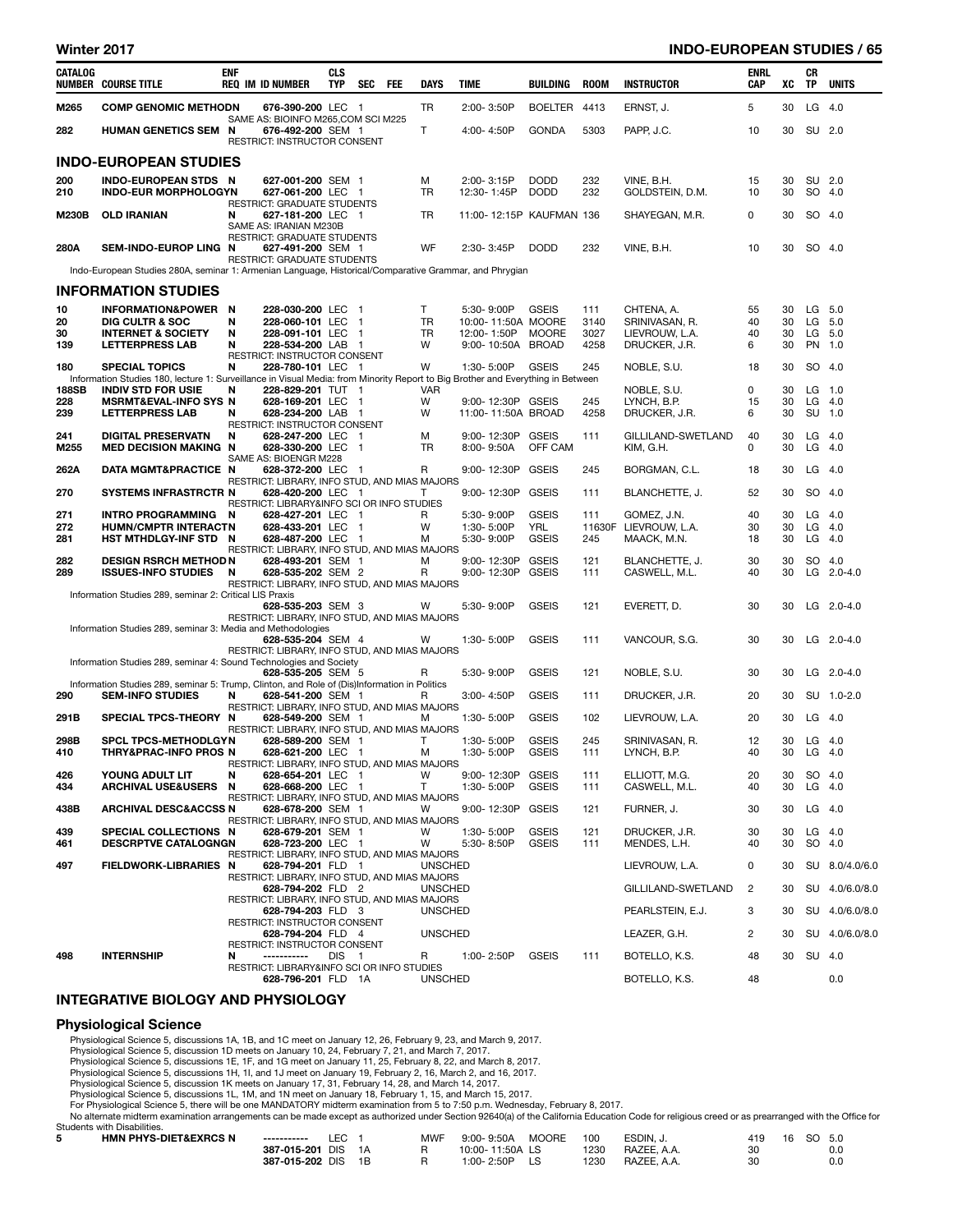## Winter 2017 INDO-EUROPEAN STUDIES / 65

| CATALOG      | <b>NUMBER COURSE TITLE</b>                                                                                                      | <b>ENF</b> | <b>REQ IM ID NUMBER</b>                                   |                                        | <b>CLS</b><br><b>TYP</b> | <b>SEC</b>     | FEE | DAYS           | TIME |                            | BUILDING                     | <b>ROOM</b> | <b>INSTRUCTOR</b>               | ENRL<br>CAP | xс       | СR<br>TP  | <b>UNITS</b>      |
|--------------|---------------------------------------------------------------------------------------------------------------------------------|------------|-----------------------------------------------------------|----------------------------------------|--------------------------|----------------|-----|----------------|------|----------------------------|------------------------------|-------------|---------------------------------|-------------|----------|-----------|-------------------|
| M265         | <b>COMP GENOMIC METHODN</b>                                                                                                     |            |                                                           | 676-390-200 LEC 1                      |                          |                |     | TR             |      | 2:00-3:50P                 | <b>BOELTER</b>               | 4413        | ERNST, J.                       | 5           | 30       | LG        | 4.0               |
| 282          | <b>HUMAN GENETICS SEM N</b>                                                                                                     |            | SAME AS: BIOINFO M265, COM SCI M225                       | 676-492-200 SEM 1                      |                          |                |     | Τ              |      | 4:00-4:50P                 | <b>GONDA</b>                 | 5303        | PAPP, J.C.                      | 10          | 30       | SU 2.0    |                   |
|              | <b>INDO-EUROPEAN STUDIES</b>                                                                                                    |            | <b>RESTRICT: INSTRUCTOR CONSENT</b>                       |                                        |                          |                |     |                |      |                            |                              |             |                                 |             |          |           |                   |
| 200          | <b>INDO-EUROPEAN STDS N</b>                                                                                                     |            |                                                           | 627-001-200 SEM 1                      |                          |                |     | M              |      | 2:00-3:15P                 | <b>DODD</b>                  | 232         | VINE, B.H.                      | 15          | 30       | SU 2.0    |                   |
| 210          | <b>INDO-EUR MORPHOLOGYN</b>                                                                                                     |            | RESTRICT: GRADUATE STUDENTS                               | 627-061-200 LEC 1                      |                          |                |     | <b>TR</b>      |      | 12:30-1:45P                | <b>DODD</b>                  | 232         | GOLDSTEIN, D.M.                 | 10          | 30       | SO 4.0    |                   |
| <b>M230B</b> | <b>OLD IRANIAN</b>                                                                                                              | N          | SAME AS: IRANIAN M230B                                    | 627-181-200 LEC 1                      |                          |                |     | TR             |      |                            | 11:00-12:15P KAUFMAN 136     |             | SHAYEGAN, M.R.                  | 0           | 30       | SO 4.0    |                   |
| 280A         | SEM-INDO-EUROP LING N                                                                                                           |            | RESTRICT: GRADUATE STUDENTS                               | 627-491-200 SEM 1                      |                          |                |     | WF             |      | 2:30-3:45P                 | <b>DODD</b>                  | 232         | VINE, B.H.                      | 10          | 30       | SO 4.0    |                   |
|              | Indo-European Studies 280A, seminar 1: Armenian Language, Historical/Comparative Grammar, and Phrygian                          |            | RESTRICT: GRADUATE STUDENTS                               |                                        |                          |                |     |                |      |                            |                              |             |                                 |             |          |           |                   |
|              | <b>INFORMATION STUDIES</b>                                                                                                      |            |                                                           |                                        |                          |                |     |                |      |                            |                              |             |                                 |             |          |           |                   |
| 10           | INFORMATION&POWER N                                                                                                             |            |                                                           | 228-030-200 LEC                        |                          | $\blacksquare$ |     | T              |      | 5:30-9:00P                 | <b>GSEIS</b>                 | 111         | CHTENA, A.                      | 55          | 30       | LG        | 5.0               |
| 20           | <b>DIG CULTR &amp; SOC</b>                                                                                                      | N          |                                                           | 228-060-101 LEC                        |                          | $\blacksquare$ |     | TR             |      |                            | 10:00-11:50A MOORE           | 3140        | SRINIVASAN, R.                  | 40          | 30       | LG        | 5.0               |
| 30           | <b>INTERNET &amp; SOCIETY</b>                                                                                                   | N          |                                                           | 228-091-101 LEC 1                      |                          |                |     | <b>TR</b>      |      | 12:00-1:50P                | <b>MOORE</b>                 | 3027        | LIEVROUW, L.A.                  | 40          | 30       | LG        | 5.0               |
| 139          | <b>LETTERPRESS LAB</b>                                                                                                          | N          | RESTRICT: INSTRUCTOR CONSENT                              | 228-534-200 LAB 1                      |                          |                |     | W              |      | 9:00-10:50A                | <b>BROAD</b>                 | 4258        | DRUCKER, J.R.                   | 6           | 30       | PN        | 1.0               |
| 180          | <b>SPECIAL TOPICS</b>                                                                                                           | N          |                                                           | 228-780-101 LEC 1                      |                          |                |     | W              |      | 1:30-5:00P                 | <b>GSEIS</b>                 | 245         | NOBLE, S.U.                     | 18          | 30       | <b>SO</b> | 4.0               |
|              | Information Studies 180, lecture 1: Surveillance in Visual Media: from Minority Report to Big Brother and Everything in Between |            |                                                           |                                        |                          |                |     |                |      |                            |                              |             |                                 |             |          |           |                   |
| 188SB        | <b>INDIV STD FOR USIE</b>                                                                                                       | N          |                                                           | 228-829-201 TUT 1                      |                          |                |     | <b>VAR</b>     |      |                            |                              |             | NOBLE, S.U.                     | 0           | 30       | LG        | $1.0$             |
| 228<br>239   | <b>MSRMT&amp;EVAL-INFO SYS N</b><br><b>LETTERPRESS LAB</b>                                                                      | N          |                                                           | 628-169-201 LEC 1<br>628-234-200 LAB 1 |                          |                |     | w<br>W         |      | 9:00-12:30P GSEIS          | 11:00-11:50A BROAD           | 245<br>4258 | LYNCH, B.P.<br>DRUCKER, J.R.    | 15<br>6     | 30<br>30 | LG<br>SU  | 4.0<br>$1.0$      |
|              |                                                                                                                                 |            | RESTRICT: INSTRUCTOR CONSENT                              |                                        |                          |                |     |                |      |                            |                              |             |                                 |             |          |           |                   |
| 241          | <b>DIGITAL PRESERVATN</b>                                                                                                       | N          |                                                           | 628-247-200 LEC 1                      |                          |                |     | M              |      | 9:00-12:30P                | <b>GSEIS</b>                 | 111         | GILLILAND-SWETLAND              | 40          | 30       | LG        | 4.0               |
| M255         | <b>MED DECISION MAKING N</b>                                                                                                    |            | SAME AS: BIOENGR M228                                     | 628-330-200 LEC 1                      |                          |                |     | TR             |      | 8:00-9:50A                 | OFF CAM                      |             | KIM, G.H.                       | 0           | 30       | LG        | 4.0               |
| 262A         | DATA MGMT&PRACTICE N                                                                                                            |            | RESTRICT: LIBRARY, INFO STUD, AND MIAS MAJORS             | 628-372-200 LEC 1                      |                          |                |     | R              |      | 9:00-12:30P                | <b>GSEIS</b>                 | 245         | BORGMAN, C.L.                   | 18          | 30       | LG        | 4.0               |
| 270          | <b>SYSTEMS INFRASTRCTR N</b>                                                                                                    |            |                                                           | 628-420-200 LEC 1                      |                          |                |     | Τ              |      | 9:00-12:30P                | <b>GSEIS</b>                 | 111         | BLANCHETTE, J.                  | 52          | 30       | SO 4.0    |                   |
| 271          | INTRO PROGRAMMING                                                                                                               | N          | RESTRICT: LIBRARY&INFO SCI OR INFO STUDIES                | 628-427-201 LEC                        |                          | - 1            |     | R              |      | 5:30-9:00P                 | <b>GSEIS</b>                 | 111         | GOMEZ, J.N.                     | 40          | 30       | LG        | 4.0               |
| 272          | <b>HUMN/CMPTR INTERACTN</b>                                                                                                     |            |                                                           | 628-433-201 LEC 1                      |                          |                |     | W              |      | 1:30-5:00P                 | YRL                          |             | 11630F LIEVROUW, L.A.           | 30          | 30       | LG        | 4.0               |
| 281          | HST MTHDLGY-INF STD N                                                                                                           |            |                                                           | 628-487-200 LEC 1                      |                          |                |     | M              |      | 5:30-9:00P                 | <b>GSEIS</b>                 | 245         | MAACK, M.N.                     | 18          | 30       | LG        | - 4.0             |
|              |                                                                                                                                 |            | RESTRICT: LIBRARY, INFO STUD, AND MIAS MAJORS             |                                        |                          |                |     |                |      |                            |                              |             |                                 |             |          |           |                   |
| 282<br>289   | <b>DESIGN RSRCH METHOD N</b><br><b>ISSUES-INFO STUDIES</b>                                                                      | N          |                                                           | 628-493-201 SEM 1<br>628-535-202 SEM 2 |                          |                |     | M<br>R         |      | 9:00-12:30P<br>9:00-12:30P | <b>GSEIS</b><br><b>GSEIS</b> | 121<br>111  | BLANCHETTE, J.<br>CASWELL, M.L. | 30<br>40    | 30<br>30 | SO        | 4.0<br>LG 2.0-4.0 |
|              |                                                                                                                                 |            | RESTRICT: LIBRARY, INFO STUD, AND MIAS MAJORS             |                                        |                          |                |     |                |      |                            |                              |             |                                 |             |          |           |                   |
|              | Information Studies 289, seminar 2: Critical LIS Praxis                                                                         |            |                                                           |                                        |                          |                |     |                |      |                            |                              |             |                                 |             |          |           |                   |
|              |                                                                                                                                 |            | RESTRICT: LIBRARY, INFO STUD, AND MIAS MAJORS             | 628-535-203 SEM 3                      |                          |                |     | w              |      | 5:30-9:00P                 | <b>GSEIS</b>                 | 121         | EVERETT, D.                     | 30          | 30       |           | LG $2.0 - 4.0$    |
|              | Information Studies 289, seminar 3: Media and Methodologies                                                                     |            |                                                           |                                        |                          |                |     |                |      |                            |                              |             |                                 |             |          |           |                   |
|              |                                                                                                                                 |            |                                                           | 628-535-204 SEM 4                      |                          |                |     | W              |      | 1:30-5:00P                 | <b>GSEIS</b>                 | 111         | VANCOUR, S.G.                   | 30          | 30       |           | $LG$ 2.0-4.0      |
|              |                                                                                                                                 |            | RESTRICT: LIBRARY, INFO STUD, AND MIAS MAJORS             |                                        |                          |                |     |                |      |                            |                              |             |                                 |             |          |           |                   |
|              | Information Studies 289, seminar 4: Sound Technologies and Society                                                              |            |                                                           | 628-535-205 SEM 5                      |                          |                |     | R              |      | 5:30-9:00P                 | <b>GSEIS</b>                 | 121         | NOBLE, S.U.                     | 30          | 30       |           | $LG$ 2.0-4.0      |
|              | Information Studies 289, seminar 5: Trump, Clinton, and Role of (Dis)Information in Politics                                    |            |                                                           |                                        |                          |                |     |                |      |                            |                              |             |                                 |             |          |           |                   |
| 290          | <b>SEM-INFO STUDIES</b>                                                                                                         | N          |                                                           | 628-541-200 SEM 1                      |                          |                |     | R              |      | 3:00-4:50P                 | <b>GSEIS</b>                 | 111         | DRUCKER, J.R.                   | 20          | 30       |           | SU 1.0-2.0        |
| 291B         | SPECIAL TPCS-THEORY N                                                                                                           |            | RESTRICT: LIBRARY, INFO STUD, AND MIAS MAJORS             | 628-549-200 SEM 1                      |                          |                |     | м              |      | 1:30-5:00P                 | <b>GSEIS</b>                 | 102         | LIEVROUW, L.A.                  | 20          | 30       | LG        | - 4.0             |
|              |                                                                                                                                 |            | RESTRICT: LIBRARY, INFO STUD, AND MIAS MAJORS             |                                        |                          |                |     |                |      |                            |                              |             |                                 |             |          |           |                   |
| 298B         | <b>SPCL TPCS-METHODLGYN</b>                                                                                                     |            |                                                           | 628-589-200 SEM 1                      |                          |                |     | Τ              |      | 1:30-5:00P                 | <b>GSEIS</b>                 | 245         | SRINIVASAN, R.                  | 12          | 30       | LG        | 4.0               |
| 410          | <b>THRY&amp;PRAC-INFO PROS N</b>                                                                                                |            | RESTRICT: LIBRARY, INFO STUD, AND MIAS MAJORS             | 628-621-200 LEC 1                      |                          |                |     | M              |      | 1:30-5:00P                 | <b>GSEIS</b>                 | 111         | LYNCH, B.P.                     | 40          | 30       | LG        | - 4.0             |
| 426          | YOUNG ADULT LIT                                                                                                                 | N          |                                                           | 628-654-201 LEC 1                      |                          |                |     | W              |      | 9:00-12:30P                | GSEIS                        | 111         | ELLIOTT, M.G.                   | 20          | 30       | SO 4.0    |                   |
| 434          | <b>ARCHIVAL USE&amp;USERS</b>                                                                                                   | N          |                                                           | 628-668-200 LEC 1                      |                          |                |     | Τ              |      | 1:30-5:00P                 | <b>GSEIS</b>                 | 111         | CASWELL, M.L.                   | 40          | 30       | $LG$ 4.0  |                   |
|              |                                                                                                                                 |            | RESTRICT: LIBRARY, INFO STUD, AND MIAS MAJORS             |                                        |                          |                |     |                |      |                            |                              |             |                                 |             |          |           |                   |
| 438B         | <b>ARCHIVAL DESC&amp;ACCSS N</b>                                                                                                |            | RESTRICT: LIBRARY, INFO STUD, AND MIAS MAJORS             | 628-678-200 SEM 1                      |                          |                |     | w              |      | 9:00-12:30P                | <b>GSEIS</b>                 | 121         | FURNER, J.                      | 30          | 30       | $LG$ 4.0  |                   |
| 439          | SPECIAL COLLECTIONS N                                                                                                           |            |                                                           | 628-679-201 SEM 1                      |                          |                |     | W              |      | 1:30-5:00P                 | <b>GSEIS</b>                 | 121         | DRUCKER, J.R.                   | 30          | 30       | $LG$ 4.0  |                   |
| 461          | <b>DESCRPTVE CATALOGNGN</b>                                                                                                     |            |                                                           | 628-723-200 LEC 1                      |                          |                |     | W              |      | 5:30-8:50P                 | <b>GSEIS</b>                 | 111         | MENDES, L.H.                    | 40          | 30       | SO 4.0    |                   |
| 497          | FIELDWORK-LIBRARIES N                                                                                                           |            | RESTRICT: LIBRARY, INFO STUD, AND MIAS MAJORS             | 628-794-201 FLD 1                      |                          |                |     | <b>UNSCHED</b> |      |                            |                              |             | LIEVROUW, L.A.                  | 0           | 30       |           | SU 8.0/4.0/6.0    |
|              |                                                                                                                                 |            | RESTRICT: LIBRARY, INFO STUD, AND MIAS MAJORS             |                                        |                          |                |     |                |      |                            |                              |             |                                 |             |          |           |                   |
|              |                                                                                                                                 |            |                                                           | 628-794-202 FLD 2                      |                          |                |     | <b>UNSCHED</b> |      |                            |                              |             | GILLILAND-SWETLAND              | 2           | 30       |           | SU 4.0/6.0/8.0    |
|              |                                                                                                                                 |            | RESTRICT: LIBRARY, INFO STUD, AND MIAS MAJORS             |                                        |                          |                |     | <b>UNSCHED</b> |      |                            |                              |             |                                 | 3           | 30       |           | SU 4.0/6.0/8.0    |
|              |                                                                                                                                 |            | RESTRICT: INSTRUCTOR CONSENT                              | 628-794-203 FLD 3                      |                          |                |     |                |      |                            |                              |             | PEARLSTEIN, E.J.                |             |          |           |                   |
|              |                                                                                                                                 |            |                                                           | 628-794-204 FLD 4                      |                          |                |     | <b>UNSCHED</b> |      |                            |                              |             | LEAZER, G.H.                    | 2           | 30       |           | SU 4.0/6.0/8.0    |
|              |                                                                                                                                 |            | RESTRICT: INSTRUCTOR CONSENT                              |                                        |                          |                |     |                |      |                            |                              |             |                                 |             |          |           |                   |
| 498          | <b>INTERNSHIP</b>                                                                                                               | N          | -----------<br>RESTRICT: LIBRARY&INFO SCI OR INFO STUDIES |                                        | DIS <sub>1</sub>         |                |     | R              |      | 1:00-2:50P                 | <b>GSEIS</b>                 | 111         | BOTELLO, K.S.                   | 48          | 30       | SU 4.0    |                   |
|              |                                                                                                                                 |            |                                                           | 628-796-201 FLD 1A                     |                          |                |     | <b>UNSCHED</b> |      |                            |                              |             | BOTELLO, K.S.                   | 48          |          |           | 0.0               |

## INTEGRATIVE BIOLOGY AND PHYSIOLOGY

## Physiological Science

Physiological Science 5, discussions 1A, 1B, and 1C meet on January 12, 26, February 9, 23, and March 9, 2017.

Physiological Science 5, discussion 1D meets on January 10, 24, February 7, 21, and March 7, 2017.<br>Physiological Science 5, discussions 1E, 1F, and 1G meet on January 11, 25, February 8, 22, and March 8, 2017.<br>Physiologica

Physiological Science 5, discussion 1K meets on January 17, 31, February 14, 28, and March 14, 2017.<br>Physiological Science 5, discussions 1L, 1M, and 1N meet on January 18, February 1, 15, and March 15, 2017.<br>For Physiolog

No alternate midterm examination arrangements can be made except as authorized under Section 92640(a) of the California Education Code for religious creed or as prearranged with the Office for

| Students with Disabilities.      |                 |     |    |     |                 |       |      |             |     |    |        |     |
|----------------------------------|-----------------|-----|----|-----|-----------------|-------|------|-------------|-----|----|--------|-----|
| <b>HMN PHYS-DIET&amp;EXRCS N</b> | ------------    | LEC |    | MWF | 9:00-9:50A      | MOORE | 100  | ESDIN. J.   | 419 | 16 | SO 5.0 |     |
|                                  | 387-015-201 DIS |     | 1A |     | 10:00-11:50A LS |       | 1230 | RAZEE. A.A. | 30  |    |        | 0.0 |
|                                  | 387-015-202 DIS |     | 1R |     | 1:00-2:50P      |       | 1230 | RAZEE. A.A. | 30  |    |        | 0.0 |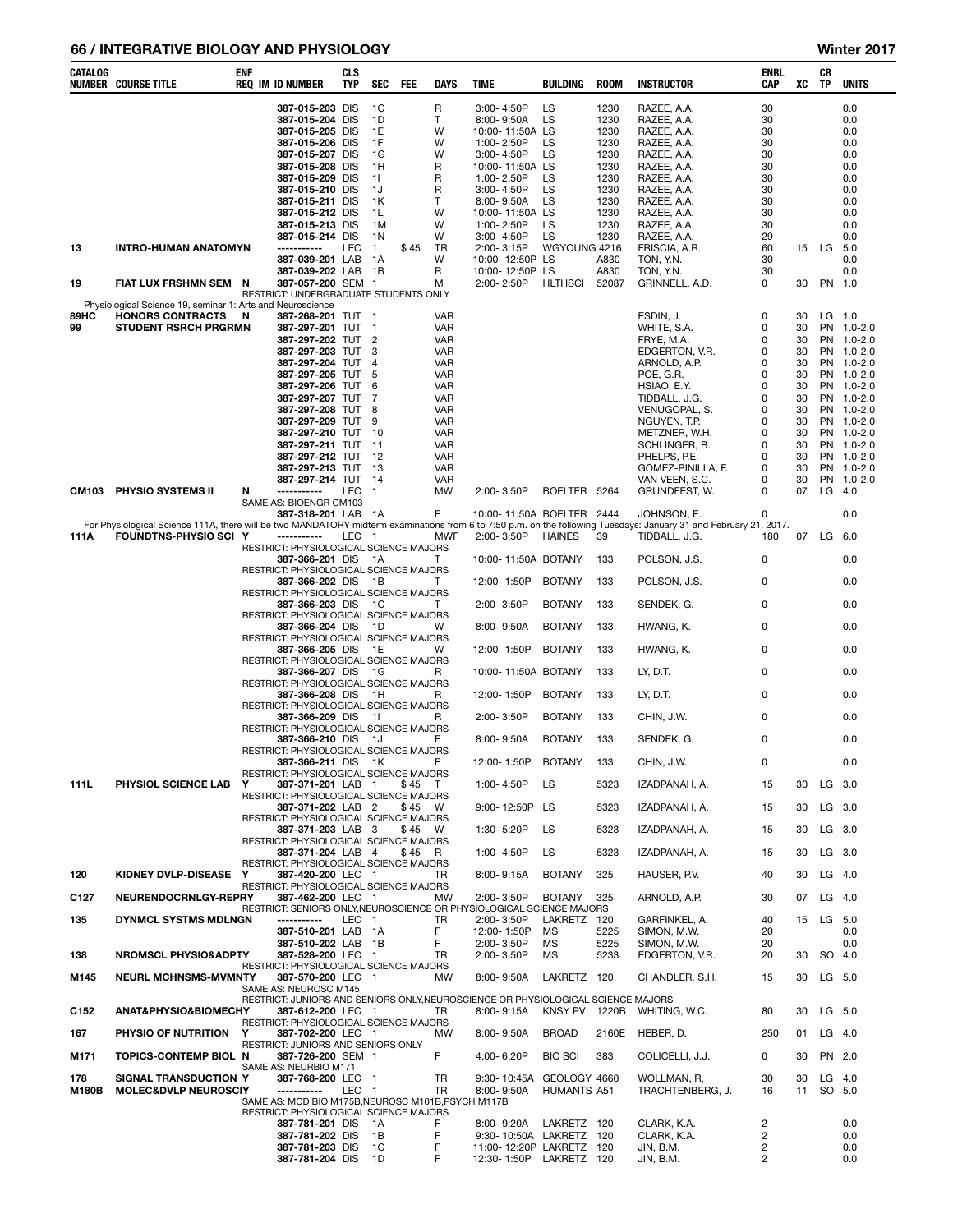# 66 / INTEGRATIVE BIOLOGY AND PHYSIOLOGY Winter 2017

| CATALOG             | <b>NUMBER COURSE TITLE</b>                                                                                                                                                                        | <b>ENF</b> | <b>REQ IM ID NUMBER</b>                                                                                                                                                                                                                                                                                                                                | CLS<br><b>TYP</b> | SEC                                                                                         | FEE              | DAYS                                                                                                        | TIME |                                                                                                                                                                                                                                                       | <b>BUILDING</b>                                                                      | <b>ROOM</b>                                                                                                           | <b>INSTRUCTOR</b>                                                                                                                                                                                                                                                | ENRL<br>CAP                                                                                                                         | XC                                                                                           | CR<br>TP        | <b>UNITS</b>                                                                                                                                                                                               |
|---------------------|---------------------------------------------------------------------------------------------------------------------------------------------------------------------------------------------------|------------|--------------------------------------------------------------------------------------------------------------------------------------------------------------------------------------------------------------------------------------------------------------------------------------------------------------------------------------------------------|-------------------|---------------------------------------------------------------------------------------------|------------------|-------------------------------------------------------------------------------------------------------------|------|-------------------------------------------------------------------------------------------------------------------------------------------------------------------------------------------------------------------------------------------------------|--------------------------------------------------------------------------------------|-----------------------------------------------------------------------------------------------------------------------|------------------------------------------------------------------------------------------------------------------------------------------------------------------------------------------------------------------------------------------------------------------|-------------------------------------------------------------------------------------------------------------------------------------|----------------------------------------------------------------------------------------------|-----------------|------------------------------------------------------------------------------------------------------------------------------------------------------------------------------------------------------------|
| 13<br>19            | <b>INTRO-HUMAN ANATOMYN</b><br>FIAT LUX FRSHMN SEM N                                                                                                                                              |            | 387-015-203 DIS<br>387-015-204 DIS<br>387-015-205 DIS<br>387-015-206 DIS<br>387-015-207 DIS<br>387-015-208 DIS<br>387-015-209 DIS<br>387-015-210 DIS<br>387-015-211 DIS<br>387-015-212 DIS<br>387-015-213 DIS<br>387-015-214 DIS<br>-----------<br>387-039-201 LAB<br>387-039-202 LAB 1B<br>387-057-200 SEM 1<br>RESTRICT: UNDERGRADUATE STUDENTS ONLY | LEC               | 1C<br>1D<br>1E<br>1F<br>1G<br>1H<br>-11<br>1J<br>1K<br>1L<br>1M<br>1N<br>$\mathbf{1}$<br>1A | \$45             | R<br>Τ<br>w<br>W<br>w<br>R<br>R<br>R<br>т<br>W<br>w<br>W<br>TR<br>W<br>R<br>м                               |      | 3:00-4:50P<br>8:00-9:50A<br>10:00-11:50A LS<br>1:00-2:50P<br>3:00-4:50P<br>10:00-11:50A LS<br>1:00-2:50P<br>3:00-4:50P<br>8:00-9:50A<br>10:00-11:50A LS<br>1:00-2:50P<br>3:00-4:50P<br>2:00-3:15P<br>10:00-12:50P LS<br>10:00-12:50P LS<br>2:00-2:50P | LS<br><b>LS</b><br>LS<br>LS<br>LS<br>LS<br>LS<br>LS<br>LS<br>WGYOUNG 4216<br>HLTHSCI | 1230<br>1230<br>1230<br>1230<br>1230<br>1230<br>1230<br>1230<br>1230<br>1230<br>1230<br>1230<br>A830<br>A830<br>52087 | RAZEE, A.A.<br>RAZEE, A.A.<br>RAZEE, A.A.<br>RAZEE, A.A.<br>RAZEE, A.A.<br>RAZEE, A.A.<br>RAZEE, A.A.<br>RAZEE, A.A.<br>RAZEE, A.A.<br>RAZEE, A.A.<br>RAZEE, A.A.<br>RAZEE, A.A.<br>FRISCIA, A.R.<br>TON, Y.N.<br>TON, Y.N.<br>GRINNELL, A.D.                    | 30<br>30<br>30<br>30<br>30<br>30<br>30<br>30<br>30<br>30<br>30<br>29<br>60<br>30<br>30<br>0                                         | 30                                                                                           | 15 LG<br>PN 1.0 | 0.0<br>0.0<br>0.0<br>0.0<br>0.0<br>0.0<br>0.0<br>0.0<br>0.0<br>0.0<br>0.0<br>0.0<br>- 5.0<br>0.0<br>0.0                                                                                                    |
| 89HC<br>99<br>CM103 | Physiological Science 19, seminar 1: Arts and Neuroscience<br><b>HONORS CONTRACTS</b><br><b>STUDENT RSRCH PRGRMN</b><br>PHYSIO SYSTEMS II                                                         | - N<br>N   | 387-268-201 TUT 1<br>387-297-201 TUT 1<br>387-297-202 TUT 2<br>387-297-203 TUT<br>387-297-204 TUT<br>387-297-205 TUT<br>387-297-206 TUT 6<br>387-297-207 TUT 7<br>387-297-208 TUT 8<br>387-297-209 TUT<br>387-297-210 TUT 10<br>387-297-211 TUT 11<br>387-297-212 TUT 12<br>387-297-213 TUT 13<br>387-297-214 TUT 14<br>-----------                    | LEC               | 3<br>$\overline{4}$<br>-5<br>9<br>$\overline{1}$                                            |                  | VAR<br>VAR<br>VAR<br>VAR<br>VAR<br>VAR<br>VAR<br>VAR<br>VAR<br>VAR<br>VAR<br>VAR<br>VAR<br>VAR<br>VAR<br>МW |      | 2:00-3:50P                                                                                                                                                                                                                                            | BOELTER 5264                                                                         |                                                                                                                       | ESDIN, J.<br>WHITE, S.A.<br>FRYE, M.A.<br>EDGERTON, V.R.<br>ARNOLD, A.P.<br>POE, G.R.<br>HSIAO, E.Y.<br>TIDBALL, J.G.<br>VENUGOPAL, S.<br>NGUYEN, T.P.<br>METZNER, W.H.<br>SCHLINGER, B.<br>PHELPS, P.E.<br>GOMEZ-PINILLA, F.<br>VAN VEEN, S.C.<br>GRUNDFEST, W. | 0<br>$\Omega$<br>0<br>0<br>$\mathbf 0$<br>$\Omega$<br>0<br>0<br>$\mathbf 0$<br>$\Omega$<br>0<br>$\Omega$<br>0<br>0<br>0<br>$\Omega$ | 30<br>30<br>30<br>30<br>30<br>30<br>30<br>30<br>30<br>30<br>30<br>30<br>30<br>30<br>30<br>07 | $LG$ 4.0        | LG 1.0<br>PN 1.0-2.0<br>PN 1.0-2.0<br>PN 1.0-2.0<br>PN 1.0-2.0<br>PN 1.0-2.0<br>PN 1.0-2.0<br>PN 1.0-2.0<br>PN 1.0-2.0<br>PN 1.0-2.0<br>PN 1.0-2.0<br>PN 1.0-2.0<br>PN 1.0-2.0<br>PN 1.0-2.0<br>PN 1.0-2.0 |
|                     |                                                                                                                                                                                                   |            | SAME AS: BIOENGR CM103<br>387-318-201 LAB                                                                                                                                                                                                                                                                                                              |                   | - 1A                                                                                        |                  | F                                                                                                           |      |                                                                                                                                                                                                                                                       | 10:00-11:50A BOELTER 2444                                                            |                                                                                                                       | JOHNSON, E.                                                                                                                                                                                                                                                      | 0                                                                                                                                   |                                                                                              |                 | 0.0                                                                                                                                                                                                        |
| 111A                | For Physiological Science 111A, there will be two MANDATORY midterm examinations from 6 to 7:50 p.m. on the following Tuesdays: January 31 and February 21, 2017.<br><b>FOUNDTNS-PHYSIO SCI Y</b> |            | -----------                                                                                                                                                                                                                                                                                                                                            | LEC 1             |                                                                                             |                  | MWF                                                                                                         |      | 2:00-3:50P                                                                                                                                                                                                                                            | <b>HAINES</b>                                                                        | 39                                                                                                                    | TIDBALL, J.G.                                                                                                                                                                                                                                                    | 180                                                                                                                                 |                                                                                              | 07 LG 6.0       |                                                                                                                                                                                                            |
|                     |                                                                                                                                                                                                   |            | RESTRICT: PHYSIOLOGICAL SCIENCE MAJORS<br>387-366-201 DIS                                                                                                                                                                                                                                                                                              |                   | - 1A                                                                                        |                  | T                                                                                                           |      |                                                                                                                                                                                                                                                       | 10:00-11:50A BOTANY                                                                  | 133                                                                                                                   | POLSON, J.S.                                                                                                                                                                                                                                                     | 0                                                                                                                                   |                                                                                              |                 | 0.0                                                                                                                                                                                                        |
|                     |                                                                                                                                                                                                   |            | RESTRICT: PHYSIOLOGICAL SCIENCE MAJORS<br>387-366-202 DIS 1B                                                                                                                                                                                                                                                                                           |                   |                                                                                             |                  | т                                                                                                           |      | 12:00-1:50P                                                                                                                                                                                                                                           | <b>BOTANY</b>                                                                        | 133                                                                                                                   | POLSON, J.S.                                                                                                                                                                                                                                                     | 0                                                                                                                                   |                                                                                              |                 | 0.0                                                                                                                                                                                                        |
|                     |                                                                                                                                                                                                   |            | RESTRICT: PHYSIOLOGICAL SCIENCE MAJORS<br>387-366-203 DIS 1C                                                                                                                                                                                                                                                                                           |                   |                                                                                             |                  | T                                                                                                           |      | 2:00-3:50P                                                                                                                                                                                                                                            | <b>BOTANY</b>                                                                        | 133                                                                                                                   | SENDEK, G.                                                                                                                                                                                                                                                       | 0                                                                                                                                   |                                                                                              |                 | 0.0                                                                                                                                                                                                        |
|                     |                                                                                                                                                                                                   |            | RESTRICT: PHYSIOLOGICAL SCIENCE MAJORS<br>387-366-204 DIS 1D                                                                                                                                                                                                                                                                                           |                   |                                                                                             |                  | w                                                                                                           |      | 8:00-9:50A                                                                                                                                                                                                                                            | <b>BOTANY</b>                                                                        | 133                                                                                                                   | HWANG, K.                                                                                                                                                                                                                                                        | 0                                                                                                                                   |                                                                                              |                 | 0.0                                                                                                                                                                                                        |
|                     |                                                                                                                                                                                                   |            | RESTRICT: PHYSIOLOGICAL SCIENCE MAJORS<br>387-366-205 DIS 1E                                                                                                                                                                                                                                                                                           |                   |                                                                                             |                  | w                                                                                                           |      | 12:00-1:50P                                                                                                                                                                                                                                           | <b>BOTANY</b>                                                                        | 133                                                                                                                   | HWANG, K.                                                                                                                                                                                                                                                        | 0                                                                                                                                   |                                                                                              |                 | 0.0                                                                                                                                                                                                        |
|                     |                                                                                                                                                                                                   |            | RESTRICT: PHYSIOLOGICAL SCIENCE MAJORS<br>387-366-207 DIS                                                                                                                                                                                                                                                                                              |                   | - 1G                                                                                        |                  | R                                                                                                           |      |                                                                                                                                                                                                                                                       | 10:00-11:50A BOTANY                                                                  | 133                                                                                                                   | LY, D.T.                                                                                                                                                                                                                                                         | 0                                                                                                                                   |                                                                                              |                 | 0.0                                                                                                                                                                                                        |
|                     |                                                                                                                                                                                                   |            | RESTRICT: PHYSIOLOGICAL SCIENCE MAJORS<br>387-366-208 DIS                                                                                                                                                                                                                                                                                              |                   | - 1H                                                                                        |                  | R                                                                                                           |      | 12:00-1:50P                                                                                                                                                                                                                                           | <b>BOTANY</b>                                                                        | 133                                                                                                                   | LY, D.T.                                                                                                                                                                                                                                                         | 0                                                                                                                                   |                                                                                              |                 | 0.0                                                                                                                                                                                                        |
|                     |                                                                                                                                                                                                   |            | RESTRICT: PHYSIOLOGICAL SCIENCE MAJORS<br>387-366-209 DIS 11                                                                                                                                                                                                                                                                                           |                   |                                                                                             |                  | R                                                                                                           |      | 2:00-3:50P                                                                                                                                                                                                                                            | <b>BOTANY</b>                                                                        | 133                                                                                                                   | CHIN, J.W.                                                                                                                                                                                                                                                       | 0                                                                                                                                   |                                                                                              |                 | 0.0                                                                                                                                                                                                        |
|                     |                                                                                                                                                                                                   |            | RESTRICT: PHYSIOLOGICAL SCIENCE MAJORS<br>387-366-210 DIS                                                                                                                                                                                                                                                                                              |                   | - 1J                                                                                        |                  | F                                                                                                           |      | 8:00-9:50A                                                                                                                                                                                                                                            | <b>BOTANY</b>                                                                        | 133                                                                                                                   | SENDEK, G.                                                                                                                                                                                                                                                       | 0                                                                                                                                   |                                                                                              |                 | 0.0                                                                                                                                                                                                        |
|                     |                                                                                                                                                                                                   |            | RESTRICT: PHYSIOLOGICAL SCIENCE MAJORS<br>387-366-211 DIS 1K                                                                                                                                                                                                                                                                                           |                   |                                                                                             |                  | F                                                                                                           |      | 12:00-1:50P                                                                                                                                                                                                                                           | <b>BOTANY</b>                                                                        | 133                                                                                                                   | CHIN, J.W.                                                                                                                                                                                                                                                       | 0                                                                                                                                   |                                                                                              |                 | 0.0                                                                                                                                                                                                        |
|                     |                                                                                                                                                                                                   |            | RESTRICT: PHYSIOLOGICAL SCIENCE MAJORS                                                                                                                                                                                                                                                                                                                 |                   |                                                                                             |                  |                                                                                                             |      |                                                                                                                                                                                                                                                       |                                                                                      |                                                                                                                       |                                                                                                                                                                                                                                                                  |                                                                                                                                     |                                                                                              |                 |                                                                                                                                                                                                            |
| 111L                | <b>PHYSIOL SCIENCE LAB</b>                                                                                                                                                                        | Y          | 387-371-201 LAB 1<br>RESTRICT: PHYSIOLOGICAL SCIENCE MAJORS                                                                                                                                                                                                                                                                                            |                   |                                                                                             | \$45 T<br>\$45 W |                                                                                                             |      | 1:00-4:50P                                                                                                                                                                                                                                            | LS                                                                                   | 5323                                                                                                                  | IZADPANAH, A.<br>IZADPANAH, A.                                                                                                                                                                                                                                   | 15                                                                                                                                  | 30                                                                                           |                 | $LG$ 3.0                                                                                                                                                                                                   |
|                     |                                                                                                                                                                                                   |            | 387-371-202 LAB 2<br>RESTRICT: PHYSIOLOGICAL SCIENCE MAJORS                                                                                                                                                                                                                                                                                            |                   |                                                                                             |                  |                                                                                                             |      | 9:00-12:50P LS                                                                                                                                                                                                                                        |                                                                                      | 5323                                                                                                                  |                                                                                                                                                                                                                                                                  | 15                                                                                                                                  | 30                                                                                           |                 | LG 3.0                                                                                                                                                                                                     |
|                     |                                                                                                                                                                                                   |            | 387-371-203 LAB 3<br>RESTRICT: PHYSIOLOGICAL SCIENCE MAJORS                                                                                                                                                                                                                                                                                            |                   |                                                                                             | \$45 W           |                                                                                                             |      | 1:30-5:20P                                                                                                                                                                                                                                            | LS                                                                                   | 5323                                                                                                                  | IZADPANAH, A.                                                                                                                                                                                                                                                    | 15                                                                                                                                  | 30                                                                                           |                 | LG 3.0                                                                                                                                                                                                     |
|                     |                                                                                                                                                                                                   |            | 387-371-204 LAB 4<br>RESTRICT: PHYSIOLOGICAL SCIENCE MAJORS                                                                                                                                                                                                                                                                                            |                   |                                                                                             | \$45 R           |                                                                                                             |      | 1:00-4:50P                                                                                                                                                                                                                                            | <b>LS</b>                                                                            | 5323                                                                                                                  | IZADPANAH, A.                                                                                                                                                                                                                                                    | 15                                                                                                                                  | 30                                                                                           |                 | LG 3.0                                                                                                                                                                                                     |
| 120                 | KIDNEY DVLP-DISEASE Y                                                                                                                                                                             |            | 387-420-200 LEC 1<br>RESTRICT: PHYSIOLOGICAL SCIENCE MAJORS                                                                                                                                                                                                                                                                                            |                   |                                                                                             |                  | TR                                                                                                          |      | 8:00-9:15A                                                                                                                                                                                                                                            | <b>BOTANY</b>                                                                        | 325                                                                                                                   | HAUSER, P.V.                                                                                                                                                                                                                                                     | 40                                                                                                                                  | 30                                                                                           |                 | $LG$ 4.0                                                                                                                                                                                                   |
| C127                | NEURENDOCRNLGY-REPRY                                                                                                                                                                              |            | 387-462-200 LEC 1<br>RESTRICT: SENIORS ONLY, NEUROSCIENCE OR PHYSIOLOGICAL SCIENCE MAJORS                                                                                                                                                                                                                                                              |                   |                                                                                             |                  | <b>MW</b>                                                                                                   |      | 2:00-3:50P                                                                                                                                                                                                                                            | <b>BOTANY</b>                                                                        | 325                                                                                                                   | ARNOLD, A.P.                                                                                                                                                                                                                                                     | 30                                                                                                                                  | 07                                                                                           |                 | $LG$ 4.0                                                                                                                                                                                                   |
| 135                 | DYNMCL SYSTMS MDLNGN                                                                                                                                                                              |            | -----------<br>387-510-201 LAB 1A                                                                                                                                                                                                                                                                                                                      | LEC 1             |                                                                                             |                  | TR<br>F                                                                                                     |      | 2:00-3:50P<br>12:00-1:50P                                                                                                                                                                                                                             | LAKRETZ 120<br><b>MS</b>                                                             | 5225                                                                                                                  | GARFINKEL, A.<br>SIMON, M.W.                                                                                                                                                                                                                                     | 40<br>20                                                                                                                            | 15                                                                                           | $LG$ 5.0        | 0.0                                                                                                                                                                                                        |
| 138                 | <b>NROMSCL PHYSIO&amp;ADPTY</b>                                                                                                                                                                   |            | 387-510-202 LAB 1B<br>387-528-200 LEC 1                                                                                                                                                                                                                                                                                                                |                   |                                                                                             |                  | F<br>TR                                                                                                     |      | 2:00-3:50P<br>2:00-3:50P                                                                                                                                                                                                                              | <b>MS</b><br><b>MS</b>                                                               | 5225<br>5233                                                                                                          | SIMON, M.W.<br>EDGERTON, V.R.                                                                                                                                                                                                                                    | 20<br>20                                                                                                                            | 30                                                                                           |                 | 0.0<br>SO 4.0                                                                                                                                                                                              |
| M145                | <b>NEURL MCHNSMS-MVMNTY</b>                                                                                                                                                                       |            | RESTRICT: PHYSIOLOGICAL SCIENCE MAJORS<br>387-570-200 LEC 1                                                                                                                                                                                                                                                                                            |                   |                                                                                             |                  | MW                                                                                                          |      | 8:00-9:50A                                                                                                                                                                                                                                            | LAKRETZ 120                                                                          |                                                                                                                       | CHANDLER, S.H.                                                                                                                                                                                                                                                   | 15                                                                                                                                  | 30                                                                                           |                 | LG 5.0                                                                                                                                                                                                     |
|                     |                                                                                                                                                                                                   |            | SAME AS: NEUROSC M145<br>RESTRICT: JUNIORS AND SENIORS ONLY, NEUROSCIENCE OR PHYSIOLOGICAL SCIENCE MAJORS                                                                                                                                                                                                                                              |                   |                                                                                             |                  |                                                                                                             |      |                                                                                                                                                                                                                                                       |                                                                                      |                                                                                                                       |                                                                                                                                                                                                                                                                  |                                                                                                                                     |                                                                                              |                 |                                                                                                                                                                                                            |
| C <sub>152</sub>    | ANAT&PHYSIO&BIOMECHY                                                                                                                                                                              |            | 387-612-200 LEC 1<br>RESTRICT: PHYSIOLOGICAL SCIENCE MAJORS                                                                                                                                                                                                                                                                                            |                   |                                                                                             |                  | TR.                                                                                                         |      | 8:00-9:15A                                                                                                                                                                                                                                            | KNSY PV 1220B                                                                        |                                                                                                                       | WHITING, W.C.                                                                                                                                                                                                                                                    | 80                                                                                                                                  | 30                                                                                           |                 | LG 5.0                                                                                                                                                                                                     |
| 167                 | PHYSIO OF NUTRITION                                                                                                                                                                               | Y          | 387-702-200 LEC 1<br>RESTRICT: JUNIORS AND SENIORS ONLY                                                                                                                                                                                                                                                                                                |                   |                                                                                             |                  | МW                                                                                                          |      | 8:00-9:50A                                                                                                                                                                                                                                            | <b>BROAD</b>                                                                         | 2160E                                                                                                                 | HEBER, D.                                                                                                                                                                                                                                                        | 250                                                                                                                                 | 01                                                                                           |                 | $LG$ 4.0                                                                                                                                                                                                   |
| M171                | TOPICS-CONTEMP BIOL N                                                                                                                                                                             |            | 387-726-200 SEM 1<br>SAME AS: NEURBIO M171                                                                                                                                                                                                                                                                                                             |                   |                                                                                             |                  | F                                                                                                           |      | 4:00-6:20P                                                                                                                                                                                                                                            | <b>BIO SCI</b>                                                                       | 383                                                                                                                   | COLICELLI, J.J.                                                                                                                                                                                                                                                  | 0                                                                                                                                   | 30                                                                                           |                 | PN 2.0                                                                                                                                                                                                     |
| 178                 | SIGNAL TRANSDUCTION Y                                                                                                                                                                             |            | 387-768-200 LEC 1                                                                                                                                                                                                                                                                                                                                      |                   |                                                                                             |                  | <b>TR</b>                                                                                                   |      |                                                                                                                                                                                                                                                       | 9:30-10:45A GEOLOGY 4660                                                             |                                                                                                                       | WOLLMAN, R.                                                                                                                                                                                                                                                      | 30                                                                                                                                  | 30                                                                                           |                 | $LG$ 4.0                                                                                                                                                                                                   |
| M180B               | <b>MOLEC&amp;DVLP NEUROSCIY</b>                                                                                                                                                                   |            | -----------<br>SAME AS: MCD BIO M175B, NEUROSC M101B, PSYCH M117B                                                                                                                                                                                                                                                                                      | LEC 1             |                                                                                             |                  | TR                                                                                                          |      | 8:00-9:50A                                                                                                                                                                                                                                            | <b>HUMANTS A51</b>                                                                   |                                                                                                                       | TRACHTENBERG, J.                                                                                                                                                                                                                                                 | 16                                                                                                                                  | 11                                                                                           |                 | SO 5.0                                                                                                                                                                                                     |
|                     |                                                                                                                                                                                                   |            | RESTRICT: PHYSIOLOGICAL SCIENCE MAJORS<br>387-781-201 DIS 1A                                                                                                                                                                                                                                                                                           |                   |                                                                                             |                  | F                                                                                                           |      | 8:00-9:20A                                                                                                                                                                                                                                            | LAKRETZ 120                                                                          |                                                                                                                       | CLARK, K.A.                                                                                                                                                                                                                                                      | 2                                                                                                                                   |                                                                                              |                 | 0.0                                                                                                                                                                                                        |
|                     |                                                                                                                                                                                                   |            | 387-781-202 DIS<br>387-781-203 DIS<br>387-781-204 DIS                                                                                                                                                                                                                                                                                                  |                   | 1B<br>1C<br>1D                                                                              |                  | F<br>F<br>F                                                                                                 |      |                                                                                                                                                                                                                                                       | 9:30-10:50A LAKRETZ 120<br>11:00-12:20P LAKRETZ 120<br>12:30-1:50P LAKRETZ 120       |                                                                                                                       | CLARK, K.A.<br>JIN, B.M.<br>JIN, B.M.                                                                                                                                                                                                                            | 2<br>2<br>2                                                                                                                         |                                                                                              |                 | 0.0<br>0.0<br>0.0                                                                                                                                                                                          |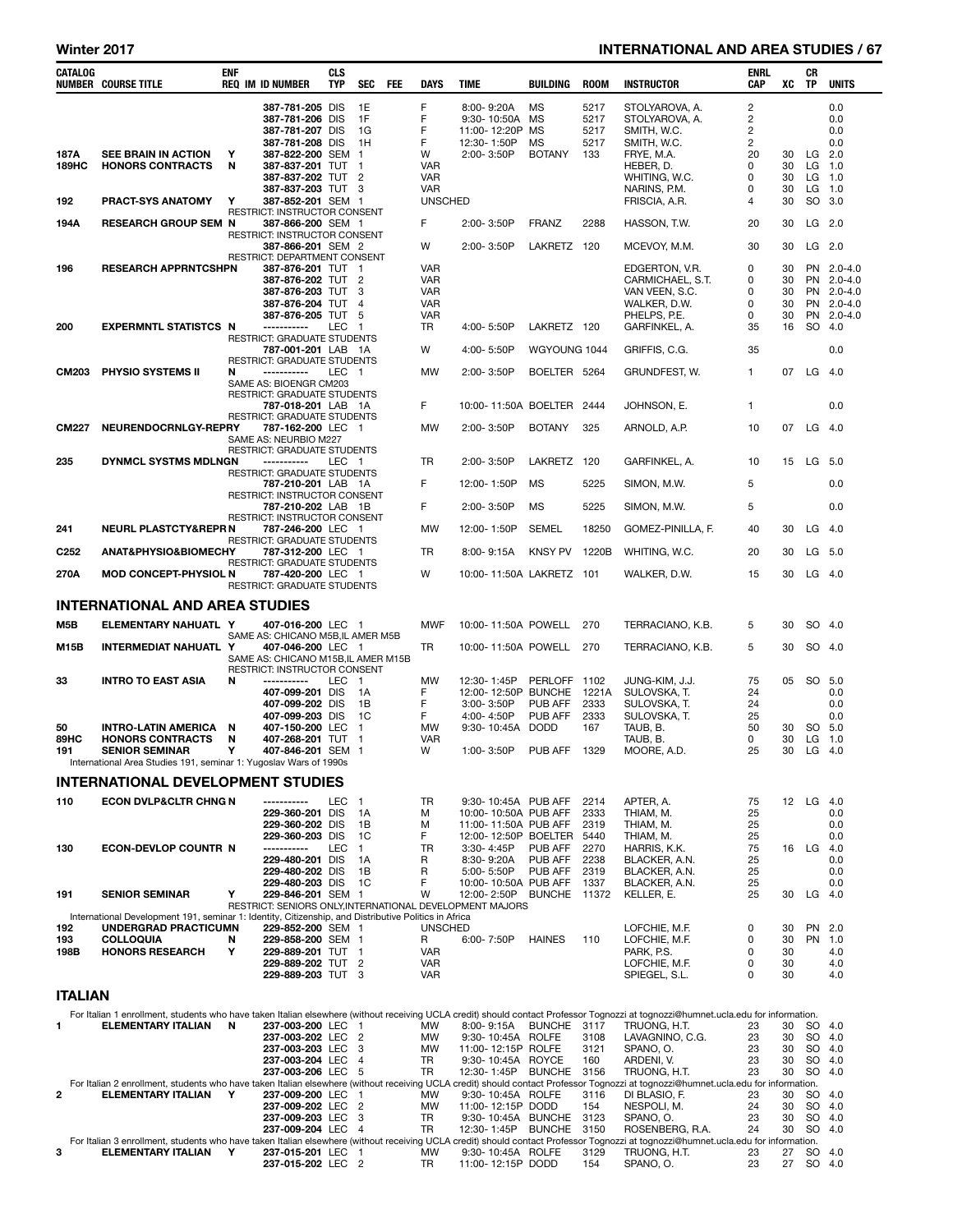# Winter 2017 **INTERNATIONAL AND AREA STUDIES / 67**

| CATALOG          | <b>NUMBER COURSE TITLE</b>                                                                           | <b>ENF</b> | <b>REQ IM ID NUMBER</b>                                  | <b>CLS</b><br><b>TYP</b> | <b>SEC</b>                    | <b>FEE</b> | DAYS                     | <b>TIME</b>                             | <b>BUILDING</b>    | <b>ROOM</b>  | <b>INSTRUCTOR</b>                                                                                                                                                                                  | ENRL<br>CAP | XC       | CR<br><b>TP</b> | <b>UNITS</b>             |
|------------------|------------------------------------------------------------------------------------------------------|------------|----------------------------------------------------------|--------------------------|-------------------------------|------------|--------------------------|-----------------------------------------|--------------------|--------------|----------------------------------------------------------------------------------------------------------------------------------------------------------------------------------------------------|-------------|----------|-----------------|--------------------------|
|                  |                                                                                                      |            | 387-781-205 DIS<br>387-781-206 DIS                       |                          | 1E<br>1F                      |            | F<br>F                   | 8:00-9:20A<br>9:30-10:50A               | MS<br>MS           | 5217<br>5217 | STOLYAROVA, A.<br>STOLYAROVA, A.                                                                                                                                                                   | 2<br>2      |          |                 | 0.0<br>0.0               |
|                  |                                                                                                      |            | 387-781-207 DIS<br>387-781-208 DIS                       |                          | 1G<br>1H                      |            | F<br>F                   | 11:00-12:20P<br>12:30-1:50P             | MS<br>MS           | 5217<br>5217 | SMITH, W.C.<br>SMITH, W.C.                                                                                                                                                                         | 2<br>2      |          |                 | 0.0<br>0.0               |
| 187A             | <b>SEE BRAIN IN ACTION</b>                                                                           | Υ          | 387-822-200 SEM                                          |                          | $\mathbf 1$                   |            | W                        | 2:00-3:50P                              | <b>BOTANY</b>      | 133          | FRYE. M.A.                                                                                                                                                                                         | 20          | 30       | $LG$ 2.0        |                          |
| <b>189HC</b>     | <b>HONORS CONTRACTS</b>                                                                              | N          | 387-837-201 TUT<br>387-837-202 TUT                       |                          | $\mathbf 1$<br>$\overline{2}$ |            | <b>VAR</b><br><b>VAR</b> |                                         |                    |              | HEBER, D.<br>WHITING, W.C.                                                                                                                                                                         | 0<br>0      | 30<br>30 |                 | $LG$ 1.0<br>$LG$ 1.0     |
|                  |                                                                                                      |            | 387-837-203 TUT                                          |                          | 3                             |            | <b>VAR</b>               |                                         |                    |              | NARINS, P.M.                                                                                                                                                                                       | 0           | 30       |                 | $LG$ 1.0                 |
| 192              | <b>PRACT-SYS ANATOMY</b>                                                                             | Y          | 387-852-201 SEM 1                                        |                          |                               |            | <b>UNSCHED</b>           |                                         |                    |              | FRISCIA, A.R.                                                                                                                                                                                      | 4           | 30       |                 | SO 3.0                   |
| 194A             | <b>RESEARCH GROUP SEM N</b>                                                                          |            | RESTRICT: INSTRUCTOR CONSENT<br>387-866-200 SEM 1        |                          |                               |            | F                        | 2:00-3:50P                              | <b>FRANZ</b>       | 2288         | HASSON, T.W.                                                                                                                                                                                       | 20          | 30       | $LG$ 2.0        |                          |
|                  |                                                                                                      |            | RESTRICT: INSTRUCTOR CONSENT                             |                          |                               |            |                          |                                         |                    |              |                                                                                                                                                                                                    |             |          |                 |                          |
|                  |                                                                                                      |            | 387-866-201 SEM 2<br>RESTRICT: DEPARTMENT CONSENT        |                          |                               |            | W                        | 2:00-3:50P                              | LAKRETZ 120        |              | MCEVOY, M.M.                                                                                                                                                                                       | 30          | 30       |                 | $LG$ 2.0                 |
| 196              | <b>RESEARCH APPRNTCSHPN</b>                                                                          |            | 387-876-201 TUT 1                                        |                          |                               |            | <b>VAR</b>               |                                         |                    |              | EDGERTON, V.R.                                                                                                                                                                                     | 0           | 30       |                 | PN 2.0-4.0               |
|                  |                                                                                                      |            | 387-876-202 TUT<br>387-876-203 TUT                       |                          | $\overline{2}$<br>3           |            | <b>VAR</b><br><b>VAR</b> |                                         |                    |              | CARMICHAEL, S.T.<br>VAN VEEN, S.C.                                                                                                                                                                 | 0<br>0      | 30<br>30 |                 | PN 2.0-4.0<br>PN 2.0-4.0 |
|                  |                                                                                                      |            | 387-876-204 TUT                                          |                          | $\overline{4}$                |            | <b>VAR</b>               |                                         |                    |              | WALKER, D.W.                                                                                                                                                                                       | 0           | 30       |                 | PN 2.0-4.0               |
| 200              | <b>EXPERMNTL STATISTCS N</b>                                                                         |            | 387-876-205 TUT<br>------------                          | <b>LEC</b>               | 5<br>-1                       |            | <b>VAR</b><br>TR         | 4:00-5:50P                              | LAKRETZ 120        |              | PHELPS, P.E.<br>GARFINKEL, A.                                                                                                                                                                      | 0<br>35     | 30<br>16 |                 | PN 2.0-4.0<br>SO 4.0     |
|                  |                                                                                                      |            | RESTRICT: GRADUATE STUDENTS                              |                          |                               |            |                          |                                         |                    |              |                                                                                                                                                                                                    |             |          |                 |                          |
|                  |                                                                                                      |            | 787-001-201 LAB 1A<br>RESTRICT: GRADUATE STUDENTS        |                          |                               |            | W                        | 4:00-5:50P                              | WGYOUNG 1044       |              | GRIFFIS, C.G.                                                                                                                                                                                      | 35          |          |                 | 0.0                      |
| <b>CM203</b>     | PHYSIO SYSTEMS II                                                                                    | N          | -----------                                              | LEC 1                    |                               |            | <b>MW</b>                | 2:00-3:50P                              | BOELTER 5264       |              | GRUNDFEST, W.                                                                                                                                                                                      | 1           | 07       | $LG$ 4.0        |                          |
|                  |                                                                                                      |            | SAME AS: BIOENGR CM203<br>RESTRICT: GRADUATE STUDENTS    |                          |                               |            |                          |                                         |                    |              |                                                                                                                                                                                                    |             |          |                 |                          |
|                  |                                                                                                      |            | 787-018-201 LAB 1A                                       |                          |                               |            | F                        | 10:00-11:50A BOELTER                    |                    | 2444         | JOHNSON, E.                                                                                                                                                                                        | 1           |          |                 | 0.0                      |
| <b>CM227</b>     | NEURENDOCRNLGY-REPRY                                                                                 |            | RESTRICT: GRADUATE STUDENTS<br>787-162-200 LEC 1         |                          |                               |            | <b>MW</b>                | 2:00-3:50P                              | <b>BOTANY</b>      | 325          |                                                                                                                                                                                                    | 10          | 07       | $LG$ 4.0        |                          |
|                  |                                                                                                      |            | SAME AS: NEURBIO M227                                    |                          |                               |            |                          |                                         |                    |              | ARNOLD, A.P.                                                                                                                                                                                       |             |          |                 |                          |
| 235              | DYNMCL SYSTMS MDLNGN                                                                                 |            | <b>RESTRICT: GRADUATE STUDENTS</b><br>-----------        | LEC 1                    |                               |            | TR                       | 2:00-3:50P                              | LAKRETZ 120        |              |                                                                                                                                                                                                    | 10          | 15       | LG 5.0          |                          |
|                  |                                                                                                      |            | <b>RESTRICT: GRADUATE STUDENTS</b>                       |                          |                               |            |                          |                                         |                    |              | GARFINKEL, A.                                                                                                                                                                                      |             |          |                 |                          |
|                  |                                                                                                      |            | 787-210-201 LAB 1A<br>RESTRICT: INSTRUCTOR CONSENT       |                          |                               |            | F                        | 12:00-1:50P                             | MS                 | 5225         | SIMON, M.W.                                                                                                                                                                                        | 5           |          |                 | 0.0                      |
|                  |                                                                                                      |            | 787-210-202 LAB 1B                                       |                          |                               |            | F                        | 2:00-3:50P                              | MS                 | 5225         | SIMON, M.W.                                                                                                                                                                                        | 5           |          |                 | 0.0                      |
| 241              | <b>NEURL PLASTCTY&amp;REPR N</b>                                                                     |            | RESTRICT: INSTRUCTOR CONSENT<br>787-246-200 LEC 1        |                          |                               |            | MW                       | 12:00-1:50P                             | <b>SEMEL</b>       | 18250        |                                                                                                                                                                                                    | 40          | 30       |                 | $LG$ 4.0                 |
|                  |                                                                                                      |            | RESTRICT: GRADUATE STUDENTS                              |                          |                               |            |                          |                                         |                    |              | GOMEZ-PINILLA, F.                                                                                                                                                                                  |             |          |                 |                          |
| C <sub>252</sub> | ANAT&PHYSIO&BIOMECHY                                                                                 |            | 787-312-200 LEC 1<br>RESTRICT: GRADUATE STUDENTS         |                          |                               |            | <b>TR</b>                | 8:00-9:15A                              | <b>KNSY PV</b>     | 1220B        | WHITING, W.C.                                                                                                                                                                                      | 20          | 30       |                 | LG 5.0                   |
| 270A             | <b>MOD CONCEPT-PHYSIOL N</b>                                                                         |            | 787-420-200 LEC 1                                        |                          |                               |            | W                        | 10:00-11:50A LAKRETZ 101                |                    |              | WALKER, D.W.                                                                                                                                                                                       | 15          | 30       |                 | $LG$ 4.0                 |
|                  |                                                                                                      |            | RESTRICT: GRADUATE STUDENTS                              |                          |                               |            |                          |                                         |                    |              |                                                                                                                                                                                                    |             |          |                 |                          |
|                  | <b>INTERNATIONAL AND AREA STUDIES</b>                                                                |            |                                                          |                          |                               |            |                          |                                         |                    |              |                                                                                                                                                                                                    |             |          |                 |                          |
| M5B              | ELEMENTARY NAHUATL Y                                                                                 |            | 407-016-200 LEC 1                                        |                          |                               |            | <b>MWF</b>               | 10:00-11:50A POWELL                     |                    | 270          | TERRACIANO, K.B.                                                                                                                                                                                   | 5           | 30       |                 | SO 4.0                   |
| M15B             | INTERMEDIAT NAHUATL Y                                                                                |            | SAME AS: CHICANO M5B,IL AMER M5B<br>407-046-200 LEC 1    |                          |                               |            | TR                       | 10:00-11:50A POWELL                     |                    | 270          | TERRACIANO, K.B.                                                                                                                                                                                   | 5           | 30       |                 | SO 4.0                   |
|                  |                                                                                                      |            | SAME AS: CHICANO M15B, IL AMER M15B                      |                          |                               |            |                          |                                         |                    |              |                                                                                                                                                                                                    |             |          |                 |                          |
| 33               | <b>INTRO TO EAST ASIA</b>                                                                            | N          | RESTRICT: INSTRUCTOR CONSENT<br>-----------              | <b>LEC</b>               | $\blacksquare$                |            | <b>MW</b>                | 12:30-1:45P                             | PERLOFF 1102       |              | JUNG-KIM, J.J.                                                                                                                                                                                     | 75          | 05       |                 | SO 5.0                   |
|                  |                                                                                                      |            | 407-099-201 DIS                                          |                          | 1A                            |            | F                        | 12:00-12:50P                            | <b>BUNCHE</b>      | 1221A        | SULOVSKA, T.                                                                                                                                                                                       | 24          |          |                 | 0.0                      |
|                  |                                                                                                      |            | 407-099-202 DIS<br>407-099-203 DIS                       |                          | 1B<br>1C                      |            | F<br>F                   | 3:00-3:50P                              | PUB AFF<br>PUB AFF | 2333<br>2333 | SULOVSKA, T.                                                                                                                                                                                       | 24<br>25    |          |                 | 0.0<br>0.0               |
| 50               | <b>INTRO-LATIN AMERICA</b>                                                                           | N          | 407-150-200 LEC                                          |                          | $\mathbf 1$                   |            | MW                       | 4:00-4:50P<br>9:30-10:45A DODD          |                    | 167          | SULOVSKA, T.<br>TAUB, B.                                                                                                                                                                           | 50          | 30       |                 | SO 5.0                   |
| 89HC             | <b>HONORS CONTRACTS</b>                                                                              | N          | 407-268-201 TUT                                          |                          | $\mathbf 1$                   |            | <b>VAR</b>               |                                         |                    |              | TAUB, B.                                                                                                                                                                                           | 0           | 30       |                 | $LG$ 1.0                 |
| 191              | <b>SENIOR SEMINAR</b><br>International Area Studies 191, seminar 1: Yugoslav Wars of 1990s           | Υ          | 407-846-201 SEM 1                                        |                          |                               |            | W                        | 1:00-3:50P                              | PUB AFF            | 1329         | MOORE, A.D.                                                                                                                                                                                        | 25          | 30       | LG              | 4.0                      |
|                  | INTERNATIONAL DEVELOPMENT STUDIES                                                                    |            |                                                          |                          |                               |            |                          |                                         |                    |              |                                                                                                                                                                                                    |             |          |                 |                          |
| 110              | <b>ECON DVLP&amp;CLTR CHNG N</b>                                                                     |            | -----------                                              | LEC                      | $\mathbf{1}$                  |            | TR                       | 9:30-10:45A PUB AFF                     |                    | 2214         | APTER, A.                                                                                                                                                                                          | 75          | 12       | LG 4.0          |                          |
|                  |                                                                                                      |            | 229-360-201 DIS                                          |                          | 1A                            |            | M                        | 10:00-10:50A PUB AFF                    |                    | 2333         | THIAM, M.                                                                                                                                                                                          | 25          |          |                 | 0.0                      |
|                  |                                                                                                      |            | 229-360-202 DIS                                          |                          | 1B                            |            | M                        | 11:00-11:50A PUB AFF                    |                    | 2319         | THIAM, M.                                                                                                                                                                                          | 25          |          |                 | 0.0                      |
| 130              | <b>ECON-DEVLOP COUNTR N</b>                                                                          |            | 229-360-203 DIS<br>-----------                           | LEC                      | 1C<br>$\mathbf{1}$            |            | F<br>TR                  | 12:00-12:50P BOELTER<br>3:30-4:45P      | PUB AFF            | 5440<br>2270 | THIAM, M.<br>HARRIS, K.K.                                                                                                                                                                          | 25<br>75    |          | 16 LG 4.0       | 0.0                      |
|                  |                                                                                                      |            | 229-480-201 DIS                                          |                          | 1A                            |            | R                        | 8:30-9:20A                              | PUB AFF            | 2238         | BLACKER, A.N.                                                                                                                                                                                      | 25          |          |                 | 0.0                      |
|                  |                                                                                                      |            | 229-480-202 DIS<br>229-480-203 DIS                       |                          | 1B<br>1C                      |            | R<br>F                   | 5:00-5:50P<br>10:00-10:50A PUB AFF      | PUB AFF            | 2319<br>1337 | BLACKER, A.N.<br>BLACKER, A.N.                                                                                                                                                                     | 25<br>25    |          |                 | 0.0<br>0.0               |
| 191              | <b>SENIOR SEMINAR</b>                                                                                | Y          | 229-846-201 SEM 1                                        |                          |                               |            | W                        | 12:00-2:50P                             | BUNCHE 11372       |              | KELLER, E.                                                                                                                                                                                         | 25          | 30       | $LG$ 4.0        |                          |
|                  | International Development 191, seminar 1: Identity, Citizenship, and Distributive Politics in Africa |            | RESTRICT: SENIORS ONLY, INTERNATIONAL DEVELOPMENT MAJORS |                          |                               |            |                          |                                         |                    |              |                                                                                                                                                                                                    |             |          |                 |                          |
| 192              | UNDERGRAD PRACTICUMN                                                                                 |            | 229-852-200 SEM 1                                        |                          |                               |            | <b>UNSCHED</b>           |                                         |                    |              | LOFCHIE, M.F.                                                                                                                                                                                      | 0           | 30       |                 | PN 2.0                   |
| 193<br>198B      | <b>COLLOQUIA</b><br><b>HONORS RESEARCH</b>                                                           | N<br>Υ     | 229-858-200 SEM 1<br>229-889-201 TUT 1                   |                          |                               |            | R<br><b>VAR</b>          | 6:00-7:50P                              | <b>HAINES</b>      | 110          | LOFCHIE, M.F.<br>PARK, P.S.                                                                                                                                                                        | 0<br>0      | 30<br>30 |                 | PN 1.0<br>4.0            |
|                  |                                                                                                      |            | 229-889-202 TUT                                          |                          | 2                             |            | <b>VAR</b>               |                                         |                    |              | LOFCHIE, M.F.                                                                                                                                                                                      | 0           | 30       |                 | 4.0                      |
|                  |                                                                                                      |            | 229-889-203 TUT 3                                        |                          |                               |            | VAR                      |                                         |                    |              | SPIEGEL, S.L.                                                                                                                                                                                      | 0           | 30       |                 | 4.0                      |
| <b>ITALIAN</b>   |                                                                                                      |            |                                                          |                          |                               |            |                          |                                         |                    |              |                                                                                                                                                                                                    |             |          |                 |                          |
|                  |                                                                                                      |            |                                                          |                          |                               |            |                          |                                         |                    |              | For Italian 1 enrollment, students who have taken Italian elsewhere (without receiving UCLA credit) should contact Professor Tognozzi at tognozzi@humnet.ucla.edu for information.                 |             |          |                 |                          |
| 1                | <b>ELEMENTARY ITALIAN</b>                                                                            | N          | 237-003-200 LEC                                          |                          | -1<br>$\overline{2}$          |            | MW<br><b>MW</b>          | 8:00-9:15A<br>9:30-10:45A ROLFE         | <b>BUNCHE</b>      | 3117         | TRUONG, H.T.<br>LAVAGNINO, C.G.                                                                                                                                                                    | 23<br>23    | 30<br>30 |                 | SO 4.0<br>SO 4.0         |
|                  |                                                                                                      |            | 237-003-202 LEC<br>237-003-203 LEC                       |                          | 3                             |            | MW                       | 11:00-12:15P ROLFE                      |                    | 3108<br>3121 | SPANO, O.                                                                                                                                                                                          | 23          | 30       |                 | SO 4.0                   |
|                  |                                                                                                      |            | 237-003-204 LEC                                          |                          | $\overline{4}$                |            | <b>TR</b>                | 9:30-10:45A ROYCE                       |                    | 160          | ARDENI, V.                                                                                                                                                                                         | 23          | 30       |                 | SO 4.0                   |
|                  |                                                                                                      |            | 237-003-206 LEC                                          |                          | 5                             |            | TR                       | 12:30-1:45P BUNCHE                      |                    | 3156         | TRUONG, H.T.<br>For Italian 2 enrollment, students who have taken Italian elsewhere (without receiving UCLA credit) should contact Professor Tognozzi at tognozzi@humnet.ucla.edu for information. | 23          | 30       |                 | SO 4.0                   |
| 2                | <b>ELEMENTARY ITALIAN</b>                                                                            | Y          | 237-009-200 LEC                                          |                          | $\mathbf 1$                   |            | MW                       | 9:30-10:45A ROLFE                       |                    | 3116         | DI BLASIO, F.                                                                                                                                                                                      | 23          | 30       |                 | SO 4.0                   |
|                  |                                                                                                      |            | 237-009-202 LEC<br>237-009-203 LEC                       |                          | $\overline{2}$<br>3           |            | MW<br>TR                 | 11:00-12:15P DODD<br>9:30-10:45A BUNCHE |                    | 154<br>3123  | NESPOLI, M.<br>SPANO, O.                                                                                                                                                                           | 24<br>23    | 30<br>30 |                 | SO 4.0<br>SO 4.0         |
|                  |                                                                                                      |            | 237-009-204 LEC                                          |                          | $\overline{4}$                |            | TR                       | 12:30-1:45P BUNCHE                      |                    | 3150         | ROSENBERG, R.A.                                                                                                                                                                                    | 24          | 30       | SO              | 4.0                      |
| 3                | ELEMENTARY ITALIAN Y                                                                                 |            | 237-015-201 LEC 1                                        |                          |                               |            | MW                       | 9:30-10:45A ROLFE                       |                    | 3129         | For Italian 3 enrollment, students who have taken Italian elsewhere (without receiving UCLA credit) should contact Professor Tognozzi at tognozzi@humnet.ucla.edu for information.<br>TRUONG, H.T. | 23          | 27       |                 | SO 4.0                   |
|                  |                                                                                                      |            | 237-015-202 LEC 2                                        |                          |                               |            | TR                       | 11:00-12:15P DODD                       |                    | 154          | SPANO, O.                                                                                                                                                                                          | 23          | 27       |                 | SO 4.0                   |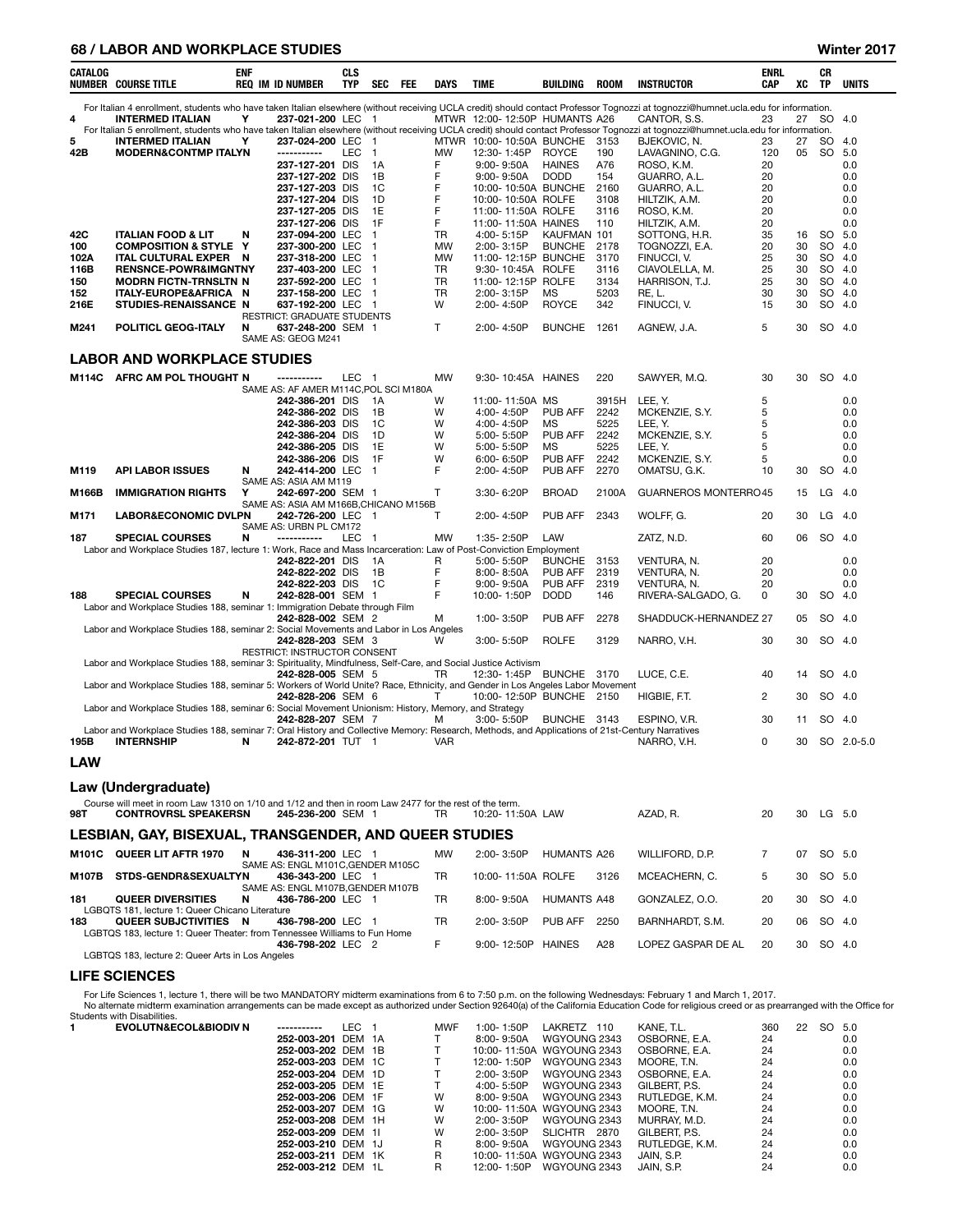## 68 / LABOR AND WORKPLACE STUDIES Winter 2017

| CATALOG    | <b>NUMBER COURSE TITLE</b>                                                                                                                     | <b>ENF</b> | <b>REQ IM ID NUMBER</b> |                                                            | <b>CLS</b><br>TYP | SEC                   | <b>FEE</b> | DAYS         | TIME                                    | <b>BUILDING</b>    | <b>ROOM</b>   | <b>INSTRUCTOR</b>                                                                                                                                                                  | <b>ENRL</b><br>CAP | xс       | СR<br>TP               | <b>UNITS</b> |
|------------|------------------------------------------------------------------------------------------------------------------------------------------------|------------|-------------------------|------------------------------------------------------------|-------------------|-----------------------|------------|--------------|-----------------------------------------|--------------------|---------------|------------------------------------------------------------------------------------------------------------------------------------------------------------------------------------|--------------------|----------|------------------------|--------------|
|            |                                                                                                                                                |            |                         |                                                            |                   |                       |            |              |                                         |                    |               | For Italian 4 enrollment, students who have taken Italian elsewhere (without receiving UCLA credit) should contact Professor Tognozzi at tognozzi@humnet.ucla.edu for information. |                    |          |                        |              |
| 4          | <b>INTERMED ITALIAN</b>                                                                                                                        | Υ          |                         | 237-021-200 LEC 1                                          |                   |                       |            |              | MTWR 12:00-12:50P HUMANTS A26           |                    |               | CANTOR, S.S.                                                                                                                                                                       | 23                 | 27       | SO.                    | 4.0          |
| 5          |                                                                                                                                                |            |                         |                                                            |                   |                       |            |              |                                         |                    |               | For Italian 5 enrollment, students who have taken Italian elsewhere (without receiving UCLA credit) should contact Professor Tognozzi at tognozzi@humnet.ucla.edu for information. |                    |          |                        |              |
|            | <b>INTERMED ITALIAN</b><br><b>MODERN&amp;CONTMP ITALYN</b>                                                                                     | Υ          |                         | 237-024-200 LEC<br>-----------                             | <b>LEC</b>        | - 1<br>$\overline{1}$ |            | <b>MW</b>    | MTWR 10:00-10:50A BUNCHE<br>12:30-1:45P | <b>ROYCE</b>       | 3153<br>190   | BJEKOVIC, N.<br>LAVAGNINO, C.G.                                                                                                                                                    | 23<br>120          | 27<br>05 | <b>SO</b><br><b>SO</b> | 4.0<br>5.0   |
| 42B        |                                                                                                                                                |            |                         | 237-127-201 DIS                                            |                   | 1A                    |            | F            | $9:00 - 9:50A$                          | <b>HAINES</b>      | A76           | ROSO, K.M.                                                                                                                                                                         | 20                 |          |                        | 0.0          |
|            |                                                                                                                                                |            |                         | 237-127-202 DIS                                            |                   | 1B                    |            | F            | $9:00 - 9:50A$                          | <b>DODD</b>        | 154           | GUARRO, A.L.                                                                                                                                                                       | 20                 |          |                        | 0.0          |
|            |                                                                                                                                                |            |                         | 237-127-203 DIS                                            |                   | 1C                    |            | F            | 10:00-10:50A BUNCHE                     |                    | 2160          | GUARRO, A.L.                                                                                                                                                                       | 20                 |          |                        | 0.0          |
|            |                                                                                                                                                |            |                         | 237-127-204 DIS                                            |                   | 1D                    |            | F            | 10:00-10:50A ROLFE                      |                    | 3108          | HILTZIK, A.M.                                                                                                                                                                      | 20                 |          |                        | 0.0          |
|            |                                                                                                                                                |            |                         | 237-127-205 DIS                                            |                   | 1E                    |            | F            | 11:00-11:50A ROLFE                      |                    | 3116          | ROSO, K.M.                                                                                                                                                                         | 20                 |          |                        | 0.0          |
|            |                                                                                                                                                |            |                         | 237-127-206 DIS                                            |                   | 1F                    |            | F            | 11:00-11:50A HAINES                     |                    | 110           | HILTZIK, A.M.                                                                                                                                                                      | 20                 |          |                        | 0.0          |
| 42C        | <b>ITALIAN FOOD &amp; LIT</b>                                                                                                                  | N          |                         | 237-094-200 LEC                                            |                   | $\overline{1}$        |            | TR           | 4:00-5:15P                              | KAUFMAN 101        |               | SOTTONG, H.R.                                                                                                                                                                      | 35                 | 16       | <b>SO</b>              | 5.0          |
| 100        | <b>COMPOSITION &amp; STYLE</b>                                                                                                                 | Y          |                         | 237-300-200 LEC                                            |                   | $\mathbf 1$           |            | <b>MW</b>    | 2:00-3:15P                              | <b>BUNCHE</b>      | 2178          | TOGNOZZI, E.A.                                                                                                                                                                     | 20                 | 30       | SO.                    | 4.0          |
| 102A       | ITAL CULTURAL EXPER                                                                                                                            | N          |                         | 237-318-200 LEC                                            |                   | -1                    |            | <b>MW</b>    | 11:00-12:15P BUNCHE                     |                    | 3170          | FINUCCI, V.                                                                                                                                                                        | 25                 | 30       | <b>SO</b>              | 4.0          |
| 116B       | <b>RENSNCE-POWR&amp;IMGNTNY</b>                                                                                                                |            |                         | 237-403-200 LEC                                            |                   | -1                    |            | TR           | 9:30-10:45A ROLFE                       |                    | 3116          | CIAVOLELLA, M.                                                                                                                                                                     | 25                 | 30       | <b>SO</b>              | 4.0          |
| 150        | <b>MODRN FICTN-TRNSLTN N</b>                                                                                                                   |            |                         | 237-592-200 LEC                                            |                   | $\overline{1}$        |            | TR           | 11:00-12:15P ROLFE                      |                    | 3134          | HARRISON, T.J.                                                                                                                                                                     | 25                 | 30       | <b>SO</b>              | 4.0          |
| 152        | ITALY-EUROPE&AFRICA N                                                                                                                          |            |                         | 237-158-200 LEC                                            |                   | $\overline{1}$        |            | TR           | 2:00-3:15P                              | MS                 | 5203          | RE, L.                                                                                                                                                                             | 30                 | 30       | <b>SO</b>              | 4.0          |
| 216E       | STUDIES-RENAISSANCE N                                                                                                                          |            |                         | 637-192-200 LEC                                            |                   | - 1                   |            | W            | 2:00-4:50P                              | <b>ROYCE</b>       | 342           | FINUCCI, V.                                                                                                                                                                        | 15                 | 30       | <b>SO</b>              | 4.0          |
|            |                                                                                                                                                |            |                         | RESTRICT: GRADUATE STUDENTS                                |                   |                       |            |              |                                         |                    |               |                                                                                                                                                                                    |                    |          |                        |              |
| M241       | POLITICL GEOG-ITALY                                                                                                                            | N          |                         | 637-248-200 SEM 1<br>SAME AS: GEOG M241                    |                   |                       |            | $\mathsf{T}$ | 2:00-4:50P                              | <b>BUNCHE</b>      | 1261          | AGNEW, J.A.                                                                                                                                                                        | 5                  | 30       | SO 4.0                 |              |
|            | <b>LABOR AND WORKPLACE STUDIES</b>                                                                                                             |            |                         |                                                            |                   |                       |            |              |                                         |                    |               |                                                                                                                                                                                    |                    |          |                        |              |
| M114C      | AFRC AM POL THOUGHT N                                                                                                                          |            |                         |                                                            | LEC <sub>1</sub>  |                       |            | <b>MW</b>    | 9:30-10:45A HAINES                      |                    | 220           | SAWYER, M.Q.                                                                                                                                                                       | 30                 | 30       | SO.                    | -4.0         |
|            |                                                                                                                                                |            |                         | SAME AS: AF AMER M114C, POL SCI M180A                      |                   |                       |            |              |                                         |                    |               |                                                                                                                                                                                    |                    |          |                        |              |
|            |                                                                                                                                                |            |                         | 242-386-201 DIS                                            |                   | 1A<br>1B              |            | W<br>W       | 11:00-11:50A MS                         | PUB AFF            | 3915H<br>2242 | LEE, Y.                                                                                                                                                                            | 5<br>5             |          |                        | 0.0<br>0.0   |
|            |                                                                                                                                                |            |                         | 242-386-202 DIS<br>242-386-203 DIS                         |                   | 1C                    |            | W            | 4:00-4:50P<br>4:00-4:50P                | ΜS                 | 5225          | MCKENZIE, S.Y.<br>LEE, Y.                                                                                                                                                          | 5                  |          |                        | 0.0          |
|            |                                                                                                                                                |            |                         | 242-386-204 DIS                                            |                   | 1D                    |            | W            | 5:00-5:50P                              | PUB AFF            | 2242          | MCKENZIE, S.Y.                                                                                                                                                                     | 5                  |          |                        | 0.0          |
|            |                                                                                                                                                |            |                         | 242-386-205 DIS                                            |                   | 1E                    |            | W            | 5:00-5:50P                              | MS                 | 5225          | LEE, Y.                                                                                                                                                                            | 5                  |          |                        | 0.0          |
|            |                                                                                                                                                |            |                         | 242-386-206 DIS                                            |                   | 1F                    |            | W            | 6:00-6:50P                              | PUB AFF            | 2242          | MCKENZIE, S.Y.                                                                                                                                                                     | 5                  |          |                        | 0.0          |
| M119       | <b>API LABOR ISSUES</b>                                                                                                                        | N          |                         | 242-414-200 LEC 1                                          |                   |                       |            | F            | 2:00-4:50P                              | PUB AFF            | 2270          | OMATSU, G.K.                                                                                                                                                                       | 10                 | 30       | <b>SO</b>              | 4.0          |
|            |                                                                                                                                                |            |                         | SAME AS: ASIA AM M119                                      |                   |                       |            |              |                                         |                    |               |                                                                                                                                                                                    |                    |          |                        |              |
| M166B      | <b>IMMIGRATION RIGHTS</b>                                                                                                                      | Y          |                         | 242-697-200 SEM 1<br>SAME AS: ASIA AM M166B, CHICANO M156B |                   |                       |            | $\mathsf{T}$ | 3:30-6:20P                              | <b>BROAD</b>       | 2100A         | <b>GUARNEROS MONTERRO45</b>                                                                                                                                                        |                    | 15       | LG                     | 4.0          |
| M171       | <b>LABOR&amp;ECONOMIC DVLPN</b>                                                                                                                |            |                         | 242-726-200 LEC 1<br>SAME AS: URBN PL CM172                |                   |                       |            | т            | 2:00- 4:50P                             | <b>PUB AFF</b>     | 2343          | WOLFF, G.                                                                                                                                                                          | 20                 | 30       | LG                     | 4.0          |
| 187        | <b>SPECIAL COURSES</b>                                                                                                                         | N          |                         | -----------                                                | <b>LEC</b>        | - 1                   |            | MW           | 1:35-2:50P                              | LAW                |               | ZATZ, N.D.                                                                                                                                                                         | 60                 | 06       | SO.                    | 4.0          |
|            | Labor and Workplace Studies 187, lecture 1: Work, Race and Mass Incarceration: Law of Post-Conviction Employment                               |            |                         |                                                            |                   |                       |            |              |                                         |                    |               |                                                                                                                                                                                    |                    |          |                        |              |
|            |                                                                                                                                                |            |                         | 242-822-201 DIS                                            |                   | 1A                    |            | R            | 5:00-5:50P                              | <b>BUNCHE</b>      | 3153          | VENTURA, N.                                                                                                                                                                        | 20                 |          |                        | 0.0          |
|            |                                                                                                                                                |            |                         | 242-822-202 DIS                                            |                   | 1B                    |            | F            | 8:00-8:50A                              | PUB AFF            | 2319          | VENTURA, N.                                                                                                                                                                        | 20                 |          |                        | 0.0          |
|            |                                                                                                                                                |            |                         | 242-822-203 DIS                                            |                   | 1C                    |            | F            | $9:00 - 9:50A$                          | <b>PUB AFF</b>     | 2319          | VENTURA, N.                                                                                                                                                                        | 20                 |          |                        | 0.0          |
| 188        | <b>SPECIAL COURSES</b>                                                                                                                         | N          |                         | 242-828-001 SEM 1                                          |                   |                       |            | F            | 10:00-1:50P                             | <b>DODD</b>        | 146           | RIVERA-SALGADO, G.                                                                                                                                                                 | 0                  | 30       | <b>SO</b>              | 4.0          |
|            | Labor and Workplace Studies 188, seminar 1: Immigration Debate through Film                                                                    |            |                         |                                                            |                   |                       |            |              |                                         |                    |               |                                                                                                                                                                                    |                    |          |                        | 4.0          |
|            | Labor and Workplace Studies 188, seminar 2: Social Movements and Labor in Los Angeles                                                          |            |                         | 242-828-002 SEM 2                                          |                   |                       |            | м            | 1:00-3:50P                              | <b>PUB AFF</b>     | 2278          | SHADDUCK-HERNANDEZ 27                                                                                                                                                              |                    | 05       | <b>SO</b>              |              |
|            |                                                                                                                                                |            |                         | <b>242-828-203</b> SEM 3                                   |                   |                       |            | W            | 3:00-5:50P                              | <b>ROLFE</b>       | 3129          | NARRO, V.H.                                                                                                                                                                        | 30                 | 30       | SO 4.0                 |              |
|            |                                                                                                                                                |            |                         | RESTRICT: INSTRUCTOR CONSENT                               |                   |                       |            |              |                                         |                    |               |                                                                                                                                                                                    |                    |          |                        |              |
|            | Labor and Workplace Studies 188, seminar 3: Spirituality, Mindfulness, Self-Care, and Social Justice Activism                                  |            |                         |                                                            |                   |                       |            |              |                                         |                    |               |                                                                                                                                                                                    |                    |          |                        |              |
|            |                                                                                                                                                |            |                         | 242-828-005 SEM 5                                          |                   |                       |            | TR           | 12:30-1:45P BUNCHE 3170                 |                    |               | LUCE, C.E.                                                                                                                                                                         | 40                 | 14       | SO                     | 4.0          |
|            | Labor and Workplace Studies 188, seminar 5: Workers of World Unite? Race, Ethnicity, and Gender in Los Angeles Labor Movement                  |            |                         | 242-828-206 SEM 6                                          |                   |                       |            | Т            | 10:00-12:50P BUNCHE 2150                |                    |               | HIGBIE, F.T.                                                                                                                                                                       | 2                  | 30       | SO                     | -4.0         |
|            | Labor and Workplace Studies 188, seminar 6: Social Movement Unionism: History, Memory, and Strategy                                            |            |                         |                                                            |                   |                       |            |              | 3:00-5:50P                              |                    |               | ESPINO, V.R.                                                                                                                                                                       |                    |          |                        |              |
|            | Labor and Workplace Studies 188, seminar 7: Oral History and Collective Memory: Research, Methods, and Applications of 21st-Century Narratives |            |                         | 242-828-207 SEM 7                                          |                   |                       |            | М            |                                         | BUNCHE 3143        |               |                                                                                                                                                                                    | 30                 | 11       | SO 4.0                 |              |
| 195B       | <b>INTERNSHIP</b>                                                                                                                              | N          |                         | 242-872-201 TUT 1                                          |                   |                       |            | VAR          |                                         |                    |               | NARRO, V.H.                                                                                                                                                                        | 0                  | 30       |                        | SO 2.0-5.0   |
| <b>LAW</b> |                                                                                                                                                |            |                         |                                                            |                   |                       |            |              |                                         |                    |               |                                                                                                                                                                                    |                    |          |                        |              |
|            | Law (Undergraduate)                                                                                                                            |            |                         |                                                            |                   |                       |            |              |                                         |                    |               |                                                                                                                                                                                    |                    |          |                        |              |
| 98T        | Course will meet in room Law 1310 on 1/10 and 1/12 and then in room Law 2477 for the rest of the term.<br><b>CONTROVRSL SPEAKERSN</b>          |            |                         | 245-236-200 SEM 1                                          |                   |                       |            | TR           | 10:20-11:50A LAW                        |                    |               | AZAD, R.                                                                                                                                                                           | 20                 |          | 30 LG 5.0              |              |
|            | LESBIAN, GAY, BISEXUAL, TRANSGENDER, AND QUEER STUDIES                                                                                         |            |                         |                                                            |                   |                       |            |              |                                         |                    |               |                                                                                                                                                                                    |                    |          |                        |              |
|            | M101C QUEER LIT AFTR 1970                                                                                                                      | N          |                         | 436-311-200 LEC 1                                          |                   |                       |            | MW           | 2:00-3:50P                              | <b>HUMANTS A26</b> |               | Williford, D.P.                                                                                                                                                                    | 7                  | 07       | SO 5.0                 |              |
|            | M107B STDS-GENDR&SEXUALTYN                                                                                                                     |            |                         | SAME AS: ENGL M101C, GENDER M105C<br>436-343-200 LEC 1     |                   |                       |            | <b>TR</b>    | 10:00-11:50A ROLFE                      |                    | 3126          | MCEACHERN, C.                                                                                                                                                                      | 5                  |          | 30 SO 5.0              |              |

SAME AS: ENGL M107B, GENDER M107B<br>N 436-786-200 LEC 1 181 QUEER DIVERSITIES N 436-786-200 LEC 1 TR 8:00- 9:50A HUMANTS A48 GONZALEZ, O.O. 20 30 SO 4.0 LGBQTS 181, lecture 1: Queer Chicano Literature<br>**183 QUEER SUBJCTIVITIES N 436-798-200** LEC 1 TR 2:00- 3:50P PUB AFF 2250 BARNHARDT, S.M. 20 06 LGBTQS 183, lecture 1: Queer Theater: from Tennessee Williams to Fun Home<br>436-798-202 LEC 2 436-798-202 LEC 2 F 9:00- 12:50P HAINES A28 LOPEZ GASPAR DE AL 20 30 SO 4.0 LGBTQS 183, lecture 2: Queer Arts in Los Angeles

LIFE SCIENCES

For Life Sciences 1, lecture 1, there will be two MANDATORY midterm examinations from 6 to 7:50 p.m. on the following Wednesdays: February 1 and March 1, 2017.

No alternate midterm examination arrangements can be made except as authorized under Section 92640(a) of the California Education Code for religious creed or as prearranged with the Office for Students with Disabilities. 1 EVOLUTN&ECOL&BIODIV

| -----------                          |       | <b>MWF</b>                                                                                                                                                                                                                                                           | $1:00 - 1:50P$ |              | KANE. T.L.                                                                                                         | 360           | SO 5.0 |
|--------------------------------------|-------|----------------------------------------------------------------------------------------------------------------------------------------------------------------------------------------------------------------------------------------------------------------------|----------------|--------------|--------------------------------------------------------------------------------------------------------------------|---------------|--------|
|                                      |       |                                                                                                                                                                                                                                                                      | 8:00-9:50A     | WGYOUNG 2343 | OSBORNE, E.A.                                                                                                      | 24            | 0.0    |
|                                      |       |                                                                                                                                                                                                                                                                      |                |              | OSBORNE, E.A.                                                                                                      | 24            | 0.0    |
|                                      |       |                                                                                                                                                                                                                                                                      | 12:00-1:50P    | WGYOUNG 2343 | MOORE. T.N.                                                                                                        | 24            | 0.0    |
|                                      |       |                                                                                                                                                                                                                                                                      | 2:00-3:50P     | WGYOUNG 2343 |                                                                                                                    | 24            | 0.0    |
|                                      |       |                                                                                                                                                                                                                                                                      | $4:00 - 5:50P$ | WGYOUNG 2343 | GILBERT, P.S.                                                                                                      | 24            | 0.0    |
|                                      |       | W                                                                                                                                                                                                                                                                    | 8:00-9:50A     | WGYOUNG 2343 | RUTLEDGE, K.M.                                                                                                     | 24            | 0.0    |
|                                      |       | W                                                                                                                                                                                                                                                                    |                |              | MOORE. T.N.                                                                                                        | 24            | 0.0    |
|                                      |       | W                                                                                                                                                                                                                                                                    | $2:00 - 3:50P$ | WGYOUNG 2343 | MURRAY, M.D.                                                                                                       | 24            | 0.0    |
|                                      |       | W                                                                                                                                                                                                                                                                    | $2:00 - 3:50P$ |              | GILBERT, P.S.                                                                                                      | 24            | 0.0    |
|                                      |       | R                                                                                                                                                                                                                                                                    | 8:00-9:50A     | WGYOUNG 2343 | RUTLEDGE, K.M.                                                                                                     | 24            | 0.0    |
|                                      |       | R                                                                                                                                                                                                                                                                    |                |              | JAIN, S.P.                                                                                                         | 24            | 0.0    |
|                                      |       | R                                                                                                                                                                                                                                                                    | 12:00-1:50P    | WGYOUNG 2343 | JAIN, S.P.                                                                                                         | 24            | 0.0    |
| <b>EVOLUTN&amp;ECOL&amp;BIODIV N</b> | LEC . | 252-003-201 DEM 1A<br>252-003-202 DEM 1B<br>252-003-203 DEM 1C<br>252-003-204 DEM 1D<br>252-003-205 DEM 1E<br>252-003-206 DEM 1F<br>252-003-207 DEM 1G<br>252-003-208 DEM 1H<br>252-003-209 DEM 1I<br>252-003-210 DEM 1J<br>252-003-211 DEM 1K<br>252-003-212 DEM 1L |                |              | LAKRETZ 110<br>10:00-11:50A WGYOUNG 2343<br>10:00-11:50A WGYOUNG 2343<br>SLICHTR 2870<br>10:00-11:50A WGYOUNG 2343 | OSBORNE, E.A. | 22     |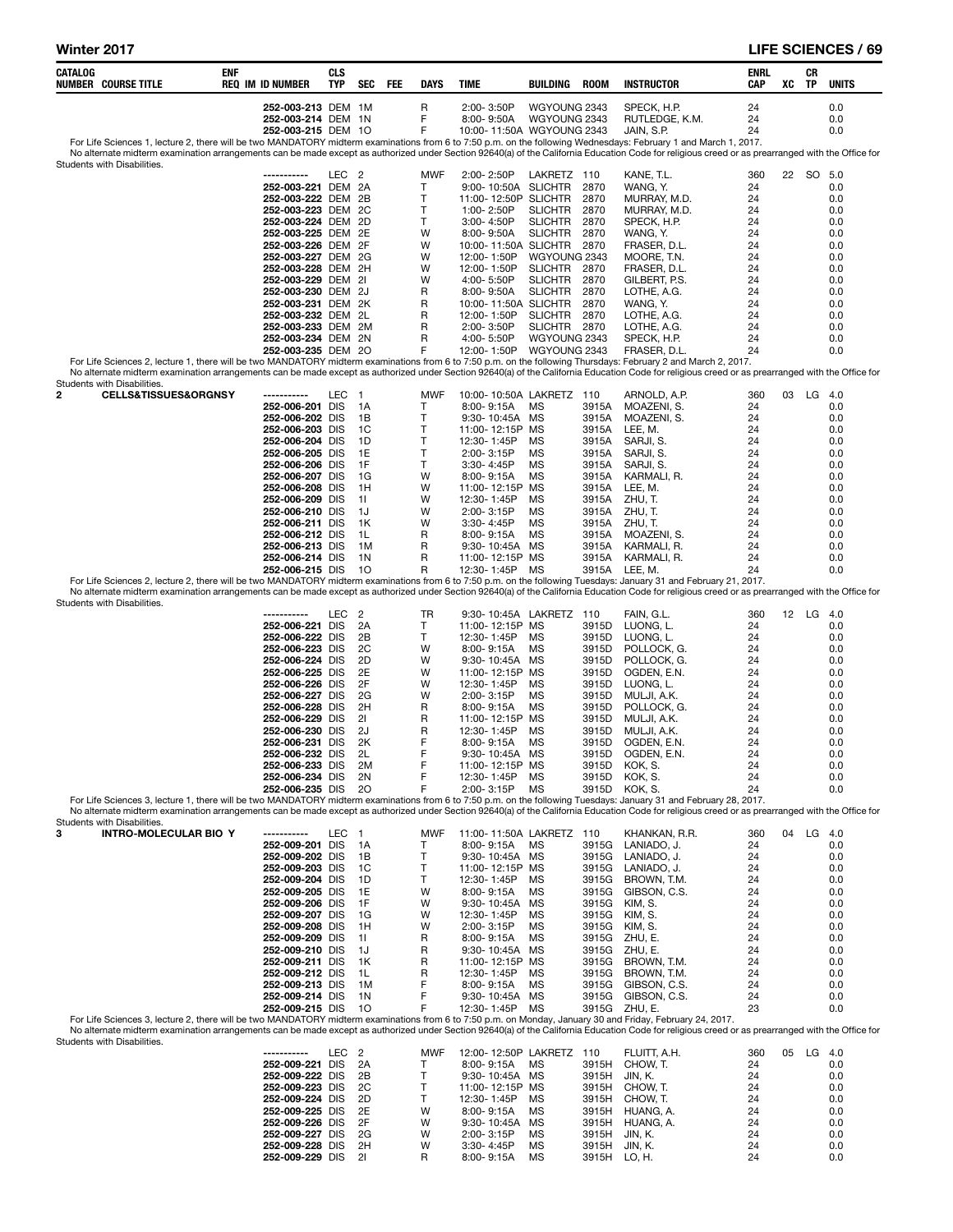| CATALOG        | <b>NUMBER COURSE TITLE</b>                                         | ENF | <b>REQ IM ID NUMBER</b>                  | CLS<br>TYP       | <b>SEC</b> | FEE | <b>DAYS</b>       | <b>TIME</b> |                                   | BUILDING                                  | <b>ROOM</b>    | <b>INSTRUCTOR</b>                                                                                                                                                                                                                                                                                                                                                   | <b>ENRL</b><br>CAP | XC | CR<br>TP  | <b>UNITS</b> |
|----------------|--------------------------------------------------------------------|-----|------------------------------------------|------------------|------------|-----|-------------------|-------------|-----------------------------------|-------------------------------------------|----------------|---------------------------------------------------------------------------------------------------------------------------------------------------------------------------------------------------------------------------------------------------------------------------------------------------------------------------------------------------------------------|--------------------|----|-----------|--------------|
|                |                                                                    |     | 252-003-213 DEM 1M                       |                  |            |     | R<br>F            |             | 2:00-3:50P                        | WGYOUNG 2343                              |                | SPECK, H.P.                                                                                                                                                                                                                                                                                                                                                         | 24                 |    |           | 0.0          |
|                |                                                                    |     | 252-003-214 DEM 1N<br>252-003-215 DEM 10 |                  |            |     | F                 |             | 8:00-9:50A                        | WGYOUNG 2343<br>10:00-11:50A WGYOUNG 2343 |                | RUTLEDGE, K.M.<br>JAIN, S.P.                                                                                                                                                                                                                                                                                                                                        | 24<br>24           |    |           | 0.0<br>0.0   |
|                |                                                                    |     |                                          |                  |            |     |                   |             |                                   |                                           |                | For Life Sciences 1, lecture 2, there will be two MANDATORY midterm examinations from 6 to 7:50 p.m. on the following Wednesdays: February 1 and March 1, 2017.<br>No alternate midterm examination arrangements can be made except as authorized under Section 92640(a) of the California Education Code for religious creed or as prearranged with the Office for |                    |    |           |              |
|                | Students with Disabilities.                                        |     |                                          |                  |            |     |                   |             |                                   |                                           |                |                                                                                                                                                                                                                                                                                                                                                                     |                    |    |           |              |
|                |                                                                    |     | 252-003-221 DEM 2A                       | LEC <sub>2</sub> |            |     | <b>MWF</b><br>Т   |             | 2:00-2:50P                        | LAKRETZ 110<br>9:00-10:50A SLICHTR        | 2870           | KANE, T.L.<br>WANG, Y.                                                                                                                                                                                                                                                                                                                                              | 360<br>24          |    | 22 SO 5.0 | 0.0          |
|                |                                                                    |     | 252-003-222 DEM 2B                       |                  |            |     | Τ                 |             |                                   | 11:00-12:50P SLICHTR                      | 2870           | MURRAY, M.D.                                                                                                                                                                                                                                                                                                                                                        | 24                 |    |           | 0.0          |
|                |                                                                    |     | 252-003-223 DEM 2C<br>252-003-224 DEM 2D |                  |            |     | T<br>Τ            |             | 1:00-2:50P<br>3:00-4:50P          | <b>SLICHTR</b><br><b>SLICHTR</b>          | 2870<br>2870   | MURRAY, M.D.<br>SPECK, H.P.                                                                                                                                                                                                                                                                                                                                         | 24<br>24           |    |           | 0.0<br>0.0   |
|                |                                                                    |     | 252-003-225 DEM 2E                       |                  |            |     | W                 |             | 8:00-9:50A                        | <b>SLICHTR</b>                            | 2870           | WANG. Y.                                                                                                                                                                                                                                                                                                                                                            | 24                 |    |           | 0.0          |
|                |                                                                    |     | 252-003-226 DEM 2F                       |                  |            |     | W                 |             |                                   | 10:00-11:50A SLICHTR                      | 2870           | FRASER, D.L.<br>MOORE. T.N.                                                                                                                                                                                                                                                                                                                                         | 24                 |    |           | 0.0          |
|                |                                                                    |     | 252-003-227 DEM 2G<br>252-003-228 DEM 2H |                  |            |     | W<br>W            |             | 12:00-1:50P<br>12:00-1:50P        | WGYOUNG 2343<br>SLICHTR                   | 2870           | FRASER, D.L.                                                                                                                                                                                                                                                                                                                                                        | 24<br>24           |    |           | 0.0<br>0.0   |
|                |                                                                    |     | 252-003-229 DEM 21                       |                  |            |     | W                 |             | 4:00-5:50P                        | <b>SLICHTR</b>                            | 2870           | GILBERT, P.S.                                                                                                                                                                                                                                                                                                                                                       | 24                 |    |           | 0.0          |
|                |                                                                    |     | 252-003-230 DEM 2J<br>252-003-231 DEM 2K |                  |            |     | R<br>R            |             | 8:00-9:50A                        | <b>SLICHTR</b><br>10:00-11:50A SLICHTR    | 2870<br>2870   | LOTHE, A.G.<br>WANG, Y.                                                                                                                                                                                                                                                                                                                                             | 24<br>24           |    |           | 0.0<br>0.0   |
|                |                                                                    |     | 252-003-232 DEM 2L                       |                  |            |     | R                 |             | 12:00-1:50P                       | <b>SLICHTR</b>                            | 2870           | LOTHE, A.G.                                                                                                                                                                                                                                                                                                                                                         | 24                 |    |           | 0.0          |
|                |                                                                    |     | 252-003-233 DEM 2M<br>252-003-234 DEM 2N |                  |            |     | R<br>R            |             | 2:00-3:50P<br>4:00-5:50P          | SLICHTR 2870<br>WGYOUNG 2343              |                | LOTHE, A.G.<br>SPECK, H.P.                                                                                                                                                                                                                                                                                                                                          | 24<br>24           |    |           | 0.0<br>0.0   |
|                |                                                                    |     | 252-003-235 DEM 2O                       |                  |            |     | F                 |             | 12:00-1:50P                       | WGYOUNG 2343                              |                | FRASER, D.L.                                                                                                                                                                                                                                                                                                                                                        | 24                 |    |           | 0.0          |
|                |                                                                    |     |                                          |                  |            |     |                   |             |                                   |                                           |                | For Life Sciences 2, lecture 1, there will be two MANDATORY midterm examinations from 6 to 7:50 p.m. on the following Thursdays: February 2 and March 2, 2017.<br>No alternate midterm examination arrangements can be made except as authorized under Section 92640(a) of the California Education Code for religious creed or as prearranged with the Office for  |                    |    |           |              |
| $\overline{2}$ | Students with Disabilities.<br><b>CELLS&amp;TISSUES&amp;ORGNSY</b> |     | ------------                             | LEC 1            |            |     | <b>MWF</b>        |             |                                   | 10:00-10:50A LAKRETZ                      | 110            | ARNOLD, A.P.                                                                                                                                                                                                                                                                                                                                                        | 360                |    | 03 LG 4.0 |              |
|                |                                                                    |     | 252-006-201 DIS                          |                  | - 1A       |     | T                 |             | 8:00-9:15A                        | МS                                        | 3915A          | MOAZENI, S.                                                                                                                                                                                                                                                                                                                                                         | 24                 |    |           | 0.0          |
|                |                                                                    |     | 252-006-202 DIS<br>252-006-203 DIS       |                  | 1B<br>1C   |     | Τ<br>T            |             | 9:30-10:45A MS<br>11:00-12:15P MS |                                           | 3915A<br>3915A | MOAZENI, S.<br>LEE, M.                                                                                                                                                                                                                                                                                                                                              | 24<br>24           |    |           | 0.0<br>0.0   |
|                |                                                                    |     | 252-006-204 DIS                          |                  | 1D         |     | Т                 |             | 12:30-1:45P                       | МS                                        | 3915A          | SARJI, S.                                                                                                                                                                                                                                                                                                                                                           | 24                 |    |           | 0.0          |
|                |                                                                    |     | 252-006-205 DIS                          |                  | 1E<br>1F   |     | T                 |             | 2:00-3:15P                        | MS                                        | 3915A          | SARJI, S.                                                                                                                                                                                                                                                                                                                                                           | 24                 |    |           | 0.0          |
|                |                                                                    |     | 252-006-206 DIS<br>252-006-207 DIS       |                  | 1G         |     | Τ<br>W            |             | 3:30-4:45P<br>8:00-9:15A          | MS<br>МS                                  | 3915A<br>3915A | SARJI, S.<br>KARMALI, R.                                                                                                                                                                                                                                                                                                                                            | 24<br>24           |    |           | 0.0<br>0.0   |
|                |                                                                    |     | 252-006-208 DIS                          |                  | 1H         |     | W                 |             | 11:00-12:15P MS                   |                                           | 3915A          | LEE, M.                                                                                                                                                                                                                                                                                                                                                             | 24                 |    |           | 0.0          |
|                |                                                                    |     | 252-006-209 DIS<br>252-006-210 DIS       |                  | 11<br>1J   |     | W<br>W            |             | 12:30-1:45P<br>2:00-3:15P         | MS<br>MS                                  | 3915A<br>3915A | ZHU, T.<br>ZHU, T.                                                                                                                                                                                                                                                                                                                                                  | 24<br>24           |    |           | 0.0<br>0.0   |
|                |                                                                    |     | 252-006-211 DIS                          |                  | 1K         |     | W                 |             | 3:30-4:45P                        | MS                                        | 3915A          | ZHU, T.                                                                                                                                                                                                                                                                                                                                                             | 24                 |    |           | 0.0          |
|                |                                                                    |     | 252-006-212 DIS<br>252-006-213 DIS       |                  | 1L<br>1M   |     | R<br>R            |             | 8:00-9:15A<br>9:30-10:45A MS      | MS                                        | 3915A<br>3915A | MOAZENI, S.<br>KARMALI, R.                                                                                                                                                                                                                                                                                                                                          | 24<br>24           |    |           | 0.0<br>0.0   |
|                |                                                                    |     | 252-006-214 DIS<br>252-006-215 DIS       |                  | 1N         |     | R<br>$\mathsf{R}$ |             | 11:00-12:15P MS<br>12:30-1:45P MS |                                           | 3915A<br>3915A | KARMALI, R.<br>LEE, M.                                                                                                                                                                                                                                                                                                                                              | 24<br>24           |    |           | 0.0<br>0.0   |
|                |                                                                    |     |                                          |                  | -10        |     |                   |             |                                   |                                           |                | For Life Sciences 2, lecture 2, there will be two MANDATORY midterm examinations from 6 to 7:50 p.m. on the following Tuesdays: January 31 and February 21, 2017.                                                                                                                                                                                                   |                    |    |           |              |
|                | Students with Disabilities.                                        |     |                                          |                  |            |     |                   |             |                                   |                                           |                | No alternate midterm examination arrangements can be made except as authorized under Section 92640(a) of the California Education Code for religious creed or as prearranged with the Office for                                                                                                                                                                    |                    |    |           |              |
|                |                                                                    |     | -----------                              | LEC <sub>2</sub> |            |     | TR                |             |                                   | 9:30-10:45A LAKRETZ 110                   |                | FAIN, G.L.                                                                                                                                                                                                                                                                                                                                                          | 360                |    | 12 LG 4.0 |              |
|                |                                                                    |     | 252-006-221 DIS<br>252-006-222 DIS       |                  | 2A<br>2B   |     | T<br>Τ            |             | 11:00-12:15P MS<br>12:30-1:45P    | МS                                        | 3915D          | 3915D LUONG, L.<br>LUONG, L.                                                                                                                                                                                                                                                                                                                                        | 24<br>24           |    |           | 0.0<br>0.0   |
|                |                                                                    |     | 252-006-223 DIS                          |                  | 2C         |     | W                 |             | 8:00-9:15A                        | MS                                        | 3915D          | POLLOCK, G.                                                                                                                                                                                                                                                                                                                                                         | 24                 |    |           | 0.0          |
|                |                                                                    |     | 252-006-224 DIS<br>252-006-225 DIS       |                  | 2D<br>2E   |     | W<br>W            |             | 9:30-10:45A MS<br>11:00-12:15P MS |                                           | 3915D<br>3915D | POLLOCK, G.<br>OGDEN, E.N.                                                                                                                                                                                                                                                                                                                                          | 24<br>24           |    |           | 0.0<br>0.0   |
|                |                                                                    |     | 252-006-226 DIS                          |                  | 2F         |     | W                 |             | 12:30-1:45P                       | МS                                        | 3915D          | LUONG, L.                                                                                                                                                                                                                                                                                                                                                           | 24                 |    |           | 0.0          |
|                |                                                                    |     | 252-006-227 DIS<br>252-006-228 DIS       |                  | 2G<br>2H   |     | W<br>R            |             | 2:00-3:15P<br>8:00-9:15A          | MS<br>МS                                  | 3915D<br>3915D | MULJI, A.K.<br>POLLOCK, G.                                                                                                                                                                                                                                                                                                                                          | 24<br>24           |    |           | 0.0<br>0.0   |
|                |                                                                    |     | 252-006-229 DIS                          |                  | 21         |     | R                 |             | 11:00-12:15P MS                   |                                           | 3915D          | MULJI, A.K.                                                                                                                                                                                                                                                                                                                                                         | 24                 |    |           | 0.0          |
|                |                                                                    |     | 252-006-230 DIS<br>252-006-231 DIS       |                  | 2J<br>2K   |     | R<br>F            |             | 12:30-1:45P<br>8:00-9:15A         | МS<br>МS                                  | 3915D<br>3915D | MULJI, A.K.<br>OGDEN, E.N.                                                                                                                                                                                                                                                                                                                                          | 24<br>24           |    |           | 0.0<br>0.0   |
|                |                                                                    |     | 252-006-232 DIS                          |                  | 2L         |     | F                 |             | 9:30-10:45A MS                    |                                           | 3915D          | OGDEN, E.N.                                                                                                                                                                                                                                                                                                                                                         | 24                 |    |           | 0.0          |
|                |                                                                    |     | 252-006-233 DIS<br>252-006-234 DIS       |                  | 2M<br>2N   |     | F<br>F            |             | 11:00-12:15P MS<br>12:30-1:45P    | МS                                        |                | 3915D KOK, S.<br>3915D KOK, S.                                                                                                                                                                                                                                                                                                                                      | 24<br>24           |    |           | 0.0<br>0.0   |
|                |                                                                    |     | 252-006-235 DIS                          |                  | 20         |     | F                 |             | 2:00-3:15P                        | MS                                        | 3915D          | KOK. S.<br>For Life Sciences 3, lecture 1, there will be two MANDATORY midterm examinations from 6 to 7:50 p.m. on the following Tuesdays: January 31 and February 28, 2017.                                                                                                                                                                                        | 24                 |    |           | 0.0          |
|                |                                                                    |     |                                          |                  |            |     |                   |             |                                   |                                           |                | No alternate midterm examination arrangements can be made except as authorized under Section 92640(a) of the California Education Code for religious creed or as prearranged with the Office for                                                                                                                                                                    |                    |    |           |              |
| 3              | Students with Disabilities.<br><b>INTRO-MOLECULAR BIO Y</b>        |     |                                          | LEC 1            |            |     | <b>MWF</b>        |             |                                   | 11:00-11:50A LAKRETZ                      | - 110          | KHANKAN, R.R.                                                                                                                                                                                                                                                                                                                                                       | 360                | 04 | $LG$ 4.0  |              |
|                |                                                                    |     | 252-009-201 DIS                          |                  | - 1 A      |     | т                 |             | 8:00-9:15A                        | МS                                        |                | 3915G LANIADO, J.                                                                                                                                                                                                                                                                                                                                                   | 24                 |    |           | 0.0          |
|                |                                                                    |     | 252-009-202 DIS<br>252-009-203 DIS       |                  | 1B<br>1C   |     | Т<br>T            |             | 9:30-10:45A MS<br>11:00-12:15P MS |                                           | 3915G<br>3915G | LANIADO, J.<br>LANIADO, J.                                                                                                                                                                                                                                                                                                                                          | 24<br>24           |    |           | 0.0<br>0.0   |
|                |                                                                    |     | 252-009-204 DIS                          |                  | 1D         |     | T                 |             | 12:30-1:45P                       | MS                                        | 3915G          | BROWN, T.M.                                                                                                                                                                                                                                                                                                                                                         | 24                 |    |           | 0.0          |
|                |                                                                    |     | 252-009-205 DIS<br>252-009-206 DIS       |                  | 1E<br>1F   |     | w<br>W            |             | $8:00 - 9:15A$<br>9:30-10:45A MS  | MS                                        | 3915G<br>3915G | GIBSON, C.S.<br>KIM, S.                                                                                                                                                                                                                                                                                                                                             | 24<br>24           |    |           | 0.0<br>0.0   |
|                |                                                                    |     | 252-009-207 DIS                          |                  | 1G         |     | W                 |             | 12:30-1:45P                       | МS                                        | 3915G          | KIM, S.                                                                                                                                                                                                                                                                                                                                                             | 24                 |    |           | 0.0          |
|                |                                                                    |     | 252-009-208 DIS<br>252-009-209 DIS       |                  | 1H<br>11   |     | W<br>R            |             | 2:00-3:15P<br>$8:00 - 9:15A$      | MS<br>MS                                  | 3915G<br>3915G | KIM, S.<br>ZHU, E.                                                                                                                                                                                                                                                                                                                                                  | 24<br>24           |    |           | 0.0<br>0.0   |
|                |                                                                    |     | 252-009-210 DIS                          |                  | 1J         |     | R                 |             | 9:30-10:45A MS                    |                                           |                | 3915G ZHU, E.                                                                                                                                                                                                                                                                                                                                                       | 24                 |    |           | 0.0          |
|                |                                                                    |     | 252-009-211 DIS<br>252-009-212 DIS       |                  | 1K<br>1L   |     | R<br>R            |             | 11:00-12:15P MS<br>12:30-1:45P    | МS                                        | 3915G<br>3915G | BROWN, T.M.<br>BROWN, T.M.                                                                                                                                                                                                                                                                                                                                          | 24<br>24           |    |           | 0.0<br>0.0   |
|                |                                                                    |     | 252-009-213 DIS                          |                  | 1M         |     | F<br>F            |             | $8:00 - 9:15A$                    | MS                                        | 3915G          | GIBSON, C.S.                                                                                                                                                                                                                                                                                                                                                        | 24                 |    |           | 0.0          |
|                |                                                                    |     | 252-009-214 DIS<br>252-009-215 DIS       |                  | 1N<br>10   |     | F                 |             | 9:30-10:45A MS<br>12:30- 1:45P    | МS                                        | 3915G          | GIBSON, C.S.<br>3915G ZHU, E.                                                                                                                                                                                                                                                                                                                                       | 24<br>23           |    |           | 0.0<br>0.0   |
|                | Students with Disabilities.                                        |     |                                          |                  |            |     |                   |             |                                   |                                           |                | For Life Sciences 3, lecture 2, there will be two MANDATORY midterm examinations from 6 to 7:50 p.m. on Monday, January 30 and Friday, February 24, 2017.<br>No alternate midterm examination arrangements can be made except as authorized under Section 92640(a) of the California Education Code for religious creed or as prearranged with the Office for       |                    |    |           |              |
|                |                                                                    |     | -----------                              | LEC <sub>2</sub> |            |     | <b>MWF</b>        |             |                                   | 12:00-12:50P LAKRETZ 110                  |                | FLUITT, A.H.                                                                                                                                                                                                                                                                                                                                                        | 360                |    | 05 LG 4.0 |              |
|                |                                                                    |     | 252-009-221 DIS<br>252-009-222 DIS       |                  | 2A<br>2Β   |     | Т<br>Т            |             | $8:00 - 9:15A$<br>9:30-10:45A MS  | МS                                        | 3915H<br>3915H | CHOW, T.<br>JIN, K.                                                                                                                                                                                                                                                                                                                                                 | 24<br>24           |    |           | 0.0<br>0.0   |
|                |                                                                    |     | 252-009-223 DIS                          |                  | 2C         |     | T                 |             | 11:00-12:15P MS                   |                                           | 3915H          | CHOW, T.                                                                                                                                                                                                                                                                                                                                                            | 24                 |    |           | 0.0          |
|                |                                                                    |     | 252-009-224 DIS<br>252-009-225 DIS       |                  | 2D<br>2E   |     | Τ<br>W            |             | 12:30-1:45P<br>8:00-9:15A         | МS<br>МS                                  | 3915H<br>3915H | CHOW, T.<br>HUANG, A.                                                                                                                                                                                                                                                                                                                                               | 24<br>24           |    |           | 0.0<br>0.0   |
|                |                                                                    |     | 252-009-226 DIS                          |                  | 2F         |     | W                 |             | 9:30-10:45A MS                    |                                           | 3915H          | HUANG, A.                                                                                                                                                                                                                                                                                                                                                           | 24                 |    |           | 0.0          |
|                |                                                                    |     | 252-009-227 DIS<br>252-009-228 DIS       |                  | 2G<br>2H   |     | W<br>W            |             | 2:00-3:15P<br>3:30-4:45P          | ΜS<br>МS                                  | 3915H<br>3915H | JIN, K.<br>JIN, K.                                                                                                                                                                                                                                                                                                                                                  | 24<br>24           |    |           | 0.0<br>0.0   |
|                |                                                                    |     | 252-009-229 DIS                          |                  | 21         |     | R                 |             | 8:00-9:15A                        | МS                                        | 3915H LO, H.   |                                                                                                                                                                                                                                                                                                                                                                     | 24                 |    |           | 0.0          |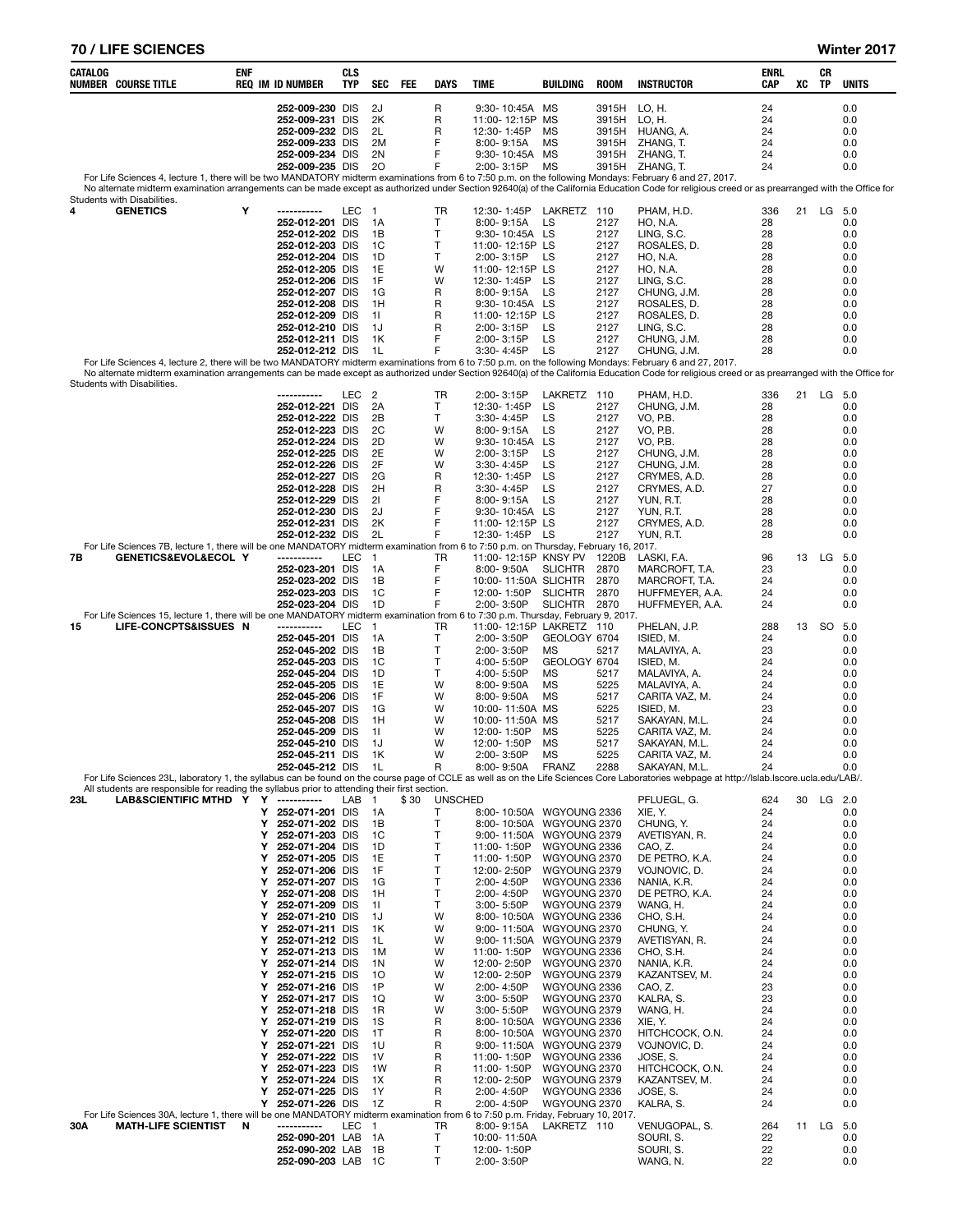# 70 / LIFE SCIENCES Winter 2017

| CATALOG | <b>NUMBER COURSE TITLE</b>                                                                                                           | ENF    | <b>REQ IM ID NUMBER</b>                  | <b>CLS</b><br>TYP | SEC                      | FEE | <b>DAYS</b>  | TIME                                                 | <b>BUILDING</b>              | <b>ROOM</b>    | <b>INSTRUCTOR</b>                                                                                                                                                                                          | ENRL<br><b>CAP</b> | xс | CR<br>TP  | <b>UNITS</b> |
|---------|--------------------------------------------------------------------------------------------------------------------------------------|--------|------------------------------------------|-------------------|--------------------------|-----|--------------|------------------------------------------------------|------------------------------|----------------|------------------------------------------------------------------------------------------------------------------------------------------------------------------------------------------------------------|--------------------|----|-----------|--------------|
|         |                                                                                                                                      |        | 252-009-230 DIS                          |                   | 2J                       |     | R            | 9:30-10:45A MS                                       |                              | 3915H          | LO, H.                                                                                                                                                                                                     | 24                 |    |           | 0.0          |
|         |                                                                                                                                      |        | 252-009-231 DIS                          |                   | 2K                       |     | R            | 11:00-12:15P MS                                      |                              | 3915H LO, H.   |                                                                                                                                                                                                            | 24                 |    |           | 0.0          |
|         |                                                                                                                                      |        | 252-009-232 DIS<br>252-009-233 DIS       |                   | 2L<br>2M                 |     | R<br>F       | 12:30-1:45P<br>8:00-9:15A                            | МS<br>MS                     | 3915H<br>3915H | HUANG, A.<br>ZHANG, T.                                                                                                                                                                                     | 24<br>24           |    |           | 0.0<br>0.0   |
|         |                                                                                                                                      |        | 252-009-234 DIS                          |                   | 2N                       |     | F            | 9:30-10:45A MS                                       |                              | 3915H          | ZHANG, T.                                                                                                                                                                                                  | 24                 |    |           | 0.0          |
|         |                                                                                                                                      |        | 252-009-235 DIS                          |                   | 20                       |     | F            | 2:00-3:15P                                           | <b>MS</b>                    |                | 3915H ZHANG, T.<br>For Life Sciences 4, lecture 1, there will be two MANDATORY midterm examinations from 6 to 7:50 p.m. on the following Mondays: February 6 and 27, 2017.                                 | 24                 |    |           | 0.0          |
|         | Students with Disabilities.                                                                                                          |        |                                          |                   |                          |     |              |                                                      |                              |                | No alternate midterm examination arrangements can be made except as authorized under Section 92640(a) of the California Education Code for religious creed or as prearranged with the Office for           |                    |    |           |              |
| 4       | <b>GENETICS</b>                                                                                                                      | Υ      | -----------                              | LEC               | $\overline{\mathbf{1}}$  |     | TR           | 12:30-1:45P                                          | LAKRETZ 110                  |                | PHAM, H.D.                                                                                                                                                                                                 | 336                |    | 21 LG 5.0 |              |
|         |                                                                                                                                      |        | 252-012-201 DIS<br>252-012-202 DIS       |                   | 1A<br>1B                 |     | т<br>т       | 8:00-9:15A<br>9:30-10:45A LS                         | LS                           | 2127<br>2127   | HO, N.A.<br>LING, S.C.                                                                                                                                                                                     | 28<br>28           |    |           | 0.0<br>0.0   |
|         |                                                                                                                                      |        | 252-012-203 DIS                          |                   | 1C                       |     | T            | 11:00-12:15P LS                                      |                              | 2127           | ROSALES, D.                                                                                                                                                                                                | 28                 |    |           | 0.0          |
|         |                                                                                                                                      |        | 252-012-204 DIS                          |                   | 1D                       |     | т            | 2:00-3:15P                                           | LS                           | 2127           | <b>HO, N.A.</b>                                                                                                                                                                                            | 28                 |    |           | 0.0          |
|         |                                                                                                                                      |        | 252-012-205 DIS<br>252-012-206 DIS       |                   | 1E<br>1F                 |     | W<br>W       | 11:00-12:15P LS<br>12:30-1:45P                       | LS                           | 2127<br>2127   | HO, N.A.<br>LING, S.C.                                                                                                                                                                                     | 28<br>28           |    |           | 0.0<br>0.0   |
|         |                                                                                                                                      |        | 252-012-207 DIS                          |                   | 1G                       |     | R            | 8:00-9:15A                                           | LS                           | 2127           | CHUNG, J.M.                                                                                                                                                                                                | 28                 |    |           | 0.0          |
|         |                                                                                                                                      |        | 252-012-208 DIS<br>252-012-209 DIS       |                   | 1H<br>-11                |     | R<br>R       | 9:30-10:45A LS<br>11:00-12:15P LS                    |                              | 2127<br>2127   | ROSALES, D.<br>ROSALES, D.                                                                                                                                                                                 | 28<br>28           |    |           | 0.0<br>0.0   |
|         |                                                                                                                                      |        | 252-012-210 DIS                          |                   | 1J                       |     | R            | 2:00-3:15P                                           | LS                           | 2127           | LING, S.C.                                                                                                                                                                                                 | 28                 |    |           | 0.0          |
|         |                                                                                                                                      |        | 252-012-211 DIS                          |                   | 1K                       |     | F            | 2:00-3:15P                                           | LS                           | 2127           | CHUNG, J.M.                                                                                                                                                                                                | 28                 |    |           | 0.0          |
|         |                                                                                                                                      |        | 252-012-212 DIS                          |                   | - 1 L                    |     | F            | 3:30-4:45P                                           | LS                           | 2127           | CHUNG, J.M.<br>For Life Sciences 4, lecture 2, there will be two MANDATORY midterm examinations from 6 to 7:50 p.m. on the following Mondays: February 6 and 27, 2017.                                     | 28                 |    |           | 0.0          |
|         | Students with Disabilities.                                                                                                          |        |                                          |                   |                          |     |              |                                                      |                              |                | No alternate midterm examination arrangements can be made except as authorized under Section 92640(a) of the California Education Code for religious creed or as prearranged with the Office for           |                    |    |           |              |
|         |                                                                                                                                      |        | -----------                              | LEC               | $\overline{\phantom{a}}$ |     | TR           | 2:00-3:15P                                           | LAKRETZ 110                  |                | PHAM, H.D.                                                                                                                                                                                                 | 336                |    | 21 LG 5.0 |              |
|         |                                                                                                                                      |        | 252-012-221 DIS<br>252-012-222 DIS       |                   | 2A<br>2B                 |     | т<br>T       | 12:30-1:45P<br>3:30-4:45P                            | LS<br>LS                     | 2127<br>2127   | CHUNG, J.M.<br>VO, P.B.                                                                                                                                                                                    | 28<br>28           |    |           | 0.0<br>0.0   |
|         |                                                                                                                                      |        | 252-012-223 DIS                          |                   | 2C                       |     | W            | 8:00-9:15A                                           | LS                           | 2127           | VO, P.B.                                                                                                                                                                                                   | 28                 |    |           | 0.0          |
|         |                                                                                                                                      |        | 252-012-224 DIS                          |                   | 2D                       |     | W            | 9:30-10:45A                                          | LS                           | 2127           | VO, P.B.                                                                                                                                                                                                   | 28                 |    |           | 0.0          |
|         |                                                                                                                                      |        | 252-012-225 DIS<br>252-012-226 DIS       |                   | 2E<br>2F                 |     | W<br>W       | 2:00-3:15P<br>3:30-4:45P                             | LS<br>LS                     | 2127<br>2127   | CHUNG, J.M.<br>CHUNG, J.M.                                                                                                                                                                                 | 28<br>28           |    |           | 0.0<br>0.0   |
|         |                                                                                                                                      |        | 252-012-227 DIS                          |                   | 2G                       |     | R            | 12:30-1:45P                                          | LS                           | 2127           | CRYMES, A.D.                                                                                                                                                                                               | 28                 |    |           | 0.0          |
|         |                                                                                                                                      |        | 252-012-228 DIS<br>252-012-229 DIS       |                   | 2H<br>21                 |     | R<br>F       | 3:30-4:45P<br>8:00-9:15A                             | LS<br>LS                     | 2127<br>2127   | CRYMES, A.D.<br>YUN, R.T.                                                                                                                                                                                  | 27<br>28           |    |           | 0.0<br>0.0   |
|         |                                                                                                                                      |        | 252-012-230 DIS                          |                   | 2J                       |     | F            | 9:30-10:45A LS                                       |                              | 2127           | YUN, R.T.                                                                                                                                                                                                  | 28                 |    |           | 0.0          |
|         |                                                                                                                                      |        | 252-012-231 DIS                          |                   | 2K                       |     | F            | 11:00-12:15P LS                                      |                              | 2127           | CRYMES, A.D.                                                                                                                                                                                               | 28                 |    |           | 0.0          |
|         | For Life Sciences 7B, lecture 1, there will be one MANDATORY midterm examination from 6 to 7:50 p.m. on Thursday, February 16, 2017. |        | 252-012-232 DIS                          |                   | 2L                       |     | F            | 12:30-1:45P                                          | LS                           | 2127           | YUN, R.T.                                                                                                                                                                                                  | 28                 |    |           | 0.0          |
| 7В      | <b>GENETICS&amp;EVOL&amp;ECOL Y</b>                                                                                                  |        | -----------                              | LEC               | $\overline{1}$           |     | TR           | 11:00-12:15P KNSY PV                                 |                              | 1220B          | LASKI, F.A.                                                                                                                                                                                                | 96                 | 13 | LG 5.0    |              |
|         |                                                                                                                                      |        | 252-023-201 DIS<br>252-023-202 DIS       |                   | 1A<br>1В                 |     | F<br>F       | 8:00-9:50A<br>10:00-11:50A SLICHTR                   | <b>SLICHTR</b>               | 2870<br>2870   | MARCROFT, T.A.<br>MARCROFT, T.A.                                                                                                                                                                           | 23<br>24           |    |           | 0.0<br>0.0   |
|         |                                                                                                                                      |        | 252-023-203 DIS                          |                   | 1C                       |     | F            | 12:00-1:50P                                          | <b>SLICHTR</b>               | 2870           | HUFFMEYER, A.A.                                                                                                                                                                                            | 24                 |    |           | 0.0          |
|         | For Life Sciences 15, lecture 1, there will be one MANDATORY midterm examination from 6 to 7:30 p.m. Thursday, February 9, 2017.     |        | 252-023-204 DIS                          |                   | 1D                       |     | F            | 2:00-3:50P                                           | SLICHTR                      | 2870           | HUFFMEYER, A.A.                                                                                                                                                                                            | 24                 |    |           | 0.0          |
| 15      | LIFE-CONCPTS&ISSUES N                                                                                                                |        | -----------                              | LEC               | $\overline{\phantom{a}}$ |     | TR           | 11:00-12:15P LAKRETZ 110                             |                              |                | PHELAN, J.P.                                                                                                                                                                                               | 288                | 13 | SO.       | 5.0          |
|         |                                                                                                                                      |        | 252-045-201 DIS                          |                   | 1A<br>1B                 |     | T<br>T       | 2:00-3:50P                                           | GEOLOGY 6704<br>MS           | 5217           | ISIED, M.                                                                                                                                                                                                  | 24<br>23           |    |           | 0.0<br>0.0   |
|         |                                                                                                                                      |        | 252-045-202 DIS<br>252-045-203 DIS       |                   | 1C                       |     | T            | 2:00-3:50P<br>4:00-5:50P                             | GEOLOGY 6704                 |                | MALAVIYA, A.<br>ISIED, M.                                                                                                                                                                                  | 24                 |    |           | 0.0          |
|         |                                                                                                                                      |        | 252-045-204 DIS                          |                   | 1D                       |     | т            | 4:00-5:50P                                           | ΜS                           | 5217           | MALAVIYA, A.                                                                                                                                                                                               | 24                 |    |           | 0.0          |
|         |                                                                                                                                      |        | 252-045-205 DIS<br>252-045-206 DIS       |                   | 1E<br>1F                 |     | W<br>W       | 8:00-9:50A<br>8:00-9:50A                             | <b>MS</b><br><b>MS</b>       | 5225<br>5217   | MALAVIYA, A.<br>CARITA VAZ, M.                                                                                                                                                                             | 24<br>24           |    |           | 0.0<br>0.0   |
|         |                                                                                                                                      |        | 252-045-207 DIS                          |                   | 1G                       |     | W            | 10:00-11:50A MS                                      |                              | 5225           | ISIED, M.                                                                                                                                                                                                  | 23                 |    |           | 0.0          |
|         |                                                                                                                                      |        | 252-045-208 DIS<br>252-045-209 DIS       |                   | 1H<br>-11                |     | W<br>W       | 10:00-11:50A MS<br>12:00-1:50P                       | <b>MS</b>                    | 5217<br>5225   | SAKAYAN, M.L.<br>CARITA VAZ, M.                                                                                                                                                                            | 24<br>24           |    |           | 0.0<br>0.0   |
|         |                                                                                                                                      |        | 252-045-210 DIS                          |                   | 1J                       |     | W            | 12:00-1:50P                                          | <b>MS</b>                    | 5217           | SAKAYAN, M.L.                                                                                                                                                                                              | 24                 |    |           | 0.0          |
|         |                                                                                                                                      |        | 252-045-211 DIS                          |                   | 1K                       |     | W            | 2:00-3:50P                                           | <b>MS</b>                    | 5225           | CARITA VAZ, M.                                                                                                                                                                                             | 24                 |    |           | 0.0          |
|         |                                                                                                                                      |        | 252-045-212 DIS 1L                       |                   |                          |     | R            | 8:00-9:50A FRANZ                                     |                              | 2288           | SAKAYAN, M.L.<br>For Life Sciences 23L, laboratory 1, the syllabus can be found on the course page of CCLE as well as on the Life Sciences Core Laboratories webpage at http://Islab.Iscore.ucla.edu/LAB/. | 24                 |    |           | 0.0          |
| 23L     | All students are responsible for reading the syllabus prior to attending their first section.<br>LAB&SCIENTIFIC MTHD Y Y ----------- |        |                                          | LAB <sub>1</sub>  |                          |     | \$30 UNSCHED |                                                      |                              |                | PFLUEGL, G.                                                                                                                                                                                                | 624                |    | 30 LG 2.0 |              |
|         |                                                                                                                                      |        | Y 252-071-201 DIS                        |                   | 1A                       |     | т            | 8:00-10:50A WGYOUNG 2336                             |                              |                | XIE, Y.                                                                                                                                                                                                    | 24                 |    |           | 0.0          |
|         |                                                                                                                                      | Y      | 252-071-202 DIS                          |                   | 1B                       |     | т            | 8:00-10:50A WGYOUNG 2370                             |                              |                | CHUNG, Y.                                                                                                                                                                                                  | 24                 |    |           | 0.0          |
|         |                                                                                                                                      | Y<br>Y | 252-071-203 DIS<br>252-071-204 DIS       |                   | 1C<br>1D                 |     | т<br>т       | 9:00-11:50A WGYOUNG 2379<br>11:00-1:50P              | WGYOUNG 2336                 |                | AVETISYAN, R.<br>CAO, Z.                                                                                                                                                                                   | 24<br>24           |    |           | 0.0<br>0.0   |
|         |                                                                                                                                      | Y      | 252-071-205 DIS                          |                   | 1E                       |     | т            | 11:00-1:50P                                          | WGYOUNG 2370                 |                | DE PETRO, K.A.                                                                                                                                                                                             | 24                 |    |           | 0.0          |
|         |                                                                                                                                      | Y<br>Y | 252-071-206 DIS<br>252-071-207 DIS       |                   | 1F<br>1G                 |     | т<br>т       | 12:00-2:50P<br>2:00-4:50P                            | WGYOUNG 2379<br>WGYOUNG 2336 |                | VOJNOVIC, D.<br>NANIA, K.R.                                                                                                                                                                                | 24<br>24           |    |           | 0.0<br>0.0   |
|         |                                                                                                                                      | Y      | 252-071-208 DIS                          |                   | 1H                       |     | T            | 2:00-4:50P                                           | WGYOUNG 2370                 |                | DE PETRO, K.A.                                                                                                                                                                                             | 24                 |    |           | 0.0          |
|         |                                                                                                                                      | Y<br>Y | 252-071-209 DIS<br>252-071-210 DIS       |                   | 11<br>1J                 |     | Τ<br>W       | 3:00-5:50P<br>8:00-10:50A WGYOUNG 2336               | WGYOUNG 2379                 |                | WANG, H.<br>CHO, S.H.                                                                                                                                                                                      | 24<br>24           |    |           | 0.0<br>0.0   |
|         |                                                                                                                                      | Y      | 252-071-211 DIS                          |                   | 1K                       |     | W            | 9:00-11:50A WGYOUNG 2370                             |                              |                | CHUNG, Y.                                                                                                                                                                                                  | 24                 |    |           | 0.0          |
|         |                                                                                                                                      | Y      | 252-071-212 DIS                          |                   | 1L                       |     | W            | 9:00-11:50A WGYOUNG 2379                             |                              |                | AVETISYAN, R.                                                                                                                                                                                              | 24                 |    |           | 0.0          |
|         |                                                                                                                                      | Y<br>Y | 252-071-213 DIS<br>252-071-214 DIS       |                   | 1M<br>1N                 |     | W<br>W       | 11:00-1:50P<br>12:00-2:50P                           | WGYOUNG 2336<br>WGYOUNG 2370 |                | CHO, S.H.<br>NANIA, K.R.                                                                                                                                                                                   | 24<br>24           |    |           | 0.0<br>0.0   |
|         |                                                                                                                                      | Y      | 252-071-215 DIS                          |                   | 10                       |     | W            | 12:00-2:50P                                          | WGYOUNG 2379                 |                | KAZANTSEV, M.                                                                                                                                                                                              | 24                 |    |           | 0.0          |
|         |                                                                                                                                      | Y<br>Y | 252-071-216 DIS<br>252-071-217 DIS       |                   | 1P<br>1Q                 |     | W<br>W       | 2:00-4:50P<br>3:00-5:50P                             | WGYOUNG 2336<br>WGYOUNG 2370 |                | CAO, Z.<br>KALRA, S.                                                                                                                                                                                       | 23<br>23           |    |           | 0.0<br>0.0   |
|         |                                                                                                                                      | Y      | 252-071-218 DIS                          |                   | 1R                       |     | W            | 3:00-5:50P                                           | WGYOUNG 2379                 |                | WANG, H.                                                                                                                                                                                                   | 24                 |    |           | 0.0          |
|         |                                                                                                                                      | Y      | 252-071-219 DIS                          |                   | 1S                       |     | R            | 8:00-10:50A WGYOUNG 2336                             |                              |                | XIE, Y.                                                                                                                                                                                                    | 24                 |    |           | 0.0          |
|         |                                                                                                                                      | Y<br>Y | 252-071-220 DIS<br>252-071-221 DIS       |                   | 1T<br>1U                 |     | R<br>R       | 8:00-10:50A WGYOUNG 2370<br>9:00-11:50A WGYOUNG 2379 |                              |                | HITCHCOCK, O.N.<br>VOJNOVIC, D.                                                                                                                                                                            | 24<br>24           |    |           | 0.0<br>0.0   |
|         |                                                                                                                                      | Y      | 252-071-222 DIS                          |                   | 1V                       |     | R            | 11:00-1:50P                                          | WGYOUNG 2336                 |                | JOSE, S.                                                                                                                                                                                                   | 24                 |    |           | 0.0          |
|         |                                                                                                                                      | Y<br>Y | 252-071-223 DIS<br>252-071-224 DIS       |                   | 1W<br>1X                 |     | R<br>R       | 11:00-1:50P<br>12:00-2:50P                           | WGYOUNG 2370<br>WGYOUNG 2379 |                | HITCHCOCK, O.N.<br>KAZANTSEV, M.                                                                                                                                                                           | 24<br>24           |    |           | 0.0<br>0.0   |
|         |                                                                                                                                      | Y      | 252-071-225 DIS                          |                   | 1Y                       |     | R            | 2:00-4:50P                                           | WGYOUNG 2336                 |                | JOSE, S.                                                                                                                                                                                                   | 24                 |    |           | 0.0          |
|         | For Life Sciences 30A, lecture 1, there will be one MANDATORY midterm examination from 6 to 7:50 p.m. Friday, February 10, 2017.     | Y      | 252-071-226 DIS                          |                   | 1Z                       |     | R            | 2:00-4:50P                                           | WGYOUNG 2370                 |                | KALRA, S.                                                                                                                                                                                                  | 24                 |    |           | 0.0          |
| 30A     | <b>MATH-LIFE SCIENTIST</b>                                                                                                           | N      | -----------                              | LEC 1             |                          |     | TR           | 8:00-9:15A                                           | LAKRETZ 110                  |                | VENUGOPAL, S.                                                                                                                                                                                              | 264                |    | 11 LG 5.0 |              |
|         |                                                                                                                                      |        | 252-090-201 LAB 1A                       |                   |                          |     | T            | 10:00-11:50A                                         |                              |                | SOURI, S.                                                                                                                                                                                                  | 22                 |    |           | 0.0          |
|         |                                                                                                                                      |        | 252-090-202 LAB 1B<br>252-090-203 LAB 1C |                   |                          |     | Τ<br>T       | 12:00-1:50P<br>2:00-3:50P                            |                              |                | SOURI, S.<br>WANG, N.                                                                                                                                                                                      | 22<br>22           |    |           | 0.0<br>0.0   |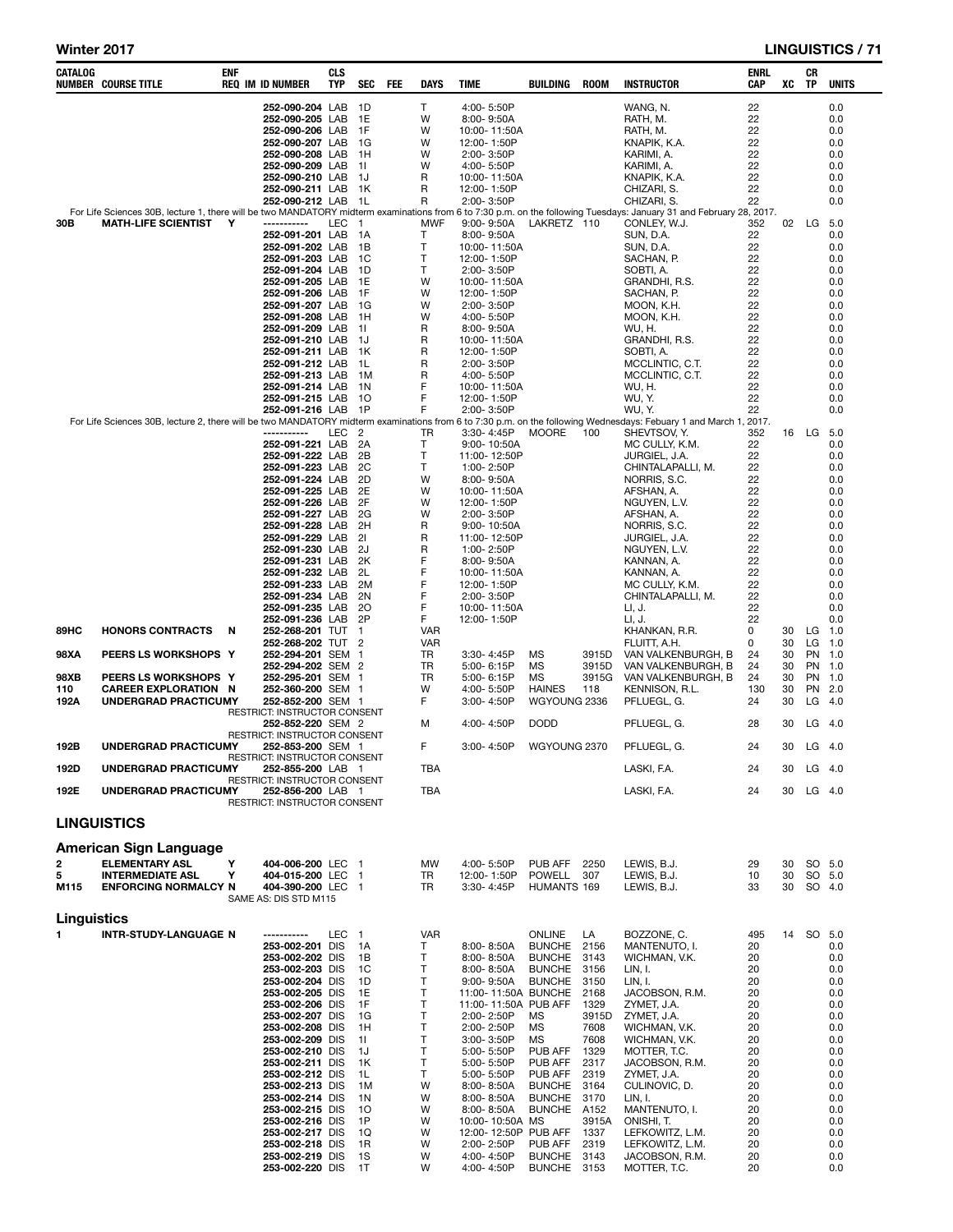| 252-090-204 LAB<br>1D<br>T<br>4:00-5:50P<br>WANG, N.<br>22<br>22<br>252-090-205 LAB<br>1E<br>W<br>8:00-9:50A<br>RATH, M.<br>1F<br>22<br>252-090-206 LAB<br>W<br>10:00-11:50A<br>RATH, M.<br>KNAPIK, K.A.<br>22<br>252-090-207 LAB 1G<br>W<br>12:00-1:50P<br>22<br>252-090-208 LAB<br>- 1H<br>W<br>2:00-3:50P<br>KARIMI, A.<br>KARIMI, A.<br>22<br>252-090-209 LAB 1I<br>W<br>4:00-5:50P<br>R<br>22<br>252-090-210 LAB 1J<br>10:00-11:50A<br>KNAPIK, K.A.<br>22<br>R<br>CHIZARI, S.<br>252-090-211 LAB 1K<br>12:00-1:50P<br>R<br>252-090-212 LAB 1L<br>CHIZARI, S.<br>22<br>2:00-3:50P<br>For Life Sciences 30B, lecture 1, there will be two MANDATORY midterm examinations from 6 to 7:30 p.m. on the following Tuesdays: January 31 and February 28, 2017.<br><b>MATH-LIFE SCIENTIST</b><br>LEC<br>MWF<br>LAKRETZ 110<br>30B<br>Y<br>-----------<br>$\overline{1}$<br>$9.00 - 9.50A$<br>CONLEY, W.J.<br>352<br>Т<br>SUN, D.A.<br>22<br>252-091-201 LAB<br>- 1 A<br>8:00-9:50A<br>Т<br>SUN, D.A.<br>22<br>252-091-202 LAB<br>- 1 B<br>10:00-11:50A<br>T<br>SACHAN, P.<br>22<br>252-091-203 LAB<br>- 1C<br>12:00-1:50P<br>Т<br>22<br>252-091-204 LAB<br>- 1D<br>2:00-3:50P<br>SOBTI, A.<br>1E<br>W<br>GRANDHI, R.S.<br>22<br>252-091-205 LAB<br>10:00-11:50A<br>1F<br>W<br>22<br>252-091-206 LAB<br>12:00-1:50P<br>SACHAN, P.<br>22<br>252-091-207 LAB<br>- 1G<br>W<br>2:00-3:50P<br>MOON, K.H.<br>22<br>W<br>252-091-208 LAB<br>- 1H<br>4:00-5:50P<br>MOON, K.H.<br>22<br>R<br>252-091-209 LAB<br>- 11<br>8:00-9:50A<br>WU, H.<br>R<br>22<br>252-091-210 LAB<br>- 1J<br>10:00-11:50A<br>GRANDHI, R.S.<br>22<br>R<br>252-091-211 LAB 1K<br>12:00-1:50P<br>SOBTI, A.<br>22<br>R<br>252-091-212 LAB<br>- 1 L<br>2:00-3:50P<br>MCCLINTIC, C.T.<br>R<br>22<br>252-091-213 LAB<br>4:00-5:50P<br>MCCLINTIC, C.T.<br>- 1 M<br>F<br>22<br>252-091-214 LAB<br>- 1 N<br>10:00-11:50A<br>WU, H.<br>F<br>22<br>12:00-1:50P<br>WU, Y.<br>252-091-215 LAB 10<br>F<br>2:00-3:50P<br>WU, Y.<br>22<br>252-091-216 LAB<br>- 1P<br>For Life Sciences 30B, lecture 2, there will be two MANDATORY midterm examinations from 6 to 7:30 p.m. on the following Wednesdays: Febuary 1 and March 1, 2017.<br>LEC<br>SHEVTSOV, Y.<br>-----------<br>- 2<br>TR<br>3:30-4:45P<br>MOORE<br>100<br>352<br>252-091-221 LAB<br>2A<br>Т<br>MC CULLY, K.M.<br>22<br>9:00-10:50A<br>252-091-222 LAB<br>2B<br>Τ<br>22<br>11:00-12:50P<br>JURGIEL, J.A.<br>2C<br>T<br>22<br>252-091-223 LAB<br>1:00-2:50P<br>CHINTALAPALLI, M.<br>252-091-224 LAB<br>2D<br>W<br>NORRIS, S.C.<br>22<br>$8:00 - 9:50A$<br>252-091-225 LAB<br>2E<br>W<br>22<br>10:00-11:50A<br>AFSHAN, A.<br>252-091-226 LAB<br>2F<br>W<br>22<br>12:00-1:50P<br>NGUYEN, L.V.<br>2G<br>W<br>2:00-3:50P<br>22<br>252-091-227 LAB<br>AFSHAN, A.<br>252-091-228 LAB<br>2H<br>R<br>NORRIS, S.C.<br>22<br>$9:00 - 10:50A$<br>252-091-229 LAB<br>R<br>22<br>21<br>11:00-12:50P<br>JURGIEL, J.A.<br>252-091-230 LAB<br>2J<br>R<br>22<br>1:00-2:50P<br>NGUYEN, L.V.<br>F<br>252-091-231 LAB<br>KANNAN, A.<br>22<br>2K<br>8:00-9:50A<br>F<br>252-091-232 LAB<br>2L<br>22<br>10:00-11:50A<br>KANNAN, A.<br>F<br>252-091-233 LAB<br>2M<br>MC CULLY, K.M.<br>22<br>12:00-1:50P<br>F<br>252-091-234 LAB<br>CHINTALAPALLI, M.<br>22<br>2N<br>2:00-3:50P<br>F<br>252-091-235 LAB<br>-20<br>22<br>10:00-11:50A<br>LI, J.<br>F<br>252-091-236 LAB<br>2P<br>12:00-1:50P<br>LI, J.<br>22<br><b>HONORS CONTRACTS</b><br>252-268-201 TUT 1<br><b>VAR</b><br>KHANKAN, R.R.<br>0<br>89HC<br>N<br>252-268-202 TUT 2<br><b>VAR</b><br>FLUITT, A.H.<br>0<br>98XA<br>PEERS LS WORKSHOPS Y<br>252-294-201 SEM 1<br>TR<br>MS<br>3915D<br>VAN VALKENBURGH, B<br>24<br>3:30-4:45P<br>252-294-202 SEM 2<br>TR<br>5:00-6:15P<br>MS<br>3915D<br>VAN VALKENBURGH, B<br>24<br>98XB<br>PEERS LS WORKSHOPS Y<br>252-295-201 SEM 1<br>TR<br>MS<br>3915G<br>VAN VALKENBURGH, B<br>24<br>5:00-6:15P<br>252-360-200 SEM 1<br>4:00-5:50P<br><b>HAINES</b><br>KENNISON, R.L.<br>130<br>110<br><b>CAREER EXPLORATION N</b><br>w<br>118<br><b>UNDERGRAD PRACTICUMY</b><br>252-852-200 SEM 1<br>F<br>3:00-4:50P<br>WGYOUNG 2336<br>PFLUEGL, G.<br>24<br>192A<br>RESTRICT: INSTRUCTOR CONSENT<br>252-852-220 SEM 2<br>м<br>4:00-4:50P<br><b>DODD</b><br>PFLUEGL, G.<br>28<br>RESTRICT: INSTRUCTOR CONSENT<br>F<br>192B<br>UNDERGRAD PRACTICUMY<br>3:00-4:50P<br>WGYOUNG 2370<br>PFLUEGL, G.<br>24<br>252-853-200 SEM 1<br>RESTRICT: INSTRUCTOR CONSENT<br><b>TBA</b><br>192D<br>LASKI, F.A.<br>24<br>UNDERGRAD PRACTICUMY<br>252-855-200 LAB 1<br>RESTRICT: INSTRUCTOR CONSENT<br>192E<br>UNDERGRAD PRACTICUMY<br>252-856-200 LAB 1<br>LASKI, F.A.<br>TBA<br>24<br>RESTRICT: INSTRUCTOR CONSENT<br><b>LINGUISTICS</b><br>American Sign Language<br>2<br>Y<br><b>ELEMENTARY ASL</b><br>404-006-200 LEC 1<br>4:00-5:50P<br>PUB AFF<br>LEWIS, B.J.<br>МW<br>2250<br>29<br>5<br>Υ<br>404-015-200 LEC 1<br>TR<br>12:00-1:50P<br>POWELL<br>307<br>LEWIS, B.J.<br>10<br><b>INTERMEDIATE ASL</b><br><b>ENFORCING NORMALCY N</b><br>404-390-200 LEC 1<br>M115<br>TR<br>3:30-4:45P<br>HUMANTS 169<br>LEWIS, B.J.<br>33<br>SAME AS: DIS STD M115 | 02<br>16 LG 5.0 | LG        | 0.0<br>0.0<br>0.0<br>0.0<br>0.0<br>0.0<br>0.0<br>0.0<br>0.0<br>5.0<br>0.0<br>0.0<br>0.0<br>0.0<br>0.0<br>0.0<br>0.0<br>0.0<br>0.0<br>0.0<br>0.0<br>0.0<br>0.0<br>0.0<br>0.0 |
|--------------------------------------------------------------------------------------------------------------------------------------------------------------------------------------------------------------------------------------------------------------------------------------------------------------------------------------------------------------------------------------------------------------------------------------------------------------------------------------------------------------------------------------------------------------------------------------------------------------------------------------------------------------------------------------------------------------------------------------------------------------------------------------------------------------------------------------------------------------------------------------------------------------------------------------------------------------------------------------------------------------------------------------------------------------------------------------------------------------------------------------------------------------------------------------------------------------------------------------------------------------------------------------------------------------------------------------------------------------------------------------------------------------------------------------------------------------------------------------------------------------------------------------------------------------------------------------------------------------------------------------------------------------------------------------------------------------------------------------------------------------------------------------------------------------------------------------------------------------------------------------------------------------------------------------------------------------------------------------------------------------------------------------------------------------------------------------------------------------------------------------------------------------------------------------------------------------------------------------------------------------------------------------------------------------------------------------------------------------------------------------------------------------------------------------------------------------------------------------------------------------------------------------------------------------------------------------------------------------------------------------------------------------------------------------------------------------------------------------------------------------------------------------------------------------------------------------------------------------------------------------------------------------------------------------------------------------------------------------------------------------------------------------------------------------------------------------------------------------------------------------------------------------------------------------------------------------------------------------------------------------------------------------------------------------------------------------------------------------------------------------------------------------------------------------------------------------------------------------------------------------------------------------------------------------------------------------------------------------------------------------------------------------------------------------------------------------------------------------------------------------------------------------------------------------------------------------------------------------------------------------------------------------------------------------------------------------------------------------------------------------------------------------------------------------------------------------------------------------------------------------------------------------------------------------------------------------------------------------------------------------------------------------------------------------------------------------------------------------------------------------------------------------------------------------------------------------------------------------------------------------------------------------------------------------------------------------------------------------------------------------------------------------------------------------------------------------------------------------------------------------------------------------------------------------------------------------------------------------------------------------------------------------------------------------------------------------------------------------------------------------------------------------------------------------------------------------------------------------|-----------------|-----------|-----------------------------------------------------------------------------------------------------------------------------------------------------------------------------|
|                                                                                                                                                                                                                                                                                                                                                                                                                                                                                                                                                                                                                                                                                                                                                                                                                                                                                                                                                                                                                                                                                                                                                                                                                                                                                                                                                                                                                                                                                                                                                                                                                                                                                                                                                                                                                                                                                                                                                                                                                                                                                                                                                                                                                                                                                                                                                                                                                                                                                                                                                                                                                                                                                                                                                                                                                                                                                                                                                                                                                                                                                                                                                                                                                                                                                                                                                                                                                                                                                                                                                                                                                                                                                                                                                                                                                                                                                                                                                                                                                                                                                                                                                                                                                                                                                                                                                                                                                                                                                                                                                                                                                                                                                                                                                                                                                                                                                                                                                                                                                                                                                                              |                 |           |                                                                                                                                                                             |
|                                                                                                                                                                                                                                                                                                                                                                                                                                                                                                                                                                                                                                                                                                                                                                                                                                                                                                                                                                                                                                                                                                                                                                                                                                                                                                                                                                                                                                                                                                                                                                                                                                                                                                                                                                                                                                                                                                                                                                                                                                                                                                                                                                                                                                                                                                                                                                                                                                                                                                                                                                                                                                                                                                                                                                                                                                                                                                                                                                                                                                                                                                                                                                                                                                                                                                                                                                                                                                                                                                                                                                                                                                                                                                                                                                                                                                                                                                                                                                                                                                                                                                                                                                                                                                                                                                                                                                                                                                                                                                                                                                                                                                                                                                                                                                                                                                                                                                                                                                                                                                                                                                              |                 |           |                                                                                                                                                                             |
|                                                                                                                                                                                                                                                                                                                                                                                                                                                                                                                                                                                                                                                                                                                                                                                                                                                                                                                                                                                                                                                                                                                                                                                                                                                                                                                                                                                                                                                                                                                                                                                                                                                                                                                                                                                                                                                                                                                                                                                                                                                                                                                                                                                                                                                                                                                                                                                                                                                                                                                                                                                                                                                                                                                                                                                                                                                                                                                                                                                                                                                                                                                                                                                                                                                                                                                                                                                                                                                                                                                                                                                                                                                                                                                                                                                                                                                                                                                                                                                                                                                                                                                                                                                                                                                                                                                                                                                                                                                                                                                                                                                                                                                                                                                                                                                                                                                                                                                                                                                                                                                                                                              |                 |           |                                                                                                                                                                             |
|                                                                                                                                                                                                                                                                                                                                                                                                                                                                                                                                                                                                                                                                                                                                                                                                                                                                                                                                                                                                                                                                                                                                                                                                                                                                                                                                                                                                                                                                                                                                                                                                                                                                                                                                                                                                                                                                                                                                                                                                                                                                                                                                                                                                                                                                                                                                                                                                                                                                                                                                                                                                                                                                                                                                                                                                                                                                                                                                                                                                                                                                                                                                                                                                                                                                                                                                                                                                                                                                                                                                                                                                                                                                                                                                                                                                                                                                                                                                                                                                                                                                                                                                                                                                                                                                                                                                                                                                                                                                                                                                                                                                                                                                                                                                                                                                                                                                                                                                                                                                                                                                                                              |                 |           |                                                                                                                                                                             |
|                                                                                                                                                                                                                                                                                                                                                                                                                                                                                                                                                                                                                                                                                                                                                                                                                                                                                                                                                                                                                                                                                                                                                                                                                                                                                                                                                                                                                                                                                                                                                                                                                                                                                                                                                                                                                                                                                                                                                                                                                                                                                                                                                                                                                                                                                                                                                                                                                                                                                                                                                                                                                                                                                                                                                                                                                                                                                                                                                                                                                                                                                                                                                                                                                                                                                                                                                                                                                                                                                                                                                                                                                                                                                                                                                                                                                                                                                                                                                                                                                                                                                                                                                                                                                                                                                                                                                                                                                                                                                                                                                                                                                                                                                                                                                                                                                                                                                                                                                                                                                                                                                                              |                 |           |                                                                                                                                                                             |
|                                                                                                                                                                                                                                                                                                                                                                                                                                                                                                                                                                                                                                                                                                                                                                                                                                                                                                                                                                                                                                                                                                                                                                                                                                                                                                                                                                                                                                                                                                                                                                                                                                                                                                                                                                                                                                                                                                                                                                                                                                                                                                                                                                                                                                                                                                                                                                                                                                                                                                                                                                                                                                                                                                                                                                                                                                                                                                                                                                                                                                                                                                                                                                                                                                                                                                                                                                                                                                                                                                                                                                                                                                                                                                                                                                                                                                                                                                                                                                                                                                                                                                                                                                                                                                                                                                                                                                                                                                                                                                                                                                                                                                                                                                                                                                                                                                                                                                                                                                                                                                                                                                              |                 |           |                                                                                                                                                                             |
|                                                                                                                                                                                                                                                                                                                                                                                                                                                                                                                                                                                                                                                                                                                                                                                                                                                                                                                                                                                                                                                                                                                                                                                                                                                                                                                                                                                                                                                                                                                                                                                                                                                                                                                                                                                                                                                                                                                                                                                                                                                                                                                                                                                                                                                                                                                                                                                                                                                                                                                                                                                                                                                                                                                                                                                                                                                                                                                                                                                                                                                                                                                                                                                                                                                                                                                                                                                                                                                                                                                                                                                                                                                                                                                                                                                                                                                                                                                                                                                                                                                                                                                                                                                                                                                                                                                                                                                                                                                                                                                                                                                                                                                                                                                                                                                                                                                                                                                                                                                                                                                                                                              |                 |           |                                                                                                                                                                             |
|                                                                                                                                                                                                                                                                                                                                                                                                                                                                                                                                                                                                                                                                                                                                                                                                                                                                                                                                                                                                                                                                                                                                                                                                                                                                                                                                                                                                                                                                                                                                                                                                                                                                                                                                                                                                                                                                                                                                                                                                                                                                                                                                                                                                                                                                                                                                                                                                                                                                                                                                                                                                                                                                                                                                                                                                                                                                                                                                                                                                                                                                                                                                                                                                                                                                                                                                                                                                                                                                                                                                                                                                                                                                                                                                                                                                                                                                                                                                                                                                                                                                                                                                                                                                                                                                                                                                                                                                                                                                                                                                                                                                                                                                                                                                                                                                                                                                                                                                                                                                                                                                                                              |                 |           |                                                                                                                                                                             |
|                                                                                                                                                                                                                                                                                                                                                                                                                                                                                                                                                                                                                                                                                                                                                                                                                                                                                                                                                                                                                                                                                                                                                                                                                                                                                                                                                                                                                                                                                                                                                                                                                                                                                                                                                                                                                                                                                                                                                                                                                                                                                                                                                                                                                                                                                                                                                                                                                                                                                                                                                                                                                                                                                                                                                                                                                                                                                                                                                                                                                                                                                                                                                                                                                                                                                                                                                                                                                                                                                                                                                                                                                                                                                                                                                                                                                                                                                                                                                                                                                                                                                                                                                                                                                                                                                                                                                                                                                                                                                                                                                                                                                                                                                                                                                                                                                                                                                                                                                                                                                                                                                                              |                 |           |                                                                                                                                                                             |
|                                                                                                                                                                                                                                                                                                                                                                                                                                                                                                                                                                                                                                                                                                                                                                                                                                                                                                                                                                                                                                                                                                                                                                                                                                                                                                                                                                                                                                                                                                                                                                                                                                                                                                                                                                                                                                                                                                                                                                                                                                                                                                                                                                                                                                                                                                                                                                                                                                                                                                                                                                                                                                                                                                                                                                                                                                                                                                                                                                                                                                                                                                                                                                                                                                                                                                                                                                                                                                                                                                                                                                                                                                                                                                                                                                                                                                                                                                                                                                                                                                                                                                                                                                                                                                                                                                                                                                                                                                                                                                                                                                                                                                                                                                                                                                                                                                                                                                                                                                                                                                                                                                              |                 |           |                                                                                                                                                                             |
|                                                                                                                                                                                                                                                                                                                                                                                                                                                                                                                                                                                                                                                                                                                                                                                                                                                                                                                                                                                                                                                                                                                                                                                                                                                                                                                                                                                                                                                                                                                                                                                                                                                                                                                                                                                                                                                                                                                                                                                                                                                                                                                                                                                                                                                                                                                                                                                                                                                                                                                                                                                                                                                                                                                                                                                                                                                                                                                                                                                                                                                                                                                                                                                                                                                                                                                                                                                                                                                                                                                                                                                                                                                                                                                                                                                                                                                                                                                                                                                                                                                                                                                                                                                                                                                                                                                                                                                                                                                                                                                                                                                                                                                                                                                                                                                                                                                                                                                                                                                                                                                                                                              |                 |           |                                                                                                                                                                             |
|                                                                                                                                                                                                                                                                                                                                                                                                                                                                                                                                                                                                                                                                                                                                                                                                                                                                                                                                                                                                                                                                                                                                                                                                                                                                                                                                                                                                                                                                                                                                                                                                                                                                                                                                                                                                                                                                                                                                                                                                                                                                                                                                                                                                                                                                                                                                                                                                                                                                                                                                                                                                                                                                                                                                                                                                                                                                                                                                                                                                                                                                                                                                                                                                                                                                                                                                                                                                                                                                                                                                                                                                                                                                                                                                                                                                                                                                                                                                                                                                                                                                                                                                                                                                                                                                                                                                                                                                                                                                                                                                                                                                                                                                                                                                                                                                                                                                                                                                                                                                                                                                                                              |                 |           |                                                                                                                                                                             |
|                                                                                                                                                                                                                                                                                                                                                                                                                                                                                                                                                                                                                                                                                                                                                                                                                                                                                                                                                                                                                                                                                                                                                                                                                                                                                                                                                                                                                                                                                                                                                                                                                                                                                                                                                                                                                                                                                                                                                                                                                                                                                                                                                                                                                                                                                                                                                                                                                                                                                                                                                                                                                                                                                                                                                                                                                                                                                                                                                                                                                                                                                                                                                                                                                                                                                                                                                                                                                                                                                                                                                                                                                                                                                                                                                                                                                                                                                                                                                                                                                                                                                                                                                                                                                                                                                                                                                                                                                                                                                                                                                                                                                                                                                                                                                                                                                                                                                                                                                                                                                                                                                                              |                 |           |                                                                                                                                                                             |
|                                                                                                                                                                                                                                                                                                                                                                                                                                                                                                                                                                                                                                                                                                                                                                                                                                                                                                                                                                                                                                                                                                                                                                                                                                                                                                                                                                                                                                                                                                                                                                                                                                                                                                                                                                                                                                                                                                                                                                                                                                                                                                                                                                                                                                                                                                                                                                                                                                                                                                                                                                                                                                                                                                                                                                                                                                                                                                                                                                                                                                                                                                                                                                                                                                                                                                                                                                                                                                                                                                                                                                                                                                                                                                                                                                                                                                                                                                                                                                                                                                                                                                                                                                                                                                                                                                                                                                                                                                                                                                                                                                                                                                                                                                                                                                                                                                                                                                                                                                                                                                                                                                              |                 |           |                                                                                                                                                                             |
|                                                                                                                                                                                                                                                                                                                                                                                                                                                                                                                                                                                                                                                                                                                                                                                                                                                                                                                                                                                                                                                                                                                                                                                                                                                                                                                                                                                                                                                                                                                                                                                                                                                                                                                                                                                                                                                                                                                                                                                                                                                                                                                                                                                                                                                                                                                                                                                                                                                                                                                                                                                                                                                                                                                                                                                                                                                                                                                                                                                                                                                                                                                                                                                                                                                                                                                                                                                                                                                                                                                                                                                                                                                                                                                                                                                                                                                                                                                                                                                                                                                                                                                                                                                                                                                                                                                                                                                                                                                                                                                                                                                                                                                                                                                                                                                                                                                                                                                                                                                                                                                                                                              |                 |           |                                                                                                                                                                             |
|                                                                                                                                                                                                                                                                                                                                                                                                                                                                                                                                                                                                                                                                                                                                                                                                                                                                                                                                                                                                                                                                                                                                                                                                                                                                                                                                                                                                                                                                                                                                                                                                                                                                                                                                                                                                                                                                                                                                                                                                                                                                                                                                                                                                                                                                                                                                                                                                                                                                                                                                                                                                                                                                                                                                                                                                                                                                                                                                                                                                                                                                                                                                                                                                                                                                                                                                                                                                                                                                                                                                                                                                                                                                                                                                                                                                                                                                                                                                                                                                                                                                                                                                                                                                                                                                                                                                                                                                                                                                                                                                                                                                                                                                                                                                                                                                                                                                                                                                                                                                                                                                                                              |                 |           |                                                                                                                                                                             |
|                                                                                                                                                                                                                                                                                                                                                                                                                                                                                                                                                                                                                                                                                                                                                                                                                                                                                                                                                                                                                                                                                                                                                                                                                                                                                                                                                                                                                                                                                                                                                                                                                                                                                                                                                                                                                                                                                                                                                                                                                                                                                                                                                                                                                                                                                                                                                                                                                                                                                                                                                                                                                                                                                                                                                                                                                                                                                                                                                                                                                                                                                                                                                                                                                                                                                                                                                                                                                                                                                                                                                                                                                                                                                                                                                                                                                                                                                                                                                                                                                                                                                                                                                                                                                                                                                                                                                                                                                                                                                                                                                                                                                                                                                                                                                                                                                                                                                                                                                                                                                                                                                                              |                 |           |                                                                                                                                                                             |
|                                                                                                                                                                                                                                                                                                                                                                                                                                                                                                                                                                                                                                                                                                                                                                                                                                                                                                                                                                                                                                                                                                                                                                                                                                                                                                                                                                                                                                                                                                                                                                                                                                                                                                                                                                                                                                                                                                                                                                                                                                                                                                                                                                                                                                                                                                                                                                                                                                                                                                                                                                                                                                                                                                                                                                                                                                                                                                                                                                                                                                                                                                                                                                                                                                                                                                                                                                                                                                                                                                                                                                                                                                                                                                                                                                                                                                                                                                                                                                                                                                                                                                                                                                                                                                                                                                                                                                                                                                                                                                                                                                                                                                                                                                                                                                                                                                                                                                                                                                                                                                                                                                              |                 |           |                                                                                                                                                                             |
|                                                                                                                                                                                                                                                                                                                                                                                                                                                                                                                                                                                                                                                                                                                                                                                                                                                                                                                                                                                                                                                                                                                                                                                                                                                                                                                                                                                                                                                                                                                                                                                                                                                                                                                                                                                                                                                                                                                                                                                                                                                                                                                                                                                                                                                                                                                                                                                                                                                                                                                                                                                                                                                                                                                                                                                                                                                                                                                                                                                                                                                                                                                                                                                                                                                                                                                                                                                                                                                                                                                                                                                                                                                                                                                                                                                                                                                                                                                                                                                                                                                                                                                                                                                                                                                                                                                                                                                                                                                                                                                                                                                                                                                                                                                                                                                                                                                                                                                                                                                                                                                                                                              |                 |           | 0.0                                                                                                                                                                         |
|                                                                                                                                                                                                                                                                                                                                                                                                                                                                                                                                                                                                                                                                                                                                                                                                                                                                                                                                                                                                                                                                                                                                                                                                                                                                                                                                                                                                                                                                                                                                                                                                                                                                                                                                                                                                                                                                                                                                                                                                                                                                                                                                                                                                                                                                                                                                                                                                                                                                                                                                                                                                                                                                                                                                                                                                                                                                                                                                                                                                                                                                                                                                                                                                                                                                                                                                                                                                                                                                                                                                                                                                                                                                                                                                                                                                                                                                                                                                                                                                                                                                                                                                                                                                                                                                                                                                                                                                                                                                                                                                                                                                                                                                                                                                                                                                                                                                                                                                                                                                                                                                                                              |                 |           |                                                                                                                                                                             |
|                                                                                                                                                                                                                                                                                                                                                                                                                                                                                                                                                                                                                                                                                                                                                                                                                                                                                                                                                                                                                                                                                                                                                                                                                                                                                                                                                                                                                                                                                                                                                                                                                                                                                                                                                                                                                                                                                                                                                                                                                                                                                                                                                                                                                                                                                                                                                                                                                                                                                                                                                                                                                                                                                                                                                                                                                                                                                                                                                                                                                                                                                                                                                                                                                                                                                                                                                                                                                                                                                                                                                                                                                                                                                                                                                                                                                                                                                                                                                                                                                                                                                                                                                                                                                                                                                                                                                                                                                                                                                                                                                                                                                                                                                                                                                                                                                                                                                                                                                                                                                                                                                                              |                 |           | 0.0                                                                                                                                                                         |
|                                                                                                                                                                                                                                                                                                                                                                                                                                                                                                                                                                                                                                                                                                                                                                                                                                                                                                                                                                                                                                                                                                                                                                                                                                                                                                                                                                                                                                                                                                                                                                                                                                                                                                                                                                                                                                                                                                                                                                                                                                                                                                                                                                                                                                                                                                                                                                                                                                                                                                                                                                                                                                                                                                                                                                                                                                                                                                                                                                                                                                                                                                                                                                                                                                                                                                                                                                                                                                                                                                                                                                                                                                                                                                                                                                                                                                                                                                                                                                                                                                                                                                                                                                                                                                                                                                                                                                                                                                                                                                                                                                                                                                                                                                                                                                                                                                                                                                                                                                                                                                                                                                              |                 |           | 0.0<br>0.0                                                                                                                                                                  |
|                                                                                                                                                                                                                                                                                                                                                                                                                                                                                                                                                                                                                                                                                                                                                                                                                                                                                                                                                                                                                                                                                                                                                                                                                                                                                                                                                                                                                                                                                                                                                                                                                                                                                                                                                                                                                                                                                                                                                                                                                                                                                                                                                                                                                                                                                                                                                                                                                                                                                                                                                                                                                                                                                                                                                                                                                                                                                                                                                                                                                                                                                                                                                                                                                                                                                                                                                                                                                                                                                                                                                                                                                                                                                                                                                                                                                                                                                                                                                                                                                                                                                                                                                                                                                                                                                                                                                                                                                                                                                                                                                                                                                                                                                                                                                                                                                                                                                                                                                                                                                                                                                                              |                 |           | 0.0                                                                                                                                                                         |
|                                                                                                                                                                                                                                                                                                                                                                                                                                                                                                                                                                                                                                                                                                                                                                                                                                                                                                                                                                                                                                                                                                                                                                                                                                                                                                                                                                                                                                                                                                                                                                                                                                                                                                                                                                                                                                                                                                                                                                                                                                                                                                                                                                                                                                                                                                                                                                                                                                                                                                                                                                                                                                                                                                                                                                                                                                                                                                                                                                                                                                                                                                                                                                                                                                                                                                                                                                                                                                                                                                                                                                                                                                                                                                                                                                                                                                                                                                                                                                                                                                                                                                                                                                                                                                                                                                                                                                                                                                                                                                                                                                                                                                                                                                                                                                                                                                                                                                                                                                                                                                                                                                              |                 |           | 0.0<br>0.0                                                                                                                                                                  |
|                                                                                                                                                                                                                                                                                                                                                                                                                                                                                                                                                                                                                                                                                                                                                                                                                                                                                                                                                                                                                                                                                                                                                                                                                                                                                                                                                                                                                                                                                                                                                                                                                                                                                                                                                                                                                                                                                                                                                                                                                                                                                                                                                                                                                                                                                                                                                                                                                                                                                                                                                                                                                                                                                                                                                                                                                                                                                                                                                                                                                                                                                                                                                                                                                                                                                                                                                                                                                                                                                                                                                                                                                                                                                                                                                                                                                                                                                                                                                                                                                                                                                                                                                                                                                                                                                                                                                                                                                                                                                                                                                                                                                                                                                                                                                                                                                                                                                                                                                                                                                                                                                                              |                 |           | 0.0                                                                                                                                                                         |
|                                                                                                                                                                                                                                                                                                                                                                                                                                                                                                                                                                                                                                                                                                                                                                                                                                                                                                                                                                                                                                                                                                                                                                                                                                                                                                                                                                                                                                                                                                                                                                                                                                                                                                                                                                                                                                                                                                                                                                                                                                                                                                                                                                                                                                                                                                                                                                                                                                                                                                                                                                                                                                                                                                                                                                                                                                                                                                                                                                                                                                                                                                                                                                                                                                                                                                                                                                                                                                                                                                                                                                                                                                                                                                                                                                                                                                                                                                                                                                                                                                                                                                                                                                                                                                                                                                                                                                                                                                                                                                                                                                                                                                                                                                                                                                                                                                                                                                                                                                                                                                                                                                              |                 |           | 0.0<br>0.0                                                                                                                                                                  |
|                                                                                                                                                                                                                                                                                                                                                                                                                                                                                                                                                                                                                                                                                                                                                                                                                                                                                                                                                                                                                                                                                                                                                                                                                                                                                                                                                                                                                                                                                                                                                                                                                                                                                                                                                                                                                                                                                                                                                                                                                                                                                                                                                                                                                                                                                                                                                                                                                                                                                                                                                                                                                                                                                                                                                                                                                                                                                                                                                                                                                                                                                                                                                                                                                                                                                                                                                                                                                                                                                                                                                                                                                                                                                                                                                                                                                                                                                                                                                                                                                                                                                                                                                                                                                                                                                                                                                                                                                                                                                                                                                                                                                                                                                                                                                                                                                                                                                                                                                                                                                                                                                                              |                 |           | 0.0                                                                                                                                                                         |
|                                                                                                                                                                                                                                                                                                                                                                                                                                                                                                                                                                                                                                                                                                                                                                                                                                                                                                                                                                                                                                                                                                                                                                                                                                                                                                                                                                                                                                                                                                                                                                                                                                                                                                                                                                                                                                                                                                                                                                                                                                                                                                                                                                                                                                                                                                                                                                                                                                                                                                                                                                                                                                                                                                                                                                                                                                                                                                                                                                                                                                                                                                                                                                                                                                                                                                                                                                                                                                                                                                                                                                                                                                                                                                                                                                                                                                                                                                                                                                                                                                                                                                                                                                                                                                                                                                                                                                                                                                                                                                                                                                                                                                                                                                                                                                                                                                                                                                                                                                                                                                                                                                              |                 |           | 0.0                                                                                                                                                                         |
|                                                                                                                                                                                                                                                                                                                                                                                                                                                                                                                                                                                                                                                                                                                                                                                                                                                                                                                                                                                                                                                                                                                                                                                                                                                                                                                                                                                                                                                                                                                                                                                                                                                                                                                                                                                                                                                                                                                                                                                                                                                                                                                                                                                                                                                                                                                                                                                                                                                                                                                                                                                                                                                                                                                                                                                                                                                                                                                                                                                                                                                                                                                                                                                                                                                                                                                                                                                                                                                                                                                                                                                                                                                                                                                                                                                                                                                                                                                                                                                                                                                                                                                                                                                                                                                                                                                                                                                                                                                                                                                                                                                                                                                                                                                                                                                                                                                                                                                                                                                                                                                                                                              |                 |           | 0.0<br>0.0                                                                                                                                                                  |
|                                                                                                                                                                                                                                                                                                                                                                                                                                                                                                                                                                                                                                                                                                                                                                                                                                                                                                                                                                                                                                                                                                                                                                                                                                                                                                                                                                                                                                                                                                                                                                                                                                                                                                                                                                                                                                                                                                                                                                                                                                                                                                                                                                                                                                                                                                                                                                                                                                                                                                                                                                                                                                                                                                                                                                                                                                                                                                                                                                                                                                                                                                                                                                                                                                                                                                                                                                                                                                                                                                                                                                                                                                                                                                                                                                                                                                                                                                                                                                                                                                                                                                                                                                                                                                                                                                                                                                                                                                                                                                                                                                                                                                                                                                                                                                                                                                                                                                                                                                                                                                                                                                              |                 |           | 0.0                                                                                                                                                                         |
|                                                                                                                                                                                                                                                                                                                                                                                                                                                                                                                                                                                                                                                                                                                                                                                                                                                                                                                                                                                                                                                                                                                                                                                                                                                                                                                                                                                                                                                                                                                                                                                                                                                                                                                                                                                                                                                                                                                                                                                                                                                                                                                                                                                                                                                                                                                                                                                                                                                                                                                                                                                                                                                                                                                                                                                                                                                                                                                                                                                                                                                                                                                                                                                                                                                                                                                                                                                                                                                                                                                                                                                                                                                                                                                                                                                                                                                                                                                                                                                                                                                                                                                                                                                                                                                                                                                                                                                                                                                                                                                                                                                                                                                                                                                                                                                                                                                                                                                                                                                                                                                                                                              |                 |           | 0.0<br>0.0                                                                                                                                                                  |
|                                                                                                                                                                                                                                                                                                                                                                                                                                                                                                                                                                                                                                                                                                                                                                                                                                                                                                                                                                                                                                                                                                                                                                                                                                                                                                                                                                                                                                                                                                                                                                                                                                                                                                                                                                                                                                                                                                                                                                                                                                                                                                                                                                                                                                                                                                                                                                                                                                                                                                                                                                                                                                                                                                                                                                                                                                                                                                                                                                                                                                                                                                                                                                                                                                                                                                                                                                                                                                                                                                                                                                                                                                                                                                                                                                                                                                                                                                                                                                                                                                                                                                                                                                                                                                                                                                                                                                                                                                                                                                                                                                                                                                                                                                                                                                                                                                                                                                                                                                                                                                                                                                              | 30              |           | $LG$ 1.0                                                                                                                                                                    |
|                                                                                                                                                                                                                                                                                                                                                                                                                                                                                                                                                                                                                                                                                                                                                                                                                                                                                                                                                                                                                                                                                                                                                                                                                                                                                                                                                                                                                                                                                                                                                                                                                                                                                                                                                                                                                                                                                                                                                                                                                                                                                                                                                                                                                                                                                                                                                                                                                                                                                                                                                                                                                                                                                                                                                                                                                                                                                                                                                                                                                                                                                                                                                                                                                                                                                                                                                                                                                                                                                                                                                                                                                                                                                                                                                                                                                                                                                                                                                                                                                                                                                                                                                                                                                                                                                                                                                                                                                                                                                                                                                                                                                                                                                                                                                                                                                                                                                                                                                                                                                                                                                                              | 30<br>30        |           | $LG$ 1.0<br>PN 1.0                                                                                                                                                          |
|                                                                                                                                                                                                                                                                                                                                                                                                                                                                                                                                                                                                                                                                                                                                                                                                                                                                                                                                                                                                                                                                                                                                                                                                                                                                                                                                                                                                                                                                                                                                                                                                                                                                                                                                                                                                                                                                                                                                                                                                                                                                                                                                                                                                                                                                                                                                                                                                                                                                                                                                                                                                                                                                                                                                                                                                                                                                                                                                                                                                                                                                                                                                                                                                                                                                                                                                                                                                                                                                                                                                                                                                                                                                                                                                                                                                                                                                                                                                                                                                                                                                                                                                                                                                                                                                                                                                                                                                                                                                                                                                                                                                                                                                                                                                                                                                                                                                                                                                                                                                                                                                                                              | 30              |           | PN 1.0                                                                                                                                                                      |
|                                                                                                                                                                                                                                                                                                                                                                                                                                                                                                                                                                                                                                                                                                                                                                                                                                                                                                                                                                                                                                                                                                                                                                                                                                                                                                                                                                                                                                                                                                                                                                                                                                                                                                                                                                                                                                                                                                                                                                                                                                                                                                                                                                                                                                                                                                                                                                                                                                                                                                                                                                                                                                                                                                                                                                                                                                                                                                                                                                                                                                                                                                                                                                                                                                                                                                                                                                                                                                                                                                                                                                                                                                                                                                                                                                                                                                                                                                                                                                                                                                                                                                                                                                                                                                                                                                                                                                                                                                                                                                                                                                                                                                                                                                                                                                                                                                                                                                                                                                                                                                                                                                              | 30<br>30        |           | PN 1.0<br>PN 2.0                                                                                                                                                            |
|                                                                                                                                                                                                                                                                                                                                                                                                                                                                                                                                                                                                                                                                                                                                                                                                                                                                                                                                                                                                                                                                                                                                                                                                                                                                                                                                                                                                                                                                                                                                                                                                                                                                                                                                                                                                                                                                                                                                                                                                                                                                                                                                                                                                                                                                                                                                                                                                                                                                                                                                                                                                                                                                                                                                                                                                                                                                                                                                                                                                                                                                                                                                                                                                                                                                                                                                                                                                                                                                                                                                                                                                                                                                                                                                                                                                                                                                                                                                                                                                                                                                                                                                                                                                                                                                                                                                                                                                                                                                                                                                                                                                                                                                                                                                                                                                                                                                                                                                                                                                                                                                                                              | 30              |           | $LG$ 4.0                                                                                                                                                                    |
|                                                                                                                                                                                                                                                                                                                                                                                                                                                                                                                                                                                                                                                                                                                                                                                                                                                                                                                                                                                                                                                                                                                                                                                                                                                                                                                                                                                                                                                                                                                                                                                                                                                                                                                                                                                                                                                                                                                                                                                                                                                                                                                                                                                                                                                                                                                                                                                                                                                                                                                                                                                                                                                                                                                                                                                                                                                                                                                                                                                                                                                                                                                                                                                                                                                                                                                                                                                                                                                                                                                                                                                                                                                                                                                                                                                                                                                                                                                                                                                                                                                                                                                                                                                                                                                                                                                                                                                                                                                                                                                                                                                                                                                                                                                                                                                                                                                                                                                                                                                                                                                                                                              | 30              |           | $LG$ 4.0                                                                                                                                                                    |
|                                                                                                                                                                                                                                                                                                                                                                                                                                                                                                                                                                                                                                                                                                                                                                                                                                                                                                                                                                                                                                                                                                                                                                                                                                                                                                                                                                                                                                                                                                                                                                                                                                                                                                                                                                                                                                                                                                                                                                                                                                                                                                                                                                                                                                                                                                                                                                                                                                                                                                                                                                                                                                                                                                                                                                                                                                                                                                                                                                                                                                                                                                                                                                                                                                                                                                                                                                                                                                                                                                                                                                                                                                                                                                                                                                                                                                                                                                                                                                                                                                                                                                                                                                                                                                                                                                                                                                                                                                                                                                                                                                                                                                                                                                                                                                                                                                                                                                                                                                                                                                                                                                              |                 |           |                                                                                                                                                                             |
|                                                                                                                                                                                                                                                                                                                                                                                                                                                                                                                                                                                                                                                                                                                                                                                                                                                                                                                                                                                                                                                                                                                                                                                                                                                                                                                                                                                                                                                                                                                                                                                                                                                                                                                                                                                                                                                                                                                                                                                                                                                                                                                                                                                                                                                                                                                                                                                                                                                                                                                                                                                                                                                                                                                                                                                                                                                                                                                                                                                                                                                                                                                                                                                                                                                                                                                                                                                                                                                                                                                                                                                                                                                                                                                                                                                                                                                                                                                                                                                                                                                                                                                                                                                                                                                                                                                                                                                                                                                                                                                                                                                                                                                                                                                                                                                                                                                                                                                                                                                                                                                                                                              | 30              |           | $LG$ 4.0                                                                                                                                                                    |
|                                                                                                                                                                                                                                                                                                                                                                                                                                                                                                                                                                                                                                                                                                                                                                                                                                                                                                                                                                                                                                                                                                                                                                                                                                                                                                                                                                                                                                                                                                                                                                                                                                                                                                                                                                                                                                                                                                                                                                                                                                                                                                                                                                                                                                                                                                                                                                                                                                                                                                                                                                                                                                                                                                                                                                                                                                                                                                                                                                                                                                                                                                                                                                                                                                                                                                                                                                                                                                                                                                                                                                                                                                                                                                                                                                                                                                                                                                                                                                                                                                                                                                                                                                                                                                                                                                                                                                                                                                                                                                                                                                                                                                                                                                                                                                                                                                                                                                                                                                                                                                                                                                              | 30 LG 4.0       |           |                                                                                                                                                                             |
|                                                                                                                                                                                                                                                                                                                                                                                                                                                                                                                                                                                                                                                                                                                                                                                                                                                                                                                                                                                                                                                                                                                                                                                                                                                                                                                                                                                                                                                                                                                                                                                                                                                                                                                                                                                                                                                                                                                                                                                                                                                                                                                                                                                                                                                                                                                                                                                                                                                                                                                                                                                                                                                                                                                                                                                                                                                                                                                                                                                                                                                                                                                                                                                                                                                                                                                                                                                                                                                                                                                                                                                                                                                                                                                                                                                                                                                                                                                                                                                                                                                                                                                                                                                                                                                                                                                                                                                                                                                                                                                                                                                                                                                                                                                                                                                                                                                                                                                                                                                                                                                                                                              |                 | 30 LG 4.0 |                                                                                                                                                                             |
|                                                                                                                                                                                                                                                                                                                                                                                                                                                                                                                                                                                                                                                                                                                                                                                                                                                                                                                                                                                                                                                                                                                                                                                                                                                                                                                                                                                                                                                                                                                                                                                                                                                                                                                                                                                                                                                                                                                                                                                                                                                                                                                                                                                                                                                                                                                                                                                                                                                                                                                                                                                                                                                                                                                                                                                                                                                                                                                                                                                                                                                                                                                                                                                                                                                                                                                                                                                                                                                                                                                                                                                                                                                                                                                                                                                                                                                                                                                                                                                                                                                                                                                                                                                                                                                                                                                                                                                                                                                                                                                                                                                                                                                                                                                                                                                                                                                                                                                                                                                                                                                                                                              |                 |           |                                                                                                                                                                             |
|                                                                                                                                                                                                                                                                                                                                                                                                                                                                                                                                                                                                                                                                                                                                                                                                                                                                                                                                                                                                                                                                                                                                                                                                                                                                                                                                                                                                                                                                                                                                                                                                                                                                                                                                                                                                                                                                                                                                                                                                                                                                                                                                                                                                                                                                                                                                                                                                                                                                                                                                                                                                                                                                                                                                                                                                                                                                                                                                                                                                                                                                                                                                                                                                                                                                                                                                                                                                                                                                                                                                                                                                                                                                                                                                                                                                                                                                                                                                                                                                                                                                                                                                                                                                                                                                                                                                                                                                                                                                                                                                                                                                                                                                                                                                                                                                                                                                                                                                                                                                                                                                                                              |                 |           |                                                                                                                                                                             |
|                                                                                                                                                                                                                                                                                                                                                                                                                                                                                                                                                                                                                                                                                                                                                                                                                                                                                                                                                                                                                                                                                                                                                                                                                                                                                                                                                                                                                                                                                                                                                                                                                                                                                                                                                                                                                                                                                                                                                                                                                                                                                                                                                                                                                                                                                                                                                                                                                                                                                                                                                                                                                                                                                                                                                                                                                                                                                                                                                                                                                                                                                                                                                                                                                                                                                                                                                                                                                                                                                                                                                                                                                                                                                                                                                                                                                                                                                                                                                                                                                                                                                                                                                                                                                                                                                                                                                                                                                                                                                                                                                                                                                                                                                                                                                                                                                                                                                                                                                                                                                                                                                                              | 30              |           | SO 5.0                                                                                                                                                                      |
|                                                                                                                                                                                                                                                                                                                                                                                                                                                                                                                                                                                                                                                                                                                                                                                                                                                                                                                                                                                                                                                                                                                                                                                                                                                                                                                                                                                                                                                                                                                                                                                                                                                                                                                                                                                                                                                                                                                                                                                                                                                                                                                                                                                                                                                                                                                                                                                                                                                                                                                                                                                                                                                                                                                                                                                                                                                                                                                                                                                                                                                                                                                                                                                                                                                                                                                                                                                                                                                                                                                                                                                                                                                                                                                                                                                                                                                                                                                                                                                                                                                                                                                                                                                                                                                                                                                                                                                                                                                                                                                                                                                                                                                                                                                                                                                                                                                                                                                                                                                                                                                                                                              | 30              |           | SO 5.0                                                                                                                                                                      |
|                                                                                                                                                                                                                                                                                                                                                                                                                                                                                                                                                                                                                                                                                                                                                                                                                                                                                                                                                                                                                                                                                                                                                                                                                                                                                                                                                                                                                                                                                                                                                                                                                                                                                                                                                                                                                                                                                                                                                                                                                                                                                                                                                                                                                                                                                                                                                                                                                                                                                                                                                                                                                                                                                                                                                                                                                                                                                                                                                                                                                                                                                                                                                                                                                                                                                                                                                                                                                                                                                                                                                                                                                                                                                                                                                                                                                                                                                                                                                                                                                                                                                                                                                                                                                                                                                                                                                                                                                                                                                                                                                                                                                                                                                                                                                                                                                                                                                                                                                                                                                                                                                                              | 30              |           | SO 4.0                                                                                                                                                                      |
|                                                                                                                                                                                                                                                                                                                                                                                                                                                                                                                                                                                                                                                                                                                                                                                                                                                                                                                                                                                                                                                                                                                                                                                                                                                                                                                                                                                                                                                                                                                                                                                                                                                                                                                                                                                                                                                                                                                                                                                                                                                                                                                                                                                                                                                                                                                                                                                                                                                                                                                                                                                                                                                                                                                                                                                                                                                                                                                                                                                                                                                                                                                                                                                                                                                                                                                                                                                                                                                                                                                                                                                                                                                                                                                                                                                                                                                                                                                                                                                                                                                                                                                                                                                                                                                                                                                                                                                                                                                                                                                                                                                                                                                                                                                                                                                                                                                                                                                                                                                                                                                                                                              |                 |           |                                                                                                                                                                             |
| <b>Linguistics</b><br>$\blacksquare$<br>-----------                                                                                                                                                                                                                                                                                                                                                                                                                                                                                                                                                                                                                                                                                                                                                                                                                                                                                                                                                                                                                                                                                                                                                                                                                                                                                                                                                                                                                                                                                                                                                                                                                                                                                                                                                                                                                                                                                                                                                                                                                                                                                                                                                                                                                                                                                                                                                                                                                                                                                                                                                                                                                                                                                                                                                                                                                                                                                                                                                                                                                                                                                                                                                                                                                                                                                                                                                                                                                                                                                                                                                                                                                                                                                                                                                                                                                                                                                                                                                                                                                                                                                                                                                                                                                                                                                                                                                                                                                                                                                                                                                                                                                                                                                                                                                                                                                                                                                                                                                                                                                                                          |                 |           |                                                                                                                                                                             |
| INTR-STUDY-LANGUAGE N<br>LEC 1<br><b>VAR</b><br><b>ONLINE</b><br>LA<br>BOZZONE, C.<br>495<br>253-002-201 DIS<br>1A<br>8:00-8:50A<br>BUNCHE 2156<br>MANTENUTO, I.<br>20<br>Т                                                                                                                                                                                                                                                                                                                                                                                                                                                                                                                                                                                                                                                                                                                                                                                                                                                                                                                                                                                                                                                                                                                                                                                                                                                                                                                                                                                                                                                                                                                                                                                                                                                                                                                                                                                                                                                                                                                                                                                                                                                                                                                                                                                                                                                                                                                                                                                                                                                                                                                                                                                                                                                                                                                                                                                                                                                                                                                                                                                                                                                                                                                                                                                                                                                                                                                                                                                                                                                                                                                                                                                                                                                                                                                                                                                                                                                                                                                                                                                                                                                                                                                                                                                                                                                                                                                                                                                                                                                                                                                                                                                                                                                                                                                                                                                                                                                                                                                                  | 14              |           | SO 5.0<br>0.0                                                                                                                                                               |
| 253-002-202 DIS<br>1B<br>Т<br>8:00-8:50A<br><b>BUNCHE</b><br>3143<br>WICHMAN, V.K.<br>20                                                                                                                                                                                                                                                                                                                                                                                                                                                                                                                                                                                                                                                                                                                                                                                                                                                                                                                                                                                                                                                                                                                                                                                                                                                                                                                                                                                                                                                                                                                                                                                                                                                                                                                                                                                                                                                                                                                                                                                                                                                                                                                                                                                                                                                                                                                                                                                                                                                                                                                                                                                                                                                                                                                                                                                                                                                                                                                                                                                                                                                                                                                                                                                                                                                                                                                                                                                                                                                                                                                                                                                                                                                                                                                                                                                                                                                                                                                                                                                                                                                                                                                                                                                                                                                                                                                                                                                                                                                                                                                                                                                                                                                                                                                                                                                                                                                                                                                                                                                                                     |                 |           | 0.0                                                                                                                                                                         |
| 253-002-203 DIS<br>1C<br>Т<br>8:00-8:50A<br><b>BUNCHE</b><br>3156<br>LIN, I.<br>20<br>253-002-204 DIS<br>1D<br>Т<br>$9:00 - 9:50A$<br><b>BUNCHE</b><br>3150<br>LIN, I.<br>20                                                                                                                                                                                                                                                                                                                                                                                                                                                                                                                                                                                                                                                                                                                                                                                                                                                                                                                                                                                                                                                                                                                                                                                                                                                                                                                                                                                                                                                                                                                                                                                                                                                                                                                                                                                                                                                                                                                                                                                                                                                                                                                                                                                                                                                                                                                                                                                                                                                                                                                                                                                                                                                                                                                                                                                                                                                                                                                                                                                                                                                                                                                                                                                                                                                                                                                                                                                                                                                                                                                                                                                                                                                                                                                                                                                                                                                                                                                                                                                                                                                                                                                                                                                                                                                                                                                                                                                                                                                                                                                                                                                                                                                                                                                                                                                                                                                                                                                                 |                 |           | 0.0<br>0.0                                                                                                                                                                  |
| 253-002-205 DIS<br>1E<br>Т<br>11:00-11:50A BUNCHE<br>2168<br>JACOBSON, R.M.<br>20                                                                                                                                                                                                                                                                                                                                                                                                                                                                                                                                                                                                                                                                                                                                                                                                                                                                                                                                                                                                                                                                                                                                                                                                                                                                                                                                                                                                                                                                                                                                                                                                                                                                                                                                                                                                                                                                                                                                                                                                                                                                                                                                                                                                                                                                                                                                                                                                                                                                                                                                                                                                                                                                                                                                                                                                                                                                                                                                                                                                                                                                                                                                                                                                                                                                                                                                                                                                                                                                                                                                                                                                                                                                                                                                                                                                                                                                                                                                                                                                                                                                                                                                                                                                                                                                                                                                                                                                                                                                                                                                                                                                                                                                                                                                                                                                                                                                                                                                                                                                                            |                 |           | 0.0                                                                                                                                                                         |
| 253-002-206 DIS<br>1F<br>Т<br>11:00-11:50A PUB AFF<br>1329<br>ZYMET, J.A.<br>20<br>$\mathsf T$<br>253-002-207 DIS<br>2:00-2:50P<br>МS<br>3915D<br>ZYMET, J.A.<br>20<br>1G                                                                                                                                                                                                                                                                                                                                                                                                                                                                                                                                                                                                                                                                                                                                                                                                                                                                                                                                                                                                                                                                                                                                                                                                                                                                                                                                                                                                                                                                                                                                                                                                                                                                                                                                                                                                                                                                                                                                                                                                                                                                                                                                                                                                                                                                                                                                                                                                                                                                                                                                                                                                                                                                                                                                                                                                                                                                                                                                                                                                                                                                                                                                                                                                                                                                                                                                                                                                                                                                                                                                                                                                                                                                                                                                                                                                                                                                                                                                                                                                                                                                                                                                                                                                                                                                                                                                                                                                                                                                                                                                                                                                                                                                                                                                                                                                                                                                                                                                    |                 |           | 0.0<br>0.0                                                                                                                                                                  |
| T<br>253-002-208 DIS<br>2:00-2:50P<br>МS<br>7608<br>WICHMAN, V.K.<br>20<br>1H                                                                                                                                                                                                                                                                                                                                                                                                                                                                                                                                                                                                                                                                                                                                                                                                                                                                                                                                                                                                                                                                                                                                                                                                                                                                                                                                                                                                                                                                                                                                                                                                                                                                                                                                                                                                                                                                                                                                                                                                                                                                                                                                                                                                                                                                                                                                                                                                                                                                                                                                                                                                                                                                                                                                                                                                                                                                                                                                                                                                                                                                                                                                                                                                                                                                                                                                                                                                                                                                                                                                                                                                                                                                                                                                                                                                                                                                                                                                                                                                                                                                                                                                                                                                                                                                                                                                                                                                                                                                                                                                                                                                                                                                                                                                                                                                                                                                                                                                                                                                                                |                 |           | 0.0                                                                                                                                                                         |
| 253-002-209 DIS<br>Т<br>3:00-3:50P<br>ΜS<br>7608<br>WICHMAN, V.K.<br>20<br>11<br>253-002-210 DIS<br>Т<br>5:00-5:50P<br>PUB AFF<br>1329<br>MOTTER, T.C.<br>20<br>1J                                                                                                                                                                                                                                                                                                                                                                                                                                                                                                                                                                                                                                                                                                                                                                                                                                                                                                                                                                                                                                                                                                                                                                                                                                                                                                                                                                                                                                                                                                                                                                                                                                                                                                                                                                                                                                                                                                                                                                                                                                                                                                                                                                                                                                                                                                                                                                                                                                                                                                                                                                                                                                                                                                                                                                                                                                                                                                                                                                                                                                                                                                                                                                                                                                                                                                                                                                                                                                                                                                                                                                                                                                                                                                                                                                                                                                                                                                                                                                                                                                                                                                                                                                                                                                                                                                                                                                                                                                                                                                                                                                                                                                                                                                                                                                                                                                                                                                                                           |                 |           | 0.0<br>0.0                                                                                                                                                                  |
| Т<br>253-002-211 DIS<br>5:00-5:50P<br>PUB AFF<br>2317<br>JACOBSON, R.M.<br>20<br>1K                                                                                                                                                                                                                                                                                                                                                                                                                                                                                                                                                                                                                                                                                                                                                                                                                                                                                                                                                                                                                                                                                                                                                                                                                                                                                                                                                                                                                                                                                                                                                                                                                                                                                                                                                                                                                                                                                                                                                                                                                                                                                                                                                                                                                                                                                                                                                                                                                                                                                                                                                                                                                                                                                                                                                                                                                                                                                                                                                                                                                                                                                                                                                                                                                                                                                                                                                                                                                                                                                                                                                                                                                                                                                                                                                                                                                                                                                                                                                                                                                                                                                                                                                                                                                                                                                                                                                                                                                                                                                                                                                                                                                                                                                                                                                                                                                                                                                                                                                                                                                          |                 |           | 0.0                                                                                                                                                                         |
| 253-002-212 DIS<br>Т<br>5:00-5:50P<br>PUB AFF<br>2319<br>ZYMET, J.A.<br>20<br>1L                                                                                                                                                                                                                                                                                                                                                                                                                                                                                                                                                                                                                                                                                                                                                                                                                                                                                                                                                                                                                                                                                                                                                                                                                                                                                                                                                                                                                                                                                                                                                                                                                                                                                                                                                                                                                                                                                                                                                                                                                                                                                                                                                                                                                                                                                                                                                                                                                                                                                                                                                                                                                                                                                                                                                                                                                                                                                                                                                                                                                                                                                                                                                                                                                                                                                                                                                                                                                                                                                                                                                                                                                                                                                                                                                                                                                                                                                                                                                                                                                                                                                                                                                                                                                                                                                                                                                                                                                                                                                                                                                                                                                                                                                                                                                                                                                                                                                                                                                                                                                             |                 |           | 0.0                                                                                                                                                                         |
| 253-002-213 DIS<br>8:00-8:50A<br><b>BUNCHE</b><br>3164<br>CULINOVIC, D.<br>20<br>1M<br>W<br>253-002-214 DIS<br>W<br>8:00-8:50A<br><b>BUNCHE</b><br>3170<br>LIN, I.<br>20<br>1N                                                                                                                                                                                                                                                                                                                                                                                                                                                                                                                                                                                                                                                                                                                                                                                                                                                                                                                                                                                                                                                                                                                                                                                                                                                                                                                                                                                                                                                                                                                                                                                                                                                                                                                                                                                                                                                                                                                                                                                                                                                                                                                                                                                                                                                                                                                                                                                                                                                                                                                                                                                                                                                                                                                                                                                                                                                                                                                                                                                                                                                                                                                                                                                                                                                                                                                                                                                                                                                                                                                                                                                                                                                                                                                                                                                                                                                                                                                                                                                                                                                                                                                                                                                                                                                                                                                                                                                                                                                                                                                                                                                                                                                                                                                                                                                                                                                                                                                               |                 |           | 0.0<br>0.0                                                                                                                                                                  |
| 253-002-215 DIS<br>8:00-8:50A<br><b>BUNCHE</b><br>A152<br>MANTENUTO, I.<br>20<br>10<br>W                                                                                                                                                                                                                                                                                                                                                                                                                                                                                                                                                                                                                                                                                                                                                                                                                                                                                                                                                                                                                                                                                                                                                                                                                                                                                                                                                                                                                                                                                                                                                                                                                                                                                                                                                                                                                                                                                                                                                                                                                                                                                                                                                                                                                                                                                                                                                                                                                                                                                                                                                                                                                                                                                                                                                                                                                                                                                                                                                                                                                                                                                                                                                                                                                                                                                                                                                                                                                                                                                                                                                                                                                                                                                                                                                                                                                                                                                                                                                                                                                                                                                                                                                                                                                                                                                                                                                                                                                                                                                                                                                                                                                                                                                                                                                                                                                                                                                                                                                                                                                     |                 |           | 0.0                                                                                                                                                                         |
| 253-002-216 DIS<br>1P<br>10:00-10:50A MS<br>3915A<br>ONISHI, T.<br>20<br>W<br>253-002-217 DIS<br>12:00-12:50P<br>PUB AFF<br>1337<br>LEFKOWITZ, L.M.<br>20<br>1Q<br>W                                                                                                                                                                                                                                                                                                                                                                                                                                                                                                                                                                                                                                                                                                                                                                                                                                                                                                                                                                                                                                                                                                                                                                                                                                                                                                                                                                                                                                                                                                                                                                                                                                                                                                                                                                                                                                                                                                                                                                                                                                                                                                                                                                                                                                                                                                                                                                                                                                                                                                                                                                                                                                                                                                                                                                                                                                                                                                                                                                                                                                                                                                                                                                                                                                                                                                                                                                                                                                                                                                                                                                                                                                                                                                                                                                                                                                                                                                                                                                                                                                                                                                                                                                                                                                                                                                                                                                                                                                                                                                                                                                                                                                                                                                                                                                                                                                                                                                                                         |                 |           | 0.0<br>0.0                                                                                                                                                                  |
| 253-002-218 DIS<br>1R<br>W<br>2:00-2:50P<br>PUB AFF<br>2319<br>LEFKOWITZ, L.M.<br>20                                                                                                                                                                                                                                                                                                                                                                                                                                                                                                                                                                                                                                                                                                                                                                                                                                                                                                                                                                                                                                                                                                                                                                                                                                                                                                                                                                                                                                                                                                                                                                                                                                                                                                                                                                                                                                                                                                                                                                                                                                                                                                                                                                                                                                                                                                                                                                                                                                                                                                                                                                                                                                                                                                                                                                                                                                                                                                                                                                                                                                                                                                                                                                                                                                                                                                                                                                                                                                                                                                                                                                                                                                                                                                                                                                                                                                                                                                                                                                                                                                                                                                                                                                                                                                                                                                                                                                                                                                                                                                                                                                                                                                                                                                                                                                                                                                                                                                                                                                                                                         |                 |           | 0.0                                                                                                                                                                         |
| 253-002-219 DIS<br>4:00-4:50P<br>BUNCHE 3143<br>JACOBSON, R.M.<br>20<br>1S<br>W<br>253-002-220 DIS<br>W<br>4:00-4:50P<br>BUNCHE 3153<br>MOTTER, T.C.<br>20<br>1T                                                                                                                                                                                                                                                                                                                                                                                                                                                                                                                                                                                                                                                                                                                                                                                                                                                                                                                                                                                                                                                                                                                                                                                                                                                                                                                                                                                                                                                                                                                                                                                                                                                                                                                                                                                                                                                                                                                                                                                                                                                                                                                                                                                                                                                                                                                                                                                                                                                                                                                                                                                                                                                                                                                                                                                                                                                                                                                                                                                                                                                                                                                                                                                                                                                                                                                                                                                                                                                                                                                                                                                                                                                                                                                                                                                                                                                                                                                                                                                                                                                                                                                                                                                                                                                                                                                                                                                                                                                                                                                                                                                                                                                                                                                                                                                                                                                                                                                                             |                 |           | 0.0                                                                                                                                                                         |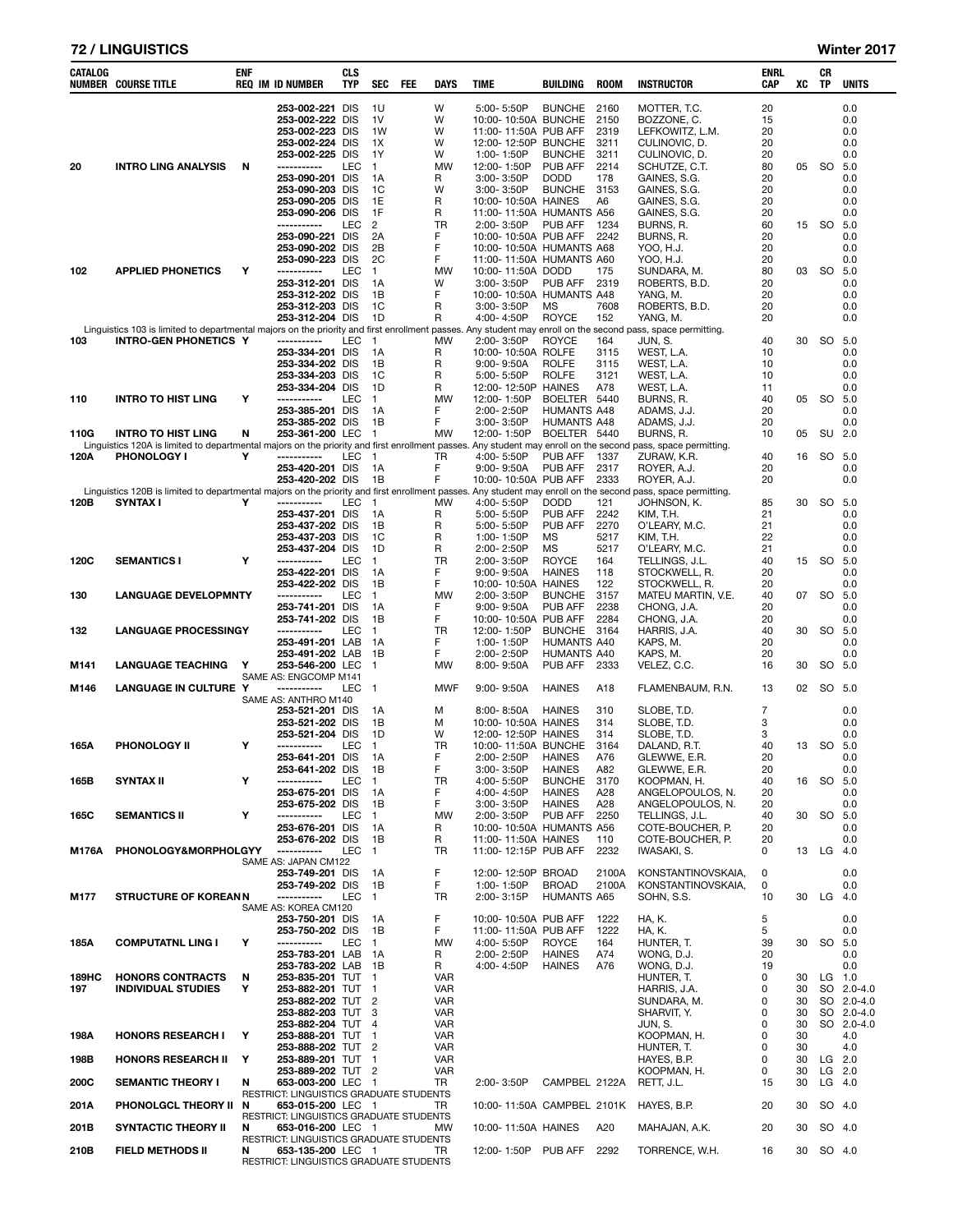| <b>72 / LINGUISTICS</b> | Winter 2017 |
|-------------------------|-------------|
|                         |             |

| Winter 2017 |  |  |
|-------------|--|--|
|-------------|--|--|

| CATALOG      | <b>NUMBER COURSE TITLE</b>                                                                                                                                                                  | <b>ENF</b> | <b>REQ IM ID NUMBER</b>                                      | <b>CLS</b><br><b>TYP</b> | SEC                  | FEE | <b>DAYS</b>              | <b>TIME</b>                                      | BUILDING                           | <b>ROOM</b>    | <b>INSTRUCTOR</b>                        | ENRL<br>CAP | XC       | CR<br>TP  | <b>UNITS</b>             |
|--------------|---------------------------------------------------------------------------------------------------------------------------------------------------------------------------------------------|------------|--------------------------------------------------------------|--------------------------|----------------------|-----|--------------------------|--------------------------------------------------|------------------------------------|----------------|------------------------------------------|-------------|----------|-----------|--------------------------|
|              |                                                                                                                                                                                             |            | 253-002-221 DIS                                              |                          | 1U                   |     | W                        | 5:00-5:50P                                       | <b>BUNCHE</b>                      | 2160           | MOTTER, T.C.                             | 20          |          |           | 0.0                      |
|              |                                                                                                                                                                                             |            | 253-002-222 DIS                                              |                          | 1 <sub>V</sub>       |     | W                        | 10:00-10:50A BUNCHE                              |                                    | 2150           | BOZZONE, C.                              | 15          |          |           | 0.0                      |
|              |                                                                                                                                                                                             |            | 253-002-223 DIS                                              |                          | 1W                   |     | W                        | 11:00-11:50A PUB AFF                             |                                    | 2319           | LEFKOWITZ, L.M.                          | 20          |          |           | 0.0                      |
|              |                                                                                                                                                                                             |            | 253-002-224 DIS<br>253-002-225 DIS                           |                          | 1X<br>1Y             |     | W<br>W                   | 12:00-12:50P BUNCHE<br>1:00-1:50P                | <b>BUNCHE</b>                      | 3211<br>3211   | CULINOVIC, D.<br>CULINOVIC, D.           | 20<br>20    |          |           | 0.0<br>0.0               |
| 20           | <b>INTRO LING ANALYSIS</b>                                                                                                                                                                  | N          | -----------                                                  | LEC                      | 1                    |     | <b>MW</b>                | 12:00-1:50P                                      | PUB AFF                            | 2214           | SCHUTZE, C.T.                            | 80          | 05       | SO        | 5.0                      |
|              |                                                                                                                                                                                             |            | 253-090-201 DIS                                              |                          | 1A                   |     | R                        | 3:00-3:50P                                       | <b>DODD</b>                        | 178            | GAINES, S.G.                             | 20          |          |           | 0.0                      |
|              |                                                                                                                                                                                             |            | 253-090-203 DIS<br>253-090-205 DIS                           |                          | 1C<br>1E             |     | W<br>R                   | 3:00-3:50P<br>10:00-10:50A HAINES                | <b>BUNCHE</b>                      | 3153<br>A6     | GAINES, S.G.<br>GAINES, S.G.             | 20<br>20    |          |           | 0.0<br>0.0               |
|              |                                                                                                                                                                                             |            | 253-090-206 DIS                                              |                          | 1F                   |     | R                        | 11:00-11:50A HUMANTS A56                         |                                    |                | GAINES, S.G.                             | 20          |          |           | 0.0                      |
|              |                                                                                                                                                                                             |            | -----------                                                  | LEC                      | 2                    |     | TR                       | 2:00-3:50P                                       | PUB AFF                            | 1234           | BURNS, R.                                | 60          | 15       | SO        | 5.0                      |
|              |                                                                                                                                                                                             |            | 253-090-221 DIS<br>253-090-202 DIS                           |                          | 2A<br>2B             |     | F<br>F                   | 10:00-10:50A PUB AFF<br>10:00-10:50A HUMANTS A68 |                                    | 2242           | BURNS, R.<br>YOO, H.J.                   | 20<br>20    |          |           | 0.0<br>0.0               |
|              |                                                                                                                                                                                             |            | 253-090-223 DIS                                              |                          | 2C                   |     | F                        | 11:00-11:50A HUMANTS A60                         |                                    |                | YOO, H.J.                                | 20          |          |           | 0.0                      |
| 102          | <b>APPLIED PHONETICS</b>                                                                                                                                                                    | Υ          | -----------                                                  | LEC                      | 1                    |     | <b>MW</b>                | 10:00-11:50A DODD                                |                                    | 175            | SUNDARA, M.                              | 80          | 03       | SO        | 5.0                      |
|              |                                                                                                                                                                                             |            | 253-312-201 DIS<br>253-312-202 DIS                           |                          | 1A<br>1B             |     | W<br>F                   | 3:00-3:50P<br>10:00-10:50A HUMANTS A48           | PUB AFF                            | 2319           | ROBERTS, B.D.<br>YANG, M.                | 20<br>20    |          |           | 0.0<br>0.0               |
|              |                                                                                                                                                                                             |            | 253-312-203 DIS                                              |                          | 1C                   |     | R                        | 3:00-3:50P                                       | MS                                 | 7608           | ROBERTS, B.D.                            | 20          |          |           | 0.0                      |
|              |                                                                                                                                                                                             |            | 253-312-204 DIS                                              |                          | 1D                   |     | R                        | 4:00-4:50P                                       | <b>ROYCE</b>                       | 152            | YANG, M.                                 | 20          |          |           | 0.0                      |
| 103          | Linguistics 103 is limited to departmental majors on the priority and first enrollment passes. Any student may enroll on the second pass, space permitting.<br><b>INTRO-GEN PHONETICS Y</b> |            | -----------                                                  | LEC                      | -1                   |     | <b>MW</b>                | 2:00-3:50P                                       | <b>ROYCE</b>                       | 164            | JUN, S.                                  | 40          | 30       |           | SO 5.0                   |
|              |                                                                                                                                                                                             |            | 253-334-201 DIS                                              |                          | 1A                   |     | R                        | 10:00-10:50A ROLFE                               |                                    | 3115           | WEST, L.A.                               | 10          |          |           | 0.0                      |
|              |                                                                                                                                                                                             |            | 253-334-202 DIS                                              |                          | 1B                   |     | R                        | $9:00 - 9:50A$                                   | <b>ROLFE</b>                       | 3115           | WEST, L.A.                               | 10          |          |           | 0.0                      |
|              |                                                                                                                                                                                             |            | 253-334-203 DIS<br>253-334-204 DIS                           |                          | 1C<br>1D             |     | R<br>R                   | 5:00-5:50P<br>12:00-12:50P HAINES                | <b>ROLFE</b>                       | 3121<br>A78    | WEST, L.A.<br>WEST, L.A.                 | 10<br>11    |          |           | 0.0<br>0.0               |
| 110          | <b>INTRO TO HIST LING</b>                                                                                                                                                                   | Υ          | -----------                                                  | <b>LEC</b>               | 1                    |     | <b>MW</b>                | 12:00-1:50P                                      | BOELTER 5440                       |                | BURNS, R.                                | 40          | 05       | SO.       | 5.0                      |
|              |                                                                                                                                                                                             |            | 253-385-201 DIS                                              |                          | 1A                   |     | F                        | 2:00-2:50P                                       | <b>HUMANTS A48</b>                 |                | ADAMS, J.J.                              | 20          |          |           | 0.0                      |
| 110G         | <b>INTRO TO HIST LING</b>                                                                                                                                                                   | N          | 253-385-202 DIS<br>253-361-200 LEC                           |                          | 1В<br>$\overline{1}$ |     | F<br>MW                  | $3:00 - 3:50P$<br>12:00-1:50P                    | <b>HUMANTS A48</b><br>BOELTER 5440 |                | ADAMS, J.J.<br>BURNS, R.                 | 20<br>10    | 05       | SU        | 0.0<br>2.0               |
|              | Linguistics 120A is limited to departmental majors on the priority and first enrollment passes. Any student may enroll on the second pass, space permitting.                                |            |                                                              |                          |                      |     |                          |                                                  |                                    |                |                                          |             |          |           |                          |
| 120A         | <b>PHONOLOGY I</b>                                                                                                                                                                          | Υ          | -----------                                                  | LEC                      | $\overline{1}$       |     | TR                       | 4:00-5:50P                                       | PUB AFF                            | 1337           | ZURAW, K.R.                              | 40          | 16       | SO        | 5.0                      |
|              |                                                                                                                                                                                             |            | 253-420-201 DIS<br>253-420-202 DIS                           |                          | 1A<br>1B             |     | F<br>F                   | $9:00 - 9:50A$<br>10:00-10:50A PUB AFF           | PUB AFF                            | 2317<br>2333   | ROYER, A.J.<br>ROYER, A.J.               | 20<br>20    |          |           | 0.0<br>0.0               |
|              | Linguistics 120B is limited to departmental majors on the priority and first enrollment passes. Any student may enroll on the second                                                        |            |                                                              |                          |                      |     |                          |                                                  |                                    |                | pass, space permitting.                  |             |          |           |                          |
| 120B         | <b>SYNTAX I</b>                                                                                                                                                                             | Y          | -----------                                                  | LEC                      | $\mathbf{1}$         |     | MW                       | 4:00-5:50P                                       | <b>DODD</b>                        | 121            | JOHNSON, K.                              | 85          | 30       | SO        | 5.0                      |
|              |                                                                                                                                                                                             |            | 253-437-201 DIS<br>253-437-202 DIS                           |                          | 1A<br>1B             |     | R<br>R                   | 5:00-5:50P<br>5:00-5:50P                         | <b>PUB AFF</b><br>PUB AFF          | 2242<br>2270   | KIM. T.H.<br>O'LEARY, M.C.               | 21<br>21    |          |           | 0.0<br>0.0               |
|              |                                                                                                                                                                                             |            | 253-437-203 DIS                                              |                          | 1C                   |     | R                        | 1:00-1:50P                                       | MS                                 | 5217           | KIM, T.H.                                | 22          |          |           | 0.0                      |
|              |                                                                                                                                                                                             |            | 253-437-204 DIS                                              |                          | 1D                   |     | R                        | 2:00-2:50P                                       | MS                                 | 5217           | O'LEARY, M.C.                            | 21          |          |           | 0.0                      |
| 120C         | <b>SEMANTICS I</b>                                                                                                                                                                          | Υ          | -----------<br>253-422-201 DIS                               | LEC                      | 1<br>1А              |     | TR<br>F                  | 2:00-3:50P<br>$9:00 - 9:50A$                     | <b>ROYCE</b><br><b>HAINES</b>      | 164<br>118     | TELLINGS, J.L.<br>STOCKWELL, R.          | 40<br>20    | 15       | SO        | 5.0<br>0.0               |
|              |                                                                                                                                                                                             |            | 253-422-202 DIS                                              |                          | 1B                   |     | F                        | 10:00-10:50A HAINES                              |                                    | 122            | STOCKWELL, R.                            | 20          |          |           | 0.0                      |
| 130          | <b>LANGUAGE DEVELOPMNTY</b>                                                                                                                                                                 |            | -----------                                                  | LEC                      | 1                    |     | <b>MW</b>                | 2:00-3:50P                                       | <b>BUNCHE</b>                      | 3157           | MATEU MARTIN, V.E.                       | 40          | 07       | SO        | 5.0                      |
|              |                                                                                                                                                                                             |            | 253-741-201 DIS<br>253-741-202 DIS                           |                          | 1A<br>1B             |     | F<br>F                   | 9:00-9:50A<br>10:00-10:50A PUB AFF               | <b>PUB AFF</b>                     | 2238<br>2284   | CHONG, J.A.<br>CHONG, J.A.               | 20<br>20    |          |           | 0.0<br>0.0               |
| 132          | <b>LANGUAGE PROCESSINGY</b>                                                                                                                                                                 |            | -----------                                                  | LEC                      | $\mathbf{1}$         |     | TR                       | 12:00-1:50P                                      | <b>BUNCHE</b>                      | 3164           | HARRIS, J.A.                             | 40          | 30       | SO        | 5.0                      |
|              |                                                                                                                                                                                             |            | 253-491-201 LAB                                              |                          | 1A                   |     | F                        | 1:00-1:50P                                       | <b>HUMANTS A40</b>                 |                | KAPS, M.                                 | 20          |          |           | 0.0                      |
| M141         | <b>LANGUAGE TEACHING</b>                                                                                                                                                                    | Y          | 253-491-202 LAB<br>253-546-200 LEC                           |                          | 1B<br>$\mathbf 1$    |     | F<br><b>MW</b>           | 2:00-2:50P<br>8:00-9:50A                         | <b>HUMANTS A40</b><br>PUB AFF      | 2333           | KAPS, M.<br>VELEZ, C.C.                  | 20<br>16    | 30       | SO        | 0.0<br>5.0               |
|              |                                                                                                                                                                                             |            | SAME AS: ENGCOMP M141                                        |                          |                      |     |                          |                                                  |                                    |                |                                          |             |          |           |                          |
| M146         | <b>LANGUAGE IN CULTURE</b>                                                                                                                                                                  | Y          | -----------                                                  | LEC                      | -1                   |     | <b>MWF</b>               | $9:00 - 9:50A$                                   | <b>HAINES</b>                      | A18            | FLAMENBAUM, R.N.                         | 13          | 02       |           | SO 5.0                   |
|              |                                                                                                                                                                                             |            | SAME AS: ANTHRO M140<br>253-521-201 DIS                      |                          | 1A                   |     | M                        | 8:00-8:50A                                       | <b>HAINES</b>                      | 310            | SLOBE, T.D.                              | 7           |          |           | 0.0                      |
|              |                                                                                                                                                                                             |            | 253-521-202 DIS                                              |                          | 1В                   |     | M                        | 10:00-10:50A HAINES                              |                                    | 314            | SLOBE, T.D.                              | 3           |          |           | 0.0                      |
|              |                                                                                                                                                                                             |            | 253-521-204 DIS                                              |                          | 1D                   |     | W                        | 12:00-12:50P HAINES                              |                                    | 314            | SLOBE, T.D.                              | 3           |          |           | 0.0                      |
| 165A         | <b>PHONOLOGY II</b>                                                                                                                                                                         | Υ          | -----------<br>253-641-201 DIS                               | LEC                      | -1<br>1A             |     | TR<br>F                  | 10:00-11:50A BUNCHE<br>2:00-2:50P                | <b>HAINES</b>                      | 3164<br>A76    | DALAND, R.T.<br>GLEWWE, E.R.             | 40<br>20    | 13       | SO.       | 5.0<br>0.0               |
|              |                                                                                                                                                                                             |            | 253-641-202 DIS                                              |                          | 1В                   |     | F                        | 3:00-3:50P                                       | <b>HAINES</b>                      | A82            | GLEWWE, E.R.                             | 20          |          |           | 0.0                      |
| 165B         | <b>SYNTAX II</b>                                                                                                                                                                            | Υ          | -----------                                                  | LEC                      | $\mathbf{1}$         |     | TR                       | 4:00-5:50P                                       | <b>BUNCHE</b>                      | 3170           | KOOPMAN, H.                              | 40          | 16       | SO        | 5.0                      |
|              |                                                                                                                                                                                             |            | 253-675-201 DIS<br>253-675-202 DIS                           |                          | 1A<br>1B             |     | F<br>F                   | 4:00-4:50P<br>$3:00 - 3:50P$                     | <b>HAINES</b><br><b>HAINES</b>     | A28<br>A28     | ANGELOPOULOS. N.<br>ANGELOPOULOS. N.     | 20<br>20    |          |           | 0.0<br>0.0               |
| 165C         | <b>SEMANTICS II</b>                                                                                                                                                                         | Υ          | -----------                                                  | LEC                      | $\mathbf{1}$         |     | <b>MW</b>                | 2:00-3:50P                                       | PUB AFF                            | 2250           | TELLINGS, J.L.                           | 40          | 30       | SO        | 5.0                      |
|              |                                                                                                                                                                                             |            | 253-676-201 DIS                                              |                          | 1A<br>1B             |     | R                        | 10:00-10:50A HUMANTS A56                         |                                    |                | COTE-BOUCHER, P.<br>COTE-BOUCHER. P.     | 20          |          |           | 0.0                      |
| <b>M176A</b> | <b>PHONOLOGY&amp;MORPHOLGYY</b>                                                                                                                                                             |            | 253-676-202 DIS<br>-----------                               | <b>LEC</b>               | $\overline{1}$       |     | R<br>TR                  | 11:00-11:50A HAINES<br>11:00-12:15P PUB AFF      |                                    | 110<br>2232    | IWASAKI, S.                              | 20<br>0     |          | 13 LG 4.0 | 0.0                      |
|              |                                                                                                                                                                                             |            | SAME AS: JAPAN CM122                                         |                          |                      |     |                          |                                                  |                                    |                |                                          |             |          |           |                          |
|              |                                                                                                                                                                                             |            | 253-749-201 DIS<br>253-749-202 DIS                           |                          | 1A<br>1B             |     | F<br>F                   | 12:00-12:50P BROAD<br>1:00-1:50P                 | <b>BROAD</b>                       | 2100A<br>2100A | KONSTANTINOVSKAIA.<br>KONSTANTINOVSKAIA, | 0<br>0      |          |           | 0.0<br>0.0               |
| M177         | <b>STRUCTURE OF KOREANN</b>                                                                                                                                                                 |            | -----------                                                  | <b>LEC</b>               | $\overline{1}$       |     | TR                       | 2:00-3:15P                                       | <b>HUMANTS A65</b>                 |                | SOHN, S.S.                               | 10          | 30       | LG 4.0    |                          |
|              |                                                                                                                                                                                             |            | SAME AS: KOREA CM120                                         |                          |                      |     |                          |                                                  |                                    |                |                                          |             |          |           |                          |
|              |                                                                                                                                                                                             |            | 253-750-201 DIS<br>253-750-202 DIS                           |                          | 1A<br>1B             |     | F<br>F                   | 10:00-10:50A PUB AFF<br>11:00-11:50A PUB AFF     |                                    | 1222<br>1222   | HA, K.<br>HA, K.                         | 5<br>5      |          |           | 0.0<br>0.0               |
| 185A         | <b>COMPUTATNL LING I</b>                                                                                                                                                                    | Υ          | -----------                                                  | LEC                      | $\mathbf{1}$         |     | <b>MW</b>                | 4:00-5:50P                                       | <b>ROYCE</b>                       | 164            | HUNTER. T.                               | 39          | 30       |           | SO 5.0                   |
|              |                                                                                                                                                                                             |            | 253-783-201 LAB                                              |                          | - 1A                 |     | R                        | 2:00-2:50P                                       | <b>HAINES</b>                      | A74            | WONG, D.J.                               | 20          |          |           | 0.0                      |
|              |                                                                                                                                                                                             |            | 253-783-202 LAB 1B                                           |                          |                      |     | R                        | 4:00-4:50P                                       | <b>HAINES</b>                      | A76            | WONG, D.J.                               | 19          |          |           | 0.0                      |
| 189HC<br>197 | <b>HONORS CONTRACTS</b><br><b>INDIVIDUAL STUDIES</b>                                                                                                                                        | N<br>Υ     | 253-835-201 TUT 1<br>253-882-201 TUT 1                       |                          |                      |     | <b>VAR</b><br><b>VAR</b> |                                                  |                                    |                | HUNTER, T.<br>HARRIS, J.A.               | 0<br>0      | 30<br>30 |           | $LG$ 1.0<br>SO 2.0-4.0   |
|              |                                                                                                                                                                                             |            | 253-882-202 TUT 2                                            |                          |                      |     | <b>VAR</b>               |                                                  |                                    |                | SUNDARA, M.                              | 0           | 30       |           | SO 2.0-4.0               |
|              |                                                                                                                                                                                             |            | 253-882-203 TUT 3<br>253-882-204 TUT 4                       |                          |                      |     | VAR<br><b>VAR</b>        |                                                  |                                    |                | SHARVIT, Y.                              | 0<br>0      | 30<br>30 |           | SO 2.0-4.0<br>SO 2.0-4.0 |
| 198A         | <b>HONORS RESEARCH I</b>                                                                                                                                                                    | Y          | 253-888-201 TUT                                              |                          | $\mathbf{1}$         |     | <b>VAR</b>               |                                                  |                                    |                | JUN, S.<br>KOOPMAN, H.                   | 0           | 30       |           | 4.0                      |
|              |                                                                                                                                                                                             |            | 253-888-202 TUT 2                                            |                          |                      |     | <b>VAR</b>               |                                                  |                                    |                | HUNTER, T.                               | 0           | 30       |           | 4.0                      |
| 198B         | <b>HONORS RESEARCH II</b>                                                                                                                                                                   | Y          | 253-889-201 TUT 1                                            |                          |                      |     | VAR                      |                                                  |                                    |                | HAYES, B.P.                              | 0           | 30       |           | LG 2.0                   |
| 200C         | <b>SEMANTIC THEORY I</b>                                                                                                                                                                    | N          | 253-889-202 TUT 2<br>653-003-200 LEC 1                       |                          |                      |     | <b>VAR</b><br>TR.        | 2:00-3:50P                                       | CAMPBEL 2122A                      |                | KOOPMAN, H.<br>RETT, J.L.                | 0<br>15     | 30<br>30 |           | $LG$ 2.0<br>$LG$ 4.0     |
|              |                                                                                                                                                                                             |            | RESTRICT: LINGUISTICS GRADUATE STUDENTS                      |                          |                      |     |                          |                                                  |                                    |                |                                          |             |          |           |                          |
| 201A         | PHONOLGCL THEORY II N                                                                                                                                                                       |            | 653-015-200 LEC 1                                            |                          |                      |     | TR                       | 10:00-11:50A CAMPBEL 2101K                       |                                    |                | HAYES, B.P.                              | 20          | 30       |           | SO 4.0                   |
| 201B         | <b>SYNTACTIC THEORY II</b>                                                                                                                                                                  | N          | RESTRICT: LINGUISTICS GRADUATE STUDENTS<br>653-016-200 LEC 1 |                          |                      |     | <b>MW</b>                | 10:00-11:50A HAINES                              |                                    | A20            | MAHAJAN, A.K.                            | 20          | 30       |           | SO 4.0                   |
|              |                                                                                                                                                                                             |            | RESTRICT: LINGUISTICS GRADUATE STUDENTS                      |                          |                      |     |                          |                                                  |                                    |                |                                          |             |          |           |                          |
| 210B         | <b>FIELD METHODS II</b>                                                                                                                                                                     | N          | 653-135-200 LEC 1<br>RESTRICT: LINGUISTICS GRADUATE STUDENTS |                          |                      |     | TR                       | 12:00-1:50P PUB AFF 2292                         |                                    |                | TORRENCE, W.H.                           | 16          | 30       |           | SO 4.0                   |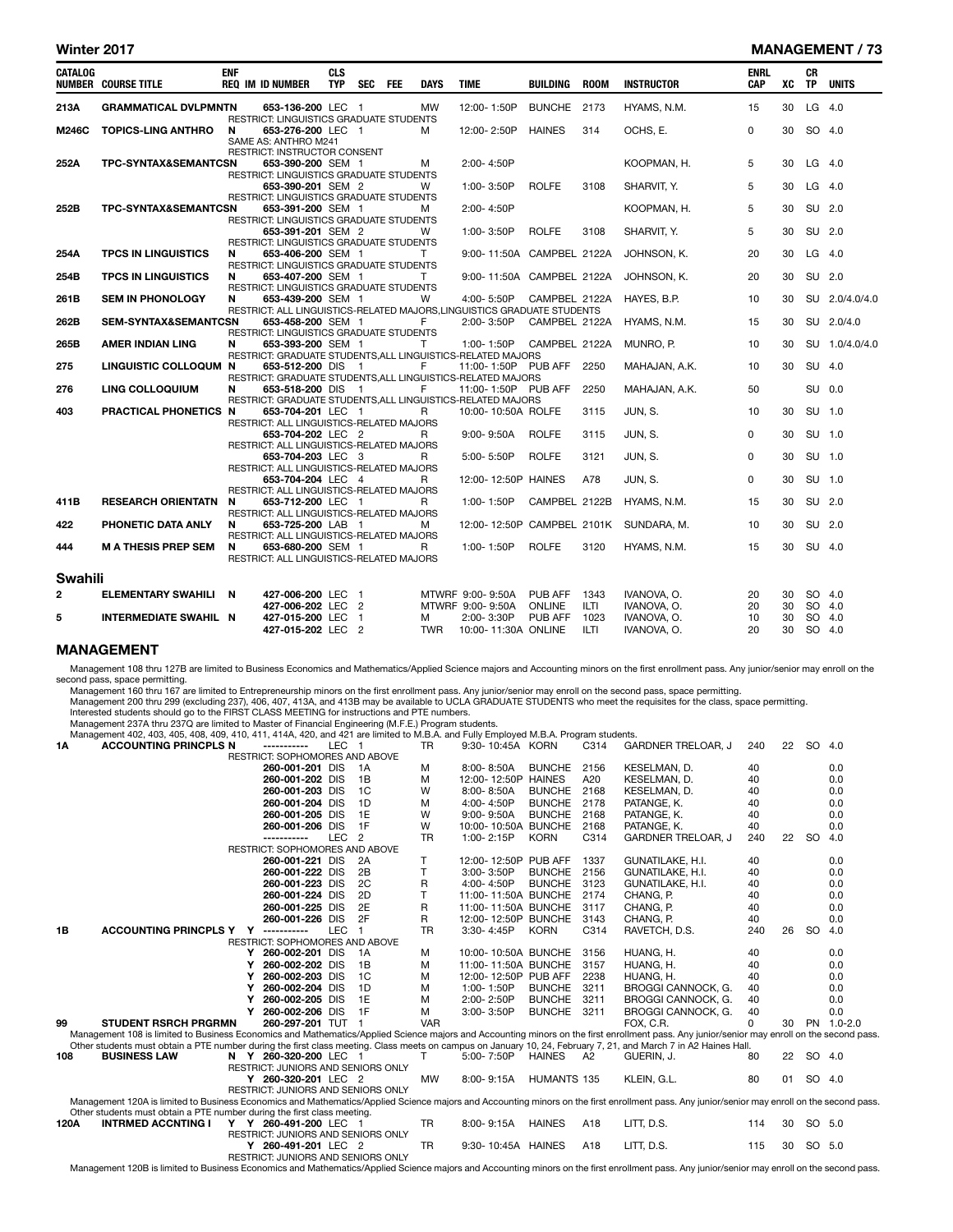#### Winter 2017 MANAGEMENT / 73

| CATALOG        | <b>NUMBER COURSE TITLE</b>                       | <b>ENF</b> | <b>REQ IM ID NUMBER</b>                                                                                                                 | <b>CLS</b><br><b>TYP</b> | <b>SEC</b>     | FEE | <b>DAYS</b>     | <b>TIME</b>                             | BUILDING                 | <b>ROOM</b>         | <b>INSTRUCTOR</b>              | <b>ENRL</b><br><b>CAP</b> | хc       | <b>CR</b><br><b>TP</b> | <b>UNITS</b>   |
|----------------|--------------------------------------------------|------------|-----------------------------------------------------------------------------------------------------------------------------------------|--------------------------|----------------|-----|-----------------|-----------------------------------------|--------------------------|---------------------|--------------------------------|---------------------------|----------|------------------------|----------------|
| 213A           | <b>GRAMMATICAL DVLPMNTN</b>                      |            | 653-136-200 LEC 1<br>RESTRICT: LINGUISTICS GRADUATE STUDENTS                                                                            |                          |                |     | <b>MW</b>       | 12:00-1:50P                             | BUNCHE 2173              |                     | HYAMS, N.M.                    | 15                        | 30       | LG                     | 4.0            |
| M246C          | <b>TOPICS-LING ANTHRO</b>                        | N          | 653-276-200 LEC 1<br>SAME AS: ANTHRO M241                                                                                               |                          |                |     | м               | 12:00-2:50P                             | <b>HAINES</b>            | 314                 | OCHS, E.                       | $\Omega$                  | 30       | SO 4.0                 |                |
| 252A           | TPC-SYNTAX&SEMANTCSN                             |            | RESTRICT: INSTRUCTOR CONSENT<br>653-390-200 SEM 1                                                                                       |                          |                |     | м               | 2:00-4:50P                              |                          |                     | KOOPMAN, H.                    | 5                         | 30       | $LG$ 4.0               |                |
|                |                                                  |            | RESTRICT: LINGUISTICS GRADUATE STUDENTS<br>653-390-201 SEM 2<br>RESTRICT: LINGUISTICS GRADUATE STUDENTS                                 |                          |                |     | w               | 1:00-3:50P                              | <b>ROLFE</b>             | 3108                | SHARVIT, Y.                    | 5                         | 30       | LG 4.0                 |                |
| 252B           | TPC-SYNTAX&SEMANTCSN                             |            | 653-391-200 SEM 1<br><b>RESTRICT: LINGUISTICS GRADUATE STUDENTS</b>                                                                     |                          |                |     | м               | 2:00-4:50P                              |                          |                     | KOOPMAN, H.                    | 5                         | 30       | SU 2.0                 |                |
| 254A           | <b>TPCS IN LINGUISTICS</b>                       | N          | 653-391-201 SEM 2<br>RESTRICT: LINGUISTICS GRADUATE STUDENTS<br>653-406-200 SEM 1                                                       |                          |                |     | W<br>T.         | 1:00-3:50P<br>9:00-11:50A CAMPBEL 2122A | <b>ROLFE</b>             | 3108                | SHARVIT, Y.<br>JOHNSON, K.     | 5<br>20                   | 30<br>30 | SU 2.0<br>$LG$ 4.0     |                |
| 254B           | <b>TPCS IN LINGUISTICS</b>                       | N          | <b>RESTRICT: LINGUISTICS GRADUATE STUDENTS</b><br>653-407-200 SEM 1                                                                     |                          |                |     | т               | 9:00-11:50A CAMPBEL 2122A               |                          |                     | JOHNSON, K.                    | 20                        | 30       | SU 2.0                 |                |
| 261B           | <b>SEM IN PHONOLOGY</b>                          | N          | RESTRICT: LINGUISTICS GRADUATE STUDENTS<br>653-439-200 SEM 1<br>RESTRICT: ALL LINGUISTICS-RELATED MAJORS, LINGUISTICS GRADUATE STUDENTS |                          |                |     | W               | 4:00-5:50P                              | CAMPBEL 2122A            |                     | HAYES, B.P.                    | 10                        | 30       |                        | SU 2.0/4.0/4.0 |
| 262B           | <b>SEM-SYNTAX&amp;SEMANTCSN</b>                  |            | 653-458-200 SEM 1<br>RESTRICT: LINGUISTICS GRADUATE STUDENTS                                                                            |                          |                |     | F               | 2:00-3:50P                              | CAMPBEL 2122A            |                     | HYAMS, N.M.                    | 15                        | 30       |                        | SU 2.0/4.0     |
| 265B<br>275    | <b>AMER INDIAN LING</b><br>LINGUISTIC COLLOQUM N | N          | 653-393-200 SEM 1<br>RESTRICT: GRADUATE STUDENTS, ALL LINGUISTICS-RELATED MAJORS<br>653-512-200 DIS                                     |                          | $\blacksquare$ |     | т<br>F          | 1:00-1:50P<br>11:00-1:50P PUB AFF       | CAMPBEL 2122A            | 2250                | MUNRO, P.                      | 10<br>10                  | 30<br>30 | SU 4.0                 | SU 1.0/4.0/4.0 |
| 276            | LING COLLOQUIUM                                  | N          | RESTRICT: GRADUATE STUDENTS, ALL LINGUISTICS-RELATED MAJORS<br>653-518-200 DIS                                                          |                          | $\overline{1}$ |     | F               | 11:00-1:50P PUB AFF                     |                          | 2250                | MAHAJAN, A.K.<br>MAHAJAN, A.K. | 50                        |          | SU 0.0                 |                |
| 403            | PRACTICAL PHONETICS N                            |            | RESTRICT: GRADUATE STUDENTS, ALL LINGUISTICS-RELATED MAJORS<br>653-704-201 LEC 1                                                        |                          |                |     | R               | 10:00-10:50A ROLFE                      |                          | 3115                | JUN, S.                        | 10                        | 30       | SU 1.0                 |                |
|                |                                                  |            | RESTRICT: ALL LINGUISTICS-RELATED MAJORS<br>653-704-202 LEC 2<br>RESTRICT: ALL LINGUISTICS-RELATED MAJORS                               |                          |                |     | R               | $9:00 - 9:50A$                          | <b>ROLFE</b>             | 3115                | JUN, S.                        | $\Omega$                  | 30       | SU 1.0                 |                |
|                |                                                  |            | 653-704-203 LEC 3<br>RESTRICT: ALL LINGUISTICS-RELATED MAJORS                                                                           |                          |                |     | R               | 5:00-5:50P                              | <b>ROLFE</b>             | 3121                | JUN, S.                        | $\Omega$                  | 30       | SU 1.0                 |                |
| 411B           | <b>RESEARCH ORIENTATN</b>                        | N          | 653-704-204 LEC 4<br>RESTRICT: ALL LINGUISTICS-RELATED MAJORS<br>653-712-200 LEC 1                                                      |                          |                |     | R<br>R          | 12:00-12:50P HAINES<br>1:00-1:50P       | CAMPBEL 2122B            | A78                 | JUN, S.<br>HYAMS, N.M.         | $\Omega$<br>15            | 30<br>30 | SU 1.0<br>SU 2.0       |                |
| 422            | PHONETIC DATA ANLY                               | N          | RESTRICT: ALL LINGUISTICS-RELATED MAJORS<br>653-725-200 LAB 1                                                                           |                          |                |     | м               | 12:00-12:50P CAMPBEL 2101K              |                          |                     | SUNDARA, M.                    | 10                        | 30       | SU 2.0                 |                |
| 444            | <b>M A THESIS PREP SEM</b>                       | N          | RESTRICT: ALL LINGUISTICS-RELATED MAJORS<br>653-680-200 SEM 1<br>RESTRICT: ALL LINGUISTICS-RELATED MAJORS                               |                          |                |     | R               | 1:00-1:50P                              | <b>ROLFE</b>             | 3120                | HYAMS, N.M.                    | 15                        | 30       | SU 4.0                 |                |
| <b>Swahili</b> |                                                  |            |                                                                                                                                         |                          |                |     |                 |                                         |                          |                     |                                |                           |          |                        |                |
| $\mathbf{2}$   | ELEMENTARY SWAHILI N                             |            | 427-006-200 LEC 1<br>427-006-202 LEC 2                                                                                                  |                          |                |     |                 | MTWRF 9:00-9:50A<br>MTWRF 9:00-9:50A    | PUB AFF<br><b>ONLINE</b> | 1343<br>ILTI        | IVANOVA, O.<br>IVANOVA, O.     | 20<br>20                  | 30<br>30 | SO 4.0<br>SO 4.0       |                |
| 5              | <b>INTERMEDIATE SWAHIL N</b>                     |            | 427-015-200 LEC<br>427-015-202 LEC 2                                                                                                    |                          | $\overline{1}$ |     | M<br><b>TWR</b> | 2:00-3:30P<br>10:00-11:30A ONLINE       | PUB AFF                  | 1023<br><b>ILTI</b> | IVANOVA, O.<br>IVANOVA, O.     | 10<br>20                  | 30<br>30 | SO 4.0<br>SO 4.0       |                |

#### MANAGEMENT

Management 108 thru 127B are limited to Business Economics and Mathematics/Applied Science majors and Accounting minors on the first enrollment pass. Any junior/senior may enroll on the

|      | second pass, space permitting.                                                                                                                                                               |                                           |                  |            |                      |                    |      |                           |          |    |           |            |
|------|----------------------------------------------------------------------------------------------------------------------------------------------------------------------------------------------|-------------------------------------------|------------------|------------|----------------------|--------------------|------|---------------------------|----------|----|-----------|------------|
|      | Management 160 thru 167 are limited to Entrepreneurship minors on the first enrollment pass. Any junior/senior may enroll on the second pass, space permitting.                              |                                           |                  |            |                      |                    |      |                           |          |    |           |            |
|      | Management 200 thru 299 (excluding 237), 406, 407, 413A, and 413B may be available to UCLA GRADUATE STUDENTS who meet the requisites for the class, space permitting.                        |                                           |                  |            |                      |                    |      |                           |          |    |           |            |
|      | Interested students should go to the FIRST CLASS MEETING for instructions and PTE numbers.                                                                                                   |                                           |                  |            |                      |                    |      |                           |          |    |           |            |
|      | Management 237A thru 237Q are limited to Master of Financial Engineering (M.F.E.) Program students.                                                                                          |                                           |                  |            |                      |                    |      |                           |          |    |           |            |
|      | Management 402, 403, 405, 408, 409, 410, 411, 414A, 420, and 421 are limited to M.B.A. and Fully Employed M.B.A. Program students.                                                           |                                           |                  |            |                      |                    |      |                           |          |    |           |            |
| 1A   | <b>ACCOUNTING PRINCPLS N</b>                                                                                                                                                                 | -----------                               | LEC <sub>1</sub> | TR         | 9:30- 10:45A KORN    |                    | C314 | <b>GARDNER TRELOAR, J</b> | 240      | 22 | <b>SO</b> | 4.0        |
|      |                                                                                                                                                                                              | RESTRICT: SOPHOMORES AND ABOVE            |                  |            |                      |                    |      |                           |          |    |           |            |
|      |                                                                                                                                                                                              | 260-001-201 DIS                           | - 1A             | M          | 8:00-8:50A           | <b>BUNCHE</b>      | 2156 | KESELMAN, D.              | 40       |    |           | 0.0        |
|      |                                                                                                                                                                                              | 260-001-202 DIS                           | - 1 B            | M          | 12:00-12:50P HAINES  |                    | A20  | KESELMAN, D.              | 40       |    |           | 0.0        |
|      |                                                                                                                                                                                              | 260-001-203 DIS                           | 1C               | W          | 8:00-8:50A           | <b>BUNCHE</b>      | 2168 | KESELMAN. D.              | 40       |    |           | 0.0        |
|      |                                                                                                                                                                                              | 260-001-204 DIS                           | 1D               | м          | 4:00-4:50P           | <b>BUNCHE</b>      | 2178 | PATANGE, K.               | 40       |    |           | 0.0        |
|      |                                                                                                                                                                                              | 260-001-205 DIS                           | 1E               | W          | $9:00 - 9:50A$       | <b>BUNCHE</b>      | 2168 | PATANGE, K.               | 40       |    |           | 0.0        |
|      |                                                                                                                                                                                              | 260-001-206 DIS                           | 1F               | W          | 10:00-10:50A BUNCHE  |                    | 2168 | PATANGE, K.               | 40       |    |           | 0.0        |
|      |                                                                                                                                                                                              | -----------                               | LEC <sub>2</sub> | <b>TR</b>  | 1:00-2:15P           | <b>KORN</b>        | C314 | <b>GARDNER TRELOAR, J</b> | 240      | 22 | <b>SO</b> | 4.0        |
|      |                                                                                                                                                                                              | <b>RESTRICT: SOPHOMORES AND ABOVE</b>     |                  |            |                      |                    |      |                           |          |    |           |            |
|      |                                                                                                                                                                                              | 260-001-221 DIS                           | 2A               | T.         | 12:00-12:50P PUB AFF |                    | 1337 | GUNATILAKE, H.I.          | 40       |    |           | 0.0        |
|      |                                                                                                                                                                                              | 260-001-222 DIS                           | 2B               | T.         | 3:00-3:50P           | <b>BUNCHE</b>      | 2156 | GUNATILAKE, H.I.          | 40       |    |           | 0.0        |
|      |                                                                                                                                                                                              | 260-001-223 DIS                           | 2C               | R          | 4:00-4:50P           | <b>BUNCHE</b>      | 3123 | GUNATILAKE, H.I.          | 40       |    |           | 0.0        |
|      |                                                                                                                                                                                              | 260-001-224 DIS                           | 2D               | T.         | 11:00-11:50A BUNCHE  |                    | 2174 | CHANG. P.                 | 40       |    |           | 0.0        |
|      |                                                                                                                                                                                              | 260-001-225 DIS                           | 2E               | R          | 11:00-11:50A BUNCHE  |                    | 3117 | CHANG. P.                 | 40       |    |           | 0.0        |
|      |                                                                                                                                                                                              | 260-001-226 DIS                           | 2F               | R          | 12:00-12:50P BUNCHE  |                    | 3143 | CHANG. P.                 | 40       |    |           | 0.0        |
| 1B   | ACCOUNTING PRINCPLS Y Y ----------                                                                                                                                                           |                                           | LEC <sub>1</sub> | <b>TR</b>  | 3:30-4:45P           | <b>KORN</b>        | C314 | RAVETCH, D.S.             | 240      | 26 | <b>SO</b> | 4.0        |
|      |                                                                                                                                                                                              | <b>RESTRICT: SOPHOMORES AND ABOVE</b>     |                  |            |                      |                    |      |                           |          |    |           |            |
|      |                                                                                                                                                                                              | Y 260-002-201 DIS                         | - 1A             | M          | 10:00-10:50A BUNCHE  |                    | 3156 | HUANG. H.                 | 40       |    |           | 0.0        |
|      |                                                                                                                                                                                              | 260-002-202 DIS                           | 1B               | м          | 11:00-11:50A BUNCHE  |                    | 3157 | HUANG, H.                 | 40       |    |           | 0.0        |
|      |                                                                                                                                                                                              | 260-002-203 DIS                           | 1 <sup>C</sup>   | M          | 12:00-12:50P PUB AFF |                    | 2238 | HUANG. H.                 | 40       |    |           | 0.0        |
|      |                                                                                                                                                                                              | Υ<br>260-002-204 DIS                      | 1D               | M          | 1:00-1:50P           | <b>BUNCHE</b>      | 3211 | BROGGI CANNOCK, G.        | 40       |    |           | 0.0        |
|      |                                                                                                                                                                                              | Υ<br>260-002-205 DIS                      | 1E               | M          | 2:00-2:50P           | <b>BUNCHE</b>      | 3211 | BROGGI CANNOCK, G.        | 40       |    |           | 0.0        |
|      |                                                                                                                                                                                              | Y 260-002-206 DIS                         | 1F               | M          | 3:00-3:50P           | BUNCHE 3211        |      | BROGGI CANNOCK, G.        | 40       |    |           | 0.0        |
| 99   | <b>STUDENT RSRCH PRGRMN</b>                                                                                                                                                                  | 260-297-201 TUT 1                         |                  | <b>VAR</b> |                      |                    |      | FOX, C.R.                 | $\Omega$ | 30 |           | PN 1.0-2.0 |
|      | Management 108 is limited to Business Economics and Mathematics/Applied Science majors and Accounting minors on the first enrollment pass. Any junior/senior may enroll on the second pass.  |                                           |                  |            |                      |                    |      |                           |          |    |           |            |
|      | Other students must obtain a PTE number during the first class meeting. Class meets on campus on January 10, 24, February 7, 21, and March 7 in A2 Haines Hall.                              |                                           |                  |            |                      |                    |      |                           |          |    |           |            |
| 108  | <b>BUSINESS LAW</b>                                                                                                                                                                          | N Y 260-320-200 LEC 1                     |                  | т          | 5:00-7:50P           | HAINES             | A2   | GUERIN, J.                | 80       | 22 | SO 4.0    |            |
|      |                                                                                                                                                                                              | RESTRICT: JUNIORS AND SENIORS ONLY        |                  |            |                      |                    |      |                           |          |    |           |            |
|      |                                                                                                                                                                                              | Y 260-320-201 LEC 2                       |                  | <b>MW</b>  | 8:00-9:15A           | <b>HUMANTS 135</b> |      | KLEIN, G.L.               | 80       | 01 | SO 4.0    |            |
|      |                                                                                                                                                                                              | RESTRICT: JUNIORS AND SENIORS ONLY        |                  |            |                      |                    |      |                           |          |    |           |            |
|      | Management 120A is limited to Business Economics and Mathematics/Applied Science majors and Accounting minors on the first enrollment pass. Any junior/senior may enroll on the second pass. |                                           |                  |            |                      |                    |      |                           |          |    |           |            |
|      | Other students must obtain a PTE number during the first class meeting.                                                                                                                      |                                           |                  |            |                      |                    |      |                           |          |    |           |            |
| 120A | <b>INTRMED ACCNTING I</b>                                                                                                                                                                    | Y Y 260-491-200 LEC 1                     |                  | <b>TR</b>  | 8:00-9:15A           | <b>HAINES</b>      | A18  | LITT, D.S.                | 114      | 30 | SO 5.0    |            |
|      |                                                                                                                                                                                              | RESTRICT: JUNIORS AND SENIORS ONLY        |                  |            |                      |                    |      |                           |          |    |           |            |
|      |                                                                                                                                                                                              | Y 260-491-201 LEC 2                       |                  | <b>TR</b>  | 9:30-10:45A HAINES   |                    | A18  | LITT, D.S.                | 115      | 30 | SO 5.0    |            |
|      |                                                                                                                                                                                              | <b>RESTRICT: JUNIORS AND SENIORS ONLY</b> |                  |            |                      |                    |      |                           |          |    |           |            |
|      | Management 120B is limited to Business Economics and Mathematics/Applied Science majors and Accounting minors on the first enrollment pass. Any junior/senior may enroll on the second pass. |                                           |                  |            |                      |                    |      |                           |          |    |           |            |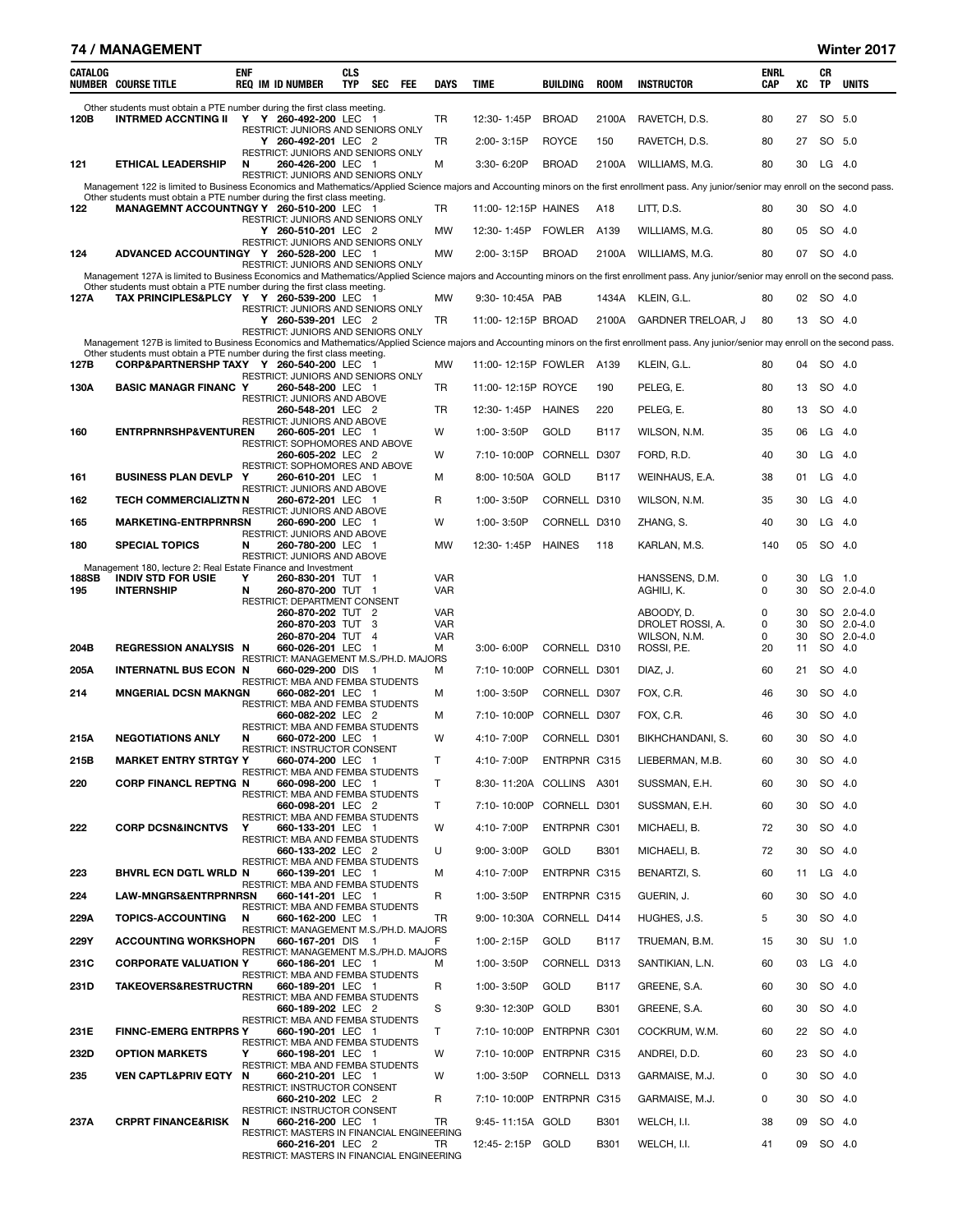| 74 / MANAGEMENT<br>Winter 2017 |  |
|--------------------------------|--|
|--------------------------------|--|

| CATALOG      | <b>NUMBER COURSE TITLE</b>                                                                                           | <b>ENF</b> | <b>REQ IM ID NUMBER</b>                                                | <b>CLS</b><br><b>TYP</b> | SEC            | FEE | DAYS                     | TIME                     | BUILDING      | <b>ROOM</b> | <b>INSTRUCTOR</b>                                                                                                                                                                            | ENRL<br>CAP | xс       | CR<br>TP | <b>UNITS</b>             |
|--------------|----------------------------------------------------------------------------------------------------------------------|------------|------------------------------------------------------------------------|--------------------------|----------------|-----|--------------------------|--------------------------|---------------|-------------|----------------------------------------------------------------------------------------------------------------------------------------------------------------------------------------------|-------------|----------|----------|--------------------------|
| 120B         | Other students must obtain a PTE number during the first class meeting.<br>INTRMED ACCNTING II Y Y 260-492-200 LEC 1 |            |                                                                        |                          |                |     | TR                       | 12:30-1:45P              | <b>BROAD</b>  | 2100A       | RAVETCH, D.S.                                                                                                                                                                                | 80          | 27       | SO 5.0   |                          |
|              |                                                                                                                      |            | RESTRICT: JUNIORS AND SENIORS ONLY<br>Y 260-492-201 LEC 2              |                          |                |     | <b>TR</b>                | $2:00 - 3:15P$           | <b>ROYCE</b>  | 150         | RAVETCH, D.S.                                                                                                                                                                                | 80          | 27       | SO 5.0   |                          |
| 121          | <b>ETHICAL LEADERSHIP</b>                                                                                            | N          | RESTRICT: JUNIORS AND SENIORS ONLY<br>260-426-200 LEC 1                |                          |                |     | м                        | 3:30-6:20P               | <b>BROAD</b>  | 2100A       | WILLIAMS, M.G.                                                                                                                                                                               | 80          | 30       | $LG$ 4.0 |                          |
|              |                                                                                                                      |            | RESTRICT: JUNIORS AND SENIORS ONLY                                     |                          |                |     |                          |                          |               |             | Management 122 is limited to Business Economics and Mathematics/Applied Science majors and Accounting minors on the first enrollment pass. Any junior/senior may enroll on the second pass.  |             |          |          |                          |
| 122          | Other students must obtain a PTE number during the first class meeting.<br>MANAGEMNT ACCOUNTNGY Y 260-510-200 LEC 1  |            |                                                                        |                          |                |     | TR                       | 11:00-12:15P HAINES      |               | A18         | LITT, D.S.                                                                                                                                                                                   | 80          | 30       | SO 4.0   |                          |
|              |                                                                                                                      |            | RESTRICT: JUNIORS AND SENIORS ONLY<br>Y 260-510-201 LEC 2              |                          |                |     | MW                       | 12:30-1:45P              | <b>FOWLER</b> | A139        | WILLIAMS, M.G.                                                                                                                                                                               | 80          | 05       | SO 4.0   |                          |
| 124          | ADVANCED ACCOUNTINGY Y 260-528-200 LEC 1                                                                             |            | RESTRICT: JUNIORS AND SENIORS ONLY                                     |                          |                |     | <b>MW</b>                | 2:00-3:15P               | <b>BROAD</b>  | 2100A       | WILLIAMS, M.G.                                                                                                                                                                               | 80          | 07       | SO 4.0   |                          |
|              |                                                                                                                      |            | RESTRICT: JUNIORS AND SENIORS ONLY                                     |                          |                |     |                          |                          |               |             |                                                                                                                                                                                              |             |          |          |                          |
|              | Other students must obtain a PTE number during the first class meeting.                                              |            |                                                                        |                          |                |     |                          |                          |               |             | Management 127A is limited to Business Economics and Mathematics/Applied Science majors and Accounting minors on the first enrollment pass. Any junior/senior may enroll on the second pass. |             |          |          |                          |
| 127A         | TAX PRINCIPLES&PLCY Y Y 260-539-200 LEC 1                                                                            |            | RESTRICT: JUNIORS AND SENIORS ONLY                                     |                          |                |     | <b>MW</b>                | 9:30-10:45A PAB          |               | 1434A       | KLEIN, G.L.                                                                                                                                                                                  | 80          | 02       | SO 4.0   |                          |
|              |                                                                                                                      |            | Y 260-539-201 LEC 2<br>RESTRICT: JUNIORS AND SENIORS ONLY              |                          |                |     | TR                       | 11:00-12:15P BROAD       |               | 2100A       | <b>GARDNER TRELOAR, J</b>                                                                                                                                                                    | 80          | 13       | SO 4.0   |                          |
|              | Other students must obtain a PTE number during the first class meeting.                                              |            |                                                                        |                          |                |     |                          |                          |               |             | Management 127B is limited to Business Economics and Mathematics/Applied Science majors and Accounting minors on the first enrollment pass. Any junior/senior may enroll on the second pass. |             |          |          |                          |
| 127B         | CORP&PARTNERSHP TAXY Y 260-540-200 LEC 1                                                                             |            | RESTRICT: JUNIORS AND SENIORS ONLY                                     |                          |                |     | <b>MW</b>                | 11:00-12:15P FOWLER A139 |               |             | KLEIN, G.L.                                                                                                                                                                                  | 80          | 04       | SO 4.0   |                          |
| 130A         | <b>BASIC MANAGR FINANC Y</b>                                                                                         |            | 260-548-200 LEC 1<br>RESTRICT: JUNIORS AND ABOVE                       |                          |                |     | TR                       | 11:00-12:15P ROYCE       |               | 190         | PELEG. E.                                                                                                                                                                                    | 80          | 13       | SO 4.0   |                          |
|              |                                                                                                                      |            | 260-548-201 LEC 2<br>RESTRICT: JUNIORS AND ABOVE                       |                          |                |     | <b>TR</b>                | 12:30-1:45P              | <b>HAINES</b> | 220         | PELEG, E.                                                                                                                                                                                    | 80          | 13       | SO 4.0   |                          |
| 160          | <b>ENTRPRNRSHP&amp;VENTUREN</b>                                                                                      |            | 260-605-201 LEC 1<br>RESTRICT: SOPHOMORES AND ABOVE                    |                          |                |     | W                        | 1:00-3:50P               | GOLD          | <b>B117</b> | WILSON, N.M.                                                                                                                                                                                 | 35          | 06       | $LG$ 4.0 |                          |
|              |                                                                                                                      |            | 260-605-202 LEC 2                                                      |                          |                |     | W                        | 7:10-10:00P              | CORNELL D307  |             | FORD, R.D.                                                                                                                                                                                   | 40          | 30       | $LG$ 4.0 |                          |
| 161          | <b>BUSINESS PLAN DEVLP Y</b>                                                                                         |            | RESTRICT: SOPHOMORES AND ABOVE<br>260-610-201 LEC 1                    |                          |                |     | м                        | 8:00-10:50A GOLD         |               | B117        | WEINHAUS, E.A.                                                                                                                                                                               | 38          | 01       | $LG$ 4.0 |                          |
| 162          | <b>TECH COMMERCIALIZTN N</b>                                                                                         |            | RESTRICT: JUNIORS AND ABOVE<br>260-672-201 LEC 1                       |                          |                |     | R                        | 1:00-3:50P               | CORNELL D310  |             | WILSON, N.M.                                                                                                                                                                                 | 35          | 30       | LG       | - 4.0                    |
| 165          | <b>MARKETING-ENTRPRNRSN</b>                                                                                          |            | RESTRICT: JUNIORS AND ABOVE<br>260-690-200 LEC 1                       |                          |                |     | W                        | 1:00-3:50P               | CORNELL D310  |             | ZHANG, S.                                                                                                                                                                                    | 40          | 30       | $LG$ 4.0 |                          |
| 180          | <b>SPECIAL TOPICS</b>                                                                                                | N          | RESTRICT: JUNIORS AND ABOVE<br>260-780-200 LEC 1                       |                          |                |     | <b>MW</b>                | 12:30-1:45P              | <b>HAINES</b> | 118         | KARLAN, M.S.                                                                                                                                                                                 | 140         | 05       | SO 4.0   |                          |
|              | Management 180, lecture 2: Real Estate Finance and Investment                                                        |            | RESTRICT: JUNIORS AND ABOVE                                            |                          |                |     |                          |                          |               |             |                                                                                                                                                                                              |             |          |          |                          |
| 188SB<br>195 | <b>INDIV STD FOR USIE</b><br><b>INTERNSHIP</b>                                                                       | Y<br>N     | 260-830-201 TUT 1<br>260-870-200 TUT 1<br>RESTRICT: DEPARTMENT CONSENT |                          |                |     | <b>VAR</b><br><b>VAR</b> |                          |               |             | HANSSENS, D.M.<br>AGHILI, K.                                                                                                                                                                 | 0<br>0      | 30<br>30 | LG       | 1.0<br>SO 2.0-4.0        |
|              |                                                                                                                      |            | 260-870-202 TUT 2<br>260-870-203 TUT 3                                 |                          |                |     | <b>VAR</b><br><b>VAR</b> |                          |               |             | ABOODY, D.                                                                                                                                                                                   | 0           | 30       |          | SO 2.0-4.0               |
|              |                                                                                                                      |            | 260-870-204 TUT 4                                                      |                          |                |     | <b>VAR</b>               |                          |               |             | DROLET ROSSI, A.<br>WILSON, N.M.                                                                                                                                                             | 0<br>0      | 30<br>30 |          | SO 2.0-4.0<br>SO 2.0-4.0 |
| 204B         | <b>REGRESSION ANALYSIS N</b>                                                                                         |            | 660-026-201 LEC 1<br>RESTRICT: MANAGEMENT M.S./PH.D. MAJORS            |                          |                |     | м                        | $3:00 - 6:00P$           | CORNELL D310  |             | ROSSI, P.E.                                                                                                                                                                                  | 20          | 11       | SO 4.0   |                          |
| 205A         | <b>INTERNATNL BUS ECON N</b>                                                                                         |            | 660-029-200 DIS<br>RESTRICT: MBA AND FEMBA STUDENTS                    |                          | $\overline{1}$ |     | м                        | 7:10-10:00P              | CORNELL D301  |             | DIAZ, J.                                                                                                                                                                                     | 60          | 21       | SO 4.0   |                          |
| 214          | <b>MNGERIAL DCSN MAKNGN</b>                                                                                          |            | 660-082-201 LEC 1<br>RESTRICT: MBA AND FEMBA STUDENTS                  |                          |                |     | м                        | 1:00-3:50P               | CORNELL D307  |             | FOX, C.R.                                                                                                                                                                                    | 46          | 30       | SO 4.0   |                          |
|              |                                                                                                                      |            | 660-082-202 LEC 2<br>RESTRICT: MBA AND FEMBA STUDENTS                  |                          |                |     | м                        | 7:10-10:00P              | CORNELL D307  |             | FOX, C.R.                                                                                                                                                                                    | 46          | 30       | SO 4.0   |                          |
| 215A         | <b>NEGOTIATIONS ANLY</b>                                                                                             | N          | 660-072-200 LEC 1<br>RESTRICT: INSTRUCTOR CONSENT                      |                          |                |     | W                        | 4:10-7:00P               | CORNELL D301  |             | BIKHCHANDANI, S.                                                                                                                                                                             | 60          | 30       | SO 4.0   |                          |
| 215B         | <b>MARKET ENTRY STRTGY Y</b>                                                                                         |            | 660-074-200 LEC 1<br>RESTRICT: MBA AND FEMBA STUDENTS                  |                          |                |     | т                        | 4:10-7:00P               | ENTRPNR C315  |             | LIEBERMAN, M.B.                                                                                                                                                                              | 60          | 30       | SO 4.0   |                          |
| 220          | <b>CORP FINANCL REPTNG N</b>                                                                                         |            | 660-098-200 LEC 1                                                      |                          |                |     | Τ                        | 8:30-11:20A COLLINS A301 |               |             | SUSSMAN, E.H.                                                                                                                                                                                | 60          | 30       | SO 4.0   |                          |
|              |                                                                                                                      |            | RESTRICT: MBA AND FEMBA STUDENTS<br>660-098-201 LEC 2                  |                          |                |     | T                        | 7:10-10:00P CORNELL D301 |               |             | SUSSMAN, E.H.                                                                                                                                                                                | 60          | 30       | SO 4.0   |                          |
| 222          | <b>CORP DCSN&amp;INCNTVS</b>                                                                                         | Y          | RESTRICT: MBA AND FEMBA STUDENTS<br>660-133-201 LEC 1                  |                          |                |     | W                        | 4:10-7:00P               | ENTRPNR C301  |             | MICHAELI, B.                                                                                                                                                                                 | 72          | 30       | SO 4.0   |                          |
|              |                                                                                                                      |            | RESTRICT: MBA AND FEMBA STUDENTS<br>660-133-202 LEC 2                  |                          |                |     | U                        | $9:00 - 3:00P$           | GOLD          | <b>B301</b> | MICHAELI, B.                                                                                                                                                                                 | 72          | 30       | SO 4.0   |                          |
| 223          | <b>BHVRL ECN DGTL WRLD N</b>                                                                                         |            | RESTRICT: MBA AND FEMBA STUDENTS<br>660-139-201 LEC 1                  |                          |                |     | м                        | 4:10-7:00P               | ENTRPNR C315  |             | BENARTZI, S.                                                                                                                                                                                 | 60          | 11       | $LG$ 4.0 |                          |
| 224          | LAW-MNGRS&ENTRPRNRSN                                                                                                 |            | RESTRICT: MBA AND FEMBA STUDENTS<br>660-141-201 LEC 1                  |                          |                |     | R                        | 1:00-3:50P               | ENTRPNR C315  |             | GUERIN, J.                                                                                                                                                                                   | 60          | 30       | SO 4.0   |                          |
| 229A         | <b>TOPICS-ACCOUNTING</b>                                                                                             | N          | RESTRICT: MBA AND FEMBA STUDENTS<br>660-162-200 LEC 1                  |                          |                |     | TR                       | 9:00-10:30A              | CORNELL D414  |             | HUGHES, J.S.                                                                                                                                                                                 | 5           | 30       | SO 4.0   |                          |
| 229Y         | <b>ACCOUNTING WORKSHOPN</b>                                                                                          |            | RESTRICT: MANAGEMENT M.S./PH.D. MAJORS<br>660-167-201 DIS 1            |                          |                |     | F.                       | 1:00-2:15P               | GOLD          | B117        | TRUEMAN, B.M.                                                                                                                                                                                | 15          | 30       | SU 1.0   |                          |
| 231C         | <b>CORPORATE VALUATION Y</b>                                                                                         |            | RESTRICT: MANAGEMENT M.S./PH.D. MAJORS<br>660-186-201 LEC 1            |                          |                |     | м                        | 1:00-3:50P               | CORNELL D313  |             | SANTIKIAN, L.N.                                                                                                                                                                              | 60          | 03       | $LG$ 4.0 |                          |
|              |                                                                                                                      |            | RESTRICT: MBA AND FEMBA STUDENTS                                       |                          |                |     |                          |                          |               |             |                                                                                                                                                                                              |             |          |          |                          |
| 231D         | <b>TAKEOVERS&amp;RESTRUCTRN</b>                                                                                      |            | 660-189-201 LEC 1<br>RESTRICT: MBA AND FEMBA STUDENTS                  |                          |                |     | R                        | 1:00-3:50P               | GOLD          | B117        | GREENE, S.A.                                                                                                                                                                                 | 60          | 30       | SO 4.0   |                          |
|              |                                                                                                                      |            | 660-189-202 LEC 2<br>RESTRICT: MBA AND FEMBA STUDENTS                  |                          |                |     | S                        | 9:30-12:30P              | GOLD          | <b>B301</b> | GREENE, S.A.                                                                                                                                                                                 | 60          | 30       | SO 4.0   |                          |
| 231E         | <b>FINNC-EMERG ENTRPRS Y</b>                                                                                         |            | 660-190-201 LEC 1<br>RESTRICT: MBA AND FEMBA STUDENTS                  |                          |                |     | T.                       | 7:10-10:00P ENTRPNR C301 |               |             | COCKRUM, W.M.                                                                                                                                                                                | 60          | 22       | SO 4.0   |                          |
| 232D         | <b>OPTION MARKETS</b>                                                                                                | Y          | 660-198-201 LEC 1<br>RESTRICT: MBA AND FEMBA STUDENTS                  |                          |                |     | W                        | 7:10-10:00P ENTRPNR C315 |               |             | ANDREI, D.D.                                                                                                                                                                                 | 60          | 23       | SO 4.0   |                          |
| 235          | <b>VEN CAPTL&amp;PRIV EQTY</b>                                                                                       | N          | 660-210-201 LEC 1<br>RESTRICT: INSTRUCTOR CONSENT                      |                          |                |     | W                        | 1:00-3:50P               | CORNELL D313  |             | GARMAISE, M.J.                                                                                                                                                                               | 0           | 30       | SO 4.0   |                          |
|              |                                                                                                                      |            | 660-210-202 LEC 2<br>RESTRICT: INSTRUCTOR CONSENT                      |                          |                |     | R                        | 7:10-10:00P ENTRPNR C315 |               |             | GARMAISE, M.J.                                                                                                                                                                               | 0           | 30       | SO 4.0   |                          |
| 237A         | <b>CRPRT FINANCE&amp;RISK</b>                                                                                        | N          | 660-216-200 LEC 1<br>RESTRICT: MASTERS IN FINANCIAL ENGINEERING        |                          |                |     | TR.                      | 9:45-11:15A GOLD         |               | B301        | WELCH, I.I.                                                                                                                                                                                  | 38          | 09       | SO 4.0   |                          |
|              |                                                                                                                      |            | 660-216-201 LEC 2<br>RESTRICT: MASTERS IN FINANCIAL ENGINEERING        |                          |                |     | TR                       | 12:45-2:15P GOLD         |               | <b>B301</b> | WELCH, I.I.                                                                                                                                                                                  | 41          | 09       | SO 4.0   |                          |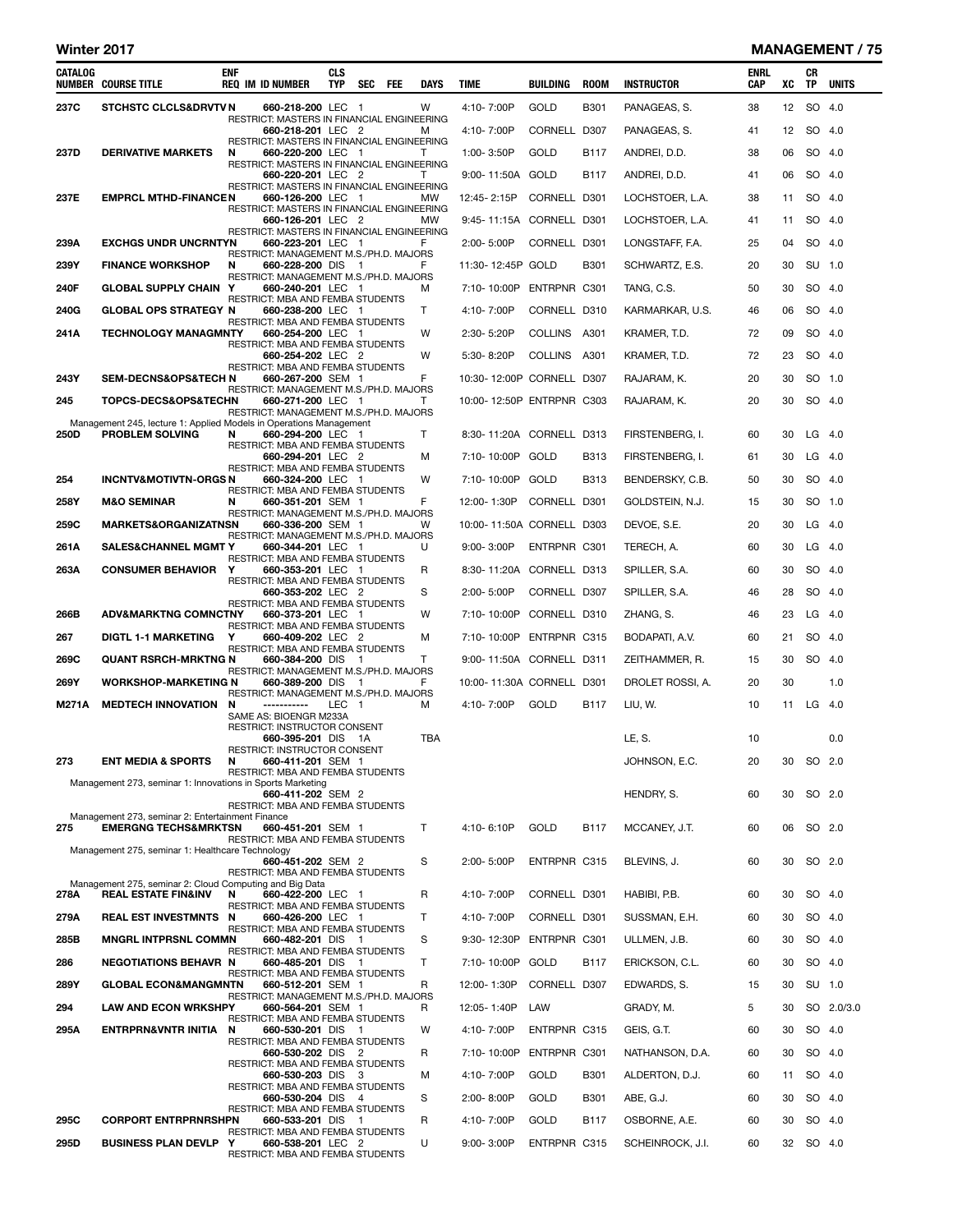#### Winter 2017 MANAGEMENT / 75

| CATALOG | <b>NUMBER COURSE TITLE</b>                                                                | ENF | <b>REQ IM ID NUMBER</b>                                         | <b>CLS</b><br>TYP | SEC FEE | <b>DAYS</b>  | TIME                      | BUILDING     | <b>ROOM</b> | <b>INSTRUCTOR</b> | <b>ENRL</b><br><b>CAP</b> | XC | CR<br>TP | <b>UNITS</b> |
|---------|-------------------------------------------------------------------------------------------|-----|-----------------------------------------------------------------|-------------------|---------|--------------|---------------------------|--------------|-------------|-------------------|---------------------------|----|----------|--------------|
| 237C    | <b>STCHSTC CLCLS&amp;DRVTV N</b>                                                          |     | 660-218-200 LEC 1                                               |                   |         | w            | 4:10-7:00P                | GOLD         | <b>B301</b> | PANAGEAS, S.      | 38                        | 12 | SO       | 4.0          |
|         |                                                                                           |     | RESTRICT: MASTERS IN FINANCIAL ENGINEERING<br>660-218-201 LEC 2 |                   |         | м            | 4:10-7:00P                | CORNELL      | D307        | PANAGEAS, S.      | 41                        | 12 |          | SO 4.0       |
| 237D    | <b>DERIVATIVE MARKETS</b>                                                                 | N   | RESTRICT: MASTERS IN FINANCIAL ENGINEERING<br>660-220-200 LEC 1 |                   |         | T            | 1:00-3:50P                | GOLD         | B117        | ANDREI, D.D.      | 38                        | 06 |          | SO 4.0       |
|         |                                                                                           |     | RESTRICT: MASTERS IN FINANCIAL ENGINEERING<br>660-220-201 LEC 2 |                   |         | T            | 9:00-11:50A GOLD          |              | <b>B117</b> | ANDREI, D.D.      | 41                        | 06 |          | SO 4.0       |
| 237E    | <b>EMPRCL MTHD-FINANCEN</b>                                                               |     | RESTRICT: MASTERS IN FINANCIAL ENGINEERING<br>660-126-200 LEC 1 |                   |         | <b>MW</b>    | 12:45-2:15P               | CORNELL D301 |             | LOCHSTOER, L.A.   | 38                        | 11 |          | SO 4.0       |
|         |                                                                                           |     | RESTRICT: MASTERS IN FINANCIAL ENGINEERING<br>660-126-201 LEC 2 |                   |         | <b>MW</b>    | 9:45-11:15A CORNELL D301  |              |             | LOCHSTOER, L.A.   | 41                        | 11 |          | SO 4.0       |
| 239A    | <b>EXCHGS UNDR UNCRNTYN</b>                                                               |     | RESTRICT: MASTERS IN FINANCIAL ENGINEERING<br>660-223-201 LEC 1 |                   |         | F            | 2:00-5:00P                | CORNELL D301 |             | LONGSTAFF, F.A.   | 25                        | 04 |          | SO 4.0       |
| 239Y    | <b>FINANCE WORKSHOP</b>                                                                   | N   | RESTRICT: MANAGEMENT M.S./PH.D. MAJORS<br>660-228-200 DIS 1     |                   |         | F            | 11:30-12:45P GOLD         |              | <b>B301</b> | SCHWARTZ, E.S.    | 20                        | 30 |          | SU 1.0       |
| 240F    | <b>GLOBAL SUPPLY CHAIN Y</b>                                                              |     | RESTRICT: MANAGEMENT M.S./PH.D. MAJORS<br>660-240-201 LEC 1     |                   |         | м            | 7:10-10:00P               | ENTRPNR C301 |             | TANG, C.S.        | 50                        | 30 |          | SO 4.0       |
| 240G    | <b>GLOBAL OPS STRATEGY N</b>                                                              |     | RESTRICT: MBA AND FEMBA STUDENTS<br>660-238-200 LEC 1           |                   |         | Т            | 4:10-7:00P                | CORNELL D310 |             | KARMARKAR, U.S.   | 46                        | 06 |          | SO 4.0       |
| 241A    | <b>TECHNOLOGY MANAGMNTY</b>                                                               |     | RESTRICT: MBA AND FEMBA STUDENTS<br>660-254-200 LEC 1           |                   |         | W            | 2:30-5:20P                | COLLINS A301 |             | KRAMER, T.D.      | 72                        | 09 |          | SO 4.0       |
|         |                                                                                           |     | RESTRICT: MBA AND FEMBA STUDENTS                                |                   |         | W            | 5:30-8:20P                | COLLINS A301 |             |                   | 72                        | 23 |          | SO 4.0       |
|         |                                                                                           |     | 660-254-202 LEC 2<br>RESTRICT: MBA AND FEMBA STUDENTS           |                   |         |              |                           |              |             | KRAMER, T.D.      |                           |    |          |              |
| 243Y    | <b>SEM-DECNS&amp;OPS&amp;TECH N</b>                                                       |     | 660-267-200 SEM 1<br>RESTRICT: MANAGEMENT M.S./PH.D. MAJORS     |                   |         | F            | 10:30-12:00P CORNELL D307 |              |             | RAJARAM, K.       | 20                        | 30 |          | SO 1.0       |
| 245     | <b>TOPCS-DECS&amp;OPS&amp;TECHN</b>                                                       |     | 660-271-200 LEC 1<br>RESTRICT: MANAGEMENT M.S./PH.D. MAJORS     |                   |         | T            | 10:00-12:50P ENTRPNR C303 |              |             | RAJARAM, K.       | 20                        | 30 |          | SO 4.0       |
| 250D    | Management 245, lecture 1: Applied Models in Operations Management<br>PROBLEM SOLVING     | N   | 660-294-200 LEC 1                                               |                   |         | Т            | 8:30-11:20A CORNELL D313  |              |             | FIRSTENBERG, I.   | 60                        | 30 |          | $LG$ 4.0     |
|         |                                                                                           |     | RESTRICT: MBA AND FEMBA STUDENTS<br>660-294-201 LEC 2           |                   |         | м            | 7:10-10:00P               | GOLD         | B313        | FIRSTENBERG, I.   | 61                        | 30 |          | $LG$ 4.0     |
| 254     | <b>INCNTV&amp;MOTIVTN-ORGSN</b>                                                           |     | RESTRICT: MBA AND FEMBA STUDENTS<br>660-324-200 LEC 1           |                   |         | W            | 7:10-10:00P GOLD          |              | <b>B313</b> | BENDERSKY, C.B.   | 50                        | 30 |          | SO 4.0       |
| 258Y    | <b>M&amp;O SEMINAR</b>                                                                    | N   | RESTRICT: MBA AND FEMBA STUDENTS<br>660-351-201 SEM 1           |                   |         | F            | 12:00-1:30P               | CORNELL D301 |             | GOLDSTEIN, N.J.   | 15                        | 30 |          | SO 1.0       |
| 259C    | <b>MARKETS&amp;ORGANIZATNSN</b>                                                           |     | RESTRICT: MANAGEMENT M.S./PH.D. MAJORS<br>660-336-200 SEM 1     |                   |         | W            | 10:00-11:50A CORNELL D303 |              |             | DEVOE, S.E.       | 20                        | 30 |          | $LG$ 4.0     |
| 261A    | <b>SALES&amp;CHANNEL MGMT Y</b>                                                           |     | RESTRICT: MANAGEMENT M.S./PH.D. MAJORS<br>660-344-201 LEC 1     |                   |         | U            | 9:00-3:00P                | ENTRPNR C301 |             | TERECH, A.        | 60                        | 30 |          | $LG$ 4.0     |
| 263A    | <b>CONSUMER BEHAVIOR</b>                                                                  | Y   | RESTRICT: MBA AND FEMBA STUDENTS<br>660-353-201 LEC 1           |                   |         | R            | 8:30-11:20A CORNELL D313  |              |             | SPILLER, S.A.     | 60                        | 30 |          | SO 4.0       |
|         |                                                                                           |     | RESTRICT: MBA AND FEMBA STUDENTS<br>660-353-202 LEC 2           |                   |         | S            | 2:00-5:00P                | CORNELL D307 |             | SPILLER, S.A.     | 46                        | 28 |          | SO 4.0       |
| 266B    | <b>ADV&amp;MARKTNG COMNCTNY</b>                                                           |     | RESTRICT: MBA AND FEMBA STUDENTS<br>660-373-201 LEC 1           |                   |         | W            | 7:10-10:00P               | CORNELL D310 |             | ZHANG, S.         | 46                        | 23 | LG       | -4.0         |
| 267     | <b>DIGTL 1-1 MARKETING</b>                                                                | Y   | RESTRICT: MBA AND FEMBA STUDENTS<br>660-409-202 LEC 2           |                   |         | м            | 7:10-10:00P               | ENTRPNR C315 |             | BODAPATI, A.V.    | 60                        | 21 |          | SO 4.0       |
| 269C    | <b>QUANT RSRCH-MRKTNG N</b>                                                               |     | RESTRICT: MBA AND FEMBA STUDENTS<br>660-384-200 DIS 1           |                   |         | т            | 9:00-11:50A CORNELL D311  |              |             | ZEITHAMMER, R.    | 15                        | 30 |          | SO 4.0       |
| 269Y    | <b>WORKSHOP-MARKETING N</b>                                                               |     | RESTRICT: MANAGEMENT M.S./PH.D. MAJORS<br>660-389-200 DIS       |                   | - 1     | F            | 10:00-11:30A CORNELL D301 |              |             | DROLET ROSSI, A.  | 20                        | 30 |          | 1.0          |
| M271A   | <b>MEDTECH INNOVATION</b>                                                                 | N   | RESTRICT: MANAGEMENT M.S./PH.D. MAJORS<br>-----------           | LEC 1             |         | м            | 4:10-7:00P                | GOLD         | B117        | LIU, W.           | 10                        | 11 | LG $4.0$ |              |
|         |                                                                                           |     | SAME AS: BIOENGR M233A<br>RESTRICT: INSTRUCTOR CONSENT          |                   |         |              |                           |              |             |                   |                           |    |          |              |
|         |                                                                                           |     | 660-395-201 DIS 1A<br>RESTRICT: INSTRUCTOR CONSENT              |                   |         | TBA          |                           |              |             | LE, S.            | 10                        |    |          | 0.0          |
| 273     | <b>ENT MEDIA &amp; SPORTS</b>                                                             | N   | 660-411-201 SEM 1<br>RESTRICT: MBA AND FEMBA STUDENTS           |                   |         |              |                           |              |             | JOHNSON, E.C.     | 20                        | 30 |          | SO 2.0       |
|         | Management 273, seminar 1: Innovations in Sports Marketing                                |     | 660-411-202 SEM 2                                               |                   |         |              |                           |              |             | HENDRY, S.        | 60                        | 30 |          | SO 2.0       |
|         | Management 273, seminar 2: Entertainment Finance                                          |     | RESTRICT: MBA AND FEMBA STUDENTS                                |                   |         |              |                           |              |             |                   |                           |    |          |              |
| 275     | <b>EMERGNG TECHS&amp;MRKTSN</b>                                                           |     | 660-451-201 SEM 1<br>RESTRICT: MBA AND FEMBA STUDENTS           |                   |         | T            | 4:10-6:10P                | GOLD         | B117        | MCCANEY, J.T.     | 60                        | 06 |          | SO 2.0       |
|         | Management 275, seminar 1: Healthcare Technology                                          |     | 660-451-202 SEM 2                                               |                   |         | S            | 2:00-5:00P                | ENTRPNR C315 |             | BLEVINS, J.       | 60                        | 30 |          | SO 2.0       |
|         |                                                                                           |     | <b>RESTRICT: MBA AND FEMBA STUDENTS</b>                         |                   |         |              |                           |              |             |                   |                           |    |          |              |
| 278A    | Management 275, seminar 2: Cloud Computing and Big Data<br><b>REAL ESTATE FIN&amp;INV</b> | N   | 660-422-200 LEC 1                                               |                   |         | $\mathsf{R}$ | 4:10-7:00P                | CORNELL D301 |             | HABIBI, P.B.      | 60                        | 30 |          | SO 4.0       |
| 279A    | <b>REAL EST INVESTMNTS N</b>                                                              |     | RESTRICT: MBA AND FEMBA STUDENTS<br>660-426-200 LEC 1           |                   |         | Т            | 4:10-7:00P                | CORNELL D301 |             | SUSSMAN, E.H.     | 60                        | 30 |          | SO 4.0       |
| 285B    | <b>MNGRL INTPRSNL COMMN</b>                                                               |     | RESTRICT: MBA AND FEMBA STUDENTS<br>660-482-201 DIS 1           |                   |         | S            | 9:30-12:30P               | ENTRPNR C301 |             | ULLMEN, J.B.      | 60                        | 30 |          | SO 4.0       |
| 286     | <b>NEGOTIATIONS BEHAVR N</b>                                                              |     | RESTRICT: MBA AND FEMBA STUDENTS<br>660-485-201 DIS 1           |                   |         | Т            | 7:10-10:00P               | GOLD         | <b>B117</b> | ERICKSON, C.L.    | 60                        | 30 |          | SO 4.0       |
| 289Y    | <b>GLOBAL ECON&amp;MANGMNTN</b>                                                           |     | RESTRICT: MBA AND FEMBA STUDENTS<br>660-512-201 SEM 1           |                   |         | R            | 12:00-1:30P               | CORNELL D307 |             | EDWARDS, S.       | 15                        | 30 |          | SU 1.0       |
| 294     | <b>LAW AND ECON WRKSHPY</b>                                                               |     | RESTRICT: MANAGEMENT M.S./PH.D. MAJORS<br>660-564-201 SEM 1     |                   |         | R            | 12:05-1:40P               | LAW          |             | GRADY, M.         | 5                         | 30 |          | SO 2.0/3.0   |
| 295A    | <b>ENTRPRN&amp;VNTR INITIA</b>                                                            | N   | RESTRICT: MBA AND FEMBA STUDENTS<br>660-530-201 DIS 1           |                   |         | W            | 4:10-7:00P                | ENTRPNR C315 |             | GEIS, G.T.        | 60                        | 30 |          | SO 4.0       |
|         |                                                                                           |     | RESTRICT: MBA AND FEMBA STUDENTS<br>660-530-202 DIS 2           |                   |         | R            | 7:10-10:00P               | ENTRPNR C301 |             | NATHANSON, D.A.   | 60                        | 30 |          | SO 4.0       |
|         |                                                                                           |     | RESTRICT: MBA AND FEMBA STUDENTS<br>660-530-203 DIS 3           |                   |         | M            | 4:10-7:00P                | GOLD         | B301        | ALDERTON, D.J.    | 60                        | 11 |          | SO 4.0       |
|         |                                                                                           |     | RESTRICT: MBA AND FEMBA STUDENTS<br>660-530-204 DIS 4           |                   |         | S            | 2:00-8:00P                | GOLD         | <b>B301</b> | ABE, G.J.         | 60                        | 30 |          | SO 4.0       |
| 295C    | <b>CORPORT ENTRPRNRSHPN</b>                                                               |     | RESTRICT: MBA AND FEMBA STUDENTS<br>660-533-201 DIS 1           |                   |         | R            | 4:10-7:00P                | GOLD         | <b>B117</b> | OSBORNE, A.E.     | 60                        | 30 |          | SO 4.0       |
| 295D    | <b>BUSINESS PLAN DEVLP Y</b>                                                              |     | RESTRICT: MBA AND FEMBA STUDENTS<br>660-538-201 LEC 2           |                   |         | U            | $9:00 - 3:00P$            | ENTRPNR C315 |             | SCHEINROCK, J.I.  | 60                        | 32 |          | SO 4.0       |
|         |                                                                                           |     | RESTRICT: MBA AND FEMBA STUDENTS                                |                   |         |              |                           |              |             |                   |                           |    |          |              |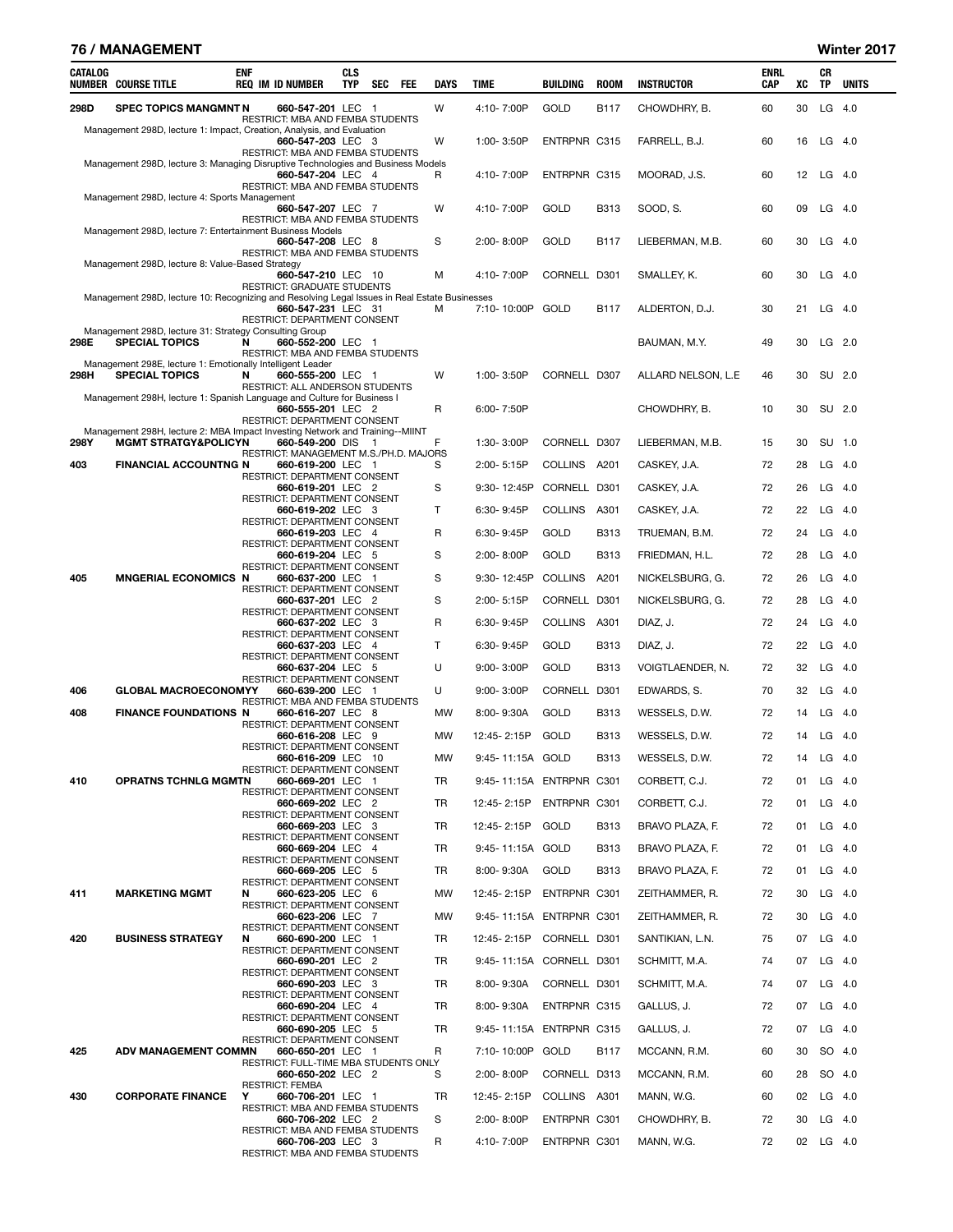#### 76 / MANAGEMENT Winter 2017

| 298D<br>W<br>$LG$ 4.0<br><b>SPEC TOPICS MANGMNT N</b><br>660-547-201 LEC 1<br>4:10-7:00P<br>GOLD<br><b>B117</b><br>CHOWDHRY, B.<br>60<br>30<br>RESTRICT: MBA AND FEMBA STUDENTS<br>Management 298D, lecture 1: Impact, Creation, Analysis, and Evaluation<br>660-547-203 LEC 3<br>W<br>ENTRPNR C315<br>FARRELL, B.J.<br>60<br>$LG$ 4.0<br>1:00-3:50P<br>16<br>RESTRICT: MBA AND FEMBA STUDENTS<br>Management 298D, lecture 3: Managing Disruptive Technologies and Business Models<br><b>ENTRPNR C315</b><br>MOORAD, J.S.<br>60<br>12<br>$LG$ 4.0<br>660-547-204 LEC 4<br>R<br>4:10-7:00P<br>RESTRICT: MBA AND FEMBA STUDENTS<br>Management 298D, lecture 4: Sports Management<br>SOOD, S.<br>$LG$ 4.0<br>660-547-207 LEC 7<br>W<br>4:10-7:00P<br>GOLD<br><b>B313</b><br>60<br>09<br>RESTRICT: MBA AND FEMBA STUDENTS<br>Management 298D, lecture 7: Entertainment Business Models<br>S<br>2:00-8:00P<br>GOLD<br><b>B117</b><br>LIEBERMAN, M.B.<br>60<br>30<br>$LG$ 4.0<br>660-547-208 LEC 8<br>RESTRICT: MBA AND FEMBA STUDENTS<br>Management 298D, lecture 8: Value-Based Strategy<br>M<br>4:10-7:00P<br>CORNELL D301<br>SMALLEY, K.<br>60<br>30<br>$LG$ 4.0<br>660-547-210 LEC 10<br>RESTRICT: GRADUATE STUDENTS<br>Management 298D, lecture 10: Recognizing and Resolving Legal Issues in Real Estate Businesses<br>7:10-10:00P GOLD<br>660-547-231 LEC 31<br>м<br>B117<br>ALDERTON, D.J.<br>30<br>21<br>$LG$ 4.0<br>RESTRICT: DEPARTMENT CONSENT<br>Management 298D, lecture 31: Strategy Consulting Group<br><b>SPECIAL TOPICS</b><br>49<br>30<br>LG 2.0<br>298E<br>N<br>660-552-200 LEC 1<br>BAUMAN, M.Y.<br>RESTRICT: MBA AND FEMBA STUDENTS<br>Management 298E, lecture 1: Emotionally Intelligent Leader<br>298H<br><b>SPECIAL TOPICS</b><br>W<br>1:00-3:50P<br>CORNELL D307<br>ALLARD NELSON, L.E<br>30<br>SU 2.0<br>N<br>660-555-200 LEC 1<br>46<br>RESTRICT: ALL ANDERSON STUDENTS<br>Management 298H, lecture 1: Spanish Language and Culture for Business I<br>R<br>10<br>SU 2.0<br>660-555-201 LEC 2<br>6:00-7:50P<br>CHOWDHRY, B.<br>30<br>RESTRICT: DEPARTMENT CONSENT<br>Management 298H, lecture 2: MBA Impact Investing Network and Training--MIINT<br>F<br><b>MGMT STRATGY&amp;POLICYN</b><br>CORNELL D307<br>30<br>SU 1.0<br>298Y<br>660-549-200 DIS 1<br>1:30-3:00P<br>LIEBERMAN, M.B.<br>15<br>RESTRICT: MANAGEMENT M.S./PH.D. MAJORS<br><b>FINANCIAL ACCOUNTNG N</b><br>COLLINS A201<br>$LG$ 4.0<br>403<br>660-619-200 LEC 1<br>S<br>2:00-5:15P<br>CASKEY, J.A.<br>72<br>28<br><b>RESTRICT: DEPARTMENT CONSENT</b><br>S<br>9:30-12:45P<br>CORNELL D301<br>CASKEY, J.A.<br>72<br>26<br>$LG$ 4.0<br>660-619-201 LEC 2<br>RESTRICT: DEPARTMENT CONSENT<br>т<br><b>COLLINS</b><br>A301<br>CASKEY, J.A.<br>72<br>22<br>$LG$ 4.0<br>660-619-202 LEC 3<br>6:30-9:45P<br>RESTRICT: DEPARTMENT CONSENT<br>R<br>GOLD<br><b>B313</b><br>$LG$ 4.0<br>660-619-203 LEC 4<br>6:30-9:45P<br>TRUEMAN, B.M.<br>72<br>24<br>RESTRICT: DEPARTMENT CONSENT<br>S<br>GOLD<br><b>B313</b><br>72<br>28<br>$LG$ 4.0<br>660-619-204 LEC 5<br>2:00-8:00P<br>FRIEDMAN, H.L.<br>RESTRICT: DEPARTMENT CONSENT<br>S<br><b>MNGERIAL ECONOMICS N</b><br>9:30-12:45P<br>COLLINS<br>A201<br>26<br>$LG$ 4.0<br>405<br>660-637-200 LEC 1<br>NICKELSBURG, G.<br>72<br>RESTRICT: DEPARTMENT CONSENT<br>S<br>CORNELL D301<br>NICKELSBURG, G.<br>72<br>28<br>$LG$ 4.0<br>660-637-201 LEC 2<br>2:00-5:15P<br>RESTRICT: DEPARTMENT CONSENT<br>R<br>6:30-9:45P<br>COLLINS A301<br>DIAZ, J.<br>72<br>24<br>$LG$ 4.0<br>660-637-202 LEC 3<br>RESTRICT: DEPARTMENT CONSENT<br>т<br>GOLD<br><b>B313</b><br>72<br>22<br>$LG$ 4.0<br>660-637-203 LEC 4<br>6:30-9:45P<br>DIAZ, J.<br>RESTRICT: DEPARTMENT CONSENT<br>U<br>GOLD<br><b>B313</b><br>32<br>$LG$ 4.0<br>660-637-204 LEC 5<br>9:00-3:00P<br>VOIGTLAENDER, N.<br>72<br>RESTRICT: DEPARTMENT CONSENT<br><b>GLOBAL MACROECONOMYY</b><br>U<br>9:00-3:00P<br>CORNELL<br>D301<br>EDWARDS, S.<br>70<br>32<br>$LG$ 4.0<br>406<br>660-639-200 LEC 1<br>RESTRICT: MBA AND FEMBA STUDENTS<br><b>FINANCE FOUNDATIONS N</b><br>GOLD<br><b>B313</b><br>WESSELS, D.W.<br>$LG$ 4.0<br>408<br>660-616-207 LEC 8<br>MW<br>8:00-9:30A<br>72<br>14<br>RESTRICT: DEPARTMENT CONSENT<br>12:45-2:15P<br>GOLD<br><b>B313</b><br>WESSELS, D.W.<br>72<br>14<br>$LG$ 4.0<br>660-616-208 LEC 9<br>MW<br>RESTRICT: DEPARTMENT CONSENT<br>9:45-11:15A GOLD<br><b>B313</b><br>WESSELS, D.W.<br>72<br>14 LG 4.0<br>660-616-209 LEC 10<br>MW<br>RESTRICT: DEPARTMENT CONSENT<br>9:45-11:15A ENTRPNR C301<br>CORBETT, C.J.<br>LG 4.0<br>410<br><b>OPRATNS TCHNLG MGMTN</b><br>660-669-201 LEC 1<br>TR<br>72<br>01<br>RESTRICT: DEPARTMENT CONSENT<br>ENTRPNR C301<br>CORBETT, C.J.<br>$LG$ 4.0<br>660-669-202 LEC 2<br>TR<br>12:45-2:15P<br>72<br>01<br>RESTRICT: DEPARTMENT CONSENT<br>12:45-2:15P GOLD<br><b>B313</b><br>BRAVO PLAZA, F.<br>01<br>$LG$ 4.0<br>660-669-203 LEC 3<br>TR<br>72<br>RESTRICT: DEPARTMENT CONSENT<br>9:45-11:15A GOLD<br><b>B313</b><br>BRAVO PLAZA, F.<br>LG 4.0<br>660-669-204 LEC 4<br>TR<br>72<br>01<br>RESTRICT: DEPARTMENT CONSENT<br>8:00-9:30A<br>GOLD<br><b>B313</b><br>BRAVO PLAZA, F.<br>01<br>$LG$ 4.0<br>660-669-205 LEC 5<br>TR<br>72<br>RESTRICT: DEPARTMENT CONSENT<br><b>MARKETING MGMT</b><br>12:45-2:15P ENTRPNR C301<br>ZEITHAMMER, R.<br>30<br>$LG$ 4.0<br>411<br>660-623-205 LEC 6<br>МW<br>72<br>N<br>RESTRICT: DEPARTMENT CONSENT<br>9:45-11:15A ENTRPNR C301<br>ZEITHAMMER, R.<br>30<br>$LG$ 4.0<br>660-623-206 LEC 7<br>MW<br>72<br>RESTRICT: DEPARTMENT CONSENT<br>CORNELL D301<br>$LG$ 4.0<br>420<br><b>BUSINESS STRATEGY</b><br>660-690-200 LEC 1<br>TR<br>12:45-2:15P<br>SANTIKIAN, L.N.<br>75<br>07<br>N<br>RESTRICT: DEPARTMENT CONSENT<br>9:45-11:15A CORNELL D301<br>LG $4.0$<br>660-690-201 LEC 2<br>TR<br>SCHMITT, M.A.<br>74<br>07<br>RESTRICT: DEPARTMENT CONSENT<br>8:00-9:30A<br>CORNELL D301<br>07<br>$LG$ 4.0<br>660-690-203 LEC 3<br>TR<br>SCHMITT, M.A.<br>74<br>RESTRICT: DEPARTMENT CONSENT<br>ENTRPNR C315<br>LG $4.0$<br>660-690-204 LEC 4<br>TR<br>8:00-9:30A<br>GALLUS, J.<br>72<br>07<br>RESTRICT: DEPARTMENT CONSENT<br>9:45-11:15A ENTRPNR C315<br>GALLUS, J.<br>07<br>$LG$ 4.0<br>660-690-205 LEC 5<br>TR<br>72<br>RESTRICT: DEPARTMENT CONSENT<br>R<br>7:10-10:00P GOLD<br><b>B117</b><br>MCCANN, R.M.<br>30<br>SO 4.0<br>425<br><b>ADV MANAGEMENT COMMN</b><br>660-650-201 LEC 1<br>60<br>RESTRICT: FULL-TIME MBA STUDENTS ONLY<br>CORNELL D313<br>SO 4.0<br>660-650-202 LEC 2<br>S<br>2:00-8:00P<br>MCCANN, R.M.<br>60<br>28<br><b>RESTRICT: FEMBA</b><br><b>CORPORATE FINANCE</b><br>COLLINS A301<br>02<br>$LG$ 4.0<br>430<br>Y<br>660-706-201 LEC 1<br>TR<br>12:45-2:15P<br>MANN, W.G.<br>60<br>RESTRICT: MBA AND FEMBA STUDENTS<br>S<br>LG $4.0$<br>660-706-202 LEC 2<br>2:00-8:00P<br>ENTRPNR C301<br>CHOWDHRY, B.<br>72<br>30<br>RESTRICT: MBA AND FEMBA STUDENTS<br>R<br>660-706-203 LEC 3<br>4:10-7:00P<br>ENTRPNR C301<br>MANN, W.G.<br>72<br>02 LG 4.0<br>RESTRICT: MBA AND FEMBA STUDENTS | CATALOG | <b>NUMBER COURSE TITLE</b> | <b>ENF</b> | <b>REQ IM ID NUMBER</b> | <b>CLS</b><br><b>TYP</b> | <b>SEC</b> | FEE | <b>DAYS</b> | <b>TIME</b> | BUILDING | <b>ROOM</b> | <b>INSTRUCTOR</b> | ENRL<br><b>CAP</b> | хc | CR<br>ΤP | <b>UNITS</b> |
|----------------------------------------------------------------------------------------------------------------------------------------------------------------------------------------------------------------------------------------------------------------------------------------------------------------------------------------------------------------------------------------------------------------------------------------------------------------------------------------------------------------------------------------------------------------------------------------------------------------------------------------------------------------------------------------------------------------------------------------------------------------------------------------------------------------------------------------------------------------------------------------------------------------------------------------------------------------------------------------------------------------------------------------------------------------------------------------------------------------------------------------------------------------------------------------------------------------------------------------------------------------------------------------------------------------------------------------------------------------------------------------------------------------------------------------------------------------------------------------------------------------------------------------------------------------------------------------------------------------------------------------------------------------------------------------------------------------------------------------------------------------------------------------------------------------------------------------------------------------------------------------------------------------------------------------------------------------------------------------------------------------------------------------------------------------------------------------------------------------------------------------------------------------------------------------------------------------------------------------------------------------------------------------------------------------------------------------------------------------------------------------------------------------------------------------------------------------------------------------------------------------------------------------------------------------------------------------------------------------------------------------------------------------------------------------------------------------------------------------------------------------------------------------------------------------------------------------------------------------------------------------------------------------------------------------------------------------------------------------------------------------------------------------------------------------------------------------------------------------------------------------------------------------------------------------------------------------------------------------------------------------------------------------------------------------------------------------------------------------------------------------------------------------------------------------------------------------------------------------------------------------------------------------------------------------------------------------------------------------------------------------------------------------------------------------------------------------------------------------------------------------------------------------------------------------------------------------------------------------------------------------------------------------------------------------------------------------------------------------------------------------------------------------------------------------------------------------------------------------------------------------------------------------------------------------------------------------------------------------------------------------------------------------------------------------------------------------------------------------------------------------------------------------------------------------------------------------------------------------------------------------------------------------------------------------------------------------------------------------------------------------------------------------------------------------------------------------------------------------------------------------------------------------------------------------------------------------------------------------------------------------------------------------------------------------------------------------------------------------------------------------------------------------------------------------------------------------------------------------------------------------------------------------------------------------------------------------------------------------------------------------------------------------------------------------------------------------------------------------------------------------------------------------------------------------------------------------------------------------------------------------------------------------------------------------------------------------------------------------------------------------------------------------------------------------------------------------------------------------------------------------------------------------------------------------------------------------------------------------------------------------------------------------------------------------------------------------------------------------------------------------------------------------------------------------------------------------------------------------------------------------------------------------------------------------------------------------------------------------------------------------------------------------------------------------------------------------------------------------------------------------------------------------------------------------------------------------------------------------------------------------------------------------------------------------------------------------------------------------------------------------------------------------------------------------------------------------------------------------------------------------------------------------------------------------------------------------------------------------------------------------------------------------------------------------------------------------------------------------|---------|----------------------------|------------|-------------------------|--------------------------|------------|-----|-------------|-------------|----------|-------------|-------------------|--------------------|----|----------|--------------|
|                                                                                                                                                                                                                                                                                                                                                                                                                                                                                                                                                                                                                                                                                                                                                                                                                                                                                                                                                                                                                                                                                                                                                                                                                                                                                                                                                                                                                                                                                                                                                                                                                                                                                                                                                                                                                                                                                                                                                                                                                                                                                                                                                                                                                                                                                                                                                                                                                                                                                                                                                                                                                                                                                                                                                                                                                                                                                                                                                                                                                                                                                                                                                                                                                                                                                                                                                                                                                                                                                                                                                                                                                                                                                                                                                                                                                                                                                                                                                                                                                                                                                                                                                                                                                                                                                                                                                                                                                                                                                                                                                                                                                                                                                                                                                                                                                                                                                                                                                                                                                                                                                                                                                                                                                                                                                                                                                                                                                                                                                                                                                                                                                                                                                                                                                                                                                                                                                                                                                                                                                                                                                                                                                                                                                                                                                                                                                                                                                                                                                                                                                                                                                                                                                                                                                                                                                                                                                                                                                                                        |         |                            |            |                         |                          |            |     |             |             |          |             |                   |                    |    |          |              |
|                                                                                                                                                                                                                                                                                                                                                                                                                                                                                                                                                                                                                                                                                                                                                                                                                                                                                                                                                                                                                                                                                                                                                                                                                                                                                                                                                                                                                                                                                                                                                                                                                                                                                                                                                                                                                                                                                                                                                                                                                                                                                                                                                                                                                                                                                                                                                                                                                                                                                                                                                                                                                                                                                                                                                                                                                                                                                                                                                                                                                                                                                                                                                                                                                                                                                                                                                                                                                                                                                                                                                                                                                                                                                                                                                                                                                                                                                                                                                                                                                                                                                                                                                                                                                                                                                                                                                                                                                                                                                                                                                                                                                                                                                                                                                                                                                                                                                                                                                                                                                                                                                                                                                                                                                                                                                                                                                                                                                                                                                                                                                                                                                                                                                                                                                                                                                                                                                                                                                                                                                                                                                                                                                                                                                                                                                                                                                                                                                                                                                                                                                                                                                                                                                                                                                                                                                                                                                                                                                                                        |         |                            |            |                         |                          |            |     |             |             |          |             |                   |                    |    |          |              |
|                                                                                                                                                                                                                                                                                                                                                                                                                                                                                                                                                                                                                                                                                                                                                                                                                                                                                                                                                                                                                                                                                                                                                                                                                                                                                                                                                                                                                                                                                                                                                                                                                                                                                                                                                                                                                                                                                                                                                                                                                                                                                                                                                                                                                                                                                                                                                                                                                                                                                                                                                                                                                                                                                                                                                                                                                                                                                                                                                                                                                                                                                                                                                                                                                                                                                                                                                                                                                                                                                                                                                                                                                                                                                                                                                                                                                                                                                                                                                                                                                                                                                                                                                                                                                                                                                                                                                                                                                                                                                                                                                                                                                                                                                                                                                                                                                                                                                                                                                                                                                                                                                                                                                                                                                                                                                                                                                                                                                                                                                                                                                                                                                                                                                                                                                                                                                                                                                                                                                                                                                                                                                                                                                                                                                                                                                                                                                                                                                                                                                                                                                                                                                                                                                                                                                                                                                                                                                                                                                                                        |         |                            |            |                         |                          |            |     |             |             |          |             |                   |                    |    |          |              |
|                                                                                                                                                                                                                                                                                                                                                                                                                                                                                                                                                                                                                                                                                                                                                                                                                                                                                                                                                                                                                                                                                                                                                                                                                                                                                                                                                                                                                                                                                                                                                                                                                                                                                                                                                                                                                                                                                                                                                                                                                                                                                                                                                                                                                                                                                                                                                                                                                                                                                                                                                                                                                                                                                                                                                                                                                                                                                                                                                                                                                                                                                                                                                                                                                                                                                                                                                                                                                                                                                                                                                                                                                                                                                                                                                                                                                                                                                                                                                                                                                                                                                                                                                                                                                                                                                                                                                                                                                                                                                                                                                                                                                                                                                                                                                                                                                                                                                                                                                                                                                                                                                                                                                                                                                                                                                                                                                                                                                                                                                                                                                                                                                                                                                                                                                                                                                                                                                                                                                                                                                                                                                                                                                                                                                                                                                                                                                                                                                                                                                                                                                                                                                                                                                                                                                                                                                                                                                                                                                                                        |         |                            |            |                         |                          |            |     |             |             |          |             |                   |                    |    |          |              |
|                                                                                                                                                                                                                                                                                                                                                                                                                                                                                                                                                                                                                                                                                                                                                                                                                                                                                                                                                                                                                                                                                                                                                                                                                                                                                                                                                                                                                                                                                                                                                                                                                                                                                                                                                                                                                                                                                                                                                                                                                                                                                                                                                                                                                                                                                                                                                                                                                                                                                                                                                                                                                                                                                                                                                                                                                                                                                                                                                                                                                                                                                                                                                                                                                                                                                                                                                                                                                                                                                                                                                                                                                                                                                                                                                                                                                                                                                                                                                                                                                                                                                                                                                                                                                                                                                                                                                                                                                                                                                                                                                                                                                                                                                                                                                                                                                                                                                                                                                                                                                                                                                                                                                                                                                                                                                                                                                                                                                                                                                                                                                                                                                                                                                                                                                                                                                                                                                                                                                                                                                                                                                                                                                                                                                                                                                                                                                                                                                                                                                                                                                                                                                                                                                                                                                                                                                                                                                                                                                                                        |         |                            |            |                         |                          |            |     |             |             |          |             |                   |                    |    |          |              |
|                                                                                                                                                                                                                                                                                                                                                                                                                                                                                                                                                                                                                                                                                                                                                                                                                                                                                                                                                                                                                                                                                                                                                                                                                                                                                                                                                                                                                                                                                                                                                                                                                                                                                                                                                                                                                                                                                                                                                                                                                                                                                                                                                                                                                                                                                                                                                                                                                                                                                                                                                                                                                                                                                                                                                                                                                                                                                                                                                                                                                                                                                                                                                                                                                                                                                                                                                                                                                                                                                                                                                                                                                                                                                                                                                                                                                                                                                                                                                                                                                                                                                                                                                                                                                                                                                                                                                                                                                                                                                                                                                                                                                                                                                                                                                                                                                                                                                                                                                                                                                                                                                                                                                                                                                                                                                                                                                                                                                                                                                                                                                                                                                                                                                                                                                                                                                                                                                                                                                                                                                                                                                                                                                                                                                                                                                                                                                                                                                                                                                                                                                                                                                                                                                                                                                                                                                                                                                                                                                                                        |         |                            |            |                         |                          |            |     |             |             |          |             |                   |                    |    |          |              |
|                                                                                                                                                                                                                                                                                                                                                                                                                                                                                                                                                                                                                                                                                                                                                                                                                                                                                                                                                                                                                                                                                                                                                                                                                                                                                                                                                                                                                                                                                                                                                                                                                                                                                                                                                                                                                                                                                                                                                                                                                                                                                                                                                                                                                                                                                                                                                                                                                                                                                                                                                                                                                                                                                                                                                                                                                                                                                                                                                                                                                                                                                                                                                                                                                                                                                                                                                                                                                                                                                                                                                                                                                                                                                                                                                                                                                                                                                                                                                                                                                                                                                                                                                                                                                                                                                                                                                                                                                                                                                                                                                                                                                                                                                                                                                                                                                                                                                                                                                                                                                                                                                                                                                                                                                                                                                                                                                                                                                                                                                                                                                                                                                                                                                                                                                                                                                                                                                                                                                                                                                                                                                                                                                                                                                                                                                                                                                                                                                                                                                                                                                                                                                                                                                                                                                                                                                                                                                                                                                                                        |         |                            |            |                         |                          |            |     |             |             |          |             |                   |                    |    |          |              |
|                                                                                                                                                                                                                                                                                                                                                                                                                                                                                                                                                                                                                                                                                                                                                                                                                                                                                                                                                                                                                                                                                                                                                                                                                                                                                                                                                                                                                                                                                                                                                                                                                                                                                                                                                                                                                                                                                                                                                                                                                                                                                                                                                                                                                                                                                                                                                                                                                                                                                                                                                                                                                                                                                                                                                                                                                                                                                                                                                                                                                                                                                                                                                                                                                                                                                                                                                                                                                                                                                                                                                                                                                                                                                                                                                                                                                                                                                                                                                                                                                                                                                                                                                                                                                                                                                                                                                                                                                                                                                                                                                                                                                                                                                                                                                                                                                                                                                                                                                                                                                                                                                                                                                                                                                                                                                                                                                                                                                                                                                                                                                                                                                                                                                                                                                                                                                                                                                                                                                                                                                                                                                                                                                                                                                                                                                                                                                                                                                                                                                                                                                                                                                                                                                                                                                                                                                                                                                                                                                                                        |         |                            |            |                         |                          |            |     |             |             |          |             |                   |                    |    |          |              |
|                                                                                                                                                                                                                                                                                                                                                                                                                                                                                                                                                                                                                                                                                                                                                                                                                                                                                                                                                                                                                                                                                                                                                                                                                                                                                                                                                                                                                                                                                                                                                                                                                                                                                                                                                                                                                                                                                                                                                                                                                                                                                                                                                                                                                                                                                                                                                                                                                                                                                                                                                                                                                                                                                                                                                                                                                                                                                                                                                                                                                                                                                                                                                                                                                                                                                                                                                                                                                                                                                                                                                                                                                                                                                                                                                                                                                                                                                                                                                                                                                                                                                                                                                                                                                                                                                                                                                                                                                                                                                                                                                                                                                                                                                                                                                                                                                                                                                                                                                                                                                                                                                                                                                                                                                                                                                                                                                                                                                                                                                                                                                                                                                                                                                                                                                                                                                                                                                                                                                                                                                                                                                                                                                                                                                                                                                                                                                                                                                                                                                                                                                                                                                                                                                                                                                                                                                                                                                                                                                                                        |         |                            |            |                         |                          |            |     |             |             |          |             |                   |                    |    |          |              |
|                                                                                                                                                                                                                                                                                                                                                                                                                                                                                                                                                                                                                                                                                                                                                                                                                                                                                                                                                                                                                                                                                                                                                                                                                                                                                                                                                                                                                                                                                                                                                                                                                                                                                                                                                                                                                                                                                                                                                                                                                                                                                                                                                                                                                                                                                                                                                                                                                                                                                                                                                                                                                                                                                                                                                                                                                                                                                                                                                                                                                                                                                                                                                                                                                                                                                                                                                                                                                                                                                                                                                                                                                                                                                                                                                                                                                                                                                                                                                                                                                                                                                                                                                                                                                                                                                                                                                                                                                                                                                                                                                                                                                                                                                                                                                                                                                                                                                                                                                                                                                                                                                                                                                                                                                                                                                                                                                                                                                                                                                                                                                                                                                                                                                                                                                                                                                                                                                                                                                                                                                                                                                                                                                                                                                                                                                                                                                                                                                                                                                                                                                                                                                                                                                                                                                                                                                                                                                                                                                                                        |         |                            |            |                         |                          |            |     |             |             |          |             |                   |                    |    |          |              |
|                                                                                                                                                                                                                                                                                                                                                                                                                                                                                                                                                                                                                                                                                                                                                                                                                                                                                                                                                                                                                                                                                                                                                                                                                                                                                                                                                                                                                                                                                                                                                                                                                                                                                                                                                                                                                                                                                                                                                                                                                                                                                                                                                                                                                                                                                                                                                                                                                                                                                                                                                                                                                                                                                                                                                                                                                                                                                                                                                                                                                                                                                                                                                                                                                                                                                                                                                                                                                                                                                                                                                                                                                                                                                                                                                                                                                                                                                                                                                                                                                                                                                                                                                                                                                                                                                                                                                                                                                                                                                                                                                                                                                                                                                                                                                                                                                                                                                                                                                                                                                                                                                                                                                                                                                                                                                                                                                                                                                                                                                                                                                                                                                                                                                                                                                                                                                                                                                                                                                                                                                                                                                                                                                                                                                                                                                                                                                                                                                                                                                                                                                                                                                                                                                                                                                                                                                                                                                                                                                                                        |         |                            |            |                         |                          |            |     |             |             |          |             |                   |                    |    |          |              |
|                                                                                                                                                                                                                                                                                                                                                                                                                                                                                                                                                                                                                                                                                                                                                                                                                                                                                                                                                                                                                                                                                                                                                                                                                                                                                                                                                                                                                                                                                                                                                                                                                                                                                                                                                                                                                                                                                                                                                                                                                                                                                                                                                                                                                                                                                                                                                                                                                                                                                                                                                                                                                                                                                                                                                                                                                                                                                                                                                                                                                                                                                                                                                                                                                                                                                                                                                                                                                                                                                                                                                                                                                                                                                                                                                                                                                                                                                                                                                                                                                                                                                                                                                                                                                                                                                                                                                                                                                                                                                                                                                                                                                                                                                                                                                                                                                                                                                                                                                                                                                                                                                                                                                                                                                                                                                                                                                                                                                                                                                                                                                                                                                                                                                                                                                                                                                                                                                                                                                                                                                                                                                                                                                                                                                                                                                                                                                                                                                                                                                                                                                                                                                                                                                                                                                                                                                                                                                                                                                                                        |         |                            |            |                         |                          |            |     |             |             |          |             |                   |                    |    |          |              |
|                                                                                                                                                                                                                                                                                                                                                                                                                                                                                                                                                                                                                                                                                                                                                                                                                                                                                                                                                                                                                                                                                                                                                                                                                                                                                                                                                                                                                                                                                                                                                                                                                                                                                                                                                                                                                                                                                                                                                                                                                                                                                                                                                                                                                                                                                                                                                                                                                                                                                                                                                                                                                                                                                                                                                                                                                                                                                                                                                                                                                                                                                                                                                                                                                                                                                                                                                                                                                                                                                                                                                                                                                                                                                                                                                                                                                                                                                                                                                                                                                                                                                                                                                                                                                                                                                                                                                                                                                                                                                                                                                                                                                                                                                                                                                                                                                                                                                                                                                                                                                                                                                                                                                                                                                                                                                                                                                                                                                                                                                                                                                                                                                                                                                                                                                                                                                                                                                                                                                                                                                                                                                                                                                                                                                                                                                                                                                                                                                                                                                                                                                                                                                                                                                                                                                                                                                                                                                                                                                                                        |         |                            |            |                         |                          |            |     |             |             |          |             |                   |                    |    |          |              |
|                                                                                                                                                                                                                                                                                                                                                                                                                                                                                                                                                                                                                                                                                                                                                                                                                                                                                                                                                                                                                                                                                                                                                                                                                                                                                                                                                                                                                                                                                                                                                                                                                                                                                                                                                                                                                                                                                                                                                                                                                                                                                                                                                                                                                                                                                                                                                                                                                                                                                                                                                                                                                                                                                                                                                                                                                                                                                                                                                                                                                                                                                                                                                                                                                                                                                                                                                                                                                                                                                                                                                                                                                                                                                                                                                                                                                                                                                                                                                                                                                                                                                                                                                                                                                                                                                                                                                                                                                                                                                                                                                                                                                                                                                                                                                                                                                                                                                                                                                                                                                                                                                                                                                                                                                                                                                                                                                                                                                                                                                                                                                                                                                                                                                                                                                                                                                                                                                                                                                                                                                                                                                                                                                                                                                                                                                                                                                                                                                                                                                                                                                                                                                                                                                                                                                                                                                                                                                                                                                                                        |         |                            |            |                         |                          |            |     |             |             |          |             |                   |                    |    |          |              |
|                                                                                                                                                                                                                                                                                                                                                                                                                                                                                                                                                                                                                                                                                                                                                                                                                                                                                                                                                                                                                                                                                                                                                                                                                                                                                                                                                                                                                                                                                                                                                                                                                                                                                                                                                                                                                                                                                                                                                                                                                                                                                                                                                                                                                                                                                                                                                                                                                                                                                                                                                                                                                                                                                                                                                                                                                                                                                                                                                                                                                                                                                                                                                                                                                                                                                                                                                                                                                                                                                                                                                                                                                                                                                                                                                                                                                                                                                                                                                                                                                                                                                                                                                                                                                                                                                                                                                                                                                                                                                                                                                                                                                                                                                                                                                                                                                                                                                                                                                                                                                                                                                                                                                                                                                                                                                                                                                                                                                                                                                                                                                                                                                                                                                                                                                                                                                                                                                                                                                                                                                                                                                                                                                                                                                                                                                                                                                                                                                                                                                                                                                                                                                                                                                                                                                                                                                                                                                                                                                                                        |         |                            |            |                         |                          |            |     |             |             |          |             |                   |                    |    |          |              |
|                                                                                                                                                                                                                                                                                                                                                                                                                                                                                                                                                                                                                                                                                                                                                                                                                                                                                                                                                                                                                                                                                                                                                                                                                                                                                                                                                                                                                                                                                                                                                                                                                                                                                                                                                                                                                                                                                                                                                                                                                                                                                                                                                                                                                                                                                                                                                                                                                                                                                                                                                                                                                                                                                                                                                                                                                                                                                                                                                                                                                                                                                                                                                                                                                                                                                                                                                                                                                                                                                                                                                                                                                                                                                                                                                                                                                                                                                                                                                                                                                                                                                                                                                                                                                                                                                                                                                                                                                                                                                                                                                                                                                                                                                                                                                                                                                                                                                                                                                                                                                                                                                                                                                                                                                                                                                                                                                                                                                                                                                                                                                                                                                                                                                                                                                                                                                                                                                                                                                                                                                                                                                                                                                                                                                                                                                                                                                                                                                                                                                                                                                                                                                                                                                                                                                                                                                                                                                                                                                                                        |         |                            |            |                         |                          |            |     |             |             |          |             |                   |                    |    |          |              |
|                                                                                                                                                                                                                                                                                                                                                                                                                                                                                                                                                                                                                                                                                                                                                                                                                                                                                                                                                                                                                                                                                                                                                                                                                                                                                                                                                                                                                                                                                                                                                                                                                                                                                                                                                                                                                                                                                                                                                                                                                                                                                                                                                                                                                                                                                                                                                                                                                                                                                                                                                                                                                                                                                                                                                                                                                                                                                                                                                                                                                                                                                                                                                                                                                                                                                                                                                                                                                                                                                                                                                                                                                                                                                                                                                                                                                                                                                                                                                                                                                                                                                                                                                                                                                                                                                                                                                                                                                                                                                                                                                                                                                                                                                                                                                                                                                                                                                                                                                                                                                                                                                                                                                                                                                                                                                                                                                                                                                                                                                                                                                                                                                                                                                                                                                                                                                                                                                                                                                                                                                                                                                                                                                                                                                                                                                                                                                                                                                                                                                                                                                                                                                                                                                                                                                                                                                                                                                                                                                                                        |         |                            |            |                         |                          |            |     |             |             |          |             |                   |                    |    |          |              |
|                                                                                                                                                                                                                                                                                                                                                                                                                                                                                                                                                                                                                                                                                                                                                                                                                                                                                                                                                                                                                                                                                                                                                                                                                                                                                                                                                                                                                                                                                                                                                                                                                                                                                                                                                                                                                                                                                                                                                                                                                                                                                                                                                                                                                                                                                                                                                                                                                                                                                                                                                                                                                                                                                                                                                                                                                                                                                                                                                                                                                                                                                                                                                                                                                                                                                                                                                                                                                                                                                                                                                                                                                                                                                                                                                                                                                                                                                                                                                                                                                                                                                                                                                                                                                                                                                                                                                                                                                                                                                                                                                                                                                                                                                                                                                                                                                                                                                                                                                                                                                                                                                                                                                                                                                                                                                                                                                                                                                                                                                                                                                                                                                                                                                                                                                                                                                                                                                                                                                                                                                                                                                                                                                                                                                                                                                                                                                                                                                                                                                                                                                                                                                                                                                                                                                                                                                                                                                                                                                                                        |         |                            |            |                         |                          |            |     |             |             |          |             |                   |                    |    |          |              |
|                                                                                                                                                                                                                                                                                                                                                                                                                                                                                                                                                                                                                                                                                                                                                                                                                                                                                                                                                                                                                                                                                                                                                                                                                                                                                                                                                                                                                                                                                                                                                                                                                                                                                                                                                                                                                                                                                                                                                                                                                                                                                                                                                                                                                                                                                                                                                                                                                                                                                                                                                                                                                                                                                                                                                                                                                                                                                                                                                                                                                                                                                                                                                                                                                                                                                                                                                                                                                                                                                                                                                                                                                                                                                                                                                                                                                                                                                                                                                                                                                                                                                                                                                                                                                                                                                                                                                                                                                                                                                                                                                                                                                                                                                                                                                                                                                                                                                                                                                                                                                                                                                                                                                                                                                                                                                                                                                                                                                                                                                                                                                                                                                                                                                                                                                                                                                                                                                                                                                                                                                                                                                                                                                                                                                                                                                                                                                                                                                                                                                                                                                                                                                                                                                                                                                                                                                                                                                                                                                                                        |         |                            |            |                         |                          |            |     |             |             |          |             |                   |                    |    |          |              |
|                                                                                                                                                                                                                                                                                                                                                                                                                                                                                                                                                                                                                                                                                                                                                                                                                                                                                                                                                                                                                                                                                                                                                                                                                                                                                                                                                                                                                                                                                                                                                                                                                                                                                                                                                                                                                                                                                                                                                                                                                                                                                                                                                                                                                                                                                                                                                                                                                                                                                                                                                                                                                                                                                                                                                                                                                                                                                                                                                                                                                                                                                                                                                                                                                                                                                                                                                                                                                                                                                                                                                                                                                                                                                                                                                                                                                                                                                                                                                                                                                                                                                                                                                                                                                                                                                                                                                                                                                                                                                                                                                                                                                                                                                                                                                                                                                                                                                                                                                                                                                                                                                                                                                                                                                                                                                                                                                                                                                                                                                                                                                                                                                                                                                                                                                                                                                                                                                                                                                                                                                                                                                                                                                                                                                                                                                                                                                                                                                                                                                                                                                                                                                                                                                                                                                                                                                                                                                                                                                                                        |         |                            |            |                         |                          |            |     |             |             |          |             |                   |                    |    |          |              |
|                                                                                                                                                                                                                                                                                                                                                                                                                                                                                                                                                                                                                                                                                                                                                                                                                                                                                                                                                                                                                                                                                                                                                                                                                                                                                                                                                                                                                                                                                                                                                                                                                                                                                                                                                                                                                                                                                                                                                                                                                                                                                                                                                                                                                                                                                                                                                                                                                                                                                                                                                                                                                                                                                                                                                                                                                                                                                                                                                                                                                                                                                                                                                                                                                                                                                                                                                                                                                                                                                                                                                                                                                                                                                                                                                                                                                                                                                                                                                                                                                                                                                                                                                                                                                                                                                                                                                                                                                                                                                                                                                                                                                                                                                                                                                                                                                                                                                                                                                                                                                                                                                                                                                                                                                                                                                                                                                                                                                                                                                                                                                                                                                                                                                                                                                                                                                                                                                                                                                                                                                                                                                                                                                                                                                                                                                                                                                                                                                                                                                                                                                                                                                                                                                                                                                                                                                                                                                                                                                                                        |         |                            |            |                         |                          |            |     |             |             |          |             |                   |                    |    |          |              |
|                                                                                                                                                                                                                                                                                                                                                                                                                                                                                                                                                                                                                                                                                                                                                                                                                                                                                                                                                                                                                                                                                                                                                                                                                                                                                                                                                                                                                                                                                                                                                                                                                                                                                                                                                                                                                                                                                                                                                                                                                                                                                                                                                                                                                                                                                                                                                                                                                                                                                                                                                                                                                                                                                                                                                                                                                                                                                                                                                                                                                                                                                                                                                                                                                                                                                                                                                                                                                                                                                                                                                                                                                                                                                                                                                                                                                                                                                                                                                                                                                                                                                                                                                                                                                                                                                                                                                                                                                                                                                                                                                                                                                                                                                                                                                                                                                                                                                                                                                                                                                                                                                                                                                                                                                                                                                                                                                                                                                                                                                                                                                                                                                                                                                                                                                                                                                                                                                                                                                                                                                                                                                                                                                                                                                                                                                                                                                                                                                                                                                                                                                                                                                                                                                                                                                                                                                                                                                                                                                                                        |         |                            |            |                         |                          |            |     |             |             |          |             |                   |                    |    |          |              |
|                                                                                                                                                                                                                                                                                                                                                                                                                                                                                                                                                                                                                                                                                                                                                                                                                                                                                                                                                                                                                                                                                                                                                                                                                                                                                                                                                                                                                                                                                                                                                                                                                                                                                                                                                                                                                                                                                                                                                                                                                                                                                                                                                                                                                                                                                                                                                                                                                                                                                                                                                                                                                                                                                                                                                                                                                                                                                                                                                                                                                                                                                                                                                                                                                                                                                                                                                                                                                                                                                                                                                                                                                                                                                                                                                                                                                                                                                                                                                                                                                                                                                                                                                                                                                                                                                                                                                                                                                                                                                                                                                                                                                                                                                                                                                                                                                                                                                                                                                                                                                                                                                                                                                                                                                                                                                                                                                                                                                                                                                                                                                                                                                                                                                                                                                                                                                                                                                                                                                                                                                                                                                                                                                                                                                                                                                                                                                                                                                                                                                                                                                                                                                                                                                                                                                                                                                                                                                                                                                                                        |         |                            |            |                         |                          |            |     |             |             |          |             |                   |                    |    |          |              |
|                                                                                                                                                                                                                                                                                                                                                                                                                                                                                                                                                                                                                                                                                                                                                                                                                                                                                                                                                                                                                                                                                                                                                                                                                                                                                                                                                                                                                                                                                                                                                                                                                                                                                                                                                                                                                                                                                                                                                                                                                                                                                                                                                                                                                                                                                                                                                                                                                                                                                                                                                                                                                                                                                                                                                                                                                                                                                                                                                                                                                                                                                                                                                                                                                                                                                                                                                                                                                                                                                                                                                                                                                                                                                                                                                                                                                                                                                                                                                                                                                                                                                                                                                                                                                                                                                                                                                                                                                                                                                                                                                                                                                                                                                                                                                                                                                                                                                                                                                                                                                                                                                                                                                                                                                                                                                                                                                                                                                                                                                                                                                                                                                                                                                                                                                                                                                                                                                                                                                                                                                                                                                                                                                                                                                                                                                                                                                                                                                                                                                                                                                                                                                                                                                                                                                                                                                                                                                                                                                                                        |         |                            |            |                         |                          |            |     |             |             |          |             |                   |                    |    |          |              |
|                                                                                                                                                                                                                                                                                                                                                                                                                                                                                                                                                                                                                                                                                                                                                                                                                                                                                                                                                                                                                                                                                                                                                                                                                                                                                                                                                                                                                                                                                                                                                                                                                                                                                                                                                                                                                                                                                                                                                                                                                                                                                                                                                                                                                                                                                                                                                                                                                                                                                                                                                                                                                                                                                                                                                                                                                                                                                                                                                                                                                                                                                                                                                                                                                                                                                                                                                                                                                                                                                                                                                                                                                                                                                                                                                                                                                                                                                                                                                                                                                                                                                                                                                                                                                                                                                                                                                                                                                                                                                                                                                                                                                                                                                                                                                                                                                                                                                                                                                                                                                                                                                                                                                                                                                                                                                                                                                                                                                                                                                                                                                                                                                                                                                                                                                                                                                                                                                                                                                                                                                                                                                                                                                                                                                                                                                                                                                                                                                                                                                                                                                                                                                                                                                                                                                                                                                                                                                                                                                                                        |         |                            |            |                         |                          |            |     |             |             |          |             |                   |                    |    |          |              |
|                                                                                                                                                                                                                                                                                                                                                                                                                                                                                                                                                                                                                                                                                                                                                                                                                                                                                                                                                                                                                                                                                                                                                                                                                                                                                                                                                                                                                                                                                                                                                                                                                                                                                                                                                                                                                                                                                                                                                                                                                                                                                                                                                                                                                                                                                                                                                                                                                                                                                                                                                                                                                                                                                                                                                                                                                                                                                                                                                                                                                                                                                                                                                                                                                                                                                                                                                                                                                                                                                                                                                                                                                                                                                                                                                                                                                                                                                                                                                                                                                                                                                                                                                                                                                                                                                                                                                                                                                                                                                                                                                                                                                                                                                                                                                                                                                                                                                                                                                                                                                                                                                                                                                                                                                                                                                                                                                                                                                                                                                                                                                                                                                                                                                                                                                                                                                                                                                                                                                                                                                                                                                                                                                                                                                                                                                                                                                                                                                                                                                                                                                                                                                                                                                                                                                                                                                                                                                                                                                                                        |         |                            |            |                         |                          |            |     |             |             |          |             |                   |                    |    |          |              |
|                                                                                                                                                                                                                                                                                                                                                                                                                                                                                                                                                                                                                                                                                                                                                                                                                                                                                                                                                                                                                                                                                                                                                                                                                                                                                                                                                                                                                                                                                                                                                                                                                                                                                                                                                                                                                                                                                                                                                                                                                                                                                                                                                                                                                                                                                                                                                                                                                                                                                                                                                                                                                                                                                                                                                                                                                                                                                                                                                                                                                                                                                                                                                                                                                                                                                                                                                                                                                                                                                                                                                                                                                                                                                                                                                                                                                                                                                                                                                                                                                                                                                                                                                                                                                                                                                                                                                                                                                                                                                                                                                                                                                                                                                                                                                                                                                                                                                                                                                                                                                                                                                                                                                                                                                                                                                                                                                                                                                                                                                                                                                                                                                                                                                                                                                                                                                                                                                                                                                                                                                                                                                                                                                                                                                                                                                                                                                                                                                                                                                                                                                                                                                                                                                                                                                                                                                                                                                                                                                                                        |         |                            |            |                         |                          |            |     |             |             |          |             |                   |                    |    |          |              |
|                                                                                                                                                                                                                                                                                                                                                                                                                                                                                                                                                                                                                                                                                                                                                                                                                                                                                                                                                                                                                                                                                                                                                                                                                                                                                                                                                                                                                                                                                                                                                                                                                                                                                                                                                                                                                                                                                                                                                                                                                                                                                                                                                                                                                                                                                                                                                                                                                                                                                                                                                                                                                                                                                                                                                                                                                                                                                                                                                                                                                                                                                                                                                                                                                                                                                                                                                                                                                                                                                                                                                                                                                                                                                                                                                                                                                                                                                                                                                                                                                                                                                                                                                                                                                                                                                                                                                                                                                                                                                                                                                                                                                                                                                                                                                                                                                                                                                                                                                                                                                                                                                                                                                                                                                                                                                                                                                                                                                                                                                                                                                                                                                                                                                                                                                                                                                                                                                                                                                                                                                                                                                                                                                                                                                                                                                                                                                                                                                                                                                                                                                                                                                                                                                                                                                                                                                                                                                                                                                                                        |         |                            |            |                         |                          |            |     |             |             |          |             |                   |                    |    |          |              |
|                                                                                                                                                                                                                                                                                                                                                                                                                                                                                                                                                                                                                                                                                                                                                                                                                                                                                                                                                                                                                                                                                                                                                                                                                                                                                                                                                                                                                                                                                                                                                                                                                                                                                                                                                                                                                                                                                                                                                                                                                                                                                                                                                                                                                                                                                                                                                                                                                                                                                                                                                                                                                                                                                                                                                                                                                                                                                                                                                                                                                                                                                                                                                                                                                                                                                                                                                                                                                                                                                                                                                                                                                                                                                                                                                                                                                                                                                                                                                                                                                                                                                                                                                                                                                                                                                                                                                                                                                                                                                                                                                                                                                                                                                                                                                                                                                                                                                                                                                                                                                                                                                                                                                                                                                                                                                                                                                                                                                                                                                                                                                                                                                                                                                                                                                                                                                                                                                                                                                                                                                                                                                                                                                                                                                                                                                                                                                                                                                                                                                                                                                                                                                                                                                                                                                                                                                                                                                                                                                                                        |         |                            |            |                         |                          |            |     |             |             |          |             |                   |                    |    |          |              |
|                                                                                                                                                                                                                                                                                                                                                                                                                                                                                                                                                                                                                                                                                                                                                                                                                                                                                                                                                                                                                                                                                                                                                                                                                                                                                                                                                                                                                                                                                                                                                                                                                                                                                                                                                                                                                                                                                                                                                                                                                                                                                                                                                                                                                                                                                                                                                                                                                                                                                                                                                                                                                                                                                                                                                                                                                                                                                                                                                                                                                                                                                                                                                                                                                                                                                                                                                                                                                                                                                                                                                                                                                                                                                                                                                                                                                                                                                                                                                                                                                                                                                                                                                                                                                                                                                                                                                                                                                                                                                                                                                                                                                                                                                                                                                                                                                                                                                                                                                                                                                                                                                                                                                                                                                                                                                                                                                                                                                                                                                                                                                                                                                                                                                                                                                                                                                                                                                                                                                                                                                                                                                                                                                                                                                                                                                                                                                                                                                                                                                                                                                                                                                                                                                                                                                                                                                                                                                                                                                                                        |         |                            |            |                         |                          |            |     |             |             |          |             |                   |                    |    |          |              |
|                                                                                                                                                                                                                                                                                                                                                                                                                                                                                                                                                                                                                                                                                                                                                                                                                                                                                                                                                                                                                                                                                                                                                                                                                                                                                                                                                                                                                                                                                                                                                                                                                                                                                                                                                                                                                                                                                                                                                                                                                                                                                                                                                                                                                                                                                                                                                                                                                                                                                                                                                                                                                                                                                                                                                                                                                                                                                                                                                                                                                                                                                                                                                                                                                                                                                                                                                                                                                                                                                                                                                                                                                                                                                                                                                                                                                                                                                                                                                                                                                                                                                                                                                                                                                                                                                                                                                                                                                                                                                                                                                                                                                                                                                                                                                                                                                                                                                                                                                                                                                                                                                                                                                                                                                                                                                                                                                                                                                                                                                                                                                                                                                                                                                                                                                                                                                                                                                                                                                                                                                                                                                                                                                                                                                                                                                                                                                                                                                                                                                                                                                                                                                                                                                                                                                                                                                                                                                                                                                                                        |         |                            |            |                         |                          |            |     |             |             |          |             |                   |                    |    |          |              |
|                                                                                                                                                                                                                                                                                                                                                                                                                                                                                                                                                                                                                                                                                                                                                                                                                                                                                                                                                                                                                                                                                                                                                                                                                                                                                                                                                                                                                                                                                                                                                                                                                                                                                                                                                                                                                                                                                                                                                                                                                                                                                                                                                                                                                                                                                                                                                                                                                                                                                                                                                                                                                                                                                                                                                                                                                                                                                                                                                                                                                                                                                                                                                                                                                                                                                                                                                                                                                                                                                                                                                                                                                                                                                                                                                                                                                                                                                                                                                                                                                                                                                                                                                                                                                                                                                                                                                                                                                                                                                                                                                                                                                                                                                                                                                                                                                                                                                                                                                                                                                                                                                                                                                                                                                                                                                                                                                                                                                                                                                                                                                                                                                                                                                                                                                                                                                                                                                                                                                                                                                                                                                                                                                                                                                                                                                                                                                                                                                                                                                                                                                                                                                                                                                                                                                                                                                                                                                                                                                                                        |         |                            |            |                         |                          |            |     |             |             |          |             |                   |                    |    |          |              |
|                                                                                                                                                                                                                                                                                                                                                                                                                                                                                                                                                                                                                                                                                                                                                                                                                                                                                                                                                                                                                                                                                                                                                                                                                                                                                                                                                                                                                                                                                                                                                                                                                                                                                                                                                                                                                                                                                                                                                                                                                                                                                                                                                                                                                                                                                                                                                                                                                                                                                                                                                                                                                                                                                                                                                                                                                                                                                                                                                                                                                                                                                                                                                                                                                                                                                                                                                                                                                                                                                                                                                                                                                                                                                                                                                                                                                                                                                                                                                                                                                                                                                                                                                                                                                                                                                                                                                                                                                                                                                                                                                                                                                                                                                                                                                                                                                                                                                                                                                                                                                                                                                                                                                                                                                                                                                                                                                                                                                                                                                                                                                                                                                                                                                                                                                                                                                                                                                                                                                                                                                                                                                                                                                                                                                                                                                                                                                                                                                                                                                                                                                                                                                                                                                                                                                                                                                                                                                                                                                                                        |         |                            |            |                         |                          |            |     |             |             |          |             |                   |                    |    |          |              |
|                                                                                                                                                                                                                                                                                                                                                                                                                                                                                                                                                                                                                                                                                                                                                                                                                                                                                                                                                                                                                                                                                                                                                                                                                                                                                                                                                                                                                                                                                                                                                                                                                                                                                                                                                                                                                                                                                                                                                                                                                                                                                                                                                                                                                                                                                                                                                                                                                                                                                                                                                                                                                                                                                                                                                                                                                                                                                                                                                                                                                                                                                                                                                                                                                                                                                                                                                                                                                                                                                                                                                                                                                                                                                                                                                                                                                                                                                                                                                                                                                                                                                                                                                                                                                                                                                                                                                                                                                                                                                                                                                                                                                                                                                                                                                                                                                                                                                                                                                                                                                                                                                                                                                                                                                                                                                                                                                                                                                                                                                                                                                                                                                                                                                                                                                                                                                                                                                                                                                                                                                                                                                                                                                                                                                                                                                                                                                                                                                                                                                                                                                                                                                                                                                                                                                                                                                                                                                                                                                                                        |         |                            |            |                         |                          |            |     |             |             |          |             |                   |                    |    |          |              |
|                                                                                                                                                                                                                                                                                                                                                                                                                                                                                                                                                                                                                                                                                                                                                                                                                                                                                                                                                                                                                                                                                                                                                                                                                                                                                                                                                                                                                                                                                                                                                                                                                                                                                                                                                                                                                                                                                                                                                                                                                                                                                                                                                                                                                                                                                                                                                                                                                                                                                                                                                                                                                                                                                                                                                                                                                                                                                                                                                                                                                                                                                                                                                                                                                                                                                                                                                                                                                                                                                                                                                                                                                                                                                                                                                                                                                                                                                                                                                                                                                                                                                                                                                                                                                                                                                                                                                                                                                                                                                                                                                                                                                                                                                                                                                                                                                                                                                                                                                                                                                                                                                                                                                                                                                                                                                                                                                                                                                                                                                                                                                                                                                                                                                                                                                                                                                                                                                                                                                                                                                                                                                                                                                                                                                                                                                                                                                                                                                                                                                                                                                                                                                                                                                                                                                                                                                                                                                                                                                                                        |         |                            |            |                         |                          |            |     |             |             |          |             |                   |                    |    |          |              |
|                                                                                                                                                                                                                                                                                                                                                                                                                                                                                                                                                                                                                                                                                                                                                                                                                                                                                                                                                                                                                                                                                                                                                                                                                                                                                                                                                                                                                                                                                                                                                                                                                                                                                                                                                                                                                                                                                                                                                                                                                                                                                                                                                                                                                                                                                                                                                                                                                                                                                                                                                                                                                                                                                                                                                                                                                                                                                                                                                                                                                                                                                                                                                                                                                                                                                                                                                                                                                                                                                                                                                                                                                                                                                                                                                                                                                                                                                                                                                                                                                                                                                                                                                                                                                                                                                                                                                                                                                                                                                                                                                                                                                                                                                                                                                                                                                                                                                                                                                                                                                                                                                                                                                                                                                                                                                                                                                                                                                                                                                                                                                                                                                                                                                                                                                                                                                                                                                                                                                                                                                                                                                                                                                                                                                                                                                                                                                                                                                                                                                                                                                                                                                                                                                                                                                                                                                                                                                                                                                                                        |         |                            |            |                         |                          |            |     |             |             |          |             |                   |                    |    |          |              |
|                                                                                                                                                                                                                                                                                                                                                                                                                                                                                                                                                                                                                                                                                                                                                                                                                                                                                                                                                                                                                                                                                                                                                                                                                                                                                                                                                                                                                                                                                                                                                                                                                                                                                                                                                                                                                                                                                                                                                                                                                                                                                                                                                                                                                                                                                                                                                                                                                                                                                                                                                                                                                                                                                                                                                                                                                                                                                                                                                                                                                                                                                                                                                                                                                                                                                                                                                                                                                                                                                                                                                                                                                                                                                                                                                                                                                                                                                                                                                                                                                                                                                                                                                                                                                                                                                                                                                                                                                                                                                                                                                                                                                                                                                                                                                                                                                                                                                                                                                                                                                                                                                                                                                                                                                                                                                                                                                                                                                                                                                                                                                                                                                                                                                                                                                                                                                                                                                                                                                                                                                                                                                                                                                                                                                                                                                                                                                                                                                                                                                                                                                                                                                                                                                                                                                                                                                                                                                                                                                                                        |         |                            |            |                         |                          |            |     |             |             |          |             |                   |                    |    |          |              |
|                                                                                                                                                                                                                                                                                                                                                                                                                                                                                                                                                                                                                                                                                                                                                                                                                                                                                                                                                                                                                                                                                                                                                                                                                                                                                                                                                                                                                                                                                                                                                                                                                                                                                                                                                                                                                                                                                                                                                                                                                                                                                                                                                                                                                                                                                                                                                                                                                                                                                                                                                                                                                                                                                                                                                                                                                                                                                                                                                                                                                                                                                                                                                                                                                                                                                                                                                                                                                                                                                                                                                                                                                                                                                                                                                                                                                                                                                                                                                                                                                                                                                                                                                                                                                                                                                                                                                                                                                                                                                                                                                                                                                                                                                                                                                                                                                                                                                                                                                                                                                                                                                                                                                                                                                                                                                                                                                                                                                                                                                                                                                                                                                                                                                                                                                                                                                                                                                                                                                                                                                                                                                                                                                                                                                                                                                                                                                                                                                                                                                                                                                                                                                                                                                                                                                                                                                                                                                                                                                                                        |         |                            |            |                         |                          |            |     |             |             |          |             |                   |                    |    |          |              |
|                                                                                                                                                                                                                                                                                                                                                                                                                                                                                                                                                                                                                                                                                                                                                                                                                                                                                                                                                                                                                                                                                                                                                                                                                                                                                                                                                                                                                                                                                                                                                                                                                                                                                                                                                                                                                                                                                                                                                                                                                                                                                                                                                                                                                                                                                                                                                                                                                                                                                                                                                                                                                                                                                                                                                                                                                                                                                                                                                                                                                                                                                                                                                                                                                                                                                                                                                                                                                                                                                                                                                                                                                                                                                                                                                                                                                                                                                                                                                                                                                                                                                                                                                                                                                                                                                                                                                                                                                                                                                                                                                                                                                                                                                                                                                                                                                                                                                                                                                                                                                                                                                                                                                                                                                                                                                                                                                                                                                                                                                                                                                                                                                                                                                                                                                                                                                                                                                                                                                                                                                                                                                                                                                                                                                                                                                                                                                                                                                                                                                                                                                                                                                                                                                                                                                                                                                                                                                                                                                                                        |         |                            |            |                         |                          |            |     |             |             |          |             |                   |                    |    |          |              |
|                                                                                                                                                                                                                                                                                                                                                                                                                                                                                                                                                                                                                                                                                                                                                                                                                                                                                                                                                                                                                                                                                                                                                                                                                                                                                                                                                                                                                                                                                                                                                                                                                                                                                                                                                                                                                                                                                                                                                                                                                                                                                                                                                                                                                                                                                                                                                                                                                                                                                                                                                                                                                                                                                                                                                                                                                                                                                                                                                                                                                                                                                                                                                                                                                                                                                                                                                                                                                                                                                                                                                                                                                                                                                                                                                                                                                                                                                                                                                                                                                                                                                                                                                                                                                                                                                                                                                                                                                                                                                                                                                                                                                                                                                                                                                                                                                                                                                                                                                                                                                                                                                                                                                                                                                                                                                                                                                                                                                                                                                                                                                                                                                                                                                                                                                                                                                                                                                                                                                                                                                                                                                                                                                                                                                                                                                                                                                                                                                                                                                                                                                                                                                                                                                                                                                                                                                                                                                                                                                                                        |         |                            |            |                         |                          |            |     |             |             |          |             |                   |                    |    |          |              |
|                                                                                                                                                                                                                                                                                                                                                                                                                                                                                                                                                                                                                                                                                                                                                                                                                                                                                                                                                                                                                                                                                                                                                                                                                                                                                                                                                                                                                                                                                                                                                                                                                                                                                                                                                                                                                                                                                                                                                                                                                                                                                                                                                                                                                                                                                                                                                                                                                                                                                                                                                                                                                                                                                                                                                                                                                                                                                                                                                                                                                                                                                                                                                                                                                                                                                                                                                                                                                                                                                                                                                                                                                                                                                                                                                                                                                                                                                                                                                                                                                                                                                                                                                                                                                                                                                                                                                                                                                                                                                                                                                                                                                                                                                                                                                                                                                                                                                                                                                                                                                                                                                                                                                                                                                                                                                                                                                                                                                                                                                                                                                                                                                                                                                                                                                                                                                                                                                                                                                                                                                                                                                                                                                                                                                                                                                                                                                                                                                                                                                                                                                                                                                                                                                                                                                                                                                                                                                                                                                                                        |         |                            |            |                         |                          |            |     |             |             |          |             |                   |                    |    |          |              |
|                                                                                                                                                                                                                                                                                                                                                                                                                                                                                                                                                                                                                                                                                                                                                                                                                                                                                                                                                                                                                                                                                                                                                                                                                                                                                                                                                                                                                                                                                                                                                                                                                                                                                                                                                                                                                                                                                                                                                                                                                                                                                                                                                                                                                                                                                                                                                                                                                                                                                                                                                                                                                                                                                                                                                                                                                                                                                                                                                                                                                                                                                                                                                                                                                                                                                                                                                                                                                                                                                                                                                                                                                                                                                                                                                                                                                                                                                                                                                                                                                                                                                                                                                                                                                                                                                                                                                                                                                                                                                                                                                                                                                                                                                                                                                                                                                                                                                                                                                                                                                                                                                                                                                                                                                                                                                                                                                                                                                                                                                                                                                                                                                                                                                                                                                                                                                                                                                                                                                                                                                                                                                                                                                                                                                                                                                                                                                                                                                                                                                                                                                                                                                                                                                                                                                                                                                                                                                                                                                                                        |         |                            |            |                         |                          |            |     |             |             |          |             |                   |                    |    |          |              |
|                                                                                                                                                                                                                                                                                                                                                                                                                                                                                                                                                                                                                                                                                                                                                                                                                                                                                                                                                                                                                                                                                                                                                                                                                                                                                                                                                                                                                                                                                                                                                                                                                                                                                                                                                                                                                                                                                                                                                                                                                                                                                                                                                                                                                                                                                                                                                                                                                                                                                                                                                                                                                                                                                                                                                                                                                                                                                                                                                                                                                                                                                                                                                                                                                                                                                                                                                                                                                                                                                                                                                                                                                                                                                                                                                                                                                                                                                                                                                                                                                                                                                                                                                                                                                                                                                                                                                                                                                                                                                                                                                                                                                                                                                                                                                                                                                                                                                                                                                                                                                                                                                                                                                                                                                                                                                                                                                                                                                                                                                                                                                                                                                                                                                                                                                                                                                                                                                                                                                                                                                                                                                                                                                                                                                                                                                                                                                                                                                                                                                                                                                                                                                                                                                                                                                                                                                                                                                                                                                                                        |         |                            |            |                         |                          |            |     |             |             |          |             |                   |                    |    |          |              |
|                                                                                                                                                                                                                                                                                                                                                                                                                                                                                                                                                                                                                                                                                                                                                                                                                                                                                                                                                                                                                                                                                                                                                                                                                                                                                                                                                                                                                                                                                                                                                                                                                                                                                                                                                                                                                                                                                                                                                                                                                                                                                                                                                                                                                                                                                                                                                                                                                                                                                                                                                                                                                                                                                                                                                                                                                                                                                                                                                                                                                                                                                                                                                                                                                                                                                                                                                                                                                                                                                                                                                                                                                                                                                                                                                                                                                                                                                                                                                                                                                                                                                                                                                                                                                                                                                                                                                                                                                                                                                                                                                                                                                                                                                                                                                                                                                                                                                                                                                                                                                                                                                                                                                                                                                                                                                                                                                                                                                                                                                                                                                                                                                                                                                                                                                                                                                                                                                                                                                                                                                                                                                                                                                                                                                                                                                                                                                                                                                                                                                                                                                                                                                                                                                                                                                                                                                                                                                                                                                                                        |         |                            |            |                         |                          |            |     |             |             |          |             |                   |                    |    |          |              |
|                                                                                                                                                                                                                                                                                                                                                                                                                                                                                                                                                                                                                                                                                                                                                                                                                                                                                                                                                                                                                                                                                                                                                                                                                                                                                                                                                                                                                                                                                                                                                                                                                                                                                                                                                                                                                                                                                                                                                                                                                                                                                                                                                                                                                                                                                                                                                                                                                                                                                                                                                                                                                                                                                                                                                                                                                                                                                                                                                                                                                                                                                                                                                                                                                                                                                                                                                                                                                                                                                                                                                                                                                                                                                                                                                                                                                                                                                                                                                                                                                                                                                                                                                                                                                                                                                                                                                                                                                                                                                                                                                                                                                                                                                                                                                                                                                                                                                                                                                                                                                                                                                                                                                                                                                                                                                                                                                                                                                                                                                                                                                                                                                                                                                                                                                                                                                                                                                                                                                                                                                                                                                                                                                                                                                                                                                                                                                                                                                                                                                                                                                                                                                                                                                                                                                                                                                                                                                                                                                                                        |         |                            |            |                         |                          |            |     |             |             |          |             |                   |                    |    |          |              |
|                                                                                                                                                                                                                                                                                                                                                                                                                                                                                                                                                                                                                                                                                                                                                                                                                                                                                                                                                                                                                                                                                                                                                                                                                                                                                                                                                                                                                                                                                                                                                                                                                                                                                                                                                                                                                                                                                                                                                                                                                                                                                                                                                                                                                                                                                                                                                                                                                                                                                                                                                                                                                                                                                                                                                                                                                                                                                                                                                                                                                                                                                                                                                                                                                                                                                                                                                                                                                                                                                                                                                                                                                                                                                                                                                                                                                                                                                                                                                                                                                                                                                                                                                                                                                                                                                                                                                                                                                                                                                                                                                                                                                                                                                                                                                                                                                                                                                                                                                                                                                                                                                                                                                                                                                                                                                                                                                                                                                                                                                                                                                                                                                                                                                                                                                                                                                                                                                                                                                                                                                                                                                                                                                                                                                                                                                                                                                                                                                                                                                                                                                                                                                                                                                                                                                                                                                                                                                                                                                                                        |         |                            |            |                         |                          |            |     |             |             |          |             |                   |                    |    |          |              |
|                                                                                                                                                                                                                                                                                                                                                                                                                                                                                                                                                                                                                                                                                                                                                                                                                                                                                                                                                                                                                                                                                                                                                                                                                                                                                                                                                                                                                                                                                                                                                                                                                                                                                                                                                                                                                                                                                                                                                                                                                                                                                                                                                                                                                                                                                                                                                                                                                                                                                                                                                                                                                                                                                                                                                                                                                                                                                                                                                                                                                                                                                                                                                                                                                                                                                                                                                                                                                                                                                                                                                                                                                                                                                                                                                                                                                                                                                                                                                                                                                                                                                                                                                                                                                                                                                                                                                                                                                                                                                                                                                                                                                                                                                                                                                                                                                                                                                                                                                                                                                                                                                                                                                                                                                                                                                                                                                                                                                                                                                                                                                                                                                                                                                                                                                                                                                                                                                                                                                                                                                                                                                                                                                                                                                                                                                                                                                                                                                                                                                                                                                                                                                                                                                                                                                                                                                                                                                                                                                                                        |         |                            |            |                         |                          |            |     |             |             |          |             |                   |                    |    |          |              |
|                                                                                                                                                                                                                                                                                                                                                                                                                                                                                                                                                                                                                                                                                                                                                                                                                                                                                                                                                                                                                                                                                                                                                                                                                                                                                                                                                                                                                                                                                                                                                                                                                                                                                                                                                                                                                                                                                                                                                                                                                                                                                                                                                                                                                                                                                                                                                                                                                                                                                                                                                                                                                                                                                                                                                                                                                                                                                                                                                                                                                                                                                                                                                                                                                                                                                                                                                                                                                                                                                                                                                                                                                                                                                                                                                                                                                                                                                                                                                                                                                                                                                                                                                                                                                                                                                                                                                                                                                                                                                                                                                                                                                                                                                                                                                                                                                                                                                                                                                                                                                                                                                                                                                                                                                                                                                                                                                                                                                                                                                                                                                                                                                                                                                                                                                                                                                                                                                                                                                                                                                                                                                                                                                                                                                                                                                                                                                                                                                                                                                                                                                                                                                                                                                                                                                                                                                                                                                                                                                                                        |         |                            |            |                         |                          |            |     |             |             |          |             |                   |                    |    |          |              |
|                                                                                                                                                                                                                                                                                                                                                                                                                                                                                                                                                                                                                                                                                                                                                                                                                                                                                                                                                                                                                                                                                                                                                                                                                                                                                                                                                                                                                                                                                                                                                                                                                                                                                                                                                                                                                                                                                                                                                                                                                                                                                                                                                                                                                                                                                                                                                                                                                                                                                                                                                                                                                                                                                                                                                                                                                                                                                                                                                                                                                                                                                                                                                                                                                                                                                                                                                                                                                                                                                                                                                                                                                                                                                                                                                                                                                                                                                                                                                                                                                                                                                                                                                                                                                                                                                                                                                                                                                                                                                                                                                                                                                                                                                                                                                                                                                                                                                                                                                                                                                                                                                                                                                                                                                                                                                                                                                                                                                                                                                                                                                                                                                                                                                                                                                                                                                                                                                                                                                                                                                                                                                                                                                                                                                                                                                                                                                                                                                                                                                                                                                                                                                                                                                                                                                                                                                                                                                                                                                                                        |         |                            |            |                         |                          |            |     |             |             |          |             |                   |                    |    |          |              |
|                                                                                                                                                                                                                                                                                                                                                                                                                                                                                                                                                                                                                                                                                                                                                                                                                                                                                                                                                                                                                                                                                                                                                                                                                                                                                                                                                                                                                                                                                                                                                                                                                                                                                                                                                                                                                                                                                                                                                                                                                                                                                                                                                                                                                                                                                                                                                                                                                                                                                                                                                                                                                                                                                                                                                                                                                                                                                                                                                                                                                                                                                                                                                                                                                                                                                                                                                                                                                                                                                                                                                                                                                                                                                                                                                                                                                                                                                                                                                                                                                                                                                                                                                                                                                                                                                                                                                                                                                                                                                                                                                                                                                                                                                                                                                                                                                                                                                                                                                                                                                                                                                                                                                                                                                                                                                                                                                                                                                                                                                                                                                                                                                                                                                                                                                                                                                                                                                                                                                                                                                                                                                                                                                                                                                                                                                                                                                                                                                                                                                                                                                                                                                                                                                                                                                                                                                                                                                                                                                                                        |         |                            |            |                         |                          |            |     |             |             |          |             |                   |                    |    |          |              |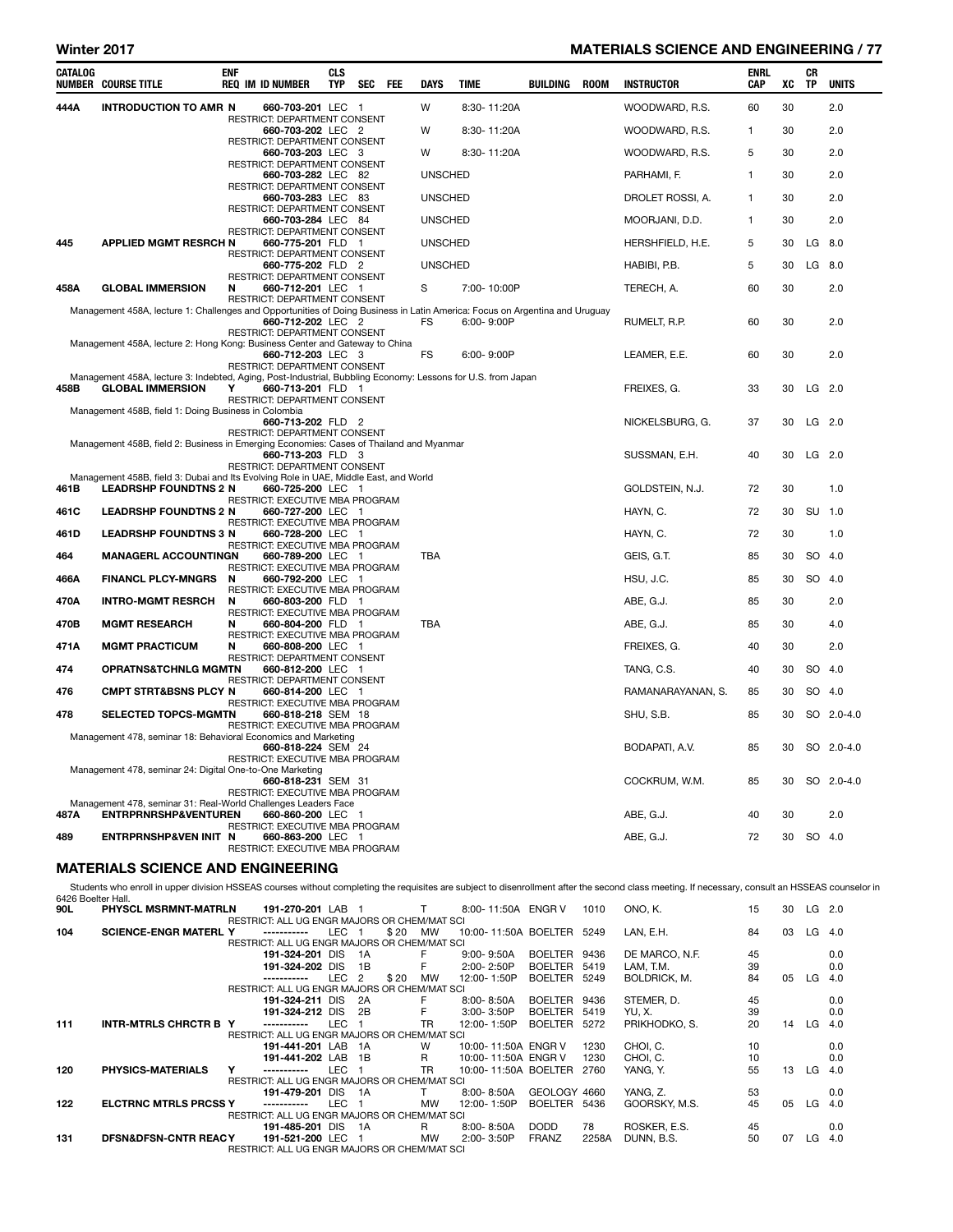#### Winter 2017 MATERIALS SCIENCE AND ENGINEERING / 77

| CATALOG            | <b>NUMBER COURSE TITLE</b>                                                                                                             | enf | REQ IM ID NUMBER                                                                  | <b>CLS</b><br>TYP | SEC | FEE | <b>DAYS</b>    | TIME           | BUILDING | <b>ROOM</b> | <b>INSTRUCTOR</b>                                                                                                                                                                                | ENRL<br><b>CAP</b> | XC | CR<br>TP  | <b>UNITS</b> |
|--------------------|----------------------------------------------------------------------------------------------------------------------------------------|-----|-----------------------------------------------------------------------------------|-------------------|-----|-----|----------------|----------------|----------|-------------|--------------------------------------------------------------------------------------------------------------------------------------------------------------------------------------------------|--------------------|----|-----------|--------------|
| 444A               | <b>INTRODUCTION TO AMR N</b>                                                                                                           |     | 660-703-201 LEC 1<br>RESTRICT: DEPARTMENT CONSENT                                 |                   |     |     | W              | 8:30-11:20A    |          |             | WOODWARD, R.S.                                                                                                                                                                                   | 60                 | 30 |           | 2.0          |
|                    |                                                                                                                                        |     | 660-703-202 LEC 2                                                                 |                   |     |     | W              | 8:30-11:20A    |          |             | WOODWARD, R.S.                                                                                                                                                                                   | 1                  | 30 |           | 2.0          |
|                    |                                                                                                                                        |     | RESTRICT: DEPARTMENT CONSENT<br>660-703-203 LEC 3                                 |                   |     |     | W              | 8:30-11:20A    |          |             | WOODWARD, R.S.                                                                                                                                                                                   | 5                  | 30 |           | 2.0          |
|                    |                                                                                                                                        |     | RESTRICT: DEPARTMENT CONSENT<br>660-703-282 LEC 82                                |                   |     |     | <b>UNSCHED</b> |                |          |             | PARHAMI, F.                                                                                                                                                                                      | $\mathbf{1}$       | 30 |           | 2.0          |
|                    |                                                                                                                                        |     | RESTRICT: DEPARTMENT CONSENT<br>660-703-283 LEC 83                                |                   |     |     | <b>UNSCHED</b> |                |          |             | DROLET ROSSI, A.                                                                                                                                                                                 | 1                  | 30 |           | 2.0          |
|                    |                                                                                                                                        |     | RESTRICT: DEPARTMENT CONSENT<br>660-703-284 LEC 84                                |                   |     |     | <b>UNSCHED</b> |                |          |             | MOORJANI, D.D.                                                                                                                                                                                   | 1                  | 30 |           | 2.0          |
| 445                | <b>APPLIED MGMT RESRCH N</b>                                                                                                           |     | RESTRICT: DEPARTMENT CONSENT<br>660-775-201 FLD 1                                 |                   |     |     | <b>UNSCHED</b> |                |          |             | HERSHFIELD, H.E.                                                                                                                                                                                 | 5                  | 30 | LG        | 8.0          |
|                    |                                                                                                                                        |     | RESTRICT: DEPARTMENT CONSENT<br>660-775-202 FLD 2                                 |                   |     |     | <b>UNSCHED</b> |                |          |             | HABIBI, P.B.                                                                                                                                                                                     | 5                  | 30 |           | LG 8.0       |
| 458A               | <b>GLOBAL IMMERSION</b>                                                                                                                | N   | RESTRICT: DEPARTMENT CONSENT<br>660-712-201 LEC 1                                 |                   |     |     | S              | 7:00-10:00P    |          |             | TERECH, A.                                                                                                                                                                                       | 60                 | 30 |           | 2.0          |
|                    | Management 458A, lecture 1: Challenges and Opportunities of Doing Business in Latin America: Focus on Argentina and Uruguay            |     | RESTRICT: DEPARTMENT CONSENT<br>660-712-202 LEC 2                                 |                   |     |     | FS             | 6:00-9:00P     |          |             | RUMELT, R.P.                                                                                                                                                                                     | 60                 | 30 |           | 2.0          |
|                    | Management 458A, lecture 2: Hong Kong: Business Center and Gateway to China                                                            |     | RESTRICT: DEPARTMENT CONSENT<br>660-712-203 LEC 3                                 |                   |     |     | <b>FS</b>      | $6:00 - 9:00P$ |          |             | LEAMER, E.E.                                                                                                                                                                                     | 60                 | 30 |           | 2.0          |
| 458B               | Management 458A, lecture 3: Indebted, Aging, Post-Industrial, Bubbling Economy: Lessons for U.S. from Japan<br><b>GLOBAL IMMERSION</b> | Y   | RESTRICT: DEPARTMENT CONSENT<br>660-713-201 FLD 1<br>RESTRICT: DEPARTMENT CONSENT |                   |     |     |                |                |          |             | FREIXES, G.                                                                                                                                                                                      | 33                 | 30 |           | $LG$ 2.0     |
|                    | Management 458B, field 1: Doing Business in Colombia                                                                                   |     | 660-713-202 FLD 2<br>RESTRICT: DEPARTMENT CONSENT                                 |                   |     |     |                |                |          |             | NICKELSBURG, G.                                                                                                                                                                                  | 37                 | 30 |           | $LG$ 2.0     |
|                    | Management 458B, field 2: Business in Emerging Economies: Cases of Thailand and Myanmar                                                |     | 660-713-203 FLD 3<br>RESTRICT: DEPARTMENT CONSENT                                 |                   |     |     |                |                |          |             | SUSSMAN, E.H.                                                                                                                                                                                    | 40                 | 30 |           | LG 2.0       |
| 461B               | Management 458B, field 3: Dubai and Its Evolving Role in UAE, Middle East, and World<br><b>LEADRSHP FOUNDTNS 2 N</b>                   |     | 660-725-200 LEC 1<br>RESTRICT: EXECUTIVE MBA PROGRAM                              |                   |     |     |                |                |          |             | GOLDSTEIN, N.J.                                                                                                                                                                                  | 72                 | 30 |           | 1.0          |
| 461C               | <b>LEADRSHP FOUNDTNS 2 N</b>                                                                                                           |     | 660-727-200 LEC 1<br>RESTRICT: EXECUTIVE MBA PROGRAM                              |                   |     |     |                |                |          |             | HAYN, C.                                                                                                                                                                                         | 72                 | 30 | SU 1.0    |              |
| 461D               | <b>LEADRSHP FOUNDTNS 3 N</b>                                                                                                           |     | 660-728-200 LEC 1<br>RESTRICT: EXECUTIVE MBA PROGRAM                              |                   |     |     |                |                |          |             | HAYN, C.                                                                                                                                                                                         | 72                 | 30 |           | 1.0          |
| 464                | <b>MANAGERL ACCOUNTINGN</b>                                                                                                            |     | 660-789-200 LEC 1<br>RESTRICT: EXECUTIVE MBA PROGRAM                              |                   |     |     | <b>TBA</b>     |                |          |             | GEIS, G.T.                                                                                                                                                                                       | 85                 | 30 |           | SO 4.0       |
| 466A               | <b>FINANCL PLCY-MNGRS</b>                                                                                                              | N   | 660-792-200 LEC 1<br>RESTRICT: EXECUTIVE MBA PROGRAM                              |                   |     |     |                |                |          |             | HSU, J.C.                                                                                                                                                                                        | 85                 | 30 |           | SO 4.0       |
| 470A               | <b>INTRO-MGMT RESRCH</b>                                                                                                               | N   | 660-803-200 FLD 1<br>RESTRICT: EXECUTIVE MBA PROGRAM                              |                   |     |     |                |                |          |             | ABE, G.J.                                                                                                                                                                                        | 85                 | 30 |           | 2.0          |
| 470B               | <b>MGMT RESEARCH</b>                                                                                                                   | N   | 660-804-200 FLD 1<br>RESTRICT: EXECUTIVE MBA PROGRAM                              |                   |     |     | <b>TBA</b>     |                |          |             | ABE, G.J.                                                                                                                                                                                        | 85                 | 30 |           | 4.0          |
| 471A               | <b>MGMT PRACTICUM</b>                                                                                                                  | N   | 660-808-200 LEC 1<br>RESTRICT: DEPARTMENT CONSENT                                 |                   |     |     |                |                |          |             | FREIXES, G.                                                                                                                                                                                      | 40                 | 30 |           | 2.0          |
| 474                | <b>OPRATNS&amp;TCHNLG MGMTN</b>                                                                                                        |     | 660-812-200 LEC 1<br>RESTRICT: DEPARTMENT CONSENT                                 |                   |     |     |                |                |          |             | TANG, C.S.                                                                                                                                                                                       | 40                 | 30 |           | SO 4.0       |
| 476                | <b>CMPT STRT&amp;BSNS PLCY N</b>                                                                                                       |     | 660-814-200 LEC 1<br>RESTRICT: EXECUTIVE MBA PROGRAM                              |                   |     |     |                |                |          |             | RAMANARAYANAN, S.                                                                                                                                                                                | 85                 | 30 |           | SO 4.0       |
| 478                | <b>SELECTED TOPCS-MGMTN</b>                                                                                                            |     | 660-818-218 SEM 18<br>RESTRICT: EXECUTIVE MBA PROGRAM                             |                   |     |     |                |                |          |             | SHU, S.B.                                                                                                                                                                                        | 85                 | 30 |           | SO 2.0-4.0   |
|                    | Management 478, seminar 18: Behavioral Economics and Marketing                                                                         |     | 660-818-224 SEM 24<br>RESTRICT: EXECUTIVE MBA PROGRAM                             |                   |     |     |                |                |          |             | Bodapati, A.V.                                                                                                                                                                                   | 85                 | 30 |           | SO 2.0-4.0   |
|                    | Management 478, seminar 24: Digital One-to-One Marketing                                                                               |     | 660-818-231 SEM 31<br>RESTRICT: EXECUTIVE MBA PROGRAM                             |                   |     |     |                |                |          |             | COCKRUM, W.M.                                                                                                                                                                                    | 85                 | 30 |           | SO 2.0-4.0   |
| 487A               | Management 478, seminar 31: Real-World Challenges Leaders Face<br><b>ENTRPRNRSHP&amp;VENTUREN</b>                                      |     | 660-860-200 LEC 1<br>RESTRICT: EXECUTIVE MBA PROGRAM                              |                   |     |     |                |                |          |             | ABE, G.J.                                                                                                                                                                                        | 40                 | 30 |           | 2.0          |
| 489                | ENTRPRNSHP&VEN INIT N                                                                                                                  |     | 660-863-200 LEC 1<br>RESTRICT: EXECUTIVE MBA PROGRAM                              |                   |     |     |                |                |          |             | ABE, G.J.                                                                                                                                                                                        | 72                 |    | 30 SO 4.0 |              |
|                    | <b>MATERIALS SCIENCE AND ENGINEERING</b>                                                                                               |     |                                                                                   |                   |     |     |                |                |          |             |                                                                                                                                                                                                  |                    |    |           |              |
| 6426 Boelter Hall. |                                                                                                                                        |     |                                                                                   |                   |     |     |                |                |          |             | Students who enroll in upper division HSSEAS courses without completing the requisites are subject to disenrollment after the second class meeting. If necessary, consult an HSSEAS counselor in |                    |    |           |              |

90L PHYSCL MSRMNT-MATRLN 191-270-201 LAB 1 T 8:00- 11:50A ENGR V 1010 ONO, K. 15 30 LG 2.0 ALL UG ENGR MAJORS OR CHEM/MAT SCILLARED THE STRICT: ALL UG ENGR MAJORS OR CHEM/MAT SCILLARED THE STRICT: ALL UG ENGR MAJORS OR CHEM/MAT SCILLARED THE STRICT: ALL UG ENGR MAJORS OR CHEM/MAT SCILLARED THE STRICT: ALL UG ENG 104 SCIENCE-ENGR MATERL Y ----------- LEC 1 \$ 20 MW 10:00- 11:50A BOELTER 5249 LAN, E.H. 84 03 LG 4.0 RESTRICT: ALL UG ENGR MAJORS OR CHEM/MAT SCI<br> **191-324-201** DIS 1A F 9:00-9:50A BOELTER 9436 191-324-201 DIS 1A F 9:00- 9:50A BOELTER 9436 DE MARCO, N.F. 45 0.0 191-324-202 DIS 1B F 2:00- 2:50P BOELTER 5419 LAM, T.M. 39 0.0 LEC 2 \$ 20 MW 12:00- 1:50P BOELTER 5249 BOLDRICK, M. 84 05 LG 4.0 RESTRICT: ALL UG ENGR MAJORS OR CHEM/MAT SCI<br>191-324-211 DIS 2A F 8:00-8:50A<br>191-324-212 DIS 2B F 3:00-3:50P 191-324-211 DIS 2A F 8:00-8:50A BOELTER 9436 STEMER, D. 45 0.0<br>191-324-212 DIS 2B F 3:00-3:50P BOELTER 5419 YU.X. 39 0.0 191-324-212 DIS 2B F 3:00-3:50P BOELTER 5419 YU, X. 39 39 0.0<br>1911 **INTR-MTRLS CHRCTR B Y** ----------- LEC 1 TR 12:00-1:50P BOELTER 5272 PRIKHODKO, S. 20 14 LG 4.0 1111 12:00-1:50P BOELTER 5272 PRIKHODKO, S. 20 RESTRICT: ALL UG ENGR MAJORS OR CHEM/MAT SCI<br>191-441-201 LAB 1A W 10:00-11:50A ENGR V 191-441-201 LAB 1A W 10:00- 11:50A ENGR V 1230 CHOI, C. 10 0.0 191-441-202 LAB 1B R 10:00- 11:50A ENGR V 1230 CHOI, C. 10 10 0.0<br>191-441-202 LAB 1B R 10:00- 11:50A BOELTER 2760 YANG, Y. 55 13 LG 4.0 10:00 PHYSICS-MATERIALS 10:00- 11:50A BOELTER 2760 RESTRICT: ALL UG ENGR MAJORS OR CHEM/MAT SCI<br>191-479-201 DIS 1A T 8:00-8:50A 191-479-201 DIS 1A T 8:00-8:50A GEOLOGY 4660 YANG, Z. 53 0.0<br>191-479-201 DIS 1A T 8:00-8:50A GEOLOGY 4660 YANG, Z. 53 0.0<br>191-479-201 DIS 1A T 8:00-1:50P BOELTER 5436 GOORSKY, M.S. 45 05 LG 4.0 12:00-1:50P BOELTER 5436 RESTRICT: ALL UG ENGR MAJORS OR CHEM/MAT SCI<br>191-485-201 DIS 1A R 8:00-8:50A 191-485-201 DIS 1A R 8:00- 8:50A DODD 78 ROSKER, E.S. 45 0.0 131 DFSN&DFSN-CNTR REACY 191-521-200 LEC 1 MW 2:00- 3:50P FRANZ 2258A DUNN, B.S. 50 07 LG 4.0 RESTRICT: ALL UG ENGR MAJORS OR CHEM/MAT SCI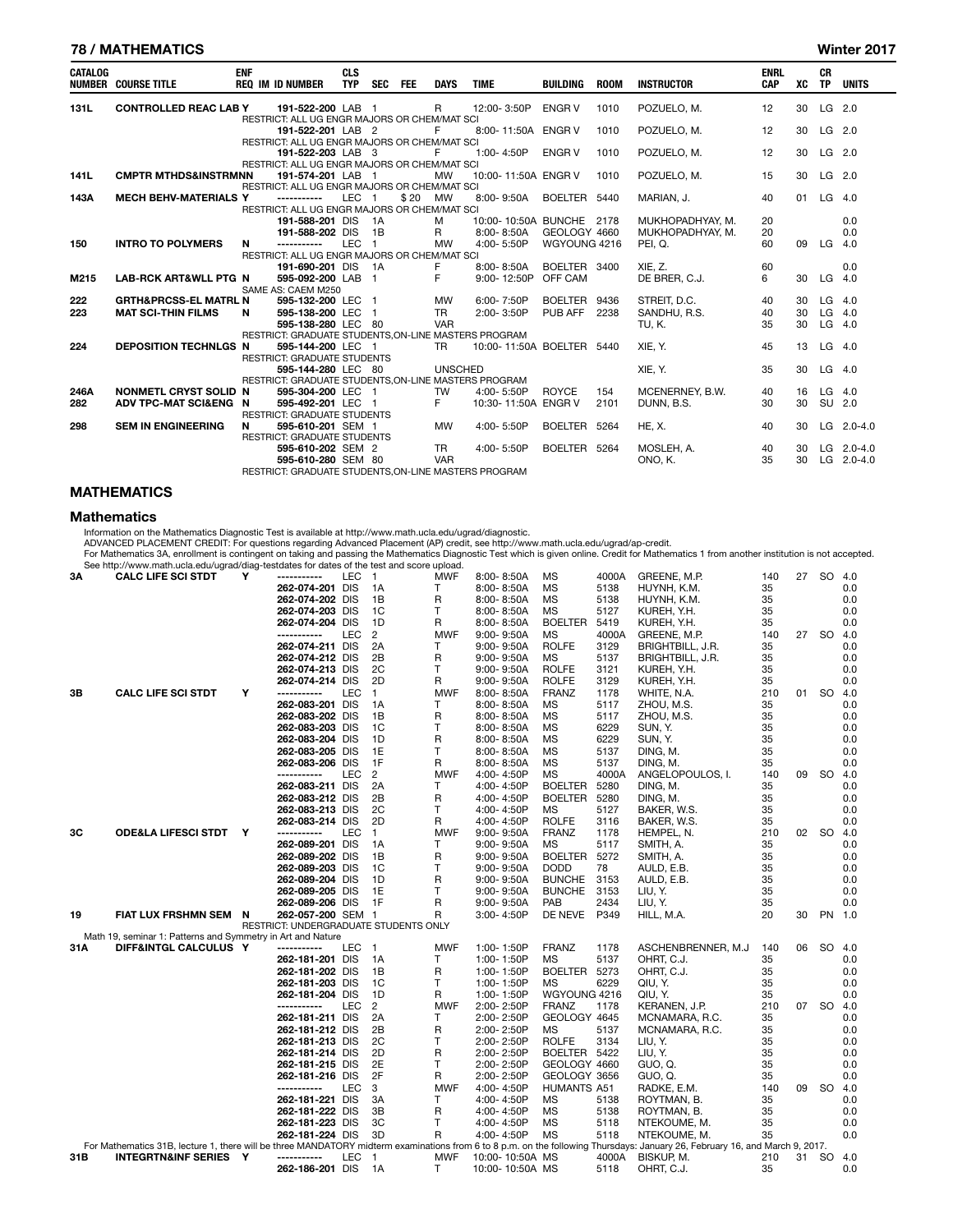#### 78 / MATHEMATICS Winter 2017

| <b>CATALOG</b> | <b>NUMBER COURSE TITLE</b>       | <b>ENF</b> | <b>REQ IM ID NUMBER</b>                                           | <b>CLS</b><br><b>TYP</b> | SEC FEE |         | <b>DAYS</b>    | <b>TIME</b>               | <b>BUILDING</b> | <b>ROOM</b> | <b>INSTRUCTOR</b> | <b>ENRL</b><br><b>CAP</b> | XC | <b>CR</b><br><b>TP</b> | <b>UNITS</b>   |
|----------------|----------------------------------|------------|-------------------------------------------------------------------|--------------------------|---------|---------|----------------|---------------------------|-----------------|-------------|-------------------|---------------------------|----|------------------------|----------------|
| 131L           | <b>CONTROLLED REAC LAB Y</b>     |            | 191-522-200 LAB 1                                                 |                          |         |         | $\mathsf{R}$   | 12:00-3:50P               | <b>ENGR V</b>   | 1010        | POZUELO. M.       | 12                        | 30 | LG 2.0                 |                |
|                |                                  |            | RESTRICT: ALL UG ENGR MAJORS OR CHEM/MAT SCI<br>191-522-201 LAB 2 |                          |         |         | F.             | 8:00-11:50A ENGR V        |                 | 1010        | POZUELO, M.       | 12                        | 30 | $LG$ 2.0               |                |
|                |                                  |            | RESTRICT: ALL UG ENGR MAJORS OR CHEM/MAT SCI                      |                          |         |         |                |                           |                 |             |                   |                           |    |                        |                |
|                |                                  |            | 191-522-203 LAB 3                                                 |                          |         |         | F.             | 1:00-4:50P                | <b>ENGR V</b>   | 1010        | POZUELO. M.       | 12                        | 30 | LG 2.0                 |                |
|                |                                  |            | RESTRICT: ALL UG ENGR MAJORS OR CHEM/MAT SCI                      |                          |         |         |                |                           |                 |             |                   |                           |    |                        |                |
| 141L           | <b>CMPTR MTHDS&amp;INSTRMNN</b>  |            | 191-574-201 LAB 1                                                 |                          |         |         | MW             | 10:00-11:50A ENGR V       |                 | 1010        | POZUELO. M.       | 15                        | 30 | $LG$ 2.0               |                |
|                |                                  |            | RESTRICT: ALL UG ENGR MAJORS OR CHEM/MAT SCI                      |                          |         |         |                |                           |                 |             |                   |                           |    |                        |                |
| 143A           | <b>MECH BEHV-MATERIALS Y</b>     |            | -----------                                                       | LEC <sub>1</sub>         |         | \$20 MW |                | 8:00-9:50A                | BOELTER 5440    |             | MARIAN, J.        | 40                        | 01 | LG 4.0                 |                |
|                |                                  |            | RESTRICT: ALL UG ENGR MAJORS OR CHEM/MAT SCI                      |                          |         |         |                |                           |                 |             |                   |                           |    |                        |                |
|                |                                  |            | 191-588-201 DIS 1A                                                |                          |         |         | M              | 10:00-10:50A BUNCHE 2178  |                 |             | MUKHOPADHYAY, M.  | 20                        |    |                        | 0.0            |
|                |                                  |            | 191-588-202 DIS 1B                                                |                          |         |         | $\mathsf{R}$   | 8:00-8:50A                | GEOLOGY 4660    |             | MUKHOPADHYAY, M.  | 20                        |    |                        | 0.0            |
| 150            | <b>INTRO TO POLYMERS</b>         | N          | -----------                                                       | LEC <sub>1</sub>         |         |         | MW             | 4:00-5:50P                | WGYOUNG 4216    |             | PEI, Q.           | 60                        | 09 | LG                     | 4.0            |
|                |                                  |            | RESTRICT: ALL UG ENGR MAJORS OR CHEM/MAT SCI                      |                          |         |         |                |                           |                 |             |                   |                           |    |                        |                |
|                |                                  |            | 191-690-201 DIS 1A                                                |                          |         |         | F              | 8:00-8:50A                | BOELTER 3400    |             | XIE. Z.           | 60                        |    |                        | 0.0            |
| M215           | <b>LAB-RCK ART&amp;WLL PTG N</b> |            | 595-092-200 LAB 1                                                 |                          |         |         | F              | 9:00-12:50P OFF CAM       |                 |             | DE BRER, C.J.     | 6                         | 30 | LG.                    | 4.0            |
|                |                                  |            | SAME AS: CAEM M250                                                |                          |         |         |                |                           |                 |             |                   |                           |    |                        |                |
| 222            | <b>GRTH&amp;PRCSS-EL MATRL N</b> |            | 595-132-200 LEC 1                                                 |                          |         |         | MW             | 6:00-7:50P                | BOELTER 9436    |             | STREIT, D.C.      | 40                        | 30 | LG                     | 4.0            |
| 223            | <b>MAT SCI-THIN FILMS</b>        | N          | 595-138-200 LEC 1                                                 |                          |         |         | <b>TR</b>      | 2:00-3:50P                | PUB AFF         | 2238        | SANDHU, R.S.      | 40                        | 30 | LG                     | 4.0            |
|                |                                  |            | 595-138-280 LEC 80                                                |                          |         |         | <b>VAR</b>     |                           |                 |             | TU. K.            | 35                        | 30 | $LG$ 4.0               |                |
|                |                                  |            | RESTRICT: GRADUATE STUDENTS, ON-LINE MASTERS PROGRAM              |                          |         |         |                |                           |                 |             |                   |                           |    |                        |                |
| 224            | <b>DEPOSITION TECHNLGS N</b>     |            | 595-144-200 LEC 1                                                 |                          |         |         | TR.            | 10:00-11:50A BOELTER 5440 |                 |             | XIE, Y.           | 45                        | 13 | $LG$ 4.0               |                |
|                |                                  |            | <b>RESTRICT: GRADUATE STUDENTS</b>                                |                          |         |         |                |                           |                 |             |                   |                           |    |                        |                |
|                |                                  |            | 595-144-280 LEC 80                                                |                          |         |         | <b>UNSCHED</b> |                           |                 |             | XIE, Y.           | 35                        | 30 | $LG$ 4.0               |                |
|                |                                  |            | RESTRICT: GRADUATE STUDENTS.ON-LINE MASTERS PROGRAM               |                          |         |         |                |                           |                 |             |                   |                           |    |                        |                |
| 246A           | NONMETL CRYST SOLID N            |            | 595-304-200 LEC 1                                                 |                          |         |         | TW             | 4:00-5:50P                | <b>ROYCE</b>    | 154         | MCENERNEY, B.W.   | 40                        | 16 | $LG$ 4.0               |                |
| 282            | ADV TPC-MAT SCIŊ N               |            | 595-492-201 LEC 1                                                 |                          |         |         | F.             | 10:30-11:50A ENGR V       |                 | 2101        | DUNN, B.S.        | 30                        | 30 | SU 2.0                 |                |
|                |                                  |            | <b>RESTRICT: GRADUATE STUDENTS</b>                                |                          |         |         |                |                           |                 |             |                   |                           |    |                        |                |
| 298            | <b>SEM IN ENGINEERING</b>        | N          | 595-610-201 SEM 1                                                 |                          |         |         | MW             | 4:00-5:50P                | BOELTER 5264    |             | <b>HE. X.</b>     | 40                        | 30 |                        | LG 2.0-4.0     |
|                |                                  |            | <b>RESTRICT: GRADUATE STUDENTS</b>                                |                          |         |         |                |                           |                 |             |                   |                           |    |                        |                |
|                |                                  |            | 595-610-202 SEM 2                                                 |                          |         |         | TR.            | 4:00-5:50P                | BOELTER 5264    |             | MOSLEH, A.        | 40                        | 30 |                        | LG $2.0 - 4.0$ |
|                |                                  |            | 595-610-280 SEM 80                                                |                          |         |         | <b>VAR</b>     |                           |                 |             | ONO. K.           | 35                        | 30 | LG                     | $2.0 - 4.0$    |
|                |                                  |            | RESTRICT: GRADUATE STUDENTS.ON-LINE MASTERS PROGRAM               |                          |         |         |                |                           |                 |             |                   |                           |    |                        |                |

#### **MATHEMATICS**

#### **Mathematics**

Information on the Mathematics Diagnostic Test is available at http://www.math.ucla.edu/ugrad/diagnostic.<br>ADVANCED PLACEMENT CREDIT: For questions regarding Advanced Placement (AP) credit, see http://www.math.ucla.edu/ugr

| 3A  | occ m.p.//www.main.ucla.cuu/ugrau/ulay<br><b>CALC LIFE SCI STDT</b>                                                                                                         | Υ | τοσιααιοσ τοι ααιοσ οι τησ τοσι απα σουτο<br>----------- | LEC | $\overline{1}$ | upivau<br><b>MWF</b> | 8:00-8:50A      | <b>MS</b>          | 4000A | GREENE, M.P.        | 140 | 27 | <b>SO</b> | 4.0 |
|-----|-----------------------------------------------------------------------------------------------------------------------------------------------------------------------------|---|----------------------------------------------------------|-----|----------------|----------------------|-----------------|--------------------|-------|---------------------|-----|----|-----------|-----|
|     |                                                                                                                                                                             |   | 262-074-201 DIS                                          |     | 1A             | T                    | 8:00-8:50A      | <b>MS</b>          | 5138  | HUYNH, K.M.         | 35  |    |           | 0.0 |
|     |                                                                                                                                                                             |   | 262-074-202 DIS                                          |     | 1B             | R                    | 8:00-8:50A      | MS                 | 5138  | HUYNH, K.M.         | 35  |    |           | 0.0 |
|     |                                                                                                                                                                             |   | 262-074-203 DIS                                          |     | 1C             | т                    | 8:00-8:50A      | <b>MS</b>          | 5127  | KUREH, Y.H.         | 35  |    |           | 0.0 |
|     |                                                                                                                                                                             |   | 262-074-204 DIS                                          |     | 1D             | R                    | 8:00-8:50A      | <b>BOELTER</b>     | 5419  |                     | 35  |    |           | 0.0 |
|     |                                                                                                                                                                             |   | -----------                                              | LEC |                |                      |                 |                    |       | KUREH, Y.H.         |     | 27 |           |     |
|     |                                                                                                                                                                             |   |                                                          |     | 2              | <b>MWF</b>           | $9:00 - 9:50A$  | <b>MS</b>          | 4000A | GREENE, M.P.        | 140 |    | SO 4.0    |     |
|     |                                                                                                                                                                             |   | 262-074-211 DIS                                          |     | 2A             | T                    | $9:00 - 9:50A$  | <b>ROLFE</b>       | 3129  | BRIGHTBILL, J.R.    | 35  |    |           | 0.0 |
|     |                                                                                                                                                                             |   | 262-074-212 DIS                                          |     | 2B             | R                    | $9:00 - 9:50A$  | <b>MS</b>          | 5137  | BRIGHTBILL, J.R.    | 35  |    |           | 0.0 |
|     |                                                                                                                                                                             |   | 262-074-213 DIS                                          |     | 2C             | T                    | $9:00 - 9:50A$  | <b>ROLFE</b>       | 3121  | KUREH, Y.H.         | 35  |    |           | 0.0 |
|     |                                                                                                                                                                             |   | 262-074-214 DIS                                          |     | 2D             | R                    | $9:00 - 9:50A$  | <b>ROLFE</b>       | 3129  | KUREH, Y.H.         | 35  |    |           | 0.0 |
| 3B  | <b>CALC LIFE SCI STDT</b>                                                                                                                                                   | Υ | -----------                                              | LEC | 1              | <b>MWF</b>           | 8:00-8:50A      | <b>FRANZ</b>       | 1178  | WHITE, N.A.         | 210 |    | 01 SO 4.0 |     |
|     |                                                                                                                                                                             |   | 262-083-201 DIS                                          |     | 1A             | T                    | 8:00-8:50A      | <b>MS</b>          | 5117  | ZHOU, M.S.          | 35  |    |           | 0.0 |
|     |                                                                                                                                                                             |   | 262-083-202 DIS                                          |     | 1B             | R                    | 8:00-8:50A      | MS                 | 5117  | ZHOU, M.S.          | 35  |    |           | 0.0 |
|     |                                                                                                                                                                             |   | 262-083-203 DIS                                          |     | 1C             | Т                    | $8:00 - 8:50A$  | <b>MS</b>          | 6229  | SUN, Y.             | 35  |    |           | 0.0 |
|     |                                                                                                                                                                             |   | 262-083-204 DIS                                          |     | 1D             | R                    | $8:00 - 8:50A$  | <b>MS</b>          | 6229  | SUN, Y.             | 35  |    |           | 0.0 |
|     |                                                                                                                                                                             |   | 262-083-205 DIS                                          |     | 1E             | $\mathsf{T}$         | 8:00-8:50A      | <b>MS</b>          | 5137  | DING, M.            | 35  |    |           | 0.0 |
|     |                                                                                                                                                                             |   | 262-083-206 DIS                                          |     | 1F             | R                    | 8:00-8:50A      | MS                 | 5137  | DING, M.            | 35  |    |           | 0.0 |
|     |                                                                                                                                                                             |   | -----------                                              | LEC | 2              | <b>MWF</b>           | 4:00-4:50P      | MS                 | 4000A | ANGELOPOULOS, I.    | 140 | 09 | <b>SO</b> | 4.0 |
|     |                                                                                                                                                                             |   | 262-083-211 DIS                                          |     | 2A             | T                    | 4:00-4:50P      | <b>BOELTER</b>     | 5280  | DING, M.            | 35  |    |           | 0.0 |
|     |                                                                                                                                                                             |   | 262-083-212 DIS                                          |     | 2B             | R                    | 4:00-4:50P      | <b>BOELTER</b>     | 5280  | DING, M.            | 35  |    |           | 0.0 |
|     |                                                                                                                                                                             |   | 262-083-213 DIS                                          |     | 2C             | T                    | 4:00-4:50P      | MS                 | 5127  | BAKER, W.S.         | 35  |    |           | 0.0 |
|     |                                                                                                                                                                             |   | 262-083-214 DIS                                          |     | 2D             | R                    | 4:00-4:50P      | <b>ROLFE</b>       | 3116  | BAKER, W.S.         | 35  |    |           | 0.0 |
| 3C  | <b>ODE&amp;LA LIFESCI STDT Y</b>                                                                                                                                            |   | -----------                                              | LEC | $\mathbf{1}$   | <b>MWF</b>           | 9:00-9:50A      | <b>FRANZ</b>       | 1178  | HEMPEL, N.          | 210 | 02 | <b>SO</b> | 4.0 |
|     |                                                                                                                                                                             |   | 262-089-201 DIS                                          |     | 1A             | T                    | $9:00 - 9:50A$  | MS                 | 5117  | SMITH, A.           | 35  |    |           | 0.0 |
|     |                                                                                                                                                                             |   | 262-089-202 DIS                                          |     | 1B             | R                    | $9:00 - 9:50A$  | <b>BOELTER</b>     | 5272  | SMITH, A.           | 35  |    |           | 0.0 |
|     |                                                                                                                                                                             |   | 262-089-203 DIS                                          |     | 1C             | T                    | $9:00 - 9:50A$  | <b>DODD</b>        | 78    | AULD, E.B.          | 35  |    |           | 0.0 |
|     |                                                                                                                                                                             |   | 262-089-204 DIS                                          |     | 1D             | R                    | $9:00 - 9:50A$  | <b>BUNCHE</b>      | 3153  | AULD, E.B.          | 35  |    |           | 0.0 |
|     |                                                                                                                                                                             |   | 262-089-205 DIS                                          |     | 1E             | T                    | $9:00 - 9:50A$  | <b>BUNCHE</b>      | 3153  | LIU, Y.             | 35  |    |           | 0.0 |
|     |                                                                                                                                                                             |   | 262-089-206 DIS                                          |     | 1F             | R                    | $9:00 - 9:50A$  | PAB                | 2434  | LIU, Y.             | 35  |    |           | 0.0 |
| 19  | FIAT LUX FRSHMN SEM                                                                                                                                                         | N | 262-057-200 SEM 1                                        |     |                | R                    | 3:00-4:50P      | DE NEVE            | P349  | HILL, M.A.          | 20  | 30 | PN 1.0    |     |
|     |                                                                                                                                                                             |   | RESTRICT: UNDERGRADUATE STUDENTS ONLY                    |     |                |                      |                 |                    |       |                     |     |    |           |     |
|     | Math 19, seminar 1: Patterns and Symmetry in Art and Nature                                                                                                                 |   |                                                          |     |                |                      |                 |                    |       |                     |     |    |           |     |
| 31A | DIFF&INTGL CALCULUS Y                                                                                                                                                       |   | -----------                                              | LEC | $\overline{1}$ | <b>MWF</b>           | 1:00-1:50P      | <b>FRANZ</b>       | 1178  | ASCHENBRENNER, M.J. | 140 | 06 | <b>SO</b> | 4.0 |
|     |                                                                                                                                                                             |   | 262-181-201 DIS                                          |     | 1A             | T                    | 1:00-1:50P      | <b>MS</b>          | 5137  | OHRT, C.J.          | 35  |    |           | 0.0 |
|     |                                                                                                                                                                             |   | 262-181-202 DIS                                          |     | 1B             | R                    | 1:00-1:50P      | <b>BOELTER</b>     | 5273  | OHRT, C.J.          | 35  |    |           | 0.0 |
|     |                                                                                                                                                                             |   | 262-181-203 DIS                                          |     | 1C             | T                    | 1:00-1:50P      | MS                 | 6229  | QIU, Y.             | 35  |    |           | 0.0 |
|     |                                                                                                                                                                             |   | 262-181-204 DIS                                          |     | 1D             | R                    | 1:00-1:50P      | WGYOUNG 4216       |       | QIU, Y.             | 35  |    |           | 0.0 |
|     |                                                                                                                                                                             |   | -----------                                              | LEC |                | <b>MWF</b>           |                 |                    | 1178  |                     |     | 07 | SO 4.0    |     |
|     |                                                                                                                                                                             |   |                                                          |     | 2              |                      | 2:00-2:50P      | <b>FRANZ</b>       |       | KERANEN, J.P.       | 210 |    |           |     |
|     |                                                                                                                                                                             |   | 262-181-211 DIS                                          |     | 2A             | Т                    | 2:00-2:50P      | GEOLOGY 4645       |       | MCNAMARA, R.C.      | 35  |    |           | 0.0 |
|     |                                                                                                                                                                             |   | 262-181-212 DIS                                          |     | 2B             | R                    | 2:00-2:50P      | MS                 | 5137  | MCNAMARA, R.C.      | 35  |    |           | 0.0 |
|     |                                                                                                                                                                             |   | 262-181-213 DIS                                          |     | 2C             | т                    | 2:00-2:50P      | <b>ROLFE</b>       | 3134  | LIU, Y.             | 35  |    |           | 0.0 |
|     |                                                                                                                                                                             |   | 262-181-214 DIS                                          |     | 2D             | R                    | 2:00-2:50P      | BOELTER 5422       |       | LIU, Y.             | 35  |    |           | 0.0 |
|     |                                                                                                                                                                             |   | 262-181-215 DIS                                          |     | 2E             | T                    | 2:00-2:50P      | GEOLOGY 4660       |       | GUO, Q.             | 35  |    |           | 0.0 |
|     |                                                                                                                                                                             |   | 262-181-216 DIS                                          |     | 2F             | R                    | 2:00-2:50P      | GEOLOGY 3656       |       | GUO, Q.             | 35  |    |           | 0.0 |
|     |                                                                                                                                                                             |   | -----------                                              | LEC | 3              | <b>MWF</b>           | 4:00-4:50P      | <b>HUMANTS A51</b> |       | RADKE, E.M.         | 140 | 09 | SO 4.0    |     |
|     |                                                                                                                                                                             |   | 262-181-221 DIS                                          |     | ЗA             | Т                    | 4:00-4:50P      | MS                 | 5138  | ROYTMAN, B.         | 35  |    |           | 0.0 |
|     |                                                                                                                                                                             |   | 262-181-222 DIS                                          |     | 3B             | R                    | 4:00-4:50P      | <b>MS</b>          | 5138  | ROYTMAN, B.         | 35  |    |           | 0.0 |
|     |                                                                                                                                                                             |   | 262-181-223 DIS                                          |     | 3C             | T                    | 4:00-4:50P      | <b>MS</b>          | 5118  | NTEKOUME, M.        | 35  |    |           | 0.0 |
|     |                                                                                                                                                                             |   | 262-181-224 DIS                                          |     | 3D             | R                    | 4:00-4:50P      | <b>MS</b>          | 5118  | NTEKOUME, M.        | 35  |    |           | 0.0 |
|     | For Mathematics 31B, lecture 1, there will be three MANDATORY midterm examinations from 6 to 8 p.m. on the following Thursdays: January 26, February 16, and March 9, 2017. |   |                                                          |     |                |                      |                 |                    |       |                     |     |    |           |     |
| 31B | <b>INTEGRTN&amp;INF SERIES Y</b>                                                                                                                                            |   | -----------                                              | LEC | $\overline{1}$ | MWF                  | 10:00-10:50A MS |                    | 4000A | BISKUP, M.          | 210 |    | 31 SO 4.0 |     |
|     |                                                                                                                                                                             |   | 262-186-201 DIS                                          |     | - 1A           | Т                    | 10:00-10:50A MS |                    | 5118  | OHRT, C.J.          | 35  |    |           | 0.0 |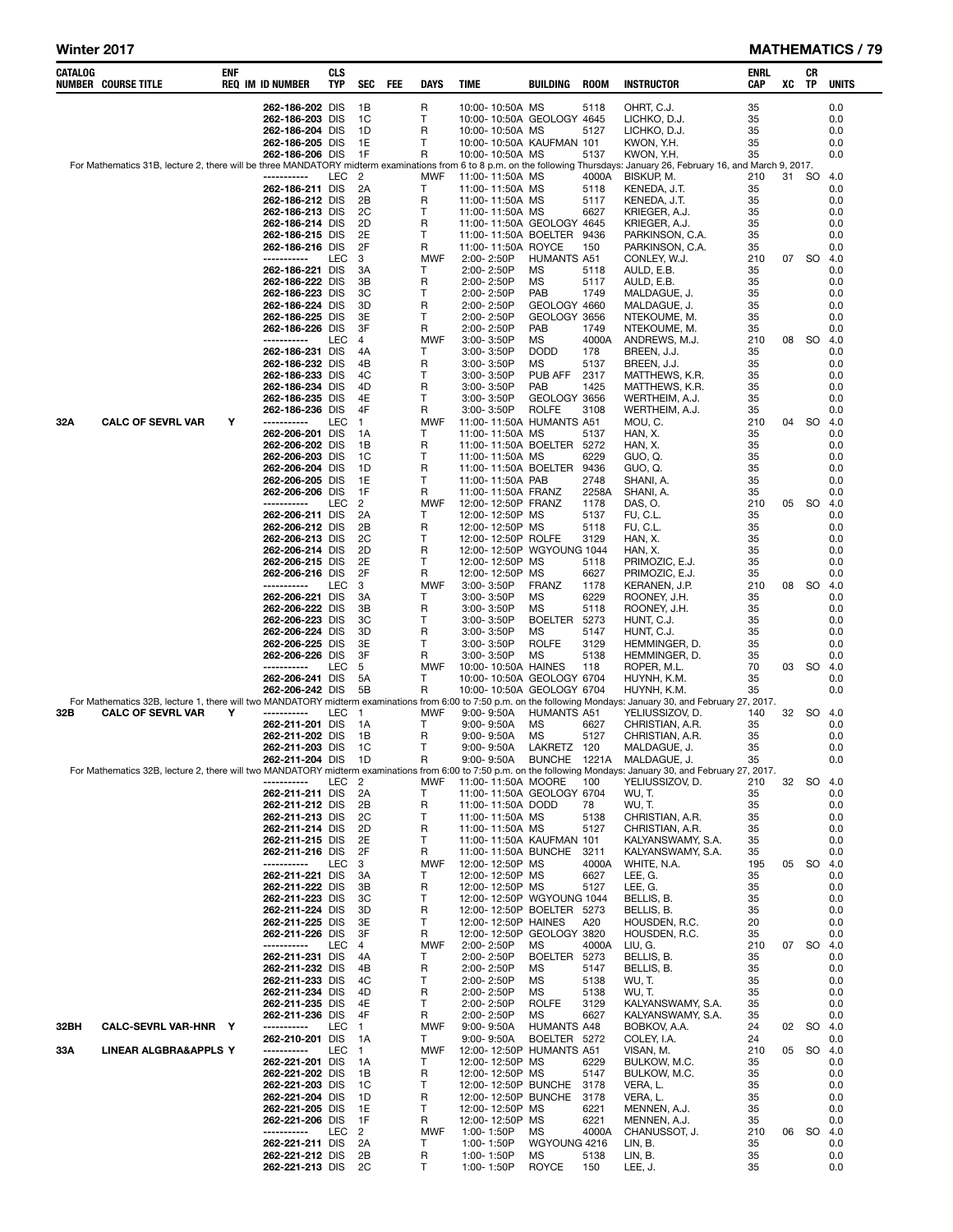### Winter 2017 MATHEMATICS / 79

L

| CATALOG | NUMBER COURSE TITLE      | ENF | <b>REQ IM ID NUMBER</b>            | <b>CLS</b><br>TYP | <b>SEC</b>         | <b>FEE</b> | DAYS            | TIME                                                   | BUILDING                     | <b>ROOM</b>   | <b>INSTRUCTOR</b>                                                                                                                                                                    | ENRL<br>CAP | XC    | CR<br>TP | <b>UNITS</b> |
|---------|--------------------------|-----|------------------------------------|-------------------|--------------------|------------|-----------------|--------------------------------------------------------|------------------------------|---------------|--------------------------------------------------------------------------------------------------------------------------------------------------------------------------------------|-------------|-------|----------|--------------|
|         |                          |     | 262-186-202 DIS                    |                   | 1B                 |            | R               | 10:00-10:50A MS                                        |                              | 5118          | OHRT, C.J.                                                                                                                                                                           | 35          |       |          | 0.0          |
|         |                          |     | 262-186-203 DIS                    |                   | 1C                 |            | т               | 10:00-10:50A GEOLOGY 4645                              |                              |               | LICHKO, D.J.                                                                                                                                                                         | 35          |       |          | 0.0          |
|         |                          |     | 262-186-204 DIS<br>262-186-205 DIS |                   | 1D<br>1E           |            | R<br>т          | 10:00-10:50A MS<br>10:00-10:50A KAUFMAN 101            |                              | 5127          | LICHKO, D.J.<br>KWON, Y.H.                                                                                                                                                           | 35<br>35    |       |          | 0.0<br>0.0   |
|         |                          |     | 262-186-206 DIS                    |                   | 1F                 |            | R               | 10:00-10:50A MS                                        |                              | 5137          | KWON, Y.H.                                                                                                                                                                           | 35          |       |          | 0.0          |
|         |                          |     |                                    |                   |                    |            |                 |                                                        |                              |               | For Mathematics 31B, lecture 2, there will be three MANDATORY midterm examinations from 6 to 8 p.m. on the following Thursdays: January 26, February 16, and March 9, 2017.          |             |       |          |              |
|         |                          |     | -----------<br>262-186-211 DIS     | LEC               | -2<br>2A           |            | <b>MWF</b><br>т | 11:00-11:50A MS<br>11:00-11:50A MS                     |                              | 4000A<br>5118 | BISKUP, M.<br>KENEDA, J.T.                                                                                                                                                           | 210<br>35   | 31 SO |          | 4.0<br>0.0   |
|         |                          |     | 262-186-212 DIS                    |                   | 2Β                 |            | R               | 11:00-11:50A MS                                        |                              | 5117          | KENEDA, J.T.                                                                                                                                                                         | 35          |       |          | 0.0          |
|         |                          |     | 262-186-213 DIS                    |                   | 2C                 |            | т               | 11:00-11:50A MS                                        |                              | 6627          | KRIEGER, A.J.                                                                                                                                                                        | 35          |       |          | 0.0          |
|         |                          |     | 262-186-214 DIS<br>262-186-215 DIS |                   | 2D<br>2E           |            | R<br>Τ          | 11:00-11:50A GEOLOGY 4645<br>11:00-11:50A BOELTER 9436 |                              |               | KRIEGER, A.J.<br>PARKINSON, C.A.                                                                                                                                                     | 35<br>35    |       |          | 0.0<br>0.0   |
|         |                          |     | 262-186-216 DIS                    |                   | 2F                 |            | R               | 11:00-11:50A ROYCE                                     |                              | 150           | PARKINSON, C.A.                                                                                                                                                                      | 35          |       |          | 0.0          |
|         |                          |     | -----------                        | LEC               | 3                  |            | <b>MWF</b>      | 2:00-2:50P                                             | <b>HUMANTS A51</b>           |               | CONLEY, W.J.                                                                                                                                                                         | 210         | 07    | SO       | 4.0          |
|         |                          |     | 262-186-221 DIS<br>262-186-222 DIS |                   | 3A<br>3B           |            | т<br>R          | 2:00-2:50P<br>2:00-2:50P                               | ΜS<br>ΜS                     | 5118<br>5117  | AULD, E.B.<br>AULD, E.B.                                                                                                                                                             | 35<br>35    |       |          | 0.0<br>0.0   |
|         |                          |     | 262-186-223 DIS                    |                   | ЗC                 |            | т               | 2:00-2:50P                                             | PAB                          | 1749          | MALDAGUE, J.                                                                                                                                                                         | 35          |       |          | 0.0          |
|         |                          |     | 262-186-224 DIS                    |                   | 3D                 |            | R               | 2:00-2:50P                                             | GEOLOGY 4660                 |               | MALDAGUE, J.                                                                                                                                                                         | 35          |       |          | 0.0          |
|         |                          |     | 262-186-225 DIS<br>262-186-226 DIS |                   | 3E<br>3F           |            | т<br>R          | 2:00-2:50P<br>2:00-2:50P                               | GEOLOGY 3656<br>PAB          | 1749          | NTEKOUME, M.<br>NTEKOUME, M.                                                                                                                                                         | 35<br>35    |       |          | 0.0<br>0.0   |
|         |                          |     | -----------                        | LEC               | 4                  |            | <b>MWF</b>      | 3:00-3:50P                                             | ΜS                           | 4000A         | ANDREWS, M.J.                                                                                                                                                                        | 210         |       | 08 SO    | 4.0          |
|         |                          |     | 262-186-231 DIS                    |                   | 4A                 |            | $\mathsf{T}$    | 3:00-3:50P                                             | <b>DODD</b>                  | 178           | BREEN, J.J.                                                                                                                                                                          | 35          |       |          | 0.0          |
|         |                          |     | 262-186-232 DIS<br>262-186-233 DIS |                   | 4B<br>4C           |            | R<br>т          | 3:00-3:50P<br>3:00- 3:50P                              | ΜS<br>PUB AFF                | 5137<br>2317  | BREEN, J.J.<br>MATTHEWS, K.R.                                                                                                                                                        | 35<br>35    |       |          | 0.0<br>0.0   |
|         |                          |     | 262-186-234 DIS                    |                   | 4D                 |            | R               | 3:00-3:50P                                             | <b>PAB</b>                   | 1425          | MATTHEWS, K.R.                                                                                                                                                                       | 35          |       |          | 0.0          |
|         |                          |     | 262-186-235 DIS                    |                   | 4E                 |            | T               | 3:00-3:50P                                             | GEOLOGY 3656                 |               | WERTHEIM, A.J.                                                                                                                                                                       | 35          |       |          | 0.0          |
| 32A     | CALC OF SEVRL VAR        | Y   | 262-186-236 DIS<br>-----------     | LEC               | 4F<br>$\mathbf{1}$ |            | R<br><b>MWF</b> | 3:00-3:50P<br>11:00-11:50A HUMANTS A51                 | <b>ROLFE</b>                 | 3108          | WERTHEIM, A.J.<br>MOU, C.                                                                                                                                                            | 35<br>210   | 04    | SO       | 0.0<br>4.0   |
|         |                          |     | 262-206-201 DIS                    |                   | 1А                 |            | T               | 11:00-11:50A MS                                        |                              | 5137          | HAN, X.                                                                                                                                                                              | 35          |       |          | 0.0          |
|         |                          |     | 262-206-202 DIS                    |                   | 1В                 |            | R               | 11:00-11:50A BOELTER 5272                              |                              |               | HAN, X.                                                                                                                                                                              | 35          |       |          | 0.0          |
|         |                          |     | 262-206-203 DIS                    |                   | 1C                 |            | т               | 11:00-11:50A MS                                        |                              | 6229          | GUO, Q.<br>GUO, Q.                                                                                                                                                                   | 35<br>35    |       |          | 0.0<br>0.0   |
|         |                          |     | 262-206-204 DIS<br>262-206-205 DIS |                   | 1D<br>1E           |            | R<br>Т          | 11:00-11:50A BOELTER<br>11:00-11:50A PAB               |                              | 9436<br>2748  | SHANI, A.                                                                                                                                                                            | 35          |       |          | 0.0          |
|         |                          |     | 262-206-206 DIS                    |                   | 1F                 |            | R               | 11:00-11:50A FRANZ                                     |                              | 2258A         | SHANI, A.                                                                                                                                                                            | 35          |       |          | 0.0          |
|         |                          |     | -----------                        | LEC               | 2                  |            | MWF<br>т        | 12:00-12:50P FRANZ                                     |                              | 1178          | DAS, O.                                                                                                                                                                              | 210         | 05    | - SO     | 4.0          |
|         |                          |     | 262-206-211 DIS<br>262-206-212 DIS |                   | 2A<br>2B           |            | R               | 12:00-12:50P MS<br>12:00-12:50P MS                     |                              | 5137<br>5118  | FU, C.L.<br>FU, C.L.                                                                                                                                                                 | 35<br>35    |       |          | 0.0<br>0.0   |
|         |                          |     | 262-206-213 DIS                    |                   | 2C                 |            | т               | 12:00-12:50P ROLFE                                     |                              | 3129          | HAN, X.                                                                                                                                                                              | 35          |       |          | 0.0          |
|         |                          |     | 262-206-214 DIS                    |                   | 2D<br>2E           |            | R<br>т          | 12:00-12:50P WGYOUNG 1044                              |                              |               | HAN, X.                                                                                                                                                                              | 35          |       |          | 0.0          |
|         |                          |     | 262-206-215 DIS<br>262-206-216 DIS |                   | 2F                 |            | R               | 12:00-12:50P MS<br>12:00-12:50P MS                     |                              | 5118<br>6627  | PRIMOZIC, E.J.<br>PRIMOZIC, E.J.                                                                                                                                                     | 35<br>35    |       |          | 0.0<br>0.0   |
|         |                          |     | -----------                        | LEC               | 3                  |            | <b>MWF</b>      | 3:00-3:50P                                             | <b>FRANZ</b>                 | 1178          | KERANEN, J.P.                                                                                                                                                                        | 210         | 08    | SO.      | 4.0          |
|         |                          |     | 262-206-221 DIS                    |                   | 3A                 |            | т               | 3:00-3:50P                                             | ΜS                           | 6229          | ROONEY, J.H.                                                                                                                                                                         | 35          |       |          | 0.0          |
|         |                          |     | 262-206-222 DIS<br>262-206-223 DIS |                   | 3B<br>ЗC           |            | R<br>Т          | 3:00-3:50P<br>3:00-3:50P                               | МS<br>BOELTER 5273           | 5118          | ROONEY, J.H.<br>HUNT, C.J.                                                                                                                                                           | 35<br>35    |       |          | 0.0<br>0.0   |
|         |                          |     | 262-206-224 DIS                    |                   | 3D                 |            | R               | 3:00-3:50P                                             | ΜS                           | 5147          | HUNT, C.J.                                                                                                                                                                           | 35          |       |          | 0.0          |
|         |                          |     | 262-206-225 DIS                    |                   | 3E                 |            | Τ               | 3:00-3:50P                                             | <b>ROLFE</b>                 | 3129          | HEMMINGER, D.                                                                                                                                                                        | 35          |       |          | 0.0          |
|         |                          |     | 262-206-226 DIS<br>-----------     | LEC               | 3F<br>5            |            | R<br><b>MWF</b> | $3:00 - 3:50P$<br>10:00-10:50A HAINES                  | МS                           | 5138<br>118   | HEMMINGER, D.<br>ROPER, M.L.                                                                                                                                                         | 35<br>70    |       | 03 SO    | 0.0<br>4.0   |
|         |                          |     | 262-206-241 DIS                    |                   | 5A                 |            | т               | 10:00-10:50A GEOLOGY 6704                              |                              |               | HUYNH, K.M.                                                                                                                                                                          | 35          |       |          | 0.0          |
|         |                          |     | 262-206-242 DIS                    |                   | 5Β                 |            | R               | 10:00-10:50A GEOLOGY 6704                              |                              |               | HUYNH, K.M.                                                                                                                                                                          | 35          |       |          | 0.0          |
| 32B     | <b>CALC OF SEVRL VAR</b> | Y   | -----------                        | LEC               | $\mathbf{1}$       |            | <b>MWF</b>      | 9:00-9:50A                                             | HUMANTS A51                  |               | For Mathematics 32B, lecture 1, there will two MANDATORY midterm examinations from 6:00 to 7:50 p.m. on the following Mondays: January 30, and February 27, 2017.<br>YELIUSSIZOV, D. | 140         | 32    | - SO     | 4.0          |
|         |                          |     | 262-211-201 DIS                    |                   | 1A                 |            | т               | 9:00-9:50A                                             | MS                           | 6627          | CHRISTIAN, A.R.                                                                                                                                                                      | 35          |       |          | 0.0          |
|         |                          |     | 262-211-202 DIS<br>262-211-203 DIS |                   | 1B<br>1C           |            | R<br>т          | 9:00-9:50A                                             | МS                           | 5127          | CHRISTIAN, A.R.                                                                                                                                                                      | 35<br>35    |       |          | 0.0<br>0.0   |
|         |                          |     | 262-211-204 DIS                    |                   | 1D                 |            | R               | 9:00-9:50A<br>9:00-9:50A                               | LAKRETZ 120<br><b>BUNCHE</b> | 1221A         | MALDAGUE, J.<br>MALDAGUE, J.                                                                                                                                                         | 35          |       |          | 0.0          |
|         |                          |     |                                    |                   |                    |            |                 |                                                        |                              |               | For Mathematics 32B, lecture 2, there will two MANDATORY midterm examinations from 6:00 to 7:50 p.m. on the following Mondays: January 30, and February 27, 2017.                    |             |       |          |              |
|         |                          |     | -----------<br>262-211-211 DIS     | LEC <sub>2</sub>  | 2A                 |            | MWF<br>т        | 11:00-11:50A MOORE<br>11:00-11:50A GEOLOGY 6704        |                              | 100           | YELIUSSIZOV, D.<br>WU, T.                                                                                                                                                            | 210<br>35   | 32    | SO 4.0   | 0.0          |
|         |                          |     | 262-211-212 DIS                    |                   | 2B                 |            | R               | 11:00-11:50A DODD                                      |                              | 78            | WU, T.                                                                                                                                                                               | 35          |       |          | 0.0          |
|         |                          |     | 262-211-213 DIS                    |                   | 2C                 |            | т               | 11:00-11:50A MS                                        |                              | 5138          | CHRISTIAN, A.R.                                                                                                                                                                      | 35          |       |          | 0.0          |
|         |                          |     | 262-211-214 DIS<br>262-211-215 DIS |                   | 2D<br>2E           |            | R<br>т          | 11:00-11:50A MS<br>11:00-11:50A KAUFMAN 101            |                              | 5127          | CHRISTIAN, A.R.<br>KALYANSWAMY, S.A.                                                                                                                                                 | 35<br>35    |       |          | 0.0<br>0.0   |
|         |                          |     | 262-211-216 DIS                    |                   | 2F                 |            | R               | 11:00-11:50A BUNCHE                                    |                              | 3211          | KALYANSWAMY, S.A.                                                                                                                                                                    | 35          |       |          | 0.0          |
|         |                          |     | -----------                        | LEC               | 3                  |            | <b>MWF</b>      | 12:00-12:50P MS                                        |                              | 4000A         | WHITE, N.A.                                                                                                                                                                          | 195         |       | 05 SO    | 4.0          |
|         |                          |     | 262-211-221 DIS<br>262-211-222 DIS |                   | 3A<br>3B           |            | т<br>R          | 12:00-12:50P MS<br>12:00-12:50P MS                     |                              | 6627<br>5127  | LEE, G.<br>LEE, G.                                                                                                                                                                   | 35<br>35    |       |          | 0.0<br>0.0   |
|         |                          |     | 262-211-223 DIS                    |                   | ЗC                 |            | т               | 12:00-12:50P WGYOUNG 1044                              |                              |               | BELLIS, B.                                                                                                                                                                           | 35          |       |          | 0.0          |
|         |                          |     | 262-211-224 DIS                    |                   | 3D                 |            | R               | 12:00-12:50P BOELTER 5273                              |                              |               | BELLIS, B.                                                                                                                                                                           | 35          |       |          | 0.0          |
|         |                          |     | 262-211-225 DIS<br>262-211-226 DIS |                   | 3E<br>3F           |            | Τ<br>R          | 12:00-12:50P HAINES<br>12:00-12:50P GEOLOGY 3820       |                              | A20           | HOUSDEN, R.C.<br>HOUSDEN, R.C.                                                                                                                                                       | 20<br>35    |       |          | 0.0<br>0.0   |
|         |                          |     | -----------                        | LEC               | 4                  |            | <b>MWF</b>      | 2:00-2:50P                                             | ΜS                           | 4000A         | LIU, G.                                                                                                                                                                              | 210         |       | 07 SO    | 4.0          |
|         |                          |     | 262-211-231 DIS                    |                   | 4A                 |            | т               | 2:00-2:50P                                             | BOELTER 5273                 |               | BELLIS, B.                                                                                                                                                                           | 35          |       |          | 0.0          |
|         |                          |     | 262-211-232 DIS<br>262-211-233 DIS |                   | 4B<br>4C           |            | R<br>т          | 2:00-2:50P<br>2:00-2:50P                               | ΜS<br>ΜS                     | 5147<br>5138  | BELLIS, B.<br>WU, T.                                                                                                                                                                 | 35<br>35    |       |          | 0.0<br>0.0   |
|         |                          |     | 262-211-234 DIS                    |                   | 4D                 |            | R               | 2:00-2:50P                                             | ΜS                           | 5138          | WU, T.                                                                                                                                                                               | 35          |       |          | 0.0          |
|         |                          |     | 262-211-235 DIS                    |                   | 4E                 |            | т               | 2:00-2:50P                                             | <b>ROLFE</b>                 | 3129          | KALYANSWAMY, S.A.                                                                                                                                                                    | 35          |       |          | 0.0          |
| 32BH    | CALC-SEVRL VAR-HNR Y     |     | 262-211-236 DIS<br>-----------     | LEC               | 4F<br>$\mathbf{1}$ |            | R<br><b>MWF</b> | 2:00-2:50P<br>9:00-9:50A                               | ΜS<br><b>HUMANTS A48</b>     | 6627          | KALYANSWAMY, S.A.<br>BOBKOV, A.A.                                                                                                                                                    | 35<br>24    | 02    | SO 4.0   | 0.0          |
|         |                          |     | 262-210-201 DIS                    |                   | 1A                 |            | т               | 9:00-9:50A                                             | BOELTER 5272                 |               | COLEY, I.A.                                                                                                                                                                          | 24          |       |          | 0.0          |
| 33A     | LINEAR ALGBRA&APPLS Y    |     | -----------                        | LEC               | $\mathbf{1}$       |            | <b>MWF</b>      | 12:00-12:50P HUMANTS A51                               |                              |               | VISAN, M.                                                                                                                                                                            | 210         |       | 05 SO    | 4.0          |
|         |                          |     | 262-221-201 DIS<br>262-221-202 DIS |                   | 1А<br>1B           |            | т<br>R          | 12:00-12:50P MS<br>12:00-12:50P MS                     |                              | 6229<br>5147  | BULKOW, M.C.<br>BULKOW, M.C.                                                                                                                                                         | 35<br>35    |       |          | 0.0<br>0.0   |
|         |                          |     | 262-221-203 DIS                    |                   | 1C                 |            | т               | 12:00-12:50P BUNCHE                                    |                              | 3178          | VERA, L.                                                                                                                                                                             | 35          |       |          | 0.0          |
|         |                          |     | 262-221-204 DIS                    |                   | 1D                 |            | R               | 12:00-12:50P BUNCHE                                    |                              | 3178          | VERA, L.                                                                                                                                                                             | 35          |       |          | 0.0          |
|         |                          |     | 262-221-205 DIS                    |                   | 1E                 |            | Τ               | 12:00-12:50P MS                                        |                              | 6221          | MENNEN, A.J.                                                                                                                                                                         | 35          |       |          | 0.0          |
|         |                          |     | 262-221-206 DIS<br>-----------     | LEC               | 1F<br>2            |            | R<br><b>MWF</b> | 12:00-12:50P MS<br>1:00-1:50P                          | ΜS                           | 6221<br>4000A | MENNEN, A.J.<br>CHANUSSOT, J.                                                                                                                                                        | 35<br>210   |       | 06 SO    | 0.0<br>4.0   |
|         |                          |     | 262-221-211 DIS                    |                   | 2A                 |            | Т               | 1:00-1:50P                                             | WGYOUNG 4216                 |               | LIN, B.                                                                                                                                                                              | 35          |       |          | 0.0          |
|         |                          |     | 262-221-212 DIS<br>262-221-213 DIS |                   | 2B<br>2C           |            | R<br>Τ          | 1:00-1:50P<br>1:00-1:50P                               | ΜS<br>ROYCE                  | 5138<br>150   | LIN, B.<br>LEE, J.                                                                                                                                                                   | 35<br>35    |       |          | 0.0<br>0.0   |
|         |                          |     |                                    |                   |                    |            |                 |                                                        |                              |               |                                                                                                                                                                                      |             |       |          |              |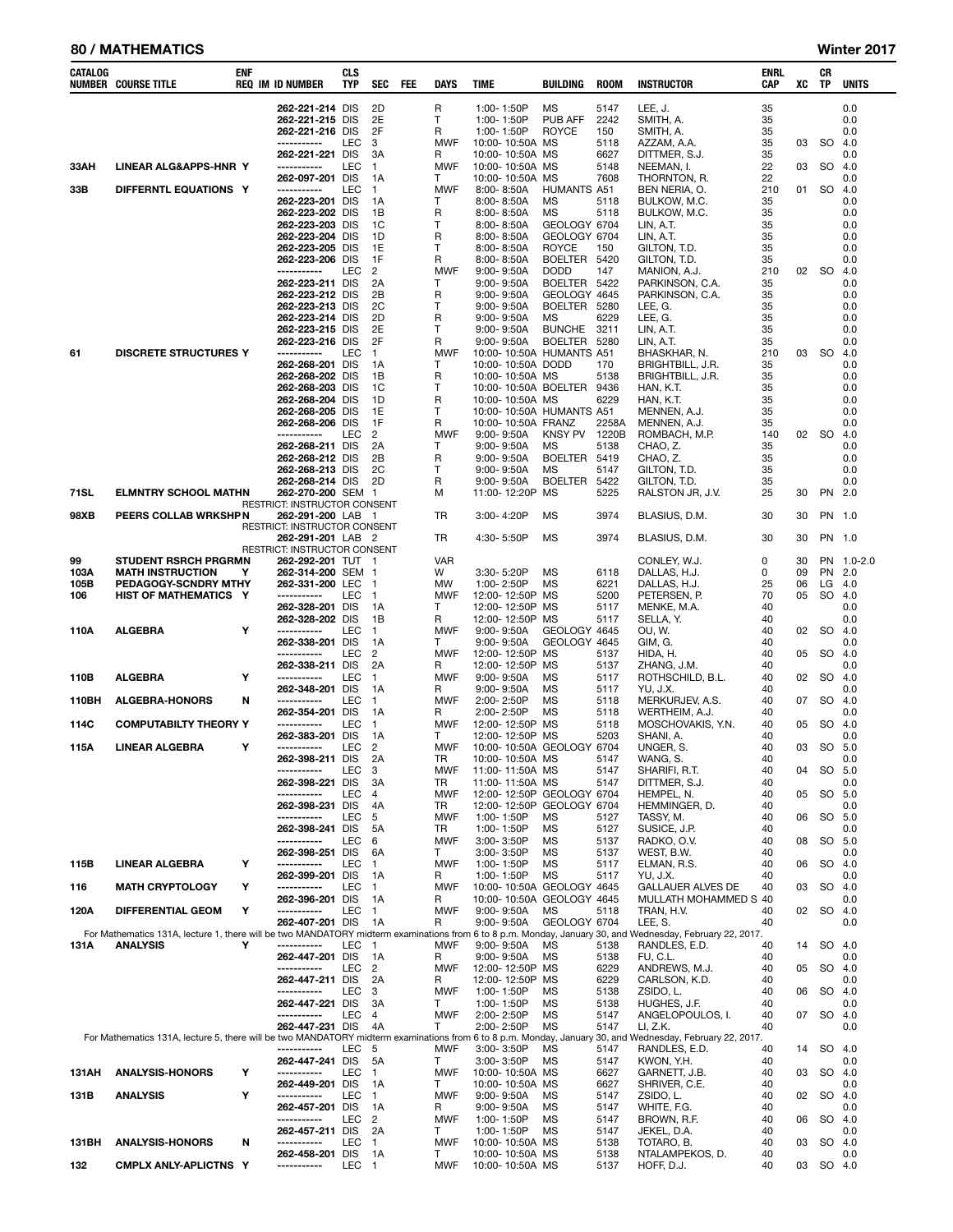### 80 / MATHEMATICS Winter 2017

| CATALOG      | <b>NUMBER COURSE TITLE</b>                      | enf | <b>REQ IM ID NUMBER</b>                           | <b>CLS</b><br><b>TYP</b> | <b>SEC</b>               | FEE | <b>DAYS</b>                | <b>TIME</b>                                   | BUILDING                     | <b>ROOM</b>  | <b>INSTRUCTOR</b>                                                                                                                                                         | ENRL<br><b>CAP</b> | XC       | CR<br>TP  | <b>UNITS</b>  |
|--------------|-------------------------------------------------|-----|---------------------------------------------------|--------------------------|--------------------------|-----|----------------------------|-----------------------------------------------|------------------------------|--------------|---------------------------------------------------------------------------------------------------------------------------------------------------------------------------|--------------------|----------|-----------|---------------|
|              |                                                 |     | 262-221-214 DIS                                   |                          | 2D                       |     | R                          | 1:00-1:50P                                    | MS                           | 5147         | LEE, J.                                                                                                                                                                   | 35                 |          |           | 0.0           |
|              |                                                 |     | 262-221-215 DIS                                   |                          | 2E                       |     | T                          | 1:00-1:50P                                    | PUB AFF                      | 2242         | SMITH, A.                                                                                                                                                                 | 35                 |          |           | 0.0           |
|              |                                                 |     | 262-221-216 DIS<br>-----------                    | LEC                      | 2F<br>3                  |     | R<br><b>MWF</b>            | 1:00-1:50P<br>10:00-10:50A MS                 | <b>ROYCE</b>                 | 150<br>5118  | SMITH, A.<br>AZZAM, A.A.                                                                                                                                                  | 35<br>35           | 03       | <b>SO</b> | 0.0<br>4.0    |
|              |                                                 |     | 262-221-221 DIS                                   |                          | 3A                       |     | R                          | 10:00-10:50A MS                               |                              | 6627         | DITTMER, S.J.                                                                                                                                                             | 35                 |          |           | 0.0           |
| 33AH         | LINEAR ALG&APPS-HNR Y                           |     | -----------                                       | LEC                      | $\mathbf{1}$             |     | <b>MWF</b>                 | 10:00-10:50A MS                               |                              | 5148         | NEEMAN, I.                                                                                                                                                                | 22                 | 03       | <b>SO</b> | 4.0           |
| 33B          | DIFFERNTL EQUATIONS Y                           |     | 262-097-201 DIS<br>-----------                    | LEC                      | 1A<br>$\mathbf{1}$       |     | T<br><b>MWF</b>            | 10:00-10:50A MS<br>8:00-8:50A                 | HUMANTS A51                  | 7608         | THORNTON, R.<br>BEN NERIA, O.                                                                                                                                             | 22<br>210          |          | 01 SO     | 0.0<br>4.0    |
|              |                                                 |     | 262-223-201 DIS                                   |                          | 1A                       |     | Т                          | 8:00-8:50A                                    | <b>MS</b>                    | 5118         | BULKOW, M.C.                                                                                                                                                              | 35                 |          |           | 0.0           |
|              |                                                 |     | 262-223-202 DIS                                   |                          | 1B                       |     | R                          | 8:00-8:50A                                    | MS                           | 5118         | BULKOW, M.C.                                                                                                                                                              | 35                 |          |           | 0.0           |
|              |                                                 |     | 262-223-203 DIS<br>262-223-204 DIS                |                          | 1C<br>1D                 |     | Т<br>R                     | 8:00-8:50A<br>8:00-8:50A                      | GEOLOGY 6704<br>GEOLOGY 6704 |              | LIN, A.T.<br>LIN, A.T.                                                                                                                                                    | 35<br>35           |          |           | 0.0<br>0.0    |
|              |                                                 |     | 262-223-205 DIS                                   |                          | 1E                       |     | $\mathsf{T}$               | 8:00-8:50A                                    | <b>ROYCE</b>                 | 150          | GILTON, T.D.                                                                                                                                                              | 35                 |          |           | 0.0           |
|              |                                                 |     | 262-223-206 DIS                                   |                          | 1F                       |     | R                          | 8:00-8:50A                                    | <b>BOELTER</b>               | 5420         | GILTON, T.D.                                                                                                                                                              | 35                 |          |           | 0.0           |
|              |                                                 |     | -----------<br>262-223-211 DIS                    | LEC                      | 2<br>2A                  |     | <b>MWF</b><br>$\mathsf{T}$ | $9:00 - 9:50A$<br>$9:00 - 9:50A$              | <b>DODD</b><br>BOELTER 5422  | 147          | MANION, A.J.<br>PARKINSON, C.A.                                                                                                                                           | 210<br>35          | 02       | -SO       | 4.0<br>0.0    |
|              |                                                 |     | 262-223-212 DIS                                   |                          | 2B                       |     | R                          | 9:00-9:50A                                    | GEOLOGY 4645                 |              | PARKINSON, C.A.                                                                                                                                                           | 35                 |          |           | 0.0           |
|              |                                                 |     | 262-223-213 DIS                                   |                          | 2C<br>2D                 |     | т<br>R                     | $9:00 - 9:50A$                                | <b>BOELTER</b><br>MS         | 5280<br>6229 | LEE, G.                                                                                                                                                                   | 35<br>35           |          |           | 0.0<br>0.0    |
|              |                                                 |     | 262-223-214 DIS<br>262-223-215 DIS                |                          | 2E                       |     | $\mathsf{T}$               | 9:00-9:50A<br>$9:00 - 9:50A$                  | <b>BUNCHE</b>                | 3211         | LEE, G.<br>LIN, A.T.                                                                                                                                                      | 35                 |          |           | 0.0           |
|              |                                                 |     | 262-223-216 DIS                                   |                          | 2F                       |     | R                          | $9:00 - 9:50A$                                | <b>BOELTER</b>               | 5280         | LIN, A.T.                                                                                                                                                                 | 35                 |          |           | 0.0           |
| 61           | <b>DISCRETE STRUCTURES Y</b>                    |     | -----------<br>262-268-201 DIS                    | LEC                      | $\mathbf{1}$<br>1A       |     | <b>MWF</b><br>Т            | 10:00-10:50A HUMANTS A51<br>10:00-10:50A DODD |                              | 170          | BHASKHAR, N.<br>BRIGHTBILL, J.R.                                                                                                                                          | 210<br>35          | 03       | <b>SO</b> | 4.0<br>0.0    |
|              |                                                 |     | 262-268-202 DIS                                   |                          | 1B                       |     | R                          | 10:00-10:50A MS                               |                              | 5138         | BRIGHTBILL, J.R.                                                                                                                                                          | 35                 |          |           | 0.0           |
|              |                                                 |     | 262-268-203 DIS                                   |                          | 1C                       |     | $\mathsf{T}$               | 10:00-10:50A BOELTER 9436                     |                              |              | HAN, K.T.                                                                                                                                                                 | 35                 |          |           | 0.0           |
|              |                                                 |     | 262-268-204 DIS<br>262-268-205 DIS                |                          | 1D<br>1E                 |     | R<br>Т                     | 10:00-10:50A MS<br>10:00- 10:50A HUMANTS A51  |                              | 6229         | HAN, K.T.<br>MENNEN, A.J.                                                                                                                                                 | 35<br>35           |          |           | 0.0<br>0.0    |
|              |                                                 |     | 262-268-206 DIS                                   |                          | 1F                       |     | R                          | 10:00-10:50A FRANZ                            |                              | 2258A        | MENNEN, A.J.                                                                                                                                                              | 35                 |          |           | 0.0           |
|              |                                                 |     | -----------                                       | <b>LEC</b>               | $\overline{2}$           |     | <b>MWF</b>                 | $9:00 - 9:50A$                                | <b>KNSY PV</b>               | 1220B        | ROMBACH, M.P.                                                                                                                                                             | 140                | 02       | - SO      | 4.0           |
|              |                                                 |     | 262-268-211 DIS<br>262-268-212 DIS                |                          | 2A<br>2B                 |     | $\mathsf{T}$<br>R          | $9:00 - 9:50A$<br>9:00-9:50A                  | MS<br><b>BOELTER</b>         | 5138<br>5419 | CHAO, Z.<br>CHAO, Z.                                                                                                                                                      | 35<br>35           |          |           | 0.0<br>0.0    |
|              |                                                 |     | 262-268-213 DIS                                   |                          | 2C                       |     | $\mathsf{T}$               | 9:00-9:50A                                    | <b>MS</b>                    | 5147         | GILTON, T.D.                                                                                                                                                              | 35                 |          |           | 0.0           |
|              |                                                 |     | 262-268-214 DIS                                   |                          | 2D                       |     | R                          | 9:00-9:50A                                    | <b>BOELTER</b>               | 5422         | GILTON, T.D.                                                                                                                                                              | 35                 |          |           | 0.0           |
| 71SL         | <b>ELMNTRY SCHOOL MATHN</b>                     |     | 262-270-200 SEM 1<br>RESTRICT: INSTRUCTOR CONSENT |                          |                          |     | м                          | 11:00-12:20P MS                               |                              | 5225         | RALSTON JR, J.V.                                                                                                                                                          | 25                 | 30       |           | PN 2.0        |
| <b>98XB</b>  | PEERS COLLAB WRKSHPN                            |     | 262-291-200 LAB 1                                 |                          |                          |     | TR                         | 3:00-4:20P                                    | <b>MS</b>                    | 3974         | BLASIUS, D.M.                                                                                                                                                             | 30                 | 30       |           | PN 1.0        |
|              |                                                 |     | RESTRICT: INSTRUCTOR CONSENT<br>262-291-201 LAB 2 |                          |                          |     | TR                         | 4:30-5:50P                                    | <b>MS</b>                    | 3974         | BLASIUS, D.M.                                                                                                                                                             | 30                 | 30       |           | PN 1.0        |
|              |                                                 |     | RESTRICT: INSTRUCTOR CONSENT                      |                          |                          |     |                            |                                               |                              |              |                                                                                                                                                                           |                    |          |           |               |
| 99           | <b>STUDENT RSRCH PRGRMN</b>                     |     | 262-292-201 TUT 1                                 |                          |                          |     | <b>VAR</b>                 |                                               |                              |              | CONLEY, W.J.                                                                                                                                                              | 0                  | 30       |           | PN 1.0-2.0    |
| 103A<br>105B | <b>MATH INSTRUCTION</b><br>PEDAGOGY-SCNDRY MTHY | Υ   | 262-314-200 SEM 1<br>262-331-200 LEC              |                          | $\overline{\phantom{1}}$ |     | W<br>МW                    | 3:30-5:20P<br>1:00-2:50P                      | <b>MS</b><br><b>MS</b>       | 6118<br>6221 | DALLAS, H.J.<br>DALLAS, H.J.                                                                                                                                              | 0<br>25            | 09<br>06 | LG        | PN 2.0<br>4.0 |
| 106          | HIST OF MATHEMATICS Y                           |     | -----------                                       | LEC                      | $\overline{1}$           |     | <b>MWF</b>                 | 12:00-12:50P MS                               |                              | 5200         | PETERSEN, P.                                                                                                                                                              | 70                 | 05       | <b>SO</b> | 4.0           |
|              |                                                 |     | 262-328-201 DIS                                   |                          | 1A                       |     | $\mathsf{T}$               | 12:00-12:50P MS                               |                              | 5117         | MENKE, M.A.                                                                                                                                                               | 40                 |          |           | 0.0           |
| 110A         | ALGEBRA                                         | Υ   | 262-328-202 DIS<br>-----------                    | LEC                      | 1B<br>$\overline{1}$     |     | R<br>MWF                   | 12:00-12:50P MS<br>$9:00 - 9:50A$             | GEOLOGY 4645                 | 5117         | SELLA, Y.<br>OU, W.                                                                                                                                                       | 40<br>40           | 02       | <b>SO</b> | 0.0<br>4.0    |
|              |                                                 |     | 262-338-201 DIS                                   |                          | 1A                       |     | T                          | $9:00 - 9:50A$                                | GEOLOGY 4645                 |              | GIM, G.                                                                                                                                                                   | 40                 |          |           | 0.0           |
|              |                                                 |     | -----------<br>262-338-211 DIS                    | LEC                      | $\overline{2}$<br>2A     |     | <b>MWF</b><br>R            | 12:00-12:50P MS<br>12:00-12:50P MS            |                              | 5137         | HIDA, H.                                                                                                                                                                  | 40<br>40           | 05       | <b>SO</b> | 4.0<br>0.0    |
| 110B         | ALGEBRA                                         | Υ   | -----------                                       | LEC                      | $\overline{1}$           |     | <b>MWF</b>                 | $9:00 - 9:50A$                                | <b>MS</b>                    | 5137<br>5117 | ZHANG, J.M.<br>ROTHSCHILD, B.L.                                                                                                                                           | 40                 | 02       | <b>SO</b> | 4.0           |
|              |                                                 |     | 262-348-201 DIS                                   |                          | 1A                       |     | R                          | $9:00 - 9:50A$                                | <b>MS</b>                    | 5117         | YU, J.X.                                                                                                                                                                  | 40                 |          |           | 0.0           |
| 110BH        | <b>ALGEBRA-HONORS</b>                           | N   | -----------<br>262-354-201 DIS                    | LEC                      | $\overline{1}$<br>1A     |     | <b>MWF</b><br>R            | 2:00-2:50P<br>2:00-2:50P                      | <b>MS</b><br><b>MS</b>       | 5118<br>5118 | MERKURJEV, A.S.<br>WERTHEIM, A.J.                                                                                                                                         | 40<br>40           | 07       | <b>SO</b> | 4.0<br>0.0    |
| 114C         | <b>COMPUTABILTY THEORY Y</b>                    |     | -----------                                       | LEC                      | $\overline{1}$           |     | MWF                        | 12:00-12:50P MS                               |                              | 5118         | MOSCHOVAKIS, Y.N.                                                                                                                                                         | 40                 | 05       | SO        | 4.0           |
|              |                                                 |     | 262-383-201 DIS                                   |                          | 1A                       |     | $\mathsf{T}$               | 12:00-12:50P MS                               |                              | 5203         | SHANI, A.                                                                                                                                                                 | 40                 |          |           | 0.0           |
| 115A         | <b>LINEAR ALGEBRA</b>                           | Υ   | -----------<br>262-398-211 DIS                    | LEC                      | $\overline{2}$<br>2A     |     | MWF<br>TR                  | 10:00-10:50A GEOLOGY 6704<br>10:00-10:50A MS  |                              | 5147         | UNGER, S.<br>WANG, S.                                                                                                                                                     | 40<br>40           | 03       | SO        | 5.0<br>0.0    |
|              |                                                 |     | ------------                                      | LEC                      | 3                        |     | MWF                        | 11:00-11:50A MS                               |                              | 5147         | SHARIFI, R.T.                                                                                                                                                             | 40                 | 04       |           | SO 5.0        |
|              |                                                 |     | 262-398-221 DIS<br>------------                   | LEC                      | 3A<br>4                  |     | TR<br><b>MWF</b>           | 11:00-11:50A MS<br>12:00-12:50P               | GEOLOGY 6704                 | 5147         | DITTMER, S.J.<br>HEMPEL, N.                                                                                                                                               | 40<br>40           | 05       | SO        | 0.0<br>5.0    |
|              |                                                 |     | 262-398-231 DIS                                   |                          | 4A                       |     | TR                         | 12:00-12:50P GEOLOGY 6704                     |                              |              | HEMMINGER, D.                                                                                                                                                             | 40                 |          |           | 0.0           |
|              |                                                 |     | -----------                                       | LEC                      | 5                        |     | <b>MWF</b>                 | 1:00-1:50P                                    | MS                           | 5127         | TASSY, M.                                                                                                                                                                 | 40                 | 06       | SO        | 5.0           |
|              |                                                 |     | 262-398-241 DIS<br>-----------                    | LEC                      | 5A<br>6                  |     | TR<br><b>MWF</b>           | 1:00-1:50P<br>3:00-3:50P                      | MS<br><b>MS</b>              | 5127<br>5137 | SUSICE, J.P.<br>RADKO, O.V.                                                                                                                                               | 40<br>40           | 08       | <b>SO</b> | 0.0<br>5.0    |
|              |                                                 |     | 262-398-251 DIS                                   |                          | 6A                       |     | T                          | $3:00 - 3:50P$                                | MS                           | 5137         | WEST, B.W.                                                                                                                                                                | 40                 |          |           | 0.0           |
| 115B         | <b>LINEAR ALGEBRA</b>                           | Υ   | -----------<br>262-399-201 DIS                    | LEC                      | $\mathbf{1}$<br>1A       |     | <b>MWF</b><br>R            | 1:00-1:50P<br>1:00-1:50P                      | <b>MS</b><br>MS              | 5117<br>5117 | ELMAN, R.S.<br>YU, J.X.                                                                                                                                                   | 40<br>40           | 06       | SO        | 4.0<br>0.0    |
| 116          | <b>MATH CRYPTOLOGY</b>                          | Υ   | -----------                                       | LEC                      | $\mathbf{1}$             |     | <b>MWF</b>                 | 10:00-10:50A GEOLOGY 4645                     |                              |              | GALLAUER ALVES DE                                                                                                                                                         | 40                 | 03       | <b>SO</b> | 4.0           |
|              |                                                 |     | 262-396-201 DIS                                   |                          | 1A                       |     | R                          | 10:00-10:50A GEOLOGY 4645                     |                              |              | MULLATH MOHAMMED S 40                                                                                                                                                     |                    |          |           | 0.0           |
| 120A         | <b>DIFFERENTIAL GEOM</b>                        | Υ   | -----------<br>262-407-201 DIS                    | LEC                      | $\overline{1}$<br>1A     |     | <b>MWF</b><br>R            | $9:00 - 9:50A$<br>9:00-9:50A                  | MS<br>GEOLOGY 6704           | 5118         | TRAN, H.V.<br>LEE, S.                                                                                                                                                     | 40<br>40           | 02       | SO        | 4.0<br>0.0    |
|              |                                                 |     |                                                   |                          |                          |     |                            |                                               |                              |              | For Mathematics 131A, lecture 1, there will be two MANDATORY midterm examinations from 6 to 8 p.m. Monday, January 30, and Wednesday, February 22, 2017.                  |                    |          |           |               |
| 131A         | ANALYSIS                                        | Y   | -----------<br>262-447-201 DIS                    | LEC                      | -1<br>1A                 |     | MWF<br>R                   | $9:00 - 9:50A$<br>$9:00 - 9:50A$              | МS<br>МS                     | 5138<br>5138 | RANDLES, E.D.<br>FU, C.L.                                                                                                                                                 | 40<br>40           | 14       | SO.       | 4.0<br>0.0    |
|              |                                                 |     | -----------                                       | <b>LEC</b>               | 2                        |     | MWF                        | 12:00-12:50P MS                               |                              | 6229         | ANDREWS, M.J.                                                                                                                                                             | 40                 | 05       | <b>SO</b> | 4.0           |
|              |                                                 |     | 262-447-211 DIS                                   |                          | 2A                       |     | R                          | 12:00-12:50P MS                               |                              | 6229         | CARLSON, K.D.                                                                                                                                                             | 40                 |          |           | 0.0           |
|              |                                                 |     | -----------<br>262-447-221 DIS                    | LEC                      | 3<br>3A                  |     | <b>MWF</b><br>T            | 1:00-1:50P<br>1:00-1:50P                      | <b>MS</b><br><b>MS</b>       | 5138<br>5138 | ZSIDO, L.<br>HUGHES, J.F.                                                                                                                                                 | 40<br>40           | 06       | <b>SO</b> | 4.0<br>0.0    |
|              |                                                 |     | -----------                                       | <b>LEC</b>               | 4                        |     | <b>MWF</b>                 | 2:00-2:50P                                    | <b>MS</b>                    | 5147         | ANGELOPOULOS, I.                                                                                                                                                          | 40                 | 07       | <b>SO</b> | 4.0           |
|              |                                                 |     | 262-447-231 DIS                                   |                          | 4A                       |     | T                          | 2:00-2:50P                                    | <b>MS</b>                    | 5147         | LI, Z.K.                                                                                                                                                                  | 40                 |          |           | 0.0           |
|              |                                                 |     | -----------                                       | LEC                      | 5                        |     | <b>MWF</b>                 | 3:00-3:50P                                    | <b>MS</b>                    | 5147         | For Mathematics 131A, lecture 5, there will be two MANDATORY midterm examinations from 6 to 8 p.m. Monday, January 30, and Wednesday, February 22, 2017.<br>RANDLES, E.D. | 40                 | 14       | SO.       | 4.0           |
|              |                                                 |     | 262-447-241 DIS                                   |                          | 5A                       |     | $\mathsf{T}$               | 3:00-3:50P                                    | <b>MS</b>                    | 5147         | KWON, Y.H.                                                                                                                                                                | 40                 |          |           | 0.0           |
| <b>131AH</b> | <b>ANALYSIS-HONORS</b>                          | Υ   | -----------<br>262-449-201 DIS                    | LEC                      | 1<br>1A                  |     | <b>MWF</b><br>T            | 10:00-10:50A MS<br>10:00-10:50A MS            |                              | 6627<br>6627 | GARNETT, J.B.                                                                                                                                                             | 40<br>40           | 03       | <b>SO</b> | 4.0<br>0.0    |
| 131B         | ANALYSIS                                        | Υ   | -----------                                       | LEC                      | 1                        |     | <b>MWF</b>                 | 9:00-9:50A                                    | <b>MS</b>                    | 5147         | SHRIVER, C.E.<br>ZSIDO, L.                                                                                                                                                | 40                 | 02       | <b>SO</b> | 4.0           |
|              |                                                 |     | 262-457-201 DIS                                   |                          | 1A                       |     | R                          | 9:00-9:50A                                    | <b>MS</b>                    | 5147         | WHITE, F.G.                                                                                                                                                               | 40                 |          |           | 0.0           |
|              |                                                 |     | ------------<br>262-457-211 DIS                   | LEC                      | 2<br>2A                  |     | <b>MWF</b><br>т            | 1:00-1:50P<br>1:00-1:50P                      | <b>MS</b><br><b>MS</b>       | 5147<br>5147 | BROWN, R.F.<br>JEKEL, D.A.                                                                                                                                                | 40<br>40           | 06       | <b>SO</b> | 4.0<br>0.0    |
| 131BH        | <b>ANALYSIS-HONORS</b>                          | N   | -----------                                       | LEC                      | 1                        |     | <b>MWF</b>                 | 10:00-10:50A MS                               |                              | 5138         | TOTARO, B.                                                                                                                                                                | 40                 | 03       | SO        | 4.0           |
|              |                                                 |     | 262-458-201 DIS                                   |                          | 1A                       |     | $\mathsf{T}$               | 10:00-10:50A MS                               |                              | 5138         | NTALAMPEKOS, D.                                                                                                                                                           | 40                 |          |           | 0.0           |
| 132          | CMPLX ANLY-APLICTNS Y                           |     | -----------                                       | LEC                      | $\overline{1}$           |     | <b>MWF</b>                 | 10:00-10:50A MS                               |                              | 5137         | HOFF, D.J.                                                                                                                                                                | 40                 | 03       |           | SO 4.0        |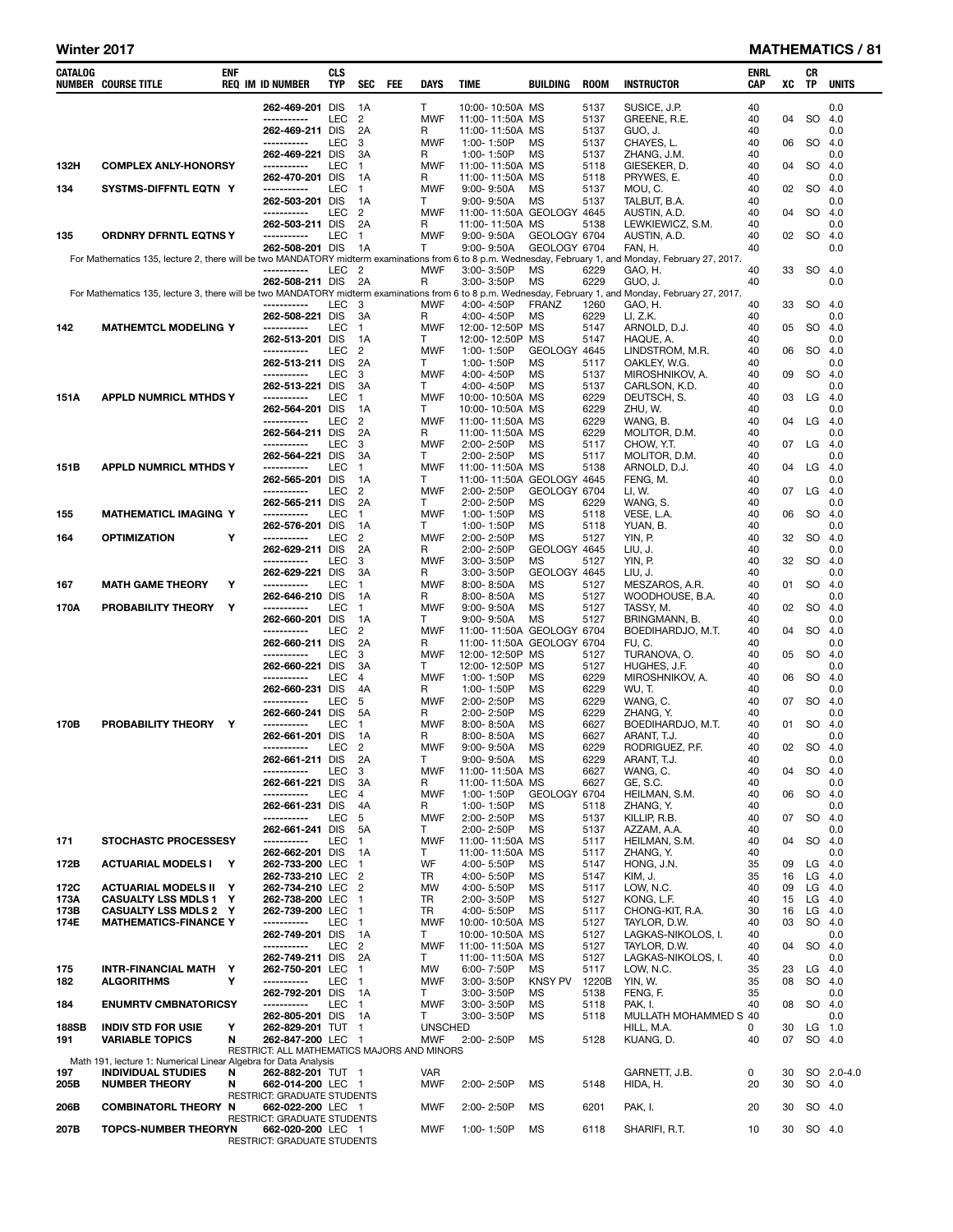#### Winter 2017 **MATHEMATICS** / 81

| CATALOG      | NUMBER COURSE TITLE                                                                                                                                     | <b>ENF</b> | <b>REQ IM ID NUMBER</b>                          | <b>CLS</b><br>TYP | SEC<br>FEE                       | DAYS                     | TIME                                         | BUILDING                     | <b>ROOM</b>   | <b>INSTRUCTOR</b>                   | ENRL<br>CAP | XC       | CR<br><b>TP</b> | UNITS       |
|--------------|---------------------------------------------------------------------------------------------------------------------------------------------------------|------------|--------------------------------------------------|-------------------|----------------------------------|--------------------------|----------------------------------------------|------------------------------|---------------|-------------------------------------|-------------|----------|-----------------|-------------|
|              |                                                                                                                                                         |            | 262-469-201 DIS                                  |                   | 1A                               | Τ                        | 10:00-10:50A MS                              |                              | 5137          | SUSICE, J.P.                        | 40          |          |                 | 0.0         |
|              |                                                                                                                                                         |            | -----------                                      | LEC               | 2                                | <b>MWF</b>               | 11:00-11:50A MS                              |                              | 5137          | GREENE, R.E.                        | 40          | 04       | <b>SO</b>       | 4.0         |
|              |                                                                                                                                                         |            | 262-469-211 DIS<br>-----------                   | LEC               | 2A<br>3                          | R<br><b>MWF</b>          | 11:00-11:50A MS<br>1:00-1:50P                | <b>MS</b>                    | 5137<br>5137  | GUO, J.<br>CHAYES, L.               | 40<br>40    | 06       | SO.             | 0.0<br>4.0  |
|              |                                                                                                                                                         |            | 262-469-221 DIS<br>-----------                   |                   | 3A                               | R                        | 1:00-1:50P                                   | <b>MS</b>                    | 5137          | ZHANG, J.M.                         | 40          |          |                 | 0.0         |
| 132H         | <b>COMPLEX ANLY-HONORSY</b>                                                                                                                             |            | 262-470-201 DIS                                  | LEC               | $\mathbf{1}$<br>1A               | <b>MWF</b><br>R          | 11:00-11:50A MS<br>11:00-11:50A MS           |                              | 5118<br>5118  | GIESEKER, D.<br>PRYWES, E.          | 40<br>40    | 04       | SO.             | 4.0<br>0.0  |
| 134          | SYSTMS-DIFFNTL EQTN Y                                                                                                                                   |            | -----------                                      | LEC               | $\mathbf{1}$                     | <b>MWF</b>               | 9:00-9:50A                                   | MS                           | 5137          | MOU, C.                             | 40          |          | 02 SO           | 4.0         |
|              |                                                                                                                                                         |            | 262-503-201 DIS<br>-----------                   | LEC               | 1A<br>2                          | т<br><b>MWF</b>          | 9:00-9:50A<br>11:00-11:50A GEOLOGY 4645      | <b>MS</b>                    | 5137          | TALBUT, B.A.<br>AUSTIN, A.D.        | 40<br>40    | 04       | SO.             | 0.0<br>4.0  |
|              |                                                                                                                                                         |            | 262-503-211 DIS                                  |                   | 2A                               | R                        | 11:00-11:50A MS                              |                              | 5138          | LEWKIEWICZ, S.M.                    | 40          |          |                 | 0.0         |
| 135          | <b>ORDNRY DFRNTL EQTNS Y</b>                                                                                                                            |            | -----------<br>262-508-201 DIS                   | LEC               | $\mathbf{1}$<br>1A               | <b>MWF</b><br>т          | 9:00-9:50A<br>$9:00 - 9:50A$                 | GEOLOGY 6704<br>GEOLOGY 6704 |               | AUSTIN, A.D.<br>FAN, H.             | 40<br>40    |          | 02 SO           | 4.0<br>0.0  |
|              | For Mathematics 135, lecture 2, there will be two MANDATORY midterm examinations from 6 to 8 p.m. Wednesday, February 1, and Monday, February 27, 2017. |            | -----------                                      |                   |                                  |                          |                                              |                              |               |                                     | 40          |          |                 |             |
|              |                                                                                                                                                         |            | 262-508-211 DIS                                  | LEC               | $\overline{2}$<br>2A             | <b>MWF</b><br>R          | 3:00-3:50P<br>3:00-3:50P                     | MS<br>MS                     | 6229<br>6229  | GAO, H.<br>GUO, J.                  | 40          | 33       | SO.             | 4.0<br>0.0  |
|              | For Mathematics 135, lecture 3, there will be two MANDATORY midterm examinations from 6 to 8 p.m. Wednesday, February 1, and Monday, February 27, 2017. |            | -----------                                      | LEC               | 3                                | MWF                      | 4:00-4:50P                                   | <b>FRANZ</b>                 | 1260          | GAO, H.                             | 40          | 33       | SO              | - 4.0       |
|              |                                                                                                                                                         |            | 262-508-221 DIS                                  |                   | 3A                               | R                        | 4:00-4:50P                                   | ΜS                           | 6229          | LI, Z.K.                            | 40          |          |                 | 0.0         |
| 142          | <b>MATHEMTCL MODELING Y</b>                                                                                                                             |            | -----------<br>262-513-201 DIS                   | LEC               | $\mathbf{1}$<br>1A               | <b>MWF</b><br>Τ          | 12:00-12:50P MS<br>12:00-12:50P              | МS                           | 5147<br>5147  | ARNOLD, D.J.<br>HAQUE, A.           | 40<br>40    | 05       | SO.             | 4.0<br>0.0  |
|              |                                                                                                                                                         |            | -----------                                      | <b>LEC</b>        | 2                                | <b>MWF</b>               | 1:00-1:50P                                   | GEOLOGY 4645                 |               | LINDSTROM, M.R.                     | 40          | 06       | SO.             | 4.0         |
|              |                                                                                                                                                         |            | 262-513-211 DIS<br>-----------                   | <b>LEC</b>        | 2A<br>3                          | T.<br><b>MWF</b>         | 1:00-1:50P<br>4:00-4:50P                     | ΜS<br><b>MS</b>              | 5117<br>5137  | OAKLEY, W.G.<br>MIROSHNIKOV, A.     | 40<br>40    | 09       | SO.             | 0.0<br>4.0  |
|              |                                                                                                                                                         |            | 262-513-221 DIS                                  |                   | 3A                               | Τ                        | 4:00-4:50P                                   | <b>MS</b>                    | 5137          | CARLSON, K.D.                       | 40          |          |                 | 0.0         |
| 151A         | <b>APPLD NUMRICL MTHDS Y</b>                                                                                                                            |            | -----------<br>262-564-201 DIS                   | LEC               | $\mathbf{1}$<br>1A               | <b>MWF</b><br>T.         | 10:00-10:50A MS<br>10:00-10:50A MS           |                              | 6229<br>6229  | DEUTSCH, S.<br>ZHU, W.              | 40<br>40    | 03       | LG              | 4.0<br>0.0  |
|              |                                                                                                                                                         |            | -----------                                      | LEC               | $\overline{2}$                   | <b>MWF</b>               | 11:00-11:50A MS                              |                              | 6229          | WANG. B.                            | 40          | 04       | LG              | 4.0         |
|              |                                                                                                                                                         |            | 262-564-211 DIS<br>-----------                   | <b>LEC</b>        | 2A<br>3                          | R<br><b>MWF</b>          | 11:00-11:50A MS<br>2:00-2:50P                | MS                           | 6229<br>5117  | MOLITOR, D.M.<br>CHOW, Y.T.         | 40<br>40    | 07       | LG              | 0.0<br>4.0  |
|              |                                                                                                                                                         |            | 262-564-221 DIS                                  |                   | 3A                               | T                        | 2:00-2:50P                                   | MS                           | 5117          | MOLITOR, D.M.                       | 40          |          |                 | 0.0         |
| 151B         | <b>APPLD NUMRICL MTHDS Y</b>                                                                                                                            |            | -----------<br>262-565-201 DIS                   | LEC               | $\mathbf{1}$<br>1A               | <b>MWF</b><br>Τ          | 11:00-11:50A MS<br>11:00-11:50A GEOLOGY 4645 |                              | 5138          | ARNOLD, D.J.<br>FENG, M.            | 40<br>40    | 04       | LG              | 4.0<br>0.0  |
|              |                                                                                                                                                         |            | -----------                                      | <b>LEC</b>        | $\overline{2}$                   | <b>MWF</b>               | 2:00-2:50P                                   | GEOLOGY 6704                 |               | LI, W.                              | 40          | 07       | LG              | 4.0         |
| 155          | <b>MATHEMATICL IMAGING Y</b>                                                                                                                            |            | 262-565-211 DIS<br>-----------                   | LEC               | 2A<br>$\mathbf{1}$               | T<br><b>MWF</b>          | 2:00-2:50P<br>1:00-1:50P                     | ΜS<br>ΜS                     | 6229<br>5118  | WANG, S.<br>VESE, L.A.              | 40<br>40    | 06       | SO.             | 0.0<br>-4.0 |
|              |                                                                                                                                                         |            | 262-576-201 DIS                                  |                   | 1A                               | Τ                        | 1:00-1:50P                                   | ΜS                           | 5118          | YUAN, B.                            | 40          |          |                 | 0.0         |
| 164          | <b>OPTIMIZATION</b>                                                                                                                                     | Υ          | -----------<br>262-629-211 DIS                   | <b>LEC</b>        | 2<br>2A                          | <b>MWF</b><br>R          | 2:00-2:50P<br>2:00-2:50P                     | MS<br>GEOLOGY 4645           | 5127          | YIN, P.<br>LIU, J.                  | 40<br>40    | 32       | SO.             | 4.0<br>0.0  |
|              |                                                                                                                                                         |            | -----------                                      | LEC               | 3                                | <b>MWF</b>               | $3:00 - 3:50P$                               | ΜS                           | 5127          | YIN, P.                             | 40          | 32       | <b>SO</b>       | 4.0         |
| 167          | <b>MATH GAME THEORY</b>                                                                                                                                 | Υ          | 262-629-221 DIS<br>-----------                   | <b>LEC</b>        | ЗA<br>$\mathbf{1}$               | R<br><b>MWF</b>          | 3:00-3:50P<br>$8:00 - 8:50A$                 | GEOLOGY 4645<br><b>MS</b>    | 5127          | LIU, J.<br>MESZAROS, A.R.           | 40<br>40    | 01       | SO.             | 0.0<br>4.0  |
|              |                                                                                                                                                         |            | 262-646-210 DIS                                  |                   | 1A                               | R                        | $8:00 - 8:50A$                               | MS                           | 5127          | WOODHOUSE, B.A.                     | 40          |          |                 | 0.0         |
| 170A         | PROBABILITY THEORY<br>Y                                                                                                                                 |            | -----------<br>262-660-201 DIS                   | LEC               | $\mathbf{1}$<br>1A               | <b>MWF</b><br>Τ          | $9.00 - 9.50A$<br>$9:00 - 9:50A$             | <b>MS</b><br><b>MS</b>       | 5127<br>5127  | TASSY, M.<br>BRINGMANN, B.          | 40<br>40    | 02       | SO.             | 4.0<br>0.0  |
|              |                                                                                                                                                         |            | -----------                                      | <b>LEC</b>        | 2                                | <b>MWF</b>               | 11:00-11:50A GEOLOGY 6704                    |                              |               | BOEDIHARDJO, M.T.                   | 40          | 04       | SO.             | 4.0         |
|              |                                                                                                                                                         |            | 262-660-211 DIS<br>-----------                   | <b>LEC</b>        | 2A<br>3                          | R<br><b>MWF</b>          | 11:00-11:50A GEOLOGY 6704<br>12:00-12:50P MS |                              | 5127          | FU, C.<br>TURANOVA, O.              | 40<br>40    | 05       | <b>SO</b>       | 0.0<br>4.0  |
|              |                                                                                                                                                         |            | 262-660-221 DIS                                  |                   | 3A                               | Τ                        | 12:00-12:50P                                 | МS                           | 5127          | HUGHES, J.F.                        | 40          |          |                 | 0.0         |
|              |                                                                                                                                                         |            | -----------<br>262-660-231 DIS                   | LEC               | 4<br>4A                          | <b>MWF</b><br>R          | 1:00-1:50P<br>1:00-1:50P                     | MS<br>MS                     | 6229<br>6229  | MIROSHNIKOV, A.<br>WU, T.           | 40<br>40    | 06       | SO.             | 4.0<br>0.0  |
|              |                                                                                                                                                         |            | -----------                                      | LEC               | 5                                | <b>MWF</b>               | 2:00-2:50P                                   | <b>MS</b>                    | 6229          | WANG, C.                            | 40          | 07       | SO.             | 4.0         |
| 170B         | PROBABILITY THEORY Y                                                                                                                                    |            | 262-660-241 DIS<br>-----------                   | <b>LEC</b>        | 5A<br>$\mathbf{1}$               | R<br>MWF                 | 2:00-2:50P<br>$8:00 - 8:50A$                 | ΜS<br>MS                     | 6229<br>6627  | ZHANG, Y.<br>BOEDIHARDJO, M.T.      | 40<br>40    | 01       | SO.             | 0.0<br>4.0  |
|              |                                                                                                                                                         |            | 262-661-201 DIS                                  |                   | 1A                               | R                        | $8:00 - 8:50A$                               | MS                           | 6627          | ARANT, T.J.                         | 40          |          |                 | 0.0         |
|              |                                                                                                                                                         |            | -----------<br>262-661-211 DIS                   | LEC               | $\overline{2}$<br>2A             | <b>MWF</b><br>т          | $9:00 - 9:50A$<br>9:00-9:50A                 | <b>MS</b><br><b>MS</b>       | 6229<br>6229  | RODRIGUEZ, P.F.<br>ARANT, T.J.      | 40<br>40    |          | 02 SO           | -4.0<br>0.0 |
|              |                                                                                                                                                         |            | -----------<br>262-661-221 DIS                   | LEC               | 3                                | <b>MWF</b>               | 11:00-11:50A MS<br>11:00-11:50A MS           |                              | 6627          | WANG, C.                            | 40          | 04       | <b>SO</b>       | - 4.0       |
|              |                                                                                                                                                         |            | -----------                                      | LEC               | 3A<br>$\overline{4}$             | R<br><b>MWF</b>          | 1:00-1:50P                                   | GEOLOGY 6704                 | 6627          | GE, S.C.<br>HEILMAN, S.M.           | 40<br>40    | 06       | <b>SO</b>       | 0.0<br>4.0  |
|              |                                                                                                                                                         |            | 262-661-231 DIS<br>-----------                   | LEC               | 4A<br>5                          | R<br><b>MWF</b>          | 1:00-1:50P<br>2:00-2:50P                     | MS<br>MS                     | 5118<br>5137  | ZHANG, Y.<br>KILLIP. R.B.           | 40<br>40    | 07       | <b>SO</b>       | 0.0<br>4.0  |
|              |                                                                                                                                                         |            | 262-661-241 DIS                                  |                   | 5A                               | T                        | 2:00-2:50P                                   | MS                           | 5137          | AZZAM, A.A.                         | 40          |          |                 | 0.0         |
| 171          | <b>STOCHASTC PROCESSESY</b>                                                                                                                             |            | -----------<br>262-662-201 DIS                   | LEC               | $\mathbf{1}$<br>1A               | <b>MWF</b><br>Τ          | 11:00-11:50A MS<br>11:00-11:50A MS           |                              | 5117<br>5117  | HEILMAN, S.M.<br>ZHANG. Y.          | 40<br>40    | 04       | <b>SO</b>       | 4.0<br>0.0  |
| 172B         | <b>ACTUARIAL MODELS I Y</b>                                                                                                                             |            | 262-733-200 LEC                                  |                   | $\mathbf{1}$                     | WF                       | 4:00-5:50P                                   | MS                           | 5147          | HONG, J.N.                          | 35          | 09       | LG              | 4.0         |
| 172C         | <b>ACTUARIAL MODELS II Y</b>                                                                                                                            |            | 262-733-210 LEC<br>262-734-210 LEC               |                   | $\overline{2}$<br>$\overline{2}$ | TR<br>MW                 | 4:00-5:50P<br>4:00-5:50P                     | MS<br>MS                     | 5147<br>5117  | KIM. J.<br>LOW, N.C.                | 35<br>40    | 16<br>09 | LG<br>LG        | 4.0<br>4.0  |
| 173A         | <b>CASUALTY LSS MDLS 1 Y</b>                                                                                                                            |            | 262-738-200 LEC                                  |                   | $\mathbf{1}$                     | TR                       | 2:00-3:50P                                   | MS                           | 5127          | KONG, L.F.                          | 40          | 15       | LG              | 4.0         |
| 173B<br>174E | <b>CASUALTY LSS MDLS 2 Y</b><br><b>MATHEMATICS-FINANCE Y</b>                                                                                            |            | 262-739-200 LEC<br>-----------                   | LEC               | $\overline{1}$<br>$\mathbf{1}$   | <b>TR</b><br><b>MWF</b>  | 4:00-5:50P<br>10:00-10:50A MS                | <b>MS</b>                    | 5117<br>5127  | CHONG-KIT, R.A.<br>TAYLOR, D.W.     | 30<br>40    | 16<br>03 | LG<br><b>SO</b> | 4.0<br>4.0  |
|              |                                                                                                                                                         |            | 262-749-201 DIS                                  |                   | 1A                               | Τ                        | 10:00-10:50A MS                              |                              | 5127          | LAGKAS-NIKOLOS, I.                  | 40          |          |                 | 0.0         |
|              |                                                                                                                                                         |            | -----------<br>262-749-211 DIS                   | <b>LEC</b>        | $\overline{c}$<br>2A             | <b>MWF</b><br>Τ          | 11:00-11:50A MS<br>11:00-11:50A MS           |                              | 5127<br>5127  | TAYLOR, D.W.<br>LAGKAS-NIKOLOS, I.  | 40<br>40    | 04       | <b>SO</b>       | 4.0<br>0.0  |
| 175          | INTR-FINANCIAL MATH Y                                                                                                                                   |            | 262-750-201 LEC                                  |                   | $\mathbf{1}$                     | MW                       | 6:00-7:50P                                   | ΜS                           | 5117          | LOW, N.C.                           | 35          | 23       | LG              | 4.0         |
| 182          | <b>ALGORITHMS</b>                                                                                                                                       | Y          | -----------<br>262-792-201 DIS                   | LEC               | $\mathbf{1}$<br>1A               | <b>MWF</b><br>Τ          | 3:00-3:50P<br>3:00-3:50P                     | <b>KNSY PV</b><br>ΜS         | 1220B<br>5138 | YIN, W.<br>FENG, F.                 | 35<br>35    | 08       | <b>SO</b>       | 4.0<br>0.0  |
| 184          | <b>ENUMRTV CMBNATORICSY</b>                                                                                                                             |            | -----------                                      | <b>LEC</b>        | $\mathbf{1}$                     | <b>MWF</b>               | 3:00-3:50P                                   | ΜS                           | 5118          | PAK, I.                             | 40          | 08       | <b>SO</b>       | 4.0         |
| 188SB        | <b>INDIV STD FOR USIE</b>                                                                                                                               | Y          | 262-805-201 DIS<br>262-829-201 TUT               |                   | 1A<br>$\overline{1}$             | Τ<br><b>UNSCHED</b>      | 3:00-3:50P                                   | ΜS                           | 5118          | MULLATH MOHAMMED S 40<br>HILL, M.A. | 0           | 30       | LG              | 0.0<br>1.0  |
| 191          | <b>VARIABLE TOPICS</b>                                                                                                                                  | N          | 262-847-200 LEC 1                                |                   |                                  | <b>MWF</b>               | 2:00-2:50P                                   | MS                           | 5128          | KUANG, D.                           | 40          | 07       | SO 4.0          |             |
|              | Math 191, lecture 1: Numerical Linear Algebra for Data Analysis                                                                                         |            | RESTRICT: ALL MATHEMATICS MAJORS AND MINORS      |                   |                                  |                          |                                              |                              |               |                                     |             |          |                 |             |
| 197<br>205B  | <b>INDIVIDUAL STUDIES</b><br><b>NUMBER THEORY</b>                                                                                                       | N<br>N     | 262-882-201 TUT 1<br>662-014-200 LEC 1           |                   |                                  | <b>VAR</b><br><b>MWF</b> | 2:00-2:50P                                   | ΜS                           | 5148          | GARNETT, J.B.<br>HIDA, H.           | 0<br>20     | 30<br>30 | SO 4.0          | SO 2.0-4.0  |
|              |                                                                                                                                                         |            | <b>RESTRICT: GRADUATE STUDENTS</b>               |                   |                                  |                          |                                              |                              |               |                                     |             |          |                 |             |
| 206B         | <b>COMBINATORL THEORY N</b>                                                                                                                             |            | 662-022-200 LEC 1<br>RESTRICT: GRADUATE STUDENTS |                   |                                  | <b>MWF</b>               | 2:00-2:50P                                   | ΜS                           | 6201          | PAK, I.                             | 20          | 30       | SO 4.0          |             |
| 207B         | <b>TOPCS-NUMBER THEORYN</b>                                                                                                                             |            | 662-020-200 LEC 1                                |                   |                                  | <b>MWF</b>               | 1:00-1:50P                                   | ΜS                           | 6118          | SHARIFI, R.T.                       | 10          | 30       | SO 4.0          |             |
|              |                                                                                                                                                         |            | RESTRICT: GRADUATE STUDENTS                      |                   |                                  |                          |                                              |                              |               |                                     |             |          |                 |             |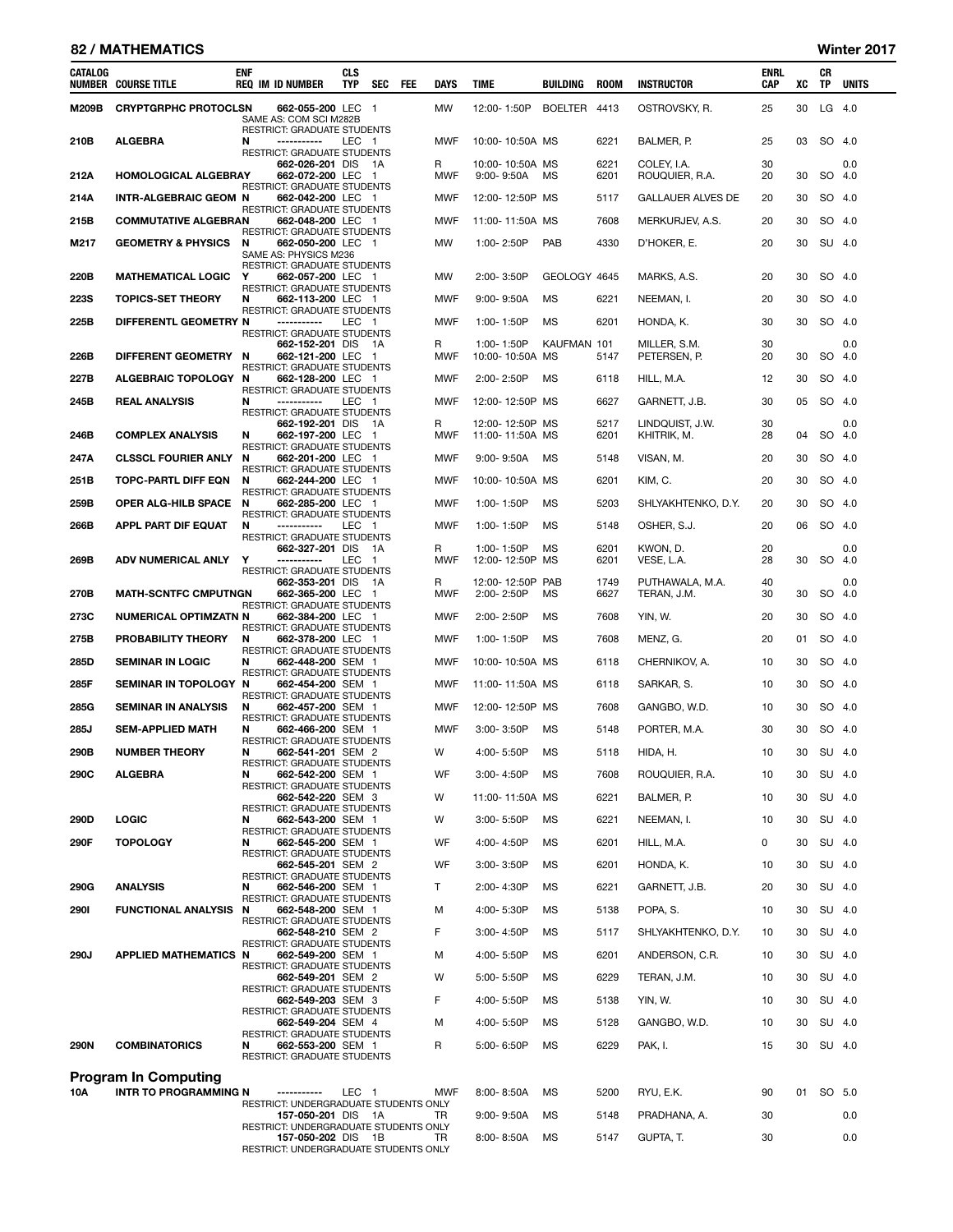### 82 / MATHEMATICS Winter 2017

| CATALOG      | <b>NUMBER COURSE TITLE</b>      | <b>ENF</b> | <b>REQ IM ID NUMBER</b>                                                          | <b>CLS</b><br><b>TYP</b> | <b>SEC</b> | <b>FEE</b> | <b>DAYS</b>     | <b>TIME</b>                        | <b>BUILDING</b> | <b>ROOM</b>  | <b>INSTRUCTOR</b>              | ENRL<br>CAP | XC | CR<br>TP | <b>UNITS</b>  |
|--------------|---------------------------------|------------|----------------------------------------------------------------------------------|--------------------------|------------|------------|-----------------|------------------------------------|-----------------|--------------|--------------------------------|-------------|----|----------|---------------|
| <b>M209B</b> | <b>CRYPTGRPHC PROTOCLSN</b>     |            | 662-055-200 LEC 1<br>SAME AS: COM SCI M282B                                      |                          |            |            | <b>MW</b>       | 12:00-1:50P                        | BOELTER 4413    |              | OSTROVSKY, R.                  | 25          | 30 | LG 4.0   |               |
| 210B         | <b>ALGEBRA</b>                  | N          | <b>RESTRICT: GRADUATE STUDENTS</b><br>-----------<br>RESTRICT: GRADUATE STUDENTS | LEC 1                    |            |            | <b>MWF</b>      | 10:00-10:50A MS                    |                 | 6221         | BALMER, P.                     | 25          | 03 |          | SO 4.0        |
| 212A         | <b>HOMOLOGICAL ALGEBRAY</b>     |            | 662-026-201 DIS 1A<br>662-072-200 LEC 1<br>RESTRICT: GRADUATE STUDENTS           |                          |            |            | R<br><b>MWF</b> | 10:00-10:50A MS<br>$9:00 - 9:50A$  | ΜS              | 6221<br>6201 | COLEY, I.A.<br>ROUQUIER, R.A.  | 30<br>20    | 30 |          | 0.0<br>SO 4.0 |
| 214A         | <b>INTR-ALGEBRAIC GEOM N</b>    |            | 662-042-200 LEC 1<br>RESTRICT: GRADUATE STUDENTS                                 |                          |            |            | <b>MWF</b>      | 12:00-12:50P MS                    |                 | 5117         | <b>GALLAUER ALVES DE</b>       | 20          | 30 |          | SO 4.0        |
| 215B         | <b>COMMUTATIVE ALGEBRAN</b>     |            | 662-048-200 LEC 1                                                                |                          |            |            | <b>MWF</b>      | 11:00-11:50A MS                    |                 | 7608         | MERKURJEV, A.S.                | 20          | 30 |          | SO 4.0        |
| M217         | <b>GEOMETRY &amp; PHYSICS N</b> |            | RESTRICT: GRADUATE STUDENTS<br>662-050-200 LEC 1<br>SAME AS: PHYSICS M236        |                          |            |            | MW              | 1:00-2:50P                         | PAB             | 4330         | D'HOKER, E.                    | 20          | 30 |          | SU 4.0        |
| 220B         | <b>MATHEMATICAL LOGIC Y</b>     |            | RESTRICT: GRADUATE STUDENTS<br>662-057-200 LEC 1                                 |                          |            |            | MW              | 2:00-3:50P                         | GEOLOGY 4645    |              | MARKS, A.S.                    | 20          | 30 |          | SO 4.0        |
| <b>223S</b>  | <b>TOPICS-SET THEORY</b>        | N          | RESTRICT: GRADUATE STUDENTS<br>662-113-200 LEC 1                                 |                          |            |            | MWF             | 9:00-9:50A                         | <b>MS</b>       | 6221         | NEEMAN, I.                     | 20          | 30 |          | SO 4.0        |
| 225B         | DIFFERENTL GEOMETRY N           |            | <b>RESTRICT: GRADUATE STUDENTS</b><br>-----------                                | LEC 1                    |            |            | MWF             | 1:00-1:50P                         | <b>MS</b>       | 6201         | HONDA, K.                      | 30          | 30 |          | SO 4.0        |
| 226B         | DIFFERENT GEOMETRY N            |            | RESTRICT: GRADUATE STUDENTS<br>662-152-201 DIS 1A<br>662-121-200 LEC 1           |                          |            |            | R<br><b>MWF</b> | 1:00-1:50P<br>10:00-10:50A MS      | KAUFMAN 101     | 5147         | MILLER, S.M.<br>PETERSEN, P.   | 30<br>20    | 30 |          | 0.0<br>SO 4.0 |
| 227B         | ALGEBRAIC TOPOLOGY N            |            | RESTRICT: GRADUATE STUDENTS<br>662-128-200 LEC 1                                 |                          |            |            | MWF             | 2:00-2:50P                         | <b>MS</b>       | 6118         | HILL, M.A.                     | 12          | 30 |          | SO 4.0        |
| 245B         | <b>REAL ANALYSIS</b>            | N          | <b>RESTRICT: GRADUATE STUDENTS</b><br>-----------                                | LEC 1                    |            |            | <b>MWF</b>      | 12:00-12:50P MS                    |                 | 6627         | GARNETT, J.B.                  | 30          | 05 |          | SO 4.0        |
|              |                                 |            | RESTRICT: GRADUATE STUDENTS                                                      |                          |            |            |                 |                                    |                 |              |                                |             |    |          |               |
| 246B         | <b>COMPLEX ANALYSIS</b>         | N          | 662-192-201 DIS 1A<br>662-197-200 LEC 1                                          |                          |            |            | R<br><b>MWF</b> | 12:00-12:50P MS<br>11:00-11:50A MS |                 | 5217<br>6201 | LINDQUIST, J.W.<br>KHITRIK, M. | 30<br>28    | 04 |          | 0.0<br>SO 4.0 |
| 247A         | <b>CLSSCL FOURIER ANLY N</b>    |            | <b>RESTRICT: GRADUATE STUDENTS</b><br>662-201-200 LEC 1                          |                          |            |            | <b>MWF</b>      | $9:00 - 9:50A$                     | <b>MS</b>       | 5148         | VISAN, M.                      | 20          | 30 |          | SO 4.0        |
| 251B         | TOPC-PARTL DIFF EQN             | N          | <b>RESTRICT: GRADUATE STUDENTS</b><br>662-244-200 LEC 1                          |                          |            |            | MWF             | 10:00-10:50A MS                    |                 | 6201         | KIM. C.                        | 20          | 30 |          | SO 4.0        |
| 259B         | <b>OPER ALG-HILB SPACE</b>      | - N        | RESTRICT: GRADUATE STUDENTS<br>662-285-200 LEC 1                                 |                          |            |            | <b>MWF</b>      | 1:00-1:50P                         | <b>MS</b>       | 5203         | SHLYAKHTENKO, D.Y.             | 20          | 30 |          | SO 4.0        |
| 266B         | APPL PART DIF EQUAT             | N          | RESTRICT: GRADUATE STUDENTS<br>-----------                                       | LEC 1                    |            |            | <b>MWF</b>      | 1:00-1:50P                         | <b>MS</b>       | 5148         | OSHER, S.J.                    | 20          | 06 |          | SO 4.0        |
|              |                                 |            | RESTRICT: GRADUATE STUDENTS<br>662-327-201 DIS                                   |                          | - 1A       |            | R               | 1:00-1:50P                         | <b>MS</b>       | 6201         | KWON, D.                       | 20          |    |          | 0.0           |
| 269B         | <b>ADV NUMERICAL ANLY</b>       | Y          | -----------<br>RESTRICT: GRADUATE STUDENTS                                       | LEC 1                    |            |            | MWF             | 12:00-12:50P MS                    |                 | 6201         | VESE, L.A.                     | 28          | 30 |          | SO 4.0        |
|              |                                 |            | 662-353-201 DIS 1A                                                               |                          |            |            | R               | 12:00-12:50P PAB                   |                 | 1749         | PUTHAWALA, M.A.                | 40          |    |          | 0.0           |
| 270B         | <b>MATH-SCNTFC CMPUTNGN</b>     |            | 662-365-200 LEC 1<br>RESTRICT: GRADUATE STUDENTS                                 |                          |            |            | MWF             | 2:00-2:50P                         | <b>MS</b>       | 6627         | TERAN, J.M.                    | 30          | 30 |          | SO 4.0        |
| 273C         | <b>NUMERICAL OPTIMZATN N</b>    |            | 662-384-200 LEC 1<br><b>RESTRICT: GRADUATE STUDENTS</b>                          |                          |            |            | MWF             | 2:00-2:50P                         | <b>MS</b>       | 7608         | YIN, W.                        | 20          | 30 |          | SO 4.0        |
| 275B         | PROBABILITY THEORY              | N          | 662-378-200 LEC 1<br>RESTRICT: GRADUATE STUDENTS                                 |                          |            |            | MWF             | 1:00-1:50P                         | <b>MS</b>       | 7608         | MENZ, G.                       | 20          | 01 |          | SO 4.0        |
| 285D         | <b>SEMINAR IN LOGIC</b>         | N          | 662-448-200 SEM 1<br>RESTRICT: GRADUATE STUDENTS                                 |                          |            |            | <b>MWF</b>      | 10:00-10:50A MS                    |                 | 6118         | CHERNIKOV, A.                  | 10          | 30 |          | SO 4.0        |
| 285F         | SEMINAR IN TOPOLOGY N           |            | 662-454-200 SEM 1<br><b>RESTRICT: GRADUATE STUDENTS</b>                          |                          |            |            | MWF             | 11:00-11:50A MS                    |                 | 6118         | SARKAR, S.                     | 10          | 30 |          | SO 4.0        |
| 285G         | <b>SEMINAR IN ANALYSIS</b>      | N          | 662-457-200 SEM 1<br>RESTRICT: GRADUATE STUDENTS                                 |                          |            |            | <b>MWF</b>      | 12:00-12:50P MS                    |                 | 7608         | GANGBO, W.D.                   | 10          | 30 |          | SO 4.0        |
| 285J         | <b>SEM-APPLIED MATH</b>         | N          | 662-466-200 SEM 1<br>RESTRICT: GRADUATE STUDENTS                                 |                          |            |            | <b>MWF</b>      | 3:00-3:50P                         | <b>MS</b>       | 5148         | PORTER, M.A.                   | 30          | 30 |          | SO 4.0        |
| 290B         | <b>NUMBER THEORY</b>            | N          | 662-541-201 SEM 2<br>RESTRICT: GRADUATE STUDENTS                                 |                          |            |            | W               | 4:00-5:50P                         | MS              | 5118         | HIDA, H.                       | 10          | 30 |          | SU 4.0        |
| 290C         | <b>ALGEBRA</b>                  | N          | 662-542-200 SEM 1                                                                |                          |            |            | WF              | 3:00-4:50P                         | <b>MS</b>       | 7608         | ROUQUIER, R.A.                 | 10          | 30 |          | SU 4.0        |
|              |                                 |            | RESTRICT: GRADUATE STUDENTS<br>662-542-220 SEM 3                                 |                          |            |            | W               | 11:00-11:50A MS                    |                 | 6221         | BALMER, P.                     | 10          | 30 |          | SU 4.0        |
| 290D         | <b>LOGIC</b>                    | N          | <b>RESTRICT: GRADUATE STUDENTS</b><br>662-543-200 SEM 1                          |                          |            |            | W               | 3:00-5:50P                         | <b>MS</b>       | 6221         | NEEMAN, I.                     | 10          | 30 |          | SU 4.0        |
| 290F         | <b>TOPOLOGY</b>                 | N          | RESTRICT: GRADUATE STUDENTS<br>662-545-200 SEM 1                                 |                          |            |            | WF              | 4:00-4:50P                         | <b>MS</b>       | 6201         | HILL, M.A.                     | 0           | 30 |          | SU 4.0        |
|              |                                 |            | RESTRICT: GRADUATE STUDENTS<br>662-545-201 SEM 2                                 |                          |            |            | WF              | 3:00-3:50P                         | MS              | 6201         | HONDA, K.                      | 10          | 30 |          | SU 4.0        |
| 290G         | <b>ANALYSIS</b>                 | N          | <b>RESTRICT: GRADUATE STUDENTS</b><br>662-546-200 SEM 1                          |                          |            |            | T.              | 2:00-4:30P                         | <b>MS</b>       | 6221         | GARNETT, J.B.                  | 20          | 30 |          | SU 4.0        |
| 290I         | <b>FUNCTIONAL ANALYSIS</b>      | N          | RESTRICT: GRADUATE STUDENTS<br>662-548-200 SEM 1                                 |                          |            |            | м               | 4:00-5:30P                         | <b>MS</b>       | 5138         | POPA, S.                       | 10          | 30 |          | SU 4.0        |
|              |                                 |            | <b>RESTRICT: GRADUATE STUDENTS</b><br>662-548-210 SEM 2                          |                          |            |            | F               | 3:00-4:50P                         | <b>MS</b>       | 5117         | SHLYAKHTENKO, D.Y.             | 10          | 30 |          | SU 4.0        |
| 290J         | <b>APPLIED MATHEMATICS N</b>    |            | <b>RESTRICT: GRADUATE STUDENTS</b><br>662-549-200 SEM 1                          |                          |            |            | м               | 4:00-5:50P                         | MS              | 6201         | ANDERSON, C.R.                 | 10          | 30 |          | SU 4.0        |
|              |                                 |            | RESTRICT: GRADUATE STUDENTS<br>662-549-201 SEM 2                                 |                          |            |            | W               | 5:00-5:50P                         | <b>MS</b>       | 6229         | TERAN, J.M.                    | 10          | 30 |          | SU 4.0        |
|              |                                 |            | RESTRICT: GRADUATE STUDENTS<br>662-549-203 SEM 3                                 |                          |            |            | F               | 4:00-5:50P                         | MS              | 5138         | YIN, W.                        |             | 30 |          | SU 4.0        |
|              |                                 |            | RESTRICT: GRADUATE STUDENTS                                                      |                          |            |            |                 |                                    |                 |              |                                | 10          |    |          |               |
|              |                                 |            | 662-549-204 SEM 4<br>RESTRICT: GRADUATE STUDENTS                                 |                          |            |            | м               | 4:00-5:50P                         | <b>MS</b>       | 5128         | GANGBO, W.D.                   | 10          | 30 |          | SU 4.0        |
| 290N         | <b>COMBINATORICS</b>            | N          | 662-553-200 SEM 1<br>RESTRICT: GRADUATE STUDENTS                                 |                          |            |            | R               | 5:00-6:50P                         | <b>MS</b>       | 6229         | PAK, I.                        | 15          | 30 |          | SU 4.0        |
|              | <b>Program In Computing</b>     |            |                                                                                  |                          |            |            |                 |                                    |                 |              |                                |             |    |          |               |
| 10A          | <b>INTR TO PROGRAMMING N</b>    |            | -----------<br>RESTRICT: UNDERGRADUATE STUDENTS ONLY                             | LEC 1                    |            |            | MWF             | 8:00-8:50A                         | <b>MS</b>       | 5200         | RYU, E.K.                      | 90          | 01 |          | SO 5.0        |
|              |                                 |            | 157-050-201 DIS 1A<br>RESTRICT: UNDERGRADUATE STUDENTS ONLY                      |                          |            |            | TR.             | 9:00-9:50A                         | <b>MS</b>       | 5148         | PRADHANA, A.                   | 30          |    |          | 0.0           |
|              |                                 |            | 157-050-202 DIS 1B<br>RESTRICT: UNDERGRADUATE STUDENTS ONLY                      |                          |            |            | TR              | 8:00-8:50A                         | MS              | 5147         | GUPTA, T.                      | 30          |    |          | 0.0           |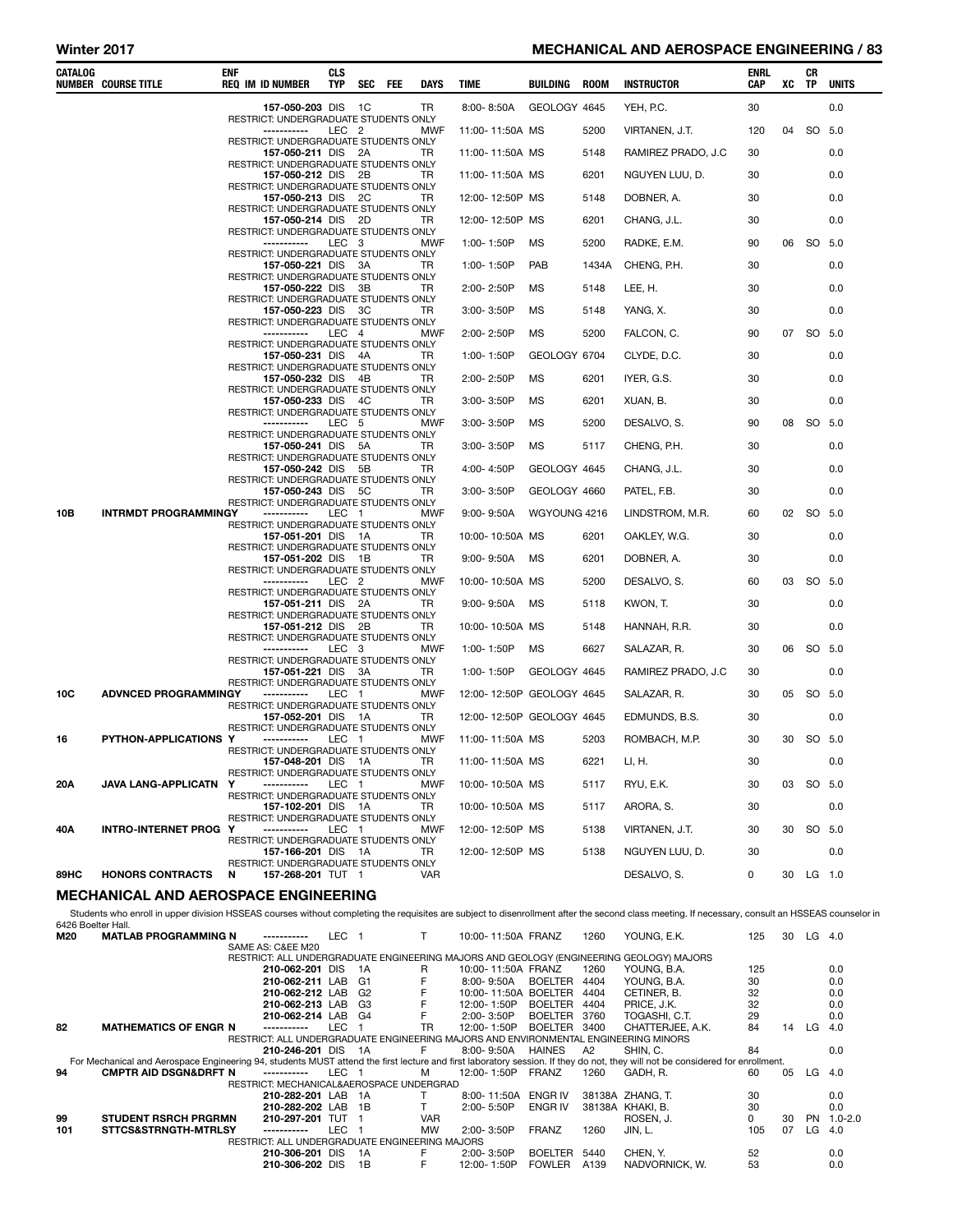## Winter 2017 **MECHANICAL AND AEROSPACE ENGINEERING / 83**

| CATALOG | <b>NUMBER COURSE TITLE</b>                  | <b>ENF</b> | <b>REQ IM ID NUMBER</b>                                     | <b>CLS</b><br>TYP | SEC FEE | DAYS       | TIME                      | BUILDING     | ROOM  | <b>INSTRUCTOR</b>  | ENRL<br>CAP | XC    | CR<br>TP  | <b>UNITS</b> |
|---------|---------------------------------------------|------------|-------------------------------------------------------------|-------------------|---------|------------|---------------------------|--------------|-------|--------------------|-------------|-------|-----------|--------------|
|         |                                             |            | 157-050-203 DIS 1C<br>RESTRICT: UNDERGRADUATE STUDENTS ONLY |                   |         | TR         | 8:00-8:50A                | GEOLOGY 4645 |       | YEH, P.C.          | 30          |       |           | 0.0          |
|         |                                             |            | -----------                                                 | LEC 2             |         | <b>MWF</b> | 11:00-11:50A MS           |              | 5200  | VIRTANEN, J.T.     | 120         | 04 SO |           | 5.0          |
|         |                                             |            | RESTRICT: UNDERGRADUATE STUDENTS ONLY<br>157-050-211 DIS 2A |                   |         | TR         | 11:00-11:50A MS           |              | 5148  | RAMIREZ PRADO, J.C | 30          |       |           | 0.0          |
|         |                                             |            | RESTRICT: UNDERGRADUATE STUDENTS ONLY<br>157-050-212 DIS 2B |                   |         | TR         | 11:00-11:50A MS           |              | 6201  | NGUYEN LUU, D.     | 30          |       |           | 0.0          |
|         |                                             |            | RESTRICT: UNDERGRADUATE STUDENTS ONLY<br>157-050-213 DIS 2C |                   |         | TR         | 12:00-12:50P MS           |              | 5148  | DOBNER, A.         | 30          |       |           | 0.0          |
|         |                                             |            | RESTRICT: UNDERGRADUATE STUDENTS ONLY<br>157-050-214 DIS 2D |                   |         | TR         | 12:00-12:50P MS           |              | 6201  | CHANG, J.L.        | 30          |       |           | 0.0          |
|         |                                             |            | RESTRICT: UNDERGRADUATE STUDENTS ONLY<br>-----------        | LEC 3             |         | MWF        | 1:00-1:50P                | MS           | 5200  | RADKE, E.M.        | 90          |       | 06 SO 5.0 |              |
|         |                                             |            | RESTRICT: UNDERGRADUATE STUDENTS ONLY<br>157-050-221 DIS 3A |                   |         | TR         | 1:00-1:50P                | PAB          | 1434A | CHENG, P.H.        | 30          |       |           | 0.0          |
|         |                                             |            | RESTRICT: UNDERGRADUATE STUDENTS ONLY<br>157-050-222 DIS 3B |                   |         | TR         | 2:00-2:50P                | MS           | 5148  | LEE, H.            | 30          |       |           | 0.0          |
|         |                                             |            | RESTRICT: UNDERGRADUATE STUDENTS ONLY<br>157-050-223 DIS 3C |                   |         | TR         | 3:00-3:50P                | MS           | 5148  | YANG, X.           | 30          |       |           | 0.0          |
|         |                                             |            | RESTRICT: UNDERGRADUATE STUDENTS ONLY<br>-----------        | LEC 4             |         | <b>MWF</b> | 2:00-2:50P                | <b>MS</b>    | 5200  | FALCON, C.         | 90          |       | 07 SO 5.0 |              |
|         |                                             |            | RESTRICT: UNDERGRADUATE STUDENTS ONLY<br>157-050-231 DIS 4A |                   |         | TR         | 1:00-1:50P                | GEOLOGY 6704 |       | CLYDE, D.C.        | 30          |       |           | 0.0          |
|         |                                             |            | RESTRICT: UNDERGRADUATE STUDENTS ONLY<br>157-050-232 DIS 4B |                   |         | TR         | 2:00-2:50P                | MS           | 6201  | IYER, G.S.         | 30          |       |           | 0.0          |
|         |                                             |            | RESTRICT: UNDERGRADUATE STUDENTS ONLY<br>157-050-233 DIS 4C |                   |         | TR         | 3:00-3:50P                | MS           | 6201  | XUAN, B.           | 30          |       |           | 0.0          |
|         |                                             |            | RESTRICT: UNDERGRADUATE STUDENTS ONLY<br>-----------        | LEC 5             |         | MWF        | 3:00-3:50P                | MS           | 5200  | DESALVO, S.        | 90          | 08    | SO 5.0    |              |
|         |                                             |            | RESTRICT: UNDERGRADUATE STUDENTS ONLY                       |                   |         | TR         | 3:00-3:50P                | MS           | 5117  |                    | 30          |       |           | 0.0          |
|         |                                             |            | 157-050-241 DIS 5A<br>RESTRICT: UNDERGRADUATE STUDENTS ONLY |                   |         |            |                           |              |       | CHENG, P.H.        |             |       |           |              |
|         |                                             |            | 157-050-242 DIS 5B<br>RESTRICT: UNDERGRADUATE STUDENTS ONLY |                   |         | TR         | 4:00-4:50P                | GEOLOGY 4645 |       | CHANG, J.L.        | 30          |       |           | 0.0          |
|         |                                             |            | 157-050-243 DIS 5C<br>RESTRICT: UNDERGRADUATE STUDENTS ONLY |                   |         | TR         | 3:00-3:50P                | GEOLOGY 4660 |       | PATEL, F.B.        | 30          |       |           | 0.0          |
| 10B     | <b>INTRMDT PROGRAMMINGY</b>                 |            | -----------<br>RESTRICT: UNDERGRADUATE STUDENTS ONLY        | LEC 1             |         | MWF        | $9:00 - 9:50A$            | WGYOUNG 4216 |       | LINDSTROM, M.R.    | 60          |       | 02 SO 5.0 |              |
|         |                                             |            | 157-051-201 DIS 1A<br>RESTRICT: UNDERGRADUATE STUDENTS ONLY |                   |         | TR         | 10:00-10:50A MS           |              | 6201  | OAKLEY, W.G.       | 30          |       |           | 0.0          |
|         |                                             |            | 157-051-202 DIS 1B<br>RESTRICT: UNDERGRADUATE STUDENTS ONLY |                   |         | TR         | $9:00 - 9:50A$            | MS           | 6201  | DOBNER, A.         | 30          |       |           | 0.0          |
|         |                                             |            | -----------<br>RESTRICT: UNDERGRADUATE STUDENTS ONLY        | LEC <sub>2</sub>  |         | MWF        | 10:00-10:50A MS           |              | 5200  | DESALVO, S.        | 60          |       | 03 SO 5.0 |              |
|         |                                             |            | 157-051-211 DIS 2A<br>RESTRICT: UNDERGRADUATE STUDENTS ONLY |                   |         | TR         | $9:00 - 9:50A$            | МS           | 5118  | KWON, T.           | 30          |       |           | 0.0          |
|         |                                             |            | 157-051-212 DIS 2B<br>RESTRICT: UNDERGRADUATE STUDENTS ONLY |                   |         | TR         | 10:00-10:50A MS           |              | 5148  | HANNAH, R.R.       | 30          |       |           | 0.0          |
|         |                                             |            | -----------<br>RESTRICT: UNDERGRADUATE STUDENTS ONLY        | LEC 3             |         | MWF        | 1:00-1:50P                | MS           | 6627  | SALAZAR, R.        | 30          |       | 06 SO 5.0 |              |
|         |                                             |            | 157-051-221 DIS 3A<br>RESTRICT: UNDERGRADUATE STUDENTS ONLY |                   |         | TR         | 1:00-1:50P                | GEOLOGY 4645 |       | RAMIREZ PRADO, J.C | 30          |       |           | 0.0          |
| 10C     | <b>ADVNCED PROGRAMMINGY</b>                 |            | -----------<br>RESTRICT: UNDERGRADUATE STUDENTS ONLY        | LEC 1             |         | MWF        | 12:00-12:50P GEOLOGY 4645 |              |       | SALAZAR, R.        | 30          | 05    | SO 5.0    |              |
|         |                                             |            | 157-052-201 DIS 1A<br>RESTRICT: UNDERGRADUATE STUDENTS ONLY |                   |         | TR         | 12:00-12:50P GEOLOGY 4645 |              |       | EDMUNDS, B.S.      | 30          |       |           | 0.0          |
| 16      | PYTHON-APPLICATIONS Y                       |            | -----------<br>RESTRICT: UNDERGRADUATE STUDENTS ONLY        | LEC 1             |         | <b>MWF</b> | 11:00-11:50A MS           |              | 5203  | ROMBACH, M.P.      | 30          |       | 30 SO 5.0 |              |
|         |                                             |            | 157-048-201 DIS 1A<br>RESTRICT: UNDERGRADUATE STUDENTS ONLY |                   |         | TR         | 11:00-11:50A MS           |              | 6221  | LI, H.             | 30          |       |           | 0.0          |
| 20A     | JAVA LANG-APPLICATN                         | Y          | -----------<br>RESTRICT: UNDERGRADUATE STUDENTS ONLY        | LEC 1             |         | MWF        | 10:00-10:50A MS           |              | 5117  | RYU, E.K.          | 30          |       | 03 SO 5.0 |              |
|         |                                             |            | 157-102-201 DIS 1A                                          |                   |         | TR         | 10:00-10:50A MS           |              | 5117  | ARORA, S.          | 30          |       |           | 0.0          |
| 40A     | INTRO-INTERNET PROG Y                       |            | RESTRICT: UNDERGRADUATE STUDENTS ONLY<br>-----------        | LEC 1             |         | MWF        | 12:00-12:50P MS           |              | 5138  | VIRTANEN, J.T.     | 30          |       | 30 SO 5.0 |              |
|         |                                             |            | RESTRICT: UNDERGRADUATE STUDENTS ONLY<br>157-166-201 DIS 1A |                   |         | TR         | 12:00-12:50P MS           |              | 5138  | NGUYEN LUU, D.     | 30          |       |           | 0.0          |
| 89HC    | <b>HONORS CONTRACTS</b>                     | N          | RESTRICT: UNDERGRADUATE STUDENTS ONLY<br>157-268-201 TUT 1  |                   |         | VAR        |                           |              |       | DESALVO, S.        | 0           |       | 30 LG 1.0 |              |
|         | <b>MECHANICAL AND AEROSPACE ENGINEERING</b> |            |                                                             |                   |         |            |                           |              |       |                    |             |       |           |              |

Students who enroll in upper division HSSEAS courses without completing the requisites are subject to disenrollment after the second class meeting. If necessary, consult an HSSEAS counselor in 6426 Boelter Hall. M20 MATLAB PROGRAMMING N ----------- LEC 1 T 10:00- 11:50A FRANZ 1260 YOUNG, E.K. 125 30 LG 4.0 SAME AS: C&EE M20 RESTRICT: ALL UNDERGRADUATE ENGINEERING MAJORS AND GEOLOGY (ENGINEERING GEOLOGY) MAJORS

|     |                                                                                                                                                                               | SAME AS: C&EE M20                                                                   |       |      |            |                      |                |      |                                                                                         |          |    |          |             |
|-----|-------------------------------------------------------------------------------------------------------------------------------------------------------------------------------|-------------------------------------------------------------------------------------|-------|------|------------|----------------------|----------------|------|-----------------------------------------------------------------------------------------|----------|----|----------|-------------|
|     |                                                                                                                                                                               |                                                                                     |       |      |            |                      |                |      | RESTRICT: ALL UNDERGRADUATE ENGINEERING MAJORS AND GEOLOGY (ENGINEERING GEOLOGY) MAJORS |          |    |          |             |
|     |                                                                                                                                                                               | 210-062-201 DIS                                                                     |       | - 1A | R          | 10:00-11:50A FRANZ   |                | 1260 | YOUNG. B.A.                                                                             | 125      |    |          | 0.0         |
|     |                                                                                                                                                                               | 210-062-211 LAB                                                                     |       | - G1 |            | 8:00-9:50A           | <b>BOELTER</b> | 4404 | YOUNG, B.A.                                                                             | 30       |    |          | 0.0         |
|     |                                                                                                                                                                               | 210-062-212 LAB                                                                     |       | G2   |            | 10:00-11:50A BOELTER |                | 4404 | CETINER, B.                                                                             | 32       |    |          | 0.0         |
|     |                                                                                                                                                                               | 210-062-213 LAB                                                                     |       | - G3 |            | 12:00-1:50P          | <b>BOELTER</b> | 4404 | PRICE, J.K.                                                                             | 32       |    |          | 0.0         |
|     |                                                                                                                                                                               | 210-062-214 LAB G4                                                                  |       |      |            | 2:00-3:50P           | <b>BOELTER</b> | 3760 | TOGASHI, C.T.                                                                           | 29       |    |          | 0.0         |
| 82  | <b>MATHEMATICS OF ENGR N</b>                                                                                                                                                  | -----------                                                                         | LEC.  |      | <b>TR</b>  | 12:00-1:50P          | <b>BOELTER</b> | 3400 | CHATTERJEE, A.K.                                                                        | 84       | 14 | LG.      | 4.0         |
|     |                                                                                                                                                                               | RESTRICT: ALL UNDERGRADUATE ENGINEERING MAJORS AND ENVIRONMENTAL ENGINEERING MINORS |       |      |            |                      |                |      |                                                                                         |          |    |          |             |
|     |                                                                                                                                                                               | 210-246-201 DIS                                                                     |       | 1A   | F.         | 8:00-9:50A           | <b>HAINES</b>  | A2   | SHIN, C.                                                                                | 84       |    |          | 0.0         |
|     | For Mechanical and Aerospace Engineering 94, students MUST attend the first lecture and first laboratory session. If they do not, they will not be considered for enrollment. |                                                                                     |       |      |            |                      |                |      |                                                                                         |          |    |          |             |
| 94  | <b>CMPTR AID DSGN&amp;DRFT N</b>                                                                                                                                              | -----------                                                                         | LEC 1 |      | м          | 12:00-1:50P FRANZ    |                | 1260 | GADH. R.                                                                                | 60       | 05 | $LG$ 4.0 |             |
|     |                                                                                                                                                                               | RESTRICT: MECHANICAL&AEROSPACE UNDERGRAD                                            |       |      |            |                      |                |      |                                                                                         |          |    |          |             |
|     |                                                                                                                                                                               | 210-282-201 LAB 1A                                                                  |       |      |            | 8:00-11:50A          | ENGR IV        |      | 38138A ZHANG, T.                                                                        | 30       |    |          | 0.0         |
|     |                                                                                                                                                                               | 210-282-202 LAB                                                                     |       | - 1B |            | $2:00 - 5:50P$       | ENGR IV        |      | 38138A KHAKI B.                                                                         | 30       |    |          | 0.0         |
| 99  | <b>STUDENT RSRCH PRGRMN</b>                                                                                                                                                   | 210-297-201 TUT                                                                     |       |      | <b>VAR</b> |                      |                |      | ROSEN. J.                                                                               | $\Omega$ | 30 | PN.      | $1.0 - 2.0$ |
| 101 | STTCS&STRNGTH-MTRLSY                                                                                                                                                          |                                                                                     | LEC.  |      | <b>MW</b>  | $2:00 - 3:50P$       | <b>FRANZ</b>   | 1260 | JIN.L.                                                                                  | 105      | 07 | LG       | 4.0         |
|     |                                                                                                                                                                               | RESTRICT: ALL UNDERGRADUATE ENGINEERING MAJORS                                      |       |      |            |                      |                |      |                                                                                         |          |    |          |             |
|     |                                                                                                                                                                               | 210-306-201 DIS                                                                     |       | 1A   | F.         | 2:00-3:50P           | <b>BOELTER</b> | 5440 | CHEN. Y.                                                                                | 52       |    |          | 0.0         |
|     |                                                                                                                                                                               | 210-306-202 DIS                                                                     |       | 1B   |            | 12:00-1:50P          | <b>FOWLER</b>  | A139 | NADVORNICK, W.                                                                          | 53       |    |          | 0.0         |
|     |                                                                                                                                                                               |                                                                                     |       |      |            |                      |                |      |                                                                                         |          |    |          |             |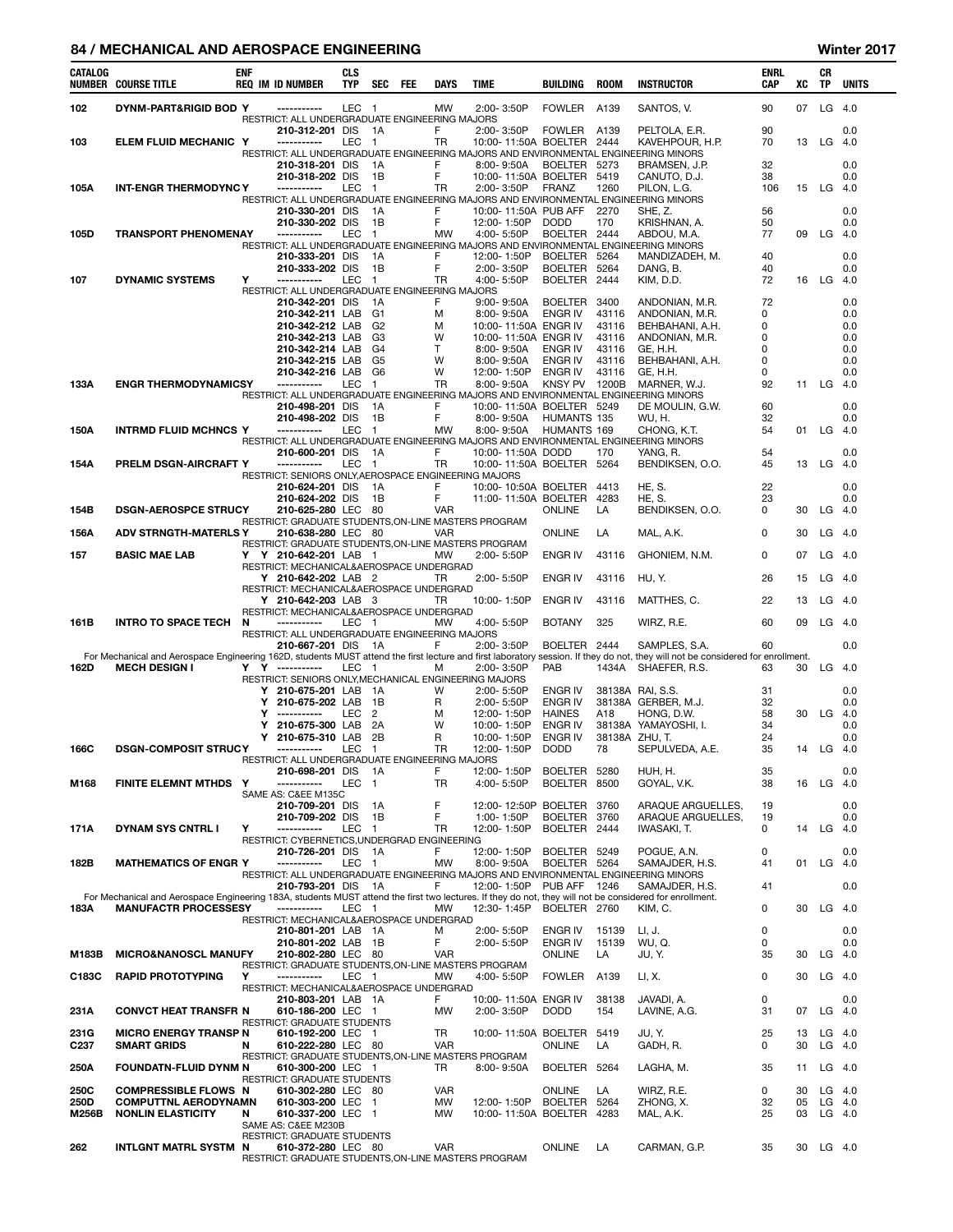#### 84 / MECHANICAL AND AEROSPACE ENGINEERING WINTER AND THE SERVICE SERVICE SERVICE SERVICE SERVICE SERVICE SERVICE SERVICE SERVICE SERVICE SERVICE SERVICE SERVICE SERVICE SERVICE SERVICE SERVICE SERVICE SERVICE SERVICE SERVI

| CATALOG       | <b>NUMBER COURSE TITLE</b>                                                                                                                                                             | <b>ENF</b> |        | <b>REQ IM ID NUMBER</b>                                                    | CLS<br><b>TYP</b> | <b>SEC</b>                       | FEE | <b>DAYS</b>    | <b>TIME</b>                                                                          | <b>BUILDING</b>                  | <b>ROOM</b>          | <b>INSTRUCTOR</b>                                                                                      | ENRL<br>CAP | xс       | CR<br>TP             | <b>UNITS</b> |
|---------------|----------------------------------------------------------------------------------------------------------------------------------------------------------------------------------------|------------|--------|----------------------------------------------------------------------------|-------------------|----------------------------------|-----|----------------|--------------------------------------------------------------------------------------|----------------------------------|----------------------|--------------------------------------------------------------------------------------------------------|-------------|----------|----------------------|--------------|
| 102           | DYNM-PART&RIGID BOD Y                                                                                                                                                                  |            |        | -----------<br>RESTRICT: ALL UNDERGRADUATE ENGINEERING MAJORS              | LEC <sub>1</sub>  |                                  |     | <b>MW</b>      | 2:00-3:50P                                                                           | <b>FOWLER</b>                    | A139                 | SANTOS, V.                                                                                             | 90          | 07       | LG                   | 4.0          |
|               |                                                                                                                                                                                        |            |        | 210-312-201 DIS                                                            |                   | 1A                               |     | F              | 2:00-3:50P                                                                           | FOWLER                           | A139                 | PELTOLA, E.R.                                                                                          | 90          |          |                      | 0.0          |
| 103           | ELEM FLUID MECHANIC Y                                                                                                                                                                  |            |        | -----------                                                                | LEC               | - 1                              |     | TR             | 10:00-11:50A BOELTER                                                                 |                                  | 2444                 | KAVEHPOUR, H.P.<br>RESTRICT: ALL UNDERGRADUATE ENGINEERING MAJORS AND ENVIRONMENTAL ENGINEERING MINORS | 70          | 13       | LG                   | - 4.0        |
|               |                                                                                                                                                                                        |            |        | 210-318-201 DIS                                                            |                   | 1A                               |     | F              | 8:00-9:50A                                                                           | BOELTER 5273                     |                      | BRAMSEN, J.P.                                                                                          | 32          |          |                      | 0.0          |
|               |                                                                                                                                                                                        |            |        | 210-318-202 DIS                                                            |                   | 1B                               |     | F              | 10:00-11:50A BOELTER                                                                 |                                  | 5419                 | CANUTO, D.J.                                                                                           | 38          |          |                      | 0.0          |
| 105A          | <b>INT-ENGR THERMODYNC Y</b>                                                                                                                                                           |            |        | -----------                                                                | LEC               | $\overline{1}$                   |     | TR             | 2:00-3:50P                                                                           | <b>FRANZ</b>                     | 1260                 | PILON, L.G.<br>RESTRICT: ALL UNDERGRADUATE ENGINEERING MAJORS AND ENVIRONMENTAL ENGINEERING MINORS     | 106         |          | 15 LG 4.0            |              |
|               |                                                                                                                                                                                        |            |        | 210-330-201 DIS                                                            |                   | 1A                               |     | F              | 10:00-11:50A PUB AFF                                                                 |                                  | 2270                 | SHE, Z.                                                                                                | 56          |          |                      | 0.0          |
|               |                                                                                                                                                                                        |            |        | 210-330-202 DIS                                                            |                   | 1B                               |     | F              | 12:00-1:50P                                                                          | <b>DODD</b>                      | 170                  | KRISHNAN, A.                                                                                           | 50          |          |                      | 0.0          |
| 105D          | <b>TRANSPORT PHENOMENAY</b>                                                                                                                                                            |            |        | -----------                                                                | <b>LEC</b>        | $\overline{1}$                   |     | <b>MW</b>      | 4:00-5:50P<br>RESTRICT: ALL UNDERGRADUATE ENGINEERING MAJORS AND ENVIRONMENTAL ENGIN | BOELTER 2444                     |                      | ABDOU, M.A.<br>IEERING MINORS                                                                          | 77          | 09       | LG                   | - 4.0        |
|               |                                                                                                                                                                                        |            |        | 210-333-201 DIS                                                            |                   | 1A                               |     | F              | 12:00-1:50P                                                                          | BOELTER 5264                     |                      | MANDIZADEH, M.                                                                                         | 40          |          |                      | 0.0          |
|               |                                                                                                                                                                                        | Y          |        | 210-333-202 DIS<br>-----------                                             | <b>LEC</b>        | 1B                               |     | F              | 2:00-3:50P<br>4:00-5:50P                                                             | <b>BOELTER</b>                   | 5264                 | DANG, B.                                                                                               | 40<br>72    |          | LG                   | 0.0          |
| 107           | <b>DYNAMIC SYSTEMS</b>                                                                                                                                                                 |            |        | RESTRICT: ALL UNDERGRADUATE ENGINEERING MAJORS                             |                   | $\overline{1}$                   |     | TR             |                                                                                      | <b>BOELTER</b>                   | 2444                 | KIM, D.D.                                                                                              |             | 16       |                      | - 4.0        |
|               |                                                                                                                                                                                        |            |        | 210-342-201 DIS                                                            |                   | 1A                               |     | F              | $9:00 - 9:50A$                                                                       | <b>BOELTER</b>                   | 3400                 | ANDONIAN, M.R.                                                                                         | 72          |          |                      | 0.0          |
|               |                                                                                                                                                                                        |            |        | 210-342-211 LAB<br>210-342-212 LAB                                         |                   | G <sub>1</sub><br>G <sub>2</sub> |     | м<br>м         | 8:00-9:50A<br>10:00-11:50A ENGR IV                                                   | ENGR IV                          | 43116<br>43116       | ANDONIAN, M.R.<br>BEHBAHANI, A.H.                                                                      | 0<br>0      |          |                      | 0.0<br>0.0   |
|               |                                                                                                                                                                                        |            |        | 210-342-213 LAB                                                            |                   | G <sub>3</sub>                   |     | W              | 10:00-11:50A ENGR IV                                                                 |                                  | 43116                | ANDONIAN, M.R.                                                                                         | 0           |          |                      | 0.0          |
|               |                                                                                                                                                                                        |            |        | 210-342-214 LAB                                                            |                   | G <sub>4</sub>                   |     | T              | 8:00-9:50A                                                                           | <b>ENGR IV</b>                   | 43116                | GE, H.H.                                                                                               | 0           |          |                      | 0.0          |
|               |                                                                                                                                                                                        |            |        | 210-342-215 LAB<br>210-342-216 LAB                                         |                   | G <sub>5</sub><br>G6             |     | W<br>W         | 8:00-9:50A<br>12:00-1:50P                                                            | ENGR IV<br>ENGR IV               | 43116<br>43116       | BEHBAHANI, A.H.<br>GE, H.H.                                                                            | 0<br>0      |          |                      | 0.0<br>0.0   |
| 133A          | <b>ENGR THERMODYNAMICSY</b>                                                                                                                                                            |            |        | -----------                                                                | LEC               | $\overline{1}$                   |     | TR             | 8:00-9:50A                                                                           | KNSY PV 1200B                    |                      | MARNER, W.J.                                                                                           | 92          | 11       | LG                   | 4.0          |
|               |                                                                                                                                                                                        |            |        |                                                                            |                   |                                  |     |                |                                                                                      |                                  |                      | RESTRICT: ALL UNDERGRADUATE ENGINEERING MAJORS AND ENVIRONMENTAL ENGINEERING MINORS                    |             |          |                      |              |
|               |                                                                                                                                                                                        |            |        | 210-498-201 DIS<br>210-498-202 DIS                                         |                   | 1A<br>1B                         |     | F<br>F         | 10:00-11:50A BOELTER 5249<br>8:00-9:50A                                              | HUMANTS 135                      |                      | DE MOULIN, G.W.<br>WU, H.                                                                              | 60<br>32    |          |                      | 0.0<br>0.0   |
| 150A          | <b>INTRMD FLUID MCHNCS Y</b>                                                                                                                                                           |            |        | -----------                                                                | <b>LEC</b>        | $\overline{1}$                   |     | <b>MW</b>      | 8:00-9:50A                                                                           | HUMANTS 169                      |                      | CHONG, K.T.                                                                                            | 54          | 01       | $LG$ 4.0             |              |
|               |                                                                                                                                                                                        |            |        |                                                                            |                   |                                  |     |                |                                                                                      |                                  |                      | RESTRICT: ALL UNDERGRADUATE ENGINEERING MAJORS AND ENVIRONMENTAL ENGINEERING MINORS                    |             |          |                      |              |
| 154A          | PRELM DSGN-AIRCRAFT Y                                                                                                                                                                  |            |        | 210-600-201 DIS<br>-----------                                             | LEC 1             | - 1A                             |     | F<br>TR        | 10:00-11:50A DODD<br>10:00-11:50A BOELTER 5264                                       |                                  | 170                  | YANG, R.<br>BENDIKSEN, O.O.                                                                            | 54<br>45    | 13       | LG                   | 0.0<br>- 4.0 |
|               |                                                                                                                                                                                        |            |        | RESTRICT: SENIORS ONLY, AEROSPACE ENGINEERING MAJORS                       |                   |                                  |     |                |                                                                                      |                                  |                      |                                                                                                        |             |          |                      |              |
|               |                                                                                                                                                                                        |            |        | 210-624-201 DIS                                                            |                   | - 1A<br>1B                       |     | F<br>F         | 10:00-10:50A BOELTER                                                                 |                                  | 4413<br>4283         | HE, S.<br>HE, S.                                                                                       | 22<br>23    |          |                      | 0.0<br>0.0   |
| 154B          | <b>DSGN-AEROSPCE STRUCY</b>                                                                                                                                                            |            |        | 210-624-202 DIS<br>210-625-280 LEC 80                                      |                   |                                  |     | VAR            | 11:00-11:50A BOELTER                                                                 | <b>ONLINE</b>                    | LA                   | BENDIKSEN, O.O.                                                                                        | 0           | 30       | LG                   | 4.0          |
|               |                                                                                                                                                                                        |            |        | RESTRICT: GRADUATE STUDENTS, ON-LINE MASTERS PROGRAM                       |                   |                                  |     |                |                                                                                      |                                  |                      |                                                                                                        |             |          |                      |              |
| 156A          | <b>ADV STRNGTH-MATERLS Y</b>                                                                                                                                                           |            |        | 210-638-280 LEC 80<br>RESTRICT: GRADUATE STUDENTS, ON-LINE MASTERS PROGRAM |                   |                                  |     | <b>VAR</b>     |                                                                                      | <b>ONLINE</b>                    | LA                   | MAL, A.K.                                                                                              | $\Omega$    | 30       | LG                   | 4.0          |
| 157           | <b>BASIC MAE LAB</b>                                                                                                                                                                   |            |        | Y Y 210-642-201 LAB 1                                                      |                   |                                  |     | <b>MW</b>      | 2:00-5:50P                                                                           | <b>ENGR IV</b>                   | 43116                | GHONIEM, N.M.                                                                                          | 0           | 07       | LG                   | 4.0          |
|               |                                                                                                                                                                                        |            |        | RESTRICT: MECHANICAL&AEROSPACE UNDERGRAD<br>Y 210-642-202 LAB 2            |                   |                                  |     | TR             | 2:00-5:50P                                                                           | <b>ENGR IV</b>                   | 43116                | HU, Y.                                                                                                 | 26          | 15       | LG                   | 4.0          |
|               |                                                                                                                                                                                        |            |        | RESTRICT: MECHANICAL&AEROSPACE UNDERGRAD                                   |                   |                                  |     |                |                                                                                      |                                  |                      |                                                                                                        |             |          |                      |              |
|               |                                                                                                                                                                                        |            |        | Y 210-642-203 LAB 3                                                        |                   |                                  |     | TR             | 10:00-1:50P                                                                          | <b>ENGR IV</b>                   | 43116                | MATTHES, C.                                                                                            | 22          | 13       | LG                   | - 4.0        |
| 161B          | INTRO TO SPACE TECH                                                                                                                                                                    | N          |        | RESTRICT: MECHANICAL&AEROSPACE UNDERGRAD<br>-----------                    | LEC 1             |                                  |     | <b>MW</b>      | 4:00-5:50P                                                                           | <b>BOTANY</b>                    | 325                  | WIRZ, R.E.                                                                                             | 60          | 09       | LG                   | - 4.0        |
|               |                                                                                                                                                                                        |            |        | RESTRICT: ALL UNDERGRADUATE ENGINEERING MAJORS                             |                   |                                  |     |                |                                                                                      |                                  |                      |                                                                                                        |             |          |                      |              |
|               | For Mechanical and Aerospace Engineering 162D, students MUST attend the first lecture and first laboratory session. If they do not, they will not be considered for enrollment.        |            |        | 210-667-201 DIS                                                            |                   | - 1A                             |     | F              | 2:00-3:50P                                                                           | BOELTER                          | 2444                 | SAMPLES, S.A.                                                                                          | 60          |          |                      | 0.0          |
| 162D          | <b>MECH DESIGN I</b>                                                                                                                                                                   |            |        | Y Y -----------                                                            | LEC <sub>1</sub>  |                                  |     | м              | 2:00-3:50P                                                                           | PAB                              | 1434A                | SHAEFER, R.S.                                                                                          | 63          | 30       | $LG$ 4.0             |              |
|               |                                                                                                                                                                                        |            |        | RESTRICT: SENIORS ONLY, MECHANICAL ENGINEERING MAJORS                      |                   |                                  |     |                |                                                                                      |                                  |                      |                                                                                                        |             |          |                      |              |
|               |                                                                                                                                                                                        |            | Y      | Y 210-675-201 LAB<br>210-675-202 LAB                                       |                   | -1A<br>1B                        |     | W<br>R         | 2:00-5:50P<br>2:00-5:50P                                                             | <b>ENGR IV</b><br><b>ENGR IV</b> |                      | 38138A RAI S.S.<br>38138A GERBER, M.J.                                                                 | 31<br>32    |          |                      | 0.0<br>0.0   |
|               |                                                                                                                                                                                        |            | Y      | -----------                                                                | <b>LEC</b>        | 2                                |     | м              | 12:00-1:50P                                                                          | <b>HAINES</b>                    | A18                  | HONG, D.W.                                                                                             | 58          | 30       | LG                   | 4.0          |
|               |                                                                                                                                                                                        |            | Y<br>Y | 210-675-300 LAB                                                            |                   | 2A                               |     | W              | 10:00-1:50P                                                                          | ENGR IV                          |                      | 38138A YAMAYOSHI, I.                                                                                   | 34          |          |                      | 0.0<br>0.0   |
| 166C          | <b>DSGN-COMPOSIT STRUCY</b>                                                                                                                                                            |            |        | 210-675-310 LAB<br>------------                                            | LEC               | 2B<br>$\overline{1}$             |     | R<br>TR        | 10:00-1:50P<br>12:00-1:50P                                                           | <b>ENGR IV</b><br><b>DODD</b>    | 38138A ZHU, T.<br>78 | SEPULVEDA, A.E.                                                                                        | 24<br>35    | 14       | LG 4.0               |              |
|               |                                                                                                                                                                                        |            |        | RESTRICT: ALL UNDERGRADUATE ENGINEERING MAJORS                             |                   |                                  |     |                |                                                                                      |                                  |                      |                                                                                                        |             |          |                      |              |
| M168          | <b>FINITE ELEMNT MTHDS Y</b>                                                                                                                                                           |            |        | 210-698-201 DIS<br>-----------                                             | LEC               | 1A<br>$\overline{1}$             |     | F<br>TR        | 12:00-1:50P<br>4:00-5:50P                                                            | <b>BOELTER</b><br>BOELTER 8500   | 5280                 | HUH, H.<br>GOYAL, V.K.                                                                                 | 35<br>38    |          | 16 LG 4.0            | 0.0          |
|               |                                                                                                                                                                                        |            |        | SAME AS: C&EE M135C                                                        |                   |                                  |     |                |                                                                                      |                                  |                      |                                                                                                        |             |          |                      |              |
|               |                                                                                                                                                                                        |            |        | 210-709-201 DIS                                                            |                   | 1A                               |     | F<br>F         | 12:00-12:50P BOELTER 3760                                                            |                                  |                      | ARAQUE ARGUELLES,                                                                                      | 19          |          |                      | 0.0          |
| 171A          | <b>DYNAM SYS CNTRL I</b>                                                                                                                                                               | Y          |        | 210-709-202 DIS<br>-----------                                             | LEC 1             | 1B                               |     | <b>TR</b>      | 1:00-1:50P<br>12:00-1:50P                                                            | BOELTER 3760<br>BOELTER 2444     |                      | ARAQUE ARGUELLES,<br>IWASAKI, T.                                                                       | 19<br>0     |          | 14 LG 4.0            | 0.0          |
|               |                                                                                                                                                                                        |            |        | RESTRICT: CYBERNETICS, UNDERGRAD ENGINEERING                               |                   |                                  |     |                |                                                                                      |                                  |                      |                                                                                                        |             |          |                      |              |
| 182B          | <b>MATHEMATICS OF ENGR Y</b>                                                                                                                                                           |            |        | 210-726-201 DIS<br>-----------                                             | LEC 1             | - 1A                             |     | F<br><b>MW</b> | 12:00-1:50P<br>8:00-9:50A                                                            | BOELTER 5249<br>BOELTER 5264     |                      | POGUE, A.N.<br>SAMAJDER, H.S.                                                                          | 0<br>41     | 01       | $LG$ 4.0             | 0.0          |
|               |                                                                                                                                                                                        |            |        |                                                                            |                   |                                  |     |                |                                                                                      |                                  |                      | RESTRICT: ALL UNDERGRADUATE ENGINEERING MAJORS AND ENVIRONMENTAL ENGINEERING MINORS                    |             |          |                      |              |
|               |                                                                                                                                                                                        |            |        | 210-793-201 DIS                                                            |                   | - 1A                             |     | F              | 12:00-1:50P PUB AFF 1246                                                             |                                  |                      | SAMAJDER, H.S.                                                                                         | 41          |          |                      | 0.0          |
| 183A          | For Mechanical and Aerospace Engineering 183A, students MUST attend the first two lectures. If they do not, they will not be considered for enrollment.<br><b>MANUFACTR PROCESSESY</b> |            |        | -----------                                                                | LEC 1             |                                  |     | <b>MW</b>      | 12:30-1:45P                                                                          | BOELTER 2760                     |                      | KIM, C.                                                                                                | 0           | 30       | $LG$ 4.0             |              |
|               |                                                                                                                                                                                        |            |        | RESTRICT: MECHANICAL&AEROSPACE UNDERGRAD                                   |                   |                                  |     |                |                                                                                      |                                  |                      |                                                                                                        |             |          |                      |              |
|               |                                                                                                                                                                                        |            |        | 210-801-201 LAB 1A<br>210-801-202 LAB 1B                                   |                   |                                  |     | м<br>F         | 2:00-5:50P<br>2:00-5:50P                                                             | ENGR IV<br>ENGR IV               | 15139<br>15139       | LI, J.<br><b>WU. Q.</b>                                                                                | 0<br>0      |          |                      | 0.0<br>0.0   |
| M183B         | <b>MICRO&amp;NANOSCL MANUFY</b>                                                                                                                                                        |            |        | 210-802-280 LEC 80                                                         |                   |                                  |     | <b>VAR</b>     |                                                                                      | <b>ONLINE</b>                    | LA                   | JU, Y.                                                                                                 | 35          | 30       | $LG$ 4.0             |              |
|               |                                                                                                                                                                                        |            |        | RESTRICT: GRADUATE STUDENTS, ON-LINE MASTERS PROGRAM                       |                   |                                  |     |                |                                                                                      |                                  |                      |                                                                                                        |             |          |                      |              |
| C183C         | <b>RAPID PROTOTYPING</b>                                                                                                                                                               | Υ          |        | -----------<br>RESTRICT: MECHANICAL&AEROSPACE UNDERGRAD                    | LEC 1             |                                  |     | <b>MW</b>      | 4:00-5:50P                                                                           | FOWLER A139                      |                      | LI, X.                                                                                                 | 0           | 30       | $LG$ 4.0             |              |
|               |                                                                                                                                                                                        |            |        | 210-803-201 LAB 1A                                                         |                   |                                  |     | F              | 10:00-11:50A ENGR IV                                                                 |                                  | 38138                | JAVADI, A.                                                                                             | 0           |          |                      | 0.0          |
| 231A          | <b>CONVCT HEAT TRANSFR N</b>                                                                                                                                                           |            |        | 610-186-200 LEC 1<br>RESTRICT: GRADUATE STUDENTS                           |                   |                                  |     | <b>MW</b>      | 2:00-3:50P                                                                           | <b>DODD</b>                      | 154                  | LAVINE, A.G.                                                                                           | 31          | 07       | LG                   | - 4.0        |
| 231G          | <b>MICRO ENERGY TRANSP N</b>                                                                                                                                                           |            |        | 610-192-200 LEC 1                                                          |                   |                                  |     | TR             | 10:00-11:50A BOELTER 5419                                                            |                                  |                      | JU, Y.                                                                                                 | 25          | 13       |                      | $LG$ 4.0     |
| C237          | <b>SMART GRIDS</b>                                                                                                                                                                     | N          |        | 610-222-280 LEC 80                                                         |                   |                                  |     | <b>VAR</b>     |                                                                                      | <b>ONLINE</b>                    | LA                   | GADH, R.                                                                                               | 0           | 30       | $LG$ 4.0             |              |
| 250A          | FOUNDATN-FLUID DYNM N                                                                                                                                                                  |            |        | RESTRICT: GRADUATE STUDENTS, ON-LINE MASTERS PROGRAM<br>610-300-200 LEC 1  |                   |                                  |     | <b>TR</b>      | 8:00-9:50A                                                                           | BOELTER 5264                     |                      | LAGHA, M.                                                                                              | 35          | 11       | $LG$ 4.0             |              |
|               |                                                                                                                                                                                        |            |        | RESTRICT: GRADUATE STUDENTS                                                |                   |                                  |     |                |                                                                                      |                                  |                      |                                                                                                        |             |          |                      |              |
| 250C          | <b>COMPRESSIBLE FLOWS N</b>                                                                                                                                                            |            |        | 610-302-280 LEC 80                                                         |                   |                                  |     | <b>VAR</b>     |                                                                                      | ONLINE                           | LA                   | WIRZ, R.E.                                                                                             | 0           | 30       |                      | $LG$ 4.0     |
| 250D<br>M256B | <b>COMPUTTNL AERODYNAMN</b><br><b>NONLIN ELASTICITY</b>                                                                                                                                | N          |        | 610-303-200 LEC 1<br>610-337-200 LEC 1                                     |                   |                                  |     | MW<br>MW       | 12:00-1:50P<br>10:00-11:50A BOELTER 4283                                             | BOELTER 5264                     |                      | ZHONG, X.<br>MAL, A.K.                                                                                 | 32<br>25    | 05<br>03 | $LG$ 4.0<br>$LG$ 4.0 |              |
|               |                                                                                                                                                                                        |            |        | SAME AS: C&EE M230B                                                        |                   |                                  |     |                |                                                                                      |                                  |                      |                                                                                                        |             |          |                      |              |
| 262           | INTLGNT MATRL SYSTM N                                                                                                                                                                  |            |        | RESTRICT: GRADUATE STUDENTS<br>610-372-280 LEC 80                          |                   |                                  |     | VAR            |                                                                                      | <b>ONLINE</b>                    | LA                   | CARMAN, G.P.                                                                                           | 35          |          | 30 LG 4.0            |              |
|               |                                                                                                                                                                                        |            |        | RESTRICT: GRADUATE STUDENTS, ON-LINE MASTERS PROGRAM                       |                   |                                  |     |                |                                                                                      |                                  |                      |                                                                                                        |             |          |                      |              |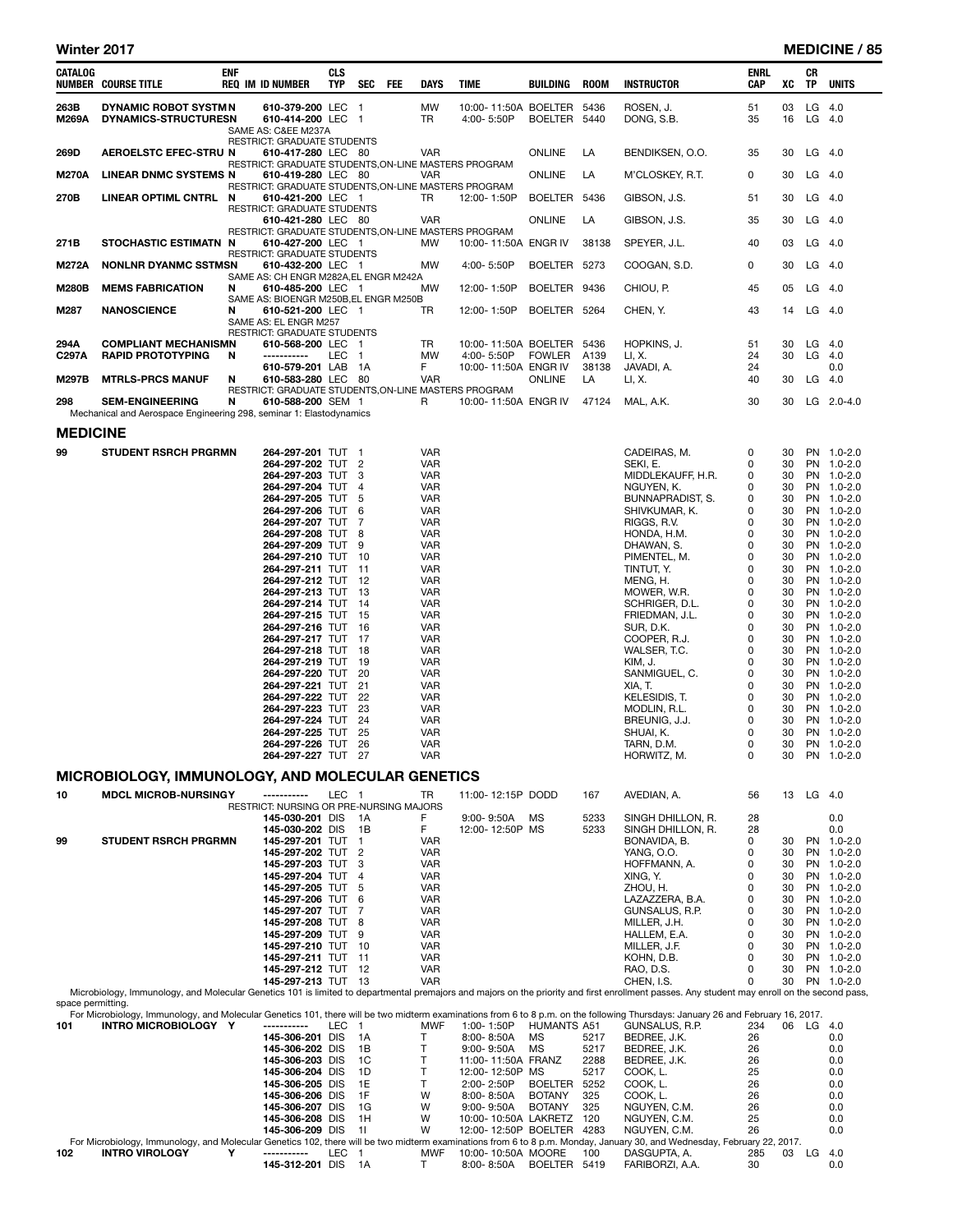| Winter 2017     |                                                                     |            |                                                      |                          |            |            |             |                           |                 |             |                   |                    |    |                        | <b>MEDICINE / 85</b> |
|-----------------|---------------------------------------------------------------------|------------|------------------------------------------------------|--------------------------|------------|------------|-------------|---------------------------|-----------------|-------------|-------------------|--------------------|----|------------------------|----------------------|
| <b>CATALOG</b>  | <b>NUMBER COURSE TITLE</b>                                          | <b>ENF</b> | <b>REQ IM ID NUMBER</b>                              | <b>CLS</b><br><b>TYP</b> | <b>SEC</b> | <b>FEE</b> | <b>DAYS</b> | <b>TIME</b>               | <b>BUILDING</b> | <b>ROOM</b> | <b>INSTRUCTOR</b> | <b>ENRL</b><br>CAP | XC | <b>CR</b><br><b>TP</b> | <b>UNITS</b>         |
| 263B            | DYNAMIC ROBOT SYSTM N                                               |            | 610-379-200 LEC 1                                    |                          |            |            | <b>MW</b>   | 10:00-11:50A BOELTER 5436 |                 |             | ROSEN. J.         | 51                 | 03 | $LG$ 4.0               |                      |
| <b>M269A</b>    | <b>DYNAMICS-STRUCTURESN</b>                                         |            | 610-414-200 LEC 1                                    |                          |            |            | <b>TR</b>   | 4:00-5:50P                | BOELTER 5440    |             | DONG, S.B.        | 35                 | 16 | $LG$ 4.0               |                      |
|                 |                                                                     |            | SAME AS: C&EE M237A                                  |                          |            |            |             |                           |                 |             |                   |                    |    |                        |                      |
|                 |                                                                     |            | <b>RESTRICT: GRADUATE STUDENTS</b>                   |                          |            |            |             |                           |                 |             |                   |                    |    |                        |                      |
| 269D            | <b>AEROELSTC EFEC-STRU N</b>                                        |            | 610-417-280 LEC 80                                   |                          |            |            | <b>VAR</b>  |                           | <b>ONLINE</b>   | LA          | BENDIKSEN, O.O.   | 35                 | 30 | LG 4.0                 |                      |
|                 |                                                                     |            | RESTRICT: GRADUATE STUDENTS, ON-LINE MASTERS PROGRAM |                          |            |            |             |                           |                 |             |                   |                    |    |                        |                      |
| <b>M270A</b>    | <b>LINEAR DNMC SYSTEMS N</b>                                        |            | 610-419-280 LEC 80                                   |                          |            |            | <b>VAR</b>  |                           | <b>ONLINE</b>   | LA          | M'CLOSKEY, R.T.   | 0                  | 30 | LG 4.0                 |                      |
|                 |                                                                     |            | RESTRICT: GRADUATE STUDENTS, ON-LINE MASTERS PROGRAM |                          |            |            |             |                           |                 |             |                   |                    |    |                        |                      |
| 270B            | <b>LINEAR OPTIML CNTRL</b>                                          | N          | 610-421-200 LEC 1                                    |                          |            |            | TR.         | 12:00-1:50P               | BOELTER 5436    |             | GIBSON, J.S.      | 51                 | 30 | $LG$ 4.0               |                      |
|                 |                                                                     |            | <b>RESTRICT: GRADUATE STUDENTS</b>                   |                          |            |            |             |                           |                 |             |                   |                    |    |                        |                      |
|                 |                                                                     |            | 610-421-280 LEC 80                                   |                          |            |            | <b>VAR</b>  |                           | <b>ONLINE</b>   | LA          | GIBSON, J.S.      | 35                 | 30 | $LG$ 4.0               |                      |
|                 |                                                                     |            | RESTRICT: GRADUATE STUDENTS, ON-LINE MASTERS PROGRAM |                          |            |            |             |                           |                 |             |                   |                    |    |                        |                      |
| 271B            | <b>STOCHASTIC ESTIMATN N</b>                                        |            | 610-427-200 LEC 1                                    |                          |            |            | <b>MW</b>   | 10:00-11:50A ENGR IV      |                 | 38138       | SPEYER, J.L.      | 40                 | 03 | LG 4.0                 |                      |
|                 |                                                                     |            | <b>RESTRICT: GRADUATE STUDENTS</b>                   |                          |            |            |             |                           |                 |             |                   |                    |    |                        |                      |
| <b>M272A</b>    | <b>NONLNR DYANMC SSTMSN</b>                                         |            | 610-432-200 LEC 1                                    |                          |            |            | <b>MW</b>   | 4:00-5:50P                | BOELTER 5273    |             | COOGAN, S.D.      | 0                  | 30 | $LG$ 4.0               |                      |
|                 |                                                                     |            | SAME AS: CH ENGR M282A, EL ENGR M242A                |                          |            |            |             |                           |                 |             |                   |                    |    |                        |                      |
| <b>M280B</b>    | <b>MEMS FABRICATION</b>                                             | N          | 610-485-200 LEC 1                                    |                          |            |            | <b>MW</b>   | 12:00-1:50P               | BOELTER 9436    |             | CHIOU, P.         | 45                 | 05 | $LG$ 4.0               |                      |
|                 |                                                                     |            | SAME AS: BIOENGR M250B,EL ENGR M250B                 |                          |            |            |             |                           |                 |             |                   |                    |    |                        |                      |
| M287            | <b>NANOSCIENCE</b>                                                  | N          | 610-521-200 LEC 1                                    |                          |            |            | <b>TR</b>   | 12:00-1:50P               | BOELTER 5264    |             | CHEN. Y.          | 43                 | 14 | $LG$ 4.0               |                      |
|                 |                                                                     |            | SAME AS: EL ENGR M257                                |                          |            |            |             |                           |                 |             |                   |                    |    |                        |                      |
|                 |                                                                     |            | <b>RESTRICT: GRADUATE STUDENTS</b>                   |                          |            |            |             |                           |                 |             |                   |                    |    |                        |                      |
| 294A            | <b>COMPLIANT MECHANISMN</b>                                         |            | 610-568-200 LEC 1                                    |                          |            |            | TR.         | 10:00-11:50A BOELTER 5436 |                 |             | HOPKINS, J.       | 51                 | 30 | LG 4.0                 |                      |
| C297A           | <b>RAPID PROTOTYPING</b>                                            | N          | -----------                                          | LEC <sub>1</sub>         |            |            | <b>MW</b>   | 4:00-5:50P                | <b>FOWLER</b>   | A139        | LI, X.            | 24                 | 30 | LG                     | 4.0                  |
|                 |                                                                     |            | 610-579-201 LAB 1A                                   |                          |            |            | F.          | 10:00-11:50A ENGR IV      |                 | 38138       | JAVADI, A.        | 24                 |    |                        | 0.0                  |
| <b>M297B</b>    | <b>MTRLS-PRCS MANUF</b>                                             | N          | 610-583-280 LEC 80                                   |                          |            |            | <b>VAR</b>  |                           | <b>ONLINE</b>   | LA          | LI, X.            | 40                 | 30 | LG.                    | 4.0                  |
|                 |                                                                     |            | RESTRICT: GRADUATE STUDENTS, ON-LINE MASTERS PROGRAM |                          |            |            |             |                           |                 |             |                   |                    |    |                        |                      |
| 298             | <b>SEM-ENGINEERING</b>                                              | N          | 610-588-200 SEM 1                                    |                          |            |            | R           | 10:00-11:50A ENGR IV      |                 | 47124       | MAL, A.K.         | 30                 | 30 |                        | $LG$ 2.0-4.0         |
|                 | Mechanical and Aerospace Engineering 298, seminar 1: Elastodynamics |            |                                                      |                          |            |            |             |                           |                 |             |                   |                    |    |                        |                      |
| <b>MEDICINE</b> |                                                                     |            |                                                      |                          |            |            |             |                           |                 |             |                   |                    |    |                        |                      |
| 99              | <b>STUDENT RSRCH PRGRMN</b>                                         |            | 264-297-201 TUT 1                                    |                          |            |            | <b>VAR</b>  |                           |                 |             | CADEIRAS, M.      | 0                  | 30 |                        | PN 1.0-2.0           |
|                 |                                                                     |            | 264-297-202 TUT 2                                    |                          |            |            | <b>VAR</b>  |                           |                 |             | SEKI. E.          | 0                  | 30 |                        | PN 1.0-2.0           |
|                 |                                                                     |            | 264-297-203 TUT 3                                    |                          |            |            | <b>VAR</b>  |                           |                 |             | MIDDLEKAUFF, H.R. | $\Omega$           | 30 |                        | PN 1.0-2.0           |
|                 |                                                                     |            |                                                      |                          |            |            |             |                           |                 |             |                   |                    |    |                        |                      |

| 264-297-202 IUI 2  |     | <b>VAR</b> | SEKI, E.          | O | 30 | PN.       | 1.0-2.0     |
|--------------------|-----|------------|-------------------|---|----|-----------|-------------|
| 264-297-203 TUT 3  |     | <b>VAR</b> | MIDDLEKAUFF, H.R. | 0 | 30 |           | PN 1.0-2.0  |
| 264-297-204 TUT 4  |     | <b>VAR</b> | NGUYEN, K.        | 0 | 30 |           | PN 1.0-2.0  |
| 264-297-205 TUT 5  |     | <b>VAR</b> | BUNNAPRADIST, S.  | 0 | 30 |           | PN 1.0-2.0  |
| 264-297-206 TUT 6  |     | <b>VAR</b> | SHIVKUMAR, K.     | 0 | 30 |           | PN 1.0-2.0  |
| 264-297-207 TUT 7  |     | <b>VAR</b> | RIGGS, R.V.       | 0 | 30 |           | PN 1.0-2.0  |
| 264-297-208 TUT 8  |     | <b>VAR</b> | HONDA, H.M.       | 0 | 30 |           | PN 1.0-2.0  |
| 264-297-209 TUT 9  |     | VAR        | DHAWAN, S.        | 0 | 30 |           | PN 1.0-2.0  |
| 264-297-210 TUT 10 |     | <b>VAR</b> | PIMENTEL, M.      | 0 | 30 | <b>PN</b> | $1.0 - 2.0$ |
| 264-297-211 TUT 11 |     | <b>VAR</b> | TINTUT, Y.        | 0 | 30 | <b>PN</b> | $1.0 - 2.0$ |
| 264-297-212 TUT 12 |     | <b>VAR</b> | MENG, H.          | 0 | 30 |           | PN 1.0-2.0  |
| 264-297-213 TUT 13 |     | <b>VAR</b> | MOWER, W.R.       | 0 | 30 | <b>PN</b> | $1.0 - 2.0$ |
| 264-297-214 TUT 14 |     | <b>VAR</b> | SCHRIGER, D.L.    | 0 | 30 |           | PN 1.0-2.0  |
| 264-297-215 TUT    | -15 | <b>VAR</b> | FRIEDMAN, J.L.    | 0 | 30 |           | PN 1.0-2.0  |
| 264-297-216 TUT 16 |     | <b>VAR</b> | SUR, D.K.         | 0 | 30 |           | PN 1.0-2.0  |
| 264-297-217 TUT 17 |     | <b>VAR</b> | COOPER, R.J.      | 0 | 30 |           | PN 1.0-2.0  |
| 264-297-218 TUT 18 |     | <b>VAR</b> | WALSER, T.C.      | 0 | 30 |           | PN 1.0-2.0  |
| 264-297-219 TUT    | -19 | <b>VAR</b> | KIM, J.           | 0 | 30 |           | PN 1.0-2.0  |
| 264-297-220 TUT    | -20 | <b>VAR</b> | SANMIGUEL, C.     | 0 | 30 |           | PN 1.0-2.0  |
| 264-297-221 TUT 21 |     | <b>VAR</b> | XIA, T.           | 0 | 30 | <b>PN</b> | $1.0 - 2.0$ |
| 264-297-222 TUT    | 22  | <b>VAR</b> | KELESIDIS, T.     | 0 | 30 | <b>PN</b> | $1.0 - 2.0$ |
| 264-297-223 TUT    | -23 | <b>VAR</b> | MODLIN. R.L.      | 0 | 30 | PN        | $1.0 - 2.0$ |
| 264-297-224 TUT    | -24 | <b>VAR</b> | BREUNIG, J.J.     | 0 | 30 | <b>PN</b> | $1.0 - 2.0$ |
| 264-297-225 TUT    | -25 | <b>VAR</b> | SHUAI, K.         | 0 | 30 |           | PN 1.0-2.0  |
| 264-297-226 TUT    | -26 | <b>VAR</b> | TARN, D.M.        | 0 | 30 | <b>PN</b> | $1.0 - 2.0$ |
| 264-297-227 TUT    | -27 | <b>VAR</b> | HORWITZ, M.       | 0 | 30 |           | PN 1.0-2.0  |

### MICROBIOLOGY, IMMUNOLOGY, AND MOLECULAR GENETICS

| 10  | <b>MDCL MICROB-NURSINGY</b>                                                                                                                                                                                       | -----------                                    | LEC |      | TR         | 11:00-12:15P DODD |             | 167  | AVEDIAN, A.       | 56       | 13 | LG        | 4.0         |
|-----|-------------------------------------------------------------------------------------------------------------------------------------------------------------------------------------------------------------------|------------------------------------------------|-----|------|------------|-------------------|-------------|------|-------------------|----------|----|-----------|-------------|
|     |                                                                                                                                                                                                                   | <b>RESTRICT: NURSING OR PRE-NURSING MAJORS</b> |     |      |            |                   |             |      |                   |          |    |           |             |
|     |                                                                                                                                                                                                                   | 145-030-201 DIS                                |     | 1A   |            | $9:00 - 9:50A$    | MS          | 5233 | SINGH DHILLON, R. | 28       |    |           | 0.0         |
|     |                                                                                                                                                                                                                   | 145-030-202 DIS                                |     | 1B   |            | 12:00-12:50P MS   |             | 5233 | SINGH DHILLON, R. | 28       |    |           | 0.0         |
| 99  | <b>STUDENT RSRCH PRGRMN</b>                                                                                                                                                                                       | 145-297-201 TUT                                |     |      | <b>VAR</b> |                   |             |      | BONAVIDA, B.      | 0        | 30 | <b>PN</b> | $1.0 - 2.0$ |
|     |                                                                                                                                                                                                                   | 145-297-202 TUT                                |     | 2    | <b>VAR</b> |                   |             |      | YANG. O.O.        | 0        | 30 | <b>PN</b> | $1.0 - 2.0$ |
|     |                                                                                                                                                                                                                   | 145-297-203 TUT 3                              |     |      | <b>VAR</b> |                   |             |      | HOFFMANN, A.      | 0        | 30 | PN        | $1.0 - 2.0$ |
|     |                                                                                                                                                                                                                   | 145-297-204 TUT                                |     | 4    | <b>VAR</b> |                   |             |      | XING, Y.          |          | 30 | PN        | $1.0 - 2.0$ |
|     |                                                                                                                                                                                                                   | 145-297-205 TUT                                |     | 5    | <b>VAR</b> |                   |             |      | ZHOU. H.          | 0        | 30 | <b>PN</b> | $1.0 - 2.0$ |
|     |                                                                                                                                                                                                                   | 145-297-206 TUT                                |     | -6   | <b>VAR</b> |                   |             |      | LAZAZZERA, B.A.   | 0        | 30 | PN        | $1.0 - 2.0$ |
|     |                                                                                                                                                                                                                   | 145-297-207 TUT                                |     |      | <b>VAR</b> |                   |             |      | GUNSALUS, R.P.    | 0        | 30 | PN        | $1.0 - 2.0$ |
|     |                                                                                                                                                                                                                   | 145-297-208 TUT                                |     | -8   | <b>VAR</b> |                   |             |      | MILLER, J.H.      | $\Omega$ | 30 | <b>PN</b> | $1.0 - 2.0$ |
|     |                                                                                                                                                                                                                   | 145-297-209 TUT                                |     | 9    | <b>VAR</b> |                   |             |      | HALLEM. E.A.      | 0        | 30 | <b>PN</b> | $1.0 - 2.0$ |
|     |                                                                                                                                                                                                                   | 145-297-210 TUT                                |     | -10  | <b>VAR</b> |                   |             |      | MILLER. J.F.      | 0        | 30 | <b>PN</b> | $1.0 - 2.0$ |
|     |                                                                                                                                                                                                                   | 145-297-211 TUT                                |     | -11  | <b>VAR</b> |                   |             |      | KOHN, D.B.        | 0        | 30 | PN.       | $1.0 - 2.0$ |
|     |                                                                                                                                                                                                                   | 145-297-212 TUT                                |     | -12  | <b>VAR</b> |                   |             |      | RAO. D.S.         | 0        | 30 | <b>PN</b> | $1.0 - 2.0$ |
|     |                                                                                                                                                                                                                   | 145-297-213 TUT                                |     | - 13 | <b>VAR</b> |                   |             |      | CHEN. I.S.        | 0        | 30 | PN.       | $1.0 - 2.0$ |
|     | Microbiology, Immunology, and Molecular Genetics 101 is limited to departmental premajors and majors on the priority and first enrollment passes. Any student may enroll on the second pass,<br>space permitting. |                                                |     |      |            |                   |             |      |                   |          |    |           |             |
|     | For Microbiology, Immunology, and Molecular Genetics 101, there will be two midterm examinations from 6 to 8 p.m. on the following Thursdays: January 26 and February 16, 2017.                                   |                                                |     |      |            |                   |             |      |                   |          |    |           |             |
| 101 | <b>INTRO MICROBIOLOGY Y</b>                                                                                                                                                                                       | -----------                                    | LEC |      | <b>MWF</b> | 1:00-1:50P        | HUMANTS A51 |      | GUNSALUS, R.P.    | 234      | 06 | LG        | 4.0         |
|     |                                                                                                                                                                                                                   | 145-306-201 DIS                                |     | 1A   |            | 8:00-8:50A        | МS          | 5217 | BEDREE, J.K.      | 26       |    |           | 0.0         |
|     |                                                                                                                                                                                                                   |                                                |     |      |            |                   |             |      |                   |          |    |           |             |

|     |                            | 145-306-201 DIS    |            | 1A   |            | $8:00 - 8:50A$       | MS             | 5217 | BEDREE, J.K.                                                                                                                                                            | 26        |     | 0.0 |
|-----|----------------------------|--------------------|------------|------|------------|----------------------|----------------|------|-------------------------------------------------------------------------------------------------------------------------------------------------------------------------|-----------|-----|-----|
|     |                            | 145-306-202 DIS    |            | 1B   |            | $9:00 - 9:50A$       | МS             | 5217 | BEDREE, J.K.                                                                                                                                                            | 26        |     | 0.0 |
|     |                            | 145-306-203 DIS    |            | 1C   |            | 11:00-11:50A FRANZ   |                | 2288 | BEDREE, J.K.                                                                                                                                                            | 26        |     | 0.0 |
|     |                            | 145-306-204 DIS    |            | - 1D |            | 12:00-12:50P MS      |                | 5217 | COOK. L.                                                                                                                                                                | 25        |     | 0.0 |
|     |                            | 145-306-205 DIS    |            | - 1E |            | $2:00 - 2:50P$       | <b>BOELTER</b> | 5252 | COOK. L.                                                                                                                                                                | 26        |     | 0.0 |
|     |                            | 145-306-206 DIS    |            | - 1F | W          | $8:00 - 8:50A$       | <b>BOTANY</b>  | 325  | COOK. L.                                                                                                                                                                | 26        |     | 0.0 |
|     |                            | 145-306-207 DIS    |            | - 1G | W          | $9:00 - 9:50A$       | <b>BOTANY</b>  | 325  | NGUYEN, C.M.                                                                                                                                                            | 26        |     | 0.0 |
|     |                            | 145-306-208 DIS    |            | 1H   | W          | 10:00-10:50A LAKRETZ |                | 120  | NGUYEN, C.M.                                                                                                                                                            | 25        |     | 0.0 |
|     |                            | 145-306-209 DIS 11 |            |      | W          | 12:00-12:50P BOELTER |                | 4283 | NGUYEN, C.M.                                                                                                                                                            | 26        |     | 0.0 |
|     |                            |                    |            |      |            |                      |                |      | For Microbiology, Immunology, and Molecular Genetics 102, there will be two midterm examinations from 6 to 8 p.m. Monday, January 30, and Wednesday, February 22, 2017. |           |     |     |
| 102 | v<br><b>INTRO VIROLOGY</b> | -----------        | LEC.       |      | <b>MWF</b> | 10:00-10:50A MOORE   |                | 100  | DASGUPTA, A.                                                                                                                                                            | 285<br>03 | LG. | 4.0 |
|     |                            | 145-312-201        | <b>DIS</b> | 1A   |            | 8:00-8:50A           | BOELTER 5419   |      | FARIBORZI, A.A.                                                                                                                                                         | 30        |     | 0.0 |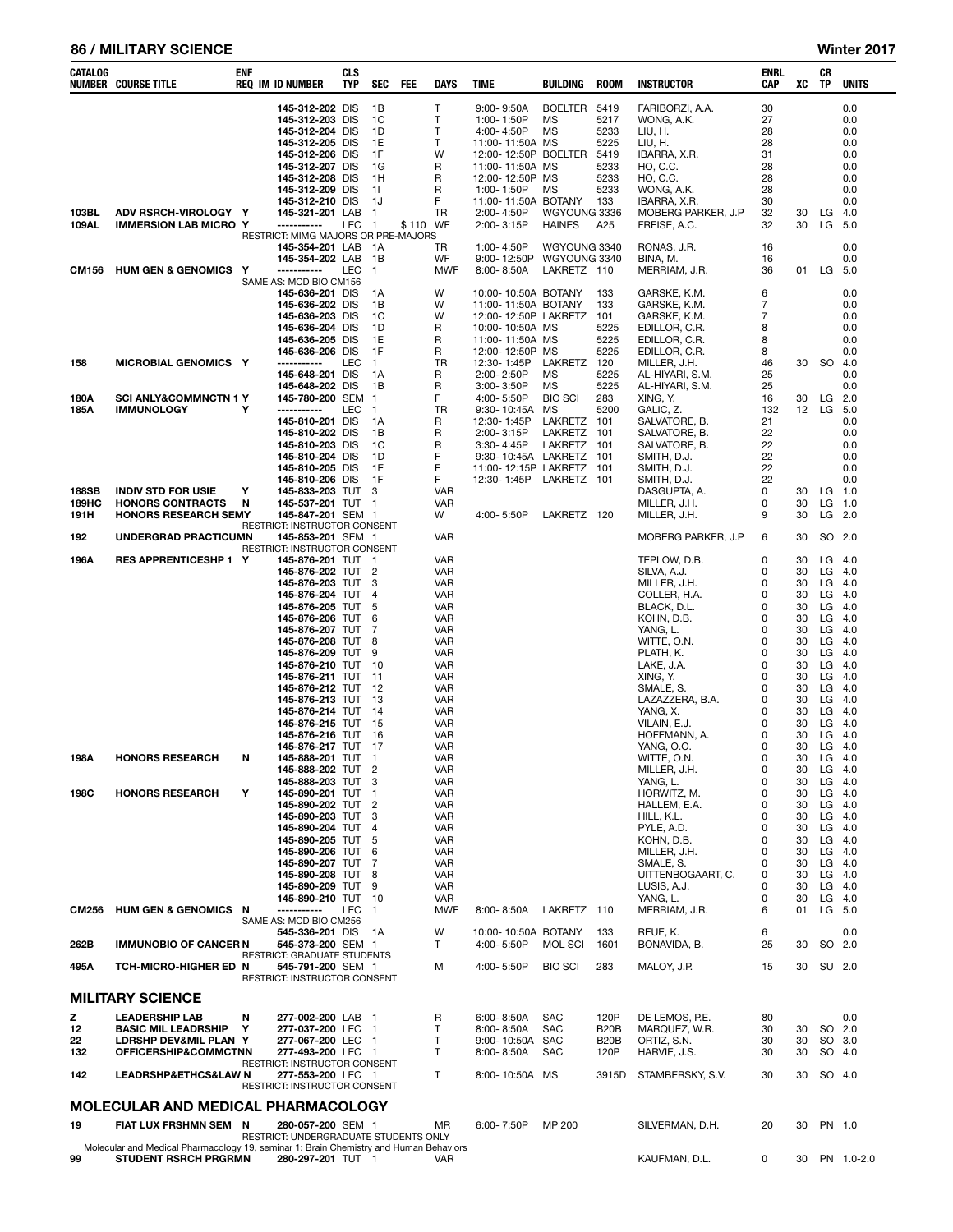#### 86 / MILITARY SCIENCE Winter 2017

| CATALOG        | <b>NUMBER COURSE TITLE</b>                           | ENF    | <b>REQ IM ID NUMBER</b>                                                           | <b>CLS</b><br>TYP | <b>SEC</b>                     | FEE      | <b>DAYS</b>              | TIME                                                   | BUILDING                         | <b>ROOM</b>                  | <b>INSTRUCTOR</b>                                   | ENRL<br>CAP          | xс              | CR<br>TP  | <b>UNITS</b>             |
|----------------|------------------------------------------------------|--------|-----------------------------------------------------------------------------------|-------------------|--------------------------------|----------|--------------------------|--------------------------------------------------------|----------------------------------|------------------------------|-----------------------------------------------------|----------------------|-----------------|-----------|--------------------------|
|                |                                                      |        | 145-312-202 DIS<br>145-312-203 DIS<br>145-312-204<br>145-312-205 DIS              | DIS               | 1B<br>1C<br>1D<br>1E           |          | т<br>T<br>T<br>T         | 9:00-9:50A<br>1:00-1:50P<br>4:00-4:50P<br>11:00-11:50A | BOELTER<br>MS<br><b>MS</b><br>MS | 5419<br>5217<br>5233<br>5225 | FARIBORZI, A.A.<br>WONG, A.K.<br>LIU, H.<br>LIU, H. | 30<br>27<br>28<br>28 |                 |           | 0.0<br>0.0<br>0.0<br>0.0 |
|                |                                                      |        | 145-312-206<br>145-312-207 DIS                                                    | DIS               | 1F<br>1G                       |          | W<br>R                   | 12:00-12:50P<br>11:00-11:50A MS                        | <b>BOELTER</b>                   | 5419<br>5233                 | IBARRA, X.R.<br>HO, C.C.                            | 31<br>28             |                 |           | 0.0<br>0.0               |
|                |                                                      |        | 145-312-208<br>145-312-209 DIS                                                    | DIS               | 1H<br>-11                      |          | R<br>R                   | 12:00-12:50P<br>1:00-1:50P                             | MS<br><b>MS</b>                  | 5233<br>5233                 | HO, C.C.<br>WONG, A.K.                              | 28<br>28             |                 |           | 0.0<br>0.0               |
|                |                                                      |        | 145-312-210 DIS                                                                   |                   | 1J                             |          | F                        | 11:00-11:50A BOTANY                                    |                                  | 133                          | IBARRA, X.R.                                        | 30                   |                 |           | 0.0                      |
| 103BL<br>109AL | ADV RSRCH-VIROLOGY Y<br><b>IMMERSION LAB MICRO Y</b> |        | 145-321-201 LAB<br>-----------                                                    | LEC               | $\mathbf{1}$<br>-1             | \$110 WF | TR                       | 2:00-4:50P<br>2:00-3:15P                               | WGYOUNG 3336<br><b>HAINES</b>    | A25                          | MOBERG PARKER, J.P<br>FREISE, A.C.                  | 32<br>32             | 30<br>30        | LG<br>LG  | 4.0<br>5.0               |
|                |                                                      |        | RESTRICT: MIMG MAJORS OR PRE-MAJORS                                               |                   |                                |          |                          |                                                        |                                  |                              |                                                     |                      |                 |           |                          |
|                |                                                      |        | 145-354-201 LAB<br>145-354-202 LAB                                                |                   | - 1 A<br>1B                    |          | TR<br>WF                 | 1:00-4:50P<br>9:00-12:50P                              | WGYOUNG 3340<br>WGYOUNG 3340     |                              | RONAS, J.R.<br>BINA, M.                             | 16<br>16             |                 |           | 0.0<br>0.0               |
| CM156          | <b>HUM GEN &amp; GENOMICS</b>                        | Y      | -----------                                                                       | LEC               | $\mathbf{1}$                   |          | <b>MWF</b>               | $8:00 - 8:50A$                                         | LAKRETZ 110                      |                              | MERRIAM, J.R.                                       | 36                   | 01              | LG        | 5.0                      |
|                |                                                      |        | SAME AS: MCD BIO CM156<br>145-636-201 DIS                                         |                   | 1A                             |          | W                        | 10:00-10:50A BOTANY                                    |                                  | 133                          | GARSKE, K.M.                                        | 6                    |                 |           | 0.0                      |
|                |                                                      |        | 145-636-202 DIS                                                                   |                   | 1B                             |          | W                        | 11:00-11:50A BOTANY                                    |                                  | 133                          | GARSKE, K.M.                                        | 7                    |                 |           | 0.0                      |
|                |                                                      |        | 145-636-203 DIS<br>145-636-204 DIS                                                |                   | 1C<br>1D                       |          | W<br>R                   | 12:00-12:50P LAKRETZ<br>10:00-10:50A MS                |                                  | 101<br>5225                  | GARSKE, K.M.<br>EDILLOR, C.R.                       | 7<br>8               |                 |           | 0.0<br>0.0               |
|                |                                                      |        | 145-636-205 DIS                                                                   |                   | 1E                             |          | R                        | 11:00-11:50A MS                                        |                                  | 5225                         | EDILLOR, C.R.                                       | 8                    |                 |           | 0.0                      |
| 158            | MICROBIAL GENOMICS Y                                 |        | 145-636-206 DIS<br>-----------                                                    | LEC               | 1F<br>$\mathbf{1}$             |          | R<br>TR                  | 12:00-12:50P<br>12:30-1:45P                            | MS<br>LAKRETZ                    | 5225<br>120                  | EDILLOR, C.R.<br>MILLER, J.H.                       | 8<br>46              | 30              | <b>SO</b> | 0.0<br>4.0               |
|                |                                                      |        | 145-648-201 DIS                                                                   |                   | 1A                             |          | R                        | 2:00-2:50P                                             | MS                               | 5225                         | AL-HIYARI, S.M.                                     | 25                   |                 |           | 0.0                      |
| 180A           | <b>SCI ANLY&amp;COMMNCTN 1 Y</b>                     |        | 145-648-202 DIS<br>145-780-200 SEM                                                |                   | 1B<br>$\overline{1}$           |          | R<br>F                   | 3:00-3:50P<br>4:00-5:50P                               | <b>MS</b><br><b>BIO SCI</b>      | 5225<br>283                  | AL-HIYARI, S.M.<br>XING, Y.                         | 25<br>16             | 30              | LG        | 0.0<br>2.0               |
| 185A           | <b>IMMUNOLOGY</b>                                    | Υ      | -----------                                                                       | LEC               | $\overline{1}$                 |          | TR                       | 9:30-10:45A                                            | <b>MS</b>                        | 5200                         | GALIC, Z.                                           | 132                  | 12 <sup>2</sup> | LG        | 5.0                      |
|                |                                                      |        | 145-810-201 DIS<br>145-810-202 DIS                                                |                   | 1A<br>1B                       |          | R<br>R                   | 12:30-1:45P<br>2:00-3:15P                              | LAKRETZ<br><b>LAKRETZ</b>        | 101<br>101                   | SALVATORE, B.<br>SALVATORE, B.                      | 21<br>22             |                 |           | 0.0<br>0.0               |
|                |                                                      |        | 145-810-203 DIS                                                                   |                   | 1C                             |          | R                        | 3:30-4:45P                                             | LAKRETZ                          | 101                          | SALVATORE, B.                                       | 22                   |                 |           | 0.0                      |
|                |                                                      |        | 145-810-204 DIS<br>145-810-205                                                    | <b>DIS</b>        | 1D<br>1E                       |          | F<br>F                   | 9:30-10:45A LAKRETZ<br>11:00-12:15P                    | LAKRETZ                          | 101<br>101                   | SMITH, D.J.<br>SMITH, D.J.                          | 22<br>22             |                 |           | 0.0<br>0.0               |
|                |                                                      |        | 145-810-206 DIS                                                                   |                   | 1F                             |          | F                        | 12:30-1:45P                                            | LAKRETZ 101                      |                              | SMITH, D.J.                                         | 22                   |                 |           | 0.0                      |
| 188SB<br>189HC | <b>INDIV STD FOR USIE</b><br><b>HONORS CONTRACTS</b> | Y<br>N | 145-833-203 TUT<br>145-537-201 TUT 1                                              |                   | 3                              |          | <b>VAR</b><br>VAR        |                                                        |                                  |                              | DASGUPTA, A.<br>MILLER, J.H.                        | 0<br>0               | 30<br>30        | LG<br>LG  | 1.0<br>1.0               |
| 191H           | <b>HONORS RESEARCH SEMY</b>                          |        | 145-847-201 SEM 1                                                                 |                   |                                |          | W                        | 4:00-5:50P                                             | LAKRETZ 120                      |                              | MILLER, J.H.                                        | 9                    | 30              | LG        | 2.0                      |
| 192            | UNDERGRAD PRACTICUMN                                 |        | RESTRICT: INSTRUCTOR CONSENT<br>145-853-201 SEM 1<br>RESTRICT: INSTRUCTOR CONSENT |                   |                                |          | VAR                      |                                                        |                                  |                              | MOBERG PARKER, J.P                                  | 6                    | 30              |           | SO 2.0                   |
| 196A           | <b>RES APPRENTICESHP 1 Y</b>                         |        | 145-876-201 TUT                                                                   |                   | -1                             |          | <b>VAR</b>               |                                                        |                                  |                              | TEPLOW, D.B.                                        | 0                    | 30              | LG        | -4.0                     |
|                |                                                      |        | 145-876-202 TUT<br>145-876-203 TUT                                                |                   | 2<br>3                         |          | VAR<br>VAR               |                                                        |                                  |                              | SILVA, A.J.<br>MILLER, J.H.                         | 0<br>0               | 30<br>30        | LG<br>LG  | 4.0<br>-4.0              |
|                |                                                      |        | 145-876-204 TUT                                                                   |                   | 4                              |          | VAR                      |                                                        |                                  |                              | COLLER, H.A.                                        | 0                    | 30              | LG        | 4.0                      |
|                |                                                      |        | 145-876-205 TUT<br>145-876-206 TUT                                                |                   | 5<br>6                         |          | VAR<br><b>VAR</b>        |                                                        |                                  |                              | BLACK, D.L.<br>KOHN, D.B.                           | 0<br>0               | 30<br>30        | LG<br>LG  | 4.0<br>4.0               |
|                |                                                      |        | 145-876-207 TUT                                                                   |                   | 7                              |          | VAR                      |                                                        |                                  |                              | YANG, L.                                            | 0                    | 30              | LG        | 4.0                      |
|                |                                                      |        | 145-876-208 TUT<br>145-876-209 TUT                                                |                   | 8<br>9                         |          | VAR<br>VAR               |                                                        |                                  |                              | WITTE, O.N.<br>PLATH, K.                            | 0<br>0               | 30<br>30        | LG<br>LG  | 4.0<br>4.0               |
|                |                                                      |        | 145-876-210 TUT                                                                   |                   | 10                             |          | <b>VAR</b>               |                                                        |                                  |                              | LAKE, J.A.                                          | 0                    | 30              | LG        | 4.0                      |
|                |                                                      |        | 145-876-211 TUT<br>145-876-212 TUT 12                                             |                   | -11                            |          | VAR<br><b>VAR</b>        |                                                        |                                  |                              | XING, Y.<br>SMALE, S.                               | 0<br>0               | 30<br>30        | LG<br>LG  | 4.0<br>4.0               |
|                |                                                      |        | 145-876-213 TUT                                                                   |                   | -13                            |          | VAR                      |                                                        |                                  |                              | LAZAZZERA, B.A.                                     | 0                    | 30              | LG        | 4.0                      |
|                |                                                      |        | 145-876-214 TUT<br>145-876-215 TUT                                                |                   | -14<br>15                      |          | <b>VAR</b><br>VAR        |                                                        |                                  |                              | YANG. X.<br>VILAIN, E.J.                            | 0<br>0               | 30<br>30        | LG<br>LG  | 4.0<br>4.0               |
|                |                                                      |        | 145-876-216 TUT                                                                   |                   | 16                             |          | VAR                      |                                                        |                                  |                              | HOFFMANN, A.                                        | 0                    | 30              | LG        | 4.0                      |
| 198A           | <b>HONORS RESEARCH</b>                               |        | 145-876-217 TUT<br>145-888-201 TUT                                                |                   | -17<br>-1                      |          | VAR<br>VAR               |                                                        |                                  |                              | YANG, O.O.<br>WITTE, O.N.                           | 0<br>0               | 30<br>30        | LG<br>LG  | 4.0<br>4.0               |
|                |                                                      | N      | 145-888-202 TUT                                                                   |                   | $\overline{2}$                 |          | VAR                      |                                                        |                                  |                              | MILLER, J.H.                                        | 0                    | 30              | LG        | - 4.0                    |
| 198C           | <b>HONORS RESEARCH</b>                               | Υ      | 145-888-203 TUT<br>145-890-201 TUT                                                |                   | 3<br>-1                        |          | VAR                      |                                                        |                                  |                              | YANG, L.                                            | 0<br>0               | 30<br>30        | LG<br>LG  | - 4.0                    |
|                |                                                      |        | 145-890-202 TUT                                                                   |                   | $\overline{2}$                 |          | VAR<br><b>VAR</b>        |                                                        |                                  |                              | HORWITZ, M.<br>HALLEM, E.A.                         | 0                    | 30              | LG        | -4.0<br>4.0              |
|                |                                                      |        | 145-890-203 TUT<br>145-890-204 TUT                                                |                   | 3<br>$\overline{4}$            |          | <b>VAR</b><br><b>VAR</b> |                                                        |                                  |                              | HILL, K.L.<br>PYLE, A.D.                            | 0<br>0               | 30<br>30        | LG<br>LG  | -4.0<br>4.0              |
|                |                                                      |        | 145-890-205 TUT                                                                   |                   | -5                             |          | <b>VAR</b>               |                                                        |                                  |                              | KOHN, D.B.                                          | 0                    | 30              | LG        | 4.0                      |
|                |                                                      |        | 145-890-206 TUT<br>145-890-207 TUT                                                |                   | 6<br>7                         |          | <b>VAR</b><br><b>VAR</b> |                                                        |                                  |                              | MILLER, J.H.<br>SMALE, S.                           | 0<br>0               | 30<br>30        | LG<br>LG  | 4.0<br>-4.0              |
|                |                                                      |        | 145-890-208 TUT                                                                   |                   | 8                              |          | <b>VAR</b>               |                                                        |                                  |                              | UITTENBOGAART, C.                                   | 0                    | 30              | LG        | 4.0                      |
|                |                                                      |        | 145-890-209 TUT<br>145-890-210 TUT                                                |                   | 9<br>10                        |          | <b>VAR</b><br>VAR        |                                                        |                                  |                              | LUSIS, A.J.<br>YANG, L.                             | 0<br>0               | 30<br>30        | LG<br>LG  | -4.0<br>4.0              |
| CM256          | <b>HUM GEN &amp; GENOMICS N</b>                      |        | -----------                                                                       | LEC               | $\overline{1}$                 |          | <b>MWF</b>               | $8:00 - 8:50A$                                         | LAKRETZ 110                      |                              | MERRIAM, J.R.                                       | 6                    | 01              | LG        | 5.0                      |
|                |                                                      |        | SAME AS: MCD BIO CM256<br>545-336-201 DIS                                         |                   | 1A                             |          | W                        | 10:00-10:50A BOTANY                                    |                                  | 133                          | REUE, K.                                            | 6                    |                 |           | 0.0                      |
| 262B           | <b>IMMUNOBIO OF CANCER N</b>                         |        | 545-373-200 SEM 1                                                                 |                   |                                |          | T                        | 4:00-5:50P                                             | <b>MOL SCI</b>                   | 1601                         | BONAVIDA, B.                                        | 25                   | 30              |           | SO 2.0                   |
| 495A           | TCH-MICRO-HIGHER ED N                                |        | RESTRICT: GRADUATE STUDENTS<br>545-791-200 SEM 1                                  |                   |                                |          | M                        | 4:00-5:50P                                             | <b>BIO SCI</b>                   | 283                          | MALOY, J.P.                                         | 15                   | 30              | SU 2.0    |                          |
|                |                                                      |        | RESTRICT: INSTRUCTOR CONSENT                                                      |                   |                                |          |                          |                                                        |                                  |                              |                                                     |                      |                 |           |                          |
|                | <b>MILITARY SCIENCE</b>                              |        |                                                                                   |                   |                                |          |                          |                                                        |                                  |                              |                                                     |                      |                 |           |                          |
| z              | <b>LEADERSHIP LAB</b>                                | N      | 277-002-200 LAB 1                                                                 |                   |                                |          | R                        | $6:00 - 8:50A$                                         | <b>SAC</b>                       | 120P                         | DE LEMOS, P.E.                                      | 80                   |                 |           | 0.0                      |
| 12<br>22       | <b>BASIC MIL LEADRSHIP</b><br>LDRSHP DEV&MIL PLAN Y  | Y      | 277-037-200 LEC<br>277-067-200 LEC                                                |                   | $\mathbf{1}$<br>$\overline{1}$ |          | T<br>T                   | 8:00-8:50A<br>9:00-10:50A                              | <b>SAC</b><br><b>SAC</b>         | <b>B20B</b><br><b>B20B</b>   | MARQUEZ, W.R.<br>ORTIZ, S.N.                        | 30<br>30             | 30<br>30        | SO<br>SO. | 2.0<br>3.0               |
| 132            | OFFICERSHIP&COMMCTNN                                 |        | 277-493-200 LEC                                                                   |                   | - 1                            |          | T                        | 8:00-8:50A                                             | <b>SAC</b>                       | 120P                         | HARVIE, J.S.                                        | 30                   | 30              |           | SO 4.0                   |
| 142            | <b>LEADRSHP&amp;ETHCS&amp;LAW N</b>                  |        | RESTRICT: INSTRUCTOR CONSENT<br>277-553-200 LEC 1                                 |                   |                                |          | T.                       | 8:00-10:50A MS                                         |                                  | 3915D                        |                                                     | 30                   | 30              | SO 4.0    |                          |
|                |                                                      |        | RESTRICT: INSTRUCTOR CONSENT                                                      |                   |                                |          |                          |                                                        |                                  |                              | STAMBERSKY, S.V.                                    |                      |                 |           |                          |
|                | <b>MOLECULAR AND MEDICAL PHARMACOLOGY</b>            |        |                                                                                   |                   |                                |          |                          |                                                        |                                  |                              |                                                     |                      |                 |           |                          |
| 19             | FIAT LUX FRSHMN SEM N                                |        | 280-057-200 SEM 1                                                                 |                   |                                |          | ΜR                       | $6:00 - 7:50P$                                         | MP 200                           |                              | SILVERMAN, D.H.                                     | 20                   | 30              | PN 1.0    |                          |
|                |                                                      |        | RESTRICT: UNDERGRADUATE STUDENTS ONLY                                             |                   |                                |          |                          |                                                        |                                  |                              |                                                     |                      |                 |           |                          |

RESTRICT: UNDERGRADUATE STUDENTS ONLY Molecular and Medical Pharmacology 19, seminar 1: Brain Chemistry and Human Behaviors 99 STUDENT RSRCH PRGRMN 280-297-201 TUT 1 VAR KAUFMAN, D.L. 0 30 PN 1.0-2.0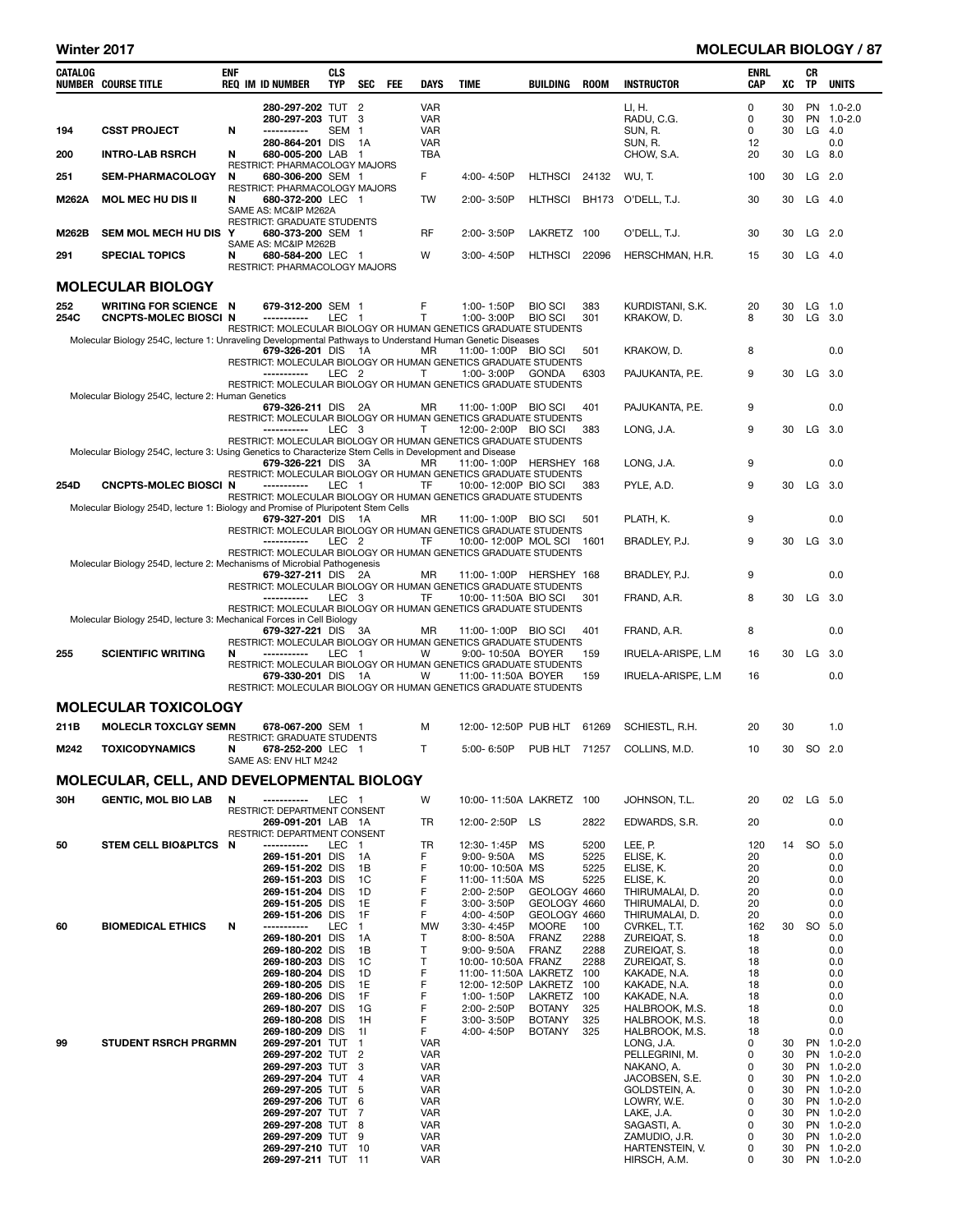### Winter 2017 **MOLECULAR BIOLOGY** / 87

| CATALOG | <b>NUMBER COURSE TITLE</b>                                                                                | <b>ENF</b> | <b>REQ IM ID NUMBER</b>                                                    | <b>CLS</b><br>TYP | SEC FEE        | DAYS                     | <b>TIME</b>                                                                                  | BUILDING                       | ROOM         | <b>INSTRUCTOR</b>                | ENRL<br>CAP | XC       | CR<br><b>TP</b> | <b>UNITS</b>             |
|---------|-----------------------------------------------------------------------------------------------------------|------------|----------------------------------------------------------------------------|-------------------|----------------|--------------------------|----------------------------------------------------------------------------------------------|--------------------------------|--------------|----------------------------------|-------------|----------|-----------------|--------------------------|
|         |                                                                                                           |            | 280-297-202 TUT 2                                                          |                   |                | <b>VAR</b>               |                                                                                              |                                |              | LI, H.                           | 0           | 30       |                 | PN 1.0-2.0               |
| 194     | <b>CSST PROJECT</b>                                                                                       | N          | 280-297-203 TUT 3<br>-----------                                           | SEM <sub>1</sub>  |                | <b>VAR</b><br><b>VAR</b> |                                                                                              |                                |              | RADU, C.G.<br>SUN, R.            | 0<br>0      | 30<br>30 | $LG$ 4.0        | PN 1.0-2.0               |
|         |                                                                                                           |            | 280-864-201 DIS                                                            |                   | - 1A           | <b>VAR</b>               |                                                                                              |                                |              | SUN, R.                          | 12          |          |                 | 0.0                      |
| 200     | <b>INTRO-LAB RSRCH</b>                                                                                    | N          | 680-005-200 LAB 1<br>RESTRICT: PHARMACOLOGY MAJORS                         |                   |                | TBA                      |                                                                                              |                                |              | CHOW, S.A.                       | 20          | 30       | LG 8.0          |                          |
| 251     | <b>SEM-PHARMACOLOGY</b>                                                                                   | N          | 680-306-200 SEM 1                                                          |                   |                | F                        | 4:00-4:50P                                                                                   | <b>HLTHSCI</b>                 | 24132        | WU, T.                           | 100         | 30       | $LG$ 2.0        |                          |
| M262A   | <b>MOL MEC HU DIS II</b>                                                                                  | N          | RESTRICT: PHARMACOLOGY MAJORS<br>680-372-200 LEC 1<br>SAME AS: MC&IP M262A |                   |                | TW                       | $2:00 - 3:50P$                                                                               | <b>HLTHSCI</b>                 | <b>BH173</b> | O'DELL, T.J.                     | 30          | 30       | $LG$ 4.0        |                          |
| M262B   | <b>SEM MOL MECH HU DIS</b>                                                                                | Y          | RESTRICT: GRADUATE STUDENTS<br>680-373-200 SEM 1                           |                   |                | RF                       | 2:00-3:50P                                                                                   | LAKRETZ                        | 100          | O'DELL, T.J.                     | 30          | 30       | $LG$ 2.0        |                          |
| 291     | <b>SPECIAL TOPICS</b>                                                                                     | N          | SAME AS: MC&IP M262B<br>680-584-200 LEC 1                                  |                   |                | W                        | 3:00-4:50P                                                                                   | <b>HLTHSCI</b>                 | 22096        | HERSCHMAN, H.R.                  | 15          | 30       | $LG$ 4.0        |                          |
|         | <b>MOLECULAR BIOLOGY</b>                                                                                  |            | RESTRICT: PHARMACOLOGY MAJORS                                              |                   |                |                          |                                                                                              |                                |              |                                  |             |          |                 |                          |
| 252     | <b>WRITING FOR SCIENCE N</b>                                                                              |            | 679-312-200 SEM 1                                                          |                   |                | F                        | 1:00-1:50P                                                                                   | <b>BIO SCI</b>                 | 383          | KURDISTANI, S.K.                 | 20          | 30       | $LG$ 1.0        |                          |
| 254C    | <b>CNCPTS-MOLEC BIOSCI N</b>                                                                              |            | -----------                                                                | LEC 1             |                | $\mathsf{T}$             | 1:00-3:00P<br>RESTRICT: MOLECULAR BIOLOGY OR HUMAN GENETICS GRADUATE STUDENTS                | <b>BIO SCI</b>                 | 301          | KRAKOW, D.                       | 8           | 30       | $LG$ 3.0        |                          |
|         | Molecular Biology 254C, lecture 1: Unraveling Developmental Pathways to Understand Human Genetic Diseases |            | 679-326-201 DIS                                                            |                   | - 1A           | MR                       | 11:00-1:00P BIO SCI                                                                          |                                | 501          | Krakow, D.                       | 8           |          |                 | 0.0                      |
|         |                                                                                                           |            | -----------                                                                | LEC <sub>2</sub>  |                | Т                        | RESTRICT: MOLECULAR BIOLOGY OR HUMAN GENETICS GRADUATE STUDENTS<br>1:00-3:00P                | <b>GONDA</b>                   | 6303         | PAJUKANTA, P.E.                  | 9           | 30       | $LG$ 3.0        |                          |
|         | Molecular Biology 254C, lecture 2: Human Genetics                                                         |            |                                                                            |                   |                |                          | RESTRICT: MOLECULAR BIOLOGY OR HUMAN GENETICS GRADUATE STUDENTS                              |                                |              |                                  |             |          |                 |                          |
|         |                                                                                                           |            | 679-326-211 DIS                                                            |                   | - 2A           | MR                       | 11:00-1:00P<br>RESTRICT: MOLECULAR BIOLOGY OR HUMAN GENETICS GRADUATE STUDENTS               | <b>BIO SCI</b>                 | 401          | PAJUKANTA, P.E.                  | 9           |          |                 | 0.0                      |
|         |                                                                                                           |            | -----------                                                                | LEC 3             |                | Τ                        | 12:00-2:00P BIO SCI<br>RESTRICT: MOLECULAR BIOLOGY OR HUMAN GENETICS GRADUATE STUDENTS       |                                | 383          | LONG, J.A.                       | 9           | 30       | $LG$ 3.0        |                          |
|         | Molecular Biology 254C, lecture 3: Using Genetics to Characterize Stem Cells in Development and Disease   |            |                                                                            |                   |                |                          |                                                                                              |                                |              |                                  |             |          |                 |                          |
|         |                                                                                                           |            | 679-326-221 DIS                                                            |                   | 3A             | MR                       | 11:00-1:00P HERSHEY 168<br>RESTRICT: MOLECULAR BIOLOGY OR HUMAN GENETICS GRADUATE STUDENTS   |                                |              | LONG, J.A.                       | 9           |          |                 | 0.0                      |
| 254D    | <b>CNCPTS-MOLEC BIOSCI N</b>                                                                              |            | -----------                                                                | LEC 1             |                | TF                       | 10:00-12:00P BIO SCI<br>RESTRICT: MOLECULAR BIOLOGY OR HUMAN GENETICS GRADUATE STUDENTS      |                                | 383          | PYLE, A.D.                       | 9           | 30       | $LG$ 3.0        |                          |
|         | Molecular Biology 254D, lecture 1: Biology and Promise of Pluripotent Stem Cells                          |            | 679-327-201 DIS                                                            |                   | - 1A           | MR                       | 11:00-1:00P BIO SCI                                                                          |                                | 501          | PLATH, K.                        | 9           |          |                 | 0.0                      |
|         |                                                                                                           |            | -----------                                                                | LEC <sub>2</sub>  |                | TF                       | RESTRICT: MOLECULAR BIOLOGY OR HUMAN GENETICS GRADUATE STUDENTS<br>10:00-12:00P MOL SCI 1601 |                                |              |                                  | 9           | 30       | $LG$ 3.0        |                          |
|         |                                                                                                           |            |                                                                            |                   |                |                          | RESTRICT: MOLECULAR BIOLOGY OR HUMAN GENETICS GRADUATE STUDENTS                              |                                |              | BRADLEY, P.J.                    |             |          |                 |                          |
|         | Molecular Biology 254D, lecture 2: Mechanisms of Microbial Pathogenesis                                   |            | 679-327-211 DIS 2A                                                         |                   |                | MR                       | 11:00-1:00P HERSHEY 168                                                                      |                                |              | BRADLEY, P.J.                    | 9           |          |                 | 0.0                      |
|         |                                                                                                           |            | -----------                                                                | LEC <sub>3</sub>  |                | TF                       | RESTRICT: MOLECULAR BIOLOGY OR HUMAN GENETICS GRADUATE STUDENTS<br>10:00-11:50A BIO SCI      |                                | 301          | FRAND, A.R.                      | 8           | 30       | $LG$ 3.0        |                          |
|         | Molecular Biology 254D, lecture 3: Mechanical Forces in Cell Biology                                      |            |                                                                            |                   |                |                          | RESTRICT: MOLECULAR BIOLOGY OR HUMAN GENETICS GRADUATE STUDENTS                              |                                |              |                                  |             |          |                 |                          |
|         |                                                                                                           |            | 679-327-221 DIS                                                            |                   | 3A             | MR                       | 11:00-1:00P BIO SCI                                                                          |                                | 401          | FRAND, A.R.                      | 8           |          |                 | 0.0                      |
| 255     | <b>SCIENTIFIC WRITING</b>                                                                                 | N          | -----------                                                                | LEC 1             |                | W                        | RESTRICT: MOLECULAR BIOLOGY OR HUMAN GENETICS GRADUATE STUDENTS<br>9:00-10:50A BOYER         |                                | 159          | IRUELA-ARISPE, L.M               | 16          | 30       | $LG$ 3.0        |                          |
|         |                                                                                                           |            | 679-330-201 DIS                                                            |                   | - 1A           | W                        | RESTRICT: MOLECULAR BIOLOGY OR HUMAN GENETICS GRADUATE STUDENTS<br>11:00-11:50A BOYER        |                                | 159          | IRUELA-ARISPE, L.M               | 16          |          |                 | 0.0                      |
|         |                                                                                                           |            |                                                                            |                   |                |                          | RESTRICT: MOLECULAR BIOLOGY OR HUMAN GENETICS GRADUATE STUDENTS                              |                                |              |                                  |             |          |                 |                          |
|         | <b>MOLECULAR TOXICOLOGY</b>                                                                               |            |                                                                            |                   |                |                          |                                                                                              |                                |              |                                  |             |          |                 |                          |
| 211B    | <b>MOLECLR TOXCLGY SEMN</b>                                                                               |            | 678-067-200 SEM 1<br><b>RESTRICT: GRADUATE STUDENTS</b>                    |                   |                | м                        | 12:00-12:50P PUB HLT                                                                         |                                | 61269        | SCHIESTL, R.H.                   | 20          | 30       |                 | 1.0                      |
| M242    | <b>TOXICODYNAMICS</b>                                                                                     | N          | 678-252-200 LEC 1<br>SAME AS: ENV HLT M242                                 |                   |                | Τ                        | 5:00-6:50P                                                                                   | PUB HLT 71257                  |              | COLLINS, M.D.                    | 10          | 30       | SO 2.0          |                          |
|         | MOLECULAR, CELL, AND DEVELOPMENTAL BIOLOGY                                                                |            |                                                                            |                   |                |                          |                                                                                              |                                |              |                                  |             |          |                 |                          |
| 30H     | <b>GENTIC, MOL BIO LAB</b>                                                                                | N          | -----------                                                                | LEC 1             |                | W                        | 10:00-11:50A LAKRETZ 100                                                                     |                                |              | JOHNSON, T.L.                    | 20          | 02       | LG 5.0          |                          |
|         |                                                                                                           |            | RESTRICT: DEPARTMENT CONSENT<br>269-091-201 LAB 1A                         |                   |                | TR                       | 12:00-2:50P                                                                                  | LS                             | 2822         | EDWARDS, S.R.                    | 20          |          |                 | 0.0                      |
| 50      | <b>STEM CELL BIO&amp;PLTCS</b>                                                                            | - N        | RESTRICT: DEPARTMENT CONSENT<br>-----------                                | LEC               | $\blacksquare$ | TR                       | 12:30-1:45P                                                                                  | MS                             | 5200         | LEE, P.                          | 120         | 14       | SO              | 5.0                      |
|         |                                                                                                           |            | 269-151-201 DIS                                                            |                   | 1A             | F                        | $9:00 - 9:50A$                                                                               | MS                             | 5225         | ELISE, K.                        | 20          |          |                 | 0.0                      |
|         |                                                                                                           |            | 269-151-202 DIS<br>269-151-203 DIS                                         |                   | 1B<br>1C       | F<br>F                   | 10:00-10:50A MS<br>11:00-11:50A MS                                                           |                                | 5225<br>5225 | ELISE, K.<br>ELISE, K.           | 20<br>20    |          |                 | 0.0<br>0.0               |
|         |                                                                                                           |            | 269-151-204 DIS                                                            |                   | 1D             | F                        | 2:00-2:50P                                                                                   | GEOLOGY 4660                   |              | THIRUMALAI, D.                   | 20          |          |                 | 0.0                      |
|         |                                                                                                           |            | 269-151-205 DIS<br>269-151-206 DIS                                         |                   | 1E<br>1F       | F<br>F                   | 3:00-3:50P<br>4:00-4:50P                                                                     | GEOLOGY 4660<br>GEOLOGY 4660   |              | THIRUMALAI, D.<br>THIRUMALAI, D. | 20<br>20    |          |                 | 0.0<br>0.0               |
| 60      | <b>BIOMEDICAL ETHICS</b>                                                                                  | Ν          | -----------                                                                | LEC               | $\overline{1}$ | MW                       | 3:30-4:45P                                                                                   | <b>MOORE</b>                   | 100          | CVRKEL, T.T.                     | 162         | 30       | SO 5.0          |                          |
|         |                                                                                                           |            | 269-180-201 DIS<br>269-180-202 DIS                                         |                   | 1A<br>1B       | Τ<br>T                   | 8:00-8:50A<br>$9:00 - 9:50A$                                                                 | <b>FRANZ</b><br><b>FRANZ</b>   | 2288<br>2288 | ZUREIQAT, S.<br>ZUREIQAT, S.     | 18<br>18    |          |                 | 0.0<br>0.0               |
|         |                                                                                                           |            | 269-180-203 DIS                                                            |                   | 1C             | Т                        | 10:00-10:50A FRANZ                                                                           |                                | 2288         | ZUREIQAT, S.                     | 18          |          |                 | 0.0                      |
|         |                                                                                                           |            | 269-180-204 DIS<br>269-180-205 DIS                                         |                   | 1D<br>1E       | F<br>F                   | 11:00-11:50A LAKRETZ<br>12:00-12:50P LAKRETZ                                                 |                                | 100<br>100   | KAKADE, N.A.<br>KAKADE, N.A.     | 18<br>18    |          |                 | 0.0<br>0.0               |
|         |                                                                                                           |            | 269-180-206 DIS                                                            |                   | 1F             | F                        | 1:00-1:50P                                                                                   | LAKRETZ                        | 100          | KAKADE, N.A.                     | 18          |          |                 | 0.0                      |
|         |                                                                                                           |            | 269-180-207 DIS<br>269-180-208 DIS                                         |                   | 1G<br>- 1 H    | F<br>F                   | 2:00-2:50P<br>3:00-3:50P                                                                     | <b>BOTANY</b><br><b>BOTANY</b> | 325<br>325   | HALBROOK, M.S.<br>HALBROOK, M.S. | 18<br>18    |          |                 | 0.0<br>0.0               |
| 99      | <b>STUDENT RSRCH PRGRMN</b>                                                                               |            | 269-180-209 DIS<br>269-297-201 TUT 1                                       |                   | 11             | F<br><b>VAR</b>          | 4:00-4:50P                                                                                   | <b>BOTANY</b>                  | 325          | HALBROOK, M.S.<br>LONG, J.A.     | 18<br>0     | 30       |                 | 0.0<br>PN 1.0-2.0        |
|         |                                                                                                           |            | 269-297-202 TUT 2                                                          |                   |                | <b>VAR</b>               |                                                                                              |                                |              | PELLEGRINI, M.                   | 0           | 30       |                 | PN 1.0-2.0               |
|         |                                                                                                           |            | 269-297-203 TUT 3<br>269-297-204 TUT 4                                     |                   |                | <b>VAR</b><br><b>VAR</b> |                                                                                              |                                |              | NAKANO, A.<br>JACOBSEN, S.E.     | 0<br>0      | 30<br>30 |                 | PN 1.0-2.0<br>PN 1.0-2.0 |
|         |                                                                                                           |            | 269-297-205 TUT 5                                                          |                   |                | <b>VAR</b>               |                                                                                              |                                |              | GOLDSTEIN, A.                    | 0           | 30       |                 | PN 1.0-2.0               |
|         |                                                                                                           |            | 269-297-206 TUT 6                                                          |                   |                | <b>VAR</b>               |                                                                                              |                                |              | LOWRY, W.E.                      | 0<br>0      | 30<br>30 |                 | PN 1.0-2.0               |
|         |                                                                                                           |            | 269-297-207 TUT 7<br>269-297-208 TUT                                       |                   | 8              | <b>VAR</b><br><b>VAR</b> |                                                                                              |                                |              | LAKE, J.A.<br>SAGASTI, A.        | 0           | 30       |                 | PN 1.0-2.0<br>PN 1.0-2.0 |
|         |                                                                                                           |            | 269-297-209 TUT 9<br>269-297-210 TUT 10                                    |                   |                | <b>VAR</b><br><b>VAR</b> |                                                                                              |                                |              | ZAMUDIO, J.R.<br>HARTENSTEIN, V. | 0<br>0      | 30<br>30 |                 | PN 1.0-2.0<br>PN 1.0-2.0 |
|         |                                                                                                           |            | 269-297-211 TUT 11                                                         |                   |                | <b>VAR</b>               |                                                                                              |                                |              | HIRSCH, A.M.                     | 0           | 30       |                 | PN 1.0-2.0               |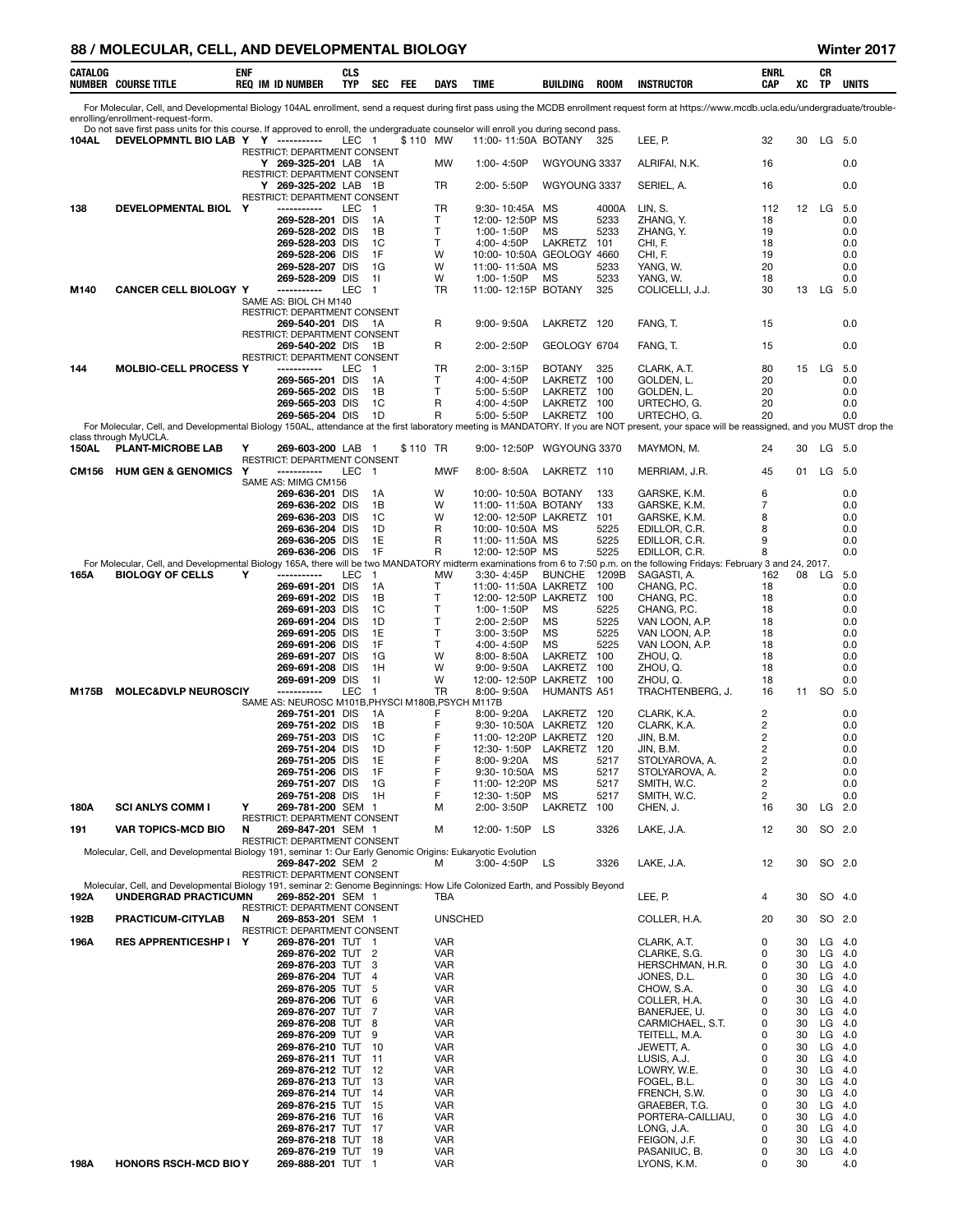### 88 / MOLECULAR, CELL, AND DEVELOPMENTAL BIOLOGY **WINDER AND A CONSTRUERED ASSAULT** Winter 2017

| CATALOG      | <b>NUMBER COURSE TITLE</b>                                                                                                                                                 | ENF | <b>REQ IM ID NUMBER</b>                              | <b>CLS</b><br><b>TYP</b> | SEC                   | FEE      | <b>DAYS</b>              | TIME                               |                 | BUILDING                                            | <b>ROOM</b>  | <b>INSTRUCTOR</b>                                                                                                                                                                            | <b>ENRL</b><br>CAP | XC       | CR<br>TP  | UNITS                |
|--------------|----------------------------------------------------------------------------------------------------------------------------------------------------------------------------|-----|------------------------------------------------------|--------------------------|-----------------------|----------|--------------------------|------------------------------------|-----------------|-----------------------------------------------------|--------------|----------------------------------------------------------------------------------------------------------------------------------------------------------------------------------------------|--------------------|----------|-----------|----------------------|
|              |                                                                                                                                                                            |     |                                                      |                          |                       |          |                          |                                    |                 |                                                     |              | For Molecular, Cell, and Developmental Biology 104AL enrollment, send a request during first pass using the MCDB enrollment request form at https://www.mcdb.ucla.edu/undergraduate/trouble- |                    |          |           |                      |
|              | enrolling/enrollment-request-form.<br>Do not save first pass units for this course. If approved to enroll, the undergraduate counselor will enroll you during second pass. |     |                                                      |                          |                       |          |                          |                                    |                 |                                                     |              |                                                                                                                                                                                              |                    |          |           |                      |
| 104AL        | DEVELOPMNTL BIO LAB Y Y -----------                                                                                                                                        |     | RESTRICT: DEPARTMENT CONSENT                         | LEC 1                    |                       | \$110 MW |                          |                                    |                 | 11:00-11:50A BOTANY                                 | 325          | LEE, P.                                                                                                                                                                                      | 32                 | 30       | LG 5.0    |                      |
|              |                                                                                                                                                                            |     | Y 269-325-201 LAB 1A<br>RESTRICT: DEPARTMENT CONSENT |                          |                       |          | MW                       | 1:00-4:50P                         |                 | WGYOUNG 3337                                        |              | ALRIFAI, N.K.                                                                                                                                                                                | 16                 |          |           | 0.0                  |
|              |                                                                                                                                                                            |     | Y 269-325-202 LAB 1B                                 |                          |                       |          | TR                       | 2:00-5:50P                         |                 | WGYOUNG 3337                                        |              | SERIEL, A.                                                                                                                                                                                   | 16                 |          |           | 0.0                  |
| 138          | DEVELOPMENTAL BIOL Y                                                                                                                                                       |     | RESTRICT: DEPARTMENT CONSENT<br>-----------          | LEC                      | - 1                   |          | TR.                      | 9:30-10:45A                        |                 | МS                                                  | 4000A        | LIN, S.                                                                                                                                                                                      | 112                | 12       | LG        | 5.0                  |
|              |                                                                                                                                                                            |     | 269-528-201 DIS<br>269-528-202 DIS                   |                          | 1A<br>1B              |          | T<br>$\mathsf{T}$        | 1:00-1:50P                         | 12:00-12:50P MS | МS                                                  | 5233<br>5233 | ZHANG, Y.<br>ZHANG, Y.                                                                                                                                                                       | 18<br>19           |          |           | 0.0<br>0.0           |
|              |                                                                                                                                                                            |     | 269-528-203 DIS                                      |                          | 1C                    |          | $\mathsf{T}$             | 4:00-4:50P                         |                 | LAKRETZ                                             | 101          | CHI, F.                                                                                                                                                                                      | 18                 |          |           | 0.0                  |
|              |                                                                                                                                                                            |     | 269-528-206 DIS<br>269-528-207 DIS                   |                          | 1F<br>1G              |          | W<br>W                   | 11:00-11:50A MS                    |                 | 10:00-10:50A GEOLOGY 4660                           | 5233         | CHI, F.<br>YANG, W.                                                                                                                                                                          | 19<br>20           |          |           | 0.0<br>0.0           |
|              | <b>CANCER CELL BIOLOGY Y</b>                                                                                                                                               |     | 269-528-209 DIS<br>-----------                       | <b>LEC</b>               | -11<br>$\overline{1}$ |          | W                        | 1:00-1:50P                         |                 | МS<br>11:00-12:15P BOTANY                           | 5233<br>325  | YANG, W.                                                                                                                                                                                     | 18<br>30           |          |           | 0.0                  |
| M140         |                                                                                                                                                                            |     | SAME AS: BIOL CH M140                                |                          |                       |          | TR                       |                                    |                 |                                                     |              | COLICELLI, J.J.                                                                                                                                                                              |                    |          | 13 LG 5.0 |                      |
|              |                                                                                                                                                                            |     | RESTRICT: DEPARTMENT CONSENT<br>269-540-201 DIS 1A   |                          |                       |          | R                        | $9:00 - 9:50A$                     |                 | LAKRETZ 120                                         |              | FANG, T.                                                                                                                                                                                     | 15                 |          |           | 0.0                  |
|              |                                                                                                                                                                            |     | RESTRICT: DEPARTMENT CONSENT<br>269-540-202 DIS      |                          | - 1B                  |          | R                        | $2:00 - 2:50P$                     |                 | GEOLOGY 6704                                        |              | FANG, T.                                                                                                                                                                                     | 15                 |          |           | 0.0                  |
|              |                                                                                                                                                                            |     | RESTRICT: DEPARTMENT CONSENT                         |                          |                       |          |                          |                                    |                 |                                                     |              |                                                                                                                                                                                              |                    |          |           |                      |
| 144          | <b>MOLBIO-CELL PROCESS Y</b>                                                                                                                                               |     | -----------<br>269-565-201 DIS                       | LEC                      | $\overline{1}$<br>1A  |          | TR<br>Т                  | 2:00-3:15P<br>4:00-4:50P           |                 | <b>BOTANY</b><br>LAKRETZ 100                        | 325          | CLARK, A.T.<br>GOLDEN, L.                                                                                                                                                                    | 80<br>20           |          | 15 LG     | 5.0<br>0.0           |
|              |                                                                                                                                                                            |     | 269-565-202 DIS<br>269-565-203 DIS                   |                          | 1B<br>1C              |          | Τ<br>R                   | 5:00-5:50P<br>4:00-4:50P           |                 | LAKRETZ 100<br>LAKRETZ 100                          |              | GOLDEN, L.<br>URTECHO, G.                                                                                                                                                                    | 20<br>20           |          |           | 0.0<br>0.0           |
|              |                                                                                                                                                                            |     | 269-565-204 DIS                                      |                          | 1D                    |          | R                        | 5:00-5:50P                         |                 | LAKRETZ 100                                         |              | URTECHO, G.                                                                                                                                                                                  | 20                 |          |           | 0.0                  |
|              | class through MyUCLA.                                                                                                                                                      |     |                                                      |                          |                       |          |                          |                                    |                 |                                                     |              | For Molecular, Cell, and Developmental Biology 150AL, attendance at the first laboratory meeting is MANDATORY. If you are NOT present, your space will be reassigned, and you MUST drop the  |                    |          |           |                      |
| <b>150AL</b> | <b>PLANT-MICROBE LAB</b>                                                                                                                                                   | Y   | 269-603-200 LAB 1<br>RESTRICT: DEPARTMENT CONSENT    |                          |                       | \$110 TR |                          | $9:00 - 12:50P$                    |                 | WGYOUNG 3370                                        |              | MAYMON, M.                                                                                                                                                                                   | 24                 | 30       | LG 5.0    |                      |
| <b>CM156</b> | <b>HUM GEN &amp; GENOMICS</b>                                                                                                                                              | Y   | -----------                                          | LEC                      | $\overline{1}$        |          | <b>MWF</b>               | $8:00 - 8:50A$                     |                 | LAKRETZ 110                                         |              | MERRIAM, J.R.                                                                                                                                                                                | 45                 | 01       |           | $LG$ 5.0             |
|              |                                                                                                                                                                            |     | SAME AS: MIMG CM156<br>269-636-201 DIS               |                          | 1A                    |          | W                        |                                    |                 | 10:00-10:50A BOTANY                                 | 133          | GARSKE, K.M.                                                                                                                                                                                 | 6                  |          |           | 0.0                  |
|              |                                                                                                                                                                            |     | 269-636-202 DIS<br>269-636-203 DIS                   |                          | 1B<br>1C              |          | W<br>W                   |                                    |                 | 11:00-11:50A BOTANY<br>12:00-12:50P LAKRETZ 101     | 133          | GARSKE, K.M.<br>GARSKE, K.M.                                                                                                                                                                 | 7<br>8             |          |           | 0.0<br>0.0           |
|              |                                                                                                                                                                            |     | 269-636-204 DIS                                      |                          | 1D                    |          | R                        | 10:00-10:50A MS                    |                 |                                                     | 5225         | EDILLOR, C.R.                                                                                                                                                                                | 8                  |          |           | 0.0                  |
|              |                                                                                                                                                                            |     | 269-636-205 DIS<br>269-636-206 DIS                   |                          | 1E<br>1F              |          | R<br>R                   | 11:00-11:50A MS<br>12:00-12:50P MS |                 |                                                     | 5225<br>5225 | EDILLOR, C.R.<br>EDILLOR, C.R.                                                                                                                                                               | 9<br>8             |          |           | 0.0<br>0.0           |
| 165A         | <b>BIOLOGY OF CELLS</b>                                                                                                                                                    | Y   | -----------                                          | LEC                      | - 1                   |          | МW                       | $3:30 - 4:45P$                     |                 | BUNCHE 1209B                                        |              | For Molecular, Cell, and Developmental Biology 165A, there will be two MANDATORY midterm examinations from 6 to 7:50 p.m. on the following Fridays: February 3 and 24, 2017.<br>SAGASTI, A.  | 162                |          | 08 LG     | 5.0                  |
|              |                                                                                                                                                                            |     | 269-691-201 DIS                                      |                          | 1A                    |          | Т                        |                                    |                 | 11:00-11:50A LAKRETZ                                | 100          | CHANG, P.C.                                                                                                                                                                                  | 18                 |          |           | 0.0                  |
|              |                                                                                                                                                                            |     | 269-691-202 DIS<br>269-691-203 DIS                   |                          | 1B<br>1C              |          | $\mathsf{T}$<br>T        | 1:00-1:50P                         |                 | 12:00-12:50P LAKRETZ 100<br>МS                      | 5225         | CHANG, P.C.<br>CHANG, P.C.                                                                                                                                                                   | 18<br>18           |          |           | 0.0<br>0.0           |
|              |                                                                                                                                                                            |     | 269-691-204 DIS<br>269-691-205 DIS                   |                          | 1D<br>1E              |          | T<br>T                   | 2:00-2:50P<br>$3:00 - 3:50P$       |                 | МS<br>MS                                            | 5225<br>5225 | VAN LOON, A.P.<br>VAN LOON, A.P.                                                                                                                                                             | 18<br>18           |          |           | 0.0<br>0.0           |
|              |                                                                                                                                                                            |     | 269-691-206 DIS                                      |                          | 1F                    |          | T                        | 4:00-4:50P                         |                 | MS                                                  | 5225         | VAN LOON, A.P.                                                                                                                                                                               | 18                 |          |           | 0.0                  |
|              |                                                                                                                                                                            |     | 269-691-207 DIS<br>269-691-208 DIS                   |                          | 1G<br>1H              |          | W<br>W                   | $8:00 - 8:50A$<br>$9:00 - 9:50A$   |                 | LAKRETZ 100<br>LAKRETZ                              | 100          | ZHOU, Q.<br>ZHOU, Q.                                                                                                                                                                         | 18<br>18           |          |           | 0.0<br>0.0           |
| M175B        | <b>MOLEC&amp;DVLP NEUROSCIY</b>                                                                                                                                            |     | 269-691-209 DIS<br>-----------                       | <b>LEC</b>               | 11<br>$\overline{1}$  |          | W<br>TR                  | 8:00-9:50A                         |                 | 12:00-12:50P LAKRETZ 100<br><b>HUMANTS A51</b>      |              | ZHOU, Q.<br>TRACHTENBERG, J.                                                                                                                                                                 | 18<br>16           |          | 11 SO 5.0 | 0.0                  |
|              |                                                                                                                                                                            |     | SAME AS: NEUROSC M101B, PHYSCI M180B, PSYCH M117B    |                          |                       |          |                          |                                    |                 |                                                     |              |                                                                                                                                                                                              |                    |          |           |                      |
|              |                                                                                                                                                                            |     | 269-751-201 DIS<br>269-751-202 DIS                   |                          | 1A<br>1B              |          | F<br>F                   | $8:00 - 9:20A$                     |                 | LAKRETZ 120<br>9:30-10:50A LAKRETZ 120              |              | CLARK, K.A.<br>CLARK, K.A.                                                                                                                                                                   | 2<br>2             |          |           | 0.0<br>0.0           |
|              |                                                                                                                                                                            |     | 269-751-203 DIS<br>269-751-204 DIS                   |                          | 1C<br>1D              |          | F<br>F                   |                                    |                 | 11:00-12:20P LAKRETZ 120<br>12:30-1:50P LAKRETZ 120 |              | JIN, B.M.<br>JIN, B.M.                                                                                                                                                                       | 2<br>2             |          |           | 0.0<br>0.0           |
|              |                                                                                                                                                                            |     | 269-751-205 DIS                                      |                          | 1E                    |          | F                        | 8:00-9:20A                         |                 | МS                                                  | 5217         | STOLYAROVA, A.                                                                                                                                                                               | 2                  |          |           | 0.0                  |
|              |                                                                                                                                                                            |     | 269-751-206 DIS<br>269-751-207 DIS                   |                          | 1F<br>1G              |          | F<br>F                   | 11:00-12:20P MS                    | 9:30-10:50A MS  |                                                     | 5217<br>5217 | STOLYAROVA, A.<br>SMITH, W.C.                                                                                                                                                                | 2<br>2             |          |           | 0.0<br>0.0           |
| 180A         | <b>SCI ANLYS COMM I</b>                                                                                                                                                    | Υ   | 269-751-208 DIS<br>269-781-200 SEM 1                 |                          | 1H                    |          | F<br>M                   | 12:30-1:50P<br>2:00-3:50P          |                 | MS<br>LAKRETZ                                       | 5217<br>100  | SMITH, W.C.<br>CHEN, J.                                                                                                                                                                      | 2<br>16            | 30       |           | 0.0<br>LG 2.0        |
|              |                                                                                                                                                                            |     | RESTRICT: DEPARTMENT CONSENT                         |                          |                       |          |                          |                                    |                 |                                                     |              |                                                                                                                                                                                              |                    |          |           |                      |
| 191          | VAR TOPICS-MCD BIO                                                                                                                                                         | N   | 269-847-201 SEM 1<br>RESTRICT: DEPARTMENT CONSENT    |                          |                       |          | M                        | 12:00-1:50P                        |                 | LS                                                  | 3326         | LAKE, J.A.                                                                                                                                                                                   | 12                 | 30       |           | SO 2.0               |
|              | Molecular, Cell, and Developmental Biology 191, seminar 1: Our Early Genomic Origins: Eukaryotic Evolution                                                                 |     | 269-847-202 SEM 2                                    |                          |                       |          | м                        | 3:00-4:50P                         |                 | LS                                                  | 3326         | LAKE, J.A.                                                                                                                                                                                   | 12                 | 30       |           | SO 2.0               |
|              | Molecular, Cell, and Developmental Biology 191, seminar 2: Genome Beginnings: How Life Colonized Earth, and Possibly Beyond                                                |     | RESTRICT: DEPARTMENT CONSENT                         |                          |                       |          |                          |                                    |                 |                                                     |              |                                                                                                                                                                                              |                    |          |           |                      |
| 192A         | <b>UNDERGRAD PRACTICUMN</b>                                                                                                                                                |     | 269-852-201 SEM 1                                    |                          |                       |          | TBA                      |                                    |                 |                                                     |              | LEE, P.                                                                                                                                                                                      | 4                  | 30       |           | SO 4.0               |
| 192B         | PRACTICUM-CITYLAB                                                                                                                                                          | N   | RESTRICT: DEPARTMENT CONSENT<br>269-853-201 SEM 1    |                          |                       |          | <b>UNSCHED</b>           |                                    |                 |                                                     |              | COLLER, H.A.                                                                                                                                                                                 | 20                 | 30       |           | SO 2.0               |
| 196A         | RES APPRENTICESHP I Y                                                                                                                                                      |     | RESTRICT: DEPARTMENT CONSENT<br>269-876-201 TUT 1    |                          |                       |          | <b>VAR</b>               |                                    |                 |                                                     |              | CLARK, A.T.                                                                                                                                                                                  | 0                  | 30       |           | $LG$ 4.0             |
|              |                                                                                                                                                                            |     | 269-876-202 TUT 2                                    |                          |                       |          | <b>VAR</b>               |                                    |                 |                                                     |              | CLARKE, S.G.                                                                                                                                                                                 | 0                  | 30       |           | $LG$ 4.0             |
|              |                                                                                                                                                                            |     | 269-876-203 TUT 3<br>269-876-204 TUT                 |                          | $\overline{4}$        |          | <b>VAR</b><br><b>VAR</b> |                                    |                 |                                                     |              | HERSCHMAN, H.R.<br>JONES, D.L.                                                                                                                                                               | 0<br>0             | 30<br>30 |           | $LG$ 4.0<br>$LG$ 4.0 |
|              |                                                                                                                                                                            |     | 269-876-205 TUT 5<br>269-876-206 TUT 6               |                          |                       |          | <b>VAR</b><br><b>VAR</b> |                                    |                 |                                                     |              | CHOW, S.A.<br>COLLER, H.A.                                                                                                                                                                   | 0<br>0             | 30<br>30 |           | $LG$ 4.0<br>$LG$ 4.0 |
|              |                                                                                                                                                                            |     | 269-876-207 TUT 7                                    |                          |                       |          | <b>VAR</b>               |                                    |                 |                                                     |              | BANERJEE, U.                                                                                                                                                                                 | 0                  | 30       |           | $LG$ 4.0             |
|              |                                                                                                                                                                            |     | 269-876-208 TUT<br>269-876-209 TUT 9                 |                          | - 8                   |          | <b>VAR</b><br><b>VAR</b> |                                    |                 |                                                     |              | CARMICHAEL, S.T.<br>TEITELL, M.A.                                                                                                                                                            | 0<br>0             | 30<br>30 |           | $LG$ 4.0<br>$LG$ 4.0 |
|              |                                                                                                                                                                            |     | 269-876-210 TUT 10                                   |                          |                       |          | <b>VAR</b>               |                                    |                 |                                                     |              | JEWETT, A.                                                                                                                                                                                   | 0                  | 30       |           | $LG$ 4.0             |
|              |                                                                                                                                                                            |     | 269-876-211 TUT 11<br>269-876-212 TUT 12             |                          |                       |          | <b>VAR</b><br><b>VAR</b> |                                    |                 |                                                     |              | LUSIS, A.J.<br>LOWRY, W.E.                                                                                                                                                                   | 0<br>0             | 30<br>30 |           | $LG$ 4.0<br>$LG$ 4.0 |
|              |                                                                                                                                                                            |     | 269-876-213 TUT 13<br>269-876-214 TUT 14             |                          |                       |          | <b>VAR</b><br><b>VAR</b> |                                    |                 |                                                     |              | FOGEL, B.L.<br>FRENCH, S.W.                                                                                                                                                                  | 0<br>0             | 30<br>30 |           | $LG$ 4.0<br>$LG$ 4.0 |
|              |                                                                                                                                                                            |     | 269-876-215 TUT 15                                   |                          |                       |          | <b>VAR</b>               |                                    |                 |                                                     |              | GRAEBER, T.G.                                                                                                                                                                                | 0                  | 30       |           | $LG$ 4.0             |
|              |                                                                                                                                                                            |     | 269-876-216 TUT 16<br>269-876-217 TUT 17             |                          |                       |          | <b>VAR</b><br><b>VAR</b> |                                    |                 |                                                     |              | PORTERA-CAILLIAU,<br>LONG, J.A.                                                                                                                                                              | 0<br>0             | 30<br>30 |           | $LG$ 4.0<br>$LG$ 4.0 |
|              |                                                                                                                                                                            |     | 269-876-218 TUT 18                                   |                          |                       |          | <b>VAR</b>               |                                    |                 |                                                     |              | FEIGON, J.F.                                                                                                                                                                                 | 0<br>0             | 30       |           | $LG$ 4.0             |
| 198A         | <b>HONORS RSCH-MCD BIO Y</b>                                                                                                                                               |     | 269-876-219 TUT 19<br>269-888-201 TUT 1              |                          |                       |          | <b>VAR</b><br><b>VAR</b> |                                    |                 |                                                     |              | PASANIUC, B.<br>LYONS, K.M.                                                                                                                                                                  | 0                  | 30<br>30 |           | $LG$ 4.0<br>4.0      |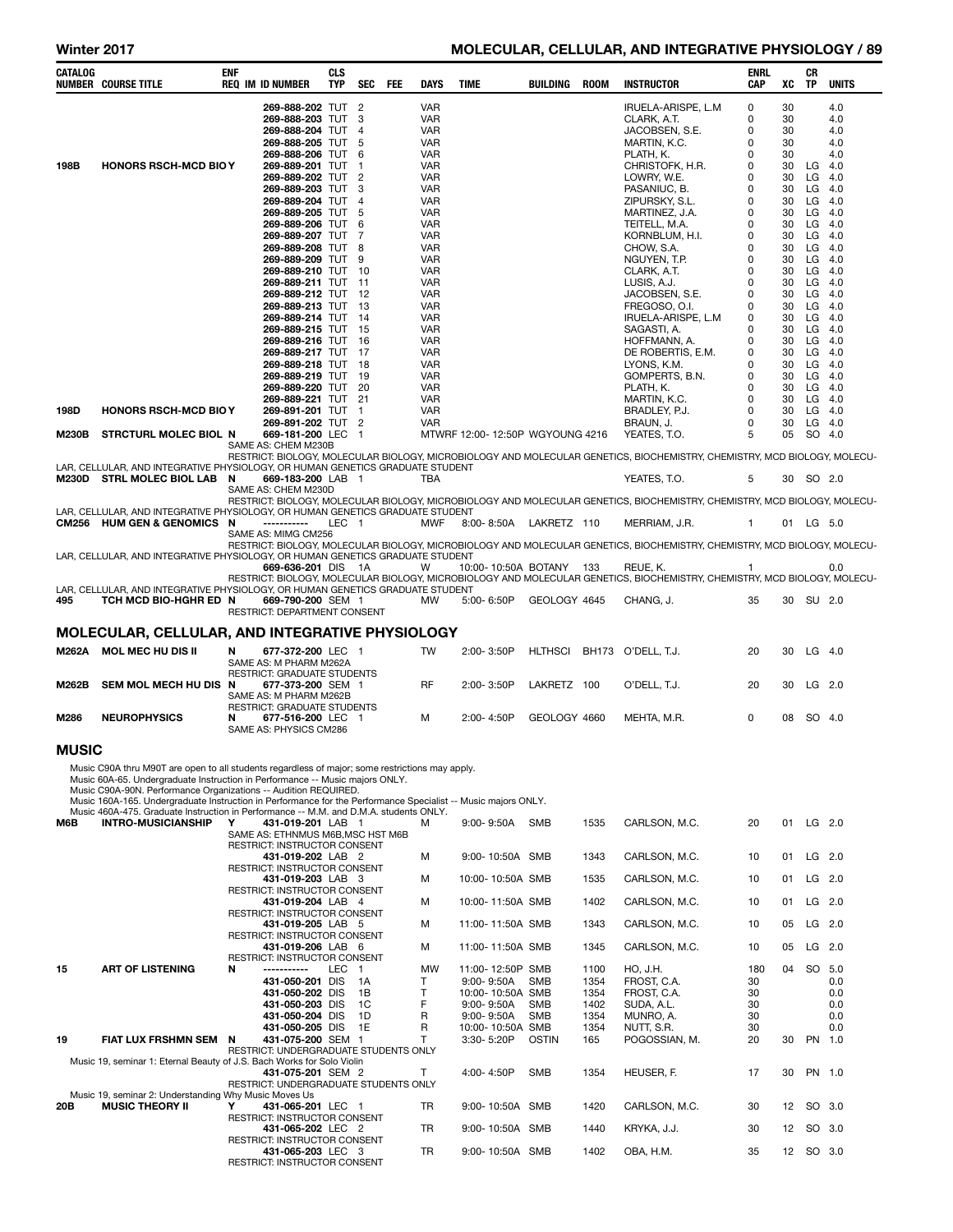# Winter 2017 MOLECULAR, CELLULAR, AND INTEGRATIVE PHYSIOLOGY / 89

| CATALOG      | <b>NUMBER COURSE TITLE</b>                                                                                                                                                                             | <b>ENF</b> | <b>REQ IM ID NUMBER</b>                                           | <b>CLS</b><br><b>TYP</b> |                | SEC FEE | DAYS                     | <b>TIME</b>                        | BUILDING     | ROOM         | <b>INSTRUCTOR</b>                                                                                                                    | <b>ENRL</b><br><b>CAP</b> | XC       | CR<br>ΤP  | <b>UNITS</b>    |
|--------------|--------------------------------------------------------------------------------------------------------------------------------------------------------------------------------------------------------|------------|-------------------------------------------------------------------|--------------------------|----------------|---------|--------------------------|------------------------------------|--------------|--------------|--------------------------------------------------------------------------------------------------------------------------------------|---------------------------|----------|-----------|-----------------|
|              |                                                                                                                                                                                                        |            | 269-888-202 TUT 2                                                 |                          |                |         | <b>VAR</b>               |                                    |              |              | IRUELA-ARISPE, L.M                                                                                                                   | $\Omega$                  | 30       |           | 4.0             |
|              |                                                                                                                                                                                                        |            | 269-888-203 TUT 3                                                 |                          |                |         | <b>VAR</b>               |                                    |              |              | CLARK, A.T.                                                                                                                          | 0                         | 30       |           | 4.0             |
|              |                                                                                                                                                                                                        |            | 269-888-204 TUT 4<br>269-888-205 TUT                              |                          | 5              |         | <b>VAR</b><br><b>VAR</b> |                                    |              |              | JACOBSEN, S.E.<br>MARTIN, K.C.                                                                                                       | 0<br>$\mathbf 0$          | 30<br>30 |           | 4.0<br>4.0      |
|              |                                                                                                                                                                                                        |            | 269-888-206 TUT                                                   |                          | - 6            |         | <b>VAR</b>               |                                    |              |              | PLATH, K.                                                                                                                            | 0                         | 30       |           | 4.0             |
| 198B         | <b>HONORS RSCH-MCD BIO Y</b>                                                                                                                                                                           |            | 269-889-201 TUT<br>269-889-202 TUT 2                              |                          | $\mathbf 1$    |         | <b>VAR</b><br><b>VAR</b> |                                    |              |              | CHRISTOFK, H.R.<br>LOWRY, W.E.                                                                                                       | 0<br>$\Omega$             | 30<br>30 | LG<br>LG  | 4.0<br>4.0      |
|              |                                                                                                                                                                                                        |            | 269-889-203 TUT                                                   |                          | 3              |         | <b>VAR</b>               |                                    |              |              | PASANIUC, B.                                                                                                                         | $\mathbf 0$               | 30       | LG        | 4.0             |
|              |                                                                                                                                                                                                        |            | 269-889-204 TUT<br>269-889-205 TUT 5                              |                          | $\overline{4}$ |         | <b>VAR</b><br><b>VAR</b> |                                    |              |              | ZIPURSKY, S.L.<br>MARTINEZ, J.A.                                                                                                     | 0<br>0                    | 30<br>30 | LG<br>LG  | 4.0<br>4.0      |
|              |                                                                                                                                                                                                        |            | 269-889-206 TUT 6                                                 |                          |                |         | <b>VAR</b>               |                                    |              |              | TEITELL, M.A.                                                                                                                        | $\Omega$                  | 30       | LG        | 4.0             |
|              |                                                                                                                                                                                                        |            | 269-889-207 TUT 7<br>269-889-208 TUT 8                            |                          |                |         | <b>VAR</b><br><b>VAR</b> |                                    |              |              | KORNBLUM, H.I.<br>CHOW, S.A.                                                                                                         | 0<br>$\Omega$             | 30<br>30 | LG<br>LG  | -4.0<br>4.0     |
|              |                                                                                                                                                                                                        |            | 269-889-209 TUT 9                                                 |                          |                |         | <b>VAR</b>               |                                    |              |              | NGUYEN, T.P.                                                                                                                         | 0                         | 30       | LG        | 4.0             |
|              |                                                                                                                                                                                                        |            | 269-889-210 TUT 10<br>269-889-211 TUT 11                          |                          |                |         | <b>VAR</b><br><b>VAR</b> |                                    |              |              | CLARK, A.T.<br>LUSIS, A.J.                                                                                                           | 0<br>$\mathbf 0$          | 30<br>30 | LG<br>LG  | 4.0<br>4.0      |
|              |                                                                                                                                                                                                        |            | 269-889-212 TUT 12                                                |                          |                |         | <b>VAR</b>               |                                    |              |              | JACOBSEN, S.E.                                                                                                                       | 0                         | 30       | LG        | 4.0             |
|              |                                                                                                                                                                                                        |            | 269-889-213 TUT 13<br>269-889-214 TUT 14                          |                          |                |         | <b>VAR</b><br><b>VAR</b> |                                    |              |              | FREGOSO, O.I.                                                                                                                        | 0<br>0                    | 30<br>30 | LG<br>LG  | 4.0<br>4.0      |
|              |                                                                                                                                                                                                        |            | 269-889-215 TUT 15                                                |                          |                |         | <b>VAR</b>               |                                    |              |              | IRUELA-ARISPE, L.M<br>SAGASTI, A.                                                                                                    | 0                         | 30       | LG        | 4.0             |
|              |                                                                                                                                                                                                        |            | 269-889-216 TUT 16                                                |                          |                |         | <b>VAR</b>               |                                    |              |              | HOFFMANN, A.                                                                                                                         | 0                         | 30<br>30 | LG<br>LG  | 4.0<br>4.0      |
|              |                                                                                                                                                                                                        |            | 269-889-217 TUT 17<br>269-889-218 TUT 18                          |                          |                |         | <b>VAR</b><br><b>VAR</b> |                                    |              |              | DE ROBERTIS, E.M.<br>LYONS, K.M.                                                                                                     | 0<br>$\Omega$             | 30       | LG        | -4.0            |
|              |                                                                                                                                                                                                        |            | 269-889-219 TUT 19                                                |                          |                |         | <b>VAR</b>               |                                    |              |              | GOMPERTS, B.N.                                                                                                                       | 0                         | 30       | LG        | 4.0             |
|              |                                                                                                                                                                                                        |            | 269-889-220 TUT 20<br>269-889-221 TUT 21                          |                          |                |         | <b>VAR</b><br><b>VAR</b> |                                    |              |              | PLATH, K.<br>MARTIN, K.C.                                                                                                            | 0<br>0                    | 30<br>30 | LG        | 4.0<br>$LG$ 4.0 |
| 198D         | <b>HONORS RSCH-MCD BIO Y</b>                                                                                                                                                                           |            | 269-891-201 TUT 1                                                 |                          |                |         | <b>VAR</b>               |                                    |              |              | BRADLEY, P.J.                                                                                                                        | $\Omega$                  | 30       | LG        | 4.0             |
| <b>M230B</b> | <b>STRCTURL MOLEC BIOL N</b>                                                                                                                                                                           |            | 269-891-202 TUT 2<br>669-181-200 LEC 1                            |                          |                |         | <b>VAR</b>               | MTWRF 12:00-12:50P WGYOUNG 4216    |              |              | BRAUN, J.<br>YEATES, T.O.                                                                                                            | $\mathbf 0$<br>5          | 30<br>05 | SO        | $LG$ 4.0<br>4.0 |
|              |                                                                                                                                                                                                        |            | SAME AS: CHEM M230B                                               |                          |                |         |                          |                                    |              |              | RESTRICT: BIOLOGY, MOLECULAR BIOLOGY, MICROBIOLOGY AND MOLECULAR GENETICS, BIOCHEMISTRY, CHEMISTRY, MCD BIOLOGY, MOLECU-             |                           |          |           |                 |
|              | LAR, CELLULAR, AND INTEGRATIVE PHYSIOLOGY, OR HUMAN GENETICS GRADUATE STUDENT                                                                                                                          |            |                                                                   |                          |                |         |                          |                                    |              |              |                                                                                                                                      |                           |          |           |                 |
|              | M230D STRL MOLEC BIOL LAB N                                                                                                                                                                            |            | 669-183-200 LAB 1<br>SAME AS: CHEM M230D                          |                          |                |         | <b>TBA</b>               |                                    |              |              | YEATES, T.O.                                                                                                                         | 5                         |          | 30 SO 2.0 |                 |
|              |                                                                                                                                                                                                        |            |                                                                   |                          |                |         |                          |                                    |              |              | RESTRICT: BIOLOGY, MOLECULAR BIOLOGY, MICROBIOLOGY AND MOLECULAR GENETICS, BIOCHEMISTRY, CHEMISTRY, MCD BIOLOGY, MOLECU-             |                           |          |           |                 |
|              | LAR, CELLULAR, AND INTEGRATIVE PHYSIOLOGY, OR HUMAN GENETICS GRADUATE STUDENT<br>CM256 HUM GEN & GENOMICS N                                                                                            |            | -----------                                                       | LEC <sub>1</sub>         |                |         | <b>MWF</b>               | 8:00-8:50A LAKRETZ 110             |              |              | MERRIAM, J.R.                                                                                                                        | 1                         |          | 01 LG 5.0 |                 |
|              |                                                                                                                                                                                                        |            | SAME AS: MIMG CM256                                               |                          |                |         |                          |                                    |              |              | RESTRICT: BIOLOGY, MOLECULAR BIOLOGY, MICROBIOLOGY AND MOLECULAR GENETICS, BIOCHEMISTRY, CHEMISTRY, MCD BIOLOGY, MOLECU-             |                           |          |           |                 |
|              | LAR, CELLULAR, AND INTEGRATIVE PHYSIOLOGY, OR HUMAN GENETICS GRADUATE STUDENT                                                                                                                          |            |                                                                   |                          |                |         |                          |                                    |              |              |                                                                                                                                      |                           |          |           |                 |
|              |                                                                                                                                                                                                        |            | 669-636-201 DIS 1A                                                |                          |                |         | w                        | 10:00-10:50A BOTANY 133            |              |              | REUE, K.<br>RESTRICT: BIOLOGY, MOLECULAR BIOLOGY, MICROBIOLOGY AND MOLECULAR GENETICS, BIOCHEMISTRY, CHEMISTRY, MCD BIOLOGY, MOLECU- | 1                         |          |           | 0.0             |
|              | LAR, CELLULAR, AND INTEGRATIVE PHYSIOLOGY, OR HUMAN GENETICS GRADUATE STUDENT                                                                                                                          |            |                                                                   |                          |                |         |                          |                                    |              |              |                                                                                                                                      |                           |          |           |                 |
| 495          | TCH MCD BIO-HGHR ED N                                                                                                                                                                                  |            | 669-790-200 SEM 1<br>RESTRICT: DEPARTMENT CONSENT                 |                          |                |         | MW                       | 5:00-6:50P                         | GEOLOGY 4645 |              | CHANG, J.                                                                                                                            | 35                        |          | 30 SU 2.0 |                 |
|              | MOLECULAR, CELLULAR, AND INTEGRATIVE PHYSIOLOGY                                                                                                                                                        |            |                                                                   |                          |                |         |                          |                                    |              |              |                                                                                                                                      |                           |          |           |                 |
|              | M262A MOL MEC HU DIS II                                                                                                                                                                                | N          | 677-372-200 LEC 1                                                 |                          |                |         | <b>TW</b>                | 2:00-3:50P                         |              |              | HLTHSCI BH173 O'DELL, T.J.                                                                                                           | 20                        | 30       |           | $LG$ 4.0        |
|              |                                                                                                                                                                                                        |            | SAME AS: M PHARM M262A                                            |                          |                |         |                          |                                    |              |              |                                                                                                                                      |                           |          |           |                 |
| M262B        | SEM MOL MECH HU DIS N                                                                                                                                                                                  |            | <b>RESTRICT: GRADUATE STUDENTS</b><br>677-373-200 SEM 1           |                          |                |         | <b>RF</b>                | 2:00-3:50P                         | LAKRETZ 100  |              | O'DELL. T.J.                                                                                                                         | 20                        | 30       |           | $LG$ 2.0        |
|              |                                                                                                                                                                                                        |            | SAME AS: M PHARM M262B<br><b>RESTRICT: GRADUATE STUDENTS</b>      |                          |                |         |                          |                                    |              |              |                                                                                                                                      |                           |          |           |                 |
| M286         | <b>NEUROPHYSICS</b>                                                                                                                                                                                    | N          | 677-516-200 LEC 1                                                 |                          |                |         | м                        | 2:00-4:50P                         | GEOLOGY 4660 |              | MEHTA, M.R.                                                                                                                          | 0                         | 08       |           | SO 4.0          |
|              |                                                                                                                                                                                                        |            | SAME AS: PHYSICS CM286                                            |                          |                |         |                          |                                    |              |              |                                                                                                                                      |                           |          |           |                 |
| <b>MUSIC</b> |                                                                                                                                                                                                        |            |                                                                   |                          |                |         |                          |                                    |              |              |                                                                                                                                      |                           |          |           |                 |
|              | Music C90A thru M90T are open to all students regardless of major; some restrictions may apply.                                                                                                        |            |                                                                   |                          |                |         |                          |                                    |              |              |                                                                                                                                      |                           |          |           |                 |
|              | Music 60A-65. Undergraduate Instruction in Performance -- Music majors ONLY.<br>Music C90A-90N. Performance Organizations -- Audition REQUIRED.                                                        |            |                                                                   |                          |                |         |                          |                                    |              |              |                                                                                                                                      |                           |          |           |                 |
|              | Music 160A-165. Undergraduate Instruction in Performance for the Performance Specialist -- Music majors ONLY.<br>Music 460A-475. Graduate Instruction in Performance -- M.M. and D.M.A. students ONLY. |            |                                                                   |                          |                |         |                          |                                    |              |              |                                                                                                                                      |                           |          |           |                 |
| M6B          | <b>INTRO-MUSICIANSHIP</b>                                                                                                                                                                              | Y          | 431-019-201 LAB 1                                                 |                          |                |         | м                        | $9:00 - 9:50A$                     | SMB          | 1535         | CARLSON, M.C.                                                                                                                        | 20                        | 01       |           | $LG$ 2.0        |
|              |                                                                                                                                                                                                        |            | SAME AS: ETHNMUS M6B, MSC HST M6B<br>RESTRICT: INSTRUCTOR CONSENT |                          |                |         |                          |                                    |              |              |                                                                                                                                      |                           |          |           |                 |
|              |                                                                                                                                                                                                        |            | 431-019-202 LAB 2                                                 |                          |                |         | м                        | 9:00-10:50A SMB                    |              | 1343         | CARLSON, M.C.                                                                                                                        | 10                        | 01       |           | $LG$ 2.0        |
|              |                                                                                                                                                                                                        |            | RESTRICT: INSTRUCTOR CONSENT<br>431-019-203 LAB 3                 |                          |                |         | м                        | 10:00-10:50A SMB                   |              | 1535         | CARLSON, M.C.                                                                                                                        | 10                        | 01       |           | $LG$ 2.0        |
|              |                                                                                                                                                                                                        |            | RESTRICT: INSTRUCTOR CONSENT<br>431-019-204 LAB 4                 |                          |                |         | м                        | 10:00-11:50A SMB                   |              | 1402         | CARLSON, M.C.                                                                                                                        | 10                        | 01       |           | $LG$ 2.0        |
|              |                                                                                                                                                                                                        |            | RESTRICT: INSTRUCTOR CONSENT                                      |                          |                |         |                          |                                    |              |              |                                                                                                                                      |                           |          |           |                 |
|              |                                                                                                                                                                                                        |            | 431-019-205 LAB 5<br>RESTRICT: INSTRUCTOR CONSENT                 |                          |                |         | м                        | 11:00-11:50A SMB                   |              | 1343         | CARLSON, M.C.                                                                                                                        | 10                        | 05       |           | LG 2.0          |
|              |                                                                                                                                                                                                        |            | 431-019-206 LAB 6                                                 |                          |                |         | м                        | 11:00-11:50A SMB                   |              | 1345         | CARLSON, M.C.                                                                                                                        | 10                        | 05       |           | LG 2.0          |
| 15           | <b>ART OF LISTENING</b>                                                                                                                                                                                | N          | RESTRICT: INSTRUCTOR CONSENT<br>-----------                       | LEC 1                    |                |         | MW                       | 11:00-12:50P SMB                   |              | 1100         | HO, J.H.                                                                                                                             | 180                       | 04       |           | SO 5.0          |
|              |                                                                                                                                                                                                        |            | 431-050-201 DIS                                                   |                          | 1A             |         | Т                        | $9:00 - 9:50A$                     | <b>SMB</b>   | 1354         | FROST, C.A.                                                                                                                          | 30                        |          |           | 0.0             |
|              |                                                                                                                                                                                                        |            | 431-050-202 DIS<br>431-050-203 DIS                                |                          | 1B<br>1C       |         | $\mathsf{T}$<br>F        | 10:00-10:50A SMB<br>$9:00 - 9:50A$ | <b>SMB</b>   | 1354<br>1402 | FROST, C.A.<br>SUDA, A.L.                                                                                                            | 30<br>30                  |          |           | 0.0<br>0.0      |
|              |                                                                                                                                                                                                        |            | 431-050-204 DIS                                                   |                          | 1D             |         | R                        | $9:00 - 9:50A$                     | <b>SMB</b>   | 1354         | MUNRO, A.                                                                                                                            | 30                        |          |           | 0.0             |
| 19           | FIAT LUX FRSHMN SEM                                                                                                                                                                                    | N          | 431-050-205 DIS<br>431-075-200 SEM 1                              |                          | 1E             |         | R<br>T                   | 10:00-10:50A SMB<br>3:30-5:20P     | <b>OSTIN</b> | 1354<br>165  | NUTT, S.R.<br>POGOSSIAN, M.                                                                                                          | 30<br>20                  | 30       |           | 0.0<br>PN 1.0   |
|              |                                                                                                                                                                                                        |            | RESTRICT: UNDERGRADUATE STUDENTS ONLY                             |                          |                |         |                          |                                    |              |              |                                                                                                                                      |                           |          |           |                 |
|              | Music 19, seminar 1: Eternal Beauty of J.S. Bach Works for Solo Violin                                                                                                                                 |            | 431-075-201 SEM 2                                                 |                          |                |         | T                        | 4:00-4:50P                         | <b>SMB</b>   | 1354         | HEUSER, F.                                                                                                                           | 17                        | 30       |           | PN 1.0          |
|              | Music 19, seminar 2: Understanding Why Music Moves Us                                                                                                                                                  |            | RESTRICT: UNDERGRADUATE STUDENTS ONLY                             |                          |                |         |                          |                                    |              |              |                                                                                                                                      |                           |          |           |                 |
| 20B          | <b>MUSIC THEORY II</b>                                                                                                                                                                                 | Y          | 431-065-201 LEC 1                                                 |                          |                |         | <b>TR</b>                | 9:00-10:50A SMB                    |              | 1420         | CARLSON, M.C.                                                                                                                        | 30                        | 12       |           | SO 3.0          |
|              |                                                                                                                                                                                                        |            | RESTRICT: INSTRUCTOR CONSENT<br>431-065-202 LEC 2                 |                          |                |         | TR                       | 9:00-10:50A SMB                    |              | 1440         | KRYKA, J.J.                                                                                                                          | 30                        | 12       |           | SO 3.0          |
|              |                                                                                                                                                                                                        |            | RESTRICT: INSTRUCTOR CONSENT                                      |                          |                |         |                          |                                    |              |              |                                                                                                                                      |                           |          |           |                 |
|              |                                                                                                                                                                                                        |            | 431-065-203 LEC 3<br>RESTRICT: INSTRUCTOR CONSENT                 |                          |                |         | TR                       | 9:00-10:50A SMB                    |              | 1402         | OBA, H.M.                                                                                                                            | 35                        | 12       |           | SO 3.0          |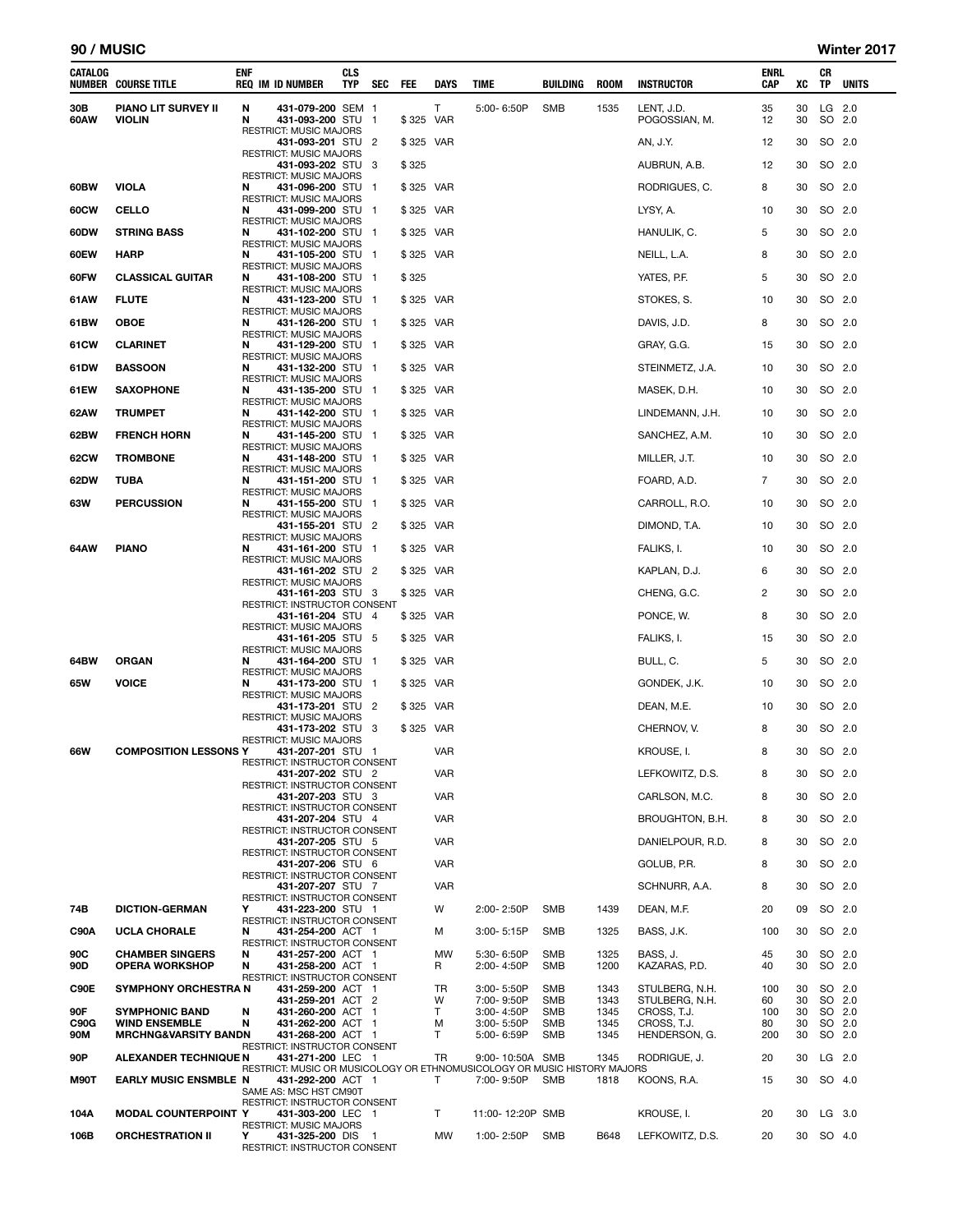| CATALOG     | NUMBER COURSE TITLE                                     | ENF    | <b>REQ IM ID NUMBER</b>                                                | <b>CLS</b><br>TYP | SEC                      | FEE       | DAYS       | TIME                                                                                   | BUILDING                 | <b>ROOM</b>  | <b>INSTRUCTOR</b>             | ENRL<br>CAP | XC       | CR<br>TP         | <b>UNITS</b> |
|-------------|---------------------------------------------------------|--------|------------------------------------------------------------------------|-------------------|--------------------------|-----------|------------|----------------------------------------------------------------------------------------|--------------------------|--------------|-------------------------------|-------------|----------|------------------|--------------|
| 30B<br>60AW | <b>PIANO LIT SURVEY II</b><br><b>VIOLIN</b>             | N<br>N | 431-079-200 SEM 1<br>431-093-200 STU                                   |                   | $\overline{1}$           | \$325 VAR | Τ          | 5:00-6:50P                                                                             | <b>SMB</b>               | 1535         | LENT, J.D.<br>POGOSSIAN, M.   | 35<br>12    | 30<br>30 | LG 2.0<br>SO 2.0 |              |
|             |                                                         |        | RESTRICT: MUSIC MAJORS<br>431-093-201 STU 2                            |                   |                          | \$325 VAR |            |                                                                                        |                          |              | AN, J.Y.                      | 12          | 30       | SO 2.0           |              |
|             |                                                         |        | RESTRICT: MUSIC MAJORS<br>431-093-202 STU                              |                   | - 3                      | \$325     |            |                                                                                        |                          |              | AUBRUN, A.B.                  | 12          | 30       | SO 2.0           |              |
| 60BW        | <b>VIOLA</b>                                            | N      | <b>RESTRICT: MUSIC MAJORS</b><br>431-096-200 STU                       |                   | - 1                      | \$325 VAR |            |                                                                                        |                          |              | RODRIGUES, C.                 | 8           | 30       | SO 2.0           |              |
| 60CW        | <b>CELLO</b>                                            | N      | <b>RESTRICT: MUSIC MAJORS</b><br>431-099-200 STU 1                     |                   |                          | \$325 VAR |            |                                                                                        |                          |              | LYSY, A.                      | 10          | 30       | SO 2.0           |              |
| 60DW        | <b>STRING BASS</b>                                      | N      | <b>RESTRICT: MUSIC MAJORS</b><br>431-102-200 STU                       |                   | $\overline{\phantom{a}}$ | \$325 VAR |            |                                                                                        |                          |              | HANULIK, C.                   | 5           | 30       | SO 2.0           |              |
| 60EW        | HARP                                                    | N      | <b>RESTRICT: MUSIC MAJORS</b><br>431-105-200 STU                       |                   | - 1                      | \$325 VAR |            |                                                                                        |                          |              | NEILL, L.A.                   | 8           | 30       | SO 2.0           |              |
| 60FW        | <b>CLASSICAL GUITAR</b>                                 | N      | RESTRICT: MUSIC MAJORS<br>431-108-200 STU<br>RESTRICT: MUSIC MAJORS    |                   | $\mathbf{1}$             | \$325     |            |                                                                                        |                          |              | YATES, P.F.                   | 5           | 30       | SO 2.0           |              |
| 61AW        | <b>FLUTE</b>                                            | N      | 431-123-200 STU                                                        |                   | - 1                      | \$325 VAR |            |                                                                                        |                          |              | STOKES, S.                    | 10          | 30       | SO 2.0           |              |
| 61BW        | <b>OBOE</b>                                             | N      | <b>RESTRICT: MUSIC MAJORS</b><br>431-126-200 STU                       |                   | - 1                      | \$325 VAR |            |                                                                                        |                          |              | DAVIS, J.D.                   | 8           | 30       | SO 2.0           |              |
| 61CW        | <b>CLARINET</b>                                         | N      | RESTRICT: MUSIC MAJORS<br>431-129-200 STU                              |                   | $\overline{\phantom{0}}$ | \$325 VAR |            |                                                                                        |                          |              | GRAY, G.G.                    | 15          | 30       | SO 2.0           |              |
| 61DW        | <b>BASSOON</b>                                          | N      | <b>RESTRICT: MUSIC MAJORS</b><br>431-132-200 STU 1                     |                   |                          | \$325 VAR |            |                                                                                        |                          |              | STEINMETZ, J.A.               | 10          | 30       | SO 2.0           |              |
| 61EW        | <b>SAXOPHONE</b>                                        | N      | <b>RESTRICT: MUSIC MAJORS</b><br>431-135-200 STU                       |                   | $\mathbf{1}$             | \$325 VAR |            |                                                                                        |                          |              | MASEK, D.H.                   | 10          | 30       | SO 2.0           |              |
| 62AW        | <b>TRUMPET</b>                                          | N      | RESTRICT: MUSIC MAJORS<br>431-142-200 STU                              |                   | $\overline{\phantom{0}}$ | \$325 VAR |            |                                                                                        |                          |              | LINDEMANN, J.H.               | 10          | 30       | SO 2.0           |              |
| 62BW        | <b>FRENCH HORN</b>                                      | N      | RESTRICT: MUSIC MAJORS<br>431-145-200 STU                              |                   | $\overline{\phantom{0}}$ | \$325 VAR |            |                                                                                        |                          |              | SANCHEZ, A.M.                 | 10          | 30       | SO 2.0           |              |
| 62CW        | <b>TROMBONE</b>                                         | N      | <b>RESTRICT: MUSIC MAJORS</b><br>431-148-200 STU                       |                   | - 1                      | \$325 VAR |            |                                                                                        |                          |              | MILLER, J.T.                  | 10          | 30       | SO 2.0           |              |
| 62DW        | TUBA                                                    | N      | RESTRICT: MUSIC MAJORS<br>431-151-200 STU 1                            |                   |                          | \$325 VAR |            |                                                                                        |                          |              | FOARD, A.D.                   | 7           | 30       | SO 2.0           |              |
| 63W         | <b>PERCUSSION</b>                                       | N      | <b>RESTRICT: MUSIC MAJORS</b><br>431-155-200 STU                       |                   | $\overline{\mathbf{1}}$  | \$325 VAR |            |                                                                                        |                          |              | CARROLL, R.O.                 | 10          | 30       | SO 2.0           |              |
|             |                                                         |        | <b>RESTRICT: MUSIC MAJORS</b><br>431-155-201 STU                       |                   | - 2                      | \$325 VAR |            |                                                                                        |                          |              | DIMOND, T.A.                  | 10          | 30       | SO 2.0           |              |
| 64AW        | <b>PIANO</b>                                            | N      | RESTRICT: MUSIC MAJORS<br>431-161-200 STU                              |                   | $\mathbf{1}$             | \$325 VAR |            |                                                                                        |                          |              | FALIKS, I.                    | 10          | 30       | SO 2.0           |              |
|             |                                                         |        | RESTRICT: MUSIC MAJORS<br>431-161-202 STU 2                            |                   |                          | \$325 VAR |            |                                                                                        |                          |              | KAPLAN, D.J.                  | 6           | 30       | SO 2.0           |              |
|             |                                                         |        | <b>RESTRICT: MUSIC MAJORS</b><br>431-161-203 STU 3                     |                   |                          | \$325 VAR |            |                                                                                        |                          |              | CHENG, G.C.                   | 2           | 30       | SO 2.0           |              |
|             |                                                         |        | <b>RESTRICT: INSTRUCTOR CONSENT</b><br>431-161-204 STU 4               |                   |                          | \$325 VAR |            |                                                                                        |                          |              | PONCE, W.                     | 8           | 30       | SO 2.0           |              |
|             |                                                         |        | <b>RESTRICT: MUSIC MAJORS</b><br>431-161-205 STU 5                     |                   |                          | \$325 VAR |            |                                                                                        |                          |              | FALIKS, I.                    | 15          | 30       | SO 2.0           |              |
| 64BW        | <b>ORGAN</b>                                            | N      | <b>RESTRICT: MUSIC MAJORS</b><br>431-164-200 STU                       |                   | -1                       | \$325 VAR |            |                                                                                        |                          |              | BULL, C.                      | 5           | 30       | SO 2.0           |              |
| 65W         | <b>VOICE</b>                                            | N      | <b>RESTRICT: MUSIC MAJORS</b><br>431-173-200 STU                       |                   | $\overline{\phantom{0}}$ | \$325 VAR |            |                                                                                        |                          |              | GONDEK, J.K.                  | 10          | 30       | SO 2.0           |              |
|             |                                                         |        | <b>RESTRICT: MUSIC MAJORS</b><br>431-173-201 STU                       |                   | -2                       | \$325 VAR |            |                                                                                        |                          |              | DEAN, M.E.                    | 10          | 30       | SO 2.0           |              |
|             |                                                         |        | <b>RESTRICT: MUSIC MAJORS</b><br>431-173-202 STU                       |                   | -3                       | \$325 VAR |            |                                                                                        |                          |              | CHERNOV, V.                   | 8           | 30       | SO 2.0           |              |
| 66W         | <b>COMPOSITION LESSONS Y</b>                            |        | <b>RESTRICT: MUSIC MAJORS</b><br>431-207-201 STU 1                     |                   |                          |           | VAR        |                                                                                        |                          |              | KROUSE, I.                    | 8           | 30       | SO 2.0           |              |
|             |                                                         |        | RESTRICT: INSTRUCTOR CONSENT<br>431-207-202 STU 2                      |                   |                          |           | VAR        |                                                                                        |                          |              | LEFKOWITZ, D.S.               | 8           | 30       | SO 2.0           |              |
|             |                                                         |        | RESTRICT: INSTRUCTOR CONSENT<br>431-207-203 STU 3                      |                   |                          |           | VAR        |                                                                                        |                          |              | CARLSON, M.C.                 | 8           | 30       | SO 2.0           |              |
|             |                                                         |        | RESTRICT: INSTRUCTOR CONSENT<br>431-207-204 STU 4                      |                   |                          |           | <b>VAR</b> |                                                                                        |                          |              | BROUGHTON, B.H.               | 8           | 30       | SO 2.0           |              |
|             |                                                         |        | RESTRICT: INSTRUCTOR CONSENT<br>431-207-205 STU 5                      |                   |                          |           | VAR        |                                                                                        |                          |              | DANIELPOUR. R.D.              | 8           | 30       | SO 2.0           |              |
|             |                                                         |        | RESTRICT: INSTRUCTOR CONSENT<br>431-207-206 STU 6                      |                   |                          |           | VAR        |                                                                                        |                          |              | GOLUB, P.R.                   | 8           | 30       | SO 2.0           |              |
|             |                                                         |        | RESTRICT: INSTRUCTOR CONSENT<br>431-207-207 STU 7                      |                   |                          |           | <b>VAR</b> |                                                                                        |                          |              | SCHNURR, A.A.                 | 8           | 30       | SO 2.0           |              |
| 74B         | <b>DICTION-GERMAN</b>                                   | Y      | RESTRICT: INSTRUCTOR CONSENT<br>431-223-200 STU 1                      |                   |                          |           | W          | 2:00-2:50P                                                                             | <b>SMB</b>               | 1439         | DEAN, M.F.                    | 20          | 09       | SO 2.0           |              |
| <b>C90A</b> | <b>UCLA CHORALE</b>                                     | N      | RESTRICT: INSTRUCTOR CONSENT<br>431-254-200 ACT 1                      |                   |                          |           | м          | 3:00-5:15P                                                                             | SMB                      | 1325         | BASS, J.K.                    | 100         | 30       | SO 2.0           |              |
| 90C<br>90D  | <b>CHAMBER SINGERS</b><br><b>OPERA WORKSHOP</b>         | N<br>N | RESTRICT: INSTRUCTOR CONSENT<br>431-257-200 ACT 1<br>431-258-200 ACT 1 |                   |                          |           | МW<br>R    | 5:30-6:50P<br>2:00-4:50P                                                               | <b>SMB</b><br><b>SMB</b> | 1325<br>1200 | BASS, J.<br>KAZARAS, P.D.     | 45<br>40    | 30<br>30 | SO 2.0           | SO 2.0       |
| C90E        | <b>SYMPHONY ORCHESTRA N</b>                             |        | RESTRICT: INSTRUCTOR CONSENT<br>431-259-200 ACT 1                      |                   |                          |           | TR         | 3:00-5:50P                                                                             | SMB                      | 1343         | STULBERG, N.H.                | 100         | 30       | SO 2.0           |              |
| 90F         | <b>SYMPHONIC BAND</b>                                   | N      | 431-259-201 ACT 2<br>431-260-200 ACT 1                                 |                   |                          |           | w<br>T.    | 7:00-9:50P<br>3:00-4:50P                                                               | <b>SMB</b><br>SMB        | 1343<br>1345 | STULBERG, N.H.<br>CROSS, T.J. | 60<br>100   | 30<br>30 | SO 2.0<br>SO 2.0 |              |
| C90G<br>90M | <b>WIND ENSEMBLE</b><br><b>MRCHNG&amp;VARSITY BANDN</b> | N      | 431-262-200 ACT 1<br>431-268-200 ACT 1                                 |                   |                          |           | М<br>T.    | 3:00-5:50P<br>5:00-6:59P                                                               | <b>SMB</b><br>SMB        | 1345<br>1345 | CROSS, T.J.<br>HENDERSON, G.  | 80<br>200   | 30<br>30 | SO 2.0<br>SO 2.0 |              |
| 90P         | <b>ALEXANDER TECHNIQUE N</b>                            |        | RESTRICT: INSTRUCTOR CONSENT<br>431-271-200 LEC 1                      |                   |                          |           | TR         | 9:00-10:50A SMB                                                                        |                          | 1345         | RODRIGUE, J.                  | 20          | 30       | $LG$ 2.0         |              |
| <b>M90T</b> | <b>EARLY MUSIC ENSMBLE N</b>                            |        | 431-292-200 ACT 1                                                      |                   |                          |           | T          | RESTRICT: MUSIC OR MUSICOLOGY OR ETHNOMUSICOLOGY OR MUSIC HISTORY MAJORS<br>7:00-9:50P | SMB                      | 1818         | KOONS, R.A.                   | 15          | 30       | SO 4.0           |              |
|             |                                                         |        | SAME AS: MSC HST CM90T<br>RESTRICT: INSTRUCTOR CONSENT                 |                   |                          |           |            |                                                                                        |                          |              |                               |             |          |                  |              |
| 104A        | <b>MODAL COUNTERPOINT Y</b>                             |        | 431-303-200 LEC 1<br>RESTRICT: MUSIC MAJORS                            |                   |                          |           | T.         | 11:00-12:20P SMB                                                                       |                          |              | KROUSE, I.                    | 20          | 30       | LG 3.0           |              |
| 106B        | <b>ORCHESTRATION II</b>                                 | Y      | 431-325-200 DIS 1<br>RESTRICT: INSTRUCTOR CONSENT                      |                   |                          |           | МW         | 1:00-2:50P                                                                             | <b>SMB</b>               | <b>B648</b>  | LEFKOWITZ, D.S.               | 20          |          | 30 SO 4.0        |              |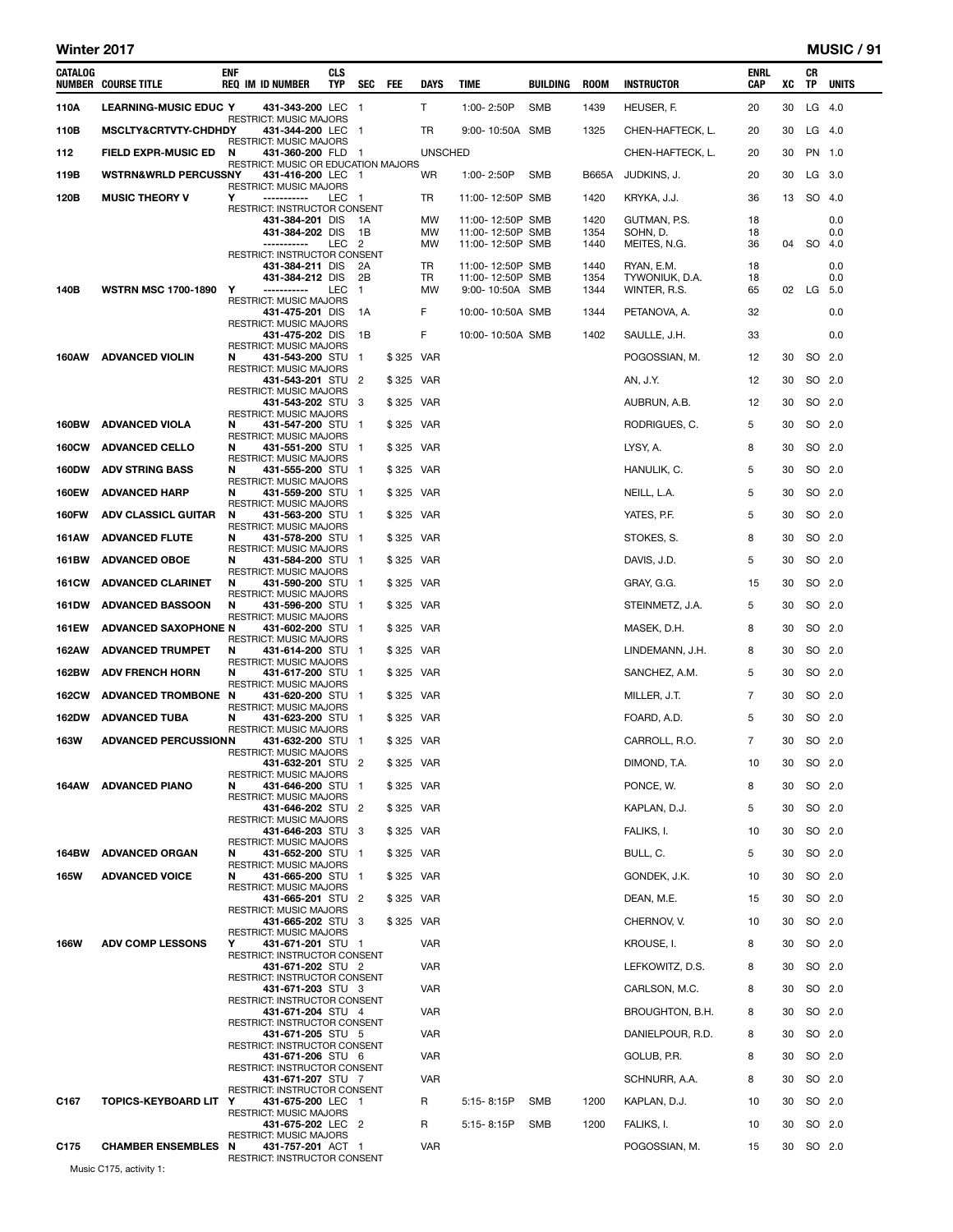#### Winter 2017 MUSIC / 91

| CATALOG      | <b>NUMBER COURSE TITLE</b>      | <b>ENF</b><br><b>REQ IM ID NUMBER</b>                   | CLS<br>TYP | SEC            | FEE       | DAYS           | TIME                                 | BUILDING   | <b>ROOM</b>  | <b>INSTRUCTOR</b>            | ENRL<br>CAP | XC | CR<br>TP | UNITS      |
|--------------|---------------------------------|---------------------------------------------------------|------------|----------------|-----------|----------------|--------------------------------------|------------|--------------|------------------------------|-------------|----|----------|------------|
| 110A         | <b>LEARNING-MUSIC EDUC Y</b>    | 431-343-200 LEC                                         |            | $\blacksquare$ |           | T              | 1:00-2:50P                           | <b>SMB</b> | 1439         | HEUSER, F.                   | 20          | 30 | $LG$ 4.0 |            |
| 110B         | MSCLTY&CRTVTY-CHDHDY            | RESTRICT: MUSIC MAJORS<br>431-344-200 LEC               |            | $\blacksquare$ |           | TR             | 9:00-10:50A SMB                      |            | 1325         | CHEN-HAFTECK, L.             | 20          | 30 | $LG$ 4.0 |            |
| 112          | <b>FIELD EXPR-MUSIC ED</b>      | RESTRICT: MUSIC MAJORS<br>N<br>431-360-200 FLD 1        |            |                |           | <b>UNSCHED</b> |                                      |            |              | CHEN-HAFTECK, L.             | 20          | 30 | PN 1.0   |            |
| 119B         | <b>WSTRN&amp;WRLD PERCUSSNY</b> | RESTRICT: MUSIC OR EDUCATION MAJORS<br>431-416-200 LEC  |            | - 1            |           | WR             | 1:00-2:50P                           | SMB        | <b>B665A</b> | JUDKINS, J.                  | 20          | 30 | LG 3.0   |            |
| 120B         | <b>MUSIC THEORY V</b>           | RESTRICT: MUSIC MAJORS<br>Υ<br>-----------              | LEC 1      |                |           | TR             | 11:00-12:50P SMB                     |            | 1420         | KRYKA, J.J.                  | 36          | 13 | SO 4.0   |            |
|              |                                 | RESTRICT: INSTRUCTOR CONSENT<br>431-384-201 DIS         |            | 1A             |           | <b>MW</b>      | 11:00-12:50P SMB                     |            | 1420         | GUTMAN, P.S.                 | 18          |    |          | 0.0        |
|              |                                 | 431-384-202 DIS<br>-----------                          | LEC        | 1B<br>-2       |           | MW<br>МW       | 11:00-12:50P SMB                     |            | 1354<br>1440 | SOHN, D.<br>MEITES, N.G.     | 18<br>36    | 04 | SO 4.0   | 0.0        |
|              |                                 | RESTRICT: INSTRUCTOR CONSENT                            |            |                |           |                | 11:00-12:50P SMB                     |            |              |                              |             |    |          |            |
|              |                                 | 431-384-211 DIS<br>431-384-212 DIS                      |            | 2A<br>2B       |           | TR<br>TR       | 11:00-12:50P SMB<br>11:00-12:50P SMB |            | 1440<br>1354 | RYAN, E.M.<br>TYWONIUK, D.A. | 18<br>18    |    |          | 0.0<br>0.0 |
| 140B         | <b>WSTRN MSC 1700-1890</b>      | Υ<br>-----------<br>RESTRICT: MUSIC MAJORS              | LEC        | -1             |           | MW             | 9:00-10:50A SMB                      |            | 1344         | WINTER, R.S.                 | 65          | 02 | LG 5.0   |            |
|              |                                 | 431-475-201 DIS<br><b>RESTRICT: MUSIC MAJORS</b>        |            | 1A             |           | F              | 10:00-10:50A SMB                     |            | 1344         | PETANOVA, A.                 | 32          |    |          | 0.0        |
|              |                                 | 431-475-202 DIS<br><b>RESTRICT: MUSIC MAJORS</b>        |            | 1B             |           | F              | 10:00-10:50A SMB                     |            | 1402         | SAULLE, J.H.                 | 33          |    |          | 0.0        |
| 160AW        | <b>ADVANCED VIOLIN</b>          | N<br>431-543-200 STU<br><b>RESTRICT: MUSIC MAJORS</b>   |            | $\mathbf{1}$   | \$325 VAR |                |                                      |            |              | POGOSSIAN, M.                | 12          | 30 | SO 2.0   |            |
|              |                                 | 431-543-201 STU 2<br><b>RESTRICT: MUSIC MAJORS</b>      |            |                | \$325 VAR |                |                                      |            |              | AN, J.Y.                     | 12          | 30 | SO 2.0   |            |
|              |                                 | 431-543-202 STU 3<br><b>RESTRICT: MUSIC MAJORS</b>      |            |                | \$325 VAR |                |                                      |            |              | AUBRUN, A.B.                 | 12          | 30 | SO 2.0   |            |
| <b>160BW</b> | <b>ADVANCED VIOLA</b>           | 431-547-200 STU<br>N<br><b>RESTRICT: MUSIC MAJORS</b>   |            | $\mathbf 1$    | \$325 VAR |                |                                      |            |              | RODRIGUES, C.                | 5           | 30 | SO 2.0   |            |
| <b>160CW</b> | <b>ADVANCED CELLO</b>           | N<br>431-551-200 STU 1<br><b>RESTRICT: MUSIC MAJORS</b> |            |                | \$325 VAR |                |                                      |            |              | LYSY, A.                     | 8           | 30 | SO 2.0   |            |
| <b>160DW</b> | <b>ADV STRING BASS</b>          | N<br>431-555-200 STU                                    |            | - 1            | \$325 VAR |                |                                      |            |              | HANULIK, C.                  | 5           | 30 | SO 2.0   |            |
| <b>160EW</b> | <b>ADVANCED HARP</b>            | <b>RESTRICT: MUSIC MAJORS</b><br>N<br>431-559-200 STU 1 |            |                | \$325 VAR |                |                                      |            |              | NEILL, L.A.                  | 5           | 30 | SO 2.0   |            |
| <b>160FW</b> | <b>ADV CLASSICL GUITAR</b>      | RESTRICT: MUSIC MAJORS<br>N<br>431-563-200 STU 1        |            |                | \$325 VAR |                |                                      |            |              | YATES, P.F.                  | 5           | 30 | SO 2.0   |            |
| <b>161AW</b> | <b>ADVANCED FLUTE</b>           | <b>RESTRICT: MUSIC MAJORS</b><br>431-578-200 STU<br>N   |            | $\blacksquare$ | \$325 VAR |                |                                      |            |              | STOKES, S.                   | 8           | 30 |          | SO 2.0     |
| 161BW        | <b>ADVANCED OBOE</b>            | <b>RESTRICT: MUSIC MAJORS</b><br>431-584-200 STU 1<br>N |            |                | \$325 VAR |                |                                      |            |              | DAVIS, J.D.                  | 5           | 30 | SO 2.0   |            |
| <b>161CW</b> | <b>ADVANCED CLARINET</b>        | <b>RESTRICT: MUSIC MAJORS</b><br>N<br>431-590-200 STU   |            | -1             | \$325 VAR |                |                                      |            |              | GRAY, G.G.                   | 15          | 30 | SO 2.0   |            |
| <b>161DW</b> | <b>ADVANCED BASSOON</b>         | RESTRICT: MUSIC MAJORS<br>N<br>431-596-200 STU 1        |            |                | \$325 VAR |                |                                      |            |              | STEINMETZ, J.A.              | 5           | 30 | SO 2.0   |            |
| <b>161EW</b> | <b>ADVANCED SAXOPHONE N</b>     | <b>RESTRICT: MUSIC MAJORS</b><br>431-602-200 STU 1      |            |                | \$325 VAR |                |                                      |            |              | MASEK, D.H.                  | 8           | 30 | SO 2.0   |            |
| 162AW        | <b>ADVANCED TRUMPET</b>         | <b>RESTRICT: MUSIC MAJORS</b><br>N<br>431-614-200 STU 1 |            |                | \$325 VAR |                |                                      |            |              | LINDEMANN, J.H.              | 8           | 30 | SO 2.0   |            |
| 162BW        | <b>ADV FRENCH HORN</b>          | RESTRICT: MUSIC MAJORS<br>431-617-200 STU 1<br>N        |            |                | \$325 VAR |                |                                      |            |              | SANCHEZ, A.M.                | 5           | 30 | SO 2.0   |            |
| <b>162CW</b> | <b>ADVANCED TROMBONE</b>        | <b>RESTRICT: MUSIC MAJORS</b><br>N<br>431-620-200 STU   |            | $\mathbf{1}$   | \$325 VAR |                |                                      |            |              | MILLER, J.T.                 | 7           | 30 | SO 2.0   |            |
| <b>162DW</b> | <b>ADVANCED TUBA</b>            | <b>RESTRICT: MUSIC MAJORS</b><br>431-623-200 STU 1<br>N |            |                | \$325 VAR |                |                                      |            |              | FOARD, A.D.                  | 5           | 30 | SO 2.0   |            |
| <b>163W</b>  | <b>ADVANCED PERCUSSIONN</b>     | RESTRICT: MUSIC MAJORS<br>431-632-200 STU 1             |            |                | \$325 VAR |                |                                      |            |              | CARROLL, R.O.                | 7           | 30 | SO 2.0   |            |
|              |                                 | RESTRICT: MUSIC MAJORS<br>431-632-201 STU               |            | $\mathbf{Z}$   | \$325 VAR |                |                                      |            |              | DIMOND, T.A.                 | 10          | 30 |          | SO 2.0     |
| 164AW        | <b>ADVANCED PIANO</b>           | <b>RESTRICT: MUSIC MAJORS</b><br>N<br>431-646-200 STU 1 |            |                | \$325 VAR |                |                                      |            |              | PONCE, W.                    | 8           | 30 | SO 2.0   |            |
|              |                                 | <b>RESTRICT: MUSIC MAJORS</b><br>431-646-202 STU 2      |            |                | \$325 VAR |                |                                      |            |              | KAPLAN, D.J.                 | 5           | 30 |          | SO 2.0     |
|              |                                 | <b>RESTRICT: MUSIC MAJORS</b><br>431-646-203 STU 3      |            |                | \$325 VAR |                |                                      |            |              | FALIKS, I.                   | 10          | 30 | SO 2.0   |            |
| 164BW        | <b>ADVANCED ORGAN</b>           | <b>RESTRICT: MUSIC MAJORS</b><br>431-652-200 STU<br>N   |            | $\blacksquare$ | \$325 VAR |                |                                      |            |              | BULL, C.                     | 5           | 30 |          | SO 2.0     |
| <b>165W</b>  | <b>ADVANCED VOICE</b>           | <b>RESTRICT: MUSIC MAJORS</b><br>431-665-200 STU 1<br>N |            |                | \$325 VAR |                |                                      |            |              | GONDEK, J.K.                 | 10          | 30 |          | SO 2.0     |
|              |                                 | <b>RESTRICT: MUSIC MAJORS</b><br>431-665-201 STU 2      |            |                | \$325 VAR |                |                                      |            |              | DEAN, M.E.                   | 15          | 30 | SO 2.0   |            |
|              |                                 | <b>RESTRICT: MUSIC MAJORS</b><br>431-665-202 STU 3      |            |                | \$325 VAR |                |                                      |            |              | CHERNOV, V.                  | 10          | 30 | SO 2.0   |            |
|              |                                 | RESTRICT: MUSIC MAJORS<br>Y<br>431-671-201 STU 1        |            |                |           | <b>VAR</b>     |                                      |            |              |                              |             |    |          |            |
| <b>166W</b>  | <b>ADV COMP LESSONS</b>         | <b>RESTRICT: INSTRUCTOR CONSENT</b>                     |            |                |           |                |                                      |            |              | KROUSE, I.                   | 8           | 30 | SO 2.0   |            |
|              |                                 | 431-671-202 STU 2<br>RESTRICT: INSTRUCTOR CONSENT       |            |                |           | <b>VAR</b>     |                                      |            |              | LEFKOWITZ, D.S.              | 8           | 30 | SO 2.0   |            |
|              |                                 | 431-671-203 STU 3<br>RESTRICT: INSTRUCTOR CONSENT       |            |                |           | <b>VAR</b>     |                                      |            |              | CARLSON, M.C.                | 8           | 30 | SO 2.0   |            |
|              |                                 | 431-671-204 STU 4<br>RESTRICT: INSTRUCTOR CONSENT       |            |                |           | VAR            |                                      |            |              | BROUGHTON, B.H.              | 8           | 30 | SO 2.0   |            |
|              |                                 | 431-671-205 STU 5<br>RESTRICT: INSTRUCTOR CONSENT       |            |                |           | <b>VAR</b>     |                                      |            |              | DANIELPOUR, R.D.             | 8           | 30 | SO 2.0   |            |
|              |                                 | 431-671-206 STU 6<br>RESTRICT: INSTRUCTOR CONSENT       |            |                |           | <b>VAR</b>     |                                      |            |              | GOLUB, P.R.                  | 8           | 30 | SO 2.0   |            |
|              |                                 | 431-671-207 STU 7<br>RESTRICT: INSTRUCTOR CONSENT       |            |                |           | <b>VAR</b>     |                                      |            |              | SCHNURR, A.A.                | 8           | 30 |          | SO 2.0     |
| C167         | TOPICS-KEYBOARD LIT Y           | 431-675-200 LEC 1<br>RESTRICT: MUSIC MAJORS             |            |                |           | R              | 5:15-8:15P                           | SMB        | 1200         | KAPLAN, D.J.                 | 10          | 30 | SO 2.0   |            |
|              |                                 | 431-675-202 LEC<br><b>RESTRICT: MUSIC MAJORS</b>        |            | $\overline{2}$ |           | R              | 5:15-8:15P                           | <b>SMB</b> | 1200         | FALIKS, I.                   | 10          | 30 |          | SO 2.0     |
| C175         | <b>CHAMBER ENSEMBLES N</b>      | 431-757-201 ACT 1<br>RESTRICT: INSTRUCTOR CONSENT       |            |                |           | <b>VAR</b>     |                                      |            |              | POGOSSIAN, M.                | 15          | 30 | SO 2.0   |            |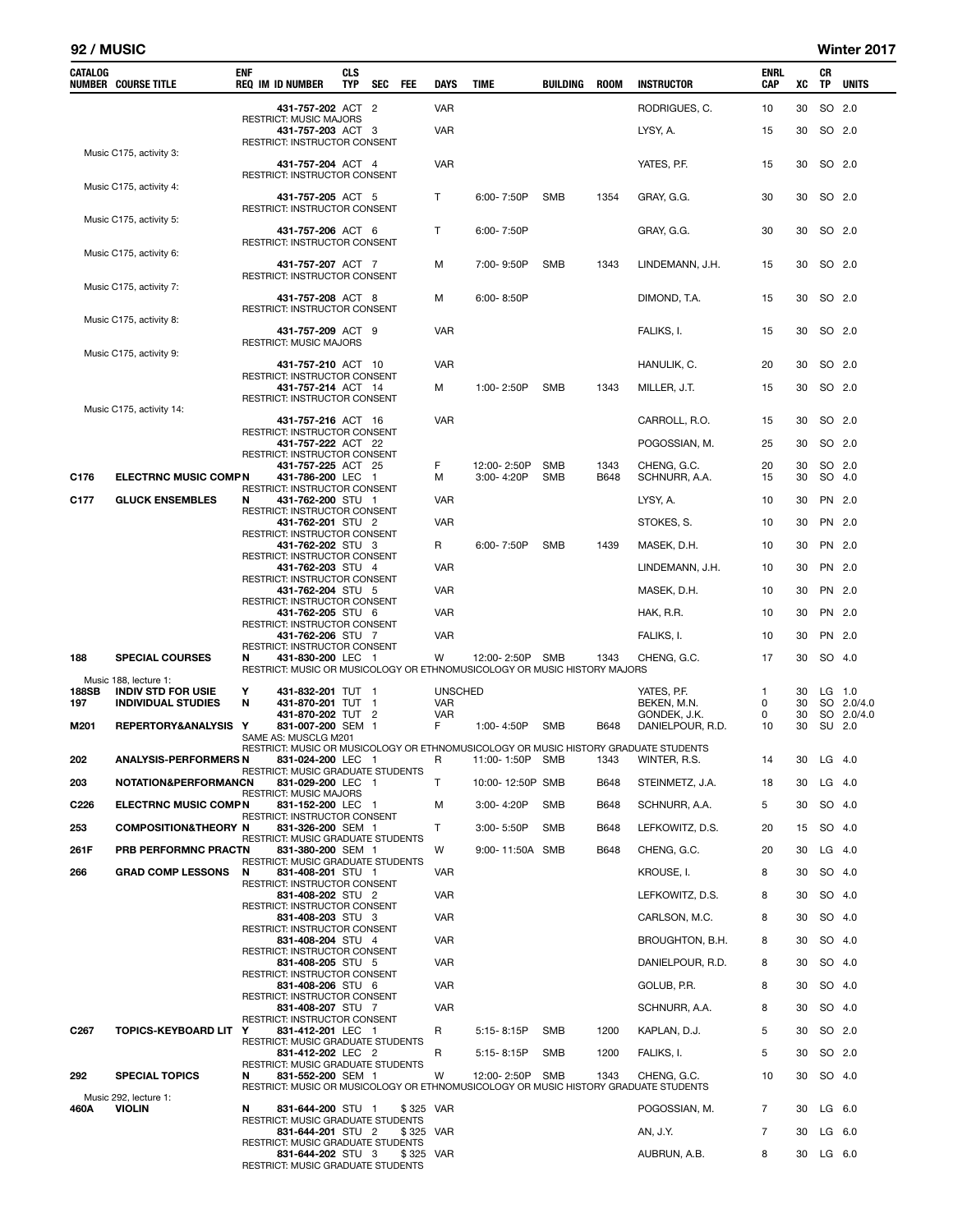#### 92 / MUSIC Winter 2017

| CATALOG          | NUMBER COURSE TITLE                                | ENF<br><b>REQ IM ID NUMBER</b>                                                                                                     | <b>CLS</b><br><b>TYP</b> | <b>SEC</b> | <b>FEE</b> | <b>DAYS</b>    | TIME                      | BUILDING          | <b>ROOM</b>  | <b>INSTRUCTOR</b>                | <b>ENRL</b><br>CAP | xс       | CR<br><b>TP</b>  | <b>UNITS</b> |
|------------------|----------------------------------------------------|------------------------------------------------------------------------------------------------------------------------------------|--------------------------|------------|------------|----------------|---------------------------|-------------------|--------------|----------------------------------|--------------------|----------|------------------|--------------|
|                  |                                                    | 431-757-202 ACT 2                                                                                                                  |                          |            |            | <b>VAR</b>     |                           |                   |              | RODRIGUES, C.                    | 10                 | 30       | SO 2.0           |              |
|                  |                                                    | <b>RESTRICT: MUSIC MAJORS</b><br>431-757-203 ACT 3<br>RESTRICT: INSTRUCTOR CONSENT                                                 |                          |            |            | <b>VAR</b>     |                           |                   |              | LYSY, A.                         | 15                 | 30       | SO 2.0           |              |
|                  | Music C175, activity 3:                            | 431-757-204 ACT 4<br>RESTRICT: INSTRUCTOR CONSENT                                                                                  |                          |            |            | <b>VAR</b>     |                           |                   |              | YATES, P.F.                      | 15                 | 30       | SO 2.0           |              |
|                  | Music C175, activity 4:                            | 431-757-205 ACT 5<br>RESTRICT: INSTRUCTOR CONSENT                                                                                  |                          |            |            | т              | 6:00-7:50P                | SMB               | 1354         | GRAY, G.G.                       | 30                 | 30       | SO 2.0           |              |
|                  | Music C175, activity 5:                            | 431-757-206 ACT 6<br>RESTRICT: INSTRUCTOR CONSENT                                                                                  |                          |            |            | т              | $6:00 - 7:50P$            |                   |              | GRAY, G.G.                       | 30                 | 30       | SO 2.0           |              |
|                  | Music C175, activity 6:                            | 431-757-207 ACT 7<br><b>RESTRICT: INSTRUCTOR CONSENT</b>                                                                           |                          |            |            | м              | 7:00-9:50P                | SMB               | 1343         | LINDEMANN, J.H.                  | 15                 | 30       | SO 2.0           |              |
|                  | Music C175, activity 7:                            | 431-757-208 ACT 8<br>RESTRICT: INSTRUCTOR CONSENT                                                                                  |                          |            |            | м              | 6:00-8:50P                |                   |              | DIMOND, T.A.                     | 15                 | 30       | SO 2.0           |              |
|                  | Music C175, activity 8:                            | 431-757-209 ACT 9<br><b>RESTRICT: MUSIC MAJORS</b>                                                                                 |                          |            |            | <b>VAR</b>     |                           |                   |              | FALIKS, I.                       | 15                 | 30       | SO 2.0           |              |
|                  | Music C175, activity 9:                            | 431-757-210 ACT 10                                                                                                                 |                          |            |            | <b>VAR</b>     |                           |                   |              | HANULIK, C.                      | 20                 | 30       | SO 2.0           |              |
|                  |                                                    | RESTRICT: INSTRUCTOR CONSENT<br>431-757-214 ACT 14                                                                                 |                          |            |            | м              | 1:00-2:50P                | <b>SMB</b>        | 1343         |                                  | 15                 | 30       | SO 2.0           |              |
|                  | Music C175, activity 14:                           | RESTRICT: INSTRUCTOR CONSENT<br>431-757-216 ACT 16                                                                                 |                          |            |            | <b>VAR</b>     |                           |                   |              | MILLER, J.T.<br>CARROLL, R.O.    | 15                 | 30       | SO 2.0           |              |
|                  |                                                    | RESTRICT: INSTRUCTOR CONSENT                                                                                                       |                          |            |            |                |                           |                   |              |                                  |                    |          |                  |              |
|                  |                                                    | 431-757-222 ACT 22<br>RESTRICT: INSTRUCTOR CONSENT                                                                                 |                          |            |            |                |                           |                   |              | POGOSSIAN, M.                    | 25                 | 30       | SO 2.0           |              |
| C176             | <b>ELECTRNC MUSIC COMPN</b>                        | 431-757-225 ACT 25<br>431-786-200 LEC 1<br>RESTRICT: INSTRUCTOR CONSENT                                                            |                          |            |            | F<br>м         | 12:00-2:50P<br>3:00-4:20P | SMB<br><b>SMB</b> | 1343<br>B648 | CHENG, G.C.<br>SCHNURR, A.A.     | 20<br>15           | 30<br>30 | SO 2.0<br>SO 4.0 |              |
| C177             | <b>GLUCK ENSEMBLES</b>                             | 431-762-200 STU 1<br>N<br>RESTRICT: INSTRUCTOR CONSENT                                                                             |                          |            |            | VAR            |                           |                   |              | LYSY, A.                         | 10                 | 30       | PN 2.0           |              |
|                  |                                                    | 431-762-201 STU 2<br>RESTRICT: INSTRUCTOR CONSENT                                                                                  |                          |            |            | <b>VAR</b>     |                           |                   |              | STOKES, S.                       | 10                 | 30       | PN 2.0           |              |
|                  |                                                    | 431-762-202 STU 3                                                                                                                  |                          |            |            | R              | 6:00-7:50P                | <b>SMB</b>        | 1439         | MASEK, D.H.                      | 10                 | 30       | PN 2.0           |              |
|                  |                                                    | RESTRICT: INSTRUCTOR CONSENT<br>431-762-203 STU 4                                                                                  |                          |            |            | VAR            |                           |                   |              | LINDEMANN, J.H.                  | 10                 | 30       | PN 2.0           |              |
|                  |                                                    | RESTRICT: INSTRUCTOR CONSENT<br>431-762-204 STU 5                                                                                  |                          |            |            | VAR            |                           |                   |              | MASEK, D.H.                      | 10                 | 30       | PN 2.0           |              |
|                  |                                                    | RESTRICT: INSTRUCTOR CONSENT<br>431-762-205 STU 6                                                                                  |                          |            |            | <b>VAR</b>     |                           |                   |              | HAK, R.R.                        | 10                 | 30       | PN 2.0           |              |
|                  |                                                    | RESTRICT: INSTRUCTOR CONSENT<br>431-762-206 STU 7                                                                                  |                          |            |            | VAR            |                           |                   |              | FALIKS, I.                       | 10                 | 30       | PN 2.0           |              |
| 188              | <b>SPECIAL COURSES</b>                             | RESTRICT: INSTRUCTOR CONSENT<br>N<br>431-830-200 LEC 1<br>RESTRICT: MUSIC OR MUSICOLOGY OR ETHNOMUSICOLOGY OR MUSIC HISTORY MAJORS |                          |            |            | W              | 12:00-2:50P SMB           |                   | 1343         | CHENG, G.C.                      | 17                 | 30       | SO 4.0           |              |
| 188SB            | Music 188, lecture 1:<br><b>INDIV STD FOR USIE</b> | Υ<br>431-832-201 TUT 1                                                                                                             |                          |            |            | <b>UNSCHED</b> |                           |                   |              | YATES, P.F.                      | 1                  | 30       | LG 1.0           |              |
| 197              | <b>INDIVIDUAL STUDIES</b>                          | N<br>431-870-201 TUT 1                                                                                                             |                          |            |            | VAR            |                           |                   |              | BEKEN, M.N.                      | 0                  | 30       |                  | SO 2.0/4.0   |
| M201             | REPERTORY&ANALYSIS Y                               | 431-870-202 TUT 2<br>831-007-200 SEM 1<br>SAME AS: MUSCLG M201                                                                     |                          |            |            | VAR<br>F       | 1:00-4:50P                | SMB               | B648         | GONDEK, J.K.<br>DANIELPOUR, R.D. | 0<br>10            | 30<br>30 | SU 2.0           | SO 2.0/4.0   |
| 202              | <b>ANALYSIS-PERFORMERS N</b>                       | RESTRICT: MUSIC OR MUSICOLOGY OR ETHNOMUSICOLOGY OR MUSIC HISTORY GRADUATE STUDENTS<br>831-024-200 LEC 1                           |                          |            |            |                | R 11:00-1:50P SMB         |                   | 1343         | WINTER, R.S.                     | 14                 |          | 30 LG 4.0        |              |
| 203              | NOTATION&PERFORMANCN                               | RESTRICT: MUSIC GRADUATE STUDENTS<br>831-029-200 LEC 1                                                                             |                          |            |            | т              | 10:00-12:50P SMB          |                   | B648         | STEINMETZ, J.A.                  | 18                 | 30       | LG 4.0           |              |
| C226             | <b>ELECTRNC MUSIC COMPN</b>                        | <b>RESTRICT: MUSIC MAJORS</b><br>831-152-200 LEC 1                                                                                 |                          |            |            | М              | 3:00-4:20P                | SMB               | B648         | SCHNURR, A.A.                    | 5                  | 30       | SO 4.0           |              |
| 253              | <b>COMPOSITION&amp;THEORY N</b>                    | RESTRICT: INSTRUCTOR CONSENT<br>831-326-200 SEM 1                                                                                  |                          |            |            | т              | 3:00-5:50P                | <b>SMB</b>        | B648         | LEFKOWITZ, D.S.                  | 20                 | 15       | SO 4.0           |              |
|                  |                                                    | RESTRICT: MUSIC GRADUATE STUDENTS                                                                                                  |                          |            |            |                |                           |                   |              |                                  |                    |          |                  |              |
| 261F             | PRB PERFORMNC PRACTN                               | 831-380-200 SEM 1<br>RESTRICT: MUSIC GRADUATE STUDENTS                                                                             |                          |            |            | W              | 9:00-11:50A SMB           |                   | B648         | CHENG, G.C.                      | 20                 | 30       | $LG$ 4.0         |              |
| 266              | <b>GRAD COMP LESSONS</b>                           | N<br>831-408-201 STU 1<br>RESTRICT: INSTRUCTOR CONSENT                                                                             |                          |            |            | <b>VAR</b>     |                           |                   |              | KROUSE, I.                       | 8                  | 30       | SO 4.0           |              |
|                  |                                                    | 831-408-202 STU 2<br>RESTRICT: INSTRUCTOR CONSENT                                                                                  |                          |            |            | <b>VAR</b>     |                           |                   |              | LEFKOWITZ, D.S.                  | 8                  | 30       | SO 4.0           |              |
|                  |                                                    | 831-408-203 STU 3<br>RESTRICT: INSTRUCTOR CONSENT                                                                                  |                          |            |            | <b>VAR</b>     |                           |                   |              | CARLSON, M.C.                    | 8                  | 30       | SO 4.0           |              |
|                  |                                                    | 831-408-204 STU 4<br>RESTRICT: INSTRUCTOR CONSENT                                                                                  |                          |            |            | <b>VAR</b>     |                           |                   |              | BROUGHTON, B.H.                  | 8                  | 30       | SO 4.0           |              |
|                  |                                                    | 831-408-205 STU 5                                                                                                                  |                          |            |            | <b>VAR</b>     |                           |                   |              | DANIELPOUR, R.D.                 | 8                  | 30       | SO 4.0           |              |
|                  |                                                    | RESTRICT: INSTRUCTOR CONSENT<br>831-408-206 STU 6                                                                                  |                          |            |            | <b>VAR</b>     |                           |                   |              | GOLUB, P.R.                      | 8                  | 30       | SO 4.0           |              |
|                  |                                                    | RESTRICT: INSTRUCTOR CONSENT<br>831-408-207 STU 7                                                                                  |                          |            |            | <b>VAR</b>     |                           |                   |              | SCHNURR, A.A.                    | 8                  | 30       | SO 4.0           |              |
| C <sub>267</sub> | <b>TOPICS-KEYBOARD LIT</b>                         | RESTRICT: INSTRUCTOR CONSENT<br>Υ<br>831-412-201 LEC 1                                                                             |                          |            |            | R              | 5:15-8:15P                | <b>SMB</b>        | 1200         | KAPLAN, D.J.                     | 5                  | 30       | SO 2.0           |              |
|                  |                                                    | RESTRICT: MUSIC GRADUATE STUDENTS<br>831-412-202 LEC 2                                                                             |                          |            |            | R              |                           | <b>SMB</b>        | 1200         | FALIKS, I.                       | 5                  | 30       | SO 2.0           |              |
|                  |                                                    | RESTRICT: MUSIC GRADUATE STUDENTS                                                                                                  |                          |            |            |                | 5:15-8:15P                |                   |              |                                  |                    |          |                  |              |
| 292              | <b>SPECIAL TOPICS</b>                              | 831-552-200 SEM 1<br>N<br>RESTRICT: MUSIC OR MUSICOLOGY OR ETHNOMUSICOLOGY OR MUSIC HISTORY GRADUATE STUDENTS                      |                          |            |            | W              | 12:00-2:50P               | <b>SMB</b>        | 1343         | CHENG, G.C.                      | 10                 | 30       | SO 4.0           |              |
| 460A             | Music 292, lecture 1:<br><b>VIOLIN</b>             | 831-644-200 STU 1<br>N                                                                                                             |                          |            | \$325 VAR  |                |                           |                   |              | POGOSSIAN, M.                    | 7                  | 30       | LG 6.0           |              |
|                  |                                                    | <b>RESTRICT: MUSIC GRADUATE STUDENTS</b><br>831-644-201 STU 2                                                                      |                          |            | \$325 VAR  |                |                           |                   |              | AN, J.Y.                         | 7                  | 30       | LG 6.0           |              |
|                  |                                                    | RESTRICT: MUSIC GRADUATE STUDENTS<br>831-644-202 STU 3                                                                             |                          |            | \$325 VAR  |                |                           |                   |              | AUBRUN, A.B.                     | 8                  | 30       | $LG$ 6.0         |              |
|                  |                                                    | RESTRICT: MUSIC GRADUATE STUDENTS                                                                                                  |                          |            |            |                |                           |                   |              |                                  |                    |          |                  |              |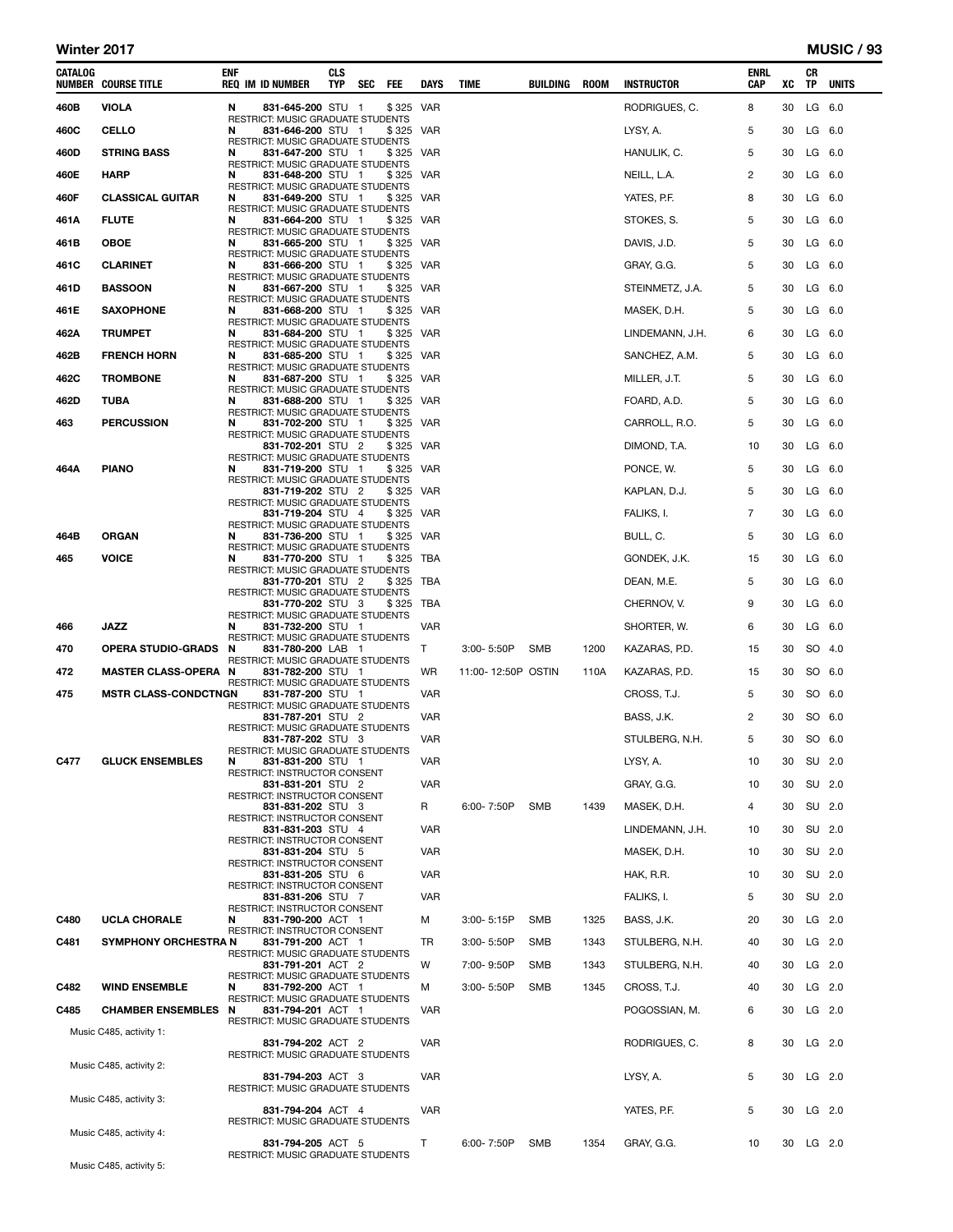#### Winter 2017 MUSIC / 93

| CATALOG | <b>NUMBER COURSE TITLE</b>  | ENF | <b>REQ IM ID NUMBER</b>                                       | <b>CLS</b><br><b>TYP</b> | <b>SEC</b> | FEE.      | DAYS       | TIME               | BUILDING   | ROOM | <b>INSTRUCTOR</b> | <b>ENRL</b><br>CAP | XC | CR<br>TP  | <b>UNITS</b> |
|---------|-----------------------------|-----|---------------------------------------------------------------|--------------------------|------------|-----------|------------|--------------------|------------|------|-------------------|--------------------|----|-----------|--------------|
| 460B    | <b>VIOLA</b>                | N   | 831-645-200 STU 1                                             |                          |            | \$325 VAR |            |                    |            |      | RODRIGUES, C.     | 8                  | 30 |           | LG 6.0       |
| 460C    | <b>CELLO</b>                | N   | RESTRICT: MUSIC GRADUATE STUDENTS<br>831-646-200 STU 1        |                          |            | \$325 VAR |            |                    |            |      | LYSY, A.          | 5                  | 30 | $LG$ 6.0  |              |
| 460D    | <b>STRING BASS</b>          | N   | RESTRICT: MUSIC GRADUATE STUDENTS<br>831-647-200 STU 1        |                          |            | \$325 VAR |            |                    |            |      | HANULIK, C.       | 5                  | 30 | $LG$ 6.0  |              |
| 460E    | <b>HARP</b>                 | N   | RESTRICT: MUSIC GRADUATE STUDENTS<br>831-648-200 STU 1        |                          |            | \$325     | VAR        |                    |            |      | NEILL, L.A.       | 2                  | 30 | $LG$ 6.0  |              |
| 460F    | <b>CLASSICAL GUITAR</b>     | N   | RESTRICT: MUSIC GRADUATE STUDENTS<br>831-649-200 STU 1        |                          |            | \$325 VAR |            |                    |            |      | YATES, P.F.       | 8                  | 30 | $LG$ 6.0  |              |
| 461A    | <b>FLUTE</b>                | N   | RESTRICT: MUSIC GRADUATE STUDENTS<br>831-664-200 STU 1        |                          |            | \$325     | VAR        |                    |            |      | STOKES, S.        | 5                  | 30 |           | LG 6.0       |
| 461B    | <b>OBOE</b>                 | N   | RESTRICT: MUSIC GRADUATE STUDENTS<br>831-665-200 STU 1        |                          |            | \$325 VAR |            |                    |            |      | DAVIS, J.D.       | 5                  | 30 | $LG$ 6.0  |              |
| 461C    | <b>CLARINET</b>             | N   | RESTRICT: MUSIC GRADUATE STUDENTS<br>831-666-200 STU 1        |                          |            | \$325     | VAR        |                    |            |      | GRAY, G.G.        | 5                  | 30 |           | LG 6.0       |
| 461D    | <b>BASSOON</b>              | N   | <b>RESTRICT: MUSIC GRADUATE STUDENTS</b><br>831-667-200 STU 1 |                          |            | \$325 VAR |            |                    |            |      | STEINMETZ, J.A.   | 5                  | 30 | $LG$ 6.0  |              |
| 461E    | <b>SAXOPHONE</b>            | N   | RESTRICT: MUSIC GRADUATE STUDENTS<br>831-668-200 STU 1        |                          |            | \$325 VAR |            |                    |            |      | MASEK, D.H.       | 5                  | 30 | $LG$ 6.0  |              |
| 462A    | <b>TRUMPET</b>              | N   | RESTRICT: MUSIC GRADUATE STUDENTS<br>831-684-200 STU 1        |                          |            | \$325     | <b>VAR</b> |                    |            |      | LINDEMANN, J.H.   | 6                  | 30 |           | LG 6.0       |
|         |                             | N   | <b>RESTRICT: MUSIC GRADUATE STUDENTS</b>                      |                          |            |           |            |                    |            |      |                   |                    |    |           |              |
| 462B    | <b>FRENCH HORN</b>          |     | 831-685-200 STU 1<br>RESTRICT: MUSIC GRADUATE STUDENTS        |                          |            | \$325 VAR |            |                    |            |      | SANCHEZ, A.M.     | 5                  | 30 | $LG$ 6.0  |              |
| 462C    | <b>TROMBONE</b>             | N   | 831-687-200 STU 1<br>RESTRICT: MUSIC GRADUATE STUDENTS        |                          |            | \$325     | VAR        |                    |            |      | MILLER, J.T.      | 5                  | 30 |           | LG 6.0       |
| 462D    | TUBA                        | N   | 831-688-200 STU 1<br>RESTRICT: MUSIC GRADUATE STUDENTS        |                          |            | \$325 VAR |            |                    |            |      | FOARD, A.D.       | 5                  | 30 |           | LG 6.0       |
| 463     | <b>PERCUSSION</b>           | N   | 831-702-200 STU 1<br>RESTRICT: MUSIC GRADUATE STUDENTS        |                          |            | \$325 VAR |            |                    |            |      | CARROLL, R.O.     | 5                  | 30 | $LG$ 6.0  |              |
|         |                             |     | 831-702-201 STU 2<br>RESTRICT: MUSIC GRADUATE STUDENTS        |                          |            | \$325     | VAR        |                    |            |      | DIMOND, T.A.      | 10                 | 30 |           | LG 6.0       |
| 464A    | <b>PIANO</b>                | N   | 831-719-200 STU 1<br><b>RESTRICT: MUSIC GRADUATE STUDENTS</b> |                          |            | \$325 VAR |            |                    |            |      | PONCE, W.         | 5                  | 30 |           | LG 6.0       |
|         |                             |     | 831-719-202 STU 2<br>RESTRICT: MUSIC GRADUATE STUDENTS        |                          |            | \$325     | VAR        |                    |            |      | KAPLAN, D.J.      | 5                  | 30 |           | LG 6.0       |
|         |                             |     | 831-719-204 STU 4                                             |                          |            | \$325 VAR |            |                    |            |      | FALIKS, I.        | 7                  | 30 |           | LG 6.0       |
| 464B    | <b>ORGAN</b>                | N   | RESTRICT: MUSIC GRADUATE STUDENTS<br>831-736-200 STU 1        |                          |            | \$ 325    | VAR        |                    |            |      | BULL, C.          | 5                  | 30 |           | LG 6.0       |
| 465     | <b>VOICE</b>                | N   | <b>RESTRICT: MUSIC GRADUATE STUDENTS</b><br>831-770-200 STU 1 |                          |            | \$325     | TBA        |                    |            |      | GONDEK, J.K.      | 15                 | 30 |           | LG 6.0       |
|         |                             |     | <b>RESTRICT: MUSIC GRADUATE STUDENTS</b><br>831-770-201 STU 2 |                          |            | \$ 325    | TBA        |                    |            |      | DEAN, M.E.        | 5                  | 30 | $LG$ 6.0  |              |
|         |                             |     | RESTRICT: MUSIC GRADUATE STUDENTS<br>831-770-202 STU 3        |                          |            | \$325     | TBA        |                    |            |      | CHERNOV, V.       | 9                  | 30 |           | LG 6.0       |
| 466     | <b>JAZZ</b>                 | N   | RESTRICT: MUSIC GRADUATE STUDENTS<br>831-732-200 STU 1        |                          |            |           | VAR        |                    |            |      | SHORTER, W.       | 6                  | 30 |           | LG 6.0       |
| 470     | <b>OPERA STUDIO-GRADS</b>   | N   | RESTRICT: MUSIC GRADUATE STUDENTS<br>831-780-200 LAB 1        |                          |            |           | Τ          | 3:00-5:50P         | SMB        | 1200 | KAZARAS, P.D.     | 15                 | 30 |           | SO 4.0       |
| 472     | <b>MASTER CLASS-OPERA N</b> |     | RESTRICT: MUSIC GRADUATE STUDENTS<br>831-782-200 STU 1        |                          |            |           | WR         | 11:00-12:50P OSTIN |            | 110A | KAZARAS, P.D.     | 15                 | 30 |           | SO 6.0       |
| 475     | <b>MSTR CLASS-CONDCTNGN</b> |     | RESTRICT: MUSIC GRADUATE STUDENTS<br>831-787-200 STU 1        |                          |            |           | VAR        |                    |            |      | CROSS, T.J.       | 5                  | 30 |           | SO 6.0       |
|         |                             |     | RESTRICT: MUSIC GRADUATE STUDENTS<br>831-787-201 STU 2        |                          |            |           | VAR        |                    |            |      |                   | 2                  | 30 |           | SO 6.0       |
|         |                             |     | RESTRICT: MUSIC GRADUATE STUDENTS                             |                          |            |           |            |                    |            |      | BASS, J.K.        |                    |    |           |              |
|         |                             |     | 831-787-202 STU 3<br><b>RESTRICT: MUSIC GRADUATE STUDENTS</b> |                          |            |           | VAR        |                    |            |      | STULBERG, N.H.    | 5                  | 30 | SO 6.0    |              |
| C477    | <b>GLUCK ENSEMBLES</b>      | N   | 831-831-200 STU 1<br>RESTRICT: INSTRUCTOR CONSENT             |                          |            |           | VAR        |                    |            |      | LYSY, A.          | 10                 |    | 30 SU 2.0 |              |
|         |                             |     | 831-831-201 STU 2<br>RESTRICT: INSTRUCTOR CONSENT             |                          |            |           | VAR        |                    |            |      | GRAY, G.G.        | 10                 | 30 | SU 2.0    |              |
|         |                             |     | 831-831-202 STU 3<br>RESTRICT: INSTRUCTOR CONSENT             |                          |            |           | R          | 6:00-7:50P         | <b>SMB</b> | 1439 | MASEK, D.H.       | 4                  | 30 | SU 2.0    |              |
|         |                             |     | 831-831-203 STU 4<br>RESTRICT: INSTRUCTOR CONSENT             |                          |            |           | <b>VAR</b> |                    |            |      | LINDEMANN, J.H.   | 10                 | 30 | SU 2.0    |              |
|         |                             |     | 831-831-204 STU 5<br>RESTRICT: INSTRUCTOR CONSENT             |                          |            |           | VAR        |                    |            |      | MASEK, D.H.       | 10                 | 30 | SU 2.0    |              |
|         |                             |     | 831-831-205 STU 6<br><b>RESTRICT: INSTRUCTOR CONSENT</b>      |                          |            |           | <b>VAR</b> |                    |            |      | HAK, R.R.         | 10                 | 30 |           | SU 2.0       |
|         |                             |     | 831-831-206 STU 7                                             |                          |            |           | VAR        |                    |            |      | FALIKS, I.        | 5                  | 30 | SU 2.0    |              |
| C480    | <b>UCLA CHORALE</b>         | N   | RESTRICT: INSTRUCTOR CONSENT<br>831-790-200 ACT 1             |                          |            |           | М          | 3:00-5:15P         | <b>SMB</b> | 1325 | BASS, J.K.        | 20                 | 30 | $LG$ 2.0  |              |
| C481    | <b>SYMPHONY ORCHESTRA N</b> |     | RESTRICT: INSTRUCTOR CONSENT<br>831-791-200 ACT 1             |                          |            |           | TR         | 3:00-5:50P         | <b>SMB</b> | 1343 | STULBERG, N.H.    | 40                 | 30 | $LG$ 2.0  |              |
|         |                             |     | RESTRICT: MUSIC GRADUATE STUDENTS<br>831-791-201 ACT 2        |                          |            |           | w          | 7:00-9:50P         | <b>SMB</b> | 1343 | STULBERG, N.H.    | 40                 | 30 | LG 2.0    |              |
| C482    | <b>WIND ENSEMBLE</b>        | N   | RESTRICT: MUSIC GRADUATE STUDENTS<br>831-792-200 ACT 1        |                          |            |           | М          | 3:00-5:50P         | <b>SMB</b> | 1345 | CROSS, T.J.       | 40                 | 30 |           | $LG$ 2.0     |
| C485    | <b>CHAMBER ENSEMBLES N</b>  |     | RESTRICT: MUSIC GRADUATE STUDENTS<br>831-794-201 ACT 1        |                          |            |           | <b>VAR</b> |                    |            |      | POGOSSIAN, M.     | 6                  | 30 | LG 2.0    |              |
|         | Music C485, activity 1:     |     | RESTRICT: MUSIC GRADUATE STUDENTS                             |                          |            |           |            |                    |            |      |                   |                    |    |           |              |
|         |                             |     | 831-794-202 ACT 2<br>RESTRICT: MUSIC GRADUATE STUDENTS        |                          |            |           | <b>VAR</b> |                    |            |      | RODRIGUES, C.     | 8                  | 30 | $LG$ 2.0  |              |
|         | Music C485, activity 2:     |     | 831-794-203 ACT 3                                             |                          |            |           | <b>VAR</b> |                    |            |      | LYSY, A.          | 5                  |    | 30 LG 2.0 |              |
|         |                             |     | RESTRICT: MUSIC GRADUATE STUDENTS                             |                          |            |           |            |                    |            |      |                   |                    |    |           |              |
|         | Music C485, activity 3:     |     | 831-794-204 ACT 4                                             |                          |            |           | <b>VAR</b> |                    |            |      | YATES, P.F.       | 5                  | 30 | LG 2.0    |              |
|         | Music C485, activity 4:     |     | RESTRICT: MUSIC GRADUATE STUDENTS                             |                          |            |           |            |                    |            |      |                   |                    |    |           |              |
|         |                             |     | 831-794-205 ACT 5<br>RESTRICT: MUSIC GRADUATE STUDENTS        |                          |            |           | т          | 6:00-7:50P         | <b>SMB</b> | 1354 | GRAY, G.G.        | 10                 | 30 | $LG$ 2.0  |              |
|         | Music C485, activity 5:     |     |                                                               |                          |            |           |            |                    |            |      |                   |                    |    |           |              |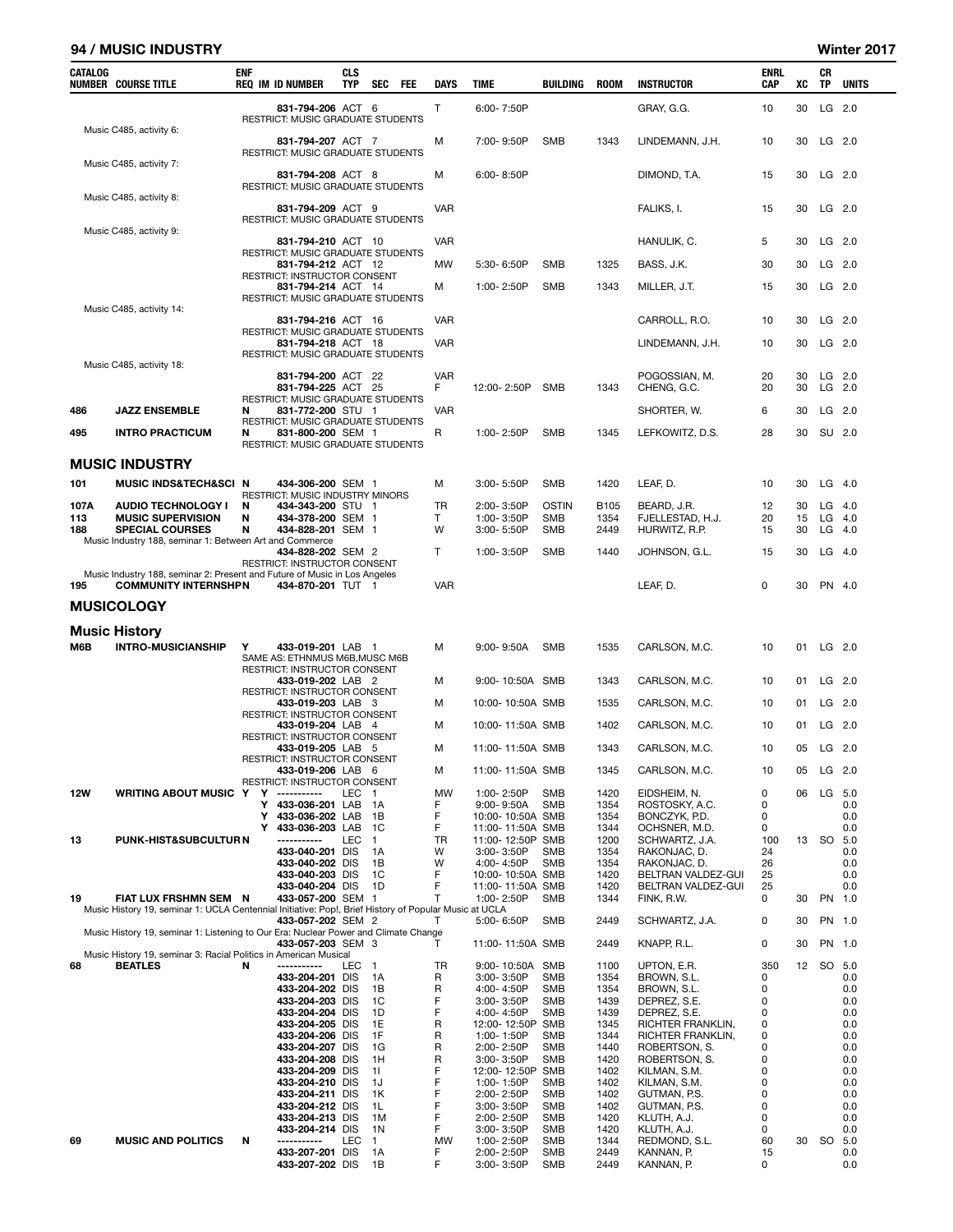#### 94 / MUSIC INDUSTRY Winter 2017

| CATALOG     | <b>NUMBER COURSE TITLE</b>                                                                               | <b>ENF</b> | <b>REQ IM ID NUMBER</b>                                               | <b>CLS</b><br>TYP | SEC<br>FEE           | DAYS            | TIME                                 | BUILDING            | <b>ROOM</b>         | <b>INSTRUCTOR</b>                        | ENRL<br>CAP | xс       | CR<br>ΤP | <b>UNITS</b>         |
|-------------|----------------------------------------------------------------------------------------------------------|------------|-----------------------------------------------------------------------|-------------------|----------------------|-----------------|--------------------------------------|---------------------|---------------------|------------------------------------------|-------------|----------|----------|----------------------|
|             |                                                                                                          |            | 831-794-206 ACT 6                                                     |                   |                      | Τ               | 6:00-7:50P                           |                     |                     | GRAY, G.G.                               | 10          | 30       | LG 2.0   |                      |
|             | Music C485, activity 6:                                                                                  |            | RESTRICT: MUSIC GRADUATE STUDENTS                                     |                   |                      |                 |                                      |                     |                     |                                          |             |          |          |                      |
|             |                                                                                                          |            | 831-794-207 ACT 7<br>RESTRICT: MUSIC GRADUATE STUDENTS                |                   |                      | М               | 7:00-9:50P                           | SMB                 | 1343                | LINDEMANN, J.H.                          | 10          | 30       |          | LG 2.0               |
|             | Music C485, activity 7:                                                                                  |            | 831-794-208 ACT 8<br>RESTRICT: MUSIC GRADUATE STUDENTS                |                   |                      | М               | $6:00 - 8:50P$                       |                     |                     | DIMOND, T.A.                             | 15          | 30       |          | LG 2.0               |
|             | Music C485, activity 8:                                                                                  |            | 831-794-209 ACT 9                                                     |                   |                      | <b>VAR</b>      |                                      |                     |                     | FALIKS, I.                               | 15          | 30       | $LG$ 2.0 |                      |
|             | Music C485, activity 9:                                                                                  |            | RESTRICT: MUSIC GRADUATE STUDENTS                                     |                   |                      |                 |                                      |                     |                     |                                          |             |          |          |                      |
|             |                                                                                                          |            | 831-794-210 ACT 10                                                    |                   |                      | <b>VAR</b>      |                                      |                     |                     | HANULIK, C.                              | 5           | 30       | $LG$ 2.0 |                      |
|             |                                                                                                          |            | RESTRICT: MUSIC GRADUATE STUDENTS<br>831-794-212 ACT 12               |                   |                      | MW              | 5:30-6:50P                           | <b>SMB</b>          | 1325                | BASS, J.K.                               | 30          | 30       |          | $LG$ 2.0             |
|             |                                                                                                          |            | RESTRICT: INSTRUCTOR CONSENT<br>831-794-214 ACT 14                    |                   |                      | М               | 1:00-2:50P                           | <b>SMB</b>          | 1343                | MILLER, J.T.                             | 15          | 30       |          | LG 2.0               |
|             | Music C485, activity 14:                                                                                 |            | RESTRICT: MUSIC GRADUATE STUDENTS                                     |                   |                      |                 |                                      |                     |                     |                                          |             |          |          |                      |
|             |                                                                                                          |            | 831-794-216 ACT 16<br>RESTRICT: MUSIC GRADUATE STUDENTS               |                   |                      | <b>VAR</b>      |                                      |                     |                     | CARROLL, R.O.                            | 10          | 30       |          | LG 2.0               |
|             |                                                                                                          |            | 831-794-218 ACT 18<br>RESTRICT: MUSIC GRADUATE STUDENTS               |                   |                      | VAR             |                                      |                     |                     | LINDEMANN, J.H.                          | 10          | 30       |          | LG 2.0               |
|             | Music C485, activity 18:                                                                                 |            | 831-794-200 ACT 22                                                    |                   |                      | <b>VAR</b>      |                                      |                     |                     | POGOSSIAN, M.                            | 20          | 30       |          | LG 2.0               |
|             |                                                                                                          |            | 831-794-225 ACT 25                                                    |                   |                      | F               | 12:00-2:50P                          | SMB                 | 1343                | CHENG, G.C.                              | 20          | 30       | LG 2.0   |                      |
| 486         | <b>JAZZ ENSEMBLE</b>                                                                                     | N          | RESTRICT: MUSIC GRADUATE STUDENTS<br>831-772-200 STU 1                |                   |                      | <b>VAR</b>      |                                      |                     |                     | SHORTER, W.                              | 6           | 30       |          | LG 2.0               |
| 495         | <b>INTRO PRACTICUM</b>                                                                                   | N          | RESTRICT: MUSIC GRADUATE STUDENTS<br>831-800-200 SEM 1                |                   |                      | R               | 1:00-2:50P                           | SMB                 | 1345                | LEFKOWITZ, D.S.                          | 28          | 30       | SU 2.0   |                      |
|             |                                                                                                          |            | RESTRICT: MUSIC GRADUATE STUDENTS                                     |                   |                      |                 |                                      |                     |                     |                                          |             |          |          |                      |
|             | <b>MUSIC INDUSTRY</b>                                                                                    |            |                                                                       |                   |                      |                 |                                      |                     |                     |                                          |             |          | $LG$ 4.0 |                      |
| 101         | <b>MUSIC INDS&amp;TECH&amp;SCI N</b>                                                                     |            | 434-306-200 SEM 1<br>RESTRICT: MUSIC INDUSTRY MINORS                  |                   |                      | М               | 3:00-5:50P                           | <b>SMB</b>          | 1420                | LEAF, D.                                 | 10          | 30       |          |                      |
| 107A<br>113 | <b>AUDIO TECHNOLOGY I</b><br><b>MUSIC SUPERVISION</b>                                                    | N<br>N     | 434-343-200 STU 1<br>434-378-200 SEM 1                                |                   |                      | <b>TR</b><br>T. | 2:00-3:50P<br>1:00-3:50P             | <b>OSTIN</b><br>SMB | <b>B105</b><br>1354 | BEARD, J.R.<br>FJELLESTAD, H.J.          | 12<br>20    | 30<br>15 |          | $LG$ 4.0<br>$LG$ 4.0 |
| 188         | <b>SPECIAL COURSES</b><br>Music Industry 188, seminar 1: Between Art and Commerce                        | N          | 434-828-201 SEM 1                                                     |                   |                      | W               | $3:00 - 5:50P$                       | SMB                 | 2449                | HURWITZ, R.P.                            | 15          | 30       |          | $LG$ 4.0             |
|             |                                                                                                          |            | 434-828-202 SEM 2<br>RESTRICT: INSTRUCTOR CONSENT                     |                   |                      | т               | 1:00-3:50P                           | <b>SMB</b>          | 1440                | JOHNSON, G.L.                            | 15          | 30       |          | LG 4.0               |
| 195         | Music Industry 188, seminar 2: Present and Future of Music in Los Angeles<br><b>COMMUNITY INTERNSHPN</b> |            | 434-870-201 TUT 1                                                     |                   |                      | <b>VAR</b>      |                                      |                     |                     | LEAF, D.                                 | 0           | 30       |          | PN 4.0               |
|             | <b>MUSICOLOGY</b>                                                                                        |            |                                                                       |                   |                      |                 |                                      |                     |                     |                                          |             |          |          |                      |
|             |                                                                                                          |            |                                                                       |                   |                      |                 |                                      |                     |                     |                                          |             |          |          |                      |
| M6B         | <b>Music History</b><br><b>INTRO-MUSICIANSHIP</b>                                                        | Υ          | 433-019-201 LAB 1                                                     |                   |                      | М               | 9:00-9:50A                           | SMB                 | 1535                | CARLSON, M.C.                            | 10          | 01       | $LG$ 2.0 |                      |
|             |                                                                                                          |            | SAME AS: ETHNMUS M6B, MUSC M6B<br><b>RESTRICT: INSTRUCTOR CONSENT</b> |                   |                      |                 |                                      |                     |                     |                                          |             |          |          |                      |
|             |                                                                                                          |            | 433-019-202 LAB 2<br>RESTRICT: INSTRUCTOR CONSENT                     |                   |                      | М               | 9:00-10:50A SMB                      |                     | 1343                | CARLSON, M.C.                            | 10          | 01       | $LG$ 2.0 |                      |
|             |                                                                                                          |            | 433-019-203 LAB 3<br>RESTRICT: INSTRUCTOR CONSENT                     |                   |                      | М               | 10:00-10:50A SMB                     |                     | 1535                | CARLSON, M.C.                            | 10          | 01       | $LG$ 2.0 |                      |
|             |                                                                                                          |            | 433-019-204 LAB 4<br><b>RESTRICT: INSTRUCTOR CONSENT</b>              |                   |                      | м               | 10:00-11:50A SMB                     |                     | 1402                | CARLSON, M.C.                            | 10          | 01       | $LG$ 2.0 |                      |
|             |                                                                                                          |            | 433-019-205 LAB 5                                                     |                   |                      | М               | 11:00-11:50A SMB                     |                     | 1343                | CARLSON, M.C.                            | 10          | 05       | LG 2.0   |                      |
|             |                                                                                                          |            | RESTRICT: INSTRUCTOR CONSENT<br>433-019-206 LAB 6                     |                   |                      | М               | 11:00-11:50A SMB                     |                     | 1345                | CARLSON, M.C.                            | 10          | 05       |          | LG 2.0               |
| 12W         | <b>WRITING ABOUT MUSIC Y</b>                                                                             | Y          | RESTRICT: INSTRUCTOR CONSENT<br>-----------                           | LEC               | $\mathbf{1}$         | MW              | 1:00-2:50P                           | <b>SMB</b>          | 1420                | EIDSHEIM, N.                             | 0           | 06       | LG       | 5.0                  |
|             |                                                                                                          | Y<br>Y     | 433-036-201 LAB<br>433-036-202 LAB                                    |                   | 1A<br>1B             | F<br>F          | $9:00 - 9:50A$<br>10:00-10:50A SMB   | <b>SMB</b>          | 1354<br>1354        | ROSTOSKY, A.C.<br>BONCZYK, P.D.          | 0<br>0      |          |          | 0.0<br>0.0           |
|             |                                                                                                          | Y          | 433-036-203 LAB                                                       |                   | 1C                   | F               | 11:00-11:50A SMB                     |                     | 1344                | OCHSNER, M.D.                            | 0           |          |          | 0.0                  |
| 13          | PUNK-HIST&SUBCULTUR N                                                                                    |            | -----------<br>433-040-201 DIS                                        | LEC               | $\mathbf{1}$<br>1A   | TR<br>w         | 11:00-12:50P SMB<br>3:00-3:50P       | SMB                 | 1200<br>1354        | SCHWARTZ, J.A.<br>RAKONJAC, D.           | 100<br>24   | 13       | SO 5.0   | 0.0                  |
|             |                                                                                                          |            | 433-040-202 DIS                                                       |                   | 1В                   | W               | 4:00-4:50P                           | SMB                 | 1354                | RAKONJAC, D.                             | 26          |          |          | 0.0                  |
|             |                                                                                                          |            | 433-040-203 DIS<br>433-040-204 DIS                                    |                   | 1C<br>1D             | F<br>F          | 10:00-10:50A SMB<br>11:00-11:50A SMB |                     | 1420<br>1420        | BELTRAN VALDEZ-GUI<br>BELTRAN VALDEZ-GUI | 25<br>25    |          |          | 0.0<br>0.0           |
| 19          | FIAT LUX FRSHMN SEM N                                                                                    |            | 433-057-200 SEM 1                                                     |                   |                      | т               | 1:00-2:50P                           | SMB                 | 1344                | FINK, R.W.                               | 0           | 30       | PN 1.0   |                      |
|             | Music History 19, seminar 1: UCLA Centennial Initiative: Pop!, Brief History of Popular Music at UCLA    |            | 433-057-202 SEM 2                                                     |                   |                      | т               | 5:00-6:50P                           | SMB                 | 2449                | SCHWARTZ, J.A.                           | 0           | 30       |          | PN 1.0               |
|             | Music History 19, seminar 1: Listening to Our Era: Nuclear Power and Climate Change                      |            |                                                                       |                   |                      | т               |                                      |                     |                     | KNAPP, R.L.                              | 0           | 30       |          | PN 1.0               |
|             | Music History 19, seminar 3: Racial Politics in American Musical                                         |            | 433-057-203 SEM 3                                                     |                   |                      |                 | 11:00-11:50A SMB                     |                     | 2449                |                                          |             |          |          |                      |
| 68          | <b>BEATLES</b>                                                                                           | N          | -----------<br>433-204-201 DIS                                        | LEC.              | $\overline{1}$<br>1A | TR<br>R         | 9:00-10:50A<br>3:00-3:50P            | SMB<br>SMB          | 1100<br>1354        | UPTON, E.R.<br>BROWN, S.L.               | 350<br>0    | 12       | SO 5.0   | 0.0                  |
|             |                                                                                                          |            | 433-204-202 DIS                                                       |                   | 1В                   | R<br>F          | 4:00-4:50P                           | SMB                 | 1354                | BROWN, S.L.                              | 0           |          |          | 0.0                  |
|             |                                                                                                          |            | 433-204-203 DIS<br>433-204-204 DIS                                    |                   | 1C<br>1D             | F               | 3:00-3:50P<br>4:00-4:50P             | SMB<br><b>SMB</b>   | 1439<br>1439        | DEPREZ, S.E.<br>DEPREZ, S.E.             | 0<br>0      |          |          | 0.0<br>0.0           |
|             |                                                                                                          |            | 433-204-205 DIS                                                       |                   | 1E                   | R               | 12:00-12:50P SMB                     |                     | 1345                | RICHTER FRANKLIN,                        | 0           |          |          | 0.0                  |
|             |                                                                                                          |            | 433-204-206 DIS<br>433-204-207 DIS                                    |                   | 1F<br>1G             | R<br>R          | 1:00-1:50P<br>2:00-2:50P             | SMB<br>SMB          | 1344<br>1440        | RICHTER FRANKLIN,<br>ROBERTSON, S.       | 0<br>0      |          |          | 0.0<br>0.0           |
|             |                                                                                                          |            | 433-204-208 DIS                                                       |                   | 1H                   | R               | 3:00-3:50P                           | SMB                 | 1420                | ROBERTSON, S.                            | 0           |          |          | 0.0                  |
|             |                                                                                                          |            | 433-204-209 DIS<br>433-204-210 DIS                                    |                   | 11<br>1J             | F<br>F          | 12:00-12:50P SMB<br>1:00-1:50P       | SMB                 | 1402<br>1402        | KILMAN, S.M.<br>KILMAN, S.M.             | 0<br>0      |          |          | 0.0<br>0.0           |
|             |                                                                                                          |            | 433-204-211 DIS                                                       |                   | 1K                   | F               | 2:00-2:50P                           | SMB                 | 1402                | GUTMAN, P.S.                             | 0           |          |          | 0.0                  |
|             |                                                                                                          |            | 433-204-212 DIS                                                       |                   | 1L                   | F<br>F          | 3:00-3:50P                           | SMB                 | 1402                | GUTMAN, P.S.                             | 0           |          |          | 0.0                  |
|             |                                                                                                          |            | 433-204-213 DIS<br>433-204-214 DIS                                    |                   | 1M<br>1N             | F               | 2:00-2:50P<br>3:00-3:50P             | SMB<br>SMB          | 1420<br>1420        | KLUTH, A.J.<br>KLUTH, A.J.               | 0<br>0      |          |          | 0.0<br>0.0           |
| 69          | <b>MUSIC AND POLITICS</b>                                                                                | N          | -----------                                                           | LEC               | 1.                   | MW              | 1:00-2:50P                           | SMB                 | 1344                | REDMOND, S.L.                            | 60          | 30       | SO 5.0   |                      |
|             |                                                                                                          |            | 433-207-201 DIS<br>433-207-202 DIS                                    |                   | 1А<br>1B             | F<br>F          | 2:00-2:50P<br>3:00-3:50P             | SMB<br><b>SMB</b>   | 2449<br>2449        | KANNAN, P.<br>KANNAN, P.                 | 15<br>0     |          |          | 0.0<br>0.0           |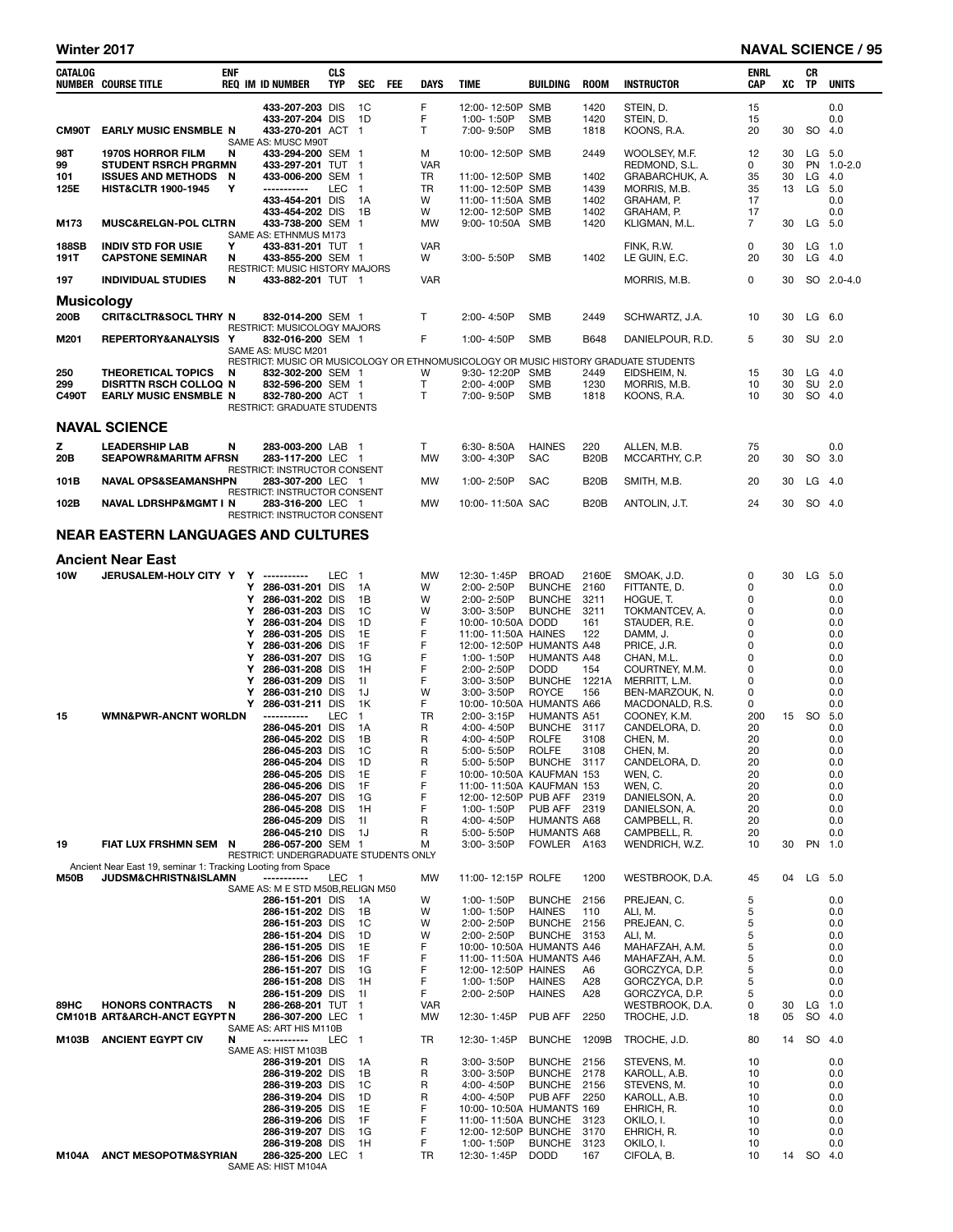| CATALOG              | <b>NUMBER COURSE TITLE</b>                                                                          | enf    |        | REQ IM ID NUMBER                                         | CLS<br>TYP | SEC                | <b>FEE</b> | <b>DAYS</b>     | <b>TIME</b>                                     | <b>BUILDING</b>                   | <b>ROOM</b>          | <b>INSTRUCTOR</b>                                                                   | ENRL<br>CAP          | XC       | CR<br>TP  | <b>UNITS</b>      |
|----------------------|-----------------------------------------------------------------------------------------------------|--------|--------|----------------------------------------------------------|------------|--------------------|------------|-----------------|-------------------------------------------------|-----------------------------------|----------------------|-------------------------------------------------------------------------------------|----------------------|----------|-----------|-------------------|
| CM90T                | <b>EARLY MUSIC ENSMBLE N</b>                                                                        |        |        | 433-207-203 DIS<br>433-207-204 DIS<br>433-270-201 ACT 1  |            | 1C<br>1D           |            | F<br>F<br>T     | 12:00-12:50P SMB<br>1:00-1:50P<br>7:00-9:50P    | <b>SMB</b><br><b>SMB</b>          | 1420<br>1420<br>1818 | STEIN, D.<br>STEIN, D.<br>KOONS, R.A.                                               | 15<br>15<br>20       | 30       | <b>SO</b> | 0.0<br>0.0<br>4.0 |
| 98T                  | <b>1970S HORROR FILM</b>                                                                            | N      |        | SAME AS: MUSC M90T<br>433-294-200 SEM 1                  |            |                    |            | м               | 10:00-12:50P SMB                                |                                   | 2449                 | WOOLSEY, M.F.                                                                       | 12                   | 30       |           | LG 5.0            |
| 99                   | <b>STUDENT RSRCH PRGRMN</b>                                                                         |        |        | 433-297-201 TUT 1                                        |            |                    |            | <b>VAR</b>      |                                                 |                                   |                      | REDMOND, S.L.                                                                       | 0                    | 30       | <b>PN</b> | $1.0 - 2.0$       |
| 101<br>125E          | <b>ISSUES AND METHODS N</b><br><b>HIST&amp;CLTR 1900-1945</b>                                       | Y      |        | 433-006-200 SEM<br>-----------                           | LEC        | -1<br>$\mathbf{1}$ |            | TR<br>TR        | 11:00-12:50P SMB<br>11:00-12:50P SMB            |                                   | 1402<br>1439         | GRABARCHUK, A.<br>MORRIS, M.B.                                                      | 35<br>35             | 30<br>13 | LG<br>LG  | 4.0<br>5.0        |
|                      |                                                                                                     |        |        | 433-454-201 DIS                                          |            | 1A                 |            | W               | 11:00-11:50A SMB                                |                                   | 1402                 | GRAHAM, P.                                                                          | 17                   |          |           | 0.0               |
| M173                 | <b>MUSC&amp;RELGN-POL CLTRN</b>                                                                     |        |        | 433-454-202 DIS<br>433-738-200 SEM                       |            | 1B<br>-1           |            | W<br>MW         | 12:00-12:50P SMB<br>9:00-10:50A SMB             |                                   | 1402<br>1420         | GRAHAM, P.<br>KLIGMAN, M.L.                                                         | 17<br>$\overline{7}$ | 30       | LG        | 0.0<br>5.0        |
|                      |                                                                                                     |        |        | SAME AS: ETHNMUS M173                                    |            |                    |            |                 |                                                 |                                   |                      |                                                                                     |                      |          |           |                   |
| <b>188SB</b><br>191T | <b>INDIV STD FOR USIE</b><br><b>CAPSTONE SEMINAR</b>                                                | Y<br>N |        | 433-831-201 TUT 1<br>433-855-200 SEM 1                   |            |                    |            | <b>VAR</b><br>W | 3:00-5:50P                                      | <b>SMB</b>                        | 1402                 | FINK, R.W.<br>LE GUIN, E.C.                                                         | 0<br>20              | 30<br>30 | LG        | $LG$ 1.0<br>4.0   |
|                      |                                                                                                     |        |        | <b>RESTRICT: MUSIC HISTORY MAJORS</b>                    |            |                    |            |                 |                                                 |                                   |                      |                                                                                     |                      |          |           |                   |
| 197                  | <b>INDIVIDUAL STUDIES</b>                                                                           | N      |        | 433-882-201 TUT 1                                        |            |                    |            | <b>VAR</b>      |                                                 |                                   |                      | MORRIS, M.B.                                                                        | 0                    | 30       | SO.       | $2.0 - 4.0$       |
| <b>Musicology</b>    |                                                                                                     |        |        |                                                          |            |                    |            |                 |                                                 |                                   |                      |                                                                                     |                      |          |           |                   |
| 200B                 | <b>CRIT&amp;CLTR&amp;SOCL THRY N</b>                                                                |        |        | 832-014-200 SEM 1<br>RESTRICT: MUSICOLOGY MAJORS         |            |                    |            | T               | 2:00-4:50P                                      | <b>SMB</b>                        | 2449                 | SCHWARTZ, J.A.                                                                      | 10                   | 30       |           | $LG$ 6.0          |
| M201                 | REPERTORY&ANALYSIS Y                                                                                |        |        | 832-016-200 SEM 1<br>SAME AS: MUSC M201                  |            |                    |            | F               | 1:00-4:50P                                      | <b>SMB</b>                        | B648                 | DANIELPOUR, R.D.                                                                    | 5                    | 30       |           | SU 2.0            |
|                      |                                                                                                     |        |        |                                                          |            |                    |            |                 |                                                 |                                   |                      | RESTRICT: MUSIC OR MUSICOLOGY OR ETHNOMUSICOLOGY OR MUSIC HISTORY GRADUATE STUDENTS |                      |          |           |                   |
| 250<br>299           | <b>THEORETICAL TOPICS</b><br><b>DISRTTN RSCH COLLOQ N</b>                                           | N      |        | 832-302-200 SEM 1<br>832-596-200 SEM 1                   |            |                    |            | W<br>T.         | 9:30-12:20P<br>2:00-4:00P                       | SMB<br><b>SMB</b>                 | 2449<br>1230         | EIDSHEIM, N.<br>MORRIS, M.B.                                                        | 15<br>10             | 30<br>30 | LG<br>SU  | 4.0<br>2.0        |
| C490T                | <b>EARLY MUSIC ENSMBLE N</b>                                                                        |        |        | 832-780-200 ACT 1                                        |            |                    |            | T               | 7:00-9:50P                                      | <b>SMB</b>                        | 1818                 | KOONS, R.A.                                                                         | 10                   | 30       |           | SO 4.0            |
|                      |                                                                                                     |        |        | RESTRICT: GRADUATE STUDENTS                              |            |                    |            |                 |                                                 |                                   |                      |                                                                                     |                      |          |           |                   |
|                      | <b>NAVAL SCIENCE</b>                                                                                |        |        |                                                          |            |                    |            |                 |                                                 |                                   |                      |                                                                                     |                      |          |           |                   |
| z                    | <b>LEADERSHIP LAB</b>                                                                               | N      |        | 283-003-200 LAB 1                                        |            |                    |            | T               | 6:30-8:50A                                      | <b>HAINES</b>                     | 220                  | ALLEN, M.B.                                                                         | 75                   |          |           | 0.0               |
| 20B                  | <b>SEAPOWR&amp;MARITM AFRSN</b>                                                                     |        |        | 283-117-200 LEC 1<br><b>RESTRICT: INSTRUCTOR CONSENT</b> |            |                    |            | <b>MW</b>       | 3:00-4:30P                                      | <b>SAC</b>                        | <b>B20B</b>          | MCCARTHY, C.P.                                                                      | 20                   | 30       | SO.       | 3.0               |
| 101B                 | <b>NAVAL OPS&amp;SEAMANSHPN</b>                                                                     |        |        | 283-307-200 LEC 1<br>RESTRICT: INSTRUCTOR CONSENT        |            |                    |            | <b>MW</b>       | 1:00-2:50P                                      | <b>SAC</b>                        | <b>B20B</b>          | SMITH, M.B.                                                                         | 20                   | 30       |           | $LG$ 4.0          |
| 102B                 | <b>NAVAL LDRSHP&amp;MGMT I N</b>                                                                    |        |        | 283-316-200 LEC 1                                        |            |                    |            | MW              | 10:00-11:50A SAC                                |                                   | <b>B20B</b>          | ANTOLIN, J.T.                                                                       | 24                   | 30       |           | SO 4.0            |
|                      |                                                                                                     |        |        | RESTRICT: INSTRUCTOR CONSENT                             |            |                    |            |                 |                                                 |                                   |                      |                                                                                     |                      |          |           |                   |
|                      | <b>NEAR EASTERN LANGUAGES AND CULTURES</b>                                                          |        |        |                                                          |            |                    |            |                 |                                                 |                                   |                      |                                                                                     |                      |          |           |                   |
|                      | <b>Ancient Near East</b>                                                                            |        |        |                                                          |            |                    |            |                 |                                                 |                                   |                      |                                                                                     |                      |          |           |                   |
| 10W                  | JERUSALEM-HOLY CITY Y                                                                               |        | Y      | ------------                                             | <b>LEC</b> | $\overline{1}$     |            | MW              | 12:30-1:45P                                     | <b>BROAD</b>                      | 2160E                | SMOAK, J.D.                                                                         | 0                    | 30       |           | LG 5.0            |
|                      |                                                                                                     |        | Υ<br>Υ | 286-031-201 DIS<br>286-031-202 DIS                       |            | 1A<br>1B           |            | W<br>W          | 2:00-2:50P<br>2:00-2:50P                        | <b>BUNCHE</b><br><b>BUNCHE</b>    | 2160<br>3211         | FITTANTE, D.<br>HOGUE, T.                                                           | 0<br>0               |          |           | 0.0<br>0.0        |
|                      |                                                                                                     |        | Υ      | 286-031-203 DIS                                          |            | 1C                 |            | W               | 3:00-3:50P                                      | <b>BUNCHE</b>                     | 3211                 | TOKMANTCEV, A.                                                                      | 0                    |          |           | 0.0               |
|                      |                                                                                                     |        | Υ<br>Υ | 286-031-204 DIS<br>286-031-205 DIS                       |            | 1D<br>1E           |            | F<br>F          | 10:00-10:50A DODD<br>11:00-11:50A HAINES        |                                   | 161<br>122           | STAUDER, R.E.<br>DAMM, J.                                                           | 0<br>0               |          |           | 0.0<br>0.0        |
|                      |                                                                                                     |        | Υ      | 286-031-206 DIS                                          |            | 1F                 |            | F               | 12:00-12:50P HUMANTS A48                        |                                   |                      | PRICE, J.R.                                                                         | 0                    |          |           | 0.0               |
|                      |                                                                                                     |        | Υ<br>Υ | 286-031-207 DIS<br>286-031-208 DIS                       |            | 1G<br>1H           |            | F<br>F          | 1:00-1:50P<br>2:00-2:50P                        | <b>HUMANTS A48</b><br><b>DODD</b> | 154                  | CHAN, M.L.<br>COURTNEY, M.M.                                                        | 0<br>0               |          |           | 0.0<br>0.0        |
|                      |                                                                                                     |        | Υ      | 286-031-209 DIS                                          |            | 11                 |            | F               | $3.00 - 3.50P$                                  | <b>BUNCHE</b>                     | 1221A                | MERRITT, L.M.                                                                       | 0                    |          |           | 0.0               |
|                      |                                                                                                     |        | Υ<br>Υ | 286-031-210 DIS<br>286-031-211 DIS                       |            | 1J<br>1K           |            | W<br>F          | 3:00-3:50P<br>10:00-10:50A HUMANTS A66          | <b>ROYCE</b>                      | 156                  | BEN-MARZOUK, N.<br>MACDONALD, R.S.                                                  | 0<br>0               |          |           | 0.0<br>0.0        |
| 15                   | <b>WMN&amp;PWR-ANCNT WORLDN</b>                                                                     |        |        | -----------                                              | LEC        | $\mathbf{1}$       |            | TR              | 2:00-3:15P                                      | <b>HUMANTS A51</b>                |                      | COONEY, K.M.                                                                        | 200                  |          | 15 SO     | 5.0               |
|                      |                                                                                                     |        |        | 286-045-201 DIS<br>286-045-202 DIS                       |            | 1A<br>1B           |            | R<br>R          | 4:00-4:50P<br>4:00-4:50P                        | BUNCHE 3117<br><b>ROLFE</b>       | 3108                 | CANDELORA, D.<br>CHEN, M.                                                           | 20<br>20             |          |           | 0.0<br>0.0        |
|                      |                                                                                                     |        |        | 286-045-203 DIS                                          |            | 1C                 |            | R               | 5:00-5:50P                                      | <b>ROLFE</b>                      | 3108                 | CHEN. M.                                                                            | 20                   |          |           | 0.0               |
|                      |                                                                                                     |        |        | 286-045-204 DIS<br>286-045-205 DIS                       |            | 1D<br>1E           |            | R<br>F          | 5:00-5:50P<br>10:00-10:50A KAUFMAN 153          | <b>BUNCHE</b>                     | 3117                 | CANDELORA, D.<br>WEN, C.                                                            | 20<br>20             |          |           | 0.0<br>0.0        |
|                      |                                                                                                     |        |        | 286-045-206 DIS                                          |            | 1F                 |            | F               | 11:00-11:50A KAUFMAN 153                        |                                   |                      | WEN, C.                                                                             | 20                   |          |           | 0.0               |
|                      |                                                                                                     |        |        | 286-045-207 DIS<br>286-045-208 DIS                       |            | 1G<br>1H           |            | F<br>F          | 12:00-12:50P PUB AFF<br>1:00-1:50P              | PUB AFF                           | 2319<br>2319         | DANIELSON, A.<br>DANIELSON, A.                                                      | 20<br>20             |          |           | 0.0<br>0.0        |
|                      |                                                                                                     |        |        | 286-045-209 DIS                                          |            | 11                 |            | R               | 4:00-4:50P                                      | HUMANTS A68                       |                      | CAMPBELL, R.                                                                        | 20                   |          |           | 0.0               |
| 19                   | FIAT LUX FRSHMN SEM N                                                                               |        |        | 286-045-210 DIS<br>286-057-200 SEM 1                     |            | 1J                 |            | R<br>м          | 5:00-5:50P<br>$3:00 - 3:50P$                    | <b>HUMANTS A68</b><br>FOWLER A163 |                      | CAMPBELL, R.<br>WENDRICH, W.Z.                                                      | 20<br>10             | 30       |           | 0.0<br>PN 1.0     |
|                      |                                                                                                     |        |        | RESTRICT: UNDERGRADUATE STUDENTS ONLY                    |            |                    |            |                 |                                                 |                                   |                      |                                                                                     |                      |          |           |                   |
| <b>M50B</b>          | Ancient Near East 19, seminar 1: Tracking Looting from Space<br><b>JUDSM&amp;CHRISTN&amp;ISLAMN</b> |        |        | -----------                                              | LEC 1      |                    |            | <b>MW</b>       | 11:00-12:15P ROLFE                              |                                   | 1200                 | WESTBROOK, D.A.                                                                     | 45                   | 04       |           | LG 5.0            |
|                      |                                                                                                     |        |        | SAME AS: M E STD M50B, RELIGN M50<br>286-151-201 DIS     |            | 1A                 |            | W               | 1:00-1:50P                                      | <b>BUNCHE</b>                     | 2156                 | PREJEAN, C.                                                                         | 5                    |          |           | 0.0               |
|                      |                                                                                                     |        |        | 286-151-202 DIS                                          |            | 1B                 |            | W               | 1:00-1:50P                                      | <b>HAINES</b>                     | 110                  | ALI. M.                                                                             | 5                    |          |           | 0.0               |
|                      |                                                                                                     |        |        | 286-151-203 DIS<br>286-151-204 DIS                       |            | 1C<br>1D           |            | W<br>W          | 2:00-2:50P<br>2:00-2:50P                        | <b>BUNCHE</b><br><b>BUNCHE</b>    | 2156<br>3153         | PREJEAN, C.<br>ALI, M.                                                              | 5<br>5               |          |           | 0.0<br>0.0        |
|                      |                                                                                                     |        |        | 286-151-205 DIS                                          |            | 1E                 |            | F               | 10:00-10:50A HUMANTS A46                        |                                   |                      | MAHAFZAH, A.M.                                                                      | 5                    |          |           | 0.0               |
|                      |                                                                                                     |        |        | 286-151-206 DIS<br>286-151-207 DIS                       |            | 1F<br>1G           |            | F<br>F          | 11:00-11:50A HUMANTS A46<br>12:00-12:50P HAINES |                                   | A6                   | MAHAFZAH, A.M.<br>GORCZYCA, D.P.                                                    | 5<br>5               |          |           | 0.0<br>0.0        |
|                      |                                                                                                     |        |        | 286-151-208 DIS                                          |            | 1H                 |            | F               | 1:00-1:50P                                      | <b>HAINES</b>                     | A28                  | GORCZYCA, D.P.                                                                      | 5                    |          |           | 0.0               |
| 89HC                 | <b>HONORS CONTRACTS</b>                                                                             | N      |        | 286-151-209 DIS<br>286-268-201 TUT                       |            | 11<br>$\mathbf 1$  |            | F<br><b>VAR</b> | 2:00-2:50P                                      | <b>HAINES</b>                     | A28                  | GORCZYCA, D.P.<br>WESTBROOK, D.A.                                                   | 5<br>0               | 30       | LG        | 0.0<br>1.0        |
|                      | CM101B ART&ARCH-ANCT EGYPT N                                                                        |        |        | 286-307-200 LEC                                          |            | -1                 |            | MW              | 12:30-1:45P                                     | PUB AFF                           | 2250                 | TROCHE, J.D.                                                                        | 18                   | 05       | SO        | 4.0               |
| M103B                | <b>ANCIENT EGYPT CIV</b>                                                                            | N      |        | SAME AS: ART HIS M110B<br>-----------                    | LEC        | $\blacksquare$     |            | TR              | 12:30-1:45P                                     | <b>BUNCHE</b>                     | 1209B                | TROCHE, J.D.                                                                        | 80                   | 14       | SO 4.0    |                   |
|                      |                                                                                                     |        |        | SAME AS: HIST M103B                                      |            |                    |            |                 |                                                 |                                   |                      |                                                                                     |                      |          |           |                   |
|                      |                                                                                                     |        |        | 286-319-201 DIS<br>286-319-202 DIS                       |            | 1A<br>1B           |            | R<br>R          | $3:00 - 3:50P$<br>$3:00 - 3:50P$                | <b>BUNCHE</b><br><b>BUNCHE</b>    | 2156<br>2178         | STEVENS, M.<br>KAROLL, A.B.                                                         | 10<br>10             |          |           | 0.0<br>0.0        |
|                      |                                                                                                     |        |        | 286-319-203 DIS                                          |            | 1C                 |            | R               | 4:00-4:50P                                      | <b>BUNCHE</b>                     | 2156                 | STEVENS, M.                                                                         | 10                   |          |           | 0.0               |
|                      |                                                                                                     |        |        | 286-319-204 DIS<br>286-319-205 DIS                       |            | 1D<br>1E           |            | R<br>F          | 4:00-4:50P<br>10:00-10:50A HUMANTS 169          | PUB AFF                           | 2250                 | KAROLL, A.B.<br>EHRICH, R.                                                          | 10<br>10             |          |           | 0.0<br>0.0        |
|                      |                                                                                                     |        |        | 286-319-206 DIS                                          |            | 1F                 |            | F               | 11:00-11:50A BUNCHE                             |                                   | 3123                 | OKILO, I.                                                                           | 10                   |          |           | 0.0               |
|                      |                                                                                                     |        |        | 286-319-207 DIS<br>286-319-208 DIS                       |            | 1G<br>1H           |            | F<br>F          | 12:00-12:50P BUNCHE<br>1:00-1:50P               | <b>BUNCHE</b>                     | 3170<br>3123         | EHRICH, R.<br>OKILO, I.                                                             | 10<br>10             |          |           | 0.0<br>0.0        |
| M104A                | <b>ANCT MESOPOTM&amp;SYRIAN</b>                                                                     |        |        | 286-325-200 LEC 1<br>SAME AS: HIST M104A                 |            |                    |            | TR              | 12:30-1:45P                                     | <b>DODD</b>                       | 167                  | CIFOLA, B.                                                                          | 10                   |          | 14 SO 4.0 |                   |
|                      |                                                                                                     |        |        |                                                          |            |                    |            |                 |                                                 |                                   |                      |                                                                                     |                      |          |           |                   |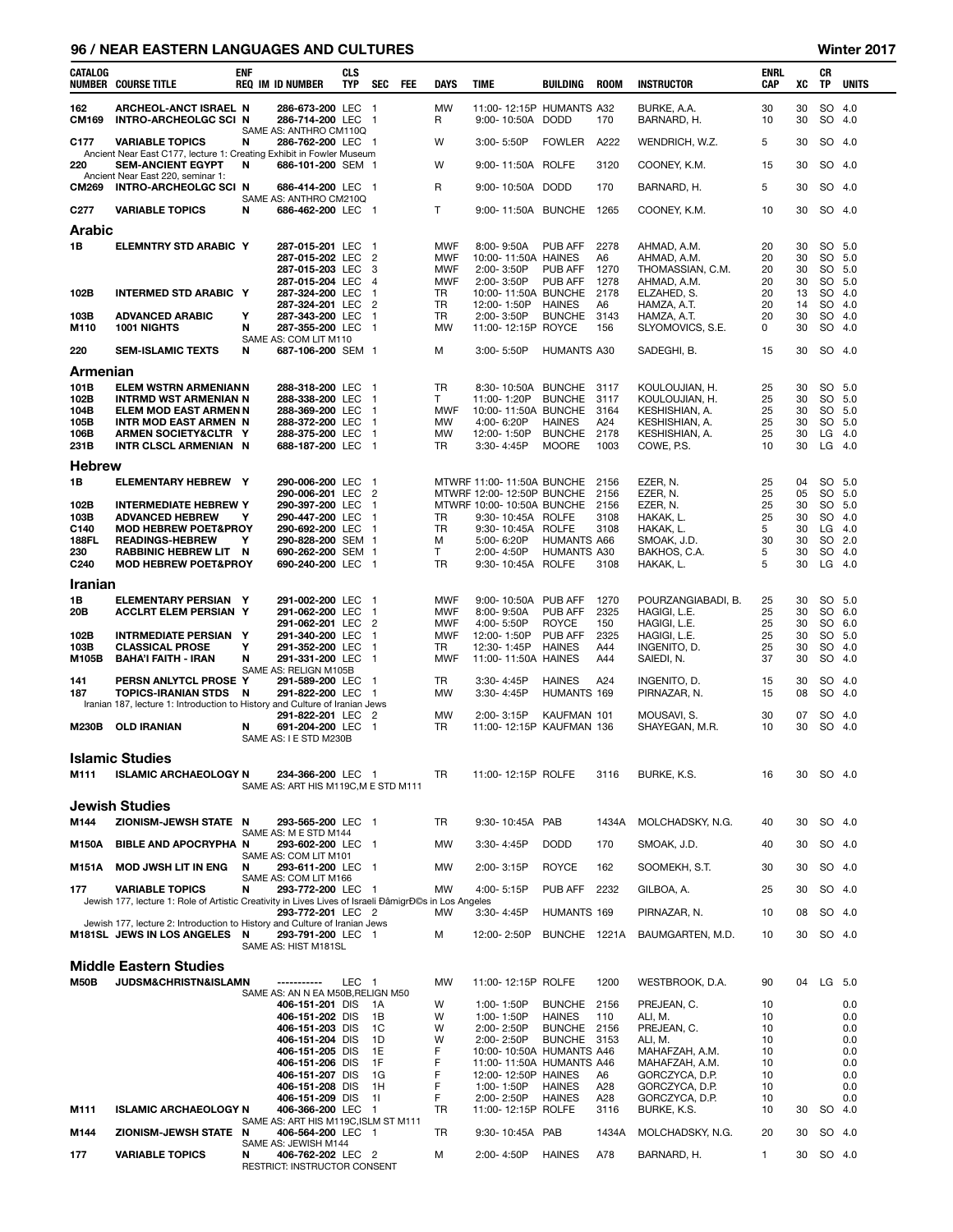### 96 / NEAR EASTERN LANGUAGES AND CULTURES Winter 2017

| CATALOG              | <b>NUMBER COURSE TITLE</b>                                                                                 | ENF    | REQ IM ID NUMBER                                          | CLS<br><b>TYP</b> | SEC<br><b>FEE</b>                | DAYS                     | TIME                                            | <b>BUILDING</b>                    | <b>ROOM</b>  | <b>INSTRUCTOR</b>                | ENRL<br>CAP  | XC       | CR<br>TP  | <b>UNITS</b>     |
|----------------------|------------------------------------------------------------------------------------------------------------|--------|-----------------------------------------------------------|-------------------|----------------------------------|--------------------------|-------------------------------------------------|------------------------------------|--------------|----------------------------------|--------------|----------|-----------|------------------|
| 162<br><b>CM169</b>  | ARCHEOL-ANCT ISRAEL N<br><b>INTRO-ARCHEOLGC SCI N</b>                                                      |        | 286-673-200 LEC 1<br>286-714-200 LEC 1                    |                   |                                  | <b>MW</b><br>R           | 11:00-12:15P HUMANTS A32<br>9:00-10:50A DODD    |                                    | 170          | BURKE, A.A.<br>BARNARD, H.       | 30<br>10     | 30<br>30 | SO        | 4.0<br>SO 4.0    |
| C <sub>177</sub>     | <b>VARIABLE TOPICS</b>                                                                                     | N      | SAME AS: ANTHRO CM110Q<br>286-762-200 LEC                 |                   | - 1                              | W                        | 3:00-5:50P                                      | <b>FOWLER</b>                      | A222         | WENDRICH, W.Z.                   | 5            | 30       |           | SO 4.0           |
| 220                  | Ancient Near East C177, lecture 1: Creating Exhibit in Fowler Museum<br><b>SEM-ANCIENT EGYPT</b>           | N      | 686-101-200 SEM 1                                         |                   |                                  | W                        | 9:00-11:50A ROLFE                               |                                    | 3120         | COONEY, K.M.                     | 15           | 30       |           | SO 4.0           |
|                      | Ancient Near East 220, seminar 1:                                                                          |        | 686-414-200 LEC 1                                         |                   |                                  | R                        | 9:00-10:50A DODD                                |                                    | 170          | BARNARD, H.                      | 5            | 30       |           | SO 4.0           |
| <b>CM269</b>         | <b>INTRO-ARCHEOLGC SCI N</b>                                                                               |        | SAME AS: ANTHRO CM210Q                                    |                   |                                  |                          |                                                 |                                    |              |                                  |              |          |           |                  |
| C <sub>277</sub>     | <b>VARIABLE TOPICS</b>                                                                                     | N      | 686-462-200 LEC 1                                         |                   |                                  | T.                       | 9:00-11:50A BUNCHE                              |                                    | 1265         | COONEY, K.M.                     | 10           | 30       |           | SO 4.0           |
| Arabic               |                                                                                                            |        |                                                           |                   |                                  |                          |                                                 |                                    |              |                                  |              |          |           |                  |
| 1В                   | ELEMNTRY STD ARABIC Y                                                                                      |        | 287-015-201 LEC<br>287-015-202 LEC                        |                   | $\overline{1}$<br>$\overline{2}$ | <b>MWF</b><br><b>MWF</b> | 8:00-9:50A<br>10:00-11:50A HAINES               | <b>PUB AFF</b>                     | 2278<br>A6   | AHMAD, A.M.<br>AHMAD, A.M.       | 20<br>20     | 30<br>30 |           | SO 5.0<br>SO 5.0 |
|                      |                                                                                                            |        | 287-015-203 LEC<br>287-015-204 LEC                        |                   | 3<br>4                           | <b>MWF</b><br><b>MWF</b> | 2:00-3:50P<br>2:00-3:50P                        | PUB AFF<br>PUB AFF                 | 1270<br>1278 | THOMASSIAN, C.M.<br>AHMAD, A.M.  | 20<br>20     | 30<br>30 | SO 5.0    | SO 5.0           |
| 102B                 | <b>INTERMED STD ARABIC Y</b>                                                                               |        | 287-324-200 LEC                                           |                   | $\overline{1}$<br>$\overline{2}$ | <b>TR</b>                | 10:00-11:50A BUNCHE                             |                                    | 2178         | ELZAHED, S.                      | 20           | 13       | SO        | 4.0              |
| 103B                 | <b>ADVANCED ARABIC</b>                                                                                     | Υ      | 287-324-201 LEC<br>287-343-200 LEC                        |                   | $\overline{1}$                   | TR<br>TR                 | 12:00-1:50P<br>2:00-3:50P                       | <b>HAINES</b><br><b>BUNCHE</b>     | A6<br>3143   | HAMZA, A.T.<br>HAMZA, A.T.       | 20<br>20     | 14<br>30 |           | SO 4.0<br>SO 4.0 |
| M110                 | 1001 NIGHTS                                                                                                | N      | 287-355-200 LEC<br>SAME AS: COM LIT M110                  |                   | $\overline{1}$                   | MW                       | 11:00-12:15P ROYCE                              |                                    | 156          | SLYOMOVICS, S.E.                 | 0            | 30       | SO        | 4.0              |
| 220                  | <b>SEM-ISLAMIC TEXTS</b>                                                                                   | N      | 687-106-200 SEM 1                                         |                   |                                  | м                        | 3:00-5:50P                                      | <b>HUMANTS A30</b>                 |              | SADEGHI, B.                      | 15           | 30       |           | SO 4.0           |
| Armenian             |                                                                                                            |        |                                                           |                   |                                  |                          |                                                 |                                    |              |                                  |              |          |           |                  |
| 101B<br>102B         | <b>ELEM WSTRN ARMENIANN</b><br><b>INTRMD WST ARMENIAN N</b>                                                |        | 288-318-200 LEC<br>288-338-200 LEC                        |                   | - 1<br>$\mathbf{1}$              | TR<br>Τ                  | 8:30-10:50A BUNCHE<br>11:00-1:20P               | <b>BUNCHE</b>                      | 3117<br>3117 | KOULOUJIAN, H.<br>KOULOUJIAN, H. | 25<br>25     | 30<br>30 |           | SO 5.0<br>SO 5.0 |
| 104B<br>105B         | ELEM MOD EAST ARMEN N<br><b>INTR MOD EAST ARMEN N</b>                                                      |        | 288-369-200 LEC<br>288-372-200 LEC                        |                   | -1<br>$\mathbf{1}$               | <b>MWF</b><br>MW         | 10:00-11:50A BUNCHE<br>4:00-6:20P               | <b>HAINES</b>                      | 3164<br>A24  | KESHISHIAN, A.<br>KESHISHIAN, A. | 25<br>25     | 30<br>30 |           | SO 5.0<br>SO 5.0 |
| 106B                 | ARMEN SOCIETY&CLTR Y                                                                                       |        | 288-375-200 LEC                                           |                   | $\overline{1}$                   | MW                       | 12:00-1:50P                                     | <b>BUNCHE</b>                      | 2178         | KESHISHIAN, A.                   | 25           | 30       | LG        | 4.0              |
| 231B                 | INTR CLSCL ARMENIAN N                                                                                      |        | 688-187-200 LEC                                           |                   | $\overline{1}$                   | TR                       | 3:30-4:45P                                      | <b>MOORE</b>                       | 1003         | COWE, P.S.                       | 10           | 30       |           | $LG$ 4.0         |
| <b>Hebrew</b><br>1В  | <b>ELEMENTARY HEBREW Y</b>                                                                                 |        | 290-006-200 LEC                                           |                   | $\overline{1}$                   |                          | MTWRF 11:00-11:50A BUNCHE                       |                                    | 2156         |                                  | 25           | 04       |           | SO 5.0           |
|                      |                                                                                                            |        | 290-006-201 LEC                                           |                   | $\overline{2}$                   |                          | MTWRF 12:00-12:50P BUNCHE                       |                                    | 2156         | EZER, N.<br>EZER, N.             | 25           | 05       |           | SO 5.0           |
| 102B<br>103B         | <b>INTERMEDIATE HEBREW Y</b><br><b>ADVANCED HEBREW</b>                                                     | Y      | 290-397-200 LEC<br>290-447-200 LEC                        |                   | $\overline{1}$<br>$\overline{1}$ | TR                       | MTWRF 10:00-10:50A BUNCHE<br>9:30-10:45A ROLFE  |                                    | 2156<br>3108 | EZER, N.<br>HAKAK, L.            | 25<br>25     | 30<br>30 | SO        | SO 5.0<br>4.0    |
| C140<br><b>188FL</b> | <b>MOD HEBREW POET&amp;PROY</b><br><b>READINGS-HEBREW</b>                                                  | Y      | 290-692-200 LEC<br>290-828-200 SEM 1                      |                   | $\overline{1}$                   | TR<br>м                  | 9:30-10:45A<br>5:00-6:20P                       | <b>ROLFE</b><br><b>HUMANTS A66</b> | 3108         | HAKAK, L.<br>SMOAK, J.D.         | 5<br>30      | 30<br>30 | $LG$ 4.0  | SO 2.0           |
| 230                  | <b>RABBINIC HEBREW LIT N</b>                                                                               |        | 690-262-200 SEM 1                                         |                   |                                  | T                        | 2:00-4:50P                                      | <b>HUMANTS A30</b>                 |              | BAKHOS, C.A.                     | 5            | 30       |           | SO 4.0           |
| C <sub>240</sub>     | <b>MOD HEBREW POET&amp;PROY</b>                                                                            |        | 690-240-200 LEC 1                                         |                   |                                  | TR                       | 9:30-10:45A ROLFE                               |                                    | 3108         | HAKAK, L.                        | 5            | 30       |           | $LG$ 4.0         |
| Iranian<br>1В        | ELEMENTARY PERSIAN Y                                                                                       |        | 291-002-200 LEC                                           |                   | $\overline{1}$                   | <b>MWF</b>               | 9:00-10:50A                                     | PUB AFF                            | 1270         | POURZANGIABADI, B.               |              | 30       |           | SO 5.0           |
| 20B                  | <b>ACCLRT ELEM PERSIAN Y</b>                                                                               |        | 291-062-200 LEC                                           |                   | -1                               | <b>MWF</b>               | 8:00-9:50A                                      | PUB AFF                            | 2325         | HAGIGI, L.E.                     | 25<br>25     | 30       |           | SO 6.0           |
| 102B                 | <b>INTRMEDIATE PERSIAN Y</b>                                                                               |        | 291-062-201 LEC<br>291-340-200 LEC                        |                   | $\overline{2}$<br>$\overline{1}$ | <b>MWF</b><br><b>MWF</b> | 4:00-5:50P<br>12:00-1:50P                       | ROYCE<br>PUB AFF                   | 150<br>2325  | HAGIGI, L.E.<br>HAGIGI, L.E.     | 25<br>25     | 30<br>30 | SO        | SO 6.0<br>5.0    |
| 103B<br>M105B        | <b>CLASSICAL PROSE</b><br><b>BAHA'I FAITH - IRAN</b>                                                       | Υ<br>N | 291-352-200 LEC<br>291-331-200 LEC                        |                   | $\overline{1}$<br>$\overline{1}$ | TR<br><b>MWF</b>         | 12:30-1:45P<br>11:00-11:50A HAINES              | <b>HAINES</b>                      | A44<br>A44   | INGENITO, D.<br>SAIEDI, N.       | 25<br>37     | 30<br>30 | <b>SO</b> | 4.0<br>SO 4.0    |
|                      |                                                                                                            |        | SAME AS: RELIGN M105B<br>291-589-200 LEC                  |                   |                                  |                          |                                                 |                                    |              | INGENITO, D.                     |              |          | SO        |                  |
| 141<br>187           | PERSN ANLYTCL PROSE Y<br><b>TOPICS-IRANIAN STDS</b>                                                        | N      | 291-822-200 LEC                                           |                   | -1<br>$\mathbf{1}$               | TR<br>MW                 | $3:30 - 4:45P$<br>$3:30 - 4:45P$                | <b>HAINES</b><br>HUMANTS 169       | A24          | PIRNAZAR, N.                     | 15<br>15     | 30<br>08 |           | 4.0<br>SO 4.0    |
|                      | Iranian 187, lecture 1: Introduction to History and Culture of Iranian Jews                                |        | 291-822-201 LEC                                           |                   | $\overline{2}$                   | MW                       | 2:00-3:15P                                      | KAUFMAN 101                        |              | MOUSAVI, S.                      | 30           | 07       |           | SO 4.0           |
| M230B                | <b>OLD IRANIAN</b>                                                                                         | N      | 691-204-200 LEC 1<br>SAME AS: I E STD M230B               |                   |                                  | TR.                      | 11:00-12:15P KAUFMAN 136                        |                                    |              | SHAYEGAN, M.R.                   | 10           | 30       |           | SO 4.0           |
|                      | <b>Islamic Studies</b>                                                                                     |        |                                                           |                   |                                  |                          |                                                 |                                    |              |                                  |              |          |           |                  |
| M111                 | <b>ISLAMIC ARCHAEOLOGY N</b>                                                                               |        | 234-366-200 LEC 1                                         |                   |                                  | TR                       | 11:00-12:15P ROLFE                              |                                    | 3116         | BURKE, K.S.                      | 16           | 30       |           | SO 4.0           |
|                      |                                                                                                            |        | SAME AS: ART HIS M119C, M E STD M111                      |                   |                                  |                          |                                                 |                                    |              |                                  |              |          |           |                  |
|                      | <b>Jewish Studies</b>                                                                                      |        |                                                           |                   |                                  |                          |                                                 |                                    |              |                                  |              |          |           |                  |
| M144                 | ZIONISM-JEWSH STATE N                                                                                      |        | 293-565-200 LEC 1<br>SAME AS: M E STD M144                |                   |                                  | TR                       | 9:30-10:45A PAB                                 |                                    | 1434A        | MOLCHADSKY, N.G.                 | 40           | 30       |           | SO 4.0           |
| <b>M150A</b>         | <b>BIBLE AND APOCRYPHA N</b>                                                                               |        | 293-602-200 LEC 1<br>SAME AS: COM LIT M101                |                   |                                  | МW                       | $3:30 - 4:45P$                                  | <b>DODD</b>                        | 170          | SMOAK, J.D.                      | 40           | 30       |           | SO 4.0           |
| M151A                | <b>MOD JWSH LIT IN ENG</b>                                                                                 | N      | 293-611-200 LEC 1<br>SAME AS: COM LIT M166                |                   |                                  | MW                       | 2:00-3:15P                                      | <b>ROYCE</b>                       | 162          | SOOMEKH, S.T.                    | 30           | 30       |           | SO 4.0           |
| 177                  | <b>VARIABLE TOPICS</b>                                                                                     | N      | 293-772-200 LEC 1                                         |                   |                                  | MW                       | 4:00-5:15P                                      | PUB AFF                            | 2232         | GILBOA, A.                       | 25           | 30       |           | SO 4.0           |
|                      | Jewish 177, lecture 1: Role of Artistic Creativity in Lives Lives of Israeli ĐâmigrĐ©s in Los Angeles      |        | 293-772-201 LEC 2                                         |                   |                                  | МW                       | 3:30-4:45P                                      | HUMANTS 169                        |              | PIRNAZAR, N.                     | 10           | 08       |           | SO 4.0           |
|                      | Jewish 177, lecture 2: Introduction to History and Culture of Iranian Jews<br>M181SL JEWS IN LOS ANGELES N |        | 293-791-200 LEC 1                                         |                   |                                  | м                        | 12:00-2:50P                                     | BUNCHE 1221A                       |              | BAUMGARTEN, M.D.                 | 10           | 30       |           | SO 4.0           |
|                      |                                                                                                            |        | SAME AS: HIST M181SL                                      |                   |                                  |                          |                                                 |                                    |              |                                  |              |          |           |                  |
| <b>M50B</b>          | <b>Middle Eastern Studies</b><br>JUDSM&CHRISTN&ISLAMN                                                      |        | -----------                                               | <b>LEC</b>        | - 1                              | MW                       | 11:00-12:15P ROLFE                              |                                    | 1200         | WESTBROOK, D.A.                  | 90           | 04       | $LG$ 5.0  |                  |
|                      |                                                                                                            |        | SAME AS: AN N EA M50B, RELIGN M50                         |                   |                                  |                          |                                                 |                                    |              |                                  |              |          |           |                  |
|                      |                                                                                                            |        | 406-151-201 DIS<br>406-151-202 DIS                        |                   | 1A<br>1B                         | W<br>W                   | 1:00-1:50P<br>1:00-1:50P                        | <b>BUNCHE</b><br><b>HAINES</b>     | 2156<br>110  | PREJEAN, C.<br>ALI, M.           | 10<br>10     |          |           | 0.0<br>0.0       |
|                      |                                                                                                            |        | 406-151-203 DIS<br>406-151-204 DIS                        |                   | 1C<br>1D                         | W<br>W                   | 2:00-2:50P<br>2:00-2:50P                        | <b>BUNCHE</b><br><b>BUNCHE</b>     | 2156<br>3153 | PREJEAN, C.<br>ALI, M.           | 10<br>10     |          |           | 0.0<br>0.0       |
|                      |                                                                                                            |        | 406-151-205 DIS                                           |                   | 1E                               | F                        | 10:00-10:50A HUMANTS A46                        |                                    |              | MAHAFZAH, A.M.                   | 10           |          |           | 0.0              |
|                      |                                                                                                            |        | 406-151-206 DIS<br>406-151-207 DIS                        |                   | 1F<br>1G                         | F<br>F                   | 11:00-11:50A HUMANTS A46<br>12:00-12:50P HAINES |                                    | A6           | MAHAFZAH, A.M.<br>GORCZYCA, D.P. | 10<br>10     |          |           | 0.0<br>0.0       |
|                      |                                                                                                            |        | 406-151-208 DIS                                           |                   | 1H                               | F                        | 1:00-1:50P                                      | <b>HAINES</b>                      | A28          | GORCZYCA, D.P.                   | 10           |          |           | 0.0              |
| M111                 | <b>ISLAMIC ARCHAEOLOGY N</b>                                                                               |        | 406-151-209 DIS<br>406-366-200 LEC 1                      |                   | 11                               | F<br>TR                  | 2:00-2:50P<br>11:00-12:15P ROLFE                | <b>HAINES</b>                      | A28<br>3116  | GORCZYCA, D.P.<br>BURKE, K.S.    | 10<br>10     | 30       | SO 4.0    | 0.0              |
| M144                 | ZIONISM-JEWSH STATE N                                                                                      |        | SAME AS: ART HIS M119C, ISLM ST M111<br>406-564-200 LEC 1 |                   |                                  | TR                       | 9:30-10:45A PAB                                 |                                    | 1434A        | MOLCHADSKY, N.G.                 | 20           | 30       |           | SO 4.0           |
|                      |                                                                                                            |        | SAME AS: JEWISH M144                                      |                   |                                  |                          |                                                 |                                    |              |                                  |              |          |           |                  |
| 177                  | <b>VARIABLE TOPICS</b>                                                                                     | N      | 406-762-202 LEC 2<br>RESTRICT: INSTRUCTOR CONSENT         |                   |                                  | М                        | 2:00-4:50P                                      | <b>HAINES</b>                      | A78          | BARNARD, H.                      | $\mathbf{1}$ | 30       |           | SO 4.0           |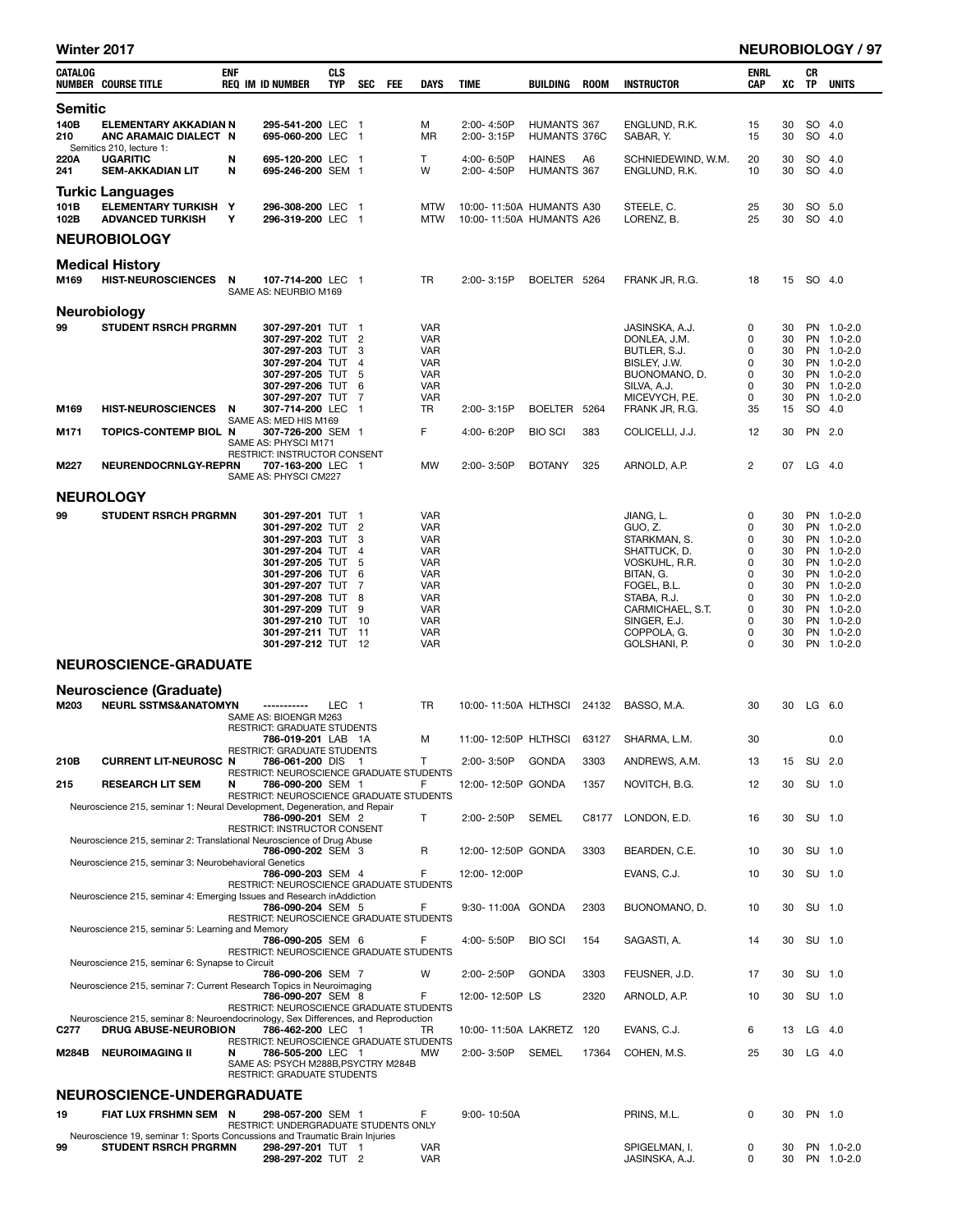| Winter 2017  |                                                                                                            |            |                                                                                                                                                                                                                                                             |                          |            |            |                                                                                                                                                                      |                                                      |                              |             |                                                                                                                                                                                     |                                                                    |                                                                      |                  | <b>NEUROBIOLOGY / 97</b>                                                                                                                                             |
|--------------|------------------------------------------------------------------------------------------------------------|------------|-------------------------------------------------------------------------------------------------------------------------------------------------------------------------------------------------------------------------------------------------------------|--------------------------|------------|------------|----------------------------------------------------------------------------------------------------------------------------------------------------------------------|------------------------------------------------------|------------------------------|-------------|-------------------------------------------------------------------------------------------------------------------------------------------------------------------------------------|--------------------------------------------------------------------|----------------------------------------------------------------------|------------------|----------------------------------------------------------------------------------------------------------------------------------------------------------------------|
| CATALOG      | <b>NUMBER COURSE TITLE</b>                                                                                 | <b>ENF</b> | <b>REQ IM ID NUMBER</b>                                                                                                                                                                                                                                     | <b>CLS</b><br><b>TYP</b> | <b>SEC</b> | <b>FEE</b> | <b>DAYS</b>                                                                                                                                                          | <b>TIME</b>                                          | BUILDING                     | <b>ROOM</b> | <b>INSTRUCTOR</b>                                                                                                                                                                   | <b>ENRL</b><br><b>CAP</b>                                          | XC                                                                   | CR<br>TP         | <b>UNITS</b>                                                                                                                                                         |
| Semitic      |                                                                                                            |            |                                                                                                                                                                                                                                                             |                          |            |            |                                                                                                                                                                      |                                                      |                              |             |                                                                                                                                                                                     |                                                                    |                                                                      |                  |                                                                                                                                                                      |
| 140B<br>210  | <b>ELEMENTARY AKKADIAN N</b><br>ANC ARAMAIC DIALECT N<br>Semitics 210, lecture 1:                          |            | 295-541-200 LEC 1<br>695-060-200 LEC 1                                                                                                                                                                                                                      |                          |            |            | м<br>MR                                                                                                                                                              | 2:00-4:50P<br>2:00-3:15P                             | HUMANTS 367<br>HUMANTS 376C  |             | ENGLUND, R.K.<br>SABAR, Y.                                                                                                                                                          | 15<br>15                                                           | 30<br>30                                                             | SO 4.0<br>SO 4.0 |                                                                                                                                                                      |
| 220A<br>241  | <b>UGARITIC</b><br><b>SEM-AKKADIAN LIT</b>                                                                 | N<br>N     | 695-120-200 LEC 1<br>695-246-200 SEM 1                                                                                                                                                                                                                      |                          |            |            | Τ<br>W                                                                                                                                                               | 4:00-6:50P<br>2:00-4:50P                             | <b>HAINES</b><br>HUMANTS 367 | A6          | SCHNIEDEWIND, W.M.<br>ENGLUND, R.K.                                                                                                                                                 | 20<br>10                                                           | 30<br>30                                                             | SO 4.0<br>SO 4.0 |                                                                                                                                                                      |
| 101B<br>102B | <b>Turkic Languages</b><br><b>ELEMENTARY TURKISH Y</b><br><b>ADVANCED TURKISH</b>                          | Υ          | 296-308-200 LEC 1<br>296-319-200 LEC 1                                                                                                                                                                                                                      |                          |            |            | <b>MTW</b><br><b>MTW</b>                                                                                                                                             | 10:00-11:50A HUMANTS A30<br>10:00-11:50A HUMANTS A26 |                              |             | STEELE, C.<br>LORENZ, B.                                                                                                                                                            | 25<br>25                                                           | 30<br>30                                                             | SO 5.0<br>SO 4.0 |                                                                                                                                                                      |
|              | <b>NEUROBIOLOGY</b>                                                                                        |            |                                                                                                                                                                                                                                                             |                          |            |            |                                                                                                                                                                      |                                                      |                              |             |                                                                                                                                                                                     |                                                                    |                                                                      |                  |                                                                                                                                                                      |
|              | <b>Medical History</b>                                                                                     |            |                                                                                                                                                                                                                                                             |                          |            |            |                                                                                                                                                                      |                                                      |                              |             |                                                                                                                                                                                     |                                                                    |                                                                      |                  |                                                                                                                                                                      |
| M169         | HIST-NEUROSCIENCES N                                                                                       |            | 107-714-200 LEC 1<br>SAME AS: NEURBIO M169                                                                                                                                                                                                                  |                          |            |            | TR                                                                                                                                                                   | 2:00-3:15P                                           | BOELTER 5264                 |             | FRANK JR, R.G.                                                                                                                                                                      | 18                                                                 | 15                                                                   | SO 4.0           |                                                                                                                                                                      |
| 99           | <b>Neurobiology</b><br><b>STUDENT RSRCH PRGRMN</b>                                                         |            | 307-297-201 TUT 1<br>307-297-202 TUT 2<br>307-297-203 TUT 3<br>307-297-204 TUT 4<br>307-297-205 TUT 5<br>307-297-206 TUT 6<br>307-297-207 TUT 7                                                                                                             |                          |            |            | <b>VAR</b><br><b>VAR</b><br>VAR<br>VAR<br><b>VAR</b><br><b>VAR</b><br><b>VAR</b>                                                                                     |                                                      |                              |             | JASINSKA, A.J.<br>DONLEA, J.M.<br>BUTLER, S.J.<br>BISLEY, J.W.<br>BUONOMANO, D.<br>SILVA, A.J.<br>MICEVYCH, P.E.                                                                    | 0<br>0<br>0<br>0<br>$\mathbf 0$<br>0<br>0                          | 30<br>30<br>30<br>30<br>30<br>30<br>30                               |                  | PN 1.0-2.0<br>PN 1.0-2.0<br>PN 1.0-2.0<br>PN 1.0-2.0<br>PN 1.0-2.0<br>PN 1.0-2.0<br>PN 1.0-2.0                                                                       |
| M169         | <b>HIST-NEUROSCIENCES</b>                                                                                  | N          | 307-714-200 LEC 1                                                                                                                                                                                                                                           |                          |            |            | <b>TR</b>                                                                                                                                                            | 2:00-3:15P                                           | BOELTER 5264                 |             | FRANK JR, R.G.                                                                                                                                                                      | 35                                                                 | 15                                                                   | SO 4.0           |                                                                                                                                                                      |
| M171         | <b>TOPICS-CONTEMP BIOL N</b>                                                                               |            | SAME AS: MED HIS M169<br>307-726-200 SEM 1<br>SAME AS: PHYSCI M171                                                                                                                                                                                          |                          |            |            | F                                                                                                                                                                    | 4:00-6:20P                                           | <b>BIO SCI</b>               | 383         | COLICELLI, J.J.                                                                                                                                                                     | 12                                                                 | 30                                                                   | PN 2.0           |                                                                                                                                                                      |
| M227         | NEURENDOCRNLGY-REPRN                                                                                       |            | RESTRICT: INSTRUCTOR CONSENT<br>707-163-200 LEC 1<br>SAME AS: PHYSCI CM227                                                                                                                                                                                  |                          |            |            | <b>MW</b>                                                                                                                                                            | 2:00-3:50P                                           | <b>BOTANY</b>                | 325         | ARNOLD, A.P.                                                                                                                                                                        | $\overline{2}$                                                     | 07                                                                   | $LG$ 4.0         |                                                                                                                                                                      |
|              | <b>NEUROLOGY</b>                                                                                           |            |                                                                                                                                                                                                                                                             |                          |            |            |                                                                                                                                                                      |                                                      |                              |             |                                                                                                                                                                                     |                                                                    |                                                                      |                  |                                                                                                                                                                      |
| 99           | <b>STUDENT RSRCH PRGRMN</b>                                                                                |            | 301-297-201 TUT 1<br>301-297-202 TUT 2<br>301-297-203 TUT 3<br>301-297-204 TUT 4<br>301-297-205 TUT 5<br>301-297-206 TUT 6<br>301-297-207 TUT 7<br>301-297-208 TUT 8<br>301-297-209 TUT 9<br>301-297-210 TUT 10<br>301-297-211 TUT 11<br>301-297-212 TUT 12 |                          |            |            | <b>VAR</b><br><b>VAR</b><br><b>VAR</b><br><b>VAR</b><br><b>VAR</b><br><b>VAR</b><br><b>VAR</b><br><b>VAR</b><br><b>VAR</b><br><b>VAR</b><br><b>VAR</b><br><b>VAR</b> |                                                      |                              |             | JIANG, L.<br>GUO, Z.<br>STARKMAN, S.<br>SHATTUCK, D.<br>VOSKUHL, R.R.<br>BITAN, G.<br>FOGEL, B.L.<br>STABA, R.J.<br>CARMICHAEL, S.T.<br>SINGER, E.J.<br>COPPOLA, G.<br>GOLSHANI, P. | 0<br>0<br>0<br>0<br>0<br>0<br>0<br>0<br>0<br>$\mathbf 0$<br>0<br>0 | 30<br>30<br>30<br>30<br>30<br>30<br>30<br>30<br>30<br>30<br>30<br>30 |                  | PN 1.0-2.0<br>PN 1.0-2.0<br>PN 1.0-2.0<br>PN 1.0-2.0<br>PN 1.0-2.0<br>PN 1.0-2.0<br>PN 1.0-2.0<br>PN 1.0-2.0<br>PN 1.0-2.0<br>PN 1.0-2.0<br>PN 1.0-2.0<br>PN 1.0-2.0 |
|              | <b>NEUROSCIENCE-GRADUATE</b>                                                                               |            |                                                                                                                                                                                                                                                             |                          |            |            |                                                                                                                                                                      |                                                      |                              |             |                                                                                                                                                                                     |                                                                    |                                                                      |                  |                                                                                                                                                                      |
|              | <b>Neuroscience (Graduate)</b>                                                                             |            |                                                                                                                                                                                                                                                             |                          |            |            |                                                                                                                                                                      |                                                      |                              |             |                                                                                                                                                                                     |                                                                    |                                                                      |                  |                                                                                                                                                                      |
| M203         | <b>NEURL SSTMS&amp;ANATOMYN</b>                                                                            |            | -----------<br>SAME AS: BIOENGR M263<br><b>RESTRICT: GRADUATE STUDENTS</b>                                                                                                                                                                                  | LEC <sub>1</sub>         |            |            | <b>TR</b>                                                                                                                                                            | 10:00-11:50A HLTHSCI 24132                           |                              |             | BASSO, M.A.                                                                                                                                                                         | 30                                                                 | 30                                                                   | LG 6.0           |                                                                                                                                                                      |
|              |                                                                                                            |            | 786-019-201 LAB 1A                                                                                                                                                                                                                                          |                          |            |            | м                                                                                                                                                                    | 11:00-12:50P HLTHSCI 63127                           |                              |             | SHARMA, L.M.                                                                                                                                                                        | 30                                                                 |                                                                      |                  | 0.0                                                                                                                                                                  |
| 210B         | <b>CURRENT LIT-NEUROSC N</b>                                                                               |            | <b>RESTRICT: GRADUATE STUDENTS</b><br>786-061-200 DIS 1                                                                                                                                                                                                     |                          |            |            | T                                                                                                                                                                    | 2:00-3:50P                                           | <b>GONDA</b>                 | 3303        | ANDREWS, A.M.                                                                                                                                                                       | 13                                                                 | 15                                                                   | SU 2.0           |                                                                                                                                                                      |
| 215          | <b>RESEARCH LIT SEM</b>                                                                                    | N          | RESTRICT: NEUROSCIENCE GRADUATE STUDENTS<br>786-090-200 SEM 1<br>RESTRICT: NEUROSCIENCE GRADUATE STUDENTS                                                                                                                                                   |                          |            |            | F                                                                                                                                                                    | 12:00-12:50P GONDA                                   |                              | 1357        | NOVITCH, B.G.                                                                                                                                                                       | 12                                                                 | 30                                                                   | SU 1.0           |                                                                                                                                                                      |
|              | Neuroscience 215, seminar 1: Neural Development, Degeneration, and Repair                                  |            | 786-090-201 SEM 2<br>RESTRICT: INSTRUCTOR CONSENT                                                                                                                                                                                                           |                          |            |            | T                                                                                                                                                                    | 2:00-2:50P                                           | <b>SEMEL</b>                 | C8177       | LONDON, E.D.                                                                                                                                                                        | 16                                                                 | 30                                                                   | SU 1.0           |                                                                                                                                                                      |
|              | Neuroscience 215, seminar 2: Translational Neuroscience of Drug Abuse                                      |            | 786-090-202 SEM 3                                                                                                                                                                                                                                           |                          |            |            | R                                                                                                                                                                    | 12:00-12:50P GONDA                                   |                              | 3303        | BEARDEN, C.E.                                                                                                                                                                       | 10                                                                 | 30                                                                   | SU 1.0           |                                                                                                                                                                      |
|              | Neuroscience 215, seminar 3: Neurobehavioral Genetics                                                      |            | 786-090-203 SEM 4                                                                                                                                                                                                                                           |                          |            |            | F                                                                                                                                                                    | 12:00-12:00P                                         |                              |             | EVANS, C.J.                                                                                                                                                                         | 10                                                                 | 30                                                                   | SU 1.0           |                                                                                                                                                                      |
|              | Neuroscience 215, seminar 4: Emerging Issues and Research inAddiction                                      |            | <b>RESTRICT: NEUROSCIENCE GRADUATE STUDENTS</b><br>786-090-204 SEM 5                                                                                                                                                                                        |                          |            |            | F                                                                                                                                                                    | 9:30-11:00A GONDA                                    |                              | 2303        | BUONOMANO, D.                                                                                                                                                                       | 10                                                                 | 30                                                                   | SU 1.0           |                                                                                                                                                                      |
|              | Neuroscience 215, seminar 5: Learning and Memory                                                           |            | RESTRICT: NEUROSCIENCE GRADUATE STUDENTS<br>786-090-205 SEM 6                                                                                                                                                                                               |                          |            |            | F                                                                                                                                                                    | 4:00-5:50P                                           | <b>BIO SCI</b>               | 154         | SAGASTI, A.                                                                                                                                                                         | 14                                                                 | 30                                                                   | SU 1.0           |                                                                                                                                                                      |
|              | Neuroscience 215, seminar 6: Synapse to Circuit                                                            |            | RESTRICT: NEUROSCIENCE GRADUATE STUDENTS                                                                                                                                                                                                                    |                          |            |            |                                                                                                                                                                      |                                                      |                              |             |                                                                                                                                                                                     |                                                                    |                                                                      |                  |                                                                                                                                                                      |
|              | Neuroscience 215, seminar 7: Current Research Topics in Neuroimaging                                       |            | 786-090-206 SEM 7                                                                                                                                                                                                                                           |                          |            |            | W                                                                                                                                                                    | $2:00 - 2:50P$                                       | <b>GONDA</b>                 | 3303        | FEUSNER, J.D.                                                                                                                                                                       | 17                                                                 | 30                                                                   | SU 1.0           |                                                                                                                                                                      |
|              | Neuroscience 215, seminar 8: Neuroendocrinology, Sex Differences, and Reproduction                         |            | 786-090-207 SEM 8<br>RESTRICT: NEUROSCIENCE GRADUATE STUDENTS                                                                                                                                                                                               |                          |            |            | F                                                                                                                                                                    | 12:00-12:50P LS                                      |                              | 2320        | ARNOLD, A.P.                                                                                                                                                                        | 10                                                                 | 30                                                                   | SU 1.0           |                                                                                                                                                                      |
| C277         | <b>DRUG ABUSE-NEUROBION</b>                                                                                |            | 786-462-200 LEC 1<br>RESTRICT: NEUROSCIENCE GRADUATE STUDENTS                                                                                                                                                                                               |                          |            |            | TR                                                                                                                                                                   | 10:00-11:50A LAKRETZ 120                             |                              |             | EVANS, C.J.                                                                                                                                                                         | 6                                                                  | 13                                                                   | $LG$ 4.0         |                                                                                                                                                                      |
| M284B        | <b>NEUROIMAGING II</b>                                                                                     | N          | 786-505-200 LEC 1<br>SAME AS: PSYCH M288B, PSYCTRY M284B<br>RESTRICT: GRADUATE STUDENTS                                                                                                                                                                     |                          |            |            | MW                                                                                                                                                                   | 2:00-3:50P                                           | <b>SEMEL</b>                 | 17364       | COHEN, M.S.                                                                                                                                                                         | 25                                                                 |                                                                      | 30 LG 4.0        |                                                                                                                                                                      |
|              | <b>NEUROSCIENCE-UNDERGRADUATE</b>                                                                          |            |                                                                                                                                                                                                                                                             |                          |            |            |                                                                                                                                                                      |                                                      |                              |             |                                                                                                                                                                                     |                                                                    |                                                                      |                  |                                                                                                                                                                      |
| 19           | FIAT LUX FRSHMN SEM N                                                                                      |            | 298-057-200 SEM 1<br>RESTRICT: UNDERGRADUATE STUDENTS ONLY                                                                                                                                                                                                  |                          |            |            | F                                                                                                                                                                    | $9:00 - 10:50A$                                      |                              |             | PRINS, M.L.                                                                                                                                                                         | 0                                                                  | 30                                                                   | PN 1.0           |                                                                                                                                                                      |
| 99           | Neuroscience 19, seminar 1: Sports Concussions and Traumatic Brain Injuries<br><b>STUDENT RSRCH PRGRMN</b> |            | 298-297-201 TUT 1<br>298-297-202 TUT 2                                                                                                                                                                                                                      |                          |            |            | VAR<br><b>VAR</b>                                                                                                                                                    |                                                      |                              |             | SPIGELMAN, I.<br>JASINSKA, A.J.                                                                                                                                                     | 0<br>0                                                             | 30<br>30                                                             |                  | PN 1.0-2.0<br>PN 1.0-2.0                                                                                                                                             |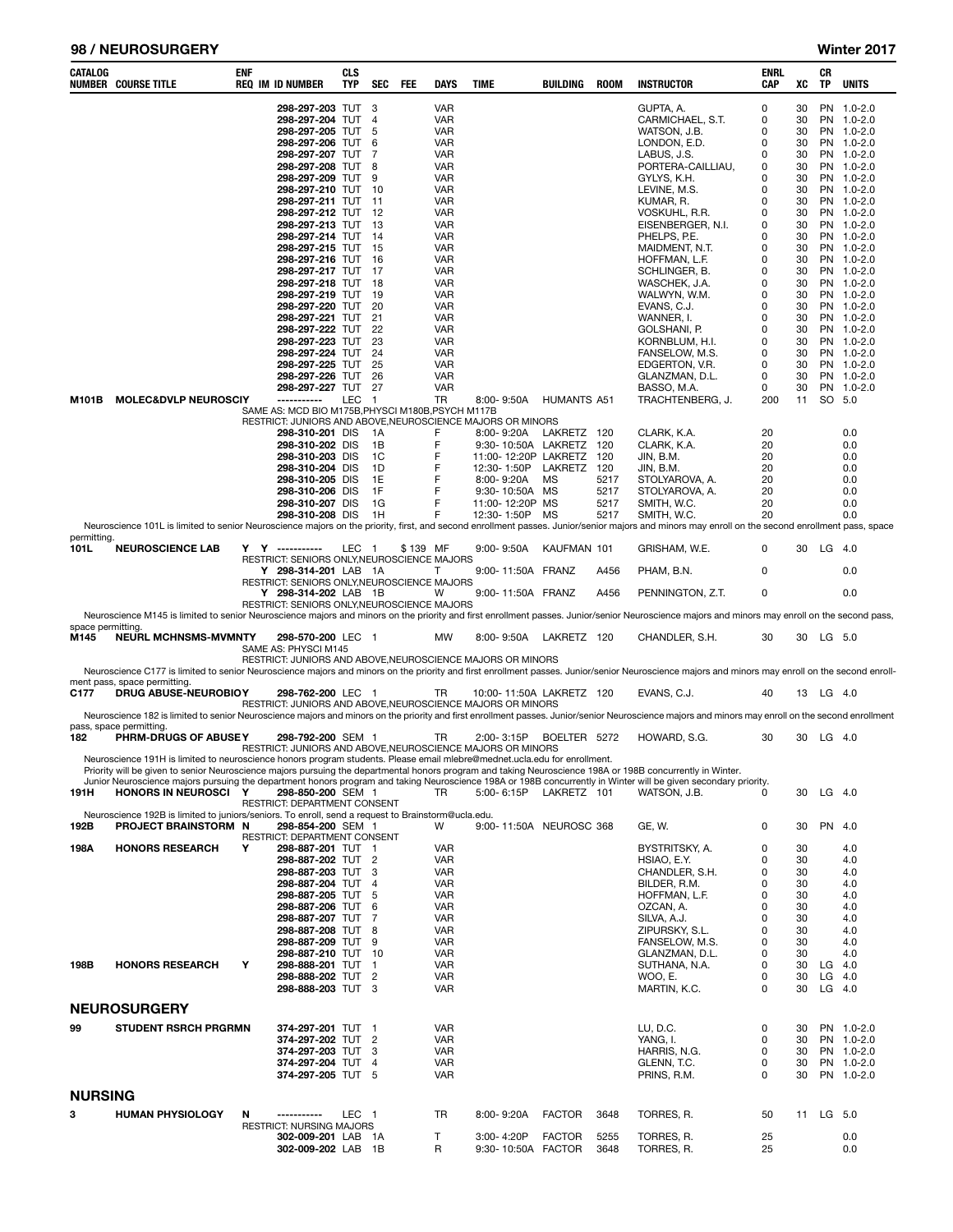#### 98 / NEUROSURGERY Winter 2017

| <b>CATALOG</b>            | <b>NUMBER COURSE TITLE</b>                                                                                                                                                                | enf | <b>REQ IM ID NUMBER</b>                                                                                 | <b>CLS</b><br><b>TYP</b> | SEC                      | FEE      | <b>DAYS</b>                                   | <b>TIME</b> |                                             | BUILDING                                        | <b>ROOM</b>  | <b>INSTRUCTOR</b>                                                                                                                                                                                               | ENRL<br>CAP      | XC                   | CR<br><b>TP</b>      | <b>UNITS</b>                                         |
|---------------------------|-------------------------------------------------------------------------------------------------------------------------------------------------------------------------------------------|-----|---------------------------------------------------------------------------------------------------------|--------------------------|--------------------------|----------|-----------------------------------------------|-------------|---------------------------------------------|-------------------------------------------------|--------------|-----------------------------------------------------------------------------------------------------------------------------------------------------------------------------------------------------------------|------------------|----------------------|----------------------|------------------------------------------------------|
|                           |                                                                                                                                                                                           |     | 298-297-203 TUT 3<br>298-297-204 TUT<br>298-297-205 TUT<br>298-297-206 TUT                              |                          | $\overline{4}$<br>5<br>6 |          | <b>VAR</b><br><b>VAR</b><br><b>VAR</b><br>VAR |             |                                             |                                                 |              | GUPTA, A.<br>CARMICHAEL, S.T.<br>WATSON, J.B.<br>LONDON, E.D.                                                                                                                                                   | 0<br>0<br>0<br>0 | 30<br>30<br>30<br>30 |                      | PN 1.0-2.0<br>PN 1.0-2.0<br>PN 1.0-2.0<br>PN 1.0-2.0 |
|                           |                                                                                                                                                                                           |     | 298-297-207 TUT<br>298-297-208 TUT<br>298-297-209 TUT                                                   |                          | 7<br>8<br>9              |          | VAR<br>VAR<br>VAR                             |             |                                             |                                                 |              | LABUS, J.S.<br>PORTERA-CAILLIAU,<br>GYLYS, K.H.                                                                                                                                                                 | 0<br>0<br>0      | 30<br>30<br>30       |                      | PN 1.0-2.0<br>PN 1.0-2.0<br>PN 1.0-2.0               |
|                           |                                                                                                                                                                                           |     | 298-297-210 TUT 10<br>298-297-211 TUT 11                                                                |                          |                          |          | VAR<br>VAR                                    |             |                                             |                                                 |              | LEVINE, M.S.<br>KUMAR, R.                                                                                                                                                                                       | 0<br>0           | 30<br>30             |                      | PN 1.0-2.0<br>PN 1.0-2.0                             |
|                           |                                                                                                                                                                                           |     | 298-297-212 TUT 12<br>298-297-213 TUT 13                                                                |                          |                          |          | VAR<br>VAR                                    |             |                                             |                                                 |              | VOSKUHL, R.R.<br>EISENBERGER, N.I.                                                                                                                                                                              | 0<br>0           | 30<br>30             |                      | PN 1.0-2.0<br>PN 1.0-2.0                             |
|                           |                                                                                                                                                                                           |     | 298-297-214 TUT 14<br>298-297-215 TUT 15                                                                |                          |                          |          | VAR<br>VAR                                    |             |                                             |                                                 |              | PHELPS, P.E.<br>MAIDMENT, N.T.                                                                                                                                                                                  | 0<br>0           | 30<br>30             |                      | PN 1.0-2.0<br>PN 1.0-2.0                             |
|                           |                                                                                                                                                                                           |     | 298-297-216 TUT 16<br>298-297-217 TUT 17<br>298-297-218 TUT 18                                          |                          |                          |          | VAR<br>VAR<br>VAR                             |             |                                             |                                                 |              | HOFFMAN, L.F.<br>SCHLINGER, B.                                                                                                                                                                                  | 0<br>0<br>0      | 30<br>30<br>30       |                      | PN 1.0-2.0<br>PN 1.0-2.0<br>PN 1.0-2.0               |
|                           |                                                                                                                                                                                           |     | 298-297-219 TUT 19<br>298-297-220 TUT 20                                                                |                          |                          |          | VAR<br>VAR                                    |             |                                             |                                                 |              | WASCHEK, J.A.<br>WALWYN, W.M.<br>EVANS, C.J.                                                                                                                                                                    | 0<br>0           | 30<br>30             |                      | PN 1.0-2.0<br>PN 1.0-2.0                             |
|                           |                                                                                                                                                                                           |     | 298-297-221 TUT 21<br>298-297-222 TUT 22                                                                |                          |                          |          | VAR<br>VAR                                    |             |                                             |                                                 |              | WANNER, I.<br>GOLSHANI, P.                                                                                                                                                                                      | 0<br>0           | 30<br>30             |                      | PN 1.0-2.0<br>PN 1.0-2.0                             |
|                           |                                                                                                                                                                                           |     | 298-297-223 TUT<br>298-297-224 TUT                                                                      |                          | 23<br>-24                |          | VAR<br>VAR                                    |             |                                             |                                                 |              | KORNBLUM, H.I.<br>FANSELOW, M.S.                                                                                                                                                                                | 0<br>0           | 30<br>30             |                      | PN 1.0-2.0<br>PN 1.0-2.0                             |
|                           |                                                                                                                                                                                           |     | 298-297-225 TUT 25<br>298-297-226 TUT 26                                                                |                          |                          |          | VAR<br>VAR                                    |             |                                             |                                                 |              | EDGERTON, V.R.<br>GLANZMAN, D.L.                                                                                                                                                                                | 0<br>0<br>0      | 30<br>30<br>30       |                      | PN 1.0-2.0<br>PN 1.0-2.0                             |
| M101B                     | <b>MOLEC&amp;DVLP NEUROSCIY</b>                                                                                                                                                           |     | 298-297-227 TUT 27<br>------------<br>SAME AS: MCD BIO M175B, PHYSCI M180B, PSYCH M117B                 | LEC                      | $\overline{1}$           |          | <b>VAR</b><br>TR                              |             | 8:00-9:50A                                  | <b>HUMANTS A51</b>                              |              | BASSO, M.A.<br>TRACHTENBERG, J.                                                                                                                                                                                 | 200              | 11                   |                      | PN 1.0-2.0<br>SO 5.0                                 |
|                           |                                                                                                                                                                                           |     | RESTRICT: JUNIORS AND ABOVE, NEUROSCIENCE MAJORS OR MINORS<br>298-310-201 DIS                           |                          | - 1A                     |          | F                                             |             | 8:00-9:20A                                  | LAKRETZ 120                                     |              | CLARK, K.A.                                                                                                                                                                                                     | 20               |                      |                      | 0.0                                                  |
|                           |                                                                                                                                                                                           |     | 298-310-202 DIS<br>298-310-203 DIS                                                                      |                          | 1B<br>1C                 |          | F<br>F                                        |             |                                             | 9:30-10:50A LAKRETZ 120<br>11:00-12:20P LAKRETZ | 120          | CLARK, K.A.<br>JIN, B.M.                                                                                                                                                                                        | 20<br>20         |                      |                      | 0.0<br>0.0                                           |
|                           |                                                                                                                                                                                           |     | 298-310-204 DIS<br>298-310-205 DIS<br>298-310-206 DIS                                                   |                          | 1D<br>1E<br>1F           |          | F<br>F<br>F                                   |             | 12:30-1:50P<br>8:00-9:20A<br>9:30-10:50A MS | LAKRETZ 120<br><b>MS</b>                        | 5217<br>5217 | JIN, B.M.<br>STOLYAROVA, A.<br>STOLYAROVA, A.                                                                                                                                                                   | 20<br>20<br>20   |                      |                      | 0.0<br>0.0<br>0.0                                    |
|                           |                                                                                                                                                                                           |     | 298-310-207 DIS<br>298-310-208 DIS                                                                      |                          | 1G<br>1H                 |          | F<br>F                                        |             | 11:00-12:20P MS<br>12:30-1:50P              | MS                                              | 5217<br>5217 | SMITH, W.C.<br>SMITH, W.C.                                                                                                                                                                                      | 20<br>20         |                      |                      | 0.0<br>0.0                                           |
| permitting.               |                                                                                                                                                                                           |     |                                                                                                         |                          |                          |          |                                               |             |                                             |                                                 |              | Neuroscience 101L is limited to senior Neuroscience majors on the priority, first, and second enrollment passes. Junior/senior majors and minors may enroll on the second enrollment pass, space                |                  |                      |                      |                                                      |
| 101L                      | <b>NEUROSCIENCE LAB</b>                                                                                                                                                                   |     | Y Y ----------<br>RESTRICT: SENIORS ONLY, NEUROSCIENCE MAJORS<br>Y 298-314-201 LAB 1A                   | LEC 1                    |                          | \$139 MF | т                                             |             | $9:00 - 9:50A$                              | KAUFMAN 101<br>9:00-11:50A FRANZ                | A456         | GRISHAM, W.E.<br>PHAM, B.N.                                                                                                                                                                                     | 0<br>0           |                      | 30 LG 4.0            | 0.0                                                  |
|                           |                                                                                                                                                                                           |     | RESTRICT: SENIORS ONLY, NEUROSCIENCE MAJORS<br>Y 298-314-202 LAB 1B                                     |                          |                          |          | W                                             |             |                                             | 9:00-11:50A FRANZ                               | A456         | PENNINGTON, Z.T.                                                                                                                                                                                                | 0                |                      |                      | 0.0                                                  |
|                           |                                                                                                                                                                                           |     | RESTRICT: SENIORS ONLY, NEUROSCIENCE MAJORS                                                             |                          |                          |          |                                               |             |                                             |                                                 |              | Neuroscience M145 is limited to senior Neuroscience majors and minors on the priority and first enrollment passes. Junior/senior Neuroscience majors and minors may enroll on the second pass,                  |                  |                      |                      |                                                      |
| space permitting.<br>M145 | <b>NEURL MCHNSMS-MVMNTY</b>                                                                                                                                                               |     | 298-570-200 LEC 1<br>SAME AS: PHYSCI M145<br>RESTRICT: JUNIORS AND ABOVE, NEUROSCIENCE MAJORS OR MINORS |                          |                          |          | <b>MW</b>                                     |             |                                             | 8:00-9:50A LAKRETZ 120                          |              | CHANDLER, S.H.                                                                                                                                                                                                  | 30               |                      | 30 LG 5.0            |                                                      |
| C177                      | ment pass, space permitting.<br><b>DRUG ABUSE-NEUROBIOY</b>                                                                                                                               |     | 298-762-200 LEC 1                                                                                       |                          |                          |          | TR                                            |             |                                             | 10:00-11:50A LAKRETZ 120                        |              | Neuroscience C177 is limited to senior Neuroscience majors and minors on the priority and first enrollment passes. Junior/senior Neuroscience majors and minors may enroll on the second enroll-<br>EVANS, C.J. | 40               |                      | 13 LG 4.0            |                                                      |
|                           |                                                                                                                                                                                           |     | RESTRICT: JUNIORS AND ABOVE, NEUROSCIENCE MAJORS OR MINORS                                              |                          |                          |          |                                               |             |                                             |                                                 |              | Neuroscience 182 is limited to senior Neuroscience majors and minors on the priority and first enrollment passes. Junior/senior Neuroscience majors and minors may enroll on the second enrollment              |                  |                      |                      |                                                      |
| 182                       | pass, space permitting.<br>PHRM-DRUGS OF ABUSEY<br>Neuroscience 191H is limited to neuroscience honors program students. Please email mlebre@mednet.ucla.edu for enrollment.              |     | 298-792-200 SEM 1<br>RESTRICT: JUNIORS AND ABOVE, NEUROSCIENCE MAJORS OR MINORS                         |                          |                          |          | TR                                            |             | 2:00-3:15P                                  | BOELTER 5272                                    |              | HOWARD, S.G.                                                                                                                                                                                                    | 30               | 30                   | LG 4.0               |                                                      |
| 191H                      | Priority will be given to senior Neuroscience majors pursuing the departmental honors program and taking Neuroscience 198A or 198B concurrently in Winter.<br><b>HONORS IN NEUROSCI Y</b> |     | 298-850-200 SEM 1<br>RESTRICT: DEPARTMENT CONSENT                                                       |                          |                          |          | <b>TR</b>                                     |             |                                             | 5:00-6:15P LAKRETZ 101                          |              | Junior Neuroscience majors pursuing the department honors program and taking Neuroscience 198A or 198B concurrently in Winter will be given secondary priority.<br>WATSON, J.B.                                 | 0                | 30                   | $LG$ 4.0             |                                                      |
| 192B                      | Neuroscience 192B is limited to juniors/seniors. To enroll, send a request to Brainstorm@ucla.edu.<br><b>PROJECT BRAINSTORM N</b>                                                         |     | 298-854-200 SEM 1<br>RESTRICT: DEPARTMENT CONSENT                                                       |                          |                          |          | W                                             |             |                                             | 9:00-11:50A NEUROSC 368                         |              | GE, W.                                                                                                                                                                                                          | 0                | 30                   | PN 4.0               |                                                      |
| 198A                      | <b>HONORS RESEARCH</b>                                                                                                                                                                    | Y   | 298-887-201 TUT 1<br>298-887-202 TUT 2                                                                  |                          |                          |          | <b>VAR</b><br><b>VAR</b>                      |             |                                             |                                                 |              | BYSTRITSKY, A.<br>HSIAO, E.Y.                                                                                                                                                                                   | 0<br>0           | 30<br>30             |                      | 4.0<br>4.0                                           |
|                           |                                                                                                                                                                                           |     | 298-887-203 TUT<br>298-887-204 TUT                                                                      |                          | - 3<br>$\overline{4}$    |          | <b>VAR</b><br><b>VAR</b>                      |             |                                             |                                                 |              | CHANDLER, S.H.<br>BILDER, R.M.                                                                                                                                                                                  | 0<br>0           | 30<br>30             |                      | 4.0<br>4.0                                           |
|                           |                                                                                                                                                                                           |     | 298-887-205 TUT<br>298-887-206 TUT<br>298-887-207 TUT                                                   |                          | 5<br>6<br>-7             |          | <b>VAR</b><br><b>VAR</b><br><b>VAR</b>        |             |                                             |                                                 |              | HOFFMAN, L.F.<br>OZCAN, A.<br>SILVA, A.J.                                                                                                                                                                       | 0<br>0<br>0      | 30<br>30<br>30       |                      | 4.0<br>4.0<br>4.0                                    |
|                           |                                                                                                                                                                                           |     | 298-887-208 TUT<br>298-887-209 TUT                                                                      |                          | -8<br>-9                 |          | VAR<br><b>VAR</b>                             |             |                                             |                                                 |              | ZIPURSKY, S.L.<br>FANSELOW, M.S.                                                                                                                                                                                | 0<br>0           | 30<br>30             |                      | 4.0<br>4.0                                           |
| 198B                      | <b>HONORS RESEARCH</b>                                                                                                                                                                    | Y   | 298-887-210 TUT 10<br>298-888-201 TUT                                                                   |                          | $\overline{1}$           |          | VAR<br><b>VAR</b>                             |             |                                             |                                                 |              | GLANZMAN, D.L.<br>SUTHANA, N.A.                                                                                                                                                                                 | 0<br>0           | 30<br>30             | $LG$ 4.0             | 4.0                                                  |
|                           |                                                                                                                                                                                           |     | 298-888-202 TUT 2<br>298-888-203 TUT 3                                                                  |                          |                          |          | <b>VAR</b><br><b>VAR</b>                      |             |                                             |                                                 |              | WOO, E.<br>MARTIN, K.C.                                                                                                                                                                                         | 0<br>0           | 30<br>30             | $LG$ 4.0<br>$LG$ 4.0 |                                                      |
|                           | <b>NEUROSURGERY</b>                                                                                                                                                                       |     |                                                                                                         |                          |                          |          |                                               |             |                                             |                                                 |              |                                                                                                                                                                                                                 |                  |                      |                      |                                                      |
| 99                        | <b>STUDENT RSRCH PRGRMN</b>                                                                                                                                                               |     | 374-297-201 TUT 1<br>374-297-202 TUT                                                                    |                          | $\overline{2}$           |          | <b>VAR</b><br><b>VAR</b>                      |             |                                             |                                                 |              | LU, D.C.<br>YANG, I.                                                                                                                                                                                            | 0<br>0           | 30<br>30             |                      | PN 1.0-2.0<br>PN 1.0-2.0                             |
|                           |                                                                                                                                                                                           |     | 374-297-203 TUT<br>374-297-204 TUT<br>374-297-205 TUT 5                                                 |                          | -3<br>$\overline{4}$     |          | <b>VAR</b><br>VAR<br>VAR                      |             |                                             |                                                 |              | HARRIS, N.G.<br>GLENN, T.C.<br>PRINS, R.M.                                                                                                                                                                      | 0<br>0<br>0      | 30<br>30<br>30       |                      | PN 1.0-2.0<br>PN 1.0-2.0<br>PN 1.0-2.0               |
| <b>NURSING</b>            |                                                                                                                                                                                           |     |                                                                                                         |                          |                          |          |                                               |             |                                             |                                                 |              |                                                                                                                                                                                                                 |                  |                      |                      |                                                      |
| з                         | <b>HUMAN PHYSIOLOGY</b>                                                                                                                                                                   | N   | -----------<br><b>RESTRICT: NURSING MAJORS</b>                                                          | LEC <sub>1</sub>         |                          |          | TR                                            |             | 8:00-9:20A                                  | <b>FACTOR</b>                                   | 3648         | TORRES, R.                                                                                                                                                                                                      | 50               |                      | 11 LG 5.0            |                                                      |
|                           |                                                                                                                                                                                           |     | <b>302-009-201 LAB 1A</b><br>302-009-202 LAB 1B                                                         |                          |                          |          | T<br>R                                        |             | $3:00 - 4:20P$                              | <b>FACTOR</b><br>9:30-10:50A FACTOR             | 5255<br>3648 | TORRES, R.<br>TORRES, R.                                                                                                                                                                                        | 25<br>25         |                      |                      | 0.0<br>0.0                                           |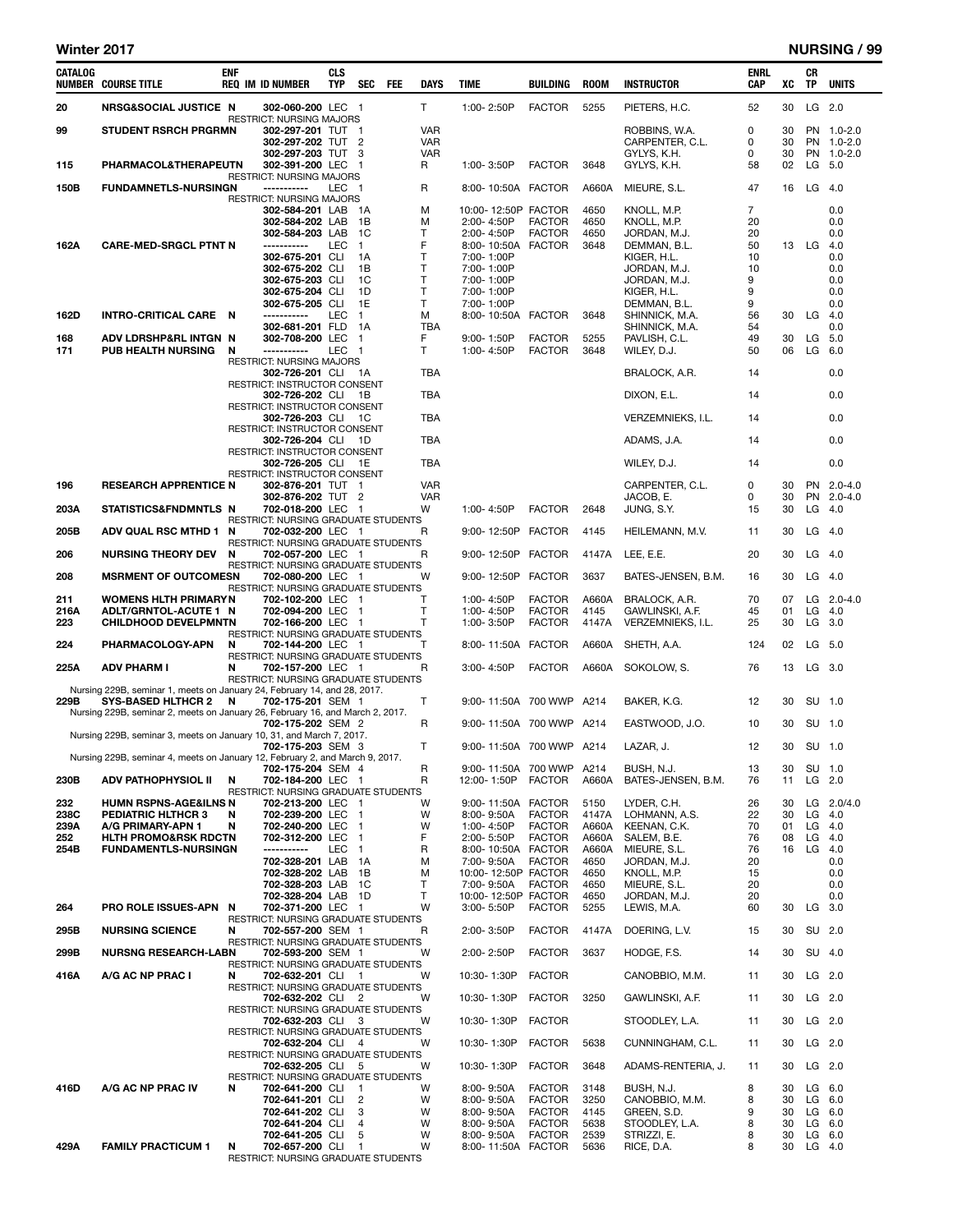÷

| CATALOG      | <b>NUMBER COURSE TITLE</b>                                                                            | <b>ENF</b> | <b>REQ IM ID NUMBER</b>                                  | <b>CLS</b><br><b>TYP</b> | SEC                          | FEE | <b>DAYS</b>              | <b>TIME</b>                       | BUILDING                       | <b>ROOM</b>    | <b>INSTRUCTOR</b>                | <b>ENRL</b><br><b>CAP</b> | XC       | CR<br>TP  | <b>UNITS</b>              |
|--------------|-------------------------------------------------------------------------------------------------------|------------|----------------------------------------------------------|--------------------------|------------------------------|-----|--------------------------|-----------------------------------|--------------------------------|----------------|----------------------------------|---------------------------|----------|-----------|---------------------------|
| 20           | <b>NRSG&amp;SOCIAL JUSTICE N</b>                                                                      |            | 302-060-200 LEC 1                                        |                          |                              |     | T.                       | 1:00-2:50P                        | <b>FACTOR</b>                  | 5255           | PIETERS, H.C.                    | 52                        | 30       |           | LG 2.0                    |
| 99           | <b>STUDENT RSRCH PRGRMN</b>                                                                           |            | RESTRICT: NURSING MAJORS<br>302-297-201 TUT 1            |                          |                              |     | <b>VAR</b>               |                                   |                                |                | ROBBINS, W.A.                    | 0                         | 30       |           | PN 1.0-2.0                |
|              |                                                                                                       |            | 302-297-202 TUT 2<br>302-297-203 TUT                     |                          | 3                            |     | <b>VAR</b><br><b>VAR</b> |                                   |                                |                | CARPENTER, C.L.<br>GYLYS, K.H.   | 0<br>$\Omega$             | 30<br>30 | PN        | PN 1.0-2.0<br>$1.0 - 2.0$ |
| 115          | PHARMACOL&THERAPEUTN                                                                                  |            | 302-391-200 LEC<br>RESTRICT: NURSING MAJORS              |                          | $\overline{1}$               |     | R                        | 1:00-3:50P                        | <b>FACTOR</b>                  | 3648           | GYLYS, K.H.                      | 58                        | 02       | LG        | 5.0                       |
| 150B         | <b>FUNDAMNETLS-NURSINGN</b>                                                                           |            | -----------<br><b>RESTRICT: NURSING MAJORS</b>           | LEC 1                    |                              |     | R                        | 8:00-10:50A FACTOR                |                                | A660A          | MIEURE, S.L.                     | 47                        | 16       |           | LG 4.0                    |
|              |                                                                                                       |            | 302-584-201 LAB<br>302-584-202 LAB                       |                          | - 1 A<br>1B                  |     | M<br>M                   | 10:00-12:50P FACTOR<br>2:00-4:50P | <b>FACTOR</b>                  | 4650<br>4650   | KNOLL, M.P.<br>KNOLL, M.P.       | $\overline{7}$<br>20      |          |           | 0.0<br>0.0                |
| 162A         | <b>CARE-MED-SRGCL PTNT N</b>                                                                          |            | 302-584-203 LAB<br>-----------                           | LEC                      | 1C<br>$\mathbf{1}$           |     | т<br>F                   | 2:00-4:50P<br>8:00-10:50A FACTOR  | <b>FACTOR</b>                  | 4650<br>3648   | JORDAN, M.J.<br>DEMMAN, B.L.     | 20<br>50                  |          | 13 LG     | 0.0<br>4.0                |
|              |                                                                                                       |            | 302-675-201 CLI<br>302-675-202 CLI                       |                          | 1A<br>1B                     |     | $\mathsf{T}$<br>T        | 7:00-1:00P<br>7:00-1:00P          |                                |                | KIGER, H.L.<br>JORDAN, M.J.      | 10<br>10                  |          |           | 0.0<br>0.0                |
|              |                                                                                                       |            | 302-675-203 CLI                                          |                          | 1C                           |     | $\mathsf{T}$             | 7:00-1:00P                        |                                |                | JORDAN, M.J.                     | 9                         |          |           | 0.0                       |
|              |                                                                                                       |            | 302-675-204 CLI<br>302-675-205 CLI                       |                          | 1D<br>1E                     |     | Т<br>T                   | 7:00-1:00P<br>7:00-1:00P          |                                |                | KIGER, H.L.<br>DEMMAN, B.L.      | 9<br>9                    |          |           | 0.0<br>0.0                |
| 162D         | INTRO-CRITICAL CARE N                                                                                 |            | -----------<br>302-681-201 FLD                           | LEC                      | 1<br>1A                      |     | М<br>TBA                 | 8:00-10:50A FACTOR                |                                | 3648           | SHINNICK, M.A.<br>SHINNICK, M.A. | 56<br>54                  | 30       | LG        | 4.0<br>0.0                |
| 168<br>171   | ADV LDRSHP&RL INTGN N<br><b>PUB HEALTH NURSING</b>                                                    | N          | 302-708-200 LEC<br>-----------                           | <b>LEC</b>               | 1<br>-1                      |     | F<br>т                   | 9:00-1:50P<br>1:00-4:50P          | <b>FACTOR</b><br><b>FACTOR</b> | 5255<br>3648   | PAVLISH, C.L.<br>WILEY, D.J.     | 49<br>50                  | 30<br>06 | LG<br>LG  | 5.0<br>6.0                |
|              |                                                                                                       |            | RESTRICT: NURSING MAJORS<br>302-726-201 CLI 1A           |                          |                              |     | TBA                      |                                   |                                |                | BRALOCK, A.R.                    | 14                        |          |           | 0.0                       |
|              |                                                                                                       |            | RESTRICT: INSTRUCTOR CONSENT<br>302-726-202 CLI 1B       |                          |                              |     | <b>TBA</b>               |                                   |                                |                | DIXON, E.L.                      | 14                        |          |           | 0.0                       |
|              |                                                                                                       |            | RESTRICT: INSTRUCTOR CONSENT<br>302-726-203 CLI 1C       |                          |                              |     | TBA                      |                                   |                                |                | VERZEMNIEKS, I.L.                | 14                        |          |           | 0.0                       |
|              |                                                                                                       |            | RESTRICT: INSTRUCTOR CONSENT<br>302-726-204 CLI 1D       |                          |                              |     | TBA                      |                                   |                                |                | ADAMS, J.A.                      | 14                        |          |           | 0.0                       |
|              |                                                                                                       |            | RESTRICT: INSTRUCTOR CONSENT<br>302-726-205 CLI 1E       |                          |                              |     | TBA                      |                                   |                                |                | WILEY, D.J.                      | 14                        |          |           | 0.0                       |
| 196          | <b>RESEARCH APPRENTICE N</b>                                                                          |            | RESTRICT: INSTRUCTOR CONSENT<br>302-876-201 TUT 1        |                          |                              |     | <b>VAR</b>               |                                   |                                |                | CARPENTER. C.L.                  | 0                         | 30       | <b>PN</b> | $2.0 - 4.0$               |
|              |                                                                                                       |            | 302-876-202 TUT 2                                        |                          |                              |     | <b>VAR</b>               |                                   |                                |                | JACOB, E.                        | 0                         | 30       | PN        | $2.0 - 4.0$               |
| 203A         | STATISTICS&FNDMNTLS N                                                                                 |            | 702-018-200 LEC 1<br>RESTRICT: NURSING GRADUATE STUDENTS |                          |                              |     | w                        | 1:00-4:50P                        | <b>FACTOR</b>                  | 2648           | JUNG, S.Y.                       | 15                        | 30       | LG        | 4.0                       |
| 205B         | ADV QUAL RSC MTHD 1 N                                                                                 |            | 702-032-200 LEC 1<br>RESTRICT: NURSING GRADUATE STUDENTS |                          |                              |     | R                        | 9:00-12:50P                       | <b>FACTOR</b>                  | 4145           | HEILEMANN, M.V.                  | 11                        | 30       | LG        | 4.0                       |
| 206          | <b>NURSING THEORY DEV</b>                                                                             | N          | 702-057-200 LEC 1<br>RESTRICT: NURSING GRADUATE STUDENTS |                          |                              |     | R                        | 9:00-12:50P FACTOR                |                                | 4147A          | LEE, E.E.                        | 20                        | 30       | LG        | - 4.0                     |
| 208          | <b>MSRMENT OF OUTCOMESN</b>                                                                           |            | 702-080-200 LEC 1<br>RESTRICT: NURSING GRADUATE STUDENTS |                          |                              |     | W                        | 9:00-12:50P                       | <b>FACTOR</b>                  | 3637           | BATES-JENSEN, B.M.               | 16                        | 30       | LG        | 4.0                       |
| 211<br>216A  | <b>WOMENS HLTH PRIMARYN</b><br>ADLT/GRNTOL-ACUTE 1 N                                                  |            | 702-102-200 LEC<br>702-094-200 LEC                       |                          | - 1<br>$\overline{1}$        |     | т<br>$\mathsf{T}$        | 1:00-4:50P<br>1:00-4:50P          | <b>FACTOR</b><br><b>FACTOR</b> | A660A<br>4145  | BRALOCK, A.R.<br>GAWLINSKI, A.F. | 70<br>45                  | 07<br>01 | LG        | LG 2.0-4.0<br>4.0         |
| 223          | <b>CHILDHOOD DEVELPMNTN</b>                                                                           |            | 702-166-200 LEC 1<br>RESTRICT: NURSING GRADUATE STUDENTS |                          |                              |     | т                        | 1:00-3:50P                        | <b>FACTOR</b>                  | 4147A          | VERZEMNIEKS, I.L.                | 25                        | 30       | LG        | 3.0                       |
| 224          | PHARMACOLOGY-APN                                                                                      | N          | 702-144-200 LEC 1<br>RESTRICT: NURSING GRADUATE STUDENTS |                          |                              |     | т                        | 8:00-11:50A FACTOR                |                                | A660A          | SHETH, A.A.                      | 124                       | 02       |           | LG 5.0                    |
| 225A         | <b>ADV PHARM I</b>                                                                                    | N          | 702-157-200 LEC 1<br>RESTRICT: NURSING GRADUATE STUDENTS |                          |                              |     | R                        | 3:00-4:50P                        | <b>FACTOR</b>                  | A660A          | SOKOLOW, S.                      | 76                        | 13       |           | LG 3.0                    |
| 229B         | Nursing 229B, seminar 1, meets on January 24, February 14, and 28, 2017.<br><b>SYS-BASED HLTHCR 2</b> | N          | 702-175-201 SEM 1                                        |                          |                              |     | т                        | 9:00-11:50A 700 WWP               |                                | A214           | BAKER, K.G.                      | 12                        | 30       | SU        | 1.0                       |
|              | Nursing 229B, seminar 2, meets on January 26, February 16, and March 2, 2017.                         |            | 702-175-202 SEM 2                                        |                          |                              |     | R                        | 9:00-11:50A 700 WWP               |                                | A214           | EASTWOOD, J.O.                   | 10                        | 30       |           | SU 1.0                    |
|              | Nursing 229B, seminar 3, meets on January 10, 31, and March 7, 2017.                                  |            | 702-175-203 SEM 3                                        |                          |                              |     | T                        | 9:00-11:50A 700 WWP A214          |                                |                | LAZAR, J.                        | 12                        | 30       |           | SU 1.0                    |
|              | Nursing 229B, seminar 4, meets on January 12, February 2, and March 9, 2017.                          |            | 702-175-204 SEM 4                                        |                          |                              |     | R                        | 9:00-11:50A 700 WWP               |                                | A214           | BUSH, N.J.                       | 13                        | 30       |           | SU 1.0                    |
| 230B         | ADV PATHOPHYSIOL II                                                                                   | N          | 702-184-200 LEC 1                                        |                          |                              |     | R                        | 12:00-1:50P                       | <b>FACTOR</b>                  | A660A          | BATES-JENSEN, B.M.               | 76                        | 11       |           | $LG$ 2.0                  |
| 232          | <b>HUMN RSPNS-AGE&amp;ILNS N</b>                                                                      |            | RESTRICT: NURSING GRADUATE STUDENTS<br>702-213-200 LEC 1 |                          |                              |     | w                        | 9:00-11:50A FACTOR                |                                | 5150           | LYDER, C.H.                      | 26                        | 30       |           | LG 2.0/4.0                |
| 238C<br>239A | <b>PEDIATRIC HLTHCR 3</b><br>A/G PRIMARY-APN 1                                                        | N<br>N     | 702-239-200 LEC<br>702-240-200 LEC                       |                          | $\mathbf{1}$<br>$\mathbf{1}$ |     | W<br>W                   | 8:00-9:50A<br>1:00-4:50P          | <b>FACTOR</b><br><b>FACTOR</b> | 4147A<br>A660A | LOHMANN, A.S.<br>KEENAN, C.K.    | 22<br>70                  | 30<br>01 | LG<br>LG  | 4.0<br>4.0                |
| 252<br>254B  | <b>HLTH PROMO&amp;RSK RDCTN</b><br><b>FUNDAMENTLS-NURSINGN</b>                                        |            | 702-312-200 LEC<br>-----------                           | LEC                      | 1<br>1                       |     | F<br>R                   | 2:00-5:50P<br>8:00-10:50A FACTOR  | <b>FACTOR</b>                  | A660A<br>A660A | SALEM, B.E.<br>MIEURE, S.L.      | 76<br>76                  | 08<br>16 | LG<br>LG  | -4.0<br>4.0               |
|              |                                                                                                       |            | 702-328-201 LAB<br>702-328-202 LAB                       |                          | 1A<br>1В                     |     | M<br>M                   | 7:00-9:50A<br>10:00-12:50P FACTOR | <b>FACTOR</b>                  | 4650<br>4650   | JORDAN, M.J.<br>KNOLL, M.P.      | 20<br>15                  |          |           | 0.0<br>0.0                |
|              |                                                                                                       |            | 702-328-203 LAB<br>702-328-204 LAB                       |                          | 1C<br>1D                     |     | т<br>т                   | 7:00-9:50A<br>10:00-12:50P FACTOR | <b>FACTOR</b>                  | 4650<br>4650   | MIEURE, S.L.<br>JORDAN, M.J.     | 20<br>20                  |          |           | 0.0<br>0.0                |
| 264          | PRO ROLE ISSUES-APN N                                                                                 |            | 702-371-200 LEC 1<br>RESTRICT: NURSING GRADUATE STUDENTS |                          |                              |     | W                        | 3:00-5:50P                        | <b>FACTOR</b>                  | 5255           | LEWIS, M.A.                      | 60                        | 30       | LG        | 3.0                       |
| 295B         | <b>NURSING SCIENCE</b>                                                                                | N          | 702-557-200 SEM 1<br>RESTRICT: NURSING GRADUATE STUDENTS |                          |                              |     | R                        | 2:00-3:50P                        | <b>FACTOR</b>                  | 4147A          | DOERING, L.V.                    | 15                        | 30       |           | SU 2.0                    |
| 299B         | <b>NURSNG RESEARCH-LABN</b>                                                                           |            | 702-593-200 SEM 1<br>RESTRICT: NURSING GRADUATE STUDENTS |                          |                              |     | w                        | 2:00-2:50P                        | <b>FACTOR</b>                  | 3637           | HODGE, F.S.                      | 14                        | 30       |           | SU 4.0                    |
| 416A         | A/G AC NP PRAC I                                                                                      | N          | 702-632-201 CLI 1                                        |                          |                              |     | w                        | 10:30-1:30P                       | <b>FACTOR</b>                  |                | CANOBBIO, M.M.                   | 11                        | 30       |           | $LG$ 2.0                  |
|              |                                                                                                       |            | RESTRICT: NURSING GRADUATE STUDENTS<br>702-632-202 CLI 2 |                          |                              |     | W                        | 10:30-1:30P                       | <b>FACTOR</b>                  | 3250           | GAWLINSKI, A.F.                  | 11                        | 30       |           | $LG$ 2.0                  |
|              |                                                                                                       |            | RESTRICT: NURSING GRADUATE STUDENTS<br>702-632-203 CLI 3 |                          |                              |     | w                        | 10:30-1:30P                       | <b>FACTOR</b>                  |                | STOODLEY, L.A.                   | 11                        | 30       |           | $LG$ 2.0                  |
|              |                                                                                                       |            | RESTRICT: NURSING GRADUATE STUDENTS<br>702-632-204 CLI 4 |                          |                              |     | W                        | 10:30-1:30P                       | <b>FACTOR</b>                  | 5638           | CUNNINGHAM, C.L.                 | 11                        | 30       | LG        | 2.0                       |
|              |                                                                                                       |            | RESTRICT: NURSING GRADUATE STUDENTS<br>702-632-205 CLI 5 |                          |                              |     | W                        | 10:30-1:30P                       | <b>FACTOR</b>                  | 3648           | ADAMS-RENTERIA, J.               | 11                        | 30       |           | $LG$ 2.0                  |
| 416D         | A/G AC NP PRAC IV                                                                                     | N          | RESTRICT: NURSING GRADUATE STUDENTS<br>702-641-200 CLI   |                          | $\overline{1}$               |     | w                        | 8:00-9:50A                        | <b>FACTOR</b>                  | 3148           | BUSH, N.J.                       | 8                         | 30       |           | $LG$ 6.0                  |
|              |                                                                                                       |            | 702-641-201 CLI<br>702-641-202 CLI                       |                          | 2<br>3                       |     | w<br>w                   | 8:00-9:50A<br>8:00-9:50A          | <b>FACTOR</b><br><b>FACTOR</b> | 3250<br>4145   | CANOBBIO, M.M.<br>GREEN, S.D.    | 8<br>9                    | 30<br>30 |           | $LG$ 6.0<br>$LG$ 6.0      |
|              |                                                                                                       |            | 702-641-204 CLI<br>702-641-205 CLI                       |                          | 4<br>5                       |     | w<br>w                   | 8:00-9:50A<br>8:00-9:50A          | <b>FACTOR</b><br><b>FACTOR</b> | 5638<br>2539   | STOODLEY, L.A.<br>STRIZZI, E.    | 8<br>8                    | 30<br>30 | LG        | 6.0<br>$LG$ 6.0           |
| 429A         | <b>FAMILY PRACTICUM 1</b>                                                                             | N          | 702-657-200 CLI<br>RESTRICT: NURSING GRADUATE STUDENTS   |                          | -1                           |     | W                        | 8:00-11:50A FACTOR                |                                | 5636           | RICE, D.A.                       | 8                         | 30       |           | $LG$ 4.0                  |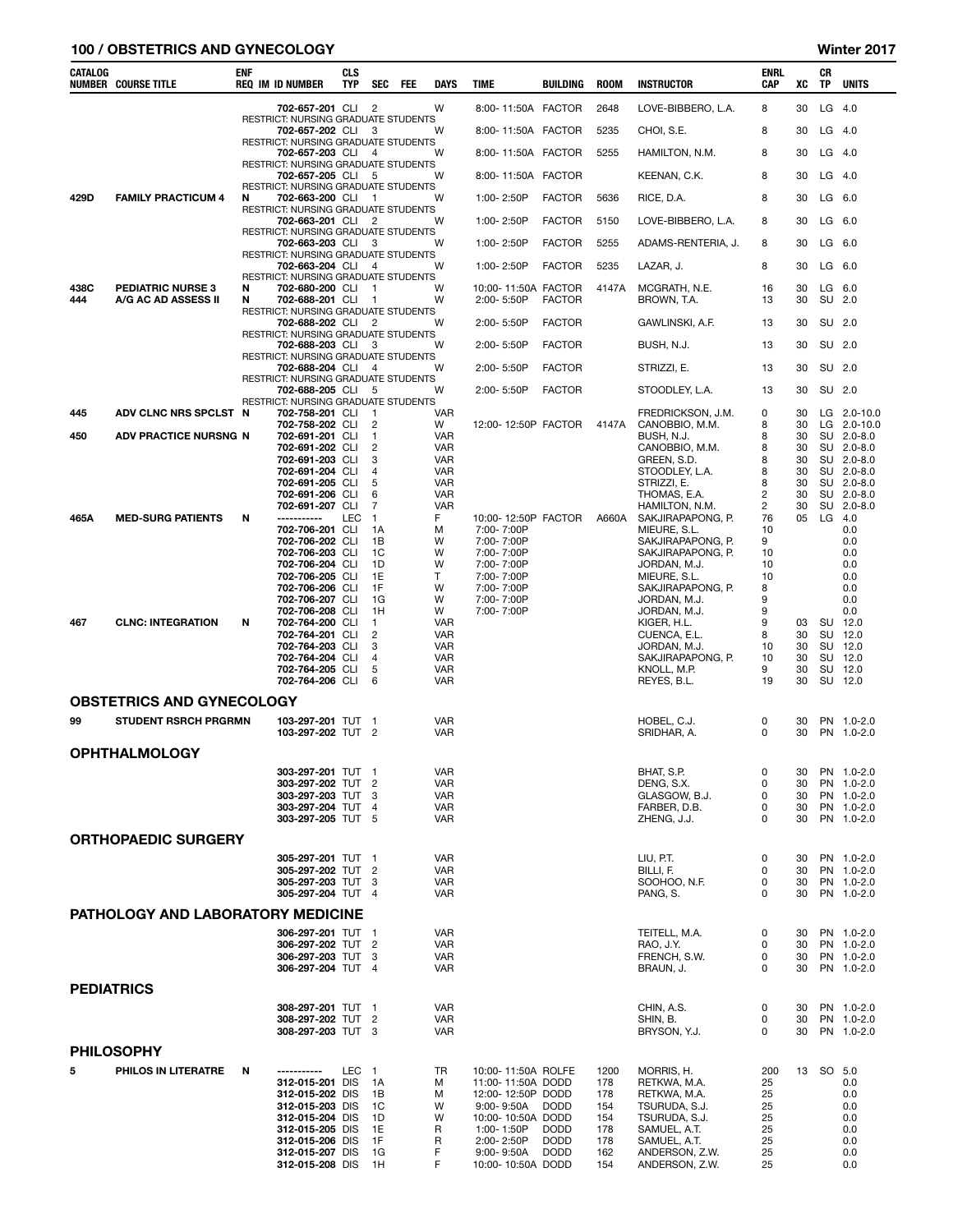### 100 / OBSTETRICS AND GYNECOLOGY **Winter 2017**

| CATALOG           | <b>NUMBER COURSE TITLE</b>                                      | <b>ENF</b> | <b>REQ IM ID NUMBER</b>                                | <b>CLS</b><br><b>TYP</b> | <b>SEC</b>               | FEE | <b>DAYS</b>              | <b>TIME</b>                            | BUILDING                   | <b>ROOM</b> | <b>INSTRUCTOR</b>                   | ENRL<br>CAP          | xс       | CR<br>TP        | <b>UNITS</b>                 |
|-------------------|-----------------------------------------------------------------|------------|--------------------------------------------------------|--------------------------|--------------------------|-----|--------------------------|----------------------------------------|----------------------------|-------------|-------------------------------------|----------------------|----------|-----------------|------------------------------|
|                   |                                                                 |            | 702-657-201 CLI                                        |                          | $\overline{2}$           |     | W                        | 8:00-11:50A FACTOR                     |                            | 2648        | LOVE-BIBBERO, L.A.                  | 8                    | 30       | LG              | 4.0                          |
|                   |                                                                 |            | RESTRICT: NURSING GRADUATE STUDENTS<br>702-657-202 CLI |                          | -3                       |     | W                        | 8:00-11:50A FACTOR                     |                            | 5235        | CHOI, S.E.                          | 8                    | 30       | LG              | 4.0                          |
|                   |                                                                 |            | RESTRICT: NURSING GRADUATE STUDENTS<br>702-657-203 CLI |                          | 4                        |     | W                        | 8:00-11:50A FACTOR                     |                            | 5255        | HAMILTON, N.M.                      | 8                    | 30       | LG              | 4.0                          |
|                   |                                                                 |            | RESTRICT: NURSING GRADUATE STUDENTS<br>702-657-205 CLI |                          | -5                       |     | W                        | 8:00-11:50A FACTOR                     |                            |             | KEENAN, C.K.                        | 8                    | 30       |                 | $LG$ 4.0                     |
| 429D              | <b>FAMILY PRACTICUM 4</b>                                       | N          | RESTRICT: NURSING GRADUATE STUDENTS<br>702-663-200 CLI |                          | -1                       |     | w                        | 1:00-2:50P                             | <b>FACTOR</b>              | 5636        | RICE, D.A.                          | 8                    | 30       | LG              | 6.0                          |
|                   |                                                                 |            | RESTRICT: NURSING GRADUATE STUDENTS<br>702-663-201 CLI |                          | 2                        |     | W                        | 1:00-2:50P                             | <b>FACTOR</b>              | 5150        | LOVE-BIBBERO, L.A.                  | 8                    | 30       |                 | $LG$ 6.0                     |
|                   |                                                                 |            | RESTRICT: NURSING GRADUATE STUDENTS<br>702-663-203 CLI |                          | 3                        |     | W                        | 1:00-2:50P                             | <b>FACTOR</b>              | 5255        | ADAMS-RENTERIA, J.                  | 8                    | 30       | LG              | 6.0                          |
|                   |                                                                 |            | RESTRICT: NURSING GRADUATE STUDENTS<br>702-663-204 CLI |                          | 4                        |     | W                        | 1:00-2:50P                             | <b>FACTOR</b>              | 5235        | LAZAR, J.                           | 8                    | 30       | LG              | -6.0                         |
| 438C              | <b>PEDIATRIC NURSE 3</b>                                        | N          | RESTRICT: NURSING GRADUATE STUDENTS<br>702-680-200 CLI |                          | -1                       |     | W                        | 10:00-11:50A FACTOR                    |                            | 4147A       | MCGRATH, N.E.                       | 16                   | 30       | LG              | 6.0                          |
| 444               | A/G AC AD ASSESS II                                             | N          | 702-688-201 CLI<br>RESTRICT: NURSING GRADUATE STUDENTS |                          | $\mathbf{1}$             |     | W                        | 2:00-5:50P                             | <b>FACTOR</b>              |             | BROWN, T.A.                         | 13                   | 30       | SU              | 2.0                          |
|                   |                                                                 |            | 702-688-202 CLI<br>RESTRICT: NURSING GRADUATE STUDENTS |                          | 2                        |     | W                        | $2:00 - 5:50P$                         | <b>FACTOR</b>              |             | GAWLINSKI, A.F.                     | 13                   | 30       |                 | SU 2.0                       |
|                   |                                                                 |            | 702-688-203 CLI<br>RESTRICT: NURSING GRADUATE STUDENTS |                          | 3                        |     | w                        | $2:00 - 5:50P$                         | <b>FACTOR</b>              |             | BUSH, N.J.                          | 13                   | 30       |                 | SU 2.0                       |
|                   |                                                                 |            | 702-688-204 CLI<br>RESTRICT: NURSING GRADUATE STUDENTS |                          | 4                        |     | W                        | 2:00-5:50P                             | <b>FACTOR</b>              |             | STRIZZI, E.                         | 13                   | 30       |                 | SU 2.0                       |
|                   |                                                                 |            | 702-688-205 CLI<br>RESTRICT: NURSING GRADUATE STUDENTS |                          | -5                       |     | W                        | 2:00-5:50P                             | <b>FACTOR</b>              |             | STOODLEY, L.A.                      | 13                   | 30       |                 | SU 2.0                       |
| 445               | ADV CLNC NRS SPCLST N                                           |            | 702-758-201 CLI<br>702-758-202 CLI                     |                          | -1<br>$\overline{2}$     |     | <b>VAR</b><br>W          | 12:00-12:50P FACTOR                    |                            | 4147A       | FREDRICKSON, J.M.<br>CANOBBIO, M.M. | 0<br>8               | 30<br>30 | LG<br>LG.       | $2.0 - 10.0$<br>$2.0 - 10.0$ |
| 450               | ADV PRACTICE NURSNG N                                           |            | 702-691-201 CLI<br>702-691-202 CLI                     |                          | 1<br>2                   |     | <b>VAR</b><br><b>VAR</b> |                                        |                            |             | BUSH, N.J.<br>CANOBBIO, M.M.        | 8<br>8               | 30<br>30 |                 | SU 2.0-8.0<br>SU 2.0-8.0     |
|                   |                                                                 |            | 702-691-203 CLI<br>702-691-204 CLI                     |                          | 3<br>4                   |     | <b>VAR</b><br><b>VAR</b> |                                        |                            |             | GREEN, S.D.<br>STOODLEY, L.A.       | 8<br>8               | 30<br>30 |                 | SU 2.0-8.0<br>SU 2.0-8.0     |
|                   |                                                                 |            | 702-691-205 CLI<br>702-691-206 CLI                     |                          | 5<br>6                   |     | <b>VAR</b><br><b>VAR</b> |                                        |                            |             | STRIZZI, E.<br>THOMAS, E.A.         | 8<br>$\overline{c}$  | 30<br>30 |                 | SU 2.0-8.0<br>SU 2.0-8.0     |
| 465A              | <b>MED-SURG PATIENTS</b>                                        | N          | 702-691-207 CLI<br>------------                        | LEC                      | 7<br>$\mathbf{1}$        |     | <b>VAR</b><br>F          | 10:00-12:50P FACTOR                    |                            | A660A       | HAMILTON, N.M.<br>SAKJIRAPAPONG, P. | $\overline{c}$<br>76 | 30<br>05 | <b>SU</b><br>LG | $2.0 - 8.0$<br>4.0           |
|                   |                                                                 |            | 702-706-201 CLI<br>702-706-202 CLI                     |                          | 1A<br>1B                 |     | М<br>W                   | 7:00-7:00P<br>7:00-7:00P               |                            |             | MIEURE, S.L.<br>SAKJIRAPAPONG, P.   | 10<br>9              |          |                 | 0.0<br>0.0                   |
|                   |                                                                 |            | 702-706-203 CLI                                        |                          | 1C                       |     | W<br>W                   | 7:00-7:00P                             |                            |             | SAKJIRAPAPONG, P.                   | 10<br>10             |          |                 | 0.0                          |
|                   |                                                                 |            | 702-706-204 CLI<br>702-706-205 CLI                     |                          | 1D<br>1E                 |     | T.                       | 7:00-7:00P<br>7:00-7:00P               |                            |             | JORDAN, M.J.<br>MIEURE, S.L.        | 10                   |          |                 | 0.0<br>0.0                   |
|                   |                                                                 |            | 702-706-206 CLI<br>702-706-207 CLI                     |                          | 1F<br>1G                 |     | W<br>W                   | 7:00-7:00P<br>7:00-7:00P               |                            |             | SAKJIRAPAPONG, P.<br>JORDAN, M.J.   | 8<br>9               |          |                 | 0.0<br>0.0                   |
| 467               | <b>CLNC: INTEGRATION</b>                                        | N          | 702-706-208 CLI<br>702-764-200 CLI                     |                          | 1H<br>1                  |     | W<br><b>VAR</b>          | 7:00-7:00P                             |                            |             | JORDAN, M.J.<br>KIGER, H.L.         | 9<br>9               | 03       | SU              | 0.0<br>12.0                  |
|                   |                                                                 |            | 702-764-201 CLI<br>702-764-203 CLI                     |                          | $\overline{2}$<br>3      |     | <b>VAR</b><br><b>VAR</b> |                                        |                            |             | CUENCA, E.L.<br>JORDAN, M.J.        | 8<br>10              | 30<br>30 | SU<br>SU        | 12.0<br>12.0                 |
|                   |                                                                 |            | 702-764-204 CLI<br>702-764-205 CLI                     |                          | 4<br>5                   |     | <b>VAR</b><br><b>VAR</b> |                                        |                            |             | SAKJIRAPAPONG, P.<br>KNOLL, M.P.    | 10<br>9              | 30<br>30 | SU<br>SU        | 12.0<br>12.0                 |
|                   |                                                                 |            | 702-764-206 CLI                                        |                          | 6                        |     | VAR                      |                                        |                            |             | REYES, B.L.                         | 19                   | 30       |                 | SU 12.0                      |
| 99                | <b>OBSTETRICS AND GYNECOLOGY</b><br><b>STUDENT RSRCH PRGRMN</b> |            | 103-297-201 TUT                                        |                          | -1                       |     | VAR                      |                                        |                            |             | HOBEL, C.J.                         | 0                    | 30       |                 | PN 1.0-2.0                   |
|                   |                                                                 |            | 103-297-202 TUT 2                                      |                          |                          |     | VAR                      |                                        |                            |             | SRIDHAR, A.                         | 0                    | 30       |                 | PN 1.0-2.0                   |
|                   | <b>OPHTHALMOLOGY</b>                                            |            |                                                        |                          |                          |     |                          |                                        |                            |             |                                     |                      |          |                 |                              |
|                   |                                                                 |            | 303-297-201 TUT 1<br>303-297-202 TUT                   |                          | $\overline{2}$           |     | VAR<br>VAR               |                                        |                            |             | BHAT, S.P.<br>DENG, S.X.            | $\mathsf 0$<br>0     | 30<br>30 |                 | PN 1.0-2.0<br>PN 1.0-2.0     |
|                   |                                                                 |            | 303-297-203 TUT<br>303-297-204 TUT                     |                          | -3<br>$\overline{4}$     |     | <b>VAR</b><br><b>VAR</b> |                                        |                            |             | GLASGOW, B.J.<br>FARBER, D.B.       | 0<br>0               | 30<br>30 |                 | PN 1.0-2.0<br>PN 1.0-2.0     |
|                   |                                                                 |            | 303-297-205 TUT 5                                      |                          |                          |     | <b>VAR</b>               |                                        |                            |             | ZHENG, J.J.                         | 0                    | 30       |                 | PN 1.0-2.0                   |
|                   | <b>ORTHOPAEDIC SURGERY</b>                                      |            |                                                        |                          |                          |     |                          |                                        |                            |             |                                     |                      |          |                 |                              |
|                   |                                                                 |            | 305-297-201 TUT 1<br>305-297-202 TUT                   |                          | $\overline{2}$           |     | <b>VAR</b><br><b>VAR</b> |                                        |                            |             | LIU, P.T.<br>BILLI, F.              | 0<br>0               | 30<br>30 |                 | PN 1.0-2.0<br>PN 1.0-2.0     |
|                   |                                                                 |            | 305-297-203 TUT 3<br>305-297-204 TUT 4                 |                          |                          |     | <b>VAR</b><br><b>VAR</b> |                                        |                            |             | SOOHOO, N.F.<br>PANG, S.            | 0<br>$\Omega$        | 30<br>30 |                 | PN 1.0-2.0<br>PN 1.0-2.0     |
|                   | PATHOLOGY AND LABORATORY MEDICINE                               |            |                                                        |                          |                          |     |                          |                                        |                            |             |                                     |                      |          |                 |                              |
|                   |                                                                 |            | 306-297-201 TUT 1<br>306-297-202 TUT                   |                          | $\overline{2}$           |     | <b>VAR</b><br><b>VAR</b> |                                        |                            |             | TEITELL, M.A.<br>RAO, J.Y.          | 0<br>0               | 30<br>30 |                 | PN 1.0-2.0<br>PN 1.0-2.0     |
|                   |                                                                 |            | 306-297-203 TUT 3<br>306-297-204 TUT 4                 |                          |                          |     | <b>VAR</b><br><b>VAR</b> |                                        |                            |             | FRENCH, S.W.<br>BRAUN, J.           | 0<br>$\Omega$        | 30<br>30 |                 | PN 1.0-2.0<br>PN 1.0-2.0     |
| <b>PEDIATRICS</b> |                                                                 |            |                                                        |                          |                          |     |                          |                                        |                            |             |                                     |                      |          |                 |                              |
|                   |                                                                 |            | 308-297-201 TUT 1                                      |                          |                          |     | <b>VAR</b>               |                                        |                            |             | CHIN, A.S.                          | 0                    | 30       |                 | PN 1.0-2.0                   |
|                   |                                                                 |            | 308-297-202 TUT 2<br>308-297-203 TUT 3                 |                          |                          |     | <b>VAR</b><br><b>VAR</b> |                                        |                            |             | SHIN, B.<br>BRYSON, Y.J.            | 0<br>0               | 30<br>30 |                 | PN 1.0-2.0<br>PN 1.0-2.0     |
|                   | PHILOSOPHY                                                      |            |                                                        |                          |                          |     |                          |                                        |                            |             |                                     |                      |          |                 |                              |
| 5                 | PHILOS IN LITERATRE                                             | N          | -----------                                            | LEC                      | $\overline{\phantom{a}}$ |     | <b>TR</b>                | 10:00-11:50A ROLFE                     |                            | 1200        | MORRIS, H.                          | 200                  | 13       | SO              | 5.0                          |
|                   |                                                                 |            | 312-015-201 DIS<br>312-015-202 DIS                     |                          | 1A<br>1B                 |     | М<br>м                   | 11:00-11:50A DODD<br>12:00-12:50P DODD |                            | 178<br>178  | RETKWA, M.A.<br>RETKWA, M.A.        | 25<br>25             |          |                 | 0.0<br>0.0                   |
|                   |                                                                 |            | 312-015-203 DIS<br>312-015-204 DIS                     |                          | 1C<br>1D                 |     | W<br>W                   | $9:00 - 9:50A$<br>10:00-10:50A DODD    | <b>DODD</b>                | 154<br>154  | TSURUDA, S.J.<br>TSURUDA, S.J.      | 25<br>25             |          |                 | 0.0<br>0.0                   |
|                   |                                                                 |            | 312-015-205 DIS<br>312-015-206 DIS                     |                          | 1E<br>1F                 |     | R<br>R                   | 1:00-1:50P<br>2:00-2:50P               | <b>DODD</b><br><b>DODD</b> | 178<br>178  | SAMUEL, A.T.<br>SAMUEL, A.T.        | 25<br>25             |          |                 | 0.0<br>0.0                   |
|                   |                                                                 |            | 312-015-207 DIS<br>312-015-208 DIS                     |                          | 1G<br>1H                 |     | F<br>F                   | $9:00 - 9:50A$<br>10:00-10:50A DODD    | <b>DODD</b>                | 162<br>154  | ANDERSON, Z.W.<br>ANDERSON, Z.W.    | 25<br>25             |          |                 | 0.0<br>0.0                   |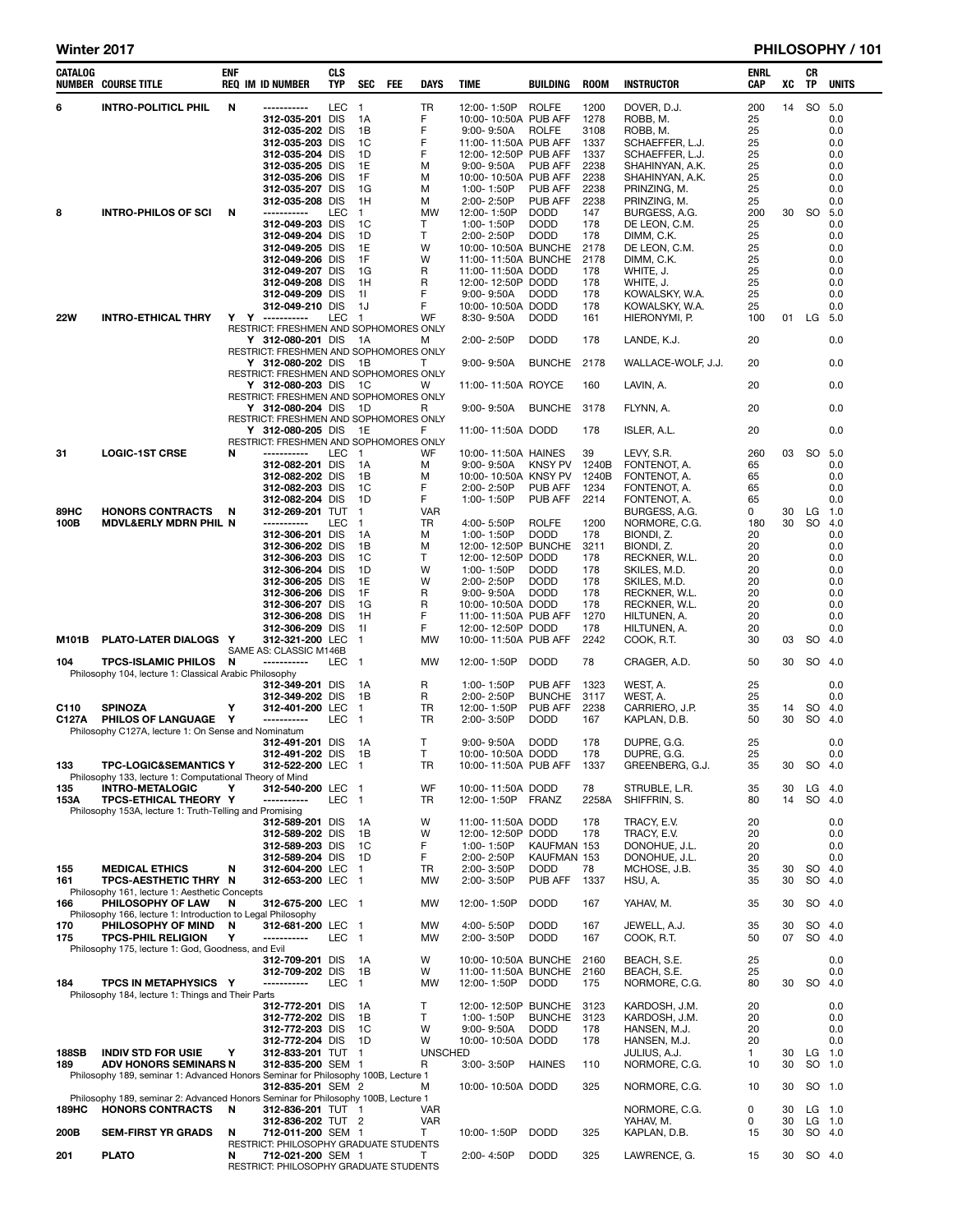| CATALOG      | <b>NUMBER COURSE TITLE</b>                                                                  | ENF | <b>REQ IM ID NUMBER</b>                                     | CLS<br><b>TYP</b> | <b>SEC</b>               | <b>FEE</b> | <b>DAYS</b>     | TIME                                     | <b>BUILDING</b>            | <b>ROOM</b>  | <b>INSTRUCTOR</b>               | ENRL<br><b>CAP</b> | XC       | CR<br>TP  | <b>UNITS</b>    |
|--------------|---------------------------------------------------------------------------------------------|-----|-------------------------------------------------------------|-------------------|--------------------------|------------|-----------------|------------------------------------------|----------------------------|--------------|---------------------------------|--------------------|----------|-----------|-----------------|
| 6            | <b>INTRO-POLITICL PHIL</b>                                                                  | N   | -----------                                                 | <b>LEC</b>        | $\overline{1}$           |            | <b>TR</b>       | 12:00-1:50P                              | <b>ROLFE</b>               | 1200         | DOVER, D.J.                     | 200                | 14       | SO 5.0    |                 |
|              |                                                                                             |     | 312-035-201 DIS                                             |                   | 1A                       |            | F               | 10:00-10:50A PUB AFF                     |                            | 1278         | ROBB, M.                        | 25                 |          |           | 0.0             |
|              |                                                                                             |     | 312-035-202 DIS<br>312-035-203 DIS                          |                   | 1B<br>1C                 |            | F<br>F          | $9:00 - 9:50A$<br>11:00-11:50A PUB AFF   | ROLFE                      | 3108<br>1337 | ROBB, M.<br>SCHAEFFER, L.J.     | 25<br>25           |          |           | 0.0<br>0.0      |
|              |                                                                                             |     | 312-035-204 DIS                                             |                   | 1D                       |            | F               | 12:00-12:50P PUB AFF                     |                            | 1337         | SCHAEFFER, L.J.                 | 25                 |          |           | 0.0             |
|              |                                                                                             |     | 312-035-205 DIS                                             |                   | 1E                       |            | м               | $9:00 - 9:50A$                           | PUB AFF                    | 2238         | SHAHINYAN, A.K.                 | 25                 |          |           | 0.0             |
|              |                                                                                             |     | 312-035-206 DIS                                             |                   | 1F<br>1G                 |            | м<br>м          | 10:00-10:50A PUB AFF<br>1:00-1:50P       | PUB AFF                    | 2238<br>2238 | SHAHINYAN, A.K.<br>PRINZING, M. | 25                 |          |           | 0.0<br>0.0      |
|              |                                                                                             |     | 312-035-207 DIS<br>312-035-208 DIS                          |                   | 1H                       |            | м               | 2:00-2:50P                               | PUB AFF                    | 2238         | PRINZING, M.                    | 25<br>25           |          |           | 0.0             |
| 8            | <b>INTRO-PHILOS OF SCI</b>                                                                  | N   | -----------                                                 | LEC               | $\mathbf{1}$             |            | <b>MW</b>       | 12:00-1:50P                              | <b>DODD</b>                | 147          | BURGESS, A.G.                   | 200                |          | 30 SO 5.0 |                 |
|              |                                                                                             |     | 312-049-203 DIS                                             |                   | 1C                       |            | т               | 1:00-1:50P                               | <b>DODD</b>                | 178          | DE LEON, C.M.                   | 25                 |          |           | 0.0             |
|              |                                                                                             |     | 312-049-204 DIS<br>312-049-205 DIS                          |                   | 1D<br>1E                 |            | Τ<br>W          | 2:00-2:50P<br>10:00-10:50A BUNCHE        | <b>DODD</b>                | 178<br>2178  | DIMM. C.K.<br>DE LEON, C.M.     | 25<br>25           |          |           | 0.0<br>0.0      |
|              |                                                                                             |     | 312-049-206 DIS                                             |                   | 1F                       |            | W               | 11:00-11:50A BUNCHE                      |                            | 2178         | DIMM, C.K.                      | 25                 |          |           | 0.0             |
|              |                                                                                             |     | 312-049-207 DIS                                             |                   | 1G                       |            | R               | 11:00-11:50A DODD                        |                            | 178          | WHITE, J.                       | 25                 |          |           | 0.0             |
|              |                                                                                             |     | 312-049-208 DIS<br>312-049-209 DIS                          |                   | 1H<br>11                 |            | R<br>F          | 12:00-12:50P DODD<br>$9:00 - 9:50A$      | <b>DODD</b>                | 178<br>178   | WHITE, J.<br>KOWALSKY, W.A.     | 25<br>25           |          |           | 0.0<br>0.0      |
|              |                                                                                             |     | 312-049-210 DIS                                             |                   | 1J                       |            | F               | 10:00-10:50A DODD                        |                            | 178          | KOWALSKY, W.A.                  | 25                 |          |           | 0.0             |
| <b>22W</b>   | <b>INTRO-ETHICAL THRY</b>                                                                   |     | Y Y -----------                                             | <b>LEC</b>        | $\mathbf{1}$             |            | WF              | 8:30-9:50A                               | <b>DODD</b>                | 161          | HIERONYMI, P.                   | 100                | 01       | LG 5.0    |                 |
|              |                                                                                             |     | RESTRICT: FRESHMEN AND SOPHOMORES ONLY<br>Y 312-080-201 DIS |                   | 1A                       |            | м               | 2:00-2:50P                               | <b>DODD</b>                | 178          | LANDE, K.J.                     | 20                 |          |           | 0.0             |
|              |                                                                                             |     | RESTRICT: FRESHMEN AND SOPHOMORES ONLY                      |                   |                          |            |                 |                                          |                            |              |                                 |                    |          |           |                 |
|              |                                                                                             |     | Y 312-080-202 DIS<br>RESTRICT: FRESHMEN AND SOPHOMORES ONLY |                   | - 1B                     |            | т               | $9:00 - 9:50A$                           | <b>BUNCHE</b>              | 2178         | WALLACE-WOLF, J.J.              | 20                 |          |           | 0.0             |
|              |                                                                                             |     | Y 312-080-203 DIS                                           |                   | 1C                       |            | W               | 11:00-11:50A ROYCE                       |                            | 160          | LAVIN, A.                       | 20                 |          |           | 0.0             |
|              |                                                                                             |     | RESTRICT: FRESHMEN AND SOPHOMORES ONLY                      |                   |                          |            |                 |                                          |                            |              |                                 |                    |          |           |                 |
|              |                                                                                             |     | Y 312-080-204 DIS<br>RESTRICT: FRESHMEN AND SOPHOMORES ONLY |                   | 1D                       |            | R               | $9:00 - 9:50A$                           | <b>BUNCHE</b>              | 3178         | FLYNN, A.                       | 20                 |          |           | 0.0             |
|              |                                                                                             |     | Y 312-080-205 DIS                                           |                   | 1E                       |            | F               | 11:00-11:50A DODD                        |                            | 178          | ISLER, A.L.                     | 20                 |          |           | 0.0             |
|              |                                                                                             |     | RESTRICT: FRESHMEN AND SOPHOMORES ONLY                      |                   |                          |            |                 |                                          |                            |              |                                 |                    |          |           |                 |
| 31           | <b>LOGIC-1ST CRSE</b>                                                                       | N   | -----------<br>312-082-201 DIS                              | <b>LEC</b>        | $\mathbf{1}$<br>1A       |            | WF<br>м         | 10:00-11:50A HAINES<br>$9:00 - 9:50A$    | KNSY PV                    | 39<br>1240B  | LEVY, S.R.<br>FONTENOT, A.      | 260<br>65          | 03       | SO 5.0    | 0.0             |
|              |                                                                                             |     | 312-082-202 DIS                                             |                   | 1B                       |            | м               | 10:00-10:50A KNSY PV                     |                            | 1240B        | FONTENOT, A.                    | 65                 |          |           | 0.0             |
|              |                                                                                             |     | 312-082-203 DIS                                             |                   | 1C                       |            | F               | 2:00-2:50P                               | PUB AFF                    | 1234         | FONTENOT, A.                    | 65                 |          |           | 0.0             |
| 89HC         | <b>HONORS CONTRACTS</b>                                                                     | N   | 312-082-204 DIS<br>312-269-201 TUT                          |                   | 1D<br>$\mathbf{1}$       |            | F<br><b>VAR</b> | 1:00-1:50P                               | PUB AFF                    | 2214         | FONTENOT, A.<br>BURGESS, A.G.   | 65<br>0            | 30       | $LG$ 1.0  | 0.0             |
| 100B         | <b>MDVL&amp;ERLY MDRN PHIL N</b>                                                            |     | -----------                                                 | <b>LEC</b>        | $\mathbf{1}$             |            | <b>TR</b>       | 4:00-5:50P                               | <b>ROLFE</b>               | 1200         | NORMORE, C.G.                   | 180                | 30       | SO.       | 4.0             |
|              |                                                                                             |     | 312-306-201 DIS                                             |                   | 1A                       |            | м               | 1:00-1:50P                               | <b>DODD</b>                | 178          | BIONDI, Z.                      | 20                 |          |           | 0.0             |
|              |                                                                                             |     | 312-306-202 DIS<br>312-306-203 DIS                          |                   | 1B<br>1C                 |            | м<br>Τ          | 12:00-12:50P BUNCHE<br>12:00-12:50P DODD |                            | 3211<br>178  | BIONDI, Z.<br>RECKNER, W.L.     | 20<br>20           |          |           | 0.0<br>0.0      |
|              |                                                                                             |     | 312-306-204 DIS                                             |                   | 1D                       |            | W               | 1:00-1:50P                               | <b>DODD</b>                | 178          | SKILES, M.D.                    | 20                 |          |           | 0.0             |
|              |                                                                                             |     | 312-306-205 DIS                                             |                   | 1E                       |            | W               | 2:00-2:50P                               | <b>DODD</b>                | 178          | SKILES, M.D.                    | 20                 |          |           | 0.0             |
|              |                                                                                             |     | 312-306-206 DIS<br>312-306-207 DIS                          |                   | 1F<br>1G                 |            | R<br>R          | $9:00 - 9:50A$<br>10:00-10:50A DODD      | <b>DODD</b>                | 178<br>178   | RECKNER, W.L.<br>RECKNER, W.L.  | 20<br>20           |          |           | 0.0<br>0.0      |
|              |                                                                                             |     | 312-306-208 DIS                                             |                   | 1H                       |            | F               | 11:00-11:50A PUB AFF                     |                            | 1270         | HILTUNEN, A.                    | 20                 |          |           | 0.0             |
|              |                                                                                             |     | 312-306-209 DIS                                             |                   | 11                       |            | F               | 12:00-12:50P DODD                        |                            | 178          | HILTUNEN, A.                    | 20                 |          |           | 0.0             |
| M101B        | PLATO-LATER DIALOGS Y                                                                       |     | 312-321-200 LEC<br>SAME AS: CLASSIC M146B                   |                   | $\mathbf{1}$             |            | <b>MW</b>       | 10:00-11:50A PUB AFF                     |                            | 2242         | COOK, R.T.                      | 30                 | 03       | SO 4.0    |                 |
| 104          | <b>TPCS-ISLAMIC PHILOS</b>                                                                  | N   | -----------                                                 | <b>LEC</b>        | -1                       |            | MW              | 12:00-1:50P                              | <b>DODD</b>                | 78           | CRAGER, A.D.                    | 50                 | 30       | SO 4.0    |                 |
|              | Philosophy 104, lecture 1: Classical Arabic Philosophy                                      |     |                                                             |                   |                          |            |                 |                                          |                            |              |                                 |                    |          |           |                 |
|              |                                                                                             |     | 312-349-201 DIS<br>312-349-202 DIS                          |                   | 1A<br>1B                 |            | R<br>R          | 1:00-1:50P<br>2:00-2:50P                 | PUB AFF<br><b>BUNCHE</b>   | 1323<br>3117 | WEST, A.<br>WEST, A.            | 25<br>25           |          |           | 0.0<br>0.0      |
| C110         | <b>SPINOZA</b>                                                                              | Y   | 312-401-200 LEC                                             |                   | $\mathbf 1$              |            | TR              | 12:00-1:50P                              | PUB AFF                    | 2238         | CARRIERO, J.P.                  | 35                 | 14       | SO 4.0    |                 |
| C127A        | PHILOS OF LANGUAGE Y                                                                        |     | -----------                                                 | <b>LEC</b>        | $\mathbf{1}$             |            | <b>TR</b>       | 2:00-3:50P                               | <b>DODD</b>                | 167          | KAPLAN, D.B.                    | 50                 | 30       | SO 4.0    |                 |
|              | Philosophy C127A, lecture 1: On Sense and Nominatum                                         |     | 312-491-201 DIS                                             |                   | 1A                       |            | т               | $9:00 - 9:50A$                           | <b>DODD</b>                | 178          | DUPRE, G.G.                     | 25                 |          |           | 0.0             |
|              |                                                                                             |     | 312-491-202 DIS                                             |                   | 1B                       |            | T               | 10:00-10:50A DODD                        |                            | 178          | DUPRE, G.G.                     | 25                 |          |           | 0.0             |
| 133          | <b>TPC-LOGIC&amp;SEMANTICS Y</b><br>Philosophy 133, lecture 1: Computational Theory of Mind |     | 312-522-200 LEC 1                                           |                   |                          |            | TR              | 10:00-11:50A PUB AFF 1337                |                            |              | GREENBERG, G.J.                 | 35                 |          | 30 SO 4.0 |                 |
| 135          | <b>INTRO-METALOGIC</b>                                                                      | Y   | 312-540-200 LEC 1                                           |                   |                          |            | WF              | 10:00-11:50A DODD                        |                            | 78           | STRUBLE, L.R.                   | 35                 | 30       | $LG$ 4.0  |                 |
| 153A         | <b>TPCS-ETHICAL THEORY Y</b>                                                                |     | -----------                                                 | LEC               | - 1                      |            | TR              | 12:00-1:50P FRANZ                        |                            | 2258A        | SHIFFRIN, S.                    | 80                 | 14       | SO 4.0    |                 |
|              | Philosophy 153A, lecture 1: Truth-Telling and Promising                                     |     | 312-589-201 DIS                                             |                   | 1А                       |            | W               | 11:00-11:50A DODD                        |                            | 178          | TRACY, E.V.                     | 20                 |          |           | 0.0             |
|              |                                                                                             |     | 312-589-202 DIS                                             |                   | 1B                       |            | W               | 12:00-12:50P DODD                        |                            | 178          | TRACY, E.V.                     | 20                 |          |           | 0.0             |
|              |                                                                                             |     | 312-589-203 DIS                                             |                   | 1C                       |            | F               | 1:00-1:50P                               | KAUFMAN 153                |              | DONOHUE, J.L.                   | 20                 |          |           | 0.0             |
| 155          | <b>MEDICAL ETHICS</b>                                                                       | N   | 312-589-204 DIS<br>312-604-200 LEC                          |                   | 1D<br>$\mathbf{1}$       |            | F.<br>TR        | 2:00-2:50P<br>2:00-3:50P                 | KAUFMAN 153<br><b>DODD</b> | 78           | DONOHUE, J.L.<br>MCHOSE, J.B.   | 20<br>35           | 30       | SO 4.0    | 0.0             |
| 161          | TPCS-AESTHETIC THRY N                                                                       |     | 312-653-200 LEC                                             |                   | $\blacksquare$           |            | MW              | 2:00-3:50P                               | PUB AFF                    | 1337         | HSU, A.                         | 35                 | 30       | SO        | 4.0             |
|              | Philosophy 161, lecture 1: Aesthetic Concepts                                               |     |                                                             |                   |                          |            |                 |                                          |                            |              |                                 |                    |          |           |                 |
| 166          | <b>PHILOSOPHY OF LAW</b><br>Philosophy 166, lecture 1: Introduction to Legal Philosophy     | N   | 312-675-200 LEC 1                                           |                   |                          |            | MW              | 12:00-1:50P                              | <b>DODD</b>                | 167          | YAHAV, M.                       | 35                 | 30       |           | SO 4.0          |
| 170          | PHILOSOPHY OF MIND                                                                          | N   | 312-681-200 LEC                                             |                   | -1                       |            | MW              | 4:00-5:50P                               | <b>DODD</b>                | 167          | JEWELL, A.J.                    | 35                 | 30       |           | SO 4.0          |
| 175          | <b>TPCS-PHIL RELIGION</b>                                                                   | Y   | -----------                                                 | LEC               | $\overline{\phantom{0}}$ |            | MW              | 2:00-3:50P                               | <b>DODD</b>                | 167          | COOK, R.T.                      | 50                 | 07       | SO 4.0    |                 |
|              | Philosophy 175, lecture 1: God, Goodness, and Evil                                          |     | 312-709-201 DIS                                             |                   | 1A                       |            | W               | 10:00-10:50A BUNCHE                      |                            | 2160         | BEACH, S.E.                     | 25                 |          |           | 0.0             |
|              |                                                                                             |     | 312-709-202 DIS                                             |                   | 1B                       |            | w               | 11:00-11:50A BUNCHE                      |                            | 2160         | BEACH, S.E.                     | 25                 |          |           | 0.0             |
| 184          | TPCS IN METAPHYSICS Y                                                                       |     | -----------                                                 | <b>LEC</b>        | $\mathbf{1}$             |            | MW              | 12:00-1:50P                              | DODD                       | 175          | NORMORE, C.G.                   | 80                 | 30       | SO 4.0    |                 |
|              | Philosophy 184, lecture 1: Things and Their Parts                                           |     | 312-772-201 DIS                                             |                   | 1A                       |            | т               | 12:00-12:50P BUNCHE                      |                            | 3123         | KARDOSH, J.M.                   | 20                 |          |           | 0.0             |
|              |                                                                                             |     | 312-772-202 DIS                                             |                   | 1B                       |            | Τ               | 1:00-1:50P                               | <b>BUNCHE</b>              | 3123         | KARDOSH, J.M.                   | 20                 |          |           | 0.0             |
|              |                                                                                             |     | 312-772-203 DIS                                             |                   | 1C<br>1D                 |            | W<br>W          | $9:00 - 9:50A$<br>10:00-10:50A DODD      | <b>DODD</b>                | 178<br>178   | HANSEN, M.J.                    | 20                 |          |           | 0.0             |
| 188SB        | <b>INDIV STD FOR USIE</b>                                                                   | Y   | 312-772-204 DIS<br>312-833-201 TUT 1                        |                   |                          |            | <b>UNSCHED</b>  |                                          |                            |              | HANSEN, M.J.<br>JULIUS, A.J.    | 20<br>1            | 30       |           | 0.0<br>$LG$ 1.0 |
| 189          | <b>ADV HONORS SEMINARS N</b>                                                                |     | 312-835-200 SEM 1                                           |                   |                          |            | R               | 3:00-3:50P                               | <b>HAINES</b>              | 110          | NORMORE, C.G.                   | 10                 | 30       | SO 1.0    |                 |
|              | Philosophy 189, seminar 1: Advanced Honors Seminar for Philosophy 100B, Lecture 1           |     |                                                             |                   |                          |            |                 |                                          |                            |              |                                 |                    |          |           |                 |
|              | Philosophy 189, seminar 2: Advanced Honors Seminar for Philosophy 100B, Lecture 1           |     | 312-835-201 SEM 2                                           |                   |                          |            | M               | 10:00-10:50A DODD                        |                            | 325          | NORMORE, C.G.                   | 10                 | 30       |           | SO 1.0          |
| <b>189HC</b> | <b>HONORS CONTRACTS</b>                                                                     | N   | 312-836-201 TUT 1                                           |                   |                          |            | <b>VAR</b>      |                                          |                            |              | NORMORE, C.G.                   | 0                  | 30       |           | $LG$ 1.0        |
| 200B         | <b>SEM-FIRST YR GRADS</b>                                                                   | N   | 312-836-202 TUT 2<br>712-011-200 SEM 1                      |                   |                          |            | <b>VAR</b><br>T |                                          | <b>DODD</b>                |              | YAHAV, M.<br>KAPLAN, D.B.       | 0<br>15            | 30<br>30 | $LG$ 1.0  | SO 4.0          |
|              |                                                                                             |     | RESTRICT: PHILOSOPHY GRADUATE STUDENTS                      |                   |                          |            |                 | 10:00-1:50P                              |                            | 325          |                                 |                    |          |           |                 |
| 201          | <b>PLATO</b>                                                                                | N   | 712-021-200 SEM 1                                           |                   |                          |            | Τ               | 2:00-4:50P                               | <b>DODD</b>                | 325          | LAWRENCE, G.                    | 15                 | 30       | SO 4.0    |                 |
|              |                                                                                             |     | RESTRICT: PHILOSOPHY GRADUATE STUDENTS                      |                   |                          |            |                 |                                          |                            |              |                                 |                    |          |           |                 |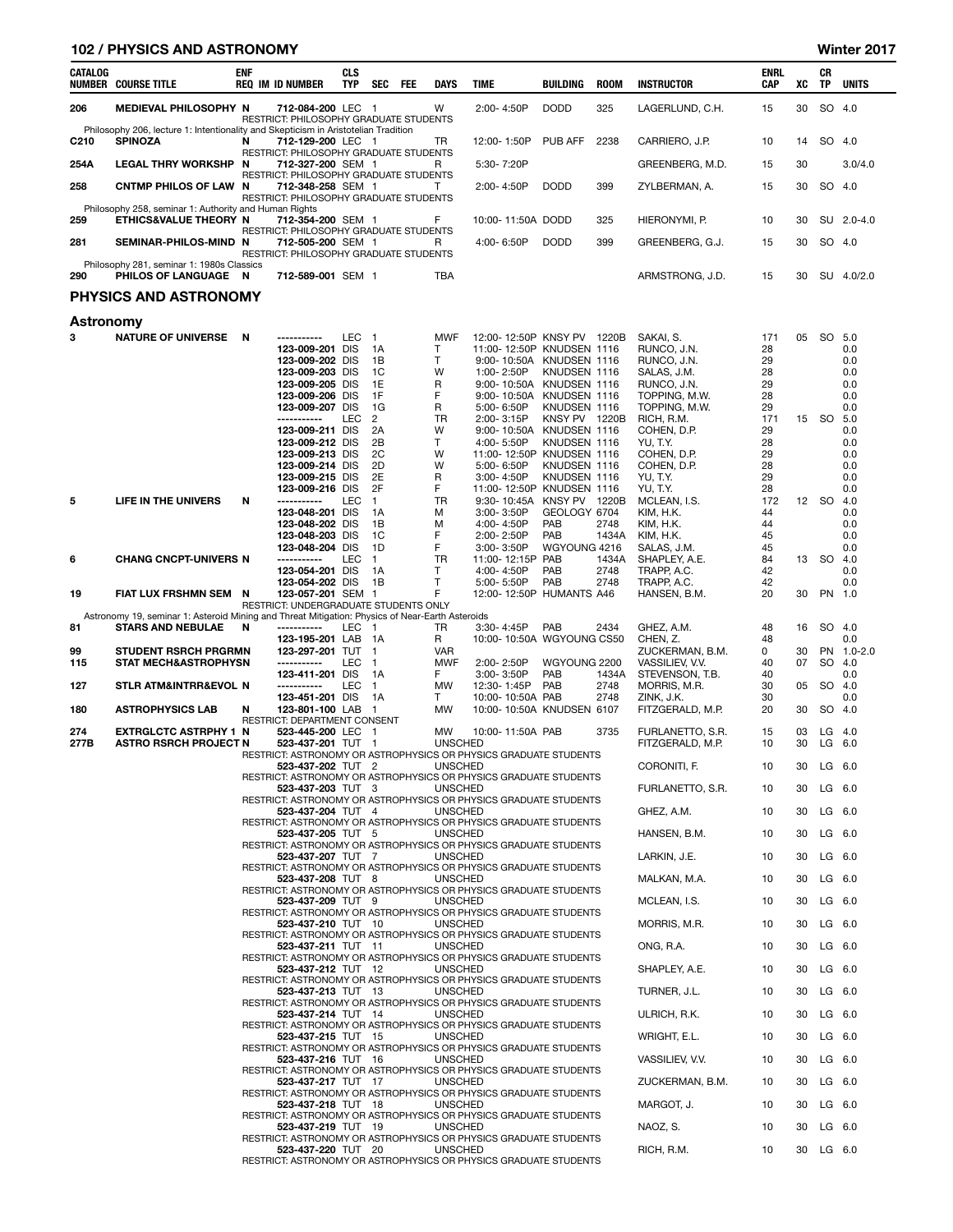| <b>Winter 20</b> |
|------------------|
|------------------|

|             | <b>102 / PHYSICS AND ASTRONOMY</b>                                                                                          |            |                                                                                                                                                                                |                                 |                                                                     |     |                                                                     |                                                                                                                                                                                                                                 |                                                                      |                                |                                                                                                                                                  |                                                            |          |                  | Winter 2017                                                 |
|-------------|-----------------------------------------------------------------------------------------------------------------------------|------------|--------------------------------------------------------------------------------------------------------------------------------------------------------------------------------|---------------------------------|---------------------------------------------------------------------|-----|---------------------------------------------------------------------|---------------------------------------------------------------------------------------------------------------------------------------------------------------------------------------------------------------------------------|----------------------------------------------------------------------|--------------------------------|--------------------------------------------------------------------------------------------------------------------------------------------------|------------------------------------------------------------|----------|------------------|-------------------------------------------------------------|
| CATALOG     | <b>NUMBER COURSE TITLE</b>                                                                                                  | <b>ENF</b> | <b>REQ IM ID NUMBER</b>                                                                                                                                                        | <b>CLS</b><br><b>TYP</b>        | <b>SEC</b>                                                          | FEE | <b>DAYS</b>                                                         | <b>TIME</b>                                                                                                                                                                                                                     | BUILDING                                                             | <b>ROOM</b>                    | <b>INSTRUCTOR</b>                                                                                                                                | <b>ENRL</b><br>CAP                                         | XC       | CR<br>ΤP         | <b>UNITS</b>                                                |
| 206         | <b>MEDIEVAL PHILOSOPHY N</b>                                                                                                |            | 712-084-200 LEC 1<br>RESTRICT: PHILOSOPHY GRADUATE STUDENTS                                                                                                                    |                                 |                                                                     |     | W                                                                   | 2:00-4:50P                                                                                                                                                                                                                      | <b>DODD</b>                                                          | 325                            | LAGERLUND, C.H.                                                                                                                                  | 15                                                         | 30       |                  | SO 4.0                                                      |
| C210        | Philosophy 206, lecture 1: Intentionality and Skepticism in Aristotelian Tradition<br><b>SPINOZA</b>                        | N          | 712-129-200 LEC 1                                                                                                                                                              |                                 |                                                                     |     | TR                                                                  | 12:00-1:50P                                                                                                                                                                                                                     | PUB AFF                                                              | 2238                           | CARRIERO, J.P.                                                                                                                                   | 10                                                         | 14       |                  | SO 4.0                                                      |
| 254A        | <b>LEGAL THRY WORKSHP N</b>                                                                                                 |            | RESTRICT: PHILOSOPHY GRADUATE STUDENTS<br>712-327-200 SEM 1                                                                                                                    |                                 |                                                                     |     | R.                                                                  | 5:30-7:20P                                                                                                                                                                                                                      |                                                                      |                                | GREENBERG, M.D.                                                                                                                                  | 15                                                         | 30       |                  | 3.0/4.0                                                     |
| 258         | CNTMP PHILOS OF LAW N                                                                                                       |            | RESTRICT: PHILOSOPHY GRADUATE STUDENTS<br>712-348-258 SEM 1                                                                                                                    |                                 |                                                                     |     | T                                                                   | 2:00-4:50P                                                                                                                                                                                                                      | <b>DODD</b>                                                          | 399                            | ZYLBERMAN, A.                                                                                                                                    | 15                                                         | 30       |                  | SO 4.0                                                      |
| 259         | Philosophy 258, seminar 1: Authority and Human Rights<br>ETHICS&VALUE THEORY N                                              |            | RESTRICT: PHILOSOPHY GRADUATE STUDENTS<br>712-354-200 SEM 1                                                                                                                    |                                 |                                                                     |     | F                                                                   | 10:00-11:50A DODD                                                                                                                                                                                                               |                                                                      | 325                            | HIERONYMI, P.                                                                                                                                    | 10                                                         | 30       |                  | SU 2.0-4.0                                                  |
| 281         | SEMINAR-PHILOS-MIND N                                                                                                       |            | RESTRICT: PHILOSOPHY GRADUATE STUDENTS<br>712-505-200 SEM 1                                                                                                                    |                                 |                                                                     |     | R                                                                   | 4:00-6:50P                                                                                                                                                                                                                      | <b>DODD</b>                                                          | 399                            | GREENBERG, G.J.                                                                                                                                  | 15                                                         | 30       |                  | SO 4.0                                                      |
| 290         | Philosophy 281, seminar 1: 1980s Classics<br>PHILOS OF LANGUAGE N                                                           |            | RESTRICT: PHILOSOPHY GRADUATE STUDENTS<br>712-589-001 SEM 1                                                                                                                    |                                 |                                                                     |     | TBA                                                                 |                                                                                                                                                                                                                                 |                                                                      |                                | ARMSTRONG, J.D.                                                                                                                                  | 15                                                         | 30       |                  | SU 4.0/2.0                                                  |
|             | <b>PHYSICS AND ASTRONOMY</b>                                                                                                |            |                                                                                                                                                                                |                                 |                                                                     |     |                                                                     |                                                                                                                                                                                                                                 |                                                                      |                                |                                                                                                                                                  |                                                            |          |                  |                                                             |
| Astronomy   |                                                                                                                             |            |                                                                                                                                                                                |                                 |                                                                     |     |                                                                     |                                                                                                                                                                                                                                 |                                                                      |                                |                                                                                                                                                  |                                                            |          |                  |                                                             |
| 3           | NATURE OF UNIVERSE N                                                                                                        |            | -----------<br>123-009-201<br>123-009-202 DIS<br>123-009-203 DIS<br>123-009-205 DIS<br>123-009-206 DIS<br>123-009-207 DIS<br>-----------<br>123-009-211 DIS<br>123-009-212 DIS | LEC<br><b>DIS</b><br><b>LEC</b> | $\overline{1}$<br>1A<br>1B<br>1C<br>1E<br>1F<br>1G<br>2<br>2A<br>2B |     | <b>MWF</b><br>т<br>$\mathsf{T}$<br>W<br>R<br>F<br>R<br>TR<br>W<br>T | 12:00-12:50P KNSY PV 1220B<br>11:00-12:50P KNUDSEN 1116<br>9:00-10:50A KNUDSEN 1116<br>1:00-2:50P<br>9:00-10:50A KNUDSEN 1116<br>9:00-10:50A KNUDSEN 1116<br>5:00-6:50P<br>2:00-3:15P<br>9:00-10:50A KNUDSEN 1116<br>4:00-5:50P | KNUDSEN 1116<br>KNUDSEN 1116<br>KNSY PV 1220B<br>KNUDSEN 1116        |                                | SAKAI, S.<br>RUNCO, J.N.<br>RUNCO, J.N.<br>SALAS, J.M.<br>RUNCO, J.N.<br>TOPPING, M.W.<br>TOPPING, M.W.<br>RICH, R.M.<br>COHEN, D.P.<br>YU, T.Y. | 171<br>28<br>29<br>28<br>29<br>28<br>29<br>171<br>29<br>28 | 05<br>15 | SO 5.0<br>SO     | 0.0<br>0.0<br>0.0<br>0.0<br>0.0<br>0.0<br>5.0<br>0.0<br>0.0 |
| 5           | LIFE IN THE UNIVERS                                                                                                         | N          | 123-009-213 DIS<br>123-009-214 DIS<br>123-009-215 DIS<br>123-009-216 DIS<br>-----------<br>123-048-201 DIS<br>123-048-202 DIS                                                  | LEC                             | 2C<br>2D<br>2E<br>2F<br>$\mathbf{1}$<br>1A<br>1B                    |     | W<br>W<br>R<br>F<br>TR<br>M<br>м                                    | 11:00-12:50P KNUDSEN 1116<br>5:00-6:50P<br>3:00-4:50P<br>11:00-12:50P KNUDSEN 1116<br>9:30-10:45A<br>3:00-3:50P<br>4:00-4:50P                                                                                                   | KNUDSEN 1116<br>KNUDSEN 1116<br>KNSY PV 1220B<br>GEOLOGY 6704<br>PAB | 2748                           | COHEN, D.P.<br>COHEN, D.P.<br>YU, T.Y.<br>YU, T.Y.<br>MCLEAN, I.S.<br>KIM, H.K.<br>KIM, H.K.                                                     | 29<br>28<br>29<br>28<br>172<br>44<br>44                    |          | 12 SO 4.0        | 0.0<br>0.0<br>0.0<br>0.0<br>0.0<br>0.0                      |
| 6           | <b>CHANG CNCPT-UNIVERS N</b>                                                                                                |            | 123-048-203 DIS<br>123-048-204 DIS<br>-----------<br>123-054-201 DIS<br>123-054-202 DIS                                                                                        | LEC                             | 1C<br>1D<br>$\mathbf{1}$<br>1A<br>1B                                |     | F<br>F<br>TR<br>$\mathsf{T}$<br>т                                   | 2:00-2:50P<br>$3:00 - 3:50P$<br>11:00-12:15P<br>4:00-4:50P<br>5:00-5:50P                                                                                                                                                        | PAB<br>WGYOUNG 4216<br>PAB<br>PAB<br>PAB                             | 1434A<br>1434A<br>2748<br>2748 | KIM, H.K.<br>SALAS, J.M.<br>SHAPLEY, A.E.<br>TRAPP, A.C.<br>TRAPP, A.C.                                                                          | 45<br>45<br>84<br>42<br>42                                 | 13       | SO               | 0.0<br>0.0<br>4.0<br>0.0<br>0.0                             |
| 19          | FIAT LUX FRSHMN SEM N                                                                                                       |            | 123-057-201 SEM 1<br>RESTRICT: UNDERGRADUATE STUDENTS ONLY                                                                                                                     |                                 |                                                                     |     | F                                                                   | 12:00-12:50P HUMANTS A46                                                                                                                                                                                                        |                                                                      |                                | HANSEN, B.M.                                                                                                                                     | 20                                                         | 30       | PN 1.0           |                                                             |
| 81          | Astronomy 19, seminar 1: Asteroid Mining and Threat Mitigation: Physics of Near-Earth Asteroids<br><b>STARS AND NEBULAE</b> | N          | ------------                                                                                                                                                                   | LEC                             | - 1                                                                 |     | TR                                                                  | $3:30 - 4:45P$                                                                                                                                                                                                                  | PAB                                                                  | 2434                           | GHEZ, A.M.                                                                                                                                       | 48                                                         | 16       | SO 4.0           |                                                             |
| 99          | <b>STUDENT RSRCH PRGRMN</b>                                                                                                 |            | 123-195-201 LAB 1A<br>123-297-201 TUT                                                                                                                                          |                                 | $\mathbf{1}$                                                        |     | R<br><b>VAR</b>                                                     | 10:00-10:50A WGYOUNG CS50                                                                                                                                                                                                       |                                                                      |                                | CHEN, Z.<br>ZUCKERMAN, B.M.                                                                                                                      | 48<br>0                                                    | 30       |                  | 0.0<br>PN 1.0-2.0                                           |
| 115         | <b>STAT MECH&amp;ASTROPHYSN</b>                                                                                             |            | -----------<br>123-411-201 DIS                                                                                                                                                 | LEC                             | $\overline{1}$<br>1A                                                |     | <b>MWF</b><br>F                                                     | 2:00-2:50P<br>3:00-3:50P                                                                                                                                                                                                        | WGYOUNG 2200<br>PAB                                                  | 1434A                          | VASSILIEV, V.V.<br>STEVENSON, T.B.                                                                                                               | 40<br>40                                                   | 07       |                  | SO 4.0<br>0.0                                               |
| 127         | STLR ATM&INTRR&EVOL N                                                                                                       |            | ------------<br>123-451-201 DIS                                                                                                                                                | LEC                             | $\overline{1}$<br>1A                                                |     | MW<br>$\mathsf{T}$                                                  | 12:30-1:45P<br>10:00-10:50A PAB                                                                                                                                                                                                 | PAB                                                                  | 2748<br>2748                   | MORRIS, M.R.<br>ZINK, J.K.                                                                                                                       | 30<br>30                                                   | 05       | SO 4.0           | 0.0                                                         |
| 180         | <b>ASTROPHYSICS LAB</b>                                                                                                     | N          | 123-801-100 LAB<br>RESTRICT: DEPARTMENT CONSENT                                                                                                                                |                                 | - 1                                                                 |     | MW                                                                  | 10:00- 10:50A KNUDSEN 6107                                                                                                                                                                                                      |                                                                      |                                | FITZGERALD, M.P.                                                                                                                                 | 20                                                         | 30       | SO               | 4.0                                                         |
| 274<br>277B | <b>EXTRGLCTC ASTRPHY 1 N</b><br><b>ASTRO RSRCH PROJECT N</b>                                                                |            | 523-445-200 LEC 1<br>523-437-201 TUT 1                                                                                                                                         |                                 |                                                                     |     | MW<br><b>UNSCHED</b>                                                | 10:00-11:50A PAB<br>RESTRICT: ASTRONOMY OR ASTROPHYSICS OR PHYSICS GRADUATE STUDENTS                                                                                                                                            |                                                                      | 3735                           | FURLANETTO, S.R.<br>FITZGERALD, M.P.                                                                                                             | 15<br>10                                                   | 03<br>30 | LG 4.0<br>LG 6.0 |                                                             |
|             |                                                                                                                             |            | 523-437-202 TUT 2                                                                                                                                                              |                                 |                                                                     |     | <b>UNSCHED</b>                                                      | RESTRICT: ASTRONOMY OR ASTROPHYSICS OR PHYSICS GRADUATE STUDENTS                                                                                                                                                                |                                                                      |                                | CORONITI. F.                                                                                                                                     | 10                                                         | 30       | $LG$ 6.0         |                                                             |
|             |                                                                                                                             |            | 523-437-203 TUT 3                                                                                                                                                              |                                 |                                                                     |     | <b>UNSCHED</b>                                                      | RESTRICT: ASTRONOMY OR ASTROPHYSICS OR PHYSICS GRADUATE STUDENTS                                                                                                                                                                |                                                                      |                                | FURLANETTO, S.R.                                                                                                                                 | 10                                                         | 30       | $LG$ 6.0         |                                                             |
|             |                                                                                                                             |            | 523-437-204 TUT 4                                                                                                                                                              |                                 |                                                                     |     | <b>UNSCHED</b>                                                      | RESTRICT: ASTRONOMY OR ASTROPHYSICS OR PHYSICS GRADUATE STUDENTS                                                                                                                                                                |                                                                      |                                | GHEZ, A.M.                                                                                                                                       | 10                                                         | 30       | $LG$ 6.0         |                                                             |
|             |                                                                                                                             |            | 523-437-205 TUT 5                                                                                                                                                              |                                 |                                                                     |     | <b>UNSCHED</b>                                                      | RESTRICT: ASTRONOMY OR ASTROPHYSICS OR PHYSICS GRADUATE STUDENTS                                                                                                                                                                |                                                                      |                                | HANSEN, B.M.                                                                                                                                     | 10                                                         | 30       | $LG$ 6.0         |                                                             |
|             |                                                                                                                             |            | 523-437-207 TUT 7                                                                                                                                                              |                                 |                                                                     |     | <b>UNSCHED</b>                                                      | RESTRICT: ASTRONOMY OR ASTROPHYSICS OR PHYSICS GRADUATE STUDENTS                                                                                                                                                                |                                                                      |                                | LARKIN, J.E.                                                                                                                                     | 10                                                         | 30       | $LG$ 6.0         |                                                             |
|             |                                                                                                                             |            | 523-437-208 TUT 8                                                                                                                                                              |                                 |                                                                     |     | <b>UNSCHED</b>                                                      | RESTRICT: ASTRONOMY OR ASTROPHYSICS OR PHYSICS GRADUATE STUDENTS                                                                                                                                                                |                                                                      |                                | MALKAN, M.A.                                                                                                                                     | 10                                                         | 30       | LG 6.0           |                                                             |
|             |                                                                                                                             |            | 523-437-209 TUT 9                                                                                                                                                              |                                 |                                                                     |     | <b>UNSCHED</b>                                                      | RESTRICT: ASTRONOMY OR ASTROPHYSICS OR PHYSICS GRADUATE STUDENTS                                                                                                                                                                |                                                                      |                                | MCLEAN, I.S.                                                                                                                                     | 10                                                         | 30       | $LG$ 6.0         |                                                             |
|             |                                                                                                                             |            | 523-437-210 TUT 10                                                                                                                                                             |                                 |                                                                     |     | <b>UNSCHED</b>                                                      | RESTRICT: ASTRONOMY OR ASTROPHYSICS OR PHYSICS GRADUATE STUDENTS                                                                                                                                                                |                                                                      |                                | MORRIS, M.R.                                                                                                                                     | 10                                                         | 30       | $LG$ 6.0         |                                                             |
|             |                                                                                                                             |            | 523-437-211 TUT 11                                                                                                                                                             |                                 |                                                                     |     | <b>UNSCHED</b>                                                      | RESTRICT: ASTRONOMY OR ASTROPHYSICS OR PHYSICS GRADUATE STUDENTS                                                                                                                                                                |                                                                      |                                | ONG, R.A.                                                                                                                                        | 10                                                         | 30       | $LG$ 6.0         |                                                             |
|             |                                                                                                                             |            | 523-437-212 TUT 12                                                                                                                                                             |                                 |                                                                     |     | <b>UNSCHED</b>                                                      | RESTRICT: ASTRONOMY OR ASTROPHYSICS OR PHYSICS GRADUATE STUDENTS                                                                                                                                                                |                                                                      |                                | SHAPLEY, A.E.                                                                                                                                    | 10                                                         | 30       | $LG$ 6.0         |                                                             |
|             |                                                                                                                             |            | 523-437-213 TUT 13                                                                                                                                                             |                                 |                                                                     |     | <b>UNSCHED</b>                                                      | RESTRICT: ASTRONOMY OR ASTROPHYSICS OR PHYSICS GRADUATE STUDENTS                                                                                                                                                                |                                                                      |                                | TURNER, J.L.                                                                                                                                     | 10                                                         | 30       | LG 6.0           |                                                             |
|             |                                                                                                                             |            | 523-437-214 TUT 14                                                                                                                                                             |                                 |                                                                     |     | <b>UNSCHED</b>                                                      | RESTRICT: ASTRONOMY OR ASTROPHYSICS OR PHYSICS GRADUATE STUDENTS                                                                                                                                                                |                                                                      |                                | ULRICH, R.K.                                                                                                                                     | 10                                                         | 30       | $LG$ 6.0         |                                                             |
|             |                                                                                                                             |            | 523-437-215 TUT 15                                                                                                                                                             |                                 |                                                                     |     | <b>UNSCHED</b>                                                      | RESTRICT: ASTRONOMY OR ASTROPHYSICS OR PHYSICS GRADUATE STUDENTS                                                                                                                                                                |                                                                      |                                | WRIGHT, E.L.                                                                                                                                     | 10                                                         | 30       | $LG$ 6.0         |                                                             |
|             |                                                                                                                             |            | 523-437-216 TUT 16                                                                                                                                                             |                                 |                                                                     |     | <b>UNSCHED</b>                                                      | RESTRICT: ASTRONOMY OR ASTROPHYSICS OR PHYSICS GRADUATE STUDENTS                                                                                                                                                                |                                                                      |                                | VASSILIEV, V.V.                                                                                                                                  | 10                                                         | 30       | $LG$ 6.0         |                                                             |
|             |                                                                                                                             |            | 523-437-217 TUT 17                                                                                                                                                             |                                 |                                                                     |     | <b>UNSCHED</b>                                                      | RESTRICT: ASTRONOMY OR ASTROPHYSICS OR PHYSICS GRADUATE STUDENTS                                                                                                                                                                |                                                                      |                                | ZUCKERMAN, B.M.                                                                                                                                  | 10                                                         | 30       | $LG$ 6.0         |                                                             |
|             |                                                                                                                             |            | 523-437-218 TUT 18                                                                                                                                                             |                                 |                                                                     |     | <b>UNSCHED</b>                                                      | RESTRICT: ASTRONOMY OR ASTROPHYSICS OR PHYSICS GRADUATE STUDENTS                                                                                                                                                                |                                                                      |                                | MARGOT, J.                                                                                                                                       | 10                                                         | 30       | $LG$ 6.0         |                                                             |
|             |                                                                                                                             |            | 523-437-219 TUT 19                                                                                                                                                             |                                 |                                                                     |     | <b>UNSCHED</b>                                                      | RESTRICT: ASTRONOMY OR ASTROPHYSICS OR PHYSICS GRADUATE STUDENTS                                                                                                                                                                |                                                                      |                                | NAOZ, S.                                                                                                                                         | 10                                                         | 30       | $LG$ 6.0         |                                                             |
|             |                                                                                                                             |            | 523-437-220 TUT 20                                                                                                                                                             |                                 |                                                                     |     | <b>UNSCHED</b>                                                      | RESTRICT: ASTRONOMY OR ASTROPHYSICS OR PHYSICS GRADUATE STUDENTS                                                                                                                                                                |                                                                      |                                | RICH, R.M.                                                                                                                                       | 10                                                         |          | 30 LG 6.0        |                                                             |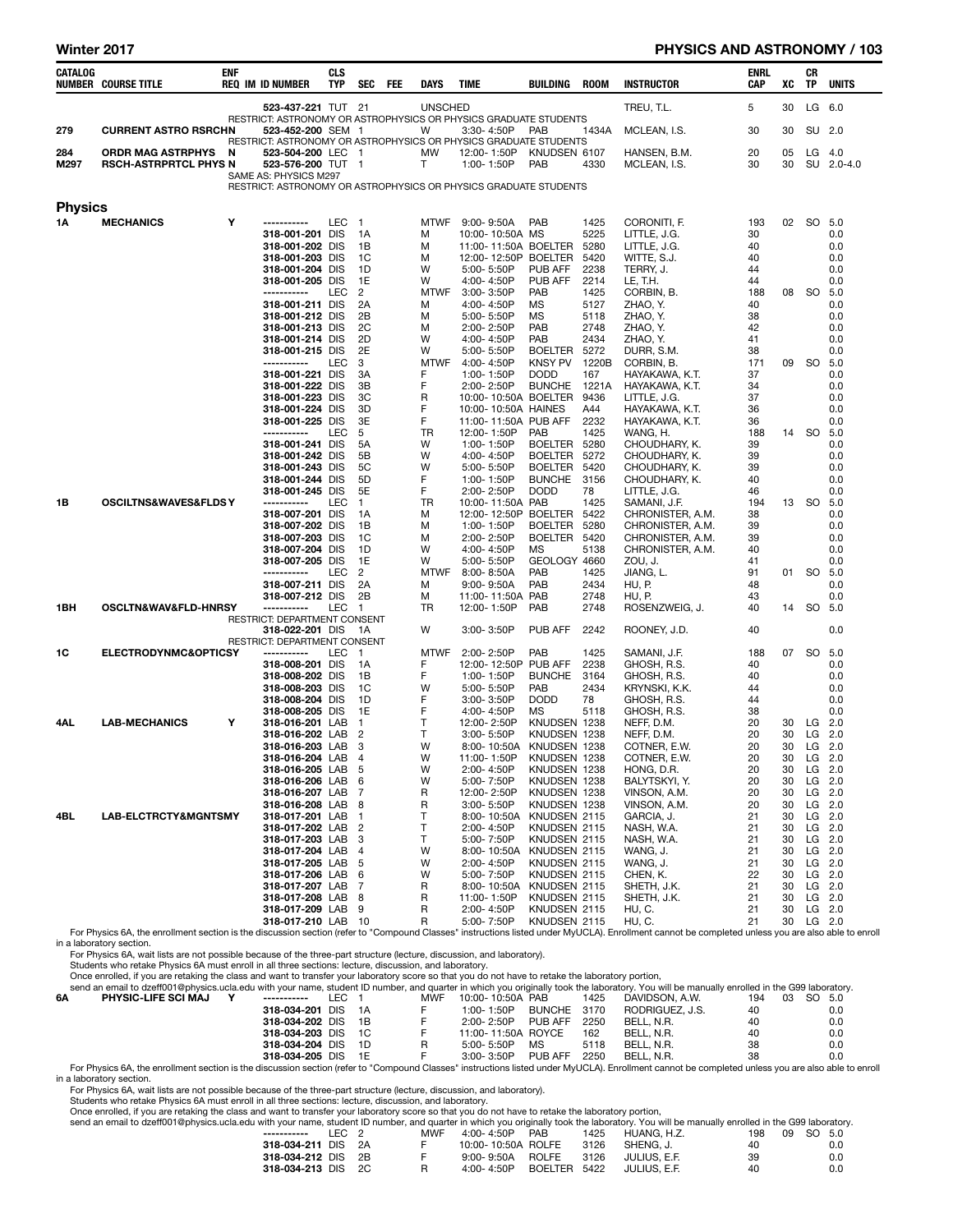#### Winter 2017 PHYSICS AND ASTRONOMY / 103

| CATALOG        | <b>NUMBER COURSE TITLE</b>                                                                                                                                                                                                       | <b>ENF</b> | <b>REQ IM ID NUMBER</b>                                                                   | <b>CLS</b><br><b>TYP</b> | SEC                              | FEE | DAYS             | TIME                               | BUILDING                         | ROOM          | <b>INSTRUCTOR</b>                    | ENRL<br>CAP | xс       | CR<br>TP  | <b>UNITS</b>           |
|----------------|----------------------------------------------------------------------------------------------------------------------------------------------------------------------------------------------------------------------------------|------------|-------------------------------------------------------------------------------------------|--------------------------|----------------------------------|-----|------------------|------------------------------------|----------------------------------|---------------|--------------------------------------|-------------|----------|-----------|------------------------|
|                |                                                                                                                                                                                                                                  |            | 523-437-221 TUT 21<br>RESTRICT: ASTRONOMY OR ASTROPHYSICS OR PHYSICS GRADUATE STUDENTS    |                          |                                  |     | <b>UNSCHED</b>   |                                    |                                  |               | TREU, T.L.                           | 5           | 30       |           | LG 6.0                 |
| 279            | <b>CURRENT ASTRO RSRCHN</b>                                                                                                                                                                                                      |            | 523-452-200 SEM 1<br>RESTRICT: ASTRONOMY OR ASTROPHYSICS OR PHYSICS GRADUATE STUDENTS     |                          |                                  |     | W                | 3:30-4:50P                         | PAB                              | 1434A         | MCLEAN, I.S.                         | 30          | 30       |           | SU 2.0                 |
| 284<br>M297    | <b>ORDR MAG ASTRPHYS</b><br><b>RSCH-ASTRPRTCL PHYS N</b>                                                                                                                                                                         | N          | 523-504-200 LEC 1<br>523-576-200 TUT 1                                                    |                          |                                  |     | <b>MW</b><br>Τ   | 12:00-1:50P<br>1:00-1:50P          | KNUDSEN 6107<br>PAB              | 4330          | HANSEN, B.M.<br>MCLEAN, I.S.         | 20<br>30    | 05<br>30 |           | $LG$ 4.0<br>SU 2.0-4.0 |
|                |                                                                                                                                                                                                                                  |            | SAME AS: PHYSICS M297<br>RESTRICT: ASTRONOMY OR ASTROPHYSICS OR PHYSICS GRADUATE STUDENTS |                          |                                  |     |                  |                                    |                                  |               |                                      |             |          |           |                        |
| <b>Physics</b> |                                                                                                                                                                                                                                  |            |                                                                                           |                          |                                  |     |                  |                                    |                                  |               |                                      |             |          |           |                        |
| 1Α             | <b>MECHANICS</b>                                                                                                                                                                                                                 | Y          | -----------<br>318-001-201 DIS                                                            | LEC                      | $\overline{1}$<br>1A             |     | <b>MTWF</b><br>м | 9:00- 9:50A<br>10:00-10:50A MS     | <b>PAB</b>                       | 1425<br>5225  | CORONITI, F.<br>LITTLE, J.G.         | 193<br>30   | 02       | SO 5.0    | 0.0                    |
|                |                                                                                                                                                                                                                                  |            | 318-001-202 DIS                                                                           |                          | 1B                               |     | М                | 11:00-11:50A BOELTER               |                                  | 5280          | LITTLE, J.G.                         | 40          |          |           | 0.0                    |
|                |                                                                                                                                                                                                                                  |            | 318-001-203 DIS<br>318-001-204 DIS                                                        |                          | 1C<br>1D                         |     | М<br>w           | 12:00-12:50P BOELTER<br>5:00-5:50P | PUB AFF                          | 5420<br>2238  | WITTE, S.J.<br>TERRY, J.             | 40<br>44    |          |           | 0.0<br>0.0             |
|                |                                                                                                                                                                                                                                  |            | 318-001-205 DIS                                                                           |                          | 1E                               |     | W                | 4:00-4:50P                         | PUB AFF                          | 2214          | LE, T.H.                             | 44          |          |           | 0.0                    |
|                |                                                                                                                                                                                                                                  |            | -----------                                                                               | LEC                      | $\overline{2}$                   |     | <b>MTWF</b>      | $3.00 - 3.50P$                     | <b>PAB</b>                       | 1425          | CORBIN, B.                           | 188         | 08       | so        | 5.0                    |
|                |                                                                                                                                                                                                                                  |            | 318-001-211 DIS                                                                           |                          | 2A                               |     | М                | 4:00-4:50P                         | МS                               | 5127          | ZHAO, Y.                             | 40          |          |           | 0.0                    |
|                |                                                                                                                                                                                                                                  |            | 318-001-212 DIS                                                                           |                          | 2Β                               |     | м                | 5:00-5:50P                         | МS                               | 5118          | ZHAO, Y.                             | 38          |          |           | 0.0                    |
|                |                                                                                                                                                                                                                                  |            | 318-001-213 DIS<br>318-001-214 DIS                                                        |                          | 2C<br>2D                         |     | М<br>w           | 2:00-2:50P<br>4:00-4:50P           | PAB<br>PAB                       | 2748<br>2434  | ZHAO, Y.<br>ZHAO, Y.                 | 42<br>41    |          |           | 0.0<br>0.0             |
|                |                                                                                                                                                                                                                                  |            | 318-001-215 DIS                                                                           |                          | 2E                               |     | W                | 5:00- 5:50P                        | <b>BOELTER</b>                   | 5272          | DURR, S.M.                           | 38          |          |           | 0.0                    |
|                |                                                                                                                                                                                                                                  |            | -----------                                                                               | LEC                      | 3                                |     | <b>MTWF</b>      | 4:00-4:50P                         | <b>KNSY PV</b>                   | 1220B         | CORBIN, B.                           | 171         | 09       | -SO       | 5.0                    |
|                |                                                                                                                                                                                                                                  |            | 318-001-221 DIS                                                                           |                          | 3A                               |     | F                | 1:00-1:50P                         | <b>DODD</b>                      | 167           | HAYAKAWA, K.T.                       | 37          |          |           | 0.0                    |
|                |                                                                                                                                                                                                                                  |            | 318-001-222 DIS<br>318-001-223 DIS                                                        |                          | 3B<br>3C                         |     | F<br>R           | 2:00-2:50P<br>10:00-10:50A BOELTER | <b>BUNCHE</b>                    | 1221A<br>9436 | HAYAKAWA, K.T.<br>LITTLE, J.G.       | 34<br>37    |          |           | 0.0<br>0.0             |
|                |                                                                                                                                                                                                                                  |            | 318-001-224 DIS                                                                           |                          | 3D                               |     | F                | 10:00-10:50A HAINES                |                                  | A44           | HAYAKAWA, K.T.                       | 36          |          |           | 0.0                    |
|                |                                                                                                                                                                                                                                  |            | 318-001-225 DIS                                                                           |                          | 3E                               |     | F                | 11:00-11:50A PUB AFF               |                                  | 2232          | HAYAKAWA, K.T.                       | 36          |          |           | 0.0                    |
|                |                                                                                                                                                                                                                                  |            | -----------                                                                               | LEC                      | 5                                |     | <b>TR</b>        | 12:00-1:50P                        | PAB                              | 1425          | WANG, H.                             | 188         | 14       | so        | 5.0                    |
|                |                                                                                                                                                                                                                                  |            | 318-001-241 DIS                                                                           |                          | 5A                               |     | w                | 1:00-1:50P                         | BOELTER                          | 5280          | CHOUDHARY, K.                        | 39          |          |           | 0.0                    |
|                |                                                                                                                                                                                                                                  |            | 318-001-242 DIS<br>318-001-243 DIS                                                        |                          | 5Β<br>5C                         |     | w<br>W           | 4:00-4:50P<br>5:00-5:50P           | <b>BOELTER</b><br><b>BOELTER</b> | 5272<br>5420  | CHOUDHARY, K.<br>CHOUDHARY, K.       | 39<br>39    |          |           | 0.0<br>0.0             |
|                |                                                                                                                                                                                                                                  |            | 318-001-244 DIS                                                                           |                          | 5D                               |     | F                | 1:00-1:50P                         | <b>BUNCHE</b>                    | 3156          | CHOUDHARY, K.                        | 40          |          |           | 0.0                    |
|                |                                                                                                                                                                                                                                  |            | 318-001-245 DIS                                                                           |                          | 5E                               |     | F                | 2:00-2:50P                         | <b>DODD</b>                      | 78            | LITTLE, J.G.                         | 46          |          |           | 0.0                    |
| 1B             | OSCILTNS&WAVES&FLDSY                                                                                                                                                                                                             |            | -----------                                                                               | LEC                      | $\mathbf{1}$                     |     | TR               | 10:00-11:50A PAB                   |                                  | 1425          | SAMANI, J.F.                         | 194         |          | 13 SO     | 5.0                    |
|                |                                                                                                                                                                                                                                  |            | 318-007-201 DIS<br>318-007-202 DIS                                                        |                          | 1А<br>1B                         |     | М<br>М           | 12:00-12:50P BOELTER<br>1:00-1:50P | <b>BOELTER</b>                   | 5422<br>5280  | CHRONISTER, A.M.<br>CHRONISTER, A.M. | 38<br>39    |          |           | 0.0<br>0.0             |
|                |                                                                                                                                                                                                                                  |            | 318-007-203 DIS                                                                           |                          | 1C                               |     | М                | 2:00-2:50P                         | BOELTER 5420                     |               | CHRONISTER, A.M.                     | 39          |          |           | 0.0                    |
|                |                                                                                                                                                                                                                                  |            | 318-007-204 DIS                                                                           |                          | 1D                               |     | w                | 4:00-4:50P                         | <b>MS</b>                        | 5138          | CHRONISTER, A.M.                     | 40          |          |           | 0.0                    |
|                |                                                                                                                                                                                                                                  |            | 318-007-205 DIS                                                                           |                          | 1E                               |     | W                | 5:00-5:50P                         | GEOLOGY 4660                     |               | ZOU, J.                              | 41          |          |           | 0.0                    |
|                |                                                                                                                                                                                                                                  |            | -----------<br>318-007-211 DIS                                                            | LEC                      | 2<br>2A                          |     | <b>MTWF</b><br>М | $8:00 - 8:50A$<br>$9:00 - 9:50A$   | <b>PAB</b><br>PAB                | 1425<br>2434  | JIANG, L.<br>HU, P.                  | 91<br>48    | 01       | so        | 5.0<br>0.0             |
|                |                                                                                                                                                                                                                                  |            | 318-007-212 DIS                                                                           |                          | 2B                               |     | м                | 11:00-11:50A PAB                   |                                  | 2748          | HU, P.                               | 43          |          |           | 0.0                    |
| 1BH            | OSCLTN&WAV&FLD-HNRSY                                                                                                                                                                                                             |            | -----------                                                                               | LEC                      | - 1                              |     | TR               | 12:00-1:50P                        | PAB                              | 2748          | ROSENZWEIG, J.                       | 40          | 14       | SO        | 5.0                    |
|                |                                                                                                                                                                                                                                  |            | RESTRICT: DEPARTMENT CONSENT                                                              |                          |                                  |     |                  |                                    |                                  |               |                                      |             |          |           |                        |
|                |                                                                                                                                                                                                                                  |            | 318-022-201 DIS<br>RESTRICT: DEPARTMENT CONSENT                                           |                          | - 1A                             |     | W                | $3:00 - 3:50P$                     | PUB AFF                          | 2242          | ROONEY, J.D.                         | 40          |          |           | 0.0                    |
| 1C             | <b>ELECTRODYNMC&amp;OPTICSY</b>                                                                                                                                                                                                  |            | -----------                                                                               | LEC                      | $\blacksquare$                   |     | <b>MTWF</b>      | 2:00-2:50P                         | PAB                              | 1425          | SAMANI, J.F.                         | 188         | 07       | SO 5.0    |                        |
|                |                                                                                                                                                                                                                                  |            | 318-008-201 DIS                                                                           |                          | 1A                               |     | F                | 12:00-12:50P PUB AFF               |                                  | 2238          | GHOSH, R.S.                          | 40          |          |           | 0.0                    |
|                |                                                                                                                                                                                                                                  |            | 318-008-202 DIS                                                                           |                          | 1B                               |     | F                | 1:00-1:50P                         | <b>BUNCHE</b>                    | 3164          | GHOSH, R.S.                          | 40          |          |           | 0.0                    |
|                |                                                                                                                                                                                                                                  |            | 318-008-203 DIS<br>318-008-204 DIS                                                        |                          | 1C<br>1D                         |     | W<br>F           | 5:00-5:50P<br>$3:00 - 3:50P$       | PAB<br><b>DODD</b>               | 2434<br>78    | KRYNSKI, K.K.<br>GHOSH, R.S.         | 44<br>44    |          |           | 0.0<br>0.0             |
|                |                                                                                                                                                                                                                                  |            | 318-008-205 DIS                                                                           |                          | 1E                               |     | F                | 4:00-4:50P                         | MS                               | 5118          | GHOSH, R.S.                          | 38          |          |           | 0.0                    |
| 4AL            | <b>LAB-MECHANICS</b>                                                                                                                                                                                                             | Υ          | 318-016-201 LAB                                                                           |                          | $\mathbf{1}$                     |     | т                | 12:00-2:50P                        | KNUDSEN 1238                     |               | NEFF, D.M.                           | 20          | 30       |           | $LG$ 2.0               |
|                |                                                                                                                                                                                                                                  |            | 318-016-202 LAB                                                                           |                          | $\overline{2}$                   |     | т                | 3:00-5:50P                         | KNUDSEN 1238                     |               | NEFF, D.M.                           | 20          | 30       | LG        | 2.0                    |
|                |                                                                                                                                                                                                                                  |            | 318-016-203 LAB<br>318-016-204 LAB                                                        |                          | 3<br>$\overline{4}$              |     | W<br>W           | 8:00-10:50A                        | KNUDSEN 1238<br>KNUDSEN 1238     |               | COTNER, E.W.                         | 20<br>20    | 30       |           | $LG$ 2.0               |
|                |                                                                                                                                                                                                                                  |            | 318-016-205 LAB                                                                           |                          | 5                                |     | W                | 11:00-1:50P<br>2:00-4:50P          | KNUDSEN 1238                     |               | COTNER, E.W.<br>HONG, D.R.           | 20          | 30       | 30 LG 2.0 | LG 2.0                 |
|                |                                                                                                                                                                                                                                  |            | 318-016-206 LAB                                                                           |                          | 6                                |     | W                | 5:00-7:50P                         | KNUDSEN 1238                     |               | BALYTSKYI, Y.                        | 20          | 30       |           | $LG$ 2.0               |
|                |                                                                                                                                                                                                                                  |            | 318-016-207 LAB 7                                                                         |                          |                                  |     | R                | 12:00-2:50P                        | KNUDSEN 1238                     |               | VINSON, A.M.                         | 20          | 30       |           | LG 2.0                 |
|                | LAB-ELCTRCTY&MGNTSMY                                                                                                                                                                                                             |            | 318-016-208 LAB                                                                           |                          | 8                                |     | R                | 3:00-5:50P                         | KNUDSEN 1238                     |               | VINSON, A.M.                         | 20          | 30       |           | LG 2.0                 |
| 4BL            |                                                                                                                                                                                                                                  |            | 318-017-201 LAB<br>318-017-202 LAB                                                        |                          | $\blacksquare$<br>$\overline{2}$ |     | т<br>т           | 8:00-10:50A<br>2:00-4:50P          | KNUDSEN 2115<br>KNUDSEN 2115     |               | GARCIA, J.<br>NASH, W.A.             | 21<br>21    | 30<br>30 |           | LG 2.0<br>LG 2.0       |
|                |                                                                                                                                                                                                                                  |            | 318-017-203 LAB                                                                           |                          | 3                                |     | Τ                | 5:00-7:50P                         | KNUDSEN 2115                     |               | NASH, W.A.                           | 21          | 30       |           | LG 2.0                 |
|                |                                                                                                                                                                                                                                  |            | 318-017-204 LAB                                                                           |                          | 4                                |     | W                | 8:00-10:50A                        | KNUDSEN 2115                     |               | WANG, J.                             | 21          | 30       |           | LG 2.0                 |
|                |                                                                                                                                                                                                                                  |            | 318-017-205 LAB                                                                           |                          | 5                                |     | W                | 2:00-4:50P                         | KNUDSEN 2115                     |               | WANG, J.                             | 21          | 30       |           | LG 2.0                 |
|                |                                                                                                                                                                                                                                  |            | 318-017-206 LAB<br>318-017-207 LAB 7                                                      |                          | 6                                |     | W<br>R           | 5:00-7:50P<br>8:00-10:50A          | KNUDSEN 2115<br>KNUDSEN 2115     |               | CHEN, K.<br>SHETH, J.K.              | 22<br>21    | 30<br>30 |           | LG 2.0<br>LG 2.0       |
|                |                                                                                                                                                                                                                                  |            | 318-017-208 LAB                                                                           |                          | 8                                |     | R                | 11:00-1:50P                        | KNUDSEN 2115                     |               | SHETH, J.K.                          | 21          | 30       |           | $LG$ 2.0               |
|                |                                                                                                                                                                                                                                  |            | 318-017-209 LAB 9                                                                         |                          |                                  |     | R                | 2:00-4:50P                         | KNUDSEN 2115                     |               | HU, C.                               | 21          | 30       |           | $LG$ 2.0               |
|                |                                                                                                                                                                                                                                  |            | 318-017-210 LAB 10                                                                        |                          |                                  |     | R                | 5:00-7:50P                         | KNUDSEN 2115                     |               | HU, C.                               | 21          | 30       |           | $LG$ 2.0               |
|                | For Physics 6A, the enrollment section is the discussion section (refer to "Compound Classes" instructions listed under MyUCLA). Enrollment cannot be completed unless you are also able to enroll<br>in a laboratory section.   |            |                                                                                           |                          |                                  |     |                  |                                    |                                  |               |                                      |             |          |           |                        |
|                | For Physics 6A, wait lists are not possible because of the three-part structure (lecture, discussion, and laboratory).<br>Students who retake Physics 6A must enroll in all three sections: lecture, discussion, and laboratory. |            |                                                                                           |                          |                                  |     |                  |                                    |                                  |               |                                      |             |          |           |                        |

Once enrolled, if you are retaking the class and want to transfer your laboratory score so that you do not have to retake the laboratory portion,

|    | send an email to dzeff001@physics.ucla.edu with your name, student ID number, and quarter in which you originally took the laboratory. You will be manually enrolled in the G99 laboratory. |                    |       |     |            |                    |             |      |                 |           |        |     |
|----|---------------------------------------------------------------------------------------------------------------------------------------------------------------------------------------------|--------------------|-------|-----|------------|--------------------|-------------|------|-----------------|-----------|--------|-----|
| 6Α | <b>PHYSIC-LIFE SCI MAJ</b>                                                                                                                                                                  | ------------       | LEC 1 |     | <b>MWF</b> | 10:00-10:50A PAB   |             | 1425 | DAVIDSON, A.W.  | 03<br>194 | SO 5.0 |     |
|    |                                                                                                                                                                                             | 318-034-201 DIS    |       | 1A  |            | $1:00 - 1:50P$     | BUNCHE 3170 |      | RODRIGUEZ, J.S. | 40        |        | 0.0 |
|    |                                                                                                                                                                                             | 318-034-202 DIS 1B |       |     |            | 2:00-2:50P         | PUB AFF     | 2250 | BELL, N.R.      | 40        |        | 0.0 |
|    |                                                                                                                                                                                             | 318-034-203 DIS 1C |       |     |            | 11:00-11:50A ROYCE |             | 162  | BELL, N.R.      | 40        |        | 0.0 |
|    |                                                                                                                                                                                             | 318-034-204 DIS    |       | 1D. |            | $5:00 - 5:50P$     | MS          | 5118 | BELL, N.R.      | 38        |        | 0.0 |
|    |                                                                                                                                                                                             | 318-034-205 DIS    |       | 1E  |            | $3:00 - 3:50P$     | PUB AFF     | 2250 | BELL, N.R.      | 38        |        | 0.0 |

0.0 318-034-205 DIS 1E F 3:00-3:50P PUB AFF 2250 BELL, N.R.<br>For Physics 6A, the enrollment section is the discussion section (refer to "Compound Classes" instructions listed under MyUCLA). Enrollment cannot be completed un

in a laboratory section.<br>For Physics 6A, wait lists are not possible because of the three-part structure (lecture, discussion, and laboratory).<br>Students who retake Physics 6A must enroll in all three sections: lecture, dis

Once enrolled, if you are retaking the class and want to transfer your laboratory score so that you do not have to retake the laboratory portion,<br>send an email to dzeff001@physics.ucla.edu with your name, student ID number

| send an email to dzeff001@physics.ucla.edu with your name, student ID number, and quarter in which you originally took the laboratory. You will be manually enrolled in the G99 laboratory |                    |       |     |                    |              |      |              |     |           |     |
|--------------------------------------------------------------------------------------------------------------------------------------------------------------------------------------------|--------------------|-------|-----|--------------------|--------------|------|--------------|-----|-----------|-----|
|                                                                                                                                                                                            | -----------        | IFC 2 | MWF | 4:00- 4:50P        | <b>PAB</b>   | 1425 | HUANG. H.Z.  | 198 | 09 SO 5.0 |     |
|                                                                                                                                                                                            | 318-034-211 DIS 2A |       |     | 10:00-10:50A ROLFE |              | 3126 | SHENG. J.    | 40  |           | 0.0 |
|                                                                                                                                                                                            | 318-034-212 DIS 2B |       |     | $9:00 - 9:50A$     | ROLFE        | 3126 | JULIUS. E.F. | 39  |           | 0.0 |
|                                                                                                                                                                                            | 318-034-213 DIS 2C |       |     | $4:00 - 4:50P$     | BOELTER 5422 |      | JULIUS. E.F. | 40  |           | 0.0 |
|                                                                                                                                                                                            |                    |       |     |                    |              |      |              |     |           |     |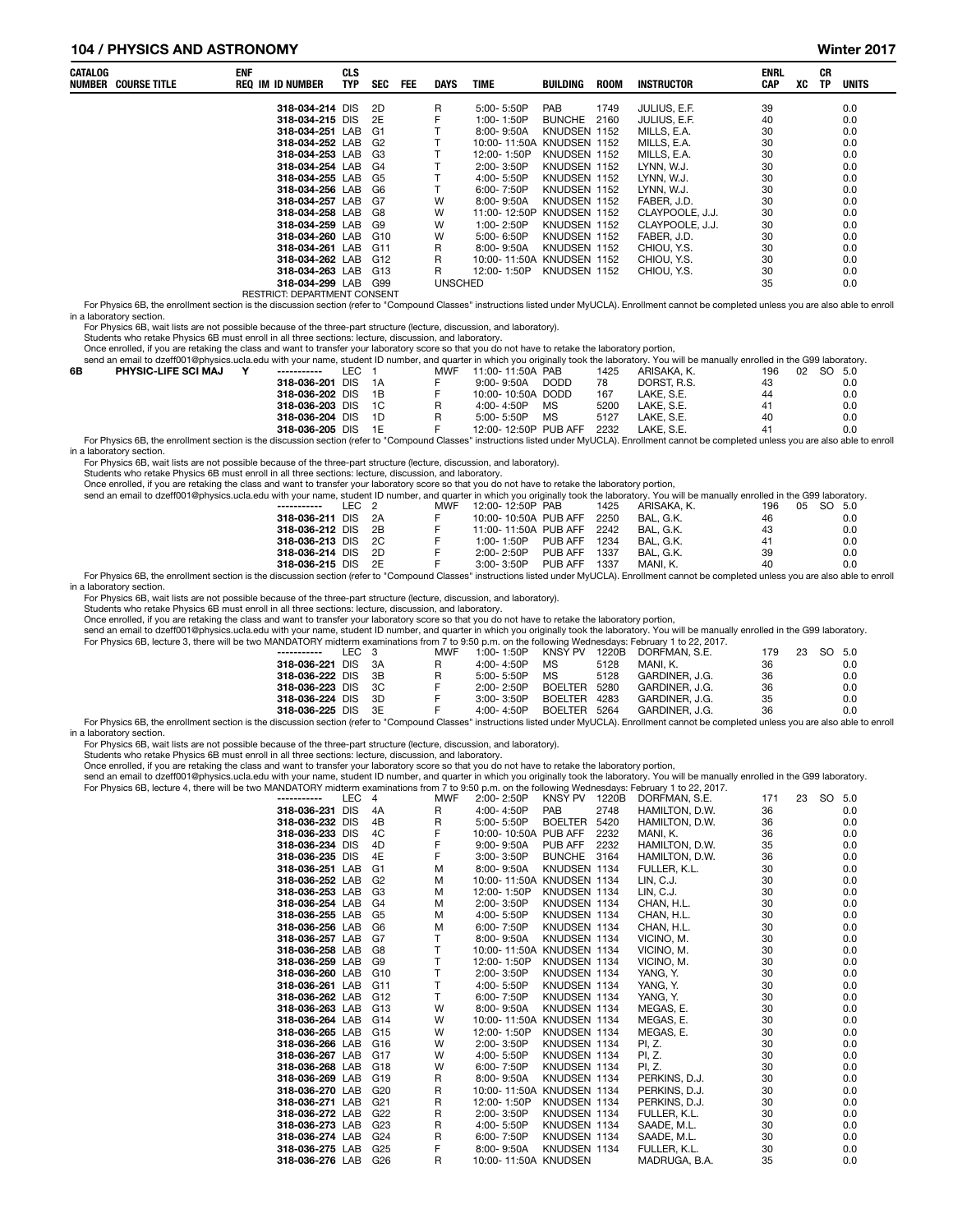#### 104 / PHYSICS AND ASTRONOMY Winter 2017

| CATALOG | <b>NUMBER COURSE TITLE</b> | <b>ENF</b><br>REQ IM ID NUMBER | <b>CLS</b><br><b>TYP</b> | <b>SEC</b> | <b>FEE</b> | <b>DAYS</b>    | <b>TIME</b>               | BUILDING      | <b>ROOM</b> | INSTRUCTOR      | <b>ENRL</b><br><b>CAP</b> | XC | СR<br><b>TP</b> | UNITS |
|---------|----------------------------|--------------------------------|--------------------------|------------|------------|----------------|---------------------------|---------------|-------------|-----------------|---------------------------|----|-----------------|-------|
|         |                            | 318-034-214 DIS                |                          | - 2D       |            | R              | 5:00-5:50P                | <b>PAB</b>    | 1749        | JULIUS, E.F.    | 39                        |    |                 | 0.0   |
|         |                            | 318-034-215 DIS                |                          | 2E         |            | F              | 1:00-1:50P                | <b>BUNCHE</b> | 2160        | JULIUS, E.F.    | 40                        |    |                 | 0.0   |
|         |                            | 318-034-251 LAB                |                          | G1         |            |                | 8:00-9:50A                | KNUDSEN 1152  |             | MILLS, E.A.     | 30                        |    |                 | 0.0   |
|         |                            | 318-034-252 LAB                |                          | G2         |            |                | 10:00-11:50A KNUDSEN 1152 |               |             | MILLS, E.A.     | 30                        |    |                 | 0.0   |
|         |                            | 318-034-253 LAB                |                          | G3         |            |                | 12:00-1:50P               | KNUDSEN 1152  |             | MILLS, E.A.     | 30                        |    |                 | 0.0   |
|         |                            | 318-034-254 LAB G4             |                          |            |            |                | 2:00-3:50P                | KNUDSEN 1152  |             | LYNN. W.J.      | 30                        |    |                 | 0.0   |
|         |                            | 318-034-255 LAB                |                          | G5         |            |                | 4:00-5:50P                | KNUDSEN 1152  |             | LYNN. W.J.      | 30                        |    |                 | 0.0   |
|         |                            | 318-034-256 LAB                |                          | G6         |            |                | $6:00 - 7:50P$            | KNUDSEN 1152  |             | LYNN, W.J.      | 30                        |    |                 | 0.0   |
|         |                            | 318-034-257 LAB                |                          | G7         |            | W              | 8:00-9:50A                | KNUDSEN 1152  |             | FABER, J.D.     | 30                        |    |                 | 0.0   |
|         |                            | 318-034-258 LAB                |                          | G8         |            | W              | 11:00-12:50P              | KNUDSEN 1152  |             | CLAYPOOLE, J.J. | 30                        |    |                 | 0.0   |
|         |                            | 318-034-259 LAB                |                          | G9         |            | W              | 1:00-2:50P                | KNUDSEN 1152  |             | CLAYPOOLE, J.J. | 30                        |    |                 | 0.0   |
|         |                            | 318-034-260 LAB                |                          | G10        |            | W              | $5:00 - 6:50P$            | KNUDSEN 1152  |             | FABER. J.D.     | 30                        |    |                 | 0.0   |
|         |                            | 318-034-261 LAB                |                          | G11        |            | R              | $8:00 - 9:50A$            | KNUDSEN 1152  |             | CHIOU, Y.S.     | 30                        |    |                 | 0.0   |
|         |                            | 318-034-262 LAB                |                          | G12        |            | R              | 10:00-11:50A KNUDSEN 1152 |               |             | CHIOU, Y.S.     | 30                        |    |                 | 0.0   |
|         |                            | 318-034-263 LAB                |                          | G13        |            | R              | 12:00-1:50P               | KNUDSEN 1152  |             | CHIOU, Y.S.     | 30                        |    |                 | 0.0   |
|         |                            | 318-034-299 LAB                |                          | G99        |            | <b>UNSCHED</b> |                           |               |             |                 | 35                        |    |                 | 0.0   |
|         |                            | RESTRICT: DEPARTMENT CONSENT   |                          |            |            |                |                           |               |             |                 |                           |    |                 |       |

RESTRICT: DEPARTMENT CONSENT<br>For Physics 6B, the enrollment section is the discussion section (refer to "Compound Classes" instructions listed under MyUCLA). Enrollment cannot be completed unless you are also able to enrol in a laboratory section.

For Physics 6B, wait lists are not possible because of the three-part structure (lecture, discussion, and laboratory).

Students who retake Physics 6B must enroll in all three sections: lecture, discussion, and laboratory.

Once enrolled, if you are retaking the class and want to transfer your laboratory score so that you do not have to retake the laboratory portion,<br>send an email to dzeff001@physics.ucla.edu with your name. student ID number

|    | send an email to dzeff001@physics.ucla.edu with your name, student ID number, and quarter in which you originally took the laboratory. You will be manually enrolled in the G99 laboratory. |                    |       |     |                      |             |      |             |     |    |     |       |
|----|---------------------------------------------------------------------------------------------------------------------------------------------------------------------------------------------|--------------------|-------|-----|----------------------|-------------|------|-------------|-----|----|-----|-------|
| 6B | <b>PHYSIC-LIFE SCI MAJ</b>                                                                                                                                                                  | ------------       | LEC 1 | MWF | 11:00-11:50A PAB     |             | 1425 | ARISAKA K.  | 196 | 02 | SO. | - 5.0 |
|    |                                                                                                                                                                                             | 318-036-201 DIS 1A |       |     | $9:00 - 9:50A$       | <b>DODD</b> | 78   | DORST, R.S. | 43  |    |     | 0.0   |
|    |                                                                                                                                                                                             | 318-036-202 DIS 1B |       |     | 10:00-10:50A DODD    |             | 167  | LAKE. S.E.  | 44  |    |     | 0.0   |
|    |                                                                                                                                                                                             | 318-036-203 DIS 1C |       | R   | $4:00 - 4:50P$       | MS          | 5200 | LAKE. S.E.  | 41  |    |     | 0.0   |
|    |                                                                                                                                                                                             | 318-036-204 DIS 1D |       | R   | $5:00 - 5:50P$       | <b>MS</b>   | 5127 | LAKE. S.E.  | 40  |    |     | 0.0   |
|    |                                                                                                                                                                                             | 318-036-205 DIS 1E |       |     | 12:00-12:50P PUB AFF |             | 2232 | LAKE. S.E.  | 41  |    |     | 0.0   |

For Physics 6B, the enrollment section is the discussion section (refer to "Compound Classes" instructions listed under MyUCLA). Enrollment cannot be completed unless you are also able to enroll in a laboratory section.

For Physics 6B, wait lists are not possible because of the three-part structure (lecture, discussion, and laboratory).

Students who retake Physics 6B must enroll in all three sections: lecture, discussion, and laboratory.<br>Once enrolled, if you are retaking the class and want to transfer your laboratory score so that you do not have to reta send an email to dzeff001@physics.ucla.edu

| send an email to dzeff001@physics.ucla.edu with your name, student ID number, and quarter in which you originally took the laboratory. You will be manually enrolled in the G99 laboratory.                                    |       |      |     |                  |                      |      |             |     |              |  |
|--------------------------------------------------------------------------------------------------------------------------------------------------------------------------------------------------------------------------------|-------|------|-----|------------------|----------------------|------|-------------|-----|--------------|--|
| -----------                                                                                                                                                                                                                    | LEC 2 |      | MWF | 12:00-12:50P PAB |                      | 1425 | ARISAKA. K. | 196 | SO 5.0<br>05 |  |
| 318-036-211 DIS                                                                                                                                                                                                                |       | 2A   |     |                  | 10:00-10:50A PUB AFF | 2250 | BAL. G.K.   | 46  | 0.0          |  |
| 318-036-212 DIS                                                                                                                                                                                                                |       | - 2B |     |                  | 11:00-11:50A PUB AFF | 2242 | BAL. G.K.   | 43  | 0.0          |  |
| 318-036-213 DIS                                                                                                                                                                                                                |       | - 2C |     | $1:00 - 1:50P$   | PUB AFF              | 1234 | BAL. G.K.   | 41  | 0.0          |  |
| 318-036-214 DIS                                                                                                                                                                                                                |       | - 2D |     | $2:00 - 2:50P$   | PUB AFF              | 1337 | BAL. G.K.   | 39  | 0.0          |  |
| 318-036-215 DIS                                                                                                                                                                                                                |       | 2E   |     | $3:00 - 3:50P$   | PUB AFF              | 1337 | MANI. K.    | 40  | 0.0          |  |
| Fee Blending OD, the concellenced continue in the discussion continue infection IO concerned Openand included include lighed under Mul IOLA). Fourthermate proposable included unless use a concellence of the shade of the se |       |      |     |                  |                      |      |             |     |              |  |

For Physics 6B, the enrollment section is the discussion section (refer to "Compound Classes" instructions listed under MyUCLA). Enrollment cannot be completed unless you are also able to enroll in a laboratory section.

For Physics 6B, wait lists are not possible because of the three-part structure (lecture, discussion, and laboratory).

Students who retake Physics 6B must enroll in all three sections: lecture, discussion, and laboratory.

Once enrolled, if you are retaking the class and want to transfer your laboratory score so that you do not have to retake the laboratory portion,

send an email to dzeff001@physics.ucla.edu with your name, student ID number, and quarter in which you originally took the laboratory. You will be manually enrolled in the G99 laboratory. For Physics 6B, lecture 3, there will be two MANDATORY minimizes: February 1 to 22, 2017.

| For Physics 6B, lecture 3, there will be two MANDATORY midterm examinations from 7 to 9:50 p.m. on the following Wednesdays: February 1 to 22, 2017. |       |      |     |                |                |       |                |     |    |        |     |
|------------------------------------------------------------------------------------------------------------------------------------------------------|-------|------|-----|----------------|----------------|-------|----------------|-----|----|--------|-----|
| -----------                                                                                                                                          | LEC 3 |      | MWF | 1:00-1:50P     | KNSY PV        | 1220B | DORFMAN, S.E.  | 179 | 23 | SO 5.0 |     |
| 318-036-221 DIS 3A                                                                                                                                   |       |      | R   | $4:00 - 4:50P$ | MS.            | 5128  | MANI. K.       | 36  |    |        | 0.0 |
| 318-036-222 DIS 3B                                                                                                                                   |       |      | R   | $5:00 - 5:50P$ | MS             | 5128  | GARDINER. J.G. | 36  |    |        | 0.0 |
| 318-036-223 DIS                                                                                                                                      |       | - 30 |     | 2:00-2:50P     | <b>BOELTER</b> | 5280  | GARDINER, J.G. | 36  |    |        | 0.0 |
| 318-036-224 DIS                                                                                                                                      |       | - 3D |     | 3:00-3:50P     | BOELTER 4283   |       | GARDINER, J.G. | 35  |    |        | 0.0 |
| 318-036-225 DIS                                                                                                                                      |       | - 3F |     | 4:00-4:50P     | BOELTER 5264   |       | GARDINER, J.G. | 36  |    |        | 0.0 |

0.0 318-036-225 DIS 3E F 4:00- 4:50P BOELTER 5264 GARDINER, J.G. 36 0.0 36<br>For Physics 6B, the enrollment section is the discussion section (refer to "Compound Classes" instructions listed under MyUCLA). Enrollment cannot in a laboratory section.

For Physics 6B, wait lists are not possible because of the three-part structure (lecture, discussion, and laboratory).

Students who retake Physics 6B must enroll in all three sections: lecture, discussion, and laboratory.

Once enrolled, if you are retaking the class and want to transfer your laboratory score so that you do not have to retake the laboratory portion,

send an email to dzeff001@physics.ucla.edu with your name, student ID number, and quarter in which you originally took the laboratory. You will be manually enrolled in the G99 laboratory. For Physics 6B, lecture 4, there will be two

| For Physics 6B, lecture 4, there will be two MANDATORY midterm examinations from 7 to 9:50 p.m. on the following Wednesdays: February 1 to 22, 2017. |       |                 |                 |                           |                |      |                                        |     |    |        |     |
|------------------------------------------------------------------------------------------------------------------------------------------------------|-------|-----------------|-----------------|---------------------------|----------------|------|----------------------------------------|-----|----|--------|-----|
| -----------                                                                                                                                          | LEC 4 |                 | MWF             |                           |                |      | 2:00-2:50P KNSY PV 1220B DORFMAN, S.E. | 171 | 23 | SO 5.0 |     |
| 318-036-231 DIS                                                                                                                                      |       | 4A              | R               | 4:00-4:50P                | PAB            | 2748 | HAMILTON, D.W.                         | 36  |    |        | 0.0 |
| 318-036-232 DIS                                                                                                                                      |       | 4B              | $R_{\parallel}$ | 5:00-5:50P                | <b>BOELTER</b> | 5420 | HAMILTON, D.W.                         | 36  |    |        | 0.0 |
| 318-036-233 DIS                                                                                                                                      |       | 4C              | F               | 10:00-10:50A PUB AFF      |                | 2232 | MANI, K.                               | 36  |    |        | 0.0 |
| 318-036-234 DIS                                                                                                                                      |       | 4D              | F               | $9:00 - 9:50A$            | PUB AFF        | 2232 | HAMILTON, D.W.                         | 35  |    |        | 0.0 |
| 318-036-235 DIS                                                                                                                                      |       | 4E              | F               | 3:00-3:50P                | BUNCHE 3164    |      | HAMILTON, D.W.                         | 36  |    |        | 0.0 |
| 318-036-251 LAB                                                                                                                                      |       | G1              | м               | 8:00-9:50A                | KNUDSEN 1134   |      | FULLER, K.L.                           | 30  |    |        | 0.0 |
| 318-036-252 LAB                                                                                                                                      |       | G <sub>2</sub>  | м               | 10:00-11:50A KNUDSEN 1134 |                |      | LIN, C.J.                              | 30  |    |        | 0.0 |
| 318-036-253 LAB                                                                                                                                      |       | G3              | м               | 12:00-1:50P               | KNUDSEN 1134   |      | LIN, C.J.                              | 30  |    |        | 0.0 |
| 318-036-254 LAB                                                                                                                                      |       | G4              | м               | 2:00-3:50P                | KNUDSEN 1134   |      | CHAN, H.L.                             | 30  |    |        | 0.0 |
| 318-036-255 LAB                                                                                                                                      |       | G <sub>5</sub>  | м               | 4:00-5:50P                | KNUDSEN 1134   |      | CHAN, H.L.                             | 30  |    |        | 0.0 |
| 318-036-256 LAB                                                                                                                                      |       | G6              | м               | 6:00-7:50P                | KNUDSEN 1134   |      | CHAN, H.L.                             | 30  |    |        | 0.0 |
| 318-036-257 LAB                                                                                                                                      |       | G7              | $\mathsf T$     | 8:00-9:50A                | KNUDSEN 1134   |      | VICINO, M.                             | 30  |    |        | 0.0 |
| 318-036-258 LAB                                                                                                                                      |       | G8              | T.              | 10:00-11:50A KNUDSEN 1134 |                |      | VICINO, M.                             | 30  |    |        | 0.0 |
| 318-036-259 LAB                                                                                                                                      |       | G9              | T               | 12:00-1:50P               | KNUDSEN 1134   |      | VICINO, M.                             | 30  |    |        | 0.0 |
| 318-036-260 LAB                                                                                                                                      |       | G10             | T               | 2:00-3:50P                | KNUDSEN 1134   |      | YANG, Y.                               | 30  |    |        | 0.0 |
| 318-036-261 LAB                                                                                                                                      |       | G11             | T               | 4:00-5:50P                | KNUDSEN 1134   |      | YANG, Y.                               | 30  |    |        | 0.0 |
| 318-036-262 LAB                                                                                                                                      |       | G <sub>12</sub> | T               | 6:00-7:50P                | KNUDSEN 1134   |      | YANG, Y.                               | 30  |    |        | 0.0 |
| 318-036-263 LAB                                                                                                                                      |       | G13             | W               | 8:00-9:50A                | KNUDSEN 1134   |      | MEGAS, E.                              | 30  |    |        | 0.0 |
| 318-036-264 LAB                                                                                                                                      |       | G14             | W               | 10:00-11:50A KNUDSEN 1134 |                |      | MEGAS, E.                              | 30  |    |        | 0.0 |
| 318-036-265 LAB                                                                                                                                      |       | G15             | W               | 12:00-1:50P               | KNUDSEN 1134   |      | MEGAS, E.                              | 30  |    |        | 0.0 |
| 318-036-266 LAB                                                                                                                                      |       | G16             | W               | 2:00-3:50P                | KNUDSEN 1134   |      | PI, Z.                                 | 30  |    |        | 0.0 |
| 318-036-267 LAB                                                                                                                                      |       | G17             | W               | 4:00-5:50P                | KNUDSEN 1134   |      | PI, Z.                                 | 30  |    |        | 0.0 |
| 318-036-268 LAB                                                                                                                                      |       | G18             | W               | 6:00-7:50P                | KNUDSEN 1134   |      | PI, Z.                                 | 30  |    |        | 0.0 |
| 318-036-269 LAB                                                                                                                                      |       | G19             | R               | 8:00-9:50A                | KNUDSEN 1134   |      | PERKINS, D.J.                          | 30  |    |        | 0.0 |
| 318-036-270 LAB                                                                                                                                      |       | G20             | R               | 10:00-11:50A KNUDSEN 1134 |                |      | PERKINS, D.J.                          | 30  |    |        | 0.0 |
| 318-036-271 LAB                                                                                                                                      |       | G <sub>21</sub> | R               | 12:00-1:50P               | KNUDSEN 1134   |      | PERKINS, D.J.                          | 30  |    |        | 0.0 |
| 318-036-272 LAB                                                                                                                                      |       | G <sub>22</sub> | R               | 2:00-3:50P                | KNUDSEN 1134   |      | FULLER, K.L.                           | 30  |    |        | 0.0 |
| 318-036-273 LAB                                                                                                                                      |       | G <sub>23</sub> | R               | 4:00-5:50P                | KNUDSEN 1134   |      | SAADE, M.L.                            | 30  |    |        | 0.0 |
| 318-036-274 LAB                                                                                                                                      |       | G <sub>24</sub> | R               | 6:00-7:50P                | KNUDSEN 1134   |      | SAADE, M.L.                            | 30  |    |        | 0.0 |
| 318-036-275 LAB                                                                                                                                      |       | G <sub>25</sub> | F               | 8:00-9:50A                | KNUDSEN 1134   |      | FULLER, K.L.                           | 30  |    |        | 0.0 |
| 318-036-276 LAB                                                                                                                                      |       | G <sub>26</sub> | R               | 10:00-11:50A KNUDSEN      |                |      | MADRUGA, B.A.                          | 35  |    |        | 0.0 |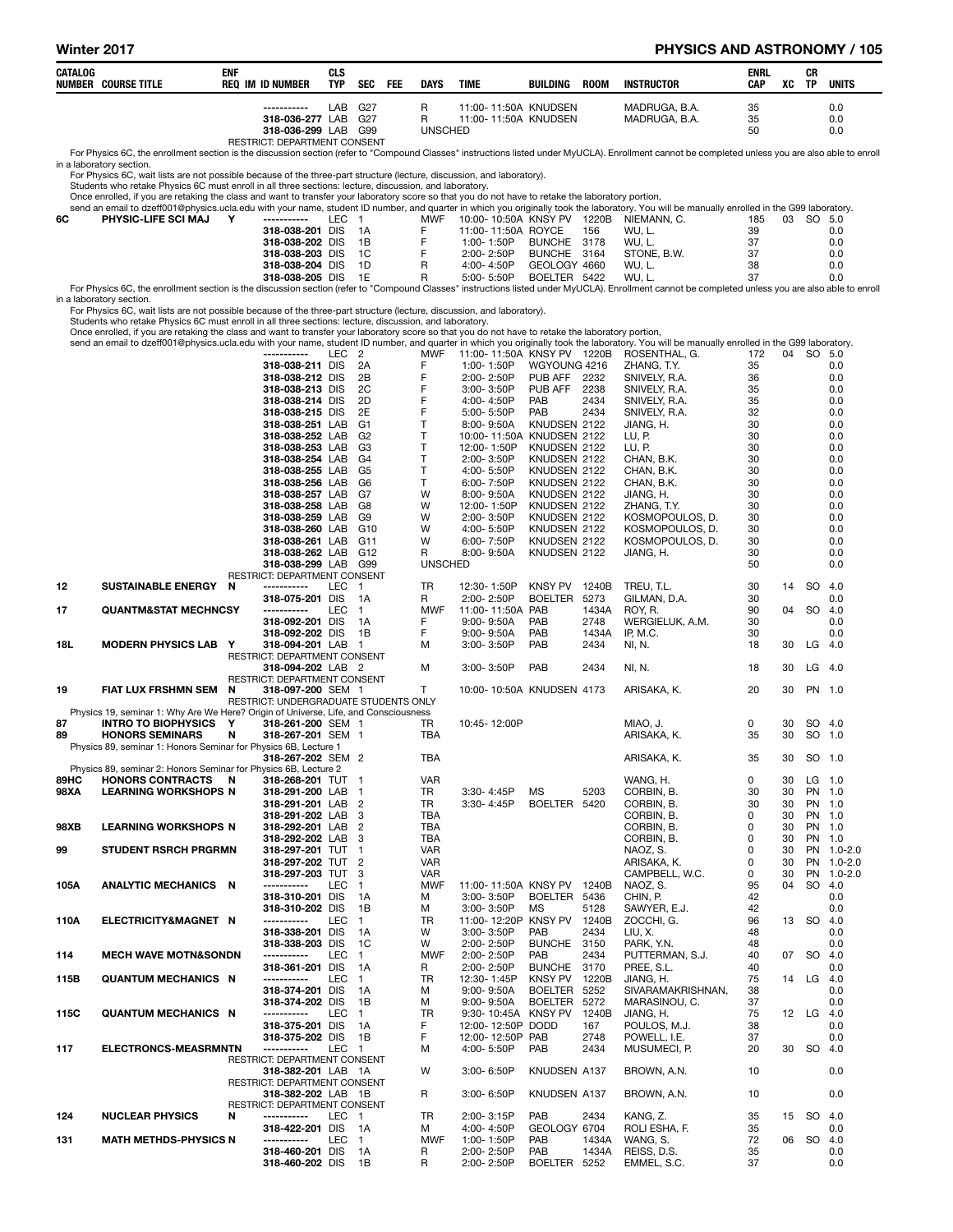# Winter 2017 **PHYSICS AND ASTRONOMY / 105**

| CATALOG      | <b>NUMBER COURSE TITLE</b>                                                                                                                                                                                                                                  | <b>ENF</b> | <b>REQ IM ID NUMBER</b>                            | <b>CLS</b><br><b>TYP</b> | SEC                              | FEE | <b>DAYS</b>              | <b>TIME</b> |                                    | BUILDING                                   | <b>ROOM</b>   | <b>INSTRUCTOR</b>                                                                                                                                                                                            | <b>ENRL</b><br>CAP | XC       | CR<br>TP           | <b>UNITS</b>             |
|--------------|-------------------------------------------------------------------------------------------------------------------------------------------------------------------------------------------------------------------------------------------------------------|------------|----------------------------------------------------|--------------------------|----------------------------------|-----|--------------------------|-------------|------------------------------------|--------------------------------------------|---------------|--------------------------------------------------------------------------------------------------------------------------------------------------------------------------------------------------------------|--------------------|----------|--------------------|--------------------------|
|              |                                                                                                                                                                                                                                                             |            |                                                    | LAB                      | G <sub>27</sub>                  |     | R                        |             |                                    | 11:00-11:50A KNUDSEN                       |               | MADRUGA, B.A.                                                                                                                                                                                                | 35                 |          |                    | 0.0                      |
|              |                                                                                                                                                                                                                                                             |            | 318-036-277 LAB<br>318-036-299 LAB G99             |                          | G <sub>27</sub>                  |     | R<br><b>UNSCHED</b>      |             |                                    | 11:00-11:50A KNUDSEN                       |               | MADRUGA, B.A.                                                                                                                                                                                                | 35<br>50           |          |                    | 0.0<br>0.0               |
|              |                                                                                                                                                                                                                                                             |            | RESTRICT: DEPARTMENT CONSENT                       |                          |                                  |     |                          |             |                                    |                                            |               | For Physics 6C, the enrollment section is the discussion section (refer to "Compound Classes" instructions listed under MyUCLA). Enrollment cannot be completed unless you are also able to enroll           |                    |          |                    |                          |
|              | in a laboratory section.<br>For Physics 6C, wait lists are not possible because of the three-part structure (lecture, discussion, and laboratory).                                                                                                          |            |                                                    |                          |                                  |     |                          |             |                                    |                                            |               |                                                                                                                                                                                                              |                    |          |                    |                          |
|              | Students who retake Physics 6C must enroll in all three sections: lecture, discussion, and laboratory.<br>Once enrolled, if you are retaking the class and want to transfer your laboratory score so that you do not have to retake the laboratory portion, |            |                                                    |                          |                                  |     |                          |             |                                    |                                            |               |                                                                                                                                                                                                              |                    |          |                    |                          |
|              |                                                                                                                                                                                                                                                             |            |                                                    |                          |                                  |     |                          |             |                                    |                                            |               | send an email to dzeff001@physics.ucla.edu with your name, student ID number, and quarter in which you originally took the laboratory. You will be manually enrolled in the G99 laboratory.                  |                    |          |                    |                          |
| 6C           | PHYSIC-LIFE SCI MAJ                                                                                                                                                                                                                                         | Y          | -----------<br>318-038-201 DIS                     | LEC 1                    | 1A                               |     | <b>MWF</b><br>F          |             |                                    | 11:00-11:50A ROYCE                         | 156           | 10:00-10:50A KNSY PV 1220B NIEMANN, C.<br>WU, L.                                                                                                                                                             | 185<br>39          |          | 03 SO 5.0          | 0.0                      |
|              |                                                                                                                                                                                                                                                             |            | 318-038-202 DIS<br>318-038-203 DIS                 |                          | 1B<br>1C                         |     | F<br>F                   |             | 1:00-1:50P<br>2:00-2:50P           | <b>BUNCHE</b><br>BUNCHE 3164               | 3178          | WU.L.<br>STONE, B.W.                                                                                                                                                                                         | 37<br>37           |          |                    | 0.0<br>0.0               |
|              |                                                                                                                                                                                                                                                             |            | 318-038-204 DIS                                    |                          | 1D                               |     | R                        |             | 4:00-4:50P                         | GEOLOGY 4660                               |               | WU, L.                                                                                                                                                                                                       | 38                 |          |                    | 0.0                      |
|              |                                                                                                                                                                                                                                                             |            | 318-038-205 DIS 1E                                 |                          |                                  |     | R                        |             | 5:00- 5:50P                        | BOELTER 5422                               |               | WU, L.<br>For Physics 6C, the enrollment section is the discussion section (refer to "Compound Classes" instructions listed under MyUCLA). Enrollment cannot be completed unless you are also able to enroll | 37                 |          |                    | 0.0                      |
|              | in a laboratory section.<br>For Physics 6C, wait lists are not possible because of the three-part structure (lecture, discussion, and laboratory).                                                                                                          |            |                                                    |                          |                                  |     |                          |             |                                    |                                            |               |                                                                                                                                                                                                              |                    |          |                    |                          |
|              | Students who retake Physics 6C must enroll in all three sections: lecture, discussion, and laboratory.<br>Once enrolled, if you are retaking the class and want to transfer your laboratory score so that you do not have to retake the laboratory portion, |            |                                                    |                          |                                  |     |                          |             |                                    |                                            |               |                                                                                                                                                                                                              |                    |          |                    |                          |
|              |                                                                                                                                                                                                                                                             |            |                                                    |                          |                                  |     |                          |             |                                    |                                            |               | send an email to dzeff001@physics.ucla.edu with your name, student ID number, and quarter in which you originally took the laboratory. You will be manually enrolled in the G99 laboratory.                  |                    |          |                    |                          |
|              |                                                                                                                                                                                                                                                             |            | -----------<br>318-038-211 DIS                     | LEC <sub>2</sub>         | 2A                               |     | <b>MWF</b><br>F          |             | 1:00-1:50P                         | WGYOUNG 4216                               |               | 11:00-11:50A KNSY PV 1220B ROSENTHAL, G.<br>ZHANG, T.Y.                                                                                                                                                      | 172<br>35          |          | 04 SO 5.0          | 0.0                      |
|              |                                                                                                                                                                                                                                                             |            | 318-038-212 DIS<br>318-038-213 DIS                 |                          | 2B<br>2C                         |     | F<br>F                   |             | 2:00-2:50P<br>3:00-3:50P           | PUB AFF<br>PUB AFF                         | 2232<br>2238  | SNIVELY, R.A.<br>SNIVELY, R.A.                                                                                                                                                                               | 36<br>35           |          |                    | 0.0<br>0.0               |
|              |                                                                                                                                                                                                                                                             |            | 318-038-214 DIS                                    |                          | 2D                               |     | F                        |             | 4:00-4:50P                         | PAB                                        | 2434          | SNIVELY, R.A.                                                                                                                                                                                                | 35                 |          |                    | 0.0                      |
|              |                                                                                                                                                                                                                                                             |            | 318-038-215 DIS<br>318-038-251 LAB                 |                          | 2E<br>G1                         |     | F<br>Т                   |             | 5:00-5:50P<br>8:00-9:50A           | PAB<br>KNUDSEN 2122                        | 2434          | SNIVELY, R.A.<br>JIANG, H.                                                                                                                                                                                   | 32<br>30           |          |                    | 0.0<br>0.0               |
|              |                                                                                                                                                                                                                                                             |            | 318-038-252 LAB<br>318-038-253 LAB                 |                          | G <sub>2</sub><br>G <sub>3</sub> |     | Т<br>Т                   |             | 12:00-1:50P                        | 10:00-11:50A KNUDSEN 2122<br>KNUDSEN 2122  |               | LU, P.<br>LU, P.                                                                                                                                                                                             | 30<br>30           |          |                    | 0.0<br>0.0               |
|              |                                                                                                                                                                                                                                                             |            | 318-038-254 LAB                                    |                          | G4                               |     | Т                        |             | 2:00-3:50P                         | KNUDSEN 2122                               |               | CHAN, B.K.                                                                                                                                                                                                   | 30                 |          |                    | 0.0                      |
|              |                                                                                                                                                                                                                                                             |            | 318-038-255 LAB<br>318-038-256 LAB                 |                          | G <sub>5</sub><br>G6             |     | Т<br>Т                   |             | 4:00-5:50P<br>6:00-7:50P           | KNUDSEN 2122<br>KNUDSEN 2122               |               | CHAN, B.K.<br>CHAN, B.K.                                                                                                                                                                                     | 30<br>30           |          |                    | 0.0<br>0.0               |
|              |                                                                                                                                                                                                                                                             |            | 318-038-257 LAB<br>318-038-258 LAB                 |                          | G7<br>G8                         |     | W<br>W                   |             | 8:00-9:50A<br>12:00-1:50P          | KNUDSEN 2122<br>KNUDSEN 2122               |               | JIANG, H.<br>ZHANG, T.Y.                                                                                                                                                                                     | 30<br>30           |          |                    | 0.0<br>0.0               |
|              |                                                                                                                                                                                                                                                             |            | 318-038-259 LAB                                    |                          | G9                               |     | W                        |             | 2:00-3:50P                         | KNUDSEN 2122                               |               | KOSMOPOULOS, D.                                                                                                                                                                                              | 30                 |          |                    | 0.0                      |
|              |                                                                                                                                                                                                                                                             |            | 318-038-260 LAB<br>318-038-261 LAB G11             |                          | G <sub>10</sub>                  |     | w<br>W                   |             | 4:00-5:50P<br>6:00-7:50P           | KNUDSEN 2122<br>KNUDSEN 2122               |               | KOSMOPOULOS, D.<br>KOSMOPOULOS, D.                                                                                                                                                                           | 30<br>30           |          |                    | 0.0<br>0.0               |
|              |                                                                                                                                                                                                                                                             |            | 318-038-262 LAB G12<br>318-038-299 LAB G99         |                          |                                  |     | R<br><b>UNSCHED</b>      |             | 8:00-9:50A                         | KNUDSEN 2122                               |               | JIANG, H.                                                                                                                                                                                                    | 30<br>50           |          |                    | 0.0<br>0.0               |
|              |                                                                                                                                                                                                                                                             |            | RESTRICT: DEPARTMENT CONSENT                       |                          |                                  |     |                          |             |                                    |                                            |               |                                                                                                                                                                                                              |                    |          |                    |                          |
| 12           | SUSTAINABLE ENERGY N                                                                                                                                                                                                                                        |            | -----------<br>318-075-201 DIS                     | LEC 1                    | - 1 A                            |     | TR<br>R                  |             | 12:30-1:50P<br>2:00-2:50P          | KNSY PV<br><b>BOELTER</b>                  | 1240B<br>5273 | TREU, T.L.<br>GILMAN, D.A.                                                                                                                                                                                   | 30<br>30           | 14       | <b>SO</b>          | -4.0<br>0.0              |
| 17           | <b>QUANTM&amp;STAT MECHNCSY</b>                                                                                                                                                                                                                             |            | -----------<br>318-092-201 DIS                     | <b>LEC</b>               | $\overline{1}$<br>1A             |     | <b>MWF</b><br>F          |             | 11:00-11:50A PAB<br>$9:00 - 9:50A$ | PAB                                        | 1434A<br>2748 | ROY, R.<br>WERGIELUK, A.M.                                                                                                                                                                                   | 90<br>30           | 04       | <b>SO</b>          | 4.0<br>0.0               |
|              |                                                                                                                                                                                                                                                             |            | 318-092-202 DIS 1B                                 |                          |                                  |     | F                        |             | 9:00-9:50A                         | PAB                                        | 1434A         | IP, M.C.                                                                                                                                                                                                     | 30                 |          |                    | 0.0                      |
| 18L          | <b>MODERN PHYSICS LAB</b>                                                                                                                                                                                                                                   | Y          | 318-094-201 LAB 1<br>RESTRICT: DEPARTMENT CONSENT  |                          |                                  |     | м                        |             | 3:00-3:50P                         | PAB                                        | 2434          | NI, N.                                                                                                                                                                                                       | 18                 | 30       | LG                 | 4.0                      |
|              |                                                                                                                                                                                                                                                             |            | 318-094-202 LAB 2<br>RESTRICT: DEPARTMENT CONSENT  |                          |                                  |     | м                        |             | 3:00-3:50P                         | PAB                                        | 2434          | NI, N.                                                                                                                                                                                                       | 18                 | 30       | LG                 | - 4.0                    |
| 19           | FIAT LUX FRSHMN SEM                                                                                                                                                                                                                                         | N          | 318-097-200 SEM 1                                  |                          |                                  |     | T                        |             |                                    | 10:00-10:50A KNUDSEN 4173                  |               | ARISAKA, K.                                                                                                                                                                                                  | 20                 | 30       | PN 1.0             |                          |
|              | Physics 19, seminar 1: Why Are We Here? Origin of Universe, Life, and Consciousness                                                                                                                                                                         |            | RESTRICT: UNDERGRADUATE STUDENTS ONLY              |                          |                                  |     |                          |             |                                    |                                            |               |                                                                                                                                                                                                              |                    |          |                    |                          |
| 87<br>89     | <b>INTRO TO BIOPHYSICS</b><br><b>HONORS SEMINARS</b>                                                                                                                                                                                                        | Y<br>N     | 318-261-200 SEM 1<br>318-267-201 SEM 1             |                          |                                  |     | TR<br>TBA                |             | 10:45-12:00P                       |                                            |               | MIAO, J.<br>ARISAKA, K.                                                                                                                                                                                      | 0<br>35            | 30<br>30 | SO 4.0<br>SO 1.0   |                          |
|              | Physics 89, seminar 1: Honors Seminar for Physics 6B, Lecture 1                                                                                                                                                                                             |            | 318-267-202 SEM 2                                  |                          |                                  |     | <b>TBA</b>               |             |                                    |                                            |               | ARISAKA, K.                                                                                                                                                                                                  | 35                 |          | 30 SO 1.0          |                          |
|              | Physics 89, seminar 2: Honors Seminar for Physics 6B, Lecture 2                                                                                                                                                                                             |            |                                                    |                          |                                  |     |                          |             |                                    |                                            |               |                                                                                                                                                                                                              |                    |          |                    |                          |
| 89HC<br>98XA | HONORS CONTRACTS N<br><b>LEARNING WORKSHOPS N</b>                                                                                                                                                                                                           |            | 318-268-201 TUT 1<br>318-291-200 LAB 1             |                          |                                  |     | VAR<br>TR.               |             | 3:30-4:45P                         | <b>MS</b>                                  | 5203          | WANG, H.<br>CORBIN, B.                                                                                                                                                                                       | 0<br>30            | 30<br>30 | $LG$ 1.0<br>PN 1.0 |                          |
|              |                                                                                                                                                                                                                                                             |            | 318-291-201 LAB 2<br>318-291-202 LAB 3             |                          |                                  |     | TR<br>TBA                |             | 3:30-4:45P                         | BOELTER 5420                               |               | CORBIN, B.<br>CORBIN, B.                                                                                                                                                                                     | 30<br>0            | 30<br>30 | PN 1.0<br>PN 1.0   |                          |
| 98XB         | <b>LEARNING WORKSHOPS N</b>                                                                                                                                                                                                                                 |            | 318-292-201 LAB 2                                  |                          |                                  |     | TBA<br>TBA               |             |                                    |                                            |               | CORBIN, B.                                                                                                                                                                                                   | 0<br>0             | 30<br>30 | PN 1.0             |                          |
| 99           | <b>STUDENT RSRCH PRGRMN</b>                                                                                                                                                                                                                                 |            | 318-292-202 LAB 3<br>318-297-201 TUT 1             |                          |                                  |     | <b>VAR</b>               |             |                                    |                                            |               | CORBIN, B.<br>NAOZ, S.                                                                                                                                                                                       | 0                  | 30       | PN 1.0             | PN 1.0-2.0               |
|              |                                                                                                                                                                                                                                                             |            | 318-297-202 TUT 2<br>318-297-203 TUT 3             |                          |                                  |     | <b>VAR</b><br><b>VAR</b> |             |                                    |                                            |               | ARISAKA, K.<br>CAMPBELL, W.C.                                                                                                                                                                                | 0<br>0             | 30<br>30 |                    | PN 1.0-2.0<br>PN 1.0-2.0 |
| 105A         | ANALYTIC MECHANICS N                                                                                                                                                                                                                                        |            | -----------<br>318-310-201 DIS                     | LEC                      | $\overline{1}$<br>1A             |     | <b>MWF</b><br>М          |             | 3:00-3:50P                         | 11:00-11:50A KNSY PV 1240B<br>BOELTER 5436 |               | NAOZ, S.<br>CHIN, P.                                                                                                                                                                                         | 95<br>42           | 04       | SO 4.0             | 0.0                      |
|              |                                                                                                                                                                                                                                                             |            | 318-310-202 DIS                                    |                          | 1B                               |     | М                        |             | 3:00-3:50P                         | МS                                         | 5128          | SAWYER, E.J.                                                                                                                                                                                                 | 42                 |          |                    | 0.0                      |
| 110A         | ELECTRICITY&MAGNET N                                                                                                                                                                                                                                        |            | -----------<br>318-338-201 DIS                     | LEC                      | $\overline{1}$<br>- 1A           |     | TR<br>W                  |             | 3:00-3:50P                         | 11:00-12:20P KNSY PV<br>PAB                | 1240B<br>2434 | ZOCCHI, G.<br>LIU, X.                                                                                                                                                                                        | 96<br>48           |          | 13 SO              | 4.0<br>0.0               |
|              | <b>MECH WAVE MOTN&amp;SONDN</b>                                                                                                                                                                                                                             |            | 318-338-203 DIS<br>-----------                     | <b>LEC</b>               | 1C<br>$\blacksquare$             |     | W<br><b>MWF</b>          |             | 2:00-2:50P<br>2:00-2:50P           | <b>BUNCHE</b><br>PAB                       | 3150<br>2434  | PARK, Y.N.<br>PUTTERMAN, S.J.                                                                                                                                                                                | 48<br>40           | 07       | <b>SO</b>          | 0.0<br>-4.0              |
| 114          |                                                                                                                                                                                                                                                             |            | 318-361-201 DIS 1A                                 |                          |                                  |     | R                        |             | 2:00-2:50P                         | <b>BUNCHE</b>                              | 3170          | PREE, S.L.                                                                                                                                                                                                   | 40                 |          |                    | 0.0                      |
| 115B         | <b>QUANTUM MECHANICS N</b>                                                                                                                                                                                                                                  |            | -----------<br>318-374-201 DIS                     | LEC 1                    | - 1A                             |     | TR<br>м                  |             | 12:30-1:45P<br>9:00-9:50A          | KNSY PV<br>BOELTER 5252                    | 1220B         | JIANG, H.<br>SIVARAMAKRISHNAN,                                                                                                                                                                               | 75<br>38           |          | 14 LG              | -4.0<br>0.0              |
|              | <b>QUANTUM MECHANICS N</b>                                                                                                                                                                                                                                  |            | 318-374-202 DIS<br>-----------                     | LEC                      | 1B<br>$\overline{1}$             |     | м<br><b>TR</b>           |             | 9:00-9:50A                         | <b>BOELTER</b><br>9:30-10:45A KNSY PV      | 5272<br>1240B | MARASINOU, C.<br>JIANG, H.                                                                                                                                                                                   | 37<br>75           |          | 12 LG              | 0.0<br>4.0               |
| 115C         |                                                                                                                                                                                                                                                             |            | 318-375-201 DIS                                    |                          | - 1A                             |     | F                        |             | 12:00-12:50P DODD                  |                                            | 167           | POULOS, M.J.                                                                                                                                                                                                 | 38                 |          |                    | 0.0                      |
| 117          | <b>ELECTRONCS-MEASRMNTN</b>                                                                                                                                                                                                                                 |            | 318-375-202 DIS<br>-----------                     | LEC 1                    | 1B                               |     | F.<br>м                  |             | 12:00-12:50P PAB<br>4:00-5:50P     | PAB                                        | 2748<br>2434  | POWELL, I.E.<br>MUSUMECI, P.                                                                                                                                                                                 | 37<br>20           |          | 30 SO 4.0          | 0.0                      |
|              |                                                                                                                                                                                                                                                             |            | RESTRICT: DEPARTMENT CONSENT<br>318-382-201 LAB 1A |                          |                                  |     | W                        |             | 3:00-6:50P                         | KNUDSEN A137                               |               | BROWN, A.N.                                                                                                                                                                                                  | 10                 |          |                    | 0.0                      |
|              |                                                                                                                                                                                                                                                             |            | RESTRICT: DEPARTMENT CONSENT                       |                          |                                  |     |                          |             |                                    |                                            |               |                                                                                                                                                                                                              |                    |          |                    |                          |
|              |                                                                                                                                                                                                                                                             |            | 318-382-202 LAB 1B<br>RESTRICT: DEPARTMENT CONSENT |                          |                                  |     | R                        |             | 3:00-6:50P                         | KNUDSEN A137                               |               | BROWN, A.N.                                                                                                                                                                                                  | 10                 |          |                    | 0.0                      |
| 124          | <b>NUCLEAR PHYSICS</b>                                                                                                                                                                                                                                      | N          | -----------<br>318-422-201 DIS 1A                  | LEC 1                    |                                  |     | TR<br>м                  |             | 2:00-3:15P<br>4:00-4:50P           | PAB<br>GEOLOGY 6704                        | 2434          | KANG, Z.<br>ROLI ESHA, F.                                                                                                                                                                                    | 35<br>35           | 15       | SO 4.0             | 0.0                      |
| 131          | <b>MATH METHDS-PHYSICS N</b>                                                                                                                                                                                                                                |            | -----------                                        | LEC 1                    |                                  |     | <b>MWF</b>               |             | 1:00-1:50P                         | PAB                                        | 1434A         | WANG, S.                                                                                                                                                                                                     | 72                 |          | 06 SO 4.0          |                          |
|              |                                                                                                                                                                                                                                                             |            | 318-460-201 DIS<br>318-460-202 DIS 1B              |                          | - 1A                             |     | R<br>R                   |             | 2:00-2:50P<br>2:00-2:50P           | PAB<br>BOELTER 5252                        | 1434A         | REISS, D.S.<br>EMMEL, S.C.                                                                                                                                                                                   | 35<br>37           |          |                    | 0.0<br>0.0               |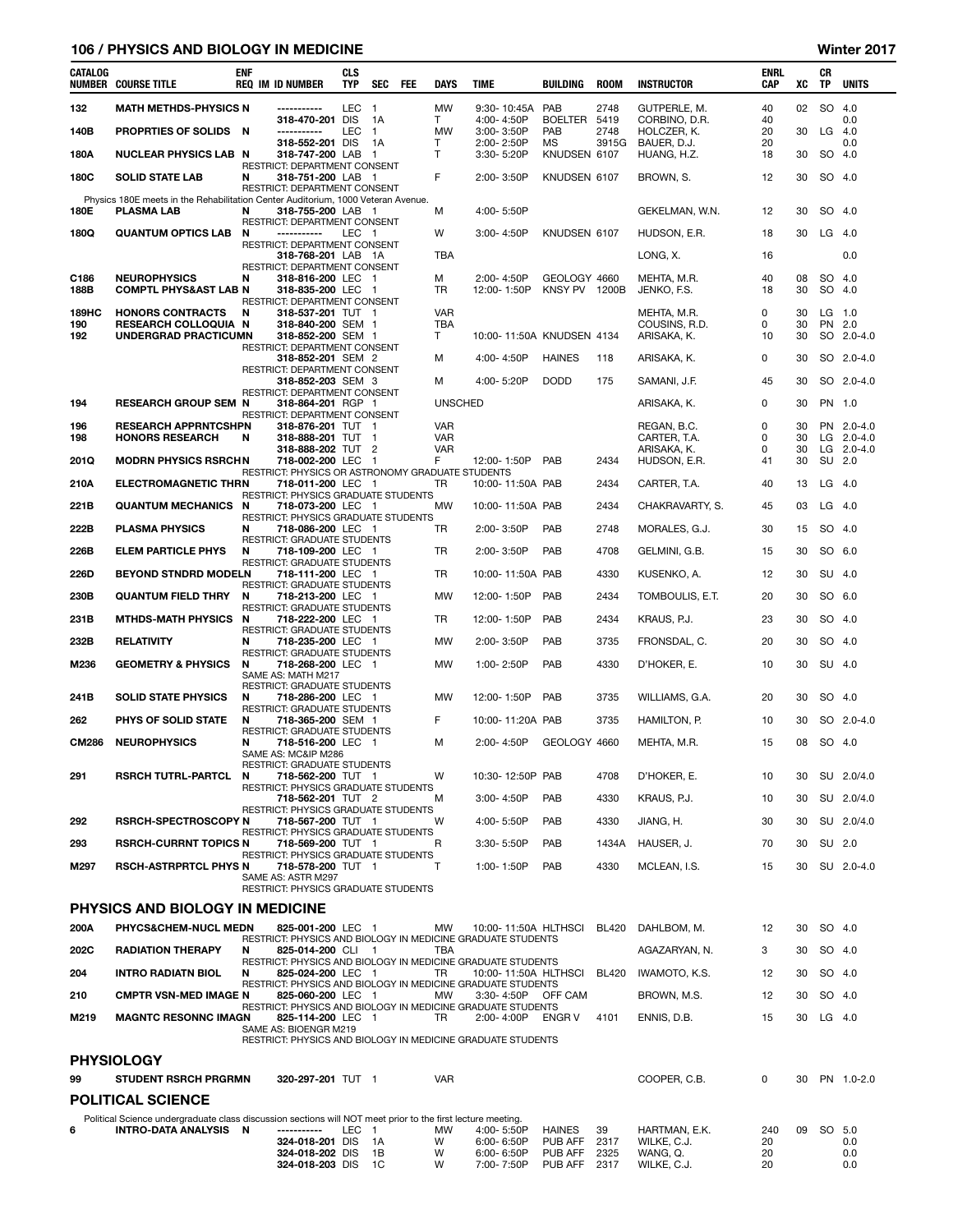### 106 / PHYSICS AND BIOLOGY IN MEDICINE WINTER STATES AND RESERVE THE MILLION OF STATES AND MINITED ASSESSMENT OF THE MILLION OF STATES AND MINITED ASSESSMENT OF THE MILLION OF THE MILLION OF THE MILLION OF THE MILLION OF TH

| CATALOG      | <b>NUMBER COURSE TITLE</b>                                                                                                         | ENF      | <b>REQ IM ID NUMBER</b>                                                                         | <b>CLS</b><br><b>TYP</b> | <b>SEC</b>               | <b>FEE</b> | <b>DAYS</b>                  | <b>TIME</b>                                                                         | <b>BUILDING</b>               | <b>ROOM</b>  | <b>INSTRUCTOR</b>               | ENRL<br>CAP | XC       | CR<br>TP           | <b>UNITS</b>   |
|--------------|------------------------------------------------------------------------------------------------------------------------------------|----------|-------------------------------------------------------------------------------------------------|--------------------------|--------------------------|------------|------------------------------|-------------------------------------------------------------------------------------|-------------------------------|--------------|---------------------------------|-------------|----------|--------------------|----------------|
| 132          | <b>MATH METHDS-PHYSICS N</b>                                                                                                       |          | -----------<br>318-470-201 DIS                                                                  | <b>LEC</b>               | $\overline{1}$<br>1A     |            | <b>MW</b><br>T               | 9:30-10:45A<br>4:00-4:50P                                                           | PAB<br><b>BOELTER</b>         | 2748<br>5419 | GUTPERLE, M.<br>CORBINO, D.R.   | 40<br>40    | 02       | SO 4.0             | 0.0            |
| 140B         | PROPRTIES OF SOLIDS                                                                                                                | - N      | -----------                                                                                     | <b>LEC</b>               | $\overline{1}$           |            | <b>MW</b>                    | 3:00-3:50P                                                                          | PAB                           | 2748         | HOLCZER, K.                     | 20          | 30       | LG                 | 4.0            |
|              | <b>NUCLEAR PHYSICS LAB N</b>                                                                                                       |          | 318-552-201 DIS                                                                                 |                          | 1A                       |            | T<br>т                       | 2:00-2:50P                                                                          | MS                            | 3915G        | BAUER, D.J.                     | 20<br>18    | 30       |                    | 0.0            |
| 180A         |                                                                                                                                    |          | 318-747-200 LAB<br><b>RESTRICT: DEPARTMENT CONSENT</b>                                          |                          | $\overline{1}$           |            |                              | 3:30-5:20P                                                                          | KNUDSEN 6107                  |              | HUANG, H.Z.                     |             |          | SO 4.0             |                |
| 180C         | <b>SOLID STATE LAB</b>                                                                                                             | N        | 318-751-200 LAB 1<br>RESTRICT: DEPARTMENT CONSENT                                               |                          |                          |            | F                            | 2:00-3:50P                                                                          | KNUDSEN 6107                  |              | BROWN, S.                       | 12          | 30       | SO 4.0             |                |
| 180E         | Physics 180E meets in the Rehabilitation Center Auditorium, 1000 Veteran Avenue.<br><b>PLASMA LAB</b>                              | N        | 318-755-200 LAB 1<br>RESTRICT: DEPARTMENT CONSENT                                               |                          |                          |            | M                            | 4:00-5:50P                                                                          |                               |              | GEKELMAN, W.N.                  | 12          | 30       | SO 4.0             |                |
| 180Q         | <b>QUANTUM OPTICS LAB</b>                                                                                                          | N        | -----------<br>RESTRICT: DEPARTMENT CONSENT                                                     | LEC 1                    |                          |            | W                            | 3:00-4:50P                                                                          | KNUDSEN 6107                  |              | HUDSON, E.R.                    | 18          | 30       | $LG$ 4.0           |                |
|              |                                                                                                                                    |          | 318-768-201 LAB 1A<br>RESTRICT: DEPARTMENT CONSENT                                              |                          |                          |            | <b>TBA</b>                   |                                                                                     |                               |              | LONG, X.                        | 16          |          |                    | 0.0            |
| C186<br>188B | <b>NEUROPHYSICS</b><br><b>COMPTL PHYS&amp;AST LAB N</b>                                                                            | N        | 318-816-200 LEC 1<br>318-835-200 LEC 1                                                          |                          |                          |            | м<br>TR                      | 2:00-4:50P<br>12:00-1:50P                                                           | GEOLOGY 4660<br>KNSY PV 1200B |              | MEHTA, M.R.<br>JENKO, F.S.      | 40<br>18    | 08<br>30 | SO 4.0<br>SO 4.0   |                |
| 189HC<br>190 | <b>HONORS CONTRACTS</b><br><b>RESEARCH COLLOQUIA N</b>                                                                             | N        | RESTRICT: DEPARTMENT CONSENT<br>318-537-201 TUT 1<br>318-840-200 SEM 1                          |                          |                          |            | <b>VAR</b><br>TBA            |                                                                                     |                               |              | MEHTA, M.R.<br>COUSINS, R.D.    | 0<br>0      | 30<br>30 | $LG$ 1.0<br>PN 2.0 |                |
| 192          | UNDERGRAD PRACTICUMN                                                                                                               |          | 318-852-200 SEM 1<br>RESTRICT: DEPARTMENT CONSENT                                               |                          |                          |            | T                            | 10:00-11:50A KNUDSEN 4134                                                           |                               |              | ARISAKA, K.                     | 10          | 30       |                    | SO 2.0-4.0     |
|              |                                                                                                                                    |          | 318-852-201 SEM 2<br>RESTRICT: DEPARTMENT CONSENT                                               |                          |                          |            | м                            | 4:00-4:50P                                                                          | <b>HAINES</b>                 | 118          | ARISAKA, K.                     | 0           | 30       |                    | SO 2.0-4.0     |
|              |                                                                                                                                    |          | 318-852-203 SEM 3<br>RESTRICT: DEPARTMENT CONSENT                                               |                          |                          |            | м                            | 4:00-5:20P                                                                          | <b>DODD</b>                   | 175          | SAMANI, J.F.                    | 45          | 30       |                    | SO 2.0-4.0     |
| 194<br>196   | <b>RESEARCH GROUP SEM N</b><br><b>RESEARCH APPRNTCSHPN</b>                                                                         |          | 318-864-201 RGP 1<br><b>RESTRICT: DEPARTMENT CONSENT</b><br>318-876-201 TUT 1                   |                          |                          |            | <b>UNSCHED</b><br><b>VAR</b> |                                                                                     |                               |              | ARISAKA, K.<br>REGAN, B.C.      | 0<br>0      | 30<br>30 | PN 1.0             | PN 2.0-4.0     |
| 198          | <b>HONORS RESEARCH</b>                                                                                                             | N        | 318-888-201 TUT 1                                                                               |                          |                          |            | <b>VAR</b>                   |                                                                                     |                               |              | CARTER, T.A.                    | 0           | 30       |                    | LG $2.0 - 4.0$ |
|              |                                                                                                                                    |          | 318-888-202 TUT 2                                                                               |                          |                          |            | <b>VAR</b>                   |                                                                                     |                               |              | ARISAKA, K.                     | 0           | 30       |                    | LG $2.0 - 4.0$ |
| 201Q         | <b>MODRN PHYSICS RSRCHN</b><br><b>ELECTROMAGNETIC THRN</b>                                                                         |          | 718-002-200 LEC<br>RESTRICT: PHYSICS OR ASTRONOMY GRADUATE STUDENTS<br>718-011-200 LEC 1        |                          | $\overline{\phantom{1}}$ |            | F                            | 12:00-1:50P<br>10:00-11:50A PAB                                                     | PAB                           | 2434         | HUDSON, E.R.                    | 41<br>40    | 30<br>13 | SU 2.0<br>$LG$ 4.0 |                |
| 210A<br>221B | <b>QUANTUM MECHANICS</b>                                                                                                           | N        | <b>RESTRICT: PHYSICS GRADUATE STUDENTS</b><br>718-073-200 LEC 1                                 |                          |                          |            | TR<br><b>MW</b>              | 10:00-11:50A PAB                                                                    |                               | 2434<br>2434 | CARTER, T.A.<br>CHAKRAVARTY, S. | 45          | 03       | $LG$ 4.0           |                |
| 222B         | <b>PLASMA PHYSICS</b>                                                                                                              | N        | <b>RESTRICT: PHYSICS GRADUATE STUDENTS</b><br>718-086-200 LEC 1                                 |                          |                          |            | <b>TR</b>                    | 2:00-3:50P                                                                          | PAB                           | 2748         | MORALES, G.J.                   | 30          | 15       | SO 4.0             |                |
| 226B         | <b>ELEM PARTICLE PHYS</b>                                                                                                          | N        | RESTRICT: GRADUATE STUDENTS<br>718-109-200 LEC 1                                                |                          |                          |            | <b>TR</b>                    | 2:00-3:50P                                                                          | PAB                           | 4708         | GELMINI, G.B.                   | 15          | 30       | SO 6.0             |                |
| 226D         | <b>BEYOND STNDRD MODELN</b>                                                                                                        |          | <b>RESTRICT: GRADUATE STUDENTS</b><br>718-111-200 LEC 1                                         |                          |                          |            | TR.                          | 10:00-11:50A PAB                                                                    |                               | 4330         | KUSENKO, A.                     | 12          | 30       | SU 4.0             |                |
| 230B         | <b>QUANTUM FIELD THRY</b>                                                                                                          | N        | RESTRICT: GRADUATE STUDENTS<br>718-213-200 LEC 1<br>RESTRICT: GRADUATE STUDENTS                 |                          |                          |            | <b>MW</b>                    | 12:00-1:50P                                                                         | PAB                           | 2434         | TOMBOULIS, E.T.                 | 20          | 30       | SO 6.0             |                |
| 231B         | <b>MTHDS-MATH PHYSICS</b>                                                                                                          | N        | 718-222-200 LEC 1<br><b>RESTRICT: GRADUATE STUDENTS</b>                                         |                          |                          |            | <b>TR</b>                    | 12:00-1:50P                                                                         | PAB                           | 2434         | KRAUS, P.J.                     | 23          | 30       | SO 4.0             |                |
| 232B         | <b>RELATIVITY</b>                                                                                                                  | N        | 718-235-200 LEC 1<br>RESTRICT: GRADUATE STUDENTS                                                |                          |                          |            | <b>MW</b>                    | 2:00-3:50P                                                                          | PAB                           | 3735         | FRONSDAL, C.                    | 20          | 30       | SO 4.0             |                |
| M236         | <b>GEOMETRY &amp; PHYSICS</b>                                                                                                      | N        | 718-268-200 LEC 1<br>SAME AS: MATH M217<br><b>RESTRICT: GRADUATE STUDENTS</b>                   |                          |                          |            | MW                           | 1:00-2:50P                                                                          | PAB                           | 4330         | D'HOKER, E.                     | 10          | 30       | SU 4.0             |                |
| 241B         | <b>SOLID STATE PHYSICS</b>                                                                                                         | N        | 718-286-200 LEC 1<br>RESTRICT: GRADUATE STUDENTS                                                |                          |                          |            | <b>MW</b>                    | 12:00-1:50P                                                                         | PAB                           | 3735         | WILLIAMS, G.A.                  | 20          | 30       | SO 4.0             |                |
| 262          | PHYS OF SOLID STATE                                                                                                                | N        | 718-365-200 SEM 1<br>RESTRICT: GRADUATE STUDENTS                                                |                          |                          |            | F                            | 10:00-11:20A PAB                                                                    |                               | 3735         | HAMILTON, P.                    | 10          | 30       |                    | SO 2.0-4.0     |
| CM286        | <b>NEUROPHYSICS</b>                                                                                                                | N        | 718-516-200 LEC 1<br>SAME AS: MC&IP M286                                                        |                          |                          |            | M                            | 2:00-4:50P                                                                          | GEOLOGY 4660                  |              | MEHTA, M.R.                     | 15          | 08       | SO 4.0             |                |
| 291          | <b>RSRCH TUTRL-PARTCL</b>                                                                                                          | N        | <b>RESTRICT: GRADUATE STUDENTS</b><br>718-562-200 TUT 1                                         |                          |                          |            | W                            | 10:30-12:50P PAB                                                                    |                               | 4708         | D'HOKER, E.                     | 10          | 30       |                    | SU 2.0/4.0     |
|              |                                                                                                                                    |          | RESTRICT: PHYSICS GRADUATE STUDENTS<br>718-562-201 TUT 2                                        |                          |                          |            | M                            | 3:00-4:50P                                                                          | PAB                           | 4330         | KRAUS, P.J.                     | 10          | 30       |                    | SU 2.0/4.0     |
| 292          | <b>RSRCH-SPECTROSCOPY N</b>                                                                                                        |          | RESTRICT: PHYSICS GRADUATE STUDENTS<br>718-567-200 TUT 1<br>RESTRICT: PHYSICS GRADUATE STUDENTS |                          |                          |            | w                            | 4:00-5:50P                                                                          | PAB                           | 4330         | JIANG, H.                       | 30          | 30       |                    | SU 2.0/4.0     |
| 293          | <b>RSRCH-CURRNT TOPICS N</b>                                                                                                       |          | 718-569-200 TUT 1<br>RESTRICT: PHYSICS GRADUATE STUDENTS                                        |                          |                          |            | R                            | 3:30-5:50P                                                                          | PAB                           | 1434A        | HAUSER, J.                      | 70          | 30       | SU 2.0             |                |
| M297         | <b>RSCH-ASTRPRTCL PHYS N</b>                                                                                                       |          | 718-578-200 TUT 1<br>SAME AS: ASTR M297<br>RESTRICT: PHYSICS GRADUATE STUDENTS                  |                          |                          |            | $\mathsf{T}$                 | 1:00-1:50P                                                                          | PAB                           | 4330         | MCLEAN, I.S.                    | 15          | 30       |                    | SU 2.0-4.0     |
|              | <b>PHYSICS AND BIOLOGY IN MEDICINE</b>                                                                                             |          |                                                                                                 |                          |                          |            |                              |                                                                                     |                               |              |                                 |             |          |                    |                |
| 200A         | PHYCS&CHEM-NUCL MEDN                                                                                                               |          | 825-001-200 LEC 1                                                                               |                          |                          |            | MW                           | 10:00-11:50A HLTHSCI<br>RESTRICT: PHYSICS AND BIOLOGY IN MEDICINE GRADUATE STUDENTS |                               | <b>BL420</b> | DAHLBOM, M.                     | 12          | 30       | SO 4.0             |                |
| 202C         | <b>RADIATION THERAPY</b>                                                                                                           | N        | 825-014-200 CLI 1                                                                               |                          |                          |            | TBA                          | RESTRICT: PHYSICS AND BIOLOGY IN MEDICINE GRADUATE STUDENTS                         |                               |              | AGAZARYAN, N.                   | 3           | 30       | SO 4.0             |                |
| 204          | <b>INTRO RADIATN BIOL</b>                                                                                                          | N        | 825-024-200 LEC 1                                                                               |                          |                          |            | TR                           | 10:00-11:50A HLTHSCI<br>RESTRICT: PHYSICS AND BIOLOGY IN MEDICINE GRADUATE STUDENTS |                               | <b>BL420</b> | IWAMOTO, K.S.                   | 12          | 30       | SO 4.0             |                |
| 210          | <b>CMPTR VSN-MED IMAGE N</b>                                                                                                       |          | 825-060-200 LEC 1                                                                               |                          |                          |            | MW                           | 3:30- 4:50P<br>RESTRICT: PHYSICS AND BIOLOGY IN MEDICINE GRADUATE STUDENTS          | OFF CAM                       |              | BROWN, M.S.                     | 12          | 30       | SO 4.0             |                |
| M219         | <b>MAGNTC RESONNC IMAGN</b>                                                                                                        |          | 825-114-200 LEC 1<br>SAME AS: BIOENGR M219                                                      |                          |                          |            | TR.                          | 2:00-4:00P<br>RESTRICT: PHYSICS AND BIOLOGY IN MEDICINE GRADUATE STUDENTS           | ENGR V                        | 4101         | ENNIS, D.B.                     | 15          | 30       | LG 4.0             |                |
|              | <b>PHYSIOLOGY</b>                                                                                                                  |          |                                                                                                 |                          |                          |            |                              |                                                                                     |                               |              |                                 |             |          |                    |                |
| 99           | <b>STUDENT RSRCH PRGRMN</b>                                                                                                        |          | 320-297-201 TUT 1                                                                               |                          |                          |            | <b>VAR</b>                   |                                                                                     |                               |              | COOPER, C.B.                    | 0           | 30       |                    | PN 1.0-2.0     |
|              | POLITICAL SCIENCE                                                                                                                  |          |                                                                                                 |                          |                          |            |                              |                                                                                     |                               |              |                                 |             |          |                    |                |
| 6            | Political Science undergraduate class discussion sections will NOT meet prior to the first lecture meeting.<br>INTRO-DATA ANALYSIS | <b>N</b> | ------------                                                                                    | LEC 1                    |                          |            | МW                           | 4:00-5:50P                                                                          | <b>HAINES</b>                 | 39           | HARTMAN, E.K.                   | 240         | 09       | SO 5.0             |                |
|              |                                                                                                                                    |          | <b>204 040 004 DIC</b>                                                                          |                          |                          |            | $\overline{M}$               | $6.00$ $6.50D$                                                                      | DUD AFF                       | 0.217        | MIII VF C                       |             |          |                    |                |

324-018-201 DIS 1A W 6:00- 6:50P PUB AFF 2317 WILKE, C.J. 20 0.0 324-018-202 DIS 1B W 6:00- 6:50P PUB AFF 2325 WANG, Q. 20 0.0 324-018-203 DIS 1C W 7:00- 7:50P PUB AFF 2317 WILKE, C.J. 20 0.0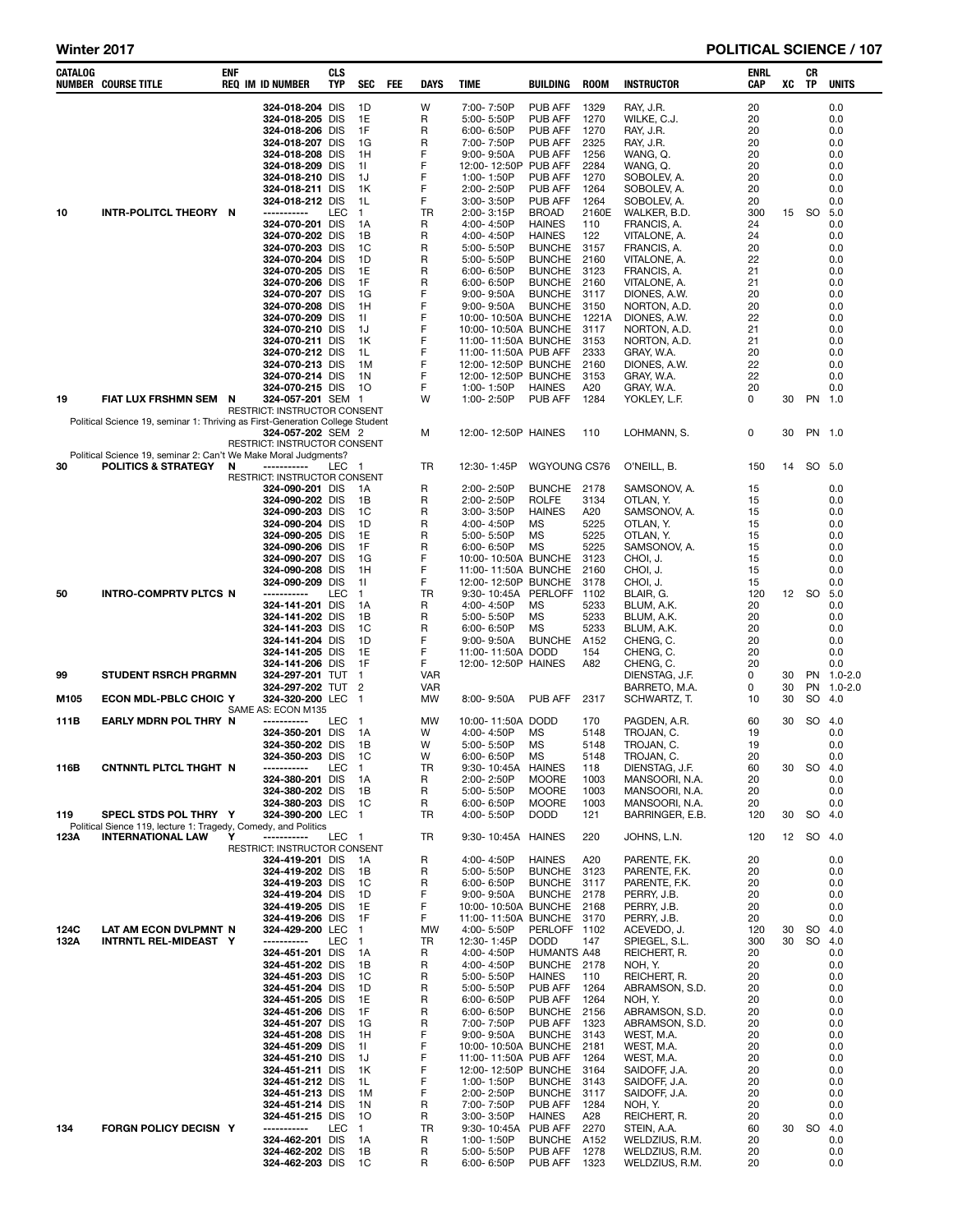| CATALOG | <b>NUMBER COURSE TITLE</b>                                                                        | ENF |  | <b>REQ IM ID NUMBER</b>              | <b>CLS</b><br><b>TYP</b> | SEC                  | FEE | DAYS            | <b>TIME</b>                                | BUILDING                       | <b>ROOM</b>      | <b>INSTRUCTOR</b>                | <b>ENRL</b><br><b>CAP</b> | XC | CR<br>TP  | <b>UNITS</b>      |
|---------|---------------------------------------------------------------------------------------------------|-----|--|--------------------------------------|--------------------------|----------------------|-----|-----------------|--------------------------------------------|--------------------------------|------------------|----------------------------------|---------------------------|----|-----------|-------------------|
|         |                                                                                                   |     |  | 324-018-204 DIS                      |                          | 1D                   |     | W               | 7:00-7:50P                                 | PUB AFF                        | 1329             | RAY, J.R.                        | 20                        |    |           | 0.0               |
|         |                                                                                                   |     |  | 324-018-205 DIS                      |                          | 1E                   |     | R               | 5:00-5:50P                                 | <b>PUB AFF</b>                 | 1270             | WILKE, C.J.                      | 20                        |    |           | 0.0               |
|         |                                                                                                   |     |  | 324-018-206 DIS<br>324-018-207 DIS   |                          | 1F<br>1G             |     | R<br>R          | 6:00-6:50P<br>7:00-7:50P                   | PUB AFF<br>PUB AFF             | 1270<br>2325     | RAY, J.R.<br>RAY, J.R.           | 20<br>20                  |    |           | 0.0<br>0.0        |
|         |                                                                                                   |     |  | 324-018-208 DIS                      |                          | 1H                   |     | F               | $9:00 - 9:50A$                             | PUB AFF                        | 1256             | WANG, Q.                         | 20                        |    |           | 0.0               |
|         |                                                                                                   |     |  | 324-018-209 DIS                      |                          | 11                   |     | F               | 12:00-12:50P PUB AFF                       |                                | 2284             | WANG. Q.                         | 20                        |    |           | 0.0               |
|         |                                                                                                   |     |  | 324-018-210 DIS                      |                          | 1J                   |     | F               | 1:00-1:50P                                 | PUB AFF                        | 1270             | SOBOLEV, A.                      | 20                        |    |           | 0.0               |
|         |                                                                                                   |     |  | 324-018-211 DIS<br>324-018-212 DIS   |                          | 1K<br>1L             |     | F<br>F          | 2:00-2:50P<br>3:00-3:50P                   | PUB AFF<br>PUB AFF             | 1264<br>1264     | SOBOLEV, A.<br>SOBOLEV, A.       | 20<br>20                  |    |           | 0.0<br>0.0        |
| 10      | INTR-POLITCL THEORY N                                                                             |     |  | -----------<br>324-070-201 DIS       | <b>LEC</b>               | $\mathbf{1}$         |     | TR              | 2:00-3:15P                                 | <b>BROAD</b>                   | 2160E            | WALKER, B.D.                     | 300                       | 15 | <b>SO</b> | 5.0               |
|         |                                                                                                   |     |  |                                      |                          | 1А                   |     | R               | 4:00-4:50P                                 | <b>HAINES</b>                  | 110              | FRANCIS, A.                      | 24                        |    |           | 0.0               |
|         |                                                                                                   |     |  | 324-070-202 DIS                      |                          | 1B                   |     | R               | 4:00-4:50P                                 | <b>HAINES</b>                  | 122              | VITALONE, A.                     | 24                        |    |           | 0.0               |
|         |                                                                                                   |     |  | 324-070-203 DIS<br>324-070-204 DIS   |                          | 1C<br>1D             |     | R<br>R          | 5:00-5:50P<br>5:00-5:50P                   | <b>BUNCHE</b><br><b>BUNCHE</b> | 3157<br>2160     | FRANCIS, A.<br>VITALONE, A.      | 20<br>22                  |    |           | 0.0<br>0.0        |
|         |                                                                                                   |     |  | 324-070-205 DIS                      |                          | 1E                   |     | R               | $6:00 - 6:50P$                             | <b>BUNCHE</b>                  | 3123             | FRANCIS, A.                      | 21                        |    |           | 0.0               |
|         |                                                                                                   |     |  | 324-070-206 DIS                      |                          | 1F                   |     | R               | $6:00 - 6:50P$                             | <b>BUNCHE</b>                  | 2160             | VITALONE, A.                     | 21                        |    |           | 0.0               |
|         |                                                                                                   |     |  | 324-070-207 DIS                      |                          | 1G                   |     | F               | $9:00 - 9:50A$                             | <b>BUNCHE</b>                  | 3117             | DIONES, A.W.                     | 20                        |    |           | 0.0               |
|         |                                                                                                   |     |  | 324-070-208 DIS<br>324-070-209 DIS   |                          | 1H<br>11             |     | F<br>F          | $9:00 - 9:50A$<br>10:00-10:50A BUNCHE      | <b>BUNCHE</b>                  | 3150<br>1221A    | NORTON, A.D.<br>DIONES, A.W.     | 20<br>22                  |    |           | 0.0<br>0.0        |
|         |                                                                                                   |     |  | 324-070-210 DIS                      |                          | 1J                   |     | F               | 10:00-10:50A BUNCHE                        |                                | 3117             | NORTON, A.D.                     | 21                        |    |           | 0.0               |
|         |                                                                                                   |     |  | 324-070-211 DIS                      |                          | 1K                   |     | F               | 11:00-11:50A BUNCHE                        |                                | 3153             | NORTON, A.D.                     | 21                        |    |           | 0.0               |
|         |                                                                                                   |     |  | 324-070-212 DIS                      |                          | 1L                   |     | F               | 11:00-11:50A PUB AFF                       |                                | 2333             | gray, W.A.                       | 20                        |    |           | 0.0               |
|         |                                                                                                   |     |  | 324-070-213 DIS<br>324-070-214 DIS   |                          | 1M<br>1N             |     | F<br>F          | 12:00-12:50P BUNCHE<br>12:00-12:50P BUNCHE |                                | 2160<br>3153     | DIONES, A.W.<br>gray, W.A.       | 22<br>22                  |    |           | 0.0<br>0.0        |
|         |                                                                                                   |     |  | 324-070-215 DIS                      |                          | 10                   |     | F               | 1:00-1:50P                                 | <b>HAINES</b>                  | A20              | GRAY, W.A.                       | 20                        |    |           | 0.0               |
| 19      | FIAT LUX FRSHMN SEM N                                                                             |     |  | 324-057-201 SEM 1                    |                          |                      |     | W               | 1:00-2:50P                                 | PUB AFF                        | 1284             | YOKLEY, L.F.                     | 0                         | 30 | PN 1.0    |                   |
|         | Political Science 19, seminar 1: Thriving as First-Generation College Student                     |     |  | RESTRICT: INSTRUCTOR CONSENT         |                          |                      |     |                 |                                            |                                |                  |                                  |                           |    |           |                   |
|         |                                                                                                   |     |  | 324-057-202 SEM 2                    |                          |                      |     | М               | 12:00-12:50P HAINES                        |                                | 110              | LOHMANN, S.                      | 0                         | 30 | PN 1.0    |                   |
|         |                                                                                                   |     |  | RESTRICT: INSTRUCTOR CONSENT         |                          |                      |     |                 |                                            |                                |                  |                                  |                           |    |           |                   |
| 30      | Political Science 19, seminar 2: Can't We Make Moral Judgments?<br><b>POLITICS &amp; STRATEGY</b> | N   |  | -----------                          | LEC                      | - 1                  |     | TR              | 12:30-1:45P                                | WGYOUNG CS76                   |                  | O'NEILL, B.                      | 150                       | 14 | SO 5.0    |                   |
|         |                                                                                                   |     |  | RESTRICT: INSTRUCTOR CONSENT         |                          |                      |     |                 |                                            |                                |                  |                                  |                           |    |           |                   |
|         |                                                                                                   |     |  | 324-090-201 DIS                      |                          | 1A                   |     | R               | 2:00-2:50P                                 | <b>BUNCHE</b>                  | 2178             | Samsonov, A.                     | 15                        |    |           | 0.0               |
|         |                                                                                                   |     |  | 324-090-202 DIS<br>324-090-203 DIS   |                          | 1B<br>1C             |     | R<br>R          | 2:00-2:50P<br>$3:00 - 3:50P$               | <b>ROLFE</b><br><b>HAINES</b>  | 3134<br>A20      | OTLAN, Y.<br>SAMSONOV. A.        | 15<br>15                  |    |           | 0.0<br>0.0        |
|         |                                                                                                   |     |  | 324-090-204 DIS                      |                          | 1D                   |     | R               | 4:00-4:50P                                 | МS                             | 5225             | OTLAN, Y.                        | 15                        |    |           | 0.0               |
|         |                                                                                                   |     |  | 324-090-205 DIS                      |                          | 1E                   |     | R               | 5:00-5:50P                                 | <b>MS</b>                      | 5225             | OTLAN, Y.                        | 15                        |    |           | 0.0               |
|         |                                                                                                   |     |  | 324-090-206 DIS                      |                          | 1F                   |     | R               | $6:00 - 6:50P$                             | <b>MS</b>                      | 5225             | SAMSONOV, A.                     | 15                        |    |           | 0.0               |
|         | INTRO-COMPRTV PLTCS N                                                                             |     |  | 324-090-207 DIS<br>324-090-208 DIS   |                          | 1G<br>1H             |     | F<br>F          | 10:00-10:50A BUNCHE<br>11:00-11:50A BUNCHE |                                | 3123<br>2160     | CHOI, J.<br>CHOI, J.             | 15<br>15                  |    |           | 0.0<br>0.0        |
| 50      |                                                                                                   |     |  | 324-090-209 DIS                      |                          | 11                   |     | F               | 12:00-12:50P BUNCHE                        |                                | 3178             | CHOI, J.                         | 15                        |    |           | 0.0               |
|         |                                                                                                   |     |  | -----------                          | <b>LEC</b>               | $\mathbf{1}$         |     | TR              | 9:30-10:45A PERLOFF                        |                                | 1102             | BLAIR, G.                        | 120                       |    | 12 SO 5.0 |                   |
|         |                                                                                                   |     |  | 324-141-201 DIS                      |                          | 1A                   |     | R               | 4:00-4:50P                                 | МS                             | 5233             | BLUM, A.K.                       | 20                        |    |           | 0.0               |
|         |                                                                                                   |     |  | 324-141-202 DIS<br>324-141-203 DIS   |                          | 1B<br>1C             |     | R<br>R          | 5:00-5:50P<br>$6:00 - 6:50P$               | <b>MS</b><br><b>MS</b>         | 5233<br>5233     | BLUM, A.K.<br>BLUM, A.K.         | 20<br>20                  |    |           | 0.0<br>0.0        |
|         |                                                                                                   |     |  | 324-141-204 DIS                      |                          | 1D                   |     | F               | $9:00 - 9:50A$                             | <b>BUNCHE</b>                  | A <sub>152</sub> | CHENG, C.                        | 20                        |    |           | 0.0               |
|         |                                                                                                   |     |  | 324-141-205 DIS                      |                          | 1E                   |     | F               | 11:00-11:50A DODD                          |                                | 154              | CHENG, C.                        | 20                        |    |           | 0.0               |
|         | <b>STUDENT RSRCH PRGRMN</b>                                                                       |     |  | 324-141-206 DIS                      |                          | 1F<br>$\mathbf{1}$   |     | F<br><b>VAR</b> | 12:00-12:50P HAINES                        |                                | A82              | CHENG, C.<br>DIENSTAG, J.F.      | 20<br>0                   | 30 |           | 0.0<br>PN 1.0-2.0 |
| 99      |                                                                                                   |     |  | 324-297-201 TUT<br>324-297-202 TUT 2 |                          |                      |     | <b>VAR</b>      |                                            |                                |                  | BARRETO, M.A.                    | 0                         | 30 |           | PN 1.0-2.0        |
| M105    | <b>ECON MDL-PBLC CHOIC Y</b>                                                                      |     |  | 324-320-200 LEC                      |                          | $\mathbf 1$          |     | <b>MW</b>       | 8:00-9:50A                                 | PUB AFF                        | 2317             | SCHWARTZ, T.                     | 10                        | 30 | SO.       | -4.0              |
|         |                                                                                                   |     |  | SAME AS: ECON M135                   |                          |                      |     |                 |                                            |                                |                  | PAGDEN, A.R.                     |                           |    |           |                   |
| 111B    | EARLY MDRN POL THRY N                                                                             |     |  | -----------<br>324-350-201 DIS       | LEC                      | - 1<br>1A            |     | <b>MW</b><br>W  | 10:00-11:50A DODD<br>4:00-4:50P            | MS                             | 170<br>5148      | TROJAN, C.                       | 60<br>19                  | 30 | SO        | 4.0<br>0.0        |
|         |                                                                                                   |     |  | 324-350-202 DIS                      |                          | 1B                   |     | W               | 5:00-5:50P                                 | MS                             | 5148             | TROJAN, C.                       | 19                        |    |           | 0.0               |
|         |                                                                                                   |     |  | 324-350-203 DIS                      |                          | 1C                   |     | w               | 6:00-6:50P                                 | <b>MS</b>                      | 5148             | TROJAN, C.                       | 20                        |    |           | 0.0               |
| 116B    | CNTNNTL PLTCL THGHT N                                                                             |     |  | -----------<br>324-380-201 DIS       | <b>LEC</b>               | $\mathbf{1}$<br>- 1A |     | TR.<br>R        | 9:30-10:45A HAINES<br>2:00-2:50P           | <b>MOORE</b>                   | 118<br>1003      | DIENSTAG, J.F.<br>MANSOORI, N.A. | 60<br>20                  | 30 | SO        | -4.0<br>0.0       |
|         |                                                                                                   |     |  | 324-380-202 DIS                      |                          | 1B                   |     | R               | 5:00-5:50P                                 | <b>MOORE</b>                   | 1003             | MANSOORI, N.A.                   | 20                        |    |           | 0.0               |
|         |                                                                                                   |     |  | 324-380-203 DIS                      |                          | 1C                   |     | R               | 6:00-6:50P                                 | <b>MOORE</b>                   | 1003             | MANSOORI, N.A.                   | 20                        |    |           | 0.0               |
| 119     | SPECL STDS POL THRY Y                                                                             |     |  | 324-390-200 LEC 1                    |                          |                      |     | TR              | 4:00-5:50P                                 | <b>DODD</b>                    | 121              | BARRINGER, E.B.                  | 120                       | 30 | SO 4.0    |                   |
| 123A    | Political Sience 119, lecture 1: Tragedy, Comedy, and Politics<br><b>INTERNATIONAL LAW</b>        | Y   |  | -----------                          | LEC 1                    |                      |     | TR              | 9:30-10:45A HAINES                         |                                | 220              | JOHNS, L.N.                      | 120                       |    | 12 SO 4.0 |                   |
|         |                                                                                                   |     |  | RESTRICT: INSTRUCTOR CONSENT         |                          |                      |     |                 |                                            |                                |                  |                                  |                           |    |           |                   |
|         |                                                                                                   |     |  | 324-419-201 DIS                      |                          | - 1A                 |     | R               | 4:00-4:50P                                 | <b>HAINES</b>                  | A20              | PARENTE, F.K.                    | 20                        |    |           | 0.0               |
|         |                                                                                                   |     |  | 324-419-202 DIS<br>324-419-203 DIS   |                          | 1В<br>1C             |     | R<br>R          | 5:00-5:50P<br>6:00-6:50P                   | <b>BUNCHE</b><br><b>BUNCHE</b> | 3123<br>3117     | PARENTE, F.K.<br>PARENTE, F.K.   | 20<br>20                  |    |           | 0.0<br>0.0        |
|         |                                                                                                   |     |  | 324-419-204 DIS                      |                          | 1D                   |     | F               | $9:00 - 9:50A$                             | <b>BUNCHE</b>                  | 2178             | PERRY, J.B.                      | 20                        |    |           | 0.0               |
|         |                                                                                                   |     |  | 324-419-205 DIS                      |                          | 1E                   |     | F               | 10:00-10:50A BUNCHE                        |                                | 2168             | PERRY, J.B.                      | 20                        |    |           | 0.0               |
| 124C    | LAT AM ECON DVLPMNT N                                                                             |     |  | 324-419-206 DIS<br>324-429-200 LEC   |                          | 1F<br>$\overline{1}$ |     | F.<br>MW        | 11:00-11:50A BUNCHE<br>4:00-5:50P          | PERLOFF 1102                   | 3170             | PERRY, J.B.<br>ACEVEDO, J.       | 20<br>120                 | 30 | SO 4.0    | 0.0               |
| 132A    | <b>INTRNTL REL-MIDEAST Y</b>                                                                      |     |  | -----------                          | LEC                      | $\blacksquare$       |     | TR              | 12:30-1:45P                                | <b>DODD</b>                    | 147              | SPIEGEL, S.L.                    | 300                       | 30 | SO        | 4.0               |
|         |                                                                                                   |     |  | 324-451-201 DIS                      |                          | - 1 A                |     | R               | 4:00-4:50P                                 | <b>HUMANTS A48</b>             |                  | REICHERT, R.                     | 20                        |    |           | 0.0               |
|         |                                                                                                   |     |  | 324-451-202 DIS                      |                          | 1В                   |     | R               | 4:00-4:50P                                 | BUNCHE 2178                    |                  | NOH. Y.                          | 20                        |    |           | 0.0               |
|         |                                                                                                   |     |  | 324-451-203 DIS<br>324-451-204 DIS   |                          | 1C<br>1D             |     | R<br>R          | 5:00-5:50P<br>5:00-5:50P                   | <b>HAINES</b><br>PUB AFF       | 110<br>1264      | REICHERT, R.<br>ABRAMSON, S.D.   | 20<br>20                  |    |           | 0.0<br>0.0        |
|         |                                                                                                   |     |  | 324-451-205 DIS                      |                          | 1E                   |     | R               | 6:00-6:50P                                 | PUB AFF                        | 1264             | NOH, Y.                          | 20                        |    |           | 0.0               |
|         |                                                                                                   |     |  | 324-451-206 DIS                      |                          | 1F                   |     | R               | 6:00-6:50P                                 | <b>BUNCHE</b>                  | 2156             | ABRAMSON, S.D.                   | 20                        |    |           | 0.0               |
|         |                                                                                                   |     |  | 324-451-207 DIS                      |                          | 1G                   |     | R<br>F          | 7:00-7:50P                                 | PUB AFF                        | 1323             | ABRAMSON, S.D.                   | 20                        |    |           | 0.0               |
|         |                                                                                                   |     |  | 324-451-208 DIS<br>324-451-209 DIS   |                          | 1H<br>11             |     | F               | $9:00 - 9:50A$<br>10:00-10:50A BUNCHE      | <b>BUNCHE</b>                  | 3143<br>2181     | WEST, M.A.<br>WEST, M.A.         | 20<br>20                  |    |           | 0.0<br>0.0        |
|         |                                                                                                   |     |  | 324-451-210 DIS                      |                          | 1J                   |     | F               | 11:00-11:50A PUB AFF                       |                                | 1264             | WEST, M.A.                       | 20                        |    |           | 0.0               |
|         |                                                                                                   |     |  | 324-451-211 DIS                      |                          | 1K                   |     | F               | 12:00-12:50P BUNCHE                        |                                | 3164             | SAIDOFF, J.A.                    | 20                        |    |           | 0.0               |
|         |                                                                                                   |     |  | 324-451-212 DIS                      |                          | 1L                   |     | F               | 1:00-1:50P                                 | <b>BUNCHE</b>                  | 3143             | SAIDOFF, J.A.                    | 20                        |    |           | 0.0               |
|         |                                                                                                   |     |  | 324-451-213 DIS<br>324-451-214 DIS   |                          | 1M<br>1N             |     | F<br>R          | 2:00-2:50P<br>7:00-7:50P                   | <b>BUNCHE</b><br>PUB AFF       | 3117<br>1284     | SAIDOFF, J.A.<br>NOH, Y.         | 20<br>20                  |    |           | 0.0<br>0.0        |
|         |                                                                                                   |     |  | 324-451-215 DIS                      |                          | 10                   |     | R               | 3:00-3:50P                                 | <b>HAINES</b>                  | A28              | REICHERT, R.                     | 20                        |    |           | 0.0               |
| 134     | <b>FORGN POLICY DECISN Y</b>                                                                      |     |  | -----------                          | LEC                      | $\mathbf{1}$         |     | TR              | 9:30-10:45A                                | PUB AFF                        | 2270             | STEIN, A.A.                      | 60                        | 30 | SO 4.0    |                   |
|         |                                                                                                   |     |  | 324-462-201 DIS<br>324-462-202 DIS   |                          | 1A<br>1В             |     | R<br>R          | 1:00-1:50P<br>5:00-5:50P                   | <b>BUNCHE</b><br>PUB AFF       | A152<br>1278     | WELDZIUS, R.M.<br>WELDZIUS, R.M. | 20<br>20                  |    |           | 0.0<br>0.0        |
|         |                                                                                                   |     |  | 324-462-203 DIS                      |                          | 1C                   |     | R               | 6:00-6:50P                                 | PUB AFF                        | 1323             | WELDZIUS, R.M.                   | 20                        |    |           | 0.0               |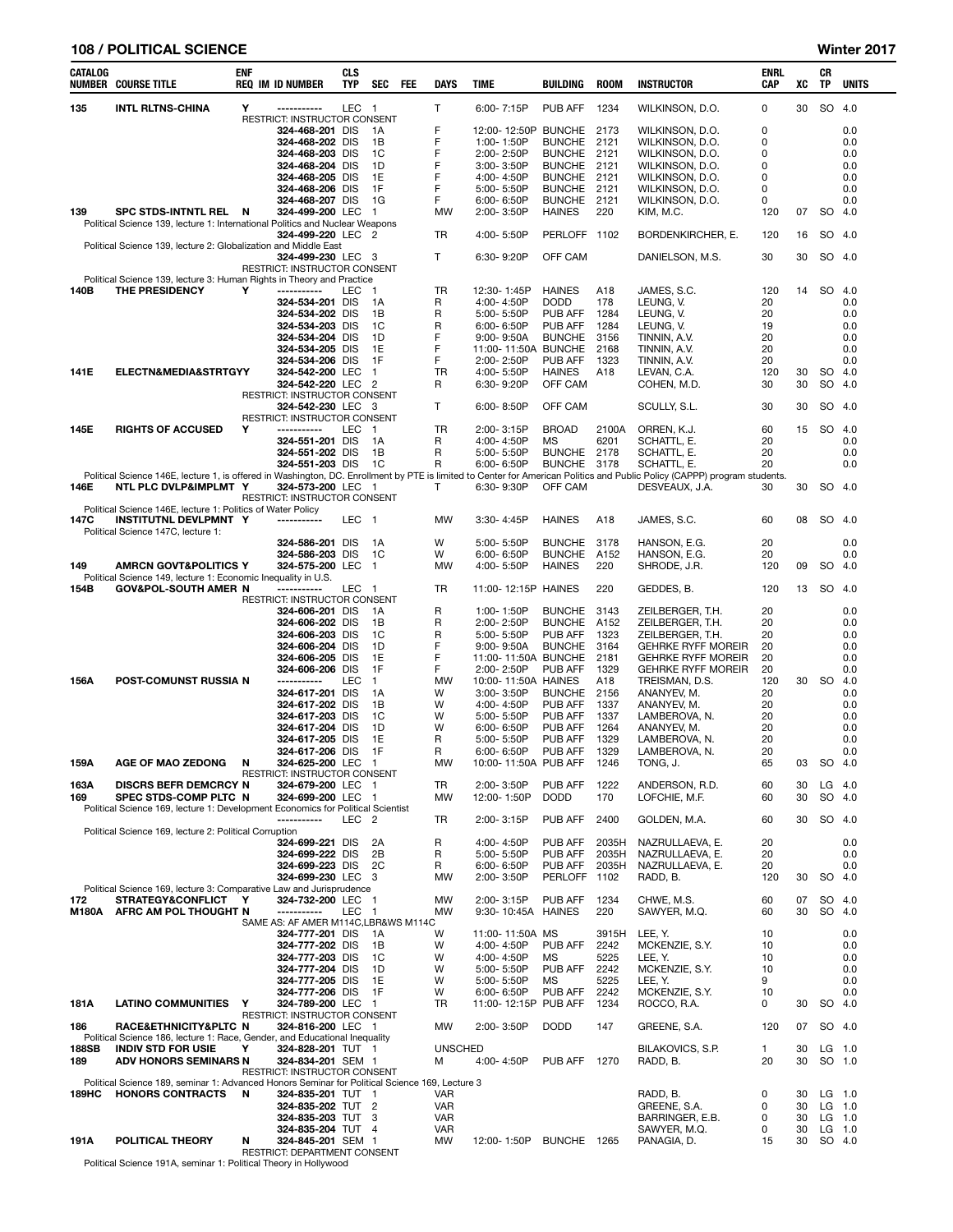#### 108 / POLITICAL SCIENCE Winter 2017

|             | NUMBER COURSE TITLE                                                                                       |   | <b>REQ IM ID NUMBER</b>                                 | TYP               | <b>SEC</b>     | <b>FEE</b> | DAYS                     | TIME                           | BUILDING                        | <b>ROOM</b>   | <b>INSTRUCTOR</b>                                                                                                                                                         | CAP          | XC       | TP     | UNITS              |
|-------------|-----------------------------------------------------------------------------------------------------------|---|---------------------------------------------------------|-------------------|----------------|------------|--------------------------|--------------------------------|---------------------------------|---------------|---------------------------------------------------------------------------------------------------------------------------------------------------------------------------|--------------|----------|--------|--------------------|
| 135         | <b>INTL RLTNS-CHINA</b>                                                                                   | Υ | ------------                                            | LEC 1             |                |            | T.                       | 6:00-7:15P                     | <b>PUB AFF</b>                  | 1234          | WILKINSON, D.O.                                                                                                                                                           | 0            | 30       | SO 4.0 |                    |
|             |                                                                                                           |   | RESTRICT: INSTRUCTOR CONSENT                            |                   |                |            |                          |                                |                                 |               |                                                                                                                                                                           |              |          |        |                    |
|             |                                                                                                           |   | 324-468-201 DIS                                         |                   | 1A             |            | F<br>F                   | 12:00-12:50P                   | <b>BUNCHE</b>                   | 2173          | WILKINSON, D.O.                                                                                                                                                           | 0            |          |        | 0.0                |
|             |                                                                                                           |   | 324-468-202 DIS<br>324-468-203 DIS                      |                   | 1В<br>1C       |            | F                        | 1:00-1:50P<br>2:00-2:50P       | <b>BUNCHE</b><br><b>BUNCHE</b>  | 2121<br>2121  | WILKINSON, D.O.<br>WILKINSON, D.O.                                                                                                                                        | 0<br>0       |          |        | 0.0<br>0.0         |
|             |                                                                                                           |   | 324-468-204 DIS                                         |                   | 1D             |            | F                        | 3:00-3:50P                     | <b>BUNCHE</b>                   | 2121          | WILKINSON, D.O.                                                                                                                                                           | 0            |          |        | 0.0                |
|             |                                                                                                           |   | 324-468-205 DIS                                         |                   | 1E             |            | F                        | 4:00-4:50P                     | <b>BUNCHE</b>                   | 2121          | WILKINSON, D.O.                                                                                                                                                           | 0            |          |        | 0.0                |
|             |                                                                                                           |   | 324-468-206 DIS                                         |                   | 1F             |            | F                        | 5:00-5:50P                     | <b>BUNCHE</b>                   | 2121          | WILKINSON, D.O.                                                                                                                                                           | 0            |          |        | 0.0                |
| 139         | SPC STDS-INTNTL REL N                                                                                     |   | 324-468-207 DIS<br>324-499-200 LEC                      |                   | 1G<br>1        |            | F<br>MW                  | 6:00-6:50P<br>2:00-3:50P       | <b>BUNCHE</b><br><b>HAINES</b>  | 2121<br>220   | WILKINSON, D.O.<br>KIM, M.C.                                                                                                                                              | 0<br>120     | 07       |        | 0.0<br>SO 4.0      |
|             | Political Science 139, lecture 1: International Politics and Nuclear Weapons                              |   |                                                         |                   |                |            |                          |                                |                                 |               |                                                                                                                                                                           |              |          |        |                    |
|             |                                                                                                           |   | 324-499-220 LEC                                         |                   | -2             |            | TR                       | 4:00-5:50P                     | PERLOFF 1102                    |               | BORDENKIRCHER, E.                                                                                                                                                         | 120          | 16       |        | SO 4.0             |
|             | Political Science 139, lecture 2: Globalization and Middle East                                           |   | 324-499-230 LEC 3                                       |                   |                |            | T.                       | 6:30-9:20P                     | OFF CAM                         |               | DANIELSON, M.S.                                                                                                                                                           | 30           | 30       |        | SO 4.0             |
|             |                                                                                                           |   | RESTRICT: INSTRUCTOR CONSENT                            |                   |                |            |                          |                                |                                 |               |                                                                                                                                                                           |              |          |        |                    |
|             | Political Science 139, lecture 3: Human Rights in Theory and Practice                                     |   |                                                         |                   |                |            |                          |                                |                                 |               |                                                                                                                                                                           |              |          |        |                    |
| 140B        | <b>THE PRESIDENCY</b>                                                                                     | Y | -----------<br>324-534-201                              | LEC<br><b>DIS</b> | -1<br>1A       |            | TR<br>R                  | 12:30-1:45P<br>4:00-4:50P      | <b>HAINES</b><br><b>DODD</b>    | A18<br>178    | JAMES, S.C.<br>LEUNG, V.                                                                                                                                                  | 120<br>20    | 14       | SO     | 4.0<br>0.0         |
|             |                                                                                                           |   | 324-534-202 DIS                                         |                   | 1B             |            | R                        | 5:00-5:50P                     | PUB AFF                         | 1284          | LEUNG, V.                                                                                                                                                                 | 20           |          |        | 0.0                |
|             |                                                                                                           |   | 324-534-203 DIS                                         |                   | 1C             |            | R                        | $6:00 - 6:50P$                 | PUB AFF                         | 1284          | LEUNG, V.                                                                                                                                                                 | 19           |          |        | 0.0                |
|             |                                                                                                           |   | 324-534-204 DIS                                         |                   | 1D             |            | F                        | $9:00 - 9:50A$                 | <b>BUNCHE</b>                   | 3156          | TINNIN, A.V.                                                                                                                                                              | 20           |          |        | 0.0                |
|             |                                                                                                           |   | 324-534-205 DIS<br>324-534-206 DIS                      |                   | 1E<br>1F       |            | F<br>F                   | 11:00-11:50A<br>$2:00 - 2:50P$ | <b>BUNCHE</b><br><b>PUB AFF</b> | 2168<br>1323  | TINNIN, A.V.<br>TINNIN, A.V.                                                                                                                                              | 20<br>20     |          |        | 0.0<br>0.0         |
| 141E        | <b>ELECTN&amp;MEDIA&amp;STRTGYY</b>                                                                       |   | 324-542-200 LEC                                         |                   | 1              |            | TR                       | 4:00-5:50P                     | <b>HAINES</b>                   | A18           | LEVAN, C.A.                                                                                                                                                               | 120          | 30       | SO     | 4.0                |
|             |                                                                                                           |   | 324-542-220 LEC                                         |                   | $\overline{2}$ |            | R                        | 6:30-9:20P                     | OFF CAM                         |               | COHEN, M.D.                                                                                                                                                               | 30           | 30       | SO     | 4.0                |
|             |                                                                                                           |   | RESTRICT: INSTRUCTOR CONSENT<br>324-542-230 LEC 3       |                   |                |            | T                        | 6:00-8:50P                     |                                 |               |                                                                                                                                                                           | 30           | 30       |        | SO 4.0             |
|             |                                                                                                           |   | RESTRICT: INSTRUCTOR CONSENT                            |                   |                |            |                          |                                | OFF CAM                         |               | SCULLY, S.L.                                                                                                                                                              |              |          |        |                    |
| 145E        | <b>RIGHTS OF ACCUSED</b>                                                                                  | Υ | -----------                                             | LEC               | $\mathbf{1}$   |            | TR                       | 2:00-3:15P                     | <b>BROAD</b>                    | 2100A         | ORREN, K.J.                                                                                                                                                               | 60           | 15       | SO     | 4.0                |
|             |                                                                                                           |   | 324-551-201 DIS                                         |                   | 1A             |            | R                        | 4:00-4:50P                     | МS                              | 6201          | SCHATTL, E.                                                                                                                                                               | 20           |          |        | 0.0                |
|             |                                                                                                           |   | 324-551-202 DIS<br>324-551-203 DIS                      |                   | 1В<br>1C       |            | R<br>R                   | 5:00-5:50P<br>$6:00 - 6:50P$   | <b>BUNCHE</b><br><b>BUNCHE</b>  | 2178<br>3178  | SCHATTL, E.<br>SCHATTL, E.                                                                                                                                                | 20<br>20     |          |        | 0.0<br>0.0         |
|             |                                                                                                           |   |                                                         |                   |                |            |                          |                                |                                 |               | Political Science 146E, lecture 1, is offered in Washington, DC. Enrollment by PTE is limited to Center for American Politics and Public Policy (CAPPP) program students. |              |          |        |                    |
| 146E        | NTL PLC DVLP&IMPLMT Y                                                                                     |   | 324-573-200 LEC 1                                       |                   |                |            | Т                        | 6:30-9:30P                     | OFF CAM                         |               | DESVEAUX, J.A.                                                                                                                                                            | 30           | 30       |        | SO 4.0             |
|             | Political Science 146E, lecture 1: Politics of Water Policy                                               |   | RESTRICT: INSTRUCTOR CONSENT                            |                   |                |            |                          |                                |                                 |               |                                                                                                                                                                           |              |          |        |                    |
| 147C        | INSTITUTNL DEVLPMNT Y                                                                                     |   |                                                         | LEC 1             |                |            | <b>MW</b>                | 3:30-4:45P                     | <b>HAINES</b>                   | A18           | JAMES, S.C.                                                                                                                                                               | 60           | 08       |        | SO 4.0             |
|             | Political Science 147C, lecture 1:                                                                        |   |                                                         |                   |                |            | W                        |                                |                                 |               |                                                                                                                                                                           |              |          |        |                    |
|             |                                                                                                           |   | 324-586-201 DIS<br>324-586-203 DIS                      |                   | 1A<br>1C       |            | W                        | 5:00-5:50P<br>6:00-6:50P       | <b>BUNCHE</b><br><b>BUNCHE</b>  | 3178<br>A152  | HANSON, E.G.<br>HANSON, E.G.                                                                                                                                              | 20<br>20     |          |        | 0.0<br>0.0         |
| 149         | AMRCN GOVT&POLITICS Y                                                                                     |   | 324-575-200 LEC                                         |                   | $\mathbf{1}$   |            | MW                       | 4:00-5:50P                     | <b>HAINES</b>                   | 220           | SHRODE, J.R.                                                                                                                                                              | 120          | 09       | SO.    | 4.0                |
|             | Political Science 149, lecture 1: Economic Inequality in U.S.                                             |   |                                                         |                   |                |            |                          |                                |                                 |               |                                                                                                                                                                           |              |          |        |                    |
| 154B        | <b>GOV&amp;POL-SOUTH AMER N</b>                                                                           |   | -----------<br>RESTRICT: INSTRUCTOR CONSENT             | LEC 1             |                |            | TR                       | 11:00-12:15P HAINES            |                                 | 220           | GEDDES, B.                                                                                                                                                                | 120          | 13       | SO 4.0 |                    |
|             |                                                                                                           |   | 324-606-201 DIS                                         |                   | 1A             |            | R                        | 1:00-1:50P                     | <b>BUNCHE</b>                   | 3143          | ZEILBERGER, T.H.                                                                                                                                                          | 20           |          |        | 0.0                |
|             |                                                                                                           |   | 324-606-202 DIS                                         |                   | 1B             |            | R                        | 2:00-2:50P                     | <b>BUNCHE</b>                   | A152          | ZEILBERGER, T.H.                                                                                                                                                          | 20           |          |        | 0.0                |
|             |                                                                                                           |   | 324-606-203 DIS<br>324-606-204 DIS                      |                   | 1C<br>1D       |            | R<br>F                   | 5:00-5:50P<br>$9:00 - 9:50A$   | PUB AFF<br><b>BUNCHE</b>        | 1323<br>3164  | ZEILBERGER, T.H.<br><b>GEHRKE RYFF MOREIR</b>                                                                                                                             | 20<br>20     |          |        | 0.0<br>0.0         |
|             |                                                                                                           |   | 324-606-205 DIS                                         |                   | 1E             |            | F                        | 11:00-11:50A                   | <b>BUNCHE</b>                   | 2181          | <b>GEHRKE RYFF MOREIR</b>                                                                                                                                                 | 20           |          |        | 0.0                |
|             |                                                                                                           |   | 324-606-206 DIS                                         |                   | 1F             |            | F                        | $2:00 - 2:50P$                 | <b>PUB AFF</b>                  | 1329          | <b>GEHRKE RYFF MOREIR</b>                                                                                                                                                 | 20           |          |        | 0.0                |
| 156A        | POST-COMUNST RUSSIA N                                                                                     |   | -----------                                             | LEC               | 1              |            | MW                       | 10:00-11:50A HAINES            |                                 | A18           | TREISMAN, D.S.                                                                                                                                                            | 120          | 30       | SO     | 4.0                |
|             |                                                                                                           |   | 324-617-201 DIS<br>324-617-202 DIS                      |                   | 1А<br>1В       |            | w<br>w                   | 3:00-3:50P<br>4:00-4:50P       | <b>BUNCHE</b><br>PUB AFF        | 2156<br>1337  | ANANYEV, M.<br>ANANYEV, M.                                                                                                                                                | 20<br>20     |          |        | 0.0<br>0.0         |
|             |                                                                                                           |   | 324-617-203 DIS                                         |                   | 1C             |            | w                        | 5:00-5:50P                     | PUB AFF                         | 1337          | LAMBEROVA, N.                                                                                                                                                             | 20           |          |        | 0.0                |
|             |                                                                                                           |   | 324-617-204 DIS                                         |                   | 1D             |            | w                        | 6:00-6:50P                     | PUB AFF                         | 1264          | ANANYEV, M.                                                                                                                                                               | 20           |          |        | 0.0                |
|             |                                                                                                           |   | 324-617-205 DIS<br>324-617-206 DIS                      |                   | 1E<br>1F       |            | R<br>R                   | 5:00-5:50P<br>$6:00 - 6:50P$   | PUB AFF<br>PUB AFF              | 1329<br>1329  | LAMBEROVA, N.<br>LAMBEROVA, N.                                                                                                                                            | 20<br>20     |          |        | 0.0<br>0.0         |
| 159A        | AGE OF MAO ZEDONG                                                                                         | N | 324-625-200 LEC                                         |                   | $\mathbf{1}$   |            | MW                       | 10:00-11:50A PUB AFF           |                                 | 1246          | TONG, J.                                                                                                                                                                  | 65           | 03       | SO 4.0 |                    |
|             |                                                                                                           |   | RESTRICT: INSTRUCTOR CONSENT                            |                   |                |            |                          |                                |                                 |               |                                                                                                                                                                           |              |          |        |                    |
| 163A<br>169 | <b>DISCRS BEFR DEMCRCY N</b>                                                                              |   | 324-679-200 LEC<br>324-699-200 LEC                      |                   | -1             |            | TR<br><b>MW</b>          | 2:00-3:50P                     | PUB AFF                         | 1222<br>170   | ANDERSON, R.D.<br>LOFCHIE, M.F.                                                                                                                                           | 60           | 30<br>30 |        | $LG$ 4.0           |
|             | SPEC STDS-COMP PLTC  N<br>Political Science 169, lecture 1: Development Economics for Political Scientist |   |                                                         |                   | -1             |            |                          | 12:00-1:50P                    | <b>DODD</b>                     |               |                                                                                                                                                                           | 60           |          | SO     | 4.0                |
|             |                                                                                                           |   | -----------                                             | LEC <sub>2</sub>  |                |            | TR                       | 2:00-3:15P                     | PUB AFF                         | 2400          | GOLDEN, M.A.                                                                                                                                                              | 60           | 30       |        | SO 4.0             |
|             | Political Science 169, lecture 2: Political Corruption                                                    |   | 324-699-221 DIS                                         |                   | 2A             |            | R                        | 4:00-4:50P                     | PUB AFF                         | 2035H         | NAZRULLAEVA, E.                                                                                                                                                           | 20           |          |        | 0.0                |
|             |                                                                                                           |   | 324-699-222 DIS                                         |                   | 2Β             |            | R                        | 5:00-5:50P                     | PUB AFF                         | 2035H         | NAZRULLAEVA, E.                                                                                                                                                           | 20           |          |        | 0.0                |
|             |                                                                                                           |   | 324-699-223 DIS                                         |                   | 2C             |            | R                        | 6:00-6:50P                     | PUB AFF                         | 2035H         | NAZRULLAEVA, E.                                                                                                                                                           | 20           |          |        | 0.0                |
|             | Political Science 169, lecture 3: Comparative Law and Jurisprudence                                       |   | 324-699-230 LEC                                         |                   | 3              |            | МW                       | 2:00-3:50P                     | PERLOFF 1102                    |               | RADD, B.                                                                                                                                                                  | 120          | 30       |        | SO 4.0             |
| 172         | <b>STRATEGY&amp;CONFLICT</b>                                                                              | Y | 324-732-200 LEC                                         |                   | -1             |            | MW                       | 2:00-3:15P                     | PUB AFF                         | 1234          | CHWE, M.S.                                                                                                                                                                | 60           | 07       |        | SO 4.0             |
| M180A       | AFRC AM POL THOUGHT N                                                                                     |   | ------------                                            | LEC               | $\mathbf{1}$   |            | <b>MW</b>                | 9:30-10:45A                    | <b>HAINES</b>                   | 220           | SAWYER, M.Q.                                                                                                                                                              | 60           | 30       |        | SO 4.0             |
|             |                                                                                                           |   | SAME AS: AF AMER M114C, LBR&WS M114C<br>324-777-201 DIS |                   |                |            |                          |                                |                                 |               | LEE, Y.                                                                                                                                                                   |              |          |        | 0.0                |
|             |                                                                                                           |   | 324-777-202 DIS                                         |                   | 1А<br>1В       |            | W<br>W                   | 11:00-11:50A MS<br>4:00-4:50P  | PUB AFF                         | 3915H<br>2242 | MCKENZIE, S.Y.                                                                                                                                                            | 10<br>10     |          |        | 0.0                |
|             |                                                                                                           |   | 324-777-203 DIS                                         |                   | 1C             |            | W                        | 4:00-4:50P                     | ΜS                              | 5225          | LEE, Y.                                                                                                                                                                   | 10           |          |        | 0.0                |
|             |                                                                                                           |   | 324-777-204 DIS                                         |                   | 1D             |            | W                        | 5:00-5:50P                     | PUB AFF                         | 2242          | MCKENZIE, S.Y.                                                                                                                                                            | 10           |          |        | 0.0                |
|             |                                                                                                           |   | 324-777-205 DIS<br>324-777-206 DIS                      |                   | 1E<br>1F       |            | W<br>W                   | 5:00-5:50P<br>6:00-6:50P       | ΜS<br>PUB AFF                   | 5225<br>2242  | LEE, Y.<br>MCKENZIE, S.Y.                                                                                                                                                 | 9<br>10      |          |        | 0.0<br>0.0         |
| 181A        | <b>LATINO COMMUNITIES</b>                                                                                 | Y | 324-789-200 LEC                                         |                   | -1             |            | TR                       | 11:00-12:15P PUB AFF           |                                 | 1234          | ROCCO, R.A.                                                                                                                                                               | 0            | 30       |        | SO 4.0             |
|             |                                                                                                           |   | RESTRICT: INSTRUCTOR CONSENT                            |                   |                |            |                          |                                |                                 |               |                                                                                                                                                                           |              |          |        |                    |
| 186         | RACE&ETHNICITY&PLTC N<br>Political Science 186, lecture 1: Race, Gender, and Educational Inequality       |   | 324-816-200 LEC 1                                       |                   |                |            | MW                       | 2:00-3:50P                     | <b>DODD</b>                     | 147           | GREENE, S.A.                                                                                                                                                              | 120          | 07       |        | SO 4.0             |
| 188SB       | <b>INDIV STD FOR USIE</b>                                                                                 | Υ | 324-828-201 TUT 1                                       |                   |                |            | <b>UNSCHED</b>           |                                |                                 |               | BILAKOVICS, S.P.                                                                                                                                                          | $\mathbf{1}$ | 30       |        | $LG$ 1.0           |
| 189         | ADV HONORS SEMINARS N                                                                                     |   | 324-834-201 SEM 1                                       |                   |                |            | м                        | 4:00-4:50P                     | PUB AFF                         | 1270          | RADD, B.                                                                                                                                                                  | 20           | 30       |        | SO 1.0             |
|             | Political Science 189, seminar 1: Advanced Honors Seminar for Political Science 169, Lecture 3            |   | RESTRICT: INSTRUCTOR CONSENT                            |                   |                |            |                          |                                |                                 |               |                                                                                                                                                                           |              |          |        |                    |
| 189HC       | <b>HONORS CONTRACTS</b>                                                                                   | N | 324-835-201 TUT 1                                       |                   |                |            | <b>VAR</b>               |                                |                                 |               | RADD, B.                                                                                                                                                                  | 0            | 30       |        | LG 1.0             |
|             |                                                                                                           |   | 324-835-202 TUT 2                                       |                   |                |            | <b>VAR</b>               |                                |                                 |               | GREENE, S.A.                                                                                                                                                              | 0            | 30       |        | LG 1.0             |
|             |                                                                                                           |   | 324-835-203 TUT<br>324-835-204 TUT 4                    |                   | 3              |            | <b>VAR</b><br><b>VAR</b> |                                |                                 |               | BARRINGER, E.B.<br>SAWYER, M.Q.                                                                                                                                           | 0<br>0       | 30<br>30 |        | LG 1.0<br>$LG$ 1.0 |
| 191A        | POLITICAL THEORY                                                                                          | N | 324-845-201 SEM 1                                       |                   |                |            | МW                       | 12:00-1:50P                    | BUNCHE 1265                     |               | PANAGIA, D.                                                                                                                                                               | 15           | 30       |        | SO 4.0             |
|             |                                                                                                           |   | <b>RESTRICT: DEPARTMENT CONSENT</b>                     |                   |                |            |                          |                                |                                 |               |                                                                                                                                                                           |              |          |        |                    |

RESTRICT: DEPARTMENT CONSENT<br>Political Science 191A, seminar 1: Political Theory in Hollywood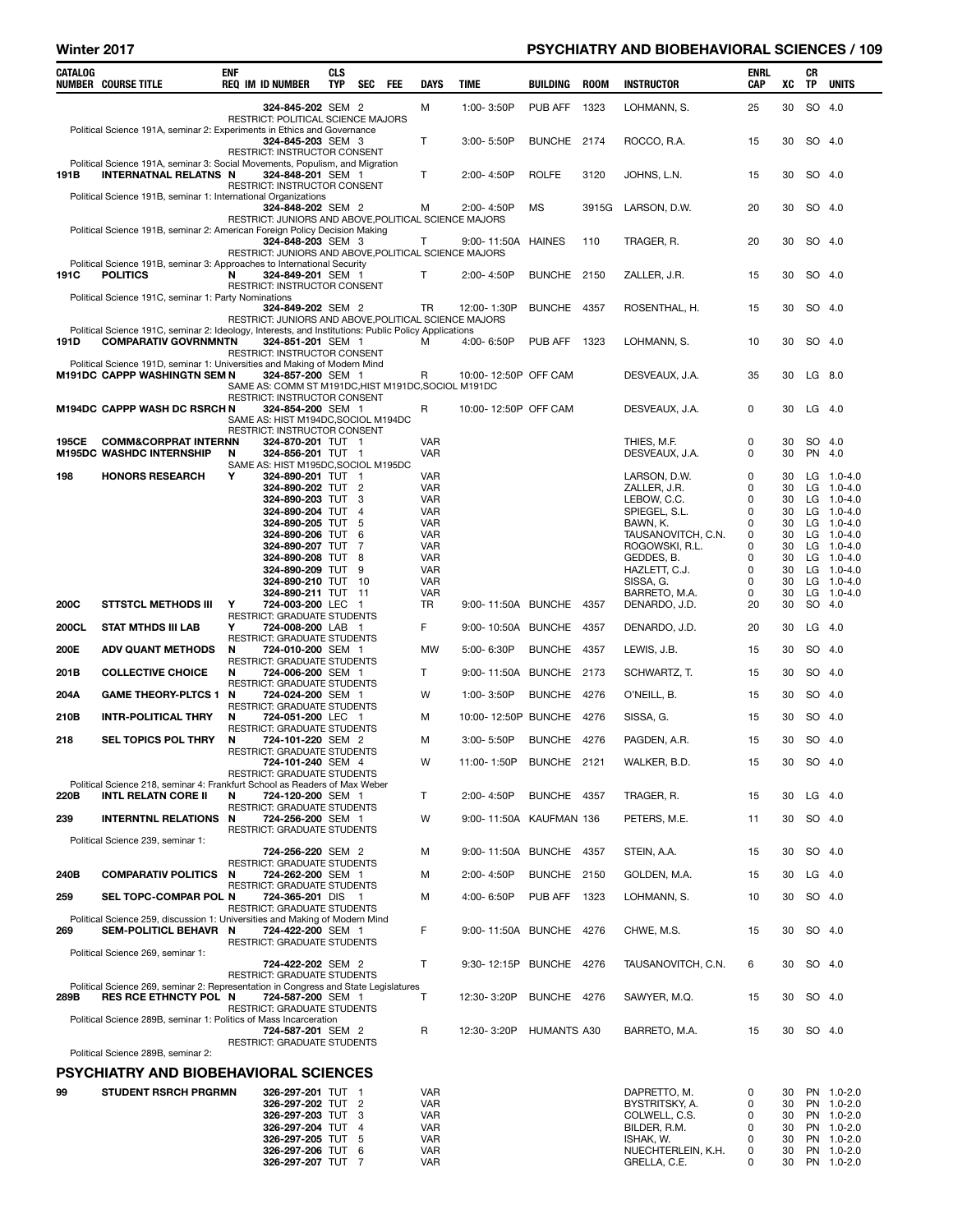## Winter 2017 **PSYCHIATRY AND BIOBEHAVIORAL SCIENCES / 109 PSYCHIATRY AND BIOBEHAVIORAL SCIENCES / 109**

| CATALOG     | <b>NUMBER COURSE TITLE</b>                                                                                                          | ENF    | <b>REQ IM ID NUMBER</b>                                                                                  | CLS<br>TYP | <b>SEC</b>          | FEE | <b>DAYS</b>              | TIME                     | BUILDING     | <b>ROOM</b> | <b>INSTRUCTOR</b>                    | ENRL<br>CAP | xс       | CR<br>TP | <b>UNITS</b>                  |
|-------------|-------------------------------------------------------------------------------------------------------------------------------------|--------|----------------------------------------------------------------------------------------------------------|------------|---------------------|-----|--------------------------|--------------------------|--------------|-------------|--------------------------------------|-------------|----------|----------|-------------------------------|
|             |                                                                                                                                     |        | 324-845-202 SEM 2<br><b>RESTRICT: POLITICAL SCIENCE MAJORS</b>                                           |            |                     |     | M                        | 1:00-3:50P               | PUB AFF      | 1323        | LOHMANN, S.                          | 25          | 30       | SO       | - 4.0                         |
|             | Political Science 191A, seminar 2: Experiments in Ethics and Governance                                                             |        | 324-845-203 SEM 3<br>RESTRICT: INSTRUCTOR CONSENT                                                        |            |                     |     | T                        | 3:00-5:50P               | BUNCHE 2174  |             | ROCCO, R.A.                          | 15          | 30       | SO 4.0   |                               |
| 191B        | Political Science 191A, seminar 3: Social Movements, Populism, and Migration<br><b>INTERNATNAL RELATNS N</b>                        |        | 324-848-201 SEM 1<br>RESTRICT: INSTRUCTOR CONSENT                                                        |            |                     |     | T                        | 2:00-4:50P               | <b>ROLFE</b> | 3120        | JOHNS, L.N.                          | 15          | 30       | SO 4.0   |                               |
|             | Political Science 191B, seminar 1: International Organizations                                                                      |        | 324-848-202 SEM 2<br>RESTRICT: JUNIORS AND ABOVE, POLITICAL SCIENCE MAJORS                               |            |                     |     | м                        | 2:00- 4:50P              | <b>MS</b>    | 3915G       | LARSON, D.W.                         | 20          | 30       | SO 4.0   |                               |
|             | Political Science 191B, seminar 2: American Foreign Policy Decision Making                                                          |        | 324-848-203 SEM 3<br>RESTRICT: JUNIORS AND ABOVE, POLITICAL SCIENCE MAJORS                               |            |                     |     | т                        | 9:00-11:50A HAINES       |              | 110         | TRAGER, R.                           | 20          | 30       | SO 4.0   |                               |
| 191C        | Political Science 191B, seminar 3: Approaches to International Security<br><b>POLITICS</b>                                          | N      | 324-849-201 SEM 1                                                                                        |            |                     |     | T                        | 2:00-4:50P               | BUNCHE 2150  |             | ZALLER. J.R.                         | 15          | 30       | SO 4.0   |                               |
|             | Political Science 191C, seminar 1: Party Nominations                                                                                |        | RESTRICT: INSTRUCTOR CONSENT<br>324-849-202 SEM 2                                                        |            |                     |     | TR                       | 12:00-1:30P              | BUNCHE 4357  |             | ROSENTHAL, H.                        | 15          | 30       | SO 4.0   |                               |
| 191D        | Political Science 191C, seminar 2: Ideology, Interests, and Institutions: Public Policy Applications<br><b>COMPARATIV GOVRNMNTN</b> |        | RESTRICT: JUNIORS AND ABOVE, POLITICAL SCIENCE MAJORS<br>324-851-201 SEM 1                               |            |                     |     | м                        | 4:00- 6:50P              | PUB AFF      | 1323        | LOHMANN, S.                          | 10          | 30       | SO 4.0   |                               |
|             | Political Science 191D, seminar 1: Universities and Making of Modern Mind<br><b>M191DC CAPPP WASHINGTN SEM N</b>                    |        | RESTRICT: INSTRUCTOR CONSENT<br>324-857-200 SEM 1                                                        |            |                     |     | R                        | 10:00-12:50P OFF CAM     |              |             | DESVEAUX, J.A.                       | 35          | 30       | LG       | 8.0                           |
|             | <b>M194DC CAPPP WASH DC RSRCH N</b>                                                                                                 |        | SAME AS: COMM ST M191DC, HIST M191DC, SOCIOL M191DC<br>RESTRICT: INSTRUCTOR CONSENT<br>324-854-200 SEM 1 |            |                     |     | R                        | 10:00-12:50P OFF CAM     |              |             | DESVEAUX, J.A.                       | 0           | 30       | $LG$ 4.0 |                               |
| 195CE       | <b>COMM&amp;CORPRAT INTERNN</b>                                                                                                     |        | SAME AS: HIST M194DC, SOCIOL M194DC<br>RESTRICT: INSTRUCTOR CONSENT<br>324-870-201 TUT 1                 |            |                     |     | <b>VAR</b>               |                          |              |             | THIES, M.F.                          | 0           | 30       | SO 4.0   |                               |
| 198         | <b>M195DC WASHDC INTERNSHIP</b><br><b>HONORS RESEARCH</b>                                                                           | N<br>Y | 324-856-201 TUT 1<br>SAME AS: HIST M195DC, SOCIOL M195DC<br>324-890-201 TUT 1                            |            |                     |     | <b>VAR</b><br><b>VAR</b> |                          |              |             | DESVEAUX, J.A.<br>LARSON, D.W.       | 0<br>0      | 30<br>30 | PN 4.0   | LG $1.0 - 4.0$                |
|             |                                                                                                                                     |        | 324-890-202 TUT 2                                                                                        |            |                     |     | <b>VAR</b>               |                          |              |             | ZALLER, J.R.                         | 0           | 30       | LG.      | 1.0-4.0                       |
|             |                                                                                                                                     |        | 324-890-203 TUT<br>324-890-204 TUT                                                                       |            | 3<br>$\overline{4}$ |     | <b>VAR</b><br>VAR        |                          |              |             | LEBOW, C.C.<br>SPIEGEL, S.L.         | 0<br>0      | 30<br>30 | LG.      | LG $1.0 - 4.0$<br>$1.0 - 4.0$ |
|             |                                                                                                                                     |        | 324-890-205 TUT                                                                                          |            | 5                   |     | <b>VAR</b>               |                          |              |             | BAWN, K.                             | 0           | 30       | LG       | $1.0 - 4.0$                   |
|             |                                                                                                                                     |        | 324-890-206 TUT<br>324-890-207 TUT                                                                       |            | 6<br>7              |     | VAR<br><b>VAR</b>        |                          |              |             | TAUSANOVITCH, C.N.<br>ROGOWSKI, R.L. | 0<br>0      | 30<br>30 | LG       | $1.0 - 4.0$<br>LG $1.0 - 4.0$ |
|             |                                                                                                                                     |        | 324-890-208 TUT 8                                                                                        |            |                     |     | VAR                      |                          |              |             | GEDDES, B.                           | 0           | 30       | LG.      | $1.0 - 4.0$                   |
|             |                                                                                                                                     |        | 324-890-209 TUT<br>324-890-210 TUT 10                                                                    |            | 9                   |     | VAR<br>VAR               |                          |              |             | HAZLETT, C.J.<br>SISSA, G.           | 0<br>0      | 30<br>30 | LG<br>LG | $1.0 - 4.0$<br>$1.0 - 4.0$    |
|             |                                                                                                                                     |        | 324-890-211 TUT 11                                                                                       |            |                     |     | <b>VAR</b>               |                          |              |             | BARRETO, M.A.                        | 0           | 30       | LG       | $1.0 - 4.0$                   |
| <b>200C</b> | <b>STTSTCL METHODS III</b>                                                                                                          | Y      | 724-003-200 LEC 1                                                                                        |            |                     |     | TR.                      | 9:00-11:50A BUNCHE 4357  |              |             | DENARDO, J.D.                        | 20          | 30       | SO 4.0   |                               |
| 200CL       | <b>STAT MTHDS III LAB</b>                                                                                                           | Y      | RESTRICT: GRADUATE STUDENTS<br>724-008-200 LAB 1<br><b>RESTRICT: GRADUATE STUDENTS</b>                   |            |                     |     | F                        | 9:00-10:50A BUNCHE       |              | 4357        | DENARDO, J.D.                        | 20          | 30       | LG       | 4.0                           |
| 200E        | <b>ADV QUANT METHODS</b>                                                                                                            | N      | 724-010-200 SEM 1<br>RESTRICT: GRADUATE STUDENTS                                                         |            |                     |     | <b>MW</b>                | 5:00-6:30P               | BUNCHE 4357  |             | LEWIS, J.B.                          | 15          | 30       | SO 4.0   |                               |
| 201B        | <b>COLLECTIVE CHOICE</b>                                                                                                            | N      | 724-006-200 SEM 1<br><b>RESTRICT: GRADUATE STUDENTS</b>                                                  |            |                     |     | T                        | 9:00-11:50A              | BUNCHE 2173  |             | SCHWARTZ, T.                         | 15          | 30       | SO 4.0   |                               |
| 204A        | <b>GAME THEORY-PLTCS 1</b>                                                                                                          | N      | 724-024-200 SEM 1<br><b>RESTRICT: GRADUATE STUDENTS</b>                                                  |            |                     |     | W                        | 1:00-3:50P               | BUNCHE 4276  |             | O'NEILL, B.                          | 15          | 30       | SO 4.0   |                               |
| 210B        | <b>INTR-POLITICAL THRY</b>                                                                                                          | N      | 724-051-200 LEC 1<br><b>RESTRICT: GRADUATE STUDENTS</b>                                                  |            |                     |     | м                        | 10:00-12:50P BUNCHE 4276 |              |             | SISSA, G.                            | 15          | 30       | SO 4.0   |                               |
| 218         | <b>SEL TOPICS POL THRY</b>                                                                                                          | N      | 724-101-220 SEM 2<br><b>RESTRICT: GRADUATE STUDENTS</b>                                                  |            |                     |     | М                        | 3:00-5:50P               | BUNCHE 4276  |             | PAGDEN, A.R.                         | 15          | 30       | SO 4.0   |                               |
|             |                                                                                                                                     |        | 724-101-240 SEM 4<br><b>RESTRICT: GRADUATE STUDENTS</b>                                                  |            |                     |     | W                        | 11:00-1:50P              | BUNCHE 2121  |             | WALKER, B.D.                         | 15          | 30       | SO 4.0   |                               |
| 220B        | Political Science 218, seminar 4: Frankfurt School as Readers of Max Weber<br><b>INTL RELATN CORE II</b>                            | N      | 724-120-200 SEM 1<br><b>RESTRICT: GRADUATE STUDENTS</b>                                                  |            |                     |     | T                        | 2:00-4:50P               | BUNCHE 4357  |             | TRAGER, R.                           | 15          | 30       | $LG$ 4.0 |                               |
| 239         | <b>INTERNTNL RELATIONS N</b>                                                                                                        |        | 724-256-200 SEM 1<br><b>RESTRICT: GRADUATE STUDENTS</b>                                                  |            |                     |     | w                        | 9:00-11:50A KAUFMAN 136  |              |             | PETERS, M.E.                         | 11          | 30       | SO 4.0   |                               |
|             | Political Science 239, seminar 1:                                                                                                   |        | 724-256-220 SEM 2                                                                                        |            |                     |     | М                        | 9:00-11:50A              | BUNCHE 4357  |             | STEIN, A.A.                          | 15          | 30       | SO 4.0   |                               |
| 240B        | <b>COMPARATIV POLITICS</b>                                                                                                          | N      | <b>RESTRICT: GRADUATE STUDENTS</b><br>724-262-200 SEM 1                                                  |            |                     |     | M                        | 2:00-4:50P               | BUNCHE 2150  |             | GOLDEN, M.A.                         | 15          | 30       | $LG$ 4.0 |                               |
| 259         | <b>SEL TOPC-COMPAR POL N</b>                                                                                                        |        | RESTRICT: GRADUATE STUDENTS<br>724-365-201 DIS 1                                                         |            |                     |     | M                        | 4:00-6:50P               | PUB AFF      | 1323        | LOHMANN, S.                          | 10          | 30       | SO 4.0   |                               |
| 269         | Political Science 259, discussion 1: Universities and Making of Modern Mind<br>SEM-POLITICL BEHAVR N                                |        | RESTRICT: GRADUATE STUDENTS<br>724-422-200 SEM 1                                                         |            |                     |     | F                        | 9:00-11:50A BUNCHE 4276  |              |             | CHWE, M.S.                           | 15          | 30       | SO 4.0   |                               |
|             | Political Science 269, seminar 1:                                                                                                   |        | <b>RESTRICT: GRADUATE STUDENTS</b><br>724-422-202 SEM 2                                                  |            |                     |     | T.                       | 9:30-12:15P BUNCHE 4276  |              |             | TAUSANOVITCH, C.N.                   | 6           | 30       | SO 4.0   |                               |
|             | Political Science 269, seminar 2: Representation in Congress and State Legislatures                                                 |        | <b>RESTRICT: GRADUATE STUDENTS</b>                                                                       |            |                     |     |                          |                          |              |             |                                      |             |          |          |                               |
| 289B        | <b>RES RCE ETHNCTY POL N</b><br>Political Science 289B, seminar 1: Politics of Mass Incarceration                                   |        | 724-587-200 SEM 1<br><b>RESTRICT: GRADUATE STUDENTS</b>                                                  |            |                     |     | Т                        | 12:30-3:20P              | BUNCHE 4276  |             | SAWYER, M.Q.                         | 15          | 30       | SO 4.0   |                               |
|             | Political Science 289B, seminar 2:                                                                                                  |        | 724-587-201 SEM 2<br>RESTRICT: GRADUATE STUDENTS                                                         |            |                     |     | R                        | 12:30-3:20P              | HUMANTS A30  |             | BARRETO, M.A.                        | 15          | 30       | SO 4.0   |                               |
|             | PSYCHIATRY AND BIOBEHAVIORAL SCIENCES                                                                                               |        |                                                                                                          |            |                     |     |                          |                          |              |             |                                      |             |          |          |                               |
|             |                                                                                                                                     |        |                                                                                                          |            |                     |     |                          |                          |              |             |                                      |             |          |          |                               |
| 99          | <b>STUDENT RSRCH PRGRMN</b>                                                                                                         |        | 326-297-201 TUT 1<br>326-297-202 TUT 2                                                                   |            |                     |     | <b>VAR</b><br>VAR        |                          |              |             | DAPRETTO, M.<br>BYSTRITSKY, A.       | 0<br>0      | 30<br>30 |          | PN 1.0-2.0<br>PN 1.0-2.0      |
|             |                                                                                                                                     |        | 326-297-203 TUT 3                                                                                        |            |                     |     | VAR                      |                          |              |             | COLWELL, C.S.                        | 0           | 30       |          | PN 1.0-2.0                    |
|             |                                                                                                                                     |        | 326-297-204 TUT 4<br>326-297-205 TUT                                                                     |            | 5                   |     | VAR<br>VAR               |                          |              |             | BILDER, R.M.<br>ISHAK, W.            | 0<br>0      | 30<br>30 |          | PN 1.0-2.0<br>PN 1.0-2.0      |
|             |                                                                                                                                     |        | 326-297-206 TUT 6                                                                                        |            |                     |     | VAR                      |                          |              |             | NUECHTERLEIN, K.H.                   | 0           | 30       |          | PN 1.0-2.0                    |
|             |                                                                                                                                     |        | 326-297-207 TUT 7                                                                                        |            |                     |     | VAR                      |                          |              |             | GRELLA, C.E.                         | 0           | 30       |          | PN 1.0-2.0                    |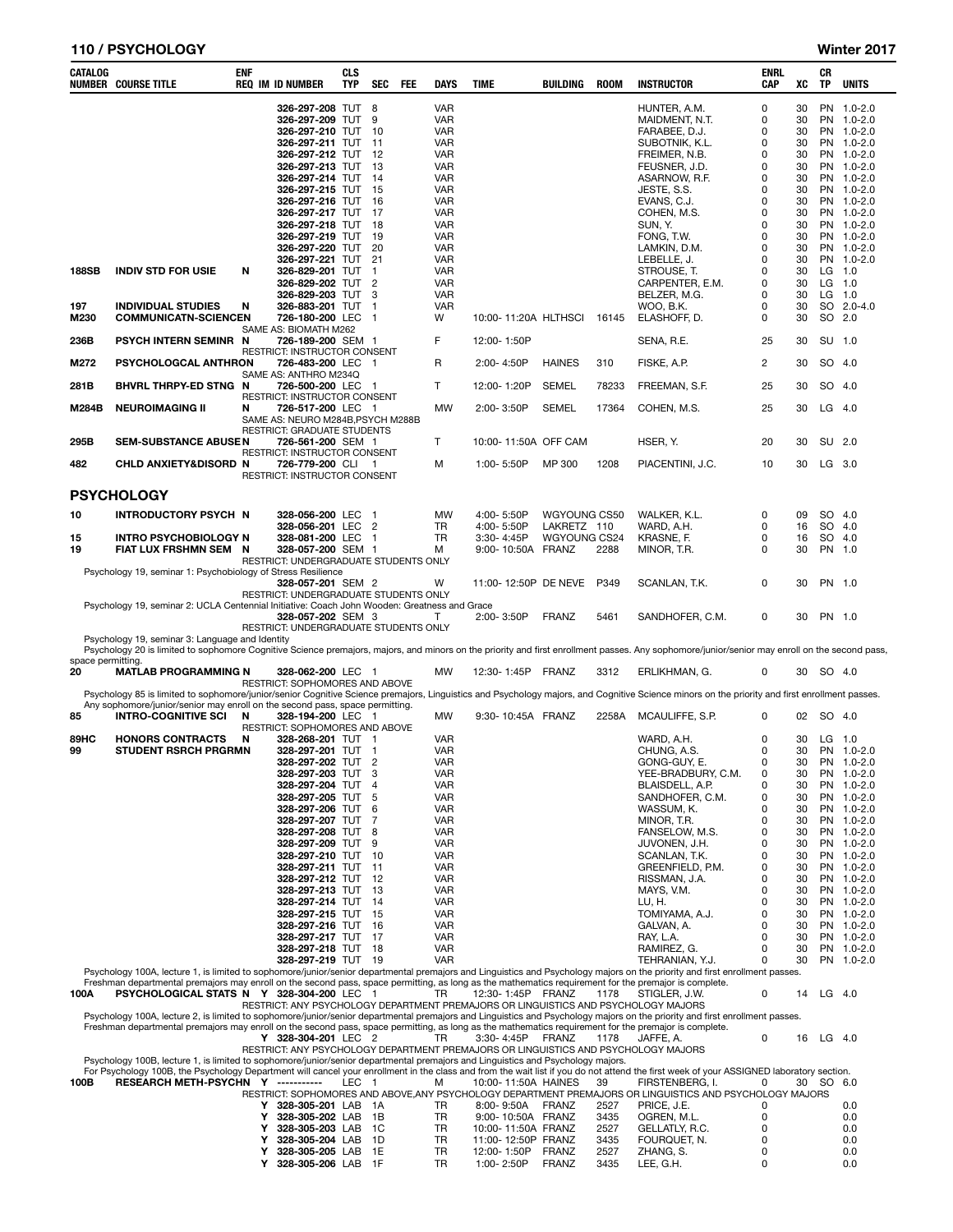## 110 / PSYCHOLOGY Winter 2017

| CATALOG           | <b>NUMBER COURSE TITLE</b>                                                                                                                                                                                                                                                                                                           | ENF |        | <b>REQ IM ID NUMBER</b>                                          | <b>CLS</b><br>TYP | <b>SEC</b>                       | <b>FEE</b> | <b>DAYS</b>                            | TIME                                     | BUILDING                    | <b>ROOM</b>  | <b>INSTRUCTOR</b>                                                                                                       | ENRL<br>CAP   | XC             | CR<br>TP  | <b>UNITS</b>                            |
|-------------------|--------------------------------------------------------------------------------------------------------------------------------------------------------------------------------------------------------------------------------------------------------------------------------------------------------------------------------------|-----|--------|------------------------------------------------------------------|-------------------|----------------------------------|------------|----------------------------------------|------------------------------------------|-----------------------------|--------------|-------------------------------------------------------------------------------------------------------------------------|---------------|----------------|-----------|-----------------------------------------|
|                   |                                                                                                                                                                                                                                                                                                                                      |     |        | 326-297-208 TUT 8<br>326-297-209 TUT<br>326-297-210 TUT 10       |                   | 9                                |            | <b>VAR</b><br><b>VAR</b><br><b>VAR</b> |                                          |                             |              | HUNTER, A.M.<br>MAIDMENT, N.T.<br>FARABEE, D.J.                                                                         | 0<br>0<br>0   | 30<br>30<br>30 | <b>PN</b> | PN 1.0-2.0<br>$1.0 - 2.0$<br>PN 1.0-2.0 |
|                   |                                                                                                                                                                                                                                                                                                                                      |     |        | 326-297-211 TUT<br>326-297-212 TUT 12                            |                   | -11                              |            | <b>VAR</b><br><b>VAR</b>               |                                          |                             |              | SUBOTNIK, K.L.                                                                                                          | 0<br>0        | 30<br>30       | <b>PN</b> | $1.0 - 2.0$<br>PN 1.0-2.0               |
|                   |                                                                                                                                                                                                                                                                                                                                      |     |        | 326-297-213 TUT                                                  |                   | -13                              |            | <b>VAR</b>                             |                                          |                             |              | FREIMER, N.B.<br>FEUSNER, J.D.                                                                                          | 0             | 30             |           | PN 1.0-2.0                              |
|                   |                                                                                                                                                                                                                                                                                                                                      |     |        | 326-297-214 TUT                                                  |                   | -14                              |            | <b>VAR</b>                             |                                          |                             |              | ASARNOW, R.F.                                                                                                           | 0             | 30             |           | PN 1.0-2.0                              |
|                   |                                                                                                                                                                                                                                                                                                                                      |     |        | 326-297-215 TUT<br>326-297-216 TUT 16                            |                   | 15                               |            | <b>VAR</b><br><b>VAR</b>               |                                          |                             |              | JESTE, S.S.<br>EVANS, C.J.                                                                                              | 0<br>0        | 30<br>30       | <b>PN</b> | $1.0 - 2.0$<br>PN 1.0-2.0               |
|                   |                                                                                                                                                                                                                                                                                                                                      |     |        | 326-297-217 TUT 17                                               |                   |                                  |            | <b>VAR</b>                             |                                          |                             |              | COHEN, M.S.                                                                                                             | 0             | 30             |           | PN 1.0-2.0                              |
|                   |                                                                                                                                                                                                                                                                                                                                      |     |        | 326-297-218 TUT<br>326-297-219 TUT                               |                   | - 18<br>19                       |            | <b>VAR</b><br><b>VAR</b>               |                                          |                             |              | SUN, Y.<br>FONG, T.W.                                                                                                   | 0<br>0        | 30<br>30       | <b>PN</b> | PN 1.0-2.0<br>$1.0 - 2.0$               |
|                   |                                                                                                                                                                                                                                                                                                                                      |     |        | 326-297-220 TUT                                                  |                   | 20                               |            | <b>VAR</b>                             |                                          |                             |              | LAMKIN, D.M.                                                                                                            | 0             | 30             |           | PN 1.0-2.0                              |
| 188SB             | <b>INDIV STD FOR USIE</b>                                                                                                                                                                                                                                                                                                            | N   |        | 326-297-221 TUT<br>326-829-201 TUT                               |                   | 21<br>$\mathbf{1}$               |            | <b>VAR</b><br><b>VAR</b>               |                                          |                             |              | LEBELLE, J.<br>STROUSE, T.                                                                                              | 0<br>0        | 30<br>30       | $LG$ 1.0  | PN 1.0-2.0                              |
|                   |                                                                                                                                                                                                                                                                                                                                      |     |        | 326-829-202 TUT                                                  |                   | $\overline{2}$                   |            | <b>VAR</b>                             |                                          |                             |              | CARPENTER, E.M.                                                                                                         | 0             | 30             | $LG$ 1.0  |                                         |
| 197               | <b>INDIVIDUAL STUDIES</b>                                                                                                                                                                                                                                                                                                            | N   |        | 326-829-203 TUT<br>326-883-201 TUT 1                             |                   | 3                                |            | <b>VAR</b><br><b>VAR</b>               |                                          |                             |              | BELZER, M.G.<br>WOO, B.K.                                                                                               | 0<br>0        | 30<br>30       | LG        | 1.0<br>SO 2.0-4.0                       |
| M230              | <b>COMMUNICATN-SCIENCEN</b>                                                                                                                                                                                                                                                                                                          |     |        | 726-180-200 LEC                                                  |                   | -1                               |            | W                                      | 10:00-11:20A HLTHSCI                     |                             | 16145        | ELASHOFF, D.                                                                                                            | 0             | 30             | SO 2.0    |                                         |
| 236B              | PSYCH INTERN SEMINR N                                                                                                                                                                                                                                                                                                                |     |        | SAME AS: BIOMATH M262<br>726-189-200 SEM 1                       |                   |                                  |            | F                                      | 12:00-1:50P                              |                             |              | SENA, R.E.                                                                                                              | 25            | 30             | SU 1.0    |                                         |
| M272              | PSYCHOLOGCAL ANTHRON                                                                                                                                                                                                                                                                                                                 |     |        | RESTRICT: INSTRUCTOR CONSENT<br>726-483-200 LEC 1                |                   |                                  |            | R                                      | 2:00-4:50P                               | <b>HAINES</b>               | 310          | FISKE, A.P.                                                                                                             | 2             | 30             | SO        | 4.0                                     |
| 281B              | BHVRL THRPY-ED STNG N                                                                                                                                                                                                                                                                                                                |     |        | SAME AS: ANTHRO M234Q<br>726-500-200 LEC 1                       |                   |                                  |            | T                                      | 12:00-1:20P                              | <b>SEMEL</b>                | 78233        | FREEMAN, S.F.                                                                                                           | 25            | 30             | SO        | -4.0                                    |
| M284B             | <b>NEUROIMAGING II</b>                                                                                                                                                                                                                                                                                                               | N   |        | RESTRICT: INSTRUCTOR CONSENT<br>726-517-200 LEC 1                |                   |                                  |            | MW                                     | 2:00-3:50P                               | <b>SEMEL</b>                | 17364        | COHEN, M.S.                                                                                                             | 25            | 30             | $LG$ 4.0  |                                         |
|                   |                                                                                                                                                                                                                                                                                                                                      |     |        | SAME AS: NEURO M284B, PSYCH M288B<br>RESTRICT: GRADUATE STUDENTS |                   |                                  |            |                                        |                                          |                             |              |                                                                                                                         |               |                |           |                                         |
| 295B              | <b>SEM-SUBSTANCE ABUSEN</b>                                                                                                                                                                                                                                                                                                          |     |        | 726-561-200 SEM 1<br><b>RESTRICT: INSTRUCTOR CONSENT</b>         |                   |                                  |            | T                                      | 10:00-11:50A OFF CAM                     |                             |              | HSER, Y.                                                                                                                | 20            | 30             | SU 2.0    |                                         |
| 482               | CHLD ANXIETY&DISORD N                                                                                                                                                                                                                                                                                                                |     |        | 726-779-200 CLI 1<br>RESTRICT: INSTRUCTOR CONSENT                |                   |                                  |            | м                                      | 1:00-5:50P                               | MP 300                      | 1208         | PIACENTINI, J.C.                                                                                                        | 10            | 30             | LG 3.0    |                                         |
|                   | <b>PSYCHOLOGY</b>                                                                                                                                                                                                                                                                                                                    |     |        |                                                                  |                   |                                  |            |                                        |                                          |                             |              |                                                                                                                         |               |                |           |                                         |
| 10                | <b>INTRODUCTORY PSYCH N</b>                                                                                                                                                                                                                                                                                                          |     |        | 328-056-200 LEC<br>328-056-201 LEC                               |                   | $\overline{1}$<br>$\overline{2}$ |            | MW<br>TR                               | 4:00-5:50P<br>4:00-5:50P                 | WGYOUNG CS50<br>LAKRETZ 110 |              | WALKER, K.L.<br>WARD, A.H.                                                                                              | 0<br>0        | 09<br>16       | SO<br>SO  | 4.0<br>4.0                              |
| 15                | <b>INTRO PSYCHOBIOLOGY N</b>                                                                                                                                                                                                                                                                                                         |     |        | 328-081-200 LEC                                                  |                   | $\overline{1}$                   |            | TR                                     | 3:30-4:45P                               | WGYOUNG CS24                |              | KRASNE, F.                                                                                                              | 0             | 16             | SO        | 4.0                                     |
| 19                | FIAT LUX FRSHMN SEM N                                                                                                                                                                                                                                                                                                                |     |        | 328-057-200 SEM 1<br>RESTRICT: UNDERGRADUATE STUDENTS ONLY       |                   |                                  |            | м                                      | 9:00-10:50A                              | FRANZ                       | 2288         | MINOR, T.R.                                                                                                             | 0             | 30             | PN 1.0    |                                         |
|                   | Psychology 19, seminar 1: Psychobiology of Stress Resilience                                                                                                                                                                                                                                                                         |     |        | 328-057-201 SEM 2                                                |                   |                                  |            | W                                      | 11:00-12:50P DE NEVE                     |                             | P349         | SCANLAN, T.K.                                                                                                           | 0             | 30             | PN 1.0    |                                         |
|                   | Psychology 19, seminar 2: UCLA Centennial Initiative: Coach John Wooden: Greatness and Grace                                                                                                                                                                                                                                         |     |        | RESTRICT: UNDERGRADUATE STUDENTS ONLY                            |                   |                                  |            |                                        |                                          |                             |              |                                                                                                                         |               |                |           |                                         |
|                   |                                                                                                                                                                                                                                                                                                                                      |     |        | 328-057-202 SEM 3                                                |                   |                                  |            | Т                                      | 2:00-3:50P                               | <b>FRANZ</b>                | 5461         | SANDHOFER, C.M.                                                                                                         | 0             | 30             | PN 1.0    |                                         |
|                   | Psychology 19, seminar 3: Language and Identity                                                                                                                                                                                                                                                                                      |     |        | RESTRICT: UNDERGRADUATE STUDENTS ONLY                            |                   |                                  |            |                                        |                                          |                             |              |                                                                                                                         |               |                |           |                                         |
| space permitting. | Psychology 20 is limited to sophomore Cognitive Science premajors, majors, and minors on the priority and first enrollment passes. Any sophomore/junior/senior may enroll on the second pass,                                                                                                                                        |     |        |                                                                  |                   |                                  |            |                                        |                                          |                             |              |                                                                                                                         |               |                |           |                                         |
| 20                | <b>MATLAB PROGRAMMING N</b>                                                                                                                                                                                                                                                                                                          |     |        | 328-062-200 LEC 1<br>RESTRICT: SOPHOMORES AND ABOVE              |                   |                                  |            | MW                                     | 12:30-1:45P                              | FRANZ                       | 3312         | ERLIKHMAN, G.                                                                                                           | 0             | 30             | SO 4.0    |                                         |
|                   | Psychology 85 is limited to sophomore/junior/senior Cognitive Science premajors, Linguistics and Psychology majors, and Cognitive Science minors on the priority and first enrollment passes.                                                                                                                                        |     |        |                                                                  |                   |                                  |            |                                        |                                          |                             |              |                                                                                                                         |               |                |           |                                         |
| 85                | Any sophomore/junior/senior may enroll on the second pass, space permitting.<br><b>INTRO-COGNITIVE SCI</b>                                                                                                                                                                                                                           | N   |        | 328-194-200 LEC 1<br>RESTRICT: SOPHOMORES AND ABOVE              |                   |                                  |            | МW                                     | 9:30-10:45A FRANZ                        |                             | 2258A        | MCAULIFFE, S.P.                                                                                                         | 0             | 02             | SO 4.0    |                                         |
| 89HC              | <b>HONORS CONTRACTS</b>                                                                                                                                                                                                                                                                                                              | N   |        | 328-268-201 TUT 1                                                |                   |                                  |            | <b>VAR</b>                             |                                          |                             |              | WARD, A.H.                                                                                                              | 0             | 30             | LG 1.0    |                                         |
| 99                | <b>STUDENT RSRCH PRGRMN</b>                                                                                                                                                                                                                                                                                                          |     |        | 328-297-201 TUT 1<br>328-297-202 TUT                             |                   | $\overline{2}$                   |            | <b>VAR</b><br><b>VAR</b>               |                                          |                             |              | CHUNG, A.S.<br>GONG-GUY, E.                                                                                             | 0<br>$\Omega$ | 30<br>30       |           | PN 1.0-2.0<br>PN 1.0-2.0                |
|                   |                                                                                                                                                                                                                                                                                                                                      |     |        | 328-297-203 TUT 3                                                |                   |                                  |            | <b>VAR</b>                             |                                          |                             |              | YEE-BRADBURY, C.M.                                                                                                      | 0             | 30             |           | PN 1.0-2.0                              |
|                   |                                                                                                                                                                                                                                                                                                                                      |     |        | 328-297-204 TUT<br>328-297-205 TUT                               |                   | $\overline{4}$<br>5              |            | <b>VAR</b><br><b>VAR</b>               |                                          |                             |              | BLAISDELL, A.P.<br>SANDHOFER, C.M.                                                                                      | 0<br>0        | 30<br>30       |           | PN 1.0-2.0<br>PN 1.0-2.0                |
|                   |                                                                                                                                                                                                                                                                                                                                      |     |        | 328-297-206 TUT                                                  |                   | 6                                |            | <b>VAR</b>                             |                                          |                             |              | WASSUM, K.                                                                                                              | 0             | 30             |           | PN 1.0-2.0                              |
|                   |                                                                                                                                                                                                                                                                                                                                      |     |        | 328-297-207 TUT 7<br>328-297-208 TUT                             |                   | 8                                |            | <b>VAR</b><br><b>VAR</b>               |                                          |                             |              | MINOR, T.R.<br>FANSELOW, M.S.                                                                                           | 0<br>0        | 30<br>30       |           | PN 1.0-2.0<br>PN 1.0-2.0                |
|                   |                                                                                                                                                                                                                                                                                                                                      |     |        | 328-297-209 TUT                                                  |                   | 9                                |            | <b>VAR</b>                             |                                          |                             |              | JUVONEN, J.H.                                                                                                           | 0             | 30             |           | PN 1.0-2.0                              |
|                   |                                                                                                                                                                                                                                                                                                                                      |     |        | 328-297-210 TUT 10                                               |                   |                                  |            | <b>VAR</b>                             |                                          |                             |              | SCANLAN, T.K.                                                                                                           | 0             | 30             |           | PN 1.0-2.0                              |
|                   |                                                                                                                                                                                                                                                                                                                                      |     |        | 328-297-211 TUT 11<br>328-297-212 TUT 12                         |                   |                                  |            | <b>VAR</b><br><b>VAR</b>               |                                          |                             |              | GREENFIELD, P.M.<br>RISSMAN, J.A.                                                                                       | 0<br>0        | 30<br>30       |           | PN 1.0-2.0<br>PN 1.0-2.0                |
|                   |                                                                                                                                                                                                                                                                                                                                      |     |        | 328-297-213 TUT 13                                               |                   |                                  |            | <b>VAR</b>                             |                                          |                             |              | MAYS, V.M.                                                                                                              | 0             | 30             |           | PN 1.0-2.0                              |
|                   |                                                                                                                                                                                                                                                                                                                                      |     |        | 328-297-214 TUT 14<br>328-297-215 TUT 15                         |                   |                                  |            | <b>VAR</b><br><b>VAR</b>               |                                          |                             |              | LU, H.<br>TOMIYAMA, A.J.                                                                                                | 0<br>0        | 30<br>30       |           | PN 1.0-2.0<br>PN 1.0-2.0                |
|                   |                                                                                                                                                                                                                                                                                                                                      |     |        | 328-297-216 TUT 16                                               |                   |                                  |            | <b>VAR</b>                             |                                          |                             |              | GALVAN, A.                                                                                                              | 0             | 30             |           | PN 1.0-2.0                              |
|                   |                                                                                                                                                                                                                                                                                                                                      |     |        | 328-297-217 TUT 17<br>328-297-218 TUT 18                         |                   |                                  |            | <b>VAR</b><br><b>VAR</b>               |                                          |                             |              | RAY, L.A.<br>RAMIREZ, G.                                                                                                | 0<br>0        | 30<br>30       |           | PN 1.0-2.0<br>PN 1.0-2.0                |
|                   |                                                                                                                                                                                                                                                                                                                                      |     |        | 328-297-219 TUT 19                                               |                   |                                  |            | <b>VAR</b>                             |                                          |                             |              | TEHRANIAN, Y.J.                                                                                                         | 0             | 30             |           | PN 1.0-2.0                              |
|                   | Psychology 100A, lecture 1, is limited to sophomore/junior/senior departmental premajors and Linguistics and Psychology majors on the priority and first enrollment passes.<br>Freshman departmental premaiors may enroll on the second pass, space permitting, as long as the mathematics requirement for the premaior is complete. |     |        |                                                                  |                   |                                  |            |                                        |                                          |                             |              |                                                                                                                         |               |                |           |                                         |
| 100A              | PSYCHOLOGICAL STATS N Y 328-304-200 LEC 1                                                                                                                                                                                                                                                                                            |     |        |                                                                  |                   |                                  |            | TR                                     | 12:30-1:45P FRANZ                        |                             | 1178         | STIGLER, J.W.<br>RESTRICT: ANY PSYCHOLOGY DEPARTMENT PREMAJORS OR LINGUISTICS AND PSYCHOLOGY MAJORS                     | 0             | 14             | $LG$ 4.0  |                                         |
|                   | Psychology 100A, lecture 2, is limited to sophomore/junior/senior departmental premajors and Linguistics and Psychology majors on the priority and first enrollment passes.                                                                                                                                                          |     |        |                                                                  |                   |                                  |            |                                        |                                          |                             |              |                                                                                                                         |               |                |           |                                         |
|                   | Freshman departmental premajors may enroll on the second pass, space permitting, as long as the mathematics requirement for the premajor is complete.                                                                                                                                                                                |     |        | Y 328-304-201 LEC 2                                              |                   |                                  |            | TR                                     | 3:30-4:45P                               | FRANZ                       | 1178         | JAFFE, A.                                                                                                               | 0             | 16             | $LG$ 4.0  |                                         |
|                   |                                                                                                                                                                                                                                                                                                                                      |     |        |                                                                  |                   |                                  |            |                                        |                                          |                             |              | RESTRICT: ANY PSYCHOLOGY DEPARTMENT PREMAJORS OR LINGUISTICS AND PSYCHOLOGY MAJORS                                      |               |                |           |                                         |
|                   | Psychology 100B, lecture 1, is limited to sophomore/junior/senior departmental premajors and Linguistics and Psychology majors.<br>For Psychology 100B, the Psychology Department will cancel your enrollment in the class and from the wait list if you do not attend the first week of your ASSIGNED laboratory section.           |     |        |                                                                  |                   |                                  |            |                                        |                                          |                             |              |                                                                                                                         |               |                |           |                                         |
| 100B              | RESEARCH METH-PSYCHN Y -----------                                                                                                                                                                                                                                                                                                   |     |        |                                                                  | LEC 1             |                                  |            | м                                      | 10:00-11:50A HAINES                      |                             | 39           | FIRSTENBERG, I.                                                                                                         | 0             |                | 30 SO     | 6.0                                     |
|                   |                                                                                                                                                                                                                                                                                                                                      |     |        | Y 328-305-201 LAB 1A                                             |                   |                                  |            | TR                                     | 8:00-9:50A                               | FRANZ                       | 2527         | RESTRICT: SOPHOMORES AND ABOVE, ANY PSYCHOLOGY DEPARTMENT PREMAJORS OR LINGUISTICS AND PSYCHOLOGY MAJORS<br>PRICE, J.E. | 0             |                |           | 0.0                                     |
|                   |                                                                                                                                                                                                                                                                                                                                      |     |        | Y 328-305-202 LAB 1B                                             |                   |                                  |            | TR                                     | 9:00-10:50A FRANZ                        |                             | 3435         | OGREN, M.L.                                                                                                             | 0             |                |           | 0.0                                     |
|                   |                                                                                                                                                                                                                                                                                                                                      |     | Y<br>Y | 328-305-203 LAB 1C<br>328-305-204 LAB 1D                         |                   |                                  |            | TR<br>TR                               | 10:00-11:50A FRANZ<br>11:00-12:50P FRANZ |                             | 2527<br>3435 | GELLATLY, R.C.<br>FOURQUET, N.                                                                                          | 0<br>0        |                |           | 0.0<br>0.0                              |
|                   |                                                                                                                                                                                                                                                                                                                                      |     | Y      | 328-305-205 LAB 1E                                               |                   |                                  |            | TR                                     | 12:00-1:50P FRANZ                        |                             | 2527         | ZHANG, S.                                                                                                               | 0             |                |           | 0.0                                     |
|                   |                                                                                                                                                                                                                                                                                                                                      |     | Y      | 328-305-206 LAB 1F                                               |                   |                                  |            | TR                                     | 1:00-2:50P                               | FRANZ                       | 3435         | LEE, G.H.                                                                                                               | 0             |                |           | 0.0                                     |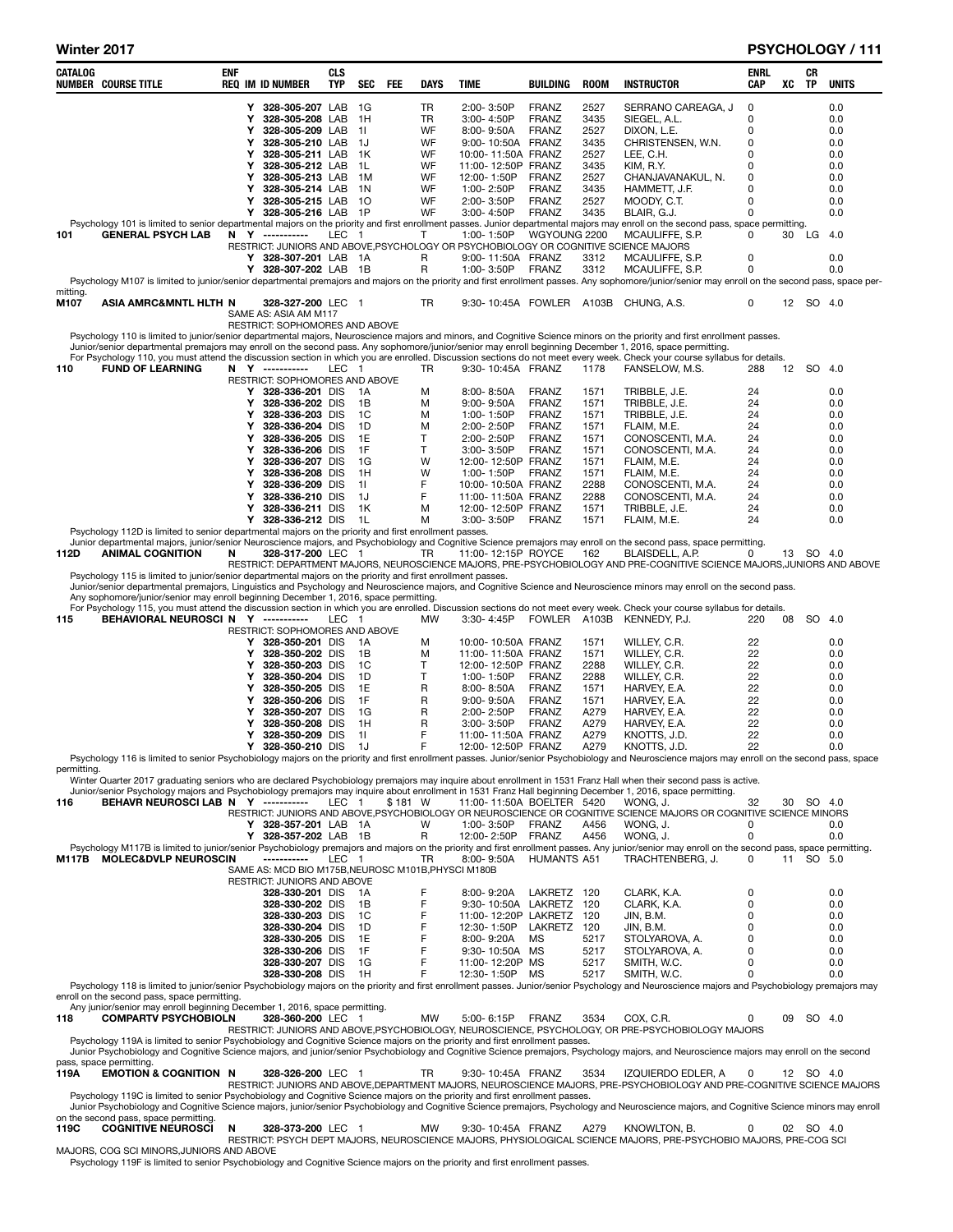| CATALOG<br><b>NUMBER COURSE TITLE</b>                                                                                                                                                                                                                                                                                                                                                                                                                                                                                                                                                         | <b>ENF</b> |        | <b>REQ IM ID NUMBER</b>                                           | CLS<br><b>TYP</b> | SEC            | <b>FEE</b> | <b>DAYS</b>     | <b>TIME</b>                                     | <b>BUILDING</b>       | <b>ROOM</b>  | <b>INSTRUCTOR</b>                                                                                                                                                                                                                                                                                                                     | <b>ENRL</b><br>CAP | XC | CR<br><b>TP</b> | <b>UNITS</b> |
|-----------------------------------------------------------------------------------------------------------------------------------------------------------------------------------------------------------------------------------------------------------------------------------------------------------------------------------------------------------------------------------------------------------------------------------------------------------------------------------------------------------------------------------------------------------------------------------------------|------------|--------|-------------------------------------------------------------------|-------------------|----------------|------------|-----------------|-------------------------------------------------|-----------------------|--------------|---------------------------------------------------------------------------------------------------------------------------------------------------------------------------------------------------------------------------------------------------------------------------------------------------------------------------------------|--------------------|----|-----------------|--------------|
|                                                                                                                                                                                                                                                                                                                                                                                                                                                                                                                                                                                               |            | Y      | 328-305-207 LAB                                                   |                   | - 1G           |            | TR              | 2:00-3:50P                                      | <b>FRANZ</b>          | 2527         | SERRANO CAREAGA, J                                                                                                                                                                                                                                                                                                                    | 0                  |    |                 | 0.0          |
|                                                                                                                                                                                                                                                                                                                                                                                                                                                                                                                                                                                               |            | Υ      | 328-305-208 LAB                                                   |                   | 1H             |            | <b>TR</b>       | 3:00-4:50P                                      | <b>FRANZ</b>          | 3435         | SIEGEL, A.L.                                                                                                                                                                                                                                                                                                                          | 0                  |    |                 | 0.0          |
|                                                                                                                                                                                                                                                                                                                                                                                                                                                                                                                                                                                               |            | Υ      | 328-305-209 LAB                                                   |                   | 11             |            | WF              | 8:00-9:50A                                      | <b>FRANZ</b>          | 2527         | DIXON, L.E.                                                                                                                                                                                                                                                                                                                           | 0                  |    |                 | 0.0          |
|                                                                                                                                                                                                                                                                                                                                                                                                                                                                                                                                                                                               |            | Υ<br>Υ | 328-305-210 LAB<br>328-305-211 LAB                                |                   | - 1J<br>- 1K   |            | WF<br>WF        | 9:00-10:50A FRANZ<br>10:00-11:50A FRANZ         |                       | 3435<br>2527 | CHRISTENSEN, W.N.<br>LEE, C.H.                                                                                                                                                                                                                                                                                                        | 0<br>0             |    |                 | 0.0          |
|                                                                                                                                                                                                                                                                                                                                                                                                                                                                                                                                                                                               |            | Υ      | 328-305-212 LAB                                                   |                   | - 1L           |            | WF              | 11:00-12:50P FRANZ                              |                       | 3435         | KIM, R.Y.                                                                                                                                                                                                                                                                                                                             | 0                  |    |                 | 0.0<br>0.0   |
|                                                                                                                                                                                                                                                                                                                                                                                                                                                                                                                                                                                               |            | Υ      | 328-305-213 LAB                                                   |                   | - 1M           |            | WF              | 12:00-1:50P                                     | <b>FRANZ</b>          | 2527         | CHANJAVANAKUL, N.                                                                                                                                                                                                                                                                                                                     | 0                  |    |                 | 0.0          |
|                                                                                                                                                                                                                                                                                                                                                                                                                                                                                                                                                                                               |            | Υ      | 328-305-214 LAB                                                   |                   | 1N             |            | WF              | 1:00-2:50P                                      | <b>FRANZ</b>          | 3435         | HAMMETT, J.F.                                                                                                                                                                                                                                                                                                                         | 0                  |    |                 | 0.0          |
|                                                                                                                                                                                                                                                                                                                                                                                                                                                                                                                                                                                               |            | Υ<br>Y | 328-305-215 LAB<br>328-305-216 LAB 1P                             |                   | - 10           |            | <b>WF</b><br>WF | 2:00-3:50P<br>3:00-4:50P                        | <b>FRANZ</b><br>FRANZ | 2527<br>3435 | MOODY, C.T.<br>BLAIR, G.J.                                                                                                                                                                                                                                                                                                            | 0<br>0             |    |                 | 0.0<br>0.0   |
|                                                                                                                                                                                                                                                                                                                                                                                                                                                                                                                                                                                               |            |        |                                                                   |                   |                |            |                 |                                                 |                       |              | Psychology 101 is limited to senior departmental majors on the priority and first enrollment passes. Junior departmental majors may enroll on the second pass, space permitting.                                                                                                                                                      |                    |    |                 |              |
| <b>GENERAL PSYCH LAB</b><br>101                                                                                                                                                                                                                                                                                                                                                                                                                                                                                                                                                               |            |        | N Y ----------                                                    | LEC 1             |                |            | T               | 1:00-1:50P                                      | WGYOUNG 2200          |              | MCAULIFFE, S.P.                                                                                                                                                                                                                                                                                                                       | 0                  | 30 | LG              | 4.0          |
|                                                                                                                                                                                                                                                                                                                                                                                                                                                                                                                                                                                               |            |        |                                                                   |                   |                |            | R               |                                                 |                       |              | RESTRICT: JUNIORS AND ABOVE, PSYCHOLOGY OR PSYCHOBIOLOGY OR COGNITIVE SCIENCE MAJORS                                                                                                                                                                                                                                                  | 0                  |    |                 | 0.0          |
|                                                                                                                                                                                                                                                                                                                                                                                                                                                                                                                                                                                               |            |        | Y 328-307-201 LAB 1A<br>Y 328-307-202 LAB 1B                      |                   |                |            | R               | 9:00-11:50A FRANZ<br>1:00-3:50P                 | FRANZ                 | 3312<br>3312 | MCAULIFFE, S.P.<br>MCAULIFFE, S.P.                                                                                                                                                                                                                                                                                                    | 0                  |    |                 | 0.0          |
|                                                                                                                                                                                                                                                                                                                                                                                                                                                                                                                                                                                               |            |        |                                                                   |                   |                |            |                 |                                                 |                       |              | Psychology M107 is limited to junior/senior departmental premajors and majors on the priority and first enrollment passes. Any sophomore/junior/senior may enroll on the second pass, space per-                                                                                                                                      |                    |    |                 |              |
| mitting.<br>M107                                                                                                                                                                                                                                                                                                                                                                                                                                                                                                                                                                              |            |        | 328-327-200 LEC 1                                                 |                   |                |            | TR              |                                                 |                       |              | 9:30-10:45A FOWLER A103B CHUNG, A.S.                                                                                                                                                                                                                                                                                                  | 0                  |    | 12 SO 4.0       |              |
| ASIA AMRC&MNTL HLTH N                                                                                                                                                                                                                                                                                                                                                                                                                                                                                                                                                                         |            |        | SAME AS: ASIA AM M117                                             |                   |                |            |                 |                                                 |                       |              |                                                                                                                                                                                                                                                                                                                                       |                    |    |                 |              |
|                                                                                                                                                                                                                                                                                                                                                                                                                                                                                                                                                                                               |            |        | RESTRICT: SOPHOMORES AND ABOVE                                    |                   |                |            |                 |                                                 |                       |              |                                                                                                                                                                                                                                                                                                                                       |                    |    |                 |              |
|                                                                                                                                                                                                                                                                                                                                                                                                                                                                                                                                                                                               |            |        |                                                                   |                   |                |            |                 |                                                 |                       |              | Psychology 110 is limited to junior/senior departmental majors, Neuroscience majors and minors, and Cognitive Science minors on the priority and first enrollment passes.<br>Junior/senior departmental premajors may enroll on the second pass. Any sophomore/junior/senior may enroll beginning December 1, 2016, space permitting. |                    |    |                 |              |
|                                                                                                                                                                                                                                                                                                                                                                                                                                                                                                                                                                                               |            |        |                                                                   |                   |                |            |                 |                                                 |                       |              | For Psychology 110, you must attend the discussion section in which you are enrolled. Discussion sections do not meet every week. Check your course syllabus for details.                                                                                                                                                             |                    |    |                 |              |
| <b>FUND OF LEARNING</b><br>N Y -----------<br>LEC 1<br>9:30-10:45A FRANZ<br>1178<br>FANSELOW, M.S.<br>12 SO<br>110<br>TR<br>288<br>-4.0<br>RESTRICT: SOPHOMORES AND ABOVE<br>0.0<br>328-336-201 DIS<br>M<br>$8:00 - 8:50A$<br>FRANZ<br>TRIBBLE, J.E.<br>24<br>Y<br>1A<br>1571<br>328-336-202 DIS<br>M<br>$9:00 - 9:50A$<br>FRANZ<br>1571<br>TRIBBLE, J.E.<br>24<br>0.0<br>1B<br>Y<br>TRIBBLE, J.E.<br>328-336-203 DIS<br>1C<br>M<br>1:00-1:50P<br><b>FRANZ</b><br>1571<br>24<br>0.0<br>Υ<br>328-336-204 DIS<br>1D<br>2:00-2:50P<br><b>FRANZ</b><br>24<br>0.0<br>Υ<br>M<br>1571<br>FLAIM, M.E. |            |        |                                                                   |                   |                |            |                 |                                                 |                       |              |                                                                                                                                                                                                                                                                                                                                       |                    |    |                 |              |
| 328-336-205 DIS<br>1E<br>т<br>2:00-2:50P<br><b>FRANZ</b><br>1571<br>CONOSCENTI, M.A.<br>0.0<br>Υ<br>24                                                                                                                                                                                                                                                                                                                                                                                                                                                                                        |            |        |                                                                   |                   |                |            |                 |                                                 |                       |              |                                                                                                                                                                                                                                                                                                                                       |                    |    |                 |              |
| 1F<br>Т<br>328-336-206 DIS<br>FRANZ<br>1571<br>CONOSCENTI, M.A.<br>24<br>0.0<br>Υ<br>$3.00 - 3.50P$<br>328-336-207 DIS<br>1G<br>W<br>12:00-12:50P FRANZ<br>1571<br>FLAIM, M.E.<br>24<br>0.0<br>Υ                                                                                                                                                                                                                                                                                                                                                                                              |            |        |                                                                   |                   |                |            |                 |                                                 |                       |              |                                                                                                                                                                                                                                                                                                                                       |                    |    |                 |              |
| 328-336-208 DIS<br>1H<br>W<br>1:00-1:50P<br>FRANZ<br>24<br>0.0<br>Υ<br>1571<br>FLAIM, M.E.<br>F<br>328-336-209 DIS<br>10:00-10:50A FRANZ<br>2288<br>CONOSCENTI, M.A.<br>24<br>0.0<br>Υ<br>11                                                                                                                                                                                                                                                                                                                                                                                                  |            |        |                                                                   |                   |                |            |                 |                                                 |                       |              |                                                                                                                                                                                                                                                                                                                                       |                    |    |                 |              |
|                                                                                                                                                                                                                                                                                                                                                                                                                                                                                                                                                                                               |            |        |                                                                   |                   |                |            |                 |                                                 |                       |              |                                                                                                                                                                                                                                                                                                                                       |                    |    |                 |              |
|                                                                                                                                                                                                                                                                                                                                                                                                                                                                                                                                                                                               |            |        |                                                                   |                   |                |            |                 |                                                 |                       |              |                                                                                                                                                                                                                                                                                                                                       |                    |    |                 |              |
|                                                                                                                                                                                                                                                                                                                                                                                                                                                                                                                                                                                               |            |        |                                                                   |                   |                |            |                 |                                                 |                       |              |                                                                                                                                                                                                                                                                                                                                       |                    |    |                 |              |
|                                                                                                                                                                                                                                                                                                                                                                                                                                                                                                                                                                                               |            |        |                                                                   |                   |                |            |                 |                                                 |                       |              |                                                                                                                                                                                                                                                                                                                                       |                    |    |                 |              |
|                                                                                                                                                                                                                                                                                                                                                                                                                                                                                                                                                                                               |            |        |                                                                   |                   |                |            |                 |                                                 |                       |              |                                                                                                                                                                                                                                                                                                                                       |                    |    |                 |              |
|                                                                                                                                                                                                                                                                                                                                                                                                                                                                                                                                                                                               |            |        |                                                                   |                   |                |            |                 |                                                 |                       |              |                                                                                                                                                                                                                                                                                                                                       |                    |    |                 |              |
|                                                                                                                                                                                                                                                                                                                                                                                                                                                                                                                                                                                               |            |        |                                                                   |                   | 1L             |            | M               | 3:00-3:50P                                      | FRANZ                 | 1571         |                                                                                                                                                                                                                                                                                                                                       | 24                 |    |                 | 0.0          |
| F<br>328-336-210 DIS<br>1J<br>11:00-11:50A FRANZ<br>2288<br>CONOSCENTI, M.A.<br>24<br>0.0<br>Υ<br>Υ<br>328-336-211 DIS<br>1K<br>M<br>12:00-12:50P FRANZ<br>1571<br>TRIBBLE, J.E.<br>24<br>0.0<br>Y<br>328-336-212 DIS<br>FLAIM, M.E.<br>Psychology 112D is limited to senior departmental majors on the priority and first enrollment passes.<br>Junior departmental majors, junior/senior Neuroscience majors, and Psychobiology and Cognitive Science premajors may enroll on the second pass, space permitting                                                                             |            |        |                                                                   |                   |                |            |                 |                                                 |                       |              |                                                                                                                                                                                                                                                                                                                                       |                    |    |                 |              |
| <b>ANIMAL COGNITION</b><br>328-317-200 LEC 1<br>11:00-12:15P ROYCE<br>162<br>BLAISDELL, A.P.<br>0<br>13 SO 4.0<br>112D<br>N<br>TR                                                                                                                                                                                                                                                                                                                                                                                                                                                             |            |        |                                                                   |                   |                |            |                 |                                                 |                       |              |                                                                                                                                                                                                                                                                                                                                       |                    |    |                 |              |
|                                                                                                                                                                                                                                                                                                                                                                                                                                                                                                                                                                                               |            |        |                                                                   |                   |                |            |                 |                                                 |                       |              | RESTRICT: DEPARTMENT MAJORS, NEUROSCIENCE MAJORS, PRE-PSYCHOBIOLOGY AND PRE-COGNITIVE SCIENCE MAJORS, JUNIORS AND ABOVE                                                                                                                                                                                                               |                    |    |                 |              |
| Psychology 115 is limited to junior/senior departmental majors on the priority and first enrollment passes.                                                                                                                                                                                                                                                                                                                                                                                                                                                                                   |            |        |                                                                   |                   |                |            |                 |                                                 |                       |              |                                                                                                                                                                                                                                                                                                                                       |                    |    |                 |              |
| Any sophomore/junior/senior may enroll beginning December 1, 2016, space permitting.                                                                                                                                                                                                                                                                                                                                                                                                                                                                                                          |            |        |                                                                   |                   |                |            |                 |                                                 |                       |              | Junior/senior departmental premajors, Linguistics and Psychology and Neuroscience majors, and Cognitive Science and Neuroscience minors may enroll on the second pass.                                                                                                                                                                |                    |    |                 |              |
|                                                                                                                                                                                                                                                                                                                                                                                                                                                                                                                                                                                               |            |        |                                                                   |                   |                |            |                 |                                                 |                       |              | For Psychology 115, you must attend the discussion section in which you are enrolled. Discussion sections do not meet every week. Check your course syllabus for details.                                                                                                                                                             |                    |    |                 |              |
| BEHAVIORAL NEUROSCI N Y -----------<br>115                                                                                                                                                                                                                                                                                                                                                                                                                                                                                                                                                    |            |        |                                                                   | LEC 1             |                |            | MW              | 3:30-4:45P                                      |                       |              | FOWLER A103B KENNEDY, P.J.                                                                                                                                                                                                                                                                                                            | 220                | 08 | SO 4.0          |              |
|                                                                                                                                                                                                                                                                                                                                                                                                                                                                                                                                                                                               |            | Y      | RESTRICT: SOPHOMORES AND ABOVE<br>328-350-201 DIS                 |                   | -1A            |            | м               | 10:00-10:50A FRANZ                              |                       | 1571         | WILLEY, C.R.                                                                                                                                                                                                                                                                                                                          | 22                 |    |                 | 0.0          |
|                                                                                                                                                                                                                                                                                                                                                                                                                                                                                                                                                                                               |            | Υ      | 328-350-202 DIS                                                   |                   | 1B             |            | м               | 11:00-11:50A FRANZ                              |                       | 1571         | WILLEY, C.R.                                                                                                                                                                                                                                                                                                                          | 22                 |    |                 | 0.0          |
|                                                                                                                                                                                                                                                                                                                                                                                                                                                                                                                                                                                               |            | Y      | 328-350-203 DIS                                                   |                   | <sub>1</sub> C |            | Τ               | 12:00-12:50P FRANZ                              |                       | 2288         | WILLEY, C.R.                                                                                                                                                                                                                                                                                                                          | 22                 |    |                 | 0.0          |
|                                                                                                                                                                                                                                                                                                                                                                                                                                                                                                                                                                                               |            | Υ<br>Υ | 328-350-204 DIS<br>328-350-205 DIS                                |                   | 1D<br>1E       |            | T.<br>R         | 1:00-1:50P<br>8:00-8:50A                        | FRANZ<br>FRANZ        | 2288<br>1571 | WILLEY, C.R.<br>HARVEY, E.A.                                                                                                                                                                                                                                                                                                          | 22<br>22           |    |                 | 0.0<br>0.0   |
|                                                                                                                                                                                                                                                                                                                                                                                                                                                                                                                                                                                               |            | Υ      | 328-350-206 DIS                                                   |                   | 1F             |            | R               | $9.00 - 9.50A$                                  | FRANZ                 | 1571         | HARVEY, E.A.                                                                                                                                                                                                                                                                                                                          | 22                 |    |                 | 0.0          |
|                                                                                                                                                                                                                                                                                                                                                                                                                                                                                                                                                                                               |            | Υ      | 328-350-207 DIS                                                   |                   | 1G             |            | R               | 2:00-2:50P                                      | FRANZ                 | A279         | HARVEY, E.A.                                                                                                                                                                                                                                                                                                                          | 22                 |    |                 | 0.0          |
|                                                                                                                                                                                                                                                                                                                                                                                                                                                                                                                                                                                               |            | Υ      | 328-350-208 DIS                                                   |                   | 1H             |            | R<br>F          | 3:00-3:50P                                      | FRANZ                 | A279         | HARVEY, E.A.                                                                                                                                                                                                                                                                                                                          | 22                 |    |                 | 0.0          |
|                                                                                                                                                                                                                                                                                                                                                                                                                                                                                                                                                                                               |            | Υ<br>Y | 328-350-209 DIS<br>328-350-210 DIS                                |                   | 11<br>-1J      |            | F               | 11:00-11:50A FRANZ<br>12:00-12:50P FRANZ        |                       | A279<br>A279 | KNOTTS, J.D.<br>KNOTTS, J.D.                                                                                                                                                                                                                                                                                                          | 22<br>22           |    |                 | 0.0<br>0.0   |
|                                                                                                                                                                                                                                                                                                                                                                                                                                                                                                                                                                                               |            |        |                                                                   |                   |                |            |                 |                                                 |                       |              | Psychology 116 is limited to senior Psychobiology majors on the priority and first enrollment passes. Junior/senior Psychobiology and Neuroscience majors may enroll on the second pass, space                                                                                                                                        |                    |    |                 |              |
| permitting.                                                                                                                                                                                                                                                                                                                                                                                                                                                                                                                                                                                   |            |        |                                                                   |                   |                |            |                 |                                                 |                       |              |                                                                                                                                                                                                                                                                                                                                       |                    |    |                 |              |
|                                                                                                                                                                                                                                                                                                                                                                                                                                                                                                                                                                                               |            |        |                                                                   |                   |                |            |                 |                                                 |                       |              | Winter Quarter 2017 graduating seniors who are declared Psychobiology premajors may inquire about enrollment in 1531 Franz Hall when their second pass is active.<br>Junior/senior Psychology majors and Psychobiology premajors may inquire about enrollment in 1531 Franz Hall beginning December 1, 2016, space permitting.        |                    |    |                 |              |
| BEHAVR NEUROSCI LAB N Y -----------<br>116                                                                                                                                                                                                                                                                                                                                                                                                                                                                                                                                                    |            |        |                                                                   | LEC 1             |                | \$181 W    |                 | 11:00-11:50A BOELTER 5420                       |                       |              | WONG. J.                                                                                                                                                                                                                                                                                                                              | 32                 |    | 30 SO 4.0       |              |
|                                                                                                                                                                                                                                                                                                                                                                                                                                                                                                                                                                                               |            |        | Y 328-357-201 LAB 1A                                              |                   |                |            | W               | 1:00-3:50P                                      | FRANZ                 | A456         | RESTRICT: JUNIORS AND ABOVE, PSYCHOBIOLOGY OR NEUROSCIENCE OR COGNITIVE SCIENCE MAJORS OR COGNITIVE SCIENCE MINORS<br>WONG, J.                                                                                                                                                                                                        | 0                  |    |                 | 0.0          |
|                                                                                                                                                                                                                                                                                                                                                                                                                                                                                                                                                                                               |            |        | Y 328-357-202 LAB 1B                                              |                   |                |            | R               | 12:00-2:50P                                     | <b>FRANZ</b>          | A456         | WONG, J.                                                                                                                                                                                                                                                                                                                              | 0                  |    |                 | 0.0          |
|                                                                                                                                                                                                                                                                                                                                                                                                                                                                                                                                                                                               |            |        |                                                                   |                   |                |            |                 |                                                 |                       |              | Psychology M117B is limited to junior/senior Psychobiology premajors and majors on the priority and first enrollment passes. Any junior/senior may enroll on the second pass, space permitting.                                                                                                                                       |                    |    |                 |              |
| <b>MOLEC&amp;DVLP NEUROSCIN</b><br>M117B                                                                                                                                                                                                                                                                                                                                                                                                                                                                                                                                                      |            |        | ----------<br>SAME AS: MCD BIO M175B, NEUROSC M101B, PHYSCI M180B | LEC 1             |                |            | TR              | 8:00-9:50A                                      | <b>HUMANTS A51</b>    |              | TRACHTENBERG, J.                                                                                                                                                                                                                                                                                                                      | 0                  |    | 11 SO 5.0       |              |
|                                                                                                                                                                                                                                                                                                                                                                                                                                                                                                                                                                                               |            |        | RESTRICT: JUNIORS AND ABOVE                                       |                   |                |            |                 |                                                 |                       |              |                                                                                                                                                                                                                                                                                                                                       |                    |    |                 |              |
|                                                                                                                                                                                                                                                                                                                                                                                                                                                                                                                                                                                               |            |        | 328-330-201 DIS                                                   |                   | - 1A           |            | F               | 8:00-9:20A                                      | LAKRETZ 120           |              | CLARK, K.A.                                                                                                                                                                                                                                                                                                                           | 0                  |    |                 | 0.0          |
|                                                                                                                                                                                                                                                                                                                                                                                                                                                                                                                                                                                               |            |        | 328-330-202 DIS<br>328-330-203 DIS                                |                   | 1B<br>1C       |            | F<br>F          | 9:30-10:50A LAKRETZ 120<br>11:00-12:20P LAKRETZ |                       | 120          | CLARK, K.A.<br>JIN, B.M.                                                                                                                                                                                                                                                                                                              | 0<br>0             |    |                 | 0.0<br>0.0   |
|                                                                                                                                                                                                                                                                                                                                                                                                                                                                                                                                                                                               |            |        | 328-330-204 DIS                                                   |                   | 1D             |            | F               | 12:30-1:50P                                     | LAKRETZ 120           |              | JIN, B.M.                                                                                                                                                                                                                                                                                                                             | 0                  |    |                 | 0.0          |
|                                                                                                                                                                                                                                                                                                                                                                                                                                                                                                                                                                                               |            |        | 328-330-205 DIS                                                   |                   | 1E             |            | F               | 8:00-9:20A                                      | MS                    | 5217         | STOLYAROVA, A.                                                                                                                                                                                                                                                                                                                        | 0                  |    |                 | 0.0          |
|                                                                                                                                                                                                                                                                                                                                                                                                                                                                                                                                                                                               |            |        | 328-330-206 DIS                                                   |                   | 1F             |            | F               | 9:30-10:50A MS                                  |                       | 5217         | STOLYAROVA, A.                                                                                                                                                                                                                                                                                                                        | 0                  |    |                 | 0.0          |
|                                                                                                                                                                                                                                                                                                                                                                                                                                                                                                                                                                                               |            |        | 328-330-207 DIS<br>328-330-208 DIS                                |                   | 1G<br>1H       |            | F<br>F          | 11:00-12:20P MS<br>12:30-1:50P                  | МS                    | 5217<br>5217 | SMITH, W.C.<br>SMITH, W.C.                                                                                                                                                                                                                                                                                                            | 0<br>$\Omega$      |    |                 | 0.0<br>0.0   |
|                                                                                                                                                                                                                                                                                                                                                                                                                                                                                                                                                                                               |            |        |                                                                   |                   |                |            |                 |                                                 |                       |              | Psychology 118 is limited to junior/senior Psychobiology majors on the priority and first enrollment passes. Junior/senior Psychology and Neuroscience majors and Psychobiology premajors may                                                                                                                                         |                    |    |                 |              |
| enroll on the second pass, space permitting.                                                                                                                                                                                                                                                                                                                                                                                                                                                                                                                                                  |            |        |                                                                   |                   |                |            |                 |                                                 |                       |              |                                                                                                                                                                                                                                                                                                                                       |                    |    |                 |              |
| Any junior/senior may enroll beginning December 1, 2016, space permitting.<br><b>COMPARTV PSYCHOBIOLN</b><br>118                                                                                                                                                                                                                                                                                                                                                                                                                                                                              |            |        | 328-360-200 LEC 1                                                 |                   |                |            | МW              | 5:00-6:15P                                      | FRANZ                 | 3534         | COX, C.R.                                                                                                                                                                                                                                                                                                                             | 0                  | 09 |                 | SO 4.0       |
|                                                                                                                                                                                                                                                                                                                                                                                                                                                                                                                                                                                               |            |        |                                                                   |                   |                |            |                 |                                                 |                       |              | RESTRICT: JUNIORS AND ABOVE, PSYCHOBIOLOGY, NEUROSCIENCE, PSYCHOLOGY, OR PRE-PSYCHOBIOLOGY MAJORS                                                                                                                                                                                                                                     |                    |    |                 |              |
| Psychology 119A is limited to senior Psychobiology and Cognitive Science majors on the priority and first enrollment passes.                                                                                                                                                                                                                                                                                                                                                                                                                                                                  |            |        |                                                                   |                   |                |            |                 |                                                 |                       |              |                                                                                                                                                                                                                                                                                                                                       |                    |    |                 |              |
| pass, space permitting.                                                                                                                                                                                                                                                                                                                                                                                                                                                                                                                                                                       |            |        |                                                                   |                   |                |            |                 |                                                 |                       |              | Junior Psychobiology and Cognitive Science majors, and junior/senior Psychobiology and Cognitive Science premajors, Psychology majors, and Neuroscience majors may enroll on the second                                                                                                                                               |                    |    |                 |              |
| <b>EMOTION &amp; COGNITION N</b><br>119A                                                                                                                                                                                                                                                                                                                                                                                                                                                                                                                                                      |            |        | 328-326-200 LEC 1                                                 |                   |                |            | TR              | 9:30-10:45A FRANZ                               |                       | 3534         | IZQUIERDO EDLER, A                                                                                                                                                                                                                                                                                                                    | 0                  |    | 12 SO 4.0       |              |
|                                                                                                                                                                                                                                                                                                                                                                                                                                                                                                                                                                                               |            |        |                                                                   |                   |                |            |                 |                                                 |                       |              | RESTRICT: JUNIORS AND ABOVE, DEPARTMENT MAJORS, NEUROSCIENCE MAJORS, PRE-PSYCHOBIOLOGY AND PRE-COGNITIVE SCIENCE MAJORS                                                                                                                                                                                                               |                    |    |                 |              |
| Psychology 119C is limited to senior Psychobiology and Cognitive Science majors on the priority and first enrollment passes.<br>on the second pass, space permitting.                                                                                                                                                                                                                                                                                                                                                                                                                         |            |        |                                                                   |                   |                |            |                 |                                                 |                       |              | Junior Psychobiology and Cognitive Science majors, junior/senior Psychobiology and Cognitive Science premajors, Psychology and Neuroscience majors, and Cognitive Science minors may enroll                                                                                                                                           |                    |    |                 |              |

on the second pass, space permitting.<br>119C COGNITIVE NEUROSCI N 328-373-200 LEC 1 MW 9:30-10:45A FRANZ A279 KNOWLTON, B. 0 02 SO 4.0<br>MAJORS, COG SCI MINORS,JUNIORS AND ABOVE<br>Psychology 119F is limited to senior Psychobiolo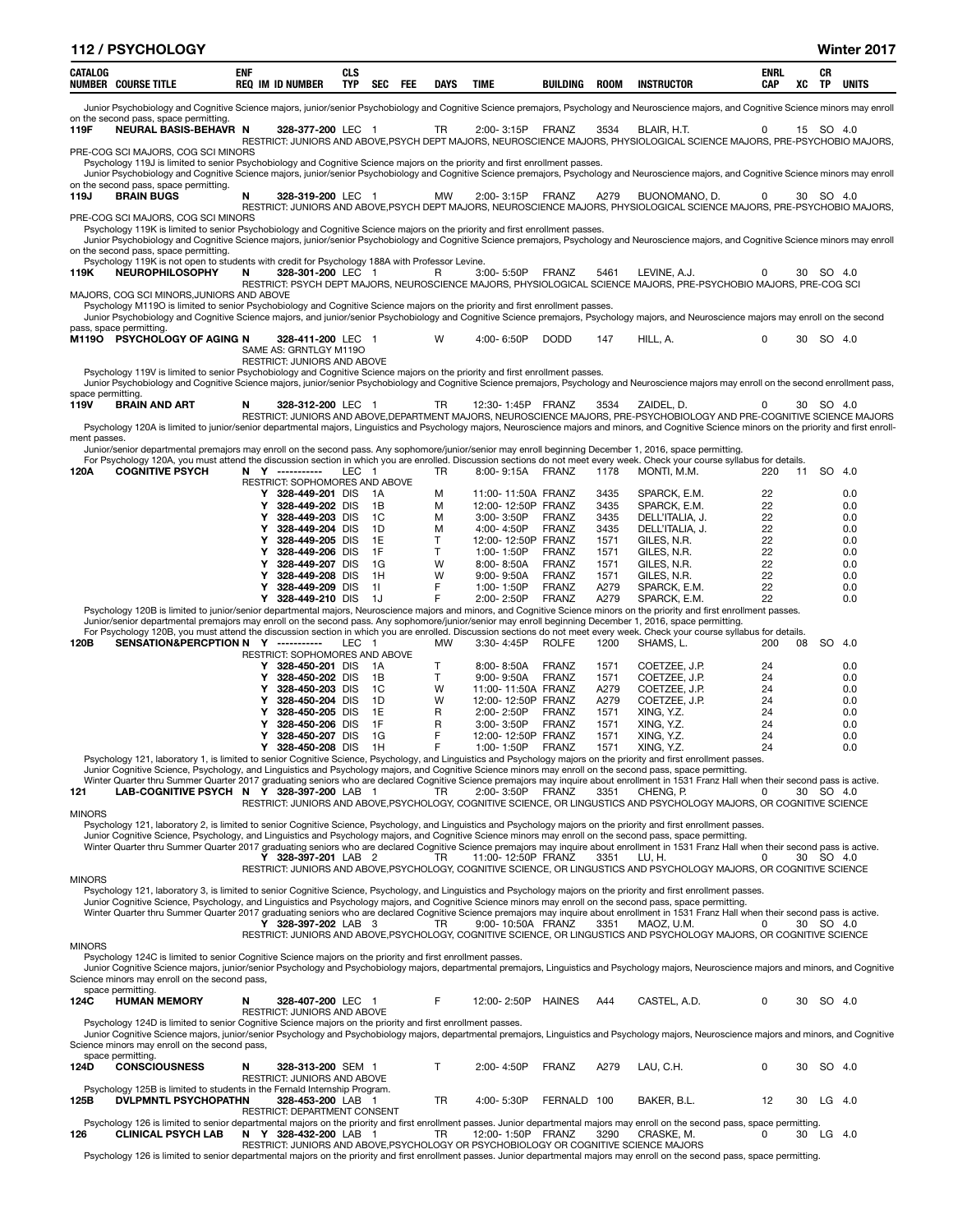|                           | 112 / PSYCHOLOGY                                                                                                                                                                                            |            |                                                                                      |                   |          |           |                                          |                              |              |                                                                                                                                                                                                    |                    |    |           | Winter 2017  |
|---------------------------|-------------------------------------------------------------------------------------------------------------------------------------------------------------------------------------------------------------|------------|--------------------------------------------------------------------------------------|-------------------|----------|-----------|------------------------------------------|------------------------------|--------------|----------------------------------------------------------------------------------------------------------------------------------------------------------------------------------------------------|--------------------|----|-----------|--------------|
| CATALOG                   | <b>NUMBER COURSE TITLE</b>                                                                                                                                                                                  | <b>ENF</b> | <b>REQ IM ID NUMBER</b>                                                              | CLS<br><b>TYP</b> | SEC FEE  | DAYS      | <b>TIME</b>                              | BUILDING                     | ROOM         | <b>INSTRUCTOR</b>                                                                                                                                                                                  | ENRL<br><b>CAP</b> | XC | CR<br>TP  | <b>UNITS</b> |
|                           | on the second pass, space permitting.                                                                                                                                                                       |            |                                                                                      |                   |          |           |                                          |                              |              | Junior Psychobiology and Cognitive Science majors, junior/senior Psychobiology and Cognitive Science premajors, Psychology and Neuroscience majors, and Cognitive Science minors may enroll        |                    |    |           |              |
| 119F                      | NEURAL BASIS-BEHAVR N                                                                                                                                                                                       |            | 328-377-200 LEC 1                                                                    |                   |          | TR        | $2:00 - 3:15P$                           | FRANZ                        | 3534         | BLAIR, H.T.<br>RESTRICT: JUNIORS AND ABOVE.PSYCH DEPT MAJORS. NEUROSCIENCE MAJORS. PHYSIOLOGICAL SCIENCE MAJORS. PRE-PSYCHOBIO MAJORS.                                                             | 0                  |    | 15 SO 4.0 |              |
|                           | PRE-COG SCI MAJORS, COG SCI MINORS<br>Psychology 119J is limited to senior Psychobiology and Cognitive Science majors on the priority and first enrollment passes.                                          |            |                                                                                      |                   |          |           |                                          |                              |              | Junior Psychobiology and Cognitive Science majors, junior/senior Psychobiology and Cognitive Science premajors, Psychology and Neuroscience majors, and Cognitive Science minors may enroll        |                    |    |           |              |
| 119J                      | on the second pass, space permitting.<br><b>BRAIN BUGS</b>                                                                                                                                                  | N          | 328-319-200 LEC 1                                                                    |                   |          | <b>MW</b> | $2:00 - 3:15P$                           | FRANZ                        | A279         | BUONOMANO, D.<br>RESTRICT: JUNIORS AND ABOVE, PSYCH DEPT MAJORS, NEUROSCIENCE MAJORS, PHYSIOLOGICAL SCIENCE MAJORS, PRE-PSYCHOBIO MAJORS,                                                          | 0                  |    | 30 SO 4.0 |              |
|                           | PRE-COG SCI MAJORS, COG SCI MINORS<br>Psychology 119K is limited to senior Psychobiology and Cognitive Science majors on the priority and first enrollment passes.<br>on the second pass, space permitting. |            |                                                                                      |                   |          |           |                                          |                              |              | Junior Psychobiology and Cognitive Science majors, junior/senior Psychobiology and Cognitive Science premajors, Psychology and Neuroscience majors, and Cognitive Science minors may enroll        |                    |    |           |              |
| 119K                      | Psychology 119K is not open to students with credit for Psychology 188A with Professor Levine.<br><b>NEUROPHILOSOPHY</b>                                                                                    | N          | 328-301-200 LEC 1                                                                    |                   |          | R         | 3:00-5:50P                               | <b>FRANZ</b>                 | 5461         | LEVINE, A.J.<br>RESTRICT: PSYCH DEPT MAJORS, NEUROSCIENCE MAJORS, PHYSIOLOGICAL SCIENCE MAJORS, PRE-PSYCHOBIO MAJORS, PRE-COG SCI                                                                  | 0                  | 30 | SO 4.0    |              |
|                           | MAJORS, COG SCI MINORS, JUNIORS AND ABOVE<br>Psychology M119O is limited to senior Psychobiology and Cognitive Science majors on the priority and first enrollment passes.                                  |            |                                                                                      |                   |          |           |                                          |                              |              | Junior Psychobiology and Cognitive Science majors, and junior/senior Psychobiology and Cognitive Science premajors, Psychology majors, and Neuroscience majors may enroll on the second            |                    |    |           |              |
|                           | pass, space permitting.<br>M1190 PSYCHOLOGY OF AGING N                                                                                                                                                      |            | 328-411-200 LEC 1<br>SAME AS: GRNTLGY M119O<br><b>RESTRICT: JUNIORS AND ABOVE</b>    |                   |          | W         | 4:00-6:50P                               | <b>DODD</b>                  | 147          | HILL, A.                                                                                                                                                                                           | 0                  | 30 | SO 4.0    |              |
|                           | Psychology 119V is limited to senior Psychobiology and Cognitive Science majors on the priority and first enrollment passes.                                                                                |            |                                                                                      |                   |          |           |                                          |                              |              | Junior Psychobiology and Cognitive Science majors, junior/senior Psychobiology and Cognitive Science premajors, Psychology and Neuroscience majors may enroll on the second enrollment pass,       |                    |    |           |              |
| space permitting.<br>119V | <b>BRAIN AND ART</b>                                                                                                                                                                                        | N          | 328-312-200 LEC 1                                                                    |                   |          | TR        | 12:30-1:45P FRANZ                        |                              | 3534         | ZAIDEL, D.<br>RESTRICT: JUNIORS AND ABOVE, DEPARTMENT MAJORS, NEUROSCIENCE MAJORS, PRE-PSYCHOBIOLOGY AND PRE-COGNITIVE SCIENCE MAJORS                                                              | 0                  |    | 30 SO 4.0 |              |
| ment passes.              |                                                                                                                                                                                                             |            |                                                                                      |                   |          |           |                                          |                              |              | Psychology 120A is limited to junior/senior departmental majors, Linguistics and Psychology majors, Neuroscience majors and minors, and Cognitive Science minors on the priority and first enroll- |                    |    |           |              |
| 120A                      | Junior/senior departmental premajors may enroll on the second pass. Any sophomore/junior/senior may enroll beginning December 1, 2016, space permitting.<br><b>COGNITIVE PSYCH</b>                          |            | N Y ----------                                                                       | LEC 1             |          | TR        | 8:00-9:15A                               | FRANZ                        | 1178         | For Psychology 120A, you must attend the discussion section in which you are enrolled. Discussion sections do not meet every week. Check your course syllabus for details.<br>MONTI, M.M.          | 220                | 11 | SO 4.0    |              |
|                           |                                                                                                                                                                                                             |            | RESTRICT: SOPHOMORES AND ABOVE<br>328-449-201 DIS<br>Y                               |                   | 1A       | м         | 11:00-11:50A FRANZ                       |                              | 3435         | SPARCK, E.M.                                                                                                                                                                                       | 22                 |    |           | 0.0          |
|                           |                                                                                                                                                                                                             |            | 328-449-202 DIS<br>Y<br>328-449-203 DIS<br>Y                                         |                   | 1B<br>1C | м<br>М    | 12:00-12:50P FRANZ<br>3:00-3:50P         | <b>FRANZ</b>                 | 3435<br>3435 | SPARCK, E.M.<br>DELL'ITALIA, J.                                                                                                                                                                    | 22<br>22           |    |           | 0.0<br>0.0   |
|                           |                                                                                                                                                                                                             |            | 328-449-204 DIS<br>Y                                                                 |                   | 1D       | м         | 4:00-4:50P                               | <b>FRANZ</b>                 | 3435         | DELL'ITALIA, J.                                                                                                                                                                                    | 22                 |    |           | 0.0          |
|                           |                                                                                                                                                                                                             |            | 328-449-205 DIS<br>Y                                                                 |                   | 1E       | т         | 12:00-12:50P FRANZ                       |                              | 1571         | GILES, N.R.                                                                                                                                                                                        | 22                 |    |           | 0.0          |
|                           |                                                                                                                                                                                                             |            | 328-449-206 DIS<br>Y                                                                 |                   | 1F       | T         | 1:00-1:50P                               | <b>FRANZ</b>                 | 1571         | GILES, N.R.                                                                                                                                                                                        | 22                 |    |           | 0.0          |
|                           |                                                                                                                                                                                                             |            | 328-449-207 DIS<br>Y<br>328-449-208 DIS<br>Y                                         |                   | 1G<br>1H | W<br>W    | $8:00 - 8:50A$<br>$9:00 - 9:50A$         | <b>FRANZ</b><br><b>FRANZ</b> | 1571<br>1571 | GILES, N.R.<br>GILES, N.R.                                                                                                                                                                         | 22<br>22           |    |           | 0.0<br>0.0   |
|                           |                                                                                                                                                                                                             |            | 328-449-209 DIS<br>Y                                                                 |                   | 11       | F         | 1:00-1:50P                               | <b>FRANZ</b>                 | A279         | SPARCK, E.M.                                                                                                                                                                                       | 22                 |    |           | 0.0          |
|                           |                                                                                                                                                                                                             |            | Y 328-449-210 DIS                                                                    |                   | -1J      | F         | 2:00-2:50P                               | <b>FRANZ</b>                 | A279         | SPARCK, E.M.                                                                                                                                                                                       | 22                 |    |           | 0.0          |
|                           |                                                                                                                                                                                                             |            |                                                                                      |                   |          |           |                                          |                              |              | Psychology 120B is limited to junior/senior departmental majors, Neuroscience majors and minors, and Cognitive Science minors on the priority and first enrollment passes.                         |                    |    |           |              |
|                           | Junior/senior departmental premajors may enroll on the second pass. Any sophomore/junior/senior may enroll beginning December 1, 2016, space permitting.                                                    |            |                                                                                      |                   |          |           |                                          |                              |              |                                                                                                                                                                                                    |                    |    |           |              |
|                           |                                                                                                                                                                                                             |            |                                                                                      |                   |          |           |                                          |                              |              | For Psychology 120B, you must attend the discussion section in which you are enrolled. Discussion sections do not meet every week. Check your course syllabus for details.                         |                    |    |           |              |
| 120B                      | SENSATION&PERCPTION N Y -----------                                                                                                                                                                         |            |                                                                                      | LEC 1             |          | <b>MW</b> | 3:30-4:45P                               | <b>ROLFE</b>                 | 1200         | SHAMS, L.                                                                                                                                                                                          | 200                | 08 | SO 4.0    |              |
|                           |                                                                                                                                                                                                             |            | RESTRICT: SOPHOMORES AND ABOVE                                                       |                   |          |           |                                          |                              |              |                                                                                                                                                                                                    |                    |    |           |              |
|                           |                                                                                                                                                                                                             |            | Y 328-450-201 DIS                                                                    |                   | 1A       | т         | 8:00-8:50A                               | <b>FRANZ</b>                 | 1571         | COETZEE, J.P.                                                                                                                                                                                      | 24                 |    |           | 0.0          |
|                           |                                                                                                                                                                                                             |            | 328-450-202 DIS<br>Y                                                                 |                   | 1B       | т         | $9:00 - 9:50A$                           | <b>FRANZ</b>                 | 1571         | COETZEE, J.P.<br>COETZEE, J.P.                                                                                                                                                                     | 24                 |    |           | 0.0          |
|                           |                                                                                                                                                                                                             |            | 328-450-203 DIS<br>Y<br>328-450-204 DIS<br>Y                                         |                   | 1C<br>1D | W         | 11:00-11:50A FRANZ<br>12:00-12:50P FRANZ |                              | A279<br>A279 | COETZEE, J.P.                                                                                                                                                                                      | 24<br>24           |    |           | 0.0<br>0.0   |
|                           |                                                                                                                                                                                                             |            | 328-450-205 DIS<br>Y                                                                 |                   | 1E       | W<br>R    | 2:00-2:50P                               | <b>FRANZ</b>                 | 1571         | XING, Y.Z.                                                                                                                                                                                         | 24                 |    |           | 0.0          |
|                           |                                                                                                                                                                                                             |            | 328-450-206 DIS<br>Y                                                                 |                   | 1F       | R         | 3:00-3:50P                               | <b>FRANZ</b>                 | 1571         | XING, Y.Z.                                                                                                                                                                                         | 24                 |    |           | 0.0          |
|                           |                                                                                                                                                                                                             |            | Y<br>328-450-207 DIS                                                                 |                   | 1G       | F         | 12:00-12:50P FRANZ                       |                              | 1571         | XING, Y.Z.                                                                                                                                                                                         | 24                 |    |           | 0.0          |
|                           |                                                                                                                                                                                                             |            | Y<br>328-450-208 DIS                                                                 |                   | - 1H     |           | 1:00-1:50P                               | <b>FRANZ</b>                 | 1571         | XING, Y.Z.                                                                                                                                                                                         | 24                 |    |           | 0.0          |
|                           |                                                                                                                                                                                                             |            |                                                                                      |                   |          |           |                                          |                              |              | Psychology 121, laboratory 1, is limited to senior Cognitive Science, Psychology, and Linguistics and Psychology majors on the priority and first enrollment passes.                               |                    |    |           |              |
|                           | Junior Cognitive Science, Psychology, and Linguistics and Psychology majors, and Cognitive Science minors may enroll on the second pass, space permitting.                                                  |            |                                                                                      |                   |          |           |                                          |                              |              |                                                                                                                                                                                                    |                    |    |           |              |
|                           |                                                                                                                                                                                                             |            |                                                                                      |                   |          |           |                                          |                              |              | Winter Quarter thru Summer Quarter 2017 graduating seniors who are declared Cognitive Science premajors may inquire about enrollment in 1531 Franz Hall when their second pass is active.          |                    |    |           |              |
| 121                       | LAB-COGNITIVE PSYCH N Y 328-397-200 LAB 1                                                                                                                                                                   |            |                                                                                      |                   |          | TR        | 2:00-3:50P                               | <b>FRANZ</b>                 | 3351         | CHENG, P.                                                                                                                                                                                          | 0                  |    | 30 SO 4.0 |              |
| <b>MINORS</b>             |                                                                                                                                                                                                             |            |                                                                                      |                   |          |           |                                          |                              |              | RESTRICT: JUNIORS AND ABOVE, PSYCHOLOGY, COGNITIVE SCIENCE, OR LINGUSTICS AND PSYCHOLOGY MAJORS, OR COGNITIVE SCIENCE                                                                              |                    |    |           |              |
|                           |                                                                                                                                                                                                             |            |                                                                                      |                   |          |           |                                          |                              |              | Psychology 121, laboratory 2, is limited to senior Cognitive Science, Psychology, and Linguistics and Psychology majors on the priority and first enrollment passes.                               |                    |    |           |              |
|                           | Junior Cognitive Science, Psychology, and Linguistics and Psychology majors, and Cognitive Science minors may enroll on the second pass, space permitting.                                                  |            |                                                                                      |                   |          |           |                                          |                              |              |                                                                                                                                                                                                    |                    |    |           |              |
|                           |                                                                                                                                                                                                             |            |                                                                                      |                   |          |           |                                          |                              |              | Winter Quarter thru Summer Quarter 2017 graduating seniors who are declared Cognitive Science premajors may inquire about enrollment in 1531 Franz Hall when their second pass is active.          |                    |    |           |              |
|                           |                                                                                                                                                                                                             |            | Y 328-397-201 LAB 2                                                                  |                   |          | TR        | 11:00-12:50P FRANZ                       |                              | 3351         | LU, H.                                                                                                                                                                                             | 0                  |    | 30 SO 4.0 |              |
|                           |                                                                                                                                                                                                             |            |                                                                                      |                   |          |           |                                          |                              |              | RESTRICT: JUNIORS AND ABOVE, PSYCHOLOGY, COGNITIVE SCIENCE, OR LINGUSTICS AND PSYCHOLOGY MAJORS, OR COGNITIVE SCIENCE                                                                              |                    |    |           |              |
| <b>MINORS</b>             |                                                                                                                                                                                                             |            |                                                                                      |                   |          |           |                                          |                              |              | Psychology 121, laboratory 3, is limited to senior Cognitive Science, Psychology, and Linguistics and Psychology majors on the priority and first enrollment passes.                               |                    |    |           |              |
|                           | Junior Cognitive Science, Psychology, and Linguistics and Psychology majors, and Cognitive Science minors may enroll on the second pass, space permitting.                                                  |            |                                                                                      |                   |          |           |                                          |                              |              |                                                                                                                                                                                                    |                    |    |           |              |
|                           |                                                                                                                                                                                                             |            |                                                                                      |                   |          |           |                                          |                              |              | Winter Quarter thru Summer Quarter 2017 graduating seniors who are declared Cognitive Science premajors may inquire about enrollment in 1531 Franz Hall when their second pass is active.          |                    |    |           |              |
|                           |                                                                                                                                                                                                             |            | Y 328-397-202 LAB 3                                                                  |                   |          | TR        | 9:00-10:50A FRANZ                        |                              | 3351         | MAOZ, U.M.                                                                                                                                                                                         | 0                  |    | 30 SO 4.0 |              |
|                           |                                                                                                                                                                                                             |            |                                                                                      |                   |          |           |                                          |                              |              | RESTRICT: JUNIORS AND ABOVE, PSYCHOLOGY, COGNITIVE SCIENCE, OR LINGUSTICS AND PSYCHOLOGY MAJORS, OR COGNITIVE SCIENCE                                                                              |                    |    |           |              |
| <b>MINORS</b>             |                                                                                                                                                                                                             |            |                                                                                      |                   |          |           |                                          |                              |              |                                                                                                                                                                                                    |                    |    |           |              |
|                           | Psychology 124C is limited to senior Cognitive Science majors on the priority and first enrollment passes.<br>Science minors may enroll on the second pass,                                                 |            |                                                                                      |                   |          |           |                                          |                              |              | Junior Cognitive Science majors, junior/senior Psychology and Psychobiology majors, departmental premajors, Linguistics and Psychology majors, Neuroscience majors and minors, and Cognitive       |                    |    |           |              |
| 124C                      | space permitting.<br><b>HUMAN MEMORY</b>                                                                                                                                                                    | N          | 328-407-200 LEC 1                                                                    |                   |          | F         | 12:00-2:50P                              | <b>HAINES</b>                | A44          | CASTEL, A.D.                                                                                                                                                                                       | 0                  | 30 | SO 4.0    |              |
|                           |                                                                                                                                                                                                             |            | <b>RESTRICT: JUNIORS AND ABOVE</b>                                                   |                   |          |           |                                          |                              |              |                                                                                                                                                                                                    |                    |    |           |              |
|                           | Psychology 124D is limited to senior Cognitive Science majors on the priority and first enrollment passes.                                                                                                  |            |                                                                                      |                   |          |           |                                          |                              |              | Junior Cognitive Science majors, junior/senior Psychology and Psychobiology majors, departmental premajors, Linguistics and Psychology majors, Neuroscience majors and minors, and Cognitive       |                    |    |           |              |
|                           | Science minors may enroll on the second pass,                                                                                                                                                               |            |                                                                                      |                   |          |           |                                          |                              |              |                                                                                                                                                                                                    |                    |    |           |              |
|                           | space permitting.                                                                                                                                                                                           |            |                                                                                      |                   |          |           |                                          |                              |              |                                                                                                                                                                                                    |                    |    |           |              |
| 124D                      | <b>CONSCIOUSNESS</b>                                                                                                                                                                                        | N          | 328-313-200 SEM 1                                                                    |                   |          | Т         | 2:00-4:50P                               | <b>FRANZ</b>                 | A279         | LAU, C.H.                                                                                                                                                                                          | $\pmb{0}$          | 30 | SO 4.0    |              |
|                           | Psychology 125B is limited to students in the Fernald Internship Program.                                                                                                                                   |            | RESTRICT: JUNIORS AND ABOVE                                                          |                   |          |           |                                          |                              |              |                                                                                                                                                                                                    |                    |    |           |              |
| 125B                      | <b>DVLPMNTL PSYCHOPATHN</b>                                                                                                                                                                                 |            | 328-453-200 LAB 1<br>RESTRICT: DEPARTMENT CONSENT                                    |                   |          | TR        | 4:00-5:30P                               | FERNALD 100                  |              | BAKER, B.L.                                                                                                                                                                                        | 12                 | 30 | $LG$ 4.0  |              |
| 126                       | <b>CLINICAL PSYCH LAB</b>                                                                                                                                                                                   |            | N Y 328-432-200 LAB 1                                                                |                   |          | TR        | 12:00-1:50P FRANZ                        |                              | 3290         | Psychology 126 is limited to senior departmental majors on the priority and first enrollment passes. Junior departmental majors may enroll on the second pass, space permitting.<br>CRASKE, M.     | 0                  | 30 | $LG$ 4.0  |              |
|                           |                                                                                                                                                                                                             |            | RESTRICT: JUNIORS AND ABOVE, PSYCHOLOGY OR PSYCHOBIOLOGY OR COGNITIVE SCIENCE MAJORS |                   |          |           |                                          |                              |              | Psychology 126 is limited to senior departmental majors on the priority and first enrollment passes. Junior departmental majors may enroll on the second pass, space permitting.                   |                    |    |           |              |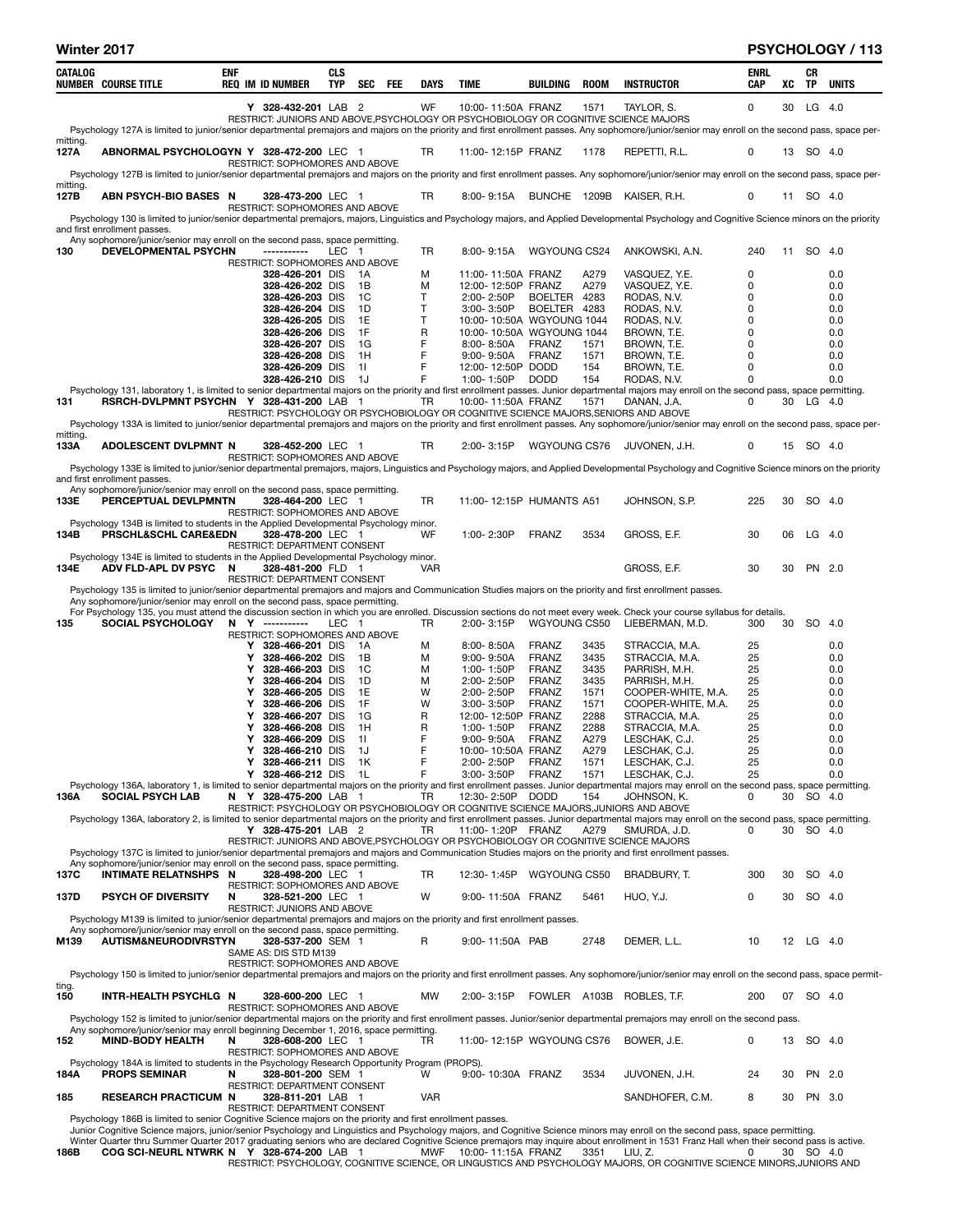|                  | Winter 2017                                                                                                                                                |            |                                                                                           |                          |                |     |             |                                  |                                    |              |                                                                                                                                                                                                                                                                                                                                                                             |                    |    |           | <b>PSYCHOLOGY / 113</b> |
|------------------|------------------------------------------------------------------------------------------------------------------------------------------------------------|------------|-------------------------------------------------------------------------------------------|--------------------------|----------------|-----|-------------|----------------------------------|------------------------------------|--------------|-----------------------------------------------------------------------------------------------------------------------------------------------------------------------------------------------------------------------------------------------------------------------------------------------------------------------------------------------------------------------------|--------------------|----|-----------|-------------------------|
| CATALOG          | <b>NUMBER COURSE TITLE</b>                                                                                                                                 | <b>ENF</b> | <b>REQ IM ID NUMBER</b>                                                                   | <b>CLS</b><br><b>TYP</b> | <b>SEC</b>     | FEE | <b>DAYS</b> | <b>TIME</b>                      | <b>BUILDING</b>                    | <b>ROOM</b>  | <b>INSTRUCTOR</b>                                                                                                                                                                                                                                                                                                                                                           | <b>ENRL</b><br>CAP | XC | CR<br>TP  | <b>UNITS</b>            |
|                  |                                                                                                                                                            |            | Y 328-432-201 LAB 2                                                                       |                          |                |     | WF          |                                  | 10:00-11:50A FRANZ                 | 1571         | TAYLOR, S.<br>RESTRICT: JUNIORS AND ABOVE, PSYCHOLOGY OR PSYCHOBIOLOGY OR COGNITIVE SCIENCE MAJORS                                                                                                                                                                                                                                                                          | $\mathbf 0$        | 30 |           | LG 4.0                  |
| mitting.         |                                                                                                                                                            |            |                                                                                           |                          |                |     |             |                                  |                                    |              | Psychology 127A is limited to junior/senior departmental premajors and majors on the priority and first enrollment passes. Any sophomore/junior/senior may enroll on the second pass, space per-                                                                                                                                                                            |                    |    |           |                         |
| 127A             | ABNORMAL PSYCHOLOGYN Y 328-472-200 LEC 1                                                                                                                   |            | RESTRICT: SOPHOMORES AND ABOVE                                                            |                          |                |     | TR          |                                  | 11:00-12:15P FRANZ                 | 1178         | REPETTI, R.L.                                                                                                                                                                                                                                                                                                                                                               | 0                  |    | 13 SO 4.0 |                         |
|                  |                                                                                                                                                            |            |                                                                                           |                          |                |     |             |                                  |                                    |              | Psychology 127B is limited to junior/senior departmental premajors and majors on the priority and first enrollment passes. Any sophomore/junior/senior may enroll on the second pass, space per-                                                                                                                                                                            |                    |    |           |                         |
| mitting.<br>127B | ABN PSYCH-BIO BASES N                                                                                                                                      |            | 328-473-200 LEC 1                                                                         |                          |                |     | TR          | 8:00-9:15A                       |                                    | BUNCHE 1209B | KAISER, R.H.                                                                                                                                                                                                                                                                                                                                                                | 0                  | 11 | SO 4.0    |                         |
|                  |                                                                                                                                                            |            | <b>RESTRICT: SOPHOMORES AND ABOVE</b>                                                     |                          |                |     |             |                                  |                                    |              |                                                                                                                                                                                                                                                                                                                                                                             |                    |    |           |                         |
|                  | and first enrollment passes.                                                                                                                               |            |                                                                                           |                          |                |     |             |                                  |                                    |              | Psychology 130 is limited to junior/senior departmental premajors, majors, Linguistics and Psychology majors, and Applied Developmental Psychology and Cognitive Science minors on the priority                                                                                                                                                                             |                    |    |           |                         |
| 130              | Any sophomore/junior/senior may enroll on the second pass, space permitting.<br>DEVELOPMENTAL PSYCHN                                                       |            | ------------                                                                              | LEC 1                    |                |     | TR          | 8:00-9:15A                       | WGYOUNG CS24                       |              | ANKOWSKI, A.N.                                                                                                                                                                                                                                                                                                                                                              | 240                |    | 11 SO 4.0 |                         |
|                  |                                                                                                                                                            |            | RESTRICT: SOPHOMORES AND ABOVE                                                            |                          |                |     |             |                                  |                                    |              |                                                                                                                                                                                                                                                                                                                                                                             |                    |    |           |                         |
|                  |                                                                                                                                                            |            | 328-426-201 DIS                                                                           |                          | 1A             |     | M           | 11:00-11:50A FRANZ               |                                    | A279<br>A279 | VASQUEZ, Y.E.                                                                                                                                                                                                                                                                                                                                                               | 0<br>0             |    |           | 0.0                     |
|                  |                                                                                                                                                            |            | 328-426-202 DIS<br>328-426-203 DIS                                                        |                          | 1B<br>1C       |     | M<br>T      | 2:00-2:50P                       | 12:00-12:50P FRANZ<br>BOELTER 4283 |              | VASQUEZ, Y.E.<br>RODAS, N.V.                                                                                                                                                                                                                                                                                                                                                | 0                  |    |           | 0.0<br>0.0              |
|                  |                                                                                                                                                            |            | 328-426-204 DIS                                                                           |                          | 1D             |     | T           | 3:00-3:50P                       | BOELTER 4283                       |              | RODAS, N.V.                                                                                                                                                                                                                                                                                                                                                                 | 0                  |    |           | 0.0                     |
|                  |                                                                                                                                                            |            | 328-426-205 DIS                                                                           |                          | 1E             |     | т           |                                  | 10:00-10:50A WGYOUNG 1044          |              | RODAS, N.V.                                                                                                                                                                                                                                                                                                                                                                 | 0                  |    |           | 0.0                     |
|                  |                                                                                                                                                            |            | 328-426-206 DIS                                                                           |                          | 1F             |     | R           |                                  | 10:00-10:50A WGYOUNG 1044          |              | BROWN, T.E.                                                                                                                                                                                                                                                                                                                                                                 | 0                  |    |           | 0.0                     |
|                  |                                                                                                                                                            |            | 328-426-207 DIS<br>328-426-208 DIS                                                        |                          | 1G<br>1H       |     | F<br>F      | $8:00 - 8:50A$<br>$9:00 - 9:50A$ | FRANZ<br>FRANZ                     | 1571<br>1571 | BROWN, T.E.<br>BROWN, T.E.                                                                                                                                                                                                                                                                                                                                                  | 0<br>0             |    |           | 0.0<br>0.0              |
|                  |                                                                                                                                                            |            | 328-426-209 DIS                                                                           |                          | 11             |     | F           | 12:00-12:50P DODD                |                                    | 154          | BROWN, T.E.                                                                                                                                                                                                                                                                                                                                                                 | 0                  |    |           | 0.0                     |
|                  |                                                                                                                                                            |            | 328-426-210 DIS                                                                           |                          | 1J             |     | F           | 1:00-1:50P                       | <b>DODD</b>                        | 154          | RODAS, N.V.                                                                                                                                                                                                                                                                                                                                                                 | 0                  |    |           | 0.0                     |
|                  |                                                                                                                                                            |            |                                                                                           |                          |                |     |             |                                  |                                    |              | Psychology 131, laboratory 1, is limited to senior departmental majors on the priority and first enrollment passes. Junior departmental majors may enroll on the second pass, space permitting.                                                                                                                                                                             |                    |    |           |                         |
| 131              | RSRCH-DVLPMNT PSYCHN Y 328-431-200 LAB 1                                                                                                                   |            |                                                                                           |                          |                |     | TR          |                                  | 10:00-11:50A FRANZ                 | 1571         | DANAN, J.A.<br>RESTRICT: PSYCHOLOGY OR PSYCHOBIOLOGY OR COGNITIVE SCIENCE MAJORS, SENIORS AND ABOVE<br>Psychology 133A is limited to junior/senior departmental premajors and majors on the priority and first enrollment passes. Any sophomore/junior/senior may enroll on the second pass, space per-                                                                     | 0                  |    | 30 LG 4.0 |                         |
| mitting.         |                                                                                                                                                            |            |                                                                                           |                          |                |     |             |                                  |                                    |              |                                                                                                                                                                                                                                                                                                                                                                             |                    |    |           |                         |
| 133A             | <b>ADOLESCENT DVLPMNT N</b>                                                                                                                                |            | 328-452-200 LEC 1<br>RESTRICT: SOPHOMORES AND ABOVE                                       |                          |                |     | TR          | 2:00-3:15P                       | WGYOUNG CS76                       |              | JUVONEN, J.H.                                                                                                                                                                                                                                                                                                                                                               | 0                  |    | 15 SO 4.0 |                         |
|                  | and first enrollment passes.                                                                                                                               |            |                                                                                           |                          |                |     |             |                                  |                                    |              | Psychology 133E is limited to junior/senior departmental premajors, majors, Linguistics and Psychology majors, and Applied Developmental Psychology and Cognitive Science minors on the priority                                                                                                                                                                            |                    |    |           |                         |
|                  | Any sophomore/junior/senior may enroll on the second pass, space permitting.                                                                               |            |                                                                                           |                          |                |     |             |                                  |                                    |              |                                                                                                                                                                                                                                                                                                                                                                             |                    |    |           |                         |
| 133E             | PERCEPTUAL DEVLPMNTN<br>Psychology 134B is limited to students in the Applied Developmental Psychology minor.                                              |            | 328-464-200 LEC 1<br>RESTRICT: SOPHOMORES AND ABOVE                                       |                          |                |     | TR          |                                  | 11:00-12:15P HUMANTS A51           |              | JOHNSON, S.P.                                                                                                                                                                                                                                                                                                                                                               | 225                | 30 | SO 4.0    |                         |
| 134B             | PRSCHL&SCHL CARE&EDN                                                                                                                                       |            | 328-478-200 LEC 1<br>RESTRICT: DEPARTMENT CONSENT                                         |                          |                |     | WF          | 1:00-2:30P                       | FRANZ                              | 3534         | GROSS, E.F.                                                                                                                                                                                                                                                                                                                                                                 | 30                 | 06 |           | $LG$ 4.0                |
| 134E             | Psychology 134E is limited to students in the Applied Developmental Psychology minor.<br>ADV FLD-APL DV PSYC N                                             |            | 328-481-200 FLD 1                                                                         |                          |                |     | <b>VAR</b>  |                                  |                                    |              | GROSS, E.F.                                                                                                                                                                                                                                                                                                                                                                 | 30                 | 30 |           | PN 2.0                  |
|                  | Psychology 135 is limited to junior/senior departmental premajors and majors and Communication Studies majors on the priority and first enrollment passes. |            | RESTRICT: DEPARTMENT CONSENT                                                              |                          |                |     |             |                                  |                                    |              |                                                                                                                                                                                                                                                                                                                                                                             |                    |    |           |                         |
|                  | Any sophomore/junior/senior may enroll on the second pass, space permitting.                                                                               |            |                                                                                           |                          |                |     |             |                                  |                                    |              |                                                                                                                                                                                                                                                                                                                                                                             |                    |    |           |                         |
| 135              | <b>SOCIAL PSYCHOLOGY</b>                                                                                                                                   |            | N Y -----------                                                                           | LEC 1                    |                |     | TR          | 2:00-3:15P                       | WGYOUNG CS50                       |              | For Psychology 135, you must attend the discussion section in which you are enrolled. Discussion sections do not meet every week. Check your course syllabus for details.<br>LIEBERMAN, M.D.                                                                                                                                                                                | 300                | 30 | SO 4.0    |                         |
|                  |                                                                                                                                                            |            | RESTRICT: SOPHOMORES AND ABOVE<br>Y 328-466-201 DIS                                       |                          | - 1 A          |     | M           | 8:00-8:50A                       | FRANZ                              | 3435         | STRACCIA, M.A.                                                                                                                                                                                                                                                                                                                                                              | 25                 |    |           | 0.0                     |
|                  |                                                                                                                                                            | Y          | 328-466-202 DIS                                                                           |                          | 1B             |     | M           | 9:00-9:50A                       | <b>FRANZ</b>                       | 3435         | STRACCIA, M.A.                                                                                                                                                                                                                                                                                                                                                              | 25                 |    |           | 0.0                     |
|                  |                                                                                                                                                            | Y          | 328-466-203 DIS                                                                           |                          | <sub>1</sub> C |     | M           | 1:00-1:50P                       | FRANZ                              | 3435         | PARRISH, M.H.                                                                                                                                                                                                                                                                                                                                                               | 25                 |    |           | 0.0                     |
|                  |                                                                                                                                                            | Y          | 328-466-204 DIS                                                                           |                          | 1D             |     | M           | 2:00-2:50P                       | FRANZ                              | 3435         | PARRISH, M.H.                                                                                                                                                                                                                                                                                                                                                               | 25                 |    |           | 0.0                     |
|                  |                                                                                                                                                            | Υ<br>Υ     | 328-466-205 DIS<br>328-466-206 DIS                                                        |                          | 1E<br>1F       |     | W<br>W      | 2:00-2:50P<br>3:00-3:50P         | FRANZ<br><b>FRANZ</b>              | 1571<br>1571 | COOPER-WHITE, M.A.<br>COOPER-WHITE, M.A.                                                                                                                                                                                                                                                                                                                                    | 25<br>25           |    |           | 0.0<br>0.0              |
|                  |                                                                                                                                                            | Υ          | 328-466-207 DIS                                                                           |                          | 1G             |     | R           |                                  | 12:00-12:50P FRANZ                 | 2288         | STRACCIA, M.A.                                                                                                                                                                                                                                                                                                                                                              | 25                 |    |           | 0.0                     |
|                  |                                                                                                                                                            | Y          | 328-466-208 DIS                                                                           |                          | 1H             |     | R           | 1:00-1:50P                       | FRANZ                              | 2288         | STRACCIA, M.A.                                                                                                                                                                                                                                                                                                                                                              | 25                 |    |           | 0.0                     |
|                  |                                                                                                                                                            |            | 328-466-209 DIS                                                                           |                          | -11            |     |             |                                  | 9:00-9:50A FRANZ                   | A279         | LESCHAK, C.J.                                                                                                                                                                                                                                                                                                                                                               | 25                 |    |           | 0.0                     |
|                  |                                                                                                                                                            | Y          | 328-466-210 DIS                                                                           |                          | 1J             |     | F<br>F      |                                  | 10:00-10:50A FRANZ                 | A279         | LESCHAK, C.J.                                                                                                                                                                                                                                                                                                                                                               | 25                 |    |           | 0.0                     |
|                  |                                                                                                                                                            | Υ          | 328-466-211 DIS<br>Y 328-466-212 DIS                                                      |                          | 1K<br>1L       |     | F           | 2:00-2:50P<br>3:00-3:50P         | FRANZ<br>FRANZ                     | 1571<br>1571 | LESCHAK, C.J.<br>LESCHAK, C.J.                                                                                                                                                                                                                                                                                                                                              | 25<br>25           |    |           | 0.0<br>0.0              |
|                  |                                                                                                                                                            |            |                                                                                           |                          |                |     |             |                                  |                                    |              | Psychology 136A, laboratory 1, is limited to senior departmental majors on the priority and first enrollment passes. Junior departmental majors may enroll on the second pass, space permitting.                                                                                                                                                                            |                    |    |           |                         |
| 136A             | <b>SOCIAL PSYCH LAB</b>                                                                                                                                    |            | N Y 328-475-200 LAB 1                                                                     |                          |                |     | TR.         | 12:30-2:50P DODD                 |                                    | 154          | JOHNSON, K.<br>RESTRICT: PSYCHOLOGY OR PSYCHOBIOLOGY OR COGNITIVE SCIENCE MAJORS, JUNIORS AND ABOVE                                                                                                                                                                                                                                                                         | 0                  | 30 |           | SO 4.0                  |
|                  |                                                                                                                                                            |            |                                                                                           |                          |                |     |             |                                  |                                    |              | Psychology 136A, laboratory 2, is limited to senior departmental majors on the priority and first enrollment passes. Junior departmental majors may enroll on the second pass, space permitting.                                                                                                                                                                            |                    |    |           |                         |
|                  |                                                                                                                                                            |            | Y 328-475-201 LAB 2                                                                       |                          |                |     | TR          |                                  | 11:00-1:20P FRANZ                  | A279         | SMURDA, J.D.                                                                                                                                                                                                                                                                                                                                                                | 0                  | 30 | SO 4.0    |                         |
|                  |                                                                                                                                                            |            |                                                                                           |                          |                |     |             |                                  |                                    |              | RESTRICT: JUNIORS AND ABOVE, PSYCHOLOGY OR PSYCHOBIOLOGY OR COGNITIVE SCIENCE MAJORS<br>Psychology 137C is limited to junior/senior departmental premajors and majors and Communication Studies majors on the priority and first enrollment passes.                                                                                                                         |                    |    |           |                         |
|                  | Any sophomore/junior/senior may enroll on the second pass, space permitting.                                                                               |            |                                                                                           |                          |                |     |             |                                  |                                    |              |                                                                                                                                                                                                                                                                                                                                                                             |                    |    |           |                         |
| 137C             | <b>INTIMATE RELATNSHPS N</b>                                                                                                                               |            | 328-498-200 LEC 1                                                                         |                          |                |     | TR          | 12:30-1:45P                      | WGYOUNG CS50                       |              | BRADBURY, T.                                                                                                                                                                                                                                                                                                                                                                | 300                | 30 |           | SO 4.0                  |
| 137D             | <b>PSYCH OF DIVERSITY</b>                                                                                                                                  | N          | RESTRICT: SOPHOMORES AND ABOVE<br>328-521-200 LEC 1<br><b>RESTRICT: JUNIORS AND ABOVE</b> |                          |                |     | W           |                                  | 9:00-11:50A FRANZ                  | 5461         | HUO, Y.J.                                                                                                                                                                                                                                                                                                                                                                   | 0                  | 30 |           | SO 4.0                  |
|                  | Psychology M139 is limited to junior/senior departmental premajors and majors on the priority and first enrollment passes.                                 |            |                                                                                           |                          |                |     |             |                                  |                                    |              |                                                                                                                                                                                                                                                                                                                                                                             |                    |    |           |                         |
|                  | Any sophomore/junior/senior may enroll on the second pass, space permitting.                                                                               |            |                                                                                           |                          |                |     |             |                                  |                                    |              |                                                                                                                                                                                                                                                                                                                                                                             |                    |    |           |                         |
| M139             | <b>AUTISM&amp;NEURODIVRSTYN</b>                                                                                                                            |            | 328-537-200 SEM 1<br>SAME AS: DIS STD M139                                                |                          |                |     | R           | 9:00-11:50A PAB                  |                                    | 2748         | DEMER, L.L.                                                                                                                                                                                                                                                                                                                                                                 | 10                 |    | 12 LG 4.0 |                         |
|                  |                                                                                                                                                            |            | RESTRICT: SOPHOMORES AND ABOVE                                                            |                          |                |     |             |                                  |                                    |              | Psychology 150 is limited to junior/senior departmental premajors and majors on the priority and first enrollment passes. Any sophomore/junior/senior may enroll on the second pass, space permit-                                                                                                                                                                          |                    |    |           |                         |
| ting.<br>150     | INTR-HEALTH PSYCHLG N                                                                                                                                      |            | 328-600-200 LEC 1                                                                         |                          |                |     | MW          | 2:00-3:15P                       |                                    |              | FOWLER A103B ROBLES, T.F.                                                                                                                                                                                                                                                                                                                                                   | 200                |    | 07 SO 4.0 |                         |
|                  |                                                                                                                                                            |            | RESTRICT: SOPHOMORES AND ABOVE                                                            |                          |                |     |             |                                  |                                    |              | Psychology 152 is limited to junior/senior departmental majors on the priority and first enrollment passes. Junior/senior departmental premajors may enroll on the second pass.                                                                                                                                                                                             |                    |    |           |                         |
|                  | Any sophomore/junior/senior may enroll beginning December 1, 2016, space permitting.                                                                       |            |                                                                                           |                          |                |     |             |                                  |                                    |              |                                                                                                                                                                                                                                                                                                                                                                             |                    |    |           |                         |
| 152              | <b>MIND-BODY HEALTH</b>                                                                                                                                    | N          | 328-608-200 LEC 1<br>RESTRICT: SOPHOMORES AND ABOVE                                       |                          |                |     | TR          |                                  | 11:00-12:15P WGYOUNG CS76          |              | BOWER, J.E.                                                                                                                                                                                                                                                                                                                                                                 | 0                  | 13 | SO 4.0    |                         |
| 184A             | Psychology 184A is limited to students in the Psychology Research Opportunity Program (PROPS).<br><b>PROPS SEMINAR</b>                                     | N          | 328-801-200 SEM 1<br>RESTRICT: DEPARTMENT CONSENT                                         |                          |                |     | w           |                                  | 9:00-10:30A FRANZ                  | 3534         | JUVONEN, J.H.                                                                                                                                                                                                                                                                                                                                                               | 24                 | 30 |           | PN 2.0                  |
| 185              | <b>RESEARCH PRACTICUM N</b>                                                                                                                                |            | 328-811-201 LAB 1<br>RESTRICT: DEPARTMENT CONSENT                                         |                          |                |     | <b>VAR</b>  |                                  |                                    |              | SANDHOFER, C.M.                                                                                                                                                                                                                                                                                                                                                             | 8                  | 30 |           | PN 3.0                  |
|                  | Psychology 186B is limited to senior Cognitive Science majors on the priority and first enrollment passes.                                                 |            |                                                                                           |                          |                |     |             |                                  |                                    |              | Junior Cognitive Science majors, junior/senior Psychology and Linguistics and Psychology majors, and Cognitive Science minors may enroll on the second pass, space permitting.<br>Winter Quarter thru Summer Quarter 2017 graduating seniors who are declared Cognitive Science premajors may inquire about enrollment in 1531 Franz Hall when their second pass is active. |                    |    |           |                         |

Winter Quarter thru Summer Quarter 2017 graduating seniors who are declared Cognitive Science premajors may inquire about enrollment in 1531 Franz Hall when their second pass is active.<br>186B COG SCI-NEURL NTWRK N Y 328-674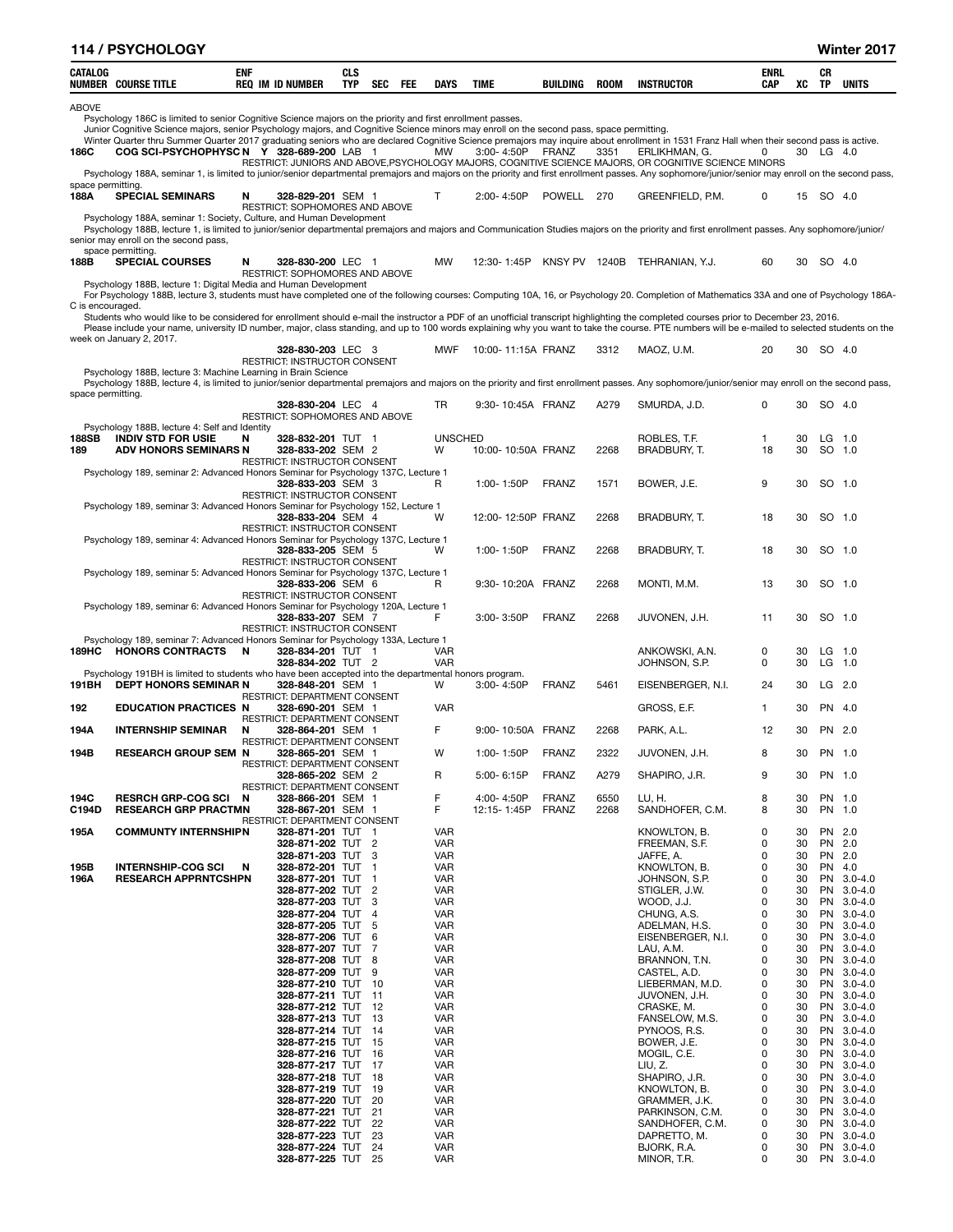|                           | <b>114 / PSYCHOLOGY</b>                                                                                                                                                                                                                                                                                                               |            |                                                          |            |                |     |                          |                    |              |             |                                                                                                                        |                    |          |          | Winter 2017              |
|---------------------------|---------------------------------------------------------------------------------------------------------------------------------------------------------------------------------------------------------------------------------------------------------------------------------------------------------------------------------------|------------|----------------------------------------------------------|------------|----------------|-----|--------------------------|--------------------|--------------|-------------|------------------------------------------------------------------------------------------------------------------------|--------------------|----------|----------|--------------------------|
| CATALOG                   | <b>NUMBER COURSE TITLE</b>                                                                                                                                                                                                                                                                                                            | <b>ENF</b> | <b>REQ IM ID NUMBER</b>                                  | CLS<br>TYP | SEC            | FEE | <b>DAYS</b>              | <b>TIME</b>        | BUILDING     | <b>ROOM</b> | <b>INSTRUCTOR</b>                                                                                                      | ENRL<br><b>CAP</b> | XC       | CR<br>TP | <b>UNITS</b>             |
| <b>ABOVE</b>              | Psychology 186C is limited to senior Cognitive Science majors on the priority and first enrollment passes.                                                                                                                                                                                                                            |            |                                                          |            |                |     |                          |                    |              |             |                                                                                                                        |                    |          |          |                          |
|                           | Junior Cognitive Science majors, senior Psychology majors, and Cognitive Science minors may enroll on the second pass, space permitting.<br>Winter Quarter thru Summer Quarter 2017 graduating seniors who are declared Cognitive Science premajors may inquire about enrollment in 1531 Franz Hall when their second pass is active. |            |                                                          |            |                |     |                          |                    |              |             |                                                                                                                        |                    |          |          |                          |
| 186C                      | COG SCI-PSYCHOPHYSC N Y 328-689-200 LAB 1                                                                                                                                                                                                                                                                                             |            |                                                          |            |                |     | MW                       | 3:00-4:50P         | <b>FRANZ</b> | 3351        | ERLIKHMAN. G.<br>RESTRICT: JUNIORS AND ABOVE, PSYCHOLOGY MAJORS, COGNITIVE SCIENCE MAJORS, OR COGNITIVE SCIENCE MINORS | 0                  | 30       | LG $4.0$ |                          |
|                           | Psychology 188A, seminar 1, is limited to junior/senior departmental premajors and majors on the priority and first enrollment passes. Any sophomore/junior/senior may enroll on the second pass,                                                                                                                                     |            |                                                          |            |                |     |                          |                    |              |             |                                                                                                                        |                    |          |          |                          |
| space permitting.<br>188A | <b>SPECIAL SEMINARS</b>                                                                                                                                                                                                                                                                                                               | N          | 328-829-201 SEM 1                                        |            |                |     | т                        | 2:00-4:50P         | POWELL 270   |             | GREENFIELD, P.M.                                                                                                       | 0                  | 15       |          | SO 4.0                   |
|                           | Psychology 188A, seminar 1: Society, Culture, and Human Development<br>Psychology 188B, lecture 1, is limited to junior/senior departmental premajors and majors and Communication Studies majors on the priority and first enrollment passes. Any sophomore/junior/<br>senior may enroll on the second pass,                         |            | RESTRICT: SOPHOMORES AND ABOVE                           |            |                |     |                          |                    |              |             |                                                                                                                        |                    |          |          |                          |
| 188B                      | space permitting.<br><b>SPECIAL COURSES</b>                                                                                                                                                                                                                                                                                           | N          | 328-830-200 LEC 1<br>RESTRICT: SOPHOMORES AND ABOVE      |            |                |     | MW                       | 12:30-1:45P        |              |             | KNSY PV 1240B TEHRANIAN, Y.J.                                                                                          | 60                 | 30       |          | SO 4.0                   |
|                           | Psychology 188B, lecture 1: Digital Media and Human Development<br>For Psychology 188B, lecture 3, students must have completed one of the following courses: Computing 10A, 16, or Psychology 20. Completion of Mathematics 33A and one of Psychology 186A-                                                                          |            |                                                          |            |                |     |                          |                    |              |             |                                                                                                                        |                    |          |          |                          |
| C is encouraged.          | Students who would like to be considered for enrollment should e-mail the instructor a PDF of an unofficial transcript highlighting the completed courses prior to December 23, 2016.                                                                                                                                                 |            |                                                          |            |                |     |                          |                    |              |             |                                                                                                                        |                    |          |          |                          |
|                           | Please include your name, university ID number, major, class standing, and up to 100 words explaining why you want to take the course. PTE numbers will be e-mailed to selected students on the<br>week on January 2, 2017.                                                                                                           |            |                                                          |            |                |     |                          |                    |              |             |                                                                                                                        |                    |          |          |                          |
|                           |                                                                                                                                                                                                                                                                                                                                       |            | 328-830-203 LEC 3<br>RESTRICT: INSTRUCTOR CONSENT        |            |                |     | <b>MWF</b>               | 10:00-11:15A FRANZ |              | 3312        | MAOZ, U.M.                                                                                                             | 20                 | 30       |          | SO 4.0                   |
|                           | Psychology 188B, lecture 3: Machine Learning in Brain Science                                                                                                                                                                                                                                                                         |            |                                                          |            |                |     |                          |                    |              |             |                                                                                                                        |                    |          |          |                          |
| space permitting.         | Psychology 188B, lecture 4, is limited to junior/senior departmental premajors and majors on the priority and first enrollment passes. Any sophomore/junior/senior may enroll on the second pass,                                                                                                                                     |            |                                                          |            |                |     |                          |                    |              |             |                                                                                                                        |                    |          |          |                          |
|                           |                                                                                                                                                                                                                                                                                                                                       |            | 328-830-204 LEC 4<br>RESTRICT: SOPHOMORES AND ABOVE      |            |                |     | <b>TR</b>                | 9:30-10:45A FRANZ  |              | A279        | SMURDA, J.D.                                                                                                           | 0                  | 30       |          | SO 4.0                   |
| 188SB                     | Psychology 188B, lecture 4: Self and Identity<br><b>INDIV STD FOR USIE</b>                                                                                                                                                                                                                                                            | N          | 328-832-201 TUT 1                                        |            |                |     | <b>UNSCHED</b>           |                    |              |             | ROBLES, T.F.                                                                                                           | $\mathbf{1}$       | 30       |          | $LG$ 1.0                 |
| 189                       | <b>ADV HONORS SEMINARS N</b>                                                                                                                                                                                                                                                                                                          |            | 328-833-202 SEM 2<br><b>RESTRICT: INSTRUCTOR CONSENT</b> |            |                |     | W                        | 10:00-10:50A FRANZ |              | 2268        | BRADBURY, T.                                                                                                           | 18                 | 30       |          | SO 1.0                   |
|                           | Psychology 189, seminar 2: Advanced Honors Seminar for Psychology 137C, Lecture 1                                                                                                                                                                                                                                                     |            | 328-833-203 SEM 3                                        |            |                |     | R                        | 1:00-1:50P         | <b>FRANZ</b> | 1571        | BOWER, J.E.                                                                                                            | 9                  | 30       |          | SO 1.0                   |
|                           | Psychology 189, seminar 3: Advanced Honors Seminar for Psychology 152, Lecture 1                                                                                                                                                                                                                                                      |            | RESTRICT: INSTRUCTOR CONSENT                             |            |                |     |                          |                    |              |             |                                                                                                                        |                    |          |          |                          |
|                           |                                                                                                                                                                                                                                                                                                                                       |            | 328-833-204 SEM 4<br>RESTRICT: INSTRUCTOR CONSENT        |            |                |     | W                        | 12:00-12:50P FRANZ |              | 2268        | BRADBURY, T.                                                                                                           | 18                 | 30       |          | SO 1.0                   |
|                           | Psychology 189, seminar 4: Advanced Honors Seminar for Psychology 137C, Lecture 1                                                                                                                                                                                                                                                     |            |                                                          |            |                |     |                          |                    |              |             |                                                                                                                        |                    |          |          |                          |
|                           |                                                                                                                                                                                                                                                                                                                                       |            | 328-833-205 SEM 5<br>RESTRICT: INSTRUCTOR CONSENT        |            |                |     | W                        | 1:00-1:50P         | <b>FRANZ</b> | 2268        | BRADBURY, T.                                                                                                           | 18                 | 30       |          | SO 1.0                   |
|                           | Psychology 189, seminar 5: Advanced Honors Seminar for Psychology 137C, Lecture 1                                                                                                                                                                                                                                                     |            | 328-833-206 SEM 6                                        |            |                |     | R                        | 9:30-10:20A FRANZ  |              | 2268        | MONTI, M.M.                                                                                                            | 13                 | 30       |          | SO 1.0                   |
|                           | Psychology 189, seminar 6: Advanced Honors Seminar for Psychology 120A, Lecture 1                                                                                                                                                                                                                                                     |            | RESTRICT: INSTRUCTOR CONSENT                             |            |                |     |                          |                    |              |             |                                                                                                                        |                    |          |          |                          |
|                           |                                                                                                                                                                                                                                                                                                                                       |            | 328-833-207 SEM 7<br>RESTRICT: INSTRUCTOR CONSENT        |            |                |     | F                        | 3:00-3:50P         | FRANZ        | 2268        | JUVONEN, J.H.                                                                                                          | 11                 | 30       |          | SO 1.0                   |
| 189HC                     | Psychology 189, seminar 7: Advanced Honors Seminar for Psychology 133A, Lecture 1<br><b>HONORS CONTRACTS</b>                                                                                                                                                                                                                          | N          | 328-834-201 TUT 1                                        |            |                |     | <b>VAR</b>               |                    |              |             | ANKOWSKI, A.N.                                                                                                         | 0                  | 30       |          | $LG$ 1.0                 |
|                           | Psychology 191BH is limited to students who have been accepted into the departmental honors program.                                                                                                                                                                                                                                  |            | 328-834-202 TUT 2                                        |            |                |     | <b>VAR</b>               |                    |              |             | JOHNSON, S.P.                                                                                                          | 0                  | 30       |          | LG 1.0                   |
| 191BH                     | <b>DEPT HONORS SEMINAR N</b>                                                                                                                                                                                                                                                                                                          |            | 328-848-201 SEM 1<br>RESTRICT: DEPARTMENT CONSENT        |            |                |     | W                        | 3:00-4:50P         | <b>FRANZ</b> | 5461        | EISENBERGER, N.I.                                                                                                      | 24                 | 30       |          | $LG$ 2.0                 |
| 192                       | <b>EDUCATION PRACTICES N</b>                                                                                                                                                                                                                                                                                                          |            | 328-690-201 SEM 1<br>RESTRICT: DEPARTMENT CONSENT        |            |                |     | <b>VAR</b>               |                    |              |             | GROSS, E.F.                                                                                                            | 1                  | 30       |          | PN 4.0                   |
| 194A                      | <b>INTERNSHIP SEMINAR</b>                                                                                                                                                                                                                                                                                                             | N          | 328-864-201 SEM 1                                        |            |                |     | F                        | 9:00-10:50A FRANZ  |              | 2268        | PARK, A.L.                                                                                                             | 12                 | 30       |          | PN 2.0                   |
| 194B                      | <b>RESEARCH GROUP SEM N</b>                                                                                                                                                                                                                                                                                                           |            | RESTRICT: DEPARTMENT CONSENT<br>328-865-201 SEM 1        |            |                |     | W                        | 1:00-1:50P         | <b>FRANZ</b> | 2322        | JUVONEN, J.H.                                                                                                          | 8                  | 30       |          | PN 1.0                   |
|                           |                                                                                                                                                                                                                                                                                                                                       |            | RESTRICT: DEPARTMENT CONSENT<br>328-865-202 SEM 2        |            |                |     | R                        | 5:00-6:15P         | <b>FRANZ</b> | A279        | SHAPIRO, J.R.                                                                                                          | 9                  | 30       |          | PN 1.0                   |
| 194C                      | <b>RESRCH GRP-COG SCI</b>                                                                                                                                                                                                                                                                                                             | N          | RESTRICT: DEPARTMENT CONSENT<br>328-866-201 SEM 1        |            |                |     | F                        | 4:00-4:50P         | <b>FRANZ</b> | 6550        | LU, H.                                                                                                                 | 8                  | 30       |          | PN 1.0                   |
| C194D                     | <b>RESEARCH GRP PRACTMN</b>                                                                                                                                                                                                                                                                                                           |            | 328-867-201 SEM 1<br>RESTRICT: DEPARTMENT CONSENT        |            |                |     | F                        | 12:15-1:45P FRANZ  |              | 2268        | SANDHOFER, C.M.                                                                                                        | 8                  | 30       |          | PN 1.0                   |
| 195A                      | <b>COMMUNTY INTERNSHIPN</b>                                                                                                                                                                                                                                                                                                           |            | 328-871-201 TUT 1<br>328-871-202 TUT 2                   |            |                |     | <b>VAR</b><br><b>VAR</b> |                    |              |             | KNOWLTON, B.<br>FREEMAN, S.F.                                                                                          | 0<br>0             | 30<br>30 |          | PN 2.0<br>PN 2.0         |
|                           |                                                                                                                                                                                                                                                                                                                                       |            | 328-871-203 TUT                                          |            | -3             |     | <b>VAR</b>               |                    |              |             | JAFFE, A.                                                                                                              | 0                  | 30       |          | PN 2.0                   |
| 195B<br>196A              | <b>INTERNSHIP-COG SCI</b><br><b>RESEARCH APPRNTCSHPN</b>                                                                                                                                                                                                                                                                              | N          | 328-872-201 TUT 1<br>328-877-201 TUT                     |            | $\mathbf{1}$   |     | <b>VAR</b><br><b>VAR</b> |                    |              |             | KNOWLTON, B.<br>JOHNSON, S.P.                                                                                          | 0<br>0             | 30<br>30 |          | PN 4.0<br>PN 3.0-4.0     |
|                           |                                                                                                                                                                                                                                                                                                                                       |            | 328-877-202 TUT 2<br>328-877-203 TUT                     |            | 3              |     | <b>VAR</b><br><b>VAR</b> |                    |              |             | STIGLER, J.W.<br>WOOD, J.J.                                                                                            | 0<br>0             | 30<br>30 |          | PN 3.0-4.0<br>PN 3.0-4.0 |
|                           |                                                                                                                                                                                                                                                                                                                                       |            | 328-877-204 TUT                                          |            | $\overline{4}$ |     | <b>VAR</b>               |                    |              |             | CHUNG, A.S.                                                                                                            | 0                  | 30       |          | PN 3.0-4.0               |
|                           |                                                                                                                                                                                                                                                                                                                                       |            | 328-877-205 TUT<br>328-877-206 TUT                       |            | 5<br>6         |     | <b>VAR</b><br><b>VAR</b> |                    |              |             | ADELMAN, H.S.<br>EISENBERGER, N.I.                                                                                     | 0<br>0             | 30<br>30 |          | PN 3.0-4.0<br>PN 3.0-4.0 |
|                           |                                                                                                                                                                                                                                                                                                                                       |            | 328-877-207 TUT                                          |            | 7              |     | <b>VAR</b>               |                    |              |             | LAU, A.M.                                                                                                              | 0                  | 30       |          | PN 3.0-4.0               |
|                           |                                                                                                                                                                                                                                                                                                                                       |            | 328-877-208 TUT 8                                        |            |                |     | <b>VAR</b><br><b>VAR</b> |                    |              |             | BRANNON, T.N.<br>CASTEL, A.D.                                                                                          | 0<br>0             | 30<br>30 |          | PN 3.0-4.0<br>PN 3.0-4.0 |
|                           |                                                                                                                                                                                                                                                                                                                                       |            | 328-877-209 TUT<br>328-877-210 TUT 10                    |            | 9              |     | <b>VAR</b>               |                    |              |             | LIEBERMAN, M.D.                                                                                                        | 0                  | 30       |          | PN 3.0-4.0               |
|                           |                                                                                                                                                                                                                                                                                                                                       |            | 328-877-211 TUT 11                                       |            |                |     | <b>VAR</b>               |                    |              |             | JUVONEN, J.H.                                                                                                          | 0<br>0             | 30       |          | PN 3.0-4.0<br>PN 3.0-4.0 |
|                           |                                                                                                                                                                                                                                                                                                                                       |            | 328-877-212 TUT<br>328-877-213 TUT                       |            | -12<br>13      |     | <b>VAR</b><br><b>VAR</b> |                    |              |             | CRASKE, M.<br>FANSELOW, M.S.                                                                                           | 0                  | 30<br>30 |          | PN 3.0-4.0               |
|                           |                                                                                                                                                                                                                                                                                                                                       |            | 328-877-214 TUT<br>328-877-215 TUT 15                    |            | -14            |     | <b>VAR</b><br><b>VAR</b> |                    |              |             | PYNOOS, R.S.<br>BOWER, J.E.                                                                                            | 0<br>0             | 30<br>30 |          | PN 3.0-4.0<br>PN 3.0-4.0 |
|                           |                                                                                                                                                                                                                                                                                                                                       |            | 328-877-216 TUT                                          |            | -16            |     | <b>VAR</b>               |                    |              |             | MOGIL, C.E.                                                                                                            | 0                  | 30       |          | PN 3.0-4.0               |
|                           |                                                                                                                                                                                                                                                                                                                                       |            | 328-877-217 TUT<br>328-877-218 TUT                       |            | 17<br>18       |     | <b>VAR</b><br><b>VAR</b> |                    |              |             | LIU, Z.                                                                                                                | 0<br>0             | 30<br>30 |          | PN 3.0-4.0<br>PN 3.0-4.0 |
|                           |                                                                                                                                                                                                                                                                                                                                       |            | 328-877-219 TUT                                          |            | 19             |     | <b>VAR</b>               |                    |              |             | SHAPIRO, J.R.<br>KNOWLTON, B.                                                                                          | 0                  | 30       |          | PN 3.0-4.0               |
|                           |                                                                                                                                                                                                                                                                                                                                       |            | 328-877-220 TUT<br>328-877-221 TUT                       |            | 20<br>21       |     | <b>VAR</b><br><b>VAR</b> |                    |              |             | GRAMMER, J.K.<br>PARKINSON, C.M.                                                                                       | 0<br>0             | 30<br>30 |          | PN 3.0-4.0<br>PN 3.0-4.0 |
|                           |                                                                                                                                                                                                                                                                                                                                       |            | 328-877-222 TUT                                          |            | 22             |     | <b>VAR</b>               |                    |              |             | SANDHOFER, C.M.                                                                                                        | 0                  | 30       |          | PN 3.0-4.0               |
|                           |                                                                                                                                                                                                                                                                                                                                       |            | 328-877-223 TUT<br>328-877-224 TUT                       |            | 23<br>24       |     | <b>VAR</b><br><b>VAR</b> |                    |              |             | DAPRETTO, M.<br>BJORK, R.A.                                                                                            | 0<br>0             | 30<br>30 |          | PN 3.0-4.0<br>PN 3.0-4.0 |
|                           |                                                                                                                                                                                                                                                                                                                                       |            | 328-877-225 TUT                                          |            | 25             |     | <b>VAR</b>               |                    |              |             | MINOR, T.R.                                                                                                            | 0                  | 30       |          | PN 3.0-4.0               |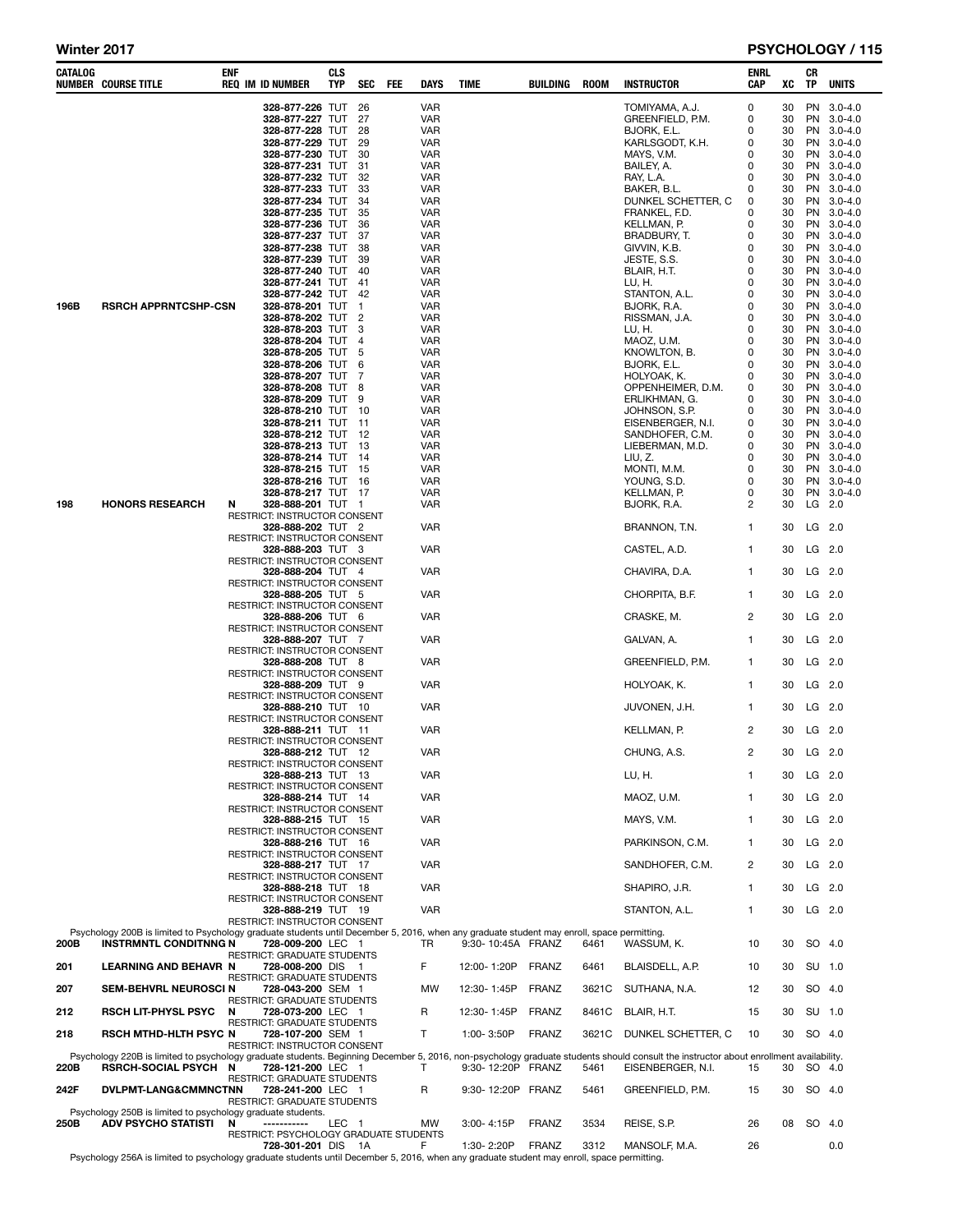## Winter 2017 **PSYCHOLOGY / 115**

| 328-877-226 TUT<br><b>VAR</b><br><b>PN</b><br>26<br>TOMIYAMA, A.J.<br>0<br>30<br>$3.0 - 4.0$<br>328-877-227 TUT<br>27<br>VAR<br>GREENFIELD, P.M.<br>0<br>30<br>PN<br>$3.0 - 4.0$<br>328-877-228 TUT<br>28<br>VAR<br>BJORK, E.L.<br>0<br>30<br>PN.<br>$3.0 - 4.0$<br>328-877-229 TUT<br>29<br>VAR<br>KARLSGODT, K.H.<br>0<br>30<br>PN.<br>$3.0 - 4.0$<br>30<br>328-877-230 TUT<br>30<br>VAR<br>MAYS, V.M.<br>0<br>PN.<br>$3.0 - 4.0$<br>328-877-231 TUT<br>30<br>31<br>VAR<br>BAILEY, A.<br>0<br>PN.<br>$3.0 - 4.0$<br>328-877-232 TUT<br>32<br>VAR<br>RAY, L.A.<br>0<br>30<br>PN.<br>$3.0 - 4.0$<br>328-877-233 TUT<br>33<br>VAR<br>BAKER, B.L.<br>0<br>30<br>PN.<br>$3.0 - 4.0$<br>30<br>328-877-234 TUT<br>34<br>VAR<br>DUNKEL SCHETTER, C<br>0<br>PN.<br>$3.0 - 4.0$<br>328-877-235 TUT<br>30<br>35<br>VAR<br>FRANKEL, F.D.<br>0<br>PN<br>$3.0 - 4.0$<br>328-877-236 TUT<br>36<br>VAR<br>KELLMAN, P.<br>0<br>30<br>PN.<br>$3.0 - 4.0$<br>328-877-237 TUT<br>37<br>VAR<br>BRADBURY, T.<br>0<br>30<br>PN.<br>$3.0 - 4.0$<br>328-877-238 TUT<br>30<br>38<br>VAR<br>GIVVIN, K.B.<br>0<br>PN.<br>$3.0 - 4.0$<br>328-877-239 TUT<br>30<br>39<br>VAR<br>JESTE, S.S.<br>0<br>PN.<br>$3.0 - 4.0$<br>328-877-240 TUT<br>40<br>VAR<br>BLAIR, H.T.<br>0<br>30<br>PN.<br>$3.0 - 4.0$<br>328-877-241 TUT<br>41<br>VAR<br>LU, H.<br>0<br>30<br>PN.<br>$3.0 - 4.0$<br>30<br>328-877-242 TUT<br>42<br>VAR<br>STANTON, A.L.<br>0<br>PN.<br>$3.0 - 4.0$<br>196B<br><b>RSRCH APPRNTCSHP-CSN</b><br>30<br>328-878-201 TUT<br>1<br>VAR<br>BJORK, R.A.<br>0<br>PN<br>$3.0 - 4.0$<br>328-878-202 TUT<br>2<br>VAR<br>RISSMAN, J.A.<br>0<br>30<br>PN.<br>$3.0 - 4.0$<br>328-878-203 TUT<br>3<br>VAR<br>LU, H.<br>0<br>30<br>PN.<br>$3.0 - 4.0$<br>30<br>328-878-204 TUT<br>$\overline{4}$<br>VAR<br>MAOZ, U.M.<br>0<br>PN.<br>$3.0 - 4.0$<br>30<br>328-878-205 TUT<br>5<br>VAR<br>KNOWLTON, B.<br>0<br>PN<br>$3.0 - 4.0$<br>328-878-206 TUT<br>6<br>VAR<br>BJORK, E.L.<br>0<br>30<br>PN.<br>$3.0 - 4.0$<br>328-878-207 TUT<br>7<br>VAR<br>HOLYOAK, K.<br>0<br>30<br>PN.<br>$3.0 - 4.0$<br>30<br>328-878-208 TUT<br>8<br>VAR<br>OPPENHEIMER, D.M.<br>0<br>PN.<br>$3.0 - 4.0$<br>30<br>328-878-209 TUT<br>9<br>VAR<br>ERLIKHMAN, G.<br>0<br>PN<br>$3.0 - 4.0$<br>328-878-210 TUT<br>10<br>VAR<br>JOHNSON, S.P.<br>0<br>30<br>PN.<br>$3.0 - 4.0$<br>328-878-211 TUT<br>11<br>VAR<br>EISENBERGER, N.I.<br>0<br>30<br>PN.<br>$3.0 - 4.0$<br>328-878-212 TUT<br>-12<br>VAR<br>SANDHOFER, C.M.<br>0<br>30<br>PN<br>$3.0 - 4.0$<br>328-878-213 TUT<br>13<br>VAR<br>LIEBERMAN, M.D.<br>0<br>30<br>PN 3.0-4.0<br>328-878-214 TUT<br>14<br>VAR<br>LIU, Z.<br>0<br>30<br>PN 3.0-4.0<br>328-878-215 TUT<br>15<br>VAR<br>MONTI, M.M.<br>0<br>30<br>PN.<br>$3.0 - 4.0$<br>30<br>328-878-216 TUT<br>16<br>VAR<br>YOUNG, S.D.<br>0<br>PN.<br>$3.0 - 4.0$<br>328-878-217 TUT 17<br>VAR<br>KELLMAN, P.<br>0<br>30<br>PN<br>$3.0 - 4.0$<br><b>HONORS RESEARCH</b><br>2<br>LG<br>2.0<br>198<br>N<br>328-888-201 TUT 1<br>VAR<br>BJORK, R.A.<br>30<br>RESTRICT: INSTRUCTOR CONSENT<br><b>VAR</b><br>30<br>LG 2.0<br>328-888-202 TUT 2<br>BRANNON, T.N.<br>1<br>RESTRICT: INSTRUCTOR CONSENT<br>CASTEL, A.D.<br>30<br>LG 2.0<br>328-888-203 TUT 3<br>VAR<br>1<br>RESTRICT: INSTRUCTOR CONSENT<br>LG 2.0<br>328-888-204 TUT 4<br>VAR<br>CHAVIRA, D.A.<br>30<br>1<br>RESTRICT: INSTRUCTOR CONSENT<br>CHORPITA, B.F.<br>$LG$ 2.0<br><b>328-888-205 TUT 5</b><br>VAR<br>1<br>30<br>RESTRICT: INSTRUCTOR CONSENT<br>CRASKE, M.<br>2<br>LG 2.0<br>328-888-206 TUT 6<br>VAR<br>30<br>RESTRICT: INSTRUCTOR CONSENT<br>LG 2.0<br>328-888-207 TUT 7<br>VAR<br>GALVAN, A.<br>1<br>30<br>RESTRICT: INSTRUCTOR CONSENT<br><b>VAR</b><br>GREENFIELD, P.M.<br>LG 2.0<br>328-888-208 TUT 8<br>30<br>1<br>RESTRICT: INSTRUCTOR CONSENT<br><b>VAR</b><br>HOLYOAK, K.<br>30<br>LG 2.0<br>328-888-209 TUT 9<br>1<br>RESTRICT: INSTRUCTOR CONSENT<br>$LG$ 2.0<br><b>328-888-210 TUT 10</b><br>VAR<br>JUVONEN, J.H.<br>1<br>30<br>RESTRICT: INSTRUCTOR CONSENT<br>2<br>LG 2.0<br>328-888-211 TUT 11<br>VAR<br>KELLMAN, P.<br>30<br>RESTRICT: INSTRUCTOR CONSENT<br><b>VAR</b><br>CHUNG, A.S.<br>2<br>30<br>$LG$ 2.0<br>328-888-212 TUT 12<br>RESTRICT: INSTRUCTOR CONSENT<br><b>VAR</b><br>LU, H.<br>$\mathbf{1}$<br>LG 2.0<br>328-888-213 TUT 13<br>30<br>RESTRICT: INSTRUCTOR CONSENT<br>LG 2.0<br>328-888-214 TUT 14<br><b>VAR</b><br>MAOZ, U.M.<br>30<br>1<br>RESTRICT: INSTRUCTOR CONSENT<br><b>VAR</b><br>MAYS, V.M.<br>30<br>LG 2.0<br>328-888-215 TUT 15<br>1<br>RESTRICT: INSTRUCTOR CONSENT<br>LG 2.0<br><b>VAR</b><br>PARKINSON, C.M.<br>30<br>328-888-216 TUT 16<br>1<br>RESTRICT: INSTRUCTOR CONSENT<br>2<br>LG 2.0<br>328-888-217 TUT 17<br><b>VAR</b><br>30<br>SANDHOFER, C.M.<br><b>RESTRICT: INSTRUCTOR CONSENT</b><br><b>VAR</b><br>SHAPIRO, J.R.<br>30<br>LG 2.0<br>328-888-218 TUT 18<br>1<br>RESTRICT: INSTRUCTOR CONSENT<br>LG 2.0<br>328-888-219 TUT 19<br><b>VAR</b><br>30<br>STANTON, A.L.<br>1<br>RESTRICT: INSTRUCTOR CONSENT<br>Psychology 200B is limited to Psychology graduate students until December 5, 2016, when any graduate student may enroll, space permitting.<br>200B<br><b>INSTRMNTL CONDITNNG N</b><br>728-009-200 LEC 1<br>9:30-10:45A FRANZ<br>WASSUM, K.<br>10<br>30<br>SO 4.0<br>TR<br>6461<br>RESTRICT: GRADUATE STUDENTS<br>F<br>SU 1.0<br>201<br><b>LEARNING AND BEHAVR N</b><br>12:00-1:20P<br>FRANZ<br>6461<br>BLAISDELL, A.P.<br>30<br>728-008-200 DIS 1<br>10<br>RESTRICT: GRADUATE STUDENTS<br><b>FRANZ</b><br><b>MW</b><br>12:30-1:45P<br>3621C<br>SUTHANA, N.A.<br>12<br>30<br>SO 4.0<br>207<br><b>SEM-BEHVRL NEUROSCI N</b><br>728-043-200 SEM 1<br><b>RESTRICT: GRADUATE STUDENTS</b><br>212<br><b>RSCH LIT-PHYSL PSYC</b><br>728-073-200 LEC 1<br>R<br>12:30-1:45P<br>FRANZ<br>BLAIR, H.T.<br>30<br>SU 1.0<br>N<br>8461C<br>15<br>RESTRICT: GRADUATE STUDENTS<br>218<br><b>RSCH MTHD-HLTH PSYC N</b><br>728-107-200 SEM 1<br>т<br>1:00-3:50P<br><b>FRANZ</b><br>3621C<br>DUNKEL SCHETTER, C<br>30<br>SO 4.0<br>10<br>RESTRICT: INSTRUCTOR CONSENT<br>Psychology 220B is limited to psychology graduate students. Beginning December 5, 2016, non-psychology graduate students should consult the instructor about enrollment availability.<br>220B<br><b>RSRCH-SOCIAL PSYCH</b><br>728-121-200 LEC 1<br>т<br>9:30-12:20P FRANZ<br>5461<br>30<br>SO 4.0<br>N<br>EISENBERGER, N.I.<br>15<br>RESTRICT: GRADUATE STUDENTS<br>242F<br>DVLPMT-LANG&CMMNCTNN<br>R<br>9:30-12:20P FRANZ<br>5461<br>GREENFIELD, P.M.<br>30<br>SO 4.0<br>728-241-200 LEC 1<br>15<br><b>RESTRICT: GRADUATE STUDENTS</b><br>Psychology 250B is limited to psychology graduate students.<br>250B<br><b>ADV PSYCHO STATISTI</b><br>-----------<br>3:00-4:15P<br><b>FRANZ</b><br>3534<br>REISE, S.P.<br>08<br>SO 4.0<br>N<br>LEC 1<br>MW<br>26<br>RESTRICT: PSYCHOLOGY GRADUATE STUDENTS<br>728-301-201 DIS 1A<br>1:30-2:20P<br><b>FRANZ</b><br>3312<br>MANSOLF, M.A.<br>F<br>26<br>0.0<br>Psychology 256A is limited to psychology graduate students until December 5, 2016, when any graduate student may enroll, space permitting. | CATALOG | <b>NUMBER COURSE TITLE</b> | ENF | <b>REQ IM ID NUMBER</b> | <b>CLS</b><br><b>TYP</b> | <b>SEC</b> | FEE | <b>DAYS</b> | TIME | BUILDING | <b>ROOM</b> | <b>INSTRUCTOR</b> | ENRL<br>CAP | XC | CR<br>TP | <b>UNITS</b> |
|------------------------------------------------------------------------------------------------------------------------------------------------------------------------------------------------------------------------------------------------------------------------------------------------------------------------------------------------------------------------------------------------------------------------------------------------------------------------------------------------------------------------------------------------------------------------------------------------------------------------------------------------------------------------------------------------------------------------------------------------------------------------------------------------------------------------------------------------------------------------------------------------------------------------------------------------------------------------------------------------------------------------------------------------------------------------------------------------------------------------------------------------------------------------------------------------------------------------------------------------------------------------------------------------------------------------------------------------------------------------------------------------------------------------------------------------------------------------------------------------------------------------------------------------------------------------------------------------------------------------------------------------------------------------------------------------------------------------------------------------------------------------------------------------------------------------------------------------------------------------------------------------------------------------------------------------------------------------------------------------------------------------------------------------------------------------------------------------------------------------------------------------------------------------------------------------------------------------------------------------------------------------------------------------------------------------------------------------------------------------------------------------------------------------------------------------------------------------------------------------------------------------------------------------------------------------------------------------------------------------------------------------------------------------------------------------------------------------------------------------------------------------------------------------------------------------------------------------------------------------------------------------------------------------------------------------------------------------------------------------------------------------------------------------------------------------------------------------------------------------------------------------------------------------------------------------------------------------------------------------------------------------------------------------------------------------------------------------------------------------------------------------------------------------------------------------------------------------------------------------------------------------------------------------------------------------------------------------------------------------------------------------------------------------------------------------------------------------------------------------------------------------------------------------------------------------------------------------------------------------------------------------------------------------------------------------------------------------------------------------------------------------------------------------------------------------------------------------------------------------------------------------------------------------------------------------------------------------------------------------------------------------------------------------------------------------------------------------------------------------------------------------------------------------------------------------------------------------------------------------------------------------------------------------------------------------------------------------------------------------------------------------------------------------------------------------------------------------------------------------------------------------------------------------------------------------------------------------------------------------------------------------------------------------------------------------------------------------------------------------------------------------------------------------------------------------------------------------------------------------------------------------------------------------------------------------------------------------------------------------------------------------------------------------------------------------------------------------------------------------------------------------------------------------------------------------------------------------------------------------------------------------------------------------------------------------------------------------------------------------------------------------------------------------------------------------------------------------------------------------------------------------------------------------------------------------------------------------------------------------------------------------------------------------------------------------------------------------------------------------------------------------------------------------------------------------------------------------------------------------------------------------------------------------------------------------------------------------------------------------------------------------------------------------------------------------------------------------------------------------------------------------------------------------------------------------------------------------------------------------------------------------------------------------------------------------------------------------------------------------------------------------------------------------------------------------------------------------------------------------------------------------------------------------------------------------------------------------------------------------------------------------------------------------------------------------------------------------------------------------------------------------------------------------------------------------------------------------|---------|----------------------------|-----|-------------------------|--------------------------|------------|-----|-------------|------|----------|-------------|-------------------|-------------|----|----------|--------------|
|                                                                                                                                                                                                                                                                                                                                                                                                                                                                                                                                                                                                                                                                                                                                                                                                                                                                                                                                                                                                                                                                                                                                                                                                                                                                                                                                                                                                                                                                                                                                                                                                                                                                                                                                                                                                                                                                                                                                                                                                                                                                                                                                                                                                                                                                                                                                                                                                                                                                                                                                                                                                                                                                                                                                                                                                                                                                                                                                                                                                                                                                                                                                                                                                                                                                                                                                                                                                                                                                                                                                                                                                                                                                                                                                                                                                                                                                                                                                                                                                                                                                                                                                                                                                                                                                                                                                                                                                                                                                                                                                                                                                                                                                                                                                                                                                                                                                                                                                                                                                                                                                                                                                                                                                                                                                                                                                                                                                                                                                                                                                                                                                                                                                                                                                                                                                                                                                                                                                                                                                                                                                                                                                                                                                                                                                                                                                                                                                                                                                                                                                                                                                                                                                                                                                                                                                                                                                                                                                                                                                                                                                                                |         |                            |     |                         |                          |            |     |             |      |          |             |                   |             |    |          |              |
|                                                                                                                                                                                                                                                                                                                                                                                                                                                                                                                                                                                                                                                                                                                                                                                                                                                                                                                                                                                                                                                                                                                                                                                                                                                                                                                                                                                                                                                                                                                                                                                                                                                                                                                                                                                                                                                                                                                                                                                                                                                                                                                                                                                                                                                                                                                                                                                                                                                                                                                                                                                                                                                                                                                                                                                                                                                                                                                                                                                                                                                                                                                                                                                                                                                                                                                                                                                                                                                                                                                                                                                                                                                                                                                                                                                                                                                                                                                                                                                                                                                                                                                                                                                                                                                                                                                                                                                                                                                                                                                                                                                                                                                                                                                                                                                                                                                                                                                                                                                                                                                                                                                                                                                                                                                                                                                                                                                                                                                                                                                                                                                                                                                                                                                                                                                                                                                                                                                                                                                                                                                                                                                                                                                                                                                                                                                                                                                                                                                                                                                                                                                                                                                                                                                                                                                                                                                                                                                                                                                                                                                                                                |         |                            |     |                         |                          |            |     |             |      |          |             |                   |             |    |          |              |
|                                                                                                                                                                                                                                                                                                                                                                                                                                                                                                                                                                                                                                                                                                                                                                                                                                                                                                                                                                                                                                                                                                                                                                                                                                                                                                                                                                                                                                                                                                                                                                                                                                                                                                                                                                                                                                                                                                                                                                                                                                                                                                                                                                                                                                                                                                                                                                                                                                                                                                                                                                                                                                                                                                                                                                                                                                                                                                                                                                                                                                                                                                                                                                                                                                                                                                                                                                                                                                                                                                                                                                                                                                                                                                                                                                                                                                                                                                                                                                                                                                                                                                                                                                                                                                                                                                                                                                                                                                                                                                                                                                                                                                                                                                                                                                                                                                                                                                                                                                                                                                                                                                                                                                                                                                                                                                                                                                                                                                                                                                                                                                                                                                                                                                                                                                                                                                                                                                                                                                                                                                                                                                                                                                                                                                                                                                                                                                                                                                                                                                                                                                                                                                                                                                                                                                                                                                                                                                                                                                                                                                                                                                |         |                            |     |                         |                          |            |     |             |      |          |             |                   |             |    |          |              |
|                                                                                                                                                                                                                                                                                                                                                                                                                                                                                                                                                                                                                                                                                                                                                                                                                                                                                                                                                                                                                                                                                                                                                                                                                                                                                                                                                                                                                                                                                                                                                                                                                                                                                                                                                                                                                                                                                                                                                                                                                                                                                                                                                                                                                                                                                                                                                                                                                                                                                                                                                                                                                                                                                                                                                                                                                                                                                                                                                                                                                                                                                                                                                                                                                                                                                                                                                                                                                                                                                                                                                                                                                                                                                                                                                                                                                                                                                                                                                                                                                                                                                                                                                                                                                                                                                                                                                                                                                                                                                                                                                                                                                                                                                                                                                                                                                                                                                                                                                                                                                                                                                                                                                                                                                                                                                                                                                                                                                                                                                                                                                                                                                                                                                                                                                                                                                                                                                                                                                                                                                                                                                                                                                                                                                                                                                                                                                                                                                                                                                                                                                                                                                                                                                                                                                                                                                                                                                                                                                                                                                                                                                                |         |                            |     |                         |                          |            |     |             |      |          |             |                   |             |    |          |              |
|                                                                                                                                                                                                                                                                                                                                                                                                                                                                                                                                                                                                                                                                                                                                                                                                                                                                                                                                                                                                                                                                                                                                                                                                                                                                                                                                                                                                                                                                                                                                                                                                                                                                                                                                                                                                                                                                                                                                                                                                                                                                                                                                                                                                                                                                                                                                                                                                                                                                                                                                                                                                                                                                                                                                                                                                                                                                                                                                                                                                                                                                                                                                                                                                                                                                                                                                                                                                                                                                                                                                                                                                                                                                                                                                                                                                                                                                                                                                                                                                                                                                                                                                                                                                                                                                                                                                                                                                                                                                                                                                                                                                                                                                                                                                                                                                                                                                                                                                                                                                                                                                                                                                                                                                                                                                                                                                                                                                                                                                                                                                                                                                                                                                                                                                                                                                                                                                                                                                                                                                                                                                                                                                                                                                                                                                                                                                                                                                                                                                                                                                                                                                                                                                                                                                                                                                                                                                                                                                                                                                                                                                                                |         |                            |     |                         |                          |            |     |             |      |          |             |                   |             |    |          |              |
|                                                                                                                                                                                                                                                                                                                                                                                                                                                                                                                                                                                                                                                                                                                                                                                                                                                                                                                                                                                                                                                                                                                                                                                                                                                                                                                                                                                                                                                                                                                                                                                                                                                                                                                                                                                                                                                                                                                                                                                                                                                                                                                                                                                                                                                                                                                                                                                                                                                                                                                                                                                                                                                                                                                                                                                                                                                                                                                                                                                                                                                                                                                                                                                                                                                                                                                                                                                                                                                                                                                                                                                                                                                                                                                                                                                                                                                                                                                                                                                                                                                                                                                                                                                                                                                                                                                                                                                                                                                                                                                                                                                                                                                                                                                                                                                                                                                                                                                                                                                                                                                                                                                                                                                                                                                                                                                                                                                                                                                                                                                                                                                                                                                                                                                                                                                                                                                                                                                                                                                                                                                                                                                                                                                                                                                                                                                                                                                                                                                                                                                                                                                                                                                                                                                                                                                                                                                                                                                                                                                                                                                                                                |         |                            |     |                         |                          |            |     |             |      |          |             |                   |             |    |          |              |
|                                                                                                                                                                                                                                                                                                                                                                                                                                                                                                                                                                                                                                                                                                                                                                                                                                                                                                                                                                                                                                                                                                                                                                                                                                                                                                                                                                                                                                                                                                                                                                                                                                                                                                                                                                                                                                                                                                                                                                                                                                                                                                                                                                                                                                                                                                                                                                                                                                                                                                                                                                                                                                                                                                                                                                                                                                                                                                                                                                                                                                                                                                                                                                                                                                                                                                                                                                                                                                                                                                                                                                                                                                                                                                                                                                                                                                                                                                                                                                                                                                                                                                                                                                                                                                                                                                                                                                                                                                                                                                                                                                                                                                                                                                                                                                                                                                                                                                                                                                                                                                                                                                                                                                                                                                                                                                                                                                                                                                                                                                                                                                                                                                                                                                                                                                                                                                                                                                                                                                                                                                                                                                                                                                                                                                                                                                                                                                                                                                                                                                                                                                                                                                                                                                                                                                                                                                                                                                                                                                                                                                                                                                |         |                            |     |                         |                          |            |     |             |      |          |             |                   |             |    |          |              |
|                                                                                                                                                                                                                                                                                                                                                                                                                                                                                                                                                                                                                                                                                                                                                                                                                                                                                                                                                                                                                                                                                                                                                                                                                                                                                                                                                                                                                                                                                                                                                                                                                                                                                                                                                                                                                                                                                                                                                                                                                                                                                                                                                                                                                                                                                                                                                                                                                                                                                                                                                                                                                                                                                                                                                                                                                                                                                                                                                                                                                                                                                                                                                                                                                                                                                                                                                                                                                                                                                                                                                                                                                                                                                                                                                                                                                                                                                                                                                                                                                                                                                                                                                                                                                                                                                                                                                                                                                                                                                                                                                                                                                                                                                                                                                                                                                                                                                                                                                                                                                                                                                                                                                                                                                                                                                                                                                                                                                                                                                                                                                                                                                                                                                                                                                                                                                                                                                                                                                                                                                                                                                                                                                                                                                                                                                                                                                                                                                                                                                                                                                                                                                                                                                                                                                                                                                                                                                                                                                                                                                                                                                                |         |                            |     |                         |                          |            |     |             |      |          |             |                   |             |    |          |              |
|                                                                                                                                                                                                                                                                                                                                                                                                                                                                                                                                                                                                                                                                                                                                                                                                                                                                                                                                                                                                                                                                                                                                                                                                                                                                                                                                                                                                                                                                                                                                                                                                                                                                                                                                                                                                                                                                                                                                                                                                                                                                                                                                                                                                                                                                                                                                                                                                                                                                                                                                                                                                                                                                                                                                                                                                                                                                                                                                                                                                                                                                                                                                                                                                                                                                                                                                                                                                                                                                                                                                                                                                                                                                                                                                                                                                                                                                                                                                                                                                                                                                                                                                                                                                                                                                                                                                                                                                                                                                                                                                                                                                                                                                                                                                                                                                                                                                                                                                                                                                                                                                                                                                                                                                                                                                                                                                                                                                                                                                                                                                                                                                                                                                                                                                                                                                                                                                                                                                                                                                                                                                                                                                                                                                                                                                                                                                                                                                                                                                                                                                                                                                                                                                                                                                                                                                                                                                                                                                                                                                                                                                                                |         |                            |     |                         |                          |            |     |             |      |          |             |                   |             |    |          |              |
|                                                                                                                                                                                                                                                                                                                                                                                                                                                                                                                                                                                                                                                                                                                                                                                                                                                                                                                                                                                                                                                                                                                                                                                                                                                                                                                                                                                                                                                                                                                                                                                                                                                                                                                                                                                                                                                                                                                                                                                                                                                                                                                                                                                                                                                                                                                                                                                                                                                                                                                                                                                                                                                                                                                                                                                                                                                                                                                                                                                                                                                                                                                                                                                                                                                                                                                                                                                                                                                                                                                                                                                                                                                                                                                                                                                                                                                                                                                                                                                                                                                                                                                                                                                                                                                                                                                                                                                                                                                                                                                                                                                                                                                                                                                                                                                                                                                                                                                                                                                                                                                                                                                                                                                                                                                                                                                                                                                                                                                                                                                                                                                                                                                                                                                                                                                                                                                                                                                                                                                                                                                                                                                                                                                                                                                                                                                                                                                                                                                                                                                                                                                                                                                                                                                                                                                                                                                                                                                                                                                                                                                                                                |         |                            |     |                         |                          |            |     |             |      |          |             |                   |             |    |          |              |
|                                                                                                                                                                                                                                                                                                                                                                                                                                                                                                                                                                                                                                                                                                                                                                                                                                                                                                                                                                                                                                                                                                                                                                                                                                                                                                                                                                                                                                                                                                                                                                                                                                                                                                                                                                                                                                                                                                                                                                                                                                                                                                                                                                                                                                                                                                                                                                                                                                                                                                                                                                                                                                                                                                                                                                                                                                                                                                                                                                                                                                                                                                                                                                                                                                                                                                                                                                                                                                                                                                                                                                                                                                                                                                                                                                                                                                                                                                                                                                                                                                                                                                                                                                                                                                                                                                                                                                                                                                                                                                                                                                                                                                                                                                                                                                                                                                                                                                                                                                                                                                                                                                                                                                                                                                                                                                                                                                                                                                                                                                                                                                                                                                                                                                                                                                                                                                                                                                                                                                                                                                                                                                                                                                                                                                                                                                                                                                                                                                                                                                                                                                                                                                                                                                                                                                                                                                                                                                                                                                                                                                                                                                |         |                            |     |                         |                          |            |     |             |      |          |             |                   |             |    |          |              |
|                                                                                                                                                                                                                                                                                                                                                                                                                                                                                                                                                                                                                                                                                                                                                                                                                                                                                                                                                                                                                                                                                                                                                                                                                                                                                                                                                                                                                                                                                                                                                                                                                                                                                                                                                                                                                                                                                                                                                                                                                                                                                                                                                                                                                                                                                                                                                                                                                                                                                                                                                                                                                                                                                                                                                                                                                                                                                                                                                                                                                                                                                                                                                                                                                                                                                                                                                                                                                                                                                                                                                                                                                                                                                                                                                                                                                                                                                                                                                                                                                                                                                                                                                                                                                                                                                                                                                                                                                                                                                                                                                                                                                                                                                                                                                                                                                                                                                                                                                                                                                                                                                                                                                                                                                                                                                                                                                                                                                                                                                                                                                                                                                                                                                                                                                                                                                                                                                                                                                                                                                                                                                                                                                                                                                                                                                                                                                                                                                                                                                                                                                                                                                                                                                                                                                                                                                                                                                                                                                                                                                                                                                                |         |                            |     |                         |                          |            |     |             |      |          |             |                   |             |    |          |              |
|                                                                                                                                                                                                                                                                                                                                                                                                                                                                                                                                                                                                                                                                                                                                                                                                                                                                                                                                                                                                                                                                                                                                                                                                                                                                                                                                                                                                                                                                                                                                                                                                                                                                                                                                                                                                                                                                                                                                                                                                                                                                                                                                                                                                                                                                                                                                                                                                                                                                                                                                                                                                                                                                                                                                                                                                                                                                                                                                                                                                                                                                                                                                                                                                                                                                                                                                                                                                                                                                                                                                                                                                                                                                                                                                                                                                                                                                                                                                                                                                                                                                                                                                                                                                                                                                                                                                                                                                                                                                                                                                                                                                                                                                                                                                                                                                                                                                                                                                                                                                                                                                                                                                                                                                                                                                                                                                                                                                                                                                                                                                                                                                                                                                                                                                                                                                                                                                                                                                                                                                                                                                                                                                                                                                                                                                                                                                                                                                                                                                                                                                                                                                                                                                                                                                                                                                                                                                                                                                                                                                                                                                                                |         |                            |     |                         |                          |            |     |             |      |          |             |                   |             |    |          |              |
|                                                                                                                                                                                                                                                                                                                                                                                                                                                                                                                                                                                                                                                                                                                                                                                                                                                                                                                                                                                                                                                                                                                                                                                                                                                                                                                                                                                                                                                                                                                                                                                                                                                                                                                                                                                                                                                                                                                                                                                                                                                                                                                                                                                                                                                                                                                                                                                                                                                                                                                                                                                                                                                                                                                                                                                                                                                                                                                                                                                                                                                                                                                                                                                                                                                                                                                                                                                                                                                                                                                                                                                                                                                                                                                                                                                                                                                                                                                                                                                                                                                                                                                                                                                                                                                                                                                                                                                                                                                                                                                                                                                                                                                                                                                                                                                                                                                                                                                                                                                                                                                                                                                                                                                                                                                                                                                                                                                                                                                                                                                                                                                                                                                                                                                                                                                                                                                                                                                                                                                                                                                                                                                                                                                                                                                                                                                                                                                                                                                                                                                                                                                                                                                                                                                                                                                                                                                                                                                                                                                                                                                                                                |         |                            |     |                         |                          |            |     |             |      |          |             |                   |             |    |          |              |
|                                                                                                                                                                                                                                                                                                                                                                                                                                                                                                                                                                                                                                                                                                                                                                                                                                                                                                                                                                                                                                                                                                                                                                                                                                                                                                                                                                                                                                                                                                                                                                                                                                                                                                                                                                                                                                                                                                                                                                                                                                                                                                                                                                                                                                                                                                                                                                                                                                                                                                                                                                                                                                                                                                                                                                                                                                                                                                                                                                                                                                                                                                                                                                                                                                                                                                                                                                                                                                                                                                                                                                                                                                                                                                                                                                                                                                                                                                                                                                                                                                                                                                                                                                                                                                                                                                                                                                                                                                                                                                                                                                                                                                                                                                                                                                                                                                                                                                                                                                                                                                                                                                                                                                                                                                                                                                                                                                                                                                                                                                                                                                                                                                                                                                                                                                                                                                                                                                                                                                                                                                                                                                                                                                                                                                                                                                                                                                                                                                                                                                                                                                                                                                                                                                                                                                                                                                                                                                                                                                                                                                                                                                |         |                            |     |                         |                          |            |     |             |      |          |             |                   |             |    |          |              |
|                                                                                                                                                                                                                                                                                                                                                                                                                                                                                                                                                                                                                                                                                                                                                                                                                                                                                                                                                                                                                                                                                                                                                                                                                                                                                                                                                                                                                                                                                                                                                                                                                                                                                                                                                                                                                                                                                                                                                                                                                                                                                                                                                                                                                                                                                                                                                                                                                                                                                                                                                                                                                                                                                                                                                                                                                                                                                                                                                                                                                                                                                                                                                                                                                                                                                                                                                                                                                                                                                                                                                                                                                                                                                                                                                                                                                                                                                                                                                                                                                                                                                                                                                                                                                                                                                                                                                                                                                                                                                                                                                                                                                                                                                                                                                                                                                                                                                                                                                                                                                                                                                                                                                                                                                                                                                                                                                                                                                                                                                                                                                                                                                                                                                                                                                                                                                                                                                                                                                                                                                                                                                                                                                                                                                                                                                                                                                                                                                                                                                                                                                                                                                                                                                                                                                                                                                                                                                                                                                                                                                                                                                                |         |                            |     |                         |                          |            |     |             |      |          |             |                   |             |    |          |              |
|                                                                                                                                                                                                                                                                                                                                                                                                                                                                                                                                                                                                                                                                                                                                                                                                                                                                                                                                                                                                                                                                                                                                                                                                                                                                                                                                                                                                                                                                                                                                                                                                                                                                                                                                                                                                                                                                                                                                                                                                                                                                                                                                                                                                                                                                                                                                                                                                                                                                                                                                                                                                                                                                                                                                                                                                                                                                                                                                                                                                                                                                                                                                                                                                                                                                                                                                                                                                                                                                                                                                                                                                                                                                                                                                                                                                                                                                                                                                                                                                                                                                                                                                                                                                                                                                                                                                                                                                                                                                                                                                                                                                                                                                                                                                                                                                                                                                                                                                                                                                                                                                                                                                                                                                                                                                                                                                                                                                                                                                                                                                                                                                                                                                                                                                                                                                                                                                                                                                                                                                                                                                                                                                                                                                                                                                                                                                                                                                                                                                                                                                                                                                                                                                                                                                                                                                                                                                                                                                                                                                                                                                                                |         |                            |     |                         |                          |            |     |             |      |          |             |                   |             |    |          |              |
|                                                                                                                                                                                                                                                                                                                                                                                                                                                                                                                                                                                                                                                                                                                                                                                                                                                                                                                                                                                                                                                                                                                                                                                                                                                                                                                                                                                                                                                                                                                                                                                                                                                                                                                                                                                                                                                                                                                                                                                                                                                                                                                                                                                                                                                                                                                                                                                                                                                                                                                                                                                                                                                                                                                                                                                                                                                                                                                                                                                                                                                                                                                                                                                                                                                                                                                                                                                                                                                                                                                                                                                                                                                                                                                                                                                                                                                                                                                                                                                                                                                                                                                                                                                                                                                                                                                                                                                                                                                                                                                                                                                                                                                                                                                                                                                                                                                                                                                                                                                                                                                                                                                                                                                                                                                                                                                                                                                                                                                                                                                                                                                                                                                                                                                                                                                                                                                                                                                                                                                                                                                                                                                                                                                                                                                                                                                                                                                                                                                                                                                                                                                                                                                                                                                                                                                                                                                                                                                                                                                                                                                                                                |         |                            |     |                         |                          |            |     |             |      |          |             |                   |             |    |          |              |
|                                                                                                                                                                                                                                                                                                                                                                                                                                                                                                                                                                                                                                                                                                                                                                                                                                                                                                                                                                                                                                                                                                                                                                                                                                                                                                                                                                                                                                                                                                                                                                                                                                                                                                                                                                                                                                                                                                                                                                                                                                                                                                                                                                                                                                                                                                                                                                                                                                                                                                                                                                                                                                                                                                                                                                                                                                                                                                                                                                                                                                                                                                                                                                                                                                                                                                                                                                                                                                                                                                                                                                                                                                                                                                                                                                                                                                                                                                                                                                                                                                                                                                                                                                                                                                                                                                                                                                                                                                                                                                                                                                                                                                                                                                                                                                                                                                                                                                                                                                                                                                                                                                                                                                                                                                                                                                                                                                                                                                                                                                                                                                                                                                                                                                                                                                                                                                                                                                                                                                                                                                                                                                                                                                                                                                                                                                                                                                                                                                                                                                                                                                                                                                                                                                                                                                                                                                                                                                                                                                                                                                                                                                |         |                            |     |                         |                          |            |     |             |      |          |             |                   |             |    |          |              |
|                                                                                                                                                                                                                                                                                                                                                                                                                                                                                                                                                                                                                                                                                                                                                                                                                                                                                                                                                                                                                                                                                                                                                                                                                                                                                                                                                                                                                                                                                                                                                                                                                                                                                                                                                                                                                                                                                                                                                                                                                                                                                                                                                                                                                                                                                                                                                                                                                                                                                                                                                                                                                                                                                                                                                                                                                                                                                                                                                                                                                                                                                                                                                                                                                                                                                                                                                                                                                                                                                                                                                                                                                                                                                                                                                                                                                                                                                                                                                                                                                                                                                                                                                                                                                                                                                                                                                                                                                                                                                                                                                                                                                                                                                                                                                                                                                                                                                                                                                                                                                                                                                                                                                                                                                                                                                                                                                                                                                                                                                                                                                                                                                                                                                                                                                                                                                                                                                                                                                                                                                                                                                                                                                                                                                                                                                                                                                                                                                                                                                                                                                                                                                                                                                                                                                                                                                                                                                                                                                                                                                                                                                                |         |                            |     |                         |                          |            |     |             |      |          |             |                   |             |    |          |              |
|                                                                                                                                                                                                                                                                                                                                                                                                                                                                                                                                                                                                                                                                                                                                                                                                                                                                                                                                                                                                                                                                                                                                                                                                                                                                                                                                                                                                                                                                                                                                                                                                                                                                                                                                                                                                                                                                                                                                                                                                                                                                                                                                                                                                                                                                                                                                                                                                                                                                                                                                                                                                                                                                                                                                                                                                                                                                                                                                                                                                                                                                                                                                                                                                                                                                                                                                                                                                                                                                                                                                                                                                                                                                                                                                                                                                                                                                                                                                                                                                                                                                                                                                                                                                                                                                                                                                                                                                                                                                                                                                                                                                                                                                                                                                                                                                                                                                                                                                                                                                                                                                                                                                                                                                                                                                                                                                                                                                                                                                                                                                                                                                                                                                                                                                                                                                                                                                                                                                                                                                                                                                                                                                                                                                                                                                                                                                                                                                                                                                                                                                                                                                                                                                                                                                                                                                                                                                                                                                                                                                                                                                                                |         |                            |     |                         |                          |            |     |             |      |          |             |                   |             |    |          |              |
|                                                                                                                                                                                                                                                                                                                                                                                                                                                                                                                                                                                                                                                                                                                                                                                                                                                                                                                                                                                                                                                                                                                                                                                                                                                                                                                                                                                                                                                                                                                                                                                                                                                                                                                                                                                                                                                                                                                                                                                                                                                                                                                                                                                                                                                                                                                                                                                                                                                                                                                                                                                                                                                                                                                                                                                                                                                                                                                                                                                                                                                                                                                                                                                                                                                                                                                                                                                                                                                                                                                                                                                                                                                                                                                                                                                                                                                                                                                                                                                                                                                                                                                                                                                                                                                                                                                                                                                                                                                                                                                                                                                                                                                                                                                                                                                                                                                                                                                                                                                                                                                                                                                                                                                                                                                                                                                                                                                                                                                                                                                                                                                                                                                                                                                                                                                                                                                                                                                                                                                                                                                                                                                                                                                                                                                                                                                                                                                                                                                                                                                                                                                                                                                                                                                                                                                                                                                                                                                                                                                                                                                                                                |         |                            |     |                         |                          |            |     |             |      |          |             |                   |             |    |          |              |
|                                                                                                                                                                                                                                                                                                                                                                                                                                                                                                                                                                                                                                                                                                                                                                                                                                                                                                                                                                                                                                                                                                                                                                                                                                                                                                                                                                                                                                                                                                                                                                                                                                                                                                                                                                                                                                                                                                                                                                                                                                                                                                                                                                                                                                                                                                                                                                                                                                                                                                                                                                                                                                                                                                                                                                                                                                                                                                                                                                                                                                                                                                                                                                                                                                                                                                                                                                                                                                                                                                                                                                                                                                                                                                                                                                                                                                                                                                                                                                                                                                                                                                                                                                                                                                                                                                                                                                                                                                                                                                                                                                                                                                                                                                                                                                                                                                                                                                                                                                                                                                                                                                                                                                                                                                                                                                                                                                                                                                                                                                                                                                                                                                                                                                                                                                                                                                                                                                                                                                                                                                                                                                                                                                                                                                                                                                                                                                                                                                                                                                                                                                                                                                                                                                                                                                                                                                                                                                                                                                                                                                                                                                |         |                            |     |                         |                          |            |     |             |      |          |             |                   |             |    |          |              |
|                                                                                                                                                                                                                                                                                                                                                                                                                                                                                                                                                                                                                                                                                                                                                                                                                                                                                                                                                                                                                                                                                                                                                                                                                                                                                                                                                                                                                                                                                                                                                                                                                                                                                                                                                                                                                                                                                                                                                                                                                                                                                                                                                                                                                                                                                                                                                                                                                                                                                                                                                                                                                                                                                                                                                                                                                                                                                                                                                                                                                                                                                                                                                                                                                                                                                                                                                                                                                                                                                                                                                                                                                                                                                                                                                                                                                                                                                                                                                                                                                                                                                                                                                                                                                                                                                                                                                                                                                                                                                                                                                                                                                                                                                                                                                                                                                                                                                                                                                                                                                                                                                                                                                                                                                                                                                                                                                                                                                                                                                                                                                                                                                                                                                                                                                                                                                                                                                                                                                                                                                                                                                                                                                                                                                                                                                                                                                                                                                                                                                                                                                                                                                                                                                                                                                                                                                                                                                                                                                                                                                                                                                                |         |                            |     |                         |                          |            |     |             |      |          |             |                   |             |    |          |              |
|                                                                                                                                                                                                                                                                                                                                                                                                                                                                                                                                                                                                                                                                                                                                                                                                                                                                                                                                                                                                                                                                                                                                                                                                                                                                                                                                                                                                                                                                                                                                                                                                                                                                                                                                                                                                                                                                                                                                                                                                                                                                                                                                                                                                                                                                                                                                                                                                                                                                                                                                                                                                                                                                                                                                                                                                                                                                                                                                                                                                                                                                                                                                                                                                                                                                                                                                                                                                                                                                                                                                                                                                                                                                                                                                                                                                                                                                                                                                                                                                                                                                                                                                                                                                                                                                                                                                                                                                                                                                                                                                                                                                                                                                                                                                                                                                                                                                                                                                                                                                                                                                                                                                                                                                                                                                                                                                                                                                                                                                                                                                                                                                                                                                                                                                                                                                                                                                                                                                                                                                                                                                                                                                                                                                                                                                                                                                                                                                                                                                                                                                                                                                                                                                                                                                                                                                                                                                                                                                                                                                                                                                                                |         |                            |     |                         |                          |            |     |             |      |          |             |                   |             |    |          |              |
|                                                                                                                                                                                                                                                                                                                                                                                                                                                                                                                                                                                                                                                                                                                                                                                                                                                                                                                                                                                                                                                                                                                                                                                                                                                                                                                                                                                                                                                                                                                                                                                                                                                                                                                                                                                                                                                                                                                                                                                                                                                                                                                                                                                                                                                                                                                                                                                                                                                                                                                                                                                                                                                                                                                                                                                                                                                                                                                                                                                                                                                                                                                                                                                                                                                                                                                                                                                                                                                                                                                                                                                                                                                                                                                                                                                                                                                                                                                                                                                                                                                                                                                                                                                                                                                                                                                                                                                                                                                                                                                                                                                                                                                                                                                                                                                                                                                                                                                                                                                                                                                                                                                                                                                                                                                                                                                                                                                                                                                                                                                                                                                                                                                                                                                                                                                                                                                                                                                                                                                                                                                                                                                                                                                                                                                                                                                                                                                                                                                                                                                                                                                                                                                                                                                                                                                                                                                                                                                                                                                                                                                                                                |         |                            |     |                         |                          |            |     |             |      |          |             |                   |             |    |          |              |
|                                                                                                                                                                                                                                                                                                                                                                                                                                                                                                                                                                                                                                                                                                                                                                                                                                                                                                                                                                                                                                                                                                                                                                                                                                                                                                                                                                                                                                                                                                                                                                                                                                                                                                                                                                                                                                                                                                                                                                                                                                                                                                                                                                                                                                                                                                                                                                                                                                                                                                                                                                                                                                                                                                                                                                                                                                                                                                                                                                                                                                                                                                                                                                                                                                                                                                                                                                                                                                                                                                                                                                                                                                                                                                                                                                                                                                                                                                                                                                                                                                                                                                                                                                                                                                                                                                                                                                                                                                                                                                                                                                                                                                                                                                                                                                                                                                                                                                                                                                                                                                                                                                                                                                                                                                                                                                                                                                                                                                                                                                                                                                                                                                                                                                                                                                                                                                                                                                                                                                                                                                                                                                                                                                                                                                                                                                                                                                                                                                                                                                                                                                                                                                                                                                                                                                                                                                                                                                                                                                                                                                                                                                |         |                            |     |                         |                          |            |     |             |      |          |             |                   |             |    |          |              |
|                                                                                                                                                                                                                                                                                                                                                                                                                                                                                                                                                                                                                                                                                                                                                                                                                                                                                                                                                                                                                                                                                                                                                                                                                                                                                                                                                                                                                                                                                                                                                                                                                                                                                                                                                                                                                                                                                                                                                                                                                                                                                                                                                                                                                                                                                                                                                                                                                                                                                                                                                                                                                                                                                                                                                                                                                                                                                                                                                                                                                                                                                                                                                                                                                                                                                                                                                                                                                                                                                                                                                                                                                                                                                                                                                                                                                                                                                                                                                                                                                                                                                                                                                                                                                                                                                                                                                                                                                                                                                                                                                                                                                                                                                                                                                                                                                                                                                                                                                                                                                                                                                                                                                                                                                                                                                                                                                                                                                                                                                                                                                                                                                                                                                                                                                                                                                                                                                                                                                                                                                                                                                                                                                                                                                                                                                                                                                                                                                                                                                                                                                                                                                                                                                                                                                                                                                                                                                                                                                                                                                                                                                                |         |                            |     |                         |                          |            |     |             |      |          |             |                   |             |    |          |              |
|                                                                                                                                                                                                                                                                                                                                                                                                                                                                                                                                                                                                                                                                                                                                                                                                                                                                                                                                                                                                                                                                                                                                                                                                                                                                                                                                                                                                                                                                                                                                                                                                                                                                                                                                                                                                                                                                                                                                                                                                                                                                                                                                                                                                                                                                                                                                                                                                                                                                                                                                                                                                                                                                                                                                                                                                                                                                                                                                                                                                                                                                                                                                                                                                                                                                                                                                                                                                                                                                                                                                                                                                                                                                                                                                                                                                                                                                                                                                                                                                                                                                                                                                                                                                                                                                                                                                                                                                                                                                                                                                                                                                                                                                                                                                                                                                                                                                                                                                                                                                                                                                                                                                                                                                                                                                                                                                                                                                                                                                                                                                                                                                                                                                                                                                                                                                                                                                                                                                                                                                                                                                                                                                                                                                                                                                                                                                                                                                                                                                                                                                                                                                                                                                                                                                                                                                                                                                                                                                                                                                                                                                                                |         |                            |     |                         |                          |            |     |             |      |          |             |                   |             |    |          |              |
|                                                                                                                                                                                                                                                                                                                                                                                                                                                                                                                                                                                                                                                                                                                                                                                                                                                                                                                                                                                                                                                                                                                                                                                                                                                                                                                                                                                                                                                                                                                                                                                                                                                                                                                                                                                                                                                                                                                                                                                                                                                                                                                                                                                                                                                                                                                                                                                                                                                                                                                                                                                                                                                                                                                                                                                                                                                                                                                                                                                                                                                                                                                                                                                                                                                                                                                                                                                                                                                                                                                                                                                                                                                                                                                                                                                                                                                                                                                                                                                                                                                                                                                                                                                                                                                                                                                                                                                                                                                                                                                                                                                                                                                                                                                                                                                                                                                                                                                                                                                                                                                                                                                                                                                                                                                                                                                                                                                                                                                                                                                                                                                                                                                                                                                                                                                                                                                                                                                                                                                                                                                                                                                                                                                                                                                                                                                                                                                                                                                                                                                                                                                                                                                                                                                                                                                                                                                                                                                                                                                                                                                                                                |         |                            |     |                         |                          |            |     |             |      |          |             |                   |             |    |          |              |
|                                                                                                                                                                                                                                                                                                                                                                                                                                                                                                                                                                                                                                                                                                                                                                                                                                                                                                                                                                                                                                                                                                                                                                                                                                                                                                                                                                                                                                                                                                                                                                                                                                                                                                                                                                                                                                                                                                                                                                                                                                                                                                                                                                                                                                                                                                                                                                                                                                                                                                                                                                                                                                                                                                                                                                                                                                                                                                                                                                                                                                                                                                                                                                                                                                                                                                                                                                                                                                                                                                                                                                                                                                                                                                                                                                                                                                                                                                                                                                                                                                                                                                                                                                                                                                                                                                                                                                                                                                                                                                                                                                                                                                                                                                                                                                                                                                                                                                                                                                                                                                                                                                                                                                                                                                                                                                                                                                                                                                                                                                                                                                                                                                                                                                                                                                                                                                                                                                                                                                                                                                                                                                                                                                                                                                                                                                                                                                                                                                                                                                                                                                                                                                                                                                                                                                                                                                                                                                                                                                                                                                                                                                |         |                            |     |                         |                          |            |     |             |      |          |             |                   |             |    |          |              |
|                                                                                                                                                                                                                                                                                                                                                                                                                                                                                                                                                                                                                                                                                                                                                                                                                                                                                                                                                                                                                                                                                                                                                                                                                                                                                                                                                                                                                                                                                                                                                                                                                                                                                                                                                                                                                                                                                                                                                                                                                                                                                                                                                                                                                                                                                                                                                                                                                                                                                                                                                                                                                                                                                                                                                                                                                                                                                                                                                                                                                                                                                                                                                                                                                                                                                                                                                                                                                                                                                                                                                                                                                                                                                                                                                                                                                                                                                                                                                                                                                                                                                                                                                                                                                                                                                                                                                                                                                                                                                                                                                                                                                                                                                                                                                                                                                                                                                                                                                                                                                                                                                                                                                                                                                                                                                                                                                                                                                                                                                                                                                                                                                                                                                                                                                                                                                                                                                                                                                                                                                                                                                                                                                                                                                                                                                                                                                                                                                                                                                                                                                                                                                                                                                                                                                                                                                                                                                                                                                                                                                                                                                                |         |                            |     |                         |                          |            |     |             |      |          |             |                   |             |    |          |              |
|                                                                                                                                                                                                                                                                                                                                                                                                                                                                                                                                                                                                                                                                                                                                                                                                                                                                                                                                                                                                                                                                                                                                                                                                                                                                                                                                                                                                                                                                                                                                                                                                                                                                                                                                                                                                                                                                                                                                                                                                                                                                                                                                                                                                                                                                                                                                                                                                                                                                                                                                                                                                                                                                                                                                                                                                                                                                                                                                                                                                                                                                                                                                                                                                                                                                                                                                                                                                                                                                                                                                                                                                                                                                                                                                                                                                                                                                                                                                                                                                                                                                                                                                                                                                                                                                                                                                                                                                                                                                                                                                                                                                                                                                                                                                                                                                                                                                                                                                                                                                                                                                                                                                                                                                                                                                                                                                                                                                                                                                                                                                                                                                                                                                                                                                                                                                                                                                                                                                                                                                                                                                                                                                                                                                                                                                                                                                                                                                                                                                                                                                                                                                                                                                                                                                                                                                                                                                                                                                                                                                                                                                                                |         |                            |     |                         |                          |            |     |             |      |          |             |                   |             |    |          |              |
|                                                                                                                                                                                                                                                                                                                                                                                                                                                                                                                                                                                                                                                                                                                                                                                                                                                                                                                                                                                                                                                                                                                                                                                                                                                                                                                                                                                                                                                                                                                                                                                                                                                                                                                                                                                                                                                                                                                                                                                                                                                                                                                                                                                                                                                                                                                                                                                                                                                                                                                                                                                                                                                                                                                                                                                                                                                                                                                                                                                                                                                                                                                                                                                                                                                                                                                                                                                                                                                                                                                                                                                                                                                                                                                                                                                                                                                                                                                                                                                                                                                                                                                                                                                                                                                                                                                                                                                                                                                                                                                                                                                                                                                                                                                                                                                                                                                                                                                                                                                                                                                                                                                                                                                                                                                                                                                                                                                                                                                                                                                                                                                                                                                                                                                                                                                                                                                                                                                                                                                                                                                                                                                                                                                                                                                                                                                                                                                                                                                                                                                                                                                                                                                                                                                                                                                                                                                                                                                                                                                                                                                                                                |         |                            |     |                         |                          |            |     |             |      |          |             |                   |             |    |          |              |
|                                                                                                                                                                                                                                                                                                                                                                                                                                                                                                                                                                                                                                                                                                                                                                                                                                                                                                                                                                                                                                                                                                                                                                                                                                                                                                                                                                                                                                                                                                                                                                                                                                                                                                                                                                                                                                                                                                                                                                                                                                                                                                                                                                                                                                                                                                                                                                                                                                                                                                                                                                                                                                                                                                                                                                                                                                                                                                                                                                                                                                                                                                                                                                                                                                                                                                                                                                                                                                                                                                                                                                                                                                                                                                                                                                                                                                                                                                                                                                                                                                                                                                                                                                                                                                                                                                                                                                                                                                                                                                                                                                                                                                                                                                                                                                                                                                                                                                                                                                                                                                                                                                                                                                                                                                                                                                                                                                                                                                                                                                                                                                                                                                                                                                                                                                                                                                                                                                                                                                                                                                                                                                                                                                                                                                                                                                                                                                                                                                                                                                                                                                                                                                                                                                                                                                                                                                                                                                                                                                                                                                                                                                |         |                            |     |                         |                          |            |     |             |      |          |             |                   |             |    |          |              |
|                                                                                                                                                                                                                                                                                                                                                                                                                                                                                                                                                                                                                                                                                                                                                                                                                                                                                                                                                                                                                                                                                                                                                                                                                                                                                                                                                                                                                                                                                                                                                                                                                                                                                                                                                                                                                                                                                                                                                                                                                                                                                                                                                                                                                                                                                                                                                                                                                                                                                                                                                                                                                                                                                                                                                                                                                                                                                                                                                                                                                                                                                                                                                                                                                                                                                                                                                                                                                                                                                                                                                                                                                                                                                                                                                                                                                                                                                                                                                                                                                                                                                                                                                                                                                                                                                                                                                                                                                                                                                                                                                                                                                                                                                                                                                                                                                                                                                                                                                                                                                                                                                                                                                                                                                                                                                                                                                                                                                                                                                                                                                                                                                                                                                                                                                                                                                                                                                                                                                                                                                                                                                                                                                                                                                                                                                                                                                                                                                                                                                                                                                                                                                                                                                                                                                                                                                                                                                                                                                                                                                                                                                                |         |                            |     |                         |                          |            |     |             |      |          |             |                   |             |    |          |              |
|                                                                                                                                                                                                                                                                                                                                                                                                                                                                                                                                                                                                                                                                                                                                                                                                                                                                                                                                                                                                                                                                                                                                                                                                                                                                                                                                                                                                                                                                                                                                                                                                                                                                                                                                                                                                                                                                                                                                                                                                                                                                                                                                                                                                                                                                                                                                                                                                                                                                                                                                                                                                                                                                                                                                                                                                                                                                                                                                                                                                                                                                                                                                                                                                                                                                                                                                                                                                                                                                                                                                                                                                                                                                                                                                                                                                                                                                                                                                                                                                                                                                                                                                                                                                                                                                                                                                                                                                                                                                                                                                                                                                                                                                                                                                                                                                                                                                                                                                                                                                                                                                                                                                                                                                                                                                                                                                                                                                                                                                                                                                                                                                                                                                                                                                                                                                                                                                                                                                                                                                                                                                                                                                                                                                                                                                                                                                                                                                                                                                                                                                                                                                                                                                                                                                                                                                                                                                                                                                                                                                                                                                                                |         |                            |     |                         |                          |            |     |             |      |          |             |                   |             |    |          |              |
|                                                                                                                                                                                                                                                                                                                                                                                                                                                                                                                                                                                                                                                                                                                                                                                                                                                                                                                                                                                                                                                                                                                                                                                                                                                                                                                                                                                                                                                                                                                                                                                                                                                                                                                                                                                                                                                                                                                                                                                                                                                                                                                                                                                                                                                                                                                                                                                                                                                                                                                                                                                                                                                                                                                                                                                                                                                                                                                                                                                                                                                                                                                                                                                                                                                                                                                                                                                                                                                                                                                                                                                                                                                                                                                                                                                                                                                                                                                                                                                                                                                                                                                                                                                                                                                                                                                                                                                                                                                                                                                                                                                                                                                                                                                                                                                                                                                                                                                                                                                                                                                                                                                                                                                                                                                                                                                                                                                                                                                                                                                                                                                                                                                                                                                                                                                                                                                                                                                                                                                                                                                                                                                                                                                                                                                                                                                                                                                                                                                                                                                                                                                                                                                                                                                                                                                                                                                                                                                                                                                                                                                                                                |         |                            |     |                         |                          |            |     |             |      |          |             |                   |             |    |          |              |
|                                                                                                                                                                                                                                                                                                                                                                                                                                                                                                                                                                                                                                                                                                                                                                                                                                                                                                                                                                                                                                                                                                                                                                                                                                                                                                                                                                                                                                                                                                                                                                                                                                                                                                                                                                                                                                                                                                                                                                                                                                                                                                                                                                                                                                                                                                                                                                                                                                                                                                                                                                                                                                                                                                                                                                                                                                                                                                                                                                                                                                                                                                                                                                                                                                                                                                                                                                                                                                                                                                                                                                                                                                                                                                                                                                                                                                                                                                                                                                                                                                                                                                                                                                                                                                                                                                                                                                                                                                                                                                                                                                                                                                                                                                                                                                                                                                                                                                                                                                                                                                                                                                                                                                                                                                                                                                                                                                                                                                                                                                                                                                                                                                                                                                                                                                                                                                                                                                                                                                                                                                                                                                                                                                                                                                                                                                                                                                                                                                                                                                                                                                                                                                                                                                                                                                                                                                                                                                                                                                                                                                                                                                |         |                            |     |                         |                          |            |     |             |      |          |             |                   |             |    |          |              |
|                                                                                                                                                                                                                                                                                                                                                                                                                                                                                                                                                                                                                                                                                                                                                                                                                                                                                                                                                                                                                                                                                                                                                                                                                                                                                                                                                                                                                                                                                                                                                                                                                                                                                                                                                                                                                                                                                                                                                                                                                                                                                                                                                                                                                                                                                                                                                                                                                                                                                                                                                                                                                                                                                                                                                                                                                                                                                                                                                                                                                                                                                                                                                                                                                                                                                                                                                                                                                                                                                                                                                                                                                                                                                                                                                                                                                                                                                                                                                                                                                                                                                                                                                                                                                                                                                                                                                                                                                                                                                                                                                                                                                                                                                                                                                                                                                                                                                                                                                                                                                                                                                                                                                                                                                                                                                                                                                                                                                                                                                                                                                                                                                                                                                                                                                                                                                                                                                                                                                                                                                                                                                                                                                                                                                                                                                                                                                                                                                                                                                                                                                                                                                                                                                                                                                                                                                                                                                                                                                                                                                                                                                                |         |                            |     |                         |                          |            |     |             |      |          |             |                   |             |    |          |              |
|                                                                                                                                                                                                                                                                                                                                                                                                                                                                                                                                                                                                                                                                                                                                                                                                                                                                                                                                                                                                                                                                                                                                                                                                                                                                                                                                                                                                                                                                                                                                                                                                                                                                                                                                                                                                                                                                                                                                                                                                                                                                                                                                                                                                                                                                                                                                                                                                                                                                                                                                                                                                                                                                                                                                                                                                                                                                                                                                                                                                                                                                                                                                                                                                                                                                                                                                                                                                                                                                                                                                                                                                                                                                                                                                                                                                                                                                                                                                                                                                                                                                                                                                                                                                                                                                                                                                                                                                                                                                                                                                                                                                                                                                                                                                                                                                                                                                                                                                                                                                                                                                                                                                                                                                                                                                                                                                                                                                                                                                                                                                                                                                                                                                                                                                                                                                                                                                                                                                                                                                                                                                                                                                                                                                                                                                                                                                                                                                                                                                                                                                                                                                                                                                                                                                                                                                                                                                                                                                                                                                                                                                                                |         |                            |     |                         |                          |            |     |             |      |          |             |                   |             |    |          |              |
|                                                                                                                                                                                                                                                                                                                                                                                                                                                                                                                                                                                                                                                                                                                                                                                                                                                                                                                                                                                                                                                                                                                                                                                                                                                                                                                                                                                                                                                                                                                                                                                                                                                                                                                                                                                                                                                                                                                                                                                                                                                                                                                                                                                                                                                                                                                                                                                                                                                                                                                                                                                                                                                                                                                                                                                                                                                                                                                                                                                                                                                                                                                                                                                                                                                                                                                                                                                                                                                                                                                                                                                                                                                                                                                                                                                                                                                                                                                                                                                                                                                                                                                                                                                                                                                                                                                                                                                                                                                                                                                                                                                                                                                                                                                                                                                                                                                                                                                                                                                                                                                                                                                                                                                                                                                                                                                                                                                                                                                                                                                                                                                                                                                                                                                                                                                                                                                                                                                                                                                                                                                                                                                                                                                                                                                                                                                                                                                                                                                                                                                                                                                                                                                                                                                                                                                                                                                                                                                                                                                                                                                                                                |         |                            |     |                         |                          |            |     |             |      |          |             |                   |             |    |          |              |
|                                                                                                                                                                                                                                                                                                                                                                                                                                                                                                                                                                                                                                                                                                                                                                                                                                                                                                                                                                                                                                                                                                                                                                                                                                                                                                                                                                                                                                                                                                                                                                                                                                                                                                                                                                                                                                                                                                                                                                                                                                                                                                                                                                                                                                                                                                                                                                                                                                                                                                                                                                                                                                                                                                                                                                                                                                                                                                                                                                                                                                                                                                                                                                                                                                                                                                                                                                                                                                                                                                                                                                                                                                                                                                                                                                                                                                                                                                                                                                                                                                                                                                                                                                                                                                                                                                                                                                                                                                                                                                                                                                                                                                                                                                                                                                                                                                                                                                                                                                                                                                                                                                                                                                                                                                                                                                                                                                                                                                                                                                                                                                                                                                                                                                                                                                                                                                                                                                                                                                                                                                                                                                                                                                                                                                                                                                                                                                                                                                                                                                                                                                                                                                                                                                                                                                                                                                                                                                                                                                                                                                                                                                |         |                            |     |                         |                          |            |     |             |      |          |             |                   |             |    |          |              |
|                                                                                                                                                                                                                                                                                                                                                                                                                                                                                                                                                                                                                                                                                                                                                                                                                                                                                                                                                                                                                                                                                                                                                                                                                                                                                                                                                                                                                                                                                                                                                                                                                                                                                                                                                                                                                                                                                                                                                                                                                                                                                                                                                                                                                                                                                                                                                                                                                                                                                                                                                                                                                                                                                                                                                                                                                                                                                                                                                                                                                                                                                                                                                                                                                                                                                                                                                                                                                                                                                                                                                                                                                                                                                                                                                                                                                                                                                                                                                                                                                                                                                                                                                                                                                                                                                                                                                                                                                                                                                                                                                                                                                                                                                                                                                                                                                                                                                                                                                                                                                                                                                                                                                                                                                                                                                                                                                                                                                                                                                                                                                                                                                                                                                                                                                                                                                                                                                                                                                                                                                                                                                                                                                                                                                                                                                                                                                                                                                                                                                                                                                                                                                                                                                                                                                                                                                                                                                                                                                                                                                                                                                                |         |                            |     |                         |                          |            |     |             |      |          |             |                   |             |    |          |              |
|                                                                                                                                                                                                                                                                                                                                                                                                                                                                                                                                                                                                                                                                                                                                                                                                                                                                                                                                                                                                                                                                                                                                                                                                                                                                                                                                                                                                                                                                                                                                                                                                                                                                                                                                                                                                                                                                                                                                                                                                                                                                                                                                                                                                                                                                                                                                                                                                                                                                                                                                                                                                                                                                                                                                                                                                                                                                                                                                                                                                                                                                                                                                                                                                                                                                                                                                                                                                                                                                                                                                                                                                                                                                                                                                                                                                                                                                                                                                                                                                                                                                                                                                                                                                                                                                                                                                                                                                                                                                                                                                                                                                                                                                                                                                                                                                                                                                                                                                                                                                                                                                                                                                                                                                                                                                                                                                                                                                                                                                                                                                                                                                                                                                                                                                                                                                                                                                                                                                                                                                                                                                                                                                                                                                                                                                                                                                                                                                                                                                                                                                                                                                                                                                                                                                                                                                                                                                                                                                                                                                                                                                                                |         |                            |     |                         |                          |            |     |             |      |          |             |                   |             |    |          |              |
|                                                                                                                                                                                                                                                                                                                                                                                                                                                                                                                                                                                                                                                                                                                                                                                                                                                                                                                                                                                                                                                                                                                                                                                                                                                                                                                                                                                                                                                                                                                                                                                                                                                                                                                                                                                                                                                                                                                                                                                                                                                                                                                                                                                                                                                                                                                                                                                                                                                                                                                                                                                                                                                                                                                                                                                                                                                                                                                                                                                                                                                                                                                                                                                                                                                                                                                                                                                                                                                                                                                                                                                                                                                                                                                                                                                                                                                                                                                                                                                                                                                                                                                                                                                                                                                                                                                                                                                                                                                                                                                                                                                                                                                                                                                                                                                                                                                                                                                                                                                                                                                                                                                                                                                                                                                                                                                                                                                                                                                                                                                                                                                                                                                                                                                                                                                                                                                                                                                                                                                                                                                                                                                                                                                                                                                                                                                                                                                                                                                                                                                                                                                                                                                                                                                                                                                                                                                                                                                                                                                                                                                                                                |         |                            |     |                         |                          |            |     |             |      |          |             |                   |             |    |          |              |
|                                                                                                                                                                                                                                                                                                                                                                                                                                                                                                                                                                                                                                                                                                                                                                                                                                                                                                                                                                                                                                                                                                                                                                                                                                                                                                                                                                                                                                                                                                                                                                                                                                                                                                                                                                                                                                                                                                                                                                                                                                                                                                                                                                                                                                                                                                                                                                                                                                                                                                                                                                                                                                                                                                                                                                                                                                                                                                                                                                                                                                                                                                                                                                                                                                                                                                                                                                                                                                                                                                                                                                                                                                                                                                                                                                                                                                                                                                                                                                                                                                                                                                                                                                                                                                                                                                                                                                                                                                                                                                                                                                                                                                                                                                                                                                                                                                                                                                                                                                                                                                                                                                                                                                                                                                                                                                                                                                                                                                                                                                                                                                                                                                                                                                                                                                                                                                                                                                                                                                                                                                                                                                                                                                                                                                                                                                                                                                                                                                                                                                                                                                                                                                                                                                                                                                                                                                                                                                                                                                                                                                                                                                |         |                            |     |                         |                          |            |     |             |      |          |             |                   |             |    |          |              |
|                                                                                                                                                                                                                                                                                                                                                                                                                                                                                                                                                                                                                                                                                                                                                                                                                                                                                                                                                                                                                                                                                                                                                                                                                                                                                                                                                                                                                                                                                                                                                                                                                                                                                                                                                                                                                                                                                                                                                                                                                                                                                                                                                                                                                                                                                                                                                                                                                                                                                                                                                                                                                                                                                                                                                                                                                                                                                                                                                                                                                                                                                                                                                                                                                                                                                                                                                                                                                                                                                                                                                                                                                                                                                                                                                                                                                                                                                                                                                                                                                                                                                                                                                                                                                                                                                                                                                                                                                                                                                                                                                                                                                                                                                                                                                                                                                                                                                                                                                                                                                                                                                                                                                                                                                                                                                                                                                                                                                                                                                                                                                                                                                                                                                                                                                                                                                                                                                                                                                                                                                                                                                                                                                                                                                                                                                                                                                                                                                                                                                                                                                                                                                                                                                                                                                                                                                                                                                                                                                                                                                                                                                                |         |                            |     |                         |                          |            |     |             |      |          |             |                   |             |    |          |              |
|                                                                                                                                                                                                                                                                                                                                                                                                                                                                                                                                                                                                                                                                                                                                                                                                                                                                                                                                                                                                                                                                                                                                                                                                                                                                                                                                                                                                                                                                                                                                                                                                                                                                                                                                                                                                                                                                                                                                                                                                                                                                                                                                                                                                                                                                                                                                                                                                                                                                                                                                                                                                                                                                                                                                                                                                                                                                                                                                                                                                                                                                                                                                                                                                                                                                                                                                                                                                                                                                                                                                                                                                                                                                                                                                                                                                                                                                                                                                                                                                                                                                                                                                                                                                                                                                                                                                                                                                                                                                                                                                                                                                                                                                                                                                                                                                                                                                                                                                                                                                                                                                                                                                                                                                                                                                                                                                                                                                                                                                                                                                                                                                                                                                                                                                                                                                                                                                                                                                                                                                                                                                                                                                                                                                                                                                                                                                                                                                                                                                                                                                                                                                                                                                                                                                                                                                                                                                                                                                                                                                                                                                                                |         |                            |     |                         |                          |            |     |             |      |          |             |                   |             |    |          |              |
|                                                                                                                                                                                                                                                                                                                                                                                                                                                                                                                                                                                                                                                                                                                                                                                                                                                                                                                                                                                                                                                                                                                                                                                                                                                                                                                                                                                                                                                                                                                                                                                                                                                                                                                                                                                                                                                                                                                                                                                                                                                                                                                                                                                                                                                                                                                                                                                                                                                                                                                                                                                                                                                                                                                                                                                                                                                                                                                                                                                                                                                                                                                                                                                                                                                                                                                                                                                                                                                                                                                                                                                                                                                                                                                                                                                                                                                                                                                                                                                                                                                                                                                                                                                                                                                                                                                                                                                                                                                                                                                                                                                                                                                                                                                                                                                                                                                                                                                                                                                                                                                                                                                                                                                                                                                                                                                                                                                                                                                                                                                                                                                                                                                                                                                                                                                                                                                                                                                                                                                                                                                                                                                                                                                                                                                                                                                                                                                                                                                                                                                                                                                                                                                                                                                                                                                                                                                                                                                                                                                                                                                                                                |         |                            |     |                         |                          |            |     |             |      |          |             |                   |             |    |          |              |
|                                                                                                                                                                                                                                                                                                                                                                                                                                                                                                                                                                                                                                                                                                                                                                                                                                                                                                                                                                                                                                                                                                                                                                                                                                                                                                                                                                                                                                                                                                                                                                                                                                                                                                                                                                                                                                                                                                                                                                                                                                                                                                                                                                                                                                                                                                                                                                                                                                                                                                                                                                                                                                                                                                                                                                                                                                                                                                                                                                                                                                                                                                                                                                                                                                                                                                                                                                                                                                                                                                                                                                                                                                                                                                                                                                                                                                                                                                                                                                                                                                                                                                                                                                                                                                                                                                                                                                                                                                                                                                                                                                                                                                                                                                                                                                                                                                                                                                                                                                                                                                                                                                                                                                                                                                                                                                                                                                                                                                                                                                                                                                                                                                                                                                                                                                                                                                                                                                                                                                                                                                                                                                                                                                                                                                                                                                                                                                                                                                                                                                                                                                                                                                                                                                                                                                                                                                                                                                                                                                                                                                                                                                |         |                            |     |                         |                          |            |     |             |      |          |             |                   |             |    |          |              |
|                                                                                                                                                                                                                                                                                                                                                                                                                                                                                                                                                                                                                                                                                                                                                                                                                                                                                                                                                                                                                                                                                                                                                                                                                                                                                                                                                                                                                                                                                                                                                                                                                                                                                                                                                                                                                                                                                                                                                                                                                                                                                                                                                                                                                                                                                                                                                                                                                                                                                                                                                                                                                                                                                                                                                                                                                                                                                                                                                                                                                                                                                                                                                                                                                                                                                                                                                                                                                                                                                                                                                                                                                                                                                                                                                                                                                                                                                                                                                                                                                                                                                                                                                                                                                                                                                                                                                                                                                                                                                                                                                                                                                                                                                                                                                                                                                                                                                                                                                                                                                                                                                                                                                                                                                                                                                                                                                                                                                                                                                                                                                                                                                                                                                                                                                                                                                                                                                                                                                                                                                                                                                                                                                                                                                                                                                                                                                                                                                                                                                                                                                                                                                                                                                                                                                                                                                                                                                                                                                                                                                                                                                                |         |                            |     |                         |                          |            |     |             |      |          |             |                   |             |    |          |              |
|                                                                                                                                                                                                                                                                                                                                                                                                                                                                                                                                                                                                                                                                                                                                                                                                                                                                                                                                                                                                                                                                                                                                                                                                                                                                                                                                                                                                                                                                                                                                                                                                                                                                                                                                                                                                                                                                                                                                                                                                                                                                                                                                                                                                                                                                                                                                                                                                                                                                                                                                                                                                                                                                                                                                                                                                                                                                                                                                                                                                                                                                                                                                                                                                                                                                                                                                                                                                                                                                                                                                                                                                                                                                                                                                                                                                                                                                                                                                                                                                                                                                                                                                                                                                                                                                                                                                                                                                                                                                                                                                                                                                                                                                                                                                                                                                                                                                                                                                                                                                                                                                                                                                                                                                                                                                                                                                                                                                                                                                                                                                                                                                                                                                                                                                                                                                                                                                                                                                                                                                                                                                                                                                                                                                                                                                                                                                                                                                                                                                                                                                                                                                                                                                                                                                                                                                                                                                                                                                                                                                                                                                                                |         |                            |     |                         |                          |            |     |             |      |          |             |                   |             |    |          |              |
|                                                                                                                                                                                                                                                                                                                                                                                                                                                                                                                                                                                                                                                                                                                                                                                                                                                                                                                                                                                                                                                                                                                                                                                                                                                                                                                                                                                                                                                                                                                                                                                                                                                                                                                                                                                                                                                                                                                                                                                                                                                                                                                                                                                                                                                                                                                                                                                                                                                                                                                                                                                                                                                                                                                                                                                                                                                                                                                                                                                                                                                                                                                                                                                                                                                                                                                                                                                                                                                                                                                                                                                                                                                                                                                                                                                                                                                                                                                                                                                                                                                                                                                                                                                                                                                                                                                                                                                                                                                                                                                                                                                                                                                                                                                                                                                                                                                                                                                                                                                                                                                                                                                                                                                                                                                                                                                                                                                                                                                                                                                                                                                                                                                                                                                                                                                                                                                                                                                                                                                                                                                                                                                                                                                                                                                                                                                                                                                                                                                                                                                                                                                                                                                                                                                                                                                                                                                                                                                                                                                                                                                                                                |         |                            |     |                         |                          |            |     |             |      |          |             |                   |             |    |          |              |
|                                                                                                                                                                                                                                                                                                                                                                                                                                                                                                                                                                                                                                                                                                                                                                                                                                                                                                                                                                                                                                                                                                                                                                                                                                                                                                                                                                                                                                                                                                                                                                                                                                                                                                                                                                                                                                                                                                                                                                                                                                                                                                                                                                                                                                                                                                                                                                                                                                                                                                                                                                                                                                                                                                                                                                                                                                                                                                                                                                                                                                                                                                                                                                                                                                                                                                                                                                                                                                                                                                                                                                                                                                                                                                                                                                                                                                                                                                                                                                                                                                                                                                                                                                                                                                                                                                                                                                                                                                                                                                                                                                                                                                                                                                                                                                                                                                                                                                                                                                                                                                                                                                                                                                                                                                                                                                                                                                                                                                                                                                                                                                                                                                                                                                                                                                                                                                                                                                                                                                                                                                                                                                                                                                                                                                                                                                                                                                                                                                                                                                                                                                                                                                                                                                                                                                                                                                                                                                                                                                                                                                                                                                |         |                            |     |                         |                          |            |     |             |      |          |             |                   |             |    |          |              |
|                                                                                                                                                                                                                                                                                                                                                                                                                                                                                                                                                                                                                                                                                                                                                                                                                                                                                                                                                                                                                                                                                                                                                                                                                                                                                                                                                                                                                                                                                                                                                                                                                                                                                                                                                                                                                                                                                                                                                                                                                                                                                                                                                                                                                                                                                                                                                                                                                                                                                                                                                                                                                                                                                                                                                                                                                                                                                                                                                                                                                                                                                                                                                                                                                                                                                                                                                                                                                                                                                                                                                                                                                                                                                                                                                                                                                                                                                                                                                                                                                                                                                                                                                                                                                                                                                                                                                                                                                                                                                                                                                                                                                                                                                                                                                                                                                                                                                                                                                                                                                                                                                                                                                                                                                                                                                                                                                                                                                                                                                                                                                                                                                                                                                                                                                                                                                                                                                                                                                                                                                                                                                                                                                                                                                                                                                                                                                                                                                                                                                                                                                                                                                                                                                                                                                                                                                                                                                                                                                                                                                                                                                                |         |                            |     |                         |                          |            |     |             |      |          |             |                   |             |    |          |              |
|                                                                                                                                                                                                                                                                                                                                                                                                                                                                                                                                                                                                                                                                                                                                                                                                                                                                                                                                                                                                                                                                                                                                                                                                                                                                                                                                                                                                                                                                                                                                                                                                                                                                                                                                                                                                                                                                                                                                                                                                                                                                                                                                                                                                                                                                                                                                                                                                                                                                                                                                                                                                                                                                                                                                                                                                                                                                                                                                                                                                                                                                                                                                                                                                                                                                                                                                                                                                                                                                                                                                                                                                                                                                                                                                                                                                                                                                                                                                                                                                                                                                                                                                                                                                                                                                                                                                                                                                                                                                                                                                                                                                                                                                                                                                                                                                                                                                                                                                                                                                                                                                                                                                                                                                                                                                                                                                                                                                                                                                                                                                                                                                                                                                                                                                                                                                                                                                                                                                                                                                                                                                                                                                                                                                                                                                                                                                                                                                                                                                                                                                                                                                                                                                                                                                                                                                                                                                                                                                                                                                                                                                                                |         |                            |     |                         |                          |            |     |             |      |          |             |                   |             |    |          |              |
|                                                                                                                                                                                                                                                                                                                                                                                                                                                                                                                                                                                                                                                                                                                                                                                                                                                                                                                                                                                                                                                                                                                                                                                                                                                                                                                                                                                                                                                                                                                                                                                                                                                                                                                                                                                                                                                                                                                                                                                                                                                                                                                                                                                                                                                                                                                                                                                                                                                                                                                                                                                                                                                                                                                                                                                                                                                                                                                                                                                                                                                                                                                                                                                                                                                                                                                                                                                                                                                                                                                                                                                                                                                                                                                                                                                                                                                                                                                                                                                                                                                                                                                                                                                                                                                                                                                                                                                                                                                                                                                                                                                                                                                                                                                                                                                                                                                                                                                                                                                                                                                                                                                                                                                                                                                                                                                                                                                                                                                                                                                                                                                                                                                                                                                                                                                                                                                                                                                                                                                                                                                                                                                                                                                                                                                                                                                                                                                                                                                                                                                                                                                                                                                                                                                                                                                                                                                                                                                                                                                                                                                                                                |         |                            |     |                         |                          |            |     |             |      |          |             |                   |             |    |          |              |
|                                                                                                                                                                                                                                                                                                                                                                                                                                                                                                                                                                                                                                                                                                                                                                                                                                                                                                                                                                                                                                                                                                                                                                                                                                                                                                                                                                                                                                                                                                                                                                                                                                                                                                                                                                                                                                                                                                                                                                                                                                                                                                                                                                                                                                                                                                                                                                                                                                                                                                                                                                                                                                                                                                                                                                                                                                                                                                                                                                                                                                                                                                                                                                                                                                                                                                                                                                                                                                                                                                                                                                                                                                                                                                                                                                                                                                                                                                                                                                                                                                                                                                                                                                                                                                                                                                                                                                                                                                                                                                                                                                                                                                                                                                                                                                                                                                                                                                                                                                                                                                                                                                                                                                                                                                                                                                                                                                                                                                                                                                                                                                                                                                                                                                                                                                                                                                                                                                                                                                                                                                                                                                                                                                                                                                                                                                                                                                                                                                                                                                                                                                                                                                                                                                                                                                                                                                                                                                                                                                                                                                                                                                |         |                            |     |                         |                          |            |     |             |      |          |             |                   |             |    |          |              |
|                                                                                                                                                                                                                                                                                                                                                                                                                                                                                                                                                                                                                                                                                                                                                                                                                                                                                                                                                                                                                                                                                                                                                                                                                                                                                                                                                                                                                                                                                                                                                                                                                                                                                                                                                                                                                                                                                                                                                                                                                                                                                                                                                                                                                                                                                                                                                                                                                                                                                                                                                                                                                                                                                                                                                                                                                                                                                                                                                                                                                                                                                                                                                                                                                                                                                                                                                                                                                                                                                                                                                                                                                                                                                                                                                                                                                                                                                                                                                                                                                                                                                                                                                                                                                                                                                                                                                                                                                                                                                                                                                                                                                                                                                                                                                                                                                                                                                                                                                                                                                                                                                                                                                                                                                                                                                                                                                                                                                                                                                                                                                                                                                                                                                                                                                                                                                                                                                                                                                                                                                                                                                                                                                                                                                                                                                                                                                                                                                                                                                                                                                                                                                                                                                                                                                                                                                                                                                                                                                                                                                                                                                                |         |                            |     |                         |                          |            |     |             |      |          |             |                   |             |    |          |              |
|                                                                                                                                                                                                                                                                                                                                                                                                                                                                                                                                                                                                                                                                                                                                                                                                                                                                                                                                                                                                                                                                                                                                                                                                                                                                                                                                                                                                                                                                                                                                                                                                                                                                                                                                                                                                                                                                                                                                                                                                                                                                                                                                                                                                                                                                                                                                                                                                                                                                                                                                                                                                                                                                                                                                                                                                                                                                                                                                                                                                                                                                                                                                                                                                                                                                                                                                                                                                                                                                                                                                                                                                                                                                                                                                                                                                                                                                                                                                                                                                                                                                                                                                                                                                                                                                                                                                                                                                                                                                                                                                                                                                                                                                                                                                                                                                                                                                                                                                                                                                                                                                                                                                                                                                                                                                                                                                                                                                                                                                                                                                                                                                                                                                                                                                                                                                                                                                                                                                                                                                                                                                                                                                                                                                                                                                                                                                                                                                                                                                                                                                                                                                                                                                                                                                                                                                                                                                                                                                                                                                                                                                                                |         |                            |     |                         |                          |            |     |             |      |          |             |                   |             |    |          |              |
|                                                                                                                                                                                                                                                                                                                                                                                                                                                                                                                                                                                                                                                                                                                                                                                                                                                                                                                                                                                                                                                                                                                                                                                                                                                                                                                                                                                                                                                                                                                                                                                                                                                                                                                                                                                                                                                                                                                                                                                                                                                                                                                                                                                                                                                                                                                                                                                                                                                                                                                                                                                                                                                                                                                                                                                                                                                                                                                                                                                                                                                                                                                                                                                                                                                                                                                                                                                                                                                                                                                                                                                                                                                                                                                                                                                                                                                                                                                                                                                                                                                                                                                                                                                                                                                                                                                                                                                                                                                                                                                                                                                                                                                                                                                                                                                                                                                                                                                                                                                                                                                                                                                                                                                                                                                                                                                                                                                                                                                                                                                                                                                                                                                                                                                                                                                                                                                                                                                                                                                                                                                                                                                                                                                                                                                                                                                                                                                                                                                                                                                                                                                                                                                                                                                                                                                                                                                                                                                                                                                                                                                                                                |         |                            |     |                         |                          |            |     |             |      |          |             |                   |             |    |          |              |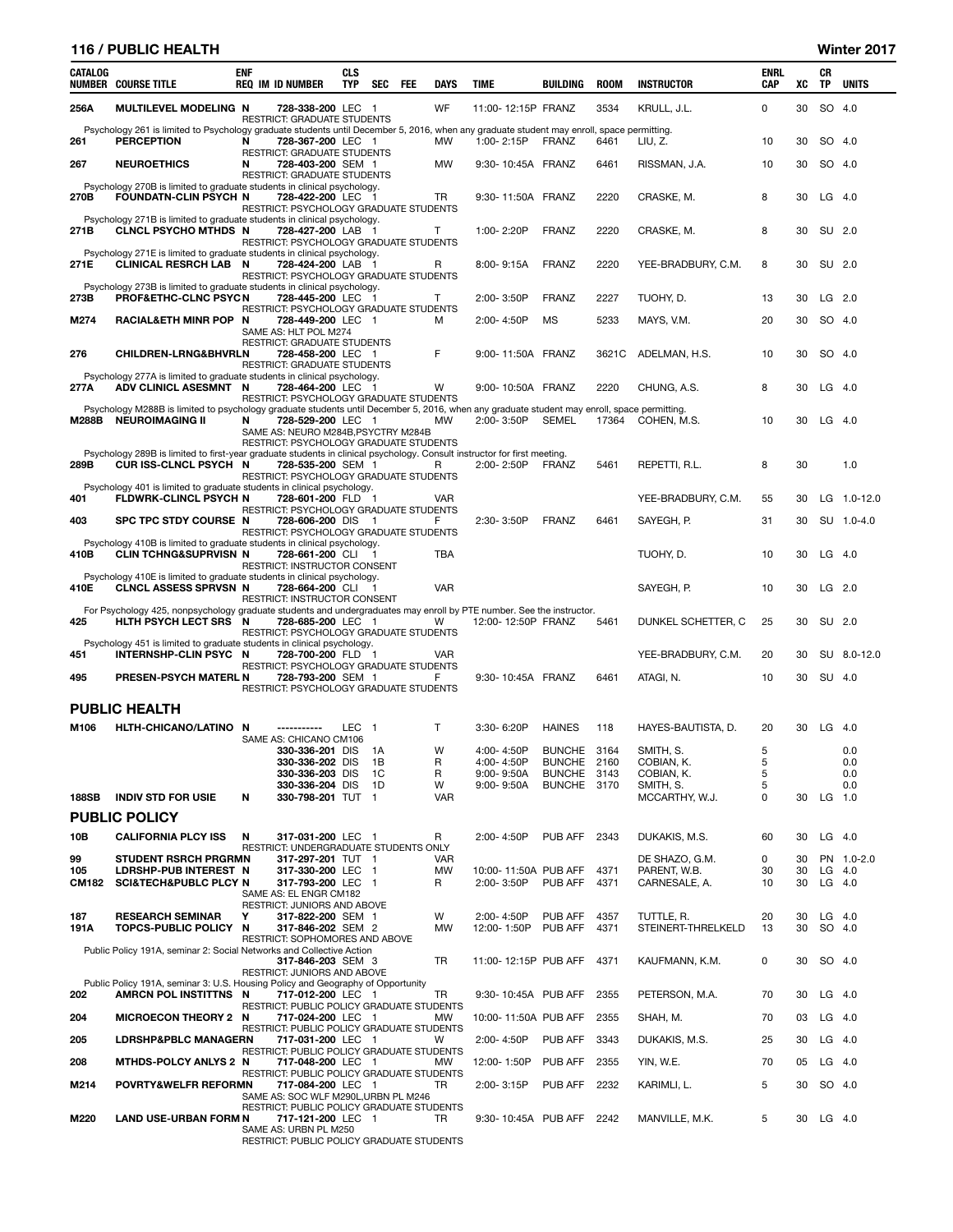## 116 / PUBLIC HEALTH Winter 2017

| CATALOG      | <b>NUMBER COURSE TITLE</b>                                                                                                                                     | <b>ENF</b> | <b>REQ IM ID NUMBER</b>                                                                             | <b>CLS</b><br><b>TYP</b> | <b>SEC</b> | <b>FEE</b> | <b>DAYS</b>  | <b>TIME</b>               | <b>BUILDING</b>            | <b>ROOM</b>  | <b>INSTRUCTOR</b>                | <b>ENRL</b><br><b>CAP</b> | XC       | CR<br>TP  | <b>UNITS</b> |
|--------------|----------------------------------------------------------------------------------------------------------------------------------------------------------------|------------|-----------------------------------------------------------------------------------------------------|--------------------------|------------|------------|--------------|---------------------------|----------------------------|--------------|----------------------------------|---------------------------|----------|-----------|--------------|
| 256A         | <b>MULTILEVEL MODELING N</b>                                                                                                                                   |            | 728-338-200 LEC 1<br><b>RESTRICT: GRADUATE STUDENTS</b>                                             |                          |            |            | WF           | 11:00-12:15P FRANZ        |                            | 3534         | KRULL, J.L.                      | 0                         | 30       | <b>SO</b> | -4.0         |
| 261          | Psychology 261 is limited to Psychology graduate students until December 5, 2016, when any graduate student may enroll, space permitting.<br><b>PERCEPTION</b> | N          | 728-367-200 LEC 1                                                                                   |                          |            |            | <b>MW</b>    | 1:00-2:15P                | FRANZ                      | 6461         | LIU, Z.                          | 10                        | 30       | SO 4.0    |              |
| 267          | <b>NEUROETHICS</b>                                                                                                                                             | N          | RESTRICT: GRADUATE STUDENTS<br>728-403-200 SEM 1                                                    |                          |            |            | <b>MW</b>    | 9:30-10:45A FRANZ         |                            | 6461         | RISSMAN, J.A.                    | 10                        | 30       | SO.       | -4.0         |
| 270B         | Psychology 270B is limited to graduate students in clinical psychology.<br><b>FOUNDATN-CLIN PSYCH N</b>                                                        |            | <b>RESTRICT: GRADUATE STUDENTS</b><br>728-422-200 LEC 1                                             |                          |            |            | TR           | 9:30-11:50A FRANZ         |                            | 2220         | CRASKE, M.                       | 8                         | 30       | $LG$ 4.0  |              |
|              | Psychology 271B is limited to graduate students in clinical psychology.                                                                                        |            | RESTRICT: PSYCHOLOGY GRADUATE STUDENTS                                                              |                          |            |            |              |                           |                            |              |                                  |                           |          |           |              |
| 271B         | <b>CLNCL PSYCHO MTHDS N</b>                                                                                                                                    |            | 728-427-200 LAB 1<br>RESTRICT: PSYCHOLOGY GRADUATE STUDENTS                                         |                          |            |            | T            | 1:00-2:20P                | <b>FRANZ</b>               | 2220         | CRASKE, M.                       | 8                         | 30       | SU        | 2.0          |
| 271E         | Psychology 271E is limited to graduate students in clinical psychology.<br><b>CLINICAL RESRCH LAB N</b>                                                        |            | 728-424-200 LAB 1<br>RESTRICT: PSYCHOLOGY GRADUATE STUDENTS                                         |                          |            |            | R            | 8:00-9:15A                | FRANZ                      | 2220         | YEE-BRADBURY, C.M.               | 8                         | 30       | SU 2.0    |              |
| 273B         | Psychology 273B is limited to graduate students in clinical psychology.<br>PROF&ETHC-CLNC PSYCN                                                                |            | 728-445-200 LEC 1<br>RESTRICT: PSYCHOLOGY GRADUATE STUDENTS                                         |                          |            |            | т            | 2:00-3:50P                | <b>FRANZ</b>               | 2227         | TUOHY, D.                        | 13                        | 30       |           | $LG$ 2.0     |
| M274         | RACIALÐ MINR POP N                                                                                                                                             |            | 728-449-200 LEC 1<br>SAME AS: HLT POL M274                                                          |                          |            |            | м            | 2:00-4:50P                | <b>MS</b>                  | 5233         | MAYS, V.M.                       | 20                        | 30       | SO 4.0    |              |
| 276          | <b>CHILDREN-LRNG&amp;BHVRLN</b>                                                                                                                                |            | RESTRICT: GRADUATE STUDENTS<br>728-458-200 LEC 1<br>RESTRICT: GRADUATE STUDENTS                     |                          |            |            | F            | 9:00-11:50A FRANZ         |                            | 3621C        | ADELMAN, H.S.                    | 10                        | 30       | SO        | -4.0         |
| 277A         | Psychology 277A is limited to graduate students in clinical psychology.<br>ADV CLINICL ASESMNT N                                                               |            | 728-464-200 LEC 1                                                                                   |                          |            |            | W            | 9:00-10:50A FRANZ         |                            | 2220         | CHUNG, A.S.                      | 8                         | 30       | LG        | -4.0         |
|              | Psychology M288B is limited to psychology graduate students until December 5, 2016, when any graduate student may enroll, space permitting.                    |            | RESTRICT: PSYCHOLOGY GRADUATE STUDENTS                                                              |                          |            |            |              |                           |                            |              |                                  |                           |          |           |              |
| M288B        | <b>NEUROIMAGING II</b>                                                                                                                                         | N          | 728-529-200 LEC 1<br>SAME AS: NEURO M284B, PSYCTRY M284B                                            |                          |            |            | МW           | 2:00-3:50P                | <b>SEMEL</b>               | 17364        | COHEN, M.S.                      | 10                        | 30       | $LG$ 4.0  |              |
|              | Psychology 289B is limited to first-year graduate students in clinical psychology. Consult instructor for first meeting.                                       |            | RESTRICT: PSYCHOLOGY GRADUATE STUDENTS                                                              |                          |            |            |              |                           |                            |              |                                  |                           |          |           |              |
| 289B         | CUR ISS-CLNCL PSYCH N                                                                                                                                          |            | 728-535-200 SEM 1<br>RESTRICT: PSYCHOLOGY GRADUATE STUDENTS                                         |                          |            |            | R            | 2:00-2:50P                | <b>FRANZ</b>               | 5461         | REPETTI, R.L.                    | 8                         | 30       |           | 1.0          |
| 401          | Psychology 401 is limited to graduate students in clinical psychology.<br>FLDWRK-CLINCL PSYCH N                                                                |            | 728-601-200 FLD 1                                                                                   |                          |            |            | <b>VAR</b>   |                           |                            |              | YEE-BRADBURY, C.M.               | 55                        | 30       |           | LG 1.0-12.0  |
| 403          | SPC TPC STDY COURSE N                                                                                                                                          |            | RESTRICT: PSYCHOLOGY GRADUATE STUDENTS<br>728-606-200 DIS<br>RESTRICT: PSYCHOLOGY GRADUATE STUDENTS |                          | - 1        |            | F            | 2:30-3:50P                | <b>FRANZ</b>               | 6461         | SAYEGH, P.                       | 31                        | 30       |           | SU 1.0-4.0   |
| 410B         | Psychology 410B is limited to graduate students in clinical psychology.<br><b>CLIN TCHNG&amp;SUPRVISN N</b>                                                    |            | 728-661-200 CLI 1<br>RESTRICT: INSTRUCTOR CONSENT                                                   |                          |            |            | TBA          |                           |                            |              | TUOHY, D.                        | 10                        | 30       |           | $LG$ 4.0     |
| 410E         | Psychology 410E is limited to graduate students in clinical psychology.<br><b>CLNCL ASSESS SPRVSN N</b>                                                        |            | 728-664-200 CLI<br>RESTRICT: INSTRUCTOR CONSENT                                                     |                          |            |            | <b>VAR</b>   |                           |                            |              | SAYEGH, P.                       | 10                        | 30       | $LG$ 2.0  |              |
| 425          | For Psychology 425, nonpsychology graduate students and undergraduates may enroll by PTE number. See the instructor.<br>HLTH PSYCH LECT SRS N                  |            | 728-685-200 LEC 1                                                                                   |                          |            |            | W            | 12:00-12:50P FRANZ        |                            | 5461         | DUNKEL SCHETTER, C               | 25                        | 30       | SU 2.0    |              |
|              | Psychology 451 is limited to graduate students in clinical psychology.                                                                                         |            | RESTRICT: PSYCHOLOGY GRADUATE STUDENTS                                                              |                          |            |            |              |                           |                            |              |                                  |                           |          |           |              |
| 451          | INTERNSHP-CLIN PSYC N                                                                                                                                          |            | 728-700-200 FLD 1<br>RESTRICT: PSYCHOLOGY GRADUATE STUDENTS                                         |                          |            |            | VAR          | 9:30-10:45A FRANZ         |                            |              | YEE-BRADBURY, C.M.               | 20                        | 30       |           | SU 8.0-12.0  |
| 495          | PRESEN-PSYCH MATERL N                                                                                                                                          |            | 728-793-200 SEM 1<br>RESTRICT: PSYCHOLOGY GRADUATE STUDENTS                                         |                          |            |            | F            |                           |                            | 6461         | ATAGI, N.                        | 10                        | 30       | SU 4.0    |              |
|              | <b>PUBLIC HEALTH</b>                                                                                                                                           |            |                                                                                                     |                          |            |            |              |                           |                            |              |                                  |                           |          |           |              |
| M106         | HLTH-CHICANO/LATINO N                                                                                                                                          |            | -----------<br>SAME AS: CHICANO CM106                                                               | <b>LEC</b>               | - 1        |            | $\mathsf{T}$ | 3:30-6:20P                | <b>HAINES</b>              | 118          | HAYES-BAUTISTA, D.               | 20                        | 30       | LG        | - 4.0        |
|              |                                                                                                                                                                |            | 330-336-201 DIS<br>330-336-202 DIS                                                                  |                          | - 1A<br>1B |            | W<br>R       | 4:00-4:50P<br>4:00-4:50P  | BUNCHE 3164<br>BUNCHE 2160 |              | SMITH, S.<br>COBIAN, K.          | 5<br>5                    |          |           | 0.0<br>0.0   |
|              |                                                                                                                                                                |            | 330-336-203 DIS                                                                                     |                          | 1C         |            | R            | 9:00-9:50A                | BUNCHE 3143                |              | COBIAN, K.                       | 5                         |          |           | 0.0          |
| <b>188SB</b> | <b>INDIV STD FOR USIE</b>                                                                                                                                      | N          | 330-336-204 DIS<br>330-798-201 TUT 1                                                                |                          | 1D         |            | W<br>VAR     | $9:00 - 9:50A$            | BUNCHE 3170                |              | SMITH, S.<br>MCCARTHY, W.J.      | 5<br>0                    | 30       | LG $1.0$  | 0.0          |
|              | <b>PUBLIC POLICY</b>                                                                                                                                           |            |                                                                                                     |                          |            |            |              |                           |                            |              |                                  |                           |          |           |              |
| 10B          | <b>CALIFORNIA PLCY ISS</b>                                                                                                                                     | N          | 317-031-200 LEC 1                                                                                   |                          |            |            | R            | 2:00-4:50P                | PUB AFF                    | 2343         | DUKAKIS, M.S.                    | 60                        | 30       |           | $LG$ 4.0     |
| 99           | <b>STUDENT RSRCH PRGRMN</b>                                                                                                                                    |            | RESTRICT: UNDERGRADUATE STUDENTS ONLY<br>317-297-201 TUT 1                                          |                          |            |            | <b>VAR</b>   |                           |                            |              | DE SHAZO, G.M.                   | 0                         | 30       |           | PN 1.0-2.0   |
| 105          | <b>LDRSHP-PUB INTEREST N</b>                                                                                                                                   |            | 317-330-200 LEC 1                                                                                   |                          |            |            | <b>MW</b>    | 10:00-11:50A PUB AFF      |                            | 4371         | PARENT, W.B.                     | 30                        | 30       |           | $LG$ 4.0     |
| CM182        | <b>SCI&amp;TECH&amp;PUBLC PLCY N</b>                                                                                                                           |            | 317-793-200 LEC 1<br>SAME AS: EL ENGR CM182                                                         |                          |            |            | R            | 2:00-3:50P                | PUB AFF                    | 4371         | CARNESALE, A.                    | 10                        | 30       |           | $LG$ 4.0     |
|              |                                                                                                                                                                |            | RESTRICT: JUNIORS AND ABOVE                                                                         |                          |            |            |              |                           |                            |              |                                  |                           |          |           |              |
| 187<br>191A  | <b>RESEARCH SEMINAR</b><br>TOPCS-PUBLIC POLICY N                                                                                                               | Υ          | 317-822-200 SEM 1<br>317-846-202 SEM 2                                                              |                          |            |            | W<br>MW      | 2:00-4:50P<br>12:00-1:50P | PUB AFF<br>PUB AFF         | 4357<br>4371 | TUTTLE, R.<br>STEINERT-THRELKELD | 20<br>13                  | 30<br>30 | $LG$ 4.0  | SO 4.0       |
|              | Public Policy 191A, seminar 2: Social Networks and Collective Action                                                                                           |            | RESTRICT: SOPHOMORES AND ABOVE                                                                      |                          |            |            |              |                           |                            |              |                                  |                           |          |           |              |
|              |                                                                                                                                                                |            | 317-846-203 SEM 3<br>RESTRICT: JUNIORS AND ABOVE                                                    |                          |            |            | <b>TR</b>    | 11:00-12:15P PUB AFF      |                            | 4371         | KAUFMANN, K.M.                   | 0                         | 30       | SO 4.0    |              |
| 202          | Public Policy 191A, seminar 3: U.S. Housing Policy and Geography of Opportunity<br>AMRCN POL INSTITTNS N                                                       |            | 717-012-200 LEC 1                                                                                   |                          |            |            | TR           | 9:30-10:45A PUB AFF       |                            | 2355         | PETERSON, M.A.                   | 70                        | 30       | $LG$ 4.0  |              |
| 204          | <b>MICROECON THEORY 2 N</b>                                                                                                                                    |            | RESTRICT: PUBLIC POLICY GRADUATE STUDENTS<br>717-024-200 LEC 1                                      |                          |            |            | МW           | 10:00-11:50A PUB AFF      |                            | 2355         | SHAH, M.                         | 70                        | 03       | LG 4.0    |              |
| 205          | <b>LDRSHP&amp;PBLC MANAGERN</b>                                                                                                                                |            | RESTRICT: PUBLIC POLICY GRADUATE STUDENTS<br>717-031-200 LEC 1                                      |                          |            |            | W            | 2:00-4:50P                | PUB AFF                    | 3343         | DUKAKIS, M.S.                    | 25                        | 30       | $LG$ 4.0  |              |
| 208          | MTHDS-POLCY ANLYS 2 N                                                                                                                                          |            | RESTRICT: PUBLIC POLICY GRADUATE STUDENTS<br>717-048-200 LEC 1                                      |                          |            |            | МW           | 12:00-1:50P               | PUB AFF                    | 2355         | YIN, W.E.                        | 70                        | 05       | $LG$ 4.0  |              |
| M214         | POVRTY&WELFR REFORMN                                                                                                                                           |            | RESTRICT: PUBLIC POLICY GRADUATE STUDENTS<br>717-084-200 LEC 1                                      |                          |            |            | TR           | 2:00-3:15P                | PUB AFF                    | 2232         | KARIMLI, L.                      | 5                         | 30       | SO 4.0    |              |
|              |                                                                                                                                                                |            | SAME AS: SOC WLF M290L, URBN PL M246<br>RESTRICT: PUBLIC POLICY GRADUATE STUDENTS                   |                          |            |            |              |                           |                            |              |                                  |                           |          |           |              |
| M220         | <b>LAND USE-URBAN FORM N</b>                                                                                                                                   |            | 717-121-200 LEC 1<br>SAME AS: URBN PL M250<br>RESTRICT: PUBLIC POLICY GRADUATE STUDENTS             |                          |            |            | TR.          | 9:30-10:45A PUB AFF 2242  |                            |              | MANVILLE, M.K.                   | 5                         | 30       | $LG$ 4.0  |              |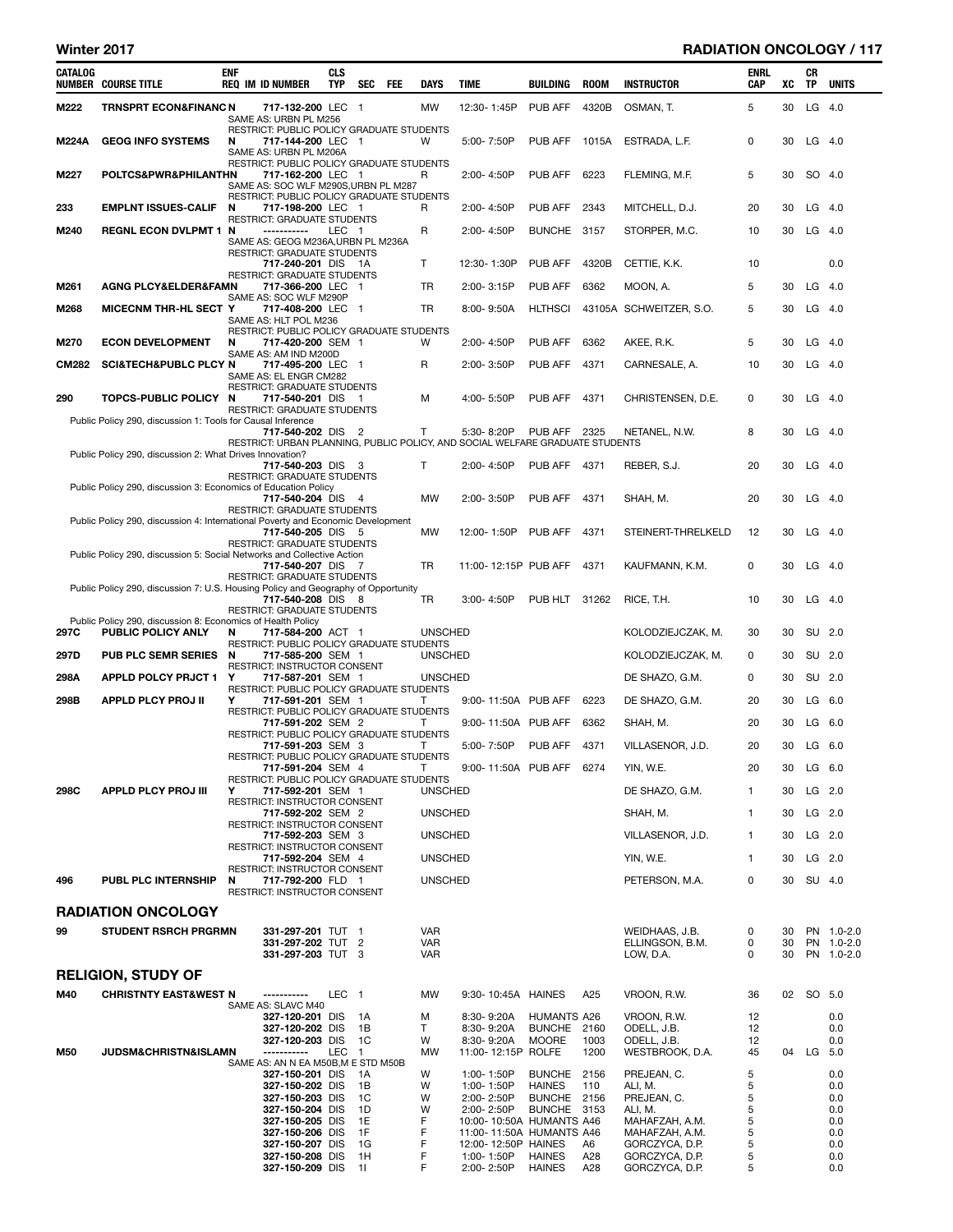# Winter 2017 **RADIATION ONCOLOGY** / 117

| $LG$ 4.0<br>M222<br><b>TRNSPRT ECON&amp;FINANC N</b><br>717-132-200 LEC 1<br><b>MW</b><br>12:30-1:45P<br>PUB AFF<br>4320B<br>OSMAN, T.<br>5<br>30<br>SAME AS: URBN PL M256<br>RESTRICT: PUBLIC POLICY GRADUATE STUDENTS<br><b>M224A</b><br><b>GEOG INFO SYSTEMS</b><br>PUB AFF<br>1015A<br>ESTRADA, L.F.<br>0<br>30<br>$LG$ 4.0<br>N<br>W<br>5:00-7:50P<br>717-144-200 LEC 1<br>SAME AS: URBN PL M206A<br>RESTRICT: PUBLIC POLICY GRADUATE STUDENTS<br>POLTCS&PWR&PHILANTHN<br>PUB AFF<br>6223<br>FLEMING, M.F.<br>5<br>30<br>SO 4.0<br>M227<br>717-162-200 LEC 1<br>2:00-4:50P<br>R<br>SAME AS: SOC WLF M290S, URBN PL M287<br>RESTRICT: PUBLIC POLICY GRADUATE STUDENTS<br>233<br><b>EMPLNT ISSUES-CALIF</b><br>2:00-4:50P<br>PUB AFF<br>2343<br>MITCHELL, D.J.<br>20<br>30<br>$LG$ 4.0<br>N<br>717-198-200 LEC 1<br>R<br>RESTRICT: GRADUATE STUDENTS<br><b>REGNL ECON DVLPMT 1 N</b><br>R<br>STORPER, M.C.<br>30<br>$LG$ 4.0<br>M240<br>LEC 1<br>2:00-4:50P<br>BUNCHE 3157<br>10<br>-----------<br>SAME AS: GEOG M236A, URBN PL M236A<br><b>RESTRICT: GRADUATE STUDENTS</b><br>$\mathsf{T}$<br>PUB AFF<br>4320B<br>10<br>0.0<br>717-240-201 DIS 1A<br>12:30-1:30P<br>CETTIE, K.K.<br>RESTRICT: GRADUATE STUDENTS<br><b>AGNG PLCY&amp;ELDER&amp;FAMN</b><br><b>TR</b><br>PUB AFF<br>6362<br>MOON, A.<br>$LG$ 4.0<br>M261<br>717-366-200 LEC 1<br>$2:00 - 3:15P$<br>5<br>30<br>SAME AS: SOC WLF M290P<br>$LG$ 4.0<br>M268<br>TR<br><b>HLTHSCI</b><br>43105A SCHWEITZER, S.O.<br>30<br><b>MICECNM THR-HL SECT Y</b><br>717-408-200 LEC 1<br>$8:00 - 9:50A$<br>5<br>SAME AS: HLT POL M236<br>RESTRICT: PUBLIC POLICY GRADUATE STUDENTS<br>PUB AFF<br>6362<br>AKEE, R.K.<br>$LG$ 4.0<br>M270<br><b>ECON DEVELOPMENT</b><br>N<br>717-420-200 SEM 1<br>W<br>2:00-4:50P<br>5<br>30<br>SAME AS: AM IND M200D<br><b>CM282</b><br><b>SCI&amp;TECH&amp;PUBLC PLCY N</b><br>R<br>PUB AFF<br>4371<br>10<br>30<br>$LG$ 4.0<br>717-495-200 LEC 1<br>2:00-3:50P<br>CARNESALE, A.<br>SAME AS: EL ENGR CM282<br>RESTRICT: GRADUATE STUDENTS<br>TOPCS-PUBLIC POLICY N<br>PUB AFF<br>4371<br>30<br>$LG$ 4.0<br>290<br>717-540-201 DIS 1<br>M<br>4:00-5:50P<br>CHRISTENSEN, D.E.<br>0<br><b>RESTRICT: GRADUATE STUDENTS</b><br>Public Policy 290, discussion 1: Tools for Causal Inference<br>717-540-202 DIS 2<br>Τ<br>5:30-8:20P<br>PUB AFF<br>2325<br>30<br>$LG$ 4.0<br>NETANEL, N.W.<br>8<br>RESTRICT: URBAN PLANNING, PUBLIC POLICY, AND SOCIAL WELFARE GRADUATE STUDENTS<br>Public Policy 290, discussion 2: What Drives Innovation?<br>T<br>2:00-4:50P<br>PUB AFF 4371<br>30<br>$LG$ 4.0<br>717-540-203 DIS 3<br>REBER, S.J.<br>20<br>RESTRICT: GRADUATE STUDENTS<br>Public Policy 290, discussion 3: Economics of Education Policy<br><b>MW</b><br>20<br>30<br>$LG$ 4.0<br>717-540-204 DIS 4<br>$2:00 - 3:50P$<br>PUB AFF<br>4371<br>SHAH, M.<br><b>RESTRICT: GRADUATE STUDENTS</b><br>Public Policy 290, discussion 4: International Poverty and Economic Development<br>MW<br>PUB AFF<br>4371<br>STEINERT-THRELKELD<br>12<br>30<br>$LG$ 4.0<br>717-540-205 DIS 5<br>12:00-1:50P<br>RESTRICT: GRADUATE STUDENTS<br>Public Policy 290, discussion 5: Social Networks and Collective Action<br><b>TR</b><br>30<br>$LG$ 4.0<br>11:00-12:15P PUB AFF<br>4371<br>KAUFMANN, K.M.<br>0<br>717-540-207 DIS 7<br>RESTRICT: GRADUATE STUDENTS<br>Public Policy 290, discussion 7: U.S. Housing Policy and Geography of Opportunity<br>TR<br>PUB HLT 31262<br>RICE, T.H.<br>$LG$ 4.0<br>717-540-208 DIS 8<br>$3:00 - 4:50P$<br>10<br>30<br>RESTRICT: GRADUATE STUDENTS<br>Public Policy 290, discussion 8: Economics of Health Policy<br>297C<br>PUBLIC POLICY ANLY<br>SU 2.0<br>717-584-200 ACT 1<br><b>UNSCHED</b><br>KOLODZIEJCZAK, M.<br>30<br>30<br>N<br>RESTRICT: PUBLIC POLICY GRADUATE STUDENTS<br>297D<br><b>PUB PLC SEMR SERIES</b><br>KOLODZIEJCZAK, M.<br>SU 2.0<br>N<br>717-585-200 SEM 1<br><b>UNSCHED</b><br>0<br>30<br>RESTRICT: INSTRUCTOR CONSENT<br>SU 2.0<br>298A<br><b>APPLD POLCY PRJCT 1</b><br><b>UNSCHED</b><br>Y<br>DE SHAZO, G.M.<br>0<br>30<br>717-587-201 SEM 1<br>RESTRICT: PUBLIC POLICY GRADUATE STUDENTS<br>298B<br><b>APPLD PLCY PROJ II</b><br>Υ<br>9:00-11:50A PUB AFF<br>6223<br>DE SHAZO, G.M.<br>30<br>$LG$ 6.0<br>717-591-201 SEM 1<br>20<br>Т<br>RESTRICT: PUBLIC POLICY GRADUATE STUDENTS<br>30<br>$LG$ 6.0<br>717-591-202 SEM 2<br>T<br>9:00-11:50A PUB AFF<br>6362<br>SHAH, M.<br>20<br>RESTRICT: PUBLIC POLICY GRADUATE STUDENTS<br>5:00-7:50P<br>PUB AFF<br>4371<br>20<br>30<br>$LG$ 6.0<br>717-591-203 SEM 3<br>VILLASENOR, J.D.<br>T<br>RESTRICT: PUBLIC POLICY GRADUATE STUDENTS<br>717-591-204 SEM 4<br>Τ<br>9:00-11:50A PUB AFF 6274<br>YIN, W.E.<br>20<br>30<br>$LG$ 6.0<br>RESTRICT: PUBLIC POLICY GRADUATE STUDENTS<br>717-592-201 SEM 1<br><b>UNSCHED</b><br>DE SHAZO, G.M.<br>30<br>$LG$ 2.0<br>298C<br>APPLD PLCY PROJ III<br>Y<br>$\mathbf{1}$<br>RESTRICT: INSTRUCTOR CONSENT<br><b>UNSCHED</b><br>$\mathbf{1}$<br>$LG$ 2.0<br>717-592-202 SEM 2<br>SHAH, M.<br>30<br>RESTRICT: INSTRUCTOR CONSENT<br><b>UNSCHED</b><br>VILLASENOR, J.D.<br>30<br>$LG$ 2.0<br>717-592-203 SEM 3<br>1<br>RESTRICT: INSTRUCTOR CONSENT<br><b>UNSCHED</b><br>YIN, W.E.<br>$LG$ 2.0<br>717-592-204 SEM 4<br>$\mathbf{1}$<br>30<br>RESTRICT: INSTRUCTOR CONSENT<br>496<br>PETERSON, M.A.<br>0<br>SU 4.0<br><b>PUBL PLC INTERNSHIP</b><br>717-792-200 FLD 1<br><b>UNSCHED</b><br>30<br>N<br>RESTRICT: INSTRUCTOR CONSENT<br><b>RADIATION ONCOLOGY</b><br>99<br><b>STUDENT RSRCH PRGRMN</b><br>331-297-201 TUT 1<br><b>VAR</b><br>WEIDHAAS, J.B.<br>PN 1.0-2.0<br>0<br>30<br>331-297-202 TUT 2<br><b>VAR</b><br>ELLINGSON, B.M.<br>0<br>30<br>PN 1.0-2.0<br>331-297-203 TUT 3<br><b>VAR</b><br>LOW, D.A.<br>0<br>30<br>PN 1.0-2.0<br><b>RELIGION, STUDY OF</b><br>M40<br><b>CHRISTNTY EAST&amp;WEST N</b><br>LEC 1<br>MW<br>9:30-10:45A HAINES<br>A25<br>VROON, R.W.<br>02<br>SO 5.0<br>36<br>-----------<br>SAME AS: SLAVC M40<br>0.0<br>327-120-201 DIS<br>- 1A<br>М<br>8:30-9:20A<br>HUMANTS A26<br>vroon, R.W.<br>12<br>Τ<br>8:30-9:20A<br><b>BUNCHE</b><br>ODELL, J.B.<br>0.0<br>327-120-202 DIS<br>1B<br>2160<br>12<br>327-120-203 DIS<br>1C<br>W<br>8:30-9:20A<br><b>MOORE</b><br>ODELL, J.B.<br>0.0<br>1003<br>12<br>JUDSM&CHRISTN&ISLAMN<br>LEC 1<br><b>MW</b><br>11:00-12:15P ROLFE<br>1200<br>WESTBROOK, D.A.<br>45<br>04 LG 5.0<br>M50<br>-----------<br>SAME AS: AN N EA M50B, M E STD M50B<br>W<br><b>BUNCHE</b><br>2156<br>5<br>0.0<br>327-150-201 DIS<br>1:00-1:50P<br>PREJEAN, C.<br>- 1 A<br>W<br><b>HAINES</b><br>5<br>327-150-202 DIS<br>1:00-1:50P<br>110<br>ALI, M.<br>0.0<br>1B<br>5<br>W<br><b>BUNCHE</b><br>2156<br>PREJEAN, C.<br>327-150-203 DIS<br>1C<br>2:00-2:50P<br>0.0<br>W<br>2:00-2:50P<br><b>BUNCHE</b><br>ALI, M.<br>5<br>327-150-204 DIS<br>1D<br>3153<br>0.0<br>F<br>5<br>1E<br>327-150-205 DIS<br>10:00-10:50A HUMANTS A46<br>MAHAFZAH, A.M.<br>0.0<br>F<br>5<br>1F<br>327-150-206 DIS<br>11:00-11:50A HUMANTS A46<br>MAHAFZAH, A.M.<br>0.0<br>F<br>5<br>1G<br>327-150-207 DIS<br>12:00-12:50P HAINES<br>A6<br>GORCZYCA, D.P.<br>0.0<br>F<br><b>HAINES</b><br>A28<br>GORCZYCA, D.P.<br>5<br>327-150-208 DIS<br>1H<br>1:00-1:50P<br>0.0<br>327-150-209 DIS | CATALOG | <b>NUMBER COURSE TITLE</b> | <b>ENF</b> | <b>REQ IM ID NUMBER</b> | <b>CLS</b><br><b>TYP</b> | SEC | FEE | DAYS | TIME       | BUILDING      | <b>ROOM</b> | <b>INSTRUCTOR</b> | ENRL<br>CAP | XC | CR<br><b>TP</b> | <b>UNITS</b> |
|-----------------------------------------------------------------------------------------------------------------------------------------------------------------------------------------------------------------------------------------------------------------------------------------------------------------------------------------------------------------------------------------------------------------------------------------------------------------------------------------------------------------------------------------------------------------------------------------------------------------------------------------------------------------------------------------------------------------------------------------------------------------------------------------------------------------------------------------------------------------------------------------------------------------------------------------------------------------------------------------------------------------------------------------------------------------------------------------------------------------------------------------------------------------------------------------------------------------------------------------------------------------------------------------------------------------------------------------------------------------------------------------------------------------------------------------------------------------------------------------------------------------------------------------------------------------------------------------------------------------------------------------------------------------------------------------------------------------------------------------------------------------------------------------------------------------------------------------------------------------------------------------------------------------------------------------------------------------------------------------------------------------------------------------------------------------------------------------------------------------------------------------------------------------------------------------------------------------------------------------------------------------------------------------------------------------------------------------------------------------------------------------------------------------------------------------------------------------------------------------------------------------------------------------------------------------------------------------------------------------------------------------------------------------------------------------------------------------------------------------------------------------------------------------------------------------------------------------------------------------------------------------------------------------------------------------------------------------------------------------------------------------------------------------------------------------------------------------------------------------------------------------------------------------------------------------------------------------------------------------------------------------------------------------------------------------------------------------------------------------------------------------------------------------------------------------------------------------------------------------------------------------------------------------------------------------------------------------------------------------------------------------------------------------------------------------------------------------------------------------------------------------------------------------------------------------------------------------------------------------------------------------------------------------------------------------------------------------------------------------------------------------------------------------------------------------------------------------------------------------------------------------------------------------------------------------------------------------------------------------------------------------------------------------------------------------------------------------------------------------------------------------------------------------------------------------------------------------------------------------------------------------------------------------------------------------------------------------------------------------------------------------------------------------------------------------------------------------------------------------------------------------------------------------------------------------------------------------------------------------------------------------------------------------------------------------------------------------------------------------------------------------------------------------------------------------------------------------------------------------------------------------------------------------------------------------------------------------------------------------------------------------------------------------------------------------------------------------------------------------------------------------------------------------------------------------------------------------------------------------------------------------------------------------------------------------------------------------------------------------------------------------------------------------------------------------------------------------------------------------------------------------------------------------------------------------------------------------------------------------------------------------------------------------------------------------------------------------------------------------------------------------------------------------------------------------------------------------------------------------------------------------------------------------------------------------------------------------------------------------------------------------------------------------------------------------------------------------------------------------------------------------------------------------------------------------------------------------------------------------------------------------------------------------------------------------------------------------------------------------------------------------------------------------------------------------------------------------------------------------------------------------------------------------------------------------------------------------------------------------------------------------------------------------------------------------------------------------------------------------------------------------------------------------------------------------------------------------------------------------------------------------------------------------------------------------------------------------|---------|----------------------------|------------|-------------------------|--------------------------|-----|-----|------|------------|---------------|-------------|-------------------|-------------|----|-----------------|--------------|
|                                                                                                                                                                                                                                                                                                                                                                                                                                                                                                                                                                                                                                                                                                                                                                                                                                                                                                                                                                                                                                                                                                                                                                                                                                                                                                                                                                                                                                                                                                                                                                                                                                                                                                                                                                                                                                                                                                                                                                                                                                                                                                                                                                                                                                                                                                                                                                                                                                                                                                                                                                                                                                                                                                                                                                                                                                                                                                                                                                                                                                                                                                                                                                                                                                                                                                                                                                                                                                                                                                                                                                                                                                                                                                                                                                                                                                                                                                                                                                                                                                                                                                                                                                                                                                                                                                                                                                                                                                                                                                                                                                                                                                                                                                                                                                                                                                                                                                                                                                                                                                                                                                                                                                                                                                                                                                                                                                                                                                                                                                                                                                                                                                                                                                                                                                                                                                                                                                                                                                                                                                                                                                                                                                                                                                                                                                                                                                                                                                                                                                                                                                                                                                                                                                                                                                                                                                                                                                                                                                                                                                                                                                                                                                                                                 |         |                            |            |                         |                          |     |     |      |            |               |             |                   |             |    |                 |              |
|                                                                                                                                                                                                                                                                                                                                                                                                                                                                                                                                                                                                                                                                                                                                                                                                                                                                                                                                                                                                                                                                                                                                                                                                                                                                                                                                                                                                                                                                                                                                                                                                                                                                                                                                                                                                                                                                                                                                                                                                                                                                                                                                                                                                                                                                                                                                                                                                                                                                                                                                                                                                                                                                                                                                                                                                                                                                                                                                                                                                                                                                                                                                                                                                                                                                                                                                                                                                                                                                                                                                                                                                                                                                                                                                                                                                                                                                                                                                                                                                                                                                                                                                                                                                                                                                                                                                                                                                                                                                                                                                                                                                                                                                                                                                                                                                                                                                                                                                                                                                                                                                                                                                                                                                                                                                                                                                                                                                                                                                                                                                                                                                                                                                                                                                                                                                                                                                                                                                                                                                                                                                                                                                                                                                                                                                                                                                                                                                                                                                                                                                                                                                                                                                                                                                                                                                                                                                                                                                                                                                                                                                                                                                                                                                                 |         |                            |            |                         |                          |     |     |      |            |               |             |                   |             |    |                 |              |
|                                                                                                                                                                                                                                                                                                                                                                                                                                                                                                                                                                                                                                                                                                                                                                                                                                                                                                                                                                                                                                                                                                                                                                                                                                                                                                                                                                                                                                                                                                                                                                                                                                                                                                                                                                                                                                                                                                                                                                                                                                                                                                                                                                                                                                                                                                                                                                                                                                                                                                                                                                                                                                                                                                                                                                                                                                                                                                                                                                                                                                                                                                                                                                                                                                                                                                                                                                                                                                                                                                                                                                                                                                                                                                                                                                                                                                                                                                                                                                                                                                                                                                                                                                                                                                                                                                                                                                                                                                                                                                                                                                                                                                                                                                                                                                                                                                                                                                                                                                                                                                                                                                                                                                                                                                                                                                                                                                                                                                                                                                                                                                                                                                                                                                                                                                                                                                                                                                                                                                                                                                                                                                                                                                                                                                                                                                                                                                                                                                                                                                                                                                                                                                                                                                                                                                                                                                                                                                                                                                                                                                                                                                                                                                                                                 |         |                            |            |                         |                          |     |     |      |            |               |             |                   |             |    |                 |              |
|                                                                                                                                                                                                                                                                                                                                                                                                                                                                                                                                                                                                                                                                                                                                                                                                                                                                                                                                                                                                                                                                                                                                                                                                                                                                                                                                                                                                                                                                                                                                                                                                                                                                                                                                                                                                                                                                                                                                                                                                                                                                                                                                                                                                                                                                                                                                                                                                                                                                                                                                                                                                                                                                                                                                                                                                                                                                                                                                                                                                                                                                                                                                                                                                                                                                                                                                                                                                                                                                                                                                                                                                                                                                                                                                                                                                                                                                                                                                                                                                                                                                                                                                                                                                                                                                                                                                                                                                                                                                                                                                                                                                                                                                                                                                                                                                                                                                                                                                                                                                                                                                                                                                                                                                                                                                                                                                                                                                                                                                                                                                                                                                                                                                                                                                                                                                                                                                                                                                                                                                                                                                                                                                                                                                                                                                                                                                                                                                                                                                                                                                                                                                                                                                                                                                                                                                                                                                                                                                                                                                                                                                                                                                                                                                                 |         |                            |            |                         |                          |     |     |      |            |               |             |                   |             |    |                 |              |
|                                                                                                                                                                                                                                                                                                                                                                                                                                                                                                                                                                                                                                                                                                                                                                                                                                                                                                                                                                                                                                                                                                                                                                                                                                                                                                                                                                                                                                                                                                                                                                                                                                                                                                                                                                                                                                                                                                                                                                                                                                                                                                                                                                                                                                                                                                                                                                                                                                                                                                                                                                                                                                                                                                                                                                                                                                                                                                                                                                                                                                                                                                                                                                                                                                                                                                                                                                                                                                                                                                                                                                                                                                                                                                                                                                                                                                                                                                                                                                                                                                                                                                                                                                                                                                                                                                                                                                                                                                                                                                                                                                                                                                                                                                                                                                                                                                                                                                                                                                                                                                                                                                                                                                                                                                                                                                                                                                                                                                                                                                                                                                                                                                                                                                                                                                                                                                                                                                                                                                                                                                                                                                                                                                                                                                                                                                                                                                                                                                                                                                                                                                                                                                                                                                                                                                                                                                                                                                                                                                                                                                                                                                                                                                                                                 |         |                            |            |                         |                          |     |     |      |            |               |             |                   |             |    |                 |              |
|                                                                                                                                                                                                                                                                                                                                                                                                                                                                                                                                                                                                                                                                                                                                                                                                                                                                                                                                                                                                                                                                                                                                                                                                                                                                                                                                                                                                                                                                                                                                                                                                                                                                                                                                                                                                                                                                                                                                                                                                                                                                                                                                                                                                                                                                                                                                                                                                                                                                                                                                                                                                                                                                                                                                                                                                                                                                                                                                                                                                                                                                                                                                                                                                                                                                                                                                                                                                                                                                                                                                                                                                                                                                                                                                                                                                                                                                                                                                                                                                                                                                                                                                                                                                                                                                                                                                                                                                                                                                                                                                                                                                                                                                                                                                                                                                                                                                                                                                                                                                                                                                                                                                                                                                                                                                                                                                                                                                                                                                                                                                                                                                                                                                                                                                                                                                                                                                                                                                                                                                                                                                                                                                                                                                                                                                                                                                                                                                                                                                                                                                                                                                                                                                                                                                                                                                                                                                                                                                                                                                                                                                                                                                                                                                                 |         |                            |            |                         |                          |     |     |      |            |               |             |                   |             |    |                 |              |
|                                                                                                                                                                                                                                                                                                                                                                                                                                                                                                                                                                                                                                                                                                                                                                                                                                                                                                                                                                                                                                                                                                                                                                                                                                                                                                                                                                                                                                                                                                                                                                                                                                                                                                                                                                                                                                                                                                                                                                                                                                                                                                                                                                                                                                                                                                                                                                                                                                                                                                                                                                                                                                                                                                                                                                                                                                                                                                                                                                                                                                                                                                                                                                                                                                                                                                                                                                                                                                                                                                                                                                                                                                                                                                                                                                                                                                                                                                                                                                                                                                                                                                                                                                                                                                                                                                                                                                                                                                                                                                                                                                                                                                                                                                                                                                                                                                                                                                                                                                                                                                                                                                                                                                                                                                                                                                                                                                                                                                                                                                                                                                                                                                                                                                                                                                                                                                                                                                                                                                                                                                                                                                                                                                                                                                                                                                                                                                                                                                                                                                                                                                                                                                                                                                                                                                                                                                                                                                                                                                                                                                                                                                                                                                                                                 |         |                            |            |                         |                          |     |     |      |            |               |             |                   |             |    |                 |              |
|                                                                                                                                                                                                                                                                                                                                                                                                                                                                                                                                                                                                                                                                                                                                                                                                                                                                                                                                                                                                                                                                                                                                                                                                                                                                                                                                                                                                                                                                                                                                                                                                                                                                                                                                                                                                                                                                                                                                                                                                                                                                                                                                                                                                                                                                                                                                                                                                                                                                                                                                                                                                                                                                                                                                                                                                                                                                                                                                                                                                                                                                                                                                                                                                                                                                                                                                                                                                                                                                                                                                                                                                                                                                                                                                                                                                                                                                                                                                                                                                                                                                                                                                                                                                                                                                                                                                                                                                                                                                                                                                                                                                                                                                                                                                                                                                                                                                                                                                                                                                                                                                                                                                                                                                                                                                                                                                                                                                                                                                                                                                                                                                                                                                                                                                                                                                                                                                                                                                                                                                                                                                                                                                                                                                                                                                                                                                                                                                                                                                                                                                                                                                                                                                                                                                                                                                                                                                                                                                                                                                                                                                                                                                                                                                                 |         |                            |            |                         |                          |     |     |      |            |               |             |                   |             |    |                 |              |
|                                                                                                                                                                                                                                                                                                                                                                                                                                                                                                                                                                                                                                                                                                                                                                                                                                                                                                                                                                                                                                                                                                                                                                                                                                                                                                                                                                                                                                                                                                                                                                                                                                                                                                                                                                                                                                                                                                                                                                                                                                                                                                                                                                                                                                                                                                                                                                                                                                                                                                                                                                                                                                                                                                                                                                                                                                                                                                                                                                                                                                                                                                                                                                                                                                                                                                                                                                                                                                                                                                                                                                                                                                                                                                                                                                                                                                                                                                                                                                                                                                                                                                                                                                                                                                                                                                                                                                                                                                                                                                                                                                                                                                                                                                                                                                                                                                                                                                                                                                                                                                                                                                                                                                                                                                                                                                                                                                                                                                                                                                                                                                                                                                                                                                                                                                                                                                                                                                                                                                                                                                                                                                                                                                                                                                                                                                                                                                                                                                                                                                                                                                                                                                                                                                                                                                                                                                                                                                                                                                                                                                                                                                                                                                                                                 |         |                            |            |                         |                          |     |     |      |            |               |             |                   |             |    |                 |              |
|                                                                                                                                                                                                                                                                                                                                                                                                                                                                                                                                                                                                                                                                                                                                                                                                                                                                                                                                                                                                                                                                                                                                                                                                                                                                                                                                                                                                                                                                                                                                                                                                                                                                                                                                                                                                                                                                                                                                                                                                                                                                                                                                                                                                                                                                                                                                                                                                                                                                                                                                                                                                                                                                                                                                                                                                                                                                                                                                                                                                                                                                                                                                                                                                                                                                                                                                                                                                                                                                                                                                                                                                                                                                                                                                                                                                                                                                                                                                                                                                                                                                                                                                                                                                                                                                                                                                                                                                                                                                                                                                                                                                                                                                                                                                                                                                                                                                                                                                                                                                                                                                                                                                                                                                                                                                                                                                                                                                                                                                                                                                                                                                                                                                                                                                                                                                                                                                                                                                                                                                                                                                                                                                                                                                                                                                                                                                                                                                                                                                                                                                                                                                                                                                                                                                                                                                                                                                                                                                                                                                                                                                                                                                                                                                                 |         |                            |            |                         |                          |     |     |      |            |               |             |                   |             |    |                 |              |
|                                                                                                                                                                                                                                                                                                                                                                                                                                                                                                                                                                                                                                                                                                                                                                                                                                                                                                                                                                                                                                                                                                                                                                                                                                                                                                                                                                                                                                                                                                                                                                                                                                                                                                                                                                                                                                                                                                                                                                                                                                                                                                                                                                                                                                                                                                                                                                                                                                                                                                                                                                                                                                                                                                                                                                                                                                                                                                                                                                                                                                                                                                                                                                                                                                                                                                                                                                                                                                                                                                                                                                                                                                                                                                                                                                                                                                                                                                                                                                                                                                                                                                                                                                                                                                                                                                                                                                                                                                                                                                                                                                                                                                                                                                                                                                                                                                                                                                                                                                                                                                                                                                                                                                                                                                                                                                                                                                                                                                                                                                                                                                                                                                                                                                                                                                                                                                                                                                                                                                                                                                                                                                                                                                                                                                                                                                                                                                                                                                                                                                                                                                                                                                                                                                                                                                                                                                                                                                                                                                                                                                                                                                                                                                                                                 |         |                            |            |                         |                          |     |     |      |            |               |             |                   |             |    |                 |              |
|                                                                                                                                                                                                                                                                                                                                                                                                                                                                                                                                                                                                                                                                                                                                                                                                                                                                                                                                                                                                                                                                                                                                                                                                                                                                                                                                                                                                                                                                                                                                                                                                                                                                                                                                                                                                                                                                                                                                                                                                                                                                                                                                                                                                                                                                                                                                                                                                                                                                                                                                                                                                                                                                                                                                                                                                                                                                                                                                                                                                                                                                                                                                                                                                                                                                                                                                                                                                                                                                                                                                                                                                                                                                                                                                                                                                                                                                                                                                                                                                                                                                                                                                                                                                                                                                                                                                                                                                                                                                                                                                                                                                                                                                                                                                                                                                                                                                                                                                                                                                                                                                                                                                                                                                                                                                                                                                                                                                                                                                                                                                                                                                                                                                                                                                                                                                                                                                                                                                                                                                                                                                                                                                                                                                                                                                                                                                                                                                                                                                                                                                                                                                                                                                                                                                                                                                                                                                                                                                                                                                                                                                                                                                                                                                                 |         |                            |            |                         |                          |     |     |      |            |               |             |                   |             |    |                 |              |
|                                                                                                                                                                                                                                                                                                                                                                                                                                                                                                                                                                                                                                                                                                                                                                                                                                                                                                                                                                                                                                                                                                                                                                                                                                                                                                                                                                                                                                                                                                                                                                                                                                                                                                                                                                                                                                                                                                                                                                                                                                                                                                                                                                                                                                                                                                                                                                                                                                                                                                                                                                                                                                                                                                                                                                                                                                                                                                                                                                                                                                                                                                                                                                                                                                                                                                                                                                                                                                                                                                                                                                                                                                                                                                                                                                                                                                                                                                                                                                                                                                                                                                                                                                                                                                                                                                                                                                                                                                                                                                                                                                                                                                                                                                                                                                                                                                                                                                                                                                                                                                                                                                                                                                                                                                                                                                                                                                                                                                                                                                                                                                                                                                                                                                                                                                                                                                                                                                                                                                                                                                                                                                                                                                                                                                                                                                                                                                                                                                                                                                                                                                                                                                                                                                                                                                                                                                                                                                                                                                                                                                                                                                                                                                                                                 |         |                            |            |                         |                          |     |     |      |            |               |             |                   |             |    |                 |              |
|                                                                                                                                                                                                                                                                                                                                                                                                                                                                                                                                                                                                                                                                                                                                                                                                                                                                                                                                                                                                                                                                                                                                                                                                                                                                                                                                                                                                                                                                                                                                                                                                                                                                                                                                                                                                                                                                                                                                                                                                                                                                                                                                                                                                                                                                                                                                                                                                                                                                                                                                                                                                                                                                                                                                                                                                                                                                                                                                                                                                                                                                                                                                                                                                                                                                                                                                                                                                                                                                                                                                                                                                                                                                                                                                                                                                                                                                                                                                                                                                                                                                                                                                                                                                                                                                                                                                                                                                                                                                                                                                                                                                                                                                                                                                                                                                                                                                                                                                                                                                                                                                                                                                                                                                                                                                                                                                                                                                                                                                                                                                                                                                                                                                                                                                                                                                                                                                                                                                                                                                                                                                                                                                                                                                                                                                                                                                                                                                                                                                                                                                                                                                                                                                                                                                                                                                                                                                                                                                                                                                                                                                                                                                                                                                                 |         |                            |            |                         |                          |     |     |      |            |               |             |                   |             |    |                 |              |
|                                                                                                                                                                                                                                                                                                                                                                                                                                                                                                                                                                                                                                                                                                                                                                                                                                                                                                                                                                                                                                                                                                                                                                                                                                                                                                                                                                                                                                                                                                                                                                                                                                                                                                                                                                                                                                                                                                                                                                                                                                                                                                                                                                                                                                                                                                                                                                                                                                                                                                                                                                                                                                                                                                                                                                                                                                                                                                                                                                                                                                                                                                                                                                                                                                                                                                                                                                                                                                                                                                                                                                                                                                                                                                                                                                                                                                                                                                                                                                                                                                                                                                                                                                                                                                                                                                                                                                                                                                                                                                                                                                                                                                                                                                                                                                                                                                                                                                                                                                                                                                                                                                                                                                                                                                                                                                                                                                                                                                                                                                                                                                                                                                                                                                                                                                                                                                                                                                                                                                                                                                                                                                                                                                                                                                                                                                                                                                                                                                                                                                                                                                                                                                                                                                                                                                                                                                                                                                                                                                                                                                                                                                                                                                                                                 |         |                            |            |                         |                          |     |     |      |            |               |             |                   |             |    |                 |              |
|                                                                                                                                                                                                                                                                                                                                                                                                                                                                                                                                                                                                                                                                                                                                                                                                                                                                                                                                                                                                                                                                                                                                                                                                                                                                                                                                                                                                                                                                                                                                                                                                                                                                                                                                                                                                                                                                                                                                                                                                                                                                                                                                                                                                                                                                                                                                                                                                                                                                                                                                                                                                                                                                                                                                                                                                                                                                                                                                                                                                                                                                                                                                                                                                                                                                                                                                                                                                                                                                                                                                                                                                                                                                                                                                                                                                                                                                                                                                                                                                                                                                                                                                                                                                                                                                                                                                                                                                                                                                                                                                                                                                                                                                                                                                                                                                                                                                                                                                                                                                                                                                                                                                                                                                                                                                                                                                                                                                                                                                                                                                                                                                                                                                                                                                                                                                                                                                                                                                                                                                                                                                                                                                                                                                                                                                                                                                                                                                                                                                                                                                                                                                                                                                                                                                                                                                                                                                                                                                                                                                                                                                                                                                                                                                                 |         |                            |            |                         |                          |     |     |      |            |               |             |                   |             |    |                 |              |
|                                                                                                                                                                                                                                                                                                                                                                                                                                                                                                                                                                                                                                                                                                                                                                                                                                                                                                                                                                                                                                                                                                                                                                                                                                                                                                                                                                                                                                                                                                                                                                                                                                                                                                                                                                                                                                                                                                                                                                                                                                                                                                                                                                                                                                                                                                                                                                                                                                                                                                                                                                                                                                                                                                                                                                                                                                                                                                                                                                                                                                                                                                                                                                                                                                                                                                                                                                                                                                                                                                                                                                                                                                                                                                                                                                                                                                                                                                                                                                                                                                                                                                                                                                                                                                                                                                                                                                                                                                                                                                                                                                                                                                                                                                                                                                                                                                                                                                                                                                                                                                                                                                                                                                                                                                                                                                                                                                                                                                                                                                                                                                                                                                                                                                                                                                                                                                                                                                                                                                                                                                                                                                                                                                                                                                                                                                                                                                                                                                                                                                                                                                                                                                                                                                                                                                                                                                                                                                                                                                                                                                                                                                                                                                                                                 |         |                            |            |                         |                          |     |     |      |            |               |             |                   |             |    |                 |              |
|                                                                                                                                                                                                                                                                                                                                                                                                                                                                                                                                                                                                                                                                                                                                                                                                                                                                                                                                                                                                                                                                                                                                                                                                                                                                                                                                                                                                                                                                                                                                                                                                                                                                                                                                                                                                                                                                                                                                                                                                                                                                                                                                                                                                                                                                                                                                                                                                                                                                                                                                                                                                                                                                                                                                                                                                                                                                                                                                                                                                                                                                                                                                                                                                                                                                                                                                                                                                                                                                                                                                                                                                                                                                                                                                                                                                                                                                                                                                                                                                                                                                                                                                                                                                                                                                                                                                                                                                                                                                                                                                                                                                                                                                                                                                                                                                                                                                                                                                                                                                                                                                                                                                                                                                                                                                                                                                                                                                                                                                                                                                                                                                                                                                                                                                                                                                                                                                                                                                                                                                                                                                                                                                                                                                                                                                                                                                                                                                                                                                                                                                                                                                                                                                                                                                                                                                                                                                                                                                                                                                                                                                                                                                                                                                                 |         |                            |            |                         |                          |     |     |      |            |               |             |                   |             |    |                 |              |
|                                                                                                                                                                                                                                                                                                                                                                                                                                                                                                                                                                                                                                                                                                                                                                                                                                                                                                                                                                                                                                                                                                                                                                                                                                                                                                                                                                                                                                                                                                                                                                                                                                                                                                                                                                                                                                                                                                                                                                                                                                                                                                                                                                                                                                                                                                                                                                                                                                                                                                                                                                                                                                                                                                                                                                                                                                                                                                                                                                                                                                                                                                                                                                                                                                                                                                                                                                                                                                                                                                                                                                                                                                                                                                                                                                                                                                                                                                                                                                                                                                                                                                                                                                                                                                                                                                                                                                                                                                                                                                                                                                                                                                                                                                                                                                                                                                                                                                                                                                                                                                                                                                                                                                                                                                                                                                                                                                                                                                                                                                                                                                                                                                                                                                                                                                                                                                                                                                                                                                                                                                                                                                                                                                                                                                                                                                                                                                                                                                                                                                                                                                                                                                                                                                                                                                                                                                                                                                                                                                                                                                                                                                                                                                                                                 |         |                            |            |                         |                          |     |     |      |            |               |             |                   |             |    |                 |              |
|                                                                                                                                                                                                                                                                                                                                                                                                                                                                                                                                                                                                                                                                                                                                                                                                                                                                                                                                                                                                                                                                                                                                                                                                                                                                                                                                                                                                                                                                                                                                                                                                                                                                                                                                                                                                                                                                                                                                                                                                                                                                                                                                                                                                                                                                                                                                                                                                                                                                                                                                                                                                                                                                                                                                                                                                                                                                                                                                                                                                                                                                                                                                                                                                                                                                                                                                                                                                                                                                                                                                                                                                                                                                                                                                                                                                                                                                                                                                                                                                                                                                                                                                                                                                                                                                                                                                                                                                                                                                                                                                                                                                                                                                                                                                                                                                                                                                                                                                                                                                                                                                                                                                                                                                                                                                                                                                                                                                                                                                                                                                                                                                                                                                                                                                                                                                                                                                                                                                                                                                                                                                                                                                                                                                                                                                                                                                                                                                                                                                                                                                                                                                                                                                                                                                                                                                                                                                                                                                                                                                                                                                                                                                                                                                                 |         |                            |            |                         |                          |     |     |      |            |               |             |                   |             |    |                 |              |
|                                                                                                                                                                                                                                                                                                                                                                                                                                                                                                                                                                                                                                                                                                                                                                                                                                                                                                                                                                                                                                                                                                                                                                                                                                                                                                                                                                                                                                                                                                                                                                                                                                                                                                                                                                                                                                                                                                                                                                                                                                                                                                                                                                                                                                                                                                                                                                                                                                                                                                                                                                                                                                                                                                                                                                                                                                                                                                                                                                                                                                                                                                                                                                                                                                                                                                                                                                                                                                                                                                                                                                                                                                                                                                                                                                                                                                                                                                                                                                                                                                                                                                                                                                                                                                                                                                                                                                                                                                                                                                                                                                                                                                                                                                                                                                                                                                                                                                                                                                                                                                                                                                                                                                                                                                                                                                                                                                                                                                                                                                                                                                                                                                                                                                                                                                                                                                                                                                                                                                                                                                                                                                                                                                                                                                                                                                                                                                                                                                                                                                                                                                                                                                                                                                                                                                                                                                                                                                                                                                                                                                                                                                                                                                                                                 |         |                            |            |                         |                          |     |     |      |            |               |             |                   |             |    |                 |              |
|                                                                                                                                                                                                                                                                                                                                                                                                                                                                                                                                                                                                                                                                                                                                                                                                                                                                                                                                                                                                                                                                                                                                                                                                                                                                                                                                                                                                                                                                                                                                                                                                                                                                                                                                                                                                                                                                                                                                                                                                                                                                                                                                                                                                                                                                                                                                                                                                                                                                                                                                                                                                                                                                                                                                                                                                                                                                                                                                                                                                                                                                                                                                                                                                                                                                                                                                                                                                                                                                                                                                                                                                                                                                                                                                                                                                                                                                                                                                                                                                                                                                                                                                                                                                                                                                                                                                                                                                                                                                                                                                                                                                                                                                                                                                                                                                                                                                                                                                                                                                                                                                                                                                                                                                                                                                                                                                                                                                                                                                                                                                                                                                                                                                                                                                                                                                                                                                                                                                                                                                                                                                                                                                                                                                                                                                                                                                                                                                                                                                                                                                                                                                                                                                                                                                                                                                                                                                                                                                                                                                                                                                                                                                                                                                                 |         |                            |            |                         |                          |     |     |      |            |               |             |                   |             |    |                 |              |
|                                                                                                                                                                                                                                                                                                                                                                                                                                                                                                                                                                                                                                                                                                                                                                                                                                                                                                                                                                                                                                                                                                                                                                                                                                                                                                                                                                                                                                                                                                                                                                                                                                                                                                                                                                                                                                                                                                                                                                                                                                                                                                                                                                                                                                                                                                                                                                                                                                                                                                                                                                                                                                                                                                                                                                                                                                                                                                                                                                                                                                                                                                                                                                                                                                                                                                                                                                                                                                                                                                                                                                                                                                                                                                                                                                                                                                                                                                                                                                                                                                                                                                                                                                                                                                                                                                                                                                                                                                                                                                                                                                                                                                                                                                                                                                                                                                                                                                                                                                                                                                                                                                                                                                                                                                                                                                                                                                                                                                                                                                                                                                                                                                                                                                                                                                                                                                                                                                                                                                                                                                                                                                                                                                                                                                                                                                                                                                                                                                                                                                                                                                                                                                                                                                                                                                                                                                                                                                                                                                                                                                                                                                                                                                                                                 |         |                            |            |                         |                          |     |     |      |            |               |             |                   |             |    |                 |              |
|                                                                                                                                                                                                                                                                                                                                                                                                                                                                                                                                                                                                                                                                                                                                                                                                                                                                                                                                                                                                                                                                                                                                                                                                                                                                                                                                                                                                                                                                                                                                                                                                                                                                                                                                                                                                                                                                                                                                                                                                                                                                                                                                                                                                                                                                                                                                                                                                                                                                                                                                                                                                                                                                                                                                                                                                                                                                                                                                                                                                                                                                                                                                                                                                                                                                                                                                                                                                                                                                                                                                                                                                                                                                                                                                                                                                                                                                                                                                                                                                                                                                                                                                                                                                                                                                                                                                                                                                                                                                                                                                                                                                                                                                                                                                                                                                                                                                                                                                                                                                                                                                                                                                                                                                                                                                                                                                                                                                                                                                                                                                                                                                                                                                                                                                                                                                                                                                                                                                                                                                                                                                                                                                                                                                                                                                                                                                                                                                                                                                                                                                                                                                                                                                                                                                                                                                                                                                                                                                                                                                                                                                                                                                                                                                                 |         |                            |            |                         |                          |     |     |      |            |               |             |                   |             |    |                 |              |
|                                                                                                                                                                                                                                                                                                                                                                                                                                                                                                                                                                                                                                                                                                                                                                                                                                                                                                                                                                                                                                                                                                                                                                                                                                                                                                                                                                                                                                                                                                                                                                                                                                                                                                                                                                                                                                                                                                                                                                                                                                                                                                                                                                                                                                                                                                                                                                                                                                                                                                                                                                                                                                                                                                                                                                                                                                                                                                                                                                                                                                                                                                                                                                                                                                                                                                                                                                                                                                                                                                                                                                                                                                                                                                                                                                                                                                                                                                                                                                                                                                                                                                                                                                                                                                                                                                                                                                                                                                                                                                                                                                                                                                                                                                                                                                                                                                                                                                                                                                                                                                                                                                                                                                                                                                                                                                                                                                                                                                                                                                                                                                                                                                                                                                                                                                                                                                                                                                                                                                                                                                                                                                                                                                                                                                                                                                                                                                                                                                                                                                                                                                                                                                                                                                                                                                                                                                                                                                                                                                                                                                                                                                                                                                                                                 |         |                            |            |                         |                          |     |     |      |            |               |             |                   |             |    |                 |              |
|                                                                                                                                                                                                                                                                                                                                                                                                                                                                                                                                                                                                                                                                                                                                                                                                                                                                                                                                                                                                                                                                                                                                                                                                                                                                                                                                                                                                                                                                                                                                                                                                                                                                                                                                                                                                                                                                                                                                                                                                                                                                                                                                                                                                                                                                                                                                                                                                                                                                                                                                                                                                                                                                                                                                                                                                                                                                                                                                                                                                                                                                                                                                                                                                                                                                                                                                                                                                                                                                                                                                                                                                                                                                                                                                                                                                                                                                                                                                                                                                                                                                                                                                                                                                                                                                                                                                                                                                                                                                                                                                                                                                                                                                                                                                                                                                                                                                                                                                                                                                                                                                                                                                                                                                                                                                                                                                                                                                                                                                                                                                                                                                                                                                                                                                                                                                                                                                                                                                                                                                                                                                                                                                                                                                                                                                                                                                                                                                                                                                                                                                                                                                                                                                                                                                                                                                                                                                                                                                                                                                                                                                                                                                                                                                                 |         |                            |            |                         |                          |     |     |      |            |               |             |                   |             |    |                 |              |
|                                                                                                                                                                                                                                                                                                                                                                                                                                                                                                                                                                                                                                                                                                                                                                                                                                                                                                                                                                                                                                                                                                                                                                                                                                                                                                                                                                                                                                                                                                                                                                                                                                                                                                                                                                                                                                                                                                                                                                                                                                                                                                                                                                                                                                                                                                                                                                                                                                                                                                                                                                                                                                                                                                                                                                                                                                                                                                                                                                                                                                                                                                                                                                                                                                                                                                                                                                                                                                                                                                                                                                                                                                                                                                                                                                                                                                                                                                                                                                                                                                                                                                                                                                                                                                                                                                                                                                                                                                                                                                                                                                                                                                                                                                                                                                                                                                                                                                                                                                                                                                                                                                                                                                                                                                                                                                                                                                                                                                                                                                                                                                                                                                                                                                                                                                                                                                                                                                                                                                                                                                                                                                                                                                                                                                                                                                                                                                                                                                                                                                                                                                                                                                                                                                                                                                                                                                                                                                                                                                                                                                                                                                                                                                                                                 |         |                            |            |                         |                          |     |     |      |            |               |             |                   |             |    |                 |              |
|                                                                                                                                                                                                                                                                                                                                                                                                                                                                                                                                                                                                                                                                                                                                                                                                                                                                                                                                                                                                                                                                                                                                                                                                                                                                                                                                                                                                                                                                                                                                                                                                                                                                                                                                                                                                                                                                                                                                                                                                                                                                                                                                                                                                                                                                                                                                                                                                                                                                                                                                                                                                                                                                                                                                                                                                                                                                                                                                                                                                                                                                                                                                                                                                                                                                                                                                                                                                                                                                                                                                                                                                                                                                                                                                                                                                                                                                                                                                                                                                                                                                                                                                                                                                                                                                                                                                                                                                                                                                                                                                                                                                                                                                                                                                                                                                                                                                                                                                                                                                                                                                                                                                                                                                                                                                                                                                                                                                                                                                                                                                                                                                                                                                                                                                                                                                                                                                                                                                                                                                                                                                                                                                                                                                                                                                                                                                                                                                                                                                                                                                                                                                                                                                                                                                                                                                                                                                                                                                                                                                                                                                                                                                                                                                                 |         |                            |            |                         |                          |     |     |      |            |               |             |                   |             |    |                 |              |
|                                                                                                                                                                                                                                                                                                                                                                                                                                                                                                                                                                                                                                                                                                                                                                                                                                                                                                                                                                                                                                                                                                                                                                                                                                                                                                                                                                                                                                                                                                                                                                                                                                                                                                                                                                                                                                                                                                                                                                                                                                                                                                                                                                                                                                                                                                                                                                                                                                                                                                                                                                                                                                                                                                                                                                                                                                                                                                                                                                                                                                                                                                                                                                                                                                                                                                                                                                                                                                                                                                                                                                                                                                                                                                                                                                                                                                                                                                                                                                                                                                                                                                                                                                                                                                                                                                                                                                                                                                                                                                                                                                                                                                                                                                                                                                                                                                                                                                                                                                                                                                                                                                                                                                                                                                                                                                                                                                                                                                                                                                                                                                                                                                                                                                                                                                                                                                                                                                                                                                                                                                                                                                                                                                                                                                                                                                                                                                                                                                                                                                                                                                                                                                                                                                                                                                                                                                                                                                                                                                                                                                                                                                                                                                                                                 |         |                            |            |                         |                          |     |     |      |            |               |             |                   |             |    |                 |              |
|                                                                                                                                                                                                                                                                                                                                                                                                                                                                                                                                                                                                                                                                                                                                                                                                                                                                                                                                                                                                                                                                                                                                                                                                                                                                                                                                                                                                                                                                                                                                                                                                                                                                                                                                                                                                                                                                                                                                                                                                                                                                                                                                                                                                                                                                                                                                                                                                                                                                                                                                                                                                                                                                                                                                                                                                                                                                                                                                                                                                                                                                                                                                                                                                                                                                                                                                                                                                                                                                                                                                                                                                                                                                                                                                                                                                                                                                                                                                                                                                                                                                                                                                                                                                                                                                                                                                                                                                                                                                                                                                                                                                                                                                                                                                                                                                                                                                                                                                                                                                                                                                                                                                                                                                                                                                                                                                                                                                                                                                                                                                                                                                                                                                                                                                                                                                                                                                                                                                                                                                                                                                                                                                                                                                                                                                                                                                                                                                                                                                                                                                                                                                                                                                                                                                                                                                                                                                                                                                                                                                                                                                                                                                                                                                                 |         |                            |            |                         |                          |     |     |      |            |               |             |                   |             |    |                 |              |
|                                                                                                                                                                                                                                                                                                                                                                                                                                                                                                                                                                                                                                                                                                                                                                                                                                                                                                                                                                                                                                                                                                                                                                                                                                                                                                                                                                                                                                                                                                                                                                                                                                                                                                                                                                                                                                                                                                                                                                                                                                                                                                                                                                                                                                                                                                                                                                                                                                                                                                                                                                                                                                                                                                                                                                                                                                                                                                                                                                                                                                                                                                                                                                                                                                                                                                                                                                                                                                                                                                                                                                                                                                                                                                                                                                                                                                                                                                                                                                                                                                                                                                                                                                                                                                                                                                                                                                                                                                                                                                                                                                                                                                                                                                                                                                                                                                                                                                                                                                                                                                                                                                                                                                                                                                                                                                                                                                                                                                                                                                                                                                                                                                                                                                                                                                                                                                                                                                                                                                                                                                                                                                                                                                                                                                                                                                                                                                                                                                                                                                                                                                                                                                                                                                                                                                                                                                                                                                                                                                                                                                                                                                                                                                                                                 |         |                            |            |                         |                          |     |     |      |            |               |             |                   |             |    |                 |              |
|                                                                                                                                                                                                                                                                                                                                                                                                                                                                                                                                                                                                                                                                                                                                                                                                                                                                                                                                                                                                                                                                                                                                                                                                                                                                                                                                                                                                                                                                                                                                                                                                                                                                                                                                                                                                                                                                                                                                                                                                                                                                                                                                                                                                                                                                                                                                                                                                                                                                                                                                                                                                                                                                                                                                                                                                                                                                                                                                                                                                                                                                                                                                                                                                                                                                                                                                                                                                                                                                                                                                                                                                                                                                                                                                                                                                                                                                                                                                                                                                                                                                                                                                                                                                                                                                                                                                                                                                                                                                                                                                                                                                                                                                                                                                                                                                                                                                                                                                                                                                                                                                                                                                                                                                                                                                                                                                                                                                                                                                                                                                                                                                                                                                                                                                                                                                                                                                                                                                                                                                                                                                                                                                                                                                                                                                                                                                                                                                                                                                                                                                                                                                                                                                                                                                                                                                                                                                                                                                                                                                                                                                                                                                                                                                                 |         |                            |            |                         |                          |     |     |      |            |               |             |                   |             |    |                 |              |
|                                                                                                                                                                                                                                                                                                                                                                                                                                                                                                                                                                                                                                                                                                                                                                                                                                                                                                                                                                                                                                                                                                                                                                                                                                                                                                                                                                                                                                                                                                                                                                                                                                                                                                                                                                                                                                                                                                                                                                                                                                                                                                                                                                                                                                                                                                                                                                                                                                                                                                                                                                                                                                                                                                                                                                                                                                                                                                                                                                                                                                                                                                                                                                                                                                                                                                                                                                                                                                                                                                                                                                                                                                                                                                                                                                                                                                                                                                                                                                                                                                                                                                                                                                                                                                                                                                                                                                                                                                                                                                                                                                                                                                                                                                                                                                                                                                                                                                                                                                                                                                                                                                                                                                                                                                                                                                                                                                                                                                                                                                                                                                                                                                                                                                                                                                                                                                                                                                                                                                                                                                                                                                                                                                                                                                                                                                                                                                                                                                                                                                                                                                                                                                                                                                                                                                                                                                                                                                                                                                                                                                                                                                                                                                                                                 |         |                            |            |                         |                          |     |     |      |            |               |             |                   |             |    |                 |              |
|                                                                                                                                                                                                                                                                                                                                                                                                                                                                                                                                                                                                                                                                                                                                                                                                                                                                                                                                                                                                                                                                                                                                                                                                                                                                                                                                                                                                                                                                                                                                                                                                                                                                                                                                                                                                                                                                                                                                                                                                                                                                                                                                                                                                                                                                                                                                                                                                                                                                                                                                                                                                                                                                                                                                                                                                                                                                                                                                                                                                                                                                                                                                                                                                                                                                                                                                                                                                                                                                                                                                                                                                                                                                                                                                                                                                                                                                                                                                                                                                                                                                                                                                                                                                                                                                                                                                                                                                                                                                                                                                                                                                                                                                                                                                                                                                                                                                                                                                                                                                                                                                                                                                                                                                                                                                                                                                                                                                                                                                                                                                                                                                                                                                                                                                                                                                                                                                                                                                                                                                                                                                                                                                                                                                                                                                                                                                                                                                                                                                                                                                                                                                                                                                                                                                                                                                                                                                                                                                                                                                                                                                                                                                                                                                                 |         |                            |            |                         |                          |     |     |      |            |               |             |                   |             |    |                 |              |
|                                                                                                                                                                                                                                                                                                                                                                                                                                                                                                                                                                                                                                                                                                                                                                                                                                                                                                                                                                                                                                                                                                                                                                                                                                                                                                                                                                                                                                                                                                                                                                                                                                                                                                                                                                                                                                                                                                                                                                                                                                                                                                                                                                                                                                                                                                                                                                                                                                                                                                                                                                                                                                                                                                                                                                                                                                                                                                                                                                                                                                                                                                                                                                                                                                                                                                                                                                                                                                                                                                                                                                                                                                                                                                                                                                                                                                                                                                                                                                                                                                                                                                                                                                                                                                                                                                                                                                                                                                                                                                                                                                                                                                                                                                                                                                                                                                                                                                                                                                                                                                                                                                                                                                                                                                                                                                                                                                                                                                                                                                                                                                                                                                                                                                                                                                                                                                                                                                                                                                                                                                                                                                                                                                                                                                                                                                                                                                                                                                                                                                                                                                                                                                                                                                                                                                                                                                                                                                                                                                                                                                                                                                                                                                                                                 |         |                            |            |                         |                          |     |     |      |            |               |             |                   |             |    |                 |              |
|                                                                                                                                                                                                                                                                                                                                                                                                                                                                                                                                                                                                                                                                                                                                                                                                                                                                                                                                                                                                                                                                                                                                                                                                                                                                                                                                                                                                                                                                                                                                                                                                                                                                                                                                                                                                                                                                                                                                                                                                                                                                                                                                                                                                                                                                                                                                                                                                                                                                                                                                                                                                                                                                                                                                                                                                                                                                                                                                                                                                                                                                                                                                                                                                                                                                                                                                                                                                                                                                                                                                                                                                                                                                                                                                                                                                                                                                                                                                                                                                                                                                                                                                                                                                                                                                                                                                                                                                                                                                                                                                                                                                                                                                                                                                                                                                                                                                                                                                                                                                                                                                                                                                                                                                                                                                                                                                                                                                                                                                                                                                                                                                                                                                                                                                                                                                                                                                                                                                                                                                                                                                                                                                                                                                                                                                                                                                                                                                                                                                                                                                                                                                                                                                                                                                                                                                                                                                                                                                                                                                                                                                                                                                                                                                                 |         |                            |            |                         |                          |     |     |      |            |               |             |                   |             |    |                 |              |
|                                                                                                                                                                                                                                                                                                                                                                                                                                                                                                                                                                                                                                                                                                                                                                                                                                                                                                                                                                                                                                                                                                                                                                                                                                                                                                                                                                                                                                                                                                                                                                                                                                                                                                                                                                                                                                                                                                                                                                                                                                                                                                                                                                                                                                                                                                                                                                                                                                                                                                                                                                                                                                                                                                                                                                                                                                                                                                                                                                                                                                                                                                                                                                                                                                                                                                                                                                                                                                                                                                                                                                                                                                                                                                                                                                                                                                                                                                                                                                                                                                                                                                                                                                                                                                                                                                                                                                                                                                                                                                                                                                                                                                                                                                                                                                                                                                                                                                                                                                                                                                                                                                                                                                                                                                                                                                                                                                                                                                                                                                                                                                                                                                                                                                                                                                                                                                                                                                                                                                                                                                                                                                                                                                                                                                                                                                                                                                                                                                                                                                                                                                                                                                                                                                                                                                                                                                                                                                                                                                                                                                                                                                                                                                                                                 |         |                            |            |                         |                          |     |     |      |            |               |             |                   |             |    |                 |              |
|                                                                                                                                                                                                                                                                                                                                                                                                                                                                                                                                                                                                                                                                                                                                                                                                                                                                                                                                                                                                                                                                                                                                                                                                                                                                                                                                                                                                                                                                                                                                                                                                                                                                                                                                                                                                                                                                                                                                                                                                                                                                                                                                                                                                                                                                                                                                                                                                                                                                                                                                                                                                                                                                                                                                                                                                                                                                                                                                                                                                                                                                                                                                                                                                                                                                                                                                                                                                                                                                                                                                                                                                                                                                                                                                                                                                                                                                                                                                                                                                                                                                                                                                                                                                                                                                                                                                                                                                                                                                                                                                                                                                                                                                                                                                                                                                                                                                                                                                                                                                                                                                                                                                                                                                                                                                                                                                                                                                                                                                                                                                                                                                                                                                                                                                                                                                                                                                                                                                                                                                                                                                                                                                                                                                                                                                                                                                                                                                                                                                                                                                                                                                                                                                                                                                                                                                                                                                                                                                                                                                                                                                                                                                                                                                                 |         |                            |            |                         |                          |     |     |      |            |               |             |                   |             |    |                 |              |
|                                                                                                                                                                                                                                                                                                                                                                                                                                                                                                                                                                                                                                                                                                                                                                                                                                                                                                                                                                                                                                                                                                                                                                                                                                                                                                                                                                                                                                                                                                                                                                                                                                                                                                                                                                                                                                                                                                                                                                                                                                                                                                                                                                                                                                                                                                                                                                                                                                                                                                                                                                                                                                                                                                                                                                                                                                                                                                                                                                                                                                                                                                                                                                                                                                                                                                                                                                                                                                                                                                                                                                                                                                                                                                                                                                                                                                                                                                                                                                                                                                                                                                                                                                                                                                                                                                                                                                                                                                                                                                                                                                                                                                                                                                                                                                                                                                                                                                                                                                                                                                                                                                                                                                                                                                                                                                                                                                                                                                                                                                                                                                                                                                                                                                                                                                                                                                                                                                                                                                                                                                                                                                                                                                                                                                                                                                                                                                                                                                                                                                                                                                                                                                                                                                                                                                                                                                                                                                                                                                                                                                                                                                                                                                                                                 |         |                            |            |                         |                          |     |     |      |            |               |             |                   |             |    |                 |              |
|                                                                                                                                                                                                                                                                                                                                                                                                                                                                                                                                                                                                                                                                                                                                                                                                                                                                                                                                                                                                                                                                                                                                                                                                                                                                                                                                                                                                                                                                                                                                                                                                                                                                                                                                                                                                                                                                                                                                                                                                                                                                                                                                                                                                                                                                                                                                                                                                                                                                                                                                                                                                                                                                                                                                                                                                                                                                                                                                                                                                                                                                                                                                                                                                                                                                                                                                                                                                                                                                                                                                                                                                                                                                                                                                                                                                                                                                                                                                                                                                                                                                                                                                                                                                                                                                                                                                                                                                                                                                                                                                                                                                                                                                                                                                                                                                                                                                                                                                                                                                                                                                                                                                                                                                                                                                                                                                                                                                                                                                                                                                                                                                                                                                                                                                                                                                                                                                                                                                                                                                                                                                                                                                                                                                                                                                                                                                                                                                                                                                                                                                                                                                                                                                                                                                                                                                                                                                                                                                                                                                                                                                                                                                                                                                                 |         |                            |            |                         |                          |     |     |      |            |               |             |                   |             |    |                 |              |
|                                                                                                                                                                                                                                                                                                                                                                                                                                                                                                                                                                                                                                                                                                                                                                                                                                                                                                                                                                                                                                                                                                                                                                                                                                                                                                                                                                                                                                                                                                                                                                                                                                                                                                                                                                                                                                                                                                                                                                                                                                                                                                                                                                                                                                                                                                                                                                                                                                                                                                                                                                                                                                                                                                                                                                                                                                                                                                                                                                                                                                                                                                                                                                                                                                                                                                                                                                                                                                                                                                                                                                                                                                                                                                                                                                                                                                                                                                                                                                                                                                                                                                                                                                                                                                                                                                                                                                                                                                                                                                                                                                                                                                                                                                                                                                                                                                                                                                                                                                                                                                                                                                                                                                                                                                                                                                                                                                                                                                                                                                                                                                                                                                                                                                                                                                                                                                                                                                                                                                                                                                                                                                                                                                                                                                                                                                                                                                                                                                                                                                                                                                                                                                                                                                                                                                                                                                                                                                                                                                                                                                                                                                                                                                                                                 |         |                            |            |                         |                          |     |     |      |            |               |             |                   |             |    |                 |              |
|                                                                                                                                                                                                                                                                                                                                                                                                                                                                                                                                                                                                                                                                                                                                                                                                                                                                                                                                                                                                                                                                                                                                                                                                                                                                                                                                                                                                                                                                                                                                                                                                                                                                                                                                                                                                                                                                                                                                                                                                                                                                                                                                                                                                                                                                                                                                                                                                                                                                                                                                                                                                                                                                                                                                                                                                                                                                                                                                                                                                                                                                                                                                                                                                                                                                                                                                                                                                                                                                                                                                                                                                                                                                                                                                                                                                                                                                                                                                                                                                                                                                                                                                                                                                                                                                                                                                                                                                                                                                                                                                                                                                                                                                                                                                                                                                                                                                                                                                                                                                                                                                                                                                                                                                                                                                                                                                                                                                                                                                                                                                                                                                                                                                                                                                                                                                                                                                                                                                                                                                                                                                                                                                                                                                                                                                                                                                                                                                                                                                                                                                                                                                                                                                                                                                                                                                                                                                                                                                                                                                                                                                                                                                                                                                                 |         |                            |            |                         |                          |     |     |      |            |               |             |                   |             |    |                 |              |
|                                                                                                                                                                                                                                                                                                                                                                                                                                                                                                                                                                                                                                                                                                                                                                                                                                                                                                                                                                                                                                                                                                                                                                                                                                                                                                                                                                                                                                                                                                                                                                                                                                                                                                                                                                                                                                                                                                                                                                                                                                                                                                                                                                                                                                                                                                                                                                                                                                                                                                                                                                                                                                                                                                                                                                                                                                                                                                                                                                                                                                                                                                                                                                                                                                                                                                                                                                                                                                                                                                                                                                                                                                                                                                                                                                                                                                                                                                                                                                                                                                                                                                                                                                                                                                                                                                                                                                                                                                                                                                                                                                                                                                                                                                                                                                                                                                                                                                                                                                                                                                                                                                                                                                                                                                                                                                                                                                                                                                                                                                                                                                                                                                                                                                                                                                                                                                                                                                                                                                                                                                                                                                                                                                                                                                                                                                                                                                                                                                                                                                                                                                                                                                                                                                                                                                                                                                                                                                                                                                                                                                                                                                                                                                                                                 |         |                            |            |                         |                          |     |     |      |            |               |             |                   |             |    |                 |              |
|                                                                                                                                                                                                                                                                                                                                                                                                                                                                                                                                                                                                                                                                                                                                                                                                                                                                                                                                                                                                                                                                                                                                                                                                                                                                                                                                                                                                                                                                                                                                                                                                                                                                                                                                                                                                                                                                                                                                                                                                                                                                                                                                                                                                                                                                                                                                                                                                                                                                                                                                                                                                                                                                                                                                                                                                                                                                                                                                                                                                                                                                                                                                                                                                                                                                                                                                                                                                                                                                                                                                                                                                                                                                                                                                                                                                                                                                                                                                                                                                                                                                                                                                                                                                                                                                                                                                                                                                                                                                                                                                                                                                                                                                                                                                                                                                                                                                                                                                                                                                                                                                                                                                                                                                                                                                                                                                                                                                                                                                                                                                                                                                                                                                                                                                                                                                                                                                                                                                                                                                                                                                                                                                                                                                                                                                                                                                                                                                                                                                                                                                                                                                                                                                                                                                                                                                                                                                                                                                                                                                                                                                                                                                                                                                                 |         |                            |            |                         |                          |     |     |      |            |               |             |                   |             |    |                 |              |
|                                                                                                                                                                                                                                                                                                                                                                                                                                                                                                                                                                                                                                                                                                                                                                                                                                                                                                                                                                                                                                                                                                                                                                                                                                                                                                                                                                                                                                                                                                                                                                                                                                                                                                                                                                                                                                                                                                                                                                                                                                                                                                                                                                                                                                                                                                                                                                                                                                                                                                                                                                                                                                                                                                                                                                                                                                                                                                                                                                                                                                                                                                                                                                                                                                                                                                                                                                                                                                                                                                                                                                                                                                                                                                                                                                                                                                                                                                                                                                                                                                                                                                                                                                                                                                                                                                                                                                                                                                                                                                                                                                                                                                                                                                                                                                                                                                                                                                                                                                                                                                                                                                                                                                                                                                                                                                                                                                                                                                                                                                                                                                                                                                                                                                                                                                                                                                                                                                                                                                                                                                                                                                                                                                                                                                                                                                                                                                                                                                                                                                                                                                                                                                                                                                                                                                                                                                                                                                                                                                                                                                                                                                                                                                                                                 |         |                            |            |                         |                          |     |     |      |            |               |             |                   |             |    |                 |              |
|                                                                                                                                                                                                                                                                                                                                                                                                                                                                                                                                                                                                                                                                                                                                                                                                                                                                                                                                                                                                                                                                                                                                                                                                                                                                                                                                                                                                                                                                                                                                                                                                                                                                                                                                                                                                                                                                                                                                                                                                                                                                                                                                                                                                                                                                                                                                                                                                                                                                                                                                                                                                                                                                                                                                                                                                                                                                                                                                                                                                                                                                                                                                                                                                                                                                                                                                                                                                                                                                                                                                                                                                                                                                                                                                                                                                                                                                                                                                                                                                                                                                                                                                                                                                                                                                                                                                                                                                                                                                                                                                                                                                                                                                                                                                                                                                                                                                                                                                                                                                                                                                                                                                                                                                                                                                                                                                                                                                                                                                                                                                                                                                                                                                                                                                                                                                                                                                                                                                                                                                                                                                                                                                                                                                                                                                                                                                                                                                                                                                                                                                                                                                                                                                                                                                                                                                                                                                                                                                                                                                                                                                                                                                                                                                                 |         |                            |            |                         |                          | 11  |     | F    | 2:00-2:50P | <b>HAINES</b> | A28         | GORCZYCA, D.P.    | 5           |    |                 | 0.0          |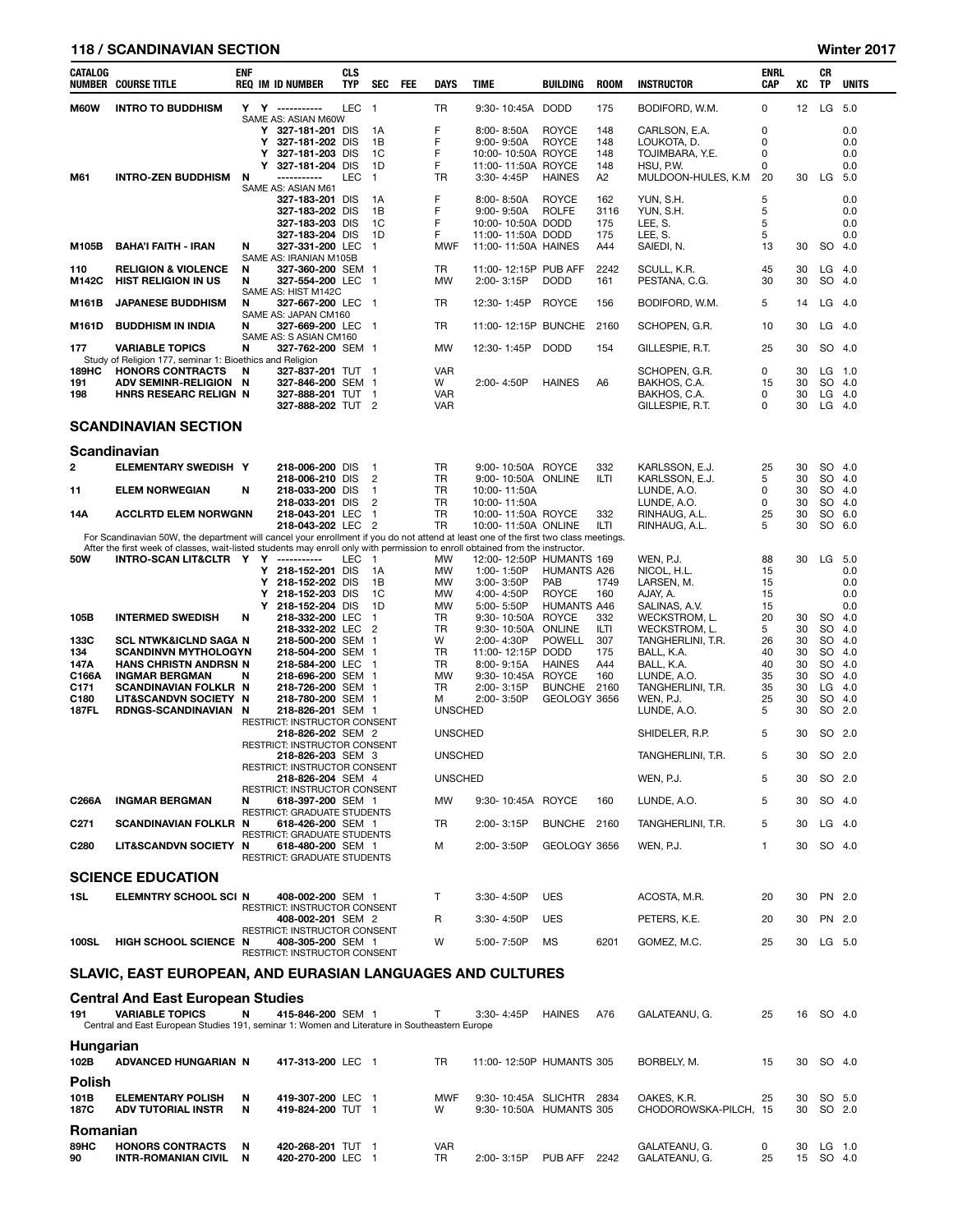## 118 / SCANDINAVIAN SECTION Winter 2017

| <b>CATALOG</b><br>NUMBER         | <b>COURSE TITLE</b>                                                                                                                 | <b>ENF</b> |        | <b>REQ IM ID NUMBER</b>                                  | <b>CLS</b><br><b>TYP</b> | SEC                            | FEE | <b>DAYS</b>            | TIME                                     | BUILDING                           | <b>ROOM</b>    | <b>INSTRUCTOR</b>                  | <b>ENRL</b><br>CAP | XC                | CR<br>ΤP           | <b>UNITS</b> |
|----------------------------------|-------------------------------------------------------------------------------------------------------------------------------------|------------|--------|----------------------------------------------------------|--------------------------|--------------------------------|-----|------------------------|------------------------------------------|------------------------------------|----------------|------------------------------------|--------------------|-------------------|--------------------|--------------|
| M60W                             | <b>INTRO TO BUDDHISM</b>                                                                                                            |            |        | Y Y ----------                                           | <b>LEC</b>               | $\overline{1}$                 |     | <b>TR</b>              | $9:30 - 10:45A$                          | <b>DODD</b>                        | 175            | BODIFORD, W.M.                     | 0                  | $12 \overline{ }$ | LG                 | - 5.0        |
|                                  |                                                                                                                                     |            |        | SAME AS: ASIAN M60W<br>Y 327-181-201 DIS                 |                          | 1A                             |     | F                      | 8:00-8:50A                               | <b>ROYCE</b>                       | 148            | CARLSON, E.A.                      | 0                  |                   |                    | 0.0          |
|                                  |                                                                                                                                     |            | Y      | 327-181-202 DIS                                          |                          | 1B                             |     | F                      | $9:00 - 9:50A$                           | <b>ROYCE</b>                       | 148            | LOUKOTA, D.                        | 0                  |                   |                    | 0.0          |
|                                  |                                                                                                                                     |            | Y<br>Y | 327-181-203 DIS<br>327-181-204 DIS                       |                          | 1C<br>1D                       |     | F<br>F                 | 10:00-10:50A ROYCE<br>11:00-11:50A ROYCE |                                    | 148<br>148     | TOJIMBARA, Y.E.<br>HSU, P.W.       | 0<br>0             |                   |                    | 0.0<br>0.0   |
| M61                              | <b>INTRO-ZEN BUDDHISM</b>                                                                                                           | N          |        | ------------                                             | <b>LEC</b>               | $\overline{1}$                 |     | TR                     | 3:30-4:45P                               | <b>HAINES</b>                      | A2             | MULDOON-HULES, K.M                 | 20                 | 30                | LG                 | 5.0          |
|                                  |                                                                                                                                     |            |        | SAME AS: ASIAN M61<br>327-183-201 DIS                    |                          | 1A                             |     | F                      | 8:00-8:50A                               | <b>ROYCE</b>                       | 162            | YUN, S.H.                          | 5                  |                   |                    | 0.0          |
|                                  |                                                                                                                                     |            |        | 327-183-202 DIS                                          |                          | 1B                             |     | F<br>F                 | $9:00 - 9:50A$                           | <b>ROLFE</b>                       | 3116           | YUN, S.H.                          | 5                  |                   |                    | 0.0          |
|                                  |                                                                                                                                     |            |        | 327-183-203 DIS<br>327-183-204 DIS                       |                          | 1C<br>1D                       |     | F                      | 10:00-10:50A DODD<br>11:00-11:50A DODD   |                                    | 175<br>175     | LEE, S.<br>LEE, S.                 | 5<br>5             |                   |                    | 0.0<br>0.0   |
| M105B                            | <b>BAHA'I FAITH - IRAN</b>                                                                                                          | N          |        | 327-331-200 LEC<br>SAME AS: IRANIAN M105B                |                          | $\mathbf{1}$                   |     | <b>MWF</b>             | 11:00-11:50A HAINES                      |                                    | A44            | SAIEDI, N.                         | 13                 | 30                | SO                 | 4.0          |
| 110                              | <b>RELIGION &amp; VIOLENCE</b>                                                                                                      | N          |        | 327-360-200 SEM 1                                        |                          |                                |     | TR.                    | 11:00-12:15P PUB AFF                     |                                    | 2242           | SCULL, K.R.                        | 45                 | 30                | LG                 | - 4.0        |
| M142C                            | <b>HIST RELIGION IN US</b>                                                                                                          | N          |        | 327-554-200 LEC 1<br>SAME AS: HIST M142C                 |                          |                                |     | <b>MW</b>              | 2:00-3:15P                               | <b>DODD</b>                        | 161            | PESTANA, C.G.                      | 30                 | 30                | SO 4.0             |              |
| M161B                            | <b>JAPANESE BUDDHISM</b>                                                                                                            | N          |        | 327-667-200 LEC                                          |                          | - 1                            |     | TR                     | 12:30-1:45P                              | <b>ROYCE</b>                       | 156            | BODIFORD, W.M.                     | 5                  | 14                | LG                 | -4.0         |
| M161D                            | <b>BUDDHISM IN INDIA</b>                                                                                                            | N          |        | SAME AS: JAPAN CM160<br>327-669-200 LEC                  |                          | - 1                            |     | TR                     | 11:00-12:15P BUNCHE                      |                                    | 2160           | SCHOPEN, G.R.                      | 10                 | 30                | $LG$ 4.0           |              |
| 177                              | <b>VARIABLE TOPICS</b>                                                                                                              | N          |        | SAME AS: S ASIAN CM160<br>327-762-200 SEM 1              |                          |                                |     | <b>MW</b>              | 12:30-1:45P                              | <b>DODD</b>                        | 154            |                                    | 25                 | 30                | SO 4.0             |              |
|                                  | Study of Religion 177, seminar 1: Bioethics and Religion                                                                            |            |        |                                                          |                          |                                |     |                        |                                          |                                    |                | GILLESPIE, R.T.                    |                    |                   |                    |              |
| 189HC<br>191                     | <b>HONORS CONTRACTS</b><br>ADV SEMINR-RELIGION N                                                                                    | N          |        | 327-837-201 TUT 1<br>327-846-200 SEM 1                   |                          |                                |     | <b>VAR</b><br>W        | 2:00-4:50P                               | <b>HAINES</b>                      | A <sub>6</sub> | SCHOPEN, G.R.<br>BAKHOS, C.A.      | 0<br>15            | 30<br>30          | $LG$ 1.0<br>SO 4.0 |              |
| 198                              | <b>HNRS RESEARC RELIGN N</b>                                                                                                        |            |        | 327-888-201 TUT 1                                        |                          |                                |     | <b>VAR</b>             |                                          |                                    |                | BAKHOS, C.A.                       | 0                  | 30                | $LG$ 4.0           |              |
|                                  |                                                                                                                                     |            |        | 327-888-202 TUT 2                                        |                          |                                |     | <b>VAR</b>             |                                          |                                    |                | GILLESPIE, R.T.                    | 0                  | 30                | $LG$ 4.0           |              |
|                                  | <b>SCANDINAVIAN SECTION</b>                                                                                                         |            |        |                                                          |                          |                                |     |                        |                                          |                                    |                |                                    |                    |                   |                    |              |
|                                  | Scandinavian                                                                                                                        |            |        |                                                          |                          |                                |     |                        |                                          |                                    |                |                                    |                    |                   |                    |              |
| 2                                | <b>ELEMENTARY SWEDISH Y</b>                                                                                                         |            |        | 218-006-200 DIS<br>218-006-210 DIS                       |                          | -1<br>$\overline{2}$           |     | TR.<br><b>TR</b>       | 9:00-10:50A ROYCE<br>9:00-10:50A ONLINE  |                                    | 332<br>ILTI    | KARLSSON, E.J.<br>KARLSSON, E.J.   | 25<br>5            | 30<br>30          | SO 4.0<br>SO.      | -4.0         |
| 11                               | <b>ELEM NORWEGIAN</b>                                                                                                               | N          |        | 218-033-200 DIS<br>218-033-201 DIS                       |                          | $\mathbf{1}$<br>$\overline{2}$ |     | <b>TR</b><br><b>TR</b> | 10:00-11:50A<br>10:00-11:50A             |                                    |                | LUNDE, A.O.<br>LUNDE, A.O.         | 0<br>0             | 30<br>30          | SO 4.0<br>SO.      | 4.0          |
| 14A                              | ACCLRTD ELEM NORWGNN                                                                                                                |            |        | 218-043-201 LEC                                          |                          | $\mathbf{1}$                   |     | <b>TR</b>              | 10:00-11:50A ROYCE                       |                                    | 332            | RINHAUG, A.L.                      | 25                 | 30                | SO 6.0             |              |
|                                  | For Scandinavian 50W, the department will cancel your enrollment if you do not attend at least one of the first two class meetings. |            |        | 218-043-202 LEC                                          |                          | $\overline{2}$                 |     | <b>TR</b>              | 10:00-11:50A ONLINE                      |                                    | ILTI           | RINHAUG, A.L.                      | 5                  | 30                | SO.                | 6.0          |
|                                  | After the first week of classes, wait-listed students may enroll only with permission to enroll obtained from the instructor.       |            |        |                                                          |                          |                                |     |                        |                                          |                                    |                |                                    |                    |                   |                    |              |
| <b>50W</b>                       | INTRO-SCAN LIT&CLTR Y Y                                                                                                             |            | Y      | ------------<br>218-152-201 DIS                          | LEC                      | $\overline{1}$<br>1A           |     | <b>MW</b><br><b>MW</b> | 12:00-12:50P HUMANTS 169<br>1:00-1:50P   | HUMANTS A26                        |                | WEN, P.J.<br>NICOL, H.L.           | 88<br>15           | 30                | LG                 | - 5.0<br>0.0 |
|                                  |                                                                                                                                     |            | Y      | 218-152-202 DIS                                          |                          | 1B                             |     | <b>MW</b>              | 3:00-3:50P                               | PAB                                | 1749           | LARSEN, M.                         | 15                 |                   |                    | 0.0          |
|                                  |                                                                                                                                     |            | Y<br>Y | 218-152-203 DIS<br>218-152-204 DIS                       |                          | 1C<br>1D                       |     | <b>MW</b><br><b>MW</b> | 4:00-4:50P<br>5:00-5:50P                 | <b>ROYCE</b><br><b>HUMANTS A46</b> | 160            | AJAY, A.<br>SALINAS, A.V.          | 15<br>15           |                   |                    | 0.0<br>0.0   |
| 105B                             | <b>INTERMED SWEDISH</b>                                                                                                             | N          |        | 218-332-200 LEC                                          |                          | $\mathbf{1}$                   |     | <b>TR</b>              | 9:30-10:50A                              | <b>ROYCE</b>                       | 332            | WECKSTROM, L.                      | 20                 | 30                | <b>SO</b>          | 4.0          |
| 133C                             | <b>SCL NTWK&amp;ICLND SAGA N</b>                                                                                                    |            |        | 218-332-202 LEC<br>218-500-200 SEM 1                     |                          | $\overline{2}$                 |     | <b>TR</b><br>W         | 9:30-10:50A<br>2:00-4:30P                | ONLINE<br><b>POWELL</b>            | ILTI<br>307    | WECKSTROM, L.<br>TANGHERLINI, T.R. | 5<br>26            | 30<br>30          | <b>SO</b><br>SO    | 4.0<br>4.0   |
| 134                              | <b>SCANDINVN MYTHOLOGYN</b>                                                                                                         |            |        | 218-504-200 SEM 1                                        |                          |                                |     | TR                     | 11:00-12:15P DODD                        |                                    | 175            | BALL, K.A.                         | 40                 | 30                | SO.                | 4.0          |
| 147A<br>C166A                    | <b>HANS CHRISTN ANDRSN N</b><br><b>INGMAR BERGMAN</b>                                                                               | N          |        | 218-584-200 LEC<br>218-696-200 SEM 1                     |                          | - 1                            |     | TR.<br><b>MW</b>       | 8:00-9:15A<br>9:30-10:45A                | <b>HAINES</b><br><b>ROYCE</b>      | A44<br>160     | BALL, K.A.<br>LUNDE, A.O.          | 40<br>35           | 30<br>30          | SO.<br>SO.         | 4.0<br>4.0   |
| C171                             | <b>SCANDINAVIAN FOLKLR N</b>                                                                                                        |            |        | 218-726-200 SEM 1                                        |                          |                                |     | <b>TR</b>              | 2:00-3:15P                               | BUNCHE 2160                        |                | TANGHERLINI, T.R.                  | 35                 | 30                | LG                 | 4.0          |
| C <sub>180</sub><br><b>187FL</b> | <b>LIT&amp;SCANDVN SOCIETY N</b><br>RDNGS-SCANDINAVIAN N                                                                            |            |        | 218-780-200 SEM 1<br>218-826-201 SEM 1                   |                          |                                |     | м<br><b>UNSCHED</b>    | 2:00-3:50P                               | GEOLOGY 3656                       |                | WEN, P.J.<br>LUNDE, A.O.           | 25<br>5            | 30<br>30          | SO<br>SO 2.0       | 4.0          |
|                                  |                                                                                                                                     |            |        | RESTRICT: INSTRUCTOR CONSENT                             |                          |                                |     |                        |                                          |                                    |                |                                    |                    |                   |                    |              |
|                                  |                                                                                                                                     |            |        | 218-826-202 SEM 2<br><b>RESTRICT: INSTRUCTOR CONSENT</b> |                          |                                |     | <b>UNSCHED</b>         |                                          |                                    |                | SHIDELER, R.P.                     | 5                  | 30                | SO 2.0             |              |
|                                  |                                                                                                                                     |            |        | 218-826-203 SEM 3                                        |                          |                                |     | <b>UNSCHED</b>         |                                          |                                    |                | TANGHERLINI, T.R.                  | 5                  | 30                | SO 2.0             |              |
|                                  |                                                                                                                                     |            |        | <b>RESTRICT: INSTRUCTOR CONSENT</b><br>218-826-204 SEM 4 |                          |                                |     | <b>UNSCHED</b>         |                                          |                                    |                | WEN, P.J.                          | 5                  | 30                | SO 2.0             |              |
| C266A                            | <b>INGMAR BERGMAN</b>                                                                                                               | N          |        | RESTRICT: INSTRUCTOR CONSENT<br>618-397-200 SEM 1        |                          |                                |     | MW                     | 9:30-10:45A ROYCE                        |                                    | 160            | LUNDE, A.O.                        | 5                  | 30                | SO 4.0             |              |
|                                  |                                                                                                                                     |            |        | RESTRICT: GRADUATE STUDENTS                              |                          |                                |     |                        |                                          |                                    |                |                                    |                    |                   |                    |              |
| C <sub>271</sub>                 | <b>SCANDINAVIAN FOLKLR N</b>                                                                                                        |            |        | 618-426-200 SEM 1<br>RESTRICT: GRADUATE STUDENTS         |                          |                                |     | TR                     | 2:00-3:15P                               | BUNCHE 2160                        |                | TANGHERLINI, T.R.                  | 5                  | 30                | $LG$ 4.0           |              |
| C <sub>280</sub>                 | <b>LIT&amp;SCANDVN SOCIETY N</b>                                                                                                    |            |        | 618-480-200 SEM 1<br><b>RESTRICT: GRADUATE STUDENTS</b>  |                          |                                |     | м                      | 2:00-3:50P                               | GEOLOGY 3656                       |                | WEN, P.J.                          | $\mathbf{1}$       | 30                | SO 4.0             |              |
|                                  | <b>SCIENCE EDUCATION</b>                                                                                                            |            |        |                                                          |                          |                                |     |                        |                                          |                                    |                |                                    |                    |                   |                    |              |
| 1SL                              | ELEMNTRY SCHOOL SCI N                                                                                                               |            |        | 408-002-200 SEM 1                                        |                          |                                |     | T                      | $3:30 - 4:50P$                           | <b>UES</b>                         |                | ACOSTA, M.R.                       | 20                 | 30                | PN 2.0             |              |
|                                  |                                                                                                                                     |            |        | <b>RESTRICT: INSTRUCTOR CONSENT</b><br>408-002-201 SEM 2 |                          |                                |     | R                      | 3:30-4:50P                               | <b>UES</b>                         |                | PETERS, K.E.                       | 20                 | 30                | PN 2.0             |              |
| <b>100SL</b>                     | <b>HIGH SCHOOL SCIENCE N</b>                                                                                                        |            |        | RESTRICT: INSTRUCTOR CONSENT<br>408-305-200 SEM 1        |                          |                                |     | W                      | 5:00-7:50P                               | МS                                 | 6201           | GOMEZ, M.C.                        | 25                 | 30                | $LG$ 5.0           |              |
|                                  | SLAVIC, EAST EUROPEAN, AND EURASIAN LANGUAGES AND CULTURES                                                                          |            |        | RESTRICT: INSTRUCTOR CONSENT                             |                          |                                |     |                        |                                          |                                    |                |                                    |                    |                   |                    |              |
|                                  |                                                                                                                                     |            |        |                                                          |                          |                                |     |                        |                                          |                                    |                |                                    |                    |                   |                    |              |
|                                  | <b>Central And East European Studies</b>                                                                                            |            |        |                                                          |                          |                                |     |                        |                                          |                                    |                |                                    |                    |                   |                    |              |
| 191                              | <b>VARIABLE TOPICS</b><br>Central and East European Studies 191, seminar 1: Women and Literature in Southeastern Europe             | N          |        | 415-846-200 SEM 1                                        |                          |                                |     | $\mathsf{T}$           | $3:30 - 4:45P$                           | <b>HAINES</b>                      | A76            | GALATEANU, G.                      | 25                 |                   | 16 SO 4.0          |              |
| Hungarian                        |                                                                                                                                     |            |        |                                                          |                          |                                |     |                        |                                          |                                    |                |                                    |                    |                   |                    |              |
| 102B                             | ADVANCED HUNGARIAN N 417-313-200 I FC 1                                                                                             |            |        |                                                          |                          |                                |     |                        | TR 11:00-12:50P HUMANTS 305              |                                    |                | BORBELY M                          | 15                 |                   | 30.5040            |              |

| 102B          | ADVANCED HUNGARIAN N     |   | 417-313-200 LEC   | TR         |                 | 11:00-12:50P HUMANTS 305 |      | BORBELY, M.           | 15 | 30 | SO 4.0 |          |
|---------------|--------------------------|---|-------------------|------------|-----------------|--------------------------|------|-----------------------|----|----|--------|----------|
| <b>Polish</b> |                          |   |                   |            |                 |                          |      |                       |    |    |        |          |
| 101B          | <b>ELEMENTARY POLISH</b> | N | 419-307-200 LEC   | <b>MWF</b> | $9:30 - 10:45A$ | SLICHTR                  | 2834 | OAKES, K.R.           | 25 | 30 | SO 5.0 |          |
| 187C          | ADV TUTORIAL INSTR       | N | 419-824-200 TUT 1 | W          | $9:30 - 10:50A$ | HUMANTS 305              |      | CHODOROWSKA-PILCH. 15 |    | 30 | SO 2.0 |          |
| Romanian      |                          |   |                   |            |                 |                          |      |                       |    |    |        |          |
| 89HC          | <b>HONORS CONTRACTS</b>  | N | 420-268-201 TUT 1 | <b>VAR</b> |                 |                          |      | GALATEANU, G.         |    | 30 |        | $LG$ 1.0 |
| 90            | INTR-ROMANIAN CIVIL      | N | 420-270-200 LEC 1 | TR         | 2:00-3:15P      | PUB AFF                  | 2242 | GALATEANU, G.         | 25 | 15 | SO 4.0 |          |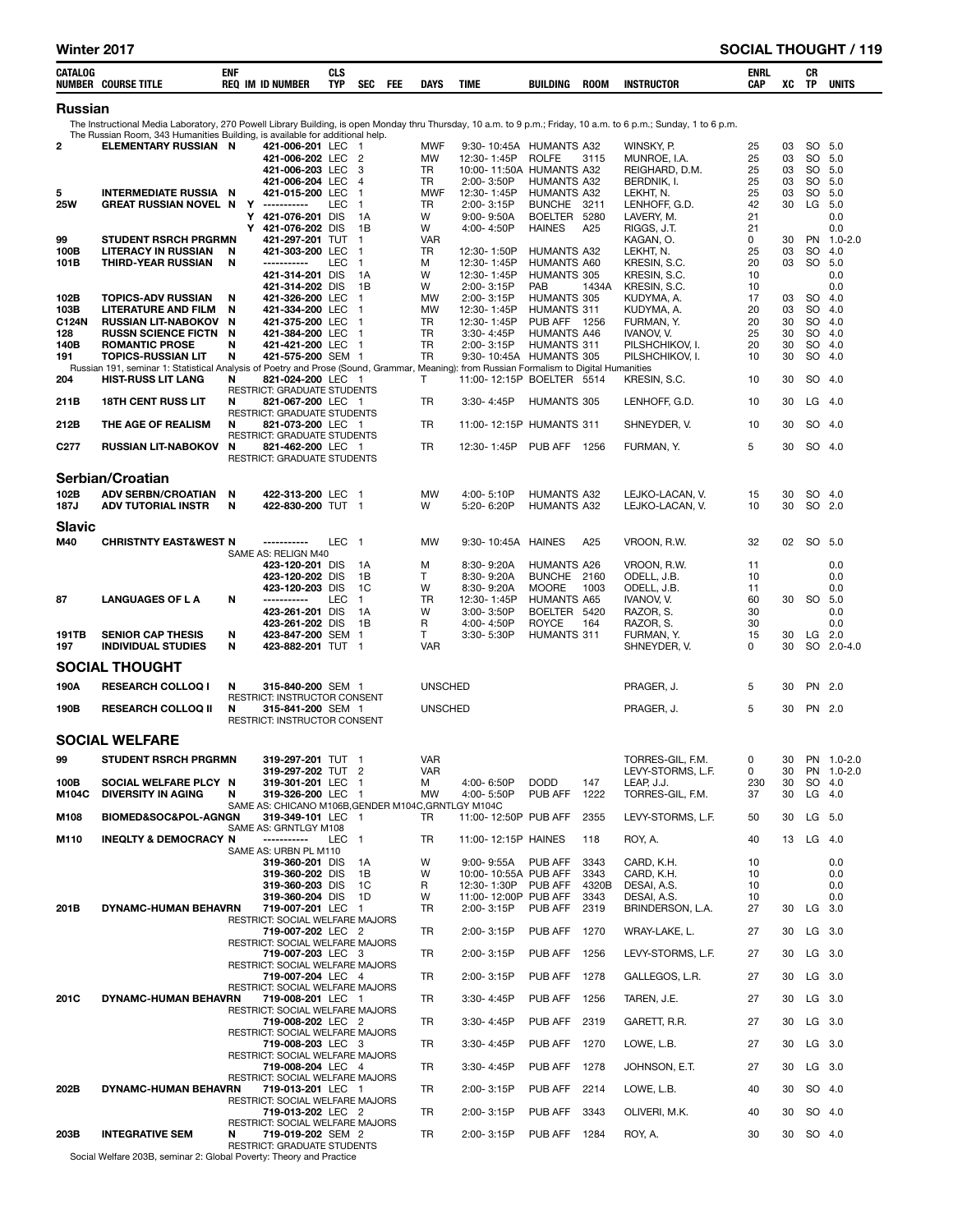| ___<br>___<br>__<br>$\sim$<br>_____<br>_____ | CATALOG<br><b>COURSE TITLI</b><br>NUMBER | ENI<br><b>REO</b><br><b>ID NUMBER</b><br>IM | OL.<br>ula<br>$ -$<br>TYP | <b>SEC</b> | FEI | <b>DAYS</b> | <b>TIME</b> | BUILDING | <b>ROON</b> | <b>INSTRUCTOR</b> |  | <b>ENRI</b><br>OB.<br>un. | $\mathbf{u}$ | υn<br>TD. | UNITS |  |
|----------------------------------------------|------------------------------------------|---------------------------------------------|---------------------------|------------|-----|-------------|-------------|----------|-------------|-------------------|--|---------------------------|--------------|-----------|-------|--|
|----------------------------------------------|------------------------------------------|---------------------------------------------|---------------------------|------------|-----|-------------|-------------|----------|-------------|-------------------|--|---------------------------|--------------|-----------|-------|--|

### Russian

The Instructional Media Laboratory, 270 Powell Library Building, is open Monday thru Thursday, 10 a.m. to 9 p.m.; Friday, 10 a.m. to 6 p.m.; Sunday, 1 to 6 p.m.

The Russian Room, 343 Humanities Building, is available for additional help.<br> **ELEMENTARY RUSSIAN N** 421-006-201 LEC 1 2 ELEMENTARY RUSSIAN N 421-006-201 LEC 1 MWF 9:30- 10:45A HUMANTS A32 WINSKY, P. 25 03 SO 5.0 421-006-202 LEC 2 MW 12:30- 1:45P ROLFE 3115 MUNROE, I.A. 25 03 SO 5.0 121-006-203 LEC 3 TR 10:00-11:50A HUMANTS A32 REIGHARD, D.M. 25 03 SO 5.0<br>421-006-204 LEC 4 TR 2:00-3:50P HUMANTS A32 BERDNIK, I. 25 03 SO 5.0 421-006-204 LEC 4 TR 2:00- 3:50P HUMANTS A32 BERDNIK, I. 25 03 SO 5.0 5 INTERMEDIATE RUSSIA N 421-015-200 LEC 1 MWF 12:30-1:45P HUMANTS A32 LEKHT, N. 25 03 SO 5.0<br>25W GREAT RUSSIAN NOVEL N Y ----------- LEC 1 TR 2:00-3:15P BUNCHE 3211 LENHOFF.G.D. 25 GREAT RUSSIAN NOVEL N Y ----------- LEC 1 TR 2:00-3:15P BUNCHE 3211 LENHOFF, G.D. 42 30 LG 5.0<br>21 1000 Y 4**21-076-201** DIS 1A W 9:00-9:50A BOELTER 5280 LAVERY, M. 21 **Y 421-076-201** DIS 1A W 9:00- 9:50A BOELTER 5280 LAVERY, M. 21 0.0 Y 421-076-202 DIS 1B W 4:00- 4:50P HAINES A25 RIGGS, J.T. 21 0.0 99 STUDENT RSRCH PRGRMN 421-297-201 TUT 1 VAR KAGAN, O. 0 30 PN 1.0-2.0 LITERACY IN RUSSIAN N 421-303-200 LEC 1 TR 12:30-1:50P HUMANTS A32 LEKHT, N. 25 03 SO 4.0<br>THIRD-YEAR RUSSIAN N ----------- LEC 1 M 12:30-1:45P HUMANTS A60 KRESIN, S.C. 20 03 SO 5.0 101B THIRD-YEAR RUSSIAN N ----------- LEC 1 M 12:30- 1:45P HUMANTS A60 KRESIN, S.C. 20 03 SO 5.0 421-314-201 DIS 1A W 12:30- 1:45P HUMANTS 305 KRESIN, S.C. 10 0.0 4**21-314-202** DIS 1B W 2:00- 3:15P PAB 1434A KRESIN, S.C. 10 0.0 102B TOPICS-ADV RUSSIAN N 421-326-200 LEC 1 MW 2:00- 3:15P HUMANTS 305 KUDYMA, A. 17 03 SO 4.0 103B LITERATURE AND FILM N 421-334-200 LEC 1 MW 12:30- 1:45P HUMANTS 311 KUDYMA, A. 20 03 SO 4.0 C124N RUSSIAN LIT-NABOKOV N 421-375-200 LEC 1 TR 12:30- 1:45P PUB AFF 1256 FURMAN, Y. 20 30 SO 4.0 128 RUSSN SCIENCE FICTN N 421-384-200 LEC 1 TR 3:30- 4:45P HUMANTS A46 IVANOV, V. 25 30 SO 4.0<br>140B ROMANTIC PROSE N 421-421-200 LEC 1 TR 2:00- 3:15P HUMANTS 311 PILSHCHIKOV. I. 20 30 SO 4.0 140B ROMANTIC PROSE N 421-421-200 LEC 1 TR 2:00- 3:15P HUMANTS 311 PILSHCHIKOV, I. 20 30 SO 4.0 191 TOPICS-RUSSIAN LIT N 421-575-200 SEM 1 TR 9:30- 10:45A HUMANTS 305 PILSHCHIKOV, I. 10 30 SO 4.0<br>Russian 191, seminar 1: Statistical Analysis of Poetry and Prose (Sound, Grammar, Meaning): from Russian Formalism to Digi Russian 191, seminar 1: Statistical Analysis of Poetry and Prose (Sound, Grammar, Meaning): from Russian Formalism to Digital Humanities<br>204 **HIST-RUSS LIT LANG** N 821-024-200 LEC 1 T 11:00-12:15P BOELTER 5514 KRESIN, S.C. **N 821-024-200** LEC 1 T 11:00-12:15P BOELTER 5514 KRESIN, S.C. 10 30 SO 4.0<br>RESTRICT: GRADUATE STUDENTS RESTRICT: GRADUATE STUDENTS<br>N 821-067-200 LEC 1 211B 18TH CENT RUSS LIT N 821-067-200 LEC 1 TR 3:30- 4:45P HUMANTS 305 LENHOFF, G.D. 10 30 LG 4.0 RESTRICT: GRADUATE STUDENTS<br>N 821-073-200 LEC 1 212B THE AGE OF REALISM N 821-073-200 LEC 1 TR 11:00-12:15P HUMANTS 311 SHNEYDER, V. 10 30 SO 4.0 RESTRICT: GRADUATE STUDENTS<br>N 821-462-200 LEC 1 C277 RUSSIAN LIT-NABOKOV N 821-462-200 LEC 1 TR 12:30- 1:45P PUB AFF 1256 FURMAN, Y. 5 30 SO 4.0 RESTRICT: GRADUATE STUDENTS Serbian/Croatian 102B ADVISERBN/CROATIAN N. 422-313-200 LEC 1 MW 4:00-5:10P HUMANTS A32 LEJKO-LACAN, V. 15 30 SO 4.0<br>187J ADVITUTORIALINSTR N. 422-830-200 TUT 1 W 5:20-6:20P HUMANTS A32 LEJKO-LACAN, V. 10 30 SO 2.0 187J ADV TUTORIAL INSTR N 422-830-200 TUT 1 W 5:20-6:20P HUMANTS A32 LEJKO-LACAN, V. 10 30 SO 2.0 Slavic M40 CHRISTNTY EAST&WEST N ----------- LEC 1 MW 9:30- 10:45A HAINES A25 VROON, R.W. 32 02 SO 5.0 SAME AS: RELIGN M40 423-120-201 DIS 1A M 8:30- 9:20A HUMANTS A26 VROON, R.W. 11 0.0 423-120-202 DIS 1B T 8:30- 9:20A BUNCHE 2160 ODELL, J.B. 10 0.0 4**23-120-203** DIS 1C W 8:30- 9:20A MOORE 1003 ODELL, J.B. 11 0.0 87 LANGUAGES OF L A N ----------- LEC 1 TR 12:30- 1:45P HUMANTS A65 IVANOV, V. 60 30 SO 5.0 4**23-261-201** DIS 1A W 3:00- 3:50P BOELTER 5420 RAZOR, S. 30 0.0 423-261-202 DIS 1B R 4:00- 4:50P ROYCE 164 RAZOR, S. 30 0.0 191TB SENIOR CAP THESIS N 423-847-200 SEM 1 T 3:30- 5:30P HUMANTS 311 FURMAN, Y. 15 30 LG 2.0 197 INDIVIDUAL STUDIES N 423-882-201 TUT 1 VAR SHNEYDER, V. 0 30 SO 2.0-4.0 SOCIAL THOUGHT 190A RESEARCH COLLOQ IN 315-840-200 SEM 1 UNSCHED THE PRAGER, J. 5 30 PN 2.0 RESTRICT: INSTRUCTOR CONSENT<br>N 315-841-200 SEM 1 190B RESEARCH COLLOQ II N 315-841-200 SEM 1 UNSCHED 190B PRAGER, J. 5 30 PN 2.0 RESTRICT: INSTRUCTOR CONSENT SOCIAL WELFARE er 199 STUDENT RSRCH PRGRMN 319-297-201 TUT 1 VAR VAR TORRES-GIL, F.M. 0 30 PN 1.0-2.0<br>319-297-202 TUT 2 VAR LEVY-STORMS. L.F. 0 30 PN 1.0-2.0 319-297-202 TUT 2 VAR LEVY-STORMS, L.F. 0 30 PN 1.0-2.<br>1920 100B SOCIAL WELFARE PLCY N 319-301-201 LEC 1 M 4:00-6:50P DODD 147 LEAP J.J. 230 30 SO 4.0-2.0-2.0-2.0-2. 100B SOCIAL WELFARE PLCY N 319-301-201 LEC 1 M 4:00- 6:50P DODD 147 LEAP, J.J. 230 30 SO 4.0 M104C DIVERSITY IN AGING N 319-326-200 LEC 1 MW 4:00- 5:50P PUB AFF 1222 TORRES-GIL, F.M. 37 30 LG 4.0 SAME AS: CHICANO M106B,GENDER M104C,GRNTLGY M104C<br>**GN 319-349-101** LEC 1 TR 11:00-12:50P PUB AFF M108 BIOMED&SOC&POL-AGNGN 319-349-101 LEC 1 TR 11:00- 12:50P PUB AFF 2355 LEVY-STORMS, L.F. 50 30 LG 5.0 SAME AS: GRNTLGY M108 **M110 INEQLTY & DEMOCRACY N -----------** LEC 1 TR 11:00-12:15P HAINES 118 ROY A. 40 13 LG 4.0 ..<br>SAME AS: URBN PL M110<br>**319-360-201** DIS **319-360-201** DIS 1A W 9:00- 9:55A PUB AFF 3343 CARD, K.H. 10 0.0 319-360-202 DIS 1B W 10:00-10:55A PUB AFF 3343 CARD, K.H. 10 0.0 0.0<br>319-360-203 DIS 1C R 12:30-1:30P PUB AFF 4320B DESALAIS 10 0.0 **319-360-203** DIS 1C R 12:30- 1:30P PUB AFF 4320B DESAI, A.S. 10 0.0 **319-360-204** DIS 1D W 11:00- 12:00P PUB AFF 3343 DESAI, A.S. 10 0.0 201B DYNAMC-HUMAN BEHAVRN 719-007-201 LEC 1 TR 2:00- 3:15P PUB AFF 2319 BRINDERSON, L.A. 27 30 LG 3.0 RESTRICT: SOCIAL WELFARE MAJORS 719-007-202 LEC 2 TR 2:00- 3:15P PUB AFF 1270 WRAY-LAKE, L. 27 30 LG 3.0 RESTRICT: SOCIAL WELFARE MAJORS 719-007-203 LEC 3 TR 2:00- 3:15P PUB AFF 1256 LEVY-STORMS, L.F. 27 30 LG 3.0 RESTRICT: SOCIAL WELFARE MAJORS 719-007-204 LEC 4 TR 2:00- 3:15P PUB AFF 1278 GALLEGOS, L.R. 27 30 LG 3.0 RESTRICT: SOCIAL WELFARE MAJORS<br>**RN 719-008-201** LEC 1 201C DYNAMC-HUMAN BEHAVRN 719-008-201 LEC 1 TR 3:30- 4:45P PUB AFF 1256 TAREN, J.E. 27 30 LG 3.0 RESTRICT: SOCIAL WELFARE MAJORS 719-008-202 LEC 2 TR 3:30- 4:45P PUB AFF 2319 GARETT, R.R. 27 30 LG 3.0 RESTRICT: SOCIAL WELFARE MAJORS<br>719-008-203 LEC 3 719-008-203 LEC 3 TR 3:30- 4:45P PUB AFF 1270 LOWE, L.B. 27 30 LG 3.0 RESTRICT: SOCIAL WELFARE MAJORS 719-008-204 LEC 4 TR 3:30- 4:45P PUB AFF 1278 JOHNSON, E.T. 27 30 LG 3.0 RESTRICT: SOCIAL WELFARE MAJORS 202B DYNAMC-HUMAN BEHAVRN 719-013-201 LEC 1 TR 2:00- 3:15P PUB AFF 2214 LOWE, L.B. 40 30 SO 4.0 RESTRICT: SOCIAL WELFARE MAJORS 719-013-202 LEC 2 TR 2:00- 3:15P PUB AFF 3343 OLIVERI, M.K. 40 30 SO 4.0 RESTRICT: SOCIAL WELFARE MAJORS 203B INTEGRATIVE SEM N 719-019-202 SEM 2 TR 2:00- 3:15P PUB AFF 1284 ROY, A. 30 30 SO 4.0 RESTRICT: GRADUATE STUDENTS

Social Welfare 203B, seminar 2: Global Poverty: Theory and Practice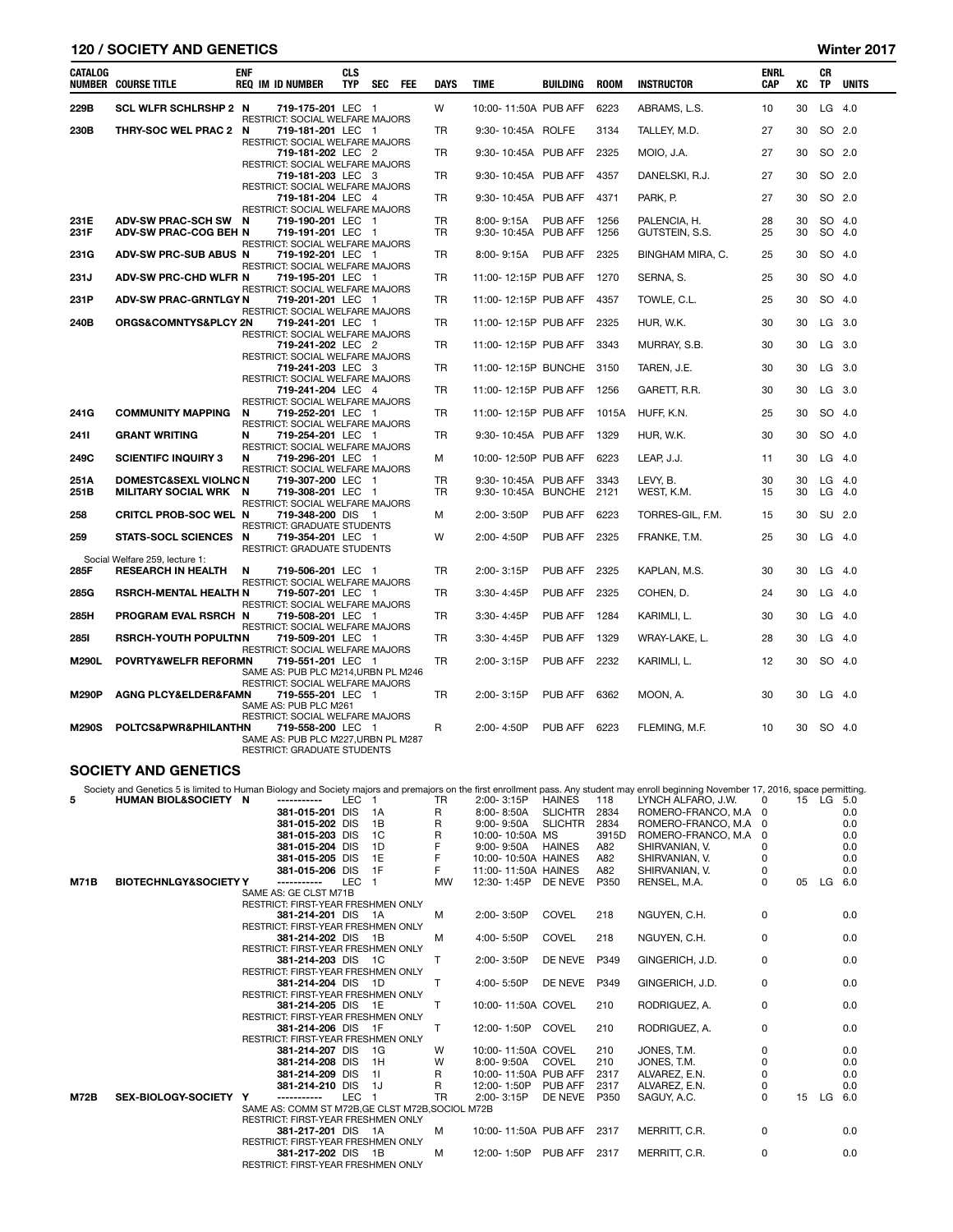## 120 / SOCIETY AND GENETICS Winter 2017

| <b>CATALOG</b> | <b>NUMBER COURSE TITLE</b>                                     | <b>ENF</b> | <b>REQ IM ID NUMBER</b>                                                                     | <b>CLS</b><br><b>TYP</b> | <b>SEC</b> | <b>FEE</b> | <b>DAYS</b>            | <b>TIME</b>                                 | <b>BUILDING</b> | <b>ROOM</b>  | <b>INSTRUCTOR</b>              | <b>ENRL</b><br>CAP | XC       | <b>CR</b><br><b>TP</b> | <b>UNITS</b>         |
|----------------|----------------------------------------------------------------|------------|---------------------------------------------------------------------------------------------|--------------------------|------------|------------|------------------------|---------------------------------------------|-----------------|--------------|--------------------------------|--------------------|----------|------------------------|----------------------|
| 229B           | <b>SCL WLFR SCHLRSHP 2 N</b>                                   |            | 719-175-201 LEC 1<br>RESTRICT: SOCIAL WELFARE MAJORS                                        |                          |            |            | W                      | 10:00-11:50A PUB AFF                        |                 | 6223         | ABRAMS, L.S.                   | 10                 | 30       |                        | $LG$ 4.0             |
| 230B           | THRY-SOC WEL PRAC 2 N                                          |            | 719-181-201 LEC 1<br>RESTRICT: SOCIAL WELFARE MAJORS                                        |                          |            |            | <b>TR</b>              | 9:30-10:45A ROLFE                           |                 | 3134         | TALLEY, M.D.                   | 27                 | 30       |                        | SO 2.0               |
|                |                                                                |            | 719-181-202 LEC 2<br>RESTRICT: SOCIAL WELFARE MAJORS                                        |                          |            |            | TR                     | 9:30-10:45A PUB AFF                         |                 | 2325         | MOIO, J.A.                     | 27                 | 30       |                        | SO 2.0               |
|                |                                                                |            | 719-181-203 LEC 3<br>RESTRICT: SOCIAL WELFARE MAJORS                                        |                          |            |            | TR                     | 9:30-10:45A PUB AFF                         |                 | 4357         | DANELSKI, R.J.                 | 27                 | 30       |                        | SO 2.0               |
|                |                                                                |            | 719-181-204 LEC 4<br>RESTRICT: SOCIAL WELFARE MAJORS                                        |                          |            |            | <b>TR</b>              | 9:30-10:45A PUB AFF                         |                 | 4371         | PARK. P.                       | 27                 | 30       |                        | SO 2.0               |
| 231E<br>231F   | ADV-SW PRAC-SCH SW N<br><b>ADV-SW PRAC-COG BEH N</b>           |            | 719-190-201 LEC 1<br>719-191-201 LEC 1<br>RESTRICT: SOCIAL WELFARE MAJORS                   |                          |            |            | <b>TR</b><br><b>TR</b> | 8:00-9:15A<br>9:30-10:45A PUB AFF           | PUB AFF         | 1256<br>1256 | PALENCIA, H.<br>GUTSTEIN, S.S. | 28<br>25           | 30<br>30 |                        | SO 4.0<br>SO 4.0     |
| 231G           | ADV-SW PRC-SUB ABUS N                                          |            | 719-192-201 LEC 1<br>RESTRICT: SOCIAL WELFARE MAJORS                                        |                          |            |            | <b>TR</b>              | 8:00-9:15A                                  | PUB AFF         | 2325         | BINGHAM MIRA, C.               | 25                 | 30       |                        | SO 4.0               |
| 231J           | <b>ADV-SW PRC-CHD WLFR N</b>                                   |            | 719-195-201 LEC 1<br>RESTRICT: SOCIAL WELFARE MAJORS                                        |                          |            |            | <b>TR</b>              | 11:00-12:15P PUB AFF                        |                 | 1270         | SERNA, S.                      | 25                 | 30       |                        | SO 4.0               |
| 231P           | <b>ADV-SW PRAC-GRNTLGY N</b>                                   |            | 719-201-201 LEC 1<br>RESTRICT: SOCIAL WELFARE MAJORS                                        |                          |            |            | <b>TR</b>              | 11:00-12:15P PUB AFF                        |                 | 4357         | TOWLE, C.L.                    | 25                 | 30       |                        | SO 4.0               |
| 240B           | ORGS&COMNTYS&PLCY 2N                                           |            | 719-241-201 LEC 1<br>RESTRICT: SOCIAL WELFARE MAJORS                                        |                          |            |            | TR                     | 11:00-12:15P PUB AFF                        |                 | 2325         | HUR, W.K.                      | 30                 | 30       |                        | LG 3.0               |
|                |                                                                |            | 719-241-202 LEC 2<br>RESTRICT: SOCIAL WELFARE MAJORS                                        |                          |            |            | <b>TR</b>              | 11:00-12:15P PUB AFF                        |                 | 3343         | MURRAY, S.B.                   | 30                 | 30       |                        | LG 3.0               |
|                |                                                                |            | 719-241-203 LEC 3<br>RESTRICT: SOCIAL WELFARE MAJORS                                        |                          |            |            | <b>TR</b>              | 11:00-12:15P BUNCHE                         |                 | 3150         | TAREN, J.E.                    | 30                 | 30       |                        | LG 3.0               |
|                |                                                                |            | 719-241-204 LEC 4<br>RESTRICT: SOCIAL WELFARE MAJORS                                        |                          |            |            | <b>TR</b>              | 11:00-12:15P PUB AFF                        |                 | 1256         | GARETT, R.R.                   | 30                 | 30       |                        | LG 3.0               |
| 241G           | <b>COMMUNITY MAPPING</b>                                       | N          | 719-252-201 LEC 1<br>RESTRICT: SOCIAL WELFARE MAJORS                                        |                          |            |            | TR                     | 11:00-12:15P PUB AFF                        |                 | 1015A        | HUFF, K.N.                     | 25                 | 30       |                        | SO 4.0               |
| 2411           | <b>GRANT WRITING</b>                                           | N          | 719-254-201 LEC 1<br>RESTRICT: SOCIAL WELFARE MAJORS                                        |                          |            |            | TR                     | 9:30-10:45A PUB AFF                         |                 | 1329         | HUR, W.K.                      | 30                 | 30       |                        | SO 4.0               |
| 249C<br>251A   | <b>SCIENTIFC INQUIRY 3</b><br><b>DOMESTC&amp;SEXL VIOLNC N</b> | N          | 719-296-201 LEC 1<br>RESTRICT: SOCIAL WELFARE MAJORS<br>719-307-200 LEC 1                   |                          |            |            | м<br><b>TR</b>         | 10:00-12:50P PUB AFF<br>9:30-10:45A PUB AFF |                 | 6223<br>3343 | LEAP, J.J.<br>LEVY. B.         | 11<br>30           | 30<br>30 |                        | $LG$ 4.0<br>$LG$ 4.0 |
| 251B           | MILITARY SOCIAL WRK N                                          |            | 719-308-201 LEC 1<br>RESTRICT: SOCIAL WELFARE MAJORS                                        |                          |            |            | <b>TR</b>              | 9:30-10:45A BUNCHE                          |                 | 2121         | WEST, K.M.                     | 15                 | 30       |                        | $LG$ 4.0             |
| 258            | CRITCL PROB-SOC WEL N                                          |            | 719-348-200 DIS 1<br>RESTRICT: GRADUATE STUDENTS                                            |                          |            |            | м                      | 2:00-3:50P                                  | PUB AFF         | 6223         | TORRES-GIL, F.M.               | 15                 | 30       |                        | SU 2.0               |
| 259            | STATS-SOCL SCIENCES N                                          |            | 719-354-201 LEC 1<br><b>RESTRICT: GRADUATE STUDENTS</b>                                     |                          |            |            | W                      | 2:00-4:50P                                  | PUB AFF         | 2325         | FRANKE, T.M.                   | 25                 | 30       |                        | $LG$ 4.0             |
| 285F           | Social Welfare 259, lecture 1:<br><b>RESEARCH IN HEALTH</b>    | N          | 719-506-201 LEC 1<br>RESTRICT: SOCIAL WELFARE MAJORS                                        |                          |            |            | <b>TR</b>              | 2:00-3:15P                                  | PUB AFF         | 2325         | KAPLAN, M.S.                   | 30                 | 30       |                        | $LG$ 4.0             |
| 285G           | <b>RSRCH-MENTAL HEALTH N</b>                                   |            | 719-507-201 LEC 1<br>RESTRICT: SOCIAL WELFARE MAJORS                                        |                          |            |            | TR                     | 3:30-4:45P                                  | PUB AFF         | 2325         | COHEN, D.                      | 24                 | 30       |                        | $LG$ 4.0             |
| 285H           | <b>PROGRAM EVAL RSRCH N</b>                                    |            | 719-508-201 LEC 1<br>RESTRICT: SOCIAL WELFARE MAJORS                                        |                          |            |            | TR                     | $3:30 - 4:45P$                              | PUB AFF         | 1284         | KARIMLI, L.                    | 30                 | 30       |                        | $LG$ 4.0             |
| <b>2851</b>    | <b>RSRCH-YOUTH POPULTNN</b>                                    |            | 719-509-201 LEC 1<br>RESTRICT: SOCIAL WELFARE MAJORS                                        |                          |            |            | <b>TR</b>              | 3:30-4:45P                                  | PUB AFF         | 1329         | WRAY-LAKE, L.                  | 28                 | 30       |                        | $LG$ 4.0             |
| M290L          | POVRTY&WELFR REFORMN                                           |            | 719-551-201 LEC 1<br>SAME AS: PUB PLC M214, URBN PL M246<br>RESTRICT: SOCIAL WELFARE MAJORS |                          |            |            | TR                     | 2:00-3:15P                                  | PUB AFF         | 2232         | KARIMLI, L.                    | 12                 | 30       |                        | SO 4.0               |
| <b>M290P</b>   | <b>AGNG PLCY&amp;ELDER&amp;FAMN</b>                            |            | 719-555-201 LEC 1<br>SAME AS: PUB PLC M261<br>RESTRICT: SOCIAL WELFARE MAJORS               |                          |            |            | TR                     | 2:00-3:15P                                  | PUB AFF         | 6362         | MOON, A.                       | 30                 | 30       |                        | $LG$ 4.0             |
| <b>M290S</b>   | POLTCS&PWR&PHILANTHN                                           |            | 719-558-200 LEC 1<br>SAME AS: PUB PLC M227, URBN PL M287<br>RESTRICT: GRADUATE STUDENTS     |                          |            |            | R                      | 2:00-4:50P                                  | PUB AFF         | 6223         | FLEMING, M.F.                  | 10                 | 30       |                        | SO 4.0               |

# SOCIETY AND GENETICS

|             | Society and Genetics 5 is limited to Human Biology and Society majors and premajors on the first enrollment pass. Any student may enroll beginning November 17, 2016, space permitting. |                                                          |            |                |              |                           |                |       |                      |              |    |           |     |
|-------------|-----------------------------------------------------------------------------------------------------------------------------------------------------------------------------------------|----------------------------------------------------------|------------|----------------|--------------|---------------------------|----------------|-------|----------------------|--------------|----|-----------|-----|
| 5           | HUMAN BIOL&SOCIETY N                                                                                                                                                                    | -----------                                              | LEC        |                | TR.          | 2:00-3:15P                | <b>HAINES</b>  | 118   | LYNCH ALFARO, J.W.   | 0            |    | 15 LG 5.0 |     |
|             |                                                                                                                                                                                         | 381-015-201 DIS                                          |            | - 1 A          | R            | 8:00-8:50A                | <b>SLICHTR</b> | 2834  | ROMERO-FRANCO, M.A   | 0            |    |           | 0.0 |
|             |                                                                                                                                                                                         | 381-015-202 DIS                                          |            | 1B             | R            | $9:00 - 9:50A$            | <b>SLICHTR</b> | 2834  | ROMERO-FRANCO, M.A 0 |              |    |           | 0.0 |
|             |                                                                                                                                                                                         | 381-015-203 DIS                                          |            | 1C             | R            | 10:00-10:50A MS           |                | 3915D | ROMERO-FRANCO, M.A   | $\Omega$     |    |           | 0.0 |
|             |                                                                                                                                                                                         | 381-015-204 DIS                                          |            | 1D             |              | $9:00 - 9:50A$            | <b>HAINES</b>  | A82   | SHIRVANIAN, V.       | 0            |    |           | 0.0 |
|             |                                                                                                                                                                                         | 381-015-205 DIS                                          |            | 1E             | F            | 10:00-10:50A HAINES       |                | A82   | SHIRVANIAN, V.       | 0            |    |           | 0.0 |
|             |                                                                                                                                                                                         | 381-015-206 DIS                                          |            | 1F             | F            | 11:00-11:50A HAINES       |                | A82   | SHIRVANIAN, V.       | 0            |    |           | 0.0 |
| <b>M71B</b> | <b>BIOTECHNLGY&amp;SOCIETY Y</b>                                                                                                                                                        | -----------                                              | <b>LEC</b> | $\overline{1}$ | <b>MW</b>    | 12:30-1:45P               | DE NEVE        | P350  | RENSEL, M.A.         | <sup>0</sup> | 05 | LG.       | 6.0 |
|             |                                                                                                                                                                                         | SAME AS: GE CLST M71B                                    |            |                |              |                           |                |       |                      |              |    |           |     |
|             |                                                                                                                                                                                         | RESTRICT: FIRST-YEAR FRESHMEN ONLY                       |            |                |              |                           |                |       |                      |              |    |           |     |
|             |                                                                                                                                                                                         | 381-214-201 DIS 1A                                       |            |                | м            | 2:00-3:50P                | <b>COVEL</b>   | 218   | NGUYEN, C.H.         | 0            |    |           | 0.0 |
|             |                                                                                                                                                                                         | RESTRICT: FIRST-YEAR FRESHMEN ONLY                       |            |                |              |                           |                |       |                      |              |    |           |     |
|             |                                                                                                                                                                                         | 381-214-202 DIS 1B                                       |            |                | M            | 4:00-5:50P                | <b>COVEL</b>   | 218   | NGUYEN, C.H.         | 0            |    |           | 0.0 |
|             |                                                                                                                                                                                         | RESTRICT: FIRST-YEAR FRESHMEN ONLY                       |            |                |              |                           |                |       |                      |              |    |           |     |
|             |                                                                                                                                                                                         | 381-214-203 DIS 1C                                       |            |                | т            | 2:00-3:50P                | DE NEVE        | P349  | GINGERICH, J.D.      | 0            |    |           | 0.0 |
|             |                                                                                                                                                                                         | RESTRICT: FIRST-YEAR FRESHMEN ONLY<br>381-214-204 DIS 1D |            |                | $\mathsf{T}$ | 4:00-5:50P                | DE NEVE        | P349  | GINGERICH, J.D.      | 0            |    |           | 0.0 |
|             |                                                                                                                                                                                         | RESTRICT: FIRST-YEAR FRESHMEN ONLY                       |            |                |              |                           |                |       |                      |              |    |           |     |
|             |                                                                                                                                                                                         | 381-214-205 DIS 1E                                       |            |                | $\mathsf{T}$ | 10:00-11:50A COVEL        |                | 210   | RODRIGUEZ, A.        | 0            |    |           | 0.0 |
|             |                                                                                                                                                                                         | RESTRICT: FIRST-YEAR FRESHMEN ONLY                       |            |                |              |                           |                |       |                      |              |    |           |     |
|             |                                                                                                                                                                                         | 381-214-206 DIS 1F                                       |            |                | т            | 12:00-1:50P COVEL         |                | 210   | RODRIGUEZ, A.        | 0            |    |           | 0.0 |
|             |                                                                                                                                                                                         | RESTRICT: FIRST-YEAR FRESHMEN ONLY                       |            |                |              |                           |                |       |                      |              |    |           |     |
|             |                                                                                                                                                                                         | 381-214-207 DIS 1G                                       |            |                | W            | 10:00-11:50A COVEL        |                | 210   | JONES, T.M.          | 0            |    |           | 0.0 |
|             |                                                                                                                                                                                         | 381-214-208 DIS                                          |            | 1H             | W            | 8:00- 9:50A               | COVEL          | 210   | JONES, T.M.          | 0            |    |           | 0.0 |
|             |                                                                                                                                                                                         | 381-214-209 DIS                                          |            | $-11$          | R.           | 10:00-11:50A PUB AFF      |                | 2317  | ALVAREZ, E.N.        | 0            |    |           | 0.0 |
|             |                                                                                                                                                                                         | 381-214-210 DIS                                          |            | - 1J           | R            | 12:00-1:50P PUB AFF       |                | 2317  | ALVAREZ, E.N.        | 0            |    |           | 0.0 |
| <b>M72B</b> | SEX-BIOLOGY-SOCIETY Y                                                                                                                                                                   | -----------                                              | LEC        | $\overline{1}$ | <b>TR</b>    | 2:00-3:15P                | DE NEVE        | P350  | SAGUY, A.C.          | <sup>0</sup> | 15 | LG.       | 6.0 |
|             |                                                                                                                                                                                         | SAME AS: COMM ST M72B, GE CLST M72B, SOCIOL M72B         |            |                |              |                           |                |       |                      |              |    |           |     |
|             |                                                                                                                                                                                         | RESTRICT: FIRST-YEAR FRESHMEN ONLY                       |            |                |              |                           |                |       |                      |              |    |           |     |
|             |                                                                                                                                                                                         | 381-217-201 DIS 1A                                       |            |                | м            | 10:00-11:50A PUB AFF 2317 |                |       | MERRITT, C.R.        | 0            |    |           | 0.0 |
|             |                                                                                                                                                                                         | RESTRICT: FIRST-YEAR FRESHMEN ONLY                       |            |                |              |                           |                |       |                      |              |    |           |     |
|             |                                                                                                                                                                                         | 381-217-202 DIS 1B                                       |            |                | м            | 12:00-1:50P               | PUB AFF        | 2317  | MERRITT, C.R.        | 0            |    |           | 0.0 |
|             |                                                                                                                                                                                         | RESTRICT: FIRST-YEAR FRESHMEN ONLY                       |            |                |              |                           |                |       |                      |              |    |           |     |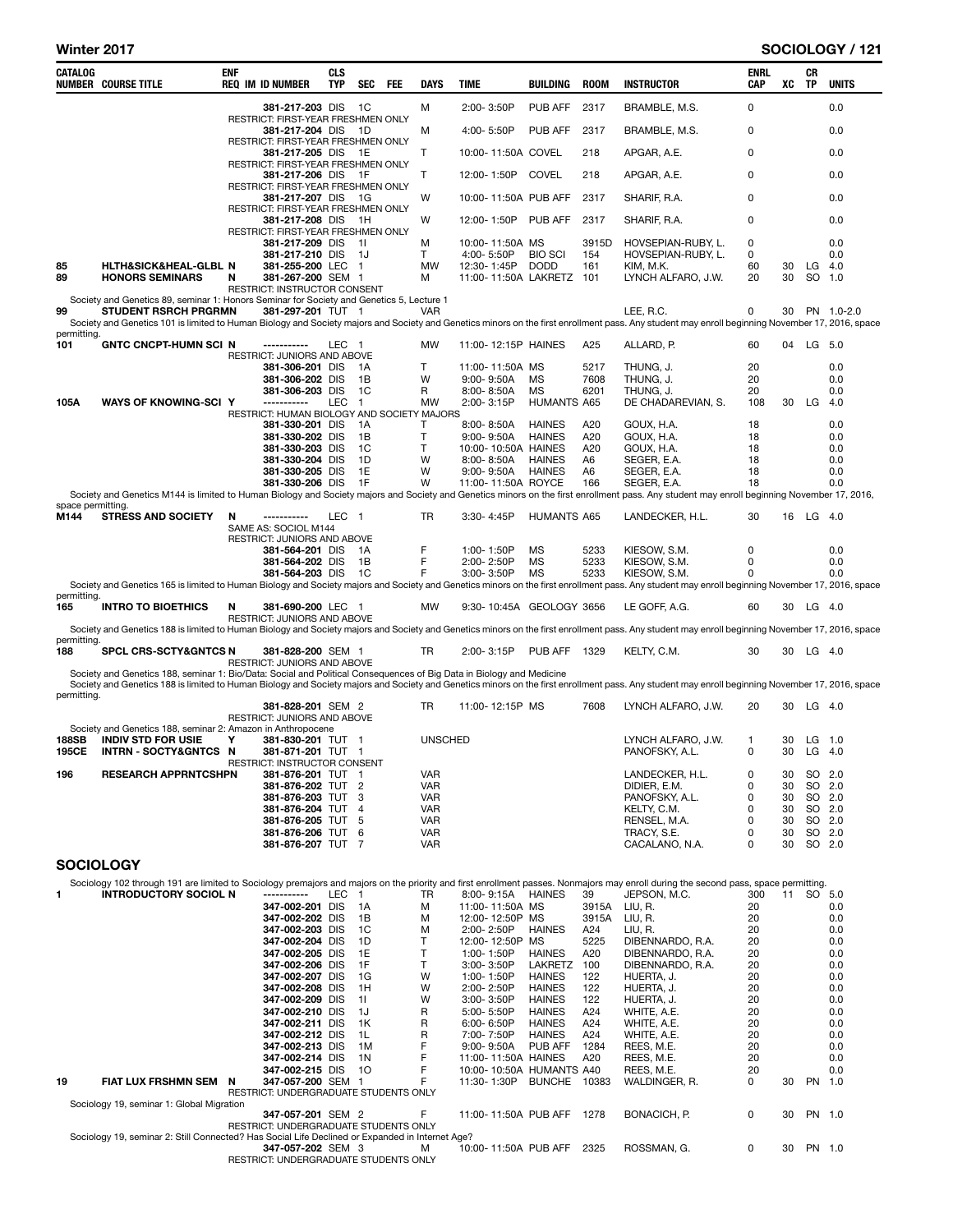| CATALOG            | <b>NUMBER COURSE TITLE</b>                                                                                           | enf | <b>REQ IM ID NUMBER</b>                                       | <b>CLS</b><br><b>TYP</b> | <b>SEC</b><br>FEE      | DAYS              | TIME                                         | <b>BUILDING</b>                | <b>ROOM</b>  | <b>INSTRUCTOR</b>                                                                                                                                                                                            | <b>ENRL</b><br>CAP | xс       | CR<br><b>TP</b>    | <b>UNITS</b> |
|--------------------|----------------------------------------------------------------------------------------------------------------------|-----|---------------------------------------------------------------|--------------------------|------------------------|-------------------|----------------------------------------------|--------------------------------|--------------|--------------------------------------------------------------------------------------------------------------------------------------------------------------------------------------------------------------|--------------------|----------|--------------------|--------------|
|                    |                                                                                                                      |     | 381-217-203 DIS                                               |                          | - 1C                   | М                 | 2:00-3:50P                                   | PUB AFF                        | 2317         | BRAMBLE, M.S.                                                                                                                                                                                                | 0                  |          |                    | 0.0          |
|                    |                                                                                                                      |     | <b>RESTRICT: FIRST-YEAR FRESHMEN ONLY</b><br>381-217-204 DIS  |                          | - 1D                   | M                 | 4:00-5:50P                                   | PUB AFF                        | 2317         | BRAMBLE, M.S.                                                                                                                                                                                                | 0                  |          |                    | 0.0          |
|                    |                                                                                                                      |     | RESTRICT: FIRST-YEAR FRESHMEN ONLY<br>381-217-205 DIS         |                          | - 1E                   | Т                 | 10:00-11:50A COVEL                           |                                | 218          | APGAR, A.E.                                                                                                                                                                                                  | 0                  |          |                    | 0.0          |
|                    |                                                                                                                      |     | RESTRICT: FIRST-YEAR FRESHMEN ONLY<br>381-217-206 DIS 1F      |                          |                        | Т                 | 12:00-1:50P                                  | COVEL                          | 218          | APGAR, A.E.                                                                                                                                                                                                  | 0                  |          |                    | 0.0          |
|                    |                                                                                                                      |     | RESTRICT: FIRST-YEAR FRESHMEN ONLY<br>381-217-207 DIS         |                          | - 1G                   | W                 | 10:00-11:50A PUB AFF                         |                                | 2317         | SHARIF, R.A.                                                                                                                                                                                                 | 0                  |          |                    | 0.0          |
|                    |                                                                                                                      |     | RESTRICT: FIRST-YEAR FRESHMEN ONLY<br>381-217-208 DIS         |                          | - 1H                   | W                 | 12:00-1:50P                                  | PUB AFF                        | 2317         | SHARIF, R.A.                                                                                                                                                                                                 | 0                  |          |                    | 0.0          |
|                    |                                                                                                                      |     | RESTRICT: FIRST-YEAR FRESHMEN ONLY                            |                          |                        |                   |                                              |                                |              |                                                                                                                                                                                                              |                    |          |                    | 0.0          |
|                    |                                                                                                                      |     | 381-217-209 DIS<br>381-217-210 DIS                            |                          | - 11<br>- 1J           | М<br>T            | 10:00-11:50A MS<br>4:00-5:50P                | <b>BIO SCI</b>                 | 3915D<br>154 | HOVSEPIAN-RUBY, L.<br>HOVSEPIAN-RUBY, L.                                                                                                                                                                     | 0<br>0             |          |                    | 0.0          |
| 85<br>89           | HLTH&SICK&HEAL-GLBL N<br><b>HONORS SEMINARS</b>                                                                      | N   | 381-255-200 LEC 1<br>381-267-200 SEM 1                        |                          |                        | <b>MW</b><br>м    | 12:30-1:45P DODD<br>11:00-11:50A LAKRETZ 101 |                                | 161          | KIM, M.K.<br>LYNCH ALFARO, J.W.                                                                                                                                                                              | 60<br>20           | 30<br>30 | $LG$ 4.0<br>SO 1.0 |              |
|                    | Society and Genetics 89, seminar 1: Honors Seminar for Society and Genetics 5, Lecture 1                             |     | RESTRICT: INSTRUCTOR CONSENT                                  |                          |                        |                   |                                              |                                |              |                                                                                                                                                                                                              |                    |          |                    |              |
| 99                 | <b>STUDENT RSRCH PRGRMN</b>                                                                                          |     | 381-297-201 TUT 1                                             |                          |                        | <b>VAR</b>        |                                              |                                |              | LEE, R.C.<br>Society and Genetics 101 is limited to Human Biology and Society majors and Society and Genetics minors on the first enrollment pass. Any student may enroll beginning November 17, 2016, space | 0                  | 30       |                    | PN 1.0-2.0   |
| permitting.<br>101 | <b>GNTC CNCPT-HUMN SCI N</b>                                                                                         |     |                                                               | LEC <sub>1</sub>         |                        | <b>MW</b>         | 11:00-12:15P HAINES                          |                                | A25          | ALLARD, P.                                                                                                                                                                                                   | 60                 | 04       | $LG$ 5.0           |              |
|                    |                                                                                                                      |     | RESTRICT: JUNIORS AND ABOVE<br>381-306-201 DIS                |                          | - 1A                   | Т                 | 11:00-11:50A MS                              |                                | 5217         | THUNG, J.                                                                                                                                                                                                    | 20                 |          |                    | 0.0          |
|                    |                                                                                                                      |     | 381-306-202 DIS                                               |                          | 1B                     | W                 | 9:00-9:50A                                   | MS                             | 7608         | THUNG, J.                                                                                                                                                                                                    | 20                 |          |                    | 0.0          |
| 105A               | <b>WAYS OF KNOWING-SCI Y</b>                                                                                         |     | 381-306-203 DIS<br>------------                               | LEC                      | - 1C<br>$\overline{1}$ | R<br><b>MW</b>    | 8:00-8:50A<br>2:00-3:15P                     | MS<br><b>HUMANTS A65</b>       | 6201         | THUNG, J.<br>DE CHADAREVIAN, S.                                                                                                                                                                              | 20<br>108          | 30       | LG                 | 0.0<br>4.0   |
|                    |                                                                                                                      |     | RESTRICT: HUMAN BIOLOGY AND SOCIETY MAJORS<br>381-330-201 DIS |                          | 1A                     | Т                 | 8:00-8:50A                                   | <b>HAINES</b>                  | A20          | GOUX, H.A.                                                                                                                                                                                                   | 18                 |          |                    | 0.0          |
|                    |                                                                                                                      |     | 381-330-202 DIS<br>381-330-203 DIS                            |                          | 1B<br>1C               | T<br>T            | 9:00-9:50A<br>10:00-10:50A HAINES            | <b>HAINES</b>                  | A20<br>A20   | GOUX, H.A.<br>GOUX, H.A.                                                                                                                                                                                     | 18<br>18           |          |                    | 0.0<br>0.0   |
|                    |                                                                                                                      |     | 381-330-204 DIS<br>381-330-205 DIS                            |                          | 1D<br>1E               | W<br>W            | 8:00-8:50A<br>$9:00 - 9:50A$                 | <b>HAINES</b><br><b>HAINES</b> | A6<br>A6     | SEGER, E.A.<br>SEGER, E.A.                                                                                                                                                                                   | 18<br>18           |          |                    | 0.0<br>0.0   |
|                    |                                                                                                                      |     | 381-330-206 DIS                                               |                          | 1F                     | W                 | 11:00-11:50A ROYCE                           |                                | 166          | SEGER, E.A.                                                                                                                                                                                                  | 18                 |          |                    | 0.0          |
| space permitting.  |                                                                                                                      |     |                                                               |                          |                        |                   |                                              |                                |              | Society and Genetics M144 is limited to Human Biology and Society majors and Society and Genetics minors on the first enrollment pass. Any student may enroll beginning November 17, 2016,                   |                    |          |                    |              |
| M144               | <b>STRESS AND SOCIETY</b>                                                                                            | N   | -----------<br>SAME AS: SOCIOL M144                           | LEC 1                    |                        | TR                | 3:30-4:45P                                   | <b>HUMANTS A65</b>             |              | LANDECKER, H.L.                                                                                                                                                                                              | 30                 |          | 16 LG 4.0          |              |
|                    |                                                                                                                      |     | <b>RESTRICT: JUNIORS AND ABOVE</b><br>381-564-201 DIS         |                          | - 1A                   | F                 | 1:00-1:50P                                   | MS                             | 5233         | KIESOW, S.M.                                                                                                                                                                                                 | 0                  |          |                    | 0.0          |
|                    |                                                                                                                      |     | 381-564-202 DIS<br>381-564-203 DIS                            |                          | 1B<br>- 1C             | F<br>F            | 2:00-2:50P<br>3:00-3:50P                     | <b>MS</b><br><b>MS</b>         | 5233<br>5233 | KIESOW, S.M.<br>KIESOW, S.M.                                                                                                                                                                                 | 0<br>0             |          |                    | 0.0<br>0.0   |
| permitting.        |                                                                                                                      |     |                                                               |                          |                        |                   |                                              |                                |              | Society and Genetics 165 is limited to Human Biology and Society majors and Society and Genetics minors on the first enrollment pass. Any student may enroll beginning November 17, 2016, space              |                    |          |                    |              |
| 165                | <b>INTRO TO BIOETHICS</b>                                                                                            | N   | 381-690-200 LEC 1<br><b>RESTRICT: JUNIORS AND ABOVE</b>       |                          |                        | <b>MW</b>         | 9:30-10:45A GEOLOGY 3656                     |                                |              | LE GOFF, A.G.                                                                                                                                                                                                | 60                 |          | 30 LG 4.0          |              |
| permitting.        |                                                                                                                      |     |                                                               |                          |                        |                   |                                              |                                |              | Society and Genetics 188 is limited to Human Biology and Society majors and Society and Genetics minors on the first enrollment pass. Any student may enroll beginning November 17, 2016, space              |                    |          |                    |              |
| 188                | <b>SPCL CRS-SCTY&amp;GNTCS N</b>                                                                                     |     | 381-828-200 SEM 1<br><b>RESTRICT: JUNIORS AND ABOVE</b>       |                          |                        | TR                | 2:00-3:15P                                   | PUB AFF 1329                   |              | KELTY, C.M.                                                                                                                                                                                                  | 30                 | 30       | LG $4.0$           |              |
|                    | Society and Genetics 188, seminar 1: Bio/Data: Social and Political Consequences of Big Data in Biology and Medicine |     |                                                               |                          |                        |                   |                                              |                                |              |                                                                                                                                                                                                              |                    |          |                    |              |
| permitting.        |                                                                                                                      |     |                                                               |                          |                        |                   |                                              |                                |              | Society and Genetics 188 is limited to Human Biology and Society majors and Society and Genetics minors on the first enrollment pass. Any student may enroll beginning November 17, 2016, space              |                    |          | $LG$ 4.0           |              |
|                    |                                                                                                                      |     | 381-828-201 SEM 2<br>RESTRICT: JUNIORS AND ABOVE              |                          |                        | TR                | 11:00-12:15P MS                              |                                | 7608         | LYNCH ALFARO, J.W.                                                                                                                                                                                           | 20                 | 30       |                    |              |
| 188SB              | Society and Genetics 188, seminar 2: Amazon in Anthropocene<br><b>INDIV STD FOR USIE</b>                             | Υ   | 381-830-201 TUT 1                                             |                          |                        | <b>UNSCHED</b>    |                                              |                                |              | LYNCH ALFARO, J.W.                                                                                                                                                                                           | 1                  | 30       | $LG$ 1.0           |              |
| <b>195CE</b>       | <b>INTRN-SOCTY&amp;GNTCS N</b>                                                                                       |     | 381-871-201 TUT 1<br>RESTRICT: INSTRUCTOR CONSENT             |                          |                        |                   |                                              |                                |              | PANOFSKY, A.L.                                                                                                                                                                                               | 0                  |          | 30 LG 4.0          |              |
| 196                | <b>RESEARCH APPRNTCSHPN</b>                                                                                          |     | 381-876-201 TUT 1<br>381-876-202 TUT 2                        |                          |                        | <b>VAR</b><br>VAR |                                              |                                |              | LANDECKER, H.L.<br>DIDIER, E.M.                                                                                                                                                                              | 0<br>0             | 30<br>30 | SO 2.0<br>SO 2.0   |              |
|                    |                                                                                                                      |     | 381-876-203 TUT 3<br>381-876-204 TUT                          |                          | $\overline{4}$         | VAR<br><b>VAR</b> |                                              |                                |              | PANOFSKY, A.L.<br>KELTY, C.M.                                                                                                                                                                                | 0<br>0             | 30<br>30 | SO 2.0<br>SO 2.0   |              |
|                    |                                                                                                                      |     | 381-876-205 TUT 5                                             |                          |                        | VAR               |                                              |                                |              | RENSEL, M.A.                                                                                                                                                                                                 | 0                  | 30       | SO 2.0             |              |
|                    |                                                                                                                      |     | 381-876-206 TUT 6<br>381-876-207 TUT 7                        |                          |                        | VAR<br>VAR        |                                              |                                |              | TRACY, S.E.<br>CACALANO, N.A.                                                                                                                                                                                | 0<br>0             | 30<br>30 | SO 2.0<br>SO 2.0   |              |
|                    | <b>SOCIOLOGY</b>                                                                                                     |     |                                                               |                          |                        |                   |                                              |                                |              |                                                                                                                                                                                                              |                    |          |                    |              |
| 1                  | <b>INTRODUCTORY SOCIOL N</b>                                                                                         |     | -----------                                                   | LEC 1                    |                        | TR                | 8:00-9:15A                                   | HAINES                         | 39           | Sociology 102 through 191 are limited to Sociology premajors and majors on the priority and first enrollment passes. Nonmajors may enroll during the second pass, space permitting.<br>JEPSON, M.C.          | 300                |          | 11 SO 5.0          |              |
|                    |                                                                                                                      |     | 347-002-201 DIS                                               |                          | 1A                     | м                 | 11:00-11:50A MS                              |                                | 3915A        | LIU, R.                                                                                                                                                                                                      | 20                 |          |                    | 0.0          |
|                    |                                                                                                                      |     | 347-002-202 DIS<br>347-002-203 DIS                            |                          | 1В<br>1C               | M<br>M            | 12:00-12:50P MS<br>2:00-2:50P                | <b>HAINES</b>                  | 3915A<br>A24 | LIU, R.<br>LIU, R.                                                                                                                                                                                           | 20<br>20           |          |                    | 0.0<br>0.0   |
|                    |                                                                                                                      |     | 347-002-204 DIS<br>347-002-205 DIS                            |                          | 1D<br>1E               | т<br>Т            | 12:00-12:50P MS<br>1:00-1:50P                | <b>HAINES</b>                  | 5225<br>A20  | DIBENNARDO, R.A.<br>DIBENNARDO, R.A.                                                                                                                                                                         | 20<br>20           |          |                    | 0.0<br>0.0   |
|                    |                                                                                                                      |     | 347-002-206 DIS<br>347-002-207 DIS                            |                          | 1F<br>1G               | Т<br>W            | 3:00-3:50P<br>1:00-1:50P                     | LAKRETZ<br><b>HAINES</b>       | 100<br>122   | DIBENNARDO, R.A.<br>HUERTA, J.                                                                                                                                                                               | 20<br>20           |          |                    | 0.0<br>0.0   |
|                    |                                                                                                                      |     | 347-002-208 DIS<br>347-002-209 DIS                            |                          | 1H<br>11               | W<br>W            | 2:00-2:50P<br>3:00-3:50P                     | <b>HAINES</b><br><b>HAINES</b> | 122<br>122   | HUERTA, J.<br>HUERTA, J.                                                                                                                                                                                     | 20<br>20           |          |                    | 0.0<br>0.0   |
|                    |                                                                                                                      |     | 347-002-210 DIS                                               |                          | 1J                     | R                 | 5:00- 5:50P                                  | <b>HAINES</b>                  | A24          | WHITE, A.E.                                                                                                                                                                                                  | 20                 |          |                    | 0.0          |
|                    |                                                                                                                      |     | 347-002-211 DIS<br>347-002-212 DIS                            |                          | 1K<br>1L               | R<br>R            | 6:00- 6:50P<br>7:00-7:50P                    | <b>HAINES</b><br><b>HAINES</b> | A24<br>A24   | WHITE, A.E.<br>WHITE, A.E.                                                                                                                                                                                   | 20<br>20           |          |                    | 0.0<br>0.0   |
|                    |                                                                                                                      |     | 347-002-213 DIS<br>347-002-214 DIS                            |                          | 1M<br>1N               | F<br>F            | 9:00-9:50A<br>11:00-11:50A HAINES            | PUB AFF                        | 1284<br>A20  | REES, M.E.<br>REES, M.E.                                                                                                                                                                                     | 20<br>20           |          |                    | 0.0<br>0.0   |
| 19                 | FIAT LUX FRSHMN SEM N                                                                                                |     | 347-002-215 DIS<br>347-057-200 SEM 1                          |                          | 10                     | F<br>F            | 10:00-10:50A HUMANTS A40<br>11:30-1:30P      | <b>BUNCHE 10383</b>            |              | REES, M.E.<br>WALDINGER, R.                                                                                                                                                                                  | 20<br>0            | 30       | PN 1.0             | 0.0          |
|                    | Sociology 19, seminar 1: Global Migration                                                                            |     | RESTRICT: UNDERGRADUATE STUDENTS ONLY                         |                          |                        |                   |                                              |                                |              |                                                                                                                                                                                                              |                    |          |                    |              |
|                    |                                                                                                                      |     | 347-057-201 SEM 2                                             |                          |                        | F                 | 11:00-11:50A PUB AFF                         |                                | 1278         | BONACICH, P.                                                                                                                                                                                                 | 0                  | 30       | PN 1.0             |              |
|                    | Sociology 19, seminar 2: Still Connected? Has Social Life Declined or Expanded in Internet Age?                      |     | RESTRICT: UNDERGRADUATE STUDENTS ONLY                         |                          |                        |                   |                                              |                                |              |                                                                                                                                                                                                              |                    |          |                    |              |
|                    |                                                                                                                      |     | 347-057-202 SEM 3<br>RESTRICT: UNDERGRADUATE STUDENTS ONLY    |                          |                        | м                 | 10:00-11:50A PUB AFF 2325                    |                                |              | ROSSMAN, G.                                                                                                                                                                                                  | 0                  |          | 30 PN 1.0          |              |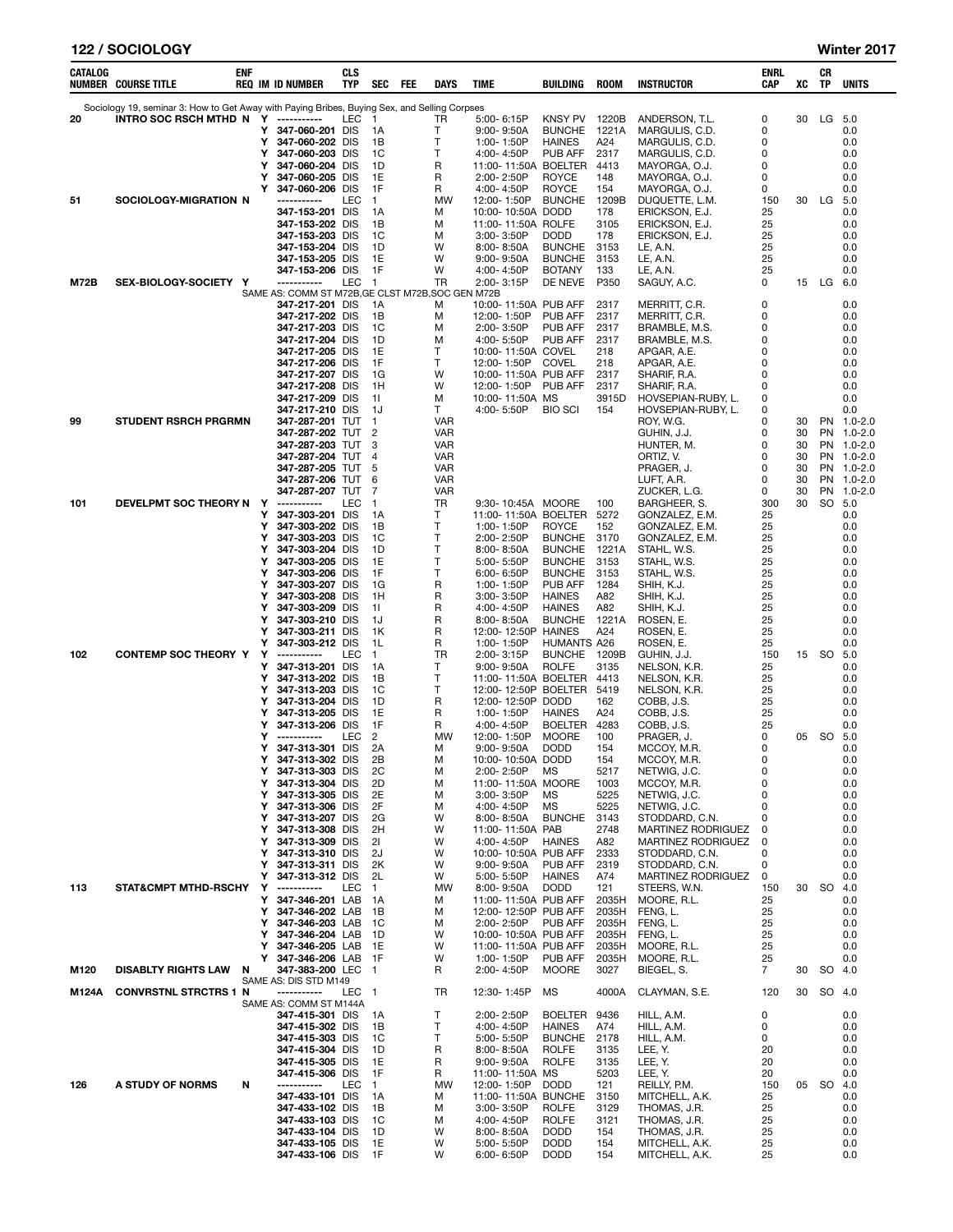| 122 / SOCIOLOGY | Winter 2017 |
|-----------------|-------------|
|                 |             |

| CATALOG | <b>NUMBER COURSE TITLE</b>                                                                                                          | enf |        | REQ IM ID NUMBER                                  | CLS<br>TYP | <b>SEC</b>             | FEE | DAYS                         | TIME                                              | BUILDING                            | <b>ROOM</b>    | <b>INSTRUCTOR</b>                               | ENRL<br>CAP      | XC       | CR<br>TP  | UNITS                     |
|---------|-------------------------------------------------------------------------------------------------------------------------------------|-----|--------|---------------------------------------------------|------------|------------------------|-----|------------------------------|---------------------------------------------------|-------------------------------------|----------------|-------------------------------------------------|------------------|----------|-----------|---------------------------|
| 20      | Sociology 19, seminar 3: How to Get Away with Paying Bribes, Buying Sex, and Selling Corpses<br>INTRO SOC RSCH MTHD N Y ----------- |     |        |                                                   | LEC        | $\overline{1}$         |     | TR                           | 5:00-6:15P                                        | KNSY PV                             | 1220B          | ANDERSON, T.L.                                  | 0                | 30       | LG        | 5.0                       |
|         |                                                                                                                                     |     | Y      | 347-060-201 DIS                                   |            | 1A                     |     | T                            | 9:00-9:50A                                        | <b>BUNCHE</b>                       | 1221A          | MARGULIS, C.D.                                  | 0                |          |           | 0.0                       |
|         |                                                                                                                                     |     | Y<br>Y | 347-060-202 DIS<br>347-060-203 DIS                |            | 1B<br>1C               |     | Т<br>$\mathsf{T}$            | 1:00-1:50P                                        | <b>HAINES</b><br>PUB AFF            | A24<br>2317    | MARGULIS, C.D.<br>MARGULIS, C.D.                | 0<br>0           |          |           | 0.0<br>0.0                |
|         |                                                                                                                                     |     | Y      | 347-060-204 DIS                                   |            | 1D                     |     | R                            | 4:00-4:50P<br>11:00-11:50A                        | <b>BOELTER</b>                      | 4413           | MAYORGA, O.J.                                   | 0                |          |           | 0.0                       |
|         |                                                                                                                                     |     | Y      | 347-060-205 DIS                                   |            | 1E                     |     | R                            | 2:00-2:50P                                        | <b>ROYCE</b>                        | 148            | MAYORGA, O.J.                                   | 0                |          |           | 0.0                       |
| 51      | SOCIOLOGY-MIGRATION N                                                                                                               |     | Y      | 347-060-206 DIS<br>-----------                    | LEC        | 1F<br>$\mathbf{1}$     |     | R<br>MW                      | 4:00-4:50P<br>12:00-1:50P                         | <b>ROYCE</b><br><b>BUNCHE</b>       | 154<br>1209B   | MAYORGA, O.J.<br>DUQUETTE, L.M.                 | 0<br>150         | 30       | LG        | 0.0<br>5.0                |
|         |                                                                                                                                     |     |        | 347-153-201 DIS                                   |            | 1A                     |     | М                            | 10:00-10:50A DODD                                 |                                     | 178            | ERICKSON, E.J.                                  | 25               |          |           | 0.0                       |
|         |                                                                                                                                     |     |        | 347-153-202 DIS                                   |            | 1B                     |     | М                            | 11:00-11:50A                                      | <b>ROLFE</b>                        | 3105           | ERICKSON, E.J.                                  | 25               |          |           | 0.0                       |
|         |                                                                                                                                     |     |        | 347-153-203 DIS<br>347-153-204 DIS                |            | 1C<br>1D               |     | М<br>W                       | 3:00-3:50P<br>$8:00 - 8:50A$                      | <b>DODD</b><br><b>BUNCHE</b>        | 178<br>3153    | ERICKSON, E.J.<br>LE, A.N.                      | 25<br>25         |          |           | 0.0<br>0.0                |
|         |                                                                                                                                     |     |        | 347-153-205 DIS                                   |            | 1E                     |     | W                            | $9:00 - 9:50A$                                    | <b>BUNCHE</b>                       | 3153           | LE, A.N.                                        | 25               |          |           | 0.0                       |
| M72B    | SEX-BIOLOGY-SOCIETY Y                                                                                                               |     |        | 347-153-206 DIS<br>-----------                    | LEC        | 1F<br>$\overline{1}$   |     | W<br>TR                      | 4:00-4:50P<br>2:00-3:15P                          | <b>BOTANY</b><br>DE NEVE            | 133<br>P350    | LE, A.N.<br>SAGUY, A.C.                         | 25<br>0          | 15       | LG        | 0.0<br>6.0                |
|         |                                                                                                                                     |     |        | SAME AS: COMM ST M72B, GE CLST M72B, SOC GEN M72B |            |                        |     |                              |                                                   |                                     |                |                                                 |                  |          |           |                           |
|         |                                                                                                                                     |     |        | 347-217-201 DIS                                   |            | 1A                     |     | М                            | 10:00-11:50A PUB AFF                              |                                     | 2317           | MERRITT, C.R.                                   | 0                |          |           | 0.0                       |
|         |                                                                                                                                     |     |        | 347-217-202 DIS<br>347-217-203 DIS                |            | 1B<br>1C               |     | М<br>м                       | 12:00-1:50P<br>$2:00 - 3:50P$                     | <b>PUB AFF</b><br>PUB AFF           | 2317<br>2317   | MERRITT, C.R.<br>BRAMBLE, M.S.                  | 0<br>0           |          |           | 0.0<br>0.0                |
|         |                                                                                                                                     |     |        | 347-217-204 DIS                                   |            | 1D                     |     | м                            | 4:00-5:50P                                        | PUB AFF                             | 2317           | BRAMBLE, M.S.                                   | 0                |          |           | 0.0                       |
|         |                                                                                                                                     |     |        | 347-217-205 DIS<br>347-217-206 DIS                |            | 1E<br>1F               |     | T<br>$\mathsf{T}$            | 10:00-11:50A COVEL<br>12:00-1:50P                 | COVEL                               | 218<br>218     | APGAR, A.E.<br>APGAR, A.E.                      | 0<br>$\mathbf 0$ |          |           | 0.0<br>0.0                |
|         |                                                                                                                                     |     |        | 347-217-207 DIS                                   |            | 1G                     |     | W                            | 10:00-11:50A PUB AFF                              |                                     | 2317           | SHARIF, R.A.                                    | 0                |          |           | 0.0                       |
|         |                                                                                                                                     |     |        | 347-217-208 DIS                                   |            | 1H                     |     | W                            | 12:00-1:50P                                       | PUB AFF                             | 2317           | SHARIF, R.A.                                    | 0                |          |           | 0.0                       |
|         |                                                                                                                                     |     |        | 347-217-209 DIS<br>347-217-210 DIS                |            | -11<br>1J              |     | м<br>T                       | 10:00-11:50A MS<br>4:00-5:50P                     | <b>BIO SCI</b>                      | 3915D<br>154   | HOVSEPIAN-RUBY, L.<br>HOVSEPIAN-RUBY, L.        | 0<br>0           |          |           | 0.0<br>0.0                |
| 99      | <b>STUDENT RSRCH PRGRMN</b>                                                                                                         |     |        | 347-287-201 TUT                                   |            | $\mathbf{1}$           |     | <b>VAR</b>                   |                                                   |                                     |                | ROY, W.G.                                       | 0                | 30       | PN        | 1.0-2.0                   |
|         |                                                                                                                                     |     |        | 347-287-202 TUT<br>347-287-203 TUT                |            | $\overline{2}$<br>3    |     | <b>VAR</b><br>VAR            |                                                   |                                     |                | GUHIN, J.J.<br>HUNTER, M.                       | 0<br>0           | 30<br>30 | PN        | PN 1.0-2.0<br>$1.0 - 2.0$ |
|         |                                                                                                                                     |     |        | 347-287-204 TUT                                   |            | 4                      |     | VAR                          |                                                   |                                     |                | ORTIZ, V.                                       | 0                | 30       | PN        | 1.0-2.0                   |
|         |                                                                                                                                     |     |        | 347-287-205 TUT                                   |            | 5                      |     | VAR                          |                                                   |                                     |                | PRAGER, J.                                      | 0                | 30       | PN        | 1.0-2.0                   |
|         |                                                                                                                                     |     |        | 347-287-206 TUT<br>347-287-207 TUT                |            | 6<br>7                 |     | VAR<br>VAR                   |                                                   |                                     |                | LUFT, A.R.<br>ZUCKER, L.G.                      | 0<br>0           | 30<br>30 | PN<br>PN  | 1.0-2.0<br>$1.0 - 2.0$    |
| 101     | DEVELPMT SOC THEORY N Y                                                                                                             |     |        | -----------                                       | LEC        | $\overline{1}$         |     | TR                           | 9:30-10:45A MOORE                                 |                                     | 100            | BARGHEER, S.                                    | 300              | 30       | SO        | 5.0                       |
|         |                                                                                                                                     |     | Y<br>Y | 347-303-201 DIS<br>347-303-202 DIS                |            | 1A<br>1B               |     | T<br>$\mathsf{T}$            | 11:00-11:50A BOELTER 5272<br>1:00-1:50P           | <b>ROYCE</b>                        | 152            | GONZALEZ, E.M.<br>GONZALEZ, E.M.                | 25<br>25         |          |           | 0.0<br>0.0                |
|         |                                                                                                                                     |     | Y      | 347-303-203 DIS                                   |            | 1C                     |     | $\mathsf{T}$                 | 2:00-2:50P                                        | <b>BUNCHE</b>                       | 3170           | GONZALEZ, E.M.                                  | 25               |          |           | 0.0                       |
|         |                                                                                                                                     |     | Y      | 347-303-204 DIS                                   |            | 1D                     |     | $\mathsf{T}$<br>$\mathsf{T}$ | $8:00 - 8:50A$                                    | <b>BUNCHE</b>                       | 1221A          | STAHL, W.S.                                     | 25               |          |           | 0.0                       |
|         |                                                                                                                                     |     | Y<br>Y | 347-303-205 DIS<br>347-303-206 DIS                |            | 1E<br>1F               |     | $\mathsf{T}$                 | 5:00-5:50P<br>$6.00 - 6.50P$                      | <b>BUNCHE</b><br><b>BUNCHE</b>      | 3153<br>3153   | STAHL, W.S.<br>STAHL, W.S.                      | 25<br>25         |          |           | 0.0<br>0.0                |
|         |                                                                                                                                     |     | Y      | 347-303-207 DIS                                   |            | 1G                     |     | R                            | 1:00-1:50P                                        | PUB AFF                             | 1284           | SHIH, K.J.                                      | 25               |          |           | 0.0                       |
|         |                                                                                                                                     |     | Y<br>Y | 347-303-208 DIS<br>347-303-209                    | DIS        | 1H<br>11               |     | R<br>R                       | $3:00 - 3:50P$<br>4:00-4:50P                      | <b>HAINES</b><br><b>HAINES</b>      | A82<br>A82     | SHIH, K.J.<br>SHIH, K.J.                        | 25<br>25         |          |           | 0.0<br>0.0                |
|         |                                                                                                                                     |     | Y      | 347-303-210 DIS                                   |            | 1J                     |     | R                            | $8:00 - 8:50A$                                    | <b>BUNCHE</b>                       | 1221A          | ROSEN, E.                                       | 25               |          |           | 0.0                       |
|         |                                                                                                                                     |     | Y      | 347-303-211 DIS                                   |            | 1K                     |     | R                            | 12:00-12:50P                                      | <b>HAINES</b>                       | A24            | ROSEN, E.                                       | 25               |          |           | 0.0                       |
| 102     | <b>CONTEMP SOC THEORY Y</b>                                                                                                         |     | Y<br>Y | 347-303-212 DIS<br>-----------                    | LEC        | 1L<br>$\mathbf{1}$     |     | R<br>TR                      | 1:00-1:50P<br>$2:00 - 3:15P$                      | <b>HUMANTS A26</b><br><b>BUNCHE</b> | 1209B          | ROSEN, E.<br>GUHIN, J.J.                        | 25<br>150        | 15       | SO        | 0.0<br>5.0                |
|         |                                                                                                                                     |     | Y      | 347-313-201 DIS                                   |            | 1A                     |     | $\mathsf{T}$                 | $9:00 - 9:50A$                                    | <b>ROLFE</b>                        | 3135           | NELSON, K.R.                                    | 25               |          |           | 0.0                       |
|         |                                                                                                                                     |     | Y<br>Y | 347-313-202 DIS<br>347-313-203 DIS                |            | 1B<br>1C               |     | T.<br>$\mathsf{T}$           | 11:00-11:50A BOELTER 4413<br>12:00-12:50P BOELTER |                                     | 5419           | NELSON, K.R.<br>NELSON, K.R.                    | 25<br>25         |          |           | 0.0<br>0.0                |
|         |                                                                                                                                     |     | Y      | 347-313-204 DIS                                   |            | 1D                     |     | R                            | 12:00-12:50P                                      | <b>DODD</b>                         | 162            | COBB, J.S.                                      | 25               |          |           | 0.0                       |
|         |                                                                                                                                     |     | Υ<br>Y | 347-313-205 DIS<br>347-313-206 DIS                |            | 1E<br>1F               |     | R<br>R                       | 1:00-1:50P<br>4:00-4:50P                          | <b>HAINES</b><br><b>BOELTER</b>     | A24<br>4283    | COBB, J.S.                                      | 25<br>25         |          |           | 0.0<br>0.0                |
|         |                                                                                                                                     |     | Y      | -----------                                       | LEC        | 2                      |     | MW                           | 12:00-1:50P                                       | <b>MOORE</b>                        | 100            | COBB, J.S.<br>PRAGER, J.                        | 0                | 05       | <b>SO</b> | 5.0                       |
|         |                                                                                                                                     |     | Y      | 347-313-301 DIS                                   |            | 2A                     |     | м                            | $9:00 - 9:50A$                                    | <b>DODD</b>                         | 154            | MCCOY, M.R.                                     | 0                |          |           | 0.0                       |
|         |                                                                                                                                     |     | Y<br>Y | 347-313-302 DIS<br>347-313-303 DIS                |            | 2B<br>2C               |     | м<br>м                       | 10:00-10:50A DODD<br>2:00-2:50P                   | МS                                  | 154<br>5217    | MCCOY, M.R.<br>NETWIG, J.C.                     | 0<br>0           |          |           | 0.0<br>0.0                |
|         |                                                                                                                                     |     | Y      | 347-313-304 DIS                                   |            | 2D                     |     | М                            | 11:00-11:50A MOORE                                |                                     | 1003           | MCCOY, M.R.                                     | 0                |          |           | 0.0                       |
|         |                                                                                                                                     |     | Y<br>Y | 347-313-305 DIS<br>347-313-306 DIS                |            | 2E<br>2F               |     | М<br>м                       | 3:00-3:50P<br>4:00-4:50P                          | ΜS<br><b>MS</b>                     | 5225<br>5225   | NETWIG, J.C.<br>NETWIG, J.C.                    | $\mathbf 0$<br>0 |          |           | 0.0<br>0.0                |
|         |                                                                                                                                     |     | Y      | 347-313-207 DIS                                   |            | 2G                     |     | W                            | $8:00 - 8:50A$                                    | <b>BUNCHE</b>                       | 3143           | STODDARD, C.N.                                  | 0                |          |           | 0.0                       |
|         |                                                                                                                                     |     | Y<br>Y | 347-313-308 DIS<br>347-313-309 DIS                |            | 2H<br>21               |     | W<br>W                       | 11:00-11:50A PAB<br>4:00-4:50P                    | <b>HAINES</b>                       | 2748<br>A82    | <b>MARTINEZ RODRIGUEZ</b><br>MARTINEZ RODRIGUEZ | 0<br>0           |          |           | 0.0<br>0.0                |
|         |                                                                                                                                     |     | Y      | 347-313-310 DIS                                   |            | 2J                     |     | W                            | 10:00-10:50A PUB AFF                              |                                     | 2333           | STODDARD, C.N.                                  | 0                |          |           | 0.0                       |
|         |                                                                                                                                     |     | Y      | 347-313-311 DIS                                   |            | 2K                     |     | W                            | 9:00-9:50A                                        | PUB AFF                             | 2319           | STODDARD, C.N.                                  | 0                |          |           | 0.0                       |
| 113     | <b>STAT&amp;CMPT MTHD-RSCHY</b>                                                                                                     |     | Y<br>Y | 347-313-312 DIS<br>-----------                    | LEC        | 2L<br>$\mathbf{1}$     |     | W<br><b>MW</b>               | 5:00-5:50P<br>$8:00 - 9:50A$                      | <b>HAINES</b><br><b>DODD</b>        | A74<br>121     | MARTINEZ RODRIGUEZ<br>STEERS, W.N.              | 0<br>150         | 30       | SO.       | 0.0<br>4.0                |
|         |                                                                                                                                     |     | Y      | 347-346-201 LAB                                   |            | 1A                     |     | М                            | 11:00-11:50A PUB AFF                              |                                     | 2035H          | MOORE, R.L.                                     | 25               |          |           | 0.0                       |
|         |                                                                                                                                     |     | Y<br>Y | 347-346-202 LAB<br>347-346-203 LAB                |            | 1B<br>1C               |     | М<br>м                       | 12:00-12:50P PUB AFF<br>2:00-2:50P                | PUB AFF                             | 2035H<br>2035H | FENG, L.<br>FENG, L.                            | 25<br>25         |          |           | 0.0<br>0.0                |
|         |                                                                                                                                     |     | Y      | 347-346-204 LAB                                   |            | 1D                     |     | W                            | 10:00-10:50A PUB AFF                              |                                     | 2035H          | FENG, L.                                        | 25               |          |           | 0.0                       |
|         |                                                                                                                                     |     | Y      | 347-346-205 LAB                                   |            | 1E                     |     | W                            | 11:00-11:50A PUB AFF                              |                                     | 2035H          | MOORE, R.L.                                     | 25               |          |           | 0.0                       |
| M120    | <b>DISABLTY RIGHTS LAW</b>                                                                                                          | N   | Y      | 347-346-206 LAB<br>347-383-200 LEC                |            | - 1F<br>$\overline{1}$ |     | W<br>R                       | 1:00-1:50P<br>2:00-4:50P                          | PUB AFF<br><b>MOORE</b>             | 2035H<br>3027  | MOORE, R.L.<br>BIEGEL, S.                       | 25<br>7          | 30       | SO        | 0.0<br>4.0                |
|         |                                                                                                                                     |     |        | SAME AS: DIS STD M149                             |            |                        |     |                              |                                                   |                                     |                |                                                 |                  |          |           |                           |
| M124A   | <b>CONVRSTNL STRCTRS 1 N</b>                                                                                                        |     |        | -----------<br>SAME AS: COMM ST M144A             | <b>LEC</b> | $\overline{1}$         |     | TR                           | 12:30-1:45P                                       | MS                                  | 4000A          | CLAYMAN, S.E.                                   | 120              | 30       | SO        | -4.0                      |
|         |                                                                                                                                     |     |        | 347-415-301 DIS                                   |            | 1A                     |     | т                            | 2:00-2:50P                                        | BOELTER 9436                        |                | HILL, A.M.                                      | 0                |          |           | 0.0                       |
|         |                                                                                                                                     |     |        | 347-415-302 DIS<br>347-415-303 DIS                |            | 1B<br>1C               |     | $\mathsf{T}$<br>Т            | 4:00-4:50P<br>5:00-5:50P                          | <b>HAINES</b><br><b>BUNCHE</b>      | A74<br>2178    | HILL, A.M.<br>HILL, A.M.                        | 0<br>0           |          |           | 0.0<br>0.0                |
|         |                                                                                                                                     |     |        | 347-415-304 DIS                                   |            | 1D                     |     | R                            | 8:00-8:50A                                        | <b>ROLFE</b>                        | 3135           | LEE, Y.                                         | 20               |          |           | 0.0                       |
|         |                                                                                                                                     |     |        | 347-415-305 DIS                                   |            | 1E                     |     | R                            | 9:00-9:50A                                        | <b>ROLFE</b>                        | 3135           | LEE, Y.                                         | 20               |          |           | 0.0                       |
| 126     | A STUDY OF NORMS                                                                                                                    | N   |        | 347-415-306 DIS<br>-----------                    | LEC        | 1F<br>$\mathbf{1}$     |     | R<br>MW                      | 11:00-11:50A MS<br>12:00-1:50P                    | <b>DODD</b>                         | 5203<br>121    | LEE, Y.<br>REILLY, P.M.                         | 20<br>150        | 05       | SO.       | 0.0<br>4.0                |
|         |                                                                                                                                     |     |        | 347-433-101 DIS                                   |            | 1A                     |     | М                            | 11:00-11:50A                                      | <b>BUNCHE</b>                       | 3150           | MITCHELL, A.K.                                  | 25               |          |           | 0.0                       |
|         |                                                                                                                                     |     |        | 347-433-102 DIS                                   |            | 1B                     |     | М                            | 3:00-3:50P                                        | <b>ROLFE</b>                        | 3129           | THOMAS, J.R.                                    | 25               |          |           | 0.0                       |
|         |                                                                                                                                     |     |        | 347-433-103 DIS<br>347-433-104 DIS                |            | 1C<br>1D               |     | М<br>W                       | 4:00-4:50P<br>8:00-8:50A                          | <b>ROLFE</b><br><b>DODD</b>         | 3121<br>154    | THOMAS, J.R.<br>THOMAS, J.R.                    | 25<br>25         |          |           | 0.0<br>0.0                |
|         |                                                                                                                                     |     |        | 347-433-105 DIS                                   |            | 1E                     |     | W                            | 5:00-5:50P                                        | <b>DODD</b>                         | 154            | MITCHELL, A.K.                                  | 25               |          |           | 0.0                       |
|         |                                                                                                                                     |     |        | 347-433-106 DIS                                   |            | 1F                     |     | W                            | 6:00-6:50P                                        | <b>DODD</b>                         | 154            | MITCHELL, A.K.                                  | 25               |          |           | 0.0                       |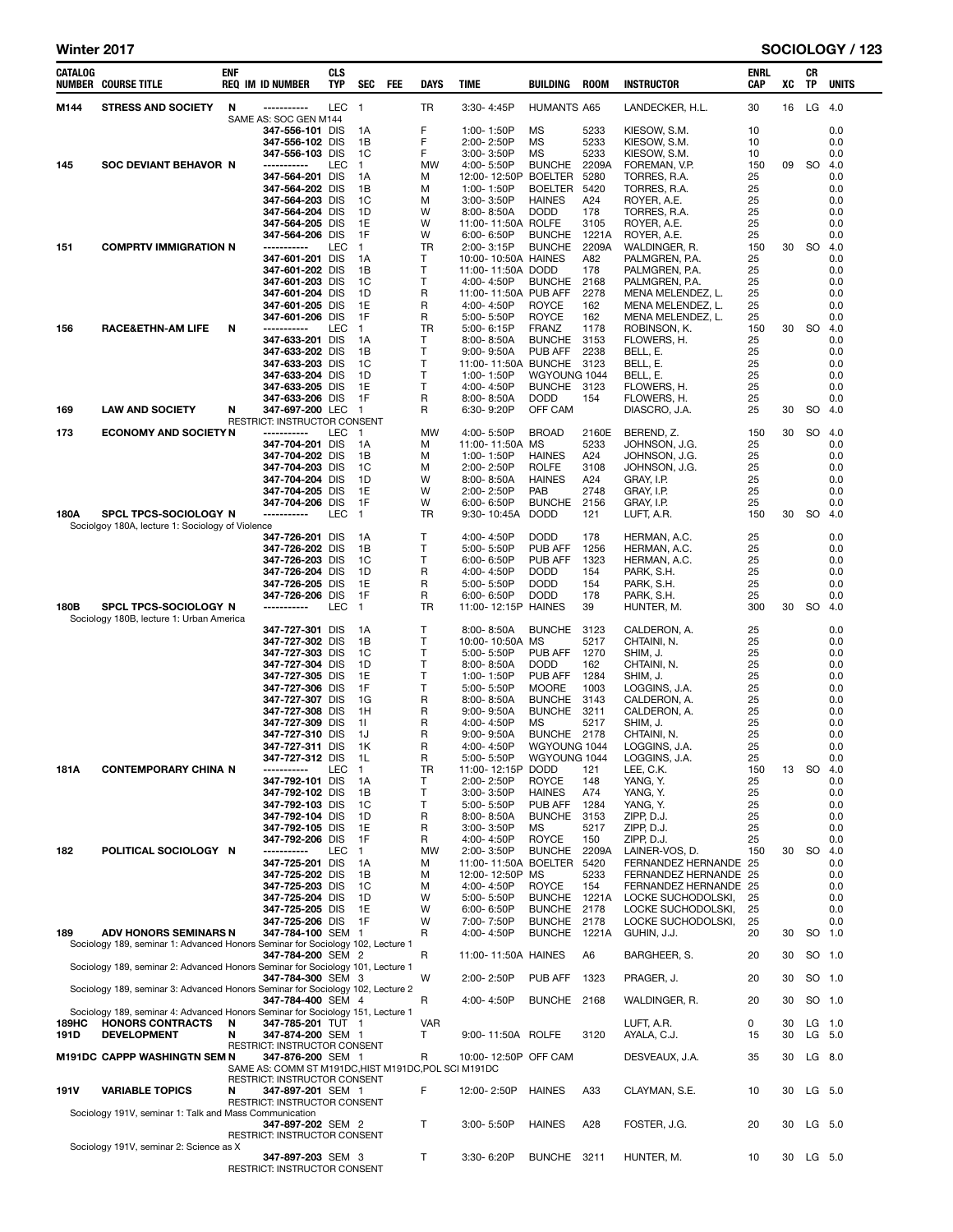| CATALOG       | <b>NUMBER COURSE TITLE</b>                                                                                                      | ENF    | <b>REQ IM ID NUMBER</b>                                                                                    | CLS<br>TYP       | <b>SEC</b>                                  | FEE | <b>DAYS</b>                 | <b>TIME</b>                                                                                                | BUILDING                                                                          | <b>ROOM</b>                                | <b>INSTRUCTOR</b>                                                                                             | <b>ENRL</b><br>CAP                | XC       | CR<br>TP  | <b>UNITS</b>                           |
|---------------|---------------------------------------------------------------------------------------------------------------------------------|--------|------------------------------------------------------------------------------------------------------------|------------------|---------------------------------------------|-----|-----------------------------|------------------------------------------------------------------------------------------------------------|-----------------------------------------------------------------------------------|--------------------------------------------|---------------------------------------------------------------------------------------------------------------|-----------------------------------|----------|-----------|----------------------------------------|
| M144          | <b>STRESS AND SOCIETY</b>                                                                                                       | N      | <br>SAME AS: SOC GEN M144                                                                                  | LEC <sub>1</sub> |                                             |     | TR                          | $3:30 - 4:45P$                                                                                             | <b>HUMANTS A65</b>                                                                |                                            | LANDECKER, H.L.                                                                                               | 30                                | 16       | LG 4.0    |                                        |
| 145           | <b>SOC DEVIANT BEHAVOR N</b>                                                                                                    |        | 347-556-101 DIS<br>347-556-102 DIS<br>347-556-103 DIS<br>-----------<br>347-564-201 DIS                    | LEC              | 1A<br>1B<br>1C<br>$\mathbf{1}$<br>1A        |     | F<br>F<br>F<br>MW<br>м      | 1:00-1:50P<br>2:00-2:50P<br>$3:00 - 3:50P$<br>4:00-5:50P<br>12:00-12:50P BOELTER                           | MS<br>MS<br>MS<br><b>BUNCHE</b>                                                   | 5233<br>5233<br>5233<br>2209A<br>5280      | KIESOW, S.M.<br>KIESOW, S.M.<br>KIESOW. S.M.<br>FOREMAN, V.P.<br>TORRES, R.A.                                 | 10<br>10<br>10<br>150<br>25       | 09       | <b>SO</b> | 0.0<br>0.0<br>0.0<br>4.0<br>0.0        |
|               |                                                                                                                                 |        | 347-564-202 DIS<br>347-564-203 DIS<br>347-564-204 DIS<br>347-564-205 DIS<br>347-564-206 DIS                |                  | 1В<br>1C<br>1D<br>1E<br>1F                  |     | М<br>м<br>W<br>W<br>W       | 1:00-1:50P<br>$3:00 - 3:50P$<br>$8:00 - 8:50A$<br>11:00-11:50A ROLFE<br>6:00-6:50P                         | <b>BOELTER</b><br><b>HAINES</b><br><b>DODD</b><br><b>BUNCHE</b>                   | 5420<br>A24<br>178<br>3105<br>1221A        | TORRES, R.A.<br>ROYER, A.E.<br>TORRES, R.A.<br>ROYER, A.E.<br>ROYER, A.E.                                     | 25<br>25<br>25<br>25<br>25        |          |           | 0.0<br>0.0<br>0.0<br>0.0<br>0.0        |
| 151           | <b>COMPRTV IMMIGRATION N</b>                                                                                                    |        | -----------<br>347-601-201 DIS<br>347-601-202 DIS<br>347-601-203 DIS<br>347-601-204 DIS<br>347-601-205 DIS | LEC              | $\mathbf{1}$<br>1A<br>1B<br>1C<br>1D<br>1E  |     | TR<br>т<br>т<br>т<br>R<br>R | 2:00-3:15P<br>10:00-10:50A HAINES<br>11:00-11:50A DODD<br>4:00-4:50P<br>11:00-11:50A PUB AFF<br>4:00-4:50P | <b>BUNCHE</b><br><b>BUNCHE</b><br><b>ROYCE</b>                                    | 2209A<br>A82<br>178<br>2168<br>2278<br>162 | WALDINGER, R.<br>PALMGREN, P.A.<br>PALMGREN, P.A.<br>PALMGREN, P.A.<br>MENA MELENDEZ. L.<br>MENA MELENDEZ, L. | 150<br>25<br>25<br>25<br>25<br>25 | 30       | <b>SO</b> | 4.0<br>0.0<br>0.0<br>0.0<br>0.0<br>0.0 |
| 156           | <b>RACE&amp;ETHN-AM LIFE</b>                                                                                                    | N      | 347-601-206 DIS<br>-----------<br>347-633-201 DIS<br>347-633-202 DIS<br>347-633-203 DIS<br>347-633-204 DIS | LEC              | 1F<br>$\mathbf{1}$<br>1A<br>1В<br>1C<br>1D  |     | R<br>TR<br>т<br>Т<br>т<br>т | 5:00-5:50P<br>$5:00 - 6:15P$<br>$8:00 - 8:50A$<br>$9:00 - 9:50A$<br>11:00-11:50A BUNCHE<br>1:00-1:50P      | <b>ROYCE</b><br><b>FRANZ</b><br><b>BUNCHE</b><br>PUB AFF<br>WGYOUNG 1044          | 162<br>1178<br>3153<br>2238<br>3123        | MENA MELENDEZ, L.<br>ROBINSON, K.<br>FLOWERS, H.<br>BELL, E.<br>BELL, E.<br>BELL, E.                          | 25<br>150<br>25<br>25<br>25<br>25 | 30       | <b>SO</b> | 0.0<br>4.0<br>0.0<br>0.0<br>0.0<br>0.0 |
| 169           | <b>LAW AND SOCIETY</b>                                                                                                          | N      | 347-633-205 DIS<br>347-633-206 DIS<br>347-697-200 LEC                                                      |                  | 1E<br>1F<br>$\overline{1}$                  |     | т<br>R<br>R                 | 4:00-4:50P<br>8:00-8:50A<br>6:30-9:20P                                                                     | <b>BUNCHE</b><br><b>DODD</b><br>OFF CAM                                           | 3123<br>154                                | FLOWERS, H.<br>FLOWERS, H.<br>DIASCRO, J.A.                                                                   | 25<br>25<br>25                    | 30       | SO.       | 0.0<br>0.0<br>4.0                      |
| 173           | <b>ECONOMY AND SOCIETY N</b>                                                                                                    |        | RESTRICT: INSTRUCTOR CONSENT<br>-----------                                                                | LEC              | $\overline{1}$                              |     | MW                          | 4:00-5:50P                                                                                                 | <b>BROAD</b>                                                                      | 2160E                                      | BEREND, Z.                                                                                                    | 150                               | 30       | SO        | 4.0                                    |
|               |                                                                                                                                 |        | 347-704-201 DIS<br>347-704-202 DIS<br>347-704-203 DIS<br>347-704-204 DIS                                   |                  | 1A<br>1B<br>1C<br>1D                        |     | М<br>м<br>м<br>W            | 11:00-11:50A MS<br>1:00-1:50P<br>2:00-2:50P<br>8:00-8:50A                                                  | <b>HAINES</b><br><b>ROLFE</b><br><b>HAINES</b>                                    | 5233<br>A24<br>3108<br>A24                 | JOHNSON, J.G.<br>JOHNSON, J.G.<br>JOHNSON, J.G.<br>GRAY, I.P.                                                 | 25<br>25<br>25<br>25              |          |           | 0.0<br>0.0<br>0.0<br>0.0               |
| 180A          | SPCL TPCS-SOCIOLOGY N                                                                                                           |        | 347-704-205 DIS<br>347-704-206 DIS<br>-----------                                                          | LEC              | 1E<br>1F<br>$\mathbf{1}$                    |     | W<br>W<br>TR                | 2:00-2:50P<br>6:00-6:50P<br>9:30-10:45A                                                                    | PAB<br><b>BUNCHE</b><br><b>DODD</b>                                               | 2748<br>2156<br>121                        | GRAY, I.P.<br>GRAY, I.P.<br>LUFT, A.R.                                                                        | 25<br>25<br>150                   | 30       | SO        | 0.0<br>0.0<br>4.0                      |
|               | Sociolgoy 180A, lecture 1: Sociology of Violence                                                                                |        |                                                                                                            |                  |                                             |     |                             |                                                                                                            |                                                                                   |                                            |                                                                                                               |                                   |          |           |                                        |
|               |                                                                                                                                 |        | 347-726-201 DIS<br>347-726-202 DIS<br>347-726-203 DIS<br>347-726-204 DIS                                   |                  | 1A<br>1B<br>1C<br>1D                        |     | т<br>т<br>т<br>R            | 4:00-4:50P<br>5:00-5:50P<br>$6:00 - 6:50P$<br>4:00-4:50P                                                   | <b>DODD</b><br>PUB AFF<br>PUB AFF<br><b>DODD</b>                                  | 178<br>1256<br>1323<br>154                 | HERMAN, A.C.<br>HERMAN, A.C.<br>HERMAN, A.C.<br>PARK, S.H.                                                    | 25<br>25<br>25<br>25              |          |           | 0.0<br>0.0<br>0.0<br>0.0               |
| 180B          | SPCL TPCS-SOCIOLOGY N                                                                                                           |        | 347-726-205 DIS<br>347-726-206 DIS<br>-----------                                                          | LEC              | 1E<br>1F<br>$\mathbf{1}$                    |     | R<br>R<br>TR                | 5:00-5:50P<br>$6:00 - 6:50P$<br>11:00-12:15P HAINES                                                        | <b>DODD</b><br><b>DODD</b>                                                        | 154<br>178<br>39                           | PARK, S.H.<br>PARK, S.H.<br>HUNTER, M.                                                                        | 25<br>25<br>300                   | 30       | SO.       | 0.0<br>0.0<br>4.0                      |
|               | Sociology 180B, lecture 1: Urban America                                                                                        |        | 347-727-301 DIS<br>347-727-302 DIS<br>347-727-303 DIS                                                      |                  | 1A<br>1В<br>1C                              |     | Т<br>т<br>т                 | 8:00-8:50A<br>10:00-10:50A MS<br>5:00-5:50P                                                                | <b>BUNCHE</b><br>PUB AFF                                                          | 3123<br>5217<br>1270                       | CALDERON, A.<br>CHTAINI, N.<br>SHIM, J.                                                                       | 25<br>25<br>25                    |          |           | 0.0<br>0.0<br>0.0                      |
|               |                                                                                                                                 |        | 347-727-304 DIS<br>347-727-305 DIS<br>347-727-306 DIS<br>347-727-307 DIS                                   |                  | 1D<br>1E<br>1F<br>1G                        |     | т<br>т<br>Т<br>R            | $8:00 - 8:50A$<br>1:00-1:50P<br>5:00-5:50P<br>$8:00 - 8:50A$                                               | <b>DODD</b><br>PUB AFF<br><b>MOORE</b><br><b>BUNCHE</b>                           | 162<br>1284<br>1003<br>3143                | CHTAINI, N.<br>SHIM, J.<br>LOGGINS, J.A.<br>CALDERON, A.                                                      | 25<br>25<br>25<br>25              |          |           | 0.0<br>0.0<br>0.0<br>0.0               |
|               | CONTEMPORARY CHINA N                                                                                                            |        | 347-727-308 DIS<br>347-727-309 DIS<br>347-727-310 DIS<br>347-727-311 DIS<br>347-727-312 DIS<br>            |                  | 1H<br>-11<br>1J<br>1K<br>1L<br>$\mathbf{1}$ |     | R<br>R<br>R<br>R<br>R       | $9:00 - 9:50A$<br>4:00-4:50P<br>$9:00 - 9:50A$<br>4:00-4:50P<br>5:00-5:50P<br>11:00-12:15P                 | <b>BUNCHE</b><br>МS<br>BUNCHE 2178<br>WGYOUNG 1044<br>WGYOUNG 1044<br><b>DODD</b> | 3211<br>5217                               | CALDERON, A.<br>SHIM, J.<br>CHTAINI, N.<br>LOGGINS, J.A.<br>LOGGINS, J.A.                                     | 25<br>25<br>25<br>25<br>25        | 13       | SO        | 0.0<br>0.0<br>0.0<br>0.0<br>0.0        |
| 181A          |                                                                                                                                 |        | 347-792-101 DIS<br>347-792-102 DIS<br>347-792-103 DIS<br>347-792-104 DIS                                   | LEC              | 1A<br>1B<br>1C<br>1D<br>1E                  |     | 1R<br>т<br>т<br>т<br>R<br>R | 2:00-2:50P<br>$3:00 - 3:50P$<br>5:00-5:50P<br>$8:00 - 8:50A$<br>3:00-3:50P                                 | <b>ROYCE</b><br><b>HAINES</b><br>PUB AFF<br><b>BUNCHE</b><br>MS                   | 121<br>148<br>A74<br>1284<br>3153<br>5217  | LEE, C.K.<br>YANG, Y.<br>YANG, Y.<br>YANG, Y.<br>ZIPP, D.J.<br>ZIPP, D.J.                                     | 150<br>25<br>25<br>25<br>25<br>25 |          |           | 4.0<br>0.0<br>0.0<br>0.0<br>0.0<br>0.0 |
| 182           | POLITICAL SOCIOLOGY N                                                                                                           |        | 347-792-105 DIS<br>347-792-206 DIS<br>-----------<br>347-725-201 DIS<br>347-725-202 DIS<br>347-725-203 DIS | LEC              | 1F<br>$\mathbf{1}$<br>1A<br>1В<br>1C        |     | R<br>MW<br>М<br>М<br>M      | 4:00-4:50P<br>2:00-3:50P<br>11:00-11:50A BOELTER<br>12:00-12:50P MS<br>4:00-4:50P                          | <b>ROYCE</b><br><b>BUNCHE</b><br><b>ROYCE</b>                                     | 150<br>2209A<br>5420<br>5233<br>154        | ZIPP, D.J.<br>LAINER-VOS, D.<br>FERNANDEZ HERNANDE 25<br>FERNANDEZ HERNANDE 25<br>FERNANDEZ HERNANDE 25       | 25<br>150                         | 30       | <b>SO</b> | 0.0<br>4.0<br>0.0<br>0.0<br>0.0        |
| 189           | <b>ADV HONORS SEMINARS N</b>                                                                                                    |        | 347-725-204 DIS<br>347-725-205 DIS<br>347-725-206 DIS<br>347-784-100 SEM 1                                 |                  | 1D<br>1E<br>1F                              |     | w<br>W<br>W<br>R            | 5:00-5:50P<br>6:00-6:50P<br>7:00-7:50P<br>4:00-4:50P                                                       | <b>BUNCHE</b><br><b>BUNCHE</b><br><b>BUNCHE</b><br><b>BUNCHE</b>                  | 1221A<br>2178<br>2178<br>1221A             | LOCKE SUCHODOLSKI,<br>LOCKE SUCHODOLSKI,<br>LOCKE SUCHODOLSKI,<br>GUHIN, J.J.                                 | 25<br>25<br>25<br>20              | 30       |           | 0.0<br>0.0<br>0.0<br>SO 1.0            |
|               | Sociology 189, seminar 1: Advanced Honors Seminar for Sociology 102, Lecture 1                                                  |        |                                                                                                            |                  |                                             |     |                             |                                                                                                            |                                                                                   |                                            |                                                                                                               |                                   |          |           |                                        |
|               | Sociology 189, seminar 2: Advanced Honors Seminar for Sociology 101, Lecture 1                                                  |        | 347-784-200 SEM 2<br>347-784-300 SEM 3                                                                     |                  |                                             |     | R<br>W                      | 11:00-11:50A HAINES<br>2:00-2:50P                                                                          | PUB AFF                                                                           | A6<br>1323                                 | BARGHEER, S.<br>PRAGER, J.                                                                                    | 20<br>20                          | 30<br>30 |           | SO 1.0<br>SO 1.0                       |
|               | Sociology 189, seminar 3: Advanced Honors Seminar for Sociology 102, Lecture 2                                                  |        | 347-784-400 SEM 4                                                                                          |                  |                                             |     | R                           | 4:00-4:50P                                                                                                 | BUNCHE 2168                                                                       |                                            | WALDINGER, R.                                                                                                 | 20                                | 30       |           | SO 1.0                                 |
| 189HC<br>191D | Sociology 189, seminar 4: Advanced Honors Seminar for Sociology 151, Lecture 1<br><b>HONORS CONTRACTS</b><br><b>DEVELOPMENT</b> | N<br>N | 347-785-201 TUT 1<br>347-874-200 SEM 1                                                                     |                  |                                             |     | <b>VAR</b><br>т             | 9:00-11:50A ROLFE                                                                                          |                                                                                   | 3120                                       | LUFT, A.R.<br>AYALA, C.J.                                                                                     | 0<br>15                           | 30<br>30 |           | $LG$ 1.0<br>$LG$ 5.0                   |
|               | <b>M191DC CAPPP WASHINGTN SEM N</b>                                                                                             |        | RESTRICT: INSTRUCTOR CONSENT<br>347-876-200 SEM 1<br>SAME AS: COMM ST M191DC, HIST M191DC, POL SCI M191DC  |                  |                                             |     | R                           | 10:00-12:50P OFF CAM                                                                                       |                                                                                   |                                            | DESVEAUX, J.A.                                                                                                | 35                                | 30       |           | LG 8.0                                 |
| 191V          | <b>VARIABLE TOPICS</b>                                                                                                          | N      | RESTRICT: INSTRUCTOR CONSENT<br>347-897-201 SEM 1<br>RESTRICT: INSTRUCTOR CONSENT                          |                  |                                             |     | F                           | 12:00-2:50P                                                                                                | HAINES                                                                            | A33                                        | CLAYMAN, S.E.                                                                                                 | 10                                | 30       | LG 5.0    |                                        |
|               | Sociology 191V, seminar 1: Talk and Mass Communication                                                                          |        | 347-897-202 SEM 2<br>RESTRICT: INSTRUCTOR CONSENT                                                          |                  |                                             |     | Τ                           | $3:00 - 5:50P$                                                                                             | <b>HAINES</b>                                                                     | A28                                        | FOSTER, J.G.                                                                                                  | 20                                | 30       |           | LG 5.0                                 |
|               | Sociology 191V, seminar 2: Science as X                                                                                         |        | 347-897-203 SEM 3<br>RESTRICT: INSTRUCTOR CONSENT                                                          |                  |                                             |     | т                           | 3:30-6:20P                                                                                                 | BUNCHE 3211                                                                       |                                            | HUNTER, M.                                                                                                    | 10                                |          | 30 LG 5.0 |                                        |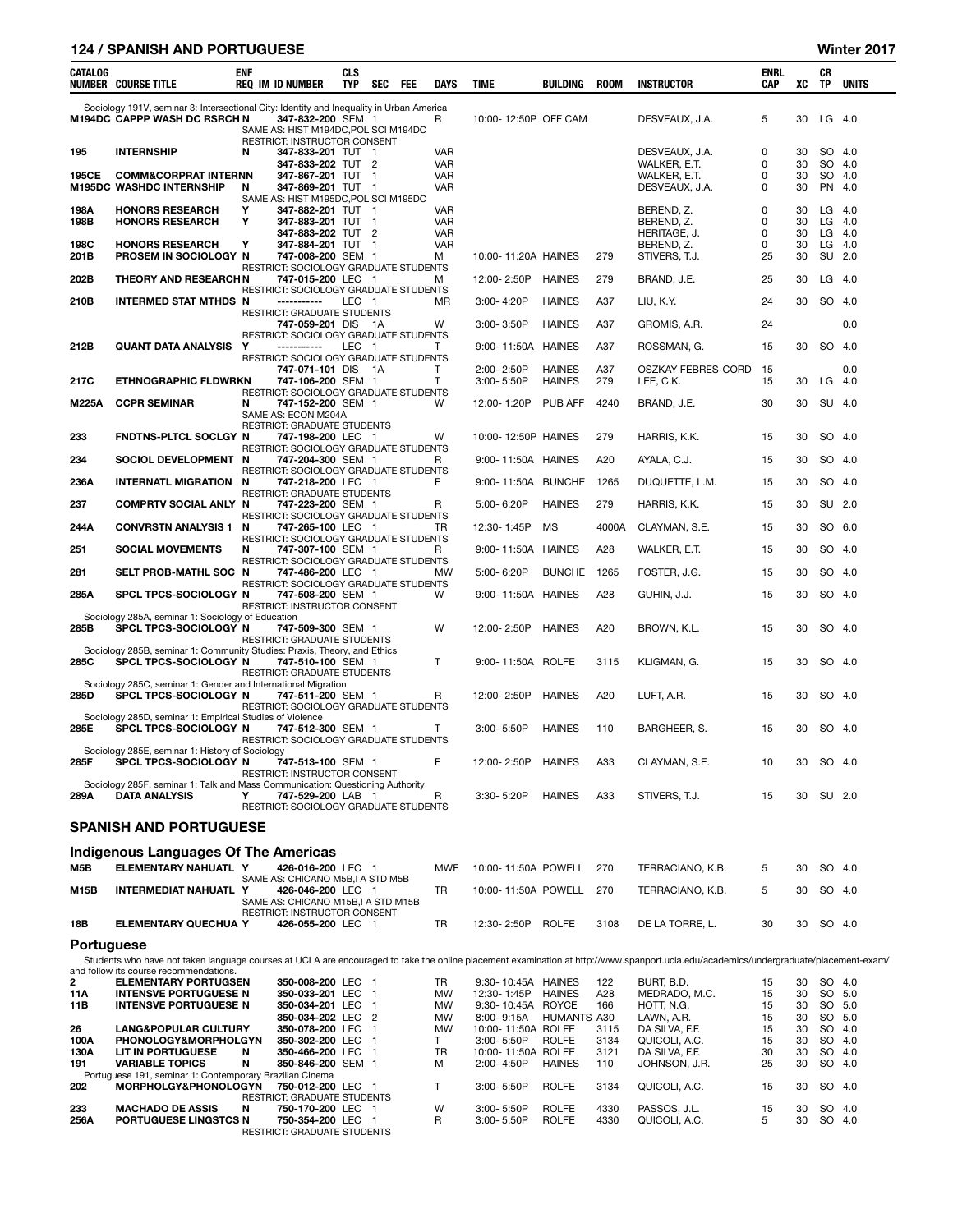## 124 / SPANISH AND PORTUGUESE Winter 2017

| CATALOG      | NUMBER COURSE TITLE                                                                                                                                | <b>ENF</b> | <b>REQ IM ID NUMBER</b>                                                                             | <b>CLS</b><br><b>TYP</b> | SEC                      | FEE | <b>DAYS</b>                            | TIME                             | <b>BUILDING</b>                | <b>ROOM</b>  | <b>INSTRUCTOR</b>                                                                                                                                                                    | <b>ENRL</b><br><b>CAP</b> | XC             | CR<br><b>TP</b>                  | <b>UNITS</b> |
|--------------|----------------------------------------------------------------------------------------------------------------------------------------------------|------------|-----------------------------------------------------------------------------------------------------|--------------------------|--------------------------|-----|----------------------------------------|----------------------------------|--------------------------------|--------------|--------------------------------------------------------------------------------------------------------------------------------------------------------------------------------------|---------------------------|----------------|----------------------------------|--------------|
|              | Sociology 191V, seminar 3: Intersectional City: Identity and Inequality in Urban America<br><b>M194DC CAPPP WASH DC RSRCH N</b>                    |            | 347-832-200 SEM 1<br>SAME AS: HIST M194DC, POL SCI M194DC                                           |                          |                          |     | R                                      | 10:00-12:50P OFF CAM             |                                |              | DESVEAUX, J.A.                                                                                                                                                                       | 5                         | 30             | $LG$ 4.0                         |              |
| 195          | <b>INTERNSHIP</b>                                                                                                                                  | N          | RESTRICT: INSTRUCTOR CONSENT<br>347-833-201 TUT 1<br>347-833-202 TUT 2                              |                          |                          |     | <b>VAR</b><br><b>VAR</b>               |                                  |                                |              | DESVEAUX, J.A.<br>WALKER, E.T.                                                                                                                                                       | 0<br>0                    | 30<br>30       | SO 4.0<br>SO 4.0                 |              |
| 195CE        | <b>COMM&amp;CORPRAT INTERNN</b><br><b>M195DC WASHDC INTERNSHIP</b>                                                                                 | N          | 347-867-201 TUT 1<br>347-869-201 TUT 1<br>SAME AS: HIST M195DC, POL SCI M195DC                      |                          |                          |     | <b>VAR</b><br><b>VAR</b>               |                                  |                                |              | WALKER, E.T.<br>DESVEAUX, J.A.                                                                                                                                                       | 0<br>0                    | 30<br>30       | SO 4.0<br>PN 4.0                 |              |
| 198A<br>198B | <b>HONORS RESEARCH</b><br><b>HONORS RESEARCH</b>                                                                                                   | Υ<br>Υ     | 347-882-201 TUT 1<br>347-883-201 TUT 1<br>347-883-202 TUT 2                                         |                          |                          |     | <b>VAR</b><br><b>VAR</b><br><b>VAR</b> |                                  |                                |              | BEREND, Z.<br>BEREND, Z.<br>HERITAGE, J.                                                                                                                                             | 0<br>0<br>0               | 30<br>30<br>30 | $LG$ 4.0<br>$LG$ 4.0<br>$LG$ 4.0 |              |
| 198C<br>201B | <b>HONORS RESEARCH</b><br>PROSEM IN SOCIOLOGY N                                                                                                    | Υ          | 347-884-201 TUT 1<br>747-008-200 SEM 1                                                              |                          |                          |     | <b>VAR</b><br>М                        | 10:00-11:20A HAINES              |                                | 279          | BEREND, Z.<br>STIVERS, T.J.                                                                                                                                                          | 0<br>25                   | 30<br>30       | $LG$ 4.0<br>SU                   | 2.0          |
| 202B         | <b>THEORY AND RESEARCHN</b>                                                                                                                        |            | RESTRICT: SOCIOLOGY GRADUATE STUDENTS<br>747-015-200 LEC 1<br>RESTRICT: SOCIOLOGY GRADUATE STUDENTS |                          |                          |     | М                                      | 12:00-2:50P                      | <b>HAINES</b>                  | 279          | BRAND, J.E.                                                                                                                                                                          | 25                        | 30             | $LG$ 4.0                         |              |
| 210B         | INTERMED STAT MTHDS N                                                                                                                              |            | -----------<br><b>RESTRICT: GRADUATE STUDENTS</b>                                                   | LEC 1                    |                          |     | <b>MR</b>                              | $3:00 - 4:20P$                   | <b>HAINES</b>                  | A37          | LIU, K.Y.                                                                                                                                                                            | 24                        | 30             | SO 4.0                           |              |
|              |                                                                                                                                                    |            | 747-059-201 DIS<br>RESTRICT: SOCIOLOGY GRADUATE STUDENTS                                            |                          | - 1A                     |     | W                                      | $3:00 - 3:50P$                   | <b>HAINES</b>                  | A37          | GROMIS, A.R.                                                                                                                                                                         | 24                        |                |                                  | 0.0          |
| 212B         | QUANT DATA ANALYSIS                                                                                                                                | Y          | -----------<br>RESTRICT: SOCIOLOGY GRADUATE STUDENTS                                                | LEC 1                    |                          |     | т                                      | 9:00-11:50A                      | <b>HAINES</b>                  | A37          | ROSSMAN, G.                                                                                                                                                                          | 15                        | 30             | SO 4.0                           |              |
| 217C         | <b>ETHNOGRAPHIC FLDWRKN</b>                                                                                                                        |            | 747-071-101 DIS 1A<br>747-106-200 SEM 1                                                             |                          |                          |     | $\mathsf{T}$<br>T                      | 2:00-2:50P<br>3:00-5:50P         | <b>HAINES</b><br><b>HAINES</b> | A37<br>279   | OSZKAY FEBRES-CORD<br>LEE, C.K.                                                                                                                                                      | 15<br>15                  | 30             | $LG$ 4.0                         | 0.0          |
| <b>M225A</b> | <b>CCPR SEMINAR</b>                                                                                                                                | N          | RESTRICT: SOCIOLOGY GRADUATE STUDENTS<br>747-152-200 SEM 1<br>SAME AS: ECON M204A                   |                          |                          |     | W                                      | 12:00-1:20P                      | <b>PUB AFF</b>                 | 4240         | BRAND, J.E.                                                                                                                                                                          | 30                        | 30             | SU 4.0                           |              |
| 233          | FNDTNS-PLTCL SOCLGY N                                                                                                                              |            | RESTRICT: GRADUATE STUDENTS<br>747-198-200 LEC 1                                                    |                          |                          |     | W                                      | 10:00-12:50P HAINES              |                                | 279          | HARRIS, K.K.                                                                                                                                                                         | 15                        | 30             | SO 4.0                           |              |
| 234          | SOCIOL DEVELOPMENT N                                                                                                                               |            | RESTRICT: SOCIOLOGY GRADUATE STUDENTS<br>747-204-300 SEM 1                                          |                          |                          |     | R.                                     | 9:00-11:50A HAINES               |                                | A20          | AYALA, C.J.                                                                                                                                                                          | 15                        | 30             | SO 4.0                           |              |
| 236A         | <b>INTERNATL MIGRATION N</b>                                                                                                                       |            | RESTRICT: SOCIOLOGY GRADUATE STUDENTS<br>747-218-200 LEC 1                                          |                          |                          |     | F                                      | 9:00-11:50A BUNCHE               |                                | 1265         | DUQUETTE, L.M.                                                                                                                                                                       | 15                        | 30             | SO 4.0                           |              |
| 237          | <b>COMPRTV SOCIAL ANLY N</b>                                                                                                                       |            | <b>RESTRICT: GRADUATE STUDENTS</b><br>747-223-200 SEM 1                                             |                          |                          |     | R                                      | 5:00-6:20P                       | <b>HAINES</b>                  | 279          | HARRIS, K.K.                                                                                                                                                                         | 15                        | 30             | SU 2.0                           |              |
| 244A         | <b>CONVRSTN ANALYSIS 1</b>                                                                                                                         | N          | RESTRICT: SOCIOLOGY GRADUATE STUDENTS<br>747-265-100 LEC 1                                          |                          |                          |     | TR                                     | 12:30-1:45P                      | MS                             | 4000A        | CLAYMAN, S.E.                                                                                                                                                                        | 15                        | 30             | SO 6.0                           |              |
| 251          | <b>SOCIAL MOVEMENTS</b>                                                                                                                            | N          | RESTRICT: SOCIOLOGY GRADUATE STUDENTS<br>747-307-100 SEM 1                                          |                          |                          |     | R                                      | 9:00-11:50A HAINES               |                                | A28          | WALKER, E.T.                                                                                                                                                                         | 15                        | 30             | SO 4.0                           |              |
| 281          | SELT PROB-MATHL SOC N                                                                                                                              |            | RESTRICT: SOCIOLOGY GRADUATE STUDENTS<br>747-486-200 LEC 1                                          |                          |                          |     | <b>MW</b>                              | 5:00-6:20P                       | <b>BUNCHE</b>                  | 1265         | FOSTER, J.G.                                                                                                                                                                         | 15                        | 30             | SO 4.0                           |              |
| 285A         | SPCL TPCS-SOCIOLOGY N                                                                                                                              |            | RESTRICT: SOCIOLOGY GRADUATE STUDENTS<br>747-508-200 SEM 1<br>RESTRICT: INSTRUCTOR CONSENT          |                          |                          |     | W                                      | 9:00-11:50A HAINES               |                                | A28          | GUHIN, J.J.                                                                                                                                                                          | 15                        | 30             | SO 4.0                           |              |
| 285B         | Sociology 285A, seminar 1: Sociology of Education<br>SPCL TPCS-SOCIOLOGY N                                                                         |            | 747-509-300 SEM 1<br><b>RESTRICT: GRADUATE STUDENTS</b>                                             |                          |                          |     | W                                      | 12:00-2:50P                      | <b>HAINES</b>                  | A20          | BROWN, K.L.                                                                                                                                                                          | 15                        | 30             | SO 4.0                           |              |
| 285C         | Sociology 285B, seminar 1: Community Studies: Praxis, Theory, and Ethics<br>SPCL TPCS-SOCIOLOGY N                                                  |            | 747-510-100 SEM 1<br>RESTRICT: GRADUATE STUDENTS                                                    |                          |                          |     | $\mathsf{T}$                           | 9:00-11:50A ROLFE                |                                | 3115         | KLIGMAN, G.                                                                                                                                                                          | 15                        | 30             | SO 4.0                           |              |
| 285D         | Sociology 285C, seminar 1: Gender and International Migration<br>SPCL TPCS-SOCIOLOGY N<br>Sociology 285D, seminar 1: Empirical Studies of Violence |            | 747-511-200 SEM 1<br>RESTRICT: SOCIOLOGY GRADUATE STUDENTS                                          |                          |                          |     | R                                      | 12:00-2:50P                      | <b>HAINES</b>                  | A20          | LUFT, A.R.                                                                                                                                                                           | 15                        | 30             | SO 4.0                           |              |
| 285E         | SPCL TPCS-SOCIOLOGY N                                                                                                                              |            | 747-512-300 SEM 1<br>RESTRICT: SOCIOLOGY GRADUATE STUDENTS                                          |                          |                          |     | T.                                     | 3:00-5:50P                       | <b>HAINES</b>                  | 110          | BARGHEER, S.                                                                                                                                                                         | 15                        | 30             | SO 4.0                           |              |
| 285F         | Sociology 285E, seminar 1: History of Sociology<br>SPCL TPCS-SOCIOLOGY N                                                                           |            | 747-513-100 SEM 1<br>RESTRICT: INSTRUCTOR CONSENT                                                   |                          |                          |     |                                        | 12:00-2:50P HAINES               |                                | A33          | CLAYMAN, S.E.                                                                                                                                                                        | 10                        |                | 30 SO 4.0                        |              |
| 289A         | Sociology 285F, seminar 1: Talk and Mass Communication: Questioning Authority<br><b>DATA ANALYSIS</b>                                              | Υ          | 747-529-200 LAB 1<br>RESTRICT: SOCIOLOGY GRADUATE STUDENTS                                          |                          |                          |     | R                                      | 3:30-5:20P                       | <b>HAINES</b>                  | A33          | STIVERS, T.J.                                                                                                                                                                        | 15                        |                | 30 SU 2.0                        |              |
|              | <b>SPANISH AND PORTUGUESE</b>                                                                                                                      |            |                                                                                                     |                          |                          |     |                                        |                                  |                                |              |                                                                                                                                                                                      |                           |                |                                  |              |
|              | Indigenous Languages Of The Americas                                                                                                               |            |                                                                                                     |                          |                          |     |                                        |                                  |                                |              |                                                                                                                                                                                      |                           |                |                                  |              |
| M5B          | ELEMENTARY NAHUATL Y                                                                                                                               |            | 426-016-200 LEC 1<br>SAME AS: CHICANO M5B, I A STD M5B                                              |                          |                          |     | <b>MWF</b>                             | 10:00-11:50A POWELL              |                                | 270          | TERRACIANO, K.B.                                                                                                                                                                     | 5                         | 30             | SO 4.0                           |              |
| M15B         | <b>INTERMEDIAT NAHUATL Y</b>                                                                                                                       |            | 426-046-200 LEC 1<br>SAME AS: CHICANO M15B, I A STD M15B<br>RESTRICT: INSTRUCTOR CONSENT            |                          |                          |     | TR                                     | 10:00-11:50A POWELL              |                                | 270          | TERRACIANO, K.B.                                                                                                                                                                     | 5                         | 30             | SO 4.0                           |              |
| 18B          | <b>ELEMENTARY QUECHUA Y</b>                                                                                                                        |            | 426-055-200 LEC 1                                                                                   |                          |                          |     | TR                                     | 12:30-2:50P ROLFE                |                                | 3108         | DE LA TORRE, L.                                                                                                                                                                      | 30                        | 30             | SO 4.0                           |              |
| Portuguese   |                                                                                                                                                    |            |                                                                                                     |                          |                          |     |                                        |                                  |                                |              | Students who have not taken language courses at UCLA are encouraged to take the online placement examination at http://www.spanport.ucla.edu/academics/undergraduate/placement-exam/ |                           |                |                                  |              |
| 2            | and follow its course recommendations.<br><b>ELEMENTARY PORTUGSEN</b>                                                                              |            | 350-008-200 LEC 1                                                                                   |                          |                          |     | TR                                     | 9:30-10:45A HAINES               |                                | 122          | BURT, B.D.                                                                                                                                                                           | 15                        | 30             | SO 4.0                           |              |
| 11A          | <b>INTENSVE PORTUGUESE N</b>                                                                                                                       |            | 350-033-201 LEC                                                                                     |                          | $\overline{\phantom{0}}$ |     | MW                                     | 12:30-1:45P                      | <b>HAINES</b>                  | A28          | MEDRADO, M.C.                                                                                                                                                                        | 15                        | 30             | SO 5.0                           |              |
| 11B          | <b>INTENSVE PORTUGUESE N</b>                                                                                                                       |            | 350-034-201 LEC<br>350-034-202 LEC 2                                                                |                          | $\overline{1}$           |     | MW<br>MW                               | 9:30-10:45A ROYCE<br>8:00-9:15A  | <b>HUMANTS A30</b>             | 166          | HOTT, N.G.<br>LAWN, A.R.                                                                                                                                                             | 15<br>15                  | 30<br>30       | SO 5.0<br>SO 5.0                 |              |
| 26           | <b>LANG&amp;POPULAR CULTURY</b><br>PHONOLOGY&MORPHOLGYN                                                                                            |            | 350-078-200 LEC                                                                                     |                          | $\overline{1}$           |     | <b>MW</b>                              | 10:00-11:50A ROLFE               | <b>ROLFE</b>                   | 3115<br>3134 | DA SILVA, F.F.                                                                                                                                                                       | 15<br>15                  | 30<br>30       | SO 4.0<br>SO 4.0                 |              |
| 100A<br>130A | LIT IN PORTUGUESE                                                                                                                                  | N          | 350-302-200 LEC<br>350-466-200 LEC 1                                                                |                          | - 1                      |     | Τ<br>TR                                | 3:00-5:50P<br>10:00-11:50A ROLFE |                                | 3121         | QUICOLI, A.C.<br>DA SILVA, F.F.                                                                                                                                                      | 30                        | 30             | SO 4.0                           |              |
| 191          | <b>VARIABLE TOPICS</b><br>Portuguese 191, seminar 1: Contemporary Brazilian Cinema                                                                 | N          | 350-846-200 SEM 1                                                                                   |                          |                          |     | М                                      | 2:00-4:50P                       | <b>HAINES</b>                  | 110          | JOHNSON, J.R.                                                                                                                                                                        | 25                        | 30             | SO 4.0                           |              |
| 202          | MORPHOLGY&PHONOLOGYN                                                                                                                               |            | 750-012-200 LEC 1<br>RESTRICT: GRADUATE STUDENTS                                                    |                          |                          |     | T                                      | 3:00-5:50P                       | <b>ROLFE</b>                   | 3134         | QUICOLI, A.C.                                                                                                                                                                        | 15                        | 30             | SO 4.0                           |              |
| 233<br>256A  | <b>MACHADO DE ASSIS</b><br>PORTUGUESE LINGSTCS N                                                                                                   | N          | 750-170-200 LEC 1<br>750-354-200 LEC 1<br>RESTRICT: GRADUATE STUDENTS                               |                          |                          |     | W<br>R                                 | 3:00-5:50P<br>3:00-5:50P         | <b>ROLFE</b><br><b>ROLFE</b>   | 4330<br>4330 | PASSOS, J.L.<br>QUICOLI, A.C.                                                                                                                                                        | 15<br>5                   | 30<br>30       | SO 4.0<br>SO 4.0                 |              |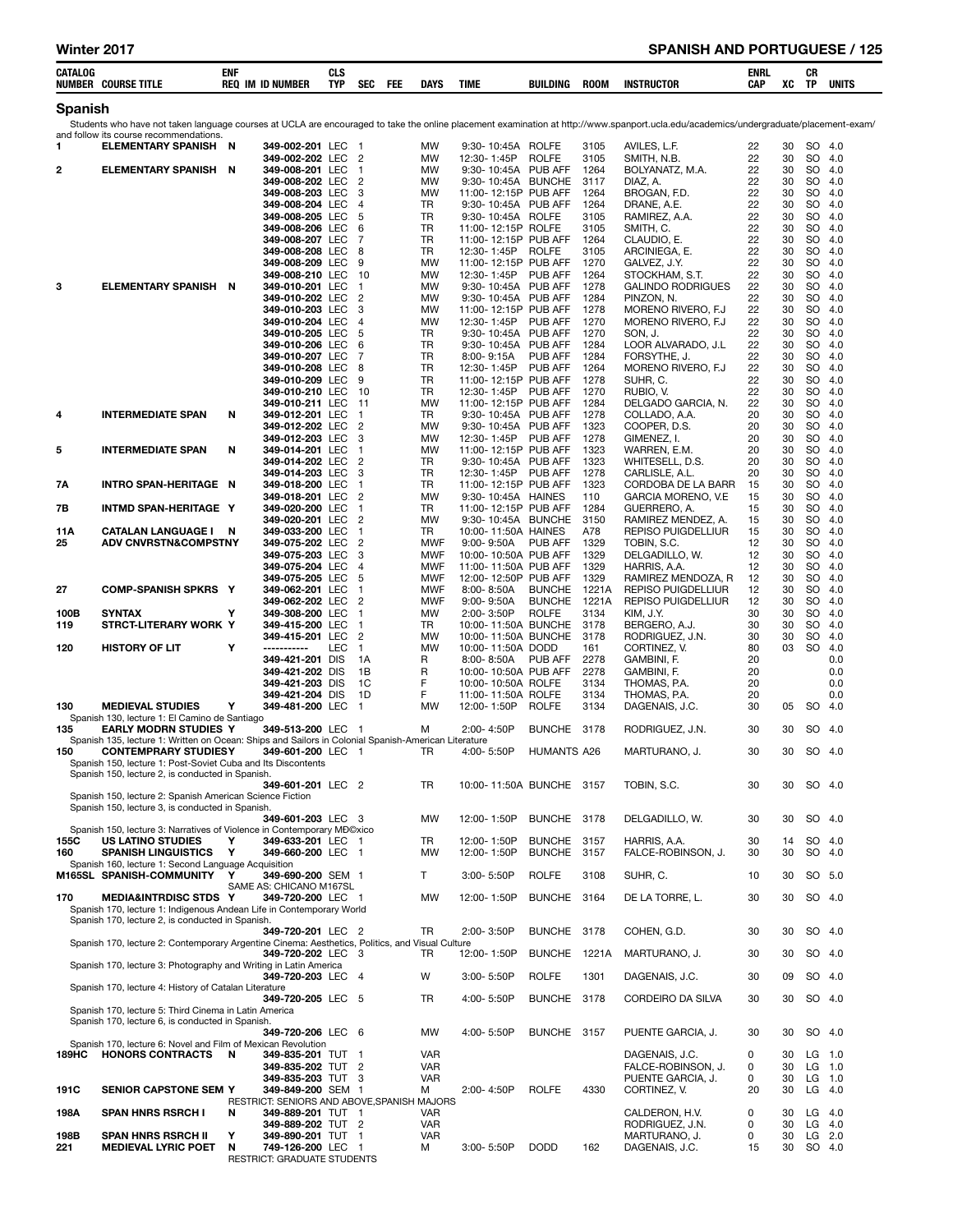| CATALOG      | <b>NUMBER COURSE TITLE</b>                                                                                                         | enf    | <b>REQ IM ID NUMBER</b>                                               | CLS<br><b>TYP</b> | <b>SEC</b><br>FEE              | <b>DAYS</b>              | TIME                                         | <b>BUILDING</b>                | <b>ROOM</b>    | <b>INSTRUCTOR</b>                                                                                                                                                                    | ENRL<br>CAP | XC       | CR<br>TP               | <b>UNITS</b>   |
|--------------|------------------------------------------------------------------------------------------------------------------------------------|--------|-----------------------------------------------------------------------|-------------------|--------------------------------|--------------------------|----------------------------------------------|--------------------------------|----------------|--------------------------------------------------------------------------------------------------------------------------------------------------------------------------------------|-------------|----------|------------------------|----------------|
| Spanish      |                                                                                                                                    |        |                                                                       |                   |                                |                          |                                              |                                |                |                                                                                                                                                                                      |             |          |                        |                |
|              | and follow its course recommendations.                                                                                             |        |                                                                       |                   |                                |                          |                                              |                                |                | Students who have not taken language courses at UCLA are encouraged to take the online placement examination at http://www.spanport.ucla.edu/academics/undergraduate/placement-exam/ |             |          |                        |                |
| 1            | <b>ELEMENTARY SPANISH N</b>                                                                                                        |        | 349-002-201 LEC<br>349-002-202 LEC                                    |                   | - 1<br>$\overline{2}$          | MW<br>MW                 | 9:30-10:45A ROLFE<br>12:30-1:45P             | <b>ROLFE</b>                   | 3105<br>3105   | AVILES. L.F.<br>SMITH, N.B.                                                                                                                                                          | 22<br>22    | 30<br>30 | SO 4.0<br>SO           | 4.0            |
| 2            | <b>ELEMENTARY SPANISH N</b>                                                                                                        |        | 349-008-201 LEC<br>349-008-202 LEC                                    |                   | -1<br>$\overline{c}$           | <b>MW</b><br><b>MW</b>   | 9:30-10:45A PUB AFF<br>9:30-10:45A BUNCHE    |                                | 1264<br>3117   | BOLYANATZ, M.A.<br>DIAZ, A.                                                                                                                                                          | 22<br>22    | 30<br>30 | SO<br>SO.              | 4.0<br>-4.0    |
|              |                                                                                                                                    |        | 349-008-203 LEC<br>349-008-204 LEC                                    |                   | 3<br>$\overline{4}$            | MW<br>TR                 | 11:00-12:15P PUB AFF<br>9:30-10:45A PUB AFF  |                                | 1264<br>1264   | BROGAN, F.D.<br>DRANE, A.E.                                                                                                                                                          | 22<br>22    | 30<br>30 | SO<br>SO               | 4.0<br>4.0     |
|              |                                                                                                                                    |        | 349-008-205 LEC<br>349-008-206                                        | LEC               | 5<br>6                         | <b>TR</b><br><b>TR</b>   | 9:30-10:45A ROLFE<br>11:00-12:15P ROLFE      |                                | 3105<br>3105   | RAMIREZ, A.A.<br>SMITH, C.                                                                                                                                                           | 22<br>22    | 30<br>30 | <b>SO</b><br><b>SO</b> | 4.0<br>4.0     |
|              |                                                                                                                                    |        | 349-008-207 LEC<br>349-008-208 LEC                                    |                   | $\overline{7}$<br>8            | <b>TR</b><br><b>TR</b>   | 11:00-12:15P PUB AFF<br>12:30-1:45P          | <b>ROLFE</b>                   | 1264<br>3105   | CLAUDIO, E.<br>ARCINIEGA. E.                                                                                                                                                         | 22<br>22    | 30<br>30 | <b>SO</b><br><b>SO</b> | 4.0<br>4.0     |
|              |                                                                                                                                    |        | 349-008-209 LEC                                                       |                   | 9                              | <b>MW</b>                | 11:00-12:15P PUB AFF                         |                                | 1270           | GALVEZ, J.Y.                                                                                                                                                                         | 22          | 30       | <b>SO</b>              | 4.0            |
| з            | <b>ELEMENTARY SPANISH N</b>                                                                                                        |        | 349-008-210 LEC<br>349-010-201 LEC                                    |                   | -10<br>$\mathbf{1}$            | MW<br>MW                 | 12:30-1:45P<br>9:30- 10:45A PUB AFF          | PUB AFF                        | 1264<br>1278   | STOCKHAM, S.T.<br><b>GALINDO RODRIGUES</b>                                                                                                                                           | 22<br>22    | 30<br>30 | <b>SO</b><br><b>SO</b> | 4.0<br>4.0     |
|              |                                                                                                                                    |        | 349-010-202 LEC<br>349-010-203 LEC                                    |                   | $\overline{2}$<br>3            | MW<br>MW                 | 9:30-10:45A PUB AFF<br>11:00-12:15P PUB AFF  |                                | 1284<br>1278   | PINZON, N.<br>MORENO RIVERO, F.J                                                                                                                                                     | 22<br>22    | 30<br>30 | <b>SO</b><br><b>SO</b> | 4.0<br>4.0     |
|              |                                                                                                                                    |        | 349-010-204 LEC<br>349-010-205 LEC                                    |                   | $\overline{4}$<br>5            | <b>MW</b><br><b>TR</b>   | 12:30-1:45P<br>9:30-10:45A PUB AFF           | PUB AFF                        | 1270<br>1270   | MORENO RIVERO, F.J.<br>SON, J.                                                                                                                                                       | 22<br>22    | 30<br>30 | <b>SO</b><br>SO        | -4.0<br>4.0    |
|              |                                                                                                                                    |        | 349-010-206 LEC<br>349-010-207 LEC                                    |                   | 6<br>7                         | <b>TR</b><br><b>TR</b>   | 9:30-10:45A<br>$8.00 - 9.15A$                | PUB AFF<br><b>PUB AFF</b>      | 1284<br>1284   | LOOR ALVARADO, J.L.<br>FORSYTHE, J.                                                                                                                                                  | 22<br>22    | 30<br>30 | <b>SO</b><br><b>SO</b> | 4.0<br>4.0     |
|              |                                                                                                                                    |        | 349-010-208<br>349-010-209 LEC                                        | LEC               | 8<br>9                         | <b>TR</b><br><b>TR</b>   | 12:30-1:45P<br>11:00-12:15P PUB AFF          | PUB AFF                        | 1264<br>1278   | MORENO RIVERO, F.J.<br>SUHR, C.                                                                                                                                                      | 22<br>22    | 30<br>30 | <b>SO</b><br><b>SO</b> | 4.0<br>4.0     |
|              |                                                                                                                                    |        | 349-010-210 LEC<br>349-010-211 LEC                                    |                   | -10<br>-11                     | <b>TR</b><br><b>MW</b>   | 12:30-1:45P<br>11:00-12:15P PUB AFF          | PUB AFF                        | 1270<br>1284   | RUBIO, V.<br>DELGADO GARCIA, N.                                                                                                                                                      | 22<br>22    | 30<br>30 | <b>SO</b><br><b>SO</b> | 4.0<br>4.0     |
| 4            | <b>INTERMEDIATE SPAN</b>                                                                                                           | N      | 349-012-201 LEC<br>349-012-202 LEC                                    |                   | $\mathbf{1}$<br>$\overline{2}$ | TR<br><b>MW</b>          | 9:30-10:45A PUB AFF<br>9:30-10:45A PUB AFF   |                                | 1278<br>1323   | COLLADO, A.A.<br>COOPER, D.S.                                                                                                                                                        | 20<br>20    | 30<br>30 | <b>SO</b><br><b>SO</b> | 4.0<br>4.0     |
|              |                                                                                                                                    |        | 349-012-203 LEC                                                       |                   | 3                              | <b>MW</b>                | 12:30-1:45P                                  | PUB AFF                        | 1278           | GIMENEZ, I.                                                                                                                                                                          | 20          | 30       | <b>SO</b>              | 4.0            |
| 5            | <b>INTERMEDIATE SPAN</b>                                                                                                           | N      | 349-014-201 LEC<br>349-014-202 LEC                                    |                   | -1<br>2                        | MW<br>TR                 | 11:00-12:15P PUB AFF<br>9:30-10:45A          | PUB AFF                        | 1323<br>1323   | WARREN, E.M.<br>WHITESELL, D.S.                                                                                                                                                      | 20<br>20    | 30<br>30 | <b>SO</b><br><b>SO</b> | 4.0<br>-4.0    |
| 7Α           | INTRO SPAN-HERITAGE N                                                                                                              |        | 349-014-203 LEC<br>349-018-200 LEC                                    |                   | 3<br>1                         | <b>TR</b><br><b>TR</b>   | 12:30-1:45P<br>11:00-12:15P PUB AFF          | <b>PUB AFF</b>                 | 1278<br>1323   | CARLISLE, A.L.<br>CORDOBA DE LA BARR                                                                                                                                                 | 20<br>15    | 30<br>30 | <b>SO</b><br><b>SO</b> | 4.0<br>4.0     |
| 7В           | INTMD SPAN-HERITAGE Y                                                                                                              |        | 349-018-201 LEC<br>349-020-200 LEC                                    |                   | $\overline{c}$<br>$\mathbf 1$  | <b>MW</b><br><b>TR</b>   | 9:30-10:45A HAINES<br>11:00-12:15P PUB AFF   |                                | 110<br>1284    | GARCIA MORENO, V.E.<br>GUERRERO, A.                                                                                                                                                  | 15<br>15    | 30<br>30 | <b>SO</b><br><b>SO</b> | 4.0<br>4.0     |
| 11A          | <b>CATALAN LANGUAGE I N</b>                                                                                                        |        | 349-020-201 LEC<br>349-033-200 LEC                                    |                   | $\overline{c}$<br>$\mathbf 1$  | <b>MW</b><br>TR          | 9:30-10:45A BUNCHE<br>10:00-11:50A HAINES    |                                | 3150<br>A78    | RAMIREZ MENDEZ, A.<br>REPISO PUIGDELLIUR                                                                                                                                             | 15<br>15    | 30<br>30 | <b>SO</b><br><b>SO</b> | 4.0<br>4.0     |
| 25           | <b>ADV CNVRSTN&amp;COMPSTNY</b>                                                                                                    |        | 349-075-202 LEC<br>349-075-203 LEC                                    |                   | $\overline{c}$<br>3            | <b>MWF</b><br><b>MWF</b> | $9:00 - 9:50A$<br>10:00-10:50A PUB AFF       | <b>PUB AFF</b>                 | 1329<br>1329   | TOBIN, S.C.<br>DELGADILLO, W.                                                                                                                                                        | 12<br>12    | 30<br>30 | SO<br><b>SO</b>        | 4.0<br>4.0     |
|              |                                                                                                                                    |        | 349-075-204 LEC<br>349-075-205 LEC                                    |                   | $\overline{4}$<br>5            | MWF<br><b>MWF</b>        | 11:00-11:50A PUB AFF<br>12:00-12:50P PUB AFF |                                | 1329<br>1329   | HARRIS, A.A.<br>RAMIREZ MENDOZA, R                                                                                                                                                   | 12<br>12    | 30<br>30 | <b>SO</b><br><b>SO</b> | 4.0<br>4.0     |
| 27           | <b>COMP-SPANISH SPKRS Y</b>                                                                                                        |        | 349-062-201 LEC<br>349-062-202 LEC                                    |                   | -1<br>$\overline{2}$           | MWF<br><b>MWF</b>        | $8.00 - 8.50A$<br>$9:00 - 9:50A$             | <b>BUNCHE</b><br><b>BUNCHE</b> | 1221A<br>1221A | <b>REPISO PUIGDELLIUR</b><br>REPISO PUIGDELLIUR                                                                                                                                      | 12<br>12    | 30<br>30 | <b>SO</b><br><b>SO</b> | 4.0<br>-4.0    |
| 100B<br>119  | SYNTAX<br>STRCT-LITERARY WORK Y                                                                                                    | Υ      | 349-308-200 LEC<br>349-415-200 LEC                                    |                   | $\overline{1}$<br>$\mathbf 1$  | <b>MW</b><br>TR          | 2:00-3:50P<br>10:00-11:50A BUNCHE            | <b>ROLFE</b>                   | 3134<br>3178   | KIM, J.Y.<br>BERGERO, A.J.                                                                                                                                                           | 30<br>30    | 30<br>30 | SO<br>SO               | 4.0<br>4.0     |
|              |                                                                                                                                    |        | 349-415-201 LEC                                                       |                   | $\overline{2}$                 | MW                       | 10:00-11:50A BUNCHE                          |                                | 3178           | RODRIGUEZ, J.N.                                                                                                                                                                      | 30          | 30       | SO                     | 4.0            |
| 120          | <b>HISTORY OF LIT</b>                                                                                                              | Υ      | -----------<br>349-421-201 DIS                                        | <b>LEC</b>        | $\mathbf{1}$<br>1A             | <b>MW</b><br>R           | 10:00-11:50A DODD<br>8:00-8:50A              | PUB AFF                        | 161<br>2278    | CORTINEZ, V.<br>GAMBINI, F.                                                                                                                                                          | 80<br>20    | 03       | <b>SO</b>              | 4.0<br>0.0     |
|              |                                                                                                                                    |        | 349-421-202 DIS<br>349-421-203                                        | <b>DIS</b>        | 1B<br>1C                       | R<br>F                   | 10:00-10:50A PUB AFF<br>10:00-10:50A ROLFE   |                                | 2278<br>3134   | GAMBINI, F.<br>THOMAS, P.A.                                                                                                                                                          | 20<br>20    |          |                        | 0.0<br>0.0     |
| 130          | <b>MEDIEVAL STUDIES</b>                                                                                                            | Υ      | 349-421-204 DIS<br>349-481-200 LEC                                    |                   | 1D<br>$\overline{1}$           | F<br>MW                  | 11:00-11:50A ROLFE<br>12:00-1:50P            | ROLFE                          | 3134<br>3134   | THOMAS, P.A.<br>DAGENAIS, J.C.                                                                                                                                                       | 20<br>30    | 05       | SO                     | 0.0<br>-4.0    |
| 135          | Spanish 130, lecture 1: El Camino de Santiago<br>EARLY MODRN STUDIES Y                                                             |        | 349-513-200 LEC 1                                                     |                   |                                | M                        | 2:00-4:50P                                   | <b>BUNCHE</b>                  | 3178           | RODRIGUEZ, J.N.                                                                                                                                                                      | 30          | 30       | SO                     | 4.0            |
| 150          | Spanish 135, lecture 1: Written on Ocean: Ships and Sailors in Colonial Spanish-American Literature<br><b>CONTEMPRARY STUDIESY</b> |        | 349-601-200 LEC 1                                                     |                   |                                | TR                       | 4:00-5:50P                                   | HUMANTS A26                    |                | MARTURANO, J.                                                                                                                                                                        | 30          | 30       | SO 4.0                 |                |
|              | Spanish 150, lecture 1: Post-Soviet Cuba and Its Discontents<br>Spanish 150, lecture 2, is conducted in Spanish.                   |        |                                                                       |                   |                                |                          |                                              |                                |                |                                                                                                                                                                                      |             |          |                        |                |
|              | Spanish 150, lecture 2: Spanish American Science Fiction                                                                           |        | 349-601-201 LEC 2                                                     |                   |                                | TR                       | 10:00-11:50A BUNCHE 3157                     |                                |                | TOBIN, S.C.                                                                                                                                                                          | 30          | 30       | SO 4.0                 |                |
|              | Spanish 150, lecture 3, is conducted in Spanish.                                                                                   |        | 349-601-203 LEC 3                                                     |                   |                                | <b>MW</b>                | 12:00-1:50P                                  | BUNCHE 3178                    |                | DELGADILLO, W.                                                                                                                                                                       | 30          | 30       | SO                     | - 4.0          |
| 155C         | Spanish 150, lecture 3: Narratives of Violence in Contemporary MЩxico<br><b>US LATINO STUDIES</b>                                  | Y      | 349-633-201 LEC 1                                                     |                   |                                | TR                       | 12:00-1:50P                                  | BUNCHE 3157                    |                | HARRIS, A.A.                                                                                                                                                                         | 30          | 14       | SO 4.0                 |                |
| 160          | <b>SPANISH LINGUISTICS</b><br>Spanish 160, lecture 1: Second Language Acquisition                                                  | Y      | 349-660-200 LEC 1                                                     |                   |                                | <b>MW</b>                | 12:00-1:50P                                  | <b>BUNCHE</b>                  | 3157           | FALCE-ROBINSON, J.                                                                                                                                                                   | 30          | 30       | SO 4.0                 |                |
|              | M165SL SPANISH-COMMUNITY                                                                                                           | Y      | 349-690-200 SEM 1<br>SAME AS: CHICANO M167SL                          |                   |                                | T                        | 3:00-5:50P                                   | <b>ROLFE</b>                   | 3108           | SUHR, C.                                                                                                                                                                             | 10          | 30       | SO 5.0                 |                |
| 170          | <b>MEDIA&amp;INTRDISC STDS Y</b><br>Spanish 170, lecture 1: Indigenous Andean Life in Contemporary World                           |        | 349-720-200 LEC 1                                                     |                   |                                | <b>MW</b>                | 12:00-1:50P                                  | <b>BUNCHE</b>                  | 3164           | DE LA TORRE, L.                                                                                                                                                                      | 30          | 30       | SO                     | -4.0           |
|              | Spanish 170, lecture 2, is conducted in Spanish.                                                                                   |        | 349-720-201 LEC 2                                                     |                   |                                | <b>TR</b>                | 2:00-3:50P                                   | BUNCHE 3178                    |                | COHEN, G.D.                                                                                                                                                                          | 30          | 30       | SO 4.0                 |                |
|              | Spanish 170, lecture 2: Contemporary Argentine Cinema: Aesthetics, Politics, and Visual Culture                                    |        | 349-720-202 LEC 3                                                     |                   |                                | TR                       | 12:00-1:50P                                  | <b>BUNCHE</b>                  | 1221A          | MARTURANO, J.                                                                                                                                                                        | 30          | 30       | SO                     | -4.0           |
|              | Spanish 170, lecture 3: Photography and Writing in Latin America                                                                   |        | 349-720-203 LEC                                                       |                   | - 4                            | W                        | 3:00-5:50P                                   | <b>ROLFE</b>                   | 1301           | DAGENAIS, J.C.                                                                                                                                                                       | 30          | 09       | SO 4.0                 |                |
|              | Spanish 170, lecture 4: History of Catalan Literature                                                                              |        | 349-720-205 LEC 5                                                     |                   |                                | <b>TR</b>                | 4:00-5:50P                                   | BUNCHE 3178                    |                | CORDEIRO DA SILVA                                                                                                                                                                    | 30          | 30       | SO 4.0                 |                |
|              | Spanish 170, lecture 5: Third Cinema in Latin America<br>Spanish 170, lecture 6, is conducted in Spanish.                          |        |                                                                       |                   |                                |                          |                                              |                                |                |                                                                                                                                                                                      |             |          |                        |                |
|              | Spanish 170, lecture 6: Novel and Film of Mexican Revolution                                                                       |        | 349-720-206 LEC 6                                                     |                   |                                | <b>MW</b>                | 4:00-5:50P                                   | BUNCHE 3157                    |                | PUENTE GARCIA, J.                                                                                                                                                                    | 30          | 30       | SO 4.0                 |                |
| <b>189HC</b> | <b>HONORS CONTRACTS</b>                                                                                                            | - N    | 349-835-201 TUT 1<br>349-835-202 TUT 2                                |                   |                                | <b>VAR</b><br><b>VAR</b> |                                              |                                |                | DAGENAIS, J.C.<br>FALCE-ROBINSON, J.                                                                                                                                                 | 0<br>0      | 30<br>30 | LG<br>$LG$ 1.0         | 1.0            |
|              |                                                                                                                                    |        | 349-835-203 TUT 3                                                     |                   |                                | <b>VAR</b>               |                                              |                                |                | PUENTE GARCIA, J.                                                                                                                                                                    | 0           | 30       | LG                     | 1.0            |
| 191C         | <b>SENIOR CAPSTONE SEM Y</b>                                                                                                       |        | 349-849-200 SEM 1<br>RESTRICT: SENIORS AND ABOVE, SPANISH MAJORS      |                   |                                | м                        | 2:00-4:50P                                   | <b>ROLFE</b>                   | 4330           | CORTINEZ, V.                                                                                                                                                                         | 20          | 30       | $LG$ 4.0               |                |
| 198A         | <b>SPAN HNRS RSRCH I</b>                                                                                                           | N      | 349-889-201 TUT 1<br>349-889-202 TUT 2                                |                   |                                | VAR<br><b>VAR</b>        |                                              |                                |                | CALDERON, H.V.<br>RODRIGUEZ, J.N.                                                                                                                                                    | 0<br>0      | 30<br>30 | LG<br>LG.              | - 4.0<br>- 4.0 |
| 198B<br>221  | <b>SPAN HNRS RSRCH II</b><br><b>MEDIEVAL LYRIC POET</b>                                                                            | Y<br>N | 349-890-201 TUT 1<br>749-126-200 LEC 1<br>RESTRICT: GRADUATE STUDENTS |                   |                                | <b>VAR</b><br>м          | 3:00-5:50P                                   | <b>DODD</b>                    | 162            | MARTURANO, J.<br>DAGENAIS, J.C.                                                                                                                                                      | 0<br>15     | 30<br>30 | LG 2.0<br>SO 4.0       |                |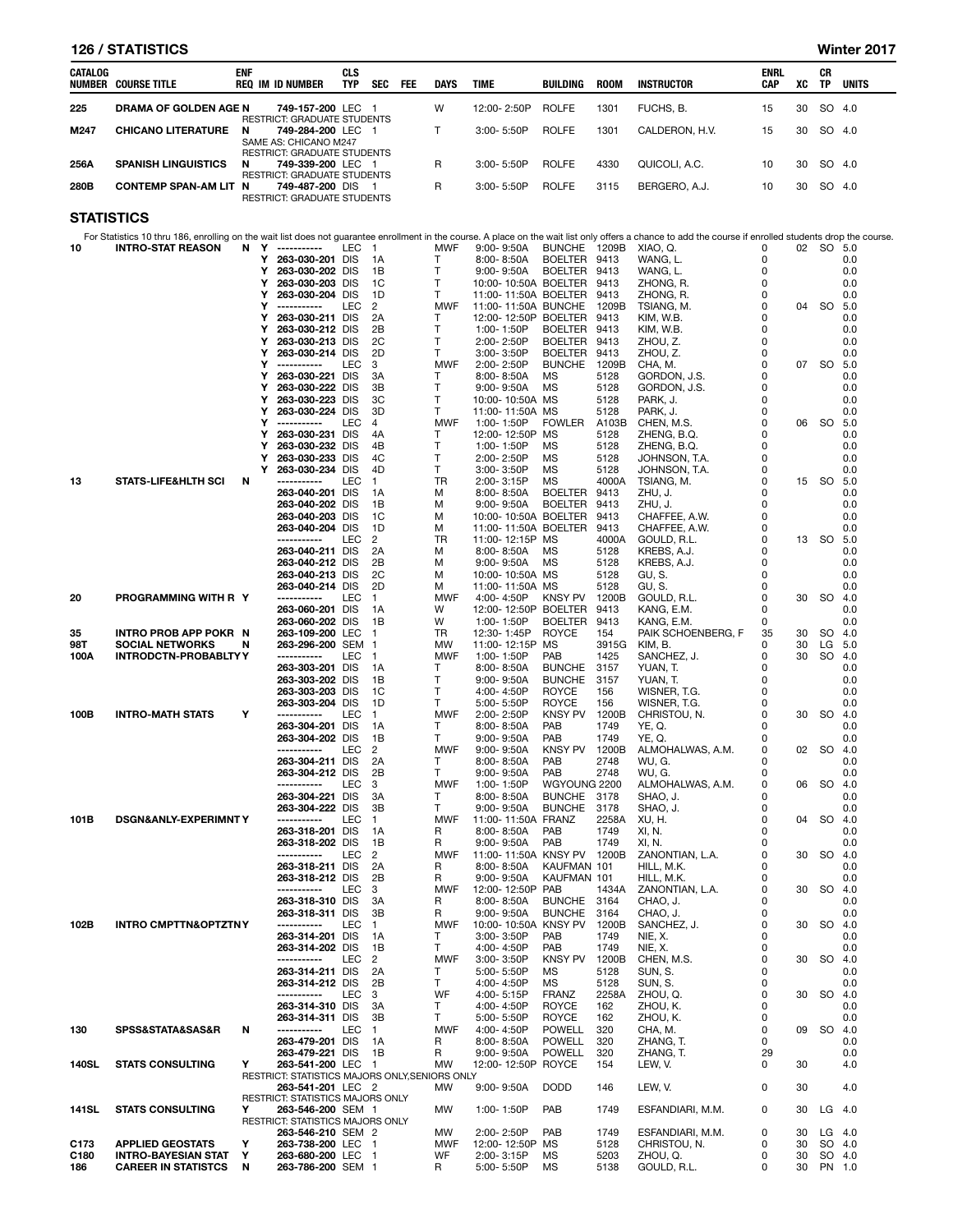|                   | <b>126 / STATISTICS</b>         |            |        |                                                                           |                          |                          |     |                   |                                              |                                |               |                                                                                                                                                                                                           |                    |          |                    | Winter 2017  |
|-------------------|---------------------------------|------------|--------|---------------------------------------------------------------------------|--------------------------|--------------------------|-----|-------------------|----------------------------------------------|--------------------------------|---------------|-----------------------------------------------------------------------------------------------------------------------------------------------------------------------------------------------------------|--------------------|----------|--------------------|--------------|
| CATALOG           | <b>NUMBER COURSE TITLE</b>      | <b>ENF</b> |        | <b>REQ IM ID NUMBER</b>                                                   | <b>CLS</b><br><b>TYP</b> | SEC                      | FEE | <b>DAYS</b>       | <b>TIME</b>                                  | BUILDING                       | <b>ROOM</b>   | <b>INSTRUCTOR</b>                                                                                                                                                                                         | <b>ENRL</b><br>CAP | XC       | CR<br>TP           | <b>UNITS</b> |
| 225               | DRAMA OF GOLDEN AGE N           |            |        | 749-157-200 LEC 1                                                         |                          |                          |     | W                 | 12:00-2:50P                                  | <b>ROLFE</b>                   | 1301          | FUCHS, B.                                                                                                                                                                                                 | 15                 | 30       | SO 4.0             |              |
| M247              | <b>CHICANO LITERATURE</b>       | N          |        | RESTRICT: GRADUATE STUDENTS<br>749-284-200 LEC 1<br>SAME AS: CHICANO M247 |                          |                          |     | т                 | 3:00-5:50P                                   | <b>ROLFE</b>                   | 1301          | CALDERON, H.V.                                                                                                                                                                                            | 15                 | 30       | SO 4.0             |              |
| 256A              | <b>SPANISH LINGUISTICS</b>      | N          |        | RESTRICT: GRADUATE STUDENTS<br>749-339-200 LEC 1                          |                          |                          |     | R                 | $3:00 - 5:50P$                               | <b>ROLFE</b>                   | 4330          | QUICOLI, A.C.                                                                                                                                                                                             | 10                 | 30       | SO 4.0             |              |
| 280B              | <b>CONTEMP SPAN-AM LIT N</b>    |            |        | RESTRICT: GRADUATE STUDENTS<br>749-487-200 DIS 1                          |                          |                          |     | R                 | $3:00 - 5:50P$                               | <b>ROLFE</b>                   | 3115          | BERGERO, A.J.                                                                                                                                                                                             | 10                 | 30       | SO 4.0             |              |
| <b>STATISTICS</b> |                                 |            |        | RESTRICT: GRADUATE STUDENTS                                               |                          |                          |     |                   |                                              |                                |               |                                                                                                                                                                                                           |                    |          |                    |              |
|                   |                                 |            |        |                                                                           |                          |                          |     |                   |                                              |                                |               | For Statistics 10 thru 186, enrolling on the wait list does not quarantee enrollment in the course. A place on the wait list only offers a chance to add the course if enrolled students drop the course. |                    |          |                    |              |
| 10                | <b>INTRO-STAT REASON</b>        | N          | Y      | -----------                                                               | LEC                      | $\overline{1}$           |     | <b>MWF</b>        | $9:00 - 9:50A$                               | BUNCHE 1209B                   |               | XIAO, Q.                                                                                                                                                                                                  | 0                  |          | 02 SO 5.0          |              |
|                   |                                 |            | Y<br>Y | 263-030-201 DIS                                                           |                          | 1A                       |     | $\mathsf{T}$<br>T | $8:00 - 8:50A$<br>$9:00 - 9:50A$             | BOELTER 9413<br>BOELTER 9413   |               | WANG, L.                                                                                                                                                                                                  | 0<br>0             |          |                    | 0.0<br>0.0   |
|                   |                                 |            | Y      | 263-030-202 DIS<br>263-030-203 DIS                                        |                          | 1B<br>1C                 |     | $\mathsf{T}$      | 10:00-10:50A BOELTER 9413                    |                                |               | WANG, L.<br>ZHONG, R.                                                                                                                                                                                     | 0                  |          |                    | 0.0          |
|                   |                                 |            | Υ<br>Y | 263-030-204 DIS<br>-----------                                            | <b>LEC</b>               | 1D<br>$\overline{2}$     |     | Τ                 | 11:00-11:50A BOELTER                         |                                | 9413          | ZHONG, R.                                                                                                                                                                                                 | 0<br>0             | 04       |                    | 0.0          |
|                   |                                 |            | Y      | 263-030-211 DIS                                                           |                          | 2A                       |     | <b>MWF</b><br>т   | 11:00-11:50A BUNCHE<br>12:00-12:50P BOELTER  |                                | 1209B<br>9413 | TSIANG, M.<br>KIM, W.B.                                                                                                                                                                                   | 0                  |          | <b>SO</b>          | 5.0<br>0.0   |
|                   |                                 |            | Υ      | 263-030-212 DIS                                                           |                          | 2B                       |     | T                 | 1:00-1:50P                                   | BOELTER 9413                   |               | KIM, W.B.                                                                                                                                                                                                 | 0                  |          |                    | 0.0          |
|                   |                                 |            | Υ<br>Y | 263-030-213 DIS<br>263-030-214 DIS                                        |                          | 2C<br>2D                 |     | T<br>т            | 2:00-2:50P<br>3:00-3:50P                     | BOELTER<br><b>BOELTER</b>      | 9413<br>9413  | ZHOU, Z.<br>ZHOU, Z.                                                                                                                                                                                      | 0<br>0             |          |                    | 0.0<br>0.0   |
|                   |                                 |            | Y      | -----------                                                               | LEC                      | 3                        |     | MWF               | 2:00-2:50P                                   | <b>BUNCHE</b>                  | 1209B         | CHA, M.                                                                                                                                                                                                   | 0                  |          | 07 SO              | 5.0          |
|                   |                                 |            | Y<br>Y | 263-030-221 DIS<br>263-030-222 DIS                                        |                          | 3A<br>3B                 |     | Т<br>T            | 8:00-8:50A<br>$9:00 - 9:50A$                 | MS<br>MS                       | 5128<br>5128  | GORDON, J.S.<br>GORDON, J.S.                                                                                                                                                                              | 0<br>0             |          |                    | 0.0<br>0.0   |
|                   |                                 |            | Y      | 263-030-223 DIS                                                           |                          | 3C<br>3D                 |     | $\mathsf{T}$      | 10:00-10:50A MS                              |                                | 5128          | PARK, J.                                                                                                                                                                                                  | 0                  |          |                    | 0.0          |
|                   |                                 |            | Υ<br>Y | 263-030-224 DIS<br>-----------                                            | <b>LEC</b>               | $\overline{4}$           |     | T<br><b>MWF</b>   | 11:00-11:50A MS<br>1:00-1:50P                | <b>FOWLER</b>                  | 5128<br>A103B | PARK, J.<br>CHEN, M.S.                                                                                                                                                                                    | 0<br>0             | 06       | <b>SO</b>          | 0.0<br>5.0   |
|                   |                                 |            | Y      | 263-030-231 DIS<br>263-030-232 DIS                                        |                          | 4A                       |     | т                 | 12:00-12:50P                                 | MS                             | 5128          | ZHENG, B.Q.<br>ZHENG, B.Q.                                                                                                                                                                                | 0                  |          |                    | 0.0          |
|                   |                                 |            | Y<br>Υ | 263-030-233 DIS                                                           |                          | 4B<br>4C                 |     | $\mathsf{T}$<br>T | 1:00-1:50P<br>2:00-2:50P                     | MS<br><b>MS</b>                | 5128<br>5128  | JOHNSON, T.A.                                                                                                                                                                                             | 0<br>0             |          |                    | 0.0<br>0.0   |
|                   |                                 |            | Y      | 263-030-234 DIS                                                           |                          | 4D                       |     | $\mathsf{T}$      | 3:00-3:50P                                   | <b>MS</b>                      | 5128          | JOHNSON, T.A.                                                                                                                                                                                             | 0                  |          |                    | 0.0          |
| 13                | <b>STATS-LIFE&amp;HLTH SCI</b>  | N          |        | -----------<br>263-040-201 DIS                                            | LEC                      | $\mathbf{1}$<br>1A       |     | TR<br>М           | 2:00-3:15P<br>$8:00 - 8:50A$                 | <b>MS</b><br><b>BOELTER</b>    | 4000A<br>9413 | TSIANG. M.<br>ZHU, J.                                                                                                                                                                                     | 0<br>0             | 15       | - SO               | 5.0<br>0.0   |
|                   |                                 |            |        | 263-040-202 DIS                                                           |                          | 1B                       |     | M                 | $9:00 - 9:50A$                               | <b>BOELTER</b>                 | 9413          | ZHU, J.                                                                                                                                                                                                   | 0                  |          |                    | 0.0          |
|                   |                                 |            |        | 263-040-203 DIS<br>263-040-204 DIS                                        |                          | 1C<br>1D                 |     | M<br>М            | 10:00-10:50A BOELTER<br>11:00-11:50A BOELTER |                                | 9413<br>9413  | CHAFFEE, A.W.<br>CHAFFEE, A.W.                                                                                                                                                                            | 0<br>0             |          |                    | 0.0<br>0.0   |
|                   |                                 |            |        | -----------                                                               | LEC                      | $\overline{2}$           |     | <b>TR</b>         | 11:00-12:15P MS                              |                                | 4000A         | GOULD, R.L.                                                                                                                                                                                               | 0                  | 13       | -SO                | 5.0          |
|                   |                                 |            |        | 263-040-211 DIS<br>263-040-212 DIS                                        |                          | 2A<br>2B                 |     | M<br>M            | 8:00-8:50A<br>$9:00 - 9:50A$                 | MS<br>MS                       | 5128<br>5128  | KREBS, A.J.<br>KREBS, A.J.                                                                                                                                                                                | 0<br>0             |          |                    | 0.0<br>0.0   |
|                   |                                 |            |        | 263-040-213 DIS                                                           |                          | 2C                       |     | M                 | 10:00-10:50A MS                              |                                | 5128          | GU, S.                                                                                                                                                                                                    | 0                  |          |                    | 0.0          |
| 20                | PROGRAMMING WITH R Y            |            |        | 263-040-214 DIS<br>-----------                                            | LEC                      | 2D<br>$\overline{1}$     |     | M<br><b>MWF</b>   | 11:00-11:50A MS<br>4:00-4:50P                | KNSY PV                        | 5128<br>1200B | GU, S.<br>GOULD, R.L.                                                                                                                                                                                     | 0<br>0             | 30       | <b>SO</b>          | 0.0<br>4.0   |
|                   |                                 |            |        | 263-060-201 DIS                                                           |                          | 1A                       |     | W                 | 12:00-12:50P BOELTER                         |                                | 9413          | KANG, E.M.                                                                                                                                                                                                | 0                  |          |                    | 0.0          |
| 35                | INTRO PROB APP POKR N           |            |        | 263-060-202 DIS<br>263-109-200 LEC                                        |                          | 1B<br>$\overline{1}$     |     | W<br>TR           | 1:00-1:50P<br>12:30-1:45P                    | <b>BOELTER</b><br>ROYCE        | 9413<br>154   | KANG, E.M.<br>PAIK SCHOENBERG, F                                                                                                                                                                          | 0<br>35            | 30       | <b>SO</b>          | 0.0<br>4.0   |
| 98T               | <b>SOCIAL NETWORKS</b>          | N          |        | 263-296-200 SEM 1                                                         |                          |                          |     | <b>MW</b>         | 11:00-12:15P                                 | <b>MS</b>                      | 3915G         | KIM, B.                                                                                                                                                                                                   | 0                  | 30       | LG                 | 5.0          |
| 100A              | <b>INTRODCTN-PROBABLTYY</b>     |            |        | -----------<br>263-303-201 DIS                                            | LEC                      | $\overline{1}$<br>1A     |     | <b>MWF</b><br>т   | 1:00-1:50P<br>8:00-8:50A                     | PAB<br><b>BUNCHE</b>           | 1425<br>3157  | SANCHEZ, J.<br>YUAN, T.                                                                                                                                                                                   | 0<br>0             | 30       | <b>SO</b>          | 4.0<br>0.0   |
|                   |                                 |            |        | 263-303-202 DIS                                                           |                          | 1B                       |     | $\mathsf{T}$      | $9:00 - 9:50A$                               | <b>BUNCHE</b>                  | 3157          | YUAN, T.                                                                                                                                                                                                  | 0                  |          |                    | 0.0          |
|                   |                                 |            |        | 263-303-203 DIS<br>263-303-204 DIS                                        |                          | 1C<br>1D                 |     | T<br>T            | 4:00-4:50P<br>5:00-5:50P                     | <b>ROYCE</b><br><b>ROYCE</b>   | 156<br>156    | WISNER, T.G.<br>WISNER, T.G.                                                                                                                                                                              | 0<br>0             |          |                    | 0.0<br>0.0   |
| 100B              | <b>INTRO-MATH STATS</b>         | Υ          |        | -----------                                                               | LEC                      | $\mathbf{1}$             |     | <b>MWF</b>        | 2:00-2:50P                                   | <b>KNSY PV</b>                 | 1200B         | CHRISTOU, N.                                                                                                                                                                                              | 0                  | 30       | <b>SO</b>          | 4.0          |
|                   |                                 |            |        | 263-304-201 DIS<br>263-304-202 DIS                                        |                          | 1A<br>1B                 |     | $\mathsf{T}$<br>T | $8:00 - 8:50A$<br>9:00-9:50A                 | PAB<br>PAB                     | 1749<br>1749  | YE, Q.<br>YE, Q.                                                                                                                                                                                          | 0<br>0             |          |                    | 0.0<br>0.0   |
|                   |                                 |            |        | -----------                                                               | LEC                      | $\overline{c}$           |     | <b>MWF</b>        | $9:00 - 9:50A$                               | <b>KNSY PV</b>                 | 1200B         | ALMOHALWAS, A.M.                                                                                                                                                                                          | 0                  | 02       | SO.                | -4.0         |
|                   |                                 |            |        | 263-304-211 DIS<br>263-304-212 DIS                                        |                          | 2A<br>2B                 |     | Τ<br>T            | $8:00 - 8:50A$<br>$9:00 - 9:50A$             | PAB<br>PAB                     | 2748<br>2748  | WU, G.<br>WU, G.                                                                                                                                                                                          | 0<br>0             |          |                    | 0.0<br>0.0   |
|                   |                                 |            |        | -----------                                                               | LEC                      | 3                        |     | <b>MWF</b>        | 1:00-1:50P                                   | WGYOUNG 2200                   |               | ALMOHALWAS, A.M.                                                                                                                                                                                          | 0                  | 06       | <b>SO</b>          | 4.0          |
|                   |                                 |            |        | 263-304-221 DIS<br>263-304-222 DIS                                        |                          | 3A<br>3B                 |     | T<br>Τ            | $8:00 - 8:50A$<br>$9:00 - 9:50A$             | <b>BUNCHE</b><br><b>BUNCHE</b> | 3178<br>3178  | SHAO, J.<br>SHAO, J.                                                                                                                                                                                      | 0<br>0             |          |                    | 0.0<br>0.0   |
| 101B              | DSGN&ANLY-EXPERIMNTY            |            |        | -----------                                                               | LEC                      | 1                        |     | <b>MWF</b>        | 11:00-11:50A FRANZ                           |                                | 2258A         | XU, H.                                                                                                                                                                                                    | 0                  | 04       | <b>SO</b>          | 4.0          |
|                   |                                 |            |        | 263-318-201 DIS<br>263-318-202 DIS                                        |                          | 1A<br>1B                 |     | R<br>R            | 8:00-8:50A<br>9:00-9:50A                     | PAB<br>PAB                     | 1749<br>1749  | XI, N.<br>XI, N.                                                                                                                                                                                          | 0<br>0             |          |                    | 0.0<br>0.0   |
|                   |                                 |            |        | -----------                                                               | LEC                      | 2                        |     | <b>MWF</b>        | 11:00-11:50A KNSY PV                         |                                | 1200B         | ZANONTIAN, L.A.                                                                                                                                                                                           | 0                  | 30       | <b>SO</b>          | 4.0          |
|                   |                                 |            |        | 263-318-211 DIS<br>263-318-212 DIS                                        |                          | 2A<br>2B                 |     | R<br>R            | $8:00 - 8:50A$<br>9:00-9:50A                 | KAUFMAN 101<br>KAUFMAN 101     |               | HILL, M.K.<br>HILL, M.K.                                                                                                                                                                                  | 0<br>0             |          |                    | 0.0<br>0.0   |
|                   |                                 |            |        | -----------                                                               | LEC                      | 3                        |     | <b>MWF</b>        | 12:00-12:50P                                 | PAB                            | 1434A         | ZANONTIAN, L.A.                                                                                                                                                                                           | 0                  | 30       | <b>SO</b>          | 4.0          |
|                   |                                 |            |        | 263-318-310 DIS<br>263-318-311 DIS                                        |                          | 3A<br>3B                 |     | R<br>R            | 8:00-8:50A<br>$9:00 - 9:50A$                 | <b>BUNCHE</b><br><b>BUNCHE</b> | 3164<br>3164  | CHAO, J.<br>CHAO, J.                                                                                                                                                                                      | 0<br>0             |          |                    | 0.0<br>0.0   |
| 102B              | <b>INTRO CMPTTN&amp;OPTZTNY</b> |            |        | -----------<br>263-314-201 DIS                                            | LEC                      | 1.                       |     | <b>MWF</b><br>T   | 10:00-10:50A KNSY PV<br>3:00-3:50P           |                                | 1200B         | SANCHEZ, J.                                                                                                                                                                                               | 0<br>0             | 30       | <b>SO</b>          | 4.0          |
|                   |                                 |            |        | 263-314-202 DIS                                                           |                          | 1A<br>1В                 |     | Τ                 | 4:00-4:50P                                   | PAB<br>PAB                     | 1749<br>1749  | NIE, X.<br>NIE, X.                                                                                                                                                                                        | 0                  |          |                    | 0.0<br>0.0   |
|                   |                                 |            |        | -----------<br>263-314-211 DIS                                            | LEC                      | 2<br>2A                  |     | <b>MWF</b>        | $3.00 - 3.50P$                               | <b>KNSY PV</b><br>ΜS           | 1200B<br>5128 | CHEN, M.S.<br>SUN, S.                                                                                                                                                                                     | 0<br>0             | 30       | <b>SO</b>          | 4.0<br>0.0   |
|                   |                                 |            |        | 263-314-212 DIS                                                           |                          | 2B                       |     | Τ<br>T            | 5:00-5:50P<br>4:00-4:50P                     | MS                             | 5128          | SUN, S.                                                                                                                                                                                                   | 0                  |          |                    | 0.0          |
|                   |                                 |            |        | -----------<br>263-314-310 DIS                                            | LEC                      | 3<br>3A                  |     | WF<br>Т           | 4:00-5:15P                                   | <b>FRANZ</b><br><b>ROYCE</b>   | 2258A         | ZHOU, Q.<br>ZHOU, K.                                                                                                                                                                                      | 0<br>0             | 30       | <b>SO</b>          | 4.0          |
|                   |                                 |            |        | 263-314-311 DIS                                                           |                          | 3B                       |     | Τ                 | 4:00-4:50P<br>5:00-5:50P                     | <b>ROYCE</b>                   | 162<br>162    | ZHOU, K.                                                                                                                                                                                                  | 0                  |          |                    | 0.0<br>0.0   |
| 130               | SPSS&STATA&SAS&R                | N          |        | -----------<br>263-479-201 DIS                                            | LEC                      | -1                       |     | <b>MWF</b><br>R   | 4:00-4:50P                                   | <b>POWELL</b><br><b>POWELL</b> | 320<br>320    | CHA, M.<br>ZHANG, T.                                                                                                                                                                                      | 0<br>0             | 09       | <b>SO</b>          | 4.0<br>0.0   |
|                   |                                 |            |        | 263-479-221 DIS                                                           |                          | 1A<br>1B                 |     | R                 | $8:00 - 8:50A$<br>$9:00 - 9:50A$             | <b>POWELL</b>                  | 320           | ZHANG, T.                                                                                                                                                                                                 | 29                 |          |                    | 0.0          |
| <b>140SL</b>      | <b>STATS CONSULTING</b>         | Υ          |        | 263-541-200 LEC<br>RESTRICT: STATISTICS MAJORS ONLY, SENIORS ONLY         |                          | - 1                      |     | MW                | 12:00-12:50P ROYCE                           |                                | 154           | LEW, V.                                                                                                                                                                                                   | 0                  | 30       |                    | 4.0          |
|                   |                                 |            |        | 263-541-201 LEC 2                                                         |                          |                          |     | MW                | $9:00 - 9:50A$                               | <b>DODD</b>                    | 146           | LEW, V.                                                                                                                                                                                                   | 0                  | 30       |                    | 4.0          |
| 141SL             | <b>STATS CONSULTING</b>         | Υ          |        | RESTRICT: STATISTICS MAJORS ONLY<br>263-546-200 SEM 1                     |                          |                          |     | MW                | 1:00-1:50P                                   | PAB                            | 1749          | ESFANDIARI, M.M.                                                                                                                                                                                          | 0                  | 30       | $LG$ 4.0           |              |
|                   |                                 |            |        | RESTRICT: STATISTICS MAJORS ONLY                                          |                          |                          |     |                   |                                              |                                |               |                                                                                                                                                                                                           |                    |          |                    |              |
| C173              | <b>APPLIED GEOSTATS</b>         | Υ          |        | 263-546-210 SEM 2<br>263-738-200 LEC                                      |                          | $\overline{\phantom{0}}$ |     | МW<br>MWF         | 2:00-2:50P<br>12:00-12:50P                   | PAB<br>МS                      | 1749<br>5128  | ESFANDIARI, M.M.<br>CHRISTOU, N.                                                                                                                                                                          | 0<br>0             | 30<br>30 | $LG$ 4.0<br>SO 4.0 |              |
| C <sub>180</sub>  | <b>INTRO-BAYESIAN STAT</b>      | Υ          |        | 263-680-200 LEC 1                                                         |                          |                          |     | WF                | 2:00-3:15P                                   | MS                             | 5203          | ZHOU, Q.                                                                                                                                                                                                  | 0                  | 30       | SO 4.0             |              |
| 186               | <b>CAREER IN STATISTCS</b>      | N          |        | 263-786-200 SEM 1                                                         |                          |                          |     | R                 | 5:00-5:50P                                   | <b>MS</b>                      | 5138          | GOULD, R.L.                                                                                                                                                                                               | 0                  | 30       | PN 1.0             |              |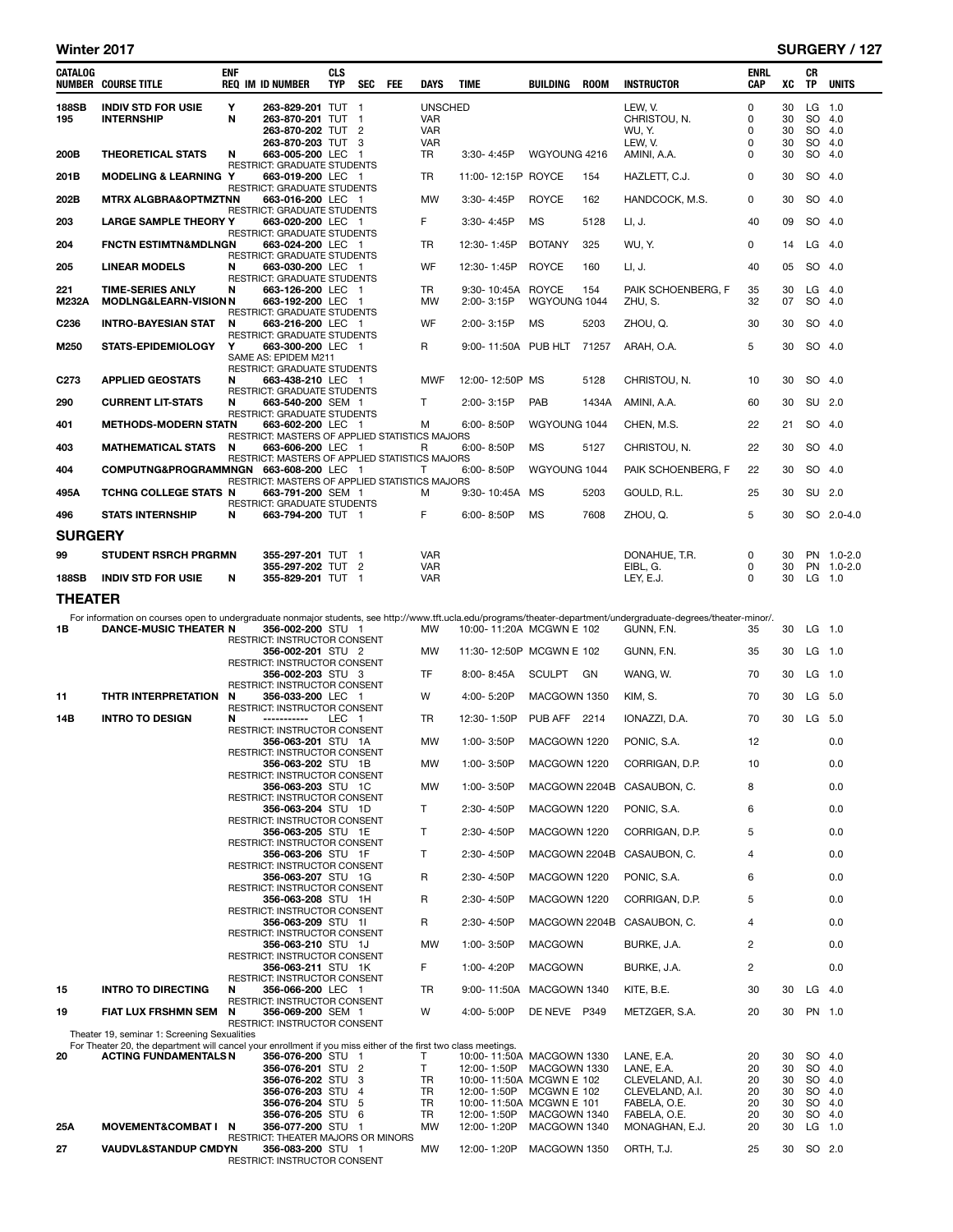| CATALOG          | <b>NUMBER COURSE TITLE</b>                                                                                                                                     | <b>ENF</b> | <b>REQ IM ID NUMBER</b>                                             | <b>CLS</b><br><b>TYP</b> | <b>SEC</b>          | <b>FEE</b> | <b>DAYS</b>              | <b>TIME</b>                             | BUILDING       | ROOM  | <b>INSTRUCTOR</b>                                                                                                                                                 | <b>ENRL</b><br>CAP | XC       | CR<br><b>TP</b> | <b>UNITS</b> |
|------------------|----------------------------------------------------------------------------------------------------------------------------------------------------------------|------------|---------------------------------------------------------------------|--------------------------|---------------------|------------|--------------------------|-----------------------------------------|----------------|-------|-------------------------------------------------------------------------------------------------------------------------------------------------------------------|--------------------|----------|-----------------|--------------|
| <b>188SB</b>     | <b>INDIV STD FOR USIE</b>                                                                                                                                      | Y          | 263-829-201 TUT 1                                                   |                          |                     |            | <b>UNSCHED</b>           |                                         |                |       | LEW. V.                                                                                                                                                           | $\mathbf 0$        | 30       | LG 1.0          | SO 4.0       |
| 195              | <b>INTERNSHIP</b>                                                                                                                                              | N          | 263-870-201 TUT<br>263-870-202 TUT 2                                |                          | $\mathbf{1}$        |            | <b>VAR</b><br><b>VAR</b> |                                         |                |       | CHRISTOU, N.<br>WU, Y.                                                                                                                                            | 0<br>0             | 30<br>30 | SO 4.0          |              |
|                  |                                                                                                                                                                |            | 263-870-203 TUT                                                     |                          | 3                   |            | <b>VAR</b>               |                                         |                |       | LEW, V.                                                                                                                                                           | 0                  | 30       |                 | SO 4.0       |
| 200B             | <b>THEORETICAL STATS</b>                                                                                                                                       | N          | 663-005-200 LEC 1<br><b>RESTRICT: GRADUATE STUDENTS</b>             |                          |                     |            | <b>TR</b>                | $3:30 - 4:45P$                          | WGYOUNG 4216   |       | AMINI, A.A.                                                                                                                                                       | 0                  | 30       | SO 4.0          |              |
| 201B             | <b>MODELING &amp; LEARNING Y</b>                                                                                                                               |            | 663-019-200 LEC 1<br>RESTRICT: GRADUATE STUDENTS                    |                          |                     |            | <b>TR</b>                | 11:00-12:15P ROYCE                      |                | 154   | HAZLETT, C.J.                                                                                                                                                     | 0                  | 30       | SO 4.0          |              |
| 202B             | <b>MTRX ALGBRA&amp;OPTMZTNN</b>                                                                                                                                |            | 663-016-200 LEC 1                                                   |                          |                     |            | MW                       | 3:30-4:45P                              | <b>ROYCE</b>   | 162   | HANDCOCK, M.S.                                                                                                                                                    | 0                  | 30       | SO 4.0          |              |
| 203              | <b>LARGE SAMPLE THEORY Y</b>                                                                                                                                   |            | <b>RESTRICT: GRADUATE STUDENTS</b><br>663-020-200 LEC 1             |                          |                     |            | F.                       | 3:30-4:45P                              | <b>MS</b>      | 5128  | LI, J.                                                                                                                                                            | 40                 | 09       | SO 4.0          |              |
| 204              | <b>FNCTN ESTIMTN&amp;MDLNGN</b>                                                                                                                                |            | <b>RESTRICT: GRADUATE STUDENTS</b><br>663-024-200 LEC 1             |                          |                     |            | TR                       | 12:30-1:45P                             | <b>BOTANY</b>  | 325   | WU, Y.                                                                                                                                                            | 0                  | 14       | $LG$ 4.0        |              |
| 205              | <b>LINEAR MODELS</b>                                                                                                                                           | N          | RESTRICT: GRADUATE STUDENTS<br>663-030-200 LEC 1                    |                          |                     |            | <b>WF</b>                | 12:30-1:45P                             | <b>ROYCE</b>   | 160   | LI, J.                                                                                                                                                            | 40                 | 05       | SO.             | 4.0          |
| 221              | <b>TIME-SERIES ANLY</b>                                                                                                                                        | N          | <b>RESTRICT: GRADUATE STUDENTS</b><br>663-126-200 LEC 1             |                          |                     |            | <b>TR</b>                | 9:30-10:45A ROYCE                       |                | 154   | PAIK SCHOENBERG, F                                                                                                                                                | 35                 | 30       | $LG$ 4.0        |              |
| <b>M232A</b>     | <b>MODLNG&amp;LEARN-VISION N</b>                                                                                                                               |            | 663-192-200 LEC 1<br><b>RESTRICT: GRADUATE STUDENTS</b>             |                          |                     |            | <b>MW</b>                | 2:00-3:15P                              | WGYOUNG 1044   |       | ZHU, S.                                                                                                                                                           | 32                 | 07       | SO 4.0          |              |
| C <sub>236</sub> | <b>INTRO-BAYESIAN STAT</b>                                                                                                                                     | N          | 663-216-200 LEC 1                                                   |                          |                     |            | WF                       | 2:00-3:15P                              | <b>MS</b>      | 5203  | ZHOU, Q.                                                                                                                                                          | 30                 | 30       | SO 4.0          |              |
| M250             | <b>STATS-EPIDEMIOLOGY</b>                                                                                                                                      | Y          | RESTRICT: GRADUATE STUDENTS<br>663-300-200 LEC 1                    |                          |                     |            | R                        | 9:00-11:50A PUB HLT                     |                | 71257 | ARAH, O.A.                                                                                                                                                        | 5                  | 30       | SO 4.0          |              |
|                  |                                                                                                                                                                |            | SAME AS: EPIDEM M211<br><b>RESTRICT: GRADUATE STUDENTS</b>          |                          |                     |            |                          |                                         |                |       |                                                                                                                                                                   |                    |          |                 |              |
| C <sub>273</sub> | <b>APPLIED GEOSTATS</b>                                                                                                                                        | N          | 663-438-210 LEC 1<br>RESTRICT: GRADUATE STUDENTS                    |                          |                     |            | <b>MWF</b>               | 12:00-12:50P MS                         |                | 5128  | CHRISTOU, N.                                                                                                                                                      | 10                 | 30       | SO 4.0          |              |
| 290              | <b>CURRENT LIT-STATS</b>                                                                                                                                       | N          | 663-540-200 SEM 1<br><b>RESTRICT: GRADUATE STUDENTS</b>             |                          |                     |            | T.                       | 2:00-3:15P                              | PAB            | 1434A | AMINI, A.A.                                                                                                                                                       | 60                 | 30       | SU 2.0          |              |
| 401              | <b>METHODS-MODERN STATN</b>                                                                                                                                    |            | 663-602-200 LEC 1                                                   |                          |                     |            | м                        | 6:00-8:50P                              | WGYOUNG 1044   |       | CHEN, M.S.                                                                                                                                                        | 22                 | 21       |                 | SO 4.0       |
| 403              | <b>MATHEMATICAL STATS</b>                                                                                                                                      | N          | RESTRICT: MASTERS OF APPLIED STATISTICS MAJORS<br>663-606-200 LEC 1 |                          |                     |            | R                        | 6:00-8:50P                              | <b>MS</b>      | 5127  | CHRISTOU, N.                                                                                                                                                      | 22                 | 30       | SO 4.0          |              |
| 404              | COMPUTNG&PROGRAMMNGN 663-608-200 LEC 1                                                                                                                         |            | RESTRICT: MASTERS OF APPLIED STATISTICS MAJORS                      |                          |                     |            | т                        | 6:00-8:50P                              | WGYOUNG 1044   |       | PAIK SCHOENBERG, F                                                                                                                                                | 22                 | 30       | SO 4.0          |              |
| 495A             | TCHNG COLLEGE STATS N                                                                                                                                          |            | RESTRICT: MASTERS OF APPLIED STATISTICS MAJORS<br>663-791-200 SEM 1 |                          |                     |            | м                        | 9:30-10:45A                             | МS             | 5203  | GOULD, R.L.                                                                                                                                                       | 25                 | 30       |                 | SU 2.0       |
| 496              | <b>STATS INTERNSHIP</b>                                                                                                                                        | N          | <b>RESTRICT: GRADUATE STUDENTS</b><br>663-794-200 TUT 1             |                          |                     |            | F                        | 6:00-8:50P                              | MS             | 7608  | ZHOU, Q.                                                                                                                                                          | 5                  | 30       |                 | SO 2.0-4.0   |
| <b>SURGERY</b>   |                                                                                                                                                                |            |                                                                     |                          |                     |            |                          |                                         |                |       |                                                                                                                                                                   |                    |          |                 |              |
| 99               | <b>STUDENT RSRCH PRGRMN</b>                                                                                                                                    |            | 355-297-201 TUT 1                                                   |                          |                     |            | <b>VAR</b>               |                                         |                |       | DONAHUE, T.R.                                                                                                                                                     | 0                  | 30       |                 | PN 1.0-2.0   |
| <b>188SB</b>     | <b>INDIV STD FOR USIE</b>                                                                                                                                      | N          | 355-297-202 TUT 2<br>355-829-201 TUT 1                              |                          |                     |            | <b>VAR</b><br><b>VAR</b> |                                         |                |       | EIBL, G.<br>LEY, E.J.                                                                                                                                             | 0<br>0             | 30<br>30 | LG 1.0          | PN 1.0-2.0   |
| <b>THEATER</b>   |                                                                                                                                                                |            |                                                                     |                          |                     |            |                          |                                         |                |       |                                                                                                                                                                   |                    |          |                 |              |
|                  |                                                                                                                                                                |            |                                                                     |                          |                     |            |                          |                                         |                |       | For information on courses open to undergraduate nonmajor students, see http://www.tft.ucla.edu/programs/theater-department/undergraduate-degrees/theater-minor/. |                    |          |                 |              |
| 1B               | DANCE-MUSIC THEATER N                                                                                                                                          |            | 356-002-200 STU 1<br>RESTRICT: INSTRUCTOR CONSENT                   |                          |                     |            | <b>MW</b>                | 10:00-11:20A MCGWN E 102                |                |       | GUNN, F.N.                                                                                                                                                        | 35                 | 30       |                 | $LG$ 1.0     |
|                  |                                                                                                                                                                |            | 356-002-201 STU 2<br>RESTRICT: INSTRUCTOR CONSENT                   |                          |                     |            | <b>MW</b>                | 11:30-12:50P MCGWN E 102                |                |       | GUNN, F.N.                                                                                                                                                        | 35                 | 30       |                 | $LG$ 1.0     |
|                  |                                                                                                                                                                |            | 356-002-203 STU 3<br>RESTRICT: INSTRUCTOR CONSENT                   |                          |                     |            | TF                       | 8:00-8:45A                              | SCULPT         | GN    | WANG, W.                                                                                                                                                          | 70                 | 30       | LG 1.0          |              |
| 11               | THTR INTERPRETATION                                                                                                                                            | N          | 356-033-200 LEC 1<br>RESTRICT: INSTRUCTOR CONSENT                   |                          |                     |            | W                        | 4:00-5:20P                              | MACGOWN 1350   |       | KIM, S.                                                                                                                                                           | 70                 | 30       | LG 5.0          |              |
| 14B              | <b>INTRO TO DESIGN</b>                                                                                                                                         | N          | -----------<br>RESTRICT: INSTRUCTOR CONSENT                         | LEC 1                    |                     |            | <b>TR</b>                | 12:30-1:50P                             | PUB AFF 2214   |       | IONAZZI, D.A.                                                                                                                                                     | 70                 | 30       | LG 5.0          |              |
|                  |                                                                                                                                                                |            | 356-063-201 STU 1A<br><b>RESTRICT: INSTRUCTOR CONSENT</b>           |                          |                     |            | MW                       | 1:00-3:50P                              | MACGOWN 1220   |       | PONIC, S.A.                                                                                                                                                       | 12                 |          |                 | 0.0          |
|                  |                                                                                                                                                                |            | 356-063-202 STU 1B                                                  |                          |                     |            | MW                       | 1:00-3:50P MACGOWN 1220                 |                |       | CORRIGAN, D.P.                                                                                                                                                    | 10                 |          |                 | 0.0          |
|                  |                                                                                                                                                                |            | RESTRICT: INSTRUCTOR CONSENT<br>356-063-203 STU 1C                  |                          |                     |            | MW                       | 1:00-3:50P                              |                |       | MACGOWN 2204B CASAUBON, C.                                                                                                                                        | 8                  |          |                 | 0.0          |
|                  |                                                                                                                                                                |            | RESTRICT: INSTRUCTOR CONSENT<br>356-063-204 STU 1D                  |                          |                     |            | T                        | 2:30-4:50P                              | MACGOWN 1220   |       | PONIC, S.A.                                                                                                                                                       | 6                  |          |                 | 0.0          |
|                  |                                                                                                                                                                |            | RESTRICT: INSTRUCTOR CONSENT<br>356-063-205 STU 1E                  |                          |                     |            | Τ                        | 2:30-4:50P                              | MACGOWN 1220   |       | CORRIGAN, D.P.                                                                                                                                                    | 5                  |          |                 | 0.0          |
|                  |                                                                                                                                                                |            | RESTRICT: INSTRUCTOR CONSENT<br>356-063-206 STU 1F                  |                          |                     |            | T.                       | 2:30-4:50P                              |                |       | MACGOWN 2204B CASAUBON, C.                                                                                                                                        | 4                  |          |                 | 0.0          |
|                  |                                                                                                                                                                |            | RESTRICT: INSTRUCTOR CONSENT<br>356-063-207 STU 1G                  |                          |                     |            | R                        | 2:30-4:50P                              | MACGOWN 1220   |       | PONIC, S.A.                                                                                                                                                       | 6                  |          |                 | 0.0          |
|                  |                                                                                                                                                                |            | RESTRICT: INSTRUCTOR CONSENT<br>356-063-208 STU 1H                  |                          |                     |            | R                        | 2:30-4:50P                              | MACGOWN 1220   |       | CORRIGAN, D.P.                                                                                                                                                    | 5                  |          |                 | 0.0          |
|                  |                                                                                                                                                                |            | RESTRICT: INSTRUCTOR CONSENT<br>356-063-209 STU 1I                  |                          |                     |            | R                        | 2:30-4:50P                              |                |       | MACGOWN 2204B CASAUBON, C.                                                                                                                                        | 4                  |          |                 | 0.0          |
|                  |                                                                                                                                                                |            | RESTRICT: INSTRUCTOR CONSENT<br>356-063-210 STU 1J                  |                          |                     |            |                          |                                         |                |       |                                                                                                                                                                   |                    |          |                 |              |
|                  |                                                                                                                                                                |            | RESTRICT: INSTRUCTOR CONSENT                                        |                          |                     |            | MW                       | 1:00-3:50P                              | <b>MACGOWN</b> |       | BURKE, J.A.                                                                                                                                                       | 2                  |          |                 | 0.0          |
|                  |                                                                                                                                                                |            | 356-063-211 STU 1K<br>RESTRICT: INSTRUCTOR CONSENT                  |                          |                     |            | F.                       | 1:00-4:20P                              | <b>MACGOWN</b> |       | BURKE, J.A.                                                                                                                                                       | 2                  |          |                 | 0.0          |
| 15               | <b>INTRO TO DIRECTING</b>                                                                                                                                      | N          | 356-066-200 LEC 1<br>RESTRICT: INSTRUCTOR CONSENT                   |                          |                     |            | TR                       | 9:00-11:50A MACGOWN 1340                |                |       | KITE, B.E.                                                                                                                                                        | 30                 | 30       | $LG$ 4.0        |              |
| 19               | FIAT LUX FRSHMN SEM                                                                                                                                            | N          | 356-069-200 SEM 1<br>RESTRICT: INSTRUCTOR CONSENT                   |                          |                     |            | W                        | 4:00-5:00P                              | DE NEVE P349   |       | METZGER, S.A.                                                                                                                                                     | 20                 | 30       | PN 1.0          |              |
|                  | Theater 19, seminar 1: Screening Sexualities<br>For Theater 20, the department will cancel your enrollment if you miss either of the first two class meetings. |            |                                                                     |                          |                     |            |                          |                                         |                |       |                                                                                                                                                                   |                    |          |                 |              |
| 20               | <b>ACTING FUNDAMENTALS N</b>                                                                                                                                   |            | 356-076-200 STU 1                                                   |                          |                     |            | T.                       | 10:00-11:50A MACGOWN 1330               |                |       | LANE, E.A.                                                                                                                                                        | 20                 | 30       | SO 4.0          |              |
|                  |                                                                                                                                                                |            | 356-076-201 STU 2                                                   |                          |                     |            | T                        | 12:00-1:50P                             | MACGOWN 1330   |       | LANE, E.A.                                                                                                                                                        | 20                 | 30       | SO 4.0          |              |
|                  |                                                                                                                                                                |            | 356-076-202 STU<br>356-076-203 STU                                  |                          | 3<br>$\overline{4}$ |            | TR<br>TR                 | 10:00-11:50A MCGWN E 102<br>12:00-1:50P | MCGWN E 102    |       | CLEVELAND, A.I.<br>CLEVELAND, A.I.                                                                                                                                | 20<br>20           | 30<br>30 | SO 4.0          | SO 4.0       |
|                  |                                                                                                                                                                |            | 356-076-204 STU 5                                                   |                          |                     |            | TR                       | 10:00-11:50A MCGWN E 101                |                |       | FABELA, O.E.                                                                                                                                                      | 20                 | 30       |                 | SO 4.0       |
|                  |                                                                                                                                                                |            | 356-076-205 STU 6                                                   |                          |                     |            | TR                       | 12:00-1:50P                             | MACGOWN 1340   |       | FABELA, O.E.                                                                                                                                                      | 20                 | 30       | SO 4.0          |              |
| 25A              | <b>MOVEMENT&amp;COMBAT I</b>                                                                                                                                   | N          | 356-077-200 STU 1<br>RESTRICT: THEATER MAJORS OR MINORS             |                          |                     |            | MW                       | 12:00-1:20P                             | MACGOWN 1340   |       | MONAGHAN, E.J.                                                                                                                                                    | 20                 | 30       |                 | $LG$ 1.0     |
| 27               | <b>VAUDVL&amp;STANDUP CMDYN</b>                                                                                                                                |            | 356-083-200 STU 1<br>RESTRICT: INSTRUCTOR CONSENT                   |                          |                     |            | MW                       | 12:00-1:20P                             | MACGOWN 1350   |       | ORTH, T.J.                                                                                                                                                        | 25                 | 30       | SO 2.0          |              |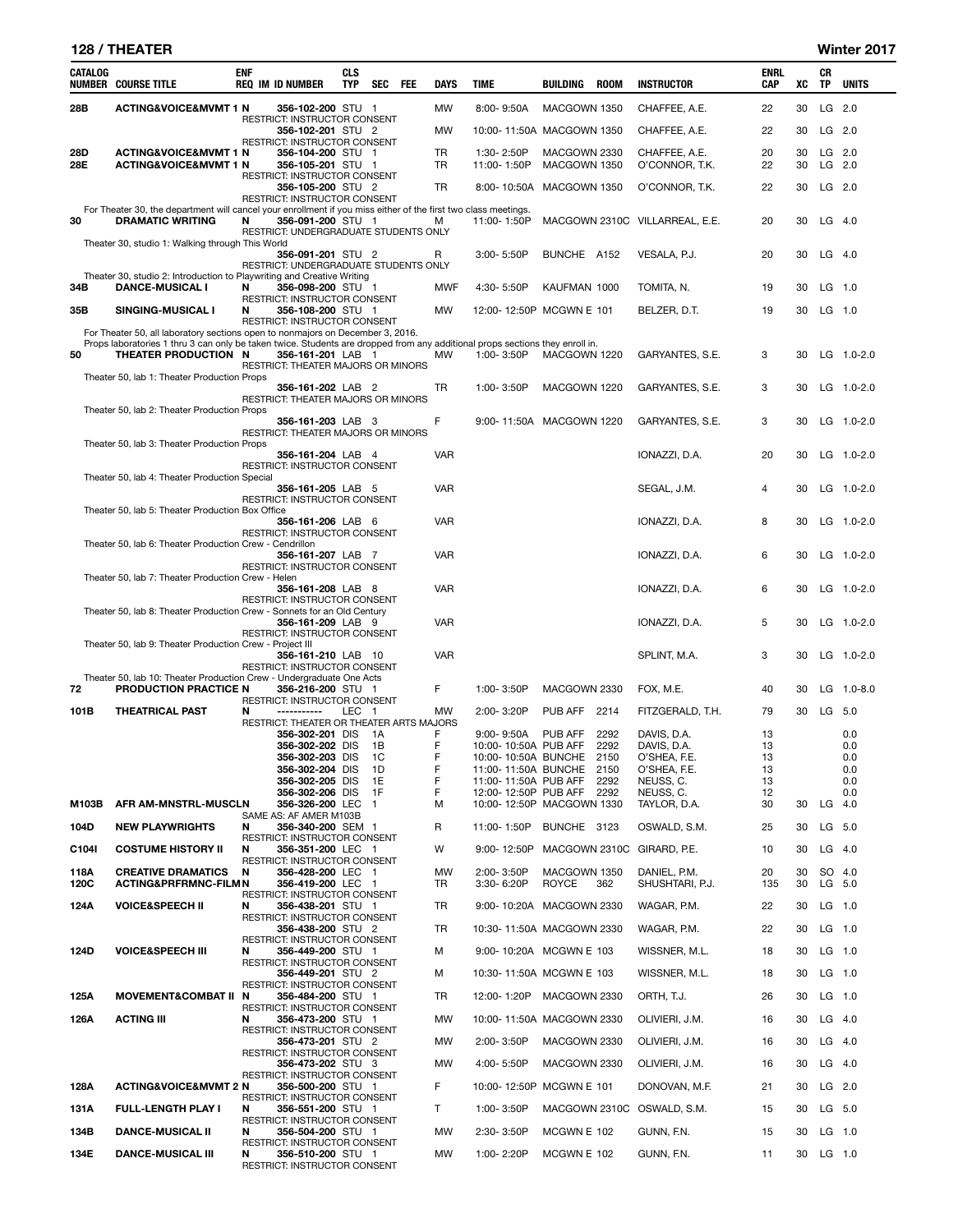## 128 / THEATER Winter 2017

| CATALOG | <b>NUMBER COURSE TITLE</b>                                                                                                                           | ENF | <b>REQ IM ID NUMBER</b>                                                           | <b>CLS</b><br>TYP | SEC FEE        | DAYS         | TIME                                             | BUILDING     | ROOM         | <b>INSTRUCTOR</b>              | <b>ENRL</b><br><b>CAP</b> | XC | CR<br>TP | <b>UNITS</b>   |
|---------|------------------------------------------------------------------------------------------------------------------------------------------------------|-----|-----------------------------------------------------------------------------------|-------------------|----------------|--------------|--------------------------------------------------|--------------|--------------|--------------------------------|---------------------------|----|----------|----------------|
| 28B     | <b>ACTING&amp;VOICE&amp;MVMT 1 N</b>                                                                                                                 |     | 356-102-200 STU 1                                                                 |                   |                | MW           | 8:00-9:50A                                       | MACGOWN 1350 |              | CHAFFEE, A.E.                  | 22                        | 30 |          | LG 2.0         |
|         |                                                                                                                                                      |     | RESTRICT: INSTRUCTOR CONSENT<br>356-102-201 STU 2                                 |                   |                | МW           | 10:00-11:50A MACGOWN 1350                        |              |              | CHAFFEE, A.E.                  | 22                        | 30 |          | $LG$ 2.0       |
| 28D     | <b>ACTING&amp;VOICE&amp;MVMT 1 N</b>                                                                                                                 |     | RESTRICT: INSTRUCTOR CONSENT<br>356-104-200 STU 1                                 |                   |                | TR           | 1:30-2:50P                                       | MACGOWN 2330 |              | CHAFFEE, A.E.                  | 20                        | 30 |          | LG 2.0         |
| 28E     | <b>ACTING&amp;VOICE&amp;MVMT 1 N</b>                                                                                                                 |     | 356-105-201 STU 1<br>RESTRICT: INSTRUCTOR CONSENT                                 |                   |                | <b>TR</b>    | 11:00-1:50P                                      | MACGOWN 1350 |              | O'CONNOR, T.K.                 | 22                        | 30 |          | LG 2.0         |
|         |                                                                                                                                                      |     | 356-105-200 STU 2<br>RESTRICT: INSTRUCTOR CONSENT                                 |                   |                | <b>TR</b>    | 8:00-10:50A                                      | MACGOWN 1350 |              | O'CONNOR, T.K.                 | 22                        | 30 |          | LG 2.0         |
| 30      | For Theater 30, the department will cancel your enrollment if you miss either of the first two class meetings.<br><b>DRAMATIC WRITING</b>            | N   | 356-091-200 STU 1                                                                 |                   |                | м            | 11:00-1:50P                                      |              |              | MACGOWN 2310C VILLARREAL, E.E. | 20                        | 30 |          | $LG$ 4.0       |
|         | Theater 30, studio 1: Walking through This World                                                                                                     |     | RESTRICT: UNDERGRADUATE STUDENTS ONLY                                             |                   |                |              |                                                  |              |              |                                |                           |    |          |                |
|         |                                                                                                                                                      |     | 356-091-201 STU 2<br>RESTRICT: UNDERGRADUATE STUDENTS ONLY                        |                   |                | $\mathsf{R}$ | 3:00-5:50P                                       | BUNCHE A152  |              | VESALA, P.J.                   | 20                        | 30 |          | $LG$ 4.0       |
| 34B     | Theater 30, studio 2: Introduction to Playwriting and Creative Writing<br><b>DANCE-MUSICAL I</b>                                                     | N   | 356-098-200 STU 1                                                                 |                   |                | <b>MWF</b>   | 4:30-5:50P                                       | KAUFMAN 1000 |              | TOMITA, N.                     | 19                        | 30 |          | $LG$ 1.0       |
| 35B     | SINGING-MUSICAL I                                                                                                                                    | N   | RESTRICT: INSTRUCTOR CONSENT<br>356-108-200 STU 1                                 |                   |                | <b>MW</b>    | 12:00-12:50P MCGWN E 101                         |              |              | BELZER, D.T.                   | 19                        | 30 |          | $LG$ 1.0       |
|         | For Theater 50, all laboratory sections open to nonmajors on December 3, 2016.                                                                       |     | RESTRICT: INSTRUCTOR CONSENT                                                      |                   |                |              |                                                  |              |              |                                |                           |    |          |                |
| 50      | Props laboratories 1 thru 3 can only be taken twice. Students are dropped from any additional props sections they enroll in.<br>THEATER PRODUCTION N |     | 356-161-201 LAB 1                                                                 |                   |                | MW           | 1:00-3:50P                                       | MACGOWN 1220 |              | GARYANTES, S.E.                | 3                         | 30 |          | LG 1.0-2.0     |
|         | Theater 50, lab 1: Theater Production Props                                                                                                          |     | RESTRICT: THEATER MAJORS OR MINORS                                                |                   |                |              |                                                  |              |              |                                |                           |    |          |                |
|         |                                                                                                                                                      |     | 356-161-202 LAB 2<br>RESTRICT: THEATER MAJORS OR MINORS                           |                   |                | TR           | 1:00-3:50P                                       | MACGOWN 1220 |              | GARYANTES, S.E.                | 3                         | 30 |          | LG 1.0-2.0     |
|         | Theater 50, lab 2: Theater Production Props                                                                                                          |     | 356-161-203 LAB 3                                                                 |                   |                | F            | 9:00-11:50A MACGOWN 1220                         |              |              | GARYANTES, S.E.                | 3                         | 30 |          | LG 1.0-2.0     |
|         | Theater 50, lab 3: Theater Production Props                                                                                                          |     | RESTRICT: THEATER MAJORS OR MINORS                                                |                   |                |              |                                                  |              |              |                                |                           |    |          |                |
|         |                                                                                                                                                      |     | 356-161-204 LAB 4<br>RESTRICT: INSTRUCTOR CONSENT                                 |                   |                | <b>VAR</b>   |                                                  |              |              | IONAZZI, D.A.                  | 20                        | 30 |          | LG 1.0-2.0     |
|         | Theater 50, lab 4: Theater Production Special                                                                                                        |     | 356-161-205 LAB 5                                                                 |                   |                | <b>VAR</b>   |                                                  |              |              | SEGAL, J.M.                    | 4                         | 30 |          | LG 1.0-2.0     |
|         | Theater 50, lab 5: Theater Production Box Office                                                                                                     |     | RESTRICT: INSTRUCTOR CONSENT                                                      |                   |                |              |                                                  |              |              |                                |                           |    |          |                |
|         |                                                                                                                                                      |     | 356-161-206 LAB 6<br>RESTRICT: INSTRUCTOR CONSENT                                 |                   |                | <b>VAR</b>   |                                                  |              |              | IONAZZI, D.A.                  | 8                         | 30 |          | LG 1.0-2.0     |
|         | Theater 50, lab 6: Theater Production Crew - Cendrillon                                                                                              |     | 356-161-207 LAB 7                                                                 |                   |                | <b>VAR</b>   |                                                  |              |              | IONAZZI, D.A.                  | 6                         | 30 |          | LG 1.0-2.0     |
|         | Theater 50, lab 7: Theater Production Crew - Helen                                                                                                   |     | RESTRICT: INSTRUCTOR CONSENT                                                      |                   |                |              |                                                  |              |              |                                |                           |    |          |                |
|         |                                                                                                                                                      |     | 356-161-208 LAB 8<br>RESTRICT: INSTRUCTOR CONSENT                                 |                   |                | <b>VAR</b>   |                                                  |              |              | IONAZZI, D.A.                  | 6                         | 30 |          | LG 1.0-2.0     |
|         | Theater 50, lab 8: Theater Production Crew - Sonnets for an Old Century                                                                              |     | 356-161-209 LAB 9                                                                 |                   |                | <b>VAR</b>   |                                                  |              |              | IONAZZI, D.A.                  | 5                         | 30 |          | LG 1.0-2.0     |
|         | Theater 50, lab 9: Theater Production Crew - Project III                                                                                             |     | RESTRICT: INSTRUCTOR CONSENT                                                      |                   |                |              |                                                  |              |              |                                |                           |    |          |                |
|         |                                                                                                                                                      |     | 356-161-210 LAB 10<br><b>RESTRICT: INSTRUCTOR CONSENT</b>                         |                   |                | <b>VAR</b>   |                                                  |              |              | SPLINT, M.A.                   | 3                         | 30 |          | LG 1.0-2.0     |
|         | Theater 50, lab 10: Theater Production Crew - Undergraduate One Acts                                                                                 |     |                                                                                   |                   |                | F            | 1:00-3:50P                                       |              |              |                                |                           |    |          |                |
| 72      | PRODUCTION PRACTICE N                                                                                                                                |     | 356-216-200 STU 1<br>RESTRICT: INSTRUCTOR CONSENT                                 |                   |                |              |                                                  | MACGOWN 2330 |              | FOX, M.E.                      | 40                        | 30 |          | LG $1.0 - 8.0$ |
| 101B    | <b>THEATRICAL PAST</b>                                                                                                                               | N   | -----------<br>RESTRICT: THEATER OR THEATER ARTS MAJORS                           | LEC 1             |                | MW           | 2:00-3:20P                                       | PUB AFF 2214 |              | FITZGERALD, T.H.               | 79                        | 30 |          | LG 5.0         |
|         |                                                                                                                                                      |     | 356-302-201 DIS<br>356-302-202 DIS                                                |                   | - 1A<br>- 1B   | F<br>F       | $9:00 - 9:50A$<br>10:00-10:50A PUB AFF           | PUB AFF      | 2292<br>2292 | DAVIS, D.A.<br>DAVIS, D.A.     | 13<br>13                  |    |          | 0.0<br>0.0     |
|         |                                                                                                                                                      |     | 356-302-203 DIS 1C<br>356-302-204 DIS                                             |                   |                | F            | 10:00-10:50A BUNCHE 2150                         |              |              | O'SHEA. F.E.                   | 13                        |    |          | 0.0            |
|         |                                                                                                                                                      |     | 356-302-205 DIS                                                                   |                   | - 1D<br>1E     | F<br>F       | 11:00-11:50A BUNCHE 2150<br>11:00-11:50A PUB AFF |              | 2292         | O'SHEA, F.E.<br>NEUSS, C.      | 13<br>13                  |    |          | 0.0<br>0.0     |
|         |                                                                                                                                                      |     | 356-302-206 DIS                                                                   |                   | 1F             | F            | 12:00-12:50P PUB AFF 2292                        |              |              | NEUSS, C.                      | 12                        |    |          | 0.0            |
| M103B   | AFR AM-MNSTRL-MUSCLN                                                                                                                                 |     | 356-326-200 LEC<br>SAME AS: AF AMER M103B                                         |                   | $\overline{1}$ | м            | 10:00-12:50P MACGOWN 1330                        |              |              | TAYLOR, D.A.                   | 30                        | 30 |          | $LG$ 4.0       |
| 104D    | <b>NEW PLAYWRIGHTS</b>                                                                                                                               | N   | 356-340-200 SEM 1                                                                 |                   |                | R            | 11:00-1:50P                                      | BUNCHE 3123  |              | OSWALD, S.M.                   | 25                        | 30 |          | LG 5.0         |
| C104I   | <b>COSTUME HISTORY II</b>                                                                                                                            | N   | RESTRICT: INSTRUCTOR CONSENT<br>356-351-200 LEC 1<br>RESTRICT: INSTRUCTOR CONSENT |                   |                | W            | 9:00-12:50P                                      |              |              | MACGOWN 2310C GIRARD, P.E.     | 10                        | 30 |          | $LG$ 4.0       |
| 118A    | <b>CREATIVE DRAMATICS</b>                                                                                                                            | N   | 356-428-200 LEC 1                                                                 |                   |                | МW           | 2:00-3:50P                                       | MACGOWN 1350 |              | DANIEL, P.M.                   | 20                        | 30 |          | SO 4.0         |
| 120C    | <b>ACTING&amp;PRFRMNC-FILMN</b>                                                                                                                      |     | 356-419-200 LEC 1<br>RESTRICT: INSTRUCTOR CONSENT                                 |                   |                | TR           | 3:30-6:20P                                       | ROYCE        | 362          | SHUSHTARI, P.J.                | 135                       | 30 |          | LG 5.0         |
| 124A    | <b>VOICE&amp;SPEECH II</b>                                                                                                                           | N   | 356-438-201 STU 1<br>RESTRICT: INSTRUCTOR CONSENT                                 |                   |                | TR           | 9:00-10:20A MACGOWN 2330                         |              |              | WAGAR, P.M.                    | 22                        | 30 |          | $LG$ 1.0       |
|         |                                                                                                                                                      |     | 356-438-200 STU 2<br>RESTRICT: INSTRUCTOR CONSENT                                 |                   |                | TR           | 10:30-11:50A MACGOWN 2330                        |              |              | WAGAR, P.M.                    | 22                        | 30 |          | $LG$ 1.0       |
| 124D    | <b>VOICE&amp;SPEECH III</b>                                                                                                                          | N   | 356-449-200 STU 1<br>RESTRICT: INSTRUCTOR CONSENT                                 |                   |                | м            | 9:00-10:20A MCGWN E 103                          |              |              | WISSNER, M.L.                  | 18                        | 30 |          | $LG$ 1.0       |
|         |                                                                                                                                                      |     | 356-449-201 STU 2<br>RESTRICT: INSTRUCTOR CONSENT                                 |                   |                | м            | 10:30-11:50A MCGWN E 103                         |              |              | WISSNER, M.L.                  | 18                        | 30 |          | $LG$ 1.0       |
| 125A    | <b>MOVEMENT&amp;COMBAT II</b>                                                                                                                        | N   | 356-484-200 STU 1<br>RESTRICT: INSTRUCTOR CONSENT                                 |                   |                | TR           | 12:00-1:20P                                      | MACGOWN 2330 |              | ORTH, T.J.                     | 26                        | 30 |          | LG 1.0         |
| 126A    | <b>ACTING III</b>                                                                                                                                    | N   | 356-473-200 STU 1<br>RESTRICT: INSTRUCTOR CONSENT                                 |                   |                | МW           | 10:00-11:50A MACGOWN 2330                        |              |              | OLIVIERI, J.M.                 | 16                        | 30 |          | $LG$ 4.0       |
|         |                                                                                                                                                      |     | 356-473-201 STU 2<br>RESTRICT: INSTRUCTOR CONSENT                                 |                   |                | МW           | 2:00-3:50P                                       | MACGOWN 2330 |              | OLIVIERI, J.M.                 | 16                        | 30 |          | $LG$ 4.0       |
|         |                                                                                                                                                      |     | 356-473-202 STU 3<br>RESTRICT: INSTRUCTOR CONSENT                                 |                   |                | МW           | 4:00-5:50P                                       | MACGOWN 2330 |              | OLIVIERI, J.M.                 | 16                        | 30 |          | $LG$ 4.0       |
| 128A    | <b>ACTING&amp;VOICE&amp;MVMT 2 N</b>                                                                                                                 |     | 356-500-200 STU 1<br>RESTRICT: INSTRUCTOR CONSENT                                 |                   |                | F            | 10:00-12:50P MCGWN E 101                         |              |              | DONOVAN, M.F.                  | 21                        | 30 |          | $LG$ 2.0       |
| 131A    | <b>FULL-LENGTH PLAY I</b>                                                                                                                            | N   | 356-551-200 STU 1                                                                 |                   |                | T.           | 1:00-3:50P                                       |              |              | MACGOWN 2310C OSWALD, S.M.     | 15                        | 30 |          | LG 5.0         |
| 134B    | <b>DANCE-MUSICAL II</b>                                                                                                                              | N   | RESTRICT: INSTRUCTOR CONSENT<br>356-504-200 STU 1                                 |                   |                | МW           | 2:30-3:50P                                       | MCGWN E 102  |              | GUNN, F.N.                     | 15                        | 30 |          | $LG$ 1.0       |
| 134E    | <b>DANCE-MUSICAL III</b>                                                                                                                             | N   | RESTRICT: INSTRUCTOR CONSENT<br>356-510-200 STU 1                                 |                   |                | МW           | 1:00-2:20P                                       | MCGWN E 102  |              | GUNN, F.N.                     | 11                        | 30 |          | $LG$ 1.0       |
|         |                                                                                                                                                      |     | RESTRICT: INSTRUCTOR CONSENT                                                      |                   |                |              |                                                  |              |              |                                |                           |    |          |                |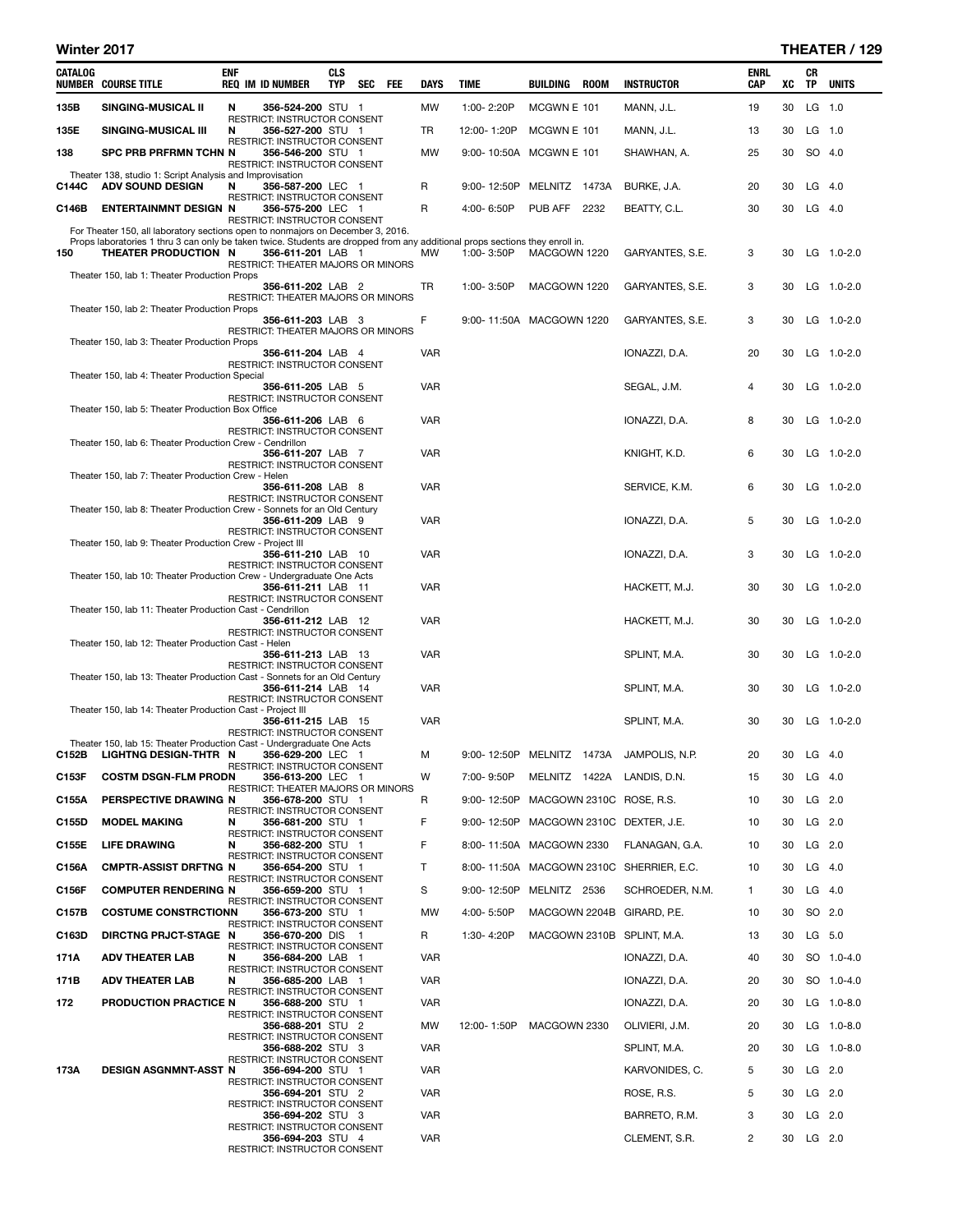## Winter 2017 **THEATER** / 129

| CATALOG | <b>NUMBER COURSE TITLE</b>                                                                                                                           | <b>ENF</b> | <b>REQ IM ID NUMBER</b>                                                                  | <b>CLS</b><br>TYP | SEC | FEE | DAYS         | TIME                      | BUILDING      | <b>ROOM</b> | <b>INSTRUCTOR</b>                        | ENRL<br>CAP    | XC | CR<br>TP | <b>UNITS</b>   |
|---------|------------------------------------------------------------------------------------------------------------------------------------------------------|------------|------------------------------------------------------------------------------------------|-------------------|-----|-----|--------------|---------------------------|---------------|-------------|------------------------------------------|----------------|----|----------|----------------|
| 135B    | SINGING-MUSICAL II                                                                                                                                   | N          | 356-524-200 STU 1                                                                        |                   |     |     | MW           | 1:00-2:20P                | MCGWN E 101   |             | MANN, J.L.                               | 19             | 30 | LG 1.0   |                |
| 135E    | SINGING-MUSICAL III                                                                                                                                  | N          | <b>RESTRICT: INSTRUCTOR CONSENT</b><br>356-527-200 STU 1                                 |                   |     |     | TR           | 12:00-1:20P               | MCGWN E 101   |             | MANN, J.L.                               | 13             | 30 | $LG$ 1.0 |                |
| 138     | SPC PRB PRFRMN TCHN N                                                                                                                                |            | RESTRICT: INSTRUCTOR CONSENT<br>356-546-200 STU 1<br><b>RESTRICT: INSTRUCTOR CONSENT</b> |                   |     |     | MW           | 9:00-10:50A MCGWN E 101   |               |             | SHAWHAN, A.                              | 25             | 30 | SO 4.0   |                |
| C144C   | Theater 138, studio 1: Script Analysis and Improvisation<br><b>ADV SOUND DESIGN</b>                                                                  | N          | 356-587-200 LEC 1                                                                        |                   |     |     | R            | 9:00-12:50P               | MELNITZ 1473A |             | BURKE, J.A.                              | 20             | 30 | $LG$ 4.0 |                |
| C146B   | <b>ENTERTAINMNT DESIGN N</b>                                                                                                                         |            | RESTRICT: INSTRUCTOR CONSENT<br>356-575-200 LEC 1                                        |                   |     |     | R            | 4:00-6:50P                | PUB AFF 2232  |             | BEATTY, C.L.                             | 30             | 30 | $LG$ 4.0 |                |
|         | For Theater 150, all laboratory sections open to nonmajors on December 3, 2016.                                                                      |            | RESTRICT: INSTRUCTOR CONSENT                                                             |                   |     |     |              |                           |               |             |                                          |                |    |          |                |
| 150     | Props laboratories 1 thru 3 can only be taken twice. Students are dropped from any additional props sections they enroll in.<br>THEATER PRODUCTION N |            | 356-611-201 LAB 1                                                                        |                   |     |     | <b>MW</b>    | 1:00-3:50P                | MACGOWN 1220  |             | GARYANTES, S.E.                          | 3              | 30 |          | LG 1.0-2.0     |
|         | Theater 150, lab 1: Theater Production Props                                                                                                         |            | RESTRICT: THEATER MAJORS OR MINORS                                                       |                   |     |     |              |                           |               |             |                                          |                |    |          |                |
|         |                                                                                                                                                      |            | 356-611-202 LAB 2<br>RESTRICT: THEATER MAJORS OR MINORS                                  |                   |     |     | TR           | 1:00-3:50P                | MACGOWN 1220  |             | GARYANTES, S.E.                          | 3              | 30 |          | $LG$ 1.0-2.0   |
|         | Theater 150, lab 2: Theater Production Props                                                                                                         |            | 356-611-203 LAB 3                                                                        |                   |     |     | F            | 9:00-11:50A MACGOWN 1220  |               |             | GARYANTES, S.E.                          | 3              | 30 |          | $LG$ 1.0-2.0   |
|         | Theater 150, lab 3: Theater Production Props                                                                                                         |            | RESTRICT: THEATER MAJORS OR MINORS                                                       |                   |     |     |              |                           |               |             |                                          |                |    |          |                |
|         |                                                                                                                                                      |            | 356-611-204 LAB 4<br>RESTRICT: INSTRUCTOR CONSENT                                        |                   |     |     | <b>VAR</b>   |                           |               |             | IONAZZI, D.A.                            | 20             | 30 |          | LG 1.0-2.0     |
|         | Theater 150, lab 4: Theater Production Special                                                                                                       |            | 356-611-205 LAB 5<br>RESTRICT: INSTRUCTOR CONSENT                                        |                   |     |     | <b>VAR</b>   |                           |               |             | SEGAL, J.M.                              | 4              | 30 |          | $LG$ 1.0-2.0   |
|         | Theater 150, lab 5: Theater Production Box Office                                                                                                    |            | 356-611-206 LAB 6                                                                        |                   |     |     | <b>VAR</b>   |                           |               |             | IONAZZI, D.A.                            | 8              | 30 |          | LG 1.0-2.0     |
|         | Theater 150, lab 6: Theater Production Crew - Cendrillon                                                                                             |            | RESTRICT: INSTRUCTOR CONSENT<br>356-611-207 LAB 7                                        |                   |     |     | <b>VAR</b>   |                           |               |             | KNIGHT, K.D.                             | 6              | 30 |          | $LG$ 1.0-2.0   |
|         | Theater 150, lab 7: Theater Production Crew - Helen                                                                                                  |            | <b>RESTRICT: INSTRUCTOR CONSENT</b>                                                      |                   |     |     |              |                           |               |             |                                          |                |    |          |                |
|         | Theater 150, lab 8: Theater Production Crew - Sonnets for an Old Century                                                                             |            | 356-611-208 LAB 8<br><b>RESTRICT: INSTRUCTOR CONSENT</b>                                 |                   |     |     | <b>VAR</b>   |                           |               |             | SERVICE, K.M.                            | 6              | 30 |          | $LG$ 1.0-2.0   |
|         |                                                                                                                                                      |            | 356-611-209 LAB 9<br>RESTRICT: INSTRUCTOR CONSENT                                        |                   |     |     | VAR          |                           |               |             | IONAZZI, D.A.                            | 5              | 30 |          | $LG$ 1.0-2.0   |
|         | Theater 150, lab 9: Theater Production Crew - Project III                                                                                            |            | 356-611-210 LAB 10<br>RESTRICT: INSTRUCTOR CONSENT                                       |                   |     |     | <b>VAR</b>   |                           |               |             | IONAZZI, D.A.                            | 3              | 30 |          | LG 1.0-2.0     |
|         | Theater 150, lab 10: Theater Production Crew - Undergraduate One Acts                                                                                |            | 356-611-211 LAB 11                                                                       |                   |     |     | <b>VAR</b>   |                           |               |             | HACKETT, M.J.                            | 30             | 30 |          | $LG$ 1.0-2.0   |
|         | Theater 150, lab 11: Theater Production Cast - Cendrillon                                                                                            |            | <b>RESTRICT: INSTRUCTOR CONSENT</b>                                                      |                   |     |     |              |                           |               |             |                                          |                |    |          |                |
|         |                                                                                                                                                      |            | 356-611-212 LAB 12<br>RESTRICT: INSTRUCTOR CONSENT                                       |                   |     |     | VAR          |                           |               |             | HACKETT, M.J.                            | 30             | 30 |          | $LG$ 1.0-2.0   |
|         | Theater 150, lab 12: Theater Production Cast - Helen                                                                                                 |            | 356-611-213 LAB 13<br><b>RESTRICT: INSTRUCTOR CONSENT</b>                                |                   |     |     | <b>VAR</b>   |                           |               |             | SPLINT, M.A.                             | 30             | 30 |          | $LG$ 1.0-2.0   |
|         | Theater 150, lab 13: Theater Production Cast - Sonnets for an Old Century                                                                            |            | 356-611-214 LAB 14<br>RESTRICT: INSTRUCTOR CONSENT                                       |                   |     |     | <b>VAR</b>   |                           |               |             | SPLINT, M.A.                             | 30             | 30 |          | $LG$ 1.0-2.0   |
|         | Theater 150, lab 14: Theater Production Cast - Project III                                                                                           |            |                                                                                          |                   |     |     | <b>VAR</b>   |                           |               |             |                                          |                | 30 |          |                |
|         |                                                                                                                                                      |            | 356-611-215 LAB 15<br>RESTRICT: INSTRUCTOR CONSENT                                       |                   |     |     |              |                           |               |             | SPLINT, M.A.                             | 30             |    |          | $LG$ 1.0-2.0   |
| C152B   | Theater 150, lab 15: Theater Production Cast - Undergraduate One Acts<br>LIGHTNG DESIGN-THTR N                                                       |            | 356-629-200 LEC 1                                                                        |                   |     |     | M            | 9:00-12:50P MELNITZ 1473A |               |             | JAMPOLIS, N.P.                           | 20             | 30 | $LG$ 4.0 |                |
| C153F   | <b>COSTM DSGN-FLM PRODN</b>                                                                                                                          |            | RESTRICT: INSTRUCTOR CONSENT<br>356-613-200 LEC 1                                        |                   |     |     | W            | 7:00-9:50P                |               |             | MELNITZ 1422A LANDIS, D.N.               | 15             | 30 | $LG$ 4.0 |                |
| C155A   | PERSPECTIVE DRAWING N                                                                                                                                |            | RESTRICT: THEATER MAJORS OR MINORS<br>356-678-200 STU 1                                  |                   |     |     | R            | 9:00-12:50P               |               |             | MACGOWN 2310C ROSE, R.S.                 | 10             | 30 | $LG$ 2.0 |                |
| C155D   | <b>MODEL MAKING</b>                                                                                                                                  | N          | RESTRICT: INSTRUCTOR CONSENT<br>356-681-200 STU 1                                        |                   |     |     | F            |                           |               |             | 9:00-12:50P MACGOWN 2310C DEXTER, J.E.   | 10             | 30 | $LG$ 2.0 |                |
| C155E   | <b>LIFE DRAWING</b>                                                                                                                                  | N          | RESTRICT: INSTRUCTOR CONSENT<br>356-682-200 STU 1                                        |                   |     |     | F            | 8:00-11:50A MACGOWN 2330  |               |             | FLANAGAN, G.A.                           | 10             | 30 |          | $LG$ 2.0       |
| C156A   | <b>CMPTR-ASSIST DRFTNG N</b>                                                                                                                         |            | RESTRICT: INSTRUCTOR CONSENT<br>356-654-200 STU 1                                        |                   |     |     | $\mathsf{T}$ |                           |               |             | 8:00-11:50A MACGOWN 2310C SHERRIER, E.C. | 10             | 30 | $LG$ 4.0 |                |
| C156F   | <b>COMPUTER RENDERING N</b>                                                                                                                          |            | RESTRICT: INSTRUCTOR CONSENT<br>356-659-200 STU 1                                        |                   |     |     | S            | 9:00-12:50P               | MELNITZ 2536  |             | SCHROEDER, N.M.                          | $\mathbf{1}$   | 30 | $LG$ 4.0 |                |
| C157B   | <b>COSTUME CONSTRCTIONN</b>                                                                                                                          |            | RESTRICT: INSTRUCTOR CONSENT<br>356-673-200 STU 1                                        |                   |     |     | MW           | 4:00-5:50P                |               |             | MACGOWN 2204B GIRARD, P.E.               | 10             | 30 | SO 2.0   |                |
| C163D   | DIRCTNG PRJCT-STAGE N                                                                                                                                |            | RESTRICT: INSTRUCTOR CONSENT<br>356-670-200 DIS 1                                        |                   |     |     | R            | 1:30-4:20P                |               |             | MACGOWN 2310B SPLINT, M.A.               | 13             | 30 | LG 5.0   |                |
| 171A    | <b>ADV THEATER LAB</b>                                                                                                                               | N          | <b>RESTRICT: INSTRUCTOR CONSENT</b><br>356-684-200 LAB 1                                 |                   |     |     | <b>VAR</b>   |                           |               |             | IONAZZI, D.A.                            | 40             | 30 |          | SO 1.0-4.0     |
| 171B    | ADV THEATER LAB                                                                                                                                      | N          | RESTRICT: INSTRUCTOR CONSENT<br>356-685-200 LAB 1                                        |                   |     |     | <b>VAR</b>   |                           |               |             | IONAZZI, D.A.                            | 20             | 30 |          | SO 1.0-4.0     |
| 172     | <b>PRODUCTION PRACTICE N</b>                                                                                                                         |            | RESTRICT: INSTRUCTOR CONSENT<br>356-688-200 STU 1                                        |                   |     |     | <b>VAR</b>   |                           |               |             | IONAZZI, D.A.                            | 20             | 30 |          | LG $1.0 - 8.0$ |
|         |                                                                                                                                                      |            | RESTRICT: INSTRUCTOR CONSENT<br>356-688-201 STU 2                                        |                   |     |     | МW           | 12:00-1:50P               | MACGOWN 2330  |             | OLIVIERI, J.M.                           | 20             | 30 |          | LG $1.0 - 8.0$ |
|         |                                                                                                                                                      |            | RESTRICT: INSTRUCTOR CONSENT<br>356-688-202 STU 3                                        |                   |     |     | <b>VAR</b>   |                           |               |             | SPLINT, M.A.                             | 20             | 30 |          | LG $1.0 - 8.0$ |
| 173A    | DESIGN ASGNMNT-ASST N                                                                                                                                |            | RESTRICT: INSTRUCTOR CONSENT<br>356-694-200 STU 1                                        |                   |     |     | <b>VAR</b>   |                           |               |             | KARVONIDES, C.                           | 5              | 30 | $LG$ 2.0 |                |
|         |                                                                                                                                                      |            | RESTRICT: INSTRUCTOR CONSENT<br>356-694-201 STU 2                                        |                   |     |     | <b>VAR</b>   |                           |               |             | ROSE, R.S.                               | 5              | 30 | $LG$ 2.0 |                |
|         |                                                                                                                                                      |            | RESTRICT: INSTRUCTOR CONSENT                                                             |                   |     |     |              |                           |               |             |                                          |                |    |          |                |
|         |                                                                                                                                                      |            | 356-694-202 STU 3<br>RESTRICT: INSTRUCTOR CONSENT                                        |                   |     |     | <b>VAR</b>   |                           |               |             | BARRETO, R.M.                            | 3              | 30 |          | $LG$ 2.0       |
|         |                                                                                                                                                      |            | 356-694-203 STU 4<br>RESTRICT: INSTRUCTOR CONSENT                                        |                   |     |     | VAR          |                           |               |             | CLEMENT, S.R.                            | $\overline{c}$ | 30 | $LG$ 2.0 |                |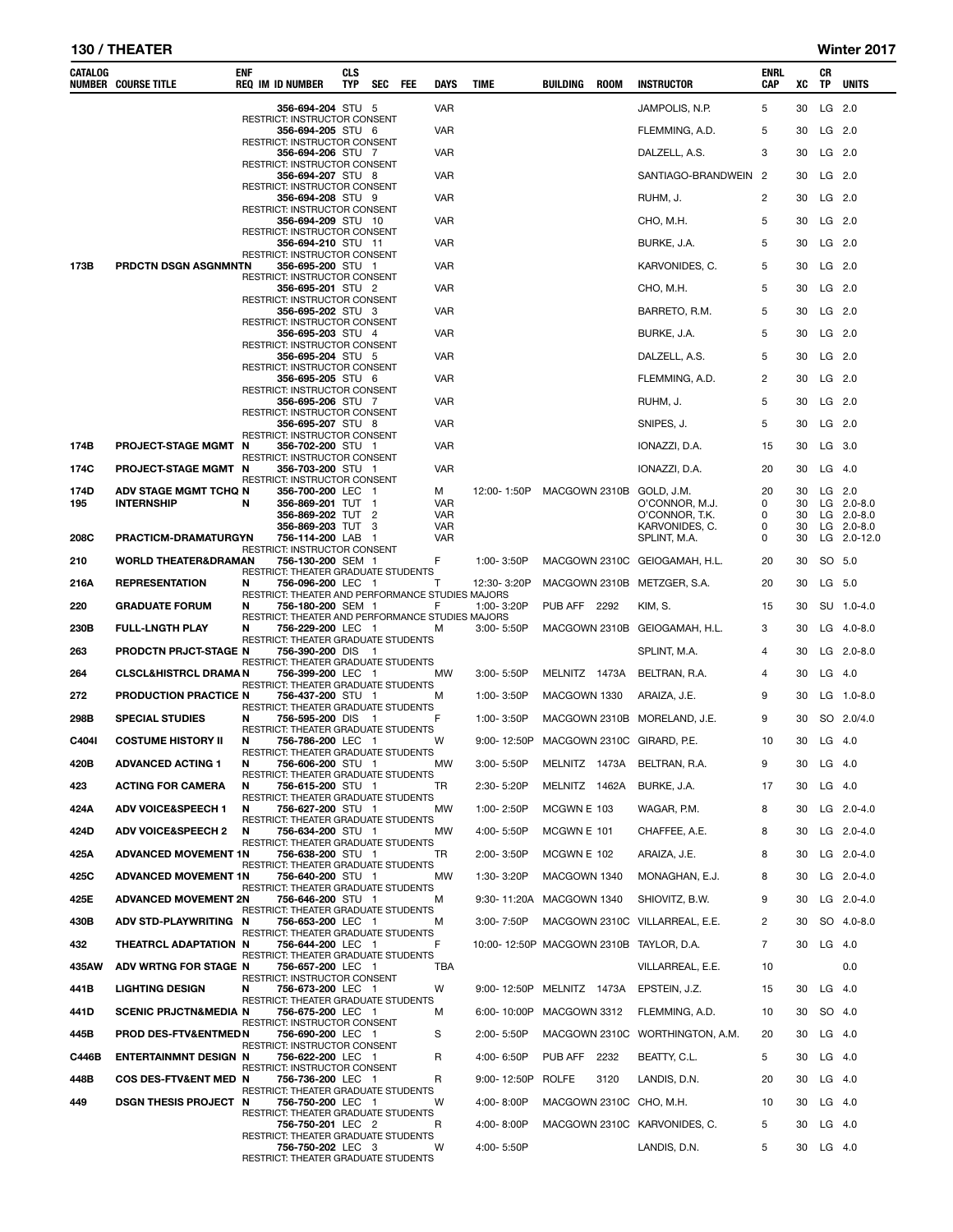## 130 / THEATER Winter 2017

| CATALOG | <b>NUMBER COURSE TITLE</b>       | ENF | <b>REQ IM ID NUMBER</b>                                               | CLS<br>TYP | SEC | FEE | DAYS              | <b>TIME</b>                            | BUILDING            | <b>ROOM</b> | <b>INSTRUCTOR</b>                       | ENRL<br><b>CAP</b> | xс       | CR<br>TP | <b>UNITS</b>                 |
|---------|----------------------------------|-----|-----------------------------------------------------------------------|------------|-----|-----|-------------------|----------------------------------------|---------------------|-------------|-----------------------------------------|--------------------|----------|----------|------------------------------|
|         |                                  |     | 356-694-204 STU 5                                                     |            |     |     | VAR               |                                        |                     |             | JAMPOLIS, N.P.                          | 5                  | 30       |          | LG 2.0                       |
|         |                                  |     | RESTRICT: INSTRUCTOR CONSENT<br>356-694-205 STU 6                     |            |     |     | <b>VAR</b>        |                                        |                     |             | FLEMMING, A.D.                          | 5                  | 30       | $LG$ 2.0 |                              |
|         |                                  |     | RESTRICT: INSTRUCTOR CONSENT<br>356-694-206 STU 7                     |            |     |     | VAR               |                                        |                     |             | DALZELL, A.S.                           | 3                  | 30       |          | LG 2.0                       |
|         |                                  |     | RESTRICT: INSTRUCTOR CONSENT<br>356-694-207 STU 8                     |            |     |     | <b>VAR</b>        |                                        |                     |             | SANTIAGO-BRANDWEIN 2                    |                    | 30       | $LG$ 2.0 |                              |
|         |                                  |     | RESTRICT: INSTRUCTOR CONSENT<br>356-694-208 STU 9                     |            |     |     | VAR               |                                        |                     |             | RUHM, J.                                | 2                  | 30       |          | LG 2.0                       |
|         |                                  |     | RESTRICT: INSTRUCTOR CONSENT<br>356-694-209 STU 10                    |            |     |     | VAR               |                                        |                     |             | CHO, M.H.                               | 5                  | 30       | $LG$ 2.0 |                              |
|         |                                  |     | RESTRICT: INSTRUCTOR CONSENT<br>356-694-210 STU 11                    |            |     |     | VAR               |                                        |                     |             | BURKE, J.A.                             | 5                  | 30       |          | $LG$ 2.0                     |
| 173B    | PRDCTN DSGN ASGNMNTN             |     | RESTRICT: INSTRUCTOR CONSENT<br>356-695-200 STU 1                     |            |     |     | <b>VAR</b>        |                                        |                     |             | KARVONIDES, C.                          | 5                  | 30       |          | $LG$ 2.0                     |
|         |                                  |     | RESTRICT: INSTRUCTOR CONSENT<br>356-695-201 STU 2                     |            |     |     | VAR               |                                        |                     |             | CHO, M.H.                               | 5                  | 30       | $LG$ 2.0 |                              |
|         |                                  |     | RESTRICT: INSTRUCTOR CONSENT                                          |            |     |     |                   |                                        |                     |             |                                         | 5                  |          |          |                              |
|         |                                  |     | 356-695-202 STU 3<br>RESTRICT: INSTRUCTOR CONSENT                     |            |     |     | VAR               |                                        |                     |             | BARRETO, R.M.                           |                    | 30       |          | $LG$ 2.0                     |
|         |                                  |     | <b>356-695-203</b> STU 4<br><b>RESTRICT: INSTRUCTOR CONSENT</b>       |            |     |     | <b>VAR</b>        |                                        |                     |             | BURKE, J.A.                             | 5                  | 30       | $LG$ 2.0 |                              |
|         |                                  |     | 356-695-204 STU 5<br>RESTRICT: INSTRUCTOR CONSENT                     |            |     |     | VAR               |                                        |                     |             | DALZELL, A.S.                           | 5                  | 30       |          | $LG$ 2.0                     |
|         |                                  |     | 356-695-205 STU 6<br>RESTRICT: INSTRUCTOR CONSENT                     |            |     |     | <b>VAR</b>        |                                        |                     |             | FLEMMING, A.D.                          | 2                  | 30       |          | $LG$ 2.0                     |
|         |                                  |     | 356-695-206 STU 7<br>RESTRICT: INSTRUCTOR CONSENT                     |            |     |     | <b>VAR</b>        |                                        |                     |             | RUHM, J.                                | 5                  | 30       |          | LG 2.0                       |
|         |                                  |     | 356-695-207 STU 8<br>RESTRICT: INSTRUCTOR CONSENT                     |            |     |     | VAR               |                                        |                     |             | SNIPES, J.                              | 5                  | 30       |          | $LG$ 2.0                     |
| 174B    | <b>PROJECT-STAGE MGMT</b>        | N   | 356-702-200 STU 1                                                     |            |     |     | VAR               |                                        |                     |             | IONAZZI, D.A.                           | 15                 | 30       |          | LG 3.0                       |
| 174C    | <b>PROJECT-STAGE MGMT</b>        | N   | RESTRICT: INSTRUCTOR CONSENT<br>356-703-200 STU 1                     |            |     |     | <b>VAR</b>        |                                        |                     |             | IONAZZI, D.A.                           | 20                 | 30       |          | $LG$ 4.0                     |
| 174D    | ADV STAGE MGMT TCHQ N            |     | RESTRICT: INSTRUCTOR CONSENT<br>356-700-200 LEC 1                     |            |     |     | м                 | 12:00-1:50P                            |                     |             | MACGOWN 2310B GOLD, J.M.                | 20                 | 30       |          | $LG$ 2.0                     |
| 195     | <b>INTERNSHIP</b>                | N   | 356-869-201 TUT 1<br>356-869-202 TUT                                  |            | 2   |     | VAR<br>VAR        |                                        |                     |             | O'CONNOR, M.J.<br>O'CONNOR, T.K.        | 0<br>0             | 30<br>30 |          | $LG$ 2.0-8.0<br>$LG$ 2.0-8.0 |
| 208C    | PRACTICM-DRAMATURGYN             |     | 356-869-203 TUT 3<br>756-114-200 LAB 1                                |            |     |     | <b>VAR</b><br>VAR |                                        |                     |             | KARVONIDES, C.<br>SPLINT, M.A.          | 0<br>0             | 30<br>30 |          | $LG$ 2.0-8.0<br>LG 2.0-12.0  |
|         | <b>WORLD THEATER&amp;DRAMAN</b>  |     | RESTRICT: INSTRUCTOR CONSENT                                          |            |     |     | F                 | 1:00-3:50P                             |                     |             | MACGOWN 2310C GEIOGAMAH, H.L.           | 20                 | 30       |          | SO 5.0                       |
| 210     |                                  |     | 756-130-200 SEM 1<br>RESTRICT: THEATER GRADUATE STUDENTS              |            |     |     |                   |                                        |                     |             |                                         |                    |          |          |                              |
| 216A    | <b>REPRESENTATION</b>            | N   | 756-096-200 LEC 1<br>RESTRICT: THEATER AND PERFORMANCE STUDIES MAJORS |            |     |     | т                 | 12:30-3:20P                            |                     |             | MACGOWN 2310B METZGER, S.A.             | 20                 | 30       |          | LG 5.0                       |
| 220     | <b>GRADUATE FORUM</b>            | N   | 756-180-200 SEM 1<br>RESTRICT: THEATER AND PERFORMANCE STUDIES MAJORS |            |     |     | F                 | 1:00-3:20P                             | <b>PUB AFF 2292</b> |             | KIM, S.                                 | 15                 | 30       |          | SU 1.0-4.0                   |
| 230B    | <b>FULL-LNGTH PLAY</b>           | N   | 756-229-200 LEC 1<br>RESTRICT: THEATER GRADUATE STUDENTS              |            |     |     | M                 | 3:00-5:50P                             |                     |             | MACGOWN 2310B GEIOGAMAH, H.L.           | 3                  | 30       |          | LG $4.0 - 8.0$               |
| 263     | <b>PRODCTN PRJCT-STAGE N</b>     |     | 756-390-200 DIS<br>RESTRICT: THEATER GRADUATE STUDENTS                |            | - 1 |     |                   |                                        |                     |             | SPLINT, M.A.                            | 4                  | 30       |          | $LG$ 2.0-8.0                 |
| 264     | <b>CLSCL&amp;HISTRCL DRAMA N</b> |     | 756-399-200 LEC 1<br>RESTRICT: THEATER GRADUATE STUDENTS              |            |     |     | МW                | 3:00-5:50P                             | MELNITZ 1473A       |             | BELTRAN, R.A.                           | 4                  | 30       |          | $LG$ 4.0                     |
| 272     | PRODUCTION PRACTICE N            |     | 756-437-200 STU 1<br>RESTRICT: THEATER GRADUATE STUDENTS              |            |     |     | М                 | 1:00-3:50P                             | MACGOWN 1330        |             | ARAIZA, J.E.                            | 9                  | 30       |          | LG 1.0-8.0                   |
| 298B    | <b>SPECIAL STUDIES</b>           | N   | 756-595-200 DIS 1                                                     |            |     |     | F                 | 1:00-3:50P                             |                     |             | MACGOWN 2310B MORELAND, J.E.            | 9                  | 30       |          | SO 2.0/4.0                   |
| C404I   | <b>COSTUME HISTORY II</b>        | N   | RESTRICT: THEATER GRADUATE STUDENTS<br>756-786-200 LEC 1              |            |     |     | w                 | 9:00-12:50P MACGOWN 2310C GIRARD, P.E. |                     |             |                                         | 10                 | 30       |          | $LG$ 4.0                     |
| 420B    | <b>ADVANCED ACTING 1</b>         | N   | RESTRICT: THEATER GRADUATE STUDENTS<br>756-606-200 STU 1              |            |     |     | МW                | 3:00-5:50P                             |                     |             | MELNITZ 1473A BELTRAN, R.A.             | 9                  | 30       |          | $LG$ 4.0                     |
| 423     | <b>ACTING FOR CAMERA</b>         | N   | RESTRICT: THEATER GRADUATE STUDENTS<br>756-615-200 STU 1              |            |     |     | TR                | 2:30-5:20P                             | MELNITZ 1462A       |             | BURKE, J.A.                             | 17                 | 30       |          | $LG$ 4.0                     |
| 424A    | <b>ADV VOICE&amp;SPEECH 1</b>    | N   | RESTRICT: THEATER GRADUATE STUDENTS<br>756-627-200 STU 1              |            |     |     | МW                | 1:00-2:50P                             | MCGWN E 103         |             | WAGAR, P.M.                             | 8                  | 30       |          | LG $2.0 - 4.0$               |
| 424D    | <b>ADV VOICE&amp;SPEECH 2</b>    | N   | RESTRICT: THEATER GRADUATE STUDENTS<br>756-634-200 STU 1              |            |     |     | МW                | 4:00-5:50P                             | MCGWN E 101         |             | CHAFFEE, A.E.                           | 8                  | 30       |          | LG $2.0 - 4.0$               |
| 425A    | <b>ADVANCED MOVEMENT 1N</b>      |     | <b>RESTRICT: THEATER GRADUATE STUDENTS</b><br>756-638-200 STU 1       |            |     |     | TR                | 2:00-3:50P                             | MCGWN E 102         |             | ARAIZA, J.E.                            | 8                  | 30       |          | LG 2.0-4.0                   |
|         |                                  |     | RESTRICT: THEATER GRADUATE STUDENTS<br>756-640-200 STU 1              |            |     |     |                   |                                        |                     |             |                                         | 8                  |          |          |                              |
| 425C    | <b>ADVANCED MOVEMENT 1N</b>      |     | RESTRICT: THEATER GRADUATE STUDENTS                                   |            |     |     | МW                | 1:30-3:20P                             | MACGOWN 1340        |             | MONAGHAN, E.J.                          |                    | 30       |          | LG $2.0 - 4.0$               |
| 425E    | <b>ADVANCED MOVEMENT 2N</b>      |     | 756-646-200 STU 1<br><b>RESTRICT: THEATER GRADUATE STUDENTS</b>       |            |     |     | м                 | 9:30-11:20A MACGOWN 1340               |                     |             | SHIOVITZ, B.W.                          | 9                  | 30       |          | LG 2.0-4.0                   |
| 430B    | ADV STD-PLAYWRITING N            |     | 756-653-200 LEC 1<br>RESTRICT: THEATER GRADUATE STUDENTS              |            |     |     | м                 | 3:00-7:50P                             |                     |             | MACGOWN 2310C VILLARREAL, E.E.          | 2                  | 30       |          | SO 4.0-8.0                   |
| 432     | THEATRCL ADAPTATION N            |     | 756-644-200 LEC 1<br>RESTRICT: THEATER GRADUATE STUDENTS              |            |     |     | F                 |                                        |                     |             | 10:00-12:50P MACGOWN 2310B TAYLOR, D.A. | 7                  | 30       |          | $LG$ 4.0                     |
| 435AW   | ADV WRTNG FOR STAGE N            |     | 756-657-200 LEC 1<br>RESTRICT: INSTRUCTOR CONSENT                     |            |     |     | TBA               |                                        |                     |             | VILLARREAL, E.E.                        | 10                 |          |          | 0.0                          |
| 441B    | <b>LIGHTING DESIGN</b>           | N   | 756-673-200 LEC 1<br>RESTRICT: THEATER GRADUATE STUDENTS              |            |     |     | W                 |                                        |                     |             | 9:00-12:50P MELNITZ 1473A EPSTEIN, J.Z. | 15                 | 30       |          | $LG$ 4.0                     |
| 441D    | <b>SCENIC PRJCTN&amp;MEDIA N</b> |     | 756-675-200 LEC 1                                                     |            |     |     | м                 | 6:00-10:00P MACGOWN 3312               |                     |             | FLEMMING, A.D.                          | 10                 | 30       |          | SO 4.0                       |
| 445B    | PROD DES-FTV&ENTMEDN             |     | RESTRICT: INSTRUCTOR CONSENT<br>756-690-200 LEC 1                     |            |     |     | S                 | 2:00-5:50P                             |                     |             | MACGOWN 2310C WORTHINGTON, A.M.         | 20                 | 30       |          | $LG$ 4.0                     |
| C446B   | <b>ENTERTAINMNT DESIGN N</b>     |     | RESTRICT: INSTRUCTOR CONSENT<br>756-622-200 LEC 1                     |            |     |     | R                 | 4:00-6:50P                             | PUB AFF 2232        |             | BEATTY, C.L.                            | 5                  | 30       |          | $LG$ 4.0                     |
| 448B    | COS DES-FTV&ENT MED N            |     | RESTRICT: INSTRUCTOR CONSENT<br>756-736-200 LEC 1                     |            |     |     | R                 | 9:00-12:50P ROLFE                      |                     | 3120        | LANDIS, D.N.                            | 20                 | 30       |          | $LG$ 4.0                     |
| 449     | <b>DSGN THESIS PROJECT N</b>     |     | RESTRICT: THEATER GRADUATE STUDENTS<br>756-750-200 LEC 1              |            |     |     | W                 | 4:00-8:00P                             |                     |             | MACGOWN 2310C CHO, M.H.                 | 10                 | 30       |          | $LG$ 4.0                     |
|         |                                  |     | RESTRICT: THEATER GRADUATE STUDENTS<br>756-750-201 LEC 2              |            |     |     | R                 | 4:00-8:00P                             |                     |             | MACGOWN 2310C KARVONIDES, C.            | 5                  | 30       |          | $LG$ 4.0                     |
|         |                                  |     | RESTRICT: THEATER GRADUATE STUDENTS<br>756-750-202 LEC 3              |            |     |     | w                 | 4:00-5:50P                             |                     |             | LANDIS, D.N.                            | 5                  | 30       |          | $LG$ 4.0                     |
|         |                                  |     | RESTRICT: THEATER GRADUATE STUDENTS                                   |            |     |     |                   |                                        |                     |             |                                         |                    |          |          |                              |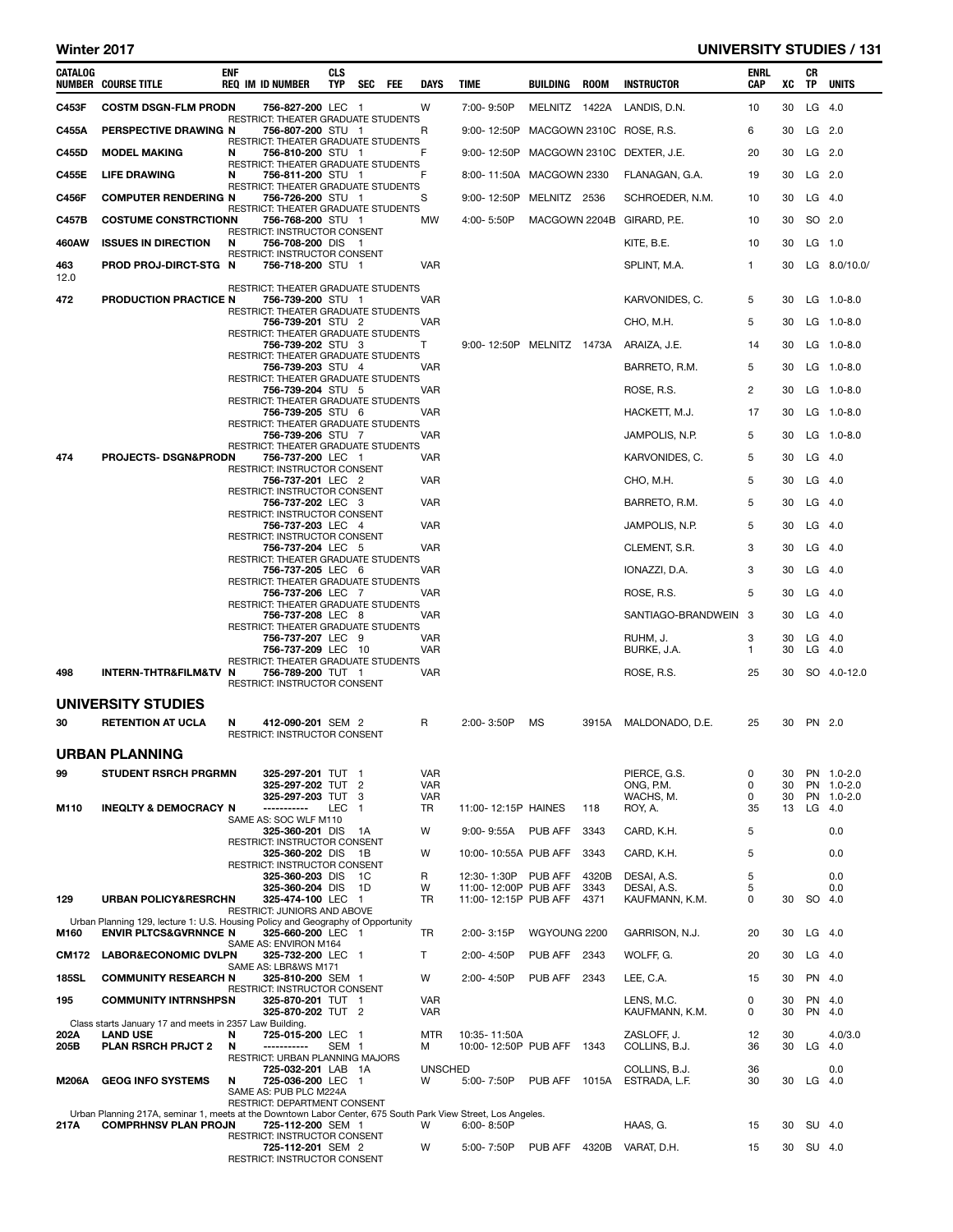## Winter 2017 **UNIVERSITY STUDIES / 131**

| CATALOG      | <b>NUMBER COURSE TITLE</b>                                                                                   | <b>ENF</b> | <b>REQ IM ID NUMBER</b>                                                                  | <b>CLS</b><br><b>TYP</b> | SEC FEE | DAYS                            | TIME                                         | BUILDING            | <b>ROOM</b>  | <b>INSTRUCTOR</b>                      | <b>ENRL</b><br><b>CAP</b> | xс             | CR<br>TP | <b>UNITS</b>                           |
|--------------|--------------------------------------------------------------------------------------------------------------|------------|------------------------------------------------------------------------------------------|--------------------------|---------|---------------------------------|----------------------------------------------|---------------------|--------------|----------------------------------------|---------------------------|----------------|----------|----------------------------------------|
| C453F        | <b>COSTM DSGN-FLM PRODN</b>                                                                                  |            | 756-827-200 LEC 1                                                                        |                          |         | W                               | 7:00-9:50P                                   | MELNITZ 1422A       |              | LANDIS, D.N.                           | 10                        | 30             |          | $LG$ 4.0                               |
| C455A        | PERSPECTIVE DRAWING N                                                                                        |            | RESTRICT: THEATER GRADUATE STUDENTS<br>756-807-200 STU 1                                 |                          |         | R                               | 9:00-12:50P                                  |                     |              | MACGOWN 2310C ROSE, R.S.               | 6                         | 30             | $LG$ 2.0 |                                        |
| C455D        | <b>MODEL MAKING</b>                                                                                          | N          | RESTRICT: THEATER GRADUATE STUDENTS<br>756-810-200 STU 1                                 |                          |         | F                               | 9:00-12:50P                                  |                     |              | MACGOWN 2310C DEXTER, J.E.             | 20                        | 30             |          | LG 2.0                                 |
| <b>C455E</b> | <b>LIFE DRAWING</b>                                                                                          | N          | RESTRICT: THEATER GRADUATE STUDENTS<br>756-811-200 STU 1                                 |                          |         | F                               | 8:00-11:50A MACGOWN 2330                     |                     |              | FLANAGAN, G.A.                         | 19                        | 30             |          | $LG$ 2.0                               |
|              |                                                                                                              |            | RESTRICT: THEATER GRADUATE STUDENTS                                                      |                          |         |                                 |                                              |                     |              |                                        |                           |                |          |                                        |
| <b>C456F</b> | <b>COMPUTER RENDERING N</b>                                                                                  |            | 756-726-200 STU 1<br>RESTRICT: THEATER GRADUATE STUDENTS                                 |                          |         | S                               | 9:00-12:50P                                  | MELNITZ 2536        |              | SCHROEDER, N.M.                        | 10                        | 30             |          | $LG$ 4.0                               |
| C457B        | <b>COSTUME CONSTRCTIONN</b>                                                                                  |            | 756-768-200 STU 1<br>RESTRICT: INSTRUCTOR CONSENT                                        |                          |         | МW                              | 4:00-5:50P                                   | MACGOWN 2204B       |              | GIRARD, P.E.                           | 10                        | 30             |          | SO 2.0                                 |
| 460AW        | <b>ISSUES IN DIRECTION</b>                                                                                   | N          | 756-708-200 DIS 1<br>RESTRICT: INSTRUCTOR CONSENT                                        |                          |         |                                 |                                              |                     |              | KITE, B.E.                             | 10                        | 30             | $LG$ 1.0 |                                        |
| 463<br>12.0  | PROD PROJ-DIRCT-STG N                                                                                        |            | 756-718-200 STU 1<br>RESTRICT: THEATER GRADUATE STUDENTS                                 |                          |         | <b>VAR</b>                      |                                              |                     |              | SPLINT, M.A.                           | 1                         | 30             |          | LG 8.0/10.0/                           |
| 472          | PRODUCTION PRACTICE N                                                                                        |            | 756-739-200 STU 1<br>RESTRICT: THEATER GRADUATE STUDENTS                                 |                          |         | VAR                             |                                              |                     |              | KARVONIDES, C.                         | 5                         | 30             |          | $LG$ 1.0-8.0                           |
|              |                                                                                                              |            | 756-739-201 STU 2<br>RESTRICT: THEATER GRADUATE STUDENTS                                 |                          |         | VAR                             |                                              |                     |              | CHO, M.H.                              | 5                         | 30             |          | $LG$ 1.0-8.0                           |
|              |                                                                                                              |            | 756-739-202 STU 3                                                                        |                          |         | Т                               | 9:00-12:50P MELNITZ 1473A                    |                     |              | ARAIZA, J.E.                           | 14                        | 30             |          | $LG$ 1.0-8.0                           |
|              |                                                                                                              |            | RESTRICT: THEATER GRADUATE STUDENTS<br>756-739-203 STU 4                                 |                          |         | <b>VAR</b>                      |                                              |                     |              | BARRETO, R.M.                          | 5                         | 30             |          | $LG$ 1.0-8.0                           |
|              |                                                                                                              |            | RESTRICT: THEATER GRADUATE STUDENTS<br>756-739-204 STU 5                                 |                          |         | <b>VAR</b>                      |                                              |                     |              | ROSE, R.S.                             | 2                         | 30             |          | $LG$ 1.0-8.0                           |
|              |                                                                                                              |            | RESTRICT: THEATER GRADUATE STUDENTS<br>756-739-205 STU 6                                 |                          |         | VAR                             |                                              |                     |              | HACKETT, M.J.                          | 17                        | 30             |          | LG 1.0-8.0                             |
|              |                                                                                                              |            | RESTRICT: THEATER GRADUATE STUDENTS<br>756-739-206 STU 7                                 |                          |         | <b>VAR</b>                      |                                              |                     |              | JAMPOLIS, N.P.                         | 5                         | 30             |          | LG 1.0-8.0                             |
| 474          | PROJECTS- DSGN&PRODN                                                                                         |            | RESTRICT: THEATER GRADUATE STUDENTS<br>756-737-200 LEC 1                                 |                          |         | VAR                             |                                              |                     |              | KARVONIDES, C.                         | 5                         | 30             |          | $LG$ 4.0                               |
|              |                                                                                                              |            | RESTRICT: INSTRUCTOR CONSENT<br>756-737-201 LEC 2                                        |                          |         | <b>VAR</b>                      |                                              |                     |              | CHO, M.H.                              | 5                         | 30             |          | $LG$ 4.0                               |
|              |                                                                                                              |            | RESTRICT: INSTRUCTOR CONSENT                                                             |                          |         |                                 |                                              |                     |              |                                        |                           |                |          |                                        |
|              |                                                                                                              |            | 756-737-202 LEC 3<br>RESTRICT: INSTRUCTOR CONSENT                                        |                          |         | <b>VAR</b>                      |                                              |                     |              | BARRETO, R.M.                          | 5                         | 30             |          | $LG$ 4.0                               |
|              |                                                                                                              |            | 756-737-203 LEC 4<br>RESTRICT: INSTRUCTOR CONSENT                                        |                          |         | <b>VAR</b>                      |                                              |                     |              | JAMPOLIS, N.P.                         | 5                         | 30             | $LG$ 4.0 |                                        |
|              |                                                                                                              |            | 756-737-204 LEC 5<br>RESTRICT: THEATER GRADUATE STUDENTS                                 |                          |         | <b>VAR</b>                      |                                              |                     |              | CLEMENT, S.R.                          | 3                         | 30             |          | $LG$ 4.0                               |
|              |                                                                                                              |            | 756-737-205 LEC 6<br>RESTRICT: THEATER GRADUATE STUDENTS                                 |                          |         | VAR                             |                                              |                     |              | IONAZZI, D.A.                          | 3                         | 30             |          | $LG$ 4.0                               |
|              |                                                                                                              |            | 756-737-206 LEC 7<br>RESTRICT: THEATER GRADUATE STUDENTS                                 |                          |         | <b>VAR</b>                      |                                              |                     |              | ROSE, R.S.                             | 5                         | 30             |          | $LG$ 4.0                               |
|              |                                                                                                              |            | 756-737-208 LEC 8<br>RESTRICT: THEATER GRADUATE STUDENTS                                 |                          |         | VAR                             |                                              |                     |              | SANTIAGO-BRANDWEIN 3                   |                           | 30             |          | $LG$ 4.0                               |
|              |                                                                                                              |            | 756-737-207 LEC 9<br>756-737-209 LEC 10                                                  |                          |         | VAR<br><b>VAR</b>               |                                              |                     |              | RUHM, J.<br>BURKE, J.A.                | 3<br>1                    | 30<br>30       | $LG$ 4.0 | $LG$ 4.0                               |
| 498          | INTERN-THTR&FILM&TV N                                                                                        |            | RESTRICT: THEATER GRADUATE STUDENTS<br>756-789-200 TUT 1<br>RESTRICT: INSTRUCTOR CONSENT |                          |         | VAR                             |                                              |                     |              | ROSE, R.S.                             | 25                        | 30             |          | SO 4.0-12.0                            |
|              | UNIVERSITY STUDIES                                                                                           |            |                                                                                          |                          |         |                                 |                                              |                     |              |                                        |                           |                |          |                                        |
| 30           | <b>RETENTION AT UCLA</b>                                                                                     | N          | 412-090-201 SEM 2<br>RESTRICT: INSTRUCTOR CONSENT                                        |                          |         | R                               | 2:00-3:50P                                   | ΜS                  | 3915A        | MALDONADO, D.E.                        | 25                        | 30             |          | PN 2.0                                 |
|              | URBAN PLANNING                                                                                               |            |                                                                                          |                          |         |                                 |                                              |                     |              |                                        |                           |                |          |                                        |
| 99           | <b>STUDENT RSRCH PRGRMN</b>                                                                                  |            | 325-297-201 TUT 1<br>325-297-202 TUT 2<br>325-297-203 TUT                                |                          | 3       | VAR<br><b>VAR</b><br><b>VAR</b> |                                              |                     |              | PIERCE, G.S.<br>ONG, P.M.<br>WACHS, M. | 0<br>0<br>0               | 30<br>30<br>30 |          | PN 1.0-2.0<br>PN 1.0-2.0<br>PN 1.0-2.0 |
| M110         | <b>INEQLTY &amp; DEMOCRACY N</b>                                                                             |            | -----------<br>SAME AS: SOC WLF M110                                                     | LEC                      | -1      | TR                              | 11:00-12:15P HAINES                          |                     | 118          | ROY, A.                                | 35                        | 13             | LG       | - 4.0                                  |
|              |                                                                                                              |            | 325-360-201 DIS<br>RESTRICT: INSTRUCTOR CONSENT                                          |                          | - 1A    | W                               | $9:00 - 9:55A$                               | PUB AFF             | 3343         | CARD, K.H.                             | 5                         |                |          | 0.0                                    |
|              |                                                                                                              |            | 325-360-202 DIS<br>RESTRICT: INSTRUCTOR CONSENT                                          |                          | - 1B    | W                               | 10:00-10:55A PUB AFF                         |                     | 3343         | CARD, K.H.                             | 5                         |                |          | 0.0                                    |
|              |                                                                                                              |            | 325-360-203 DIS                                                                          |                          | - 1C    | R                               | 12:30- 1:30P                                 | PUB AFF             | 4320B        | DESAI, A.S.                            | 5                         |                |          | 0.0                                    |
| 129          | <b>URBAN POLICY&amp;RESRCHN</b>                                                                              |            | 325-360-204 DIS<br>325-474-100 LEC 1                                                     |                          | - 1D    | W<br>TR                         | 11:00-12:00P PUB AFF<br>11:00-12:15P PUB AFF |                     | 3343<br>4371 | DESAI, A.S.<br>KAUFMANN, K.M.          | 5<br>0                    | 30             | SO 4.0   | 0.0                                    |
|              | Urban Planning 129, lecture 1: U.S. Housing Policy and Geography of Opportunity                              |            | RESTRICT: JUNIORS AND ABOVE                                                              |                          |         |                                 |                                              |                     |              |                                        |                           |                |          |                                        |
| M160         | ENVIR PLTCS&GVRNNCE N                                                                                        |            | 325-660-200 LEC 1<br>SAME AS: ENVIRON M164                                               |                          |         | TR                              | 2:00-3:15P                                   | WGYOUNG 2200        |              | GARRISON, N.J.                         | 20                        | 30             |          | $LG$ 4.0                               |
| <b>CM172</b> | <b>LABOR&amp;ECONOMIC DVLPN</b>                                                                              |            | 325-732-200 LEC 1<br>SAME AS: LBR&WS M171                                                |                          |         | T                               | 2:00-4:50P                                   | <b>PUB AFF 2343</b> |              | WOLFF, G.                              | 20                        | 30             |          | $LG$ 4.0                               |
| <b>185SL</b> | <b>COMMUNITY RESEARCH N</b>                                                                                  |            | 325-810-200 SEM 1<br>RESTRICT: INSTRUCTOR CONSENT                                        |                          |         | W                               | 2:00-4:50P                                   | PUB AFF             | 2343         | LEE, C.A.                              | 15                        | 30             |          | PN 4.0                                 |
| 195          | <b>COMMUNITY INTRNSHPSN</b><br>Class starts January 17 and meets in 2357 Law Building.                       |            | 325-870-201 TUT 1<br>325-870-202 TUT 2                                                   |                          |         | <b>VAR</b><br><b>VAR</b>        |                                              |                     |              | LENS, M.C.<br>KAUFMANN, K.M.           | 0<br>0                    | 30<br>30       |          | PN 4.0<br>PN 4.0                       |
| 202A<br>205B | <b>LAND USE</b><br><b>PLAN RSRCH PRJCT 2</b>                                                                 | N<br>N     | 725-015-200 LEC 1<br>-----------<br>RESTRICT: URBAN PLANNING MAJORS                      | SEM <sub>1</sub>         |         | <b>MTR</b><br>м                 | 10:35-11:50A<br>10:00-12:50P PUB AFF 1343    |                     |              | ZASLOFF, J.<br>COLLINS, B.J.           | 12<br>36                  | 30<br>30       | $LG$ 4.0 | 4.0/3.0                                |
|              |                                                                                                              |            | 725-032-201 LAB 1A                                                                       |                          |         | <b>UNSCHED</b>                  |                                              |                     |              | COLLINS, B.J.                          | 36                        |                |          | 0.0                                    |
| <b>M206A</b> | <b>GEOG INFO SYSTEMS</b>                                                                                     | N          | 725-036-200 LEC 1<br>SAME AS: PUB PLC M224A                                              |                          |         | W                               | 5:00-7:50P                                   | PUB AFF             | 1015A        | ESTRADA, L.F.                          | 30                        | 30             |          | $LG$ 4.0                               |
|              | Urban Planning 217A, seminar 1, meets at the Downtown Labor Center, 675 South Park View Street, Los Angeles. |            | RESTRICT: DEPARTMENT CONSENT                                                             |                          |         |                                 |                                              |                     |              |                                        |                           |                |          |                                        |
| 217A         | <b>COMPRHNSV PLAN PROJN</b>                                                                                  |            | 725-112-200 SEM 1<br>RESTRICT: INSTRUCTOR CONSENT                                        |                          |         | W                               | 6:00-8:50P                                   |                     |              | HAAS, G.                               | 15                        | 30             | SU 4.0   |                                        |
|              |                                                                                                              |            | 725-112-201 SEM 2<br>RESTRICT: INSTRUCTOR CONSENT                                        |                          |         | W                               | 5:00-7:50P                                   | PUB AFF             | 4320B        | VARAT, D.H.                            | 15                        | 30             | SU 4.0   |                                        |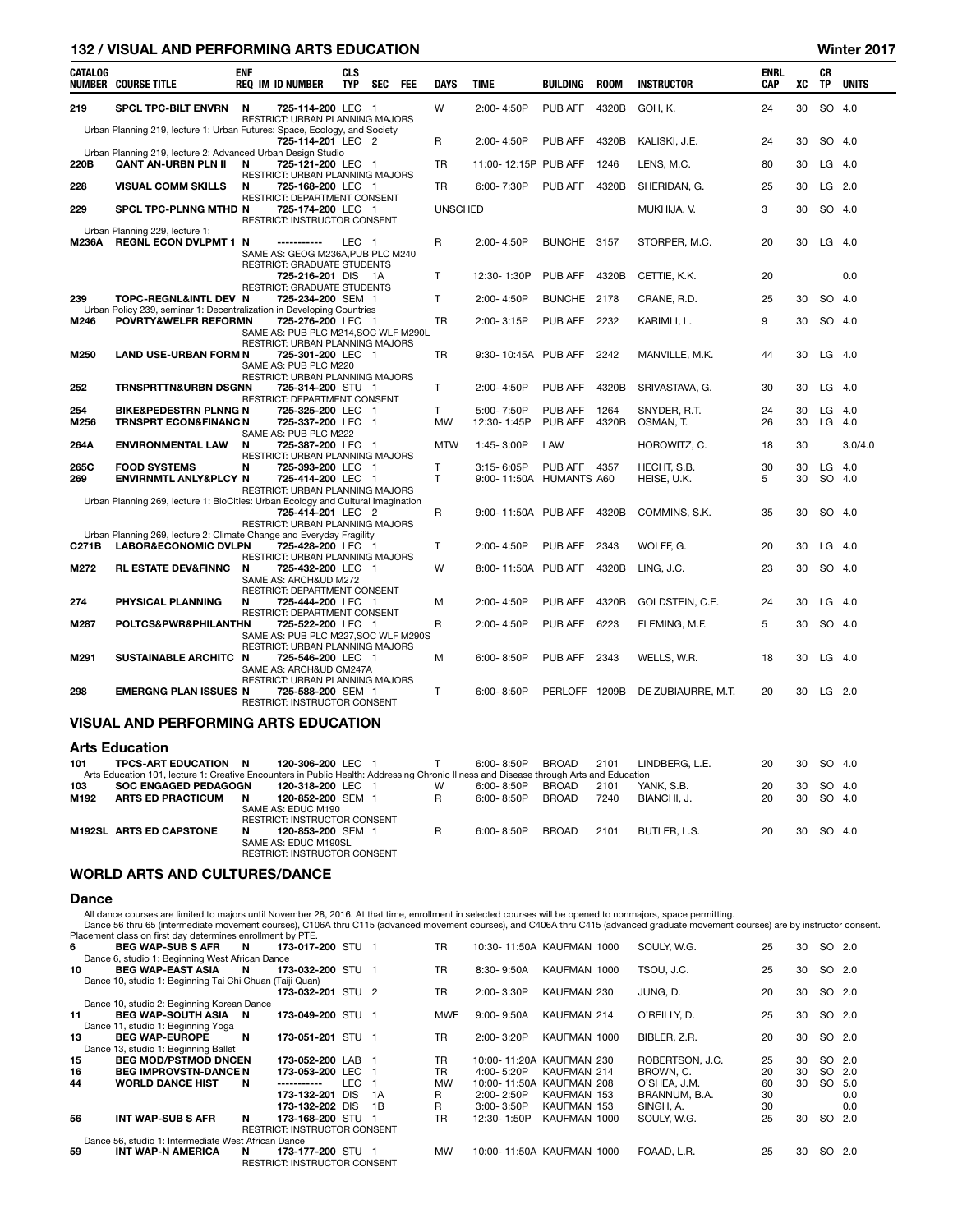|                | <b>132 / VISUAL AND PERFORMING ARTS EDUCATION</b>                                                                                                                                                  |            |                                                                                                                           |                          |            |     |                              |                                           |                              |               |                              |                           |          |          | Winter 2017      |
|----------------|----------------------------------------------------------------------------------------------------------------------------------------------------------------------------------------------------|------------|---------------------------------------------------------------------------------------------------------------------------|--------------------------|------------|-----|------------------------------|-------------------------------------------|------------------------------|---------------|------------------------------|---------------------------|----------|----------|------------------|
| <b>CATALOG</b> | <b>NUMBER COURSE TITLE</b>                                                                                                                                                                         | <b>ENF</b> | <b>REQ IM ID NUMBER</b>                                                                                                   | <b>CLS</b><br><b>TYP</b> | <b>SEC</b> | FEE | <b>DAYS</b>                  | <b>TIME</b>                               | <b>BUILDING</b>              | <b>ROOM</b>   | <b>INSTRUCTOR</b>            | <b>ENRL</b><br><b>CAP</b> | XC       | CR<br>TP | <b>UNITS</b>     |
| 219            | SPCL TPC-BILT ENVRN                                                                                                                                                                                | N          | 725-114-200 LEC 1<br>RESTRICT: URBAN PLANNING MAJORS                                                                      |                          |            |     | W                            | 2:00-4:50P                                | PUB AFF                      | 4320B         | GOH, K.                      | 24                        | 30       |          | SO 4.0           |
|                | Urban Planning 219, lecture 1: Urban Futures: Space, Ecology, and Society<br>Urban Planning 219, lecture 2: Advanced Urban Design Studio                                                           |            | 725-114-201 LEC 2                                                                                                         |                          |            |     | R                            | 2:00-4:50P                                | PUB AFF                      | 4320B         | KALISKI, J.E.                | 24                        | 30       |          | SO 4.0           |
| 220B           | QANT AN-URBN PLN II                                                                                                                                                                                | N          | 725-121-200 LEC 1<br>RESTRICT: URBAN PLANNING MAJORS                                                                      |                          |            |     | TR                           | 11:00-12:15P PUB AFF                      |                              | 1246          | LENS, M.C.                   | 80                        | 30       |          | $LG$ 4.0         |
| 228            | <b>VISUAL COMM SKILLS</b>                                                                                                                                                                          | N          | 725-168-200 LEC 1<br>RESTRICT: DEPARTMENT CONSENT                                                                         |                          |            |     | TR                           | 6:00-7:30P                                | PUB AFF                      | 4320B         | SHERIDAN, G.                 | 25                        | 30       | LG       | 2.0              |
| 229            | SPCL TPC-PLNNG MTHD N                                                                                                                                                                              |            | 725-174-200 LEC 1<br>RESTRICT: INSTRUCTOR CONSENT                                                                         |                          |            |     | <b>UNSCHED</b>               |                                           |                              |               | MUKHIJA, V.                  | 3                         | 30       |          | SO 4.0           |
| M236A          | Urban Planning 229, lecture 1:<br><b>REGNL ECON DVLPMT 1 N</b>                                                                                                                                     |            | -----------<br>SAME AS: GEOG M236A, PUB PLC M240                                                                          | LEC 1                    |            |     | R                            | 2:00-4:50P                                | BUNCHE 3157                  |               | STORPER, M.C.                | 20                        | 30       | LG       | -4.0             |
|                |                                                                                                                                                                                                    |            | RESTRICT: GRADUATE STUDENTS<br>725-216-201 DIS 1A<br><b>RESTRICT: GRADUATE STUDENTS</b>                                   |                          |            |     | $\mathsf{T}$                 | 12:30-1:30P                               | PUB AFF                      | 4320B         | CETTIE, K.K.                 | 20                        |          |          | 0.0              |
| 239            | TOPC-REGNL&INTL DEV N<br>Urban Policy 239, seminar 1: Decentralization in Developing Countries                                                                                                     |            | 725-234-200 SEM 1                                                                                                         |                          |            |     | $\mathsf{T}$                 | 2:00-4:50P                                | BUNCHE 2178                  |               | CRANE, R.D.                  | 25                        | 30       | SO       | -4.0             |
| M246           | POVRTY&WELFR REFORMN                                                                                                                                                                               |            | 725-276-200 LEC 1<br>SAME AS: PUB PLC M214, SOC WLF M290L<br>RESTRICT: URBAN PLANNING MAJORS                              |                          |            |     | TR                           | $2:00 - 3:15P$                            | PUB AFF                      | 2232          | KARIMLI, L.                  | 9                         | 30       |          | SO 4.0           |
| M250           | <b>LAND USE-URBAN FORM N</b>                                                                                                                                                                       |            | 725-301-200 LEC 1<br>SAME AS: PUB PLC M220<br>RESTRICT: URBAN PLANNING MAJORS                                             |                          |            |     | TR                           | 9:30-10:45A PUB AFF                       |                              | 2242          | MANVILLE, M.K.               | 44                        | 30       | LG       | -4.0             |
| 252            | <b>TRNSPRTTN&amp;URBN DSGNN</b>                                                                                                                                                                    |            | 725-314-200 STU 1<br>RESTRICT: DEPARTMENT CONSENT                                                                         |                          |            |     | T.                           | 2:00-4:50P                                | PUB AFF                      | 4320B         | SRIVASTAVA, G.               | 30                        | 30       |          | $LG$ 4.0         |
| 254<br>M256    | <b>BIKE&amp;PEDESTRN PLNNG N</b><br><b>TRNSPRT ECON&amp;FINANC N</b>                                                                                                                               |            | 725-325-200 LEC 1<br>725-337-200 LEC 1                                                                                    |                          |            |     | T.<br><b>MW</b>              | 5:00-7:50P<br>12:30-1:45P                 | <b>PUB AFF</b><br>PUB AFF    | 1264<br>4320B | SNYDER, R.T.<br>OSMAN, T.    | 24<br>26                  | 30<br>30 | LG<br>LG | 4.0<br>4.0       |
| 264A           | <b>ENVIRONMENTAL LAW</b>                                                                                                                                                                           | N          | SAME AS: PUB PLC M222<br>725-387-200 LEC 1<br>RESTRICT: URBAN PLANNING MAJORS                                             |                          |            |     | <b>MTW</b>                   | 1:45-3:00P                                | LAW                          |               | HOROWITZ, C.                 | 18                        | 30       |          | 3.0/4.0          |
| 265C<br>269    | <b>FOOD SYSTEMS</b><br><b>ENVIRNMTL ANLY&amp;PLCY N</b>                                                                                                                                            | N          | 725-393-200 LEC 1<br>725-414-200 LEC 1<br>RESTRICT: URBAN PLANNING MAJORS                                                 |                          |            |     | $\mathsf{T}$<br>$\mathsf{T}$ | $3:15 - 6:05P$<br>9:00-11:50A HUMANTS A60 | <b>PUB AFF 4357</b>          |               | HECHT, S.B.<br>HEISE, U.K.   | 30<br>5                   | 30<br>30 | LG<br>SO | - 4.0<br>-4.0    |
|                | Urban Planning 269, lecture 1: BioCities: Urban Ecology and Cultural Imagination                                                                                                                   |            | 725-414-201 LEC 2<br>RESTRICT: URBAN PLANNING MAJORS                                                                      |                          |            |     | R                            | 9:00-11:50A PUB AFF                       |                              | 4320B         | COMMINS, S.K.                | 35                        | 30       |          | SO 4.0           |
| C271B          | Urban Planning 269, lecture 2: Climate Change and Everyday Fragility<br><b>LABOR&amp;ECONOMIC DVLPN</b>                                                                                            |            | 725-428-200 LEC 1<br>RESTRICT: URBAN PLANNING MAJORS                                                                      |                          |            |     | Τ                            | 2:00-4:50P                                | <b>PUB AFF</b>               | 2343          | WOLFF, G.                    | 20                        | 30       | LG       | -4.0             |
| M272           | <b>RL ESTATE DEV&amp;FINNC</b>                                                                                                                                                                     | N          | 725-432-200 LEC<br>SAME AS: ARCH&UD M272                                                                                  |                          | - 1        |     | W                            | 8:00-11:50A PUB AFF                       |                              | 4320B         | LING, J.C.                   | 23                        | 30       |          | SO 4.0           |
| 274            | PHYSICAL PLANNING                                                                                                                                                                                  | N          | <b>RESTRICT: DEPARTMENT CONSENT</b><br>725-444-200 LEC 1<br>RESTRICT: DEPARTMENT CONSENT                                  |                          |            |     | M                            | 2:00-4:50P                                | PUB AFF                      | 4320B         | GOLDSTEIN, C.E.              | 24                        | 30       | LG       | -4.0             |
| M287           | <b>POLTCS&amp;PWR&amp;PHILANTHN</b>                                                                                                                                                                |            | 725-522-200 LEC 1<br>SAME AS: PUB PLC M227, SOC WLF M290S                                                                 |                          |            |     | R                            | 2:00-4:50P                                | PUB AFF                      | 6223          | FLEMING, M.F.                | 5                         | 30       |          | SO 4.0           |
| M291           | SUSTAINABLE ARCHITC N                                                                                                                                                                              |            | <b>RESTRICT: URBAN PLANNING MAJORS</b><br>725-546-200 LEC 1<br>SAME AS: ARCH&UD CM247A<br>RESTRICT: URBAN PLANNING MAJORS |                          |            |     | М                            | $6:00 - 8:50P$                            | PUB AFF                      | 2343          | WELLS, W.R.                  | 18                        | 30       |          | $LG$ 4.0         |
| 298            | EMERGNG PLAN ISSUES N                                                                                                                                                                              |            | 725-588-200 SEM 1<br><b>RESTRICT: INSTRUCTOR CONSENT</b>                                                                  |                          |            |     | $\mathsf{T}$                 | $6:00 - 8:50P$                            | PERLOFF 1209B                |               | DE ZUBIAURRE, M.T.           | 20                        | 30       |          | $LG$ 2.0         |
|                | <b>VISUAL AND PERFORMING ARTS EDUCATION</b>                                                                                                                                                        |            |                                                                                                                           |                          |            |     |                              |                                           |                              |               |                              |                           |          |          |                  |
|                | <b>Arts Education</b>                                                                                                                                                                              |            |                                                                                                                           |                          |            |     |                              |                                           |                              |               |                              |                           |          |          |                  |
| 101<br>103     | <b>TPCS-ART EDUCATION</b><br>Arts Education 101, lecture 1: Creative Encounters in Public Health: Addressing Chronic Illness and Disease through Arts and Education<br><b>SOC ENGAGED PEDAGOGN</b> | - N        | 120-306-200 LEC 1<br>120-318-200 LEC 1                                                                                    |                          |            |     | $\mathsf{T}$<br>W            | 6:00-8:50P<br>6:00-8:50P                  | <b>BROAD</b><br><b>BROAD</b> | 2101<br>2101  | LINDBERG, L.E.<br>YANK, S.B. | 20<br>20                  | 30<br>30 |          | SO 4.0<br>SO 4.0 |
| M192           | <b>ARTS ED PRACTICUM</b>                                                                                                                                                                           | N          | 120-852-200 SEM 1<br>SAME AS: EDUC M190<br>RESTRICT: INSTRUCTOR CONSENT                                                   |                          |            |     | R                            | 6:00-8:50P                                | <b>BROAD</b>                 | 7240          | BIANCHI, J.                  | 20                        | 30       |          | SO 4.0           |
|                | M192SL ARTS ED CAPSTONE                                                                                                                                                                            | N          | 120-853-200 SEM 1<br>SAME AS: EDUC M190SL<br>RESTRICT: INSTRUCTOR CONSENT                                                 |                          |            |     | R                            | $6:00 - 8:50P$                            | <b>BROAD</b>                 | 2101          | BUTLER, L.S.                 | 20                        | 30       | SO 4.0   |                  |

# WORLD ARTS AND CULTURES/DANCE

### Dance

All dance courses are limited to majors until November 28, 2016. At that time, enrollment in selected courses will be opened to nonmajors, space permitting.<br>Dance 56 thru 65 (intermediate movement courses), C106A thru C115

|     | Placement class on first day determines enrollment by PTE. |                                     |      |    |            |                |                           |                 |    |    |        |     |
|-----|------------------------------------------------------------|-------------------------------------|------|----|------------|----------------|---------------------------|-----------------|----|----|--------|-----|
| 6.  | <b>BEG WAP-SUB S AFR</b>                                   | 173-017-200 STU 1<br><b>N</b>       |      |    | <b>TR</b>  |                | 10:30-11:50A KAUFMAN 1000 | SOULY, W.G.     | 25 | 30 | SO 2.0 |     |
|     | Dance 6, studio 1: Beginning West African Dance            |                                     |      |    |            |                |                           |                 |    |    |        |     |
| 10. | <b>BEG WAP-EAST ASIA</b>                                   | 173-032-200 STU 1<br>N              |      |    | <b>TR</b>  | 8:30-9:50A     | KAUFMAN 1000              | TSOU. J.C.      | 25 | 30 | SO 2.0 |     |
|     | Dance 10, studio 1: Beginning Tai Chi Chuan (Taiji Quan)   |                                     |      |    |            |                |                           |                 |    |    |        |     |
|     |                                                            | 173-032-201 STU 2                   |      |    | TR         | 2:00-3:30P     | KAUFMAN 230               | JUNG. D.        | 20 | 30 | SO 2.0 |     |
|     | Dance 10, studio 2: Beginning Korean Dance                 |                                     |      |    |            |                |                           |                 |    |    |        |     |
| 11  | BEG WAP-SOUTH ASIA N                                       | 173-049-200 STU 1                   |      |    | <b>MWF</b> | $9:00 - 9:50A$ | KAUFMAN 214               | O'REILLY, D.    | 25 | 30 | SO 2.0 |     |
|     | Dance 11, studio 1: Beginning Yoga                         |                                     |      |    |            |                |                           |                 |    |    |        |     |
| 13  | <b>BEG WAP-EUROPE</b>                                      | 173-051-201 STU 1<br>N              |      |    | TR         | 2:00-3:20P     | KAUFMAN 1000              | BIBLER, Z.R.    | 20 | 30 | SO 2.0 |     |
|     | Dance 13, studio 1: Beginning Ballet                       |                                     |      |    |            |                |                           |                 |    |    |        |     |
| 15  | <b>BEG MOD/PSTMOD DNCEN</b>                                | 173-052-200 LAB 1                   |      |    | TR         |                | 10:00-11:20A KAUFMAN 230  | ROBERTSON, J.C. | 25 | 30 | SO 2.0 |     |
| 16  | <b>BEG IMPROVSTN-DANCE N</b>                               | 173-053-200 LEC 1                   |      |    | TR         | $4:00 - 5:20P$ | KAUFMAN 214               | BROWN, C.       | 20 | 30 | SO 2.0 |     |
| 44  | <b>WORLD DANCE HIST</b>                                    | N<br>-----------                    | LEC. |    | <b>MW</b>  | 10:00-11:50A   | KAUFMAN 208               | O'SHEA. J.M.    | 60 | 30 | SO 5.0 |     |
|     |                                                            | 173-132-201 DIS                     |      | 1A | R          | $2:00 - 2:50P$ | KAUFMAN 153               | BRANNUM, B.A.   | 30 |    |        | 0.0 |
|     |                                                            | 173-132-202 DIS                     |      | 1B | R          | $3:00 - 3:50P$ | KAUFMAN 153               | SINGH, A.       | 30 |    |        | 0.0 |
| 56  | <b>INT WAP-SUB S AFR</b>                                   | N<br>173-168-200 STU 1              |      |    | TR         | 12:30-1:50P    | KAUFMAN 1000              | SOULY, W.G.     | 25 | 30 | SO 2.0 |     |
|     |                                                            | <b>RESTRICT: INSTRUCTOR CONSENT</b> |      |    |            |                |                           |                 |    |    |        |     |
|     | Dance 56, studio 1: Intermediate West African Dance        |                                     |      |    |            |                |                           |                 |    |    |        |     |
| 59  | <b>INT WAP-N AMERICA</b>                                   | 173-177-200 STU 1<br>N              |      |    | <b>MW</b>  |                | 10:00-11:50A KAUFMAN 1000 | FOAAD. L.R.     | 25 | 30 | SO 2.0 |     |
|     |                                                            | <b>RESTRICT: INSTRUCTOR CONSENT</b> |      |    |            |                |                           |                 |    |    |        |     |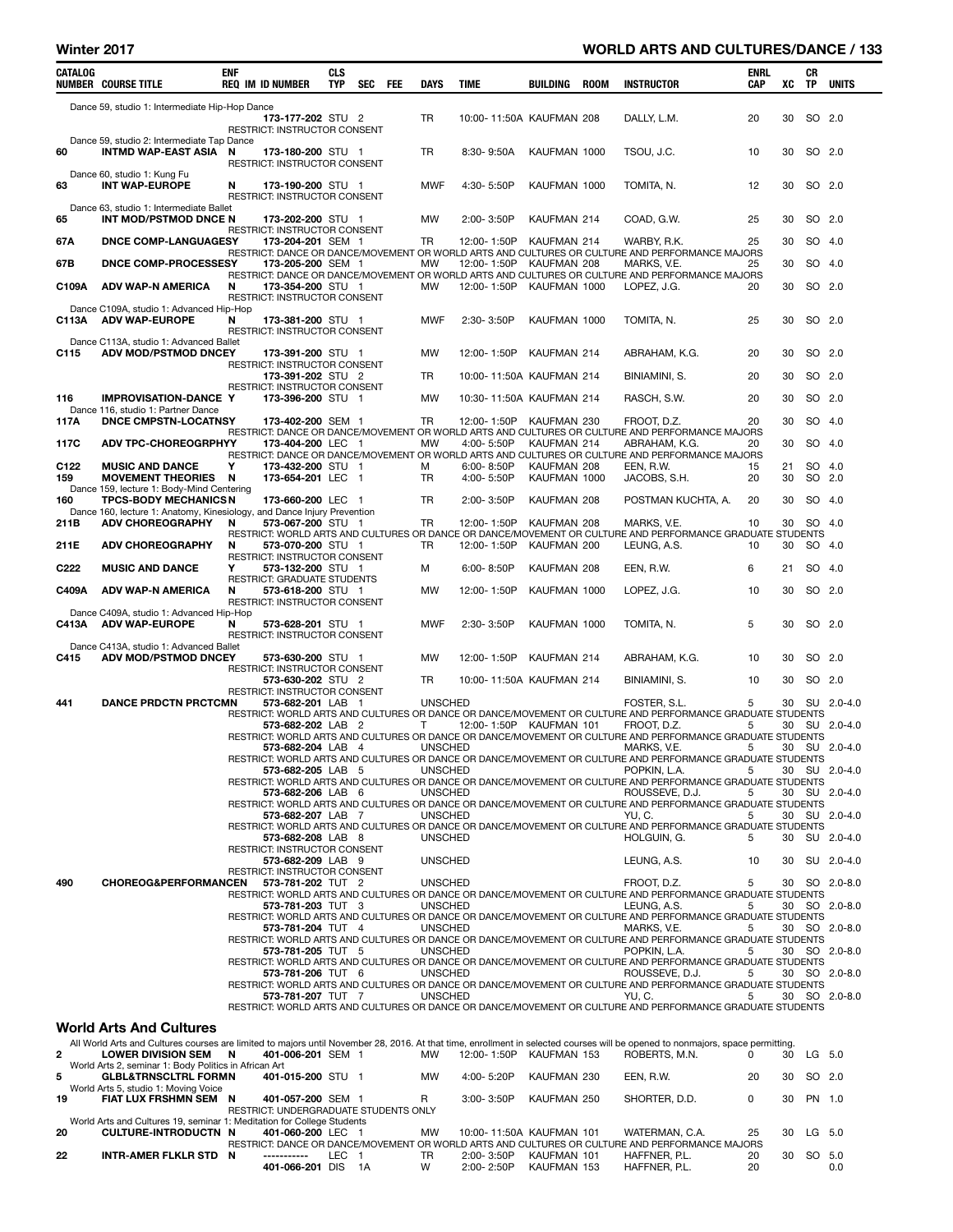## Winter 2017 WORLD ARTS AND CULTURES/DANCE / 133

| CATALOG                 | <b>NUMBER COURSE TITLE</b>                                                                             | <b>ENF</b> | <b>REQ IM ID NUMBER</b>                                  | CLS<br>TYP | SEC | <b>FEE</b> | <b>DAYS</b>    | TIME                     | BUILDING                    | <b>ROOM</b> | <b>INSTRUCTOR</b>                                                                                                                                                              | ENRL<br>CAP | XC       | CR<br>TP | <b>UNITS</b>  |
|-------------------------|--------------------------------------------------------------------------------------------------------|------------|----------------------------------------------------------|------------|-----|------------|----------------|--------------------------|-----------------------------|-------------|--------------------------------------------------------------------------------------------------------------------------------------------------------------------------------|-------------|----------|----------|---------------|
|                         |                                                                                                        |            |                                                          |            |     |            |                |                          |                             |             |                                                                                                                                                                                |             |          |          |               |
|                         | Dance 59, studio 1: Intermediate Hip-Hop Dance                                                         |            | 173-177-202 STU 2                                        |            |     |            | <b>TR</b>      | 10:00-11:50A KAUFMAN 208 |                             |             | DALLY, L.M.                                                                                                                                                                    | 20          | 30       | SO 2.0   |               |
|                         |                                                                                                        |            | <b>RESTRICT: INSTRUCTOR CONSENT</b>                      |            |     |            |                |                          |                             |             |                                                                                                                                                                                |             |          |          |               |
|                         | Dance 59, studio 2: Intermediate Tap Dance                                                             |            |                                                          |            |     |            |                |                          | KAUFMAN 1000                |             |                                                                                                                                                                                |             | 30       |          |               |
| 60                      | <b>INTMD WAP-EAST ASIA</b>                                                                             | N          | 173-180-200 STU 1<br>RESTRICT: INSTRUCTOR CONSENT        |            |     |            | TR             | 8:30-9:50A               |                             |             | TSOU, J.C.                                                                                                                                                                     | 10          |          | SO 2.0   |               |
|                         | Dance 60, studio 1: Kung Fu                                                                            |            |                                                          |            |     |            |                |                          |                             |             |                                                                                                                                                                                |             |          |          |               |
| 63                      | <b>INT WAP-EUROPE</b>                                                                                  | N          | 173-190-200 STU 1<br>RESTRICT: INSTRUCTOR CONSENT        |            |     |            | MWF            | 4:30-5:50P               | KAUFMAN 1000                |             | TOMITA, N.                                                                                                                                                                     | 12          | 30       | SO 2.0   |               |
|                         | Dance 63, studio 1: Intermediate Ballet                                                                |            |                                                          |            |     |            |                |                          |                             |             |                                                                                                                                                                                |             |          |          |               |
| 65                      | INT MOD/PSTMOD DNCE N                                                                                  |            | 173-202-200 STU 1                                        |            |     |            | МW             | 2:00-3:50P               | KAUFMAN 214                 |             | COAD, G.W.                                                                                                                                                                     | 25          | 30       | SO 2.0   |               |
| 67A                     | <b>DNCE COMP-LANGUAGESY</b>                                                                            |            | <b>RESTRICT: INSTRUCTOR CONSENT</b><br>173-204-201 SEM 1 |            |     |            | TR             | 12:00-1:50P              | KAUFMAN 214                 |             | WARBY, R.K.                                                                                                                                                                    | 25          | 30       | SO 4.0   |               |
|                         |                                                                                                        |            |                                                          |            |     |            |                |                          |                             |             | RESTRICT: DANCE OR DANCE/MOVEMENT OR WORLD ARTS AND CULTURES OR CULTURE AND PERFORMANCE MAJORS                                                                                 |             |          |          |               |
| 67B                     | DNCE COMP-PROCESSESY                                                                                   |            | 173-205-200 SEM 1                                        |            |     |            | MW             | 12:00-1:50P              | KAUFMAN 208                 |             | MARKS, V.E.<br>RESTRICT: DANCE OR DANCE/MOVEMENT OR WORLD ARTS AND CULTURES OR CULTURE AND PERFORMANCE MAJORS                                                                  | 25          | 30       | SO 4.0   |               |
| C109A                   | <b>ADV WAP-N AMERICA</b>                                                                               | N          | 173-354-200 STU 1                                        |            |     |            | МW             | 12:00-1:50P              | KAUFMAN 1000                |             | LOPEZ, J.G.                                                                                                                                                                    | 20          | 30       | SO 2.0   |               |
|                         |                                                                                                        |            | RESTRICT: INSTRUCTOR CONSENT                             |            |     |            |                |                          |                             |             |                                                                                                                                                                                |             |          |          |               |
| C113A                   | Dance C109A, studio 1: Advanced Hip-Hop<br><b>ADV WAP-EUROPE</b>                                       | N          | 173-381-200 STU 1                                        |            |     |            | MWF            | 2:30-3:50P               | KAUFMAN 1000                |             | TOMITA, N.                                                                                                                                                                     | 25          | 30       | SO 2.0   |               |
|                         |                                                                                                        |            | RESTRICT: INSTRUCTOR CONSENT                             |            |     |            |                |                          |                             |             |                                                                                                                                                                                |             |          |          |               |
| C115                    | Dance C113A, studio 1: Advanced Ballet<br>ADV MOD/PSTMOD DNCEY                                         |            | 173-391-200 STU 1                                        |            |     |            | МW             | 12:00-1:50P              | KAUFMAN 214                 |             | ABRAHAM, K.G.                                                                                                                                                                  | 20          | 30       | SO 2.0   |               |
|                         |                                                                                                        |            | RESTRICT: INSTRUCTOR CONSENT                             |            |     |            |                |                          |                             |             |                                                                                                                                                                                |             |          |          |               |
|                         |                                                                                                        |            | 173-391-202 STU 2                                        |            |     |            | TR             | 10:00-11:50A KAUFMAN 214 |                             |             | BINIAMINI, S.                                                                                                                                                                  | 20          | 30       | SO 2.0   |               |
| 116                     | <b>IMPROVISATION-DANCE Y</b>                                                                           |            | RESTRICT: INSTRUCTOR CONSENT<br>173-396-200 STU 1        |            |     |            | МW             | 10:30-11:50A KAUFMAN 214 |                             |             | RASCH, S.W.                                                                                                                                                                    | 20          | 30       | SO 2.0   |               |
|                         | Dance 116, studio 1: Partner Dance                                                                     |            |                                                          |            |     |            |                |                          |                             |             |                                                                                                                                                                                |             |          |          |               |
| 117A                    | <b>DNCE CMPSTN-LOCATNSY</b>                                                                            |            | 173-402-200 SEM 1                                        |            |     |            | TR             | 12:00-1:50P              | KAUFMAN 230                 |             | FROOT, D.Z.<br>RESTRICT: DANCE OR DANCE/MOVEMENT OR WORLD ARTS AND CULTURES OR CULTURE AND PERFORMANCE MAJORS                                                                  | 20          | 30       | SO 4.0   |               |
| 117C                    | <b>ADV TPC-CHOREOGRPHYY</b>                                                                            |            | 173-404-200 LEC 1                                        |            |     |            | МW             | 4:00-5:50P               | KAUFMAN 214                 |             | ABRAHAM, K.G.                                                                                                                                                                  | 20          | 30       | SO 4.0   |               |
|                         |                                                                                                        |            |                                                          |            |     |            |                |                          |                             |             | RESTRICT: DANCE OR DANCE/MOVEMENT OR WORLD ARTS AND CULTURES OR CULTURE AND PERFORMANCE MAJORS                                                                                 |             |          |          |               |
| C <sub>122</sub><br>159 | <b>MUSIC AND DANCE</b><br><b>MOVEMENT THEORIES</b>                                                     | Υ<br>N     | 173-432-200 STU 1<br>173-654-201 LEC 1                   |            |     |            | м<br><b>TR</b> | 6:00-8:50P<br>4:00-5:50P | KAUFMAN 208<br>KAUFMAN 1000 |             | EEN, R.W.<br>JACOBS, S.H.                                                                                                                                                      | 15<br>20    | 21<br>30 | SO 2.0   | SO 4.0        |
|                         | Dance 159, lecture 1: Body-Mind Centering                                                              |            |                                                          |            |     |            |                |                          |                             |             |                                                                                                                                                                                |             |          |          |               |
| 160                     | <b>TPCS-BODY MECHANICSN</b><br>Dance 160, lecture 1: Anatomy, Kinesiology, and Dance Injury Prevention |            | 173-660-200 LEC 1                                        |            |     |            | TR             | 2:00-3:50P               | KAUFMAN 208                 |             | POSTMAN KUCHTA, A.                                                                                                                                                             | 20          | 30       | SO 4.0   |               |
| 211B                    | <b>ADV CHOREOGRAPHY</b>                                                                                | N          | 573-067-200 STU 1                                        |            |     |            | TR             | 12:00-1:50P              | KAUFMAN 208                 |             | MARKS, V.E.                                                                                                                                                                    | 10          | 30       | SO 4.0   |               |
|                         |                                                                                                        |            |                                                          |            |     |            |                |                          |                             |             | RESTRICT: WORLD ARTS AND CULTURES OR DANCE OR DANCE/MOVEMENT OR CULTURE AND PERFORMANCE GRADUATE STUDENTS                                                                      |             |          |          |               |
| 211E                    | <b>ADV CHOREOGRAPHY</b>                                                                                | N          | 573-070-200 STU 1<br><b>RESTRICT: INSTRUCTOR CONSENT</b> |            |     |            | TR             | 12:00-1:50P              | KAUFMAN 200                 |             | LEUNG, A.S.                                                                                                                                                                    | 10          | 30       | SO 4.0   |               |
| C <sub>222</sub>        | <b>MUSIC AND DANCE</b>                                                                                 | Y          | 573-132-200 STU 1                                        |            |     |            | М              | 6:00-8:50P               | KAUFMAN 208                 |             | EEN, R.W.                                                                                                                                                                      | 6           | 21       |          | SO 4.0        |
| C409A                   | <b>ADV WAP-N AMERICA</b>                                                                               | N          | RESTRICT: GRADUATE STUDENTS<br><b>573-618-200</b> STU 1  |            |     |            | МW             | 12:00-1:50P              | KAUFMAN 1000                |             | LOPEZ, J.G.                                                                                                                                                                    | 10          | 30       | SO 2.0   |               |
|                         |                                                                                                        |            | RESTRICT: INSTRUCTOR CONSENT                             |            |     |            |                |                          |                             |             |                                                                                                                                                                                |             |          |          |               |
|                         | Dance C409A, studio 1: Advanced Hip-Hop                                                                |            |                                                          |            |     |            |                |                          |                             |             |                                                                                                                                                                                |             |          |          |               |
| C413A                   | <b>ADV WAP-EUROPE</b>                                                                                  | Ν          | <b>573-628-201</b> STU 1<br>RESTRICT: INSTRUCTOR CONSENT |            |     |            | <b>MWF</b>     | 2:30-3:50P               | KAUFMAN 1000                |             | TOMITA, N.                                                                                                                                                                     | 5           | 30       | SO 2.0   |               |
|                         | Dance C413A, studio 1: Advanced Ballet                                                                 |            |                                                          |            |     |            |                |                          |                             |             |                                                                                                                                                                                |             |          |          |               |
| C415                    | <b>ADV MOD/PSTMOD DNCEY</b>                                                                            |            | 573-630-200 STU 1<br><b>RESTRICT: INSTRUCTOR CONSENT</b> |            |     |            | МW             | 12:00-1:50P              | KAUFMAN 214                 |             | ABRAHAM, K.G.                                                                                                                                                                  | 10          | 30       | SO 2.0   |               |
|                         |                                                                                                        |            | 573-630-202 STU 2                                        |            |     |            | TR             | 10:00-11:50A KAUFMAN 214 |                             |             | BINIAMINI, S.                                                                                                                                                                  | 10          | 30       | SO 2.0   |               |
| 441                     | <b>DANCE PRDCTN PRCTCMN</b>                                                                            |            | RESTRICT: INSTRUCTOR CONSENT<br>573-682-201 LAB 1        |            |     |            |                |                          |                             |             |                                                                                                                                                                                | 5           | 30       |          | SU 2.0-4.0    |
|                         |                                                                                                        |            |                                                          |            |     |            | <b>UNSCHED</b> |                          |                             |             | FOSTER, S.L.<br>RESTRICT: WORLD ARTS AND CULTURES OR DANCE OR DANCE/MOVEMENT OR CULTURE AND PERFORMANCE GRADUATE STUDENTS                                                      |             |          |          |               |
|                         |                                                                                                        |            | 573-682-202 LAB 2                                        |            |     |            | T.             | 12:00-1:50P KAUFMAN 101  |                             |             | froot, d.z.                                                                                                                                                                    | 5           | 30       | SU       | $2.0 - 4.0$   |
|                         |                                                                                                        |            | 573-682-204 LAB 4                                        |            |     |            | <b>UNSCHED</b> |                          |                             |             | RESTRICT: WORLD ARTS AND CULTURES OR DANCE OR DANCE/MOVEMENT OR CULTURE AND PERFORMANCE GRADUATE STUDENTS<br>MARKS, V.E.                                                       | 5           | 30       |          | SU 2.0-4.0    |
|                         |                                                                                                        |            |                                                          |            |     |            |                |                          |                             |             | RESTRICT: WORLD ARTS AND CULTURES OR DANCE OR DANCE/MOVEMENT OR CULTURE AND PERFORMANCE GRADUATE STUDENTS                                                                      |             |          |          |               |
|                         |                                                                                                        |            | 573-682-205 LAB 5                                        |            |     |            | <b>UNSCHED</b> |                          |                             |             | POPKIN, L.A.<br>RESTRICT: WORLD ARTS AND CULTURES OR DANCE OR DANCE/MOVEMENT OR CULTURE AND PERFORMANCE GRADUATE STUDENTS                                                      | 5           |          |          | 30 SU 2.0-4.0 |
|                         |                                                                                                        |            | 573-682-206 LAB 6                                        |            |     |            | <b>UNSCHED</b> |                          |                             |             | ROUSSEVE, D.J.                                                                                                                                                                 | 5           |          |          | 30 SU 2.0-4.0 |
|                         |                                                                                                        |            |                                                          |            |     |            |                |                          |                             |             | RESTRICT: WORLD ARTS AND CULTURES OR DANCE OR DANCE/MOVEMENT OR CULTURE AND PERFORMANCE GRADUATE STUDENTS                                                                      |             |          |          |               |
|                         |                                                                                                        |            | 573-682-207 LAB 7                                        |            |     |            | <b>UNSCHED</b> |                          |                             |             | YU, C.<br>RESTRICT: WORLD ARTS AND CULTURES OR DANCE OR DANCE/MOVEMENT OR CULTURE AND PERFORMANCE GRADUATE STUDENTS                                                            | 5           |          |          | 30 SU 2.0-4.0 |
|                         |                                                                                                        |            | 573-682-208 LAB 8                                        |            |     |            | <b>UNSCHED</b> |                          |                             |             | HOLGUIN, G.                                                                                                                                                                    | 5           | 30       |          | SU 2.0-4.0    |
|                         |                                                                                                        |            | RESTRICT: INSTRUCTOR CONSENT<br>573-682-209 LAB 9        |            |     |            | <b>UNSCHED</b> |                          |                             |             | LEUNG, A.S.                                                                                                                                                                    | 10          | 30       |          | SU 2.0-4.0    |
|                         |                                                                                                        |            | RESTRICT: INSTRUCTOR CONSENT                             |            |     |            |                |                          |                             |             |                                                                                                                                                                                |             |          |          |               |
| 490                     | <b>CHOREOG&amp;PERFORMANCEN</b>                                                                        |            | 573-781-202 TUT 2                                        |            |     |            | <b>UNSCHED</b> |                          |                             |             | FROOT, D.Z.                                                                                                                                                                    | 5           |          |          | 30 SO 2.0-8.0 |
|                         |                                                                                                        |            | 573-781-203 TUT 3                                        |            |     |            | <b>UNSCHED</b> |                          |                             |             | RESTRICT: WORLD ARTS AND CULTURES OR DANCE OR DANCE/MOVEMENT OR CULTURE AND PERFORMANCE GRADUATE STUDENTS<br>LEUNG, A.S.                                                       | 5           |          |          | 30 SO 2.0-8.0 |
|                         |                                                                                                        |            |                                                          |            |     |            |                |                          |                             |             | RESTRICT: WORLD ARTS AND CULTURES OR DANCE OR DANCE/MOVEMENT OR CULTURE AND PERFORMANCE GRADUATE STUDENTS                                                                      |             |          |          |               |
|                         |                                                                                                        |            | 573-781-204 TUT 4                                        |            |     |            | <b>UNSCHED</b> |                          |                             |             | MARKS, V.E.<br>RESTRICT: WORLD ARTS AND CULTURES OR DANCE OR DANCE/MOVEMENT OR CULTURE AND PERFORMANCE GRADUATE STUDENTS                                                       | 5           |          |          | 30 SO 2.0-8.0 |
|                         |                                                                                                        |            | 573-781-205 TUT 5                                        |            |     |            | <b>UNSCHED</b> |                          |                             |             | POPKIN, L.A.                                                                                                                                                                   | 5           |          |          | 30 SO 2.0-8.0 |
|                         |                                                                                                        |            |                                                          |            |     |            |                |                          |                             |             | RESTRICT: WORLD ARTS AND CULTURES OR DANCE OR DANCE/MOVEMENT OR CULTURE AND PERFORMANCE GRADUATE STUDENTS                                                                      |             |          |          |               |
|                         |                                                                                                        |            | 573-781-206 TUT 6                                        |            |     |            | <b>UNSCHED</b> |                          |                             |             | ROUSSEVE, D.J.<br>RESTRICT: WORLD ARTS AND CULTURES OR DANCE OR DANCE/MOVEMENT OR CULTURE AND PERFORMANCE GRADUATE STUDENTS                                                    | 5           |          |          | 30 SO 2.0-8.0 |
|                         |                                                                                                        |            | 573-781-207 TUT 7                                        |            |     |            | <b>UNSCHED</b> |                          |                             |             | YU.C.                                                                                                                                                                          | 5           |          |          | 30 SO 2.0-8.0 |
|                         |                                                                                                        |            |                                                          |            |     |            |                |                          |                             |             | RESTRICT: WORLD ARTS AND CULTURES OR DANCE OR DANCE/MOVEMENT OR CULTURE AND PERFORMANCE GRADUATE STUDENTS                                                                      |             |          |          |               |
|                         | <b>World Arts And Cultures</b>                                                                         |            |                                                          |            |     |            |                |                          |                             |             |                                                                                                                                                                                |             |          |          |               |
|                         |                                                                                                        |            |                                                          |            |     |            |                |                          |                             |             | All World Arts and Cultures courses are limited to majors until November 28, 2016. At that time, enrollment in selected courses will be opened to nonmajors, space permitting. |             |          |          |               |

2 LOWER DIVISION SEM N 401-006-201 SEM 1 MW 12:00-1:50P KAUFMAN 153 ROBERTS, M.N. 0 30 LG 5.0<br>World Arts 2, seminar 1: Body Politics in African Art 5 GLBL&TRNSCLTRL FORMN 401-015-200 STU 1 MW 4:00- 5:20P KAUFMAN 230 EEN, R.W. 20 30 SO 2.0 World Arts 5, studio 1: Moving Voice<br>FIAT LUX FRSHMN SEM N 19 FIAT LUX FRSHMN SEM N 401-057-200 SEM 1 R 3:00- 3:50P KAUFMAN 250 SHORTER, D.D. 0 30 PN 1.0 RESTRICT: UNDERGRADUATE STUDENTS ONLY World Arts and Cultures 19, seminar 1: Meditation for College Students 20 CULTURE-INTRODUCTN N 401-060-200 LEC 1 MW 10:00-11:50A KAUFMAN 101 WATERMAN, C.A. 25 30 LG 5.0<br>RESTRICT: DANGE OR DANGEMOVEMENT OR WORLD ARTS AND CULTURE OR OULTURE AND PERFORMANCE MAJORS<br>22 INTR-AMER FLKLR STD N ------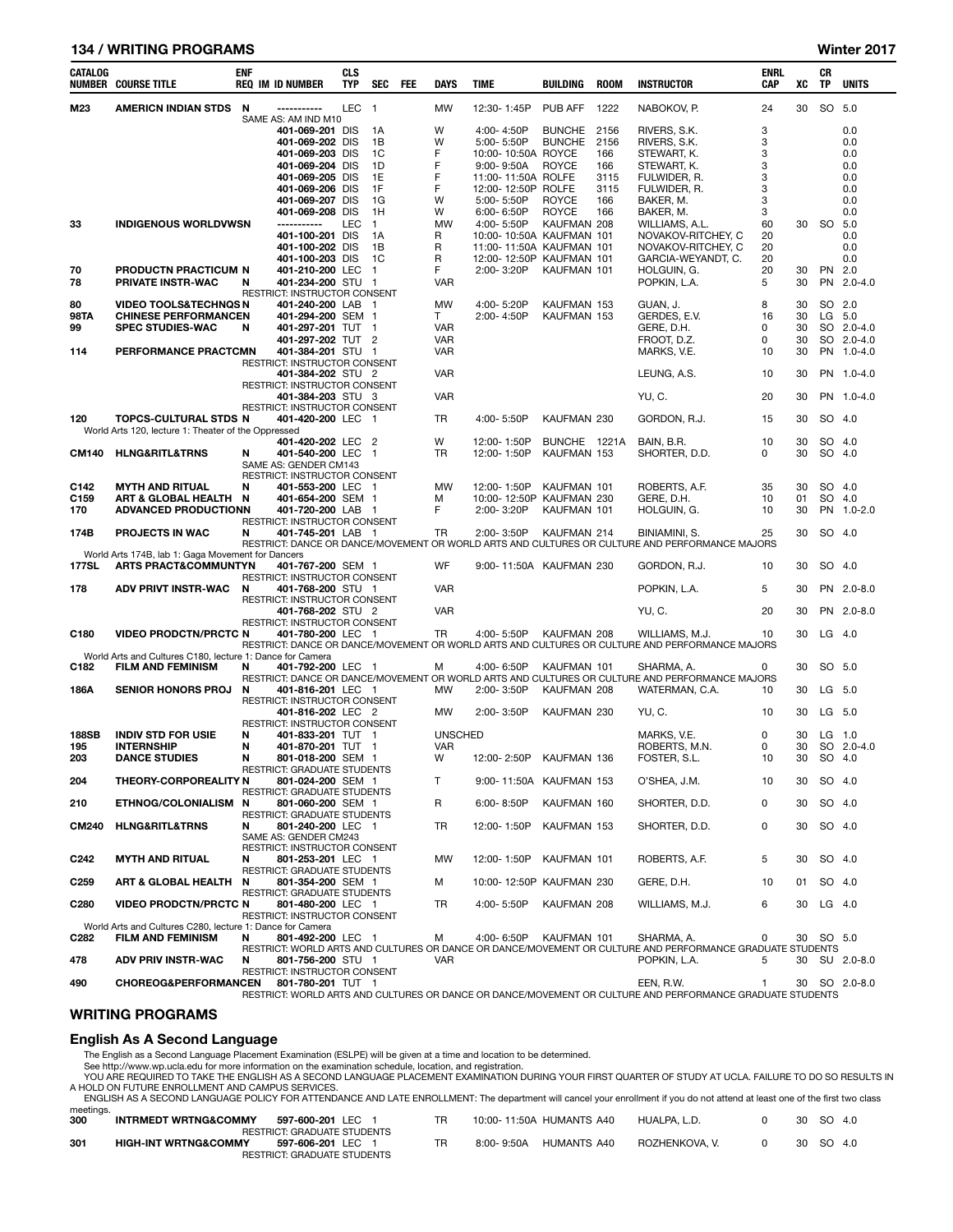## 134 / WRITING PROGRAMS Winter 2017

| CATALOG      | <b>NUMBER COURSE TITLE</b>                                | <b>ENF</b> | <b>REQ IM ID NUMBER</b>                           | <b>CLS</b><br><b>TYP</b> | SEC            | FEE | <b>DAYS</b>    | <b>TIME</b>                | BUILDING                     | <b>ROOM</b> | <b>INSTRUCTOR</b>                                                                                                | <b>ENRL</b><br>CAP | XC       | CR<br>TP         | <b>UNITS</b>  |
|--------------|-----------------------------------------------------------|------------|---------------------------------------------------|--------------------------|----------------|-----|----------------|----------------------------|------------------------------|-------------|------------------------------------------------------------------------------------------------------------------|--------------------|----------|------------------|---------------|
| M23          | <b>AMERICN INDIAN STDS</b>                                | N          | SAME AS: AM IND M10                               | LEC 1                    |                |     | <b>MW</b>      | 12:30-1:45P                | PUB AFF                      | 1222        | NABOKOV, P.                                                                                                      | 24                 | 30       | SO 5.0           |               |
|              |                                                           |            | 401-069-201 DIS                                   |                          | 1A             |     | W              | 4:00-4:50P                 | <b>BUNCHE</b>                | 2156        | RIVERS, S.K.                                                                                                     | 3                  |          |                  | 0.0           |
|              |                                                           |            | 401-069-202 DIS                                   |                          | 1B             |     | W              | 5:00-5:50P                 | <b>BUNCHE</b>                | 2156        | RIVERS, S.K.                                                                                                     | 3                  |          |                  | 0.0           |
|              |                                                           |            | 401-069-203 DIS                                   |                          | 1C             |     | F              | 10:00-10:50A ROYCE         |                              | 166         | STEWART, K.                                                                                                      | 3                  |          |                  | 0.0           |
|              |                                                           |            | 401-069-204 DIS                                   |                          | 1D             |     | F              | 9:00-9:50A                 | <b>ROYCE</b>                 | 166         | STEWART, K.                                                                                                      | 3                  |          |                  | 0.0           |
|              |                                                           |            | 401-069-205 DIS                                   |                          | 1E             |     | F              | 11:00-11:50A ROLFE         |                              | 3115        | FULWIDER, R.                                                                                                     | 3                  |          |                  | 0.0           |
|              |                                                           |            | 401-069-206 DIS                                   |                          | 1F             |     | F<br>W         | 12:00-12:50P ROLFE         |                              | 3115        | FULWIDER, R.                                                                                                     | 3                  |          |                  | 0.0           |
|              |                                                           |            | 401-069-207 DIS<br>401-069-208 DIS                |                          | 1G<br>1H       |     | W              | 5:00-5:50P<br>6:00-6:50P   | <b>ROYCE</b><br><b>ROYCE</b> | 166<br>166  | BAKER, M.<br>BAKER, M.                                                                                           | 3<br>3             |          |                  | 0.0<br>0.0    |
| 33           | <b>INDIGENOUS WORLDVWSN</b>                               |            | -----------                                       | <b>LEC</b>               | $\overline{1}$ |     | <b>MW</b>      | 4:00-5:50P                 | KAUFMAN 208                  |             | WILLIAMS, A.L.                                                                                                   | 60                 | 30       | SO               | 5.0           |
|              |                                                           |            | 401-100-201 DIS                                   |                          | 1A             |     | R              | 10:00-10:50A KAUFMAN 101   |                              |             | NOVAKOV-RITCHEY, C                                                                                               | 20                 |          |                  | 0.0           |
|              |                                                           |            | 401-100-202 DIS                                   |                          | 1B             |     | R              | 11:00-11:50A KAUFMAN 101   |                              |             | NOVAKOV-RITCHEY, C                                                                                               | 20                 |          |                  | 0.0           |
|              |                                                           |            | 401-100-203 DIS                                   |                          | 1C             |     | R              | 12:00-12:50P KAUFMAN 101   |                              |             | GARCIA-WEYANDT, C.                                                                                               | 20                 |          |                  | 0.0           |
| 70           | PRODUCTN PRACTICUM N                                      |            | 401-210-200 LEC                                   |                          | $\overline{1}$ |     | F              | 2:00-3:20P                 | KAUFMAN 101                  |             | HOLGUIN, G.                                                                                                      | 20                 | 30       | PN               | 2.0           |
| 78           | PRIVATE INSTR-WAC                                         | N          | 401-234-200 STU 1                                 |                          |                |     | VAR            |                            |                              |             | POPKIN, L.A.                                                                                                     | 5                  | 30       | <b>PN</b>        | $2.0 - 4.0$   |
| 80           | <b>VIDEO TOOLS&amp;TECHNQS N</b>                          |            | RESTRICT: INSTRUCTOR CONSENT<br>401-240-200 LAB 1 |                          |                |     | MW             | 4:00-5:20P                 | KAUFMAN 153                  |             | GUAN, J.                                                                                                         | 8                  | 30       | SO 2.0           |               |
| 98TA         | <b>CHINESE PERFORMANCEN</b>                               |            | 401-294-200 SEM 1                                 |                          |                |     | T.             | 2:00-4:50P                 | KAUFMAN 153                  |             | GERDES, E.V.                                                                                                     | 16                 | 30       | LG 5.0           |               |
| 99           | <b>SPEC STUDIES-WAC</b>                                   | N          | 401-297-201 TUT 1                                 |                          |                |     | <b>VAR</b>     |                            |                              |             | GERE, D.H.                                                                                                       | 0                  | 30       |                  | SO 2.0-4.0    |
|              |                                                           |            | 401-297-202 TUT 2                                 |                          |                |     | <b>VAR</b>     |                            |                              |             | FROOT, D.Z.                                                                                                      | 0                  | 30       |                  | SO 2.0-4.0    |
| 114          | PERFORMANCE PRACTCMN                                      |            | 401-384-201 STU 1                                 |                          |                |     | <b>VAR</b>     |                            |                              |             | MARKS, V.E.                                                                                                      | 10                 | 30       |                  | PN 1.0-4.0    |
|              |                                                           |            | RESTRICT: INSTRUCTOR CONSENT                      |                          |                |     |                |                            |                              |             |                                                                                                                  |                    |          |                  |               |
|              |                                                           |            | 401-384-202 STU 2                                 |                          |                |     | <b>VAR</b>     |                            |                              |             | LEUNG, A.S.                                                                                                      | 10                 | 30       |                  | PN 1.0-4.0    |
|              |                                                           |            | RESTRICT: INSTRUCTOR CONSENT<br>401-384-203 STU 3 |                          |                |     | <b>VAR</b>     |                            |                              |             | YU, C.                                                                                                           | 20                 | 30       |                  | PN 1.0-4.0    |
|              |                                                           |            | RESTRICT: INSTRUCTOR CONSENT                      |                          |                |     |                |                            |                              |             |                                                                                                                  |                    |          |                  |               |
| 120          | TOPCS-CULTURAL STDS N                                     |            | 401-420-200 LEC 1                                 |                          |                |     | <b>TR</b>      | 4:00-5:50P                 | KAUFMAN 230                  |             | GORDON, R.J.                                                                                                     | 15                 | 30       | SO 4.0           |               |
|              | World Arts 120, lecture 1: Theater of the Oppressed       |            |                                                   |                          |                |     |                |                            |                              |             |                                                                                                                  |                    |          |                  |               |
| CM140        | <b>HLNG&amp;RITL&amp;TRNS</b>                             | N          | 401-420-202 LEC 2<br>401-540-200 LEC              |                          | $\overline{1}$ |     | W<br><b>TR</b> | 12:00-1:50P<br>12:00-1:50P | BUNCHE 1221A<br>KAUFMAN 153  |             | BAIN, B.R.<br>SHORTER, D.D.                                                                                      | 10<br>0            | 30<br>30 | SO 4.0<br>SO 4.0 |               |
|              |                                                           |            | SAME AS: GENDER CM143                             |                          |                |     |                |                            |                              |             |                                                                                                                  |                    |          |                  |               |
|              |                                                           |            | RESTRICT: INSTRUCTOR CONSENT                      |                          |                |     |                |                            |                              |             |                                                                                                                  |                    |          |                  |               |
| C142         | <b>MYTH AND RITUAL</b>                                    | N          | 401-553-200 LEC 1                                 |                          |                |     | MW             | 12:00-1:50P                | KAUFMAN 101                  |             | ROBERTS, A.F.                                                                                                    | 35                 | 30       | SO 4.0           |               |
| C159         | ART & GLOBAL HEALTH N                                     |            | 401-654-200 SEM 1                                 |                          |                |     | м              | 10:00-12:50P KAUFMAN 230   |                              |             | GERE, D.H.                                                                                                       | 10                 | 01       | SO 4.0           |               |
| 170          | <b>ADVANCED PRODUCTIONN</b>                               |            | 401-720-200 LAB 1<br>RESTRICT: INSTRUCTOR CONSENT |                          |                |     | F              | 2:00-3:20P                 | KAUFMAN 101                  |             | HOLGUIN, G.                                                                                                      | 10                 | 30       |                  | PN 1.0-2.0    |
| 174B         | <b>PROJECTS IN WAC</b>                                    | N          | 401-745-201 LAB 1                                 |                          |                |     | <b>TR</b>      | 2:00-3:50P                 | KAUFMAN 214                  |             | BINIAMINI, S.                                                                                                    | 25                 | 30       | SO 4.0           |               |
|              |                                                           |            |                                                   |                          |                |     |                |                            |                              |             | RESTRICT: DANCE OR DANCE/MOVEMENT OR WORLD ARTS AND CULTURES OR CULTURE AND PERFORMANCE MAJORS                   |                    |          |                  |               |
|              | World Arts 174B, lab 1: Gaga Movement for Dancers         |            |                                                   |                          |                |     |                |                            |                              |             |                                                                                                                  |                    |          |                  |               |
| 177SL        | <b>ARTS PRACT&amp;COMMUNTYN</b>                           |            | 401-767-200 SEM 1<br>RESTRICT: INSTRUCTOR CONSENT |                          |                |     | WF             | 9:00-11:50A KAUFMAN 230    |                              |             | GORDON, R.J.                                                                                                     | 10                 | 30       | SO 4.0           |               |
| 178          | <b>ADV PRIVT INSTR-WAC</b>                                | N          | 401-768-200 STU 1                                 |                          |                |     | <b>VAR</b>     |                            |                              |             | POPKIN, L.A.                                                                                                     | 5                  | 30       |                  | PN 2.0-8.0    |
|              |                                                           |            | <b>RESTRICT: INSTRUCTOR CONSENT</b>               |                          |                |     |                |                            |                              |             |                                                                                                                  |                    |          |                  |               |
|              |                                                           |            | 401-768-202 STU 2                                 |                          |                |     | <b>VAR</b>     |                            |                              |             | YU, C.                                                                                                           | 20                 | 30       |                  | PN 2.0-8.0    |
| C180         | <b>VIDEO PRODCTN/PRCTC N</b>                              |            | RESTRICT: INSTRUCTOR CONSENT<br>401-780-200 LEC 1 |                          |                |     | TR             | 4:00-5:50P                 | KAUFMAN 208                  |             | WILLIAMS, M.J.                                                                                                   | 10                 | 30       | $LG$ 4.0         |               |
|              |                                                           |            |                                                   |                          |                |     |                |                            |                              |             | RESTRICT: DANCE OR DANCE/MOVEMENT OR WORLD ARTS AND CULTURES OR CULTURE AND PERFORMANCE MAJORS                   |                    |          |                  |               |
|              | World Arts and Cultures C180, lecture 1: Dance for Camera |            |                                                   |                          |                |     |                |                            |                              |             |                                                                                                                  |                    |          |                  |               |
| C182         | <b>FILM AND FEMINISM</b>                                  | N          | 401-792-200 LEC 1                                 |                          |                |     | м              | 4:00-6:50P                 | KAUFMAN 101                  |             | SHARMA, A.                                                                                                       | 0                  | 30       | SO 5.0           |               |
| 186A         | <b>SENIOR HONORS PROJ</b>                                 | N          | 401-816-201 LEC 1                                 |                          |                |     | MW             | 2:00-3:50P                 | KAUFMAN 208                  |             | RESTRICT: DANCE OR DANCE/MOVEMENT OR WORLD ARTS AND CULTURES OR CULTURE AND PERFORMANCE MAJORS<br>WATERMAN, C.A. | 10                 | 30       | LG 5.0           |               |
|              |                                                           |            | RESTRICT: INSTRUCTOR CONSENT                      |                          |                |     |                |                            |                              |             |                                                                                                                  |                    |          |                  |               |
|              |                                                           |            | 401-816-202 LEC 2                                 |                          |                |     | MW             | 2:00-3:50P                 | KAUFMAN 230                  |             | YU, C.                                                                                                           | 10                 | 30       | LG 5.0           |               |
|              |                                                           |            | <b>RESTRICT: INSTRUCTOR CONSENT</b>               |                          |                |     |                |                            |                              |             |                                                                                                                  |                    |          |                  |               |
| <b>188SB</b> | <b>INDIV STD FOR USIE</b>                                 | N          | 401-833-201 TUT 1                                 |                          |                |     | <b>UNSCHED</b> |                            |                              |             | MARKS, V.E.                                                                                                      | 0                  | 30       | $LG$ 1.0         |               |
| 195<br>203   | <b>INTERNSHIP</b><br><b>DANCE STUDIES</b>                 | N<br>N     | 401-870-201 TUT 1<br>801-018-200 SEM 1            |                          |                |     | VAR<br>W       | 12:00-2:50P                | KAUFMAN 136                  |             | ROBERTS, M.N.<br>FOSTER, S.L.                                                                                    | 0<br>10            | 30<br>30 | SO 4.0           | SO 2.0-4.0    |
|              |                                                           |            | RESTRICT: GRADUATE STUDENTS                       |                          |                |     |                |                            |                              |             |                                                                                                                  |                    |          |                  |               |
| 204          | THEORY-CORPOREALITY N                                     |            | 801-024-200 SEM 1                                 |                          |                |     | Τ              | 9:00-11:50A KAUFMAN 153    |                              |             | O'SHEA, J.M.                                                                                                     | 10                 | 30       | SO 4.0           |               |
|              |                                                           |            | RESTRICT: GRADUATE STUDENTS                       |                          |                |     |                |                            |                              |             |                                                                                                                  |                    |          |                  |               |
| 210          | ETHNOG/COLONIALISM N                                      |            | 801-060-200 SEM 1<br>RESTRICT: GRADUATE STUDENTS  |                          |                |     | R              | $6:00 - 8:50P$             | KAUFMAN 160                  |             | SHORTER, D.D.                                                                                                    | 0                  | 30       | SO 4.0           |               |
| CM240        | <b>HLNG&amp;RITL&amp;TRNS</b>                             | N          | 801-240-200 LEC 1                                 |                          |                |     | TR             | 12:00-1:50P                | KAUFMAN 153                  |             | SHORTER, D.D.                                                                                                    | 0                  | 30       | SO 4.0           |               |
|              |                                                           |            | SAME AS: GENDER CM243                             |                          |                |     |                |                            |                              |             |                                                                                                                  |                    |          |                  |               |
|              |                                                           |            | RESTRICT: INSTRUCTOR CONSENT                      |                          |                |     |                |                            |                              |             |                                                                                                                  |                    |          |                  |               |
| C242         | <b>MYTH AND RITUAL</b>                                    | N          | 801-253-201 LEC 1<br>RESTRICT: GRADUATE STUDENTS  |                          |                |     | МW             | 12:00-1:50P                | KAUFMAN 101                  |             | ROBERTS, A.F.                                                                                                    | 5                  | 30       | SO 4.0           |               |
| C259         | <b>ART &amp; GLOBAL HEALTH</b>                            | N          | 801-354-200 SEM 1                                 |                          |                |     | м              | 10:00-12:50P KAUFMAN 230   |                              |             | GERE, D.H.                                                                                                       | 10                 | 01       | SO 4.0           |               |
|              |                                                           |            | RESTRICT: GRADUATE STUDENTS                       |                          |                |     |                |                            |                              |             |                                                                                                                  |                    |          |                  |               |
| C280         | <b>VIDEO PRODCTN/PRCTC N</b>                              |            | 801-480-200 LEC 1                                 |                          |                |     | TR             | 4:00-5:50P                 | KAUFMAN 208                  |             | WILLIAMS, M.J.                                                                                                   | 6                  | 30       | $LG$ 4.0         |               |
|              | World Arts and Cultures C280, lecture 1: Dance for Camera |            | RESTRICT: INSTRUCTOR CONSENT                      |                          |                |     |                |                            |                              |             |                                                                                                                  |                    |          |                  |               |
| C282         | <b>FILM AND FEMINISM</b>                                  | N          | 801-492-200 LEC 1                                 |                          |                |     | М              | 4:00-6:50P                 | KAUFMAN 101                  |             | SHARMA, A.                                                                                                       | 0                  | 30       | SO 5.0           |               |
|              |                                                           |            |                                                   |                          |                |     |                |                            |                              |             | RESTRICT: WORLD ARTS AND CULTURES OR DANCE OR DANCE/MOVEMENT OR CULTURE AND PERFORMANCE GRADUATE STUDENTS        |                    |          |                  |               |
| 478          | <b>ADV PRIV INSTR-WAC</b>                                 | N          | 801-756-200 STU 1                                 |                          |                |     | <b>VAR</b>     |                            |                              |             | POPKIN, L.A.                                                                                                     | 5                  |          |                  | 30 SU 2.0-8.0 |
| 400.         | CHOREOG&PEREORMANCEN 801-780-201 THT 1                    |            | RESTRICT: INSTRUCTOR CONSENT                      |                          |                |     |                |                            |                              |             | FEN RW                                                                                                           |                    |          |                  | 30 SO 20-80   |

490 CHOREOG&PERFORMANCEN 801-780-201 TUT 1 EEN, R.W. 1 30 SO 2.0-8.0 RESTRICT: WORLD ARTS AND CULTURES OR DANCE OR DANCE/MOVEMENT OR CULTURE AND PERFORMANCE GRADUATE STUDENTS

## WRITING PROGRAMS

# English As A Second Language

The English as a Second Language Placement Examination (ESLPE) will be given at a time and location to be determined.

See http://www.wp.ucla.edu for more information on the examination schedule, location, and registration.<br>YOU ARE REQUIRED TO TAKE THE ENGLISH AS A SECOND LANGUAGE PLACEMENT EXAMINATION DURING YOUR FIRST QUARTER OF STUDY AT

|           | ENGLISH AS A SECOND LANGUAGE POLICY FOR ATTENDANCE AND LATE ENROLLMENT: The department WIII cancel your enrollment if you do not attend at least one of the first two class |  |                                       |  |           |  |
|-----------|-----------------------------------------------------------------------------------------------------------------------------------------------------------------------------|--|---------------------------------------|--|-----------|--|
| meetings. |                                                                                                                                                                             |  |                                       |  |           |  |
| 300       | INTRMEDT WRTNG&COMMY 597-600-201 LEC 1                                                                                                                                      |  | 10:00-11:50A HUMANTS A40 HUALPA. L.D. |  | 30 SO 4.0 |  |

|       |                                 | <b>RESTRICT: GRADUATE STUDENTS</b> |     |            |             |                |           |
|-------|---------------------------------|------------------------------------|-----|------------|-------------|----------------|-----------|
| - 301 | <b>HIGH-INT WRTNG&amp;COMMY</b> | 597-606-201 LEC 1                  | TR. | 8:00-9:50A | HUMANTS A40 | ROZHENKOVA. V. | 30 SO 4.0 |
|       |                                 | <b>RESTRICT: GRADUATE STUDENTS</b> |     |            |             |                |           |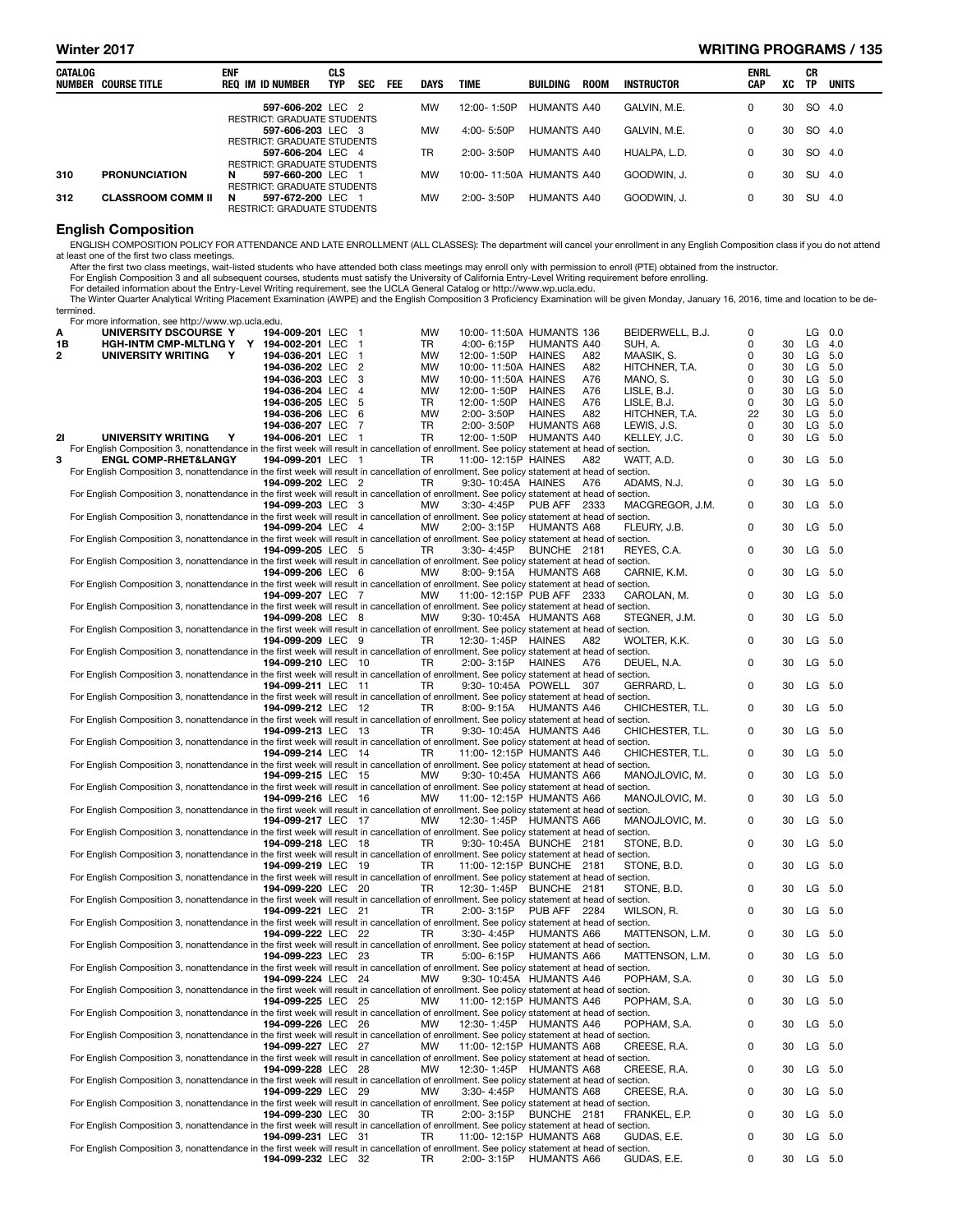### Winter 2017 WRITING PROGRAMS / 135

| CATALOG | NUMBER COURSE TITLE      | <b>ENF</b><br>REQ IM ID NUMBER                               | <b>CLS</b><br><b>TYP</b> | <b>SEC</b> | <b>FEE</b> | DAYS      | <b>TIME</b>              | BUILDING    | <b>ROOM</b> | INSTRUCTOR   | <b>ENRL</b><br><b>CAP</b> | XC | CR<br>TP | UNITS |
|---------|--------------------------|--------------------------------------------------------------|--------------------------|------------|------------|-----------|--------------------------|-------------|-------------|--------------|---------------------------|----|----------|-------|
|         |                          | 597-606-202 LEC 2<br><b>RESTRICT: GRADUATE STUDENTS</b>      |                          |            |            | <b>MW</b> | 12:00-1:50P              | HUMANTS A40 |             | GALVIN, M.E. | 0                         | 30 | SO 4.0   |       |
|         |                          | 597-606-203 LEC 3<br><b>RESTRICT: GRADUATE STUDENTS</b>      |                          |            |            | <b>MW</b> | $4:00 - 5:50P$           | HUMANTS A40 |             | GALVIN, M.E. | 0                         | 30 | SO 4.0   |       |
|         |                          | 597-606-204 LEC 4<br><b>RESTRICT: GRADUATE STUDENTS</b>      |                          |            |            | TR        | $2:00 - 3:50P$           | HUMANTS A40 |             | HUALPA. L.D. | 0                         | 30 | SO 4.0   |       |
| 310     | <b>PRONUNCIATION</b>     | N<br>597-660-200 LEC 1<br><b>RESTRICT: GRADUATE STUDENTS</b> |                          |            |            | <b>MW</b> | 10:00-11:50A HUMANTS A40 |             |             | GOODWIN, J.  | 0                         | 30 | SU       | -4.0  |
| 312     | <b>CLASSROOM COMM II</b> | N<br>597-672-200 LEC 1<br><b>RESTRICT: GRADUATE STUDENTS</b> |                          |            |            | <b>MW</b> | 2:00-3:50P               | HUMANTS A40 |             | GOODWIN, J.  | 0                         | 30 | SU       | 4.0   |
|         |                          |                                                              |                          |            |            |           |                          |             |             |              |                           |    |          |       |

### English Composition

ENGLISH COMPOSITION POLICY FOR ATTENDANCE AND LATE ENROLLMENT (ALL CLASSES): The department will cancel your enrollment in any English Composition class if you do not attend<br>After the first two class meetings.<br>After the fi

The Winter Quarter Analytical Writing Placement Examination (AWPE) and the English Composition 3 Proficiency Examination will be given Monday, January 16, 2016, time and location to be determined.

| For more information, see http://www.wp.ucla.edu. |  |  |  |  |  |  |
|---------------------------------------------------|--|--|--|--|--|--|
|---------------------------------------------------|--|--|--|--|--|--|

| А<br>1B | UNIVERSITY DSCOURSE Y<br><b>HGH-INTM CMP-MLTLNG Y</b>                                                                                          | 194-009-201 LEC 1<br>Y 194-002-201 LEC | $\overline{\phantom{1}}$ | MW<br>TR  | 10:00-11:50A HUMANTS 136<br>4:00-6:15P               | <b>HUMANTS A40</b>  |     | BEIDERWELL, B.J.<br>SUH, A. | 0<br>0      | 30       |           | $LG$ 0.0<br>$LG$ 4.0 |
|---------|------------------------------------------------------------------------------------------------------------------------------------------------|----------------------------------------|--------------------------|-----------|------------------------------------------------------|---------------------|-----|-----------------------------|-------------|----------|-----------|----------------------|
| 2       | UNIVERSITY WRITING<br>Y                                                                                                                        | 194-036-201 LEC                        | $\overline{1}$           | MW        | 12:00-1:50P HAINES                                   |                     | A82 | MAASIK, S.                  | 0           | 30       | LG 5.0    |                      |
|         |                                                                                                                                                | 194-036-202 LEC 2                      |                          | MW        | 10:00-11:50A HAINES                                  |                     | A82 | HITCHNER, T.A.              | 0           | 30       | LG        | 5.0                  |
|         |                                                                                                                                                | 194-036-203 LEC 3                      |                          | MW        | 10:00-11:50A HAINES                                  |                     | A76 | MANO, S.                    | 0           | 30       | LG        | 5.0                  |
|         |                                                                                                                                                | 194-036-204 LEC 4                      |                          | MW        | 12:00-1:50P                                          | <b>HAINES</b>       | A76 | LISLE, B.J.                 | 0           | 30       | LG        | 5.0                  |
|         |                                                                                                                                                | 194-036-205 LEC 5                      |                          | TR        | 12:00-1:50P                                          | <b>HAINES</b>       | A76 | LISLE, B.J.                 | 0           | 30       | LG.       | 5.0                  |
|         |                                                                                                                                                | 194-036-206 LEC 6<br>194-036-207 LEC 7 |                          | MW        | 2:00-3:50P                                           | <b>HAINES</b>       | A82 | HITCHNER, T.A.              | 22          | 30       | LG.       | 5.0                  |
| 21      | UNIVERSITY WRITING<br>Y                                                                                                                        | 194-006-201 LEC 1                      |                          | TR<br>TR  | 2:00-3:50P<br>12:00-1:50P HUMANTS A40                | <b>HUMANTS A68</b>  |     | LEWIS, J.S.<br>KELLEY, J.C. | 0<br>0      | 30<br>30 | LG<br>LG  | 5.0<br>5.0           |
|         | For English Composition 3, nonattendance in the first week will result in cancellation of enrollment. See policy statement at head of section. |                                        |                          |           |                                                      |                     |     |                             |             |          |           |                      |
| 3       | <b>ENGL COMP-RHET&amp;LANGY</b>                                                                                                                | 194-099-201 LEC 1                      |                          | TR        | 11:00-12:15P HAINES                                  |                     | A82 | WATT, A.D.                  | $\mathbf 0$ | 30       |           | LG 5.0               |
|         | For English Composition 3, nonattendance in the first week will result in cancellation of enrollment. See policy statement at head of section. |                                        |                          |           |                                                      |                     |     |                             |             |          |           |                      |
|         |                                                                                                                                                | 194-099-202 LEC 2                      |                          | TR.       | 9:30-10:45A HAINES                                   |                     | A76 | ADAMS, N.J.                 | 0           | 30       |           | LG 5.0               |
|         | For English Composition 3, nonattendance in the first week will result in cancellation of enrollment. See policy statement at head of section. | 194-099-203 LEC 3                      |                          | МW        | 3:30-4:45P                                           | <b>PUB AFF 2333</b> |     | MACGREGOR, J.M.             | 0           | 30       | LG        | 5.0                  |
|         | For English Composition 3, nonattendance in the first week will result in cancellation of enrollment. See policy statement at head of section. |                                        |                          |           |                                                      |                     |     |                             |             |          |           |                      |
|         |                                                                                                                                                | 194-099-204 LEC 4                      |                          | <b>MW</b> | 2:00-3:15P                                           | <b>HUMANTS A68</b>  |     | FLEURY, J.B.                | $\mathbf 0$ | 30       |           | LG 5.0               |
|         | For English Composition 3, nonattendance in the first week will result in cancellation of enrollment. See policy statement at head of section. |                                        |                          |           |                                                      |                     |     |                             |             |          |           |                      |
|         |                                                                                                                                                | 194-099-205 LEC 5                      |                          | TR.       | 3:30-4:45P                                           | BUNCHE 2181         |     | REYES, C.A.                 | $\mathbf 0$ | 30       | LG        | 5.0                  |
|         | For English Composition 3, nonattendance in the first week will result in cancellation of enrollment. See policy statement at head of section. | 194-099-206 LEC 6                      |                          | MW        | 8:00- 9:15A HUMANTS A68                              |                     |     | CARNIE, K.M.                | $\mathbf 0$ | 30       |           | LG 5.0               |
|         | For English Composition 3, nonattendance in the first week will result in cancellation of enrollment. See policy statement at head of section. |                                        |                          |           |                                                      |                     |     |                             |             |          |           |                      |
|         |                                                                                                                                                | 194-099-207 LEC 7                      |                          | MW        | 11:00-12:15P PUB AFF 2333                            |                     |     | CAROLAN, M.                 | 0           | 30       | LG        | 5.0                  |
|         | For English Composition 3, nonattendance in the first week will result in cancellation of enrollment. See policy statement at head of section. |                                        |                          |           |                                                      |                     |     |                             |             |          |           |                      |
|         |                                                                                                                                                | 194-099-208 LEC 8                      |                          | <b>MW</b> | 9:30-10:45A HUMANTS A68                              |                     |     | STEGNER, J.M.               | 0           | 30       |           | LG 5.0               |
|         | For English Composition 3, nonattendance in the first week will result in cancellation of enrollment. See policy statement at head of section. | 194-099-209 LEC 9                      |                          | TR        | 12:30-1:45P HAINES                                   |                     | A82 | WOLTER, K.K.                | $\mathbf 0$ | 30       |           | LG 5.0               |
|         | For English Composition 3, nonattendance in the first week will result in cancellation of enrollment. See policy statement at head of section. |                                        |                          |           |                                                      |                     |     |                             |             |          |           |                      |
|         |                                                                                                                                                | 194-099-210 LEC 10                     |                          | TR        | 2:00-3:15P                                           | HAINES              | A76 | DEUEL, N.A.                 | $\mathbf 0$ | 30       | LG        | 5.0                  |
|         | For English Composition 3, nonattendance in the first week will result in cancellation of enrollment. See policy statement at head of section. |                                        |                          |           |                                                      |                     |     |                             |             |          |           |                      |
|         |                                                                                                                                                | 194-099-211 LEC 11                     |                          | TR.       | 9:30-10:45A POWELL 307                               |                     |     | GERRARD, L.                 | $\mathbf 0$ | 30       |           | LG 5.0               |
|         | For English Composition 3, nonattendance in the first week will result in cancellation of enrollment. See policy statement at head of section. |                                        |                          |           |                                                      |                     |     |                             | 0           | 30       |           | LG 5.0               |
|         | For English Composition 3, nonattendance in the first week will result in cancellation of enrollment. See policy statement at head of section. | 194-099-212 LEC 12                     |                          | TR        | 8:00-9:15A HUMANTS A46                               |                     |     | CHICHESTER, T.L.            |             |          |           |                      |
|         |                                                                                                                                                | 194-099-213 LEC 13                     |                          | TR        | 9:30-10:45A HUMANTS A46                              |                     |     | CHICHESTER. T.L.            | 0           | 30       |           | LG 5.0               |
|         | For English Composition 3, nonattendance in the first week will result in cancellation of enrollment. See policy statement at head of section. |                                        |                          |           |                                                      |                     |     |                             |             |          |           |                      |
|         |                                                                                                                                                | 194-099-214 LEC 14                     |                          | TR        | 11:00-12:15P HUMANTS A46                             |                     |     | CHICHESTER, T.L.            | 0           | 30       | LG        | 5.0                  |
|         | For English Composition 3, nonattendance in the first week will result in cancellation of enrollment. See policy statement at head of section. | 194-099-215 LEC 15                     |                          | MW        | 9:30-10:45A HUMANTS A66                              |                     |     | MANOJLOVIC, M.              | $\mathbf 0$ | 30       | LG        | 5.0                  |
|         | For English Composition 3, nonattendance in the first week will result in cancellation of enrollment. See policy statement at head of section. |                                        |                          |           |                                                      |                     |     |                             |             |          |           |                      |
|         |                                                                                                                                                | 194-099-216 LEC 16                     |                          | <b>MW</b> | 11:00-12:15P HUMANTS A66                             |                     |     | MANOJLOVIC, M.              | 0           | 30       |           | LG 5.0               |
|         | For English Composition 3, nonattendance in the first week will result in cancellation of enrollment. See policy statement at head of section. |                                        |                          |           |                                                      |                     |     |                             |             |          |           |                      |
|         |                                                                                                                                                | 194-099-217 LEC 17                     |                          | <b>MW</b> | 12:30-1:45P HUMANTS A66                              |                     |     | MANOJLOVIC, M.              | 0           | 30       |           | LG 5.0               |
|         | For English Composition 3, nonattendance in the first week will result in cancellation of enrollment. See policy statement at head of section. | 194-099-218 LEC 18                     |                          | TR        | 9:30-10:45A BUNCHE 2181                              |                     |     |                             | $\mathbf 0$ | 30       |           | LG 5.0               |
|         | For English Composition 3, nonattendance in the first week will result in cancellation of enrollment. See policy statement at head of section. |                                        |                          |           |                                                      |                     |     | STONE, B.D.                 |             |          |           |                      |
|         |                                                                                                                                                | 194-099-219 LEC 19                     |                          | TR        | 11:00-12:15P BUNCHE 2181                             |                     |     | STONE, B.D.                 | $\mathbf 0$ | 30       | LG        | 5.0                  |
|         | For English Composition 3, nonattendance in the first week will result in cancellation of enrollment. See policy statement at head of section. |                                        |                          |           |                                                      |                     |     |                             |             |          |           |                      |
|         |                                                                                                                                                | 194-099-220 LEC 20                     |                          | TR.       | 12:30-1:45P BUNCHE 2181                              |                     |     | STONE, B.D.                 | $\mathbf 0$ | 30       | LG        | 5.0                  |
|         | For English Composition 3, nonattendance in the first week will result in cancellation of enrollment. See policy statement at head of section. | 194-099-221 LEC 21                     |                          | TR        | 2:00-3:15P PUB AFF 2284                              |                     |     | WILSON, R.                  | 0           | 30       |           | LG 5.0               |
|         | For English Composition 3, nonattendance in the first week will result in cancellation of enrollment. See policy statement at head of section. |                                        |                          |           |                                                      |                     |     |                             |             |          |           |                      |
|         |                                                                                                                                                | 194-099-222 LEC 22                     |                          | TR        | 3:30-4:45P                                           | <b>HUMANTS A66</b>  |     | MATTENSON, L.M.             | 0           | 30       |           | $LG$ 5.0             |
|         | For English Composition 3, nonattendance in the first week will result in cancellation of enrollment. See policy statement at head of section. |                                        |                          |           |                                                      |                     |     |                             |             |          |           |                      |
|         |                                                                                                                                                | 194-099-223 LEC 23                     |                          | TR.       | 5:00-6:15P                                           | <b>HUMANTS A66</b>  |     | MATTENSON, L.M.             | $\mathbf 0$ | 30       |           | LG 5.0               |
|         | For English Composition 3, nonattendance in the first week will result in cancellation of enrollment. See policy statement at head of section. | 194-099-224 LEC 24                     |                          | MW        | 9:30-10:45A HUMANTS A46                              |                     |     | POPHAM, S.A.                | 0           | 30       | LG        | 5.0                  |
|         | For English Composition 3, nonattendance in the first week will result in cancellation of enrollment. See policy statement at head of section. |                                        |                          |           |                                                      |                     |     |                             |             |          |           |                      |
|         |                                                                                                                                                | 194-099-225 LEC 25                     |                          | MW        | 11:00-12:15P HUMANTS A46                             |                     |     | POPHAM, S.A.                | 0           | 30       |           | LG 5.0               |
|         | For English Composition 3, nonattendance in the first week will result in cancellation of enrollment. See policy statement at head of section. |                                        |                          |           |                                                      |                     |     |                             |             |          |           |                      |
|         |                                                                                                                                                |                                        |                          |           | <b>194-099-226 LEC 26 MW 12:30-1:45P HUMANTS A46</b> |                     |     | POPHAM, S.A.                | $\Omega$    |          | 30 LG 5.0 |                      |
|         | For English Composition 3, nonattendance in the first week will result in cancellation of enrollment. See policy statement at head of section. | 194-099-227 LEC 27                     |                          | MW        | 11:00-12:15P HUMANTS A68                             |                     |     | CREESE, R.A.                | 0           | 30       |           | LG 5.0               |
|         | For English Composition 3, nonattendance in the first week will result in cancellation of enrollment. See policy statement at head of section. |                                        |                          |           |                                                      |                     |     |                             |             |          |           |                      |
|         |                                                                                                                                                | 194-099-228 LEC 28                     |                          | МW        | 12:30-1:45P HUMANTS A68                              |                     |     | CREESE, R.A.                | 0           | 30       |           | LG 5.0               |
|         | For English Composition 3, nonattendance in the first week will result in cancellation of enrollment. See policy statement at head of section. |                                        |                          |           |                                                      |                     |     |                             |             |          |           |                      |
|         |                                                                                                                                                | 194-099-229 LEC 29                     |                          | МW        | 3:30-4:45P                                           | <b>HUMANTS A68</b>  |     | CREESE, R.A.                | 0           | 30       |           | $LG$ 5.0             |
|         | For English Composition 3, nonattendance in the first week will result in cancellation of enrollment. See policy statement at head of section. | 194-099-230 LEC 30                     |                          | TR        | 2:00-3:15P                                           | BUNCHE 2181         |     | FRANKEL, E.P.               | 0           | 30       |           | $LG$ 5.0             |
|         | For English Composition 3, nonattendance in the first week will result in cancellation of enrollment. See policy statement at head of section. |                                        |                          |           |                                                      |                     |     |                             |             |          |           |                      |
|         |                                                                                                                                                | 194-099-231 LEC 31                     |                          | TR        | 11:00-12:15P HUMANTS A68                             |                     |     | GUDAS, E.E.                 | 0           | 30       |           | $LG$ 5.0             |
|         | For English Composition 3, nonattendance in the first week will result in cancellation of enrollment. See policy statement at head of section. |                                        |                          |           |                                                      |                     |     |                             |             |          |           |                      |
|         |                                                                                                                                                | 194-099-232 LEC 32                     |                          | TR        | 2:00-3:15P HUMANTS A66                               |                     |     | GUDAS, E.E.                 | 0           | 30       |           | LG 5.0               |